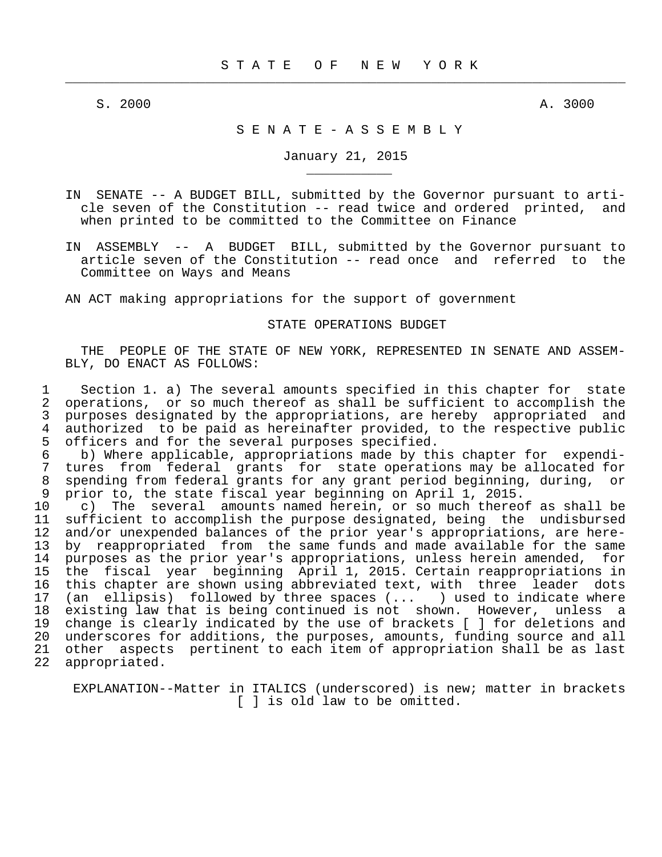$\frac{1}{2}$  , and the contribution of the contribution of the contribution of the contribution of the contribution of the contribution of the contribution of the contribution of the contribution of the contribution of the c

\_\_\_\_\_\_\_\_\_\_\_

S. 2000 A. 3000 A. 3000 A. 3000 A. 3000 A. 3000 A. 3000 A. 3000 A. 3000 A. 3000 A. 3000 A. 3000 A. 3000 A. 300

#### S E N A T E - A S S E M B L Y

January 21, 2015

- IN SENATE -- A BUDGET BILL, submitted by the Governor pursuant to arti cle seven of the Constitution -- read twice and ordered printed, and when printed to be committed to the Committee on Finance
- IN ASSEMBLY -- A BUDGET BILL, submitted by the Governor pursuant to article seven of the Constitution -- read once and referred to the Committee on Ways and Means

AN ACT making appropriations for the support of government

#### STATE OPERATIONS BUDGET

 THE PEOPLE OF THE STATE OF NEW YORK, REPRESENTED IN SENATE AND ASSEM- BLY, DO ENACT AS FOLLOWS:

1 Section 1. a) The several amounts specified in this chapter for state<br>2 operations, or so much thereof as shall be sufficient to accomplish the 2 operations, or so much thereof as shall be sufficient to accomplish the<br>3 purposes designated by the appropriations, are hereby appropriated and 3 purposes designated by the appropriations, are hereby appropriated and<br>4 authorized to be paid as hereinafter provided, to the respective public 4 authorized to be paid as hereinafter provided, to the respective public<br>5 officers and for the several purposes specified. 5 officers and for the several purposes specified.<br>6 b) Where applicable, appropriations made by the

 6 b) Where applicable, appropriations made by this chapter for expendi- 7 tures from federal grants for state operations may be allocated for 8 spending from federal grants for any grant period beginning, during, or 9 prior to, the state fiscal year beginning on April 1, 2015.<br>10 c) The several amounts named herein, or so much thereo:

10 c) The several amounts named herein, or so much thereof as shall be sufficient to accomplish the purpose designated, being the undisbursed sufficient to accomplish the purpose designated, being the undisbursed 12 and/or unexpended balances of the prior year's appropriations, are here- 13 by reappropriated from the same funds and made available for the same<br>14 purposes as the prior year's appropriations, unless herein amended, for 14 purposes as the prior year's appropriations, unless herein amended, for<br>15 the fiscal year beginning April 1, 2015. Certain reappropriations in 15 the fiscal year beginning April 1, 2015. Certain reappropriations in<br>16 this chapter are shown using abbreviated text, with three leader dots 16 this chapter are shown using abbreviated text, with three leader dots<br>17 (an ellipsis) followed by three spaces (... ) used to indicate where 17 (an ellipsis) followed by three spaces (... ) used to indicate where<br>18 existing law that is being continued is not shown. However, unless a 18 existing law that is being continued is not shown. However, unless a<br>19 change is clearly indicated by the use of brackets [ ] for deletions and change is clearly indicated by the use of brackets [ ] for deletions and 20 underscores for additions, the purposes, amounts, funding source and all 21 other aspects pertinent to each item of appropriation shall be as last 22 appropriated.

 EXPLANATION--Matter in ITALICS (underscored) is new; matter in brackets [ ] is old law to be omitted.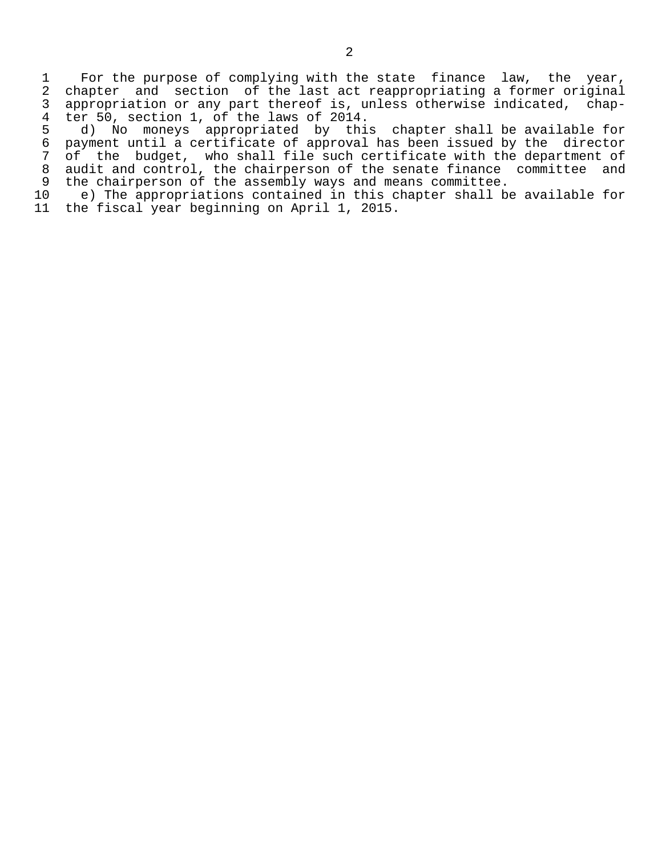1 For the purpose of complying with the state finance law, the year,<br>2 chapter and section of the last act reappropriating a former original 2 chapter and section of the last act reappropriating a former original<br>3 appropriation or any part thereof is, unless otherwise indicated, chap-3 appropriation or any part thereof is, unless otherwise indicated, chap-<br>4 ter 50, section 1, of the laws of 2014. 4 ter 50, section 1, of the laws of 2014.<br>5 d) No moneys appropriated by thi

5 d) No moneys appropriated by this chapter shall be available for<br>6 payment until a certificate of approval has been issued by the director 6 payment until a certificate of approval has been issued by the director<br>7 of the budget, who shall file such certificate with the department of 7 of the budget, who shall file such certificate with the department of 8 audit and control, the chairperson of the senate finance committee and 9 the chairperson of the assembly ways and means committee.<br>10 e) The appropriations contained in this chapter shall be

10 e) The appropriations contained in this chapter shall be available for<br>11 the fiscal year beginning on April 1, 2015. the fiscal year beginning on April 1, 2015.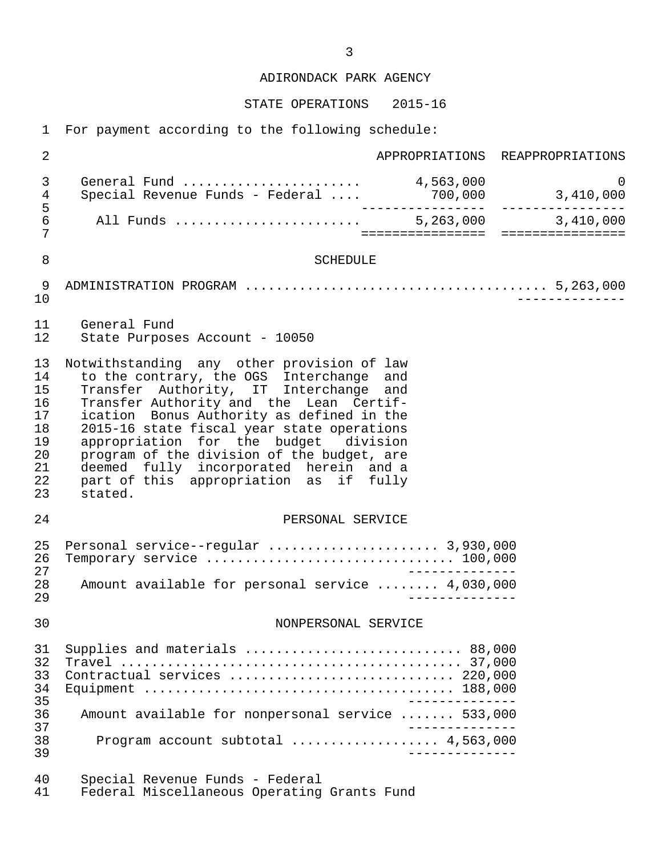ADIRONDACK PARK AGENCY

STATE OPERATIONS 2015-16

1 For payment according to the following schedule:

| $\overline{2}$                                                 |                                                                                                                                                                                                                                                                                                                                                                                                                                                              |                  | APPROPRIATIONS REAPPROPRIATIONS     |
|----------------------------------------------------------------|--------------------------------------------------------------------------------------------------------------------------------------------------------------------------------------------------------------------------------------------------------------------------------------------------------------------------------------------------------------------------------------------------------------------------------------------------------------|------------------|-------------------------------------|
| 3<br>$\overline{4}$                                            | General Fund $\dots\dots\dots\dots\dots\dots\dots$ 4,563,000<br>Special Revenue Funds - Federal                                                                                                                                                                                                                                                                                                                                                              |                  | $\overline{0}$<br>700,000 3,410,000 |
| $\frac{5}{6}$<br>7                                             | All Funds  5,263,000 3,410,000                                                                                                                                                                                                                                                                                                                                                                                                                               | ================ | ================                    |
| 8                                                              | SCHEDULE                                                                                                                                                                                                                                                                                                                                                                                                                                                     |                  |                                     |
| 9<br>10                                                        |                                                                                                                                                                                                                                                                                                                                                                                                                                                              |                  |                                     |
| 11<br>12                                                       | General Fund<br>State Purposes Account - 10050                                                                                                                                                                                                                                                                                                                                                                                                               |                  |                                     |
| 13<br>14<br>15<br>16<br>17<br>18<br>19<br>20<br>21<br>22<br>23 | Notwithstanding any other provision of law<br>to the contrary, the OGS Interchange and<br>Transfer Authority, IT Interchange and<br>Transfer Authority and the Lean Certif-<br>ication Bonus Authority as defined in the<br>2015-16 state fiscal year state operations<br>appropriation for the budget division<br>program of the division of the budget, are<br>deemed fully incorporated herein and a<br>part of this appropriation as if fully<br>stated. |                  |                                     |
| 24                                                             | PERSONAL SERVICE                                                                                                                                                                                                                                                                                                                                                                                                                                             |                  |                                     |
| 25<br>26<br>27<br>28                                           | Personal service--regular  3,930,000<br>Amount available for personal service  4,030,000                                                                                                                                                                                                                                                                                                                                                                     | ________         |                                     |
| 29                                                             |                                                                                                                                                                                                                                                                                                                                                                                                                                                              |                  |                                     |
| 30                                                             | NONPERSONAL SERVICE                                                                                                                                                                                                                                                                                                                                                                                                                                          |                  |                                     |
| 31<br>32<br>33<br>34<br>35                                     | Supplies and materials  88,000<br>Contractual services  220,000                                                                                                                                                                                                                                                                                                                                                                                              | --------------   |                                     |
| 36<br>37                                                       | Amount available for nonpersonal service  533,000                                                                                                                                                                                                                                                                                                                                                                                                            |                  |                                     |
| 38<br>39                                                       | Program account subtotal $4,563,000$                                                                                                                                                                                                                                                                                                                                                                                                                         | _______________  |                                     |
| 40<br>41                                                       | Special Revenue Funds - Federal<br>Federal Miscellaneous Operating Grants Fund                                                                                                                                                                                                                                                                                                                                                                               |                  |                                     |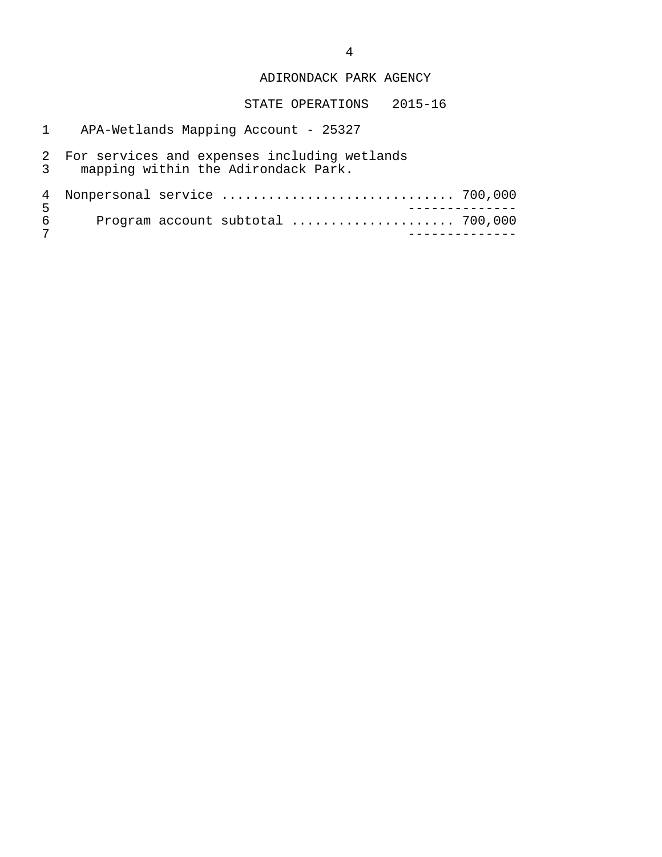## ADIRONDACK PARK AGENCY

- 1 APA-Wetlands Mapping Account 25327
- 2 For services and expenses including wetlands 3 mapping within the Adirondack Park.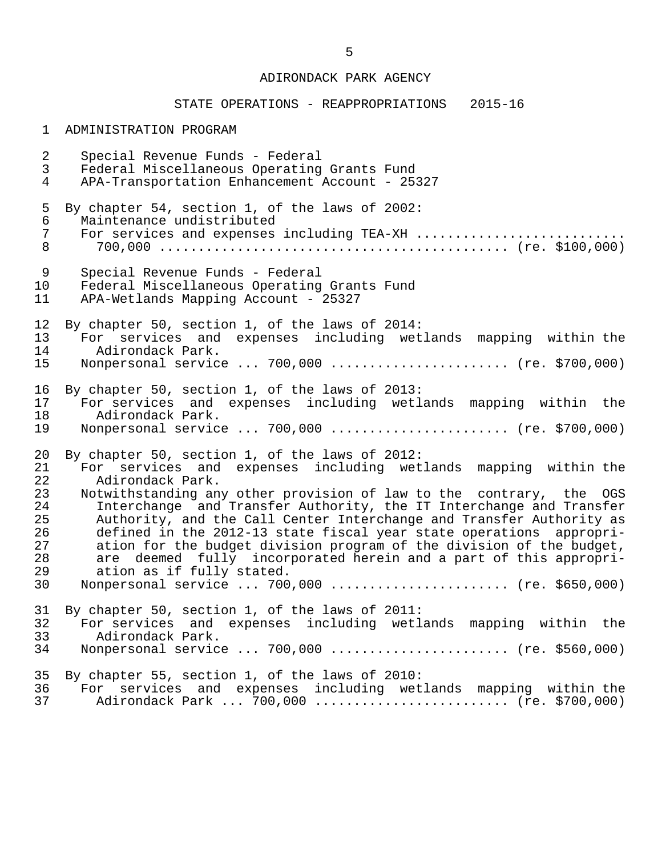## ADIRONDACK PARK AGENCY

# STATE OPERATIONS - REAPPROPRIATIONS 2015-16

## 1 ADMINISTRATION PROGRAM

| $\overline{2}$ | Special Revenue Funds - Federal                                      |
|----------------|----------------------------------------------------------------------|
| $\mathsf{3}$   | Federal Miscellaneous Operating Grants Fund                          |
| $\overline{4}$ | APA-Transportation Enhancement Account - 25327                       |
| 5              | By chapter 54, section 1, of the laws of 2002:                       |
| $\epsilon$     | Maintenance undistributed                                            |
| $\overline{7}$ | For services and expenses including TEA-XH                           |
| 8              |                                                                      |
| 9              | Special Revenue Funds - Federal                                      |
| 10             | Federal Miscellaneous Operating Grants Fund                          |
| 11             | APA-Wetlands Mapping Account - 25327                                 |
| 12             | By chapter 50, section 1, of the laws of 2014:                       |
| 13             | For services and expenses including wetlands mapping within the      |
| 14             | Adirondack Park.                                                     |
| 15             | Nonpersonal service  700,000  (re. \$700,000)                        |
| 16             | By chapter 50, section 1, of the laws of 2013:                       |
| 17             | For services and expenses including wetlands mapping within the      |
| 18             | Adirondack Park.                                                     |
| 19             | Nonpersonal service  700,000  (re. \$700,000)                        |
| 20             | By chapter 50, section 1, of the laws of 2012:                       |
| 21             | For services and expenses including wetlands mapping within the      |
| 22             | Adirondack Park.                                                     |
| 23             | Notwithstanding any other provision of law to the contrary, the OGS  |
| 24             | Interchange and Transfer Authority, the IT Interchange and Transfer  |
| 25             | Authority, and the Call Center Interchange and Transfer Authority as |
| 26             | defined in the 2012-13 state fiscal year state operations appropri-  |
| 27             | ation for the budget division program of the division of the budget, |
| 28             | are deemed fully incorporated herein and a part of this appropri-    |
| 29             | ation as if fully stated.                                            |
| 30             | Nonpersonal service  700,000  (re. \$650,000)                        |
| 31             | By chapter 50, section 1, of the laws of 2011:                       |
| 32             | For services and expenses including wetlands mapping within the      |
| 33             | Adirondack Park.                                                     |
| 34             | Nonpersonal service  700,000  (re. \$560,000)                        |
| 35             | By chapter 55, section 1, of the laws of 2010:                       |
| 36             | For services and expenses including wetlands mapping within the      |
| 37             | Adirondack Park  700,000  (re. \$700,000)                            |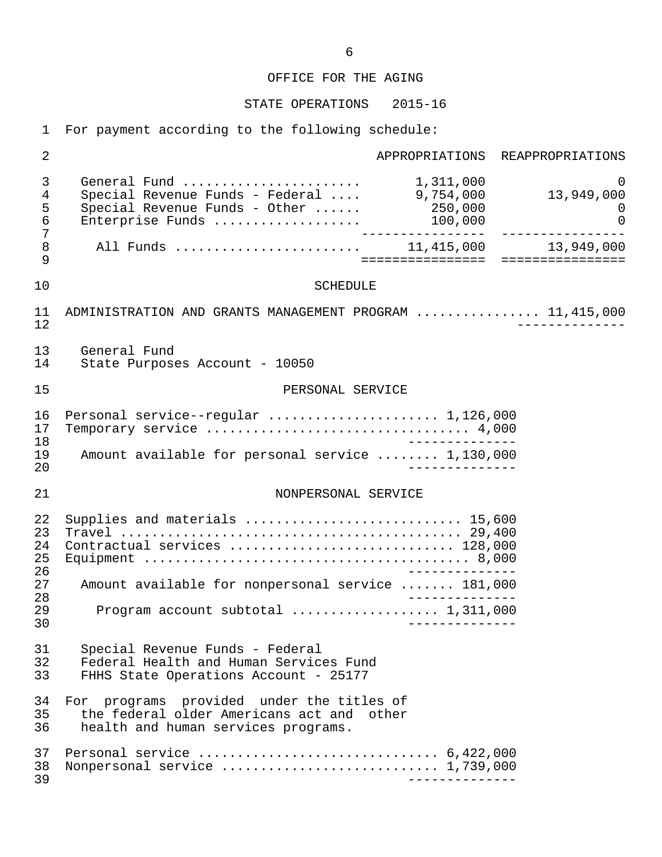# STATE OPERATIONS 2015-16

1 For payment according to the following schedule:

| $\overline{2}$             |                                                                                                                                          | APPROPRIATIONS REAPPROPRIATIONS                   |
|----------------------------|------------------------------------------------------------------------------------------------------------------------------------------|---------------------------------------------------|
| 3<br>4<br>5<br>6<br>7      | Special Revenue Funds - Federal  9,754,000<br>$\overline{S}\text{pecial}$ Revenue Funds - Other $250,000$<br>Enterprise Funds<br>100,000 | $\Omega$<br>13,949,000<br>$\Omega$<br>$\mathbf 0$ |
| 8<br>9                     | ====================================                                                                                                     | 13,949,000                                        |
| 10                         | <b>SCHEDULE</b>                                                                                                                          |                                                   |
| 11<br>12                   | ADMINISTRATION AND GRANTS MANAGEMENT PROGRAM  11,415,000                                                                                 |                                                   |
| 13<br>14                   | General Fund<br>State Purposes Account - 10050                                                                                           |                                                   |
| 15                         | PERSONAL SERVICE                                                                                                                         |                                                   |
| 16<br>17<br>18             | Personal service--regular  1,126,000                                                                                                     |                                                   |
| 19<br>20                   | Amount available for personal service  1,130,000                                                                                         |                                                   |
| 21                         | NONPERSONAL SERVICE                                                                                                                      |                                                   |
| 22<br>23<br>24<br>25<br>26 | Supplies and materials  15,600<br>Contractual services  128,000<br>______________                                                        |                                                   |
| 27<br>28                   | Amount available for nonpersonal service  181,000                                                                                        |                                                   |
| 29<br>30                   | Program account subtotal  1,311,000                                                                                                      |                                                   |
| 31<br>32<br>33             | Special Revenue Funds - Federal<br>Federal Health and Human Services Fund<br>FHHS State Operations Account - 25177                       |                                                   |
| 34<br>35<br>36             | For programs provided under the titles of<br>the federal older Americans act and other<br>health and human services programs.            |                                                   |
| 37<br>38<br>39             | Nonpersonal service  1,739,000                                                                                                           |                                                   |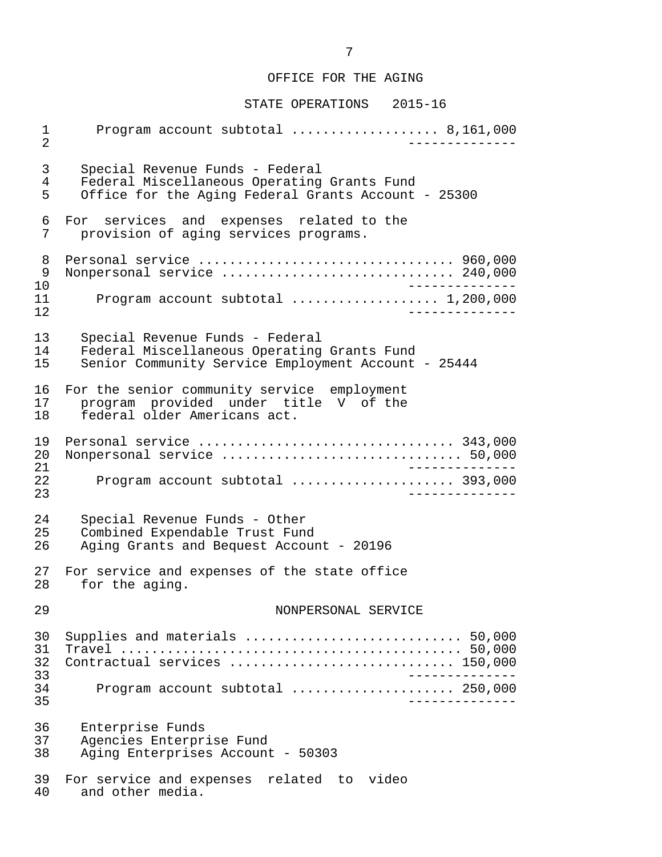#### STATE OPERATIONS 2015-16

 1 Program account subtotal ................... 8,161,000 2 -------------- 3 Special Revenue Funds - Federal 4 Federal Miscellaneous Operating Grants Fund<br>5 Office for the Aging Federal Grants Account Office for the Aging Federal Grants Account - 25300 6 For services and expenses related to the<br>7 provision of aging-services-programs. provision of aging services programs. 8 Personal service ................................. 960,000 9 Nonpersonal service .............................. 240,000 10 -------------- 11 Program account subtotal ................... 1,200,000 12 -------------- 13 Special Revenue Funds - Federal 14 Federal Miscellaneous Operating Grants Fund<br>15 Senior Community Service Employment Account Senior Community Service Employment Account - 25444 16 For the senior community service employment<br>17 program provided under title V of the 17 program provided under title V of the<br>18 federal older Americans act. federal older Americans act. 19 Personal service ................................. 343,000 20 Nonpersonal service ............................... 50,000 21 --------------<br>22 Program account subtotal expressions assessed 393,000 22 Program account subtotal ..................... 393,000 23 -------------- 24 Special Revenue Funds - Other<br>25 Combined Expendable Trust Fung Combined Expendable Trust Fund 26 Aging Grants and Bequest Account - 20196 27 For service and expenses of the state office<br>28 for the aging. for the aging. 29 NONPERSONAL SERVICE 30 Supplies and materials ............................ 50,000 31 Travel ............................................ 50,000 32 Contractual services ............................. 150,000 33 -------------- 34 Program account subtotal ..................... 250,000 35 -------------- 36 Enterprise Funds<br>37 Agencies Enterpr 37 Agencies Enterprise Fund Aging Enterprises Account - 50303 39 For service and expenses related to video<br>40 and other media. and other media.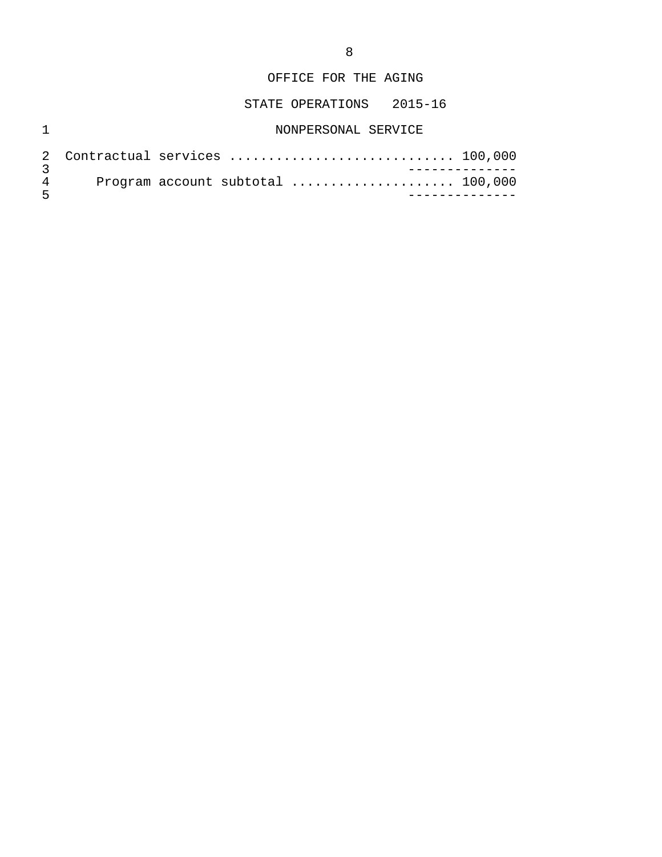# STATE OPERATIONS 2015-16

# 1 NONPERSONAL SERVICE

| $\sqrt{2}$ |  | 2 Contractual services  100,000 |  |  |  |
|------------|--|---------------------------------|--|--|--|
|            |  |                                 |  |  |  |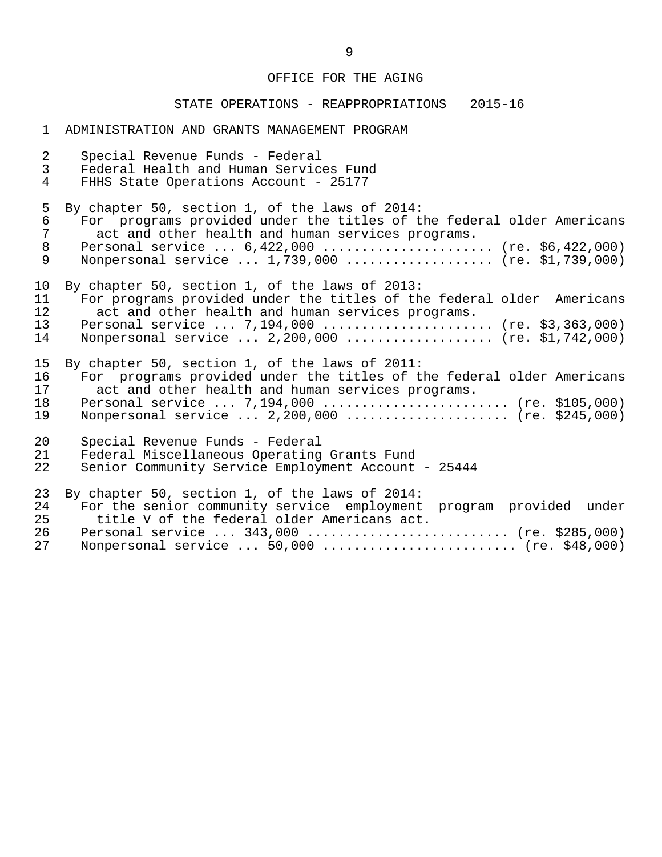# STATE OPERATIONS - REAPPROPRIATIONS 2015-16

#### 1 ADMINISTRATION AND GRANTS MANAGEMENT PROGRAM

| $\overline{a}$<br>$\mathfrak{Z}$<br>$\overline{4}$ | Special Revenue Funds - Federal<br>Federal Health and Human Services Fund<br>FHHS State Operations Account - 25177                                                                                                                                                                  |
|----------------------------------------------------|-------------------------------------------------------------------------------------------------------------------------------------------------------------------------------------------------------------------------------------------------------------------------------------|
| 5<br>6<br>7<br>8<br>9                              | By chapter 50, section 1, of the laws of 2014:<br>For programs provided under the titles of the federal older Americans<br>act and other health and human services programs.<br>Personal service  6,422,000  (re. \$6,422,000)<br>Nonpersonal service  1,739,000  (re. \$1,739,000) |
| 10<br>11<br>12<br>13<br>14                         | By chapter 50, section 1, of the laws of 2013:<br>For programs provided under the titles of the federal older Americans<br>act and other health and human services programs.<br>Personal service  7,194,000  (re. \$3,363,000)<br>Nonpersonal service  2,200,000  (re. \$1,742,000) |
| 15<br>16<br>17<br>18<br>19                         | By chapter 50, section 1, of the laws of 2011:<br>For programs provided under the titles of the federal older Americans<br>act and other health and human services programs.<br>Personal service  7,194,000  (re. \$105,000)<br>Nonpersonal service $2,200,000$ (re. \$245,000)     |
| 20<br>21<br>22                                     | Special Revenue Funds - Federal<br>Federal Miscellaneous Operating Grants Fund<br>Senior Community Service Employment Account - 25444                                                                                                                                               |
| 23<br>24<br>25<br>26<br>27                         | By chapter 50, section 1, of the laws of 2014:<br>For the senior community service employment program provided under<br>title V of the federal older Americans act.<br>Personal service  343,000  (re. \$285,000)<br>Nonpersonal service  50,000  (re. \$48,000)                    |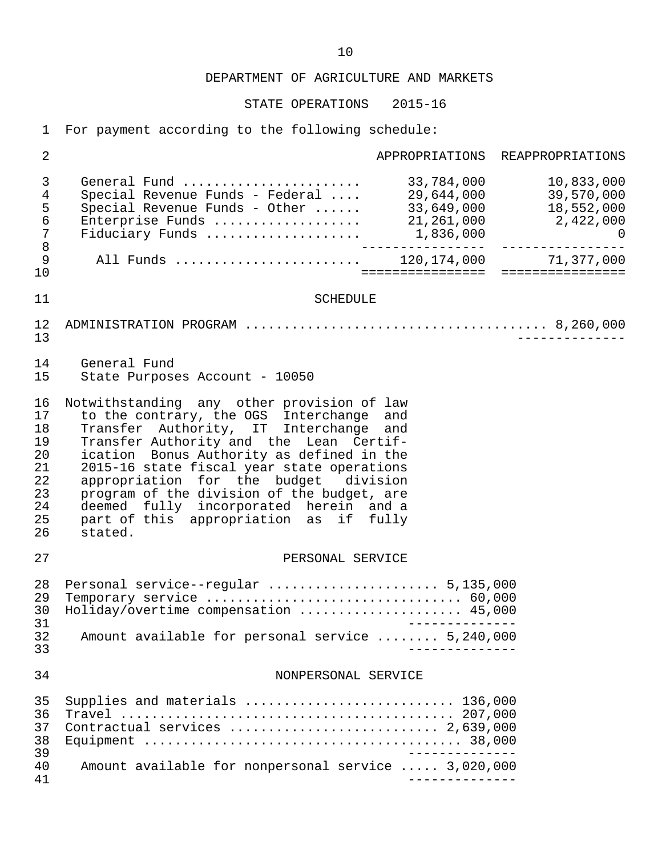STATE OPERATIONS 2015-16

1 For payment according to the following schedule:

| $\overline{2}$                                                            |                                                                                                                                                                                                                                                                                                                                                                                                                                                              |                          | APPROPRIATIONS REAPPROPRIATIONS                                |
|---------------------------------------------------------------------------|--------------------------------------------------------------------------------------------------------------------------------------------------------------------------------------------------------------------------------------------------------------------------------------------------------------------------------------------------------------------------------------------------------------------------------------------------------------|--------------------------|----------------------------------------------------------------|
| $\mathfrak{Z}$<br>4<br>5<br>6<br>$\overline{7}$<br>$\,8\,$<br>$\mathsf 9$ | General Fund<br>Special Revenue Funds - Federal<br>Special Revenue Funds - Other<br>Special Revenue Funds - Other  33,649,000 18,552,000<br>Enterprise Funds  21,261,000 2,422,000<br>Fiduciary Funds  1,836,000 0<br>All Funds  120,174,000 71,377,000                                                                                                                                                                                                      | 33,784,000<br>33,649,000 | 10,833,000<br>29,644,000 39,570,000<br>18,552,000<br>2,422,000 |
| 10                                                                        |                                                                                                                                                                                                                                                                                                                                                                                                                                                              |                          |                                                                |
| 11<br>12<br>13                                                            | <b>SCHEDULE</b>                                                                                                                                                                                                                                                                                                                                                                                                                                              |                          |                                                                |
| 14<br>15                                                                  | General Fund<br>State Purposes Account - 10050                                                                                                                                                                                                                                                                                                                                                                                                               |                          |                                                                |
| 16<br>17<br>18<br>19<br>20<br>21<br>22<br>23<br>24<br>25<br>26            | Notwithstanding any other provision of law<br>to the contrary, the OGS Interchange and<br>Transfer Authority, IT Interchange and<br>Transfer Authority and the Lean Certif-<br>ication Bonus Authority as defined in the<br>2015-16 state fiscal year state operations<br>appropriation for the budget division<br>program of the division of the budget, are<br>deemed fully incorporated herein and a<br>part of this appropriation as if fully<br>stated. |                          |                                                                |
| 27                                                                        | PERSONAL SERVICE                                                                                                                                                                                                                                                                                                                                                                                                                                             |                          |                                                                |
| 28<br>29<br>30<br>31<br>32<br>33                                          | Personal service--regular  5,135,000<br>Holiday/overtime compensation  45,000<br>Amount available for personal service  5,240,000                                                                                                                                                                                                                                                                                                                            | $- - - - - - - - -$      |                                                                |
| 34                                                                        | NONPERSONAL SERVICE                                                                                                                                                                                                                                                                                                                                                                                                                                          |                          |                                                                |
| 35<br>36<br>37<br>38<br>39<br>40<br>41                                    | Supplies and materials  136,000<br>Contractual services  2,639,000<br>Amount available for nonpersonal service  3,020,000                                                                                                                                                                                                                                                                                                                                    |                          |                                                                |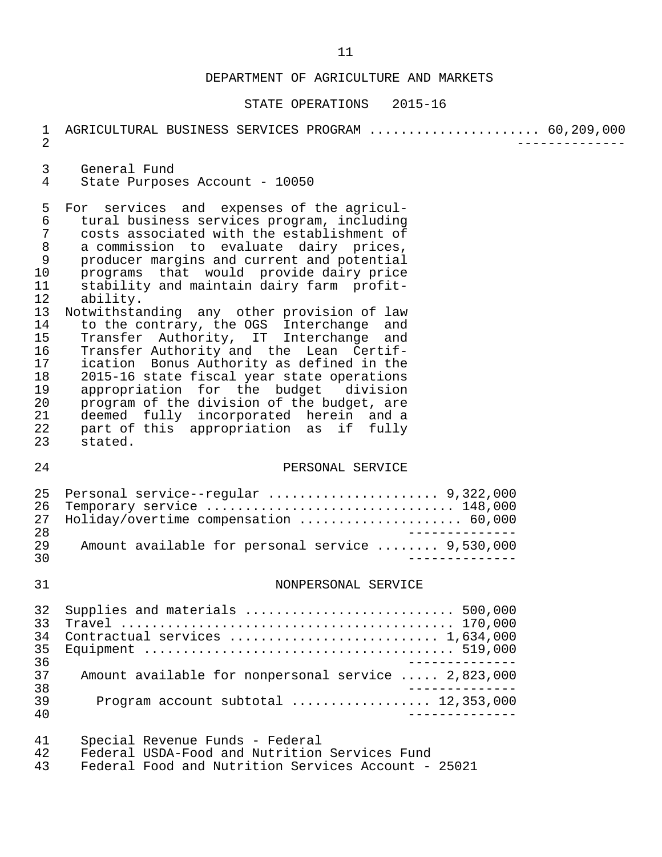| 1<br>$\overline{2}$                                                                                                          | AGRICULTURAL BUSINESS SERVICES PROGRAM  60,209,000                                                                                                                                                                                                                                                                                                                                                                                                                                                                                                                                                                                                                                                                                                                                                |  |
|------------------------------------------------------------------------------------------------------------------------------|---------------------------------------------------------------------------------------------------------------------------------------------------------------------------------------------------------------------------------------------------------------------------------------------------------------------------------------------------------------------------------------------------------------------------------------------------------------------------------------------------------------------------------------------------------------------------------------------------------------------------------------------------------------------------------------------------------------------------------------------------------------------------------------------------|--|
| 3<br>4                                                                                                                       | General Fund<br>State Purposes Account - 10050                                                                                                                                                                                                                                                                                                                                                                                                                                                                                                                                                                                                                                                                                                                                                    |  |
| 5<br>6<br>$\sqrt{ }$<br>8<br>$\mathsf 9$<br>10<br>11<br>12<br>13<br>14<br>15<br>16<br>17<br>18<br>19<br>20<br>21<br>22<br>23 | For services and expenses of the agricul-<br>tural business services program, including<br>costs associated with the establishment of<br>a commission to evaluate dairy prices,<br>producer margins and current and potential<br>programs that would provide dairy price<br>stability and maintain dairy farm profit-<br>ability.<br>Notwithstanding any other provision of law<br>to the contrary, the OGS Interchange and<br>Transfer Authority, IT Interchange and<br>Transfer Authority and the Lean Certif-<br>ication Bonus Authority as defined in the<br>2015-16 state fiscal year state operations<br>appropriation for the budget division<br>program of the division of the budget, are<br>deemed fully incorporated herein and a<br>part of this appropriation as if fully<br>stated. |  |
| 24                                                                                                                           | PERSONAL SERVICE                                                                                                                                                                                                                                                                                                                                                                                                                                                                                                                                                                                                                                                                                                                                                                                  |  |
| 25<br>26<br>27<br>28<br>29<br>30                                                                                             | Personal service--regular  9,322,000<br>Temporary service  148,000<br>Holiday/overtime compensation  60,000<br>$\frac{1}{2}$<br>Amount available for personal service  9,530,000                                                                                                                                                                                                                                                                                                                                                                                                                                                                                                                                                                                                                  |  |
| 31                                                                                                                           | NONPERSONAL SERVICE                                                                                                                                                                                                                                                                                                                                                                                                                                                                                                                                                                                                                                                                                                                                                                               |  |
| 32<br>33<br>34<br>35<br>36<br>37<br>38<br>39                                                                                 | Supplies and materials  500,000<br>Contractual services  1,634,000<br>Amount available for nonpersonal service  2,823,000<br>Program account subtotal  12,353,000                                                                                                                                                                                                                                                                                                                                                                                                                                                                                                                                                                                                                                 |  |
| 40<br>41<br>42<br>43                                                                                                         | Special Revenue Funds - Federal<br>Federal USDA-Food and Nutrition Services Fund<br>Federal Food and Nutrition Services Account - 25021                                                                                                                                                                                                                                                                                                                                                                                                                                                                                                                                                                                                                                                           |  |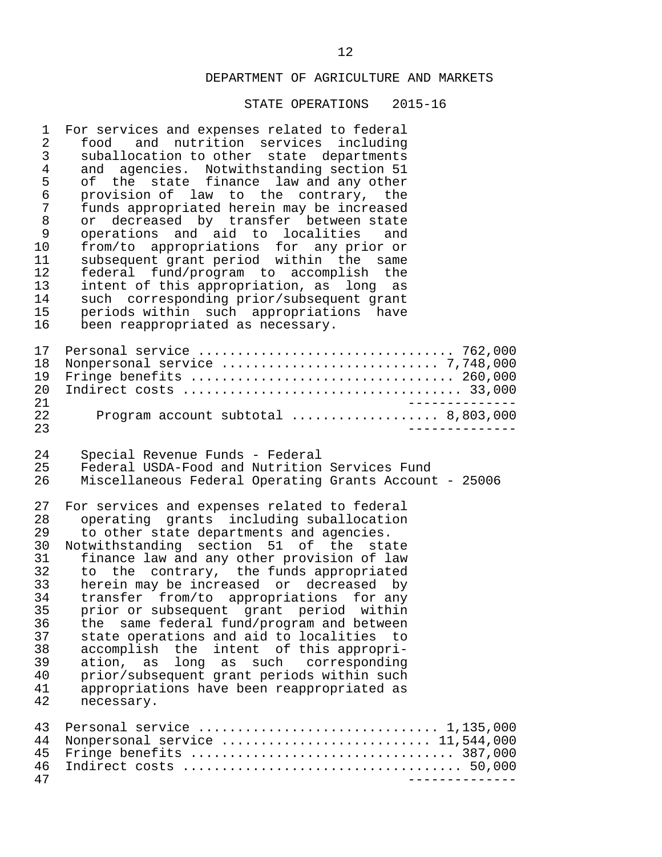| 1<br>$\overline{2}$<br>3<br>$\overline{4}$<br>5<br>$\epsilon$<br>7<br>$\,8\,$<br>9<br>10<br>11<br>12<br>13<br>14<br>15<br>16 | For services and expenses related to federal<br>food and nutrition services including<br>suballocation to other state departments<br>and agencies. Notwithstanding section 51<br>of the state finance law and any other<br>provision of law to the contrary, the<br>funds appropriated herein may be increased<br>decreased by transfer between state<br>or<br>operations and aid to localities<br>and<br>from/to appropriations for any prior or<br>subsequent grant period within the same<br>federal fund/program to accomplish the<br>intent of this appropriation, as long as<br>such corresponding prior/subsequent grant<br>periods within such appropriations<br>have<br>been reappropriated as necessary. |
|------------------------------------------------------------------------------------------------------------------------------|--------------------------------------------------------------------------------------------------------------------------------------------------------------------------------------------------------------------------------------------------------------------------------------------------------------------------------------------------------------------------------------------------------------------------------------------------------------------------------------------------------------------------------------------------------------------------------------------------------------------------------------------------------------------------------------------------------------------|
| 17<br>18<br>19<br>20<br>21                                                                                                   | Personal service  762,000<br>Fringe benefits  260,000                                                                                                                                                                                                                                                                                                                                                                                                                                                                                                                                                                                                                                                              |
| 22<br>23                                                                                                                     | Program account subtotal  8,803,000                                                                                                                                                                                                                                                                                                                                                                                                                                                                                                                                                                                                                                                                                |
| 24<br>25<br>26                                                                                                               | Special Revenue Funds - Federal<br>Federal USDA-Food and Nutrition Services Fund<br>Miscellaneous Federal Operating Grants Account - 25006                                                                                                                                                                                                                                                                                                                                                                                                                                                                                                                                                                         |
| 27<br>28<br>29<br>30<br>31<br>32<br>33<br>34<br>35<br>36<br>37<br>38<br>39<br>40<br>41<br>42                                 | For services and expenses related to federal<br>operating grants including suballocation<br>to other state departments and agencies.<br>Notwithstanding section 51 of the state<br>finance law and any other provision of law<br>to the contrary, the funds appropriated<br>herein may be increased or decreased by<br>transfer from/to appropriations for any<br>prior or subsequent grant period within<br>same federal fund/program and between<br>the<br>state operations and aid to localities<br>to<br>intent of this appropri-<br>accomplish the<br>ation,<br>long as such<br>corresponding<br>as<br>prior/subsequent grant periods within such<br>appropriations have been reappropriated as<br>necessary. |
| 43<br>44<br>45<br>46<br>47                                                                                                   | Personal service $\ldots \ldots \ldots \ldots \ldots \ldots \ldots \ldots \ldots \ldots 1,135,000$<br>Nonpersonal service  11,544,000<br>Fringe benefits  387,000                                                                                                                                                                                                                                                                                                                                                                                                                                                                                                                                                  |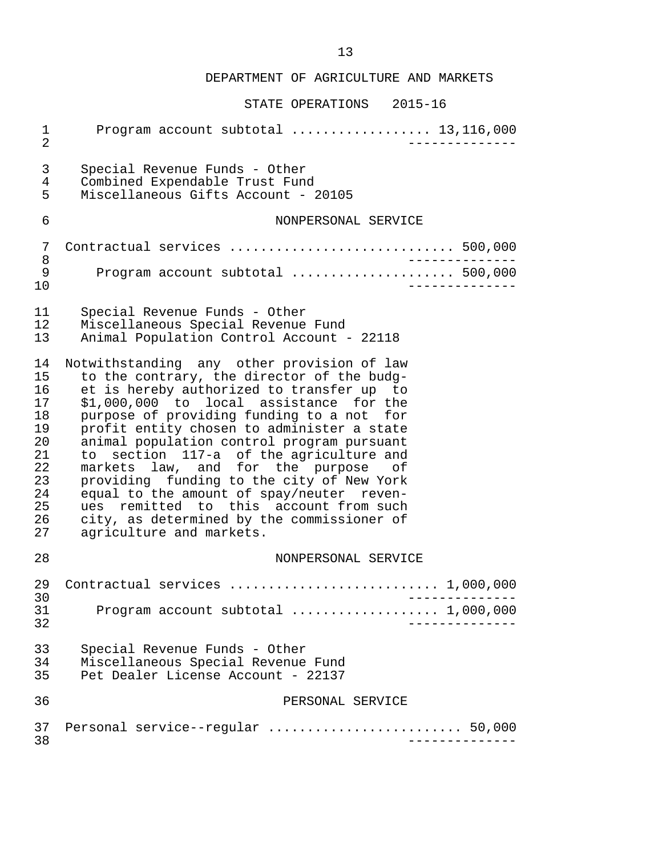| $\mathbf 1$<br>$\overline{2}$                                                    | Program account subtotal  13,116,000                                                                                                                                                                                                                                                                                                                                                                                                                                                                                                                                                                                      |
|----------------------------------------------------------------------------------|---------------------------------------------------------------------------------------------------------------------------------------------------------------------------------------------------------------------------------------------------------------------------------------------------------------------------------------------------------------------------------------------------------------------------------------------------------------------------------------------------------------------------------------------------------------------------------------------------------------------------|
| $\mathsf{3}$<br>$\overline{4}$<br>5                                              | Special Revenue Funds - Other<br>Combined Expendable Trust Fund<br>Miscellaneous Gifts Account - 20105                                                                                                                                                                                                                                                                                                                                                                                                                                                                                                                    |
| 6                                                                                | NONPERSONAL SERVICE                                                                                                                                                                                                                                                                                                                                                                                                                                                                                                                                                                                                       |
| 7                                                                                | Contractual services  500,000<br>$\frac{1}{2}$                                                                                                                                                                                                                                                                                                                                                                                                                                                                                                                                                                            |
| 8<br>9<br>10                                                                     | Program account subtotal  500,000                                                                                                                                                                                                                                                                                                                                                                                                                                                                                                                                                                                         |
| 11<br>12<br>13                                                                   | Special Revenue Funds - Other<br>Miscellaneous Special Revenue Fund<br>Animal Population Control Account - 22118                                                                                                                                                                                                                                                                                                                                                                                                                                                                                                          |
| 14<br>15<br>16<br>17<br>18<br>19<br>20<br>21<br>22<br>23<br>24<br>25<br>26<br>27 | Notwithstanding any other provision of law<br>to the contrary, the director of the budg-<br>et is hereby authorized to transfer up to<br>\$1,000,000 to local assistance for the<br>purpose of providing funding to a not for<br>profit entity chosen to administer a state<br>animal population control program pursuant<br>to section 117-a of the agriculture and<br>markets law, and for the purpose of<br>providing funding to the city of New York<br>equal to the amount of spay/neuter reven-<br>ues remitted to this account from such<br>city, as determined by the commissioner of<br>agriculture and markets. |
| 28                                                                               | NONPERSONAL SERVICE                                                                                                                                                                                                                                                                                                                                                                                                                                                                                                                                                                                                       |
| 29<br>30                                                                         | Contractual services  1,000,000                                                                                                                                                                                                                                                                                                                                                                                                                                                                                                                                                                                           |
| 31<br>32                                                                         | Program account subtotal  1,000,000                                                                                                                                                                                                                                                                                                                                                                                                                                                                                                                                                                                       |
| 33<br>34<br>35                                                                   | Special Revenue Funds - Other<br>Miscellaneous Special Revenue Fund<br>Pet Dealer License Account - 22137                                                                                                                                                                                                                                                                                                                                                                                                                                                                                                                 |
| 36                                                                               | PERSONAL SERVICE                                                                                                                                                                                                                                                                                                                                                                                                                                                                                                                                                                                                          |
| 37<br>38                                                                         | Personal service--regular  50,000                                                                                                                                                                                                                                                                                                                                                                                                                                                                                                                                                                                         |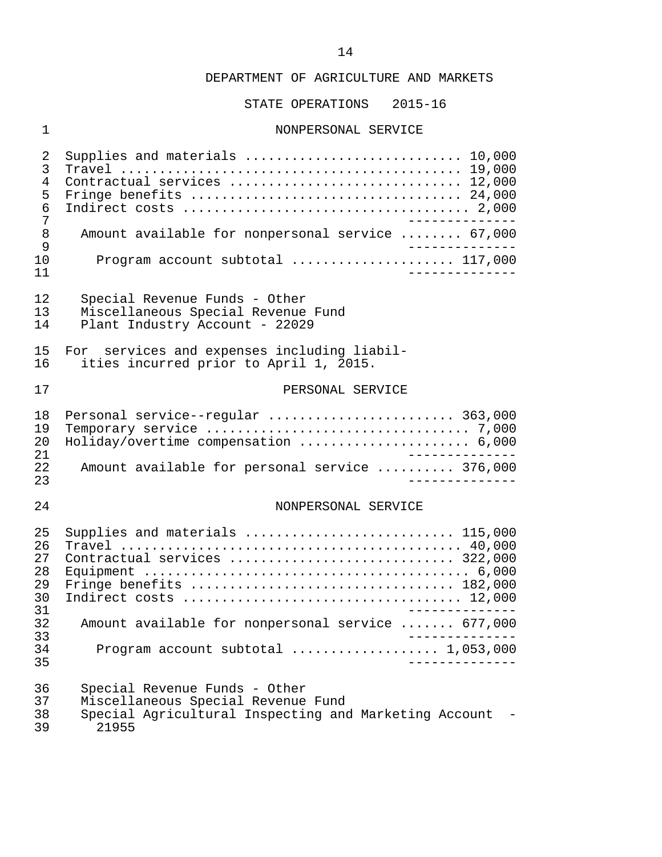STATE OPERATIONS 2015-16

#### 1 NONPERSONAL SERVICE

| 2<br>3<br>4<br>5<br>6<br>7<br>8<br>9<br>10<br>11               | Supplies and materials  10,000<br>Contractual services  12,000<br>Fringe benefits  24,000<br>Amount available for nonpersonal service  67,000<br>Program account subtotal  117,000<br>-----------                            |
|----------------------------------------------------------------|------------------------------------------------------------------------------------------------------------------------------------------------------------------------------------------------------------------------------|
| 12                                                             | Special Revenue Funds - Other                                                                                                                                                                                                |
| 13                                                             | Miscellaneous Special Revenue Fund                                                                                                                                                                                           |
| 14                                                             | Plant Industry Account - 22029                                                                                                                                                                                               |
| 15                                                             | For services and expenses including liabil-                                                                                                                                                                                  |
| 16                                                             | ities incurred prior to April 1, 2015.                                                                                                                                                                                       |
| 17                                                             | PERSONAL SERVICE                                                                                                                                                                                                             |
| 18                                                             | Personal service--regular  363,000                                                                                                                                                                                           |
| 19                                                             |                                                                                                                                                                                                                              |
| 20                                                             | Holiday/overtime compensation  6,000                                                                                                                                                                                         |
| 21                                                             | $- - - - - - - - -$                                                                                                                                                                                                          |
| 22                                                             | Amount available for personal service  376,000                                                                                                                                                                               |
| 23                                                             | -----------                                                                                                                                                                                                                  |
| 24                                                             | NONPERSONAL SERVICE                                                                                                                                                                                                          |
| 25<br>26<br>27<br>28<br>29<br>30<br>31<br>32<br>33<br>34<br>35 | Supplies and materials  115,000<br>Contractual services  322,000<br>Fringe benefits  182,000<br>Amount available for nonpersonal service  677,000<br>Program account subtotal $\ldots \ldots \ldots \ldots \ldots 1,053,000$ |
| 36                                                             | Special Revenue Funds - Other                                                                                                                                                                                                |
| 37                                                             | Miscellaneous Special Revenue Fund                                                                                                                                                                                           |
| 38                                                             | Special Agricultural Inspecting and Marketing Account                                                                                                                                                                        |
| 39                                                             | 21955                                                                                                                                                                                                                        |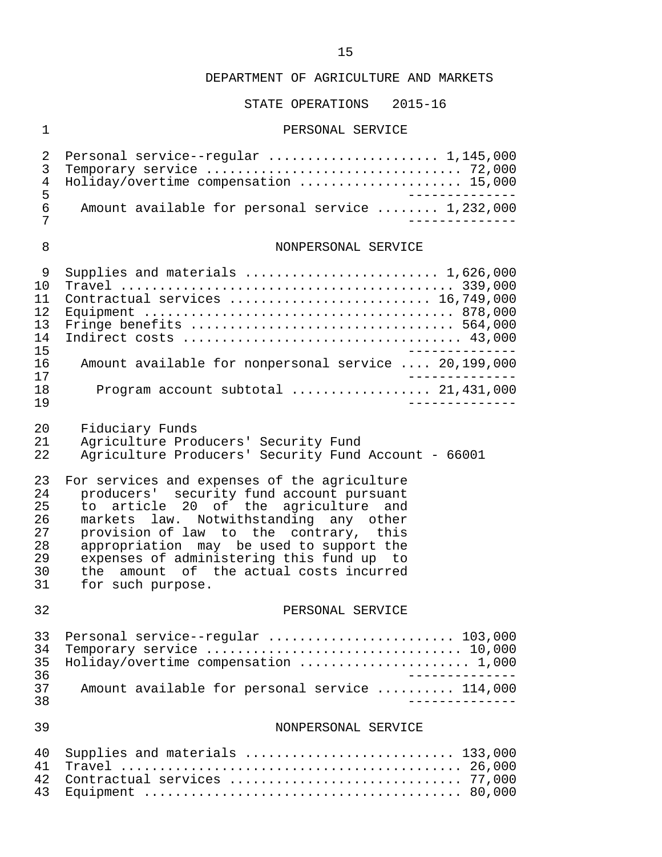#### STATE OPERATIONS 2015-16

#### 1 PERSONAL SERVICE

|     | 2 Personal service--regular  1,145,000           |            |
|-----|--------------------------------------------------|------------|
|     |                                                  |            |
|     | 4 Holiday/overtime compensation  15,000          |            |
| - Б |                                                  | ---------- |
| 6   | Amount available for personal service  1,232,000 |            |
|     |                                                  |            |
|     |                                                  |            |

#### 8 NONPERSONAL SERVICE

|     | Supplies and materials $\ldots \ldots \ldots \ldots \ldots \ldots \ldots \ldots 1,626,000$ |
|-----|--------------------------------------------------------------------------------------------|
| 1 O |                                                                                            |
|     | Contractual services  16,749,000                                                           |
| 12. |                                                                                            |
| 13  |                                                                                            |
| 14  |                                                                                            |
| 15  |                                                                                            |
| 16  | Amount available for nonpersonal service  20,199,000                                       |
| 17  |                                                                                            |
| 1 R | Program account subtotal $21,431,000$                                                      |
| 1 9 |                                                                                            |

20 Fiduciary Funds<br>21 Agriculture Pro 21 Agriculture Producers' Security Fund<br>22 Agriculture Producers' Security Fund

Agriculture Producers' Security Fund Account - 66001

23 For services and expenses of the agriculture<br>24 producers' security fund account pursuant 24 producers' security fund account pursuant<br>25 to article 20 of the agriculture and 25 to article 20 of the agriculture and<br>26 markets law. Notwithstanding any other 26 markets law. Notwithstanding any other<br>27 provision of law to the contrary, this 27 provision of law to the contrary, this<br>28 appropriation may be used to support the 28 appropriation may be used to support the<br>29 expenses of administering this fund up to 29 expenses of administering this fund up to<br>30 the amount of the actual costs incurred 30 the amount of the actual costs incurred<br>31 for such purpose. for such purpose.

#### 32 PERSONAL SERVICE

|     | 33 Personal service--regular  103,000          |
|-----|------------------------------------------------|
|     |                                                |
|     | 35 Holiday/overtime compensation  1,000        |
| 36. |                                                |
| 37  | Amount available for personal service  114,000 |
| 3.R |                                                |

#### 39 NONPERSONAL SERVICE

| 40 Supplies and materials  133,000 |  |
|------------------------------------|--|
|                                    |  |
| 42 Contractual services  77,000    |  |
|                                    |  |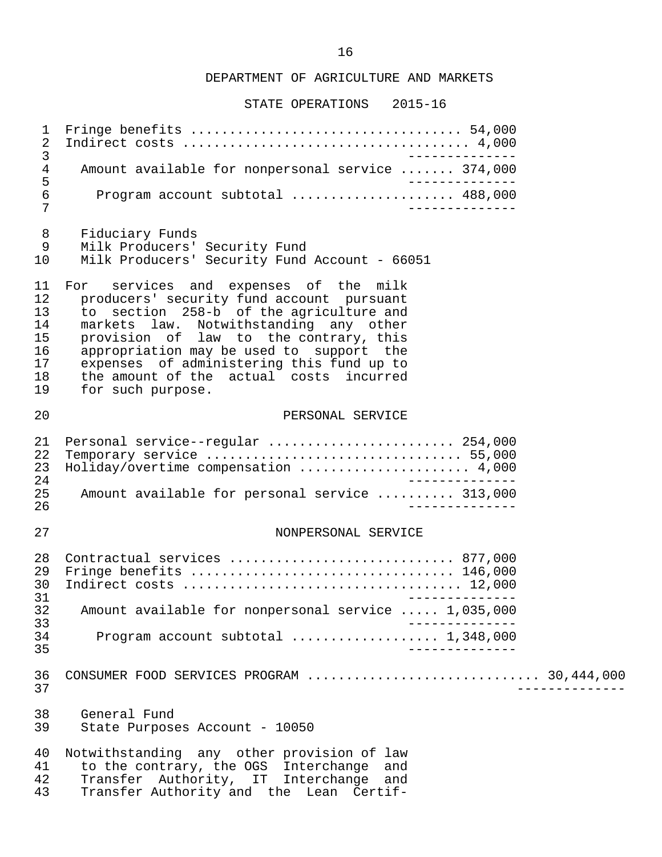STATE OPERATIONS 2015-16

 1 Fringe benefits ................................... 54,000 2 Indirect costs ..................................... 4,000 3 -------------- 4 Amount available for nonpersonal service ....... 374,000 5<br>6 Program account subtotal ...................... 488.000 6 Program account subtotal ..................... 488,000 7 -------------- 8 Fiduciary Funds<br>9 Milk Producers' Milk Producers' Security Fund 10 Milk Producers' Security Fund Account - 66051 11 For services and expenses of the milk<br>12 producers' security fund account pursuant 12 producers' security fund account pursuant<br>13 to section 258-b of the agriculture and 13 to section 258-b of the agriculture and 14 markets law. Notwithstanding any other 15 provision of law to the contrary, this 16 appropriation may be used to support the<br>17 expenses of administering this fund up to 17 expenses of administering this fund up to<br>18 the amount of the actual costs incurred 18 the amount of the actual costs incurred<br>19 for such purpose. for such purpose. 20 PERSONAL SERVICE 21 Personal service--regular ........................ 254,000 22 Temporary service ................................. 55,000 23 Holiday/overtime compensation ...................... 4,000 24<br>25 Amount available for personal service ......... 313.000 25 Amount available for personal service .......... 313,000<br>26 ------------ 26 -------------- 27 NONPERSONAL SERVICE 28 Contractual services ............................... 877,000<br>29 Fringe benefits ................................. 146.000 29 Fringe benefits .................................. 146,000 30 Indirect costs .................................... 12,000 31 -------------<br>32 Amount available for nonpersonal service ..... 1.035.000 32 Amount available for nonpersonal service ..... 1,035,000 33 -------------- 34 Program account subtotal ................... 1,348,000 35 -------------- 36 CONSUMER FOOD SERVICES PROGRAM .............................. 30,444,000 37 -------------- 38 General Fund<br>39 State Purpos State Purposes Account - 10050 40 Notwithstanding any other provision of law<br>41 to the contrary, the OGS Interchange and 41 to the contrary, the OGS Interchange and<br>42 Transfer Authority, IT Interchange and 42 Transfer Authority, IT Interchange and<br>43 Transfer-Authority-and the Lean Certif-Transfer Authority and the Lean Certif-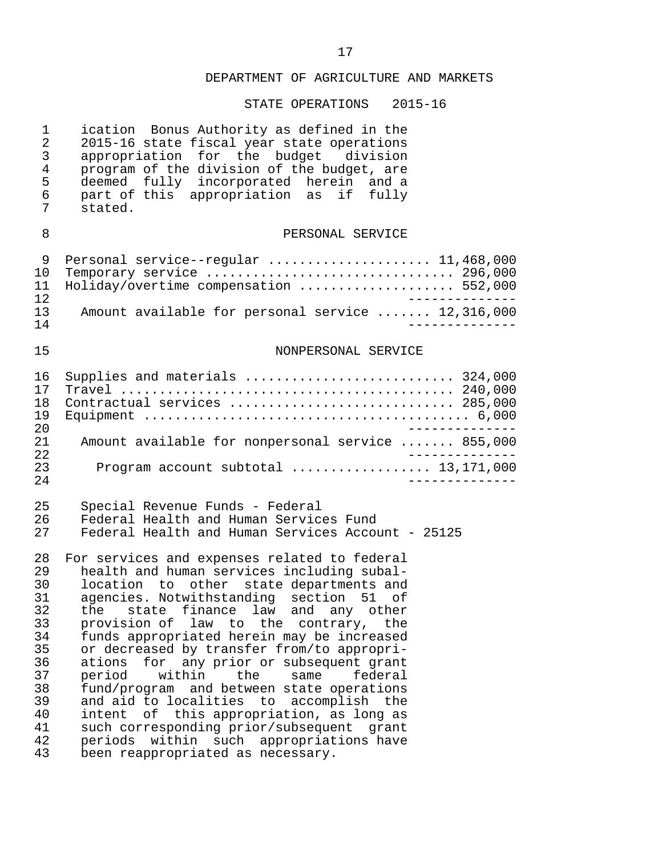| $\mathbf 1$<br>$\overline{c}$<br>3<br>$\overline{4}$<br>5<br>6<br>7                          | ication Bonus Authority as defined in the<br>2015-16 state fiscal year state operations<br>appropriation for the budget division<br>program of the division of the budget, are<br>deemed fully incorporated herein and a<br>part of this appropriation as if fully<br>stated.                                                                                                                                                                                                                                                                                                                                                                                                                                                                         |
|----------------------------------------------------------------------------------------------|-------------------------------------------------------------------------------------------------------------------------------------------------------------------------------------------------------------------------------------------------------------------------------------------------------------------------------------------------------------------------------------------------------------------------------------------------------------------------------------------------------------------------------------------------------------------------------------------------------------------------------------------------------------------------------------------------------------------------------------------------------|
| 8                                                                                            | PERSONAL SERVICE                                                                                                                                                                                                                                                                                                                                                                                                                                                                                                                                                                                                                                                                                                                                      |
| 9<br>10<br>11<br>12                                                                          | Personal service--regular  11,468,000<br>Temporary service  296,000<br>Holiday/overtime compensation  552,000                                                                                                                                                                                                                                                                                                                                                                                                                                                                                                                                                                                                                                         |
| 13<br>14                                                                                     | Amount available for personal service  12,316,000                                                                                                                                                                                                                                                                                                                                                                                                                                                                                                                                                                                                                                                                                                     |
| 15                                                                                           | NONPERSONAL SERVICE                                                                                                                                                                                                                                                                                                                                                                                                                                                                                                                                                                                                                                                                                                                                   |
| 16<br>17<br>18<br>19<br>20                                                                   | Supplies and materials  324,000<br>Contractual services  285,000                                                                                                                                                                                                                                                                                                                                                                                                                                                                                                                                                                                                                                                                                      |
| 21<br>22                                                                                     | Amount available for nonpersonal service  855,000                                                                                                                                                                                                                                                                                                                                                                                                                                                                                                                                                                                                                                                                                                     |
| 23<br>24                                                                                     | Program account subtotal  13,171,000                                                                                                                                                                                                                                                                                                                                                                                                                                                                                                                                                                                                                                                                                                                  |
| 25<br>26<br>27                                                                               | Special Revenue Funds - Federal<br>Federal Health and Human Services Fund<br>Federal Health and Human Services Account - 25125                                                                                                                                                                                                                                                                                                                                                                                                                                                                                                                                                                                                                        |
| 28<br>29<br>30<br>31<br>32<br>33<br>34<br>35<br>36<br>37<br>38<br>39<br>40<br>41<br>42<br>43 | For services and expenses related to federal<br>health and human services including subal-<br>location to other state departments and<br>agencies. Notwithstanding section 51 of<br>the state finance law and any other<br>provision of law to the<br>the<br>contrary,<br>funds appropriated herein may be increased<br>or decreased by transfer from/to appropri-<br>any prior or subsequent grant<br>ations<br>for<br>within<br>period<br>the<br>federal<br>same<br>fund/program and between state operations<br>and aid to localities to accomplish<br>the<br>this appropriation, as long as<br>intent<br>оf<br>such corresponding prior/subsequent<br>qrant<br>within such<br>appropriations have<br>periods<br>been reappropriated as necessary. |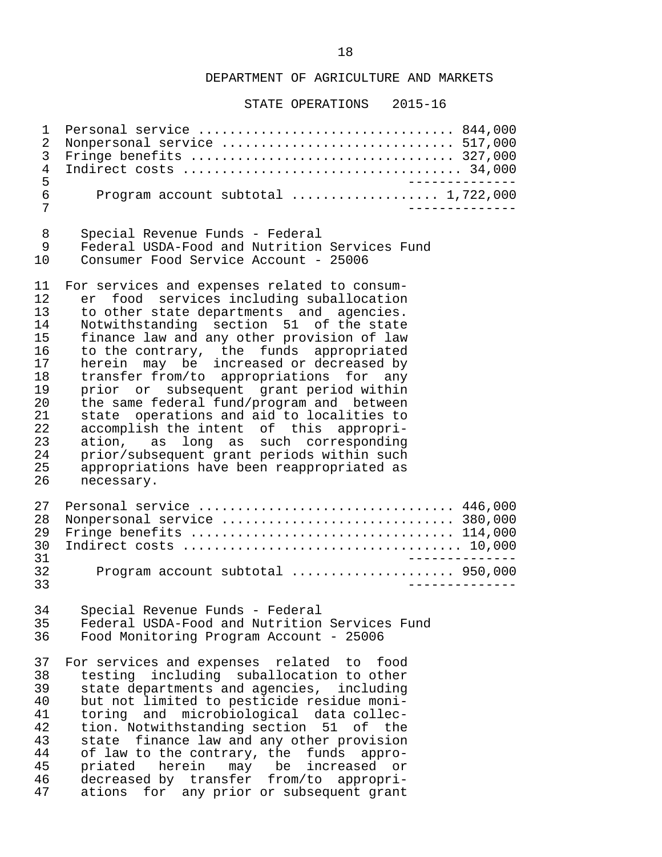STATE OPERATIONS 2015-16

 1 Personal service ................................. 844,000 2 Nonpersonal service .................................. 517,000<br>3 Fringe benefits .................................. 327,000 3 Fringe benefits .................................. 327,000 4 Indirect costs .................................... 34,000 5 -------------- 6 Program account subtotal ................... 1,722,000 7 -------------- 8 Special Revenue Funds - Federal<br>9 Federal USDA-Food and Nutrition 9 Federal USDA-Food and Nutrition Services Fund<br>10 Consumer Food Service Account - 25006 10 Consumer Food Service Account - 25006 11 For services and expenses related to consum-<br>12 er food services including suballocation 12 er food services including suballocation<br>13 to other state departments and agencies 13 to other state departments and agencies.<br>14 Notwithstanding section 51 of the state 14 Notwithstanding section 51 of the state<br>15 finance law and any other provision of law 15 finance law and any other provision of law<br>16 to the contrary, the funds appropriated 16 to the contrary, the funds appropriated<br>17 herein may be increased or decreased by 17 herein may be increased or decreased by 18 transfer from/to appropriations for any 19 prior or subsequent grant-period within<br>20 the same federal fund/program and between 20 the same federal fund/program and between<br>21 state operations and aid to localities to 21 state operations and aid to localities to<br>22 accomplish the intent of this appropri-22 accomplish the intent of this appropri-<br>23 ation, as long as such corresponding 23 ation, as long as such corresponding<br>24 prior/subsequent grant periods within such 24 prior/subsequent grant periods within such<br>25 appropriations have been reappropriated as 25 appropriations have been reappropriated as necessary. 27 Personal service ................................... 446,000<br>28 Nonpersonal service .............................. 380.000 28 Nonpersonal service ................................ 380,000<br>29 Fringe benefits .................................. 114,000 29 Fringe benefits .................................. 114,000 30 Indirect costs .................................... 10,000 31 -------------- 32 Program account subtotal ..................... 950,000 33 -------------- 34 Special Revenue Funds - Federal<br>35 Federal USDA-Food and Nutrition 35 Federal USDA-Food and Nutrition Services Fund 36 Food Monitoring Program Account - 25006 37 For services and expenses related to food<br>38 testing including suballocation to other 38 testing including suballocation to other<br>39 state departments and agencies, including 39 state departments and agencies, including 40 but not limited to pesticide residue moni- 41 toring and microbiological data-collec-<br>42 tion. Notwithstanding-section 51 of the 42 tion. Notwithstanding section 51 of the<br>43 state finance law and any other provision 43 state finance law and any other provision<br>44 of law to the contrary, the funds appro- 44 of law to the contrary, the funds appro- 45 priated herein may be increased or 46 decreased by transfer from/to appropri-<br>47 ations for any prior or subsequent grant ations for any prior or subsequent grant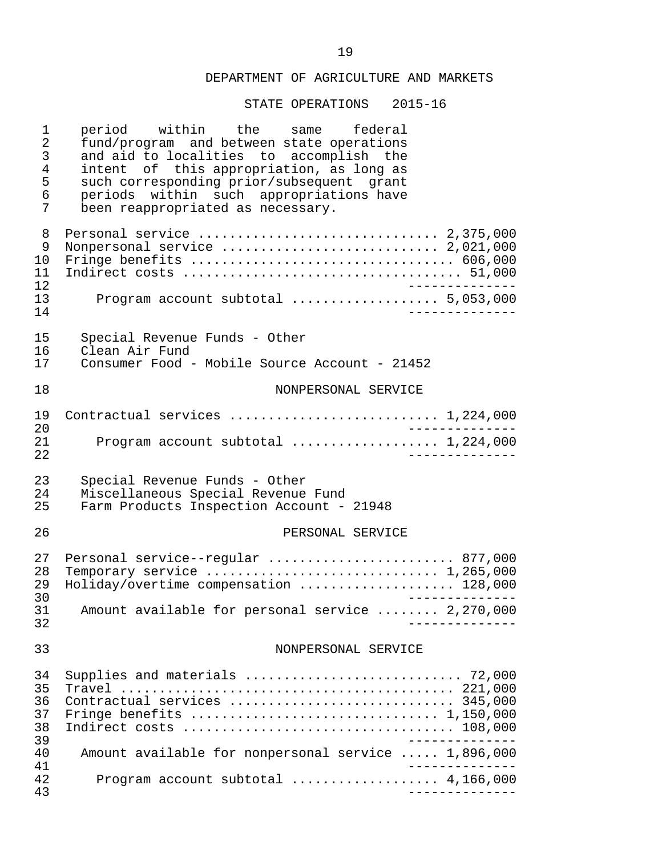| 1<br>$\overline{2}$<br>3<br>$\overline{4}$<br>5<br>6<br>7 | period within the<br>federal<br>same<br>fund/program and between state operations<br>and aid to localities to accomplish the<br>intent of this appropriation, as long as<br>such corresponding prior/subsequent grant<br>periods within such appropriations have<br>been reappropriated as necessary. |
|-----------------------------------------------------------|-------------------------------------------------------------------------------------------------------------------------------------------------------------------------------------------------------------------------------------------------------------------------------------------------------|
| 8<br>9<br>10<br>11<br>12                                  | Personal service  2,375,000<br>Nonpersonal service  2,021,000                                                                                                                                                                                                                                         |
| 13<br>14                                                  | Program account subtotal  5,053,000<br>. _ _ _ _ _ _ _ _ _                                                                                                                                                                                                                                            |
| 15<br>16<br>17                                            | Special Revenue Funds - Other<br>Clean Air Fund<br>Consumer Food - Mobile Source Account - 21452                                                                                                                                                                                                      |
| 18                                                        | NONPERSONAL SERVICE                                                                                                                                                                                                                                                                                   |
|                                                           |                                                                                                                                                                                                                                                                                                       |
| 19<br>20                                                  | Contractual services  1,224,000                                                                                                                                                                                                                                                                       |
| 21<br>22                                                  | Program account subtotal  1,224,000                                                                                                                                                                                                                                                                   |
| 23                                                        | Special Revenue Funds - Other                                                                                                                                                                                                                                                                         |
| 24<br>25                                                  | Miscellaneous Special Revenue Fund<br>Farm Products Inspection Account - 21948                                                                                                                                                                                                                        |
| 26                                                        | PERSONAL SERVICE                                                                                                                                                                                                                                                                                      |
| 27<br>28<br>29                                            | Personal service--regular  877,000<br>Temporary service $\ldots \ldots \ldots \ldots \ldots \ldots \ldots \ldots \ldots 1,265,000$<br>Holiday/overtime compensation  128,000<br>______________                                                                                                        |
| 30<br>31<br>32                                            | Amount available for personal service  2,270,000                                                                                                                                                                                                                                                      |
| 33                                                        | NONPERSONAL SERVICE                                                                                                                                                                                                                                                                                   |
| 34                                                        |                                                                                                                                                                                                                                                                                                       |
| 35<br>36                                                  | Contractual services  345,000                                                                                                                                                                                                                                                                         |
| 37<br>38                                                  |                                                                                                                                                                                                                                                                                                       |
| 39<br>40<br>41                                            | Amount available for nonpersonal service  1,896,000                                                                                                                                                                                                                                                   |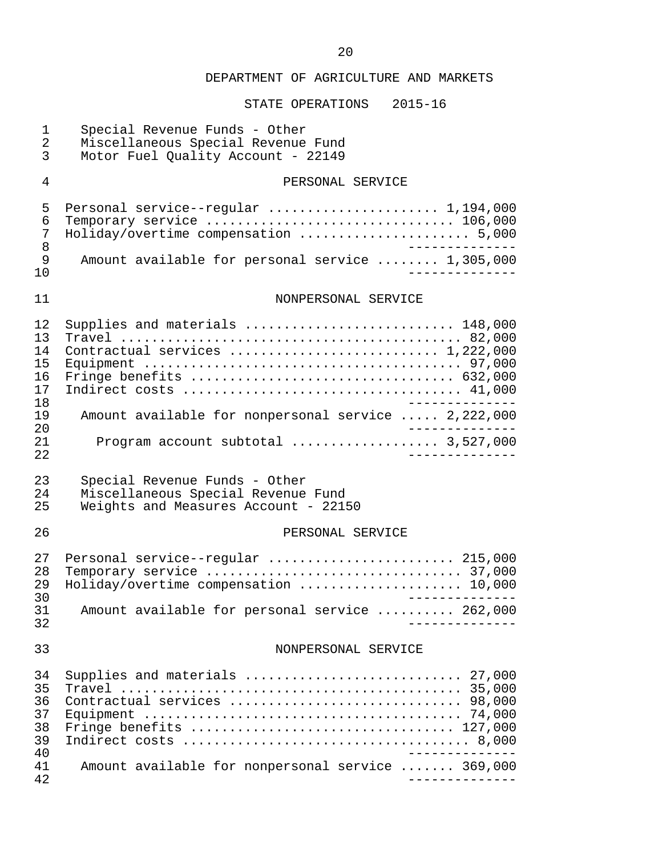| $\mathbf 1$<br>$\overline{2}$<br>$\mathfrak{Z}$ | Special Revenue Funds - Other<br>Miscellaneous Special Revenue Fund<br>Motor Fuel Quality Account - 22149   |
|-------------------------------------------------|-------------------------------------------------------------------------------------------------------------|
| $\overline{4}$                                  | PERSONAL SERVICE                                                                                            |
| 5<br>6<br>7<br>8                                | Personal service--regular  1,194,000<br>Temporary service  106,000<br>Holiday/overtime compensation  5,000  |
| 9<br>10                                         | Amount available for personal service  1,305,000                                                            |
| 11                                              | NONPERSONAL SERVICE                                                                                         |
| 12<br>13<br>14<br>15<br>16<br>17<br>18          | Supplies and materials  148,000<br>Contractual services  1,222,000<br>Fringe benefits  632,000              |
| 19<br>20                                        | Amount available for nonpersonal service  2,222,000                                                         |
| 21<br>22                                        | Program account subtotal  3,527,000                                                                         |
| 23<br>24<br>25                                  | Special Revenue Funds - Other<br>Miscellaneous Special Revenue Fund<br>Weights and Measures Account - 22150 |
| 26                                              | PERSONAL SERVICE                                                                                            |
| 27<br>28<br>29<br>30                            | Personal service--regular  215,000<br>Holiday/overtime compensation  10,000                                 |
| 31<br>32                                        | Amount available for personal service  262,000                                                              |
| 33                                              | NONPERSONAL SERVICE                                                                                         |
| 34<br>35<br>36<br>37<br>38<br>39<br>40          | Supplies and materials  27,000<br>Contractual services  98,000<br>Fringe benefits  127,000                  |
| 41<br>42                                        | Amount available for nonpersonal service  369,000                                                           |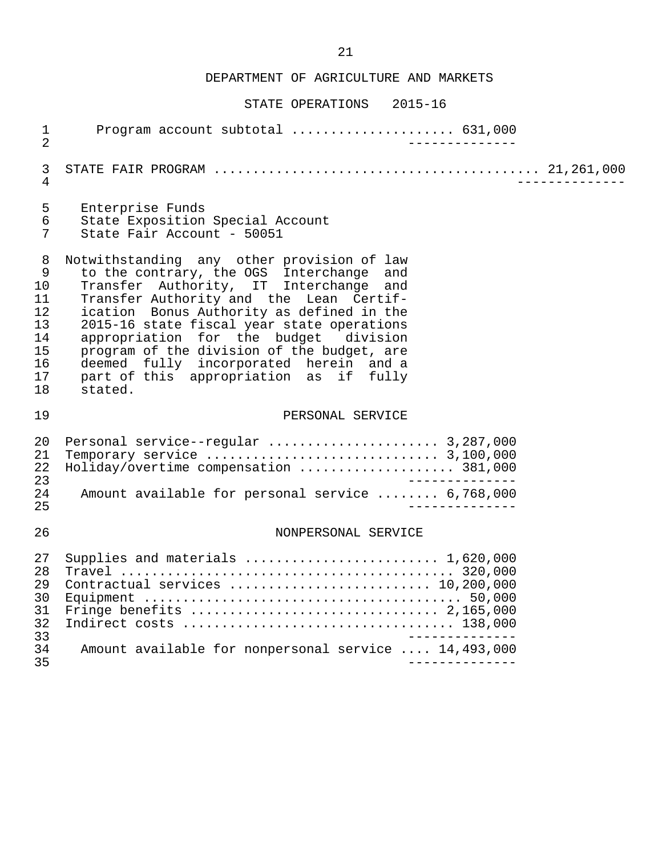| $\mathbf{1}$                                       | Program account subtotal  631,000                                                                                                                                                                                                                   |
|----------------------------------------------------|-----------------------------------------------------------------------------------------------------------------------------------------------------------------------------------------------------------------------------------------------------|
| $\overline{2}$                                     | ______________                                                                                                                                                                                                                                      |
| 3                                                  |                                                                                                                                                                                                                                                     |
| $\overline{4}$                                     |                                                                                                                                                                                                                                                     |
| 5                                                  | Enterprise Funds                                                                                                                                                                                                                                    |
| 6                                                  | State Exposition Special Account                                                                                                                                                                                                                    |
| $\overline{7}$                                     | State Fair Account - 50051                                                                                                                                                                                                                          |
| 8                                                  | Notwithstanding any other provision of law                                                                                                                                                                                                          |
| 9                                                  | to the contrary, the OGS Interchange and                                                                                                                                                                                                            |
| 10                                                 | Transfer Authority, IT Interchange and                                                                                                                                                                                                              |
| 11                                                 | Transfer Authority and the Lean Certif-                                                                                                                                                                                                             |
| 12                                                 | ication Bonus Authority as defined in the                                                                                                                                                                                                           |
| 13                                                 | 2015-16 state fiscal year state operations                                                                                                                                                                                                          |
| 14                                                 | appropriation for the budget division                                                                                                                                                                                                               |
| 15                                                 | program of the division of the budget, are                                                                                                                                                                                                          |
| 16                                                 | deemed fully incorporated herein and a                                                                                                                                                                                                              |
| 17                                                 | part of this appropriation as if fully                                                                                                                                                                                                              |
| 18                                                 | stated.                                                                                                                                                                                                                                             |
| 19                                                 | PERSONAL SERVICE                                                                                                                                                                                                                                    |
| 20<br>21<br>22<br>23<br>24<br>25                   | Personal service--regular  3,287,000<br>Temporary service $\ldots \ldots \ldots \ldots \ldots \ldots \ldots \ldots \ldots$ 3,100,000<br>Holiday/overtime compensation  381,000<br>$\frac{1}{2}$<br>Amount available for personal service  6,768,000 |
| 26                                                 | NONPERSONAL SERVICE                                                                                                                                                                                                                                 |
| 27<br>28<br>29<br>30<br>31<br>32<br>33<br>34<br>35 | Supplies and materials  1,620,000<br>Contractual services  10,200,000<br>Fringe benefits $\ldots \ldots \ldots \ldots \ldots \ldots \ldots \ldots \ldots \ldots 2,165,000$<br>Amount available for nonpersonal service  14,493,000                  |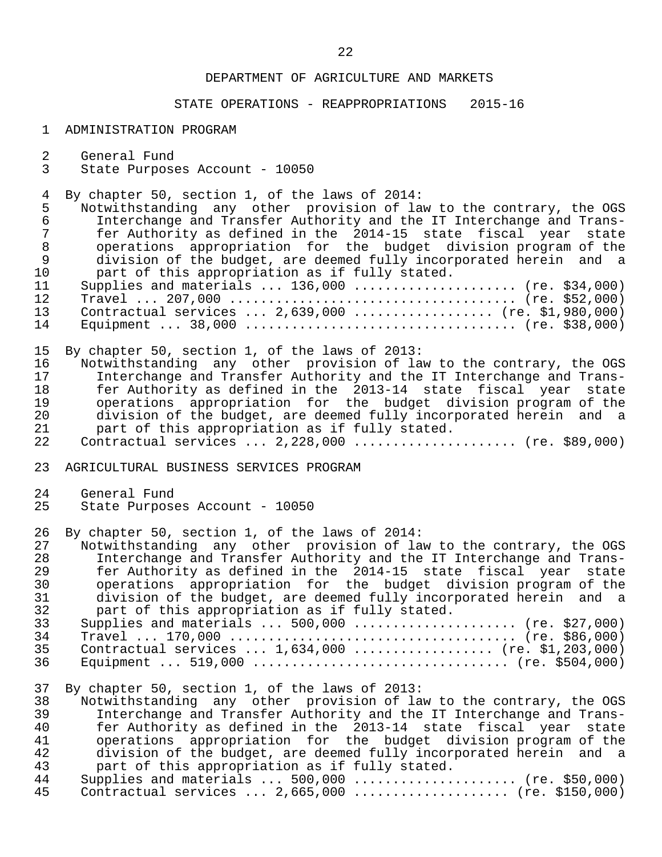# STATE OPERATIONS - REAPPROPRIATIONS 2015-16

#### 1 ADMINISTRATION PROGRAM

- 2 General Fund<br>3 State Purpose
- State Purposes Account 10050

4 By chapter 50, section 1, of the laws of 2014:<br>5 Notwithstanding any other provision of la

5 Notwithstanding any other provision of law to the contrary, the OGS<br>6 Interchange and Transfer Authority and the IT Interchange and Trans- 6 Interchange and Transfer Authority and the IT Interchange and Trans- 7 fer Authority as defined in the 2014-15 state fiscal year state 8 operations appropriation for the budget division-program-of-the<br>8 olymision of the budget, are deemed fully incorporated herein and a 9 division of the budget, are deemed fully incorporated herein and a<br>10 part of this appropriation as if fully stated. part of this appropriation as if fully stated.

|    | 11 Supplies and materials  136,000  (re. \$34,000) |  |
|----|----------------------------------------------------|--|
| 12 |                                                    |  |
| 13 | Contractual services $2,639,000$ (re. \$1,980,000) |  |
| 14 |                                                    |  |

15 By chapter 50, section 1, of the laws of 2013:<br>16 Notwithstanding any other provision of la

16 Notwithstanding any other provision of law to the contrary, the OGS<br>17 11 Interchange and Transfer Authority and the IT Interchange and Trans-17 Interchange and Transfer Authority and the IT Interchange and Trans-<br>18 18 16 Fer Authority as defined in the 2013-14 state fiscal vear state fer Authority as defined in the 2013-14 state fiscal year state 19 operations appropriation for the budget division program of the 20 division of the budget, are deemed fully incorporated herein and a<br>21 opert of this appropriation as if fully stated. 21 part of this appropriation as if fully stated.<br>22 Contractual services ... 2,228,000 ............. Contractual services  $\ldots$  2,228,000  $\ldots$ .................... (re. \$89,000)

23 AGRICULTURAL BUSINESS SERVICES PROGRAM

- 24 General Fund<br>25 State Purpose
- State Purposes Account 10050

26 By chapter 50, section 1, of the laws of 2014:

27 Notwithstanding any other provision of law to the contrary, the OGS<br>28 11 Interchange and Transfer Authority and the IT Interchange and Trans- 28 Interchange and Transfer Authority and the IT Interchange and Trans- 29 fer Authority as defined in the 2014-15 state fiscal year state 30 operations appropriation for the budget division program of the 31 division of the budget, are deemed fully incorporated herein and a<br>32 o part of this appropriation as if fully stated. 32 part of this appropriation as if fully stated.<br>33 Supplies and materials ... 500.000 ............. 33 Supplies and materials ... 500,000 ..................... (re. \$27,000) 34 Travel ... 170,000 ..................................... (re. \$86,000) 35 Contractual services ... 1,634,000 .................. (re. \$1,203,000) 36 Equipment ... 519,000 ................................. (re. \$504,000)

37 By chapter 50, section 1, of the laws of 2013:

38 Notwithstanding any other provision of law to the contrary, the OGS<br>39 11 Interchange and Transfer Authority and the IT Interchange and Trans- 39 Interchange and Transfer Authority and the IT Interchange and Trans- 40 fer Authority as defined in the 2013-14 state fiscal year state<br>41 operations appropriation for the budget division-program of the 41 operations appropriation for the budget division program of the 42 division of the budget, are deemed fully incorporated herein and a<br>43 mart of this appropriation as if fully stated. 43 part of this appropriation as if fully stated.<br>44 Supplies and materials ... 500.000 .............. 44 Supplies and materials ... 500,000 ..................... (re. \$50,000)<br>45 Contractual services ... 2,665,000 ..................... (re. \$150,000) Contractual services ... 2,665,000 .................... (re. \$150,000)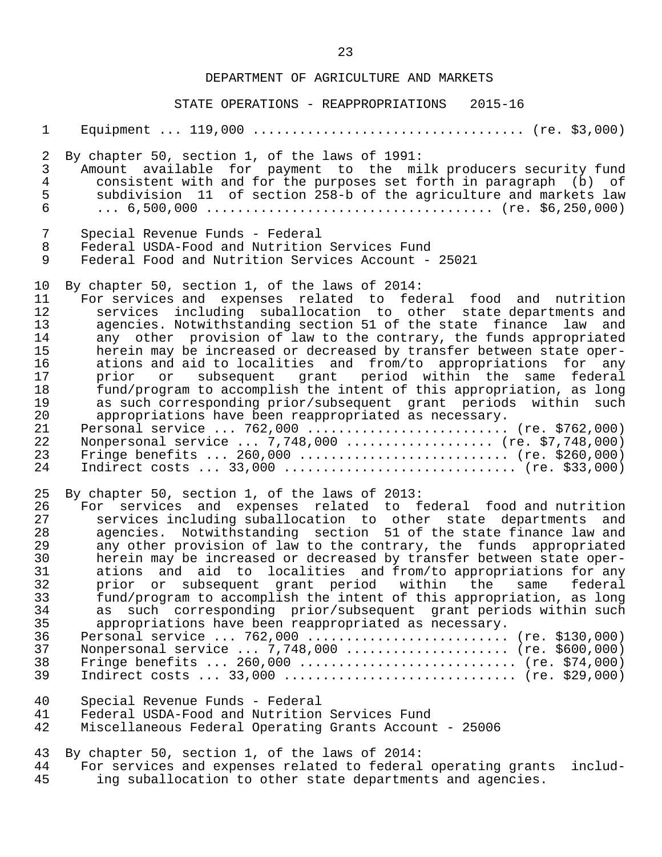STATE OPERATIONS - REAPPROPRIATIONS 2015-16

| $\mathbf{1}$                                                                           |                                                                                                                                                                                                                                                                                                                                                                                                                                                                                                                                                                                                                                                                                                                                                                                                                                                                                                                                                |
|----------------------------------------------------------------------------------------|------------------------------------------------------------------------------------------------------------------------------------------------------------------------------------------------------------------------------------------------------------------------------------------------------------------------------------------------------------------------------------------------------------------------------------------------------------------------------------------------------------------------------------------------------------------------------------------------------------------------------------------------------------------------------------------------------------------------------------------------------------------------------------------------------------------------------------------------------------------------------------------------------------------------------------------------|
| $\overline{2}$<br>$\mathfrak{Z}$<br>$\overline{4}$<br>5<br>6                           | By chapter 50, section 1, of the laws of 1991:<br>Amount available for payment to the milk producers security fund<br>consistent with and for the purposes set forth in paragraph (b) of<br>subdivision 11 of section 258-b of the agriculture and markets law                                                                                                                                                                                                                                                                                                                                                                                                                                                                                                                                                                                                                                                                                 |
| $\sqrt{ }$<br>$\, 8$<br>$\mathsf 9$                                                    | Special Revenue Funds - Federal<br>Federal USDA-Food and Nutrition Services Fund<br>Federal Food and Nutrition Services Account - 25021                                                                                                                                                                                                                                                                                                                                                                                                                                                                                                                                                                                                                                                                                                                                                                                                        |
| 10<br>11<br>12<br>13<br>14<br>15<br>16<br>17<br>18<br>19<br>20<br>21<br>22<br>23<br>24 | By chapter 50, section 1, of the laws of 2014:<br>For services and expenses related to federal food and nutrition<br>services including suballocation to other state departments and<br>agencies. Notwithstanding section 51 of the state finance law<br>and<br>any other provision of law to the contrary, the funds appropriated<br>herein may be increased or decreased by transfer between state oper-<br>ations and aid to localities and from/to appropriations for any<br>subsequent grant period within the same federal<br>prior<br>or<br>fund/program to accomplish the intent of this appropriation, as long<br>as such corresponding prior/subsequent grant periods within such<br>appropriations have been reappropriated as necessary.<br>Personal service  762,000  (re. \$762,000)<br>Nonpersonal service  7,748,000  (re. \$7,748,000)<br>Fringe benefits  260,000  (re. \$260,000)<br>Indirect costs $33,000$ (re. \$33,000) |
| 25<br>26<br>27<br>28<br>29<br>30<br>31<br>32<br>33<br>34<br>35<br>36<br>37<br>38<br>39 | By chapter 50, section 1, of the laws of 2013:<br>For services and expenses related to federal food and nutrition<br>services including suballocation to other state departments and<br>agencies. Notwithstanding section 51 of the state finance law and<br>any other provision of law to the contrary, the funds appropriated<br>herein may be increased or decreased by transfer between state oper-<br>ations and aid to localities and from/to appropriations for any<br>prior or subsequent grant period within the<br>same federal<br>fund/program to accomplish the intent of this appropriation, as long<br>as such corresponding prior/subsequent grant periods within such<br>appropriations have been reappropriated as necessary.<br>Personal service  762,000  (re. \$130,000)<br>Nonpersonal service  7,748,000  (re. \$600,000)<br>Fringe benefits  260,000  (re. \$74,000)<br>Indirect costs $33,000$ (re. \$29,000)          |
| 40<br>41<br>42                                                                         | Special Revenue Funds - Federal<br>Federal USDA-Food and Nutrition Services Fund<br>Miscellaneous Federal Operating Grants Account - 25006                                                                                                                                                                                                                                                                                                                                                                                                                                                                                                                                                                                                                                                                                                                                                                                                     |
| 43<br>44<br>45                                                                         | By chapter 50, section 1, of the laws of 2014:<br>For services and expenses related to federal operating grants<br>includ-<br>ing suballocation to other state departments and agencies.                                                                                                                                                                                                                                                                                                                                                                                                                                                                                                                                                                                                                                                                                                                                                       |
|                                                                                        |                                                                                                                                                                                                                                                                                                                                                                                                                                                                                                                                                                                                                                                                                                                                                                                                                                                                                                                                                |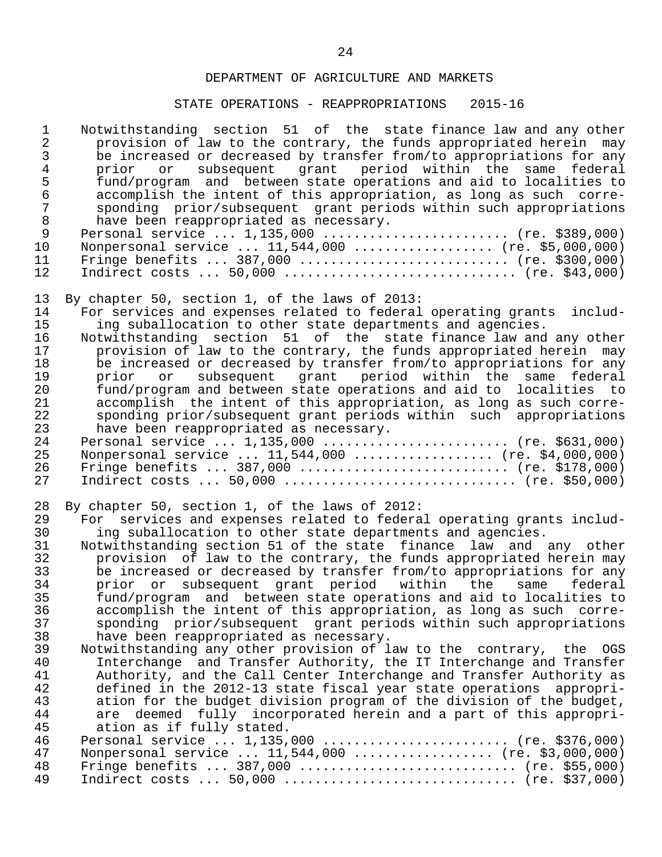# STATE OPERATIONS - REAPPROPRIATIONS 2015-16

| $\mathbf 1$<br>$\overline{\mathbf{c}}$<br>3<br>$\overline{4}$<br>5<br>$\epsilon$<br>$\begin{array}{c} 7 \\ 8 \\ 9 \end{array}$<br>10<br>11<br>12 | Notwithstanding section 51 of the state finance law and any other<br>provision of law to the contrary, the funds appropriated herein may<br>be increased or decreased by transfer from/to appropriations for any<br>subsequent grant period within the same federal<br>prior or<br>fund/program and between state operations and aid to localities to<br>accomplish the intent of this appropriation, as long as such corre-<br>sponding prior/subsequent grant periods within such appropriations<br>have been reappropriated as necessary.<br>Personal service  1,135,000  (re. \$389,000)<br>Nonpersonal service  11,544,000  (re. \$5,000,000)<br>Fringe benefits  387,000  (re. \$300,000)                                                                                                                                                                                                                                                                                                                                                                                                                                                                                                                                                                                                                                                                   |
|--------------------------------------------------------------------------------------------------------------------------------------------------|-------------------------------------------------------------------------------------------------------------------------------------------------------------------------------------------------------------------------------------------------------------------------------------------------------------------------------------------------------------------------------------------------------------------------------------------------------------------------------------------------------------------------------------------------------------------------------------------------------------------------------------------------------------------------------------------------------------------------------------------------------------------------------------------------------------------------------------------------------------------------------------------------------------------------------------------------------------------------------------------------------------------------------------------------------------------------------------------------------------------------------------------------------------------------------------------------------------------------------------------------------------------------------------------------------------------------------------------------------------------|
| 13<br>14<br>15<br>16<br>17<br>18<br>19<br>20<br>21<br>22<br>23<br>24<br>25<br>26<br>27                                                           | By chapter 50, section 1, of the laws of 2013:<br>For services and expenses related to federal operating grants<br>includ-<br>ing suballocation to other state departments and agencies.<br>Notwithstanding section 51 of the state finance law and any other<br>provision of law to the contrary, the funds appropriated herein may<br>be increased or decreased by transfer from/to appropriations for any<br>subsequent grant period within the same federal<br>prior or<br>fund/program and between state operations and aid to localities to<br>accomplish the intent of this appropriation, as long as such corre-<br>sponding prior/subsequent grant periods within such appropriations<br>have been reappropriated as necessary.<br>Personal service  1,135,000  (re. \$631,000)<br>Nonpersonal service  11,544,000  (re. \$4,000,000)<br>Fringe benefits  387,000  (re. \$178,000)                                                                                                                                                                                                                                                                                                                                                                                                                                                                       |
| 28<br>29<br>30<br>31<br>32<br>33<br>34<br>35<br>36<br>37<br>38<br>39<br>40<br>41<br>42<br>43<br>44<br>45<br>46<br>47<br>48<br>49                 | By chapter 50, section 1, of the laws of 2012:<br>For services and expenses related to federal operating grants includ-<br>ing suballocation to other state departments and agencies.<br>Notwithstanding section 51 of the state finance law and any other<br>provision of law to the contrary, the funds appropriated herein may<br>be increased or decreased by transfer from/to appropriations for any<br>prior or subsequent grant period within the<br>federal<br>same<br>fund/program and between state operations and aid to localities to<br>accomplish the intent of this appropriation, as long as such corre-<br>sponding prior/subsequent grant periods within such appropriations<br>have been reappropriated as necessary.<br>Notwithstanding any other provision of law to the contrary, the OGS<br>Interchange and Transfer Authority, the IT Interchange and Transfer<br>Authority, and the Call Center Interchange and Transfer Authority as<br>defined in the 2012-13 state fiscal year state operations appropri-<br>ation for the budget division program of the division of the budget,<br>are deemed fully incorporated herein and a part of this appropri-<br>ation as if fully stated.<br>Personal service $1,135,000$ (re. \$376,000)<br>Nonpersonal service  11,544,000  (re. \$3,000,000)<br>Fringe benefits  387,000  (re. \$55,000) |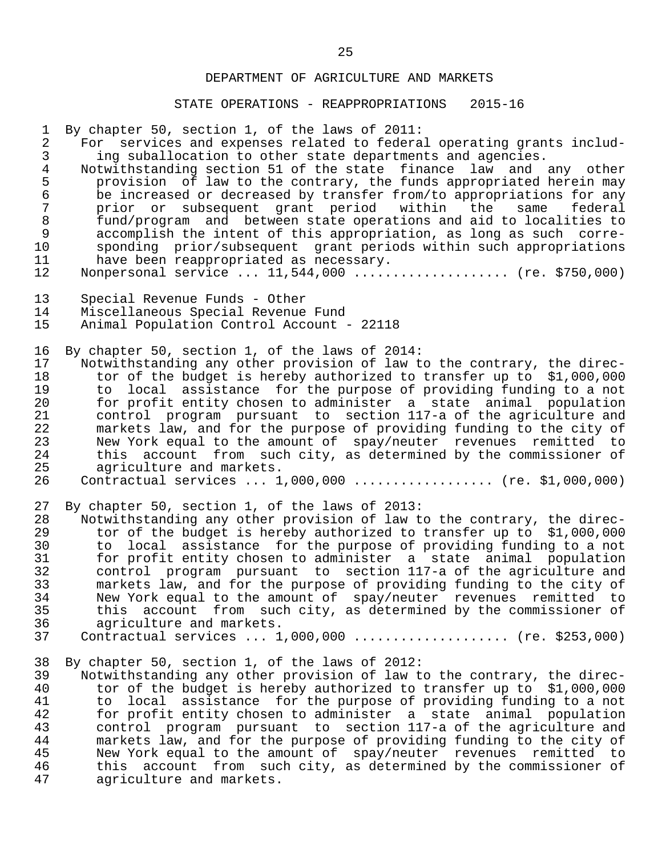#### STATE OPERATIONS - REAPPROPRIATIONS 2015-16

 1 By chapter 50, section 1, of the laws of 2011: 2 For services and expenses related to federal operating grants includ-<br>3 ing suballocation to other state departments and agencies. 3 ing suballocation to other state departments and agencies.<br>4 Notwithstanding section 51 of the state finance law and 4 Notwithstanding section 51 of the state finance law and any other<br>5 provision of law to the contrary, the funds appropriated herein may 5 provision of law to the contrary, the funds appropriated herein may<br>6 be increased or decreased by transfer from/to appropriations for any 6 be increased or decreased by transfer from/to appropriations for any<br>7 prior or subsequent qrant period within the same federal 7 prior or subsequent grant period within the same<br>8 fund/program and between-state-operations and aid-to-loca 8 fund/program and between state operations and aid to localities to<br>9 accomplish the intent of this appropriation, as long as such corre- 9 accomplish the intent of this appropriation, as long as such corre- 10 sponding prior/subsequent grant periods within such appropriations<br>11 have been reappropriated as necessary. 11 have been reappropriated as necessary.<br>12 Nonpersonal service ... 11,544,000 ..... Nonpersonal service ... 11,544,000 .................... (re. \$750,000) 13 Special Revenue Funds - Other 14 Miscellaneous Special Revenue Fund Animal Population Control Account - 22118 16 By chapter 50, section 1, of the laws of 2014:<br>17 Notwithstanding any other provision of law t 17 Notwithstanding any other provision of law to the contrary, the direc-<br>18 tor of the budget is hereby authorized to transfer up to \$1,000,000 18 tor of the budget is hereby authorized to transfer up to \$1,000,000<br>19 to local assistance for the purpose of providing funding to a not 19 to local assistance for the purpose of providing funding to a not<br>20 for profit entity chosen to administer a state animal population 20 for profit entity chosen to administer a state animal population 21 control program pursuant to section 117-a of the agriculture and 22 markets law, and for the purpose of providing funding to the city of 23 Mew York equal to the amount of spay/neuter revenues remitted to<br>24 this account from such city, as determined by the commissioner of 24 this account from such city, as determined by the commissioner of 25 agriculture and markets. 25 agriculture and markets.<br>26 Contractual services ... 1 26 Contractual services ... 1,000,000 .................. (re. \$1,000,000) 27 By chapter 50, section 1, of the laws of 2013:<br>28 Notwithstanding any other provision of law t 28 Notwithstanding any other provision of law to the contrary, the direc-<br>29 tor of the budget is hereby authorized to transfer up to \$1,000,000 29 tor of the budget is hereby authorized to transfer up to \$1,000,000<br>30 to local assistance for the purpose of providing funding to a not 30 to local assistance for the purpose of providing funding to a not 31 for profit entity chosen to administer a state animal population 32 control program pursuant to section 117-a of the agriculture and<br>33 markets law, and for the purpose of providing funding to the city of 33 markets law, and for the purpose of providing funding to the city of<br>34 New York equal to the amount of spay/neuter revenues remitted to 34 Mew York equal to the amount of spay/neuter revenues remitted to<br>35 this account from such city, as determined by the commissioner of 35 this account from such city, as determined by the commissioner of 36 agriculture and markets. 36 agriculture and markets.<br>37 Contractual services ... 1 Contractual services ... 1,000,000 .................... (re. \$253,000) 38 By chapter 50, section 1, of the laws of 2012:<br>39 Notwithstanding any other provision of law t 39 Notwithstanding any other provision of law to the contrary, the direc- 40 tor of the budget is hereby authorized to transfer up to \$1,000,000<br>41 to local assistance for the purpose of providing funding to a not 41 to local assistance for the purpose of providing funding to a not<br>42 for profit entity chosen to administer a state animal population 42 for profit entity chosen to administer a state animal population<br>43 control program pursuant to section 117-a of the agriculture and 43 control program pursuant to section 117-a of the agriculture and<br>44 markets law, and for the purpose of providing funding to the city of 44 markets law, and for the purpose of providing funding to the city of 45 Mew York equal to the amount of spay/neuter revenues remitted to<br>46 this account from such city, as determined by the commissioner of 46 this account from such city, as determined by the commissioner of 47

agriculture and markets.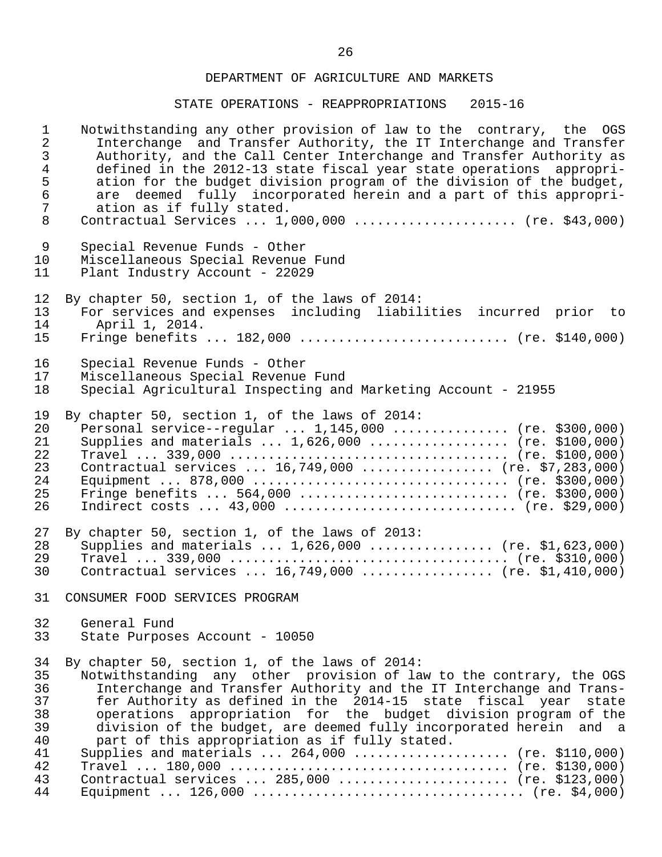# STATE OPERATIONS - REAPPROPRIATIONS 2015-16

| $\mathbf 1$    | Notwithstanding any other provision of law to the contrary, the OGS  |
|----------------|----------------------------------------------------------------------|
| $\overline{2}$ | Interchange and Transfer Authority, the IT Interchange and Transfer  |
| $\mathbf{3}$   | Authority, and the Call Center Interchange and Transfer Authority as |
| $\overline{4}$ | defined in the 2012-13 state fiscal year state operations appropri-  |
| 5              | ation for the budget division program of the division of the budget, |
| $\sqrt{6}$     | are deemed fully incorporated herein and a part of this appropri-    |
| $\overline{7}$ | ation as if fully stated.                                            |
| 8              | Contractual Services  1,000,000  (re. \$43,000)                      |
| 9              | Special Revenue Funds - Other                                        |
| 10             | Miscellaneous Special Revenue Fund                                   |
| 11             | Plant Industry Account - 22029                                       |
| 12             | By chapter 50, section 1, of the laws of 2014:                       |
| 13             | For services and expenses including liabilities incurred prior to    |
| 14             | April 1, 2014.                                                       |
| 15             | Fringe benefits $182,000$ (re. \$140,000)                            |
| 16             | Special Revenue Funds - Other                                        |
| 17             | Miscellaneous Special Revenue Fund                                   |
| 18             | Special Agricultural Inspecting and Marketing Account - 21955        |
| 19             | By chapter 50, section 1, of the laws of 2014:                       |
| 20             | Personal service--regular $1,145,000$ (re. \$300,000)                |
| 21             | Supplies and materials $1,626,000$ (re. \$100,000)                   |
| 22             |                                                                      |
| 23             | Contractual services $16,749,000$ (re. \$7,283,000)                  |
| 24             |                                                                      |
| 25             | Fringe benefits  564,000  (re. \$300,000)                            |
| 26             | Indirect costs $43,000$ (re. \$29,000)                               |
| 27             | By chapter 50, section 1, of the laws of 2013:                       |
| 28             | Supplies and materials  1,626,000  (re. \$1,623,000)                 |
| 29             |                                                                      |
| 30             | Contractual services $16,749,000$ (re. \$1,410,000)                  |
| 31             | CONSUMER FOOD SERVICES PROGRAM                                       |
| 32             | General Fund                                                         |
| 33             | State Purposes Account - 10050                                       |
| 34             | By chapter 50, section 1, of the laws of 2014:                       |
| 35             | Notwithstanding any other provision of law to the contrary, the OGS  |
| 36             | Interchange and Transfer Authority and the IT Interchange and Trans- |
| 37             | fer Authority as defined in the 2014-15 state fiscal year state      |
| 38             | operations appropriation for the budget division program of the      |
| 39             | division of the budget, are deemed fully incorporated herein and a   |
| 40             | part of this appropriation as if fully stated.                       |
| 41             | Supplies and materials $264,000$ (re. \$110,000)                     |
| 42             |                                                                      |
| 43             | Contractual services  285,000  (re. \$123,000)                       |

44 Equipment ... 126,000 ................................... (re. \$4,000)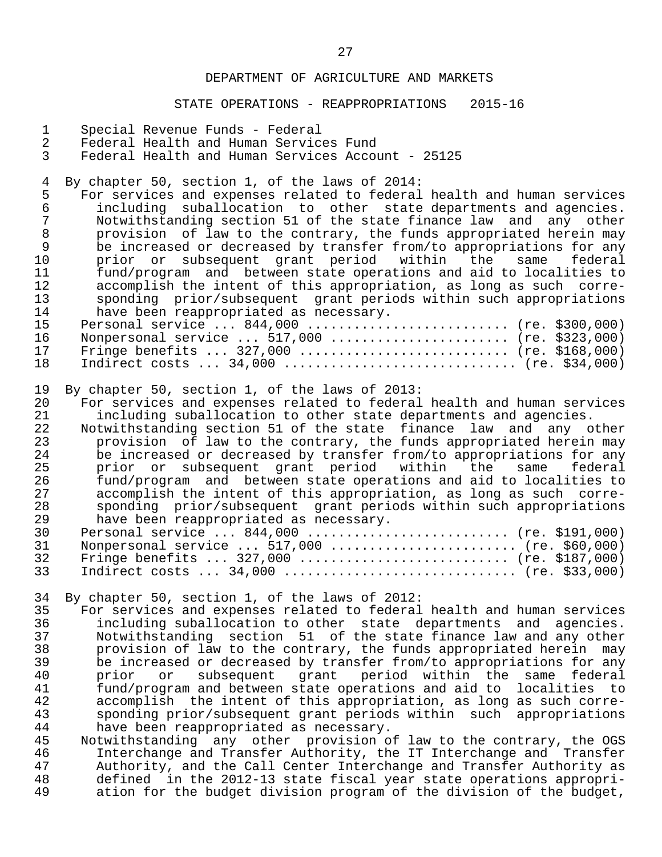#### STATE OPERATIONS - REAPPROPRIATIONS 2015-16

- 1 Special Revenue Funds Federal
- 2 Federal Health and Human Services Fund<br>3 Federal Health and Human Services Accom
- Federal Health and Human Services Account 25125

4 By chapter 50, section 1, of the laws of 2014:<br>5 For services and expenses related to federal

- 5 For services and expenses related to federal health and human services<br>6 including suballocation to other state departments and agencies. 6 including suballocation to other state departments and agencies. 7 Notwithstanding section 51 of the state finance law and any other<br>8 orovision of law to the contrary, the funds appropriated herein may 8 provision of law to the contrary, the funds appropriated herein may<br>9 be increased or decreased by transfer from/to appropriations for any 9 be increased or decreased by transfer from/to appropriations for any<br>10 be prior or subsequent grant period within the same federal 10 prior or subsequent grant period within the same federal<br>11 fund/program and between-state-operations-and-aid-to-localities-to 11 fund/program and between state operations and aid to localities to 12 accomplish the intent of this appropriation, as long as such corre-<br>13 sponding prior/subsequent grant periods within such appropriations 13 sponding prior/subsequent grant periods within such appropriations<br>14 have been reappropriated as necessary. 14 have been reappropriated as necessary.<br>15 Personal service ... 844.000 ........... 15 Personal service ... 844,000 .......................... (re. \$300,000)<br>16 Nonpersonal service ... 517.000 ........................ (re. \$323.000) 16 Nonpersonal service ... 517,000 ........................ (re. \$323,000)<br>17 Fringe benefits ... 327,000 ............................. (re. \$168,000) 17 Fringe benefits ... 327,000 ............................ (re. \$168,000)<br>18 Indirect costs ... 34,000 ................................ (re. \$34,000) 18 Indirect costs ... 34,000 .............................. (re. \$34,000)
- 19 By chapter 50, section 1, of the laws of 2013:<br>20 For services and expenses related to federal
- 20 For services and expenses related to federal health and human services<br>21 including suballocation to other state departments and agencies. 21 including suballocation to other state departments and agencies.<br>22 Notwithstanding section 51 of the state finance law and any o
- 22 Notwithstanding section 51 of the state finance law and any other 23 provision of law to the contrary, the funds appropriated herein may<br>24 be increased or decreased by transfer from/to appropriations for any 24 be increased or decreased by transfer from/to appropriations for any 25 prior or subsequent grant period within the same federal<br>26 fund/program and between-state-operations and aid-to-localities-to-26 fund/program and between state operations and aid to localities to<br>27 accomplish the intent of this appropriation, as long as such corre-27 accomplish the intent of this appropriation, as long as such corre-<br>28 sponding prior/subsequent grant periods within such appropriations 28 sponding prior/subsequent grant periods within such appropriations<br>29 have been reappropriated as necessary. 29 have been reappropriated as necessary.<br>30 Personal service ... 844,000 Personal service ... 844,000 ........................... (re. \$191,000)

| 31 Nonpersonal service  517,000  (re. \$60,000) |  |
|-------------------------------------------------|--|
| 32 Fringe benefits  327,000  (re. \$187,000)    |  |
| 33 Indirect costs  34,000  (re. \$33,000)       |  |

34 By chapter 50, section 1, of the laws of 2012:

35 For services and expenses related to federal health and human services<br>36 including suballocation to other state departments and agencies. 36 including suballocation to other state departments and agencies. 37 Notwithstanding section 51 of the state finance law and any other 38 provision of law to the contrary, the funds appropriated herein may<br>39 be increased or decreased by transfer from/to appropriations for any 39 be increased or decreased by transfer from/to appropriations for any<br>40 prior or subsequent grant period within the same federal 40 prior or subsequent grant period within the same federal<br>41 fund/program\_and\_between\_state\_operations\_and\_aid\_to\_\_localities\_to 41 fund/program and between state operations and aid to localities to 42 accomplish the intent of this appropriation, as long as such corre- 43 sponding prior/subsequent grant periods within such appropriations<br>44 have been reappropriated as necessary. 44 have been reappropriated as necessary.<br>45 Notwithstanding any other provision o

45 Notwithstanding any other provision of law to the contrary, the OGS<br>46 11 Interchange and Transfer Authority, the IT Interchange and Transfer 46 Interchange and Transfer Authority, the IT Interchange and Transfer<br>47 Authority, and the Call Center Interchange and Transfer Authority as 47 Authority, and the Call Center Interchange and Transfer Authority as<br>48 defined in the 2012-13 state fiscal year state operations appropri-48 defined in the 2012-13 state fiscal year state operations appropri-<br>49 ation for the budget division program of the division of the budget. ation for the budget division program of the division of the budget,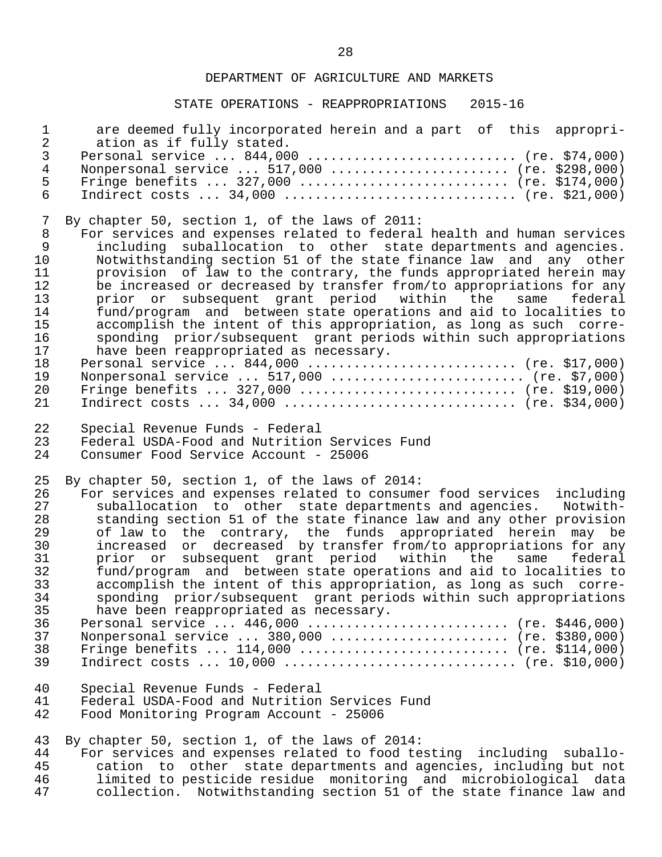## STATE OPERATIONS - REAPPROPRIATIONS 2015-16

| $\mathbf{1}$                                                                              | are deemed fully incorporated herein and a part of this appropri-                                                                                                                                                                                                                                                                                                                                                                                                                                                                                                                                                                                                                                                                                                                                                                                                                                                                 |
|-------------------------------------------------------------------------------------------|-----------------------------------------------------------------------------------------------------------------------------------------------------------------------------------------------------------------------------------------------------------------------------------------------------------------------------------------------------------------------------------------------------------------------------------------------------------------------------------------------------------------------------------------------------------------------------------------------------------------------------------------------------------------------------------------------------------------------------------------------------------------------------------------------------------------------------------------------------------------------------------------------------------------------------------|
| $\overline{a}$                                                                            | ation as if fully stated.                                                                                                                                                                                                                                                                                                                                                                                                                                                                                                                                                                                                                                                                                                                                                                                                                                                                                                         |
| $\mathfrak{Z}$                                                                            | Personal service  844,000  (re. \$74,000)                                                                                                                                                                                                                                                                                                                                                                                                                                                                                                                                                                                                                                                                                                                                                                                                                                                                                         |
| $\overline{4}$                                                                            | Nonpersonal service  517,000  (re. \$298,000)                                                                                                                                                                                                                                                                                                                                                                                                                                                                                                                                                                                                                                                                                                                                                                                                                                                                                     |
| 5                                                                                         | Fringe benefits  327,000  (re. \$174,000)                                                                                                                                                                                                                                                                                                                                                                                                                                                                                                                                                                                                                                                                                                                                                                                                                                                                                         |
| $6\phantom{.}6$                                                                           | Indirect costs $34,000$ (re. \$21,000)                                                                                                                                                                                                                                                                                                                                                                                                                                                                                                                                                                                                                                                                                                                                                                                                                                                                                            |
| 7<br>$\,8\,$<br>9<br>10<br>11<br>12<br>13<br>14<br>15<br>16<br>17<br>18<br>19<br>20<br>21 | By chapter 50, section 1, of the laws of 2011:<br>For services and expenses related to federal health and human services<br>including suballocation to other state departments and agencies.<br>Notwithstanding section 51 of the state finance law and any other<br>provision of law to the contrary, the funds appropriated herein may<br>be increased or decreased by transfer from/to appropriations for any<br>prior or subsequent grant period within the<br>same<br>federal<br>fund/program and between state operations and aid to localities to<br>accomplish the intent of this appropriation, as long as such corre-<br>sponding prior/subsequent grant periods within such appropriations<br>have been reappropriated as necessary.<br>Personal service $844,000$ (re. \$17,000)<br>Nonpersonal service  517,000  (re. \$7,000)<br>Fringe benefits  327,000  (re. \$19,000)<br>Indirect costs $34,000$ (re. \$34,000) |
| 22                                                                                        | Special Revenue Funds - Federal                                                                                                                                                                                                                                                                                                                                                                                                                                                                                                                                                                                                                                                                                                                                                                                                                                                                                                   |
| 23                                                                                        | Federal USDA-Food and Nutrition Services Fund                                                                                                                                                                                                                                                                                                                                                                                                                                                                                                                                                                                                                                                                                                                                                                                                                                                                                     |
| 24                                                                                        | Consumer Food Service Account - 25006                                                                                                                                                                                                                                                                                                                                                                                                                                                                                                                                                                                                                                                                                                                                                                                                                                                                                             |
| 25<br>26<br>27<br>28<br>29<br>30<br>31<br>32<br>33<br>34<br>35<br>36<br>37<br>38<br>39    | By chapter 50, section 1, of the laws of 2014:<br>For services and expenses related to consumer food services including<br>suballocation to other state departments and agencies. Notwith-<br>standing section 51 of the state finance law and any other provision<br>of law to the contrary, the funds appropriated herein may be<br>increased or decreased by transfer from/to appropriations for any<br>prior or subsequent grant period within the<br>same<br>federal<br>fund/program and between state operations and aid to localities to<br>accomplish the intent of this appropriation, as long as such corre-<br>sponding prior/subsequent grant periods within such appropriations<br>have been reappropriated as necessary.<br>Personal service $446,000$ (re. \$446,000)<br>Nonpersonal service  380,000  (re. \$380,000)<br>Fringe benefits  114,000  (re. \$114,000)<br>Indirect costs $10,000$ (re. \$10,000)      |
| 40                                                                                        | Special Revenue Funds - Federal                                                                                                                                                                                                                                                                                                                                                                                                                                                                                                                                                                                                                                                                                                                                                                                                                                                                                                   |
| 41                                                                                        | Federal USDA-Food and Nutrition Services Fund                                                                                                                                                                                                                                                                                                                                                                                                                                                                                                                                                                                                                                                                                                                                                                                                                                                                                     |
| 42                                                                                        | Food Monitoring Program Account - 25006                                                                                                                                                                                                                                                                                                                                                                                                                                                                                                                                                                                                                                                                                                                                                                                                                                                                                           |
| 43                                                                                        | By chapter 50, section 1, of the laws of 2014:                                                                                                                                                                                                                                                                                                                                                                                                                                                                                                                                                                                                                                                                                                                                                                                                                                                                                    |
| 44                                                                                        | For services and expenses related to food testing including suballo-                                                                                                                                                                                                                                                                                                                                                                                                                                                                                                                                                                                                                                                                                                                                                                                                                                                              |
| 45                                                                                        | cation to other state departments and agencies, including but not                                                                                                                                                                                                                                                                                                                                                                                                                                                                                                                                                                                                                                                                                                                                                                                                                                                                 |
| 46                                                                                        | limited to pesticide residue monitoring and microbiological data                                                                                                                                                                                                                                                                                                                                                                                                                                                                                                                                                                                                                                                                                                                                                                                                                                                                  |
| 47                                                                                        | collection. Notwithstanding section 51 of the state finance law and                                                                                                                                                                                                                                                                                                                                                                                                                                                                                                                                                                                                                                                                                                                                                                                                                                                               |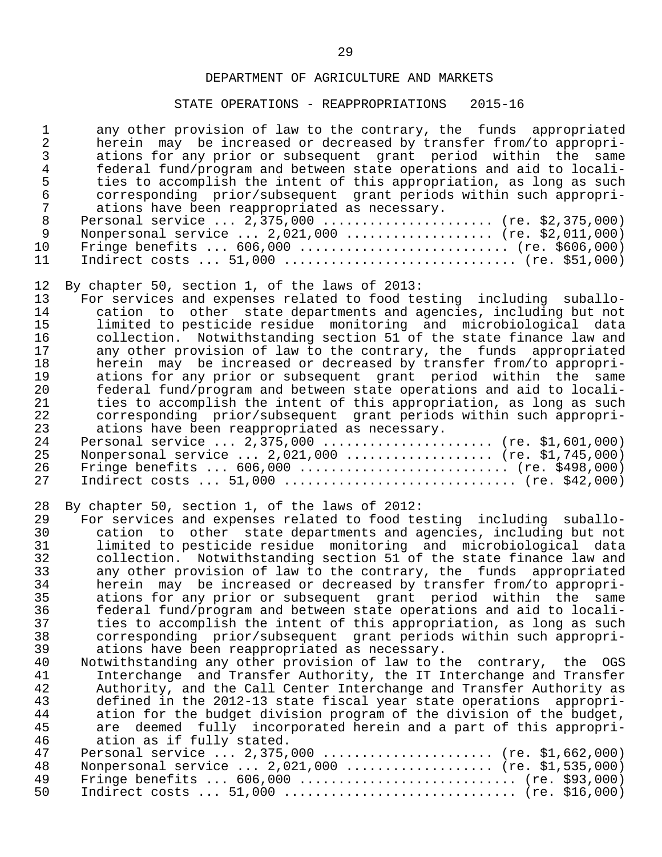# STATE OPERATIONS - REAPPROPRIATIONS 2015-16

| $\mathbf 1$                                                                                                    | any other provision of law to the contrary, the funds appropriated                                                                                                                                                                                                                                                                                                                                                                                                                                                                                                                                                                                                                                                                                                                                                                                                                                                                                                                                                                                                                                                                                                                                                                                                                                           |
|----------------------------------------------------------------------------------------------------------------|--------------------------------------------------------------------------------------------------------------------------------------------------------------------------------------------------------------------------------------------------------------------------------------------------------------------------------------------------------------------------------------------------------------------------------------------------------------------------------------------------------------------------------------------------------------------------------------------------------------------------------------------------------------------------------------------------------------------------------------------------------------------------------------------------------------------------------------------------------------------------------------------------------------------------------------------------------------------------------------------------------------------------------------------------------------------------------------------------------------------------------------------------------------------------------------------------------------------------------------------------------------------------------------------------------------|
| $\overline{a}$                                                                                                 | herein may be increased or decreased by transfer from/to appropri-                                                                                                                                                                                                                                                                                                                                                                                                                                                                                                                                                                                                                                                                                                                                                                                                                                                                                                                                                                                                                                                                                                                                                                                                                                           |
| $\mathbf{3}$                                                                                                   | ations for any prior or subsequent grant period within the same                                                                                                                                                                                                                                                                                                                                                                                                                                                                                                                                                                                                                                                                                                                                                                                                                                                                                                                                                                                                                                                                                                                                                                                                                                              |
| $\overline{4}$                                                                                                 | federal fund/program and between state operations and aid to locali-                                                                                                                                                                                                                                                                                                                                                                                                                                                                                                                                                                                                                                                                                                                                                                                                                                                                                                                                                                                                                                                                                                                                                                                                                                         |
| 5                                                                                                              | ties to accomplish the intent of this appropriation, as long as such                                                                                                                                                                                                                                                                                                                                                                                                                                                                                                                                                                                                                                                                                                                                                                                                                                                                                                                                                                                                                                                                                                                                                                                                                                         |
| $\epsilon$                                                                                                     | corresponding prior/subsequent grant periods within such appropri-                                                                                                                                                                                                                                                                                                                                                                                                                                                                                                                                                                                                                                                                                                                                                                                                                                                                                                                                                                                                                                                                                                                                                                                                                                           |
| $\overline{7}$                                                                                                 | ations have been reappropriated as necessary.                                                                                                                                                                                                                                                                                                                                                                                                                                                                                                                                                                                                                                                                                                                                                                                                                                                                                                                                                                                                                                                                                                                                                                                                                                                                |
| $\,8\,$                                                                                                        | Personal service $2,375,000$ (re. \$2,375,000)                                                                                                                                                                                                                                                                                                                                                                                                                                                                                                                                                                                                                                                                                                                                                                                                                                                                                                                                                                                                                                                                                                                                                                                                                                                               |
| $\mathsf 9$                                                                                                    | Nonpersonal service  2,021,000  (re. \$2,011,000)                                                                                                                                                                                                                                                                                                                                                                                                                                                                                                                                                                                                                                                                                                                                                                                                                                                                                                                                                                                                                                                                                                                                                                                                                                                            |
| 10                                                                                                             | Fringe benefits $606,000$ (re. \$606,000)                                                                                                                                                                                                                                                                                                                                                                                                                                                                                                                                                                                                                                                                                                                                                                                                                                                                                                                                                                                                                                                                                                                                                                                                                                                                    |
| 11                                                                                                             | Indirect costs $51,000$ (re. \$51,000)                                                                                                                                                                                                                                                                                                                                                                                                                                                                                                                                                                                                                                                                                                                                                                                                                                                                                                                                                                                                                                                                                                                                                                                                                                                                       |
| 12                                                                                                             | By chapter 50, section 1, of the laws of 2013:                                                                                                                                                                                                                                                                                                                                                                                                                                                                                                                                                                                                                                                                                                                                                                                                                                                                                                                                                                                                                                                                                                                                                                                                                                                               |
| 13                                                                                                             | For services and expenses related to food testing including suballo-                                                                                                                                                                                                                                                                                                                                                                                                                                                                                                                                                                                                                                                                                                                                                                                                                                                                                                                                                                                                                                                                                                                                                                                                                                         |
| 14                                                                                                             | cation to other state departments and agencies, including but not                                                                                                                                                                                                                                                                                                                                                                                                                                                                                                                                                                                                                                                                                                                                                                                                                                                                                                                                                                                                                                                                                                                                                                                                                                            |
| 15                                                                                                             | limited to pesticide residue monitoring and microbiological data                                                                                                                                                                                                                                                                                                                                                                                                                                                                                                                                                                                                                                                                                                                                                                                                                                                                                                                                                                                                                                                                                                                                                                                                                                             |
| 16                                                                                                             | collection. Notwithstanding section 51 of the state finance law and                                                                                                                                                                                                                                                                                                                                                                                                                                                                                                                                                                                                                                                                                                                                                                                                                                                                                                                                                                                                                                                                                                                                                                                                                                          |
| 17                                                                                                             | any other provision of law to the contrary, the funds appropriated                                                                                                                                                                                                                                                                                                                                                                                                                                                                                                                                                                                                                                                                                                                                                                                                                                                                                                                                                                                                                                                                                                                                                                                                                                           |
| 18                                                                                                             | herein may be increased or decreased by transfer from/to appropri-                                                                                                                                                                                                                                                                                                                                                                                                                                                                                                                                                                                                                                                                                                                                                                                                                                                                                                                                                                                                                                                                                                                                                                                                                                           |
| 19                                                                                                             | ations for any prior or subsequent grant period within the same                                                                                                                                                                                                                                                                                                                                                                                                                                                                                                                                                                                                                                                                                                                                                                                                                                                                                                                                                                                                                                                                                                                                                                                                                                              |
| 20                                                                                                             | federal fund/program and between state operations and aid to locali-                                                                                                                                                                                                                                                                                                                                                                                                                                                                                                                                                                                                                                                                                                                                                                                                                                                                                                                                                                                                                                                                                                                                                                                                                                         |
| 21                                                                                                             | ties to accomplish the intent of this appropriation, as long as such                                                                                                                                                                                                                                                                                                                                                                                                                                                                                                                                                                                                                                                                                                                                                                                                                                                                                                                                                                                                                                                                                                                                                                                                                                         |
| 22                                                                                                             | corresponding prior/subsequent grant periods within such appropri-                                                                                                                                                                                                                                                                                                                                                                                                                                                                                                                                                                                                                                                                                                                                                                                                                                                                                                                                                                                                                                                                                                                                                                                                                                           |
| 23                                                                                                             | ations have been reappropriated as necessary.                                                                                                                                                                                                                                                                                                                                                                                                                                                                                                                                                                                                                                                                                                                                                                                                                                                                                                                                                                                                                                                                                                                                                                                                                                                                |
| 24                                                                                                             | Personal service $2,375,000$ (re. \$1,601,000)                                                                                                                                                                                                                                                                                                                                                                                                                                                                                                                                                                                                                                                                                                                                                                                                                                                                                                                                                                                                                                                                                                                                                                                                                                                               |
| 25                                                                                                             | Nonpersonal service  2,021,000  (re. \$1,745,000)                                                                                                                                                                                                                                                                                                                                                                                                                                                                                                                                                                                                                                                                                                                                                                                                                                                                                                                                                                                                                                                                                                                                                                                                                                                            |
| 26                                                                                                             | Fringe benefits $606,000$ (re. \$498,000)                                                                                                                                                                                                                                                                                                                                                                                                                                                                                                                                                                                                                                                                                                                                                                                                                                                                                                                                                                                                                                                                                                                                                                                                                                                                    |
| 27                                                                                                             | Indirect costs $51,000$ (re. \$42,000)                                                                                                                                                                                                                                                                                                                                                                                                                                                                                                                                                                                                                                                                                                                                                                                                                                                                                                                                                                                                                                                                                                                                                                                                                                                                       |
| 28<br>29<br>30<br>31<br>32<br>33<br>34<br>35<br>36<br>37<br>38<br>39<br>40<br>41<br>42<br>43<br>44<br>45<br>46 | By chapter 50, section 1, of the laws of 2012:<br>For services and expenses related to food testing including suballo-<br>cation to other state departments and agencies, including but not<br>limited to pesticide residue monitoring and microbiological data<br>collection. Notwithstanding section 51 of the state finance law and<br>any other provision of law to the contrary, the funds appropriated<br>herein may be increased or decreased by transfer from/to appropri-<br>ations for any prior or subsequent grant period within the same<br>federal fund/program and between state operations and aid to locali-<br>ties to accomplish the intent of this appropriation, as long as such<br>corresponding prior/subsequent grant periods within such appropri-<br>ations have been reappropriated as necessary.<br>Notwithstanding any other provision of law to the contrary, the<br>OGS<br>Interchange and Transfer Authority, the IT Interchange and Transfer<br>Authority, and the Call Center Interchange and Transfer Authority as<br>defined in the 2012-13 state fiscal year state operations<br>appropri-<br>ation for the budget division program of the division of the budget,<br>deemed fully incorporated herein and a part of this appropri-<br>are<br>ation as if fully stated. |
| 47                                                                                                             | Personal service $2,375,000$ (re. \$1,662,000)                                                                                                                                                                                                                                                                                                                                                                                                                                                                                                                                                                                                                                                                                                                                                                                                                                                                                                                                                                                                                                                                                                                                                                                                                                                               |
| 48                                                                                                             | Nonpersonal service $2,021,000$ (re. \$1,535,000)                                                                                                                                                                                                                                                                                                                                                                                                                                                                                                                                                                                                                                                                                                                                                                                                                                                                                                                                                                                                                                                                                                                                                                                                                                                            |
| 49                                                                                                             | Fringe benefits $606,000$ (re. \$93,000)                                                                                                                                                                                                                                                                                                                                                                                                                                                                                                                                                                                                                                                                                                                                                                                                                                                                                                                                                                                                                                                                                                                                                                                                                                                                     |
| 50                                                                                                             | Indirect costs $51,000$ (re. \$16,000)                                                                                                                                                                                                                                                                                                                                                                                                                                                                                                                                                                                                                                                                                                                                                                                                                                                                                                                                                                                                                                                                                                                                                                                                                                                                       |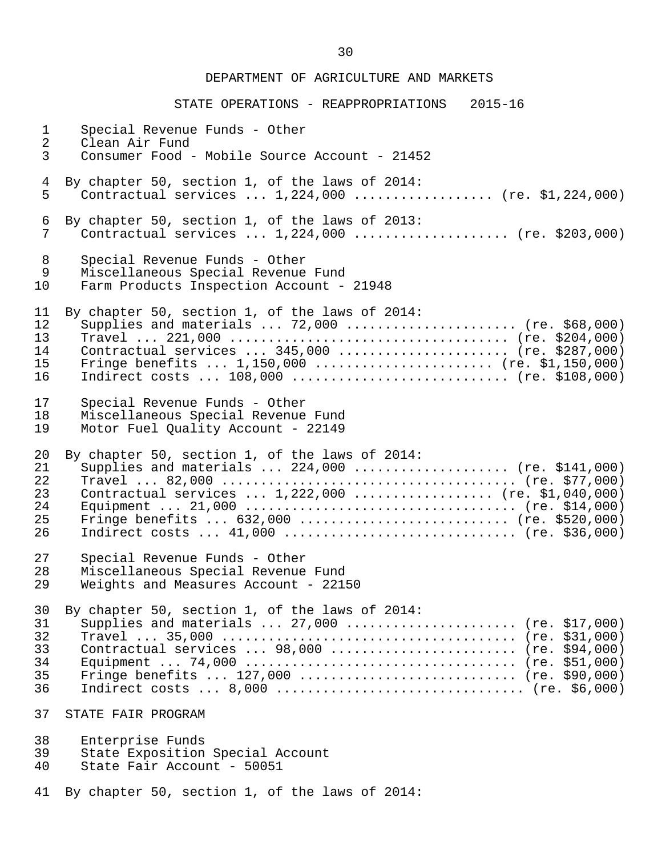STATE OPERATIONS - REAPPROPRIATIONS 2015-16 1 Special Revenue Funds - Other 2 Clean Air Fund<br>3 Consumer Food - 3 Consumer Food - Mobile Source Account - 21452 4 By chapter 50, section 1, of the laws of 2014:<br>5 Contractual services ... 1.224.000 ......... Contractual services  $\ldots$  1,224,000  $\ldots$ ................ (re. \$1,224,000) 6 By chapter 50, section 1, of the laws of 2013:<br>7 Contractual services ...  $1.224.000$  ........ 7 Contractual services ... 1,224,000 .................... (re. \$203,000) 8 Special Revenue Funds - Other 9 Miscellaneous Special Revenue Fund<br>10 Farm Products Inspection Account -Farm Products Inspection Account - 21948 11 By chapter 50, section 1, of the laws of 2014: 12 Supplies and materials ... 72,000 ...................... (re. \$68,000) 13 Travel ... 221,000 .................................... (re. \$204,000) 14 Contractual services ... 345,000 ....................... (re. \$287,000)<br>15 Fringe benefits ... 1,150,000 ........................ (re. \$1,150,000) 15 Fringe benefits ... 1,150,000 ....................... (re. \$1,150,000)  $Indirect costs ... 108,000 ... ... ... ... ... ... ... (re. $108,000)$  17 Special Revenue Funds - Other 18 Miscellaneous Special Revenue Fund<br>19 Motor Fuel Ouality Account - 22149 Motor Fuel Quality Account - 22149 20 By chapter 50, section 1, of the laws of 2014: 21 Supplies and materials ... 224,000 .................... (re. \$141,000) 22 Travel ... 82,000 ...................................... (re. \$77,000) 23 Contractual services ... 1,222,000 .................. (re. \$1,040,000) 24 Equipment ... 21,000 ................................... (re. \$14,000) 25 Fringe benefits ... 632,000 ............................ (re. \$520,000)<br>26 Indirect costs ... 41,000 ................................. (re. \$36,000) Indirect costs ... 41,000 ............................... (re. \$36,000) 27 Special Revenue Funds - Other 28 Miscellaneous Special Revenue Fund<br>29 Weights and Measures Account - 221! Weights and Measures Account - 22150 30 By chapter 50, section 1, of the laws of  $2014$ :<br>31 Supplies and materials ...  $27.000$  ......... 31 Supplies and materials ... 27,000 ...................... (re. \$17,000) 32 Travel ... 35,000 ...................................... (re. \$31,000) 33 Contractual services ... 98,000 ........................ (re. \$94,000) 34 Equipment ... 74,000 ................................... (re. \$51,000) Fringe benefits ... 127,000 ............................. (re. \$90,000) 36 Indirect costs ... 8,000 ................................ (re. \$6,000) 37 STATE FAIR PROGRAM 38 Enterprise Funds<br>39 State Exposition 39 State Exposition Special Account<br>40 State Fair Account - 50051 State Fair Account - 50051 41 By chapter 50, section 1, of the laws of 2014: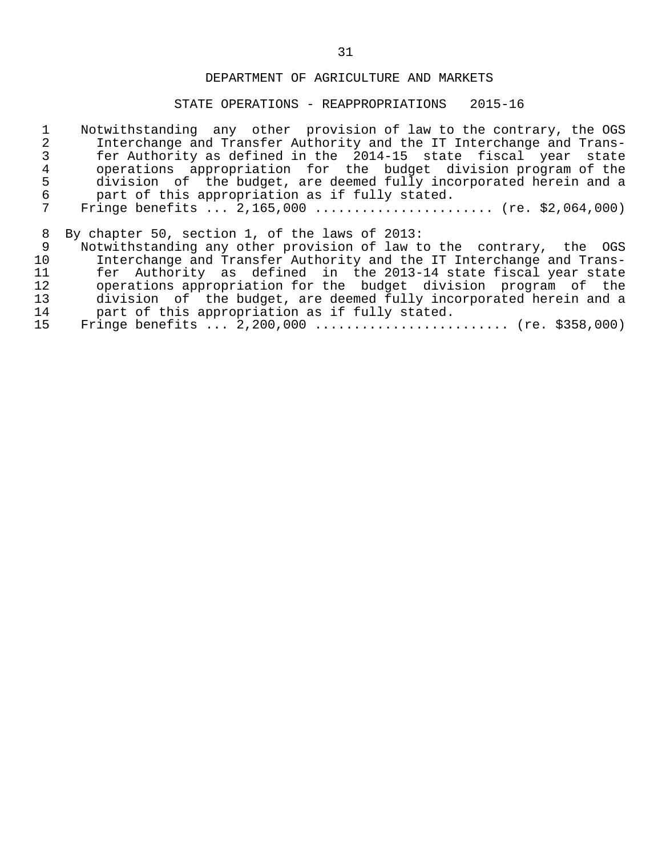# STATE OPERATIONS - REAPPROPRIATIONS 2015-16

|                 | Notwithstanding any other provision of law to the contrary, the OGS  |
|-----------------|----------------------------------------------------------------------|
| 2               | Interchange and Transfer Authority and the IT Interchange and Trans- |
|                 | fer Authority as defined in the 2014-15 state fiscal year state      |
| 4               | operations appropriation for the budget division program of the      |
| 5               | division of the budget, are deemed fully incorporated herein and a   |
| 6               | part of this appropriation as if fully stated.                       |
| 7               | Fringe benefits $2,165,000$ (re. \$2,064,000)                        |
|                 |                                                                      |
| 8               | By chapter 50, section 1, of the laws of 2013:                       |
| 9               | Notwithstanding any other provision of law to the contrary, the OGS  |
| 10 <sup>°</sup> | Interchange and Transfer Authority and the IT Interchange and Trans- |
| 11              | fer Authority as defined in the 2013-14 state fiscal year state      |
| 12              | operations appropriation for the budget division program of the      |
| 13              | division of the budget, are deemed fully incorporated herein and a   |
| 14              | part of this appropriation as if fully stated.                       |
| 15              | Fringe benefits $2,200,000$ (re. \$358,000)                          |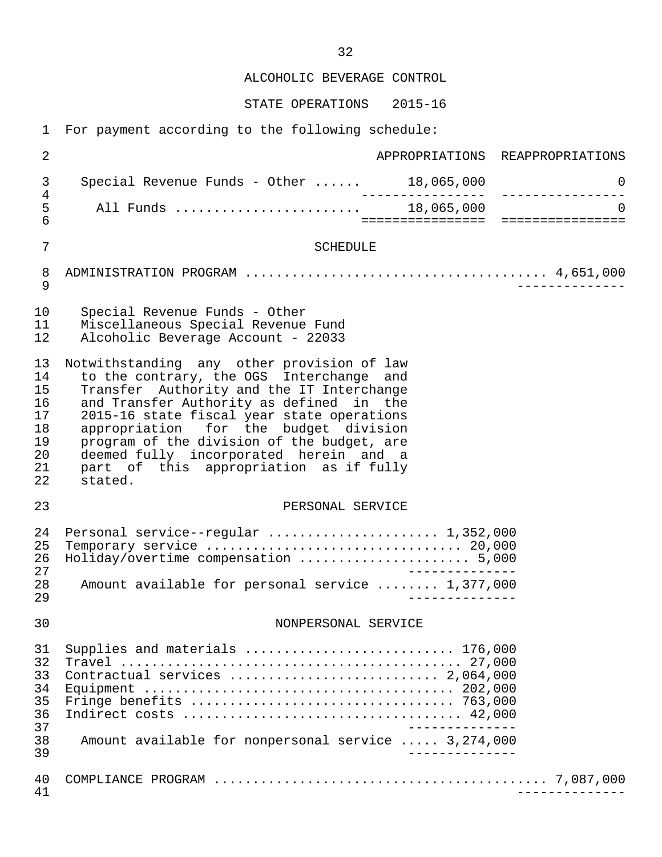ALCOHOLIC BEVERAGE CONTROL

STATE OPERATIONS 2015-16

1 For payment according to the following schedule:

| 2                                                        | APPROPRIATIONS REAPPROPRIATIONS                                                                                                                                                                                                                                                                                                                                                                                     |
|----------------------------------------------------------|---------------------------------------------------------------------------------------------------------------------------------------------------------------------------------------------------------------------------------------------------------------------------------------------------------------------------------------------------------------------------------------------------------------------|
| 3                                                        | 0                                                                                                                                                                                                                                                                                                                                                                                                                   |
| $\overline{4}$<br>5<br>$\overline{6}$                    | $\Omega$                                                                                                                                                                                                                                                                                                                                                                                                            |
| $\overline{7}$                                           | <b>SCHEDULE</b>                                                                                                                                                                                                                                                                                                                                                                                                     |
| 8<br>$\mathsf 9$                                         |                                                                                                                                                                                                                                                                                                                                                                                                                     |
| 10<br>11<br>12                                           | Special Revenue Funds - Other<br>Miscellaneous Special Revenue Fund<br>Alcoholic Beverage Account - 22033                                                                                                                                                                                                                                                                                                           |
| 13<br>14<br>15<br>16<br>17<br>18<br>19<br>20<br>21<br>22 | Notwithstanding any other provision of law<br>to the contrary, the OGS Interchange and<br>Transfer Authority and the IT Interchange<br>and Transfer Authority as defined in the<br>2015-16 state fiscal year state operations<br>appropriation for the budget division<br>program of the division of the budget, are<br>deemed fully incorporated herein and a<br>part of this appropriation as if fully<br>stated. |
| 23                                                       | PERSONAL SERVICE                                                                                                                                                                                                                                                                                                                                                                                                    |
| 24<br>25<br>26<br>27<br>28<br>29                         | Personal service--regular  1,352,000<br>Holiday/overtime compensation  5,000<br>Amount available for personal service  1,377,000                                                                                                                                                                                                                                                                                    |
| 30                                                       | NONPERSONAL SERVICE                                                                                                                                                                                                                                                                                                                                                                                                 |
| 31<br>32<br>33<br>34<br>35<br>36<br>37<br>38<br>39       | Supplies and materials  176,000<br>Amount available for nonpersonal service  3,274,000                                                                                                                                                                                                                                                                                                                              |
| 40<br>41                                                 |                                                                                                                                                                                                                                                                                                                                                                                                                     |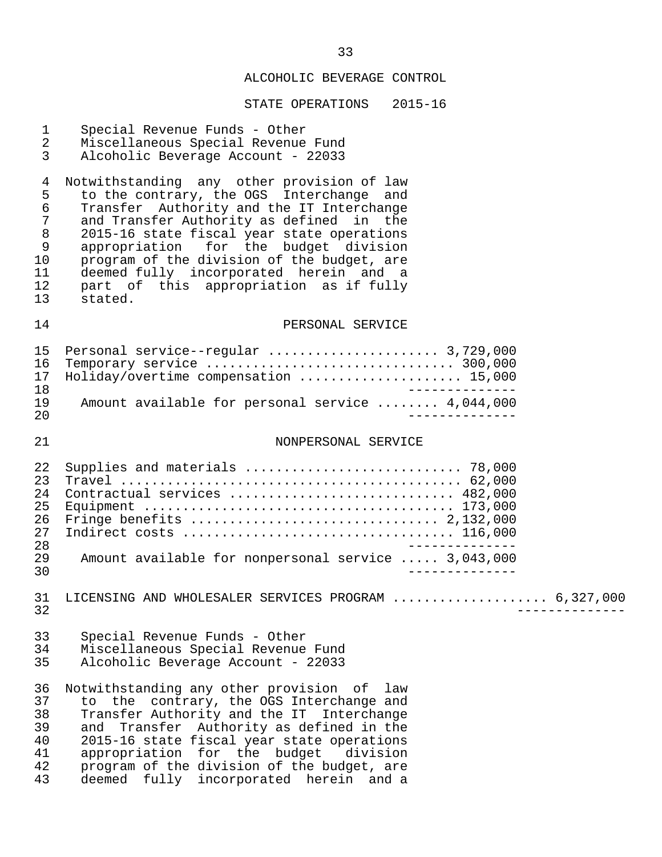# ALCOHOLIC BEVERAGE CONTROL

| $\mathbf{1}$<br>$\overline{a}$<br>3                         | Special Revenue Funds - Other<br>Miscellaneous Special Revenue Fund<br>Alcoholic Beverage Account - 22033                                                                                                                                                                                                                                                                                                              |
|-------------------------------------------------------------|------------------------------------------------------------------------------------------------------------------------------------------------------------------------------------------------------------------------------------------------------------------------------------------------------------------------------------------------------------------------------------------------------------------------|
| 4<br>5<br>$\epsilon$<br>7<br>8<br>9<br>10<br>11<br>12<br>13 | Notwithstanding any other provision of law<br>to the contrary, the OGS Interchange and<br>Transfer Authority and the IT Interchange<br>and Transfer Authority as defined<br>in the<br>2015-16 state fiscal year state operations<br>appropriation for the budget division<br>program of the division of the budget, are<br>deemed fully incorporated herein and a<br>part of this appropriation as if fully<br>stated. |
| 14                                                          | PERSONAL SERVICE                                                                                                                                                                                                                                                                                                                                                                                                       |
| 15<br>16<br>17<br>18<br>19                                  | Holiday/overtime compensation  15,000                                                                                                                                                                                                                                                                                                                                                                                  |
| 20                                                          | Amount available for personal service  4,044,000                                                                                                                                                                                                                                                                                                                                                                       |
| 21                                                          | NONPERSONAL SERVICE                                                                                                                                                                                                                                                                                                                                                                                                    |
| 22<br>23<br>24<br>25<br>26<br>27<br>28<br>29<br>30          | Supplies and materials  78,000<br>Contractual services  482,000<br>Amount available for nonpersonal service  3,043,000                                                                                                                                                                                                                                                                                                 |
| 31<br>32                                                    | LICENSING AND WHOLESALER SERVICES PROGRAM  6,327,000                                                                                                                                                                                                                                                                                                                                                                   |
| 33<br>34<br>35                                              | Special Revenue Funds - Other<br>Miscellaneous Special Revenue Fund<br>Alcoholic Beverage Account - 22033                                                                                                                                                                                                                                                                                                              |
| 36<br>37<br>38<br>39<br>40<br>41<br>42<br>43                | Notwithstanding any other provision of law<br>to the contrary, the OGS Interchange and<br>Transfer Authority and the IT Interchange<br>Transfer Authority as defined in the<br>and<br>2015-16 state fiscal year state operations<br>appropriation for the budget division<br>program of the division of the budget, are<br>deemed fully incorporated herein and a                                                      |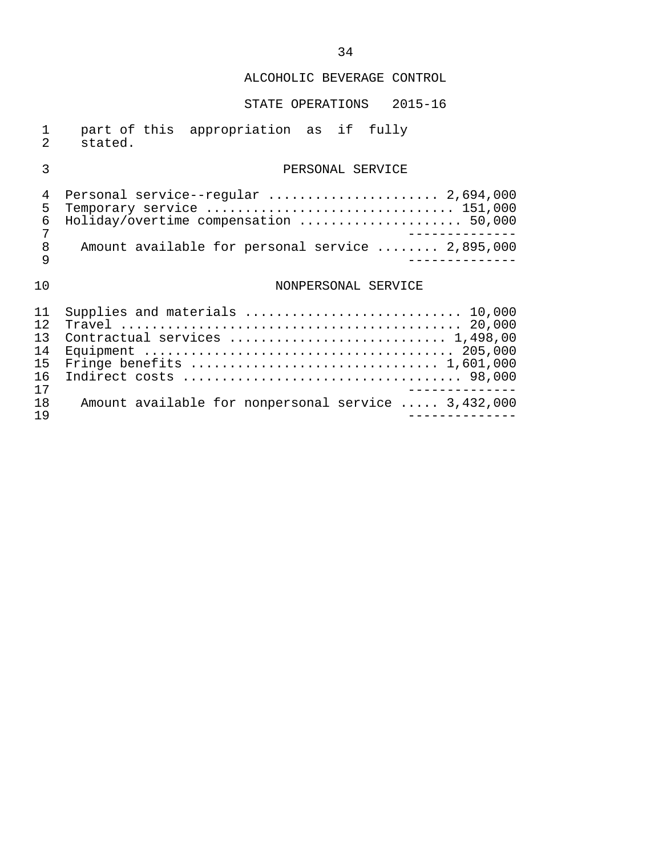# ALCOHOLIC BEVERAGE CONTROL

# STATE OPERATIONS 2015-16

|           | part of this appropriation as if fully |  |  |
|-----------|----------------------------------------|--|--|
| 2 stated. |                                        |  |  |

# 3 PERSONAL SERVICE

|  | 4 Personal service--regular  2,694,000           |
|--|--------------------------------------------------|
|  | 5 Temporary service  151,000                     |
|  | 6 Holiday/overtime compensation  50,000          |
|  |                                                  |
|  | Amount available for personal service  2,895,000 |
|  |                                                  |
|  |                                                  |

# 10 NONPERSONAL SERVICE

|                 | 11 Supplies and materials  10,000                   |
|-----------------|-----------------------------------------------------|
| 12 <sup>2</sup> |                                                     |
|                 | Contractual services  1,498,00                      |
|                 |                                                     |
|                 |                                                     |
|                 |                                                     |
| 17              |                                                     |
| 1 R             | Amount available for nonpersonal service  3,432,000 |
| 19              |                                                     |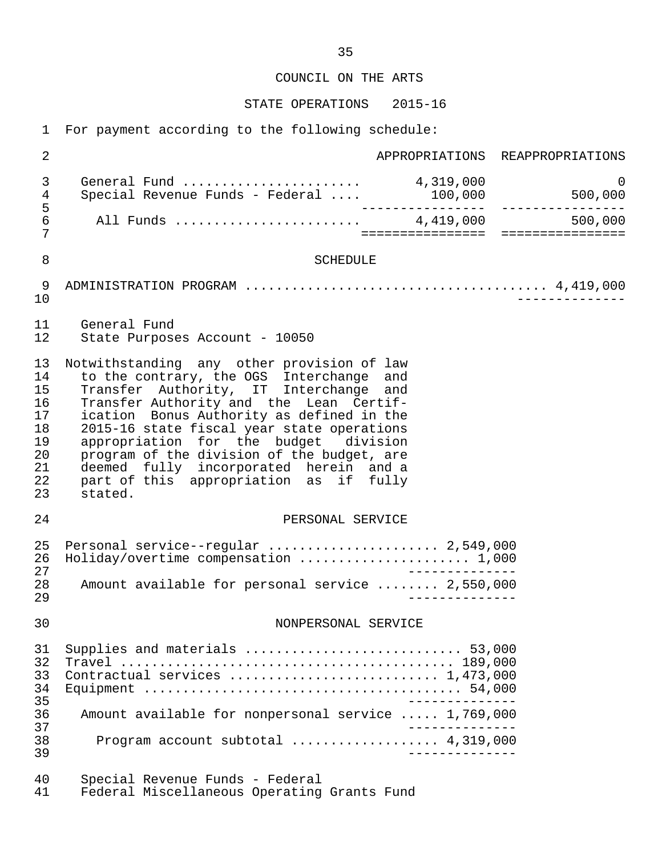COUNCIL ON THE ARTS

STATE OPERATIONS 2015-16

1 For payment according to the following schedule:

 2 APPROPRIATIONS REAPPROPRIATIONS 3 General Fund ....................... 4,319,000 0 4 Special Revenue Funds - Federal .... 100,000 500,000 5 ---------------- ---------------- 6 All Funds ........................ 4,419,000 500,000 7 ================ ================ 8 SCHEDULE 9 ADMINISTRATION PROGRAM ....................................... 4,419,000 10 -------------- 11 General Fund State Purposes Account - 10050 13 Notwithstanding any other provision of law<br>14 to the contrary, the OGS Interchange and 14 to the contrary, the OGS Interchange and<br>15 Transfer Authority, IT Interchange and Transfer Authority, IT Interchange and 16 Transfer Authority and the Lean Certif-<br>17 ication Bonus Authority as defined in the 17 ication Bonus Authority as defined in the<br>18 2015-16 state fiscal vear state operations 18 2015-16 state fiscal year state operations<br>19 appropriation for the budget division 19 appropriation for the budget division<br>20 program of the division of the budget, are 20 program of the division of the budget, are<br>21 deemed fully incorporated herein and a 21 deemed fully incorporated herein and a 22 part of this appropriation as if fully 23 stated. 24 PERSONAL SERVICE 25 Personal service--regular ........................ 2,549,000<br>26 Holiday/overtime compensation ...................... 1,000 26 Holiday/overtime compensation ........................... 1,000<br>27 27<br>28 Amount available for personal service ........ 2,550,000 28 Amount available for personal service ........ 2,550,000 29 -------------- 30 NONPERSONAL SERVICE 31 Supplies and materials ............................ 53,000 32 Travel ........................................... 189,000 Contractual services .................................. 1,473,000 34 Equipment ......................................... 54,000 35 -------------- 36 Amount available for nonpersonal service ..... 1,769,000 37<br>38 - Program account subtotal expressions and 4.319.000 38 Program account subtotal ................... 4,319,000 39 -------------- 40 Special Revenue Funds - Federal Federal Miscellaneous Operating Grants Fund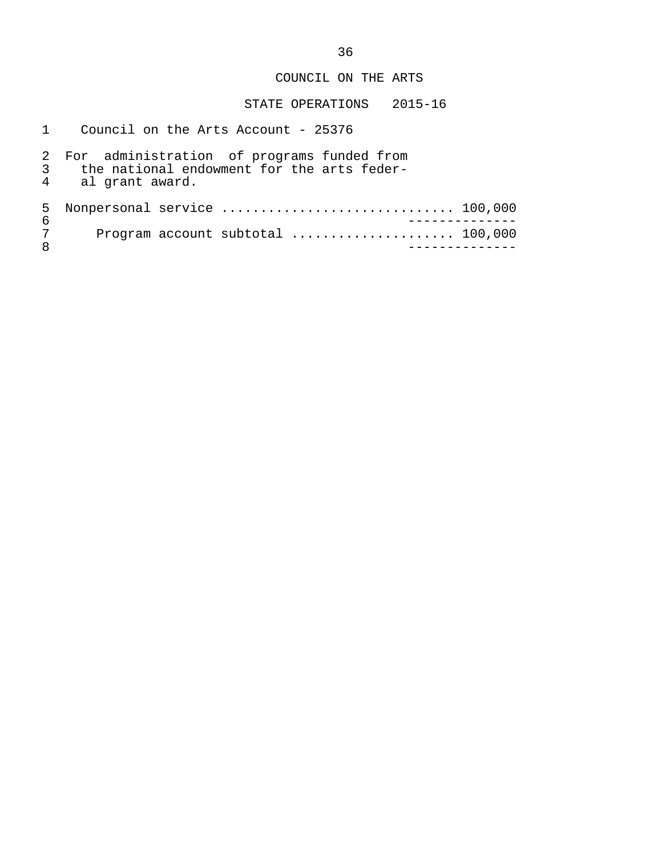## COUNCIL ON THE ARTS

|         | Council on the Arts Account - 25376                                                                           |
|---------|---------------------------------------------------------------------------------------------------------------|
|         | For administration of programs funded from<br>the national endowment for the arts feder-<br>4 al grant award. |
| 5.<br>6 |                                                                                                               |
| 7<br>8  | Program account subtotal  100,000                                                                             |
|         |                                                                                                               |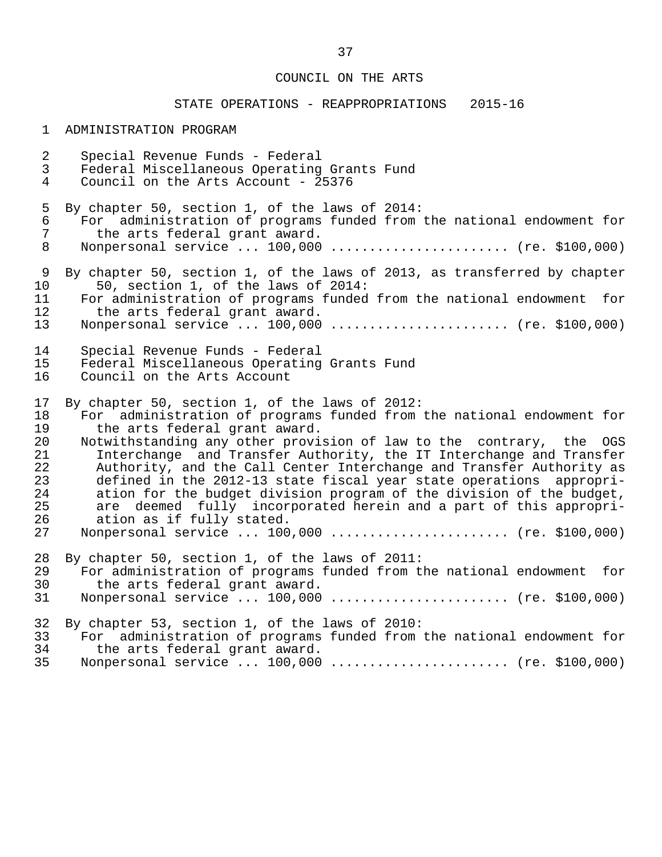# COUNCIL ON THE ARTS

# STATE OPERATIONS - REAPPROPRIATIONS 2015-16

#### 1 ADMINISTRATION PROGRAM

| $\overline{a}$ | Special Revenue Funds - Federal                                          |
|----------------|--------------------------------------------------------------------------|
| $\mathbf{3}$   | Federal Miscellaneous Operating Grants Fund                              |
| $\overline{4}$ | Council on the Arts Account - 25376                                      |
| 5              | By chapter 50, section 1, of the laws of 2014:                           |
| 6              | For administration of programs funded from the national endowment for    |
| 7              | the arts federal grant award.                                            |
| 8              | Nonpersonal service $100,000$ (re. \$100,000)                            |
| 9              | By chapter 50, section 1, of the laws of 2013, as transferred by chapter |
| 10             | 50, section 1, of the laws of 2014:                                      |
| 11             | For administration of programs funded from the national endowment for    |
| 12             | the arts federal grant award.                                            |
| 13             | Nonpersonal service  100,000  (re. \$100,000)                            |
| 14             | Special Revenue Funds - Federal                                          |
| 15             | Federal Miscellaneous Operating Grants Fund                              |
| 16             | Council on the Arts Account                                              |
| 17             | By chapter 50, section 1, of the laws of 2012:                           |
| 18             | For administration of programs funded from the national endowment for    |
| 19             | the arts federal grant award.                                            |
| 20             | Notwithstanding any other provision of law to the contrary, the OGS      |
| 21             | Interchange and Transfer Authority, the IT Interchange and Transfer      |
| 22             | Authority, and the Call Center Interchange and Transfer Authority as     |
| 23             | defined in the 2012-13 state fiscal year state operations appropri-      |
| 24             | ation for the budget division program of the division of the budget,     |
| 25             | are deemed fully incorporated herein and a part of this appropri-        |
| 26             | ation as if fully stated.                                                |
| 27             | Nonpersonal service  100,000  (re. \$100,000)                            |
| 28             | By chapter 50, section 1, of the laws of 2011:                           |
| 29             | For administration of programs funded from the national endowment for    |
| 30             | the arts federal grant award.                                            |
| 31             | Nonpersonal service  100,000  (re. \$100,000)                            |
| 32             | By chapter 53, section 1, of the laws of 2010:                           |
| 33             | For administration of programs funded from the national endowment for    |
| 34             | the arts federal grant award.                                            |
| 35             | Nonpersonal service  100,000  (re. \$100,000)                            |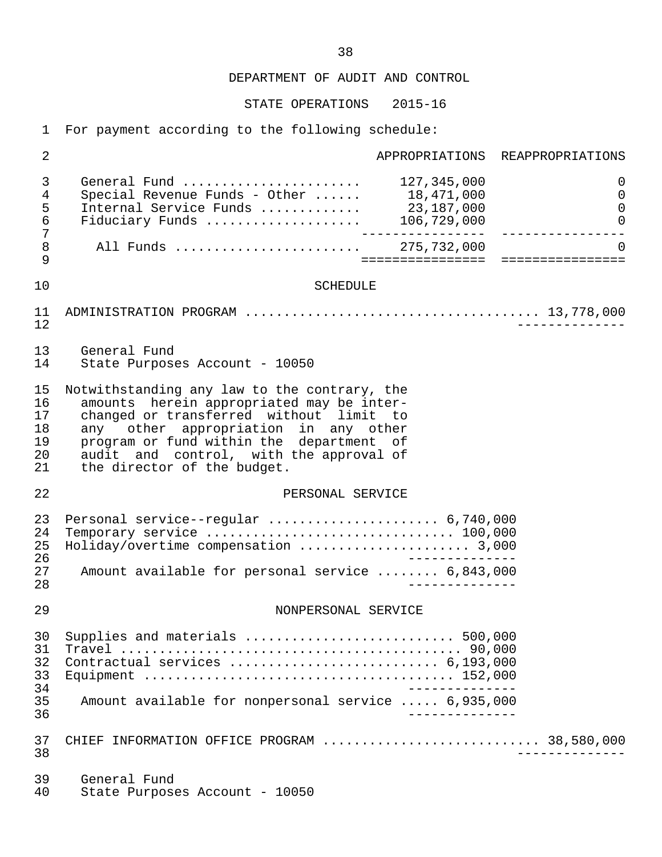STATE OPERATIONS 2015-16

1 For payment according to the following schedule:

| $\sqrt{2}$                             |                                                                                                                                                                                                                                                                                                    | APPROPRIATIONS REAPPROPRIATIONS                 |
|----------------------------------------|----------------------------------------------------------------------------------------------------------------------------------------------------------------------------------------------------------------------------------------------------------------------------------------------------|-------------------------------------------------|
| 3<br>4<br>5<br>$\epsilon$              | General Fund  127,345,000<br>Special Revenue Funds - Other $18,471,000$<br>Internal Service Funds  23,187,000<br>Fiduciary Funds $\ldots \ldots \ldots \ldots \ldots$ 106,729,000                                                                                                                  | 0<br>$\mathsf{O}$<br>$\mathbf 0$<br>$\mathsf 0$ |
| 7<br>$\,8\,$<br>9                      |                                                                                                                                                                                                                                                                                                    | $\Omega$                                        |
| 10                                     | <b>SCHEDULE</b>                                                                                                                                                                                                                                                                                    |                                                 |
| 11<br>12                               |                                                                                                                                                                                                                                                                                                    |                                                 |
| 13<br>14                               | General Fund<br>State Purposes Account - 10050                                                                                                                                                                                                                                                     |                                                 |
| 15<br>16<br>17<br>18<br>19<br>20<br>21 | Notwithstanding any law to the contrary, the<br>amounts herein appropriated may be inter-<br>changed or transferred without limit to<br>any other appropriation in any other<br>program or fund within the department of<br>audit and control, with the approval of<br>the director of the budget. |                                                 |
| 22                                     | PERSONAL SERVICE                                                                                                                                                                                                                                                                                   |                                                 |
| 23<br>24<br>25<br>26<br>27<br>28       | Personal service--regular  6,740,000<br>Holiday/overtime compensation  3,000<br>Amount available for personal service  6,843,000                                                                                                                                                                   |                                                 |
| 29                                     | NONPERSONAL SERVICE                                                                                                                                                                                                                                                                                |                                                 |
| 30<br>31<br>32<br>33<br>34<br>35<br>36 | Supplies and materials  500,000<br>Contractual services  6,193,000<br>Amount available for nonpersonal service  6,935,000                                                                                                                                                                          |                                                 |
| 37<br>38                               | CHIEF INFORMATION OFFICE PROGRAM  38,580,000                                                                                                                                                                                                                                                       |                                                 |
| 39<br>40                               | General Fund<br>State Purposes Account - 10050                                                                                                                                                                                                                                                     |                                                 |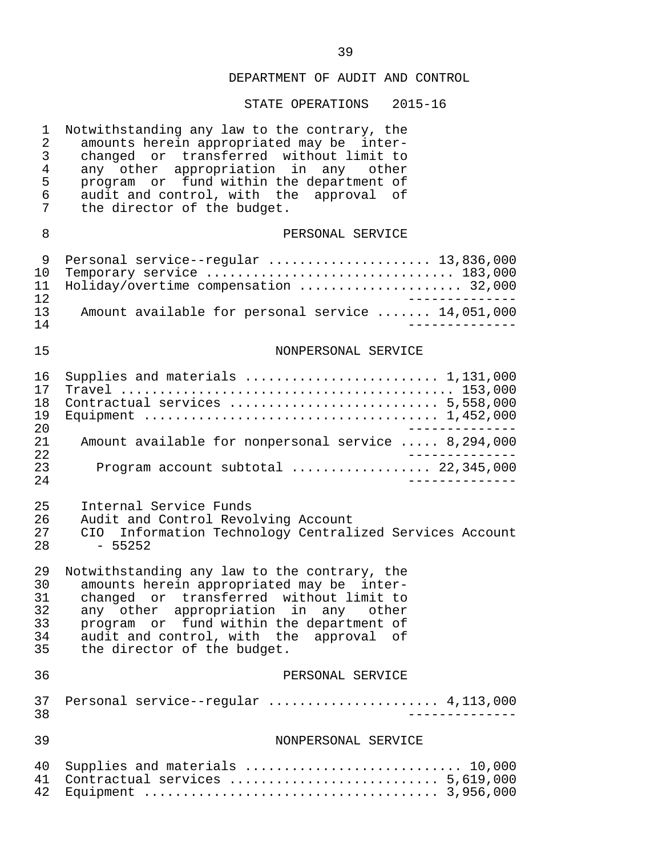| $\mathbf 1$<br>$\sqrt{2}$<br>$\mathfrak{Z}$<br>$\overline{4}$<br>5<br>6<br>7 | Notwithstanding any law to the contrary, the<br>amounts herein appropriated may be inter-<br>changed or transferred without limit to<br>any other appropriation in any other<br>program or fund within the department of<br>audit and control, with the approval of<br>the director of the budget. |
|------------------------------------------------------------------------------|----------------------------------------------------------------------------------------------------------------------------------------------------------------------------------------------------------------------------------------------------------------------------------------------------|
| 8                                                                            | PERSONAL SERVICE                                                                                                                                                                                                                                                                                   |
| 9<br>10<br>11<br>12                                                          | Personal service--regular  13,836,000<br>Temporary service  183,000<br>Holiday/overtime compensation  32,000                                                                                                                                                                                       |
| 13<br>14                                                                     | Amount available for personal service  14,051,000                                                                                                                                                                                                                                                  |
| 15                                                                           | NONPERSONAL SERVICE                                                                                                                                                                                                                                                                                |
| 16<br>17<br>18<br>19<br>20                                                   | Supplies and materials  1,131,000<br>Contractual services  5,558,000                                                                                                                                                                                                                               |
| 21<br>22                                                                     | Amount available for nonpersonal service  8,294,000                                                                                                                                                                                                                                                |
| 23<br>24                                                                     | Program account subtotal  22,345,000                                                                                                                                                                                                                                                               |
| 25<br>26<br>27<br>28                                                         | Internal Service Funds<br>Audit and Control Revolving Account<br>CIO Information Technology Centralized Services Account<br>$-55252$                                                                                                                                                               |
| 29<br>30<br>31<br>32<br>33<br>34<br>35                                       | Notwithstanding any law to the contrary, the<br>amounts herein appropriated may be inter-<br>changed or transferred without limit to<br>any other appropriation in any other<br>program or fund within the department of<br>audit and control, with the approval of<br>the director of the budget. |
| 36                                                                           | PERSONAL SERVICE                                                                                                                                                                                                                                                                                   |
| 37<br>38                                                                     | Personal service--regular  4,113,000                                                                                                                                                                                                                                                               |
| 39                                                                           | NONPERSONAL SERVICE                                                                                                                                                                                                                                                                                |
| 40<br>41<br>42                                                               | Supplies and materials  10,000                                                                                                                                                                                                                                                                     |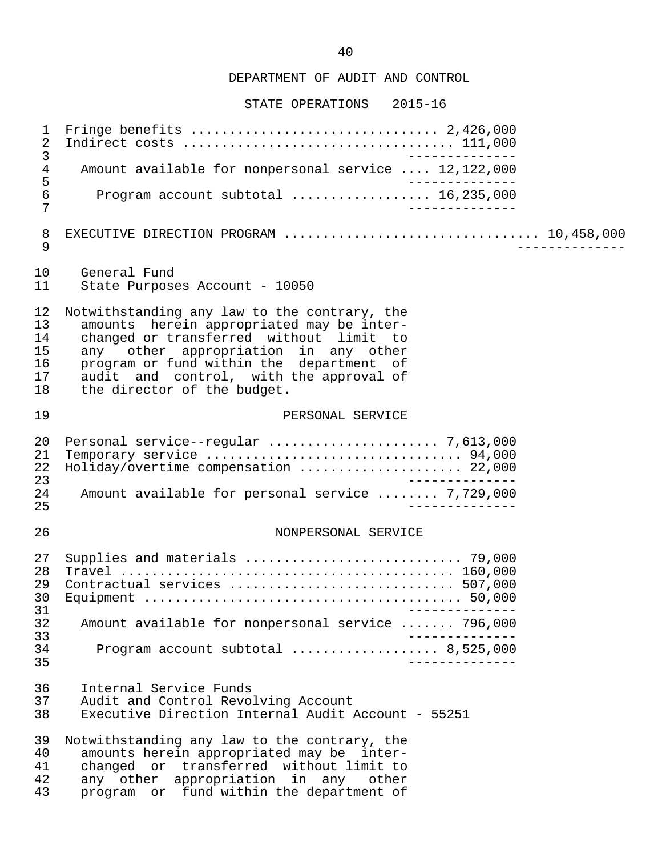| 1<br>$\sqrt{2}$                        | ______________                                                                                                                                                                                                                                                                                     |
|----------------------------------------|----------------------------------------------------------------------------------------------------------------------------------------------------------------------------------------------------------------------------------------------------------------------------------------------------|
| 3<br>4<br>$\frac{5}{6}$<br>7           | Amount available for nonpersonal service  12,122,000                                                                                                                                                                                                                                               |
|                                        | Program account subtotal  16,235,000<br>______________                                                                                                                                                                                                                                             |
| 8<br>9                                 | EXECUTIVE DIRECTION PROGRAM  10,458,000                                                                                                                                                                                                                                                            |
| 10<br>11                               | General Fund<br>State Purposes Account - 10050                                                                                                                                                                                                                                                     |
| 12<br>13<br>14<br>15<br>16<br>17<br>18 | Notwithstanding any law to the contrary, the<br>amounts herein appropriated may be inter-<br>changed or transferred without limit to<br>any other appropriation in any other<br>program or fund within the department of<br>audit and control, with the approval of<br>the director of the budget. |
| 19                                     | PERSONAL SERVICE                                                                                                                                                                                                                                                                                   |
| 20<br>21<br>22<br>23                   | Holiday/overtime compensation  22,000<br>$\frac{1}{2}$                                                                                                                                                                                                                                             |
| 24<br>25                               | Amount available for personal service  7,729,000<br>______________                                                                                                                                                                                                                                 |
| 26                                     | NONPERSONAL SERVICE                                                                                                                                                                                                                                                                                |
| 27<br>28<br>29<br>30<br>31             | Contractual services  507,000                                                                                                                                                                                                                                                                      |
| 32                                     | Amount available for nonpersonal service  796,000                                                                                                                                                                                                                                                  |
| 33<br>34<br>35                         | Program account subtotal  8,525,000<br>_______________                                                                                                                                                                                                                                             |
| 36<br>37<br>38                         | Internal Service Funds<br>Audit and Control Revolving Account<br>Executive Direction Internal Audit Account - 55251                                                                                                                                                                                |
| 39<br>40<br>41<br>42<br>43             | Notwithstanding any law to the contrary, the<br>amounts herein appropriated may be inter-<br>changed or transferred without limit to<br>any other appropriation in any other<br>program or fund within the department of                                                                           |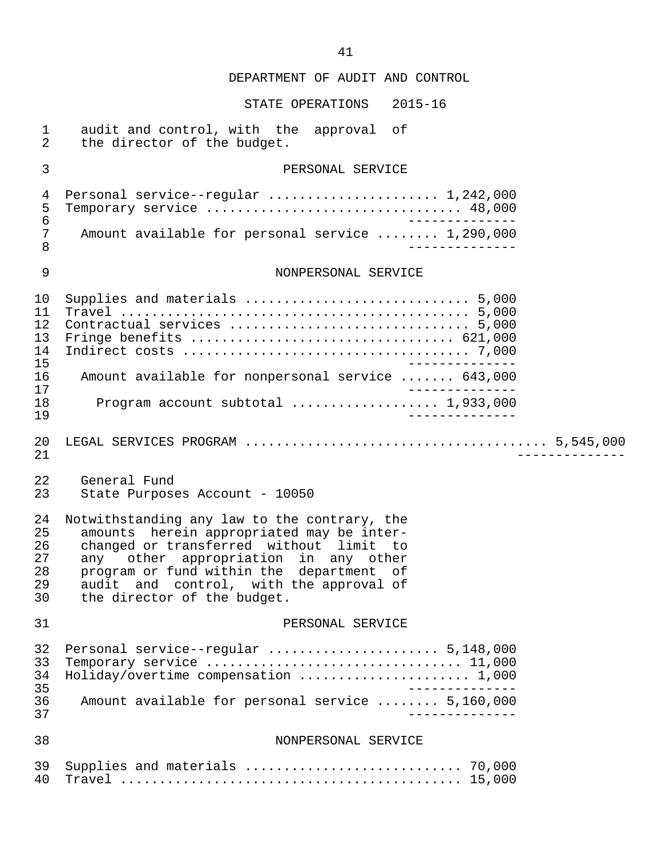| $\mathbf 1$<br>$\overline{2}$          | audit and control, with the approval of<br>the director of the budget.                                                                                                                                                                                                                             |
|----------------------------------------|----------------------------------------------------------------------------------------------------------------------------------------------------------------------------------------------------------------------------------------------------------------------------------------------------|
| $\mathfrak{Z}$                         | PERSONAL SERVICE                                                                                                                                                                                                                                                                                   |
| 4<br>5<br>$\epsilon$<br>7              | Personal service--regular  1,242,000<br>Temporary service  48,000<br>Amount available for personal service  1,290,000                                                                                                                                                                              |
| 8                                      |                                                                                                                                                                                                                                                                                                    |
| 9                                      | NONPERSONAL SERVICE                                                                                                                                                                                                                                                                                |
| 10<br>11<br>12<br>13<br>14<br>15       |                                                                                                                                                                                                                                                                                                    |
| 16<br>17                               | Amount available for nonpersonal service  643,000                                                                                                                                                                                                                                                  |
| 18<br>19                               | Program account subtotal  1,933,000                                                                                                                                                                                                                                                                |
| 20<br>21                               |                                                                                                                                                                                                                                                                                                    |
| 22<br>23                               | General Fund<br>State Purposes Account - 10050                                                                                                                                                                                                                                                     |
| 24<br>25<br>26<br>27<br>28<br>29<br>30 | Notwithstanding any law to the contrary, the<br>amounts herein appropriated may be inter-<br>changed or transferred without limit to<br>any other appropriation in any other<br>program or fund within the department of<br>audit and control, with the approval of<br>the director of the budget. |
| 31                                     | PERSONAL SERVICE                                                                                                                                                                                                                                                                                   |
| 32<br>33<br>34<br>35                   | Personal service--regular  5,148,000<br>Temporary service  11,000<br>Holiday/overtime compensation  1,000                                                                                                                                                                                          |
| 36<br>37                               | Amount available for personal service  5,160,000                                                                                                                                                                                                                                                   |
| 38                                     | NONPERSONAL SERVICE                                                                                                                                                                                                                                                                                |
| 39<br>40                               |                                                                                                                                                                                                                                                                                                    |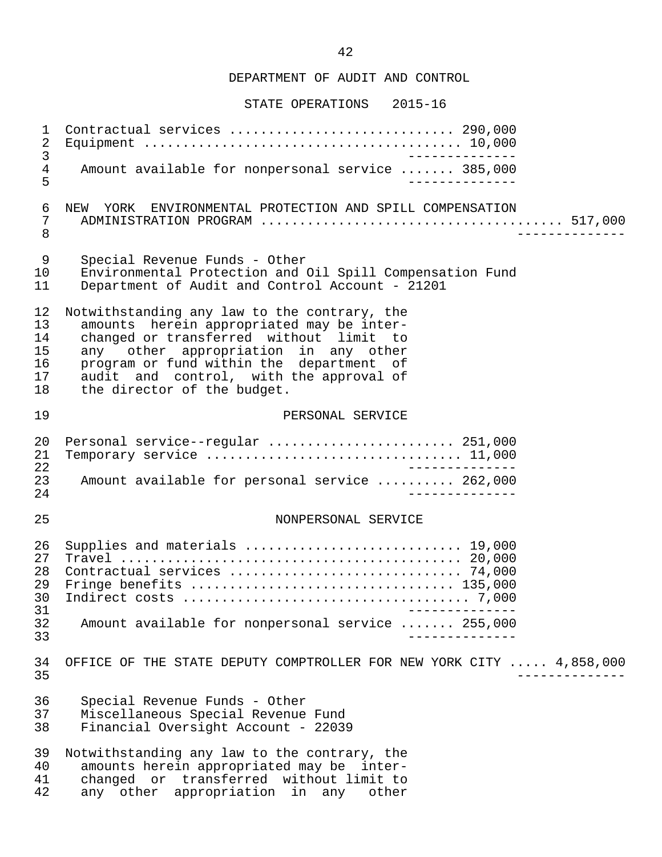STATE OPERATIONS 2015-16

 1 Contractual services ............................. 290,000 2 Equipment ......................................... 10,000 3<br>4 Amount available for nonpersonal service ........ 385.000 4 Amount available for nonpersonal service ....... 385,000<br>5------------ 5 -------------- 6 NEW YORK ENVIRONMENTAL PROTECTION AND SPILL COMPENSATION<br>7 ADMINISTRATION PROGRAM 7 ADMINISTRATION PROGRAM ....................................... 517,000 8 -------------- 9 Special Revenue Funds - Other<br>10 Environmental Protection and 10 Environmental Protection and Oil Spill Compensation Fund<br>11 Department of Audit and Control Account - 21201 Department of Audit and Control Account - 21201 12 Notwithstanding any law to the contrary, the<br>13 amounts herein appropriated may be inter-13 amounts herein appropriated may be inter-<br>14 changed or transferred without limit to 14 changed or transferred without limit to<br>15 any other appropriation in any other 15 any other appropriation in any other<br>16 program or fund within the department of 16 program or fund within the department of<br>17 audit and control, with the approval of 17 audit and control, with the approval of<br>18 the director of the budget. the director of the budget. 19 PERSONAL SERVICE 20 Personal service--regular ........................ 251,000 21 Temporary service ................................. 11,000 22 -------------- 23 Amount available for personal service .......... 262,000<br>24 24 -------------- 25 NONPERSONAL SERVICE 26 Supplies and materials ............................ 19,000 27 Travel ............................................ 20,000 28 Contractual services .............................. 74,000 29 Fringe benefits .................................. 135,000 30 Indirect costs ..................................... 7,000 -------------<br>32 Amount available for nonpersonal service 32 Amount available for nonpersonal service ....... 255,000 33 -------------- 34 OFFICE OF THE STATE DEPUTY COMPTROLLER FOR NEW YORK CITY ..... 4,858,000 35 -------------- 36 Special Revenue Funds - Other 37 Miscellaneous Special Revenue Fund 38 Financial Oversight Account - 22039 39 Notwithstanding any law to the contrary, the<br>40 amounts herein appropriated may be inter- 40 amounts herein appropriated may be inter- 41 changed or transferred without limit to<br>42 any other appropriation in any other any other appropriation in any other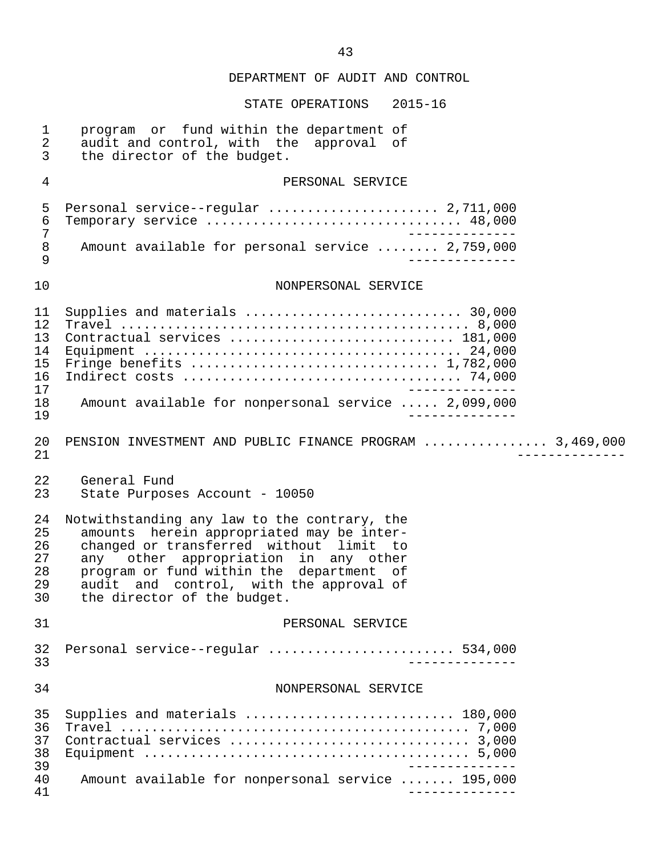| $\mathbf 1$<br>$\overline{2}$<br>$\mathfrak{Z}$ | program or fund within the department of<br>audit and control, with the approval of<br>the director of the budget.                                                                                                                                                                                 |
|-------------------------------------------------|----------------------------------------------------------------------------------------------------------------------------------------------------------------------------------------------------------------------------------------------------------------------------------------------------|
| 4                                               | PERSONAL SERVICE                                                                                                                                                                                                                                                                                   |
| 5<br>$\epsilon$<br>7<br>8<br>9                  | Personal service--regular  2,711,000<br>Temporary service  48,000<br>Amount available for personal service  2,759,000                                                                                                                                                                              |
| 10                                              | NONPERSONAL SERVICE                                                                                                                                                                                                                                                                                |
| 11<br>12<br>13<br>14<br>15<br>16<br>17          | Supplies and materials  30,000<br>Contractual services  181,000                                                                                                                                                                                                                                    |
| 18<br>19                                        | Amount available for nonpersonal service  2,099,000                                                                                                                                                                                                                                                |
| 20<br>21                                        | PENSION INVESTMENT AND PUBLIC FINANCE PROGRAM  3,469,000                                                                                                                                                                                                                                           |
| 22<br>23                                        | General Fund<br>State Purposes Account - 10050                                                                                                                                                                                                                                                     |
| 24<br>25<br>26<br>27<br>28<br>29<br>30          | Notwithstanding any law to the contrary, the<br>amounts herein appropriated may be inter-<br>changed or transferred without limit to<br>any other appropriation in any other<br>program or fund within the department of<br>audit and control, with the approval of<br>the director of the budget. |
| 31                                              | PERSONAL SERVICE                                                                                                                                                                                                                                                                                   |
| 32<br>33                                        | Personal service--regular  534,000                                                                                                                                                                                                                                                                 |
| 34                                              | NONPERSONAL SERVICE                                                                                                                                                                                                                                                                                |
| 35<br>36<br>37<br>38<br>39<br>40<br>41          | Supplies and materials  180,000<br>Amount available for nonpersonal service  195,000                                                                                                                                                                                                               |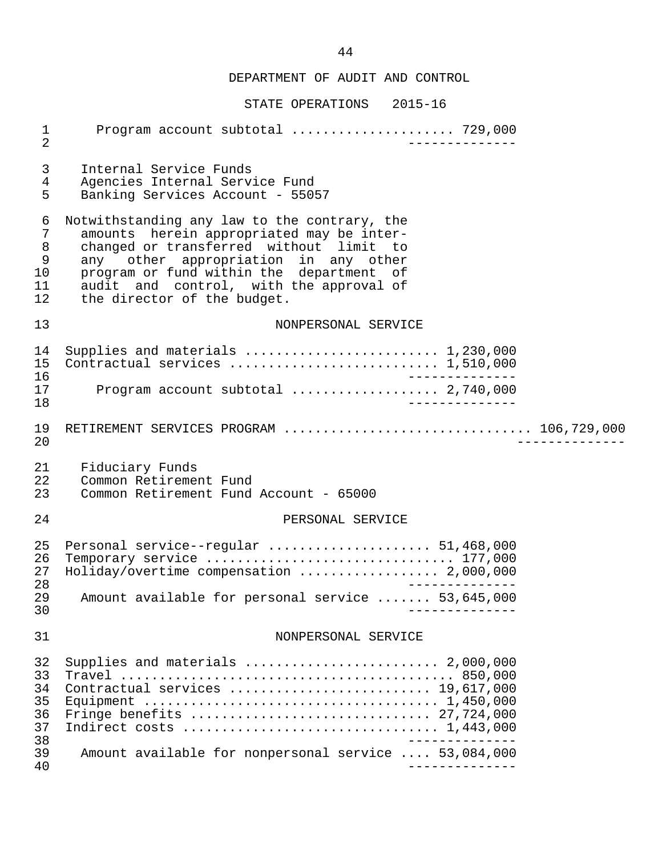| $\mathbf 1$<br>$\overline{2}$                     | Program account subtotal  729,000<br>$- - - - - - - -$                                                                                                                                                                                                                                             |  |  |
|---------------------------------------------------|----------------------------------------------------------------------------------------------------------------------------------------------------------------------------------------------------------------------------------------------------------------------------------------------------|--|--|
| 3<br>$\overline{4}$<br>5                          | Internal Service Funds<br>Agencies Internal Service Fund<br>Banking Services Account - 55057                                                                                                                                                                                                       |  |  |
| 6<br>7<br>$\, 8$<br>$\mathsf 9$<br>10<br>11<br>12 | Notwithstanding any law to the contrary, the<br>amounts herein appropriated may be inter-<br>changed or transferred without limit to<br>any other appropriation in any other<br>program or fund within the department of<br>audit and control, with the approval of<br>the director of the budget. |  |  |
| 13                                                | NONPERSONAL SERVICE                                                                                                                                                                                                                                                                                |  |  |
| 14<br>15<br>16<br>17<br>18                        | Supplies and materials  1,230,000<br>Program account subtotal  2,740,000                                                                                                                                                                                                                           |  |  |
| 19<br>20                                          | RETIREMENT SERVICES PROGRAM  106,729,000                                                                                                                                                                                                                                                           |  |  |
| 21<br>22<br>23                                    | Fiduciary Funds<br>Common Retirement Fund<br>Common Retirement Fund Account - 65000                                                                                                                                                                                                                |  |  |
| 24                                                | PERSONAL SERVICE                                                                                                                                                                                                                                                                                   |  |  |
| 25<br>26<br>27<br>28<br>29                        | Personal service--regular  51,468,000<br>Temporary service  177,000<br>Holiday/overtime compensation  2,000,000<br>_______________<br>53,645,000                                                                                                                                                   |  |  |
| 30                                                | Amount available for personal service                                                                                                                                                                                                                                                              |  |  |
| 31                                                | NONPERSONAL SERVICE                                                                                                                                                                                                                                                                                |  |  |
| 32<br>33<br>34<br>35<br>36<br>37<br>38<br>39      | Supplies and materials $\ldots \ldots \ldots \ldots \ldots \ldots \ldots 2,000,000$<br>Contractual services  19,617,000<br>Amount available for nonpersonal service  53,084,000                                                                                                                    |  |  |
| 40                                                |                                                                                                                                                                                                                                                                                                    |  |  |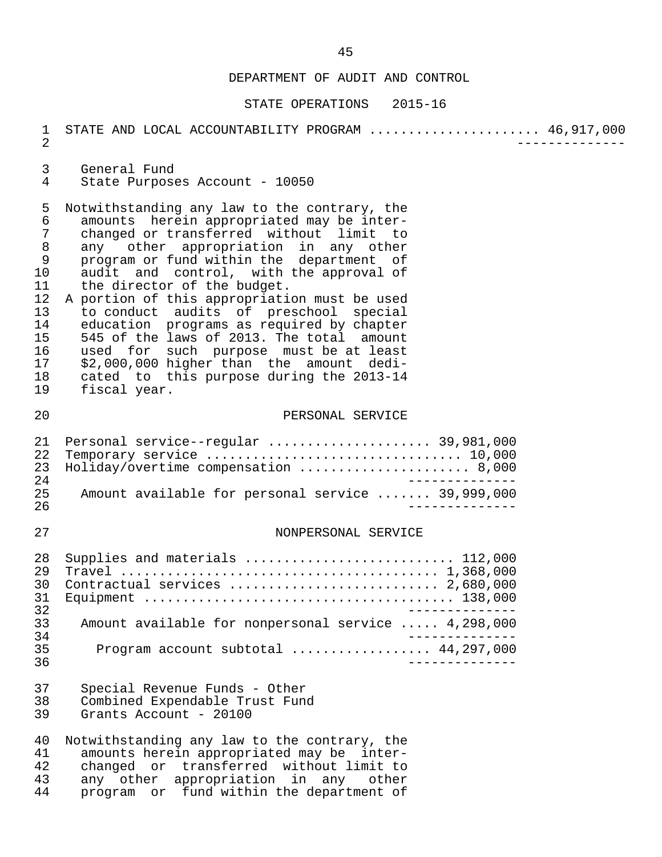| $\mathbf 1$<br>$\overline{2}$                                                                             | STATE AND LOCAL ACCOUNTABILITY PROGRAM  46,917,000                                                                                                                                                                                                                                                                                                                                                                                                                                                                                                                                                                                       |
|-----------------------------------------------------------------------------------------------------------|------------------------------------------------------------------------------------------------------------------------------------------------------------------------------------------------------------------------------------------------------------------------------------------------------------------------------------------------------------------------------------------------------------------------------------------------------------------------------------------------------------------------------------------------------------------------------------------------------------------------------------------|
| 3<br>4                                                                                                    | General Fund<br>State Purposes Account - 10050                                                                                                                                                                                                                                                                                                                                                                                                                                                                                                                                                                                           |
| 5<br>$\epsilon$<br>$\sqrt{ }$<br>$\,8\,$<br>9<br>10<br>11<br>12<br>13<br>14<br>15<br>16<br>17<br>18<br>19 | Notwithstanding any law to the contrary, the<br>amounts herein appropriated may be inter-<br>changed or transferred without limit to<br>any other appropriation in any other<br>program or fund within the department of<br>audit and control, with the approval of<br>the director of the budget.<br>A portion of this appropriation must be used<br>to conduct audits of preschool special<br>education programs as required by chapter<br>545 of the laws of 2013. The total amount<br>used for such purpose must be at least<br>\$2,000,000 higher than the amount dedi-<br>cated to this purpose during the 2013-14<br>fiscal year. |
| 20                                                                                                        | PERSONAL SERVICE                                                                                                                                                                                                                                                                                                                                                                                                                                                                                                                                                                                                                         |
| 21<br>22<br>23<br>24                                                                                      | Personal service--regular  39,981,000<br>Holiday/overtime compensation  8,000                                                                                                                                                                                                                                                                                                                                                                                                                                                                                                                                                            |
| 25<br>26                                                                                                  | Amount available for personal service  39,999,000                                                                                                                                                                                                                                                                                                                                                                                                                                                                                                                                                                                        |
| 27                                                                                                        | NONPERSONAL SERVICE                                                                                                                                                                                                                                                                                                                                                                                                                                                                                                                                                                                                                      |
| 28<br>29<br>30<br>31<br>32                                                                                | Supplies and materials  112,000<br>Contractual services  2,680,000                                                                                                                                                                                                                                                                                                                                                                                                                                                                                                                                                                       |
| 33                                                                                                        | Amount available for nonpersonal service  4,298,000                                                                                                                                                                                                                                                                                                                                                                                                                                                                                                                                                                                      |
| 34<br>35<br>36                                                                                            | Program account subtotal  44,297,000<br>______________                                                                                                                                                                                                                                                                                                                                                                                                                                                                                                                                                                                   |
| 37<br>38<br>39                                                                                            | Special Revenue Funds - Other<br>Combined Expendable Trust Fund<br>Grants Account - 20100                                                                                                                                                                                                                                                                                                                                                                                                                                                                                                                                                |
| 40<br>41<br>42<br>43<br>44                                                                                | Notwithstanding any law to the contrary, the<br>amounts herein appropriated may be inter-<br>changed or transferred without limit to<br>any other appropriation in any other<br>program or fund within the department of                                                                                                                                                                                                                                                                                                                                                                                                                 |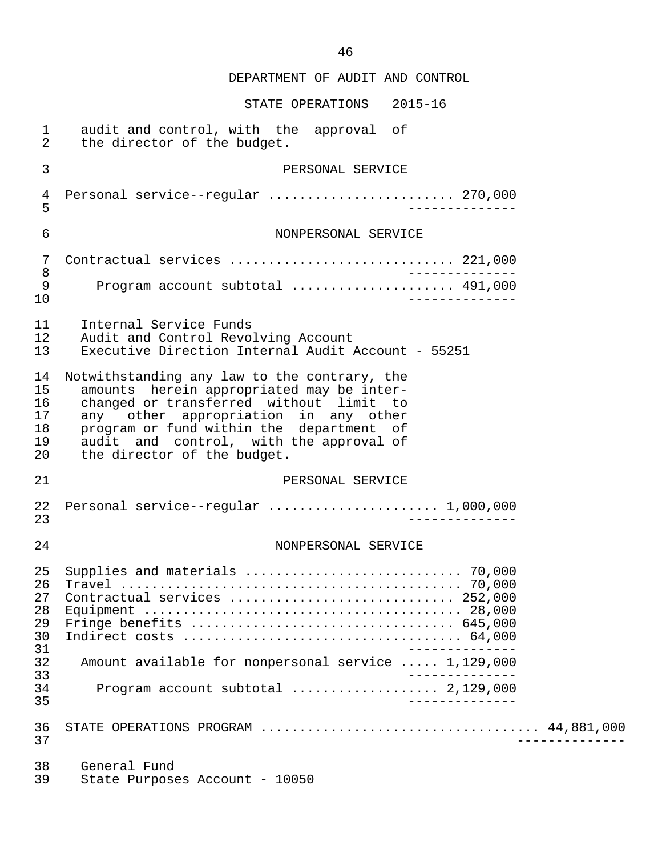| $\mathbf{1}$                            | audit and control, with the approval of                                                                                  |
|-----------------------------------------|--------------------------------------------------------------------------------------------------------------------------|
| $\overline{a}$                          | the director of the budget.                                                                                              |
| 3                                       | PERSONAL SERVICE                                                                                                         |
| 4                                       | Personal service--regular  270,000                                                                                       |
| 5                                       | ___________                                                                                                              |
| 6                                       | NONPERSONAL SERVICE                                                                                                      |
| 7                                       | Contractual services  221,000                                                                                            |
| $\,8\,$                                 | _______________                                                                                                          |
| 9                                       | Program account subtotal  491,000                                                                                        |
| 10                                      | ___________                                                                                                              |
| 11                                      | Internal Service Funds                                                                                                   |
| 12                                      | Audit and Control Revolving Account                                                                                      |
| 13                                      | Executive Direction Internal Audit Account - 55251                                                                       |
| 14                                      | Notwithstanding any law to the contrary, the                                                                             |
| 15                                      | amounts herein appropriated may be inter-                                                                                |
| 16                                      | changed or transferred without limit to                                                                                  |
| 17                                      | any other appropriation in any other                                                                                     |
| 18                                      | program or fund within the department of                                                                                 |
| 19                                      | audit and control, with the approval of                                                                                  |
| 20                                      | the director of the budget.                                                                                              |
| 21                                      | PERSONAL SERVICE                                                                                                         |
| 22                                      |                                                                                                                          |
| 23                                      | __________                                                                                                               |
| 24                                      | NONPERSONAL SERVICE                                                                                                      |
| 25<br>26<br>2.7<br>28<br>29<br>30<br>31 | Supplies and materials  70,000<br>Contractual services $\ldots \ldots \ldots \ldots \ldots \ldots \ldots \ldots$ 252.000 |
| 32<br>33                                | Amount available for nonpersonal service  1,129,000                                                                      |
| 34<br>35                                | Program account subtotal  2,129,000                                                                                      |
| 36                                      | STATE OPERATIONS PROGRAM  44,881,000                                                                                     |
| 37                                      | $- - - - - - - -$                                                                                                        |
| 38                                      | General Fund                                                                                                             |
| 39                                      | State Purposes Account - 10050                                                                                           |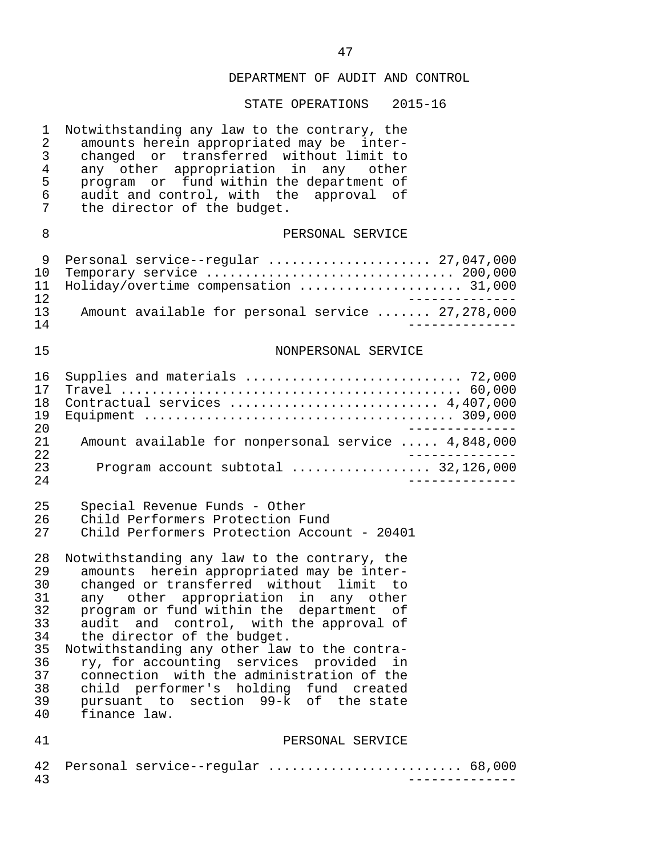| $\mathbf 1$<br>2<br>3<br>4<br>5<br>6<br>7                                  | Notwithstanding any law to the contrary, the<br>amounts herein appropriated may be inter-<br>changed or transferred without limit to<br>any other appropriation in any other<br>program or fund within the department of<br>audit and control, with the approval of<br>the director of the budget.                                                                                                                                                                                                                                               |
|----------------------------------------------------------------------------|--------------------------------------------------------------------------------------------------------------------------------------------------------------------------------------------------------------------------------------------------------------------------------------------------------------------------------------------------------------------------------------------------------------------------------------------------------------------------------------------------------------------------------------------------|
| 8                                                                          | PERSONAL SERVICE                                                                                                                                                                                                                                                                                                                                                                                                                                                                                                                                 |
| 9<br>10<br>11<br>12                                                        | Personal service--regular  27,047,000<br>Temporary service  200,000<br>Holiday/overtime compensation  31,000<br>$- - - - - - - - - - -$                                                                                                                                                                                                                                                                                                                                                                                                          |
| 13<br>14                                                                   | Amount available for personal service  27,278,000<br>. _ _ _ _ _ _ _ _ .                                                                                                                                                                                                                                                                                                                                                                                                                                                                         |
| 15                                                                         | NONPERSONAL SERVICE                                                                                                                                                                                                                                                                                                                                                                                                                                                                                                                              |
| 16<br>17<br>18<br>19<br>20                                                 | Supplies and materials  72,000<br>Contractual services  4,407,000                                                                                                                                                                                                                                                                                                                                                                                                                                                                                |
| 21<br>22                                                                   | Amount available for nonpersonal service  4,848,000                                                                                                                                                                                                                                                                                                                                                                                                                                                                                              |
| 23<br>24                                                                   | Program account subtotal  32,126,000                                                                                                                                                                                                                                                                                                                                                                                                                                                                                                             |
| 25<br>26<br>27                                                             | Special Revenue Funds - Other<br>Child Performers Protection Fund<br>Child Performers Protection Account - 20401                                                                                                                                                                                                                                                                                                                                                                                                                                 |
| 28<br>29<br>30<br>31<br>32<br>33<br>34<br>35<br>36<br>37<br>38<br>39<br>40 | Notwithstanding any law to the contrary, the<br>amounts herein appropriated may be inter-<br>changed or transferred without limit to<br>any other appropriation in any other<br>program or fund within the department of<br>audit and control, with the approval of<br>the director of the budget.<br>Notwithstanding any other law to the contra-<br>ry, for accounting services provided<br>in<br>connection with the administration of the<br>child performer's holding fund created<br>pursuant to section 99-k of the state<br>finance law. |
| 41                                                                         | PERSONAL SERVICE                                                                                                                                                                                                                                                                                                                                                                                                                                                                                                                                 |
| 42<br>43                                                                   | Personal service--regular  68,000                                                                                                                                                                                                                                                                                                                                                                                                                                                                                                                |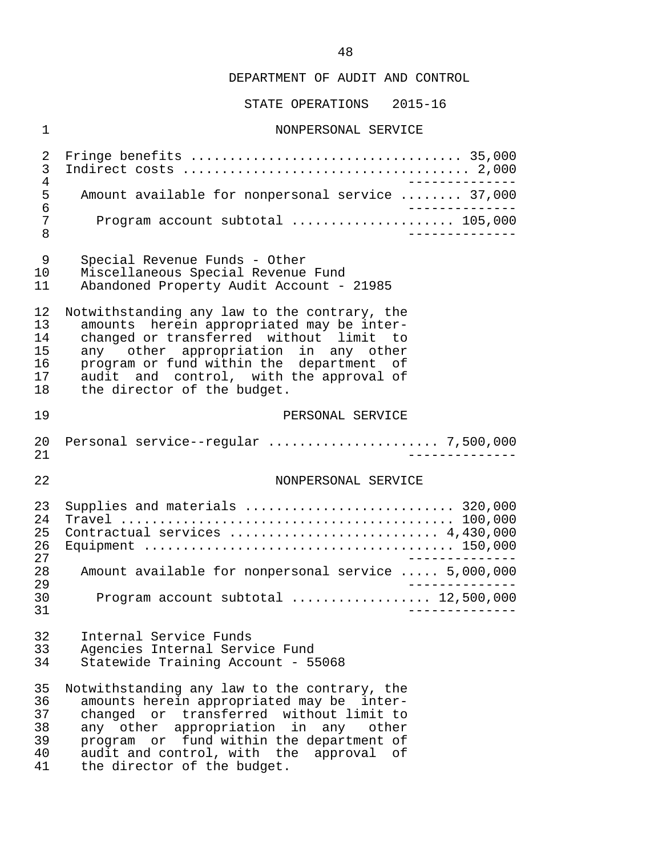STATE OPERATIONS 2015-16

#### 1 NONPERSONAL SERVICE

 2 Fringe benefits ................................... 35,000 3 Indirect costs ..................................... 2,000 4<br>5 Amount available for nonpersonal service ........ 37,000 5 Amount available for nonpersonal service ........ 37,000<br>6 6 -------------- 7 Program account subtotal ..................... 105,000 8 --------------

- 9 Special Revenue Funds Other
- 10 Miscellaneous Special Revenue Fund
- Abandoned Property Audit Account 21985

12 Notwithstanding any law to the contrary, the<br>13 amounts herein appropriated may be inter-13 amounts herein appropriated may be inter-<br>14 changed or transferred without limit to 14 changed or transferred without limit to<br>15 any other appropriation in any other 15 any other appropriation in any other<br>16 program or fund within the department of 16 program or fund within the department of<br>17 audit and control, with the approval of 17 audit and control, with the approval of<br>18 the director of the budget. the director of the budget.

#### 19 PERSONAL SERVICE

#### 22 NONPERSONAL SERVICE

| 23  | Supplies and materials  320,000                     |
|-----|-----------------------------------------------------|
| 2.4 |                                                     |
| 25  | Contractual services  4,430,000                     |
| 26  |                                                     |
| 27  |                                                     |
| 2.8 | Amount available for nonpersonal service  5,000,000 |
| 29  |                                                     |
| 30  | Program account subtotal $\ldots$ 12,500,000        |
| 31  |                                                     |

- 32 Internal Service Funds<br>33 Agencies Internal Serv:
- 33 Agencies Internal Service Fund<br>34 Statewide Training Account 5!
- Statewide Training Account 55068

35 Notwithstanding any law to the contrary, the<br>36 amounts herein appropriated may be inter- 36 amounts herein appropriated may be inter- 37 changed or transferred without limit to<br>38 any other appropriation in any other 38 any other appropriation in any other<br>39 program or fund-within-the-department-of 39 program or fund within the department of<br>40 audit and control, with the approval of 40 audit and control, with the approval of<br>41 the director of the budget. the director of the budget.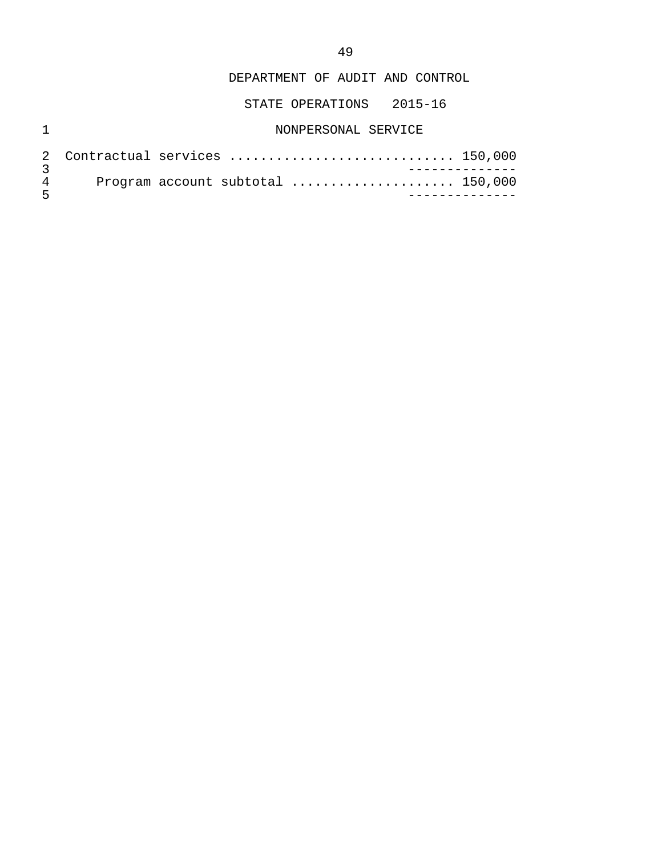STATE OPERATIONS 2015-16

# 1 NONPERSONAL SERVICE

| $\sqrt{2}$ |  |  | Program account subtotal $\ldots \ldots \ldots \ldots \ldots \ldots 150,000$ |  |
|------------|--|--|------------------------------------------------------------------------------|--|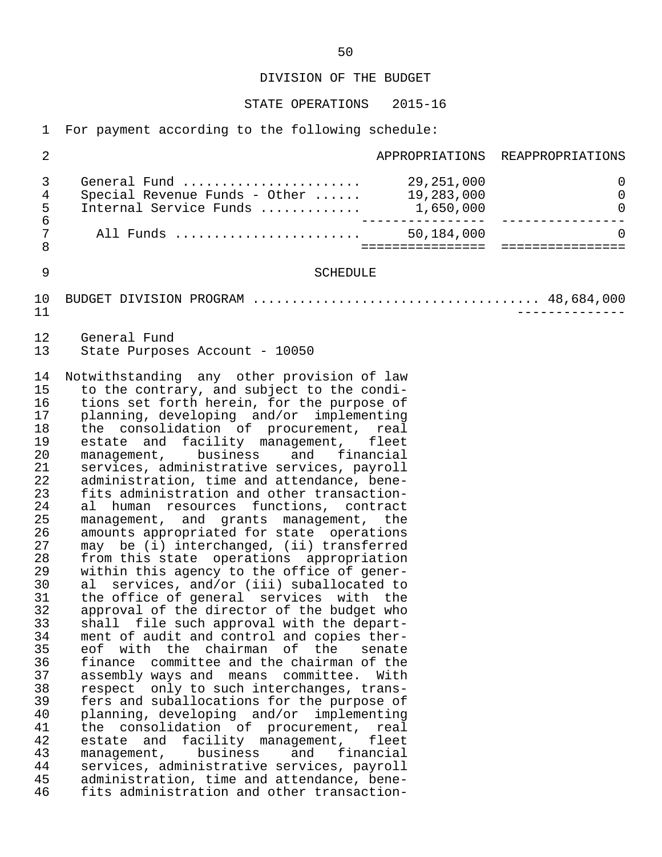#### STATE OPERATIONS 2015-16

1 For payment according to the following schedule:

|  | All Funds                     | 50,184,000 |                                 |
|--|-------------------------------|------------|---------------------------------|
|  |                               |            |                                 |
|  | Internal Service Funds        | 1,650,000  |                                 |
|  | Special Revenue Funds - Other | 19,283,000 | $\Omega$                        |
|  | General Fund                  | 29,251,000 |                                 |
|  |                               |            | APPROPRIATIONS REAPPROPRIATIONS |

#### 9 SCHEDULE

 10 BUDGET DIVISION PROGRAM ..................................... 48,684,000 11 --------------

12 General Fund<br>13 State Purpos State Purposes Account - 10050

14 Notwithstanding any other provision of law<br>15 to the contrary, and subject to the condito the contrary, and subject to the condi-16 tions set forth herein, for the purpose of<br>17 planning, developing and/or implementing 17 planning, developing and/or implementing<br>18 the consolidation of procurement, real 18 the consolidation of procurement, real<br>19 estate and facility management, fleet 19 estate and facility management, fleet<br>20 management, business and financial 20 management, business and financial<br>21 services, administrative-services, pavroll 21 services, administrative services, payroll<br>22 administration, time and attendance, bene-22 administration, time and attendance, bene-<br>23 fits administration and other transaction-23 fits administration and other transaction-<br>24 al human resources functions, contract 24 al human resources functions, contract<br>25 management, and grants management, the 25 management, and grants management, the<br>26 amounts appropriated for state operations amounts appropriated for state operations 27 may be (i) interchanged, (ii) transferred<br>28 from this state operations appropriation 28 from this state operations appropriation<br>29 within this agency to the office of gener-29 within this agency to the office of gener-<br>30 al services, and/or (iii) suballocated to 30 al services, and/or (iii) suballocated to<br>31 the office of general services with the 31 the office of general services with the<br>32 approval of the director of the budget who 32 approval of the director of the budget who<br>33 shall file such approval with the depart- 33 shall file such approval with the depart- 34 ment of audit and control and copies ther-<br>35 eof with the chairman of the senate 35 eof with the chairman of the senate<br>36 finance committee-and-the-chairman-of-the 36 finance committee and the chairman of the assembly ways and means committee. With 38 respect only to such interchanges, trans- 39 fers and suballocations for the purpose of<br>40 planning, developing and/or implementing 40 planning, developing and/or implementing<br>41 the consolidation of procurement, real 41 the consolidation of procurement, real<br>42 estate and facility management, fleet 42 estate and facility management, fleet 43 management, business and financial<br>44 services, administrative-services, payroll 44 services, administrative services, payroll<br>45 administration, time and attendance, bene-45 administration, time and attendance, bene-<br>46 fits administration and other transactionfits administration and other transaction-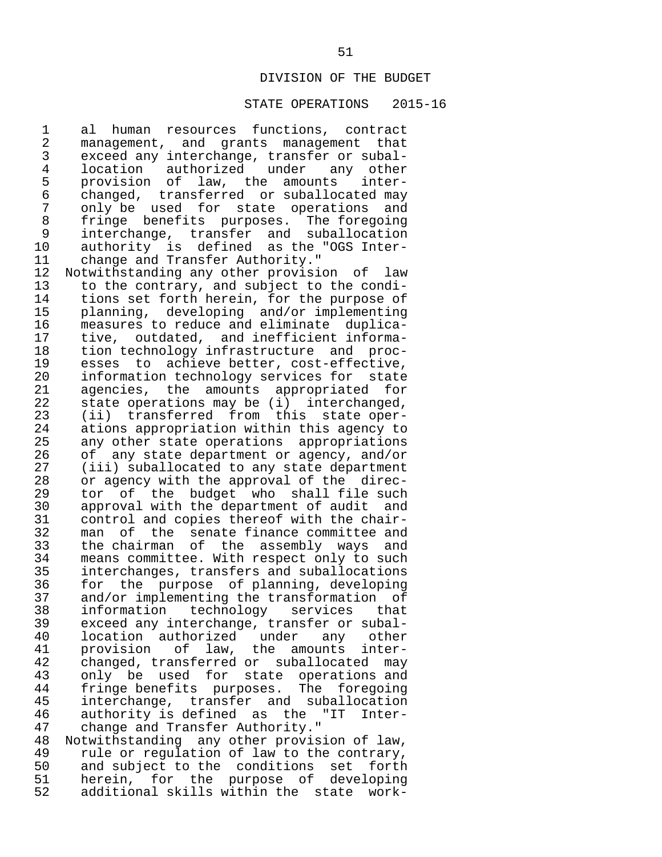#### STATE OPERATIONS 2015-16

1 al human resources functions, contract<br>2 management, and grants management that 2 management, and grants management that<br>3 exceed any interchange, transfer or subal- 3 exceed any interchange, transfer or subal- 4 location authorized under any other<br>5 provision of law, the amounts inter-5 provision of law, the amounts<br>6 changed, transferred or-suballoc 6 changed, transferred or suballocated may 7 only be used for state operations and 8 fringe benefits purposes. The foregoing 9 interchange, transfer and suballocation<br>10 authority is defined as the "OGS Inter-10 authority is defined as the "OGS Inter-<br>11 change and Transfer Authority." 11 change and Transfer Authority."<br>12 Notwithstanding any other provisi 12 Notwithstanding any other provision of law<br>13 to the contrary, and subject to the condi-13 to the contrary, and subject to the condi-<br>14 tions set forth herein, for the purpose of 14 tions set forth herein, for the purpose of<br>15 planning, developing and/or implementing 15 planning, developing and/or implementing<br>16 measures to reduce and eliminate duplica-16 measures to reduce and eliminate duplica-<br>17 tive, outdated, and inefficient informa-17 tive, outdated, and inefficient informa-<br>18 tion technology infrastructure and proc-18 tion technology infrastructure and proc-<br>19 esses to achieve-better, cost-effective, 19 esses to achieve-better, cost-effective,<br>20 information-technology-services-for-state 20 information technology services for state<br>21 agencies, the amounts appropriated for 21 agencies, the amounts appropriated for<br>22 state operations may be (i) interchanged. 22 state operations may be (i) interchanged,<br>23 (ii) transferred from this state oper-23 (ii) transferred from this state oper-<br>24 ations appropriation within this agency to 24 ations appropriation within this agency to<br>25 any other state operations appropriations 25 any other state operations appropriations<br>26 of any state department or agency, and/or 26 of any state department or agency, and/or<br>27 (iii) suballocated to any state department 27 (iii) suballocated to any state department<br>28 or agency with the approval of the direc-28 or agency with the approval of the direc-<br>29 tor of the budget who shall file such 29 tor of the budget who shall file such<br>30 approval with the department of audit and 30 approval with the department of audit and<br>31 control and copies thereof with the chair-31 control and copies thereof with the chair-<br>32 man of the senate finance committee and 32 man of the senate-finance-committee-and<br>33 the chairman of the assembly ways and 33 the chairman of the assembly ways and 34 means committee. With respect only to such<br>35 interchanges, transfers and suballocations 35 interchanges, transfers and suballocations<br>36 for the purpose of planning, developing 36 for the purpose of planning, developing<br>37 and/or implementing the transformation of 37 and/or implementing the transformation of<br>38 information technology services that 38 information technology services that<br>39 exceed\_any\_interchange, transfer\_or\_subal-39 exceed any interchange, transfer or subal-<br>40 location authorized under any other 40 location authorized under any other<br>41 provision of law, the amounts inter- 41 provision of law, the amounts inter- 42 changed, transferred or suballocated may<br>43 only be used for state operations and 43 only be used for state operations and<br>44 fringe-benefits purposes. The foregoing 44 fringe benefits purposes. The foregoing<br>45 interchange, transfer and suballocation 45 interchange, transfer and suballocation<br>46 authority is defined as the "IT Inter-46 authority is defined as the "IT Inter-<br>47 change and Transfer Authority." 47 change and Transfer Authority."<br>48 Notwithstanding any other provis 48 Notwithstanding any other provision of law,<br>49 rule or regulation of law to the contrary. 49 rule or regulation of law to the contrary,<br>50 and subject to the conditions set forth 50 and subject to the conditions set<br>51 herein, for the purpose of deve

51 herein, for the purpose of developing<br>52 additional-skills-within-the state workadditional skills within the state work-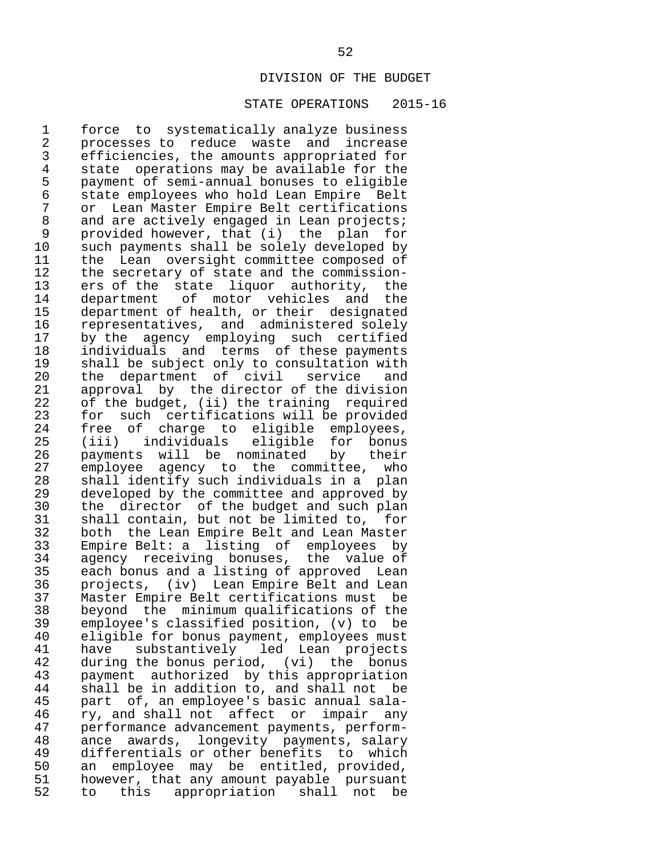#### STATE OPERATIONS 2015-16

1 force to systematically analyze business<br>2 processes to reduce waste and increase 2 processes to reduce waste and increase<br>3 efficiencies, the amounts appropriated for 3 efficiencies, the amounts appropriated for 4 state operations may be available for the<br>5 payment of semi-annual bonuses to eligible 5 payment of semi-annual bonuses to eligible 6 state employees who hold Lean Empire Belt 7 or Lean Master Empire Belt certifications<br>8 and are actively engaged in Lean projects; 8 and are actively engaged in Lean projects;<br>9 provided however, that (i) the plan for 9 provided however, that (i) the plan for<br>10 such payments shall be solely developed by 10 such payments shall be solely developed by<br>11 the Lean oversight committee composed of 11 the Lean oversight committee composed of<br>12 the secretary of state and the commission-12 the secretary of state and the commission-<br>13 ers of the state liguor authority, the 13 ers of the state liquor authority, the<br>14 department of motor vehicles and the 14 department of motor vehicles and the<br>15 department of health, or their designated 15 department of health, or their designated<br>16 representatives, and administered solely 16 representatives, and administered solely<br>17 by the agency emploving such certified 17 by the agency employing such certified<br>18 individuals and terms of these-payments 18 individuals and terms of these payments<br>19 shall be subject only to consultation with 19 shall be subject only to consultation with<br>20 the department of civil service and 20 the department of civil service and<br>21 approval by the-director-of-the-division 21 approval by the director of the division<br>22 of the budget, (ii) the training required 22 of the budget, (ii) the training required<br>23 for such certifications will be provided 23 for such certifications will be provided<br>24 free of charge to eligible emplovees. 24 free of charge to eligible employees,<br>25 (iii) individuals eligible for bonus 25 (iii) individuals eligible for bonus<br>26 payments will be nominated by their 26 payments will be nominated by their<br>27 emplovee agency to the committee, who 27 employee agency to the committee, who<br>28 shall identify such individuals in a plan 28 shall identify such individuals in a plan<br>29 developed by the committee and approved by 29 developed by the committee and approved by<br>30 the director of the budget and such plan 30 the director of the budget and such plan<br>31 shall contain, but not be limited to, for 31 shall contain, but not be limited to, for<br>32 both the Lean Empire Belt and Lean Master 32 both the Lean Empire Belt and Lean Master<br>33 Empire Belt: a listing of emplovees by 33 Empire Belt: a listing of employees by 34 agency receiving bonuses, the value of<br>35 each bonus and a listing of approved Lean 35 each bonus and a listing of approved Lean<br>36 projects, (iv) Lean Empire Belt and Lean 36 projects, (iv) Lean Empire Belt and Lean 37 Master Empire Belt certifications must be 38 beyond the minimum qualifications of the 39 employee's classified position, (v) to<br>40 eligible for bonus payment, employees mu 40 eligible for bonus payment, employees must<br>41 have substantively led Lean projects 41 have substantively led Lean projects<br>42 during the bonus period, (vi) the bonus 42 during the bonus period, (vi) the bonus<br>43 payment authorized by this appropriation 43 payment authorized by this appropriation<br>44 shall be in addition to, and shall not be 44 shall be in addition to, and shall not be<br>45 part of, an employee's basic annual sala-45 part of, an employee's basic annual sala-<br>46 xy, and shall not affect or impair any 46 ry, and shall not affect or impair any<br>47 performance advancement payments, perform- 47 performance advancement payments, perform- 48 ance awards, longevity payments, salary 49 differentials or other benefits to which<br>50 an emplovee may be entitled, provided, 50 an employee may be entitled, provided,<br>51 however, that any amount payable pursuant 51 however, that any amount payable pursuant<br>52 to this appropriation shall not be to this appropriation shall not be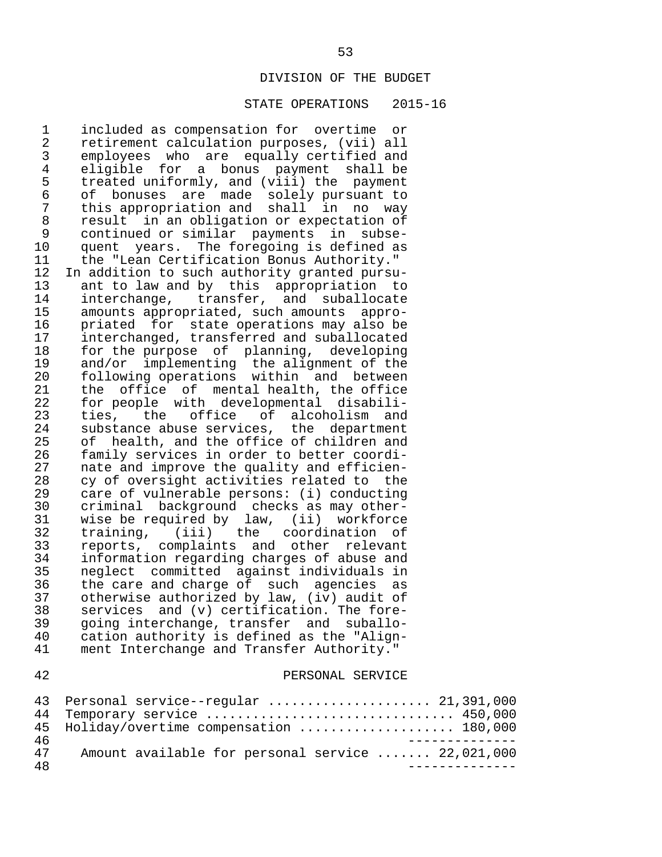#### STATE OPERATIONS 2015-16

1 included as compensation for overtime or<br>2 retirement calculation purposes. (vii) all 2 retirement calculation purposes, (vii) all<br>3 employees who are equally certified and 3 employees who are equally certified and 4 eligible for a bonus payment shall be<br>5 treated uniformly, and (viii) the payment 5 treated uniformly, and  $(viii)$  the payment<br>6 of bonuses are made solely pursuant to 6 of bonuses are made solely pursuant to 7 this appropriation and shall in no way 8 result in an obligation or expectation of 9 continued or similar payments in subse-<br>10 quent years. The foregoing is defined as 10 quent years. The foregoing is defined as<br>11 the "Lean Certification Bonus Authority." 11 the "Lean Certification Bonus Authority."<br>12 In addition to such authority granted pursu 12 In addition to such authority granted pursu-<br>13 ant to law and by this appropriation to 13 ant to law and by this appropriation to<br>14 interchange, transfer, and suballocate 14 interchange, transfer, and suballocate<br>15 amounts appropriated, such amounts appro- 15 amounts appropriated, such amounts appro- 16 priated for state operations may also be 17 interchanged, transferred and suballocated 18 for the purpose of planning, developing<br>19 and/or implementing the alignment of the 19 and/or implementing the alignment of the<br>20 following operations within and between 20 following operations within and between<br>21 the office of mental health, the office 21 the office of mental-health, the office<br>22 for people with developmental disabili-22 for people with developmental disabili-<br>23 ties, the office of alcoholism and 23 ties, the office of alcoholism and<br>24 substance-abuse-services, the department 24 substance abuse services, the department<br>25 of health, and the office of children and 25 of health, and the office of children and<br>26 family services in order to better coordi-26 family services in order to better coordi-<br>27 mate and improve the quality and efficien-27 nate and improve the quality and efficien-<br>28 cv of oversight activities related to the 28 cy of oversight activities related to the<br>29 care of vulnerable persons: (i) conducting 29 care of vulnerable persons: (i) conducting 30 criminal background checks as may other-<br>31 wise be required by law. (ii) workforce 31 wise be required by law, (ii) workforce<br>32 training, (iii) the coordination of 32 training, (iii) the coordination of 33 reports, complaints and other relevant 34 information regarding charges of abuse and 35 neglect committed against individuals in<br>36 the care and charge of such agencies as 36 the care and charge of such agencies as<br>37 otherwise authorized by law, (iv) audit of 37 otherwise authorized by law, (iv) audit of<br>38 services and (v) certification. The fore- $38$  services and  $(v)$  certification. The fore-<br> $39$  going interchange, transfer and suballo-39 going interchange, transfer and suballo-<br>40 cation authority is defined as the "Align-40 cation authority is defined as the "Align-<br>41 ment Interchange and Transfer Authority." ment Interchange and Transfer Authority." 42 PERSONAL SERVICE

|    | 43 Personal service--regular  21,391,000          |
|----|---------------------------------------------------|
|    | 44 Temporary service  450,000                     |
|    | 45 Holiday/overtime compensation  180,000         |
| 46 |                                                   |
| 47 | Amount available for personal service  22,021,000 |
| 48 |                                                   |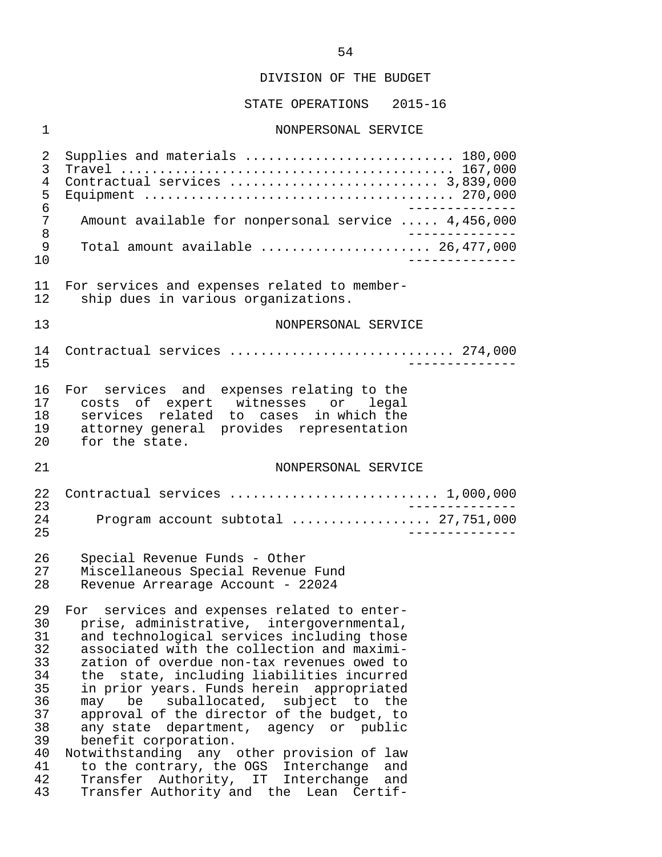STATE OPERATIONS 2015-16

#### 1 NONPERSONAL SERVICE

 2 Supplies and materials ........................... 180,000 3 Travel ........................................... 167,000 4 Contractual services ........................... 3,839,000 5 Equipment ........................................ 270,000 6<br>7 Amount available for nonpersonal service ..... 4.456.000 7 Amount available for nonpersonal service ..... 4,456,000<br>8 8<br>9 Total amount available<br>9 Total amount available 9 Total amount available ...................... 26,477,000 10 -------------- 11 For services and expenses related to member-<br>12 ship dues in various organizations. ship dues in various organizations. 13 NONPERSONAL SERVICE 14 Contractual services ............................. 274,000 15 -------------- 16 For services and expenses-relating to the 17 costs of expert witnesses or legal 17 costs of expert witnesses or legal 18 services related to cases in which the<br>19 attorney-general provides representation 19 attorney general provides representation<br>20 for the state. for the state. 21 NONPERSONAL SERVICE 22 Contractual services ........................... 1,000,000 23 -------------- 24 Program account subtotal .................. 27,751,000 25 -------------- 26 Special Revenue Funds - Other 27 Miscellaneous Special Revenue Fund Revenue Arrearage Account - 22024 29 For services and expenses related to enter-<br>30 prise administrative, intergovernmental. 30 prise, administrative, intergovernmental,<br>31 and technological services including those 31 and technological services including those<br>32 associated with the collection and maximi-32 associated with the collection and maximi-<br>33 zation of overdue non-tax revenues owed to 33 zation of overdue non-tax revenues owed to<br>34 the state, including liabilities incurred the state, including liabilities incurred 35 in prior years. Funds herein appropriated<br>36 may be suballocated, subject to the  $36$  may be suballocated, subject to the<br>37 approval of the director of the budget, to 37 approval of the director of the budget, to<br>38 any state department, agency or public 38 any state department, agency or public<br>39 benefit corporation. benefit corporation. 40 Notwithstanding any other provision of law<br>41 to the contrary, the OGS Interchange and 41 to the contrary, the OGS Interchange and<br>42 Transfer Authority, IT Interchange and 42 Transfer Authority, IT Interchange and<br>43 Transfer-Authority-and the Lean Certif-Transfer Authority and the Lean Certif-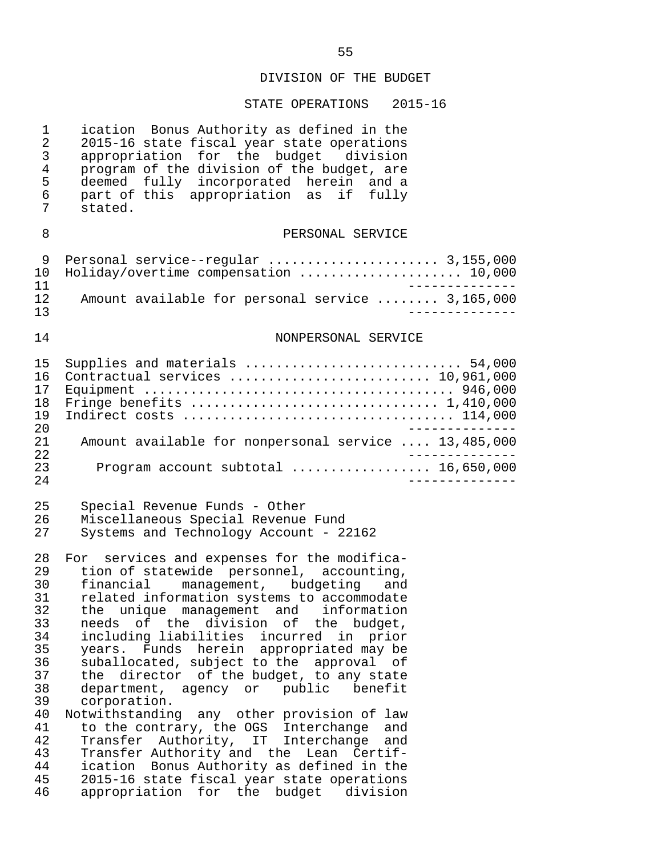| ication Bonus Authority as defined in the<br>2015-16 state fiscal year state operations<br>appropriation for the budget division<br>program of the division of the budget, are<br>deemed fully incorporated herein and a<br>part of this appropriation as if fully<br>stated.                                                                                                                                                                                                                                                                                                                                                                                                                                                                                                                                                                           |
|---------------------------------------------------------------------------------------------------------------------------------------------------------------------------------------------------------------------------------------------------------------------------------------------------------------------------------------------------------------------------------------------------------------------------------------------------------------------------------------------------------------------------------------------------------------------------------------------------------------------------------------------------------------------------------------------------------------------------------------------------------------------------------------------------------------------------------------------------------|
| PERSONAL SERVICE                                                                                                                                                                                                                                                                                                                                                                                                                                                                                                                                                                                                                                                                                                                                                                                                                                        |
| Personal service--regular  3,155,000<br>Holiday/overtime compensation  10,000                                                                                                                                                                                                                                                                                                                                                                                                                                                                                                                                                                                                                                                                                                                                                                           |
| Amount available for personal service  3,165,000                                                                                                                                                                                                                                                                                                                                                                                                                                                                                                                                                                                                                                                                                                                                                                                                        |
| NONPERSONAL SERVICE                                                                                                                                                                                                                                                                                                                                                                                                                                                                                                                                                                                                                                                                                                                                                                                                                                     |
| Supplies and materials  54,000<br>Contractual services  10,961,000<br>Fringe benefits  1,410,000                                                                                                                                                                                                                                                                                                                                                                                                                                                                                                                                                                                                                                                                                                                                                        |
| Amount available for nonpersonal service  13,485,000                                                                                                                                                                                                                                                                                                                                                                                                                                                                                                                                                                                                                                                                                                                                                                                                    |
| Program account subtotal  16,650,000                                                                                                                                                                                                                                                                                                                                                                                                                                                                                                                                                                                                                                                                                                                                                                                                                    |
| Special Revenue Funds - Other<br>Miscellaneous Special Revenue Fund<br>Systems and Technology Account - 22162                                                                                                                                                                                                                                                                                                                                                                                                                                                                                                                                                                                                                                                                                                                                           |
| For services and expenses for the modifica-<br>tion of statewide personnel, accounting,<br>financial management, budgeting and<br>related information systems to accommodate<br>the unique management and information<br>of the division<br>оf<br>needs<br>the<br>budget,<br>including liabilities incurred in<br>prior<br>years. Funds herein appropriated may be<br>suballocated, subject to the approval of<br>director of the budget, to any state<br>the<br>department, agency or<br>public<br>benefit<br>corporation.<br>Notwithstanding any other provision of law<br>to the contrary, the OGS Interchange<br>and<br>Transfer Authority, IT Interchange<br>and<br>Transfer Authority and the Lean Certif-<br>Bonus Authority as defined in the<br>ication<br>2015-16 state fiscal year state operations<br>appropriation for the budget division |
|                                                                                                                                                                                                                                                                                                                                                                                                                                                                                                                                                                                                                                                                                                                                                                                                                                                         |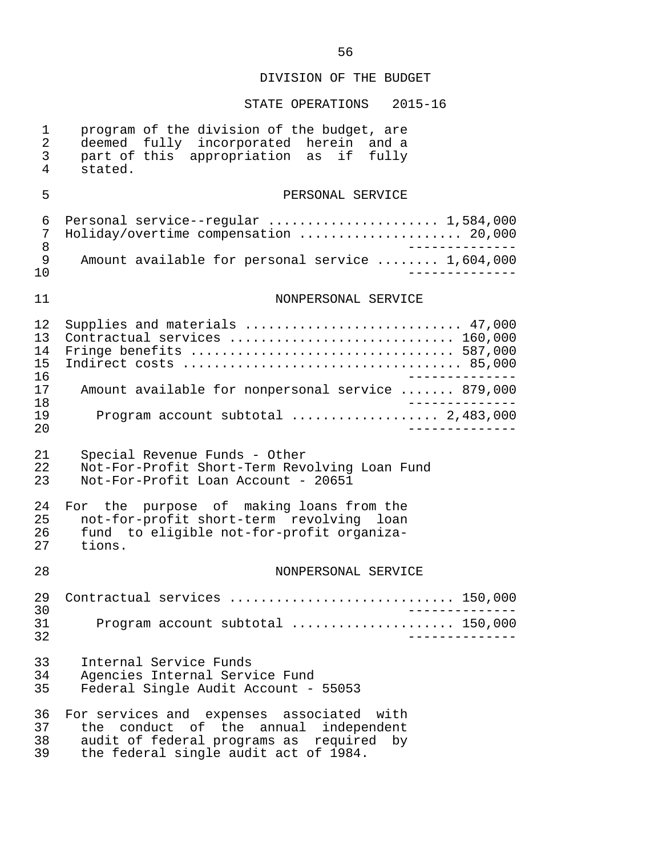| $\mathbf 1$<br>$\overline{a}$<br>3<br>$\overline{4}$ | program of the division of the budget, are<br>deemed fully incorporated herein<br>and a<br>part of this appropriation as if<br>fully<br>stated.                         |
|------------------------------------------------------|-------------------------------------------------------------------------------------------------------------------------------------------------------------------------|
| 5                                                    | PERSONAL SERVICE                                                                                                                                                        |
| 6<br>7<br>8<br>9<br>10                               | Personal service--regular  1,584,000<br>Holiday/overtime compensation  20,000<br>Amount available for personal service  1,604,000                                       |
| 11                                                   | NONPERSONAL SERVICE                                                                                                                                                     |
| 12<br>13<br>14<br>15<br>16                           | Supplies and materials  47,000<br>Contractual services  160,000<br>Fringe benefits  587,000                                                                             |
| 17<br>18                                             | Amount available for nonpersonal service  879,000                                                                                                                       |
| 19<br>20                                             | Program account subtotal  2,483,000                                                                                                                                     |
| 21<br>22<br>23                                       | Special Revenue Funds - Other<br>Not-For-Profit Short-Term Revolving Loan Fund<br>Not-For-Profit Loan Account - 20651                                                   |
| 24<br>25<br>26<br>27                                 | For the purpose of making loans from the<br>not-for-profit short-term revolving loan<br>fund to eligible not-for-profit organiza-<br>tions.                             |
| 28                                                   | NONPERSONAL SERVICE                                                                                                                                                     |
| 29<br>30                                             | Contractual services  150,000                                                                                                                                           |
| 31<br>32                                             | Program account subtotal  150,000                                                                                                                                       |
| 33<br>34<br>35                                       | Internal Service Funds<br>Agencies Internal Service Fund<br>Federal Single Audit Account - 55053                                                                        |
| 36<br>37<br>38<br>39                                 | For services and expenses associated with<br>the conduct of the annual independent<br>audit of federal programs as required by<br>the federal single audit act of 1984. |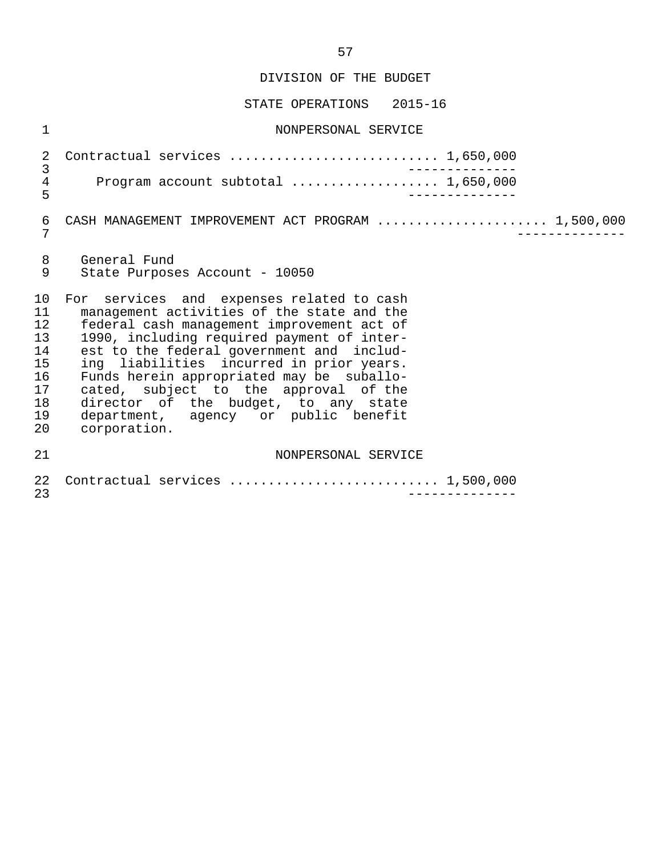STATE OPERATIONS 2015-16

 1 NONPERSONAL SERVICE 2 Contractual services ........................... 1,650,000 3 -------------- 4 Program account subtotal ..................... 1,650,000 5 -------------- 6 CASH MANAGEMENT IMPROVEMENT ACT PROGRAM ........................ 1,500,000<br>7 7 -------------- 8 General Fund<br>9 State Purpose State Purposes Account - 10050 10 For services and expenses related to cash<br>11 management activities of the state and the 11 management activities of the state and the<br>12 federal cash management improvement act of 12 federal cash management improvement act of<br>13 1990, including required payment of inter-13 1990, including required payment of inter-<br>14 est to the federal government and includ-14 est to the federal government and includ-<br>15 ing liabilities incurred in prior years. 15 ing liabilities incurred in prior years.<br>16 Funds herein appropriated may be suballo-16 Funds herein appropriated may be suballo-<br>17 cated, subject to the approval of the cated, subject to the approval of the 18 director of the budget, to any state 19 department, agency or public benefit 20 corporation. 21 NONPERSONAL SERVICE 22 Contractual services ........................... 1,500,000 23 --------------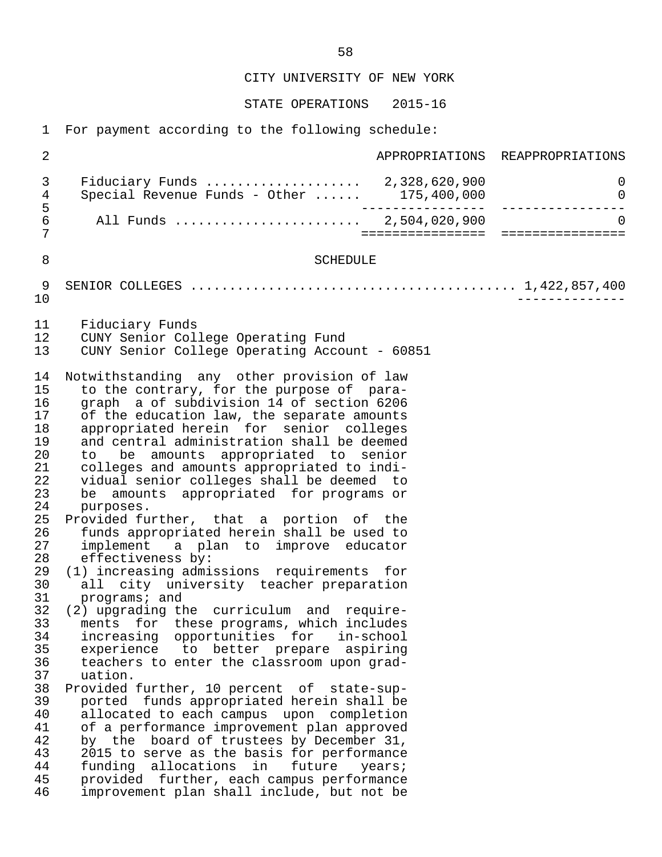STATE OPERATIONS 2015-16

1 For payment according to the following schedule:

 2 APPROPRIATIONS REAPPROPRIATIONS 3 Fiduciary Funds .................... 2,328,620,900 0 4 Special Revenue Funds - Other ...... 175,400,000 0 5 ---------------- ---------------- 6 All Funds ........................ 2,504,020,900 0 7 ================ ================ 8 SCHEDULE 9 SENIOR COLLEGES .......................................... 1,422,857,400 10 -------------- 11 Fiduciary Funds<br>12 CUNY Senior Col 12 CUNY Senior College Operating Fund<br>13 CUNY Senior College Operating Accou 13 CUNY Senior College Operating Account - 60851 14 Notwithstanding any other provision of law<br>15 to the contrary, for the purpose of parato the contrary, for the purpose of para-16 graph a of subdivision 14 of section 6206<br>17 of the education law, the separate amounts 17 of the education law, the separate amounts<br>18 appropriated herein for senior colleges 18 appropriated herein for senior colleges<br>19 and central administration shall be deemed 19 and central administration shall be deemed<br>20 to be amounts appropriated to senior 20 to be amounts appropriated to senior<br>21 colleges and amounts appropriated to indi-21 colleges and amounts appropriated to indi-<br>22 vidual senior colleges shall be deemed to 22 vidual senior colleges shall be deemed to<br>23 be amounts appropriated for programs or 23 be amounts appropriated for programs or<br>24 purposes. 24 purposes.<br>25 Provided fu 25 Provided further, that a portion of the<br>26 funds appropriated herein shall be used to 26 funds appropriated herein shall be used to<br>27 implement a plan to improve educator 27 implement a plan to improve educator<br>28 effectiveness by: 28 effectiveness by:<br>29 (1) increasing admi 29 (1) increasing admissions requirements for<br>30 all city university teacher preparation 30 all city university teacher preparation<br>31 programs; and 31 programs; and<br>32 (2) upgrading th 32 (2) upgrading the curriculum and require- 33 ments for these-programs, which includes<br>34 increasing opportunities for in-school 34 increasing opportunities for in-school<br>35 experience to better prepare aspiring 35 experience to better prepare aspiring<br>36 teachers to enter the classroom upon grad- 36 teachers to enter the classroom upon grad uation. 38 Provided further, 10 percent of state-sup- 39 ported funds appropriated herein shall be 40 allocated to each campus upon completion<br>41 of a performance improvement plan approved 41 of a performance improvement plan approved<br>42 by the board of trustees by December 31. 42 by the board of trustees by December 31,<br>43 2015 to serve as the basis for performance 43 2015 to serve as the basis for performance<br>44 funding allocations in future years; 44 funding allocations in future<br>45 provided further, each-campus-per 45 provided further, each campus performance<br>46 improvement plan shall include, but not be improvement plan shall include, but not be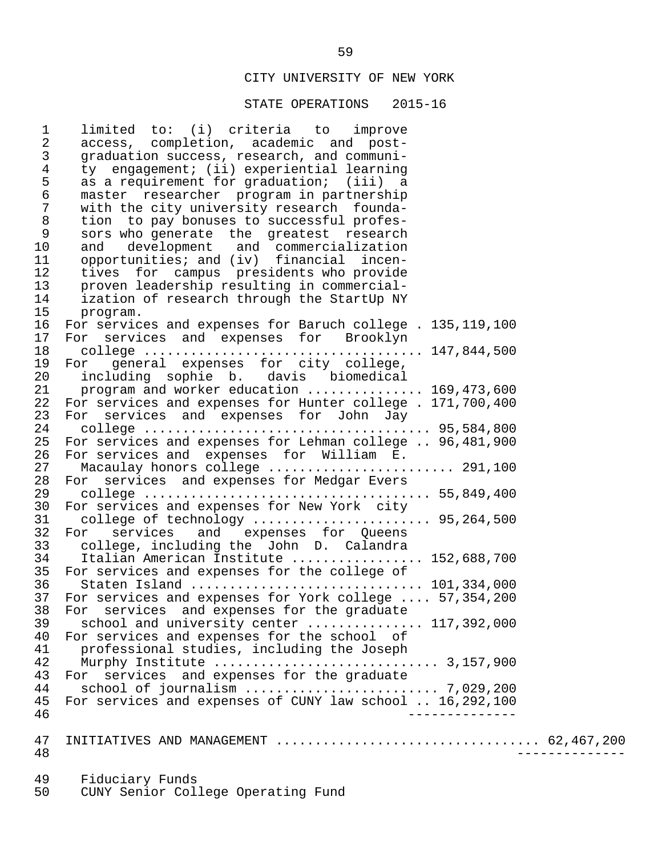#### STATE OPERATIONS 2015-16

 1 limited to: (i) criteria to improve 2 access, completion, academic and post-<br>3 graduation success, research, and communi- 3 graduation success, research, and communi- 4 ty engagement; (ii) experiential learning<br>5 as a requirement for graduation; (iii) a 5 as a requirement for graduation; (iii) a<br>6 master researcher program in partnership 6 master researcher program in partnership 7 with the city university research founda-<br>8 tion to pay bonuses to successful profes- 8 tion to pay bonuses to successful profes- 9 sors who generate the greatest research<br>10 and development and commercialization 10 and development and commercialization<br>11 opportunities; and (iv) financial incen-11 opportunities; and (iv) financial incen-<br>12 tives for campus presidents who provide 12 tives for campus presidents who provide<br>13 proven leadership resulting in commercial-13 proven leadership resulting in commercial-<br>14 ization of research through the StartUp NY 14 ization of research through the StartUp NY<br>15 program. 15 program.<br>16 For servic 16 For services and expenses for Baruch college . 135,119,100<br>17 For services and expenses for Brooklyn 17 For services and expenses for Brooklyn 18 college .................................... 147,844,500 19 For general expenses for city college,<br>20 including sophie b. davis biomedical 20 including sophie b. davis biomedical<br>21 program and worker education ............. 21 program and worker education ............... 169,473,600<br>22 For services and expenses for Hunter college . 171.700.400 22 For services and expenses for Hunter college . 171,700,400<br>23 For services and expenses for John Jay 23 For services and expenses for John Jay 24 college ..................................... 95,584,800 25 For services and expenses for Lehman college .. 96,481,900<br>26 For services and expenses for William E. 26 For services and expenses for William E. 27 Macaulay honors college ........................ 291,100 28 For services and expenses for Medgar Evers 29 college ..................................... 55,849,400 30 For services and expenses for New York city<br>31 college of technology .................... 31 college of technology ....................... 95,264,500 32 For services and expenses for Queens<br>33 college, including the John D. Calandra 33 college, including the John D. Calandra 34 Italian American Institute .................. 152,688,700<br>35 For services and expenses for the college of 35 For services and expenses for the college of<br>36 Staten Island ............................ 36 Staten Island .............................. 101,334,000 37 For services and expenses for York college .... 57,354,200<br>38 For services and expenses for the graduate 38 For services and expenses for the graduate<br>39 school and university center 39 school and university center ................ 117,392,000<br>40 For services and expenses for the school of 40 For services and expenses for the school of<br>41 professional studies, including the Joseph 41 professional studies, including the Joseph 42 Murphy Institute ............................. 3,157,900 43 For services and expenses for the graduate<br>44 school of journalism ...................... 44 school of journalism ......................... 7,029,200 45 For services and expenses of CUNY law school .. 16,292,100 46 -------------- 47 INITIATIVES AND MANAGEMENT .................................. 62,467,200 48 -------------- 49 Fiduciary Funds CUNY Senior College Operating Fund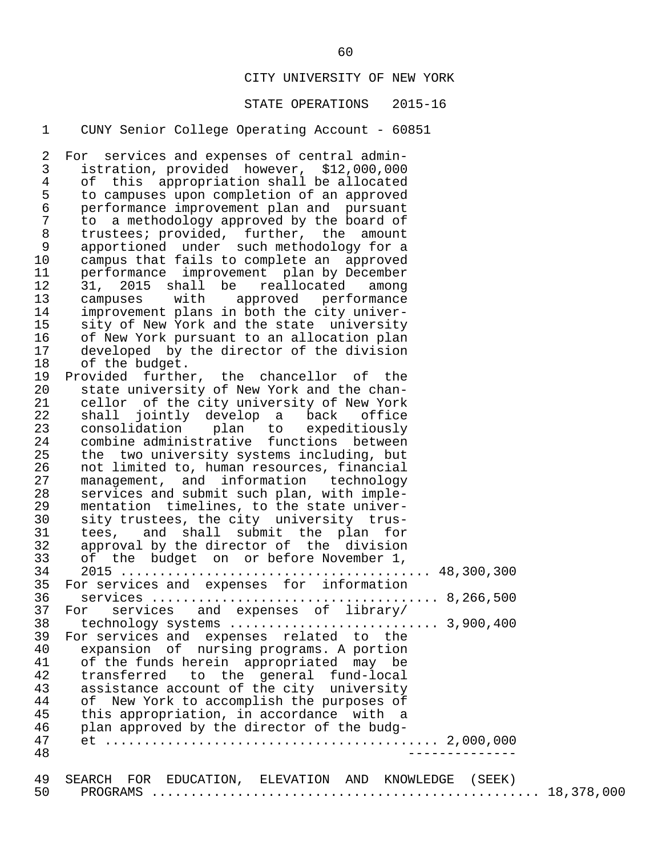#### STATE OPERATIONS 2015-16

#### 1 CUNY Senior College Operating Account - 60851

2 For services and expenses of central admin-<br>3 istration, provided however, \$12,000,000 3 istration, provided however, \$12,000,000 4 of this appropriation shall be allocated<br>5 to campuses upon completion of an approved 5 to campuses upon completion of an approved 6 performance improvement plan and pursuant 7 to a methodology approved by the board of<br>8 trustees; provided, further, the amount 8 trustees; provided, further, the amount 9 apportioned under such methodology for a 10 campus that fails to complete an approved<br>11 performance improvement plan by December 11 performance improvement plan by December<br>12 31. 2015 shall be reallocated among 12 31, 2015 shall be reallocated among<br>13 campuses with approved performance 13 campuses with approved performance<br>14 improvement plans in both the city univer-14 improvement plans in both the city univer-<br>15 sity of New York and the state university 15 sity of New York and the state university<br>16 of New York pursuant to an allocation plan 16 of New York pursuant to an allocation plan<br>17 developed by the director of the division 17 developed by the director of the division<br>18 of the budget. 18 of the budget.<br>19 Provided furthe 19 Provided further, the chancellor of the<br>20 state university of New York and the chan-20 state university of New York and the chan-<br>21 sellor of the city university of New York 21 cellor of the city university of New York<br>22 shall jointly develop a back office 22 shall jointly develop a back office<br>23 consolidation plan to expeditiously 23 consolidation plan to expeditiously<br>24 combine\_administrative functions between 24 combine administrative functions between<br>25 the two university systems including, but 25 the two university systems including, but<br>26 not limited to, human resources, financial 26 not limited to, human resources, financial<br>27 management, and information technology 27 management, and information technology<br>28 services and submit such plan, with imple-28 services and submit such plan, with imple-<br>29 mentation timelines, to the state univer-29 mentation timelines, to the state univer-<br>30 sity trustees, the city university trus-30 sity trustees, the city university trus-<br>31 tees, and shall submit the plan for tees, and shall submit the plan for 32 approval by the director of the division<br>33 of the budget on or before November 1, 33 of the budget on or before November 1, 34 2015 ........................................ 48,300,300 35 For services and expenses for information<br>36 services ................................... 36 services ..................................... 8,266,500 37 For services and expenses of library/<br>38 technology systems ........................ 38 technology systems ........................... 3,900,400 39 For services and expenses related to the<br>40 expansion of nursing programs. A portion 40 expansion of nursing programs. A portion<br>41 of the funds herein appropriated may be 41 of the funds herein appropriated may be<br>42 transferred to the general fund-local 42 transferred to the general fund-local<br>43 assistance\_account\_of\_the\_city\_university 43 assistance account of the city university<br>44 of New York to accomplish the purposes of 44 of New York to accomplish the purposes of<br>45 this appropriation, in accordance with a 45 this appropriation, in accordance with a<br>46 plan approved by the director of the budg- 46 plan approved by the director of the budg- 47 et ........................................... 2,000,000 48 -------------- 49 SEARCH FOR EDUCATION, ELEVATION AND KNOWLEDGE (SEEK) 50 PROGRAMS .................................................. 18,378,000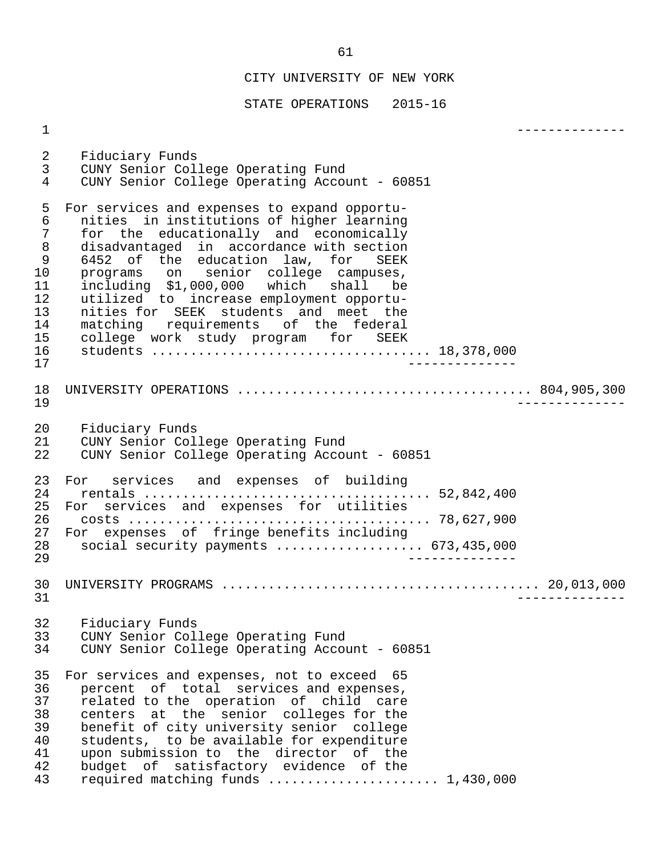STATE OPERATIONS 2015-16

 1 -------------- 2 Fiduciary Funds<br>3 CUNY Senior Col 3 CUNY Senior College Operating Fund CUNY Senior College Operating Account - 60851 5 For services and expenses to expand opportu- 6 nities in institutions of higher learning<br>7 for the educationally and economically 7 for the educationally and economically<br>8 disadvantaged in accordance with section 8 disadvantaged in accordance-with-section<br>9 6452 of the education law, for SEEK 9 6452 of the education law, for SEEK<br>10 programs on senior college campuses, 10 programs on senior college campuses, 11 including \$1,000,000 which shall be 12 utilized to increase employment opportu-<br>13 nities for SEEK students and meet the 13 nities for SEEK students and meet the<br>14 matching requirements of the federal 14 matching requirements of the federal<br>15 college work study program for SEEK 15 college work study program for SEEK<br>16 students .................................. 16 students .................................... 18,378,000 17 -------------- 18 UNIVERSITY OPERATIONS ...................................... 804,905,300 19 -------------- 20 Fiduciary Funds<br>21 CUNY Senior Col 21 CUNY Senior College Operating Fund<br>22 CUNY Senior College Operating Accou 22 CUNY Senior College Operating Account - 60851 23 For services and expenses of building 24 rentals ..................................... 52,842,400 25 For services and expenses for utilities 26 costs ....................................... 78,627,900 27 For expenses of fringe benefits including<br>28 social security payments ................. 28 social security payments ................... 673,435,000 29 -------------- 30 UNIVERSITY PROGRAMS ......................................... 20,013,000 31 -------------- 32 Fiduciary Funds<br>33 CUNY Senior Col 33 CUNY Senior College Operating Fund<br>34 CUNY Senior College Operating Acco CUNY Senior College Operating Account - 60851 35 For services and expenses, not to exceed 65 36 percent of total services and expenses,<br>37 related to the operation of child care 37 related to the operation of child care<br>38 centers at the senior colleges for the 38 centers at the senior colleges for the<br>39 benefit of city university senior college 39 benefit of city university senior college<br>40 students, to be available for expenditure 40 students, to be available for expenditure<br>41 upon submission to the director of the 41 upon submission to the director of the<br>42 budget of satisfactory evidence of the 42 budget of satisfactory evidence of the required matching funds ........................ 1,430,000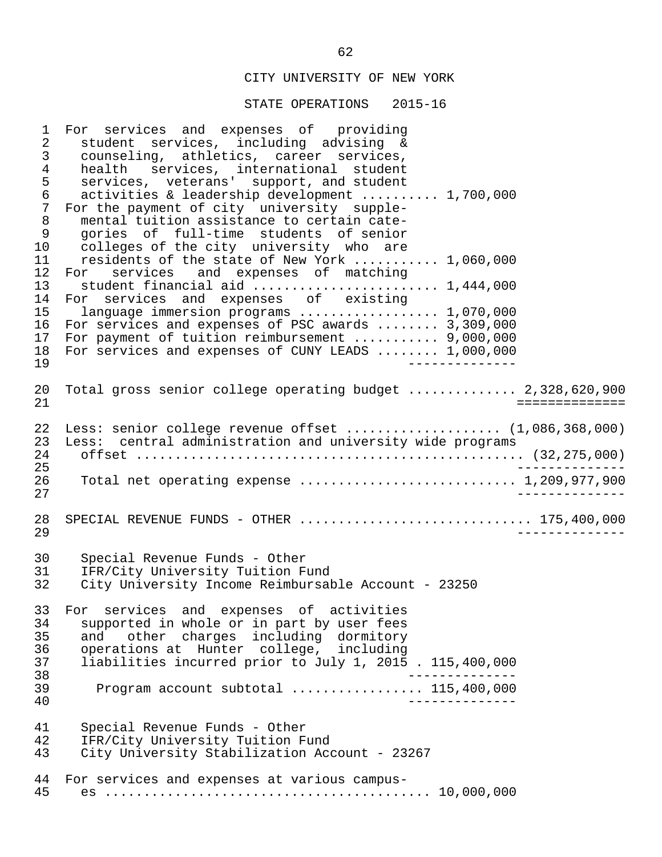STATE OPERATIONS 2015-16

 1 For services and expenses of providing 2 student services, including advising & 3 counseling, athletics, career services,<br>4 health services, international student 4 health services, international student<br>5 services, veterans' support, and student 5 services, veterans' support, and student<br>6 activities & leadership development ...... activities & leadership development .......... 1,700,000 7 For the payment of city university supple-<br>8 mental tuition assistance to certain cate-8 mental tuition assistance to certain cate-<br>9 qories of full-time students of senior 9 gories of full-time students of senior<br>10 colleges of the city university who are 10 colleges of the city university who are<br>11 residents of the state of New York ...... 11 residents of the state of New York ........... 1,060,000<br>12 For services and expenses of matching 12 For services and expenses of matching<br>13 student-financial-aid-communications 13 student financial aid ............................ 1,444,000<br>14 For services and expenses of existing 14 For services and expenses of existing<br>15 language immersion programs .............. 15 language immersion programs .................. 1,070,000<br>16 For services and expenses of PSC awards ....... 3,309,000 16 For services and expenses of PSC awards ........ 3,309,000<br>17 For payment of tuition reimbursement .......... 9,000,000 17 For payment of tuition reimbursement ........... 9,000,000<br>18 For services and expenses of CUNY LEADS ....... 1,000,000 18 For services and expenses of CUNY LEADS ........ 1,000,000<br>19 19 -------------- 20 Total gross senior college operating budget .............. 2,328,620,900 21 ============== 22 Less: senior college revenue offset ...................... (1,086,368,000)<br>23 Less: central administration and university wide programs 23 Less: central administration and university wide programs 24 offset .................................................. (32,275,000) 25 -------------- 26 Total net operating expense ................................ 1,209,977,900<br>27 27 -------------- 28 SPECIAL REVENUE FUNDS - OTHER .................................. 175,400,000<br>29 29 -------------- 30 Special Revenue Funds - Other<br>31 IFR/City University Tuition F 31 IFR/City University Tuition Fund<br>32 City University Income Reimbursal City University Income Reimbursable Account - 23250 33 For services and expenses of activities<br>34 supported in whole or in part by user fees 34 supported in whole or in part by user fees<br>35 and other charges including dormitory 35 and other charges including dormitory<br>36 operations at Hunter college, including 36 operations at Hunter college, including<br>37 liabilities incurred prior to July 1, 2015 37 liabilities incurred prior to July 1, 2015 . 115,400,000 38 -------------- 39 Program account subtotal ................. 115,400,000 40 -------------- 41 Special Revenue Funds - Other<br>42 TER/City University Tuition Fu 42 IFR/City University Tuition Fund<br>43 City University Stabilization Acc City University Stabilization Account - 23267 44 For services and expenses at various campus- 45 es .......................................... 10,000,000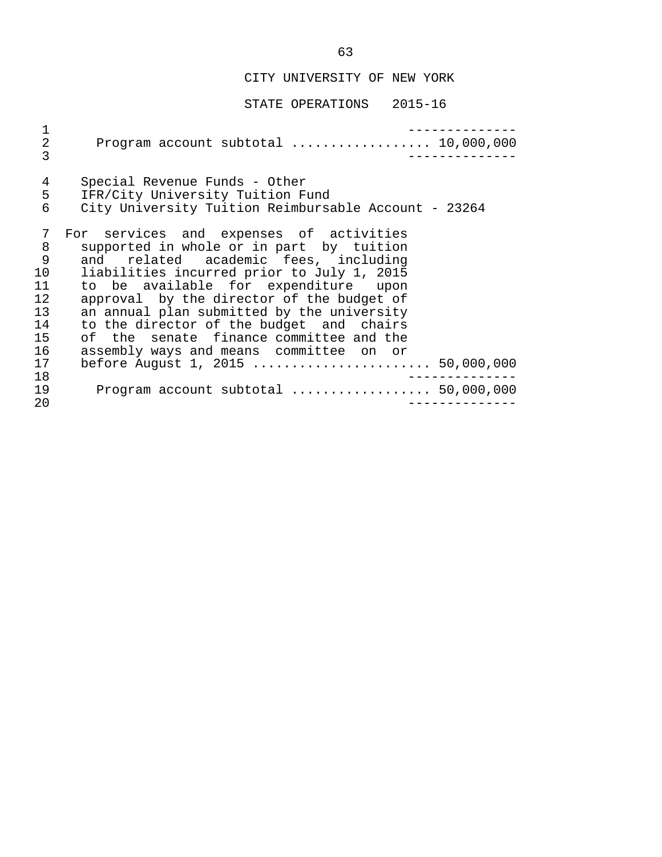| 1<br>$\sqrt{2}$<br>3                                                            | Program account subtotal $\ldots \ldots \ldots \ldots \ldots 10,000,000$                                                                                                                                                                                                                                                                                                                                                                                                            |
|---------------------------------------------------------------------------------|-------------------------------------------------------------------------------------------------------------------------------------------------------------------------------------------------------------------------------------------------------------------------------------------------------------------------------------------------------------------------------------------------------------------------------------------------------------------------------------|
| 4<br>5<br>6                                                                     | Special Revenue Funds - Other<br>IFR/City University Tuition Fund<br>City University Tuition Reimbursable Account - 23264                                                                                                                                                                                                                                                                                                                                                           |
| 7<br>8<br>9<br>10 <sub>1</sub><br>11<br>12.<br>13<br>14<br>15<br>16<br>17<br>18 | For services and expenses of activities<br>supported in whole or in part by tuition<br>and related academic fees, including<br>liabilities incurred prior to July 1, 2015<br>to be available for expenditure upon<br>approval by the director of the budget of<br>an annual plan submitted by the university<br>to the director of the budget and chairs<br>of the senate finance committee and the<br>assembly ways and means committee on or<br>before August 1, 2015  50,000,000 |
| 19<br>20                                                                        | Program account subtotal $\ldots$ 50,000,000                                                                                                                                                                                                                                                                                                                                                                                                                                        |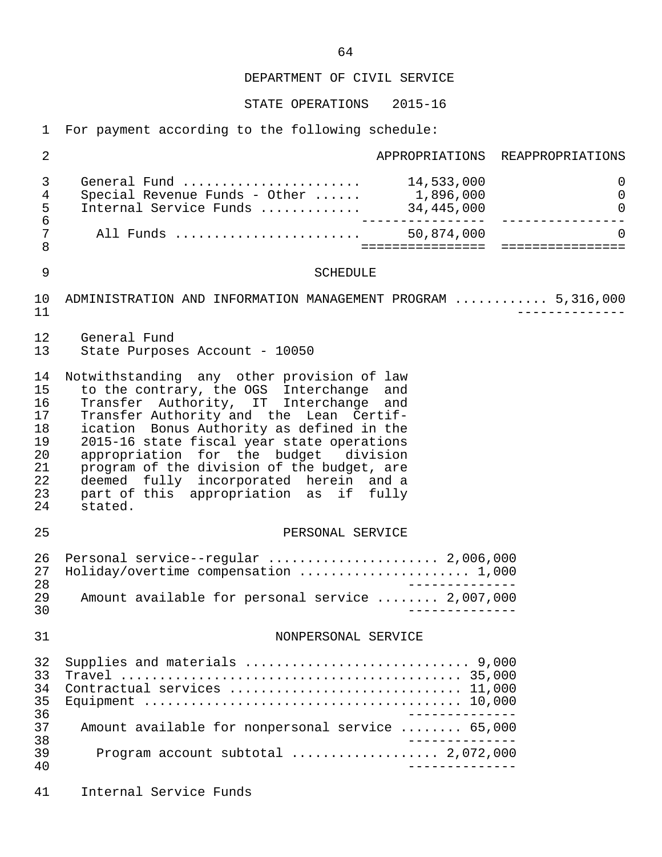STATE OPERATIONS 2015-16

1 For payment according to the following schedule:

| 2                                                              |                                                                                                                                                                                                                                                                                                                                                                                                                                                              |                 | APPROPRIATIONS REAPPROPRIATIONS |
|----------------------------------------------------------------|--------------------------------------------------------------------------------------------------------------------------------------------------------------------------------------------------------------------------------------------------------------------------------------------------------------------------------------------------------------------------------------------------------------------------------------------------------------|-----------------|---------------------------------|
| 3<br>4<br>5<br>$\epsilon$                                      | General Fund  14,533,000<br>Special Revenue Funds - Other $\dots$ 1,896,000<br>Internal Service Funds  34,445,000                                                                                                                                                                                                                                                                                                                                            | . <u>. 1</u>    | 0<br>0<br>0<br>--------------   |
| 7<br>$\,8\,$                                                   | All Funds  50,874,000                                                                                                                                                                                                                                                                                                                                                                                                                                        |                 | $\Omega$                        |
| 9                                                              | <b>SCHEDULE</b>                                                                                                                                                                                                                                                                                                                                                                                                                                              |                 |                                 |
| 10<br>11                                                       | ADMINISTRATION AND INFORMATION MANAGEMENT PROGRAM  5,316,000                                                                                                                                                                                                                                                                                                                                                                                                 |                 |                                 |
| 12<br>13                                                       | General Fund<br>State Purposes Account - 10050                                                                                                                                                                                                                                                                                                                                                                                                               |                 |                                 |
| 14<br>15<br>16<br>17<br>18<br>19<br>20<br>21<br>22<br>23<br>24 | Notwithstanding any other provision of law<br>to the contrary, the OGS Interchange and<br>Transfer Authority, IT Interchange and<br>Transfer Authority and the Lean Certif-<br>ication Bonus Authority as defined in the<br>2015-16 state fiscal year state operations<br>appropriation for the budget division<br>program of the division of the budget, are<br>deemed fully incorporated herein and a<br>part of this appropriation as if fully<br>stated. |                 |                                 |
| 25                                                             | PERSONAL SERVICE                                                                                                                                                                                                                                                                                                                                                                                                                                             |                 |                                 |
| 26<br>27<br>28<br>29<br>30                                     | Personal service--regular  2,006,000<br>Holiday/overtime compensation  1,000<br>Amount available for personal service  2,007,000                                                                                                                                                                                                                                                                                                                             | $- - - - - - -$ |                                 |
| 31                                                             | NONPERSONAL SERVICE                                                                                                                                                                                                                                                                                                                                                                                                                                          |                 |                                 |
| 32<br>33<br>34<br>35<br>36                                     | Contractual services  11,000                                                                                                                                                                                                                                                                                                                                                                                                                                 | ______________  |                                 |
| 37<br>38                                                       | Amount available for nonpersonal service  65,000                                                                                                                                                                                                                                                                                                                                                                                                             |                 |                                 |
| 39<br>40                                                       | Program account subtotal $\ldots$ 2,072,000                                                                                                                                                                                                                                                                                                                                                                                                                  | _______________ |                                 |
| 41                                                             | Internal Service Funds                                                                                                                                                                                                                                                                                                                                                                                                                                       |                 |                                 |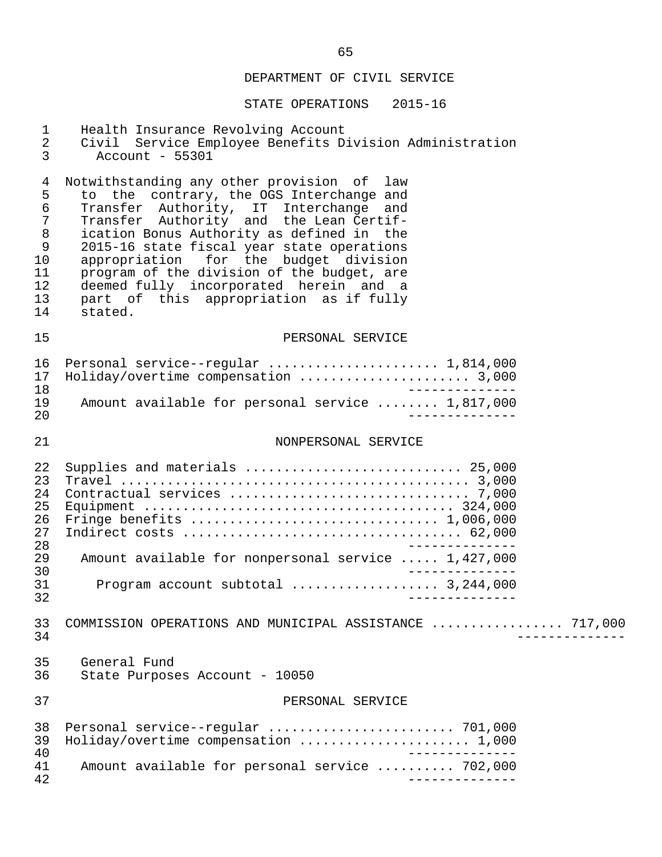| $\mathbf{1}$<br>$\overline{2}$<br>$\mathfrak{Z}$                                               | Health Insurance Revolving Account<br>Civil Service Employee Benefits Division Administration<br>Account - 55301                                                                                                                                                                                                                                                                                                                                                |  |
|------------------------------------------------------------------------------------------------|-----------------------------------------------------------------------------------------------------------------------------------------------------------------------------------------------------------------------------------------------------------------------------------------------------------------------------------------------------------------------------------------------------------------------------------------------------------------|--|
| $\overline{4}$<br>5<br>$\epsilon$<br>7<br>$\,8\,$<br>$\mathsf 9$<br>10<br>11<br>12<br>13<br>14 | Notwithstanding any other provision of law<br>to the contrary, the OGS Interchange and<br>Transfer Authority, IT Interchange<br>and<br>Transfer Authority and the Lean Certif-<br>ication Bonus Authority as defined in the<br>2015-16 state fiscal year state operations<br>appropriation for the budget division<br>program of the division of the budget, are<br>deemed fully incorporated herein and a<br>part of this appropriation as if fully<br>stated. |  |
| 15                                                                                             | PERSONAL SERVICE                                                                                                                                                                                                                                                                                                                                                                                                                                                |  |
| 16<br>17<br>18                                                                                 | Personal service--regular  1,814,000                                                                                                                                                                                                                                                                                                                                                                                                                            |  |
| 19<br>20                                                                                       | Amount available for personal service  1,817,000                                                                                                                                                                                                                                                                                                                                                                                                                |  |
| 21                                                                                             | NONPERSONAL SERVICE                                                                                                                                                                                                                                                                                                                                                                                                                                             |  |
| 22<br>23<br>24<br>25<br>26<br>27<br>28                                                         | Supplies and materials  25,000                                                                                                                                                                                                                                                                                                                                                                                                                                  |  |
| 29<br>30                                                                                       | Amount available for nonpersonal service  1,427,000                                                                                                                                                                                                                                                                                                                                                                                                             |  |
| 31<br>32                                                                                       | Program account subtotal  3,244,000<br>______________                                                                                                                                                                                                                                                                                                                                                                                                           |  |
| 33<br>34                                                                                       | COMMISSION OPERATIONS AND MUNICIPAL ASSISTANCE  717,000                                                                                                                                                                                                                                                                                                                                                                                                         |  |
| 35<br>36                                                                                       | General Fund<br>State Purposes Account - 10050                                                                                                                                                                                                                                                                                                                                                                                                                  |  |
| 37                                                                                             | PERSONAL SERVICE                                                                                                                                                                                                                                                                                                                                                                                                                                                |  |
| 38<br>39<br>40                                                                                 | Holiday/overtime compensation  1,000                                                                                                                                                                                                                                                                                                                                                                                                                            |  |
| 41<br>42                                                                                       | Amount available for personal service  702,000                                                                                                                                                                                                                                                                                                                                                                                                                  |  |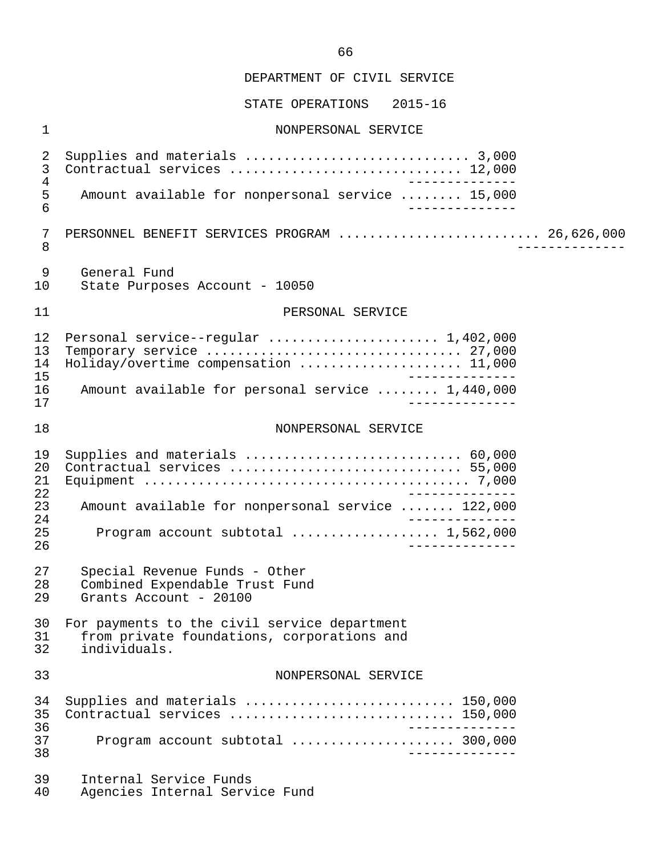STATE OPERATIONS 2015-16

# 1 NONPERSONAL SERVICE

| $\sqrt{2}$                 |                                                                                                       |
|----------------------------|-------------------------------------------------------------------------------------------------------|
| $\mathsf 3$                | Contractual services  12,000                                                                          |
| $\overline{4}$             | ______________                                                                                        |
| $\mathsf S$                | Amount available for nonpersonal service  15,000                                                      |
| $6\phantom{1}$             | ______________                                                                                        |
| 7                          | PERSONNEL BENEFIT SERVICES PROGRAM  26,626,000                                                        |
| $\,8\,$                    | _____________                                                                                         |
| 9                          | General Fund                                                                                          |
| 10                         | State Purposes Account - 10050                                                                        |
| 11                         | PERSONAL SERVICE                                                                                      |
| 12                         | Personal service--regular  1,402,000                                                                  |
| 13                         | Temporary service  27,000                                                                             |
| 14                         | Holiday/overtime compensation  11,000                                                                 |
| 15                         | ______________                                                                                        |
| 16                         | Amount available for personal service  1,440,000                                                      |
| 17                         | ______________                                                                                        |
| 18                         | NONPERSONAL SERVICE                                                                                   |
| 19                         | Supplies and materials  60,000                                                                        |
| 20                         | Contractual services  55,000                                                                          |
| 21                         |                                                                                                       |
| 22                         | ______________                                                                                        |
| 23                         | Amount available for nonpersonal service  122,000                                                     |
| 24<br>25<br>26             | Program account subtotal  1,562,000<br>______________                                                 |
| 27                         | Special Revenue Funds - Other                                                                         |
| 28                         | Combined Expendable Trust Fund                                                                        |
| 29                         | Grants Account - 20100                                                                                |
| 30                         | For payments to the civil service department                                                          |
| 31                         | from private foundations, corporations and                                                            |
| 32                         | individuals.                                                                                          |
| 33                         | NONPERSONAL SERVICE                                                                                   |
| 34<br>35<br>36<br>37<br>38 | Supplies and materials  150,000<br>Contractual services  150,000<br>Program account subtotal  300,000 |
| 39                         | Internal Service Funds                                                                                |
| 40                         | Agencies Internal Service Fund                                                                        |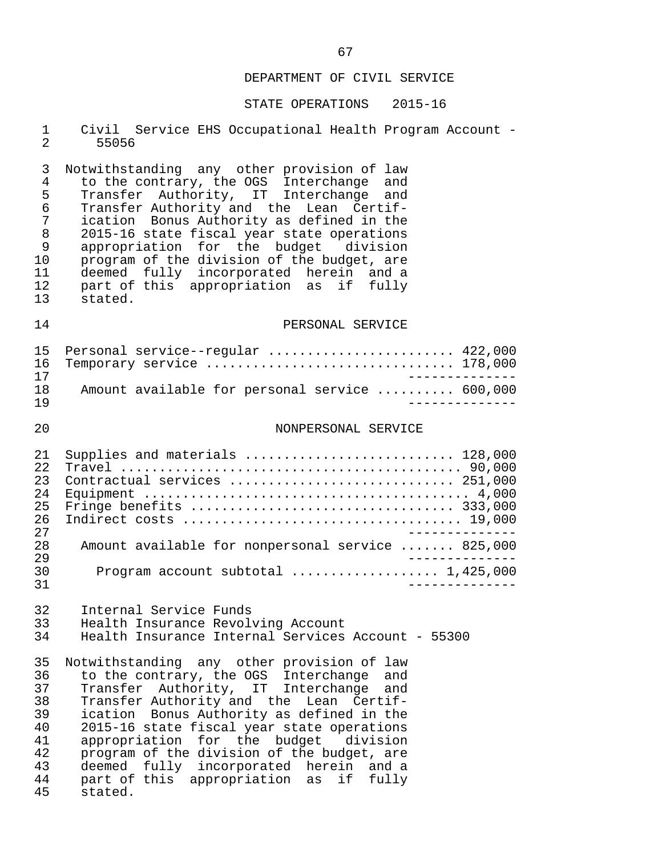#### STATE OPERATIONS 2015-16

|         |  | 1 Civil Service EHS Occupational Health Program Account - |  |  |
|---------|--|-----------------------------------------------------------|--|--|
| 2 55056 |  |                                                           |  |  |

3 Notwithstanding any other provision of law<br>4 to the contrary, the OGS Interchange and 4 to the contrary, the OGS Interchange and 5 Transfer Authority, IT Interchange and 6 Transfer Authority and the Lean Certif- 7 ication Bonus Authority as defined in the 8 2015-16 state fiscal year state operations<br>9 appropriation for the budget division 9 appropriation for the budget<br>10 program of the division of the b 10 program of the division of the budget, are<br>11 deemed fully incorporated herein and a 11 deemed fully incorporated herein and a 12 part of this appropriation as if fully 13 stated.

#### 14 PERSONAL SERVICE

|     | 15 Personal service--regular  422,000          |  |
|-----|------------------------------------------------|--|
|     | 16 Temporary service  178,000                  |  |
| 17  |                                                |  |
| 1 R | Amount available for personal service  600,000 |  |
| 1 Q |                                                |  |

#### 20 NONPERSONAL SERVICE

| 2.1  | Supplies and materials  128,000                   |
|------|---------------------------------------------------|
| 2.2. |                                                   |
| 23   | Contractual services  251,000                     |
| 2.4  |                                                   |
| 25   |                                                   |
| 26   |                                                   |
| 2.7  |                                                   |
| 2.8  | Amount available for nonpersonal service  825,000 |
| 29   |                                                   |
| 30   |                                                   |
| 31   |                                                   |

### 32 Internal Service Funds<br>33 Health Insurance Revoly 33 Health Insurance Revolving Account<br>34 Health Insurance Internal Services Health Insurance Internal Services Account - 55300

35 Notwithstanding any other provision of law<br>36 to the contrary, the OGS Interchange and 36 to the contrary, the OGS Interchange and<br>37 Transfer Authority, IT Interchange and 37 Transfer Authority, IT Interchange and<br>38 Transfer-Authority-and the Lean Certif-38 Transfer Authority and the Lean Certif-<br>39 ication Bonus Authority as defined in the 39 ication Bonus Authority as defined in the<br>40 2015-16 state fiscal year state operations 40 2015-16 state fiscal year state operations<br>41 appropriation for the budget division 41 appropriation for the budget division<br>42 program of the division of the budget, are 42 program of the division of the budget, are<br>43 deemed fully incorporated herein and a 43 deemed fully incorporated herein and a<br>44 part of this appropriation as if fully 44 part of this appropriation as if fully stated.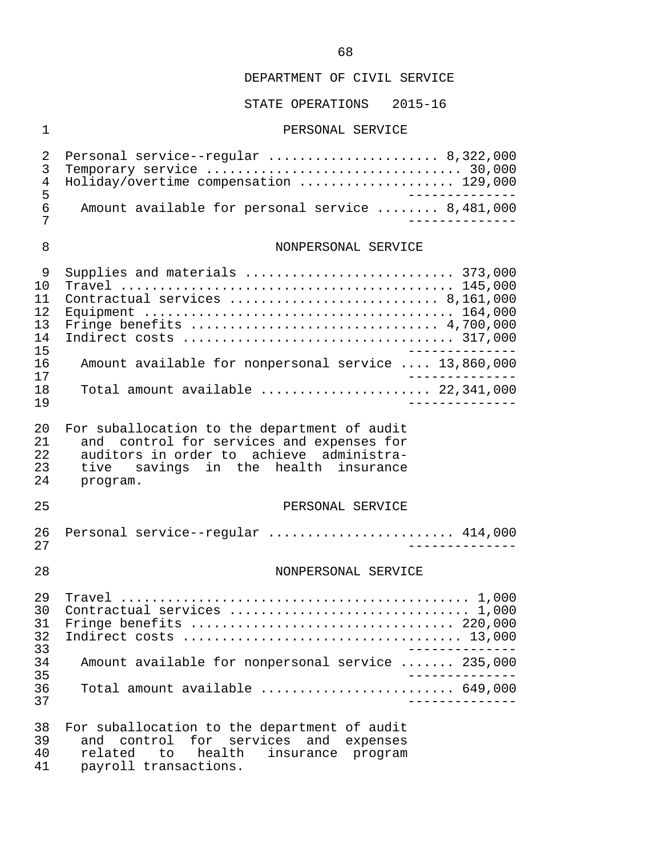STATE OPERATIONS 2015-16

#### 1 PERSONAL SERVICE

| 2 Personal service--regular  8,322,000           |
|--------------------------------------------------|
|                                                  |
| 4 Holiday/overtime compensation  129,000         |
|                                                  |
| Amount available for personal service  8,481,000 |
|                                                  |
|                                                  |

### 8 NONPERSONAL SERVICE

|     | Supplies and materials  373,000                                               |
|-----|-------------------------------------------------------------------------------|
| 1 O |                                                                               |
|     | Contractual services  8,161,000                                               |
| 12  |                                                                               |
| 13  |                                                                               |
| 14  |                                                                               |
| 15  |                                                                               |
| 16  | Amount available for nonpersonal service  13,860,000                          |
| 17  |                                                                               |
| 18  | Total amount available $\ldots \ldots \ldots \ldots \ldots \ldots$ 22,341,000 |
| 1 9 |                                                                               |

 20 For suballocation to the department of audit 21 and control for services and expenses for<br>22 auditors in order to achieve administra-22 auditors in order to achieve administra-<br>23 tive savings in the health insurance 23 tive savings in the health insurance<br>24 program. program.

#### 25 PERSONAL SERVICE

 26 Personal service--regular ........................ 414,000 27 --------------

#### 28 NONPERSONAL SERVICE

| 30  | Contractual services  1,000                                                |
|-----|----------------------------------------------------------------------------|
|     | 31 Fringe benefits  220,000                                                |
| 32. |                                                                            |
| 33  |                                                                            |
| 34  | Amount available for nonpersonal service  235,000                          |
| 35  |                                                                            |
| 36  | Total amount available $\ldots, \ldots, \ldots, \ldots, \ldots, \ 649,000$ |
| 37  |                                                                            |

 38 For suballocation to the department of audit 39 and control for services and expenses 40 related to health insurance program 41 payroll transactions.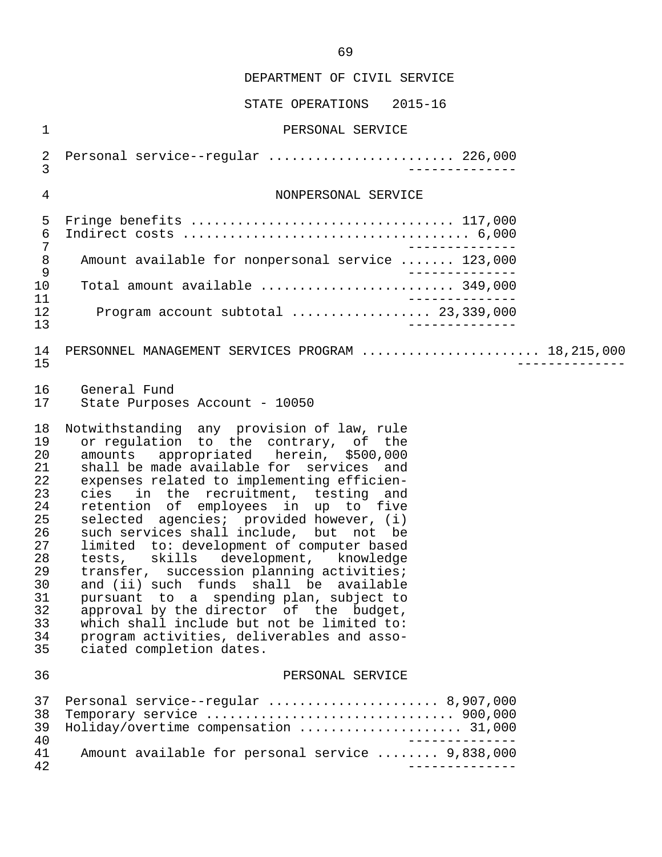| $\mathbf 1$                                                                                              | PERSONAL SERVICE                                                                                                                                                                                                                                                                                                                                                                                                                                                                                                                                                                                                                                                                                                                                                                               |
|----------------------------------------------------------------------------------------------------------|------------------------------------------------------------------------------------------------------------------------------------------------------------------------------------------------------------------------------------------------------------------------------------------------------------------------------------------------------------------------------------------------------------------------------------------------------------------------------------------------------------------------------------------------------------------------------------------------------------------------------------------------------------------------------------------------------------------------------------------------------------------------------------------------|
| $\sqrt{2}$<br>3                                                                                          | Personal service--regular  226,000<br>___________                                                                                                                                                                                                                                                                                                                                                                                                                                                                                                                                                                                                                                                                                                                                              |
| 4                                                                                                        | NONPERSONAL SERVICE                                                                                                                                                                                                                                                                                                                                                                                                                                                                                                                                                                                                                                                                                                                                                                            |
| 5<br>6<br>7                                                                                              |                                                                                                                                                                                                                                                                                                                                                                                                                                                                                                                                                                                                                                                                                                                                                                                                |
| $\,8\,$                                                                                                  | Amount available for nonpersonal service  123,000<br>_______________                                                                                                                                                                                                                                                                                                                                                                                                                                                                                                                                                                                                                                                                                                                           |
| $\mathsf 9$<br>10                                                                                        | Total amount available  349,000                                                                                                                                                                                                                                                                                                                                                                                                                                                                                                                                                                                                                                                                                                                                                                |
| 11<br>12<br>13                                                                                           | ______________<br>Program account subtotal $\ldots$ 23,339,000                                                                                                                                                                                                                                                                                                                                                                                                                                                                                                                                                                                                                                                                                                                                 |
| 14<br>15                                                                                                 | PERSONNEL MANAGEMENT SERVICES PROGRAM  18,215,000                                                                                                                                                                                                                                                                                                                                                                                                                                                                                                                                                                                                                                                                                                                                              |
| 16<br>17                                                                                                 | General Fund<br>State Purposes Account - 10050                                                                                                                                                                                                                                                                                                                                                                                                                                                                                                                                                                                                                                                                                                                                                 |
| 18<br>19<br>20<br>21<br>22<br>23<br>24<br>25<br>26<br>27<br>28<br>29<br>30<br>31<br>32<br>33<br>34<br>35 | Notwithstanding any provision of law, rule<br>or regulation to the contrary, of the<br>appropriated herein, \$500,000<br>amounts<br>shall be made available for services and<br>expenses related to implementing efficien-<br>in the recruitment, testing and<br>cies<br>retention of employees in up to five<br>selected agencies; provided however, (i)<br>such services shall include, but not be<br>limited to: development of computer based<br>tests, skills development, knowledge<br>transfer, succession planning activities;<br>and (ii) such funds shall be available<br>pursuant to a spending plan, subject to<br>approval by the director of the budget,<br>which shall include but not be limited to:<br>program activities, deliverables and asso-<br>ciated completion dates. |
| 36                                                                                                       | PERSONAL SERVICE                                                                                                                                                                                                                                                                                                                                                                                                                                                                                                                                                                                                                                                                                                                                                                               |
| 37<br>38<br>39<br>40                                                                                     | Personal service--regular  8,907,000<br>Holiday/overtime compensation  31,000                                                                                                                                                                                                                                                                                                                                                                                                                                                                                                                                                                                                                                                                                                                  |
| 41<br>42                                                                                                 | Amount available for personal service  9,838,000                                                                                                                                                                                                                                                                                                                                                                                                                                                                                                                                                                                                                                                                                                                                               |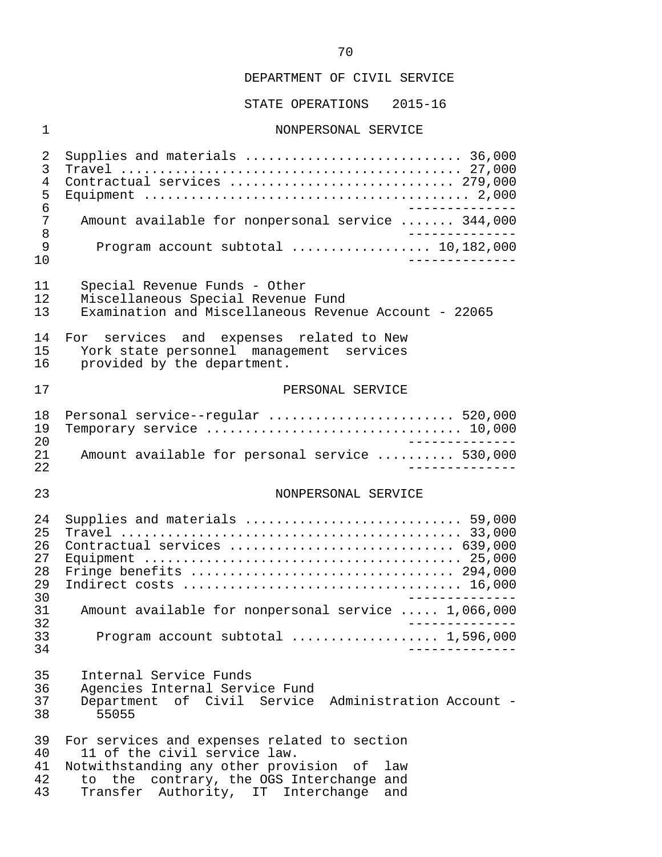STATE OPERATIONS 2015-16

#### 1 NONPERSONAL SERVICE

 2 Supplies and materials ............................ 36,000 3 Travel ............................................ 27,000 4 Contractual services ............................. 279,000 5 Equipment .......................................... 2,000 6 -------------<br>7 Amount available for nonpersonal service ....... 344.000 7 Amount available for nonpersonal service ....... 344,000<br>8 8<br>9 Program account subtotal<br>9 Program account subtotal 9 Program account subtotal .................. 10,182,000 10 -------------- 11 Special Revenue Funds - Other<br>12 Miscellaneous Special Revenue 12 Miscellaneous Special Revenue Fund<br>13 Examination and Miscellaneous Rever Examination and Miscellaneous Revenue Account - 22065 14 For services and expenses related to New<br>15 York state personnel management services 15 York state personnel management services<br>16 provided by the department. provided by the department. 17 **PERSONAL SERVICE** 18 Personal service--regular ........................... 520,000<br>19 Temporary service ................................... 10.000 19 Temporary service ................................. 10,000 20<br>21 Amount available for personal service 21 Amount available for personal service .......... 530,000 22 -------------- 23 NONPERSONAL SERVICE 24 Supplies and materials ............................ 59,000 25 Travel ............................................ 33,000 26 Contractual services ............................. 639,000 27 Equipment ......................................... 25,000 28 Fringe benefits .................................. 294,000 29 Indirect costs .................................... 16,000 30 -------------- 31 Amount available for nonpersonal service ..... 1,066,000 32 -------------- 33 Program account subtotal ................... 1,596,000 34 -------------- 35 Internal Service Funds 36 Agencies Internal Service Fund<br>37 Department of Civil Service 37 Department of Civil Service Administration Account - 55055 39 For services and expenses related to section<br>40 11 of the civil service law. 40 11 of the civil service law.<br>41 Notwithstanding any other prov 41 Notwithstanding any other provision of law<br>42 to the contrary, the OGS Interchange and 42 to the contrary, the OGS Interchange and<br>43 Transfer Authority, IT Interchange and Transfer Authority, IT Interchange and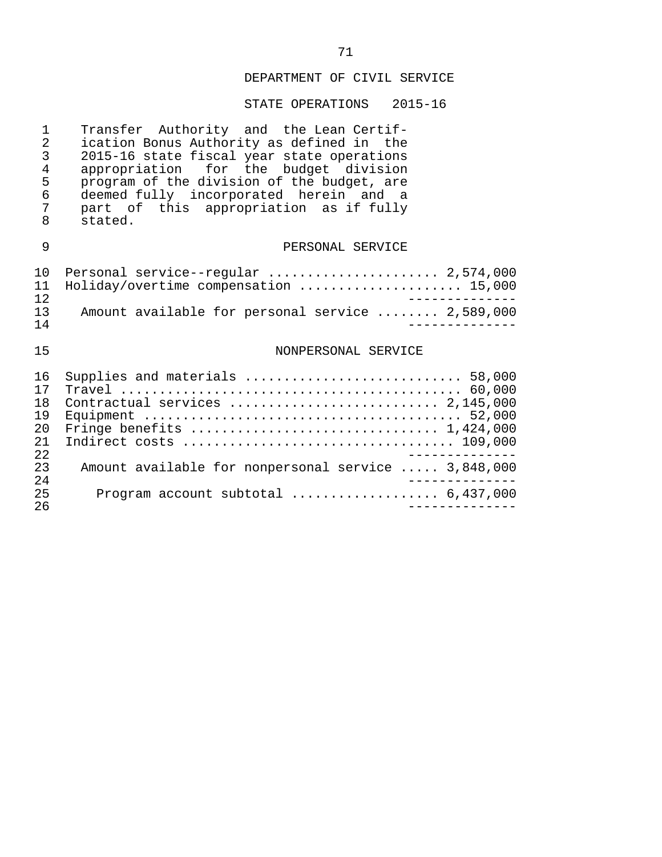# STATE OPERATIONS 2015-16

| 1<br>$\overline{2}$<br>3<br>4<br>5<br>6<br>7<br>8 | Transfer Authority and the Lean Certif-<br>ication Bonus Authority as defined in the<br>2015-16 state fiscal year state operations<br>appropriation for the budget division<br>program of the division of the budget, are<br>deemed fully incorporated herein and a<br>part of this appropriation as if fully<br>stated. |
|---------------------------------------------------|--------------------------------------------------------------------------------------------------------------------------------------------------------------------------------------------------------------------------------------------------------------------------------------------------------------------------|
| 9                                                 | PERSONAL SERVICE                                                                                                                                                                                                                                                                                                         |
| 10<br>11<br>$12 \,$                               | Personal service--regular  2,574,000<br>Holiday/overtime compensation  15,000                                                                                                                                                                                                                                            |
| 13<br>14                                          | Amount available for personal service  2,589,000                                                                                                                                                                                                                                                                         |
| 15                                                | NONPERSONAL SERVICE                                                                                                                                                                                                                                                                                                      |
| 16<br>17<br>18<br>19<br>20<br>21<br>22            | Supplies and materials  58,000<br>Contractual services  2,145,000                                                                                                                                                                                                                                                        |
| 23<br>24                                          | Amount available for nonpersonal service  3,848,000                                                                                                                                                                                                                                                                      |
| 25<br>26                                          | Program account subtotal  6,437,000                                                                                                                                                                                                                                                                                      |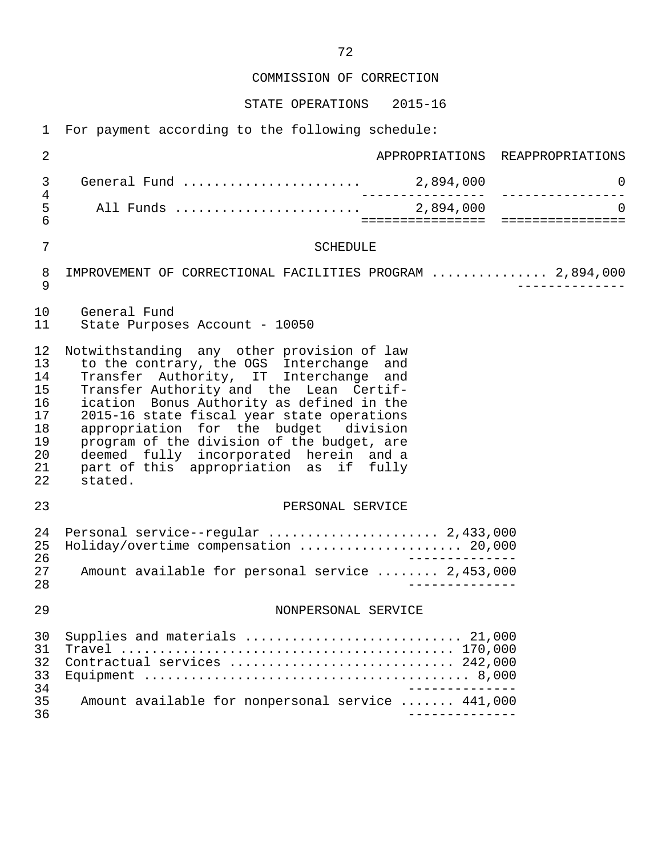COMMISSION OF CORRECTION

STATE OPERATIONS 2015-16

1 For payment according to the following schedule:

| $\overline{2}$                                                 | APPROPRIATIONS REAPPROPRIATIONS                                                                                                                                                                                                                                                                                                                                                                                                                              |
|----------------------------------------------------------------|--------------------------------------------------------------------------------------------------------------------------------------------------------------------------------------------------------------------------------------------------------------------------------------------------------------------------------------------------------------------------------------------------------------------------------------------------------------|
| 3                                                              | 0<br>---------------                                                                                                                                                                                                                                                                                                                                                                                                                                         |
| 4<br>5<br>6                                                    | $\Omega$<br>______________________________________                                                                                                                                                                                                                                                                                                                                                                                                           |
| 7                                                              | <b>SCHEDULE</b>                                                                                                                                                                                                                                                                                                                                                                                                                                              |
| 8<br>9                                                         | IMPROVEMENT OF CORRECTIONAL FACILITIES PROGRAM  2,894,000                                                                                                                                                                                                                                                                                                                                                                                                    |
| 10<br>11                                                       | General Fund<br>State Purposes Account - 10050                                                                                                                                                                                                                                                                                                                                                                                                               |
| 12<br>13<br>14<br>15<br>16<br>17<br>18<br>19<br>20<br>21<br>22 | Notwithstanding any other provision of law<br>to the contrary, the OGS Interchange and<br>Transfer Authority, IT Interchange and<br>Transfer Authority and the Lean Certif-<br>ication Bonus Authority as defined in the<br>2015-16 state fiscal year state operations<br>appropriation for the budget division<br>program of the division of the budget, are<br>deemed fully incorporated herein and a<br>part of this appropriation as if fully<br>stated. |
| 23                                                             | PERSONAL SERVICE                                                                                                                                                                                                                                                                                                                                                                                                                                             |
| 24<br>25<br>26<br>27<br>28                                     | Personal service--regular  2,433,000<br>Holiday/overtime compensation  20,000<br>Amount available for personal service  2,453,000                                                                                                                                                                                                                                                                                                                            |
| 29                                                             | NONPERSONAL SERVICE                                                                                                                                                                                                                                                                                                                                                                                                                                          |
| 30<br>31<br>32<br>33<br>34                                     | Supplies and materials  21,000<br>Contractual services  242,000<br>______________                                                                                                                                                                                                                                                                                                                                                                            |
| 35<br>36                                                       | Amount available for nonpersonal service  441,000<br>______________                                                                                                                                                                                                                                                                                                                                                                                          |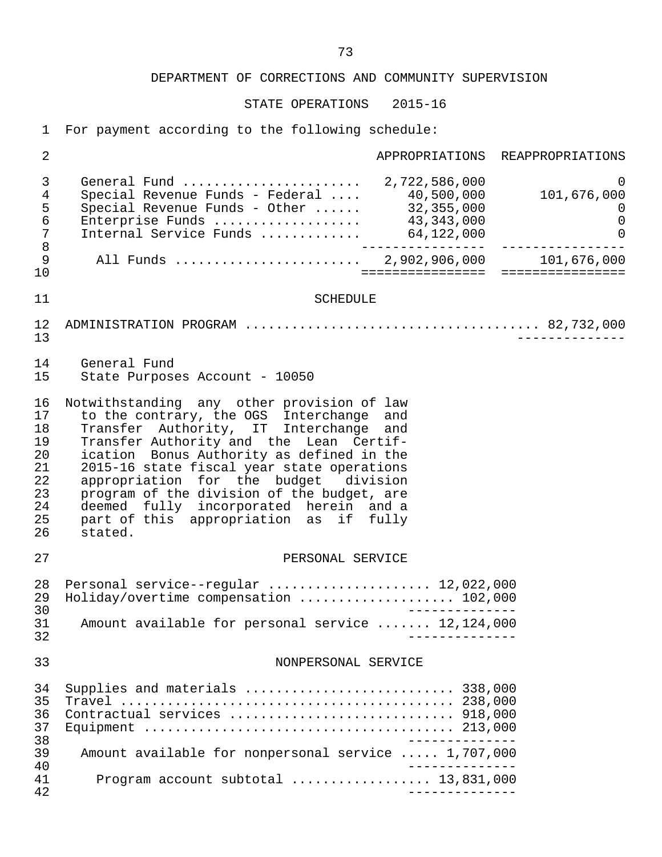STATE OPERATIONS 2015-16

1 For payment according to the following schedule:

| 3<br>General Fund  2,722,586,000<br>4<br>Special Revenue Funds - Federal $\ldots$ 40,500,000<br>Special Revenue Funds - Other $\ldots$ . 32,355,000<br>5<br>6<br>Enterprise Funds  43,343,000<br>$\overline{7}$<br>Internal Service Funds  64,122,000<br>8<br>9<br>10<br>=================<br>11<br><b>SCHEDULE</b><br>12<br>13<br>14<br>General Fund<br>15<br>State Purposes Account - 10050<br>16<br>Notwithstanding any other provision of law<br>to the contrary, the OGS Interchange and<br>17<br>Transfer Authority, IT Interchange and<br>18<br>Transfer Authority and the Lean Certif-<br>19<br>20<br>ication Bonus Authority as defined in the<br>21<br>2015-16 state fiscal year state operations<br>22<br>appropriation for the budget division<br>23<br>program of the division of the budget, are<br>24<br>deemed fully incorporated herein and a<br>25<br>part of this appropriation as if fully<br>26<br>stated.<br>27<br>PERSONAL SERVICE<br>Personal service--regular  12,022,000<br>28<br>Holiday/overtime compensation  102,000<br>29<br>30<br>Amount available for personal service  12,124,000<br>31<br>32<br>33<br>NONPERSONAL SERVICE<br>Supplies and materials  338,000<br>34<br>35<br>36<br>37<br>38<br>Amount available for nonpersonal service  1,707,000 | 2  |  | APPROPRIATIONS REAPPROPRIATIONS                                     |
|--------------------------------------------------------------------------------------------------------------------------------------------------------------------------------------------------------------------------------------------------------------------------------------------------------------------------------------------------------------------------------------------------------------------------------------------------------------------------------------------------------------------------------------------------------------------------------------------------------------------------------------------------------------------------------------------------------------------------------------------------------------------------------------------------------------------------------------------------------------------------------------------------------------------------------------------------------------------------------------------------------------------------------------------------------------------------------------------------------------------------------------------------------------------------------------------------------------------------------------------------------------------------------------|----|--|---------------------------------------------------------------------|
|                                                                                                                                                                                                                                                                                                                                                                                                                                                                                                                                                                                                                                                                                                                                                                                                                                                                                                                                                                                                                                                                                                                                                                                                                                                                                      |    |  | 0<br>101,676,000<br>$\overline{0}$<br>$\mathsf 0$<br>$\overline{0}$ |
|                                                                                                                                                                                                                                                                                                                                                                                                                                                                                                                                                                                                                                                                                                                                                                                                                                                                                                                                                                                                                                                                                                                                                                                                                                                                                      |    |  | 101,676,000<br>================                                     |
|                                                                                                                                                                                                                                                                                                                                                                                                                                                                                                                                                                                                                                                                                                                                                                                                                                                                                                                                                                                                                                                                                                                                                                                                                                                                                      |    |  |                                                                     |
|                                                                                                                                                                                                                                                                                                                                                                                                                                                                                                                                                                                                                                                                                                                                                                                                                                                                                                                                                                                                                                                                                                                                                                                                                                                                                      |    |  |                                                                     |
|                                                                                                                                                                                                                                                                                                                                                                                                                                                                                                                                                                                                                                                                                                                                                                                                                                                                                                                                                                                                                                                                                                                                                                                                                                                                                      |    |  |                                                                     |
|                                                                                                                                                                                                                                                                                                                                                                                                                                                                                                                                                                                                                                                                                                                                                                                                                                                                                                                                                                                                                                                                                                                                                                                                                                                                                      |    |  |                                                                     |
|                                                                                                                                                                                                                                                                                                                                                                                                                                                                                                                                                                                                                                                                                                                                                                                                                                                                                                                                                                                                                                                                                                                                                                                                                                                                                      |    |  |                                                                     |
|                                                                                                                                                                                                                                                                                                                                                                                                                                                                                                                                                                                                                                                                                                                                                                                                                                                                                                                                                                                                                                                                                                                                                                                                                                                                                      |    |  |                                                                     |
|                                                                                                                                                                                                                                                                                                                                                                                                                                                                                                                                                                                                                                                                                                                                                                                                                                                                                                                                                                                                                                                                                                                                                                                                                                                                                      |    |  |                                                                     |
| 40<br>Program account subtotal  13,831,000<br>41<br>42<br>______________                                                                                                                                                                                                                                                                                                                                                                                                                                                                                                                                                                                                                                                                                                                                                                                                                                                                                                                                                                                                                                                                                                                                                                                                             | 39 |  |                                                                     |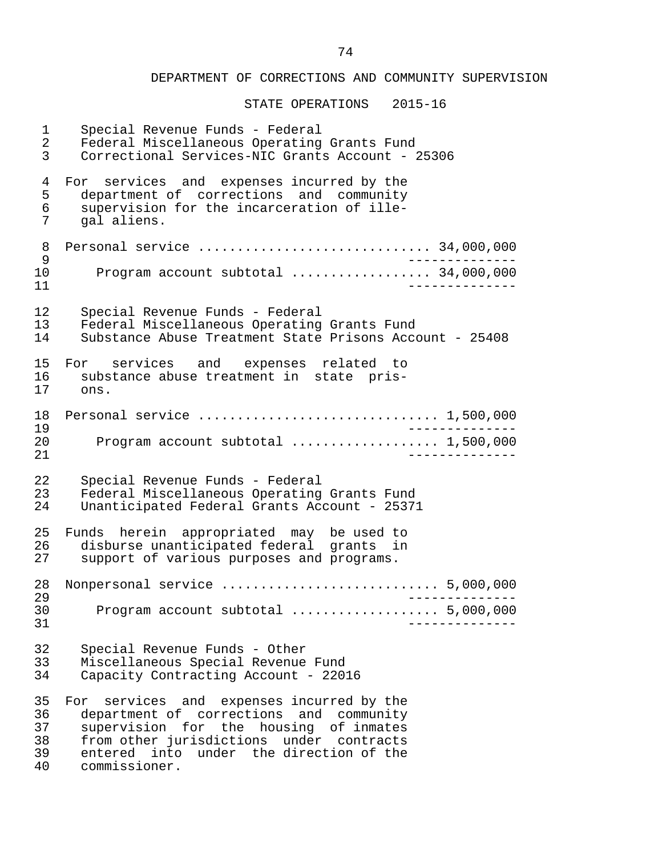STATE OPERATIONS 2015-16

 1 Special Revenue Funds - Federal 2 Federal Miscellaneous Operating Grants Fund<br>3 Correctional Services-NIC Grants Account - 2 3 Correctional Services-NIC Grants Account - 25306 4 For services and expenses incurred by the<br>5 department of corrections and community 5 department of corrections and community<br>6 supervision for the incarceration of ille-6 supervision for the incarceration of ille-<br>7  $\sigma$  al aliens gal aliens. 8 Personal service .............................. 34,000,000 9 -------------- 10 Program account subtotal .................. 34,000,000 11 -------------- 12 Special Revenue Funds - Federal 13 Federal Miscellaneous Operating Grants Fund<br>14 Substance Abuse Treatment State Prisons Acco Substance Abuse Treatment State Prisons Account - 25408 15 For services and expenses related to<br>16 substance-abuse-treatment-in state pris- 16 substance abuse treatment in state pris-  $0nS$ . 18 Personal service ............................... 1,500,000 19 -------------- 20 Program account subtotal ................... 1,500,000 21 -------------- 22 Special Revenue Funds - Federal 23 Federal Miscellaneous Operating Grants Fund<br>24 Unanticipated Federal Grants Account - 2537 Unanticipated Federal Grants Account - 25371 25 Funds herein appropriated may be used to 26 disburse unanticipated federal grants in<br>27 support of various purposes and programs. support of various purposes and programs. 28 Nonpersonal service ............................ 5,000,000 29 -------------- 30 Program account subtotal ................... 5,000,000 31 -------------- 32 Special Revenue Funds - Other 33 Miscellaneous Special Revenue Fund<br>34 Capacity Contracting Account - 2201 Capacity Contracting Account - 22016 35 For services and expenses incurred by the<br>36 department of corrections and community 36 department of corrections and community<br>37 supervision for the housing of inmates 37 supervision for the housing of inmates<br>38 from other iurisdictions under contracts 38 from other jurisdictions under contracts<br>39 entered into under the direction of the 39 entered into under the direction of the<br>40 commissioner. 40 commissioner.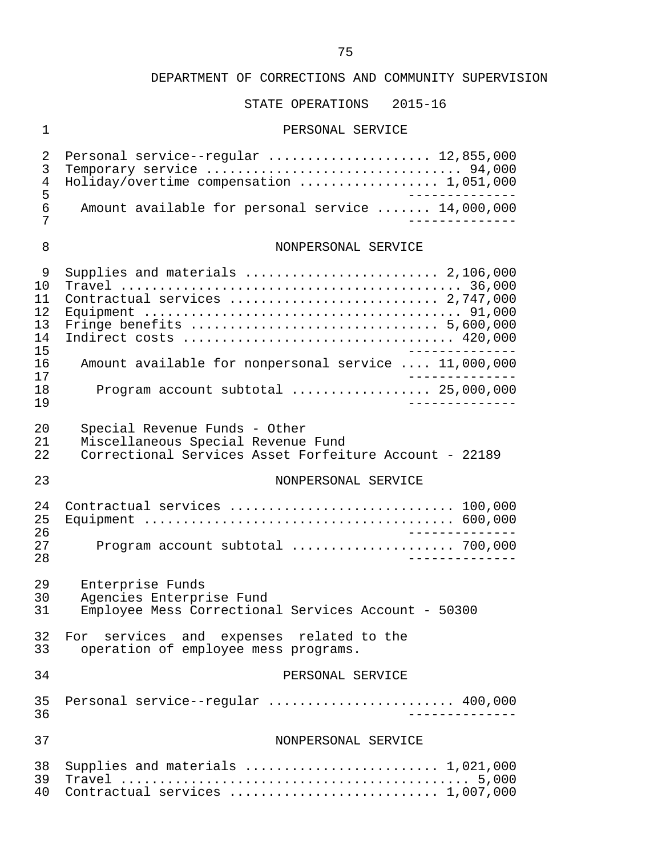# STATE OPERATIONS 2015-16

#### 1 PERSONAL SERVICE

| 2<br>3<br>$\overline{4}$<br>5<br>$6\overline{6}$<br>7 | Personal service--regular  12,855,000<br>Holiday/overtime compensation  1,051,000<br>Amount available for personal service  14,000,000 |
|-------------------------------------------------------|----------------------------------------------------------------------------------------------------------------------------------------|
| 8                                                     | NONPERSONAL SERVICE                                                                                                                    |
| 9<br>10<br>11<br>12<br>13<br>14<br>15                 | Supplies and materials $\ldots \ldots \ldots \ldots \ldots \ldots \ldots 2,106,000$<br>Contractual services  2,747,000                 |
| 16<br>17                                              | Amount available for nonpersonal service  11,000,000                                                                                   |
| 18<br>19                                              | Program account subtotal $\ldots$ 25,000,000                                                                                           |
| 20<br>21<br>22                                        | Special Revenue Funds - Other<br>Miscellaneous Special Revenue Fund<br>Correctional Services Asset Forfeiture Account - 22189          |
| 23                                                    | NONPERSONAL SERVICE                                                                                                                    |
| 24<br>25<br>26<br>27<br>28                            | Contractual services  100,000<br>$- - - - - - -$<br>Program account subtotal  700,000<br>_____________                                 |
| 29<br>30<br>31                                        | Enterprise Funds<br>Agencies Enterprise Fund<br>Employee Mess Correctional Services Account - 50300                                    |
| 33                                                    | 32 For services and expenses related to the<br>operation of employee mess programs.                                                    |
| 34                                                    | PERSONAL SERVICE                                                                                                                       |
| 35<br>36                                              | Personal service--regular  400,000<br>$- - - - - - - -$                                                                                |
| 37                                                    | NONPERSONAL SERVICE                                                                                                                    |
| 38<br>39<br>40                                        | Supplies and materials $\ldots \ldots \ldots \ldots \ldots \ldots \ldots \ldots 1,021,000$<br>Contractual services  1,007,000          |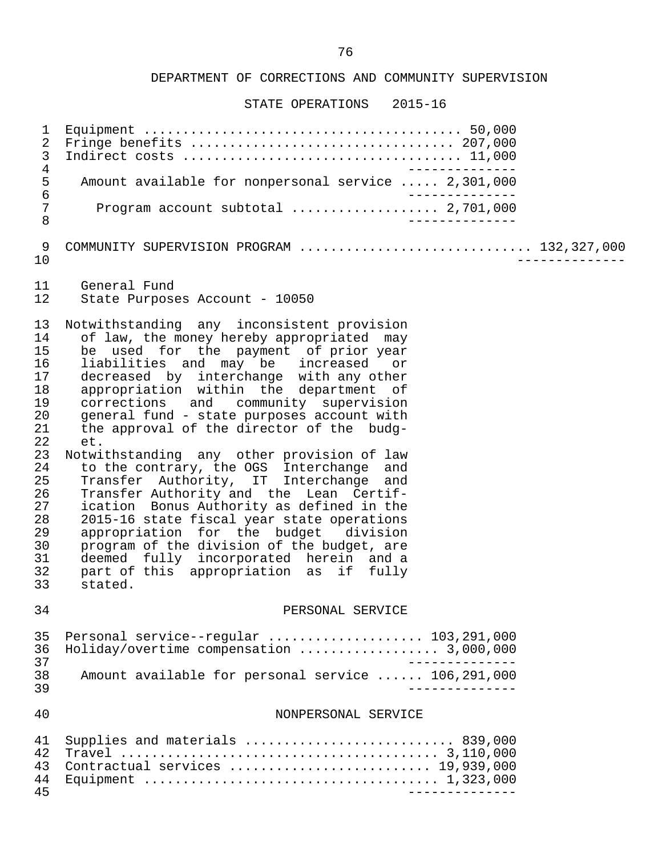| 1<br>$\overline{2}$<br>$\mathbf{3}$<br>$\bf 4$<br>$\frac{5}{6}$<br>$\sqrt{ }$<br>$\,8\,$                                   | Fringe benefits  207,000<br>Amount available for nonpersonal service  2,301,000<br>Program account subtotal  2,701,000<br>$- - - - - - - -$                                                                                                                                                                                                                                                                                                                                                                                                                                                                                                                                                                                                                                                                                                                             |
|----------------------------------------------------------------------------------------------------------------------------|-------------------------------------------------------------------------------------------------------------------------------------------------------------------------------------------------------------------------------------------------------------------------------------------------------------------------------------------------------------------------------------------------------------------------------------------------------------------------------------------------------------------------------------------------------------------------------------------------------------------------------------------------------------------------------------------------------------------------------------------------------------------------------------------------------------------------------------------------------------------------|
| 9<br>10                                                                                                                    | COMMUNITY SUPERVISION PROGRAM  132,327,000                                                                                                                                                                                                                                                                                                                                                                                                                                                                                                                                                                                                                                                                                                                                                                                                                              |
| 11<br>12                                                                                                                   | General Fund<br>State Purposes Account - 10050                                                                                                                                                                                                                                                                                                                                                                                                                                                                                                                                                                                                                                                                                                                                                                                                                          |
| 13<br>14<br>15<br>16<br>17<br>18<br>19<br>20<br>21<br>22<br>23<br>24<br>25<br>26<br>27<br>28<br>29<br>30<br>31<br>32<br>33 | Notwithstanding any inconsistent provision<br>of law, the money hereby appropriated may<br>be used for the payment of prior year<br>liabilities and may be increased or<br>decreased by interchange with any other<br>appropriation within the department of<br>corrections and community supervision<br>general fund - state purposes account with<br>the approval of the director of the budg-<br>et.<br>Notwithstanding any other provision of law<br>to the contrary, the OGS Interchange and<br>Transfer Authority, IT Interchange and<br>Transfer Authority and the Lean Certif-<br>ication Bonus Authority as defined in the<br>2015-16 state fiscal year state operations<br>appropriation for the budget division<br>program of the division of the budget, are<br>deemed fully incorporated herein and a<br>part of this appropriation as if fully<br>stated. |
| 34                                                                                                                         | PERSONAL SERVICE                                                                                                                                                                                                                                                                                                                                                                                                                                                                                                                                                                                                                                                                                                                                                                                                                                                        |
| 35<br>36<br>37<br>38<br>39                                                                                                 | Personal service--regular  103,291,000<br>Holiday/overtime compensation  3,000,000<br>Amount available for personal service  106,291,000                                                                                                                                                                                                                                                                                                                                                                                                                                                                                                                                                                                                                                                                                                                                |
| 40                                                                                                                         | NONPERSONAL SERVICE                                                                                                                                                                                                                                                                                                                                                                                                                                                                                                                                                                                                                                                                                                                                                                                                                                                     |
| 41<br>42<br>43<br>44<br>45                                                                                                 | Supplies and materials  839,000<br>Contractual services  19,939,000<br>_______________                                                                                                                                                                                                                                                                                                                                                                                                                                                                                                                                                                                                                                                                                                                                                                                  |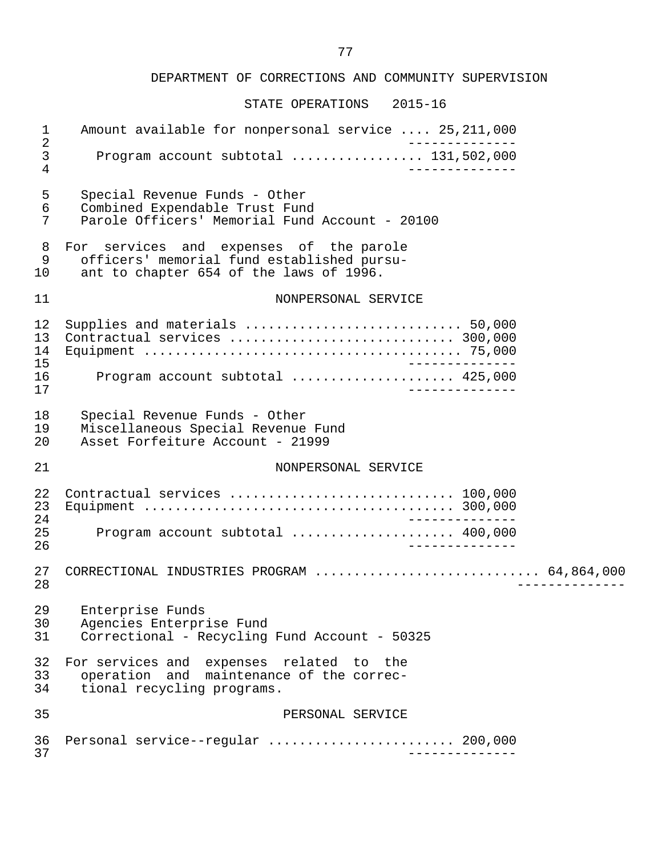| $\mathbf{1}$<br>$\sqrt{2}$ | Amount available for nonpersonal service  25,211,000                                                                             |  |
|----------------------------|----------------------------------------------------------------------------------------------------------------------------------|--|
| $\mathfrak{Z}$<br>4        | Program account subtotal  131,502,000<br>$\frac{1}{2}$                                                                           |  |
| 5<br>6<br>7                | Special Revenue Funds - Other<br>Combined Expendable Trust Fund<br>Parole Officers' Memorial Fund Account - 20100                |  |
| 8<br>9<br>10               | For services and expenses of the parole<br>officers' memorial fund established pursu-<br>ant to chapter 654 of the laws of 1996. |  |
| 11                         | NONPERSONAL SERVICE                                                                                                              |  |
| 12<br>13<br>14<br>15       | _______________                                                                                                                  |  |
| 16<br>17                   | Program account subtotal  425,000<br>______________                                                                              |  |
| 18<br>19<br>20             | Special Revenue Funds - Other<br>Miscellaneous Special Revenue Fund<br>Asset Forfeiture Account - 21999                          |  |
| 21                         | NONPERSONAL SERVICE                                                                                                              |  |
| 22<br>23<br>24             | _______________                                                                                                                  |  |
| 25<br>26                   | Program account subtotal  400,000<br>_______________                                                                             |  |
| 27<br>28                   | CORRECTIONAL INDUSTRIES PROGRAM  64,864,000                                                                                      |  |
| 29<br>30<br>31             | Enterprise Funds<br>Agencies Enterprise Fund<br>Correctional - Recycling Fund Account - 50325                                    |  |
| 32<br>33<br>34             | For services and expenses related to the<br>operation and maintenance of the correc-<br>tional recycling programs.               |  |
| 35                         | PERSONAL SERVICE                                                                                                                 |  |
| 36<br>37                   | Personal service--regular  200,000                                                                                               |  |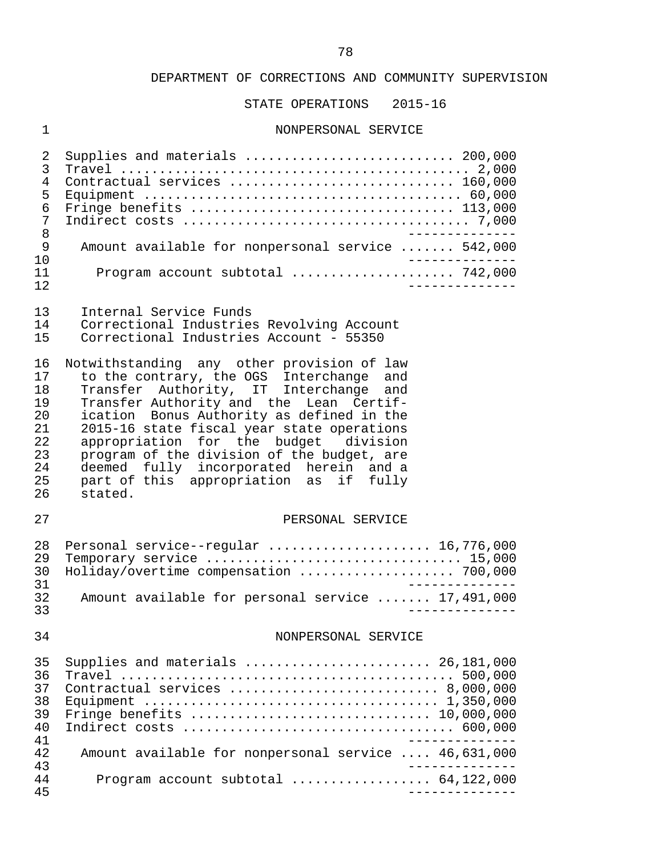STATE OPERATIONS 2015-16

# 1 NONPERSONAL SERVICE

| 2              | Supplies and materials  200,000                                                                    |
|----------------|----------------------------------------------------------------------------------------------------|
| 3              |                                                                                                    |
| $\overline{4}$ | Contractual services  160,000                                                                      |
| 5              |                                                                                                    |
| 6              | Fringe benefits  113,000                                                                           |
| 7              |                                                                                                    |
| 8              |                                                                                                    |
| 9              | Amount available for nonpersonal service  542,000                                                  |
| 10             |                                                                                                    |
| 11             | Program account subtotal  742,000                                                                  |
| 12             |                                                                                                    |
| 13             | Internal Service Funds                                                                             |
| 14             |                                                                                                    |
|                | Correctional Industries Revolving Account<br>Correctional Industries Account - 55350               |
| 15             |                                                                                                    |
| 16             | Notwithstanding any other provision of law                                                         |
| 17             | to the contrary, the OGS Interchange and                                                           |
| 18             | Transfer Authority, IT Interchange and                                                             |
| 19             | Transfer Authority and the Lean Certif-                                                            |
| 20             | ication Bonus Authority as defined in the                                                          |
| 21             | 2015-16 state fiscal year state operations                                                         |
| 22             | appropriation for the budget division                                                              |
| 23             | program of the division of the budget, are                                                         |
| 24             | deemed fully incorporated herein and a                                                             |
| 25             | part of this appropriation as if fully                                                             |
| 26             | stated.                                                                                            |
|                |                                                                                                    |
| 27             | PERSONAL SERVICE                                                                                   |
|                |                                                                                                    |
| 28             | Personal service--regular  16,776,000                                                              |
| 29             | Temporary service  15,000                                                                          |
| 30             | Holiday/overtime compensation  700,000                                                             |
| 31             | ____________                                                                                       |
| 32             | Amount available for personal service  17,491,000                                                  |
| 33             |                                                                                                    |
|                |                                                                                                    |
| 34             | NONPERSONAL SERVICE                                                                                |
|                |                                                                                                    |
| 35             | Supplies and materials  26,181,000                                                                 |
| 36             |                                                                                                    |
| 37             | Contractual services  8,000,000                                                                    |
| 38             |                                                                                                    |
| 39             | Fringe benefits $\ldots \ldots \ldots \ldots \ldots \ldots \ldots \ldots \ldots \ldots 10,000,000$ |
| 40             |                                                                                                    |
| 41<br>42       |                                                                                                    |
| 43             | Amount available for nonpersonal service  46,631,000                                               |
| 44             | Program account subtotal  64,122,000                                                               |
| 45             | ______________                                                                                     |
|                |                                                                                                    |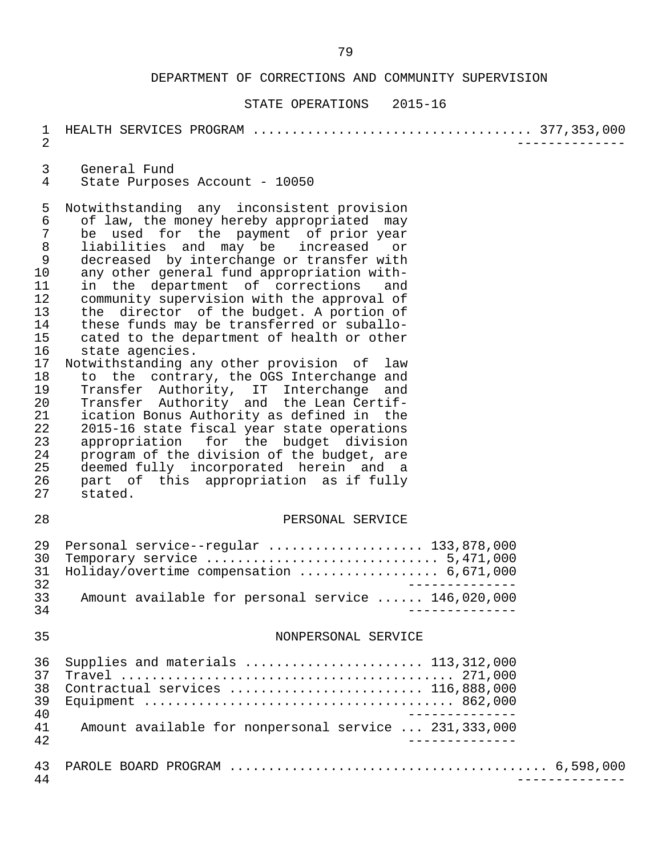#### STATE OPERATIONS 2015-16

# 1 HEALTH SERVICES PROGRAM .................................... 377,353,000

2 --------------

3 General Fund<br>4 State Purpose State Purposes Account - 10050

5 Notwithstanding any inconsistent provision<br>6 of law, the money hereby appropriated may 6 of law, the money hereby appropriated may<br>7 be used for the payment of prior year 7 be used for the payment of prior-year<br>8 liabilities and may be increased or 8 liabilities and may be increased or 9 decreased by interchange or transfer with<br>10 any other general fund appropriation with-10 any other general fund appropriation with-<br>11 in the department of corrections and 11 in the department of corrections and<br>12 community supervision with the approval of 12 community supervision with the approval of<br>13 the director of the budget. A portion of 13 the director of the budget. A portion of<br>14 these funds may be transferred or suballo-14 these funds may be transferred or suballo-<br>15 cated to the department of health or other 15 cated to the department of health or other<br>16 state agencies. state agencies.

 17 Notwithstanding any other provision of law 18 to the contrary, the OGS Interchange and<br>19 Transfer Authority, IT Interchange and Transfer Authority, IT Interchange and 20 Transfer Authority and the Lean-Certif-<br>21 ication-Bonus-Authority-as-defined in the 21 ication Bonus Authority as defined in the<br>22 2015-16 state fiscal vear state operations 22 2015-16 state fiscal year state operations<br>23 appropriation for the budget division 23 appropriation for the budget division<br>24 program of the division of the budget, are 24 program of the division of the budget, are<br>25 deemed fully incorporated herein and a 25 deemed fully incorporated herein and a<br>26 part of this appropriation as if fully 26 part of this appropriation as if fully<br>27 stated. stated.

#### 28 PERSONAL SERVICE

|    | 29 Personal service--regular  133,878,000          |
|----|----------------------------------------------------|
|    |                                                    |
|    | 31 Holiday/overtime compensation  6,671,000        |
| 32 |                                                    |
| スス | Amount available for personal service  146,020,000 |
| 34 |                                                    |

#### 35 NONPERSONAL SERVICE

| 37<br>38<br>39<br>40<br>41<br>42 | 36 Supplies and materials  113,312,000<br>Contractual services  116,888,000<br>Amount available for nonpersonal service  231,333,000 |
|----------------------------------|--------------------------------------------------------------------------------------------------------------------------------------|
| 43<br>44                         |                                                                                                                                      |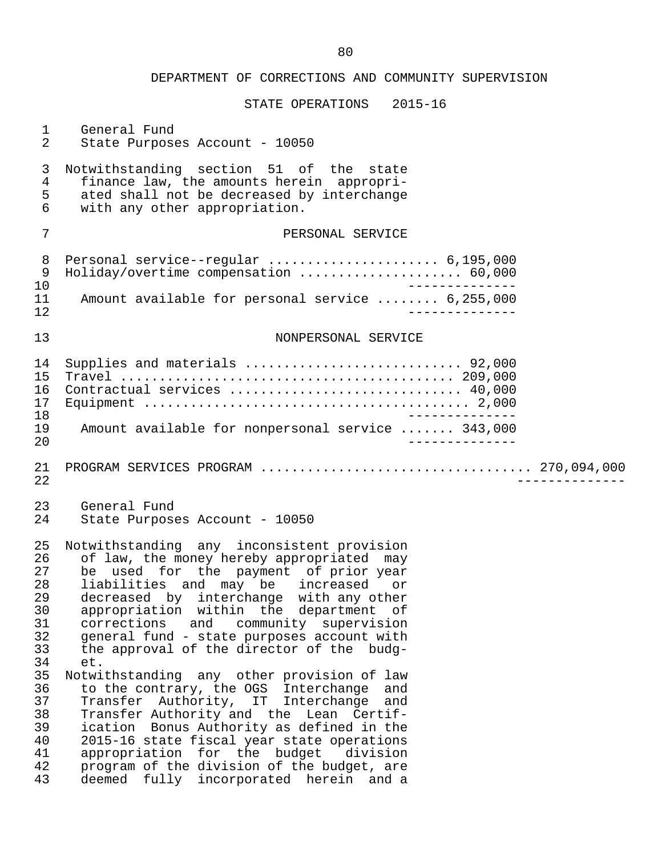| $\mathbf{1}$                                       | General Fund                                                                                                                                                                                                                                                                                                                                                                                               |
|----------------------------------------------------|------------------------------------------------------------------------------------------------------------------------------------------------------------------------------------------------------------------------------------------------------------------------------------------------------------------------------------------------------------------------------------------------------------|
| 2                                                  | State Purposes Account - 10050                                                                                                                                                                                                                                                                                                                                                                             |
| 3                                                  | Notwithstanding section 51 of the state                                                                                                                                                                                                                                                                                                                                                                    |
| $\overline{4}$                                     | finance law, the amounts herein appropri-                                                                                                                                                                                                                                                                                                                                                                  |
| 5                                                  | ated shall not be decreased by interchange                                                                                                                                                                                                                                                                                                                                                                 |
| 6                                                  | with any other appropriation.                                                                                                                                                                                                                                                                                                                                                                              |
| 7                                                  | PERSONAL SERVICE                                                                                                                                                                                                                                                                                                                                                                                           |
| 8                                                  | Personal service--regular  6,195,000                                                                                                                                                                                                                                                                                                                                                                       |
| 9                                                  | Holiday/overtime compensation  60,000                                                                                                                                                                                                                                                                                                                                                                      |
| 10                                                 | ----------                                                                                                                                                                                                                                                                                                                                                                                                 |
| 11                                                 | Amount available for personal service  6,255,000                                                                                                                                                                                                                                                                                                                                                           |
| 12<br>13                                           | NONPERSONAL SERVICE                                                                                                                                                                                                                                                                                                                                                                                        |
| 14<br>15<br>16<br>17<br>18<br>19<br>20             | Supplies and materials  92,000<br>Contractual services  40,000<br>_______________<br>Amount available for nonpersonal service  343,000                                                                                                                                                                                                                                                                     |
| 21<br>22                                           |                                                                                                                                                                                                                                                                                                                                                                                                            |
| 23                                                 | General Fund                                                                                                                                                                                                                                                                                                                                                                                               |
| 24                                                 | State Purposes Account - 10050                                                                                                                                                                                                                                                                                                                                                                             |
| 25                                                 | Notwithstanding any inconsistent provision                                                                                                                                                                                                                                                                                                                                                                 |
| 26                                                 | of law, the money hereby appropriated may                                                                                                                                                                                                                                                                                                                                                                  |
| 27                                                 | be used for the payment of prior year                                                                                                                                                                                                                                                                                                                                                                      |
| 28                                                 | liabilities and may be increased or                                                                                                                                                                                                                                                                                                                                                                        |
| 29                                                 | decreased by interchange with any other                                                                                                                                                                                                                                                                                                                                                                    |
| 30                                                 | appropriation within the department of                                                                                                                                                                                                                                                                                                                                                                     |
| 31                                                 | corrections and community supervision                                                                                                                                                                                                                                                                                                                                                                      |
| 32                                                 | general fund - state purposes account with                                                                                                                                                                                                                                                                                                                                                                 |
| 33                                                 | the approval of the director of the budg-                                                                                                                                                                                                                                                                                                                                                                  |
| 34                                                 | et.                                                                                                                                                                                                                                                                                                                                                                                                        |
| 35<br>36<br>37<br>38<br>39<br>40<br>41<br>42<br>43 | Notwithstanding any other provision of law<br>to the contrary, the OGS Interchange and<br>Transfer Authority, IT Interchange<br>and<br>Transfer Authority and the Lean Certif-<br>ication Bonus Authority as defined in the<br>2015-16 state fiscal year state operations<br>appropriation for the budget division<br>program of the division of the budget, are<br>deemed fully incorporated herein and a |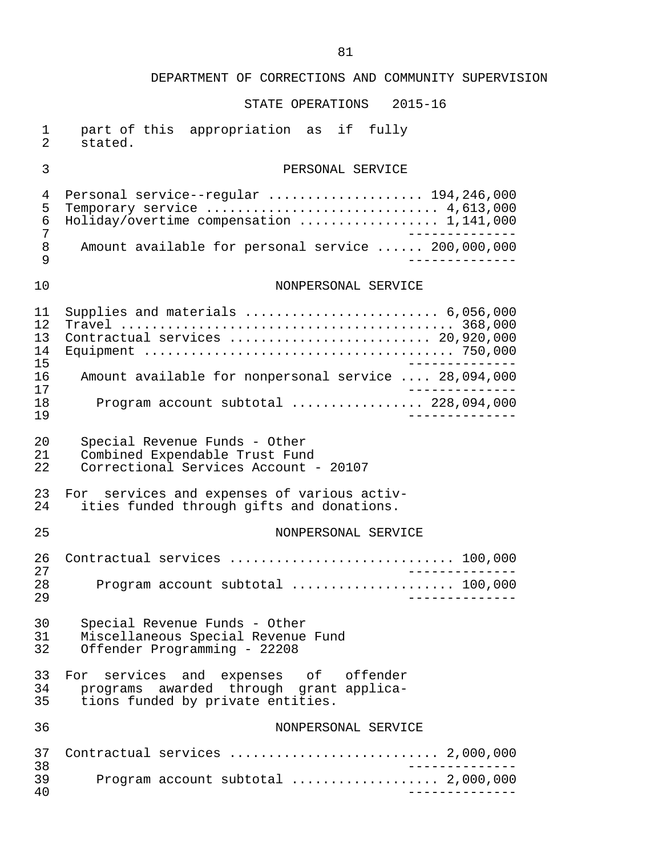| 1<br>$\overline{2}$                          | part of this appropriation as if fully<br>stated.                                                                                                                      |
|----------------------------------------------|------------------------------------------------------------------------------------------------------------------------------------------------------------------------|
| 3                                            | PERSONAL SERVICE                                                                                                                                                       |
| 4<br>5<br>6<br>7<br>8<br>9                   | Personal service--regular  194,246,000<br>Holiday/overtime compensation  1,141,000<br>Amount available for personal service  200,000,000                               |
| 10                                           | NONPERSONAL SERVICE                                                                                                                                                    |
| 11<br>12<br>13<br>14<br>15<br>16<br>17<br>18 | Supplies and materials  6,056,000<br>Contractual services  20,920,000<br>Amount available for nonpersonal service  28,094,000<br>Program account subtotal  228,094,000 |
| 19                                           |                                                                                                                                                                        |
| 20<br>21<br>22                               | Special Revenue Funds - Other<br>Combined Expendable Trust Fund<br>Correctional Services Account - 20107                                                               |
| 23<br>24                                     | For services and expenses of various activ-<br>ities funded through gifts and donations.                                                                               |
| 25                                           | NONPERSONAL SERVICE                                                                                                                                                    |
| 26<br>27<br>28<br>29                         | Contractual services  100,000<br>Program account subtotal  100,000                                                                                                     |
| 30<br>31<br>32                               | Special Revenue Funds - Other<br>Miscellaneous Special Revenue Fund<br>Offender Programming - 22208                                                                    |
| 33<br>34<br>35                               | For services and expenses of offender<br>programs awarded through grant applica-<br>tions funded by private entities.                                                  |
| 36                                           | NONPERSONAL SERVICE                                                                                                                                                    |
| 37<br>38                                     | Contractual services  2,000,000                                                                                                                                        |
| 39<br>40                                     | Program account subtotal  2,000,000                                                                                                                                    |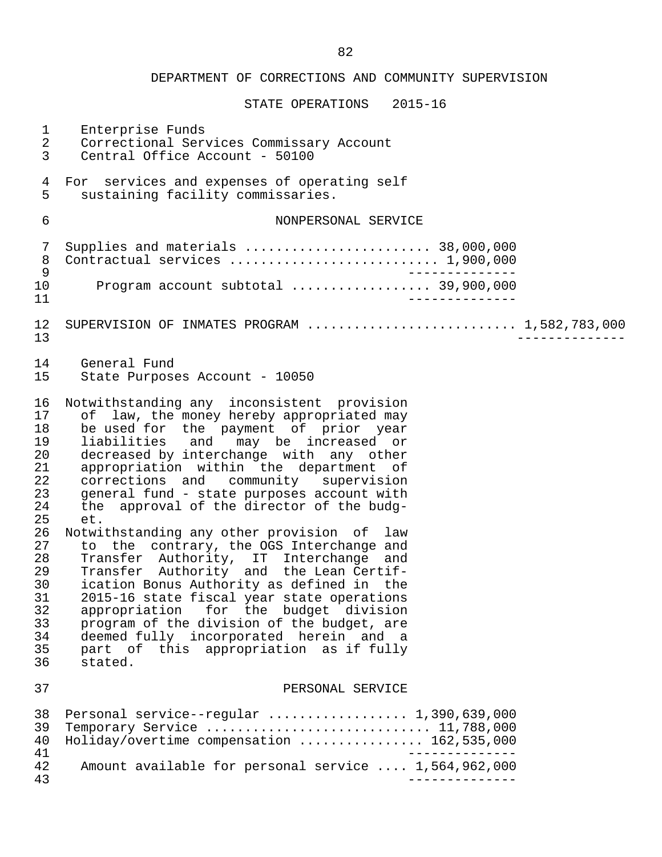|                                                                                                                            | DEPARTMENT OF CORRECTIONS AND COMMUNITY SUPERVISION                                                                                                                                                                                                                                                                                                                                                                                                                                                                                                                                                                                                                                                                                                                                                                                                                     |
|----------------------------------------------------------------------------------------------------------------------------|-------------------------------------------------------------------------------------------------------------------------------------------------------------------------------------------------------------------------------------------------------------------------------------------------------------------------------------------------------------------------------------------------------------------------------------------------------------------------------------------------------------------------------------------------------------------------------------------------------------------------------------------------------------------------------------------------------------------------------------------------------------------------------------------------------------------------------------------------------------------------|
|                                                                                                                            | STATE OPERATIONS 2015-16                                                                                                                                                                                                                                                                                                                                                                                                                                                                                                                                                                                                                                                                                                                                                                                                                                                |
| $\mathbf 1$<br>$\sqrt{2}$<br>3                                                                                             | Enterprise Funds<br>Correctional Services Commissary Account<br>Central Office Account - 50100                                                                                                                                                                                                                                                                                                                                                                                                                                                                                                                                                                                                                                                                                                                                                                          |
| $\overline{4}$<br>5                                                                                                        | For services and expenses of operating self<br>sustaining facility commissaries.                                                                                                                                                                                                                                                                                                                                                                                                                                                                                                                                                                                                                                                                                                                                                                                        |
| 6                                                                                                                          | NONPERSONAL SERVICE                                                                                                                                                                                                                                                                                                                                                                                                                                                                                                                                                                                                                                                                                                                                                                                                                                                     |
| 7<br>$\, 8$<br>$\mathsf 9$                                                                                                 | Supplies and materials  38,000,000<br>Contractual services  1,900,000                                                                                                                                                                                                                                                                                                                                                                                                                                                                                                                                                                                                                                                                                                                                                                                                   |
| 10<br>11                                                                                                                   | Program account subtotal  39,900,000                                                                                                                                                                                                                                                                                                                                                                                                                                                                                                                                                                                                                                                                                                                                                                                                                                    |
| 12<br>13                                                                                                                   | SUPERVISION OF INMATES PROGRAM  1,582,783,000                                                                                                                                                                                                                                                                                                                                                                                                                                                                                                                                                                                                                                                                                                                                                                                                                           |
| 14<br>15                                                                                                                   | General Fund<br>State Purposes Account - 10050                                                                                                                                                                                                                                                                                                                                                                                                                                                                                                                                                                                                                                                                                                                                                                                                                          |
| 16<br>17<br>18<br>19<br>20<br>21<br>22<br>23<br>24<br>25<br>26<br>27<br>28<br>29<br>30<br>31<br>32<br>33<br>34<br>35<br>36 | Notwithstanding any inconsistent provision<br>of law, the money hereby appropriated may<br>be used for the payment of prior year<br>liabilities and may be increased or<br>decreased by interchange with any other<br>appropriation within the department of<br>corrections and community supervision<br>general fund - state purposes account with<br>the approval of the director of the budg-<br>et.<br>Notwithstanding any other provision of law<br>to the contrary, the OGS Interchange and<br>Transfer Authority, IT Interchange and<br>Transfer Authority and the Lean Certif-<br>ication Bonus Authority as defined in the<br>2015-16 state fiscal year state operations<br>appropriation for the budget division<br>program of the division of the budget, are<br>deemed fully incorporated herein and a<br>part of this appropriation as if fully<br>stated. |
| 37                                                                                                                         | PERSONAL SERVICE                                                                                                                                                                                                                                                                                                                                                                                                                                                                                                                                                                                                                                                                                                                                                                                                                                                        |
| 38<br>39<br>40<br>41                                                                                                       | Personal service--regular  1,390,639,000<br>Temporary Service  11,788,000<br>Holiday/overtime compensation  162,535,000                                                                                                                                                                                                                                                                                                                                                                                                                                                                                                                                                                                                                                                                                                                                                 |
| 42<br>43                                                                                                                   | Amount available for personal service  1,564,962,000                                                                                                                                                                                                                                                                                                                                                                                                                                                                                                                                                                                                                                                                                                                                                                                                                    |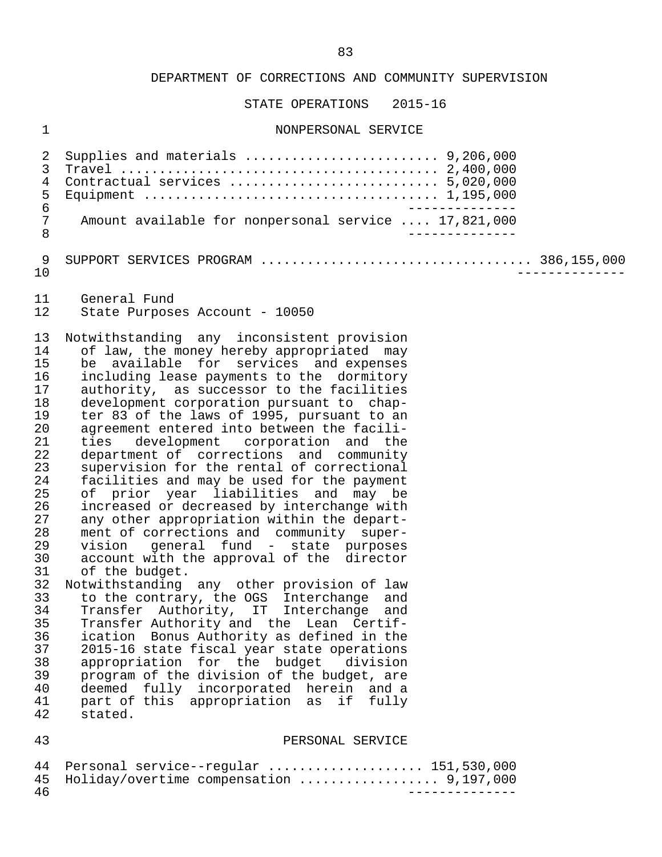STATE OPERATIONS 2015-16

#### 1 NONPERSONAL SERVICE

 2 Supplies and materials ......................... 9,206,000 3 Travel ......................................... 2,400,000 4 Contractual services ........................... 5,020,000 5 Equipment ...................................... 1,195,000 6<br>7 Amount available for nonpersonal service .... 17.821.000 7 Amount available for nonpersonal service .... 17,821,000<br>8 8 -------------- 9 SUPPORT SERVICES PROGRAM ................................... 386,155,000 10 -------------- 11 General Fund<br>12 State Purpose State Purposes Account - 10050 13 Notwithstanding any inconsistent provision<br>14 of law, the money hereby appropriated may 14 of law, the money hereby appropriated may<br>15 be available for services and expenses 15 be available for services and expenses<br>16 including lease-payments to the dormitory 16 including lease payments to the dormitory<br>17 authority, as successor to the facilities 17 authority, as successor to the facilities<br>18 development corporation pursuant to chap-18 development corporation pursuant to chap-<br>19 ter 83 of the laws of 1995, pursuant to an 19 ter 83 of the laws of 1995, pursuant to an<br>20 agreement entered into between the facili-20 agreement entered into between the facili-<br>21 ties development corporation and the 21 ties development corporation and the<br>22 department of corrections and community 22 department of corrections and community<br>23 supervision for the rental of correctional 23 supervision for the rental of correctional<br>24 facilities and may be used for the payment 24 facilities and may be used for the payment<br>25 of prior year liabilities and may be 25 of prior year liabilities and may be<br>26 increased or decreased by interchange with 26 increased or decreased by interchange with<br>27 any other appropriation within the depart-27 any other appropriation within the depart-<br>28 ment of corrections and community super-28 ment of corrections and community super-<br>29 vision general fund - state purposes 29 vision general fund - state purposes<br>30 account with the approval of the director 30 account with the approval of the director<br>31 of the budget. 31 of the budget.<br>32 Notwithstanding 32 Notwithstanding any other provision of law<br>33 to the contrary, the OGS Interchange and 33 to the contrary, the OGS Interchange and<br>34 Transfer Authority, IT Interchange and 34 Transfer Authority, IT Interchange and<br>35 Transfer\_Authority\_and\_the\_Lean\_Certif-35 Transfer Authority and the Lean Certif-<br>36 ication Bonus Authority as defined in the 36 ication Bonus Authority as defined in the 37 2015-16 state fiscal year state operations<br>38 appropriation for the budget division 38 appropriation for the budget division<br>39 program of the division of the budget, are 39 program of the division of the budget, are<br>40 deemed fully incorporated herein and a 40 deemed fully incorporated herein and a<br>41 part of this appropriation as if fully 41 part of this appropriation as if fully<br>42 stated. stated. 43 PERSONAL SERVICE

44 Personal service--regular ..................... 151,530,000<br>45 Holiday/overtime compensation .................... 9.197.000 45 Holiday/overtime compensation .................. 9,197,000 46 --------------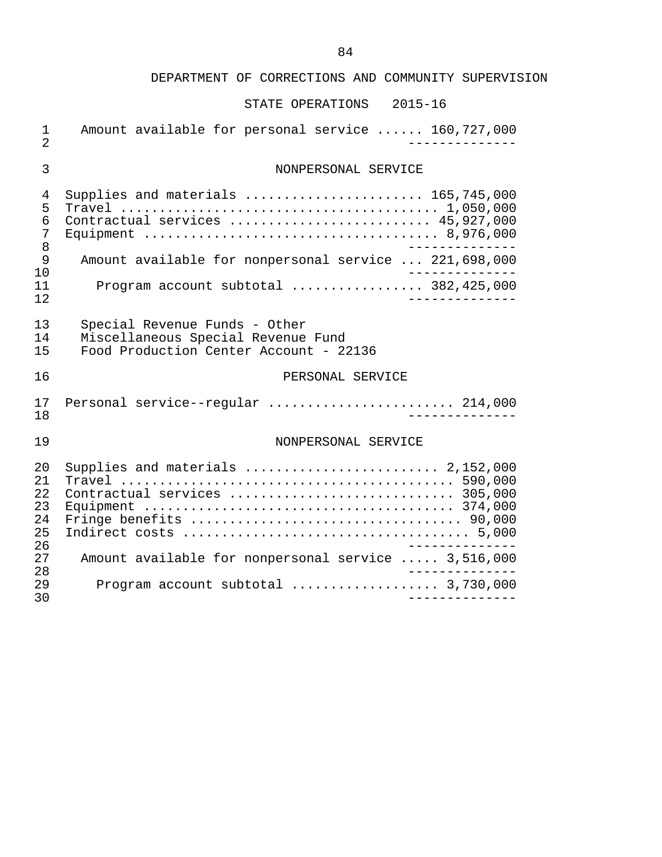| $\mathbf 1$<br>$\overline{2}$    | Amount available for personal service  160,727,000                                                                                                                          |
|----------------------------------|-----------------------------------------------------------------------------------------------------------------------------------------------------------------------------|
| $\mathfrak{Z}$                   | NONPERSONAL SERVICE                                                                                                                                                         |
| 4<br>5<br>6<br>7<br>8            | Supplies and materials  165,745,000<br>Contractual services  45,927,000                                                                                                     |
| 9<br>10                          | Amount available for nonpersonal service  221,698,000                                                                                                                       |
| 11<br>12                         | Program account subtotal $382,425,000$                                                                                                                                      |
| 13<br>14<br>15                   | Special Revenue Funds - Other<br>Miscellaneous Special Revenue Fund<br>Food Production Center Account - 22136                                                               |
|                                  |                                                                                                                                                                             |
| 16                               | PERSONAL SERVICE                                                                                                                                                            |
| 17<br>18                         | Personal service--regular  214,000<br>___________                                                                                                                           |
| 19                               | NONPERSONAL SERVICE                                                                                                                                                         |
| 20<br>21<br>22<br>23<br>24<br>25 | Supplies and materials  2,152,000<br>Contractual services  305,000<br>Fringe benefits $\ldots \ldots \ldots \ldots \ldots \ldots \ldots \ldots \ldots \ldots \ldots$ 90,000 |
| 26<br>27<br>28                   | Amount available for nonpersonal service  3,516,000                                                                                                                         |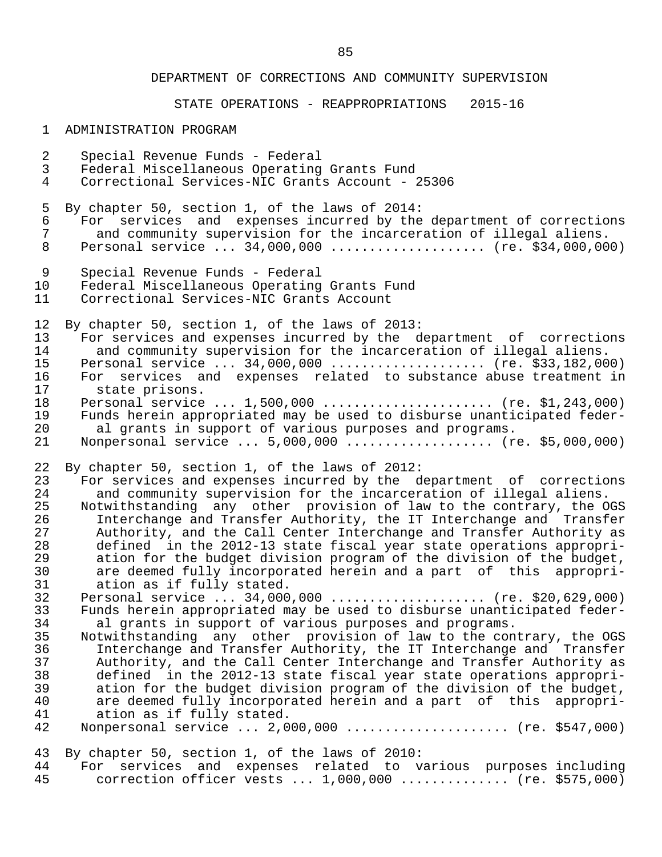STATE OPERATIONS - REAPPROPRIATIONS 2015-16

| $\mathbf{1}$   | ADMINISTRATION PROGRAM                                                 |
|----------------|------------------------------------------------------------------------|
| $\overline{2}$ | Special Revenue Funds - Federal                                        |
| 3              | Federal Miscellaneous Operating Grants Fund                            |
| $\overline{4}$ | Correctional Services-NIC Grants Account - 25306                       |
| 5              | By chapter 50, section 1, of the laws of 2014:                         |
| 6              | For services and expenses incurred by the department of corrections    |
| 7              | and community supervision for the incarceration of illegal aliens.     |
| 8              | Personal service  34,000,000  (re. \$34,000,000)                       |
| $\overline{9}$ | Special Revenue Funds - Federal                                        |
| 10             | Federal Miscellaneous Operating Grants Fund                            |
| 11             | Correctional Services-NIC Grants Account                               |
| 12             | By chapter 50, section 1, of the laws of 2013:                         |
| 13             | For services and expenses incurred by the department of corrections    |
| 14             | and community supervision for the incarceration of illegal aliens.     |
| 15             | Personal service  34,000,000  (re. \$33,182,000)                       |
| 16             | For services and expenses related to substance abuse treatment in      |
| 17             | state prisons.                                                         |
| 18             | Personal service  1,500,000  (re. \$1,243,000)                         |
| 19             | Funds herein appropriated may be used to disburse unanticipated feder- |
| 20             | al grants in support of various purposes and programs.                 |
| 21             | Nonpersonal service  5,000,000  (re. \$5,000,000)                      |
| 22             | By chapter 50, section 1, of the laws of 2012:                         |
| 23             | For services and expenses incurred by the department of corrections    |
| 24             | and community supervision for the incarceration of illegal aliens.     |
| 25             | Notwithstanding any other provision of law to the contrary, the OGS    |
| 26             | Interchange and Transfer Authority, the IT Interchange and Transfer    |
| 27             | Authority, and the Call Center Interchange and Transfer Authority as   |
| 28             | defined in the 2012-13 state fiscal year state operations appropri-    |
| 29             | ation for the budget division program of the division of the budget,   |
| 30             | are deemed fully incorporated herein and a part of this appropri-      |
| 31             | ation as if fully stated.                                              |
| 32             | Personal service  34,000,000  (re. \$20,629,000)                       |
| 33             | Funds herein appropriated may be used to disburse unanticipated feder- |

- 33 Funds herein appropriated may be used to disburse unanticipated feder-<br>34 al grants in support of various purposes and programs. 34 al grants in support of various purposes and programs.<br>35 Notwithstanding any other provision of law to the con 35 Notwithstanding any other provision of law to the contrary, the OGS<br>36 11 Interchange and Transfer Authority, the IT Interchange and Transfer 36 Interchange and Transfer Authority, the IT Interchange and Transfer<br>37 Authority, and the Call Center Interchange and Transfer Authority as 37 Authority, and the Call Center Interchange and Transfer Authority as<br>38 defined in the 2012-13 state fiscal vear state operations appropridefined in the 2012-13 state fiscal year state operations appropri-
- 39 ation for the budget division program of the division of the budget,<br>40 are deemed fully incorporated herein and a part of this appropri-40 are deemed fully incorporated herein and a part of this appropri-<br>41 ation as if fully stated. 41 ation as if fully stated.<br>42 Nonpersonal service ... 2,0 Monpersonal service ... 2,000,000 ...................... (re. \$547,000)

43 By chapter 50, section 1, of the laws of 2010:<br>44 For services and expenses related to y 44 For services and expenses related to various purposes including correction officer vests ... 1,000,000 .............. (re. \$575,000)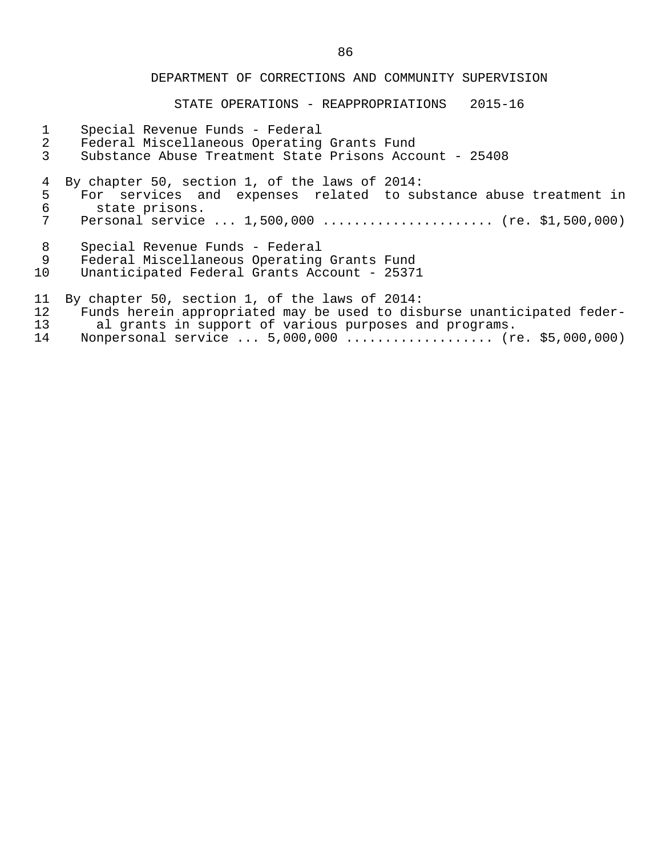STATE OPERATIONS - REAPPROPRIATIONS 2015-16

- 1 Special Revenue Funds Federal
- 
- 2 Federal Miscellaneous Operating Grants Fund<br>3 Substance Abuse Treatment State Prisons Acco 3 Substance Abuse Treatment State Prisons Account - 25408

4 By chapter 50, section 1, of the laws of 2014:<br>5 For services and expenses related to su

- 5 For services and expenses related to substance abuse treatment in<br>6 state prisons. 6 state prisons.<br>7 Personal service
- Personal service ... 1,500,000 ...................... (re. \$1,500,000)
- 8 Special Revenue Funds Federal

9 Federal Miscellaneous Operating Grants Fund<br>10 Unanticipated Federal Grants Account - 25371

Unanticipated Federal Grants Account - 25371

- 11 By chapter 50, section 1, of the laws of 2014:<br>12 Funds herein appropriated may be used to disl
- 12 Funds herein appropriated may be used to disburse unanticipated feder-<br>13 al grants in support of various purposes and programs. 13 al grants in support of various purposes and programs.
- 14 Nonpersonal service ... 5,000,000 ................... (re. \$5,000,000)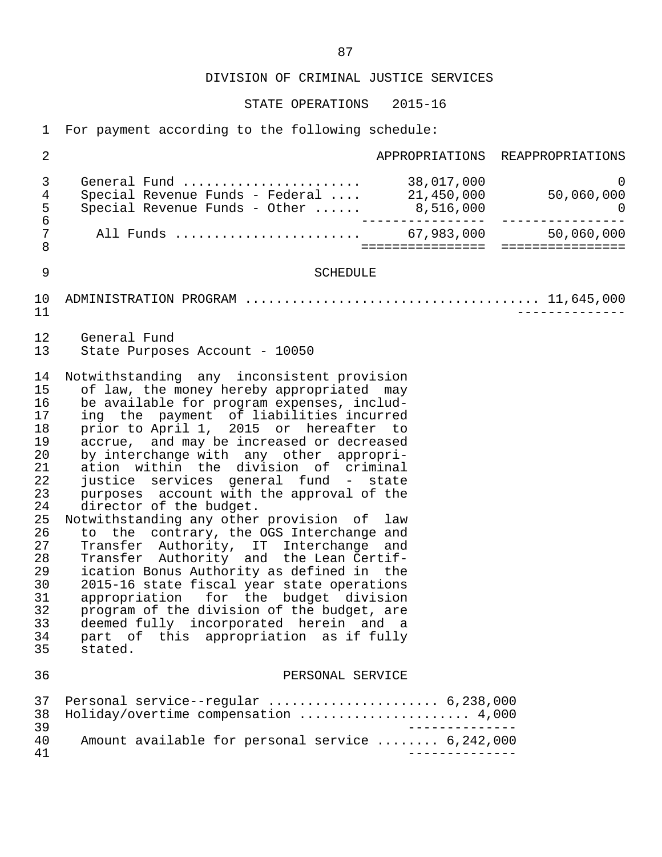STATE OPERATIONS 2015-16

1 For payment according to the following schedule:

| $\overline{2}$                                                                                                                   |                                                                                                                                                                                                                                                                                                                                                                                                                                                                                                                                                                                                                                                                                                                                                                                                                                                                                                                                              | APPROPRIATIONS REAPPROPRIATIONS |
|----------------------------------------------------------------------------------------------------------------------------------|----------------------------------------------------------------------------------------------------------------------------------------------------------------------------------------------------------------------------------------------------------------------------------------------------------------------------------------------------------------------------------------------------------------------------------------------------------------------------------------------------------------------------------------------------------------------------------------------------------------------------------------------------------------------------------------------------------------------------------------------------------------------------------------------------------------------------------------------------------------------------------------------------------------------------------------------|---------------------------------|
| $\mathfrak{Z}$<br>4<br>5<br>$\epsilon$                                                                                           |                                                                                                                                                                                                                                                                                                                                                                                                                                                                                                                                                                                                                                                                                                                                                                                                                                                                                                                                              |                                 |
| 7<br>$\,8\,$                                                                                                                     | All Funds  67,983,000                                                                                                                                                                                                                                                                                                                                                                                                                                                                                                                                                                                                                                                                                                                                                                                                                                                                                                                        | 50,060,000                      |
| 9                                                                                                                                | <b>SCHEDULE</b>                                                                                                                                                                                                                                                                                                                                                                                                                                                                                                                                                                                                                                                                                                                                                                                                                                                                                                                              |                                 |
| 10<br>11                                                                                                                         |                                                                                                                                                                                                                                                                                                                                                                                                                                                                                                                                                                                                                                                                                                                                                                                                                                                                                                                                              |                                 |
| 12<br>13                                                                                                                         | General Fund<br>State Purposes Account - 10050                                                                                                                                                                                                                                                                                                                                                                                                                                                                                                                                                                                                                                                                                                                                                                                                                                                                                               |                                 |
| 14<br>15<br>16<br>17<br>18<br>19<br>20<br>21<br>22<br>23<br>24<br>25<br>26<br>27<br>28<br>29<br>30<br>31<br>32<br>33<br>34<br>35 | Notwithstanding any inconsistent provision<br>of law, the money hereby appropriated may<br>be available for program expenses, includ-<br>ing the payment of liabilities incurred<br>prior to April 1, 2015 or hereafter to<br>accrue, and may be increased or decreased<br>by interchange with any other appropri-<br>ation within the division of criminal<br>justice services general fund - state<br>purposes account with the approval of the<br>director of the budget.<br>Notwithstanding any other provision of law<br>to the contrary, the OGS Interchange and<br>Transfer Authority, IT Interchange and<br>Transfer Authority and the Lean Certif-<br>ication Bonus Authority as defined in the<br>2015-16 state fiscal year state operations<br>appropriation for the budget division<br>program of the division of the budget, are<br>deemed fully incorporated herein and a<br>part of this appropriation as if fully<br>stated. |                                 |
| 36                                                                                                                               | PERSONAL SERVICE                                                                                                                                                                                                                                                                                                                                                                                                                                                                                                                                                                                                                                                                                                                                                                                                                                                                                                                             |                                 |
| 37<br>38<br>39<br>40                                                                                                             | Personal service--regular  6,238,000<br>Holiday/overtime compensation  4,000<br>Amount available for personal service  6,242,000                                                                                                                                                                                                                                                                                                                                                                                                                                                                                                                                                                                                                                                                                                                                                                                                             |                                 |
| 41                                                                                                                               |                                                                                                                                                                                                                                                                                                                                                                                                                                                                                                                                                                                                                                                                                                                                                                                                                                                                                                                                              |                                 |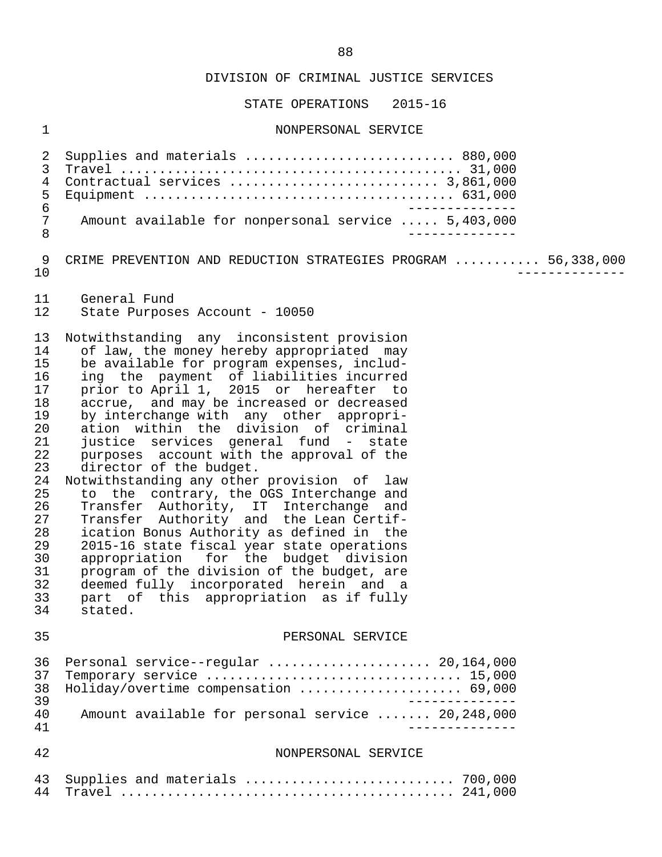STATE OPERATIONS 2015-16

#### 1 NONPERSONAL SERVICE

 2 Supplies and materials ........................... 880,000 3 Travel ............................................ 31,000 4 Contractual services ........................... 3,861,000 5 Equipment ........................................ 631,000 6<br>7 Amount available for nonpersonal service ..... 5.403.000 7 Amount available for nonpersonal service ..... 5,403,000<br>8 8 -------------- 9 CRIME PREVENTION AND REDUCTION STRATEGIES PROGRAM ........... 56,338,000<br>-------------- 10 -------------- 11 General Fund<br>12 State Purpose State Purposes Account - 10050 13 Notwithstanding any inconsistent provision<br>14 of law, the money hereby appropriated may 14 of law, the money hereby appropriated may<br>15 be available for program expenses, includ-15 be available for program expenses, includ-<br>16 ing the payment of liabilities incurred 16 ing the payment of liabilities incurred<br>17 prior to April 1, 2015 or hereafter to prior to April 1, 2015 or hereafter to 18 accrue, and may be increased or decreased<br>19 by interchange with any other appropri- 19 by interchange with any other appropri- 20 ation within the division of criminal 21 justice services general fund - state<br>22 purposes account with the approval of the 22 purposes account with the approval of the<br>23 director of the budget. 23 director of the budget.<br>24 Notwithstanding any other 24 Notwithstanding any other provision of law<br>25 to the contrary, the OGS Interchange and 25 to the contrary, the OGS Interchange and<br>26 Transfer Authority, IT Interchange and 26 Transfer Authority, IT Interchange and 27 Transfer Authority and the Lean Certif- 28 ication Bonus Authority as defined in the<br>29 2015-16 state fiscal vear state operations 29 2015-16 state fiscal year state operations<br>30 appropriation for the budget division 30 appropriation for the budget division<br>31 program of the division of the budget, are 31 program of the division of the budget, are<br>32 deemed fully incorporated herein and a 32 deemed fully incorporated herein and a 33 part of this appropriation as if fully stated. 35 PERSONAL SERVICE 36 Personal service--regular ........................ 20,164,000<br>37 Temporary service ................................. 15,000 37 Temporary service ................................. 15,000 38 Holiday/overtime compensation ..................... 69,000 39 -------------- 40 Amount available for personal service ....... 20,248,000<br>41 ------------- 41 -------------- 42 NONPERSONAL SERVICE 43 Supplies and materials ........................... 700,000 44 Travel ........................................... 241,000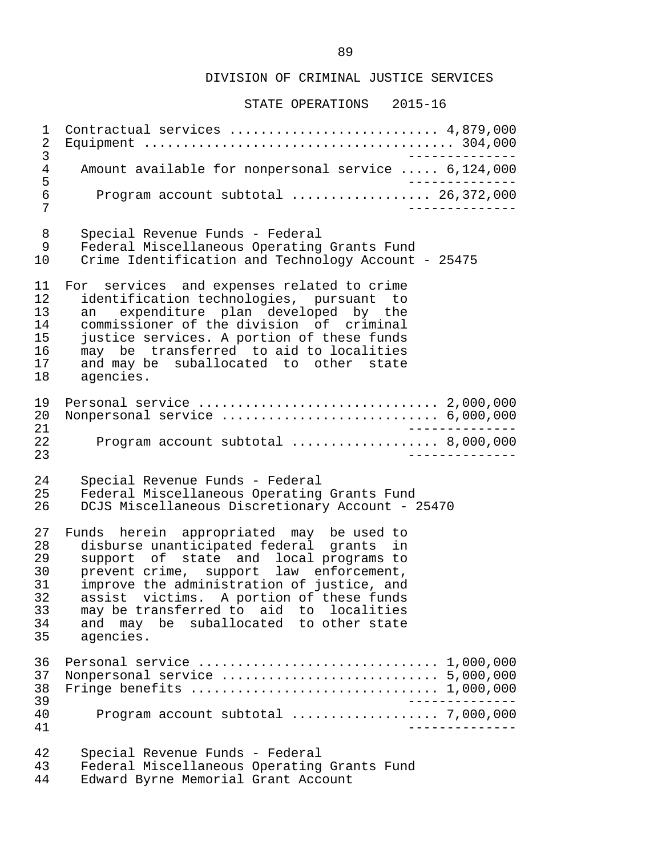STATE OPERATIONS 2015-16

 1 Contractual services ........................... 4,879,000 2 Equipment ........................................ 304,000 3<br>Amount available for nonpersonal service ..... 6.124.000 4 Amount available for nonpersonal service ..... 6,124,000<br>5 5<br>6 Program account subtotal .................... 26.372.000 6 Program account subtotal .................. 26,372,000 7 -------------- 8 Special Revenue Funds - Federal 9 Federal Miscellaneous Operating Grants Fund<br>10 Crime Identification and Technology Account 10 Crime Identification and Technology Account - 25475 11 For services and expenses related to crime<br>12 identification technologies, pursuant to 12 identification technologies, pursuant to<br>13 an expenditure plan developed by the 13 an expenditure plan developed by the<br>14 commissioner of the division of criminal 14 commissioner of the division of criminal<br>15 iustice services. A portion of these funds 15 justice services. A portion of these funds 16 may be transferred to aid to localities<br>17 and may be suballocated to other state 17 and may be suballocated to other state<br>18 agencies. agencies. 19 Personal service ............................... 2,000,000 20 Nonpersonal service ............................ 6,000,000 21 -------------- 22 Program account subtotal ................... 8,000,000 23 -------------- 24 Special Revenue Funds - Federal 25 Federal Miscellaneous Operating Grants Fund<br>26 DCJS Miscellaneous Discretionary Account - 2 26 DCJS Miscellaneous Discretionary Account - 25470 27 Funds herein appropriated may be used to<br>28 disburse unanticipated federal grants in 28 disburse unanticipated federal grants in<br>29 support of state and local programs to 29 support of state and local programs to 30 prevent crime, support law enforcement, 31 improve the administration of justice, and<br>32 assist victims. A portion of these funds 32 assist victims. A portion of these funds<br>33 may be transferred to aid to localities 33 may be transferred to aid to localities 34 and may be suballocated to other state 35 agencies. 36 Personal service ............................... 1,000,000 37 Nonpersonal service ............................ 5,000,000 38 Fringe benefits ................................ 1,000,000 39 -------------- 40 Program account subtotal ................... 7,000,000 41 -------------- 42 Special Revenue Funds - Federal 43 Federal Miscellaneous Operating Grants Fund<br>44 Edward Byrne Memorial Grant Account Edward Byrne Memorial Grant Account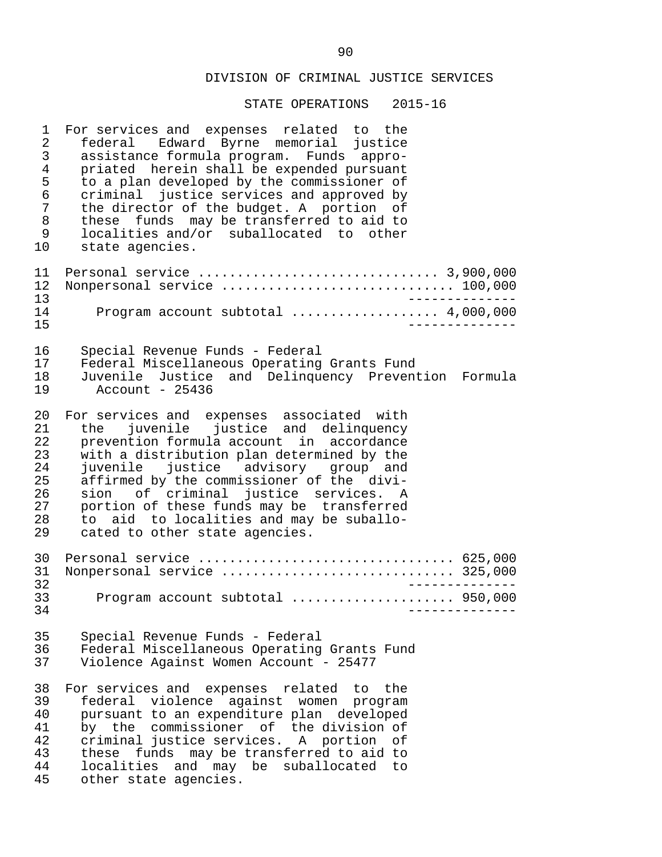| $\mathbf 1$                                              | For services and expenses related to the                                                                                                                                                                                                                                                                                                                                                                                              |
|----------------------------------------------------------|---------------------------------------------------------------------------------------------------------------------------------------------------------------------------------------------------------------------------------------------------------------------------------------------------------------------------------------------------------------------------------------------------------------------------------------|
| $\overline{2}$                                           | federal Edward Byrne memorial justice                                                                                                                                                                                                                                                                                                                                                                                                 |
| $\mathsf{3}$                                             | assistance formula program. Funds appro-                                                                                                                                                                                                                                                                                                                                                                                              |
| $\overline{4}$                                           | priated herein shall be expended pursuant                                                                                                                                                                                                                                                                                                                                                                                             |
| 5                                                        | to a plan developed by the commissioner of                                                                                                                                                                                                                                                                                                                                                                                            |
| $\epsilon$                                               | criminal justice services and approved by                                                                                                                                                                                                                                                                                                                                                                                             |
| $\overline{7}$                                           | the director of the budget. A portion of                                                                                                                                                                                                                                                                                                                                                                                              |
| $\, 8$                                                   | these funds may be transferred to aid to                                                                                                                                                                                                                                                                                                                                                                                              |
| 9                                                        | localities and/or suballocated to other                                                                                                                                                                                                                                                                                                                                                                                               |
| 10                                                       | state agencies.                                                                                                                                                                                                                                                                                                                                                                                                                       |
| 11<br>12<br>13                                           | ____________.                                                                                                                                                                                                                                                                                                                                                                                                                         |
| 14                                                       | Program account subtotal  4,000,000                                                                                                                                                                                                                                                                                                                                                                                                   |
| 15                                                       | - - - - - - - -                                                                                                                                                                                                                                                                                                                                                                                                                       |
| 16                                                       | Special Revenue Funds - Federal                                                                                                                                                                                                                                                                                                                                                                                                       |
| 17                                                       | Federal Miscellaneous Operating Grants Fund                                                                                                                                                                                                                                                                                                                                                                                           |
| 18                                                       | Juvenile Justice and Delinquency Prevention Formula                                                                                                                                                                                                                                                                                                                                                                                   |
| 19                                                       | Account - 25436                                                                                                                                                                                                                                                                                                                                                                                                                       |
| 20<br>21<br>22<br>23<br>24<br>25<br>26<br>27<br>28<br>29 | For services and expenses associated with<br>juvenile justice and delinquency<br>the<br>prevention formula account in accordance<br>with a distribution plan determined by the<br>juvenile justice advisory group and<br>affirmed by the commissioner of the divi-<br>sion of criminal justice services. A<br>portion of these funds may be transferred<br>to aid to localities and may be suballo-<br>cated to other state agencies. |
| 30<br>31<br>32                                           | Personal service  625,000<br>Nonpersonal service  325,000                                                                                                                                                                                                                                                                                                                                                                             |
| 33<br>34                                                 | Program account subtotal  950,000                                                                                                                                                                                                                                                                                                                                                                                                     |
| 35                                                       | Special Revenue Funds - Federal                                                                                                                                                                                                                                                                                                                                                                                                       |
| 36                                                       | Federal Miscellaneous Operating Grants Fund                                                                                                                                                                                                                                                                                                                                                                                           |
| 37                                                       | Violence Against Women Account - 25477                                                                                                                                                                                                                                                                                                                                                                                                |
| 38                                                       | For services and expenses related to the                                                                                                                                                                                                                                                                                                                                                                                              |
| 39                                                       | federal violence against women program                                                                                                                                                                                                                                                                                                                                                                                                |
| 40                                                       | pursuant to an expenditure plan developed                                                                                                                                                                                                                                                                                                                                                                                             |
| 41                                                       | by the commissioner of the division of                                                                                                                                                                                                                                                                                                                                                                                                |
| 42                                                       | criminal justice services. A portion of                                                                                                                                                                                                                                                                                                                                                                                               |
| 43                                                       | these funds may be transferred to aid to                                                                                                                                                                                                                                                                                                                                                                                              |
| 44                                                       | localities and may be suballocated to                                                                                                                                                                                                                                                                                                                                                                                                 |
| 45                                                       | other state agencies.                                                                                                                                                                                                                                                                                                                                                                                                                 |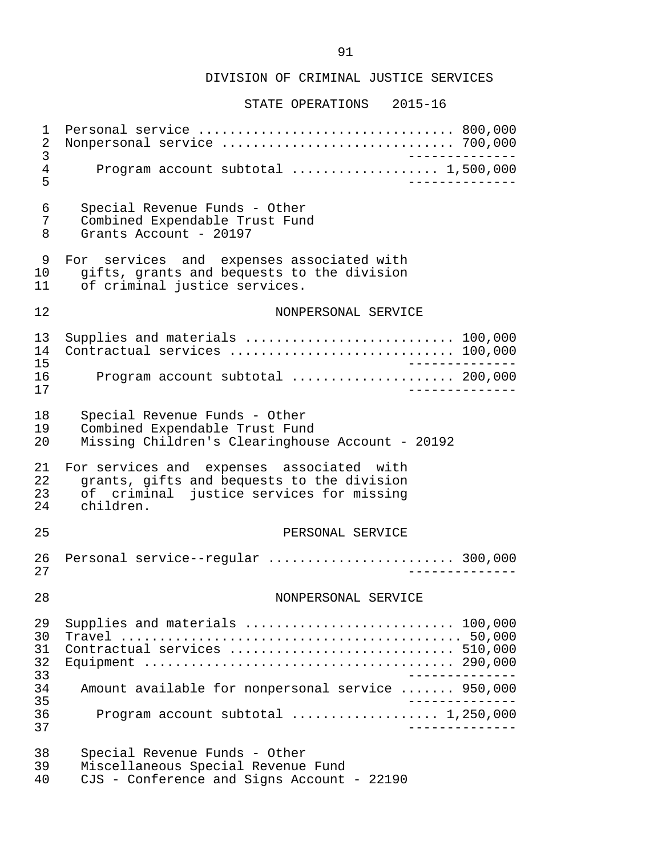| 1<br>2<br>$\mathsf{3}$                 | Personal service  800,000<br>Nonpersonal service  700,000                                                                                        |  |
|----------------------------------------|--------------------------------------------------------------------------------------------------------------------------------------------------|--|
| $\overline{4}$<br>5                    | Program account subtotal  1,500,000                                                                                                              |  |
| 6<br>7<br>8                            | Special Revenue Funds - Other<br>Combined Expendable Trust Fund<br>Grants Account - 20197                                                        |  |
| 9<br>10<br>11                          | For services and expenses associated with<br>gifts, grants and bequests to the division<br>of criminal justice services.                         |  |
| 12                                     | NONPERSONAL SERVICE                                                                                                                              |  |
| 13<br>14<br>15                         | Supplies and materials  100,000<br>Contractual services  100,000                                                                                 |  |
| 16<br>17                               | Program account subtotal  200,000                                                                                                                |  |
| 18<br>19<br>20                         | Special Revenue Funds - Other<br>Combined Expendable Trust Fund<br>Missing Children's Clearinghouse Account - 20192                              |  |
| 21<br>22<br>23<br>24                   | For services and expenses associated with<br>grants, gifts and bequests to the division<br>of criminal justice services for missing<br>children. |  |
| 25                                     | PERSONAL SERVICE                                                                                                                                 |  |
| 26<br>27                               | Personal service--regular  300,000                                                                                                               |  |
| 28                                     | NONPERSONAL SERVICE                                                                                                                              |  |
| 29<br>30<br>31<br>32<br>33<br>34<br>35 | Supplies and materials  100,000<br>Contractual services  510,000<br>Amount available for nonpersonal service  950,000                            |  |
| 36<br>37                               | Program account subtotal $\ldots$ 1,250,000                                                                                                      |  |
| 38<br>39<br>40                         | Special Revenue Funds - Other<br>Miscellaneous Special Revenue Fund<br>CJS - Conference and Signs Account - 22190                                |  |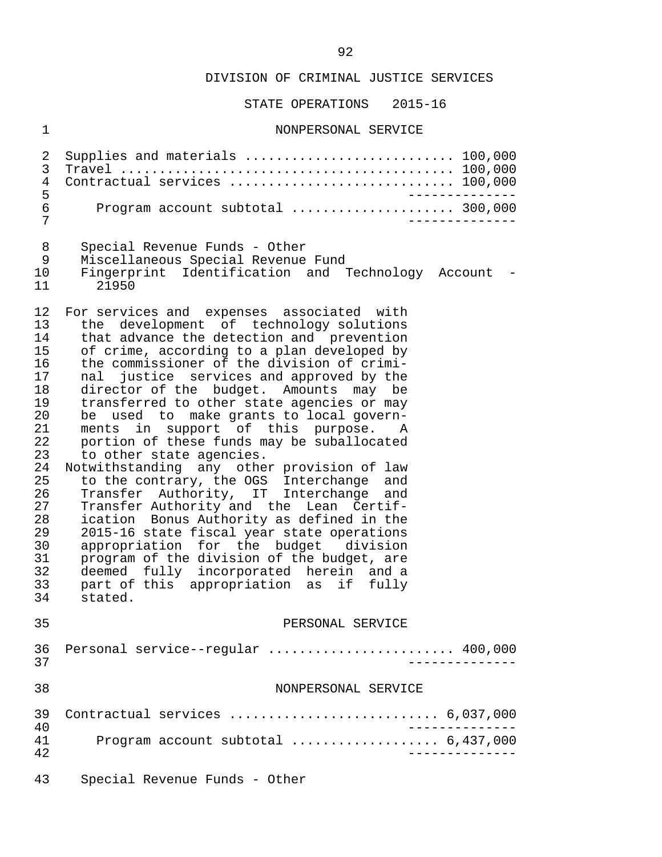STATE OPERATIONS 2015-16

#### 1 NONPERSONAL SERVICE

 2 Supplies and materials ........................... 100,000 3 Travel ........................................... 100,000 4 Contractual services ............................. 100,000 5 -------------- 6 Program account subtotal ..................... 300,000 7 -------------- 8 Special Revenue Funds - Other 9 Miscellaneous Special Revenue Fund 10 Fingerprint Identification and Technology Account - 21950 12 For services and expenses associated with<br>13 the development of technology solutions 13 the development of technology solutions<br>14 that advance the detection and prevention 14 that advance the detection and prevention<br>15 of crime, according to a plan developed by 15 of crime, according to a plan developed by<br>16 the commissioner of the division of crimi-16 the commissioner of the division of crimi-<br>17 and justice services and approved by the 17 nal justice services and approved by the<br>18 director of the budget. Amounts may be 18 director of the budget. Amounts may be<br>19 transferred to other state agencies or may 19 transferred to other state agencies or may<br>20 be used to make grants to local govern-20 be used to make grants to local govern-<br>21 ments in support of this purpose. A 21 ments in support of this purpose. A<br>22 portion of these funds may be suballocated 22 portion of these funds may be suballocated<br>23 to other state agencies. 23 to other state agencies.<br>24 Notwithstanding any other 24 Notwithstanding any other provision of law<br>25 to the contrary, the OGS Interchange and 25 to the contrary, the OGS Interchange and<br>26 Transfer Authority, IT Interchange and 26 Transfer Authority, IT Interchange and<br>27 Transfer-Authority-and the Lean Certif-27 Transfer Authority and the Lean Certif-<br>28 ication Bonus Authority as defined in the 28 ication Bonus Authority as defined in the<br>29 2015-16 state fiscal year state operations 29 2015-16 state fiscal year state operations<br>30 appropriation for the budget division 30 appropriation for the budget division 31 program of the division of the budget, are 32 deemed fully incorporated herein and a<br>33 part of this appropriation as if fully 33 part of this appropriation as if fully stated. 35 PERSONAL SERVICE 36 Personal service--regular ............................ 400,000<br>37 37 -------------- 38 NONPERSONAL SERVICE 39 Contractual services ........................... 6,037,000 40<br>41 Program account subtotal expressions of the 437,000 41 Program account subtotal ................... 6,437,000 42 -------------- 43 Special Revenue Funds - Other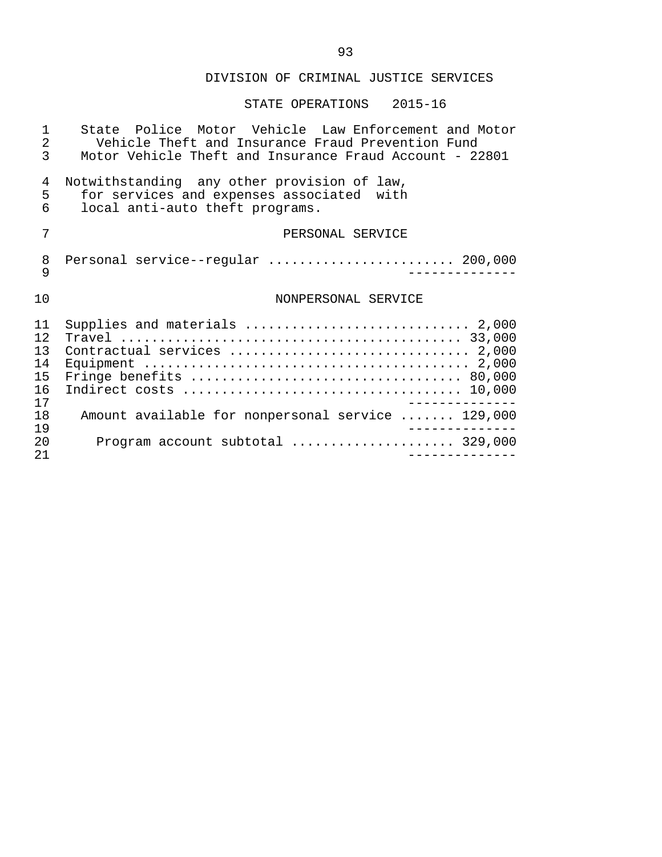#### STATE OPERATIONS 2015-16

1 State Police Motor Vehicle Law Enforcement and Motor<br>2 Vehicle Theft and Insurance Fraud Prevention Fund 2 Vehicle Theft and Insurance Fraud Prevention Fund<br>3 Motor Vehicle Theft and Insurance Fraud Account - 22 Motor Vehicle Theft and Insurance Fraud Account - 22801 4 Notwithstanding any other provision of law,<br>5 for services and expenses associated with 5 for services and expenses associated with<br>6 local anti-auto theft programs. local anti-auto theft programs. 7 PERSONAL SERVICE 8 Personal service--regular ............................. 200,000<br>9 9 -------------- 10 NONPERSONAL SERVICE 11 Supplies and materials ............................. 2,000 12 Travel ............................................ 33,000 13 Contractual services ............................... 2,000 14 Equipment .......................................... 2,000 15 Fringe benefits ................................... 80,000 16 Indirect costs .................................... 10,000 -------------<br>18 Amount available for nonpersonal service ....... 129,000 18 Amount available for nonpersonal service ....... 129,000<br>19 19 -------------- 20 Program account subtotal ..................... 329,000 21 --------------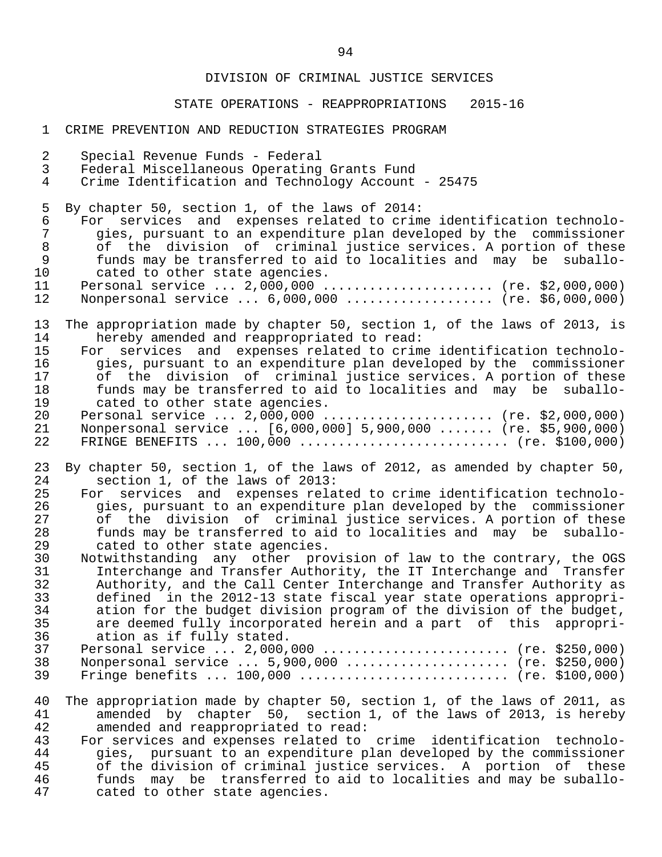#### STATE OPERATIONS - REAPPROPRIATIONS 2015-16

#### 1 CRIME PREVENTION AND REDUCTION STRATEGIES PROGRAM

- 2 Special Revenue Funds Federal<br>3 Federal Miscellaneous Operating
- 3 Federal Miscellaneous Operating Grants Fund
- Crime Identification and Technology Account 25475

5 By chapter 50, section 1, of the laws of 2014:<br>6 For services and expenses related to crim

6 For services and expenses related to crime identification technolo-<br>7 aies, pursuant to an expenditure plan developed by the commissioner 7 gies, pursuant to an expenditure plan developed by the commissioner 8 of the division of criminal justice services. A portion of these<br>9 funds may be transferred to aid to localities and may be suballo-9 funds may be transferred to aid to localities and may be suballo-<br>10 cated to other state agencies. 10 cated to other state agencies.<br>11 Personal service ... 2.000.000.

- 11 Personal service ... 2,000,000 ...................... (re. \$2,000,000)<br>12 Nonpersonal service ... 6,000,000 ................... (re. \$6,000,000) Nonpersonal service ... 6,000,000 ................... (re. \$6,000,000)
- 13 The appropriation made by chapter 50, section 1, of the laws of 2013, is<br>14 Thereby amended and reappropriated to read: 14 hereby amended and reappropriated to read:<br>15 For services and expenses related to crim
- 15 For services and expenses related to crime identification technolo-<br>16 9 gies, pursuant to an expenditure plan developed by the commissioner 16 gies, pursuant to an expenditure plan developed by the commissioner<br>17 of the division of criminal justice services. A portion of these 17 of the division of criminal justice services. A portion of these<br>18 funds may be transferred to aid to localities and may be suballo-18 funds may be transferred to aid to localities and may be suballo-<br>19 cated to other state agencies. 19 cated to other state agencies.<br>20 Personal service ... 2,000,000.
- 20 Personal service ... 2,000,000 ........................ (re. \$2,000,000)<br>21 Nonpersonal service ... [6,000,000] 5,900,000 ....... (re. \$5,900,000) 21 Nonpersonal service ... [6,000,000] 5,900,000 ....... (re. \$5,900,000) FRINGE BENEFITS  $\ldots$  100,000  $\ldots$ ............................ (re. \$100,000)
- 23 By chapter 50, section 1, of the laws of 2012, as amended by chapter 50, 24 section 1, of the laws of 2013: 24 section 1, of the laws of 2013:<br>25 For services and expenses rela
- 25 For services and expenses related to crime identification technolo-<br>26 9 gies, pursuant to an expenditure plan developed by the commissioner 26 gies, pursuant to an expenditure plan developed by the commissioner<br>27 of the division of criminal justice services. A portion of these 27 of the division of criminal justice services. A portion of these<br>28 funds may be transferred to aid to localities and may be suballo- 28 funds may be transferred to aid to localities and may be suballo- 29 cated to other state agencies.<br>30 Notwithstanding any other pro
- 30 Notwithstanding any other provision of law to the contrary, the OGS 31 Interchange and Transfer Authority, the IT Interchange and Transfer<br>32 Authority, and the Call Center Interchange and Transfer Authority as 32 Authority, and the Call Center Interchange and Transfer Authority as<br>33 defined in the 2012-13 state fiscal vear state operations appropri- 33 defined in the 2012-13 state fiscal year state operations appropri- 34 ation for the budget division program of the division of the budget,<br>35 are deemed fully incorporated herein and a part of this appropri-35 are deemed fully incorporated herein and a part of this appropri-<br>36 ation as if fully stated. ation as if fully stated.

|  | 38 Nonpersonal service  5,900,000  (re. \$250,000) |  |
|--|----------------------------------------------------|--|
|  |                                                    |  |

- 40 The appropriation made by chapter 50, section 1, of the laws of 2011, as<br>41 amended by chapter 50, section 1, of the laws of 2013, is hereby 41 amended by chapter  $\overline{50}$ , section 1, of the laws of 2013, is hereby<br>42 amended and reappropriated to read: 42 amended and reappropriated to read:<br>43 For services and expenses related to
- 43 For services and expenses related to crime identification technolo-<br>44 Gies, pursuant to an expenditure plan developed by the commissioner 44 gies, pursuant to an expenditure plan developed by the commissioner<br>45 of the division of criminal justice services. A portion of these 45 of the division of criminal justice services. A portion of these<br>46 funds may be transferred to aid to localities and may be suballo-46 funds may be transferred to aid to localities and may be suballo-<br>47 cated to other state agencies. cated to other state agencies.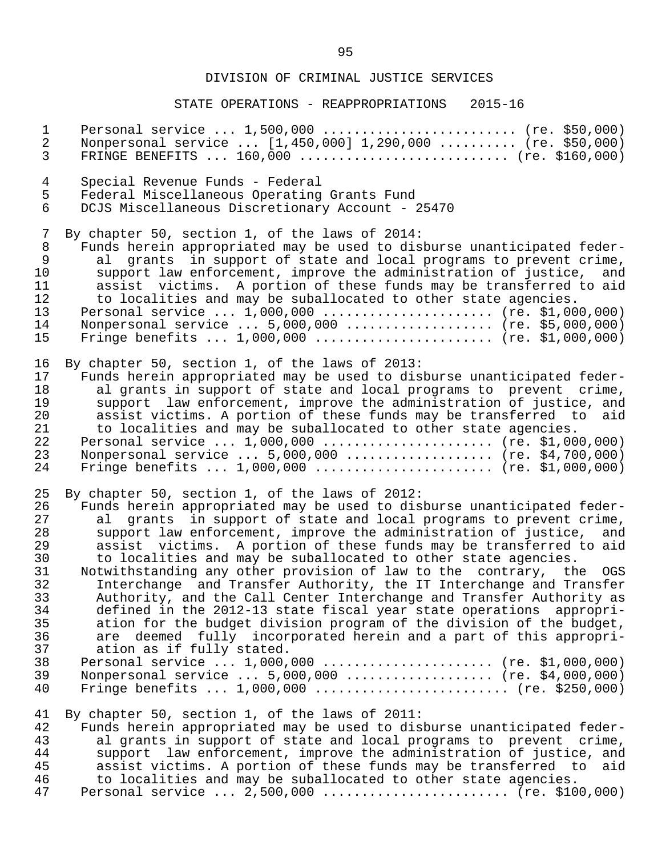| $\mathbf 1$                            | Personal service  1,500,000  (re. \$50,000)                                                                                                                                                                                                                                                                                                                                                                                                                      |
|----------------------------------------|------------------------------------------------------------------------------------------------------------------------------------------------------------------------------------------------------------------------------------------------------------------------------------------------------------------------------------------------------------------------------------------------------------------------------------------------------------------|
| $\overline{2}$                         | Nonpersonal service  [1,450,000] 1,290,000  (re. \$50,000)                                                                                                                                                                                                                                                                                                                                                                                                       |
| $\mathfrak{Z}$                         | FRINGE BENEFITS $160,000$ (re. \$160,000)                                                                                                                                                                                                                                                                                                                                                                                                                        |
| $\overline{4}$                         | Special Revenue Funds - Federal                                                                                                                                                                                                                                                                                                                                                                                                                                  |
| 5                                      | Federal Miscellaneous Operating Grants Fund                                                                                                                                                                                                                                                                                                                                                                                                                      |
| $6\phantom{.}6$                        | DCJS Miscellaneous Discretionary Account - 25470                                                                                                                                                                                                                                                                                                                                                                                                                 |
| $7\phantom{.}$                         | By chapter 50, section 1, of the laws of 2014:                                                                                                                                                                                                                                                                                                                                                                                                                   |
| $\,8\,$                                | Funds herein appropriated may be used to disburse unanticipated feder-                                                                                                                                                                                                                                                                                                                                                                                           |
| $\mathsf 9$                            | al grants in support of state and local programs to prevent crime,                                                                                                                                                                                                                                                                                                                                                                                               |
| 10                                     | support law enforcement, improve the administration of justice, and                                                                                                                                                                                                                                                                                                                                                                                              |
| 11                                     | assist victims. A portion of these funds may be transferred to aid                                                                                                                                                                                                                                                                                                                                                                                               |
| 12                                     | to localities and may be suballocated to other state agencies.                                                                                                                                                                                                                                                                                                                                                                                                   |
| 13                                     | Personal service  1,000,000  (re. \$1,000,000)                                                                                                                                                                                                                                                                                                                                                                                                                   |
| 14                                     | Nonpersonal service  5,000,000  (re. \$5,000,000)                                                                                                                                                                                                                                                                                                                                                                                                                |
| 15                                     | Fringe benefits $1,000,000$ (re. \$1,000,000)                                                                                                                                                                                                                                                                                                                                                                                                                    |
| 16                                     | By chapter 50, section 1, of the laws of 2013:                                                                                                                                                                                                                                                                                                                                                                                                                   |
| 17                                     | Funds herein appropriated may be used to disburse unanticipated feder-                                                                                                                                                                                                                                                                                                                                                                                           |
| 18                                     | al grants in support of state and local programs to prevent crime,                                                                                                                                                                                                                                                                                                                                                                                               |
| 19                                     | support law enforcement, improve the administration of justice, and                                                                                                                                                                                                                                                                                                                                                                                              |
| 20                                     | assist victims. A portion of these funds may be transferred to aid                                                                                                                                                                                                                                                                                                                                                                                               |
| 21                                     | to localities and may be suballocated to other state agencies.                                                                                                                                                                                                                                                                                                                                                                                                   |
| 22                                     | Personal service  1,000,000  (re. \$1,000,000)                                                                                                                                                                                                                                                                                                                                                                                                                   |
| 23                                     | Nonpersonal service  5,000,000  (re. \$4,700,000)                                                                                                                                                                                                                                                                                                                                                                                                                |
| 24                                     | Fringe benefits $1,000,000$ (re. \$1,000,000)                                                                                                                                                                                                                                                                                                                                                                                                                    |
| 25                                     | By chapter 50, section 1, of the laws of 2012:                                                                                                                                                                                                                                                                                                                                                                                                                   |
| 26                                     | Funds herein appropriated may be used to disburse unanticipated feder-                                                                                                                                                                                                                                                                                                                                                                                           |
| 27                                     | al grants in support of state and local programs to prevent crime,                                                                                                                                                                                                                                                                                                                                                                                               |
| 28                                     | support law enforcement, improve the administration of justice, and                                                                                                                                                                                                                                                                                                                                                                                              |
| 29                                     | assist victims. A portion of these funds may be transferred to aid                                                                                                                                                                                                                                                                                                                                                                                               |
| 30                                     | to localities and may be suballocated to other state agencies.                                                                                                                                                                                                                                                                                                                                                                                                   |
| 31                                     | Notwithstanding any other provision of law to the contrary, the OGS                                                                                                                                                                                                                                                                                                                                                                                              |
| 32                                     | Interchange and Transfer Authority, the IT Interchange and Transfer                                                                                                                                                                                                                                                                                                                                                                                              |
| 33                                     | Authority, and the Call Center Interchange and Transfer Authority as                                                                                                                                                                                                                                                                                                                                                                                             |
| 34                                     | defined in the 2012-13 state fiscal year state operations appropri-                                                                                                                                                                                                                                                                                                                                                                                              |
| 35                                     | ation for the budget division program of the division of the budget,                                                                                                                                                                                                                                                                                                                                                                                             |
| 36                                     | are deemed fully incorporated herein and a part of this appropri-                                                                                                                                                                                                                                                                                                                                                                                                |
| 37                                     | ation as if fully stated.                                                                                                                                                                                                                                                                                                                                                                                                                                        |
| 38                                     | Personal service $1,000,000$ (re. \$1,000,000)                                                                                                                                                                                                                                                                                                                                                                                                                   |
| 39                                     | Nonpersonal service  5,000,000  (re. \$4,000,000)                                                                                                                                                                                                                                                                                                                                                                                                                |
| 40                                     | Fringe benefits $1,000,000$ (re. \$250,000)                                                                                                                                                                                                                                                                                                                                                                                                                      |
| 41<br>42<br>43<br>44<br>45<br>46<br>47 | By chapter 50, section 1, of the laws of 2011:<br>Funds herein appropriated may be used to disburse unanticipated feder-<br>al grants in support of state and local programs to prevent crime,<br>support law enforcement, improve the administration of justice, and<br>assist victims. A portion of these funds may be transferred to<br>aid<br>to localities and may be suballocated to other state agencies.<br>Personal service $2,500,000$ (re. \$100,000) |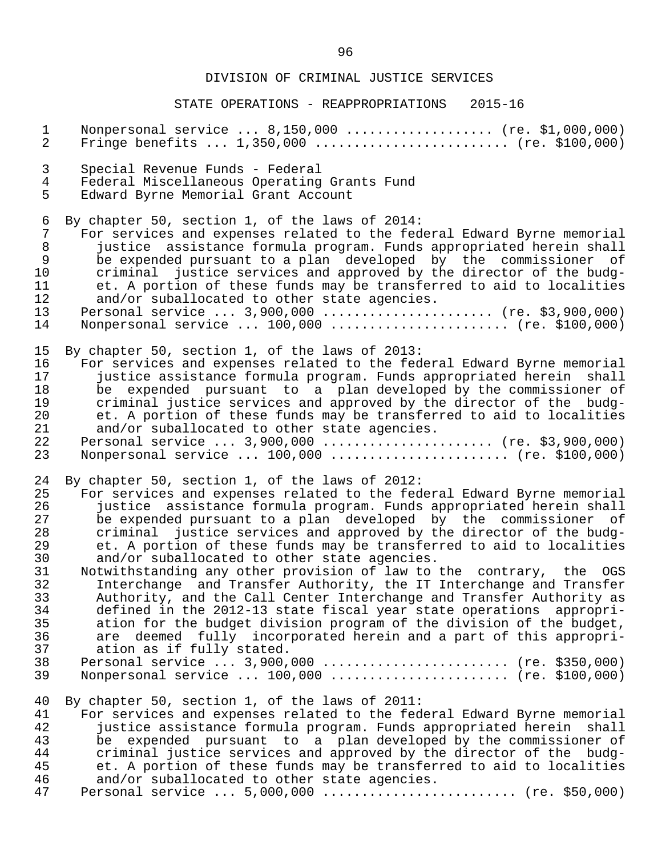| $\mathbf{1}$                                                                                 | Nonpersonal service  8,150,000  (re. \$1,000,000)                                                                                                                                                                                                                                                                                                                                                                                                                                                                                                                                                                                                                                                                                                                                                                                                                                                                                                                                                                                            |
|----------------------------------------------------------------------------------------------|----------------------------------------------------------------------------------------------------------------------------------------------------------------------------------------------------------------------------------------------------------------------------------------------------------------------------------------------------------------------------------------------------------------------------------------------------------------------------------------------------------------------------------------------------------------------------------------------------------------------------------------------------------------------------------------------------------------------------------------------------------------------------------------------------------------------------------------------------------------------------------------------------------------------------------------------------------------------------------------------------------------------------------------------|
| $\overline{a}$                                                                               | Fringe benefits $1,350,000$ (re. \$100,000)                                                                                                                                                                                                                                                                                                                                                                                                                                                                                                                                                                                                                                                                                                                                                                                                                                                                                                                                                                                                  |
| 3                                                                                            | Special Revenue Funds - Federal                                                                                                                                                                                                                                                                                                                                                                                                                                                                                                                                                                                                                                                                                                                                                                                                                                                                                                                                                                                                              |
| $\overline{4}$                                                                               | Federal Miscellaneous Operating Grants Fund                                                                                                                                                                                                                                                                                                                                                                                                                                                                                                                                                                                                                                                                                                                                                                                                                                                                                                                                                                                                  |
| 5                                                                                            | Edward Byrne Memorial Grant Account                                                                                                                                                                                                                                                                                                                                                                                                                                                                                                                                                                                                                                                                                                                                                                                                                                                                                                                                                                                                          |
| 6                                                                                            | By chapter 50, section 1, of the laws of 2014:                                                                                                                                                                                                                                                                                                                                                                                                                                                                                                                                                                                                                                                                                                                                                                                                                                                                                                                                                                                               |
| 7                                                                                            | For services and expenses related to the federal Edward Byrne memorial                                                                                                                                                                                                                                                                                                                                                                                                                                                                                                                                                                                                                                                                                                                                                                                                                                                                                                                                                                       |
| $\,8\,$                                                                                      | justice assistance formula program. Funds appropriated herein shall                                                                                                                                                                                                                                                                                                                                                                                                                                                                                                                                                                                                                                                                                                                                                                                                                                                                                                                                                                          |
| 9                                                                                            | be expended pursuant to a plan developed by the commissioner of                                                                                                                                                                                                                                                                                                                                                                                                                                                                                                                                                                                                                                                                                                                                                                                                                                                                                                                                                                              |
| 10                                                                                           | criminal justice services and approved by the director of the budg-                                                                                                                                                                                                                                                                                                                                                                                                                                                                                                                                                                                                                                                                                                                                                                                                                                                                                                                                                                          |
| 11                                                                                           | et. A portion of these funds may be transferred to aid to localities                                                                                                                                                                                                                                                                                                                                                                                                                                                                                                                                                                                                                                                                                                                                                                                                                                                                                                                                                                         |
| 12                                                                                           | and/or suballocated to other state agencies.                                                                                                                                                                                                                                                                                                                                                                                                                                                                                                                                                                                                                                                                                                                                                                                                                                                                                                                                                                                                 |
| 13                                                                                           | Personal service  3,900,000  (re. \$3,900,000)                                                                                                                                                                                                                                                                                                                                                                                                                                                                                                                                                                                                                                                                                                                                                                                                                                                                                                                                                                                               |
| 14                                                                                           | Nonpersonal service  100,000  (re. \$100,000)                                                                                                                                                                                                                                                                                                                                                                                                                                                                                                                                                                                                                                                                                                                                                                                                                                                                                                                                                                                                |
| 15                                                                                           | By chapter 50, section 1, of the laws of 2013:                                                                                                                                                                                                                                                                                                                                                                                                                                                                                                                                                                                                                                                                                                                                                                                                                                                                                                                                                                                               |
| 16                                                                                           | For services and expenses related to the federal Edward Byrne memorial                                                                                                                                                                                                                                                                                                                                                                                                                                                                                                                                                                                                                                                                                                                                                                                                                                                                                                                                                                       |
| 17                                                                                           | justice assistance formula program. Funds appropriated herein shall                                                                                                                                                                                                                                                                                                                                                                                                                                                                                                                                                                                                                                                                                                                                                                                                                                                                                                                                                                          |
| 18                                                                                           | be expended pursuant to a plan developed by the commissioner of                                                                                                                                                                                                                                                                                                                                                                                                                                                                                                                                                                                                                                                                                                                                                                                                                                                                                                                                                                              |
| 19                                                                                           | criminal justice services and approved by the director of the budg-                                                                                                                                                                                                                                                                                                                                                                                                                                                                                                                                                                                                                                                                                                                                                                                                                                                                                                                                                                          |
| 20                                                                                           | et. A portion of these funds may be transferred to aid to localities                                                                                                                                                                                                                                                                                                                                                                                                                                                                                                                                                                                                                                                                                                                                                                                                                                                                                                                                                                         |
| 21                                                                                           | and/or suballocated to other state agencies.                                                                                                                                                                                                                                                                                                                                                                                                                                                                                                                                                                                                                                                                                                                                                                                                                                                                                                                                                                                                 |
| 22                                                                                           | Personal service  3,900,000  (re. \$3,900,000)                                                                                                                                                                                                                                                                                                                                                                                                                                                                                                                                                                                                                                                                                                                                                                                                                                                                                                                                                                                               |
| 23                                                                                           | Nonpersonal service  100,000  (re. \$100,000)                                                                                                                                                                                                                                                                                                                                                                                                                                                                                                                                                                                                                                                                                                                                                                                                                                                                                                                                                                                                |
| 24<br>25<br>26<br>27<br>28<br>29<br>30<br>31<br>32<br>33<br>34<br>35<br>36<br>37<br>38<br>39 | By chapter 50, section 1, of the laws of 2012:<br>For services and expenses related to the federal Edward Byrne memorial<br>justice assistance formula program. Funds appropriated herein shall<br>be expended pursuant to a plan developed by the commissioner of<br>criminal justice services and approved by the director of the budg-<br>et. A portion of these funds may be transferred to aid to localities<br>and/or suballocated to other state agencies.<br>Notwithstanding any other provision of law to the contrary, the<br>OGS<br>Interchange and Transfer Authority, the IT Interchange and Transfer<br>Authority, and the Call Center Interchange and Transfer Authority as<br>defined in the 2012-13 state fiscal year state operations appropri-<br>ation for the budget division program of the division of the budget,<br>are deemed fully incorporated herein and a part of this appropri-<br>ation as if fully stated.<br>Personal service  3,900,000  (re. \$350,000)<br>Nonpersonal service $100,000$ (re. \$100,000) |
| 40<br>41<br>42<br>43<br>44<br>45<br>46<br>47                                                 | By chapter 50, section 1, of the laws of 2011:<br>For services and expenses related to the federal Edward Byrne memorial<br>justice assistance formula program. Funds appropriated herein<br>shall<br>be expended pursuant to a plan developed by the commissioner of<br>criminal justice services and approved by the director of the budg-<br>et. A portion of these funds may be transferred to aid to localities<br>and/or suballocated to other state agencies.<br>Personal service $5,000,000$ (re. \$50,000)                                                                                                                                                                                                                                                                                                                                                                                                                                                                                                                          |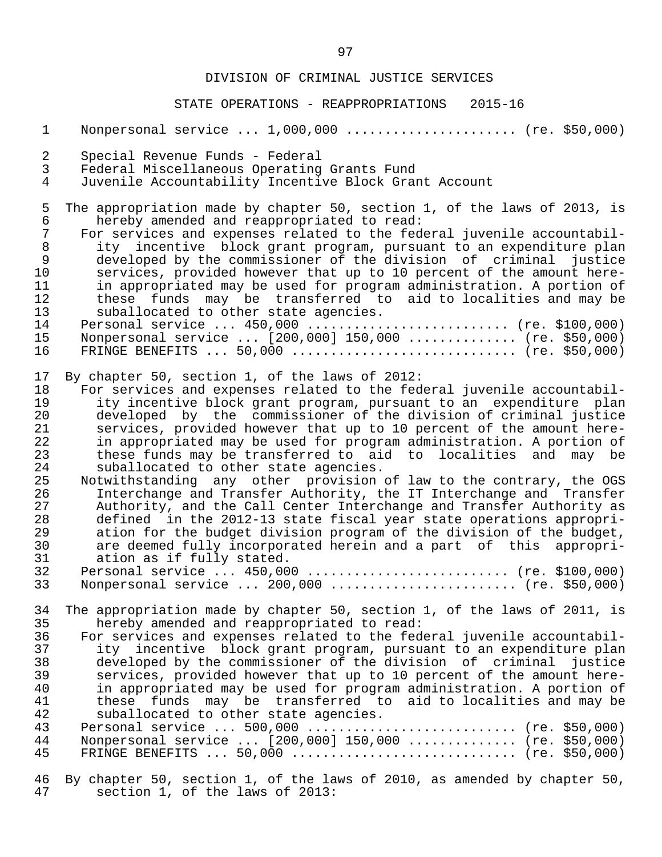| $\mathbf{1}$           | Nonpersonal service  1,000,000  (re. \$50,000)                                                                                               |
|------------------------|----------------------------------------------------------------------------------------------------------------------------------------------|
| 2<br>3                 | Special Revenue Funds - Federal<br>Federal Miscellaneous Operating Grants Fund                                                               |
| 4                      | Juvenile Accountability Incentive Block Grant Account                                                                                        |
| 5<br>$\epsilon$        | The appropriation made by chapter 50, section 1, of the laws of 2013, is<br>hereby amended and reappropriated to read:                       |
| $\overline{7}$         | For services and expenses related to the federal juvenile accountabil-                                                                       |
| $\,8\,$<br>$\mathsf 9$ | ity incentive block grant program, pursuant to an expenditure plan<br>developed by the commissioner of the division of criminal justice      |
| 10<br>11               | services, provided however that up to 10 percent of the amount here-<br>in appropriated may be used for program administration. A portion of |
| 12                     | these funds may be transferred to aid to localities and may be                                                                               |
| 13<br>14               | suballocated to other state agencies.<br>Personal service  450,000  (re. \$100,000)                                                          |
| 15                     | Nonpersonal service  [200,000] 150,000  (re. \$50,000)                                                                                       |
| 16                     |                                                                                                                                              |
| 17<br>18               | By chapter 50, section 1, of the laws of 2012:<br>For services and expenses related to the federal juvenile accountabil-                     |
| 19                     | ity incentive block grant program, pursuant to an expenditure plan                                                                           |
| 20                     | developed by the commissioner of the division of criminal justice                                                                            |
| 21                     | services, provided however that up to 10 percent of the amount here-                                                                         |
| 22                     | in appropriated may be used for program administration. A portion of                                                                         |
| 23<br>24               | these funds may be transferred to aid to localities and may be<br>suballocated to other state agencies.                                      |
| 25                     | Notwithstanding any other provision of law to the contrary, the OGS                                                                          |
| 26                     | Interchange and Transfer Authority, the IT Interchange and Transfer                                                                          |
| 27                     | Authority, and the Call Center Interchange and Transfer Authority as                                                                         |
| 28                     | defined in the 2012-13 state fiscal year state operations appropri-                                                                          |
| 29                     | ation for the budget division program of the division of the budget,                                                                         |
| 30                     | are deemed fully incorporated herein and a part of this appropri-                                                                            |
| 31<br>32               | ation as if fully stated.<br>Personal service  450,000  (re. \$100,000)                                                                      |
| 33                     | Nonpersonal service  200,000  (re. \$50,000)                                                                                                 |
| 34                     | The appropriation made by chapter 50, section 1, of the laws of 2011, is                                                                     |
| 35                     | hereby amended and reappropriated to read:                                                                                                   |
| 36                     | For services and expenses related to the federal juvenile accountabil-                                                                       |
| 37                     | ity incentive block grant program, pursuant to an expenditure plan                                                                           |
| 38<br>39               | developed by the commissioner of the division of criminal justice<br>services, provided however that up to 10 percent of the amount here-    |
| 40                     | in appropriated may be used for program administration. A portion of                                                                         |
| 41                     | these funds may be transferred to aid to localities and may be                                                                               |
| 42                     | suballocated to other state agencies.                                                                                                        |
| 43                     |                                                                                                                                              |
| 44                     | Nonpersonal service  [200,000] 150,000  (re. \$50,000)                                                                                       |
| 45                     |                                                                                                                                              |

 <sup>46</sup> By chapter 50, section 1, of the laws of 2010, as amended by chapter 50, 47 section 1, of the laws of 2013: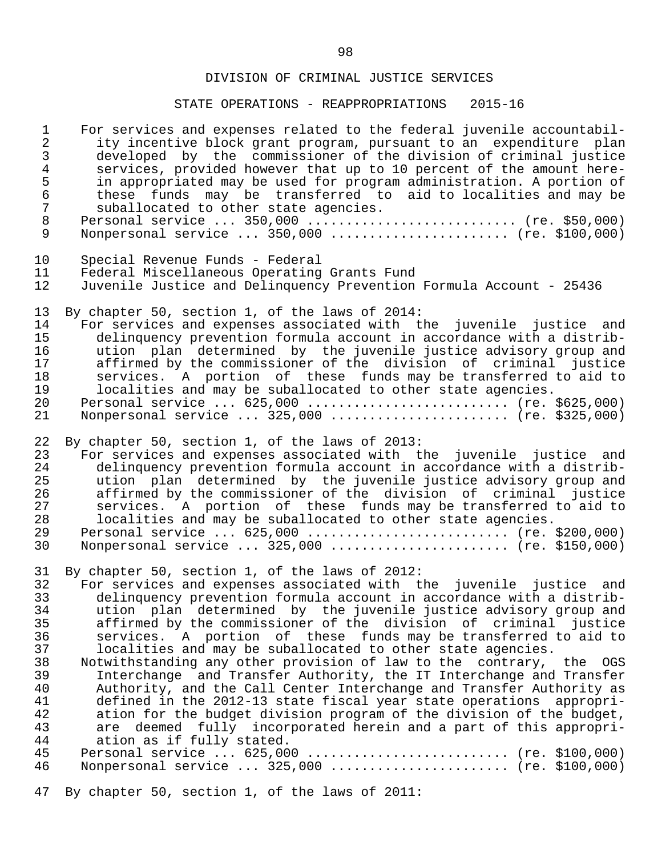STATE OPERATIONS - REAPPROPRIATIONS 2015-16

| $\mathbf 1$                                                                            | For services and expenses related to the federal juvenile accountabil-                                                                                                                                                                                                                                                                                                                                                                                                                                                                                                                                                                                                                                                                                                                                                                                                                                                                                                                                                                          |
|----------------------------------------------------------------------------------------|-------------------------------------------------------------------------------------------------------------------------------------------------------------------------------------------------------------------------------------------------------------------------------------------------------------------------------------------------------------------------------------------------------------------------------------------------------------------------------------------------------------------------------------------------------------------------------------------------------------------------------------------------------------------------------------------------------------------------------------------------------------------------------------------------------------------------------------------------------------------------------------------------------------------------------------------------------------------------------------------------------------------------------------------------|
| $\overline{a}$                                                                         | ity incentive block grant program, pursuant to an expenditure plan                                                                                                                                                                                                                                                                                                                                                                                                                                                                                                                                                                                                                                                                                                                                                                                                                                                                                                                                                                              |
| 3                                                                                      | developed by the commissioner of the division of criminal justice                                                                                                                                                                                                                                                                                                                                                                                                                                                                                                                                                                                                                                                                                                                                                                                                                                                                                                                                                                               |
| 4                                                                                      | services, provided however that up to 10 percent of the amount here-                                                                                                                                                                                                                                                                                                                                                                                                                                                                                                                                                                                                                                                                                                                                                                                                                                                                                                                                                                            |
| 5                                                                                      | in appropriated may be used for program administration. A portion of                                                                                                                                                                                                                                                                                                                                                                                                                                                                                                                                                                                                                                                                                                                                                                                                                                                                                                                                                                            |
| $\epsilon$                                                                             | these funds may be transferred to aid to localities and may be                                                                                                                                                                                                                                                                                                                                                                                                                                                                                                                                                                                                                                                                                                                                                                                                                                                                                                                                                                                  |
| 7                                                                                      | suballocated to other state agencies.                                                                                                                                                                                                                                                                                                                                                                                                                                                                                                                                                                                                                                                                                                                                                                                                                                                                                                                                                                                                           |
| $\,8\,$                                                                                | Personal service  350,000  (re. \$50,000)                                                                                                                                                                                                                                                                                                                                                                                                                                                                                                                                                                                                                                                                                                                                                                                                                                                                                                                                                                                                       |
| 9                                                                                      | Nonpersonal service $350,000$ (re. \$100,000)                                                                                                                                                                                                                                                                                                                                                                                                                                                                                                                                                                                                                                                                                                                                                                                                                                                                                                                                                                                                   |
| 10                                                                                     | Special Revenue Funds - Federal                                                                                                                                                                                                                                                                                                                                                                                                                                                                                                                                                                                                                                                                                                                                                                                                                                                                                                                                                                                                                 |
| 11                                                                                     | Federal Miscellaneous Operating Grants Fund                                                                                                                                                                                                                                                                                                                                                                                                                                                                                                                                                                                                                                                                                                                                                                                                                                                                                                                                                                                                     |
| 12                                                                                     | Juvenile Justice and Delinquency Prevention Formula Account - 25436                                                                                                                                                                                                                                                                                                                                                                                                                                                                                                                                                                                                                                                                                                                                                                                                                                                                                                                                                                             |
| 13                                                                                     | By chapter 50, section 1, of the laws of 2014:                                                                                                                                                                                                                                                                                                                                                                                                                                                                                                                                                                                                                                                                                                                                                                                                                                                                                                                                                                                                  |
| 14                                                                                     | For services and expenses associated with the juvenile justice and                                                                                                                                                                                                                                                                                                                                                                                                                                                                                                                                                                                                                                                                                                                                                                                                                                                                                                                                                                              |
| 15                                                                                     | delinquency prevention formula account in accordance with a distrib-                                                                                                                                                                                                                                                                                                                                                                                                                                                                                                                                                                                                                                                                                                                                                                                                                                                                                                                                                                            |
| 16                                                                                     | ution plan determined by the juvenile justice advisory group and                                                                                                                                                                                                                                                                                                                                                                                                                                                                                                                                                                                                                                                                                                                                                                                                                                                                                                                                                                                |
| 17                                                                                     | affirmed by the commissioner of the division of criminal justice                                                                                                                                                                                                                                                                                                                                                                                                                                                                                                                                                                                                                                                                                                                                                                                                                                                                                                                                                                                |
| 18                                                                                     | services. A portion of these funds may be transferred to aid to                                                                                                                                                                                                                                                                                                                                                                                                                                                                                                                                                                                                                                                                                                                                                                                                                                                                                                                                                                                 |
| 19                                                                                     | localities and may be suballocated to other state agencies.                                                                                                                                                                                                                                                                                                                                                                                                                                                                                                                                                                                                                                                                                                                                                                                                                                                                                                                                                                                     |
| 20                                                                                     | Personal service $625,000$ (re. \$625,000)                                                                                                                                                                                                                                                                                                                                                                                                                                                                                                                                                                                                                                                                                                                                                                                                                                                                                                                                                                                                      |
| 21                                                                                     | Nonpersonal service $325,000$ (re. \$325,000)                                                                                                                                                                                                                                                                                                                                                                                                                                                                                                                                                                                                                                                                                                                                                                                                                                                                                                                                                                                                   |
| 22                                                                                     | By chapter 50, section 1, of the laws of 2013:                                                                                                                                                                                                                                                                                                                                                                                                                                                                                                                                                                                                                                                                                                                                                                                                                                                                                                                                                                                                  |
| 23                                                                                     | For services and expenses associated with the juvenile justice and                                                                                                                                                                                                                                                                                                                                                                                                                                                                                                                                                                                                                                                                                                                                                                                                                                                                                                                                                                              |
| 24                                                                                     | delinquency prevention formula account in accordance with a distrib-                                                                                                                                                                                                                                                                                                                                                                                                                                                                                                                                                                                                                                                                                                                                                                                                                                                                                                                                                                            |
| 25                                                                                     | ution plan determined by the juvenile justice advisory group and                                                                                                                                                                                                                                                                                                                                                                                                                                                                                                                                                                                                                                                                                                                                                                                                                                                                                                                                                                                |
| 26                                                                                     | affirmed by the commissioner of the division of criminal justice                                                                                                                                                                                                                                                                                                                                                                                                                                                                                                                                                                                                                                                                                                                                                                                                                                                                                                                                                                                |
| 27                                                                                     | services. A portion of these funds may be transferred to aid to                                                                                                                                                                                                                                                                                                                                                                                                                                                                                                                                                                                                                                                                                                                                                                                                                                                                                                                                                                                 |
| 28                                                                                     | localities and may be suballocated to other state agencies.                                                                                                                                                                                                                                                                                                                                                                                                                                                                                                                                                                                                                                                                                                                                                                                                                                                                                                                                                                                     |
| 29                                                                                     | Personal service $625,000$ (re. \$200,000)                                                                                                                                                                                                                                                                                                                                                                                                                                                                                                                                                                                                                                                                                                                                                                                                                                                                                                                                                                                                      |
| 30                                                                                     | Nonpersonal service $325,000$ (re. \$150,000)                                                                                                                                                                                                                                                                                                                                                                                                                                                                                                                                                                                                                                                                                                                                                                                                                                                                                                                                                                                                   |
| 31<br>32<br>34<br>35<br>36<br>37<br>38<br>39<br>40<br>41<br>42<br>43<br>44<br>45<br>46 | By chapter 50, section 1, of the laws of 2012:<br>For services and expenses associated with the juvenile justice and<br>33 delinquency prevention formula account in accordance with a distrib-<br>ution plan determined by the juvenile justice advisory group and<br>affirmed by the commissioner of the division of criminal justice<br>services. A portion of these funds may be transferred to aid to<br>localities and may be suballocated to other state agencies.<br>Notwithstanding any other provision of law to the contrary, the OGS<br>Interchange and Transfer Authority, the IT Interchange and Transfer<br>Authority, and the Call Center Interchange and Transfer Authority as<br>defined in the 2012-13 state fiscal year state operations appropri-<br>ation for the budget division program of the division of the budget,<br>are deemed fully incorporated herein and a part of this appropri-<br>ation as if fully stated.<br>Personal service $625,000$ (re. \$100,000)<br>Nonpersonal service  325,000  (re. \$100,000) |

47 By chapter 50, section 1, of the laws of 2011: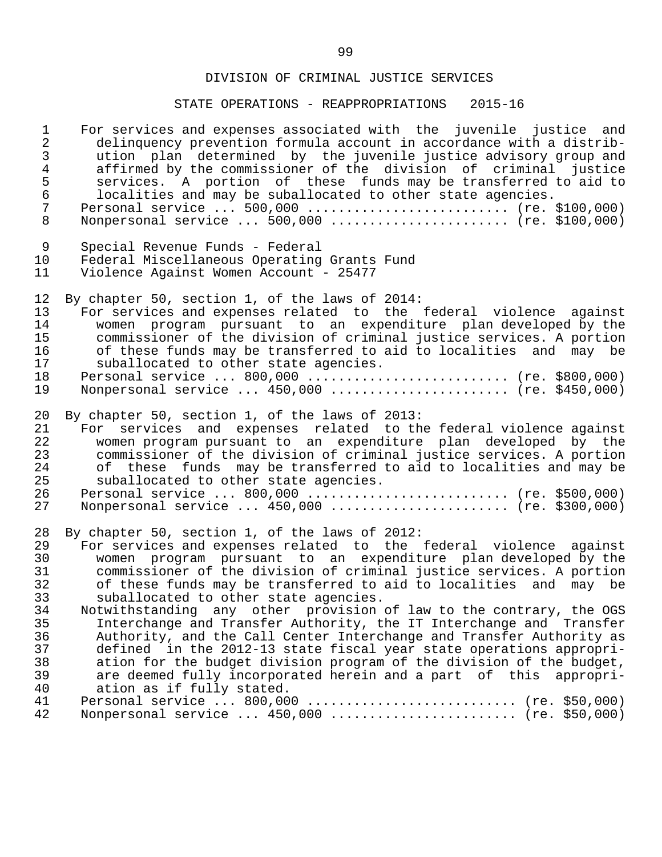| $\mathbf{1}$   | For services and expenses associated with the juvenile justice and   |
|----------------|----------------------------------------------------------------------|
| $\overline{2}$ | delinquency prevention formula account in accordance with a distrib- |
| $\mathfrak{Z}$ | ution plan determined by the juvenile justice advisory group and     |
| $\overline{4}$ | affirmed by the commissioner of the division of criminal justice     |
| 5              | services. A portion of these funds may be transferred to aid to      |
| $\sqrt{6}$     | localities and may be suballocated to other state agencies.          |
| $\overline{7}$ | Personal service $500,000$ (re. \$100,000)                           |
| 8              | Nonpersonal service $500,000$ (re. \$100,000)                        |
| 9              | Special Revenue Funds - Federal                                      |
| 10             | Federal Miscellaneous Operating Grants Fund                          |
| 11             | Violence Against Women Account - 25477                               |
| 12             | By chapter 50, section 1, of the laws of 2014:                       |
| 13             | For services and expenses related to the federal violence against    |
| 14             | women program pursuant to an expenditure plan developed by the       |
| 15             | commissioner of the division of criminal justice services. A portion |
| 16             | of these funds may be transferred to aid to localities and may be    |
| 17             | suballocated to other state agencies.                                |
| 18             | Personal service  800,000  (re. \$800,000)                           |
| 19             | Nonpersonal service $450,000$ (re. \$450,000)                        |
| 20             | By chapter 50, section 1, of the laws of 2013:                       |
| 21             | For services and expenses related to the federal violence against    |
| 22             | women program pursuant to an expenditure plan developed by the       |
| 23             | commissioner of the division of criminal justice services. A portion |
| 24             | of these funds may be transferred to aid to localities and may be    |
| 25             | suballocated to other state agencies.                                |
| 26             | Personal service  800,000  (re. \$500,000)                           |
| 27             | Nonpersonal service  450,000  (re. \$300,000)                        |
| 28             | By chapter 50, section 1, of the laws of 2012:                       |
| 29             | For services and expenses related to the federal violence against    |
| 30             | women program pursuant to an expenditure plan developed by the       |
| 31             | commissioner of the division of criminal justice services. A portion |
| 32             | of these funds may be transferred to aid to localities and may be    |
| 33             | suballocated to other state agencies.                                |
| 34             | Notwithstanding any other provision of law to the contrary, the OGS  |
| 35             | Interchange and Transfer Authority, the IT Interchange and Transfer  |
| 36             | Authority, and the Call Center Interchange and Transfer Authority as |
| 37             | defined in the 2012-13 state fiscal year state operations appropri-  |
| 38             | ation for the budget division program of the division of the budget, |
| 39             | are deemed fully incorporated herein and a part of this appropri-    |
| 40             | ation as if fully stated.                                            |
| 41             |                                                                      |
| 42             | Nonpersonal service  450,000  (re. \$50,000)                         |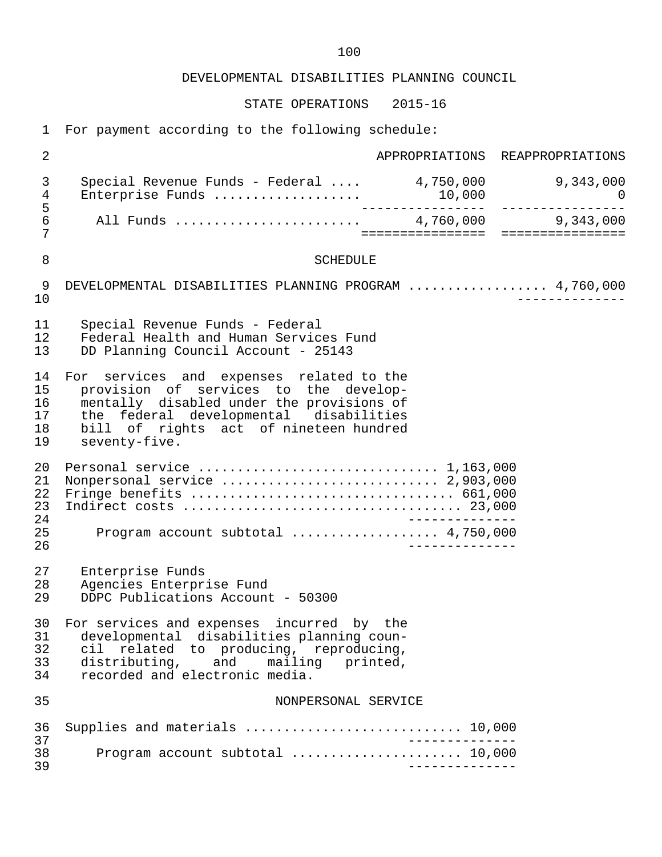DEVELOPMENTAL DISABILITIES PLANNING COUNCIL

STATE OPERATIONS 2015-16

1 For payment according to the following schedule:

| $\overline{2}$                   |                                                                                                                                                                                                                                     |                 | APPROPRIATIONS REAPPROPRIATIONS |
|----------------------------------|-------------------------------------------------------------------------------------------------------------------------------------------------------------------------------------------------------------------------------------|-----------------|---------------------------------|
| 3<br>4                           | Special Revenue Funds - Federal $4,750,000$ 9,343,000<br>Enterprise Funds                                                                                                                                                           |                 | $\overline{a}$                  |
| 5<br>6<br>7                      |                                                                                                                                                                                                                                     |                 |                                 |
| 8                                | <b>SCHEDULE</b>                                                                                                                                                                                                                     |                 |                                 |
| 9<br>10                          | DEVELOPMENTAL DISABILITIES PLANNING PROGRAM  4,760,000                                                                                                                                                                              |                 |                                 |
| 11<br>12<br>13                   | Special Revenue Funds - Federal<br>Federal Health and Human Services Fund<br>DD Planning Council Account - 25143                                                                                                                    |                 |                                 |
| 14<br>15<br>16<br>17<br>18<br>19 | For services and expenses related to the<br>provision of services to the develop-<br>mentally disabled under the provisions of<br>the federal developmental disabilities<br>bill of rights act of nineteen hundred<br>seventy-five. |                 |                                 |
| 20<br>21<br>22<br>23<br>24       | Personal service $\ldots \ldots \ldots \ldots \ldots \ldots \ldots \ldots \ldots 1,163,000$                                                                                                                                         | _________       |                                 |
| 25<br>26                         | Program account subtotal  4,750,000                                                                                                                                                                                                 |                 |                                 |
| 27<br>28<br>29                   | Enterprise Funds<br>Agencies Enterprise Fund<br>DDPC Publications Account - 50300                                                                                                                                                   |                 |                                 |
| 30<br>31<br>32<br>33<br>34       | For services and expenses incurred by the<br>developmental disabilities planning coun-<br>cil related to producing, reproducing,<br>distributing,<br>and mailing<br>printed,<br>recorded and electronic media.                      |                 |                                 |
| 35                               | NONPERSONAL SERVICE                                                                                                                                                                                                                 |                 |                                 |
| 36<br>37                         | Supplies and materials  10,000                                                                                                                                                                                                      | _______________ |                                 |
| 38<br>39                         | Program account subtotal  10,000                                                                                                                                                                                                    |                 |                                 |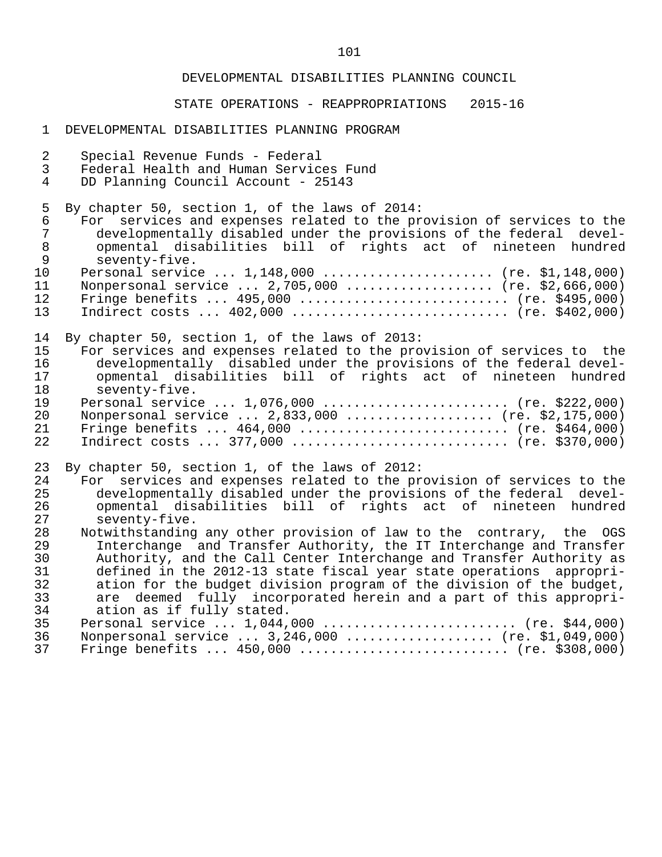#### DEVELOPMENTAL DISABILITIES PLANNING COUNCIL

#### STATE OPERATIONS - REAPPROPRIATIONS 2015-16

#### 1 DEVELOPMENTAL DISABILITIES PLANNING PROGRAM

| 2              | Special Revenue Funds - Federal                                       |
|----------------|-----------------------------------------------------------------------|
| $\mathfrak{Z}$ | Federal Health and Human Services Fund                                |
| 4              | DD Planning Council Account - 25143                                   |
| 5              | By chapter 50, section 1, of the laws of 2014:                        |
| $\epsilon$     | For services and expenses related to the provision of services to the |
| 7              | developmentally disabled under the provisions of the federal devel-   |
| $\,8\,$        | opmental disabilities bill of rights act of nineteen hundred          |
| $\mathsf 9$    | seventy-five.                                                         |
| 10             | Personal service $1,148,000$ (re. \$1,148,000)                        |
| 11             | Nonpersonal service $2,705,000$ (re. \$2,666,000)                     |
| 12             |                                                                       |
| 13             |                                                                       |
| 14             | By chapter 50, section 1, of the laws of 2013:                        |
| 15             | For services and expenses related to the provision of services to the |
| 16             | developmentally disabled under the provisions of the federal devel-   |
| 17             | opmental disabilities bill of rights act of nineteen hundred          |
| 18             | seventy-five.                                                         |
| 19             | Personal service $1,076,000$ (re. \$222,000)                          |
| 20             | Nonpersonal service  2,833,000  (re. \$2,175,000)                     |
| 21             | Fringe benefits $464,000$ (re. \$464,000)                             |
| 22             | Indirect costs $377,000$ (re. \$370,000)                              |
| 23             | By chapter 50, section 1, of the laws of 2012:                        |
| 24             | For services and expenses related to the provision of services to the |
| 25             | developmentally disabled under the provisions of the federal devel-   |
| 26             | opmental disabilities bill of rights act of nineteen hundred          |
| 27             | seventy-five.                                                         |
| 28             | Notwithstanding any other provision of law to the contrary, the OGS   |
| 29             | Interchange and Transfer Authority, the IT Interchange and Transfer   |
| 30             | Authority, and the Call Center Interchange and Transfer Authority as  |
| 31             | defined in the 2012-13 state fiscal year state operations appropri-   |
| 32             | ation for the budget division program of the division of the budget,  |
| 33             | are deemed fully incorporated herein and a part of this appropri-     |
| 34             | ation as if fully stated.                                             |
| 35             | Personal service $1,044,000$ (re. \$44,000)                           |

|  | 36 Nonpersonal service  3,246,000  (re. \$1,049,000) |  |
|--|------------------------------------------------------|--|
|  | 37 Fringe benefits  450,000  (re. \$308,000)         |  |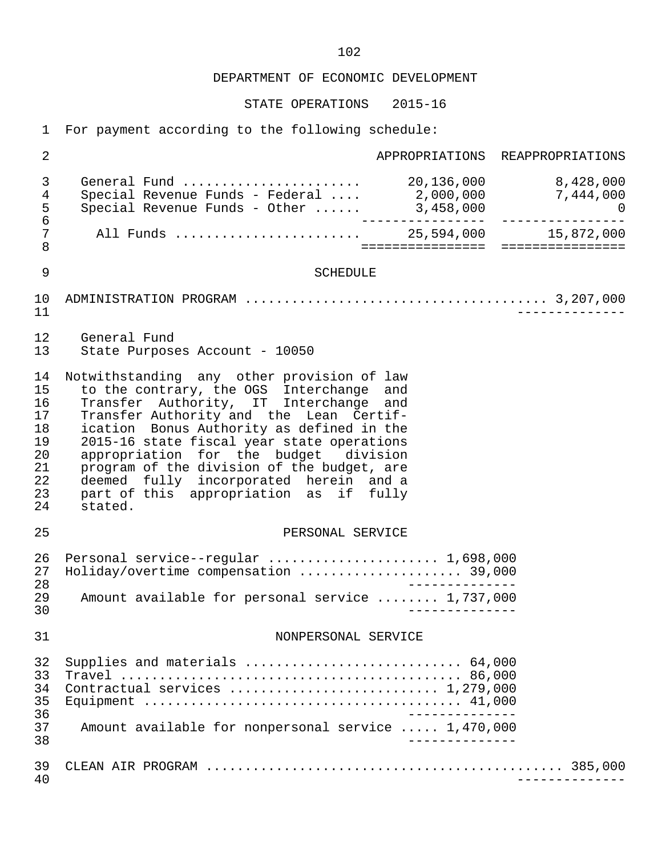STATE OPERATIONS 2015-16

1 For payment according to the following schedule:

| 2                                                              | APPROPRIATIONS REAPPROPRIATIONS                                                                                                                                                                                                                                                                                                                                                                                                                              |
|----------------------------------------------------------------|--------------------------------------------------------------------------------------------------------------------------------------------------------------------------------------------------------------------------------------------------------------------------------------------------------------------------------------------------------------------------------------------------------------------------------------------------------------|
| 3<br>4<br>5<br>$\epsilon$                                      | Special Revenue Funds - Federal  2,000,000 7,444,000                                                                                                                                                                                                                                                                                                                                                                                                         |
| 7<br>8                                                         | All Funds  25,594,000 15,872,000<br>===================================                                                                                                                                                                                                                                                                                                                                                                                      |
| 9                                                              | <b>SCHEDULE</b>                                                                                                                                                                                                                                                                                                                                                                                                                                              |
| 10<br>11                                                       |                                                                                                                                                                                                                                                                                                                                                                                                                                                              |
| 12<br>13                                                       | General Fund<br>State Purposes Account - 10050                                                                                                                                                                                                                                                                                                                                                                                                               |
| 14<br>15<br>16<br>17<br>18<br>19<br>20<br>21<br>22<br>23<br>24 | Notwithstanding any other provision of law<br>to the contrary, the OGS Interchange and<br>Transfer Authority, IT Interchange and<br>Transfer Authority and the Lean Certif-<br>ication Bonus Authority as defined in the<br>2015-16 state fiscal year state operations<br>appropriation for the budget division<br>program of the division of the budget, are<br>deemed fully incorporated herein and a<br>part of this appropriation as if fully<br>stated. |
| 25                                                             | PERSONAL SERVICE                                                                                                                                                                                                                                                                                                                                                                                                                                             |
| 26<br>27<br>28<br>29<br>30                                     | Personal service--regular  1,698,000<br>Holiday/overtime compensation  39,000<br>Amount available for personal service  1,737,000                                                                                                                                                                                                                                                                                                                            |
| 31                                                             | NONPERSONAL SERVICE                                                                                                                                                                                                                                                                                                                                                                                                                                          |
| 32<br>33<br>34<br>35<br>36<br>37<br>38                         | Contractual services  1,279,000<br>Amount available for nonpersonal service  1,470,000                                                                                                                                                                                                                                                                                                                                                                       |
| 39<br>40                                                       |                                                                                                                                                                                                                                                                                                                                                                                                                                                              |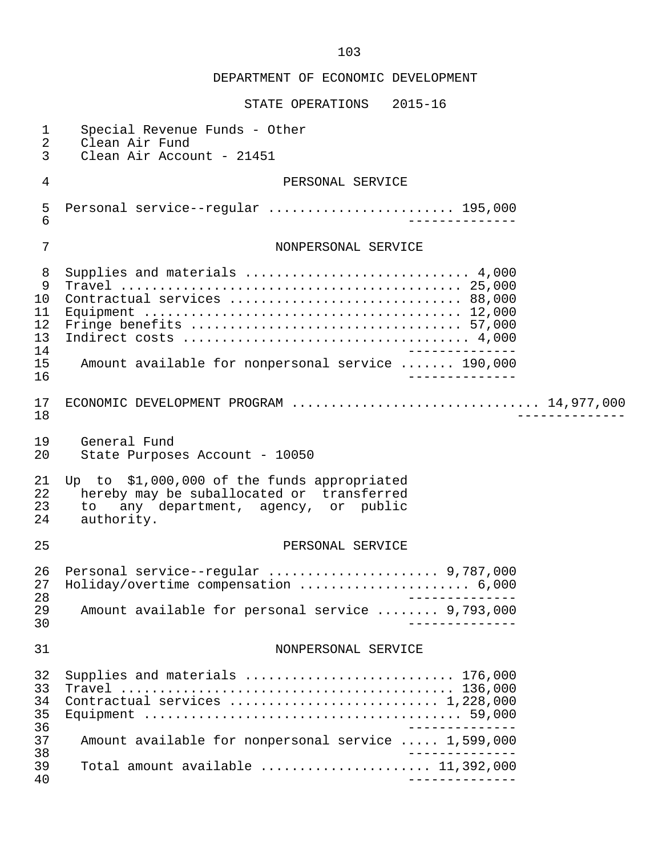| 1<br>2                                           | Special Revenue Funds - Other<br>Clean Air Fund                                                                                                   |
|--------------------------------------------------|---------------------------------------------------------------------------------------------------------------------------------------------------|
| 3                                                | Clean Air Account - 21451                                                                                                                         |
| 4                                                | PERSONAL SERVICE                                                                                                                                  |
| 5<br>6                                           | Personal service--regular  195,000                                                                                                                |
| 7                                                | NONPERSONAL SERVICE                                                                                                                               |
| 8<br>9<br>10<br>11<br>12<br>13<br>14<br>15<br>16 | Supplies and materials  4,000<br>Contractual services  88,000<br>Amount available for nonpersonal service  190,000                                |
| 17<br>18                                         | ECONOMIC DEVELOPMENT PROGRAM  14,977,000                                                                                                          |
| 19<br>20                                         | General Fund<br>State Purposes Account - 10050                                                                                                    |
| 21<br>22<br>23<br>24                             | Up to \$1,000,000 of the funds appropriated<br>hereby may be suballocated or transferred<br>any department, agency, or public<br>to<br>authority. |
| 25                                               | PERSONAL SERVICE                                                                                                                                  |
| 26<br>27<br>28                                   | Personal service--regular  9,787,000<br>Holiday/overtime compensation  6,000<br>---------                                                         |
| 29<br>30                                         | Amount available for personal service  9,793,000                                                                                                  |
| 31                                               | NONPERSONAL SERVICE                                                                                                                               |
| 32<br>33<br>34<br>35<br>36                       | Supplies and materials  176,000                                                                                                                   |
| 37<br>38                                         | Amount available for nonpersonal service  1,599,000                                                                                               |
| 39<br>40                                         | Total amount available $\ldots \ldots \ldots \ldots \ldots \ldots$ 11,392,000                                                                     |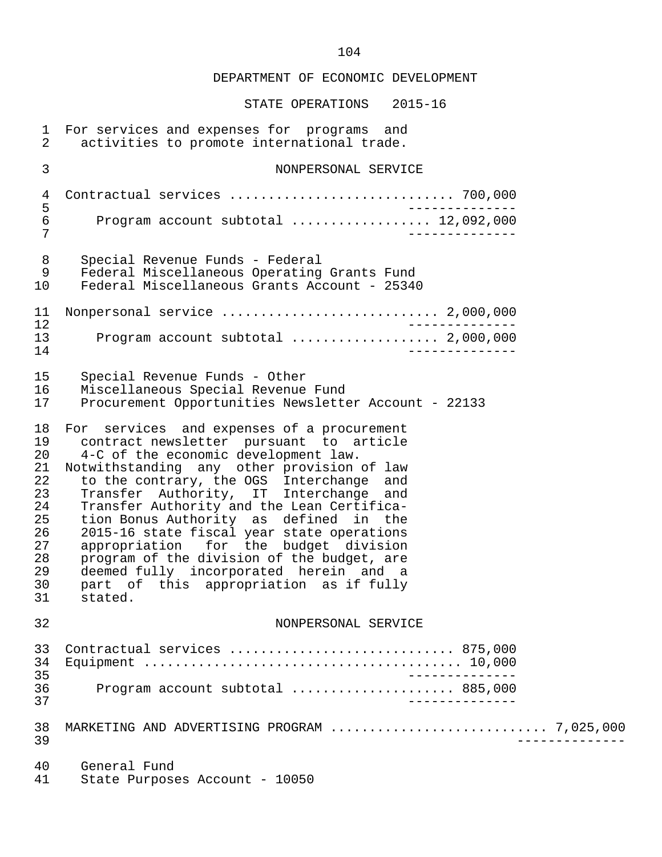| $\mathbf{1}$<br>$\overline{2}$                                                   | For services and expenses for programs and<br>activities to promote international trade.                                                                                                                                                                                                                                                                                                                                                                                                                                                                                                         |  |
|----------------------------------------------------------------------------------|--------------------------------------------------------------------------------------------------------------------------------------------------------------------------------------------------------------------------------------------------------------------------------------------------------------------------------------------------------------------------------------------------------------------------------------------------------------------------------------------------------------------------------------------------------------------------------------------------|--|
| 3                                                                                | NONPERSONAL SERVICE                                                                                                                                                                                                                                                                                                                                                                                                                                                                                                                                                                              |  |
| $\overline{4}$<br>5                                                              |                                                                                                                                                                                                                                                                                                                                                                                                                                                                                                                                                                                                  |  |
| 6<br>7                                                                           | Program account subtotal  12,092,000                                                                                                                                                                                                                                                                                                                                                                                                                                                                                                                                                             |  |
| 8<br>9<br>10                                                                     | Special Revenue Funds - Federal<br>Federal Miscellaneous Operating Grants Fund<br>Federal Miscellaneous Grants Account - 25340                                                                                                                                                                                                                                                                                                                                                                                                                                                                   |  |
| 11<br>12                                                                         | Nonpersonal service  2,000,000                                                                                                                                                                                                                                                                                                                                                                                                                                                                                                                                                                   |  |
| 13<br>14                                                                         | Program account subtotal  2,000,000                                                                                                                                                                                                                                                                                                                                                                                                                                                                                                                                                              |  |
| 15<br>16<br>17                                                                   | Special Revenue Funds - Other<br>Miscellaneous Special Revenue Fund<br>Procurement Opportunities Newsletter Account - 22133                                                                                                                                                                                                                                                                                                                                                                                                                                                                      |  |
| 18<br>19<br>20<br>21<br>22<br>23<br>24<br>25<br>26<br>27<br>28<br>29<br>30<br>31 | For services and expenses of a procurement<br>contract newsletter pursuant to article<br>4-C of the economic development law.<br>Notwithstanding any other provision of law<br>to the contrary, the OGS Interchange and<br>Transfer Authority, IT Interchange<br>and<br>Transfer Authority and the Lean Certifica-<br>tion Bonus Authority as defined in the<br>2015-16 state fiscal year state operations<br>appropriation for the budget division<br>program of the division of the budget, are<br>deemed fully incorporated herein and a<br>part of this appropriation as if fully<br>stated. |  |
| 32                                                                               | NONPERSONAL SERVICE                                                                                                                                                                                                                                                                                                                                                                                                                                                                                                                                                                              |  |
| 33<br>34<br>35                                                                   | Contractual services  875,000<br>$- - - - - - - - -$                                                                                                                                                                                                                                                                                                                                                                                                                                                                                                                                             |  |
| 36<br>37                                                                         | Program account subtotal  885,000<br>-----------                                                                                                                                                                                                                                                                                                                                                                                                                                                                                                                                                 |  |
| 38<br>39                                                                         | MARKETING AND ADVERTISING PROGRAM  7,025,000                                                                                                                                                                                                                                                                                                                                                                                                                                                                                                                                                     |  |
| 40<br>41                                                                         | General Fund<br>State Purposes Account - 10050                                                                                                                                                                                                                                                                                                                                                                                                                                                                                                                                                   |  |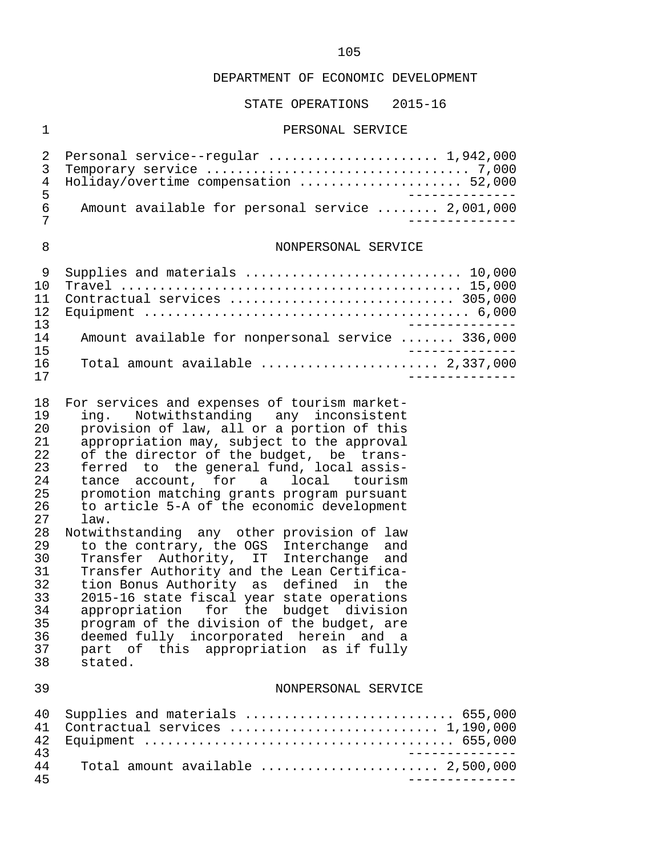#### STATE OPERATIONS 2015-16

#### 1 PERSONAL SERVICE

|     | 2 Personal service--regular  1,942,000           |  |
|-----|--------------------------------------------------|--|
|     |                                                  |  |
|     | 4 Holiday/overtime compensation  52,000          |  |
| - Б |                                                  |  |
| 6   | Amount available for personal service  2,001,000 |  |
|     |                                                  |  |

#### 8 NONPERSONAL SERVICE

| 1 N |                                                                              |
|-----|------------------------------------------------------------------------------|
|     | Contractual services  305,000                                                |
|     |                                                                              |
| 13  |                                                                              |
| 14  | Amount available for nonpersonal service  336,000                            |
| 15  |                                                                              |
| 16  | Total amount available $\ldots \ldots \ldots \ldots \ldots \ldots$ 2,337,000 |
|     |                                                                              |

18 For services and expenses of tourism market-<br>19 ing. Notwithstanding any inconsistent 19 ing. Notwithstanding any inconsistent 20 provision of law, all or a portion of this 21 appropriation may, subject to the approval<br>22 of the director of the budget, be trans-22 of the director of the budget, be trans-<br>23 ferred to the general fund, local assis-23 ferred to the general fund, local assis-<br>24 tance account, for a local tourism 24 tance account, for<br>25 promotion matching gr 25 promotion matching grants program pursuant<br>26 to article 5-A of the economic development 26 to article 5-A of the economic development 27 law.<br>28 Notwitl 28 Notwithstanding any other provision of law<br>29 to the contrary, the OGS Interchange and

29 to the contrary, the OGS Interchange and<br>30 Transfer Authority, IT Interchange and 30 Transfer Authority, IT Interchange and<br>31 Transfer Authority and the Lean Certifica-31 Transfer Authority and the Lean Certifica-<br>32 tion Bonus Authority as defined in the 32 tion Bonus Authority as defined in the<br>33 2015-16 state fiscal vear state operations 33 2015-16 state fiscal year state operations<br>34 appropriation for the budget division 34 appropriation for the budget division<br>35 program of the division of the budget, are 35 program of the division of the budget, are<br>36 deemed fully incorporated herein and a 36 deemed fully incorporated herein and a<br>37 part of this appropriation as if fully 37 part of this appropriation as if fully stated.

#### 39 NONPERSONAL SERVICE

|    | 40 Supplies and materials  655,000                                                  |
|----|-------------------------------------------------------------------------------------|
|    | 41 Contractual services  1,190,000                                                  |
|    |                                                                                     |
| 43 |                                                                                     |
| 44 | Total amount available $\ldots \ldots \ldots \ldots \ldots \ldots \ldots$ 2,500,000 |
| 45 |                                                                                     |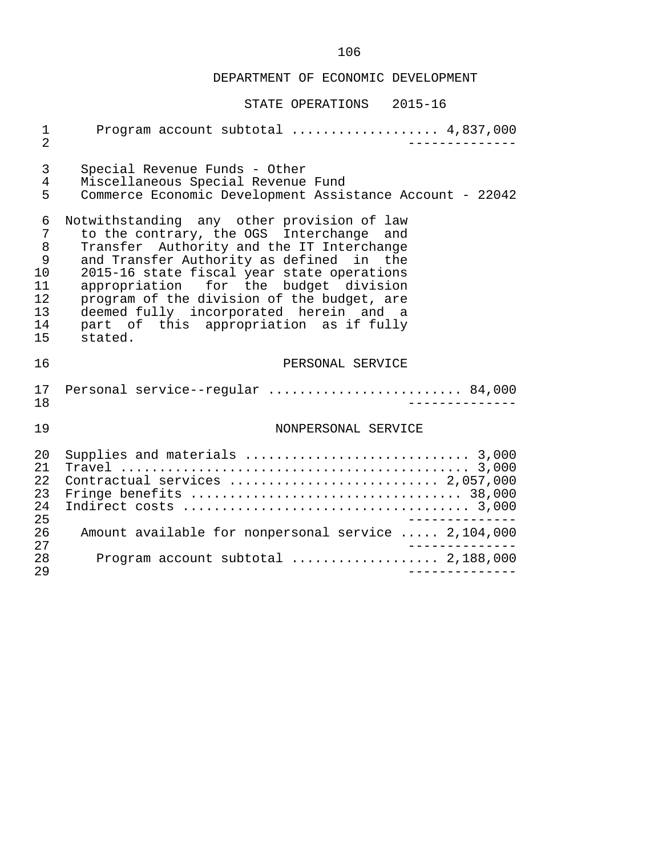| Program account subtotal  4,837,000<br>$\mathbf 1$<br>$\overline{2}$<br>____________                                                                                                                                                                                                                                                                                                                                                                                        |  |
|-----------------------------------------------------------------------------------------------------------------------------------------------------------------------------------------------------------------------------------------------------------------------------------------------------------------------------------------------------------------------------------------------------------------------------------------------------------------------------|--|
| 3<br>Special Revenue Funds - Other<br>$\overline{4}$<br>Miscellaneous Special Revenue Fund<br>5<br>Commerce Economic Development Assistance Account - 22042                                                                                                                                                                                                                                                                                                                 |  |
| Notwithstanding any other provision of law<br>6<br>to the contrary, the OGS Interchange and<br>7<br>8<br>Transfer Authority and the IT Interchange<br>9<br>and Transfer Authority as defined in the<br>10<br>2015-16 state fiscal year state operations<br>appropriation for the budget division<br>11<br>12<br>program of the division of the budget, are<br>deemed fully incorporated herein and a<br>13<br>part of this appropriation as if fully<br>14<br>15<br>stated. |  |
| 16<br>PERSONAL SERVICE                                                                                                                                                                                                                                                                                                                                                                                                                                                      |  |
| Personal service--regular  84,000<br>17<br>18                                                                                                                                                                                                                                                                                                                                                                                                                               |  |
| 19<br>NONPERSONAL SERVICE                                                                                                                                                                                                                                                                                                                                                                                                                                                   |  |
| Supplies and materials  3,000<br>20<br>21<br>22<br>Contractual services  2,057,000<br>23<br>24<br>25<br>-----------<br>26                                                                                                                                                                                                                                                                                                                                                   |  |
| Amount available for nonpersonal service  2,104,000                                                                                                                                                                                                                                                                                                                                                                                                                         |  |
| 27<br>Program account subtotal  2,188,000<br>28                                                                                                                                                                                                                                                                                                                                                                                                                             |  |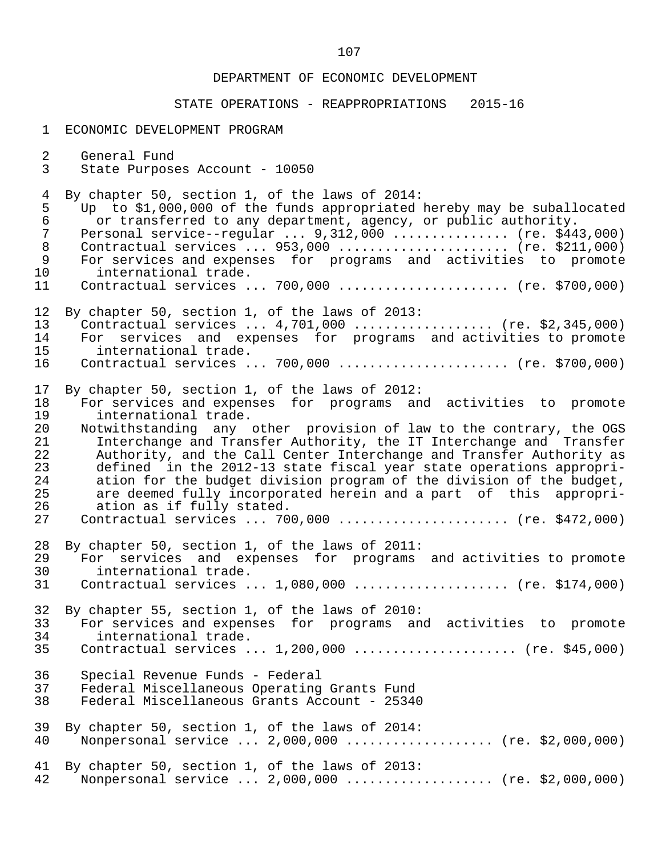| $\mathbf 1$    | ECONOMIC DEVELOPMENT PROGRAM                                           |
|----------------|------------------------------------------------------------------------|
| $\overline{a}$ | General Fund                                                           |
| 3              | State Purposes Account - 10050                                         |
| $\overline{4}$ | By chapter 50, section 1, of the laws of 2014:                         |
| 5              | Up to \$1,000,000 of the funds appropriated hereby may be suballocated |
| $\epsilon$     | or transferred to any department, agency, or public authority.         |
| $\overline{7}$ | Personal service--regular $9,312,000$ (re. \$443,000)                  |
| $\,8\,$        | Contractual services  953,000  (re. \$211,000)                         |
| $\overline{9}$ | For services and expenses for programs and activities to promote       |
| 10             | international trade.                                                   |
| 11             | Contractual services  700,000  (re. \$700,000)                         |
| 12             | By chapter 50, section 1, of the laws of 2013:                         |
| 13             | Contractual services $4,701,000$ (re. \$2,345,000)                     |
| 14             | For services and expenses for programs and activities to promote       |
| 15             | international trade.                                                   |
| 16             | Contractual services  700,000  (re. \$700,000)                         |
| 17             | By chapter 50, section 1, of the laws of 2012:                         |
| 18             | For services and expenses for programs and activities to promote       |
| 19             | international trade.                                                   |
| 20             | Notwithstanding any other provision of law to the contrary, the OGS    |
| 21             | Interchange and Transfer Authority, the IT Interchange and Transfer    |
| 22             | Authority, and the Call Center Interchange and Transfer Authority as   |
| 23             | defined in the 2012-13 state fiscal year state operations appropri-    |
| 24             | ation for the budget division program of the division of the budget,   |
| 25             | are deemed fully incorporated herein and a part of this appropri-      |
| 26             | ation as if fully stated.                                              |
| 27             | Contractual services  700,000  (re. \$472,000)                         |
| 28             | By chapter 50, section 1, of the laws of 2011:                         |
| 29             | For services and expenses for programs and activities to promote       |
| 30             | international trade.                                                   |
| 31             | Contractual services $1,080,000$ (re. \$174,000)                       |
| 32             | By chapter 55, section 1, of the laws of 2010:                         |
| 33             | For services and expenses for programs and activities to promote       |
| 34             | international trade.                                                   |
| 35             | Contractual services  1,200,000  (re. \$45,000)                        |
| 36             | Special Revenue Funds - Federal                                        |
| 37             | Federal Miscellaneous Operating Grants Fund                            |
| 38             | Federal Miscellaneous Grants Account - 25340                           |
| 39             | By chapter 50, section 1, of the laws of 2014:                         |
| 40             | Nonpersonal service $2,000,000$ (re. \$2,000,000)                      |
| 41             | By chapter 50, section 1, of the laws of 2013:                         |
| 42             | Nonpersonal service  2,000,000  (re. \$2,000,000)                      |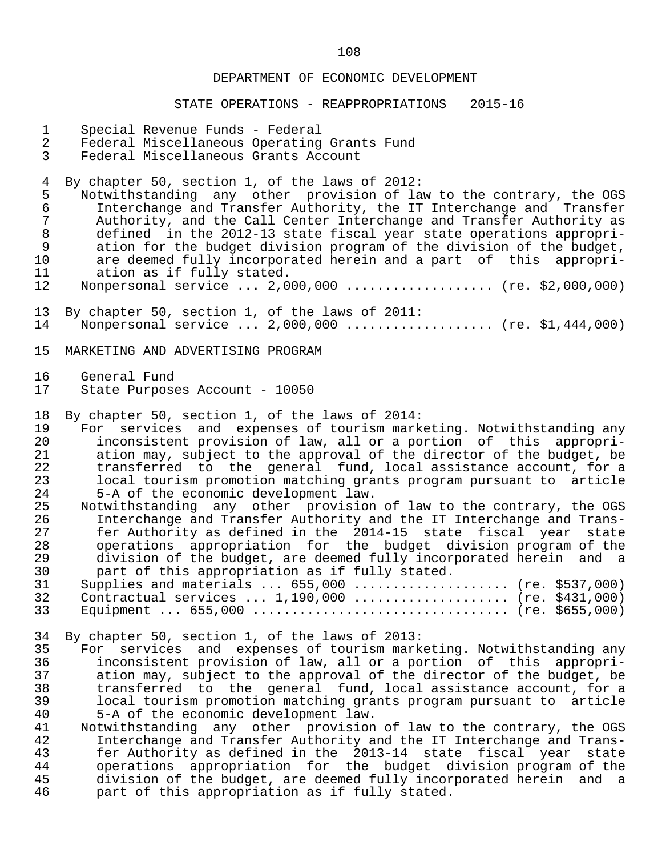#### STATE OPERATIONS - REAPPROPRIATIONS 2015-16

- 1 Special Revenue Funds Federal
- 2 Federal Miscellaneous Operating Grants Fund<br>3 Federal Miscellaneous Grants Account
- Federal Miscellaneous Grants Account

4 By chapter 50, section 1, of the laws of 2012:<br>5 Notwithstanding any other provision of la

5 Notwithstanding any other provision of law to the contrary, the OGS<br>6 Interchange and Transfer Authority, the IT Interchange and Transfer 6 Interchange and Transfer Authority, the IT Interchange and Transfer 7 Authority, and the Call Center Interchange and Transfer Authority as<br>8 defined in the 2012-13 state fiscal vear state operations appropri-8 defined in the 2012-13 state fiscal year state operations appropri-<br>9 ation for the budget division program of the division of the budget. 9 ation for the budget division program of the division of the budget,<br>10 are deemed fully incorporated herein and a part of this appropri-10 are deemed fully incorporated herein and a part of this appropri-<br>11 ation as if fully stated. 11 ation as if fully stated.<br>12 Nonpersonal service ... 2.0

- Nonpersonal service ... 2,000,000 ................... (re. \$2,000,000)
- 13 By chapter 50, section 1, of the laws of 2011: Nonpersonal service ... 2,000,000 ................... (re. \$1,444,000)
- 15 MARKETING AND ADVERTISING PROGRAM
- 16 General Fund<br>17 State Purpose State Purposes Account - 10050

18 By chapter 50, section 1, of the laws of 2014:<br>19 For services and expenses of tourism mark

19 For services and expenses of tourism marketing. Notwithstanding any<br>20 inconsistent provision of law, all or a portion of this appropri-20 inconsistent provision of law, all or a portion of this appropri-<br>21 ation may, subject to the approval of the director of the budget, be 21 ation may, subject to the approval of the director of the budget, be<br>22 transferred to the general fund, local assistance account, for a 22 transferred to the general fund, local assistance account, for a 23 local tourism promotion matching grants program pursuant to article<br>24 5-A of the economic development law. 24 5-A of the economic development law.<br>25 Notwithstanding any other provision

25 Notwithstanding any other provision of law to the contrary, the OGS<br>26 11 Interchange and Transfer Authority and the IT Interchange and Trans- 26 Interchange and Transfer Authority and the IT Interchange and Trans- 27 fer Authority as defined in the 2014-15 state fiscal year state<br>28 operations appropriation for the budget division program of the 28 operations appropriation for the budget division program of the 29 division of the budget, are deemed fully incorporated herein and a<br>30 part of this appropriation as if fully stated. part of this appropriation as if fully stated.

| 31 Supplies and materials  655,000  (re. \$537,000) |  |
|-----------------------------------------------------|--|
| 32 Contractual services  1,190,000  (re. \$431,000) |  |
|                                                     |  |

34 By chapter 50, section 1, of the laws of 2013:<br>35 For services and expenses of tourism mark 35 For services and expenses of tourism marketing. Notwithstanding any<br>36 inconsistent provision of law, all or a portion of this appropri-36 inconsistent provision of law, all or a portion of this appropri-<br>37 ation may, subject to the approval of the director of the budget, be ation may, subject to the approval of the director of the budget, be 38 transferred to the general fund, local assistance account, for a 39 local tourism promotion matching grants program pursuant to article 40 5-A of the economic development law.<br>41 Notwithstanding any other provision

41 Notwithstanding any other provision of law to the contrary, the OGS<br>42 11 Interchange and Transfer Authority and the IT Interchange and Trans- 42 Interchange and Transfer Authority and the IT Interchange and Trans- 43 fer Authority as defined in the 2013-14 state fiscal year state<br>44 operations appropriation for the budget division program of the 44 operations appropriation for the budget division program of the 45 division of the budget, are deemed fully incorporated herein and a<br>46 part of this appropriation as if fully stated. part of this appropriation as if fully stated.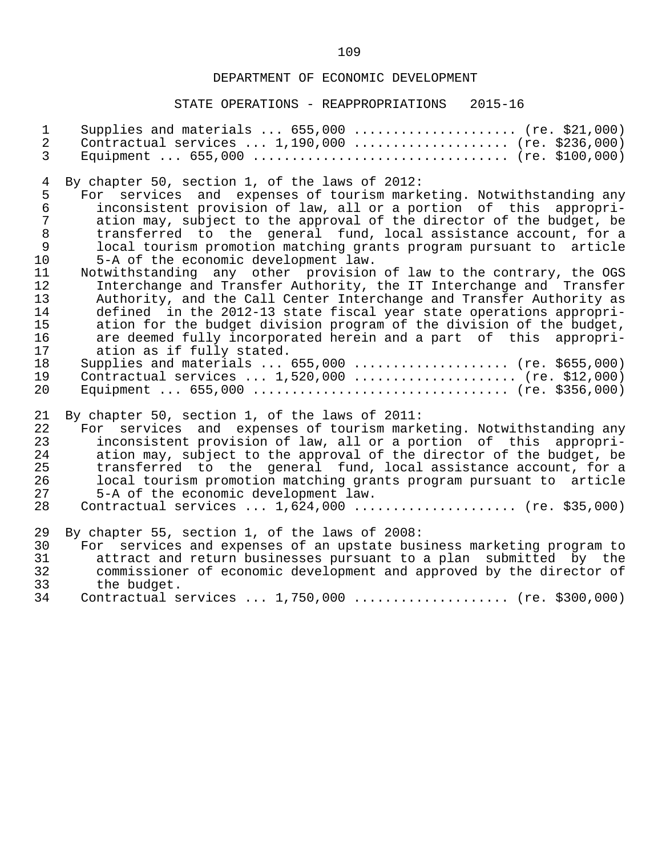## DEPARTMENT OF ECONOMIC DEVELOPMENT

| $\mathbf{1}$     | Supplies and materials $655,000$ (re. \$21,000)                       |
|------------------|-----------------------------------------------------------------------|
| $\overline{2}$   | Contractual services $1,190,000$ (re. \$236,000)                      |
| 3                |                                                                       |
| $\overline{4}$   | By chapter 50, section 1, of the laws of 2012:                        |
| 5                | For services and expenses of tourism marketing. Notwithstanding any   |
| $\epsilon$       | inconsistent provision of law, all or a portion of this appropri-     |
| $\boldsymbol{7}$ | ation may, subject to the approval of the director of the budget, be  |
| $\,8\,$          | transferred to the general fund, local assistance account, for a      |
| $\mathsf 9$      | local tourism promotion matching grants program pursuant to article   |
| 10               | 5-A of the economic development law.                                  |
| 11               | Notwithstanding any other provision of law to the contrary, the OGS   |
| 12               | Interchange and Transfer Authority, the IT Interchange and Transfer   |
| 13               | Authority, and the Call Center Interchange and Transfer Authority as  |
| 14               | defined in the 2012-13 state fiscal year state operations appropri-   |
| 15               | ation for the budget division program of the division of the budget,  |
| 16               | are deemed fully incorporated herein and a part of this appropri-     |
| 17               | ation as if fully stated.                                             |
| 18               | Supplies and materials $655,000$ (re. \$655,000)                      |
| 19               | Contractual services $1,520,000$ (re. \$12,000)                       |
| 20               |                                                                       |
| 21               | By chapter 50, section 1, of the laws of 2011:                        |
| 22               | For services and expenses of tourism marketing. Notwithstanding any   |
| 23               | inconsistent provision of law, all or a portion of this appropri-     |
| 24               | ation may, subject to the approval of the director of the budget, be  |
| 25               | transferred to the general fund, local assistance account, for a      |
| 26               | local tourism promotion matching grants program pursuant to article   |
| 27               | 5-A of the economic development law.                                  |
| 28               | Contractual services  1,624,000  (re. \$35,000)                       |
| 29               | By chapter 55, section 1, of the laws of 2008:                        |
| 30               | For services and expenses of an upstate business marketing program to |
| 31               | attract and return businesses pursuant to a plan submitted by the     |
| 32               | commissioner of economic development and approved by the director of  |
| 33               | the budget.                                                           |
| 34               | Contractual services  1,750,000  (re. \$300,000)                      |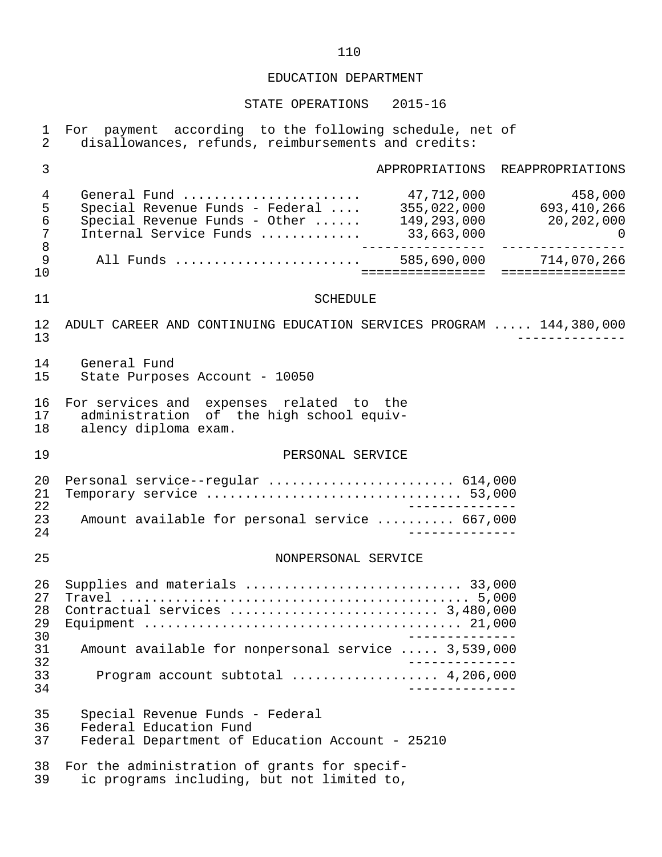| $\mathbf{1}$<br>$\overline{2}$                    | For payment according to the following schedule, net of<br>disallowances, refunds, reimbursements and credits: |
|---------------------------------------------------|----------------------------------------------------------------------------------------------------------------|
| $\mathfrak{Z}$                                    | APPROPRIATIONS REAPPROPRIATIONS                                                                                |
| $\overline{4}$<br>5<br>$\epsilon$<br>7<br>$\,8\,$ | $\overline{a}$<br>_________________                                                                            |
| 9<br>10                                           | All Funds  585,690,000 714,070,266                                                                             |
| 11                                                | <b>SCHEDULE</b>                                                                                                |
| 12<br>13                                          | ADULT CAREER AND CONTINUING EDUCATION SERVICES PROGRAM  144,380,000                                            |
| 14<br>15                                          | General Fund<br>State Purposes Account - 10050                                                                 |
| 16<br>17<br>18                                    | For services and expenses related to the<br>administration of the high school equiv-<br>alency diploma exam.   |
| 19                                                | PERSONAL SERVICE                                                                                               |
| 20<br>21<br>22                                    | Personal service--regular  614,000<br>Temporary service  53,000                                                |
| 23<br>24                                          | Amount available for personal service  667,000                                                                 |
| 25                                                | NONPERSONAL SERVICE                                                                                            |
| 26<br>27<br>28<br>29<br>30                        | Supplies and materials  33,000                                                                                 |
| 31<br>32                                          | Amount available for nonpersonal service  3,539,000                                                            |
| 33<br>34                                          | $- - - - - - - - - -$                                                                                          |
| 35<br>36<br>37                                    | Special Revenue Funds - Federal<br>Federal Education Fund<br>Federal Department of Education Account - 25210   |
| 38<br>39                                          | For the administration of grants for specif-<br>ic programs including, but not limited to,                     |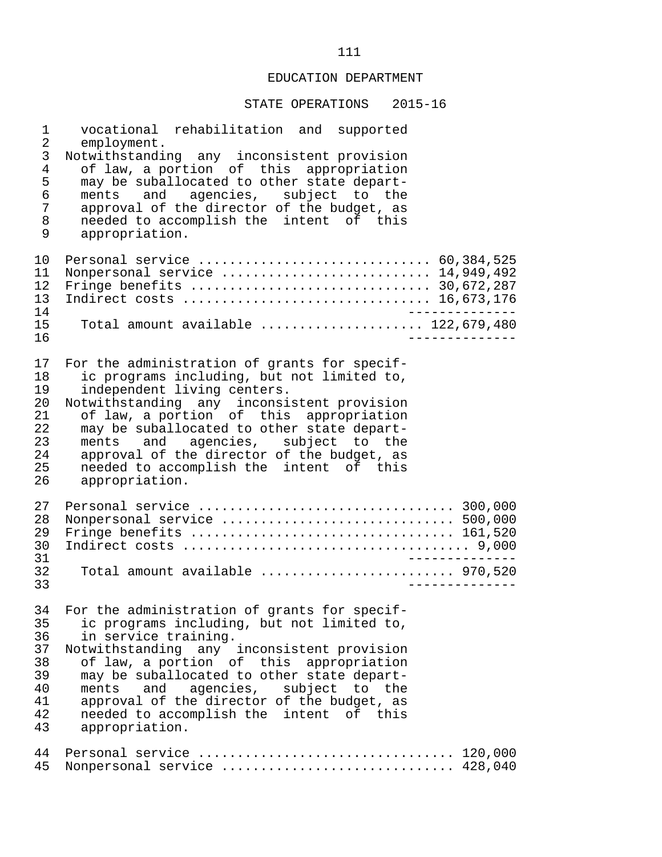| 1                                                        | vocational rehabilitation and supported                                                                                                                                                                                                                                                                                                                                                                       |
|----------------------------------------------------------|---------------------------------------------------------------------------------------------------------------------------------------------------------------------------------------------------------------------------------------------------------------------------------------------------------------------------------------------------------------------------------------------------------------|
| 2                                                        | employment.                                                                                                                                                                                                                                                                                                                                                                                                   |
| $\mathfrak{Z}$                                           | Notwithstanding any inconsistent provision                                                                                                                                                                                                                                                                                                                                                                    |
| $\overline{4}$                                           | of law, a portion of this appropriation                                                                                                                                                                                                                                                                                                                                                                       |
| 5                                                        | may be suballocated to other state depart-                                                                                                                                                                                                                                                                                                                                                                    |
| 6                                                        | ments and agencies, subject to the                                                                                                                                                                                                                                                                                                                                                                            |
| $\sqrt{ }$                                               | approval of the director of the budget, as                                                                                                                                                                                                                                                                                                                                                                    |
| 8                                                        | needed to accomplish the intent of this                                                                                                                                                                                                                                                                                                                                                                       |
| 9                                                        | appropriation.                                                                                                                                                                                                                                                                                                                                                                                                |
| 10<br>11<br>12<br>13<br>14<br>15<br>16                   | Nonpersonal service  14,949,492<br>Indirect costs  16,673,176<br>Total amount available $122,679,480$<br>__________                                                                                                                                                                                                                                                                                           |
| 17                                                       | For the administration of grants for specif-                                                                                                                                                                                                                                                                                                                                                                  |
| 18                                                       | ic programs including, but not limited to,                                                                                                                                                                                                                                                                                                                                                                    |
| 19                                                       | independent living centers.                                                                                                                                                                                                                                                                                                                                                                                   |
| 20                                                       | Notwithstanding any inconsistent provision                                                                                                                                                                                                                                                                                                                                                                    |
| 21                                                       | of law, a portion of this appropriation                                                                                                                                                                                                                                                                                                                                                                       |
| 22                                                       | may be suballocated to other state depart-                                                                                                                                                                                                                                                                                                                                                                    |
| 23                                                       | ments and agencies, subject to the                                                                                                                                                                                                                                                                                                                                                                            |
| 24                                                       | approval of the director of the budget, as                                                                                                                                                                                                                                                                                                                                                                    |
| 25                                                       | needed to accomplish the intent of this                                                                                                                                                                                                                                                                                                                                                                       |
| 26                                                       | appropriation.                                                                                                                                                                                                                                                                                                                                                                                                |
| 27                                                       |                                                                                                                                                                                                                                                                                                                                                                                                               |
| 28                                                       | Nonpersonal service  500,000                                                                                                                                                                                                                                                                                                                                                                                  |
| 29                                                       | Fringe benefits  161,520                                                                                                                                                                                                                                                                                                                                                                                      |
| 30                                                       |                                                                                                                                                                                                                                                                                                                                                                                                               |
| 31                                                       | _____________                                                                                                                                                                                                                                                                                                                                                                                                 |
| 32                                                       | Total amount available  970,520                                                                                                                                                                                                                                                                                                                                                                               |
| 33                                                       | $- - - - - - -$                                                                                                                                                                                                                                                                                                                                                                                               |
| 34<br>35<br>36<br>37<br>38<br>39<br>40<br>41<br>42<br>43 | For the administration of grants for specif-<br>ic programs including, but not limited to,<br>in service training.<br>Notwithstanding any inconsistent provision<br>of law, a portion of this appropriation<br>may be suballocated to other state depart-<br>and agencies, subject to the<br>ments<br>approval of the director of the budget, as<br>needed to accomplish the intent of this<br>appropriation. |
| 44                                                       | Personal service  120,000                                                                                                                                                                                                                                                                                                                                                                                     |
| 45                                                       | Nonpersonal service  428,040                                                                                                                                                                                                                                                                                                                                                                                  |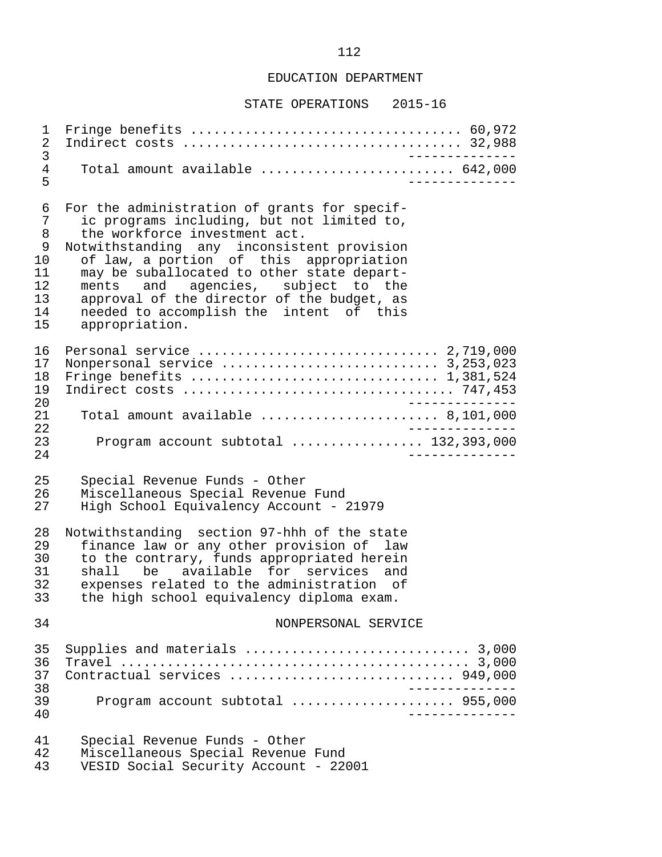#### STATE OPERATIONS 2015-16

 1 Fringe benefits ................................... 60,972 2 Indirect costs .................................... 32,988 3 -------------- 4 Total amount available ......................... 642,000 5 -------------- 6 For the administration of grants for specif-<br>7 ic programs including, but not limited to, 7 ic programs including, but not limited to,<br>8 the workforce investment act. 8 the workforce investment act.<br>9 Notwithstanding any inconsist 9 Notwithstanding any inconsistent provision<br>10 of law, a portion of this appropriation 10 of law, a portion of this appropriation<br>11 may be suballocated to other state depart-11 may be suballocated to other state depart-<br>12 ments and agencies, subject to the 12 ments and agencies,<br>13 approval of the director 13 approval of the director of the budget, as<br>14 apeded to accomplish the intent of this 14 needed to accomplish the intent of this<br>15 appropriation. appropriation. 16 Personal service ............................... 2,719,000 17 Nonpersonal service ............................ 3,253,023 18 Fringe benefits ................................ 1,381,524 19 Indirect costs ................................... 747,453 20 -------------- 21 Total amount available ....................... 8,101,000 22<br>23 Program account subtotal ................... 132.393.000 23 Program account subtotal ................. 132,393,000 24 -------------- 25 Special Revenue Funds - Other 26 Miscellaneous Special Revenue Fund<br>27 High School Equivalency Account - 2 27 High School Equivalency Account - 21979 28 Notwithstanding section 97-hhh of the state<br>29 finance law or any other provision of law 29 finance law or any other provision of law<br>30 to the contrary, funds appropriated herein 30 to the contrary, funds appropriated herein<br>31 shall be available for services and 31 shall be available for services and<br>32 expenses related to the administration of 32 expenses related to the administration of<br>33 the high school equivalency diploma exam. the high school equivalency diploma exam. 34 NONPERSONAL SERVICE 35 Supplies and materials ............................. 3,000 36 Travel ............................................. 3,000 37 Contractual services ............................. 949,000 38 -------------- 39 Program account subtotal ..................... 955,000 40 -------------- 41 Special Revenue Funds - Other 42 Miscellaneous Special Revenue Fund<br>43 VESID Social Security Account - 22 VESID Social Security Account - 22001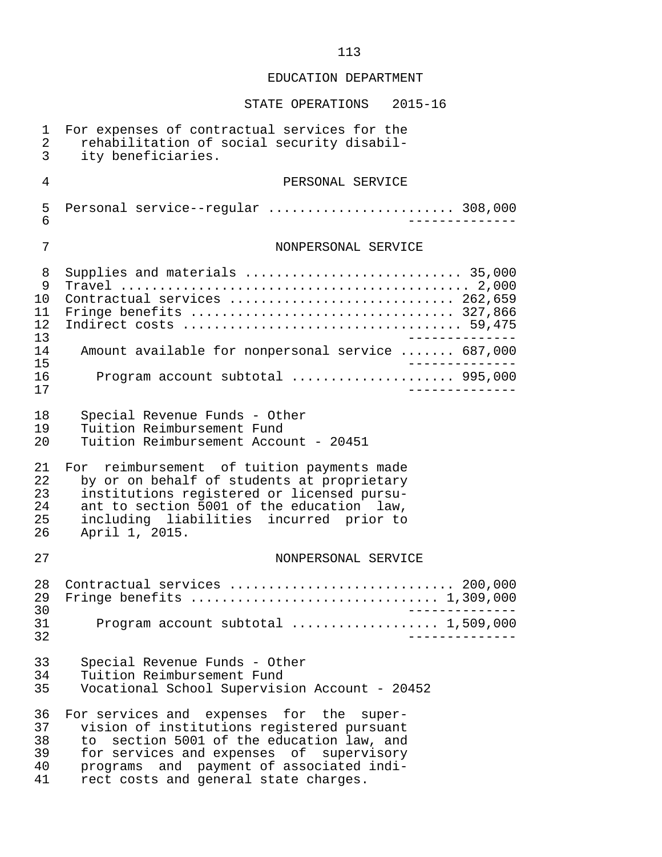| 1<br>$\overline{2}$<br>$\overline{3}$ | For expenses of contractual services for the<br>rehabilitation of social security disabil-<br>ity beneficiaries.                                                                                                                                                        |
|---------------------------------------|-------------------------------------------------------------------------------------------------------------------------------------------------------------------------------------------------------------------------------------------------------------------------|
| $\overline{4}$                        | PERSONAL SERVICE                                                                                                                                                                                                                                                        |
| 5<br>6                                | Personal service--regular  308,000                                                                                                                                                                                                                                      |
| 7                                     | NONPERSONAL SERVICE                                                                                                                                                                                                                                                     |
| 8<br>9<br>10<br>11<br>12<br>13        | Supplies and materials  35,000<br>Contractual services  262,659<br>Fringe benefits  327,866                                                                                                                                                                             |
| 14<br>15                              | Amount available for nonpersonal service  687,000                                                                                                                                                                                                                       |
| 16<br>17                              | Program account subtotal  995,000                                                                                                                                                                                                                                       |
| 18<br>19<br>20                        | Special Revenue Funds - Other<br>Tuition Reimbursement Fund<br>Tuition Reimbursement Account - 20451                                                                                                                                                                    |
| 21<br>22<br>23<br>24<br>25<br>26      | For reimbursement of tuition payments made<br>by or on behalf of students at proprietary<br>institutions registered or licensed pursu-<br>ant to section 5001 of the education law,<br>including liabilities incurred prior to<br>April 1, 2015.                        |
| 27                                    | NONPERSONAL SERVICE                                                                                                                                                                                                                                                     |
| 28<br>29<br>30<br>31<br>32            | Contractual services  200,000<br>Fringe benefits  1,309,000<br>Program account subtotal  1,509,000                                                                                                                                                                      |
| 33<br>34<br>35                        | Special Revenue Funds - Other<br>Tuition Reimbursement Fund<br>Vocational School Supervision Account - 20452                                                                                                                                                            |
| 36<br>37<br>38<br>39<br>40<br>41      | For services and expenses for the super-<br>vision of institutions registered pursuant<br>section 5001 of the education law, and<br>to<br>for services and expenses of supervisory<br>programs and payment of associated indi-<br>rect costs and general state charges. |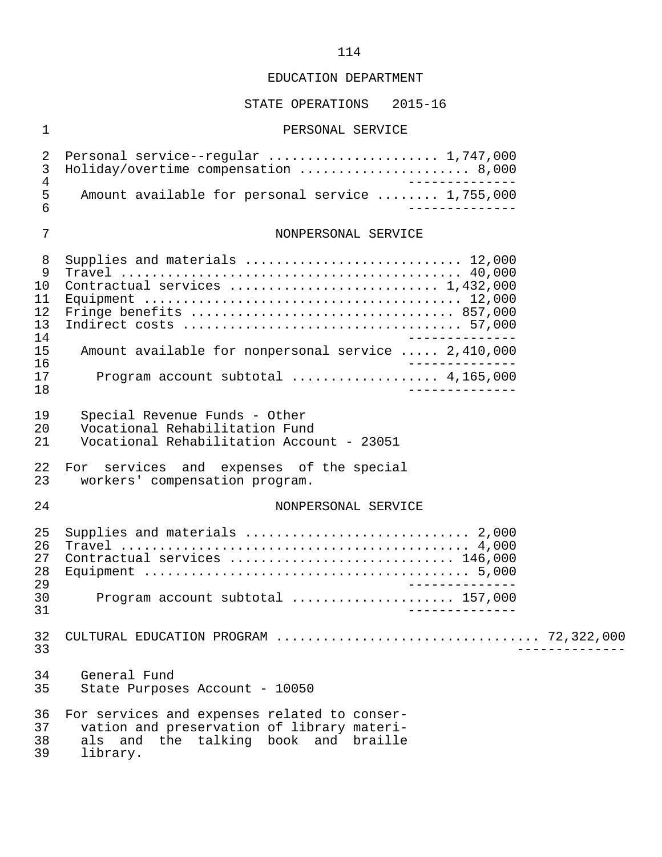### STATE OPERATIONS 2015-16

# 1 PERSONAL SERVICE

| $\overline{2}$<br>$\mathfrak{Z}$                             | Holiday/overtime compensation  8,000                                                                                                                                    |  |  |  |
|--------------------------------------------------------------|-------------------------------------------------------------------------------------------------------------------------------------------------------------------------|--|--|--|
| $\sqrt{4}$<br>5<br>$6\phantom{1}$                            | Amount available for personal service  1,755,000                                                                                                                        |  |  |  |
| 7                                                            | NONPERSONAL SERVICE                                                                                                                                                     |  |  |  |
| 8<br>9<br>10<br>11<br>12<br>13<br>14<br>15<br>16<br>17<br>18 | Supplies and materials  12,000<br>Contractual services  1,432,000<br>Amount available for nonpersonal service  2,410,000<br>Program account subtotal $\ldots$ 4,165,000 |  |  |  |
| 19<br>20<br>21                                               | Special Revenue Funds - Other<br>Vocational Rehabilitation Fund<br>Vocational Rehabilitation Account - 23051                                                            |  |  |  |
| 22<br>23                                                     | For services and expenses of the special<br>workers' compensation program.                                                                                              |  |  |  |
| 24                                                           | NONPERSONAL SERVICE                                                                                                                                                     |  |  |  |
| 25<br>26<br>27<br>28<br>29<br>30                             | Supplies and materials  2,000<br>Contractual services  146,000<br>Program account subtotal  157,000                                                                     |  |  |  |
| 31                                                           |                                                                                                                                                                         |  |  |  |
| 32<br>33                                                     |                                                                                                                                                                         |  |  |  |
| 34<br>35                                                     | General Fund<br>State Purposes Account - 10050                                                                                                                          |  |  |  |
| 36<br>37<br>38<br>39                                         | For services and expenses related to conser-<br>vation and preservation of library materi-<br>als and the talking book and braille<br>library.                          |  |  |  |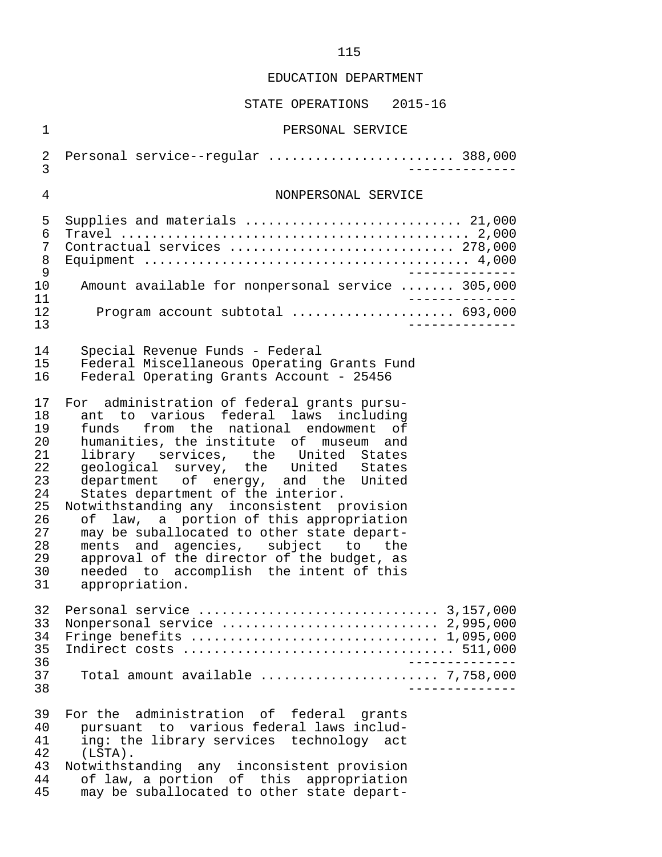| $\mathbf 1$<br>PERSONAL SERVICE<br>Personal service--regular  388,000<br>2<br>$\overline{3}$<br>4<br>NONPERSONAL SERVICE<br>Supplies and materials  21,000<br>5<br>6<br>Contractual services  278,000<br>7<br>8                                                                                                                                                                                                                                                                                                                                                                                                                                                                                                        |  |
|------------------------------------------------------------------------------------------------------------------------------------------------------------------------------------------------------------------------------------------------------------------------------------------------------------------------------------------------------------------------------------------------------------------------------------------------------------------------------------------------------------------------------------------------------------------------------------------------------------------------------------------------------------------------------------------------------------------------|--|
|                                                                                                                                                                                                                                                                                                                                                                                                                                                                                                                                                                                                                                                                                                                        |  |
|                                                                                                                                                                                                                                                                                                                                                                                                                                                                                                                                                                                                                                                                                                                        |  |
|                                                                                                                                                                                                                                                                                                                                                                                                                                                                                                                                                                                                                                                                                                                        |  |
| $\mathsf 9$                                                                                                                                                                                                                                                                                                                                                                                                                                                                                                                                                                                                                                                                                                            |  |
| Amount available for nonpersonal service  305,000<br>10                                                                                                                                                                                                                                                                                                                                                                                                                                                                                                                                                                                                                                                                |  |
| 11<br>Program account subtotal  693,000<br>12<br>13                                                                                                                                                                                                                                                                                                                                                                                                                                                                                                                                                                                                                                                                    |  |
| 14<br>Special Revenue Funds - Federal<br>Federal Miscellaneous Operating Grants Fund<br>15 <sub>1</sub><br>Federal Operating Grants Account - 25456<br>16                                                                                                                                                                                                                                                                                                                                                                                                                                                                                                                                                              |  |
| 17<br>For administration of federal grants pursu-<br>ant to various federal laws including<br>18<br>funds from the national endowment of<br>19<br>20<br>humanities, the institute of museum and<br>21<br>library services, the United States<br>geological survey, the United States<br>22<br>department of energy, and the United<br>23<br>States department of the interior.<br>24<br>Notwithstanding any inconsistent provision<br>25<br>26<br>of law, a portion of this appropriation<br>27<br>may be suballocated to other state depart-<br>28<br>ments and agencies, subject to the<br>29<br>approval of the director of the budget, as<br>30<br>needed to accomplish the intent of this<br>31<br>appropriation. |  |
| 32<br>33<br>Nonpersonal service  2,995,000<br>Fringe benefits $\ldots \ldots \ldots \ldots \ldots \ldots \ldots \ldots \ldots \ldots \ldots 1,095,000$<br>34<br>35<br>36                                                                                                                                                                                                                                                                                                                                                                                                                                                                                                                                               |  |
| 37<br>Total amount available $\ldots \ldots \ldots \ldots \ldots \ldots \ldots$ 7,758,000<br>38                                                                                                                                                                                                                                                                                                                                                                                                                                                                                                                                                                                                                        |  |
| 39<br>For the administration of federal grants<br>pursuant to various federal laws includ-<br>40<br>ing: the library services technology act<br>41<br>42<br>$(LSTA)$ .<br>43<br>Notwithstanding any inconsistent provision<br>of law, a portion of this appropriation<br>44<br>may be suballocated to other state depart-<br>45                                                                                                                                                                                                                                                                                                                                                                                        |  |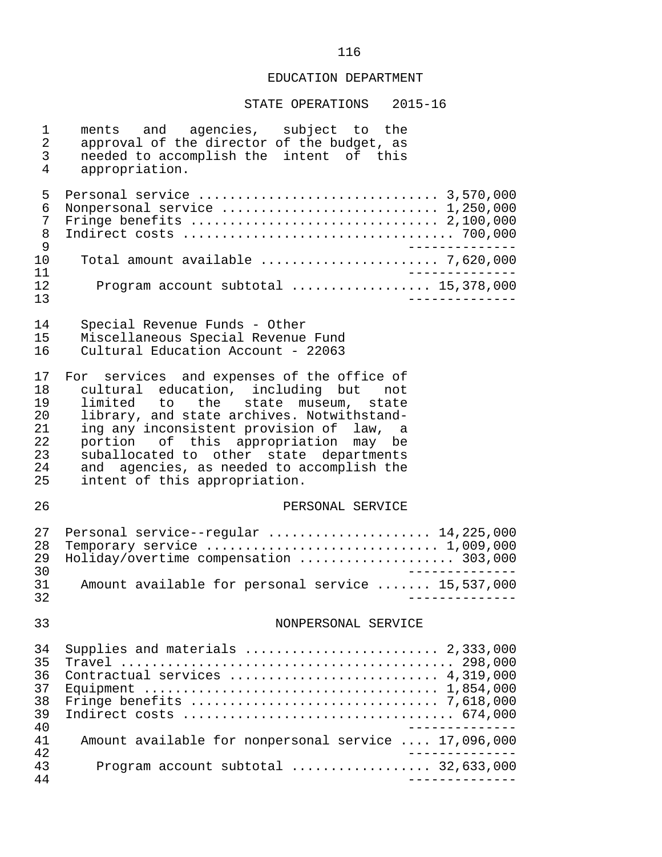| $\mathbf 1$<br>$\sqrt{2}$<br>3<br>4                | ments and agencies, subject to the<br>approval of the director of the budget, as<br>needed to accomplish the intent of this<br>appropriation.                                                                                                                                                                                                                                        |
|----------------------------------------------------|--------------------------------------------------------------------------------------------------------------------------------------------------------------------------------------------------------------------------------------------------------------------------------------------------------------------------------------------------------------------------------------|
| 5<br>6<br>7<br>8<br>9                              | Nonpersonal service  1,250,000<br>Fringe benefits $\ldots \ldots \ldots \ldots \ldots \ldots \ldots \ldots \ldots \ldots 2,100,000$                                                                                                                                                                                                                                                  |
| 10                                                 | Total amount available $\ldots, \ldots, \ldots, \ldots, \ldots, 7,620,000$                                                                                                                                                                                                                                                                                                           |
| 11<br>12<br>13                                     | Program account subtotal $\ldots$ 15,378,000<br>____________                                                                                                                                                                                                                                                                                                                         |
| 14<br>15<br>16                                     | Special Revenue Funds - Other<br>Miscellaneous Special Revenue Fund<br>Cultural Education Account - 22063                                                                                                                                                                                                                                                                            |
| 17<br>18<br>19<br>20<br>21<br>22<br>23<br>24<br>25 | For services and expenses of the office of<br>cultural education, including but not<br>limited to the state museum, state<br>library, and state archives. Notwithstand-<br>ing any inconsistent provision of law, a<br>portion of this appropriation may be<br>suballocated to other state departments<br>and agencies, as needed to accomplish the<br>intent of this appropriation. |
| 26                                                 | PERSONAL SERVICE                                                                                                                                                                                                                                                                                                                                                                     |
| 27<br>28<br>29<br>30                               | Personal service--regular  14,225,000<br>Temporary service $\ldots \ldots \ldots \ldots \ldots \ldots \ldots \ldots \ldots 1,009,000$<br>Holiday/overtime compensation  303,000                                                                                                                                                                                                      |
| 31<br>32                                           | Amount available for personal service  15,537,000                                                                                                                                                                                                                                                                                                                                    |
| 33                                                 | NONPERSONAL SERVICE                                                                                                                                                                                                                                                                                                                                                                  |
| 34<br>35<br>36<br>37<br>38<br>39<br>40             | Supplies and materials  2,333,000<br>Contractual services  4,319,000<br>Fringe benefits $\ldots \ldots \ldots \ldots \ldots \ldots \ldots \ldots \ldots \ldots \ldots$ 7,618,000                                                                                                                                                                                                     |
| 41<br>42                                           | Amount available for nonpersonal service  17,096,000                                                                                                                                                                                                                                                                                                                                 |
| 43<br>44                                           | Program account subtotal $\ldots$ 32,633,000                                                                                                                                                                                                                                                                                                                                         |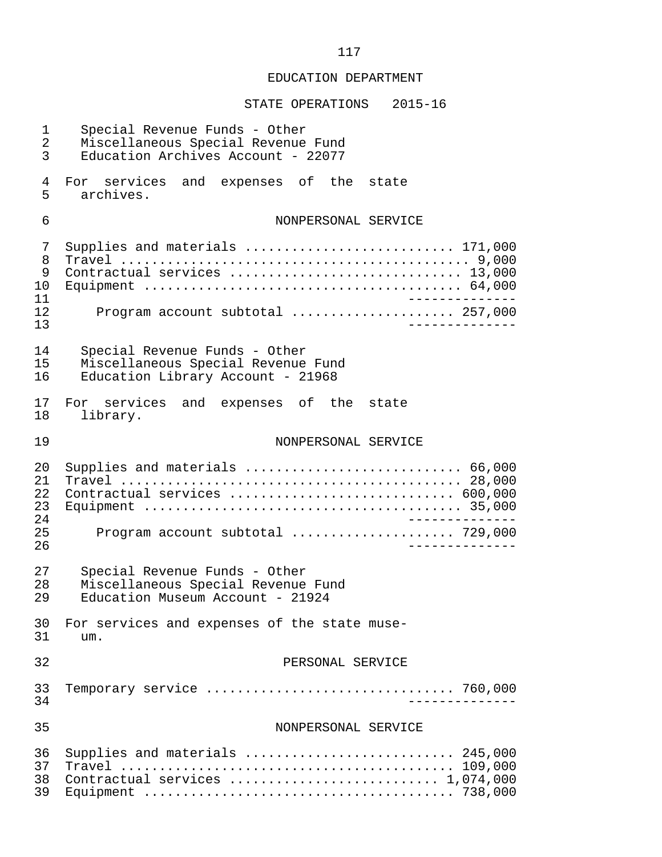| 1<br>$\overline{2}$<br>$\mathbf{3}$ | Special Revenue Funds - Other<br>Miscellaneous Special Revenue Fund<br>Education Archives Account - 22077 |
|-------------------------------------|-----------------------------------------------------------------------------------------------------------|
| 4<br>5                              | For services and expenses of the state<br>archives.                                                       |
| 6                                   | NONPERSONAL SERVICE                                                                                       |
| 7<br>8<br>9<br>10<br>11<br>12<br>13 | Supplies and materials  171,000<br>Contractual services  13,000<br>Program account subtotal  257,000      |
| 14<br>15<br>16                      | Special Revenue Funds - Other<br>Miscellaneous Special Revenue Fund<br>Education Library Account - 21968  |
| 17<br>18                            | For services and expenses of the state<br>library.                                                        |
| 19                                  | NONPERSONAL SERVICE                                                                                       |
| 20<br>21<br>22<br>23<br>24<br>25    | Supplies and materials  66,000<br>Contractual services  600,000<br>Program account subtotal  729,000      |
| 26                                  |                                                                                                           |
| 27<br>28<br>29                      | Special Revenue Funds - Other<br>Miscellaneous Special Revenue Fund<br>Education Museum Account - 21924   |
| 30<br>31                            | For services and expenses of the state muse-<br>um.                                                       |
| 32                                  | PERSONAL SERVICE                                                                                          |
| 33<br>34                            |                                                                                                           |
| 35                                  | NONPERSONAL SERVICE                                                                                       |
| 36<br>37<br>38<br>39                | Supplies and materials  245,000<br>Contractual services  1,074,000                                        |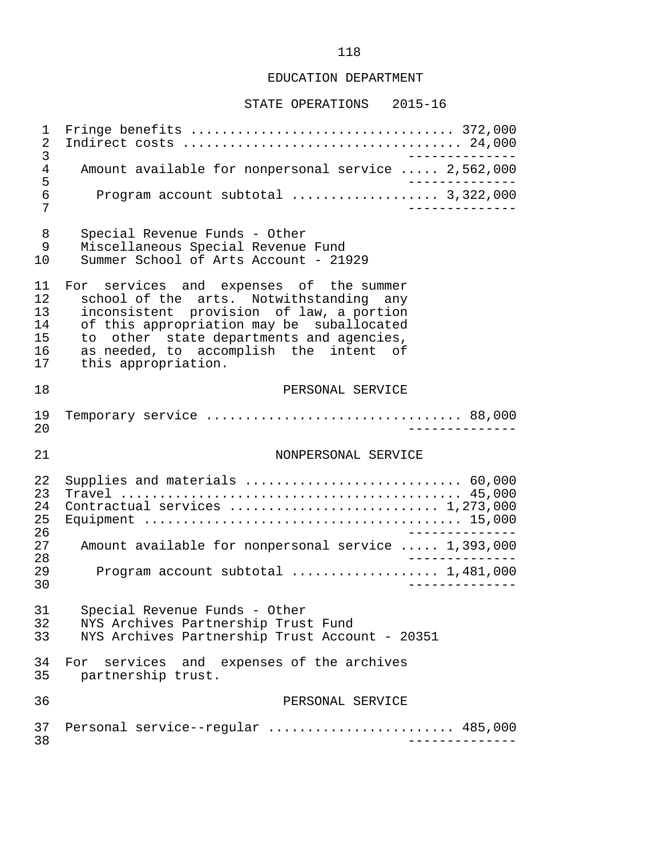#### STATE OPERATIONS 2015-16

 1 Fringe benefits .................................. 372,000 2 Indirect costs .................................... 24,000 3 -------------- 4 Amount available for nonpersonal service ..... 2,562,000 5 -------------- 6 Program account subtotal ................... 3,322,000 7 -------------- 8 Special Revenue Funds - Other<br>9 Miscellaneous Special Revenue 9 Miscellaneous Special Revenue Fund<br>10 Summer School of Arts Account - 219 Summer School of Arts Account - 21929 11 For services and expenses of the summer<br>12 school of the arts. Notwithstanding any 12 school of the arts. Notwithstanding any<br>13 inconsistent provision of law, a portion 13 inconsistent provision of law, a portion<br>14 of this appropriation may be suballocated 14 of this appropriation may be suballocated<br>15 to other state departments and agencies. 15 to other state-departments and agencies,<br>16 as needed, to accomplish the intent of 16 as needed, to accomplish the intent of<br>17 this appropriation. this appropriation. 18 PERSONAL SERVICE 19 Temporary service ................................. 88,000 20 -------------- 21 NONPERSONAL SERVICE 22 Supplies and materials ............................ 60,000 23 Travel ............................................ 45,000 24 Contractual services ........................... 1,273,000 25 Equipment ......................................... 15,000 26<br>27 Amount available for nonpersonal service ..... 1.393.000 27 Amount available for nonpersonal service ..... 1,393,000 28 -------------- 29 Program account subtotal ................... 1,481,000 30 -------------- 31 Special Revenue Funds - Other<br>32 NYS Archives Partnership Trust 32 NYS Archives Partnership Trust Fund<br>33 NYS Archives Partnership Trust Accom NYS Archives Partnership Trust Account - 20351 34 For services and expenses of the archives<br>35 partnership trust. partnership trust. 36 PERSONAL SERVICE 37 Personal service--regular ........................... 485,000<br>38 38 --------------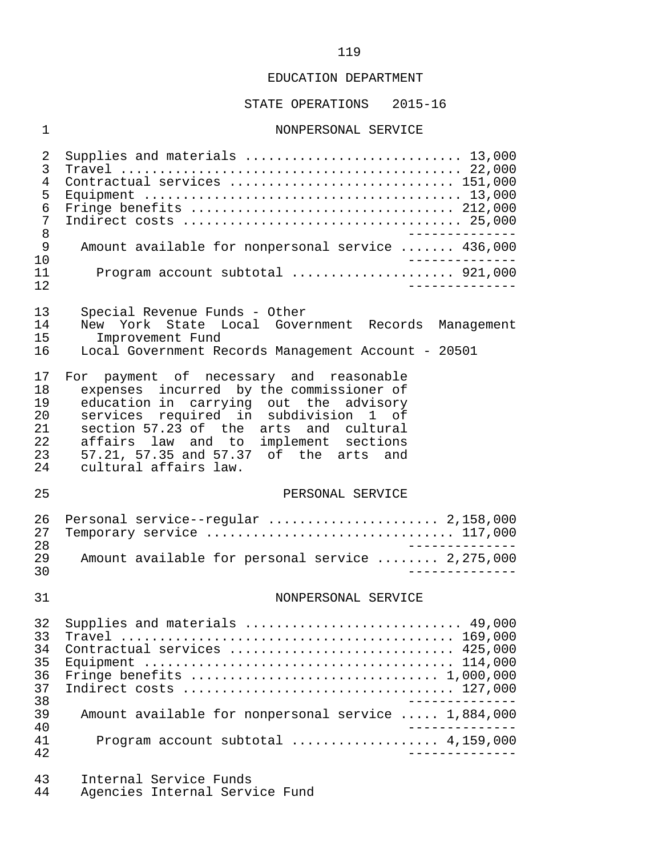#### STATE OPERATIONS 2015-16

#### 1 NONPERSONAL SERVICE

 2 Supplies and materials ............................ 13,000 3 Travel ............................................ 22,000 4 Contractual services ............................. 151,000 5 Equipment ......................................... 13,000 6 Fringe benefits .................................. 212,000 7 Indirect costs .................................... 25,000 8 -------------- 9 Amount available for nonpersonal service ....... 436,000<br>10 ------------- 10 -------------- 11 Program account subtotal ..................... 921,000 12 -------------- 13 Special Revenue Funds - Other<br>14 New York State Local Gover 14 New York State Local Government Records Management 15 Improvement Fund<br>16 Local Government Re 16 Local Government Records Management Account - 20501 17 For payment of necessary and reasonable<br>18 expenses incurred by the commissioner of 18 expenses incurred by the commissioner of<br>19 education in carrying out the advisory 19 education in carrying out the advisory<br>20 services required in subdivision 1 of 20 services required in subdivision 1 of<br>21 section 57.23 of the arts and cultural 21 section  $57.23$  of the arts and cultural<br>22 affairs law and to implement sections 22 affairs law and to implement sections<br>23 57.21, 57.35 and 57.37 of the arts and 23 57.21, 57.35 and 57.37 of the arts and<br>24 cultural affairs law. cultural affairs law. 25 PERSONAL SERVICE 26 Personal service--regular ...................... 2,158,000 27 Temporary service ................................ 117,000 28<br>29 Amount available for personal service ........ 2.275.000 29 Amount available for personal service ........ 2,275,000 30 -------------- 31 NONPERSONAL SERVICE 32 Supplies and materials ............................ 49,000 33 Travel ........................................... 169,000 34 Contractual services ............................. 425,000 35 Equipment ........................................ 114,000 36 Fringe benefits ................................ 1,000,000 37 Indirect costs ................................... 127,000 38 -------------- 39 Amount available for nonpersonal service ..... 1,884,000 40<br>41 - Program account subtotal expressions and 4.159.000 41 Program account subtotal ................... 4,159,000 42 -------------- 43 Internal Service Funds

Agencies Internal Service Fund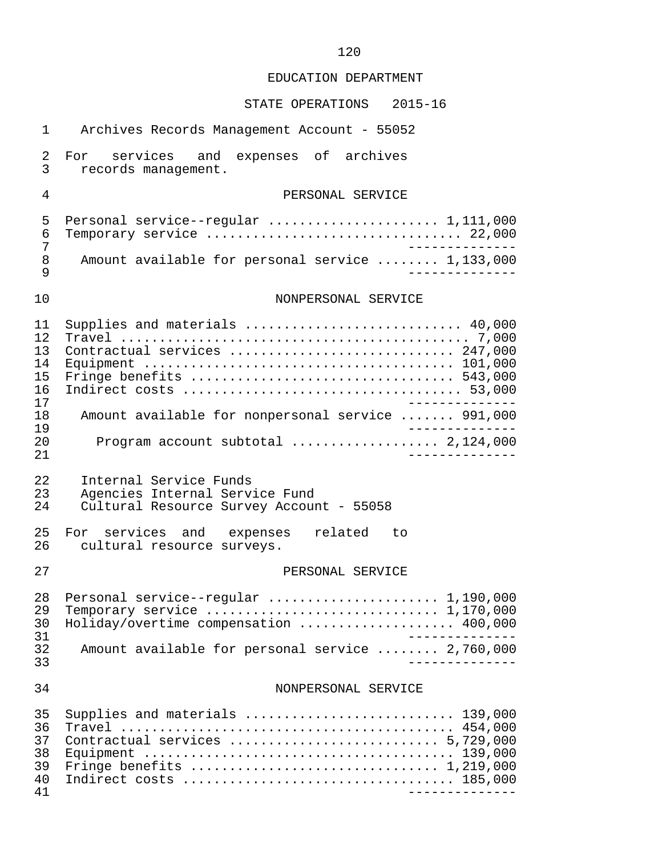# STATE OPERATIONS 2015-16

| $\mathbf{1}$                                                   | Archives Records Management Account - 55052                                                                                                                                                       |
|----------------------------------------------------------------|---------------------------------------------------------------------------------------------------------------------------------------------------------------------------------------------------|
| 2<br>$\overline{3}$                                            | expenses of archives<br>For services and<br>records management.                                                                                                                                   |
| 4                                                              | PERSONAL SERVICE                                                                                                                                                                                  |
| 5<br>6<br>7<br>8<br>9                                          | Personal service--regular  1,111,000<br>Temporary service $\ldots \ldots \ldots \ldots \ldots \ldots \ldots \ldots \ldots \ldots 22,000$<br>Amount available for personal service  1,133,000      |
| 10                                                             | NONPERSONAL SERVICE                                                                                                                                                                               |
| 11<br>12<br>13<br>14<br>15<br>16<br>17<br>18<br>19<br>20<br>21 | Supplies and materials  40,000<br>Contractual services  247,000<br>Fringe benefits  543,000<br>Amount available for nonpersonal service  991,000<br>Program account subtotal  2,124,000           |
| 22<br>23<br>24                                                 | Internal Service Funds<br>Agencies Internal Service Fund<br>Cultural Resource Survey Account - 55058                                                                                              |
| 25<br>26                                                       | For services and expenses related to<br>cultural resource surveys.                                                                                                                                |
| 27                                                             | PERSONAL SERVICE                                                                                                                                                                                  |
| 28<br>29<br>30<br>31<br>32<br>33                               | Temporary service $\ldots \ldots \ldots \ldots \ldots \ldots \ldots \ldots \ldots \ldots 1,170,000$<br>Holiday/overtime compensation  400,000<br>Amount available for personal service  2,760,000 |
| 34                                                             | NONPERSONAL SERVICE                                                                                                                                                                               |
| 35<br>36<br>37<br>38<br>39<br>40<br>41                         | Supplies and materials  139,000<br>Contractual services  5,729,000                                                                                                                                |

### 120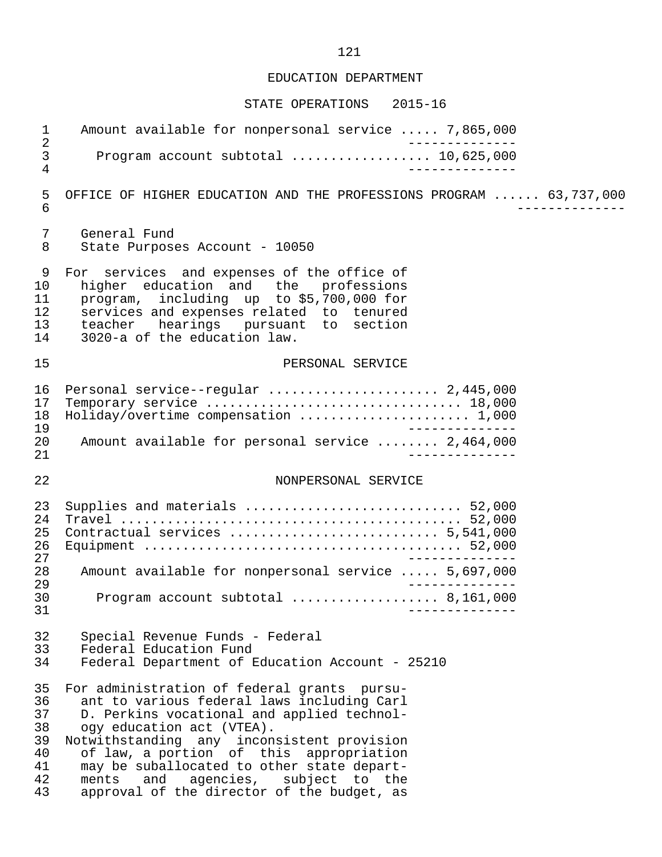#### STATE OPERATIONS 2015-16

1 Amount available for nonpersonal service ..... 7,865,000 2<br>3 Program account subtotal .................. 10,625,000 3 Program account subtotal .................. 10,625,000 4 -------------- 5 OFFICE OF HIGHER EDUCATION AND THE PROFESSIONS PROGRAM ...... 63,737,000<br>6 6 -------------- 7 General Fund<br>8 State Purpose State Purposes Account - 10050 9 For services and expenses of the office of<br>10 higher education and the professions 10 higher education and the professions<br>11 program, including up to \$5,700,000 for 11 program, including up to \$5,700,000 for<br>12 services and expenses related to tenured 12 services and expenses related to tenured<br>13 teacher hearings pursuant to section 13 teacher hearings pursuant to section 14 3020-a of the education law. 15 PERSONAL SERVICE 16 Personal service--regular ...................... 2,445,000 17 Temporary service ................................. 18,000 18 Holiday/overtime compensation ........................... 1,000<br>19 19<br>20 Amount available for personal service ........ 2,464,000 20 Amount available for personal service ........ 2,464,000 21 -------------- 22 NONPERSONAL SERVICE 23 Supplies and materials ............................ 52,000 24 Travel ............................................ 52,000 25 Contractual services ........................... 5,541,000 26 Equipment ......................................... 52,000 27<br>28 Amount available for nonpersonal service ..... 5.697.000 28 Amount available for nonpersonal service ..... 5,697,000 29 -------------- 30 Program account subtotal ................... 8,161,000 31 -------------- 32 Special Revenue Funds - Federal<br>33 Federal Education Fund 33 Federal Education Fund<br>34 Federal Department of B Federal Department of Education Account - 25210 35 For administration of federal grants pursu- 36 ant to various federal laws including Carl<br>37 D. Perkins vocational and applied technol-37 D. Perkins vocational and applied technol-<br>38 ogy education act (VTEA). 38 ogy education act (VTEA).<br>39 Notwithstanding any incon 39 Notwithstanding any inconsistent provision 40 of law, a portion of this appropriation 41 may be suballocated to other state depart-<br>42 ments and agencies, subject to the 42 ments and agencies, subject to the<br>43 approval of the director of the budget, as approval of the director of the budget, as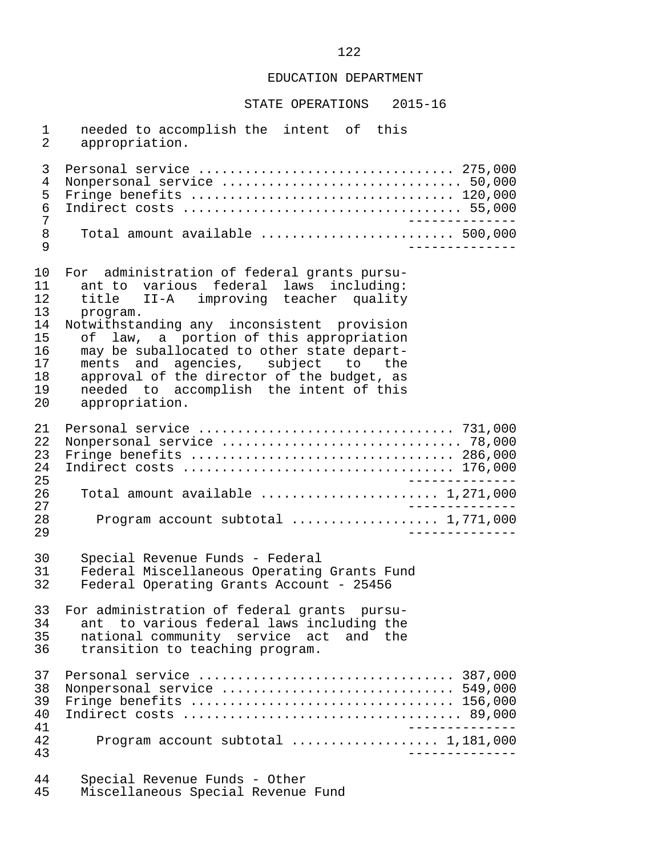STATE OPERATIONS 2015-16

1 needed to accomplish the intent of this<br>2 appropriation. appropriation. 3 Personal service ................................. 275,000 4 Nonpersonal service ............................... 50,000 5 Fringe benefits .................................. 120,000 6 Indirect costs .................................... 55,000 7 -------------- 8 Total amount available ......................... 500,000 9 -------------- 10 For administration of federal grants pursu- 11 ant to various federal laws including:<br>12 title II-A improving teacher quality 12 title II-A improving teacher quality<br>13 program. 13 program.<br>14 Notwithstai 14 Notwithstanding any inconsistent provision<br>15 of law, a portion of this appropriation 15 of law, a portion of this appropriation<br>16 may be suballocated to other state depart-16 may be suballocated to other state depart-<br>17 ments and agencies, subject to the 17 ments and agencies, subject<br>18 approval of the director of the 18 approval of the director of the budget, as<br>19 approval of the director of the budget, as needed to accomplish the intent of this 20 appropriation. 21 Personal service ................................. 731,000 22 Nonpersonal service ............................... 78,000 23 Fringe benefits .................................. 286,000 24 Indirect costs ................................... 176,000 25 -------------- 26 Total amount available ............................ 1,271,000 27 -------------- 28 Program account subtotal ................... 1,771,000 29 -------------- 30 Special Revenue Funds - Federal 31 Federal Miscellaneous Operating Grants Fund<br>32 Federal Operating Grants Account - 25456 Federal Operating Grants Account - 25456 33 For administration of federal grants pursu- 34 ant to various federal laws including the<br>35 national community service act and the 35 national community service act and the<br>36 transition to teaching program. transition to teaching program. 37 Personal service ................................. 387,000 38 Nonpersonal service .............................. 549,000 39 Fringe benefits .................................. 156,000 40 Indirect costs .................................... 89,000 41<br>42 Drogram account subtotal expressions was 1.181.000 42 Program account subtotal ................... 1,181,000 43 -------------- 44 Special Revenue Funds - Other

Miscellaneous Special Revenue Fund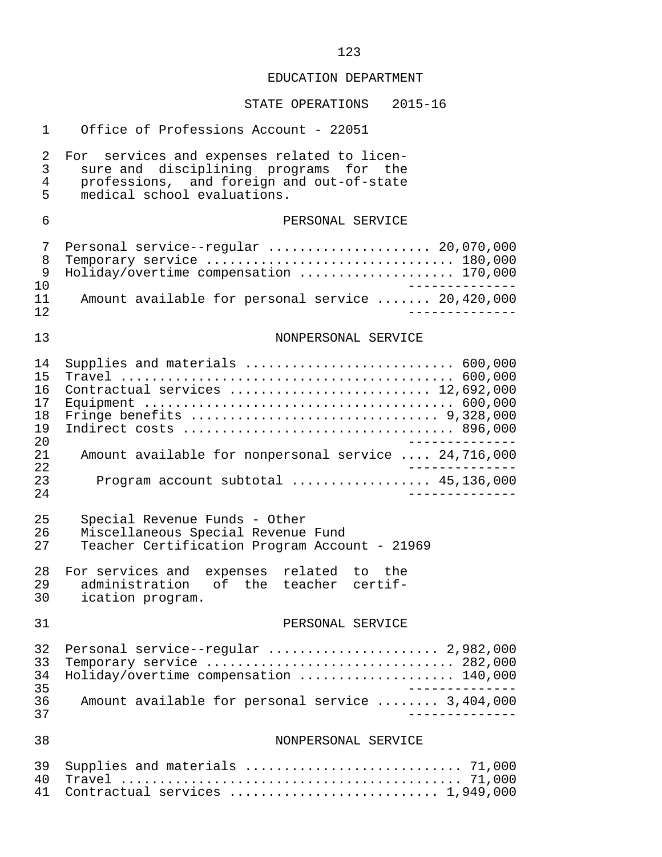| 1                                      | Office of Professions Account - 22051                                                                                                                             |
|----------------------------------------|-------------------------------------------------------------------------------------------------------------------------------------------------------------------|
| 2<br>3<br>$\overline{4}$<br>5          | For services and expenses related to licen-<br>sure and disciplining programs for the<br>professions, and foreign and out-of-state<br>medical school evaluations. |
| 6                                      | PERSONAL SERVICE                                                                                                                                                  |
| 7<br>8<br>9                            | Personal service--regular  20,070,000<br>Temporary service  180,000<br>Holiday/overtime compensation  170,000                                                     |
| 10<br>11<br>12                         | Amount available for personal service  20,420,000                                                                                                                 |
| 13                                     | NONPERSONAL SERVICE                                                                                                                                               |
| 14<br>15<br>16<br>17<br>18<br>19<br>20 | Supplies and materials  600,000<br>Contractual services  12,692,000                                                                                               |
| 21<br>22                               | Amount available for nonpersonal service  24,716,000                                                                                                              |
| 23<br>24                               | Program account subtotal  45,136,000                                                                                                                              |
| 25<br>26<br>27                         | Special Revenue Funds - Other<br>Miscellaneous Special Revenue Fund<br>Teacher Certification Program Account - 21969                                              |
| 28<br>29<br>30                         | For services and expenses related to the<br>administration of the teacher certif-<br>ication program.                                                             |
| 31                                     | PERSONAL SERVICE                                                                                                                                                  |
| 32<br>33<br>34<br>35                   | Personal service--regular  2,982,000<br>Temporary service  282,000<br>Holiday/overtime compensation  140,000                                                      |
| 36<br>37                               | Amount available for personal service  3,404,000                                                                                                                  |
| 38                                     | NONPERSONAL SERVICE                                                                                                                                               |
| 39<br>40<br>41                         | Supplies and materials  71,000<br>Contractual services  1,949,000                                                                                                 |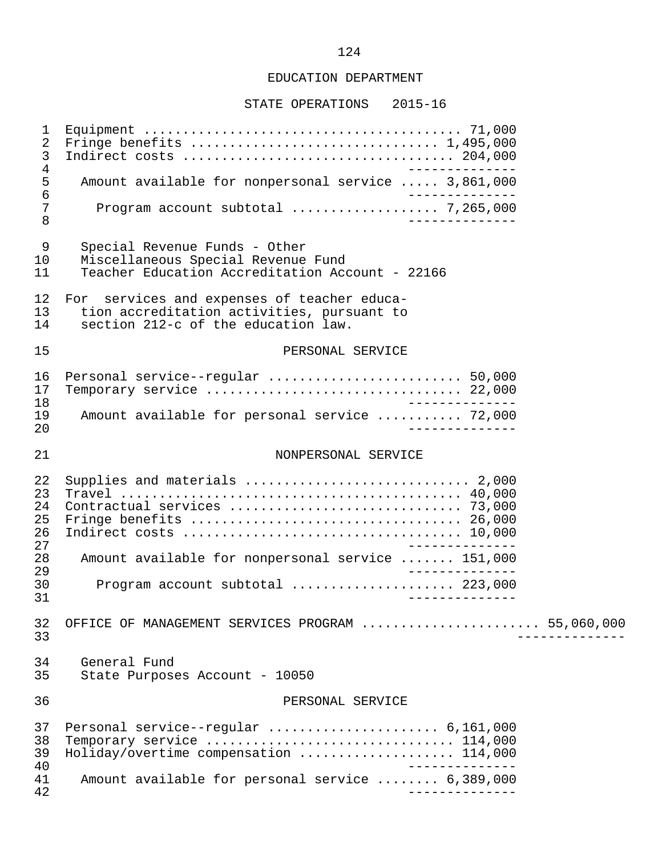#### STATE OPERATIONS 2015-16

 1 Equipment ......................................... 71,000 2 Fringe benefits ................................ 1,495,000 3 Indirect costs ................................... 204,000 -------------<br>5 Amount available for nonpersonal service ..... 3,861,000 5 Amount available for nonpersonal service ..... 3,861,000 6 -------------- 7 Program account subtotal ................... 7,265,000 8 -------------- 9 Special Revenue Funds - Other 10 Miscellaneous Special Revenue Fund<br>11 Teacher Education Accreditation Acc Teacher Education Accreditation Account - 22166 12 For services and expenses of teacher educa-<br>13 tion accreditation activities, pursuant to 13 tion accreditation activities, pursuant to<br>14 section 212-c of the education law. section 212-c of the education law. 15 PERSONAL SERVICE 16 Personal service--regular ......................... 50,000 17 Temporary service ................................. 22,000 18 -------------- 19 Amount available for personal service ........... 72,000<br>20 20 -------------- 21 NONPERSONAL SERVICE 22 Supplies and materials ............................. 2,000 23 Travel ............................................ 40,000 24 Contractual services .............................. 73,000 25 Fringe benefits ................................... 26,000 26 Indirect costs .................................... 10,000 27<br>28 Amount available for nonpersonal service ....... 151.000 28 Amount available for nonpersonal service ....... 151,000 29 -------------- 30 Program account subtotal ..................... 223,000 31 -------------- 32 OFFICE OF MANAGEMENT SERVICES PROGRAM ....................... 55,060,000 33 -------------- 34 General Fund<br>35 State Purpose State Purposes Account - 10050 36 PERSONAL SERVICE 37 Personal service--regular ...................... 6,161,000 38 Temporary service ................................ 114,000 39 Holiday/overtime compensation ....................... 114,000<br>40 40<br>41 Amount available for personal service ........ 6.389.000 41 Amount available for personal service ........ 6,389,000 42 --------------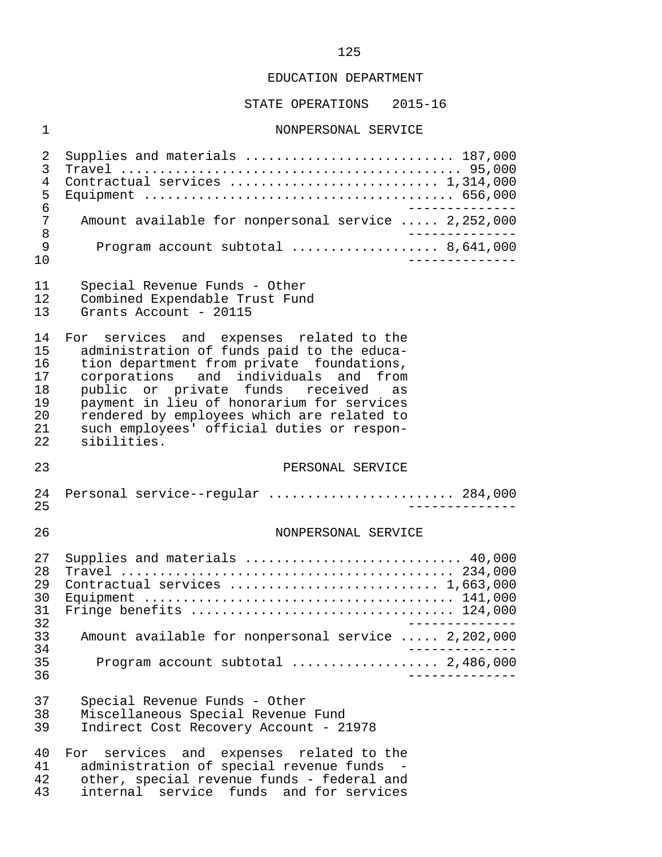STATE OPERATIONS 2015-16

#### 1 NONPERSONAL SERVICE

 2 Supplies and materials ........................... 187,000 3 Travel ............................................ 95,000 4 Contractual services ........................... 1,314,000 5 Equipment ........................................ 656,000 6<br>7 Amount available for nonpersonal service ..... 2.252.000 7 Amount available for nonpersonal service ..... 2,252,000<br>8 8 -------------- 9 Program account subtotal ..................... 8,641,000<br>10 10 --------------

|  |  | Special Revenue Funds - Other |  |  |  |
|--|--|-------------------------------|--|--|--|
|--|--|-------------------------------|--|--|--|

12 Combined Expendable Trust Fund<br>13 Grants Account - 20115

Grants Account - 20115

14 For services and expenses related to the<br>15 administration of funds paid to the educa-15 administration of funds paid to the educa-<br>16 tion department from private foundations, 16 tion department from private foundations,<br>17 corporations and individuals and from 17 corporations and individuals and from<br>18 public or private funds received as 18 public or private funds received as<br>19 payment in lieu of honorarium for services 19 payment in lieu of honorarium for services<br>20 rendered by employees which are related to 20 rendered by employees which are related to<br>21 such employees' official duties or respon- 21 such employees' official duties or respon sibilities.

#### 23 PERSONAL SERVICE

 24 Personal service--regular ........................ 284,000 25 --------------

#### 26 NONPERSONAL SERVICE

| 27 | Supplies and materials  40,000                      |
|----|-----------------------------------------------------|
| 28 |                                                     |
| 29 |                                                     |
| 30 |                                                     |
| 31 |                                                     |
| 32 |                                                     |
| 33 | Amount available for nonpersonal service  2,202,000 |
| 34 |                                                     |
| 35 |                                                     |
| 36 |                                                     |

 37 Special Revenue Funds - Other 38 Miscellaneous Special Revenue Fund Indirect Cost Recovery Account - 21978

40 For services and expenses related to the<br>41 administration of special revenue funds -41 administration of special revenue funds -<br>42 other, special revenue funds - federal and 42 other, special revenue funds - federal and<br>43 internal service funds and for services internal service funds and for services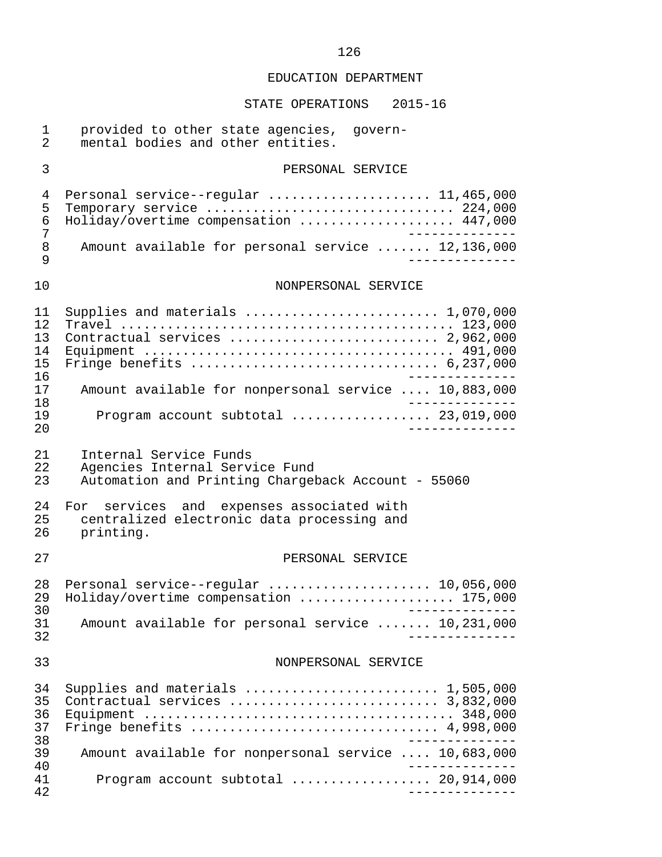# STATE OPERATIONS 2015-16

| 1<br>$\overline{2}$              | provided to other state agencies, govern-<br>mental bodies and other entities.                                                                                                                                                     |
|----------------------------------|------------------------------------------------------------------------------------------------------------------------------------------------------------------------------------------------------------------------------------|
| 3                                | PERSONAL SERVICE                                                                                                                                                                                                                   |
| 4<br>5<br>6<br>7                 | Personal service--regular  11,465,000<br>Temporary service  224,000<br>Holiday/overtime compensation  447,000                                                                                                                      |
| $\,8\,$<br>9                     | Amount available for personal service  12,136,000                                                                                                                                                                                  |
| 10                               | NONPERSONAL SERVICE                                                                                                                                                                                                                |
| 11<br>12<br>13<br>14<br>15<br>16 | Supplies and materials $\ldots \ldots \ldots \ldots \ldots \ldots \ldots \ldots 1,070,000$<br>Contractual services  2,962,000<br>Fringe benefits $\ldots \ldots \ldots \ldots \ldots \ldots \ldots \ldots \ldots \ldots$ 6,237,000 |
| 17<br>18                         | Amount available for nonpersonal service  10,883,000                                                                                                                                                                               |
| 19<br>20                         | Program account subtotal $\ldots$ 23,019,000                                                                                                                                                                                       |
| 21<br>22<br>23                   | Internal Service Funds<br>Agencies Internal Service Fund<br>Automation and Printing Chargeback Account - 55060                                                                                                                     |
| 24<br>25<br>26                   | services and expenses associated with<br>For<br>centralized electronic data processing and<br>printing.                                                                                                                            |
| 27                               | PERSONAL SERVICE                                                                                                                                                                                                                   |
| 28<br>29<br>30                   | Personal service--regular  10,056,000<br>Holiday/overtime compensation  175,000                                                                                                                                                    |
| 31<br>32                         | Amount available for personal service  10,231,000                                                                                                                                                                                  |
| 33                               | NONPERSONAL SERVICE                                                                                                                                                                                                                |
| 34<br>35<br>36<br>37<br>38       | Supplies and materials $\ldots \ldots \ldots \ldots \ldots \ldots \ldots \ldots 1,505,000$<br>Contractual services  3,832,000<br>Fringe benefits  4,998,000                                                                        |
| 39<br>40                         | Amount available for nonpersonal service  10,683,000                                                                                                                                                                               |
| 41<br>42                         | Program account subtotal  20,914,000<br>---------------                                                                                                                                                                            |

### 126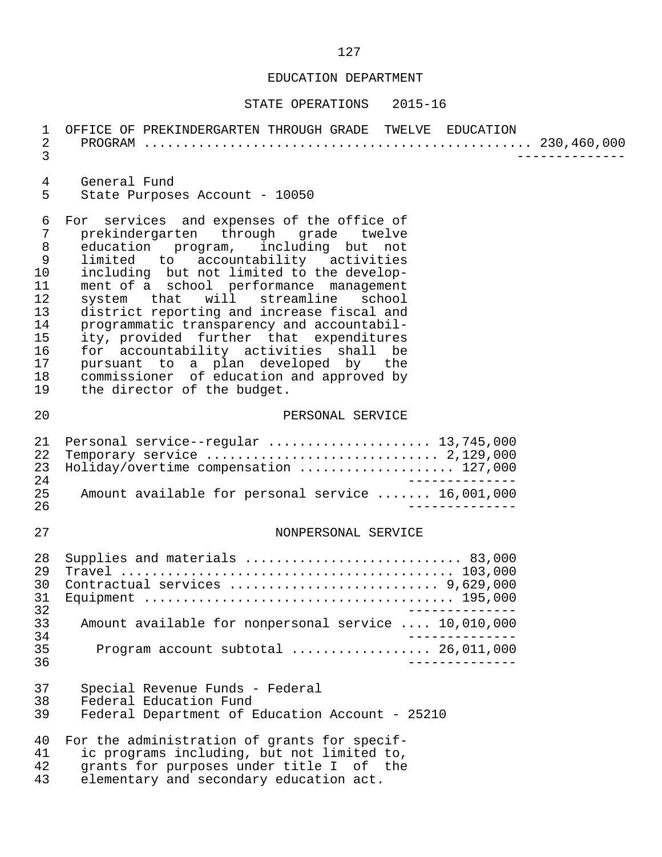| 1<br>$\overline{2}$<br>$\mathfrak{Z}$                                                       | OFFICE OF PREKINDERGARTEN THROUGH GRADE TWELVE EDUCATION                                                                                                                                                                                                                                                                                                                                                                                                                                                                                                                                                   |
|---------------------------------------------------------------------------------------------|------------------------------------------------------------------------------------------------------------------------------------------------------------------------------------------------------------------------------------------------------------------------------------------------------------------------------------------------------------------------------------------------------------------------------------------------------------------------------------------------------------------------------------------------------------------------------------------------------------|
| $\overline{4}$<br>5                                                                         | General Fund<br>State Purposes Account - 10050                                                                                                                                                                                                                                                                                                                                                                                                                                                                                                                                                             |
| 6<br>7<br>$\, 8$<br>$\mathsf 9$<br>10<br>11<br>12<br>13<br>14<br>15<br>16<br>17<br>18<br>19 | For services and expenses of the office of<br>prekindergarten through grade twelve<br>education program, including but not<br>limited to accountability activities<br>including but not limited to the develop-<br>ment of a school performance management<br>system that<br>will streamline<br>school<br>district reporting and increase fiscal and<br>programmatic transparency and accountabil-<br>ity, provided further that expenditures<br>for accountability activities shall be<br>pursuant to a plan developed by the<br>commissioner of education and approved by<br>the director of the budget. |
| 20                                                                                          | PERSONAL SERVICE                                                                                                                                                                                                                                                                                                                                                                                                                                                                                                                                                                                           |
| 21<br>22<br>23<br>24<br>25                                                                  | Personal service--regular  13,745,000<br>Holiday/overtime compensation  127,000<br>$\frac{1}{2}$<br>Amount available for personal service  16,001,000                                                                                                                                                                                                                                                                                                                                                                                                                                                      |
| 26<br>27                                                                                    | NONPERSONAL SERVICE                                                                                                                                                                                                                                                                                                                                                                                                                                                                                                                                                                                        |
| 28<br>29<br>30<br>31                                                                        | Supplies and materials  83,000<br>Contractual services  9,629,000                                                                                                                                                                                                                                                                                                                                                                                                                                                                                                                                          |
| 32<br>33                                                                                    | Amount available for nonpersonal service  10,010,000                                                                                                                                                                                                                                                                                                                                                                                                                                                                                                                                                       |
| 34<br>35<br>36                                                                              | Program account subtotal  26,011,000                                                                                                                                                                                                                                                                                                                                                                                                                                                                                                                                                                       |
| 37<br>38<br>39                                                                              | Special Revenue Funds - Federal<br>Federal Education Fund<br>Federal Department of Education Account - 25210                                                                                                                                                                                                                                                                                                                                                                                                                                                                                               |
| 40<br>41<br>42<br>43                                                                        | For the administration of grants for specif-<br>ic programs including, but not limited to,<br>grants for purposes under title I of the<br>elementary and secondary education act.                                                                                                                                                                                                                                                                                                                                                                                                                          |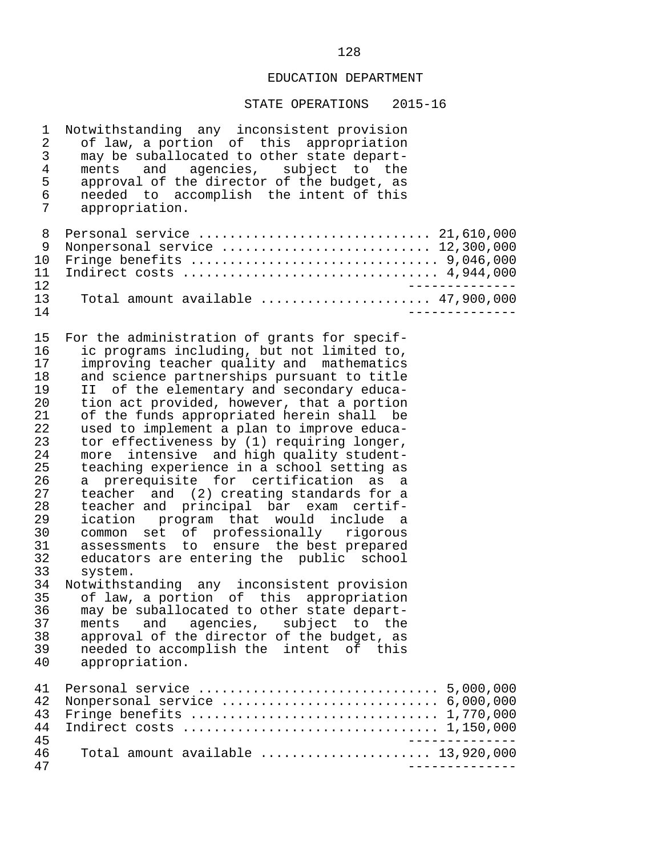| 1<br>2<br>$\mathsf{3}$<br>4<br>5<br>6<br>7                                                                                                               | Notwithstanding any inconsistent provision<br>of law, a portion of this appropriation<br>may be suballocated to other state depart-<br>ments and agencies, subject to the<br>approval of the director of the budget, as<br>needed to accomplish the intent of this<br>appropriation.                                                                                                                                                                                                                                                                                                                                                                                                                                                                                                                                                                                                                                                                                                                                                                                                                                                |                                 |
|----------------------------------------------------------------------------------------------------------------------------------------------------------|-------------------------------------------------------------------------------------------------------------------------------------------------------------------------------------------------------------------------------------------------------------------------------------------------------------------------------------------------------------------------------------------------------------------------------------------------------------------------------------------------------------------------------------------------------------------------------------------------------------------------------------------------------------------------------------------------------------------------------------------------------------------------------------------------------------------------------------------------------------------------------------------------------------------------------------------------------------------------------------------------------------------------------------------------------------------------------------------------------------------------------------|---------------------------------|
| 8<br>9<br>10<br>11<br>12                                                                                                                                 | Nonpersonal service  12,300,000<br>Indirect costs  4,944,000                                                                                                                                                                                                                                                                                                                                                                                                                                                                                                                                                                                                                                                                                                                                                                                                                                                                                                                                                                                                                                                                        | $\frac{1}{2}$                   |
| 13<br>14                                                                                                                                                 | Total amount available $\ldots \ldots \ldots \ldots \ldots \ldots$ 47,900,000                                                                                                                                                                                                                                                                                                                                                                                                                                                                                                                                                                                                                                                                                                                                                                                                                                                                                                                                                                                                                                                       |                                 |
| 15<br>16<br>17<br>18<br>19<br>20<br>21<br>22<br>23<br>24<br>25<br>26<br>27<br>28<br>29<br>30<br>31<br>32<br>33<br>34<br>35<br>36<br>37<br>38<br>39<br>40 | For the administration of grants for specif-<br>ic programs including, but not limited to,<br>improving teacher quality and mathematics<br>and science partnerships pursuant to title<br>II of the elementary and secondary educa-<br>tion act provided, however, that a portion<br>of the funds appropriated herein shall be<br>used to implement a plan to improve educa-<br>tor effectiveness by (1) requiring longer,<br>more intensive and high quality student-<br>teaching experience in a school setting as<br>a prerequisite for certification as a<br>teacher and (2) creating standards for a<br>teacher and principal bar exam certif-<br>ication program that would include a<br>common set of professionally rigorous<br>assessments to ensure the best prepared<br>educators are entering the public school<br>system.<br>Notwithstanding any inconsistent provision<br>of law, a portion of this appropriation<br>may be suballocated to other state depart-<br>agencies, subject to the<br>ments<br>and<br>approval of the director of the budget, as<br>needed to accomplish the intent of this<br>appropriation. |                                 |
| 41<br>42<br>43<br>44                                                                                                                                     | Nonpersonal service $\ldots \ldots \ldots \ldots \ldots \ldots \ldots \ldots$ 6,000,000<br>Fringe benefits $\ldots \ldots \ldots \ldots \ldots \ldots \ldots \ldots \ldots \ldots \ldots 1,770,000$                                                                                                                                                                                                                                                                                                                                                                                                                                                                                                                                                                                                                                                                                                                                                                                                                                                                                                                                 |                                 |
| 45<br>46<br>47                                                                                                                                           | Total amount available $\ldots, \ldots, \ldots, \ldots, \ldots, \ldots, \ldots, \ldots, \ldots)$                                                                                                                                                                                                                                                                                                                                                                                                                                                                                                                                                                                                                                                                                                                                                                                                                                                                                                                                                                                                                                    | ______________<br>_____________ |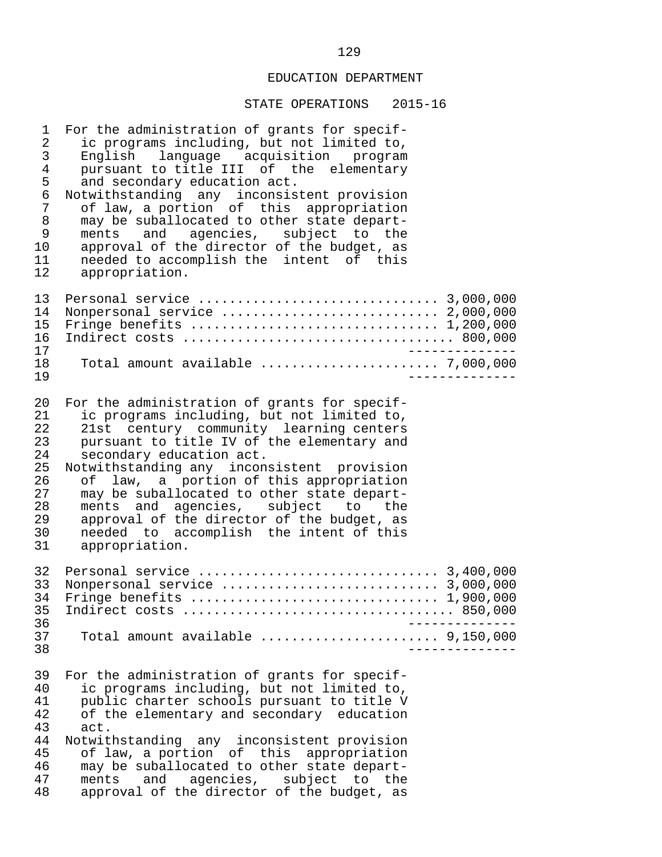| $\mathbf 1$<br>$\sqrt{2}$<br>$\mathfrak{Z}$<br>$\overline{4}$<br>5<br>$\epsilon$<br>$7\phantom{.0}$<br>$\,8\,$<br>$\mathsf 9$<br>10<br>11<br>12 | For the administration of grants for specif-<br>ic programs including, but not limited to,<br>English language acquisition program<br>pursuant to title III of the elementary<br>and secondary education act.<br>Notwithstanding any inconsistent provision<br>of law, a portion of this appropriation<br>may be suballocated to other state depart-<br>ments and agencies, subject to the<br>approval of the director of the budget, as<br>needed to accomplish the intent of this<br>appropriation.   |  |
|-------------------------------------------------------------------------------------------------------------------------------------------------|---------------------------------------------------------------------------------------------------------------------------------------------------------------------------------------------------------------------------------------------------------------------------------------------------------------------------------------------------------------------------------------------------------------------------------------------------------------------------------------------------------|--|
| 13<br>14<br>15<br>16<br>17<br>18<br>19                                                                                                          | Nonpersonal service  2,000,000<br>Fringe benefits  1,200,000<br>Total amount available  7,000,000                                                                                                                                                                                                                                                                                                                                                                                                       |  |
| 20<br>21<br>22<br>23<br>24<br>25<br>26<br>27<br>28<br>29<br>30<br>31                                                                            | For the administration of grants for specif-<br>ic programs including, but not limited to,<br>21st century community learning centers<br>pursuant to title IV of the elementary and<br>secondary education act.<br>Notwithstanding any inconsistent provision<br>of law, a portion of this appropriation<br>may be suballocated to other state depart-<br>ments and agencies, subject to the<br>approval of the director of the budget, as<br>needed to accomplish the intent of this<br>appropriation. |  |
| 32<br>33<br>34<br>35 <sub>2</sub><br>36                                                                                                         | Fringe benefits  1,900,000                                                                                                                                                                                                                                                                                                                                                                                                                                                                              |  |
| 37<br>38                                                                                                                                        | Total amount available  9,150,000                                                                                                                                                                                                                                                                                                                                                                                                                                                                       |  |
| 39<br>40<br>41<br>42<br>43<br>44<br>45<br>46<br>47<br>48                                                                                        | For the administration of grants for specif-<br>ic programs including, but not limited to,<br>public charter schools pursuant to title V<br>of the elementary and secondary education<br>act.<br>Notwithstanding any inconsistent provision<br>of law, a portion of this appropriation<br>may be suballocated to other state depart-<br>and agencies, subject to the<br>ments<br>approval of the director of the budget, as                                                                             |  |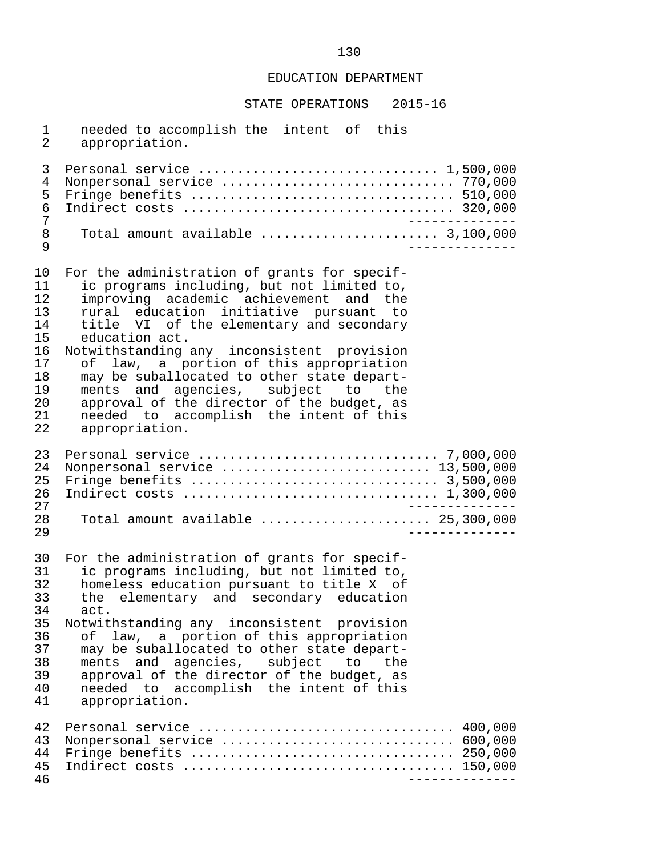STATE OPERATIONS 2015-16

1 needed to accomplish the intent of this<br>2 appropriation. appropriation. 3 Personal service ............................... 1,500,000 4 Nonpersonal service .............................. 770,000 5 Fringe benefits .................................. 510,000 6 Indirect costs ................................... 320,000 7 -------------- 8 Total amount available ....................... 3,100,000 9 -------------- 10 For the administration of grants for specif-<br>11 ic programs including, but not limited to, 11 ic programs including, but not limited to,<br>12 improving academic achievement and the 12 improving academic achievement and the<br>13 rural education initiative pursuant to 13 rural education initiative pursuant to<br>14 title VI of the elementary and secondary 14 title VI of the elementary and secondary<br>15 education act. 15 education act.<br>16 Notwithstanding 16 Notwithstanding any inconsistent provision<br>17 of law, a portion of this appropriation 17 of law, a portion of this appropriation<br>18 may be suballocated to other state depart-18 may be suballocated to other state depart-<br>19 ments and agencies, subject to the 19 ments and agencies, subject<br>20 approval of the director of the 20 approval of the director of the budget, as<br>21 aneeded to accomplish the intent of this 21 needed to accomplish the intent of this<br>22 appropriation. appropriation. 23 Personal service ............................... 7,000,000 24 Nonpersonal service ........................... 13,500,000 25 Fringe benefits ................................ 3,500,000 26 Indirect costs ................................. 1,300,000 27 -------------- 28 Total amount available ...................... 25,300,000 29 -------------- 30 For the administration of grants for specif-<br>31 ic programs including, but not limited to, 31 ic programs including, but not limited to,<br>32 homeless education pursuant to title X of 32 homeless education pursuant to title X of<br>33 the elementary and secondary education 33 the elementary and secondary education<br>34 act. 34 act.<br>35 Notwit 35 Notwithstanding any inconsistent provision<br>36 of law, a portion of this appropriation 36 of law, a portion of this appropriation<br>37 may be suballocated to other state depart-37 may be suballocated to other state depart-<br>38 ments and agencies, subject to the 38 ments and agencies, subject to the<br>39 approval of the director of the budget, as approval of the director of the budget, as 40 needed to accomplish the intent of this<br>41 appropriation. appropriation. 42 Personal service ................................. 400,000 43 Nonpersonal service .............................. 600,000 44 Fringe benefits .................................. 250,000 45 Indirect costs ................................... 150,000 46 --------------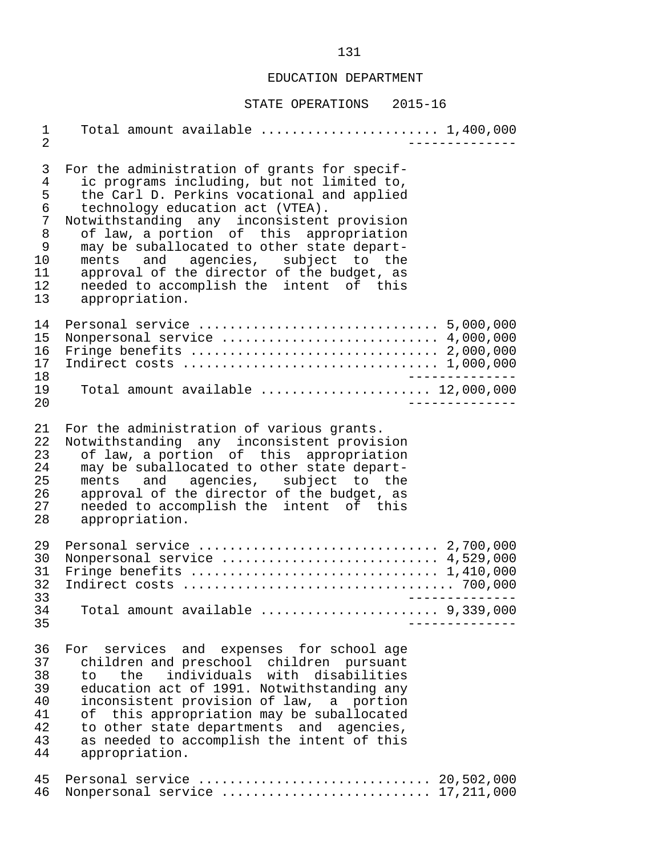#### STATE OPERATIONS 2015-16

 1 Total amount available ....................... 1,400,000 2 -------------- 3 For the administration of grants for specif-<br>4 ic programs including, but not limited to, 4 ic programs including, but not limited to,<br>5 the Carl D. Perkins vocational and applied 5 the Carl D. Perkins vocational and applied<br>6 technology education act (VTEA). 6 technology education act (VTEA). 7 Notwithstanding any inconsistent provision 8 of law, a portion of this appropriation 9 may be suballocated to other state depart-<br>10 ments and agencies, subject to the 10 ments and agencies, subject to the<br>11 approval of the director of the budget, as 11 approval of the director of the budget, as<br>12 needed to accomplish the intent of this 12 needed to accomplish the intent of this<br>13 appropriation. appropriation. 14 Personal service ............................... 5,000,000 15 Nonpersonal service ............................ 4,000,000 16 Fringe benefits ................................ 2,000,000 17 Indirect costs ................................. 1,000,000 18 -------------- 19 Total amount available ...................... 12,000,000 20 -------------- 21 For the administration of various grants.<br>22 Notwithstanding any inconsistent provis 22 Notwithstanding any inconsistent provision<br>23 of law a portion of this appropriation 23 of law, a portion of this appropriation<br>24 may be suballocated to other state depart-24 may be suballocated to other state depart-<br>25 ments and agencies, subject to the 25 ments and agencies, subject to the<br>26 approval of the director of the budget, as 26 approval of the director of the budget, as<br>27 aneeded to accomplish the intent of this 27 needed to accomplish the intent of this<br>28 appropriation. appropriation. 29 Personal service ............................... 2,700,000 30 Nonpersonal service ............................ 4,529,000 31 Fringe benefits ................................ 1,410,000 32 Indirect costs ................................... 700,000 33 -------------- 34 Total amount available ....................... 9,339,000 35 -------------- 36 For services and expenses for school age<br>37 children and preschool children pursuant 37 children and preschool children pursuant<br>38 to the individuals with disabilities 38 to the individuals with disabilities<br>39 education\_act\_of\_1991. Notwithstanding\_any 39 education act of 1991. Notwithstanding any<br>40 inconsistent provision of law, a portion 40 inconsistent provision of law, a portion<br>41 of this appropriation may be suballocated 41 of this appropriation may be suballocated<br>42 to other state departments and agencies, 42 to other state departments and agencies,<br>43 as needed to accomplish the intent of this 43 as needed to accomplish the intent of this<br>44 appropriation. appropriation. 45 Personal service .............................. 20,502,000 46 Nonpersonal service ........................... 17,211,000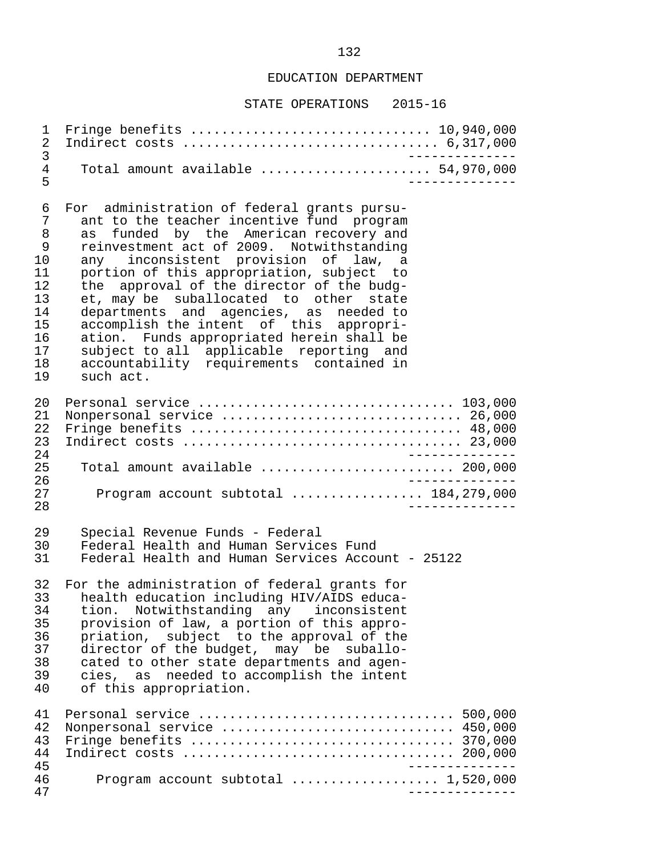| 1<br>2<br>3                                                                            | Fringe benefits $\ldots \ldots \ldots \ldots \ldots \ldots \ldots \ldots \ldots \ldots 10,940,000$                                                                                                                                                                                                                                                                                                                                                                                                                                                                                                           |                 |
|----------------------------------------------------------------------------------------|--------------------------------------------------------------------------------------------------------------------------------------------------------------------------------------------------------------------------------------------------------------------------------------------------------------------------------------------------------------------------------------------------------------------------------------------------------------------------------------------------------------------------------------------------------------------------------------------------------------|-----------------|
| $\overline{4}$<br>5                                                                    | Total amount available $\ldots \ldots \ldots \ldots \ldots \ldots$ 54,970,000                                                                                                                                                                                                                                                                                                                                                                                                                                                                                                                                |                 |
| 6<br>7<br>8<br>$\mathsf 9$<br>10<br>11<br>12<br>13<br>14<br>15<br>16<br>17<br>18<br>19 | For administration of federal grants pursu-<br>ant to the teacher incentive fund program<br>funded by the American recovery and<br>as<br>reinvestment act of 2009. Notwithstanding<br>any inconsistent provision of law,<br>a a<br>portion of this appropriation, subject to<br>approval of the director of the budg-<br>the<br>et, may be suballocated to other state<br>departments and agencies, as needed to<br>accomplish the intent of this appropri-<br>ation. Funds appropriated herein shall be<br>subject to all applicable reporting and<br>accountability requirements contained in<br>such act. |                 |
| 20<br>21<br>22<br>23<br>24                                                             | Personal service  103,000<br>Nonpersonal service  26,000<br>Fringe benefits  48,000                                                                                                                                                                                                                                                                                                                                                                                                                                                                                                                          |                 |
| 25<br>26                                                                               | Total amount available $\ldots \ldots \ldots \ldots \ldots \ldots \ldots$ 200,000                                                                                                                                                                                                                                                                                                                                                                                                                                                                                                                            | $- - - - - - -$ |
| 27<br>28                                                                               | Program account subtotal  184,279,000                                                                                                                                                                                                                                                                                                                                                                                                                                                                                                                                                                        |                 |
| 29<br>30<br>31                                                                         | Special Revenue Funds - Federal<br>Federal Health and Human Services Fund<br>Federal Health and Human Services Account - 25122                                                                                                                                                                                                                                                                                                                                                                                                                                                                               |                 |
| 32<br>33<br>34<br>35<br>36<br>37<br>38<br>39<br>40                                     | For the administration of federal grants for<br>health education including HIV/AIDS educa-<br>tion. Notwithstanding any inconsistent<br>provision of law, a portion of this appro-<br>priation, subject to the approval of the<br>director of the budget, may be suballo-<br>cated to other state departments and agen-<br>cies, as needed to accomplish the intent<br>of this appropriation.                                                                                                                                                                                                                |                 |
| 41<br>42<br>43<br>44<br>45                                                             | Personal service  500,000<br>Nonpersonal service  450,000<br>Fringe benefits $\ldots \ldots \ldots \ldots \ldots \ldots \ldots \ldots \ldots \ldots \ldots$ 370,000                                                                                                                                                                                                                                                                                                                                                                                                                                          |                 |
| 46<br>47                                                                               | Program account subtotal $\ldots \ldots \ldots \ldots \ldots 1,520,000$                                                                                                                                                                                                                                                                                                                                                                                                                                                                                                                                      |                 |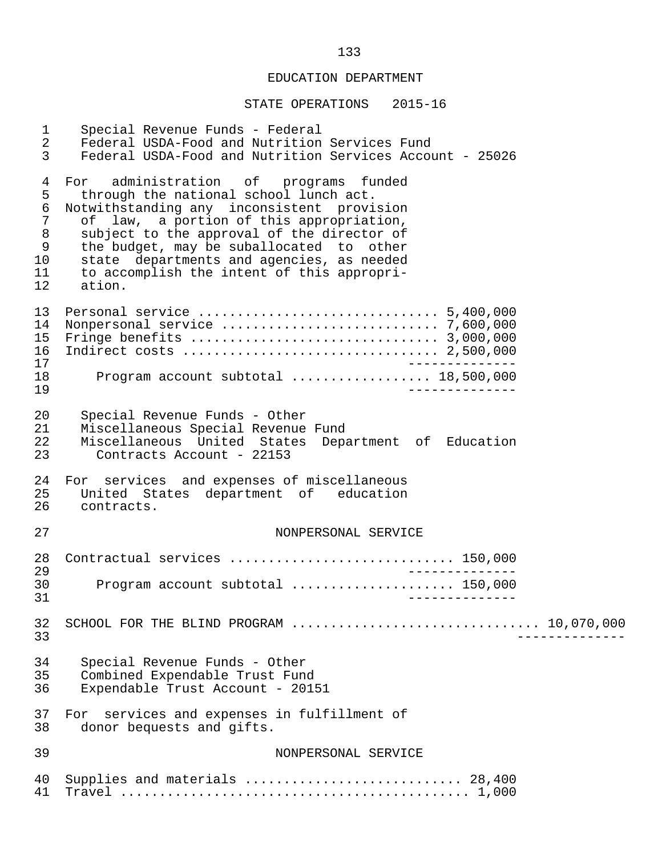| $\mathbf{1}$<br>$\overline{a}$<br>3                                  | Special Revenue Funds - Federal<br>Federal USDA-Food and Nutrition Services Fund<br>Federal USDA-Food and Nutrition Services Account - 25026                                                                                                                                                                                                                                |
|----------------------------------------------------------------------|-----------------------------------------------------------------------------------------------------------------------------------------------------------------------------------------------------------------------------------------------------------------------------------------------------------------------------------------------------------------------------|
| 4<br>5<br>$\epsilon$<br>$\sqrt{ }$<br>$\,8\,$<br>9<br>10<br>11<br>12 | administration of programs funded<br>For<br>through the national school lunch act.<br>Notwithstanding any inconsistent provision<br>of law, a portion of this appropriation,<br>subject to the approval of the director of<br>the budget, may be suballocated to other<br>state departments and agencies, as needed<br>to accomplish the intent of this appropri-<br>ation. |
| 13<br>14<br>15<br>16<br>17<br>18<br>19                               | Program account subtotal  18,500,000                                                                                                                                                                                                                                                                                                                                        |
| 20<br>21<br>22<br>23                                                 | Special Revenue Funds - Other<br>Miscellaneous Special Revenue Fund<br>Miscellaneous United States Department of Education<br>Contracts Account - 22153                                                                                                                                                                                                                     |
| 24<br>25<br>26                                                       | For services and expenses of miscellaneous<br>United States department of education<br>contracts.                                                                                                                                                                                                                                                                           |
| 27                                                                   | NONPERSONAL SERVICE                                                                                                                                                                                                                                                                                                                                                         |
| 28                                                                   | Contractual services  150,000                                                                                                                                                                                                                                                                                                                                               |
| 29<br>30<br>31                                                       | Program account subtotal  150,000                                                                                                                                                                                                                                                                                                                                           |
| 32<br>33                                                             | SCHOOL FOR THE BLIND PROGRAM $\ldots \ldots \ldots \ldots \ldots \ldots \ldots \ldots \ldots \ldots \ldots \ldots$ 10,070,000                                                                                                                                                                                                                                               |
| 34<br>35<br>36                                                       | Special Revenue Funds - Other<br>Combined Expendable Trust Fund<br>Expendable Trust Account - 20151                                                                                                                                                                                                                                                                         |
| 37<br>38                                                             | For services and expenses in fulfillment of<br>donor bequests and gifts.                                                                                                                                                                                                                                                                                                    |
| 39                                                                   | NONPERSONAL SERVICE                                                                                                                                                                                                                                                                                                                                                         |
| 40<br>41                                                             | Supplies and materials  28,400                                                                                                                                                                                                                                                                                                                                              |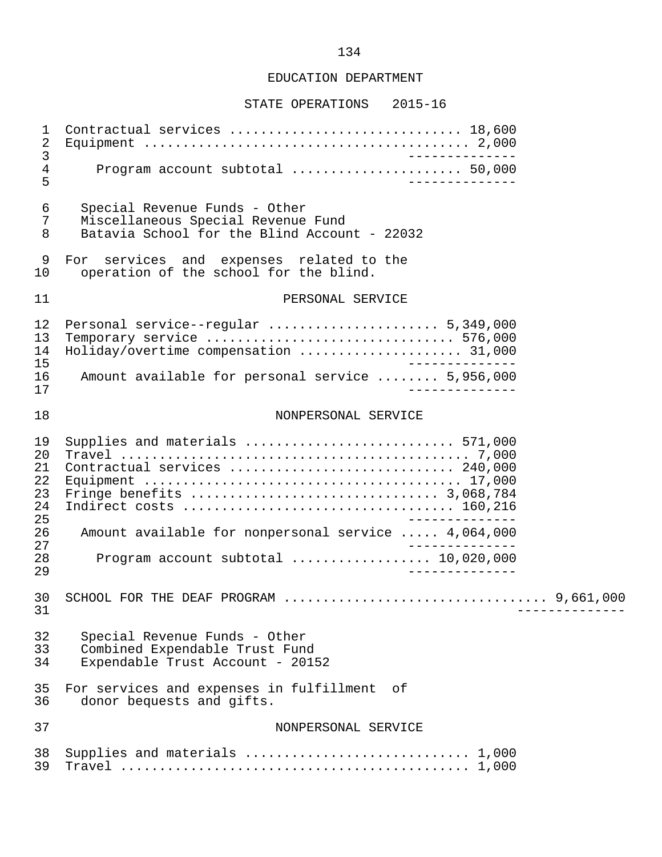| 1<br>$\sqrt{2}$<br>$\mathfrak{Z}$<br>$\overline{4}$<br>5 | Contractual services  18,600<br>_______________<br>Program account subtotal  50,000<br>______________                      |  |
|----------------------------------------------------------|----------------------------------------------------------------------------------------------------------------------------|--|
| 6<br>7<br>8                                              | Special Revenue Funds - Other<br>Miscellaneous Special Revenue Fund<br>Batavia School for the Blind Account - 22032        |  |
| 9<br>10                                                  | For services and expenses related to the<br>operation of the school for the blind.                                         |  |
| 11                                                       | PERSONAL SERVICE                                                                                                           |  |
| 12<br>13<br>14<br>15                                     | Personal service--regular  5,349,000<br>Temporary service  576,000<br>Holiday/overtime compensation  31,000<br>___________ |  |
| 16<br>17                                                 | Amount available for personal service  5,956,000<br>______________                                                         |  |
| 18                                                       | NONPERSONAL SERVICE                                                                                                        |  |
| 19<br>20<br>21<br>22<br>23<br>24                         | Supplies and materials  571,000<br>Contractual services  240,000                                                           |  |
| 25<br>26                                                 | Amount available for nonpersonal service  4,064,000                                                                        |  |
| 27<br>28<br>29                                           | Program account subtotal  10,020,000<br>______________                                                                     |  |
| 30<br>31                                                 |                                                                                                                            |  |
| 32<br>33<br>34                                           | Special Revenue Funds - Other<br>Combined Expendable Trust Fund<br>Expendable Trust Account - 20152                        |  |
| 35<br>36                                                 | For services and expenses in fulfillment<br>of<br>donor bequests and gifts.                                                |  |
| 37                                                       | NONPERSONAL SERVICE                                                                                                        |  |
| 38<br>39                                                 | Supplies and materials  1,000                                                                                              |  |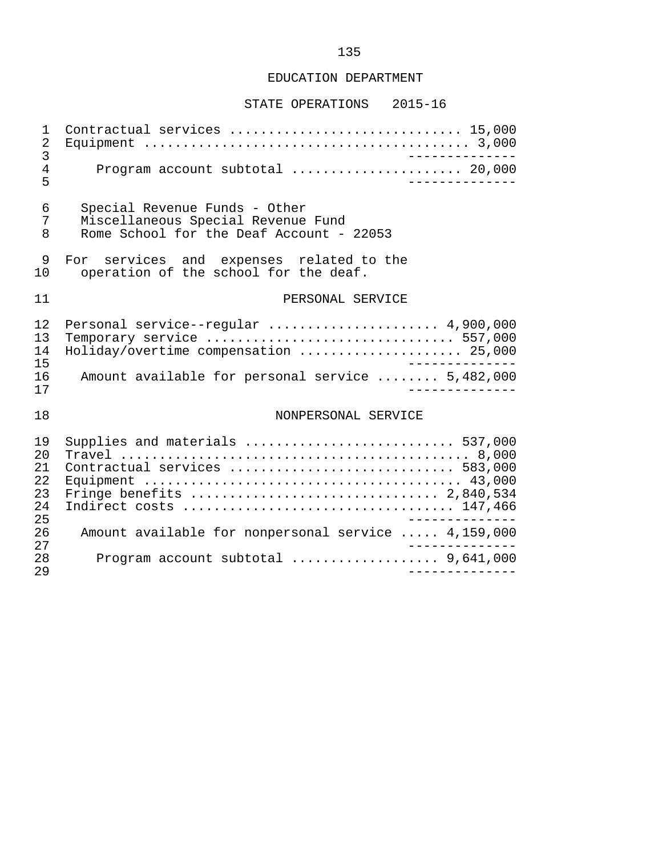| $\mathbf{1}$<br>$\sqrt{2}$<br>3        | Contractual services  15,000<br>______________                                                                  |
|----------------------------------------|-----------------------------------------------------------------------------------------------------------------|
| $\overline{4}$<br>5                    | Program account subtotal  20,000                                                                                |
| 6<br>7<br>8                            | Special Revenue Funds - Other<br>Miscellaneous Special Revenue Fund<br>Rome School for the Deaf Account - 22053 |
| 9<br>10                                | For services and expenses related to the<br>operation of the school for the deaf.                               |
| 11                                     | PERSONAL SERVICE                                                                                                |
| 12<br>13<br>14<br>15                   | Personal service--regular  4,900,000<br>Temporary service  557,000<br>Holiday/overtime compensation  25,000     |
| 16<br>17                               | Amount available for personal service  5,482,000                                                                |
| 18                                     | NONPERSONAL SERVICE                                                                                             |
| 19<br>20<br>21<br>22<br>23<br>24<br>25 | Supplies and materials  537,000<br>Contractual services  583,000                                                |
| 26<br>27                               | Amount available for nonpersonal service  4,159,000                                                             |
| 28<br>29                               | Program account subtotal $\ldots \ldots \ldots \ldots \ldots$ 9,641,000                                         |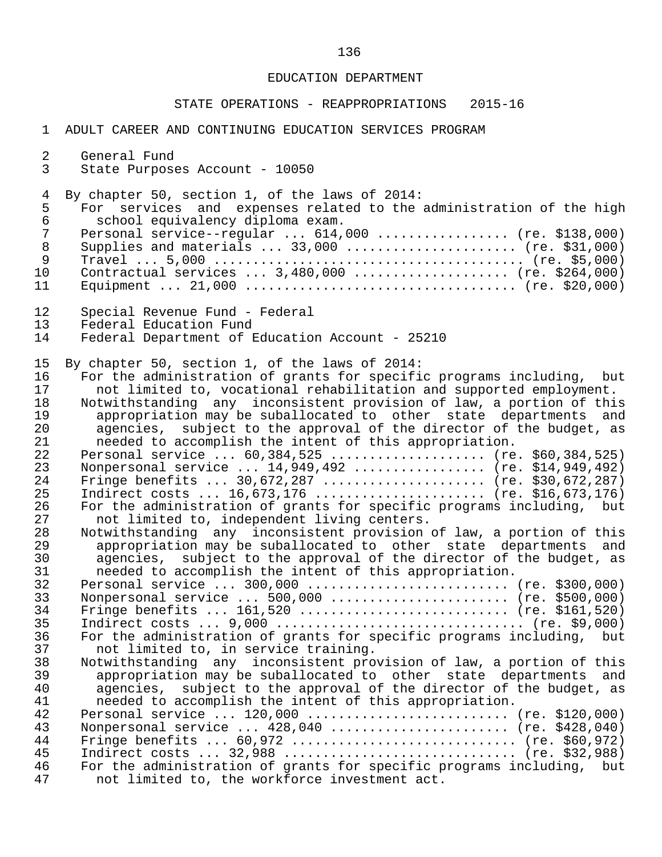#### STATE OPERATIONS - REAPPROPRIATIONS 2015-16

| $\mathbf{1}$ | ADULT CAREER AND CONTINUING EDUCATION SERVICES PROGRAM                |
|--------------|-----------------------------------------------------------------------|
| 2            | General Fund                                                          |
| 3            | State Purposes Account - 10050                                        |
| 4            | By chapter 50, section 1, of the laws of 2014:                        |
| 5            | For services and expenses related to the administration of the high   |
| $\sqrt{6}$   | school equivalency diploma exam.                                      |
| 7            | Personal service--regular  614,000  (re. \$138,000)                   |
| $\,8\,$      | Supplies and materials  33,000  (re. \$31,000)                        |
| 9            |                                                                       |
| 10           | Contractual services  3,480,000  (re. \$264,000)                      |
| 11           |                                                                       |
| 12           | Special Revenue Fund - Federal                                        |
| 13           | Federal Education Fund                                                |
| 14           | Federal Department of Education Account - 25210                       |
| 15           | By chapter 50, section 1, of the laws of 2014:                        |
| 16           | For the administration of grants for specific programs including, but |
| 17           | not limited to, vocational rehabilitation and supported employment.   |
| 18           | Notwithstanding any inconsistent provision of law, a portion of this  |
| 19           | appropriation may be suballocated to other state departments and      |
| 20           | agencies, subject to the approval of the director of the budget, as   |
| 21           | needed to accomplish the intent of this appropriation.                |
| 22           | Personal service  60,384,525  (re. \$60,384,525)                      |
| 23           | Nonpersonal service  14,949,492  (re. \$14,949,492)                   |
| 24           | Fringe benefits  30,672,287  (re. \$30,672,287)                       |
| 25           | Indirect costs  16,673,176  (re. \$16,673,176)                        |
| 26           | For the administration of grants for specific programs including, but |
| 27           | not limited to, independent living centers.                           |
| 28           | Notwithstanding any inconsistent provision of law, a portion of this  |
| 29           | appropriation may be suballocated to other state departments and      |
| 30           | agencies, subject to the approval of the director of the budget, as   |
| 31           | needed to accomplish the intent of this appropriation.                |
| 32           |                                                                       |
| 33           | Nonpersonal service  500,000  (re. \$500,000)                         |
| 34           | Fringe benefits $161,520$ (re. \$161,520)                             |
| 35           | Indirect costs $9,000$ (re. \$9,000)                                  |
| 36           | For the administration of grants for specific programs including, but |
| 37           | not limited to, in service training.                                  |
| 38           | Notwithstanding any inconsistent provision of law, a portion of this  |
| 39           | appropriation may be suballocated to other state departments and      |
| 40           | agencies, subject to the approval of the director of the budget, as   |
| 41           | needed to accomplish the intent of this appropriation.                |
| 42           | Personal service  120,000  (re. \$120,000)                            |
| 43           | Nonpersonal service  428,040  (re. \$428,040)                         |
| 44           | Fringe benefits $60,972$ (re. \$60,972)                               |
| 45           | Indirect costs  32,988  (re. \$32,988)                                |
| 46           | For the administration of grants for specific programs including, but |

47 not limited to, the workforce investment act.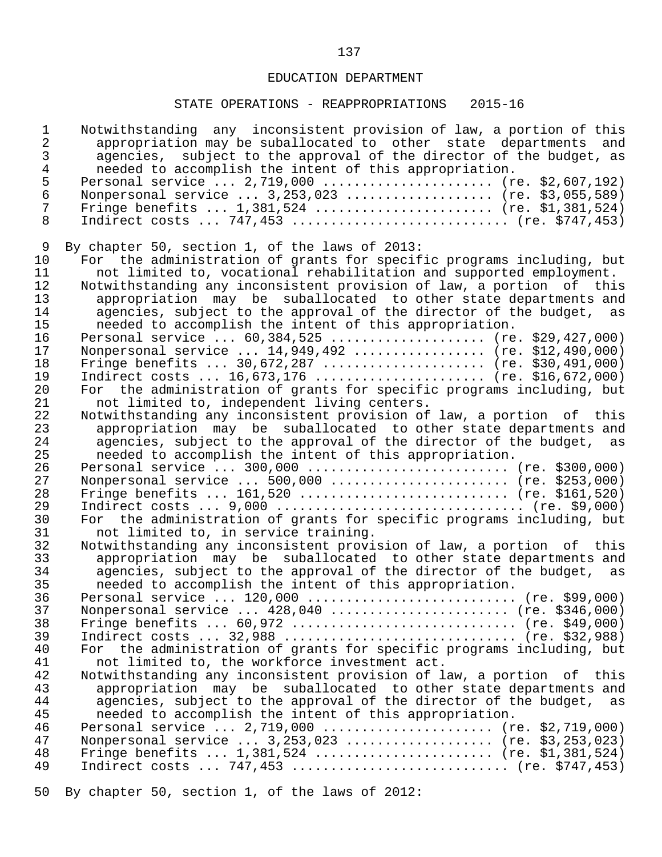## STATE OPERATIONS - REAPPROPRIATIONS 2015-16

| $\mathbf{1}$<br>$\overline{a}$<br>3<br>$\overline{4}$ | Notwithstanding any inconsistent provision of law, a portion of this<br>appropriation may be suballocated to other state departments and<br>subject to the approval of the director of the budget, as<br>agencies,<br>needed to accomplish the intent of this appropriation. |
|-------------------------------------------------------|------------------------------------------------------------------------------------------------------------------------------------------------------------------------------------------------------------------------------------------------------------------------------|
| 5                                                     | Personal service  2,719,000  (re. \$2,607,192)                                                                                                                                                                                                                               |
| $\sqrt{6}$                                            | Nonpersonal service  3, 253, 023  (re. \$3, 055, 589)                                                                                                                                                                                                                        |
| 7                                                     | Fringe benefits $1,381,524$ (re. \$1,381,524)                                                                                                                                                                                                                                |
| 8                                                     | Indirect costs  747,453  (re. \$747,453)                                                                                                                                                                                                                                     |
| 9                                                     | By chapter 50, section 1, of the laws of 2013:                                                                                                                                                                                                                               |
| 10                                                    | For the administration of grants for specific programs including, but                                                                                                                                                                                                        |
| 11                                                    | not limited to, vocational rehabilitation and supported employment.                                                                                                                                                                                                          |
| 12                                                    | Notwithstanding any inconsistent provision of law, a portion of this                                                                                                                                                                                                         |
| 13                                                    | appropriation may be suballocated to other state departments and                                                                                                                                                                                                             |
| 14                                                    | agencies, subject to the approval of the director of the budget, as                                                                                                                                                                                                          |
| 15                                                    | needed to accomplish the intent of this appropriation.                                                                                                                                                                                                                       |
| 16                                                    | Personal service  60,384,525  (re. \$29,427,000)                                                                                                                                                                                                                             |
| 17                                                    | Nonpersonal service  14,949,492  (re. \$12,490,000)                                                                                                                                                                                                                          |
| 18                                                    | Fringe benefits $30,672,287$ (re. \$30,491,000)                                                                                                                                                                                                                              |
| 19                                                    | Indirect costs $16,673,176$ (re. \$16,672,000)                                                                                                                                                                                                                               |
| 20                                                    | For the administration of grants for specific programs including, but                                                                                                                                                                                                        |
| 21                                                    | not limited to, independent living centers.                                                                                                                                                                                                                                  |
| 22<br>23                                              | Notwithstanding any inconsistent provision of law, a portion of this<br>appropriation may be suballocated to other state departments and                                                                                                                                     |
| 24                                                    | agencies, subject to the approval of the director of the budget, as                                                                                                                                                                                                          |
| 25                                                    | needed to accomplish the intent of this appropriation.                                                                                                                                                                                                                       |
| 26                                                    |                                                                                                                                                                                                                                                                              |
| 27                                                    | Nonpersonal service $500,000$ (re. \$253,000)                                                                                                                                                                                                                                |
| 28                                                    | Fringe benefits $161,520$ (re. \$161,520)                                                                                                                                                                                                                                    |
| 29                                                    |                                                                                                                                                                                                                                                                              |
| 30                                                    | For the administration of grants for specific programs including, but                                                                                                                                                                                                        |
| 31                                                    | not limited to, in service training.                                                                                                                                                                                                                                         |
| 32                                                    | Notwithstanding any inconsistent provision of law, a portion of this                                                                                                                                                                                                         |
| 33                                                    | appropriation may be suballocated to other state departments and                                                                                                                                                                                                             |
| 34                                                    | agencies, subject to the approval of the director of the budget, as                                                                                                                                                                                                          |
| 35                                                    | needed to accomplish the intent of this appropriation.                                                                                                                                                                                                                       |
| 36                                                    | Personal service $120,000$ (re. \$99,000)                                                                                                                                                                                                                                    |
| 37<br>38                                              | Nonpersonal service  428,040  (re. \$346,000)                                                                                                                                                                                                                                |
| 39                                                    | Fringe benefits $60,972$ (re. \$49,000)<br>Indirect costs $32,988$ (re. \$32,988)                                                                                                                                                                                            |
| 40                                                    | For the administration of grants for specific programs including, but                                                                                                                                                                                                        |
| 41                                                    | not limited to, the workforce investment act.                                                                                                                                                                                                                                |
| 42                                                    | Notwithstanding any inconsistent provision of law, a portion of<br>this                                                                                                                                                                                                      |
| 43                                                    | appropriation may be suballocated to other state departments and                                                                                                                                                                                                             |
| 44                                                    | agencies, subject to the approval of the director of the budget, as                                                                                                                                                                                                          |
| 45                                                    | needed to accomplish the intent of this appropriation.                                                                                                                                                                                                                       |
| 46                                                    | Personal service $2,719,000$ (re. \$2,719,000)                                                                                                                                                                                                                               |
| 47                                                    | Nonpersonal service $3,253,023$ (re. \$3,253,023)                                                                                                                                                                                                                            |
| 48                                                    | Fringe benefits $1,381,524$ (re. \$1,381,524)                                                                                                                                                                                                                                |
| 49                                                    | Indirect costs  747,453  (re. \$747,453)                                                                                                                                                                                                                                     |
|                                                       |                                                                                                                                                                                                                                                                              |

50 By chapter 50, section 1, of the laws of 2012: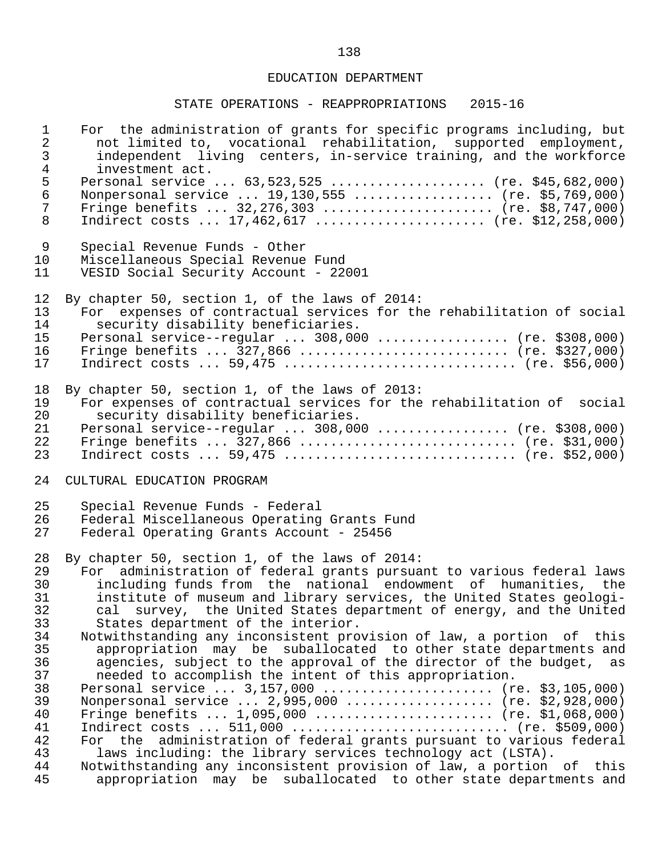| $\mathbf{1}$<br>$\overline{2}$<br>$\mathsf{3}$<br>$\overline{4}$ | For the administration of grants for specific programs including, but<br>not limited to, vocational rehabilitation, supported employment,<br>independent living centers, in-service training, and the workforce<br>investment act.<br>Personal service  63,523,525  (re. \$45,682,000)                      |
|------------------------------------------------------------------|-------------------------------------------------------------------------------------------------------------------------------------------------------------------------------------------------------------------------------------------------------------------------------------------------------------|
| $\frac{5}{6}$<br>$7\phantom{.}$<br>8                             | Nonpersonal service  19,130,555  (re. \$5,769,000)<br>Fringe benefits $32,276,303$ (re. \$8,747,000)<br>Indirect costs $17,462,617$ (re. \$12,258,000)                                                                                                                                                      |
| 9<br>10<br>11                                                    | Special Revenue Funds - Other<br>Miscellaneous Special Revenue Fund<br>VESID Social Security Account - 22001                                                                                                                                                                                                |
| 12<br>13<br>14<br>15<br>16<br>17                                 | By chapter 50, section 1, of the laws of 2014:<br>For expenses of contractual services for the rehabilitation of social<br>security disability beneficiaries.<br>Personal service--regular  308,000  (re. \$308,000)<br>Fringe benefits $327,866$ (re. \$327,000)<br>Indirect costs  59,475  (re. \$56,000) |
| 18<br>19<br>20<br>21<br>22<br>23                                 | By chapter 50, section 1, of the laws of 2013:<br>For expenses of contractual services for the rehabilitation of social<br>security disability beneficiaries.<br>Personal service--regular  308,000  (re. \$308,000)<br>Fringe benefits $327,866$ (re. \$31,000)<br>Indirect costs  59,475  (re. \$52,000)  |
| 24                                                               | CULTURAL EDUCATION PROGRAM                                                                                                                                                                                                                                                                                  |
| 25<br>26<br>27                                                   | Special Revenue Funds - Federal<br>Federal Miscellaneous Operating Grants Fund<br>Federal Operating Grants Account - 25456                                                                                                                                                                                  |
| 28                                                               | By chapter 50, section 1, of the laws of 2014:                                                                                                                                                                                                                                                              |
| 29                                                               | administration of federal grants pursuant to various federal laws<br>For                                                                                                                                                                                                                                    |
| 30<br>31                                                         | including funds from the national endowment of humanities, the<br>institute of museum and library services, the United States geologi-                                                                                                                                                                      |
| 32                                                               | cal survey, the United States department of energy, and the United                                                                                                                                                                                                                                          |
| 33                                                               | States department of the interior.                                                                                                                                                                                                                                                                          |
| 34                                                               | Notwithstanding any inconsistent provision of law, a portion of this                                                                                                                                                                                                                                        |
| 35                                                               | appropriation may be suballocated to other state departments and                                                                                                                                                                                                                                            |
| 36<br>37                                                         | agencies, subject to the approval of the director of the budget, as<br>needed to accomplish the intent of this appropriation.                                                                                                                                                                               |
| 38                                                               | Personal service $3,157,000$ (re. \$3,105,000)                                                                                                                                                                                                                                                              |
| 39                                                               | Nonpersonal service  2,995,000  (re. \$2,928,000)                                                                                                                                                                                                                                                           |
| 40                                                               | Fringe benefits $1,095,000$ (re. \$1,068,000)                                                                                                                                                                                                                                                               |
| 41                                                               | Indirect costs $511,000$ (re. \$509,000)                                                                                                                                                                                                                                                                    |
| 42                                                               | For the administration of federal grants pursuant to various federal                                                                                                                                                                                                                                        |
| 43<br>44                                                         | laws including: the library services technology act (LSTA).<br>Notwithstanding any inconsistent provision of law, a portion of this                                                                                                                                                                         |
| 45                                                               | appropriation may be suballocated to other state departments and                                                                                                                                                                                                                                            |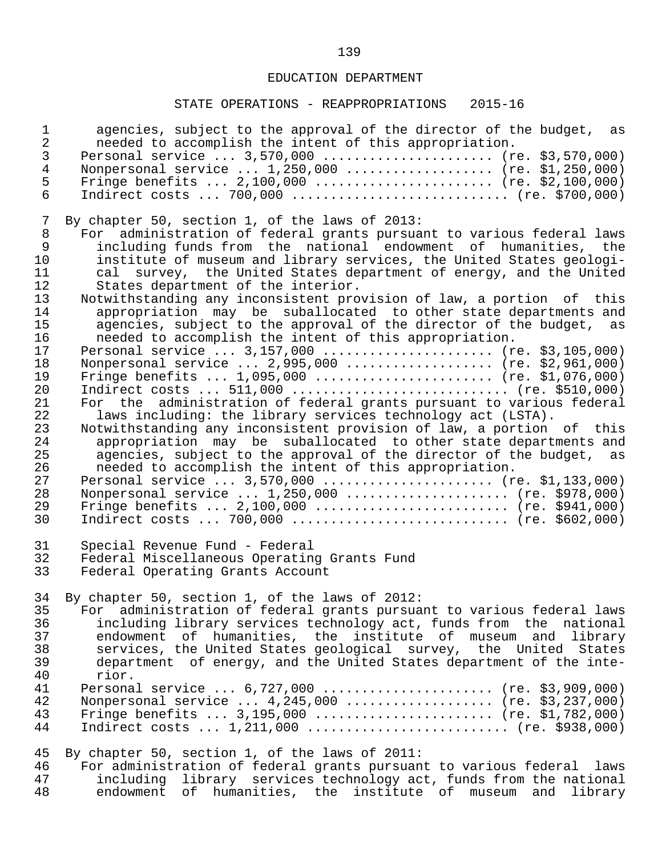## STATE OPERATIONS - REAPPROPRIATIONS 2015-16

| $\mathbf{1}$   | agencies, subject to the approval of the director of the budget, as   |
|----------------|-----------------------------------------------------------------------|
| $\overline{a}$ | needed to accomplish the intent of this appropriation.                |
| 3              | Personal service  3,570,000  (re. \$3,570,000)                        |
| $\overline{4}$ | Nonpersonal service  1,250,000  (re. \$1,250,000)                     |
| 5              | Fringe benefits $2,100,000$ (re. \$2,100,000)                         |
| 6              | Indirect costs $700,000$ (re. \$700,000)                              |
| 7              | By chapter 50, section 1, of the laws of 2013:                        |
| 8              | For administration of federal grants pursuant to various federal laws |
| 9              | including funds from the national endowment of humanities, the        |
| 10             | institute of museum and library services, the United States geologi-  |
| 11             | cal survey, the United States department of energy, and the United    |
| 12             | States department of the interior.                                    |
| 13             | Notwithstanding any inconsistent provision of law, a portion of this  |
| 14             | appropriation may be suballocated to other state departments and      |
| 15             | agencies, subject to the approval of the director of the budget, as   |
| 16             | needed to accomplish the intent of this appropriation.                |
| 17             | Personal service $3,157,000$ (re. \$3,105,000)                        |
| 18             | Nonpersonal service  2,995,000  (re. \$2,961,000)                     |
| 19             | Fringe benefits $1,095,000$ (re. \$1,076,000)                         |
| 20             | Indirect costs $511,000$ (re. \$510,000)                              |
| 21             | For the administration of federal grants pursuant to various federal  |
| 22             | laws including: the library services technology act (LSTA).           |
| 23             | Notwithstanding any inconsistent provision of law, a portion of this  |
| 24             | appropriation may be suballocated to other state departments and      |
| 25             | agencies, subject to the approval of the director of the budget, as   |
| 26             | needed to accomplish the intent of this appropriation.                |
| 27             | Personal service $3,570,000$ (re. \$1,133,000)                        |
| 28             | Nonpersonal service  1,250,000  (re. \$978,000)                       |
| 29             | Fringe benefits $2,100,000$ (re. \$941,000)                           |
| 30             | Indirect costs $700,000$ (re. \$602,000)                              |
| 31             | Special Revenue Fund - Federal                                        |
| 32             | Federal Miscellaneous Operating Grants Fund                           |
| 33             | Federal Operating Grants Account                                      |
| 34             | By chapter 50, section 1, of the laws of 2012:                        |
| 35             | For administration of federal grants pursuant to various federal laws |
| 36             | including library services technology act, funds from the national    |
| 37             | endowment of humanities, the institute of museum and library          |
| 38             | services, the United States geological survey, the United States      |
| 39             | department of energy, and the United States department of the inte-   |
| 40             | rior.                                                                 |
| 41             | Personal service  6,727,000  (re. \$3,909,000)                        |
| 42             | Nonpersonal service $4,245,000$ (re. \$3,237,000)                     |
| 43             | Fringe benefits $3,195,000$ (re. \$1,782,000)                         |
| 44             | Indirect costs $1,211,000$ (re. \$938,000)                            |
| 45             | By chapter 50, section 1, of the laws of 2011:                        |
| 46             | For administration of federal grants pursuant to various federal laws |
| 47             | including library services technology act, funds from the national    |

48 endowment of humanities, the institute of museum and library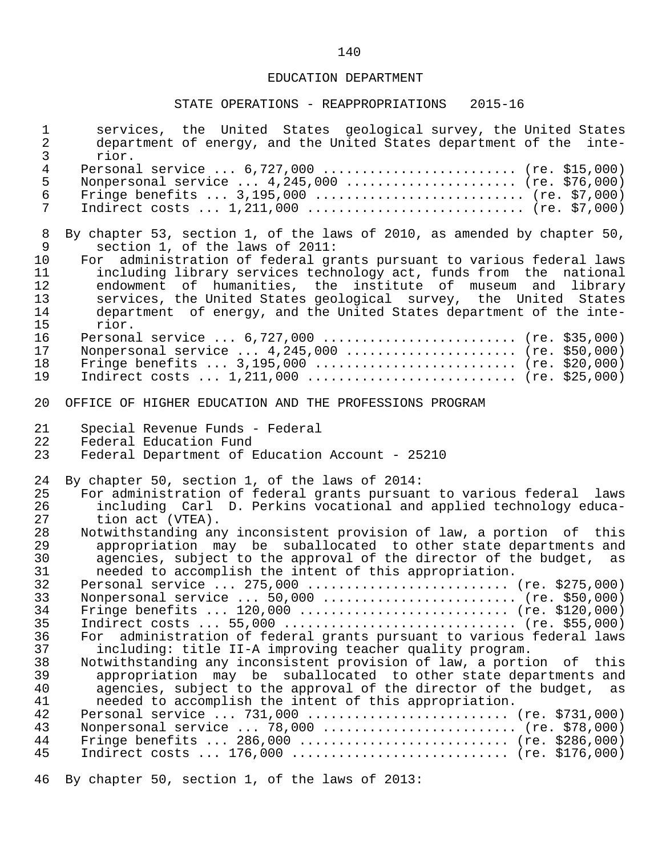### STATE OPERATIONS - REAPPROPRIATIONS 2015-16

| $\mathbf 1$<br>$\overline{2}$<br>$\mathsf{3}$ | services, the United States geological survey, the United States<br>department of energy, and the United States department of the<br>inte-<br>rior.                                                                |
|-----------------------------------------------|--------------------------------------------------------------------------------------------------------------------------------------------------------------------------------------------------------------------|
| $\overline{4}$                                | Personal service $6,727,000$ (re. \$15,000)                                                                                                                                                                        |
| $\mathsf S$                                   | Nonpersonal service  4,245,000  (re. \$76,000)                                                                                                                                                                     |
| $\epsilon$                                    | Fringe benefits $3,195,000$ (re. \$7,000)                                                                                                                                                                          |
| $\overline{7}$                                | Indirect costs $1,211,000$ (re. \$7,000)                                                                                                                                                                           |
| 8                                             | By chapter 53, section 1, of the laws of 2010, as amended by chapter 50,                                                                                                                                           |
| 9                                             | section 1, of the laws of 2011:                                                                                                                                                                                    |
| 10                                            | For administration of federal grants pursuant to various federal laws                                                                                                                                              |
| 11                                            | including library services technology act, funds from the national                                                                                                                                                 |
| 12                                            | endowment of humanities, the institute of museum and library                                                                                                                                                       |
| 13                                            | services, the United States geological survey, the United States                                                                                                                                                   |
| 14                                            | department of energy, and the United States department of the inte-                                                                                                                                                |
| 15                                            | rior.                                                                                                                                                                                                              |
| 16                                            | Personal service $6,727,000$ (re. \$35,000)                                                                                                                                                                        |
| 17                                            | Nonpersonal service  4,245,000  (re. \$50,000)                                                                                                                                                                     |
| 18                                            | Fringe benefits $3,195,000$ (re. \$20,000)                                                                                                                                                                         |
| 19                                            | Indirect costs $1,211,000$ (re. \$25,000)                                                                                                                                                                          |
| 20                                            | OFFICE OF HIGHER EDUCATION AND THE PROFESSIONS PROGRAM                                                                                                                                                             |
| 21                                            | Special Revenue Funds - Federal                                                                                                                                                                                    |
| 22                                            | Federal Education Fund                                                                                                                                                                                             |
| 23                                            | Federal Department of Education Account - 25210                                                                                                                                                                    |
| 24                                            | By chapter 50, section 1, of the laws of 2014:                                                                                                                                                                     |
| 25                                            | For administration of federal grants pursuant to various federal laws                                                                                                                                              |
| 26                                            | including Carl D. Perkins vocational and applied technology educa-                                                                                                                                                 |
| 27                                            | tion act (VTEA).                                                                                                                                                                                                   |
| 28                                            | Notwithstanding any inconsistent provision of law, a portion of this                                                                                                                                               |
| 29                                            | appropriation may be suballocated to other state departments and                                                                                                                                                   |
| 30                                            | agencies, subject to the approval of the director of the budget, as                                                                                                                                                |
| 31                                            | needed to accomplish the intent of this appropriation.                                                                                                                                                             |
| 32<br>33<br>34<br>35<br>36                    | Personal service  275,000  (re. \$275,000)<br>Nonpersonal service  50,000  (re. \$50,000)<br>Fringe benefits  120,000  (re. \$120,000)<br>administration of federal grants pursuant to various federal laws<br>For |
| 37                                            | including: title II-A improving teacher quality program.                                                                                                                                                           |
| 38                                            | Notwithstanding any inconsistent provision of law, a portion of this                                                                                                                                               |
| 39                                            | appropriation may be suballocated to other state departments and                                                                                                                                                   |
| 40                                            | agencies, subject to the approval of the director of the budget, as                                                                                                                                                |
| 41<br>42<br>43<br>44<br>45                    | needed to accomplish the intent of this appropriation.<br>Personal service  731,000  (re. \$731,000)<br>Nonpersonal service  78,000  (re. \$78,000)<br>Fringe benefits  286,000  (re. \$286,000)                   |
|                                               | Indirect costs $176,000$ (re. \$176,000)                                                                                                                                                                           |

46 By chapter 50, section 1, of the laws of 2013: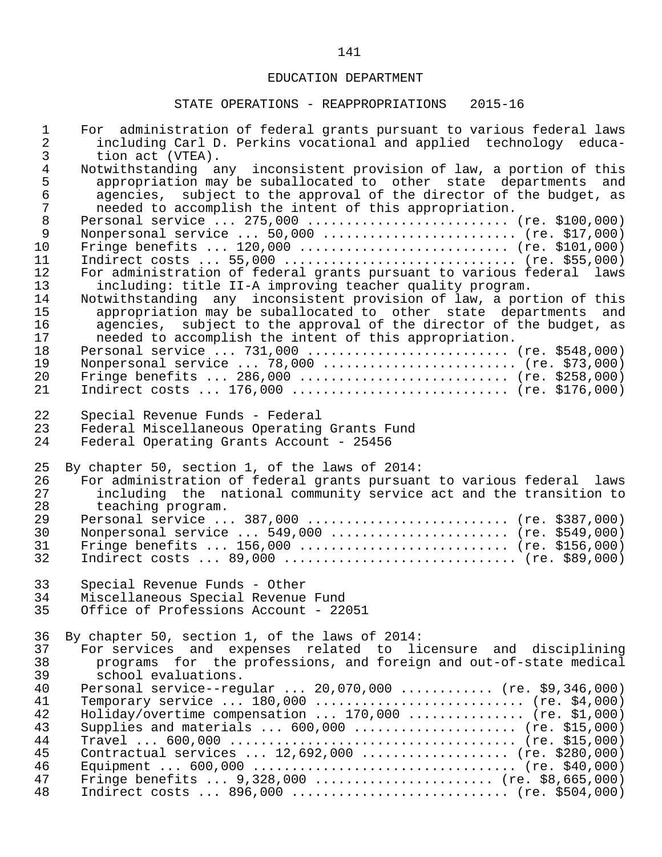| $\mathbf 1$                           | For administration of federal grants pursuant to various federal laws                                                                                                                                                                                                     |
|---------------------------------------|---------------------------------------------------------------------------------------------------------------------------------------------------------------------------------------------------------------------------------------------------------------------------|
| $\overline{c}$                        | including Carl D. Perkins vocational and applied technology educa-                                                                                                                                                                                                        |
| $\mathsf{3}$                          | tion act (VTEA).                                                                                                                                                                                                                                                          |
| $\overline{4}$<br>5<br>$\epsilon$     | Notwithstanding any inconsistent provision of law, a portion of this<br>appropriation may be suballocated to other state departments and<br>agencies, subject to the approval of the director of the budget, as<br>needed to accomplish the intent of this appropriation. |
| $\begin{array}{c} 7 \\ 8 \end{array}$ | Personal service  275,000  (re. \$100,000)                                                                                                                                                                                                                                |
| $\mathsf 9$                           | Nonpersonal service $50,000$ (re. \$17,000)                                                                                                                                                                                                                               |
| 10                                    | Fringe benefits $120,000$ (re. \$101,000)                                                                                                                                                                                                                                 |
| 11                                    |                                                                                                                                                                                                                                                                           |
| 12                                    | For administration of federal grants pursuant to various federal laws                                                                                                                                                                                                     |
| 13                                    | including: title II-A improving teacher quality program.                                                                                                                                                                                                                  |
| 14                                    | Notwithstanding any inconsistent provision of law, a portion of this                                                                                                                                                                                                      |
| 15                                    | appropriation may be suballocated to other state departments and                                                                                                                                                                                                          |
| 16                                    | agencies, subject to the approval of the director of the budget, as                                                                                                                                                                                                       |
| 17                                    | needed to accomplish the intent of this appropriation.                                                                                                                                                                                                                    |
| 18                                    | Personal service  731,000  (re. \$548,000)                                                                                                                                                                                                                                |
| 19                                    | Nonpersonal service  78,000  (re. \$73,000)                                                                                                                                                                                                                               |
| 20                                    | Fringe benefits $286,000$ (re. \$258,000)                                                                                                                                                                                                                                 |
| 21                                    | Indirect costs $176,000$ (re. \$176,000)                                                                                                                                                                                                                                  |
| 22                                    | Special Revenue Funds - Federal                                                                                                                                                                                                                                           |
| 23                                    | Federal Miscellaneous Operating Grants Fund                                                                                                                                                                                                                               |
| 24                                    | Federal Operating Grants Account - 25456                                                                                                                                                                                                                                  |
| 25                                    | By chapter 50, section 1, of the laws of 2014:                                                                                                                                                                                                                            |
| 26                                    | For administration of federal grants pursuant to various federal laws                                                                                                                                                                                                     |
| 27                                    | including the national community service act and the transition to                                                                                                                                                                                                        |
| 28                                    | teaching program.                                                                                                                                                                                                                                                         |
| 29                                    | Personal service  387,000  (re. \$387,000)                                                                                                                                                                                                                                |
| 30                                    | Nonpersonal service  549,000  (re. \$549,000)                                                                                                                                                                                                                             |
| 31                                    | Fringe benefits $156,000$ (re. \$156,000)                                                                                                                                                                                                                                 |
| 32                                    | Indirect costs $89,000$ (re. \$89,000)                                                                                                                                                                                                                                    |
| 33                                    | Special Revenue Funds - Other                                                                                                                                                                                                                                             |
| 34                                    | Miscellaneous Special Revenue Fund                                                                                                                                                                                                                                        |
| 35                                    | Office of Professions Account - 22051                                                                                                                                                                                                                                     |
| 36                                    | By chapter 50, section 1, of the laws of 2014:                                                                                                                                                                                                                            |
| 37                                    | For services and expenses related to licensure and disciplining                                                                                                                                                                                                           |
| 38                                    | programs for the professions, and foreign and out-of-state medical                                                                                                                                                                                                        |
| 39                                    | school evaluations.                                                                                                                                                                                                                                                       |
| 40                                    | Personal service--regular  20,070,000  (re. \$9,346,000)                                                                                                                                                                                                                  |
| 41                                    | Temporary service  180,000  (re. \$4,000)                                                                                                                                                                                                                                 |
| 42                                    | Holiday/overtime compensation  170,000  (re. \$1,000)                                                                                                                                                                                                                     |
| 43                                    | Supplies and materials $600,000$ (re. \$15,000)                                                                                                                                                                                                                           |
| 44                                    |                                                                                                                                                                                                                                                                           |
| 45                                    | Contractual services  12,692,000  (re. \$280,000)                                                                                                                                                                                                                         |
| 46                                    |                                                                                                                                                                                                                                                                           |
| 47                                    | Fringe benefits $9,328,000$ (re. \$8,665,000)                                                                                                                                                                                                                             |
| 48                                    | Indirect costs $896,000$ (re. \$504,000)                                                                                                                                                                                                                                  |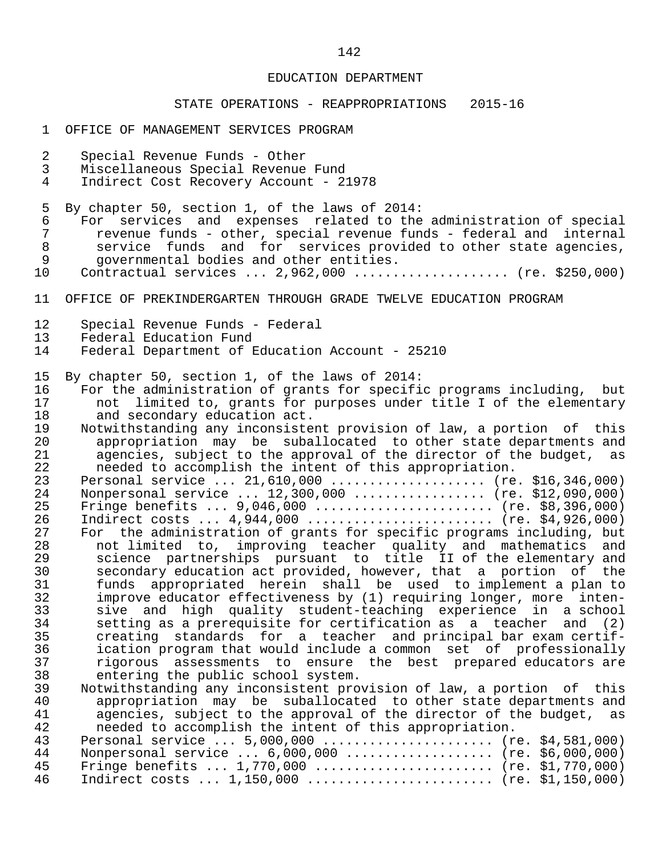- 1 OFFICE OF MANAGEMENT SERVICES PROGRAM
- 2 Special Revenue Funds Other
- 3 Miscellaneous Special Revenue Fund
- 4 Indirect Cost Recovery Account 21978
- 5 By chapter 50, section 1, of the laws of 2014:<br>6 For services and expenses related to the
- 6 For services and expenses related to the administration of special<br>7 Tevenue funds other, special revenue funds federal and internal 7 revenue funds - other, special revenue funds - federal and internal<br>8 service funds and for services provided to other state agencies. 8 service funds and for services provided to other state agencies,<br>9 sovernmental bodies and other entities. 9 governmental bodies and other entities.
- 10 Contractual services ... 2,962,000 .................... (re. \$250,000)
- 11 OFFICE OF PREKINDERGARTEN THROUGH GRADE TWELVE EDUCATION PROGRAM
- 12 Special Revenue Funds Federal<br>13 Federal Education Fund
- 13 Federal Education Fund<br>14 Federal Department of 1
- Federal Department of Education Account 25210
- 15 By chapter 50, section 1, of the laws of 2014:
- 16 For the administration of grants for specific programs including, but<br>17 anotalimited to, grants for purposes under title I of the elementary 17 and limited to, grants for purposes under title I of the elementary<br>18 and secondary education act. 18 and secondary education act.<br>19 Notwithstanding any inconsiste
- 19 Notwithstanding any inconsistent provision of law, a portion of this<br>20 appropriation may be suballocated to other state departments and 20 appropriation may be suballocated to other state departments and<br>21 agencies, subject to the approval of the director of the budget, as 21 agencies, subject to the approval of the director of the budget, as<br>22 a needed to accomplish the intent of this appropriation. 22 needed to accomplish the intent of this appropriation.
- 23 Personal service ... 21,610,000 ..................... (re. \$16,346,000)<br>24 Nonpersonal service ... 12,300,000 ................. (re. \$12,090,000) 24 Monpersonal service ... 12,300,000 ................. (re. \$12,090,000)<br>25 Fringe benefits ... 9,046,000 ........................ (re. \$8,396,000) 25 Fringe benefits ... 9,046,000 ....................... (re. \$8,396,000)<br>26 Indirect costs ... 4,944,000 .......................... (re. \$4,926,000) 26 Indirect costs ... 4,944,000 ......................... (re. \$4,926,000)<br>27 For the administration of grants for specific programs including, but 27 For the administration of grants for specific programs including, but<br>28 11 not limited to, improving teacher quality and mathematics and 28 not limited to, improving teacher quality and mathematics and 29 science partnerships pursuant to title II of the elementary and 30 secondary education act provided, however, that a portion of the 31 funds appropriated herein shall be used to implement a plan to<br>32 improve educator effectiveness by (1) requiring longer, more inten-32 improve educator effectiveness by (1) requiring longer, more inten-<br>33 sive and high quality student-teaching experience in a school 33 sive and high quality student-teaching experience in a school<br>34 setting as a prerequisite for certification as a teacher and (2) 34 setting as a prerequisite for certification as a teacher and (2)<br>35 creating standards for a teacher and principal bar exam certif- 35 creating standards for a teacher and principal bar exam certif- 36 ication program that would include a common set of professionally<br>37 in assessments to ensure the best prepared educators are 37 rigorous assessments to ensure the best prepared educators are<br>38 entering the public school system. 38 entering the public school system.<br>39 Notwithstanding any inconsistent pro-
	- 39 Notwithstanding any inconsistent provision of law, a portion of this<br>40 appropriation may be suballocated to other state departments and 40 appropriation may be suballocated to other state departments and<br>41 agencies, subject to the approval of the director of the budget, as 41 agencies, subject to the approval of the director of the budget, as<br>42 are accomplish the intent of this appropriation. needed to accomplish the intent of this appropriation.

|      | 43 Personal service  5,000,000  (re. \$4,581,000) |  |
|------|---------------------------------------------------|--|
| 44   | Nonpersonal service $6,000,000$ (re. \$6,000,000) |  |
|      | 45 Fringe benefits  1,770,000  (re. \$1,770,000)  |  |
| 46 - | Indirect costs $1,150,000$ (re. \$1,150,000)      |  |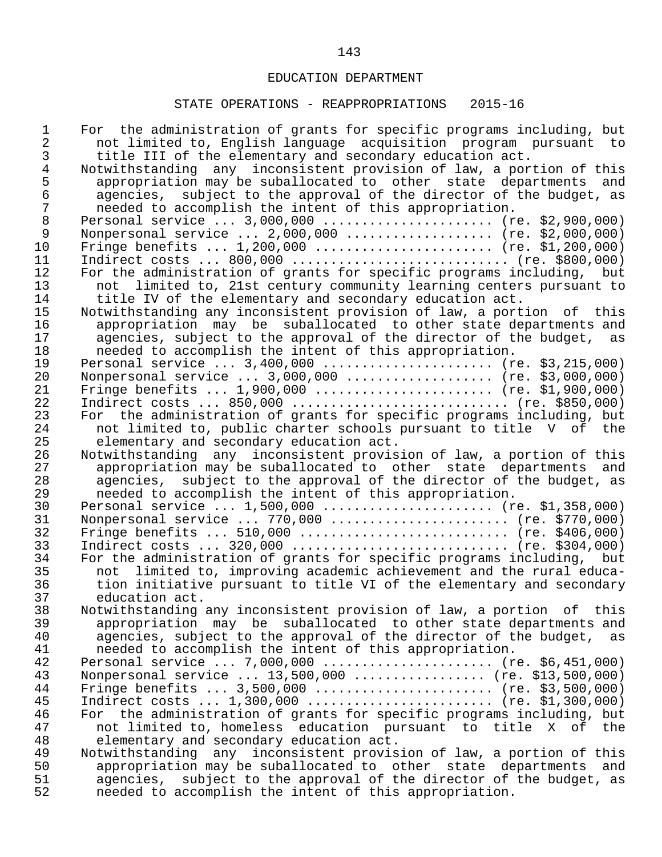| 1<br>$\overline{2}$ | For the administration of grants for specific programs including, but<br>not limited to, English language acquisition program pursuant to |
|---------------------|-------------------------------------------------------------------------------------------------------------------------------------------|
| 3                   | title III of the elementary and secondary education act.                                                                                  |
| $\overline{4}$      | Notwithstanding any inconsistent provision of law, a portion of this                                                                      |
| 5                   | appropriation may be suballocated to other state departments and                                                                          |
| $\epsilon$          | agencies, subject to the approval of the director of the budget, as                                                                       |
| $\overline{7}$      | needed to accomplish the intent of this appropriation.                                                                                    |
| $\,8\,$             | Personal service  3,000,000  (re. \$2,900,000)                                                                                            |
| $\mathsf 9$         | Nonpersonal service  2,000,000  (re. \$2,000,000)                                                                                         |
| 10                  | Fringe benefits $1,200,000$ (re. \$1,200,000)                                                                                             |
| 11                  |                                                                                                                                           |
| 12                  | For the administration of grants for specific programs including, but                                                                     |
| 13                  | not limited to, 21st century community learning centers pursuant to                                                                       |
| 14                  | title IV of the elementary and secondary education act.                                                                                   |
| 15                  | Notwithstanding any inconsistent provision of law, a portion of this                                                                      |
| 16                  | appropriation may be suballocated to other state departments and                                                                          |
| 17                  | agencies, subject to the approval of the director of the budget, as                                                                       |
| 18                  | needed to accomplish the intent of this appropriation.                                                                                    |
| 19                  | Personal service $3,400,000$ (re. \$3,215,000)                                                                                            |
| 20                  | Nonpersonal service  3,000,000  (re. \$3,000,000)                                                                                         |
| 21                  | Fringe benefits $1,900,000$ (re. \$1,900,000)                                                                                             |
| 22                  | Indirect costs $850,000$ (re. \$850,000)                                                                                                  |
| 23                  | For the administration of grants for specific programs including, but                                                                     |
| 24                  | not limited to, public charter schools pursuant to title V of the                                                                         |
| 25                  | elementary and secondary education act.                                                                                                   |
| 26                  | Notwithstanding any inconsistent provision of law, a portion of this                                                                      |
| 27                  | appropriation may be suballocated to other state departments and                                                                          |
| 28                  | agencies, subject to the approval of the director of the budget, as                                                                       |
| 29                  | needed to accomplish the intent of this appropriation.                                                                                    |
| 30                  | Personal service  1,500,000  (re. \$1,358,000)                                                                                            |
| 31                  | Nonpersonal service  770,000  (re. \$770,000)                                                                                             |
| 32                  | Fringe benefits $510,000$ (re. \$406,000)                                                                                                 |
| 33                  | Indirect costs $320,000$ (re. \$304,000)                                                                                                  |
| 34                  | For the administration of grants for specific programs including, but                                                                     |
| 35                  | not limited to, improving academic achievement and the rural educa-                                                                       |
| 36                  | tion initiative pursuant to title VI of the elementary and secondary                                                                      |
| 37                  | education act.                                                                                                                            |
| 38                  | Notwithstanding any inconsistent provision of law, a portion of this                                                                      |
| 39                  | appropriation may be suballocated to other state departments and                                                                          |
| 40                  | agencies, subject to the approval of the director of the budget,<br>as                                                                    |
| 41                  | needed to accomplish the intent of this appropriation.                                                                                    |
| 42                  | Personal service  7,000,000  (re. \$6,451,000)                                                                                            |
| 43                  | Nonpersonal service  13,500,000  (re. \$13,500,000)                                                                                       |
| 44                  | Fringe benefits $3,500,000$ (re. \$3,500,000)                                                                                             |
| 45                  | Indirect costs $1,300,000$ (re. \$1,300,000)                                                                                              |
| 46                  | For the administration of grants for specific programs including, but                                                                     |
| 47                  | not limited to, homeless education pursuant to title X of the                                                                             |
| 48                  | elementary and secondary education act.                                                                                                   |
| 49                  | Notwithstanding any inconsistent provision of law, a portion of this                                                                      |
| 50                  | appropriation may be suballocated to other state departments<br>and                                                                       |
| 51                  | subject to the approval of the director of the budget, as<br>agencies,                                                                    |
| 52                  | needed to accomplish the intent of this appropriation.                                                                                    |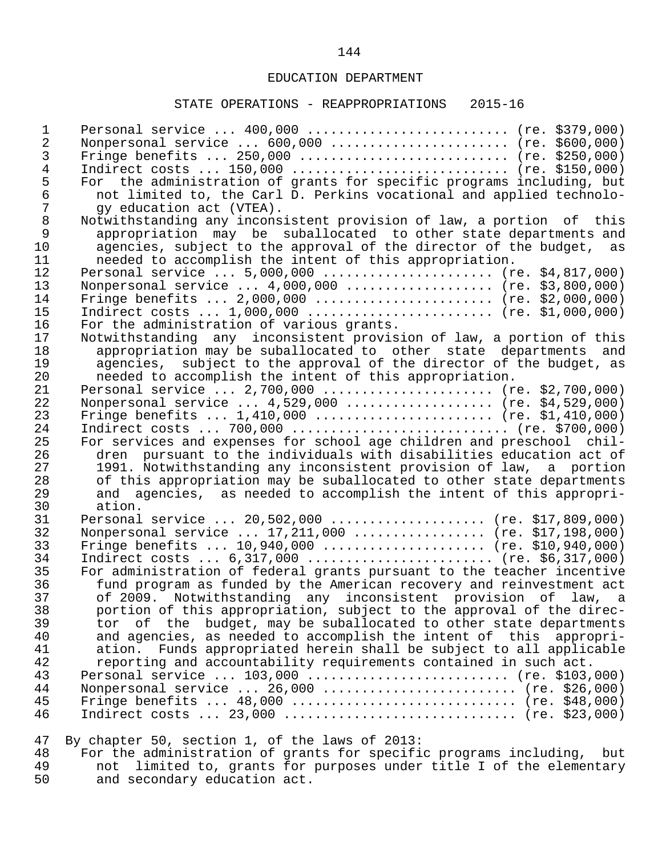#### STATE OPERATIONS - REAPPROPRIATIONS 2015-16

 1 Personal service ... 400,000 .......................... (re. \$379,000) 2 Nonpersonal service ... 600,000 ....................... (re. \$600,000)<br>3 Fringe benefits ... 250,000 ............................ (re. \$250,000) 3 Fringe benefits ... 250,000 ........................... (re. \$250,000) 4 Indirect costs ... 150,000 ............................. (re. \$150,000)<br>5 For the administration of grants for specific programs including, but 5 For the administration of grants for specific programs including, but<br>6 mot limited to, the Carl D. Perkins vocational and applied technolo-6 not limited to, the Carl D. Perkins vocational and applied technolo-<br>7 aveducation act (VTEA). 7 gy education act (VTEA).<br>8 Notwithstanding any incons 8 Notwithstanding any inconsistent provision of law, a portion of this<br>9 appropriation may be suballocated to other state departments and 9 appropriation may be suballocated to other state departments and<br>10 agencies, subject to the approval of the director of the budget, as 10 agencies, subject to the approval of the director of the budget, as<br>11 a needed to accomplish the intent of this appropriation. 11 needed to accomplish the intent of this appropriation. 12 Personal service ... 5,000,000 ....................... (re. \$4,817,000)<br>13 Nonpersonal service ... 4,000,000 .................... (re. \$3,800,000) 13 Monpersonal service ... 4,000,000 ................... (re. \$3,800,000)<br>14 Fringe benefits ... 2,000,000 ........................ (re. \$2,000,000) 14 Fringe benefits ... 2,000,000 ....................... (re. \$2,000,000) 15 Indirect costs ... 1,000,000 ........................ (re. \$1,000,000) 16 For the administration of various grants.<br>17 Notwithstanding any inconsistent provis: 17 Notwithstanding any inconsistent provision of law, a portion of this<br>18 appropriation may be suballocated to other state departments and 18 appropriation may be suballocated to other state departments and<br>19 agencies, subject to the approval of the director of the budget, as 19 agencies, subject to the approval of the director of the budget, as<br>20 a needed to accomplish the intent of this appropriation. 20 needed to accomplish the intent of this appropriation. 21 Personal service ... 2,700,000 ...................... (re. \$2,700,000)<br>22 Nonpersonal service ... 4,529,000 .................... (re. \$4,529,000) 22 Nonpersonal service ... 4,529,000 ................... (re. \$4,529,000)<br>23 Fringe benefits ... 1,410,000 ........................ (re. \$1,410,000) 23 Fringe benefits ... 1,410,000 ....................... (re. \$1,410,000) 24 Indirect costs ... 700,000 ............................ (re. \$700,000) 25 For services and expenses for school age children and preschool chil-<br>26 dren pursuant to the individuals with disabilities education act of 26 dren pursuant to the individuals with disabilities education act of<br>27 1991. Notwithstanding any inconsistent provision of law, a portion 27 1991. Notwithstanding any inconsistent provision of law, a portion<br>28 of this appropriation may be suballocated to other state departments 28 of this appropriation may be suballocated to other state departments<br>29 and agencies, as needed to accomplish the intent of this appropri- 29 and agencies, as needed to accomplish the intent of this appropri- 30 ation.<br>31 Personal 31 Personal service ... 20,502,000 .................... (re. \$17,809,000)<br>32 Nonpersonal service ... 17,211,000 .................. (re. \$17,198,000) 32 Nonpersonal service ... 17,211,000 ................. (re. \$17,198,000)<br>33 Fringe benefits ... 10.940.000 ...................... (re. \$10.940.000) 33 Fringe benefits ... 10,940,000 ...................... (re. \$10,940,000)<br>34 Indirect costs ... 6,317,000 .......................... (re. \$6,317,000) 34 Indirect costs ... 6,317,000 ......................... (re. \$6,317,000)<br>35 For administration of federal grants pursuant to the teacher incentive 35 For administration of federal grants pursuant to the teacher incentive<br>36 fund program as funded by the American recovery and reinvestment act 36 fund program as funded by the American recovery and reinvestment act<br>37 of 2009. Notwithstanding any inconsistent provision of law, a 37 of 2009. Notwithstanding any inconsistent provision of law, a 38 portion of this appropriation, subject to the approval of the direc- 39 tor of the budget, may be suballocated to other state departments<br>40 and agencies, as needed to accomplish the intent of this appropri-40 and agencies, as needed to accomplish the intent of this appropri-<br>41 ation. Funds appropriated herein shall be subject to all applicable 41 ation. Funds appropriated herein shall be subject to all applicable<br>42 epporting and accountability requirements contained in such act. 42 reporting and accountability requirements contained in such act. 43 Personal service ... 103,000 ........................... (re. \$103,000)<br>44 Nonpersonal service ... 26.000 ........................... (re. \$26.000) 44 Nonpersonal service ... 26,000 .......................... (re. \$26,000)<br>45 Fringe benefits ... 48,000 ............................... (re. \$48,000) 45 Fringe benefits ... 48,000 ............................. (re. \$48,000) Indirect costs ... 23,000 ................................ (re. \$23,000) 47 By chapter 50, section 1, of the laws of 2013:

48 For the administration of grants for specific programs including, but<br>49 mot limited to grants for purposes under title I of the elementary 49 not limited to, grants for purposes under title I of the elementary<br>50 and secondary education act. and secondary education act.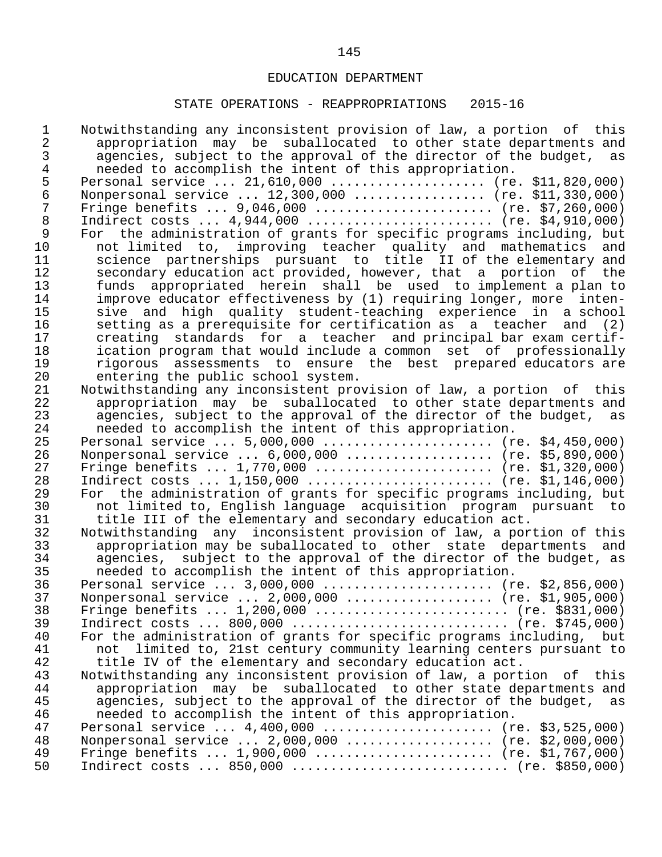| $\mathbf 1$    | Notwithstanding any inconsistent provision of law, a portion of this                                                       |
|----------------|----------------------------------------------------------------------------------------------------------------------------|
| $\overline{2}$ | appropriation may be suballocated to other state departments and                                                           |
| 3              | agencies, subject to the approval of the director of the budget, as                                                        |
| $\overline{4}$ | needed to accomplish the intent of this appropriation.                                                                     |
| 5              | Personal service  21,610,000  (re. \$11,820,000)                                                                           |
| $\epsilon$     | Nonpersonal service  12,300,000  (re. \$11,330,000)                                                                        |
| $\overline{7}$ | Fringe benefits $9,046,000$ (re. \$7,260,000)                                                                              |
| $\,8\,$        | Indirect costs $4,944,000$ (re. \$4,910,000)                                                                               |
| $\mathsf 9$    | For the administration of grants for specific programs including, but                                                      |
| 10             | not limited to, improving teacher quality and mathematics and                                                              |
| 11             | science partnerships pursuant to title II of the elementary and                                                            |
| 12             | secondary education act provided, however, that a portion of the                                                           |
| 13             | funds appropriated herein shall be used to implement a plan to                                                             |
| 14             | improve educator effectiveness by (1) requiring longer, more inten-                                                        |
| 15             | sive and high quality student-teaching experience in a school                                                              |
| 16             | setting as a prerequisite for certification as a teacher and (2)                                                           |
| 17             | creating standards for a teacher and principal bar exam certif-                                                            |
| 18             | ication program that would include a common set of professionally                                                          |
| 19             | rigorous assessments to ensure the best prepared educators are                                                             |
| 20             | entering the public school system.                                                                                         |
| 21             | Notwithstanding any inconsistent provision of law, a portion of this                                                       |
| 22             | appropriation may be suballocated to other state departments and                                                           |
| 23             | agencies, subject to the approval of the director of the budget, as                                                        |
| 24             | needed to accomplish the intent of this appropriation.                                                                     |
| 25             | Personal service $5,000,000$ (re. \$4,450,000)                                                                             |
| 26             | Nonpersonal service  6,000,000  (re. \$5,890,000)                                                                          |
| 27             | Fringe benefits $1,770,000$ (re. \$1,320,000)                                                                              |
| 28             | Indirect costs $1,150,000$ (re. \$1,146,000)                                                                               |
| 29             | For the administration of grants for specific programs including, but                                                      |
| 30             | not limited to, English language acquisition program pursuant to                                                           |
| 31             | title III of the elementary and secondary education act.                                                                   |
| 32             | Notwithstanding any inconsistent provision of law, a portion of this                                                       |
| 33             | appropriation may be suballocated to other state departments and                                                           |
| 34             | agencies, subject to the approval of the director of the budget, as                                                        |
| 35             | needed to accomplish the intent of this appropriation.                                                                     |
| 36             | Personal service $3,000,000$ (re. \$2,856,000)                                                                             |
| 37             | Nonpersonal service  2,000,000  (re. \$1,905,000)                                                                          |
| 38             | Fringe benefits $1,200,000$ (re. \$831,000)                                                                                |
| 39             |                                                                                                                            |
| 40             | For the administration of grants for specific programs including, but                                                      |
| 41             | not                                                                                                                        |
| 42             | limited to, 21st century community learning centers pursuant to<br>title IV of the elementary and secondary education act. |
| 43             | Notwithstanding any inconsistent provision of law, a portion of<br>this                                                    |
| 44             |                                                                                                                            |
| 45             | appropriation may be suballocated to other state departments and                                                           |
|                | agencies, subject to the approval of the director of the budget, as                                                        |
| 46<br>47       | needed to accomplish the intent of this appropriation.                                                                     |
| 48             | Personal service $4,400,000$ (re. \$3,525,000)<br>Nonpersonal service $2,000,000$ (re. \$2,000,000)                        |
| 49             |                                                                                                                            |
|                | Fringe benefits $1,900,000$ (re. \$1,767,000)                                                                              |
| 50             | Indirect costs $850,000$ (re. \$850,000)                                                                                   |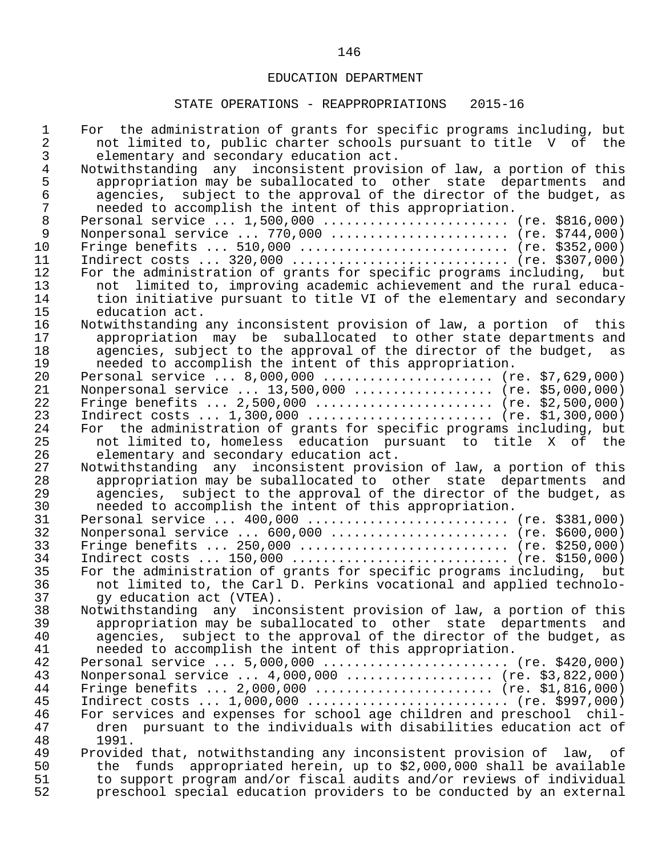| 1<br>2         | For the administration of grants for specific programs including, but<br>not limited to, public charter schools pursuant to title V of the        |
|----------------|---------------------------------------------------------------------------------------------------------------------------------------------------|
| 3              | elementary and secondary education act.                                                                                                           |
| $\overline{4}$ | Notwithstanding any inconsistent provision of law, a portion of this                                                                              |
| 5              | appropriation may be suballocated to other state departments and                                                                                  |
| $\epsilon$     | agencies, subject to the approval of the director of the budget, as                                                                               |
| 7              | needed to accomplish the intent of this appropriation.                                                                                            |
| $\,8\,$        | Personal service  1,500,000  (re. \$816,000)                                                                                                      |
| $\mathsf 9$    | Nonpersonal service  770,000  (re. \$744,000)                                                                                                     |
| 10             | Fringe benefits $510,000$ (re. \$352,000)                                                                                                         |
| 11             | Indirect costs $320,000$ (re. \$307,000)                                                                                                          |
| 12             | For the administration of grants for specific programs including, but                                                                             |
| 13             | not limited to, improving academic achievement and the rural educa-                                                                               |
| 14             | tion initiative pursuant to title VI of the elementary and secondary                                                                              |
| 15             | education act.                                                                                                                                    |
| 16             | Notwithstanding any inconsistent provision of law, a portion of this                                                                              |
| 17             | appropriation may be suballocated to other state departments and                                                                                  |
| 18             | agencies, subject to the approval of the director of the budget, as                                                                               |
| 19             | needed to accomplish the intent of this appropriation.                                                                                            |
| 20             | Personal service  8,000,000  (re. \$7,629,000)                                                                                                    |
| 21             | Nonpersonal service  13,500,000  (re. \$5,000,000)                                                                                                |
| 22             | Fringe benefits $2,500,000$ (re. \$2,500,000)                                                                                                     |
| 23             | Indirect costs $1,300,000$ (re. \$1,300,000)                                                                                                      |
| 24             | For the administration of grants for specific programs including, but                                                                             |
| 25             | not limited to, homeless education pursuant to title X of the                                                                                     |
| 26             | elementary and secondary education act.                                                                                                           |
| 27             | Notwithstanding any inconsistent provision of law, a portion of this                                                                              |
| 28             | appropriation may be suballocated to other state departments and                                                                                  |
| 29             | agencies, subject to the approval of the director of the budget, as                                                                               |
| 30             | needed to accomplish the intent of this appropriation.                                                                                            |
| 31             |                                                                                                                                                   |
| 32             | Nonpersonal service  600,000  (re. \$600,000)                                                                                                     |
| 33             | Fringe benefits $250,000$ (re. \$250,000)                                                                                                         |
| 34             | Indirect costs $150,000$ (re. \$150,000)                                                                                                          |
| 35             | For the administration of grants for specific programs including, but                                                                             |
| 36             | not limited to, the Carl D. Perkins vocational and applied technolo-                                                                              |
| 37             | qy education act (VTEA).                                                                                                                          |
| 38             | Notwithstanding any inconsistent provision of law, a portion of this                                                                              |
| 39             | appropriation may be suballocated to other state departments<br>and                                                                               |
| 40             | subject to the approval of the director of the budget, as<br>agencies,                                                                            |
| 41             | needed to accomplish the intent of this appropriation.                                                                                            |
| 42             | Personal service $5,000,000$ (re. \$420,000)                                                                                                      |
| 43             | Nonpersonal service  4,000,000  (re. \$3,822,000)                                                                                                 |
| 44             | Fringe benefits $2,000,000$ (re. \$1,816,000)                                                                                                     |
| 45<br>46       | Indirect costs $1,000,000$ (re. \$997,000)<br>For services and expenses for school age children and preschool chil-                               |
| 47             |                                                                                                                                                   |
| 48             | dren pursuant to the individuals with disabilities education act of<br>1991.                                                                      |
| 49             |                                                                                                                                                   |
| 50             | Provided that, notwithstanding any inconsistent provision of law, of<br>appropriated herein, up to \$2,000,000 shall be available<br>funds<br>the |
| 51             | to support program and/or fiscal audits and/or reviews of individual                                                                              |
| 52             | preschool special education providers to be conducted by an external                                                                              |
|                |                                                                                                                                                   |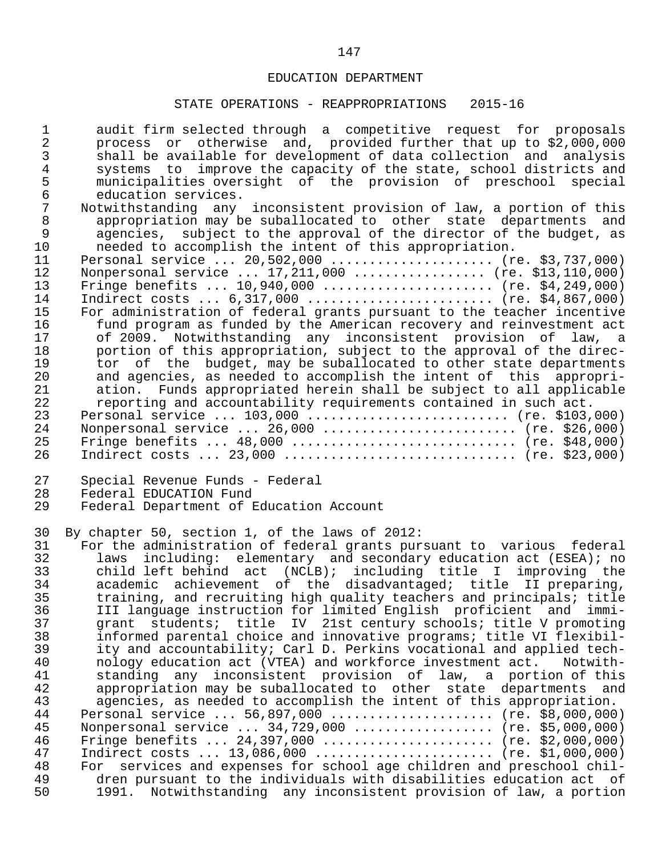| $\epsilon$<br>education services.<br>$\sqrt{ }$<br>Notwithstanding any inconsistent provision of law, a portion of this<br>$\,8\,$<br>appropriation may be suballocated to other state departments and<br>9<br>agencies, subject to the approval of the director of the budget, as<br>needed to accomplish the intent of this appropriation.<br>10<br>Personal service  20,502,000  (re. \$3,737,000)<br>11<br>Nonpersonal service  17,211,000  (re. \$13,110,000)<br>12<br>13<br>Fringe benefits $10,940,000$ (re. \$4,249,000)<br>Indirect costs $6,317,000$ (re. \$4,867,000)<br>14<br>For administration of federal grants pursuant to the teacher incentive<br>15<br>16<br>fund program as funded by the American recovery and reinvestment act<br>17<br>of 2009. Notwithstanding any inconsistent provision of law, a<br>18<br>portion of this appropriation, subject to the approval of the direc-<br>19<br>tor of the budget, may be suballocated to other state departments<br>and agencies, as needed to accomplish the intent of this appropri-<br>20<br>21<br>ation. Funds appropriated herein shall be subject to all applicable<br>22<br>reporting and accountability requirements contained in such act.<br>23<br>Personal service $103,000$ (re. \$103,000)<br>Nonpersonal service  26,000  (re. \$26,000)<br>24<br>25<br>Fringe benefits $48,000$ (re. \$48,000)<br>26<br>Indirect costs  23,000  (re. \$23,000)<br>27<br>Special Revenue Funds - Federal<br>Federal EDUCATION Fund<br>28<br>Federal Department of Education Account<br>29<br>30<br>By chapter 50, section 1, of the laws of 2012:<br>For the administration of federal grants pursuant to various federal<br>31<br>32<br>including: elementary and secondary education act (ESEA); no<br>laws<br>child left behind act (NCLB); including title I improving the<br>33<br>academic achievement of the disadvantaged; title II preparing,<br>34 |
|--------------------------------------------------------------------------------------------------------------------------------------------------------------------------------------------------------------------------------------------------------------------------------------------------------------------------------------------------------------------------------------------------------------------------------------------------------------------------------------------------------------------------------------------------------------------------------------------------------------------------------------------------------------------------------------------------------------------------------------------------------------------------------------------------------------------------------------------------------------------------------------------------------------------------------------------------------------------------------------------------------------------------------------------------------------------------------------------------------------------------------------------------------------------------------------------------------------------------------------------------------------------------------------------------------------------------------------------------------------------------------------------------------------------------------------------------------------------------------------------------------------------------------------------------------------------------------------------------------------------------------------------------------------------------------------------------------------------------------------------------------------------------------------------------------------------------------------------------------------------------------------------------------------------------------|
|                                                                                                                                                                                                                                                                                                                                                                                                                                                                                                                                                                                                                                                                                                                                                                                                                                                                                                                                                                                                                                                                                                                                                                                                                                                                                                                                                                                                                                                                                                                                                                                                                                                                                                                                                                                                                                                                                                                                |
|                                                                                                                                                                                                                                                                                                                                                                                                                                                                                                                                                                                                                                                                                                                                                                                                                                                                                                                                                                                                                                                                                                                                                                                                                                                                                                                                                                                                                                                                                                                                                                                                                                                                                                                                                                                                                                                                                                                                |
|                                                                                                                                                                                                                                                                                                                                                                                                                                                                                                                                                                                                                                                                                                                                                                                                                                                                                                                                                                                                                                                                                                                                                                                                                                                                                                                                                                                                                                                                                                                                                                                                                                                                                                                                                                                                                                                                                                                                |
|                                                                                                                                                                                                                                                                                                                                                                                                                                                                                                                                                                                                                                                                                                                                                                                                                                                                                                                                                                                                                                                                                                                                                                                                                                                                                                                                                                                                                                                                                                                                                                                                                                                                                                                                                                                                                                                                                                                                |
|                                                                                                                                                                                                                                                                                                                                                                                                                                                                                                                                                                                                                                                                                                                                                                                                                                                                                                                                                                                                                                                                                                                                                                                                                                                                                                                                                                                                                                                                                                                                                                                                                                                                                                                                                                                                                                                                                                                                |
|                                                                                                                                                                                                                                                                                                                                                                                                                                                                                                                                                                                                                                                                                                                                                                                                                                                                                                                                                                                                                                                                                                                                                                                                                                                                                                                                                                                                                                                                                                                                                                                                                                                                                                                                                                                                                                                                                                                                |
|                                                                                                                                                                                                                                                                                                                                                                                                                                                                                                                                                                                                                                                                                                                                                                                                                                                                                                                                                                                                                                                                                                                                                                                                                                                                                                                                                                                                                                                                                                                                                                                                                                                                                                                                                                                                                                                                                                                                |
|                                                                                                                                                                                                                                                                                                                                                                                                                                                                                                                                                                                                                                                                                                                                                                                                                                                                                                                                                                                                                                                                                                                                                                                                                                                                                                                                                                                                                                                                                                                                                                                                                                                                                                                                                                                                                                                                                                                                |
|                                                                                                                                                                                                                                                                                                                                                                                                                                                                                                                                                                                                                                                                                                                                                                                                                                                                                                                                                                                                                                                                                                                                                                                                                                                                                                                                                                                                                                                                                                                                                                                                                                                                                                                                                                                                                                                                                                                                |
|                                                                                                                                                                                                                                                                                                                                                                                                                                                                                                                                                                                                                                                                                                                                                                                                                                                                                                                                                                                                                                                                                                                                                                                                                                                                                                                                                                                                                                                                                                                                                                                                                                                                                                                                                                                                                                                                                                                                |
|                                                                                                                                                                                                                                                                                                                                                                                                                                                                                                                                                                                                                                                                                                                                                                                                                                                                                                                                                                                                                                                                                                                                                                                                                                                                                                                                                                                                                                                                                                                                                                                                                                                                                                                                                                                                                                                                                                                                |
|                                                                                                                                                                                                                                                                                                                                                                                                                                                                                                                                                                                                                                                                                                                                                                                                                                                                                                                                                                                                                                                                                                                                                                                                                                                                                                                                                                                                                                                                                                                                                                                                                                                                                                                                                                                                                                                                                                                                |
|                                                                                                                                                                                                                                                                                                                                                                                                                                                                                                                                                                                                                                                                                                                                                                                                                                                                                                                                                                                                                                                                                                                                                                                                                                                                                                                                                                                                                                                                                                                                                                                                                                                                                                                                                                                                                                                                                                                                |
|                                                                                                                                                                                                                                                                                                                                                                                                                                                                                                                                                                                                                                                                                                                                                                                                                                                                                                                                                                                                                                                                                                                                                                                                                                                                                                                                                                                                                                                                                                                                                                                                                                                                                                                                                                                                                                                                                                                                |
|                                                                                                                                                                                                                                                                                                                                                                                                                                                                                                                                                                                                                                                                                                                                                                                                                                                                                                                                                                                                                                                                                                                                                                                                                                                                                                                                                                                                                                                                                                                                                                                                                                                                                                                                                                                                                                                                                                                                |
|                                                                                                                                                                                                                                                                                                                                                                                                                                                                                                                                                                                                                                                                                                                                                                                                                                                                                                                                                                                                                                                                                                                                                                                                                                                                                                                                                                                                                                                                                                                                                                                                                                                                                                                                                                                                                                                                                                                                |
|                                                                                                                                                                                                                                                                                                                                                                                                                                                                                                                                                                                                                                                                                                                                                                                                                                                                                                                                                                                                                                                                                                                                                                                                                                                                                                                                                                                                                                                                                                                                                                                                                                                                                                                                                                                                                                                                                                                                |
|                                                                                                                                                                                                                                                                                                                                                                                                                                                                                                                                                                                                                                                                                                                                                                                                                                                                                                                                                                                                                                                                                                                                                                                                                                                                                                                                                                                                                                                                                                                                                                                                                                                                                                                                                                                                                                                                                                                                |
|                                                                                                                                                                                                                                                                                                                                                                                                                                                                                                                                                                                                                                                                                                                                                                                                                                                                                                                                                                                                                                                                                                                                                                                                                                                                                                                                                                                                                                                                                                                                                                                                                                                                                                                                                                                                                                                                                                                                |
|                                                                                                                                                                                                                                                                                                                                                                                                                                                                                                                                                                                                                                                                                                                                                                                                                                                                                                                                                                                                                                                                                                                                                                                                                                                                                                                                                                                                                                                                                                                                                                                                                                                                                                                                                                                                                                                                                                                                |
|                                                                                                                                                                                                                                                                                                                                                                                                                                                                                                                                                                                                                                                                                                                                                                                                                                                                                                                                                                                                                                                                                                                                                                                                                                                                                                                                                                                                                                                                                                                                                                                                                                                                                                                                                                                                                                                                                                                                |
|                                                                                                                                                                                                                                                                                                                                                                                                                                                                                                                                                                                                                                                                                                                                                                                                                                                                                                                                                                                                                                                                                                                                                                                                                                                                                                                                                                                                                                                                                                                                                                                                                                                                                                                                                                                                                                                                                                                                |
|                                                                                                                                                                                                                                                                                                                                                                                                                                                                                                                                                                                                                                                                                                                                                                                                                                                                                                                                                                                                                                                                                                                                                                                                                                                                                                                                                                                                                                                                                                                                                                                                                                                                                                                                                                                                                                                                                                                                |
|                                                                                                                                                                                                                                                                                                                                                                                                                                                                                                                                                                                                                                                                                                                                                                                                                                                                                                                                                                                                                                                                                                                                                                                                                                                                                                                                                                                                                                                                                                                                                                                                                                                                                                                                                                                                                                                                                                                                |
|                                                                                                                                                                                                                                                                                                                                                                                                                                                                                                                                                                                                                                                                                                                                                                                                                                                                                                                                                                                                                                                                                                                                                                                                                                                                                                                                                                                                                                                                                                                                                                                                                                                                                                                                                                                                                                                                                                                                |
|                                                                                                                                                                                                                                                                                                                                                                                                                                                                                                                                                                                                                                                                                                                                                                                                                                                                                                                                                                                                                                                                                                                                                                                                                                                                                                                                                                                                                                                                                                                                                                                                                                                                                                                                                                                                                                                                                                                                |
| 35<br>training, and recruiting high quality teachers and principals; title                                                                                                                                                                                                                                                                                                                                                                                                                                                                                                                                                                                                                                                                                                                                                                                                                                                                                                                                                                                                                                                                                                                                                                                                                                                                                                                                                                                                                                                                                                                                                                                                                                                                                                                                                                                                                                                     |
| 36<br>III language instruction for limited English proficient and immi-<br>grant students; title IV 21st century schools; title V promoting                                                                                                                                                                                                                                                                                                                                                                                                                                                                                                                                                                                                                                                                                                                                                                                                                                                                                                                                                                                                                                                                                                                                                                                                                                                                                                                                                                                                                                                                                                                                                                                                                                                                                                                                                                                    |
| 37<br>38<br>informed parental choice and innovative programs; title VI flexibil-                                                                                                                                                                                                                                                                                                                                                                                                                                                                                                                                                                                                                                                                                                                                                                                                                                                                                                                                                                                                                                                                                                                                                                                                                                                                                                                                                                                                                                                                                                                                                                                                                                                                                                                                                                                                                                               |
| 39<br>ity and accountability; Carl D. Perkins vocational and applied tech-                                                                                                                                                                                                                                                                                                                                                                                                                                                                                                                                                                                                                                                                                                                                                                                                                                                                                                                                                                                                                                                                                                                                                                                                                                                                                                                                                                                                                                                                                                                                                                                                                                                                                                                                                                                                                                                     |
| 40<br>nology education act (VTEA) and workforce investment act. Notwith-                                                                                                                                                                                                                                                                                                                                                                                                                                                                                                                                                                                                                                                                                                                                                                                                                                                                                                                                                                                                                                                                                                                                                                                                                                                                                                                                                                                                                                                                                                                                                                                                                                                                                                                                                                                                                                                       |
| standing any inconsistent provision of law, a portion of this<br>41                                                                                                                                                                                                                                                                                                                                                                                                                                                                                                                                                                                                                                                                                                                                                                                                                                                                                                                                                                                                                                                                                                                                                                                                                                                                                                                                                                                                                                                                                                                                                                                                                                                                                                                                                                                                                                                            |
| 42<br>appropriation may be suballocated to other state departments and                                                                                                                                                                                                                                                                                                                                                                                                                                                                                                                                                                                                                                                                                                                                                                                                                                                                                                                                                                                                                                                                                                                                                                                                                                                                                                                                                                                                                                                                                                                                                                                                                                                                                                                                                                                                                                                         |
| 43<br>agencies, as needed to accomplish the intent of this appropriation.                                                                                                                                                                                                                                                                                                                                                                                                                                                                                                                                                                                                                                                                                                                                                                                                                                                                                                                                                                                                                                                                                                                                                                                                                                                                                                                                                                                                                                                                                                                                                                                                                                                                                                                                                                                                                                                      |
| Personal service  56,897,000  (re. \$8,000,000)<br>44                                                                                                                                                                                                                                                                                                                                                                                                                                                                                                                                                                                                                                                                                                                                                                                                                                                                                                                                                                                                                                                                                                                                                                                                                                                                                                                                                                                                                                                                                                                                                                                                                                                                                                                                                                                                                                                                          |
| Nonpersonal service  34,729,000  (re. \$5,000,000)<br>45                                                                                                                                                                                                                                                                                                                                                                                                                                                                                                                                                                                                                                                                                                                                                                                                                                                                                                                                                                                                                                                                                                                                                                                                                                                                                                                                                                                                                                                                                                                                                                                                                                                                                                                                                                                                                                                                       |
| Fringe benefits $24,397,000$ (re. \$2,000,000)<br>46                                                                                                                                                                                                                                                                                                                                                                                                                                                                                                                                                                                                                                                                                                                                                                                                                                                                                                                                                                                                                                                                                                                                                                                                                                                                                                                                                                                                                                                                                                                                                                                                                                                                                                                                                                                                                                                                           |
| 47<br>Indirect costs  13,086,000  (re. \$1,000,000)                                                                                                                                                                                                                                                                                                                                                                                                                                                                                                                                                                                                                                                                                                                                                                                                                                                                                                                                                                                                                                                                                                                                                                                                                                                                                                                                                                                                                                                                                                                                                                                                                                                                                                                                                                                                                                                                            |
| For services and expenses for school age children and preschool chil-<br>48<br>49<br>dren pursuant to the individuals with disabilities education act of                                                                                                                                                                                                                                                                                                                                                                                                                                                                                                                                                                                                                                                                                                                                                                                                                                                                                                                                                                                                                                                                                                                                                                                                                                                                                                                                                                                                                                                                                                                                                                                                                                                                                                                                                                       |
| 50<br>1991. Notwithstanding any inconsistent provision of law, a portion                                                                                                                                                                                                                                                                                                                                                                                                                                                                                                                                                                                                                                                                                                                                                                                                                                                                                                                                                                                                                                                                                                                                                                                                                                                                                                                                                                                                                                                                                                                                                                                                                                                                                                                                                                                                                                                       |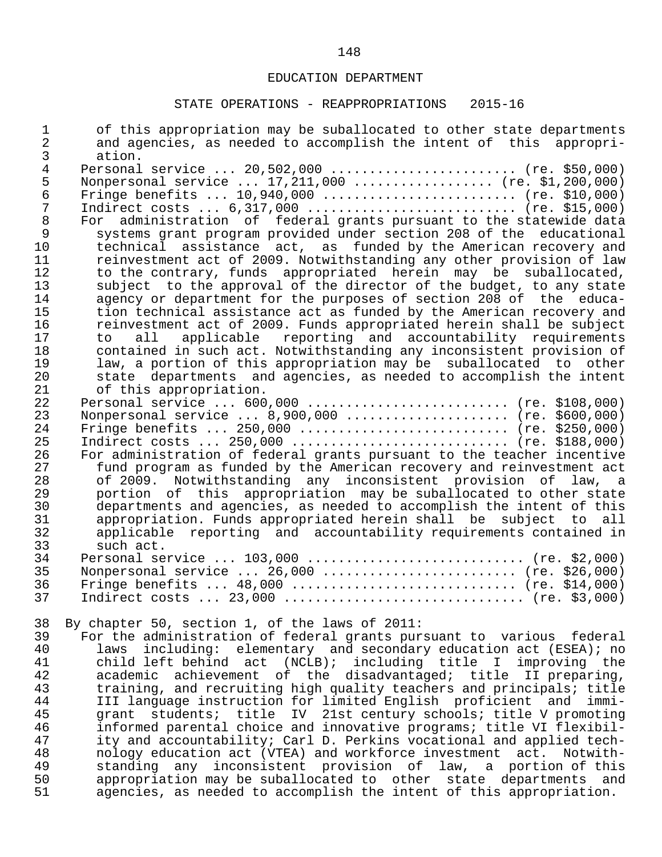| $\mathbf 1$<br>$\overline{a}$<br>3 | of this appropriation may be suballocated to other state departments<br>and agencies, as needed to accomplish the intent of this appropri-<br>ation. |
|------------------------------------|------------------------------------------------------------------------------------------------------------------------------------------------------|
| $\overline{4}$                     |                                                                                                                                                      |
|                                    | Personal service  20,502,000  (re. \$50,000)                                                                                                         |
| 5                                  | Nonpersonal service $17,211,000$ (re. \$1,200,000)                                                                                                   |
| $\epsilon$                         | Fringe benefits $10,940,000$ (re. \$10,000)                                                                                                          |
| $\overline{7}$                     | Indirect costs $6,317,000$ (re. \$15,000)                                                                                                            |
| $\,8\,$                            | administration of federal grants pursuant to the statewide data<br>For                                                                               |
| $\mathsf 9$                        | systems grant program provided under section 208 of the educational                                                                                  |
| 10                                 | technical assistance act, as funded by the American recovery and                                                                                     |
| 11                                 | reinvestment act of 2009. Notwithstanding any other provision of law                                                                                 |
| 12                                 | to the contrary, funds appropriated herein may be suballocated,                                                                                      |
| 13                                 | subject to the approval of the director of the budget, to any state                                                                                  |
| 14                                 | agency or department for the purposes of section 208 of the educa-                                                                                   |
| 15                                 | tion technical assistance act as funded by the American recovery and                                                                                 |
| 16                                 | reinvestment act of 2009. Funds appropriated herein shall be subject                                                                                 |
|                                    |                                                                                                                                                      |
| 17                                 | applicable reporting and accountability requirements<br>all<br>to                                                                                    |
| 18                                 | contained in such act. Notwithstanding any inconsistent provision of                                                                                 |
| 19                                 | law, a portion of this appropriation may be suballocated to other                                                                                    |
| 20                                 | state departments and agencies, as needed to accomplish the intent                                                                                   |
| 21                                 | of this appropriation.                                                                                                                               |
| 22                                 | Personal service $600,000$ (re. \$108,000)                                                                                                           |
| 23                                 | Nonpersonal service  8,900,000  (re. \$600,000)                                                                                                      |
| 24                                 | Fringe benefits $250,000$ (re. \$250,000)                                                                                                            |
| 25                                 | Indirect costs $250,000$ (re. \$188,000)                                                                                                             |
| 26                                 | For administration of federal grants pursuant to the teacher incentive                                                                               |
| 27                                 | fund program as funded by the American recovery and reinvestment act                                                                                 |
| 28                                 | of 2009. Notwithstanding any inconsistent provision of law, a                                                                                        |
| 29                                 | portion of this appropriation may be suballocated to other state                                                                                     |
| 30                                 | departments and agencies, as needed to accomplish the intent of this                                                                                 |
| 31                                 | appropriation. Funds appropriated herein shall be subject to all                                                                                     |
| 32                                 | applicable reporting and accountability requirements contained in                                                                                    |
| 33                                 | such act.                                                                                                                                            |
| 34                                 | Personal service $103,000$ (re. \$2,000)                                                                                                             |
| 35                                 | Nonpersonal service  26,000  (re. \$26,000)                                                                                                          |
| 36                                 | Fringe benefits $48,000$ (re. \$14,000)                                                                                                              |
| 37                                 |                                                                                                                                                      |
|                                    | Indirect costs $23,000$ (re. \$3,000)                                                                                                                |
| 38                                 | By chapter 50, section 1, of the laws of 2011:                                                                                                       |
| 39                                 | For the administration of federal grants pursuant to various federal                                                                                 |
| 40                                 | including: elementary and secondary education act (ESEA); no                                                                                         |
|                                    | laws                                                                                                                                                 |
| 41                                 | child left behind act (NCLB); including title I improving the                                                                                        |
| 42                                 | academic achievement of the disadvantaged; title II preparing,                                                                                       |
| 43                                 | training, and recruiting high quality teachers and principals; title                                                                                 |
| 44                                 | III language instruction for limited English proficient and<br>$immin -$                                                                             |
| 45                                 | students; title<br>IV 21st century schools; title V promoting<br>grant                                                                               |
| 46                                 | informed parental choice and innovative programs; title VI flexibil-                                                                                 |
| 47                                 | ity and accountability; Carl D. Perkins vocational and applied tech-                                                                                 |
| 48                                 | nology education act (VTEA) and workforce investment act.<br>Notwith-                                                                                |
| 49                                 | standing any inconsistent provision of law, a portion of this                                                                                        |
| 50                                 | appropriation may be suballocated to other state departments<br>and                                                                                  |
| 51                                 | agencies, as needed to accomplish the intent of this appropriation.                                                                                  |
|                                    |                                                                                                                                                      |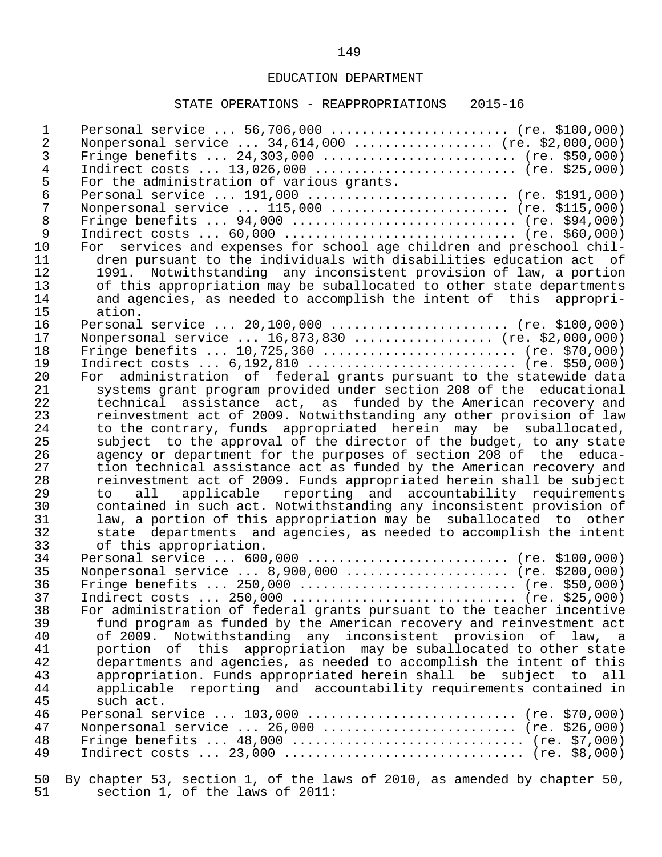# STATE OPERATIONS - REAPPROPRIATIONS 2015-16

| $\mathbf 1$<br>$\overline{2}$<br>3<br>$\bf 4$ | Personal service  56,706,000  (re. \$100,000)<br>Nonpersonal service  34,614,000  (re. \$2,000,000)<br>Fringe benefits $24,303,000$ (re. \$50,000)<br>Indirect costs  13,026,000  (re. \$25,000) |
|-----------------------------------------------|--------------------------------------------------------------------------------------------------------------------------------------------------------------------------------------------------|
| 5                                             | For the administration of various grants.                                                                                                                                                        |
| $\epsilon$                                    | Personal service  191,000  (re. \$191,000)                                                                                                                                                       |
| 7                                             | Nonpersonal service  115,000  (re. \$115,000)                                                                                                                                                    |
| $\,8\,$                                       | Fringe benefits $94,000$ (re. \$94,000)                                                                                                                                                          |
| 9                                             | Indirect costs $60,000$ (re. \$60,000)                                                                                                                                                           |
| 10                                            | For services and expenses for school age children and preschool chil-                                                                                                                            |
| 11                                            | dren pursuant to the individuals with disabilities education act of                                                                                                                              |
| 12                                            | 1991. Notwithstanding any inconsistent provision of law, a portion                                                                                                                               |
| 13                                            | of this appropriation may be suballocated to other state departments                                                                                                                             |
| 14                                            | and agencies, as needed to accomplish the intent of this appropri-                                                                                                                               |
| 15                                            | ation.                                                                                                                                                                                           |
| 16                                            | Personal service $20,100,000$ (re. \$100,000)                                                                                                                                                    |
| 17                                            | Nonpersonal service  16,873,830  (re. \$2,000,000)                                                                                                                                               |
| 18                                            | Fringe benefits $10,725,360$ (re. \$70,000)                                                                                                                                                      |
| 19                                            | Indirect costs $6,192,810$ (re. \$50,000)                                                                                                                                                        |
| 20                                            | administration of federal grants pursuant to the statewide data<br>For                                                                                                                           |
| 21                                            | systems grant program provided under section 208 of the educational                                                                                                                              |
| 22                                            | technical assistance act, as funded by the American recovery and                                                                                                                                 |
| 23                                            | reinvestment act of 2009. Notwithstanding any other provision of law                                                                                                                             |
| 24                                            | to the contrary, funds appropriated herein may be suballocated,                                                                                                                                  |
| 25                                            | subject to the approval of the director of the budget, to any state                                                                                                                              |
| 26                                            | agency or department for the purposes of section 208 of the educa-                                                                                                                               |
| 27                                            | tion technical assistance act as funded by the American recovery and                                                                                                                             |
| 28                                            | reinvestment act of 2009. Funds appropriated herein shall be subject                                                                                                                             |
| 29                                            | applicable reporting and accountability requirements<br>all<br>to                                                                                                                                |
| 30                                            | contained in such act. Notwithstanding any inconsistent provision of                                                                                                                             |
| 31                                            | law, a portion of this appropriation may be suballocated to other                                                                                                                                |
| 32                                            | state departments and agencies, as needed to accomplish the intent                                                                                                                               |
| 33                                            | of this appropriation.                                                                                                                                                                           |
| 34                                            |                                                                                                                                                                                                  |
| 35                                            | Nonpersonal service  8,900,000  (re. \$200,000)                                                                                                                                                  |
| 36                                            | Fringe benefits $250,000$ (re. \$50,000)                                                                                                                                                         |
| 37                                            | Indirect costs  250,000  (re. \$25,000)                                                                                                                                                          |
| 38                                            | For administration of federal grants pursuant to the teacher incentive                                                                                                                           |
| 39                                            | fund program as funded by the American recovery and reinvestment act                                                                                                                             |
| 40                                            | of 2009. Notwithstanding any inconsistent provision of law, a                                                                                                                                    |
| 41                                            | portion of this appropriation may be suballocated to other state                                                                                                                                 |
| 42                                            | departments and agencies, as needed to accomplish the intent of this                                                                                                                             |
| 43                                            | appropriation. Funds appropriated herein shall be subject to all                                                                                                                                 |
| 44                                            | applicable reporting and accountability requirements contained in                                                                                                                                |
| 45                                            | such act.                                                                                                                                                                                        |
| 46                                            | Personal service $103,000$ (re. \$70,000)                                                                                                                                                        |
| 47                                            | Nonpersonal service $26,000$ (re. \$26,000)                                                                                                                                                      |
| 48                                            |                                                                                                                                                                                                  |
| 49                                            | Indirect costs $23,000$ (re. \$8,000)                                                                                                                                                            |
| 50                                            | By chapter 53, section 1, of the laws of 2010, as amended by chapter 50,                                                                                                                         |

51 section 1, of the laws of 2011: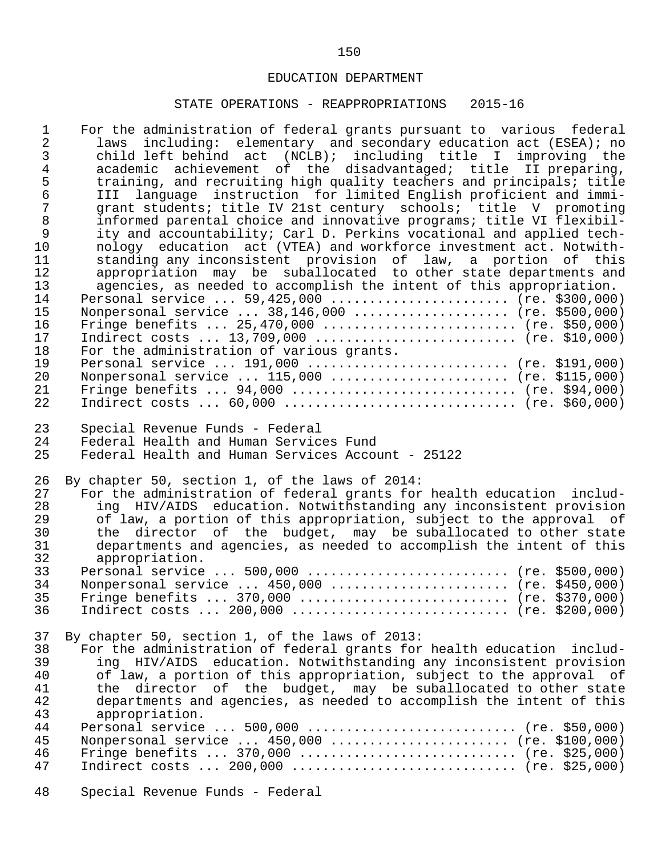| $\mathbf 1$<br>$\overline{2}$<br>$\mathfrak{Z}$<br>$\overline{4}$<br>5<br>$\epsilon$<br>$\overline{7}$<br>$\,8\,$<br>$\mathsf 9$<br>10<br>11<br>12<br>13<br>14<br>15<br>16<br>17<br>18<br>19<br>20 | For the administration of federal grants pursuant to various federal<br>including: elementary and secondary education act (ESEA); no<br>laws<br>child left behind act (NCLB); including title I improving the<br>academic achievement of the disadvantaged; title II preparing,<br>training, and recruiting high quality teachers and principals; title<br>language instruction for limited English proficient and immi-<br>T T T<br>grant students; title IV 21st century schools; title V promoting<br>informed parental choice and innovative programs; title VI flexibil-<br>ity and accountability; Carl D. Perkins vocational and applied tech-<br>nology education act (VTEA) and workforce investment act. Notwith-<br>standing any inconsistent provision of law, a portion of this<br>appropriation may be suballocated to other state departments and<br>agencies, as needed to accomplish the intent of this appropriation.<br>Personal service  59,425,000  (re. \$300,000)<br>Nonpersonal service $38,146,000$ (re. \$500,000)<br>Fringe benefits $25,470,000$ (re. \$50,000)<br>Indirect costs  13,709,000  (re. \$10,000)<br>For the administration of various grants.<br>Personal service $191,000$ (re. \$191,000)<br>Nonpersonal service $115,000$ (re. \$115,000) |
|----------------------------------------------------------------------------------------------------------------------------------------------------------------------------------------------------|---------------------------------------------------------------------------------------------------------------------------------------------------------------------------------------------------------------------------------------------------------------------------------------------------------------------------------------------------------------------------------------------------------------------------------------------------------------------------------------------------------------------------------------------------------------------------------------------------------------------------------------------------------------------------------------------------------------------------------------------------------------------------------------------------------------------------------------------------------------------------------------------------------------------------------------------------------------------------------------------------------------------------------------------------------------------------------------------------------------------------------------------------------------------------------------------------------------------------------------------------------------------------------------|
| 21                                                                                                                                                                                                 | Fringe benefits $94,000$ (re. \$94,000)                                                                                                                                                                                                                                                                                                                                                                                                                                                                                                                                                                                                                                                                                                                                                                                                                                                                                                                                                                                                                                                                                                                                                                                                                                               |
| 22                                                                                                                                                                                                 | Indirect costs $60,000$ (re. \$60,000)                                                                                                                                                                                                                                                                                                                                                                                                                                                                                                                                                                                                                                                                                                                                                                                                                                                                                                                                                                                                                                                                                                                                                                                                                                                |
| 23                                                                                                                                                                                                 | Special Revenue Funds - Federal                                                                                                                                                                                                                                                                                                                                                                                                                                                                                                                                                                                                                                                                                                                                                                                                                                                                                                                                                                                                                                                                                                                                                                                                                                                       |
| 24                                                                                                                                                                                                 | Federal Health and Human Services Fund                                                                                                                                                                                                                                                                                                                                                                                                                                                                                                                                                                                                                                                                                                                                                                                                                                                                                                                                                                                                                                                                                                                                                                                                                                                |
| 25                                                                                                                                                                                                 | Federal Health and Human Services Account - 25122                                                                                                                                                                                                                                                                                                                                                                                                                                                                                                                                                                                                                                                                                                                                                                                                                                                                                                                                                                                                                                                                                                                                                                                                                                     |
| 26                                                                                                                                                                                                 | By chapter 50, section 1, of the laws of 2014:                                                                                                                                                                                                                                                                                                                                                                                                                                                                                                                                                                                                                                                                                                                                                                                                                                                                                                                                                                                                                                                                                                                                                                                                                                        |
| 27                                                                                                                                                                                                 | For the administration of federal grants for health education includ-                                                                                                                                                                                                                                                                                                                                                                                                                                                                                                                                                                                                                                                                                                                                                                                                                                                                                                                                                                                                                                                                                                                                                                                                                 |
| 28                                                                                                                                                                                                 | ing HIV/AIDS education. Notwithstanding any inconsistent provision                                                                                                                                                                                                                                                                                                                                                                                                                                                                                                                                                                                                                                                                                                                                                                                                                                                                                                                                                                                                                                                                                                                                                                                                                    |
| 29                                                                                                                                                                                                 | of law, a portion of this appropriation, subject to the approval of                                                                                                                                                                                                                                                                                                                                                                                                                                                                                                                                                                                                                                                                                                                                                                                                                                                                                                                                                                                                                                                                                                                                                                                                                   |
| 30                                                                                                                                                                                                 | the director of the budget, may be suballocated to other state                                                                                                                                                                                                                                                                                                                                                                                                                                                                                                                                                                                                                                                                                                                                                                                                                                                                                                                                                                                                                                                                                                                                                                                                                        |
| 31                                                                                                                                                                                                 | departments and agencies, as needed to accomplish the intent of this                                                                                                                                                                                                                                                                                                                                                                                                                                                                                                                                                                                                                                                                                                                                                                                                                                                                                                                                                                                                                                                                                                                                                                                                                  |
| 32                                                                                                                                                                                                 | appropriation.                                                                                                                                                                                                                                                                                                                                                                                                                                                                                                                                                                                                                                                                                                                                                                                                                                                                                                                                                                                                                                                                                                                                                                                                                                                                        |
| 33                                                                                                                                                                                                 | Personal service  500,000  (re. \$500,000)                                                                                                                                                                                                                                                                                                                                                                                                                                                                                                                                                                                                                                                                                                                                                                                                                                                                                                                                                                                                                                                                                                                                                                                                                                            |
| 34                                                                                                                                                                                                 | Nonpersonal service $450,000$ (re. \$450,000)                                                                                                                                                                                                                                                                                                                                                                                                                                                                                                                                                                                                                                                                                                                                                                                                                                                                                                                                                                                                                                                                                                                                                                                                                                         |
| 35                                                                                                                                                                                                 | Fringe benefits $370,000$ (re. \$370,000)                                                                                                                                                                                                                                                                                                                                                                                                                                                                                                                                                                                                                                                                                                                                                                                                                                                                                                                                                                                                                                                                                                                                                                                                                                             |
| 36                                                                                                                                                                                                 |                                                                                                                                                                                                                                                                                                                                                                                                                                                                                                                                                                                                                                                                                                                                                                                                                                                                                                                                                                                                                                                                                                                                                                                                                                                                                       |
| 37                                                                                                                                                                                                 | By chapter 50, section 1, of the laws of 2013:                                                                                                                                                                                                                                                                                                                                                                                                                                                                                                                                                                                                                                                                                                                                                                                                                                                                                                                                                                                                                                                                                                                                                                                                                                        |
| 38                                                                                                                                                                                                 | For the administration of federal grants for health education includ-                                                                                                                                                                                                                                                                                                                                                                                                                                                                                                                                                                                                                                                                                                                                                                                                                                                                                                                                                                                                                                                                                                                                                                                                                 |
| 39                                                                                                                                                                                                 | ing HIV/AIDS education. Notwithstanding any inconsistent provision                                                                                                                                                                                                                                                                                                                                                                                                                                                                                                                                                                                                                                                                                                                                                                                                                                                                                                                                                                                                                                                                                                                                                                                                                    |
| 40                                                                                                                                                                                                 | of law, a portion of this appropriation, subject to the approval of                                                                                                                                                                                                                                                                                                                                                                                                                                                                                                                                                                                                                                                                                                                                                                                                                                                                                                                                                                                                                                                                                                                                                                                                                   |
| 41                                                                                                                                                                                                 | the director of the budget, may be suballocated to other state                                                                                                                                                                                                                                                                                                                                                                                                                                                                                                                                                                                                                                                                                                                                                                                                                                                                                                                                                                                                                                                                                                                                                                                                                        |
| 42                                                                                                                                                                                                 | departments and agencies, as needed to accomplish the intent of this                                                                                                                                                                                                                                                                                                                                                                                                                                                                                                                                                                                                                                                                                                                                                                                                                                                                                                                                                                                                                                                                                                                                                                                                                  |
| 43                                                                                                                                                                                                 | appropriation.                                                                                                                                                                                                                                                                                                                                                                                                                                                                                                                                                                                                                                                                                                                                                                                                                                                                                                                                                                                                                                                                                                                                                                                                                                                                        |
| 44                                                                                                                                                                                                 |                                                                                                                                                                                                                                                                                                                                                                                                                                                                                                                                                                                                                                                                                                                                                                                                                                                                                                                                                                                                                                                                                                                                                                                                                                                                                       |
| 45                                                                                                                                                                                                 | Nonpersonal service $450,000$ (re. \$100,000)                                                                                                                                                                                                                                                                                                                                                                                                                                                                                                                                                                                                                                                                                                                                                                                                                                                                                                                                                                                                                                                                                                                                                                                                                                         |
| 46                                                                                                                                                                                                 | Fringe benefits $370,000$ (re. \$25,000)                                                                                                                                                                                                                                                                                                                                                                                                                                                                                                                                                                                                                                                                                                                                                                                                                                                                                                                                                                                                                                                                                                                                                                                                                                              |
| 47                                                                                                                                                                                                 |                                                                                                                                                                                                                                                                                                                                                                                                                                                                                                                                                                                                                                                                                                                                                                                                                                                                                                                                                                                                                                                                                                                                                                                                                                                                                       |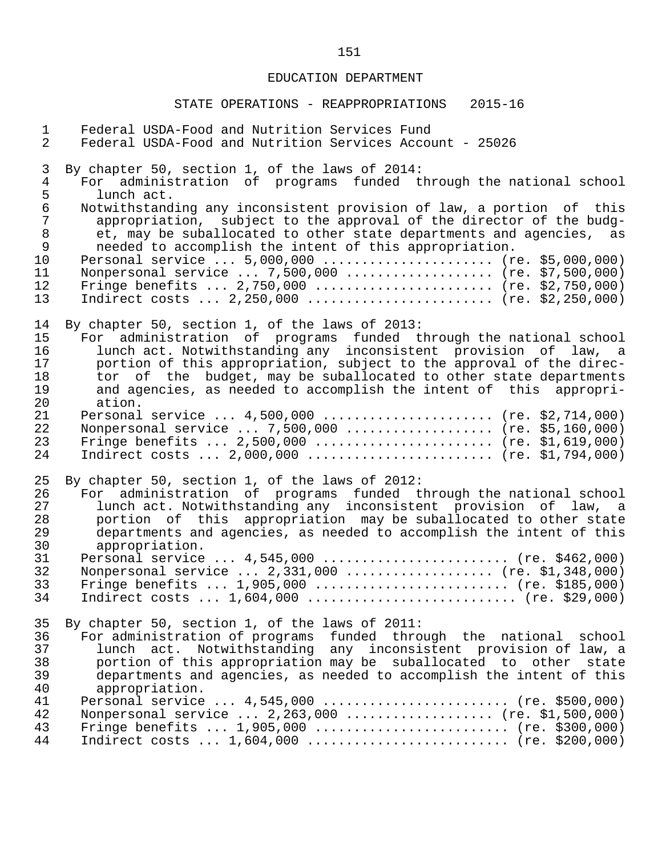| $\mathbf{1}$   | Federal USDA-Food and Nutrition Services Fund                        |
|----------------|----------------------------------------------------------------------|
| $\overline{2}$ | Federal USDA-Food and Nutrition Services Account - 25026             |
| 3              | By chapter 50, section 1, of the laws of 2014:                       |
| $\overline{4}$ | For administration of programs funded through the national school    |
| 5              | lunch act.                                                           |
| $\epsilon$     | Notwithstanding any inconsistent provision of law, a portion of this |
| $\overline{7}$ | appropriation, subject to the approval of the director of the budg-  |
| $\,8\,$        | et, may be suballocated to other state departments and agencies, as  |
| $\mathsf{S}$   | needed to accomplish the intent of this appropriation.               |
| 10             | Personal service  5,000,000  (re. \$5,000,000)                       |
| 11             | Nonpersonal service  7,500,000  (re. \$7,500,000)                    |
| 12             | Fringe benefits $2,750,000$ (re. \$2,750,000)                        |
| 13             | Indirect costs $2,250,000$ (re. \$2,250,000)                         |
| 14             | By chapter 50, section 1, of the laws of 2013:                       |
| 15             | For administration of programs funded through the national school    |
| 16             | lunch act. Notwithstanding any inconsistent provision of law, a      |
| 17             | portion of this appropriation, subject to the approval of the direc- |
| 18             | tor of the budget, may be suballocated to other state departments    |
| 19             | and agencies, as needed to accomplish the intent of this appropri-   |
| 20             | ation.                                                               |
| 21             | Personal service $4,500,000$ (re. \$2,714,000)                       |
| 22             | Nonpersonal service  7,500,000  (re. \$5,160,000)                    |
| 23             | Fringe benefits $2,500,000$ (re. \$1,619,000)                        |
| 24             | Indirect costs $2,000,000$ (re. \$1,794,000)                         |
| 25             | By chapter 50, section 1, of the laws of 2012:                       |
| 26             | For administration of programs funded through the national school    |
| 27             | lunch act. Notwithstanding any inconsistent provision of law, a      |
| 28             | portion of this appropriation may be suballocated to other state     |
| 29             | departments and agencies, as needed to accomplish the intent of this |
| 30             | appropriation.                                                       |
| 31             | Personal service $4,545,000$ (re. \$462,000)                         |
| 32             | Nonpersonal service $2,331,000$ (re. \$1,348,000)                    |
| 33             | Fringe benefits $1,905,000$ (re. \$185,000)                          |
| 34             | Indirect costs $1,604,000$ (re. \$29,000)                            |
| 35             | By chapter 50, section 1, of the laws of 2011:                       |
| 36             | For administration of programs funded through the national school    |
| 37             | lunch act. Notwithstanding any inconsistent provision of law, a      |
| 38             | portion of this appropriation may be suballocated to other state     |
| 39             | departments and agencies, as needed to accomplish the intent of this |
| 40             | appropriation.                                                       |
| 41             | Personal service $4,545,000$ (re. \$500,000)                         |
| 42             | Nonpersonal service $2,263,000$ (re. \$1,500,000)                    |
| 43             | Fringe benefits $1,905,000$ (re. \$300,000)                          |
| 44             | Indirect costs  1,604,000  (re. \$200,000)                           |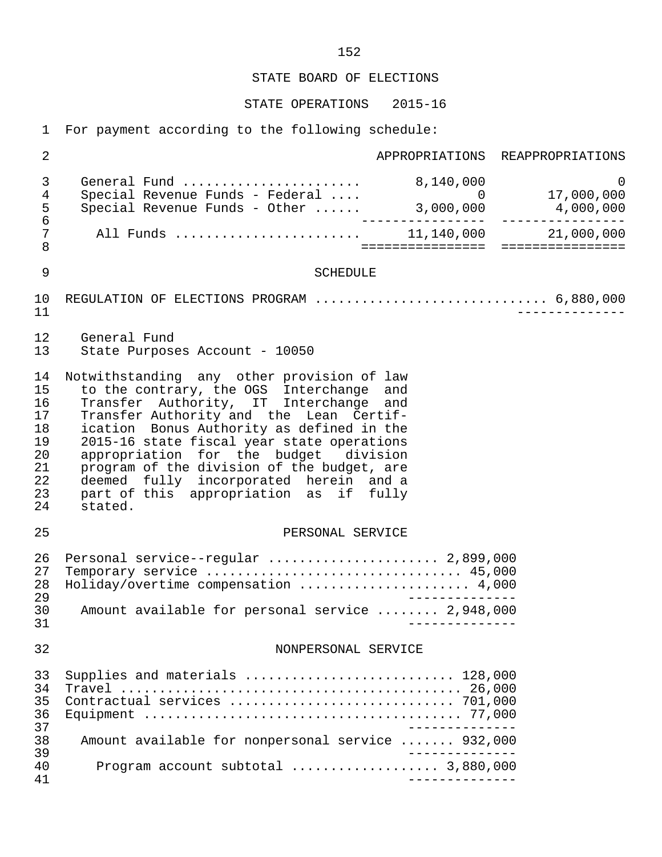STATE OPERATIONS 2015-16

1 For payment according to the following schedule:

| $\overline{2}$                                                 | APPROPRIATIONS REAPPROPRIATIONS                                                                                                                                                                                                                                                                                                                                                                                                                              |
|----------------------------------------------------------------|--------------------------------------------------------------------------------------------------------------------------------------------------------------------------------------------------------------------------------------------------------------------------------------------------------------------------------------------------------------------------------------------------------------------------------------------------------------|
| 3<br>$\overline{4}$<br>5<br>$\epsilon$                         | General Fund $\ldots \ldots \ldots \ldots \ldots \ldots$ 8,140,000<br>$\Omega$                                                                                                                                                                                                                                                                                                                                                                               |
| $\sqrt{ }$<br>$\,8\,$                                          |                                                                                                                                                                                                                                                                                                                                                                                                                                                              |
| $\mathsf 9$                                                    | <b>SCHEDULE</b>                                                                                                                                                                                                                                                                                                                                                                                                                                              |
| 10<br>11                                                       | REGULATION OF ELECTIONS PROGRAM  6,880,000                                                                                                                                                                                                                                                                                                                                                                                                                   |
| 12<br>13                                                       | General Fund<br>State Purposes Account - 10050                                                                                                                                                                                                                                                                                                                                                                                                               |
| 14<br>15<br>16<br>17<br>18<br>19<br>20<br>21<br>22<br>23<br>24 | Notwithstanding any other provision of law<br>to the contrary, the OGS Interchange and<br>Transfer Authority, IT Interchange and<br>Transfer Authority and the Lean Certif-<br>ication Bonus Authority as defined in the<br>2015-16 state fiscal year state operations<br>appropriation for the budget division<br>program of the division of the budget, are<br>deemed fully incorporated herein and a<br>part of this appropriation as if fully<br>stated. |
| 25                                                             | PERSONAL SERVICE                                                                                                                                                                                                                                                                                                                                                                                                                                             |
| 26<br>27<br>28<br>29<br>30<br>31                               | Personal service--regular  2,899,000<br>Temporary service  45,000<br>Holiday/overtime compensation  4,000<br>Amount available for personal service  2,948,000                                                                                                                                                                                                                                                                                                |
| 32                                                             | NONPERSONAL SERVICE                                                                                                                                                                                                                                                                                                                                                                                                                                          |
| 33<br>34<br>35<br>36<br>37                                     | Supplies and materials  128,000                                                                                                                                                                                                                                                                                                                                                                                                                              |
| 38<br>39                                                       | Amount available for nonpersonal service  932,000                                                                                                                                                                                                                                                                                                                                                                                                            |
| 40<br>41                                                       | Program account subtotal  3,880,000                                                                                                                                                                                                                                                                                                                                                                                                                          |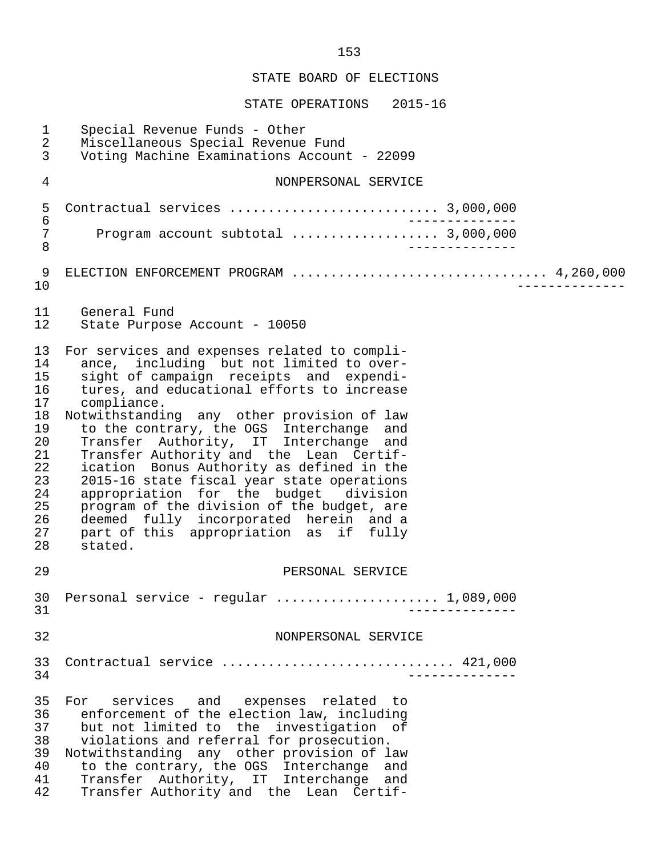| $\mathbf 1$<br>$\overline{2}$<br>3                                                           | Special Revenue Funds - Other<br>Miscellaneous Special Revenue Fund<br>Voting Machine Examinations Account - 22099                                                                                                                                                                                                                                                                                                                                                                                                                                                                                                                                               |
|----------------------------------------------------------------------------------------------|------------------------------------------------------------------------------------------------------------------------------------------------------------------------------------------------------------------------------------------------------------------------------------------------------------------------------------------------------------------------------------------------------------------------------------------------------------------------------------------------------------------------------------------------------------------------------------------------------------------------------------------------------------------|
| 4                                                                                            | NONPERSONAL SERVICE                                                                                                                                                                                                                                                                                                                                                                                                                                                                                                                                                                                                                                              |
| 5<br>$\epsilon$                                                                              |                                                                                                                                                                                                                                                                                                                                                                                                                                                                                                                                                                                                                                                                  |
| $\sqrt{ }$<br>8                                                                              |                                                                                                                                                                                                                                                                                                                                                                                                                                                                                                                                                                                                                                                                  |
| 9<br>10                                                                                      | ELECTION ENFORCEMENT PROGRAM  4,260,000                                                                                                                                                                                                                                                                                                                                                                                                                                                                                                                                                                                                                          |
| 11<br>12                                                                                     | General Fund<br>State Purpose Account - 10050                                                                                                                                                                                                                                                                                                                                                                                                                                                                                                                                                                                                                    |
| 13<br>14<br>15<br>16<br>17<br>18<br>19<br>20<br>21<br>22<br>23<br>24<br>25<br>26<br>27<br>28 | For services and expenses related to compli-<br>ance, including but not limited to over-<br>sight of campaign receipts and expendi-<br>tures, and educational efforts to increase<br>compliance.<br>Notwithstanding any other provision of law<br>to the contrary, the OGS Interchange and<br>Transfer Authority, IT Interchange and<br>Transfer Authority and the Lean Certif-<br>ication Bonus Authority as defined in the<br>2015-16 state fiscal year state operations<br>appropriation for the budget division<br>program of the division of the budget, are<br>deemed fully incorporated herein and a<br>part of this appropriation as if fully<br>stated. |
| 29                                                                                           | PERSONAL SERVICE                                                                                                                                                                                                                                                                                                                                                                                                                                                                                                                                                                                                                                                 |
| 31                                                                                           | 30 Personal service - regular  1,089,000                                                                                                                                                                                                                                                                                                                                                                                                                                                                                                                                                                                                                         |
| 32                                                                                           | NONPERSONAL SERVICE                                                                                                                                                                                                                                                                                                                                                                                                                                                                                                                                                                                                                                              |
| 33<br>34                                                                                     | Contractual service  421,000<br>$\frac{1}{2}$                                                                                                                                                                                                                                                                                                                                                                                                                                                                                                                                                                                                                    |
| 35<br>36<br>37<br>38<br>39<br>40<br>41<br>42                                                 | For services and expenses related to<br>enforcement of the election law, including<br>but not limited to the investigation of<br>violations and referral for prosecution.<br>Notwithstanding any other provision of law<br>to the contrary, the OGS Interchange and<br>Transfer Authority, IT Interchange and<br>Transfer Authority and the Lean Certif-                                                                                                                                                                                                                                                                                                         |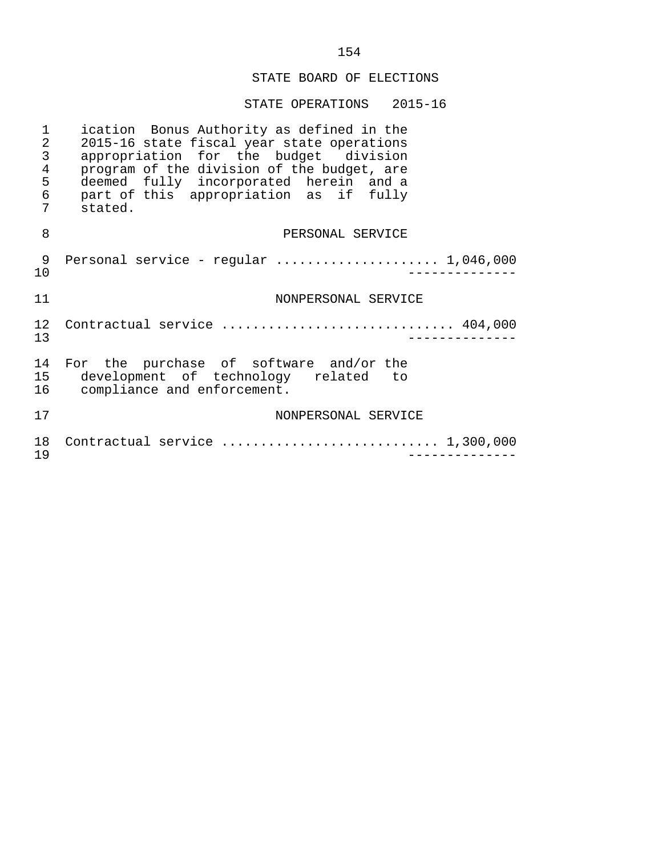| 1<br>$\sqrt{2}$<br>$\mathfrak{Z}$<br>$\overline{4}$<br>5<br>$\epsilon$<br>7 | ication Bonus Authority as defined in the<br>2015-16 state fiscal year state operations<br>appropriation for the budget division<br>program of the division of the budget, are<br>deemed fully incorporated herein and a<br>part of this appropriation as if fully<br>stated. |
|-----------------------------------------------------------------------------|-------------------------------------------------------------------------------------------------------------------------------------------------------------------------------------------------------------------------------------------------------------------------------|
| 8                                                                           | PERSONAL SERVICE                                                                                                                                                                                                                                                              |
| 9<br>$10 \,$                                                                |                                                                                                                                                                                                                                                                               |
| 11                                                                          | NONPERSONAL SERVICE                                                                                                                                                                                                                                                           |
| 12.<br>13                                                                   | Contractual service  404,000                                                                                                                                                                                                                                                  |
| 14<br>15                                                                    | For the purchase of software and/or the<br>development of technology related to<br>16 compliance and enforcement.                                                                                                                                                             |
| 17                                                                          | NONPERSONAL SERVICE                                                                                                                                                                                                                                                           |
| 18<br>19                                                                    | Contractual service  1,300,000                                                                                                                                                                                                                                                |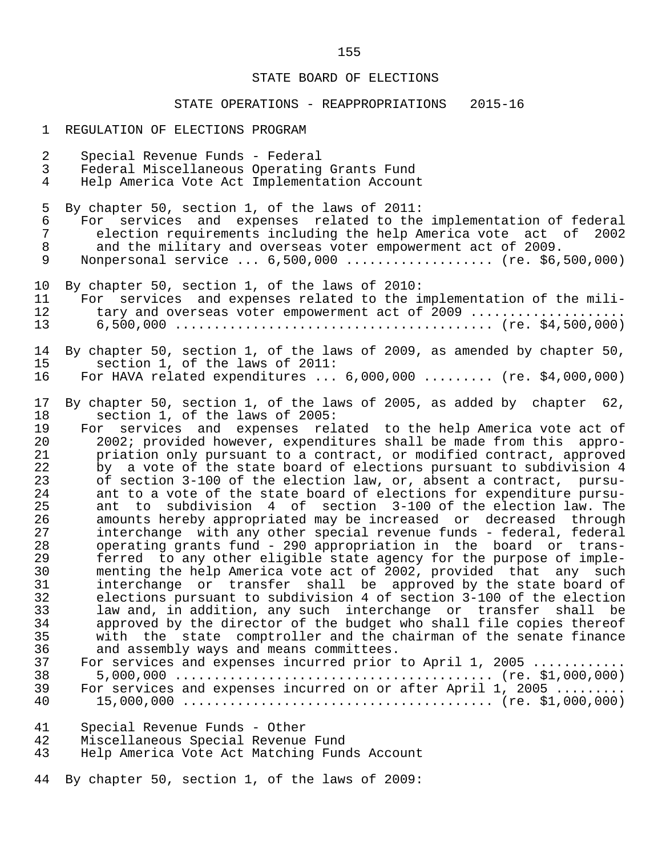#### STATE OPERATIONS - REAPPROPRIATIONS 2015-16

- 1 REGULATION OF ELECTIONS PROGRAM
- 2 Special Revenue Funds Federal 3 Federal Miscellaneous Operating Grants Fund 4 Help America Vote Act Implementation Account 5 By chapter 50, section 1, of the laws of 2011:<br>6 For services and expenses related to the 6 For services and expenses related to the implementation of federal<br>7 election requirements including the help America vote act of 2002 7 election requirements including the help America vote act of 2002<br>8 and the military and overseas voter empowerment act of 2009. 8 and the military and overseas voter empowerment act of 2009.<br>9 Nonpersonal service ... 6.500.000 .................... (re. \$6. Nonpersonal service ... 6,500,000 .................... (re. \$6,500,000) 10 By chapter 50, section 1, of the laws of 2010:<br>11 For services and expenses related to the i 11 For services and expenses related to the implementation of the mili-<br>12 tary and overseas voter empowerment act of 2009 .................... 12 tary and overseas voter empowerment act of 2009 .................... 13 6,500,000 ......................................... (re. \$4,500,000) 14 By chapter 50, section 1, of the laws of 2009, as amended by chapter 50,<br>15 section 1, of the laws of 2011: 15 section 1, of the laws of 2011:<br>16 For HAVA related expenditures ... For HAVA related expenditures  $\ldots$  6,000,000  $\ldots$ ....... (re. \$4,000,000) 17 By chapter 50, section 1, of the laws of 2005, as added by chapter 62,<br>18 section 1, of the laws of 2005: 18 section 1, of the laws of 2005:<br>19 For services and expenses rel 19 For services and expenses related to the help America vote act of<br>20 1002; provided however, expenditures shall be made from this appro-20 2002; provided however, expenditures shall be made from this appro-<br>21 briation only pursuant to a contract, or modified contract, approved 21 beta priation only pursuant to a contract, or modified contract, approved<br>22 by a vote of the state board of elections pursuant to subdivision 4

22 by a vote of the state board of elections pursuant to subdivision 4<br>23 of section 3-100 of the election law, or, absent a contract, pursu-23 of section 3-100 of the election law, or, absent a contract, pursu-<br>24 ant to a vote of the state board of elections for expenditure pursu-24 ant to a vote of the state board of elections for expenditure pursu-<br>25 ant to subdivision 4 of section 3-100 of the election law. The 25 ant to subdivision 4 of section 3-100 of the election law. The<br>26 amounts hereby appropriated may be increased or decreased through 26 amounts hereby appropriated may be increased or decreased through<br>27 interchange with any other special revenue funds - federal, federal 27 interchange with any other special revenue funds - federal, federal 28 operating grants fund - 290 appropriation in the board or trans- 29 ferred to any other eligible state agency for the purpose of imple- 30 menting the help America vote act of 2002, provided that any such<br>31 interchange or transfer shall be approved by the state board of 31 interchange or transfer shall be approved by the state board of 32 elections pursuant to subdivision 4 of section 3-100 of the election<br>33 law and, in addition, any such interchange or transfer shall be 33 law and, in addition, any such interchange or transfer shall be 34 approved by the director of the budget who shall file copies thereof 35 with the state comptroller and the chairman of the senate finance<br>36 and assembly ways and means committees. 36 and assembly ways and means committees.<br>37 For services and expenses incurred prior

 37 For services and expenses incurred prior to April 1, 2005 ............ 38 5,000,000 ......................................... (re. \$1,000,000) 39 For services and expenses incurred on or after April 1, 2005 ......... 40 15,000,000 ........................................ (re. \$1,000,000)

- 41 Special Revenue Funds Other
- 42 Miscellaneous Special Revenue Fund
- Help America Vote Act Matching Funds Account

44 By chapter 50, section 1, of the laws of 2009: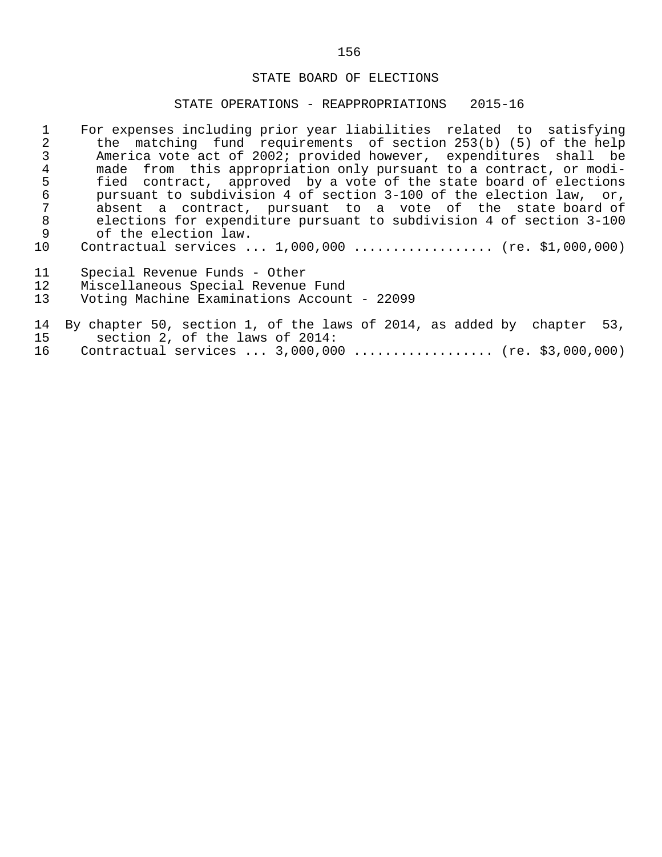#### STATE OPERATIONS - REAPPROPRIATIONS 2015-16

|                 | For expenses including prior year liabilities related to satisfying  |
|-----------------|----------------------------------------------------------------------|
|                 | the matching fund requirements of section 253(b) (5) of the help     |
|                 | America vote act of 2002; provided however, expenditures shall be    |
| 4               | made from this appropriation only pursuant to a contract, or modi-   |
| 5               | fied contract, approved by a vote of the state board of elections    |
| 6               | pursuant to subdivision 4 of section 3-100 of the election law, or,  |
| 7               | absent a contract, pursuant to a vote of the state board of          |
| 8               | elections for expenditure pursuant to subdivision 4 of section 3-100 |
| 9               | of the election law.                                                 |
| 10 <sub>1</sub> | Contractual services $1,000,000$ (re. \$1,000,000)                   |
|                 |                                                                      |
| 11              | Special Revenue Funds - Other                                        |
| 12              | Miscellaneous Special Revenue Fund                                   |

13 Voting Machine Examinations Account - 22099

## 14 By chapter 50, section 1, of the laws of 2014, as added by chapter 53, 15 section 2, of the laws of 2014: 16 Contractual services ... 3,000,000 .................. (re. \$3,000,000)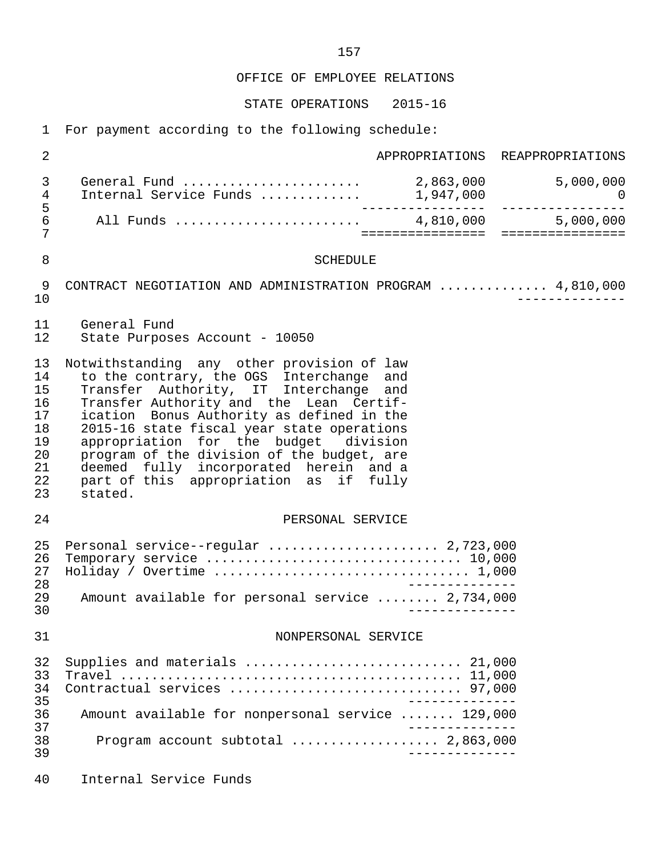OFFICE OF EMPLOYEE RELATIONS

STATE OPERATIONS 2015-16

1 For payment according to the following schedule:

 2 APPROPRIATIONS REAPPROPRIATIONS 3 General Fund ....................... 2,863,000 5,000,000 4 Internal Service Funds .............<br>5 5 ---------------- ---------------- 6 All Funds ........................ 4,810,000 5,000,000 7 ================ ================ 8 SCHEDULE 9 CONTRACT NEGOTIATION AND ADMINISTRATION PROGRAM .............. 4,810,000 10 -------------- 11 General Fund State Purposes Account - 10050 13 Notwithstanding any other provision of law<br>14 to the contrary, the OGS Interchange and 14 to the contrary, the OGS Interchange and<br>15 Transfer Authority, IT Interchange and Transfer Authority, IT Interchange and 16 Transfer Authority and the Lean Certif-<br>17 ication Bonus Authority as defined in the 17 ication Bonus Authority as defined in the<br>18 2015-16 state fiscal vear state operations 18 2015-16 state fiscal year state operations<br>19 appropriation for the budget division 19 appropriation for the budget division<br>20 program of the division of the budget, are 20 program of the division of the budget, are<br>21 deemed fully incorporated herein and a 21 deemed fully incorporated herein and a 22 part of this appropriation as if fully 23 stated. 24 PERSONAL SERVICE 25 Personal service--regular ........................ 2,723,000<br>26 Temporary service ................................. 10,000 26 Temporary service ................................. 10,000 27 Holiday / Overtime ................................. 1,000 28 -------------- 29 Amount available for personal service ........ 2,734,000 30 -------------- 31 NONPERSONAL SERVICE 32 Supplies and materials ............................ 21,000 33 Travel ............................................ 11,000 34 Contractual services .............................. 97,000 -------------<br>36 Amount available for nonpersonal service ....... 129.000 36 Amount available for nonpersonal service ....... 129,000 37 -------------- 38 Program account subtotal ................... 2,863,000 39 -------------- 40 Internal Service Funds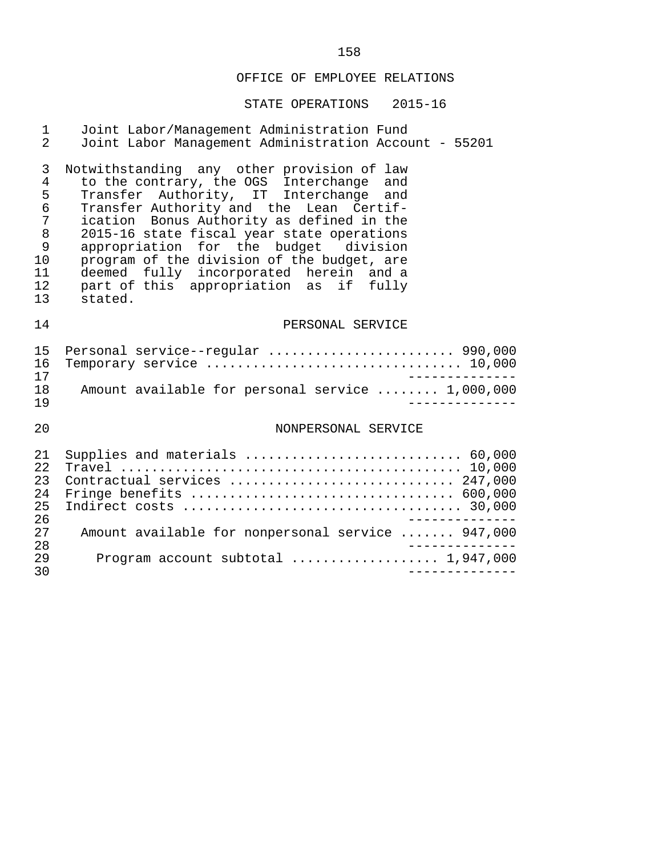#### OFFICE OF EMPLOYEE RELATIONS

## STATE OPERATIONS 2015-16

#### 1 Joint Labor/Management Administration Fund 2 Joint Labor Management Administration Account - 55201

3 Notwithstanding any other provision of law<br>4 to the contrary, the OGS Interchange and 4 to the contrary, the OGS Interchange and 5 Transfer Authority, IT Interchange and 6 Transfer Authority and the Lean Certif- 7 ication Bonus Authority as defined in the<br>8 2015-16 state fiscal vear state operations 8 2015-16 state fiscal year state operations<br>9 appropriation for the budget division 9 appropriation for the budget<br>10 program of the division of the b 10 program of the division of the budget, are<br>11 deemed fully incorporated herein and a 11 deemed fully incorporated herein and a 12 part of this appropriation as if fully 13 stated.

#### 14 PERSONAL SERVICE

|     | 15 Personal service--regular  990,000            |
|-----|--------------------------------------------------|
|     |                                                  |
| 17  |                                                  |
| 1 R | Amount available for personal service  1,000,000 |
| 1 Q |                                                  |

#### 20 NONPERSONAL SERVICE

| 2.1              |                                                   |
|------------------|---------------------------------------------------|
| 2.2 <sub>1</sub> |                                                   |
| 23               | Contractual services  247,000                     |
| 2.4              |                                                   |
| 25               |                                                   |
| 26               |                                                   |
| 27               | Amount available for nonpersonal service  947,000 |
| 28               |                                                   |
| 29               |                                                   |
| 30               |                                                   |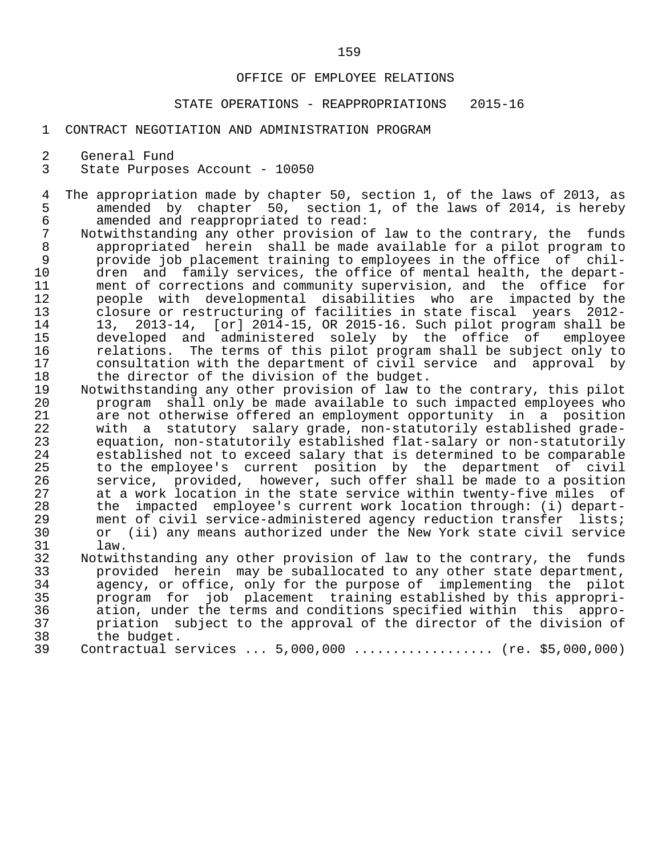#### OFFICE OF EMPLOYEE RELATIONS

## STATE OPERATIONS - REAPPROPRIATIONS 2015-16

#### 1 CONTRACT NEGOTIATION AND ADMINISTRATION PROGRAM

2 General Fund<br>3 State Purpose

State Purposes Account - 10050

- 4 The appropriation made by chapter 50, section 1, of the laws of 2013, as<br>5 amended by chapter 50, section 1, of the laws of 2014, is hereby 5 amended by chapter 50, section 1, of the laws of 2014, is hereby<br>6 amended and reappropriated to read: 6 amended and reappropriated to read:
- 7 Notwithstanding any other provision of law to the contrary, the funds<br>8 appropriated herein shall be made available for a pilot program to 8 appropriated herein shall be made available for a pilot program to<br>9 brovide job placement training to emplovees in the office of chil-9 provide job placement training to employees in the office of chil-<br>10 dren and family services, the office of mental health, the depart-10 dren and family services, the office of mental health, the depart-<br>11 ment of corrections and community supervision, and the office for 11 ment of corrections and community supervision, and the office for<br>12 meople with developmental disabilities who are impacted by the 12 people with developmental disabilities who are impacted by the 13 closure or restructuring of facilities in state fiscal years 2012- 14 13, 2013-14, [or] 2014-15, OR 2015-16. Such pilot program shall be<br>15 developed and administered solely by the office of employee 15 developed and administered solely by the office of<br>16 relations. The terms of this pilot program shall be subje 16 relations. The terms of this pilot program shall be subject only to<br>17 consultation with the department of civil service and approval by 17 consultation with the department of civil service and approval by<br>18 the director of the division of the budget. 18 the director of the division of the budget.<br>19 Notwithstanding any other provision of law to
- 19 Notwithstanding any other provision of law to the contrary, this pilot<br>20 program shall only be made available to such impacted employees who 20 program shall only be made available to such impacted employees who 21 are not otherwise offered an employment opportunity in a position<br>22 with a statutory salary grade, non-statutorily established grade-22 with a statutory salary grade, non-statutorily established grade-<br>23 equation, non-statutorily established flat-salary or non-statutorily 23 equation, non-statutorily established flat-salary or non-statutorily 24 established not to exceed salary that is determined to be comparable<br>25 to the employee's current position by the department of civil 25 to the employee's current position by the department of civil 26 service, provided, however, such offer shall be made to a position 27 at a work location in the state service within twenty-five miles of<br>28 the impacted employee's current work location through: (i) depart-28 the impacted employee's current work location through: (i) depart-<br>29 ment of civil service-administered agency reduction transfer lists; 29 ment of civil service-administered agency reduction transfer lists;<br>30 or (ii) any means authorized under the New York state civil service 30 or (ii) any means authorized under the New York state civil service<br>31 law. 31 law.<br>32 Notwit
	- 32 Notwithstanding any other provision of law to the contrary, the funds<br>33 The provided herein may be suballocated to any other state department. 33 provided herein may be suballocated to any other state department,<br>34 agency, or office, only for the purpose of implementing the pilot 34 agency, or office, only for the purpose of implementing the pilot<br>35 brogram for job placement training established by this appropri-35 program for job placement training established by this appropri-<br>36 ation, under the terms and conditions specified within this appro- 36 ation, under the terms and conditions specified within this appro- 37 priation subject to the approval of the director of the division of 38 the budget. 38 the budget.<br>39 Contractual s
	- Contractual services ... 5,000,000 .................. (re. \$5,000,000)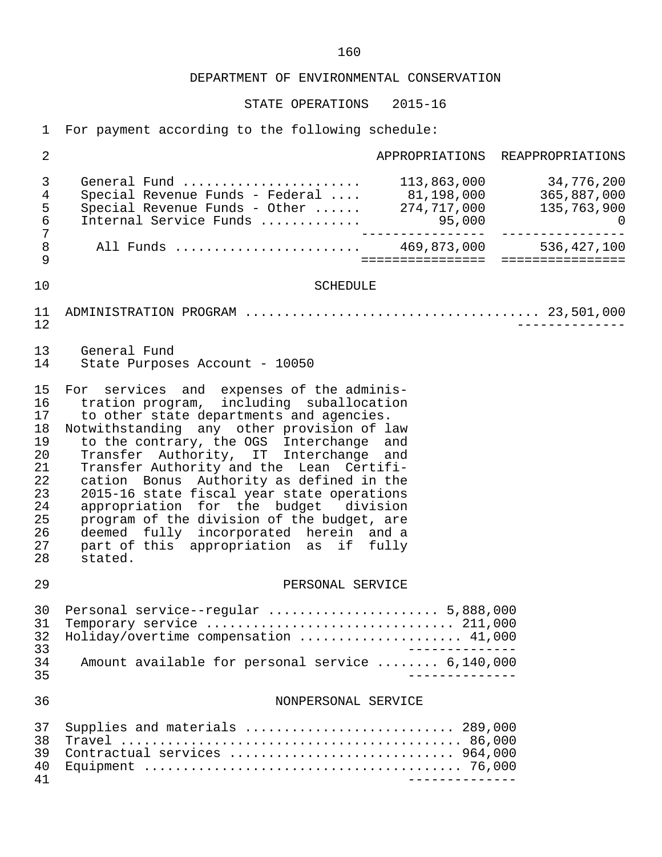STATE OPERATIONS 2015-16

1 For payment according to the following schedule:

| $\overline{2}$                                                                   |                                                                                                                                                                                                                                                                                                                                                                                                                                                                                                                                                                                               |                  | APPROPRIATIONS REAPPROPRIATIONS                         |
|----------------------------------------------------------------------------------|-----------------------------------------------------------------------------------------------------------------------------------------------------------------------------------------------------------------------------------------------------------------------------------------------------------------------------------------------------------------------------------------------------------------------------------------------------------------------------------------------------------------------------------------------------------------------------------------------|------------------|---------------------------------------------------------|
| 3<br>$\overline{4}$<br>5<br>$\epsilon$                                           | General Fund<br>Special Revenue Funds - Federal  81,198,000 365,887,000<br>Special Revenue Funds - Other $274,717,000$<br>Internal Service Funds  95,000                                                                                                                                                                                                                                                                                                                                                                                                                                      |                  | 113,863,000 34,776,200<br>135,763,900<br>$\overline{a}$ |
| 7<br>$\,8\,$<br>9                                                                | All Funds  469,873,000 536,427,100                                                                                                                                                                                                                                                                                                                                                                                                                                                                                                                                                            | ================ | ================                                        |
| 10                                                                               | <b>SCHEDULE</b>                                                                                                                                                                                                                                                                                                                                                                                                                                                                                                                                                                               |                  |                                                         |
| 11<br>12                                                                         |                                                                                                                                                                                                                                                                                                                                                                                                                                                                                                                                                                                               |                  |                                                         |
| 13<br>14                                                                         | General Fund<br>State Purposes Account - 10050                                                                                                                                                                                                                                                                                                                                                                                                                                                                                                                                                |                  |                                                         |
| 15<br>16<br>17<br>18<br>19<br>20<br>21<br>22<br>23<br>24<br>25<br>26<br>27<br>28 | For services and expenses of the adminis-<br>tration program, including suballocation<br>to other state departments and agencies.<br>Notwithstanding any other provision of law<br>to the contrary, the OGS Interchange<br>Transfer Authority, IT Interchange and<br>Transfer Authority and the Lean Certifi-<br>cation Bonus Authority as defined in the<br>2015-16 state fiscal year state operations<br>appropriation for the budget division<br>program of the division of the budget, are<br>deemed fully incorporated herein and a<br>part of this appropriation as if fully<br>stated. | and              |                                                         |
| 29                                                                               | PERSONAL SERVICE                                                                                                                                                                                                                                                                                                                                                                                                                                                                                                                                                                              |                  |                                                         |
| 30<br>31<br>32<br>33                                                             | Personal service--regular  5,888,000<br>Holiday/overtime compensation  41,000                                                                                                                                                                                                                                                                                                                                                                                                                                                                                                                 |                  |                                                         |
| 34<br>35                                                                         | Amount available for personal service  6,140,000                                                                                                                                                                                                                                                                                                                                                                                                                                                                                                                                              |                  |                                                         |
| 36                                                                               | NONPERSONAL SERVICE                                                                                                                                                                                                                                                                                                                                                                                                                                                                                                                                                                           |                  |                                                         |
| 37<br>38<br>39<br>40<br>41                                                       | Supplies and materials  289,000<br>Contractual services  964,000                                                                                                                                                                                                                                                                                                                                                                                                                                                                                                                              |                  |                                                         |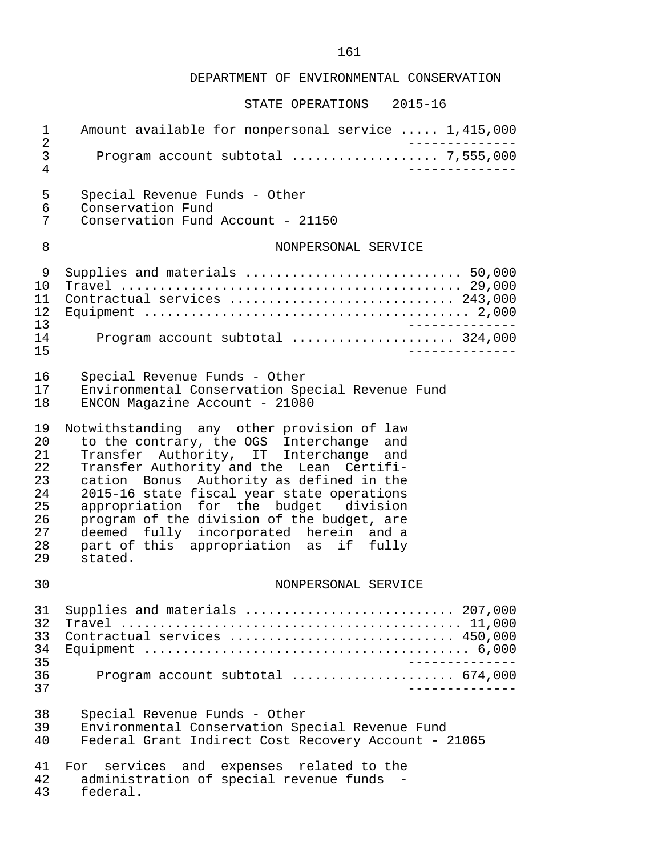| 1<br>2                                                         | Amount available for nonpersonal service  1,415,000                                                                                                                                                                                                                                                                                                                                                                                                          |
|----------------------------------------------------------------|--------------------------------------------------------------------------------------------------------------------------------------------------------------------------------------------------------------------------------------------------------------------------------------------------------------------------------------------------------------------------------------------------------------------------------------------------------------|
| 3<br>4                                                         | Program account subtotal  7,555,000                                                                                                                                                                                                                                                                                                                                                                                                                          |
| 5<br>6<br>7                                                    | Special Revenue Funds - Other<br>Conservation Fund<br>Conservation Fund Account - 21150                                                                                                                                                                                                                                                                                                                                                                      |
| 8                                                              | NONPERSONAL SERVICE                                                                                                                                                                                                                                                                                                                                                                                                                                          |
| 9<br>10<br>11<br>12<br>13<br>14<br>15                          | Supplies and materials  50,000<br>Contractual services  243,000<br>_________________<br>Program account subtotal  324,000                                                                                                                                                                                                                                                                                                                                    |
| 16<br>17<br>18                                                 | Special Revenue Funds - Other<br>Environmental Conservation Special Revenue Fund<br>ENCON Magazine Account - 21080                                                                                                                                                                                                                                                                                                                                           |
| 19<br>20<br>21<br>22<br>23<br>24<br>25<br>26<br>27<br>28<br>29 | Notwithstanding any other provision of law<br>to the contrary, the OGS Interchange and<br>Transfer Authority, IT Interchange and<br>Transfer Authority and the Lean Certifi-<br>cation Bonus Authority as defined in the<br>2015-16 state fiscal year state operations<br>appropriation for the budget division<br>program of the division of the budget, are<br>deemed fully incorporated herein and a<br>part of this appropriation as if fully<br>stated. |
| 30                                                             | NONPERSONAL SERVICE                                                                                                                                                                                                                                                                                                                                                                                                                                          |
| 31<br>32<br>33<br>34<br>35<br>36<br>37                         | Supplies and materials  207,000<br>Contractual services  450,000<br>______________<br>Program account subtotal  674,000<br>______________                                                                                                                                                                                                                                                                                                                    |
| 38<br>39<br>40                                                 | Special Revenue Funds - Other<br>Environmental Conservation Special Revenue Fund<br>Federal Grant Indirect Cost Recovery Account - 21065                                                                                                                                                                                                                                                                                                                     |
| 41<br>42<br>43                                                 | services and expenses related to the<br>For<br>administration of special revenue funds -<br>federal.                                                                                                                                                                                                                                                                                                                                                         |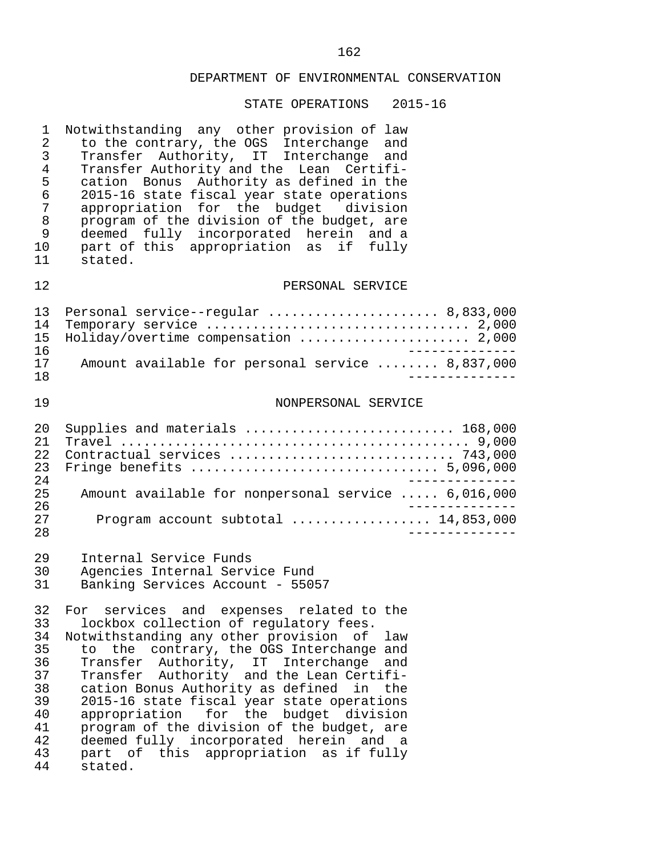| 1<br>$\sqrt{2}$<br>3<br>$\overline{4}$<br>5<br>6<br>$\overline{7}$<br>8<br>9<br>10<br>11 | Notwithstanding any other provision of law<br>to the contrary, the OGS Interchange and<br>Transfer Authority, IT Interchange and<br>Transfer Authority and the Lean Certifi-<br>cation Bonus Authority as defined in the<br>2015-16 state fiscal year state operations<br>appropriation for the budget division<br>program of the division of the budget, are<br>deemed fully incorporated herein and a<br>part of this appropriation as if fully<br>stated.                                                                                                                          |
|------------------------------------------------------------------------------------------|---------------------------------------------------------------------------------------------------------------------------------------------------------------------------------------------------------------------------------------------------------------------------------------------------------------------------------------------------------------------------------------------------------------------------------------------------------------------------------------------------------------------------------------------------------------------------------------|
| 12                                                                                       | PERSONAL SERVICE                                                                                                                                                                                                                                                                                                                                                                                                                                                                                                                                                                      |
| 13<br>14<br>15<br>16<br>17                                                               | Personal service--regular  8,833,000<br>Temporary service  2,000<br>Holiday/overtime compensation  2,000<br>Amount available for personal service  8,837,000                                                                                                                                                                                                                                                                                                                                                                                                                          |
| 18                                                                                       |                                                                                                                                                                                                                                                                                                                                                                                                                                                                                                                                                                                       |
| 19                                                                                       | NONPERSONAL SERVICE                                                                                                                                                                                                                                                                                                                                                                                                                                                                                                                                                                   |
| 20<br>21<br>22<br>23<br>24                                                               | Supplies and materials  168,000<br>Contractual services  743,000<br>Fringe benefits  5,096,000                                                                                                                                                                                                                                                                                                                                                                                                                                                                                        |
| 25                                                                                       | Amount available for nonpersonal service  6,016,000                                                                                                                                                                                                                                                                                                                                                                                                                                                                                                                                   |
| 26<br>27<br>28                                                                           | Program account subtotal  14,853,000                                                                                                                                                                                                                                                                                                                                                                                                                                                                                                                                                  |
| 29<br>30<br>31                                                                           | Internal Service Funds<br>Agencies Internal Service Fund<br>Banking Services Account - 55057                                                                                                                                                                                                                                                                                                                                                                                                                                                                                          |
| 33<br>34<br>35<br>36<br>37<br>38<br>39<br>40<br>41<br>42<br>43<br>44                     | 32 For services and expenses related to the<br>lockbox collection of regulatory fees.<br>Notwithstanding any other provision of<br>law<br>contrary, the OGS Interchange and<br>the<br>to<br>Transfer Authority, IT Interchange<br>and<br>Transfer Authority and the Lean Certifi-<br>cation Bonus Authority as defined<br>in<br>the<br>2015-16 state fiscal year state operations<br>for the budget division<br>appropriation<br>program of the division of the budget, are<br>deemed fully incorporated herein and<br>a a<br>part of<br>this<br>appropriation as if fully<br>stated. |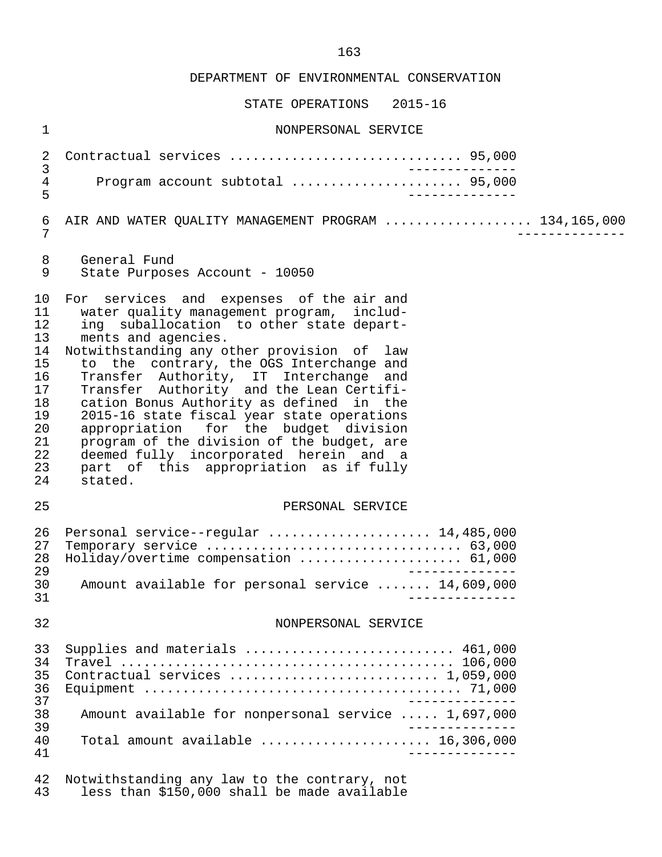STATE OPERATIONS 2015-16

| $\mathbf 1$                                                                            | NONPERSONAL SERVICE                                                                                                                                                                                                                                                                                                                                                                                                                                                                                                                                                                                                      |
|----------------------------------------------------------------------------------------|--------------------------------------------------------------------------------------------------------------------------------------------------------------------------------------------------------------------------------------------------------------------------------------------------------------------------------------------------------------------------------------------------------------------------------------------------------------------------------------------------------------------------------------------------------------------------------------------------------------------------|
| 2                                                                                      | Contractual services  95,000                                                                                                                                                                                                                                                                                                                                                                                                                                                                                                                                                                                             |
| 3<br>$\overline{4}$<br>5                                                               | Program account subtotal  95,000                                                                                                                                                                                                                                                                                                                                                                                                                                                                                                                                                                                         |
| $\epsilon$<br>7                                                                        | AIR AND WATER QUALITY MANAGEMENT PROGRAM  134,165,000                                                                                                                                                                                                                                                                                                                                                                                                                                                                                                                                                                    |
| 8<br>9                                                                                 | General Fund<br>State Purposes Account - 10050                                                                                                                                                                                                                                                                                                                                                                                                                                                                                                                                                                           |
| 10<br>11<br>12<br>13<br>14<br>15<br>16<br>17<br>18<br>19<br>20<br>21<br>22<br>23<br>24 | For services and expenses of the air and<br>water quality management program, includ-<br>ing suballocation to other state depart-<br>ments and agencies.<br>Notwithstanding any other provision of law<br>to the contrary, the OGS Interchange and<br>Transfer Authority, IT Interchange and<br>Transfer Authority and the Lean Certifi-<br>cation Bonus Authority as defined in the<br>2015-16 state fiscal year state operations<br>appropriation for the budget division<br>program of the division of the budget, are<br>deemed fully incorporated herein and a<br>part of this appropriation as if fully<br>stated. |
| 25                                                                                     | PERSONAL SERVICE                                                                                                                                                                                                                                                                                                                                                                                                                                                                                                                                                                                                         |
| 26<br>27<br>28<br>29<br>30<br>31                                                       | Personal service--regular  14,485,000<br>Holiday/overtime compensation  61,000<br>Amount available for personal service  14,609,000                                                                                                                                                                                                                                                                                                                                                                                                                                                                                      |
| 32                                                                                     | NONPERSONAL SERVICE                                                                                                                                                                                                                                                                                                                                                                                                                                                                                                                                                                                                      |
| 33<br>34<br>35<br>36<br>37<br>38<br>39<br>40<br>41                                     | Supplies and materials  461,000<br>Contractual services  1,059,000<br>Amount available for nonpersonal service  1,697,000<br>Total amount available $\ldots, \ldots, \ldots, \ldots, \ldots, \ldots, \ldots, 16, 306, 000$                                                                                                                                                                                                                                                                                                                                                                                               |
| 42<br>43                                                                               | Notwithstanding any law to the contrary, not<br>less than \$150,000 shall be made available                                                                                                                                                                                                                                                                                                                                                                                                                                                                                                                              |

163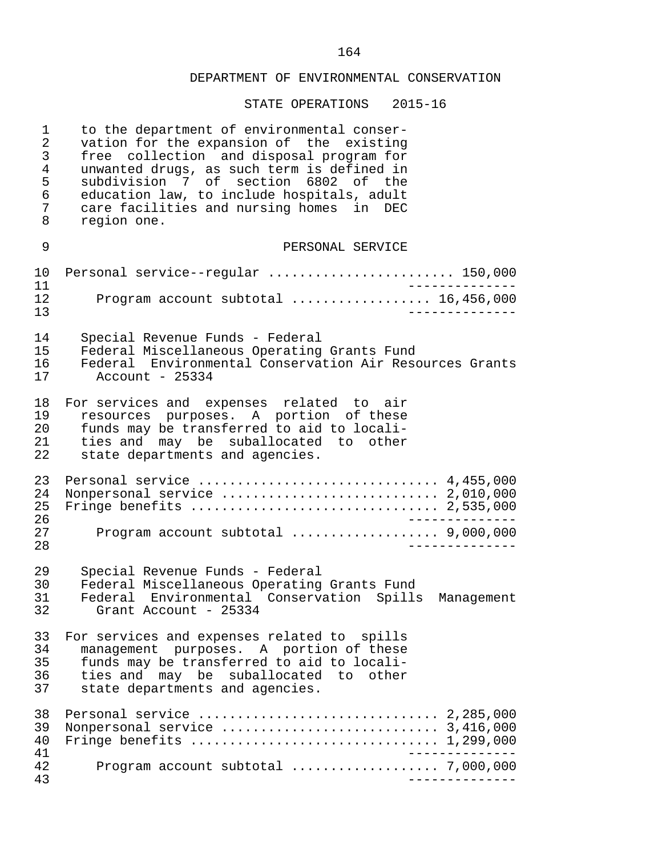| $\mathbf 1$<br>$\overline{2}$<br>$\mathfrak{Z}$<br>$\overline{4}$<br>5<br>6<br>7<br>8 | to the department of environmental conser-<br>vation for the expansion of the existing<br>free collection and disposal program for<br>unwanted drugs, as such term is defined in<br>subdivision 7 of section 6802 of the<br>education law, to include hospitals, adult<br>care facilities and nursing homes in DEC<br>region one. |
|---------------------------------------------------------------------------------------|-----------------------------------------------------------------------------------------------------------------------------------------------------------------------------------------------------------------------------------------------------------------------------------------------------------------------------------|
| 9                                                                                     | PERSONAL SERVICE                                                                                                                                                                                                                                                                                                                  |
| 10<br>11                                                                              | Personal service--regular  150,000                                                                                                                                                                                                                                                                                                |
| 12<br>13                                                                              | Program account subtotal  16,456,000                                                                                                                                                                                                                                                                                              |
| 14<br>15                                                                              | Special Revenue Funds - Federal<br>Federal Miscellaneous Operating Grants Fund                                                                                                                                                                                                                                                    |
| 16<br>17                                                                              | Federal Environmental Conservation Air Resources Grants<br>Account - $25334$                                                                                                                                                                                                                                                      |
| 18<br>19<br>20<br>21<br>22                                                            | For services and expenses related to air<br>resources purposes. A portion of these<br>funds may be transferred to aid to locali-<br>ties and may be suballocated to other<br>state departments and agencies.                                                                                                                      |
| 23<br>24<br>25<br>26                                                                  | Personal service  4,455,000<br>Nonpersonal service  2,010,000<br>Fringe benefits  2,535,000                                                                                                                                                                                                                                       |
| 27<br>28                                                                              | Program account subtotal  9,000,000                                                                                                                                                                                                                                                                                               |
| 29<br>30<br>31<br>32                                                                  | Special Revenue Funds - Federal<br>Federal Miscellaneous Operating Grants Fund<br>Federal Environmental Conservation<br>Spills<br>Management<br>Grant Account - 25334                                                                                                                                                             |
| 33<br>34<br>35<br>36<br>37                                                            | For services and expenses related to spills<br>management purposes. A portion of these<br>funds may be transferred to aid to locali-<br>ties and may be suballocated to other<br>state departments and agencies.                                                                                                                  |
| 38<br>39<br>40<br>41                                                                  | Fringe benefits $\ldots \ldots \ldots \ldots \ldots \ldots \ldots \ldots \ldots \ldots 1,299,000$                                                                                                                                                                                                                                 |
| 42<br>43                                                                              | Program account subtotal  7,000,000                                                                                                                                                                                                                                                                                               |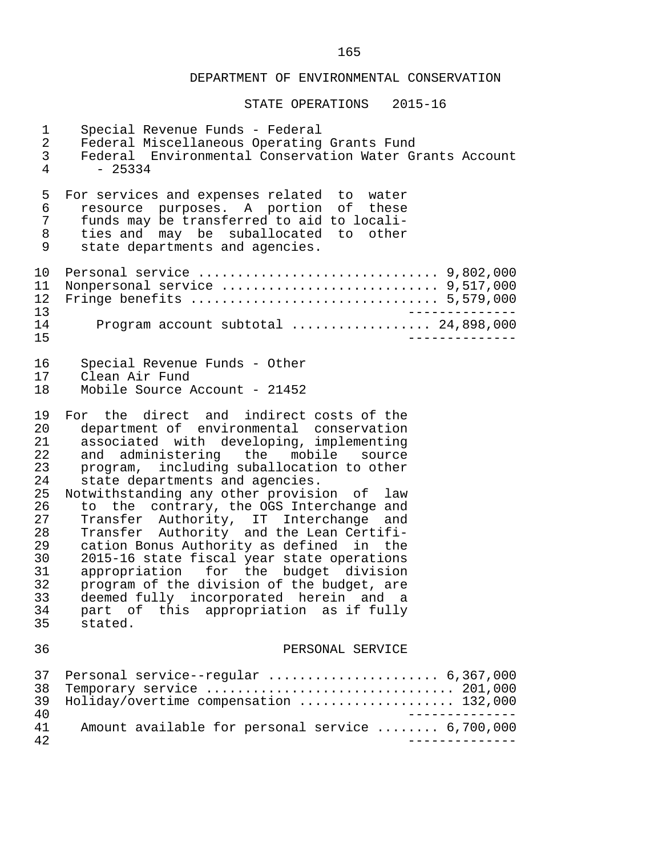| 1<br>$\overline{a}$<br>$\mathsf{3}$<br>4                                                           | Special Revenue Funds - Federal<br>Federal Miscellaneous Operating Grants Fund<br>Federal Environmental Conservation Water Grants Account<br>$-25334$                                                                                                                                                                                                                                                                                                                                                                                                                                                                                                                                                                      |
|----------------------------------------------------------------------------------------------------|----------------------------------------------------------------------------------------------------------------------------------------------------------------------------------------------------------------------------------------------------------------------------------------------------------------------------------------------------------------------------------------------------------------------------------------------------------------------------------------------------------------------------------------------------------------------------------------------------------------------------------------------------------------------------------------------------------------------------|
| 5<br>6<br>$7\phantom{.}$<br>8<br>9                                                                 | For services and expenses related to water<br>resource purposes. A portion of these<br>funds may be transferred to aid to locali-<br>ties and may be suballocated to other<br>state departments and agencies.                                                                                                                                                                                                                                                                                                                                                                                                                                                                                                              |
| 10<br>11<br>12<br>13<br>14<br>15                                                                   | Program account subtotal  24,898,000                                                                                                                                                                                                                                                                                                                                                                                                                                                                                                                                                                                                                                                                                       |
| 16<br>17<br>18                                                                                     | Special Revenue Funds - Other<br>Clean Air Fund<br>Mobile Source Account - 21452                                                                                                                                                                                                                                                                                                                                                                                                                                                                                                                                                                                                                                           |
| 19<br>20<br>21<br>22<br>23<br>24<br>25<br>26<br>27<br>28<br>29<br>30<br>31<br>32<br>33<br>34<br>35 | For the direct and indirect costs of the<br>department of environmental conservation<br>associated with developing, implementing<br>and administering the mobile source<br>program, including suballocation to other<br>state departments and agencies.<br>Notwithstanding any other provision of<br>law<br>to the contrary, the OGS Interchange and<br>Transfer Authority, IT Interchange and<br>Transfer Authority and the Lean Certifi-<br>cation Bonus Authority as defined in the<br>2015-16 state fiscal year state operations<br>appropriation for the budget division<br>program of the division of the budget, are<br>deemed fully incorporated herein and a<br>part of this appropriation as if fully<br>stated. |
| 36                                                                                                 | PERSONAL SERVICE                                                                                                                                                                                                                                                                                                                                                                                                                                                                                                                                                                                                                                                                                                           |
| 37<br>38<br>39<br>40                                                                               | Personal service--regular  6,367,000<br>Temporary service  201,000<br>Holiday/overtime compensation  132,000                                                                                                                                                                                                                                                                                                                                                                                                                                                                                                                                                                                                               |
| 41<br>42                                                                                           | Amount available for personal service  6,700,000                                                                                                                                                                                                                                                                                                                                                                                                                                                                                                                                                                                                                                                                           |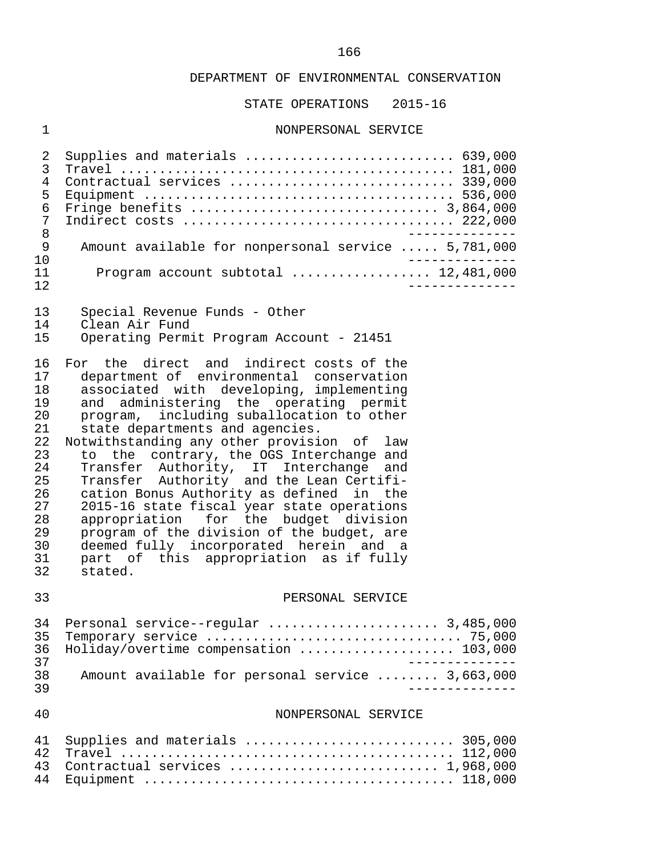STATE OPERATIONS 2015-16

## 1 NONPERSONAL SERVICE

| 2<br>3<br>4<br>5<br>6<br>7<br>8<br>9<br>10<br>11<br>12                                             | Supplies and materials  639,000<br>Contractual services  339,000<br>Amount available for nonpersonal service  5,781,000<br>Program account subtotal  12,481,000                                                                                                                                                                                                                                                                                                                                                                                                                                                                                                                                                            |
|----------------------------------------------------------------------------------------------------|----------------------------------------------------------------------------------------------------------------------------------------------------------------------------------------------------------------------------------------------------------------------------------------------------------------------------------------------------------------------------------------------------------------------------------------------------------------------------------------------------------------------------------------------------------------------------------------------------------------------------------------------------------------------------------------------------------------------------|
| 13<br>14<br>15                                                                                     | Special Revenue Funds - Other<br>Clean Air Fund<br>Operating Permit Program Account - 21451                                                                                                                                                                                                                                                                                                                                                                                                                                                                                                                                                                                                                                |
| 16<br>17<br>18<br>19<br>20<br>21<br>22<br>23<br>24<br>25<br>26<br>27<br>28<br>29<br>30<br>31<br>32 | For the direct and indirect costs of the<br>department of environmental conservation<br>associated with developing, implementing<br>and administering the operating permit<br>program, including suballocation to other<br>state departments and agencies.<br>Notwithstanding any other provision of law<br>to the contrary, the OGS Interchange and<br>Transfer Authority, IT Interchange and<br>Transfer Authority and the Lean Certifi-<br>cation Bonus Authority as defined in the<br>2015-16 state fiscal year state operations<br>appropriation for the budget division<br>program of the division of the budget, are<br>deemed fully incorporated herein and a<br>part of this appropriation as if fully<br>stated. |
| 33                                                                                                 | PERSONAL SERVICE                                                                                                                                                                                                                                                                                                                                                                                                                                                                                                                                                                                                                                                                                                           |
| 34<br>35<br>36<br>37<br>38<br>39                                                                   | Personal service--regular  3,485,000<br>Holiday/overtime compensation  103,000<br>Amount available for personal service  3,663,000                                                                                                                                                                                                                                                                                                                                                                                                                                                                                                                                                                                         |
| 40                                                                                                 | NONPERSONAL SERVICE                                                                                                                                                                                                                                                                                                                                                                                                                                                                                                                                                                                                                                                                                                        |
| 41<br>42<br>43<br>44                                                                               | Supplies and materials  305,000<br>Contractual services  1,968,000                                                                                                                                                                                                                                                                                                                                                                                                                                                                                                                                                                                                                                                         |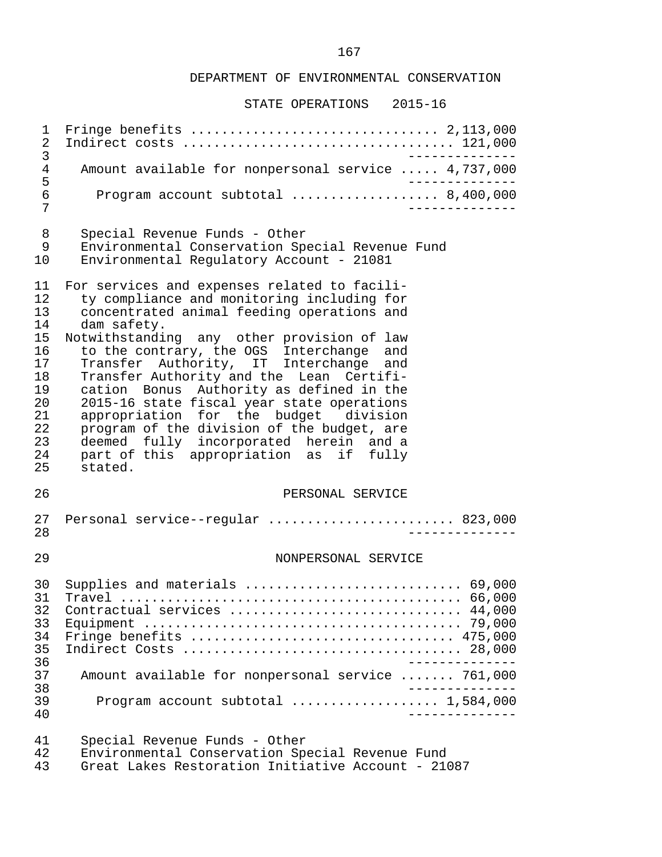#### STATE OPERATIONS 2015-16

 1 Fringe benefits ................................ 2,113,000 2 Indirect costs ................................... 121,000 3<br>Amount available for nonpersonal service ..... 4.737.000 4 Amount available for nonpersonal service ..... 4,737,000 5<br>6 Program account subtotal ..................... 8.400.000 6 Program account subtotal ................... 8,400,000 7 -------------- 8 Special Revenue Funds - Other<br>9 Environmental Conservation Spe 9 Environmental Conservation Special Revenue Fund 10 Environmental Regulatory Account - 21081 11 For services and expenses related to facili-<br>12 ty compliance and monitoring including for 12 ty compliance and monitoring including for<br>13 concentrated animal feeding operations and 13 concentrated animal feeding operations and<br>14 dam safety. 14 dam safety.<br>15 Notwithstandir 15 Notwithstanding any other provision of law<br>16 to the contrary, the OGS Interchange and 16 to the contrary, the OGS Interchange and<br>17 Transfer Authority, IT Interchange and 17 Transfer Authority, IT Interchange and<br>18 Transfer\_Authority\_and\_the\_Lean\_Certifi-18 Transfer Authority and the Lean Certifi-<br>19 cation Bonus Authority as defined in the 19 cation Bonus Authority as defined in the<br>20 2015-16 state fiscal vear state operations 20 2015-16 state fiscal year state operations<br>21 appropriation for the budget division 21 appropriation for the budget division<br>22 program of the division of the budget, are 22 program of the division of the budget, are<br>23 deemed fully incorporated herein and a 23 deemed fully incorporated herein and a<br>24 part of this appropriation as if fully 24 part of this appropriation as if fully<br>25 stated. stated. 26 PERSONAL SERVICE 27 Personal service--regular ........................ 823,000 28 -------------- 29 NONPERSONAL SERVICE 30 Supplies and materials ............................ 69,000 31 Travel ............................................ 66,000 32 Contractual services .............................. 44,000 33 Equipment ......................................... 79,000 34 Fringe benefits .................................. 475,000 35 Indirect Costs .................................... 28,000 -------------<br>37 Amount available for nonpersonal service ....... 761.000 Amount available for nonpersonal service ....... 761,000 38 -------------- 39 Program account subtotal ................... 1,584,000 40 -------------- 41 Special Revenue Funds - Other 42 Environmental Conservation Special Revenue Fund<br>43 Great Lakes Restoration Initiative Account - 210 43 Great Lakes Restoration Initiative Account - 21087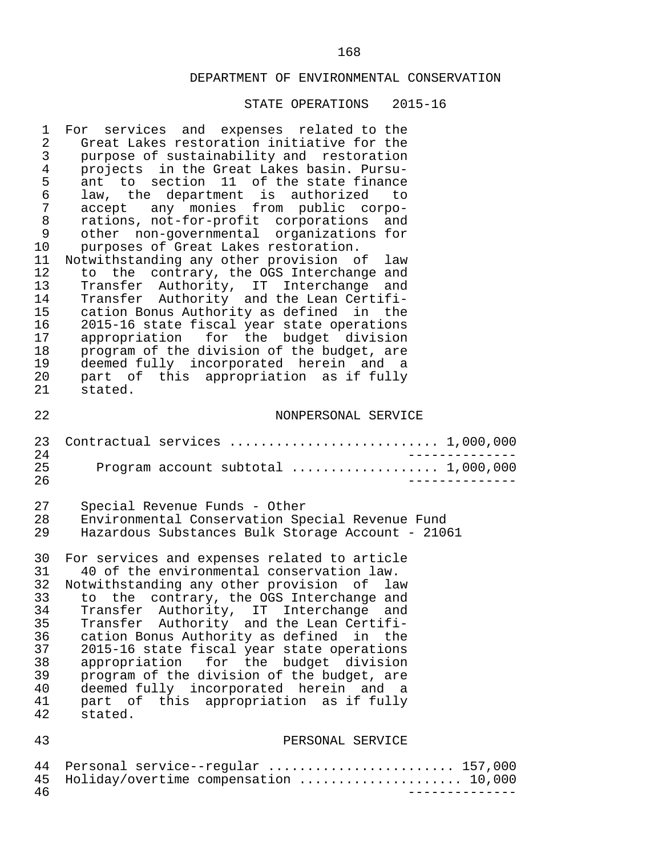| 1              | For services and expenses related to the                                    |
|----------------|-----------------------------------------------------------------------------|
| 2              | Great Lakes restoration initiative for the                                  |
| $\mathsf{3}$   | purpose of sustainability and restoration                                   |
| 4              | projects in the Great Lakes basin. Pursu-                                   |
| 5              | ant to section 11 of the state finance                                      |
| 6              | law, the department is authorized to                                        |
| $\overline{7}$ | accept any monies from public corpo-                                        |
| 8              | rations, not-for-profit corporations and                                    |
| 9              | other non-governmental organizations for                                    |
| $10 \,$        | purposes of Great Lakes restoration.                                        |
| 11             | Notwithstanding any other provision of law                                  |
| 12             | to the contrary, the OGS Interchange and                                    |
| 13             | Transfer Authority, IT Interchange and                                      |
| 14             | Transfer Authority and the Lean Certifi-                                    |
| 15             | cation Bonus Authority as defined in the                                    |
| 16             | 2015-16 state fiscal year state operations                                  |
| 17             | appropriation for the budget division                                       |
| 18             | program of the division of the budget, are                                  |
| 19             | deemed fully incorporated herein and a                                      |
| 20             | part of this appropriation as if fully                                      |
| 21             | stated.                                                                     |
| 22             | NONPERSONAL SERVICE                                                         |
| 23             | Contractual services  1,000,000                                             |
| 24             | ___________                                                                 |
| 25             | Program account subtotal  1,000,000                                         |
| 26             | $- - - - - - -$                                                             |
| 27             | Special Revenue Funds - Other                                               |
| 28             | Environmental Conservation Special Revenue Fund                             |
| 29             | Hazardous Substances Bulk Storage Account - 21061                           |
| 30             | For services and expenses related to article                                |
| 31             | 40 of the environmental conservation law.                                   |
| 32             | Notwithstanding any other provision of law                                  |
| 33             | to the contrary, the OGS Interchange and                                    |
| 34             | Transfer Authority, IT Interchange and                                      |
| 35             | Transfer Authority and the Lean Certifi-                                    |
| 36             | cation Bonus Authority as defined in the                                    |
| 37             | 2015-16 state fiscal year state operations                                  |
| 38             | appropriation for the budget division                                       |
| 39             | program of the division of the budget, are                                  |
| 40             | deemed fully incorporated herein and a                                      |
| 41             | part of this appropriation as if fully                                      |
| 42             | stated.                                                                     |
| 43             | PERSONAL SERVICE                                                            |
| 44<br>45<br>46 | Personal service--regular  157,000<br>Holiday/overtime compensation  10,000 |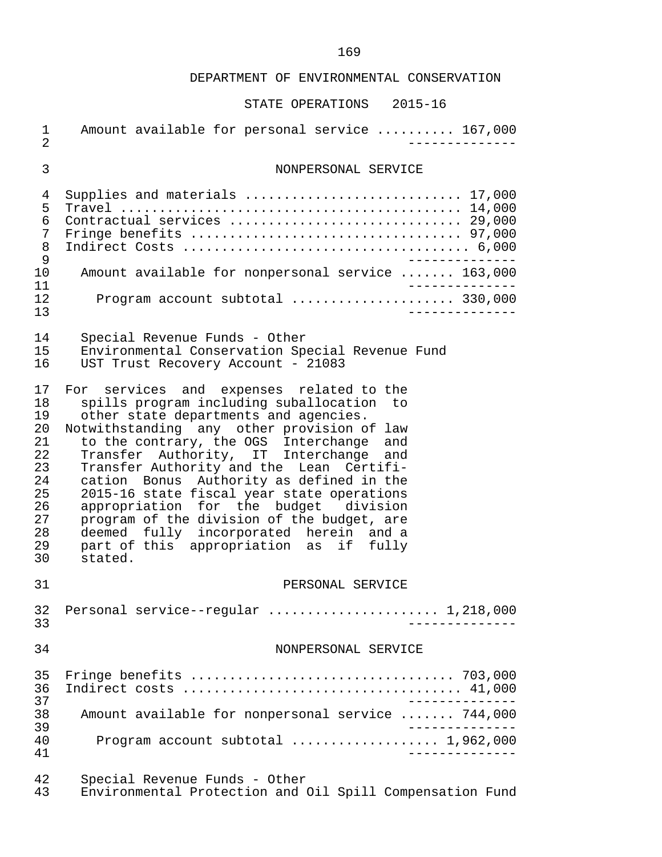| $\mathbf 1$<br>$\overline{2}$                                                    | Amount available for personal service  167,000                                                                                                                                                                                                                                                                                                                                                                                                                                                                                                                                                 |
|----------------------------------------------------------------------------------|------------------------------------------------------------------------------------------------------------------------------------------------------------------------------------------------------------------------------------------------------------------------------------------------------------------------------------------------------------------------------------------------------------------------------------------------------------------------------------------------------------------------------------------------------------------------------------------------|
| 3                                                                                | NONPERSONAL SERVICE                                                                                                                                                                                                                                                                                                                                                                                                                                                                                                                                                                            |
| 4<br>5<br>6<br>7<br>8<br>9<br>10<br>11<br>12<br>13                               | Supplies and materials  17,000<br>Contractual services  29,000<br>Amount available for nonpersonal service  163,000<br>Program account subtotal  330,000<br>$- - - - - - -$                                                                                                                                                                                                                                                                                                                                                                                                                    |
| 14<br>15<br>16                                                                   | Special Revenue Funds - Other<br>Environmental Conservation Special Revenue Fund<br>UST Trust Recovery Account - 21083                                                                                                                                                                                                                                                                                                                                                                                                                                                                         |
| 17<br>18<br>19<br>20<br>21<br>22<br>23<br>24<br>25<br>26<br>27<br>28<br>29<br>30 | For services and expenses related to the<br>spills program including suballocation to<br>other state departments and agencies.<br>Notwithstanding any other provision of law<br>to the contrary, the OGS Interchange and<br>Transfer Authority, IT Interchange and<br>Transfer Authority and the Lean Certifi-<br>cation Bonus Authority as defined in the<br>2015-16 state fiscal year state operations<br>appropriation for the budget division<br>program of the division of the budget, are<br>deemed fully incorporated herein and a<br>part of this appropriation as if fully<br>stated. |
| 31                                                                               | PERSONAL SERVICE                                                                                                                                                                                                                                                                                                                                                                                                                                                                                                                                                                               |
| 32<br>33                                                                         | Personal service--regular  1,218,000                                                                                                                                                                                                                                                                                                                                                                                                                                                                                                                                                           |
| 34                                                                               | NONPERSONAL SERVICE                                                                                                                                                                                                                                                                                                                                                                                                                                                                                                                                                                            |
| 35<br>36<br>37<br>38<br>39<br>40<br>41                                           | Amount available for nonpersonal service  744,000<br>Program account subtotal  1,962,000<br>$- - - - - - - - - - -$                                                                                                                                                                                                                                                                                                                                                                                                                                                                            |
| 42<br>43                                                                         | Special Revenue Funds - Other<br>Environmental Protection and Oil Spill Compensation Fund                                                                                                                                                                                                                                                                                                                                                                                                                                                                                                      |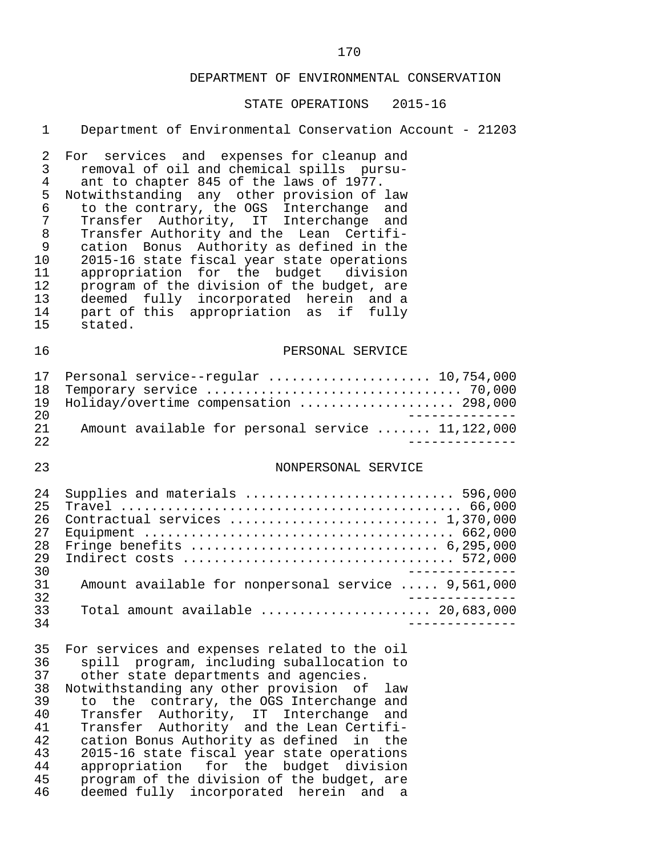#### STATE OPERATIONS 2015-16

#### 1 Department of Environmental Conservation Account - 21203

2 For services and expenses for cleanup and<br>3 removal of oil and chemical spills pursu-3 removal of oil and chemical spills pursu-<br>4 ant to chapter 845 of the laws of 1977. 4 ant to chapter 845 of the laws of 1977.<br>5 Notwithstanding any other provision of 5 Notwithstanding any other provision of law<br>6 to the contrary, the OGS Interchange and 6 to the contrary, the OGS Interchange and 7 Transfer Authority, IT Interchange and<br>8 Transfer\_Authority\_and\_the\_Lean Certifi-8 Transfer Authority and the Lean Certifi-<br>9 cation Bonus Authority as defined in the 9 cation Bonus Authority as defined in the<br>10 2015-16 state fiscal vear state operations 10 2015-16 state fiscal year state operations<br>11 appropriation for the budget division 11 appropriation for the budget division<br>12 program of the division of the budget, are 12 program of the division of the budget, are<br>13 deemed fully incorporated herein and a 13 deemed fully incorporated herein and a<br>14 part of this appropriation as if fully 14 part of this appropriation as if fully<br>15 stated. stated.

#### 16 PERSONAL SERVICE

|     | 17 Personal service--reqular  10,754,000          |
|-----|---------------------------------------------------|
|     |                                                   |
|     | 19 Holiday/overtime compensation  298,000         |
| 2.0 |                                                   |
| 21  | Amount available for personal service  11,122,000 |
| 2.2 |                                                   |

#### 23 NONPERSONAL SERVICE

| 2.4 | Supplies and materials  596,000                                             |
|-----|-----------------------------------------------------------------------------|
| 25  |                                                                             |
| 26  |                                                                             |
| 27  |                                                                             |
| 28  |                                                                             |
| 29  |                                                                             |
| 30  |                                                                             |
| 31  | Amount available for nonpersonal service  9,561,000                         |
| 32  |                                                                             |
| २२  | Total amount available $\ldots, \ldots, \ldots, \ldots, \ldots, 20,683,000$ |
| 34  |                                                                             |

35 For services and expenses related to the oil<br>36 Spill program, including suballocation to 36 spill program, including suballocation to<br>37 other state departments and agencies. other state departments and agencies. 38 Notwithstanding any other provision of law 39 to the contrary, the OGS Interchange and<br>40 Transfer Authority, IT Interchange and 40 Transfer Authority, IT Interchange and<br>41 Transfer Authority and the Lean-Certifi-41 Transfer Authority and the Lean Certifi-<br>42 cation Bonus Authority as defined in the 42 cation Bonus Authority as defined in the 43 2015-16 state fiscal year state operations<br>44 appropriation for the budget division 44 appropriation for the budget division<br>45 program of the division of the budget, are 45 program of the division of the budget, are<br>46 deemed fully incorporated herein and a 46 deemed fully incorporated herein and a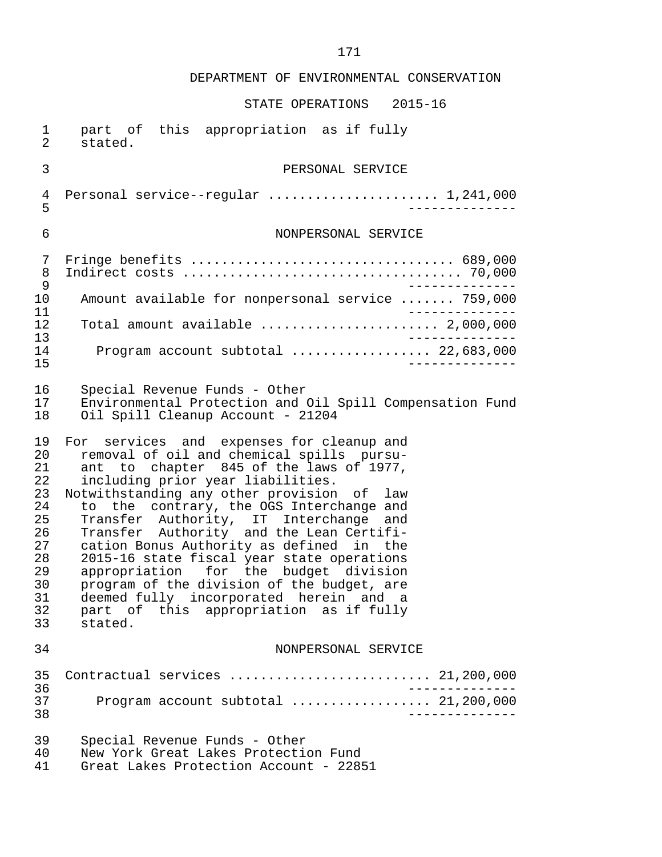| $\mathbf{1}$ | part of this appropriation as if fully                                                                 |
|--------------|--------------------------------------------------------------------------------------------------------|
| 2            | stated.                                                                                                |
| $\mathsf{3}$ | PERSONAL SERVICE                                                                                       |
| 4            | Personal service--regular  1,241,000                                                                   |
| 5            | ------------                                                                                           |
| 6            | NONPERSONAL SERVICE                                                                                    |
| 7            | Fringe benefits $\ldots \ldots \ldots \ldots \ldots \ldots \ldots \ldots \ldots \ldots \ldots$ 689,000 |
| 8            |                                                                                                        |
| 9            | ____________                                                                                           |
| 10           | Amount available for nonpersonal service  759,000<br>_____________                                     |
| 11<br>12     | Total amount available $\ldots, \ldots, \ldots, \ldots, \ldots, 2,000,000$                             |
| 13           | _____________                                                                                          |
| 14           | Program account subtotal  22,683,000                                                                   |
| 15           | $- - - - - - -$                                                                                        |
| 16           | Special Revenue Funds - Other                                                                          |
| 17           | Environmental Protection and Oil Spill Compensation Fund                                               |
| 18           | Oil Spill Cleanup Account - 21204                                                                      |
| 19           | For services and expenses for cleanup and                                                              |
| 20           | removal of oil and chemical spills pursu-                                                              |
| 21           | ant to chapter 845 of the laws of 1977,                                                                |
| 22           | including prior year liabilities.                                                                      |
| 23           | Notwithstanding any other provision of law                                                             |
| 24           | to the contrary, the OGS Interchange and                                                               |
| 25           | Transfer Authority, IT Interchange and                                                                 |
| 26           | Transfer Authority and the Lean Certifi-                                                               |
| 27           | cation Bonus Authority as defined in the                                                               |
| 28           | 2015-16 state fiscal year state operations                                                             |
| 29           | appropriation for the budget division                                                                  |
| 30           | program of the division of the budget, are                                                             |
| 31           | deemed fully incorporated herein and a                                                                 |
| 32           | part of this appropriation as if fully                                                                 |
| 33           | stated.                                                                                                |
| 34           | NONPERSONAL SERVICE                                                                                    |
| 35<br>36     | Contractual services  21,200,000                                                                       |
| 37<br>38     | Program account subtotal  21,200,000                                                                   |
| 39           | Special Revenue Funds - Other                                                                          |
| 40           | New York Great Lakes Protection Fund                                                                   |
| 41           | Great Lakes Protection Account - 22851                                                                 |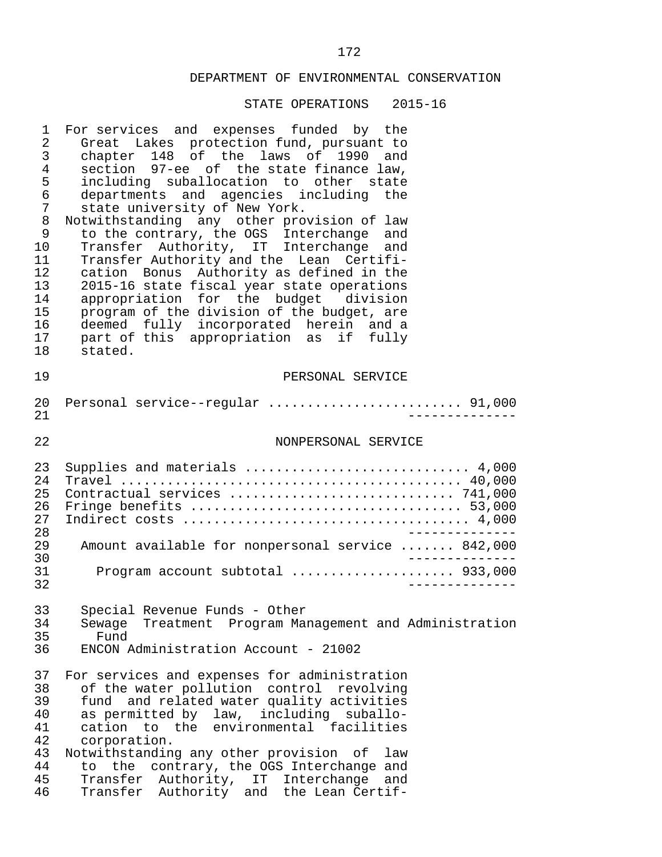| 1<br>2<br>3<br>4<br>5<br>6<br>7<br>8<br>9<br>10<br>11<br>12<br>13<br>14<br>15<br>16<br>17<br>18 | For services and expenses funded by the<br>Great Lakes protection fund, pursuant to<br>chapter 148 of the laws of 1990<br>and<br>section 97-ee of the state finance law,<br>including suballocation to other state<br>departments and agencies including the<br>state university of New York.<br>Notwithstanding any other provision of law<br>to the contrary, the OGS Interchange and<br>Transfer Authority, IT Interchange and<br>Transfer Authority and the Lean Certifi-<br>cation Bonus Authority as defined in the<br>2015-16 state fiscal year state operations<br>appropriation for the budget division<br>program of the division of the budget, are<br>deemed fully incorporated herein and a<br>part of this appropriation as if fully<br>stated. |
|-------------------------------------------------------------------------------------------------|---------------------------------------------------------------------------------------------------------------------------------------------------------------------------------------------------------------------------------------------------------------------------------------------------------------------------------------------------------------------------------------------------------------------------------------------------------------------------------------------------------------------------------------------------------------------------------------------------------------------------------------------------------------------------------------------------------------------------------------------------------------|
| 19                                                                                              | PERSONAL SERVICE                                                                                                                                                                                                                                                                                                                                                                                                                                                                                                                                                                                                                                                                                                                                              |
| 20<br>21                                                                                        | Personal service--regular  91,000                                                                                                                                                                                                                                                                                                                                                                                                                                                                                                                                                                                                                                                                                                                             |
| 22                                                                                              | NONPERSONAL SERVICE                                                                                                                                                                                                                                                                                                                                                                                                                                                                                                                                                                                                                                                                                                                                           |
| 23<br>24<br>25<br>26<br>27<br>28                                                                | Supplies and materials  4,000<br>Contractual services  741,000<br>__________                                                                                                                                                                                                                                                                                                                                                                                                                                                                                                                                                                                                                                                                                  |
| 29<br>30                                                                                        | Amount available for nonpersonal service  842,000<br>_______                                                                                                                                                                                                                                                                                                                                                                                                                                                                                                                                                                                                                                                                                                  |
| 31<br>32                                                                                        | Program account subtotal  933,000                                                                                                                                                                                                                                                                                                                                                                                                                                                                                                                                                                                                                                                                                                                             |
| 33<br>34<br>35<br>36                                                                            | Special Revenue Funds - Other<br>Sewage Treatment Program Management and Administration<br>Fund<br>ENCON Administration Account - 21002                                                                                                                                                                                                                                                                                                                                                                                                                                                                                                                                                                                                                       |
| 37<br>38<br>39<br>40<br>41<br>42<br>43<br>44<br>45<br>46                                        | For services and expenses for administration<br>of the water pollution control<br>revolving<br>fund and related water quality activities<br>as permitted by law, including suballo-<br>cation to the environmental facilities<br>corporation.<br>Notwithstanding any other provision of<br>law<br>the contrary, the OGS Interchange and<br>to<br>Transfer Authority, IT Interchange<br>and<br>Transfer Authority and the Lean Certif-                                                                                                                                                                                                                                                                                                                         |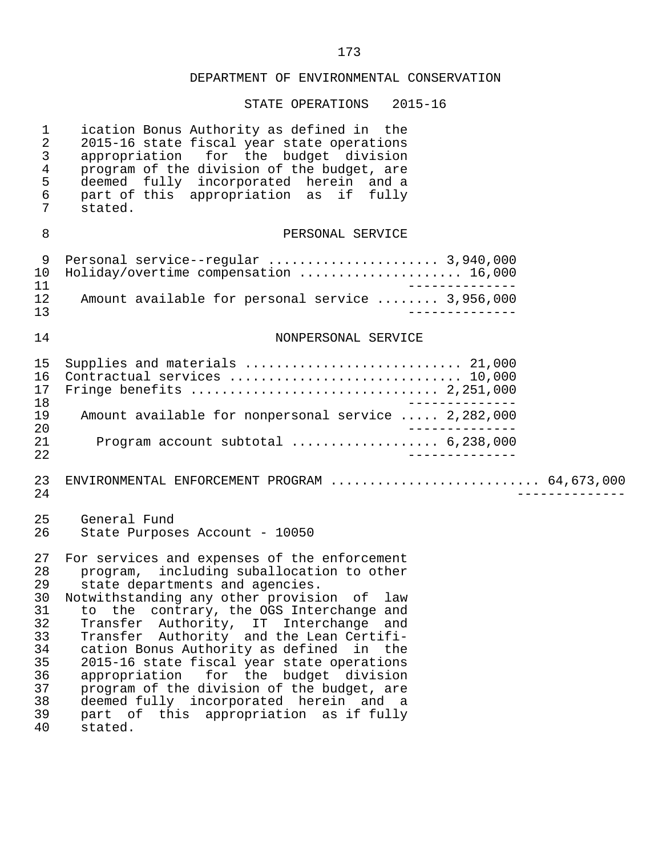| $\mathbf{1}$<br>$\overline{2}$<br>$\mathsf{3}$<br>$\overline{4}$<br>5<br>6<br>7  | ication Bonus Authority as defined in the<br>2015-16 state fiscal year state operations<br>appropriation for the budget division<br>program of the division of the budget, are<br>deemed fully incorporated herein and a<br>part of this appropriation as if fully<br>stated.                                                                                                                                                                                                                                                                                                                   |                |
|----------------------------------------------------------------------------------|-------------------------------------------------------------------------------------------------------------------------------------------------------------------------------------------------------------------------------------------------------------------------------------------------------------------------------------------------------------------------------------------------------------------------------------------------------------------------------------------------------------------------------------------------------------------------------------------------|----------------|
| 8                                                                                | PERSONAL SERVICE                                                                                                                                                                                                                                                                                                                                                                                                                                                                                                                                                                                |                |
| 9<br>10<br>11<br>12<br>13                                                        | Personal service--regular  3,940,000<br>Holiday/overtime compensation  16,000<br>Amount available for personal service  3,956,000                                                                                                                                                                                                                                                                                                                                                                                                                                                               |                |
| 14                                                                               | NONPERSONAL SERVICE                                                                                                                                                                                                                                                                                                                                                                                                                                                                                                                                                                             |                |
|                                                                                  |                                                                                                                                                                                                                                                                                                                                                                                                                                                                                                                                                                                                 |                |
| 15<br>16<br>17<br>18                                                             | Supplies and materials  21,000<br>Contractual services  10,000                                                                                                                                                                                                                                                                                                                                                                                                                                                                                                                                  |                |
| 19<br>20                                                                         | Amount available for nonpersonal service  2,282,000                                                                                                                                                                                                                                                                                                                                                                                                                                                                                                                                             |                |
| 21<br>22                                                                         | Program account subtotal  6,238,000                                                                                                                                                                                                                                                                                                                                                                                                                                                                                                                                                             |                |
| 23<br>24                                                                         | ENVIRONMENTAL ENFORCEMENT PROGRAM  64,673,000                                                                                                                                                                                                                                                                                                                                                                                                                                                                                                                                                   | ______________ |
| 25<br>26                                                                         | General Fund<br>State Purposes Account - 10050                                                                                                                                                                                                                                                                                                                                                                                                                                                                                                                                                  |                |
| 27<br>28<br>29<br>30<br>31<br>32<br>33<br>34<br>35<br>36<br>37<br>38<br>39<br>40 | For services and expenses of the enforcement<br>program, including suballocation to other<br>state departments and agencies.<br>Notwithstanding any other provision of law<br>to the contrary, the OGS Interchange and<br>Transfer Authority, IT Interchange<br>and<br>Transfer Authority and the Lean Certifi-<br>cation Bonus Authority as defined in the<br>2015-16 state fiscal year state operations<br>appropriation for the budget division<br>program of the division of the budget, are<br>deemed fully incorporated herein and a<br>part of this appropriation as if fully<br>stated. |                |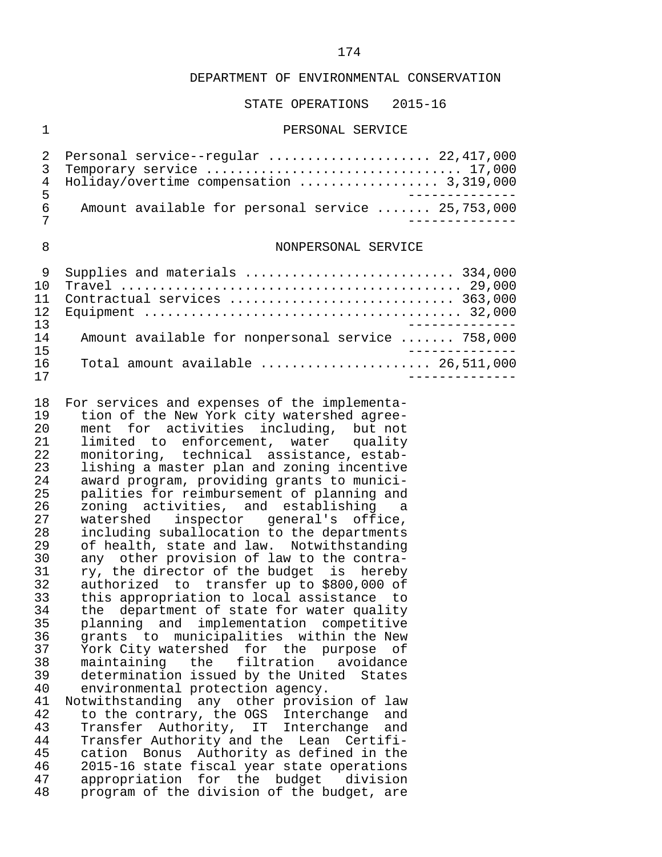#### STATE OPERATIONS 2015-16

#### 1 PERSONAL SERVICE

|     | 2 Personal service--regular  22,417,000           |
|-----|---------------------------------------------------|
|     | 3 Temporary service  17,000                       |
|     | 4 Holiday/overtime compensation  3,319,000        |
| ᄃ   |                                                   |
| რ — | Amount available for personal service  25,753,000 |
|     |                                                   |

#### 8 NONPERSONAL SERVICE

| 1 N | Supplies and materials  334,000                                               |
|-----|-------------------------------------------------------------------------------|
|     |                                                                               |
|     | Contractual services  363,000                                                 |
| 12. |                                                                               |
| 13  |                                                                               |
| 14  | Amount available for nonpersonal service  758,000                             |
| 15  |                                                                               |
| 16  | Total amount available $\ldots \ldots \ldots \ldots \ldots \ldots$ 26,511,000 |
|     |                                                                               |

 18 For services and expenses of the implementa- 19 tion of the New York city watershed agree-<br>20 ment for activities including, but not 20 ment for activities including, but not<br>21 limited to enforcement, water quality 21 limited to enforcement, water<br>22 monitoring, technical assistance 22 monitoring, technical assistance, estab-<br>23 lishing a master plan and zoning incentive 23 lishing a master plan and zoning incentive<br>24 award program, providing grants to munici-24 award program, providing grants to munici-<br>25 palities for reimbursement of planning and 25 palities for reimbursement of planning and<br>26 zoning activities, and establishing a 26 zoning activities, and establishing a<br>27 watershed inspector general's office. 27 watershed inspector general's office,<br>28 including suballocation to the departments 28 including suballocation to the departments<br>29 of health, state and law. Notwithstanding 29 of health, state and law. Notwithstanding<br>30 any other provision of law to the contra-30 any other provision of law to the contra-<br>31 yr. the director of the budget is hereby 31 ry, the director of the budget is hereby<br>32 authorized to transfer up to \$800,000 of 32 authorized to transfer up to \$800,000 of<br>33 this appropriation to local assistance to 33 this appropriation to local assistance to 34 the department of state for water quality<br>35 planning and implementation competitive 35 planning and implementation competitive<br>36 grants to municipalities within the New 36 grants to municipalities within the New<br>37 York-City-watershed for the purpose of 37 York City watershed for the purpose of<br>38 maintaining the filtration avoidance 38 maintaining the filtration avoidance<br>39 determination-issued-by-the-United States 39 determination issued by the United States<br>40 environmental protection agency. 40 environmental protection agency.<br>41 Notwithstanding any other provis 41 Notwithstanding any other provision of law<br>42 to the contrary, the OGS Interchange and 42 to the contrary, the OGS Interchange and<br>43 Transfer Authority, IT Interchange and 43 Transfer Authority, IT Interchange and 44 Transfer Authority and the Lean Certifi- 45 cation Bonus Authority as defined in the<br>46 2015-16 state fiscal year state operations 46 2015-16 state fiscal year state operations<br>47 appropriation for the budget division 47 appropriation for the budget division<br>48 program of the division of the budget, are program of the division of the budget, are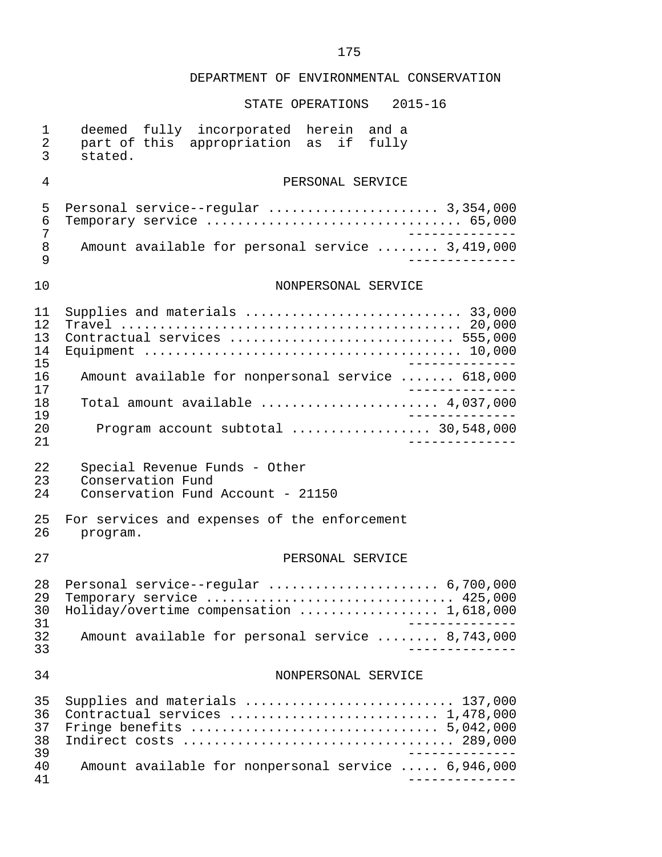| 1<br>$\overline{2}$<br>$\mathbf{3}$ | deemed fully incorporated herein and a<br>part of this appropriation as<br>if fully<br>stated.                                                                          |
|-------------------------------------|-------------------------------------------------------------------------------------------------------------------------------------------------------------------------|
| 4                                   | PERSONAL SERVICE                                                                                                                                                        |
| 5<br>6<br>7<br>8<br>9               | Personal service--regular  3,354,000<br>Temporary service  65,000<br>Amount available for personal service  3,419,000                                                   |
| 10                                  | NONPERSONAL SERVICE                                                                                                                                                     |
| 11<br>12<br>13<br>14<br>15          | Contractual services  555,000                                                                                                                                           |
| 16<br>17                            | Amount available for nonpersonal service  618,000                                                                                                                       |
| 18<br>19                            | Total amount available $\ldots, \ldots, \ldots, \ldots, \ldots, 4,037,000$                                                                                              |
| 20<br>21                            | Program account subtotal $\ldots$ 30,548,000                                                                                                                            |
| 22<br>23<br>24                      | Special Revenue Funds - Other<br>Conservation Fund<br>Conservation Fund Account - 21150                                                                                 |
| 25<br>26                            | For services and expenses of the enforcement<br>program.                                                                                                                |
| 27                                  | PERSONAL SERVICE                                                                                                                                                        |
| 28<br>29<br>30<br>31                | Personal service--regular $6,700,000$<br>Temporary service  425,000<br>Holiday/overtime compensation  1,618,000                                                         |
| 32<br>33                            | Amount available for personal service  8,743,000                                                                                                                        |
| 34                                  | NONPERSONAL SERVICE                                                                                                                                                     |
| 35<br>36<br>37<br>38<br>39          | Supplies and materials  137,000<br>Contractual services  1,478,000<br>Fringe benefits $\ldots \ldots \ldots \ldots \ldots \ldots \ldots \ldots \ldots \ldots 5,042,000$ |
| 40<br>41                            | Amount available for nonpersonal service  6,946,000                                                                                                                     |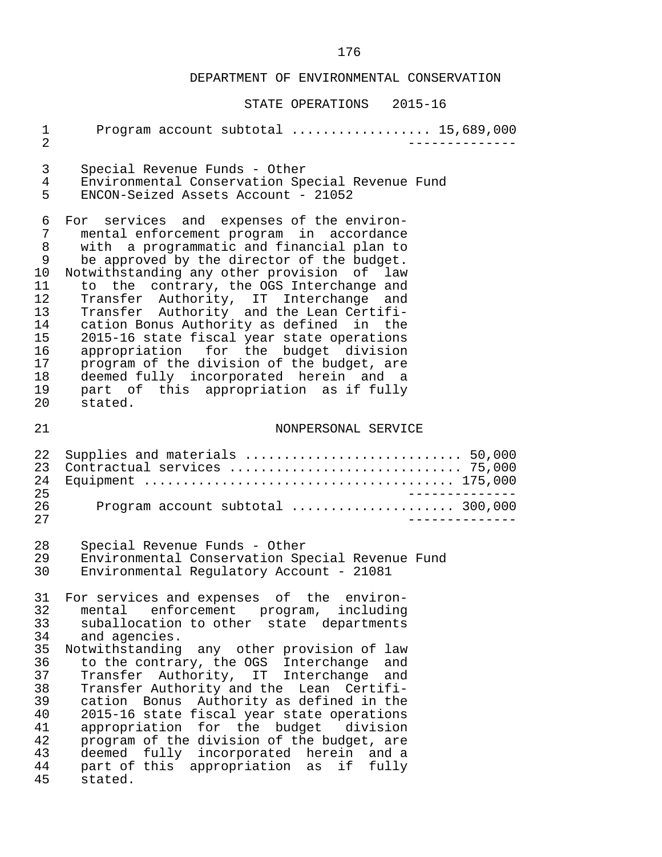|                                                                                        | DIAIE OFERAIIOND<br>∪⊥ ت⊥∪∡                                                                                                                                                                                                                                                                                                                                                                                                                                                                                                                                                                                        |
|----------------------------------------------------------------------------------------|--------------------------------------------------------------------------------------------------------------------------------------------------------------------------------------------------------------------------------------------------------------------------------------------------------------------------------------------------------------------------------------------------------------------------------------------------------------------------------------------------------------------------------------------------------------------------------------------------------------------|
| $\mathbf 1$<br>$\overline{2}$                                                          | Program account subtotal  15,689,000                                                                                                                                                                                                                                                                                                                                                                                                                                                                                                                                                                               |
| 3                                                                                      | Special Revenue Funds - Other                                                                                                                                                                                                                                                                                                                                                                                                                                                                                                                                                                                      |
| $\overline{4}$                                                                         | Environmental Conservation Special Revenue Fund                                                                                                                                                                                                                                                                                                                                                                                                                                                                                                                                                                    |
| 5                                                                                      | ENCON-Seized Assets Account - 21052                                                                                                                                                                                                                                                                                                                                                                                                                                                                                                                                                                                |
| 6                                                                                      | For services and expenses of the environ-                                                                                                                                                                                                                                                                                                                                                                                                                                                                                                                                                                          |
| 7                                                                                      | mental enforcement program in accordance                                                                                                                                                                                                                                                                                                                                                                                                                                                                                                                                                                           |
| 8                                                                                      | with a programmatic and financial plan to                                                                                                                                                                                                                                                                                                                                                                                                                                                                                                                                                                          |
| 9                                                                                      | be approved by the director of the budget.                                                                                                                                                                                                                                                                                                                                                                                                                                                                                                                                                                         |
| 10                                                                                     | Notwithstanding any other provision of law                                                                                                                                                                                                                                                                                                                                                                                                                                                                                                                                                                         |
| 11                                                                                     | to the contrary, the OGS Interchange and                                                                                                                                                                                                                                                                                                                                                                                                                                                                                                                                                                           |
| 12                                                                                     | Transfer Authority, IT Interchange and                                                                                                                                                                                                                                                                                                                                                                                                                                                                                                                                                                             |
| 13                                                                                     | Transfer Authority and the Lean Certifi-                                                                                                                                                                                                                                                                                                                                                                                                                                                                                                                                                                           |
| 14                                                                                     | cation Bonus Authority as defined in the                                                                                                                                                                                                                                                                                                                                                                                                                                                                                                                                                                           |
| 15                                                                                     | 2015-16 state fiscal year state operations                                                                                                                                                                                                                                                                                                                                                                                                                                                                                                                                                                         |
| 16                                                                                     | appropriation for the budget division                                                                                                                                                                                                                                                                                                                                                                                                                                                                                                                                                                              |
| 17                                                                                     | program of the division of the budget, are                                                                                                                                                                                                                                                                                                                                                                                                                                                                                                                                                                         |
| 18                                                                                     | deemed fully incorporated herein and a                                                                                                                                                                                                                                                                                                                                                                                                                                                                                                                                                                             |
| 19                                                                                     | part of this appropriation as if fully                                                                                                                                                                                                                                                                                                                                                                                                                                                                                                                                                                             |
| 20                                                                                     | stated.                                                                                                                                                                                                                                                                                                                                                                                                                                                                                                                                                                                                            |
| 21                                                                                     | NONPERSONAL SERVICE                                                                                                                                                                                                                                                                                                                                                                                                                                                                                                                                                                                                |
| 22                                                                                     | Supplies and materials  50,000                                                                                                                                                                                                                                                                                                                                                                                                                                                                                                                                                                                     |
| 23                                                                                     | Contractual services  75,000                                                                                                                                                                                                                                                                                                                                                                                                                                                                                                                                                                                       |
| 24                                                                                     |                                                                                                                                                                                                                                                                                                                                                                                                                                                                                                                                                                                                                    |
| 25                                                                                     | ______________                                                                                                                                                                                                                                                                                                                                                                                                                                                                                                                                                                                                     |
| 26                                                                                     | Program account subtotal  300,000                                                                                                                                                                                                                                                                                                                                                                                                                                                                                                                                                                                  |
| 27                                                                                     |                                                                                                                                                                                                                                                                                                                                                                                                                                                                                                                                                                                                                    |
| 28                                                                                     | Special Revenue Funds - Other                                                                                                                                                                                                                                                                                                                                                                                                                                                                                                                                                                                      |
| 29                                                                                     | Environmental Conservation Special Revenue Fund                                                                                                                                                                                                                                                                                                                                                                                                                                                                                                                                                                    |
| 30                                                                                     | Environmental Regulatory Account - 21081                                                                                                                                                                                                                                                                                                                                                                                                                                                                                                                                                                           |
| 31<br>32<br>33<br>34<br>35<br>36<br>37<br>38<br>39<br>40<br>41<br>42<br>43<br>44<br>45 | For services and expenses of the environ-<br>mental enforcement program, including<br>suballocation to other state departments<br>and agencies.<br>Notwithstanding any other provision of law<br>to the contrary, the OGS Interchange and<br>Transfer Authority, IT Interchange and<br>Transfer Authority and the Lean Certifi-<br>cation Bonus Authority as defined in the<br>2015-16 state fiscal year state operations<br>appropriation for the budget division<br>program of the division of the budget, are<br>deemed fully incorporated herein and a<br>part of this appropriation as<br>if fully<br>stated. |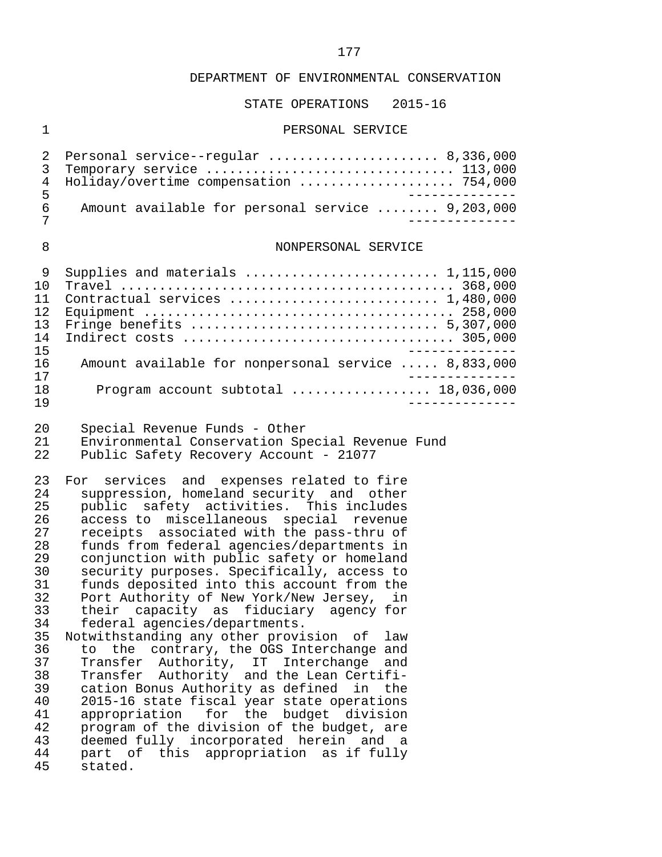#### STATE OPERATIONS 2015-16

#### 1 PERSONAL SERVICE

|   | 2 Personal service--regular  8,336,000           |
|---|--------------------------------------------------|
|   | 3 Temporary service  113,000                     |
|   | 4 Holiday/overtime compensation  754,000         |
|   |                                                  |
| 6 | Amount available for personal service  9,203,000 |
|   |                                                  |

#### 8 NONPERSONAL SERVICE

|     | Supplies and materials  1,115,000                   |
|-----|-----------------------------------------------------|
| 1 N |                                                     |
|     |                                                     |
| 12. |                                                     |
| 13  |                                                     |
| 14  |                                                     |
| 15  |                                                     |
| 16  | Amount available for nonpersonal service  8,833,000 |
| 17  |                                                     |
| 1 R | Program account subtotal $\ldots$ 18,036,000        |
| 1 9 |                                                     |

20 Special Revenue Funds - Other<br>21 Environmental Conservation Sp

21 Environmental Conservation Special Revenue Fund<br>22 Public Safety Recovery Account - 21077 Public Safety Recovery Account - 21077

23 For services and expenses related to fire<br>24 suppression, homeland security and other 24 suppression, homeland security and other<br>25 public safety activities. This includes 25 public safety activities. This includes<br>26 access to miscellaneous special revenue 26 access to miscellaneous special revenue<br>27 receipts associated with the pass-thru of 27 receipts associated with the pass-thru of<br>28 funds from federal agencies/departments in 28 funds from federal agencies/departments in 29 conjunction with public safety or homeland<br>30 security purposes. Specifically, access to 30 security purposes. Specifically, access to<br>31 funds deposited into this account from the 31 funds deposited into this account from the<br>32 Port Authority of New York/New Jersey, in 32 Port Authority of New York/New Jersey, in<br>33 their capacity as fiduciary agency for 33 their capacity as fiduciary agency for<br>34 federal agencies/departments. 34 federal agencies/departments.<br>35 Notwithstanding any other provi 35 Notwithstanding any other provision of law<br>36 to the contrary, the OGS Interchange and

36 to the contrary, the OGS Interchange and<br>37 Transfer Authority, IT Interchange and 37 Transfer Authority, IT Interchange and<br>38 Transfer Authority and the Lean-Certifi-38 Transfer Authority and the Lean Certifi-<br>39 cation Bonus Authority as defined in the 39 cation Bonus Authority as defined in the 40 2015-16 state fiscal year state operations 41 appropriation for the budget division<br>42 program of the division of the budget, are 42 program of the division of the budget, are<br>43 deemed fully incorporated berein and a 43 deemed fully incorporated herein and a<br>44 part of this appropriation as if fully 44 part of this appropriation as if fully stated.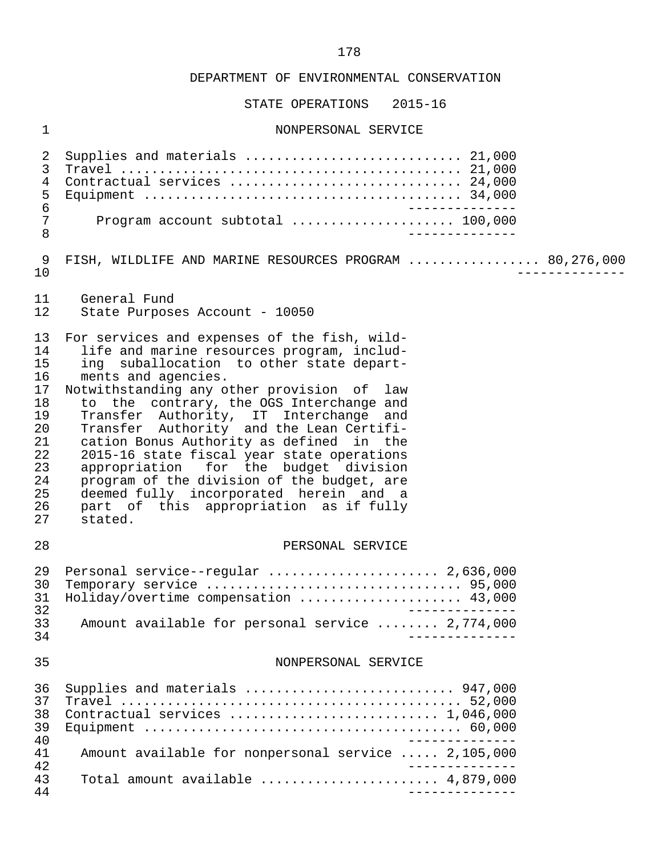| $\mathbf 1$                                                                            | NONPERSONAL SERVICE                                                                                                                                                                                                                                                                                                                                                                                                                                                                                                                                                                                                           |
|----------------------------------------------------------------------------------------|-------------------------------------------------------------------------------------------------------------------------------------------------------------------------------------------------------------------------------------------------------------------------------------------------------------------------------------------------------------------------------------------------------------------------------------------------------------------------------------------------------------------------------------------------------------------------------------------------------------------------------|
| 2<br>3<br>$\,4\,$<br>5<br>$\epsilon$<br>7<br>8                                         | Supplies and materials  21,000<br>Contractual services  24,000<br>Program account subtotal  100,000                                                                                                                                                                                                                                                                                                                                                                                                                                                                                                                           |
| 9<br>10                                                                                | FISH, WILDLIFE AND MARINE RESOURCES PROGRAM  80,276,000                                                                                                                                                                                                                                                                                                                                                                                                                                                                                                                                                                       |
| 11<br>12                                                                               | General Fund<br>State Purposes Account - 10050                                                                                                                                                                                                                                                                                                                                                                                                                                                                                                                                                                                |
| 13<br>14<br>15<br>16<br>17<br>18<br>19<br>20<br>21<br>22<br>23<br>24<br>25<br>26<br>27 | For services and expenses of the fish, wild-<br>life and marine resources program, includ-<br>ing suballocation to other state depart-<br>ments and agencies.<br>Notwithstanding any other provision of law<br>to the contrary, the OGS Interchange and<br>Transfer Authority, IT Interchange and<br>Transfer Authority and the Lean Certifi-<br>cation Bonus Authority as defined in the<br>2015-16 state fiscal year state operations<br>appropriation for the budget division<br>program of the division of the budget, are<br>deemed fully incorporated herein and a<br>part of this appropriation as if fully<br>stated. |
| 28                                                                                     | PERSONAL SERVICE                                                                                                                                                                                                                                                                                                                                                                                                                                                                                                                                                                                                              |
| 29<br>30<br>31<br>32<br>33<br>34                                                       | Personal service--regular  2,636,000<br>Holiday/overtime compensation  43,000<br>Amount available for personal service  2,774,000                                                                                                                                                                                                                                                                                                                                                                                                                                                                                             |
| 35                                                                                     | NONPERSONAL SERVICE                                                                                                                                                                                                                                                                                                                                                                                                                                                                                                                                                                                                           |
| 36<br>37<br>38<br>39<br>40                                                             | Supplies and materials  947,000<br>Contractual services  1,046,000                                                                                                                                                                                                                                                                                                                                                                                                                                                                                                                                                            |
| 41<br>42                                                                               | Amount available for nonpersonal service  2,105,000                                                                                                                                                                                                                                                                                                                                                                                                                                                                                                                                                                           |
| 43<br>44                                                                               | Total amount available $\ldots \ldots \ldots \ldots \ldots \ldots$ 4,879,000                                                                                                                                                                                                                                                                                                                                                                                                                                                                                                                                                  |
|                                                                                        |                                                                                                                                                                                                                                                                                                                                                                                                                                                                                                                                                                                                                               |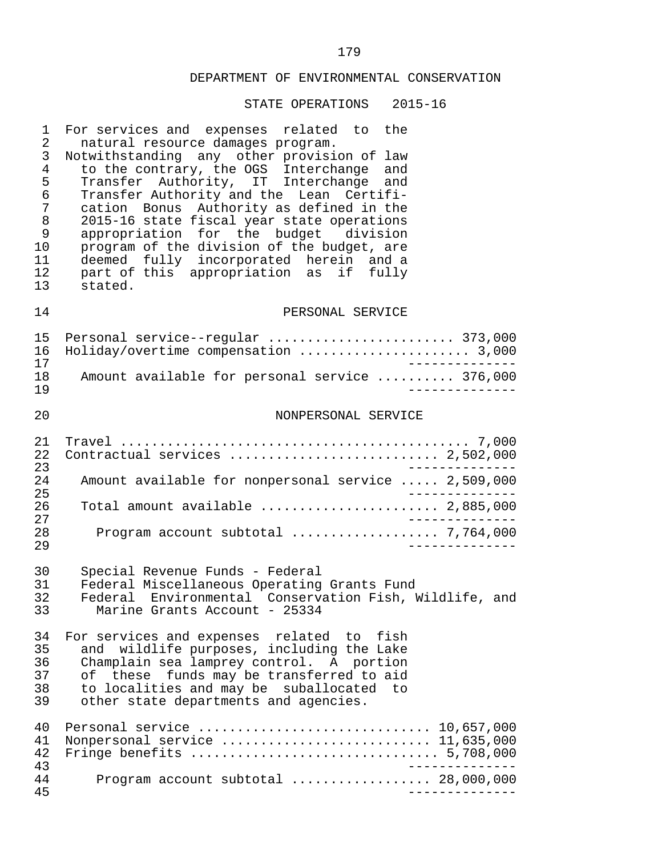| 1<br>2<br>3<br>$\overline{4}$<br>5<br>6<br>7<br>8<br>9<br>10<br>11<br>12<br>13 | For services and expenses related to the<br>natural resource damages program.<br>Notwithstanding any other provision of law<br>to the contrary, the OGS Interchange<br>and<br>Transfer Authority, IT Interchange and<br>Transfer Authority and the Lean Certifi-<br>cation Bonus Authority as defined in the<br>2015-16 state fiscal year state operations<br>appropriation for the budget division<br>program of the division of the budget, are<br>deemed fully incorporated herein and a<br>part of this appropriation as if fully<br>stated. |
|--------------------------------------------------------------------------------|--------------------------------------------------------------------------------------------------------------------------------------------------------------------------------------------------------------------------------------------------------------------------------------------------------------------------------------------------------------------------------------------------------------------------------------------------------------------------------------------------------------------------------------------------|
| 14                                                                             | PERSONAL SERVICE                                                                                                                                                                                                                                                                                                                                                                                                                                                                                                                                 |
| 15<br>16<br>17<br>18<br>19                                                     | Personal service--regular  373,000<br>Holiday/overtime compensation  3,000<br>Amount available for personal service  376,000                                                                                                                                                                                                                                                                                                                                                                                                                     |
| 20                                                                             | NONPERSONAL SERVICE                                                                                                                                                                                                                                                                                                                                                                                                                                                                                                                              |
| 21<br>22<br>23<br>24<br>25<br>26<br>27<br>28<br>29                             | Contractual services  2,502,000<br>Amount available for nonpersonal service  2,509,000<br>Total amount available  2,885,000<br>Program account subtotal  7,764,000                                                                                                                                                                                                                                                                                                                                                                               |
| 30<br>31<br>32<br>33                                                           | Special Revenue Funds - Federal<br>Federal Miscellaneous Operating Grants Fund<br>Federal Environmental Conservation Fish, Wildlife, and<br>Marine Grants Account - 25334                                                                                                                                                                                                                                                                                                                                                                        |
| 34<br>35<br>36<br>37<br>38<br>39                                               | For services and expenses related to fish<br>and wildlife purposes, including the Lake<br>Champlain sea lamprey control. A portion<br>these funds may be transferred to aid<br>of<br>to localities and may be suballocated to<br>other state departments and agencies.                                                                                                                                                                                                                                                                           |
| 40<br>41<br>42<br>43                                                           | Nonpersonal service  11,635,000                                                                                                                                                                                                                                                                                                                                                                                                                                                                                                                  |
| 44<br>45                                                                       | Program account subtotal  28,000,000                                                                                                                                                                                                                                                                                                                                                                                                                                                                                                             |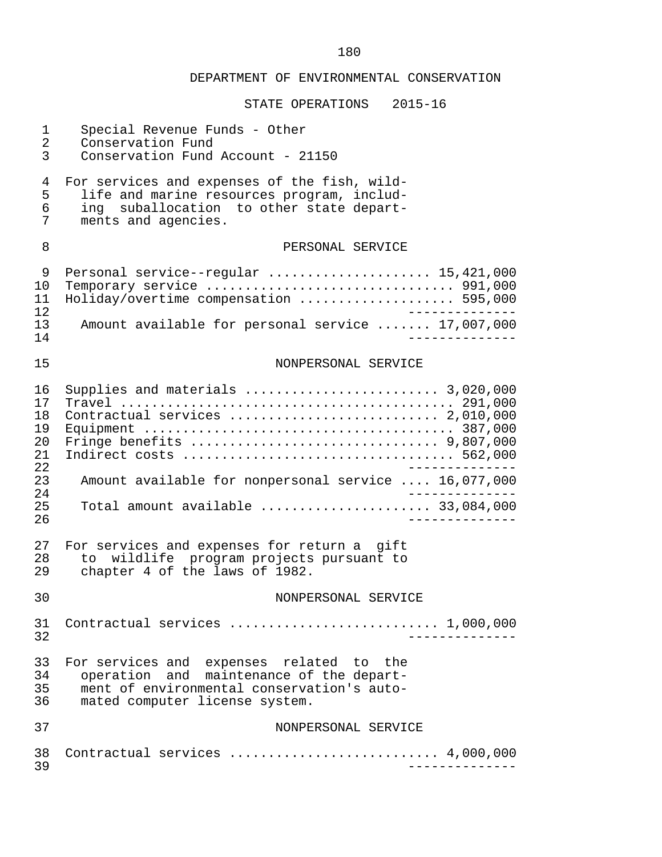|                                                 | DEPARTMENT OF ENVIRONMENTAL CONSERVATION                                                                                                                             |
|-------------------------------------------------|----------------------------------------------------------------------------------------------------------------------------------------------------------------------|
|                                                 | $2015 - 16$<br>STATE OPERATIONS                                                                                                                                      |
| $\mathbf 1$<br>$\overline{2}$<br>$\mathfrak{Z}$ | Special Revenue Funds - Other<br>Conservation Fund<br>Conservation Fund Account - 21150                                                                              |
| 4<br>5<br>6<br>7                                | For services and expenses of the fish, wild-<br>life and marine resources program, includ-<br>ing suballocation to other state depart-<br>ments and agencies.        |
| 8                                               | PERSONAL SERVICE                                                                                                                                                     |
| 9<br>10<br>11<br>12                             | Personal service--regular  15,421,000<br>Holiday/overtime compensation  595,000                                                                                      |
| 13<br>14                                        | Amount available for personal service  17,007,000                                                                                                                    |
| 15                                              | NONPERSONAL SERVICE                                                                                                                                                  |
| 16<br>17<br>18<br>19<br>20<br>21<br>22<br>23    | Supplies and materials  3,020,000<br>Contractual services  2,010,000<br>Amount available for nonpersonal service  16,077,000                                         |
| 24<br>25<br>26                                  | Total amount available  33,084,000                                                                                                                                   |
| 27<br>28<br>29                                  | For services and expenses for return a gift<br>to wildlife program projects pursuant to<br>chapter 4 of the laws of 1982.                                            |
| 30                                              | NONPERSONAL SERVICE                                                                                                                                                  |
| 31<br>32                                        | Contractual services  1,000,000                                                                                                                                      |
| 33<br>34<br>35<br>36                            | For services and expenses related to the<br>operation and maintenance of the depart-<br>ment of environmental conservation's auto-<br>mated computer license system. |
| 37                                              | NONPERSONAL SERVICE                                                                                                                                                  |
| 38<br>39                                        | Contractual services  4,000,000                                                                                                                                      |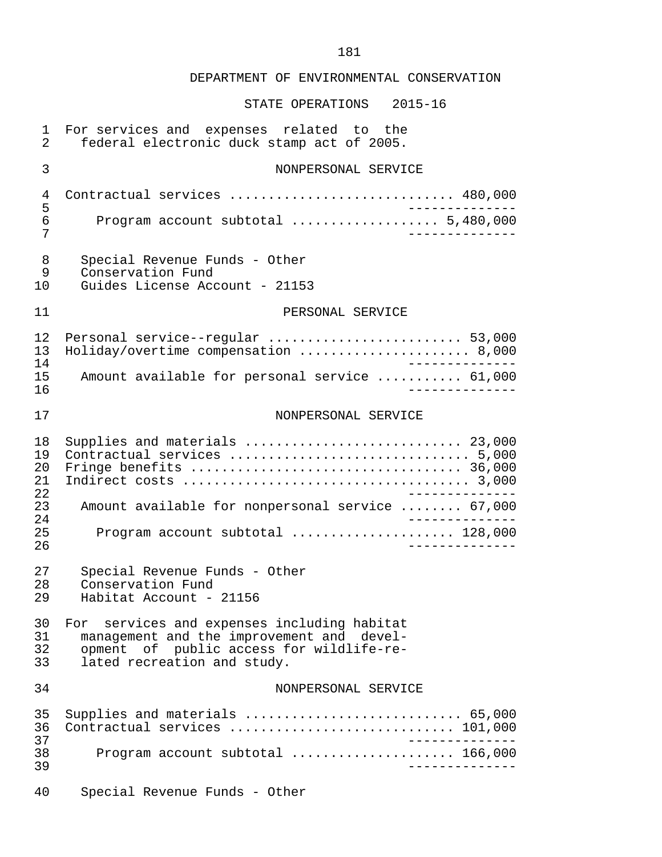## STATE OPERATIONS 2015-16

| $\mathbf{1}$<br>2          | For services and expenses related to the<br>federal electronic duck stamp act of 2005.                                                                              |
|----------------------------|---------------------------------------------------------------------------------------------------------------------------------------------------------------------|
| 3                          | NONPERSONAL SERVICE                                                                                                                                                 |
| 4<br>5<br>6<br>7           | Contractual services  480,000<br>Program account subtotal  5,480,000                                                                                                |
| 8<br>9<br>10               | Special Revenue Funds - Other<br>Conservation Fund<br>Guides License Account - 21153                                                                                |
| 11                         | PERSONAL SERVICE                                                                                                                                                    |
| 12<br>13<br>14<br>15<br>16 | Personal service--regular  53,000<br>Holiday/overtime compensation  8,000<br>$\frac{1}{2}$<br>Amount available for personal service  61,000<br>--------             |
| 17                         | NONPERSONAL SERVICE                                                                                                                                                 |
| 18<br>19<br>20<br>21       | Supplies and materials  23,000<br>Fringe benefits  36,000<br>$\frac{1}{2}$                                                                                          |
| 22<br>23<br>24<br>25<br>26 | Amount available for nonpersonal service  67,000<br>Program account subtotal  128,000<br>$- - - - - - - -$                                                          |
| 27<br>28<br>29             | Special Revenue Funds - Other<br>Conservation Fund<br>Habitat Account - 21156                                                                                       |
| 30<br>31<br>32<br>33       | For services and expenses including habitat<br>management and the improvement and devel-<br>opment of public access for wildlife-re-<br>lated recreation and study. |
| 34                         | NONPERSONAL SERVICE                                                                                                                                                 |
| 35<br>36<br>37             | Supplies and materials  65,000<br>Contractual services  101,000                                                                                                     |
| 38<br>39                   | Program account subtotal  166,000                                                                                                                                   |
|                            |                                                                                                                                                                     |

40 Special Revenue Funds - Other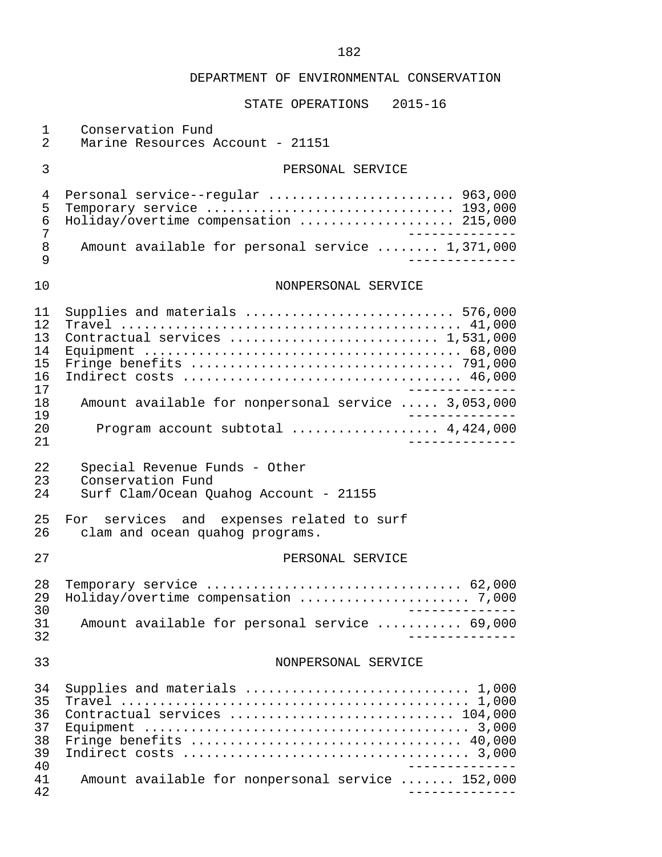| 1<br>$\overline{2}$                          | Conservation Fund<br>Marine Resources Account - 21151                                                                               |
|----------------------------------------------|-------------------------------------------------------------------------------------------------------------------------------------|
| 3                                            | PERSONAL SERVICE                                                                                                                    |
| $\overline{4}$<br>5<br>6<br>7                | Personal service--regular  963,000<br>Temporary service  193,000<br>Holiday/overtime compensation  215,000<br>______________        |
| 8<br>9                                       | Amount available for personal service  1,371,000                                                                                    |
| 10                                           | NONPERSONAL SERVICE                                                                                                                 |
| 11<br>12<br>13<br>14<br>15<br>16<br>17       | Supplies and materials  576,000<br>Contractual services  1,531,000                                                                  |
| 18                                           | Amount available for nonpersonal service  3,053,000                                                                                 |
| 19<br>20<br>21                               | Program account subtotal  4,424,000                                                                                                 |
|                                              |                                                                                                                                     |
| 22<br>23<br>24                               | Special Revenue Funds - Other<br>Conservation Fund<br>Surf Clam/Ocean Quahog Account - 21155                                        |
| 25<br>26                                     | For services and expenses related to surf<br>clam and ocean quahog programs.                                                        |
| 27                                           | PERSONAL SERVICE                                                                                                                    |
| 28<br>29                                     | Temporary service  62,000<br>____________                                                                                           |
| 30<br>31<br>32                               | Amount available for personal service  69,000                                                                                       |
| 33                                           | NONPERSONAL SERVICE                                                                                                                 |
| 34<br>35<br>36<br>37<br>38<br>39<br>40<br>41 | Supplies and materials  1,000<br>Contractual services  104,000<br>____________<br>Amount available for nonpersonal service  152,000 |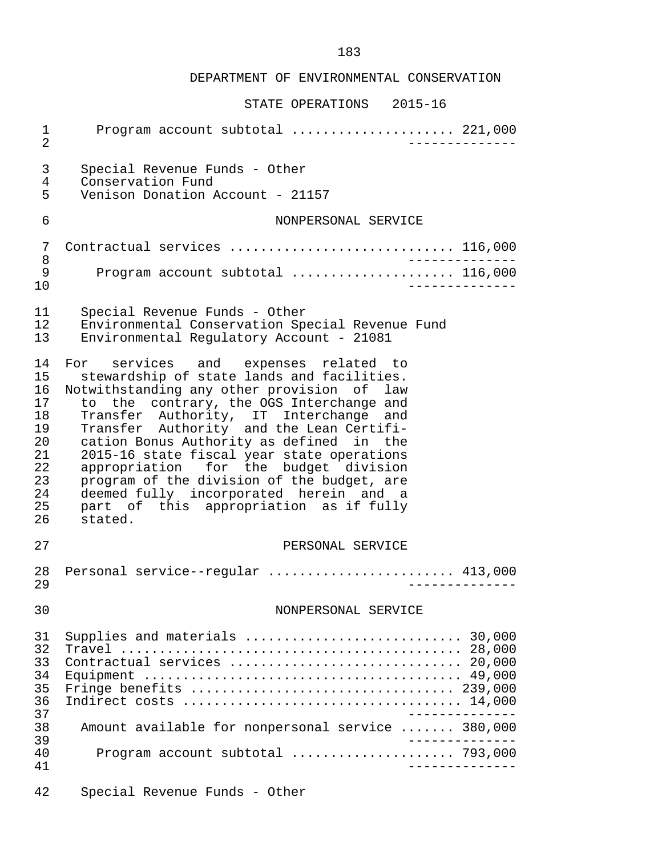| $\mathbf 1$<br>$\overline{2}$                                              | Program account subtotal  221,000                                                                                                                                                                                                                                                                                                                                                                                                                                                                                                                  |
|----------------------------------------------------------------------------|----------------------------------------------------------------------------------------------------------------------------------------------------------------------------------------------------------------------------------------------------------------------------------------------------------------------------------------------------------------------------------------------------------------------------------------------------------------------------------------------------------------------------------------------------|
| 3<br>4<br>5                                                                | Special Revenue Funds - Other<br>Conservation Fund<br>Venison Donation Account - 21157                                                                                                                                                                                                                                                                                                                                                                                                                                                             |
| 6                                                                          | NONPERSONAL SERVICE                                                                                                                                                                                                                                                                                                                                                                                                                                                                                                                                |
| 7<br>8                                                                     | Contractual services  116,000                                                                                                                                                                                                                                                                                                                                                                                                                                                                                                                      |
| 9<br>10                                                                    | Program account subtotal  116,000                                                                                                                                                                                                                                                                                                                                                                                                                                                                                                                  |
| 11<br>12<br>13                                                             | Special Revenue Funds - Other<br>Environmental Conservation Special Revenue Fund<br>Environmental Regulatory Account - 21081                                                                                                                                                                                                                                                                                                                                                                                                                       |
| 14<br>15<br>16<br>17<br>18<br>19<br>20<br>21<br>22<br>23<br>24<br>25<br>26 | For services and expenses related to<br>stewardship of state lands and facilities.<br>Notwithstanding any other provision of law<br>to the contrary, the OGS Interchange and<br>Transfer Authority, IT Interchange and<br>Transfer Authority and the Lean Certifi-<br>cation Bonus Authority as defined in the<br>2015-16 state fiscal year state operations<br>appropriation for the budget division<br>program of the division of the budget, are<br>deemed fully incorporated herein and a<br>part of this appropriation as if fully<br>stated. |
| 27                                                                         | PERSONAL SERVICE                                                                                                                                                                                                                                                                                                                                                                                                                                                                                                                                   |
| 28<br>29                                                                   | Personal service--regular  413,000                                                                                                                                                                                                                                                                                                                                                                                                                                                                                                                 |
| 30                                                                         | NONPERSONAL SERVICE                                                                                                                                                                                                                                                                                                                                                                                                                                                                                                                                |
| 31<br>32<br>33<br>34<br>35<br>36<br>37<br>38<br>39<br>40<br>41             | Supplies and materials  30,000<br>Contractual services  20,000<br>Fringe benefits $\ldots \ldots \ldots \ldots \ldots \ldots \ldots \ldots \ldots \ldots$ 239,000<br>Amount available for nonpersonal service  380,000<br>$\frac{1}{2}$<br>Program account subtotal  793,000<br>___________                                                                                                                                                                                                                                                        |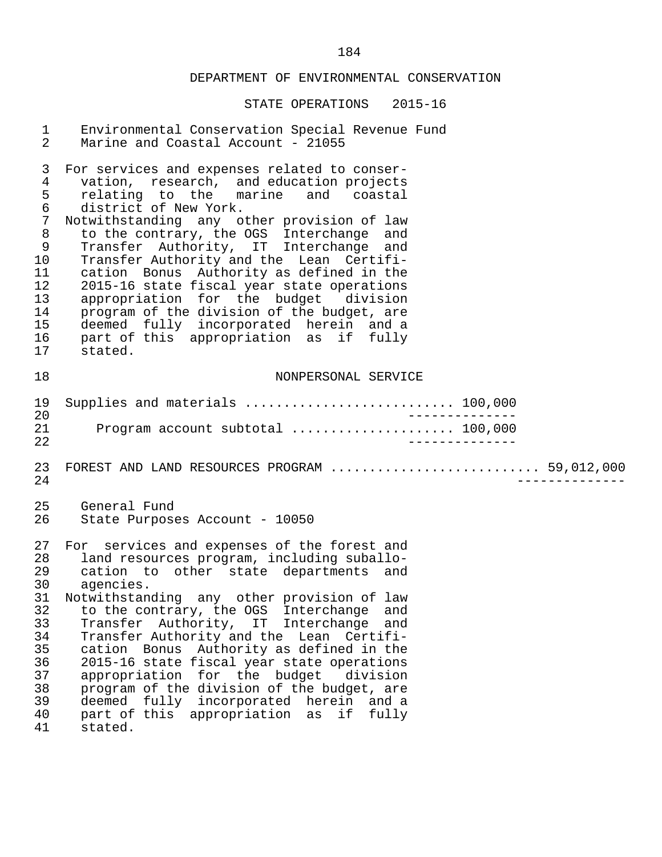| $\mathbf 1$<br>$\overline{a}$                                                                                           | Environmental Conservation Special Revenue Fund<br>Marine and Coastal Account - 21055                                                                                                                                                                                                                                                                                                                                                                                                                                                                                                                                          |
|-------------------------------------------------------------------------------------------------------------------------|--------------------------------------------------------------------------------------------------------------------------------------------------------------------------------------------------------------------------------------------------------------------------------------------------------------------------------------------------------------------------------------------------------------------------------------------------------------------------------------------------------------------------------------------------------------------------------------------------------------------------------|
| 3<br>$\overline{4}$<br>5<br>$\epsilon$<br>$\overline{7}$<br>$\, 8$<br>9<br>10<br>11<br>12<br>13<br>14<br>15<br>16<br>17 | For services and expenses related to conser-<br>vation, research, and education projects<br>relating to the marine and coastal<br>district of New York.<br>Notwithstanding any other provision of law<br>to the contrary, the OGS Interchange and<br>Transfer Authority, IT Interchange and<br>Transfer Authority and the Lean Certifi-<br>cation Bonus Authority as defined in the<br>2015-16 state fiscal year state operations<br>appropriation for the budget division<br>program of the division of the budget, are<br>deemed fully incorporated herein and a<br>part of this appropriation as if fully<br>stated.        |
| 18                                                                                                                      | NONPERSONAL SERVICE                                                                                                                                                                                                                                                                                                                                                                                                                                                                                                                                                                                                            |
| 19<br>20<br>21<br>22                                                                                                    | Supplies and materials  100,000<br>Program account subtotal  100,000                                                                                                                                                                                                                                                                                                                                                                                                                                                                                                                                                           |
| 23<br>24                                                                                                                | FOREST AND LAND RESOURCES PROGRAM  59,012,000                                                                                                                                                                                                                                                                                                                                                                                                                                                                                                                                                                                  |
| 25<br>26                                                                                                                | General Fund<br>State Purposes Account - 10050                                                                                                                                                                                                                                                                                                                                                                                                                                                                                                                                                                                 |
| 27<br>28<br>29<br>30<br>32<br>33<br>34<br>35<br>36<br>37<br>38<br>39<br>40<br>41                                        | For services and expenses of the forest and<br>land resources program, including suballo-<br>cation to other state departments and<br>agencies.<br>31 Notwithstanding any other provision of law<br>to the contrary, the OGS Interchange<br>and<br>Transfer Authority, IT Interchange<br>and<br>Transfer Authority and the Lean Certifi-<br>cation Bonus Authority as defined in the<br>2015-16 state fiscal year state operations<br>appropriation for the budget division<br>program of the division of the budget, are<br>deemed fully incorporated herein and a<br>part of this appropriation as<br>fully<br>if<br>stated. |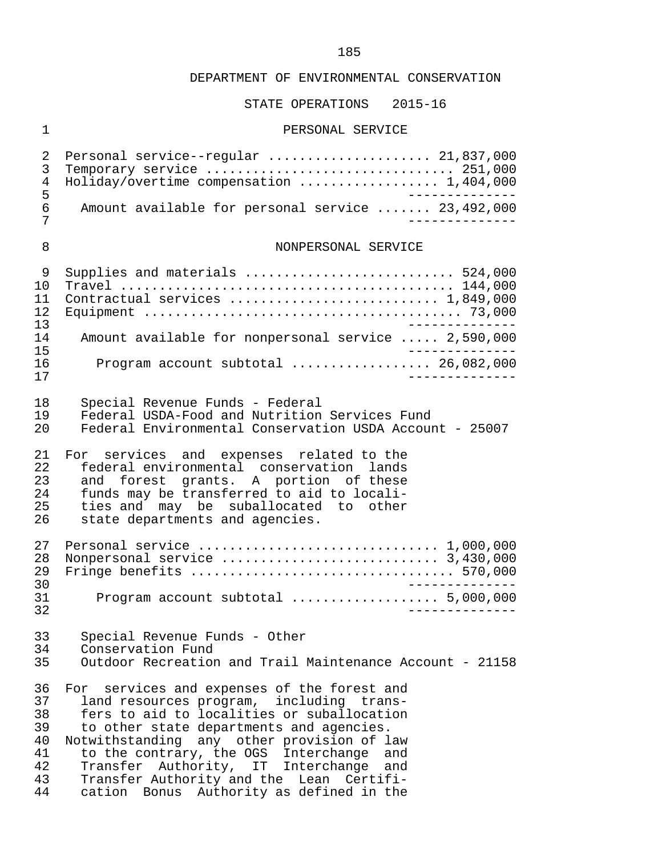## STATE OPERATIONS 2015-16

## 1 PERSONAL SERVICE

| 2<br>3<br>4<br>5<br>6<br>7                         | Personal service--regular  21,837,000<br>Temporary service  251,000<br>Holiday/overtime compensation  1,404,000<br>Amount available for personal service  23,492,000                                                                                                                                                                                                                                             |
|----------------------------------------------------|------------------------------------------------------------------------------------------------------------------------------------------------------------------------------------------------------------------------------------------------------------------------------------------------------------------------------------------------------------------------------------------------------------------|
| 8                                                  | NONPERSONAL SERVICE                                                                                                                                                                                                                                                                                                                                                                                              |
| 9<br>10<br>11<br>12<br>13                          | Supplies and materials  524,000<br>Contractual services  1,849,000                                                                                                                                                                                                                                                                                                                                               |
| 14                                                 | Amount available for nonpersonal service  2,590,000                                                                                                                                                                                                                                                                                                                                                              |
| 15<br>16<br>17                                     | Program account subtotal $\ldots$ 26,082,000                                                                                                                                                                                                                                                                                                                                                                     |
| 18<br>19<br>20                                     | Special Revenue Funds - Federal<br>Federal USDA-Food and Nutrition Services Fund<br>Federal Environmental Conservation USDA Account - 25007                                                                                                                                                                                                                                                                      |
| 21<br>22<br>23<br>24<br>25<br>26                   | For services and expenses related to the<br>federal environmental conservation lands<br>and forest grants. A portion of these<br>funds may be transferred to aid to locali-<br>ties and may be suballocated to other<br>state departments and agencies.                                                                                                                                                          |
| 27<br>28<br>29<br>30                               | Personal service $\ldots \ldots \ldots \ldots \ldots \ldots \ldots \ldots \ldots 1,000,000$<br>Fringe benefits  570,000                                                                                                                                                                                                                                                                                          |
| 31<br>32                                           | Program account subtotal  5,000,000                                                                                                                                                                                                                                                                                                                                                                              |
| 33<br>34<br>35                                     | Special Revenue Funds - Other<br>Conservation Fund<br>Outdoor Recreation and Trail Maintenance Account - 21158                                                                                                                                                                                                                                                                                                   |
| 36<br>37<br>38<br>39<br>40<br>41<br>42<br>43<br>44 | For services and expenses of the forest and<br>land resources program, including trans-<br>fers to aid to localities or suballocation<br>to other state departments and agencies.<br>Notwithstanding any other provision of law<br>to the contrary, the OGS Interchange<br>and<br>Transfer Authority, IT Interchange and<br>Transfer Authority and the Lean Certifi-<br>cation Bonus Authority as defined in the |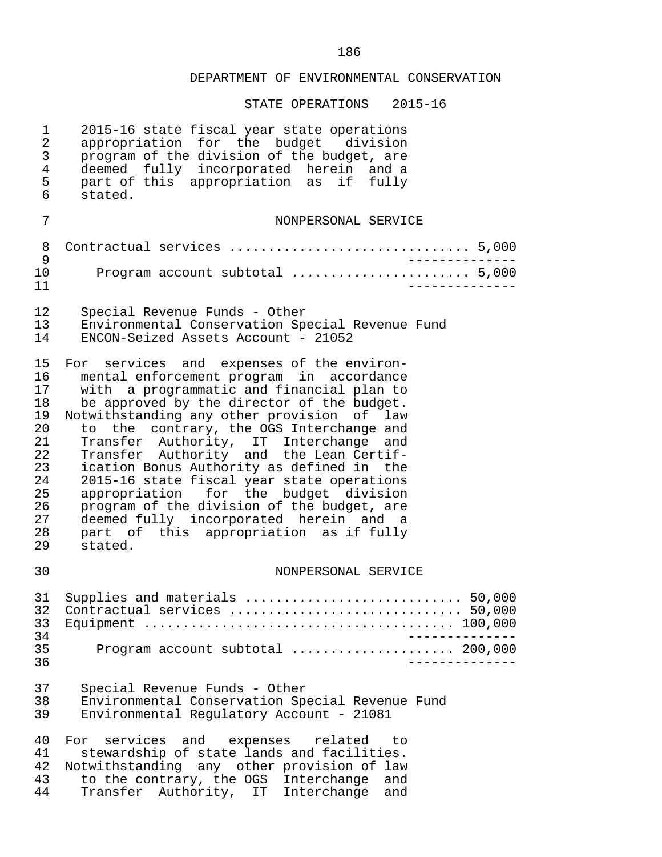| $\mathbf 1$<br>$\overline{a}$<br>$\mathsf 3$<br>$\overline{4}$<br>5<br>6               | 2015-16 state fiscal year state operations<br>appropriation for the budget division<br>program of the division of the budget, are<br>deemed fully incorporated herein and a<br>part of this appropriation as if fully<br>stated.                                                                                                                                                                                                                                                                                                                                                                                                                    |
|----------------------------------------------------------------------------------------|-----------------------------------------------------------------------------------------------------------------------------------------------------------------------------------------------------------------------------------------------------------------------------------------------------------------------------------------------------------------------------------------------------------------------------------------------------------------------------------------------------------------------------------------------------------------------------------------------------------------------------------------------------|
| 7                                                                                      | NONPERSONAL SERVICE                                                                                                                                                                                                                                                                                                                                                                                                                                                                                                                                                                                                                                 |
| 8<br>9                                                                                 | Contractual services  5,000                                                                                                                                                                                                                                                                                                                                                                                                                                                                                                                                                                                                                         |
| 10<br>11                                                                               | Program account subtotal  5,000                                                                                                                                                                                                                                                                                                                                                                                                                                                                                                                                                                                                                     |
| 12<br>13<br>14                                                                         | Special Revenue Funds - Other<br>Environmental Conservation Special Revenue Fund<br>ENCON-Seized Assets Account - 21052                                                                                                                                                                                                                                                                                                                                                                                                                                                                                                                             |
| 15<br>16<br>17<br>18<br>19<br>20<br>21<br>22<br>23<br>24<br>25<br>26<br>27<br>28<br>29 | For services and expenses of the environ-<br>mental enforcement program in accordance<br>with a programmatic and financial plan to<br>be approved by the director of the budget.<br>Notwithstanding any other provision of law<br>to the contrary, the OGS Interchange and<br>Transfer Authority, IT Interchange<br>and<br>Transfer Authority and the Lean Certif-<br>ication Bonus Authority as defined in the<br>2015-16 state fiscal year state operations<br>appropriation for the budget division<br>program of the division of the budget, are<br>deemed fully incorporated herein and a<br>part of this appropriation as if fully<br>stated. |
| 30                                                                                     | NONPERSONAL SERVICE                                                                                                                                                                                                                                                                                                                                                                                                                                                                                                                                                                                                                                 |
| 31<br>32<br>33<br>34<br>35<br>36                                                       | Supplies and materials  50,000<br>Contractual services  50,000<br>Program account subtotal  200,000                                                                                                                                                                                                                                                                                                                                                                                                                                                                                                                                                 |
| 37<br>38<br>39                                                                         | Special Revenue Funds - Other<br>Environmental Conservation Special Revenue Fund<br>Environmental Regulatory Account - 21081                                                                                                                                                                                                                                                                                                                                                                                                                                                                                                                        |
| 40<br>41<br>42<br>43<br>44                                                             | For services and<br>expenses related<br>to<br>stewardship of state lands and facilities.<br>Notwithstanding any other provision of law<br>to the contrary, the OGS Interchange<br>and<br>Transfer Authority, IT Interchange<br>and                                                                                                                                                                                                                                                                                                                                                                                                                  |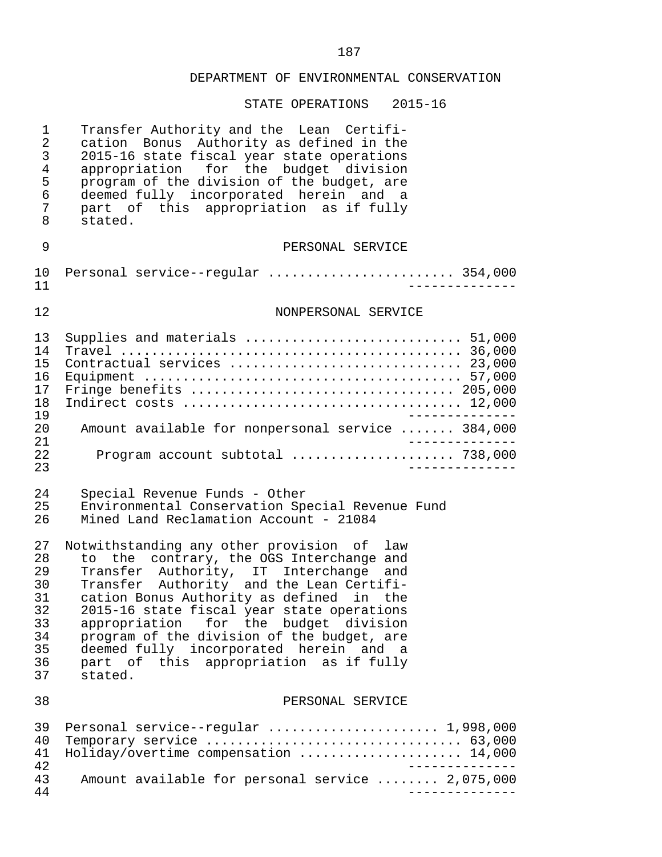| $\mathbf 1$<br>$\overline{2}$<br>$\mathfrak{Z}$<br>$\overline{4}$<br>5<br>6<br>7<br>8 | Transfer Authority and the Lean Certifi-<br>cation Bonus Authority as defined in the<br>2015-16 state fiscal year state operations<br>appropriation for the budget division<br>program of the division of the budget, are<br>deemed fully incorporated herein and a<br>part of this appropriation as if fully<br>stated.                                                                                                                                        |
|---------------------------------------------------------------------------------------|-----------------------------------------------------------------------------------------------------------------------------------------------------------------------------------------------------------------------------------------------------------------------------------------------------------------------------------------------------------------------------------------------------------------------------------------------------------------|
| 9                                                                                     | PERSONAL SERVICE                                                                                                                                                                                                                                                                                                                                                                                                                                                |
| 10<br>11                                                                              | Personal service--regular  354,000                                                                                                                                                                                                                                                                                                                                                                                                                              |
| 12                                                                                    | NONPERSONAL SERVICE                                                                                                                                                                                                                                                                                                                                                                                                                                             |
| 13<br>14<br>15<br>16<br>17<br>18<br>19                                                | Supplies and materials  51,000<br>Contractual services  23,000<br>Fringe benefits  205,000                                                                                                                                                                                                                                                                                                                                                                      |
| 20<br>21                                                                              | Amount available for nonpersonal service  384,000<br>______________                                                                                                                                                                                                                                                                                                                                                                                             |
| 22<br>23                                                                              | Program account subtotal  738,000<br>______________                                                                                                                                                                                                                                                                                                                                                                                                             |
| 24<br>25<br>26                                                                        | Special Revenue Funds - Other<br>Environmental Conservation Special Revenue Fund<br>Mined Land Reclamation Account - 21084                                                                                                                                                                                                                                                                                                                                      |
| 27<br>28<br>29<br>30<br>31<br>32<br>33<br>34<br>35<br>36<br>37                        | Notwithstanding any other provision of<br>law<br>to the contrary, the OGS Interchange and<br>Transfer Authority, IT Interchange and<br>Transfer Authority and the Lean Certifi-<br>cation Bonus Authority as defined in the<br>2015-16 state fiscal year state operations<br>appropriation for the budget division<br>program of the division of the budget, are<br>deemed fully incorporated herein and a<br>part of this appropriation as if fully<br>stated. |
| 38                                                                                    | PERSONAL SERVICE                                                                                                                                                                                                                                                                                                                                                                                                                                                |
| 39<br>40<br>41                                                                        | Temporary service $\ldots \ldots \ldots \ldots \ldots \ldots \ldots \ldots \ldots \ldots$ 63,000<br>Holiday/overtime compensation  14,000<br>$- - - - - - - - - - - -$                                                                                                                                                                                                                                                                                          |
| 42<br>43<br>44                                                                        | Amount available for personal service  2,075,000                                                                                                                                                                                                                                                                                                                                                                                                                |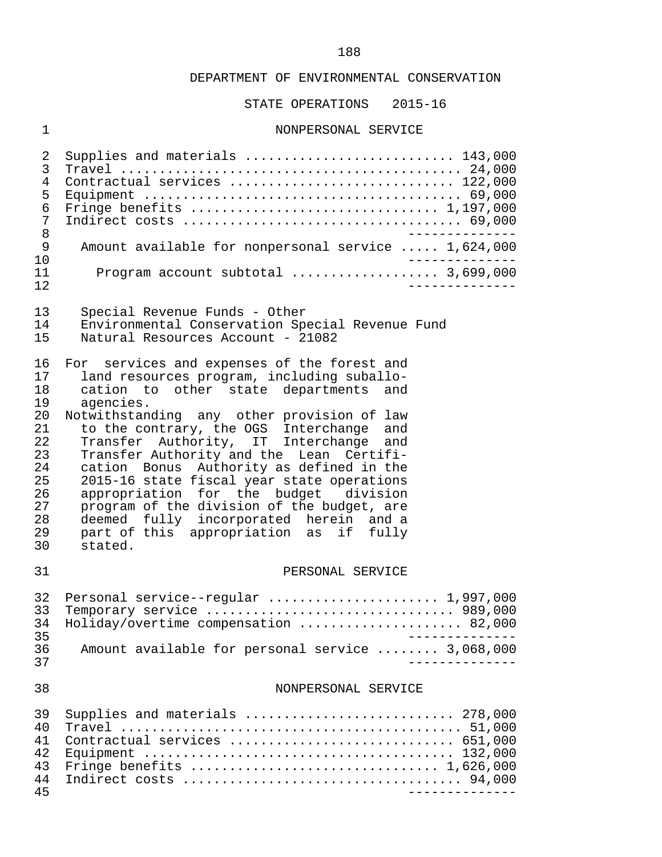STATE OPERATIONS 2015-16

## 1 NONPERSONAL SERVICE

| 2<br>3<br>4<br>5<br>6<br>7<br>8<br>9<br>10<br>11<br>12                                 | Supplies and materials  143,000<br>Contractual services  122,000<br>Amount available for nonpersonal service  1,624,000<br>Program account subtotal  3,699,000                                                                                                                                                                                                                                                                                                                                                                                                                                                     |
|----------------------------------------------------------------------------------------|--------------------------------------------------------------------------------------------------------------------------------------------------------------------------------------------------------------------------------------------------------------------------------------------------------------------------------------------------------------------------------------------------------------------------------------------------------------------------------------------------------------------------------------------------------------------------------------------------------------------|
| 13<br>14<br>15                                                                         | Special Revenue Funds - Other<br>Environmental Conservation Special Revenue Fund<br>Natural Resources Account - 21082                                                                                                                                                                                                                                                                                                                                                                                                                                                                                              |
| 16<br>17<br>18<br>19<br>20<br>21<br>22<br>23<br>24<br>25<br>26<br>27<br>28<br>29<br>30 | For services and expenses of the forest and<br>land resources program, including suballo-<br>other state departments and<br>cation to<br>agencies.<br>Notwithstanding any other provision of law<br>to the contrary, the OGS Interchange and<br>Transfer Authority, IT Interchange and<br>Transfer Authority and the Lean Certifi-<br>cation Bonus Authority as defined in the<br>2015-16 state fiscal year state operations<br>appropriation for the budget division<br>program of the division of the budget, are<br>deemed fully incorporated herein and a<br>part of this appropriation as if fully<br>stated. |
| 31                                                                                     | PERSONAL SERVICE                                                                                                                                                                                                                                                                                                                                                                                                                                                                                                                                                                                                   |
| 32<br>33<br>34<br>35<br>36                                                             | Personal service--regular  1,997,000<br>Temporary service  989,000<br>Holiday/overtime compensation  82,000<br>Amount available for personal service  3,068,000                                                                                                                                                                                                                                                                                                                                                                                                                                                    |
| 37<br>38                                                                               | NONPERSONAL SERVICE                                                                                                                                                                                                                                                                                                                                                                                                                                                                                                                                                                                                |
|                                                                                        |                                                                                                                                                                                                                                                                                                                                                                                                                                                                                                                                                                                                                    |
| 39<br>40<br>41<br>42<br>43<br>44<br>45                                                 | Supplies and materials  278,000<br>Contractual services  651,000<br>Fringe benefits $\ldots \ldots \ldots \ldots \ldots \ldots \ldots \ldots \ldots \ldots \ldots 1,626,000$                                                                                                                                                                                                                                                                                                                                                                                                                                       |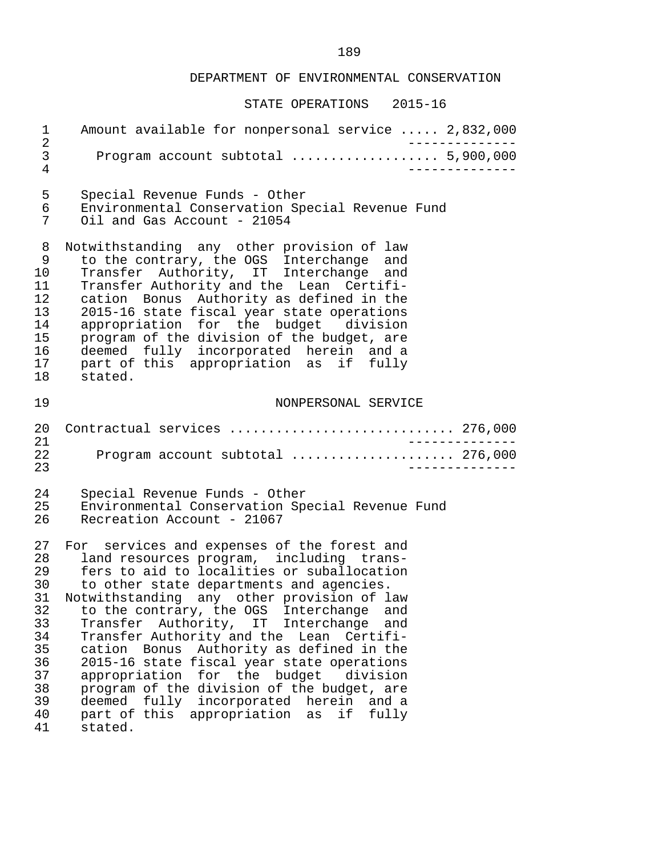| $\mathbf{1}$<br>$\overline{2}$                                                         | Amount available for nonpersonal service  2,832,000                                                                                                                                                                                                                                                                                                                                                                                                                                                                                                                                                                                                           |
|----------------------------------------------------------------------------------------|---------------------------------------------------------------------------------------------------------------------------------------------------------------------------------------------------------------------------------------------------------------------------------------------------------------------------------------------------------------------------------------------------------------------------------------------------------------------------------------------------------------------------------------------------------------------------------------------------------------------------------------------------------------|
| 3<br>4                                                                                 | Program account subtotal  5,900,000                                                                                                                                                                                                                                                                                                                                                                                                                                                                                                                                                                                                                           |
| 5                                                                                      | Special Revenue Funds - Other                                                                                                                                                                                                                                                                                                                                                                                                                                                                                                                                                                                                                                 |
| 6                                                                                      | Environmental Conservation Special Revenue Fund                                                                                                                                                                                                                                                                                                                                                                                                                                                                                                                                                                                                               |
| 7                                                                                      | Oil and Gas Account - 21054                                                                                                                                                                                                                                                                                                                                                                                                                                                                                                                                                                                                                                   |
| 8                                                                                      | Notwithstanding any other provision of law                                                                                                                                                                                                                                                                                                                                                                                                                                                                                                                                                                                                                    |
| 9                                                                                      | to the contrary, the OGS Interchange and                                                                                                                                                                                                                                                                                                                                                                                                                                                                                                                                                                                                                      |
| 10                                                                                     | Transfer Authority, IT Interchange and                                                                                                                                                                                                                                                                                                                                                                                                                                                                                                                                                                                                                        |
| 11                                                                                     | Transfer Authority and the Lean Certifi-                                                                                                                                                                                                                                                                                                                                                                                                                                                                                                                                                                                                                      |
| 12                                                                                     | cation Bonus Authority as defined in the                                                                                                                                                                                                                                                                                                                                                                                                                                                                                                                                                                                                                      |
| 13                                                                                     | 2015-16 state fiscal year state operations                                                                                                                                                                                                                                                                                                                                                                                                                                                                                                                                                                                                                    |
| 14                                                                                     | appropriation for the budget division                                                                                                                                                                                                                                                                                                                                                                                                                                                                                                                                                                                                                         |
| 15                                                                                     | program of the division of the budget, are                                                                                                                                                                                                                                                                                                                                                                                                                                                                                                                                                                                                                    |
| 16                                                                                     | deemed fully incorporated herein and a                                                                                                                                                                                                                                                                                                                                                                                                                                                                                                                                                                                                                        |
| 17                                                                                     | part of this appropriation as if fully                                                                                                                                                                                                                                                                                                                                                                                                                                                                                                                                                                                                                        |
| 18                                                                                     | stated.                                                                                                                                                                                                                                                                                                                                                                                                                                                                                                                                                                                                                                                       |
| 19                                                                                     | NONPERSONAL SERVICE                                                                                                                                                                                                                                                                                                                                                                                                                                                                                                                                                                                                                                           |
| 20                                                                                     | Contractual services  276,000                                                                                                                                                                                                                                                                                                                                                                                                                                                                                                                                                                                                                                 |
| 21                                                                                     | ___________                                                                                                                                                                                                                                                                                                                                                                                                                                                                                                                                                                                                                                                   |
| 22                                                                                     | Program account subtotal  276,000                                                                                                                                                                                                                                                                                                                                                                                                                                                                                                                                                                                                                             |
| 23                                                                                     | ___________                                                                                                                                                                                                                                                                                                                                                                                                                                                                                                                                                                                                                                                   |
| 24                                                                                     | Special Revenue Funds - Other                                                                                                                                                                                                                                                                                                                                                                                                                                                                                                                                                                                                                                 |
| 25                                                                                     | Environmental Conservation Special Revenue Fund                                                                                                                                                                                                                                                                                                                                                                                                                                                                                                                                                                                                               |
| 26                                                                                     | Recreation Account - 21067                                                                                                                                                                                                                                                                                                                                                                                                                                                                                                                                                                                                                                    |
| 27<br>28<br>29<br>30<br>31<br>32<br>33<br>34<br>35<br>36<br>37<br>38<br>39<br>40<br>41 | For services and expenses of the forest and<br>land resources program, including trans-<br>fers to aid to localities or suballocation<br>to other state departments and agencies.<br>Notwithstanding any other provision of law<br>to the contrary, the OGS Interchange<br>and<br>Transfer Authority, IT Interchange<br>and<br>Transfer Authority and the Lean Certifi-<br>cation Bonus Authority as defined in the<br>2015-16 state fiscal year state operations<br>appropriation for the budget division<br>program of the division of the budget, are<br>deemed fully incorporated herein and a<br>part of this appropriation as<br>if<br>fully<br>stated. |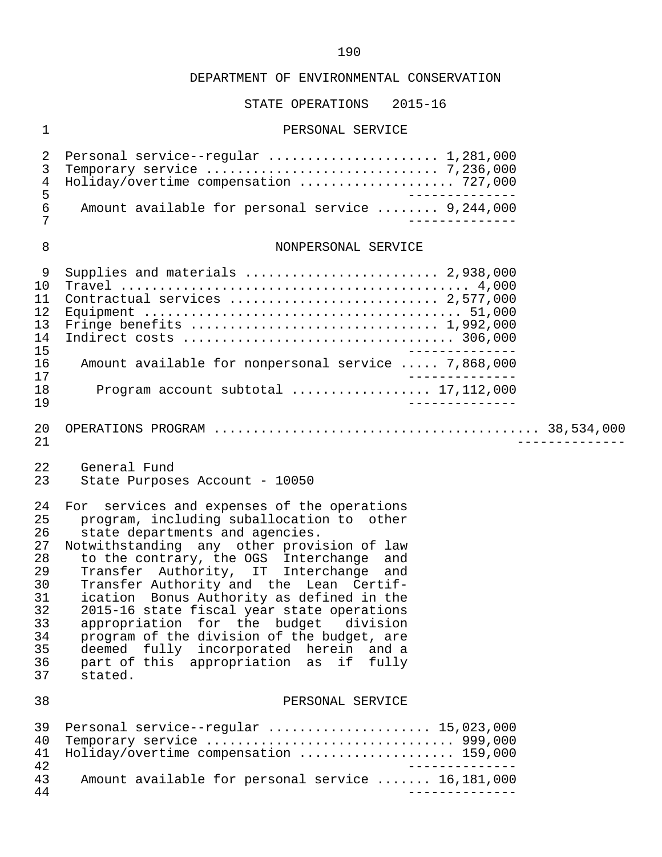### STATE OPERATIONS 2015-16

#### 1 PERSONAL SERVICE

| 2<br>3<br>4<br>5                        | Personal service--regular  1,281,000<br>Holiday/overtime compensation  727,000                                                  |
|-----------------------------------------|---------------------------------------------------------------------------------------------------------------------------------|
| $\epsilon$<br>7                         | Amount available for personal service  9,244,000                                                                                |
| 8                                       | NONPERSONAL SERVICE                                                                                                             |
| 9<br>1 O<br>11<br>12.<br>13<br>14<br>15 | Supplies and materials  2,938,000<br>Contractual services  2,577,000                                                            |
| 16<br>17<br>1 R<br>19                   | Amount available for nonpersonal service  7,868,000<br>Program account subtotal $\ldots \ldots \ldots \ldots \ldots 17,112,000$ |

- 20 OPERATIONS PROGRAM .......................................... 38,534,000 21 --------------
	- 22 General Fund<br>23 State Purpose
	- State Purposes Account 10050
	- 24 For services and expenses of the operations<br>25 program, including suballocation to other 25 program, including suballocation to other<br>26 state departments and agencies. state departments and agencies.
- 27 Notwithstanding any other provision of law<br>28 to the contrary, the OGS Interchange and 28 to the contrary, the OGS Interchange and 29 Transfer Authority, IT Interchange and 30 Transfer Authority and the Lean Certif-<br>31 ication Bonus Authority as defined in the 31 ication Bonus Authority as defined in the<br>32 2015-16 state fiscal year state operations 32 2015-16 state fiscal year state operations<br>33 appropriation for the budget division 33 appropriation for the budget division<br>34 program of the division of the budget, are 34 program of the division of the budget, are<br>35 deemed fully incorporated herein and a 35 deemed fully incorporated herein and a 36 part of this appropriation as if fully 37 stated.

#### 38 PERSONAL SERVICE

|    | 39 Personal service--regular  15,023,000          |
|----|---------------------------------------------------|
|    | 40 Temporary service  999,000                     |
|    | 41 Holiday/overtime compensation  159,000         |
| 42 |                                                   |
| 43 | Amount available for personal service  16,181,000 |
| 44 |                                                   |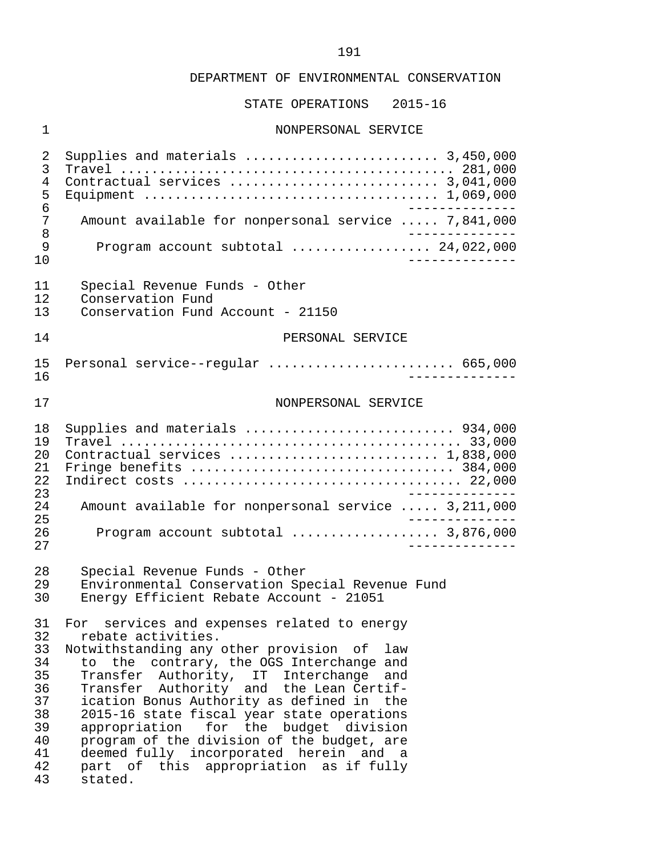STATE OPERATIONS 2015-16

#### 1 NONPERSONAL SERVICE

 2 Supplies and materials ......................... 3,450,000 3 Travel ........................................... 281,000 4 Contractual services ........................... 3,041,000 5 Equipment ...................................... 1,069,000 6 -------------<br>7 Amount available for nonpersonal service ..... 7.841.000 7 Amount available for nonpersonal service ..... 7,841,000<br>8 8<br>8 Program account subtotal<br>9 Program account subtotal 9 Program account subtotal .................... 24,022,000<br>10 10 -------------- 11 Special Revenue Funds - Other<br>12 Conservation Fund 12 Conservation Fund<br>13 Conservation Fund Conservation Fund Account - 21150 14 PERSONAL SERVICE 15 Personal service--regular ........................ 665,000 16 -------------- 17 NONPERSONAL SERVICE 18 Supplies and materials ........................... 934,000 19 Travel ............................................ 33,000 20 Contractual services ........................... 1,838,000 21 Fringe benefits .................................. 384,000 22 Indirect costs .................................... 22,000 23 -------------- 24 Amount available for nonpersonal service ..... 3,211,000 25 -------------- 26 Program account subtotal ................... 3,876,000 27 -------------- 28 Special Revenue Funds - Other<br>29 Environmental Conservation Spe 29 Environmental Conservation Special Revenue Fund<br>30 Energy Efficient Rebate Account - 21051 Energy Efficient Rebate Account - 21051 31 For services and expenses related to energy<br>32 rebate activities. 32 rebate activities.<br>33 Notwithstanding any 33 Notwithstanding any other provision of law<br>34 to the contrary, the OGS Interchange and 34 to the contrary, the OGS Interchange and<br>35 Transfer Authority, IT Interchange and Transfer Authority, IT Interchange and 36 Transfer Authority and the Lean Certif-<br>37 ication Bonus Authority as defined in the 37 ication Bonus Authority as defined in the<br>38 2015-16 state fiscal vear state operations 38 2015-16 state fiscal year state operations<br>39 appropriation for the budget division 39 appropriation for the budget division<br>40 program of the division of the budget, are 40 program of the division of the budget, are<br>41 deemed fully incorporated herein and a 41 deemed fully incorporated herein and a<br>42 part of this appropriation as if fully 42 part of this appropriation as if fully stated.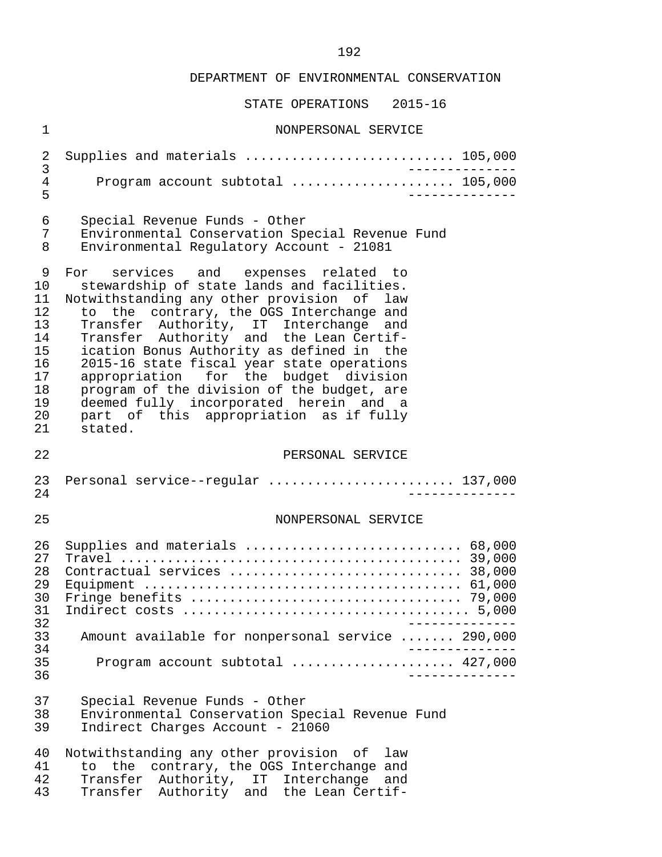|                                        | PIHIE OFEKHIIOND<br>AUID-IO                                    |
|----------------------------------------|----------------------------------------------------------------|
| $\mathbf 1$                            | NONPERSONAL SERVICE                                            |
| 2                                      | Supplies and materials  105,000                                |
| 3                                      | _____________                                                  |
| $\overline{4}$                         | Program account subtotal  105,000                              |
| 5                                      | _____________                                                  |
| 6                                      | Special Revenue Funds - Other                                  |
| 7                                      | Environmental Conservation Special Revenue Fund                |
| 8                                      | Environmental Regulatory Account - 21081                       |
| 9                                      | For services and expenses related to                           |
| 10                                     | stewardship of state lands and facilities.                     |
| 11                                     | Notwithstanding any other provision of law                     |
| 12                                     | to the contrary, the OGS Interchange and                       |
| 13                                     | Transfer Authority, IT Interchange and                         |
| 14                                     | Transfer Authority and the Lean Certif-                        |
| 15                                     | ication Bonus Authority as defined in the                      |
| 16                                     | 2015-16 state fiscal year state operations                     |
| 17                                     | appropriation for the budget division                          |
| 18                                     | program of the division of the budget, are                     |
| 19                                     | deemed fully incorporated herein and a                         |
| 20                                     | part of this appropriation as if fully                         |
| 21                                     | stated.                                                        |
| 22                                     | PERSONAL SERVICE                                               |
| 23                                     | Personal service--regular  137,000                             |
| 24                                     | _____________                                                  |
| 25                                     | NONPERSONAL SERVICE                                            |
| 26<br>27<br>28<br>29<br>30<br>31<br>32 | Supplies and materials  68,000<br>Contractual services  38,000 |
| 33                                     | Amount available for nonpersonal service  290,000              |
| 34                                     | _____________                                                  |
| 35<br>36                               | Program account subtotal  427,000                              |
| 37                                     | Special Revenue Funds - Other                                  |
| 38                                     | Environmental Conservation Special Revenue Fund                |
| 39                                     | Indirect Charges Account - 21060                               |
| 40                                     | Notwithstanding any other provision of law                     |
| 41                                     | to the contrary, the OGS Interchange and                       |
| 42                                     | Transfer Authority, IT Interchange and                         |
| 43                                     | Transfer Authority and the Lean Certif-                        |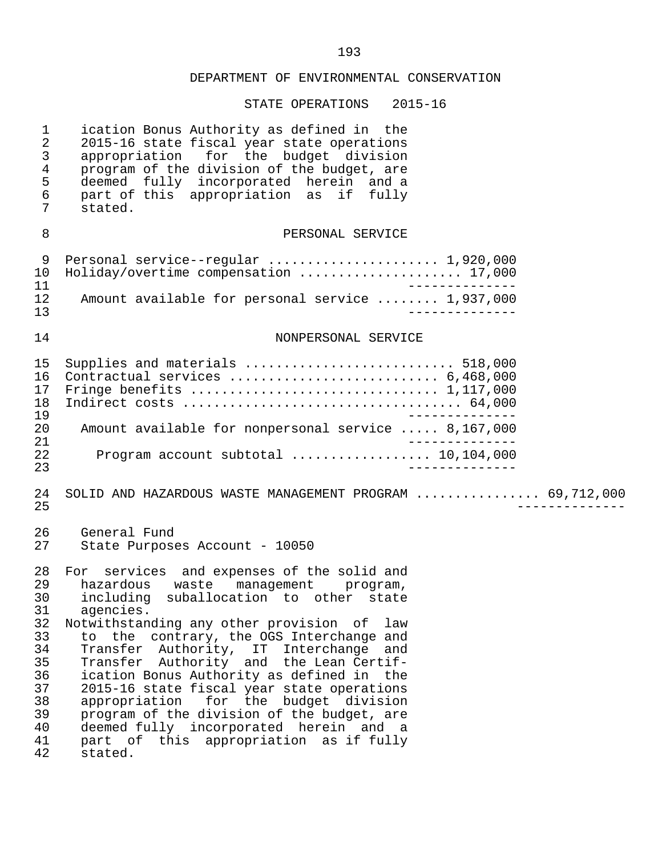| $\mathbf 1$<br>$\overline{a}$<br>$\mathsf{3}$<br>$\overline{4}$<br>5<br>6<br>7         | ication Bonus Authority as defined in the<br>2015-16 state fiscal year state operations<br>appropriation for the budget division<br>program of the division of the budget, are<br>deemed fully incorporated herein and a<br>part of this appropriation as if fully<br>stated.                                                                                                                                                                                                                                                                                                                                     |
|----------------------------------------------------------------------------------------|-------------------------------------------------------------------------------------------------------------------------------------------------------------------------------------------------------------------------------------------------------------------------------------------------------------------------------------------------------------------------------------------------------------------------------------------------------------------------------------------------------------------------------------------------------------------------------------------------------------------|
| 8                                                                                      | PERSONAL SERVICE                                                                                                                                                                                                                                                                                                                                                                                                                                                                                                                                                                                                  |
| 9<br>10<br>11<br>12<br>13                                                              | Personal service--regular  1,920,000<br>Holiday/overtime compensation  17,000<br>_______________<br>Amount available for personal service  1,937,000                                                                                                                                                                                                                                                                                                                                                                                                                                                              |
| 14                                                                                     | NONPERSONAL SERVICE                                                                                                                                                                                                                                                                                                                                                                                                                                                                                                                                                                                               |
| 15<br>16<br>17<br>18<br>19<br>20<br>21<br>22<br>23                                     | Supplies and materials  518,000<br>Contractual services  6,468,000<br>Amount available for nonpersonal service  8,167,000<br>Program account subtotal  10,104,000                                                                                                                                                                                                                                                                                                                                                                                                                                                 |
| 24<br>25                                                                               | SOLID AND HAZARDOUS WASTE MANAGEMENT PROGRAM  69,712,000                                                                                                                                                                                                                                                                                                                                                                                                                                                                                                                                                          |
| 26<br>27                                                                               | General Fund<br>State Purposes Account - 10050                                                                                                                                                                                                                                                                                                                                                                                                                                                                                                                                                                    |
| 28<br>29<br>30<br>31<br>32<br>33<br>34<br>35<br>36<br>37<br>38<br>39<br>40<br>41<br>42 | For services and expenses of the solid and<br>hazardous<br>waste management program,<br>including suballocation to other state<br>agencies.<br>Notwithstanding any other provision of<br>law<br>to the contrary, the OGS Interchange and<br>Transfer Authority, IT Interchange<br>and<br>Transfer Authority and the Lean Certif-<br>ication Bonus Authority as defined in the<br>2015-16 state fiscal year state operations<br>appropriation for the budget division<br>program of the division of the budget, are<br>deemed fully incorporated herein and a<br>part of this appropriation as if fully<br>stated. |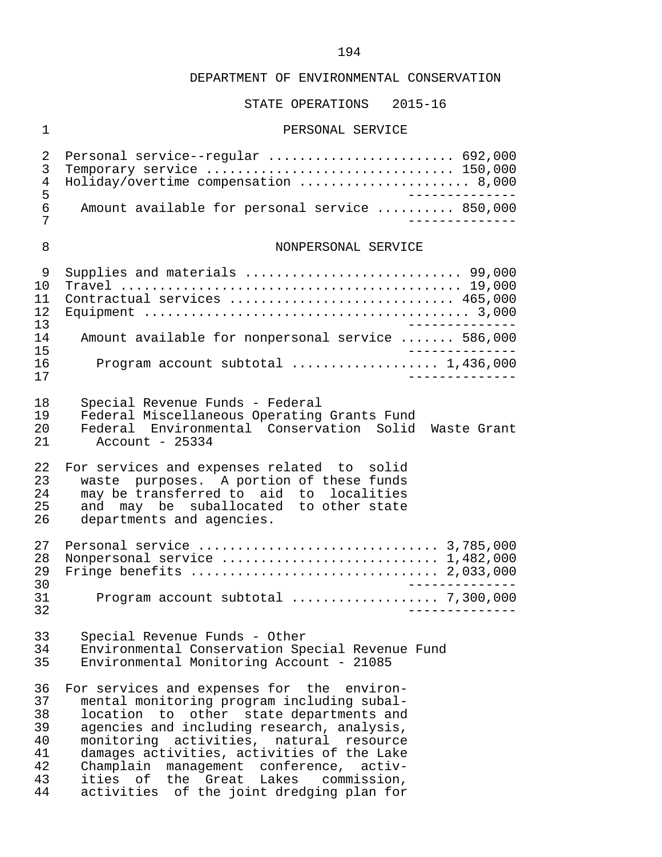## STATE OPERATIONS 2015-16

### 1 PERSONAL SERVICE

| 2<br>3<br>4<br>5                             | Personal service--regular  692,000<br>Temporary service  150,000<br>Holiday/overtime compensation  8,000<br>$- - - - - - - - - - - -$                                                                                                                                                                                                                                  |
|----------------------------------------------|------------------------------------------------------------------------------------------------------------------------------------------------------------------------------------------------------------------------------------------------------------------------------------------------------------------------------------------------------------------------|
| 6<br>7                                       | Amount available for personal service  850,000<br>_____________                                                                                                                                                                                                                                                                                                        |
| 8                                            | NONPERSONAL SERVICE                                                                                                                                                                                                                                                                                                                                                    |
| 9<br>10<br>11<br>12<br>13                    | Supplies and materials  99,000<br>Contractual services  465,000                                                                                                                                                                                                                                                                                                        |
| 14<br>15                                     | Amount available for nonpersonal service  586,000                                                                                                                                                                                                                                                                                                                      |
| 16<br>17                                     | Program account subtotal  1,436,000<br>_______________                                                                                                                                                                                                                                                                                                                 |
| 18<br>19<br>20<br>21                         | Special Revenue Funds - Federal<br>Federal Miscellaneous Operating Grants Fund<br>Federal Environmental Conservation Solid Waste Grant<br>Account - $25334$                                                                                                                                                                                                            |
| 22<br>23<br>24<br>25<br>26                   | For services and expenses related to solid<br>waste purposes. A portion of these funds<br>may be transferred to aid to localities<br>may be suballocated to other state<br>and<br>departments and agencies.                                                                                                                                                            |
| 27<br>28<br>29<br>30<br>31<br>32             | Nonpersonal service  1,482,000<br>Fringe benefits  2,033,000                                                                                                                                                                                                                                                                                                           |
| 33<br>34<br>35                               | Special Revenue Funds - Other<br>Environmental Conservation Special Revenue Fund<br>Environmental Monitoring Account - 21085                                                                                                                                                                                                                                           |
| 36<br>37<br>38<br>39<br>40<br>41<br>42<br>43 | For services and expenses for the environ-<br>mental monitoring program including subal-<br>location to other state departments and<br>agencies and including research, analysis,<br>monitoring activities, natural<br>resource<br>damages activities, activities of the Lake<br>Champlain management conference, activ-<br>the Great Lakes<br>ities of<br>commission, |

44 activities of the joint dredging plan for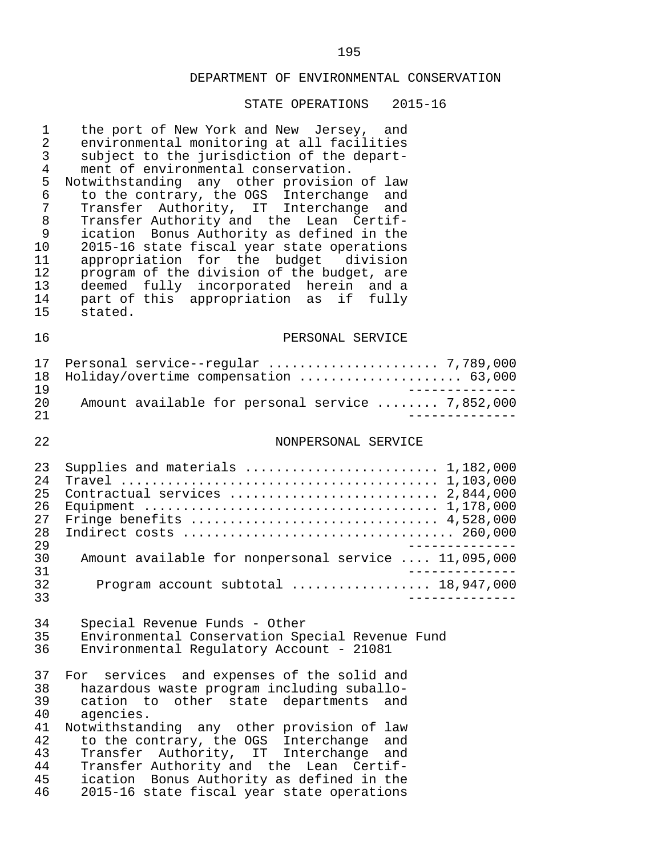| 1<br>$\overline{2}$<br>$\mathfrak{Z}$<br>$\overline{4}$<br>5<br>6<br>7<br>$\, 8$<br>$\mathsf 9$<br>10<br>11<br>12<br>13<br>14<br>15 | the port of New York and New Jersey, and<br>environmental monitoring at all facilities<br>subject to the jurisdiction of the depart-<br>ment of environmental conservation.<br>Notwithstanding any other provision of law<br>to the contrary, the OGS Interchange<br>and<br>Transfer Authority, IT Interchange<br>and<br>Transfer Authority and the Lean Certif-<br>ication Bonus Authority as defined in the<br>2015-16 state fiscal year state operations<br>appropriation for the budget division<br>program of the division of the budget, are<br>deemed fully incorporated herein and a<br>part of this appropriation as<br>if fully<br>stated. |
|-------------------------------------------------------------------------------------------------------------------------------------|------------------------------------------------------------------------------------------------------------------------------------------------------------------------------------------------------------------------------------------------------------------------------------------------------------------------------------------------------------------------------------------------------------------------------------------------------------------------------------------------------------------------------------------------------------------------------------------------------------------------------------------------------|
| 16                                                                                                                                  | PERSONAL SERVICE                                                                                                                                                                                                                                                                                                                                                                                                                                                                                                                                                                                                                                     |
| 17<br>18<br>19                                                                                                                      | Holiday/overtime compensation  63,000                                                                                                                                                                                                                                                                                                                                                                                                                                                                                                                                                                                                                |
| 20<br>21                                                                                                                            | Amount available for personal service  7,852,000                                                                                                                                                                                                                                                                                                                                                                                                                                                                                                                                                                                                     |
| 22                                                                                                                                  | NONPERSONAL SERVICE                                                                                                                                                                                                                                                                                                                                                                                                                                                                                                                                                                                                                                  |
| 23<br>24<br>25<br>26<br>27<br>28<br>29                                                                                              | Supplies and materials  1,182,000<br>Contractual services  2,844,000<br>Fringe benefits  4,528,000                                                                                                                                                                                                                                                                                                                                                                                                                                                                                                                                                   |
| 30<br>31<br>32                                                                                                                      | Amount available for nonpersonal service  11,095,000<br>Program account subtotal  18,947,000                                                                                                                                                                                                                                                                                                                                                                                                                                                                                                                                                         |
| 33<br>34<br>35<br>36                                                                                                                | Special Revenue Funds - Other<br>Environmental Conservation Special Revenue Fund<br>Environmental Regulatory Account - 21081                                                                                                                                                                                                                                                                                                                                                                                                                                                                                                                         |
| 37<br>38<br>39<br>40<br>41<br>42<br>43<br>44<br>45<br>46                                                                            | services and expenses of the solid and<br>For<br>hazardous waste program including suballo-<br>cation to<br>other<br>state departments<br>and<br>agencies.<br>Notwithstanding any other provision of law<br>to the contrary, the OGS Interchange<br>and<br>Authority, IT Interchange<br>and<br>Transfer<br>Transfer Authority and the Lean Certif-<br>ication Bonus Authority as defined in the<br>2015-16 state fiscal year state operations                                                                                                                                                                                                        |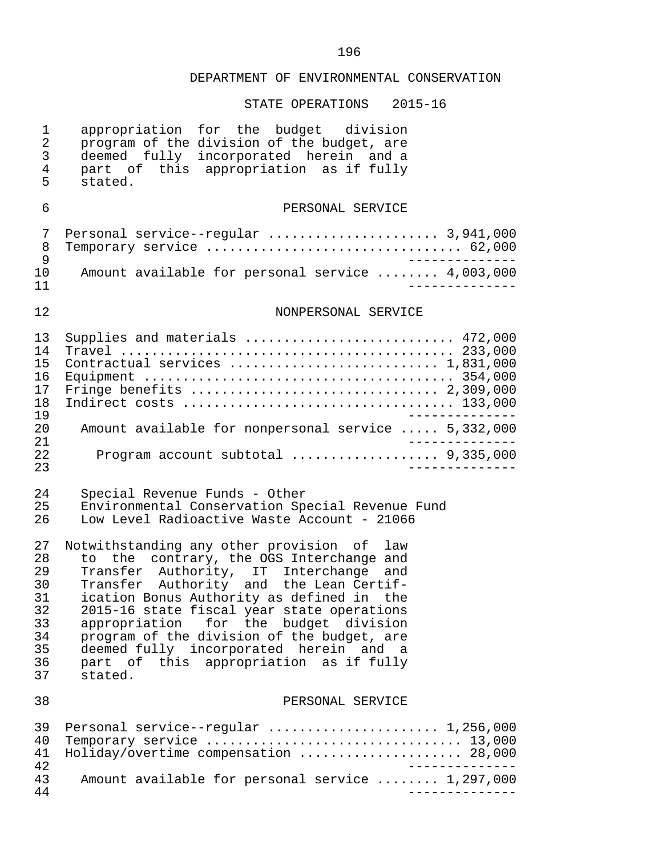| 1<br>$\overline{a}$<br>3<br>$\overline{4}$<br>5                | appropriation for the budget division<br>program of the division of the budget, are<br>deemed fully incorporated herein and a<br>part of this appropriation as if fully<br>stated.                                                                                                                                                                                                                                                                              |
|----------------------------------------------------------------|-----------------------------------------------------------------------------------------------------------------------------------------------------------------------------------------------------------------------------------------------------------------------------------------------------------------------------------------------------------------------------------------------------------------------------------------------------------------|
| 6                                                              | PERSONAL SERVICE                                                                                                                                                                                                                                                                                                                                                                                                                                                |
| 7<br>8<br>9                                                    | Personal service--regular  3,941,000<br>Temporary service  62,000                                                                                                                                                                                                                                                                                                                                                                                               |
| 10<br>11                                                       | Amount available for personal service  4,003,000                                                                                                                                                                                                                                                                                                                                                                                                                |
| 12                                                             | NONPERSONAL SERVICE                                                                                                                                                                                                                                                                                                                                                                                                                                             |
| 13<br>14<br>15<br>16<br>17<br>18<br>19<br>20                   | Supplies and materials  472,000<br>Contractual services  1,831,000<br>Amount available for nonpersonal service  5,332,000                                                                                                                                                                                                                                                                                                                                       |
| 21<br>22<br>23                                                 | Program account subtotal  9,335,000                                                                                                                                                                                                                                                                                                                                                                                                                             |
| 24<br>25<br>26                                                 | Special Revenue Funds - Other<br>Environmental Conservation Special Revenue Fund<br>Low Level Radioactive Waste Account - 21066                                                                                                                                                                                                                                                                                                                                 |
| 27<br>28<br>29<br>30<br>31<br>32<br>33<br>34<br>35<br>36<br>37 | Notwithstanding any other provision of law<br>to the contrary, the OGS Interchange and<br>Transfer Authority, IT Interchange<br>and<br>Transfer Authority and the Lean Certif-<br>ication Bonus Authority as defined in the<br>2015-16 state fiscal year state operations<br>appropriation for the budget division<br>program of the division of the budget, are<br>deemed fully incorporated herein and a<br>part of this appropriation as if fully<br>stated. |
| 38                                                             | PERSONAL SERVICE                                                                                                                                                                                                                                                                                                                                                                                                                                                |
| 39<br>40<br>41<br>42                                           | Personal service--regular  1,256,000<br>Temporary service  13,000<br>Holiday/overtime compensation  28,000                                                                                                                                                                                                                                                                                                                                                      |
| 43<br>44                                                       | Amount available for personal service  1,297,000                                                                                                                                                                                                                                                                                                                                                                                                                |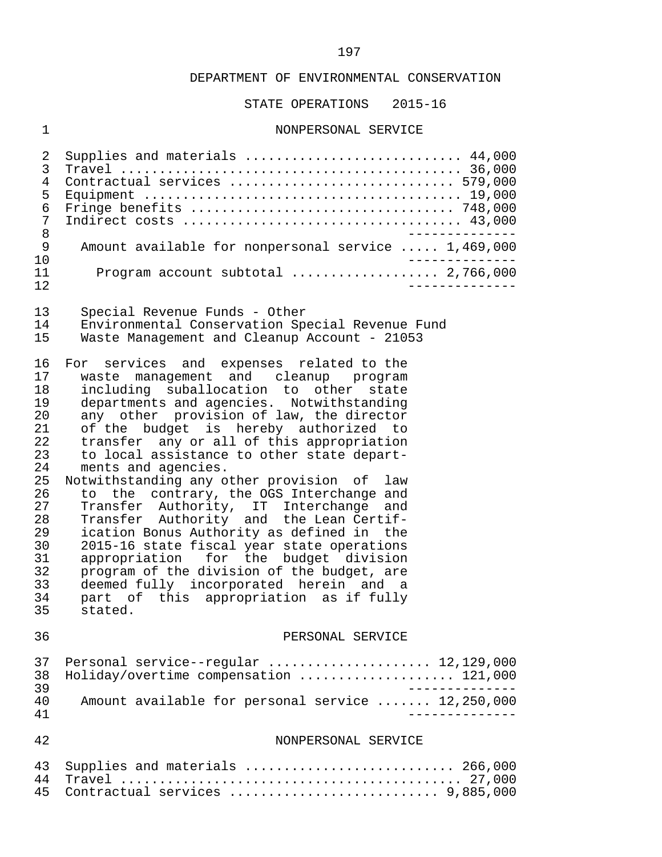STATE OPERATIONS 2015-16

## 1 NONPERSONAL SERVICE

| $\sqrt{2}$<br>3<br>$\overline{4}$<br>5<br>6<br>7<br>8<br>9                                                           | Supplies and materials  44,000<br>Contractual services  579,000<br>Amount available for nonpersonal service  1,469,000                                                                                                                                                                                                                                                                                                                                                                                                                                                                                                                                                                                                                                                                                                                            |
|----------------------------------------------------------------------------------------------------------------------|---------------------------------------------------------------------------------------------------------------------------------------------------------------------------------------------------------------------------------------------------------------------------------------------------------------------------------------------------------------------------------------------------------------------------------------------------------------------------------------------------------------------------------------------------------------------------------------------------------------------------------------------------------------------------------------------------------------------------------------------------------------------------------------------------------------------------------------------------|
| 10<br>11                                                                                                             | Program account subtotal  2,766,000                                                                                                                                                                                                                                                                                                                                                                                                                                                                                                                                                                                                                                                                                                                                                                                                               |
| 12                                                                                                                   |                                                                                                                                                                                                                                                                                                                                                                                                                                                                                                                                                                                                                                                                                                                                                                                                                                                   |
| 13<br>14<br>15                                                                                                       | Special Revenue Funds - Other<br>Environmental Conservation Special Revenue Fund<br>Waste Management and Cleanup Account - 21053                                                                                                                                                                                                                                                                                                                                                                                                                                                                                                                                                                                                                                                                                                                  |
| 16<br>17<br>18<br>19<br>20<br>21<br>22<br>23<br>24<br>25<br>26<br>27<br>28<br>29<br>30<br>31<br>32<br>33<br>34<br>35 | For services and expenses related to the<br>waste management and cleanup program<br>including suballocation to other state<br>departments and agencies. Notwithstanding<br>any other provision of law, the director<br>of the budget is hereby authorized to<br>transfer any or all of this appropriation<br>to local assistance to other state depart-<br>ments and agencies.<br>Notwithstanding any other provision of law<br>to the contrary, the OGS Interchange and<br>Transfer Authority, IT Interchange<br>and<br>Transfer Authority and the Lean Certif-<br>ication Bonus Authority as defined in the<br>2015-16 state fiscal year state operations<br>appropriation for the budget division<br>program of the division of the budget, are<br>deemed fully incorporated herein and a<br>part of this appropriation as if fully<br>stated. |
| 36                                                                                                                   | PERSONAL SERVICE                                                                                                                                                                                                                                                                                                                                                                                                                                                                                                                                                                                                                                                                                                                                                                                                                                  |
| 37<br>38<br>39                                                                                                       | Personal service--regular  12,129,000<br>Holiday/overtime compensation  121,000                                                                                                                                                                                                                                                                                                                                                                                                                                                                                                                                                                                                                                                                                                                                                                   |
| 40<br>41                                                                                                             | Amount available for personal service  12,250,000                                                                                                                                                                                                                                                                                                                                                                                                                                                                                                                                                                                                                                                                                                                                                                                                 |
| 42                                                                                                                   | NONPERSONAL SERVICE                                                                                                                                                                                                                                                                                                                                                                                                                                                                                                                                                                                                                                                                                                                                                                                                                               |
| 43<br>44<br>45                                                                                                       | Supplies and materials  266,000<br>Contractual services  9,885,000                                                                                                                                                                                                                                                                                                                                                                                                                                                                                                                                                                                                                                                                                                                                                                                |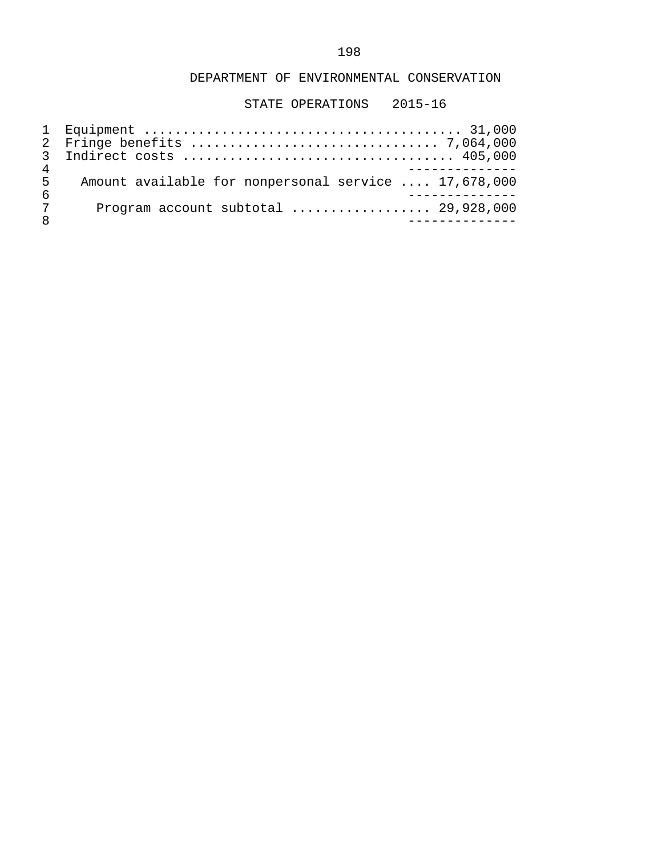| 5 | Amount available for nonpersonal service  17,678,000 |
|---|------------------------------------------------------|
| 6 |                                                      |
| 7 | Program account subtotal $\ldots$ 29,928,000         |
|   |                                                      |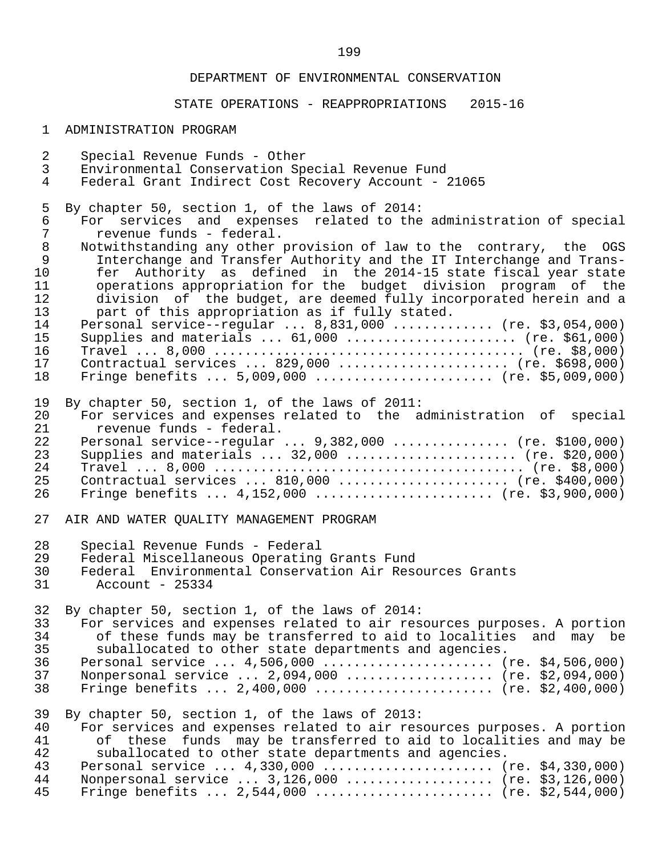# STATE OPERATIONS - REAPPROPRIATIONS 2015-16

### 1 ADMINISTRATION PROGRAM

| $\overline{a}$ | Special Revenue Funds - Other                                          |
|----------------|------------------------------------------------------------------------|
| $\mathsf{3}$   | Environmental Conservation Special Revenue Fund                        |
| 4              | Federal Grant Indirect Cost Recovery Account - 21065                   |
| 5              | By chapter 50, section 1, of the laws of 2014:                         |
| 6              | For services and expenses related to the administration of special     |
| $\overline{7}$ | revenue funds - federal.                                               |
| $\,8\,$        | Notwithstanding any other provision of law to the contrary, the OGS    |
| $\mathsf 9$    | Interchange and Transfer Authority and the IT Interchange and Trans-   |
| 10             | fer Authority as defined in the 2014-15 state fiscal year state        |
| 11             | operations appropriation for the budget division program of the        |
| 12             | division of the budget, are deemed fully incorporated herein and a     |
| 13             | part of this appropriation as if fully stated.                         |
| 14             | Personal service--regular  8,831,000  (re. \$3,054,000)                |
| 15             | Supplies and materials $61,000$ (re. \$61,000)                         |
| 16             |                                                                        |
| 17             | Contractual services  829,000  (re. \$698,000)                         |
| 18             | Fringe benefits $5,009,000$ (re. \$5,009,000)                          |
| 19             | By chapter 50, section 1, of the laws of 2011:                         |
| 20             | For services and expenses related to the administration of special     |
| 21             | revenue funds - federal.                                               |
| 22             | Personal service--regular $9,382,000$ (re. \$100,000)                  |
| 23             | Supplies and materials $32,000$ (re. \$20,000)                         |
| 24             |                                                                        |
| 25             | Contractual services  810,000  (re. \$400,000)                         |
| 26             | Fringe benefits $4,152,000$ (re. \$3,900,000)                          |
| 27             | AIR AND WATER QUALITY MANAGEMENT PROGRAM                               |
| 28             | Special Revenue Funds - Federal                                        |
| 29             | Federal Miscellaneous Operating Grants Fund                            |
| 30             | Federal Environmental Conservation Air Resources Grants                |
| 31             | Account - 25334                                                        |
| 32             | By chapter 50, section 1, of the laws of 2014:                         |
| 33             | For services and expenses related to air resources purposes. A portion |
| 34             | of these funds may be transferred to aid to localities and may be      |
| 35             | suballocated to other state departments and agencies.                  |
| 36             | Personal service $4,506,000$ (re. \$4,506,000)                         |
| 37             | Nonpersonal service  2,094,000  (re. \$2,094,000)                      |
| 38             | Fringe benefits $2,400,000$ (re. \$2,400,000)                          |
| 39             | By chapter 50, section 1, of the laws of 2013:                         |
| 40             | For services and expenses related to air resources purposes. A portion |
| 41             | of these funds may be transferred to aid to localities and may be      |
| 42             | suballocated to other state departments and agencies.                  |
| 43             | Personal service $4,330,000$ (re. \$4,330,000)                         |
| 44             | Nonpersonal service $3,126,000$ (re. \$3,126,000)                      |
| 45             | Fringe benefits $2,544,000$ (re. \$2,544,000)                          |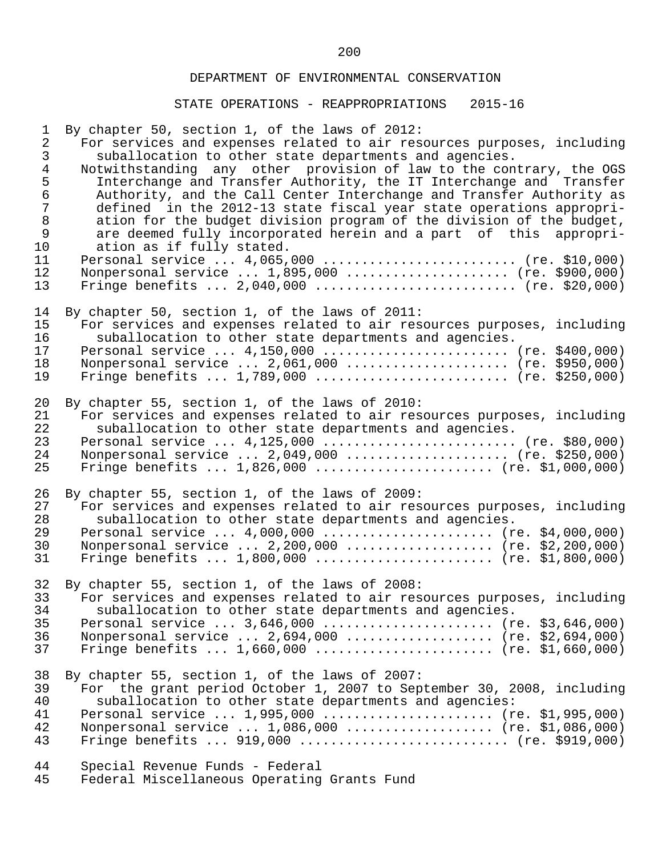| $\mathbf 1$    | By chapter 50, section 1, of the laws of 2012:                         |
|----------------|------------------------------------------------------------------------|
| $\overline{2}$ | For services and expenses related to air resources purposes, including |
| $\mathfrak{Z}$ | suballocation to other state departments and agencies.                 |
| $\overline{4}$ | Notwithstanding any other provision of law to the contrary, the OGS    |
| 5              | Interchange and Transfer Authority, the IT Interchange and Transfer    |
| $\epsilon$     | Authority, and the Call Center Interchange and Transfer Authority as   |
| $\overline{7}$ | defined in the 2012-13 state fiscal year state operations appropri-    |
| $\,8\,$        | ation for the budget division program of the division of the budget,   |
| $\mathsf 9$    | are deemed fully incorporated herein and a part of this appropri-      |
| 10             | ation as if fully stated.                                              |
| 11             | Personal service  4,065,000  (re. \$10,000)                            |
| 12             | Nonpersonal service  1,895,000  (re. \$900,000)                        |
| 13             | Fringe benefits $2,040,000$ (re. \$20,000)                             |
| 14             | By chapter 50, section 1, of the laws of 2011:                         |
| 15             | For services and expenses related to air resources purposes, including |
| 16             | suballocation to other state departments and agencies.                 |
| 17             | Personal service $4,150,000$ (re. \$400,000)                           |
| 18             | Nonpersonal service  2,061,000  (re. \$950,000)                        |
| 19             | Fringe benefits $1,789,000$ (re. \$250,000)                            |
| 20             | By chapter 55, section 1, of the laws of 2010:                         |
| 21             | For services and expenses related to air resources purposes, including |
| 22             | suballocation to other state departments and agencies.                 |
| 23             | Personal service $4,125,000$ (re. \$80,000)                            |
| 24             | Nonpersonal service  2,049,000  (re. \$250,000)                        |
| 25             | Fringe benefits $1,826,000$ (re. \$1,000,000)                          |
| 26             | By chapter 55, section 1, of the laws of 2009:                         |
| 27             | For services and expenses related to air resources purposes, including |
| 28             | suballocation to other state departments and agencies.                 |
| 29             | Personal service $4,000,000$ (re. \$4,000,000)                         |
| 30             | Nonpersonal service  2,200,000  (re. \$2,200,000)                      |
| 31             | Fringe benefits $1,800,000$ (re. \$1,800,000)                          |
| 32             | By chapter 55, section 1, of the laws of 2008:                         |
| 33             | For services and expenses related to air resources purposes, including |
| 34             | suballocation to other state departments and agencies.                 |
| 35             | Personal service  3,646,000  (re. \$3,646,000)                         |
| 36             | Nonpersonal service  2,694,000  (re. \$2,694,000)                      |
| 37             | Fringe benefits $1,660,000$ (re. \$1,660,000)                          |
| 38             | By chapter 55, section 1, of the laws of 2007:                         |
| 39             | For the grant period October 1, 2007 to September 30, 2008, including  |
| 40             | suballocation to other state departments and agencies:                 |
| 41             | Personal service  1,995,000  (re. \$1,995,000)                         |
| 42             | Nonpersonal service  1,086,000  (re. \$1,086,000)                      |
| 43             | Fringe benefits $919,000$ (re. \$919,000)                              |
| 44             | Special Revenue Funds - Federal                                        |
| 45             | Federal Miscellaneous Operating Grants Fund                            |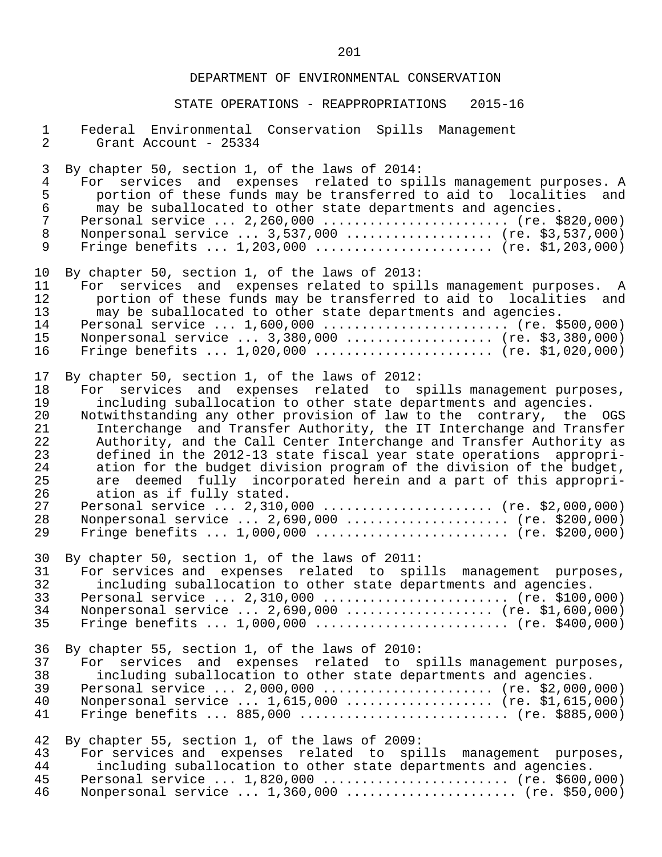| $\mathbf 1$      | Federal Environmental Conservation Spills Management                 |
|------------------|----------------------------------------------------------------------|
| $\overline{a}$   | Grant Account - 25334                                                |
| 3                | By chapter 50, section 1, of the laws of 2014:                       |
| $\overline{4}$   | For services and expenses related to spills management purposes. A   |
| 5                | portion of these funds may be transferred to aid to localities and   |
| $\epsilon$       | may be suballocated to other state departments and agencies.         |
| $\boldsymbol{7}$ | Personal service  2,260,000  (re. \$820,000)                         |
| $\,8\,$          | Nonpersonal service  3,537,000  (re. \$3,537,000)                    |
| 9                | Fringe benefits $1,203,000$ (re. \$1,203,000)                        |
| 10               | By chapter 50, section 1, of the laws of 2013:                       |
| 11               | For services and expenses related to spills management purposes. A   |
| 12               | portion of these funds may be transferred to aid to localities and   |
| 13               | may be suballocated to other state departments and agencies.         |
| 14               | Personal service  1,600,000  (re. \$500,000)                         |
| 15               | Nonpersonal service  3,380,000  (re. \$3,380,000)                    |
| 16               | Fringe benefits $1,020,000$ (re. \$1,020,000)                        |
| 17               | By chapter 50, section 1, of the laws of 2012:                       |
| 18               | For services and expenses related to spills management purposes,     |
| 19               | including suballocation to other state departments and agencies.     |
| 20               | Notwithstanding any other provision of law to the contrary, the OGS  |
| 21               | Interchange and Transfer Authority, the IT Interchange and Transfer  |
| 22               | Authority, and the Call Center Interchange and Transfer Authority as |
| 23               | defined in the 2012-13 state fiscal year state operations appropri-  |
| 24               | ation for the budget division program of the division of the budget, |
| 25               | are deemed fully incorporated herein and a part of this appropri-    |
| 26               | ation as if fully stated.                                            |
| 27               | Personal service  2,310,000  (re. \$2,000,000)                       |
| 28               | Nonpersonal service  2,690,000  (re. \$200,000)                      |
| 29               | Fringe benefits $1,000,000$ (re. \$200,000)                          |
| 30               | By chapter 50, section 1, of the laws of 2011:                       |
| 31               | For services and expenses related to spills management purposes,     |
| 32               | including suballocation to other state departments and agencies.     |
| 33               | Personal service  2,310,000  (re. \$100,000)                         |
| 34               | Nonpersonal service  2,690,000  (re. \$1,600,000)                    |
| 35               | Fringe benefits $1,000,000$ (re. \$400,000)                          |
| 36               | By chapter 55, section 1, of the laws of 2010:                       |
| 37               | For services and expenses related to spills management purposes,     |
| 38               | including suballocation to other state departments and agencies.     |
| 39               | Personal service  2,000,000  (re. \$2,000,000)                       |
| 40               | Nonpersonal service  1,615,000  (re. \$1,615,000)                    |
| 41               | Fringe benefits $885,000$ (re. \$885,000)                            |
| 42               | By chapter 55, section 1, of the laws of 2009:                       |
| 43               | For services and expenses related to spills management purposes,     |
| 44               | including suballocation to other state departments and agencies.     |
| 45               | Personal service  1,820,000  (re. \$600,000)                         |
| 46               | Nonpersonal service $1,360,000$ (re. \$50,000)                       |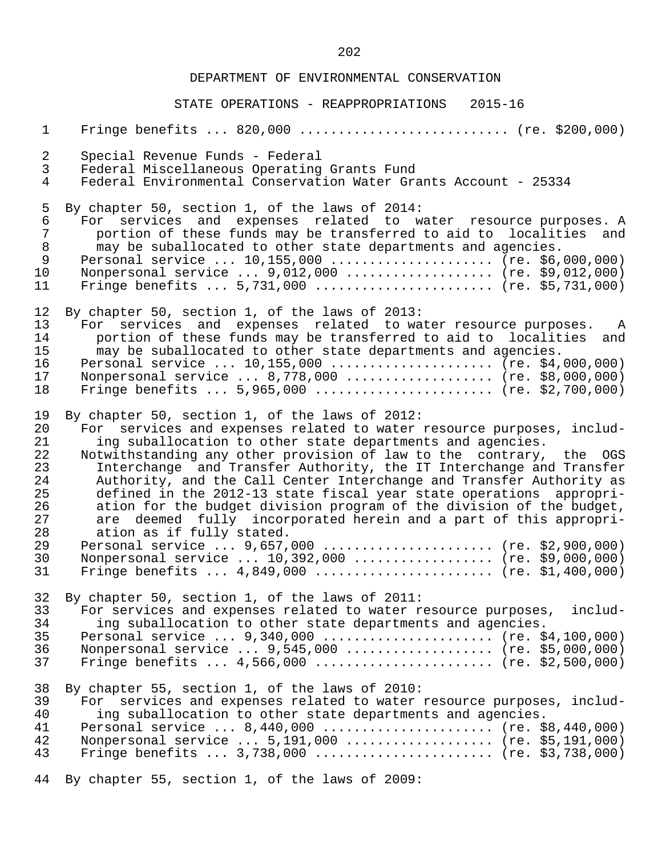STATE OPERATIONS - REAPPROPRIATIONS 2015-16

 1 Fringe benefits ... 820,000 ........................... (re. \$200,000) 2 Special Revenue Funds - Federal 3 Federal Miscellaneous Operating Grants Fund 4 Federal Environmental Conservation Water Grants Account - 25334 5 By chapter 50, section 1, of the laws of 2014:<br>6 For services and expenses related to w 6 For services and expenses related to water resource purposes. A 7 portion of these funds may be transferred to aid to localities and<br>8 may be suballocated to other state departments and agencies. 8 may be suballocated to other state departments and agencies. Personal service ... 10,155,000 ..................... (re. \$6,000,000)<br>10 Nonpersonal service ... 9,012,000 .................... (re. \$9,012,000) 10 Nonpersonal service ... 9,012,000 .................... (re. \$9,012,000)<br>11 Fringe benefits ... 5,731,000 ......................... (re. \$5,731,000) 11 Fringe benefits ... 5,731,000 .......................... (re. \$5,731,000) 12 By chapter 50, section 1, of the laws of 2013:<br>13 For services and expenses related to wa 13 For services and expenses related to water resource purposes. A<br>14 bortion of these funds may be transferred to aid to localities and 14 portion of these funds may be transferred to aid to localities and<br>15 may be suballocated to other state departments and agencies. 15 may be suballocated to other state departments and agencies.<br>16 Personal service ... 10,155,000 ...................... (re. \$4, 16 Personal service ... 10,155,000 ..................... (re. \$4,000,000)<br>17 Nonpersonal service ... 8,778,000 .................... (re. \$8,000,000) 17 Monpersonal service ... 8,778,000 ................... (re. \$8,000,000)<br>18 Fringe benefits ... 5,965,000 ......................... (re. \$2,700,000) 18 Fringe benefits ... 5,965,000 ....................... (re. \$2,700,000) 19 By chapter 50, section 1, of the laws of 2012:<br>20 For services and expenses related to water 20 For services and expenses related to water resource purposes, includ-<br>21 ing suballocation to other state departments and agencies. 21 ing suballocation to other state departments and agencies.<br>22 Notwithstanding any other provision of law to the contrary. 22 Notwithstanding any other provision of law to the contrary, the OGS<br>23 Interchange and Transfer Authority, the IT Interchange and Transfer 23 Interchange and Transfer Authority, the IT Interchange and Transfer<br>24 Authority, and the Call Center Interchange and Transfer Authority as 24 Authority, and the Call Center Interchange and Transfer Authority as<br>25 defined in the 2012-13 state fiscal year state operations appropri-25 defined in the 2012-13 state fiscal year state operations appropri-<br>26 ation for the budget division program of the division of the budget, 26 ation for the budget division program of the division of the budget,<br>27 are deemed fully incorporated herein and a part of this appropri-27 are deemed fully incorporated herein and a part of this appropri-<br>28 ation as if fully stated. 28 ation as if fully stated.<br>29 Personal service ... 9.657. 29 Personal service ... 9,657,000 ....................... (re. \$2,900,000)<br>30 Nonpersonal service ... 10,392,000 ................... (re. \$9,000,000) 30 Nonpersonal service ... 10,392,000 .................. (re. \$9,000,000)<br>31 Fringe benefits ... 4,849,000 ......................... (re. \$1,400,000) 31 Fringe benefits ... 4,849,000 ....................... (re. \$1,400,000) 32 By chapter 50, section 1, of the laws of 2011:<br>33 For services and expenses related to water r 33 For services and expenses related to water resource purposes, includ-<br>34 ing suballocation to other state departments and agencies. 34 ing suballocation to other state departments and agencies.<br>35 Personal service ... 9,340,000 ........................ (re. \$ 35 Personal service ... 9,340,000 ....................... (re. \$4,100,000)<br>36 Nonpersonal service ... 9,545,000 ................... (re. \$5,000,000) 36 Nonpersonal service ... 9,545,000 ................... (re. \$5,000,000)<br>37 Fringe benefits ... 4,566,000 ......................... (re. \$2,500,000) Fringe benefits ...  $4,566,000$  ......................... (re. \$2,500,000) 38 By chapter 55, section 1, of the laws of 2010: 39 For services and expenses related to water resource purposes, includ-<br>40 ing suballocation to other state departments and agencies. 40 ing suballocation to other state departments and agencies. 41 Personal service ... 8,440,000 ....................... (re. \$8,440,000)<br>42 Nonpersonal service ... 5,191,000 42 Nonpersonal service ... 5,191,000 .................... (re. \$5,191,000)<br>43 Fringe benefits ... 3,738,000 .......................... (re. \$3,738,000) Fringe benefits ... 3,738,000 ........................ (re. \$3,738,000)

44 By chapter 55, section 1, of the laws of 2009: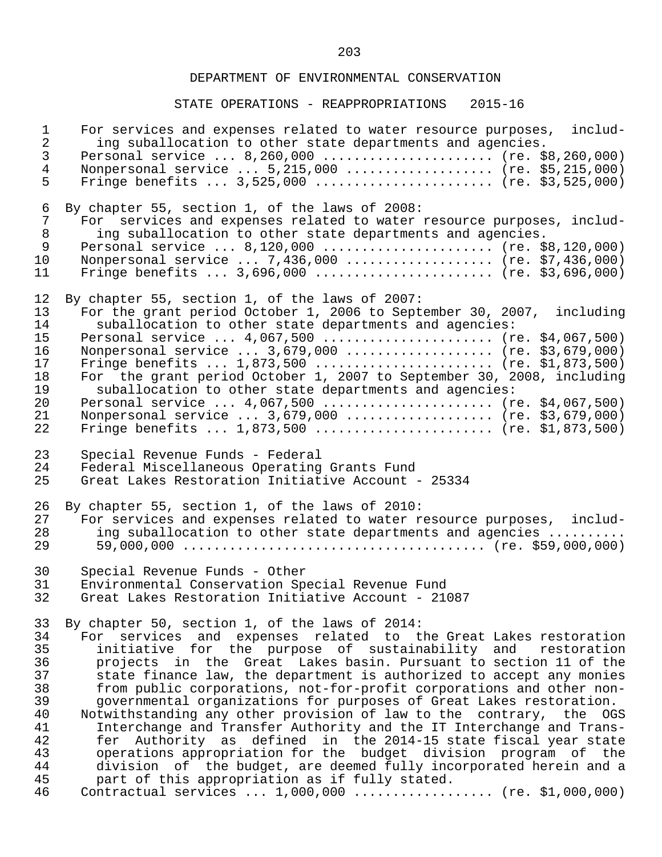| $\mathbf 1$    | For services and expenses related to water resource purposes, includ- |
|----------------|-----------------------------------------------------------------------|
| $\overline{a}$ | ing suballocation to other state departments and agencies.            |
| $\mathfrak{Z}$ | Personal service  8,260,000  (re. \$8,260,000)                        |
| $\overline{4}$ | Nonpersonal service  5,215,000  (re. \$5,215,000)                     |
| 5              | Fringe benefits $3,525,000$ (re. \$3,525,000)                         |
| 6              | By chapter 55, section 1, of the laws of 2008:                        |
| $\overline{7}$ | For services and expenses related to water resource purposes, includ- |
| $\,8\,$        | ing suballocation to other state departments and agencies.            |
| $\overline{9}$ | Personal service $8,120,000$ (re. \$8,120,000)                        |
| 10             | Nonpersonal service  7,436,000  (re. \$7,436,000)                     |
| 11             | Fringe benefits $3,696,000$ (re. \$3,696,000)                         |
| 12             | By chapter 55, section 1, of the laws of 2007:                        |
| 13             | For the grant period October 1, 2006 to September 30, 2007, including |
| 14             | suballocation to other state departments and agencies:                |
| 15             | Personal service $4,067,500$ (re. \$4,067,500)                        |
| 16             | Nonpersonal service  3,679,000  (re. \$3,679,000)                     |
| 17             | Fringe benefits $1,873,500$ (re. \$1,873,500)                         |
| 18             | For the grant period October 1, 2007 to September 30, 2008, including |
| 19             | suballocation to other state departments and agencies:                |
| 20             | Personal service $4,067,500$ (re. \$4,067,500)                        |
| 21             | Nonpersonal service  3,679,000  (re. \$3,679,000)                     |
| 22             | Fringe benefits $1,873,500$ (re. \$1,873,500)                         |
| 23             | Special Revenue Funds - Federal                                       |
| 24             | Federal Miscellaneous Operating Grants Fund                           |
| 25             | Great Lakes Restoration Initiative Account - 25334                    |
| 26             | By chapter 55, section 1, of the laws of 2010:                        |
| 27             | For services and expenses related to water resource purposes, includ- |
| 28             | ing suballocation to other state departments and agencies             |
| 29             |                                                                       |
| 30             | Special Revenue Funds - Other                                         |
| 31             | Environmental Conservation Special Revenue Fund                       |
| 32             | Great Lakes Restoration Initiative Account - 21087                    |
| 33             | By chapter 50, section 1, of the laws of 2014:                        |
| 34             | For services and expenses related to the Great Lakes restoration      |
| 35             | initiative for the purpose of sustainability and restoration          |
| 36             | projects in the Great Lakes basin. Pursuant to section 11 of the      |
| 37             | state finance law, the department is authorized to accept any monies  |
| 38             | from public corporations, not-for-profit corporations and other non-  |
| 39             | governmental organizations for purposes of Great Lakes restoration.   |
| 40             | Notwithstanding any other provision of law to the contrary, the OGS   |
| 41             | Interchange and Transfer Authority and the IT Interchange and Trans-  |
| 42             | fer Authority as defined in the 2014-15 state fiscal year state       |
| 43             | operations appropriation for the budget division program of the       |
| 44             | division of the budget, are deemed fully incorporated herein and a    |
| 45             | part of this appropriation as if fully stated.                        |
| 46             | Contractual services  1,000,000  (re. \$1,000,000)                    |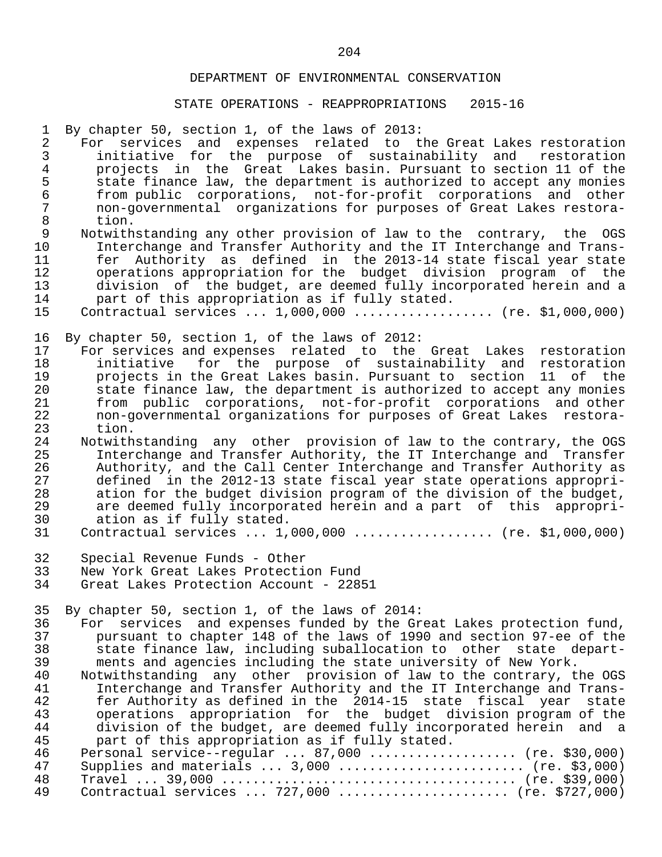### STATE OPERATIONS - REAPPROPRIATIONS 2015-16

 1 By chapter 50, section 1, of the laws of 2013: 2 For services and expenses related to the-Great-Lakes-restoration<br>3 initiative for the purpose of sustainability and restoration 3 initiative for the purpose of sustainability and restoration<br>4 projects in the Great Lakes-basin, Pursuant-to-section-11 of-the 4 projects in the Great Lakes-basin. Pursuant to section 11 of the<br>5 state finance law, the department is authorized to accept any monies 5 state finance law, the department is authorized to accept any monies<br>6 from public corporations, not-for-profit corporations and other 6 from public corporations, not-for-profit corporations and other 7 non-governmental organizations for purposes of Great Lakes restora- 8 tion.<br>9 Notwith 9 Notwithstanding any other provision of law to the contrary, the OGS<br>10 Interchange and Transfer Authority and the IT Interchange and Trans-10 Interchange and Transfer Authority and the IT Interchange and Trans-<br>11 fer Authority as defined in the 2013-14 state fiscal vear state 11 fer Authority as defined in the 2013-14 state fiscal year state 12 operations appropriation for the budget division program of the<br>13 division of the budget, are deemed fully incorporated herein and a 13 division of the budget, are deemed fully incorporated herein and a<br>14 part of this appropriation as if fully stated. 14 part of this appropriation as if fully stated.<br>15 Contractual services ... 1.000.000 ............. Contractual services ... 1,000,000 ................... (re. \$1,000,000) 16 By chapter 50, section 1, of the laws of 2012:<br>17 For services and expenses related to the 17 For services and expenses related to the Great Lakes restoration 18 initiative for the purpose of sustainability and restoration 19 projects in the Great Lakes basin. Pursuant to section 11 of the 20 state finance law, the department is authorized to accept any monies<br>21 Septing public corporations, not-for-profit corporations and other 21 from public corporations, not-for-profit corporations and other 22 non-governmental organizations for purposes of Great Lakes restora- 23 tion.<br>24 Notwith 24 Notwithstanding any other provision of law to the contrary, the OGS<br>25 Interchange and Transfer Authority, the IT Interchange and Transfer 25 Interchange and Transfer Authority, the IT Interchange and Transfer 26 Authority, and the Call Center Interchange and Transfer Authority as<br>27 a defined in the 2012-13 state fiscal vear state operations appropri-27 defined in the 2012-13 state fiscal year state operations appropri-<br>28 ation for the budget division program of the division of the budget, 28 ation for the budget division program of the division of the budget,<br>29 are deemed fully incorporated herein and a part of this appropri-29 are deemed fully incorporated herein and a part of this appropri-<br>30 ation as if fully stated. 30 ation as if fully stated.<br>31 Contractual services ... 1. Contractual services ... 1,000,000 ................... (re. \$1,000,000) 32 Special Revenue Funds - Other<br>33 New York Great Lakes Protection 33 New York Great Lakes Protection Fund Great Lakes Protection Account - 22851 35 By chapter 50, section 1, of the laws of 2014: 36 For services and expenses funded by the Great Lakes protection fund,<br>37 bursuant to chapter 148 of the laws of 1990 and section 97-ee of the 37 pursuant to chapter 148 of the laws of 1990 and section 97-ee of the 38 state finance law, including suballocation to other state depart-<br>39 ments and agencies including the state university of New York. 39 ments and agencies including the state university of New York.<br>40 Notwithstanding any other provision of law to the contrary, t 40 Notwithstanding any other provision of law to the contrary, the OGS<br>41 Interchange and Transfer Authority and the IT Interchange and Trans-41 Interchange and Transfer Authority and the IT Interchange and Trans-<br>42 11 11 11 11 12 11 12 114-15 state fiscal year state 42 fer Authority as defined in the 2014-15 state fiscal year state 43 operations appropriation for the budget division program of the<br>44 division of the budget, are deemed fully incorporated herein and a 44 division of the budget, are deemed fully incorporated herein and a<br>45 part of this appropriation as if fully stated. 45 part of this appropriation as if fully stated.<br>46 Personal service--regular ... 87.000 ........... 46 Personal service--regular ... 87,000 .................... (re. \$30,000)<br>47 Supplies and materials ... 3,000 ......................... (re. \$3,000) 47 Supplies and materials ... 3,000 ........................ (re. \$3,000) 48 Travel ... 39,000 ...................................... (re. \$39,000) Contractual services ... 727,000 ....................... (re. \$727,000)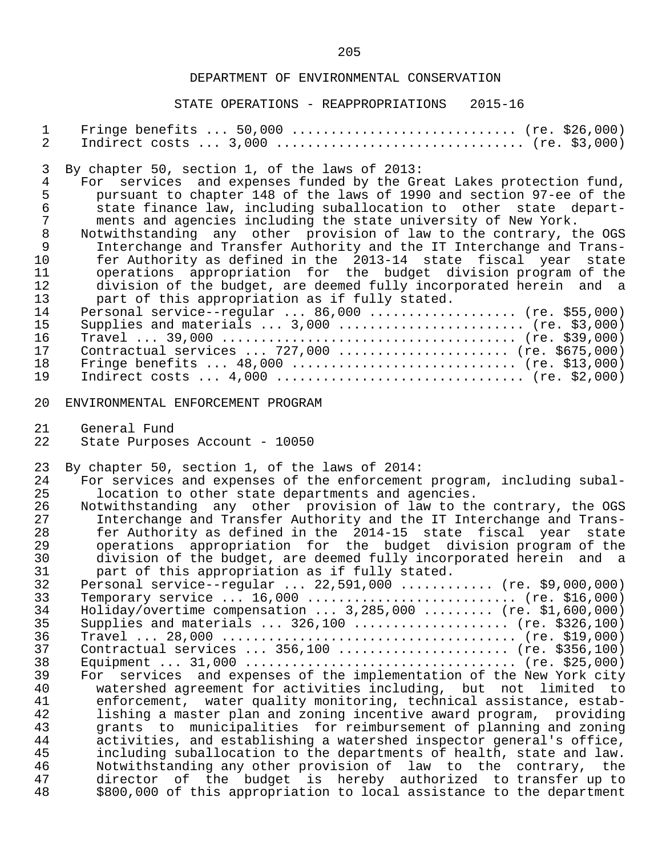| $\mathbf 1$      | Fringe benefits $50,000$ (re. \$26,000)                                |
|------------------|------------------------------------------------------------------------|
| $\overline{a}$   |                                                                        |
| 3                | By chapter 50, section 1, of the laws of 2013:                         |
| $\overline{4}$   | For services and expenses funded by the Great Lakes protection fund,   |
| $\mathsf S$      | pursuant to chapter 148 of the laws of 1990 and section 97-ee of the   |
| $\epsilon$       | state finance law, including suballocation to other state depart-      |
| $\boldsymbol{7}$ | ments and agencies including the state university of New York.         |
| $\, 8$           | Notwithstanding any other provision of law to the contrary, the OGS    |
| $\mathsf 9$      | Interchange and Transfer Authority and the IT Interchange and Trans-   |
| 10               | fer Authority as defined in the 2013-14 state fiscal year state        |
| 11               | operations appropriation for the budget division program of the        |
| 12               | division of the budget, are deemed fully incorporated herein and a     |
| 13               | part of this appropriation as if fully stated.                         |
| 14               | Personal service--regular $86,000$ (re. \$55,000)                      |
| 15               | Supplies and materials $3,000$ (re. \$3,000)                           |
| 16               |                                                                        |
| 17               | Contractual services  727,000  (re. \$675,000)                         |
| 18               | Fringe benefits $48,000$ (re. \$13,000)                                |
| 19               | Indirect costs $4,000$ (re. \$2,000)                                   |
| 20               | ENVIRONMENTAL ENFORCEMENT PROGRAM                                      |
| 21               | General Fund                                                           |
| 22               | State Purposes Account - 10050                                         |
| 23               | By chapter 50, section 1, of the laws of 2014:                         |
| 24               | For services and expenses of the enforcement program, including subal- |
| 25               | location to other state departments and agencies.                      |
| 26               | Notwithstanding any other provision of law to the contrary, the OGS    |
| 27               | Interchange and Transfer Authority and the IT Interchange and Trans-   |
| 28               | fer Authority as defined in the 2014-15 state fiscal year state        |
| 29               | operations appropriation for the budget division program of the        |
| 30               | division of the budget, are deemed fully incorporated herein and a     |
| 31               | part of this appropriation as if fully stated.                         |
| 32               | Personal service--regular  22,591,000  (re. \$9,000,000)               |
| 33               | Temporary service $16,000$ (re. \$16,000)                              |
| 34               | Holiday/overtime compensation  3,285,000  (re. \$1,600,000)            |
| 35               | Supplies and materials $326,100$ (re. \$326,100)                       |
| 36               |                                                                        |
| 37               | Contractual services  356,100  (re. \$356,100)                         |
| 38               |                                                                        |
| 39               | For services and expenses of the implementation of the New York city   |
| 40               | watershed agreement for activities including, but not limited to       |
| 41               | enforcement, water quality monitoring, technical assistance, estab-    |
| 42               | lishing a master plan and zoning incentive award program, providing    |
| 43               | grants to municipalities for reimbursement of planning and zoning      |
| 44               | activities, and establishing a watershed inspector general's office,   |
| 45               | including suballocation to the departments of health, state and law.   |
| 46               | Notwithstanding any other provision of law to the contrary, the        |
| 47               | director of the budget is hereby authorized to transfer up to          |
| 48               | \$800,000 of this appropriation to local assistance to the department  |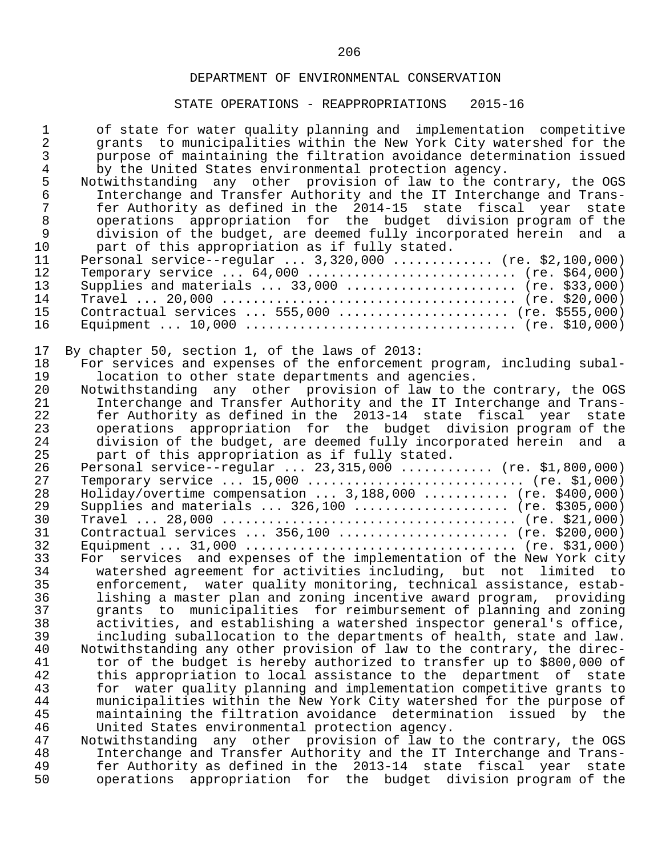| $\mathbf{1}$<br>$\overline{a}$<br>$\mathfrak{Z}$<br>$\overline{4}$<br>5<br>$\sqrt{6}$<br>$\overline{7}$<br>$\,8\,$<br>$\mathsf 9$<br>10<br>11<br>12<br>13<br>14<br>15<br>16 | of state for water quality planning and implementation competitive<br>grants to municipalities within the New York City watershed for the<br>purpose of maintaining the filtration avoidance determination issued<br>by the United States environmental protection agency.<br>Notwithstanding any other provision of law to the contrary, the OGS<br>Interchange and Transfer Authority and the IT Interchange and Trans-<br>fer Authority as defined in the 2014-15 state fiscal year state<br>operations appropriation for the budget division program of the<br>division of the budget, are deemed fully incorporated herein and a<br>part of this appropriation as if fully stated.<br>Personal service--regular  3,320,000  (re. \$2,100,000)<br>Temporary service $64,000$ (re. \$64,000)<br>Supplies and materials $\ldots$ 33,000 $\ldots$ (re. \$33,000)<br>Contractual services  555,000  (re. \$555,000) |
|-----------------------------------------------------------------------------------------------------------------------------------------------------------------------------|---------------------------------------------------------------------------------------------------------------------------------------------------------------------------------------------------------------------------------------------------------------------------------------------------------------------------------------------------------------------------------------------------------------------------------------------------------------------------------------------------------------------------------------------------------------------------------------------------------------------------------------------------------------------------------------------------------------------------------------------------------------------------------------------------------------------------------------------------------------------------------------------------------------------|
| 17                                                                                                                                                                          | By chapter 50, section 1, of the laws of 2013:                                                                                                                                                                                                                                                                                                                                                                                                                                                                                                                                                                                                                                                                                                                                                                                                                                                                      |
| 18                                                                                                                                                                          | For services and expenses of the enforcement program, including subal-                                                                                                                                                                                                                                                                                                                                                                                                                                                                                                                                                                                                                                                                                                                                                                                                                                              |
| 19                                                                                                                                                                          | location to other state departments and agencies.                                                                                                                                                                                                                                                                                                                                                                                                                                                                                                                                                                                                                                                                                                                                                                                                                                                                   |
| 20                                                                                                                                                                          | Notwithstanding any other provision of law to the contrary, the OGS                                                                                                                                                                                                                                                                                                                                                                                                                                                                                                                                                                                                                                                                                                                                                                                                                                                 |
| 21                                                                                                                                                                          | Interchange and Transfer Authority and the IT Interchange and Trans-                                                                                                                                                                                                                                                                                                                                                                                                                                                                                                                                                                                                                                                                                                                                                                                                                                                |
| 22                                                                                                                                                                          | fer Authority as defined in the 2013-14 state fiscal year state                                                                                                                                                                                                                                                                                                                                                                                                                                                                                                                                                                                                                                                                                                                                                                                                                                                     |
| 23                                                                                                                                                                          | operations appropriation for the budget division program of the                                                                                                                                                                                                                                                                                                                                                                                                                                                                                                                                                                                                                                                                                                                                                                                                                                                     |
| 24                                                                                                                                                                          | division of the budget, are deemed fully incorporated herein and a                                                                                                                                                                                                                                                                                                                                                                                                                                                                                                                                                                                                                                                                                                                                                                                                                                                  |
| 25                                                                                                                                                                          | part of this appropriation as if fully stated.                                                                                                                                                                                                                                                                                                                                                                                                                                                                                                                                                                                                                                                                                                                                                                                                                                                                      |
| 26                                                                                                                                                                          | Personal service--regular $23,315,000$ (re. \$1,800,000)                                                                                                                                                                                                                                                                                                                                                                                                                                                                                                                                                                                                                                                                                                                                                                                                                                                            |
| 27                                                                                                                                                                          | Temporary service $15,000$ (re. \$1,000)                                                                                                                                                                                                                                                                                                                                                                                                                                                                                                                                                                                                                                                                                                                                                                                                                                                                            |
| 28                                                                                                                                                                          | Holiday/overtime compensation  3,188,000  (re. \$400,000)                                                                                                                                                                                                                                                                                                                                                                                                                                                                                                                                                                                                                                                                                                                                                                                                                                                           |
| 29                                                                                                                                                                          | Supplies and materials $326,100$ (re. \$305,000)                                                                                                                                                                                                                                                                                                                                                                                                                                                                                                                                                                                                                                                                                                                                                                                                                                                                    |
| 30                                                                                                                                                                          |                                                                                                                                                                                                                                                                                                                                                                                                                                                                                                                                                                                                                                                                                                                                                                                                                                                                                                                     |
| 31                                                                                                                                                                          | Contractual services $356,100$ (re. \$200,000)                                                                                                                                                                                                                                                                                                                                                                                                                                                                                                                                                                                                                                                                                                                                                                                                                                                                      |
| 32                                                                                                                                                                          |                                                                                                                                                                                                                                                                                                                                                                                                                                                                                                                                                                                                                                                                                                                                                                                                                                                                                                                     |
| 33                                                                                                                                                                          | For services and expenses of the implementation of the New York city                                                                                                                                                                                                                                                                                                                                                                                                                                                                                                                                                                                                                                                                                                                                                                                                                                                |
| 34                                                                                                                                                                          | watershed agreement for activities including, but not limited to                                                                                                                                                                                                                                                                                                                                                                                                                                                                                                                                                                                                                                                                                                                                                                                                                                                    |
| 35                                                                                                                                                                          | enforcement, water quality monitoring, technical assistance, estab-                                                                                                                                                                                                                                                                                                                                                                                                                                                                                                                                                                                                                                                                                                                                                                                                                                                 |
| 36                                                                                                                                                                          | lishing a master plan and zoning incentive award program, providing                                                                                                                                                                                                                                                                                                                                                                                                                                                                                                                                                                                                                                                                                                                                                                                                                                                 |
| 37                                                                                                                                                                          | grants to municipalities for reimbursement of planning and zoning                                                                                                                                                                                                                                                                                                                                                                                                                                                                                                                                                                                                                                                                                                                                                                                                                                                   |
| 38                                                                                                                                                                          | activities, and establishing a watershed inspector general's office,                                                                                                                                                                                                                                                                                                                                                                                                                                                                                                                                                                                                                                                                                                                                                                                                                                                |
| 39                                                                                                                                                                          | including suballocation to the departments of health, state and law.                                                                                                                                                                                                                                                                                                                                                                                                                                                                                                                                                                                                                                                                                                                                                                                                                                                |
| 40                                                                                                                                                                          | Notwithstanding any other provision of law to the contrary, the direc-                                                                                                                                                                                                                                                                                                                                                                                                                                                                                                                                                                                                                                                                                                                                                                                                                                              |
| 41                                                                                                                                                                          | tor of the budget is hereby authorized to transfer up to \$800,000 of                                                                                                                                                                                                                                                                                                                                                                                                                                                                                                                                                                                                                                                                                                                                                                                                                                               |
| 42                                                                                                                                                                          | this appropriation to local assistance to the department of<br>state                                                                                                                                                                                                                                                                                                                                                                                                                                                                                                                                                                                                                                                                                                                                                                                                                                                |
| 43<br>44                                                                                                                                                                    | water quality planning and implementation competitive grants to<br>for                                                                                                                                                                                                                                                                                                                                                                                                                                                                                                                                                                                                                                                                                                                                                                                                                                              |
| 45                                                                                                                                                                          | municipalities within the New York City watershed for the purpose of<br>maintaining the filtration avoidance determination issued by the                                                                                                                                                                                                                                                                                                                                                                                                                                                                                                                                                                                                                                                                                                                                                                            |
| 46                                                                                                                                                                          | United States environmental protection agency.                                                                                                                                                                                                                                                                                                                                                                                                                                                                                                                                                                                                                                                                                                                                                                                                                                                                      |
| 47                                                                                                                                                                          | Notwithstanding any other provision of law to the contrary, the OGS                                                                                                                                                                                                                                                                                                                                                                                                                                                                                                                                                                                                                                                                                                                                                                                                                                                 |
| 48                                                                                                                                                                          | Interchange and Transfer Authority and the IT Interchange and Trans-                                                                                                                                                                                                                                                                                                                                                                                                                                                                                                                                                                                                                                                                                                                                                                                                                                                |
| 49                                                                                                                                                                          | fer Authority as defined in the 2013-14 state fiscal year<br>state                                                                                                                                                                                                                                                                                                                                                                                                                                                                                                                                                                                                                                                                                                                                                                                                                                                  |
| 50                                                                                                                                                                          | operations appropriation for the budget division program of the                                                                                                                                                                                                                                                                                                                                                                                                                                                                                                                                                                                                                                                                                                                                                                                                                                                     |
|                                                                                                                                                                             |                                                                                                                                                                                                                                                                                                                                                                                                                                                                                                                                                                                                                                                                                                                                                                                                                                                                                                                     |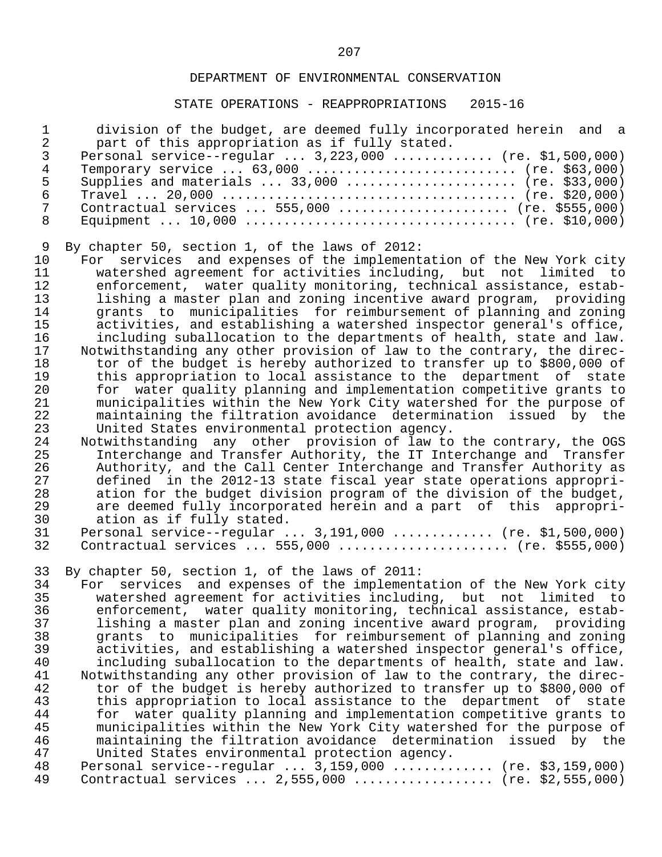### STATE OPERATIONS - REAPPROPRIATIONS 2015-16

|    | division of the budget, are deemed fully incorporated herein and a |
|----|--------------------------------------------------------------------|
|    | part of this appropriation as if fully stated.                     |
|    | Personal service--regular $3,223,000$ (re. \$1,500,000)            |
| 4  | Temporary service $63,000$ (re. \$63,000)                          |
| .5 | Supplies and materials $33,000$ (re. \$33,000)                     |
| 6  |                                                                    |
|    | Contractual services $555,000$ (re. \$555,000)                     |
|    |                                                                    |

9 By chapter 50, section 1, of the laws of 2012:<br>10 For services and expenses of the implement 10 For services and expenses of the implementation of the New York city<br>11 watershed agreement for activities including, but not limited to 11 watershed agreement for activities including, but not limited to 12 enforcement, water quality monitoring, technical assistance, estab-<br>13 1ishing a master plan and zoning incentive award program, providing 13 lishing a master plan and zoning incentive award program, providing<br>14 arants to municipalities for reimbursement of planning and zoning 14 grants to municipalities for reimbursement of planning and zoning<br>15 activities, and establishing a watershed inspector general's office, 15 activities, and establishing a watershed inspector general's office,<br>16 including suballocation to the departments of health, state and law. 16 including suballocation to the departments of health, state and law.<br>17 Notwithstanding any other provision of law to the contrary, the direc-17 Notwithstanding any other provision of law to the contrary, the direc-<br>18 tor of the budget is hereby authorized to transfer up to \$800,000 of 18 tor of the budget is hereby authorized to transfer up to \$800,000 of<br>19 this appropriation to local assistance to the department of state 19 this appropriation to local assistance to the department of state<br>20 for water quality planning and implementation competitive grants to 20 for water quality planning and implementation competitive grants to<br>21 municipalities within the New York City watershed for the purpose of 21 municipalities within the New York City watershed for the purpose of 22 maintaining the filtration avoidance determination issued by the<br>23 United States environmental protection agency. 23 United States environmental protection agency.<br>24 Notwithstanding any other provision of law to

24 Notwithstanding any other provision of law to the contrary, the OGS<br>25 1nterchange and Transfer Authority, the IT Interchange and Transfer 25 Interchange and Transfer Authority, the IT Interchange and Transfer<br>26 Authority, and the Call Center Interchange and Transfer Authority as 26 Authority, and the Call Center Interchange and Transfer Authority as<br>27 defined in the 2012-13 state fiscal vear state operations appropri-27 defined in the 2012-13 state fiscal year state operations appropri-<br>28 ation for the budget division program of the division of the budget, 28 ation for the budget division program of the division of the budget,<br>29 are deemed fully incorporated herein and a part of this appropri-29 are deemed fully incorporated herein and a part of this appropri-<br>30 ation as if fully stated. 30 ation as if fully stated.<br>31 Personal service--regular.

31 Personal service--regular ... 3,191,000 .............. (re. \$1,500,000)<br>32 Contractual services ... 555,000 ........................ (re. \$555,000) Contractual services ... 555,000 ....................... (re. \$555,000)

33 By chapter 50, section 1, of the laws of 2011:<br>34 For services and expenses of the implement 34 For services and expenses of the implementation of the New York city<br>35 watershed agreement for activities including, but not limited to 35 watershed agreement for activities including, but not limited to 36 enforcement, water quality monitoring, technical assistance, estab- 37 lishing a master plan and zoning incentive award program, providing 38 grants to municipalities for reimbursement of planning and zoning<br>39 activities, and establishing a watershed inspector general's office, 39 activities, and establishing a watershed inspector general's office,<br>40 including suballocation to the departments of health, state and law. 40 including suballocation to the departments of health, state and law.<br>41 Notwithstanding any other provision of law to the contrary, the direc-41 Notwithstanding any other provision of law to the contrary, the direc-<br>42 tor of the budget is hereby authorized to transfer up to \$800.000 of 42 tor of the budget is hereby authorized to transfer up to \$800,000 of<br>43 this appropriation to local assistance to the department of state 43 this appropriation to local assistance to the department of state<br>44 for water quality planning and implementation competitive grants to 44 for water quality planning and implementation competitive grants to<br>45 municipalities within the New York City watershed for the purpose of 45 municipalities within the New York City watershed for the purpose of<br>46 maintaining the filtration avoidance determination issued by the 46 maintaining the filtration avoidance determination issued by the<br>47 United States environmental protection agency. 47 United States environmental protection agency.<br>48 Personal service--regular ... 3.159.000 ....... 48 Personal service--regular ... 3,159,000 ............. (re. \$3,159,000)<br>49 Contractual services ... 2,555,000 .................. (re. \$2,555,000) Contractual services ... 2,555,000 .................. (re. \$2,555,000)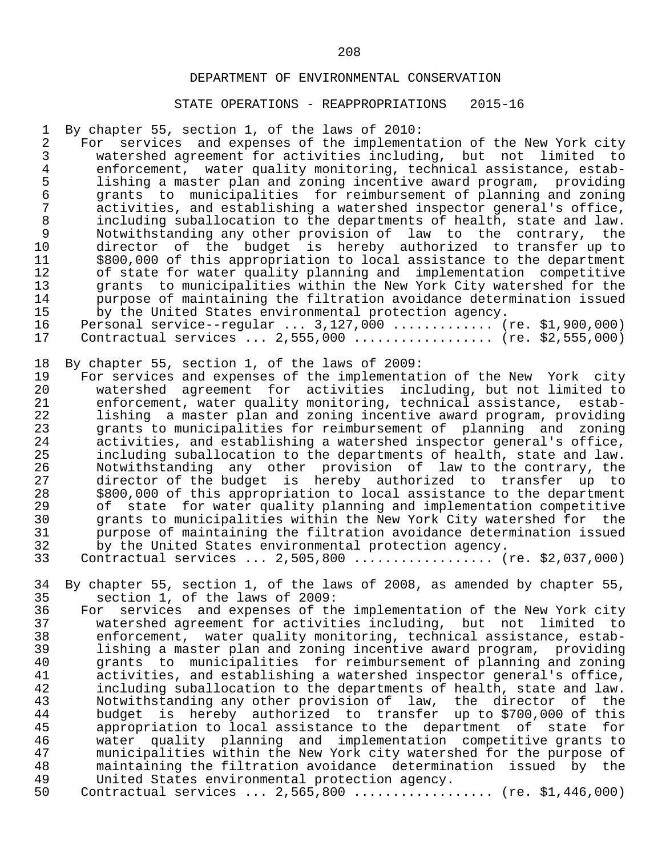### STATE OPERATIONS - REAPPROPRIATIONS 2015-16

1 By chapter 55, section 1, of the laws of 2010:

2 For services and expenses of the implementation of the New York city<br>3 watershed agreement for activities including, but not limited to 3 watershed agreement for activities including, but not limited to<br>4 enforcement, water quality monitoring, technical assistance, estab-4 enforcement, water quality monitoring, technical assistance, estab-<br>5 lishing a master plan and zoning incentive award program, providing 5 lishing a master plan and zoning incentive award program, providing 6 grants to municipalities for reimbursement of planning and zoning 7 activities, and establishing a watershed inspector general's office,<br>8 including suballocation to the departments of health, state and law. 8 including suballocation to the departments of health, state and law. 9 Notwithstanding any other provision of law to the contrary, the<br>10 director of the budget is hereby authorized to transfer up to 10 director of the budget is hereby authorized to transfer up to<br>11 \$800.000 of this appropriation to local assistance to the department 11 \$800,000 of this appropriation to local assistance to the department<br>12 of state for water quality planning and implementation competitive 12 of state for water quality planning and implementation competitive<br>13 orants to municipalities within the New York City watershed for the 13 grants to municipalities within the New York City watershed for the<br>14 burpose of maintaining the filtration avoidance determination issued 14 burpose of maintaining the filtration avoidance determination issued<br>15 by the United States environmental protection agency. 15 by the United States environmental protection agency. 16 Personal service--regular ... 3,127,000 .............. (re. \$1,900,000)<br>17 Contractual services ... 2,555,000 .................... (re. \$2,555,000) Contractual services ... 2,555,000 ................... (re. \$2,555,000)

18 By chapter 55, section 1, of the laws of 2009:<br>19 For services and expenses of the implementat

19 For services and expenses of the implementation of the New York city<br>20 watershed agreement for activities including, but not limited to 20 watershed agreement for activities including, but not limited to<br>21 enforcement, water-quality-monitoring, technical-assistance, estab-21 enforcement, water quality monitoring, technical assistance, estab-<br>22 1 lishing a master plan and zoning incentive award program, providing 22 lishing a master plan and zoning incentive award program, providing 23 grants to municipalities for reimbursement of planning and zoning<br>24 activities, and establishing a watershed inspector general's office, 24 activities, and establishing a watershed inspector general's office,<br>25 including suballocation to the departments of health, state and law. 25 including suballocation to the departments of health, state and law.<br>26 10 Notwithstanding any other provision of law to the contrary, the 26 Notwithstanding any other provision of law to the contrary, the 27 director of the budget is hereby authorized to transfer up to 28 \$800,000 of this appropriation to local assistance to the department<br>29 of state for water quality planning and implementation competitive 29 of state for water quality planning and implementation competitive<br>30 orants to municipalities within the New York City watershed for the 30 grants to municipalities within the New York City watershed for the<br>31 burpose of maintaining the filtration avoidance determination issued 31 burpose of maintaining the filtration avoidance determination issued<br>32 by the United States environmental protection agency. 32 by the United States environmental protection agency.

Contractual services ... 2,505,800 ................... (re. \$2,037,000)

34 By chapter 55, section 1, of the laws of 2008, as amended by chapter 55, section 1, of the laws of 2009: 35 section 1, of the laws of 2009:<br>36 For services and expenses of th

 36 For services and expenses of the implementation of the New York city 37 watershed agreement for activities including, but not limited to<br>38 enforcement, water quality monitoring, technical assistance, estab-38 enforcement, water quality monitoring, technical assistance, estab-<br>39 1 lishing a master plan and zoning incentive award program, providing 39 lishing a master plan and zoning incentive award program, providing 40 grants to municipalities for reimbursement of planning and zoning<br>41 activities, and establishing a watershed inspector general's office, 41 activities, and establishing a watershed inspector general's office,<br>42 including suballocation to the departments of health, state and law. 42 including suballocation to the departments of health, state and law. 43 Notwithstanding any other provision of law, the director of the 44 budget is hereby authorized to transfer up to \$700,000 of this 45 appropriation to local assistance to the department of state for<br>46 water quality planning and implementation competitive grants to 46 water quality planning and implementation competitive grants to<br>47 municipalities within the New York city watershed for the purpose of 47 municipalities within the New York city watershed for the purpose of<br>48 maintaining the filtration avoidance determination issued by the 48 maintaining the filtration avoidance determination issued by the<br>49 United States environmental protection agency. 49 United States environmental protection agency.<br>50 Contractual services ... 2,565,800 .............

50 Contractual services ... 2,565,800 .................. (re. \$1,446,000)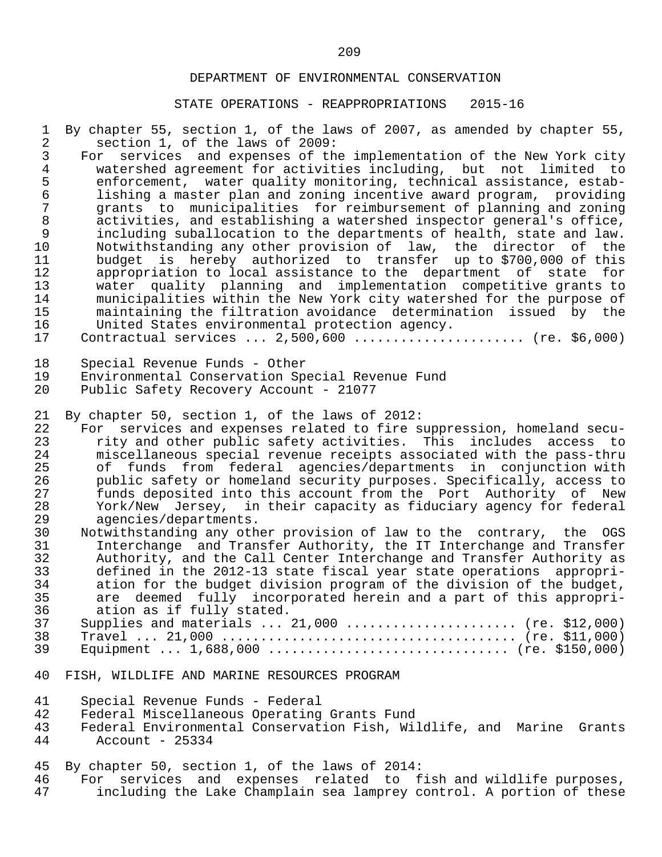| 1<br>$\overline{2}$ | By chapter 55, section 1, of the laws of 2007, as amended by chapter 55,<br>section 1, of the laws of 2009:                               |
|---------------------|-------------------------------------------------------------------------------------------------------------------------------------------|
| 3                   | For services and expenses of the implementation of the New York city                                                                      |
| $\overline{4}$      | watershed agreement for activities including, but not limited to                                                                          |
| 5                   | enforcement, water quality monitoring, technical assistance, estab-                                                                       |
| $\epsilon$          | lishing a master plan and zoning incentive award program, providing                                                                       |
| $\overline{7}$      | grants to municipalities for reimbursement of planning and zoning                                                                         |
| $\,8\,$             | activities, and establishing a watershed inspector general's office,                                                                      |
| $\mathsf 9$         | including suballocation to the departments of health, state and law.                                                                      |
| 10                  | Notwithstanding any other provision of law, the director<br>of<br>the                                                                     |
| 11                  | budget is hereby authorized to transfer up to \$700,000 of this                                                                           |
| 12                  | appropriation to local assistance to the department of state for                                                                          |
| 13                  | water quality planning and implementation competitive grants to                                                                           |
| 14                  | municipalities within the New York city watershed for the purpose of                                                                      |
| 15                  | maintaining the filtration avoidance determination issued by the                                                                          |
| 16                  | United States environmental protection agency.                                                                                            |
| 17                  | Contractual services $2,500,600$ (re. \$6,000)                                                                                            |
|                     |                                                                                                                                           |
| 18                  | Special Revenue Funds - Other                                                                                                             |
| 19<br>20            | Environmental Conservation Special Revenue Fund<br>Public Safety Recovery Account - 21077                                                 |
|                     |                                                                                                                                           |
| 21                  | By chapter 50, section 1, of the laws of 2012:                                                                                            |
| 22                  | For services and expenses related to fire suppression, homeland secu-                                                                     |
| 23                  | rity and other public safety activities.<br>This includes access to                                                                       |
| 24                  | miscellaneous special revenue receipts associated with the pass-thru                                                                      |
| 25                  | of funds from federal agencies/departments in conjunction with                                                                            |
| 26                  | public safety or homeland security purposes. Specifically, access to                                                                      |
| 27                  | funds deposited into this account from the Port Authority of New                                                                          |
| 28                  | York/New Jersey, in their capacity as fiduciary agency for federal                                                                        |
| 29                  | agencies/departments.                                                                                                                     |
| 30                  | Notwithstanding any other provision of law to the contrary, the OGS                                                                       |
| 31                  | Interchange and Transfer Authority, the IT Interchange and Transfer                                                                       |
| 32                  | Authority, and the Call Center Interchange and Transfer Authority as                                                                      |
| 33<br>34            | defined in the 2012-13 state fiscal year state operations appropri-                                                                       |
| 35                  | ation for the budget division program of the division of the budget,<br>are deemed fully incorporated herein and a part of this appropri- |
| 36                  | ation as if fully stated.                                                                                                                 |
| 37                  | Supplies and materials $\ldots$ 21,000 $\ldots$ (re. \$12,000)                                                                            |
| 38                  |                                                                                                                                           |
| 39                  |                                                                                                                                           |
|                     |                                                                                                                                           |
| 40                  | FISH, WILDLIFE AND MARINE RESOURCES PROGRAM                                                                                               |
|                     |                                                                                                                                           |
| 41                  | Special Revenue Funds - Federal                                                                                                           |
| 42                  | Federal Miscellaneous Operating Grants Fund                                                                                               |
| 43                  | Federal Environmental Conservation Fish, Wildlife, and Marine Grants                                                                      |
| 44                  | Account - $25334$                                                                                                                         |
| 45                  | By chapter 50, section 1, of the laws of 2014:                                                                                            |
| 46                  | services and expenses related to fish and wildlife purposes,<br>For                                                                       |
| 47                  | including the Lake Champlain sea lamprey control. A portion of these                                                                      |
|                     |                                                                                                                                           |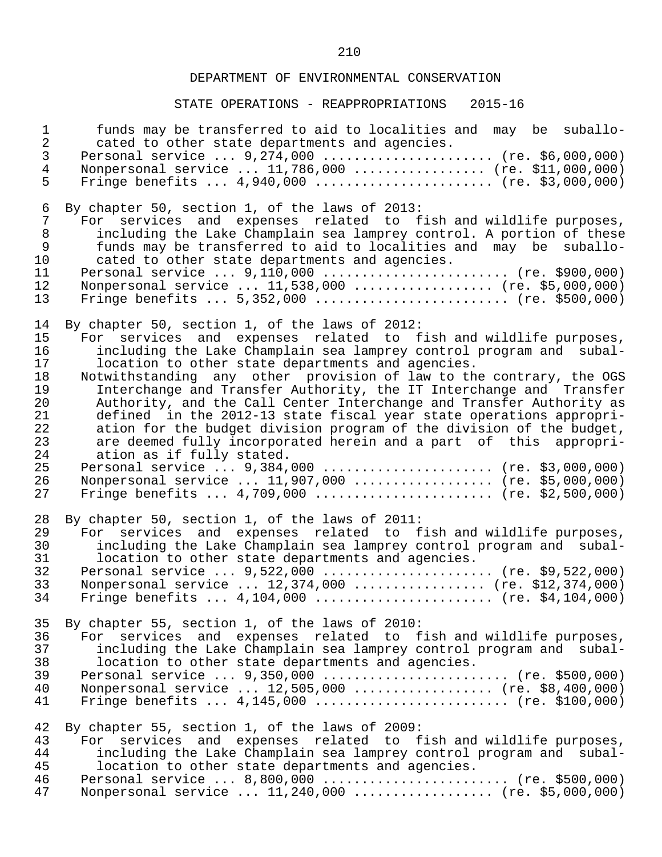| $\mathbf 1$    | funds may be transferred to aid to localities and may be suballo-    |
|----------------|----------------------------------------------------------------------|
| $\overline{a}$ | cated to other state departments and agencies.                       |
| $\mathfrak{Z}$ | Personal service  9,274,000  (re. \$6,000,000)                       |
| $\overline{4}$ | Nonpersonal service  11,786,000  (re. \$11,000,000)                  |
| 5              | Fringe benefits $4,940,000$ (re. \$3,000,000)                        |
| $\epsilon$     | By chapter 50, section 1, of the laws of 2013:                       |
| $\overline{7}$ | For services and expenses related to fish and wildlife purposes,     |
| 8              | including the Lake Champlain sea lamprey control. A portion of these |
| 9              | funds may be transferred to aid to localities and may be suballo-    |
| 10             | cated to other state departments and agencies.                       |
| 11             | Personal service  9,110,000  (re. \$900,000)                         |
| 12             | Nonpersonal service  11,538,000  (re. \$5,000,000)                   |
| 13             | Fringe benefits $5,352,000$ (re. \$500,000)                          |
| 14             | By chapter 50, section 1, of the laws of 2012:                       |
| 15             | For services and expenses related to fish and wildlife purposes,     |
| 16             | including the Lake Champlain sea lamprey control program and subal-  |
| 17             | location to other state departments and agencies.                    |
| 18             | Notwithstanding any other provision of law to the contrary, the OGS  |
| 19             | Interchange and Transfer Authority, the IT Interchange and Transfer  |
| 20             | Authority, and the Call Center Interchange and Transfer Authority as |
| 21             | defined in the 2012-13 state fiscal year state operations appropri-  |
| 22             | ation for the budget division program of the division of the budget, |
| 23             | are deemed fully incorporated herein and a part of this appropri-    |
| 24             | ation as if fully stated.                                            |
| 25             | Personal service  9,384,000  (re. \$3,000,000)                       |
| 26             | Nonpersonal service  11,907,000  (re. \$5,000,000)                   |
| 27             | Fringe benefits $4,709,000$ (re. \$2,500,000)                        |
| 28             | By chapter 50, section 1, of the laws of 2011:                       |
| 29             | For services and expenses related to fish and wildlife purposes,     |
| 30             | including the Lake Champlain sea lamprey control program and subal-  |
| 31             | location to other state departments and agencies.                    |
| 32             | Personal service  9,522,000  (re. \$9,522,000)                       |
| 33             | Nonpersonal service $12,374,000$ (re. \$12,374,000)                  |
| 34             | Fringe benefits $4,104,000$ (re. \$4,104,000)                        |
| 35             | By chapter 55, section 1, of the laws of 2010:                       |
| 36             | For services and expenses related to fish and wildlife purposes,     |
| 37             | including the Lake Champlain sea lamprey control program and subal-  |
| 38             | location to other state departments and agencies.                    |
| 39             | Personal service  9,350,000  (re. \$500,000)                         |
| 40             | Nonpersonal service  12,505,000  (re. \$8,400,000)                   |
| 41             | Fringe benefits $4,145,000$ (re. \$100,000)                          |
| 42             | By chapter 55, section 1, of the laws of 2009:                       |
| 43             | For services and expenses related to fish and wildlife purposes,     |
| 44             | including the Lake Champlain sea lamprey control program and subal-  |
| 45             | location to other state departments and agencies.                    |
| 46             | Personal service  8,800,000  (re. \$500,000)                         |
| 47             | Nonpersonal service  11,240,000  (re. \$5,000,000)                   |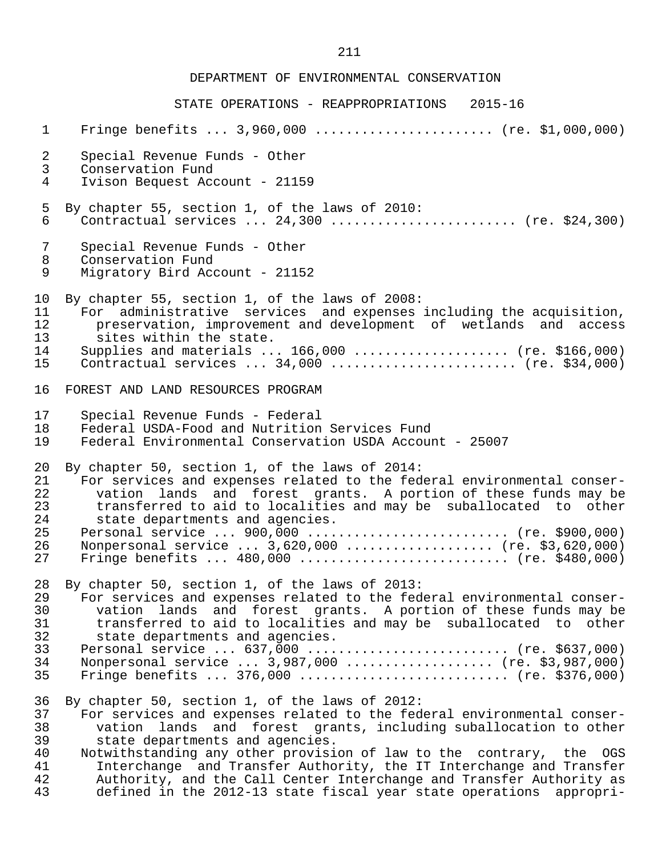| $\mathbf{1}$   | Fringe benefits $3,960,000$ (re. \$1,000,000)                          |
|----------------|------------------------------------------------------------------------|
| $\overline{2}$ | Special Revenue Funds - Other                                          |
| 3              | Conservation Fund                                                      |
| 4              | Ivison Bequest Account - 21159                                         |
| 5              | By chapter 55, section 1, of the laws of 2010:                         |
| 6              | Contractual services $24,300$ (re. \$24,300)                           |
| 7              | Special Revenue Funds - Other                                          |
| 8              | Conservation Fund                                                      |
| 9              | Migratory Bird Account - 21152                                         |
| 10             | By chapter 55, section 1, of the laws of 2008:                         |
| 11             | For administrative services and expenses including the acquisition,    |
| 12             | preservation, improvement and development of wetlands and access       |
| 13             | sites within the state.                                                |
| 14             | Supplies and materials $166,000$ (re. \$166,000)                       |
| 15             | Contractual services $34,000$ (re. \$34,000)                           |
| 16             | FOREST AND LAND RESOURCES PROGRAM                                      |
| 17             | Special Revenue Funds - Federal                                        |
| 18             | Federal USDA-Food and Nutrition Services Fund                          |
| 19             | Federal Environmental Conservation USDA Account - 25007                |
| 20             | By chapter 50, section 1, of the laws of 2014:                         |
| 21             | For services and expenses related to the federal environmental conser- |
| 22             | vation lands and forest grants. A portion of these funds may be        |
| 23             | transferred to aid to localities and may be suballocated to other      |
| 24             | state departments and agencies.                                        |
| 25             | Personal service  900,000  (re. \$900,000)                             |
| 26             | Nonpersonal service  3,620,000  (re. \$3,620,000)                      |
| 27             | Fringe benefits $480,000$ (re. \$480,000)                              |
| 28             | By chapter 50, section 1, of the laws of 2013:                         |
| 29             | For services and expenses related to the federal environmental conser- |
| 30             | vation lands and forest grants. A portion of these funds may be        |
| 31             | transferred to aid to localities and may be suballocated to other      |
| 32             | state departments and agencies.                                        |
| 33             | Personal service  637,000  (re. \$637,000)                             |
| 34             | Nonpersonal service  3,987,000  (re. \$3,987,000)                      |
| 35             |                                                                        |
| 36             | By chapter 50, section 1, of the laws of 2012:                         |
| 37             | For services and expenses related to the federal environmental conser- |
| 38             | vation lands and forest grants, including suballocation to other       |
| 39             | state departments and agencies.                                        |
| 40             | Notwithstanding any other provision of law to the contrary, the OGS    |
| 41             | Interchange and Transfer Authority, the IT Interchange and Transfer    |
| 42             | Authority, and the Call Center Interchange and Transfer Authority as   |
| 43             | defined in the 2012-13 state fiscal year state operations appropri-    |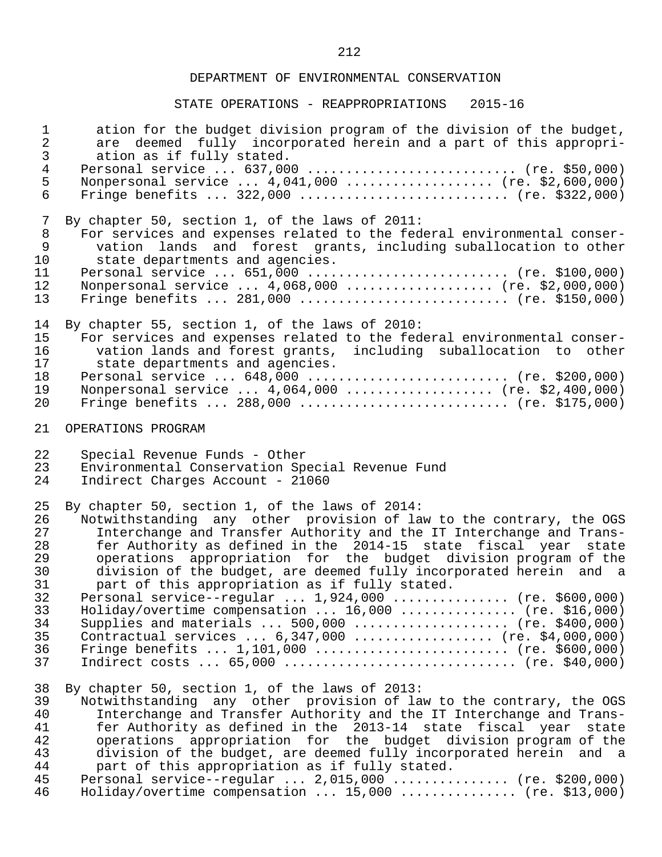| $\mathbf 1$                                        | ation for the budget division program of the division of the budget,                                                                                                                                                                                                                                                                                                                                                                                                                                                                                                             |
|----------------------------------------------------|----------------------------------------------------------------------------------------------------------------------------------------------------------------------------------------------------------------------------------------------------------------------------------------------------------------------------------------------------------------------------------------------------------------------------------------------------------------------------------------------------------------------------------------------------------------------------------|
| $\overline{a}$                                     | are deemed fully incorporated herein and a part of this appropri-                                                                                                                                                                                                                                                                                                                                                                                                                                                                                                                |
| $\mathfrak{Z}$                                     | ation as if fully stated.                                                                                                                                                                                                                                                                                                                                                                                                                                                                                                                                                        |
| $\overline{4}$                                     | Personal service $637,000$ (re. \$50,000)                                                                                                                                                                                                                                                                                                                                                                                                                                                                                                                                        |
| 5                                                  | Nonpersonal service  4,041,000  (re. \$2,600,000)                                                                                                                                                                                                                                                                                                                                                                                                                                                                                                                                |
| 6                                                  | Fringe benefits $322,000$ (re. \$322,000)                                                                                                                                                                                                                                                                                                                                                                                                                                                                                                                                        |
| 7                                                  | By chapter 50, section 1, of the laws of 2011:                                                                                                                                                                                                                                                                                                                                                                                                                                                                                                                                   |
| 8                                                  | For services and expenses related to the federal environmental conser-                                                                                                                                                                                                                                                                                                                                                                                                                                                                                                           |
| $\mathsf 9$                                        | vation lands and forest grants, including suballocation to other                                                                                                                                                                                                                                                                                                                                                                                                                                                                                                                 |
| 10                                                 | state departments and agencies.                                                                                                                                                                                                                                                                                                                                                                                                                                                                                                                                                  |
| 11                                                 | Personal service $651,000$ (re. \$100,000)                                                                                                                                                                                                                                                                                                                                                                                                                                                                                                                                       |
| 12                                                 | Nonpersonal service  4,068,000  (re. \$2,000,000)                                                                                                                                                                                                                                                                                                                                                                                                                                                                                                                                |
| 13                                                 | Fringe benefits $281,000$ (re. \$150,000)                                                                                                                                                                                                                                                                                                                                                                                                                                                                                                                                        |
| 14                                                 | By chapter 55, section 1, of the laws of 2010:                                                                                                                                                                                                                                                                                                                                                                                                                                                                                                                                   |
| 15                                                 | For services and expenses related to the federal environmental conser-                                                                                                                                                                                                                                                                                                                                                                                                                                                                                                           |
| 16                                                 | vation lands and forest grants, including suballocation to other                                                                                                                                                                                                                                                                                                                                                                                                                                                                                                                 |
| 17                                                 | state departments and agencies.                                                                                                                                                                                                                                                                                                                                                                                                                                                                                                                                                  |
| 18                                                 | Personal service  648,000  (re. \$200,000)                                                                                                                                                                                                                                                                                                                                                                                                                                                                                                                                       |
| 19                                                 | Nonpersonal service  4,064,000  (re. \$2,400,000)                                                                                                                                                                                                                                                                                                                                                                                                                                                                                                                                |
| 20                                                 | Fringe benefits $288,000$ (re. \$175,000)                                                                                                                                                                                                                                                                                                                                                                                                                                                                                                                                        |
| 21                                                 | OPERATIONS PROGRAM                                                                                                                                                                                                                                                                                                                                                                                                                                                                                                                                                               |
| 22                                                 | Special Revenue Funds - Other                                                                                                                                                                                                                                                                                                                                                                                                                                                                                                                                                    |
| 23                                                 | Environmental Conservation Special Revenue Fund                                                                                                                                                                                                                                                                                                                                                                                                                                                                                                                                  |
| 24                                                 | Indirect Charges Account - 21060                                                                                                                                                                                                                                                                                                                                                                                                                                                                                                                                                 |
| 25                                                 | By chapter 50, section 1, of the laws of 2014:                                                                                                                                                                                                                                                                                                                                                                                                                                                                                                                                   |
| 26                                                 | Notwithstanding any other provision of law to the contrary, the OGS                                                                                                                                                                                                                                                                                                                                                                                                                                                                                                              |
| 27                                                 | Interchange and Transfer Authority and the IT Interchange and Trans-                                                                                                                                                                                                                                                                                                                                                                                                                                                                                                             |
| 28                                                 | fer Authority as defined in the 2014-15 state fiscal year state                                                                                                                                                                                                                                                                                                                                                                                                                                                                                                                  |
| 29                                                 | operations appropriation for the budget division program of the                                                                                                                                                                                                                                                                                                                                                                                                                                                                                                                  |
| 30                                                 | division of the budget, are deemed fully incorporated herein and a                                                                                                                                                                                                                                                                                                                                                                                                                                                                                                               |
| 31                                                 | part of this appropriation as if fully stated.                                                                                                                                                                                                                                                                                                                                                                                                                                                                                                                                   |
| 32                                                 | Personal service--regular  1,924,000  (re. \$600,000)                                                                                                                                                                                                                                                                                                                                                                                                                                                                                                                            |
| 33                                                 | Holiday/overtime compensation $16,000$ (re. \$16,000)                                                                                                                                                                                                                                                                                                                                                                                                                                                                                                                            |
| 34                                                 | Supplies and materials $500,000$ (re. \$400,000)                                                                                                                                                                                                                                                                                                                                                                                                                                                                                                                                 |
| 35                                                 | Contractual services  6,347,000  (re. \$4,000,000)                                                                                                                                                                                                                                                                                                                                                                                                                                                                                                                               |
| 36                                                 | Fringe benefits $1,101,000$ (re. \$600,000)                                                                                                                                                                                                                                                                                                                                                                                                                                                                                                                                      |
| 37                                                 | Indirect costs $65,000$ (re. \$40,000)                                                                                                                                                                                                                                                                                                                                                                                                                                                                                                                                           |
| 38<br>39<br>40<br>41<br>42<br>43<br>44<br>45<br>46 | By chapter 50, section 1, of the laws of 2013:<br>Notwithstanding any other provision of law to the contrary, the OGS<br>Interchange and Transfer Authority and the IT Interchange and Trans-<br>fer Authority as defined in the 2013-14 state fiscal year<br>state<br>operations appropriation for the budget division program of the<br>division of the budget, are deemed fully incorporated herein and a<br>part of this appropriation as if fully stated.<br>Personal service--regular $2,015,000$ (re. \$200,000)<br>Holiday/overtime compensation $15,000$ (re. \$13,000) |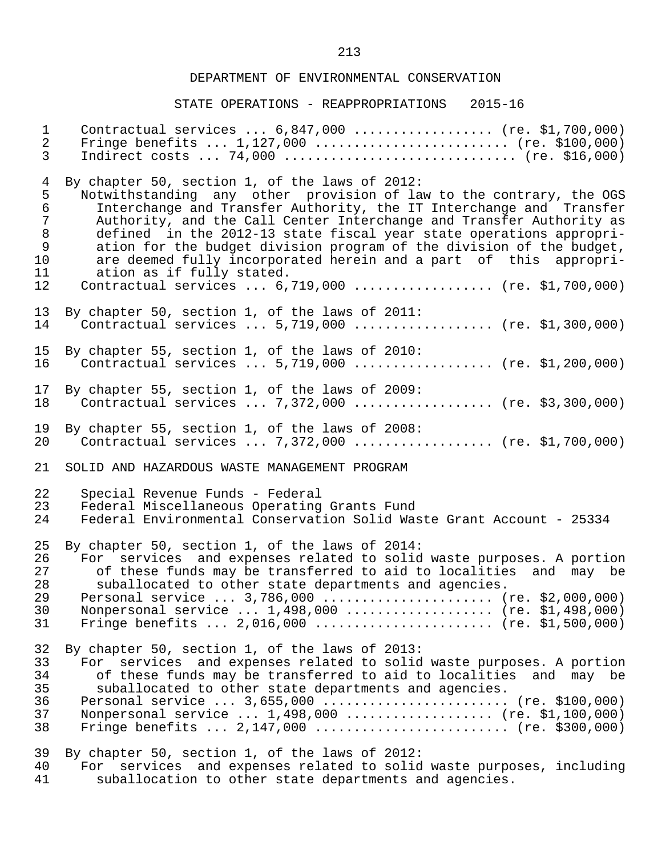| $\mathbf{1}$   | Contractual services  6,847,000  (re. \$1,700,000)                                                                                                                                  |
|----------------|-------------------------------------------------------------------------------------------------------------------------------------------------------------------------------------|
| $\overline{2}$ | Fringe benefits $1,127,000$ (re. \$100,000)                                                                                                                                         |
| $\mathfrak{Z}$ | Indirect costs $74,000$ (re. \$16,000)                                                                                                                                              |
| $\overline{4}$ | By chapter 50, section 1, of the laws of 2012:                                                                                                                                      |
| 5              | Notwithstanding any other provision of law to the contrary, the OGS                                                                                                                 |
| $\epsilon$     | Interchange and Transfer Authority, the IT Interchange and Transfer                                                                                                                 |
| $\overline{7}$ | Authority, and the Call Center Interchange and Transfer Authority as                                                                                                                |
| $8\,$          | defined in the 2012-13 state fiscal year state operations appropri-                                                                                                                 |
| 9              | ation for the budget division program of the division of the budget,                                                                                                                |
| 10             | are deemed fully incorporated herein and a part of this appropri-                                                                                                                   |
| 11             | ation as if fully stated.                                                                                                                                                           |
| 12             | Contractual services  6,719,000  (re. \$1,700,000)                                                                                                                                  |
| 13             | By chapter 50, section 1, of the laws of 2011:                                                                                                                                      |
| 14             | Contractual services  5,719,000  (re. \$1,300,000)                                                                                                                                  |
| 15             | By chapter 55, section 1, of the laws of 2010:                                                                                                                                      |
| 16             | Contractual services $5,719,000$ (re. \$1,200,000)                                                                                                                                  |
| 17             | By chapter 55, section 1, of the laws of 2009:                                                                                                                                      |
| 18             | Contractual services  7,372,000  (re. \$3,300,000)                                                                                                                                  |
| 19             | By chapter 55, section 1, of the laws of 2008:                                                                                                                                      |
| 20             | Contractual services  7,372,000  (re. \$1,700,000)                                                                                                                                  |
| 21             | SOLID AND HAZARDOUS WASTE MANAGEMENT PROGRAM                                                                                                                                        |
| 22             | Special Revenue Funds - Federal                                                                                                                                                     |
| 23             | Federal Miscellaneous Operating Grants Fund                                                                                                                                         |
| 24             | Federal Environmental Conservation Solid Waste Grant Account - 25334                                                                                                                |
| 25             | By chapter 50, section 1, of the laws of 2014:                                                                                                                                      |
| 26             | For services and expenses related to solid waste purposes. A portion                                                                                                                |
| 27             | of these funds may be transferred to aid to localities and may be                                                                                                                   |
| 28             | suballocated to other state departments and agencies.                                                                                                                               |
| 29             | Personal service  3,786,000  (re. \$2,000,000)                                                                                                                                      |
| 30             | Nonpersonal service  1,498,000  (re. \$1,498,000)                                                                                                                                   |
| 31             | Fringe benefits $2,016,000$ (re. \$1,500,000)                                                                                                                                       |
| 32             | By chapter 50, section 1, of the laws of 2013:                                                                                                                                      |
| 33             | For services and expenses related to solid waste purposes. A portion                                                                                                                |
| 34             | of these funds may be transferred to aid to localities and may be                                                                                                                   |
| 35             | suballocated to other state departments and agencies.                                                                                                                               |
| 36             | Personal service  3,655,000  (re. \$100,000)                                                                                                                                        |
| 37             | Nonpersonal service  1,498,000  (re. \$1,100,000)                                                                                                                                   |
| 38             | Fringe benefits $2,147,000$ (re. \$300,000)                                                                                                                                         |
| 39<br>40<br>41 | By chapter 50, section 1, of the laws of 2012:<br>services and expenses related to solid waste purposes, including<br>For<br>suballocation to other state departments and agencies. |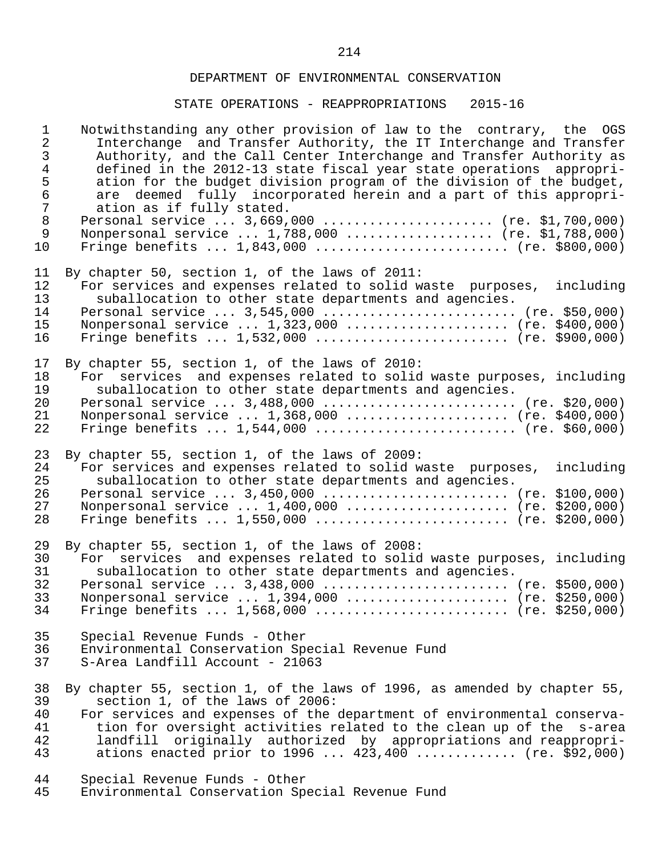# STATE OPERATIONS - REAPPROPRIATIONS 2015-16

| $\mathbf 1$<br>$\overline{a}$<br>$\mathfrak{Z}$<br>$\overline{4}$<br>5<br>$\epsilon$<br>$\overline{7}$<br>$\,8\,$<br>$\mathsf 9$<br>10 | Notwithstanding any other provision of law to the contrary, the OGS<br>Interchange and Transfer Authority, the IT Interchange and Transfer<br>Authority, and the Call Center Interchange and Transfer Authority as<br>defined in the 2012-13 state fiscal year state operations appropri-<br>ation for the budget division program of the division of the budget,<br>are deemed fully incorporated herein and a part of this appropri-<br>ation as if fully stated.<br>Personal service  3,669,000  (re. \$1,700,000)<br>Nonpersonal service  1,788,000  (re. \$1,788,000)<br>Fringe benefits $1,843,000$ (re. \$800,000) |
|----------------------------------------------------------------------------------------------------------------------------------------|---------------------------------------------------------------------------------------------------------------------------------------------------------------------------------------------------------------------------------------------------------------------------------------------------------------------------------------------------------------------------------------------------------------------------------------------------------------------------------------------------------------------------------------------------------------------------------------------------------------------------|
| 11<br>12<br>13<br>14<br>15<br>16                                                                                                       | By chapter 50, section 1, of the laws of 2011:<br>For services and expenses related to solid waste purposes,<br>including<br>suballocation to other state departments and agencies.<br>Personal service $3,545,000$ (re. \$50,000)<br>Nonpersonal service  1,323,000  (re. \$400,000)<br>Fringe benefits $1,532,000$ (re. \$900,000)                                                                                                                                                                                                                                                                                      |
| 17<br>18<br>19<br>20<br>21<br>22                                                                                                       | By chapter 55, section 1, of the laws of 2010:<br>For services and expenses related to solid waste purposes, including<br>suballocation to other state departments and agencies.<br>Personal service $3,488,000$ (re. \$20,000)<br>Nonpersonal service  1,368,000  (re. \$400,000)<br>Fringe benefits $1,544,000$ (re. \$60,000)                                                                                                                                                                                                                                                                                          |
| 23<br>24<br>25<br>26<br>27<br>28                                                                                                       | By chapter 55, section 1, of the laws of 2009:<br>For services and expenses related to solid waste purposes,<br>including<br>suballocation to other state departments and agencies.<br>Personal service $3,450,000$ (re. \$100,000)<br>Nonpersonal service  1,400,000  (re. \$200,000)<br>Fringe benefits $1,550,000$ (re. \$200,000)                                                                                                                                                                                                                                                                                     |
| 29<br>30<br>31<br>32<br>33<br>34                                                                                                       | By chapter 55, section 1, of the laws of 2008:<br>For services and expenses related to solid waste purposes, including<br>suballocation to other state departments and agencies.<br>Personal service  3,438,000  (re. \$500,000)<br>Nonpersonal service  1,394,000  (re. \$250,000)<br>Fringe benefits $1,568,000$ (re. \$250,000)                                                                                                                                                                                                                                                                                        |
| 35<br>36<br>37                                                                                                                         | Special Revenue Funds - Other<br>Environmental Conservation Special Revenue Fund<br>S-Area Landfill Account - 21063                                                                                                                                                                                                                                                                                                                                                                                                                                                                                                       |
| 38<br>39<br>40<br>41<br>42<br>43                                                                                                       | By chapter 55, section 1, of the laws of 1996, as amended by chapter 55,<br>section 1, of the laws of 2006:<br>For services and expenses of the department of environmental conserva-<br>tion for oversight activities related to the clean up of the s-area<br>landfill originally authorized by appropriations and reappropri-<br>ations enacted prior to $1996 423,400$ (re. \$92,000)                                                                                                                                                                                                                                 |
| 44<br>45                                                                                                                               | Special Revenue Funds - Other<br>Environmental Conservation Special Revenue Fund                                                                                                                                                                                                                                                                                                                                                                                                                                                                                                                                          |

214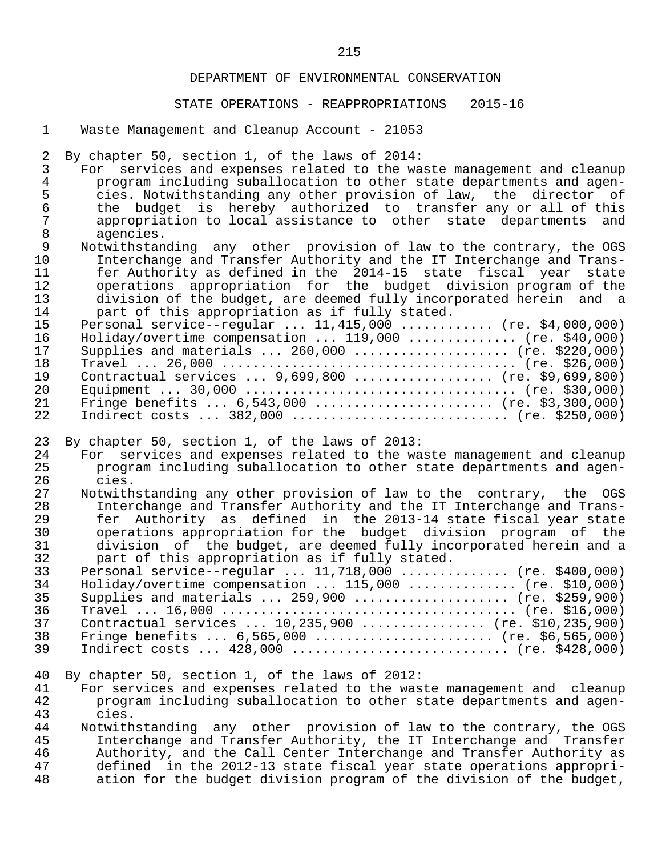### STATE OPERATIONS - REAPPROPRIATIONS 2015-16

1 Waste Management and Cleanup Account - 21053

2 By chapter 50, section 1, of the laws of 2014:<br>3 For services and expenses related to the wa

3 For services and expenses related to the waste management and cleanup<br>4 program including suballocation to other state departments and agen-4 program including suballocation to other state departments and agen-<br>5 cies. Notwithstanding any other provision of law, the director of 5 cies. Notwithstanding any other provision of law, the director of 6 the budget is hereby authorized to transfer any or all of this<br>7 appropriation to local assistance to other state departments and 7 appropriation to local assistance to other state departments and<br>8 agencies. 8 agencies.<br>9 Notwithstan

9 Notwithstanding any other provision of law to the contrary, the OGS<br>10 Interchange and Transfer Authority and the IT Interchange and Trans- 10 Interchange and Transfer Authority and the IT Interchange and Trans- 11 fer Authority as defined in the 2014-15 state fiscal year state<br>12 operations appropriation for the budget division program of the 12 operations appropriation for the budget division program of the<br>13 division of the budget, are deemed fully incorporated herein and a 13 division of the budget, are deemed fully incorporated herein and a<br>14 mart of this appropriation as if fully stated. part of this appropriation as if fully stated.

| 15  | Personal service--regular $11,415,000$ (re. \$4,000,000) |
|-----|----------------------------------------------------------|
| 16  | Holiday/overtime compensation $119,000$ (re. \$40,000)   |
| 17  | Supplies and materials $260,000$ (re. \$220,000)         |
| 18  |                                                          |
| 19  | Contractual services $9,699,800$ (re. \$9,699,800)       |
| 2.0 |                                                          |
| 21  | Fringe benefits $6,543,000$ (re. \$3,300,000)            |
| 22  | Indirect costs  382,000  (re. \$250,000)                 |

23 By chapter 50, section 1, of the laws of 2013:<br>24 For services and expenses related to the wa

- 24 For services and expenses related to the waste management and cleanup<br>25 The program including suballocation to other state departments and agen- 25 program including suballocation to other state departments and agen- 26 cies.<br>27 Notwith
- 27 Notwithstanding any other provision of law to the contrary, the OGS<br>28 11 Interchange and Transfer Authority and the IT Interchange and Trans- 28 Interchange and Transfer Authority and the IT Interchange and Trans- 29 fer Authority as defined in the 2013-14 state fiscal year state 30 operations appropriation for the budget division program of the<br>31 division of the budget, are deemed fully incorporated herein and a 31 division of the budget, are deemed fully incorporated herein and a<br>32 part of this appropriation as if fully stated. part of this appropriation as if fully stated.

| 33 | Personal service--regular $11,718,000$ (re. \$400,000) |
|----|--------------------------------------------------------|
| 34 | Holiday/overtime compensation $115,000$ (re. \$10,000) |
| 35 | Supplies and materials $259,900$ (re. \$259,900)       |
| 36 |                                                        |
| 37 | Contractual services $10,235,900$ (re. \$10,235,900)   |
| 38 | Fringe benefits $6,565,000$ (re. \$6,565,000)          |
| 39 | Indirect costs $428,000$ (re. \$428,000)               |
|    |                                                        |

40 By chapter 50, section 1, of the laws of 2012:

41 For services and expenses related to the waste management and cleanup<br>42 The program including suballocation to other state departments and agen- 42 program including suballocation to other state departments and agen- 43 cies.<br>44 Notwith

44 Notwithstanding any other provision of law to the contrary, the OGS<br>45 11 Interchange and Transfer Authority, the IT Interchange and Transfer 45 Interchange and Transfer Authority, the IT Interchange and Transfer<br>46 Authority, and the Call Center Interchange and Transfer Authority as 46 Authority, and the Call Center Interchange and Transfer Authority as<br>47 defined in the 2012-13 state fiscal year state operations appropri- 47 defined in the 2012-13 state fiscal year state operations appropri ation for the budget division program of the division of the budget,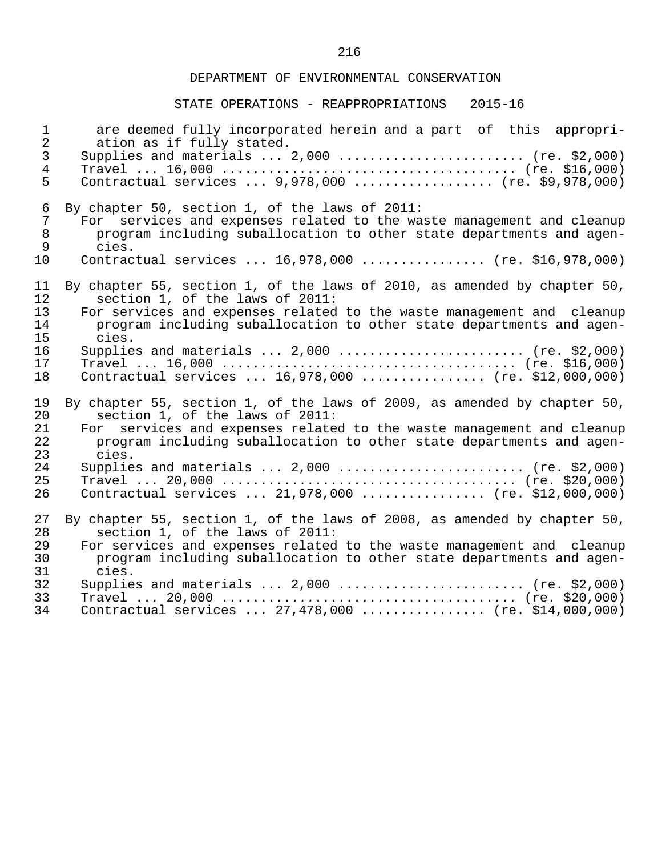| $\mathbf 1$    | are deemed fully incorporated herein and a part of this appropri-        |
|----------------|--------------------------------------------------------------------------|
| $\overline{2}$ | ation as if fully stated.                                                |
| $\mathfrak{Z}$ | Supplies and materials $2,000$ (re. \$2,000)                             |
| $\overline{4}$ |                                                                          |
| 5              | Contractual services $9,978,000$ (re. \$9,978,000)                       |
| 6              | By chapter 50, section 1, of the laws of 2011:                           |
| 7              | For services and expenses related to the waste management and cleanup    |
| 8              | program including suballocation to other state departments and agen-     |
| $\mathsf 9$    | cies.                                                                    |
| 10             | Contractual services  16,978,000  (re. \$16,978,000)                     |
| 11             | By chapter 55, section 1, of the laws of 2010, as amended by chapter 50, |
| 12             | section 1, of the laws of 2011:                                          |
| 13             | For services and expenses related to the waste management and cleanup    |
| 14             | program including suballocation to other state departments and agen-     |
| 15             | cies.                                                                    |
| 16             | Supplies and materials $2,000$ (re. \$2,000)                             |
| 17             |                                                                          |
| 18             | Contractual services  16,978,000  (re. \$12,000,000)                     |
| 19             | By chapter 55, section 1, of the laws of 2009, as amended by chapter 50, |
| 20             | section 1, of the laws of 2011:                                          |
| 21             | For services and expenses related to the waste management and cleanup    |
| 22             | program including suballocation to other state departments and agen-     |
| 23             | cies.                                                                    |
| 24             | Supplies and materials $2,000$ (re. \$2,000)                             |
| 25             |                                                                          |
| 26             | Contractual services  21,978,000  (re. \$12,000,000)                     |
| 27             | By chapter 55, section 1, of the laws of 2008, as amended by chapter 50, |
| 28             | section 1, of the laws of 2011:                                          |
| 29             | For services and expenses related to the waste management and cleanup    |
| 30             | program including suballocation to other state departments and agen-     |
| 31             | cies.                                                                    |
| 32             | Supplies and materials $2,000$ (re. \$2,000)                             |
| 33             |                                                                          |
| 34             | Contractual services  27,478,000  (re. \$14,000,000)                     |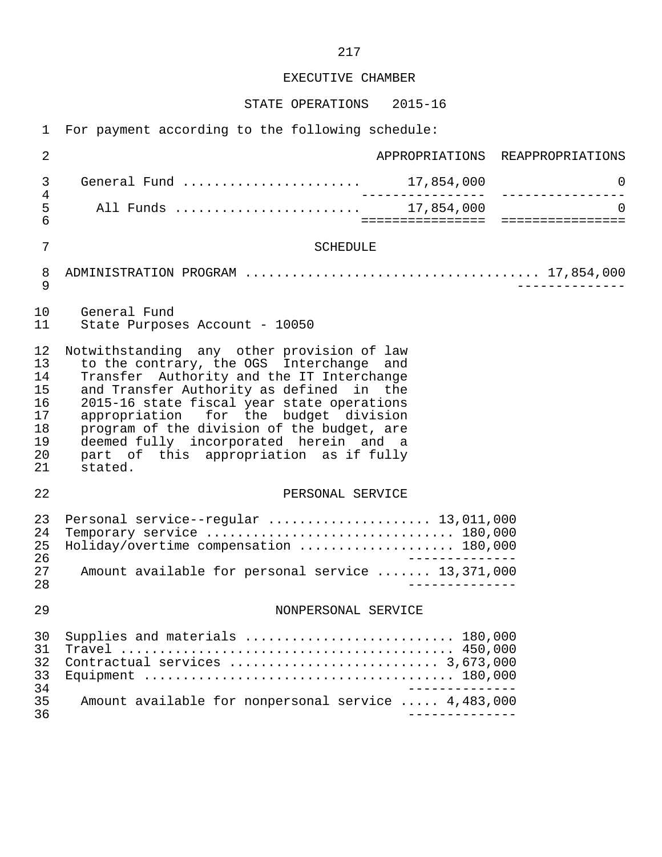#### EXECUTIVE CHAMBER

STATE OPERATIONS 2015-16

 1 For payment according to the following schedule: 2 APPROPRIATIONS REAPPROPRIATIONS 3 General Fund ....................... 17,854,000 0 4 ---------------- ---------------- 5 All Funds ........................ 17,854,000 0 6 ================ ================ 7 SCHEDULE 8 ADMINISTRATION PROGRAM ...................................... 17,854,000 9 -------------- 10 General Fund<br>11 State Purpose State Purposes Account - 10050 12 Notwithstanding any other provision of law<br>13 to the contrary, the OGS Interchange and 13 to the contrary, the OGS Interchange and<br>14 Transfer Authority and the IT Interchange 14 Transfer Authority and the IT Interchange<br>15 and Transfer Authority as defined in the and Transfer Authority as defined in the 16 2015-16 state fiscal year state operations<br>17 appropriation for the budget division 17 appropriation for the budget division<br>18 program of the division of the budget, are 18 program of the division of the budget, are<br>19 deemed fully incorporated herein and a 19 deemed fully incorporated herein and a<br>20 part of this appropriation as if fully 20 part of this appropriation as if fully<br>21 stated. stated. 22 PERSONAL SERVICE 23 Personal service--regular .......................... 13,011,000<br>24 Temporary service 24 Temporary service ................................ 180,000 25 Holiday/overtime compensation .................... 180,000 26<br>27 Amount available for personal service ....... 13.371.000 27 Amount available for personal service ....... 13,371,000 28 -------------- 29 NONPERSONAL SERVICE 30 Supplies and materials ........................... 180,000 31 Travel ........................................... 450,000 32 Contractual services ........................... 3,673,000 33 Equipment ........................................ 180,000 34<br>35 Amount available for nonpersonal service ..... 4.483.000 35 Amount available for nonpersonal service ..... 4,483,000 36 --------------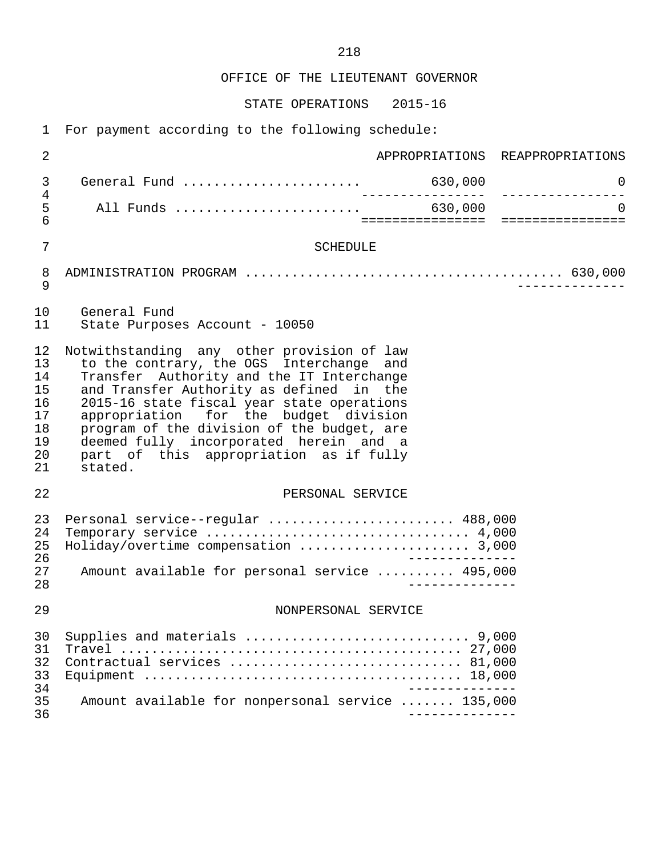OFFICE OF THE LIEUTENANT GOVERNOR

STATE OPERATIONS 2015-16

1 For payment according to the following schedule:

| $\overline{2}$                                           | APPROPRIATIONS REAPPROPRIATIONS                                                                                                                                                                                                                                                                                                                                                                                     |
|----------------------------------------------------------|---------------------------------------------------------------------------------------------------------------------------------------------------------------------------------------------------------------------------------------------------------------------------------------------------------------------------------------------------------------------------------------------------------------------|
| 3<br>4                                                   | 0<br>__________________<br>________________                                                                                                                                                                                                                                                                                                                                                                         |
| 5<br>6                                                   | $\Omega$<br>====================================                                                                                                                                                                                                                                                                                                                                                                    |
| 7                                                        | <b>SCHEDULE</b>                                                                                                                                                                                                                                                                                                                                                                                                     |
| 8<br>9                                                   |                                                                                                                                                                                                                                                                                                                                                                                                                     |
| 10<br>11                                                 | General Fund<br>State Purposes Account - 10050                                                                                                                                                                                                                                                                                                                                                                      |
| 12<br>13<br>14<br>15<br>16<br>17<br>18<br>19<br>20<br>21 | Notwithstanding any other provision of law<br>to the contrary, the OGS Interchange and<br>Transfer Authority and the IT Interchange<br>and Transfer Authority as defined in the<br>2015-16 state fiscal year state operations<br>appropriation for the budget division<br>program of the division of the budget, are<br>deemed fully incorporated herein and a<br>part of this appropriation as if fully<br>stated. |
| 22                                                       | PERSONAL SERVICE                                                                                                                                                                                                                                                                                                                                                                                                    |
| 23<br>24<br>25<br>26<br>27<br>28                         | Personal service--regular  488,000<br>Holiday/overtime compensation  3,000<br>Amount available for personal service  495,000                                                                                                                                                                                                                                                                                        |
| 29                                                       | NONPERSONAL SERVICE                                                                                                                                                                                                                                                                                                                                                                                                 |
| 30<br>31<br>32<br>33<br>34<br>35<br>36                   | Contractual services  81,000<br>Amount available for nonpersonal service  135,000<br>---------------                                                                                                                                                                                                                                                                                                                |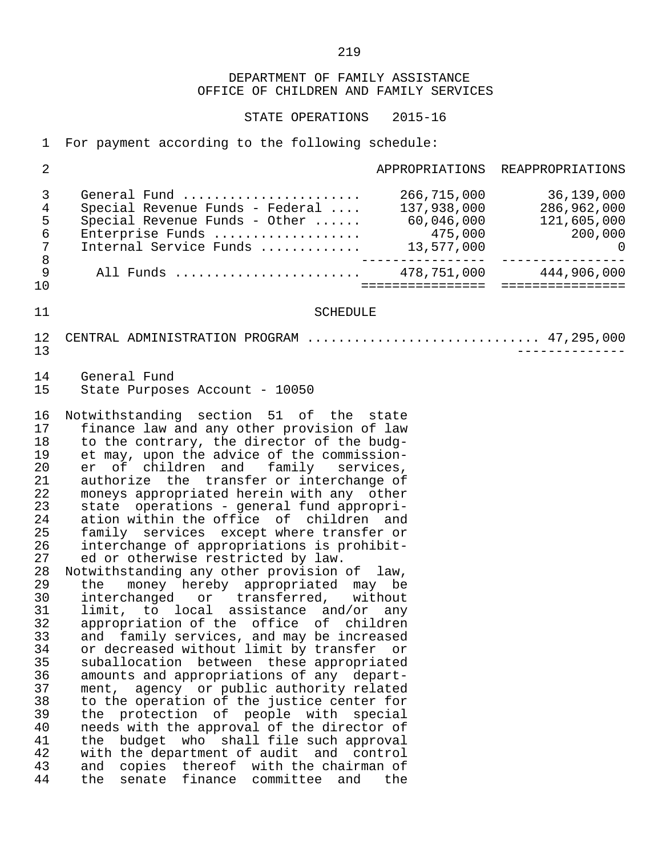STATE OPERATIONS 2015-16

1 For payment according to the following schedule:

| 2                                                                                                                                                                          |                                                                                                                                                                                                                                                                                                                                                                                                                                                                                                                                                                                                                                                                                                                                                                                                                                                                                                                                                                                                                                                                                                                                                                                                                                                                                                                             |                                 | APPROPRIATIONS REAPPROPRIATIONS       |
|----------------------------------------------------------------------------------------------------------------------------------------------------------------------------|-----------------------------------------------------------------------------------------------------------------------------------------------------------------------------------------------------------------------------------------------------------------------------------------------------------------------------------------------------------------------------------------------------------------------------------------------------------------------------------------------------------------------------------------------------------------------------------------------------------------------------------------------------------------------------------------------------------------------------------------------------------------------------------------------------------------------------------------------------------------------------------------------------------------------------------------------------------------------------------------------------------------------------------------------------------------------------------------------------------------------------------------------------------------------------------------------------------------------------------------------------------------------------------------------------------------------------|---------------------------------|---------------------------------------|
| 3<br>4<br>5<br>$\epsilon$<br>$\sqrt{ }$<br>$\,8\,$                                                                                                                         | General Fund<br>Special Revenue Funds - Federal<br>Special Revenue Funds - Other  60,046,000 121,605,000<br>Enterprise Funds  475,000 121,605,000<br>Internal Service Funds  13,577,000 13,577,000 0                                                                                                                                                                                                                                                                                                                                                                                                                                                                                                                                                                                                                                                                                                                                                                                                                                                                                                                                                                                                                                                                                                                        | 266,715,000<br>---------------- | 36,139,000<br>137,938,000 286,962,000 |
| $\mathsf 9$<br>10                                                                                                                                                          | All Funds  478,751,000 444,906,000                                                                                                                                                                                                                                                                                                                                                                                                                                                                                                                                                                                                                                                                                                                                                                                                                                                                                                                                                                                                                                                                                                                                                                                                                                                                                          |                                 |                                       |
| 11                                                                                                                                                                         | <b>SCHEDULE</b>                                                                                                                                                                                                                                                                                                                                                                                                                                                                                                                                                                                                                                                                                                                                                                                                                                                                                                                                                                                                                                                                                                                                                                                                                                                                                                             |                                 |                                       |
| 12<br>13                                                                                                                                                                   | CENTRAL ADMINISTRATION PROGRAM  47,295,000                                                                                                                                                                                                                                                                                                                                                                                                                                                                                                                                                                                                                                                                                                                                                                                                                                                                                                                                                                                                                                                                                                                                                                                                                                                                                  |                                 | ______________                        |
| 14<br>15                                                                                                                                                                   | General Fund<br>State Purposes Account - 10050                                                                                                                                                                                                                                                                                                                                                                                                                                                                                                                                                                                                                                                                                                                                                                                                                                                                                                                                                                                                                                                                                                                                                                                                                                                                              |                                 |                                       |
| 16<br>17<br>18<br>19<br>20<br>21<br>22<br>23<br>24<br>25<br>26<br>27<br>28<br>29<br>30<br>31<br>32<br>33<br>34<br>35<br>36<br>37<br>38<br>39<br>40<br>41<br>42<br>43<br>44 | Notwithstanding section 51 of the state<br>finance law and any other provision of law<br>to the contrary, the director of the budg-<br>et may, upon the advice of the commission-<br>er of children and family services,<br>authorize the transfer or interchange of<br>moneys appropriated herein with any other<br>state operations - general fund appropri-<br>ation within the office of children and<br>family services except where transfer or<br>interchange of appropriations is prohibit-<br>ed or otherwise restricted by law.<br>Notwithstanding any other provision of law,<br>money hereby appropriated may be<br>the<br>interchanged or transferred, without<br>limit, to local assistance and/or any<br>appropriation of the office of children<br>and family services, and may be increased<br>or decreased without limit by transfer or<br>suballocation between these appropriated<br>amounts and appropriations of any depart-<br>agency or public authority related<br>ment,<br>to the operation of the justice center for<br>the protection of people with special<br>needs with the approval of the director of<br>budget who shall file such approval<br>the<br>with the department of audit and control<br>copies thereof with the chairman of<br>and<br>finance committee<br>the<br>senate<br>and | the                             |                                       |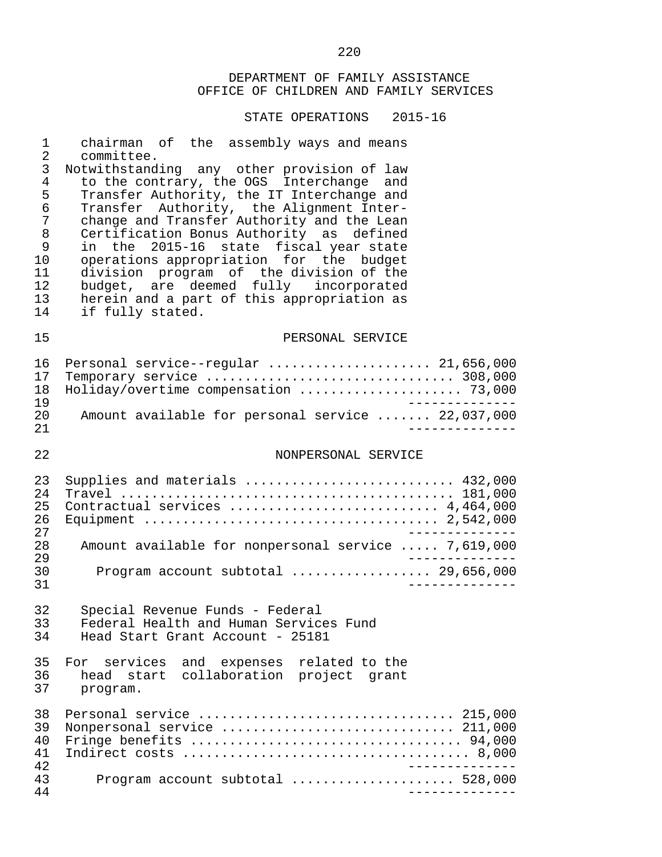|                      | UI LIUTI IUINU                                                                                               |
|----------------------|--------------------------------------------------------------------------------------------------------------|
| $\mathbf 1$          | chairman of the assembly ways and means                                                                      |
| $\overline{2}$       | committee.                                                                                                   |
| $\mathsf{3}$         | Notwithstanding any other provision of law                                                                   |
| $\overline{4}$       | to the contrary, the OGS Interchange and                                                                     |
| 5                    | Transfer Authority, the IT Interchange and                                                                   |
| 6                    | Transfer Authority, the Alignment Inter-                                                                     |
| $\overline{7}$       | change and Transfer Authority and the Lean                                                                   |
| $\,8\,$              | Certification Bonus Authority as defined                                                                     |
| 9                    | in the 2015-16 state fiscal year state                                                                       |
| 10                   | operations appropriation for the budget                                                                      |
| 11                   | division program of the division of the                                                                      |
| 12                   | budget, are deemed fully incorporated                                                                        |
| 13                   | herein and a part of this appropriation as                                                                   |
| 14                   | if fully stated.                                                                                             |
| 15                   | PERSONAL SERVICE                                                                                             |
| 16                   | Personal service--regular  21,656,000                                                                        |
| 17                   | Temporary service  308,000                                                                                   |
| 18                   | Holiday/overtime compensation  73,000                                                                        |
| 19                   | ______________                                                                                               |
| 20                   | Amount available for personal service  22,037,000                                                            |
| 21                   | ____________                                                                                                 |
| 22                   | NONPERSONAL SERVICE                                                                                          |
| 23                   | Supplies and materials  432,000                                                                              |
| 24                   |                                                                                                              |
| 25                   | Contractual services  4,464,000                                                                              |
| 26                   |                                                                                                              |
| 27                   | ____________.                                                                                                |
| 28<br>29<br>30<br>31 | Amount available for nonpersonal service  7,619,000<br>_____________<br>Program account subtotal  29,656,000 |
| 32                   | Special Revenue Funds - Federal                                                                              |
| 33                   | Federal Health and Human Services Fund                                                                       |
| 34                   | Head Start Grant Account - 25181                                                                             |
| 35                   | For services and expenses related to the                                                                     |
| 36                   | head start collaboration project grant                                                                       |
| 37                   | program.                                                                                                     |
| 38                   | Personal service  215,000                                                                                    |
| 39                   | Nonpersonal service  211,000                                                                                 |
| 40                   | Fringe benefits  94,000                                                                                      |
| 41                   |                                                                                                              |
| 42                   | ______________                                                                                               |
| 43                   | Program account subtotal  528,000                                                                            |
| 44                   | _______________                                                                                              |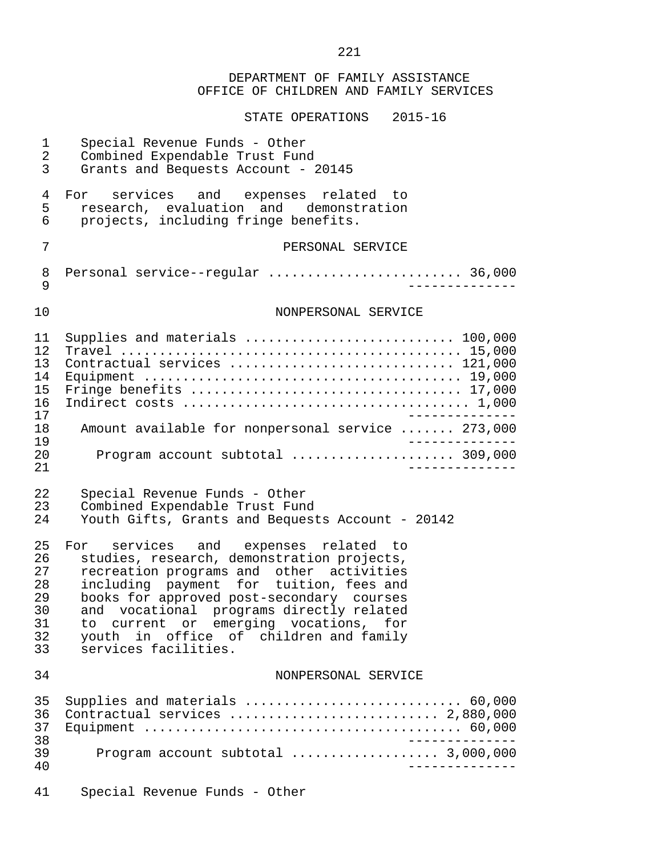|                                                    | DEPARTMENT OF FAMILY ASSISTANCE<br>OFFICE OF CHILDREN AND FAMILY SERVICES                                                                                                                                                                                                                                                                                                                  |
|----------------------------------------------------|--------------------------------------------------------------------------------------------------------------------------------------------------------------------------------------------------------------------------------------------------------------------------------------------------------------------------------------------------------------------------------------------|
|                                                    | STATE OPERATIONS 2015-16                                                                                                                                                                                                                                                                                                                                                                   |
| 1<br>2<br>3                                        | Special Revenue Funds - Other<br>Combined Expendable Trust Fund<br>Grants and Bequests Account - 20145                                                                                                                                                                                                                                                                                     |
| 4<br>5<br>6                                        | For services and expenses<br>related to<br>research, evaluation and demonstration<br>projects, including fringe benefits.                                                                                                                                                                                                                                                                  |
| 7                                                  | PERSONAL SERVICE                                                                                                                                                                                                                                                                                                                                                                           |
| 8<br>9                                             | Personal service--regular  36,000                                                                                                                                                                                                                                                                                                                                                          |
| 10                                                 | NONPERSONAL SERVICE                                                                                                                                                                                                                                                                                                                                                                        |
| 11<br>12<br>13<br>14<br>15<br>16<br>17<br>18<br>19 | Supplies and materials  100,000<br>Contractual services  121,000<br>Fringe benefits  17,000<br>Amount available for nonpersonal service  273,000<br>$- - - - - - -$                                                                                                                                                                                                                        |
| 20<br>21                                           | Program account subtotal  309,000                                                                                                                                                                                                                                                                                                                                                          |
| 22<br>23<br>24                                     | Special Revenue Funds - Other<br>Combined Expendable Trust Fund<br>Youth Gifts, Grants and Bequests Account - 20142                                                                                                                                                                                                                                                                        |
| 25<br>26<br>27<br>28<br>29<br>30<br>31<br>32<br>33 | For<br>services and expenses<br>related to<br>studies, research, demonstration projects,<br>recreation programs and other activities<br>including payment for tuition, fees and<br>books for approved post-secondary courses<br>and vocational programs directly related<br>current or emerging vocations,<br>to.<br>for<br>youth in office of children and family<br>services facilities. |
| 34                                                 | NONPERSONAL SERVICE                                                                                                                                                                                                                                                                                                                                                                        |
| 35<br>36<br>37<br>38<br>39                         | Supplies and materials  60,000<br>Contractual services  2,880,000                                                                                                                                                                                                                                                                                                                          |
| 40<br>41                                           | Special Revenue Funds - Other                                                                                                                                                                                                                                                                                                                                                              |

221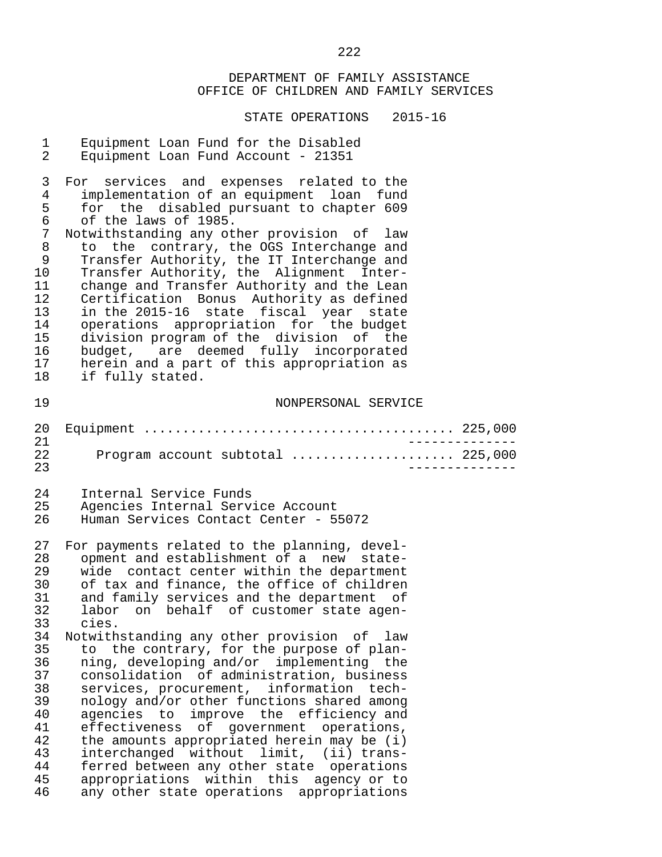| $\mathbf 1$          | Equipment Loan Fund for the Disabled                |
|----------------------|-----------------------------------------------------|
| $\overline{a}$       | Equipment Loan Fund Account - 21351                 |
| 3                    | For services and expenses related to the            |
| 4                    | implementation of an equipment loan fund            |
| 5                    | for the disabled pursuant to chapter 609            |
| 6                    | of the laws of 1985.                                |
| $7\phantom{.0}$      | Notwithstanding any other provision of law          |
| $\,8\,$              | to the contrary, the OGS Interchange and            |
| 9                    | Transfer Authority, the IT Interchange and          |
| 10                   | Transfer Authority, the Alignment Inter-            |
| 11                   | change and Transfer Authority and the Lean          |
| 12                   | Certification Bonus Authority as defined            |
| 13                   | in the 2015-16 state fiscal year state              |
| 14                   | operations appropriation for the budget             |
| 15                   | division program of the division of the             |
| 16                   | budget, are deemed fully incorporated               |
| 17                   | herein and a part of this appropriation as          |
| 18                   | if fully stated.                                    |
| 19                   | NONPERSONAL SERVICE                                 |
| 20<br>21<br>22<br>23 | ______________<br>Program account subtotal  225,000 |
| 24                   | Internal Service Funds                              |
| 25                   | Agencies Internal Service Account                   |
| 26                   | Human Services Contact Center - 55072               |
| 27                   | For payments related to the planning, devel-        |
| 28                   | opment and establishment of a new state-            |
| 29                   | wide contact center within the department           |
| 30                   | of tax and finance, the office of children          |
| 31                   | and family services and the department of           |
| 32                   | labor on behalf of customer state agen-             |
| 33                   | cies.                                               |
| 34                   | Notwithstanding any other provision of law          |
| 35                   | to the contrary, for the purpose of plan-           |
| 36                   | ning, developing and/or implementing the            |
| 37                   | consolidation of administration, business           |
| 38                   | services, procurement, information tech-            |
| 39                   | nology and/or other functions shared among          |
| 40                   | agencies to improve the efficiency and              |
| 41                   | effectiveness of government operations,             |
| 42                   | the amounts appropriated herein may be (i)          |
| 43                   | interchanged without limit, (ii) trans-             |
| 44                   | ferred between any other state operations           |
| 45                   | appropriations within this agency or to             |
| 46                   | any other state operations appropriations           |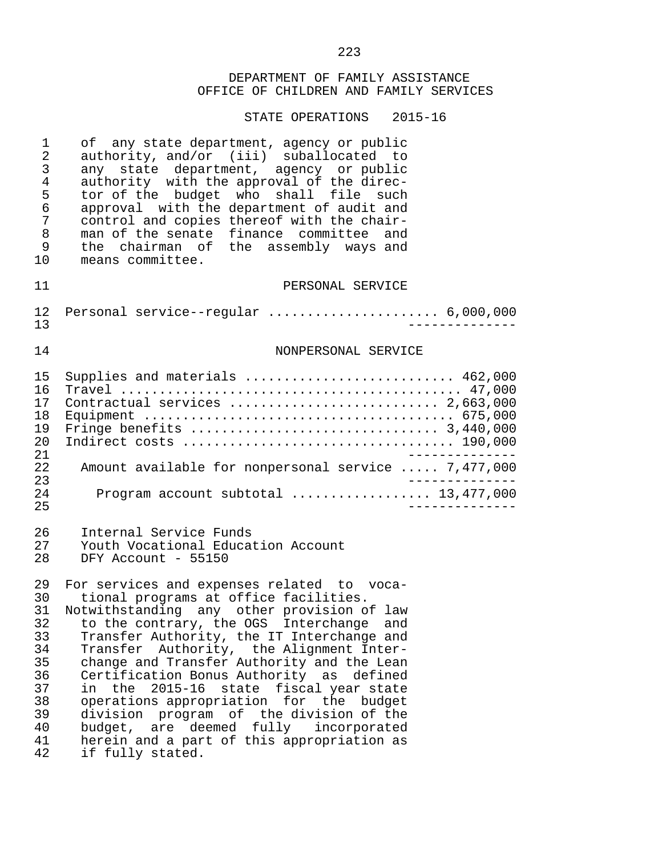| 1                                                                                | of any state department, agency or public                                                                                                                                                                                                                                                                                                                                                                                                                                                                                                                                                                       |
|----------------------------------------------------------------------------------|-----------------------------------------------------------------------------------------------------------------------------------------------------------------------------------------------------------------------------------------------------------------------------------------------------------------------------------------------------------------------------------------------------------------------------------------------------------------------------------------------------------------------------------------------------------------------------------------------------------------|
| 2                                                                                | authority, and/or (iii) suballocated to                                                                                                                                                                                                                                                                                                                                                                                                                                                                                                                                                                         |
| 3                                                                                | any state department, agency or public                                                                                                                                                                                                                                                                                                                                                                                                                                                                                                                                                                          |
| 4                                                                                | authority with the approval of the direc-                                                                                                                                                                                                                                                                                                                                                                                                                                                                                                                                                                       |
| 5                                                                                | tor of the budget who shall file such                                                                                                                                                                                                                                                                                                                                                                                                                                                                                                                                                                           |
| 6                                                                                | approval with the department of audit and                                                                                                                                                                                                                                                                                                                                                                                                                                                                                                                                                                       |
| 7                                                                                | control and copies thereof with the chair-                                                                                                                                                                                                                                                                                                                                                                                                                                                                                                                                                                      |
| 8                                                                                | man of the senate finance committee and                                                                                                                                                                                                                                                                                                                                                                                                                                                                                                                                                                         |
| 9                                                                                | the chairman of the assembly ways and                                                                                                                                                                                                                                                                                                                                                                                                                                                                                                                                                                           |
| 10                                                                               | means committee.                                                                                                                                                                                                                                                                                                                                                                                                                                                                                                                                                                                                |
| 11                                                                               | PERSONAL SERVICE                                                                                                                                                                                                                                                                                                                                                                                                                                                                                                                                                                                                |
| 12 <sub>1</sub>                                                                  | Personal service--regular  6,000,000                                                                                                                                                                                                                                                                                                                                                                                                                                                                                                                                                                            |
| 13                                                                               | $- - - - - -$                                                                                                                                                                                                                                                                                                                                                                                                                                                                                                                                                                                                   |
| 14                                                                               | NONPERSONAL SERVICE                                                                                                                                                                                                                                                                                                                                                                                                                                                                                                                                                                                             |
| 15                                                                               | Supplies and materials  462,000                                                                                                                                                                                                                                                                                                                                                                                                                                                                                                                                                                                 |
| 16                                                                               |                                                                                                                                                                                                                                                                                                                                                                                                                                                                                                                                                                                                                 |
| 17                                                                               | Contractual services  2,663,000                                                                                                                                                                                                                                                                                                                                                                                                                                                                                                                                                                                 |
| 18                                                                               |                                                                                                                                                                                                                                                                                                                                                                                                                                                                                                                                                                                                                 |
| 19                                                                               |                                                                                                                                                                                                                                                                                                                                                                                                                                                                                                                                                                                                                 |
| 20                                                                               |                                                                                                                                                                                                                                                                                                                                                                                                                                                                                                                                                                                                                 |
| 21                                                                               | __________                                                                                                                                                                                                                                                                                                                                                                                                                                                                                                                                                                                                      |
| 22                                                                               | Amount available for nonpersonal service  7,477,000                                                                                                                                                                                                                                                                                                                                                                                                                                                                                                                                                             |
| 23                                                                               | $- - - - -$                                                                                                                                                                                                                                                                                                                                                                                                                                                                                                                                                                                                     |
| 24                                                                               | Program account subtotal  13,477,000                                                                                                                                                                                                                                                                                                                                                                                                                                                                                                                                                                            |
| 25                                                                               | -------------                                                                                                                                                                                                                                                                                                                                                                                                                                                                                                                                                                                                   |
| 26                                                                               | Internal Service Funds                                                                                                                                                                                                                                                                                                                                                                                                                                                                                                                                                                                          |
| 27                                                                               | Youth Vocational Education Account                                                                                                                                                                                                                                                                                                                                                                                                                                                                                                                                                                              |
| 28                                                                               | DFY Account - 55150                                                                                                                                                                                                                                                                                                                                                                                                                                                                                                                                                                                             |
| 29<br>30<br>31<br>32<br>33<br>34<br>35<br>36<br>37<br>38<br>39<br>40<br>41<br>42 | For services and expenses related to voca-<br>tional programs at office facilities.<br>Notwithstanding any other provision of law<br>to the contrary, the OGS Interchange<br>and<br>Transfer Authority, the IT Interchange and<br>Transfer Authority, the Alignment Inter-<br>change and Transfer Authority and the Lean<br>Certification Bonus Authority as defined<br>in the 2015-16 state fiscal year state<br>operations appropriation for the budget<br>division program of the division of the<br>budget, are deemed fully incorporated<br>herein and a part of this appropriation as<br>if fully stated. |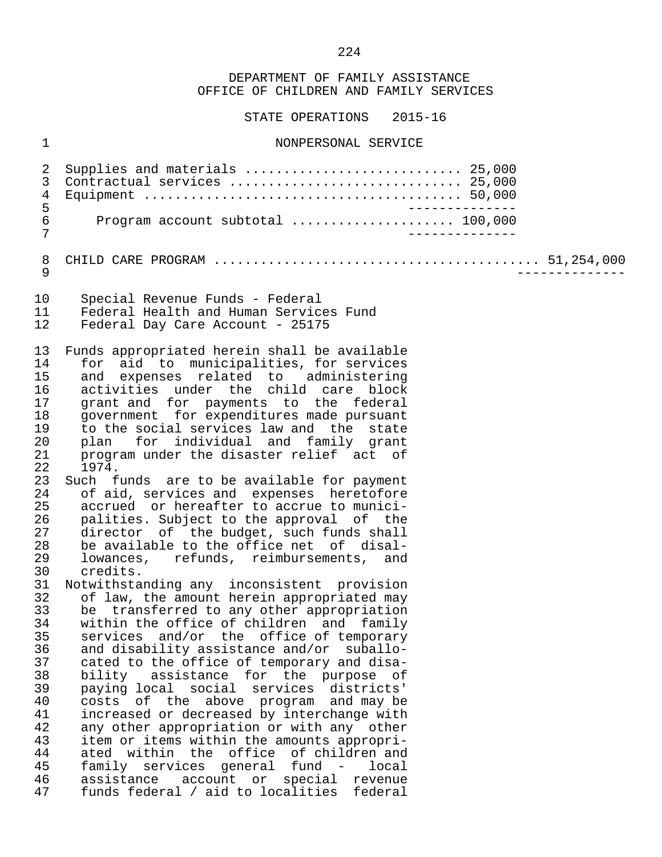STATE OPERATIONS 2015-16

## 1 NONPERSONAL SERVICE

| 2<br>3<br>$\overline{4}$<br>5<br>$\epsilon$<br>7                                                                                                                                                               | Supplies and materials  25,000<br>Contractual services  25,000<br>_______________<br>Program account subtotal  100,000<br>_______________                                                                                                                                                                                                                                                                                                                                                                                                                                                                                                                                                                                                                                                                                                                                                                                                                                                                                                                                                                                                                                                                                                                                                                                                                                                                                                                                                                               |  |  |
|----------------------------------------------------------------------------------------------------------------------------------------------------------------------------------------------------------------|-------------------------------------------------------------------------------------------------------------------------------------------------------------------------------------------------------------------------------------------------------------------------------------------------------------------------------------------------------------------------------------------------------------------------------------------------------------------------------------------------------------------------------------------------------------------------------------------------------------------------------------------------------------------------------------------------------------------------------------------------------------------------------------------------------------------------------------------------------------------------------------------------------------------------------------------------------------------------------------------------------------------------------------------------------------------------------------------------------------------------------------------------------------------------------------------------------------------------------------------------------------------------------------------------------------------------------------------------------------------------------------------------------------------------------------------------------------------------------------------------------------------------|--|--|
| 8<br>9                                                                                                                                                                                                         |                                                                                                                                                                                                                                                                                                                                                                                                                                                                                                                                                                                                                                                                                                                                                                                                                                                                                                                                                                                                                                                                                                                                                                                                                                                                                                                                                                                                                                                                                                                         |  |  |
| 10<br>11<br>12                                                                                                                                                                                                 | Special Revenue Funds - Federal<br>Federal Health and Human Services Fund<br>Federal Day Care Account - 25175                                                                                                                                                                                                                                                                                                                                                                                                                                                                                                                                                                                                                                                                                                                                                                                                                                                                                                                                                                                                                                                                                                                                                                                                                                                                                                                                                                                                           |  |  |
| 13<br>14<br>15<br>16<br>17<br>18<br>19<br>20<br>21<br>22<br>23<br>24<br>25<br>26<br>27<br>28<br>29<br>30<br>31<br>32<br>33<br>34<br>35<br>36<br>37<br>38<br>39<br>40<br>41<br>42<br>43<br>44<br>45<br>46<br>47 | Funds appropriated herein shall be available<br>for aid to municipalities, for services<br>and expenses related to administering<br>activities under the child care block<br>grant and for payments to the federal<br>government for expenditures made pursuant<br>to the social services law and the state<br>plan for individual and family grant<br>program under the disaster relief act of<br>1974.<br>Such funds are to be available for payment<br>of aid, services and expenses heretofore<br>accrued or hereafter to accrue to munici-<br>palities. Subject to the approval of the<br>director of the budget, such funds shall<br>be available to the office net of disal-<br>lowances, refunds, reimbursements, and<br>credits.<br>Notwithstanding any inconsistent provision<br>of law, the amount herein appropriated may<br>be transferred to any other appropriation<br>within the office of children and family<br>services and/or the office of temporary<br>and disability assistance and/or suballo-<br>cated to the office of temporary and disa-<br>bility assistance for the purpose of<br>paying local social services districts'<br>costs of the above program and may be<br>increased or decreased by interchange with<br>any other appropriation or with any other<br>item or items within the amounts appropri-<br>ated within the office of children and<br>family services general fund -<br>local<br>assistance account or special<br>revenue<br>funds federal / aid to localities federal |  |  |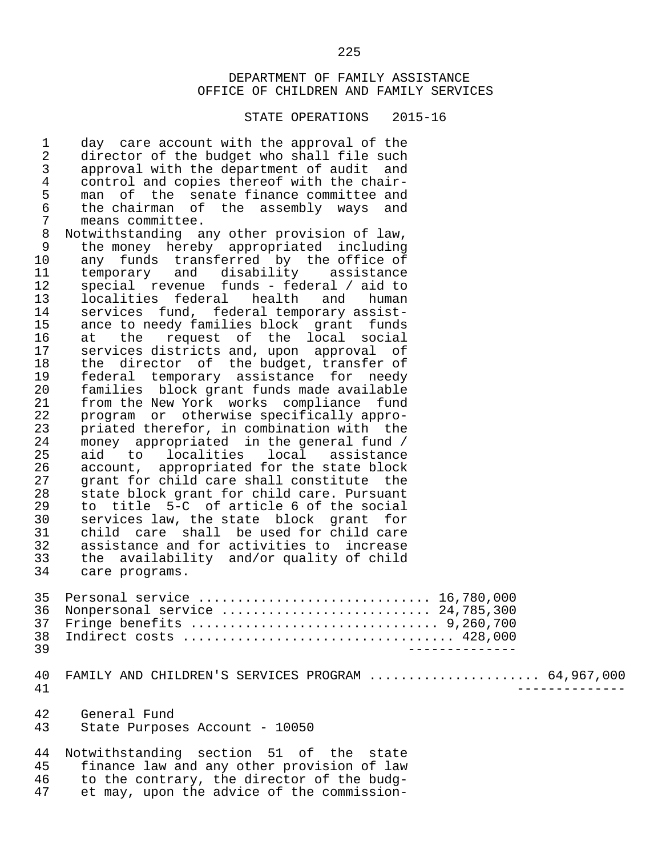#### STATE OPERATIONS 2015-16

1 day care account with the approval of the<br>2 director of the budget who shall file such 2 director of the budget who shall file such<br>3 approval with the department of audit and 3 approval with the department of audit and<br>4 control and copies thereof with the chair-4 control and copies thereof with the chair-<br>5 man of the senate finance committee and 5 man of the senate-finance-committee-and<br>6 the chairman of the assembly ways and 6 the chairman of the assembly ways and 7 means committee.<br>8 Notwithstanding am 8 Notwithstanding any other provision of law,<br>9 the money hereby appropriated including 9 the money hereby appropriated including<br>10 any funds transferred by the office of 10 any funds transferred by the office of<br>11 temporary and disability assistance 11 temporary and disability assistance<br>12 special revenue funds - federal / aid-to 12 special revenue funds - federal / aid to<br>13 localities federal health and human 13 localities federal health and human<br>14 services fund, federal-temporary-assist-14 services fund, federal temporary assist-<br>15 ance to needy families block grant funds 15 ance to needy families block grant funds<br>16 at the request of the local social 16 at the request of the local social<br>17 services-districts-and, upon approval of 17 services districts and, upon approval of<br>18 the director of the budget, transfer of 18 the director of the-budget, transfer of<br>19 federal temporary assistance for needy 19 federal temporary assistance for needy<br>20 families block-grant-funds-made-available 20 families block grant funds made available<br>21 from the New York works compliance fund 21 from the New York works compliance fund<br>22 program or otherwise specifically appro-22 program or otherwise specifically appro-<br>23 priated therefor, in combination with the 23 priated therefor, in combination with the<br>24 money appropriated in the general fund / 24 money appropriated in the general fund /<br>25 aid to localities local assistance 25 aid to localities local assistance<br>26 account, appropriated for the state block 26 account, appropriated for the state block<br>27 arant for child care shall constitute the 27 grant for child care shall constitute the<br>28 state block grant for child care. Pursuant 28 state block grant for child care. Pursuant<br>29 to title 5-C of article 6 of the social 29 to title 5-C of article 6 of the social<br>30 services law, the state block grant for 30 services law, the state block grant for<br>31 child care shall be used for child care 31 child care shall be used for child care<br>32 assistance and for activities to increase 32 assistance and for activities to increase<br>33 the availability and/or quality of child 33 the availability and/or quality of child care programs. 35 Personal service .............................. 16,780,000 36 Nonpersonal service ........................... 24,785,300 37 Fringe benefits ................................ 9,260,700 38 Indirect costs ................................... 428,000 39 -------------- 40 FAMILY AND CHILDREN'S SERVICES PROGRAM ......................... 64,967,000<br>41 41 -------------- 42 General Fund State Purposes Account - 10050 44 Notwithstanding section 51 of the state<br>45 finance law and any other provision of law 45 finance law and any other provision of law 46 to the contrary, the director of the budg-<br>47 et may, upon the advice of the commissionet may, upon the advice of the commission-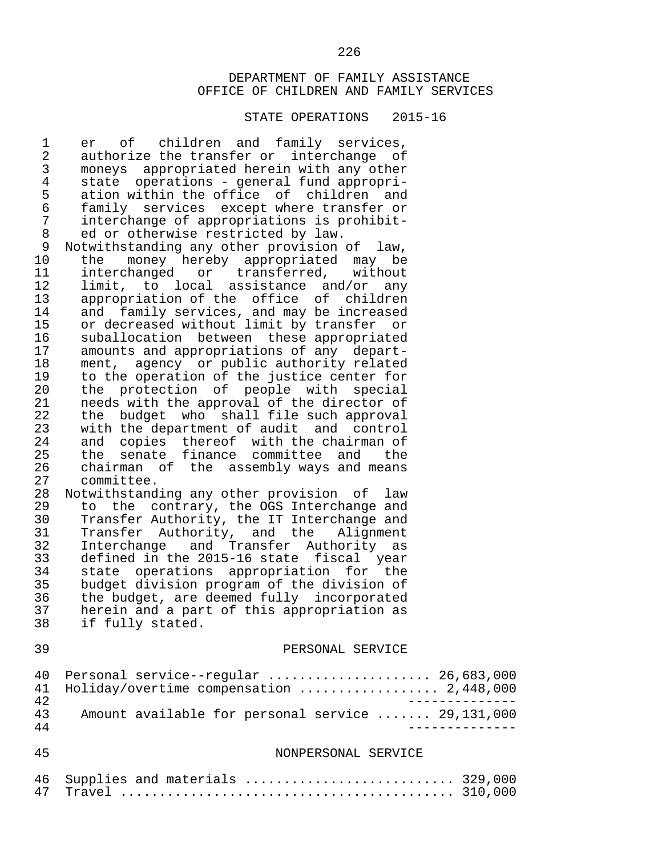| $\mathbf 1$<br>$\sqrt{2}$<br>$\mathsf 3$<br>4<br>5<br>$\epsilon$<br>$\overline{7}$<br>$\, 8$<br>9<br>10<br>11<br>12<br>13<br>14<br>15<br>16<br>17<br>18<br>19<br>20<br>21<br>22<br>23<br>24<br>25<br>26<br>27<br>28<br>29<br>30<br>31<br>32<br>33<br>34<br>35<br>36<br>37 | of children and family services,<br>er<br>authorize the transfer or interchange of<br>moneys appropriated herein with any other<br>state operations - general fund appropri-<br>ation within the office of children and<br>family services except where transfer or<br>interchange of appropriations is prohibit-<br>ed or otherwise restricted by law.<br>Notwithstanding any other provision of law,<br>money hereby appropriated may be<br>the<br>interchanged or transferred, without<br>limit, to local assistance and/or any<br>appropriation of the office of children<br>and family services, and may be increased<br>or decreased without limit by transfer or<br>suballocation between these appropriated<br>amounts and appropriations of any depart-<br>ment, agency or public authority related<br>to the operation of the justice center for<br>the protection of people with special<br>needs with the approval of the director of<br>the budget who shall file such approval<br>with the department of audit and control<br>and copies thereof with the chairman of<br>senate finance committee and the<br>the<br>chairman of the assembly ways and means<br>committee.<br>Notwithstanding any other provision of law<br>to the contrary, the OGS Interchange and<br>Transfer Authority, the IT Interchange and<br>Transfer Authority, and the Alignment<br>Interchange and Transfer Authority as<br>defined in the 2015-16 state fiscal year<br>state operations appropriation for the<br>budget division program of the division of<br>the budget, are deemed fully incorporated<br>herein and a part of this appropriation as |
|---------------------------------------------------------------------------------------------------------------------------------------------------------------------------------------------------------------------------------------------------------------------------|--------------------------------------------------------------------------------------------------------------------------------------------------------------------------------------------------------------------------------------------------------------------------------------------------------------------------------------------------------------------------------------------------------------------------------------------------------------------------------------------------------------------------------------------------------------------------------------------------------------------------------------------------------------------------------------------------------------------------------------------------------------------------------------------------------------------------------------------------------------------------------------------------------------------------------------------------------------------------------------------------------------------------------------------------------------------------------------------------------------------------------------------------------------------------------------------------------------------------------------------------------------------------------------------------------------------------------------------------------------------------------------------------------------------------------------------------------------------------------------------------------------------------------------------------------------------------------------------------------------------------------------------------|
| 38                                                                                                                                                                                                                                                                        | if fully stated.                                                                                                                                                                                                                                                                                                                                                                                                                                                                                                                                                                                                                                                                                                                                                                                                                                                                                                                                                                                                                                                                                                                                                                                                                                                                                                                                                                                                                                                                                                                                                                                                                                 |
| 39                                                                                                                                                                                                                                                                        | PERSONAL SERVICE                                                                                                                                                                                                                                                                                                                                                                                                                                                                                                                                                                                                                                                                                                                                                                                                                                                                                                                                                                                                                                                                                                                                                                                                                                                                                                                                                                                                                                                                                                                                                                                                                                 |
| 40<br>41<br>42                                                                                                                                                                                                                                                            | Personal service--regular  26,683,000<br>Holiday/overtime compensation  2,448,000                                                                                                                                                                                                                                                                                                                                                                                                                                                                                                                                                                                                                                                                                                                                                                                                                                                                                                                                                                                                                                                                                                                                                                                                                                                                                                                                                                                                                                                                                                                                                                |
| 43<br>44                                                                                                                                                                                                                                                                  | Amount available for personal service  29,131,000                                                                                                                                                                                                                                                                                                                                                                                                                                                                                                                                                                                                                                                                                                                                                                                                                                                                                                                                                                                                                                                                                                                                                                                                                                                                                                                                                                                                                                                                                                                                                                                                |
| 45                                                                                                                                                                                                                                                                        | NONPERSONAL SERVICE                                                                                                                                                                                                                                                                                                                                                                                                                                                                                                                                                                                                                                                                                                                                                                                                                                                                                                                                                                                                                                                                                                                                                                                                                                                                                                                                                                                                                                                                                                                                                                                                                              |
| 46                                                                                                                                                                                                                                                                        | Supplies and materials  329,000                                                                                                                                                                                                                                                                                                                                                                                                                                                                                                                                                                                                                                                                                                                                                                                                                                                                                                                                                                                                                                                                                                                                                                                                                                                                                                                                                                                                                                                                                                                                                                                                                  |
| 47                                                                                                                                                                                                                                                                        |                                                                                                                                                                                                                                                                                                                                                                                                                                                                                                                                                                                                                                                                                                                                                                                                                                                                                                                                                                                                                                                                                                                                                                                                                                                                                                                                                                                                                                                                                                                                                                                                                                                  |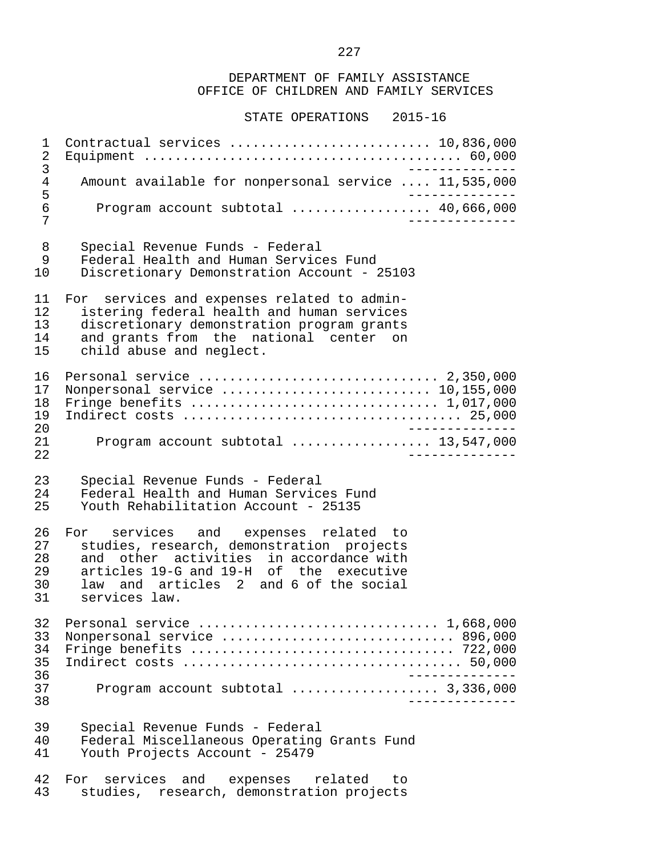STATE OPERATIONS 2015-16

 1 Contractual services .......................... 10,836,000 2 Equipment ......................................... 60,000 3<br>Amount available for nonpersonal service .... 11,535,000 4 Amount available for nonpersonal service .... 11,535,000<br>5 5 -------------- 6 Program account subtotal .................. 40,666,000 7 -------------- 8 Special Revenue Funds - Federal 9 Federal Health and Human Services Fund<br>10 Discretionary Demonstration Account - 2 Discretionary Demonstration Account - 25103 11 For services and expenses related to admin-<br>12 istering federal health and human services 12 istering federal health and human services<br>13 discretionary demonstration program grants 13 discretionary demonstration program grants<br>14 and grants from the national center on 14 and grants from the national center on<br>15 child abuse and neglect. child abuse and neglect. 16 Personal service ............................... 2,350,000 17 Nonpersonal service ........................... 10,155,000 18 Fringe benefits ................................ 1,017,000 19 Indirect costs .................................... 25,000 20 -------------- 21 Program account subtotal .................. 13,547,000 22 -------------- 23 Special Revenue Funds - Federal 24 Federal Health and Human Services Fund<br>25 Youth Rehabilitation Account - 25135 Youth Rehabilitation Account - 25135 26 For services and expenses related to<br>27 studies research demonstration projects 27 studies, research, demonstration projects<br>28 and other activities in accordance with 28 and other activities in accordance with<br>29 articles 19-G and 19-H of the executive 29 articles 19-G and 19-H of the executive<br>30 law and articles 2 and 6 of the social 30 law and articles 2 and 6 of the social<br>31 services law. services law. 32 Personal service ............................... 1,668,000 33 Nonpersonal service .............................. 896,000 34 Fringe benefits .................................. 722,000 35 Indirect costs .................................... 50,000 36 -------------- 37 Program account subtotal ................... 3,336,000 38 -------------- 39 Special Revenue Funds - Federal 40 Federal Miscellaneous Operating Grants Fund<br>41 Youth Projects Account - 25479 Youth Projects Account - 25479 42 For services and expenses related to<br>43 studies, research, demonstration-projects

studies, research, demonstration projects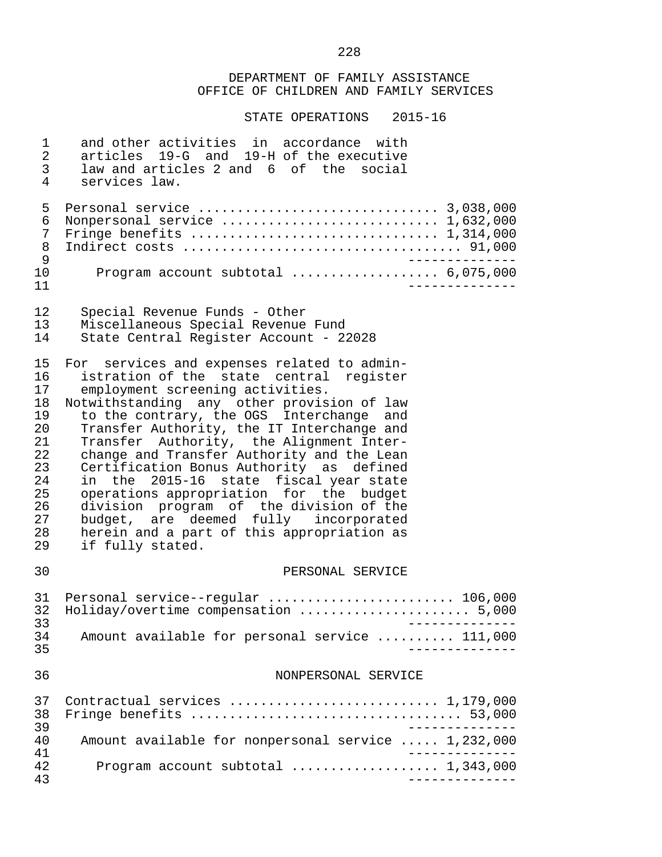| $\mathbf 1$<br>$\sqrt{2}$<br>$\mathsf{3}$<br>4                                         | and other activities in accordance with<br>articles 19-G and 19-H of the executive<br>law and articles 2 and 6 of the social<br>services law.                                                                                                                                                                                                                                                                                                                                                                                                                                                                                                       |
|----------------------------------------------------------------------------------------|-----------------------------------------------------------------------------------------------------------------------------------------------------------------------------------------------------------------------------------------------------------------------------------------------------------------------------------------------------------------------------------------------------------------------------------------------------------------------------------------------------------------------------------------------------------------------------------------------------------------------------------------------------|
| 5<br>6<br>7<br>8<br>9<br>10                                                            | Nonpersonal service  1,632,000<br>Fringe benefits $\ldots \ldots \ldots \ldots \ldots \ldots \ldots \ldots \ldots \ldots \ldots 1,314,000$<br>$- - - - - - - - -$<br>Program account subtotal $\ldots \ldots \ldots \ldots \ldots$ 6,075,000                                                                                                                                                                                                                                                                                                                                                                                                        |
| 11<br>12<br>13<br>14                                                                   | $\frac{1}{2}$<br>Special Revenue Funds - Other<br>Miscellaneous Special Revenue Fund<br>State Central Register Account - 22028                                                                                                                                                                                                                                                                                                                                                                                                                                                                                                                      |
| 15<br>16<br>17<br>18<br>19<br>20<br>21<br>22<br>23<br>24<br>25<br>26<br>27<br>28<br>29 | For services and expenses related to admin-<br>istration of the state central register<br>employment screening activities.<br>Notwithstanding any other provision of law<br>to the contrary, the OGS Interchange and<br>Transfer Authority, the IT Interchange and<br>Transfer Authority, the Alignment Inter-<br>change and Transfer Authority and the Lean<br>Certification Bonus Authority as defined<br>in the 2015-16 state fiscal year state<br>operations appropriation for the budget<br>division program of the division of the<br>budget, are deemed fully incorporated<br>herein and a part of this appropriation as<br>if fully stated. |
| 30                                                                                     | PERSONAL SERVICE                                                                                                                                                                                                                                                                                                                                                                                                                                                                                                                                                                                                                                    |
| 31<br>32<br>33<br>34                                                                   | Personal service--regular  106,000<br>Holiday/overtime compensation  5,000<br>Amount available for personal service  111,000                                                                                                                                                                                                                                                                                                                                                                                                                                                                                                                        |
| 35<br>36                                                                               | NONPERSONAL SERVICE                                                                                                                                                                                                                                                                                                                                                                                                                                                                                                                                                                                                                                 |
| 37<br>38<br>39                                                                         | Contractual services  1,179,000<br>Fringe benefits $\ldots \ldots \ldots \ldots \ldots \ldots \ldots \ldots \ldots \ldots \ldots$ 53,000                                                                                                                                                                                                                                                                                                                                                                                                                                                                                                            |
| 40<br>41                                                                               | Amount available for nonpersonal service  1,232,000                                                                                                                                                                                                                                                                                                                                                                                                                                                                                                                                                                                                 |
| 42<br>43                                                                               | Program account subtotal  1,343,000                                                                                                                                                                                                                                                                                                                                                                                                                                                                                                                                                                                                                 |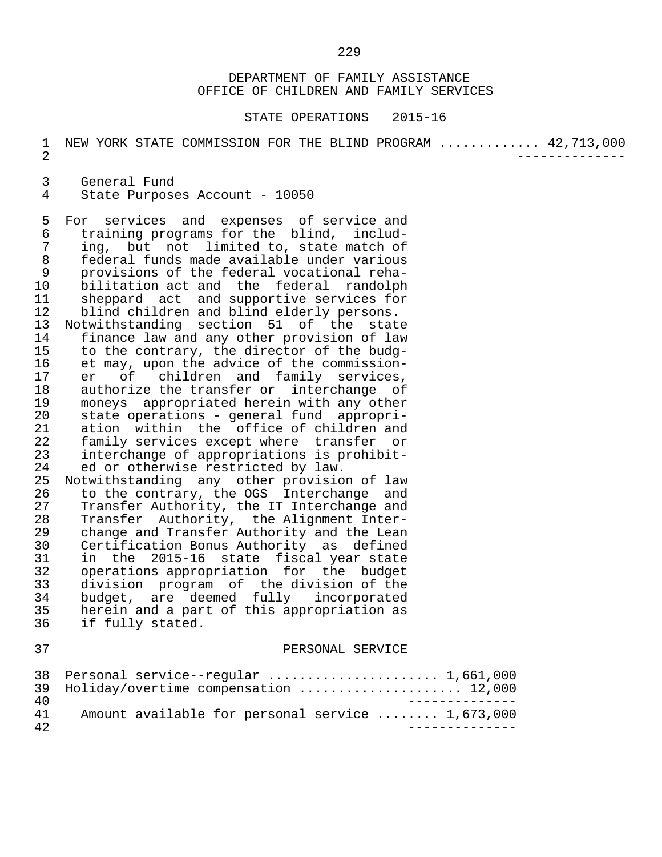STATE OPERATIONS 2015-16

1 NEW YORK STATE COMMISSION FOR THE BLIND PROGRAM ............. 42,713,000 2 --------------

3 General Fund<br>4 State Purpose

State Purposes Account - 10050

5 For services and expenses of service and<br>6 training programs for the blind, includ- 6 training programs for the blind, includ- 7 ing, but not limited to, state match of 8 federal funds made available under various 9 provisions of the federal vocational reha- 10 bilitation act and the federal randolph<br>11 sheppard act and supportive services for 11 sheppard act and supportive services for<br>12 blind children and blind elderly persons. 12 blind children and blind elderly persons.<br>13 Notwithstanding section 51 of the state 13 Notwithstanding section 51 of the state<br>14 finance law and any other provision of law 14 finance law and any other provision of law<br>15 to the contrary, the director of the budg-15 to the contrary, the director of the budg-<br>16 et may, upon the advice of the commission-16 et may, upon the advice of the commission-<br>17 er of children and family services. 17 er of children and family services,<br>18 authorize-the-transfer-or interchange of 18 authorize the transfer or interchange of<br>19 moneys appropriated herein with any other 19 moneys appropriated herein with any other<br>20 state operations - general fund appropri-20 state operations - general fund appropri-<br>21 ation within the office of children and 21 ation within the office of children and<br>22 family services except where transfer or 22 family services except where transfer or<br>23 interchange of appropriations is prohibit-23 interchange of appropriations is prohibit-<br>24 ed or otherwise restricted by law.

24 ed or otherwise restricted by law.<br>25 Notwithstanding any other provisio 25 Notwithstanding any other provision of law<br>26 to the contrary, the OGS Interchange and 26 to the contrary, the OGS Interchange and<br>27 Transfer Authority, the IT Interchange and 27 Transfer Authority, the IT Interchange and<br>28 Transfer Authority, the Alignment Inter-28 Transfer Authority, the Alignment Inter-<br>29 change and Transfer Authority and the Lean 29 change and Transfer Authority and the Lean<br>30 Certification Bonus Authority as defined 30 Certification Bonus Authority as defined 31 in the 2015-16 state fiscal year state 32 operations appropriation for the budget<br>33 division program of the division of the 33 division program of the division of the 34 budget, are deemed fully incorporated<br>35 herein and a part of this appropriation as 35 herein and a part of this appropriation as<br>36 if fully stated. if fully stated.

#### 37 PERSONAL SERVICE

|     | 38 Personal service--regular  1,661,000          |
|-----|--------------------------------------------------|
|     | 39 Holiday/overtime compensation  12,000         |
| 4 N |                                                  |
| 41  | Amount available for personal service  1,673,000 |
| 42  |                                                  |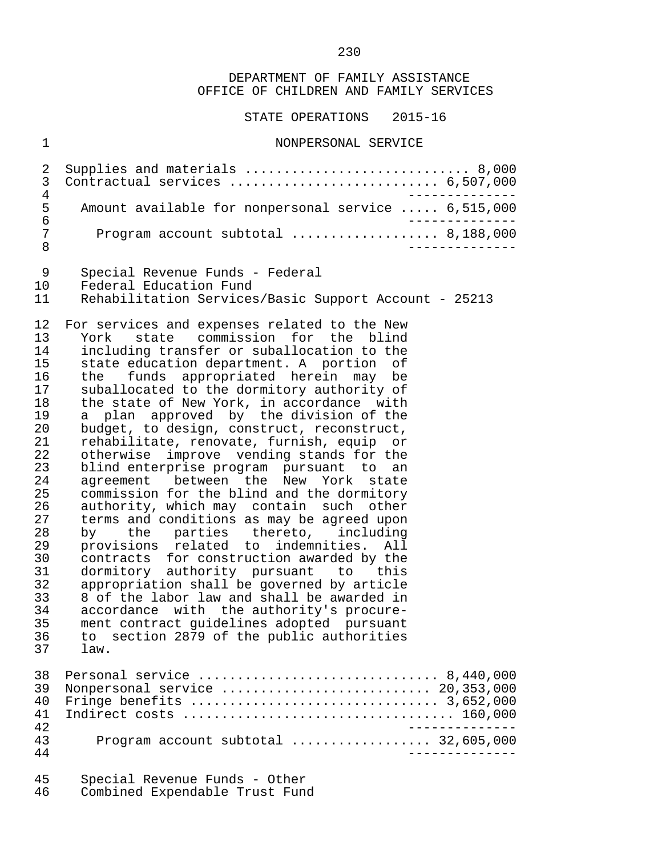#### STATE OPERATIONS 2015-16

#### 1 NONPERSONAL SERVICE

|    | 3 Contractual services  6,507,000                                       |  |
|----|-------------------------------------------------------------------------|--|
|    |                                                                         |  |
| .5 | Amount available for nonpersonal service  6,515,000                     |  |
| 6  |                                                                         |  |
| 7  | Program account subtotal $\ldots \ldots \ldots \ldots \ldots$ 8,188,000 |  |
|    |                                                                         |  |

- 9 Special Revenue Funds Federal<br>10 Federal Education Fund
- 10 Federal Education Fund<br>11 Rehabilitation Services
- Rehabilitation Services/Basic Support Account 25213

12 For services and expenses related to the New<br>13 York state commission for the blind 13 York state commission for the blind<br>14 including transfer\_or\_suballocation\_to\_the 14 including transfer or suballocation to the<br>15 state education department. A portion of 15 state education department. A portion of<br>16 the funds appropriated herein may be 16 the funds appropriated herein may be<br>17 suballocated to the dormitory authority of 17 suballocated to the dormitory authority of<br>18 the state of New York, in accordance with 18 the state of New York, in accordance with<br>19 a plan approved by the division of the 19 a plan approved by the division of the<br>20 budget, to design, construct, reconstruct, 20 budget, to design, construct, reconstruct,<br>21 rehabilitate, renovate, furnish, equip or 21 rehabilitate, renovate, furnish, equip or<br>22 otherwise improve vending stands for the 22 otherwise improve vending stands for the<br>23 blind enterprise program pursuant to an 23 blind enterprise program pursuant to an<br>24 agreement between the New York state 24 agreement between the New York state<br>25 commission for the blind and the dormitory 25 commission for the blind and the dormitory<br>26 authority, which may contain such other 26 authority, which may contain such other<br>27 terms and conditions as may be agreed upon 27 terms and conditions as may be agreed upon<br>28 by the parties thereto, including 28 by the parties thereto,<br>29 provisions related to indemni 29 provisions related to indemnities. All 30 contracts for construction awarded by the 31 dormitory authority pursuant to this 32 appropriation shall be governed by article<br>33 8 of the labor law and shall be awarded in 33 8 of the labor law and shall be awarded in 34 accordance with the authority's procure-<br>35 ment contract quidelines adopted pursuant 35 ment contract guidelines adopted pursuant 36 to section 2879 of the public authorities law. 38 Personal service ............................... 8,440,000

|    | 30 Personal Service  0,440,000               |
|----|----------------------------------------------|
|    | 39 Nonpersonal service  20,353,000           |
|    |                                              |
|    |                                              |
| 42 |                                              |
| 43 | Program account subtotal $\ldots$ 32,605,000 |
| 44 |                                              |
|    |                                              |

| 45. | Special Revenue Funds - Other  |  |  |
|-----|--------------------------------|--|--|
| 46  | Combined Expendable Trust Fund |  |  |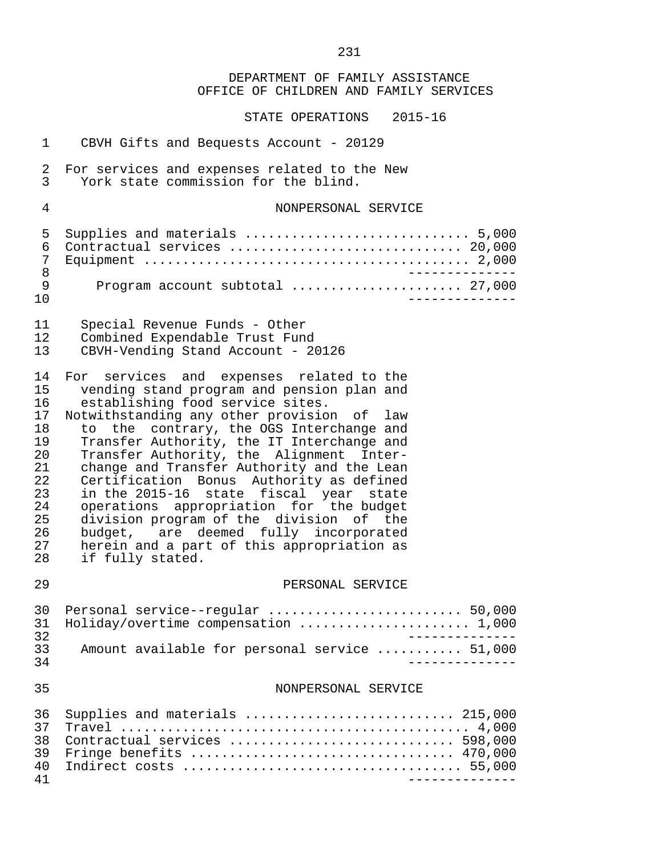DEPARTMENT OF FAMILY ASSISTANCE OFFICE OF CHILDREN AND FAMILY SERVICES STATE OPERATIONS 2015-16 1 CBVH Gifts and Bequests Account - 20129 2 For services and expenses related to the New<br>3 York state commission for the blind. York state commission for the blind. 4 NONPERSONAL SERVICE 5 Supplies and materials ............................. 5,000 6 Contractual services .............................. 20,000 7 Equipment .......................................... 2,000 8 -------------- 9 Program account subtotal ...................... 27,000 10 -------------- 11 Special Revenue Funds - Other<br>12 Combined Expendable Trust Fung 12 Combined Expendable Trust Fund<br>13 CBVH-Vending Stand Account - 2 CBVH-Vending Stand Account - 20126 14 For services and expenses related to the<br>15 vending stand program and pension plan and vending stand program and pension plan and 16 establishing food service sites.<br>17 Notwithstanding any other provisio 17 Notwithstanding any other provision of law<br>18 to the contrary, the OGS Interchange and 18 to the contrary, the OGS Interchange and<br>19 Transfer Authority, the IT Interchange and 19 Transfer Authority, the IT Interchange and<br>20 Transfer Authority, the Alignment Inter-20 Transfer Authority, the Alignment Inter-<br>21 change and Transfer Authority and the Lean 21 change and Transfer Authority and the Lean<br>22 Certification Bonus Authority as defined 22 Certification Bonus Authority as defined<br>23 in the 2015-16 state fiscal year state 23 in the 2015-16 state fiscal year state 24 operations appropriation for the budget 25 division program of the division of the<br>26 budget, are deemed fully incorporated budget, are deemed fully incorporated 27 herein and a part of this appropriation as<br>28 if fully stated. if fully stated. 29 PERSONAL SERVICE 30 Personal service--regular ......................... 50,000 31 Holiday/overtime compensation ...................... 1,000 32<br>33 Amount available for personal service ........... 51.000 33 Amount available for personal service ........... 51,000 34 -------------- 35 NONPERSONAL SERVICE 36 Supplies and materials ........................... 215,000 37 Travel ............................................. 4,000 38 Contractual services ............................. 598,000 39 Fringe benefits .................................. 470,000 40 Indirect costs .................................... 55,000 41 --------------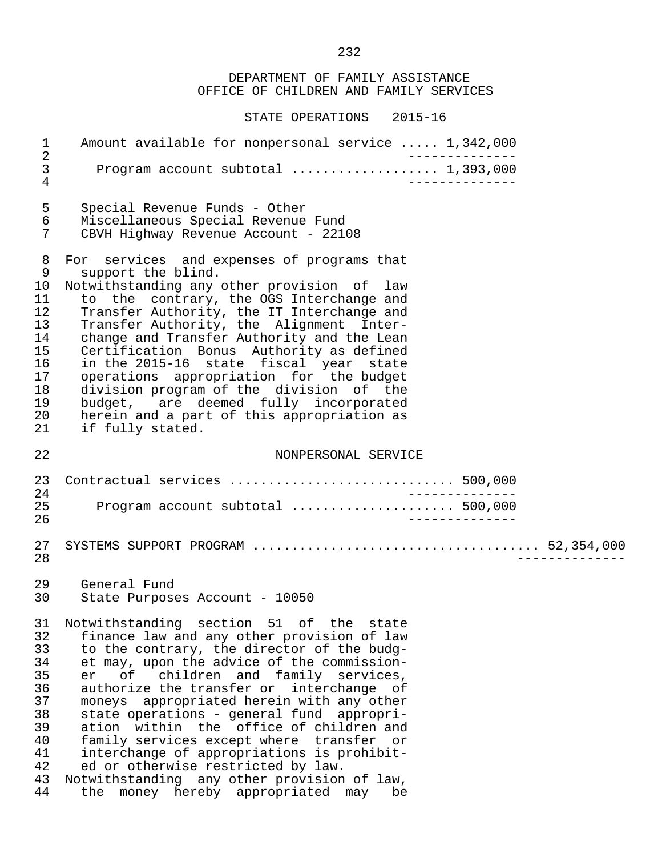| $\mathbf 1$<br>$\overline{a}$                                                    | Amount available for nonpersonal service  1,342,000                                                                                                                                                                                                                                                                                                                                                                                                                                                                                                                                                                                       |
|----------------------------------------------------------------------------------|-------------------------------------------------------------------------------------------------------------------------------------------------------------------------------------------------------------------------------------------------------------------------------------------------------------------------------------------------------------------------------------------------------------------------------------------------------------------------------------------------------------------------------------------------------------------------------------------------------------------------------------------|
| $\mathsf{3}$<br>4                                                                |                                                                                                                                                                                                                                                                                                                                                                                                                                                                                                                                                                                                                                           |
| 5                                                                                | Special Revenue Funds - Other                                                                                                                                                                                                                                                                                                                                                                                                                                                                                                                                                                                                             |
| 6                                                                                | Miscellaneous Special Revenue Fund                                                                                                                                                                                                                                                                                                                                                                                                                                                                                                                                                                                                        |
| 7                                                                                | CBVH Highway Revenue Account - 22108                                                                                                                                                                                                                                                                                                                                                                                                                                                                                                                                                                                                      |
| 8                                                                                | For services and expenses of programs that                                                                                                                                                                                                                                                                                                                                                                                                                                                                                                                                                                                                |
| 9                                                                                | support the blind.                                                                                                                                                                                                                                                                                                                                                                                                                                                                                                                                                                                                                        |
| 10                                                                               | Notwithstanding any other provision of law                                                                                                                                                                                                                                                                                                                                                                                                                                                                                                                                                                                                |
| 11                                                                               | to the contrary, the OGS Interchange and                                                                                                                                                                                                                                                                                                                                                                                                                                                                                                                                                                                                  |
| 12                                                                               | Transfer Authority, the IT Interchange and                                                                                                                                                                                                                                                                                                                                                                                                                                                                                                                                                                                                |
| 13                                                                               | Transfer Authority, the Alignment Inter-                                                                                                                                                                                                                                                                                                                                                                                                                                                                                                                                                                                                  |
| 14                                                                               | change and Transfer Authority and the Lean                                                                                                                                                                                                                                                                                                                                                                                                                                                                                                                                                                                                |
| 15                                                                               | Certification Bonus Authority as defined                                                                                                                                                                                                                                                                                                                                                                                                                                                                                                                                                                                                  |
| 16                                                                               | in the 2015-16 state fiscal year state                                                                                                                                                                                                                                                                                                                                                                                                                                                                                                                                                                                                    |
| 17                                                                               | operations appropriation for the budget                                                                                                                                                                                                                                                                                                                                                                                                                                                                                                                                                                                                   |
| 18                                                                               | division program of the division of the                                                                                                                                                                                                                                                                                                                                                                                                                                                                                                                                                                                                   |
| 19                                                                               | budget, are deemed fully incorporated                                                                                                                                                                                                                                                                                                                                                                                                                                                                                                                                                                                                     |
| 20                                                                               | herein and a part of this appropriation as                                                                                                                                                                                                                                                                                                                                                                                                                                                                                                                                                                                                |
| 21                                                                               | if fully stated.                                                                                                                                                                                                                                                                                                                                                                                                                                                                                                                                                                                                                          |
| 22                                                                               | NONPERSONAL SERVICE                                                                                                                                                                                                                                                                                                                                                                                                                                                                                                                                                                                                                       |
| 23                                                                               | Contractual services  500,000                                                                                                                                                                                                                                                                                                                                                                                                                                                                                                                                                                                                             |
| 24                                                                               | _______________                                                                                                                                                                                                                                                                                                                                                                                                                                                                                                                                                                                                                           |
| 25                                                                               | Program account subtotal  500,000                                                                                                                                                                                                                                                                                                                                                                                                                                                                                                                                                                                                         |
| 26                                                                               | $- - - - - - - -$                                                                                                                                                                                                                                                                                                                                                                                                                                                                                                                                                                                                                         |
| 27<br>28                                                                         |                                                                                                                                                                                                                                                                                                                                                                                                                                                                                                                                                                                                                                           |
| 29                                                                               | General Fund                                                                                                                                                                                                                                                                                                                                                                                                                                                                                                                                                                                                                              |
| 30                                                                               | State Purposes Account - 10050                                                                                                                                                                                                                                                                                                                                                                                                                                                                                                                                                                                                            |
| 31<br>32<br>33<br>34<br>35<br>36<br>37<br>38<br>39<br>40<br>41<br>42<br>43<br>44 | Notwithstanding section 51 of the state<br>finance law and any other provision of law<br>to the contrary, the director of the budg-<br>et may, upon the advice of the commission-<br>children and family services,<br>of<br>er<br>authorize the transfer or interchange of<br>moneys appropriated herein with any other<br>state operations - general fund appropri-<br>ation within the office of children and<br>family services except where transfer or<br>interchange of appropriations is prohibit-<br>ed or otherwise restricted by law.<br>Notwithstanding any other provision of law,<br>the money hereby appropriated may<br>be |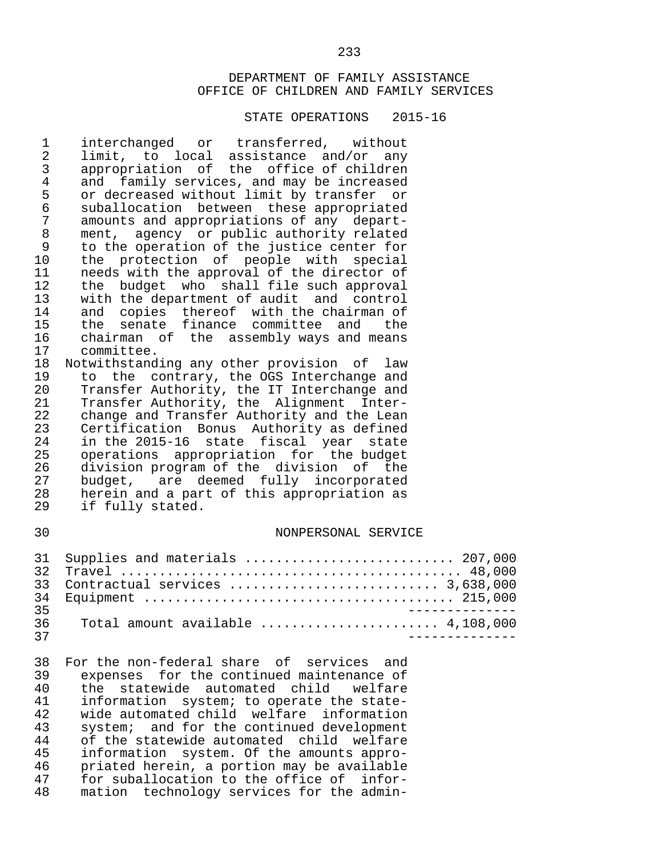#### STATE OPERATIONS 2015-16

1 interchanged or transferred, without<br>2 limit, to local assistance and/or any 2 limit, to local assistance and/or any 3 appropriation of the office of children 4 and family services, and may be increased<br>5 or decreased without limit by transfer or 5 or decreased without limit by transfer or<br>6 suballocation between these appropriated 6 suballocation between these appropriated 7 amounts and appropriations of any depart-<br>8 ment, agency or public authority related 8 ment, agency or public authority related<br>9 to the operation of the justice center for 9 to the operation of the justice center for<br>10 the protection of people with special 10 the protection of people with special<br>11 needs\_with\_the\_approval\_of\_the\_director\_of 11 needs with the approval of the director of<br>12 the budget who shall file such approval 12 the budget who shall file such approval<br>13 with the department of audit and control 13 with the department of audit and control<br>14 and copies thereof with the chairman of 14 and copies thereof with the chairman of<br>15 the senate finance committee and the 15 the senate finance committee and the<br>16 chairman of the assembly ways and means 16 chairman of the assembly ways and means<br>17 committee. 17 committee.<br>18 Notwithstand Notwithstanding any other provision of law 19 to the contrary, the OGS Interchange and<br>20 Transfer Authority, the IT Interchange and Transfer Authority, the IT Interchange and 21 Transfer Authority, the Alignment Inter- 22 change and Transfer Authority and the Lean<br>23 Certification Bonus Authority as defined 23 Certification Bonus Authority as defined 24 in the 2015-16 state fiscal year state<br>25 operations appropriation for the budget 25 operations appropriation for the budget<br>26 division-program-of-the-division of the 26 division program of the division of the<br>27 budget, are deemed fully incorporated 27 budget, are deemed fully incorporated<br>28 herein and a part of this appropriation as 28 herein and a part of this appropriation as<br>29 if fully stated. if fully stated. 30 NONPERSONAL SERVICE 31 Supplies and materials ........................... 207,000

|                 |                             | <u>JI DUPPILED ANU MALELIAID IIIIIIIIIIIIIII OLONNA AUTIOUU</u>              |
|-----------------|-----------------------------|------------------------------------------------------------------------------|
|                 |                             |                                                                              |
|                 |                             | 33 Contractual services  3,638,000                                           |
|                 |                             |                                                                              |
|                 | २८                          |                                                                              |
|                 | 36 $\overline{\phantom{0}}$ | Total amount available $\ldots, \ldots, \ldots, \ldots, \ldots, 4, 108, 000$ |
| $\overline{27}$ |                             |                                                                              |

38 For the non-federal share of services and<br>39 expenses for the continued maintenance of expenses for the continued maintenance of 40 the statewide automated child welfare<br>41 information system; to operate the state-41 information system; to operate the state-<br>42 wide automated child welfare information 42 wide automated child welfare information<br>43 system; and for the continued development 43 system; and for the continued development<br>44 of the statewide automated child welfare 44 of the statewide automated child welfare<br>45 information system. Of the amounts appro- 45 information system. Of the amounts appro- 46 priated herein, a portion may be available<br>47 for suballocation to the office of infor-47 for suballocation to the office of infor-<br>48 mation technology services for the adminmation technology services for the admin-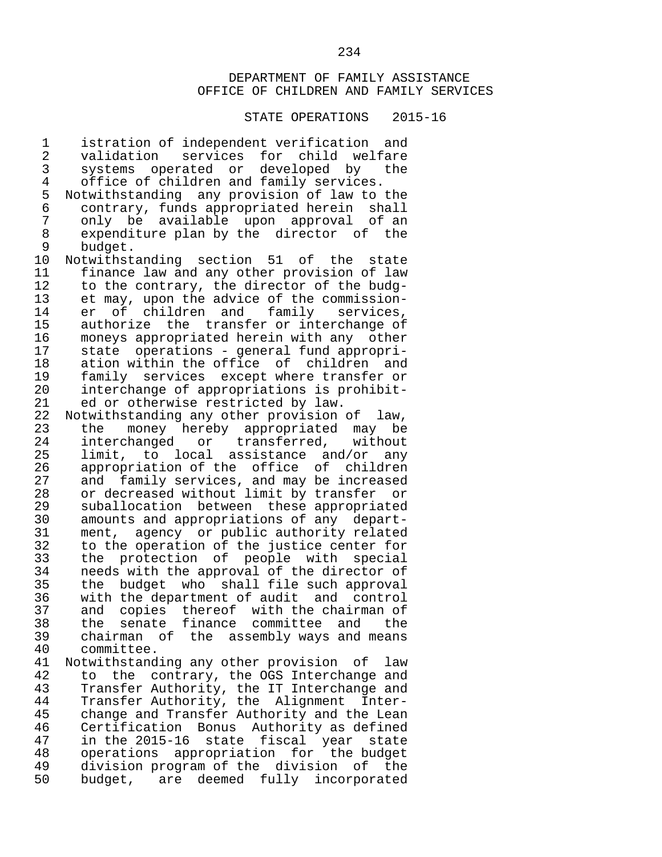#### STATE OPERATIONS 2015-16

1 istration of independent verification and<br>2 validation services for child welfare 2 validation services for child welfare<br>3 systems operated or developed by the 3 systems operated or developed by the<br>4 office of children and family services. 4 office of children and family services.<br>5 Notwithstanding any provision of law to 5 Notwithstanding any provision of law to the 6 contrary, funds appropriated herein shall 7 only be available upon approval of an 8 expenditure plan by the director of the<br>9 budget 9 budget.<br>10 Notwithst 10 Notwithstanding section 51 of the state<br>11 finance law and any other provision of law 11 finance law and any other provision of law<br>12 to the contrary, the director of the budg-12 to the contrary, the director of the budg-<br>13 et may, upon the advice of the commission-13 et may, upon the advice of the commission-<br>14 er of children and family services, 14 er of children and family services,<br>15 authorize the transfer\_or\_interchange\_of 15 authorize the transfer or interchange of<br>16 moneys appropriated herein with any other 16 moneys appropriated herein with any other<br>17 state operations - general fund appropri-17 state operations - general fund appropri-<br>18 ation within the office of children and 18 ation within the office of children and<br>19 family services except where transfer or 19 family services except where transfer or<br>20 interchange of appropriations is prohibitinterchange of appropriations is prohibit-21 ed or otherwise restricted by law.<br>22 Notwithstanding any other provision 22 Notwithstanding any other provision of law,<br>23 the money hereby appropriated may be 23 the money hereby appropriated may be<br>24 interchanged or transferred, without 24 interchanged or transferred,<br>25 limit to local assistance and 25 limit, to local assistance and/or any<br>26 appropriation of the office of children 26 appropriation of the office of children<br>27 and family services, and may be increased 27 and family services, and may be increased<br>28 or decreased without limit by transfer or 28 or decreased without limit by transfer or<br>29 suballocation between these appropriated 29 suballocation between these appropriated<br>30 amounts and appropriations of any depart-30 amounts and appropriations of any depart-<br>31 ment, agency or public authority related 31 ment, agency or public authority related<br>32 to the operation of the justice center for 32 to the operation of the justice center for<br>33 the protection of people with special 33 the protection of people with special 34 needs with the approval of the director of<br>35 the budget who shall file such approval 35 the budget who shall file such approval<br>36 with the department of audit and control 36 with the department of audit and control<br>37 and copies thereof with the chairman of 37 and copies thereof with the chairman of<br>38 the senate finance committee and the 38 the senate finance committee and<br>39 chairman of the assembly-ways-and 39 chairman of the assembly ways and means 40 committee.<br>41 Notwithstand 41 Notwithstanding any other provision of law<br>42 to the contrary, the OGS Interchange and 42 to the contrary, the OGS Interchange and<br>43 Transfer Authority, the IT Interchange and 43 Transfer Authority, the IT Interchange and<br>44 Transfer Authority, the Alignment Inter- 44 Transfer Authority, the Alignment Inter- 45 change and Transfer Authority and the Lean 46 Certification Bonus Authority as defined<br>47 in the 2015-16 state fiscal year state 47 in the 2015-16 state fiscal year state 48 operations appropriation for the budget

49 division program of the division of the<br>50 budget, are deemed fully incorporated

budget, are deemed fully incorporated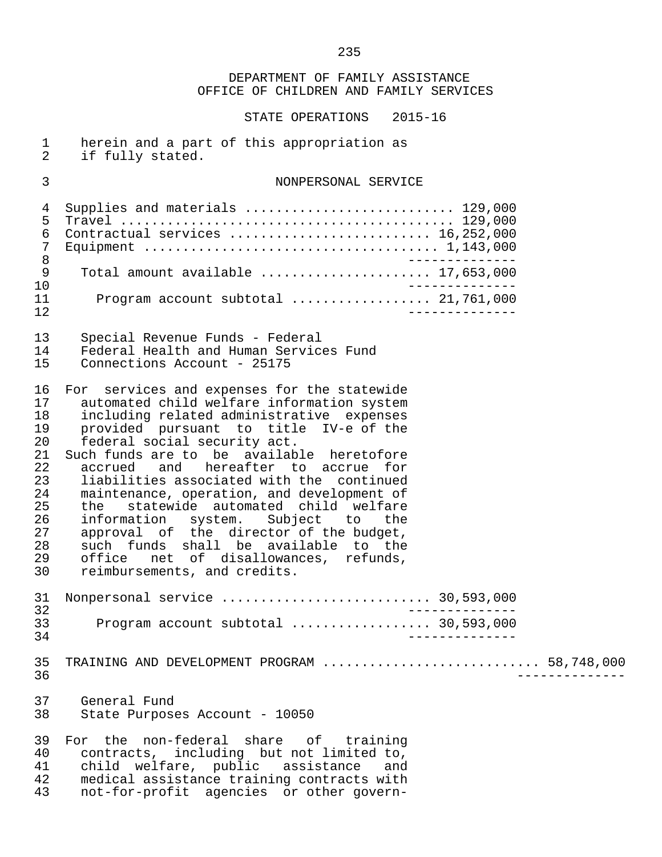STATE OPERATIONS 2015-16

| $\mathbf{1}$<br>$\overline{2}$                                                         | herein and a part of this appropriation as<br>if fully stated.                                                                                                                                                                                                                                                                                                                                                                                                                                                                                                                                                                             |
|----------------------------------------------------------------------------------------|--------------------------------------------------------------------------------------------------------------------------------------------------------------------------------------------------------------------------------------------------------------------------------------------------------------------------------------------------------------------------------------------------------------------------------------------------------------------------------------------------------------------------------------------------------------------------------------------------------------------------------------------|
| 3                                                                                      | NONPERSONAL SERVICE                                                                                                                                                                                                                                                                                                                                                                                                                                                                                                                                                                                                                        |
| 4<br>5<br>6<br>7<br>$\,8\,$<br>9<br>10<br>11                                           | Supplies and materials  129,000<br>Contractual services  16,252,000<br>Total amount available  17,653,000<br>Program account subtotal  21,761,000                                                                                                                                                                                                                                                                                                                                                                                                                                                                                          |
| 12<br>13<br>14<br>15                                                                   | Special Revenue Funds - Federal<br>Federal Health and Human Services Fund<br>Connections Account - 25175                                                                                                                                                                                                                                                                                                                                                                                                                                                                                                                                   |
| 16<br>17<br>18<br>19<br>20<br>21<br>22<br>23<br>24<br>25<br>26<br>27<br>28<br>29<br>30 | For services and expenses for the statewide<br>automated child welfare information system<br>including related administrative expenses<br>provided pursuant to title IV-e of the<br>federal social security act.<br>Such funds are to be available heretofore<br>accrued and hereafter to accrue for<br>liabilities associated with the continued<br>maintenance, operation, and development of<br>the statewide automated child welfare<br>information system. Subject to the<br>approval of the director of the budget,<br>such funds shall be available to the<br>office net of disallowances, refunds,<br>reimbursements, and credits. |
| 31<br>32<br>33<br>34                                                                   | Nonpersonal service  30,593,000<br>Program account subtotal  30,593,000                                                                                                                                                                                                                                                                                                                                                                                                                                                                                                                                                                    |
| 35<br>36                                                                               | TRAINING AND DEVELOPMENT PROGRAM  58,748,000                                                                                                                                                                                                                                                                                                                                                                                                                                                                                                                                                                                               |
| 37<br>38                                                                               | General Fund<br>State Purposes Account - 10050                                                                                                                                                                                                                                                                                                                                                                                                                                                                                                                                                                                             |
| 39<br>40<br>41<br>42                                                                   | For the non-federal share of training<br>contracts, including but not limited to,<br>child welfare, public assistance and<br>medical assistance training contracts with                                                                                                                                                                                                                                                                                                                                                                                                                                                                    |

43 not-for-profit agencies or other govern-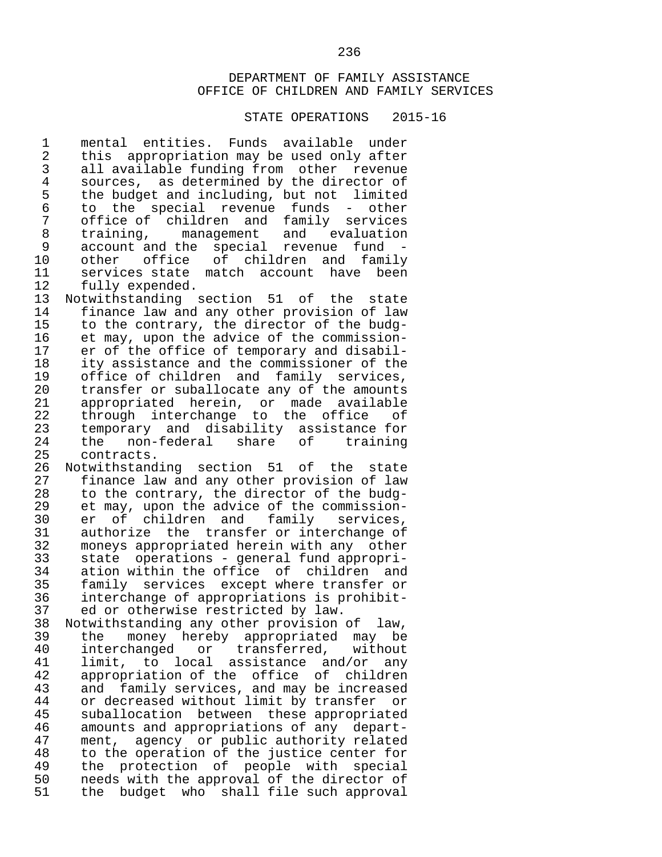#### STATE OPERATIONS 2015-16

1 mental entities. Funds available under<br>2 this appropriation may be used only after 2 this appropriation may be used only after<br>3 all available funding from other revenue 3 all available funding from other revenue<br>4 sources, as determined by the director of 4 sources, as determined by the director of<br>5 the budget and including, but not limited 5 the budget and including, but not limited<br>6 to the special revenue funds - other 6 to the special revenue funds - other 7 office of children and family services<br>8 training, management and evaluation 8 training, management and evaluation<br>9 account and the special revenue fund -9 account and the special revenue fund<br>10 other office of children and fami 10 other office of children and family<br>11 services\_state\_match\_account\_have\_been 11 services state match account have been<br>12 fully expended.

12 fully expended.<br>13 Notwithstanding 13 Notwithstanding section 51 of the state<br>14 finance law and any other provision of law 14 finance law and any other provision of law<br>15 to the contrary, the director of the budg-15 to the contrary, the director of the budg-<br>16 et may, upon the advice of the commission-16 et may, upon the advice of the commission-<br>17 er of the office of temporary and disabil-17 er of the office of temporary and disabil-<br>18 ity assistance and the commissioner of the 18 ity assistance and the commissioner of the<br>19 office of children and family services. 19 office of children and family services,<br>20 transfer or suballocate any of the amounts transfer or suballocate any of the amounts 21 appropriated herein, or made available<br>22 through interchange to the office of 22 through interchange to the office of<br>23 temporary and disability assistance-for 23 temporary and disability assistance for<br>24 the non-federal share of training 24 the non-federal share<br>25 contracts.

25 contracts.<br>26 Notwithstand 26 Notwithstanding section 51 of the state<br>27 finance law and any other provision of law 27 finance law and any other provision of law<br>28 to the contrary, the director of the budg-28 to the contrary, the director of the budg-<br>29 et may, upon the advice of the commission-29 et may, upon the advice of the commission-<br>30 er of children and family services. 30 er of children and family services,<br>31 authorize the transfer\_or\_interchange\_of authorize the transfer or interchange of 32 moneys appropriated herein with any other<br>33 state operations - general fund appropri- 33 state operations - general fund appropri- 34 ation within the office of children and<br>35 family services except where transfer or 35 family services except where transfer or 36 interchange of appropriations is prohibit- 37 ed or otherwise restricted by law.<br>38 Notwithstanding any other provision

 38 Notwithstanding any other provision of law, 39 the money hereby appropriated may be<br>40 interchanged or transferred, without 40 interchanged or transferred,<br>41 limit, to local assistance and 41 limit, to local assistance and/or any<br>42 appropriation of the office of children 42 appropriation of the office of children<br>43 and family services, and may be increased 43 and family services, and may be increased<br>44 or decreased without limit by transfer or 44 or decreased without limit by transfer or<br>45 suballocation between these appropriated 45 suballocation between these appropriated<br>46 amounts and appropriations of any depart-46 amounts and appropriations of any depart-<br>47 ment, agency or public authority related 47 ment, agency or public authority related<br>48 to the operation of the justice center for 48 to the operation of the justice center for<br>49 the protection of people with special 49 the protection of people with special<br>50 needs with the approval of the director of 50 needs with the approval of the director of<br>51 the budget who shall file such approval the budget who shall file such approval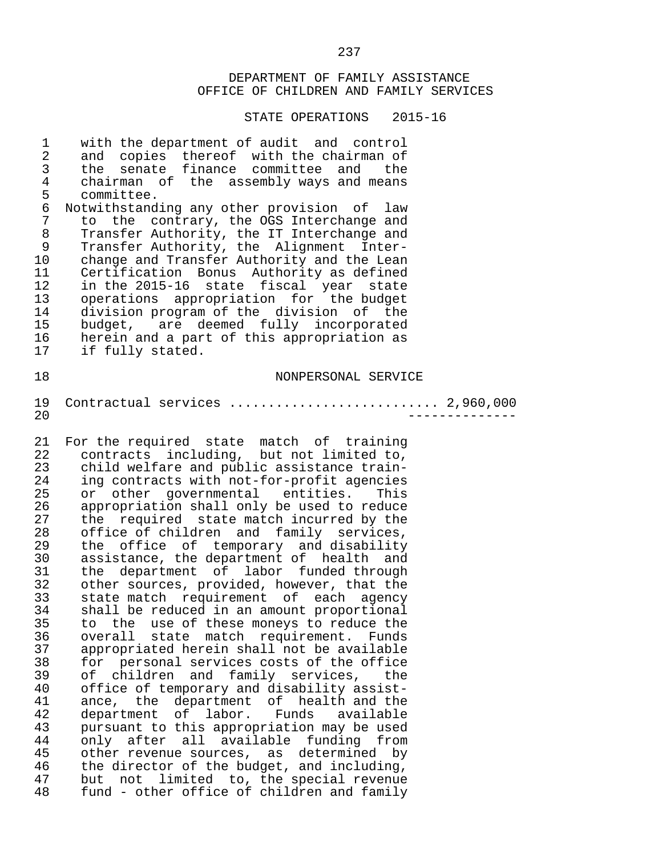| $\mathbf 1$<br>$\overline{a}$<br>$\mathsf{3}$ | with the department of audit and control<br>copies thereof with the chairman of<br>and<br>senate finance committee and<br>the<br>the |
|-----------------------------------------------|--------------------------------------------------------------------------------------------------------------------------------------|
| $\overline{4}$                                | chairman of the assembly ways and means                                                                                              |
| 5                                             | committee.                                                                                                                           |
| $\epsilon$                                    | Notwithstanding any other provision of law                                                                                           |
| 7                                             | the contrary, the OGS Interchange and<br>to                                                                                          |
| $\,8\,$                                       | Transfer Authority, the IT Interchange and                                                                                           |
| 9                                             | Transfer Authority, the Alignment Inter-                                                                                             |
| 10                                            | change and Transfer Authority and the Lean                                                                                           |
| 11                                            | Certification Bonus Authority as defined                                                                                             |
| 12                                            | in the 2015-16 state fiscal year<br>state                                                                                            |
| 13                                            | operations appropriation for the budget                                                                                              |
| 14                                            | division program of the division of the                                                                                              |
| 15                                            | budget, are deemed fully incorporated                                                                                                |
| 16                                            | herein and a part of this appropriation as                                                                                           |
| 17                                            | if fully stated.                                                                                                                     |
| 18                                            | NONPERSONAL SERVICE                                                                                                                  |
|                                               |                                                                                                                                      |
| 19                                            | Contractual services  2,960,000                                                                                                      |
| 20                                            |                                                                                                                                      |
|                                               |                                                                                                                                      |
| 21                                            | For the required state match of training                                                                                             |
| 22                                            | contracts including, but not limited to,                                                                                             |
| 23                                            | child welfare and public assistance train-                                                                                           |
| 24                                            | ing contracts with not-for-profit agencies                                                                                           |
| 25                                            | other governmental entities.<br>or<br>This                                                                                           |
| 26<br>27                                      | appropriation shall only be used to reduce                                                                                           |
| 28                                            | required state match incurred by the<br>the<br>office of children and family services,                                               |
| 29                                            | office of temporary and disability<br>the                                                                                            |
| 30                                            | assistance, the department of health and                                                                                             |
| 31                                            | department of labor funded through<br>the                                                                                            |
| 32                                            | other sources, provided, however, that the                                                                                           |
| 33                                            | state match requirement of each agency                                                                                               |
| 34                                            | shall be reduced in an amount proportional                                                                                           |
| 35                                            | to.<br>the use of these moneys to reduce the                                                                                         |
| 36                                            | match<br>requirement.<br>overall<br>state<br>Funds                                                                                   |
| 37                                            | appropriated herein shall not be available                                                                                           |
| 38                                            | personal services costs of the office<br>for                                                                                         |
| 39                                            | and family services,<br>of<br>children<br>the                                                                                        |
| 40                                            | office of temporary and disability assist-                                                                                           |
| 41                                            | department<br>of health and the<br>ance, the                                                                                         |
| 42                                            | department of<br>labor.<br>Funds<br>available                                                                                        |
| 43                                            | pursuant to this appropriation may be used                                                                                           |
| 44                                            | only after all available<br>funding<br>from                                                                                          |
| 45                                            | other revenue sources, as determined<br>by                                                                                           |
| 46                                            | the director of the budget, and including,                                                                                           |
| 47                                            | not limited to, the special revenue<br>but                                                                                           |
| 48                                            | fund - other office of children and family                                                                                           |
|                                               |                                                                                                                                      |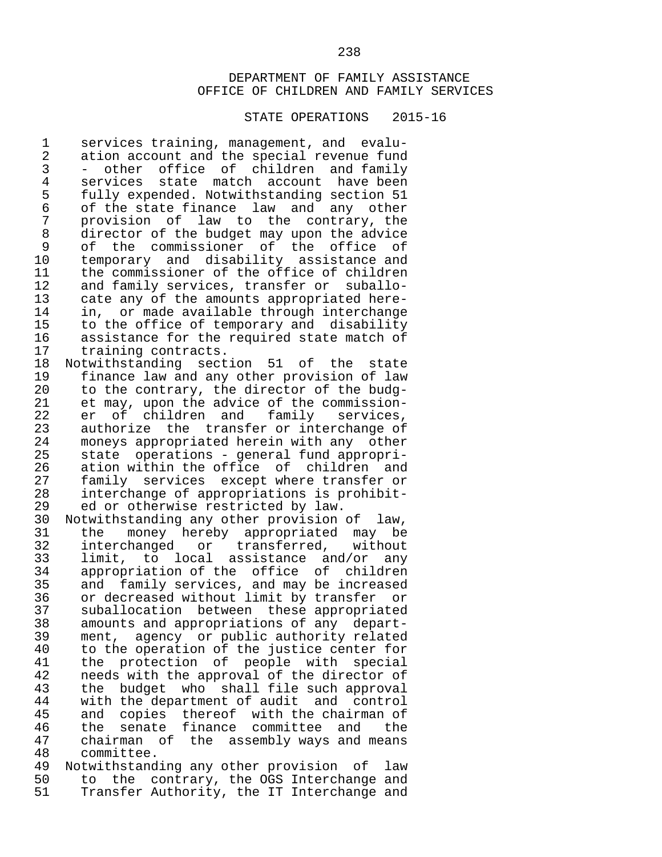#### STATE OPERATIONS 2015-16

1 services training, management, and evalu-<br>2 ation account and the special revenue fund 2 ation account and the special revenue fund<br>3 - other office of children and family 3 - other office of children and family 4 services state match account have-been<br>5 fully-expended. Notwithstanding-section-51 5 fully expended. Notwithstanding section 51 6 of the state finance law and any other 7 provision of law to the contrary, the 8 director of the budget may upon the advice<br>9 of the commissioner of the office of 9 of the commissioner of the office of 10 temporary and disability assistance and<br>11 the commissioner of the office of children 11 the commissioner of the office of children<br>12 and family services, transfer or suballo-12 and family services, transfer or suballo-<br>13 cate any of the amounts appropriated here-13 cate any of the amounts appropriated here-<br>14 in, or made available through interchange 14 in, or made available through interchange<br>15 to the office of temporary and disability 15 to the office of temporary and disability<br>16 assistance for the required state match of 16 assistance for the required state match of<br>17 training contracts. 17 training contracts.<br>18 Notwithstanding sect

18 Notwithstanding section 51 of the state<br>19 finance law and any other provision of law 19 finance law and any other provision of law to the contrary, the director of the budg-21 et may, upon the advice of the commission-<br>22 er of children and family services. 22 er of children and family services,<br>23 authorize the transfer\_or\_interchange\_of 23 authorize the transfer or interchange of<br>24 moneys appropriated herein with any other 24 moneys appropriated herein with any other<br>25 state operations - general fund appropri-25 state operations - general fund appropri-<br>26 ation within the office of children and 26 ation within the office of children and<br>27 family services except where transfer or 27 family services except where transfer or<br>28 interchange of appropriations is prohibit-28 interchange of appropriations is prohibit-<br>29 ed or otherwise restricted by law. 29 ed or otherwise restricted by law.<br>30 Notwithstanding any other provision

 30 Notwithstanding any other provision of law, 31 the money hereby appropriated may be<br>32 interchanged or transferred, without 32 interchanged or transferred, without 33 limit, to local assistance and/or any<br>34 appropriation of the office of children 34 appropriation of the office of children<br>35 and family services, and may be increased 35 and family services, and may be increased<br>36 or decreased without limit by transfer or 36 or decreased without limit by transfer or<br>37 suballocation between these appropriated 37 suballocation between these appropriated<br>38 amounts and appropriations of any depart-38 amounts and appropriations of any depart-<br>39 ment, agency or public authority related 39 ment, agency or public authority related<br>40 to the operation of the justice center for 40 to the operation of the justice center for<br>41 the protection of people with special 41 the protection of people with special<br>42 needs with the approval of the director of 42 needs with the approval of the director of<br>43 the budget who shall file such approval 43 the budget who shall-file-such-approval-<br>44 with-the-department-of-audit-and-control-44 with the department of audit and control<br>45 and copies thereof with the chairman of 45 and copies thereof with the chairman of<br>46 the senate finance committee and the 46 the senate finance committee and the<br>47 chairman of the assembly ways and means 47 chairman of the assembly ways and means 48 committee.<br>49 Notwithstand

49 Notwithstanding any other provision of law<br>50 to the contrary, the OGS Interchange and 50 to the contrary, the OGS Interchange and<br>51 Transfer Authority, the IT Interchange and Transfer Authority, the IT Interchange and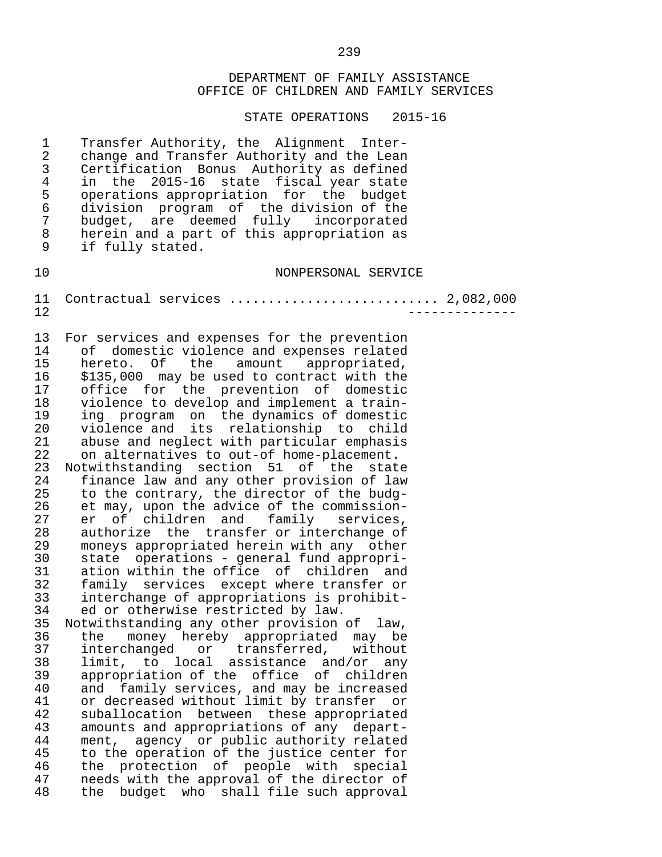STATE OPERATIONS 2015-16

1 Transfer Authority, the Alignment Inter-<br>2 change and Transfer Authority and the Lean 2 change and Transfer Authority and the Lean<br>3 Certification Bonus Authority as defined 3 Certification Bonus Authority as defined 4 in the 2015-16 state fiscal year state<br>5 operations appropriation for the budget 5 operations appropriation for the budget<br>6 division program of the division of the 6 division program of the division of the 7 budget, are deemed fully incorporated<br>8 herein and a part of this appropriation as 8 herein and a part of this appropriation as<br>9 if fully stated if fully stated.

10 NONPERSONAL SERVICE

 11 Contractual services ........................... 2,082,000 12 --------------

13 For services and expenses for the prevention<br>14 of domestic violence and expenses related 14 of domestic violence and expenses related<br>15 hereto. Of the amount appropriated, 15 hereto. Of the amount appropriated,<br>16 \$135.000 may be used to contract with the 16 \$135,000 may be used to contract with the<br>17 office for the prevention of domestic office for the prevention of domestic 18 violence to develop and implement a train- 19 ing program on the dynamics of domestic 20 violence and its relationship to child 21 abuse and neglect with particular emphasis<br>22 on alternatives to out-of home-placement. 22 on alternatives to out-of home-placement.<br>23 Notwithstanding section 51 of the stat 23 Notwithstanding section 51 of the state<br>24 finance law and any other provision of law

24 finance law and any other provision of law<br>25 to the contrary, the director of the budg-25 to the contrary, the director of the budg-<br>26 et may, upon the advice of the commission-26 et may, upon the advice of the commission-<br>27 er of children and family services. 27 er of children and family services,<br>28 authorize the transfer\_or\_interchange\_of 28 authorize the transfer or interchange of<br>29 moneys appropriated herein with any other 29 moneys appropriated herein with any other<br>30 state operations - general fund appropri- 30 state operations - general fund appropri- 31 ation within the office of children and<br>32 family services except where transfer or 32 family services except where transfer or 33 interchange of appropriations is prohibit- 34 ed or otherwise restricted by law.<br>35 Notwithstanding any other provision

35 Notwithstanding any other provision of law,<br>36 the money hereby appropriated may be 36 the money hereby appropriated may be<br>37 interchanged or transferred, without 37 interchanged or transferred, without 38 limit, to local assistance and/or any 39 appropriation of the office of children 40 and family services, and may be increased<br>41 or decreased without limit by transfer or 41 or decreased without limit by transfer or<br>42 suballocation between these appropriated 42 suballocation between these appropriated<br>43 amounts and appropriations of any depart-43 amounts and appropriations of any depart-<br>44 ment, agency or public authority related 44 ment, agency or public authority related<br>45 to the operation of the justice center for 45 to the operation of the justice center for<br>46 the protection of people with special 46 the protection of people with special<br>47 needs with the approval of the director of 47 needs with the approval of the director of<br>48 the budget who shall file such approval the budget who shall file such approval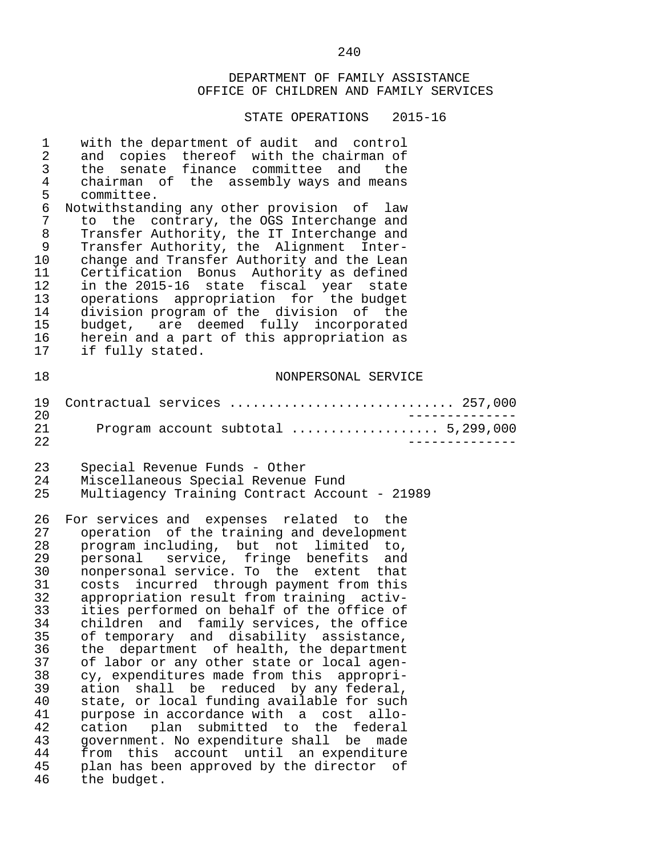| $\mathbf 1$<br>$\sqrt{2}$<br>$\mathsf 3$<br>$\overline{4}$<br>5<br>$\epsilon$<br>$\overline{7}$<br>$\,8\,$<br>9<br>10<br>11<br>12<br>13<br>14<br>15<br>16<br>17 | with the department of audit and control<br>and copies thereof with the chairman of<br>senate finance committee and the<br>the<br>chairman of the assembly ways and means<br>committee.<br>Notwithstanding any other provision of law<br>to the contrary, the OGS Interchange and<br>Transfer Authority, the IT Interchange and<br>Transfer Authority, the Alignment Inter-<br>change and Transfer Authority and the Lean<br>Certification Bonus Authority as defined<br>in the 2015-16 state fiscal year state<br>operations appropriation for the budget<br>division program of the division of the<br>budget, are deemed fully incorporated<br>herein and a part of this appropriation as<br>if fully stated.                                                                                                                                                                                                      |                       |
|-----------------------------------------------------------------------------------------------------------------------------------------------------------------|-----------------------------------------------------------------------------------------------------------------------------------------------------------------------------------------------------------------------------------------------------------------------------------------------------------------------------------------------------------------------------------------------------------------------------------------------------------------------------------------------------------------------------------------------------------------------------------------------------------------------------------------------------------------------------------------------------------------------------------------------------------------------------------------------------------------------------------------------------------------------------------------------------------------------|-----------------------|
| 18                                                                                                                                                              | NONPERSONAL SERVICE                                                                                                                                                                                                                                                                                                                                                                                                                                                                                                                                                                                                                                                                                                                                                                                                                                                                                                   |                       |
| 19                                                                                                                                                              | Contractual services  257,000                                                                                                                                                                                                                                                                                                                                                                                                                                                                                                                                                                                                                                                                                                                                                                                                                                                                                         |                       |
| 20<br>21<br>22                                                                                                                                                  | _____________<br>Program account subtotal  5,299,000                                                                                                                                                                                                                                                                                                                                                                                                                                                                                                                                                                                                                                                                                                                                                                                                                                                                  | $- - - - - - - - - -$ |
| 23<br>24<br>25                                                                                                                                                  | Special Revenue Funds - Other<br>Miscellaneous Special Revenue Fund<br>Multiagency Training Contract Account - 21989                                                                                                                                                                                                                                                                                                                                                                                                                                                                                                                                                                                                                                                                                                                                                                                                  |                       |
| 26<br>27<br>28<br>29<br>30<br>31<br>32<br>33<br>34<br>35<br>36<br>37<br>38<br>39<br>40<br>41<br>42<br>43<br>44<br>45<br>46                                      | For services and expenses related to the<br>operation of the training and development<br>program including, but not limited to,<br>personal service, fringe benefits and<br>nonpersonal service. To the extent that<br>costs incurred through payment from this<br>appropriation result from training activ-<br>ities performed on behalf of the office of<br>children and family services, the office<br>of temporary and disability assistance,<br>the department of health, the department<br>of labor or any other state or local agen-<br>cy, expenditures made from this appropri-<br>ation shall be reduced by any federal,<br>state, or local funding available for such<br>purpose in accordance with a cost allo-<br>cation plan submitted to the federal<br>government. No expenditure shall be made<br>from this account until an expenditure<br>plan has been approved by the director of<br>the budget. |                       |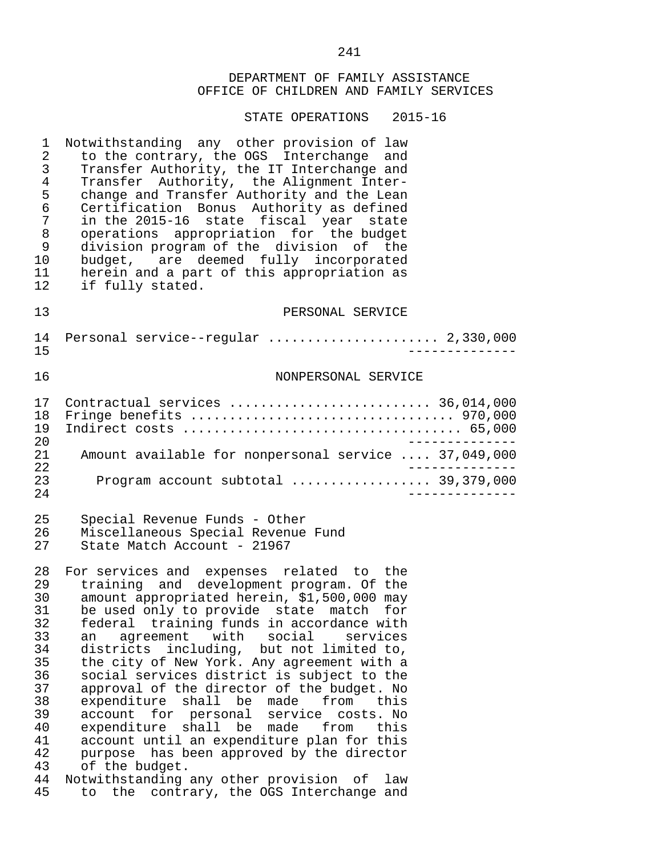#### STATE OPERATIONS 2015-16

1 Notwithstanding any other provision of law<br>2 to the contrary, the OGS Interchange and 2 to the contrary, the OGS Interchange and<br>3 Transfer Authority, the IT Interchange and 3 Transfer Authority, the IT Interchange and 4 Transfer Authority, the Alignment Inter-<br>5 change and Transfer Authority and the Lean 5 change and Transfer Authority and the Lean<br>6 Certification Bonus Authority as defined 6 Certification Bonus Authority as defined<br>7 in the 2015-16 state fiscal vear state 7 in the 2015-16 state fiscal year state 8 operations appropriation for the budget 9 division program of the division of the 10 budget, are deemed fully incorporated<br>11 herein and a part of this appropriation as 11 herein and a part of this appropriation as<br>12 if fully stated. if fully stated. 13 PERSONAL SERVICE 14 Personal service--regular ...................... 2,330,000 15 -------------- 16 NONPERSONAL SERVICE 17 Contractual services .......................... 36,014,000 18 Fringe benefits .................................. 970,000 19 Indirect costs .................................... 65,000 20<br>21 Amount available for nonpersonal service .... 37.049.000 21 Amount available for nonpersonal service .... 37,049,000 22 -------------- 23 Program account subtotal .................. 39,379,000 24 -------------- 25 Special Revenue Funds - Other Miscellaneous Special Revenue Fund 27 State Match Account - 21967 28 For services and expenses related to the<br>29 training and development program. Of the 29 training and development program. Of the<br>30 amount appropriated herein, \$1,500,000 may 30 amount appropriated herein, \$1,500,000 may<br>31 be used only to provide state match for 31 be used only to provide state match for 32 federal training funds in accordance with 33 an agreement with social services<br>34 districts including, but not limited to, 34 districts including, but not limited to, 35 the city of New York. Any agreement with a 36 social services district is subject to the 37 approval of the director of the budget. No<br>38 expenditure shall be made from this 38 expenditure shall be made from this 39 account for personal service costs. No 40 expenditure shall be made from this<br>41 account until an expenditure plan for this 41 account until an expenditure plan for this<br>42 purpose has been approved by the director 42 purpose has been approved by the director<br>43 of the budget. 43 of the budget.<br>44 Notwithstanding 44 Notwithstanding any other provision of law<br>45 to the contrary, the OGS Interchange and 45 to the contrary, the OGS Interchange and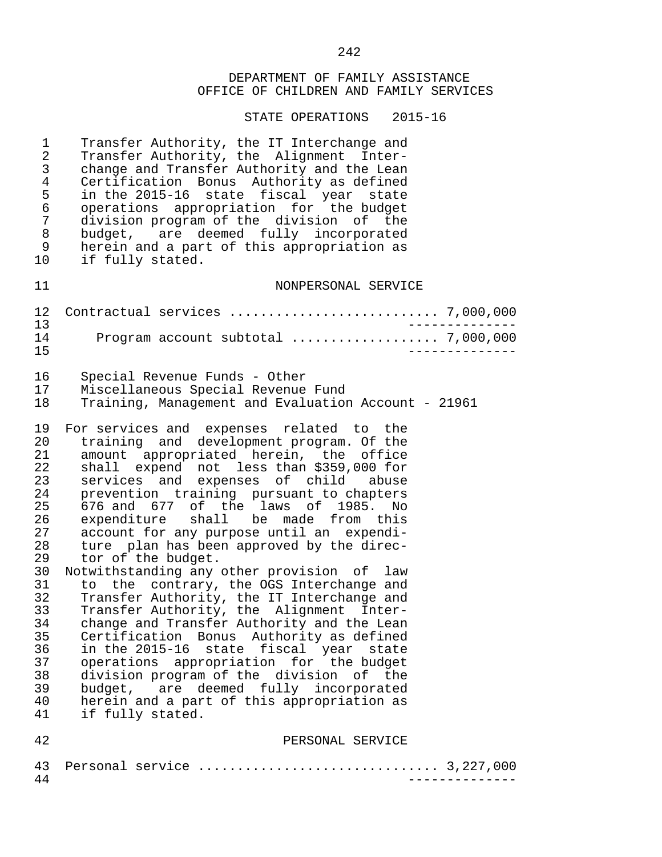| $\mathbf 1$<br>$\mathbf{2}$<br>3<br>$\overline{4}$<br>5<br>6<br>7<br>8<br>9<br>10                                                      | Transfer Authority, the IT Interchange and<br>Transfer Authority, the Alignment Inter-<br>change and Transfer Authority and the Lean<br>Certification Bonus Authority as defined<br>in the 2015-16 state fiscal year state<br>operations appropriation for the budget<br>division program of the division of the<br>budget, are deemed fully incorporated<br>herein and a part of this appropriation as<br>if fully stated.                                                                                                                                                                                                                                                                                                                                                                                                                                                                                                                                                                 |
|----------------------------------------------------------------------------------------------------------------------------------------|---------------------------------------------------------------------------------------------------------------------------------------------------------------------------------------------------------------------------------------------------------------------------------------------------------------------------------------------------------------------------------------------------------------------------------------------------------------------------------------------------------------------------------------------------------------------------------------------------------------------------------------------------------------------------------------------------------------------------------------------------------------------------------------------------------------------------------------------------------------------------------------------------------------------------------------------------------------------------------------------|
| 11                                                                                                                                     | NONPERSONAL SERVICE                                                                                                                                                                                                                                                                                                                                                                                                                                                                                                                                                                                                                                                                                                                                                                                                                                                                                                                                                                         |
| 12<br>13                                                                                                                               |                                                                                                                                                                                                                                                                                                                                                                                                                                                                                                                                                                                                                                                                                                                                                                                                                                                                                                                                                                                             |
| 14<br>15                                                                                                                               | Program account subtotal  7,000,000                                                                                                                                                                                                                                                                                                                                                                                                                                                                                                                                                                                                                                                                                                                                                                                                                                                                                                                                                         |
| 16                                                                                                                                     | Special Revenue Funds - Other                                                                                                                                                                                                                                                                                                                                                                                                                                                                                                                                                                                                                                                                                                                                                                                                                                                                                                                                                               |
| 17<br>18                                                                                                                               | Miscellaneous Special Revenue Fund<br>Training, Management and Evaluation Account - 21961                                                                                                                                                                                                                                                                                                                                                                                                                                                                                                                                                                                                                                                                                                                                                                                                                                                                                                   |
|                                                                                                                                        |                                                                                                                                                                                                                                                                                                                                                                                                                                                                                                                                                                                                                                                                                                                                                                                                                                                                                                                                                                                             |
| 19<br>20<br>21<br>22<br>23<br>24<br>25<br>26<br>27<br>28<br>29<br>30<br>31<br>32<br>33<br>34<br>35<br>36<br>37<br>38<br>39<br>40<br>41 | For services and expenses related to the<br>training and development program. Of the<br>amount appropriated herein, the office<br>shall expend not less than \$359,000 for<br>services and expenses of child abuse<br>prevention training pursuant to chapters<br>676 and 677 of the laws of 1985. No<br>shall be made from this<br>expenditure<br>account for any purpose until an expendi-<br>ture plan has been approved by the direc-<br>tor of the budget.<br>Notwithstanding any other provision of<br>law<br>to the contrary, the OGS Interchange and<br>Transfer Authority, the IT Interchange and<br>Transfer Authority, the Alignment Inter-<br>change and Transfer Authority and the Lean<br>Certification Bonus Authority as defined<br>in the 2015-16 state fiscal year state<br>operations appropriation for the budget<br>division program of the division of the<br>budget, are deemed fully incorporated<br>herein and a part of this appropriation as<br>if fully stated. |
| 42                                                                                                                                     | PERSONAL SERVICE                                                                                                                                                                                                                                                                                                                                                                                                                                                                                                                                                                                                                                                                                                                                                                                                                                                                                                                                                                            |
| 43<br>44                                                                                                                               |                                                                                                                                                                                                                                                                                                                                                                                                                                                                                                                                                                                                                                                                                                                                                                                                                                                                                                                                                                                             |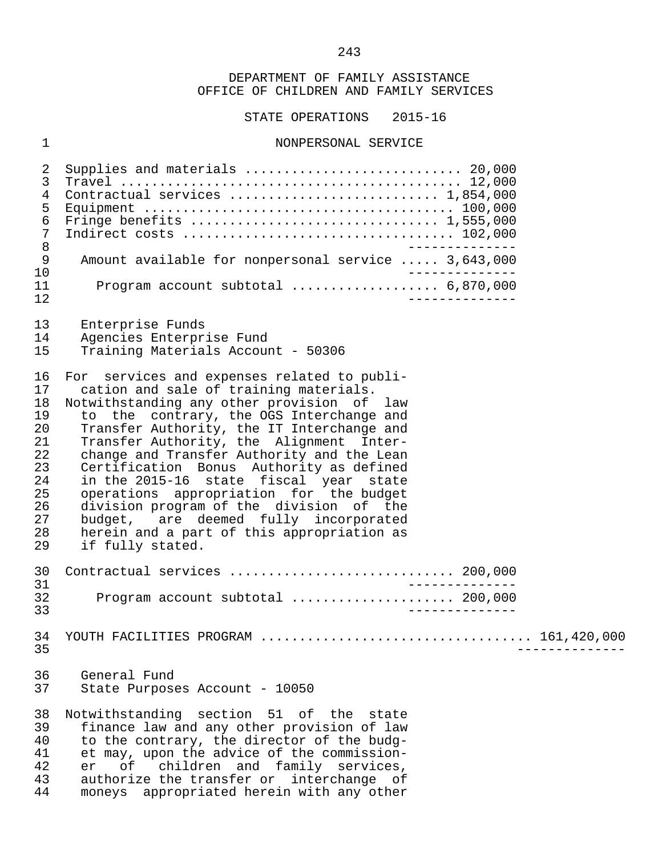STATE OPERATIONS 2015-16

#### 1 NONPERSONAL SERVICE

 2 Supplies and materials ............................ 20,000 3 Travel ............................................ 12,000 4 Contractual services ........................... 1,854,000 5 Equipment ........................................ 100,000 6 Fringe benefits ................................ 1,555,000 7 Indirect costs ................................... 102,000 8<br>9 Amount available for nonpersonal service ..... 3.643.000 9 Amount available for nonpersonal service ..... 3,643,000<br>10 ------------- 10 -------------- 11 Program account subtotal ................... 6,870,000 12 -------------- 13 Enterprise Funds<br>14 Agencies Enterpr 14 Agencies Enterprise Fund<br>15 Training Materials Accou 15 Training Materials Account - 50306 16 For services and expenses related to publi-<br>17 cation and sale of training materials. cation and sale of training materials. 18 Notwithstanding any other provision of law<br>19 to the contrary, the OGS Interchange and 19 to the contrary, the OGS Interchange and<br>20 Transfer Authority, the IT Interchange and 20 Transfer Authority, the IT Interchange and<br>21 Transfer Authority, the Alignment Inter-21 Transfer Authority, the Alignment Inter-<br>22 change and Transfer Authority and the Lean 22 change and Transfer Authority and the Lean<br>23 Certification Bonus Authority as defined 23 Certification Bonus Authority as defined 24 in the 2015-16 state fiscal year state 25 operations appropriation for the budget<br>26 division program of the division of the 26 division program of the division of the<br>27 budget, are deemed fully incorporated 27 budget, are deemed fully incorporated<br>28 herein and a part of this appropriation as 28 herein and a part of this appropriation as<br>29 if fully stated. if fully stated. 30 Contractual services ............................. 200,000 31<br>32 Drogram account subtotal (1990) 1990-1990 (200.000 32 Program account subtotal ..................... 200,000 33 -------------- 34 YOUTH FACILITIES PROGRAM ................................... 161,420,000 35 -------------- 36 General Fund 37 State Purposes Account - 10050 38 Notwithstanding section 51 of the state<br>39 finance law and any other provision of law 39 finance law and any other provision of law<br>40 to the contrary, the director of the budg-40 to the contrary, the director of the budg-<br>41 et may, upon the advice of the commission-41 et may, upon the advice of the commission-<br>42 er of children and family services. 42 er of children and family services,<br>43 authorize-the-transfer-or interchange of 43 authorize the transfer or interchange of<br>44 moneys appropriated herein with any other moneys appropriated herein with any other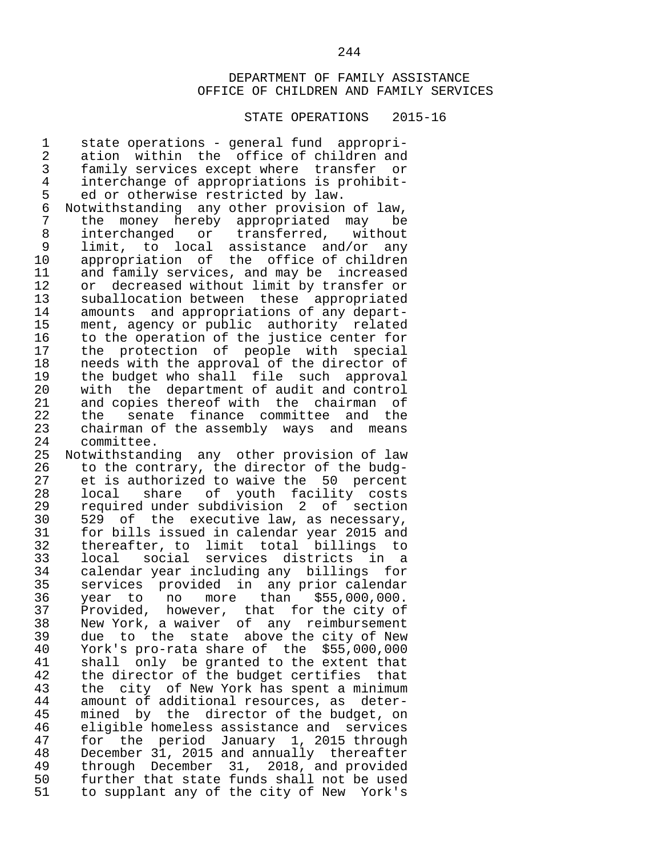#### STATE OPERATIONS 2015-16

1 state operations - general fund appropri-<br>2 ation within the office of children and 2 ation within the office of children and<br>3 family services except where transfer or 3 family services except where transfer or 4 interchange of appropriations is prohibit-<br>5 ed or otherwise restricted by law. 5 ed or otherwise restricted by law.<br>6 Notwithstanding any other provision 6 Notwithstanding any other provision of law, 7 the money hereby appropriated may be 8 interchanged or transferred, without<br>9 limit, to local assistance and/or any 9 limit, to local assistance and/or any 10 appropriation of the office of children<br>11 and family services, and may be increased 11 and family services, and may be increased<br>12 or decreased without limit by transfer or 12 or decreased without limit by transfer or<br>13 suballocation between these appropriated 13 suballocation between these appropriated<br>14 amounts and appropriations of any depart-14 amounts and appropriations of any depart-<br>15 ment, agency or public authority related 15 ment, agency or public authority related<br>16 to the operation of the justice center for 16 to the operation of the justice center for<br>17 the protection of people with special 17 the protection of people with special<br>18 needs with the approval of the director of 18 needs with the approval of the director of<br>19 the budget who shall file such approval 19 the budget who shall file such approval<br>20 with the department of audit and control with the department of audit and control 21 and copies thereof with the chairman of<br>22 the senate finance committee and the 22 the senate finance committee and the<br>23 chairman of the assembly ways and means 23 chairman of the assembly ways and means<br>24 committee. 24 committee.<br>25 Notwithstand Notwithstanding any other provision of law 26 to the contrary, the director of the budg-<br>27 et is authorized to waive the 50 percent 27 et is authorized to waive the 50 percent<br>28 local share of youth facility costs 28 local share of youth facility costs<br>29 required\_under\_subdivision 2 of section 29 required under subdivision 2 of section<br>30 529 of the executive law, as necessary, 30 529 of the executive law, as necessary,<br>31 for bills issued in calendar vear 2015 and 31 for bills issued in calendar year 2015 and 32 thereafter, to limit total billings to 33 local social services districts in a 34 calendar year including any billings for<br>35 services provided in any prior calendar 35 services provided in any prior calendar 36 year to no more than<br>37 Provided, however, that for 37 Provided, however, that for the city of<br>38 New York, a waiver of any reimbursement 38 New York, a waiver of any reimbursement<br>39 due to the state above the city of New 39 due to the state above the city of New<br>40 York's pro-rata share of the \$55,000,000 40 York's pro-rata share of the \$55,000,000 41 shall only be granted to the extent that<br>42 the director of the budget certifies that 42 the director of the budget certifies that<br>43 the city of New York has spent a minimum 43 the city of New York has spent a minimum<br>44 amount of additional resources, as deter-44 amount of additional resources, as deter-<br>45 mined by the director of the budget, on 45 mined by the director of the budget, on<br>46 eligible homeless assistance and services 46 eligible homeless assistance and services<br>47 for the period January 1, 2015 through 47 for the period January 1, 2015 through<br>48 December 31, 2015 and annually thereafter 48 December 31, 2015 and annually thereafter<br>49 through December 31, 2018, and provided 49 through December 31, 2018, and provided<br>50 further that state funds shall not be used 50 further that state funds shall not be used<br>51 to supplant any of the city of New York's to supplant any of the city of New York's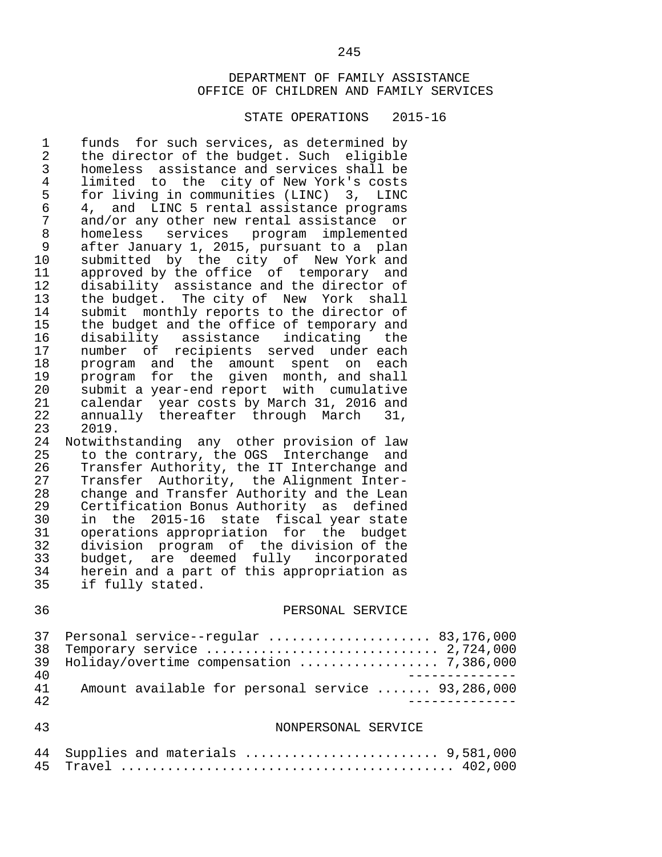#### STATE OPERATIONS 2015-16

1 funds for such services, as determined by<br>2 the director of the budget. Such eligible 2 the director of the budget. Such eligible<br>3 homeless assistance and services shall be 3 homeless assistance and services shall be 4 limited to the city of New York's costs<br>5 for living in communities (LINC) 3, LINC 5 for living in communities (LINC) 3,<br>6 4, and LINC 5 rental assistance prop 6 4, and LINC 5 rental assistance programs<br>7 and/or any other new rental assistance or 7 and/or any other new rental assistance or<br>8 homeless services program implemented 8 homeless services program implemented 9 after January 1, 2015, pursuant to a plan 10 submitted by the city of New York and<br>11 approved by the office of temporary and 11 approved by the office of temporary and<br>12 disability assistance and the director of 12 disability assistance and the director of<br>13 the budget. The city of New York shall 13 the budget. The city of New York shall<br>14 submit monthly reports to the director of 14 submit monthly reports to the director of<br>15 the budget and the office of temporary and 15 the budget and the office of temporary and<br>16 disability assistance indicating the 16 disability assistance indicating the<br>17 number of recipients served under-each 17 number of recipients served undereach<br>18 program and the amount spent on each 18 program and the amount spent on each<br>19 program for the given month, and shall 19 program for the given month, and shall<br>20 submit a vear-end report with cumulative 20 submit a year-end report with cumulative<br>21 calendar vear costs by March 31, 2016 and 21 calendar year costs by March 31, 2016 and<br>22 annually thereafter through March 31, 22 annually thereafter through March<br>23, 2019. 23 2019.<br>24 Notwith 24 Notwithstanding any other provision of law<br>25 to the contrary, the OGS Interchange and 25 to the contrary, the OGS Interchange and<br>26 Transfer Authority, the IT Interchange and 26 Transfer Authority, the IT Interchange and<br>27 Transfer Authority, the Alignment Inter-27 Transfer Authority, the Alignment Inter-<br>28 change and Transfer Authority and the Lean 28 change and Transfer Authority and the Lean<br>29 Certification Bonus Authority as defined 29 Certification Bonus Authority as defined 30 in the 2015-16 state fiscal year state<br>31 operations appropriation for the budget operations appropriation for the budget 32 division program of the division of the 33 budget, are deemed fully incorporated<br>34 herein and a part of this appropriation as

34 herein and a part of this appropriation as<br>35 if fully stated.

if fully stated.

#### 36 PERSONAL SERVICE

|    | 37 Personal service--reqular  83,176,000          |
|----|---------------------------------------------------|
|    |                                                   |
|    | 39 Holiday/overtime compensation  7,386,000       |
| 40 |                                                   |
| 41 | Amount available for personal service  93,286,000 |
| 42 |                                                   |

#### 43 NONPERSONAL SERVICE

| 44 Supplies and materials  9,581,000 |  |
|--------------------------------------|--|
|                                      |  |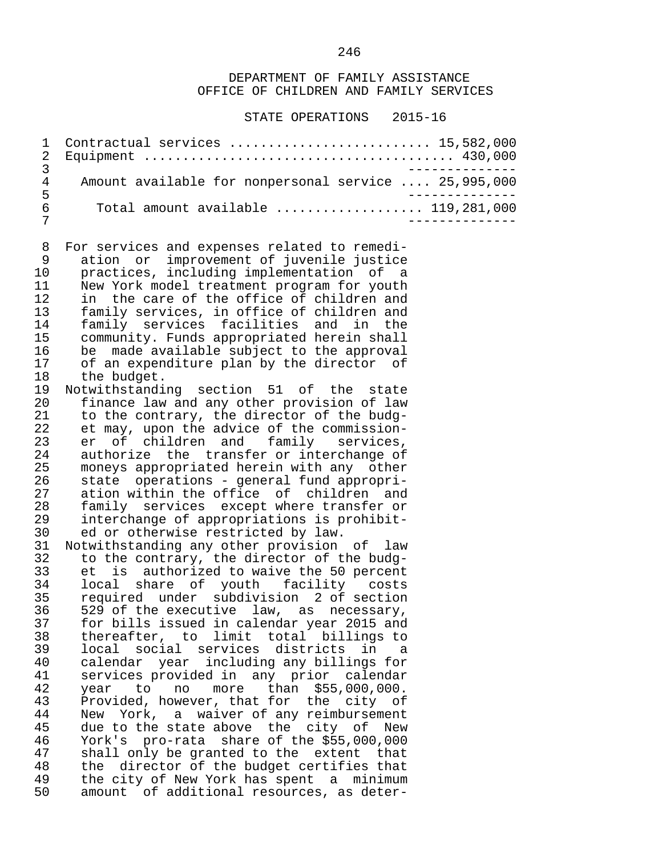#### STATE OPERATIONS 2015-16

 1 Contractual services .......................... 15,582,000 2 Equipment ........................................ 430,000 3<br>4 Amount available for nonpersonal service .... 25.995.000 4 Amount available for nonpersonal service .... 25,995,000 5<br>6 Total amount available .................... 119.281.000 6 Total amount available ................... 119,281,000 7 --------------

8 For services and expenses related to remedi-<br>9 ation or improvement of iuvenile justice 9 ation or improvement of juvenile justice 10 practices, including implementation of a<br>11 New York model treatment program for youth 11 New York model treatment program for youth<br>12 in the care of the office of children and 12 in the care of the office of children and<br>13 family services, in office of children and 13 family services, in office of children and 14 family services facilities and in the<br>15 community Funds appropriated herein shall 15 community. Funds appropriated herein shall 16 be made available subject to the approval<br>17 of an expenditure plan by the director of 17 of an expenditure plan by the director of<br>18 the budget. 18 the budget.<br>19 Notwithstandi

Notwithstanding section 51 of the state 20 finance law and any other provision of law 21 to the contrary, the director of the budg-<br>22 et may, upon the advice of the commission-22 et may, upon the advice of the commission-<br>23 er of children and family services, 23 er of children and family services,<br>24 authorize the transfer\_or\_interchange\_of 24 authorize the transfer or interchange of<br>25 moneys appropriated herein with any other 25 moneys appropriated herein with any other<br>26 state operations - general fund appropri-26 state operations - general fund appropri-<br>27 ation within the office of children and 27 ation within the office of children and<br>28 family services except where transfer or 28 family services except where transfer or<br>29 interchange of appropriations is prohibit-29 interchange of appropriations is prohibit-<br>30 ed or otherwise restricted by law. ed or otherwise restricted by law.

 31 Notwithstanding any other provision of law 32 to the contrary, the director of the budg- 33 et is authorized to waive the 50 percent<br>34 Iocal share of youth facility costs 34 local share of youth facility costs<br>35 required under subdivision 2 of section 35 required under subdivision 2 of section<br>36 529 of the executive law, as necessary, 36 529 of the executive law, as necessary,<br>37 for bills issued in calendar year 2015 and 37 for bills issued in calendar year 2015 and 38 thereafter, to limit total billings to<br>39 local social services districts in a 39 local social services districts in a<br>40 calendar vear including any billings for 40 calendar year including any billings for<br>41 services provided in any prior calendar services provided in any prior calendar 42 year to no more than \$55,000,000.<br>43 Provided,however,thatfor the city of 43 Provided, however, that for the city of<br>44 New York, a waiver of any reimbursement 44 New York, a waiver of any reimbursement<br>45 due to the state above the city of New 45 due to the state above the city of New<br>46 York's pro-rata share of the \$55,000,000 46 York's pro-rata share of the \$55,000,000 47 shall only be granted to the extent that<br>48 the director of the budget certifies that 48 the director of the budget certifies that<br>49 the city of New York has spent a minimum 49 the city of New York has spent a minimum<br>50 amount of additional resources, as deteramount of additional resources, as deter-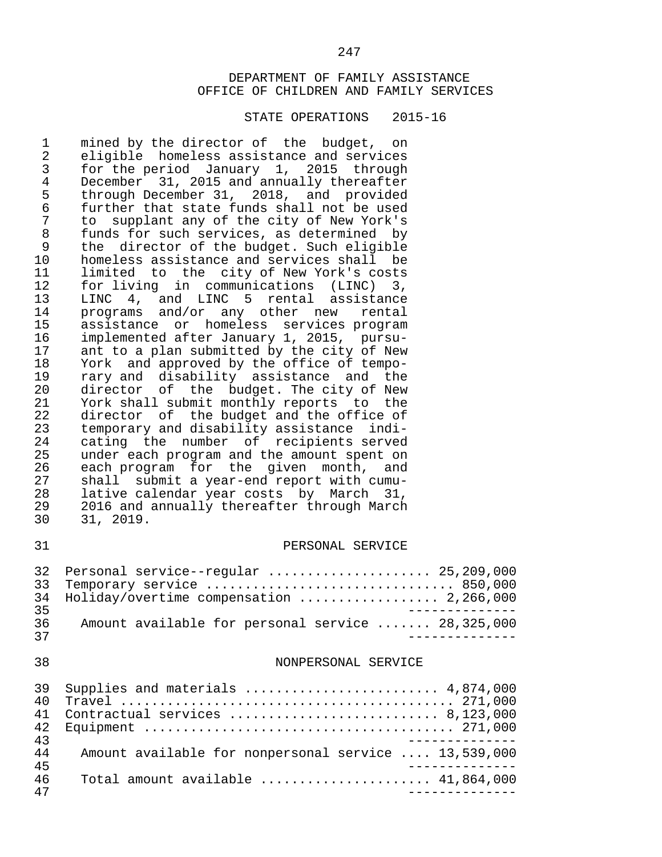#### STATE OPERATIONS 2015-16

1 mined by the director of the budget, on<br>2 eligible homeless assistance and services 2 eligible homeless assistance and services<br>3 for the period January 1, 2015 through 3 for the period January 1, 2015 through<br>4 December 31, 2015 and annually thereafter 4 December 31, 2015 and annually thereafter<br>5 through December 31, 2018, and provided 5 through December 31, 2018, and provided 6 further that state funds shall not be used<br>7 to supplant any of the city of New York's 7 to supplant any of the city of New York's<br>8 funds for such services, as determined by 8 funds for such services, as determined by<br>9 the director of the budget. Such eligible 9 the director of the budget. Such eligible<br>10 homeless assistance and services shall be 10 homeless assistance and services shall be<br>11 limited to the city of New York's costs 11 limited to the city of New York's costs<br>12 for living in communications (LINC) 3. 12 for living in communications (LINC) 3,<br>13 LINC 4, and LINC 5 rental assistance 13 LINC 4, and LINC 5 rental assistance<br>14 programs and/or any other new rental 14 programs and/or any other new rental<br>15 assistance or homeless services. 15 assistance or homeless services program<br>16 implemented after January 1, 2015, pursu-16 implemented after January 1, 2015, pursu-<br>17 ant to a plan submitted by the city of New 17 ant to a plan submitted by the city of New<br>18 York and approved by the office of tempo-18 York and approved by the office of tempo-<br>19 rary and disability assistance and the 19 rary and disability assistance and the<br>20 director of the budget. The city of New 20 director of the budget. The city of New<br>21 York shall submit monthly reports to the 21 York shall submit monthly reports to the<br>22 director of the budget and the office of 22 director of the budget and the office of<br>23 temporary and disability assistance indi-23 temporary and disability assistance indi-<br>24 cating the number of recipients served 24 cating the number of recipients served<br>25 under each program and the amount spent on 25 under each program and the amount spent on<br>26 each program for the given month, and 26 each program for the given month, and<br>27 shall submit a year-end report with cumu-27 shall submit a year-end report with cumu-<br>28 lative calendar year costs by March 31, 28 lative calendar year costs by March 31,<br>29 2016 and annually thereafter through March 29 2016 and annually thereafter through March<br>30 31, 2019. 30 31, 2019.

#### 31 PERSONAL SERVICE

|      | 32 Personal service--reqular  25,209,000          |
|------|---------------------------------------------------|
|      | 33 Temporary service  850,000                     |
|      | 34 Holiday/overtime compensation  2,266,000       |
| 35   |                                                   |
| 36   | Amount available for personal service  28,325,000 |
| - 27 |                                                   |

#### 38 NONPERSONAL SERVICE

| 39  | Supplies and materials $\ldots \ldots \ldots \ldots \ldots \ldots \ldots$ 4,874,000 |
|-----|-------------------------------------------------------------------------------------|
| 40  |                                                                                     |
| 41  | Contractual services $8,123,000$                                                    |
| 42. |                                                                                     |
| 43  |                                                                                     |
| 44  | Amount available for nonpersonal service  13,539,000                                |
| 45  |                                                                                     |
| 46  | Total amount available $\ldots \ldots \ldots \ldots \ldots \ldots$ 41,864,000       |
| 47  |                                                                                     |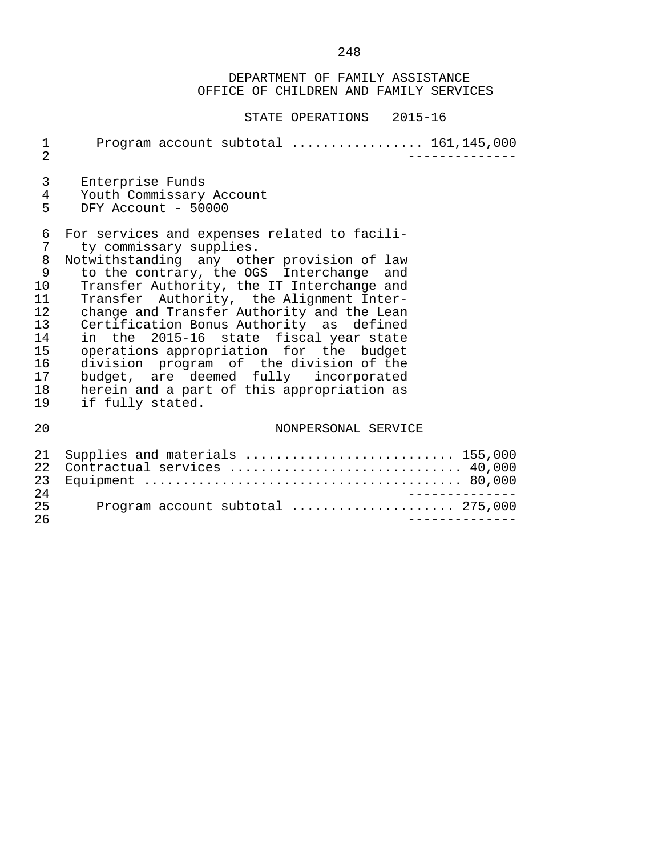| $\mathbf{1}$<br>$\overline{2}$                                               | Program account subtotal  161,145,000                                                                                                                                                                                                                                                                                                                                                                                                                                                                                                                                                            |
|------------------------------------------------------------------------------|--------------------------------------------------------------------------------------------------------------------------------------------------------------------------------------------------------------------------------------------------------------------------------------------------------------------------------------------------------------------------------------------------------------------------------------------------------------------------------------------------------------------------------------------------------------------------------------------------|
| 3<br>4<br>5                                                                  | Enterprise Funds<br>Youth Commissary Account<br>DFY Account - 50000                                                                                                                                                                                                                                                                                                                                                                                                                                                                                                                              |
| 6<br>7<br>8<br>9<br>10<br>11<br>12<br>13<br>14<br>15<br>16<br>17<br>18<br>19 | For services and expenses related to facili-<br>ty commissary supplies.<br>Notwithstanding any other provision of law<br>to the contrary, the OGS Interchange and<br>Transfer Authority, the IT Interchange and<br>Transfer Authority, the Alignment Inter-<br>change and Transfer Authority and the Lean<br>Certification Bonus Authority as defined<br>in the 2015-16 state fiscal year state<br>operations appropriation for the budget<br>division program of the division of the<br>budget, are deemed fully incorporated<br>herein and a part of this appropriation as<br>if fully stated. |
| 20                                                                           | NONPERSONAL SERVICE                                                                                                                                                                                                                                                                                                                                                                                                                                                                                                                                                                              |
| 21<br>22<br>23<br>24<br>25                                                   | Supplies and materials  155,000<br>Contractual services  40,000<br>Program account subtotal  275,000                                                                                                                                                                                                                                                                                                                                                                                                                                                                                             |
| 26                                                                           |                                                                                                                                                                                                                                                                                                                                                                                                                                                                                                                                                                                                  |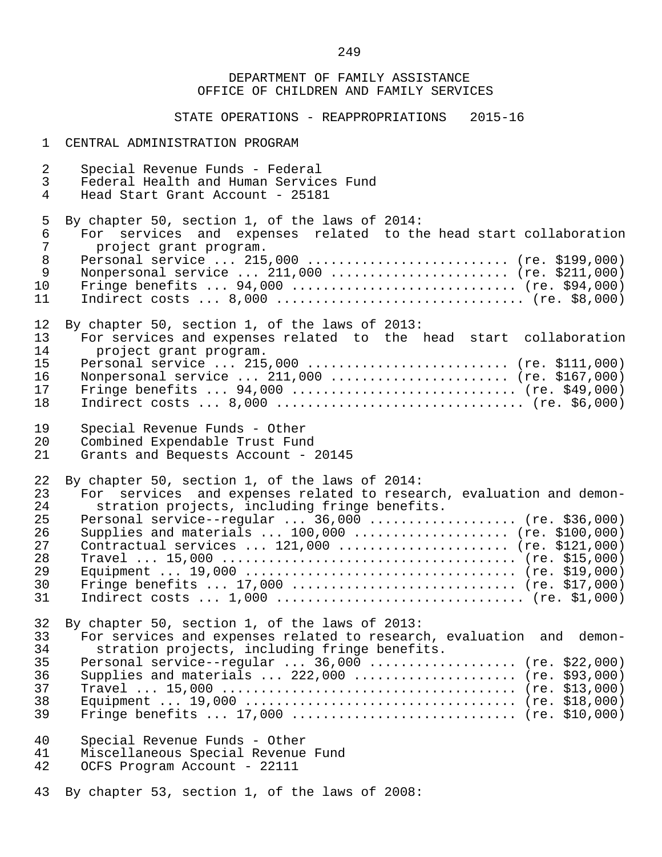STATE OPERATIONS - REAPPROPRIATIONS 2015-16

#### 1 CENTRAL ADMINISTRATION PROGRAM

 2 Special Revenue Funds - Federal 3 Federal Health and Human Services Fund<br>4 Head Start Grant Account - 25181 Head Start Grant Account - 25181 5 By chapter 50, section 1, of the laws of 2014:<br>6 For services and expenses related to th 6 For services and expenses related to the head start collaboration 7 project grant program.<br>8 Personal service ... 215 8 Personal service ... 215,000 ........................... (re. \$199,000)<br>9 Nonpersonal service ... 211,000 ....................... (re. \$211,000) 9 Nonpersonal service ... 211,000 ........................ (re. \$211,000) 10 Fringe benefits ... 94,000 ............................. (re. \$94,000) 11 Indirect costs ... 8,000 ................................ (re. \$8,000) 12 By chapter 50, section 1, of the laws of 2013:<br>13 For services and expenses related to the 13 For services and expenses related to the head start collaboration 14 project grant program.<br>15 Personal service ... 215 15 Personal service ... 215,000 .......................... (re. \$111,000)<br>16 Nonpersonal service ... 211.000 ........................ (re. \$167.000) 16 Nonpersonal service ... 211,000 ....................... (re. \$167,000) 17 Fringe benefits ... 94,000 ............................. (re. \$49,000) 18 Indirect costs ... 8,000 ................................ (re. \$6,000) 19 Special Revenue Funds - Other<br>20 Combined Expendable Trust Fun 20 Combined Expendable Trust Fund<br>21 Grants and Bequests Account -Grants and Bequests Account - 20145 22 By chapter 50, section 1, of the laws of 2014:<br>23 For services and expenses related to resea 23 For services and expenses related to research, evaluation and demon-<br>24 Stration projects, including fringe benefits. 24 stration projects, including fringe benefits.<br>25 Personal service--regular ... 36.000 .......... 25 Personal service--regular ... 36,000 ................... (re. \$36,000) Supplies and materials  $\ldots$  100,000  $\ldots$ ................... (re. \$100,000) 27 Contractual services ... 121,000 ...................... (re. \$121,000) 28 Travel ... 15,000 ...................................... (re. \$15,000) 29 Equipment ... 19,000 ................................... (re. \$19,000) 30 Fringe benefits ... 17,000 ............................. (re. \$17,000) 31 Indirect costs ... 1,000 ................................ (re. \$1,000) 32 By chapter 50, section 1, of the laws of 2013:<br>33 For services and expenses related to researc 33 For services and expenses related to research, evaluation and demon-<br>34 Stration projects, including fringe benefits. 34 stration projects, including fringe benefits.<br>35 Personal service--reqular ... 36,000 .......... 35 Personal service--regular ... 36,000 .................... (re. \$22,000)<br>36 Supplies and materials ... 222,000 ....................... (re. \$93,000) Supplies and materials  $\ldots$  222,000  $\ldots$ ..................... (re. \$93,000) 37 Travel ... 15,000 ...................................... (re. \$13,000) 38 Equipment ... 19,000 ................................... (re. \$18,000) 39 Fringe benefits ... 17,000 ............................. (re. \$10,000) 40 Special Revenue Funds - Other 41 Miscellaneous Special Revenue Fund OCFS Program Account - 22111 43 By chapter 53, section 1, of the laws of 2008: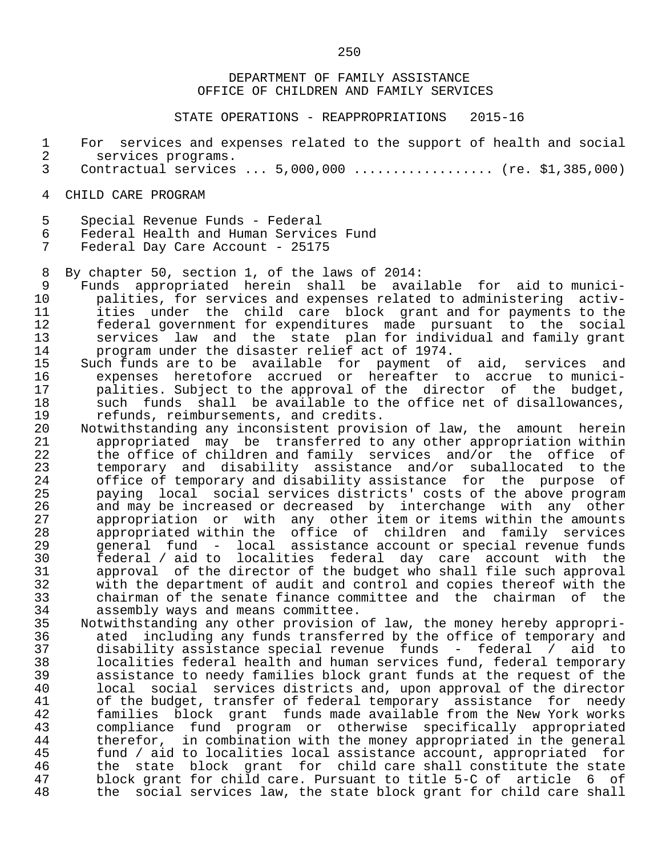STATE OPERATIONS - REAPPROPRIATIONS 2015-16

- 1 For services and expenses related to the support of health and social<br>2 services programs.
- 2 services programs.<br>3 Contractual services Contractual services  $\ldots$  5,000,000  $\ldots$ ................ (re. \$1,385,000)
- 4 CHILD CARE PROGRAM
- 5 Special Revenue Funds Federal
- 6 Federal Health and Human Services Fund

Federal Day Care Account - 25175

8 By chapter 50, section 1, of the laws of 2014:

- 9 Funds appropriated herein shall be available for aid to munici-<br>10 palities, for services and expenses related to administering activ-10 palities, for services and expenses related to administering activ-<br>11 ities under the child care block grant and for payments to the 11 ities under the child care block grant and for payments to the 12 federal government for expenditures made pursuant to the social<br>13 services law and the state plan-for-individual and-family-grant 13 services law and the state plan-for-individual and family grant<br>14 serogram under the disaster relief act of 1974. 14 program under the disaster relief act of 1974.<br>15 Such funds are to be available for payment o
- 15 Such funds are to be available for payment of aid, services and 16 expenses heretofore accrued or hereafter to accrue to munici- 17 palities. Subject to the approval of the director of the budget,<br>18 such funds shall be available to the office net of disallowances. 18 such funds shall be available to the office net of disallowances,<br>19 sefunds, reimbursements, and credits. 19 refunds, reimbursements, and credits.<br>20 Notwithstanding any inconsistent provis
	- 20 Notwithstanding any inconsistent provision of law, the amount herein<br>21 appropriated may be transferred to any other appropriation within 21 appropriated may be transferred to any other appropriation within<br>22 the office of children and family services and/or the office of 22 the office of children and family services and/or the office of<br>23 temporary and disability assistance and/or suballocated to the 23 temporary and disability assistance and/or suballocated to the<br>24 office of temporary and disability assistance for the purpose of 24 office of temporary and disability assistance for the purpose of<br>25 paying local social services districts' costs of the above program 25 paying local social services districts' costs of the above program<br>26 and may be increased or decreased by interchange with any other 26 and may be increased or decreased by interchange with any other<br>27 appropriation or with any other item or items within the amounts 27 appropriation or with any other item or items within the amounts<br>28 appropriated within the office of children and family services 28 appropriated within the office of children and family services 29 general fund - local assistance account or special revenue funds 30 federal / aid to localities federal day care account with the 31 approval of the director of the budget who shall file such approval<br>32 with the department of audit and control and copies thereof with the 32 with the department of audit and control and copies thereof with the<br>33 chairman of the senate finance committee and the chairman of the 33 chairman of the senate finance committee and the chairman of the 34 assembly ways and means committee.<br>35 Notwithstanding any other provision
- 35 Notwithstanding any other provision of law, the money hereby appropri- 36 ated including any funds transferred by the office of temporary and<br>37 alisability assistance special revenue funds - federal / aid to 37 disability assistance special revenue funds - federal / aid to 38 localities federal health and human services fund, federal temporary assistance to needy families block grant funds at the request of the 40 local social services districts and, upon approval of the director 41 of the budget, transfer of federal temporary assistance for needy 42 families block grant funds made available from the New York works 43 compliance fund program or otherwise specifically appropriated<br>44 therefor, in combination with the money appropriated in the general 44 therefor, in combination with the money appropriated in the general<br>45 fund / aid to localities local assistance account, appropriated for 45 fund / aid to localities local assistance account, appropriated for 46 the state block grant for child care-shall-constitute-the-state<br>47 block-grant-for-child-care, Pursuant-to-title-5-C of article-6 of 47 block grant for child care. Pursuant to title 5-C of article 6 of<br>48 the social services law, the state block grant for child care shall the social services law, the state block grant for child care shall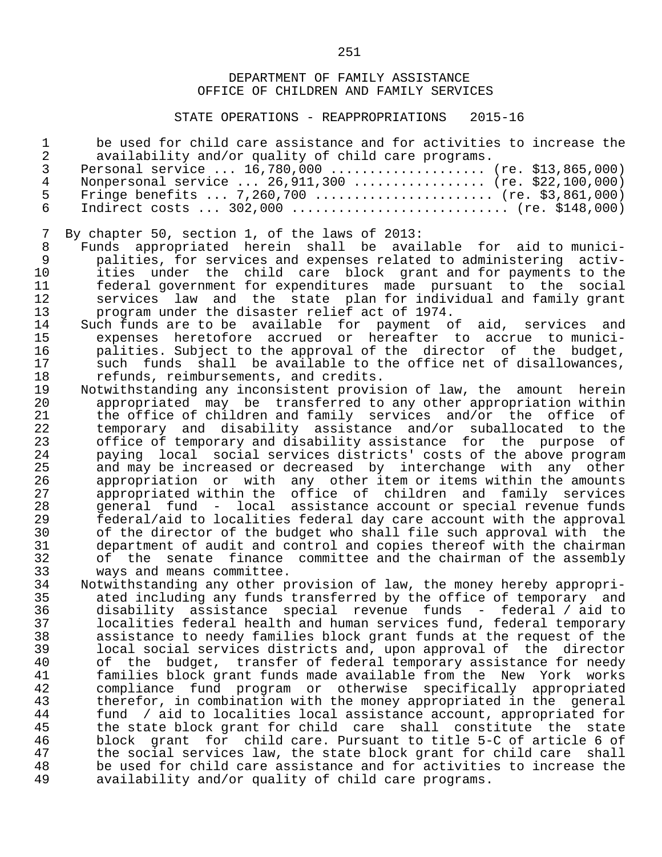STATE OPERATIONS - REAPPROPRIATIONS 2015-16

|    | be used for child care assistance and for activities to increase the |
|----|----------------------------------------------------------------------|
|    | availability and/or quality of child care programs.                  |
|    | Personal service $16,780,000$ (re. \$13,865,000)                     |
| 4  | Nonpersonal service $26,911,300$ (re. \$22,100,000)                  |
| Б. | Fringe benefits  7,260,700  (re. \$3,861,000)                        |
|    | Indirect costs $302,000$ (re. \$148,000)                             |

- 
- 7 By chapter 50, section 1, of the laws of 2013: 8 Funds appropriated herein shall be available for aid to munici- 9 palities, for services and expenses related to administering activ- 10 ities under the child care block grant and for payments to the 11 federal government for expenditures made pursuant to the social 12 services law and the state plan-for-individual and family grant<br>13 serogram under the disaster relief act of 1974.
- 13 program under the disaster relief act of 1974. 14 Such funds are to be available for payment of aid, services and 15 expenses heretofore accrued or hereafter to accrue to munici- 16 palities. Subject to the approval of the director of the budget,<br>17 such funds shall be available to the office net of disallowances, 17 such funds shall be available to the office net of disallowances,<br>18 refunds, reimbursements, and credits. 18 refunds, reimbursements, and credits.<br>19 Notwithstanding any inconsistent provis
	- 19 Notwithstanding any inconsistent provision of law, the amount herein<br>20 appropriated may be transferred to any other appropriation within 20 appropriated may be transferred to any other appropriation within<br>21 the office of children and family services and/or the office of 21 the office of children and family services and/or the office of<br>22 temporary and disability assistance and/or suballocated to the 22 temporary and disability assistance and/or suballocated to the 23 office of temporary and disability assistance for the purpose of<br>24 . paving local social services districts' costs of the above program 24 paying local social services districts' costs of the above program<br>25 and may be increased or decreased by interchange with any other 25 and may be increased or decreased by interchange with any other<br>26 appropriation or with any other item or items within the amounts 26 appropriation or with any other item or items within the amounts<br>27 appropriated within the office of children and family services 27 appropriated within the office of children and family services 28 general fund - local assistance account or special revenue funds<br>29 federal/aid to localities federal day care account with the approval 29 federal/aid to localities federal day care account with the approval<br>30 fine director of the budget who shall file such approval with the 30 of the director of the budget who shall file such approval with the<br>31 odepartment of audit and control and copies thereof with the chairman 31 department of audit and control and copies thereof with the chairman 32 of the senate finance committee and the chairman of the assembly<br>33 ways and means committee. 33 ways and means committee.<br>34 Notwithstanding any other p:
	- 34 Notwithstanding any other provision of law, the money hereby appropri- 35 ated including any funds transferred by the office of temporary and 36 disability assistance special revenue funds - federal / aid to<br>37 – localities federal health and human services fund. federal temporary 37 localities federal health and human services fund, federal temporary<br>38 assistance to needy families block grant funds at the request of the 38 assistance to needy families block grant funds at the request of the 39 local social services districts and, upon approval of the director 40 of the budget, transfer of federal temporary assistance for needy<br>41 Samilies block grant funds made available from the New York works 41 families block grant funds made available from the New York works 42 compliance fund program or otherwise specifically appropriated 43 therefor, in combination with the money appropriated in the general<br>44 fund / aid to localities local assistance account, appropriated for 44 fund / aid to localities local assistance account, appropriated for<br>45 the state block grant for child care shall constitute the state 45 the state block grant for child care shall constitute the state 46 block grant for child care. Pursuant to title 5-C of article 6 of 47 the social services law, the state block grant for child care shall<br>48 be used for child care assistance and for activities to increase the 48 be used for child care assistance and for activities to increase the<br>49 availability and/or quality of child care programs. availability and/or quality of child care programs.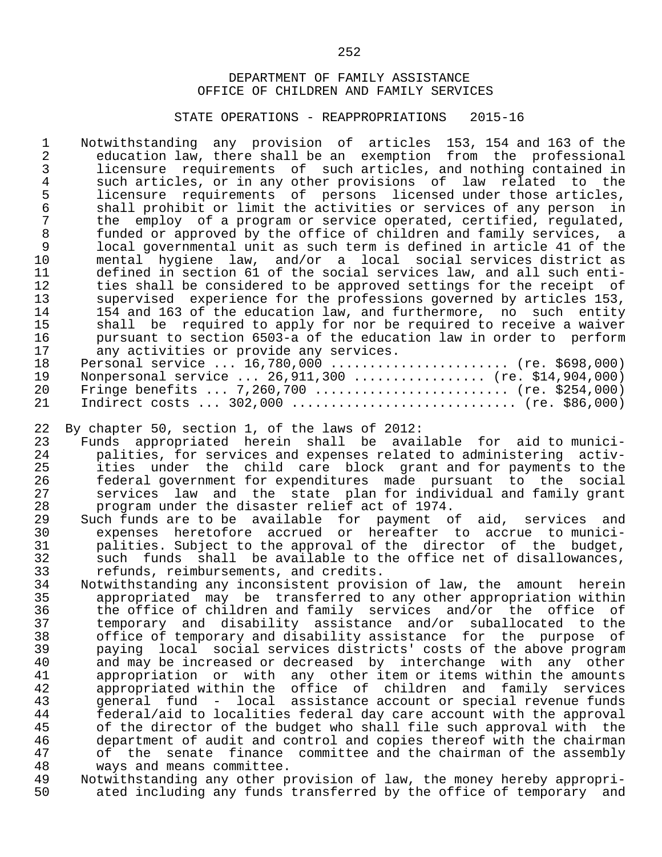#### STATE OPERATIONS - REAPPROPRIATIONS 2015-16

1 Notwithstanding any provision of articles 153, 154 and 163 of the<br>2 education law, there shall be an exemption from the professional 2 education law, there shall be an exemption from the professional<br>3 licensure requirements of such articles, and nothing contained in 3 licensure requirements of such articles, and nothing contained in 4 such articles, or in any other provisions of law related to the<br>5 licensure requirements of persons licensed under those articles. 5 licensure requirements of persons licensed under those articles,<br>6 shall prohibit or limit the activities or services of any person in 6 shall prohibit or limit the activities or services of any person in<br>7 the employ of a program or service operated, certified, regulated, 7 the employ of a program or service operated, certified, regulated,<br>8 funded or approved by the office of children and family services, a 8 funded or approved by the office of children and family services, a<br>9 and one the such term is defined in article 41 of the 9 local governmental unit as such term is defined in article 41 of the<br>10 mental hygiene law, and/or a local social services district as 10 mental hygiene law, and/or a local social services district as 11 defined in section 61 of the social services law, and all such enti- 12 ties shall be considered to be approved settings for the receipt of<br>13 supervised experience for the professions governed by articles 153, 13 supervised experience for the professions governed by articles 153,<br>14 154 and 163 of the education law, and furthermore, no such entity 14 154 and 163 of the education law, and furthermore, no such entity<br>15 shall be required to apply for nor be required to receive a waiver 15 shall be required to apply for nor be required to receive a waiver<br>16 Bursuant to section 6503-a of the education law in order to perform 16 pursuant to section 6503-a of the education law in order to perform<br>17 any activities or provide any services. 17 any activities or provide any services.<br>18 Personal service ... 16,780,000 .........

18 Personal service ... 16,780,000 ......................... (re. \$698,000)<br>19 Nonpersonal service ... 26.911.300 .................. (re. \$14.904.000) 19 Nonpersonal service ... 26,911,300 ................. (re. \$14,904,000)<br>20 Fringe benefits ... 7,260,700 ........................... (re. \$254,000) 20 Fringe benefits ... 7,260,700 ......................... (re. \$254,000) Indirect costs ... 302,000 ............................... (re. \$86,000)

- 22 By chapter 50, section 1, of the laws of 2012:<br>23 Funds appropriated herein shall be avai 23 Funds appropriated herein shall be available for aid to munici- 24 palities, for services and expenses related to administering activ- 25 ities under the child care block grant and for-payments to the<br>26 federal government for-expenditures made pursuant to the social 26 federal government for expenditures made pursuant to the social 27 services law and the state plan-for-individual and family grant<br>28 program under the disaster relief act of 1974. 28 program under the disaster relief act of 1974.<br>29 Such funds are to be available for payment o
- 29 Such funds are to be available for payment of aid, services and<br>30 expenses heretofore accrued or hereafter to accrue to munici- 30 expenses heretofore accrued or hereafter to accrue to munici- 31 palities. Subject to the approval of the director of the budget,<br>32 such funds shall be available to the office net of disallowances, 32 such funds shall be available to the office net of disallowances,<br>33 refunds, reimbursements, and credits. 33 refunds, reimbursements, and credits.<br>34 Notwithstanding any inconsistent provis
- 34 Notwithstanding any inconsistent provision of law, the amount herein 35 appropriated may be transferred to any other appropriation within<br>36 the office of children and family services and/or the office of 36 the office of children and family services and/or the office of<br>37 temporary and disability assistance and/or suballocated to the 37 temporary and disability assistance and/or suballocated to the 38 office of temporary and disability assistance for the purpose of<br>39 paying local social services districts' costs of the above program 39 paying local social services districts' costs of the above program 40 and may be increased or decreased by interchange with any other<br>41 appropriation or with any other item or items within the amounts 41 appropriation or with any other item or items within the amounts<br>42 appropriated within the office of children and family services 42 appropriated within the office of children and family services<br>43 general fund - local assistance account or special revenue funds 43 general fund - local assistance account or special revenue funds<br>44 federal/aid to localities federal day care account with the approval 44 federal/aid to localities federal day care account with the approval<br>45 of the director of the budget who shall file such approval with the 45 of the director of the budget who shall file such approval with the<br>46 department of audit and control and copies thereof with the chairman 46 department of audit and control and copies thereof with the chairman<br>47 of the senate finance committee and the chairman of the assembly 47 of the senate finance committee and the chairman of the assembly<br>48 ways and means committee. 48 ways and means committee.<br>49 Notwithstanding any other p
- 49 Notwithstanding any other provision of law, the money hereby appropri-<br>50 ated including any funds transferred by the office of temporary and ated including any funds transferred by the office of temporary and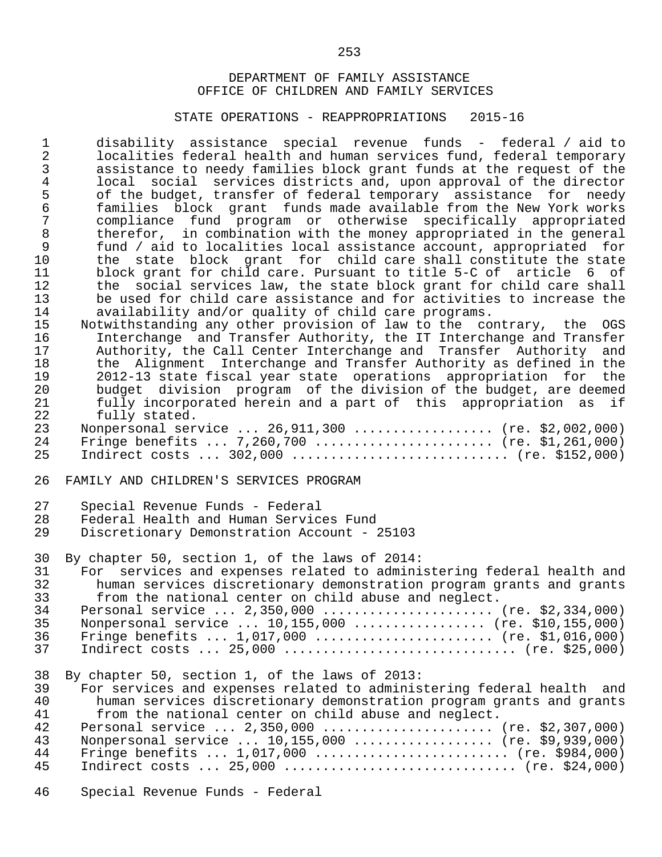#### STATE OPERATIONS - REAPPROPRIATIONS 2015-16

 1 disability assistance special revenue funds - federal / aid to 2 localities federal health and human services fund, federal temporary<br>3 assistance to needy families block grant funds at the request of the 3 assistance to needy families block grant funds at the request of the 4 local social services districts and, upon approval of the director 5 of the budget, transfer of federal temporary assistance for needy<br>6 families block grant funds made available from the New York works 6 families block grant funds made available from the New York works 7 compliance fund program or otherwise specifically appropriated<br>8 therefor, in combination with the money appropriated in the general 8 therefor, in combination with the money appropriated in the general<br>9 fund / aid to localities local assistance account, appropriated for 9 fund / aid to localities local assistance account, appropriated for 10 the state block grant for child care shall constitute the state 11 block grant for child care. Pursuant to title 5-C of article 6 of<br>12 the social services law, the state block grant for child care shall 12 the social services law, the state block grant for child care shall<br>13 be used for child care assistance and for activities to increase the 13 be used for child care assistance and for activities to increase the<br>14 availability and/or quality of child care programs. 14 availability and/or quality of child care programs.<br>15 Notwithstanding any other provision of law to the co

15 Notwithstanding any other provision of law to the contrary, the OGS<br>16 11 Interchange and Transfer Authority, the IT Interchange and Transfer 16 10 Interchange and Transfer Authority, the IT Interchange and Transfer<br>17 12 Authority, the Call Center Interchange and Transfer Authority and 17 Muthority, the Call Center Interchange and Transfer Authority and<br>18 the Alignment Interchange and Transfer Authority as defined in the 18 the Alignment Interchange and Transfer Authority as defined in the 19 2012-13 state fiscal year state operations appropriation for the<br>20 budget division program of the division of the budget, are deemed budget division program of the division of the budget, are deemed 21 fully incorporated herein and a part of this appropriation as if<br>22 fully stated. fully stated.

|    | 23 Nonpersonal service  26,911,300  (re. \$2,002,000) |  |
|----|-------------------------------------------------------|--|
| 24 | Fringe benefits  7,260,700  (re. \$1,261,000)         |  |
|    | 25 Indirect costs  302,000  (re. \$152,000)           |  |

26 FAMILY AND CHILDREN'S SERVICES PROGRAM

| 27 | Special Revenue Funds - Federal |
|----|---------------------------------|
|----|---------------------------------|

- 28 Federal Health and Human Services Fund
- Discretionary Demonstration Account 25103

30 By chapter 50, section 1, of the laws of 2014:

| 31 | For services and expenses related to administering federal health and |
|----|-----------------------------------------------------------------------|
| 32 | human services discretionary demonstration program grants and grants  |
| 33 | from the national center on child abuse and neglect.                  |
| 34 | Personal service $2,350,000$ (re. \$2,334,000)                        |
| 35 | Nonpersonal service $10,155,000$ (re. \$10,155,000)                   |
| 36 | Fringe benefits $1,017,000$ (re. \$1,016,000)                         |
| 37 | Indirect costs $25,000$ (re. \$25,000)                                |
|    |                                                                       |

38 By chapter 50, section 1, of the laws of 2013:

39 For services and expenses related to administering federal health and<br>30 Thuman services discretionary demonstration program grants and grants 40 human services discretionary demonstration program grants and grants<br>41 from the national center on child abuse and neglect. from the national center on child abuse and neglect.

| 42. | Personal service  2,350,000  (re. \$2,307,000)     |
|-----|----------------------------------------------------|
| 43  | Nonpersonal service $10,155,000$ (re. \$9,939,000) |
| 44  | Fringe benefits $1,017,000$ (re. \$984,000)        |
| 45  | Indirect costs $25,000$ (re. \$24,000)             |

46 Special Revenue Funds - Federal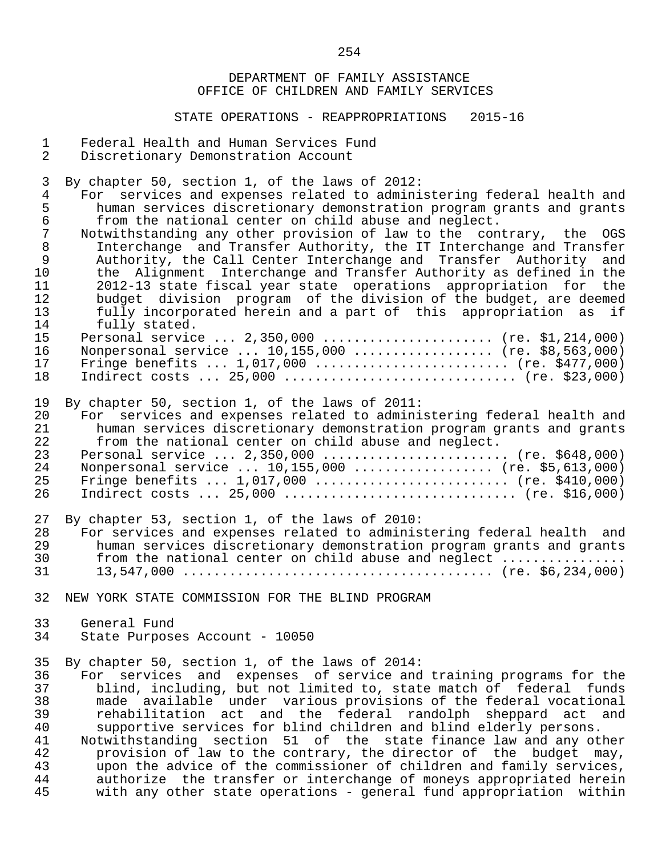#### STATE OPERATIONS - REAPPROPRIATIONS 2015-16

- 1 Federal Health and Human Services Fund<br>2 Discretionary Demonstration Account
- Discretionary Demonstration Account

3 By chapter 50, section 1, of the laws of 2012:

- 4 For services and expenses related to administering federal health and<br>5 human services discretionary demonstration program grants and grants 5 human services discretionary demonstration program grants and grants<br>6 from the national center on child abuse and neglect. 6 from the national center on child abuse and neglect.
- 7 Notwithstanding any other provision of law to the contrary, the OGS<br>8 Interchange and Transfer Authority, the IT Interchange and Transfer 8 Interchange and Transfer Authority, the IT Interchange and Transfer<br>9 Authority, the Call Center Interchange and Transfer Authority and 9 Authority, the Call Center Interchange and Transfer Authority and<br>10 the Alignment Interchange and Transfer Authority as defined in the 10 the Alignment Interchange and Transfer Authority as defined in the 11 2012-13 state fiscal year state operations appropriation for the<br>12 budget division program of the division of the budget, are deemed 12 budget division program of the division of the budget, are deemed<br>13 fully incorporated herein and a part of this appropriation as if 13 fully incorporated herein and a part of this appropriation as if fully stated.

|      | 15 Personal service  2,350,000  (re. \$1,214,000)  |
|------|----------------------------------------------------|
| 16   | Nonpersonal service $10,155,000$ (re. \$8,563,000) |
| 17   | Fringe benefits $1,017,000$ (re. \$477,000)        |
| 18 — | Indirect costs $25,000$ (re. \$23,000)             |

- 
- 19 By chapter 50, section 1, of the laws of 2011: 20 For services and expenses related to administering federal health and<br>21 human services discretionary demonstration program grants and grants 21 human services discretionary demonstration program grants and grants<br>22 from the national center on child abuse and neglect. 22 from the national center on child abuse and neglect.<br>23 Personal service ... 2.350.000 23 Personal service ... 2,350,000 ........................... (re. \$648,000)

|    | 24 Nonpersonal service  10,155,000  (re. \$5,613,000) |
|----|-------------------------------------------------------|
|    | 25 Fringe benefits  1,017,000  (re. \$410,000)        |
| 26 | Indirect costs  25,000  (re. \$16,000)                |

- 27 By chapter 53, section 1, of the laws of 2010:<br>28 For services and expenses related to adminis 28 For services and expenses related to administering federal health and<br>29 human services discretionary demonstration program grants and grants 29 human services discretionary demonstration program grants and grants 30 from the national center on child abuse and neglect ................ 31 13,547,000 ........................................ (re. \$6,234,000)
- 32 NEW YORK STATE COMMISSION FOR THE BLIND PROGRAM
- 33 General Fund<br>34 State Purpos State Purposes Account - 10050

35 By chapter 50, section 1, of the laws of 2014:<br>36 For services and expenses of service and 36 For services and expenses of service and training programs for the<br>37 blind, including, but not limited to, state match of federal funds 37 blind, including, but not limited to, state match of federal funds<br>38 made available under various provisions of the federal vocational 38 made available under various provisions of the federal vocational 39 rehabilitation act and the federal randolph sheppard act and<br>40 supportive services for blind children and blind elderly persons. 40 supportive services for blind children and blind elderly persons.<br>41 Notwithstanding section 51 of the state finance law and any otl 41 Notwithstanding section 51 of the state-finance-law and any other<br>42 The provision of law to the contrary, the director of the budget may, 42 provision of law to the contrary, the director of the budget may,<br>43 The advice of the commissioner of children and family services. 43 upon the advice of the commissioner of children and family services,<br>44 authorize the transfer or interchange of moneys appropriated herein 44 authorize the transfer or interchange of moneys appropriated herein<br>45 with any other state operations - general fund appropriation within with any other state operations - general fund appropriation within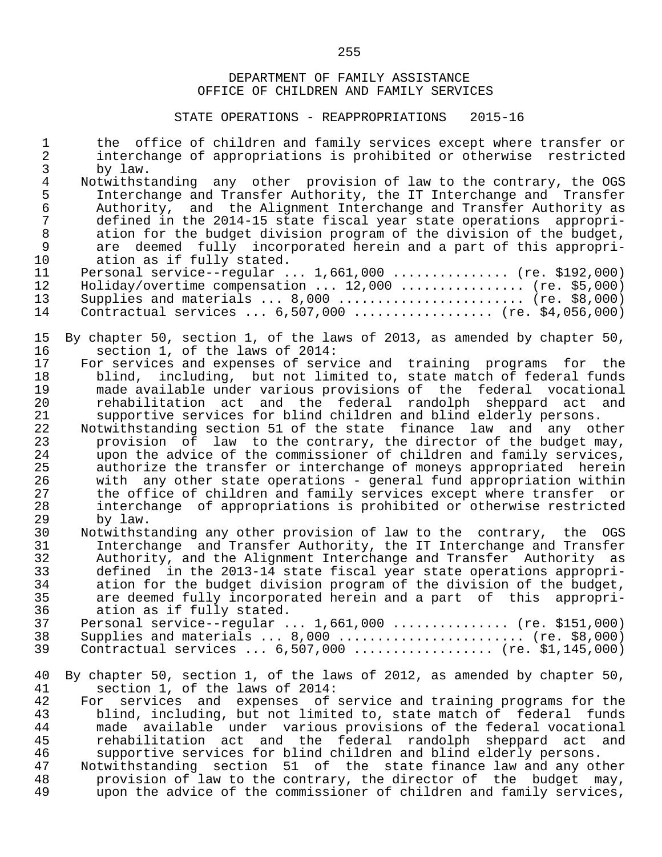| $\mathbf{1}$<br>$\overline{2}$ | the office of children and family services except where transfer or<br>interchange of appropriations is prohibited or otherwise restricted |
|--------------------------------|--------------------------------------------------------------------------------------------------------------------------------------------|
| 3                              | by law.                                                                                                                                    |
| $\overline{4}$                 | Notwithstanding any other provision of law to the contrary, the OGS                                                                        |
| 5                              | Interchange and Transfer Authority, the IT Interchange and Transfer                                                                        |
| $\epsilon$                     | Authority, and the Alignment Interchange and Transfer Authority as                                                                         |
| $\overline{7}$                 | defined in the 2014-15 state fiscal year state operations appropri-                                                                        |
| $\,8\,$                        | ation for the budget division program of the division of the budget,                                                                       |
| $\mathsf 9$                    | are deemed fully incorporated herein and a part of this appropri-                                                                          |
| 10                             | ation as if fully stated.                                                                                                                  |
| 11                             |                                                                                                                                            |
|                                | Personal service--regular $1,661,000$ (re. \$192,000)                                                                                      |
| 12                             | $Holiday/overtime$ compensation $12,000$ (re. \$5,000)                                                                                     |
| 13                             | Supplies and materials $\ldots$ 8,000 $\ldots$ (re. \$8,000)                                                                               |
| 14                             | Contractual services $6,507,000$ (re. \$4,056,000)                                                                                         |
| 15                             | By chapter 50, section 1, of the laws of 2013, as amended by chapter 50,                                                                   |
| 16                             | section 1, of the laws of 2014:                                                                                                            |
| 17                             | For services and expenses of service and training programs for the                                                                         |
| 18                             | including, but not limited to, state match of federal funds<br>blind,                                                                      |
| 19                             | made available under various provisions of the federal vocational                                                                          |
| 20                             | rehabilitation act and the federal randolph sheppard act<br>and                                                                            |
| 21                             | supportive services for blind children and blind elderly persons.                                                                          |
| 22                             | Notwithstanding section 51 of the state finance law and any other                                                                          |
| 23                             | provision of law to the contrary, the director of the budget may,                                                                          |
| 24                             | upon the advice of the commissioner of children and family services,                                                                       |
| 25                             | authorize the transfer or interchange of moneys appropriated herein                                                                        |
| 26                             | with any other state operations - general fund appropriation within                                                                        |
| 27                             | the office of children and family services except where transfer or                                                                        |
| 28                             | interchange of appropriations is prohibited or otherwise restricted                                                                        |
| 29                             | by law.                                                                                                                                    |
| 30                             | Notwithstanding any other provision of law to the contrary, the OGS                                                                        |
| 31                             | Interchange and Transfer Authority, the IT Interchange and Transfer                                                                        |
| 32                             | Authority, and the Alignment Interchange and Transfer Authority as                                                                         |
| 33                             | defined in the 2013-14 state fiscal year state operations appropri-                                                                        |
| 34                             | ation for the budget division program of the division of the budget,                                                                       |
| 35                             | are deemed fully incorporated herein and a part of this<br>appropri-                                                                       |
| 36                             | ation as if fully stated.                                                                                                                  |
| 37                             | Personal service--regular $1,661,000$ (re. \$151,000)                                                                                      |
| 38                             | Supplies and materials $\ldots$ 8,000 $\ldots$ (re. \$8,000)                                                                               |
| 39                             | Contractual services $6,507,000$ (re. \$1,145,000)                                                                                         |
| 40                             | By chapter 50, section 1, of the laws of 2012, as amended by chapter 50,                                                                   |
| 41                             | section 1, of the laws of 2014:                                                                                                            |
| 42                             | services and expenses of service and training programs for the<br>For                                                                      |
| 43                             | blind, including, but not limited to, state match of federal funds                                                                         |
| 44                             | made available under various provisions of the federal vocational                                                                          |
| 45                             | rehabilitation act and the federal randolph sheppard act and                                                                               |
| 46                             | supportive services for blind children and blind elderly persons.                                                                          |
| 47                             | Notwithstanding section 51 of the state finance law and any other                                                                          |
| 48                             | provision of law to the contrary, the director of the budget<br>may,                                                                       |
| 49                             | upon the advice of the commissioner of children and family services,                                                                       |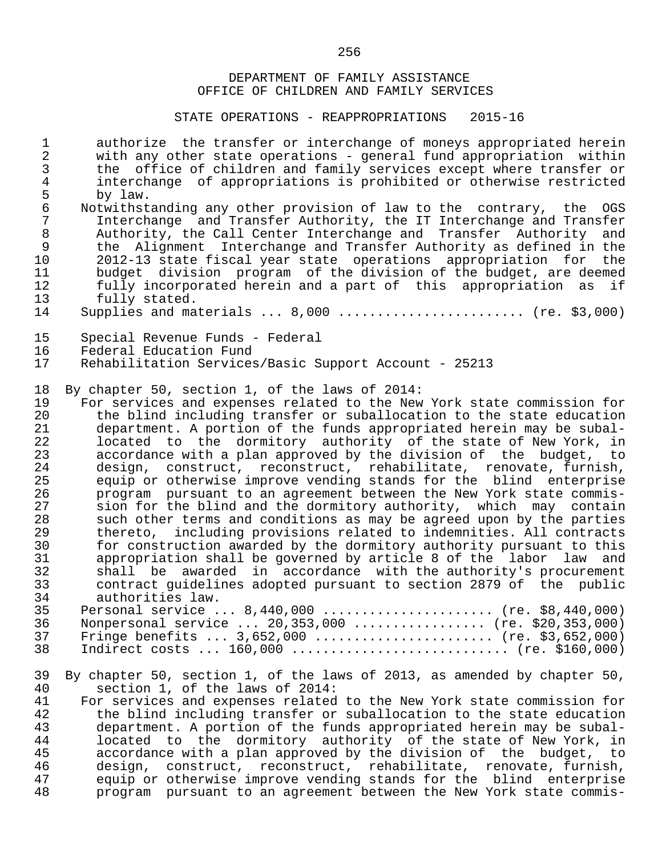#### STATE OPERATIONS - REAPPROPRIATIONS 2015-16

1 authorize the transfer or interchange of moneys appropriated herein<br>2 with any other state operations - general fund appropriation within 2 with any other state operations - general fund appropriation within<br>3 the office of children and family services except where transfer or 3 the office of children and family services except where transfer or 4 interchange of appropriations is prohibited or otherwise restricted 5 by law.<br>6 Notwithst

- 6 Notwithstanding any other provision of law to the contrary, the OGS<br>7 Interchange and Transfer Authority, the IT Interchange and Transfer 7 Interchange and Transfer Authority, the IT Interchange and Transfer<br>8 Authority, the Call Center Interchange and Transfer Authority and Entertaining the Call Center Interchange and Transfer Authority and<br>8 The Alignment Interchange and Transfer Authority as defined in the 9 the Alignment Interchange and Transfer Authority as defined in the<br>10 2012-13 state fiscal vear state operations appropriation for the 10 2012-13 state fiscal year state operations appropriation for the 11 budget division program of the division of the budget, are deemed<br>12 fully incorporated herein and a part of this appropriation as if 12 fully incorporated herein and a part of this appropriation as if the fully stated. 13 fully stated.<br>14 Supplies and may
- 14 Supplies and materials ... 8,000 ........................ (re. \$3,000)

# 15 Special Revenue Funds - Federal<br>16 Federal Education Fund

- 16 Federal Education Fund<br>17 Rehabilitation Services
- 17 Rehabilitation Services/Basic Support Account 25213

# 18 By chapter 50, section 1, of the laws of 2014:<br>19 For services and expenses related to the New

19 For services and expenses related to the New York state commission for<br>20 the blind including transfer or suballocation to the state education 20 the blind including transfer or suballocation to the state education<br>21 department. A portion of the funds appropriated herein may be subal- 21 department. A portion of the funds appropriated herein may be subal- 22 located to the dormitory authority of the state of New York, in<br>23 accordance with a plan approved by the division of the budget, to 23 accordance with a plan approved by the division of the budget, to<br>24 design, construct, reconstruct, rehabilitate, renovate, furnish, 24 design, construct, reconstruct, rehabilitate, renovate, furnish,<br>25 equip or otherwise improve vending stands for the blind enterprise 25 equip or otherwise improve vending stands for the blind enterprise<br>26 program pursuant to an agreement between the New York state commis-26 program pursuant to an agreement between the New York state commis-<br>27 Sion for the blind and the dormitory authority, which may contain 27 alon for the blind and the dormitory authority, which may contain<br>28 along the terms and conditions as may be agreed upon by the parties 28 such other terms and conditions as may be agreed upon by the parties<br>29 thereto, including provisions related to indemnities. All contracts 29 thereto, including provisions related to indemnities. All contracts<br>30 for construction awarded by the dormitory authority pursuant to this 30 for construction awarded by the dormitory authority pursuant to this<br>31 appropriation shall be governed by article 8 of the labor law and 31 appropriation shall be governed by article 8 of the labor law and 32 shall be awarded in accordance with the authority's procurement 33 contract guidelines adopted pursuant to section 2879 of the public 34 authorities law.<br>35 Dersonal service  $35$  Personal service  $.8,440,000$  ...  $.000$  ...  $.000$  ...  $.000$  ...  $.000$  ...

|    | ן FELSUIIAL SELVICE  0, ITU, UUU  (IE. 20, ITU, UUU    |
|----|--------------------------------------------------------|
|    | 36 Nonpersonal service  20,353,000  (re. \$20,353,000) |
|    | 37 Fringe benefits  3,652,000  (re. \$3,652,000)       |
| 38 | Indirect costs  160,000  (re. \$160,000)               |
|    |                                                        |

- 39 By chapter 50, section 1, of the laws of 2013, as amended by chapter 50, 40<br>40 section 1, of the laws of 2014: 40 section 1, of the laws of 2014:<br>41 For services and expenses related
- 41 For services and expenses related to the New York state commission for<br>42 the blind including transfer or suballocation to the state education 42 the blind including transfer or suballocation to the state education<br>43 department. A portion of the funds appropriated herein may be subal-43 department. A portion of the funds appropriated herein may be subal-<br>44 located to the dormitory authority of the state of New York, in 44 located to the dormitory authority of the state of New York, in<br>45 accordance with a plan approved by the division of the budget, to 45 accordance with a plan approved by the division of the budget, to<br>46 design, construct, reconstruct, rehabilitate, renovate, furnish, 46 design, construct, reconstruct, rehabilitate, renovate, furnish,<br>47 equip or otherwise improve vending stands for the blind enterprise 47 equip or otherwise improve vending stands for the blind enterprise<br>48 brogram pursuant to an agreement between the New York state commis-48 program pursuant to an agreement between the New York state commis-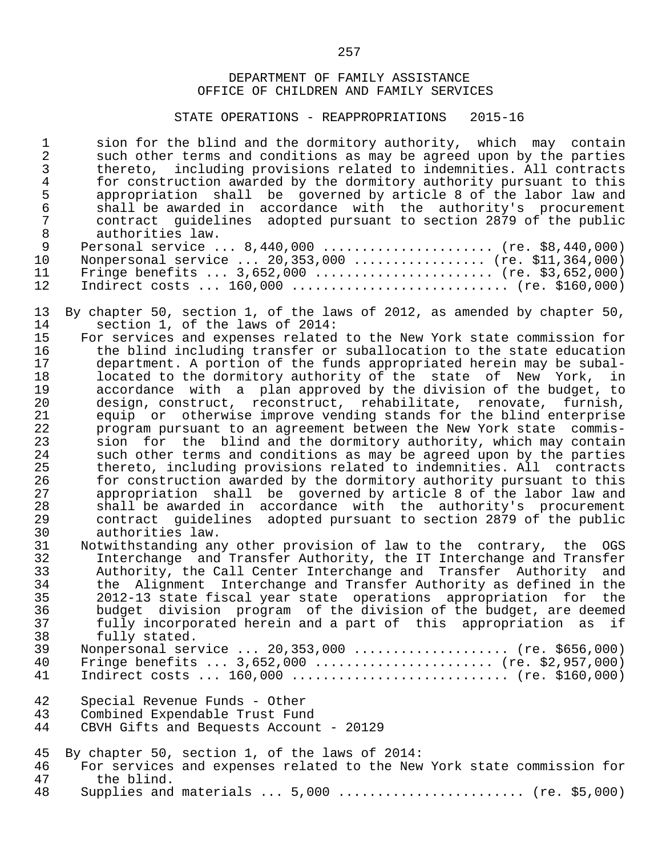#### STATE OPERATIONS - REAPPROPRIATIONS 2015-16

1 sion for the blind and the dormitory authority, which may contain<br>2 such other terms and conditions as may be agreed upon by the parties 2 such other terms and conditions as may be agreed upon by the parties<br>3 thereto, including provisions related to indemnities. All contracts 3 thereto, including provisions related to indemnities. All contracts 4 for construction awarded by the dormitory authority pursuant to this<br>5 appropriation shall be governed by article 8 of the labor law and 5 appropriation shall be governed by article 8 of the labor law and<br>6 shall be awarded in accordance with the authority's procurement 6 shall be awarded in accordance with the authority's procurement 7 contract guidelines adopted pursuant to section 2879 of the public 8 authorities law.<br>9 Personal service Personal service ... 8,440,000 ...................... (re. \$8,440,000)

|    | 10 Nonpersonal service  20,353,000  (re. \$11,364,000) |  |
|----|--------------------------------------------------------|--|
|    | 11 Fringe benefits  3,652,000  (re. \$3,652,000)       |  |
| 12 | Indirect costs  160,000  (re. \$160,000)               |  |

- 13 By chapter 50, section 1, of the laws of 2012, as amended by chapter 50, 14 section 1, of the laws of 2014: 14 section 1, of the laws of 2014:<br>15 For services and expenses related
- 15 For services and expenses related to the New York state commission for<br>16 the blind including transfer or suballocation to the state education 16 the blind including transfer or suballocation to the state education<br>17 department. A portion of the funds appropriated herein may be subal-17 department. A portion of the funds appropriated herein may be subal-<br>18 10 cated to the dormitory authority of the state of New York, in 18 located to the dormitory authority of the state of New York, in<br>19 accordance with a plan-approved by the division of the budget, to 19 accordance with a plan-approved by the division of the budget, to<br>20 design, construct, reconstruct, rehabilitate, renovate, furnish, 20 design, construct, reconstruct, rehabilitate, renovate, furnish,<br>21 equip or otherwise improve vending stands for the blind enterprise 21 equip or otherwise improve vending stands for the blind enterprise<br>22 brogram pursuant to an agreement between the New York state commis-22 program pursuant to an agreement between the New York state commis-<br>23 sion for the blind and the dormitory authority, which may contain 23 sion for the blind and the dormitory authority, which may contain<br>24 such other terms and conditions as may be agreed upon by the parties 24 such other terms and conditions as may be agreed upon by the parties<br>25 thereto, including provisions related to indemnities. All contracts 25 thereto, including provisions related to indemnities. All contracts<br>26 for construction awarded by the dormitory authority pursuant to this 26 for construction awarded by the dormitory authority pursuant to this<br>27 appropriation shall be governed by article 8 of the labor law and 27 appropriation shall be governed by article 8 of the labor law and<br>28 shall be awarded in accordance with the authority's procurement 28 shall be awarded in accordance with the authority's procurement<br>29 contract quidelines adopted pursuant to section 2879 of the public 29 contract guidelines adopted pursuant to section 2879 of the public<br>30 authorities law 30 authorities law.<br>31 Notwithstanding an
- 31 Notwithstanding any other provision of law to the contrary, the OGS<br>32 Interchange and Transfer Authority, the IT Interchange and Transfer 32 Interchange and Transfer Authority, the IT Interchange and Transfer 33 Authority, the Call Center Interchange and Transfer Authority and 34 the Alignment Interchange and Transfer Authority as defined in the 35 2012-13 state fiscal year state operations appropriation for the 36 budget division program of the division of the budget, are deemed<br>37 fully incorporated herein and a part of this appropriation as if 37 fully incorporated herein and a part of this appropriation as if 38 fully stated.<br>39 Nonpersonal ser
	- 39 Nonpersonal service ... 20,353,000 ..................... (re. \$656,000)<br>40 Fringe benefits ... 3,652,000 ......................... (re. \$2,957,000) 40 Fringe benefits ... 3,652,000 ....................... (re. \$2,957,000) 41 Indirect costs ... 160,000 ............................ (re. \$160,000)
	- 42 Special Revenue Funds Other<br>43 Combined Expendable Trust Fund
	- 43 Combined Expendable Trust Fund<br>44 CBVH Gifts and Bequests Account
	- CBVH Gifts and Bequests Account 20129

45 By chapter 50, section 1, of the laws of 2014:<br>46 For services and expenses related to the New

- 46 For services and expenses related to the New York state commission for 47 47 the blind.<br>48 Supplies and
- 48 Supplies and materials ... 5,000 ........................ (re. \$5,000)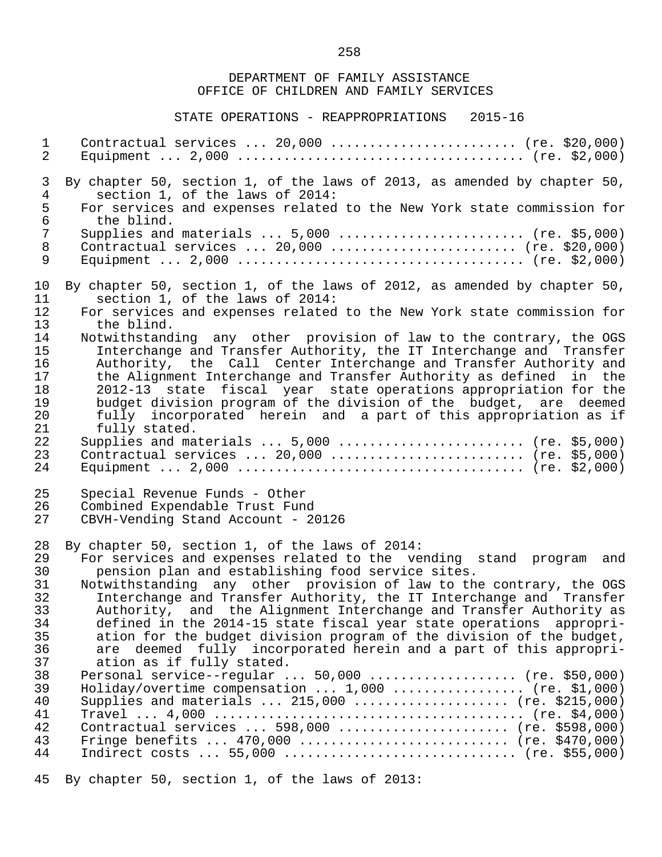#### STATE OPERATIONS - REAPPROPRIATIONS 2015-16

 1 Contractual services ... 20,000 ........................ (re. \$20,000) 2 Equipment ... 2,000 ..................................... (re. \$2,000) 3 By chapter 50, section 1, of the laws of 2013, as amended by chapter 50,<br>4 section 1, of the laws of 2014: 4 section 1, of the laws of 2014:<br>5 For services and expenses related 5 For services and expenses related to the New York state commission for<br>6 the blind. 6 the blind.<br>7 Supplies and 7 Supplies and materials ... 5,000 ........................ (re. \$5,000)<br>8 Contractual services ... 20.000 .......................... (re. \$20.000) 8 Contractual services ... 20,000 ........................ (re. \$20,000) 9 Equipment ... 2,000 ..................................... (re. \$2,000) 10 By chapter 50, section 1, of the laws of 2012, as amended by chapter 50, 11 section 1, of the laws of 2014: 11 section 1, of the laws of 2014:<br>12 For services and expenses related 12 For services and expenses related to the New York state commission for<br>13 the blind. 13 the blind.<br>14 Notwithstand 14 Notwithstanding any other provision of law to the contrary, the OGS<br>15 11 Interchange and Transfer Authority, the IT Interchange and Transfer 15 Interchange and Transfer Authority, the IT Interchange and Transfer<br>16 Authority, the Call Center Interchange and Transfer Authority and 16 Authority, the Call Center Interchange and Transfer Authority and<br>17 the Alignment Interchange and Transfer Authority as defined in the 17 the Alignment Interchange and Transfer Authority as defined in the<br>18 18 2012-13 state fiscal vear state operations appropriation for the 18 2012-13 state fiscal year state operations appropriation for the 19 budget division program of the division of the budget, are deemed<br>20 fully incorporated herein and a part of this appropriation as if 20 fully incorporated herein and a part of this appropriation as if<br>21 fully stated. 21 fully stated.<br>22 Supplies and ma 22 Supplies and materials ... 5,000 ........................ (re. \$5,000) 23 Contractual services ... 20,000 ......................... (re. \$5,000) 24 Equipment ... 2,000 ..................................... (re. \$2,000) 25 Special Revenue Funds - Other<br>26 Combined Expendable Trust Fund 26 Combined Expendable Trust Fund<br>27 CBVH-Vending Stand Account - 20 27 CBVH-Vending Stand Account - 20126 28 By chapter 50, section 1, of the laws of 2014:<br>29 For services and expenses related to the ve 29 For services and expenses related to the vending stand program and 30 pension plan and establishing food service sites.<br>31 Notwithstanding any other provision of law to th 31 Notwithstanding any other provision of law to the contrary, the OGS<br>32 Interchange and Transfer Authority, the IT Interchange and Transfer 32 Interchange and Transfer Authority, the IT Interchange and Transfer<br>33 Authority, and the Alignment Interchange and Transfer Authority as 33 Authority, and the Alignment Interchange and Transfer Authority as<br>34 Gefined in the 2014-15 state fiscal vear state operations appropri- 34 defined in the 2014-15 state fiscal year state operations appropri- 35 ation for the budget division program of the division of the budget,<br>36 are deemed fully incorporated herein and a part of this appropri-36 are deemed fully incorporated herein and a part of this appropri-<br>37 ation as if fully stated. 37 ation as if fully stated.<br>38 Personal service--regular. 38 Personal service--regular ... 50,000 .................... (re. \$50,000)<br>39 Holiday/overtime compensation ... 1,000 .................. (re. \$1,000) 39 Holiday/overtime compensation ... 1,000 .................. (re. \$1,000)<br>40 Supplies and materials ... 215,000 ..................... (re. \$215,000) 40 Supplies and materials ... 215,000 .................... (re. \$215,000) 41 Travel ... 4,000 ........................................ (re. \$4,000) 42 Contractual services ... 598,000 ...................... (re. \$598,000) 43 Fringe benefits ... 470,000 ........................... (re. \$470,000) 44 Indirect costs ... 55,000 .............................. (re. \$55,000)

45 By chapter 50, section 1, of the laws of 2013: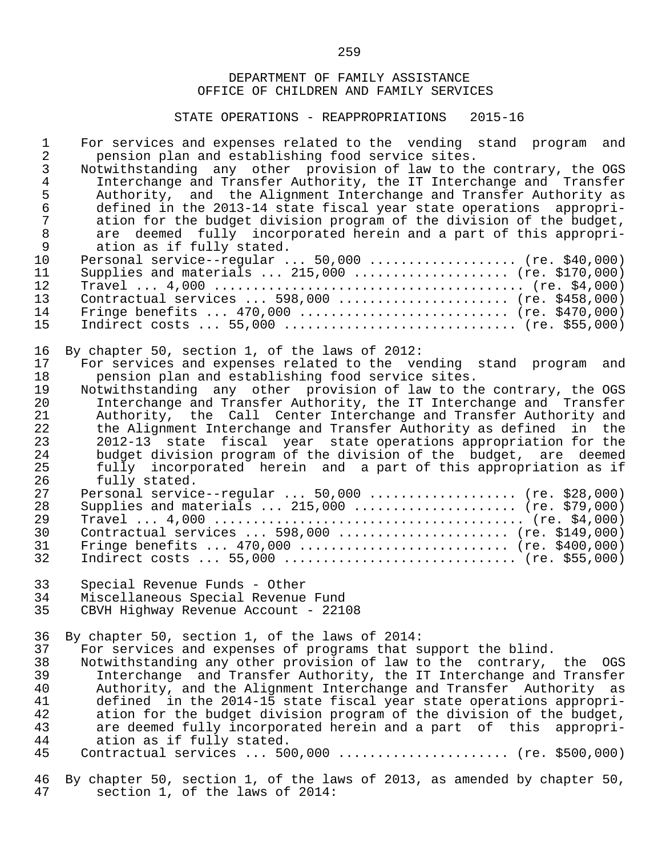| $\mathbf{1}$<br>$\overline{2}$<br>3<br>$\overline{4}$<br>$\frac{5}{6}$<br>$\overline{7}$<br>$\,8\,$<br>$\mathsf{S}$<br>10<br>11<br>12 | For services and expenses related to the vending stand program and<br>pension plan and establishing food service sites.<br>Notwithstanding any other provision of law to the contrary, the OGS<br>Interchange and Transfer Authority, the IT Interchange and Transfer<br>Authority, and the Alignment Interchange and Transfer Authority as<br>defined in the 2013-14 state fiscal year state operations appropri-<br>ation for the budget division program of the division of the budget,<br>are deemed fully incorporated herein and a part of this appropri-<br>ation as if fully stated.<br>Personal service--regular $50,000$ (re. \$40,000)<br>Supplies and materials  215,000  (re. \$170,000) |
|---------------------------------------------------------------------------------------------------------------------------------------|-------------------------------------------------------------------------------------------------------------------------------------------------------------------------------------------------------------------------------------------------------------------------------------------------------------------------------------------------------------------------------------------------------------------------------------------------------------------------------------------------------------------------------------------------------------------------------------------------------------------------------------------------------------------------------------------------------|
| 13                                                                                                                                    | Contractual services  598,000  (re. \$458,000)                                                                                                                                                                                                                                                                                                                                                                                                                                                                                                                                                                                                                                                        |
| 14                                                                                                                                    | Fringe benefits $470,000$ (re. \$470,000)                                                                                                                                                                                                                                                                                                                                                                                                                                                                                                                                                                                                                                                             |
| 15                                                                                                                                    |                                                                                                                                                                                                                                                                                                                                                                                                                                                                                                                                                                                                                                                                                                       |
| 16                                                                                                                                    | By chapter 50, section 1, of the laws of 2012:                                                                                                                                                                                                                                                                                                                                                                                                                                                                                                                                                                                                                                                        |
| 17                                                                                                                                    | For services and expenses related to the vending stand program and                                                                                                                                                                                                                                                                                                                                                                                                                                                                                                                                                                                                                                    |
| 18                                                                                                                                    | pension plan and establishing food service sites.                                                                                                                                                                                                                                                                                                                                                                                                                                                                                                                                                                                                                                                     |
| 19                                                                                                                                    | Notwithstanding any other provision of law to the contrary, the OGS                                                                                                                                                                                                                                                                                                                                                                                                                                                                                                                                                                                                                                   |
| 20                                                                                                                                    | Interchange and Transfer Authority, the IT Interchange and Transfer                                                                                                                                                                                                                                                                                                                                                                                                                                                                                                                                                                                                                                   |
| 21                                                                                                                                    | Authority, the Call Center Interchange and Transfer Authority and                                                                                                                                                                                                                                                                                                                                                                                                                                                                                                                                                                                                                                     |
| 22                                                                                                                                    | the Alignment Interchange and Transfer Authority as defined in the                                                                                                                                                                                                                                                                                                                                                                                                                                                                                                                                                                                                                                    |
| 23                                                                                                                                    | 2012-13 state fiscal year state operations appropriation for the                                                                                                                                                                                                                                                                                                                                                                                                                                                                                                                                                                                                                                      |
| 24                                                                                                                                    | budget division program of the division of the budget, are deemed                                                                                                                                                                                                                                                                                                                                                                                                                                                                                                                                                                                                                                     |
| 25                                                                                                                                    | fully incorporated herein and a part of this appropriation as if                                                                                                                                                                                                                                                                                                                                                                                                                                                                                                                                                                                                                                      |
| 26                                                                                                                                    | fully stated.                                                                                                                                                                                                                                                                                                                                                                                                                                                                                                                                                                                                                                                                                         |
| 27                                                                                                                                    | Personal service--regular  50,000  (re. \$28,000)                                                                                                                                                                                                                                                                                                                                                                                                                                                                                                                                                                                                                                                     |
| 28                                                                                                                                    | Supplies and materials $215,000$ (re. \$79,000)                                                                                                                                                                                                                                                                                                                                                                                                                                                                                                                                                                                                                                                       |
| 29                                                                                                                                    |                                                                                                                                                                                                                                                                                                                                                                                                                                                                                                                                                                                                                                                                                                       |
| 30                                                                                                                                    | Contractual services  598,000  (re. \$149,000)                                                                                                                                                                                                                                                                                                                                                                                                                                                                                                                                                                                                                                                        |
| 31                                                                                                                                    | Fringe benefits $470,000$ (re. \$400,000)                                                                                                                                                                                                                                                                                                                                                                                                                                                                                                                                                                                                                                                             |
| 32                                                                                                                                    |                                                                                                                                                                                                                                                                                                                                                                                                                                                                                                                                                                                                                                                                                                       |
| 33                                                                                                                                    | Special Revenue Funds - Other                                                                                                                                                                                                                                                                                                                                                                                                                                                                                                                                                                                                                                                                         |
| 34                                                                                                                                    | Miscellaneous Special Revenue Fund                                                                                                                                                                                                                                                                                                                                                                                                                                                                                                                                                                                                                                                                    |
| 35                                                                                                                                    | CBVH Highway Revenue Account - 22108                                                                                                                                                                                                                                                                                                                                                                                                                                                                                                                                                                                                                                                                  |
| 36                                                                                                                                    | By chapter 50, section 1, of the laws of 2014:                                                                                                                                                                                                                                                                                                                                                                                                                                                                                                                                                                                                                                                        |
| 37                                                                                                                                    | For services and expenses of programs that support the blind.                                                                                                                                                                                                                                                                                                                                                                                                                                                                                                                                                                                                                                         |
| 38                                                                                                                                    | Notwithstanding any other provision of law to the contrary, the OGS                                                                                                                                                                                                                                                                                                                                                                                                                                                                                                                                                                                                                                   |
| 39                                                                                                                                    | Interchange and Transfer Authority, the IT Interchange and Transfer                                                                                                                                                                                                                                                                                                                                                                                                                                                                                                                                                                                                                                   |
| 40                                                                                                                                    | Authority, and the Alignment Interchange and Transfer Authority as                                                                                                                                                                                                                                                                                                                                                                                                                                                                                                                                                                                                                                    |
| 41                                                                                                                                    | defined in the 2014-15 state fiscal year state operations appropri-                                                                                                                                                                                                                                                                                                                                                                                                                                                                                                                                                                                                                                   |
| 42                                                                                                                                    | ation for the budget division program of the division of the budget,                                                                                                                                                                                                                                                                                                                                                                                                                                                                                                                                                                                                                                  |
| 43                                                                                                                                    | are deemed fully incorporated herein and a part of this appropri-                                                                                                                                                                                                                                                                                                                                                                                                                                                                                                                                                                                                                                     |
| 44                                                                                                                                    | ation as if fully stated.                                                                                                                                                                                                                                                                                                                                                                                                                                                                                                                                                                                                                                                                             |
| 45                                                                                                                                    | Contractual services $500,000$ (re. \$500,000)                                                                                                                                                                                                                                                                                                                                                                                                                                                                                                                                                                                                                                                        |
| 46                                                                                                                                    | By chapter 50, section 1, of the laws of 2013, as amended by chapter 50,                                                                                                                                                                                                                                                                                                                                                                                                                                                                                                                                                                                                                              |
| 47                                                                                                                                    | section 1, of the laws of 2014:                                                                                                                                                                                                                                                                                                                                                                                                                                                                                                                                                                                                                                                                       |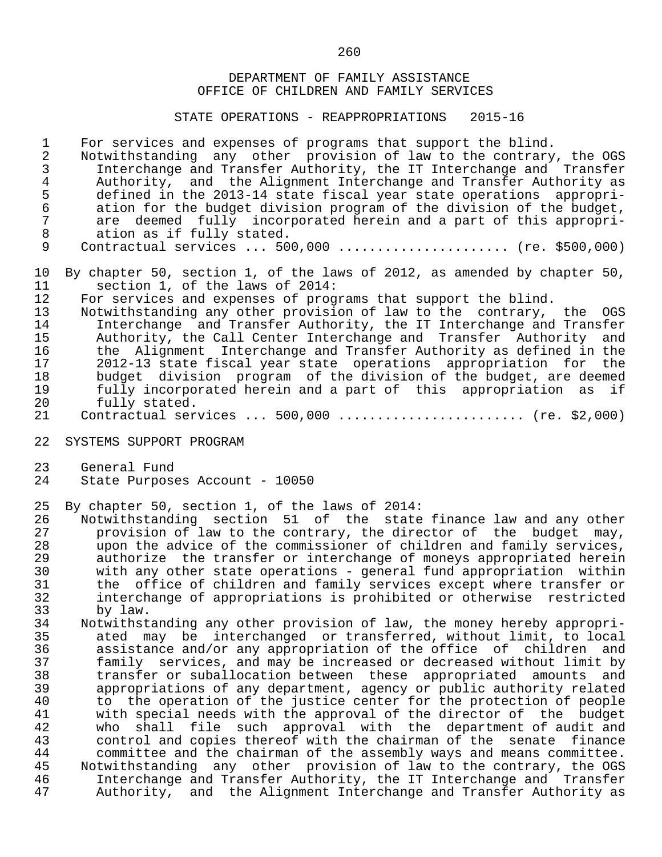STATE OPERATIONS - REAPPROPRIATIONS 2015-16

1 For services and expenses of programs that support the blind.<br>2 Notwithstanding any other provision of law to the contrary

2 Notwithstanding any other provision of law to the contrary, the OGS<br>3 Interchange and Transfer Authority, the IT Interchange and Transfer 3 Interchange and Transfer Authority, the IT Interchange and Transfer 4 Authority, and the Alignment Interchange and Transfer Authority as<br>5 defined in the 2013-14 state fiscal vear state operations appropri-5 defined in the 2013-14 state fiscal year state operations appropri-<br>6 ation for the budget division program of the division of the budget. 6 ation for the budget division program of the division of the budget,<br>7 are deemed fully incorporated herein and a part of this appropri-7 are deemed fully incorporated herein and a part of this appropri-<br>8 ation as if fully stated. 8 ation as if fully stated.<br>9 Contractual services ... 50

Contractual services ... 500,000 ....................... (re. \$500,000)

10 By chapter 50, section 1, of the laws of 2012, as amended by chapter 50, 11 section 1, of the laws of 2014: 11 section 1, of the laws of 2014:<br>12 For services and expenses of prog

12 For services and expenses of programs that support the blind.<br>13 Notwithstanding any other provision of law to the contrary.

 13 Notwithstanding any other provision of law to the contrary, the OGS 14 Interchange and Transfer Authority, the IT Interchange and Transfer<br>15 Authority, the Call Center Interchange and Transfer Authority and 15 Authority, the Call Center Interchange and Transfer Authority and<br>16 the Alignment Interchange and Transfer Authority as defined in the 16 the Alignment Interchange and Transfer Authority as defined in the<br>17 1012-13 state fiscal year state operations appropriation for the 17 2012-13 state fiscal year state operations appropriation for the 18 budget division program of the division of the budget, are deemed<br>19 fully incorporated herein and a part of this appropriation as if fully incorporated herein and a part of this appropriation as if 20 fully stated.<br>21 Contractual ser

- Contractual services ... 500,000 ........................ (re. \$2,000)
- 22 SYSTEMS SUPPORT PROGRAM
- 23 General Fund<br>24 State Purpos
- State Purposes Account 10050

25 By chapter 50, section 1, of the laws of 2014:

26 Notwithstanding section 51 of the state-finance-law-and-any-other<br>27 The provision of law to the contrary, the director of the budget may, 27 provision of law to the contrary, the director of the budget may,<br>28 a upon the advice of the commissioner of children and family services. 28 upon the advice of the commissioner of children and family services,<br>29 authorize the transfer or interchange of moneys appropriated herein 29 authorize the transfer or interchange of moneys appropriated herein<br>30 with any other state operations - general fund appropriation within 30 with any other state operations - general fund appropriation within<br>31 the office of children and family services except where transfer or 31 the office of children and family services except where transfer or<br>32 interchange of appropriations is prohibited or otherwise restricted 32 interchange of appropriations is prohibited or otherwise restricted

33 by law.<br>34 Notwithst 34 Notwithstanding any other provision of law, the money hereby appropri-<br>35 ated may be interchanged or transferred, without limit, to local 35 ated may be interchanged or transferred, without limit, to local 36 assistance and/or any appropriation of the office of children and<br>37 family services, and may be increased or decreased without limit by 37 family services, and may be increased or decreased without limit by 38 transfer or suballocation between these appropriated amounts and 39 appropriations of any department, agency or public authority related<br>40 to the operation of the justice center for the protection of people 40 to the operation of the justice center for the protection of people<br>41 with special needs with the approval of the director of the budget 41 with special needs with the approval of the director of the budget<br>42 who shall file such approval with the department of audit and 42 who shall file such approval with the department of audit and<br>43 control and copies thereof with the chairman of the senate finance 43 control and copies thereof with the chairman of the senate finance<br>44 committee and the chairman of the assembly ways and means committee. 44 committee and the chairman of the assembly ways and means committee.<br>45 Notwithstanding any other provision of law to the contrary, the OGS 45 Notwithstanding any other provision of law to the contrary, the OGS<br>46 11 Interchange and Transfer Authority, the IT Interchange and Transfer 46 Interchange and Transfer Authority, the IT Interchange and Transfer<br>47 Authority, and the Alignment Interchange and Transfer Authority as Authority, and the Alignment Interchange and Transfer Authority as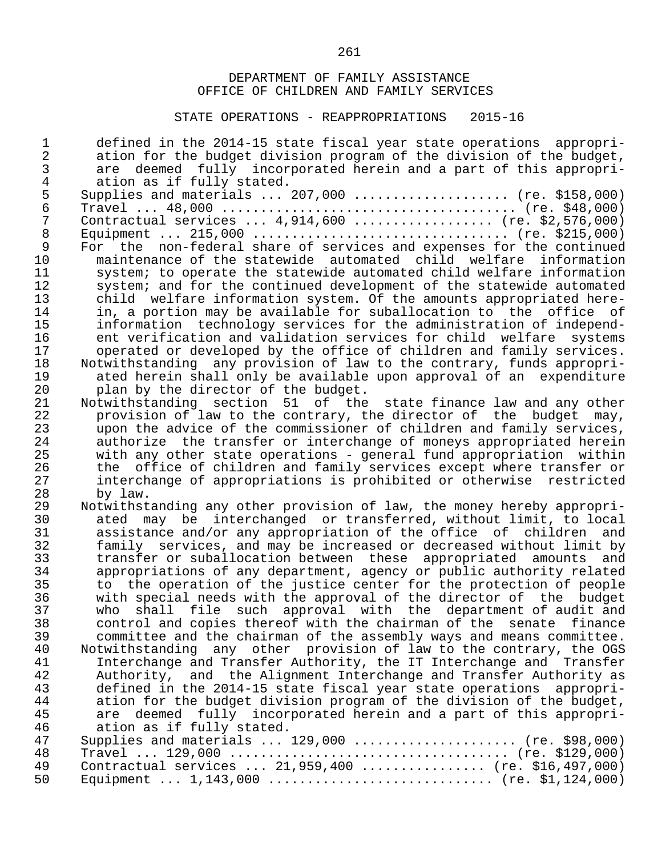| $\mathbf 1$    | defined in the 2014-15 state fiscal year state operations appropri-    |
|----------------|------------------------------------------------------------------------|
| $\overline{a}$ | ation for the budget division program of the division of the budget,   |
| 3              | are deemed fully incorporated herein and a part of this appropri-      |
| 4              | ation as if fully stated.                                              |
| 5              | Supplies and materials  207,000  (re. \$158,000)                       |
| $\epsilon$     |                                                                        |
| 7              | Contractual services $4,914,600$ (re. \$2,576,000)                     |
| $\, 8$         |                                                                        |
| 9              | For the non-federal share of services and expenses for the continued   |
| 10             | maintenance of the statewide automated child welfare information       |
| 11             | system; to operate the statewide automated child welfare information   |
| 12             | system; and for the continued development of the statewide automated   |
| 13             | child welfare information system. Of the amounts appropriated here-    |
| 14             | in, a portion may be available for suballocation to the office of      |
| 15             | information technology services for the administration of independ-    |
| 16             | ent verification and validation services for child welfare<br>systems  |
| 17             | operated or developed by the office of children and family services.   |
| 18             | Notwithstanding any provision of law to the contrary, funds appropri-  |
| 19             | ated herein shall only be available upon approval of an expenditure    |
| 20             | plan by the director of the budget.                                    |
| 21             | Notwithstanding section 51 of the state finance law and any other      |
| 22             | provision of law to the contrary, the director of the budget may,      |
| 23             | upon the advice of the commissioner of children and family services,   |
| 24             | authorize the transfer or interchange of moneys appropriated herein    |
| 25             | with any other state operations - general fund appropriation within    |
| 26             | office of children and family services except where transfer or<br>the |
| 27             | interchange of appropriations is prohibited or otherwise restricted    |
| 28             | by law.                                                                |
| 29             | Notwithstanding any other provision of law, the money hereby appropri- |
| 30             | ated may be interchanged or transferred, without limit, to local       |
| 31             | assistance and/or any appropriation of the office of children and      |
| 32             | family services, and may be increased or decreased without limit by    |
| 33             | transfer or suballocation between these appropriated amounts and       |
| 34             | appropriations of any department, agency or public authority related   |
| 35             | to the operation of the justice center for the protection of people    |
| 36             | with special needs with the approval of the director of the budget     |
| 37             | shall file such approval with the department of audit and<br>who       |
| 38             | control and copies thereof with the chairman of the senate finance     |
| 39             | committee and the chairman of the assembly ways and means committee.   |
| 40             | Notwithstanding any other provision of law to the contrary, the OGS    |
| 41             | Interchange and Transfer Authority, the IT Interchange and Transfer    |
| 42             | Authority, and the Alignment Interchange and Transfer Authority as     |
| 43             | defined in the 2014-15 state fiscal year state operations<br>appropri- |
| 44             | ation for the budget division program of the division of the budget,   |
| 45             | are deemed fully incorporated herein and a part of this appropri-      |
| 46             | ation as if fully stated.                                              |
| 47             | Supplies and materials  129,000  (re. \$98,000)                        |
| 48             |                                                                        |
| 49             | Contractual services  21,959,400  (re. \$16,497,000)                   |
| 50             | Equipment $1,143,000$ (re. \$1,124,000)                                |
|                |                                                                        |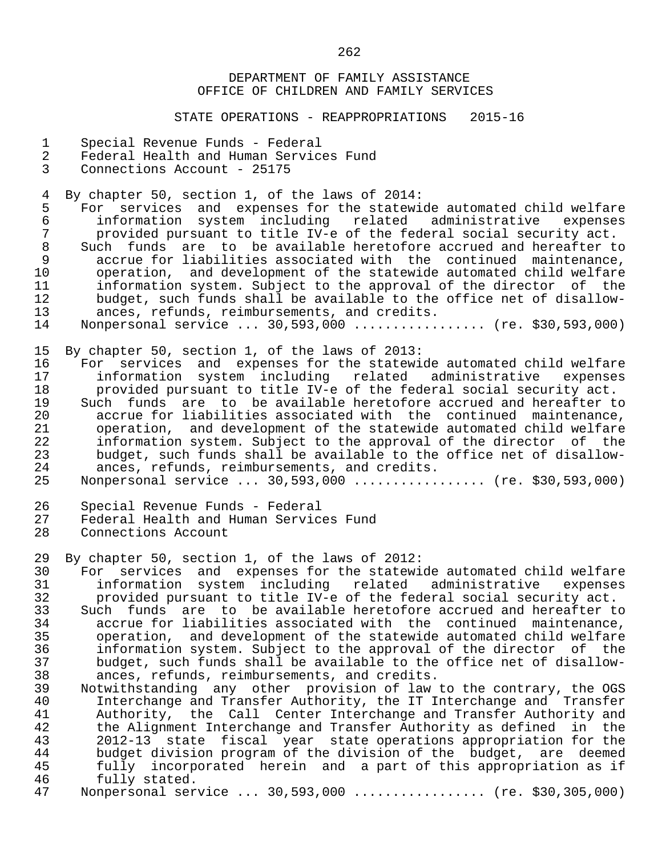STATE OPERATIONS - REAPPROPRIATIONS 2015-16

- 1 Special Revenue Funds Federal
- 2 Federal Health and Human Services Fund<br>3 Connections Account 25175
- 3 Connections Account 25175

4 By chapter 50, section 1, of the laws of 2014:<br>5 For services and expenses for the statewic

5 For services and expenses for the statewide automated child welfare<br>6 information system including related administrative expenses 6 information system including related administrative<br>7 provided-pursuant-to-title-IV-e-of-the-federal-social-secu 7 provided pursuant to title IV-e of the federal social security act. 8 Such funds are to be available heretofore accrued and hereafter to<br>9 accrue for liabilities associated with the continued maintenance. 9 accrue for liabilities associated with the continued maintenance,<br>10 operation, and development of the statewide automated child welfare 10 operation, and development of the statewide automated child welfare<br>11 information system. Subject to the approval of the director of the 11 information system. Subject to the approval of the director of the<br>12 budget, such funds shall be available to the office net of disallow-12 budget, such funds shall be available to the office net of disallow-<br>13 ances, refunds, reimbursements, and credits. 13 ances, refunds, reimbursements, and credits.<br>14 Nonpersonal service ... 30.593.000 ............ Nonpersonal service ... 30,593,000 ................. (re. \$30,593,000)

15 By chapter 50, section 1, of the laws of 2013:<br>16 For services and expenses for the statewi

 16 For services and expenses for the statewide automated child welfare 17 information system including related administrative expenses 18 provided pursuant to title IV-e of the federal social security act.<br>19 Such funds are to be available heretofore accrued and hereafter to 19 Such funds are to be available heretofore accrued and hereafter to<br>20 accrue for liabilities associated with the continued maintenance, 20 accrue for liabilities associated with the continued maintenance,<br>21 operation, and development of the statewide automated child welfare 21 operation, and development of the statewide automated child welfare<br>22 information system. Subject to the approval of the director of the 22 information system. Subject to the approval of the director of the<br>23 budget, such funds shall be available to the office net of disallow-23 budget, such funds shall be available to the office net of disallow-<br>24 ances, refunds, reimbursements, and credits. 24 ances, refunds, reimbursements, and credits.<br>25 Nonpersonal service ... 30.593.000 ............

Nonpersonal service ... 30,593,000 .................. (re. \$30,593,000)

- 26 Special Revenue Funds Federal<br>27 Federal Health and Human Servic
- 27 Federal Health and Human Services Fund<br>28 Connections Account
- Connections Account

29 By chapter 50, section 1, of the laws of 2012:<br>30 For services and expenses for the statewic

30 For services and expenses for the statewide automated child welfare<br>31 information system including related administrative expenses 31 information system including related administrative expenses<br>32 provided-pursuant-to-title-IV-e-of-the-federal-social-security-act. 32 provided pursuant to title IV-e of the federal social security act.

33 Such funds are to be available heretofore accrued and hereafter to<br>34 accrue for liabilities associated with the continued maintenance. 34 accrue for liabilities associated with the continued maintenance,<br>35 operation, and development of the statewide automated child welfare 35 operation, and development of the statewide automated child welfare<br>36 information system. Subject to the approval of the director of the 36 information system. Subject to the approval of the director of the 37 budget, such funds shall be available to the office net of disallow- 38 ances, refunds, reimbursements, and credits.<br>39 Notwithstanding any other provision of law

 39 Notwithstanding any other provision of law to the contrary, the OGS 40 Interchange and Transfer Authority, the IT Interchange and Transfer<br>41 Authority, the Call Center Interchange and Transfer Authority and 41 Authority, the Call Center Interchange and Transfer Authority and<br>42 the Alignment Interchange and Transfer Authority as defined in the 42 the Alignment Interchange and Transfer Authority as defined in the<br>43 2012-13 state fiscal vear state operations appropriation for the 43 2012-13 state fiscal year state operations appropriation for the 44 budget division program of the division of the budget, are deemed<br>45 fully incorporated herein and a part of this appropriation as if 45 fully incorporated herein and a part of this appropriation as if<br>46 fully stated. 46 fully stated.<br>47 Nonpersonal ser

Monpersonal service ... 30,593,000 ................. (re. \$30,305,000)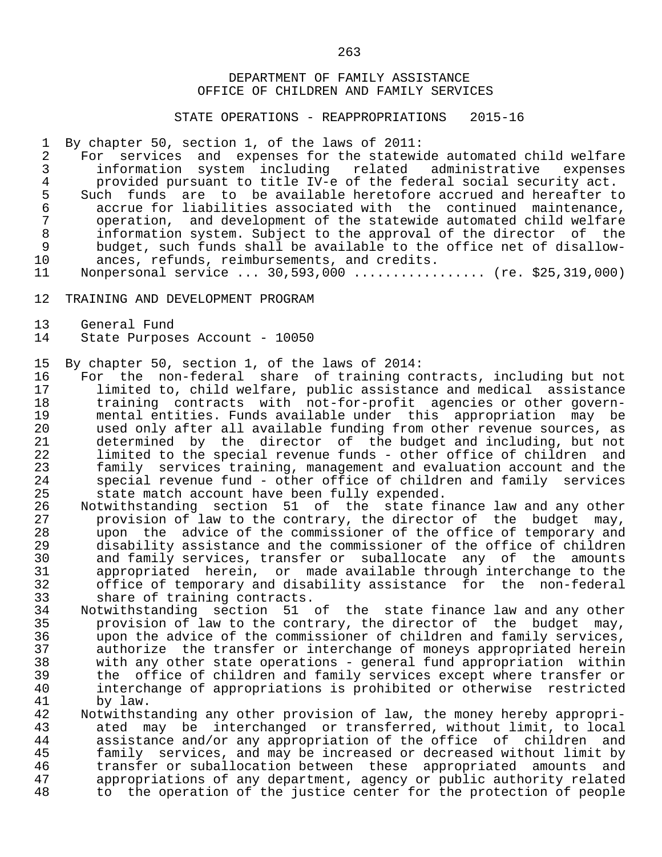STATE OPERATIONS - REAPPROPRIATIONS 2015-16

1 By chapter 50, section 1, of the laws of 2011:<br>2 For services and expenses for the statewi

2 For services and expenses for the statewide automated child welfare<br>3 information system including related administrative expenses 3 information system including related administrative expenses 4 provided pursuant to title IV-e of the federal social security act.<br>5 Such funds are to be available heretofore accrued and hereafter t 5 Such funds are to be available heretofore accrued and hereafter to<br>6 accrue for liabilities associated with the continued maintenance, 6 accrue for liabilities associated with the continued maintenance, 7 operation, and development of the statewide automated child welfare<br>8 information system. Subject to the approval of the director of the 8 information system. Subject to the approval of the director of the<br>9 budget, such funds shall be available to the office net of disallow-9 budget, such funds shall be available to the office net of disallow-<br>10 ances, refunds, reimbursements, and credits. 10 ances, refunds, reimbursements, and credits.<br>11 Nonpersonal service ... 30,593,000 ...........

Nonpersonal service ... 30,593,000 ................. (re. \$25,319,000)

- 12 TRAINING AND DEVELOPMENT PROGRAM
- 13 General Fund<br>14 State Purpos
- State Purposes Account 10050

15 By chapter 50, section 1, of the laws of 2014:

16 For the non-federal share of training contracts, including but not<br>17 1 limited to, child welfare, public assistance and medical assistance limited to, child welfare, public assistance and medical assistance 18 training contracts with not-for-profit agencies or other govern- 19 mental entities. Funds available under this appropriation may be 20 used only after all available funding from other revenue sources, as<br>21 determined by the director of the budget and including, but not 21 determined by the director of the budget and including, but not<br>22 limited to the special revenue funds - other office of children and 22 limited to the special revenue funds - other office of children and<br>23 family services training, management and evaluation account and the 23 family services training, management and evaluation account and the<br>24 Special revenue fund - other office of children and family services 24 special revenue fund - other office of children and family services<br>25 state match account have been fully expended. 25 state match account have been fully expended.<br>26 Notwithstanding section 51 of the state fi

26 Notwithstanding section 51 of the state-finance-law and any other<br>27 The provision of law to the contrary, the director of the budget may, 27 provision of law to the contrary, the director of the budget may,<br>28 a upon the advice of the commissioner of the office of temporary and 28 upon the advice of the commissioner of the office of temporary and<br>29 disability assistance and the commissioner of the office of children 29 disability assistance and the commissioner of the office of children 30 and family services, transfer or suballocate any of the amounts 31 appropriated herein, or made available through interchange to the<br>32 office of temporary and disability assistance for the non-federal 32 office of temporary and disability assistance for the non-federal 33 share of training contracts.<br>34 Notwithstanding section 51

 34 Notwithstanding section 51 of the state finance law and any other 35 provision of law to the contrary, the director of the budget may,<br>36 The advice of the commissioner of children and family services. 36 upon the advice of the commissioner of children and family services, 37 authorize the transfer or interchange of moneys appropriated herein 38 with any other state operations - general fund appropriation within 39 the office of children and family services except where transfer or<br>40 interchange of appropriations is prohibited or otherwise restricted 40 interchange of appropriations is prohibited or otherwise restricted<br>41 by law. 41 by law.<br>42 Notwithst

42 Notwithstanding any other provision of law, the money hereby appropri-<br>43 ated may be interchanged or transferred, without limit, to local 43 ated may be interchanged or transferred, without limit, to local<br>44 assistance and/or any appropriation of the office of children and 44 assistance and/or any appropriation of the office of children and 45 family services, and may be increased or decreased without limit by 46 transfer or suballocation between these appropriated amounts and<br>47 appropriations of any department, agency or public authority related 47 appropriations of any department, agency or public authority related<br>48 to the operation of the justice center for the protection of people to the operation of the justice center for the protection of people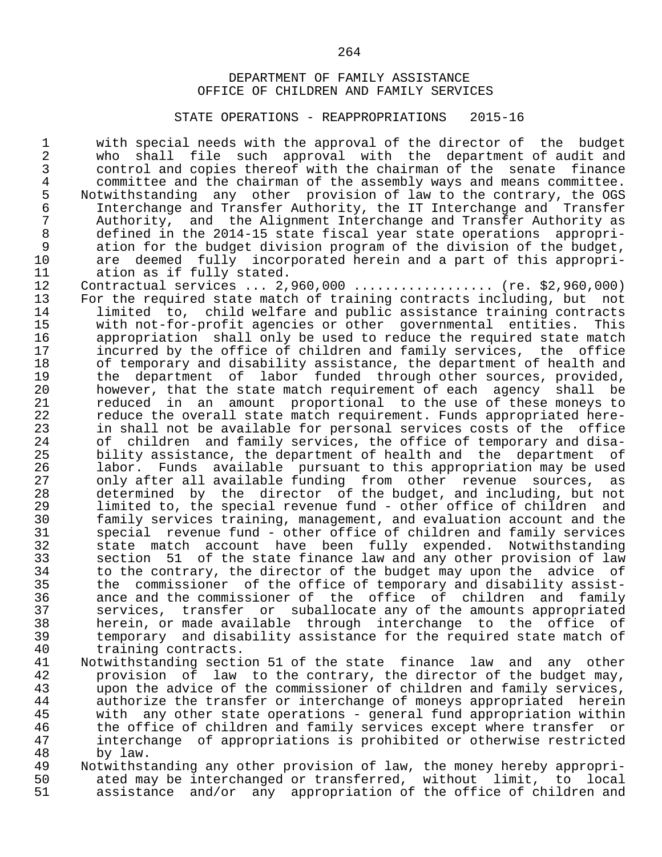#### STATE OPERATIONS - REAPPROPRIATIONS 2015-16

1 with special needs with the approval of the director of the budget<br>2 who shall file such approval with the department of audit and 2 who shall file such approval with the department of audit and<br>3 control and copies thereof with the chairman of the senate finance 3 control and copies thereof with the chairman of the senate finance<br>4 committee and the chairman of the assembly ways and means committee. 4 committee and the chairman of the assembly ways and means committee.<br>5 Notwithstanding any other provision of law to the contrary, the OGS 5 Notwithstanding any other provision of law to the contrary, the OGS<br>6 Interchange and Transfer Authority, the IT Interchange and Transfer 6 Interchange and Transfer Authority, the IT Interchange and Transfer<br>7 Authority, and the Alignment Interchange and Transfer Authority as 7 Authority, and the Alignment Interchange and Transfer Authority as<br>8 defined in the 2014-15 state fiscal vear state operations appropri-8 defined in the 2014-15 state fiscal year state operations appropri-<br>9 ation for the budget division program of the division of the budget. 9 ation for the budget division program of the division of the budget,<br>10 are deemed fully incorporated herein and a part of this appropri-10 are deemed fully incorporated herein and a part of this appropri-<br>11 ation as if fully stated. 11 ation as if fully stated.<br>12 Contractual services ... 2. 12 Contractual services ... 2,960,000 ................... (re. \$2,960,000)<br>13 For the required state match of training contracts including, but not 13 For the required state match of training contracts including, but not<br>14 a limited to, child welfare and public assistance training contracts 14 limited to, child welfare and public assistance training contracts<br>15 with not-for-profit agencies or other governmental entities. This 15 with not-for-profit agencies or other governmental entities. This<br>16 appropriation shall only be used to reduce the required state match 16 appropriation shall only be used to reduce the required state match<br>17 incurred by the office of children and family services, the office 17 incurred by the office of children and family services, the office<br>18 of temporary and disability assistance, the department of health and 18 of temporary and disability assistance, the department of health and<br>19 the department of labor funded through other sources, provided, 19 the department of labor funded through other sources, provided,<br>20 bowever, that the state match requirement of each agency shall be 20 however, that the state match requirement of each agency shall be<br>21 Teduced in an amount proportional to the use of these moneys to 21 reduced in an amount proportional to the use of these moneys to<br>22 reduce the overall state match requirement. Funds appropriated here-22 reduce the overall state match requirement. Funds appropriated here-<br>23 in shall not be available for personal services costs of the office 23 in shall not be available for personal services costs of the office<br>24 of children and family services, the office of temporary and disa-24 of children and family services, the office of temporary and disa-<br>25 bility assistance, the department of health and the department of 25 bility assistance, the department of health and the department of<br>26 1abor. Funds available pursuant to this appropriation may be used 26 1abor. Funds available pursuant to this appropriation may be used<br>27 0 only after all available funding from other revenue sources, as 27 only after all available funding from other revenue sources,<br>28 determined by the director of the budget, and including, but m 28 determined by the director of the budget, and including, but not<br>29 limited to, the special revenue fund - other office of children and 29 limited to, the special revenue fund - other office of children and<br>30 family services training, management, and evaluation account and the 30 family services training, management, and evaluation account and the<br>31 special revenue fund - other office of children and family services 31 special revenue fund - other office of children and family services<br>32 state match account have been fully expended. Notwithstanding 32 state match account have been fully expended. Notwithstanding 33 section 51 of the state finance law and any other provision of law<br>34 to the contrary, the director of the budget may upon the advice of 34 to the contrary, the director of the budget may upon the advice of<br>35 the commissioner of the office of temporary and disability assist-35 the commissioner of the office of temporary and disability assist-<br>36 ance and the commissioner of the office of children and family 36 ance and the commissioner of the office of children and family 37 services, transfer or suballocate any of the amounts appropriated<br>38 – herein or made available through interchange to the office of 38 herein, or made available through interchange to the office of 39 temporary and disability assistance for the required state match of 40 training contracts.<br>41 Notwithstanding secti 41 Notwithstanding section 51 of the state finance law and any other<br>42 provision of law to the contrary, the director of the budget may, 42 provision of law to the contrary, the director of the budget may,<br>43 a upon the advice of the commissioner of children and family services. 43 upon the advice of the commissioner of children and family services,<br>44 authorize the transfer or interchange of moneys appropriated herein 44 authorize the transfer or interchange of moneys appropriated herein<br>45 with any other state operations - general fund appropriation within 45 with any other state operations - general fund appropriation within<br>46 the office of children and family services except where transfer or 46 the office of children and family services except where transfer or<br>47 interchange of appropriations is prohibited or otherwise restricted

- 47 interchange of appropriations is prohibited or otherwise restricted 48 by law.<br>49 Notwithst 49 Notwithstanding any other provision of law, the money hereby appropri-<br>50 ated may be interchanged or transferred, without limit, to local 50 ated may be interchanged or transferred, without limit, to local<br>51 assistance and/or any appropriation of the office of children and
- assistance and/or any appropriation of the office of children and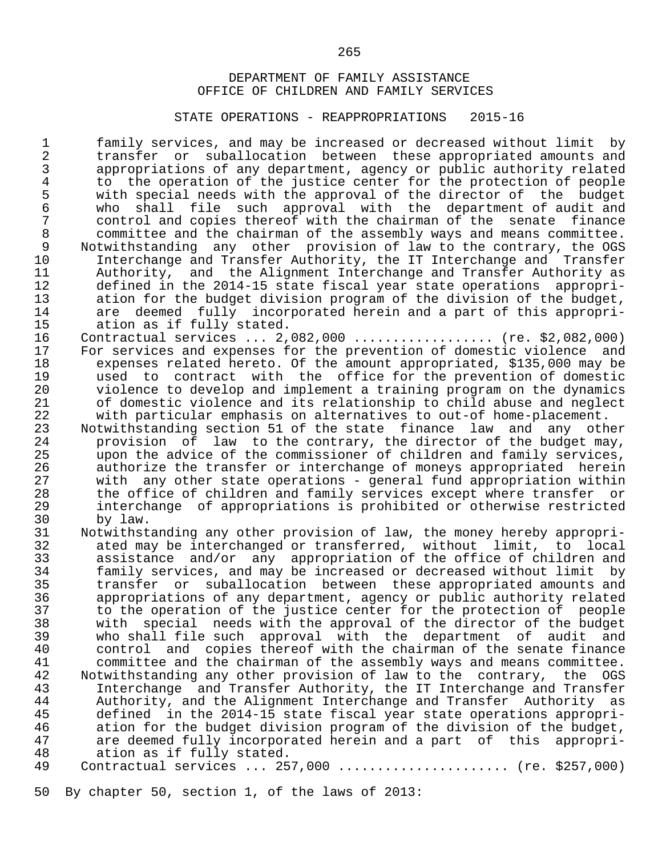#### STATE OPERATIONS - REAPPROPRIATIONS 2015-16

1 family services, and may be increased or decreased without limit by<br>2 transfer or suballocation between these appropriated amounts and 2 transfer or suballocation between these appropriated amounts and<br>3 appropriations of any department, agency or public authority related 3 appropriations of any department, agency or public authority related<br>4 to the operation of the justice center for the protection of people 4 to the operation of the justice center for the protection of people<br>5 with special needs with the approval of the director of the budget 5 with special needs with the approval of the director of the budget<br>6 who shall file such approval with the department of audit and 6 who shall file such approval with the department of audit and<br>7 control and copies thereof with the chairman of the senate finance 7 control and copies thereof with the chairman of the senate finance<br>8 committee and the chairman of the assembly ways and means committee. 8 committee and the chairman of the assembly ways and means committee.<br>8 Notwithstanding any other provision of law to the contrary, the OGS 9 Notwithstanding any other provision of law to the contrary, the OGS<br>10 Interchange and Transfer Authority, the IT Interchange and Transfer 10 Interchange and Transfer Authority, the IT Interchange and Transfer 11 Authority, and the Alignment Interchange and Transfer Authority as<br>12 defined in the 2014-15 state fiscal vear state operations appropri-12 defined in the 2014-15 state fiscal year state operations appropri-<br>13 ation for the budget division program of the division of the budget, 13 ation for the budget division program of the division of the budget,<br>14 are deemed fully incorporated herein and a part of this appropri-14 are deemed fully incorporated herein and a part of this appropri-<br>15 ation as if fully stated. 15 ation as if fully stated.<br>16 Contractual services ... 2.

- 16 Contractual services ... 2,082,000 .................. (re. \$2,082,000)<br>17 For services and expenses for the prevention of domestic violence and 17 For services and expenses for the prevention of domestic violence and<br>18 The expenses related hereto. Of the amount appropriated, \$135,000 may be 18 expenses related hereto. Of the amount appropriated, \$135,000 may be<br>19 aused to contract with the office for the prevention of domestic 19 used to contract with the office for the prevention of domestic 20 violence to develop and implement a training program on the dynamics 21 of domestic violence and its relationship to child abuse and neglect<br>22 with particular emphasis on alternatives to out-of home-placement. 22 with particular emphasis on alternatives to out-of home-placement.<br>23 Notwithstanding section 51 of the state finance law and any oth
- 23 Notwithstanding section 51 of the state finance law and any other<br>24 provision of law to the contrary, the director of the budget may, 24 provision of law to the contrary, the director of the budget may,<br>25 a upon the advice of the commissioner of children and family services. 25 upon the advice of the commissioner of children and family services,<br>26 authorize the transfer or interchange of moneys appropriated herein 26 authorize the transfer or interchange of moneys appropriated herein<br>27 with any other state operations - general fund appropriation within 27 with any other state operations - general fund appropriation within<br>28 the office of children and family services except where transfer or 28 the office of children and family services except where transfer or<br>29 the interchange of appropriations is prohibited or otherwise restricted 29 interchange of appropriations is prohibited or otherwise restricted
- 30 by law.<br>31 Notwithst 31 Notwithstanding any other provision of law, the money hereby appropri-<br>32 ated may be interchanged or transferred, without limit, to local 32 ated may be interchanged or transferred, without limit, to local 33 assistance and/or any appropriation of the office of children and<br>34 family services, and may be increased or decreased without limit by 34 family services, and may be increased or decreased without limit by 35 transfer or suballocation between these appropriated amounts and 36 appropriations of any department, agency or public authority related 37 to the operation of the justice center for the protection of people<br>38 with special needs with the approval of the director of the budget 38 with special needs with the approval of the director of the budget 39 who shall file such approval with the department of audit and 40 control and copies thereof with the chairman of the senate finance<br>41 committee and the chairman of the assembly ways and means committee. 41 committee and the chairman of the assembly ways and means committee.<br>42 Notwithstanding any other provision of law to the contrary, the OGS 42 Notwithstanding any other provision of law to the contrary, the OGS 43 Interchange and Transfer Authority, the IT Interchange and Transfer 44 Buthority, and the Alignment Interchange and Transfer Authority as<br>45 Sefined in the 2014-15 state fiscal year state operations appropri-45 defined in the 2014-15 state fiscal year state operations appropri-<br>46 ation for the budget division program of the division of the budget, 46 ation for the budget division program of the division of the budget,<br>47 are deemed fully incorporated herein and a part of this appropri-47 are deemed fully incorporated herein and a part of this appropri-<br>48 ation as if fully stated. 48 ation as if fully stated.<br>49 Contractual services ... 25

50 By chapter 50, section 1, of the laws of 2013: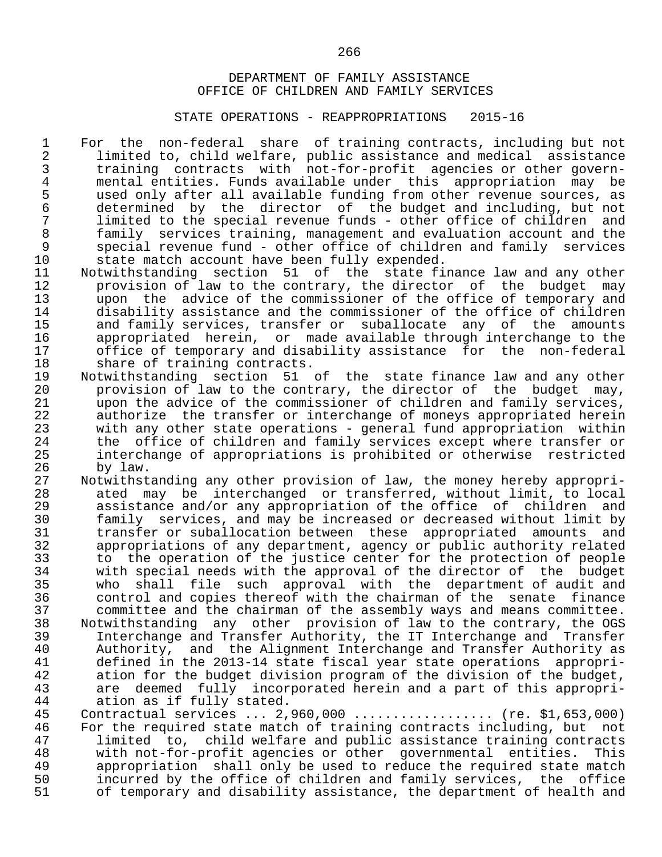#### STATE OPERATIONS - REAPPROPRIATIONS 2015-16

1 For the non-federal share of training contracts, including but not<br>2 limited to, child welfare, public assistance and medical assistance 2 limited to, child welfare, public assistance and medical assistance<br>3 training contracts with not-for-profit agencies or other govern- 3 training contracts with not-for-profit agencies or other govern- 4 mental entities. Funds available under this appropriation may be<br>5 used only after all available funding from other revenue sources, as 5 used only after all available funding from other revenue sources, as<br>6 determined by the director of the budget and including, but not 6 determined by the director of the budget and including, but not<br>7 limited to the special revenue funds - other office of children and 7 limited to the special revenue funds - other office of children and<br>8 family services training, management and evaluation account and the 8 family services training, management and evaluation account and the<br>9 special revenue fund - other office of children and family services 9 special revenue fund - other office of children and family services<br>10 state match account have been fully expended. 10 state match account have been fully expended.<br>11 Notwithstanding section 51 of the state fi

- 11 Notwithstanding section 51 of the state-finance-law-and-any-other<br>12 The provision of law to the contrary, the director of the budget may 12 provision of law to the contrary, the director of the budget may<br>13 upon the advice of the commissioner of the office of temporary and 13 upon the advice of the commissioner of the office of temporary and<br>14 adjaability assistance and the commissioner of the office of children 14 disability assistance and the commissioner of the office of children 15 and family services, transfer or suballocate any of the amounts<br>16 appropriated herein, or made available through interchange to the 16 appropriated herein, or made available through interchange to the<br>17 office of temporary and disability assistance for the non-federal 17 office of temporary and disability assistance for the non-federal<br>18 share of training contracts. 18 share of training contracts.<br>19 Notwithstanding section 51
- 19 Notwithstanding section 51 of the state-finance-law and any other<br>20 The provision of law to the contrary, the director of the budget may, 20 provision of law to the contrary, the director of the budget may,<br>21 a upon the advice of the commissioner of children and family services. 21 upon the advice of the commissioner of children and family services,<br>22 authorize the transfer or interchange of moneys appropriated herein 22 authorize the transfer or interchange of moneys appropriated herein<br>23 with any other state operations - general fund appropriation within 23 with any other state operations - general fund appropriation within<br>24 the office of children and family services except where transfer or 24 the office of children and family services except where transfer or<br>25 interchange of appropriations is prohibited or otherwise restricted 25 interchange of appropriations is prohibited or otherwise restricted
- 26 by law.<br>27 Notwithst 27 Notwithstanding any other provision of law, the money hereby appropri-<br>28 ated may be interchanged or transferred, without limit, to local 28 ated may be interchanged or transferred, without limit, to local 29 assistance and/or any appropriation of the office of children and<br>30 family services, and may be increased or decreased without limit by 30 family services, and may be increased or decreased without limit by 31 transfer or suballocation between these appropriated amounts and<br>32 appropriations of any department, agency or public authority related 32 appropriations of any department, agency or public authority related<br>33 to the operation of the justice center for the protection of people 33 to the operation of the justice center for the protection of people 34 with special needs with the approval of the director of the budget<br>35 who shall file such approval with the department of audit and 35 who shall file such approval with the department of audit and<br>36 control and copies thereof with the chairman of the senate finance 36 control and copies thereof with the chairman of the senate finance 37 committee and the chairman of the assembly ways and means committee. 38 Notwithstanding any other provision of law to the contrary, the OGS 39 Interchange and Transfer Authority, the IT Interchange and Transfer 40 Authority, and the Alignment Interchange and Transfer Authority as<br>41 defined in the 2013-14 state fiscal vear state operations appropri-41 defined in the 2013-14 state fiscal year state operations appropri-<br>42 ation for the budget division program of the division of the budget. 42 ation for the budget division program of the division of the budget,<br>43 are deemed fully incorporated herein and a part of this appropri- 43 are deemed fully incorporated herein and a part of this appropri- 44 ation as if fully stated.<br>45 Contractual services ... 2.

45 Contractual services ... 2,960,000 ................... (re. \$1,653,000)<br>46 For the required state match of training contracts including, but not 46 For the required state match of training contracts including, but not<br>47 1 limited to, child welfare and public assistance training contracts 47 limited to, child welfare and public assistance training contracts<br>48 with not-for-profit agencies or other governmental entities. This 48 with not-for-profit agencies or other governmental entities. This<br>49 appropriation shall only be used to reduce the required state match 49 appropriation shall only be used to reduce the required state match<br>50 incurred by the office of children and family services, the office 50 incurred by the office of children and family services, the office<br>51 of temporary and disability assistance, the department of health and of temporary and disability assistance, the department of health and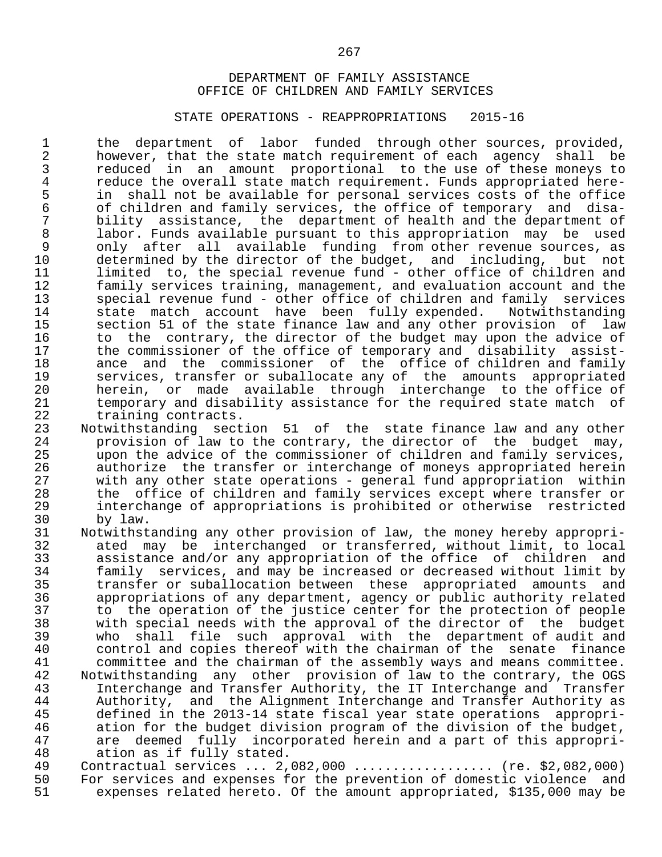#### STATE OPERATIONS - REAPPROPRIATIONS 2015-16

1 the department of labor funded through other sources, provided,<br>2 however, that the state match requirement of each agency shall be 2 however, that the state match requirement of each agency shall be<br>3 reduced in an amount proportional to the use of these monevs to 3 reduced in an amount proportional to the use of these moneys to<br>4 reduce the overall state match requirement. Funds appropriated here-4 reduce the overall state match requirement. Funds appropriated here-<br>5 in shall not be available for personal services costs of the office 5 in shall not be available for personal services costs of the office<br>6 of children and family services, the office of temporary and disa-6 of children and family services, the office of temporary and disa-<br>7 bility assistance, the department of health and the department of 7 bility assistance, the department of health and the department of<br>8 1abor. Funds available pursuant to this appropriation may be used 8 labor. Funds available pursuant to this appropriation may be used<br>9 only after all available funding from other revenue sources, as 9 only after all available funding from other revenue sources, as<br>10 determined by the director of the budget, and including, but not 10 determined by the director of the budget, and including, but not<br>11 limited to, the special revenue fund - other office of children and 11 limited to, the special revenue fund - other office of children and<br>12 family services training, management, and evaluation account and the 12 family services training, management, and evaluation account and the<br>13 special revenue fund - other office of children and family services 13 special revenue fund - other office of children and family services<br>14 state match account have been fully expended. Notwithstanding 14 state match account have been fully expended.<br>15 section 51 of the state finance law and any other m 15 section 51 of the state finance law and any other provision of law<br>16 to the contrary, the director of the budget may upon the advice of 16 to the contrary, the director of the budget may upon the advice of<br>17 the commissioner of the office of temporary and disability assist-17 the commissioner of the office of temporary and disability assist-<br>18 ance and the commissioner of the office of children and family 18 ance and the commissioner of the office of children and family<br>19 services, transfer or suballocate any of the amounts appropriated 19 services, transfer or suballocate any of the amounts appropriated<br>20 berein, or made available through interchange to the office of 20 herein, or made available through interchange to the office of<br>21 temporary and disability assistance for the required state match of 21 temporary and disability assistance for the required state match of<br>22 training contracts. 22 training contracts.<br>23 Notwithstanding sect

23 Notwithstanding section 51 of the state-finance-law and any other<br>24 The provision of law to the contrary, the director of the budget may, 24 provision of law to the contrary, the director of the budget may,<br>25 a upon the advice of the commissioner of children and family services. 25 upon the advice of the commissioner of children and family services,<br>26 authorize the transfer or interchange of moneys appropriated herein 26 authorize the transfer or interchange of moneys appropriated herein<br>27 with any other state operations - general fund appropriation within 27 with any other state operations - general fund appropriation within<br>28 the office of children and family services except where transfer or 28 the office of children and family services except where transfer or<br>29 the interchange of appropriations is prohibited or otherwise restricted 29 interchange of appropriations is prohibited or otherwise restricted

- 30 by law.<br>31 Notwithst 31 Notwithstanding any other provision of law, the money hereby appropri-<br>32 ated may be interchanged or transferred, without limit, to local 32 ated may be interchanged or transferred, without limit, to local 33 assistance and/or any appropriation of the office of children and 34 family services, and may be increased or decreased without limit by 35 transfer or suballocation between these appropriated amounts and 36 appropriations of any department, agency or public authority related<br>37 to the operation of the justice center for the protection of people 37 to the operation of the justice center for the protection of people<br>38 with special needs with the approval of the director of the budget 38 with special needs with the approval of the director of the budget 39 who shall file such approval with the department of audit and 40 control and copies thereof with the chairman of the senate finance<br>41 committee and the chairman of the assembly ways and means committee. 41 committee and the chairman of the assembly ways and means committee.<br>42 Notwithstanding any other provision of law to the contrary, the OGS 42 Notwithstanding any other provision of law to the contrary, the OGS<br>43 Interchange and Transfer Authority, the IT Interchange and Transfer 43 Interchange and Transfer Authority, the IT Interchange and Transfer 44 Authority, and the Alignment Interchange and Transfer Authority as<br>45 defined in the 2013-14 state fiscal vear state operations appropri-45 defined in the 2013-14 state fiscal year state operations appropri-<br>46 ation for the budget division program of the division of the budget, 46 ation for the budget division program of the division of the budget,<br>47 are deemed fully incorporated herein and a part of this appropri-47 are deemed fully incorporated herein and a part of this appropri-<br>48 ation as if fully stated. 48 ation as if fully stated.<br>49 Contractual services ... 2.
- 49 Contractual services ... 2,082,000 .................. (re. \$2,082,000)<br>50 For services and expenses for the prevention of domestic violence and 50 For services and expenses for the prevention of domestic violence and<br>51 Sexpenses related hereto. Of the amount appropriated, \$135,000 may be expenses related hereto. Of the amount appropriated, \$135,000 may be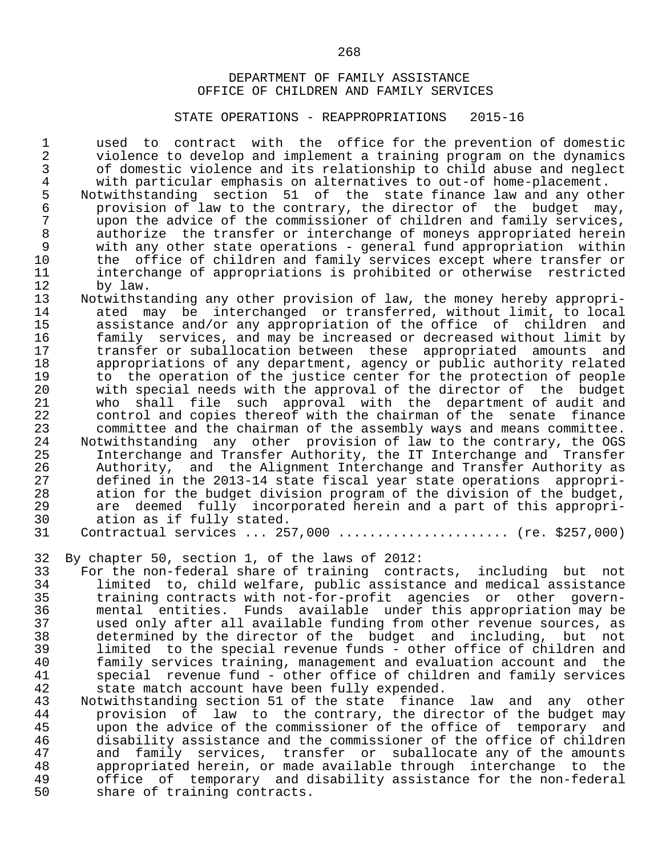#### STATE OPERATIONS - REAPPROPRIATIONS 2015-16

1 used to contract with the office for the prevention of domestic<br>2 violence to develop and implement a training program on the dynamics 2 violence to develop and implement a training program on the dynamics<br>3 of domestic violence and its relationship to child abuse and neglect 3 of domestic violence and its relationship to child abuse and neglect<br>4 with particular emphasis on alternatives to out-of home-placement. 4 with particular emphasis on alternatives to out-of home-placement.<br>5 Notwithstanding section 51 of the state finance law and any oth

5 Notwithstanding section 51 of the state-finance-law and any other<br>6 . Provision of law to the contrary, the director of the budget may, 6 provision of law to the contrary, the director of the budget may,<br>7 upon the advice of the commissioner of children and family services. 7 upon the advice of the commissioner of children and family services,<br>8 authorize the transfer or interchange of moneys appropriated herein 8 authorize the transfer or interchange of moneys appropriated herein<br>9 with any other state operations - general fund appropriation within 9 with any other state operations - general fund appropriation within<br>10 the office of children and family services except where transfer or 10 the office of children and family services except where transfer or<br>11 interchange of appropriations is prohibited or otherwise restricted 11 interchange of appropriations is prohibited or otherwise restricted<br>12 by law. 12 by law.<br>13 Notwithst

- 13 Notwithstanding any other provision of law, the money hereby appropri-<br>14 ated may be interchanged or transferred, without limit, to local 14 ated may be interchanged or transferred, without limit, to local<br>15 assistance and/or any appropriation of the office of children and 15 assistance and/or any appropriation of the office of children and<br>16 family services, and may be increased or decreased without limit by 16 family services, and may be increased or decreased without limit by<br>17 transfer or suballocation between these appropriated amounts and 17 transfer or suballocation between these appropriated amounts and<br>18 appropriations of any department, agency or public authority related 18 appropriations of any department, agency or public authority related<br>19 to the operation of the justice center for the protection of people 19 to the operation of the justice center for the protection of people<br>20 with special needs with the approval of the director of the budget 20 with special needs with the approval of the director of the budget<br>21 who shall file such approval with the department of audit and 21 who shall file such approval with the department of audit and 22 control and copies thereof with the chairman of the senate finance<br>23 committee and the chairman of the assembly ways and means committee. 23 committee and the chairman of the assembly ways and means committee.<br>24 Notwithstanding any other provision of law to the contrary, the OGS 24 Notwithstanding any other provision of law to the contrary, the OGS<br>25 1nterchange and Transfer Authority, the IT Interchange and Transfer 25 1nterchange and Transfer Authority, the IT Interchange and Transfer<br>26 11 Authority, and the Alignment Interchange and Transfer Authority as 26 Authority, and the Alignment Interchange and Transfer Authority as<br>27 defined in the 2013-14 state fiscal vear state operations appropri- 27 defined in the 2013-14 state fiscal year state operations appropri- 28 ation for the budget division program of the division of the budget,<br>29 are deemed fully incorporated herein and a part of this appropri-29 are deemed fully incorporated herein and a part of this appropri-<br>30 ation as if fully stated. 30 ation as if fully stated.<br>31 Contractual services ... 25
	- Contractual services ... 257,000 ...................... (re. \$257,000)
- 32 By chapter 50, section 1, of the laws of 2012:

33 For the non-federal share of training contracts, including but not<br>34 1 limited to, child welfare, public assistance and medical assistance 34 limited to, child welfare, public assistance and medical assistance 35 training contracts with not-for-profit agencies or other govern- 36 mental entities. Funds available under this appropriation may be 37 used only after all available funding from other revenue sources, as 38 determined by the director of the budget and including, but not 39 limited to the special revenue funds - other office of children and<br>40 family services training, management and evaluation account and the 40 family services training, management and evaluation account and the 41 special revenue fund - other office of children and family services<br>42 state match account have been fully expended. 42 state match account have been fully expended.<br>43 Notwithstanding section 51 of the state financ

43 Notwithstanding section 51 of the state finance law and any other<br>44 provision of law to the contrary, the director of the budget may end the contrary of the contrary, the director of the budget may<br>45 a upon the advice of the commissioner of the office of temporary and 45 upon the advice of the commissioner of the office of temporary and<br>46 disability assistance and the commissioner of the office of children 46 disability assistance and the commissioner of the office of children 47 and family services, transfer or suballocate any of the amounts<br>48 appropriated herein, or made available through interchange to the 48 appropriated herein, or made available through interchange to the 49 office of temporary and disability assistance for the non-federal<br>50 share of training contracts. share of training contracts.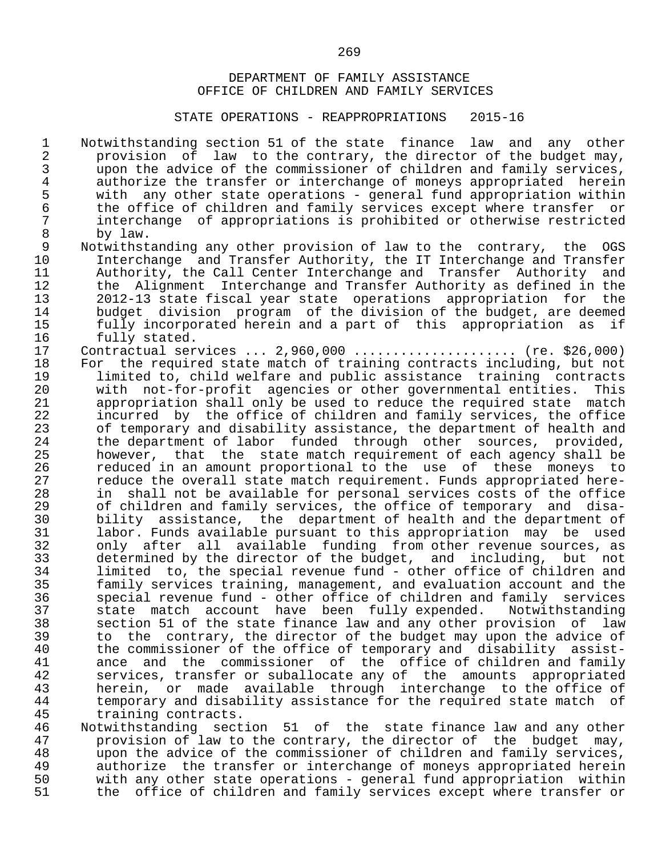#### STATE OPERATIONS - REAPPROPRIATIONS 2015-16

1 Notwithstanding section 51 of the state finance law and any other<br>2 provision of law to the contrary, the director of the budget may, 2 provision of law to the contrary, the director of the budget may,<br>3 upon the advice of the commissioner of children and family services. 3 upon the advice of the commissioner of children and family services,<br>4 authorize the transfer or interchange of moneys appropriated herein 4 authorize the transfer or interchange of moneys appropriated herein<br>5 with any other state operations - general fund appropriation within 5 with any other state operations - general fund appropriation within<br>6 the office of children and family services except where transfer or 6 the office of children and family services except where transfer or<br>7 interchange of appropriations is prohibited or otherwise restricted 7 interchange of appropriations is prohibited or otherwise restricted

8 by law.<br>9 Notwithst 9 Notwithstanding any other provision of law to the contrary, the OGS<br>10 Interchange and Transfer Authority, the IT Interchange and Transfer 10 Interchange and Transfer Authority, the IT Interchange and Transfer 11 Authority, the Call Center Interchange and Transfer Authority and<br>12 the Alignment Interchange and Transfer Authority as defined in the 12 the Alignment Interchange and Transfer Authority as defined in the<br>13 1012-13 state fiscal year state operations appropriation for the 13 2012-13 state fiscal year state operations appropriation for the 14 budget division program of the division of the budget, are deemed<br>15 fully incorporated herein and a part of this appropriation as if 15 fully incorporated herein and a part of this appropriation as if

16 fully stated.<br>17 Contractual ser 17 Contractual services ... 2,960,000 ...................... (re. \$26,000)<br>18 For the required state match of training contracts including, but not 18 For the required state match of training contracts including, but not<br>19 1 11 limited to, child welfare and public assistance training contracts 19 limited to, child welfare and public assistance training contracts 20 with not-for-profit agencies or other governmental entities. This 21 appropriation shall only be used to reduce the required state match<br>22 incurred by the office of children and family services, the office 22 incurred by the office of children and family services, the office<br>23 of temporary and disability assistance, the department of health and 23 of temporary and disability assistance, the department of health and<br>24 the department of labor funded through other sources, provided, 24 the department of labor funded through other sources, provided,<br>25 however, that the state-match-requirement of each-agency-shall-be 25 however, that the state-match-requirement of each agency shall be<br>26 Teduced in an amount-proportional to the use of these moneys to 26 reduced in an amount proportional to the use of these moneys to<br>27 reduce the overall state match requirement. Funds appropriated here-27 a reduce the overall state match requirement. Funds appropriated here-<br>28 a in shall not be available for personal services costs of the office 28 in shall not be available for personal services costs of the office<br>29 of children and family services, the office of temporary and disa-29 of children and family services, the office of temporary and disa-<br>30 bility assistance, the department of health and the department of 30 bility assistance, the department of health and the department of<br>31 1 abor. Funds available pursuant to this appropriation may be used 31 labor. Funds available pursuant to this appropriation may be used 32 only after all available funding from other revenue sources, as 33 determined by the director of the budget, and including, but not 34 limited to, the special revenue fund - other office of children and<br>35 family services training, management, and evaluation account and the 35 family services training, management, and evaluation account and the 36 special revenue fund - other office of children and family services 37 state match account have been fully expended. Notwithstanding<br>38 section 51 of the state finance law and any other provision of law 38 section 51 of the state finance law and any other provision of<br>39 to the contrary, the director of the budget may upon the advio 39 to the contrary, the director of the budget may upon the advice of<br>40 the commissioner of the office of temporary and disability assist-40 the commissioner of the office of temporary and disability assist-<br>41 ance and the commissioner of the office of children and family 41 ance and the commissioner of the office of children and family<br>42 services, transfer or suballocate any of the amounts appropriated 42 services, transfer or suballocate any of the amounts appropriated<br>43 berein, or made available through interchange to the office of 43 herein, or made available through interchange to the office of<br>44 temporary and disability assistance for the required state match of 44 temporary and disability assistance for the required state match of<br>45 training contracts.

45 training contracts.<br>46 Notwithstanding sect 46 Notwithstanding section 51 of the state-finance-law and any other<br>47 The provision of law to the contrary, the director of the budget may, 47 provision of law to the contrary, the director of the budget may,<br>48 a upon the advice of the commissioner of children and family services. 48 upon the advice of the commissioner of children and family services,<br>49 authorize the transfer or interchange of moneys appropriated herein 49 authorize the transfer or interchange of moneys appropriated herein<br>50 with any other state operations - general fund appropriation within 50 with any other state operations - general fund appropriation within<br>51 the office of children and family services except where transfer or the office of children and family services except where transfer or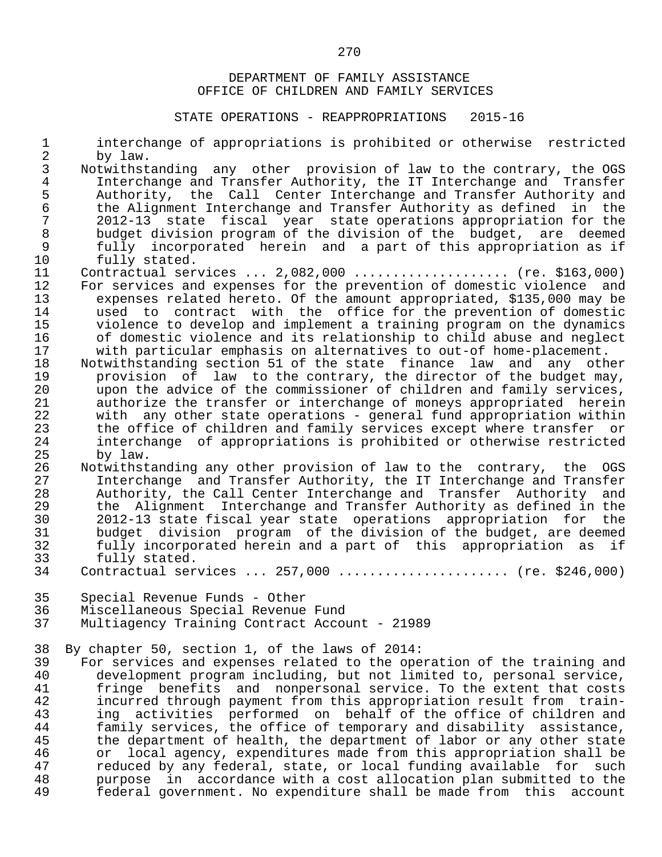| 3<br>Notwithstanding any other provision of law to the contrary, the OGS<br>$\overline{4}$<br>Interchange and Transfer Authority, the IT Interchange and Transfer<br>5<br>Authority, the Call Center Interchange and Transfer Authority and<br>$\sqrt{6}$<br>the Alignment Interchange and Transfer Authority as defined in the<br>$\sqrt{ }$<br>2012-13 state fiscal year state operations appropriation for the<br>$\,8\,$<br>budget division program of the division of the budget, are deemed<br>$\mathsf 9$<br>fully incorporated herein and a part of this appropriation as if<br>10<br>fully stated.<br>11<br>Contractual services $2,082,000$ (re. \$163,000)<br>12<br>For services and expenses for the prevention of domestic violence and<br>expenses related hereto. Of the amount appropriated, \$135,000 may be<br>13<br>14<br>used to contract with the office for the prevention of domestic<br>15<br>violence to develop and implement a training program on the dynamics<br>16<br>of domestic violence and its relationship to child abuse and neglect<br>17<br>with particular emphasis on alternatives to out-of home-placement.<br>18<br>Notwithstanding section 51 of the state finance law and any other<br>19<br>provision of law to the contrary, the director of the budget may,<br>20<br>upon the advice of the commissioner of children and family services,<br>21<br>authorize the transfer or interchange of moneys appropriated herein<br>22<br>with any other state operations - general fund appropriation within<br>23<br>the office of children and family services except where transfer or<br>24<br>interchange of appropriations is prohibited or otherwise restricted<br>25<br>by law.<br>26<br>Notwithstanding any other provision of law to the contrary, the OGS<br>Interchange and Transfer Authority, the IT Interchange and Transfer<br>27<br>28<br>Authority, the Call Center Interchange and Transfer Authority and<br>29<br>the Alignment Interchange and Transfer Authority as defined in the<br>30<br>2012-13 state fiscal year state operations appropriation for the<br>31<br>budget division program of the division of the budget, are deemed<br>32<br>fully incorporated herein and a part of this appropriation as if<br>33<br>fully stated.<br>Contractual services  257,000  (re. \$246,000)<br>34<br>35<br>Special Revenue Funds - Other<br>Miscellaneous Special Revenue Fund<br>36<br>37<br>Multiagency Training Contract Account - 21989<br>38<br>By chapter 50, section 1, of the laws of 2014:<br>39<br>For services and expenses related to the operation of the training and<br>40<br>development program including, but not limited to, personal service,<br>41<br>fringe benefits and nonpersonal service. To the extent that costs<br>42<br>incurred through payment from this appropriation result from train-<br>ing activities performed on behalf of the office of children and<br>43<br>44<br>family services, the office of temporary and disability assistance,<br>45<br>the department of health, the department of labor or any other state<br>46<br>or local agency, expenditures made from this appropriation shall be<br>47<br>reduced by any federal, state, or local funding available for such<br>48<br>purpose in accordance with a cost allocation plan submitted to the | $\mathbf{1}$<br>$\overline{2}$ | interchange of appropriations is prohibited or otherwise restricted<br>by law. |
|----------------------------------------------------------------------------------------------------------------------------------------------------------------------------------------------------------------------------------------------------------------------------------------------------------------------------------------------------------------------------------------------------------------------------------------------------------------------------------------------------------------------------------------------------------------------------------------------------------------------------------------------------------------------------------------------------------------------------------------------------------------------------------------------------------------------------------------------------------------------------------------------------------------------------------------------------------------------------------------------------------------------------------------------------------------------------------------------------------------------------------------------------------------------------------------------------------------------------------------------------------------------------------------------------------------------------------------------------------------------------------------------------------------------------------------------------------------------------------------------------------------------------------------------------------------------------------------------------------------------------------------------------------------------------------------------------------------------------------------------------------------------------------------------------------------------------------------------------------------------------------------------------------------------------------------------------------------------------------------------------------------------------------------------------------------------------------------------------------------------------------------------------------------------------------------------------------------------------------------------------------------------------------------------------------------------------------------------------------------------------------------------------------------------------------------------------------------------------------------------------------------------------------------------------------------------------------------------------------------------------------------------------------------------------------------------------------------------------------------------------------------------------------------------------------------------------------------------------------------------------------------------------------------------------------------------------------------------------------------------------------------------------------------------------------------------------------------------------------------------------------------------------------------------------------------------------------------------------------------------------------------------------------------------------------------------------------------------------------------|--------------------------------|--------------------------------------------------------------------------------|
|                                                                                                                                                                                                                                                                                                                                                                                                                                                                                                                                                                                                                                                                                                                                                                                                                                                                                                                                                                                                                                                                                                                                                                                                                                                                                                                                                                                                                                                                                                                                                                                                                                                                                                                                                                                                                                                                                                                                                                                                                                                                                                                                                                                                                                                                                                                                                                                                                                                                                                                                                                                                                                                                                                                                                                                                                                                                                                                                                                                                                                                                                                                                                                                                                                                                                                                                                                |                                |                                                                                |
|                                                                                                                                                                                                                                                                                                                                                                                                                                                                                                                                                                                                                                                                                                                                                                                                                                                                                                                                                                                                                                                                                                                                                                                                                                                                                                                                                                                                                                                                                                                                                                                                                                                                                                                                                                                                                                                                                                                                                                                                                                                                                                                                                                                                                                                                                                                                                                                                                                                                                                                                                                                                                                                                                                                                                                                                                                                                                                                                                                                                                                                                                                                                                                                                                                                                                                                                                                |                                |                                                                                |
|                                                                                                                                                                                                                                                                                                                                                                                                                                                                                                                                                                                                                                                                                                                                                                                                                                                                                                                                                                                                                                                                                                                                                                                                                                                                                                                                                                                                                                                                                                                                                                                                                                                                                                                                                                                                                                                                                                                                                                                                                                                                                                                                                                                                                                                                                                                                                                                                                                                                                                                                                                                                                                                                                                                                                                                                                                                                                                                                                                                                                                                                                                                                                                                                                                                                                                                                                                |                                |                                                                                |
|                                                                                                                                                                                                                                                                                                                                                                                                                                                                                                                                                                                                                                                                                                                                                                                                                                                                                                                                                                                                                                                                                                                                                                                                                                                                                                                                                                                                                                                                                                                                                                                                                                                                                                                                                                                                                                                                                                                                                                                                                                                                                                                                                                                                                                                                                                                                                                                                                                                                                                                                                                                                                                                                                                                                                                                                                                                                                                                                                                                                                                                                                                                                                                                                                                                                                                                                                                |                                |                                                                                |
|                                                                                                                                                                                                                                                                                                                                                                                                                                                                                                                                                                                                                                                                                                                                                                                                                                                                                                                                                                                                                                                                                                                                                                                                                                                                                                                                                                                                                                                                                                                                                                                                                                                                                                                                                                                                                                                                                                                                                                                                                                                                                                                                                                                                                                                                                                                                                                                                                                                                                                                                                                                                                                                                                                                                                                                                                                                                                                                                                                                                                                                                                                                                                                                                                                                                                                                                                                |                                |                                                                                |
|                                                                                                                                                                                                                                                                                                                                                                                                                                                                                                                                                                                                                                                                                                                                                                                                                                                                                                                                                                                                                                                                                                                                                                                                                                                                                                                                                                                                                                                                                                                                                                                                                                                                                                                                                                                                                                                                                                                                                                                                                                                                                                                                                                                                                                                                                                                                                                                                                                                                                                                                                                                                                                                                                                                                                                                                                                                                                                                                                                                                                                                                                                                                                                                                                                                                                                                                                                |                                |                                                                                |
|                                                                                                                                                                                                                                                                                                                                                                                                                                                                                                                                                                                                                                                                                                                                                                                                                                                                                                                                                                                                                                                                                                                                                                                                                                                                                                                                                                                                                                                                                                                                                                                                                                                                                                                                                                                                                                                                                                                                                                                                                                                                                                                                                                                                                                                                                                                                                                                                                                                                                                                                                                                                                                                                                                                                                                                                                                                                                                                                                                                                                                                                                                                                                                                                                                                                                                                                                                |                                |                                                                                |
|                                                                                                                                                                                                                                                                                                                                                                                                                                                                                                                                                                                                                                                                                                                                                                                                                                                                                                                                                                                                                                                                                                                                                                                                                                                                                                                                                                                                                                                                                                                                                                                                                                                                                                                                                                                                                                                                                                                                                                                                                                                                                                                                                                                                                                                                                                                                                                                                                                                                                                                                                                                                                                                                                                                                                                                                                                                                                                                                                                                                                                                                                                                                                                                                                                                                                                                                                                |                                |                                                                                |
|                                                                                                                                                                                                                                                                                                                                                                                                                                                                                                                                                                                                                                                                                                                                                                                                                                                                                                                                                                                                                                                                                                                                                                                                                                                                                                                                                                                                                                                                                                                                                                                                                                                                                                                                                                                                                                                                                                                                                                                                                                                                                                                                                                                                                                                                                                                                                                                                                                                                                                                                                                                                                                                                                                                                                                                                                                                                                                                                                                                                                                                                                                                                                                                                                                                                                                                                                                |                                |                                                                                |
|                                                                                                                                                                                                                                                                                                                                                                                                                                                                                                                                                                                                                                                                                                                                                                                                                                                                                                                                                                                                                                                                                                                                                                                                                                                                                                                                                                                                                                                                                                                                                                                                                                                                                                                                                                                                                                                                                                                                                                                                                                                                                                                                                                                                                                                                                                                                                                                                                                                                                                                                                                                                                                                                                                                                                                                                                                                                                                                                                                                                                                                                                                                                                                                                                                                                                                                                                                |                                |                                                                                |
|                                                                                                                                                                                                                                                                                                                                                                                                                                                                                                                                                                                                                                                                                                                                                                                                                                                                                                                                                                                                                                                                                                                                                                                                                                                                                                                                                                                                                                                                                                                                                                                                                                                                                                                                                                                                                                                                                                                                                                                                                                                                                                                                                                                                                                                                                                                                                                                                                                                                                                                                                                                                                                                                                                                                                                                                                                                                                                                                                                                                                                                                                                                                                                                                                                                                                                                                                                |                                |                                                                                |
|                                                                                                                                                                                                                                                                                                                                                                                                                                                                                                                                                                                                                                                                                                                                                                                                                                                                                                                                                                                                                                                                                                                                                                                                                                                                                                                                                                                                                                                                                                                                                                                                                                                                                                                                                                                                                                                                                                                                                                                                                                                                                                                                                                                                                                                                                                                                                                                                                                                                                                                                                                                                                                                                                                                                                                                                                                                                                                                                                                                                                                                                                                                                                                                                                                                                                                                                                                |                                |                                                                                |
|                                                                                                                                                                                                                                                                                                                                                                                                                                                                                                                                                                                                                                                                                                                                                                                                                                                                                                                                                                                                                                                                                                                                                                                                                                                                                                                                                                                                                                                                                                                                                                                                                                                                                                                                                                                                                                                                                                                                                                                                                                                                                                                                                                                                                                                                                                                                                                                                                                                                                                                                                                                                                                                                                                                                                                                                                                                                                                                                                                                                                                                                                                                                                                                                                                                                                                                                                                |                                |                                                                                |
|                                                                                                                                                                                                                                                                                                                                                                                                                                                                                                                                                                                                                                                                                                                                                                                                                                                                                                                                                                                                                                                                                                                                                                                                                                                                                                                                                                                                                                                                                                                                                                                                                                                                                                                                                                                                                                                                                                                                                                                                                                                                                                                                                                                                                                                                                                                                                                                                                                                                                                                                                                                                                                                                                                                                                                                                                                                                                                                                                                                                                                                                                                                                                                                                                                                                                                                                                                |                                |                                                                                |
|                                                                                                                                                                                                                                                                                                                                                                                                                                                                                                                                                                                                                                                                                                                                                                                                                                                                                                                                                                                                                                                                                                                                                                                                                                                                                                                                                                                                                                                                                                                                                                                                                                                                                                                                                                                                                                                                                                                                                                                                                                                                                                                                                                                                                                                                                                                                                                                                                                                                                                                                                                                                                                                                                                                                                                                                                                                                                                                                                                                                                                                                                                                                                                                                                                                                                                                                                                |                                |                                                                                |
|                                                                                                                                                                                                                                                                                                                                                                                                                                                                                                                                                                                                                                                                                                                                                                                                                                                                                                                                                                                                                                                                                                                                                                                                                                                                                                                                                                                                                                                                                                                                                                                                                                                                                                                                                                                                                                                                                                                                                                                                                                                                                                                                                                                                                                                                                                                                                                                                                                                                                                                                                                                                                                                                                                                                                                                                                                                                                                                                                                                                                                                                                                                                                                                                                                                                                                                                                                |                                |                                                                                |
|                                                                                                                                                                                                                                                                                                                                                                                                                                                                                                                                                                                                                                                                                                                                                                                                                                                                                                                                                                                                                                                                                                                                                                                                                                                                                                                                                                                                                                                                                                                                                                                                                                                                                                                                                                                                                                                                                                                                                                                                                                                                                                                                                                                                                                                                                                                                                                                                                                                                                                                                                                                                                                                                                                                                                                                                                                                                                                                                                                                                                                                                                                                                                                                                                                                                                                                                                                |                                |                                                                                |
|                                                                                                                                                                                                                                                                                                                                                                                                                                                                                                                                                                                                                                                                                                                                                                                                                                                                                                                                                                                                                                                                                                                                                                                                                                                                                                                                                                                                                                                                                                                                                                                                                                                                                                                                                                                                                                                                                                                                                                                                                                                                                                                                                                                                                                                                                                                                                                                                                                                                                                                                                                                                                                                                                                                                                                                                                                                                                                                                                                                                                                                                                                                                                                                                                                                                                                                                                                |                                |                                                                                |
|                                                                                                                                                                                                                                                                                                                                                                                                                                                                                                                                                                                                                                                                                                                                                                                                                                                                                                                                                                                                                                                                                                                                                                                                                                                                                                                                                                                                                                                                                                                                                                                                                                                                                                                                                                                                                                                                                                                                                                                                                                                                                                                                                                                                                                                                                                                                                                                                                                                                                                                                                                                                                                                                                                                                                                                                                                                                                                                                                                                                                                                                                                                                                                                                                                                                                                                                                                |                                |                                                                                |
|                                                                                                                                                                                                                                                                                                                                                                                                                                                                                                                                                                                                                                                                                                                                                                                                                                                                                                                                                                                                                                                                                                                                                                                                                                                                                                                                                                                                                                                                                                                                                                                                                                                                                                                                                                                                                                                                                                                                                                                                                                                                                                                                                                                                                                                                                                                                                                                                                                                                                                                                                                                                                                                                                                                                                                                                                                                                                                                                                                                                                                                                                                                                                                                                                                                                                                                                                                |                                |                                                                                |
|                                                                                                                                                                                                                                                                                                                                                                                                                                                                                                                                                                                                                                                                                                                                                                                                                                                                                                                                                                                                                                                                                                                                                                                                                                                                                                                                                                                                                                                                                                                                                                                                                                                                                                                                                                                                                                                                                                                                                                                                                                                                                                                                                                                                                                                                                                                                                                                                                                                                                                                                                                                                                                                                                                                                                                                                                                                                                                                                                                                                                                                                                                                                                                                                                                                                                                                                                                |                                |                                                                                |
|                                                                                                                                                                                                                                                                                                                                                                                                                                                                                                                                                                                                                                                                                                                                                                                                                                                                                                                                                                                                                                                                                                                                                                                                                                                                                                                                                                                                                                                                                                                                                                                                                                                                                                                                                                                                                                                                                                                                                                                                                                                                                                                                                                                                                                                                                                                                                                                                                                                                                                                                                                                                                                                                                                                                                                                                                                                                                                                                                                                                                                                                                                                                                                                                                                                                                                                                                                |                                |                                                                                |
|                                                                                                                                                                                                                                                                                                                                                                                                                                                                                                                                                                                                                                                                                                                                                                                                                                                                                                                                                                                                                                                                                                                                                                                                                                                                                                                                                                                                                                                                                                                                                                                                                                                                                                                                                                                                                                                                                                                                                                                                                                                                                                                                                                                                                                                                                                                                                                                                                                                                                                                                                                                                                                                                                                                                                                                                                                                                                                                                                                                                                                                                                                                                                                                                                                                                                                                                                                |                                |                                                                                |
|                                                                                                                                                                                                                                                                                                                                                                                                                                                                                                                                                                                                                                                                                                                                                                                                                                                                                                                                                                                                                                                                                                                                                                                                                                                                                                                                                                                                                                                                                                                                                                                                                                                                                                                                                                                                                                                                                                                                                                                                                                                                                                                                                                                                                                                                                                                                                                                                                                                                                                                                                                                                                                                                                                                                                                                                                                                                                                                                                                                                                                                                                                                                                                                                                                                                                                                                                                |                                |                                                                                |
|                                                                                                                                                                                                                                                                                                                                                                                                                                                                                                                                                                                                                                                                                                                                                                                                                                                                                                                                                                                                                                                                                                                                                                                                                                                                                                                                                                                                                                                                                                                                                                                                                                                                                                                                                                                                                                                                                                                                                                                                                                                                                                                                                                                                                                                                                                                                                                                                                                                                                                                                                                                                                                                                                                                                                                                                                                                                                                                                                                                                                                                                                                                                                                                                                                                                                                                                                                |                                |                                                                                |
|                                                                                                                                                                                                                                                                                                                                                                                                                                                                                                                                                                                                                                                                                                                                                                                                                                                                                                                                                                                                                                                                                                                                                                                                                                                                                                                                                                                                                                                                                                                                                                                                                                                                                                                                                                                                                                                                                                                                                                                                                                                                                                                                                                                                                                                                                                                                                                                                                                                                                                                                                                                                                                                                                                                                                                                                                                                                                                                                                                                                                                                                                                                                                                                                                                                                                                                                                                |                                |                                                                                |
|                                                                                                                                                                                                                                                                                                                                                                                                                                                                                                                                                                                                                                                                                                                                                                                                                                                                                                                                                                                                                                                                                                                                                                                                                                                                                                                                                                                                                                                                                                                                                                                                                                                                                                                                                                                                                                                                                                                                                                                                                                                                                                                                                                                                                                                                                                                                                                                                                                                                                                                                                                                                                                                                                                                                                                                                                                                                                                                                                                                                                                                                                                                                                                                                                                                                                                                                                                |                                |                                                                                |
|                                                                                                                                                                                                                                                                                                                                                                                                                                                                                                                                                                                                                                                                                                                                                                                                                                                                                                                                                                                                                                                                                                                                                                                                                                                                                                                                                                                                                                                                                                                                                                                                                                                                                                                                                                                                                                                                                                                                                                                                                                                                                                                                                                                                                                                                                                                                                                                                                                                                                                                                                                                                                                                                                                                                                                                                                                                                                                                                                                                                                                                                                                                                                                                                                                                                                                                                                                |                                |                                                                                |
|                                                                                                                                                                                                                                                                                                                                                                                                                                                                                                                                                                                                                                                                                                                                                                                                                                                                                                                                                                                                                                                                                                                                                                                                                                                                                                                                                                                                                                                                                                                                                                                                                                                                                                                                                                                                                                                                                                                                                                                                                                                                                                                                                                                                                                                                                                                                                                                                                                                                                                                                                                                                                                                                                                                                                                                                                                                                                                                                                                                                                                                                                                                                                                                                                                                                                                                                                                |                                |                                                                                |
|                                                                                                                                                                                                                                                                                                                                                                                                                                                                                                                                                                                                                                                                                                                                                                                                                                                                                                                                                                                                                                                                                                                                                                                                                                                                                                                                                                                                                                                                                                                                                                                                                                                                                                                                                                                                                                                                                                                                                                                                                                                                                                                                                                                                                                                                                                                                                                                                                                                                                                                                                                                                                                                                                                                                                                                                                                                                                                                                                                                                                                                                                                                                                                                                                                                                                                                                                                |                                |                                                                                |
|                                                                                                                                                                                                                                                                                                                                                                                                                                                                                                                                                                                                                                                                                                                                                                                                                                                                                                                                                                                                                                                                                                                                                                                                                                                                                                                                                                                                                                                                                                                                                                                                                                                                                                                                                                                                                                                                                                                                                                                                                                                                                                                                                                                                                                                                                                                                                                                                                                                                                                                                                                                                                                                                                                                                                                                                                                                                                                                                                                                                                                                                                                                                                                                                                                                                                                                                                                |                                |                                                                                |
|                                                                                                                                                                                                                                                                                                                                                                                                                                                                                                                                                                                                                                                                                                                                                                                                                                                                                                                                                                                                                                                                                                                                                                                                                                                                                                                                                                                                                                                                                                                                                                                                                                                                                                                                                                                                                                                                                                                                                                                                                                                                                                                                                                                                                                                                                                                                                                                                                                                                                                                                                                                                                                                                                                                                                                                                                                                                                                                                                                                                                                                                                                                                                                                                                                                                                                                                                                |                                |                                                                                |
|                                                                                                                                                                                                                                                                                                                                                                                                                                                                                                                                                                                                                                                                                                                                                                                                                                                                                                                                                                                                                                                                                                                                                                                                                                                                                                                                                                                                                                                                                                                                                                                                                                                                                                                                                                                                                                                                                                                                                                                                                                                                                                                                                                                                                                                                                                                                                                                                                                                                                                                                                                                                                                                                                                                                                                                                                                                                                                                                                                                                                                                                                                                                                                                                                                                                                                                                                                |                                |                                                                                |
|                                                                                                                                                                                                                                                                                                                                                                                                                                                                                                                                                                                                                                                                                                                                                                                                                                                                                                                                                                                                                                                                                                                                                                                                                                                                                                                                                                                                                                                                                                                                                                                                                                                                                                                                                                                                                                                                                                                                                                                                                                                                                                                                                                                                                                                                                                                                                                                                                                                                                                                                                                                                                                                                                                                                                                                                                                                                                                                                                                                                                                                                                                                                                                                                                                                                                                                                                                |                                |                                                                                |
|                                                                                                                                                                                                                                                                                                                                                                                                                                                                                                                                                                                                                                                                                                                                                                                                                                                                                                                                                                                                                                                                                                                                                                                                                                                                                                                                                                                                                                                                                                                                                                                                                                                                                                                                                                                                                                                                                                                                                                                                                                                                                                                                                                                                                                                                                                                                                                                                                                                                                                                                                                                                                                                                                                                                                                                                                                                                                                                                                                                                                                                                                                                                                                                                                                                                                                                                                                |                                |                                                                                |
|                                                                                                                                                                                                                                                                                                                                                                                                                                                                                                                                                                                                                                                                                                                                                                                                                                                                                                                                                                                                                                                                                                                                                                                                                                                                                                                                                                                                                                                                                                                                                                                                                                                                                                                                                                                                                                                                                                                                                                                                                                                                                                                                                                                                                                                                                                                                                                                                                                                                                                                                                                                                                                                                                                                                                                                                                                                                                                                                                                                                                                                                                                                                                                                                                                                                                                                                                                |                                |                                                                                |
|                                                                                                                                                                                                                                                                                                                                                                                                                                                                                                                                                                                                                                                                                                                                                                                                                                                                                                                                                                                                                                                                                                                                                                                                                                                                                                                                                                                                                                                                                                                                                                                                                                                                                                                                                                                                                                                                                                                                                                                                                                                                                                                                                                                                                                                                                                                                                                                                                                                                                                                                                                                                                                                                                                                                                                                                                                                                                                                                                                                                                                                                                                                                                                                                                                                                                                                                                                |                                |                                                                                |
|                                                                                                                                                                                                                                                                                                                                                                                                                                                                                                                                                                                                                                                                                                                                                                                                                                                                                                                                                                                                                                                                                                                                                                                                                                                                                                                                                                                                                                                                                                                                                                                                                                                                                                                                                                                                                                                                                                                                                                                                                                                                                                                                                                                                                                                                                                                                                                                                                                                                                                                                                                                                                                                                                                                                                                                                                                                                                                                                                                                                                                                                                                                                                                                                                                                                                                                                                                |                                |                                                                                |
|                                                                                                                                                                                                                                                                                                                                                                                                                                                                                                                                                                                                                                                                                                                                                                                                                                                                                                                                                                                                                                                                                                                                                                                                                                                                                                                                                                                                                                                                                                                                                                                                                                                                                                                                                                                                                                                                                                                                                                                                                                                                                                                                                                                                                                                                                                                                                                                                                                                                                                                                                                                                                                                                                                                                                                                                                                                                                                                                                                                                                                                                                                                                                                                                                                                                                                                                                                |                                |                                                                                |
|                                                                                                                                                                                                                                                                                                                                                                                                                                                                                                                                                                                                                                                                                                                                                                                                                                                                                                                                                                                                                                                                                                                                                                                                                                                                                                                                                                                                                                                                                                                                                                                                                                                                                                                                                                                                                                                                                                                                                                                                                                                                                                                                                                                                                                                                                                                                                                                                                                                                                                                                                                                                                                                                                                                                                                                                                                                                                                                                                                                                                                                                                                                                                                                                                                                                                                                                                                |                                |                                                                                |
|                                                                                                                                                                                                                                                                                                                                                                                                                                                                                                                                                                                                                                                                                                                                                                                                                                                                                                                                                                                                                                                                                                                                                                                                                                                                                                                                                                                                                                                                                                                                                                                                                                                                                                                                                                                                                                                                                                                                                                                                                                                                                                                                                                                                                                                                                                                                                                                                                                                                                                                                                                                                                                                                                                                                                                                                                                                                                                                                                                                                                                                                                                                                                                                                                                                                                                                                                                |                                |                                                                                |
|                                                                                                                                                                                                                                                                                                                                                                                                                                                                                                                                                                                                                                                                                                                                                                                                                                                                                                                                                                                                                                                                                                                                                                                                                                                                                                                                                                                                                                                                                                                                                                                                                                                                                                                                                                                                                                                                                                                                                                                                                                                                                                                                                                                                                                                                                                                                                                                                                                                                                                                                                                                                                                                                                                                                                                                                                                                                                                                                                                                                                                                                                                                                                                                                                                                                                                                                                                |                                |                                                                                |
|                                                                                                                                                                                                                                                                                                                                                                                                                                                                                                                                                                                                                                                                                                                                                                                                                                                                                                                                                                                                                                                                                                                                                                                                                                                                                                                                                                                                                                                                                                                                                                                                                                                                                                                                                                                                                                                                                                                                                                                                                                                                                                                                                                                                                                                                                                                                                                                                                                                                                                                                                                                                                                                                                                                                                                                                                                                                                                                                                                                                                                                                                                                                                                                                                                                                                                                                                                |                                |                                                                                |
|                                                                                                                                                                                                                                                                                                                                                                                                                                                                                                                                                                                                                                                                                                                                                                                                                                                                                                                                                                                                                                                                                                                                                                                                                                                                                                                                                                                                                                                                                                                                                                                                                                                                                                                                                                                                                                                                                                                                                                                                                                                                                                                                                                                                                                                                                                                                                                                                                                                                                                                                                                                                                                                                                                                                                                                                                                                                                                                                                                                                                                                                                                                                                                                                                                                                                                                                                                | 49                             | federal government. No expenditure shall be made from this account             |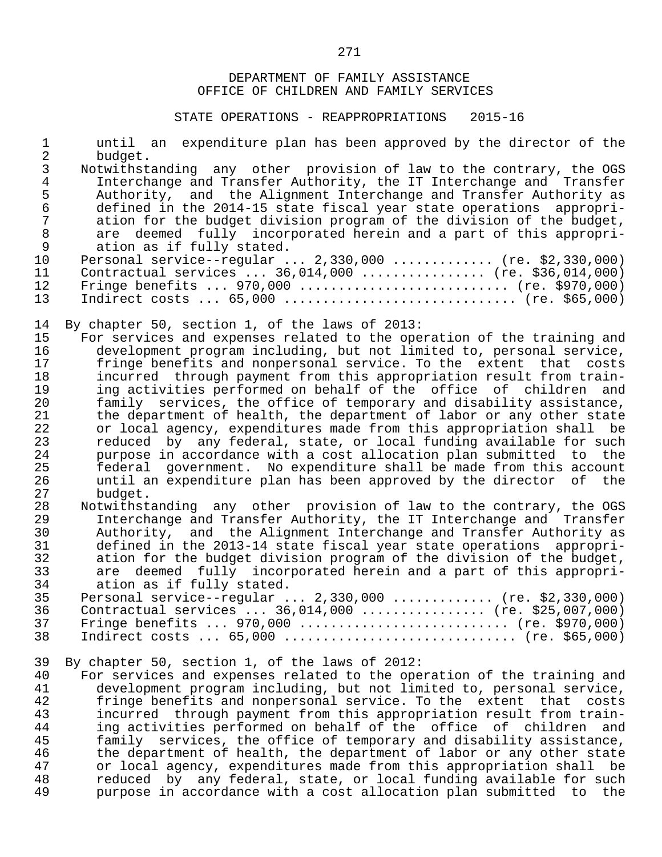| $\mathbf 1$<br>$\overline{a}$ | until an expenditure plan has been approved by the director of the                                                                       |
|-------------------------------|------------------------------------------------------------------------------------------------------------------------------------------|
| 3                             | budget.<br>Notwithstanding any other provision of law to the contrary, the OGS                                                           |
| $\overline{4}$                | Interchange and Transfer Authority, the IT Interchange and Transfer                                                                      |
| 5                             | Authority, and the Alignment Interchange and Transfer Authority as                                                                       |
| $\sqrt{6}$                    | defined in the 2014-15 state fiscal year state operations appropri-                                                                      |
| $\overline{7}$                | ation for the budget division program of the division of the budget,                                                                     |
| $\,8\,$                       | are deemed fully incorporated herein and a part of this appropri-                                                                        |
| $\mathsf 9$                   | ation as if fully stated.                                                                                                                |
| 10                            | Personal service--regular $2,330,000$ (re. \$2,330,000)                                                                                  |
| 11                            | Contractual services $36,014,000$ (re. \$36,014,000)                                                                                     |
| 12                            | Fringe benefits $970,000$ (re. \$970,000)                                                                                                |
| 13                            | Indirect costs $65,000$ (re. \$65,000)                                                                                                   |
|                               |                                                                                                                                          |
| 14                            | By chapter 50, section 1, of the laws of 2013:                                                                                           |
| 15                            | For services and expenses related to the operation of the training and                                                                   |
| 16                            | development program including, but not limited to, personal service,                                                                     |
| 17                            | fringe benefits and nonpersonal service. To the extent that costs                                                                        |
| 18                            | incurred through payment from this appropriation result from train-                                                                      |
| 19                            | ing activities performed on behalf of the office of children and                                                                         |
| 20                            | family services, the office of temporary and disability assistance,                                                                      |
| 21                            | the department of health, the department of labor or any other state                                                                     |
| 22                            | or local agency, expenditures made from this appropriation shall be                                                                      |
| 23                            | reduced by any federal, state, or local funding available for such                                                                       |
| 24<br>25                      | purpose in accordance with a cost allocation plan submitted to the<br>federal government. No expenditure shall be made from this account |
| 26                            | until an expenditure plan has been approved by the director<br>of the                                                                    |
| 27                            | budget.                                                                                                                                  |
| 28                            | Notwithstanding any other provision of law to the contrary, the OGS                                                                      |
| 29                            | Interchange and Transfer Authority, the IT Interchange and Transfer                                                                      |
| 30                            | Authority, and the Alignment Interchange and Transfer Authority as                                                                       |
| 31                            | defined in the 2013-14 state fiscal year state operations appropri-                                                                      |
| 32                            | ation for the budget division program of the division of the budget,                                                                     |
| 33                            | are deemed fully incorporated herein and a part of this appropri-                                                                        |
| 34                            | ation as if fully stated.                                                                                                                |
| 35                            | Personal service--regular $2,330,000$ (re. \$2,330,000)                                                                                  |
| 36                            | Contractual services  36,014,000  (re. \$25,007,000)                                                                                     |
| 37                            | Fringe benefits $970,000$ (re. \$970,000)                                                                                                |
| 38                            | Indirect costs $65,000$ (re. \$65,000)                                                                                                   |
| 39                            | By chapter 50, section 1, of the laws of 2012:                                                                                           |
| 40                            | For services and expenses related to the operation of the training and                                                                   |
| 41                            | development program including, but not limited to, personal service,                                                                     |
| 42                            | fringe benefits and nonpersonal service. To the extent that<br>costs                                                                     |
| 43                            | incurred through payment from this appropriation result from train-                                                                      |
| 44                            | ing activities performed on behalf of the office of children<br>and                                                                      |
| 45                            | family services, the office of temporary and disability assistance,                                                                      |
| 46                            | the department of health, the department of labor or any other state                                                                     |
| 47                            | or local agency, expenditures made from this appropriation shall be                                                                      |
| 48                            | reduced by any federal, state, or local funding available for such                                                                       |
| 49                            | purpose in accordance with a cost allocation plan submitted to<br>the                                                                    |
|                               |                                                                                                                                          |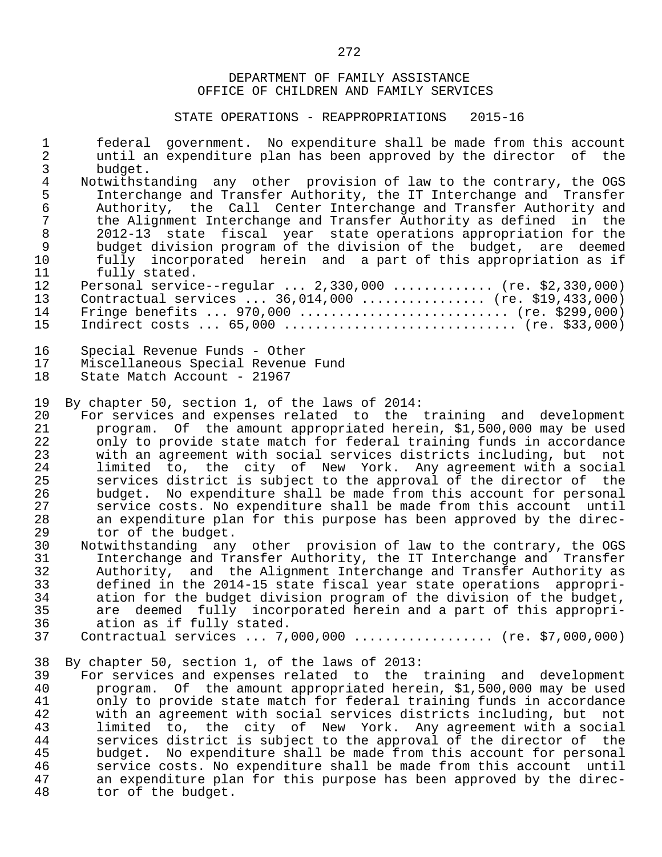| $\mathbf 1$    | federal government. No expenditure shall be made from this account                                                  |
|----------------|---------------------------------------------------------------------------------------------------------------------|
| $\overline{2}$ | until an expenditure plan has been approved by the director of the                                                  |
| 3              | budget.                                                                                                             |
| $\overline{4}$ | Notwithstanding any other provision of law to the contrary, the OGS                                                 |
| 5              | Interchange and Transfer Authority, the IT Interchange and Transfer                                                 |
| $\epsilon$     | Authority, the Call Center Interchange and Transfer Authority and                                                   |
| $\overline{7}$ | the Alignment Interchange and Transfer Authority as defined in the                                                  |
| $\,8\,$        | 2012-13 state fiscal year state operations appropriation for the                                                    |
| $\mathsf 9$    | budget division program of the division of the budget, are deemed                                                   |
| 10             | fully incorporated herein and a part of this appropriation as if                                                    |
| 11             | fully stated.                                                                                                       |
| 12             | Personal service--regular  2,330,000  (re. \$2,330,000)                                                             |
| 13             | Contractual services $36,014,000$ (re. \$19,433,000)                                                                |
| 14             | Fringe benefits  970,000  (re. \$299,000)                                                                           |
| 15             | Indirect costs $65,000$ (re. \$33,000)                                                                              |
|                |                                                                                                                     |
| 16             | Special Revenue Funds - Other                                                                                       |
| 17             | Miscellaneous Special Revenue Fund                                                                                  |
| 18             | State Match Account - 21967                                                                                         |
| 19             |                                                                                                                     |
| 20             | By chapter 50, section 1, of the laws of 2014:<br>For services and expenses related to the training and development |
| 21             | program. Of the amount appropriated herein, \$1,500,000 may be used                                                 |
| 22             | only to provide state match for federal training funds in accordance                                                |
| 23             | with an agreement with social services districts including, but not                                                 |
| 24             | limited to, the city of New York. Any agreement with a social                                                       |
| 25             | services district is subject to the approval of the director of the                                                 |
| 26             | budget. No expenditure shall be made from this account for personal                                                 |
| 27             | service costs. No expenditure shall be made from this account until                                                 |
| 28             | an expenditure plan for this purpose has been approved by the direc-                                                |
| 29             | tor of the budget.                                                                                                  |
| 30             | Notwithstanding any other provision of law to the contrary, the OGS                                                 |
| 31             | Interchange and Transfer Authority, the IT Interchange and Transfer                                                 |
| 32             | Authority, and the Alignment Interchange and Transfer Authority as                                                  |
| 33             | defined in the 2014-15 state fiscal year state operations appropri-                                                 |
| 34             | ation for the budget division program of the division of the budget,                                                |
| 35             | are deemed fully incorporated herein and a part of this appropri-                                                   |
| 36             | ation as if fully stated.                                                                                           |
| 37             | Contractual services $7,000,000$ (re. \$7,000,000)                                                                  |
|                |                                                                                                                     |
| 38             | By chapter 50, section 1, of the laws of 2013:                                                                      |
| 39             | For services and expenses related to the training and development                                                   |
| 40             | program. Of the amount appropriated herein, \$1,500,000 may be used                                                 |
| 41             | only to provide state match for federal training funds in accordance                                                |
| 42             | with an agreement with social services districts including, but not                                                 |
| 43             | limited to, the city of New York. Any agreement with a social                                                       |
| 44             | services district is subject to the approval of the director of the                                                 |
| 45             | budget. No expenditure shall be made from this account for personal                                                 |
| 46             | service costs. No expenditure shall be made from this account until                                                 |
| 47             | an expenditure plan for this purpose has been approved by the direc-                                                |
| 48             | tor of the budget.                                                                                                  |
|                |                                                                                                                     |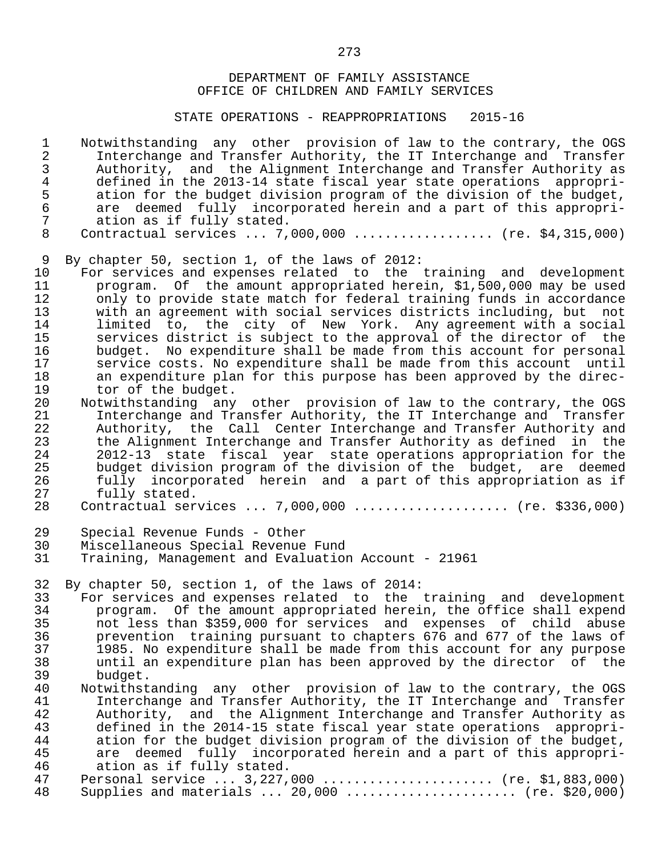STATE OPERATIONS - REAPPROPRIATIONS 2015-16

1 Notwithstanding any other provision of law to the contrary, the OGS<br>2 Interchange and Transfer Authority, the IT Interchange and Transfer 2 Interchange and Transfer Authority, the IT Interchange and Transfer<br>3 Authority, and the Alignment Interchange and Transfer Authority as 3 Authority, and the Alignment Interchange and Transfer Authority as<br>4 defined in the 2013-14 state fiscal vear state operations appropridefined in the 2013-14 state fiscal year state operations appropri-<br>5 ation for the budget division program of the division of the budget. 5 ation for the budget division program of the division of the budget,<br>6 are deemed fully incorporated herein and a part of this appropri-6 are deemed fully incorporated herein and a part of this appropri-<br>7 ation as if fully stated. 7 ation as if fully stated.<br>8 Contractual services ... 7.

Contractual services ... 7,000,000 .................. (re. \$4,315,000)

9 By chapter 50, section 1, of the laws of 2012:<br>10 For services and expenses related to the

10 For services and expenses related to the training and development<br>11 The program. Of the amount appropriated herein, \$1,500,000 may be used 11 program. Of the amount appropriated herein, \$1,500,000 may be used<br>12 only to provide state match for federal training funds in accordance 12 only to provide state match for federal training funds in accordance<br>13 with an agreement with social services districts including, but not 13 with an agreement with social services districts including, but not 14 limited to, the city of New York. Any agreement with a social 15 services district is subject to the approval of the director of the 16 budget. No expenditure shall be made from this account for personal<br>17 Service costs. No expenditure shall be made from this account until 17 service costs. No expenditure shall be made from this account until<br>18 an expenditure plan for this purpose has been approved by the direc-18 an expenditure plan for this purpose has been approved by the direc-<br>19 tor of the budget. 19 tor of the budget.<br>20 Notwithstanding any

20 Notwithstanding any other provision of law to the contrary, the OGS<br>21 Interchange and Transfer Authority, the IT Interchange and Transfer 21 Interchange and Transfer Authority, the IT Interchange and Transfer<br>22 Authority, the Call Center Interchange and Transfer Authority and 22 Authority, the Call Center Interchange and Transfer Authority and<br>23 the Alignment Interchange and Transfer Authority as defined in the 23 the Alignment Interchange and Transfer Authority as defined in the<br>24 2012-13 state fiscal vear state operations appropriation for the 24 2012-13 state fiscal year state operations appropriation for the 25 budget division program of the division of the budget, are deemed<br>26 fully incorporated herein and a part of this appropriation as if 26 fully incorporated herein and a part of this appropriation as if<br>27 fully stated. 27 fully stated.<br>28 Contractual ser

Contractual services ... 7,000,000 .................... (re. \$336,000)

- 29 Special Revenue Funds Other
- 30 Miscellaneous Special Revenue Fund<br>31 Training, Management and Evaluation

Training, Management and Evaluation Account - 21961

32 By chapter 50, section 1, of the laws of 2014:<br>33 For services and expenses related to the

33 For services and expenses related to the training and development<br>34 The program. Of the amount appropriated herein, the office shall expend 34 program. Of the amount appropriated herein, the office shall expend<br>35 not less than \$359,000 for services and expenses of child abuse 35 not less than \$359,000 for services and expenses of child abuse 36 prevention training pursuant to chapters 676 and 677 of the laws of<br>37 1985. No expenditure shall be made from this account for any purpose 37 1985. No expenditure shall be made from this account for any purpose<br>38 11 until an expenditure plan has been approved by the director of the 38 until an expenditure plan has been approved by the director of the 39 budget.<br>40 Notwithst

40 Notwithstanding any other provision of law to the contrary, the OGS<br>41 Interchange and Transfer Authority, the IT Interchange and Transfer 41 Interchange and Transfer Authority, the IT Interchange and Transfer<br>42 Authority, and the Alignment Interchange and Transfer Authority as 42 Authority, and the Alignment Interchange and Transfer Authority as<br>43 defined in the 2014-15 state fiscal year state operations appropri-43 defined in the 2014-15 state fiscal year state operations appropri-<br>44 ation for the budget division program of the division of the budget. 44 ation for the budget division program of the division of the budget,<br>45 are deemed fully incorporated herein and a part of this appropri-45 are deemed fully incorporated herein and a part of this appropri-<br>46 ation as if fully stated. 46 ation as if fully stated.<br>47 Personal service ... 3,227, 47 Personal service ... 3,227,000 ...................... (re. \$1,883,000)<br>48 Supplies and materials ... 20,000 ....................... (re. \$20,000) Supplies and materials  $\ldots$  20,000  $\ldots$ ...................... (re. \$20,000)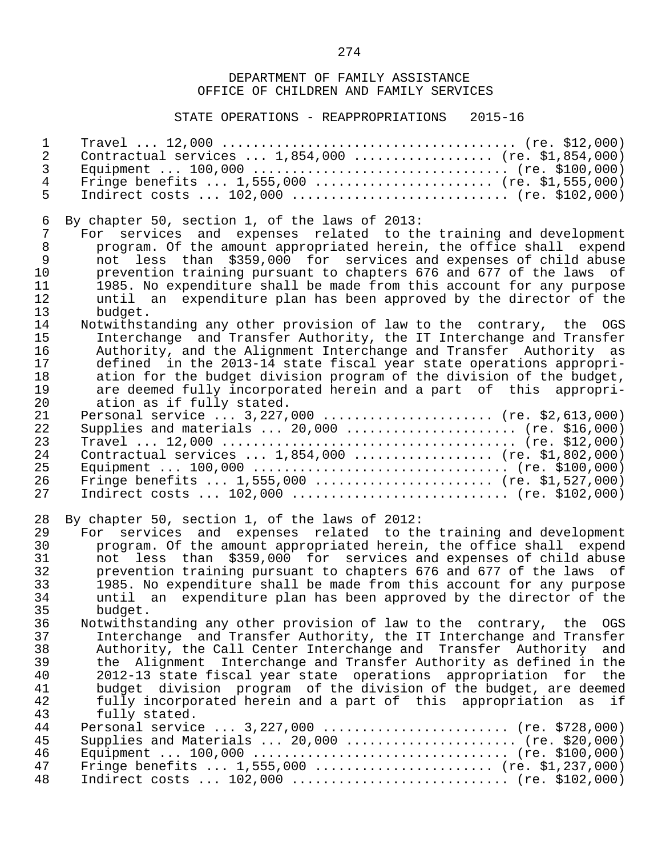| $\mathbf 1$                                  |                                                                                                                                                                                                                                                                                                                                                                                                                                                                                                                  |
|----------------------------------------------|------------------------------------------------------------------------------------------------------------------------------------------------------------------------------------------------------------------------------------------------------------------------------------------------------------------------------------------------------------------------------------------------------------------------------------------------------------------------------------------------------------------|
| $\overline{2}$                               | Contractual services $1,854,000$ (re. \$1,854,000)                                                                                                                                                                                                                                                                                                                                                                                                                                                               |
| 3                                            |                                                                                                                                                                                                                                                                                                                                                                                                                                                                                                                  |
| $\overline{4}$                               | Fringe benefits $1,555,000$ (re. \$1,555,000)                                                                                                                                                                                                                                                                                                                                                                                                                                                                    |
| 5                                            | Indirect costs $102,000$ (re. \$102,000)                                                                                                                                                                                                                                                                                                                                                                                                                                                                         |
| 6                                            | By chapter 50, section 1, of the laws of 2013:                                                                                                                                                                                                                                                                                                                                                                                                                                                                   |
| 7                                            | For services and expenses related to the training and development                                                                                                                                                                                                                                                                                                                                                                                                                                                |
| $\,8\,$                                      | program. Of the amount appropriated herein, the office shall expend                                                                                                                                                                                                                                                                                                                                                                                                                                              |
| $\mathsf 9$                                  | not less than \$359,000 for services and expenses of child abuse                                                                                                                                                                                                                                                                                                                                                                                                                                                 |
| 10                                           | prevention training pursuant to chapters 676 and 677 of the laws of                                                                                                                                                                                                                                                                                                                                                                                                                                              |
| 11                                           | 1985. No expenditure shall be made from this account for any purpose                                                                                                                                                                                                                                                                                                                                                                                                                                             |
| 12                                           | until an expenditure plan has been approved by the director of the                                                                                                                                                                                                                                                                                                                                                                                                                                               |
| 13                                           | budget.                                                                                                                                                                                                                                                                                                                                                                                                                                                                                                          |
| 14                                           | Notwithstanding any other provision of law to the contrary, the OGS                                                                                                                                                                                                                                                                                                                                                                                                                                              |
| 15                                           | Interchange and Transfer Authority, the IT Interchange and Transfer                                                                                                                                                                                                                                                                                                                                                                                                                                              |
| 16                                           | Authority, and the Alignment Interchange and Transfer Authority as                                                                                                                                                                                                                                                                                                                                                                                                                                               |
| 17                                           | defined in the 2013-14 state fiscal year state operations appropri-                                                                                                                                                                                                                                                                                                                                                                                                                                              |
| 18                                           | ation for the budget division program of the division of the budget,                                                                                                                                                                                                                                                                                                                                                                                                                                             |
| 19                                           | are deemed fully incorporated herein and a part of this appropri-                                                                                                                                                                                                                                                                                                                                                                                                                                                |
| 20                                           | ation as if fully stated.                                                                                                                                                                                                                                                                                                                                                                                                                                                                                        |
| 21                                           | Personal service $3,227,000$ (re. \$2,613,000)                                                                                                                                                                                                                                                                                                                                                                                                                                                                   |
| 22                                           | Supplies and materials $20,000$ (re. \$16,000)                                                                                                                                                                                                                                                                                                                                                                                                                                                                   |
| 23                                           |                                                                                                                                                                                                                                                                                                                                                                                                                                                                                                                  |
| 24                                           | Contractual services $1,854,000$ (re. \$1,802,000)                                                                                                                                                                                                                                                                                                                                                                                                                                                               |
| 25                                           |                                                                                                                                                                                                                                                                                                                                                                                                                                                                                                                  |
| 26                                           | Fringe benefits $1,555,000$ (re. \$1,527,000)                                                                                                                                                                                                                                                                                                                                                                                                                                                                    |
| 27                                           | Indirect costs $102,000$ (re. \$102,000)                                                                                                                                                                                                                                                                                                                                                                                                                                                                         |
| 28<br>29<br>30<br>31<br>32<br>33<br>34<br>35 | By chapter 50, section 1, of the laws of 2012:<br>For services and expenses related to the training and development<br>program. Of the amount appropriated herein, the office shall expend<br>not less than \$359,000 for services and expenses of child abuse<br>prevention training pursuant to chapters 676 and 677 of the laws of<br>1985. No expenditure shall be made from this account for any purpose<br>until an expenditure plan has been approved by the director of the                              |
| 36<br>37<br>38<br>39<br>40<br>41<br>42<br>43 | budget.<br>Notwithstanding any other provision of law to the contrary, the OGS<br>Interchange and Transfer Authority, the IT Interchange and Transfer<br>Authority, the Call Center Interchange and Transfer Authority and<br>the Alignment Interchange and Transfer Authority as defined in the<br>2012-13 state fiscal year state operations appropriation for<br>the<br>budget division program of the division of the budget, are deemed<br>fully incorporated herein and a part of this appropriation as if |
| 44<br>45<br>46<br>47<br>48                   | fully stated.<br>Personal service $3,227,000$ (re. \$728,000)<br>Supplies and Materials $20,000$ (re. \$20,000)<br>Fringe benefits $1,555,000$ (re. \$1,237,000)<br>Indirect costs $102,000$ (re. \$102,000)                                                                                                                                                                                                                                                                                                     |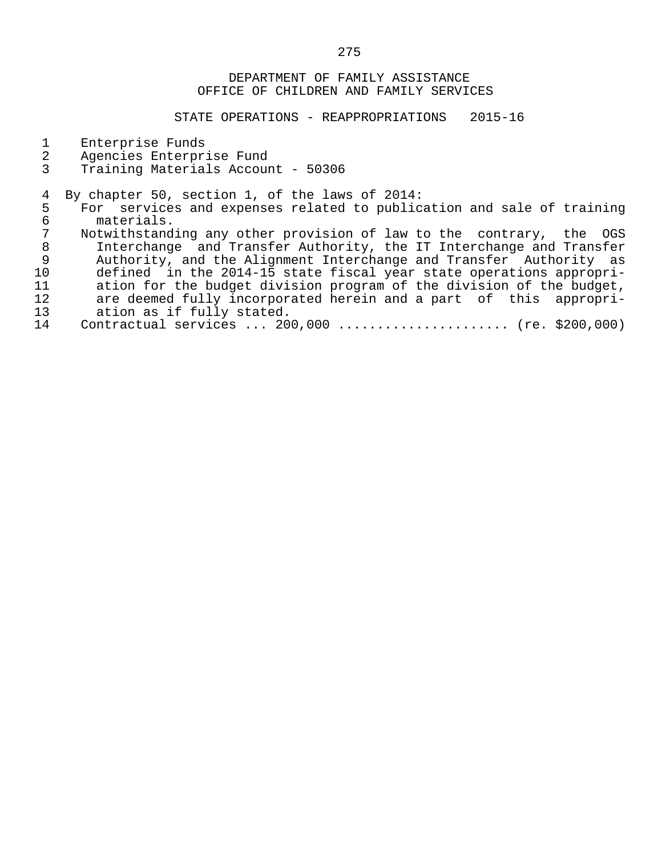- 1 Enterprise Funds<br>2 Agencies Enterpr
- 2 Agencies Enterprise Fund<br>3 Training Materials Accoun
- 3 Training Materials Account 50306

- 4 By chapter 50, section 1, of the laws of 2014:<br>5 For services and expenses related to public 5 For services and expenses related to publication and sale of training<br>6 materials. 6 materials.<br>7 Notwithstand
- 7 Notwithstanding any other provision of law to the contrary, the OGS<br>8 Interchange and Transfer Authority, the IT Interchange and Transfer 8 Interchange and Transfer Authority, the IT Interchange and Transfer<br>9 Authority, and the Alignment Interchange and Transfer Authority as 9 Authority, and the Alignment Interchange and Transfer Authority as<br>10 defined in the 2014-15 state fiscal year state operations appropri-10 defined in the 2014-15 state fiscal year state operations appropri-<br>11 ation for the budget division program of the division of the budget, 11 ation for the budget division program of the division of the budget,<br>12 are deemed fully incorporated herein and a part of this appropri-12 are deemed fully incorporated herein and a part of this appropri-<br>13 ation as if fully stated. 13 ation as if fully stated.<br>14 Contractual services ... 20
- Contractual services ... 200,000 ...................... (re. \$200,000)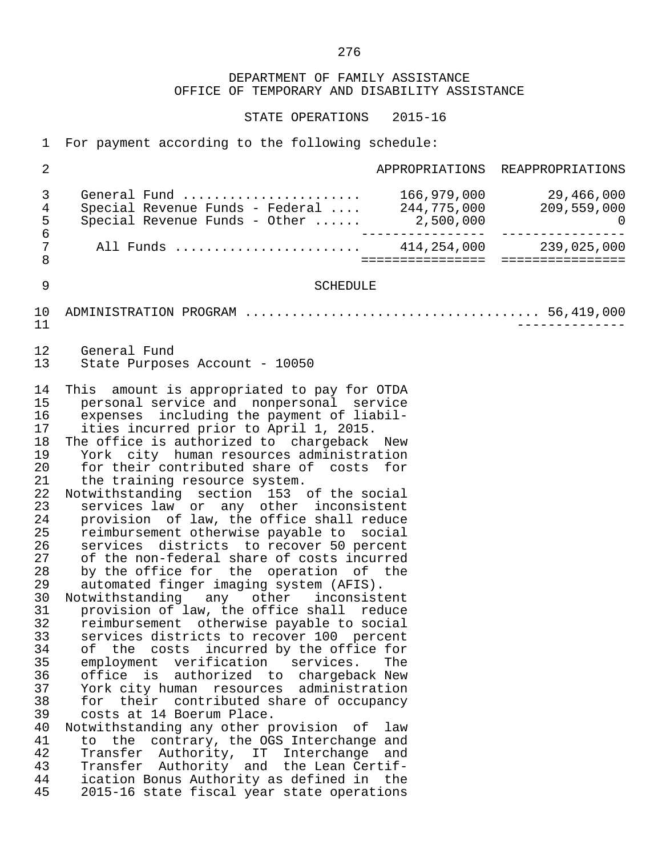| $\mathbf 1$                                                                                                                                                                                  | For payment according to the following schedule:                                                                                                                                                                                                                                                                                                                                                                                                                                                                                                                                                                                                                                                                                                                                                                                                                                                                                                                                                                                                                                                                                                                                                                                                                                                                                                                                                                                             |                   |                                 |
|----------------------------------------------------------------------------------------------------------------------------------------------------------------------------------------------|----------------------------------------------------------------------------------------------------------------------------------------------------------------------------------------------------------------------------------------------------------------------------------------------------------------------------------------------------------------------------------------------------------------------------------------------------------------------------------------------------------------------------------------------------------------------------------------------------------------------------------------------------------------------------------------------------------------------------------------------------------------------------------------------------------------------------------------------------------------------------------------------------------------------------------------------------------------------------------------------------------------------------------------------------------------------------------------------------------------------------------------------------------------------------------------------------------------------------------------------------------------------------------------------------------------------------------------------------------------------------------------------------------------------------------------------|-------------------|---------------------------------|
| $\sqrt{2}$                                                                                                                                                                                   |                                                                                                                                                                                                                                                                                                                                                                                                                                                                                                                                                                                                                                                                                                                                                                                                                                                                                                                                                                                                                                                                                                                                                                                                                                                                                                                                                                                                                                              |                   | APPROPRIATIONS REAPPROPRIATIONS |
| 3<br>4<br>$\frac{5}{6}$                                                                                                                                                                      | General Fund  166,979,000 29,466,000<br>Special Revenue Funds - Federal  244,775,000 209,559,000                                                                                                                                                                                                                                                                                                                                                                                                                                                                                                                                                                                                                                                                                                                                                                                                                                                                                                                                                                                                                                                                                                                                                                                                                                                                                                                                             |                   |                                 |
| 7<br>$\,8\,$                                                                                                                                                                                 | All Funds  414,254,000 239,025,000                                                                                                                                                                                                                                                                                                                                                                                                                                                                                                                                                                                                                                                                                                                                                                                                                                                                                                                                                                                                                                                                                                                                                                                                                                                                                                                                                                                                           | ================  | ================                |
| 9                                                                                                                                                                                            | <b>SCHEDULE</b>                                                                                                                                                                                                                                                                                                                                                                                                                                                                                                                                                                                                                                                                                                                                                                                                                                                                                                                                                                                                                                                                                                                                                                                                                                                                                                                                                                                                                              |                   |                                 |
| 10<br>11                                                                                                                                                                                     |                                                                                                                                                                                                                                                                                                                                                                                                                                                                                                                                                                                                                                                                                                                                                                                                                                                                                                                                                                                                                                                                                                                                                                                                                                                                                                                                                                                                                                              |                   |                                 |
| 12<br>13                                                                                                                                                                                     | General Fund<br>State Purposes Account - 10050                                                                                                                                                                                                                                                                                                                                                                                                                                                                                                                                                                                                                                                                                                                                                                                                                                                                                                                                                                                                                                                                                                                                                                                                                                                                                                                                                                                               |                   |                                 |
| 14<br>15<br>16<br>17<br>18<br>19<br>20<br>21<br>22<br>23<br>24<br>25<br>26<br>27<br>28<br>29<br>30<br>31<br>32<br>33<br>34<br>35<br>36<br>37<br>38<br>39<br>40<br>41<br>42<br>43<br>44<br>45 | This amount is appropriated to pay for OTDA<br>personal service and nonpersonal service<br>expenses including the payment of liabil-<br>ities incurred prior to April 1, 2015.<br>The office is authorized to chargeback New<br>York city human resources administration<br>for their contributed share of costs for<br>the training resource system.<br>Notwithstanding section 153 of the social<br>services law or any other inconsistent<br>provision of law, the office shall reduce<br>reimbursement otherwise payable to social<br>services<br>districts to recover 50 percent<br>of the non-federal share of costs incurred<br>by the office for the operation of the<br>automated finger imaging system (AFIS).<br>Notwithstanding any other inconsistent<br>provision of law, the office shall reduce<br>reimbursement otherwise payable to social<br>services districts to recover 100 percent<br>costs incurred by the office for<br>οf<br>the<br>employment verification<br>services.<br>office is<br>authorized to chargeback New<br>York city human resources administration<br>for their contributed share of occupancy<br>costs at 14 Boerum Place.<br>Notwithstanding any other provision of<br>to the<br>contrary, the OGS Interchange and<br>Transfer Authority, IT Interchange<br>Authority and the Lean Certif-<br>Transfer<br>ication Bonus Authority as defined in the<br>2015-16 state fiscal year state operations | The<br>law<br>and |                                 |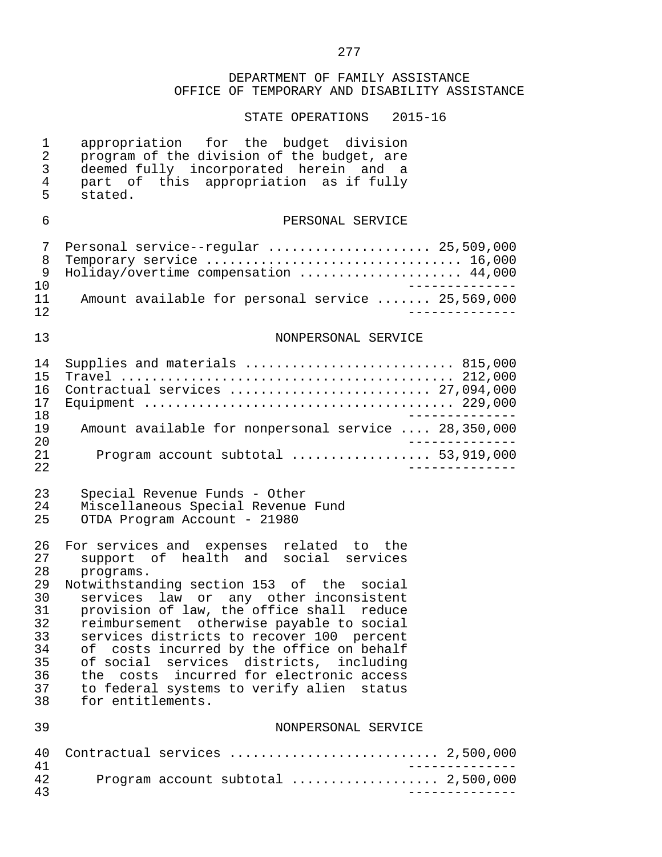| 1<br>2<br>3<br>4<br>5                                                            | appropriation for the budget division<br>program of the division of the budget, are<br>deemed fully incorporated herein and a<br>part of this appropriation as if fully<br>stated.                                                                                                                                                                                                                                                                                                                                                                                 |
|----------------------------------------------------------------------------------|--------------------------------------------------------------------------------------------------------------------------------------------------------------------------------------------------------------------------------------------------------------------------------------------------------------------------------------------------------------------------------------------------------------------------------------------------------------------------------------------------------------------------------------------------------------------|
| 6                                                                                | PERSONAL SERVICE                                                                                                                                                                                                                                                                                                                                                                                                                                                                                                                                                   |
| 7<br>8<br>9<br>10<br>11<br>12                                                    | Personal service--regular  25,509,000<br>Holiday/overtime compensation  44,000<br>-------------<br>Amount available for personal service  25,569,000                                                                                                                                                                                                                                                                                                                                                                                                               |
| 13                                                                               | NONPERSONAL SERVICE                                                                                                                                                                                                                                                                                                                                                                                                                                                                                                                                                |
| 14<br>15<br>16<br>17<br>18<br>19<br>20                                           | Supplies and materials  815,000<br>Contractual services  27,094,000<br>Amount available for nonpersonal service  28,350,000                                                                                                                                                                                                                                                                                                                                                                                                                                        |
| 21<br>22                                                                         | Program account subtotal  53,919,000                                                                                                                                                                                                                                                                                                                                                                                                                                                                                                                               |
| 23<br>24<br>25                                                                   | Special Revenue Funds - Other<br>Miscellaneous Special Revenue Fund<br>OTDA Program Account - 21980                                                                                                                                                                                                                                                                                                                                                                                                                                                                |
| 26<br>27<br>28<br>29<br>30<br>31<br>32<br>33<br>34<br>35<br>36<br>37<br>38<br>39 | For services and expenses related to the<br>support of health and social services<br>programs.<br>Notwithstanding section 153 of the<br>social<br>law or any other inconsistent<br>services<br>provision of law, the office shall reduce<br>reimbursement otherwise payable to social<br>services districts to recover 100 percent<br>costs incurred by the office on behalf<br>оf<br>of social services districts, including<br>the costs incurred for electronic access<br>to federal systems to verify alien status<br>for entitlements.<br>NONPERSONAL SERVICE |
| 40<br>41                                                                         | Contractual services  2,500,000                                                                                                                                                                                                                                                                                                                                                                                                                                                                                                                                    |
| 42<br>43                                                                         | _______________                                                                                                                                                                                                                                                                                                                                                                                                                                                                                                                                                    |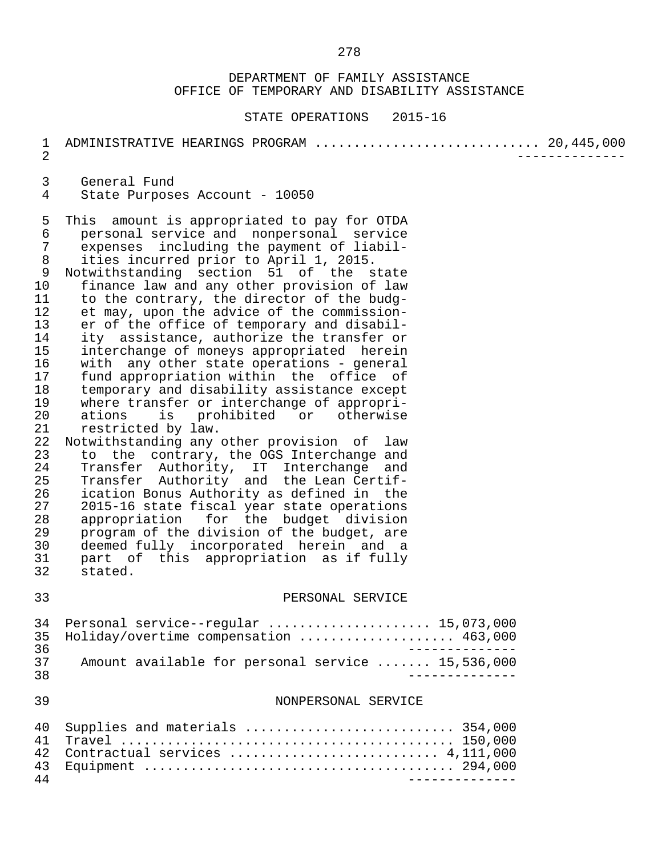| 1<br>$\overline{2}$                                                                                                                                                                   | ADMINISTRATIVE HEARINGS PROGRAM  20, 445, 000                                                                                                                                                                                                                                                                                                                                                                                                                                                                                                                                                                                                                                                                                                                                                                                                                                                                                                                                                                                                                                                                                                                                                                                 |  |
|---------------------------------------------------------------------------------------------------------------------------------------------------------------------------------------|-------------------------------------------------------------------------------------------------------------------------------------------------------------------------------------------------------------------------------------------------------------------------------------------------------------------------------------------------------------------------------------------------------------------------------------------------------------------------------------------------------------------------------------------------------------------------------------------------------------------------------------------------------------------------------------------------------------------------------------------------------------------------------------------------------------------------------------------------------------------------------------------------------------------------------------------------------------------------------------------------------------------------------------------------------------------------------------------------------------------------------------------------------------------------------------------------------------------------------|--|
| 3<br>$\overline{4}$                                                                                                                                                                   | General Fund<br>State Purposes Account - 10050                                                                                                                                                                                                                                                                                                                                                                                                                                                                                                                                                                                                                                                                                                                                                                                                                                                                                                                                                                                                                                                                                                                                                                                |  |
| 5<br>$\epsilon$<br>$\overline{7}$<br>8<br>9<br>10<br>11<br>12<br>13<br>14<br>15<br>16<br>17<br>18<br>19<br>20<br>21<br>22<br>23<br>24<br>25<br>26<br>27<br>28<br>29<br>30<br>31<br>32 | This amount is appropriated to pay for OTDA<br>personal service and nonpersonal service<br>expenses including the payment of liabil-<br>ities incurred prior to April 1, 2015.<br>Notwithstanding section 51 of the state<br>finance law and any other provision of law<br>to the contrary, the director of the budg-<br>et may, upon the advice of the commission-<br>er of the office of temporary and disabil-<br>ity assistance, authorize the transfer or<br>interchange of moneys appropriated herein<br>with any other state operations - general<br>fund appropriation within the office of<br>temporary and disability assistance except<br>where transfer or interchange of appropri-<br>is prohibited or otherwise<br>ations<br>restricted by law.<br>Notwithstanding any other provision of law<br>to the contrary, the OGS Interchange and<br>Transfer Authority, IT Interchange and<br>Transfer Authority and the Lean Certif-<br>ication Bonus Authority as defined in the<br>2015-16 state fiscal year state operations<br>appropriation for the budget division<br>program of the division of the budget, are<br>deemed fully incorporated herein and a<br>part of this appropriation as if fully<br>stated. |  |
| 33                                                                                                                                                                                    | PERSONAL SERVICE                                                                                                                                                                                                                                                                                                                                                                                                                                                                                                                                                                                                                                                                                                                                                                                                                                                                                                                                                                                                                                                                                                                                                                                                              |  |
| 34<br>35<br>36<br>37<br>38                                                                                                                                                            | Personal service--regular  15,073,000<br>Holiday/overtime compensation  463,000<br>Amount available for personal service  15,536,000<br>______________                                                                                                                                                                                                                                                                                                                                                                                                                                                                                                                                                                                                                                                                                                                                                                                                                                                                                                                                                                                                                                                                        |  |
| 39                                                                                                                                                                                    | NONPERSONAL SERVICE                                                                                                                                                                                                                                                                                                                                                                                                                                                                                                                                                                                                                                                                                                                                                                                                                                                                                                                                                                                                                                                                                                                                                                                                           |  |
| 40<br>41<br>42<br>43<br>44                                                                                                                                                            | Supplies and materials  354,000<br>_______________                                                                                                                                                                                                                                                                                                                                                                                                                                                                                                                                                                                                                                                                                                                                                                                                                                                                                                                                                                                                                                                                                                                                                                            |  |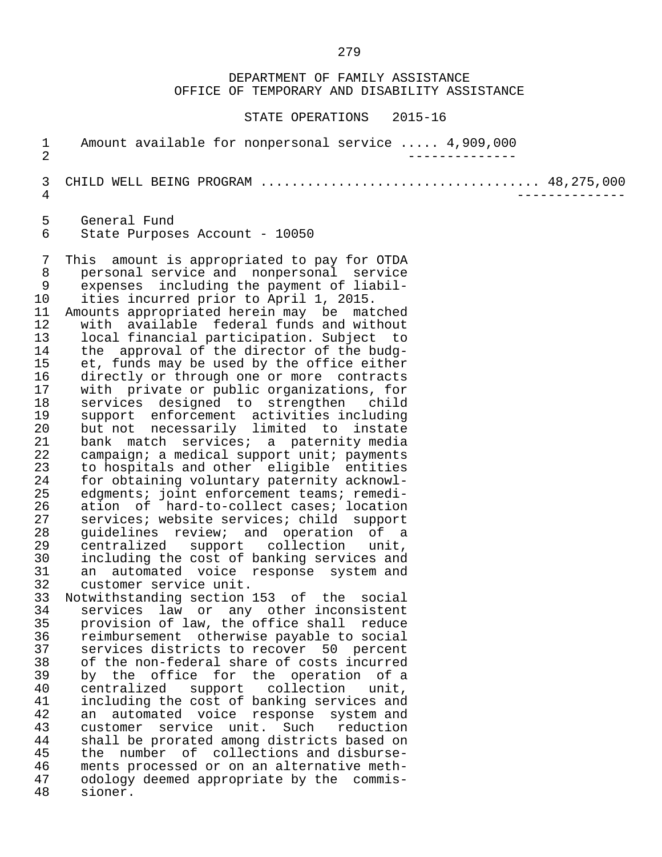DEPARTMENT OF FAMILY ASSISTANCE OFFICE OF TEMPORARY AND DISABILITY ASSISTANCE STATE OPERATIONS 2015-16 1 Amount available for nonpersonal service ..... 4,909,000 2 -------------- 3 CHILD WELL BEING PROGRAM .................................... 48,275,000 4 -------------- 5 General Fund<br>6 State Purpos State Purposes Account - 10050 7 This amount is appropriated to pay for OTDA 8 personal service and nonpersonal service 9 expenses including the payment of liabil-<br>10 ities incurred prior to April 1, 2015. 10 ities incurred prior to April 1, 2015.<br>11 Amounts appropriated herein may be mat 11 Amounts appropriated herein may be matched<br>12 with available federal funds and without 12 with available federal funds and without<br>13 local financial participation. Subject to 13 local financial participation. Subject to 14 the approval of the director of the budg-<br>15 et, funds may be used by the office either 15 et, funds may be used by the office either<br>16 directly or through one or more contracts 16 directly or through one or more contracts<br>17 with private or public organizations, for with private or public organizations, for 18 services designed to strengthen child 19 support enforcement activities including<br>20 but not necessarily limited to instate 20 but not necessarily limited to instate<br>21 bank match services; a paternity media 21 bank match services; a paternity media<br>22 campaign; a medical support unit; payments 22 campaign; a medical support unit; payments<br>23 to hospitals and other eligible entities 23 to hospitals and other eligible entities<br>24 for obtaining voluntary paternity acknowl-24 for obtaining voluntary paternity acknowl-<br>25 edgments; joint enforcement teams; remedi-25 edgments; joint enforcement teams; remedi-<br>26 ation of hard-to-collect cases; location 26 ation of hard-to-collect cases; location<br>27 services; website services; child support 27 services; website services; child support<br>28 quidelines review; and operation of a 28 guidelines review; and operation of a<br>29 centralized support collection unit. 29 centralized support collection unit, 30 including the cost of banking services and<br>31 an automated voice response system and 31 an automated voice response system and<br>32 customer service unit. 32 customer service unit.<br>33 Notwithstanding section 33 Notwithstanding section 153 of the social 34 services law or any other inconsistent<br>35 provision of law, the office shall reduce 35 provision of law, the office shall reduce<br>36 reimbursement otherwise pavable to social 36 reimbursement otherwise payable to social<br>37 services districts to recover 50 percent 37 services districts to recover 50 percent<br>38 of the non-federal share of costs incurred 38 of the non-federal share of costs incurred<br>39 by the office for the operation of a by the office for the operation of a 40 centralized support collection unit,<br>41 including the cost of banking-services and 41 including the cost of banking services and<br>42 an automated voice response system and 42 an automated voice response system and<br>43 customer service unit. Such reduction 43 customer service unit. Such reduction 44 shall be prorated among districts based on 45 the number of collections and disburse-<br>46 ments processed or on an alternative meth- 46 ments processed or on an alternative meth- 47 odology deemed appropriate by the commis-<br>48 sioner. sioner.

279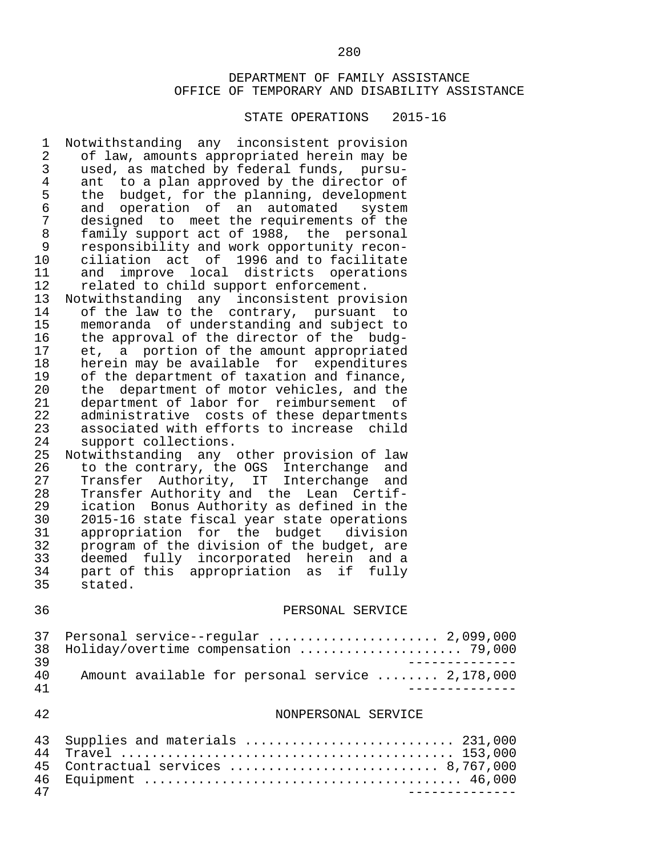#### STATE OPERATIONS 2015-16

1 Notwithstanding any inconsistent provision<br>2 of law, amounts appropriated herein may be 2 of law, amounts appropriated herein may be<br>3 used, as matched by federal funds, pursu- 3 used, as matched by federal funds, pursu- 4 ant to a plan approved by the director of<br>5 the budget, for the planning, development 5 the budget, for the planning, development<br>6 and operation of an automated system 6 and operation of an automated<br>7 designed to meet the requirement 7 designed to meet the requirements of the<br>8 family support act of 1988, the personal 8 family support act of 1988, the personal<br>9 responsibility and work opportunity recon- 9 responsibility and work opportunity recon- 10 ciliation act of 1996 and to facilitate<br>11 and improve local districts operations 11 and improve local districts operations<br>12 related to child support enforcement. 12 related to child support enforcement.<br>13 Notwithstanding any inconsistent prov 13 Notwithstanding any inconsistent provision<br>14 of the law to the contrary, pursuant to 14 of the law to the contrary, pursuant to<br>15 memoranda of understanding and subject to 15 memoranda of understanding and subject to<br>16 the approval of the director of the budg-16 the approval of the director of the budg-<br>17 et, a portion of the amount appropriated 17 et, a portion of the amount appropriated<br>18 herein may be available for expenditures 18 herein may be available for expenditures<br>19 of the department of taxation and finance. 19 of the department of taxation and finance,<br>20 the department of motor vehicles, and the 20 the department of motor vehicles, and the<br>21 department of labor for reimbursement of 21 department of labor for reimbursement of<br>22 administrative costs of these departments 22 administrative costs of these departments 23 associated with efforts to increase child 24 support collections.<br>25 Notwithstanding any 25 Notwithstanding any other provision of law<br>26 to the contrary, the OGS Interchange and 26 to the contrary, the OGS Interchange and 27 Transfer Authority, IT Interchange and 28 Transfer Authority and the Lean Certif-<br>29 ication Bonus Authority as defined in the 29 ication Bonus Authority as defined in the<br>30 2015-16 state fiscal vear state operations 30 2015-16 state fiscal year state operations<br>31 appropriation for the budget division 31 appropriation for the budget division<br>32 program of the division of the budget, are 32 program of the division of the budget, are<br>33 deemed fully incorporated herein and a 33 deemed fully incorporated herein and a 34 part of this appropriation as if fully 35 stated. 36 PERSONAL SERVICE 37 Personal service--regular ......................... 2,099,000<br>38 Holiday/overtime compensation ....................... 79,000 38 Holiday/overtime compensation ..................... 79,000 39 -------------- 40 Amount available for personal service ........ 2,178,000 41 -------------- 42 NONPERSONAL SERVICE 43 Supplies and materials ............................. 231,000

 44 Travel ........................................... 153,000 45 Contractual services ........................... 8,767,000 46 Equipment ......................................... 46,000 47 --------------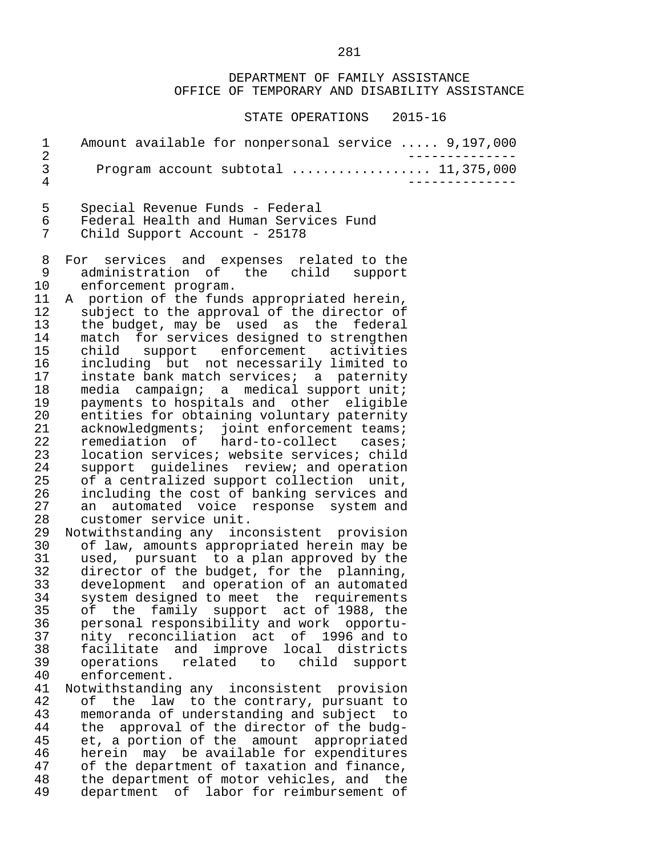STATE OPERATIONS 2015-16

|               | Amount available for nonpersonal service  9,197,000 |
|---------------|-----------------------------------------------------|
| $\mathcal{A}$ | Program account subtotal $11,375,000$               |
|               |                                                     |

 5 Special Revenue Funds - Federal 6 Federal Health and Human Services Fund Child Support Account - 25178

- 8 For services and expenses related to the 9 administration of the child support<br>10 enforcement program. 10 enforcement program.<br>11 A portion of the fund:
- 11 A portion of the funds appropriated herein,<br>12 subject to the approval of the director of 12 subject to the approval of the director of<br>13 the budget, may be used as the federal 13 the budget, may be used as the federal<br>14 match for services designed to strengthen 14 match for services designed to strengthen<br>15 child support enforcement activities 15 child support enforcement activities<br>16 including but not-necessarily-limited-to 16 including but not necessarily limited to<br>17 instate bank match services; a paternity 17 instate bank match services; a paternity<br>18 media campaign; a medical support unit; 18 media campaign; a medical-support-unit;<br>19 payments to hospitals and other eligible 19 payments to hospitals and other eligible<br>20 entities for obtaining voluntary paternity 20 entities for obtaining voluntary paternity<br>21 acknowledgments; ioint enforcement teams; 21 acknowledgments; joint enforcement teams;<br>22 remediation of hard-to-collect cases; 22 remediation of hard-to-collect cases;<br>23 location\_services; website\_services; child 23 location services; website services; child<br>24 support quidelines review; and operation 24 support guidelines review; and operation<br>25 of a centralized support collection unit. 25 of a centralized support collection unit,<br>26 including the cost of banking services and 26 including the cost of banking services and<br>27 an automated voice response system and 27 an automated voice response system and<br>28 customer service unit. 28 customer service unit.<br>29 Notwithstanding any inc
- 29 Notwithstanding any inconsistent provision<br>30 of law, amounts appropriated herein may be 30 of law, amounts appropriated herein may be 31 used, pursuant to a plan approved by the<br>32 director of the budget, for the planning, 32 director of the budget, for the planning,<br>33 development and operation of an automated 33 development and operation of an automated 34 system designed to meet the requirements<br>35 of the family support act of 1988, the 35 of the family support act of 1988, the<br>36 personal responsibility and work opportu- 36 personal responsibility and work opportu- 37 nity reconciliation act of 1996 and to<br>38 facilitate and improve local districts 38 facilitate and improve local districts 39 operations related to child support enforcement.
- 41 Notwithstanding any inconsistent provision<br>42 of the law to the contrary, pursuant to 42 of the law to the contrary, pursuant to<br>43 memoranda of understanding and subject to 43 memoranda of understanding and subject to<br>44 the approval of the director of the budg-44 the approval of the director of the budg-<br>45 et, a portion of the amount appropriated 45 et, a portion of the amount appropriated<br>46 herein may be available for expenditures 46 herein may be available for expenditures<br>47 of the department of taxation and finance. 47 of the department of taxation and finance,<br>48 the department of motor vehicles, and the 48 the department of motor vehicles, and the<br>49 department of labor for reimbursement of department of labor for reimbursement of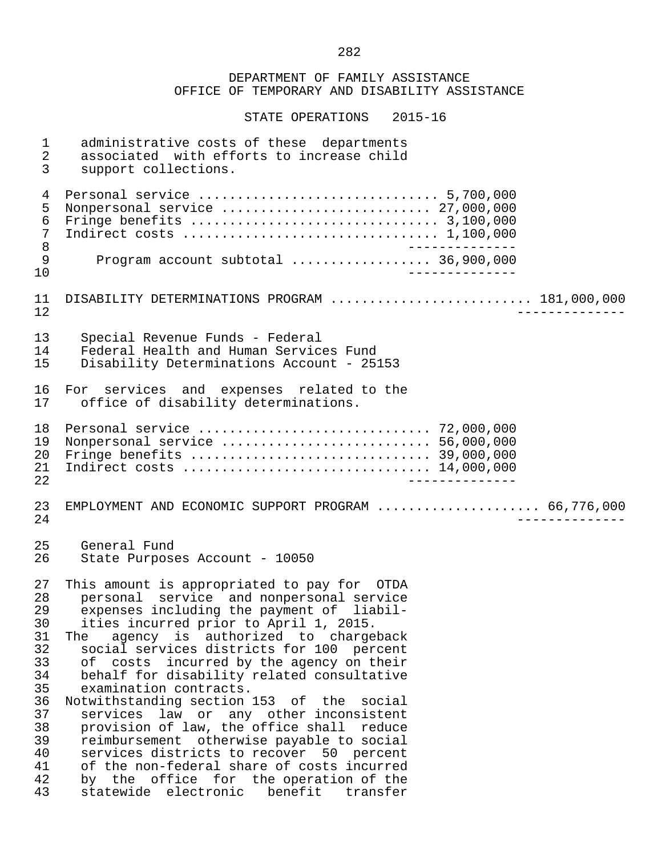DEPARTMENT OF FAMILY ASSISTANCE OFFICE OF TEMPORARY AND DISABILITY ASSISTANCE STATE OPERATIONS 2015-16 1 administrative costs of these departments<br>2 associated with efforts to increase child 2 associated with efforts to increase child<br>3 support collections. support collections. 4 Personal service ............................... 5,700,000 5 Nonpersonal service ........................... 27,000,000 6 Fringe benefits ................................ 3,100,000 7 Indirect costs ................................. 1,100,000 8 -------------- 9 Program account subtotal .................. 36,900,000 10 -------------- 11 DISABILITY DETERMINATIONS PROGRAM ............................. 181,000,000<br>12 12 -------------- 13 Special Revenue Funds - Federal 14 Federal Health and Human Services Fund<br>15 Disability Determinations Account - 25 Disability Determinations Account - 25153 16 For services and expenses related to the<br>17 office of disability determinations. office of disability determinations. 18 Personal service .............................. 72,000,000 19 Nonpersonal service ........................... 56,000,000 20 Fringe benefits ............................... 39,000,000 21 Indirect costs ................................ 14,000,000 22 -------------- 23 EMPLOYMENT AND ECONOMIC SUPPORT PROGRAM ..................... 66,776,000 24 -------------- 25 General Fund State Purposes Account - 10050 27 This amount is appropriated to pay for OTDA<br>28 personal service and nonpersonal service 28 personal service and nonpersonal service<br>29 expenses including the payment of liabil-29 expenses including the payment of liabil-<br>30 ities incurred prior to April 1, 2015. 30 ities incurred prior to April 1, 2015.<br>31 The agency is authorized to charge 31 The agency is authorized to chargeback<br>32 social services districts for 100 percent 32 social services districts for 100 percent<br>33 of costs incurred by the agency on their 33 of costs incurred by the agency on their<br>34 behalf for disability related consultative 34 behalf for disability related consultative<br>35 examination contracts. 35 examination contracts.<br>36 Notwithstanding section 36 Notwithstanding section 153 of the social 37 services law or any other inconsistent<br>38 provision of law, the office shall reduce 38 provision of law, the office shall reduce<br>39 reimbursement otherwise pavable to social 39 reimbursement otherwise payable to social 40 services districts to recover 50 percent<br>41 of the non-federal share of costs incurred 41 of the non-federal share of costs incurred<br>42 by the office for the operation of the 42 by the office for the operation of the<br>43 statewide electronic benefit transfer statewide electronic benefit transfer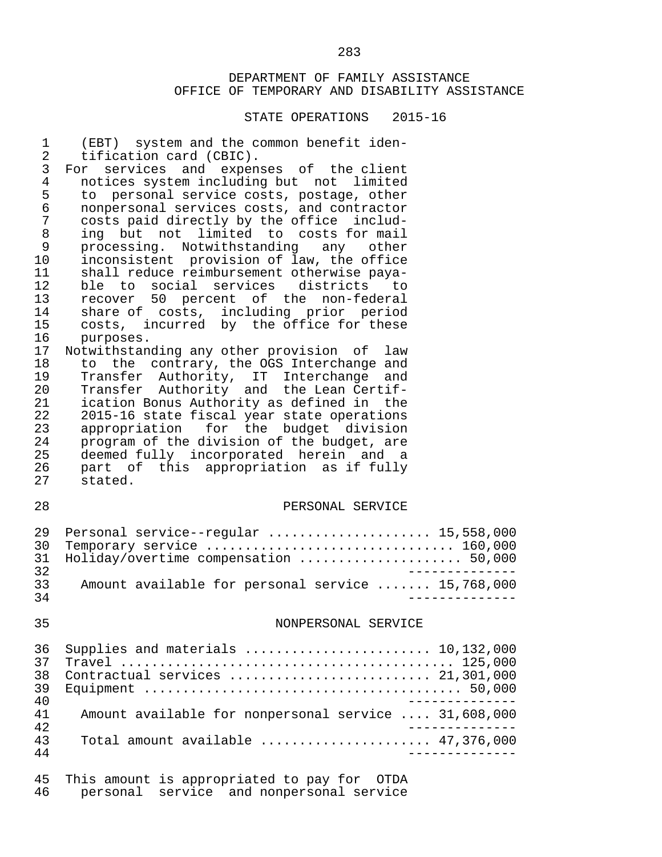| $\mathbf 1$<br>$\overline{2}$<br>3<br>$\overline{4}$<br>5<br>6<br>$\overline{7}$<br>$\, 8$<br>9<br>10<br>11<br>12<br>13<br>14<br>15<br>16<br>17<br>18<br>19<br>20<br>21<br>22<br>23<br>24<br>25<br>26<br>27 | (EBT) system and the common benefit iden-<br>tification card (CBIC).<br>For services and expenses of the client<br>notices system including but not limited<br>to personal service costs, postage, other<br>nonpersonal services costs, and contractor<br>costs paid directly by the office includ-<br>ing but not limited to costs for mail<br>processing. Notwithstanding any other<br>inconsistent provision of law, the office<br>shall reduce reimbursement otherwise paya-<br>ble to social services districts to<br>recover 50 percent of the non-federal<br>share of costs, including prior period<br>costs, incurred by the office for these<br>purposes.<br>Notwithstanding any other provision of law<br>to the contrary, the OGS Interchange and<br>Transfer Authority, IT Interchange and<br>Transfer Authority and the Lean Certif-<br>ication Bonus Authority as defined in the<br>2015-16 state fiscal year state operations<br>appropriation for the budget division<br>program of the division of the budget, are<br>deemed fully incorporated herein and a<br>part of this appropriation as if fully<br>stated. |
|-------------------------------------------------------------------------------------------------------------------------------------------------------------------------------------------------------------|------------------------------------------------------------------------------------------------------------------------------------------------------------------------------------------------------------------------------------------------------------------------------------------------------------------------------------------------------------------------------------------------------------------------------------------------------------------------------------------------------------------------------------------------------------------------------------------------------------------------------------------------------------------------------------------------------------------------------------------------------------------------------------------------------------------------------------------------------------------------------------------------------------------------------------------------------------------------------------------------------------------------------------------------------------------------------------------------------------------------------------|
| 28                                                                                                                                                                                                          | PERSONAL SERVICE                                                                                                                                                                                                                                                                                                                                                                                                                                                                                                                                                                                                                                                                                                                                                                                                                                                                                                                                                                                                                                                                                                                   |
| 29<br>30<br>31<br>32<br>33<br>34                                                                                                                                                                            | Personal service--regular  15,558,000<br>Temporary service  160,000<br>Holiday/overtime compensation  50,000<br>Amount available for personal service  15,768,000                                                                                                                                                                                                                                                                                                                                                                                                                                                                                                                                                                                                                                                                                                                                                                                                                                                                                                                                                                  |
| 35                                                                                                                                                                                                          | NONPERSONAL SERVICE                                                                                                                                                                                                                                                                                                                                                                                                                                                                                                                                                                                                                                                                                                                                                                                                                                                                                                                                                                                                                                                                                                                |
| 36<br>37<br>38<br>39<br>40<br>41<br>42<br>43<br>44                                                                                                                                                          | Supplies and materials  10,132,000<br>Contractual services  21,301,000<br>Amount available for nonpersonal service  31,608,000<br>Total amount available $\ldots, \ldots, \ldots, \ldots, \ldots, 47, 376, 000$                                                                                                                                                                                                                                                                                                                                                                                                                                                                                                                                                                                                                                                                                                                                                                                                                                                                                                                    |
| 45<br>46                                                                                                                                                                                                    | This amount is appropriated to pay for OTDA<br>personal service and nonpersonal service                                                                                                                                                                                                                                                                                                                                                                                                                                                                                                                                                                                                                                                                                                                                                                                                                                                                                                                                                                                                                                            |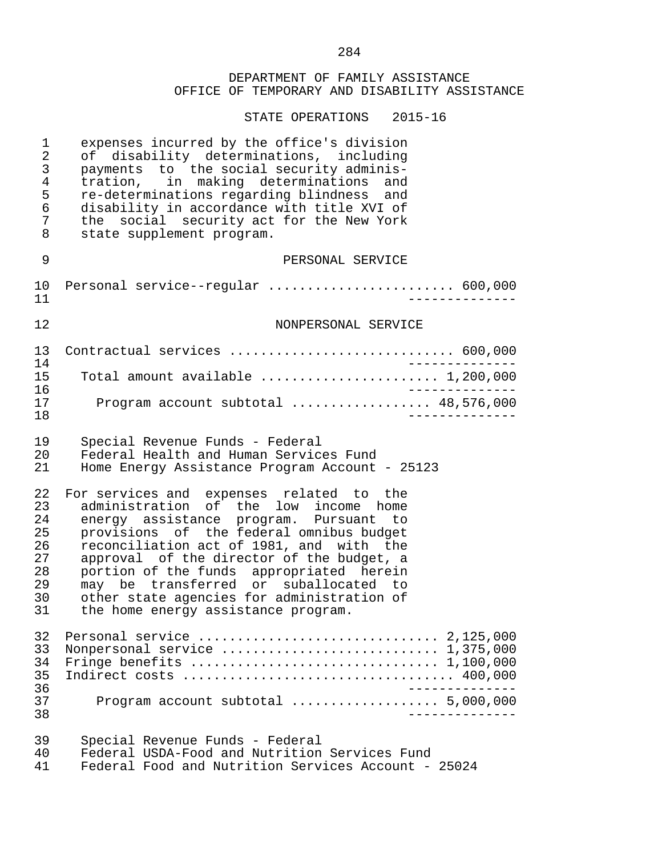STATE OPERATIONS 2015-16

| $\mathbf 1$<br>$\sqrt{2}$<br>3<br>$\overline{4}$<br>5<br>6<br>7<br>8 | expenses incurred by the office's division<br>of disability determinations, including<br>payments to the social security adminis-<br>tration, in making determinations<br>and<br>re-determinations regarding blindness and<br>disability in accordance with title XVI of<br>the social security act for the New York<br>state supplement program.                                                                                          |  |
|----------------------------------------------------------------------|--------------------------------------------------------------------------------------------------------------------------------------------------------------------------------------------------------------------------------------------------------------------------------------------------------------------------------------------------------------------------------------------------------------------------------------------|--|
| 9                                                                    | PERSONAL SERVICE                                                                                                                                                                                                                                                                                                                                                                                                                           |  |
| $10 \,$<br>11                                                        | Personal service--regular  600,000                                                                                                                                                                                                                                                                                                                                                                                                         |  |
| 12                                                                   | NONPERSONAL SERVICE                                                                                                                                                                                                                                                                                                                                                                                                                        |  |
| 13<br>14                                                             | Contractual services  600,000                                                                                                                                                                                                                                                                                                                                                                                                              |  |
| 15                                                                   | Total amount available  1,200,000                                                                                                                                                                                                                                                                                                                                                                                                          |  |
| 16<br>17<br>18                                                       | Program account subtotal  48,576,000                                                                                                                                                                                                                                                                                                                                                                                                       |  |
| 19<br>20<br>21                                                       | Special Revenue Funds - Federal<br>Federal Health and Human Services Fund<br>Home Energy Assistance Program Account - 25123                                                                                                                                                                                                                                                                                                                |  |
| 22<br>23<br>24<br>25<br>26<br>27<br>28<br>29<br>30<br>31             | For services and expenses related to the<br>administration of the low income home<br>energy assistance program. Pursuant to<br>provisions of the federal omnibus budget<br>reconciliation act of 1981, and with the<br>approval of the director of the budget, a<br>portion of the funds appropriated herein<br>may be transferred or suballocated to<br>other state agencies for administration of<br>the home energy assistance program. |  |
| 32<br>33<br>34<br>35<br>36                                           | Nonpersonal service  1,375,000<br>Indirect costs  400,000                                                                                                                                                                                                                                                                                                                                                                                  |  |
| 37<br>38                                                             | Program account subtotal  5,000,000                                                                                                                                                                                                                                                                                                                                                                                                        |  |
| 39<br>40<br>41                                                       | Special Revenue Funds - Federal<br>Federal USDA-Food and Nutrition Services Fund<br>Federal Food and Nutrition Services Account - 25024                                                                                                                                                                                                                                                                                                    |  |

284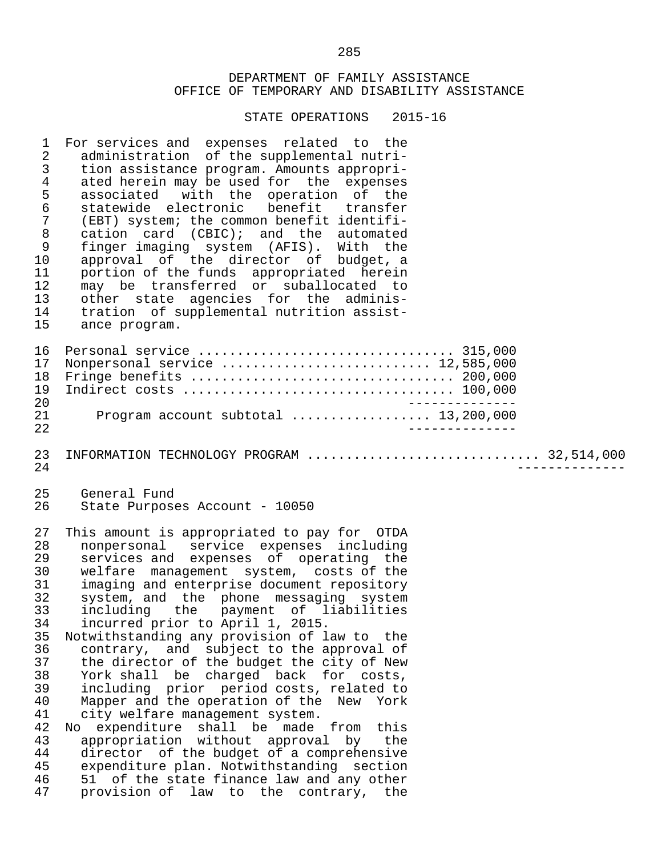STATE OPERATIONS 2015-16

1 For services and expenses related to the<br>2 administration of the supplemental nutri-2 administration of the supplemental nutri-<br>3 tion assistance program, Amounts appropri- 3 tion assistance program. Amounts appropri- 4 ated herein may be used for the expenses<br>5 associated with the operation of the 5 associated with the operation of the 6 statewide electronic<br>7 (EBT) system; the comm 7 (EBT) system; the common benefit identifi-<br>8 cation card (CBIC); and the automated 8 cation card (CBIC); and the automated<br>9 finger imaging system (AFIS), With the 9 finger imaging system (AFIS). With the 10 approval of the director of budget, a<br>11 portion-of-the-funds appropriated herein 11 portion of the funds appropriated herein<br>12 may be transferred or suballocated to 12 may be transferred or suballocated to<br>13 other state agencies for the adminis-13 other state agencies for the adminis-<br>14 tration of supplemental nutrition assist-14 tration of supplemental nutrition assist-<br>15 ance program. ance program. 16 Personal service ................................. 315,000 17 Nonpersonal service ........................... 12,585,000 18 Fringe benefits .................................. 200,000 19 Indirect costs ................................... 100,000 20 -------------- 21 Program account subtotal .................. 13,200,000 22 -------------- 23 INFORMATION TECHNOLOGY PROGRAM .............................. 32,514,000 24 -------------- 25 General Fund<br>26 State Purpos State Purposes Account - 10050 27 This amount is appropriated to pay for OTDA 28 nonpersonal service expenses including 29 services and expenses of operating the<br>30 welfare management system, costs of the 30 welfare management system, costs of the<br>31 imaging and enterprise document repository 31 imaging and enterprise document repository<br>32 system, and the phone messaging system 32 system, and the phone messaging system<br>33 including the payment of liabilities 33 including the payment of liabilities 34 incurred prior to April 1, 2015. 35 Notwithstanding any provision of law to the<br>36 contrary, and subject to the approval of 36 contrary, and subject to the approval of<br>37 the director of the budget the city of New 37 the director of the budget the city of New<br>38 York shall be charged back for costs. York shall be charged back for costs, 39 including prior period costs, related to<br>40 Mapper and the operation of the New York 40 Mapper and the operation of the New York<br>41 city welfare management system. 41 city welfare management system.<br>42 No expenditure shall be made 42 No expenditure shall be made from this<br>43 appropriation without approval by the 43 appropriation without approval by the<br>44 director of the budget of a comprehensive 44 director of the budget of a comprehensive<br>45 expenditure plan, Notwithstanding section 45 expenditure plan. Notwithstanding section<br>46 51 of the state finance law and any other 46 51 of the state finance law and any other<br>47 provision of law to the contrary, the provision of law to the contrary, the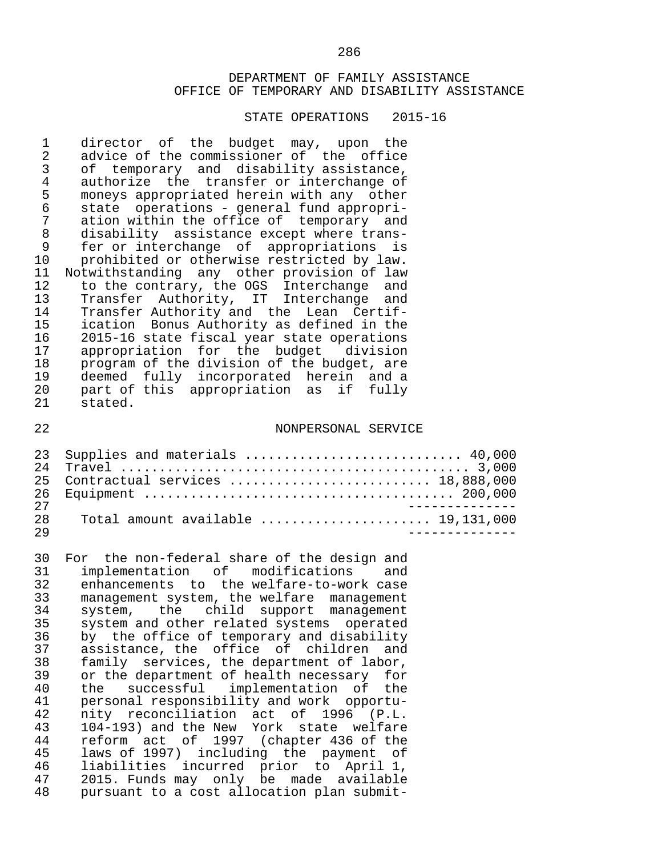#### STATE OPERATIONS 2015-16

1 director of the budget may, upon the<br>2 advice of the commissioner of the office 2 advice of the commissioner of the office<br>3 of temporary and disability assistance. 3 of temporary and disability assistance,<br>4 authorize the transfer or interchange of 4 authorize the transfer or interchange of<br>5 moneys appropriated herein with any other 5 moneys appropriated herein with any other<br>6 state operations - general fund appropri- 6 state operations - general fund appropri- 7 ation within the office of temporary and<br>8 disability assistance except where trans-8 disability assistance except where trans-<br>9 fer or interchange of appropriations is 9 fer or interchange of appropriations is 10 prohibited or otherwise restricted by law.<br>11 Notwithstanding any other provision of law 11 Notwithstanding any other provision of law<br>12 to the contrary, the OGS Interchange and 12 to the contrary, the OGS Interchange and<br>13 Transfer Authority, IT Interchange and 13 Transfer Authority, IT Interchange and<br>14 Transfer-Authority-and the Lean Certif-14 Transfer Authority and the Lean Certif-<br>15 ication Bonus Authority as defined in the 15 ication Bonus Authority as defined in the<br>16 2015-16 state fiscal vear state operations 16 2015-16 state fiscal year state operations<br>17 appropriation for the budget division 17 appropriation for the budget division<br>18 program of the division of the budget, are 18 program of the division of the budget, are<br>19 deemed fully incorporated herein and a 19 deemed fully incorporated herein and a<br>20 part of this appropriation as if fully part of this appropriation as if fully 21 stated.

#### 22 NONPERSONAL SERVICE

|    | 23 Supplies and materials  40,000                                           |
|----|-----------------------------------------------------------------------------|
| 24 |                                                                             |
|    | 25 Contractual services  18,888,000                                         |
|    |                                                                             |
| 27 |                                                                             |
| 28 | Total amount available $\ldots, \ldots, \ldots, \ldots, \ldots, 19,131,000$ |
| 29 |                                                                             |

30 For the non-federal share of the design and<br>31 implementation of modifications and 31 implementation of modifications and<br>32 enhancements to the-welfare-to-work-case 32 enhancements to the welfare-to-work case 33 management system, the welfare management 34 system, the child support management<br>35 system and other related systems operated 35 system and other related systems operated<br>36 by the office of temporary and disability 36 by the office of temporary and disability<br>37 assistance, the office of children and 37 assistance, the office of children and<br>38 family services, the department of labor, 38 family services, the department of labor,<br>39 or the department of health necessary for or the department of health necessary for 40 the successful implementation of the<br>41 personal-responsibility and work opportu- 41 personal responsibility and work opportu- 42 nity reconciliation act of 1996 (P.L. 43 104-193) and the New York state welfare 44 reform act of 1997 (chapter 436 of the 45 laws of 1997) including the payment of<br>46 liabilities incurred prior to April 1, 46 liabilities incurred prior to April 1, 47 2015. Funds may only be made available<br>48 pursuant to a cost allocation plan submitpursuant to a cost allocation plan submit-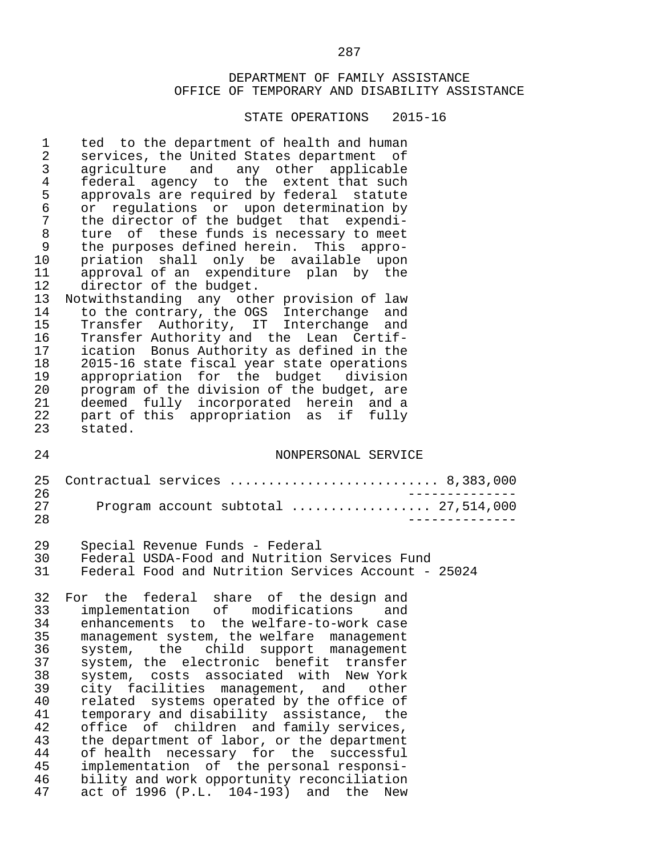#### STATE OPERATIONS 2015-16

2 services, the United States department of<br>3 agriculture and any other applicable 3 agriculture and any other applicable 4 federal agency to the extent that such 5 approvals are required by federal statute<br>6 or regulations or upon determination by 6 or regulations or upon-determination by<br>7 the director of the budget that expendi-7 the director of the budget that expendi-<br>8 ture of these funds is necessary to meet 8 ture of these funds is necessary to meet<br>9 the purposes defined herein. This appro-9 the purposes defined herein. This appro-<br>10 priation shall only be available upon 10 priation shall only be available upon<br>11 approval\_of\_an\_expenditure\_plan\_by\_the 11 approval of an expenditure plan by the<br>12 director of the budget. 12 director of the budget.<br>13 Notwithstanding any oth 13 Notwithstanding any other provision of law<br>14 to the contrary, the OGS Interchange and 14 to the contrary, the OGS Interchange and<br>15 Transfer Authority, IT Interchange and 15 Transfer Authority, IT Interchange and<br>16 Transfer Authority and the Lean Certif-16 Transfer Authority and the Lean Certif-<br>17 ication Bonus Authority as defined in the 17 ication Bonus Authority as defined in the<br>18 2015-16 state fiscal year state operations 18 2015-16 state fiscal year state operations<br>19 appropriation for the budget division 19 appropriation for the budget division<br>20 program of the division of the budget, are 20 program of the division of the budget, are<br>21 deemed fully incorporated herein and a 21 deemed fully incorporated herein and a<br>22 part of this appropriation as if fully 22 part of this appropriation as if fully<br>23 stated. stated. 24 NONPERSONAL SERVICE 25 Contractual services ........................... 8,383,000 26 -------------- 27 Program account subtotal .................. 27,514,000 28 -------------- 29 Special Revenue Funds - Federal<br>30 Federal USDA-Food and Nutrition 30 Federal USDA-Food and Nutrition Services Fund Federal Food and Nutrition Services Account - 25024 32 For the federal share of the-designand<br>33 implementation of modifications and 33 implementation of modifications and 34 enhancements to the welfare-to-work case 35 management system, the welfare management<br>36 system, the child support management 36 system, the child support management<br>37 system, the electronic benefit transfer 37 system, the electronic benefit transfer<br>38 system, costs associated with New York 38 system, costs associated with New-York<br>39 city facilities management, and other 39 city facilities management, and other<br>40 related systems operated by the office of 40 related systems operated by the office of<br>41 temporary and disability assistance, the 41 temporary and disability assistance, the<br>42 office of children and family services, 42 office of children and family services,<br>43 the department of labor, or the department 43 the department of labor, or the department<br>44 of health necessary for the successful 44 of health necessary for the successful<br>45 implementation of the personal responsi-45 implementation of the personal responsi-<br>46 bility and work opportunity reconciliation 46 bility and work opportunity reconciliation<br>47 act of 1996 (P.L. 104-193) and the New act of 1996  $(P.L. 104-193)$  and the New

1 ted to the department of health and human<br>2 services, the United States department of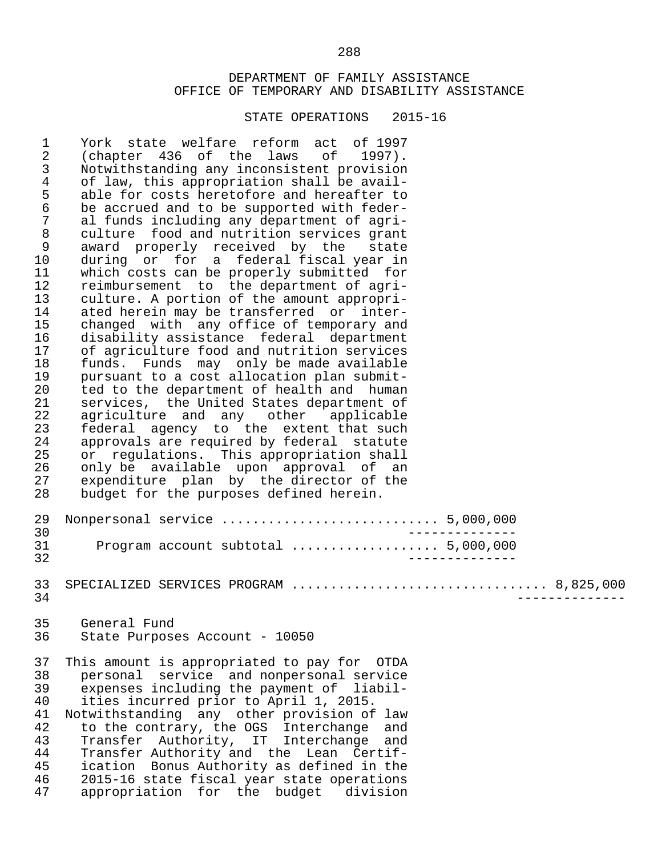STATE OPERATIONS 2015-16

 1 York state welfare reform act of 1997 2 (chapter 436 of the laws of 1997).<br>3 Notwithstanding any inconsistent provision 3 Notwithstanding any inconsistent provision<br>4 of law, this appropriation shall be avail-4 of law, this appropriation shall be avail-<br>5 able for costs heretofore and hereafter to 5 able for costs heretofore and hereafter to<br>6 be accrued and to be supported with feder- 6 be accrued and to be supported with feder- 7 al funds including any department of agri-<br>8 culture food and nutrition services grant 8 culture food and nutrition services grant<br>9 award properly received by the state 9 award properly received by the state<br>10 during or for a federal-fiscal-year-in 10 during or for a federal fiscal year in<br>11 which costs can be properly submitted for 11 which costs can be properly submitted for<br>12 reimbursement to the department of agri-12 reimbursement to the department of agri-<br>13 culture. A portion of the amount appropri-13 culture. A portion of the amount appropri-<br>14 ated herein may be transferred or inter-14 ated herein may be transferred or inter-<br>15 changed with any office of temporary and 15 changed with any office of temporary and<br>16 disability assistance federal department 16 disability assistance federal department<br>17 of agriculture food and nutrition services 17 of agriculture food and nutrition services<br>18 funds. Funds may only be made available 18 funds. Funds may only be made available<br>19 pursuant to a cost allocation plan submit-19 pursuant to a cost allocation plan submit-<br>20 ted to the department of health and human 20 ted to the department of health and human<br>21 services, the United States department of 21 services, the United States department of<br>22 agriculture and any other applicable 22 agriculture and any other applicable<br>23 federal agency to the extent-that-such 23 federal agency to the extent that such<br>24 approvals are required by federal statute 24 approvals are required by federal statute<br>25 or regulations. This appropriation shall 25 or regulations. This appropriation shall<br>26 only be available upon approval of an 26 only be available upon approval of an<br>27 expenditure plan by the-director of the 27 expenditure plan by the director of the<br>28 budget for the purposes defined herein. budget for the purposes defined herein. 29 Nonpersonal service ............................ 5,000,000 30 -------------- 31 Program account subtotal ................... 5,000,000 32 -------------- 33 SPECIALIZED SERVICES PROGRAM ................................. 8,825,000 34 -------------- 35 General Fund<br>36 State Purpos State Purposes Account - 10050 37 This amount is appropriated to pay for OTDA 38 personal service and nonpersonal service 39 expenses including the payment of liabil-<br>40 ities incurred prior to April 1, 2015. 40 ities incurred prior to April 1, 2015. 41 Notwithstanding any other provision of law<br>42 to the contrary, the OGS Interchange and 42 to the contrary, the OGS Interchange and<br>43 Transfer Authority, IT Interchange and 43 Transfer Authority, IT Interchange and 44 Transfer Authority and the Lean Certif-<br>45 ication Bonus Authority as defined in the 45 ication Bonus Authority as defined in the<br>46 2015-16 state fiscal year state operations 46 2015-16 state fiscal year state operations<br>47 appropriation for the budget division appropriation for the budget division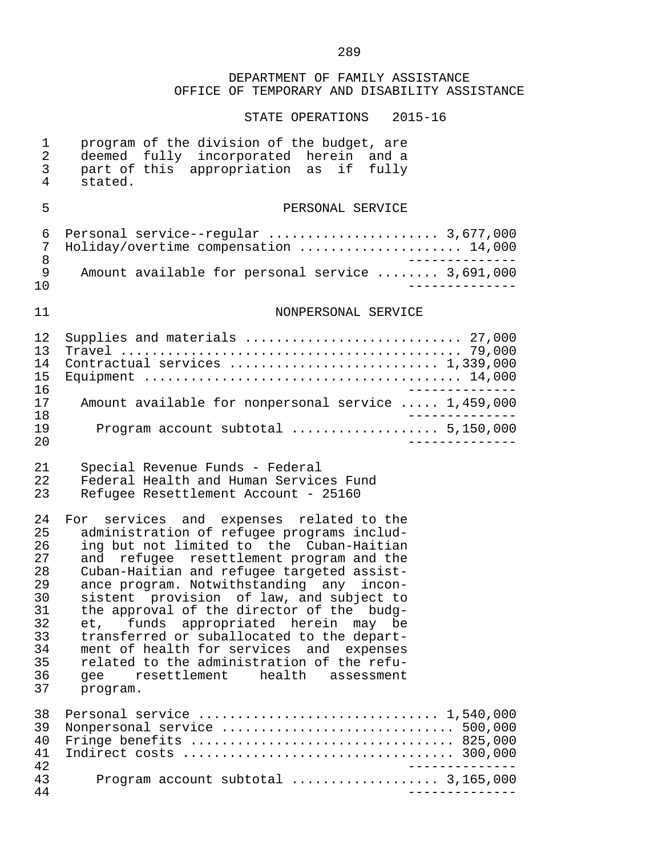| $\mathbf 1$<br>$\overline{2}$<br>3<br>4                                          | program of the division of the budget, are<br>deemed fully incorporated herein and a<br>part of this appropriation as if fully<br>stated.                                                                                                                                                                                                                                                                                                                                                                                                                                                                 |
|----------------------------------------------------------------------------------|-----------------------------------------------------------------------------------------------------------------------------------------------------------------------------------------------------------------------------------------------------------------------------------------------------------------------------------------------------------------------------------------------------------------------------------------------------------------------------------------------------------------------------------------------------------------------------------------------------------|
| 5                                                                                | PERSONAL SERVICE                                                                                                                                                                                                                                                                                                                                                                                                                                                                                                                                                                                          |
| 6<br>7<br>8<br>9                                                                 | Personal service--regular  3,677,000<br>Holiday/overtime compensation  14,000<br>Amount available for personal service  3,691,000                                                                                                                                                                                                                                                                                                                                                                                                                                                                         |
| 10                                                                               | - – – – – – – – – – .                                                                                                                                                                                                                                                                                                                                                                                                                                                                                                                                                                                     |
| 11                                                                               | NONPERSONAL SERVICE                                                                                                                                                                                                                                                                                                                                                                                                                                                                                                                                                                                       |
| 12<br>13<br>14<br>15<br>16                                                       | Supplies and materials  27,000<br>Contractual services  1,339,000                                                                                                                                                                                                                                                                                                                                                                                                                                                                                                                                         |
| 17<br>18                                                                         | Amount available for nonpersonal service  1,459,000                                                                                                                                                                                                                                                                                                                                                                                                                                                                                                                                                       |
| 19<br>20                                                                         | Program account subtotal  5,150,000<br>______________                                                                                                                                                                                                                                                                                                                                                                                                                                                                                                                                                     |
| 21<br>22<br>23                                                                   | Special Revenue Funds - Federal<br>Federal Health and Human Services Fund<br>Refugee Resettlement Account - 25160                                                                                                                                                                                                                                                                                                                                                                                                                                                                                         |
| 24<br>25<br>26<br>27<br>28<br>29<br>30<br>31<br>32<br>33<br>34<br>35<br>36<br>37 | For services and expenses related to the<br>administration of refugee programs includ-<br>ing but not limited to the Cuban-Haitian<br>refugee resettlement program and the<br>and<br>Cuban-Haitian and refugee targeted assist-<br>ance program. Notwithstanding any incon-<br>sistent provision of law, and subject to<br>the approval of the director of the budg-<br>et, funds appropriated herein may be<br>transferred or suballocated to the depart-<br>ment of health for services and expenses<br>related to the administration of the refu-<br>resettlement health assessment<br>gee<br>program. |
| 38<br>39<br>40<br>41<br>42<br>43<br>44                                           | Nonpersonal service  500,000<br>Fringe benefits  825,000<br>Program account subtotal  3,165,000<br>___________                                                                                                                                                                                                                                                                                                                                                                                                                                                                                            |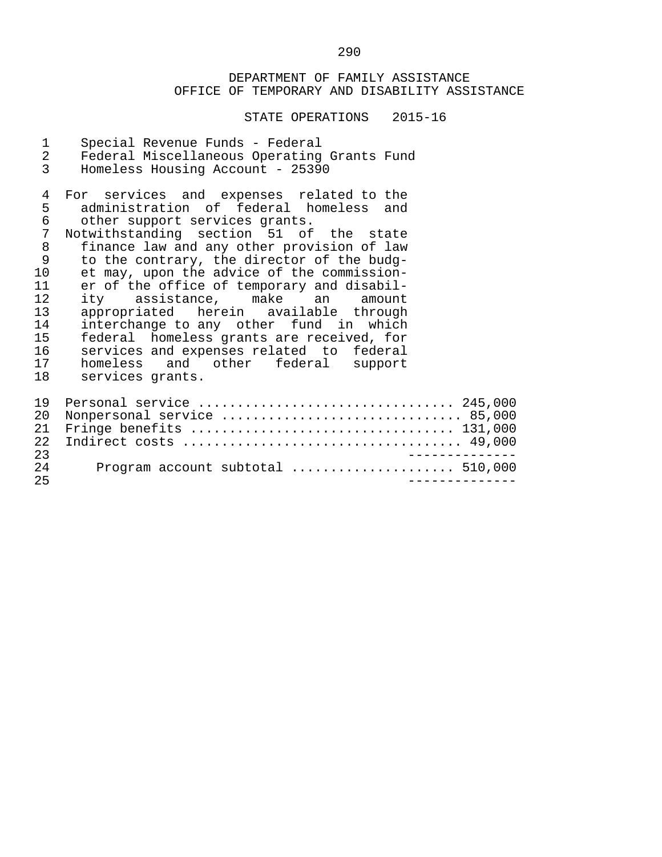STATE OPERATIONS 2015-16

1 Special Revenue Funds - Federal<br>2 Federal Miscellaneous Operating 2 Federal Miscellaneous Operating Grants Fund<br>3 Homeless Housing Account - 25390 Homeless Housing Account - 25390 4 For services and expenses related to the<br>5 administration of federal homeless and 5 administration of federal homeless and<br>6 other support services grants. 6 other support services grants.<br>7 Notwithstanding section 51 of 7 Notwithstanding section 51 of the state<br>8 finance law and any other provision of law 8 finance law and any other provision of law<br>9 to the contrary, the director of the budg-9 to the contrary, the director of the budg-<br>10 et may, upon the advice of the commission-10 et may, upon the advice of the commission-<br>11 er of the office of temporary and disabil-11 er of the office of temporary and disabil-<br>12 ity assistance, make an amount 12 ity assistance, make an amount<br>13 appropriated herein available through 13 appropriated herein available through<br>14 interchange-to-any other fund in which 14 interchange to any other fund in which<br>15 federal homeless grants are received, for 15 federal homeless grants are received, for<br>16 services and expenses related to federal 16 services and expenses related to federal<br>17 homeless and other federal support 17 homeless and other federal<br>18 services grants. services grants. 19 Personal service ................................. 245,000 20 Nonpersonal service ............................... 85,000 21 Fringe benefits .................................. 131,000 22 Indirect costs .................................... 49,000 23 -------------- 24 Program account subtotal ..................... 510,000 25 --------------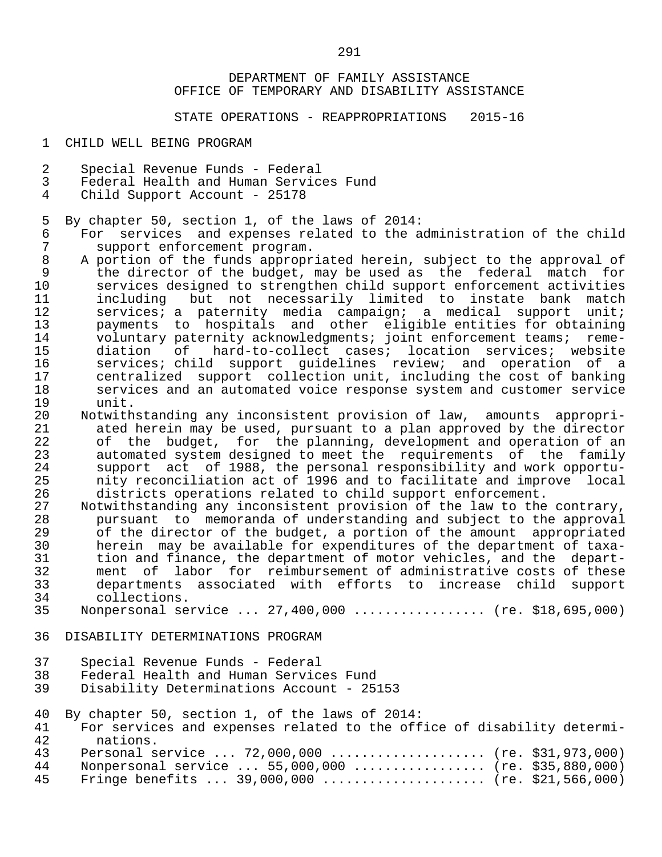STATE OPERATIONS - REAPPROPRIATIONS 2015-16

1 CHILD WELL BEING PROGRAM

- 2 Special Revenue Funds Federal
- 3 Federal Health and Human Services Fund<br>4 Child Support Account 25178
- Child Support Account 25178

5 By chapter 50, section 1, of the laws of 2014:

- 6 For services and expenses related to the administration of the child<br>7 Support enforcement program. 7 support enforcement program.<br>8 A portion of the funds appropr
- 8 A portion of the funds appropriated herein, subject to the approval of<br>9 the director of the budget, may be used as the federal match for 9 the director of the budget, may be used as the federal match for<br>10 services designed to strengthen child support enforcement activities 10 services designed to strengthen child support enforcement activities 11 including but not necessarily limited to instate bank match<br>12 services; a paternity media campaign; a medical support unit; 12 services; a paternity media campaign; a medical support unit;<br>13 services to hospitals and other eligible entities for obtaining 13 payments to hospitals and other eligible entities for obtaining<br>14 voluntary paternity acknowledgments; joint enforcement teams; reme-14 voluntary paternity acknowledgments; joint enforcement teams; reme-<br>15 diation of hard-to-collect cases; location services; website 15 diation of hard-to-collect cases; location services; website<br>16 services; child support quidelines review; and operation of a 16 services; child support guidelines review; and operation of a<br>17 sentralized support collection unit, including the cost of banking 17 centralized support collection unit, including the cost of banking<br>18 services and an automated voice response system and customer service 18 services and an automated voice response system and customer service 19 unit.<br>20 Notwith
- 20 Notwithstanding any inconsistent provision of law, amounts appropri-<br>21 ated herein may be used, pursuant to a plan approved by the director 21 ated herein may be used, pursuant to a plan approved by the director<br>22 of the budget, for the planning, development and operation of an 22 of the budget, for the planning, development and operation of an<br>23 automated system designed to meet the requirements of the family 23 automated system designed to meet the requirements of the family<br>24 support act of 1988, the personal responsibility and work opportu-24 support act of 1988, the personal responsibility and work opportu-<br>25 mity reconciliation act of 1996 and to facilitate and improve local 25 mity reconciliation act of 1996 and to facilitate and improve local<br>26 districts operations related to child support enforcement. 26 districts operations related to child support enforcement.<br>27 Motwithstanding any inconsistent provision of the law to the
- 27 Notwithstanding any inconsistent provision of the law to the contrary,<br>28 The pursuant to memoranda of understanding and subject to the approval 28 pursuant to memoranda of understanding and subject to the approval<br>29 of the director of the budget, a portion of the amount appropriated 29 of the director of the budget, a portion of the amount appropriated<br>30 berein may be available for expenditures of the department of taxa- 30 herein may be available for expenditures of the department of taxa- 31 tion and finance, the department of motor vehicles, and the depart-<br>32 ment of labor for reimbursement of administrative costs of these 32 ment of labor for reimbursement of administrative costs of these<br>33 departments associated with efforts to increase child support 33 departments associated with efforts to increase child support 34 collections.<br>35 Nonpersonal se
- Nonpersonal service ... 27,400,000 ................. (re. \$18,695,000)
- 36 DISABILITY DETERMINATIONS PROGRAM
- 37 Special Revenue Funds Federal<br>38 Federal Health and Human Servic
- 38 Federal Health and Human Services Fund
- Disability Determinations Account 25153

|  |  |  |  | 40 By chapter 50, section 1, of the laws of 2014: |  |  |  |  |  |  |  |
|--|--|--|--|---------------------------------------------------|--|--|--|--|--|--|--|
|--|--|--|--|---------------------------------------------------|--|--|--|--|--|--|--|

- 41 For services and expenses related to the office of disability determi-<br>42 mations 42 nations.<br>43 Personal s 43 Personal service ... 72,000,000 .................... (re. \$31,973,000)<br>44 Nonpersonal service ... 55,000,000 .................. (re. \$35,880,000) 44 Nonpersonal service ... 55,000,000 .................. (re. \$35,880,000)<br>45 Fringe benefits ... 39,000,000 ...................... (re. \$21,566,000)
- Fringe benefits ... 39,000,000 ...................... (re. \$21,566,000)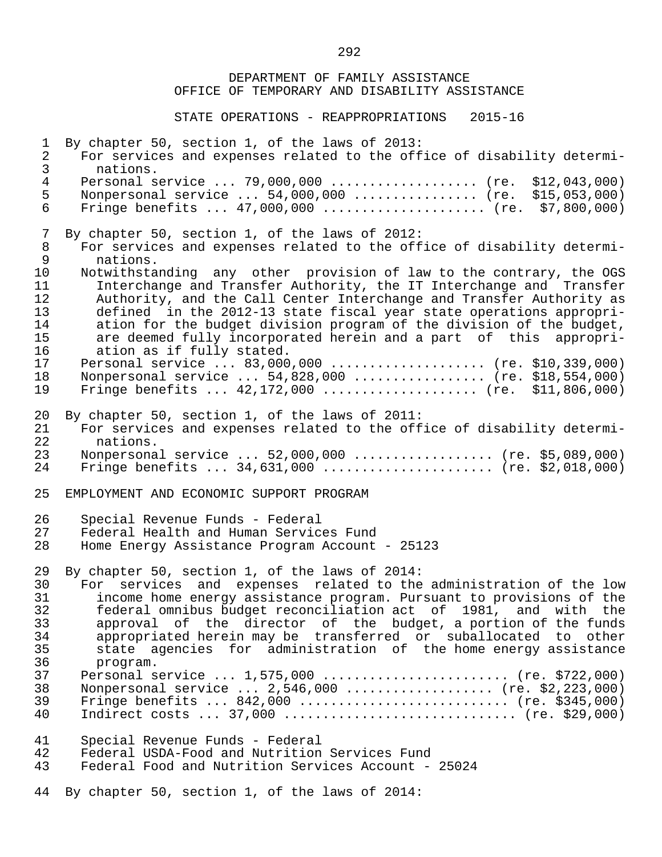DEPARTMENT OF FAMILY ASSISTANCE OFFICE OF TEMPORARY AND DISABILITY ASSISTANCE STATE OPERATIONS - REAPPROPRIATIONS 2015-16 1 By chapter 50, section 1, of the laws of 2013:<br>2 For services and expenses related to the off 2 For services and expenses related to the office of disability determi-<br>3 mations. 3 nations.<br>4 Personal s 4 Personal service ... 79,000,000 ................... (re. \$12,043,000)<br>5 Nonpersonal service ... 54,000,000 ................ (re. \$15,053,000) 5 Nonpersonal service ... 54,000,000 ................ (re. \$15,053,000) Fringe benefits ...  $47,000,000$  ...................... (re. \$7,800,000) 7 By chapter 50, section 1, of the laws of 2012:<br>8 For services and expenses related to the off 8 For services and expenses related to the office of disability determi-<br>9 mations. 9 nations.<br>10 Notwithsta 10 Notwithstanding any other provision of law to the contrary, the OGS<br>11 Interchange and Transfer Authority, the IT Interchange and Transfer 11 Interchange and Transfer Authority, the IT Interchange and Transfer<br>12 Authority, and the Call Center Interchange and Transfer Authority as 12 Authority, and the Call Center Interchange and Transfer Authority as<br>13 defined in the 2012-13 state fiscal vear state operations appropri- 13 defined in the 2012-13 state fiscal year state operations appropri- 14 ation for the budget division program of the division of the budget,<br>15 are deemed fully incorporated herein and a part of this appropri-15 are deemed fully incorporated herein and a part of this appropri-<br>16 ation as if fully stated. 16 ation as if fully stated.<br>17 Personal service ... 83,000 17 Personal service ... 83,000,000 .................... (re. \$10,339,000)<br>18 Nonpersonal service ... 54,828,000 .................. (re. \$18,554,000) 18 Nonpersonal service ... 54,828,000 ................. (re. \$18,554,000) 19 Fringe benefits ... 42,172,000 .................... (re. \$11,806,000) 20 By chapter 50, section 1, of the laws of 2011:<br>21 For services and expenses related to the off 21 For services and expenses related to the office of disability determi-<br>22 mations. 22 nations.<br>23 Nonpersona 23 Monpersonal service ... 52,000,000 .................. (re. \$5,089,000)<br>24 Fringe benefits ... 34,631,000 ........................ (re. \$2,018,000) Fringe benefits ...  $34,631,000$  ....................... (re. \$2,018,000) 25 EMPLOYMENT AND ECONOMIC SUPPORT PROGRAM 26 Special Revenue Funds - Federal<br>27 Federal Health and Human Servic Federal Health and Human Services Fund 28 Home Energy Assistance Program Account - 25123 29 By chapter 50, section 1, of the laws of 2014:<br>30 For services and expenses related to the 30 For services and expenses related to the administration of the low<br>31 Throme home energy assistance program. Pursuant to provisions of the 31 income home energy assistance program. Pursuant to provisions of the 32 federal omnibus budget reconciliation act of 1981, and with the<br>33 approval of the director of the budget, a portion of the funds 33 approval of the director of the budget, a portion of the funds<br>34 appropriated herein may be transferred or suballocated to other 34 appropriated herein may be transferred or suballocated to other 35 state agencies for administration of the home energy assistance 36 program.<br>37 Personal s Personal service ... 1,575,000 ......................... (re. \$722,000) 38 Nonpersonal service ... 2,546,000 ................... (re. \$2,223,000) 39 Fringe benefits ... 842,000 ........................... (re. \$345,000) Indirect costs ... 37,000 ................................. (re. \$29,000) 41 Special Revenue Funds - Federal 42 Federal USDA-Food and Nutrition Services Fund<br>43 Federal Food and Nutrition Services Account -Federal Food and Nutrition Services Account - 25024 44 By chapter 50, section 1, of the laws of 2014:

<u>292</u>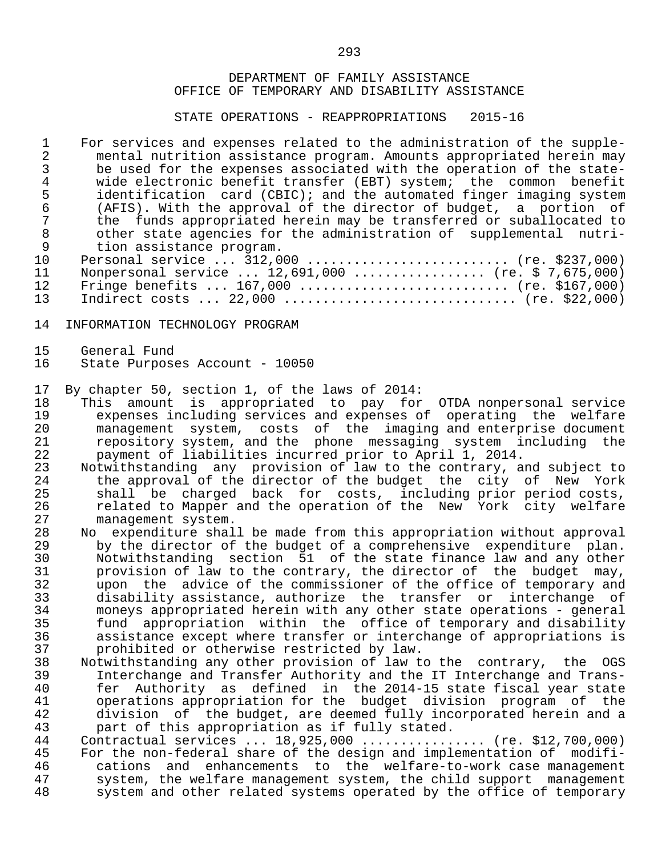STATE OPERATIONS - REAPPROPRIATIONS 2015-16

1 For services and expenses related to the administration of the supple-<br>2 mental nutrition assistance program. Amounts appropriated herein may 2 mental nutrition assistance program. Amounts appropriated herein may<br>3 be used for the expenses associated with the operation of the state-3 be used for the expenses associated with the operation of the state-<br>4 wide electronic benefit transfer (EBT) system; the common benefit 4 wide electronic benefit transfer (EBT) system; the common benefit<br>5 identification card (CBIC); and the automated finger imaging system 5 identification card (CBIC); and the automated finger imaging system<br>6 (AFIS). With the approval of the director of budget, a portion of 6 (AFIS). With the approval of the director of budget, a portion of 7 the funds appropriated herein may be transferred or suballocated to<br>8 other state agencies for the administration of supplemental nutri-8 other state agencies for the administration of supplemental nutri-<br>9 tion assistance program. 9 tion assistance program.<br>10 Personal service ... 312.0 10 Personal service ... 312,000 ........................... (re. \$237,000)<br>11 Nonpersonal service ... 12.691.000 .................. (re. \$ 7.675.000) 11 Nonpersonal service ... 12,691,000 ................. (re. \$ 7,675,000) 12 Fringe benefits ... 167,000 ........................... (re. \$167,000) 13 Indirect costs ... 22,000 .............................. (re. \$22,000)

- 14 INFORMATION TECHNOLOGY PROGRAM
- 15 General Fund<br>16 State Purpos
- State Purposes Account 10050

17 By chapter 50, section 1, of the laws of 2014:

- 18 This amount is appropriated to pay for OTDA nonpersonal service 19 expenses including services and expenses of operating the welfare<br>20 management system, costs of the imaging and enterprise document 20 management system, costs of the imaging and enterprise document<br>21 merository system, and the phone messaging system including the 21 repository system, and the phone messaging system including the<br>22 payment of liabilities incurred prior to April 1, 2014. 22 payment of liabilities incurred prior to April 1, 2014.
- 23 Notwithstanding any provision of law to the contrary, and subject to<br>24 the approval of the director of the budget the city of New York 24 the approval of the director of the budget the city of New York<br>25 shall be charged back for costs, including prior period costs, 25 shall be charged back for costs, including prior period costs,<br>26 shalated to Mapper and the operation of the New York city welfare 26 related to Mapper and the operation of the New York city welfare<br>27 management system. 27 management system.<br>28 No expenditure shal
- 28 No expenditure shall be made from this appropriation without approval<br>29 by the director of the budget of a comprehensive expenditure plan. 29 by the director of the budget of a comprehensive expenditure plan.<br>30 Motwithstanding section 51 of the state finance law and any other 30 Notwithstanding section 51 of the state finance law and any other<br>31 provision of law to the contrary, the director of the budget may, 31 provision of law to the contrary, the director of the budget may,<br>32 upon the advice of the commissioner of the office of temporary and 32 upon the advice of the commissioner of the office of temporary and<br>33 disability assistance, authorize the transfer or interchange of 33 disability assistance, authorize the transfer or interchange of 34 moneys appropriated herein with any other state operations - general<br>35 fund appropriation within the office of temporary and disability 35 fund appropriation within the office of temporary and disability 36 assistance except where transfer or interchange of appropriations is 37 brohibited or otherwise restricted by law.<br>38 Notwithstanding any other provision of law t
- 38 Notwithstanding any other provision of law to the contrary, the OGS 39 Interchange and Transfer Authority and the IT Interchange and Trans- 40 fer Authority as defined in the 2014-15 state fiscal year state<br>41 operations appropriation for the budget division program of the 41 operations appropriation for the budget division program of the<br>42 division of the budget, are deemed fully incorporated herein and a 42 division of the budget, are deemed fully incorporated herein and a<br>43 part of this appropriation as if fully stated. 43 part of this appropriation as if fully stated.<br>44 Contractual services ... 18.925.000 ............

44 Contractual services ... 18,925,000 ................. (re. \$12,700,000)<br>45 For the non-federal share of the design and implementation of modifi-45 For the non-federal share of the design and implementation of modifi-<br>46 (cations and enhancements to the welfare-to-work case management 46 cations and enhancements to the welfare-to-work case management 47 system, the welfare management system, the child support management<br>48 system and other related systems operated by the office of temporary system and other related systems operated by the office of temporary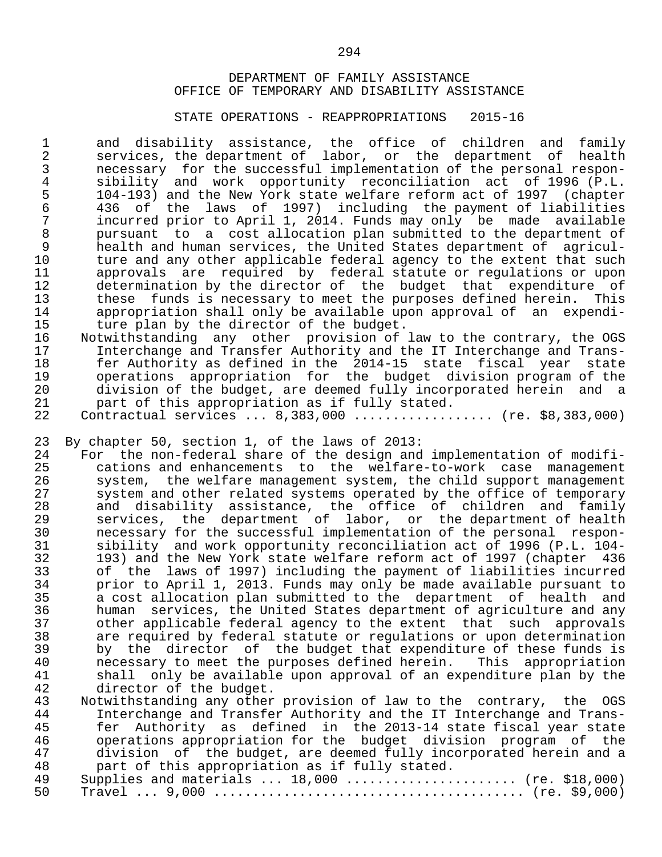#### STATE OPERATIONS - REAPPROPRIATIONS 2015-16

 1 and disability assistance, the office of children and family 2 services, the department of labor, or the department of health 3 necessary for the successful implementation of the personal respon- 4 sibility and work opportunity reconciliation act of 1996 (P.L. 5 104-193) and the New York state welfare reform act of 1997 (chapter 6 436 of the laws of 1997) including the payment of liabilities 7 incurred prior to April 1, 2014. Funds may only be made available 8 pursuant to a cost allocation plan submitted to the department of 9 health and human services, the United States department of agricul-<br>10 ture and any other applicable federal agency to the extent that such 10 ture and any other applicable federal agency to the extent that such<br>11 approvals are required by federal statute or requlations or upon 11 approvals are required by federal statute or regulations or upon<br>12 determination by the director of the budget that expenditure of 12 determination by the director of the budget that expenditure of<br>13 these funds is necessary to meet the purposes defined herein. This 13 these funds is necessary to meet the purposes defined herein.<br>14 appropriation shall only be available upon approval of an expe 14 appropriation shall only be available upon approval of an expendi-<br>15 ture plan by the director of the budget. 15 ture plan by the director of the budget.<br>16 Notwithstanding any other provision of

- 16 Notwithstanding any other provision of law to the contrary, the OGS<br>17 11 Interchange and Transfer Authority and the IT Interchange and Trans-17 Interchange and Transfer Authority and the IT Interchange and Trans-<br>18 18 16 Fer Authority as defined in the 2014-15 state fiscal year state 18 fer Authority as defined in the 2014-15 state fiscal year state<br>19 operations appropriation for the budget division-program of the 19 11 operations appropriation for the budget division-program-of-the-<br>19 operations appropriation for the budget division-program-of-the-<br>20 division-of-the-budget, are-deemed-fully-incorporated-herein-and-a 20 division of the budget, are deemed fully incorporated herein and a<br>21 o part of this appropriation as if fully stated. 21 part of this appropriation as if fully stated.<br>22 Contractual services ... 8.383.000 .............. Contractual services ... 8,383,000 ................... (re. \$8,383,000)
- 

23 By chapter 50, section 1, of the laws of 2013:<br>24 For the non-federal share of the design and

24 For the non-federal share of the design and implementation of modifi-<br>25 cations and enhancements to the welfare-to-work case management 25 cations and enhancements to the welfare-to-work case management 26 system, the welfare management system, the child support management<br>27 system and other related systems operated by the office of temporary 27 system and other related systems operated by the office of temporary<br>28 and disability assistance, the office of children and family 28 and disability assistance, the office of children and family 29 services, the department of labor, or the department of health 30 necessary for the successful implementation of the personal respon-<br>31 sibility and work opportunity reconciliation act of 1996 (P.L. 104- 31 sibility and work opportunity reconciliation act of 1996 (P.L. 104- 32 193) and the New York state welfare reform act of 1997 (chapter 436 33 of the laws of 1997) including the payment of liabilities incurred<br>34 opior to April 1, 2013. Funds may only be made available pursuant to 34 prior to April 1, 2013. Funds may only be made available pursuant to<br>35 a cost allocation plan submitted to the department of health and 35 a cost allocation plan submitted to the department of health and<br>36 human services, the United States department of agriculture and any 36 human services, the United States department of agriculture and any<br>37 other applicable federal agency to the extent that such approvals 37 other applicable federal agency to the extent that such approvals 38 are required by federal statute or regulations or upon determination<br>39 by the director of the budget that expenditure of these funds is 39 by the director of the budget that expenditure of these funds is<br>40 mecessary to meet the purposes defined herein. This appropriation 40 necessary to meet the purposes defined herein. This appropriation<br>41 shall only be available upon approval of an expenditure plan by the 41 shall only be available upon approval of an expenditure plan by the<br>42 director of the budget. 42 director of the budget.<br>43 Notwithstanding any other

43 Notwithstanding any other provision of law to the contrary, the OGS<br>44 Interchange and Transfer Authority and the IT Interchange and Trans-44 Interchange and Transfer Authority and the IT Interchange and Trans-<br>45 fer Authority as defined in the 2013-14 state fiscal year state 45 fer Authority as defined in the 2013-14 state fiscal year state<br>46 operations appropriation for the budget division program of the 46 operations appropriation for the budget division program of the 47 division of the budget, are deemed fully incorporated herein and a<br>48 part of this appropriation as if fully stated. 48 part of this appropriation as if fully stated.<br>49 Supplies and materials ... 18,000 .............. 49 Supplies and materials ... 18,000 ...................... (re. \$18,000) 50 Travel ... 9,000 ........................................ (re. \$9,000)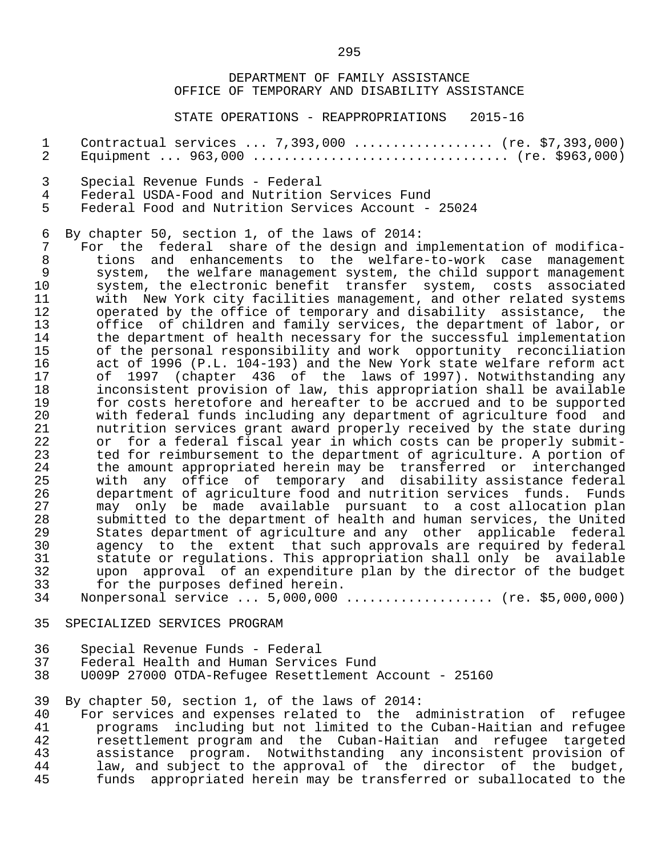STATE OPERATIONS - REAPPROPRIATIONS 2015-16

 1 Contractual services ... 7,393,000 .................. (re. \$7,393,000) 2 Equipment ... 963,000 ................................. (re. \$963,000) 3 Special Revenue Funds - Federal 4 Federal USDA-Food and Nutrition Services Fund<br>5 Federal Food and Nutrition Services Account - 5 Federal Food and Nutrition Services Account - 25024 6 By chapter 50, section 1, of the laws of 2014:<br>7 For the federal share of the design and i 7 For the federal share of the design and implementation of modifica-<br>8 tions and enhancements to the welfare-to-work case management 8 tions and enhancements to the welfare-to-work case management<br>9 system, the welfare management system, the child support management 9 system, the welfare management system, the child support management<br>10 system, the electronic benefit transfer system, costs associated 10 system, the electronic benefit transfer system, costs associated<br>11 with New York city facilities management, and other related systems 11 with New York city facilities management, and other related systems<br>12 operated by the office of temporary and disability assistance, the 12 operated by the office of temporary and disability assistance, the<br>13 office of children and family services, the department of labor, or 13 office of children and family services, the department of labor, or<br>14 the department of health necessary for the successful implementation 14 the department of health necessary for the successful implementation<br>15 of the personal responsibility and work opportunity reconciliation 15 of the personal responsibility and work opportunity reconciliation<br>16 act of 1996 (P.L. 104-193) and the New York state welfare reform act 16 act of 1996 (P.L. 104-193) and the New York state welfare reform act<br>17 of 1997 (chapter 436 of the laws of 1997). Notwithstanding any 17 of 1997 (chapter 436 of the laws of 1997). Notwithstanding any<br>18 inconsistent provision of law, this appropriation shall be available

 18 inconsistent provision of law, this appropriation shall be available 19 for costs heretofore and hereafter to be accrued and to be supported<br>20 with federal funds including any department of agriculture food and 20 with federal funds including any department of agriculture food and<br>21 anticlous envices grant award properly received by the state during 21 nutrition services grant award properly received by the state during<br>22 or for a federal fiscal year in which costs can be properly submit-22 or for a federal fiscal year in which costs can be properly submit-<br>23 ted for reimbursement to the department of agriculture. A portion of 23 ted for reimbursement to the department of agriculture. A portion of<br>24 the amount appropriated herein may be transferred or interchanged 24 the amount appropriated herein may be transferred or interchanged 25 with any office of temporary and disability assistance federal 26 department of agriculture food and nutrition services funds. Funds<br>27 may only be made available pursuant to a cost allocation plan 27 may only be made available pursuant to a cost-allocation-plan<br>28 Submitted to the department of health-and-human-services, the United 28 submitted to the department of health and human services, the United<br>29 States department of agriculture and any other applicable federal 29 States department of agriculture and any other applicable federal<br>20 agency to the extent that such approvals are required by federal 30 agency to the extent that such approvals are required by federal<br>31 statute or requlations. This appropriation shall only be available 31 statute or regulations. This appropriation shall only be available<br>32 a upon approval of an expenditure plan by the director of the budget 32 upon approval of an expenditure plan by the director of the budget<br>33 for the purposes defined herein. 33 for the purposes defined herein.<br>34 Nonpersonal service ... 5.000.000

- Nonpersonal service ... 5,000,000 .................... (re. \$5,000,000)
- 35 SPECIALIZED SERVICES PROGRAM
- 36 Special Revenue Funds Federal
- 37 Federal Health and Human Services Fund
- 38 U009P 27000 OTDA-Refugee Resettlement Account 25160

39 By chapter 50, section 1, of the laws of 2014:

40 For services and expenses related to the administration of refugee<br>41 programs including but not limited to the Cuban-Haitian and refugee 41 programs including but not limited to the Cuban-Haitian and refugee<br>42 Presettlement program and the Cuban-Haitian and refugee targeted 42 resettlement program and the Cuban-Haitian and refugee targeted 43 assistance program. Notwithstanding any inconsistent provision of<br>44 law, and subject to the approval of the director of the budget, 44 law, and subject to the approval of the director of the budget,<br>45 funds appropriated herein may be transferred or suballocated to the funds appropriated herein may be transferred or suballocated to the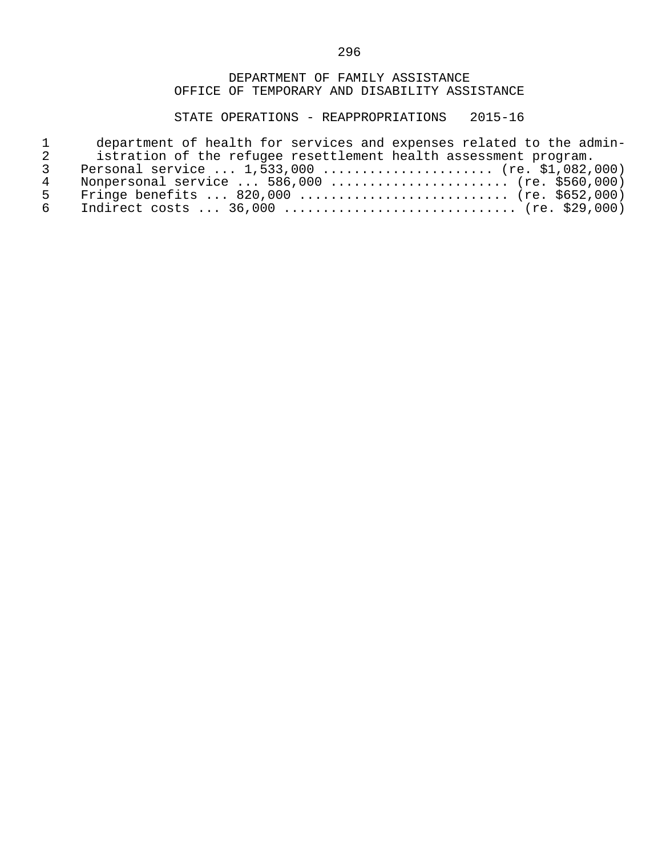STATE OPERATIONS - REAPPROPRIATIONS 2015-16

|     | department of health for services and expenses related to the admin- |
|-----|----------------------------------------------------------------------|
|     | istration of the refugee resettlement health assessment program.     |
|     | Personal service $1,533,000$ (re. \$1,082,000)                       |
| 4   | Nonpersonal service $586,000$ (re. \$560,000)                        |
| Б.  | Fringe benefits  820,000  (re. \$652,000)                            |
| რ — | Indirect costs $36,000$ (re. \$29,000)                               |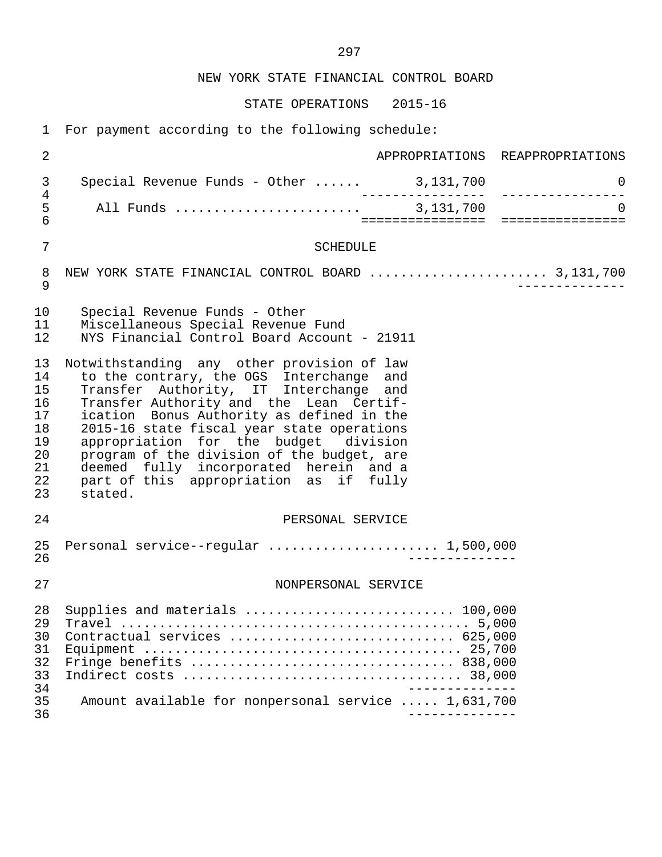NEW YORK STATE FINANCIAL CONTROL BOARD

STATE OPERATIONS 2015-16

1 For payment according to the following schedule:

| $\overline{2}$                                                 |                                                                                                                                                                                                                                                                                                                                                                                                                                                              | APPROPRIATIONS REAPPROPRIATIONS |
|----------------------------------------------------------------|--------------------------------------------------------------------------------------------------------------------------------------------------------------------------------------------------------------------------------------------------------------------------------------------------------------------------------------------------------------------------------------------------------------------------------------------------------------|---------------------------------|
| 3                                                              | Special Revenue Funds - Other $\ldots$ . 3,131,700                                                                                                                                                                                                                                                                                                                                                                                                           | 0<br>_________________          |
| $\overline{4}$<br>5<br>$6\phantom{1}$                          |                                                                                                                                                                                                                                                                                                                                                                                                                                                              | $\Omega$                        |
| $\overline{7}$                                                 | <b>SCHEDULE</b>                                                                                                                                                                                                                                                                                                                                                                                                                                              |                                 |
| 8<br>9                                                         | NEW YORK STATE FINANCIAL CONTROL BOARD  3,131,700                                                                                                                                                                                                                                                                                                                                                                                                            |                                 |
| 10<br>11<br>12                                                 | Special Revenue Funds - Other<br>Miscellaneous Special Revenue Fund<br>NYS Financial Control Board Account - 21911                                                                                                                                                                                                                                                                                                                                           |                                 |
| 13<br>14<br>15<br>16<br>17<br>18<br>19<br>20<br>21<br>22<br>23 | Notwithstanding any other provision of law<br>to the contrary, the OGS Interchange and<br>Transfer Authority, IT Interchange and<br>Transfer Authority and the Lean Certif-<br>ication Bonus Authority as defined in the<br>2015-16 state fiscal year state operations<br>appropriation for the budget division<br>program of the division of the budget, are<br>deemed fully incorporated herein and a<br>part of this appropriation as if fully<br>stated. |                                 |
| 24                                                             | PERSONAL SERVICE                                                                                                                                                                                                                                                                                                                                                                                                                                             |                                 |
| 25<br>26                                                       | Personal service--regular  1,500,000                                                                                                                                                                                                                                                                                                                                                                                                                         |                                 |
| 27                                                             | NONPERSONAL SERVICE                                                                                                                                                                                                                                                                                                                                                                                                                                          |                                 |
| 28<br>29<br>30<br>31<br>32<br>33<br>34<br>35<br>36             | Supplies and materials  100,000<br>Contractual services  625,000<br>Amount available for nonpersonal service  1,631,700                                                                                                                                                                                                                                                                                                                                      |                                 |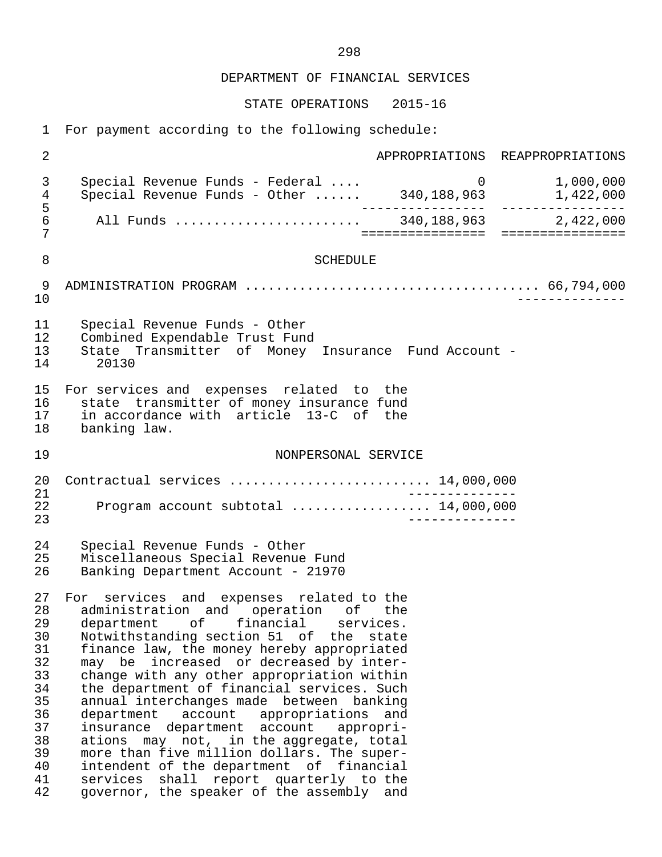STATE OPERATIONS 2015-16

1 For payment according to the following schedule:

| $\overline{2}$                                                                               |                                                                                                                                                                                                                                                                                                                                                                                                                                                                                                                                                                                                                                                                                                       |                    | APPROPRIATIONS REAPPROPRIATIONS |
|----------------------------------------------------------------------------------------------|-------------------------------------------------------------------------------------------------------------------------------------------------------------------------------------------------------------------------------------------------------------------------------------------------------------------------------------------------------------------------------------------------------------------------------------------------------------------------------------------------------------------------------------------------------------------------------------------------------------------------------------------------------------------------------------------------------|--------------------|---------------------------------|
| 3<br>$\overline{4}$                                                                          | Special Revenue Funds - Federal<br>Special Revenue Funds - Other  340,188,963                                                                                                                                                                                                                                                                                                                                                                                                                                                                                                                                                                                                                         | $\overline{0}$     | 1,000,000<br>1,422,000          |
| 5<br>$\epsilon$<br>7                                                                         |                                                                                                                                                                                                                                                                                                                                                                                                                                                                                                                                                                                                                                                                                                       | ================   | ================                |
| 8                                                                                            | <b>SCHEDULE</b>                                                                                                                                                                                                                                                                                                                                                                                                                                                                                                                                                                                                                                                                                       |                    |                                 |
| 9<br>10                                                                                      |                                                                                                                                                                                                                                                                                                                                                                                                                                                                                                                                                                                                                                                                                                       |                    |                                 |
| 11<br>12<br>13<br>14                                                                         | Special Revenue Funds - Other<br>Combined Expendable Trust Fund<br>State Transmitter of Money Insurance Fund Account -<br>20130                                                                                                                                                                                                                                                                                                                                                                                                                                                                                                                                                                       |                    |                                 |
| 15<br>16<br>17<br>18                                                                         | For services and expenses related to the<br>state transmitter of money insurance fund<br>in accordance with article 13-C of the<br>banking law.                                                                                                                                                                                                                                                                                                                                                                                                                                                                                                                                                       |                    |                                 |
| 19                                                                                           | NONPERSONAL SERVICE                                                                                                                                                                                                                                                                                                                                                                                                                                                                                                                                                                                                                                                                                   |                    |                                 |
| 20<br>21<br>22<br>23                                                                         | Contractual services  14,000,000<br>Program account subtotal  14,000,000                                                                                                                                                                                                                                                                                                                                                                                                                                                                                                                                                                                                                              | _______________    |                                 |
| 24<br>25<br>26                                                                               | Special Revenue Funds - Other<br>Miscellaneous Special Revenue Fund<br>Banking Department Account - 21970                                                                                                                                                                                                                                                                                                                                                                                                                                                                                                                                                                                             |                    |                                 |
| 27<br>28<br>29<br>30<br>31<br>32<br>33<br>34<br>35<br>36<br>37<br>38<br>39<br>40<br>41<br>42 | For services and expenses related to the<br>administration and operation of the<br>department of financial services.<br>Notwithstanding section 51 of the<br>finance law, the money hereby appropriated<br>may be increased or decreased by inter-<br>change with any other appropriation within<br>the department of financial services. Such<br>annual interchanges made between banking<br>department account<br>appropriations and<br>insurance department account<br>ations may not, in the aggregate, total<br>more than five million dollars. The super-<br>intendent of the department of financial<br>shall report quarterly to the<br>services<br>governor, the speaker of the assembly and | state<br>appropri- |                                 |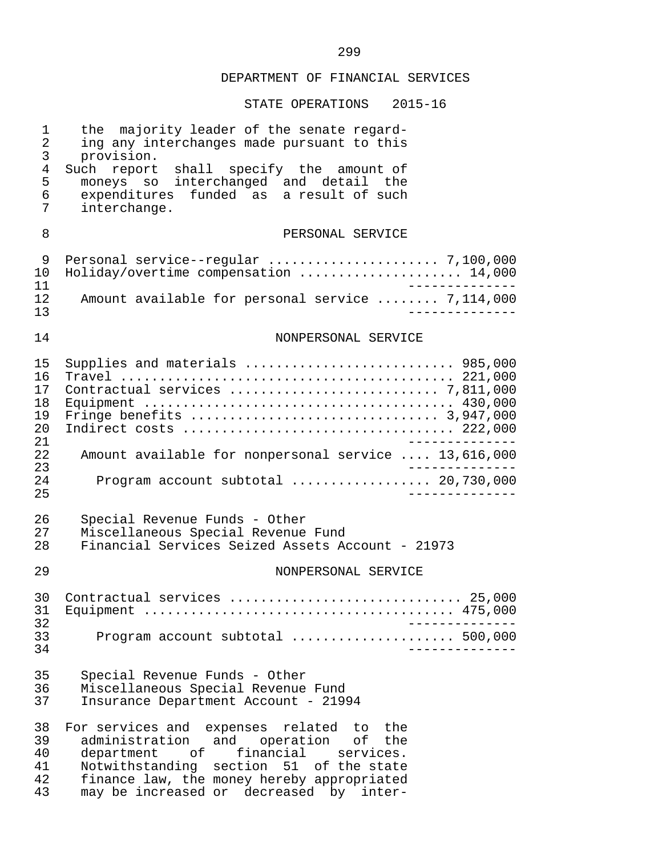| 1<br>$\overline{2}$<br>$\mathsf{3}$<br>$\overline{4}$<br>5<br>6<br>7 | majority leader of the senate regard-<br>the<br>ing any interchanges made pursuant to this<br>provision.<br>Such report<br>shall specify the amount of<br>moneys so interchanged and detail the<br>funded as a result of such<br>expenditures<br>interchange. |
|----------------------------------------------------------------------|---------------------------------------------------------------------------------------------------------------------------------------------------------------------------------------------------------------------------------------------------------------|
| 8                                                                    | PERSONAL SERVICE                                                                                                                                                                                                                                              |
| 9<br>10<br>11<br>12<br>13                                            | Holiday/overtime compensation  14,000<br>Amount available for personal service  7,114,000                                                                                                                                                                     |
| 14                                                                   | NONPERSONAL SERVICE                                                                                                                                                                                                                                           |
| 15<br>16<br>17<br>18<br>19<br>20<br>21<br>22<br>23                   | Supplies and materials  985,000<br>Amount available for nonpersonal service  13,616,000                                                                                                                                                                       |
| 24<br>25                                                             | Program account subtotal  20,730,000                                                                                                                                                                                                                          |
| 26<br>27<br>28                                                       | Special Revenue Funds - Other<br>Miscellaneous Special Revenue Fund<br>Financial Services Seized Assets Account - 21973                                                                                                                                       |
| 29                                                                   | NONPERSONAL SERVICE                                                                                                                                                                                                                                           |
| 30<br>31<br>32<br>33                                                 | Contractual services  25,000<br>Program account subtotal  500,000                                                                                                                                                                                             |
| 34<br>35<br>36<br>37                                                 | Special Revenue Funds - Other<br>Miscellaneous Special Revenue Fund<br>Insurance Department Account - 21994                                                                                                                                                   |
| 38<br>39<br>40<br>41<br>42<br>43                                     | For services and expenses related to the<br>administration and operation of the<br>department of<br>financial services.<br>Notwithstanding section 51 of the state<br>finance law, the money hereby appropriated<br>may be increased or decreased by inter-   |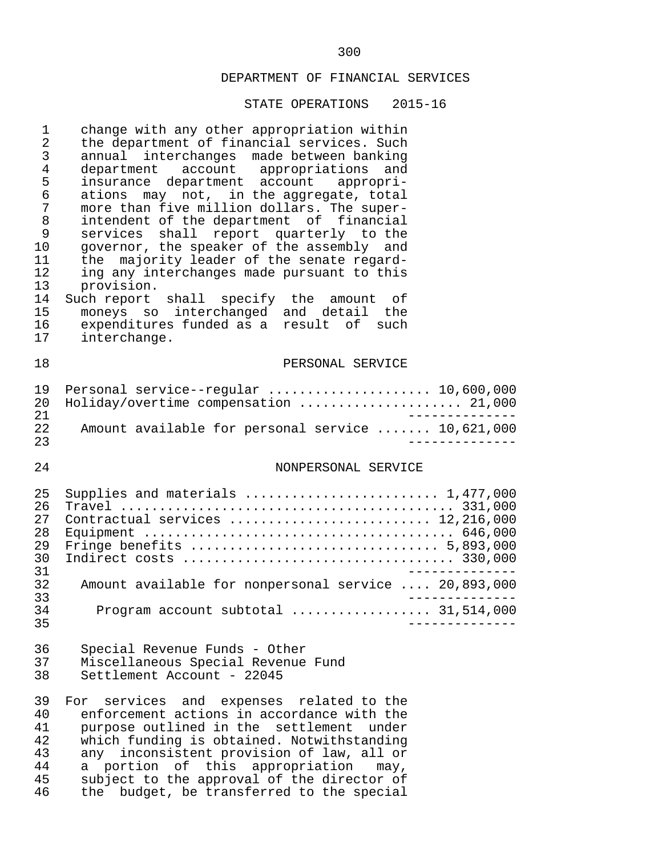| $\mathbf 1$<br>$\overline{2}$<br>3<br>$\overline{4}$<br>5<br>6<br>7<br>8<br>9<br>10<br>11<br>12<br>13<br>14<br>15<br>16<br>17 | change with any other appropriation within<br>the department of financial services. Such<br>annual interchanges made between banking<br>department account appropriations and<br>insurance department account appropri-<br>may not, in the aggregate, total<br>ations<br>more than five million dollars. The super-<br>intendent of the department of financial<br>services shall report quarterly to the<br>governor, the speaker of the assembly and<br>majority leader of the senate regard-<br>the<br>ing any interchanges made pursuant to this<br>provision.<br>Such report<br>shall specify the amount<br>оf<br>moneys so interchanged and detail the<br>expenditures funded as a result of such<br>interchange. |
|-------------------------------------------------------------------------------------------------------------------------------|-------------------------------------------------------------------------------------------------------------------------------------------------------------------------------------------------------------------------------------------------------------------------------------------------------------------------------------------------------------------------------------------------------------------------------------------------------------------------------------------------------------------------------------------------------------------------------------------------------------------------------------------------------------------------------------------------------------------------|
| 18                                                                                                                            | PERSONAL SERVICE                                                                                                                                                                                                                                                                                                                                                                                                                                                                                                                                                                                                                                                                                                        |
| 19<br>20<br>21<br>22<br>23                                                                                                    | Personal service--regular  10,600,000<br>Holiday/overtime compensation  21,000<br>Amount available for personal service  10,621,000                                                                                                                                                                                                                                                                                                                                                                                                                                                                                                                                                                                     |
| 24                                                                                                                            | NONPERSONAL SERVICE                                                                                                                                                                                                                                                                                                                                                                                                                                                                                                                                                                                                                                                                                                     |
| 25<br>26<br>27<br>28<br>29<br>30<br>31<br>32<br>33<br>34<br>35                                                                | Supplies and materials  1,477,000<br>Contractual services  12,216,000<br>Amount available for nonpersonal service  20,893,000<br>Program account subtotal  31,514,000                                                                                                                                                                                                                                                                                                                                                                                                                                                                                                                                                   |
| 36<br>37<br>38                                                                                                                | Special Revenue Funds - Other<br>Miscellaneous Special Revenue Fund<br>Settlement Account - 22045                                                                                                                                                                                                                                                                                                                                                                                                                                                                                                                                                                                                                       |
| 39<br>40<br>41<br>42<br>43<br>44<br>45<br>46                                                                                  | services<br>and expenses related to the<br>For<br>enforcement actions in accordance with the<br>purpose outlined in the settlement<br>under<br>which funding is obtained. Notwithstanding<br>any inconsistent provision of law, all or<br>a portion of this appropriation<br>$may$ ,<br>subject to the approval of the director of<br>the budget, be transferred to the special                                                                                                                                                                                                                                                                                                                                         |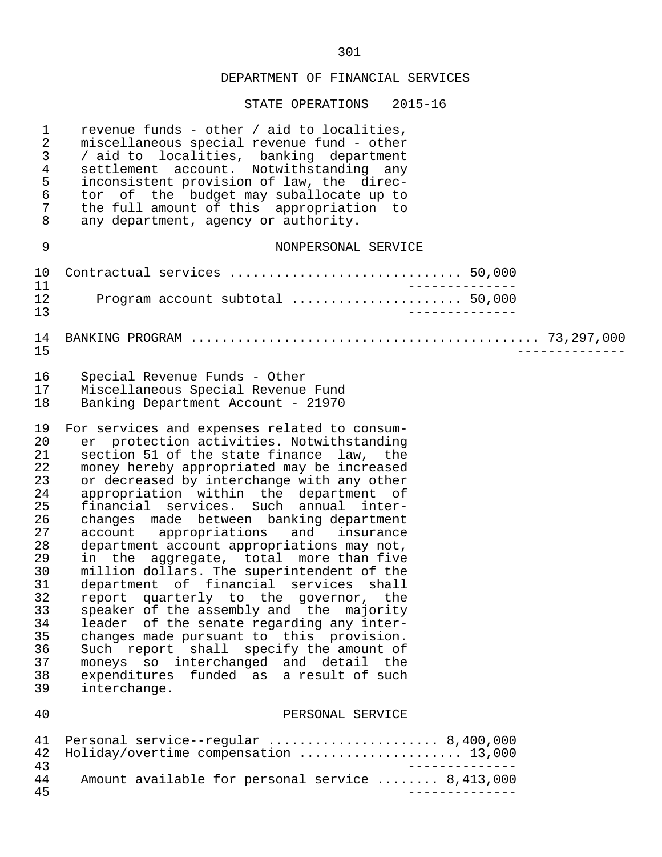| $\mathbf 1$<br>2<br>3<br>$\overline{4}$<br>5<br>6<br>7<br>8                                                                | revenue funds - other / aid to localities,<br>miscellaneous special revenue fund - other<br>/ aid to localities, banking department<br>settlement account. Notwithstanding any<br>inconsistent provision of law, the direc-<br>tor of the budget may suballocate up to<br>the full amount of this appropriation to<br>any department, agency or authority.                                                                                                                                                                                                                                                                                                                                                                                                                                                                                                                                                            |
|----------------------------------------------------------------------------------------------------------------------------|-----------------------------------------------------------------------------------------------------------------------------------------------------------------------------------------------------------------------------------------------------------------------------------------------------------------------------------------------------------------------------------------------------------------------------------------------------------------------------------------------------------------------------------------------------------------------------------------------------------------------------------------------------------------------------------------------------------------------------------------------------------------------------------------------------------------------------------------------------------------------------------------------------------------------|
| 9                                                                                                                          | NONPERSONAL SERVICE                                                                                                                                                                                                                                                                                                                                                                                                                                                                                                                                                                                                                                                                                                                                                                                                                                                                                                   |
| 10<br>11                                                                                                                   | Contractual services  50,000                                                                                                                                                                                                                                                                                                                                                                                                                                                                                                                                                                                                                                                                                                                                                                                                                                                                                          |
| 12<br>13                                                                                                                   | Program account subtotal  50,000                                                                                                                                                                                                                                                                                                                                                                                                                                                                                                                                                                                                                                                                                                                                                                                                                                                                                      |
| 14<br>15                                                                                                                   |                                                                                                                                                                                                                                                                                                                                                                                                                                                                                                                                                                                                                                                                                                                                                                                                                                                                                                                       |
| 16<br>17<br>18                                                                                                             | Special Revenue Funds - Other<br>Miscellaneous Special Revenue Fund<br>Banking Department Account - 21970                                                                                                                                                                                                                                                                                                                                                                                                                                                                                                                                                                                                                                                                                                                                                                                                             |
| 19<br>20<br>21<br>22<br>23<br>24<br>25<br>26<br>27<br>28<br>29<br>30<br>31<br>32<br>33<br>34<br>35<br>36<br>37<br>38<br>39 | For services and expenses related to consum-<br>er protection activities. Notwithstanding<br>section 51 of the state finance law, the<br>money hereby appropriated may be increased<br>or decreased by interchange with any other<br>appropriation within the department of<br>financial services. Such annual inter-<br>changes made between banking department<br>account appropriations and insurance<br>department account appropriations may not,<br>in the aggregate, total more than five<br>million dollars. The superintendent of the<br>department of financial services shall<br>report quarterly to the governor, the<br>speaker of the assembly and the majority<br>leader of the senate regarding any inter-<br>changes made pursuant to this provision.<br>Such report shall specify the amount of<br>moneys so interchanged and detail the<br>expenditures funded as a result of such<br>interchange. |
| 40                                                                                                                         | PERSONAL SERVICE                                                                                                                                                                                                                                                                                                                                                                                                                                                                                                                                                                                                                                                                                                                                                                                                                                                                                                      |
| 41<br>42<br>43                                                                                                             | Personal service--regular  8,400,000<br>Holiday/overtime compensation  13,000                                                                                                                                                                                                                                                                                                                                                                                                                                                                                                                                                                                                                                                                                                                                                                                                                                         |
| 44<br>45                                                                                                                   | Amount available for personal service  8,413,000                                                                                                                                                                                                                                                                                                                                                                                                                                                                                                                                                                                                                                                                                                                                                                                                                                                                      |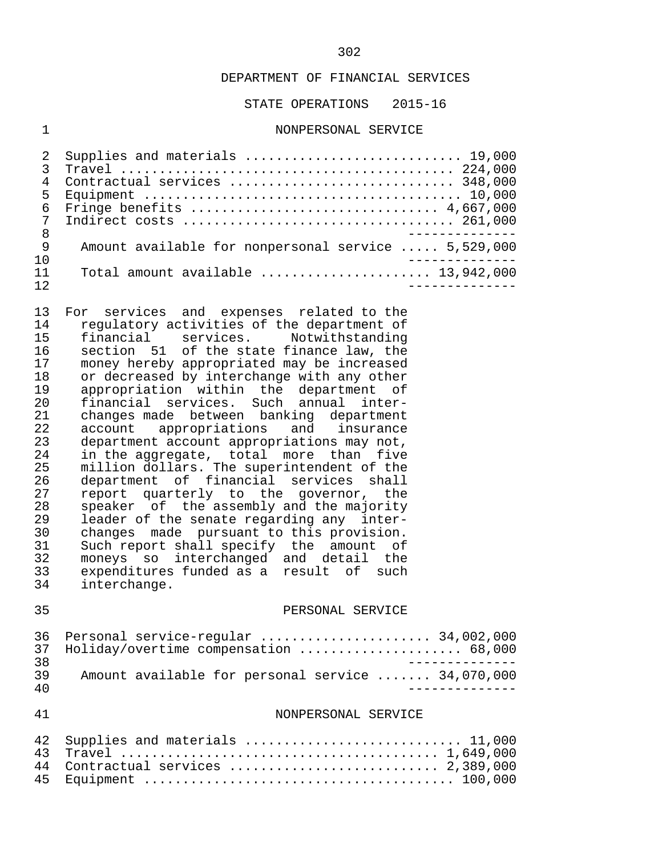STATE OPERATIONS 2015-16

#### 1 NONPERSONAL SERVICE

| 5.  |                                                                             |
|-----|-----------------------------------------------------------------------------|
|     | 6 Fringe benefits  4,667,000                                                |
| 7   |                                                                             |
| 8   |                                                                             |
| 9   | Amount available for nonpersonal service  5,529,000                         |
| 10  |                                                                             |
| 11  | Total amount available $\ldots, \ldots, \ldots, \ldots, \ldots, 13,942,000$ |
| 12. |                                                                             |

13 For services and expenses related to the<br>14 regulatory activities of the department of 14 regulatory activities of the department of<br>15 financial services. Notwithstanding 15 financial services. Notwithstanding<br>16 section 51 of the state finance law, the 16 section 51 of the state finance law, the<br>17 money hereby appropriated may be increased 17 money hereby appropriated may be increased<br>18 or decreased by interchange with any other 18 or decreased by interchange with any other<br>19 appropriation within the department of 19 appropriation within the department of<br>20 financial services. Such annual inter- 20 financial services. Such annual inter- 21 changes made between banking department<br>22 account appropriations and insurance 22 account appropriations and insurance<br>23 department\_account\_appropriations\_may\_not, 23 department account appropriations may not,<br>24 in the aggregate, total more than five 24 in the aggregate, total more than five<br>25 million dollars. The superintendent of the 25 million dollars. The superintendent of the 26 department of financial services shall 27 report quarterly to the governor, the<br>28 speaker of the assembly and the majority 28 speaker of the assembly and the majority<br>29 leader of the senate regarding any inter-29 leader of the senate regarding any inter-<br>30 changes made pursuant to this provision. 30 changes made pursuant to this provision.<br>31 Such report shall specify the amount of 31 Such report shall specify the amount of<br>32 moneys so interchanged and detail the 32 moneys so interchanged and detail the 33 expenditures funded as a result of such 34 interchange.

#### 35 PERSONAL SERVICE

|     | 36 Personal service-regular  34,002,000           |  |
|-----|---------------------------------------------------|--|
|     | 37 Holiday/overtime compensation  68,000          |  |
| 3 R |                                                   |  |
| 39. | Amount available for personal service  34,070,000 |  |
| 4 N |                                                   |  |

#### 41 NONPERSONAL SERVICE

| 42 Supplies and materials  11,000  |
|------------------------------------|
|                                    |
| 44 Contractual services  2,389,000 |
|                                    |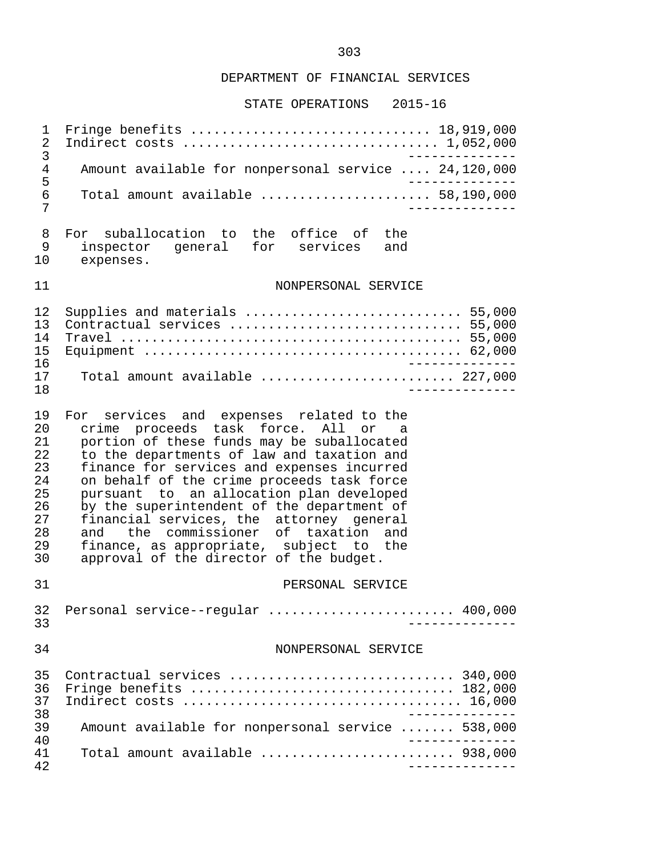#### STATE OPERATIONS 2015-16

 1 Fringe benefits ............................... 18,919,000 2 Indirect costs ................................. 1,052,000 3 -------------- 4 Amount available for nonpersonal service .... 24,120,000 5 -------------- 6 Total amount available ...................... 58,190,000 7 -------------- 8 For suballocation to the office of the<br>9 inspector general for services and 9 inspector general for services and<br>10 expenses. expenses. 11 NONPERSONAL SERVICE 12 Supplies and materials ............................ 55,000 13 Contractual services .............................. 55,000 14 Travel ............................................ 55,000 15 Equipment ......................................... 62,000 16 -------------- 17 Total amount available ......................... 227,000 18 -------------- 19 For services and expenses related to the<br>20 crime proceeds task force. All or a 20 crime proceeds task force. All or a<br>21 portion of these funds may be suballocated 21 portion of these funds may be suballocated<br>22 to the departments of law and taxation and 22 to the departments of law and taxation and<br>23 finance for services and expenses incurred 23 finance for services and expenses incurred<br>24 on behalf of the crime proceeds task force 24 on behalf of the crime proceeds task force<br>25 pursuant to an allocation plan developed 25 pursuant to an allocation plan developed<br>26 by the superintendent of the department of 26 by the superintendent of the department of<br>27 financial services, the attorney general 27 financial services, the attorney general<br>28 and the commissioner of taxation and 28 and the commissioner of taxation and<br>29 finance as appropriate, subject to the 29 finance, as appropriate, subject to the<br>30 approval of the director of the budget. approval of the director of the budget. 31 PERSONAL SERVICE 32 Personal service--regular ........................ 400,000 33 -------------- 34 NONPERSONAL SERVICE 35 Contractual services ............................. 340,000 36 Fringe benefits .................................. 182,000 37 Indirect costs .................................... 16,000 -------------<br>39 Amount available for nonpersonal service ....... 538,000 39 Amount available for nonpersonal service ....... 538,000 40 -------------- 41 Total amount available ......................... 938,000 42 --------------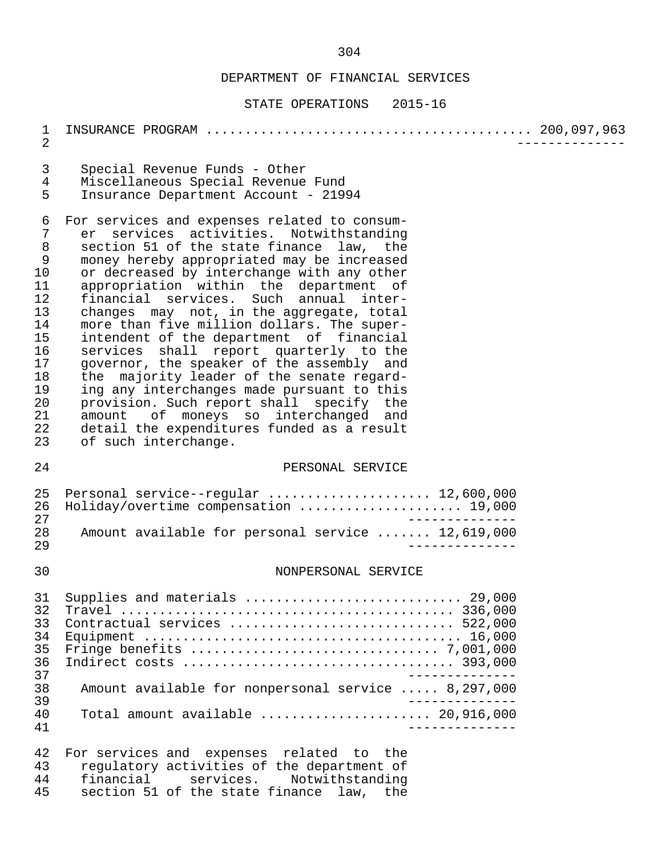#### STATE OPERATIONS 2015-16

 1 INSURANCE PROGRAM .......................................... 200,097,963 2 -------------- 3 Special Revenue Funds - Other 4 Miscellaneous Special Revenue Fund<br>5 Insurance Department Account - 219 5 Insurance Department Account - 21994 6 For services and expenses related to consum- 7 er services activities. Notwithstanding<br>8 section 51 of the state finance law, the 8 section 51 of the state finance law, the<br>9 money hereby appropriated may be increased 9 money hereby appropriated may be increased<br>10 or decreased by interchange with any other 10 or decreased by interchange with any other<br>11 appropriation within the department of 11 appropriation within the department of<br>12 financial services. Such annual inter-12 financial services. Such annual inter-<br>13 changes may not, in the aggregate, total 13 changes may not, in the aggregate, total<br>14 more than five million dollars. The super-14 more than five million dollars. The super-<br>15 intendent of the department of financial 15 intendent of the department of financial<br>16 services shall report quarterly to the 16 services shall report quarterly to the<br>17 qovernor, the speaker of the assembly and 17 governor, the speaker of the assembly and<br>18 the majority leader of the senate regard-18 the majority leader of the senate regard-<br>19 ing any interchanges made pursuant to this ing any interchanges made pursuant to this 20 provision. Such report shall specify the<br>21 amount of moneys so interchanged and 21 amount of moneys so interchanged and<br>22 detail the expenditures funded as a result 22 detail the expenditures funded as a result<br>23 of such interchange. of such interchange. 24 PERSONAL SERVICE 25 Personal service--regular ....................... 12,600,000<br>26 Holiday/overtime compensation ..................... 19,000 26 Holiday/overtime compensation ..................... 19,000 27<br>28 Amount available for personal service ....... 12.619.000 28 Amount available for personal service ....... 12,619,000 29 -------------- 30 NONPERSONAL SERVICE 31 Supplies and materials ............................ 29,000 32 Travel ........................................... 336,000 33 Contractual services ............................. 522,000 34 Equipment ......................................... 16,000 35 Fringe benefits ................................ 7,001,000 36 Indirect costs ................................... 393,000 37 -------------- 38 Amount available for nonpersonal service ..... 8,297,000 39 -------------- 40 Total amount available ...................... 20,916,000 41 -------------- 42 For services and expenses related to the<br>43 requiatory activities of the department of 43 regulatory activities of the department of<br>44 financial services. Notwithstanding 44 financial services. Notwithstanding<br>45 section 51 of the state-finance law, the

section 51 of the state finance law, the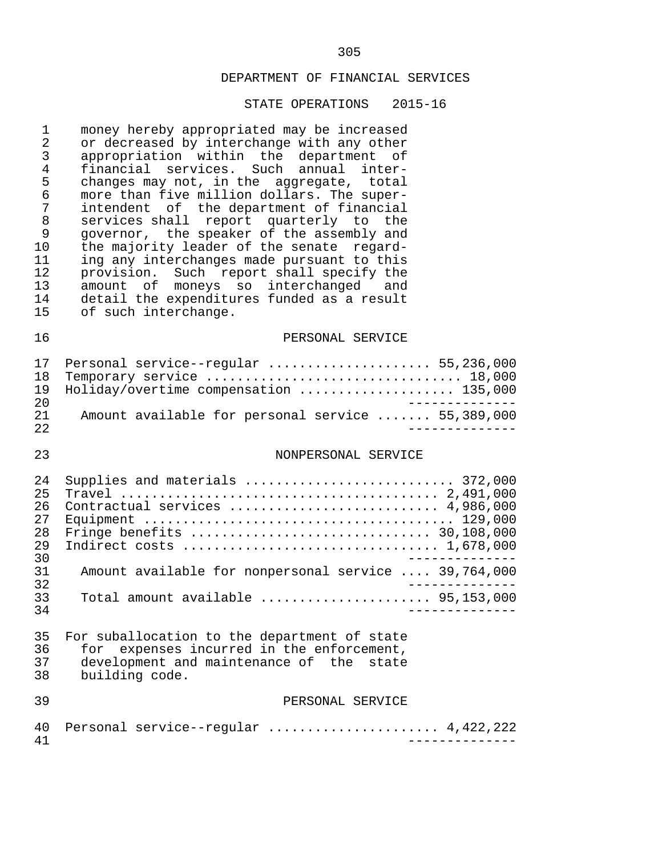#### STATE OPERATIONS 2015-16

1 money hereby appropriated may be increased<br>2 or decreased by interchange with any other 2 or decreased by interchange with any other<br>3 appropriation within the department of 3 appropriation within the department of<br>4 financial services. Such annual inter- 4 financial services. Such annual inter- 5 changes may not, in the aggregate, total<br>6 more than five million dollars. The super- 6 more than five million dollars. The super- 7 intendent of the department of financial<br>8 services shall report quarterly to the 8 services shall report quarterly to the<br>9 governor, the speaker of the assembly and 9 governor, the speaker of the assembly and<br>10 the majority leader of the senate regard-10 the majority leader of the senate regard-<br>11 ing any interchanges made pursuant to this 11 ing any interchanges made pursuant to this<br>12 provision. Such report shall specify the 12 provision. Such report shall specify the 13 amount of moneys so interchanged and 14 detail the expenditures funded as a result<br>15 of such interchange. of such interchange.

#### 16 PERSONAL SERVICE

|      | 17 Personal service--regular  55,236,000          |  |
|------|---------------------------------------------------|--|
|      | 18 Temporary service  18,000                      |  |
|      | 19 Holiday/overtime compensation  135,000         |  |
| 2.0  |                                                   |  |
| 21   | Amount available for personal service  55,389,000 |  |
| 2.2. |                                                   |  |

#### 23 NONPERSONAL SERVICE

| 2.4 | Supplies and materials  372,000                                             |
|-----|-----------------------------------------------------------------------------|
| 25  |                                                                             |
| 26  | Contractual services  4,986,000                                             |
| 27  |                                                                             |
| 28  |                                                                             |
| 29  |                                                                             |
| 30  |                                                                             |
| 31  | Amount available for nonpersonal service  39,764,000                        |
| 32  |                                                                             |
| 33  | Total amount available $\ldots, \ldots, \ldots, \ldots, \ldots, 95,153,000$ |
| 34  |                                                                             |

|    | 35 For suballocation to the department of state |
|----|-------------------------------------------------|
| 36 | for expenses incurred in the enforcement,       |
| 37 | development and maintenance of the state        |
| 38 | building code.                                  |

#### 39 PERSONAL SERVICE

|  | 40 Personal service--regular  4,422,222 |  |
|--|-----------------------------------------|--|
|  |                                         |  |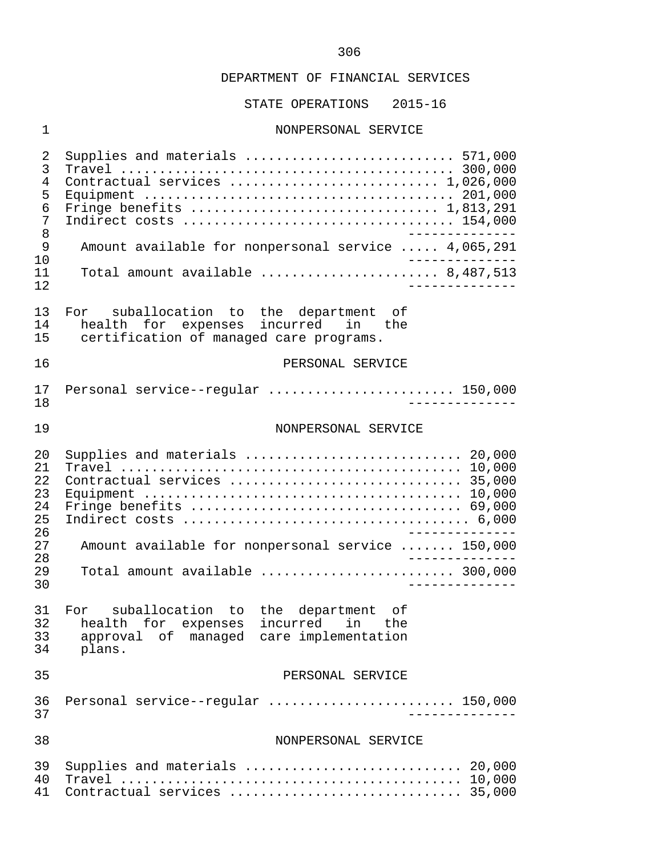STATE OPERATIONS 2015-16

#### 1 NONPERSONAL SERVICE

 2 Supplies and materials ........................... 571,000 3 Travel ........................................... 300,000 4 Contractual services ........................... 1,026,000 5 Equipment ........................................ 201,000 6 Fringe benefits ................................ 1,813,291 7 Indirect costs ................................... 154,000 8 -------------- 9 Amount available for nonpersonal service ..... 4,065,291<br>10 10 -------------- 11 Total amount available ....................... 8,487,513 12 -------------- 13 For suballocation to the department of<br>14 health for expenses incurred in the 14 health for expenses incurred in the<br>15 certification of managed care programs. certification of managed care programs. 16 PERSONAL SERVICE 17 Personal service--regular ........................ 150,000 18 -------------- 19 NONPERSONAL SERVICE 20 Supplies and materials ............................ 20,000 21 Travel ............................................ 10,000 22 Contractual services .............................. 35,000 23 Equipment ......................................... 10,000 24 Fringe benefits ................................... 69,000 25 Indirect costs ..................................... 6,000 26<br>27 Amount available for nonpersonal service ....... 150.000 27 Amount available for nonpersonal service ....... 150,000 28 -------------- 29 Total amount available ......................... 300,000 30 -------------- 31 For suballocation to the department of 32 health for expenses incurred in the 33 approval of managed care implementation plans. 35 PERSONAL SERVICE 36 Personal service--regular ........................ 150,000 37 -------------- 38 NONPERSONAL SERVICE 39 Supplies and materials ............................ 20,000 40 Travel ............................................ 10,000 41 Contractual services .............................. 35,000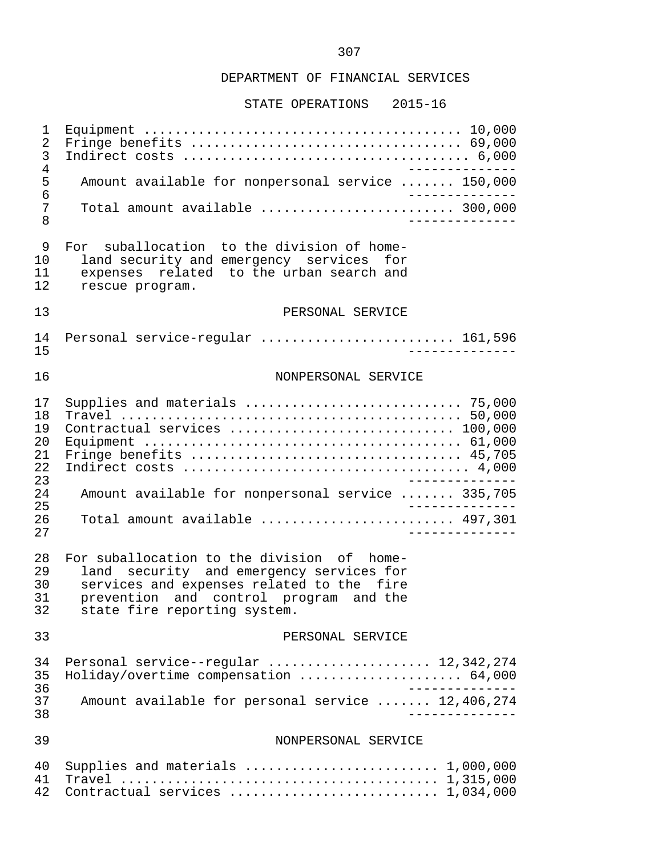STATE OPERATIONS 2015-16

 1 Equipment ......................................... 10,000 2 Fringe benefits ................................... 69,000 3 Indirect costs ..................................... 6,000 -------------<br>150,000.5 Amount available for nonpersonal service ....... 150 5 Amount available for nonpersonal service ....... 150,000<br>6 ------------- 6 -------------- 7 Total amount available ......................... 300,000 8 -------------- 9 For suballocation to the division of home-<br>10 1and security and emergency services for 10 land security and emergency services for<br>11 expenses related to the urban search and 11 expenses related to the urban search and<br>12 rescue program. rescue program. 13 PERSONAL SERVICE 14 Personal service-regular ............................. 161,596<br>15 1<u>5 -------------</u> 16 NONPERSONAL SERVICE 17 Supplies and materials ............................ 75,000 18 Travel ............................................ 50,000 19 Contractual services ............................. 100,000 20 Equipment ......................................... 61,000 21 Fringe benefits ................................... 45,705 22 Indirect costs ..................................... 4,000 23<br>24 Amount available for nonpersonal service ....... 335.705 24 Amount available for nonpersonal service ....... 335,705 25<br>26 Total amount available ............................ 497.301 26 Total amount available ............................... 497,301 27 -------------- 28 For suballocation to the division of home-<br>29 Iand security and emergency services for 29 land security and emergency services for<br>30 services and expenses related to the fire 30 services and expenses related to the fire<br>31 prevention and control program and the 31 prevention and control program and the<br>32 state fire reporting system. state fire reporting system. 33 PERSONAL SERVICE 34 Personal service--regular ...................... 12,342,274<br>35 Holiday/overtime compensation ..................... 64.000 35 Holiday/overtime compensation ..................... 64,000 -------------<br>37 Amount available for personal service ....... 12.406.274 37 Amount available for personal service ....... 12,406,274 38 -------------- 39 NONPERSONAL SERVICE 40 Supplies and materials ......................... 1,000,000 41 Travel ......................................... 1,315,000 42 Contractual services ........................... 1,034,000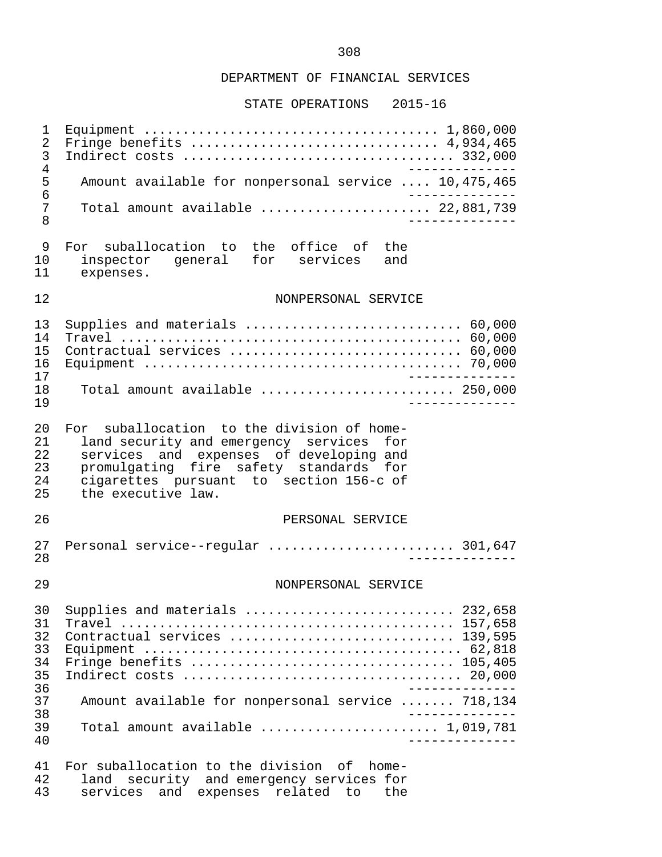STATE OPERATIONS 2015-16

 1 Equipment ...................................... 1,860,000 2 Fringe benefits ................................ 4,934,465 3 Indirect costs ................................... 332,000 4<br>5 Amount available for nonpersonal service .... 10,475,465 5 Amount available for nonpersonal service .... 10,475,465<br>6 --------------6<br>7 Total amount available ........................ 22.881.739 7 Total amount available .......................... 22,881,739<br>8 8 -------------- 9 For suballocation to the office of the 10 inspector general for services and<br>11 expenses. expenses. 12 NONPERSONAL SERVICE 13 Supplies and materials ............................ 60,000 14 Travel ............................................ 60,000 15 Contractual services .............................. 60,000 16 Equipment ......................................... 70,000 17 -------------- Total amount available ........................... 250,000 19 -------------- 20 For suballocation to the division of home-<br>21 Iand security and emergency services for 21 land security and emergency services for<br>22 services and expenses of developing and 22 services and expenses of developing and<br>23 promulgating fire safety standards for 23 promulgating fire safety standards for<br>24 cigarettes pursuant to section 156-c of 24 cigarettes pursuant to section 156-c of the executive law. 26 PERSONAL SERVICE 27 Personal service--regular ........................ 301,647 28 -------------- 29 NONPERSONAL SERVICE 30 Supplies and materials ........................... 232,658 31 Travel ........................................... 157,658 32 Contractual services ............................. 139,595 33 Equipment ......................................... 62,818 34 Fringe benefits .................................. 105,405 35 Indirect costs .................................... 20,000 -------------<br>37 Amount available for nonpersonal service ....... 718,134 37 Amount available for nonpersonal service ....... 718,134 38 -------------- 39 Total amount available ....................... 1,019,781 40 -------------- 41 For suballocation to the division of home-<br>42 land security and emergency services for

42 land security and emergency services for<br>43 services and expenses related to the services and expenses related to the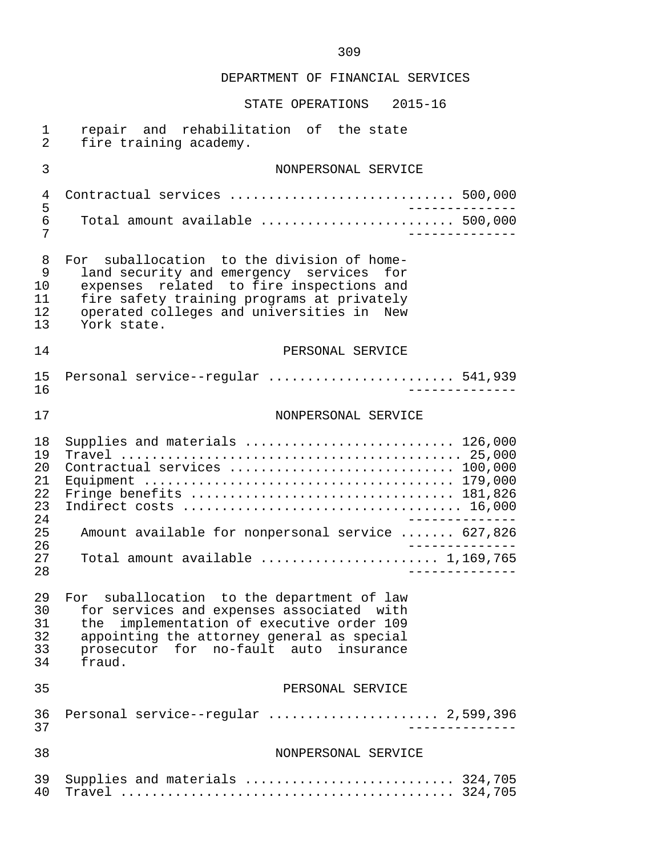| 1<br>$\overline{2}$                                            | repair and rehabilitation of the state<br>fire training academy.                                                                                                                                                                                    |
|----------------------------------------------------------------|-----------------------------------------------------------------------------------------------------------------------------------------------------------------------------------------------------------------------------------------------------|
| 3                                                              | NONPERSONAL SERVICE                                                                                                                                                                                                                                 |
| 4<br>5<br>6<br>7                                               | Contractual services  500,000<br>$\frac{1}{2}$<br>Total amount available $\ldots, \ldots, \ldots, \ldots, \ldots, \ldots, \ldots, \ldots, \ldots, \ldots)$<br>$- - - - - - - -$                                                                     |
| 8<br>9<br>10<br>11<br>12<br>13                                 | For suballocation to the division of home-<br>land security and emergency services<br>for<br>related to fire inspections and<br>expenses<br>fire safety training programs at privately<br>operated colleges and universities in New<br>York state.  |
| 14                                                             | PERSONAL SERVICE                                                                                                                                                                                                                                    |
| 15<br>16                                                       | Personal service--regular  541,939<br>-----------                                                                                                                                                                                                   |
| 17                                                             | NONPERSONAL SERVICE                                                                                                                                                                                                                                 |
| 18<br>19<br>20<br>21<br>22<br>23<br>24<br>25<br>26<br>27<br>28 | Supplies and materials  126,000<br>Contractual services  100,000<br>Fringe benefits  181,826<br>______________<br>Amount available for nonpersonal service  627,826<br>______________<br>Total amount available  1,169,765<br>$- - - - - - - - - -$ |
| 29<br>30<br>31<br>32<br>33<br>34                               | For suballocation to the department of law<br>for services and expenses associated with<br>implementation of executive order 109<br>the<br>appointing the attorney general as special<br>prosecutor for no-fault auto insurance<br>fraud.           |
| 35                                                             | PERSONAL SERVICE                                                                                                                                                                                                                                    |
| 36<br>37                                                       | Personal service--regular  2,599,396<br>__________                                                                                                                                                                                                  |
| 38                                                             | NONPERSONAL SERVICE                                                                                                                                                                                                                                 |
| 39<br>40                                                       | Supplies and materials  324,705                                                                                                                                                                                                                     |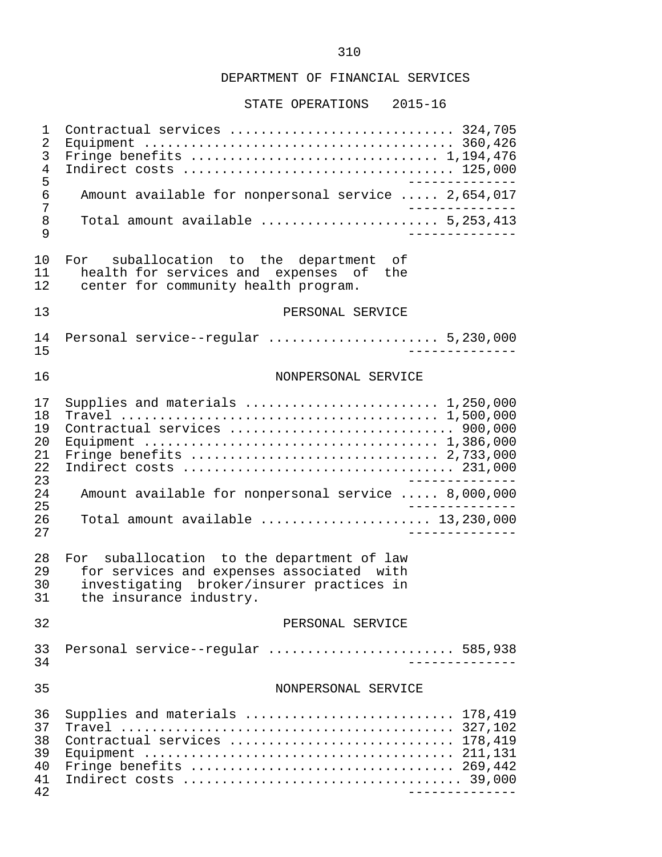#### STATE OPERATIONS 2015-16

 1 Contractual services ............................. 324,705 2 Equipment ........................................ 360,426 3 Fringe benefits ................................ 1,194,476 4 Indirect costs ................................... 125,000 -------------<br>17.654.017. 6 Amount available for nonpersonal service 6 Amount available for nonpersonal service ..... 2,654,017 7<br>8 Total amount available ........................ 5.253.413 8 Total amount available ....................... 5,253,413 9 -------------- 10 For suballocation to the department of<br>11 bealth-for-services-and expenses of the 11 health for services and expenses of the<br>12 center for community health program. center for community health program. 13 PERSONAL SERVICE 14 Personal service--regular ...................... 5,230,000 15 -------------- 16 NONPERSONAL SERVICE 17 Supplies and materials ......................... 1,250,000 18 Travel ......................................... 1,500,000 19 Contractual services ............................. 900,000 20 Equipment ...................................... 1,386,000 21 Fringe benefits ................................ 2,733,000 22 Indirect costs ................................... 231,000 23<br>24 Amount available for nonpersonal service ..... 8.000.000 24 Amount available for nonpersonal service ..... 8,000,000 25 -------------- 26 Total amount available ...................... 13,230,000 27 -------------- 28 For suballocation to the department of law<br>29 for services and expenses associated with 29 for services and expenses associated with<br>30 investigating broker/insurer practices in 30 investigating broker/insurer practices in<br>31 the insurance industry. the insurance industry. 32 PERSONAL SERVICE 33 Personal service--regular ........................ 585,938 34 -------------- 35 NONPERSONAL SERVICE 36 Supplies and materials ........................... 178,419 37 Travel ........................................... 327,102 38 Contractual services ............................. 178,419 39 Equipment ........................................ 211,131 40 Fringe benefits .................................. 269,442 41 Indirect costs .................................... 39,000 42 --------------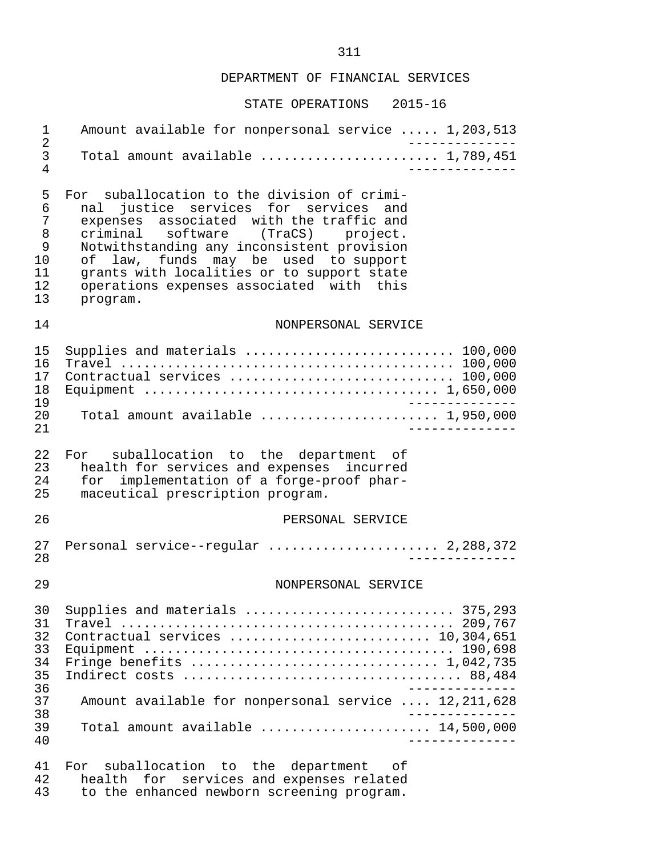## STATE OPERATIONS 2015-16

| 1                                                          | Amount available for nonpersonal service  1,203,513                                                                                                                                                                                                                                                                                                                      |
|------------------------------------------------------------|--------------------------------------------------------------------------------------------------------------------------------------------------------------------------------------------------------------------------------------------------------------------------------------------------------------------------------------------------------------------------|
| $\overline{2}$<br>3<br>4                                   | Total amount available  1,789,451                                                                                                                                                                                                                                                                                                                                        |
| 5<br>6<br>7<br>8<br>9<br>10<br>11<br>12 <sub>1</sub><br>13 | For suballocation to the division of crimi-<br>justice services for services and<br>nal<br>expenses associated with the traffic and<br>criminal software (TraCS) project.<br>Notwithstanding any inconsistent provision<br>funds may be used to support<br>of law,<br>grants with localities or to support state<br>operations expenses associated with this<br>program. |
| 14                                                         | NONPERSONAL SERVICE                                                                                                                                                                                                                                                                                                                                                      |
| 15<br>16<br>17<br>18<br>19                                 | Supplies and materials $\ldots \ldots \ldots \ldots \ldots \ldots \ldots \ldots \ldots 100,000$<br>Contractual services  100,000                                                                                                                                                                                                                                         |
| 20<br>21                                                   | Total amount available $\ldots \ldots \ldots \ldots \ldots \ldots \ldots$ 1,950,000                                                                                                                                                                                                                                                                                      |
| 22<br>23<br>24<br>25                                       | suballocation to the department of<br>For<br>health for services and expenses incurred<br>implementation of a forge-proof phar-<br>for<br>maceutical prescription program.                                                                                                                                                                                               |
| 26                                                         | PERSONAL SERVICE                                                                                                                                                                                                                                                                                                                                                         |
| 27<br>28                                                   | Personal service--regular  2,288,372                                                                                                                                                                                                                                                                                                                                     |
| 29                                                         | NONPERSONAL SERVICE                                                                                                                                                                                                                                                                                                                                                      |
| 30<br>31<br>32<br>33<br>34<br>35<br>36<br>37<br>38<br>39   | Supplies and materials  375,293<br>Contractual services  10,304,651<br>Fringe benefits $\ldots \ldots \ldots \ldots \ldots \ldots \ldots \ldots \ldots \ldots 1,042,735$<br>______________<br>Amount available for nonpersonal service  12,211,628<br>Total amount available $\ldots, \ldots, \ldots, \ldots, 14,500,000$                                                |
| 40                                                         | _____________                                                                                                                                                                                                                                                                                                                                                            |
| 41<br>42                                                   | suballocation to the department of<br>For<br>health for services and expenses related                                                                                                                                                                                                                                                                                    |

43 to the enhanced newborn screening program.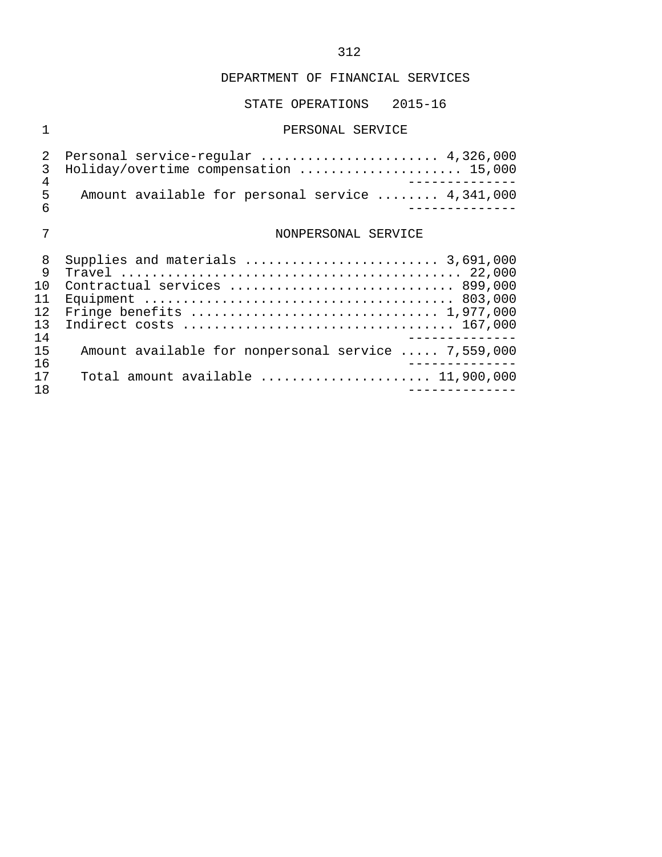## STATE OPERATIONS 2015-16

## 1 PERSONAL SERVICE

|            | 2 Personal service-regular  4,326,000            |  |
|------------|--------------------------------------------------|--|
|            | 3 Holiday/overtime compensation  15,000          |  |
|            |                                                  |  |
| h          | Amount available for personal service  4,341,000 |  |
| $\epsilon$ |                                                  |  |

# 7 NONPERSONAL SERVICE

| 8  | Supplies and materials $\ldots \ldots \ldots \ldots \ldots \ldots \ldots$ 3,691,000 |
|----|-------------------------------------------------------------------------------------|
| 9  |                                                                                     |
|    | Contractual services  899,000                                                       |
|    |                                                                                     |
| 12 |                                                                                     |
| 13 |                                                                                     |
| 14 |                                                                                     |
| 15 | Amount available for nonpersonal service  7,559,000                                 |
| 16 |                                                                                     |
| 17 | Total amount available $\ldots \ldots \ldots \ldots \ldots \ldots 11,900,000$       |
| 18 |                                                                                     |

## 312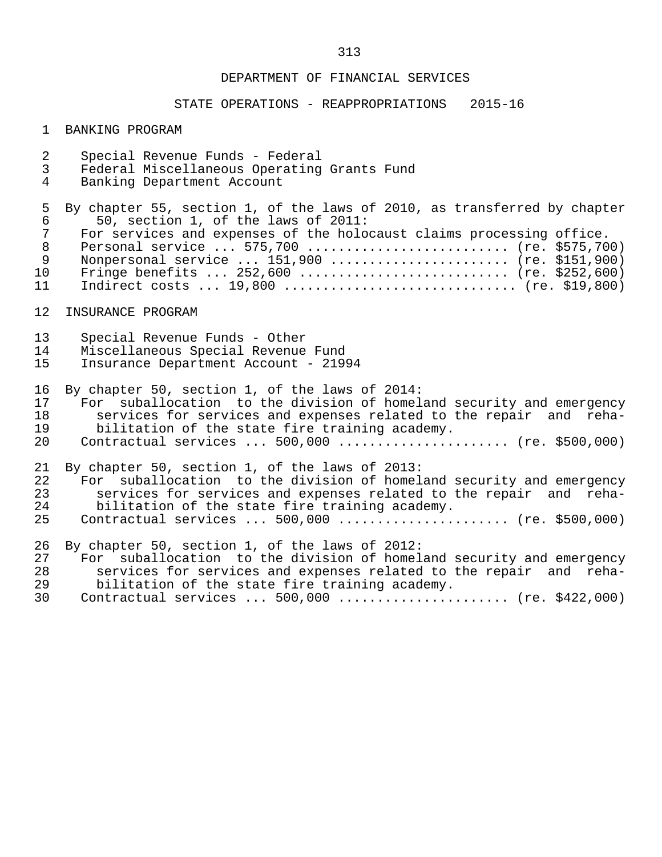### STATE OPERATIONS - REAPPROPRIATIONS 2015-16

#### 1 BANKING PROGRAM

- 2 Special Revenue Funds Federal
- 3 Federal Miscellaneous Operating Grants Fund
- Banking Department Account

5 By chapter 55, section 1, of the laws of 2010, as transferred by chapter<br>6 50, section 1, of the laws of 2011: 6 50, section 1, of the laws of 2011: 7 For services and expenses of the holocaust claims processing office. 8 Personal service ... 575,700 ........................... (re. \$575,700)<br>8 Nonpersonal service ... 151.900 ......................... (re. \$151.900) 9 Nonpersonal service ... 151,900 ........................ (re. \$151,900)<br>10 Fringe benefits ... 252,600 ............................. (re. \$252,600) 10 Fringe benefits ... 252,600 ............................ (re. \$252,600)<br>11 Indirect costs ... 19.800 ................................. (re. \$19.800) Indirect costs ... 19,800 ................................ (re. \$19,800)

#### 12 INSURANCE PROGRAM

- 13 Special Revenue Funds Other
- 14 Miscellaneous Special Revenue Fund<br>15 Insurance Department Account 2199
- 15 Insurance Department Account 21994

 16 By chapter 50, section 1, of the laws of 2014: 17 For suballocation to the division of homeland security and emergency<br>18 Services for services and expenses related to the repair and reha-18 services for services and expenses related to the repair and reha-<br>19 bilitation of the state fire training academy. 19 bilitation of the state fire training academy.<br>20 Contractual services ... 500,000 ............... 20 Contractual services ... 500,000 ...................... (re. \$500,000)

21 By chapter 50, section 1, of the laws of 2013:<br>22 For suballocation to the division of homel

- 22 For suballocation to the division of homeland security and emergency<br>23 Services for services and expenses related to the repair and reha-23 services for services and expenses related to the repair and reha-<br>24 bilitation of the state fire training academy. 24 bilitation of the state fire training academy.<br>25 Contractual services ... 500.000 ................
- Contractual services ... 500,000 ....................... (re. \$500,000)

26 By chapter 50, section 1, of the laws of 2012:<br>27 For suballocation to the division of homel

- 27 For suballocation to the division of homeland security and emergency<br>28 Services for services and expenses related to the repair and reha-28 services for services and expenses related to the repair and reha-<br>29 bilitation of the state fire training academy. 29 bilitation of the state fire training academy.<br>30 Contractual services ... 500.000 ................
- Contractual services ... 500,000 ....................... (re. \$422,000)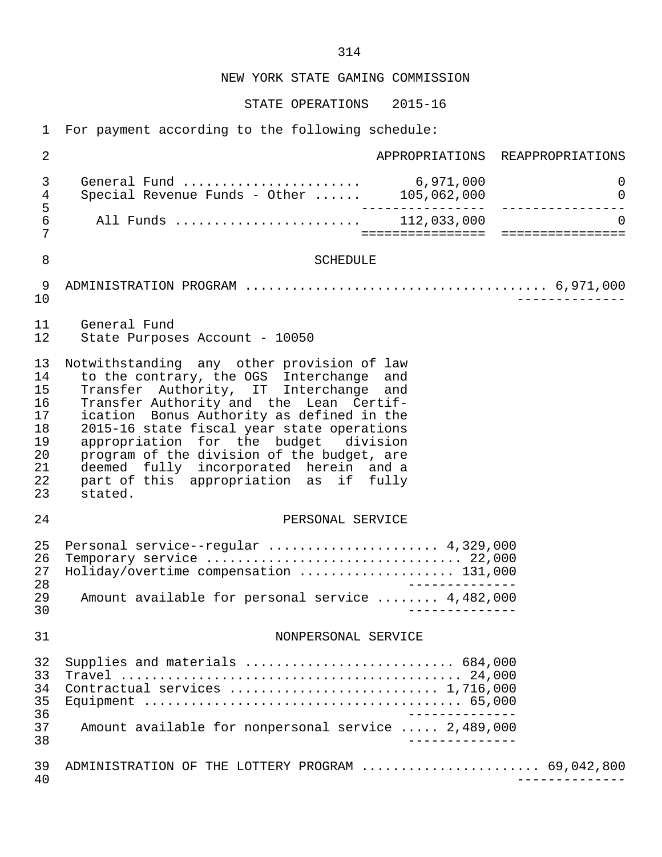STATE OPERATIONS 2015-16

1 For payment according to the following schedule:

| $\overline{a}$                                                 | APPROPRIATIONS REAPPROPRIATIONS                                                                                                                                                                                                                                                                                                                                                                                                                              |
|----------------------------------------------------------------|--------------------------------------------------------------------------------------------------------------------------------------------------------------------------------------------------------------------------------------------------------------------------------------------------------------------------------------------------------------------------------------------------------------------------------------------------------------|
| 3<br>4                                                         | General Fund  6,971,000<br>0<br>Special Revenue Funds - Other $\dots \dots$ 105,062,000<br>$\overline{0}$                                                                                                                                                                                                                                                                                                                                                    |
| 5<br>$\sqrt{6}$<br>7                                           | All Funds  112,033,000<br>$\Omega$<br>======================================                                                                                                                                                                                                                                                                                                                                                                                 |
| 8                                                              | <b>SCHEDULE</b>                                                                                                                                                                                                                                                                                                                                                                                                                                              |
| 9<br>10                                                        |                                                                                                                                                                                                                                                                                                                                                                                                                                                              |
| 11<br>12                                                       | General Fund<br>State Purposes Account - 10050                                                                                                                                                                                                                                                                                                                                                                                                               |
| 13<br>14<br>15<br>16<br>17<br>18<br>19<br>20<br>21<br>22<br>23 | Notwithstanding any other provision of law<br>to the contrary, the OGS Interchange and<br>Transfer Authority, IT Interchange and<br>Transfer Authority and the Lean Certif-<br>ication Bonus Authority as defined in the<br>2015-16 state fiscal year state operations<br>appropriation for the budget division<br>program of the division of the budget, are<br>deemed fully incorporated herein and a<br>part of this appropriation as if fully<br>stated. |
| 24                                                             | PERSONAL SERVICE                                                                                                                                                                                                                                                                                                                                                                                                                                             |
| 25<br>26<br>27<br>28<br>29<br>30                               | Personal service--regular  4,329,000<br>Temporary service  22,000<br>Holiday/overtime compensation  131,000<br>______________<br>Amount available for personal service  4,482,000                                                                                                                                                                                                                                                                            |
| 31                                                             | NONPERSONAL SERVICE                                                                                                                                                                                                                                                                                                                                                                                                                                          |
| 32<br>33<br>34<br>35<br>36<br>37<br>38                         | Supplies and materials  684,000<br>Contractual services  1,716,000<br>Amount available for nonpersonal service  2,489,000                                                                                                                                                                                                                                                                                                                                    |
| 39<br>40                                                       | ADMINISTRATION OF THE LOTTERY PROGRAM  69,042,800                                                                                                                                                                                                                                                                                                                                                                                                            |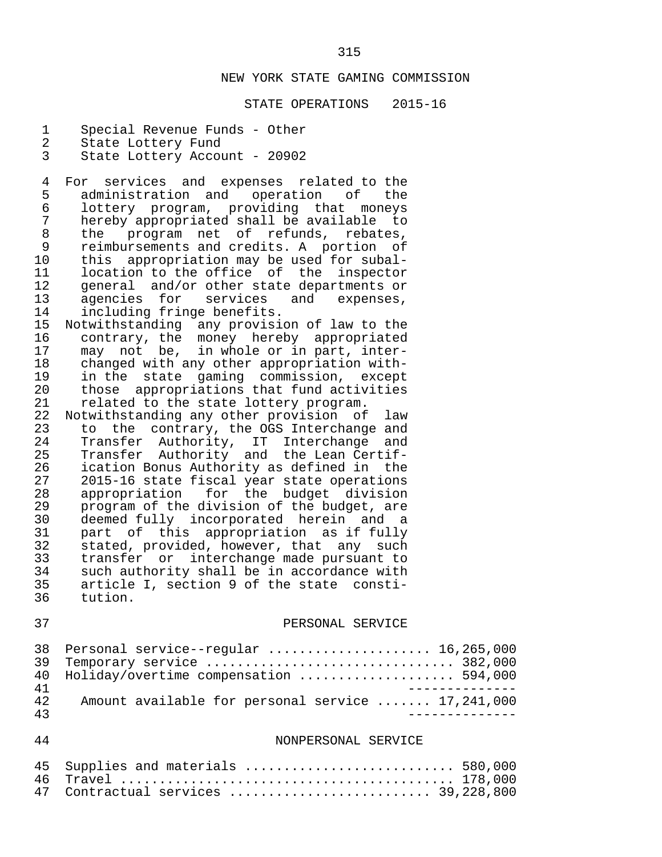#### STATE OPERATIONS 2015-16

- 1 Special Revenue Funds Other
- 
- 2 State Lottery Fund<br>3 State Lottery Accou State Lottery Account - 20902

4 For services and expenses related to the<br>5 administration and operation of the 5 administration and operation<br>6 lottery program, providing th 6 lottery program, providing that moneys 7 hereby appropriated shall be available to<br>8 the program net of refunds, rebates, 8 the program net of refunds, rebates,<br>9 reimbursements and credits. A portion of 9 reimbursements and credits. A portion of<br>10 this appropriation may be used for subal-10 this appropriation may be used for subal-<br>11 Iocation to the office of the inspector 11 location to the office of the inspector<br>12 general and/or other state departments or 12 general and/or other state departments or<br>13 agencies for services and expenses, 13 agencies for services and expenses,<br>14 including-fringe-benefits. 14 including fringe benefits.<br>15 Notwithstanding any provisi

- 15 Notwithstanding any provision of law to the 16 contrary, the money hereby appropriated<br>17 may not be, in whole or in part, inter-17 may not be, in whole or in part, inter-<br>18 changed with any other appropriation with-18 changed with any other appropriation with-<br>19 in the state gaming commission, except 19 in the state gaming commission, except<br>20 those appropriations that fund activities 20 those appropriations that fund activities<br>21 related to the state lottery program.
- 21 related to the state lottery program.<br>22 Notwithstanding any other provision of 22 Notwithstanding any other provision of law<br>23 to the contrary, the OGS Interchange and 23 to the contrary, the OGS Interchange and<br>24 Transfer Authority, IT Interchange and 24 Transfer Authority, IT Interchange and<br>25 Transfer Authority and the Lean-Certif-25 Transfer Authority and the Lean Certif-<br>26 ication Bonus Authority as defined in the 26 ication Bonus Authority as defined in the<br>27 2015-16 state fiscal year state operations 27 2015-16 state fiscal year state operations<br>28 appropriation for the budget division 28 appropriation for the budget division<br>29 program of the division of the budget, are 29 program of the division of the budget, are<br>30 deemed fully incorporated herein and a 30 deemed fully incorporated herein and a<br>31 part of this appropriation as if fully 31 part of this appropriation as if fully<br>32 stated, provided, however, that any such 32 stated, provided, however, that any such 33 transfer or interchange made pursuant to<br>34 such authority shall be in accordance with 34 such authority shall be in accordance with<br>35 article I, section 9 of the state consti-35 article I, section 9 of the state consti-<br>36 tution. tution.

#### 37 PERSONAL SERVICE

|     | 38 Personal service--reqular  16,265,000          |
|-----|---------------------------------------------------|
|     | 39 Temporary service  382,000                     |
|     | 40 Holiday/overtime compensation  594,000         |
| 41  |                                                   |
| 42. | Amount available for personal service  17,241,000 |
| 43  |                                                   |

#### 44 NONPERSONAL SERVICE

| 45 Supplies and materials  580,000  |  |
|-------------------------------------|--|
|                                     |  |
| 47 Contractual services  39,228,800 |  |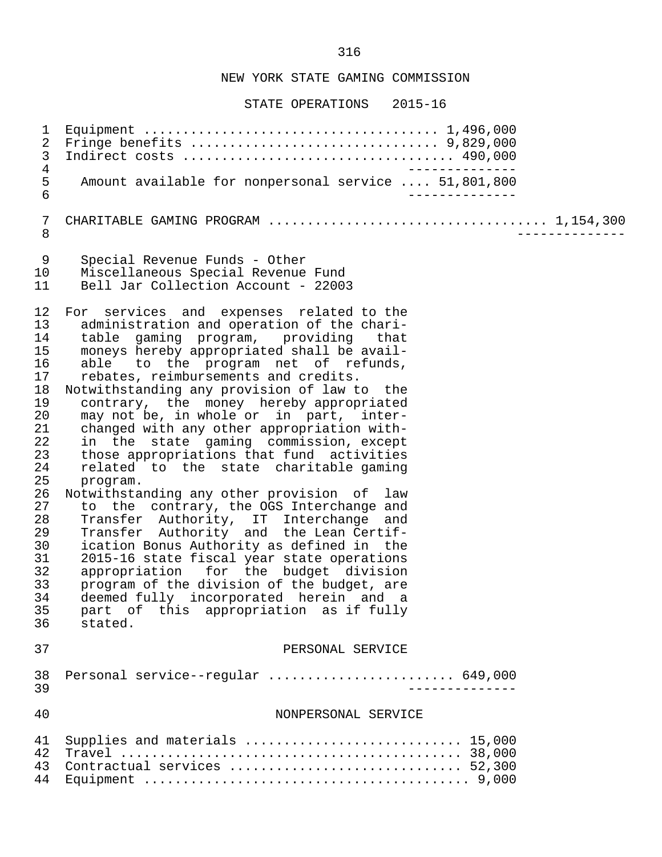STATE OPERATIONS 2015-16

 1 Equipment ...................................... 1,496,000 2 Fringe benefits ................................ 9,829,000 3 Indirect costs ................................... 490,000 -------------<br>5 Amount available for nonpersonal service .... 51,801,800 5 Amount available for nonpersonal service .... 51,801,800 6 -------------- 7 CHARITABLE GAMING PROGRAM .................................... 1,154,300 8 -------------- 9 Special Revenue Funds - Other 10 Miscellaneous Special Revenue Fund Bell Jar Collection Account - 22003 12 For services and expenses related to the<br>13 administration and operation of the chari-13 administration and operation of the chari-<br>14 table gaming program, providing that 14 table gaming program, providing<br>15 moneys hereby appropriated shall be 15 moneys hereby appropriated shall be avail-<br>16 able to the program net of refunds. 16 able to the program net of refunds,<br>17 rebates, reimbursements and credits. 17 rebates, reimbursements and credits.<br>18 Notwithstanding any provision of law t Notwithstanding any provision of law to the 19 contrary, the money hereby appropriated<br>20 may not be, in whole or in part, inter-20 may not be, in whole or in part, inter-<br>21 changed with any other appropriation with-21 changed with any other appropriation with-<br>22 in the state gaming commission, except 22 in the state gaming commission, except<br>23 those appropriations that fund activities 23 those appropriations that fund activities<br>24 related to the state charitable gaming 24 related to the state charitable gaming<br>25 program. 25 program.<br>26 Notwithstal 26 Notwithstanding any other provision of law<br>27 to the contrary, the OGS Interchange and 27 to the contrary, the OGS Interchange and<br>28 Transfer Authority, IT Interchange and 28 Transfer Authority, IT Interchange and 29 Transfer Authority and the Lean Certif- 30 ication Bonus Authority as defined in the<br>31 2015-16 state fiscal year state operations 31 2015-16 state fiscal year state operations<br>32 appropriation for the budget division 32 appropriation for the budget division<br>33 program of the division of the budget, are 33 program of the division of the budget, are<br>34 deemed fully incorporated berein and a 34 deemed fully incorporated herein and a 35 part of this appropriation as if fully  $36$  stated. stated. 37 PERSONAL SERVICE 38 Personal service--regular ........................ 649,000 39 -------------- 40 NONPERSONAL SERVICE 41 Supplies and materials ............................... 15,000 42 Travel ............................................ 38,000 43 Contractual services .............................. 52,300 44 Equipment .......................................... 9,000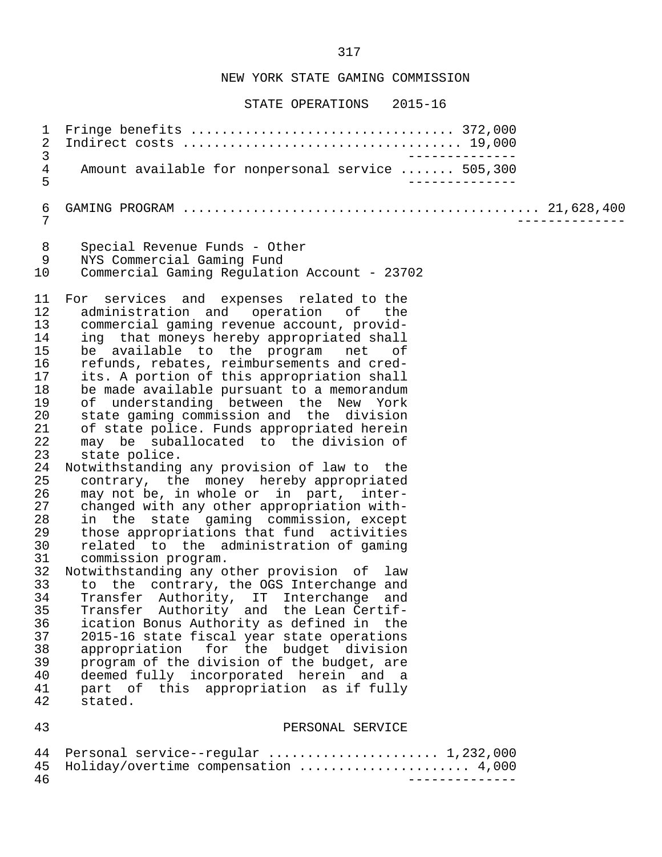STATE OPERATIONS 2015-16

 1 Fringe benefits .................................. 372,000 2 Indirect costs .................................... 19,000 3<br>4 Amount available for nonpersonal service ....... 505.300 4 Amount available for nonpersonal service ....... 505,300 5 -------------- 6 GAMING PROGRAM .............................................. 21,628,400 7 -------------- 8 Special Revenue Funds - Other<br>9 NYS Commercial Gaming Fund 9 NYS Commercial Gaming Fund 10 Commercial Gaming Regulation Account - 23702 11 For services and expenses related to the<br>12 administration and operation of the 12 administration and operation of the<br>13 commercial gaming revenue\_account, provid-13 commercial gaming revenue account, provid-<br>14 ing that moneys hereby appropriated shall 14 ing that moneys hereby appropriated shall<br>15 be available to the program net of 15 be available to the program net of<br>16 refunds, rebates, reimbursements and cred-16 refunds, rebates, reimbursements and cred-<br>17 its. A portion of this appropriation shall 17 its. A portion of this appropriation shall<br>18 be made available pursuant to a memorandum 18 be made available pursuant to a memorandum<br>19 of understanding between the New York 19 of understanding between the New York<br>20 state-gaming-commission-and the division 20 state gaming commission and the division<br>21 of state police. Funds appropriated herein 21 of state police. Funds appropriated herein<br>22 may be suballocated to the division of 22 may be suballocated to the division of<br>23 state police. 23 state police.<br>24 Notwithstanding 24 Notwithstanding any provision of law to the 25 contrary, the money hereby appropriated<br>26 may not be, in whole or in part, inter-26 may not be, in whole or in part, inter-<br>27 changed with any other appropriation with-27 changed with any other appropriation with-<br>28 in the state gaming commission, except 28 in the state gaming commission, except<br>29 those-appropriations-that-fund activities 29 those appropriations that fund activities<br>30 related to the administration of gaming 30 related to the administration of gaming<br>31 commission program. 31 commission program.<br>32 Notwithstanding any o 32 Notwithstanding any other provision of law<br>33 to the contrary, the OGS Interchange and 33 to the contrary, the OGS Interchange and<br>34 Transfer Authority, IT Interchange and 34 Transfer Authority, IT Interchange and<br>35 Transfer Authority and the Lean-Certif-35 Transfer Authority and the Lean Certif-<br>36 ication Bonus Authority as defined in the 36 ication Bonus Authority as defined in the 37 2015-16 state fiscal year state operations<br>38 appropriation for the budget division 38 appropriation for the budget division<br>39 program of the division of the budget, are 39 program of the division of the budget, are<br>40 deemed fully incorporated herein and a deemed fully incorporated herein and a 41 part of this appropriation as if fully stated. 43 PERSONAL SERVICE

|     | 44 Personal service--reqular  1,232,000 |  |
|-----|-----------------------------------------|--|
|     | 45 Holiday/overtime compensation  4,000 |  |
| -46 |                                         |  |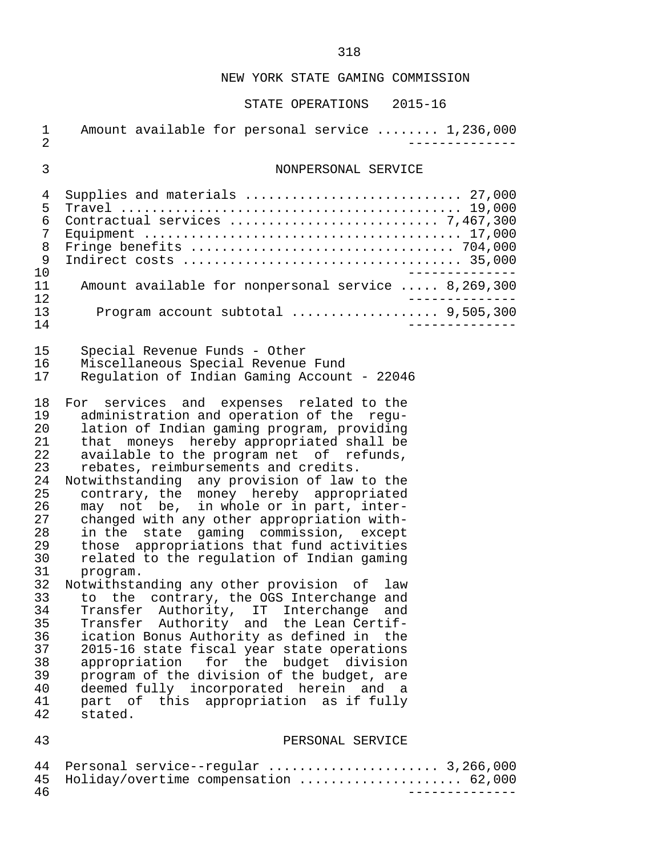| $\mathbf 1$<br>$\overline{2}$                                                                                                                      | Amount available for personal service  1,236,000                                                                                                                                                                                                                                                                                                                                                                                                                                                                                                                                                                                                                                                                                                                                                                                                                                                                                                                                                                                                                           |
|----------------------------------------------------------------------------------------------------------------------------------------------------|----------------------------------------------------------------------------------------------------------------------------------------------------------------------------------------------------------------------------------------------------------------------------------------------------------------------------------------------------------------------------------------------------------------------------------------------------------------------------------------------------------------------------------------------------------------------------------------------------------------------------------------------------------------------------------------------------------------------------------------------------------------------------------------------------------------------------------------------------------------------------------------------------------------------------------------------------------------------------------------------------------------------------------------------------------------------------|
| 3                                                                                                                                                  | NONPERSONAL SERVICE                                                                                                                                                                                                                                                                                                                                                                                                                                                                                                                                                                                                                                                                                                                                                                                                                                                                                                                                                                                                                                                        |
| 4<br>5<br>6<br>7<br>8<br>9<br>10                                                                                                                   | Supplies and materials  27,000<br>Fringe benefits  704,000                                                                                                                                                                                                                                                                                                                                                                                                                                                                                                                                                                                                                                                                                                                                                                                                                                                                                                                                                                                                                 |
| 11<br>12                                                                                                                                           | Amount available for nonpersonal service  8,269,300                                                                                                                                                                                                                                                                                                                                                                                                                                                                                                                                                                                                                                                                                                                                                                                                                                                                                                                                                                                                                        |
| 13<br>14                                                                                                                                           | Program account subtotal  9,505,300                                                                                                                                                                                                                                                                                                                                                                                                                                                                                                                                                                                                                                                                                                                                                                                                                                                                                                                                                                                                                                        |
| 15<br>16<br>17                                                                                                                                     | Special Revenue Funds - Other<br>Miscellaneous Special Revenue Fund<br>Regulation of Indian Gaming Account - 22046                                                                                                                                                                                                                                                                                                                                                                                                                                                                                                                                                                                                                                                                                                                                                                                                                                                                                                                                                         |
| 18<br>19<br>20<br>21<br>22<br>23<br>24<br>25<br>26<br>27<br>28<br>29<br>30<br>31<br>32<br>33<br>34<br>35<br>36<br>37<br>38<br>39<br>40<br>41<br>42 | For services and expenses related to the<br>administration and operation of the regu-<br>lation of Indian gaming program, providing<br>that moneys hereby appropriated shall be<br>available to the program net of refunds,<br>rebates, reimbursements and credits.<br>Notwithstanding any provision of law to the<br>contrary, the money hereby appropriated<br>may not be, in whole or in part, inter-<br>changed with any other appropriation with-<br>in the state gaming commission, except<br>those appropriations that fund activities<br>related to the regulation of Indian gaming<br>program.<br>Notwithstanding any other provision of<br>law<br>to the contrary, the OGS Interchange and<br>Transfer Authority, IT Interchange and<br>Transfer Authority and the Lean Certif-<br>ication Bonus Authority as defined in the<br>2015-16 state fiscal year state operations<br>appropriation for the budget division<br>program of the division of the budget, are<br>deemed fully incorporated herein and a<br>part of this appropriation as if fully<br>stated. |
| 43                                                                                                                                                 | PERSONAL SERVICE                                                                                                                                                                                                                                                                                                                                                                                                                                                                                                                                                                                                                                                                                                                                                                                                                                                                                                                                                                                                                                                           |

|     | 44 Personal service--reqular  3,266,000  |  |
|-----|------------------------------------------|--|
|     | 45 Holiday/overtime compensation  62,000 |  |
| -46 |                                          |  |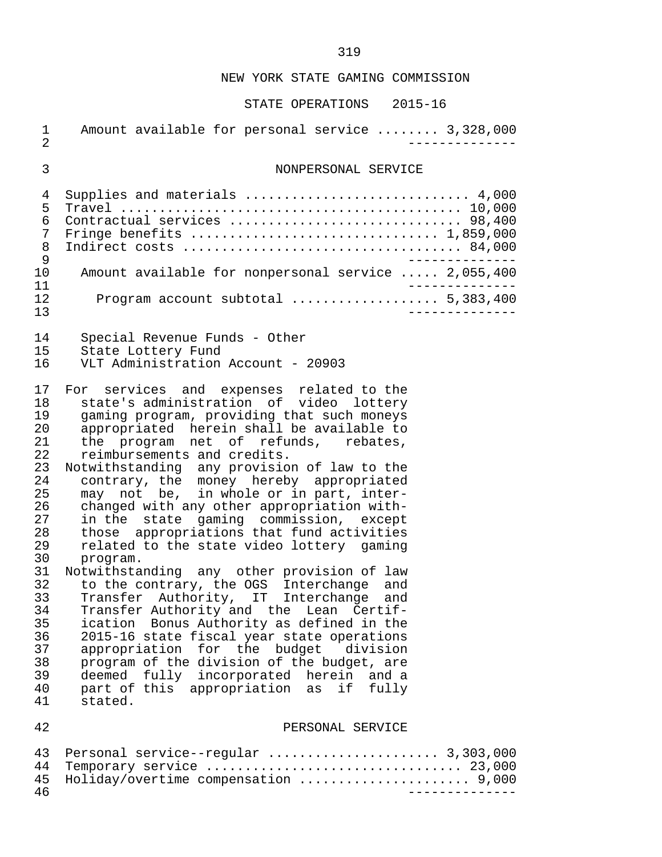# STATE OPERATIONS 2015-16

| $\mathbf 1$<br>$\overline{2}$                                                                                                                      | Amount available for personal service  3,328,000                                                                                                                                                                                                                                                                                                                                                                                                                                                                                                                                                                                                                                                                                                                                                                                                                                                                                                                                                                                                                        |  |
|----------------------------------------------------------------------------------------------------------------------------------------------------|-------------------------------------------------------------------------------------------------------------------------------------------------------------------------------------------------------------------------------------------------------------------------------------------------------------------------------------------------------------------------------------------------------------------------------------------------------------------------------------------------------------------------------------------------------------------------------------------------------------------------------------------------------------------------------------------------------------------------------------------------------------------------------------------------------------------------------------------------------------------------------------------------------------------------------------------------------------------------------------------------------------------------------------------------------------------------|--|
| 3                                                                                                                                                  | NONPERSONAL SERVICE                                                                                                                                                                                                                                                                                                                                                                                                                                                                                                                                                                                                                                                                                                                                                                                                                                                                                                                                                                                                                                                     |  |
| 4<br>5<br>6<br>7<br>8<br>9<br>10<br>11                                                                                                             | Supplies and materials  4,000<br>Contractual services  98,400<br>Fringe benefits  1,859,000<br>Amount available for nonpersonal service  2,055,400                                                                                                                                                                                                                                                                                                                                                                                                                                                                                                                                                                                                                                                                                                                                                                                                                                                                                                                      |  |
| 12<br>13                                                                                                                                           | Program account subtotal  5,383,400                                                                                                                                                                                                                                                                                                                                                                                                                                                                                                                                                                                                                                                                                                                                                                                                                                                                                                                                                                                                                                     |  |
| 14<br>15<br>16                                                                                                                                     | Special Revenue Funds - Other<br>State Lottery Fund<br>VLT Administration Account - 20903                                                                                                                                                                                                                                                                                                                                                                                                                                                                                                                                                                                                                                                                                                                                                                                                                                                                                                                                                                               |  |
| 17<br>18<br>19<br>20<br>21<br>22<br>23<br>24<br>25<br>26<br>27<br>28<br>29<br>30<br>31<br>32<br>33<br>34<br>35<br>36<br>37<br>38<br>39<br>40<br>41 | For services and expenses related to the<br>state's administration of video lottery<br>gaming program, providing that such moneys<br>appropriated herein shall be available to<br>the program net of refunds, rebates,<br>reimbursements and credits.<br>Notwithstanding any provision of law to the<br>contrary, the money hereby appropriated<br>may not be, in whole or in part, inter-<br>changed with any other appropriation with-<br>in the state gaming commission, except<br>those appropriations that fund activities<br>related to the state video lottery gaming<br>program.<br>Notwithstanding any other provision of law<br>to the contrary, the OGS Interchange and<br>Transfer Authority, IT Interchange and<br>Transfer Authority and the Lean Certif-<br>ication Bonus Authority as defined in the<br>2015-16 state fiscal year state operations<br>appropriation for the budget<br>division<br>program of the division of the budget, are<br>deemed fully incorporated herein<br>and a<br>part of this appropriation<br>if<br>fully<br>as<br>stated. |  |
| 42                                                                                                                                                 | PERSONAL SERVICE                                                                                                                                                                                                                                                                                                                                                                                                                                                                                                                                                                                                                                                                                                                                                                                                                                                                                                                                                                                                                                                        |  |
|                                                                                                                                                    |                                                                                                                                                                                                                                                                                                                                                                                                                                                                                                                                                                                                                                                                                                                                                                                                                                                                                                                                                                                                                                                                         |  |

### 43 Personal service--regular ...................... 3,303,000 44 Temporary service ................................. 23,000 45 Holiday/overtime compensation ...................... 9,000 46 --------------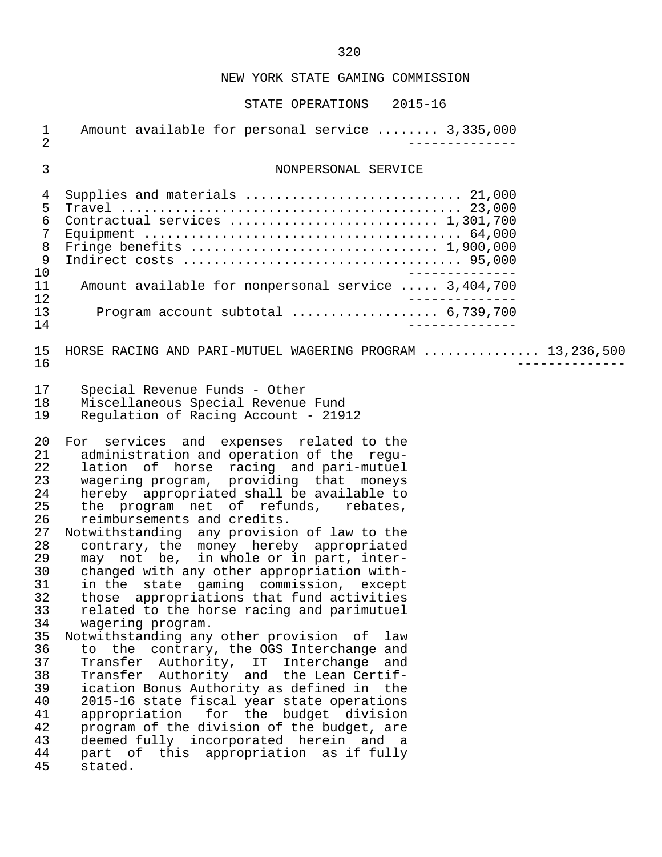| $\mathbf 1$<br>$\overline{2}$                                                                                                                            | Amount available for personal service  3,335,000                                                                                                                                                                                                                                                                                                                                                                                                                                                                                                                                                                                                                                                                                                                                                                                                                                                                                                                                                                                                                                                            |
|----------------------------------------------------------------------------------------------------------------------------------------------------------|-------------------------------------------------------------------------------------------------------------------------------------------------------------------------------------------------------------------------------------------------------------------------------------------------------------------------------------------------------------------------------------------------------------------------------------------------------------------------------------------------------------------------------------------------------------------------------------------------------------------------------------------------------------------------------------------------------------------------------------------------------------------------------------------------------------------------------------------------------------------------------------------------------------------------------------------------------------------------------------------------------------------------------------------------------------------------------------------------------------|
| 3                                                                                                                                                        | NONPERSONAL SERVICE                                                                                                                                                                                                                                                                                                                                                                                                                                                                                                                                                                                                                                                                                                                                                                                                                                                                                                                                                                                                                                                                                         |
| 4<br>5<br>6<br>7<br>8<br>$\mathsf 9$<br>10<br>11<br>12<br>13<br>14                                                                                       | Supplies and materials  21,000<br>Contractual services  1,301,700<br>Amount available for nonpersonal service  3,404,700<br>Program account subtotal $6,739,700$<br>$- - - - - - - -$                                                                                                                                                                                                                                                                                                                                                                                                                                                                                                                                                                                                                                                                                                                                                                                                                                                                                                                       |
| 15<br>16                                                                                                                                                 | HORSE RACING AND PARI-MUTUEL WAGERING PROGRAM  13,236,500                                                                                                                                                                                                                                                                                                                                                                                                                                                                                                                                                                                                                                                                                                                                                                                                                                                                                                                                                                                                                                                   |
| 17<br>18<br>19                                                                                                                                           | Special Revenue Funds - Other<br>Miscellaneous Special Revenue Fund<br>Regulation of Racing Account - 21912                                                                                                                                                                                                                                                                                                                                                                                                                                                                                                                                                                                                                                                                                                                                                                                                                                                                                                                                                                                                 |
| 20<br>21<br>22<br>23<br>24<br>25<br>26<br>27<br>28<br>29<br>30<br>31<br>32<br>33<br>34<br>35<br>36<br>37<br>38<br>39<br>40<br>41<br>42<br>43<br>44<br>45 | For services and expenses related to the<br>administration and operation of the regu-<br>lation of horse racing and pari-mutuel<br>wagering program, providing that moneys<br>hereby appropriated shall be available to<br>the program net of refunds, rebates,<br>reimbursements and credits.<br>Notwithstanding any provision of law to the<br>contrary, the money hereby appropriated<br>may not be, in whole or in part, inter-<br>changed with any other appropriation with-<br>in the state gaming commission, except<br>those appropriations that fund activities<br>related to the horse racing and parimutuel<br>wagering program.<br>Notwithstanding any other provision of law<br>to the contrary, the OGS Interchange and<br>Transfer Authority, IT Interchange and<br>Transfer Authority and the Lean Certif-<br>ication Bonus Authority as defined in the<br>2015-16 state fiscal year state operations<br>appropriation for the budget division<br>program of the division of the budget, are<br>deemed fully incorporated herein and a<br>part of this appropriation as if fully<br>stated. |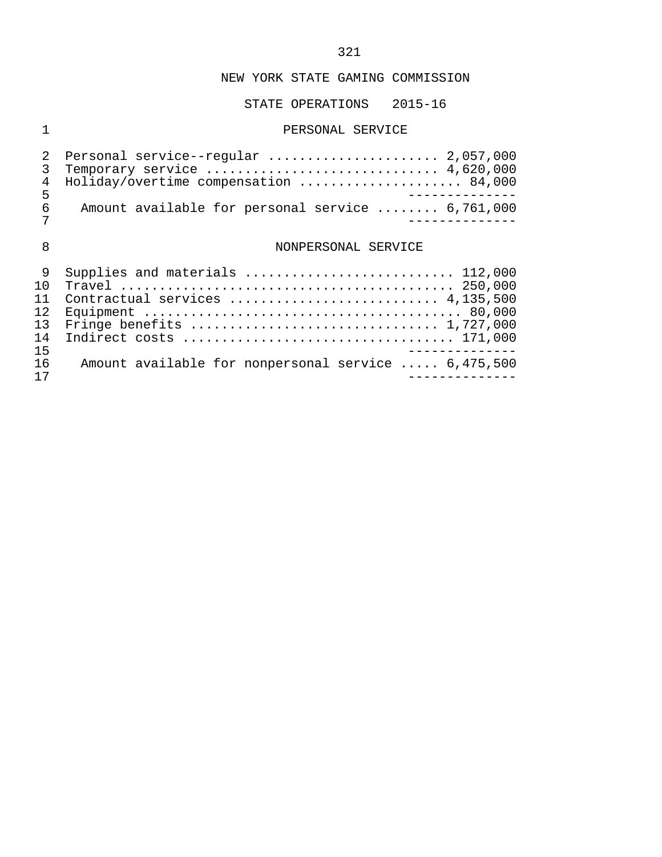## STATE OPERATIONS 2015-16

## 1 PERSONAL SERVICE

|     | 2 Personal service--regular  2,057,000           |  |
|-----|--------------------------------------------------|--|
|     | 3 Temporary service  4,620,000                   |  |
|     | 4 Holiday/overtime compensation  84,000          |  |
| ᄃ   |                                                  |  |
| რ — | Amount available for personal service  6,761,000 |  |
|     |                                                  |  |

# 8 NONPERSONAL SERVICE

|     | 9 Supplies and materials  112,000                   |
|-----|-----------------------------------------------------|
| 1 O |                                                     |
|     |                                                     |
|     |                                                     |
|     |                                                     |
| 14  |                                                     |
| 15  |                                                     |
| 16  | Amount available for nonpersonal service  6,475,500 |
|     |                                                     |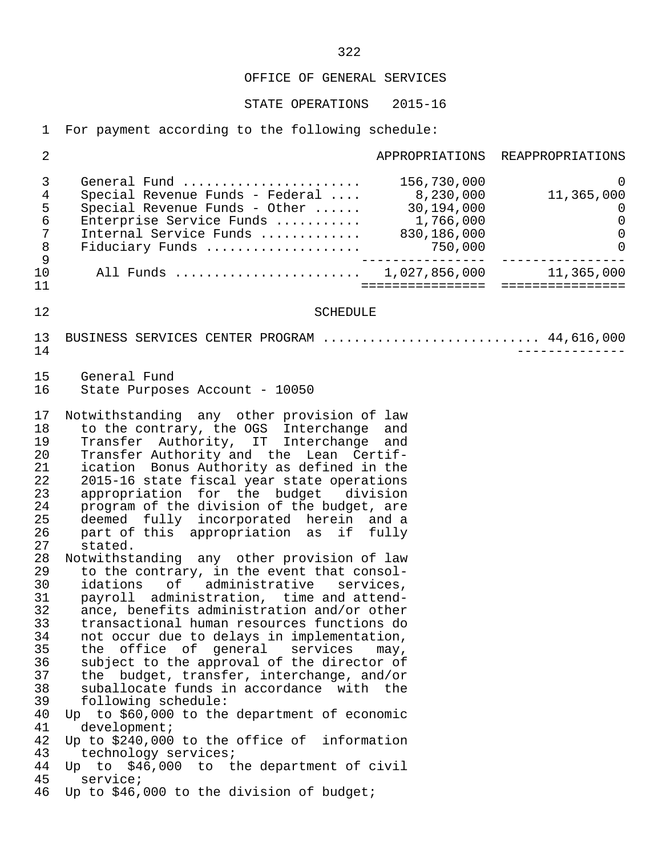## OFFICE OF GENERAL SERVICES

STATE OPERATIONS 2015-16

1 For payment according to the following schedule:

| $\sqrt{2}$                                                                                                                                                                       |                                                                                                                                                                                                                                                                                                                                                                                                                                                                                                                                                                                                                                                                                                                                                                                                                                                                                                                                                                                                                                                                                                                                                                                                                             |                                        | APPROPRIATIONS REAPPROPRIATIONS                                                             |
|----------------------------------------------------------------------------------------------------------------------------------------------------------------------------------|-----------------------------------------------------------------------------------------------------------------------------------------------------------------------------------------------------------------------------------------------------------------------------------------------------------------------------------------------------------------------------------------------------------------------------------------------------------------------------------------------------------------------------------------------------------------------------------------------------------------------------------------------------------------------------------------------------------------------------------------------------------------------------------------------------------------------------------------------------------------------------------------------------------------------------------------------------------------------------------------------------------------------------------------------------------------------------------------------------------------------------------------------------------------------------------------------------------------------------|----------------------------------------|---------------------------------------------------------------------------------------------|
| $\mathfrak{Z}$<br>$\,4$<br>5<br>$\epsilon$<br>$\sqrt{ }$<br>$\,8\,$<br>$\mathsf 9$                                                                                               | General Fund<br>Special Revenue Funds - Federal<br>Special Revenue Funds - Other<br>Enterprise Service Funds  1,766,000<br>Internal Service Funds  830,186,000<br>Fiduciary Funds $\ldots \ldots \ldots \ldots \ldots$ 750,000                                                                                                                                                                                                                                                                                                                                                                                                                                                                                                                                                                                                                                                                                                                                                                                                                                                                                                                                                                                              | 156,730,000<br>8,230,000<br>30,194,000 | $\mathbf 0$<br>11,365,000<br>$\overline{0}$<br>$\mathbf 0$<br>$\mathbf 0$<br>$\overline{0}$ |
| 10<br>11                                                                                                                                                                         | All Funds  1,027,856,000 11,365,000                                                                                                                                                                                                                                                                                                                                                                                                                                                                                                                                                                                                                                                                                                                                                                                                                                                                                                                                                                                                                                                                                                                                                                                         | ================                       | ================                                                                            |
| 12                                                                                                                                                                               | <b>SCHEDULE</b>                                                                                                                                                                                                                                                                                                                                                                                                                                                                                                                                                                                                                                                                                                                                                                                                                                                                                                                                                                                                                                                                                                                                                                                                             |                                        |                                                                                             |
| 13<br>14                                                                                                                                                                         | BUSINESS SERVICES CENTER PROGRAM  44,616,000                                                                                                                                                                                                                                                                                                                                                                                                                                                                                                                                                                                                                                                                                                                                                                                                                                                                                                                                                                                                                                                                                                                                                                                |                                        |                                                                                             |
| 15<br>16                                                                                                                                                                         | General Fund<br>State Purposes Account - 10050                                                                                                                                                                                                                                                                                                                                                                                                                                                                                                                                                                                                                                                                                                                                                                                                                                                                                                                                                                                                                                                                                                                                                                              |                                        |                                                                                             |
| 17<br>18<br>19<br>20<br>21<br>22<br>23<br>24<br>25<br>26<br>27<br>28<br>29<br>30<br>31<br>32<br>33<br>34<br>35<br>36<br>37<br>38<br>39<br>40<br>41<br>42<br>43<br>44<br>45<br>46 | Notwithstanding any other provision of law<br>to the contrary, the OGS Interchange<br>Transfer Authority, IT Interchange<br>Transfer Authority and the Lean Certif-<br>ication Bonus Authority as defined in the<br>2015-16 state fiscal year state operations<br>appropriation for the budget division<br>program of the division of the budget, are<br>deemed fully incorporated herein and a<br>part of this appropriation as if fully<br>stated.<br>Notwithstanding any other provision of law<br>to the contrary, in the event that consol-<br>idations of administrative services,<br>payroll administration, time and attend-<br>ance, benefits administration and/or other<br>transactional human resources functions do<br>not occur due to delays in implementation,<br>the office of general services<br>subject to the approval of the director of<br>the budget, transfer, interchange, and/or<br>suballocate funds in accordance with the<br>following schedule:<br>Up to \$60,000 to the department of economic<br>development<br>Up to \$240,000 to the office of information<br>technology services;<br>Up to \$46,000 to the department of civil<br>service;<br>Up to \$46,000 to the division of budget; | and<br>and<br>may,                     |                                                                                             |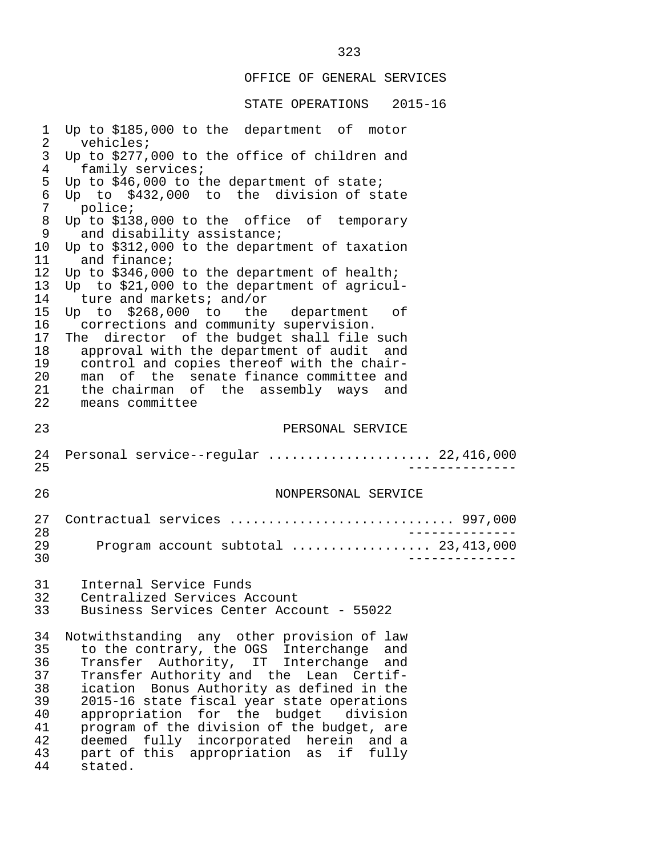# OFFICE OF GENERAL SERVICES

| $\mathbf 1$                                              | Up to \$185,000 to the department of motor                                                                                                                                                                                                                                                                                                                                                                    |
|----------------------------------------------------------|---------------------------------------------------------------------------------------------------------------------------------------------------------------------------------------------------------------------------------------------------------------------------------------------------------------------------------------------------------------------------------------------------------------|
| 2                                                        | vehicles;                                                                                                                                                                                                                                                                                                                                                                                                     |
| 3                                                        | Up to \$277,000 to the office of children and                                                                                                                                                                                                                                                                                                                                                                 |
| $\overline{4}$                                           | family services;                                                                                                                                                                                                                                                                                                                                                                                              |
| 5                                                        | Up to \$46,000 to the department of state;                                                                                                                                                                                                                                                                                                                                                                    |
| 6                                                        | Up to \$432,000 to the division of state                                                                                                                                                                                                                                                                                                                                                                      |
| 7                                                        | police;                                                                                                                                                                                                                                                                                                                                                                                                       |
| 8                                                        | Up to \$138,000 to the office of temporary                                                                                                                                                                                                                                                                                                                                                                    |
| 9                                                        | and disability assistance;                                                                                                                                                                                                                                                                                                                                                                                    |
| 10                                                       | Up to \$312,000 to the department of taxation                                                                                                                                                                                                                                                                                                                                                                 |
| 11                                                       | and finance;                                                                                                                                                                                                                                                                                                                                                                                                  |
| 12                                                       | Up to \$346,000 to the department of health;                                                                                                                                                                                                                                                                                                                                                                  |
| 13<br>14<br>15<br>16<br>17<br>18<br>19<br>20<br>21<br>22 | Up to \$21,000 to the department of agricul-<br>ture and markets; and/or<br>Up to \$268,000 to the department<br>оf<br>corrections and community supervision.<br>The director of the budget shall file such<br>approval with the department of audit and<br>control and copies thereof with the chair-<br>man of the senate finance committee and<br>the chairman of the assembly ways and<br>means committee |
| 23                                                       | PERSONAL SERVICE                                                                                                                                                                                                                                                                                                                                                                                              |
| 24                                                       | Personal service--regular  22,416,000                                                                                                                                                                                                                                                                                                                                                                         |
| 25                                                       | -----------                                                                                                                                                                                                                                                                                                                                                                                                   |
| 26                                                       | NONPERSONAL SERVICE                                                                                                                                                                                                                                                                                                                                                                                           |
| 27                                                       | Contractual services  997,000                                                                                                                                                                                                                                                                                                                                                                                 |
| 28                                                       |                                                                                                                                                                                                                                                                                                                                                                                                               |
| 29                                                       | Program account subtotal  23,413,000                                                                                                                                                                                                                                                                                                                                                                          |
| 30                                                       | -----------                                                                                                                                                                                                                                                                                                                                                                                                   |
| 31                                                       | Internal Service Funds                                                                                                                                                                                                                                                                                                                                                                                        |
| 32                                                       | Centralized Services Account                                                                                                                                                                                                                                                                                                                                                                                  |
| 33                                                       | Business Services Center Account - 55022                                                                                                                                                                                                                                                                                                                                                                      |
| 34                                                       | Notwithstanding any other provision of law                                                                                                                                                                                                                                                                                                                                                                    |
| 35                                                       | to the contrary, the OGS Interchange and                                                                                                                                                                                                                                                                                                                                                                      |
| 36                                                       | Transfer Authority, IT Interchange                                                                                                                                                                                                                                                                                                                                                                            |
| 37                                                       | and                                                                                                                                                                                                                                                                                                                                                                                                           |
| 38                                                       | Transfer Authority and the Lean Certif-                                                                                                                                                                                                                                                                                                                                                                       |
| 39                                                       | ication Bonus Authority as defined in the                                                                                                                                                                                                                                                                                                                                                                     |
| 40                                                       | 2015-16 state fiscal year state operations                                                                                                                                                                                                                                                                                                                                                                    |
| 41                                                       | appropriation for the budget division                                                                                                                                                                                                                                                                                                                                                                         |
| 42                                                       | program of the division of the budget, are                                                                                                                                                                                                                                                                                                                                                                    |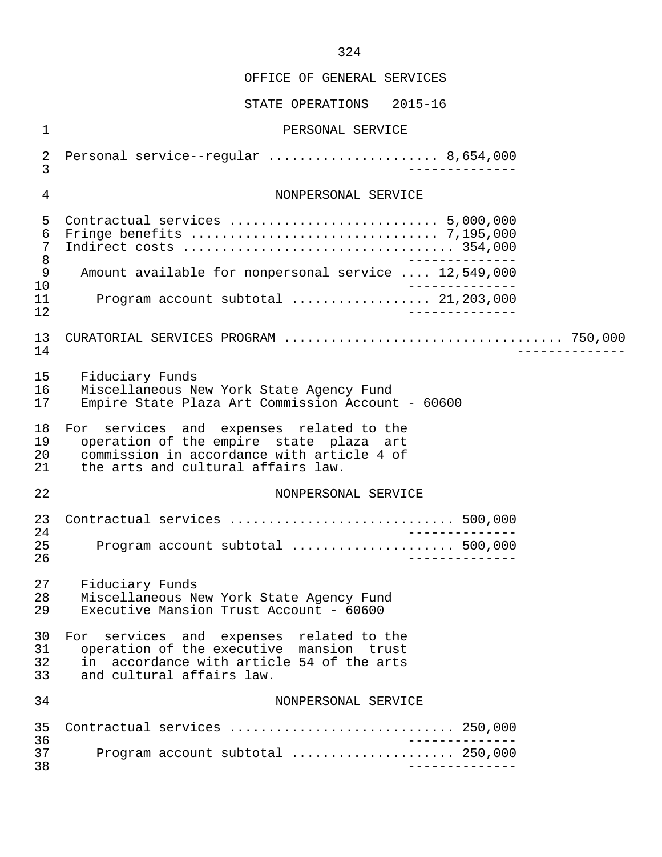STATE OPERATIONS 2015-16 1 PERSONAL SERVICE 2 Personal service--regular ...................... 8,654,000 3 -------------- 4 NONPERSONAL SERVICE 5 Contractual services ........................... 5,000,000 6 Fringe benefits ................................ 7,195,000 7 Indirect costs ................................... 354,000 8<br>200, 281, 281 .... 2016 Amount available for nonpersonal service .... 12 9 Amount available for nonpersonal service .... 12,549,000<br>10 10 -------------- 11 Program account subtotal .................. 21,203,000 12 -------------- 13 CURATORIAL SERVICES PROGRAM .................................... 750,000 14 -------------- 15 Fiduciary Funds<br>16 Miscellaneous N 16 Miscellaneous New York State Agency Fund<br>17 Empire State Plaza Art Commission Account Empire State Plaza Art Commission Account - 60600 18 For services and expenses related to the<br>19 operation of the empire state plaza art 19 operation of the empire state plaza art<br>20 commission in accordance with article 4 of 20 commission in accordance with article 4 of<br>21 the arts and cultural affairs law. the arts and cultural affairs law. 22 NONPERSONAL SERVICE 23 Contractual services ............................. 500,000 24 -------------- 25 Program account subtotal ..................... 500,000 26 -------------- 27 Fiduciary Funds<br>28 Miscellaneous N 28 Miscellaneous New York State Agency Fund<br>29 Executive Mansion Trust Account - 60600 Executive Mansion Trust Account -  $60600$ 30 For services and expenses related to the<br>31 operation of the executive mansion trust 31 operation of the executive mansion trust<br>32 in accordance with article 54 of the arts  $32$  in accordance with article 54 of the arts<br>33 and cultural affairs law. and cultural affairs law. 34 NONPERSONAL SERVICE 35 Contractual services ............................. 250,000 36 -------------- 37 Program account subtotal ..................... 250,000 38 --------------

324

OFFICE OF GENERAL SERVICES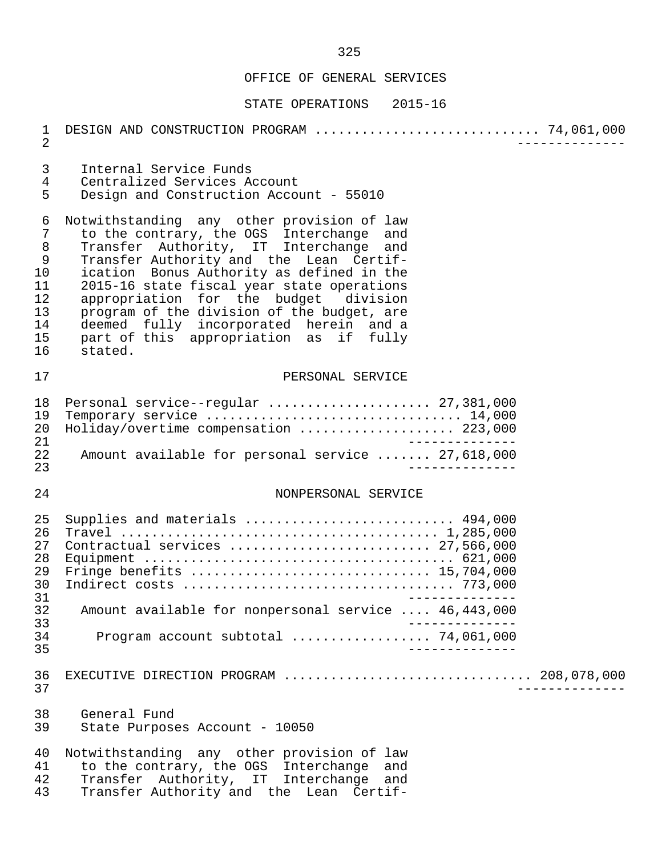| $\mathbf 1$<br>$\overline{2}$                                                     | DESIGN AND CONSTRUCTION PROGRAM  74,061,000                                                                                                                                                                                                                                                                                                                                                                                                                  |
|-----------------------------------------------------------------------------------|--------------------------------------------------------------------------------------------------------------------------------------------------------------------------------------------------------------------------------------------------------------------------------------------------------------------------------------------------------------------------------------------------------------------------------------------------------------|
| 3<br>$\overline{4}$<br>5                                                          | Internal Service Funds<br>Centralized Services Account<br>Design and Construction Account - 55010                                                                                                                                                                                                                                                                                                                                                            |
| 6<br>$\overline{7}$<br>8<br>$\mathsf 9$<br>10<br>11<br>12<br>13<br>14<br>15<br>16 | Notwithstanding any other provision of law<br>to the contrary, the OGS Interchange and<br>Transfer Authority, IT Interchange and<br>Transfer Authority and the Lean Certif-<br>ication Bonus Authority as defined in the<br>2015-16 state fiscal year state operations<br>appropriation for the budget division<br>program of the division of the budget, are<br>deemed fully incorporated herein and a<br>part of this appropriation as if fully<br>stated. |
| 17                                                                                | PERSONAL SERVICE                                                                                                                                                                                                                                                                                                                                                                                                                                             |
| 18<br>19<br>20<br>21<br>22<br>23                                                  | Personal service--regular  27,381,000<br>Temporary service  14,000<br>Holiday/overtime compensation  223,000<br>$\frac{1}{2}$<br>Amount available for personal service  27,618,000                                                                                                                                                                                                                                                                           |
| 24                                                                                | NONPERSONAL SERVICE                                                                                                                                                                                                                                                                                                                                                                                                                                          |
| 25<br>26<br>27<br>28<br>29<br>30<br>31<br>32<br>33<br>34<br>35                    | Supplies and materials  494,000<br>Contractual services  27,566,000<br>Amount available for nonpersonal service  46,443,000<br>Program account subtotal $\ldots \ldots \ldots \ldots \ldots$ 74,061,000                                                                                                                                                                                                                                                      |
| 36<br>37                                                                          | EXECUTIVE DIRECTION PROGRAM  208,078,000                                                                                                                                                                                                                                                                                                                                                                                                                     |
| 38<br>39                                                                          | General Fund<br>State Purposes Account - 10050                                                                                                                                                                                                                                                                                                                                                                                                               |
| 40<br>41<br>42<br>43                                                              | Notwithstanding any other provision of law<br>to the contrary, the OGS Interchange<br>and<br>Transfer Authority, IT Interchange and<br>Transfer Authority and the Lean Certif-                                                                                                                                                                                                                                                                               |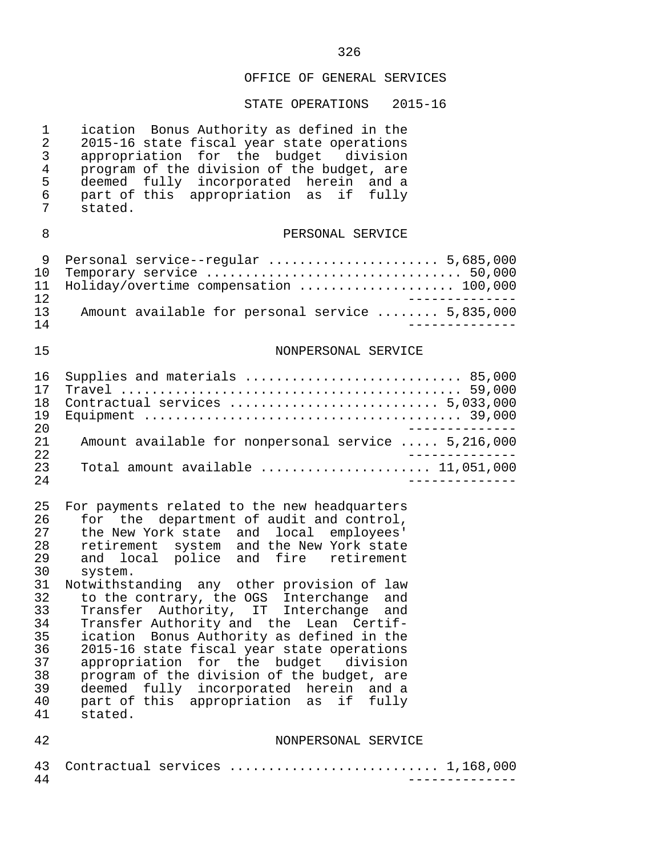| $\mathbf 1$<br>$\overline{2}$<br>3<br>$\overline{4}$<br>5<br>6<br>7                                | ication Bonus Authority as defined in the<br>2015-16 state fiscal year state operations<br>appropriation for the budget division<br>program of the division of the budget, are<br>deemed fully incorporated herein and a<br>part of this appropriation as if fully<br>stated.                                                                                                                                                                                                                                                                                                                                                                                                                         |
|----------------------------------------------------------------------------------------------------|-------------------------------------------------------------------------------------------------------------------------------------------------------------------------------------------------------------------------------------------------------------------------------------------------------------------------------------------------------------------------------------------------------------------------------------------------------------------------------------------------------------------------------------------------------------------------------------------------------------------------------------------------------------------------------------------------------|
| 8                                                                                                  | PERSONAL SERVICE                                                                                                                                                                                                                                                                                                                                                                                                                                                                                                                                                                                                                                                                                      |
| 9<br>10<br>11<br>12                                                                                | Personal service--regular  5,685,000<br>Temporary service  50,000<br>Holiday/overtime compensation  100,000                                                                                                                                                                                                                                                                                                                                                                                                                                                                                                                                                                                           |
| 13<br>14                                                                                           | Amount available for personal service  5,835,000                                                                                                                                                                                                                                                                                                                                                                                                                                                                                                                                                                                                                                                      |
| 15                                                                                                 | NONPERSONAL SERVICE                                                                                                                                                                                                                                                                                                                                                                                                                                                                                                                                                                                                                                                                                   |
| 16<br>17<br>18<br>19<br>20                                                                         | Supplies and materials  85,000<br>Contractual services  5,033,000                                                                                                                                                                                                                                                                                                                                                                                                                                                                                                                                                                                                                                     |
| 21<br>22                                                                                           | Amount available for nonpersonal service  5,216,000                                                                                                                                                                                                                                                                                                                                                                                                                                                                                                                                                                                                                                                   |
| 23<br>24                                                                                           | Total amount available $\ldots, \ldots, \ldots, \ldots, 11,051,000$                                                                                                                                                                                                                                                                                                                                                                                                                                                                                                                                                                                                                                   |
| 25<br>26<br>27<br>28<br>29<br>30<br>31<br>32<br>33<br>34<br>35<br>36<br>37<br>38<br>39<br>40<br>41 | For payments related to the new headquarters<br>for the department of audit and control,<br>the New York state and local employees'<br>retirement system and the New York state<br>and local police and fire retirement<br>system.<br>Notwithstanding any other provision of law<br>to the contrary, the OGS Interchange and<br>Transfer Authority, IT Interchange and<br>Transfer Authority and the<br>Lean Certif-<br>ication Bonus Authority as defined in the<br>2015-16 state fiscal year state operations<br>appropriation for the budget division<br>program of the division of the budget, are<br>deemed fully incorporated herein and a<br>part of this appropriation as if fully<br>stated. |
| 42                                                                                                 | NONPERSONAL SERVICE                                                                                                                                                                                                                                                                                                                                                                                                                                                                                                                                                                                                                                                                                   |
| 43<br>44                                                                                           | Contractual services  1,168,000                                                                                                                                                                                                                                                                                                                                                                                                                                                                                                                                                                                                                                                                       |
|                                                                                                    |                                                                                                                                                                                                                                                                                                                                                                                                                                                                                                                                                                                                                                                                                                       |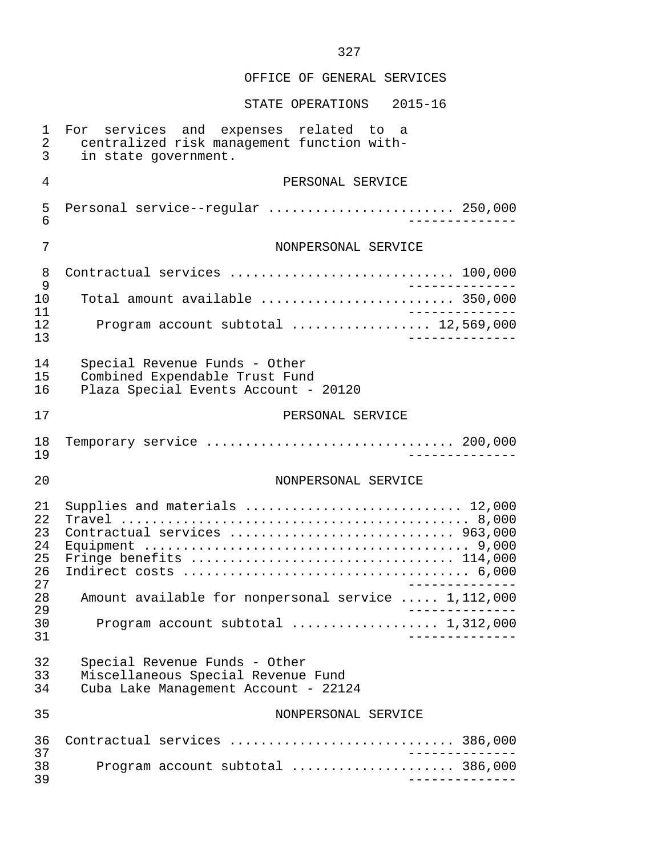STATE OPERATIONS 2015-16 1 For services and expenses related to a 2 centralized risk management function with- 3 in state government. 4 PERSONAL SERVICE 5 Personal service--regular ........................ 250,000 6 -------------- 7 NONPERSONAL SERVICE 8 Contractual services ............................. 100,000 ـ-------------<br>10 Total amount available ........................... 350.000 10 Total amount available ......................... 350,000 11 -------------- 12 Program account subtotal .................. 12,569,000 13 -------------- 14 Special Revenue Funds - Other<br>15 Combined Expendable Trust Fund 15 Combined Expendable Trust Fund<br>16 Plaza Special Events Account - 16 Plaza Special Events Account - 20120 17 PERSONAL SERVICE 18 Temporary service ................................ 200,000 19 -------------- 20 NONPERSONAL SERVICE 21 Supplies and materials ............................ 12,000 22 Travel ............................................. 8,000 23 Contractual services ............................. 963,000 24 Equipment .......................................... 9,000 25 Fringe benefits .................................. 114,000 26 Indirect costs ..................................... 6,000 27 -------------- 28 Amount available for nonpersonal service ..... 1,112,000 29 -------------- 30 Program account subtotal ................... 1,312,000 31 -------------- 32 Special Revenue Funds - Other Miscellaneous Special Revenue Fund 34 Cuba Lake Management Account - 22124 35 NONPERSONAL SERVICE 36 Contractual services ............................. 386,000 -------------<br>38 Program account subtotal 38 Program account subtotal ..................... 386,000 39 --------------

327

#### OFFICE OF GENERAL SERVICES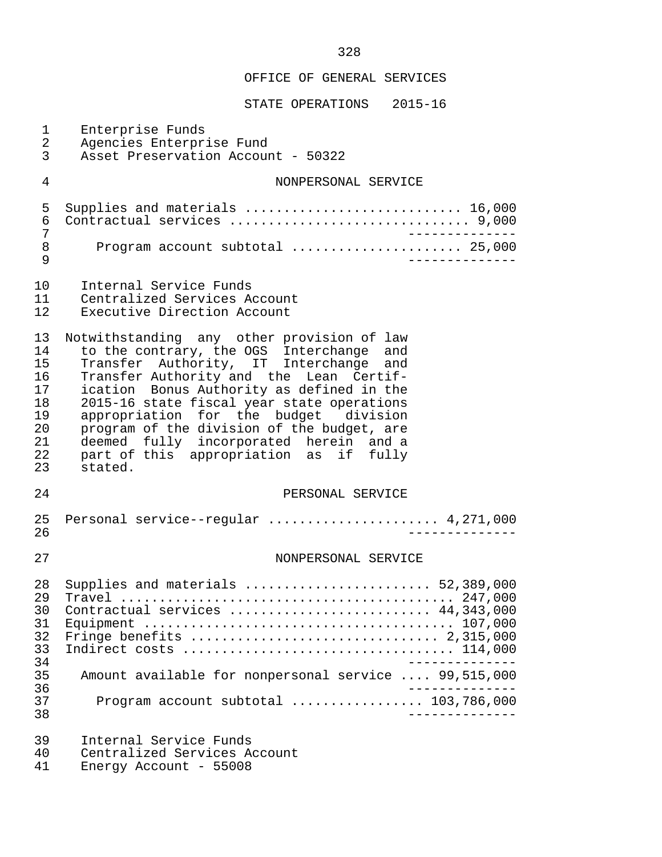| $\mathbf 1$<br>$\overline{a}$<br>$\mathfrak{Z}$                | Enterprise Funds<br>Agencies Enterprise Fund<br>Asset Preservation Account - 50322                                                                                                                                                                                                                                                                                                                                                                           |
|----------------------------------------------------------------|--------------------------------------------------------------------------------------------------------------------------------------------------------------------------------------------------------------------------------------------------------------------------------------------------------------------------------------------------------------------------------------------------------------------------------------------------------------|
| $\overline{4}$                                                 | NONPERSONAL SERVICE                                                                                                                                                                                                                                                                                                                                                                                                                                          |
| 5<br>6<br>7<br>$\,8\,$<br>9                                    | Supplies and materials  16,000<br>Contractual services  9,000<br>$\frac{1}{2}$<br>Program account subtotal  25,000                                                                                                                                                                                                                                                                                                                                           |
| 10<br>11<br>12                                                 | Internal Service Funds<br>Centralized Services Account<br>Executive Direction Account                                                                                                                                                                                                                                                                                                                                                                        |
| 13<br>14<br>15<br>16<br>17<br>18<br>19<br>20<br>21<br>22<br>23 | Notwithstanding any other provision of law<br>to the contrary, the OGS Interchange and<br>Transfer Authority, IT Interchange and<br>Transfer Authority and the Lean Certif-<br>ication Bonus Authority as defined in the<br>2015-16 state fiscal year state operations<br>appropriation for the budget division<br>program of the division of the budget, are<br>deemed fully incorporated herein and a<br>part of this appropriation as if fully<br>stated. |
| 24                                                             | PERSONAL SERVICE                                                                                                                                                                                                                                                                                                                                                                                                                                             |
| 25<br>26                                                       | Personal service--regular  4,271,000                                                                                                                                                                                                                                                                                                                                                                                                                         |
| 27                                                             | NONPERSONAL SERVICE                                                                                                                                                                                                                                                                                                                                                                                                                                          |
| 28<br>29<br>30<br>31<br>32<br>33<br>34<br>35<br>36<br>37<br>38 | Contractual services  44,343,000<br>Amount available for nonpersonal service  99,515,000<br>Program account subtotal $\ldots$ 103,786,000                                                                                                                                                                                                                                                                                                                    |
| 39<br>40<br>41                                                 | Internal Service Funds<br>Centralized Services Account<br>Energy Account - 55008                                                                                                                                                                                                                                                                                                                                                                             |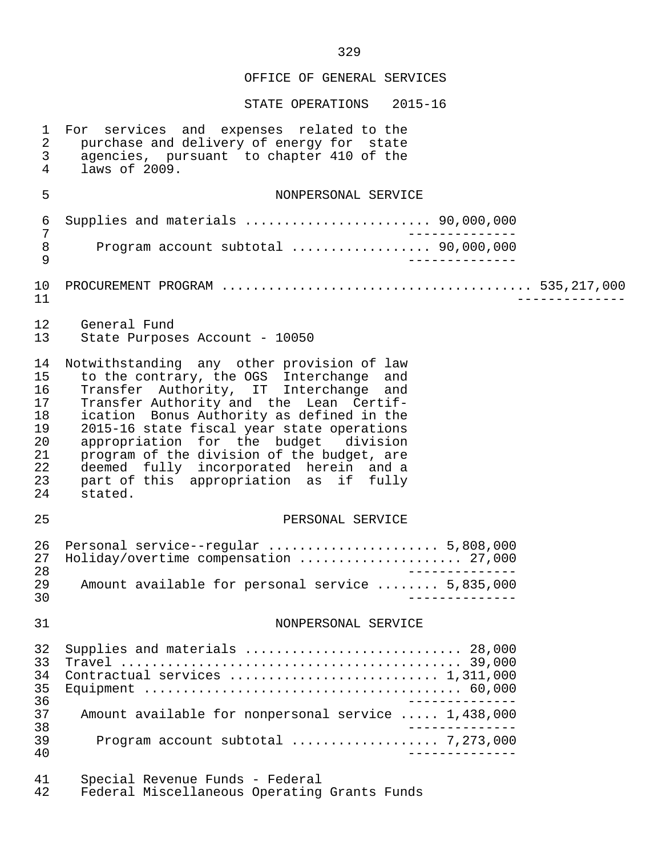OFFICE OF GENERAL SERVICES STATE OPERATIONS 2015-16 1 For services and expenses related to the<br>2 purchase and delivery of energy for state 2 purchase and delivery of energy for state<br>3 agencies, pursuant to chapter 410 of the 3 agencies, pursuant to chapter 410 of the<br>4 laws of 2009 laws of 2009. 5 NONPERSONAL SERVICE 6 Supplies and materials ........................ 90,000,000 7 -------------- 8 Program account subtotal .................. 90,000,000 9 -------------- 10 PROCUREMENT PROGRAM ........................................ 535,217,000 11 -------------- 12 General Fund State Purposes Account - 10050 14 Notwithstanding any other provision of law<br>15 to the contrary, the OGS Interchange and 11 is to the contrary, the OGS Interchange and<br>16 Transfer Authority, IT Interchange and 16 Transfer Authority, IT Interchange and<br>17 Transfer-Authority-and the Lean Certif-17 Transfer Authority and the Lean Certif-<br>18 ication Bonus Authority as defined in the 18 ication Bonus Authority as defined in the<br>19 2015-16 state fiscal vear state operations 19 2015-16 state fiscal year state operations<br>20 appropriation for the budget division 20 appropriation for the budget division<br>21 program of the division of the budget, are 21 program of the division of the budget, are<br>22 deemed fully incorporated herein and a 22 deemed fully incorporated herein and a 23 part of this appropriation as if fully 24 stated. 25 PERSONAL SERVICE 26 Personal service--regular ...................... 5,808,000 27 Holiday/overtime compensation ............................ 27,000<br>28 -------------<br>29 Amount available for personal service ........ 5,835,000 29 Amount available for personal service ........ 5,835,000 30 -------------- 31 NONPERSONAL SERVICE 32 Supplies and materials ............................ 28,000 33 Travel ............................................ 39,000 34 Contractual services ........................... 1,311,000 35 Equipment ......................................... 60,000 36 -------------- 37 Amount available for nonpersonal service ..... 1,438,000 28 --------------<br>39 Program account subtotal expressions of 273,000 39 Program account subtotal ................... 7,273,000 40 -------------- 41 Special Revenue Funds - Federal Federal Miscellaneous Operating Grants Funds

329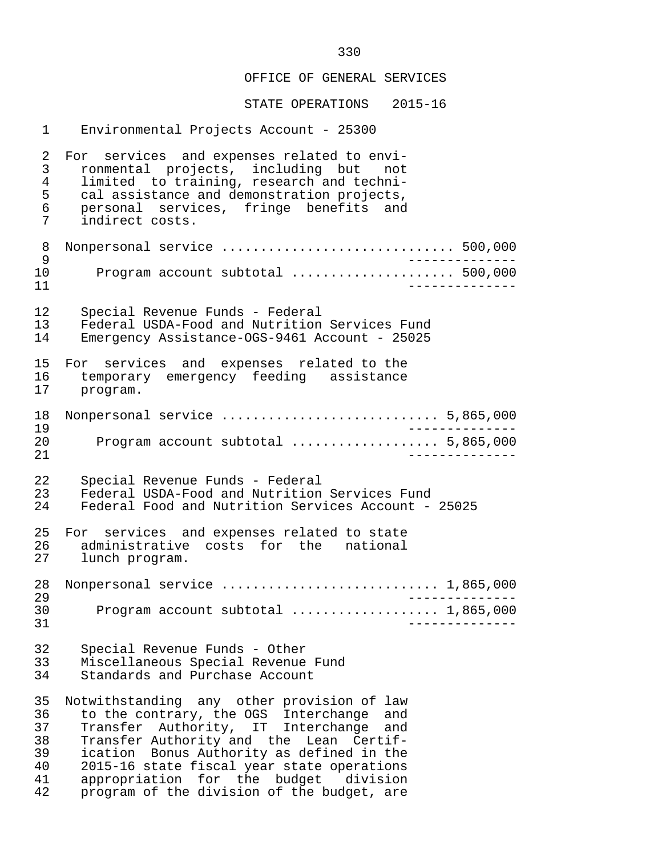STATE OPERATIONS 2015-16

 1 Environmental Projects Account - 25300 2 For services and expenses related to envi-<br>3 ronmental projects, including but not 3 ronmental projects, including but not 4 limited to training, research and techni- 5 cal assistance and demonstration projects,<br>6 personal services, fringe benefits and 6 personal services, fringe benefits and<br>7 indirect costs. indirect costs. 8 Nonpersonal service .............................. 500,000 9 -------------- 10 Program account subtotal ..................... 500,000 11 -------------- 12 Special Revenue Funds - Federal<br>13 Federal USDA-Food and Nutrition 13 Federal USDA-Food and Nutrition Services Fund<br>14 Emergency Assistance-OGS-9461 Account - 25025 Emergency Assistance-OGS-9461 Account - 25025 15 For services and expenses related to the<br>16 temporary emergency feeding assistance 16 temporary emergency feeding assistance<br>17 program. 17 program. 18 Nonpersonal service ............................ 5,865,000 19<br>20 Program account subtotal .................... 5,865,000 20 Program account subtotal ................... 5,865,000 21 -------------- 22 Special Revenue Funds - Federal<br>23 Federal USDA-Food and Nutrition 23 Federal USDA-Food and Nutrition Services Fund<br>24 Federal Food and Nutrition Services Account -Federal Food and Nutrition Services Account - 25025 25 For services and expenses related to state 26 administrative costs for the national<br>27 lunch\_program. lunch program. 28 Nonpersonal service ............................ 1,865,000 29<br>30 - Program account subtotal expressions of the 1.865.000 30 Program account subtotal ................... 1,865,000 31 -------------- 32 Special Revenue Funds - Other 33 Miscellaneous Special Revenue Fund<br>34 Standards and Purchase Account Standards and Purchase Account 35 Notwithstanding any other provision of law 36 to the contrary, the OGS Interchange and 37 Transfer Authority, IT Interchange and 38 Transfer Authority and the Lean Certif- 39 ication Bonus Authority as defined in the<br>40 2015-16 state fiscal vear state operations 40 2015-16 state fiscal year state operations 41 appropriation for the budget division<br>42 program of the division of the budget, are program of the division of the budget, are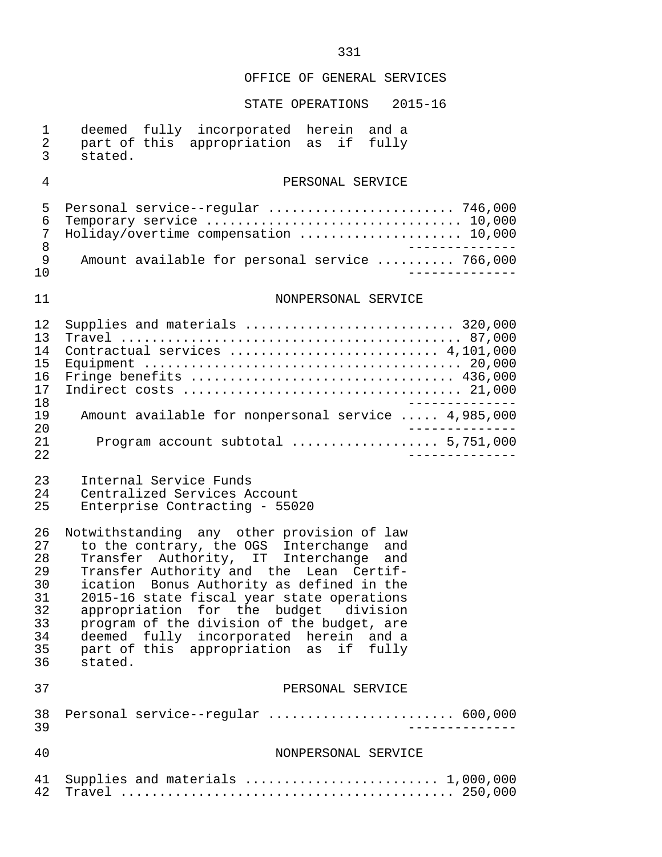| $\mathbf 1$                                                    | deemed fully incorporated herein and a                                                                                                                           |
|----------------------------------------------------------------|------------------------------------------------------------------------------------------------------------------------------------------------------------------|
| $\overline{2}$                                                 | part of this appropriation as if fully                                                                                                                           |
| 3                                                              | stated.                                                                                                                                                          |
| 4                                                              | PERSONAL SERVICE                                                                                                                                                 |
| 5                                                              | Personal service--regular  746,000                                                                                                                               |
| 6                                                              | Temporary service  10,000                                                                                                                                        |
| 7                                                              | Holiday/overtime compensation  10,000                                                                                                                            |
| 8                                                              | ______________                                                                                                                                                   |
| 9                                                              | Amount available for personal service  766,000                                                                                                                   |
| 10                                                             | - - - - - - - - - -                                                                                                                                              |
| 11                                                             | NONPERSONAL SERVICE                                                                                                                                              |
| 12<br>13<br>14<br>15<br>16<br>17<br>18<br>19<br>20<br>21<br>22 | Supplies and materials  320,000<br>Contractual services  4,101,000<br>Amount available for nonpersonal service  4,985,000<br>Program account subtotal  5,751,000 |
| 23                                                             | Internal Service Funds                                                                                                                                           |
| 24                                                             | Centralized Services Account                                                                                                                                     |
| 25                                                             | Enterprise Contracting - 55020                                                                                                                                   |
| 26                                                             | Notwithstanding any other provision of law                                                                                                                       |
| 27                                                             | to the contrary, the OGS Interchange and<br>Transfer Authority, IT Interchange and                                                                               |
| 28                                                             | Transfer Authority and the Lean Certif-                                                                                                                          |
| 29                                                             | ication Bonus Authority as defined in the                                                                                                                        |
| 30                                                             | 2015-16 state fiscal year state operations                                                                                                                       |
| 31                                                             | appropriation for the budget division                                                                                                                            |
| 32                                                             | program of the division of the budget, are                                                                                                                       |
| 33                                                             | deemed fully incorporated herein and a                                                                                                                           |
| 34                                                             | part of this appropriation as                                                                                                                                    |
| 35                                                             | if fully                                                                                                                                                         |
| 36                                                             | stated.                                                                                                                                                          |
| 37                                                             | PERSONAL SERVICE                                                                                                                                                 |
| 38                                                             | Personal service--regular  600,000                                                                                                                               |
| 39                                                             | <u> - - - - - - - - - -</u>                                                                                                                                      |
| 40                                                             | NONPERSONAL SERVICE                                                                                                                                              |
| 41                                                             | Supplies and materials  1,000,000                                                                                                                                |
| 42                                                             |                                                                                                                                                                  |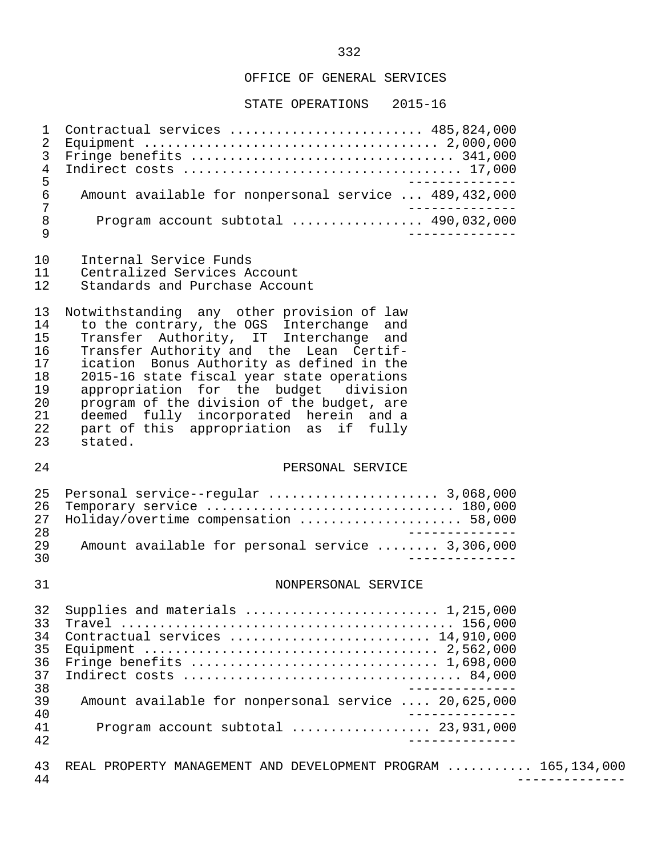STATE OPERATIONS 2015-16

| 5      | 1 Contractual services  485,824,000                   |
|--------|-------------------------------------------------------|
| 6<br>7 | Amount available for nonpersonal service  489,432,000 |
| 8<br>a | Program account subtotal $\ldots$ 490,032,000         |

- 10 Internal Service Funds<br>11 Centralized Services A
- 11 Centralized Services Account<br>12 Standards and Purchase Accou
- Standards and Purchase Account

13 Notwithstanding any other provision of law<br>14 to the contrary, the OGS Interchange and 14 to the contrary, the OGS Interchange and 15 Transfer Authority, IT Interchange and 16 Transfer Authority and the Lean Certif-<br>17 ication Bonus Authority as defined in the 17 ication Bonus Authority as defined in the<br>18 2015-16 state fiscal vear state operations 18 2015-16 state fiscal year state operations<br>19 appropriation for the budget division appropriation for the budget division 20 program of the division of the budget, are 21 deemed fully incorporated herein and a 22 part of this appropriation as if fully 23 stated.

### 24 PERSONAL SERVICE

|     | 25 Personal service--regular  3,068,000          |
|-----|--------------------------------------------------|
|     | 26 Temporary service  180,000                    |
| 27  | Holiday/overtime compensation  58,000            |
| 28  |                                                  |
| 29  | Amount available for personal service  3,306,000 |
| 3 U |                                                  |

#### 31 NONPERSONAL SERVICE

| 32 | Supplies and materials $\ldots \ldots \ldots \ldots \ldots \ldots \ldots \ldots 1,215,000$ |
|----|--------------------------------------------------------------------------------------------|
| 33 |                                                                                            |
| 34 | Contractual services  14,910,000                                                           |
| 35 |                                                                                            |
| 36 |                                                                                            |
| 37 |                                                                                            |
| 38 |                                                                                            |
| 39 | Amount available for nonpersonal service  20,625,000                                       |
| 40 |                                                                                            |
| 41 | Program account subtotal $\ldots$ 23,931,000                                               |
| 42 |                                                                                            |

43 REAL PROPERTY MANAGEMENT AND DEVELOPMENT PROGRAM .......... 165,134,000<br>44 44 --------------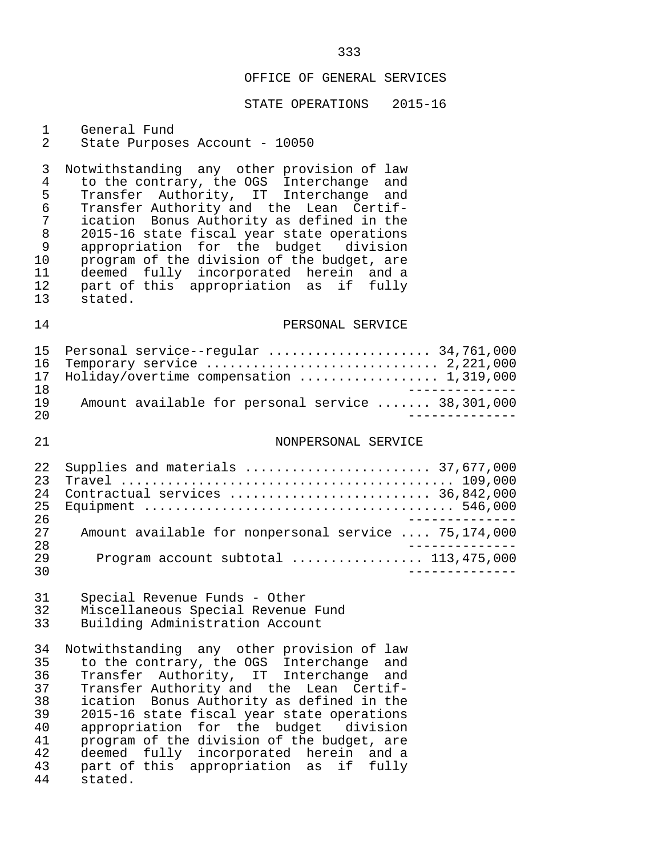#### STATE OPERATIONS 2015-16

# 1 General Fund<br>2 State Purpose

#### State Purposes Account - 10050

3 Notwithstanding any other provision of law<br>4 to the contrary, the OGS Interchange and 4 to the contrary, the OGS Interchange and 5 Transfer Authority, IT Interchange and 6 Transfer Authority and the Lean Certif- 7 ication Bonus Authority as defined in the 8 2015-16 state fiscal year state operations<br>9 appropriation for the budget division 9 appropriation for the budget<br>10 program of the division of the b 10 program of the division of the budget, are<br>11 deemed fully incorporated herein and a 11 deemed fully incorporated herein and a 12 part of this appropriation as if fully 13 stated.

### 14 **PERSONAL SERVICE**

|     | 15 Personal service--regular  34,761,000          |
|-----|---------------------------------------------------|
|     |                                                   |
|     | 17 Holiday/overtime compensation  1,319,000       |
| 1 R |                                                   |
| 19  | Amount available for personal service  38,301,000 |
| 20  |                                                   |

## 21 NONPERSONAL SERVICE

| 2.2 <sub>1</sub> | Supplies and materials  37,677,000                   |
|------------------|------------------------------------------------------|
| 23               |                                                      |
| 24               | Contractual services  36,842,000                     |
| 25.              |                                                      |
| 26               |                                                      |
| 27               | Amount available for nonpersonal service  75,174,000 |
| 28               |                                                      |
| 29               | Program account subtotal $\ldots$ 113,475,000        |
| 30               |                                                      |

# 31 Special Revenue Funds - Other 32 Miscellaneous Special Revenue Fund<br>33 Building Administration Account

Building Administration Account

34 Notwithstanding any other provision of law<br>35 to the contrary, the OGS Interchange and 35 to the contrary, the OGS Interchange and<br>36 Transfer Authority, IT Interchange and 36 Transfer Authority, IT Interchange and 37 Transfer Authority and the Lean Certif-<br>38 ication Bonus Authority as defined in the 38 ication Bonus Authority as defined in the<br>39 2015-16 state fiscal year state operations 39 2015-16 state fiscal year state operations<br>40 appropriation for the budget division 40 appropriation for the budget division<br>41 program of the division of the budget, are 41 program of the division of the budget, are<br>42 deemed fully incorporated herein and a 42 deemed fully incorporated herein and a<br>43 part of this appropriation as if fully 43 part of this appropriation as if fully stated.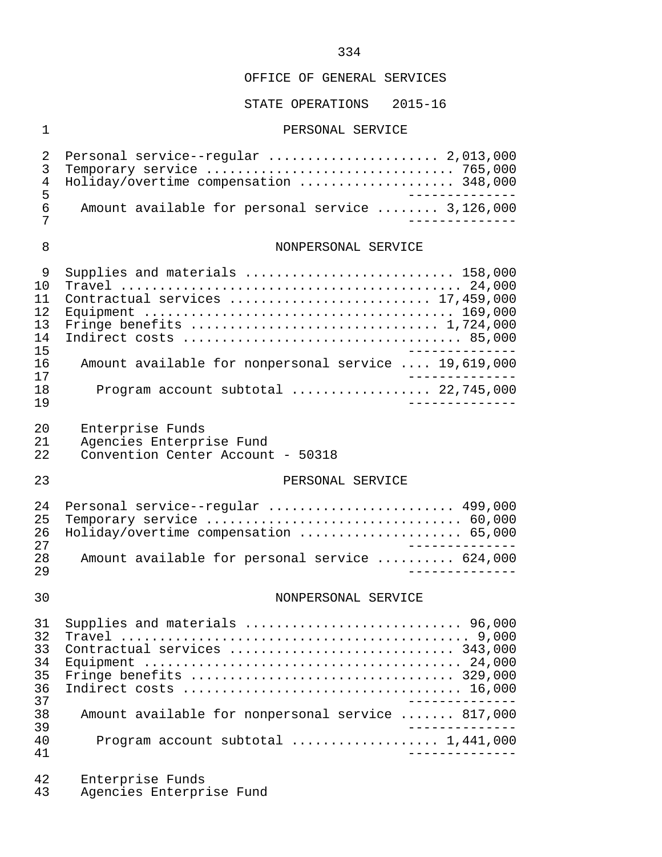### STATE OPERATIONS 2015-16

#### 1 PERSONAL SERVICE

|        | 2 Personal service--regular  2,013,000<br>4 Holiday/overtime compensation  348,000 |  |
|--------|------------------------------------------------------------------------------------|--|
| ᄃ<br>6 | Amount available for personal service  3,126,000                                   |  |

# 8 NONPERSONAL SERVICE

|     | Supplies and materials  158,000                      |
|-----|------------------------------------------------------|
| 1 N |                                                      |
|     | Contractual services  17,459,000                     |
| 12. |                                                      |
| 13  |                                                      |
| 14  |                                                      |
| 15  |                                                      |
| 16  | Amount available for nonpersonal service  19,619,000 |
| 17  |                                                      |
| 1 R | Program account subtotal  22,745,000                 |
| 1 9 |                                                      |

- 20 Enterprise Funds<br>21 Agencies Enterpr
- 21 Agencies Enterprise Fund<br>22 Convention Center Account
- 22 Convention Center Account 50318
- 

### 23 PERSONAL SERVICE

|     | 24 Personal service--regular  499,000          |
|-----|------------------------------------------------|
|     | 25 Temporary service  60,000                   |
|     | 26 Holiday/overtime compensation  65,000       |
| つワ  | ----------                                     |
| 28. | Amount available for personal service  624,000 |
| 29  |                                                |

#### 30 NONPERSONAL SERVICE

| 31 |                                                   |
|----|---------------------------------------------------|
| 32 |                                                   |
| 33 | Contractual services  343,000                     |
| 34 |                                                   |
| 35 |                                                   |
| 36 |                                                   |
| 37 |                                                   |
| 38 | Amount available for nonpersonal service  817,000 |
| 39 |                                                   |
| 40 |                                                   |
| 41 |                                                   |

- 42 Enterprise Funds<br>43 Agencies Enterpr
- Agencies Enterprise Fund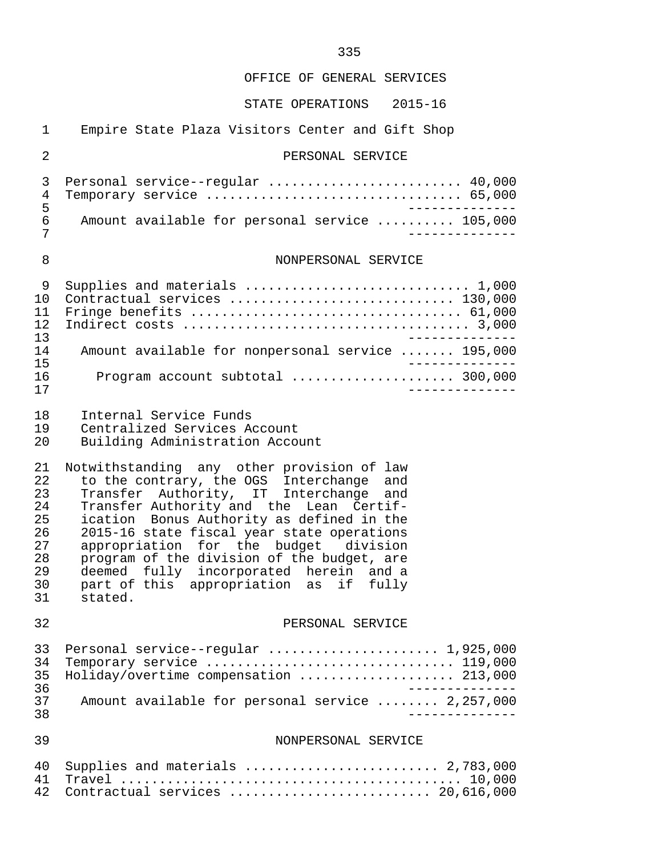| $\mathbf{1}$                                                   | Empire State Plaza Visitors Center and Gift Shop                                                                                                                                                                                                                                                                                                                                                                                                             |
|----------------------------------------------------------------|--------------------------------------------------------------------------------------------------------------------------------------------------------------------------------------------------------------------------------------------------------------------------------------------------------------------------------------------------------------------------------------------------------------------------------------------------------------|
| 2                                                              | PERSONAL SERVICE                                                                                                                                                                                                                                                                                                                                                                                                                                             |
| 3<br>4<br>5                                                    | Personal service--regular  40,000<br>Temporary service  65,000                                                                                                                                                                                                                                                                                                                                                                                               |
| $\epsilon$<br>7                                                | Amount available for personal service  105,000                                                                                                                                                                                                                                                                                                                                                                                                               |
| 8                                                              | NONPERSONAL SERVICE                                                                                                                                                                                                                                                                                                                                                                                                                                          |
| 9<br>10<br>11<br>12                                            | Supplies and materials  1,000<br>Contractual services  130,000<br>Fringe benefits  61,000                                                                                                                                                                                                                                                                                                                                                                    |
| 13<br>14                                                       | Amount available for nonpersonal service  195,000                                                                                                                                                                                                                                                                                                                                                                                                            |
| 15<br>16<br>17                                                 | _____________<br>Program account subtotal  300,000<br>____________                                                                                                                                                                                                                                                                                                                                                                                           |
| 18<br>19<br>20                                                 | Internal Service Funds<br>Centralized Services Account<br>Building Administration Account                                                                                                                                                                                                                                                                                                                                                                    |
| 21<br>22<br>23<br>24<br>25<br>26<br>27<br>28<br>29<br>30<br>31 | Notwithstanding any other provision of law<br>to the contrary, the OGS Interchange and<br>Transfer Authority, IT Interchange and<br>Transfer Authority and the Lean Certif-<br>ication Bonus Authority as defined in the<br>2015-16 state fiscal year state operations<br>appropriation for the budget division<br>program of the division of the budget, are<br>deemed fully incorporated herein and a<br>part of this appropriation as if fully<br>stated. |
| 32                                                             | PERSONAL SERVICE                                                                                                                                                                                                                                                                                                                                                                                                                                             |
| 33<br>34<br>35<br>36                                           | Personal service--regular  1,925,000<br>Temporary service  119,000<br>Holiday/overtime compensation  213,000                                                                                                                                                                                                                                                                                                                                                 |
| 37<br>38                                                       | Amount available for personal service  2,257,000                                                                                                                                                                                                                                                                                                                                                                                                             |
| 39                                                             | NONPERSONAL SERVICE                                                                                                                                                                                                                                                                                                                                                                                                                                          |
| 40<br>41<br>42                                                 | Supplies and materials  2,783,000<br>Contractual services  20,616,000                                                                                                                                                                                                                                                                                                                                                                                        |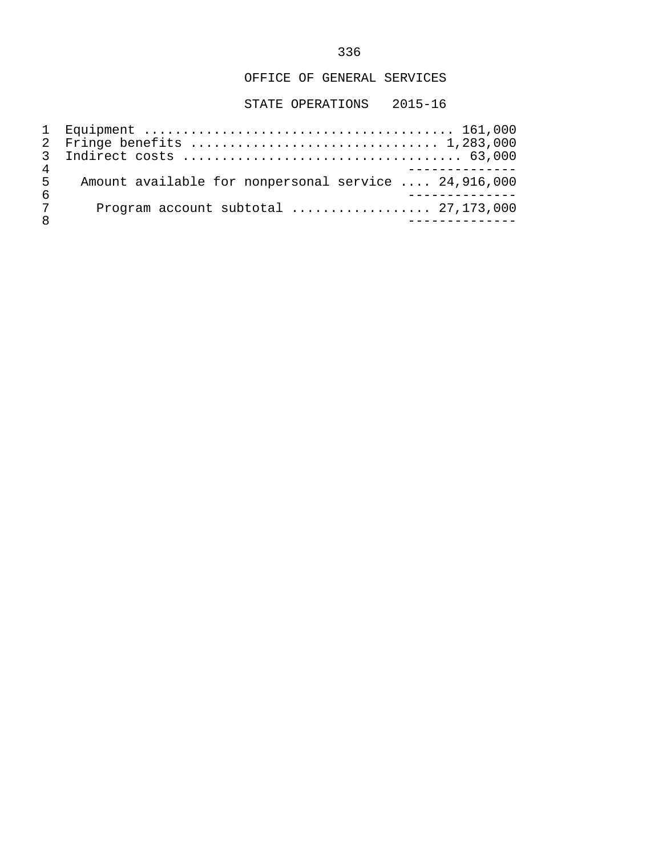| Δ |                                                      |
|---|------------------------------------------------------|
| 5 | Amount available for nonpersonal service  24,916,000 |
| 6 |                                                      |
| 7 | Program account subtotal $\ldots$ 27,173,000         |
|   |                                                      |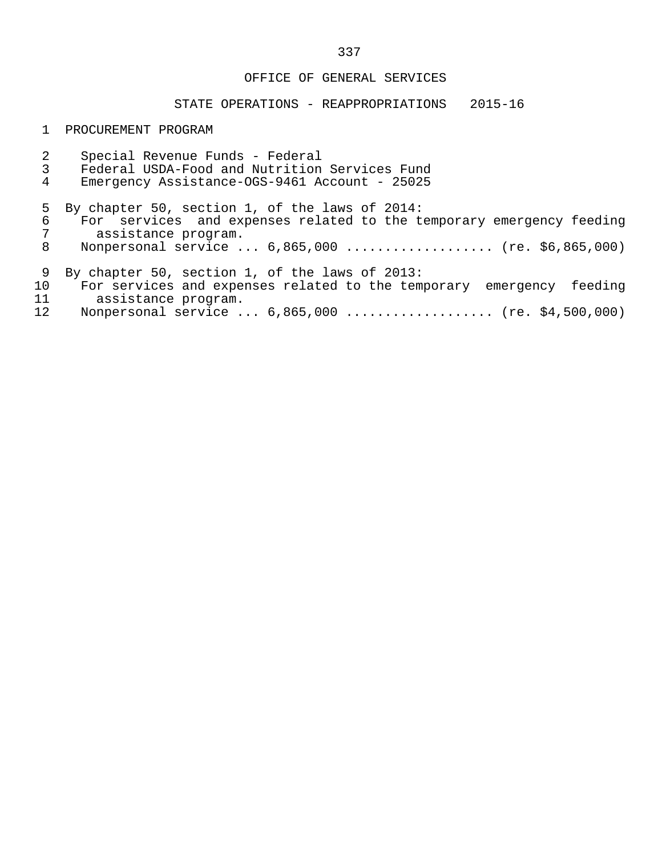### STATE OPERATIONS - REAPPROPRIATIONS 2015-16

#### 1 PROCUREMENT PROGRAM

2 Special Revenue Funds - Federal<br>3 Federal USDA-Food and Nutrition 3 Federal USDA-Food and Nutrition Services Fund Emergency Assistance-OGS-9461 Account - 25025 5 By chapter 50, section 1, of the laws of 2014:<br>6 For services and expenses related to the t 6 For services and expenses related to the temporary emergency feeding<br>7 assistance program. 7 assistance program.<br>8 Nonpersonal service. Nonpersonal service ... 6,865,000 ................... (re. \$6,865,000) 9 By chapter 50, section 1, of the laws of 2013:<br>10 For services and expenses related to the tem 10 For services and expenses related to the temporary emergency feeding<br>11 assistance program. 11 assistance program.<br>12 Nonpersonal service. Nonpersonal service ... 6,865,000 ................... (re. \$4,500,000)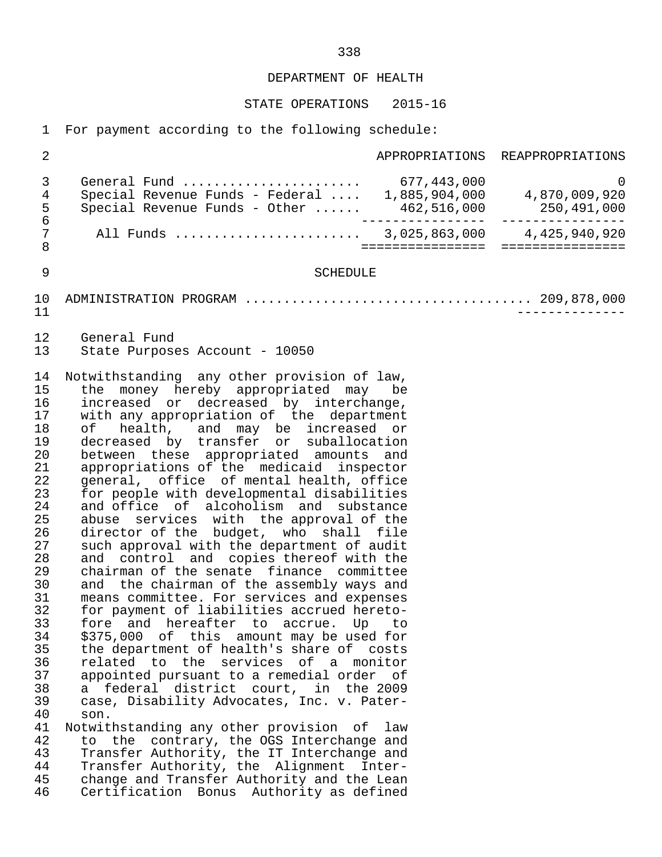STATE OPERATIONS 2015-16

1 For payment according to the following schedule:

| $\overline{2}$                                                                                                                                                                                     |                                                                                                                                                                                                                                                                                                                                                                                                                                                                                                                                                                                                                                                                                                                                                                                                                                                                                                                                                                                                                                                                                                                                                                                                                                                                                                                                                                                                                                                            |                  | APPROPRIATIONS REAPPROPRIATIONS |
|----------------------------------------------------------------------------------------------------------------------------------------------------------------------------------------------------|------------------------------------------------------------------------------------------------------------------------------------------------------------------------------------------------------------------------------------------------------------------------------------------------------------------------------------------------------------------------------------------------------------------------------------------------------------------------------------------------------------------------------------------------------------------------------------------------------------------------------------------------------------------------------------------------------------------------------------------------------------------------------------------------------------------------------------------------------------------------------------------------------------------------------------------------------------------------------------------------------------------------------------------------------------------------------------------------------------------------------------------------------------------------------------------------------------------------------------------------------------------------------------------------------------------------------------------------------------------------------------------------------------------------------------------------------------|------------------|---------------------------------|
| 3<br>4<br>$\frac{5}{6}$                                                                                                                                                                            | General Fund  677,443,000<br>Special Revenue Funds - Federal  1,885,904,000 4,870,009,920<br>Special Revenue Funds - Other $462,516,000$ 250,491,000                                                                                                                                                                                                                                                                                                                                                                                                                                                                                                                                                                                                                                                                                                                                                                                                                                                                                                                                                                                                                                                                                                                                                                                                                                                                                                       | . <u>.</u>       | 0                               |
| 7<br>$\,8\,$                                                                                                                                                                                       | All Funds  3,025,863,000 4,425,940,920                                                                                                                                                                                                                                                                                                                                                                                                                                                                                                                                                                                                                                                                                                                                                                                                                                                                                                                                                                                                                                                                                                                                                                                                                                                                                                                                                                                                                     | ================ | ================                |
| $\mathsf 9$                                                                                                                                                                                        | <b>SCHEDULE</b>                                                                                                                                                                                                                                                                                                                                                                                                                                                                                                                                                                                                                                                                                                                                                                                                                                                                                                                                                                                                                                                                                                                                                                                                                                                                                                                                                                                                                                            |                  |                                 |
| 10<br>11                                                                                                                                                                                           |                                                                                                                                                                                                                                                                                                                                                                                                                                                                                                                                                                                                                                                                                                                                                                                                                                                                                                                                                                                                                                                                                                                                                                                                                                                                                                                                                                                                                                                            |                  |                                 |
| 12<br>13                                                                                                                                                                                           | General Fund<br>State Purposes Account - 10050                                                                                                                                                                                                                                                                                                                                                                                                                                                                                                                                                                                                                                                                                                                                                                                                                                                                                                                                                                                                                                                                                                                                                                                                                                                                                                                                                                                                             |                  |                                 |
| 14<br>15<br>16<br>17<br>18<br>19<br>20<br>21<br>22<br>23<br>24<br>25<br>26<br>27<br>28<br>29<br>30<br>31<br>32<br>33<br>34<br>35<br>36<br>37<br>38<br>39<br>40<br>41<br>42<br>43<br>44<br>45<br>46 | Notwithstanding any other provision of law,<br>the money hereby appropriated may<br>increased or decreased by interchange,<br>with any appropriation of the department<br>health, and may be increased or<br>οf<br>decreased by transfer or suballocation<br>between these appropriated amounts and<br>appropriations of the medicaid inspector<br>general, office of mental health, office<br>for people with developmental disabilities<br>and office of alcoholism and substance<br>abuse services with the approval of the<br>director of the budget, who shall file<br>such approval with the department of audit<br>and control and copies thereof with the<br>chairman of the senate finance committee<br>and the chairman of the assembly ways and<br>means committee. For services and expenses<br>for payment of liabilities accrued hereto-<br>fore and hereafter to accrue. Up to<br>\$375,000 of this amount may be used for<br>the department of health's share of costs<br>related to the services of a monitor<br>appointed pursuant to a remedial order of<br>federal district court, in the 2009<br>a<br>case, Disability Advocates, Inc. v. Pater-<br>son.<br>Notwithstanding any other provision of<br>to the<br>contrary, the OGS Interchange and<br>Transfer Authority, the IT Interchange and<br>Transfer Authority, the Alignment Inter-<br>change and Transfer Authority and the Lean<br>Certification Bonus Authority as defined | be<br>law        |                                 |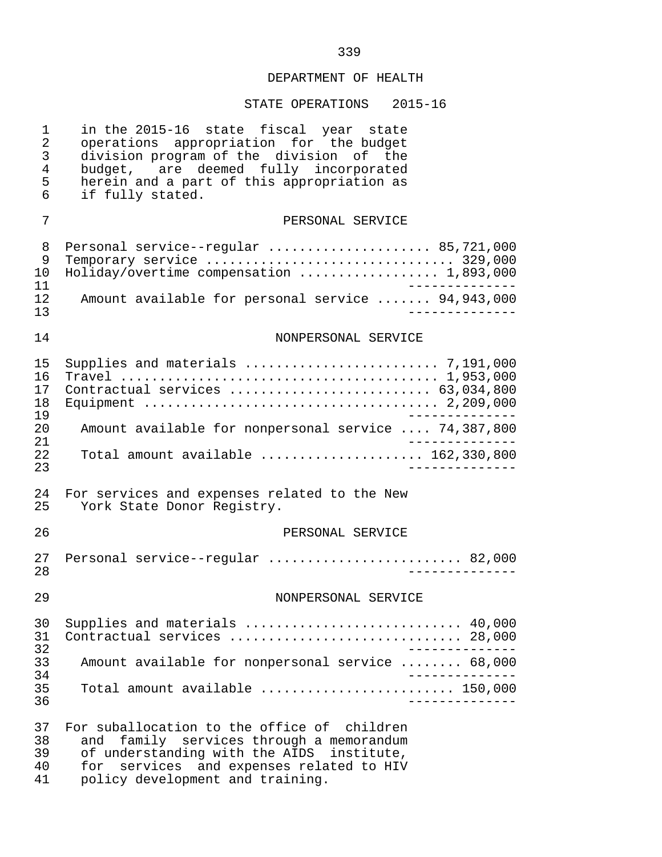| 1<br>$\sqrt{2}$<br>3<br>$\overline{4}$<br>5<br>6 | in the 2015-16 state fiscal year state<br>operations appropriation for the budget<br>division program of the division of the<br>budget, are deemed fully incorporated<br>herein and a part of this appropriation as<br>if fully stated. |
|--------------------------------------------------|-----------------------------------------------------------------------------------------------------------------------------------------------------------------------------------------------------------------------------------------|
| 7                                                | PERSONAL SERVICE                                                                                                                                                                                                                        |
| 8<br>9<br>10<br>11                               | Personal service--regular  85,721,000<br>Holiday/overtime compensation  1,893,000<br>_____________                                                                                                                                      |
| 12<br>13                                         | Amount available for personal service  94,943,000<br>. _ _ _ _ _ _ _ _ .                                                                                                                                                                |
| 14                                               | NONPERSONAL SERVICE                                                                                                                                                                                                                     |
| 15<br>16<br>17<br>18<br>19                       | Contractual services  63,034,800                                                                                                                                                                                                        |
| 20<br>21                                         | Amount available for nonpersonal service  74,387,800                                                                                                                                                                                    |
| 22<br>23                                         | Total amount available $162,330,800$<br>. _ _ _ _ _ _ _ _ _                                                                                                                                                                             |
| 24<br>25                                         | For services and expenses related to the New<br>York State Donor Registry.                                                                                                                                                              |
| 26                                               | PERSONAL SERVICE                                                                                                                                                                                                                        |
| 27<br>28                                         | Personal service--regular  82,000                                                                                                                                                                                                       |
| 29                                               | NONPERSONAL SERVICE                                                                                                                                                                                                                     |
| 30<br>31<br>32                                   | Supplies and materials  40,000<br>Contractual services  28,000<br>-------------                                                                                                                                                         |
| 33<br>34<br>35<br>36                             | Amount available for nonpersonal service  68,000<br>_____________                                                                                                                                                                       |
|                                                  | Total amount available  150,000<br>____________                                                                                                                                                                                         |
| 37<br>38<br>39<br>40<br>41                       | For suballocation to the office of children<br>family services through a memorandum<br>and<br>of understanding with the AIDS institute,<br>for services and expenses related to HIV<br>policy development and training.                 |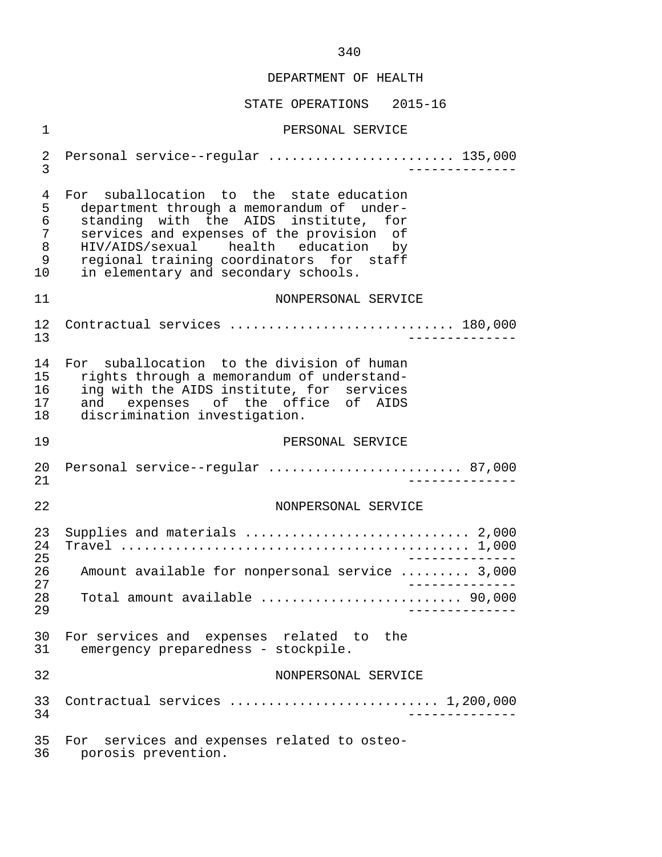| 1                                      | PERSONAL SERVICE                                                                                                                                                                                                                                                                                             |
|----------------------------------------|--------------------------------------------------------------------------------------------------------------------------------------------------------------------------------------------------------------------------------------------------------------------------------------------------------------|
| 2<br>3                                 | Personal service--regular  135,000                                                                                                                                                                                                                                                                           |
| 4<br>5<br>6<br>7<br>$\,8\,$<br>9<br>10 | For suballocation to the state education<br>department through a memorandum of under-<br>standing with the AIDS institute,<br>for<br>services and expenses of the provision of<br>HIV/AIDS/sexual health education<br>by<br>regional training coordinators for staff<br>in elementary and secondary schools. |
| 11                                     | NONPERSONAL SERVICE                                                                                                                                                                                                                                                                                          |
| 12<br>13                               | Contractual services  180,000                                                                                                                                                                                                                                                                                |
| 14<br>15<br>16<br>17<br>18             | For suballocation to the division of human<br>rights through a memorandum of understand-<br>ing with the AIDS institute, for services<br>and expenses of the office of AIDS<br>discrimination investigation.                                                                                                 |
| 19                                     | PERSONAL SERVICE                                                                                                                                                                                                                                                                                             |
| 20<br>21                               | Personal service--regular  87,000                                                                                                                                                                                                                                                                            |
| 22                                     | NONPERSONAL SERVICE                                                                                                                                                                                                                                                                                          |
| 23<br>24<br>25                         | Supplies and materials  2,000                                                                                                                                                                                                                                                                                |
| 26<br>27                               | Amount available for nonpersonal service  3,000                                                                                                                                                                                                                                                              |
| 28<br>29                               | Total amount available  90,000                                                                                                                                                                                                                                                                               |
| 30<br>31                               | For services and expenses related to the<br>emergency preparedness - stockpile.                                                                                                                                                                                                                              |
| 32                                     | NONPERSONAL SERVICE                                                                                                                                                                                                                                                                                          |
| 33<br>34                               | Contractual services  1,200,000                                                                                                                                                                                                                                                                              |
| 35<br>36                               | For services and expenses related to osteo-<br>porosis prevention.                                                                                                                                                                                                                                           |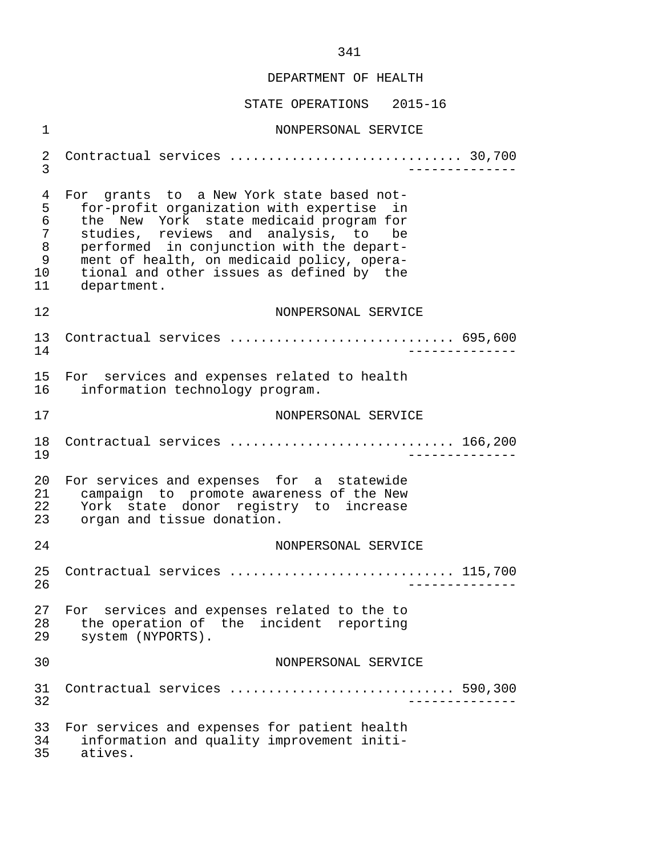STATE OPERATIONS 2015-16

 1 NONPERSONAL SERVICE 2 Contractual services .............................. 30,700 3 -------------- 4 For grants to a New York state based not-<br>5 for-profit organization with expertise in 5 for-profit organization with expertise in<br>6 the New York state medicaid program for 6 the New York state-medicaid-program-for<br>7 studies, reviews and analysis, to be 7 studies, reviews and analysis, to be 8 performed in conjunction with the depart- 9 ment of health, on medicaid policy, opera-<br>10 tional and other issues as defined by the 10 tional and other issues as defined by the<br>11 department. department. 12 NONPERSONAL SERVICE 13 Contractual services ............................. 695,600 14 -------------- 15 For services and expenses related to health<br>16 information technology program. information technology program. 17 NONPERSONAL SERVICE 18 Contractual services ................................. 166,200<br>19 19 -------------- 20 For services and expenses for a statewide<br>21 campaign to promote awareness of the New 21 campaign to promote awareness of the New<br>22 York state donor registry to increase 22 York state donor registry to increase<br>23 organ and tissue-donation. organ and tissue donation. 24 NONPERSONAL SERVICE 25 Contractual services ............................. 115,700 26 -------------- 27 For services and expenses related to the to<br>28 the operation of the incident reporting 28 the operation of the incident reporting<br>29 system (NYPORTS). system (NYPORTS). 30 NONPERSONAL SERVICE 31 Contractual services ............................. 590,300 32 -------------- 33 For services and expenses for patient health<br>34 information and quality improvement initi- 34 information and quality improvement initi atives.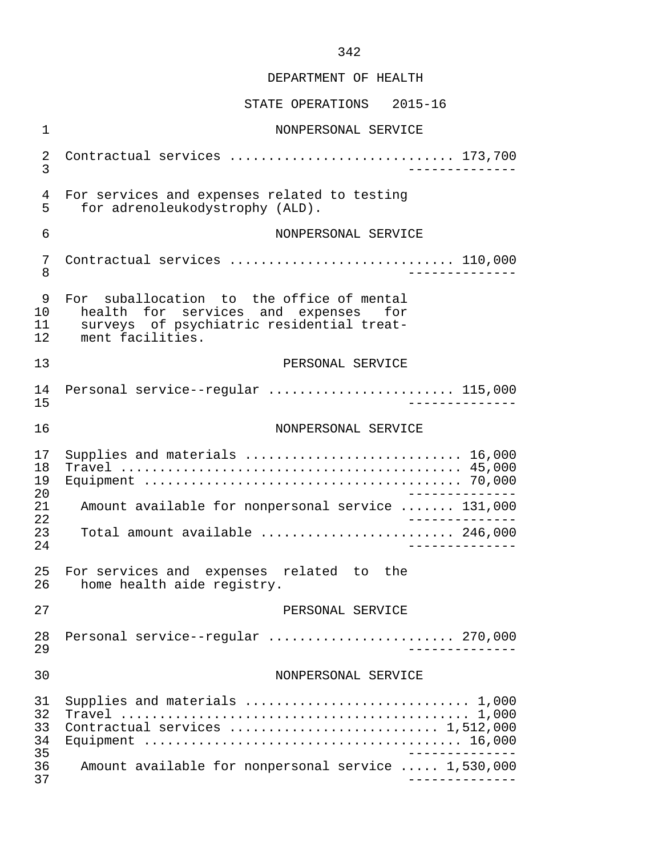| $\mathbf 1$                | NONPERSONAL SERVICE                                                                                                                                |
|----------------------------|----------------------------------------------------------------------------------------------------------------------------------------------------|
| 2<br>3                     | Contractual services  173,700                                                                                                                      |
| 4<br>5                     | For services and expenses related to testing<br>for adrenoleukodystrophy (ALD).                                                                    |
| 6                          | NONPERSONAL SERVICE                                                                                                                                |
| 7<br>8                     | Contractual services  110,000                                                                                                                      |
| 9<br>10<br>11<br>12        | For suballocation to the office of mental<br>health for services and expenses for<br>surveys of psychiatric residential treat-<br>ment facilities. |
| 13                         | PERSONAL SERVICE                                                                                                                                   |
| 14<br>15                   | Personal service--regular  115,000                                                                                                                 |
| 16                         | NONPERSONAL SERVICE                                                                                                                                |
| 17<br>18<br>19<br>20       | Supplies and materials  16,000                                                                                                                     |
| 21<br>22                   | Amount available for nonpersonal service  131,000<br>$\frac{1}{2}$                                                                                 |
| 23<br>24                   | Total amount available  246,000<br>$- - - - - - - -$                                                                                               |
| 25<br>26                   | For services and expenses related to the<br>home health aide registry.                                                                             |
| 27                         | PERSONAL SERVICE                                                                                                                                   |
| 28<br>29                   | Personal service--regular  270,000<br>__________                                                                                                   |
| 30                         | NONPERSONAL SERVICE                                                                                                                                |
| 31<br>32<br>33<br>34<br>35 | Supplies and materials  1,000<br>Contractual services  1,512,000                                                                                   |
| 36<br>37                   | Amount available for nonpersonal service  1,530,000                                                                                                |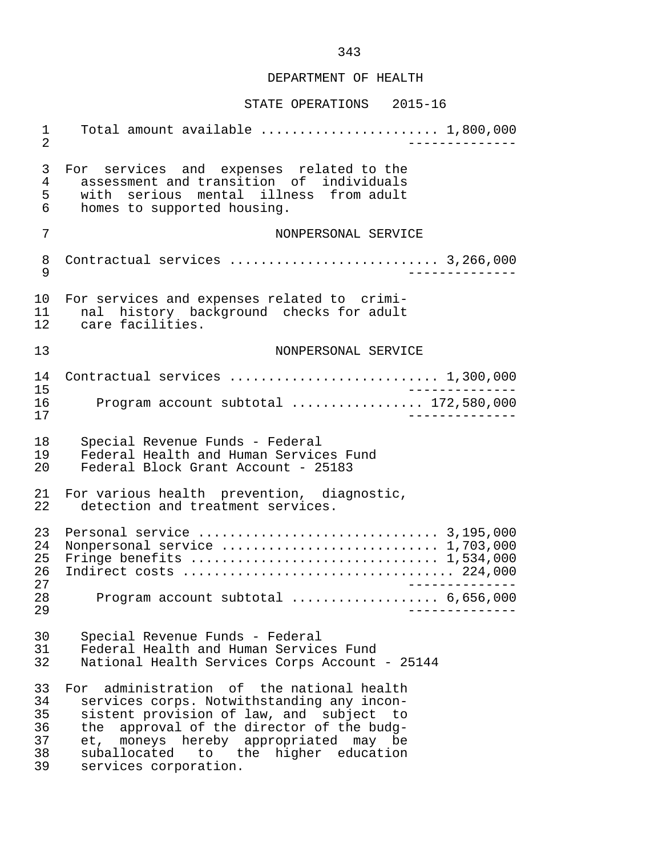#### STATE OPERATIONS 2015-16

 1 Total amount available ....................... 1,800,000 2 -------------- 3 For services and expenses related to the<br>4 assessment and transition of individuals 4 assessment and transition of individuals<br>5 with serious mental illness from adult 5 with serious mental illness from adult<br>6 homes to supported housing. homes to supported housing. 7 NONPERSONAL SERVICE 8 Contractual services ........................... 3,266,000 9 -------------- 10 For services and expenses related to crimi-<br>11 and history background checks for adult 11 nal history background checks for adult<br>12 care facilities. care facilities. 13 NONPERSONAL SERVICE 14 Contractual services ........................... 1,300,000 15 -------------- 16 Program account subtotal ................. 172,580,000 17 -------------- 18 Special Revenue Funds - Federal<br>19 Federal Health and Human Servic 19 Federal Health and Human Services Fund<br>20 Federal Block Grant Account - 25183 Federal Block Grant Account - 25183 21 For various health prevention, diagnostic,<br>22 detection and treatment services. detection and treatment services. 23 Personal service ............................... 3,195,000 24 Nonpersonal service ............................ 1,703,000 25 Fringe benefits ................................ 1,534,000 26 Indirect costs ................................... 224,000 27<br>28 - Program account subtotal expressions of 6.656.000 28 Program account subtotal ................... 6,656,000 29 -------------- 30 Special Revenue Funds - Federal<br>31 Federal Health and Human Service 31 Federal Health and Human Services Fund<br>32 National Health Services Corps Account National Health Services Corps Account - 25144 33 For administration of the national health<br>34 services corps. Notwithstanding any incon- 34 services corps. Notwithstanding any incon- 35 sistent provision of law, and subject to<br>36 the approval of the director of the budg-36 the approval of the director of the budg-<br>37 et, moneys hereby appropriated may be 37 et, moneys hereby appropriated may be 38 suballocated to the higher education 39 services corporation.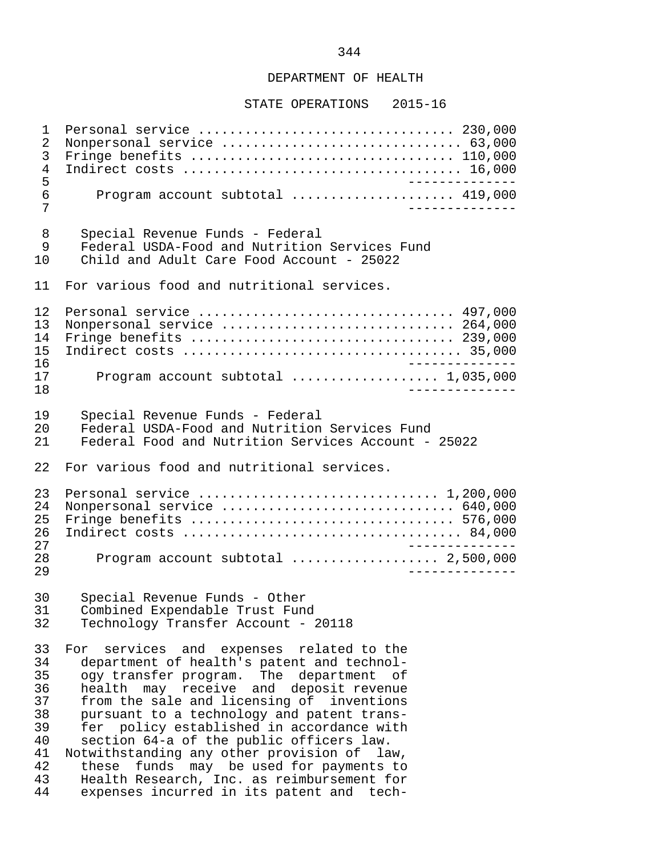#### STATE OPERATIONS 2015-16

 1 Personal service ................................. 230,000 2 Nonpersonal service ............................... 63,000 3 Fringe benefits .................................. 110,000 4 Indirect costs .................................... 16,000 5<br>6 Program account subtotal ...................... 419.000 6 Program account subtotal ..................... 419,000 7 -------------- 8 Special Revenue Funds - Federal<br>9 Federal USDA-Food and Nutrition 9 Federal USDA-Food and Nutrition Services Fund<br>10 Child and Adult Care Food Account - 25022 10 Child and Adult Care Food Account - 25022 11 For various food and nutritional services. 12 Personal service ................................. 497,000 13 Nonpersonal service .............................. 264,000 14 Fringe benefits .................................. 239,000 15 Indirect costs .................................... 35,000 16 -------------- 17 Program account subtotal ................... 1,035,000 18 -------------- 19 Special Revenue Funds - Federal<br>20 Federal USDA-Food and Nutrition 20 Federal USDA-Food and Nutrition Services Fund<br>21 Federal Food and Nutrition Services Account -Federal Food and Nutrition Services Account - 25022 22 For various food and nutritional services. 23 Personal service ............................... 1,200,000 24 Nonpersonal service .............................. 640,000 25 Fringe benefits .................................. 576,000 26 Indirect costs .................................... 84,000 27 -------------- 28 Program account subtotal ................... 2,500,000 29 -------------- 30 Special Revenue Funds - Other<br>31 Combined Expendable Trust Fung 31 Combined Expendable Trust Fund Technology Transfer Account - 20118 33 For services and expenses related to the<br>34 department of health's patent and technol-34 department of health's patent and technol-<br>35 ogy transfer program. The department of ogy transfer program. The department of 36 health may receive and deposit revenue<br>37 from the sale and licensing of inventions 37 from the sale and licensing of inventions<br>38 pursuant to a technology and patent trans-38 pursuant to a technology and patent trans-<br>39 fer policy established in accordance with  $39$  fer policy established in accordance with<br>40 section 64-a of the public officers law. 40 section 64-a of the public officers law. 41 Notwithstanding any other provision of law,<br>42 these funds may be used for payments to 42 these funds may be used for payments to<br>43 Health Research, Inc. as reimbursement for 43 Health Research, Inc. as reimbursement for<br>44 expenses incurred in its patent and techexpenses incurred in its patent and tech-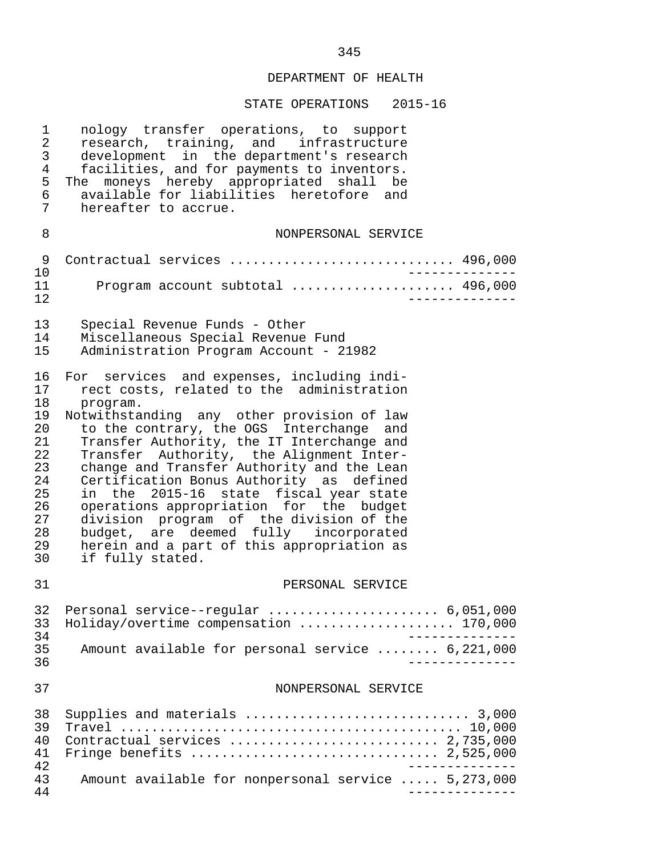STATE OPERATIONS 2015-16

| $\mathbf 1$                | nology transfer operations, to support                             |
|----------------------------|--------------------------------------------------------------------|
| $\overline{a}$             | research, training, and infrastructure                             |
| 3                          | development in the department's research                           |
| $\overline{4}$             | facilities, and for payments to inventors.                         |
| 5                          | The moneys hereby appropriated shall be                            |
| 6                          | available for liabilities heretofore and                           |
| 7                          | hereafter to accrue.                                               |
| 8                          | NONPERSONAL SERVICE                                                |
| 9<br>10<br>11<br>12        | Contractual services  496,000<br>Program account subtotal  496,000 |
| 13                         | Special Revenue Funds - Other                                      |
| 14                         | Miscellaneous Special Revenue Fund                                 |
| 15                         | Administration Program Account - 21982                             |
| 16                         | For services and expenses, including indi-                         |
| 17                         | rect costs, related to the administration                          |
| 18                         | program.                                                           |
| 19                         | Notwithstanding any other provision of law                         |
| 20                         | to the contrary, the OGS Interchange and                           |
| 21                         | Transfer Authority, the IT Interchange and                         |
| 22                         | Transfer Authority, the Alignment Inter-                           |
| 23                         | change and Transfer Authority and the Lean                         |
| 24                         | Certification Bonus Authority as defined                           |
| 25                         | in the 2015-16 state fiscal year state                             |
| 26                         | operations appropriation for the budget                            |
| 27                         | division program of the division of the                            |
| 28                         | budget, are deemed fully incorporated                              |
| 29                         | herein and a part of this appropriation as                         |
| 30                         | if fully stated.                                                   |
| 31                         | PERSONAL SERVICE                                                   |
| 33                         | 32 Personal service--regular  6,051,000                            |
| 34                         | Holiday/overtime compensation  170,000                             |
| 35                         | Amount available for personal service  6,221,000                   |
| 36                         | ______________                                                     |
| 37                         | NONPERSONAL SERVICE                                                |
| 38<br>39<br>40<br>41<br>42 | Supplies and materials  3,000<br>Contractual services  2,735,000   |
| 43                         | Amount available for nonpersonal service  5,273,000                |
| 44                         | ______________                                                     |

345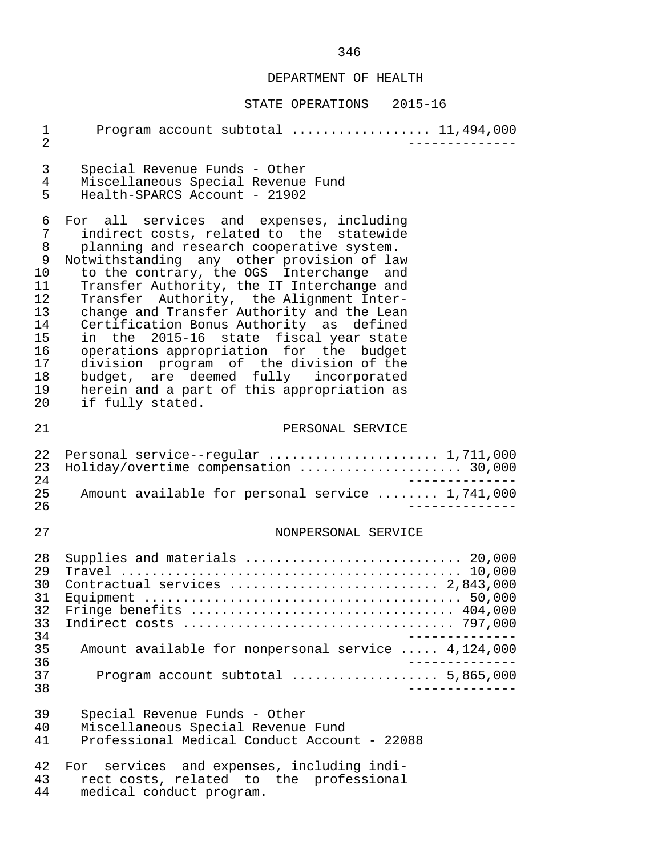| $\mathbf 1$<br>$\overline{2}$                                                      | Program account subtotal  11,494,000                                                                                                                                                                                                                                                                                                                                                                                                                                                                                                                                                                                                                       |
|------------------------------------------------------------------------------------|------------------------------------------------------------------------------------------------------------------------------------------------------------------------------------------------------------------------------------------------------------------------------------------------------------------------------------------------------------------------------------------------------------------------------------------------------------------------------------------------------------------------------------------------------------------------------------------------------------------------------------------------------------|
| 3<br>$\overline{4}$<br>5                                                           | Special Revenue Funds - Other<br>Miscellaneous Special Revenue Fund<br>Health-SPARCS Account - 21902                                                                                                                                                                                                                                                                                                                                                                                                                                                                                                                                                       |
| 6<br>7<br>8<br>9<br>10<br>11<br>12<br>13<br>14<br>15<br>16<br>17<br>18<br>19<br>20 | For all services and expenses, including<br>indirect costs, related to the statewide<br>planning and research cooperative system.<br>Notwithstanding any other provision of law<br>to the contrary, the OGS Interchange and<br>Transfer Authority, the IT Interchange and<br>Transfer Authority, the Alignment Inter-<br>change and Transfer Authority and the Lean<br>Certification Bonus Authority as defined<br>in the 2015-16 state fiscal year state<br>operations appropriation for the budget<br>division program of the division of the<br>budget, are deemed fully incorporated<br>herein and a part of this appropriation as<br>if fully stated. |
| 21                                                                                 | PERSONAL SERVICE                                                                                                                                                                                                                                                                                                                                                                                                                                                                                                                                                                                                                                           |
| 22<br>23<br>24<br>25<br>26                                                         | Personal service--regular  1,711,000<br>Holiday/overtime compensation  30,000<br>_____________<br>Amount available for personal service  1,741,000                                                                                                                                                                                                                                                                                                                                                                                                                                                                                                         |
| 27                                                                                 | NONPERSONAL SERVICE                                                                                                                                                                                                                                                                                                                                                                                                                                                                                                                                                                                                                                        |
| 28<br>29<br>30<br>31<br>32<br>33<br>34                                             | Supplies and materials  20,000<br>Contractual services  2,843,000<br>Fringe benefits  404,000                                                                                                                                                                                                                                                                                                                                                                                                                                                                                                                                                              |
| 35<br>36                                                                           | Amount available for nonpersonal service  4,124,000                                                                                                                                                                                                                                                                                                                                                                                                                                                                                                                                                                                                        |
| 37<br>38                                                                           |                                                                                                                                                                                                                                                                                                                                                                                                                                                                                                                                                                                                                                                            |
| 39<br>40<br>41                                                                     | Special Revenue Funds - Other<br>Miscellaneous Special Revenue Fund<br>Professional Medical Conduct Account - 22088                                                                                                                                                                                                                                                                                                                                                                                                                                                                                                                                        |
| 42<br>43<br>44                                                                     | For services and expenses, including indi-<br>rect costs, related to the professional<br>medical conduct program.                                                                                                                                                                                                                                                                                                                                                                                                                                                                                                                                          |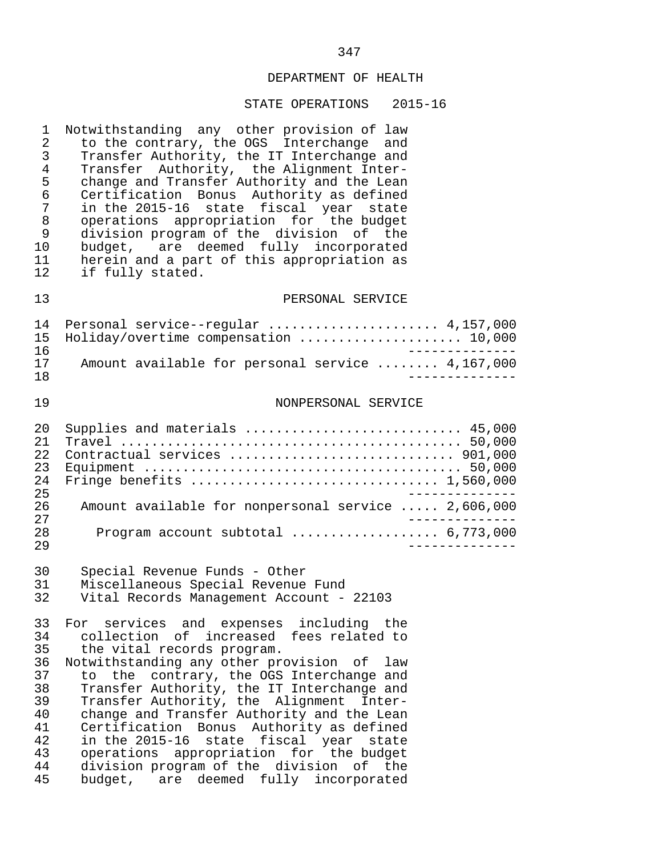#### STATE OPERATIONS 2015-16

1 Notwithstanding any other provision of law<br>2 to the contrary, the OGS Interchange and 2 to the contrary, the OGS Interchange and<br>3 Transfer Authority, the IT Interchange and 3 Transfer Authority, the IT Interchange and<br>4 Transfer Authority, the Alignment Inter-4 Transfer Authority, the Alignment Inter-<br>5 change and Transfer Authority and the Lean 5 change and Transfer Authority and the Lean<br>6 Certification Bonus Authority as defined 6 Certification Bonus Authority as defined 7 in the 2015-16 state fiscal year state 8 operations appropriation for the budget 9 division program of the division of the<br>10 budget, are deemed fully incorporated budget, are deemed fully incorporated 11 herein and a part of this appropriation as<br>12 if fully stated. if fully stated.

#### 13 PERSONAL SERVICE

|     | 14 Personal service--regular  4,157,000          |  |
|-----|--------------------------------------------------|--|
|     | 15 Holiday/overtime compensation  10,000         |  |
| 16  |                                                  |  |
| 17  | Amount available for personal service  4,167,000 |  |
| 1 R |                                                  |  |

#### 19 NONPERSONAL SERVICE

| 20               | Supplies and materials  45,000                      |
|------------------|-----------------------------------------------------|
| 2.1              |                                                     |
| 2.2 <sub>1</sub> | Contractual services  901,000                       |
| 23               |                                                     |
| 2.4              |                                                     |
| 25               |                                                     |
| 2.6              | Amount available for nonpersonal service  2,606,000 |
| 2.7              |                                                     |
| 2.8              |                                                     |
| 29               |                                                     |

30 Special Revenue Funds - Other

31 Miscellaneous Special Revenue Fund

Vital Records Management Account - 22103

33 For services and expenses including the<br>34 collection of increased fees-related-to 34 collection of increased fees related to<br>35 the vital records program. 35 the vital records program.<br>36 Notwithstanding any other pre 36 Notwithstanding any other provision of law<br>37 to the contrary, the OGS Interchange and to the contrary, the OGS Interchange and 38 Transfer Authority, the IT Interchange and<br>39 Transfer Authority, the Alignment Inter- 39 Transfer Authority, the Alignment Inter- 40 change and Transfer Authority and the Lean 41 Certification Bonus Authority as defined<br>42 in the 2015-16 state fiscal year state 42 in the 2015-16 state fiscal year state 43 operations appropriation for the budget 44 division program of the division of the<br>45 budget, are deemed fully incorporated budget, are deemed fully incorporated

# 347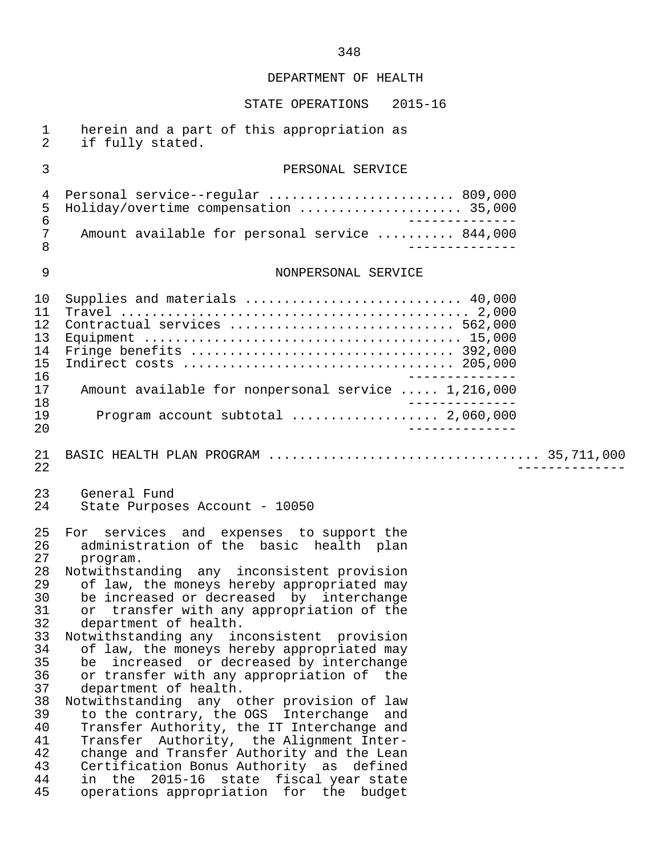| $\mathbf 1$<br>$\overline{2}$                                                                                              | herein and a part of this appropriation as<br>if fully stated.                                                                                                                                                                                                                                                                                                                                                                                                                                                                                                                                                                                                                                                                                                                                                                                                                                    |
|----------------------------------------------------------------------------------------------------------------------------|---------------------------------------------------------------------------------------------------------------------------------------------------------------------------------------------------------------------------------------------------------------------------------------------------------------------------------------------------------------------------------------------------------------------------------------------------------------------------------------------------------------------------------------------------------------------------------------------------------------------------------------------------------------------------------------------------------------------------------------------------------------------------------------------------------------------------------------------------------------------------------------------------|
| 3                                                                                                                          | PERSONAL SERVICE                                                                                                                                                                                                                                                                                                                                                                                                                                                                                                                                                                                                                                                                                                                                                                                                                                                                                  |
| $\overline{4}$<br>5<br>$\epsilon$<br>$\overline{7}$                                                                        | Personal service--regular  809,000<br>Holiday/overtime compensation  35,000<br>________<br>Amount available for personal service  844,000                                                                                                                                                                                                                                                                                                                                                                                                                                                                                                                                                                                                                                                                                                                                                         |
| 8                                                                                                                          | ______________                                                                                                                                                                                                                                                                                                                                                                                                                                                                                                                                                                                                                                                                                                                                                                                                                                                                                    |
| $\mathsf 9$                                                                                                                | NONPERSONAL SERVICE                                                                                                                                                                                                                                                                                                                                                                                                                                                                                                                                                                                                                                                                                                                                                                                                                                                                               |
| 10<br>11<br>12<br>13<br>14<br>15<br>16<br>17                                                                               | Supplies and materials  40,000<br>Contractual services  562,000<br>Amount available for nonpersonal service  1,216,000                                                                                                                                                                                                                                                                                                                                                                                                                                                                                                                                                                                                                                                                                                                                                                            |
| 18<br>19<br>20                                                                                                             | Program account subtotal  2,060,000                                                                                                                                                                                                                                                                                                                                                                                                                                                                                                                                                                                                                                                                                                                                                                                                                                                               |
| 21<br>22                                                                                                                   |                                                                                                                                                                                                                                                                                                                                                                                                                                                                                                                                                                                                                                                                                                                                                                                                                                                                                                   |
| 23<br>24                                                                                                                   | General Fund<br>State Purposes Account - 10050                                                                                                                                                                                                                                                                                                                                                                                                                                                                                                                                                                                                                                                                                                                                                                                                                                                    |
| 25<br>26<br>27<br>28<br>29<br>30<br>31<br>32<br>33<br>34<br>35<br>36<br>37<br>38<br>39<br>40<br>41<br>42<br>43<br>44<br>45 | For services and expenses to support the<br>administration of the basic health plan<br>program.<br>Notwithstanding any inconsistent provision<br>of law, the moneys hereby appropriated may<br>be increased or decreased by interchange<br>or transfer with any appropriation of the<br>department of health.<br>Notwithstanding any inconsistent provision<br>of law, the moneys hereby appropriated may<br>increased or decreased by interchange<br>be<br>or transfer with any appropriation of the<br>department of health.<br>Notwithstanding any other provision of law<br>to the contrary, the OGS Interchange and<br>Transfer Authority, the IT Interchange and<br>Transfer Authority, the Alignment Inter-<br>change and Transfer Authority and the Lean<br>Certification Bonus Authority as defined<br>in the 2015-16 state fiscal year state<br>operations appropriation for the budget |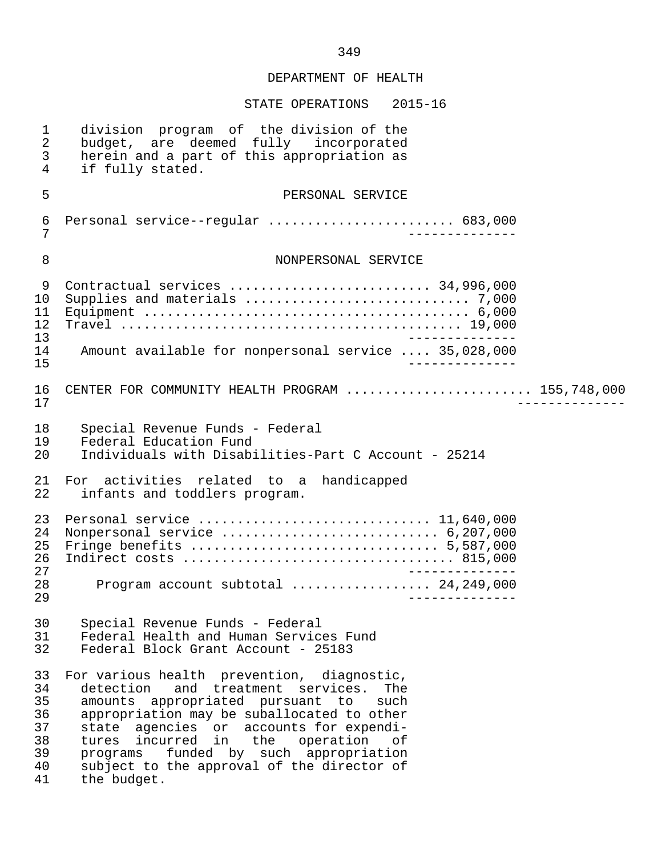| $\mathbf 1$<br>$\overline{2}$<br>3<br>4            | division program of the division of the<br>budget, are deemed fully incorporated<br>herein and a part of this appropriation as<br>if fully stated.                                                                                                                                                                                                                                     |  |
|----------------------------------------------------|----------------------------------------------------------------------------------------------------------------------------------------------------------------------------------------------------------------------------------------------------------------------------------------------------------------------------------------------------------------------------------------|--|
| 5                                                  | PERSONAL SERVICE                                                                                                                                                                                                                                                                                                                                                                       |  |
| 6<br>7                                             | Personal service--regular  683,000                                                                                                                                                                                                                                                                                                                                                     |  |
| 8                                                  | NONPERSONAL SERVICE                                                                                                                                                                                                                                                                                                                                                                    |  |
| 9<br>10<br>11<br>12<br>13                          | Contractual services  34,996,000                                                                                                                                                                                                                                                                                                                                                       |  |
| 14<br>15                                           | Amount available for nonpersonal service  35,028,000                                                                                                                                                                                                                                                                                                                                   |  |
| 16<br>17                                           | CENTER FOR COMMUNITY HEALTH PROGRAM  155,748,000                                                                                                                                                                                                                                                                                                                                       |  |
| 18<br>19<br>20                                     | Special Revenue Funds - Federal<br>Federal Education Fund<br>Individuals with Disabilities-Part C Account - 25214                                                                                                                                                                                                                                                                      |  |
| 21<br>22                                           | For activities related to a handicapped<br>infants and toddlers program.                                                                                                                                                                                                                                                                                                               |  |
| 23<br>24<br>25<br>26<br>27                         | Nonpersonal service  6,207,000                                                                                                                                                                                                                                                                                                                                                         |  |
| 28<br>29                                           |                                                                                                                                                                                                                                                                                                                                                                                        |  |
| 30<br>31<br>32                                     | Special Revenue Funds - Federal<br>Federal Health and Human Services Fund<br>Federal Block Grant Account - 25183                                                                                                                                                                                                                                                                       |  |
| 33<br>34<br>35<br>36<br>37<br>38<br>39<br>40<br>41 | For various health prevention, diagnostic,<br>detection<br>and treatment services.<br>The<br>amounts appropriated pursuant to<br>such<br>appropriation may be suballocated to other<br>state agencies or accounts for expendi-<br>tures incurred in<br>the<br>operation<br>оf<br>funded by such appropriation<br>programs<br>subject to the approval of the director of<br>the budget. |  |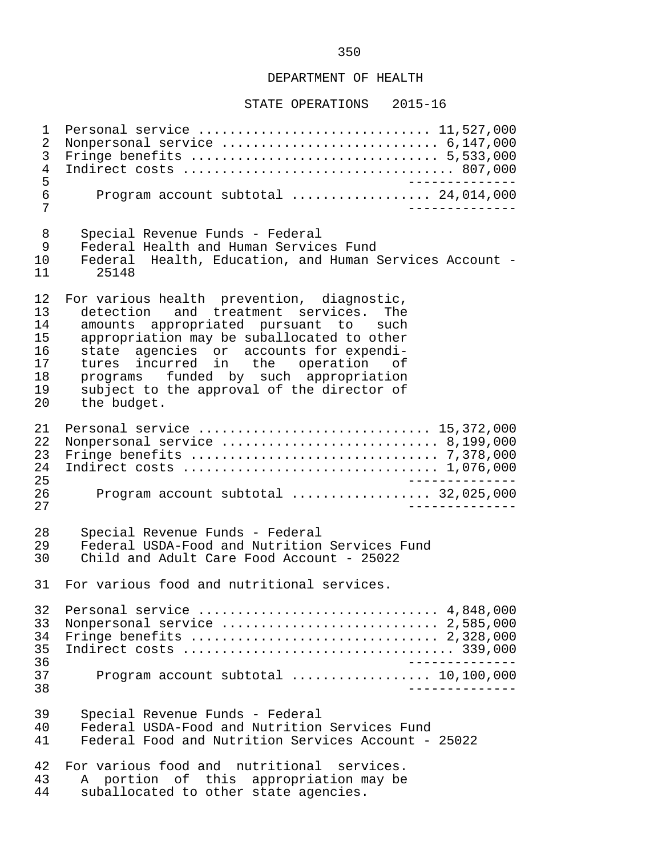#### STATE OPERATIONS 2015-16

1 Personal service ................................... 11,527,000<br>2 Nonpersonal service ............................... 6.147.000 2 Nonpersonal service ............................ 6,147,000 3 Fringe benefits ................................ 5,533,000 4 Indirect costs ................................... 807,000 -------------<br>5 Program account subtotal .................... 24.014.000 6 Program account subtotal ................... 24,014,000 7 -------------- 8 Special Revenue Funds - Federal<br>9 Federal Health and Human Servic 9 Federal Health and Human Services Fund<br>10 Federal Health, Education, and Human 10 Federal Health, Education, and Human Services Account - 25148 12 For various health prevention, diagnostic,<br>13 detection and treatment services. The 13 detection and treatment services. The<br>14 amounts appropriated pursuant to such 14 amounts appropriated pursuant to such<br>15 appropriation may be suballocated to other 15 appropriation may be suballocated to other<br>16 state agencies or accounts for expendi-16 state agencies or accounts for expendi-<br>17 tures incurred in the operation of 17 tures incurred in the operation of 18 programs funded by such appropriation 19 subject to the approval of the director of 20 the budget. 21 Personal service .............................. 15,372,000 22 Nonpersonal service ............................ 8,199,000 23 Fringe benefits ................................ 7,378,000 24 Indirect costs ................................. 1,076,000 25 -------------<br>26 Program account subtotal .................... 32.025.000 26 Program account subtotal .................. 32,025,000 27 -------------- 28 Special Revenue Funds - Federal<br>29 Federal USDA-Food and Nutrition 29 Federal USDA-Food and Nutrition Services Fund<br>30 Child and Adult Care Food Account - 25022 30 Child and Adult Care Food Account - 25022 31 For various food and nutritional services. 32 Personal service ............................... 4,848,000 33 Nonpersonal service ............................... 2,585,000<br>34 Fringe benefits ................................. 2,328,000 34 Fringe benefits ................................ 2,328,000 35 Indirect costs ................................... 339,000 -------------<br>37 Program account subtotal ...................... 10.100.000 37 Program account subtotal .................. 10,100,000 38 -------------- 39 Special Revenue Funds - Federal 40 Federal USDA-Food and Nutrition Services Fund<br>41 Federal Food and Nutrition Services Account -Federal Food and Nutrition Services Account - 25022 42 For various food and nutritional services.<br>43 A portion of this appropriation may be 43 A portion of this appropriation may be<br>44 suballocated to other state agencies. suballocated to other state agencies.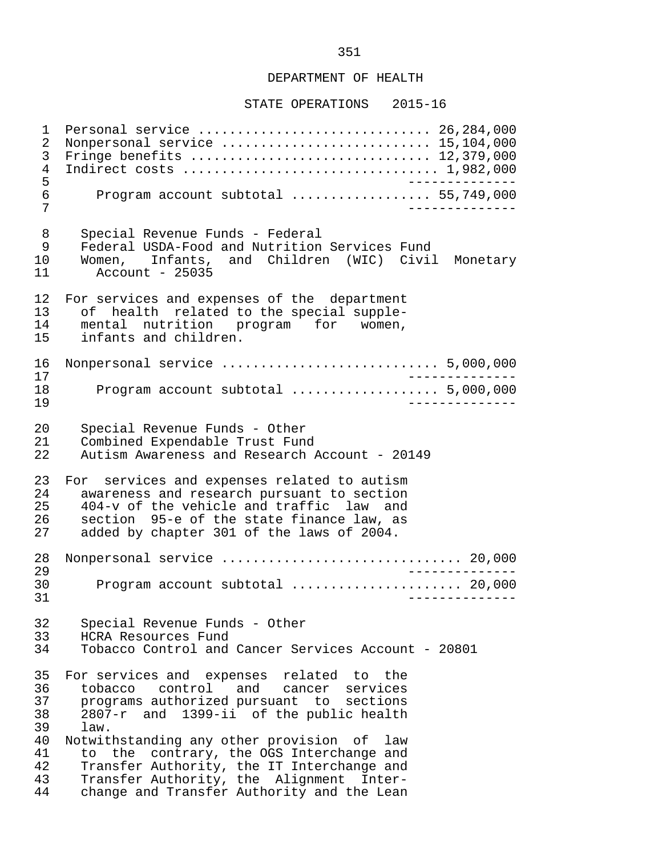STATE OPERATIONS 2015-16

 1 Personal service .............................. 26,284,000 2 Nonpersonal service ............................. 15,104,000<br>3 Fringe benefits .............................. 12,379,000 3 Fringe benefits ............................... 12,379,000 4 Indirect costs ................................. 1,982,000 5 -------------- 6 Program account subtotal .................. 55,749,000 7 -------------- 8 Special Revenue Funds - Federal<br>9 Federal USDA-Food and Nutrition 9 Federal USDA-Food and Nutrition Services Fund<br>10 Women, Infants, and Children (WIC) Civil 10 Women, Infants, and Children (WIC) Civil Monetary Account - 25035 12 For services and expenses of the department<br>13 of health related to the special supple-13 of health related to the special supple-<br>14 mental nutrition program for women. 14 mental nutrition program for women,<br>15 infants and children. infants and children. 16 Nonpersonal service ............................ 5,000,000 17 --------------<br>18 Program account subtotal expressions and 5,000,000 18 Program account subtotal ................... 5,000,000 19 -------------- 20 Special Revenue Funds - Other<br>21 Combined Expendable Trust Fung 21 Combined Expendable Trust Fund<br>22 Autism Awareness and Research 22 Autism Awareness and Research Account - 20149 23 For services and expenses related to autism<br>24 awareness and research pursuant to section 24 awareness and research pursuant to section<br>25 404-y of the vehicle and traffic law and 25 404-v of the vehicle and traffic law and<br>26 section 95-e of the state finance law, as 26 section 95-e of the state finance law, as<br>27 added by chapter 301 of the laws of 2004. added by chapter 301 of the laws of 2004. 28 Nonpersonal service ............................... 20,000 29 -------------- 30 Program account subtotal ...................... 20,000 31 -------------- 32 Special Revenue Funds - Other 33 HCRA Resources Fund<br>34 Tobacco Control and Tobacco Control and Cancer Services Account - 20801 35 For services and expenses related to the 36 tobacco control and cancer services<br>37 programs-authorized-pursuant to sections 37 programs authorized pursuant to sections<br>38 2807-r and 1399-ii of the public health 38 2807-r and 1399-ii of the public health 39 law.<br>40 Notwit 40 Notwithstanding any other provision of law<br>41 to the contrary, the OGS Interchange and 41 to the contrary, the OGS Interchange and<br>42 Transfer Authority, the IT Interchange and 42 Transfer Authority, the IT Interchange and<br>43 Transfer Authority, the Alignment Inter-43 Transfer Authority, the Alignment Inter-<br>44 change and Transfer Authority and the Lean change and Transfer Authority and the Lean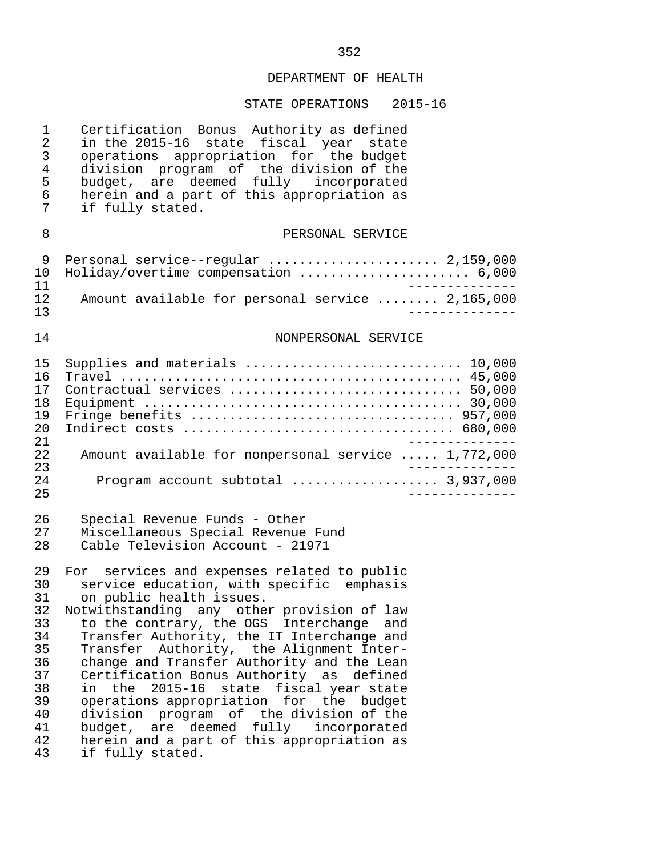# STATE OPERATIONS 2015-16

| $\mathbf{1}$<br>$\overline{2}$<br>3<br>$\overline{4}$<br>5<br>6<br>7                   | Certification Bonus Authority as defined<br>in the 2015-16 state fiscal year state<br>operations appropriation for the budget<br>division program of the division of the<br>budget, are deemed fully incorporated<br>herein and a part of this appropriation as<br>if fully stated.                                                                                                                                                                                                                                                                                                                                                                                 |
|----------------------------------------------------------------------------------------|---------------------------------------------------------------------------------------------------------------------------------------------------------------------------------------------------------------------------------------------------------------------------------------------------------------------------------------------------------------------------------------------------------------------------------------------------------------------------------------------------------------------------------------------------------------------------------------------------------------------------------------------------------------------|
| 8                                                                                      | PERSONAL SERVICE                                                                                                                                                                                                                                                                                                                                                                                                                                                                                                                                                                                                                                                    |
| 9<br>10<br>11                                                                          | Personal service--regular  2,159,000<br>Holiday/overtime compensation  6,000                                                                                                                                                                                                                                                                                                                                                                                                                                                                                                                                                                                        |
| 12<br>13                                                                               | Amount available for personal service  2,165,000                                                                                                                                                                                                                                                                                                                                                                                                                                                                                                                                                                                                                    |
| 14                                                                                     | NONPERSONAL SERVICE                                                                                                                                                                                                                                                                                                                                                                                                                                                                                                                                                                                                                                                 |
| 15<br>16<br>17<br>18<br>19<br>20<br>21                                                 | Supplies and materials  10,000<br>Contractual services  50,000<br>$- - - - - - - - - - -$                                                                                                                                                                                                                                                                                                                                                                                                                                                                                                                                                                           |
| 22<br>23                                                                               | Amount available for nonpersonal service  1,772,000                                                                                                                                                                                                                                                                                                                                                                                                                                                                                                                                                                                                                 |
| 24<br>25                                                                               | Program account subtotal  3,937,000<br>______________                                                                                                                                                                                                                                                                                                                                                                                                                                                                                                                                                                                                               |
| 26<br>27<br>28                                                                         | Special Revenue Funds - Other<br>Miscellaneous Special Revenue Fund<br>Cable Television Account - 21971                                                                                                                                                                                                                                                                                                                                                                                                                                                                                                                                                             |
| 29<br>30<br>31<br>32<br>33<br>34<br>35<br>36<br>37<br>38<br>39<br>40<br>41<br>42<br>43 | For services and expenses related to public<br>service education, with specific emphasis<br>on public health issues.<br>Notwithstanding any other provision of law<br>to the contrary, the OGS Interchange<br>and<br>Transfer Authority, the IT Interchange and<br>Transfer Authority, the Alignment Inter-<br>change and Transfer Authority and the Lean<br>Certification Bonus Authority as defined<br>$2015 - 16$<br>state fiscal year state<br>the<br>in<br>operations appropriation for the budget<br>division program of the division of the<br>budget, are deemed<br>fully<br>incorporated<br>herein and a part of this appropriation as<br>if fully stated. |

# 352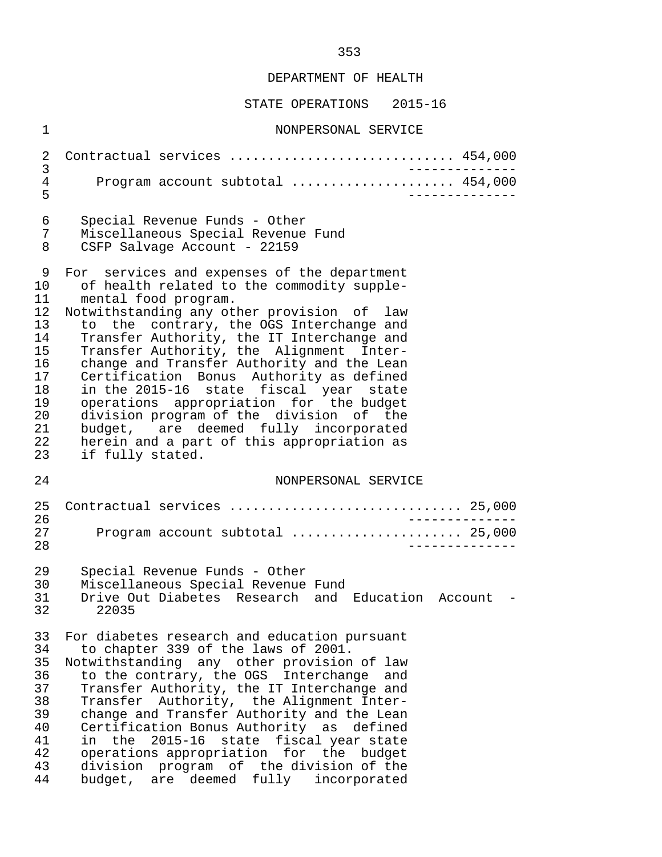| $\mathbf 1$                                                                           | NONPERSONAL SERVICE                                                                                                                                                                                                                                                                                                                                                                                                                                                                                                                                                                                                                        |  |
|---------------------------------------------------------------------------------------|--------------------------------------------------------------------------------------------------------------------------------------------------------------------------------------------------------------------------------------------------------------------------------------------------------------------------------------------------------------------------------------------------------------------------------------------------------------------------------------------------------------------------------------------------------------------------------------------------------------------------------------------|--|
| 2                                                                                     | Contractual services  454,000<br>_______________                                                                                                                                                                                                                                                                                                                                                                                                                                                                                                                                                                                           |  |
| 3<br>4<br>5                                                                           | Program account subtotal  454,000<br>___________                                                                                                                                                                                                                                                                                                                                                                                                                                                                                                                                                                                           |  |
| 6<br>7<br>8                                                                           | Special Revenue Funds - Other<br>Miscellaneous Special Revenue Fund<br>CSFP Salvage Account - 22159                                                                                                                                                                                                                                                                                                                                                                                                                                                                                                                                        |  |
| 9<br>10<br>11<br>12<br>13<br>14<br>15<br>16<br>17<br>18<br>19<br>20<br>21<br>22<br>23 | For services and expenses of the department<br>of health related to the commodity supple-<br>mental food program.<br>Notwithstanding any other provision of law<br>to the contrary, the OGS Interchange and<br>Transfer Authority, the IT Interchange and<br>Transfer Authority, the Alignment Inter-<br>change and Transfer Authority and the Lean<br>Certification Bonus Authority as defined<br>in the 2015-16 state fiscal year state<br>operations appropriation for the budget<br>division program of the division of the<br>budget, are deemed fully incorporated<br>herein and a part of this appropriation as<br>if fully stated. |  |
| 24                                                                                    | NONPERSONAL SERVICE                                                                                                                                                                                                                                                                                                                                                                                                                                                                                                                                                                                                                        |  |
| 25<br>26<br>27<br>28                                                                  | Contractual services  25,000<br>______________<br>Program account subtotal  25,000<br>______________                                                                                                                                                                                                                                                                                                                                                                                                                                                                                                                                       |  |
| 29<br>30<br>31<br>32                                                                  | Special Revenue Funds - Other<br>Miscellaneous Special Revenue Fund<br>Drive Out Diabetes Research and Education Account -<br>22035                                                                                                                                                                                                                                                                                                                                                                                                                                                                                                        |  |
| 33<br>34<br>35<br>36<br>37<br>38<br>39<br>40<br>41<br>42<br>43<br>44                  | For diabetes research and education pursuant<br>to chapter 339 of the laws of 2001.<br>Notwithstanding any other provision of law<br>to the contrary, the OGS Interchange and<br>Transfer Authority, the IT Interchange and<br>Transfer Authority, the Alignment Inter-<br>change and Transfer Authority and the Lean<br>Certification Bonus Authority as defined<br>$2015 - 16$<br>state fiscal year state<br>in the<br>operations appropriation for the budget<br>division program of the division of the<br>budget, are deemed fully<br>incorporated                                                                                    |  |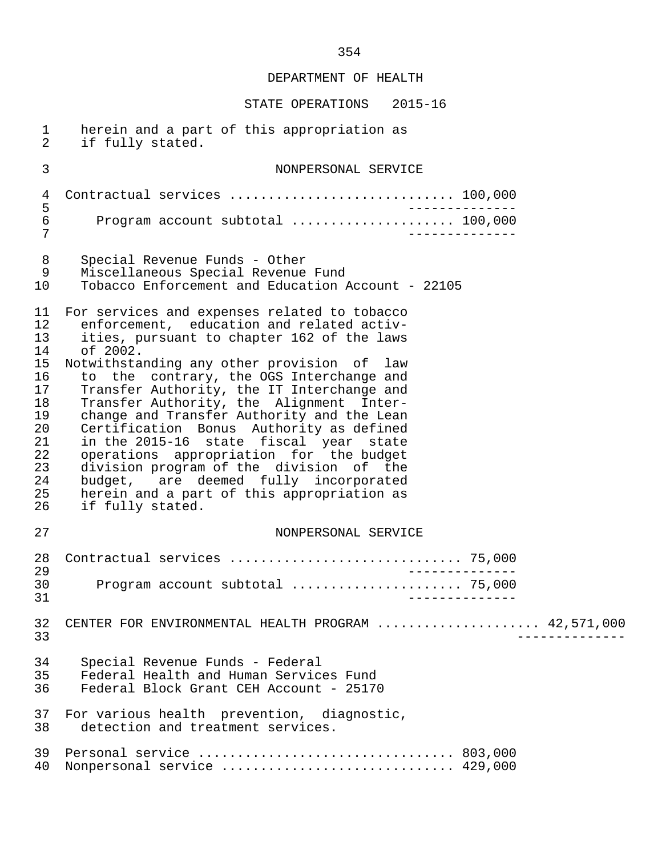| $\mathbf{1}$<br>$\overline{2}$                                                               | herein and a part of this appropriation as<br>if fully stated.                                                                                                                                                                                                                                                                                                                                                                                                                                                                                                                                                                                                               |  |
|----------------------------------------------------------------------------------------------|------------------------------------------------------------------------------------------------------------------------------------------------------------------------------------------------------------------------------------------------------------------------------------------------------------------------------------------------------------------------------------------------------------------------------------------------------------------------------------------------------------------------------------------------------------------------------------------------------------------------------------------------------------------------------|--|
| $\mathfrak{Z}$                                                                               | NONPERSONAL SERVICE                                                                                                                                                                                                                                                                                                                                                                                                                                                                                                                                                                                                                                                          |  |
| 4<br>5                                                                                       |                                                                                                                                                                                                                                                                                                                                                                                                                                                                                                                                                                                                                                                                              |  |
| $\sqrt{6}$<br>7                                                                              | Program account subtotal  100,000                                                                                                                                                                                                                                                                                                                                                                                                                                                                                                                                                                                                                                            |  |
| 8<br>9<br>10                                                                                 | Special Revenue Funds - Other<br>Miscellaneous Special Revenue Fund<br>Tobacco Enforcement and Education Account - 22105                                                                                                                                                                                                                                                                                                                                                                                                                                                                                                                                                     |  |
| 11<br>12<br>13<br>14<br>15<br>16<br>17<br>18<br>19<br>20<br>21<br>22<br>23<br>24<br>25<br>26 | For services and expenses related to tobacco<br>enforcement, education and related activ-<br>ities, pursuant to chapter 162 of the laws<br>of 2002.<br>Notwithstanding any other provision of law<br>to the contrary, the OGS Interchange and<br>Transfer Authority, the IT Interchange and<br>Transfer Authority, the Alignment Inter-<br>change and Transfer Authority and the Lean<br>Certification Bonus Authority as defined<br>in the 2015-16 state fiscal year state<br>operations appropriation for the budget<br>division program of the division of the<br>budget, are deemed fully incorporated<br>herein and a part of this appropriation as<br>if fully stated. |  |
| 27                                                                                           | NONPERSONAL SERVICE                                                                                                                                                                                                                                                                                                                                                                                                                                                                                                                                                                                                                                                          |  |
| 28<br>29                                                                                     |                                                                                                                                                                                                                                                                                                                                                                                                                                                                                                                                                                                                                                                                              |  |
| 30<br>31                                                                                     | Program account subtotal  75,000                                                                                                                                                                                                                                                                                                                                                                                                                                                                                                                                                                                                                                             |  |
| 32<br>33                                                                                     | CENTER FOR ENVIRONMENTAL HEALTH PROGRAM  42,571,000                                                                                                                                                                                                                                                                                                                                                                                                                                                                                                                                                                                                                          |  |
| 34<br>35<br>36                                                                               | Special Revenue Funds - Federal<br>Federal Health and Human Services Fund<br>Federal Block Grant CEH Account - 25170                                                                                                                                                                                                                                                                                                                                                                                                                                                                                                                                                         |  |
| 37<br>38                                                                                     | For various health prevention, diagnostic,<br>detection and treatment services.                                                                                                                                                                                                                                                                                                                                                                                                                                                                                                                                                                                              |  |
| 39<br>40                                                                                     | Nonpersonal service  429,000                                                                                                                                                                                                                                                                                                                                                                                                                                                                                                                                                                                                                                                 |  |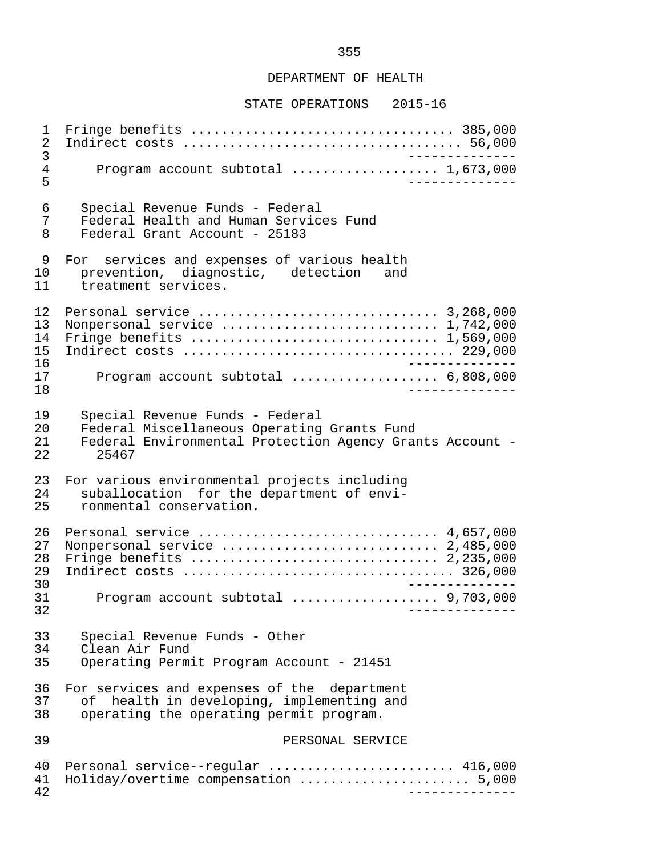#### STATE OPERATIONS 2015-16

 1 Fringe benefits .................................. 385,000 2 Indirect costs .................................... 56,000 3 -------------- 4 Program account subtotal ..................... 1,673,000 5 -------------- 6 Special Revenue Funds - Federal 7 Federal Health and Human Services Fund<br>8 Federal Grant Account - 25183 Federal Grant Account - 25183 9 For services and expenses of various health<br>10 prevention, diagnostic, detection and 10 prevention, diagnostic, detection<br>11 treatment services. treatment services. 12 Personal service ............................... 3,268,000 13 Nonpersonal service ............................ 1,742,000 14 Fringe benefits ................................ 1,569,000 15 Indirect costs ................................... 229,000 16 -------------- 17 Program account subtotal ................... 6,808,000 18 -------------- 19 Special Revenue Funds - Federal<br>20 Federal Miscellaneous Operating 20 Federal Miscellaneous Operating Grants Fund<br>21 Federal Environmental Protection Agency Gran 21 Federal Environmental Protection Agency Grants Account - 25467 23 For various environmental projects including<br>24 Suballocation for the department of envi-24 suballocation for the department of envi-<br>25 ronmental conservation. ronmental conservation. 26 Personal service ............................... 4,657,000 27 Nonpersonal service ............................ 2,485,000 28 Fringe benefits ................................ 2,235,000 29 Indirect costs ................................... 326,000 30 -------------- 31 Program account subtotal ................... 9,703,000 32 -------------- 33 Special Revenue Funds - Other<br>34 Clean Air Fund 34 Clean Air Fund<br>35 Operating Perm Operating Permit Program Account - 21451 36 For services and expenses of the department<br>37 of health in developing, implementing and 37 of health in developing, implementing and<br>38 operating the operating permit program. operating the operating permit program. 39 PERSONAL SERVICE 40 Personal service--regular .......................... 416,000<br>41 Holiday/overtime compensation ........................ 5.000 41 Holiday/overtime compensation ...................... 5,000 42 --------------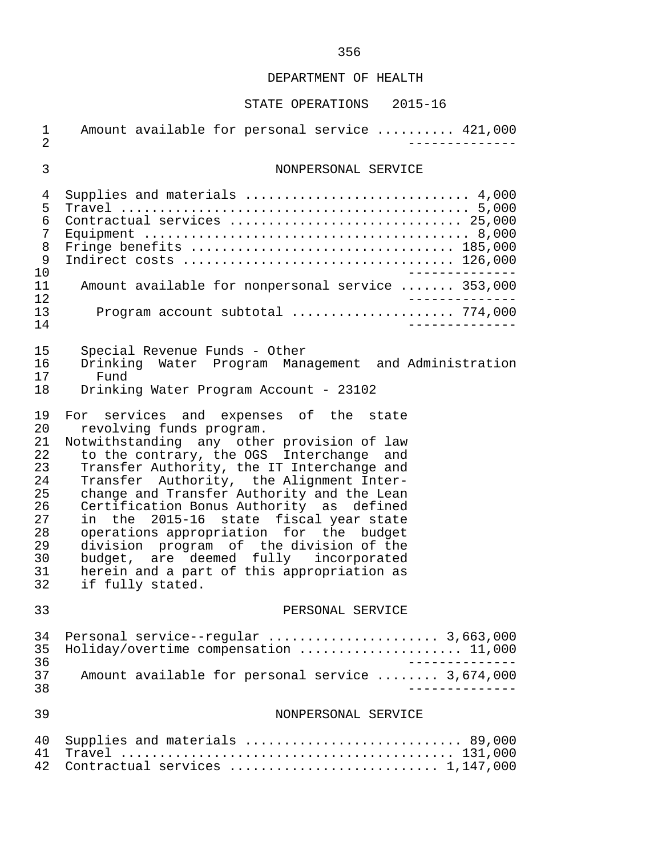| 1<br>$\overline{2}$                                                              | Amount available for personal service  421,000                                                                                                                                                                                                                                                                                                                                                                                                                                                                                                                                              |
|----------------------------------------------------------------------------------|---------------------------------------------------------------------------------------------------------------------------------------------------------------------------------------------------------------------------------------------------------------------------------------------------------------------------------------------------------------------------------------------------------------------------------------------------------------------------------------------------------------------------------------------------------------------------------------------|
| $\mathfrak{Z}$                                                                   | NONPERSONAL SERVICE                                                                                                                                                                                                                                                                                                                                                                                                                                                                                                                                                                         |
| 4<br>5<br>6<br>7<br>8<br>9<br>10<br>11<br>12<br>13<br>14                         | Supplies and materials  4,000<br>Contractual services  25,000<br>Fringe benefits  185,000<br>Amount available for nonpersonal service  353,000<br>Program account subtotal  774,000                                                                                                                                                                                                                                                                                                                                                                                                         |
| 15<br>16<br>17<br>18                                                             | Special Revenue Funds - Other<br>Drinking Water Program Management and Administration<br>Fund<br>Drinking Water Program Account - 23102                                                                                                                                                                                                                                                                                                                                                                                                                                                     |
| 19<br>20<br>21<br>22<br>23<br>24<br>25<br>26<br>27<br>28<br>29<br>30<br>31<br>32 | For services and expenses of the state<br>revolving funds program.<br>Notwithstanding any other provision of law<br>to the contrary, the OGS Interchange and<br>Transfer Authority, the IT Interchange and<br>Transfer Authority, the Alignment Inter-<br>change and Transfer Authority and the Lean<br>Certification Bonus Authority as defined<br>in the 2015-16 state fiscal year state<br>operations appropriation for the budget<br>division program of the division of the<br>budget, are deemed fully incorporated<br>herein and a part of this appropriation as<br>if fully stated. |
| 33                                                                               | PERSONAL SERVICE                                                                                                                                                                                                                                                                                                                                                                                                                                                                                                                                                                            |
| 34<br>35<br>36<br>37<br>38                                                       | Personal service--regular  3,663,000<br>Holiday/overtime compensation  11,000<br>Amount available for personal service  3,674,000                                                                                                                                                                                                                                                                                                                                                                                                                                                           |
| 39                                                                               | NONPERSONAL SERVICE                                                                                                                                                                                                                                                                                                                                                                                                                                                                                                                                                                         |
| 40<br>41<br>42                                                                   | Supplies and materials  89,000<br>Contractual services  1,147,000                                                                                                                                                                                                                                                                                                                                                                                                                                                                                                                           |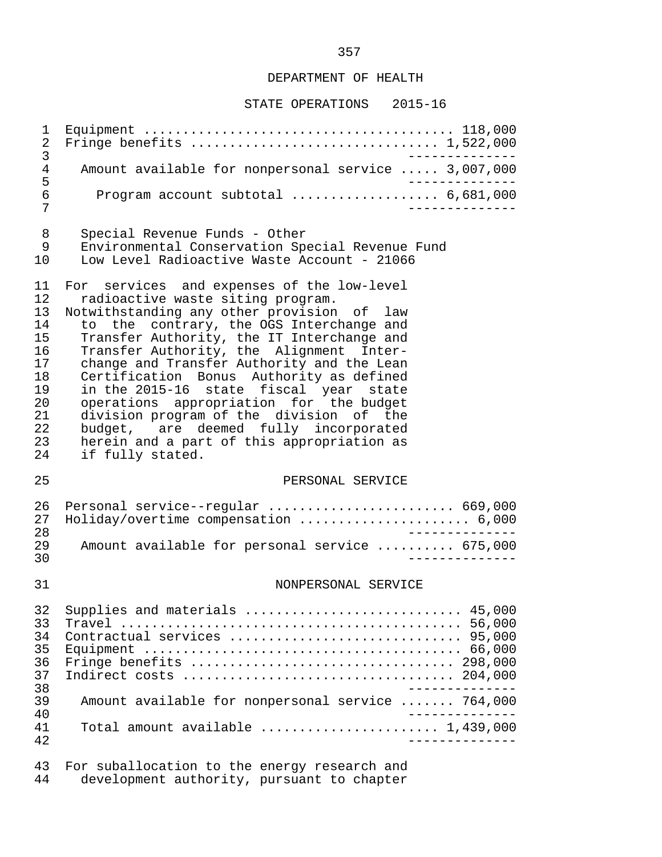# STATE OPERATIONS 2015-16

| 1<br>$\sqrt{2}$<br>$\mathfrak{Z}$                                                | Fringe benefits  1,522,000                                                                                                                                                                                                                                                                                                                                                                                                                                                                                                                                                                               |
|----------------------------------------------------------------------------------|----------------------------------------------------------------------------------------------------------------------------------------------------------------------------------------------------------------------------------------------------------------------------------------------------------------------------------------------------------------------------------------------------------------------------------------------------------------------------------------------------------------------------------------------------------------------------------------------------------|
| $\overline{4}$                                                                   | Amount available for nonpersonal service  3,007,000                                                                                                                                                                                                                                                                                                                                                                                                                                                                                                                                                      |
| 5<br>$\sqrt{6}$<br>7                                                             | Program account subtotal $\ldots$ 6,681,000                                                                                                                                                                                                                                                                                                                                                                                                                                                                                                                                                              |
| 8<br>9<br>10                                                                     | Special Revenue Funds - Other<br>Environmental Conservation Special Revenue Fund<br>Low Level Radioactive Waste Account - 21066                                                                                                                                                                                                                                                                                                                                                                                                                                                                          |
| 11<br>12<br>13<br>14<br>15<br>16<br>17<br>18<br>19<br>20<br>21<br>22<br>23<br>24 | For services and expenses of the low-level<br>radioactive waste siting program.<br>Notwithstanding any other provision of law<br>to the contrary, the OGS Interchange and<br>Transfer Authority, the IT Interchange and<br>Transfer Authority, the Alignment Inter-<br>change and Transfer Authority and the Lean<br>Certification Bonus Authority as defined<br>in the 2015-16 state fiscal year state<br>operations appropriation for the budget<br>division program of the division of the<br>budget, are deemed fully incorporated<br>herein and a part of this appropriation as<br>if fully stated. |
| 25                                                                               | PERSONAL SERVICE                                                                                                                                                                                                                                                                                                                                                                                                                                                                                                                                                                                         |
| 26<br>27<br>28                                                                   | Personal service--regular  669,000<br>Holiday/overtime compensation  6,000                                                                                                                                                                                                                                                                                                                                                                                                                                                                                                                               |
| 29<br>30                                                                         | Amount available for personal service  675,000                                                                                                                                                                                                                                                                                                                                                                                                                                                                                                                                                           |
| 31                                                                               | NONPERSONAL SERVICE                                                                                                                                                                                                                                                                                                                                                                                                                                                                                                                                                                                      |
| 32<br>33<br>34<br>35<br>36<br>37<br>38<br>39<br>40<br>41                         | Supplies and materials  45,000<br>Contractual services  95,000<br>Fringe benefits  298,000<br>Amount available for nonpersonal service  764,000<br>Total amount available $\ldots, \ldots, \ldots, \ldots, \ldots, 1,439,000$                                                                                                                                                                                                                                                                                                                                                                            |
| 42<br>43                                                                         | For suballocation to the energy research and                                                                                                                                                                                                                                                                                                                                                                                                                                                                                                                                                             |

44 development authority, pursuant to chapter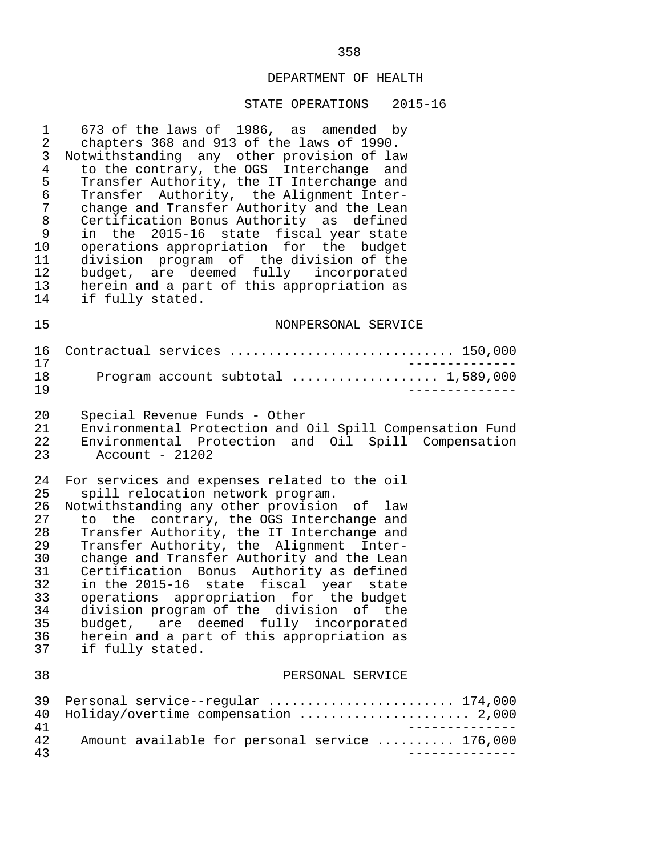#### STATE OPERATIONS 2015-16

1 673 of the laws of 1986, as amended by<br>2 chapters 368 and 913 of the laws of 1990. 2 chapters 368 and 913 of the laws of 1990.<br>3 Notwithstanding any other provision of law 3 Notwithstanding any other provision of law<br>4 to the contrary, the OGS Interchange and 4 to the contrary, the OGS Interchange and<br>5 Transfer Authority, the IT Interchange and 5 Transfer Authority, the IT Interchange and<br>6 Transfer Authority, the Alignment Inter- 6 Transfer Authority, the Alignment Inter- 7 change and Transfer Authority and the Lean<br>8 Certification Bonus Authority as defined 8 Certification Bonus Authority as defined 9 in the 2015-16 state fiscal year state 10 operations appropriation for the budget<br>11 division program of the division of the 11 division program of the division of the<br>12 budget, are deemed fully incorporated 12 budget, are deemed fully incorporated<br>13 herein and a part of this appropriation as 13 herein and a part of this appropriation as<br>14 if fully stated. if fully stated. 15 NONPERSONAL SERVICE

 16 Contractual services ............................. 150,000 17 -------------- 18 Program account subtotal ................... 1,589,000 19 --------------

20 Special Revenue Funds - Other<br>21 Environmental Protection and 21 Environmental Protection and Oil Spill Compensation Fund 22 Environmental Protection and Oil Spill Compensation

 $Account - 21202$ 

24 For services and expenses related to the oil<br>25 spill relocation network program. 25 spill relocation network program.<br>26 Notwithstanding any other provision

26 Notwithstanding any other provision of law<br>27 to the contrary, the OGS Interchange and 27 to the contrary, the OGS Interchange and<br>28 Transfer Authority, the IT Interchange and 28 Transfer Authority, the IT Interchange and<br>29 Transfer Authority, the Alignment Inter-29 Transfer Authority, the Alignment Inter-<br>30 change and Transfer Authority and the Lean 30 change and Transfer Authority and the Lean<br>31 Certification Bonus Authority as defined 31 Certification Bonus Authority as defined<br>32 in the 2015-16 state fiscal year state 32 in the 2015-16 state fiscal year state<br>33 operations appropriation for the budget 33 operations appropriation for the budget<br>34 division program of the division of the 34 division program of the division of the<br>35 budget, are deemed fully incorporated 35 budget, are deemed fully incorporated<br>36 herein and a part of this appropriation as 36 herein and a part of this appropriation as<br>37 if fully stated. if fully stated.

#### 38 PERSONAL SERVICE

|    | 39 Personal service--regular  174,000          |
|----|------------------------------------------------|
|    | 40 Holiday/overtime compensation  2,000        |
| 41 |                                                |
| 42 | Amount available for personal service  176,000 |
| 43 |                                                |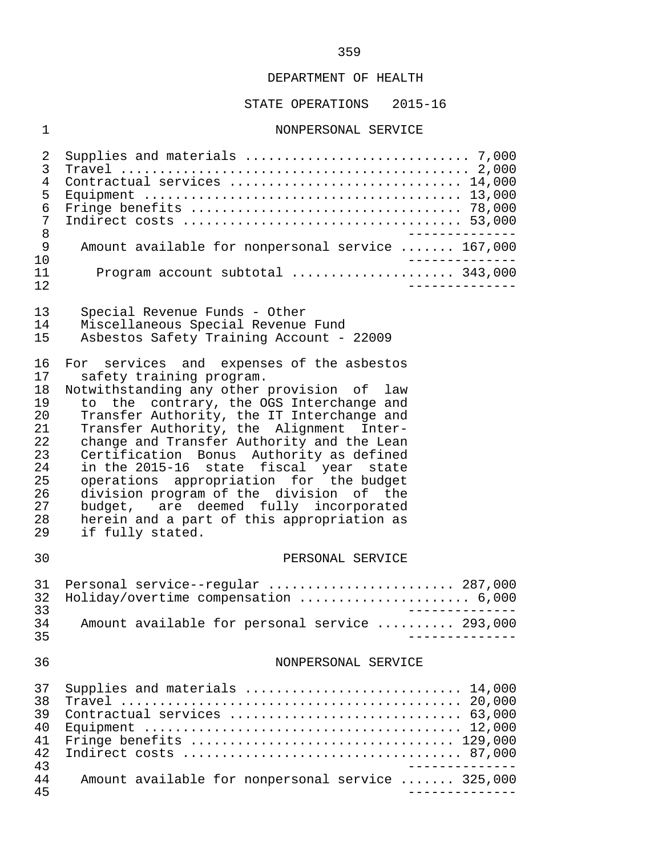# STATE OPERATIONS 2015-16

# 1 NONPERSONAL SERVICE

| 2<br>3<br>$\overline{4}$<br>5<br>6<br>7<br>8<br>9<br>10<br>11<br>12              | Contractual services  14,000<br>______________<br>Amount available for nonpersonal service  167,000<br>Program account subtotal  343,000                                                                                                                                                                                                                                                                                                                                                                                                                                                       |
|----------------------------------------------------------------------------------|------------------------------------------------------------------------------------------------------------------------------------------------------------------------------------------------------------------------------------------------------------------------------------------------------------------------------------------------------------------------------------------------------------------------------------------------------------------------------------------------------------------------------------------------------------------------------------------------|
| 13<br>14<br>15                                                                   | Special Revenue Funds - Other<br>Miscellaneous Special Revenue Fund<br>Asbestos Safety Training Account - 22009                                                                                                                                                                                                                                                                                                                                                                                                                                                                                |
| 16<br>17<br>18<br>19<br>20<br>21<br>22<br>23<br>24<br>25<br>26<br>27<br>28<br>29 | For services and expenses of the asbestos<br>safety training program.<br>Notwithstanding any other provision of law<br>to the contrary, the OGS Interchange and<br>Transfer Authority, the IT Interchange and<br>Transfer Authority, the Alignment Inter-<br>change and Transfer Authority and the Lean<br>Certification Bonus Authority as defined<br>in the 2015-16 state fiscal year state<br>operations appropriation for the budget<br>division program of the division of the<br>budget, are deemed fully incorporated<br>herein and a part of this appropriation as<br>if fully stated. |
| 30                                                                               | PERSONAL SERVICE                                                                                                                                                                                                                                                                                                                                                                                                                                                                                                                                                                               |
| 31<br>32<br>33<br>34<br>35                                                       | Personal service--regular  287,000<br>Holiday/overtime compensation  6,000<br>Amount available for personal service  293,000                                                                                                                                                                                                                                                                                                                                                                                                                                                                   |
| 36                                                                               | NONPERSONAL SERVICE                                                                                                                                                                                                                                                                                                                                                                                                                                                                                                                                                                            |
| 37<br>38<br>39<br>40<br>41<br>42<br>43<br>44<br>45                               | Supplies and materials  14,000<br>Contractual services  63,000<br>Fringe benefits $\ldots \ldots \ldots \ldots \ldots \ldots \ldots \ldots \ldots \ldots \ldots 129,000$<br>Amount available for nonpersonal service  325,000<br>_____________                                                                                                                                                                                                                                                                                                                                                 |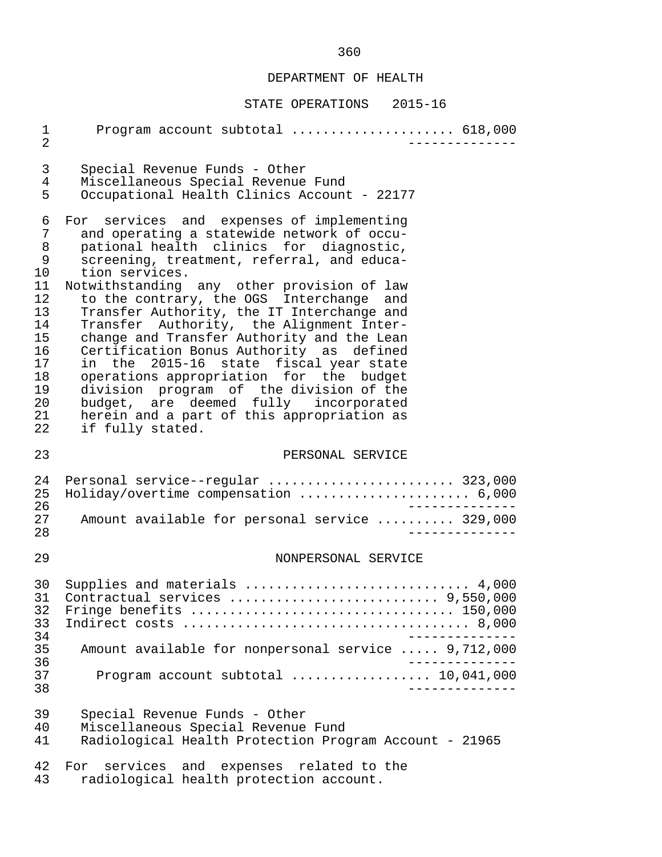| $\mathbf 1$<br>$\overline{2}$                                                                  | Program account subtotal  618,000                                                                                                                                                                                                                                                                                                                                                                                                                                                                                                                                                                                                                                                                                           |
|------------------------------------------------------------------------------------------------|-----------------------------------------------------------------------------------------------------------------------------------------------------------------------------------------------------------------------------------------------------------------------------------------------------------------------------------------------------------------------------------------------------------------------------------------------------------------------------------------------------------------------------------------------------------------------------------------------------------------------------------------------------------------------------------------------------------------------------|
| 3<br>4<br>5                                                                                    | Special Revenue Funds - Other<br>Miscellaneous Special Revenue Fund<br>Occupational Health Clinics Account - 22177                                                                                                                                                                                                                                                                                                                                                                                                                                                                                                                                                                                                          |
| 6<br>7<br>8<br>9<br>10<br>11<br>12<br>13<br>14<br>15<br>16<br>17<br>18<br>19<br>20<br>21<br>22 | For services and expenses of implementing<br>and operating a statewide network of occu-<br>pational health clinics for diagnostic,<br>screening, treatment, referral, and educa-<br>tion services.<br>Notwithstanding any other provision of law<br>to the contrary, the OGS Interchange and<br>Transfer Authority, the IT Interchange and<br>Transfer Authority, the Alignment Inter-<br>change and Transfer Authority and the Lean<br>Certification Bonus Authority as defined<br>in the 2015-16 state fiscal year state<br>operations appropriation for the budget<br>division program of the division of the<br>budget, are deemed fully incorporated<br>herein and a part of this appropriation as<br>if fully stated. |
| 23                                                                                             | PERSONAL SERVICE                                                                                                                                                                                                                                                                                                                                                                                                                                                                                                                                                                                                                                                                                                            |
| 24<br>25<br>26<br>27<br>28                                                                     | Personal service--regular  323,000<br>Holiday/overtime compensation  6,000<br>Amount available for personal service  329,000                                                                                                                                                                                                                                                                                                                                                                                                                                                                                                                                                                                                |
| 29                                                                                             | NONPERSONAL SERVICE                                                                                                                                                                                                                                                                                                                                                                                                                                                                                                                                                                                                                                                                                                         |
| 30<br>32<br>33<br>34<br>35<br>36<br>37<br>38                                                   | Supplies and materials  4,000<br>31 Contractual services  9,550,000<br>$- - - - - - - - - -$<br>Amount available for nonpersonal service  9,712,000<br>$- - - - -$<br>Program account subtotal $\ldots$ 10,041,000<br>___________                                                                                                                                                                                                                                                                                                                                                                                                                                                                                           |
| 39<br>40<br>41                                                                                 | Special Revenue Funds - Other<br>Miscellaneous Special Revenue Fund<br>Radiological Health Protection Program Account - 21965                                                                                                                                                                                                                                                                                                                                                                                                                                                                                                                                                                                               |
| 42<br>43                                                                                       | For services and expenses related to the<br>radiological health protection account.                                                                                                                                                                                                                                                                                                                                                                                                                                                                                                                                                                                                                                         |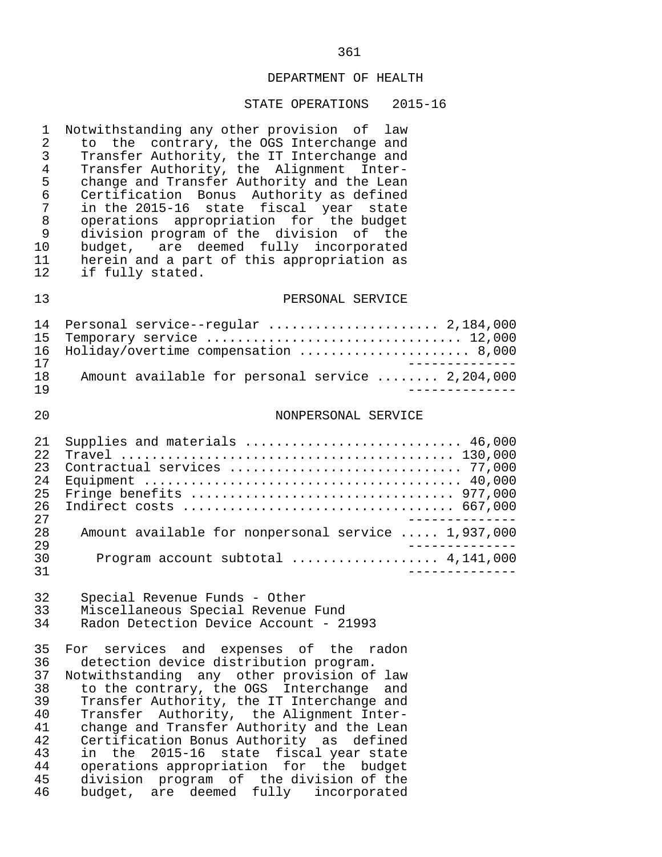#### STATE OPERATIONS 2015-16

1 Notwithstanding any other provision of law<br>2 to the contrary, the OGS Interchange and 2 to the contrary, the OGS Interchange and<br>3 Transfer Authority, the IT Interchange and 3 Transfer Authority, the IT Interchange and 4 Transfer Authority, the Alignment Inter-<br>5 change and Transfer Authority and the Lean 5 change and Transfer Authority and the Lean<br>6 Certification Bonus Authority as defined 6 Certification Bonus Authority as defined 7 in the 2015-16 state fiscal year state 8 operations appropriation for the budget 9 division program of the division of the<br>10 budget, are deemed fully incorporated budget, are deemed fully incorporated 11 herein and a part of this appropriation as<br>12 if fully stated. if fully stated.

## 13 PERSONAL SERVICE

|     | 14 Personal service--regular  2,184,000          |
|-----|--------------------------------------------------|
|     | 15 Temporary service  12,000                     |
|     | 16 Holiday/overtime compensation  8,000          |
| 17  |                                                  |
| 18  | Amount available for personal service  2,204,000 |
| 1 Q |                                                  |

#### 20 NONPERSONAL SERVICE

| 2.1  | Supplies and materials  46,000                      |
|------|-----------------------------------------------------|
| 2.2. |                                                     |
| 23   |                                                     |
| 2.4  |                                                     |
| 25   |                                                     |
| 26   |                                                     |
| 2.7  |                                                     |
| 2.8  | Amount available for nonpersonal service  1,937,000 |
| 29   |                                                     |
| 30   |                                                     |
| 31   |                                                     |

# 32 Special Revenue Funds - Other 33 Miscellaneous Special Revenue Fund<br>34 Radon Detection Device Account - 2

Radon Detection Device Account - 21993

35 For services and expenses of the radon<br>36 detection-device-distribution-program. 36 detection device distribution program.<br>37 Notwithstanding any other provision of Notwithstanding any other provision of law 38 to the contrary, the OGS Interchange and 39 Transfer Authority, the IT Interchange and<br>40 Transfer Authority, the Alignment Inter-40 Transfer Authority, the Alignment Inter-<br>41 change and Transfer Authority and the Lean 41 change and Transfer Authority and the Lean<br>42 Certification Bonus Authority as defined 42 Certification Bonus Authority as defined<br>43 in the 2015-16 state fiscal year state 43 in the 2015-16 state fiscal year state 44 operations appropriation for the budget<br>45 division program of the-division of the 45 division program of the-division of the<br>46 budget, are deemed fully incorporated 46 budget, are deemed fully incorporated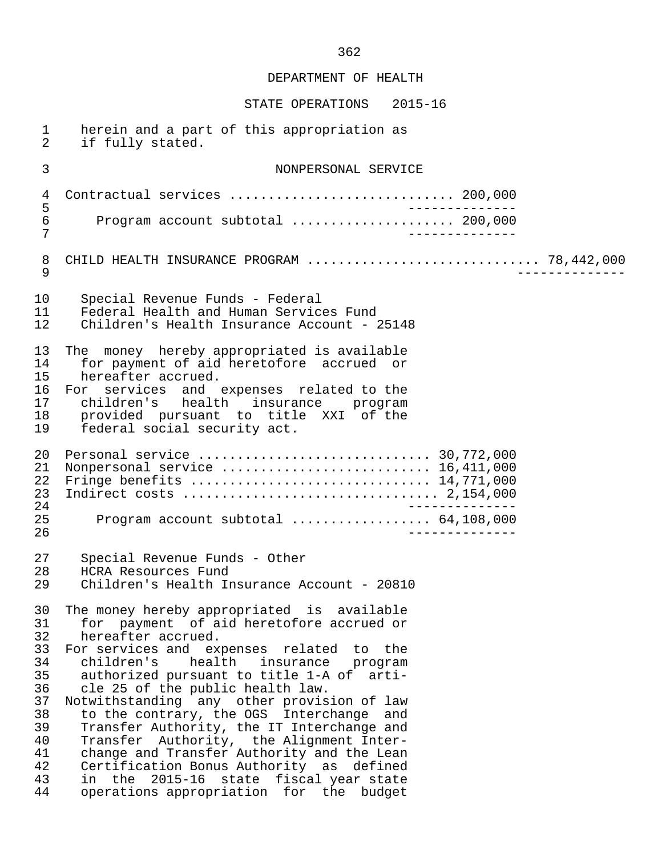| $\mathbf{1}$<br>2                                                                      | herein and a part of this appropriation as<br>if fully stated.                                                                                                                                                                                                                                                                                                                                                                                                                                                                                                                                                                                               |  |
|----------------------------------------------------------------------------------------|--------------------------------------------------------------------------------------------------------------------------------------------------------------------------------------------------------------------------------------------------------------------------------------------------------------------------------------------------------------------------------------------------------------------------------------------------------------------------------------------------------------------------------------------------------------------------------------------------------------------------------------------------------------|--|
| 3                                                                                      | NONPERSONAL SERVICE                                                                                                                                                                                                                                                                                                                                                                                                                                                                                                                                                                                                                                          |  |
| 4                                                                                      | ______________                                                                                                                                                                                                                                                                                                                                                                                                                                                                                                                                                                                                                                               |  |
| $\mathsf S$<br>$\epsilon$<br>7                                                         | Program account subtotal  200,000<br>___________                                                                                                                                                                                                                                                                                                                                                                                                                                                                                                                                                                                                             |  |
| 8<br>9                                                                                 | CHILD HEALTH INSURANCE PROGRAM  78,442,000                                                                                                                                                                                                                                                                                                                                                                                                                                                                                                                                                                                                                   |  |
| 10<br>11<br>12                                                                         | Special Revenue Funds - Federal<br>Federal Health and Human Services Fund<br>Children's Health Insurance Account - 25148                                                                                                                                                                                                                                                                                                                                                                                                                                                                                                                                     |  |
| 13<br>14<br>15<br>16<br>17<br>18<br>19                                                 | The money hereby appropriated is available<br>for payment of aid heretofore accrued or<br>hereafter accrued.<br>For services and expenses related to the<br>children's health insurance program<br>provided pursuant to title XXI of the<br>federal social security act.                                                                                                                                                                                                                                                                                                                                                                                     |  |
| 20<br>21<br>22<br>23<br>24<br>25<br>26                                                 | Nonpersonal service  16,411,000<br>Program account subtotal  64,108,000                                                                                                                                                                                                                                                                                                                                                                                                                                                                                                                                                                                      |  |
| 27<br>28<br>29                                                                         | Special Revenue Funds - Other<br>HCRA Resources Fund<br>Children's Health Insurance Account - 20810                                                                                                                                                                                                                                                                                                                                                                                                                                                                                                                                                          |  |
| 30<br>31<br>32<br>33<br>34<br>35<br>36<br>37<br>38<br>39<br>40<br>41<br>42<br>43<br>44 | The money hereby appropriated is available<br>for payment of aid heretofore accrued or<br>hereafter accrued.<br>For services and expenses related to the<br>health insurance<br>children's<br>program<br>authorized pursuant to title 1-A of<br>arti-<br>cle 25 of the public health law.<br>Notwithstanding any other provision of law<br>to the contrary, the OGS Interchange and<br>Transfer Authority, the IT Interchange and<br>Transfer Authority, the Alignment Inter-<br>change and Transfer Authority and the Lean<br>Certification Bonus Authority as defined<br>in the 2015-16 state fiscal year state<br>operations appropriation for the budget |  |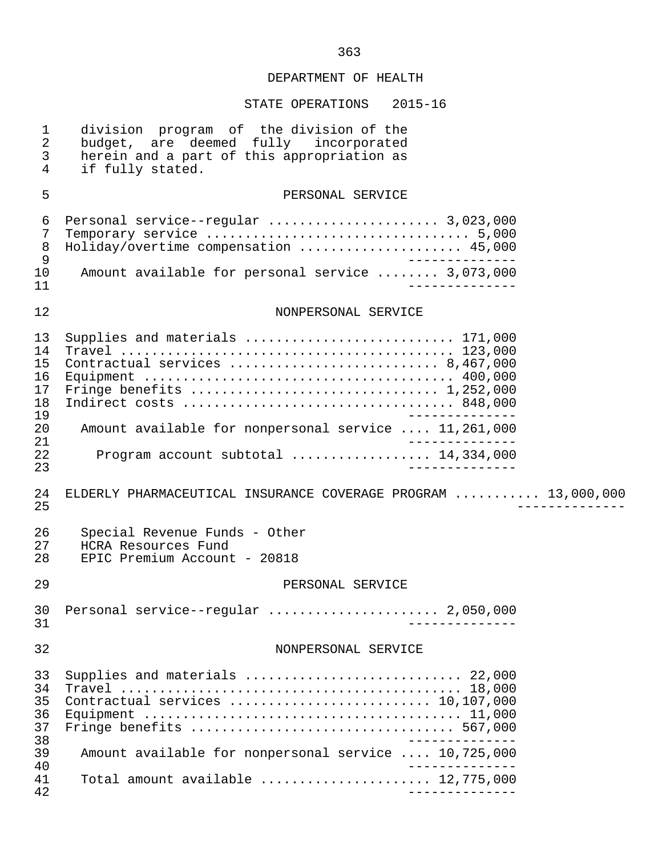| $\mathbf 1$<br>$\sqrt{2}$<br>$\mathfrak{Z}$<br>$\overline{4}$  | division program of the division of the<br>budget, are deemed fully incorporated<br>herein and a part of this appropriation as<br>if fully stated.                                           |
|----------------------------------------------------------------|----------------------------------------------------------------------------------------------------------------------------------------------------------------------------------------------|
| 5                                                              | PERSONAL SERVICE                                                                                                                                                                             |
| $\epsilon$<br>7<br>$\,8\,$<br>$\mathsf 9$<br>10<br>11          | Personal service--regular  3,023,000<br>Holiday/overtime compensation  45,000<br>Amount available for personal service  3,073,000                                                            |
| 12                                                             | NONPERSONAL SERVICE                                                                                                                                                                          |
| 13<br>14<br>15<br>16<br>17<br>18<br>19<br>20<br>21<br>22<br>23 | Supplies and materials  171,000<br>Contractual services  8,467,000<br>Amount available for nonpersonal service  11,261,000<br>Program account subtotal  14,334,000                           |
| 24<br>25                                                       | ELDERLY PHARMACEUTICAL INSURANCE COVERAGE PROGRAM  13,000,000                                                                                                                                |
| 26<br>27<br>28                                                 | Special Revenue Funds - Other<br>HCRA Resources Fund<br>EPIC Premium Account - 20818                                                                                                         |
| 29                                                             | PERSONAL SERVICE                                                                                                                                                                             |
| 30<br>31                                                       | Personal service--regular  2,050,000                                                                                                                                                         |
| 32                                                             | NONPERSONAL SERVICE                                                                                                                                                                          |
| 33<br>34<br>35<br>36<br>37<br>38<br>39<br>40<br>41             | Supplies and materials  22,000<br>Contractual services  10,107,000<br>Fringe benefits  567,000<br>Amount available for nonpersonal service  10,725,000<br>Total amount available  12,775,000 |
| 42                                                             |                                                                                                                                                                                              |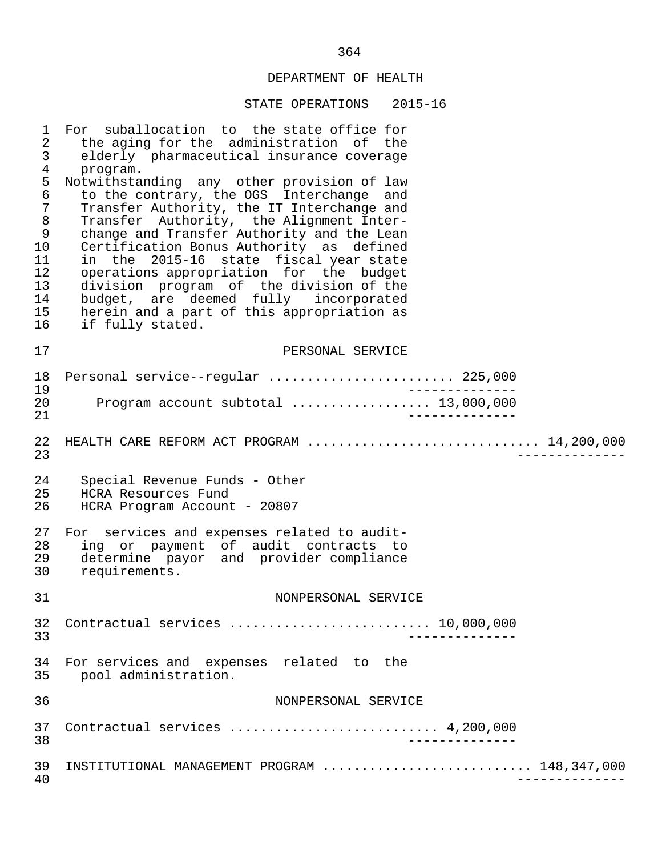| $\mathbf{1}$<br>$\overline{a}$<br>3<br>$\overline{4}$<br>5<br>$\epsilon$<br>$\overline{7}$<br>8<br>9<br>10<br>11<br>12<br>13<br>14<br>15<br>16 | For suballocation to the state office for<br>the aging for the administration of the<br>elderly pharmaceutical insurance coverage<br>program.<br>Notwithstanding any other provision of law<br>to the contrary, the OGS Interchange and<br>Transfer Authority, the IT Interchange and<br>Transfer Authority, the Alignment Inter-<br>change and Transfer Authority and the Lean<br>Certification Bonus Authority as defined<br>in the 2015-16 state fiscal year state<br>operations appropriation for the budget<br>division program of the division of the<br>budget, are deemed fully incorporated<br>herein and a part of this appropriation as<br>if fully stated. |
|------------------------------------------------------------------------------------------------------------------------------------------------|------------------------------------------------------------------------------------------------------------------------------------------------------------------------------------------------------------------------------------------------------------------------------------------------------------------------------------------------------------------------------------------------------------------------------------------------------------------------------------------------------------------------------------------------------------------------------------------------------------------------------------------------------------------------|
| 17                                                                                                                                             | PERSONAL SERVICE                                                                                                                                                                                                                                                                                                                                                                                                                                                                                                                                                                                                                                                       |
| 18<br>19                                                                                                                                       | Personal service--regular  225,000                                                                                                                                                                                                                                                                                                                                                                                                                                                                                                                                                                                                                                     |
| 20<br>21                                                                                                                                       | Program account subtotal  13,000,000                                                                                                                                                                                                                                                                                                                                                                                                                                                                                                                                                                                                                                   |
| 22<br>23                                                                                                                                       | HEALTH CARE REFORM ACT PROGRAM  14,200,000<br>_____________                                                                                                                                                                                                                                                                                                                                                                                                                                                                                                                                                                                                            |
| 24<br>25<br>26                                                                                                                                 | Special Revenue Funds - Other<br>HCRA Resources Fund<br>HCRA Program Account - 20807                                                                                                                                                                                                                                                                                                                                                                                                                                                                                                                                                                                   |
| 27<br>28<br>29<br>30                                                                                                                           | For services and expenses related to audit-<br>ing or payment of audit contracts to<br>determine payor and provider compliance<br>requirements.                                                                                                                                                                                                                                                                                                                                                                                                                                                                                                                        |
| 31                                                                                                                                             | NONPERSONAL SERVICE                                                                                                                                                                                                                                                                                                                                                                                                                                                                                                                                                                                                                                                    |
| 32<br>33                                                                                                                                       | Contractual services  10,000,000                                                                                                                                                                                                                                                                                                                                                                                                                                                                                                                                                                                                                                       |
| 34<br>35                                                                                                                                       | For services and expenses related to the<br>pool administration.                                                                                                                                                                                                                                                                                                                                                                                                                                                                                                                                                                                                       |
| 36                                                                                                                                             | NONPERSONAL SERVICE                                                                                                                                                                                                                                                                                                                                                                                                                                                                                                                                                                                                                                                    |
| 37<br>38                                                                                                                                       | Contractual services  4,200,000<br>$- - - - - - - -$                                                                                                                                                                                                                                                                                                                                                                                                                                                                                                                                                                                                                   |
| 39<br>40                                                                                                                                       | INSTITUTIONAL MANAGEMENT PROGRAM  148,347,000                                                                                                                                                                                                                                                                                                                                                                                                                                                                                                                                                                                                                          |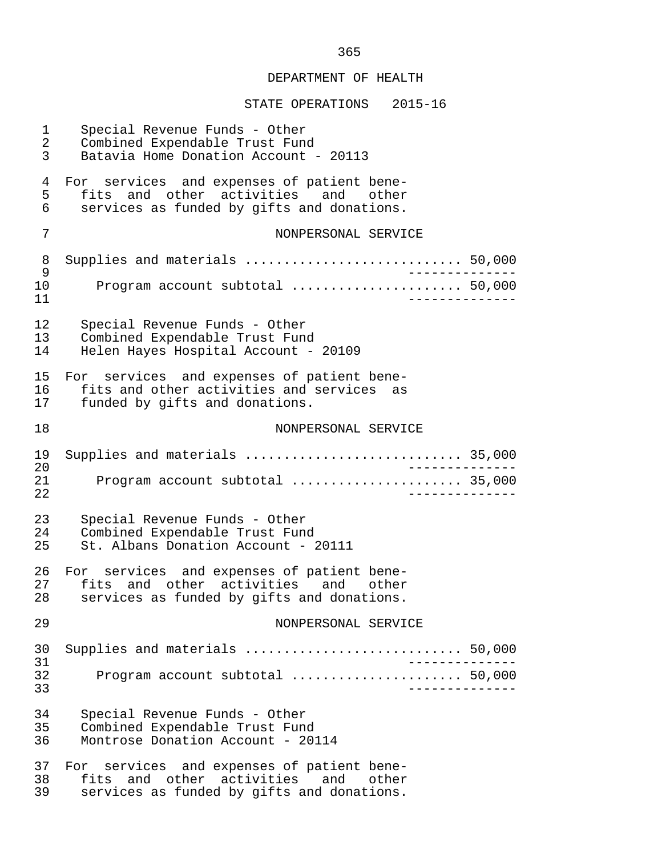| 1<br>2<br>3    | Special Revenue Funds - Other<br>Combined Expendable Trust Fund<br>Batavia Home Donation Account - 20113                              |  |
|----------------|---------------------------------------------------------------------------------------------------------------------------------------|--|
| 4<br>5<br>6    | For services and expenses of patient bene-<br>fits and other activities<br>and<br>other<br>services as funded by gifts and donations. |  |
| 7              | NONPERSONAL SERVICE                                                                                                                   |  |
| 8<br>9         | Supplies and materials  50,000<br>$\qquad \qquad - - - - - -$                                                                         |  |
| 10<br>11       | Program account subtotal  50,000                                                                                                      |  |
| 12<br>13<br>14 | Special Revenue Funds - Other<br>Combined Expendable Trust Fund<br>Helen Hayes Hospital Account - 20109                               |  |
| 15<br>16<br>17 | For services and expenses of patient bene-<br>fits and other activities and services<br>as<br>funded by gifts and donations.          |  |
| 18             | NONPERSONAL SERVICE                                                                                                                   |  |
| 19             | Supplies and materials  35,000                                                                                                        |  |
| 20<br>21<br>22 | Program account subtotal  35,000<br>---------                                                                                         |  |
| 23<br>24<br>25 | Special Revenue Funds - Other<br>Combined Expendable Trust Fund<br>St. Albans Donation Account - 20111                                |  |
| 26<br>27<br>28 | For services and expenses of patient bene-<br>fits and other activities<br>and other<br>services as funded by gifts and donations.    |  |
| 29             | NONPERSONAL SERVICE                                                                                                                   |  |
| 30<br>31       | Supplies and materials  50,000<br>___________                                                                                         |  |
| 32<br>33       | Program account subtotal  50,000<br>----------                                                                                        |  |
| 34<br>35<br>36 | Special Revenue Funds - Other<br>Combined Expendable Trust Fund<br>Montrose Donation Account - 20114                                  |  |
| 37<br>38<br>39 | For services and expenses of patient bene-<br>fits and other activities and other<br>services as funded by gifts and donations.       |  |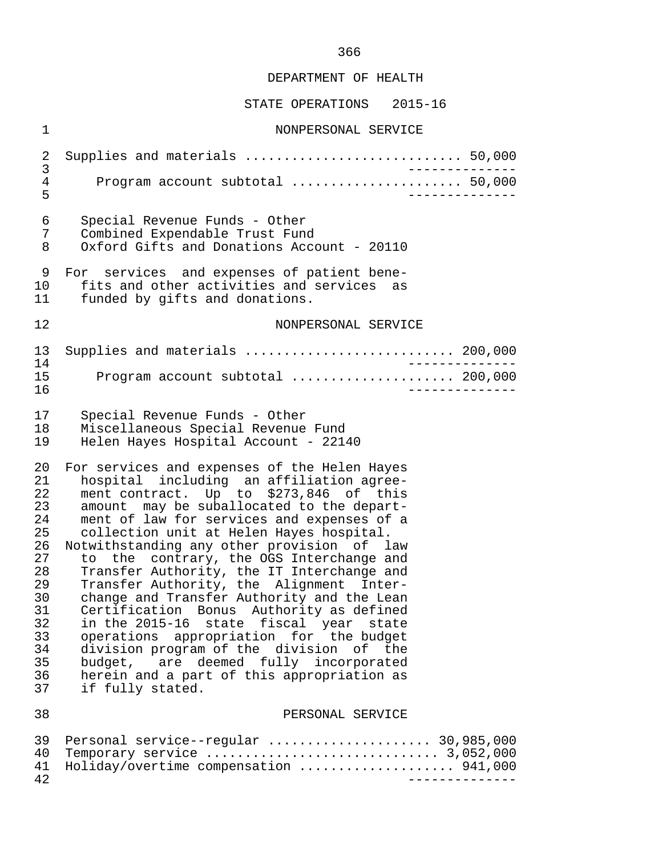#### STATE OPERATIONS 2015-16

42 --------------

 1 NONPERSONAL SERVICE 2 Supplies and materials ............................ 50,000 3 -------------- 4 Program account subtotal ...................... 50,000 5 -------------- 6 Special Revenue Funds - Other 7 Combined Expendable Trust Fund Oxford Gifts and Donations Account - 20110 9 For services and expenses of patient bene- 10 fits and other activities and services as<br>11 funded by gifts and donations. funded by gifts and donations. 12 NONPERSONAL SERVICE 13 Supplies and materials ........................... 200,000 14 --------------<br>15 Program account subtotal ............................ 200.000 15 Program account subtotal ..................... 200,000 16 -------------- 17 Special Revenue Funds - Other 18 Miscellaneous Special Revenue Fund<br>19 Helen Hayes Hospital Account - 221 Helen Hayes Hospital Account - 22140 20 For services and expenses of the Helen Hayes 21 hospital including an affiliation agree-<br>22 ment.contract. Up to \$273.846 of this 22 ment contract. Up to \$273,846 of this<br>23 amount may be suballocated to the depart-23 amount may be suballocated to the depart-<br>24 ment of law for services and expenses of a 24 ment of law for services and expenses of a<br>25 collection unit at Helen Haves hospital. collection unit at Helen Hayes hospital. 26 Notwithstanding any other provision of law<br>27 to the contrary, the OGS Interchange and 27 to the contrary, the OGS Interchange and<br>28 Transfer Authority, the IT Interchange and 28 Transfer Authority, the IT Interchange and<br>29 Transfer Authority, the Alignment Inter-29 Transfer Authority, the Alignment Inter-<br>30 change and Transfer Authority and the Lean 30 change and Transfer Authority and the Lean<br>31 Certification Bonus Authority as defined 31 Certification Bonus Authority as defined<br>32 in the 2015-16 state fiscal vear state 32 in the 2015-16 state fiscal year state<br>33 operations appropriation for the budget 33 operations appropriation for the budget<br>34 division program of the division of the 34 division program of the division of the<br>35 budget, are deemed fully incorporated 35 budget, are deemed fully incorporated<br>36 herein and a part of this appropriation as herein and a part of this appropriation as 37 if fully stated. 38 PERSONAL SERVICE 39 Personal service--regular ..................... 30,985,000 40 Temporary service .............................. 3,052,000 41 Holiday/overtime compensation ....................... 941,000<br>42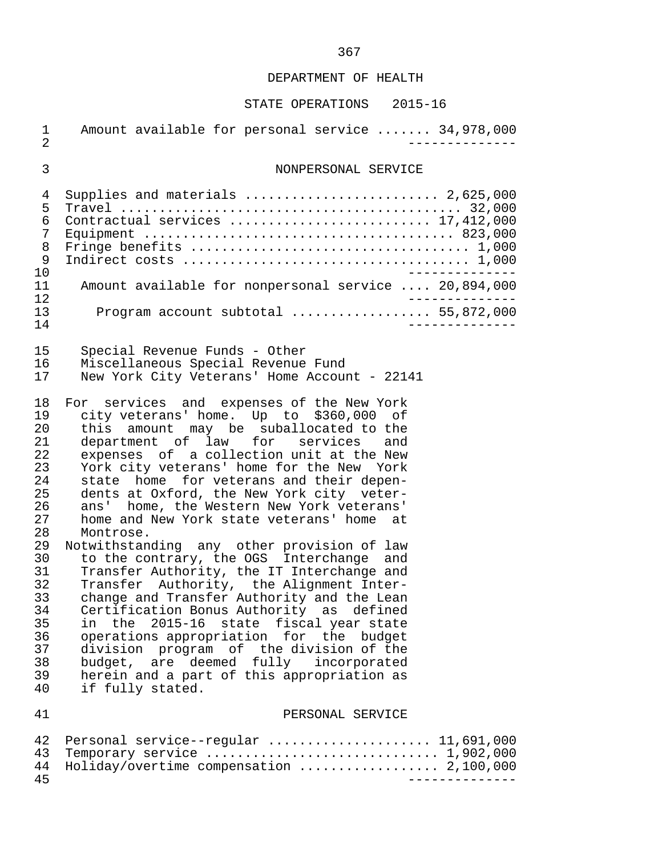# STATE OPERATIONS 2015-16

| 1<br>$\overline{2}$                                                                                                                    | Amount available for personal service  34,978,000                                                                                                                                                                                                                                                                                                                                                                                                                                                                                                                                                                                                                                                                                                                                                                                                                                                                                                                                                                     |
|----------------------------------------------------------------------------------------------------------------------------------------|-----------------------------------------------------------------------------------------------------------------------------------------------------------------------------------------------------------------------------------------------------------------------------------------------------------------------------------------------------------------------------------------------------------------------------------------------------------------------------------------------------------------------------------------------------------------------------------------------------------------------------------------------------------------------------------------------------------------------------------------------------------------------------------------------------------------------------------------------------------------------------------------------------------------------------------------------------------------------------------------------------------------------|
| 3                                                                                                                                      | NONPERSONAL SERVICE                                                                                                                                                                                                                                                                                                                                                                                                                                                                                                                                                                                                                                                                                                                                                                                                                                                                                                                                                                                                   |
| 4<br>5<br>6<br>7<br>8<br>9<br>10<br>11<br>12<br>13<br>14                                                                               | Supplies and materials  2,625,000<br>Contractual services  17,412,000<br>Amount available for nonpersonal service  20,894,000<br>Program account subtotal  55,872,000                                                                                                                                                                                                                                                                                                                                                                                                                                                                                                                                                                                                                                                                                                                                                                                                                                                 |
| 15<br>16<br>17                                                                                                                         | Special Revenue Funds - Other<br>Miscellaneous Special Revenue Fund<br>New York City Veterans' Home Account - 22141                                                                                                                                                                                                                                                                                                                                                                                                                                                                                                                                                                                                                                                                                                                                                                                                                                                                                                   |
| 18<br>19<br>20<br>21<br>22<br>23<br>24<br>25<br>26<br>27<br>28<br>29<br>30<br>31<br>32<br>33<br>34<br>35<br>36<br>37<br>38<br>39<br>40 | For services and expenses of the New York<br>city veterans' home. Up to \$360,000 of<br>amount may be suballocated to the<br>this<br>department of law for services<br>and<br>expenses of a collection unit at the New<br>York city veterans' home for the New York<br>state home for veterans and their depen-<br>dents at Oxford, the New York city veter-<br>home, the Western New York veterans'<br>ans'<br>home and New York state veterans' home at<br>Montrose.<br>Notwithstanding any other provision of law<br>to the contrary, the OGS Interchange<br>and<br>Transfer Authority, the IT Interchange and<br>Transfer Authority, the Alignment Inter-<br>change and Transfer Authority and the Lean<br>Certification Bonus Authority as defined<br>$2015 - 16$<br>fiscal year state<br>the<br>state<br>in<br>operations appropriation for the budget<br>division program of the division of the<br>budget, are deemed fully<br>incorporated<br>herein and a part of this appropriation as<br>if fully stated. |
| 41                                                                                                                                     | PERSONAL SERVICE                                                                                                                                                                                                                                                                                                                                                                                                                                                                                                                                                                                                                                                                                                                                                                                                                                                                                                                                                                                                      |
| 42<br>43<br>44<br>45                                                                                                                   | Personal service--regular  11,691,000<br>Temporary service  1,902,000<br>Holiday/overtime compensation  2,100,000                                                                                                                                                                                                                                                                                                                                                                                                                                                                                                                                                                                                                                                                                                                                                                                                                                                                                                     |

367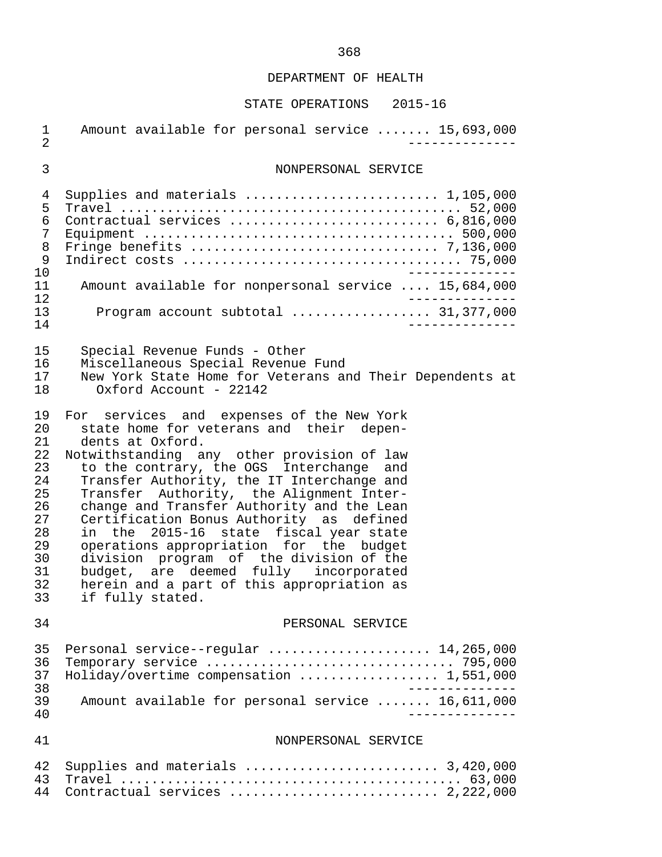| $\mathbf 1$<br>$\overline{2}$                                                          | Amount available for personal service  15,693,000                                                                                                                                                                                                                                                                                                                                                                                                                                                                                                                                                                                  |
|----------------------------------------------------------------------------------------|------------------------------------------------------------------------------------------------------------------------------------------------------------------------------------------------------------------------------------------------------------------------------------------------------------------------------------------------------------------------------------------------------------------------------------------------------------------------------------------------------------------------------------------------------------------------------------------------------------------------------------|
| $\mathfrak{Z}$                                                                         | NONPERSONAL SERVICE                                                                                                                                                                                                                                                                                                                                                                                                                                                                                                                                                                                                                |
| 4<br>5<br>6<br>7<br>8<br>9<br>10<br>11<br>12<br>13<br>14                               | Supplies and materials $\ldots \ldots \ldots \ldots \ldots \ldots \ldots 1,105,000$<br>Contractual services  6,816,000<br>Amount available for nonpersonal service  15,684,000<br>Program account subtotal  31,377,000                                                                                                                                                                                                                                                                                                                                                                                                             |
| 15<br>16<br>17<br>18                                                                   | Special Revenue Funds - Other<br>Miscellaneous Special Revenue Fund<br>New York State Home for Veterans and Their Dependents at<br>Oxford Account - 22142                                                                                                                                                                                                                                                                                                                                                                                                                                                                          |
| 19<br>20<br>21<br>22<br>23<br>24<br>25<br>26<br>27<br>28<br>29<br>30<br>31<br>32<br>33 | For services and expenses of the New York<br>state home for veterans and their depen-<br>dents at Oxford.<br>Notwithstanding any other provision of law<br>to the contrary, the OGS Interchange and<br>Transfer Authority, the IT Interchange and<br>Transfer Authority, the Alignment Inter-<br>change and Transfer Authority and the Lean<br>Certification Bonus Authority as defined<br>in the 2015-16 state fiscal year state<br>operations appropriation for the budget<br>division program of the division of the<br>budget, are deemed fully incorporated<br>herein and a part of this appropriation as<br>if fully stated. |
| 34                                                                                     | PERSONAL SERVICE                                                                                                                                                                                                                                                                                                                                                                                                                                                                                                                                                                                                                   |
| 35<br>36<br>37<br>38<br>39<br>40                                                       | Personal service--regular  14,265,000<br>Holiday/overtime compensation  1,551,000<br>Amount available for personal service  16,611,000                                                                                                                                                                                                                                                                                                                                                                                                                                                                                             |
| 41                                                                                     | NONPERSONAL SERVICE                                                                                                                                                                                                                                                                                                                                                                                                                                                                                                                                                                                                                |
| 42<br>43<br>44                                                                         | Supplies and materials $\ldots \ldots \ldots \ldots \ldots \ldots \ldots$ 3,420,000<br>Contractual services  2,222,000                                                                                                                                                                                                                                                                                                                                                                                                                                                                                                             |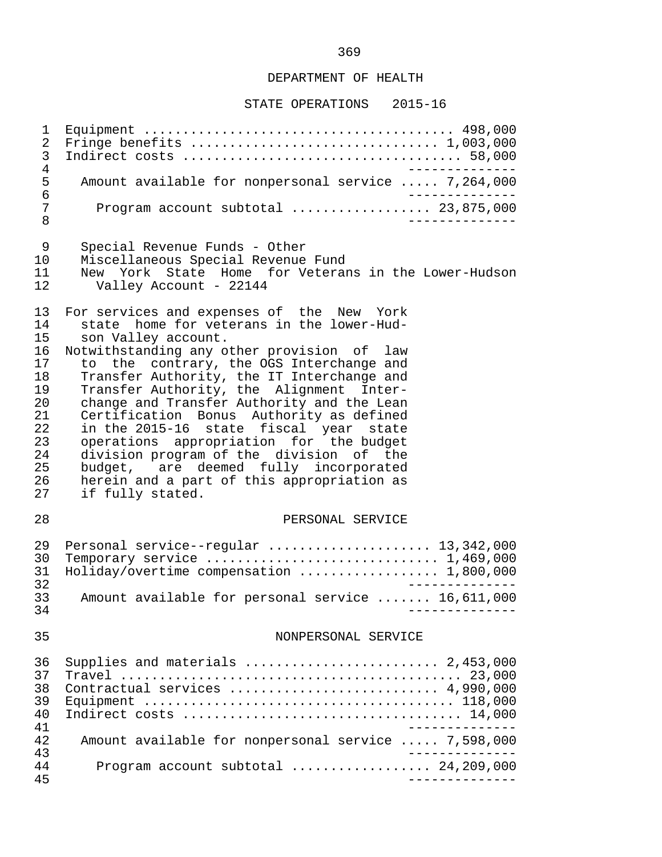#### STATE OPERATIONS 2015-16

 1 Equipment ........................................ 498,000 2 Fringe benefits ................................ 1,003,000 3 Indirect costs .................................... 58,000 4<br>5 Amount available for nonpersonal service ..... 7,264,000 5 Amount available for nonpersonal service ..... 7,264,000 6<br>7 Program account subtotal ................. 23,875,000 7 Program account subtotal .................. 23,875,000 8 -------------- 9 Special Revenue Funds - Other 10 Miscellaneous Special Revenue Fund<br>11 New York State Home for Veteral 11 New York State Home for Veterans in the Lower-Hudson<br>12 Valley Account - 22144 Valley Account - 22144 13 For services and expenses of the New York<br>14 state home for veterans in the lower-Hud-14 state home for veterans in the lower-Hud-<br>15 son Valley account. 15 son Valley account.<br>16 Notwithstanding any o 16 Notwithstanding any other provision of law<br>17 to the contrary, the OGS Interchange and 17 to the contrary, the OGS Interchange and<br>18 Transfer Authority, the IT Interchange and 18 Transfer Authority, the IT Interchange and<br>19 Transfer Authority, the Alignment Inter-19 Transfer Authority, the Alignment Inter-<br>20 change and Transfer Authority and the Lean 20 change and Transfer Authority and the Lean<br>21 Certification Bonus Authority as defined 21 Certification Bonus Authority as defined 22 in the 2015-16 state fiscal year state 23 operations appropriation for the budget<br>24 division-program of the division of the 24 division program of the division of the<br>25 budget, are deemed fully incorporated 25 budget, are deemed fully incorporated<br>26 herein and a part of this appropriation as 26 herein and a part of this appropriation as<br>27 if fully stated. if fully stated. 28 PERSONAL SERVICE 29 Personal service--regular ..................... 13,342,000 30 Temporary service .................................. 1,469,000<br>31 Holiday/overtime compensation .................... 1.800.000 31 Holiday/overtime compensation .................. 1,800,000 32 -------------- 33 Amount available for personal service ....... 16,611,000 34 -------------- 35 NONPERSONAL SERVICE 36 Supplies and materials ......................... 2,453,000 37 Travel ............................................ 23,000 38 Contractual services ........................... 4,990,000 39 Equipment ........................................ 118,000 40 Indirect costs .................................... 14,000 41 --------------<br>42 Amount available for nonpersonal service ..... 7.598.000 42 Amount available for nonpersonal service ..... 7,598,000 43<br>44 Program account subtotal ..................... 24.209.000 44 Program account subtotal .................. 24,209,000 45 --------------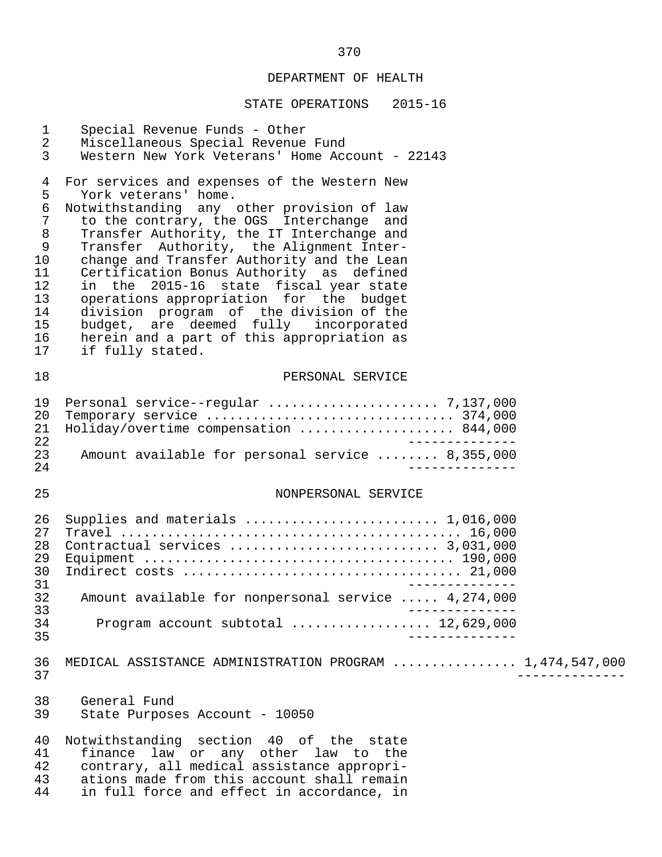| $\mathbf{1}$<br>$\overline{2}$                                                            | Special Revenue Funds - Other<br>Miscellaneous Special Revenue Fund                                                                                                                                                                                                                                                                                                                                                                                                                                                                                                                           |
|-------------------------------------------------------------------------------------------|-----------------------------------------------------------------------------------------------------------------------------------------------------------------------------------------------------------------------------------------------------------------------------------------------------------------------------------------------------------------------------------------------------------------------------------------------------------------------------------------------------------------------------------------------------------------------------------------------|
| $\mathbf{3}$                                                                              | Western New York Veterans' Home Account - 22143                                                                                                                                                                                                                                                                                                                                                                                                                                                                                                                                               |
| 4<br>5<br>$\epsilon$<br>7<br>$\,8\,$<br>9<br>10<br>11<br>12<br>13<br>14<br>15<br>16<br>17 | For services and expenses of the Western New<br>York veterans' home.<br>Notwithstanding any other provision of law<br>to the contrary, the OGS Interchange and<br>Transfer Authority, the IT Interchange and<br>Transfer Authority, the Alignment Inter-<br>change and Transfer Authority and the Lean<br>Certification Bonus Authority as defined<br>in the 2015-16 state fiscal year state<br>operations appropriation for the budget<br>division program of the division of the<br>budget, are deemed fully incorporated<br>herein and a part of this appropriation as<br>if fully stated. |
| 18                                                                                        | PERSONAL SERVICE                                                                                                                                                                                                                                                                                                                                                                                                                                                                                                                                                                              |
| 19<br>20<br>21<br>22<br>23<br>24                                                          | Holiday/overtime compensation  844,000<br>_______________<br>Amount available for personal service  8,355,000                                                                                                                                                                                                                                                                                                                                                                                                                                                                                 |
| 25                                                                                        | NONPERSONAL SERVICE                                                                                                                                                                                                                                                                                                                                                                                                                                                                                                                                                                           |
| 26<br>27<br>28<br>29<br>30<br>31<br>32<br>33                                              | Supplies and materials  1,016,000<br>_______________<br>Amount available for nonpersonal service  4,274,000                                                                                                                                                                                                                                                                                                                                                                                                                                                                                   |
| 34<br>35                                                                                  | Program account subtotal $\ldots \ldots \ldots \ldots \ldots 12,629,000$<br>______________                                                                                                                                                                                                                                                                                                                                                                                                                                                                                                    |
| 36<br>37                                                                                  | MEDICAL ASSISTANCE ADMINISTRATION PROGRAM  1,474,547,000                                                                                                                                                                                                                                                                                                                                                                                                                                                                                                                                      |
| 38<br>39                                                                                  | General Fund<br>State Purposes Account - 10050                                                                                                                                                                                                                                                                                                                                                                                                                                                                                                                                                |
| 40<br>41<br>42<br>43<br>44                                                                | Notwithstanding section 40 of the state<br>finance law or any other law to the<br>contrary, all medical assistance appropri-<br>ations made from this account shall remain<br>in full force and effect in accordance, in                                                                                                                                                                                                                                                                                                                                                                      |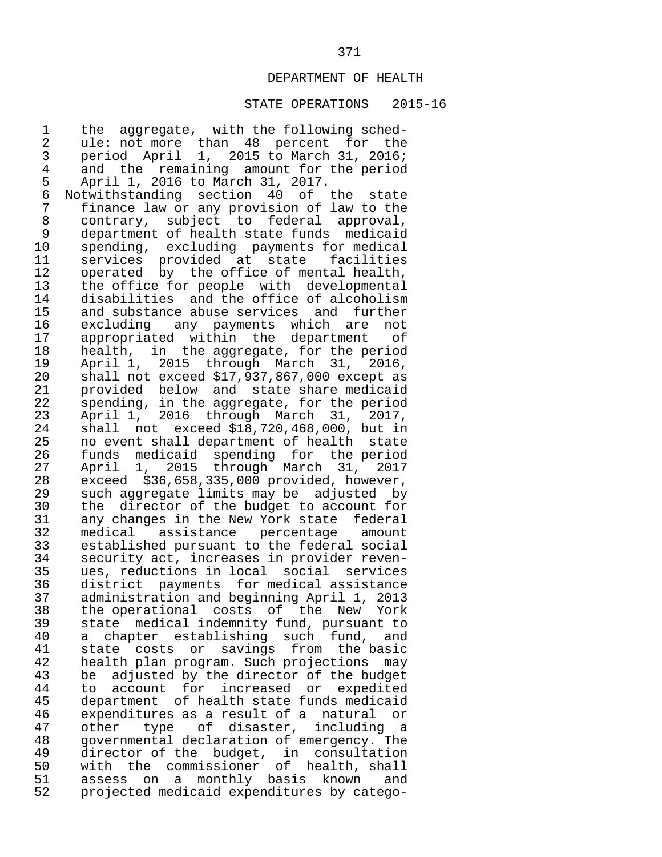## STATE OPERATIONS 2015-16

1 the aggregate, with the following sched-<br>2 ule: not more than 48 percent for the 2 ule: not more than 48 percent for the<br>3 period April 1, 2015 to March 31, 2016; 3 period April 1, 2015 to March 31, 2016; 4 and the remaining amount for the period<br>5 April 1, 2016 to March 31, 2017. 5 April 1, 2016 to March 31, 2017.<br>6 Notwithstanding section 40 of 6 Notwithstanding section 40 of the state<br>7 finance law or any provision of law to the 7 finance law or any provision of law to the<br>8 contrary, subject to federal approval, 8 contrary, subject to federal approval, 9 department of health state funds medicaid<br>10 spending, excluding payments for medical 10 spending, excluding payments for medical<br>11 services provided at state facilities 11 services provided at state facilities<br>12 operated by the office of mental-health, 12 operated by the office of mental health,<br>13 the office for people with developmental 13 the office for people with developmental<br>14 disabilities and the office of alcoholism 14 disabilities and the office of alcoholism<br>15 and substance abuse services and further 15 and substance abuse services and further<br>16 excluding any payments which are not 16 excluding any payments which are not<br>17 appropriated within the department of 17 appropriated within the department<br>18 health, in the-aggregate, for the pe 18 health, in the aggregate, for the period<br>19 April 1, 2015 through March 31, 2016, 19 April 1, 2015 through March 31, 2016, 20 shall not exceed \$17,937,867,000 except as<br>21 provided below and state share medicaid 21 provided below and state share medicaid<br>22 spending, in the aggregate, for the period 22 spending, in the aggregate, for the period<br>23 April 1, 2016 through March 31, 2017, 23 April 1, 2016 through March 31,<br>24 shall not exceed \$18,720,468,000, b 24 shall not exceed \$18,720,468,000, but in<br>25 no event shall department of health state 25 no event shall department of health state<br>26 funds medicaid spending for the period 26 funds medicaid spending for the period<br>27 April 1, 2015 through March 31, 2017 27 April 1, 2015 through March 31, 2017 28 exceed \$36,658,335,000 provided, however, 29 such aggregate limits may be adjusted by<br>30 the director of the budget to account for 30 the director of the budget to account for<br>31 any changes in the New York state federal 31 any changes in the New York state federal 32 medical assistance percentage amount 33 established pursuant to the federal social 34 security act, increases in provider reven-<br>35 ues, reductions in local social services 35 ues, reductions in local social services 36 district payments for medical assistance 37 administration and beginning April 1, 2013 38 the operational costs of the New York<br>39 state medical indemnity fund, pursuant to 39 state medical indemnity fund, pursuant to<br>40 a chapter establishing such fund, and 40 a chapter establishing such fund, and<br>41 state costs or savings from the basic 41 state costs or savings from the basic<br>42 health\_plan\_program. Such\_projections\_may 42 health plan program. Such projections may<br>43 be adjusted by the director of the budget 43 be adjusted by the director of the budget<br>44 to account for increased or expedited 44 to account for increased or expedited 45 department of health state funds medicaid<br>46 expenditures as a result of a natural or 46 expenditures as a result of a natural or<br>47 other type of disaster, including a 47 other type of disaster, including a<br>48 governmental-declaration-of-emergency. The 48 governmental declaration of emergency. The<br>49 director of the budget, in consultation 49 director of the budget, in consultation<br>50 with the commissioner of health, shall 50 with the commissioner of health, shall<br>51 assess on a monthly basis known and 51 assess on a monthly basis known and<br>52 projected medicaid expenditures by categoprojected medicaid expenditures by catego-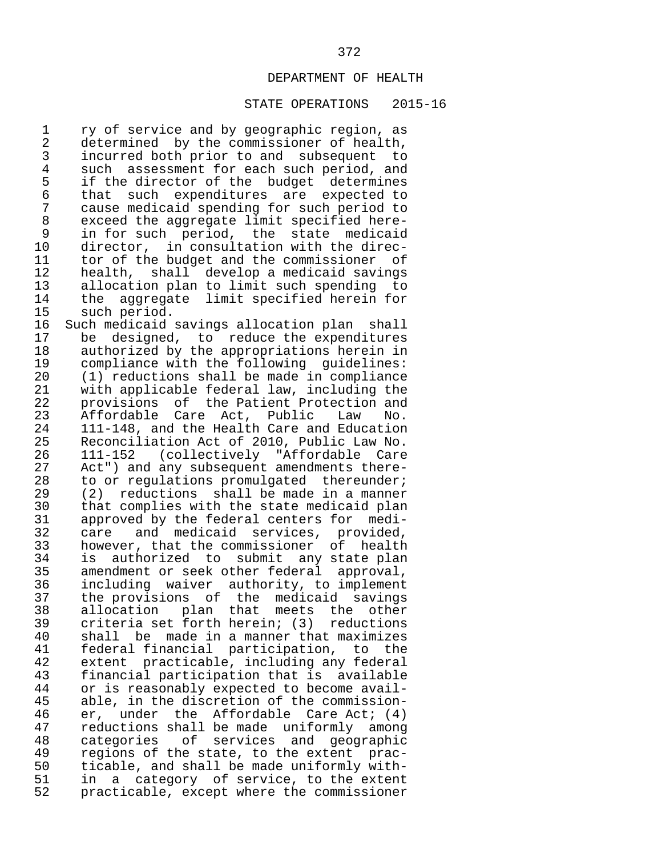## STATE OPERATIONS 2015-16

1 ry of service and by geographic region, as<br>2 determined by the commissioner of health. 2 determined by the commissioner of health,<br>3 incurred both prior to and subsequent to 3 incurred both prior to and subsequent to 4 such assessment for each such period, and<br>5 if the director of the budget determines 5 if the director of the budget determines<br>6 that such expenditures are expected to 6 that such expenditures are expected to 7 cause medicaid spending for such period to 8 exceed the aggregate limit specified here-<br>9 in for such period, the state medicaid 9 in for such period, the state medicaid<br>10 director, in consultation with the direc-10 director, in consultation with the direc-<br>11 tor of the budget and the commissioner of 11 tor of the budget and the commissioner of<br>12 health, shall develop a medicaid savings 12 health, shall develop a medicaid savings<br>13 allocation plan to limit such spending to 13 allocation plan to limit such spending to<br>14 the aggregate limit specified herein for 14 the aggregate limit specified herein for<br>15 such period. 15 such period.<br>16 Such medicaid

16 Such medicaid savings allocation plan shall<br>17 be designed, to reduce the expenditures 17 be designed, to reduce the expenditures<br>18 authorized by the appropriations herein in 18 authorized by the appropriations herein in<br>19 compliance with the following quidelines: 19 compliance with the following guidelines:<br>20 (1) reductions shall be made in compliance 20 (1) reductions shall be made in compliance<br>21 with applicable federal law, including the 21 with applicable federal law, including the<br>22 provisions of the Patient Protection and 22 provisions of the Patient-Protection and<br>23 Affordable Care Act, Public Law No. 23 Affordable Care Act, Public<br>24 111-148, and the Health Care an 24 111-148, and the Health Care and Education<br>25 Reconciliation Act of 2010, Public Law No. 25 Reconciliation Act of 2010, Public Law No.<br>26 111-152 (collectively "Affordable Care 26 111-152 (collectively "Affordable Care 27 Act") and any subsequent amendments there-<br>28 to or regulations promulgated thereunder; 28 to or regulations promulgated thereunder;<br>29 (2) reductions shall be made in a manner 29 (2) reductions shall be made in a manner<br>30 that complies with the state medicaid plan 30 that complies with the state medicaid plan<br>31 approved by the federal centers for medi-31 approved by the federal centers for medi-<br>32 care and medicaid services, provided, 32 care and medicaid services, provided,<br>33 however, that the commissioner of health 33 however, that the commissioner of health 34 is authorized to submit any state plan<br>35 amendment or seek other federal approval. 35 amendment or seek other federal approval,<br>36 including waiver authority, to implement 36 including waiver authority, to implement<br>37 the provisions of the medicaid savings 37 the provisions of the medicaid savings<br>38 allocation plan that meets the other 38 allocation plan that meets the other<br>39 criteria-set-forth-herein; (3) reductions 39 criteria set forth herein; (3) reductions<br>40 shall be made in a manner that maximizes 40 shall be made in a manner that maximizes<br>41 federal financial participation, to the 41 federal financial participation, to the<br>42 extent practicable, including any federal 42 extent practicable, including any federal<br>43 financial participation that is available 43 financial participation that is available 44 or is reasonably expected to become avail- 45 able, in the discretion of the commission-<br>46 er, under the Affordable Care Act; (4) 46 er, under the Affordable Care Act; (4)<br>47 reductions shall be made uniformly among 47 reductions shall be made uniformly among<br>48 categories of services and geographic 48 categories of services and geographic 49 regions of the state, to the extent prac-<br>50 ticable, and shall be made uniformly with-50 ticable, and shall be made uniformly with-<br>51 in a category of service, to the extent 51 in a category of service, to the extent<br>52 practicable, except where the commissioner practicable, except where the commissioner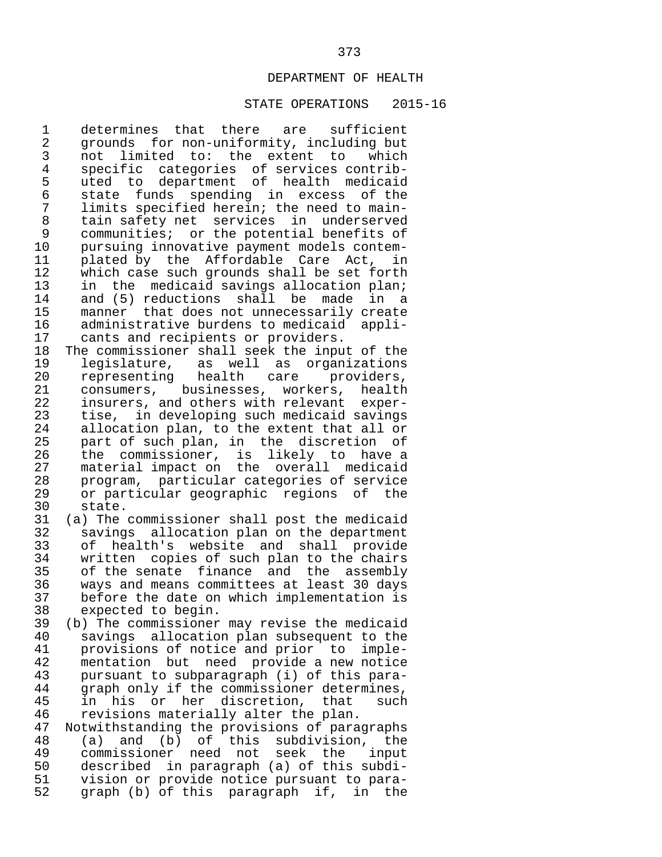## STATE OPERATIONS 2015-16

1 determines that there are sufficient<br>2 grounds for non-uniformity, including but 2 grounds for non-uniformity, including but<br>3 not limited to: the extent to which 3 not limited to: the extent to which<br>4 specific categories of services contrib-4 specific categories of services contrib-<br>5 uted to department of health medicaid 5 uted to department of health medicaid<br>6 state funds spending in excess of the 6 state funds spending in excess of the 7 limits specified herein; the need to main- 8 tain safety net services in underserved<br>9 communities; or the potential benefits of 9 communities; or the potential benefits of<br>10 pursuing innovative payment models contem-10 pursuing innovative payment models contem-<br>11 plated by the Affordable Care Act, in 11 plated by the Affordable Care Act, in<br>12 which case such grounds shall be set forth 12 which case such grounds shall be set forth<br>13 in the medicaid savings allocation plan; 13 in the medicaid savings allocation plan;<br>14 and (5) reductions shall be made in a 14 and (5) reductions shall be made in a<br>15 manner that does not unnecessarily create 15 manner that does not unnecessarily create<br>16 administrative burdens to medicaid appli-16 administrative burdens to medicaid appli-<br>17 cants and recipients or providers. 17 cants and recipients or providers.<br>18 The commissioner shall seek the inpu

18 The commissioner shall seek the input of the<br>19 1eqislature, as well as organizations 19 legislature, as well as organizations<br>20 representing health care providers, 20 representing health care providers,<br>21 consumers, businesses, workers, health 21 consumers, businesses, workers, health<br>22 insurers, and others with relevant exper-22 insurers, and others with relevant exper-<br>23 tise, in developing such medicaid savings 23 tise, in developing such medicaid savings<br>24 allocation plan, to the extent that all or 24 allocation plan, to the extent that all or<br>25 part of such plan, in the discretion of 25 part of such plan, in the discretion of<br>26 the commissioner, is likely to have a 26 the commissioner, is likely to have a<br>27 material impact on the overall medicaid 27 material impact on the overall medicaid<br>28 program, particular categories of service 28 program, particular categories of service 29 or particular geographic regions of the  $30$  state.<br> $31$  (a) The

- 31 (a) The commissioner shall post the medicaid 32 savings allocation plan on the department<br>33 of health's website and shall provide 33 of health's website and shall provide<br>34 written copies of such plan to the chairs 34 written copies of such plan to the chairs<br>35 of the senate finance and the assembly 35 of the senate finance and the assembly<br>36 ways and means committees at least 30 days 36 ways and means committees at least 30 days 37 before the date on which implementation is<br>38 expected to begin. 38 expected to begin.<br>39 (b) The commissioner
- 39 (b) The commissioner may revise the medicaid 40 savings allocation plan subsequent to the<br>41 provisions of notice and prior to imple-41 provisions of notice and prior to imple-<br>42 mentation but need provide a new notice 42 mentation but need provide a new notice<br>43 pursuant to subparagraph (i) of this para- 43 pursuant to subparagraph (i) of this para- 44 graph only if the commissioner determines,<br>45 in his or her discretion, that such  $45$  in his or her discretion, that such<br>46 revisions materially alter the plan. 46 revisions materially alter the plan.<br>47 Notwithstanding the provisions of para

 47 Notwithstanding the provisions of paragraphs 48 (a) and (b) of this subdivision, the 49 commissioner need not seek the input<br>50 described in paragraph (a) of this subdi-50 described in paragraph (a) of this subdi-<br>51 vision or provide notice pursuant to para-51 vision or provide notice pursuant to para-<br>52 graph (b) of this paragraph if, in the graph (b) of this paragraph if, in the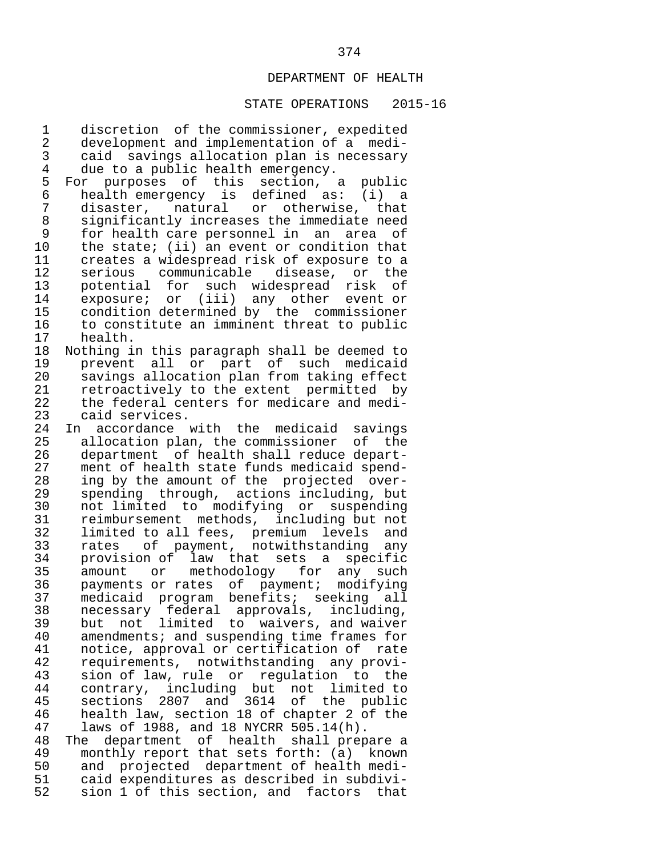## STATE OPERATIONS 2015-16

 1 discretion of the commissioner, expedited 2 development and implementation of a medi- 3 caid savings allocation plan is necessary<br>4 due to a public health emergency. 4 due to a public health emergency.<br>5 For purposes of this section, 5 For purposes of this section, a public<br>6 healthemergency is defined as: (i) a 6 health emergency is defined as: (i) a 7 disaster, natural or otherwise, that 8 significantly increases the immediate need 9 for health care personnel in an area of<br>10 the state; (ii) an event or condition that 10 the state; (ii) an event or condition that<br>11 creates a widespread risk of exposure to a 11 creates a widespread risk of exposure to a 12 serious communicable disease, or the<br>13 potential for such widespread risk of 13 potential for such widespread risk<br>14 exposure; or (iii) any other event 14 exposure; or (iii) any other event or<br>15 condition-determined-by the commissioner 15 condition determined by the commissioner<br>16 to constitute an imminent threat to public 16 to constitute an imminent threat to public<br>17 health. 17 health.<br>18 Nothing i 18 Nothing in this paragraph shall be deemed to 19 prevent all or part of such medicaid 20 savings allocation plan from taking effect<br>21 retroactively to the extent permitted by 21 retroactively to the extent permitted by<br>22 the federal centers for medicare and medi-22 the federal centers for medicare and medi-<br>23 caid services. 23 caid services.<br>24 In accordance 24 In accordance with the medicaid savings<br>25 allocation plan, the commissioner of the 25 allocation plan, the commissioner of the<br>26 department of health shall reduce depart-26 department of health shall reduce depart-<br>27 ment of health state funds medicaid spend-27 ment of health state funds medicaid spend-<br>28 ing by the amount of the projected over-28 ing by the amount of the projected over-<br>29 spending through, actions including, but 29 spending through, actions including, but<br>30 not limited to modifying or suspending 30 not limited to modifying or suspending<br>31 reimbursement methods, including but not 31 reimbursement methods, including but not<br>32 limited to all fees, premium levels and 32 limited to all fees, premium levels and<br>33 rates of payment, notwithstanding any 33 rates of payment, notwithstanding any 34 provision of law that sets a specific<br>35 amount or methodology for any such 35 amount or methodology for any such<br>36 payments or rates of payment; modifying 36 payments or rates of payment; modifying<br>37 medicaid program benefits; seeking all 37 medicaid program benefits; seeking all<br>38 necessary federal approvals, including, 38 necessary federal approvals, including,<br>39 but not limited to waivers and waiver 39 but not limited to waivers, and waiver<br>40 amendments; and suspending time frames for 40 amendments; and suspending time frames for<br>41 ontice, approval or certification of rate 41 notice, approval or certification of rate 42 requirements, notwithstanding any provi- 43 sion of law, rule or regulation to the<br>44 contrary, including but not limited to 44 contrary, including but not limited to 45 sections 2807 and 3614 of the public<br>46 health law, section 18 of chapter 2 of the 46 health law, section 18 of chapter 2 of the 47 laws of 1988, and 18 NYCRR 505.14(h). 47 laws of 1988, and 18 NYCRR 505.14(h).<br>48 The department of health shall prep 48 The department of health shall prepare a<br>49 monthly report that sets forth: (a) known 49 monthly report that sets forth: (a) known<br>50 and projected department of health medi-50 and projected department of health medi-<br>51 caid expenditures as described in subdivi-51 caid expenditures as described in subdivi-<br>52 sion 1 of this section, and factors that sion 1 of this section, and factors that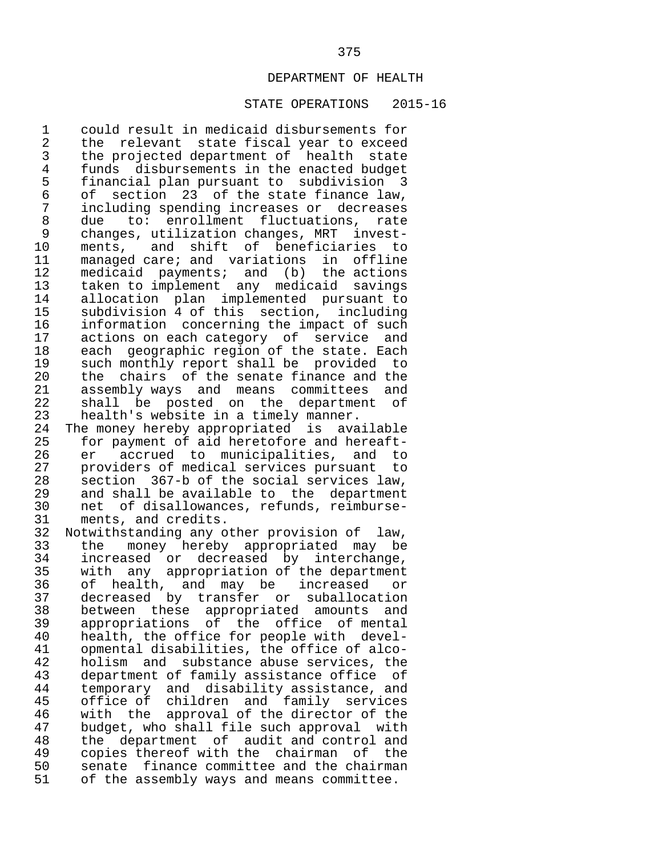#### STATE OPERATIONS 2015-16

 1 could result in medicaid disbursements for 2 the relevant state fiscal year to exceed<br>3 the projected department of health state 3 the projected department of health state<br>4 funds disbursements in the enacted budget 4 funds disbursements in the enacted budget<br>5 financial plan pursuant to subdivision 3 5 financial plan pursuant to subdivision 3 6 of section 23 of the state finance law, 7 including spending increases or decreases 8 due to: enrollment fluctuations, rate<br>9 changes, utilization-changes, MRT invest- 9 changes, utilization changes, MRT invest- 10 ments, and shift of beneficiaries to<br>11 managed-care; and variations in offline 11 managed care; and variations in offline<br>12 medicaid payments; and (b) the actions 12 medicaid payments; and (b) the actions<br>13 taken to implement any medicaid savings 13 taken to implement any medicaid savings<br>14 allocation plan implemented pursuant to 14 allocation plan implemented pursuant to<br>15 subdivision 4 of this section, including 15 subdivision 4 of this section, including 16 information concerning the impact of such<br>17 actions on each category of service and 17 actions on each category of service and<br>18 each geographic region of the state. Each 18 each geographic region of the state. Each<br>19 such monthly report shall be provided to 19 such monthly report shall be provided to<br>20 the chairs of the senate finance and the 20 the chairs of the senate finance and the<br>21 assembly ways and means committees and 21 assembly ways and means committees and<br>22 shall be posted on the department of 22 shall be posted on the department of<br>23 health's website in a timely manner. 23 health's website in a timely manner.<br>24 The money hereby appropriated is ava

24 The money hereby appropriated is available<br>25 for payment of aid heretofore and hereaft-25 for payment of aid heretofore and hereaft-<br>26 er accrued to municipalities, and to 26 er accrued to municipalities, and to<br>27 providers of medical services pursuant to 27 providers of medical services pursuant to<br>28 section 367-b of the social services law. 28 section 367-b of the social services law,<br>29 and shall be available to the department 29 and shall be available to the department<br>30 net of disallowances, refunds, reimburse-30 net of disallowances, refunds, reimburse-<br>31 ments, and credits. 31 ments, and credits.<br>32 Notwithstanding any o

 32 Notwithstanding any other provision of law, 33 the money hereby appropriated may be<br>34 increased or decreased by interchange, 34 increased or decreased by interchange,<br>35 with any appropriation of the department 35 with any appropriation of the department<br>36 of health, and may be increased or 36 of health, and may be increased or<br>37 decreased by transfer or suballocation 37 decreased by transfer or suballocation<br>38 between these appropriated amounts and 38 between these appropriated amounts and<br>39 appropriations of the office of mental 39 appropriations of the office of mental 40 health, the office for people with devel-<br>41 opmental disabilities, the office of alco- 41 opmental disabilities, the office of alco- 42 holism and substance abuse services, the<br>43 department of family assistance office of 43 department of family assistance office of<br>44 temporary and disability assistance, and 44 temporary and disability-assistance, and<br>45 office-of-children and family-services 45 office of children and family services<br>46 with the approval of the director of the 46 with the approval of the director of the<br>47 budget, who shall file such approval with 47 budget, who shall file such approval with<br>48 the department of audit and control and 48 the department of audit and control and<br>49 copies thereof with the chairman of the 49 copies thereof with the chairman of the<br>50 senate finance committee and the chairman 50 senate finance committee and the chairman<br>51 of the assembly ways and means committee. of the assembly ways and means committee.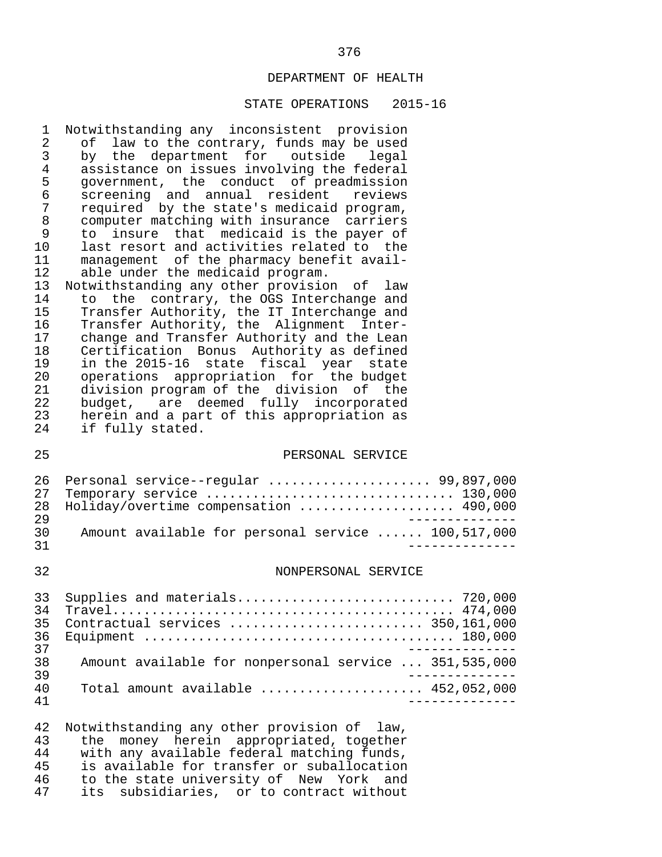#### STATE OPERATIONS 2015-16

1 Notwithstanding any inconsistent provision<br>2 of law to the contrary, funds may be used 2 of law to the contrary, funds may be used<br>3 by the department for outside legal 3 by the department for outside legal<br>4 assistance on issues involving the federal 4 assistance on issues involving the federal<br>5 qovernment, the conduct of preadmission 5 government, the conduct of preadmission<br>6 screening and annual resident reviews 6 screening and annual resident<br>7 required by the state's medicaid 7 required by the state's medicaid program,<br>8 computer matching with insurance carriers 8 computer matching with insurance carriers<br>9 to insure that medicaid is the paver of 9 to insure that medicaid is the payer of<br>10 last resort and activities related to the 10 last resort and activities related to the<br>11 management of the pharmacy benefit avail-11 management of the pharmacy benefit avail-<br>12 able under the medicaid program. 12 able under the medicaid program.<br>13 Notwithstanding any other provisio 13 Notwithstanding any other provision of law<br>14 to the contrary, the OGS Interchange and 14 to the contrary, the OGS Interchange and<br>15 Transfer Authority, the IT Interchange and

15 Transfer Authority, the IT Interchange and<br>16 Transfer Authority, the Alignment Inter- 16 Transfer Authority, the Alignment Inter- 17 change and Transfer Authority and the Lean 18 Certification Bonus Authority as defined<br>19 in the 2015-16 state fiscal year state 19 in the 2015-16 state fiscal year state 20 operations appropriation for the budget 21 division program of the division of the<br>22 budget, are deemed fully incorporated 22 budget, are deemed fully incorporated<br>23 herein and a part of this appropriation as 23 herein and a part of this appropriation as<br>24 if fully stated. if fully stated.

#### 25 PERSONAL SERVICE

|     | 26 Personal service--regular  99,897,000           |
|-----|----------------------------------------------------|
|     | 27 Temporary service  130,000                      |
|     | 28 Holiday/overtime compensation  490,000          |
| 29  |                                                    |
| 30. | Amount available for personal service  100,517,000 |
| -21 |                                                    |

### 32 NONPERSONAL SERVICE

|    | 33 Supplies and materials 720,000                     |
|----|-------------------------------------------------------|
| 34 |                                                       |
| 35 | Contractual services  350,161,000                     |
|    |                                                       |
| 37 |                                                       |
| 38 | Amount available for nonpersonal service  351,535,000 |
| 39 |                                                       |
| 40 | Total amount available $452,052,000$                  |
| 41 |                                                       |

42 Notwithstanding any other provision of law,<br>43 the money herein appropriated together 43 the money herein appropriated, together<br>44 with any available federal matching funds. 44 with any available federal matching funds,<br>45 is available for transfer or suballocation 45 is available for transfer or suballocation<br>46 to the state university of New York and 46 to the state university of New York and<br>47 its subsidiaries, or to contract without its subsidiaries, or to contract without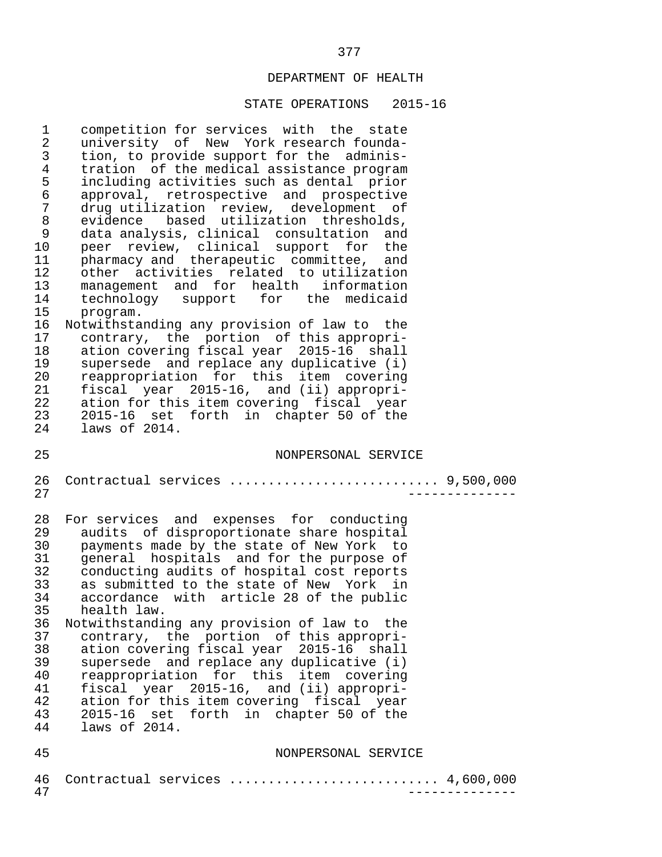#### STATE OPERATIONS 2015-16

 1 competition for services with the state 2 university of New York research founda-<br>3 tion, to provide support for the adminis-3 tion, to provide support for the adminis-<br>4 tration of the medical assistance program 4 tration of the medical assistance program<br>5 including activities such as dental prior 5 including activities such as dental prior<br>6 approval, retrospective and prospective 6 approval, retrospective and prospective 7 drug utilization review, development of<br>8 evidence based utilization thresholds, 8 evidence based utilization thresholds,<br>9 data-analysis, clinical consultation and 9 data analysis, clinical consultation and<br>10 peer review, clinical support for the 10 peer review, clinical support for the 11 pharmacy and therapeutic committee, and 12 other activities related to utilization<br>13 management and for health information 13 management and for health information<br>14 technology support for the medicaid 14 technology support for the medicaid<br>15 program. 15 program.<br>16 Notwithstar 16 Notwithstanding any provision of law to the<br>17 contrary, the portion of this appropri-17 contrary, the portion of this appropri-<br>18 ation covering fiscal year 2015-16 shall 18 ation covering fiscal year 2015-16 shall<br>19 supersede and replace any duplicative (i) 19 supersede and replace any duplicative (i)<br>20 reappropriation for this item covering 20 reappropriation for this item covering 21 fiscal year 2015-16, and (ii) appropri- 22 ation for this item covering fiscal year<br>23 2015-16 set forth in chapter 50 of the 23 2015-16 set forth in chapter 50 of the laws of 2014. 25 NONPERSONAL SERVICE 26 Contractual services ........................... 9,500,000 27 -------------- 28 For services and expenses for conducting<br>29 audits of disproportionate share hospital 29 audits of disproportionate share hospital<br>30 bayments made by the state of New York to 30 payments made by the state of New York to 31 general hospitals and for the purpose of<br>32 conducting audits of hospital cost reports 32 conducting audits of hospital cost reports<br>33 as submitted to the state of New York in 33 as submitted to the state of New York in<br>34 accordance with article 28 of the public 34 accordance with article 28 of the public<br>35 health law. health law. 36 Notwithstanding any provision of law to the<br>37 contrary, the portion of this appropri-37 contrary, the portion of this appropri-<br>38 ation covering fiscal year 2015-16 shall 38 ation covering fiscal year 2015-16 shall<br>39 supersede and replace any duplicative (i) 39 supersede and replace any duplicative (i)<br>40 reappropriation for this item covering 40 reappropriation for this item covering<br>41 fiscal year 2015-16, and (ii) appropri-41 fiscal year 2015-16, and (ii) appropri-<br>42 ation for this item covering fiscal year 42 ation for this item covering fiscal year<br>43 2015-16 set forth in chapter 50 of the 43 2015-16 set forth in chapter 50 of the laws of 2014. 45 NONPERSONAL SERVICE 46 Contractual services ................................. 4,600,000<br>47

47 --------------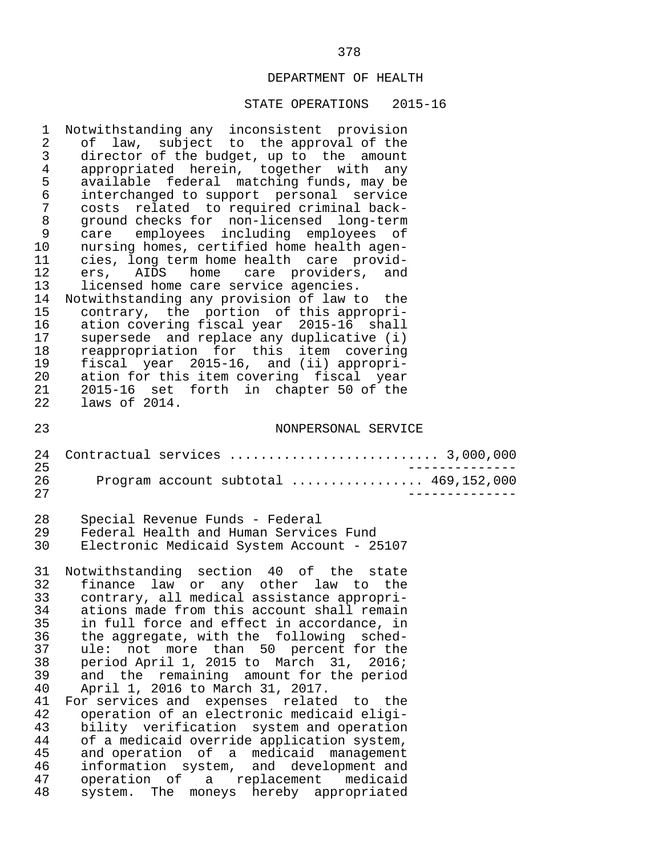| $\mathbf{1}$<br>2<br>3<br>$\overline{4}$<br>5<br>6<br>$\sqrt{ }$<br>$\,8\,$<br>9<br>10<br>11<br>12<br>13<br>14<br>15<br>16<br>17<br>18<br>19<br>20<br>21<br>22 | Notwithstanding any inconsistent provision<br>of law, subject to the approval of the<br>director of the budget, up to the amount<br>appropriated herein, together with any<br>available federal matching funds, may be<br>interchanged to support personal service<br>related to required criminal back-<br>costs<br>ground checks for non-licensed long-term<br>care employees including employees of<br>nursing homes, certified home health agen-<br>cies, long term home health care provid-<br>ers, AIDS home care providers, and<br>licensed home care service agencies.<br>Notwithstanding any provision of law to the<br>contrary, the portion of this appropri-<br>ation covering fiscal year 2015-16 shall<br>supersede and replace any duplicative (i)<br>reappropriation for this item covering<br>fiscal year 2015-16, and (ii) appropri-<br>ation for this item covering fiscal year<br>2015-16 set forth in chapter 50 of the<br>laws of 2014. |
|----------------------------------------------------------------------------------------------------------------------------------------------------------------|---------------------------------------------------------------------------------------------------------------------------------------------------------------------------------------------------------------------------------------------------------------------------------------------------------------------------------------------------------------------------------------------------------------------------------------------------------------------------------------------------------------------------------------------------------------------------------------------------------------------------------------------------------------------------------------------------------------------------------------------------------------------------------------------------------------------------------------------------------------------------------------------------------------------------------------------------------------|
| 23                                                                                                                                                             | NONPERSONAL SERVICE                                                                                                                                                                                                                                                                                                                                                                                                                                                                                                                                                                                                                                                                                                                                                                                                                                                                                                                                           |
| 24<br>25<br>26<br>27                                                                                                                                           | Contractual services  3,000,000<br>Program account subtotal  469,152,000                                                                                                                                                                                                                                                                                                                                                                                                                                                                                                                                                                                                                                                                                                                                                                                                                                                                                      |
| 28<br>29<br>30                                                                                                                                                 | Special Revenue Funds - Federal<br>Federal Health and Human Services Fund<br>Electronic Medicaid System Account - 25107                                                                                                                                                                                                                                                                                                                                                                                                                                                                                                                                                                                                                                                                                                                                                                                                                                       |
| 31<br>32<br>33<br>34<br>35<br>36<br>37<br>38<br>39<br>40<br>41<br>42<br>43<br>44<br>45<br>46<br>47                                                             | Notwithstanding section 40 of the state<br>finance law or any other law to the<br>contrary, all medical assistance appropri-<br>ations made from this account shall remain<br>in full force and effect in accordance, in<br>the aggregate, with the following sched-<br>ule: not more than 50 percent for the<br>period April 1, 2015 to March 31, 2016;<br>and the remaining amount for the period<br>April 1, 2016 to March 31, 2017.<br>For services and expenses related to the<br>operation of an electronic medicaid eligi-<br>bility verification system and operation<br>of a medicaid override application system,<br>and operation of a medicaid management<br>information system, and development and                                                                                                                                                                                                                                              |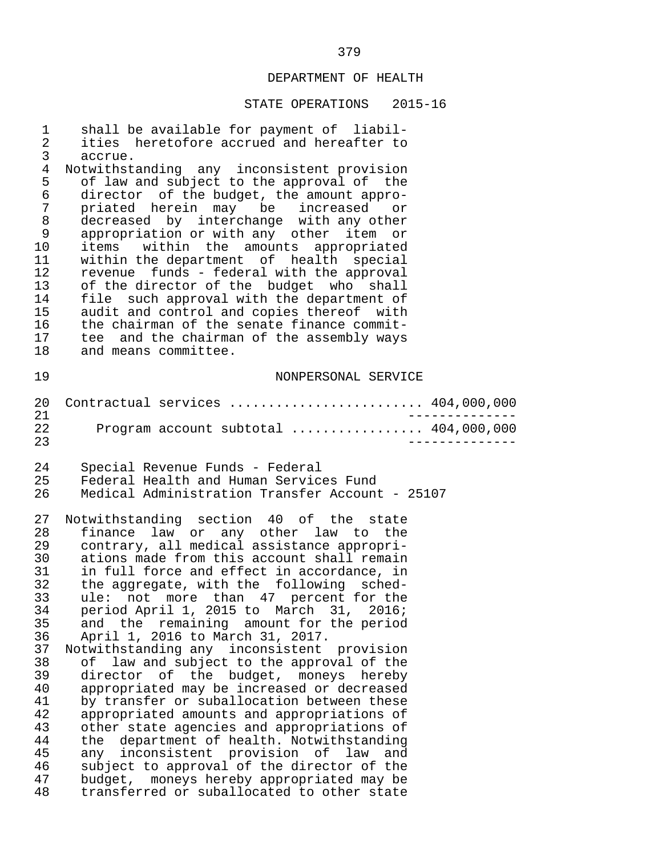| 1               | shall be available for payment of liabil-                                               |
|-----------------|-----------------------------------------------------------------------------------------|
| 2               | ities heretofore accrued and hereafter to                                               |
| 3               | accrue.                                                                                 |
| $\overline{4}$  | Notwithstanding any inconsistent provision                                              |
| 5<br>$\epsilon$ | of law and subject to the approval of the                                               |
|                 | director of the budget, the amount appro-                                               |
| 7               | priated herein may be increased<br>or                                                   |
| $\,8\,$         | decreased by interchange with any other                                                 |
| $\mathsf 9$     | appropriation or with any other item or                                                 |
| 10              | items within the amounts appropriated                                                   |
| 11              | within the department of health special                                                 |
| 12              | revenue funds - federal with the approval                                               |
| 13              | of the director of the budget who shall                                                 |
| 14<br>15        | file such approval with the department of                                               |
| 16              | audit and control and copies thereof with<br>the chairman of the senate finance commit- |
| 17              | tee and the chairman of the assembly ways                                               |
| 18              | and means committee.                                                                    |
|                 |                                                                                         |
| 19              | NONPERSONAL SERVICE                                                                     |
| 20              | Contractual services  404,000,000                                                       |
| 21              |                                                                                         |
| 22              | Program account subtotal  404,000,000                                                   |
| 23              |                                                                                         |
| 24              | Special Revenue Funds - Federal                                                         |
| 25              | Federal Health and Human Services Fund                                                  |
| 26              | Medical Administration Transfer Account - 25107                                         |
| 27              | Notwithstanding section 40 of the state                                                 |
| 28              | finance law or any other law to the                                                     |
| 29              | contrary, all medical assistance appropri-                                              |
| 30              | ations made from this account shall remain                                              |
| 31              | in full force and effect in accordance, in                                              |
| 32              | the aggregate, with the following sched-                                                |
| 33              | ule: not more than 47 percent for the                                                   |
| 34              | period April 1, 2015 to March 31, 2016;                                                 |
| 35              | remaining amount for the period<br>the<br>and                                           |
| 36              | April 1, 2016 to March 31, 2017.                                                        |
| 37              | Notwithstanding any inconsistent provision                                              |
| 38              | law and subject to the approval of the<br>оf                                            |
| 39              | the budget, moneys<br>director<br>of<br>hereby                                          |
| 40              | appropriated may be increased or decreased                                              |
| 41              | by transfer or suballocation between these                                              |
| 42              | appropriated amounts and appropriations of                                              |
| 43              | other state agencies and appropriations of                                              |
| 44              | department of health. Notwithstanding<br>the                                            |
| 45              | inconsistent provision of<br>law<br>any<br>and                                          |
| 46              | subject to approval of the director of the                                              |
| 47              | budget, moneys hereby appropriated may be                                               |
| 48              | transferred or suballocated to other state                                              |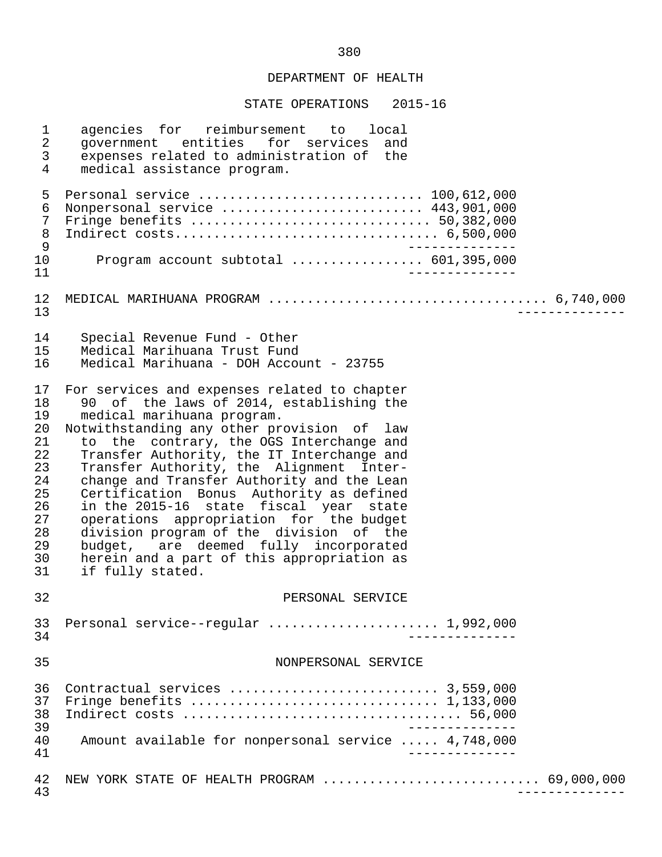STATE OPERATIONS 2015-16

| 1<br>$\overline{a}$<br>$\mathfrak{Z}$<br>$\overline{4}$                                | agencies for reimbursement to local<br>government entities for services and<br>expenses related to administration of the<br>medical assistance program.                                                                                                                                                                                                                                                                                                                                                                                                                                                                                         |
|----------------------------------------------------------------------------------------|-------------------------------------------------------------------------------------------------------------------------------------------------------------------------------------------------------------------------------------------------------------------------------------------------------------------------------------------------------------------------------------------------------------------------------------------------------------------------------------------------------------------------------------------------------------------------------------------------------------------------------------------------|
| 5<br>6<br>$\overline{7}$<br>$\,8\,$<br>$\mathsf 9$<br>10                               | Personal service  100,612,000<br>Nonpersonal service  443,901,000<br>Program account subtotal $\ldots$ 601,395,000                                                                                                                                                                                                                                                                                                                                                                                                                                                                                                                              |
| 11<br>12<br>13                                                                         |                                                                                                                                                                                                                                                                                                                                                                                                                                                                                                                                                                                                                                                 |
| 14<br>15<br>16                                                                         | Special Revenue Fund - Other<br>Medical Marihuana Trust Fund<br>Medical Marihuana - DOH Account - 23755                                                                                                                                                                                                                                                                                                                                                                                                                                                                                                                                         |
| 17<br>18<br>19<br>20<br>21<br>22<br>23<br>24<br>25<br>26<br>27<br>28<br>29<br>30<br>31 | For services and expenses related to chapter<br>90 of the laws of 2014, establishing the<br>medical marihuana program.<br>Notwithstanding any other provision of law<br>to the contrary, the OGS Interchange and<br>Transfer Authority, the IT Interchange and<br>Transfer Authority, the Alignment Inter-<br>change and Transfer Authority and the Lean<br>Certification Bonus Authority as defined<br>in the 2015-16 state fiscal year state<br>operations appropriation for the budget<br>division program of the division of the<br>budget, are deemed fully incorporated<br>herein and a part of this appropriation as<br>if fully stated. |
| 32                                                                                     | PERSONAL SERVICE                                                                                                                                                                                                                                                                                                                                                                                                                                                                                                                                                                                                                                |
| 33<br>34                                                                               | Personal service--regular  1,992,000                                                                                                                                                                                                                                                                                                                                                                                                                                                                                                                                                                                                            |
| 35                                                                                     | NONPERSONAL SERVICE                                                                                                                                                                                                                                                                                                                                                                                                                                                                                                                                                                                                                             |
| 36<br>37<br>38<br>39<br>40<br>41                                                       | Contractual services  3,559,000<br>Fringe benefits $\ldots \ldots \ldots \ldots \ldots \ldots \ldots \ldots \ldots \ldots 1,133,000$<br>Amount available for nonpersonal service  4,748,000                                                                                                                                                                                                                                                                                                                                                                                                                                                     |
| 42<br>43                                                                               | NEW YORK STATE OF HEALTH PROGRAM  69,000,000                                                                                                                                                                                                                                                                                                                                                                                                                                                                                                                                                                                                    |

380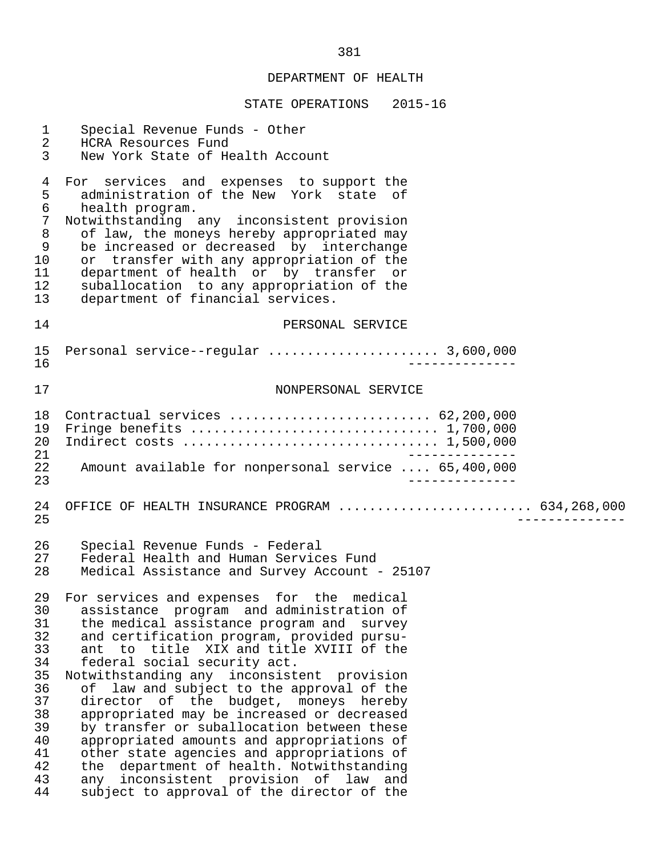#### STATE OPERATIONS 2015-16

 1 Special Revenue Funds - Other 2 HCRA Resources Fund<br>3 New York State of He New York State of Health Account 4 For services and expenses to support the<br>5 administration of the New York state of 5 administration of the New York state of<br>6 health program. 6 health program.<br>7 Notwithstanding 7 Notwithstanding any inconsistent provision<br>8 of law, the moneys hereby appropriated may 8 of law, the moneys hereby appropriated may<br>8 of law, the moneys hereby appropriated may<br>9 be increased or decreased by interchange 9 be increased or decreased by interchange<br>10 or transfer with any appropriation of the 10 or transfer with any appropriation of the<br>11 department of health or by transfer or 11 department of health or by transfer or<br>12 suballocation to any appropriation of the 12 suballocation to any appropriation of the<br>13 department of financial services. department of financial services. 14 PERSONAL SERVICE 15 Personal service--regular ...................... 3,600,000 16 -------------- 17 NONPERSONAL SERVICE 18 Contractual services .......................... 62,200,000 19 Fringe benefits ................................ 1,700,000 20 Indirect costs ................................. 1,500,000 21 -------------<br>22 Amount available for nonpersonal service .... 65.400.000 22 Amount available for nonpersonal service .... 65,400,000 23 -------------- 24 OFFICE OF HEALTH INSURANCE PROGRAM ......................... 634,268,000 25 -------------- 26 Special Revenue Funds - Federal 27 Federal Health and Human Services Fund Medical Assistance and Survey Account - 25107 29 For services and expenses for the medical<br>30 assistance program and administration of 30 assistance program and administration of 31 the medical assistance program and survey 32 and certification program, provided pursu-<br>33 ant to title XIX and title XVIII of the 33 ant to title XIX and title XVIII of the<br>34 federal social security act. 34 federal social security act.<br>35 Notwithstanding any inconsist Notwithstanding any inconsistent provision 36 of law and subject to the approval of the<br>37 director of the budget, moneys hereby 37 director of the budget, moneys hereby<br>38 appropriated may be increased or decreased 38 appropriated may be increased or decreased<br>39 by transfer or suballocation between these 39 by transfer or suballocation between these<br>40 appropriated amounts and appropriations of 40 appropriated amounts and appropriations of<br>41 other state agencies and appropriations of 41 other state agencies and appropriations of<br>42 the department of health. Notwithstanding 42 the department of health. Notwithstanding<br>43 any inconsistent provision of law and 43 any inconsistent provision of law and<br>44 subject to approval of the director of the subject to approval of the director of the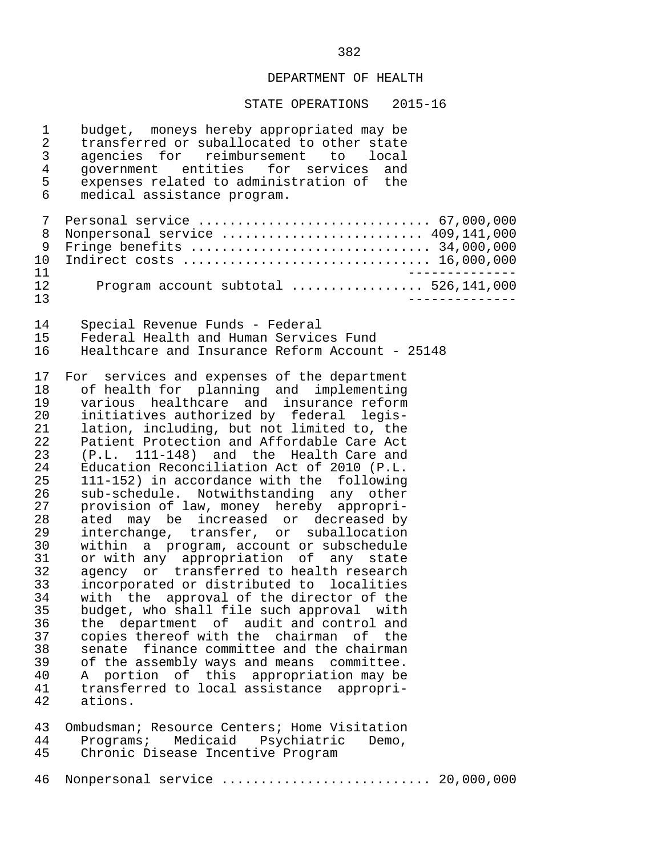| 1<br>2<br>3<br>4<br>5<br>6                                                                                                                               | budget, moneys hereby appropriated may be<br>transferred or suballocated to other state<br>agencies for reimbursement to local<br>government entities for services and<br>expenses related to administration of the<br>medical assistance program.                                                                                                                                                                                                                                                                                                                                                                                                                                                                                                                                                                                                                                                                                                                                                                                                                                                                                                     |
|----------------------------------------------------------------------------------------------------------------------------------------------------------|--------------------------------------------------------------------------------------------------------------------------------------------------------------------------------------------------------------------------------------------------------------------------------------------------------------------------------------------------------------------------------------------------------------------------------------------------------------------------------------------------------------------------------------------------------------------------------------------------------------------------------------------------------------------------------------------------------------------------------------------------------------------------------------------------------------------------------------------------------------------------------------------------------------------------------------------------------------------------------------------------------------------------------------------------------------------------------------------------------------------------------------------------------|
| 7<br>8<br>9<br>$10 \,$<br>11                                                                                                                             | Personal service  67,000,000<br>Nonpersonal service  409,141,000<br>Indirect costs  16,000,000                                                                                                                                                                                                                                                                                                                                                                                                                                                                                                                                                                                                                                                                                                                                                                                                                                                                                                                                                                                                                                                         |
| 12<br>13                                                                                                                                                 | Program account subtotal  526,141,000                                                                                                                                                                                                                                                                                                                                                                                                                                                                                                                                                                                                                                                                                                                                                                                                                                                                                                                                                                                                                                                                                                                  |
| 14<br>15<br>16                                                                                                                                           | Special Revenue Funds - Federal<br>Federal Health and Human Services Fund<br>Healthcare and Insurance Reform Account - 25148                                                                                                                                                                                                                                                                                                                                                                                                                                                                                                                                                                                                                                                                                                                                                                                                                                                                                                                                                                                                                           |
| 17<br>18<br>19<br>20<br>21<br>22<br>23<br>24<br>25<br>26<br>27<br>28<br>29<br>30<br>31<br>32<br>33<br>34<br>35<br>36<br>37<br>38<br>39<br>40<br>41<br>42 | For services and expenses of the department<br>of health for planning and implementing<br>various healthcare and insurance reform<br>initiatives authorized by federal legis-<br>lation, including, but not limited to, the<br>Patient Protection and Affordable Care Act<br>(P.L. 111-148) and the Health Care and<br>Education Reconciliation Act of 2010 (P.L.<br>111-152) in accordance with the following<br>sub-schedule. Notwithstanding any other<br>provision of law, money hereby appropri-<br>ated may be increased or decreased by<br>interchange, transfer, or suballocation<br>within a program, account or subschedule<br>or with any appropriation of any state<br>agency or transferred to health research<br>incorporated or distributed to localities<br>with the approval of the director of the<br>budget, who shall file such approval with<br>the department of audit and control and<br>copies thereof with the chairman of the<br>senate finance committee and the chairman<br>of the assembly ways and means committee.<br>portion of this appropriation may be<br>A<br>transferred to local assistance appropri-<br>ations. |
| 43<br>44<br>45                                                                                                                                           | Ombudsman; Resource Centers; Home Visitation<br>Medicaid Psychiatric<br>Programs;<br>Demo,<br>Chronic Disease Incentive Program                                                                                                                                                                                                                                                                                                                                                                                                                                                                                                                                                                                                                                                                                                                                                                                                                                                                                                                                                                                                                        |
| 46                                                                                                                                                       | Nonpersonal service  20,000,000                                                                                                                                                                                                                                                                                                                                                                                                                                                                                                                                                                                                                                                                                                                                                                                                                                                                                                                                                                                                                                                                                                                        |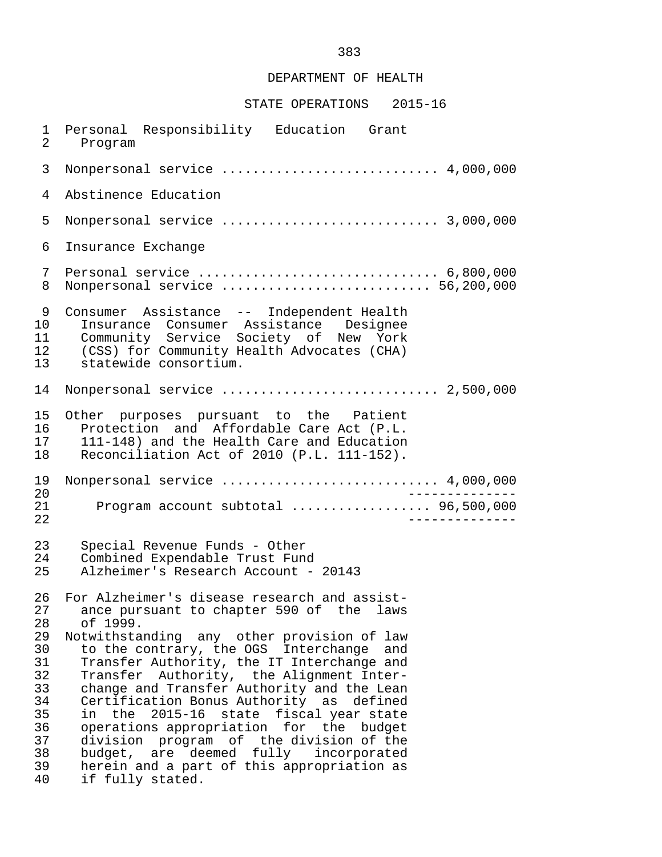## STATE OPERATIONS 2015-16

1 Personal Responsibility Education Grant<br>2 Program Program 3 Nonpersonal service ............................ 4,000,000 4 Abstinence Education 5 Nonpersonal service ............................ 3,000,000 6 Insurance Exchange 7 Personal service ............................... 6,800,000 8 Nonpersonal service ........................... 56,200,000 9 Consumer Assistance -- Independent Health 10 Insurance Consumer Assistance Designee<br>11 Community Service Society of New York 11 Community Service Society of New York<br>12 (CSS) for Community Health Advocates (CHA) 12 (CSS) for Community Health Advocates (CHA)<br>13 statewide consortium. statewide consortium. 14 Nonpersonal service ............................ 2,500,000 15 Other purposes pursuant to the Patient<br>16 Protection and Affordable-Care-Act (P.L. 16 Protection and Affordable Care Act (P.L.<br>17 111-148) and the Health Care and Education 17 111-148) and the Health Care and Education<br>18 Reconciliation Act of 2010 (P.L. 111-152) Reconciliation Act of 2010 (P.L. 111-152). 19 Nonpersonal service ............................ 4,000,000 20 -------------- 21 Program account subtotal .................. 96,500,000 22 -------------- 23 Special Revenue Funds - Other<br>24 Combined Expendable Trust Fund 24 Combined Expendable Trust Fund<br>25 Alzheimer's Research Account - 25 Alzheimer's Research Account - 20143 26 For Alzheimer's disease research and assist-<br>27 ance pursuant to chapter 590 of the laws 27 ance pursuant to chapter 590 of the laws<br>28 of 1999. 28 of 1999. 29 Notwithstanding any other provision of law<br>30 to the contrary, the OGS Interchange and 30 to the contrary, the OGS Interchange and<br>31 Transfer Authority, the IT Interchange and 31 Transfer Authority, the IT Interchange and<br>32 Transfer Authority, the Alignment Inter- 32 Transfer Authority, the Alignment Inter- 33 change and Transfer Authority and the Lean<br>34 Certification Bonus Authority as defined 34 Certification Bonus Authority as defined<br>35 in the 2015-16 state fiscal vear-state 35 in the 2015-16 state fiscal year state<br>36 operations appropriation for the budget 36 operations appropriation for the budget<br>37 division program of the division of the 37 division program of the division of the 38 budget, are deemed fully incorporated<br>39 herein and a part of this appropriation as 39 herein and a part of this appropriation as<br>40 if fully stated. if fully stated.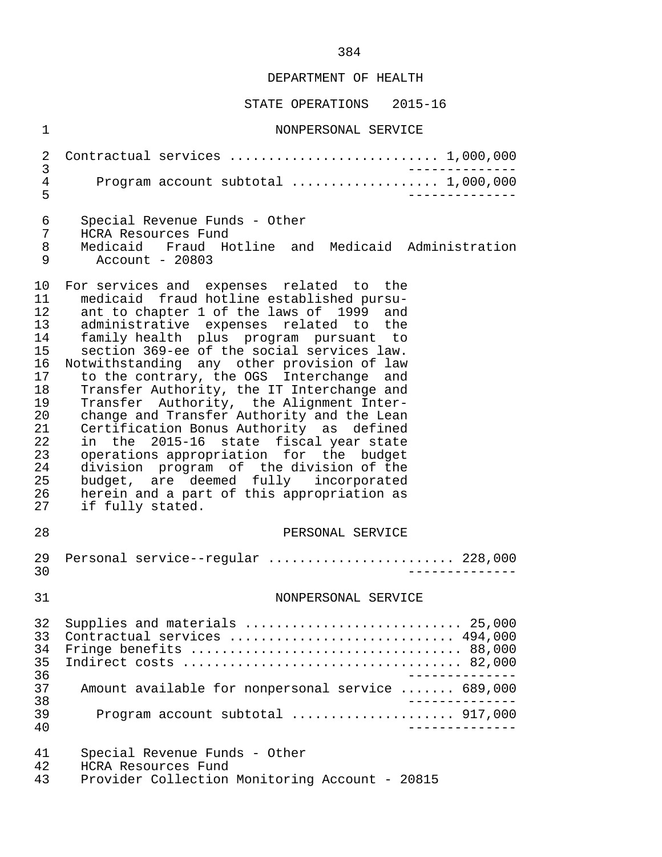| $\mathbf{1}$                                                                                             | NONPERSONAL SERVICE                                                                                                                                                                                                                                                                                                                                                                                                                                                                                                                                                                                                                                                                                                                                                                          |
|----------------------------------------------------------------------------------------------------------|----------------------------------------------------------------------------------------------------------------------------------------------------------------------------------------------------------------------------------------------------------------------------------------------------------------------------------------------------------------------------------------------------------------------------------------------------------------------------------------------------------------------------------------------------------------------------------------------------------------------------------------------------------------------------------------------------------------------------------------------------------------------------------------------|
| $\overline{2}$<br>3                                                                                      | Contractual services  1,000,000                                                                                                                                                                                                                                                                                                                                                                                                                                                                                                                                                                                                                                                                                                                                                              |
| $\overline{4}$<br>5                                                                                      | Program account subtotal  1,000,000                                                                                                                                                                                                                                                                                                                                                                                                                                                                                                                                                                                                                                                                                                                                                          |
| 6<br>7<br>8<br>9                                                                                         | Special Revenue Funds - Other<br>HCRA Resources Fund<br>Medicaid Fraud Hotline and Medicaid Administration<br>Account - 20803                                                                                                                                                                                                                                                                                                                                                                                                                                                                                                                                                                                                                                                                |
| 10<br>11<br>12<br>13<br>14<br>15<br>16<br>17<br>18<br>19<br>20<br>21<br>22<br>23<br>24<br>25<br>26<br>27 | For services and expenses related to the<br>medicaid fraud hotline established pursu-<br>ant to chapter 1 of the laws of 1999 and<br>administrative expenses related to the<br>family health plus program pursuant to<br>section 369-ee of the social services law.<br>Notwithstanding any other provision of law<br>to the contrary, the OGS Interchange and<br>Transfer Authority, the IT Interchange and<br>Transfer Authority, the Alignment Inter-<br>change and Transfer Authority and the Lean<br>Certification Bonus Authority as defined<br>in the 2015-16 state fiscal year state<br>operations appropriation for the budget<br>division program of the division of the<br>budget, are deemed fully incorporated<br>herein and a part of this appropriation as<br>if fully stated. |
| 28                                                                                                       | PERSONAL SERVICE                                                                                                                                                                                                                                                                                                                                                                                                                                                                                                                                                                                                                                                                                                                                                                             |
| 29<br>30                                                                                                 | Personal service--regular  228,000                                                                                                                                                                                                                                                                                                                                                                                                                                                                                                                                                                                                                                                                                                                                                           |
| 31                                                                                                       | NONPERSONAL SERVICE                                                                                                                                                                                                                                                                                                                                                                                                                                                                                                                                                                                                                                                                                                                                                                          |
| 32<br>33<br>34<br>35<br>36<br>37<br>38<br>39<br>40                                                       | Supplies and materials  25,000<br>Contractual services  494,000<br>Fringe benefits  88,000<br>Amount available for nonpersonal service  689,000<br>Program account subtotal  917,000<br>$\frac{1}{2}$                                                                                                                                                                                                                                                                                                                                                                                                                                                                                                                                                                                        |
| 41<br>42<br>43                                                                                           | Special Revenue Funds - Other<br>HCRA Resources Fund<br>Provider Collection Monitoring Account - 20815                                                                                                                                                                                                                                                                                                                                                                                                                                                                                                                                                                                                                                                                                       |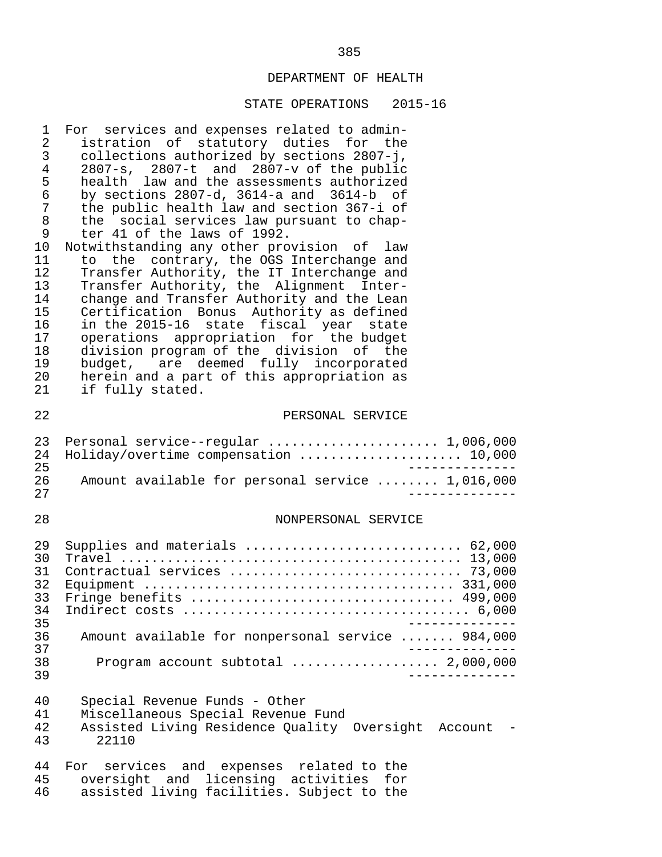| 1<br>2<br>3<br>4<br>5<br>6<br>$\boldsymbol{7}$<br>8<br>9<br>10<br>11<br>12<br>13<br>14<br>15<br>16<br>17<br>18<br>19<br>20<br>21 | For services and expenses related to admin-<br>istration of statutory duties for the<br>collections authorized by sections 2807-j,<br>2807-s, 2807-t and 2807-v of the public<br>health law and the assessments authorized<br>by sections $2807-d$ , $3614-a$ and $3614-b$ of<br>the public health law and section 367-i of<br>the social services law pursuant to chap-<br>ter 41 of the laws of 1992.<br>Notwithstanding any other provision of law<br>to the contrary, the OGS Interchange and<br>Transfer Authority, the IT Interchange and<br>Transfer Authority, the Alignment Inter-<br>change and Transfer Authority and the Lean<br>Certification Bonus Authority as defined<br>in the 2015-16 state fiscal year state<br>operations appropriation for the budget<br>division program of the division of the<br>budget, are deemed fully incorporated<br>herein and a part of this appropriation as<br>if fully stated. |
|----------------------------------------------------------------------------------------------------------------------------------|----------------------------------------------------------------------------------------------------------------------------------------------------------------------------------------------------------------------------------------------------------------------------------------------------------------------------------------------------------------------------------------------------------------------------------------------------------------------------------------------------------------------------------------------------------------------------------------------------------------------------------------------------------------------------------------------------------------------------------------------------------------------------------------------------------------------------------------------------------------------------------------------------------------------------------|
| 22                                                                                                                               | PERSONAL SERVICE                                                                                                                                                                                                                                                                                                                                                                                                                                                                                                                                                                                                                                                                                                                                                                                                                                                                                                                 |
| 23<br>24<br>25<br>26<br>27                                                                                                       | Personal service--regular  1,006,000<br>Holiday/overtime compensation  10,000<br>_____________<br>Amount available for personal service  1,016,000<br>$- - - - - - - -$                                                                                                                                                                                                                                                                                                                                                                                                                                                                                                                                                                                                                                                                                                                                                          |
| 28                                                                                                                               | NONPERSONAL SERVICE                                                                                                                                                                                                                                                                                                                                                                                                                                                                                                                                                                                                                                                                                                                                                                                                                                                                                                              |
| 29<br>30<br>31<br>32<br>33<br>34<br>35                                                                                           | Supplies and materials  62,000<br>Fringe benefits  499,000                                                                                                                                                                                                                                                                                                                                                                                                                                                                                                                                                                                                                                                                                                                                                                                                                                                                       |
| 36<br>37                                                                                                                         | Amount available for nonpersonal service  984,000                                                                                                                                                                                                                                                                                                                                                                                                                                                                                                                                                                                                                                                                                                                                                                                                                                                                                |
| 38<br>39                                                                                                                         |                                                                                                                                                                                                                                                                                                                                                                                                                                                                                                                                                                                                                                                                                                                                                                                                                                                                                                                                  |
| 40<br>41<br>42<br>43                                                                                                             | Special Revenue Funds - Other<br>Miscellaneous Special Revenue Fund<br>Assisted Living Residence Quality Oversight Account<br>22110                                                                                                                                                                                                                                                                                                                                                                                                                                                                                                                                                                                                                                                                                                                                                                                              |
| 44<br>45<br>46                                                                                                                   | For services and expenses related to the<br>oversight and licensing activities for<br>assisted living facilities. Subject to the                                                                                                                                                                                                                                                                                                                                                                                                                                                                                                                                                                                                                                                                                                                                                                                                 |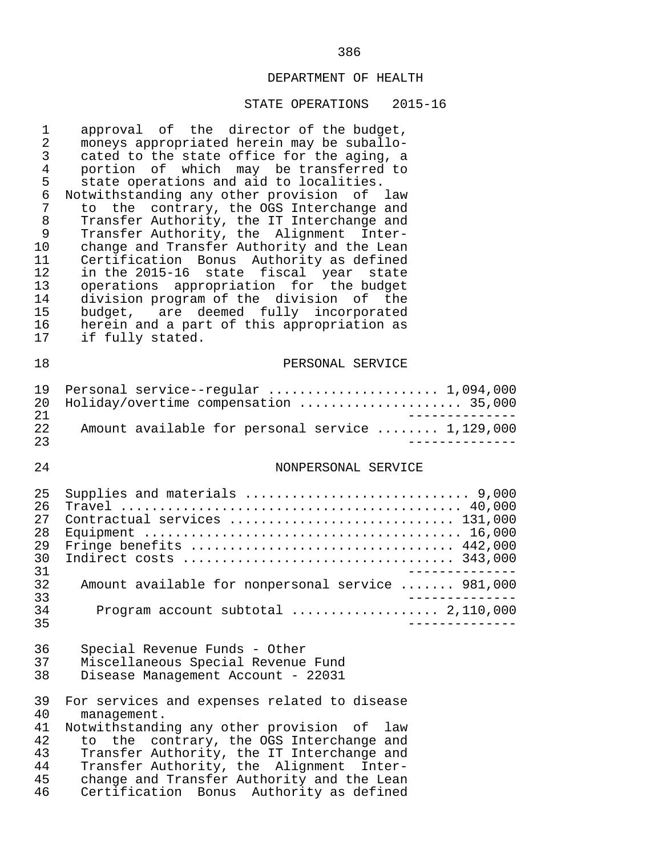| $\mathbf 1$<br>$\sqrt{2}$<br>$\mathbf{3}$<br>$\,4\,$<br>5<br>$\epsilon$<br>7<br>8<br>9<br>10<br>11<br>12<br>13<br>14<br>15<br>16<br>17 | approval of the director of the budget,<br>moneys appropriated herein may be suballo-<br>cated to the state office for the aging, a<br>portion of which may be transferred to<br>state operations and aid to localities.<br>Notwithstanding any other provision of law<br>the contrary, the OGS Interchange and<br>to<br>Transfer Authority, the IT Interchange and<br>Transfer Authority, the Alignment Inter-<br>change and Transfer Authority and the Lean<br>Certification Bonus Authority as defined<br>in the 2015-16 state fiscal year state<br>operations appropriation for the budget<br>division program of the division of the<br>budget, are deemed fully incorporated<br>herein and a part of this appropriation as<br>if fully stated. |
|----------------------------------------------------------------------------------------------------------------------------------------|------------------------------------------------------------------------------------------------------------------------------------------------------------------------------------------------------------------------------------------------------------------------------------------------------------------------------------------------------------------------------------------------------------------------------------------------------------------------------------------------------------------------------------------------------------------------------------------------------------------------------------------------------------------------------------------------------------------------------------------------------|
| 18                                                                                                                                     | PERSONAL SERVICE                                                                                                                                                                                                                                                                                                                                                                                                                                                                                                                                                                                                                                                                                                                                     |
| 19<br>20<br>21                                                                                                                         | Personal service--regular  1,094,000<br>Holiday/overtime compensation  35,000                                                                                                                                                                                                                                                                                                                                                                                                                                                                                                                                                                                                                                                                        |
| 22<br>23                                                                                                                               | Amount available for personal service  1,129,000                                                                                                                                                                                                                                                                                                                                                                                                                                                                                                                                                                                                                                                                                                     |
| 24                                                                                                                                     | NONPERSONAL SERVICE                                                                                                                                                                                                                                                                                                                                                                                                                                                                                                                                                                                                                                                                                                                                  |
| 25<br>26<br>27<br>28<br>29<br>30<br>31<br>32<br>33<br>34                                                                               | Supplies and materials  9,000<br>Contractual services  131,000<br>Fringe benefits  442,000<br>Amount available for nonpersonal service  981,000<br>Program account subtotal $\ldots \ldots \ldots \ldots \ldots$ 2,110,000                                                                                                                                                                                                                                                                                                                                                                                                                                                                                                                           |
| 35<br>36<br>37                                                                                                                         | Special Revenue Funds - Other<br>Miscellaneous Special Revenue Fund                                                                                                                                                                                                                                                                                                                                                                                                                                                                                                                                                                                                                                                                                  |
| 38<br>39<br>40<br>41<br>42<br>43<br>44                                                                                                 | Disease Management Account - 22031<br>For services and expenses related to disease<br>management.<br>Notwithstanding any other provision of law<br>the contrary, the OGS Interchange and<br>to<br>Transfer Authority, the IT Interchange and<br>Transfer Authority, the Alignment Inter-                                                                                                                                                                                                                                                                                                                                                                                                                                                             |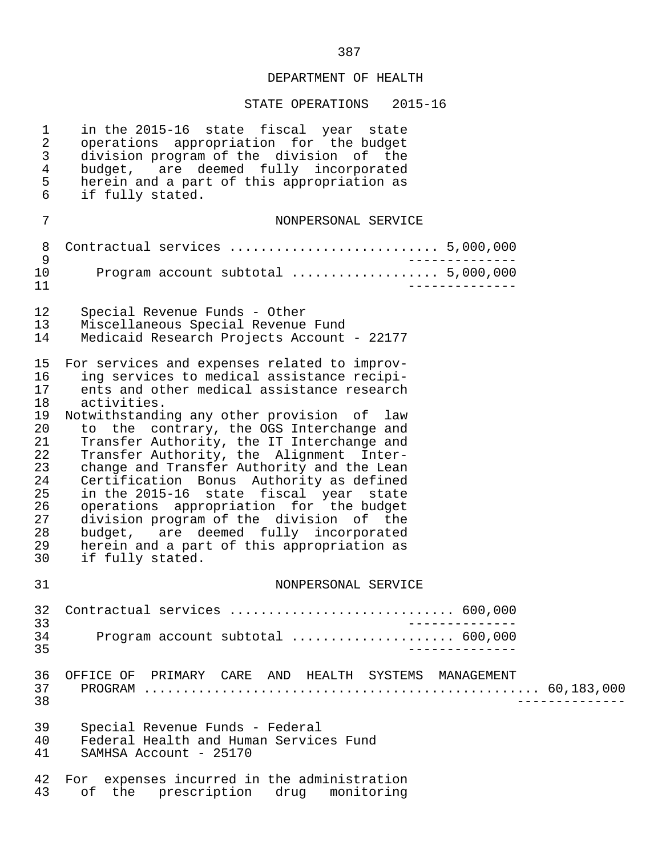| $\mathbf 1$<br>$\overline{a}$<br>$\mathsf{3}$<br>$\overline{4}$<br>5<br>$6\overline{6}$      | in the 2015-16 state fiscal year state<br>operations appropriation for the budget<br>division program of the division of the<br>budget, are deemed fully incorporated<br>herein and a part of this appropriation as<br>if fully stated.                                                                                                                                                                                                                                                                                                                                                                                                                                             |
|----------------------------------------------------------------------------------------------|-------------------------------------------------------------------------------------------------------------------------------------------------------------------------------------------------------------------------------------------------------------------------------------------------------------------------------------------------------------------------------------------------------------------------------------------------------------------------------------------------------------------------------------------------------------------------------------------------------------------------------------------------------------------------------------|
| 7                                                                                            | NONPERSONAL SERVICE                                                                                                                                                                                                                                                                                                                                                                                                                                                                                                                                                                                                                                                                 |
| $\,8\,$                                                                                      | Contractual services  5,000,000                                                                                                                                                                                                                                                                                                                                                                                                                                                                                                                                                                                                                                                     |
| 9<br>10<br>11                                                                                | Program account subtotal  5,000,000                                                                                                                                                                                                                                                                                                                                                                                                                                                                                                                                                                                                                                                 |
| 12<br>13<br>14                                                                               | Special Revenue Funds - Other<br>Miscellaneous Special Revenue Fund<br>Medicaid Research Projects Account - 22177                                                                                                                                                                                                                                                                                                                                                                                                                                                                                                                                                                   |
| 15<br>16<br>17<br>18<br>19<br>20<br>21<br>22<br>23<br>24<br>25<br>26<br>27<br>28<br>29<br>30 | For services and expenses related to improv-<br>ing services to medical assistance recipi-<br>ents and other medical assistance research<br>activities.<br>Notwithstanding any other provision of law<br>to the contrary, the OGS Interchange and<br>Transfer Authority, the IT Interchange and<br>Transfer Authority, the Alignment Inter-<br>change and Transfer Authority and the Lean<br>Certification Bonus Authority as defined<br>in the 2015-16 state fiscal year<br>state<br>operations appropriation for the budget<br>division program of the division of the<br>budget, are deemed fully incorporated<br>herein and a part of this appropriation as<br>if fully stated. |
| 31                                                                                           | NONPERSONAL SERVICE                                                                                                                                                                                                                                                                                                                                                                                                                                                                                                                                                                                                                                                                 |
| 32<br>33                                                                                     | Contractual services  600,000                                                                                                                                                                                                                                                                                                                                                                                                                                                                                                                                                                                                                                                       |
| 34<br>35                                                                                     | Program account subtotal  600,000<br>----------                                                                                                                                                                                                                                                                                                                                                                                                                                                                                                                                                                                                                                     |
| 36<br>37<br>38                                                                               | OFFICE OF PRIMARY CARE AND HEALTH SYSTEMS MANAGEMENT                                                                                                                                                                                                                                                                                                                                                                                                                                                                                                                                                                                                                                |
| 39<br>40<br>41                                                                               | Special Revenue Funds - Federal<br>Federal Health and Human Services Fund<br>SAMHSA Account - 25170                                                                                                                                                                                                                                                                                                                                                                                                                                                                                                                                                                                 |
| 42<br>43                                                                                     | expenses incurred in the administration<br>For<br>prescription drug monitoring<br>of the                                                                                                                                                                                                                                                                                                                                                                                                                                                                                                                                                                                            |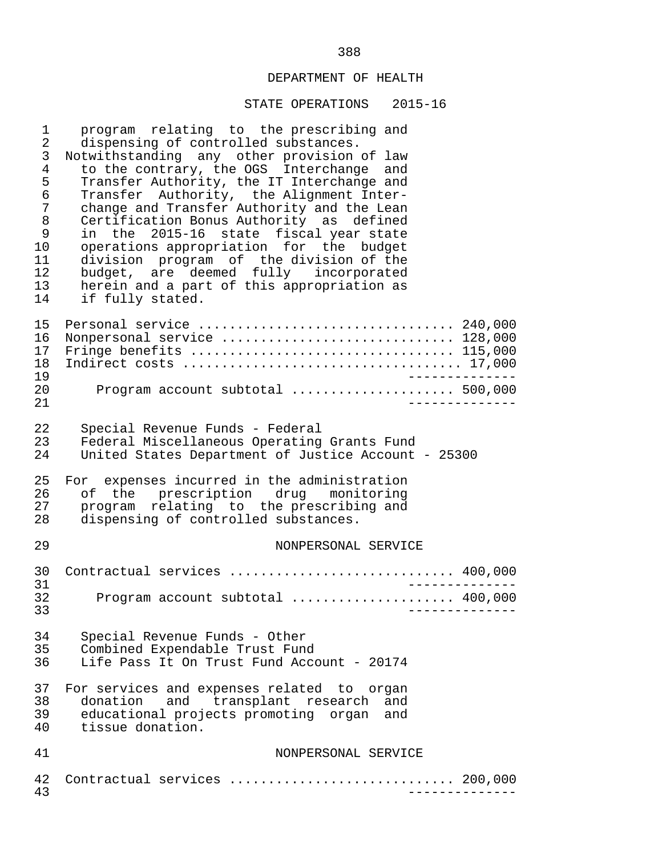| 1<br>$\overline{2}$<br>$\mathsf{3}$<br>$\overline{4}$<br>5<br>6<br>7<br>8<br>9<br>10<br>11<br>12<br>13<br>14 | program relating to the prescribing and<br>dispensing of controlled substances.<br>Notwithstanding any other provision of law<br>to the contrary, the OGS Interchange and<br>Transfer Authority, the IT Interchange and<br>Transfer Authority, the Alignment Inter-<br>change and Transfer Authority and the Lean<br>Certification Bonus Authority as defined<br>in the 2015-16 state fiscal year state<br>operations appropriation for the budget<br>division program of the division of the<br>budget, are deemed fully incorporated<br>herein and a part of this appropriation as<br>if fully stated. |
|--------------------------------------------------------------------------------------------------------------|----------------------------------------------------------------------------------------------------------------------------------------------------------------------------------------------------------------------------------------------------------------------------------------------------------------------------------------------------------------------------------------------------------------------------------------------------------------------------------------------------------------------------------------------------------------------------------------------------------|
| 15<br>16<br>17<br>18<br>19                                                                                   | Personal service  240,000<br>Nonpersonal service  128,000<br>Fringe benefits  115,000                                                                                                                                                                                                                                                                                                                                                                                                                                                                                                                    |
| 20<br>21                                                                                                     | Program account subtotal  500,000                                                                                                                                                                                                                                                                                                                                                                                                                                                                                                                                                                        |
| 22<br>23<br>24                                                                                               | Special Revenue Funds - Federal<br>Federal Miscellaneous Operating Grants Fund<br>United States Department of Justice Account - 25300                                                                                                                                                                                                                                                                                                                                                                                                                                                                    |
| 25<br>26<br>27<br>28                                                                                         | For expenses incurred in the administration<br>of the prescription drug monitoring<br>program relating to the prescribing and<br>dispensing of controlled substances.                                                                                                                                                                                                                                                                                                                                                                                                                                    |
| 29                                                                                                           | NONPERSONAL SERVICE                                                                                                                                                                                                                                                                                                                                                                                                                                                                                                                                                                                      |
| 30<br>31                                                                                                     | Contractual services  400,000                                                                                                                                                                                                                                                                                                                                                                                                                                                                                                                                                                            |
| 32<br>33                                                                                                     | Program account subtotal  400,000                                                                                                                                                                                                                                                                                                                                                                                                                                                                                                                                                                        |
| 34<br>35<br>36                                                                                               | Special Revenue Funds - Other<br>Combined Expendable Trust Fund<br>Life Pass It On Trust Fund Account - 20174                                                                                                                                                                                                                                                                                                                                                                                                                                                                                            |
| 37<br>38<br>39<br>40                                                                                         | For services and expenses related to organ<br>donation and transplant research<br>and<br>educational projects promoting organ<br>and<br>tissue donation.                                                                                                                                                                                                                                                                                                                                                                                                                                                 |
| 41                                                                                                           | NONPERSONAL SERVICE                                                                                                                                                                                                                                                                                                                                                                                                                                                                                                                                                                                      |
| 42<br>43                                                                                                     | Contractual services  200,000                                                                                                                                                                                                                                                                                                                                                                                                                                                                                                                                                                            |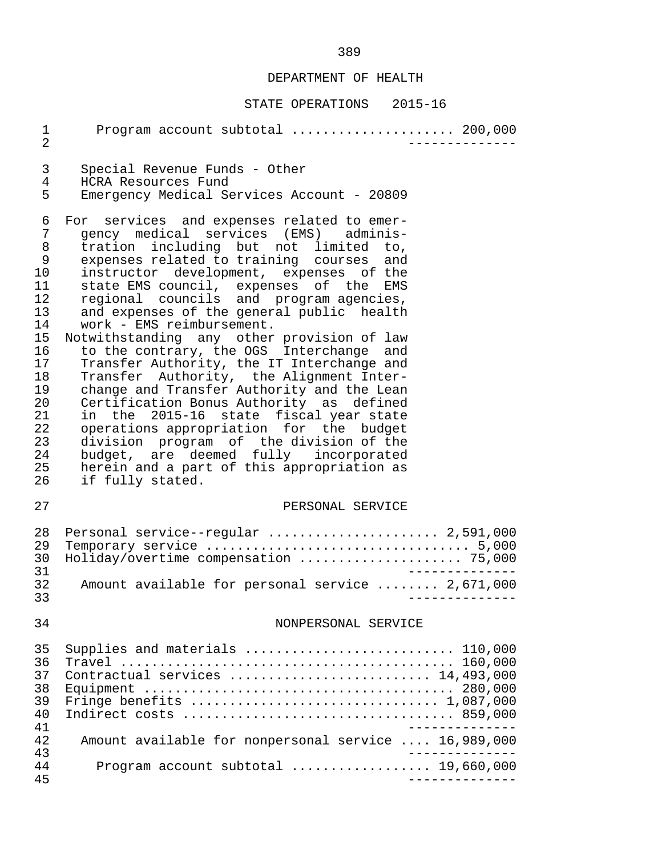| 1<br>$\overline{2}$                                                                                                    | Program account subtotal  200,000                                                                                                                                                                                                                                                                                                                                                                                                                                                                                                                                                                                                                                                                                                                                                                                                                                                                           |
|------------------------------------------------------------------------------------------------------------------------|-------------------------------------------------------------------------------------------------------------------------------------------------------------------------------------------------------------------------------------------------------------------------------------------------------------------------------------------------------------------------------------------------------------------------------------------------------------------------------------------------------------------------------------------------------------------------------------------------------------------------------------------------------------------------------------------------------------------------------------------------------------------------------------------------------------------------------------------------------------------------------------------------------------|
| 3<br>4<br>5                                                                                                            | Special Revenue Funds - Other<br>HCRA Resources Fund<br>Emergency Medical Services Account - 20809                                                                                                                                                                                                                                                                                                                                                                                                                                                                                                                                                                                                                                                                                                                                                                                                          |
| 6<br>7<br>8<br>9<br>10<br>11<br>12<br>13<br>14<br>15<br>16<br>17<br>18<br>19<br>20<br>21<br>22<br>23<br>24<br>25<br>26 | For services and expenses related to emer-<br>gency medical services (EMS) adminis-<br>tration including but not limited to,<br>expenses related to training courses and<br>instructor development, expenses of the<br>state EMS council, expenses of the EMS<br>regional councils and program agencies,<br>and expenses of the general public health<br>work - EMS reimbursement.<br>Notwithstanding any other provision of law<br>to the contrary, the OGS Interchange and<br>Transfer Authority, the IT Interchange and<br>Transfer Authority, the Alignment Inter-<br>change and Transfer Authority and the Lean<br>Certification Bonus Authority as defined<br>in the 2015-16 state fiscal year state<br>operations appropriation for the budget<br>division program of the division of the<br>budget, are deemed fully incorporated<br>herein and a part of this appropriation as<br>if fully stated. |
| 27                                                                                                                     | PERSONAL SERVICE                                                                                                                                                                                                                                                                                                                                                                                                                                                                                                                                                                                                                                                                                                                                                                                                                                                                                            |
| 28<br>29<br>30<br>31<br>32                                                                                             | Personal service--regular  2,591,000<br>Holiday/overtime compensation  75,000<br>Amount available for personal service  2,671,000                                                                                                                                                                                                                                                                                                                                                                                                                                                                                                                                                                                                                                                                                                                                                                           |
| 33                                                                                                                     |                                                                                                                                                                                                                                                                                                                                                                                                                                                                                                                                                                                                                                                                                                                                                                                                                                                                                                             |
| 34                                                                                                                     | NONPERSONAL SERVICE                                                                                                                                                                                                                                                                                                                                                                                                                                                                                                                                                                                                                                                                                                                                                                                                                                                                                         |
| 35<br>36<br>37<br>38<br>39<br>40<br>41<br>42<br>43<br>44                                                               | Supplies and materials  110,000<br>Travel<br>Contractual services  14,493,000<br>Fringe benefits $\ldots \ldots \ldots \ldots \ldots \ldots \ldots \ldots \ldots \ldots \ldots 1,087,000$<br>Amount available for nonpersonal service  16,989,000<br>Program account subtotal $\ldots$ 19,660,000                                                                                                                                                                                                                                                                                                                                                                                                                                                                                                                                                                                                           |
| 45                                                                                                                     |                                                                                                                                                                                                                                                                                                                                                                                                                                                                                                                                                                                                                                                                                                                                                                                                                                                                                                             |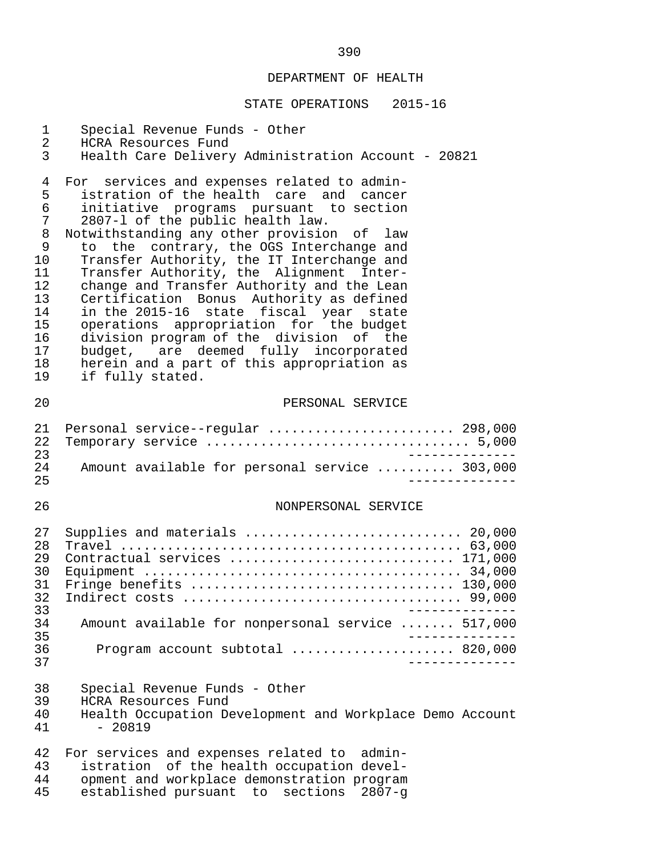| $\mathbf 1$<br>$\overline{2}$<br>$\mathfrak{Z}$                                        | Special Revenue Funds - Other<br>HCRA Resources Fund<br>Health Care Delivery Administration Account - 20821                                                                                                                                                                                                                                                                                                                                                                                                                                                                                                                                                                                       |
|----------------------------------------------------------------------------------------|---------------------------------------------------------------------------------------------------------------------------------------------------------------------------------------------------------------------------------------------------------------------------------------------------------------------------------------------------------------------------------------------------------------------------------------------------------------------------------------------------------------------------------------------------------------------------------------------------------------------------------------------------------------------------------------------------|
| 4<br>5<br>6<br>7<br>8<br>9<br>10<br>11<br>12<br>13<br>14<br>15<br>16<br>17<br>18<br>19 | For services and expenses related to admin-<br>istration of the health care and cancer<br>initiative programs pursuant to section<br>2807-1 of the public health law.<br>Notwithstanding any other provision of law<br>the contrary, the OGS Interchange and<br>to<br>Transfer Authority, the IT Interchange and<br>Transfer Authority, the Alignment Inter-<br>change and Transfer Authority and the Lean<br>Certification Bonus Authority as defined<br>in the 2015-16 state fiscal year state<br>operations appropriation for the budget<br>division program of the division of the<br>budget, are deemed fully incorporated<br>herein and a part of this appropriation as<br>if fully stated. |
| 20                                                                                     | PERSONAL SERVICE                                                                                                                                                                                                                                                                                                                                                                                                                                                                                                                                                                                                                                                                                  |
| 21<br>22<br>23<br>24<br>25                                                             | Personal service--regular  298,000<br>Amount available for personal service  303,000                                                                                                                                                                                                                                                                                                                                                                                                                                                                                                                                                                                                              |
| 26                                                                                     | NONPERSONAL SERVICE                                                                                                                                                                                                                                                                                                                                                                                                                                                                                                                                                                                                                                                                               |
| 27<br>28<br>29<br>30<br>31<br>32<br>33<br>34                                           | Supplies and materials  20,000<br>Contractual services  171,000<br>Fringe benefits  130,000<br>Amount available for nonpersonal service  517,000                                                                                                                                                                                                                                                                                                                                                                                                                                                                                                                                                  |
| 35<br>36                                                                               | Program account subtotal  820,000                                                                                                                                                                                                                                                                                                                                                                                                                                                                                                                                                                                                                                                                 |
| 37                                                                                     |                                                                                                                                                                                                                                                                                                                                                                                                                                                                                                                                                                                                                                                                                                   |
| 38<br>39<br>40<br>41                                                                   | Special Revenue Funds - Other<br>HCRA Resources Fund<br>Health Occupation Development and Workplace Demo Account<br>$-20819$                                                                                                                                                                                                                                                                                                                                                                                                                                                                                                                                                                      |
| 42<br>43<br>44<br>45                                                                   | For services and expenses related to<br>admin-<br>istration of the health occupation devel-<br>opment and workplace demonstration program<br>established pursuant to sections<br>$2807 - q$                                                                                                                                                                                                                                                                                                                                                                                                                                                                                                       |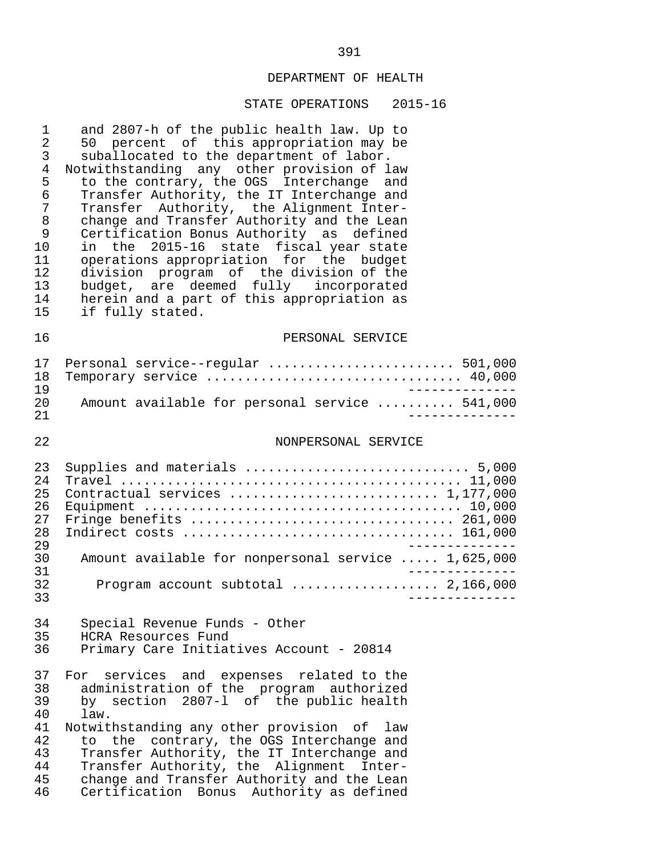#### STATE OPERATIONS 2015-16

1 and 2807-h of the public health law. Up to<br>2 50 percent of this appropriation may be 2 50 percent of this appropriation may be<br>3 suballocated to the department of labor. 3 suballocated to the department of labor.<br>4 Notwithstanding any other provision of la 4 Notwithstanding any other provision of law<br>5 to the contrary, the OGS Interchange and 5 to the contrary, the OGS Interchange and<br>6 Transfer Authority, the IT Interchange and 6 Transfer Authority, the IT Interchange and 7 Transfer Authority, the Alignment Inter-<br>8 change and Transfer Authority and the Lean 8 change and Transfer Authority and the Lean<br>9 Certification Bonus Authority as defined 9 Certification Bonus Authority as defined<br>10 in the 2015-16 state fiscal vear state 10 in the 2015-16 state fiscal year state<br>11 operations appropriation for the budget 11 operations appropriation for the budget<br>12 division program of the division of the 12 division program of the division of the 13 budget, are deemed fully incorporated 14 herein and a part of this appropriation as<br>15 if fully stated. if fully stated. 16 PERSONAL SERVICE 17 Personal service--regular ........................ 501,000 18 Temporary service ................................. 40,000 19<br>20 Amount available for personal service ......... 541.000 20 Amount available for personal service .......... 541,000 21 -------------- 22 NONPERSONAL SERVICE 23 Supplies and materials ............................. 5,000 24 Travel ............................................ 11,000 25 Contractual services ........................... 1,177,000 26 Equipment ......................................... 10,000 27 Fringe benefits .................................. 261,000 28 Indirect costs ................................... 161,000 29<br>30 Amount available for nonpersonal service ..... 1.625.000 30 Amount available for nonpersonal service ..... 1,625,000 --------------<br>32 Program account subtotal .................... 2,166,000 32 Program account subtotal ................... 2,166,000 33 -------------- 34 Special Revenue Funds - Other<br>35 HCRA Resources Fund 35 HCRA Resources Fund<br>36 Primary Care Initiat 36 Primary Care Initiatives Account - 20814 37 For services and expenses related to the 38 administration of the program authorized<br>39 by section 2807-1 of the public health 39 by section 2807-l of the public health 40 law.<br>41 Notwitl 41 Notwithstanding any other provision of law<br>42 to the contrary, the OGS Interchange and 42 to the contrary, the OGS Interchange and<br>43 Transfer Authority, the IT Interchange and 43 Transfer Authority, the IT Interchange and 44 Transfer Authority, the Alignment Inter- 45 change and Transfer Authority and the Lean<br>46 Certification Bonus Authority as defined Certification Bonus Authority as defined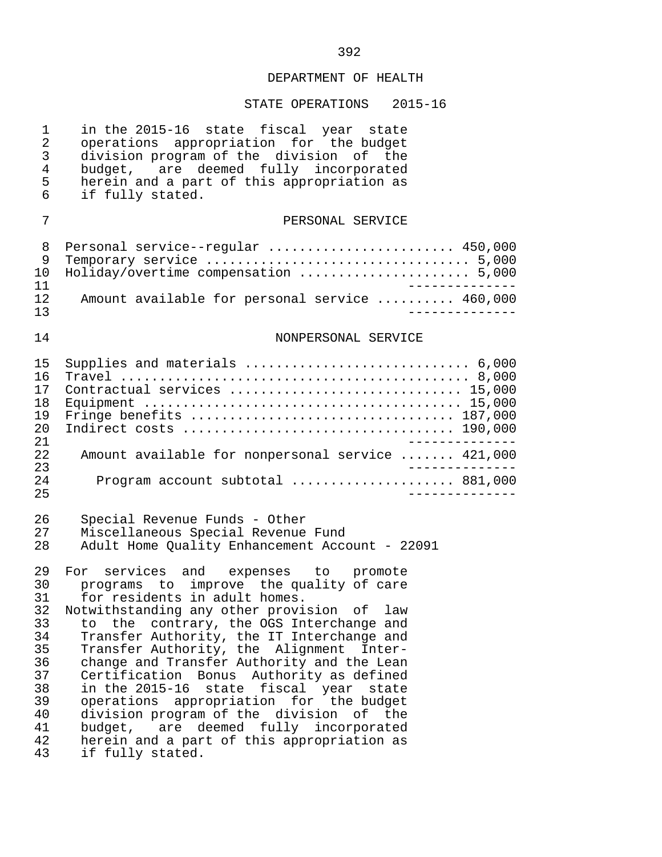| $\mathbf 1$<br>$\overline{2}$<br>3<br>$\overline{4}$<br>5<br>6                         | in the 2015-16 state fiscal year state<br>operations appropriation for the budget<br>division program of the division of the<br>budget, are deemed fully incorporated<br>herein and a part of this appropriation as<br>if fully stated.                                                                                                                                                                                                                                                                                                                                                                                                                           |
|----------------------------------------------------------------------------------------|-------------------------------------------------------------------------------------------------------------------------------------------------------------------------------------------------------------------------------------------------------------------------------------------------------------------------------------------------------------------------------------------------------------------------------------------------------------------------------------------------------------------------------------------------------------------------------------------------------------------------------------------------------------------|
| 7                                                                                      | PERSONAL SERVICE                                                                                                                                                                                                                                                                                                                                                                                                                                                                                                                                                                                                                                                  |
| 8<br>9<br>10<br>11                                                                     | Personal service--regular  450,000<br>Holiday/overtime compensation  5,000                                                                                                                                                                                                                                                                                                                                                                                                                                                                                                                                                                                        |
| 12<br>13                                                                               | Amount available for personal service  460,000<br>- - - - - - - - -                                                                                                                                                                                                                                                                                                                                                                                                                                                                                                                                                                                               |
| 14                                                                                     | NONPERSONAL SERVICE                                                                                                                                                                                                                                                                                                                                                                                                                                                                                                                                                                                                                                               |
| 15<br>16<br>17<br>18<br>19<br>20<br>21                                                 | Supplies and materials  6,000<br>Contractual services  15,000                                                                                                                                                                                                                                                                                                                                                                                                                                                                                                                                                                                                     |
| 22<br>23                                                                               | Amount available for nonpersonal service  421,000<br>_____________<br>Program account subtotal  881,000                                                                                                                                                                                                                                                                                                                                                                                                                                                                                                                                                           |
| 24<br>25                                                                               | ______________                                                                                                                                                                                                                                                                                                                                                                                                                                                                                                                                                                                                                                                    |
| 26<br>27<br>28                                                                         | Special Revenue Funds - Other<br>Miscellaneous Special Revenue Fund<br>Adult Home Quality Enhancement Account - 22091                                                                                                                                                                                                                                                                                                                                                                                                                                                                                                                                             |
| 29<br>30<br>31<br>32<br>33<br>34<br>35<br>36<br>37<br>38<br>39<br>40<br>41<br>42<br>43 | For services and expenses to promote<br>programs to improve the quality of care<br>for residents in adult homes.<br>Notwithstanding any other provision of law<br>contrary, the OGS Interchange and<br>the<br>to<br>Transfer Authority, the IT Interchange and<br>Transfer Authority, the Alignment<br>Inter-<br>change and Transfer Authority and the Lean<br>Certification Bonus Authority as defined<br>in the 2015-16<br>fiscal year<br>state<br>state<br>appropriation for the budget<br>operations<br>division program of the division of the<br>are deemed fully incorporated<br>budget,<br>herein and a part of this appropriation as<br>if fully stated. |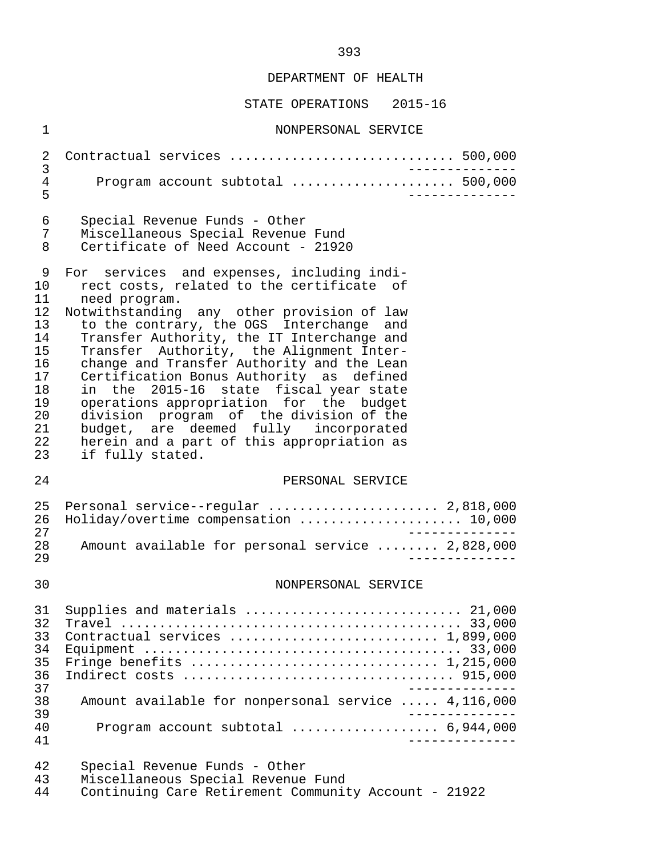STATE OPERATIONS 2015-16

 1 NONPERSONAL SERVICE 2 Contractual services ............................. 500,000 3 -------------- 4 Program account subtotal ..................... 500,000 5 -------------- 6 Special Revenue Funds - Other 7 Miscellaneous Special Revenue Fund<br>8 Certificate of Need Account - 21920 Certificate of Need Account - 21920 9 For services and expenses, including indi-<br>10 rect costs, related to the certificate of 10 rect costs, related to the certificate of<br>11 need program. 11 need program.<br>12 Notwithstanding 12 Notwithstanding any other provision of law<br>13 to the contrary, the OGS Interchange and 13 to the contrary, the OGS Interchange and<br>14 Transfer Authority, the IT Interchange and 14 Transfer Authority, the IT Interchange and<br>15 Transfer Authority, the Alignment Inter-15 Transfer Authority, the Alignment Inter-<br>16 change and Transfer Authority and the Lean 16 change and Transfer Authority and the Lean<br>17 Certification Bonus Authority as defined 17 Certification Bonus Authority as defined<br>18 in the 2015-16 state fiscal vear-state 18 in the 2015-16 state fiscal-year-state<br>19 operations-appropriation for the budget 19 operations appropriation for the budget<br>20 division program of the division of the 20 division program of the division of the 21 budget, are deemed fully incorporated 22 herein and a part of this appropriation as<br>23 if fully stated. if fully stated. 24 PERSONAL SERVICE 25 Personal service--regular ........................ 2,818,000<br>26 Holidav/overtime compensation ..................... 10,000 26 Holiday/overtime compensation ..................... 10,000 27 -------------- 28 Amount available for personal service ........ 2,828,000 29 -------------- 30 NONPERSONAL SERVICE 31 Supplies and materials ............................ 21,000 32 Travel ............................................ 33,000 33 Contractual services ........................... 1,899,000 34 Equipment ......................................... 33,000 35 Fringe benefits ................................ 1,215,000 36 Indirect costs ................................... 915,000 -------------<br>38 Amount available for nonpersonal service ..... 4,116,000 38 Amount available for nonpersonal service ..... 4,116,000 39 -------------- 40 Program account subtotal ................... 6,944,000 41 -------------- 42 Special Revenue Funds - Other 43 Miscellaneous Special Revenue Fund<br>44 Continuing Care Retirement Communit Continuing Care Retirement Community Account - 21922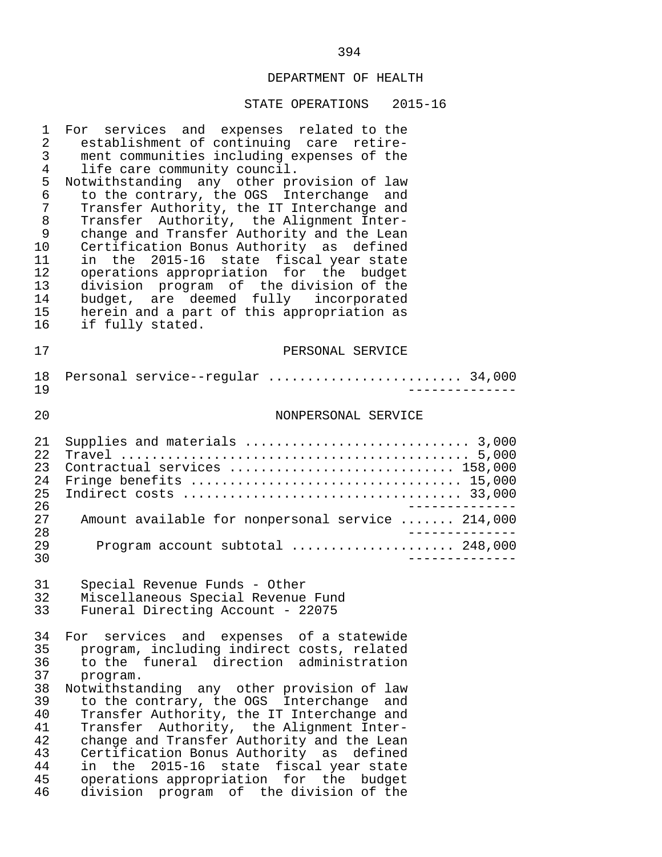| 1<br>2<br>3<br>4<br>5<br>$\epsilon$<br>7<br>$\,8\,$<br>9<br>10<br>11<br>12<br>13<br>14<br>15<br>16 | For services and expenses related to the<br>establishment of continuing care retire-<br>ment communities including expenses of the<br>life care community council.<br>Notwithstanding any other provision of law<br>to the contrary, the OGS Interchange and<br>Transfer Authority, the IT Interchange and<br>Transfer Authority, the Alignment Inter-<br>change and Transfer Authority and the Lean<br>Certification Bonus Authority as defined<br>state fiscal year state<br>in the 2015-16<br>operations appropriation for the budget<br>division program of the division of the<br>budget, are deemed fully incorporated<br>herein and a part of this appropriation as<br>if fully stated. |
|----------------------------------------------------------------------------------------------------|------------------------------------------------------------------------------------------------------------------------------------------------------------------------------------------------------------------------------------------------------------------------------------------------------------------------------------------------------------------------------------------------------------------------------------------------------------------------------------------------------------------------------------------------------------------------------------------------------------------------------------------------------------------------------------------------|
| 17                                                                                                 | PERSONAL SERVICE                                                                                                                                                                                                                                                                                                                                                                                                                                                                                                                                                                                                                                                                               |
| $18\,$<br>19                                                                                       | Personal service--regular  34,000                                                                                                                                                                                                                                                                                                                                                                                                                                                                                                                                                                                                                                                              |
| 20                                                                                                 | NONPERSONAL SERVICE                                                                                                                                                                                                                                                                                                                                                                                                                                                                                                                                                                                                                                                                            |
| 21<br>22<br>23<br>24<br>25                                                                         | Supplies and materials  3,000<br>Contractual services  158,000<br>Fringe benefits  15,000                                                                                                                                                                                                                                                                                                                                                                                                                                                                                                                                                                                                      |
| 26<br>27<br>28                                                                                     | Amount available for nonpersonal service  214,000<br>________                                                                                                                                                                                                                                                                                                                                                                                                                                                                                                                                                                                                                                  |
| 29<br>30                                                                                           | Program account subtotal  248,000                                                                                                                                                                                                                                                                                                                                                                                                                                                                                                                                                                                                                                                              |
| 31<br>32<br>33                                                                                     | Special Revenue Funds - Other<br>Miscellaneous Special Revenue Fund<br>Funeral Directing Account - 22075                                                                                                                                                                                                                                                                                                                                                                                                                                                                                                                                                                                       |
| 34<br>35<br>36<br>37<br>38<br>39<br>40<br>41<br>42<br>43<br>44<br>45<br>46                         | For services and expenses of a statewide<br>program, including indirect costs, related<br>to the funeral direction administration<br>program.<br>Notwithstanding any other provision of law<br>to the contrary, the OGS Interchange<br>and<br>Transfer Authority, the IT Interchange and<br>Transfer Authority, the Alignment Inter-<br>change and Transfer Authority and the Lean<br>Certification Bonus Authority as defined<br>state fiscal year state<br>$2015 - 16$<br>in the<br>operations appropriation for the budget<br>division program of the division of the                                                                                                                       |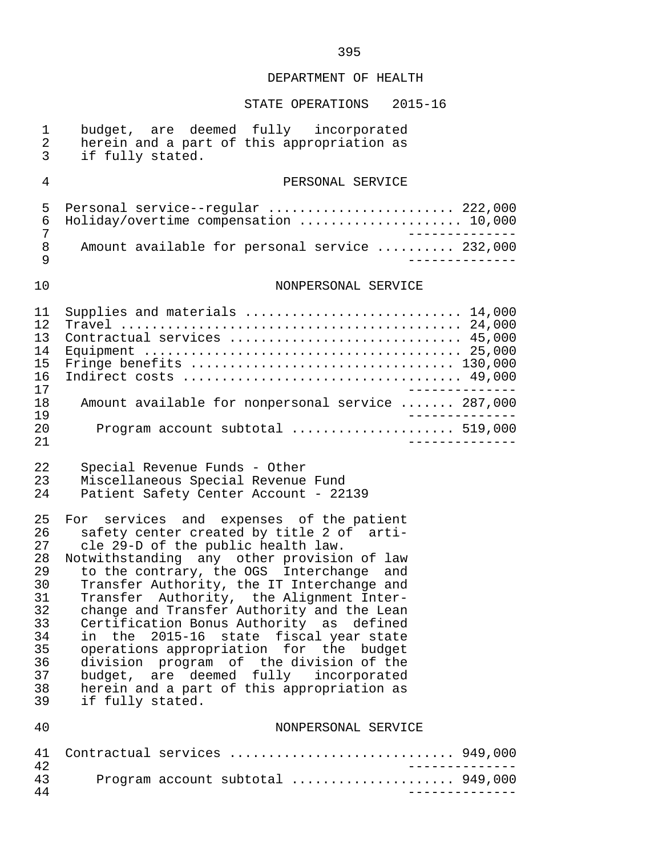| $\mathbf 1$<br>$\overline{2}$<br>3                                                     | budget, are deemed fully incorporated<br>herein and a part of this appropriation as<br>if fully stated.                                                                                                                                                                                                                                                                                                                                                                                                                                                                                                                                                 |              |
|----------------------------------------------------------------------------------------|---------------------------------------------------------------------------------------------------------------------------------------------------------------------------------------------------------------------------------------------------------------------------------------------------------------------------------------------------------------------------------------------------------------------------------------------------------------------------------------------------------------------------------------------------------------------------------------------------------------------------------------------------------|--------------|
| 4                                                                                      | PERSONAL SERVICE                                                                                                                                                                                                                                                                                                                                                                                                                                                                                                                                                                                                                                        |              |
| 5<br>6<br>7                                                                            | Personal service--regular  222,000<br>Holiday/overtime compensation  10,000<br>$- - - - - - - -$                                                                                                                                                                                                                                                                                                                                                                                                                                                                                                                                                        |              |
| 8<br>9                                                                                 | Amount available for personal service  232,000                                                                                                                                                                                                                                                                                                                                                                                                                                                                                                                                                                                                          |              |
| 10                                                                                     | NONPERSONAL SERVICE                                                                                                                                                                                                                                                                                                                                                                                                                                                                                                                                                                                                                                     |              |
| 11<br>12<br>13<br>14<br>15<br>16<br>17                                                 | Supplies and materials  14,000<br>Contractual services  45,000<br>Fringe benefits  130,000                                                                                                                                                                                                                                                                                                                                                                                                                                                                                                                                                              |              |
| 18<br>19                                                                               | Amount available for nonpersonal service  287,000                                                                                                                                                                                                                                                                                                                                                                                                                                                                                                                                                                                                       |              |
| 20<br>21                                                                               | Program account subtotal  519,000<br>----------                                                                                                                                                                                                                                                                                                                                                                                                                                                                                                                                                                                                         |              |
| 22<br>23<br>24                                                                         | Special Revenue Funds - Other<br>Miscellaneous Special Revenue Fund<br>Patient Safety Center Account - 22139                                                                                                                                                                                                                                                                                                                                                                                                                                                                                                                                            |              |
| 25<br>26<br>27<br>28<br>29<br>30<br>31<br>32<br>33<br>34<br>35<br>36<br>37<br>38<br>39 | services and expenses of the patient<br>For<br>safety center created by title 2 of arti-<br>cle 29-D of the public health law.<br>Notwithstanding any other provision of law<br>to the contrary, the OGS Interchange and<br>Transfer Authority, the IT Interchange and<br>Transfer Authority, the Alignment Inter-<br>change and Transfer Authority and the Lean<br>Certification Bonus Authority as defined<br>in the 2015-16 state fiscal year state<br>operations appropriation for the budget<br>division program of the division of the<br>budget, are deemed fully incorporated<br>herein and a part of this appropriation as<br>if fully stated. |              |
| 40                                                                                     | NONPERSONAL SERVICE                                                                                                                                                                                                                                                                                                                                                                                                                                                                                                                                                                                                                                     |              |
| 41<br>42                                                                               | Contractual services  949,000                                                                                                                                                                                                                                                                                                                                                                                                                                                                                                                                                                                                                           |              |
| 43<br>44                                                                               | Program account subtotal  949,000                                                                                                                                                                                                                                                                                                                                                                                                                                                                                                                                                                                                                       | ____________ |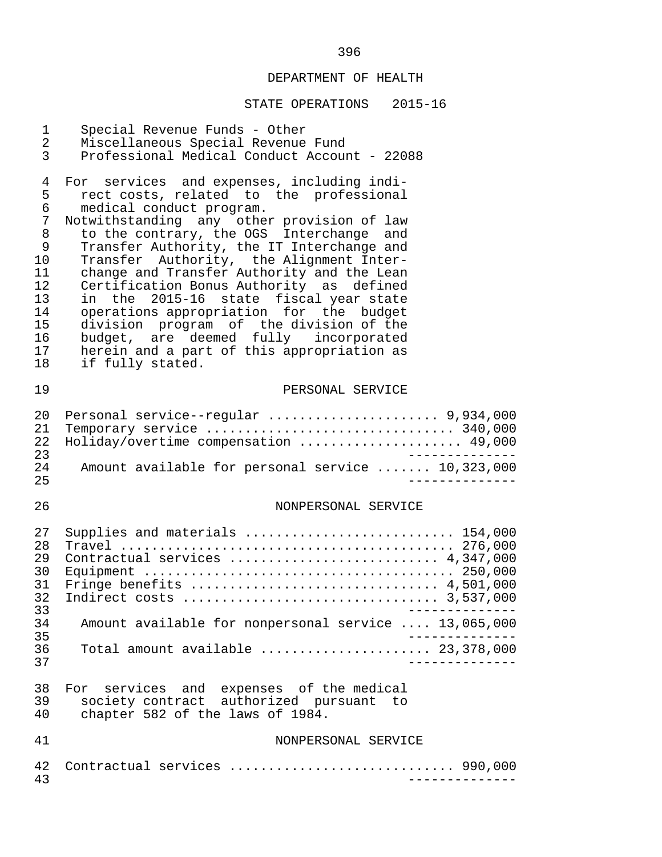| $\mathbf 1$<br>$\overline{a}$<br>3                                                            | Special Revenue Funds - Other<br>Miscellaneous Special Revenue Fund<br>Professional Medical Conduct Account - 22088                                                                                                                                                                                                                                                                                                                                                                                                                                                                                                                        |
|-----------------------------------------------------------------------------------------------|--------------------------------------------------------------------------------------------------------------------------------------------------------------------------------------------------------------------------------------------------------------------------------------------------------------------------------------------------------------------------------------------------------------------------------------------------------------------------------------------------------------------------------------------------------------------------------------------------------------------------------------------|
| $\overline{4}$<br>5<br>6<br>7<br>8<br>9<br>10<br>11<br>12<br>13<br>14<br>15<br>16<br>17<br>18 | For services and expenses, including indi-<br>rect costs, related to the professional<br>medical conduct program.<br>Notwithstanding any other provision of law<br>to the contrary, the OGS Interchange and<br>Transfer Authority, the IT Interchange and<br>Transfer Authority, the Alignment Inter-<br>change and Transfer Authority and the Lean<br>Certification Bonus Authority as defined<br>in the 2015-16 state fiscal year state<br>operations appropriation for the budget<br>division program of the division of the<br>budget, are deemed fully incorporated<br>herein and a part of this appropriation as<br>if fully stated. |
| 19                                                                                            | PERSONAL SERVICE                                                                                                                                                                                                                                                                                                                                                                                                                                                                                                                                                                                                                           |
| 20<br>21<br>22<br>23<br>24<br>25                                                              | Personal service--regular  9,934,000<br>Temporary service  340,000<br>Holiday/overtime compensation  49,000<br>_____________<br>Amount available for personal service  10,323,000                                                                                                                                                                                                                                                                                                                                                                                                                                                          |
| 26                                                                                            | NONPERSONAL SERVICE                                                                                                                                                                                                                                                                                                                                                                                                                                                                                                                                                                                                                        |
| 27<br>28<br>29<br>30                                                                          | Supplies and materials  154,000<br>Contractual services  4,347,000                                                                                                                                                                                                                                                                                                                                                                                                                                                                                                                                                                         |
| 31<br>32<br>33<br>34<br>35                                                                    | Fringe benefits $\ldots \ldots \ldots \ldots \ldots \ldots \ldots \ldots \ldots \ldots$ 4,501,000<br>Amount available for nonpersonal service  13,065,000                                                                                                                                                                                                                                                                                                                                                                                                                                                                                  |
| 36<br>37                                                                                      | Total amount available $\ldots \ldots \ldots \ldots \ldots \ldots$ 23,378,000                                                                                                                                                                                                                                                                                                                                                                                                                                                                                                                                                              |
| 38<br>39<br>40                                                                                | For services and expenses of the medical<br>society contract authorized pursuant to<br>chapter 582 of the laws of 1984.                                                                                                                                                                                                                                                                                                                                                                                                                                                                                                                    |
| 41                                                                                            | NONPERSONAL SERVICE                                                                                                                                                                                                                                                                                                                                                                                                                                                                                                                                                                                                                        |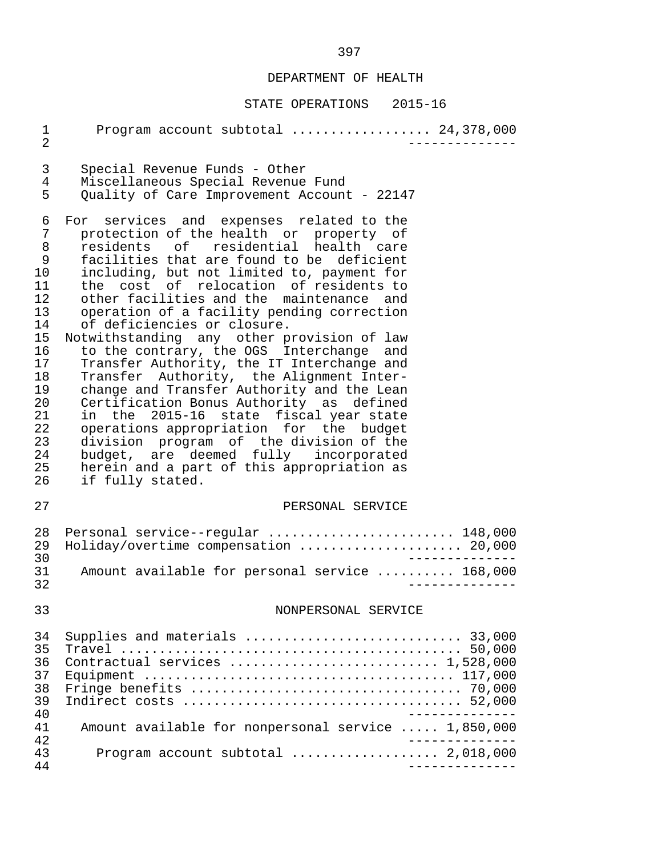| $\mathbf 1$<br>$\overline{2}$                                                                                          | Program account subtotal  24,378,000                                                                                                                                                                                                                                                                                                                                                                                                                                                                                                                                                                                                                                                                                                                                                                                                                                                                               |
|------------------------------------------------------------------------------------------------------------------------|--------------------------------------------------------------------------------------------------------------------------------------------------------------------------------------------------------------------------------------------------------------------------------------------------------------------------------------------------------------------------------------------------------------------------------------------------------------------------------------------------------------------------------------------------------------------------------------------------------------------------------------------------------------------------------------------------------------------------------------------------------------------------------------------------------------------------------------------------------------------------------------------------------------------|
| 3<br>4<br>5                                                                                                            | Special Revenue Funds - Other<br>Miscellaneous Special Revenue Fund<br>Quality of Care Improvement Account - 22147                                                                                                                                                                                                                                                                                                                                                                                                                                                                                                                                                                                                                                                                                                                                                                                                 |
| 6<br>7<br>8<br>9<br>10<br>11<br>12<br>13<br>14<br>15<br>16<br>17<br>18<br>19<br>20<br>21<br>22<br>23<br>24<br>25<br>26 | For services and expenses related to the<br>protection of the health or property of<br>residents of residential health care<br>facilities that are found to be deficient<br>including, but not limited to, payment for<br>the cost of relocation of residents to<br>other facilities and the maintenance and<br>operation of a facility pending correction<br>of deficiencies or closure.<br>Notwithstanding any other provision of law<br>to the contrary, the OGS Interchange and<br>Transfer Authority, the IT Interchange and<br>Transfer Authority, the Alignment Inter-<br>change and Transfer Authority and the Lean<br>Certification Bonus Authority as defined<br>in the 2015-16 state fiscal year state<br>operations appropriation for the budget<br>division program of the division of the<br>budget, are deemed fully incorporated<br>herein and a part of this appropriation as<br>if fully stated. |
| 27                                                                                                                     | PERSONAL SERVICE                                                                                                                                                                                                                                                                                                                                                                                                                                                                                                                                                                                                                                                                                                                                                                                                                                                                                                   |
| 28<br>29<br>30<br>31                                                                                                   | Personal service--regular  148,000<br>Holiday/overtime compensation  20,000<br>Amount available for personal service  168,000                                                                                                                                                                                                                                                                                                                                                                                                                                                                                                                                                                                                                                                                                                                                                                                      |
| 32                                                                                                                     |                                                                                                                                                                                                                                                                                                                                                                                                                                                                                                                                                                                                                                                                                                                                                                                                                                                                                                                    |
| 33                                                                                                                     | NONPERSONAL SERVICE                                                                                                                                                                                                                                                                                                                                                                                                                                                                                                                                                                                                                                                                                                                                                                                                                                                                                                |
| 34<br>35<br>36<br>37<br>38<br>39<br>40                                                                                 | Supplies and materials  33,000<br>Contractual services  1,528,000                                                                                                                                                                                                                                                                                                                                                                                                                                                                                                                                                                                                                                                                                                                                                                                                                                                  |
| 41                                                                                                                     | Amount available for nonpersonal service  1,850,000                                                                                                                                                                                                                                                                                                                                                                                                                                                                                                                                                                                                                                                                                                                                                                                                                                                                |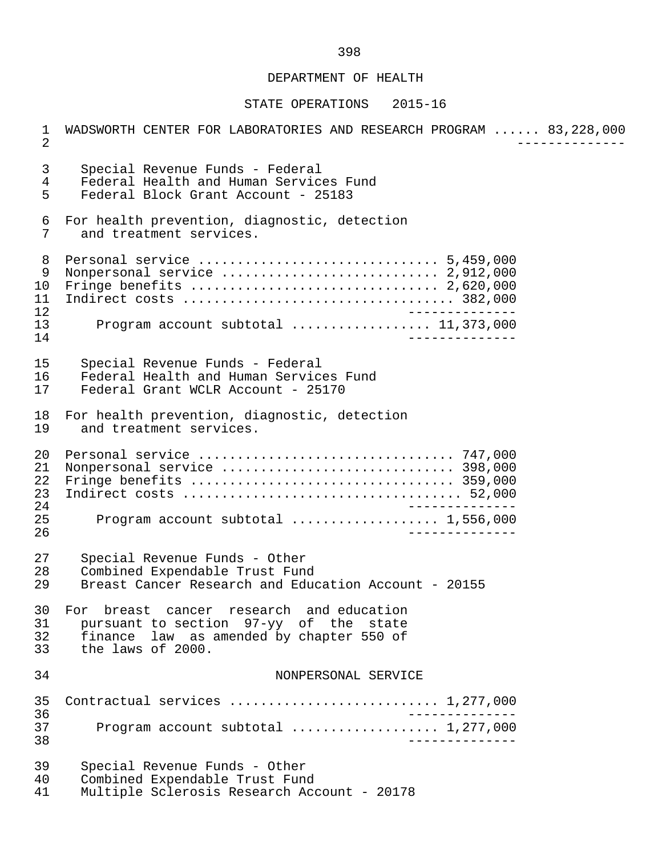#### STATE OPERATIONS 2015-16

 1 WADSWORTH CENTER FOR LABORATORIES AND RESEARCH PROGRAM ...... 83,228,000 2 -------------- 3 Special Revenue Funds - Federal 4 Federal Health and Human Services Fund<br>5 Federal Block Grant Account - 25183 5 Federal Block Grant Account - 25183 6 For health prevention, diagnostic, detection<br>7 and treatment services. and treatment services. 8 Personal service ............................... 5,459,000 9 Nonpersonal service ............................ 2,912,000 10 Fringe benefits ................................ 2,620,000 11 Indirect costs ................................... 382,000 12 -------------- 13 Program account subtotal ..................... 11,373,000<br>14 14 -------------- 15 Special Revenue Funds - Federal 16 Federal Health and Human Services Fund<br>17 Federal Grant WCLR Account - 25170 Federal Grant WCLR Account - 25170 18 For health prevention, diagnostic, detection<br>19 and treatment services. and treatment services. 20 Personal service ................................. 747,000 21 Nonpersonal service .............................. 398,000 22 Fringe benefits .................................. 359,000 23 Indirect costs .................................... 52,000 24 -------------- 25 Program account subtotal ................... 1,556,000 26 -------------- 27 Special Revenue Funds - Other<br>28 Combined Expendable Trust Fung 28 Combined Expendable Trust Fund<br>29 Breast Cancer Research and Educ Breast Cancer Research and Education Account - 20155 30 For breast cancer research and education<br>31 pursuant to section 97-vy of the state 31 pursuant to section 97-yy of the state 32 finance law as amended by chapter 550 of<br>33 the laws of 2000. the laws of 2000. 34 NONPERSONAL SERVICE 35 Contractual services ........................... 1,277,000 36 -------------- 37 Program account subtotal ................... 1,277,000 38 -------------- 39 Special Revenue Funds - Other 40 Combined Expendable Trust Fund<br>41 Multiple Sclerosis Research Ace Multiple Sclerosis Research Account - 20178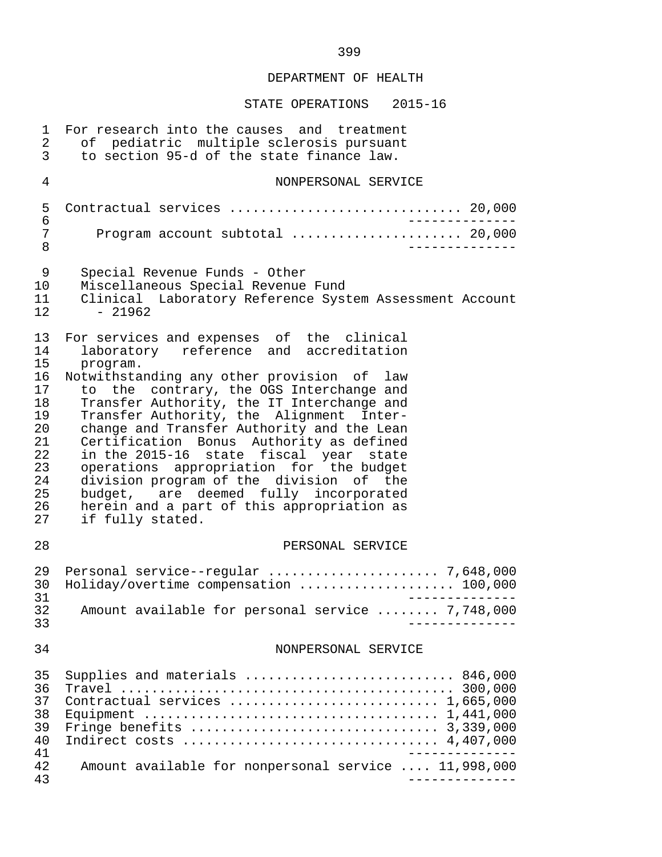| 1<br>2<br>3                                                                      | For research into the causes and treatment<br>of pediatric multiple sclerosis pursuant<br>to section 95-d of the state finance law.                                                                                                                                                                                                                                                                                                                                                                                                                   |
|----------------------------------------------------------------------------------|-------------------------------------------------------------------------------------------------------------------------------------------------------------------------------------------------------------------------------------------------------------------------------------------------------------------------------------------------------------------------------------------------------------------------------------------------------------------------------------------------------------------------------------------------------|
| $\overline{4}$                                                                   | NONPERSONAL SERVICE                                                                                                                                                                                                                                                                                                                                                                                                                                                                                                                                   |
| 5<br>6                                                                           | Contractual services  20,000                                                                                                                                                                                                                                                                                                                                                                                                                                                                                                                          |
| 7<br>8                                                                           | Program account subtotal  20,000                                                                                                                                                                                                                                                                                                                                                                                                                                                                                                                      |
| 9<br>10 <sub>o</sub><br>11<br>12 <sub>1</sub>                                    | Special Revenue Funds - Other<br>Miscellaneous Special Revenue Fund<br>Clinical Laboratory Reference System Assessment Account<br>$-21962$                                                                                                                                                                                                                                                                                                                                                                                                            |
| 13<br>14                                                                         | For services and expenses of the clinical<br>laboratory reference and accreditation                                                                                                                                                                                                                                                                                                                                                                                                                                                                   |
| 15<br>16<br>17<br>18<br>19<br>20<br>21<br>22<br>23<br>24<br>25<br>26<br>27<br>28 | program.<br>Notwithstanding any other provision of law<br>to the contrary, the OGS Interchange and<br>Transfer Authority, the IT Interchange and<br>Transfer Authority, the Alignment Inter-<br>change and Transfer Authority and the Lean<br>Certification Bonus Authority as defined<br>in the 2015-16 state fiscal year state<br>operations appropriation for the budget<br>division program of the division of the<br>budget, are deemed fully incorporated<br>herein and a part of this appropriation as<br>if fully stated.<br>PERSONAL SERVICE |
| 29<br>30<br>31                                                                   | Holiday/overtime compensation  100,000                                                                                                                                                                                                                                                                                                                                                                                                                                                                                                                |
| 32<br>33                                                                         | Amount available for personal service  7,748,000                                                                                                                                                                                                                                                                                                                                                                                                                                                                                                      |
| 34                                                                               | NONPERSONAL SERVICE                                                                                                                                                                                                                                                                                                                                                                                                                                                                                                                                   |
| 35<br>36<br>37<br>38<br>39<br>40<br>41<br>42                                     | Supplies and materials  846,000<br>Contractual services  1,665,000<br>Amount available for nonpersonal service  11,998,000                                                                                                                                                                                                                                                                                                                                                                                                                            |
| 43                                                                               | ______________                                                                                                                                                                                                                                                                                                                                                                                                                                                                                                                                        |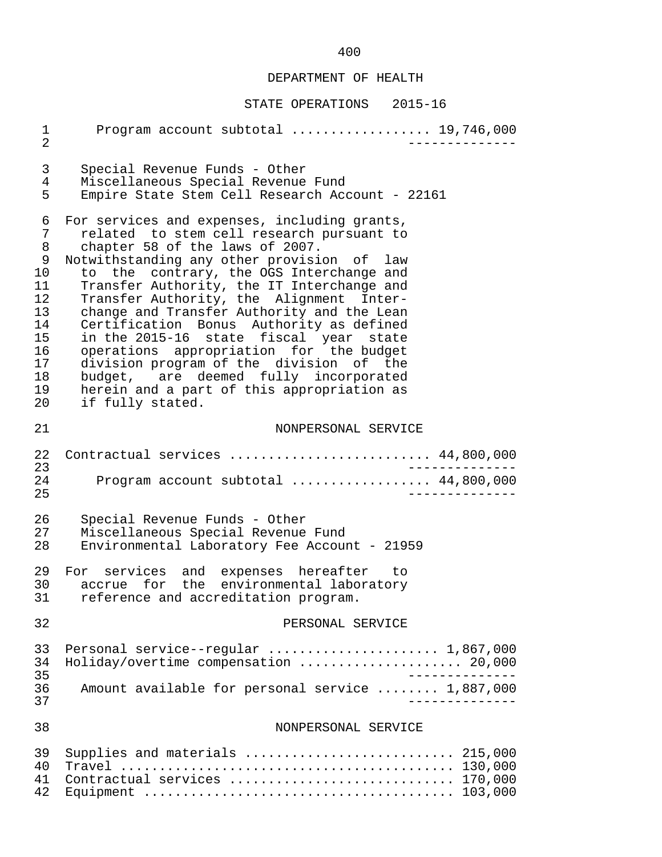| 1<br>$\overline{2}$                                                                     | Program account subtotal  19,746,000                                                                                                                                                                                                                                                                                                                                                                                                                                                                                                                                                                                                                  |
|-----------------------------------------------------------------------------------------|-------------------------------------------------------------------------------------------------------------------------------------------------------------------------------------------------------------------------------------------------------------------------------------------------------------------------------------------------------------------------------------------------------------------------------------------------------------------------------------------------------------------------------------------------------------------------------------------------------------------------------------------------------|
| 3<br>4<br>5                                                                             | Special Revenue Funds - Other<br>Miscellaneous Special Revenue Fund<br>Empire State Stem Cell Research Account - 22161                                                                                                                                                                                                                                                                                                                                                                                                                                                                                                                                |
| 6<br>7<br>8<br>9<br>$10 \,$<br>11<br>12<br>13<br>14<br>15<br>16<br>17<br>18<br>19<br>20 | For services and expenses, including grants,<br>related to stem cell research pursuant to<br>chapter 58 of the laws of 2007.<br>Notwithstanding any other provision of law<br>to the contrary, the OGS Interchange and<br>Transfer Authority, the IT Interchange and<br>Transfer Authority, the Alignment Inter-<br>change and Transfer Authority and the Lean<br>Certification Bonus Authority as defined<br>in the 2015-16 state fiscal year state<br>operations appropriation for the budget<br>division program of the division of the<br>budget, are deemed fully incorporated<br>herein and a part of this appropriation as<br>if fully stated. |
| 21                                                                                      | NONPERSONAL SERVICE                                                                                                                                                                                                                                                                                                                                                                                                                                                                                                                                                                                                                                   |
| 22<br>23<br>24<br>25                                                                    | Contractual services  44,800,000<br>Program account subtotal  44,800,000                                                                                                                                                                                                                                                                                                                                                                                                                                                                                                                                                                              |
| 26<br>27<br>28                                                                          | Special Revenue Funds - Other<br>Miscellaneous Special Revenue Fund<br>Environmental Laboratory Fee Account - 21959                                                                                                                                                                                                                                                                                                                                                                                                                                                                                                                                   |
| 29<br>30<br>31                                                                          | For services and expenses hereafter<br>to to<br>for the environmental laboratory<br>accrue<br>reference and accreditation program.                                                                                                                                                                                                                                                                                                                                                                                                                                                                                                                    |
| 32                                                                                      | PERSONAL SERVICE                                                                                                                                                                                                                                                                                                                                                                                                                                                                                                                                                                                                                                      |
| 33<br>34<br>35<br>36<br>37                                                              | Holiday/overtime compensation  20,000<br>Amount available for personal service  1,887,000                                                                                                                                                                                                                                                                                                                                                                                                                                                                                                                                                             |
| 38                                                                                      | NONPERSONAL SERVICE                                                                                                                                                                                                                                                                                                                                                                                                                                                                                                                                                                                                                                   |
| 39<br>40<br>41<br>42                                                                    | Supplies and materials  215,000<br>Contractual services  170,000                                                                                                                                                                                                                                                                                                                                                                                                                                                                                                                                                                                      |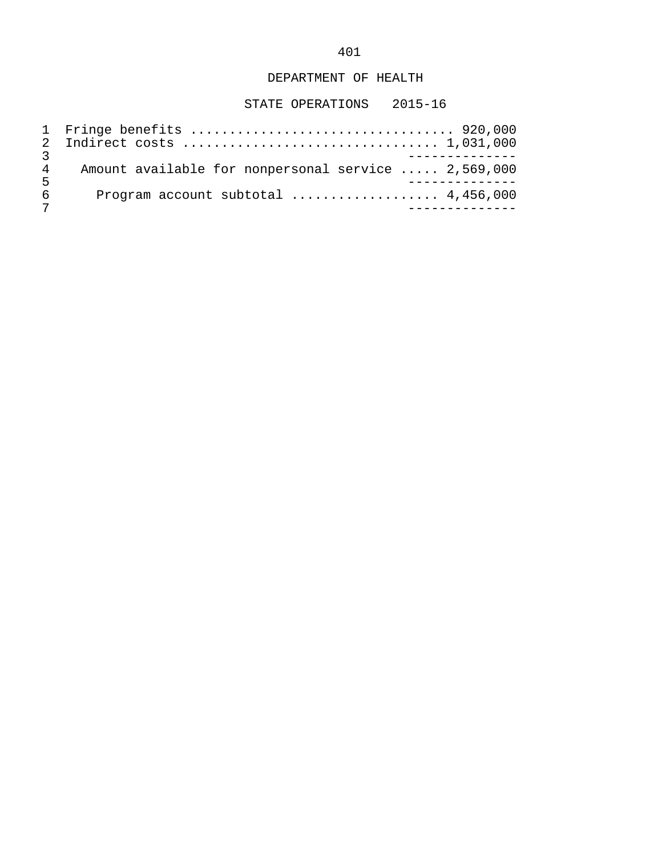| $\overline{4}$ | Amount available for nonpersonal service  2,569,000 |  |
|----------------|-----------------------------------------------------|--|
| . 5            |                                                     |  |
| 6              | Program account subtotal $\ldots$ 4,456,000         |  |
|                |                                                     |  |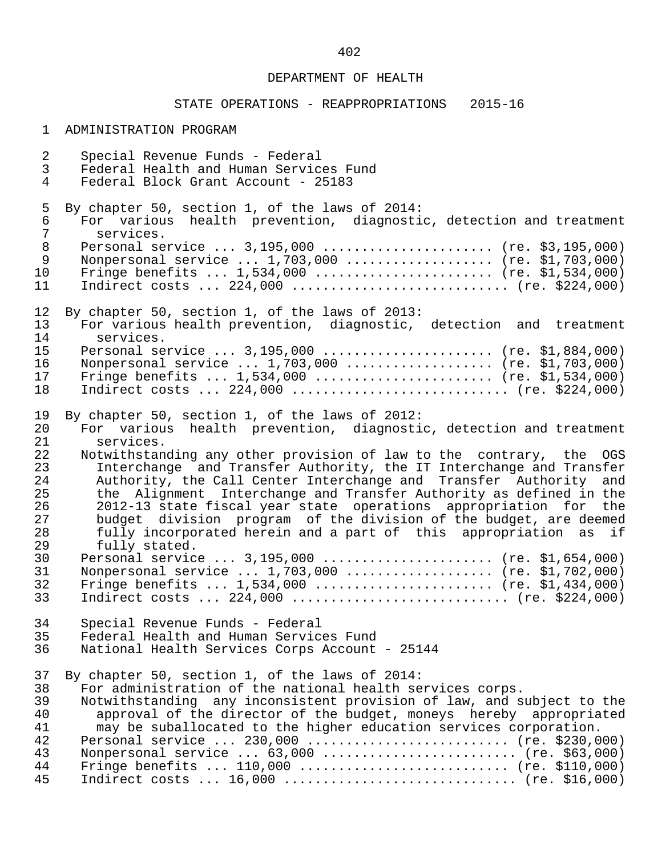# STATE OPERATIONS - REAPPROPRIATIONS 2015-16

### 1 ADMINISTRATION PROGRAM

| $\overline{a}$ | Special Revenue Funds - Federal                                       |
|----------------|-----------------------------------------------------------------------|
| $\mathsf{3}$   | Federal Health and Human Services Fund                                |
| $\overline{4}$ | Federal Block Grant Account - 25183                                   |
|                |                                                                       |
| 5              | By chapter 50, section 1, of the laws of 2014:                        |
|                |                                                                       |
| $\epsilon$     | For various health prevention, diagnostic, detection and treatment    |
| $\overline{7}$ | services.                                                             |
| $\,8\,$        | Personal service  3,195,000  (re. \$3,195,000)                        |
| $\mathsf 9$    | Nonpersonal service  1,703,000  (re. \$1,703,000)                     |
| 10             | Fringe benefits $1,534,000$ (re. \$1,534,000)                         |
| 11             |                                                                       |
|                |                                                                       |
| 12             | By chapter 50, section 1, of the laws of 2013:                        |
| 13             | For various health prevention, diagnostic, detection and treatment    |
|                |                                                                       |
| 14             | services.                                                             |
| 15             | Personal service  3,195,000  (re. \$1,884,000)                        |
| 16             | Nonpersonal service  1,703,000  (re. \$1,703,000)                     |
| 17             | Fringe benefits $1,534,000$ (re. \$1,534,000)                         |
| 18             |                                                                       |
|                |                                                                       |
| 19             | By chapter 50, section 1, of the laws of 2012:                        |
| 20             | For various health prevention, diagnostic, detection and treatment    |
| 21             | services.                                                             |
| 22             | Notwithstanding any other provision of law to the contrary, the OGS   |
| 23             | Interchange and Transfer Authority, the IT Interchange and Transfer   |
| 24             |                                                                       |
|                | Authority, the Call Center Interchange and Transfer Authority and     |
| 25             | the Alignment Interchange and Transfer Authority as defined in the    |
| 26             | 2012-13 state fiscal year state operations appropriation for the      |
| 27             | budget division program of the division of the budget, are deemed     |
| 28             | fully incorporated herein and a part of this appropriation as if      |
| 29             | fully stated.                                                         |
| 30             | Personal service $3,195,000$ (re. \$1,654,000)                        |
| 31             | Nonpersonal service  1,703,000  (re. \$1,702,000)                     |
| 32             | Fringe benefits $1,534,000$ (re. \$1,434,000)                         |
| 33             |                                                                       |
|                |                                                                       |
| 34             |                                                                       |
|                | Special Revenue Funds - Federal                                       |
|                | 35 Federal Health and Human Services Fund                             |
| 36             | National Health Services Corps Account - 25144                        |
|                |                                                                       |
| 37             | By chapter 50, section 1, of the laws of 2014:                        |
| 38             | For administration of the national health services corps.             |
| 39             | Notwithstanding any inconsistent provision of law, and subject to the |
| 40             | approval of the director of the budget, moneys hereby appropriated    |
| 41             | may be suballocated to the higher education services corporation.     |
| 42             | Personal service  230,000  (re. \$230,000)                            |
| 43             | Nonpersonal service  63,000  (re. \$63,000)                           |
| 44             | Fringe benefits $110,000$ (re. \$110,000)                             |
|                |                                                                       |
| 45             | Indirect costs $16,000$ (re. \$16,000)                                |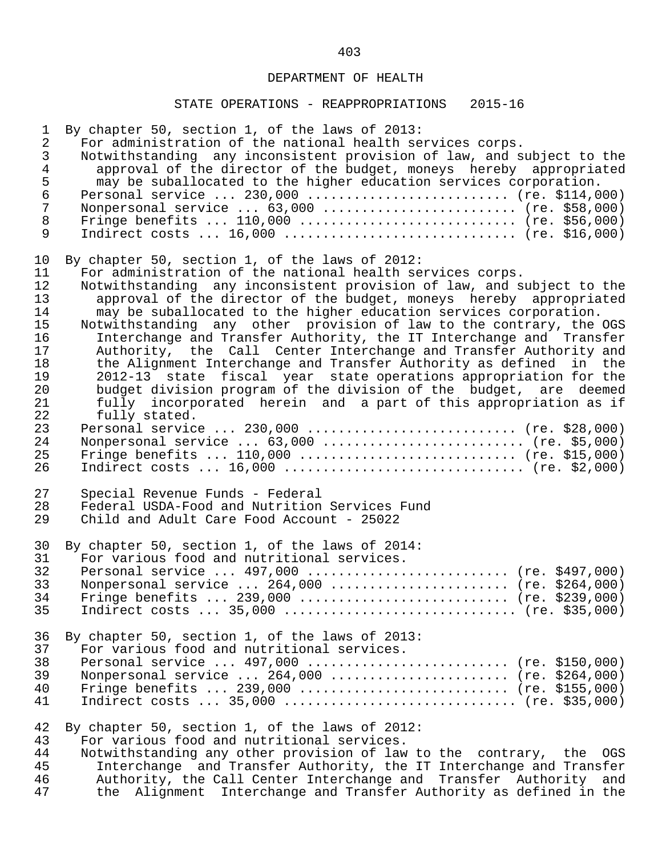## STATE OPERATIONS - REAPPROPRIATIONS 2015-16

| $\mathbf{1}$<br>$\overline{2}$<br>$\mathfrak{Z}$<br>$\overline{4}$<br>$\frac{5}{6}$<br>$\overline{7}$<br>$\,8\,$<br>9 | By chapter 50, section 1, of the laws of 2013:<br>For administration of the national health services corps.<br>Notwithstanding any inconsistent provision of law, and subject to the<br>approval of the director of the budget, moneys hereby appropriated<br>may be suballocated to the higher education services corporation.<br>Personal service  230,000  (re. \$114,000)<br>Nonpersonal service  63,000  (re. \$58,000)<br>Fringe benefits $110,000$ (re. \$56,000)<br>Indirect costs $16,000$ (re. \$16,000) |
|-----------------------------------------------------------------------------------------------------------------------|--------------------------------------------------------------------------------------------------------------------------------------------------------------------------------------------------------------------------------------------------------------------------------------------------------------------------------------------------------------------------------------------------------------------------------------------------------------------------------------------------------------------|
| 10                                                                                                                    | By chapter 50, section 1, of the laws of 2012:                                                                                                                                                                                                                                                                                                                                                                                                                                                                     |
| 11                                                                                                                    | For administration of the national health services corps.                                                                                                                                                                                                                                                                                                                                                                                                                                                          |
| 12                                                                                                                    | Notwithstanding any inconsistent provision of law, and subject to the                                                                                                                                                                                                                                                                                                                                                                                                                                              |
| 13                                                                                                                    | approval of the director of the budget, moneys hereby appropriated                                                                                                                                                                                                                                                                                                                                                                                                                                                 |
| 14                                                                                                                    | may be suballocated to the higher education services corporation.                                                                                                                                                                                                                                                                                                                                                                                                                                                  |
| 15                                                                                                                    | Notwithstanding any other provision of law to the contrary, the OGS                                                                                                                                                                                                                                                                                                                                                                                                                                                |
| 16                                                                                                                    | Interchange and Transfer Authority, the IT Interchange and Transfer                                                                                                                                                                                                                                                                                                                                                                                                                                                |
| 17                                                                                                                    | Authority, the Call Center Interchange and Transfer Authority and                                                                                                                                                                                                                                                                                                                                                                                                                                                  |
| 18                                                                                                                    | the Alignment Interchange and Transfer Authority as defined in the                                                                                                                                                                                                                                                                                                                                                                                                                                                 |
| 19                                                                                                                    | 2012-13 state fiscal year state operations appropriation for the                                                                                                                                                                                                                                                                                                                                                                                                                                                   |
| 20                                                                                                                    | budget division program of the division of the budget, are deemed                                                                                                                                                                                                                                                                                                                                                                                                                                                  |
| 21                                                                                                                    | fully incorporated herein and a part of this appropriation as if                                                                                                                                                                                                                                                                                                                                                                                                                                                   |
| 22                                                                                                                    | fully stated.                                                                                                                                                                                                                                                                                                                                                                                                                                                                                                      |
| 23                                                                                                                    | Personal service  230,000  (re. \$28,000)                                                                                                                                                                                                                                                                                                                                                                                                                                                                          |
| 24                                                                                                                    | Nonpersonal service $63,000$ (re. \$5,000)                                                                                                                                                                                                                                                                                                                                                                                                                                                                         |
| 25                                                                                                                    | Fringe benefits $110,000$ (re. \$15,000)                                                                                                                                                                                                                                                                                                                                                                                                                                                                           |
| 26                                                                                                                    | Indirect costs $16,000$ (re. \$2,000)                                                                                                                                                                                                                                                                                                                                                                                                                                                                              |
| 27                                                                                                                    | Special Revenue Funds - Federal                                                                                                                                                                                                                                                                                                                                                                                                                                                                                    |
| 28                                                                                                                    | Federal USDA-Food and Nutrition Services Fund                                                                                                                                                                                                                                                                                                                                                                                                                                                                      |
| 29                                                                                                                    | Child and Adult Care Food Account - 25022                                                                                                                                                                                                                                                                                                                                                                                                                                                                          |
| 30                                                                                                                    | By chapter 50, section 1, of the laws of 2014:                                                                                                                                                                                                                                                                                                                                                                                                                                                                     |
| 31                                                                                                                    | For various food and nutritional services.                                                                                                                                                                                                                                                                                                                                                                                                                                                                         |
| 32                                                                                                                    | Personal service  497,000  (re. \$497,000)                                                                                                                                                                                                                                                                                                                                                                                                                                                                         |
| 33                                                                                                                    | Nonpersonal service $264,000$ (re. \$264,000)                                                                                                                                                                                                                                                                                                                                                                                                                                                                      |
| 34                                                                                                                    | Fringe benefits  239,000  (re. \$239,000)                                                                                                                                                                                                                                                                                                                                                                                                                                                                          |
| 35                                                                                                                    | Indirect costs $35,000$ (re. \$35,000)                                                                                                                                                                                                                                                                                                                                                                                                                                                                             |
| 36                                                                                                                    | By chapter 50, section 1, of the laws of 2013:                                                                                                                                                                                                                                                                                                                                                                                                                                                                     |
| 37                                                                                                                    | For various food and nutritional services.                                                                                                                                                                                                                                                                                                                                                                                                                                                                         |
| 38                                                                                                                    | Personal service $497,000$ (re. \$150,000)                                                                                                                                                                                                                                                                                                                                                                                                                                                                         |
| 39                                                                                                                    | Nonpersonal service $264,000$ (re. \$264,000)                                                                                                                                                                                                                                                                                                                                                                                                                                                                      |
| 40                                                                                                                    | Fringe benefits  239,000  (re. \$155,000)                                                                                                                                                                                                                                                                                                                                                                                                                                                                          |
| 41                                                                                                                    | Indirect costs $35,000$ (re. \$35,000)                                                                                                                                                                                                                                                                                                                                                                                                                                                                             |
| 42<br>43<br>44<br>45<br>46                                                                                            | By chapter 50, section 1, of the laws of 2012:<br>For various food and nutritional services.<br>Notwithstanding any other provision of law to the contrary, the<br>OGS<br>Interchange and Transfer Authority, the IT Interchange and Transfer<br>Authority, the Call Center Interchange and Transfer Authority and                                                                                                                                                                                                 |

47 the Alignment Interchange and Transfer Authority as defined in the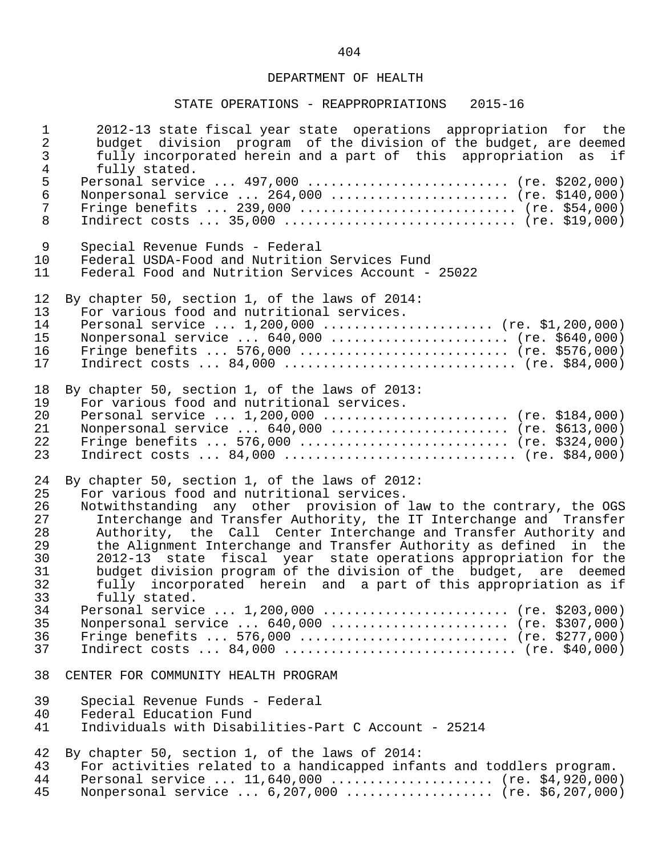| $\mathbf 1$                          | 2012-13 state fiscal year state operations appropriation for the                                                                                                                  |
|--------------------------------------|-----------------------------------------------------------------------------------------------------------------------------------------------------------------------------------|
| $\overline{2}$                       | budget division program of the division of the budget, are deemed                                                                                                                 |
| $\mathfrak{Z}$                       | fully incorporated herein and a part of this appropriation as if                                                                                                                  |
| $\overline{4}$                       | fully stated.                                                                                                                                                                     |
| $\frac{5}{6}$<br>$\overline{7}$<br>8 | Personal service  497,000  (re. \$202,000)<br>Nonpersonal service $264,000$ (re. \$140,000)<br>Fringe benefits  239,000  (re. \$54,000)<br>Indirect costs $35,000$ (re. \$19,000) |
| 9                                    | Special Revenue Funds - Federal                                                                                                                                                   |
| 10                                   | Federal USDA-Food and Nutrition Services Fund                                                                                                                                     |
| 11                                   | Federal Food and Nutrition Services Account - 25022                                                                                                                               |
| 12                                   | By chapter 50, section 1, of the laws of 2014:                                                                                                                                    |
| 13                                   | For various food and nutritional services.                                                                                                                                        |
| 14                                   | Personal service $1,200,000$ (re. \$1,200,000)                                                                                                                                    |
| 15                                   | Nonpersonal service  640,000  (re. \$640,000)                                                                                                                                     |
| 16                                   | Fringe benefits  576,000  (re. \$576,000)                                                                                                                                         |
| 17                                   |                                                                                                                                                                                   |
| 18                                   | By chapter 50, section 1, of the laws of 2013:                                                                                                                                    |
| 19                                   | For various food and nutritional services.                                                                                                                                        |
| 20                                   | Personal service $1,200,000$ (re. \$184,000)                                                                                                                                      |
| 21                                   | Nonpersonal service  640,000  (re. \$613,000)                                                                                                                                     |
| 22                                   | Fringe benefits  576,000  (re. \$324,000)                                                                                                                                         |
| 23                                   | Indirect costs $84,000$ (re. \$84,000)                                                                                                                                            |
| 24                                   | By chapter 50, section 1, of the laws of 2012:                                                                                                                                    |
| 25                                   | For various food and nutritional services.                                                                                                                                        |
| 26                                   | Notwithstanding any other provision of law to the contrary, the OGS                                                                                                               |
| 27                                   | Interchange and Transfer Authority, the IT Interchange and Transfer                                                                                                               |
| 28                                   | Authority, the Call Center Interchange and Transfer Authority and                                                                                                                 |
| 29                                   | the Alignment Interchange and Transfer Authority as defined in the                                                                                                                |
| 30                                   | 2012-13 state fiscal year state operations appropriation for the                                                                                                                  |
| 31                                   | budget division program of the division of the budget, are deemed                                                                                                                 |
| 32                                   | fully incorporated herein and a part of this appropriation as if                                                                                                                  |
| 33                                   | fully stated.                                                                                                                                                                     |
| 34                                   | Personal service  1,200,000  (re. \$203,000)                                                                                                                                      |
| 35                                   | Nonpersonal service $640,000$ (re. \$307,000)                                                                                                                                     |
| 36                                   | Fringe benefits  576,000  (re. \$277,000)                                                                                                                                         |
| 37                                   | Indirect costs $84,000$ (re. \$40,000)                                                                                                                                            |
| 38                                   | CENTER FOR COMMUNITY HEALTH PROGRAM                                                                                                                                               |
| 39                                   | Special Revenue Funds - Federal                                                                                                                                                   |
| 40                                   | Federal Education Fund                                                                                                                                                            |
| 41                                   | Individuals with Disabilities-Part C Account - 25214                                                                                                                              |
| 42                                   | By chapter 50, section 1, of the laws of 2014:                                                                                                                                    |
| 43                                   | For activities related to a handicapped infants and toddlers program.                                                                                                             |
| 44                                   | Personal service $11,640,000$ (re. \$4,920,000)                                                                                                                                   |
| 45                                   | Nonpersonal service  6,207,000  (re. \$6,207,000)                                                                                                                                 |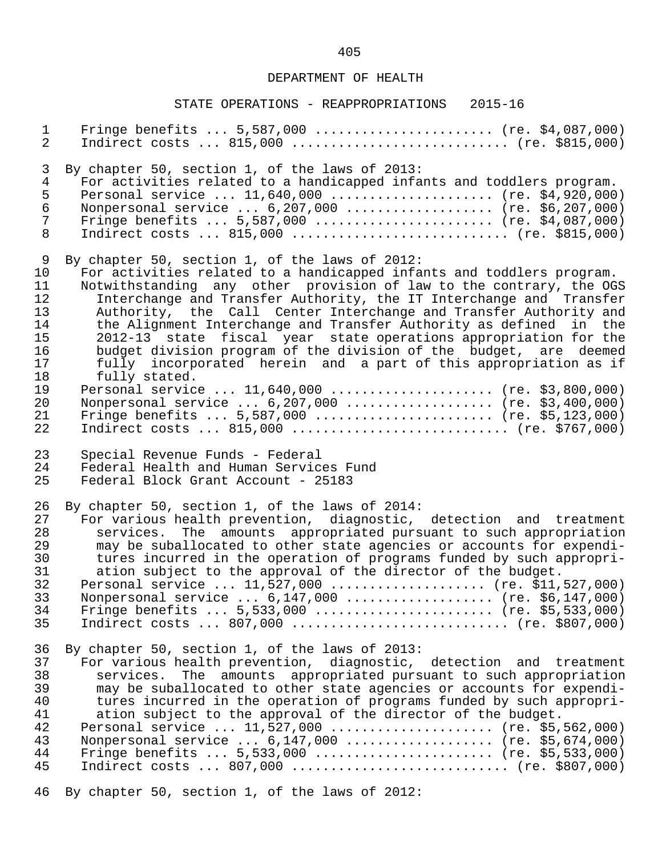| $\mathbf{1}$   | Fringe benefits $5,587,000$ (re. \$4,087,000)                         |
|----------------|-----------------------------------------------------------------------|
| $\overline{a}$ |                                                                       |
| 3              | By chapter 50, section 1, of the laws of 2013:                        |
| $\overline{4}$ | For activities related to a handicapped infants and toddlers program. |
| 5              | Personal service  11,640,000  (re. \$4,920,000)                       |
| $\epsilon$     | Nonpersonal service  6,207,000  (re. \$6,207,000)                     |
| $\overline{7}$ | Fringe benefits $5,587,000$ (re. \$4,087,000)                         |
| 8              |                                                                       |
| 9              | By chapter 50, section 1, of the laws of 2012:                        |
| 10             | For activities related to a handicapped infants and toddlers program. |
| 11             | Notwithstanding any other provision of law to the contrary, the OGS   |
| 12             | Interchange and Transfer Authority, the IT Interchange and Transfer   |
| 13             | Authority, the Call Center Interchange and Transfer Authority and     |
| 14             | the Alignment Interchange and Transfer Authority as defined in the    |
| 15             | 2012-13 state fiscal year state operations appropriation for the      |
| 16             | budget division program of the division of the budget, are deemed     |
| 17             | fully incorporated herein and a part of this appropriation as if      |
| 18             | fully stated.                                                         |
| 19             | Personal service  11,640,000  (re. \$3,800,000)                       |
| 20             | Nonpersonal service  6,207,000  (re. \$3,400,000)                     |
| 21             | Fringe benefits $5,587,000$ (re. \$5,123,000)                         |
| 22             | Indirect costs $815,000$ (re. \$767,000)                              |
| 23             | Special Revenue Funds - Federal                                       |
| 24             | Federal Health and Human Services Fund                                |
| 25             | Federal Block Grant Account - 25183                                   |
| 26             | By chapter 50, section 1, of the laws of 2014:                        |
| 27             | For various health prevention, diagnostic, detection and treatment    |
| 28             | services. The amounts appropriated pursuant to such appropriation     |
| 29             | may be suballocated to other state agencies or accounts for expendi-  |
| 30             | tures incurred in the operation of programs funded by such appropri-  |
| 31             | ation subject to the approval of the director of the budget.          |
| 32             | Personal service  11,527,000  (re. \$11,527,000)                      |
| 33             | Nonpersonal service  6,147,000  (re. \$6,147,000)                     |
| 34             | Fringe benefits $5,533,000$ (re. \$5,533,000)                         |
| 35             |                                                                       |
| 36             | By chapter 50, section 1, of the laws of 2013:                        |
| 37             | For various health prevention, diagnostic, detection and treatment    |
| 38             | services. The amounts appropriated pursuant to such appropriation     |
| 39             | may be suballocated to other state agencies or accounts for expendi-  |
| 40             | tures incurred in the operation of programs funded by such appropri-  |
| 41             | ation subject to the approval of the director of the budget.          |
| 42             | Personal service  11,527,000  (re. \$5,562,000)                       |
| 43             | Nonpersonal service  6,147,000  (re. \$5,674,000)                     |
| 44             | Fringe benefits $5,533,000$ (re. \$5,533,000)                         |
| 45             |                                                                       |
| 46             | By chapter 50, section 1, of the laws of 2012:                        |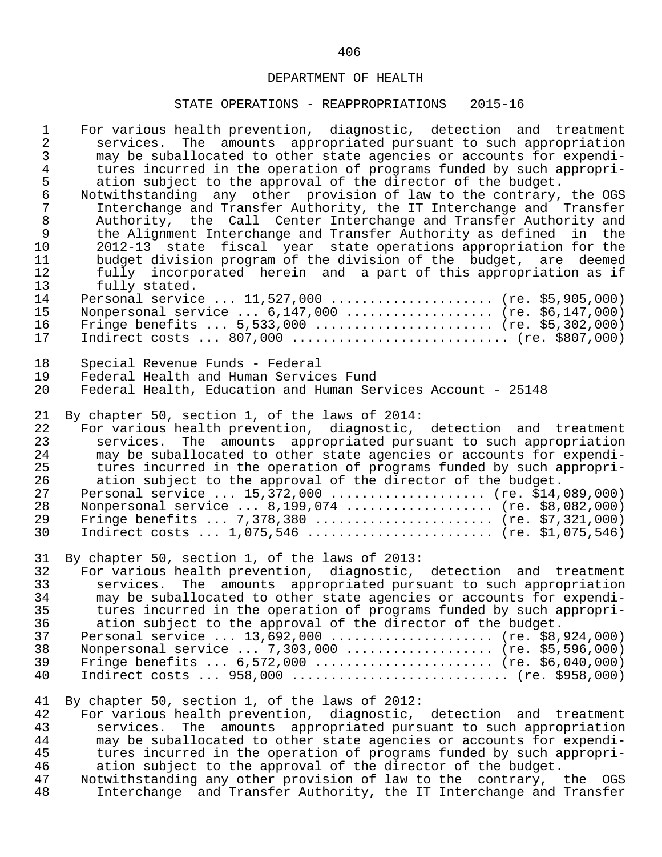| $\mathbf{1}$                                 | For various health prevention, diagnostic, detection and treatment                                                                                                                                                                                                                                                                                                                                                                                                                                                                                         |
|----------------------------------------------|------------------------------------------------------------------------------------------------------------------------------------------------------------------------------------------------------------------------------------------------------------------------------------------------------------------------------------------------------------------------------------------------------------------------------------------------------------------------------------------------------------------------------------------------------------|
| $\overline{2}$                               | services. The amounts appropriated pursuant to such appropriation                                                                                                                                                                                                                                                                                                                                                                                                                                                                                          |
| $\mathfrak{Z}$                               | may be suballocated to other state agencies or accounts for expendi-                                                                                                                                                                                                                                                                                                                                                                                                                                                                                       |
| $\overline{4}$                               | tures incurred in the operation of programs funded by such appropri-                                                                                                                                                                                                                                                                                                                                                                                                                                                                                       |
| 5                                            | ation subject to the approval of the director of the budget.                                                                                                                                                                                                                                                                                                                                                                                                                                                                                               |
| $\epsilon$                                   | Notwithstanding any other provision of law to the contrary, the OGS                                                                                                                                                                                                                                                                                                                                                                                                                                                                                        |
| $\overline{7}$                               | Interchange and Transfer Authority, the IT Interchange and Transfer                                                                                                                                                                                                                                                                                                                                                                                                                                                                                        |
| $\,8\,$                                      | Authority, the Call Center Interchange and Transfer Authority and                                                                                                                                                                                                                                                                                                                                                                                                                                                                                          |
| $\mathsf 9$                                  | the Alignment Interchange and Transfer Authority as defined in the                                                                                                                                                                                                                                                                                                                                                                                                                                                                                         |
| 10                                           | 2012-13 state fiscal year state operations appropriation for the                                                                                                                                                                                                                                                                                                                                                                                                                                                                                           |
| 11                                           | budget division program of the division of the budget, are deemed                                                                                                                                                                                                                                                                                                                                                                                                                                                                                          |
| 12                                           | fully incorporated herein and a part of this appropriation as if                                                                                                                                                                                                                                                                                                                                                                                                                                                                                           |
| 13                                           | fully stated.                                                                                                                                                                                                                                                                                                                                                                                                                                                                                                                                              |
| 14                                           | Personal service  11,527,000  (re. \$5,905,000)                                                                                                                                                                                                                                                                                                                                                                                                                                                                                                            |
| 15                                           | Nonpersonal service $6,147,000$ (re. \$6,147,000)                                                                                                                                                                                                                                                                                                                                                                                                                                                                                                          |
| 16                                           | Fringe benefits $5,533,000$ (re. \$5,302,000)                                                                                                                                                                                                                                                                                                                                                                                                                                                                                                              |
| 17                                           | Indirect costs  807,000  (re. \$807,000)                                                                                                                                                                                                                                                                                                                                                                                                                                                                                                                   |
| 18                                           | Special Revenue Funds - Federal                                                                                                                                                                                                                                                                                                                                                                                                                                                                                                                            |
| 19                                           | Federal Health and Human Services Fund                                                                                                                                                                                                                                                                                                                                                                                                                                                                                                                     |
| 20                                           | Federal Health, Education and Human Services Account - 25148                                                                                                                                                                                                                                                                                                                                                                                                                                                                                               |
| 21                                           | By chapter 50, section 1, of the laws of 2014:                                                                                                                                                                                                                                                                                                                                                                                                                                                                                                             |
| 22                                           | For various health prevention, diagnostic, detection and treatment                                                                                                                                                                                                                                                                                                                                                                                                                                                                                         |
| 23                                           | services. The amounts appropriated pursuant to such appropriation                                                                                                                                                                                                                                                                                                                                                                                                                                                                                          |
| 24                                           | may be suballocated to other state agencies or accounts for expendi-                                                                                                                                                                                                                                                                                                                                                                                                                                                                                       |
| 25                                           | tures incurred in the operation of programs funded by such appropri-                                                                                                                                                                                                                                                                                                                                                                                                                                                                                       |
| 26                                           | ation subject to the approval of the director of the budget.                                                                                                                                                                                                                                                                                                                                                                                                                                                                                               |
| 27                                           | Personal service $15,372,000$ (re. \$14,089,000)                                                                                                                                                                                                                                                                                                                                                                                                                                                                                                           |
| 28                                           | Nonpersonal service  8,199,074  (re. \$8,082,000)                                                                                                                                                                                                                                                                                                                                                                                                                                                                                                          |
| 29                                           | Fringe benefits  7,378,380  (re. \$7,321,000)                                                                                                                                                                                                                                                                                                                                                                                                                                                                                                              |
| 30                                           | Indirect costs $1,075,546$ (re. \$1,075,546)                                                                                                                                                                                                                                                                                                                                                                                                                                                                                                               |
| 31                                           | By chapter 50, section 1, of the laws of 2013:                                                                                                                                                                                                                                                                                                                                                                                                                                                                                                             |
| 32                                           | For various health prevention, diagnostic, detection and treatment                                                                                                                                                                                                                                                                                                                                                                                                                                                                                         |
| 33                                           | services. The amounts appropriated pursuant to such appropriation                                                                                                                                                                                                                                                                                                                                                                                                                                                                                          |
| 34                                           | may be suballocated to other state agencies or accounts for expendi-                                                                                                                                                                                                                                                                                                                                                                                                                                                                                       |
| 35                                           | tures incurred in the operation of programs funded by such appropri-                                                                                                                                                                                                                                                                                                                                                                                                                                                                                       |
| 36                                           | ation subject to the approval of the director of the budget.                                                                                                                                                                                                                                                                                                                                                                                                                                                                                               |
| 37                                           | Personal service  13,692,000  (re. \$8,924,000)                                                                                                                                                                                                                                                                                                                                                                                                                                                                                                            |
| 38                                           | Nonpersonal service  7,303,000  (re. \$5,596,000)                                                                                                                                                                                                                                                                                                                                                                                                                                                                                                          |
| 39                                           | Fringe benefits $6,572,000$ (re. \$6,040,000)                                                                                                                                                                                                                                                                                                                                                                                                                                                                                                              |
| 40                                           | Indirect costs $958,000$ (re. \$958,000)                                                                                                                                                                                                                                                                                                                                                                                                                                                                                                                   |
| 41<br>42<br>43<br>44<br>45<br>46<br>47<br>48 | By chapter 50, section 1, of the laws of 2012:<br>For various health prevention, diagnostic, detection and treatment<br>The amounts appropriated pursuant to such appropriation<br>services.<br>may be suballocated to other state agencies or accounts for expendi-<br>tures incurred in the operation of programs funded by such appropri-<br>ation subject to the approval of the director of the budget.<br>Notwithstanding any other provision of law to the contrary, the OGS<br>Interchange and Transfer Authority, the IT Interchange and Transfer |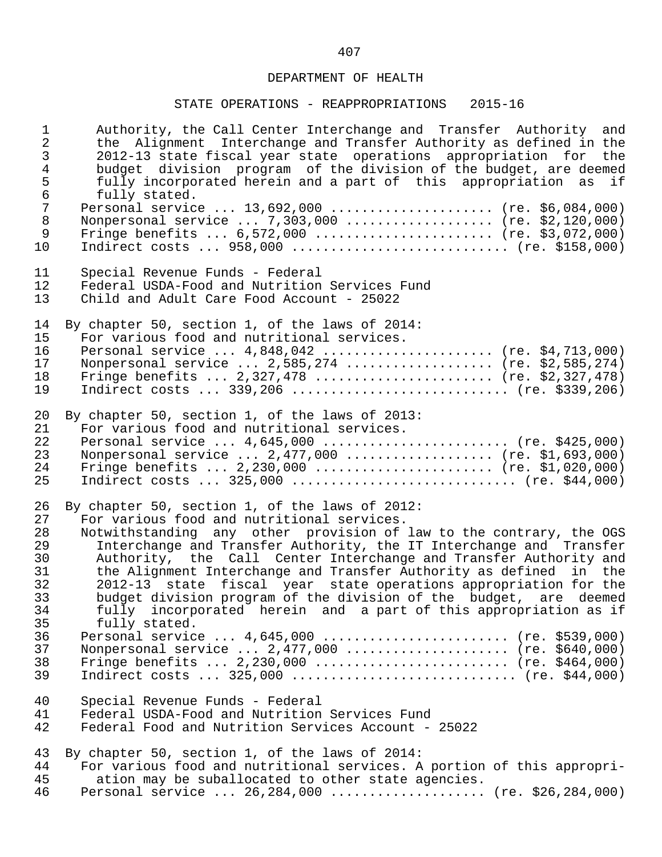### STATE OPERATIONS - REAPPROPRIATIONS 2015-16

1 authority, the Call Center Interchange and Transfer Authority and<br>2 the Alignment Interchange and Transfer Authority as defined in the 2 the Alignment Interchange and Transfer Authority as defined in the<br>3 2012-13 state fiscal year state operations appropriation for the 3 2012-13 state fiscal year state operations appropriation for<br>4 budget division program of the division of the budget, are deally 4 budget division program of the division of the budget, are deemed<br>5 fully incorporated herein and a part of this appropriation as if 5 fully incorporated herein and a part of this appropriation as if 6 fully stated.<br>7 Personal servic 7 Personal service ... 13,692,000 ...................... (re. \$6,084,000)<br>8 Nonpersonal service ... 7.303.000 .................... (re. \$2.120.000) 8 Nonpersonal service ... 7,303,000 ................... (re. \$2,120,000)<br>9 Fringe benefits ... 6,572,000 ........................ (re. \$3,072,000) 9 Fringe benefits ... 6,572,000 ........................ (re. \$3,072,000)<br>10 Indirect costs ... 958,000 .............................. (re. \$158,000) Indirect costs ... 958,000 ............................. (re. \$158,000) 11 Special Revenue Funds - Federal<br>12 Federal USDA-Food and Nutrition 12 Federal USDA-Food and Nutrition Services Fund<br>13 Child and Adult Care Food Account - 25022 13 Child and Adult Care Food Account - 25022 14 By chapter 50, section 1, of the laws of 2014:<br>15 For various food and nutritional services. 15 For various food and nutritional services.<br>16 Personal service ... 4.848.042 ............ 16 Personal service ... 4,848,042 ...................... (re. \$4,713,000)<br>17 Nonpersonal service ... 2,585,274 .................... (re. \$2,585,274) 17 Nonpersonal service ... 2,585,274 ................... (re. \$2,585,274)<br>18 Fringe benefits ... 2,327,478 ......................... (re. \$2,327,478) 18 Fringe benefits ... 2,327,478 ....................... (re. \$2,327,478) Indirect costs ... 339,206 ............................. (re. \$339,206) 20 By chapter 50, section 1, of the laws of 2013:<br>21 For various food and nutritional services. 21 For various food and nutritional services.<br>22 Personal service ... 4.645.000 ............ 22 Personal service ... 4,645,000 ........................ (re. \$425,000) 23 Nonpersonal service ... 2,477,000 .................... (re. \$1,693,000)<br>24 Fringe benefits ... 2,230,000 .......................... (re. \$1,020,000) 24 Fringe benefits ... 2,230,000 ....................... (re. \$1,020,000) 25 Indirect costs ... 325,000 ............................. (re. \$44,000) 26 By chapter 50, section 1, of the laws of 2012:<br>27 For various food and nutritional services. 27 For various food and nutritional services.<br>28 Notwithstanding any other provision of 28 Notwithstanding any other provision of law to the contrary, the OGS<br>29 11 Interchange and Transfer Authority, the IT Interchange and Transfer 29 Interchange and Transfer Authority, the IT Interchange and Transfer<br>30 Authority, the Call Center Interchange and Transfer Authority and 30 Authority, the Call Center Interchange and Transfer Authority and 31 the Alignment Interchange and Transfer Authority as defined in the<br>32 1012-13 state fiscal year state operations appropriation for the 32 2012-13 state fiscal year state operations appropriation for the 33 budget division program of the division of the budget, are deemed  $34$  fully incorporated herein and a part of this appropriation as if  $35$ 35 fully stated.<br>36 Personal servic 36 Personal service ... 4,645,000 ......................... (re. \$539,000)<br>37 Nonpersonal service ... 2.477.000 ...................... (re. \$640.000) 37 Nonpersonal service ... 2,477,000 ...................... (re. \$640,000)<br>38 Fringe benefits ... 2,230,000 ........................... (re. \$464,000) 38 Fringe benefits ... 2,230,000 ......................... (re. \$464,000) 39 Indirect costs ... 325,000 ............................. (re. \$44,000) 40 Special Revenue Funds - Federal 41 Federal USDA-Food and Nutrition Services Fund<br>42 Federal Food and Nutrition Services Account -Federal Food and Nutrition Services Account - 25022 43 By chapter 50, section 1, of the laws of 2014:<br>44 For various food and nutritional services. A 44 For various food and nutritional services. A portion of this appropri-<br>45 ation may be suballocated to other state agencies. 45 ation may be suballocated to other state agencies.<br>46 Personal service ... 26.284.000 .................... Personal service ... 26,284,000 ..................... (re. \$26,284,000)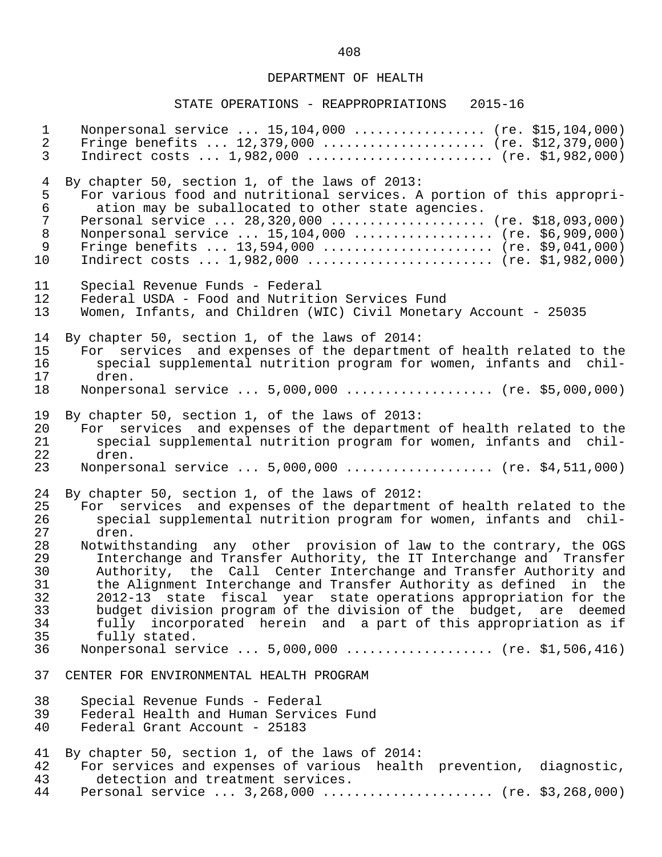| $\mathbf{1}$   | Nonpersonal service  15,104,000  (re. \$15,104,000)                    |
|----------------|------------------------------------------------------------------------|
| $\overline{2}$ | Fringe benefits $12,379,000$ (re. \$12,379,000)                        |
| $\mathsf{3}$   | Indirect costs $1,982,000$ (re. \$1,982,000)                           |
| $\overline{4}$ | By chapter 50, section 1, of the laws of 2013:                         |
| 5              | For various food and nutritional services. A portion of this appropri- |
| $\epsilon$     | ation may be suballocated to other state agencies.                     |
| $\overline{7}$ | Personal service  28,320,000  (re. \$18,093,000)                       |
| $\,8\,$        | Nonpersonal service  15,104,000  (re. \$6,909,000)                     |
| 9              | Fringe benefits $13,594,000$ (re. \$9,041,000)                         |
| 10             | Indirect costs $1,982,000$ (re. \$1,982,000)                           |
| 11             | Special Revenue Funds - Federal                                        |
| 12             | Federal USDA - Food and Nutrition Services Fund                        |
| 13             | Women, Infants, and Children (WIC) Civil Monetary Account - 25035      |
| 14             | By chapter 50, section 1, of the laws of 2014:                         |
| 15             | For services and expenses of the department of health related to the   |
| 16             | special supplemental nutrition program for women, infants and chil-    |
| 17             | dren.                                                                  |
| 18             | Nonpersonal service  5,000,000  (re. \$5,000,000)                      |
| 19             | By chapter 50, section 1, of the laws of 2013:                         |
| 20             | For services and expenses of the department of health related to the   |
| 21             | special supplemental nutrition program for women, infants and chil-    |
| 22             | dren.                                                                  |
| 23             | Nonpersonal service $5,000,000$ (re. \$4,511,000)                      |
| 24             | By chapter 50, section 1, of the laws of 2012:                         |
| 25             | For services and expenses of the department of health related to the   |
| 26             | special supplemental nutrition program for women, infants and chil-    |
| 27             | dren.                                                                  |
| 28             | Notwithstanding any other provision of law to the contrary, the OGS    |
| 29             | Interchange and Transfer Authority, the IT Interchange and Transfer    |
| 30             | Authority, the Call Center Interchange and Transfer Authority and      |
| 31             | the Alignment Interchange and Transfer Authority as defined in the     |
| 32             | 2012-13 state fiscal year state operations appropriation for the       |
| 33             | budget division program of the division of the budget, are deemed      |
| 34             | fully incorporated herein and a part of this appropriation as if       |
| 35             | fully stated.                                                          |
| 36             | Nonpersonal service  5,000,000  (re. \$1,506,416)                      |
| 37             | CENTER FOR ENVIRONMENTAL HEALTH PROGRAM                                |
| 38             | Special Revenue Funds - Federal                                        |
| 39             | Federal Health and Human Services Fund                                 |
| 40             | Federal Grant Account - 25183                                          |
| 41             | By chapter 50, section 1, of the laws of 2014:                         |
| 42             | For services and expenses of various health prevention, diagnostic,    |
| 43             | detection and treatment services.                                      |
| 44             | Personal service $3,268,000$ (re. \$3,268,000)                         |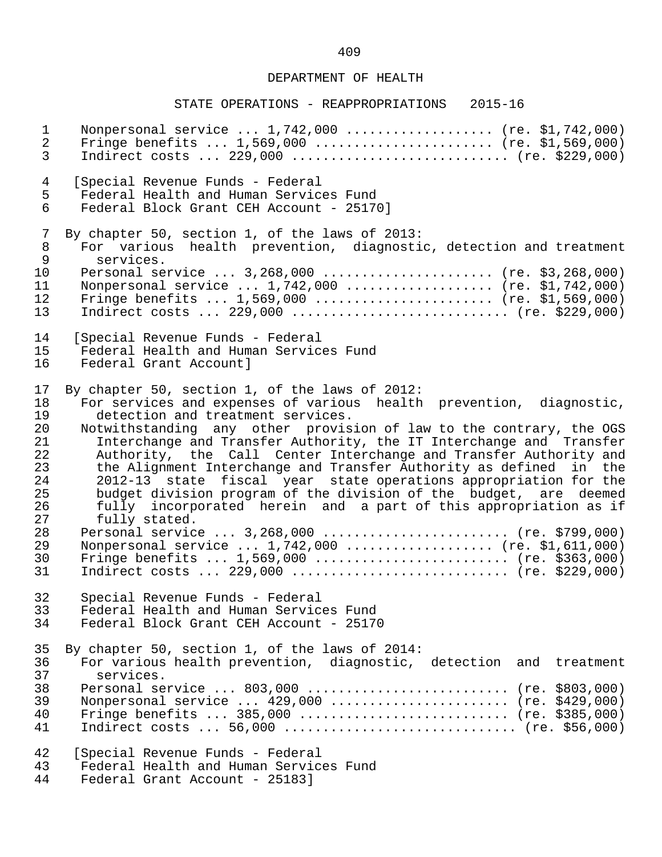#### STATE OPERATIONS - REAPPROPRIATIONS 2015-16

1 Nonpersonal service ... 1,742,000 ................... (re. \$1,742,000)<br>2 Fringe benefits ... 1,569,000 ........................ (re. \$1,569,000) 2 Fringe benefits ... 1,569,000 ........................ (re. \$1,569,000)<br>3 Indirect costs ... 229,000 .............................. (re. \$229,000) 3 Indirect costs ... 229,000 ............................ (re. \$229,000) 4 [Special Revenue Funds - Federal 5 Federal Health and Human Services Fund Federal Block Grant CEH Account - 25170] 7 By chapter 50, section 1, of the laws of 2013:<br>8 For various health prevention, diagnosti 8 For various health prevention, diagnostic, detection and treatment<br>9 services. 9 services.<br>10 Personal se 10 Personal service ... 3,268,000 ...................... (re. \$3,268,000)<br>11 Nonpersonal service ... 1,742,000 .................... (re. \$1,742,000) 11 Nonpersonal service ... 1,742,000 .................... (re. \$1,742,000)<br>12 Fringe benefits ... 1,569,000 ........................ (re. \$1,569,000) 12 Fringe benefits ... 1,569,000 ....................... (re. \$1,569,000) 13 Indirect costs ... 229,000 ............................ (re. \$229,000) 14 [Special Revenue Funds - Federal 15 Federal Health and Human Services Fund<br>16 Federal Grant Accountl Federal Grant Account] 17 By chapter 50, section 1, of the laws of 2012:<br>18 For services and expenses of various health 18 For services and expenses of various health prevention, diagnostic,<br>19 detection and treatment services. 19 detection and treatment services.<br>20 Notwithstanding any other provis 20 Notwithstanding any other provision of law to the contrary, the OGS<br>21 Interchange and Transfer Authority, the IT Interchange and Transfer 21 Interchange and Transfer Authority, the IT Interchange and Transfer<br>22 Authority, the Call Center Interchange and Transfer Authority and 22 Authority, the Call Center Interchange and Transfer Authority and<br>23 the Alignment Interchange and Transfer Authority as defined in the 23 the Alignment Interchange and Transfer Authority as defined in the<br>24 1012-13 state fiscal year state operations appropriation for the 24 2012-13 state fiscal year state operations appropriation for the 25 budget division program of the division of the budget, are deemed<br>26 fully incorporated herein and a part of this appropriation as if 26 fully incorporated herein and a part of this appropriation as if<br>27 fully stated. 27 fully stated.<br>28 Personal servic 28 Personal service ... 3,268,000 .......................... (re. \$799,000)<br>29 Nonpersonal service ... 1.742.000 ..................... (re. \$1.611.000) 29 Nonpersonal service ... 1,742,000 .................... (re. \$1,611,000)<br>30 Fringe benefits ... 1,569,000 ........................... (re. \$363,000) 30 Fringe benefits ... 1,569,000 .......................... (re. \$363,000)<br>31 Indirect costs ... 229,000 .............................. (re. \$229,000) Indirect costs ... 229,000 .............................. (re. \$229,000) 32 Special Revenue Funds - Federal 33 Federal Health and Human Services Fund<br>34 Federal Block Grant CEH Account - 2517 Federal Block Grant CEH Account - 25170 35 By chapter 50, section 1, of the laws of 2014:<br>36 For various health prevention, diagnostic. 36 For various health prevention, diagnostic, detection and treatment<br>37 Services. services. 38 Personal service ... 803,000 ............................ (re. \$803,000)<br>39 Nonpersonal service ... 429,000 ........................ (re. \$429,000) 39 Nonpersonal service ... 429,000 ........................ (re. \$429,000)<br>40 Fringe benefits ... 385,000 ............................. (re. \$385,000) 40 Fringe benefits ... 385,000 ........................... (re. \$385,000) 41 Indirect costs ... 56,000 .............................. (re. \$56,000) 42 [Special Revenue Funds - Federal<br>43 Federal Health and Human Service 43 Federal Health and Human Services Fund<br>44 Federal Grant Account - 251831 Federal Grant Account - 25183]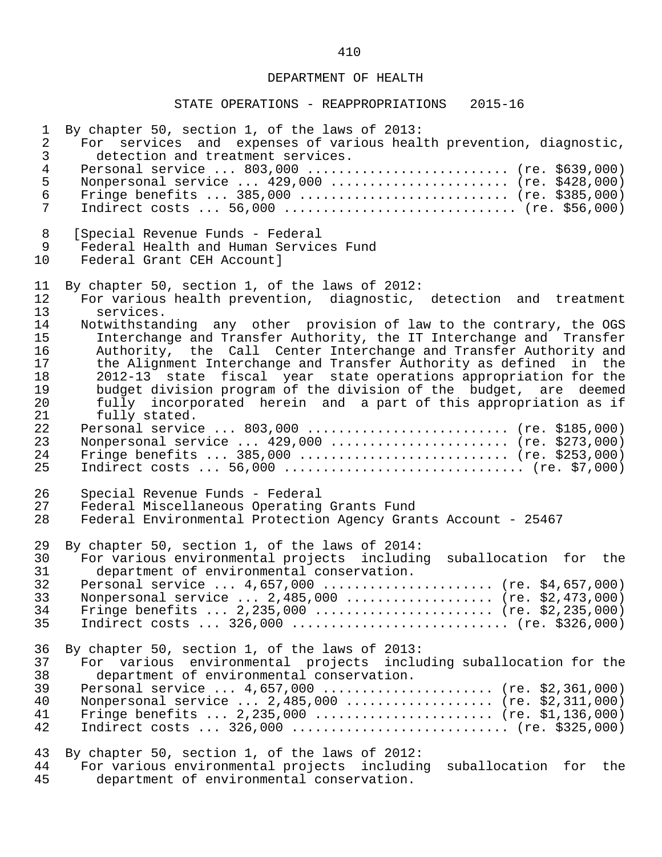| $\mathbf 1$                                                                            | By chapter 50, section 1, of the laws of 2013:                                                                                                                                                                                                                                                                                                                                                                                                                                                                                                                                                                                                                                                                                                                                                                                                   |
|----------------------------------------------------------------------------------------|--------------------------------------------------------------------------------------------------------------------------------------------------------------------------------------------------------------------------------------------------------------------------------------------------------------------------------------------------------------------------------------------------------------------------------------------------------------------------------------------------------------------------------------------------------------------------------------------------------------------------------------------------------------------------------------------------------------------------------------------------------------------------------------------------------------------------------------------------|
| $\overline{2}$                                                                         | For services and expenses of various health prevention, diagnostic,                                                                                                                                                                                                                                                                                                                                                                                                                                                                                                                                                                                                                                                                                                                                                                              |
| 3                                                                                      | detection and treatment services.                                                                                                                                                                                                                                                                                                                                                                                                                                                                                                                                                                                                                                                                                                                                                                                                                |
| $\overline{4}$                                                                         | Personal service  803,000  (re. \$639,000)                                                                                                                                                                                                                                                                                                                                                                                                                                                                                                                                                                                                                                                                                                                                                                                                       |
| 5                                                                                      | Nonpersonal service $429,000$ (re. \$428,000)                                                                                                                                                                                                                                                                                                                                                                                                                                                                                                                                                                                                                                                                                                                                                                                                    |
| $\epsilon$                                                                             | Fringe benefits $385,000$ (re. \$385,000)                                                                                                                                                                                                                                                                                                                                                                                                                                                                                                                                                                                                                                                                                                                                                                                                        |
| 7                                                                                      | Indirect costs  56,000  (re. \$56,000)                                                                                                                                                                                                                                                                                                                                                                                                                                                                                                                                                                                                                                                                                                                                                                                                           |
| 8                                                                                      | [Special Revenue Funds - Federal                                                                                                                                                                                                                                                                                                                                                                                                                                                                                                                                                                                                                                                                                                                                                                                                                 |
| 9                                                                                      | Federal Health and Human Services Fund                                                                                                                                                                                                                                                                                                                                                                                                                                                                                                                                                                                                                                                                                                                                                                                                           |
| 10                                                                                     | Federal Grant CEH Account]                                                                                                                                                                                                                                                                                                                                                                                                                                                                                                                                                                                                                                                                                                                                                                                                                       |
| 11<br>12<br>13<br>14<br>15<br>16<br>17<br>18<br>19<br>20<br>21<br>22<br>23<br>24<br>25 | By chapter 50, section 1, of the laws of 2012:<br>For various health prevention, diagnostic, detection and treatment<br>services.<br>Notwithstanding any other provision of law to the contrary, the OGS<br>Interchange and Transfer Authority, the IT Interchange and Transfer<br>Authority, the Call Center Interchange and Transfer Authority and<br>the Alignment Interchange and Transfer Authority as defined<br>in the<br>2012-13 state fiscal year state operations appropriation for the<br>budget division program of the division of the budget, are deemed<br>fully incorporated herein and a part of this appropriation as if<br>fully stated.<br>Personal service  803,000  (re. \$185,000)<br>Nonpersonal service $429,000$ (re. \$273,000)<br>Fringe benefits $385,000$ (re. \$253,000)<br>Indirect costs  56,000  (re. \$7,000) |
| 26                                                                                     | Special Revenue Funds - Federal                                                                                                                                                                                                                                                                                                                                                                                                                                                                                                                                                                                                                                                                                                                                                                                                                  |
| 27                                                                                     | Federal Miscellaneous Operating Grants Fund                                                                                                                                                                                                                                                                                                                                                                                                                                                                                                                                                                                                                                                                                                                                                                                                      |
| 28                                                                                     | Federal Environmental Protection Agency Grants Account - 25467                                                                                                                                                                                                                                                                                                                                                                                                                                                                                                                                                                                                                                                                                                                                                                                   |
| 29                                                                                     | By chapter 50, section 1, of the laws of 2014:                                                                                                                                                                                                                                                                                                                                                                                                                                                                                                                                                                                                                                                                                                                                                                                                   |
| 30                                                                                     | For various environmental projects including suballocation for the                                                                                                                                                                                                                                                                                                                                                                                                                                                                                                                                                                                                                                                                                                                                                                               |
| 31                                                                                     | department of environmental conservation.                                                                                                                                                                                                                                                                                                                                                                                                                                                                                                                                                                                                                                                                                                                                                                                                        |
| 32                                                                                     | Personal service  4,657,000  (re. \$4,657,000)                                                                                                                                                                                                                                                                                                                                                                                                                                                                                                                                                                                                                                                                                                                                                                                                   |
| 33                                                                                     | Nonpersonal service  2,485,000  (re. \$2,473,000)                                                                                                                                                                                                                                                                                                                                                                                                                                                                                                                                                                                                                                                                                                                                                                                                |
| 34                                                                                     | Fringe benefits $2,235,000$ (re. \$2,235,000)                                                                                                                                                                                                                                                                                                                                                                                                                                                                                                                                                                                                                                                                                                                                                                                                    |
| 35                                                                                     | Indirect costs $326,000$ (re. \$326,000)                                                                                                                                                                                                                                                                                                                                                                                                                                                                                                                                                                                                                                                                                                                                                                                                         |
| 36                                                                                     | By chapter 50, section 1, of the laws of 2013:                                                                                                                                                                                                                                                                                                                                                                                                                                                                                                                                                                                                                                                                                                                                                                                                   |
| 37                                                                                     | For various environmental projects including suballocation for the                                                                                                                                                                                                                                                                                                                                                                                                                                                                                                                                                                                                                                                                                                                                                                               |
| 38                                                                                     | department of environmental conservation.                                                                                                                                                                                                                                                                                                                                                                                                                                                                                                                                                                                                                                                                                                                                                                                                        |
| 39                                                                                     | Personal service $4,657,000$ (re. \$2,361,000)                                                                                                                                                                                                                                                                                                                                                                                                                                                                                                                                                                                                                                                                                                                                                                                                   |
| 40                                                                                     | Nonpersonal service $2,485,000$ (re. \$2,311,000)                                                                                                                                                                                                                                                                                                                                                                                                                                                                                                                                                                                                                                                                                                                                                                                                |
| 41                                                                                     | Fringe benefits $2,235,000$ (re. \$1,136,000)                                                                                                                                                                                                                                                                                                                                                                                                                                                                                                                                                                                                                                                                                                                                                                                                    |
| 42                                                                                     | Indirect costs $326,000$ (re. \$325,000)                                                                                                                                                                                                                                                                                                                                                                                                                                                                                                                                                                                                                                                                                                                                                                                                         |
| 43<br>44<br>45                                                                         | By chapter 50, section 1, of the laws of 2012:<br>For various environmental projects including<br>suballocation for<br>the<br>department of environmental conservation.                                                                                                                                                                                                                                                                                                                                                                                                                                                                                                                                                                                                                                                                          |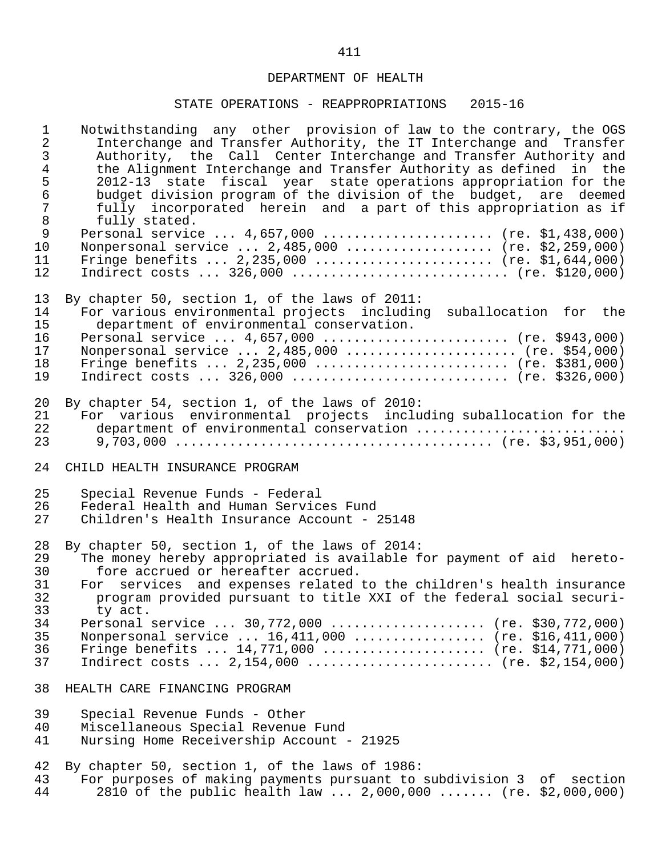| $\mathbf{1}$<br>$\overline{2}$<br>$\mathfrak{Z}$<br>$\overline{4}$<br>5<br>$\sqrt{6}$<br>$\overline{7}$<br>$\,8\,$ | Notwithstanding any other provision of law to the contrary, the OGS<br>Interchange and Transfer Authority, the IT Interchange and Transfer<br>Authority, the Call Center Interchange and Transfer Authority and<br>the Alignment Interchange and Transfer Authority as defined in the<br>2012-13 state fiscal year state operations appropriation for the<br>budget division program of the division of the budget, are deemed<br>fully incorporated herein and a part of this appropriation as if |
|--------------------------------------------------------------------------------------------------------------------|----------------------------------------------------------------------------------------------------------------------------------------------------------------------------------------------------------------------------------------------------------------------------------------------------------------------------------------------------------------------------------------------------------------------------------------------------------------------------------------------------|
| $\mathsf 9$<br>10<br>11<br>12                                                                                      | fully stated.<br>Personal service $4,657,000$ (re. \$1,438,000)<br>Nonpersonal service $2,485,000$ (re. \$2,259,000)<br>Fringe benefits $2,235,000$ (re. \$1,644,000)<br>Indirect costs  326,000  (re. \$120,000)                                                                                                                                                                                                                                                                                  |
| 13                                                                                                                 | By chapter 50, section 1, of the laws of 2011:                                                                                                                                                                                                                                                                                                                                                                                                                                                     |
| 14                                                                                                                 | For various environmental projects including suballocation for the                                                                                                                                                                                                                                                                                                                                                                                                                                 |
| 15                                                                                                                 | department of environmental conservation.                                                                                                                                                                                                                                                                                                                                                                                                                                                          |
| 16                                                                                                                 | Personal service  4,657,000  (re. \$943,000)                                                                                                                                                                                                                                                                                                                                                                                                                                                       |
| 17                                                                                                                 | Nonpersonal service $2,485,000$ (re. \$54,000)                                                                                                                                                                                                                                                                                                                                                                                                                                                     |
| 18                                                                                                                 | Fringe benefits $2,235,000$ (re. \$381,000)                                                                                                                                                                                                                                                                                                                                                                                                                                                        |
| 19                                                                                                                 | Indirect costs $326,000$ (re. \$326,000)                                                                                                                                                                                                                                                                                                                                                                                                                                                           |
| 20                                                                                                                 | By chapter 54, section 1, of the laws of 2010:                                                                                                                                                                                                                                                                                                                                                                                                                                                     |
| 21                                                                                                                 | For various environmental projects including suballocation for the                                                                                                                                                                                                                                                                                                                                                                                                                                 |
| 22                                                                                                                 | department of environmental conservation                                                                                                                                                                                                                                                                                                                                                                                                                                                           |
| 23                                                                                                                 |                                                                                                                                                                                                                                                                                                                                                                                                                                                                                                    |
| 24                                                                                                                 | CHILD HEALTH INSURANCE PROGRAM                                                                                                                                                                                                                                                                                                                                                                                                                                                                     |
| 25                                                                                                                 | Special Revenue Funds - Federal                                                                                                                                                                                                                                                                                                                                                                                                                                                                    |
| 26                                                                                                                 | Federal Health and Human Services Fund                                                                                                                                                                                                                                                                                                                                                                                                                                                             |
| 27                                                                                                                 | Children's Health Insurance Account - 25148                                                                                                                                                                                                                                                                                                                                                                                                                                                        |
| 28                                                                                                                 | By chapter 50, section 1, of the laws of 2014:                                                                                                                                                                                                                                                                                                                                                                                                                                                     |
| 29                                                                                                                 | The money hereby appropriated is available for payment of aid hereto-                                                                                                                                                                                                                                                                                                                                                                                                                              |
| 30                                                                                                                 | fore accrued or hereafter accrued.                                                                                                                                                                                                                                                                                                                                                                                                                                                                 |
| 31                                                                                                                 | For services and expenses related to the children's health insurance                                                                                                                                                                                                                                                                                                                                                                                                                               |
| 32                                                                                                                 | program provided pursuant to title XXI of the federal social securi-                                                                                                                                                                                                                                                                                                                                                                                                                               |
| 33                                                                                                                 | ty act.                                                                                                                                                                                                                                                                                                                                                                                                                                                                                            |
| 34                                                                                                                 | Personal service  30,772,000  (re. \$30,772,000)                                                                                                                                                                                                                                                                                                                                                                                                                                                   |
| 35                                                                                                                 | Nonpersonal service $16,411,000$ (re. \$16,411,000)                                                                                                                                                                                                                                                                                                                                                                                                                                                |
| 36                                                                                                                 | Fringe benefits $14,771,000$ (re. \$14,771,000)                                                                                                                                                                                                                                                                                                                                                                                                                                                    |
| 37                                                                                                                 | Indirect costs $2,154,000$ (re. \$2,154,000)                                                                                                                                                                                                                                                                                                                                                                                                                                                       |
| 38                                                                                                                 | HEALTH CARE FINANCING PROGRAM                                                                                                                                                                                                                                                                                                                                                                                                                                                                      |
| 39                                                                                                                 | Special Revenue Funds - Other                                                                                                                                                                                                                                                                                                                                                                                                                                                                      |
| 40                                                                                                                 | Miscellaneous Special Revenue Fund                                                                                                                                                                                                                                                                                                                                                                                                                                                                 |
| 41                                                                                                                 | Nursing Home Receivership Account - 21925                                                                                                                                                                                                                                                                                                                                                                                                                                                          |
| 42                                                                                                                 | By chapter 50, section 1, of the laws of 1986:                                                                                                                                                                                                                                                                                                                                                                                                                                                     |
| 43                                                                                                                 | For purposes of making payments pursuant to subdivision 3 of section                                                                                                                                                                                                                                                                                                                                                                                                                               |
| 44                                                                                                                 | 2810 of the public health law  2,000,000  (re. \$2,000,000)                                                                                                                                                                                                                                                                                                                                                                                                                                        |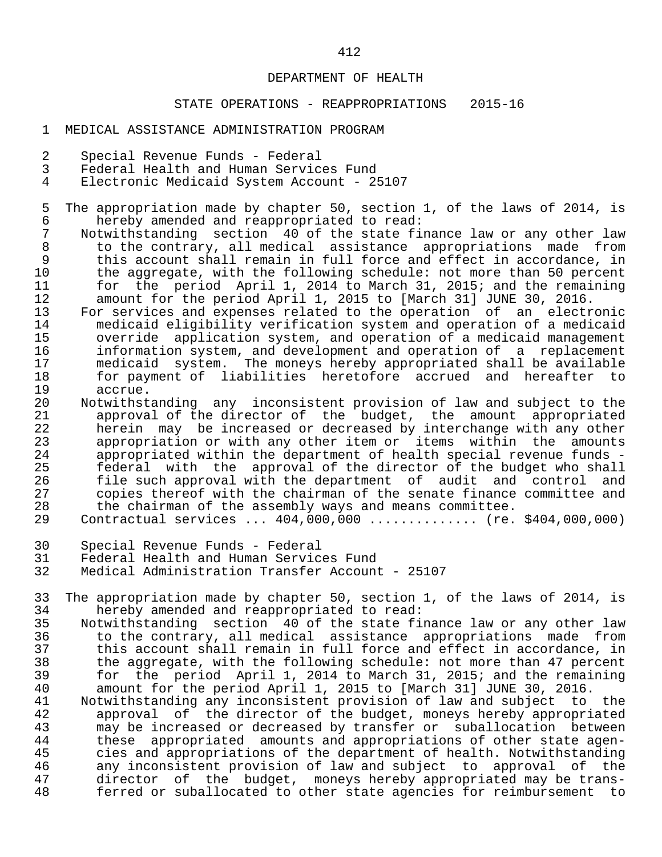- 1 MEDICAL ASSISTANCE ADMINISTRATION PROGRAM
- 2 Special Revenue Funds Federal
- 3 Federal Health and Human Services Fund
- Electronic Medicaid System Account 25107
- 5 The appropriation made by chapter 50, section 1, of the laws of 2014, is<br>6 hereby amended and reappropriated to read: 6 hereby amended and reappropriated to read:<br>7 Notwithstanding section 40 of the state fir
- 7 Notwithstanding section 40 of the state finance law or any other law<br>8 to the contrary, all medical assistance appropriations made from 8 to the contrary, all medical assistance appropriations made from<br>9 this account shall remain in full force and effect in accordance, in 9 this account shall remain in full force and effect in accordance, in<br>10 the aggregate, with the following schedule: not more than 50 percent 10 the aggregate, with the following schedule: not more than 50 percent<br>11 for the period April 1, 2014 to March 31, 2015; and the remaining 11 for the period April 1, 2014 to March 31, 2015; and the remaining<br>12 amount for the period April 1, 2015 to [March 31] JUNE 30, 2016. 12 amount for the period April 1, 2015 to [March 31] JUNE 30, 2016.<br>13 For services and expenses related to the operation of an electr
- 13 For services and expenses related to the operation of an electronic<br>14 medicaid eligibility verification system and operation of a medicaid 14 medicaid eligibility verification system and operation of a medicaid<br>15 override application system, and operation of a medicaid management 15 override application system, and operation of a medicaid management<br>16 information system, and development and operation of a replacement 16 information system, and development and operation of a replacement<br>17 medicaid system. The moneys hereby appropriated shall be available 17 medicaid system. The moneys hereby appropriated shall be available<br>18 18 for payment of liabilities heretofore accrued and hereafter to 18 for payment of liabilities heretofore accrued and hereafter to 19 accrue.<br>20 Notwithst
- 20 Notwithstanding any inconsistent provision of law and subject to the<br>21 approval of the director of the budget, the amount appropriated 21 approval of the director of the budget, the amount appropriated 22 herein may be increased or decreased by interchange with any other 23 appropriation or with any other item or items within the amounts<br>24 appropriated within the department of health special revenue funds -24 appropriated within the department of health special revenue funds -<br>25 federal with the approval of the director of the budget who shall 25 federal with the approval of the director of the budget who shall<br>26 file such approval with the department of audit and control and 26 file such approval with the department of audit and control and<br>27 copies thereof with the chairman of the senate finance committee and 27 copies thereof with the chairman of the senate finance committee and<br>28 the chairman of the assembly ways and means committee. 28 the chairman of the assembly ways and means committee.
	- 29 Contractual services ... 404,000,000 .............. (re. \$404,000,000)
	- 30 Special Revenue Funds Federal
	- 31 Federal Health and Human Services Fund
	- Medical Administration Transfer Account 25107
	- 33 The appropriation made by chapter 50, section 1, of the laws of 2014, is 34 thereby amended and reappropriated to read: 34 hereby amended and reappropriated to read:<br>35 Notwithstanding section 40 of the state fi
	- 35 Notwithstanding section 40 of the state finance law or any other law 36 to the contrary, all medical assistance appropriations made from 37 this account shall remain in full force and effect in accordance, in<br>38 the aggregate, with the following schedule: not more than 47 percent 38 the aggregate, with the following schedule: not more than 47 percent<br>39 for the period April 1, 2014 to March 31, 2015; and the remaining 39 for the period April 1, 2014 to March 31, 2015; and the remaining<br>40 amount for the period April 1, 2015 to [March 31] JUNE 30, 2016. 40 amount for the period April 1, 2015 to [March 31] JUNE 30, 2016.
	- 41 Notwithstanding any inconsistent provision of law and subject to the 42 approval of the director of the budget, moneys hereby appropriated<br>43 may be increased or decreased by transfer or suballocation between 43 may be increased or decreased by transfer or suballocation between<br>44 these appropriated amounts and appropriations of other state agen-44 these appropriated amounts and appropriations of other state agen-<br>45 cies and appropriations of the department of health. Notwithstanding 45 cies and appropriations of the department of health. Notwithstanding<br>46 any inconsistent provision of law and subject to approval of the 46 any inconsistent provision of law and subject to approval of the<br>47 director of the budget, moneys hereby appropriated may be trans-47 director of the budget, moneys-hereby-appropriated-may-be-trans-<br>48 ferred or suballocated to other state agencies for reimbursement to ferred or suballocated to other state agencies for reimbursement to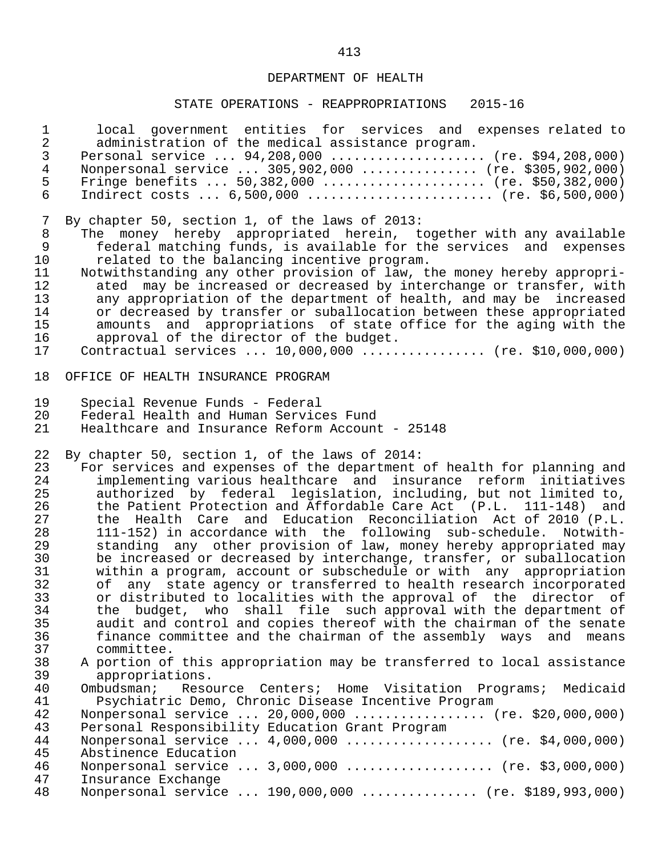| $\mathbf 1$                    | local government entities for services and expenses related to                                                                      |
|--------------------------------|-------------------------------------------------------------------------------------------------------------------------------------|
| $\overline{c}$<br>$\mathsf{3}$ | administration of the medical assistance program.                                                                                   |
| $\overline{4}$                 | Personal service  94,208,000  (re. \$94,208,000)<br>Nonpersonal service  305,902,000  (re. \$305,902,000)                           |
| 5                              | Fringe benefits $50,382,000$ (re. \$50,382,000)                                                                                     |
| $6\overline{6}$                | Indirect costs $6,500,000$ (re. \$6,500,000)                                                                                        |
|                                |                                                                                                                                     |
| 7                              | By chapter 50, section 1, of the laws of 2013:                                                                                      |
| $\,8\,$                        | The money hereby appropriated herein, together with any available                                                                   |
| 9                              | federal matching funds, is available for the services and expenses                                                                  |
| 10                             | related to the balancing incentive program.                                                                                         |
| 11                             | Notwithstanding any other provision of law, the money hereby appropri-                                                              |
| 12                             | ated may be increased or decreased by interchange or transfer, with                                                                 |
| 13                             | any appropriation of the department of health, and may be<br>increased                                                              |
| 14                             | or decreased by transfer or suballocation between these appropriated                                                                |
| 15                             | amounts and appropriations of state office for the aging with the                                                                   |
| 16<br>17                       | approval of the director of the budget.<br>Contractual services  10,000,000  (re. \$10,000,000)                                     |
|                                |                                                                                                                                     |
| 18                             | OFFICE OF HEALTH INSURANCE PROGRAM                                                                                                  |
| 19                             | Special Revenue Funds - Federal                                                                                                     |
| 20                             | Federal Health and Human Services Fund                                                                                              |
| 21                             | Healthcare and Insurance Reform Account - 25148                                                                                     |
|                                |                                                                                                                                     |
| 22<br>23                       | By chapter 50, section 1, of the laws of 2014:<br>For services and expenses of the department of health for planning and            |
| 24                             | implementing various healthcare and insurance reform initiatives                                                                    |
| 25                             | authorized by federal legislation, including, but not limited to,                                                                   |
|                                |                                                                                                                                     |
|                                |                                                                                                                                     |
| 26<br>27                       | the Patient Protection and Affordable Care Act (P.L. 111-148) and<br>the Health Care and Education Reconciliation Act of 2010 (P.L. |
| 28                             | 111-152) in accordance with the following sub-schedule. Notwith-                                                                    |
| 29                             | standing any other provision of law, money hereby appropriated may                                                                  |
| 30                             | be increased or decreased by interchange, transfer, or suballocation                                                                |
| 31                             | within a program, account or subschedule or with any appropriation                                                                  |
| 32                             | any state agency or transferred to health research incorporated<br>of                                                               |
| 33                             | or distributed to localities with the approval of the director of                                                                   |
| 34                             | the budget, who shall file such approval with the department of                                                                     |
| 35                             | audit and control and copies thereof with the chairman of the senate                                                                |
| 36                             | finance committee and the chairman of the assembly ways<br>and means                                                                |
| 37                             | committee.                                                                                                                          |
| 38<br>39                       | A portion of this appropriation may be transferred to local assistance<br>appropriations.                                           |
| 40                             | Ombudsman;<br>Resource Centers; Home Visitation Programs; Medicaid                                                                  |
| 41                             | Psychiatric Demo, Chronic Disease Incentive Program                                                                                 |
| 42                             | Nonpersonal service  20,000,000  (re. \$20,000,000)                                                                                 |
| 43                             | Personal Responsibility Education Grant Program                                                                                     |
| 44                             | Nonpersonal service $4,000,000$ (re. \$4,000,000)                                                                                   |
| 45                             | Abstinence Education                                                                                                                |
| 46                             | Nonpersonal service  3,000,000  (re. \$3,000,000)                                                                                   |
| 47<br>48                       | Insurance Exchange<br>Nonpersonal service  190,000,000  (re. \$189,993,000)                                                         |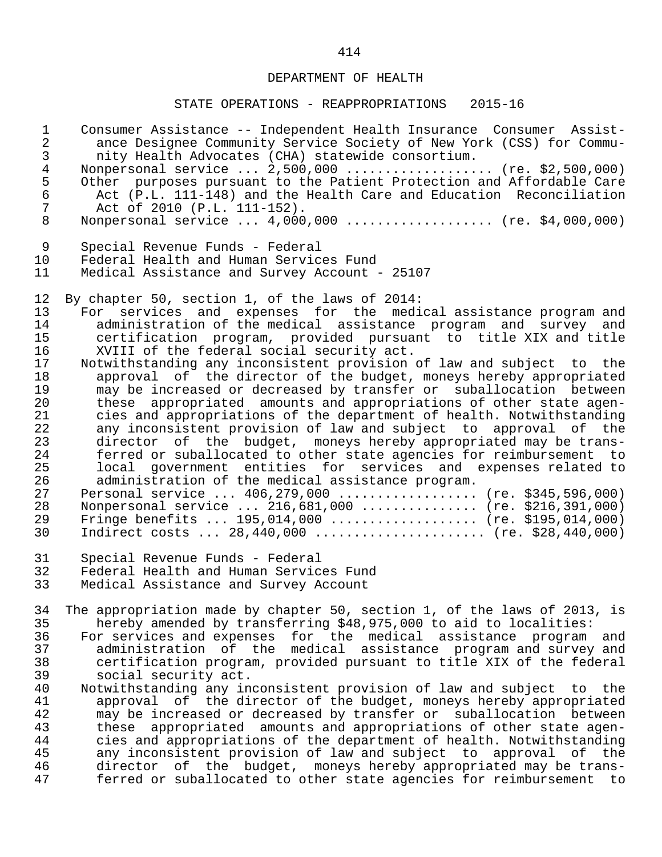### STATE OPERATIONS - REAPPROPRIATIONS 2015-16

| $\mathbf 1$    | Consumer Assistance -- Independent Health Insurance Consumer Assist-     |
|----------------|--------------------------------------------------------------------------|
| $\overline{a}$ | ance Designee Community Service Society of New York (CSS) for Commu-     |
| $\mathsf{3}$   | nity Health Advocates (CHA) statewide consortium.                        |
| $\overline{4}$ | Nonpersonal service  2,500,000  (re. \$2,500,000)                        |
| 5              | Other purposes pursuant to the Patient Protection and Affordable Care    |
| 6              | Act (P.L. 111-148) and the Health Care and Education Reconciliation      |
| $\overline{7}$ | Act of 2010 (P.L. 111-152).                                              |
| 8              | Nonpersonal service  4,000,000  (re. \$4,000,000)                        |
| 9              | Special Revenue Funds - Federal                                          |
| 10             | Federal Health and Human Services Fund                                   |
| 11             | Medical Assistance and Survey Account - 25107                            |
| 12             | By chapter 50, section 1, of the laws of 2014:                           |
| 13             | For services and expenses for the medical assistance program and         |
| 14             | administration of the medical assistance program and survey and          |
| 15             | certification program, provided pursuant to title XIX and title          |
| 16             | XVIII of the federal social security act.                                |
| 17             | Notwithstanding any inconsistent provision of law and subject to the     |
| 18             | approval of the director of the budget, moneys hereby appropriated       |
| 19             | may be increased or decreased by transfer or suballocation between       |
| 20             | these appropriated amounts and appropriations of other state agen-       |
| 21             | cies and appropriations of the department of health. Notwithstanding     |
| 22             | any inconsistent provision of law and subject to approval of the         |
| 23             | director of the budget, moneys hereby appropriated may be trans-         |
| 24             | ferred or suballocated to other state agencies for reimbursement to      |
| 25             | local government entities for services and expenses related to           |
| 26             | administration of the medical assistance program.                        |
| 27             | Personal service  406,279,000  (re. \$345,596,000)                       |
| 28             | Nonpersonal service  216,681,000  (re. \$216,391,000)                    |
| 29             | Fringe benefits $195,014,000$ (re. \$195,014,000)                        |
| 30             | Indirect costs $28,440,000$ (re. \$28,440,000)                           |
| 31             | Special Revenue Funds - Federal                                          |
| 32             | Federal Health and Human Services Fund                                   |
| 33             | Medical Assistance and Survey Account                                    |
| 34             | The appropriation made by chapter 50, section 1, of the laws of 2013, is |
| 35             | hereby amended by transferring \$48,975,000 to aid to localities:        |
| 36             | For services and expenses for the medical assistance program and         |
| 37             | administration of the medical assistance program and survey and          |
| 38             | certification program, provided pursuant to title XIX of the federal     |
| 39             | social security act.                                                     |
| 40             | Notwithstanding any inconsistent provision of law and subject to the     |
| 41             | approval of the director of the budget, moneys hereby appropriated       |
| 42             | may be increased or decreased by transfer or suballocation between       |
| 43             | appropriated amounts and appropriations of other state agen-<br>these    |
| 44             | cies and appropriations of the department of health. Notwithstanding     |

 45 any inconsistent provision of law and subject to approval of the 46 director of the budget, moneys hereby appropriated may be trans- 47 ferred or suballocated to other state agencies for reimbursement to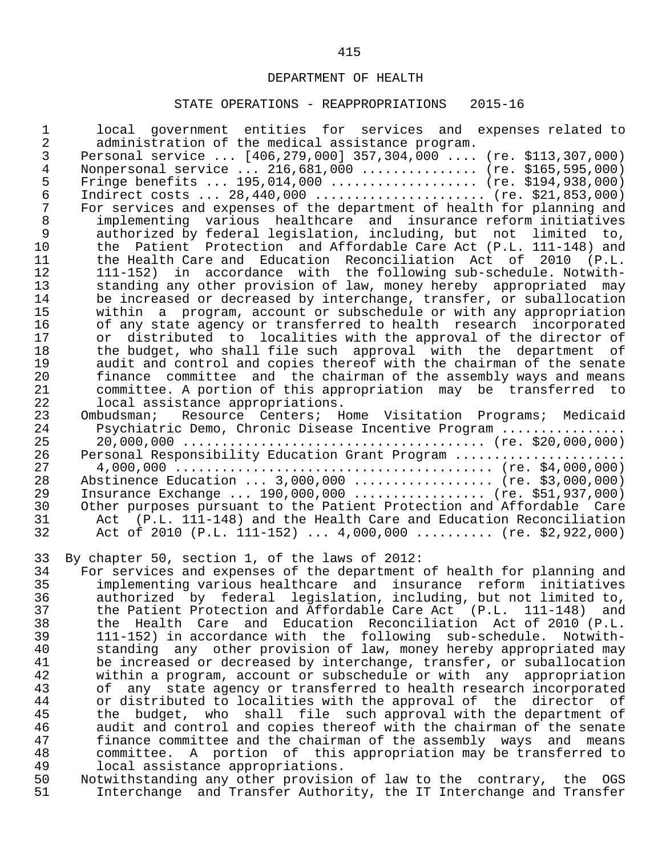### STATE OPERATIONS - REAPPROPRIATIONS 2015-16

| $\mathbf{1}$   | local government entities for services and expenses related to         |
|----------------|------------------------------------------------------------------------|
| $\overline{2}$ | administration of the medical assistance program.                      |
| 3              | Personal service  [406,279,000] 357,304,000  (re. \$113,307,000)       |
| 4              | Nonpersonal service  216,681,000  (re. \$165,595,000)                  |
| 5              | Fringe benefits  195,014,000  (re. \$194,938,000)                      |
| $\epsilon$     | Indirect costs $28,440,000$ (re. \$21,853,000)                         |
| 7              | For services and expenses of the department of health for planning and |
| $\,8\,$        | implementing various healthcare and insurance reform initiatives       |
| 9              | authorized by federal legislation, including, but not limited to,      |
| 10             | the Patient Protection and Affordable Care Act (P.L. 111-148) and      |
| 11             | the Health Care and Education Reconciliation Act of 2010 (P.L.         |
| 12             | 111-152) in accordance with the following sub-schedule. Notwith-       |
| 13             | standing any other provision of law, money hereby appropriated may     |
| 14             | be increased or decreased by interchange, transfer, or suballocation   |
| 15             | within a program, account or subschedule or with any appropriation     |
| 16             | of any state agency or transferred to health research incorporated     |
| 17             | or distributed to localities with the approval of the director of      |
| 18             | the budget, who shall file such approval with the department of        |
| 19             | audit and control and copies thereof with the chairman of the senate   |
| 20             | finance committee and the chairman of the assembly ways and means      |
| 21             | committee. A portion of this appropriation may be transferred to       |
| 22             | local assistance appropriations.                                       |
| 23             | Ombudsman; Resource Centers; Home Visitation Programs; Medicaid        |
| 24             | Psychiatric Demo, Chronic Disease Incentive Program                    |
| 25             |                                                                        |
| 26             | Personal Responsibility Education Grant Program                        |
| 27             |                                                                        |
| 28             | Abstinence Education  3,000,000  (re. \$3,000,000)                     |
| 29             | Insurance Exchange  190,000,000  (re. \$51,937,000)                    |
| 30             | Other purposes pursuant to the Patient Protection and Affordable Care  |
| 31             | Act (P.L. 111-148) and the Health Care and Education Reconciliation    |
| 32             | Act of 2010 (P.L. 111-152) $4,000,000$ (re. \$2,922,000)               |

 33 By chapter 50, section 1, of the laws of 2012: 34 For services and expenses of the department of health for planning and<br>35 implementing various healthcare and insurance reform initiatives 35 implementing various healthcare and insurance reform initiatives 36 authorized by federal legislation, including, but not limited to, 37 the Patient Protection and Affordable Care Act (P.L. 111-148) and<br>38 the Health Care and Education Reconciliation Act of 2010 (P.L. 38 the Health Care and Education Reconciliation Act of 2010 (P.L. 39 111-152) in accordance with the following sub-schedule. Notwith- 40 standing any other provision of law, money hereby appropriated may<br>41 be increased or decreased by interchange, transfer, or suballocation 41 be increased or decreased by interchange, transfer, or suballocation<br>42 within a program, account or subschedule or with any appropriation 42 within a program, account or subschedule or with any appropriation<br>43 of any state agency or transferred to health research incorporated 43 of any state agency or transferred to health research incorporated<br>44 or distributed to localities with the approval of the director of 44 or distributed to localities with the approval of the director of<br>45 the budget, who shall file such approval with the department of 45 the budget, who shall file such approval with the department of<br>46 audit and control and copies thereof with the chairman of the senate 46 audit and control and copies thereof with the chairman of the senate<br>47 finance committee and the chairman of the assembly ways and means 47 finance committee and the chairman of the assembly ways and means<br>48 committee. A portion of this appropriation may be transferred to 48 committee. A portion of this appropriation may be transferred to<br>49 1 local assistance appropriations. 49 local assistance appropriations.<br>50 Notwithstanding any other provisio

50 Notwithstanding any other provision of law to the contrary, the OGS<br>51 Interchange and Transfer Authority, the IT Interchange and Transfer 51 Interchange and Transfer Authority, the IT Interchange and Transfer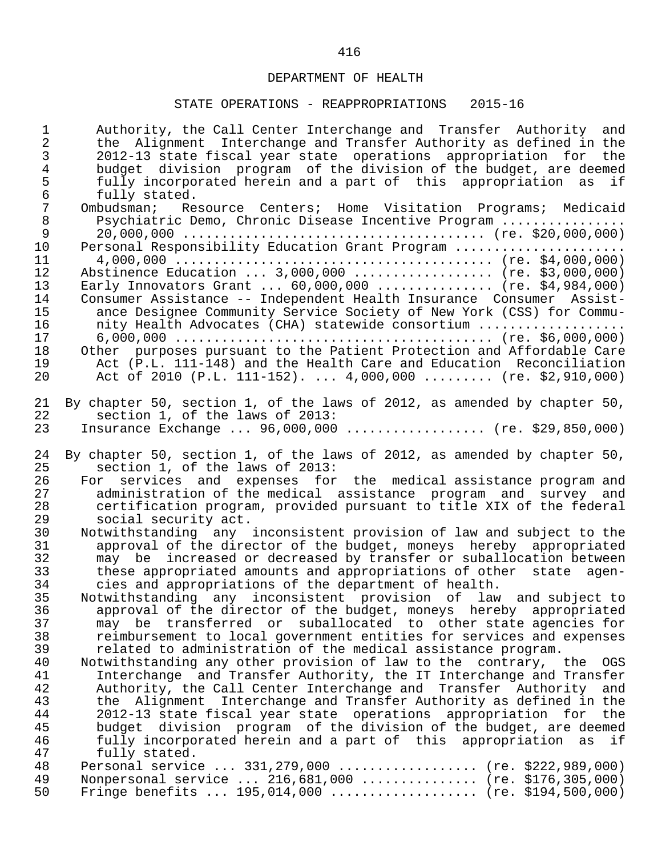| $\overline{2}$<br>the Alignment Interchange and Transfer Authority as defined in the<br>3<br>2012-13 state fiscal year state operations appropriation for the<br>$\overline{4}$<br>budget division program of the division of the budget, are deemed<br>5<br>fully incorporated herein and a part of this appropriation as if<br>$\sqrt{6}$<br>fully stated.<br>$7\phantom{.}$<br>Ombudsman; Resource Centers; Home Visitation Programs; Medicaid<br>$\,8\,$<br>Psychiatric Demo, Chronic Disease Incentive Program<br>9<br>10<br>Personal Responsibility Education Grant Program<br>11<br>Abstinence Education  3,000,000  (re. \$3,000,000)<br>12<br>13<br>Early Innovators Grant $60,000,000$ (re. \$4,984,000)<br>14<br>Consumer Assistance -- Independent Health Insurance Consumer Assist-<br>15<br>ance Designee Community Service Society of New York (CSS) for Commu-<br>16<br>nity Health Advocates (CHA) statewide consortium<br>17<br>18<br>Other purposes pursuant to the Patient Protection and Affordable Care<br>19<br>Act (P.L. 111-148) and the Health Care and Education Reconciliation<br>Act of 2010 (P.L. 111-152). $4,000,000$ (re. \$2,910,000)<br>20<br>21<br>By chapter 50, section 1, of the laws of 2012, as amended by chapter 50,<br>22<br>section 1, of the laws of 2013:<br>Insurance Exchange $96,000,000$ (re. \$29,850,000)<br>23<br>24<br>By chapter 50, section 1, of the laws of 2012, as amended by chapter 50,<br>25<br>section 1, of the laws of 2013:<br>26<br>For services and expenses for the medical assistance program and<br>administration of the medical assistance program and survey and<br>27<br>28<br>certification program, provided pursuant to title XIX of the federal<br>29<br>social security act.<br>30<br>Notwithstanding any inconsistent provision of law and subject to the<br>31<br>approval of the director of the budget, moneys hereby appropriated<br>32<br>may be increased or decreased by transfer or suballocation between<br>33<br>these appropriated amounts and appropriations of other state agen-<br>34<br>cies and appropriations of the department of health.<br>35<br>Notwithstanding any inconsistent provision of law and subject to<br>approval of the director of the budget, moneys hereby appropriated<br>36<br>37<br>may be transferred or suballocated to other state agencies for<br>38<br>reimbursement to local government entities for services and expenses<br>39<br>related to administration of the medical assistance program.<br>40<br>Notwithstanding any other provision of law to the contrary, the OGS<br>41<br>Interchange and Transfer Authority, the IT Interchange and Transfer<br>42<br>Authority, the Call Center Interchange and Transfer Authority and<br>43<br>the Alignment Interchange and Transfer Authority as defined in the<br>44<br>2012-13 state fiscal year state operations appropriation for the<br>45<br>budget division program of the division of the budget, are deemed<br>46<br>fully incorporated herein and a part of this appropriation as if<br>47<br>fully stated.<br>48<br>Personal service  331,279,000  (re. \$222,989,000)<br>49<br>Nonpersonal service  216,681,000  (re. \$176,305,000) | $\mathbf{1}$ | Authority, the Call Center Interchange and Transfer Authority and |
|------------------------------------------------------------------------------------------------------------------------------------------------------------------------------------------------------------------------------------------------------------------------------------------------------------------------------------------------------------------------------------------------------------------------------------------------------------------------------------------------------------------------------------------------------------------------------------------------------------------------------------------------------------------------------------------------------------------------------------------------------------------------------------------------------------------------------------------------------------------------------------------------------------------------------------------------------------------------------------------------------------------------------------------------------------------------------------------------------------------------------------------------------------------------------------------------------------------------------------------------------------------------------------------------------------------------------------------------------------------------------------------------------------------------------------------------------------------------------------------------------------------------------------------------------------------------------------------------------------------------------------------------------------------------------------------------------------------------------------------------------------------------------------------------------------------------------------------------------------------------------------------------------------------------------------------------------------------------------------------------------------------------------------------------------------------------------------------------------------------------------------------------------------------------------------------------------------------------------------------------------------------------------------------------------------------------------------------------------------------------------------------------------------------------------------------------------------------------------------------------------------------------------------------------------------------------------------------------------------------------------------------------------------------------------------------------------------------------------------------------------------------------------------------------------------------------------------------------------------------------------------------------------------------------------------------------------------------------------------------------------------------------------------------------------------------------------------------------------------------------------------------------------------------------------------------------------------------------------------|--------------|-------------------------------------------------------------------|
|                                                                                                                                                                                                                                                                                                                                                                                                                                                                                                                                                                                                                                                                                                                                                                                                                                                                                                                                                                                                                                                                                                                                                                                                                                                                                                                                                                                                                                                                                                                                                                                                                                                                                                                                                                                                                                                                                                                                                                                                                                                                                                                                                                                                                                                                                                                                                                                                                                                                                                                                                                                                                                                                                                                                                                                                                                                                                                                                                                                                                                                                                                                                                                                                                                    |              |                                                                   |
|                                                                                                                                                                                                                                                                                                                                                                                                                                                                                                                                                                                                                                                                                                                                                                                                                                                                                                                                                                                                                                                                                                                                                                                                                                                                                                                                                                                                                                                                                                                                                                                                                                                                                                                                                                                                                                                                                                                                                                                                                                                                                                                                                                                                                                                                                                                                                                                                                                                                                                                                                                                                                                                                                                                                                                                                                                                                                                                                                                                                                                                                                                                                                                                                                                    |              |                                                                   |
|                                                                                                                                                                                                                                                                                                                                                                                                                                                                                                                                                                                                                                                                                                                                                                                                                                                                                                                                                                                                                                                                                                                                                                                                                                                                                                                                                                                                                                                                                                                                                                                                                                                                                                                                                                                                                                                                                                                                                                                                                                                                                                                                                                                                                                                                                                                                                                                                                                                                                                                                                                                                                                                                                                                                                                                                                                                                                                                                                                                                                                                                                                                                                                                                                                    |              |                                                                   |
|                                                                                                                                                                                                                                                                                                                                                                                                                                                                                                                                                                                                                                                                                                                                                                                                                                                                                                                                                                                                                                                                                                                                                                                                                                                                                                                                                                                                                                                                                                                                                                                                                                                                                                                                                                                                                                                                                                                                                                                                                                                                                                                                                                                                                                                                                                                                                                                                                                                                                                                                                                                                                                                                                                                                                                                                                                                                                                                                                                                                                                                                                                                                                                                                                                    |              |                                                                   |
|                                                                                                                                                                                                                                                                                                                                                                                                                                                                                                                                                                                                                                                                                                                                                                                                                                                                                                                                                                                                                                                                                                                                                                                                                                                                                                                                                                                                                                                                                                                                                                                                                                                                                                                                                                                                                                                                                                                                                                                                                                                                                                                                                                                                                                                                                                                                                                                                                                                                                                                                                                                                                                                                                                                                                                                                                                                                                                                                                                                                                                                                                                                                                                                                                                    |              |                                                                   |
|                                                                                                                                                                                                                                                                                                                                                                                                                                                                                                                                                                                                                                                                                                                                                                                                                                                                                                                                                                                                                                                                                                                                                                                                                                                                                                                                                                                                                                                                                                                                                                                                                                                                                                                                                                                                                                                                                                                                                                                                                                                                                                                                                                                                                                                                                                                                                                                                                                                                                                                                                                                                                                                                                                                                                                                                                                                                                                                                                                                                                                                                                                                                                                                                                                    |              |                                                                   |
|                                                                                                                                                                                                                                                                                                                                                                                                                                                                                                                                                                                                                                                                                                                                                                                                                                                                                                                                                                                                                                                                                                                                                                                                                                                                                                                                                                                                                                                                                                                                                                                                                                                                                                                                                                                                                                                                                                                                                                                                                                                                                                                                                                                                                                                                                                                                                                                                                                                                                                                                                                                                                                                                                                                                                                                                                                                                                                                                                                                                                                                                                                                                                                                                                                    |              |                                                                   |
|                                                                                                                                                                                                                                                                                                                                                                                                                                                                                                                                                                                                                                                                                                                                                                                                                                                                                                                                                                                                                                                                                                                                                                                                                                                                                                                                                                                                                                                                                                                                                                                                                                                                                                                                                                                                                                                                                                                                                                                                                                                                                                                                                                                                                                                                                                                                                                                                                                                                                                                                                                                                                                                                                                                                                                                                                                                                                                                                                                                                                                                                                                                                                                                                                                    |              |                                                                   |
|                                                                                                                                                                                                                                                                                                                                                                                                                                                                                                                                                                                                                                                                                                                                                                                                                                                                                                                                                                                                                                                                                                                                                                                                                                                                                                                                                                                                                                                                                                                                                                                                                                                                                                                                                                                                                                                                                                                                                                                                                                                                                                                                                                                                                                                                                                                                                                                                                                                                                                                                                                                                                                                                                                                                                                                                                                                                                                                                                                                                                                                                                                                                                                                                                                    |              |                                                                   |
|                                                                                                                                                                                                                                                                                                                                                                                                                                                                                                                                                                                                                                                                                                                                                                                                                                                                                                                                                                                                                                                                                                                                                                                                                                                                                                                                                                                                                                                                                                                                                                                                                                                                                                                                                                                                                                                                                                                                                                                                                                                                                                                                                                                                                                                                                                                                                                                                                                                                                                                                                                                                                                                                                                                                                                                                                                                                                                                                                                                                                                                                                                                                                                                                                                    |              |                                                                   |
|                                                                                                                                                                                                                                                                                                                                                                                                                                                                                                                                                                                                                                                                                                                                                                                                                                                                                                                                                                                                                                                                                                                                                                                                                                                                                                                                                                                                                                                                                                                                                                                                                                                                                                                                                                                                                                                                                                                                                                                                                                                                                                                                                                                                                                                                                                                                                                                                                                                                                                                                                                                                                                                                                                                                                                                                                                                                                                                                                                                                                                                                                                                                                                                                                                    |              |                                                                   |
|                                                                                                                                                                                                                                                                                                                                                                                                                                                                                                                                                                                                                                                                                                                                                                                                                                                                                                                                                                                                                                                                                                                                                                                                                                                                                                                                                                                                                                                                                                                                                                                                                                                                                                                                                                                                                                                                                                                                                                                                                                                                                                                                                                                                                                                                                                                                                                                                                                                                                                                                                                                                                                                                                                                                                                                                                                                                                                                                                                                                                                                                                                                                                                                                                                    |              |                                                                   |
|                                                                                                                                                                                                                                                                                                                                                                                                                                                                                                                                                                                                                                                                                                                                                                                                                                                                                                                                                                                                                                                                                                                                                                                                                                                                                                                                                                                                                                                                                                                                                                                                                                                                                                                                                                                                                                                                                                                                                                                                                                                                                                                                                                                                                                                                                                                                                                                                                                                                                                                                                                                                                                                                                                                                                                                                                                                                                                                                                                                                                                                                                                                                                                                                                                    |              |                                                                   |
|                                                                                                                                                                                                                                                                                                                                                                                                                                                                                                                                                                                                                                                                                                                                                                                                                                                                                                                                                                                                                                                                                                                                                                                                                                                                                                                                                                                                                                                                                                                                                                                                                                                                                                                                                                                                                                                                                                                                                                                                                                                                                                                                                                                                                                                                                                                                                                                                                                                                                                                                                                                                                                                                                                                                                                                                                                                                                                                                                                                                                                                                                                                                                                                                                                    |              |                                                                   |
|                                                                                                                                                                                                                                                                                                                                                                                                                                                                                                                                                                                                                                                                                                                                                                                                                                                                                                                                                                                                                                                                                                                                                                                                                                                                                                                                                                                                                                                                                                                                                                                                                                                                                                                                                                                                                                                                                                                                                                                                                                                                                                                                                                                                                                                                                                                                                                                                                                                                                                                                                                                                                                                                                                                                                                                                                                                                                                                                                                                                                                                                                                                                                                                                                                    |              |                                                                   |
|                                                                                                                                                                                                                                                                                                                                                                                                                                                                                                                                                                                                                                                                                                                                                                                                                                                                                                                                                                                                                                                                                                                                                                                                                                                                                                                                                                                                                                                                                                                                                                                                                                                                                                                                                                                                                                                                                                                                                                                                                                                                                                                                                                                                                                                                                                                                                                                                                                                                                                                                                                                                                                                                                                                                                                                                                                                                                                                                                                                                                                                                                                                                                                                                                                    |              |                                                                   |
|                                                                                                                                                                                                                                                                                                                                                                                                                                                                                                                                                                                                                                                                                                                                                                                                                                                                                                                                                                                                                                                                                                                                                                                                                                                                                                                                                                                                                                                                                                                                                                                                                                                                                                                                                                                                                                                                                                                                                                                                                                                                                                                                                                                                                                                                                                                                                                                                                                                                                                                                                                                                                                                                                                                                                                                                                                                                                                                                                                                                                                                                                                                                                                                                                                    |              |                                                                   |
|                                                                                                                                                                                                                                                                                                                                                                                                                                                                                                                                                                                                                                                                                                                                                                                                                                                                                                                                                                                                                                                                                                                                                                                                                                                                                                                                                                                                                                                                                                                                                                                                                                                                                                                                                                                                                                                                                                                                                                                                                                                                                                                                                                                                                                                                                                                                                                                                                                                                                                                                                                                                                                                                                                                                                                                                                                                                                                                                                                                                                                                                                                                                                                                                                                    |              |                                                                   |
|                                                                                                                                                                                                                                                                                                                                                                                                                                                                                                                                                                                                                                                                                                                                                                                                                                                                                                                                                                                                                                                                                                                                                                                                                                                                                                                                                                                                                                                                                                                                                                                                                                                                                                                                                                                                                                                                                                                                                                                                                                                                                                                                                                                                                                                                                                                                                                                                                                                                                                                                                                                                                                                                                                                                                                                                                                                                                                                                                                                                                                                                                                                                                                                                                                    |              |                                                                   |
|                                                                                                                                                                                                                                                                                                                                                                                                                                                                                                                                                                                                                                                                                                                                                                                                                                                                                                                                                                                                                                                                                                                                                                                                                                                                                                                                                                                                                                                                                                                                                                                                                                                                                                                                                                                                                                                                                                                                                                                                                                                                                                                                                                                                                                                                                                                                                                                                                                                                                                                                                                                                                                                                                                                                                                                                                                                                                                                                                                                                                                                                                                                                                                                                                                    |              |                                                                   |
|                                                                                                                                                                                                                                                                                                                                                                                                                                                                                                                                                                                                                                                                                                                                                                                                                                                                                                                                                                                                                                                                                                                                                                                                                                                                                                                                                                                                                                                                                                                                                                                                                                                                                                                                                                                                                                                                                                                                                                                                                                                                                                                                                                                                                                                                                                                                                                                                                                                                                                                                                                                                                                                                                                                                                                                                                                                                                                                                                                                                                                                                                                                                                                                                                                    |              |                                                                   |
|                                                                                                                                                                                                                                                                                                                                                                                                                                                                                                                                                                                                                                                                                                                                                                                                                                                                                                                                                                                                                                                                                                                                                                                                                                                                                                                                                                                                                                                                                                                                                                                                                                                                                                                                                                                                                                                                                                                                                                                                                                                                                                                                                                                                                                                                                                                                                                                                                                                                                                                                                                                                                                                                                                                                                                                                                                                                                                                                                                                                                                                                                                                                                                                                                                    |              |                                                                   |
|                                                                                                                                                                                                                                                                                                                                                                                                                                                                                                                                                                                                                                                                                                                                                                                                                                                                                                                                                                                                                                                                                                                                                                                                                                                                                                                                                                                                                                                                                                                                                                                                                                                                                                                                                                                                                                                                                                                                                                                                                                                                                                                                                                                                                                                                                                                                                                                                                                                                                                                                                                                                                                                                                                                                                                                                                                                                                                                                                                                                                                                                                                                                                                                                                                    |              |                                                                   |
|                                                                                                                                                                                                                                                                                                                                                                                                                                                                                                                                                                                                                                                                                                                                                                                                                                                                                                                                                                                                                                                                                                                                                                                                                                                                                                                                                                                                                                                                                                                                                                                                                                                                                                                                                                                                                                                                                                                                                                                                                                                                                                                                                                                                                                                                                                                                                                                                                                                                                                                                                                                                                                                                                                                                                                                                                                                                                                                                                                                                                                                                                                                                                                                                                                    |              |                                                                   |
|                                                                                                                                                                                                                                                                                                                                                                                                                                                                                                                                                                                                                                                                                                                                                                                                                                                                                                                                                                                                                                                                                                                                                                                                                                                                                                                                                                                                                                                                                                                                                                                                                                                                                                                                                                                                                                                                                                                                                                                                                                                                                                                                                                                                                                                                                                                                                                                                                                                                                                                                                                                                                                                                                                                                                                                                                                                                                                                                                                                                                                                                                                                                                                                                                                    |              |                                                                   |
|                                                                                                                                                                                                                                                                                                                                                                                                                                                                                                                                                                                                                                                                                                                                                                                                                                                                                                                                                                                                                                                                                                                                                                                                                                                                                                                                                                                                                                                                                                                                                                                                                                                                                                                                                                                                                                                                                                                                                                                                                                                                                                                                                                                                                                                                                                                                                                                                                                                                                                                                                                                                                                                                                                                                                                                                                                                                                                                                                                                                                                                                                                                                                                                                                                    |              |                                                                   |
|                                                                                                                                                                                                                                                                                                                                                                                                                                                                                                                                                                                                                                                                                                                                                                                                                                                                                                                                                                                                                                                                                                                                                                                                                                                                                                                                                                                                                                                                                                                                                                                                                                                                                                                                                                                                                                                                                                                                                                                                                                                                                                                                                                                                                                                                                                                                                                                                                                                                                                                                                                                                                                                                                                                                                                                                                                                                                                                                                                                                                                                                                                                                                                                                                                    |              |                                                                   |
|                                                                                                                                                                                                                                                                                                                                                                                                                                                                                                                                                                                                                                                                                                                                                                                                                                                                                                                                                                                                                                                                                                                                                                                                                                                                                                                                                                                                                                                                                                                                                                                                                                                                                                                                                                                                                                                                                                                                                                                                                                                                                                                                                                                                                                                                                                                                                                                                                                                                                                                                                                                                                                                                                                                                                                                                                                                                                                                                                                                                                                                                                                                                                                                                                                    |              |                                                                   |
|                                                                                                                                                                                                                                                                                                                                                                                                                                                                                                                                                                                                                                                                                                                                                                                                                                                                                                                                                                                                                                                                                                                                                                                                                                                                                                                                                                                                                                                                                                                                                                                                                                                                                                                                                                                                                                                                                                                                                                                                                                                                                                                                                                                                                                                                                                                                                                                                                                                                                                                                                                                                                                                                                                                                                                                                                                                                                                                                                                                                                                                                                                                                                                                                                                    |              |                                                                   |
|                                                                                                                                                                                                                                                                                                                                                                                                                                                                                                                                                                                                                                                                                                                                                                                                                                                                                                                                                                                                                                                                                                                                                                                                                                                                                                                                                                                                                                                                                                                                                                                                                                                                                                                                                                                                                                                                                                                                                                                                                                                                                                                                                                                                                                                                                                                                                                                                                                                                                                                                                                                                                                                                                                                                                                                                                                                                                                                                                                                                                                                                                                                                                                                                                                    |              |                                                                   |
|                                                                                                                                                                                                                                                                                                                                                                                                                                                                                                                                                                                                                                                                                                                                                                                                                                                                                                                                                                                                                                                                                                                                                                                                                                                                                                                                                                                                                                                                                                                                                                                                                                                                                                                                                                                                                                                                                                                                                                                                                                                                                                                                                                                                                                                                                                                                                                                                                                                                                                                                                                                                                                                                                                                                                                                                                                                                                                                                                                                                                                                                                                                                                                                                                                    |              |                                                                   |
|                                                                                                                                                                                                                                                                                                                                                                                                                                                                                                                                                                                                                                                                                                                                                                                                                                                                                                                                                                                                                                                                                                                                                                                                                                                                                                                                                                                                                                                                                                                                                                                                                                                                                                                                                                                                                                                                                                                                                                                                                                                                                                                                                                                                                                                                                                                                                                                                                                                                                                                                                                                                                                                                                                                                                                                                                                                                                                                                                                                                                                                                                                                                                                                                                                    |              |                                                                   |
|                                                                                                                                                                                                                                                                                                                                                                                                                                                                                                                                                                                                                                                                                                                                                                                                                                                                                                                                                                                                                                                                                                                                                                                                                                                                                                                                                                                                                                                                                                                                                                                                                                                                                                                                                                                                                                                                                                                                                                                                                                                                                                                                                                                                                                                                                                                                                                                                                                                                                                                                                                                                                                                                                                                                                                                                                                                                                                                                                                                                                                                                                                                                                                                                                                    |              |                                                                   |
|                                                                                                                                                                                                                                                                                                                                                                                                                                                                                                                                                                                                                                                                                                                                                                                                                                                                                                                                                                                                                                                                                                                                                                                                                                                                                                                                                                                                                                                                                                                                                                                                                                                                                                                                                                                                                                                                                                                                                                                                                                                                                                                                                                                                                                                                                                                                                                                                                                                                                                                                                                                                                                                                                                                                                                                                                                                                                                                                                                                                                                                                                                                                                                                                                                    |              |                                                                   |
|                                                                                                                                                                                                                                                                                                                                                                                                                                                                                                                                                                                                                                                                                                                                                                                                                                                                                                                                                                                                                                                                                                                                                                                                                                                                                                                                                                                                                                                                                                                                                                                                                                                                                                                                                                                                                                                                                                                                                                                                                                                                                                                                                                                                                                                                                                                                                                                                                                                                                                                                                                                                                                                                                                                                                                                                                                                                                                                                                                                                                                                                                                                                                                                                                                    |              |                                                                   |
|                                                                                                                                                                                                                                                                                                                                                                                                                                                                                                                                                                                                                                                                                                                                                                                                                                                                                                                                                                                                                                                                                                                                                                                                                                                                                                                                                                                                                                                                                                                                                                                                                                                                                                                                                                                                                                                                                                                                                                                                                                                                                                                                                                                                                                                                                                                                                                                                                                                                                                                                                                                                                                                                                                                                                                                                                                                                                                                                                                                                                                                                                                                                                                                                                                    |              |                                                                   |
|                                                                                                                                                                                                                                                                                                                                                                                                                                                                                                                                                                                                                                                                                                                                                                                                                                                                                                                                                                                                                                                                                                                                                                                                                                                                                                                                                                                                                                                                                                                                                                                                                                                                                                                                                                                                                                                                                                                                                                                                                                                                                                                                                                                                                                                                                                                                                                                                                                                                                                                                                                                                                                                                                                                                                                                                                                                                                                                                                                                                                                                                                                                                                                                                                                    |              |                                                                   |
|                                                                                                                                                                                                                                                                                                                                                                                                                                                                                                                                                                                                                                                                                                                                                                                                                                                                                                                                                                                                                                                                                                                                                                                                                                                                                                                                                                                                                                                                                                                                                                                                                                                                                                                                                                                                                                                                                                                                                                                                                                                                                                                                                                                                                                                                                                                                                                                                                                                                                                                                                                                                                                                                                                                                                                                                                                                                                                                                                                                                                                                                                                                                                                                                                                    |              |                                                                   |
|                                                                                                                                                                                                                                                                                                                                                                                                                                                                                                                                                                                                                                                                                                                                                                                                                                                                                                                                                                                                                                                                                                                                                                                                                                                                                                                                                                                                                                                                                                                                                                                                                                                                                                                                                                                                                                                                                                                                                                                                                                                                                                                                                                                                                                                                                                                                                                                                                                                                                                                                                                                                                                                                                                                                                                                                                                                                                                                                                                                                                                                                                                                                                                                                                                    |              |                                                                   |
|                                                                                                                                                                                                                                                                                                                                                                                                                                                                                                                                                                                                                                                                                                                                                                                                                                                                                                                                                                                                                                                                                                                                                                                                                                                                                                                                                                                                                                                                                                                                                                                                                                                                                                                                                                                                                                                                                                                                                                                                                                                                                                                                                                                                                                                                                                                                                                                                                                                                                                                                                                                                                                                                                                                                                                                                                                                                                                                                                                                                                                                                                                                                                                                                                                    |              |                                                                   |
|                                                                                                                                                                                                                                                                                                                                                                                                                                                                                                                                                                                                                                                                                                                                                                                                                                                                                                                                                                                                                                                                                                                                                                                                                                                                                                                                                                                                                                                                                                                                                                                                                                                                                                                                                                                                                                                                                                                                                                                                                                                                                                                                                                                                                                                                                                                                                                                                                                                                                                                                                                                                                                                                                                                                                                                                                                                                                                                                                                                                                                                                                                                                                                                                                                    |              |                                                                   |
|                                                                                                                                                                                                                                                                                                                                                                                                                                                                                                                                                                                                                                                                                                                                                                                                                                                                                                                                                                                                                                                                                                                                                                                                                                                                                                                                                                                                                                                                                                                                                                                                                                                                                                                                                                                                                                                                                                                                                                                                                                                                                                                                                                                                                                                                                                                                                                                                                                                                                                                                                                                                                                                                                                                                                                                                                                                                                                                                                                                                                                                                                                                                                                                                                                    |              |                                                                   |
|                                                                                                                                                                                                                                                                                                                                                                                                                                                                                                                                                                                                                                                                                                                                                                                                                                                                                                                                                                                                                                                                                                                                                                                                                                                                                                                                                                                                                                                                                                                                                                                                                                                                                                                                                                                                                                                                                                                                                                                                                                                                                                                                                                                                                                                                                                                                                                                                                                                                                                                                                                                                                                                                                                                                                                                                                                                                                                                                                                                                                                                                                                                                                                                                                                    |              |                                                                   |
|                                                                                                                                                                                                                                                                                                                                                                                                                                                                                                                                                                                                                                                                                                                                                                                                                                                                                                                                                                                                                                                                                                                                                                                                                                                                                                                                                                                                                                                                                                                                                                                                                                                                                                                                                                                                                                                                                                                                                                                                                                                                                                                                                                                                                                                                                                                                                                                                                                                                                                                                                                                                                                                                                                                                                                                                                                                                                                                                                                                                                                                                                                                                                                                                                                    |              |                                                                   |
|                                                                                                                                                                                                                                                                                                                                                                                                                                                                                                                                                                                                                                                                                                                                                                                                                                                                                                                                                                                                                                                                                                                                                                                                                                                                                                                                                                                                                                                                                                                                                                                                                                                                                                                                                                                                                                                                                                                                                                                                                                                                                                                                                                                                                                                                                                                                                                                                                                                                                                                                                                                                                                                                                                                                                                                                                                                                                                                                                                                                                                                                                                                                                                                                                                    |              |                                                                   |
|                                                                                                                                                                                                                                                                                                                                                                                                                                                                                                                                                                                                                                                                                                                                                                                                                                                                                                                                                                                                                                                                                                                                                                                                                                                                                                                                                                                                                                                                                                                                                                                                                                                                                                                                                                                                                                                                                                                                                                                                                                                                                                                                                                                                                                                                                                                                                                                                                                                                                                                                                                                                                                                                                                                                                                                                                                                                                                                                                                                                                                                                                                                                                                                                                                    |              |                                                                   |
|                                                                                                                                                                                                                                                                                                                                                                                                                                                                                                                                                                                                                                                                                                                                                                                                                                                                                                                                                                                                                                                                                                                                                                                                                                                                                                                                                                                                                                                                                                                                                                                                                                                                                                                                                                                                                                                                                                                                                                                                                                                                                                                                                                                                                                                                                                                                                                                                                                                                                                                                                                                                                                                                                                                                                                                                                                                                                                                                                                                                                                                                                                                                                                                                                                    |              |                                                                   |
|                                                                                                                                                                                                                                                                                                                                                                                                                                                                                                                                                                                                                                                                                                                                                                                                                                                                                                                                                                                                                                                                                                                                                                                                                                                                                                                                                                                                                                                                                                                                                                                                                                                                                                                                                                                                                                                                                                                                                                                                                                                                                                                                                                                                                                                                                                                                                                                                                                                                                                                                                                                                                                                                                                                                                                                                                                                                                                                                                                                                                                                                                                                                                                                                                                    |              |                                                                   |
|                                                                                                                                                                                                                                                                                                                                                                                                                                                                                                                                                                                                                                                                                                                                                                                                                                                                                                                                                                                                                                                                                                                                                                                                                                                                                                                                                                                                                                                                                                                                                                                                                                                                                                                                                                                                                                                                                                                                                                                                                                                                                                                                                                                                                                                                                                                                                                                                                                                                                                                                                                                                                                                                                                                                                                                                                                                                                                                                                                                                                                                                                                                                                                                                                                    |              |                                                                   |
|                                                                                                                                                                                                                                                                                                                                                                                                                                                                                                                                                                                                                                                                                                                                                                                                                                                                                                                                                                                                                                                                                                                                                                                                                                                                                                                                                                                                                                                                                                                                                                                                                                                                                                                                                                                                                                                                                                                                                                                                                                                                                                                                                                                                                                                                                                                                                                                                                                                                                                                                                                                                                                                                                                                                                                                                                                                                                                                                                                                                                                                                                                                                                                                                                                    |              |                                                                   |
|                                                                                                                                                                                                                                                                                                                                                                                                                                                                                                                                                                                                                                                                                                                                                                                                                                                                                                                                                                                                                                                                                                                                                                                                                                                                                                                                                                                                                                                                                                                                                                                                                                                                                                                                                                                                                                                                                                                                                                                                                                                                                                                                                                                                                                                                                                                                                                                                                                                                                                                                                                                                                                                                                                                                                                                                                                                                                                                                                                                                                                                                                                                                                                                                                                    |              |                                                                   |
|                                                                                                                                                                                                                                                                                                                                                                                                                                                                                                                                                                                                                                                                                                                                                                                                                                                                                                                                                                                                                                                                                                                                                                                                                                                                                                                                                                                                                                                                                                                                                                                                                                                                                                                                                                                                                                                                                                                                                                                                                                                                                                                                                                                                                                                                                                                                                                                                                                                                                                                                                                                                                                                                                                                                                                                                                                                                                                                                                                                                                                                                                                                                                                                                                                    | 50           | Fringe benefits  195,014,000  (re. \$194,500,000)                 |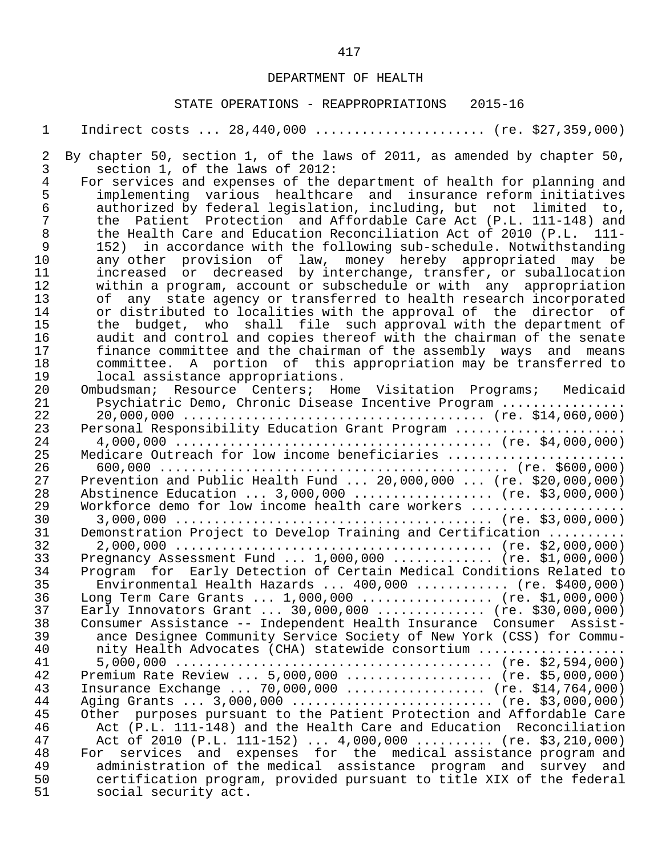1 Indirect costs ... 28,440,000 ....................... (re. \$27,359,000)

#### STATE OPERATIONS - REAPPROPRIATIONS 2015-16

2 By chapter 50, section 1, of the laws of 2011, as amended by chapter 50,<br>3 section 1, of the laws of 2012: 3 section 1, of the laws of 2012:<br>4 For services and expenses of the 4 For services and expenses of the department of health for planning and<br>5 implementing various healthcare and insurance reform initiatives 5 implementing various healthcare and insurance reform initiatives 6 authorized by federal legislation, including, but not limited to, 7 the Patient Protection and Affordable Care Act (P.L. 111-148) and 8 the Health Care and Education Reconciliation Act of 2010 (P.L. 111-<br>9 152) in accordance with the following sub-schedule. Notwithstanding 9 152) in accordance with the following sub-schedule. Notwithstanding<br>10 any other provision of law, money hereby appropriated may be 10 any other provision of law, money hereby appropriated may be 11 increased or decreased by interchange, transfer, or suballocation<br>12 within a program, account or subschedule or with any appropriation 12 within a program, account or subschedule or with any appropriation<br>13 of any state agency or transferred to health research incorporated 13 of any state agency or transferred to health research incorporated<br>14 or distributed to localities with the approval of the director of 14 or distributed to localities with the approval of the director of<br>15 the budget, who shall file such approval with the department of 15 the budget, who shall file such approval with the department of 16 audit and control and copies thereof with the chairman of the senate 17 finance committee and the chairman of the assembly ways and means<br>18 committee. A portion of this appropriation may be transferred to 18 committee. A portion of this appropriation may be transferred to<br>19 10 cal assistance appropriations. 19 10 local assistance appropriations.<br>20 0mbudsman: Resource Centers: Ho 20 Ombudsman; Resource Centers; Home Visitation Programs; Medicaid 21 Psychiatric Demo, Chronic Disease Incentive Program ................ 22 20,000,000 ....................................... (re. \$14,060,000) 23 Personal Responsibility Education Grant Program ...................... 24 4,000,000 ......................................... (re. \$4,000,000) 25 Medicare Outreach for low income beneficiaries ....................... 26 600,000 ............................................. (re. \$600,000) 27 Prevention and Public Health Fund ... 20,000,000 ... (re. \$20,000,000)<br>28 Abstinence Education ... 3,000,000 .................. (re. \$3,000,000) 28 Abstinence Education ... 3,000,000 ................... (re. \$3,000,000)<br>29 Workforce demo for low income health care workers .................... 29 Workforce demo for low income health care workers .................... 30 3,000,000 ......................................... (re. \$3,000,000) 31 Demonstration Project to Develop Training and Certification .......... 32 2,000,000 ......................................... (re. \$2,000,000) 33 Pregnancy Assessment Fund ... 1,000,000 ............. (re. \$1,000,000)<br>34 Program for Early Detection of Certain Medical Conditions Related to Program for Early Detection of Certain Medical Conditions Related to<br>35 Environmental Health Hazards ... 400,000 ............ (re. \$400,000) 35 Environmental Health Hazards ... 400,000 ............ (re. \$400,000)<br>36 Long Term Care Grants ... 1,000,000 .................. (re. \$1,000,000) 36 Long Term Care Grants ... 1,000,000 ................. (re. \$1,000,000)<br>37 Early Innovators Grant ... 30,000,000 ............... (re. \$30,000,000) 37 Early Innovators Grant ... 30,000,000 .............. (re. \$30,000,000) 38 Consumer Assistance -- Independent Health Insurance Consumer Assist- 39 ance Designee Community Service Society of New York (CSS) for Commu-<br>40 nity Health Advocates (CHA) statewide consortium ................... 40 nity Health Advocates (CHA) statewide consortium ................... 41 5,000,000 ......................................... (re. \$2,594,000) 42 Premium Rate Review ... 5,000,000 ................... (re. \$5,000,000)<br>43 Insurance Exchange ... 70.000.000 ................... (re. \$14.764.000) 43 Insurance Exchange ... 70,000,000 .................. (re. \$14,764,000) 44 Aging Grants ... 3,000,000 .......................... (re. \$3,000,000) 45 Other purposes pursuant to the Patient Protection and Affordable Care<br>46 Act (P.L. 111-148) and the Health Care and Education Reconciliation 46 Act (P.L. 111-148) and the Health Care and Education Reconciliation<br>47 Act of 2010 (P.L. 111-152) ... 4,000,000 .......... (re. \$3,210,000) 47 Act of 2010 (P.L. 111-152) ... 4,000,000 .......... (re. \$3,210,000)<br>48 For services and expenses for the medical assistance program and 48 For services and expenses for the medical assistance program and<br>49 administration of the medical assistance program and survey and 49 administration of the medical assistance program and survey and<br>50 certification program, provided pursuant to title XIX of the federal 50 certification program, provided pursuant to title XIX of the federal social security act.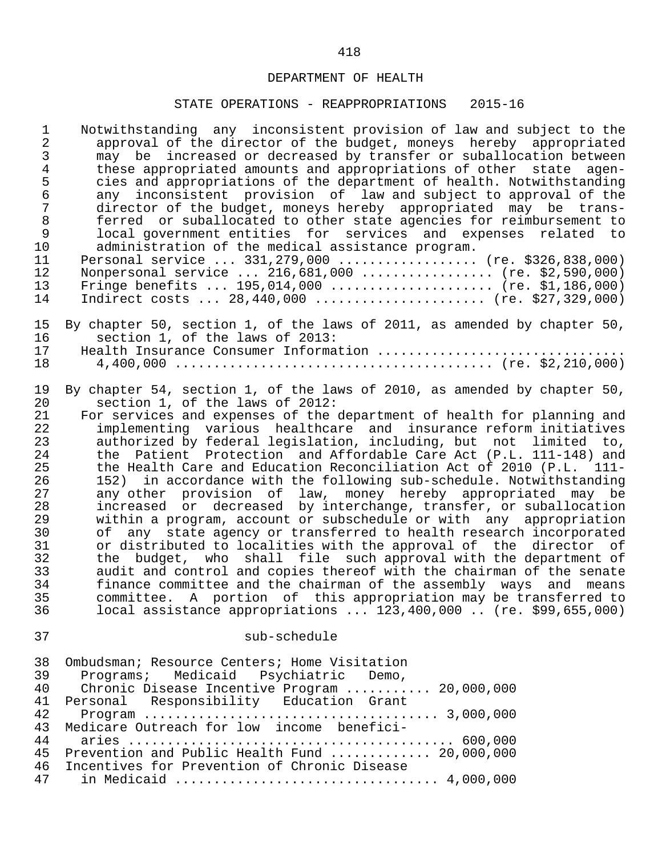| $\mathbf{1}$                                                                                             | Notwithstanding any inconsistent provision of law and subject to the                                                                                                                                                                                                                                                                                                                                                                                                                                                                                                                                                                                                                                                                                                                                                                                                                                                                                                                                                                                                                                                                                                                                                                                               |
|----------------------------------------------------------------------------------------------------------|--------------------------------------------------------------------------------------------------------------------------------------------------------------------------------------------------------------------------------------------------------------------------------------------------------------------------------------------------------------------------------------------------------------------------------------------------------------------------------------------------------------------------------------------------------------------------------------------------------------------------------------------------------------------------------------------------------------------------------------------------------------------------------------------------------------------------------------------------------------------------------------------------------------------------------------------------------------------------------------------------------------------------------------------------------------------------------------------------------------------------------------------------------------------------------------------------------------------------------------------------------------------|
| $\overline{2}$                                                                                           | approval of the director of the budget, moneys hereby appropriated                                                                                                                                                                                                                                                                                                                                                                                                                                                                                                                                                                                                                                                                                                                                                                                                                                                                                                                                                                                                                                                                                                                                                                                                 |
| 3                                                                                                        | may be increased or decreased by transfer or suballocation between                                                                                                                                                                                                                                                                                                                                                                                                                                                                                                                                                                                                                                                                                                                                                                                                                                                                                                                                                                                                                                                                                                                                                                                                 |
| $\overline{4}$                                                                                           | these appropriated amounts and appropriations of other state agen-                                                                                                                                                                                                                                                                                                                                                                                                                                                                                                                                                                                                                                                                                                                                                                                                                                                                                                                                                                                                                                                                                                                                                                                                 |
| 5                                                                                                        | cies and appropriations of the department of health. Notwithstanding                                                                                                                                                                                                                                                                                                                                                                                                                                                                                                                                                                                                                                                                                                                                                                                                                                                                                                                                                                                                                                                                                                                                                                                               |
| $\epsilon$                                                                                               | any inconsistent provision of law and subject to approval of the                                                                                                                                                                                                                                                                                                                                                                                                                                                                                                                                                                                                                                                                                                                                                                                                                                                                                                                                                                                                                                                                                                                                                                                                   |
| $\sqrt{ }$                                                                                               | director of the budget, moneys hereby appropriated may be trans-                                                                                                                                                                                                                                                                                                                                                                                                                                                                                                                                                                                                                                                                                                                                                                                                                                                                                                                                                                                                                                                                                                                                                                                                   |
| $\, 8$                                                                                                   | ferred or suballocated to other state agencies for reimbursement to                                                                                                                                                                                                                                                                                                                                                                                                                                                                                                                                                                                                                                                                                                                                                                                                                                                                                                                                                                                                                                                                                                                                                                                                |
| $\mathsf 9$                                                                                              | local government entities for services and expenses related to                                                                                                                                                                                                                                                                                                                                                                                                                                                                                                                                                                                                                                                                                                                                                                                                                                                                                                                                                                                                                                                                                                                                                                                                     |
| 10                                                                                                       | administration of the medical assistance program.                                                                                                                                                                                                                                                                                                                                                                                                                                                                                                                                                                                                                                                                                                                                                                                                                                                                                                                                                                                                                                                                                                                                                                                                                  |
| 11                                                                                                       | Personal service  331, 279, 000  (re. \$326, 838, 000)                                                                                                                                                                                                                                                                                                                                                                                                                                                                                                                                                                                                                                                                                                                                                                                                                                                                                                                                                                                                                                                                                                                                                                                                             |
| 12                                                                                                       | Nonpersonal service  216,681,000  (re. \$2,590,000)                                                                                                                                                                                                                                                                                                                                                                                                                                                                                                                                                                                                                                                                                                                                                                                                                                                                                                                                                                                                                                                                                                                                                                                                                |
| 13                                                                                                       | Fringe benefits $195,014,000$ (re. \$1,186,000)                                                                                                                                                                                                                                                                                                                                                                                                                                                                                                                                                                                                                                                                                                                                                                                                                                                                                                                                                                                                                                                                                                                                                                                                                    |
| 14                                                                                                       | Indirect costs $28,440,000$ (re. \$27,329,000)                                                                                                                                                                                                                                                                                                                                                                                                                                                                                                                                                                                                                                                                                                                                                                                                                                                                                                                                                                                                                                                                                                                                                                                                                     |
| 15                                                                                                       | By chapter 50, section 1, of the laws of 2011, as amended by chapter 50,                                                                                                                                                                                                                                                                                                                                                                                                                                                                                                                                                                                                                                                                                                                                                                                                                                                                                                                                                                                                                                                                                                                                                                                           |
| 16                                                                                                       | section 1, of the laws of 2013:                                                                                                                                                                                                                                                                                                                                                                                                                                                                                                                                                                                                                                                                                                                                                                                                                                                                                                                                                                                                                                                                                                                                                                                                                                    |
| 17                                                                                                       | Health Insurance Consumer Information                                                                                                                                                                                                                                                                                                                                                                                                                                                                                                                                                                                                                                                                                                                                                                                                                                                                                                                                                                                                                                                                                                                                                                                                                              |
| 18                                                                                                       |                                                                                                                                                                                                                                                                                                                                                                                                                                                                                                                                                                                                                                                                                                                                                                                                                                                                                                                                                                                                                                                                                                                                                                                                                                                                    |
| 19<br>20<br>21<br>22<br>23<br>24<br>25<br>26<br>27<br>28<br>29<br>30<br>31<br>32<br>33<br>34<br>35<br>36 | By chapter 54, section 1, of the laws of 2010, as amended by chapter 50,<br>section 1, of the laws of 2012:<br>For services and expenses of the department of health for planning and<br>implementing various healthcare and insurance reform initiatives<br>authorized by federal legislation, including, but not limited to,<br>the Patient Protection and Affordable Care Act (P.L. 111-148) and<br>the Health Care and Education Reconciliation Act of 2010 (P.L. 111-<br>in accordance with the following sub-schedule. Notwithstanding<br>152)<br>any other provision of law, money hereby appropriated may be<br>increased or decreased by interchange, transfer, or suballocation<br>within a program, account or subschedule or with any appropriation<br>of any state agency or transferred to health research incorporated<br>or distributed to localities with the approval of the director of<br>the budget, who shall file such approval with the department of<br>audit and control and copies thereof with the chairman of the senate<br>finance committee and the chairman of the assembly ways and means<br>committee. A portion of this appropriation may be transferred to<br>local assistance appropriations  123,400,000  (re. \$99,655,000) |
| 37                                                                                                       | sub-schedule                                                                                                                                                                                                                                                                                                                                                                                                                                                                                                                                                                                                                                                                                                                                                                                                                                                                                                                                                                                                                                                                                                                                                                                                                                                       |
| 38                                                                                                       | Ombudsman; Resource Centers; Home Visitation                                                                                                                                                                                                                                                                                                                                                                                                                                                                                                                                                                                                                                                                                                                                                                                                                                                                                                                                                                                                                                                                                                                                                                                                                       |
| 39                                                                                                       | Programs; Medicaid Psychiatric Demo,                                                                                                                                                                                                                                                                                                                                                                                                                                                                                                                                                                                                                                                                                                                                                                                                                                                                                                                                                                                                                                                                                                                                                                                                                               |
| 40                                                                                                       | Chronic Disease Incentive Program  20,000,000                                                                                                                                                                                                                                                                                                                                                                                                                                                                                                                                                                                                                                                                                                                                                                                                                                                                                                                                                                                                                                                                                                                                                                                                                      |
| 41                                                                                                       | Personal Responsibility Education Grant                                                                                                                                                                                                                                                                                                                                                                                                                                                                                                                                                                                                                                                                                                                                                                                                                                                                                                                                                                                                                                                                                                                                                                                                                            |
| 42                                                                                                       |                                                                                                                                                                                                                                                                                                                                                                                                                                                                                                                                                                                                                                                                                                                                                                                                                                                                                                                                                                                                                                                                                                                                                                                                                                                                    |
| 43                                                                                                       | Medicare Outreach for low income benefici-                                                                                                                                                                                                                                                                                                                                                                                                                                                                                                                                                                                                                                                                                                                                                                                                                                                                                                                                                                                                                                                                                                                                                                                                                         |
| 44                                                                                                       |                                                                                                                                                                                                                                                                                                                                                                                                                                                                                                                                                                                                                                                                                                                                                                                                                                                                                                                                                                                                                                                                                                                                                                                                                                                                    |
| 45                                                                                                       | Prevention and Public Health Fund  20,000,000                                                                                                                                                                                                                                                                                                                                                                                                                                                                                                                                                                                                                                                                                                                                                                                                                                                                                                                                                                                                                                                                                                                                                                                                                      |
| 46                                                                                                       | Incentives for Prevention of Chronic Disease                                                                                                                                                                                                                                                                                                                                                                                                                                                                                                                                                                                                                                                                                                                                                                                                                                                                                                                                                                                                                                                                                                                                                                                                                       |
| 47                                                                                                       | in Medicaid  4,000,000                                                                                                                                                                                                                                                                                                                                                                                                                                                                                                                                                                                                                                                                                                                                                                                                                                                                                                                                                                                                                                                                                                                                                                                                                                             |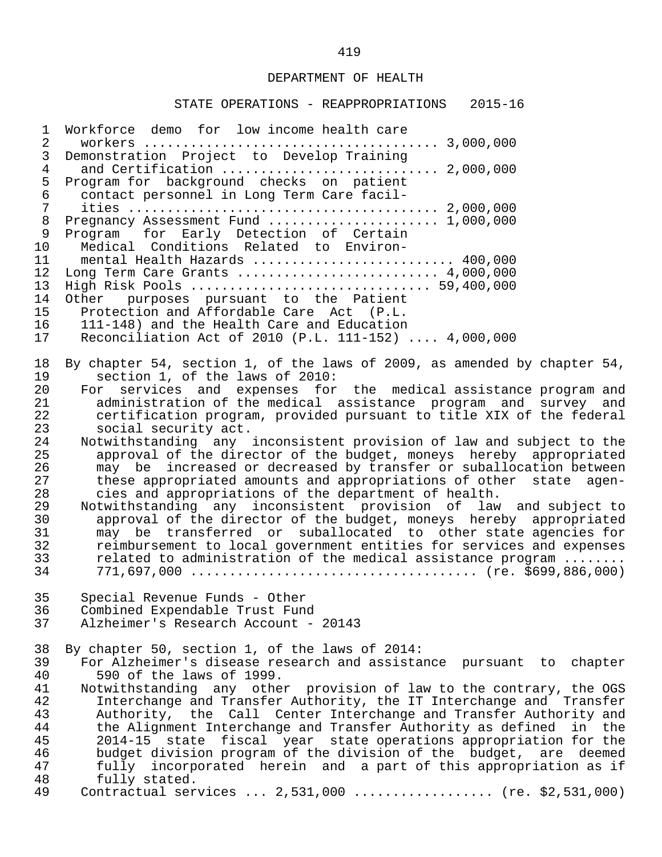#### STATE OPERATIONS - REAPPROPRIATIONS 2015-16

 1 Workforce demo for low income health care 2 workers ...................................... 3,000,000 3 Demonstration Project to Develop Training 4 and Certification ............................ 2,000,000 5 Program for background checks on patient<br>6 contact personnel in Long Term Care facil- 6 contact personnel in Long Term Care facil- 7 ities ........................................ 2,000,000 8 Pregnancy Assessment Fund ........................ 1,000,000<br>9 Program for Early Detection of Certain 9 Program for Early Detection of Certain<br>10 Medical Conditions Related to Environ-10 Medical Conditions Related to Environ-<br>11 mental Health Hazards ................... 11 mental Health Hazards ............................ 400,000<br>12 Long Term Care Grants .......................... 4.000.000 12 Long Term Care Grants .......................... 4,000,000 13 High Risk Pools ............................... 59,400,000 14 Other purposes pursuant to the Patient<br>15 Protection and Affordable Care Act (P.L. 15 Protection and Affordable Care Act (P.L.<br>16 111-148) and the Health Care and Education 16 111-148) and the Health Care and Education<br>17 Reconciliation Act of 2010 (P.L. 111-152) Reconciliation Act of 2010 (P.L. 111-152) .... 4,000,000 18 By chapter 54, section 1, of the laws of 2009, as amended by chapter 54,<br>19 section 1, of the laws of 2010: 19 section 1, of the laws of 2010:<br>20 For services and expenses for 20 For services and expenses for the medical-assistance-program-and<br>21 - administration-of-the-medical-assistance-program and survey and 21 administration of the medical assistance program and survey and<br>22 certification program, provided pursuant to title XIX of the federal 22 certification program, provided pursuant to title XIX of the federal<br>23 social security act. 23 social security act.<br>24 Notwithstanding any 24 Notwithstanding any inconsistent provision of law and subject to the<br>25 approval of the director of the budget, moneys, hereby, appropriated 25 approval of the director of the budget, moneys hereby appropriated<br>26 and the increased or decreased by transfer or suballocation between 26 may be increased or decreased by transfer or suballocation between<br>27 these appropriated amounts and appropriations of other state agen-27 these appropriated amounts and appropriations of other state agen-<br>28 cies and appropriations of the department of health. 28 cies and appropriations of the department of health.<br>29 Motwithstanding any inconsistent provision of law 29 Notwithstanding any inconsistent provision of law and subject to 30 approval of the director of the budget, moneys hereby appropriated 31 may be transferred or suballocated to other state agencies for 32 reimbursement to local government entities for services and expenses<br>33 related to administration of the medical assistance program ....... 33 related to administration of the medical assistance program ........ 34 771,697,000 ..................................... (re. \$699,886,000) 35 Special Revenue Funds - Other 36 Combined Expendable Trust Fund<br>37 Alzheimer's Research Account -Alzheimer's Research Account - 20143 38 By chapter 50, section 1, of the laws of 2014:<br>39 For Alzheimer's disease research and assista 39 For Alzheimer's disease research and assistance pursuant to chapter<br>40 590 of the laws of 1999. 40 590 of the laws of 1999.<br>41 Notwithstanding any othe 41 Notwithstanding any other provision of law to the contrary, the OGS<br>42 Interchange and Transfer Authority, the IT Interchange and Transfer 42 Interchange and Transfer Authority, the IT Interchange and Transfer<br>43 Authority, the Call Center Interchange and Transfer Authority and 43 Authority, the Call Center Interchange and Transfer Authority and<br>44 the Alignment Interchange and Transfer Authority as defined in the 44 the Alignment Interchange and Transfer Authority as defined in the<br>45 2014-15 state fiscal vear state operations appropriation for the 45 2014-15 state fiscal year state operations appropriation for the 46 budget division program of the division of the budget, are deemed<br>47 fully incorporated herein and a part of this appropriation as if 47 fully incorporated herein and a part of this appropriation as if<br>48 fully stated. 48 fully stated.<br>49 Contractual ser Contractual services ... 2,531,000 .................. (re. \$2,531,000)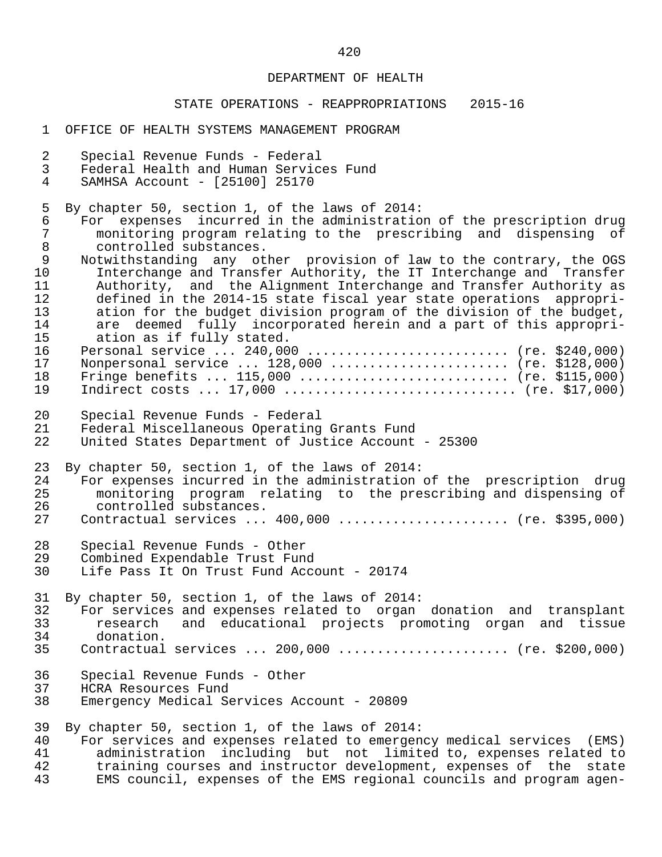#### STATE OPERATIONS - REAPPROPRIATIONS 2015-16

 1 OFFICE OF HEALTH SYSTEMS MANAGEMENT PROGRAM 2 Special Revenue Funds - Federal<br>3 Federal Health and Human Servic 3 Federal Health and Human Services Fund<br>4 SAMHSA Account - [25100] 25170 SAMHSA Account - [25100] 25170 5 By chapter 50, section 1, of the laws of 2014: 6 For expenses incurred in the administration of the prescription drug 7 monitoring program relating to the prescribing and dispensing of 8 controlled substances.<br>9 Notwithstanding any ot 9 Notwithstanding any other provision of law to the contrary, the OGS<br>10 Interchange and Transfer Authority, the IT Interchange and Transfer 10 Interchange and Transfer Authority, the IT Interchange and Transfer 11 Authority, and the Alignment Interchange and Transfer Authority as<br>12 defined in the 2014-15 state fiscal year state operations appropri-12 defined in the 2014-15 state fiscal year state operations appropri-<br>13 ation for the budget division program of the division of the budget. 13 ation for the budget division program of the division of the budget,<br>14 are deemed fully incorporated herein and a part of this appropri-14 are deemed fully incorporated herein and a part of this appropri-<br>15 ation as if fully stated. 15 ation as if fully stated.<br>16 Personal service ... 240.00 16 Personal service ... 240,000 ........................... (re. \$240,000)<br>17 Nonpersonal service ... 128,000 ........................ (re. \$128,000) 17 Nonpersonal service ... 128,000 ....................... (re. \$128,000) 18 Fringe benefits ... 115,000 ............................ (re. \$115,000) 19 Indirect costs ... 17,000 ............................... (re. \$17,000) 20 Special Revenue Funds - Federal 21 Federal Miscellaneous Operating Grants Fund United States Department of Justice Account - 25300 23 By chapter 50, section 1, of the laws of 2014:<br>24 For expenses incurred in the administration 24 For expenses incurred in the administration of the prescription drug<br>25 a monitoring program relating to the prescribing and dispensing of 25 monitoring program relating to the prescribing and dispensing of 26 controlled substances.<br>27 Contractual services... Contractual services ... 400,000 ...................... (re. \$395,000) 28 Special Revenue Funds - Other 29 Combined Expendable Trust Fund<br>30 Life Pass It On Trust Fund Acco Life Pass It On Trust Fund Account - 20174 31 By chapter 50, section 1, of the laws of 2014: 32 For services and expenses related to organ donation and transplant<br>33 Tesearch and educational projects promoting organ and tissue 33 research and educational projects promoting organ and tissue 34 donation.<br>35 Contractual Contractual services ... 200,000 ....................... (re. \$200,000) 36 Special Revenue Funds - Other 37 HCRA Resources Fund<br>38 Emergency Medical Se Emergency Medical Services Account - 20809 39 By chapter 50, section 1, of the laws of 2014:<br>40 For services and expenses related to emergen 40 For services and expenses related to emergency medical services (EMS)<br>41 administration including but not limited to, expenses related to 41 administration including but not limited to, expenses related to<br>42 training courses and instructor development, expenses of the state 42 training courses and instructor development, expenses of the state<br>43 EMS council, expenses of the EMS regional councils and program agen-EMS council, expenses of the EMS regional councils and program agen-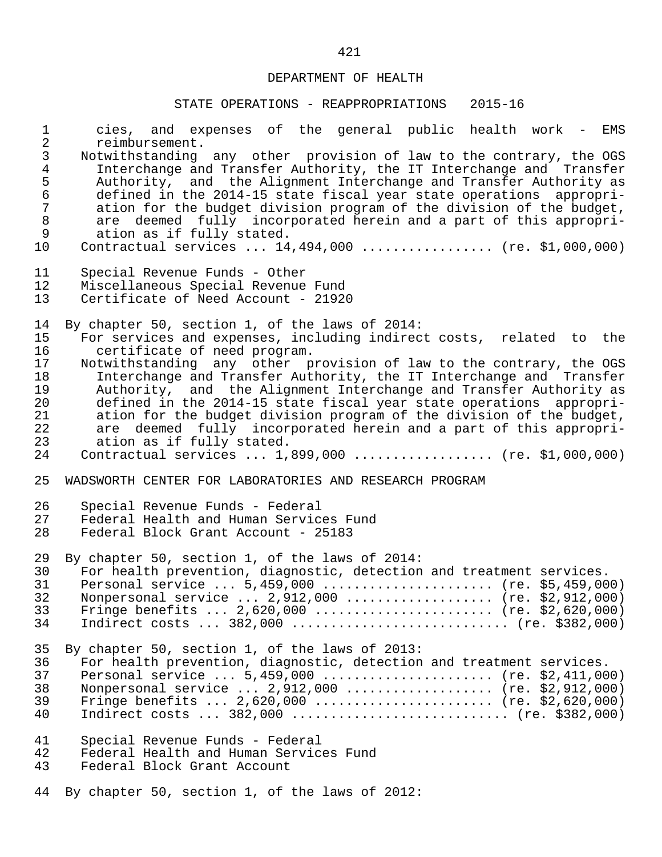| $\mathbf 1$                                                            | cies, and expenses of the general public health work - EMS                                                                                                                                                                                                                                                                                                                                                                                                        |
|------------------------------------------------------------------------|-------------------------------------------------------------------------------------------------------------------------------------------------------------------------------------------------------------------------------------------------------------------------------------------------------------------------------------------------------------------------------------------------------------------------------------------------------------------|
| $\overline{2}$                                                         | reimbursement.                                                                                                                                                                                                                                                                                                                                                                                                                                                    |
| $\frac{3}{4}$<br>$\frac{5}{6}$<br>$\sqrt{ }$<br>$\,8\,$<br>$\mathsf 9$ | Notwithstanding any other provision of law to the contrary, the OGS<br>Interchange and Transfer Authority, the IT Interchange and Transfer<br>Authority, and the Alignment Interchange and Transfer Authority as<br>defined in the 2014-15 state fiscal year state operations appropri-<br>ation for the budget division program of the division of the budget,<br>are deemed fully incorporated herein and a part of this appropri-<br>ation as if fully stated. |
| 10                                                                     | Contractual services  14,494,000  (re. \$1,000,000)                                                                                                                                                                                                                                                                                                                                                                                                               |
| 11                                                                     | Special Revenue Funds - Other                                                                                                                                                                                                                                                                                                                                                                                                                                     |
| 12                                                                     | Miscellaneous Special Revenue Fund                                                                                                                                                                                                                                                                                                                                                                                                                                |
| 13                                                                     | Certificate of Need Account - 21920                                                                                                                                                                                                                                                                                                                                                                                                                               |
| 14                                                                     | By chapter 50, section 1, of the laws of 2014:                                                                                                                                                                                                                                                                                                                                                                                                                    |
| 15                                                                     | For services and expenses, including indirect costs, related to the                                                                                                                                                                                                                                                                                                                                                                                               |
| 16                                                                     | certificate of need program.                                                                                                                                                                                                                                                                                                                                                                                                                                      |
| 17                                                                     | Notwithstanding any other provision of law to the contrary, the OGS                                                                                                                                                                                                                                                                                                                                                                                               |
| 18                                                                     | Interchange and Transfer Authority, the IT Interchange and Transfer                                                                                                                                                                                                                                                                                                                                                                                               |
| 19                                                                     | Authority, and the Alignment Interchange and Transfer Authority as                                                                                                                                                                                                                                                                                                                                                                                                |
| 20                                                                     | defined in the 2014-15 state fiscal year state operations appropri-                                                                                                                                                                                                                                                                                                                                                                                               |
| 21                                                                     | ation for the budget division program of the division of the budget,                                                                                                                                                                                                                                                                                                                                                                                              |
| 22                                                                     | are deemed fully incorporated herein and a part of this appropri-                                                                                                                                                                                                                                                                                                                                                                                                 |
| 23                                                                     | ation as if fully stated.                                                                                                                                                                                                                                                                                                                                                                                                                                         |
| 24                                                                     | Contractual services  1,899,000  (re. \$1,000,000)                                                                                                                                                                                                                                                                                                                                                                                                                |
| 25                                                                     | WADSWORTH CENTER FOR LABORATORIES AND RESEARCH PROGRAM                                                                                                                                                                                                                                                                                                                                                                                                            |
| 26                                                                     | Special Revenue Funds - Federal                                                                                                                                                                                                                                                                                                                                                                                                                                   |
| 27                                                                     | Federal Health and Human Services Fund                                                                                                                                                                                                                                                                                                                                                                                                                            |
| 28                                                                     | Federal Block Grant Account - 25183                                                                                                                                                                                                                                                                                                                                                                                                                               |
| 29                                                                     | By chapter 50, section 1, of the laws of 2014:                                                                                                                                                                                                                                                                                                                                                                                                                    |
| 30                                                                     | For health prevention, diagnostic, detection and treatment services.                                                                                                                                                                                                                                                                                                                                                                                              |
| 31                                                                     | Personal service  5,459,000  (re. \$5,459,000)                                                                                                                                                                                                                                                                                                                                                                                                                    |
| 32                                                                     | Nonpersonal service  2,912,000  (re. \$2,912,000)                                                                                                                                                                                                                                                                                                                                                                                                                 |
| 33                                                                     | Fringe benefits $2,620,000$ (re. \$2,620,000)                                                                                                                                                                                                                                                                                                                                                                                                                     |
| 34                                                                     |                                                                                                                                                                                                                                                                                                                                                                                                                                                                   |
| 35                                                                     | By chapter 50, section 1, of the laws of 2013:                                                                                                                                                                                                                                                                                                                                                                                                                    |
| 36                                                                     | For health prevention, diagnostic, detection and treatment services.                                                                                                                                                                                                                                                                                                                                                                                              |
| 37                                                                     | Personal service $5,459,000$ (re. \$2,411,000)                                                                                                                                                                                                                                                                                                                                                                                                                    |
| 38                                                                     | Nonpersonal service $2,912,000$ (re. \$2,912,000)                                                                                                                                                                                                                                                                                                                                                                                                                 |
| 39                                                                     | Fringe benefits $2,620,000$ (re. \$2,620,000)                                                                                                                                                                                                                                                                                                                                                                                                                     |
| 40                                                                     |                                                                                                                                                                                                                                                                                                                                                                                                                                                                   |
| 41                                                                     | Special Revenue Funds - Federal                                                                                                                                                                                                                                                                                                                                                                                                                                   |
| 42                                                                     | Federal Health and Human Services Fund                                                                                                                                                                                                                                                                                                                                                                                                                            |
| 43                                                                     | Federal Block Grant Account                                                                                                                                                                                                                                                                                                                                                                                                                                       |
| 44                                                                     | By chapter 50, section 1, of the laws of 2012:                                                                                                                                                                                                                                                                                                                                                                                                                    |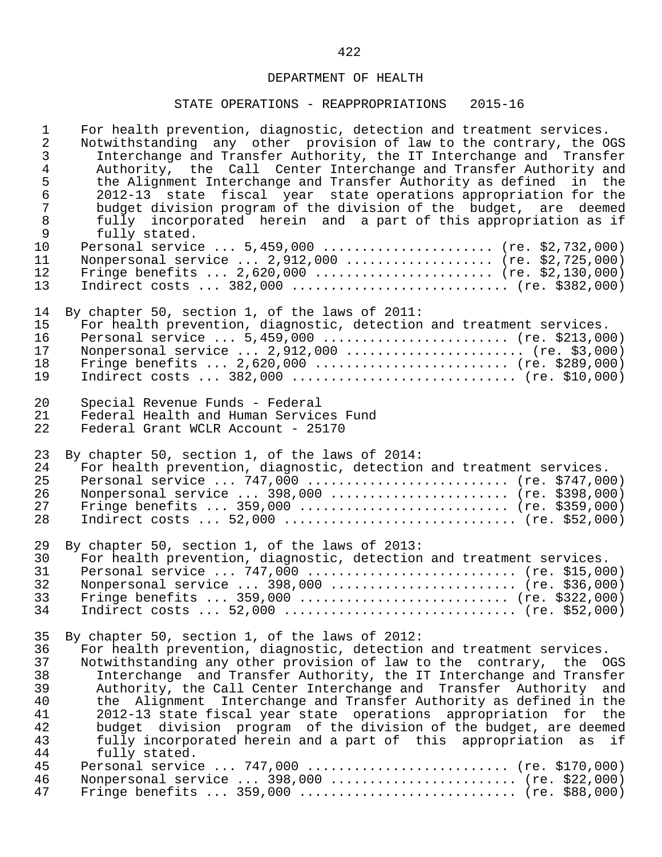| $\mathbf{1}$     | For health prevention, diagnostic, detection and treatment services. |
|------------------|----------------------------------------------------------------------|
| $\overline{a}$   | Notwithstanding any other provision of law to the contrary, the OGS  |
| 3                | Interchange and Transfer Authority, the IT Interchange and Transfer  |
| $\overline{4}$   | Authority, the Call Center Interchange and Transfer Authority and    |
| $\mathsf S$      | the Alignment Interchange and Transfer Authority as defined in the   |
| $\epsilon$       | 2012-13 state fiscal year state operations appropriation for the     |
| $\boldsymbol{7}$ | budget division program of the division of the budget, are deemed    |
| $\,8\,$          | fully incorporated herein and a part of this appropriation as if     |
| $\mathsf 9$      | fully stated.                                                        |
| 10               | Personal service  5,459,000  (re. \$2,732,000)                       |
| 11               | Nonpersonal service $2,912,000$ (re. \$2,725,000)                    |
| 12               | Fringe benefits $2,620,000$ (re. \$2,130,000)                        |
| 13               | Indirect costs $382,000$ (re. \$382,000)                             |
| 14               | By chapter 50, section 1, of the laws of 2011:                       |
| 15               | For health prevention, diagnostic, detection and treatment services. |
| 16               | Personal service  5,459,000  (re. \$213,000)                         |
| 17               | Nonpersonal service $2,912,000$ (re. \$3,000)                        |
| 18               | Fringe benefits $2,620,000$ (re. \$289,000)                          |
| 19               | Indirect costs $382,000$ (re. \$10,000)                              |
| 20               | Special Revenue Funds - Federal                                      |
| 21               | Federal Health and Human Services Fund                               |
| 22               | Federal Grant WCLR Account - 25170                                   |
| 23               | By chapter 50, section 1, of the laws of 2014:                       |
| 24               | For health prevention, diagnostic, detection and treatment services. |
| 25               | Personal service  747,000  (re. \$747,000)                           |
| 26               | Nonpersonal service  398,000  (re. \$398,000)                        |
| 27               | Fringe benefits  359,000  (re. \$359,000)                            |
| 28               | Indirect costs  52,000  (re. \$52,000)                               |
| 29               | By chapter 50, section 1, of the laws of 2013:                       |
| 30               | For health prevention, diagnostic, detection and treatment services. |
| 31               | Personal service $747,000$ (re. \$15,000)                            |
| 32               | Nonpersonal service  398,000  (re. \$36,000)                         |
| 33               | Fringe benefits  359,000  (re. \$322,000)                            |
| 34               | Indirect costs  52,000  (re. \$52,000)                               |
| 35               | By chapter 50, section 1, of the laws of 2012:                       |
| 36               | For health prevention, diagnostic, detection and treatment services. |
| 37               | Notwithstanding any other provision of law to the contrary, the OGS  |
| 38               | Interchange and Transfer Authority, the IT Interchange and Transfer  |
| 39               | Authority, the Call Center Interchange and Transfer Authority and    |
| 40               | the Alignment Interchange and Transfer Authority as defined in the   |
| 41               | 2012-13 state fiscal year state operations appropriation for the     |
| 42               | budget division program of the division of the budget, are deemed    |
| 43               | fully incorporated herein and a part of this appropriation as if     |
| 44               | fully stated.                                                        |
| 45               | Personal service  747,000  (re. \$170,000)                           |
| 46               | Nonpersonal service  398,000  (re. \$22,000)                         |
| 47               | Fringe benefits  359,000  (re. \$88,000)                             |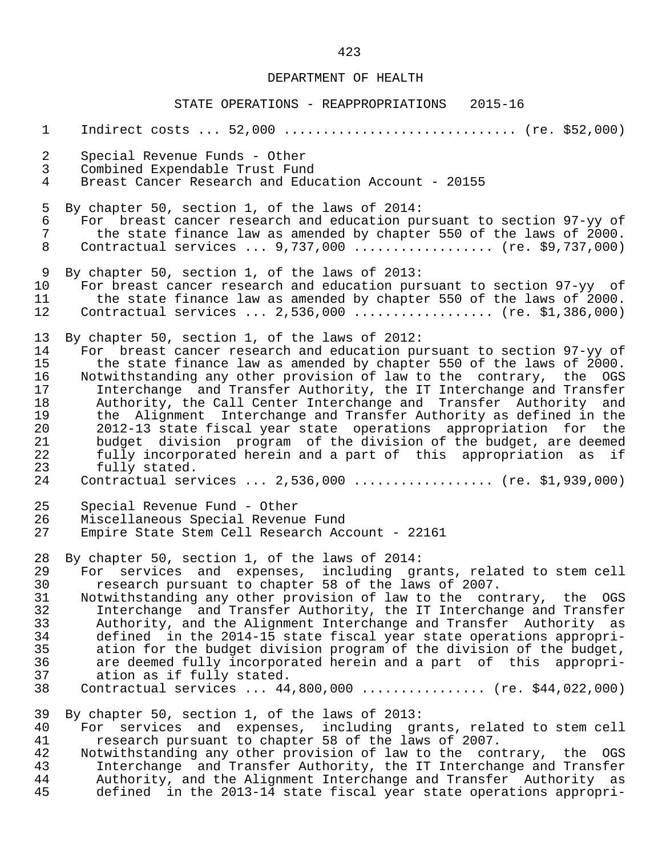| $\mathbf{1}$                                                   | Indirect costs  52,000  (re. \$52,000)                                                                                                                                                                                                                                                                                                                                                                                                                                                                                                                                                                                                                                                                      |
|----------------------------------------------------------------|-------------------------------------------------------------------------------------------------------------------------------------------------------------------------------------------------------------------------------------------------------------------------------------------------------------------------------------------------------------------------------------------------------------------------------------------------------------------------------------------------------------------------------------------------------------------------------------------------------------------------------------------------------------------------------------------------------------|
| $\overline{2}$                                                 | Special Revenue Funds - Other                                                                                                                                                                                                                                                                                                                                                                                                                                                                                                                                                                                                                                                                               |
| $\mathfrak{Z}$                                                 | Combined Expendable Trust Fund                                                                                                                                                                                                                                                                                                                                                                                                                                                                                                                                                                                                                                                                              |
| $\overline{4}$                                                 | Breast Cancer Research and Education Account - 20155                                                                                                                                                                                                                                                                                                                                                                                                                                                                                                                                                                                                                                                        |
| 5                                                              | By chapter 50, section 1, of the laws of 2014:                                                                                                                                                                                                                                                                                                                                                                                                                                                                                                                                                                                                                                                              |
| 6                                                              | For breast cancer research and education pursuant to section 97-yy of                                                                                                                                                                                                                                                                                                                                                                                                                                                                                                                                                                                                                                       |
| $\overline{7}$                                                 | the state finance law as amended by chapter 550 of the laws of 2000.                                                                                                                                                                                                                                                                                                                                                                                                                                                                                                                                                                                                                                        |
| 8                                                              | Contractual services  9,737,000  (re. \$9,737,000)                                                                                                                                                                                                                                                                                                                                                                                                                                                                                                                                                                                                                                                          |
| 9                                                              | By chapter 50, section 1, of the laws of 2013:                                                                                                                                                                                                                                                                                                                                                                                                                                                                                                                                                                                                                                                              |
| 10                                                             | For breast cancer research and education pursuant to section 97-yy of                                                                                                                                                                                                                                                                                                                                                                                                                                                                                                                                                                                                                                       |
| 11                                                             | the state finance law as amended by chapter 550 of the laws of 2000.                                                                                                                                                                                                                                                                                                                                                                                                                                                                                                                                                                                                                                        |
| 12                                                             | Contractual services  2,536,000  (re. \$1,386,000)                                                                                                                                                                                                                                                                                                                                                                                                                                                                                                                                                                                                                                                          |
| 13                                                             | By chapter 50, section 1, of the laws of 2012:                                                                                                                                                                                                                                                                                                                                                                                                                                                                                                                                                                                                                                                              |
| 14                                                             | For breast cancer research and education pursuant to section 97-yy of                                                                                                                                                                                                                                                                                                                                                                                                                                                                                                                                                                                                                                       |
| 15                                                             | the state finance law as amended by chapter 550 of the laws of 2000.                                                                                                                                                                                                                                                                                                                                                                                                                                                                                                                                                                                                                                        |
| 16                                                             | Notwithstanding any other provision of law to the contrary, the OGS                                                                                                                                                                                                                                                                                                                                                                                                                                                                                                                                                                                                                                         |
| 17                                                             | Interchange and Transfer Authority, the IT Interchange and Transfer                                                                                                                                                                                                                                                                                                                                                                                                                                                                                                                                                                                                                                         |
| 18                                                             | Authority, the Call Center Interchange and Transfer Authority and                                                                                                                                                                                                                                                                                                                                                                                                                                                                                                                                                                                                                                           |
| 19                                                             | the Alignment Interchange and Transfer Authority as defined in the                                                                                                                                                                                                                                                                                                                                                                                                                                                                                                                                                                                                                                          |
| 20                                                             | 2012-13 state fiscal year state operations appropriation for the                                                                                                                                                                                                                                                                                                                                                                                                                                                                                                                                                                                                                                            |
| 21                                                             | budget division program of the division of the budget, are deemed                                                                                                                                                                                                                                                                                                                                                                                                                                                                                                                                                                                                                                           |
| 22                                                             | fully incorporated herein and a part of this appropriation as if                                                                                                                                                                                                                                                                                                                                                                                                                                                                                                                                                                                                                                            |
| 23                                                             | fully stated.                                                                                                                                                                                                                                                                                                                                                                                                                                                                                                                                                                                                                                                                                               |
| 24                                                             | Contractual services  2,536,000  (re. \$1,939,000)                                                                                                                                                                                                                                                                                                                                                                                                                                                                                                                                                                                                                                                          |
| 25                                                             | Special Revenue Fund - Other                                                                                                                                                                                                                                                                                                                                                                                                                                                                                                                                                                                                                                                                                |
| 26                                                             | Miscellaneous Special Revenue Fund                                                                                                                                                                                                                                                                                                                                                                                                                                                                                                                                                                                                                                                                          |
| 27                                                             | Empire State Stem Cell Research Account - 22161                                                                                                                                                                                                                                                                                                                                                                                                                                                                                                                                                                                                                                                             |
| 28<br>29<br>30<br>31<br>32<br>33<br>34<br>35<br>36<br>37<br>38 | By chapter 50, section 1, of the laws of 2014:<br>For services and expenses, including grants, related to stem cell<br>research pursuant to chapter 58 of the laws of 2007.<br>Notwithstanding any other provision of law to the contrary, the<br>OGS<br>Interchange and Transfer Authority, the IT Interchange and Transfer<br>Authority, and the Alignment Interchange and Transfer Authority as<br>defined in the 2014-15 state fiscal year state operations appropri-<br>ation for the budget division program of the division of the budget,<br>are deemed fully incorporated herein and a part of this appropri-<br>ation as if fully stated.<br>Contractual services  44,800,000  (re. \$44,022,000) |
| 39<br>40<br>41<br>42<br>43<br>44<br>45                         | By chapter 50, section 1, of the laws of 2013:<br>For services and expenses, including grants, related to stem cell<br>research pursuant to chapter 58 of the laws of 2007.<br>Notwithstanding any other provision of law to the contrary, the<br>OGS<br>Interchange and Transfer Authority, the IT Interchange and Transfer<br>Authority, and the Alignment Interchange and Transfer Authority as<br>defined in the 2013-14 state fiscal year state operations appropri-                                                                                                                                                                                                                                   |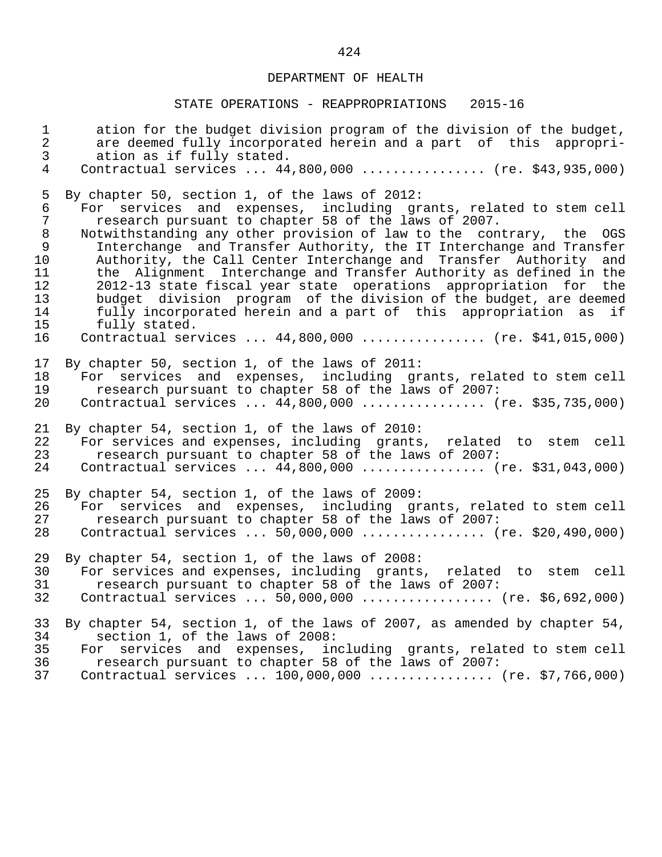| $\mathbf{1}$                                                                              | ation for the budget division program of the division of the budget,                                                                                                                                                                                                                                                                                                                                                                                                                                                                                                                                                                                                                                                                                          |
|-------------------------------------------------------------------------------------------|---------------------------------------------------------------------------------------------------------------------------------------------------------------------------------------------------------------------------------------------------------------------------------------------------------------------------------------------------------------------------------------------------------------------------------------------------------------------------------------------------------------------------------------------------------------------------------------------------------------------------------------------------------------------------------------------------------------------------------------------------------------|
| $\overline{a}$                                                                            | are deemed fully incorporated herein and a part of this appropri-                                                                                                                                                                                                                                                                                                                                                                                                                                                                                                                                                                                                                                                                                             |
| $\overline{3}$                                                                            | ation as if fully stated.                                                                                                                                                                                                                                                                                                                                                                                                                                                                                                                                                                                                                                                                                                                                     |
| $\overline{4}$                                                                            | Contractual services  44,800,000  (re. \$43,935,000)                                                                                                                                                                                                                                                                                                                                                                                                                                                                                                                                                                                                                                                                                                          |
| 5<br>$\epsilon$<br>$\overline{7}$<br>$8\,$<br>9<br>10<br>11<br>12<br>13<br>14<br>15<br>16 | By chapter 50, section 1, of the laws of 2012:<br>For services and expenses, including grants, related to stem cell<br>research pursuant to chapter 58 of the laws of 2007.<br>Notwithstanding any other provision of law to the contrary, the OGS<br>Interchange and Transfer Authority, the IT Interchange and Transfer<br>Authority, the Call Center Interchange and Transfer Authority and<br>the Alignment Interchange and Transfer Authority as defined in the<br>2012-13 state fiscal year state operations appropriation for<br>the<br>budget division program of the division of the budget, are deemed<br>fully incorporated herein and a part of this appropriation as if<br>fully stated.<br>Contractual services  44,800,000  (re. \$41,015,000) |
| 17<br>18<br>19<br>20                                                                      | By chapter 50, section 1, of the laws of 2011:<br>services and expenses, including grants, related to stem cell<br>For<br>research pursuant to chapter 58 of the laws of 2007:<br>Contractual services  44,800,000  (re. \$35,735,000)                                                                                                                                                                                                                                                                                                                                                                                                                                                                                                                        |
| 21                                                                                        | By chapter 54, section 1, of the laws of 2010:                                                                                                                                                                                                                                                                                                                                                                                                                                                                                                                                                                                                                                                                                                                |
| 22                                                                                        | For services and expenses, including grants, related to stem cell                                                                                                                                                                                                                                                                                                                                                                                                                                                                                                                                                                                                                                                                                             |
| 23                                                                                        | research pursuant to chapter 58 of the laws of 2007:                                                                                                                                                                                                                                                                                                                                                                                                                                                                                                                                                                                                                                                                                                          |
| 24                                                                                        | Contractual services  44,800,000  (re. \$31,043,000)                                                                                                                                                                                                                                                                                                                                                                                                                                                                                                                                                                                                                                                                                                          |
| 25                                                                                        | By chapter 54, section 1, of the laws of 2009:                                                                                                                                                                                                                                                                                                                                                                                                                                                                                                                                                                                                                                                                                                                |
| 26                                                                                        | For services and expenses, including grants, related to stem cell                                                                                                                                                                                                                                                                                                                                                                                                                                                                                                                                                                                                                                                                                             |
| 27                                                                                        | research pursuant to chapter 58 of the laws of 2007:                                                                                                                                                                                                                                                                                                                                                                                                                                                                                                                                                                                                                                                                                                          |
| 28                                                                                        | Contractual services $50,000,000$ (re. \$20,490,000)                                                                                                                                                                                                                                                                                                                                                                                                                                                                                                                                                                                                                                                                                                          |
| 29                                                                                        | By chapter 54, section 1, of the laws of 2008:                                                                                                                                                                                                                                                                                                                                                                                                                                                                                                                                                                                                                                                                                                                |
| 30                                                                                        | For services and expenses, including grants, related to stem cell                                                                                                                                                                                                                                                                                                                                                                                                                                                                                                                                                                                                                                                                                             |
| 31                                                                                        | research pursuant to chapter 58 of the laws of 2007:                                                                                                                                                                                                                                                                                                                                                                                                                                                                                                                                                                                                                                                                                                          |
| 32                                                                                        | Contractual services $50,000,000$ (re. \$6,692,000)                                                                                                                                                                                                                                                                                                                                                                                                                                                                                                                                                                                                                                                                                                           |
| 33<br>34<br>35<br>36<br>37                                                                | By chapter 54, section 1, of the laws of 2007, as amended by chapter 54,<br>section 1, of the laws of 2008:<br>services and expenses, including grants, related to stem cell<br>For<br>research pursuant to chapter 58 of the laws of 2007:<br>Contractual services  100,000,000  (re. \$7,766,000)                                                                                                                                                                                                                                                                                                                                                                                                                                                           |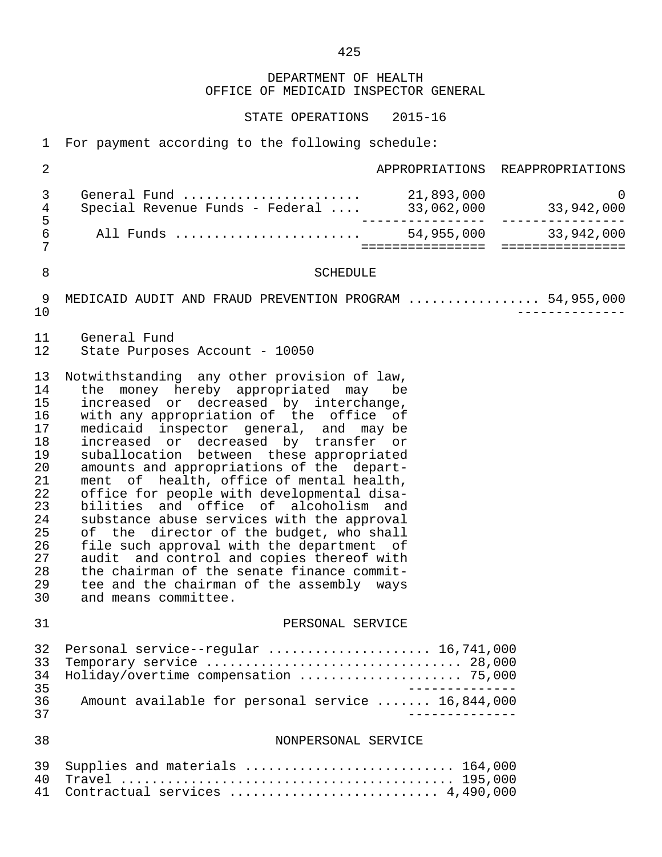DEPARTMENT OF HEALTH OFFICE OF MEDICAID INSPECTOR GENERAL

STATE OPERATIONS 2015-16

1 For payment according to the following schedule:

| $\overline{2}$                                                                                           |                                                                                                                                                                                                                                                                                                                                                                                                                                                                                                                                                                                                                                                                                                                                                                                                |                  | APPROPRIATIONS REAPPROPRIATIONS |
|----------------------------------------------------------------------------------------------------------|------------------------------------------------------------------------------------------------------------------------------------------------------------------------------------------------------------------------------------------------------------------------------------------------------------------------------------------------------------------------------------------------------------------------------------------------------------------------------------------------------------------------------------------------------------------------------------------------------------------------------------------------------------------------------------------------------------------------------------------------------------------------------------------------|------------------|---------------------------------|
| 3<br>4                                                                                                   | General Fund $\ldots \ldots \ldots \ldots \ldots \ldots$ 21,893,000<br>Special Revenue Funds - Federal  33,062,000 33,942,000                                                                                                                                                                                                                                                                                                                                                                                                                                                                                                                                                                                                                                                                  |                  | $\Omega$                        |
| 5<br>$\epsilon$<br>7                                                                                     |                                                                                                                                                                                                                                                                                                                                                                                                                                                                                                                                                                                                                                                                                                                                                                                                | ================ | ================                |
| 8                                                                                                        | <b>SCHEDULE</b>                                                                                                                                                                                                                                                                                                                                                                                                                                                                                                                                                                                                                                                                                                                                                                                |                  |                                 |
| 9<br>10                                                                                                  | MEDICAID AUDIT AND FRAUD PREVENTION PROGRAM  54,955,000                                                                                                                                                                                                                                                                                                                                                                                                                                                                                                                                                                                                                                                                                                                                        |                  |                                 |
| 11<br>12                                                                                                 | General Fund<br>State Purposes Account - 10050                                                                                                                                                                                                                                                                                                                                                                                                                                                                                                                                                                                                                                                                                                                                                 |                  |                                 |
| 13<br>14<br>15<br>16<br>17<br>18<br>19<br>20<br>21<br>22<br>23<br>24<br>25<br>26<br>27<br>28<br>29<br>30 | Notwithstanding any other provision of law,<br>the money hereby appropriated may be<br>increased or decreased by interchange,<br>with any appropriation of the office of<br>medicaid inspector general, and may be<br>increased or decreased by transfer or<br>suballocation between these appropriated<br>amounts and appropriations of the depart-<br>ment of health, office of mental health,<br>office for people with developmental disa-<br>bilities and office of alcoholism and<br>substance abuse services with the approval<br>of the director of the budget, who shall<br>file such approval with the department of<br>audit and control and copies thereof with<br>the chairman of the senate finance commit-<br>tee and the chairman of the assembly ways<br>and means committee. |                  |                                 |
| 31                                                                                                       | PERSONAL SERVICE                                                                                                                                                                                                                                                                                                                                                                                                                                                                                                                                                                                                                                                                                                                                                                               |                  |                                 |
| 32<br>33<br>34<br>35<br>36<br>37                                                                         | Personal service--regular  16,741,000<br>Holiday/overtime compensation  75,000<br>Amount available for personal service  16,844,000                                                                                                                                                                                                                                                                                                                                                                                                                                                                                                                                                                                                                                                            |                  |                                 |
| 38                                                                                                       | NONPERSONAL SERVICE                                                                                                                                                                                                                                                                                                                                                                                                                                                                                                                                                                                                                                                                                                                                                                            |                  |                                 |
| 39<br>40<br>41                                                                                           | Supplies and materials  164,000<br>Contractual services  4,490,000                                                                                                                                                                                                                                                                                                                                                                                                                                                                                                                                                                                                                                                                                                                             |                  |                                 |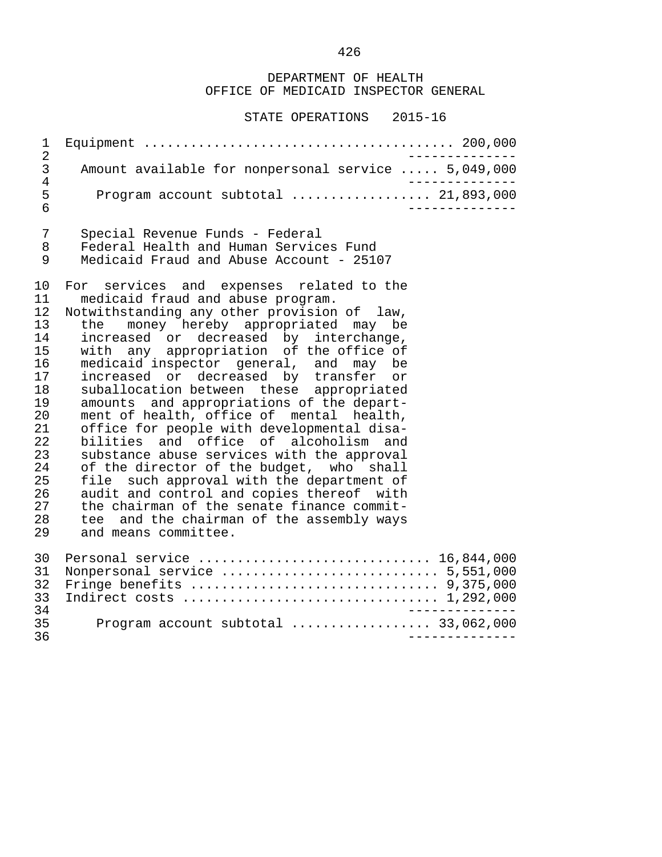DEPARTMENT OF HEALTH OFFICE OF MEDICAID INSPECTOR GENERAL

| 1                                                                                                                    |                                                                                                                                                                                                                                                                                                                                                                                                                                                                                                                                                                                                                                                                                                                                                                                                                                                                                    |  |
|----------------------------------------------------------------------------------------------------------------------|------------------------------------------------------------------------------------------------------------------------------------------------------------------------------------------------------------------------------------------------------------------------------------------------------------------------------------------------------------------------------------------------------------------------------------------------------------------------------------------------------------------------------------------------------------------------------------------------------------------------------------------------------------------------------------------------------------------------------------------------------------------------------------------------------------------------------------------------------------------------------------|--|
| $\overline{2}$<br>$\mathfrak{Z}$<br>$\overline{4}$                                                                   | Amount available for nonpersonal service  5,049,000                                                                                                                                                                                                                                                                                                                                                                                                                                                                                                                                                                                                                                                                                                                                                                                                                                |  |
| 5<br>6                                                                                                               | Program account subtotal $\ldots$ 21,893,000                                                                                                                                                                                                                                                                                                                                                                                                                                                                                                                                                                                                                                                                                                                                                                                                                                       |  |
| 7<br>8<br>9                                                                                                          | Special Revenue Funds - Federal<br>Federal Health and Human Services Fund<br>Medicaid Fraud and Abuse Account - 25107                                                                                                                                                                                                                                                                                                                                                                                                                                                                                                                                                                                                                                                                                                                                                              |  |
| 10<br>11<br>12<br>13<br>14<br>15<br>16<br>17<br>18<br>19<br>20<br>21<br>22<br>23<br>24<br>25<br>26<br>27<br>28<br>29 | For services and expenses related to the<br>medicaid fraud and abuse program.<br>Notwithstanding any other provision of law,<br>money hereby appropriated may be<br>the<br>increased or decreased by interchange,<br>with any appropriation of the office of<br>medicaid inspector general, and may be<br>increased or decreased by transfer or<br>suballocation between these appropriated<br>amounts and appropriations of the depart-<br>ment of health, office of mental health,<br>office for people with developmental disa-<br>bilities and office of alcoholism and<br>substance abuse services with the approval<br>of the director of the budget, who shall<br>file such approval with the department of<br>audit and control and copies thereof with<br>the chairman of the senate finance commit-<br>tee and the chairman of the assembly ways<br>and means committee. |  |
| 30<br>31<br>32<br>33<br>34                                                                                           | Personal service  16,844,000<br>Nonpersonal service  5,551,000                                                                                                                                                                                                                                                                                                                                                                                                                                                                                                                                                                                                                                                                                                                                                                                                                     |  |
| 35<br>36                                                                                                             | Program account subtotal  33,062,000                                                                                                                                                                                                                                                                                                                                                                                                                                                                                                                                                                                                                                                                                                                                                                                                                                               |  |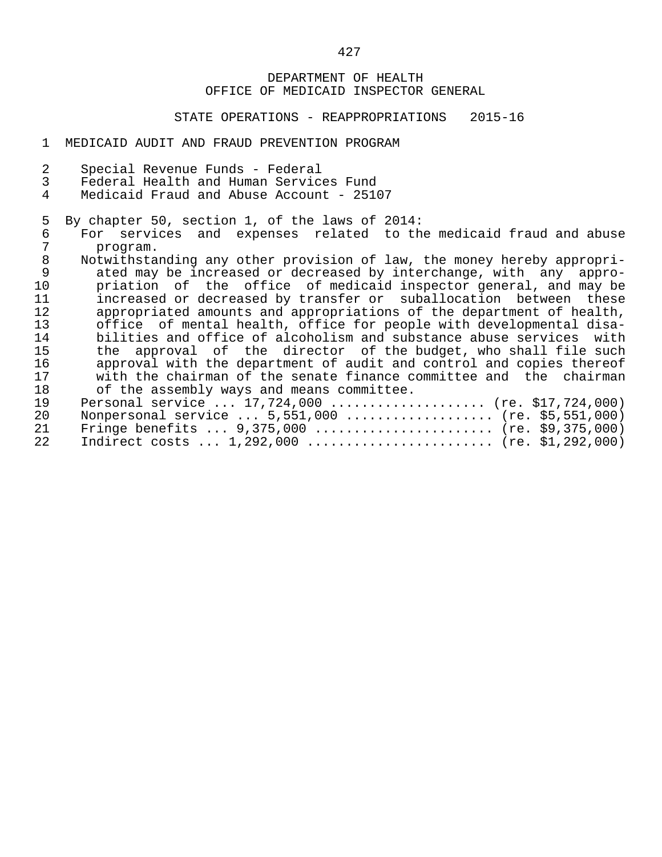### DEPARTMENT OF HEALTH OFFICE OF MEDICAID INSPECTOR GENERAL

STATE OPERATIONS - REAPPROPRIATIONS 2015-16

#### 1 MEDICAID AUDIT AND FRAUD PREVENTION PROGRAM

- 2 Special Revenue Funds Federal
- 3 Federal Health and Human Services Fund<br>4 Medicaid Fraud and Abuse Account 251
- Medicaid Fraud and Abuse Account 25107
- 5 By chapter 50, section 1, of the laws of 2014:<br>6 For services and expenses related to th
- 6 For services and expenses related to the medicaid fraud and abuse<br>7 program. 7 program.<br>8 Notwithsta
- 8 Notwithstanding any other provision of law, the money hereby appropri-<br>9 ated may be increased or decreased by interchange, with any appro-9 ated may be increased or decreased by interchange, with any appro-<br>10 briation of the office of medicaid inspector general, and may be 10 priation of the office of medicaid inspector general, and may be<br>11 increased or decreased by transfer or suballocation between these 11 increased or decreased by transfer or suballocation between these<br>12 appropriated amounts and appropriations of the department of health. 12 appropriated amounts and appropriations of the department of health,<br>13 office of mental health, office for people with developmental disa-13 office of mental health, office for people with developmental disa-<br>14 bilities and office of alcoholism and substance abuse services with 14 bilities and office of alcoholism and substance abuse services with<br>15 the approval of the director of the budget, who shall file such 15 the approval of the director of the budget, who shall file such<br>16 approval with the department of audit and control and copies thereof 16 approval with the department of audit and control and copies thereof<br>17 antith the chairman of the senate finance committee and the chairman 17 with the chairman of the senate finance committee and the chairman<br>18 of the assembly ways and means committee. 18 of the assembly ways and means committee.<br>19 Personal service ... 17.724.000 ............ 19 Personal service ... 17,724,000 ..................... (re. \$17,724,000)<br>20 Nonpersonal service ... 5,551,000 ................... (re. \$5,551,000) 20 Nonpersonal service ... 5,551,000 .................... (re. \$5,551,000)<br>21 Fringe benefits ... 9.375.000 ......................... (re. \$9.375.000) 21 Fringe benefits ... 9,375,000 ......................... (re. \$9,375,000)<br>22 Indirect costs ... 1,292,000 .......................... (re. \$1,292,000) 22 Indirect costs ... 1,292,000 ........................ (re. \$1,292,000)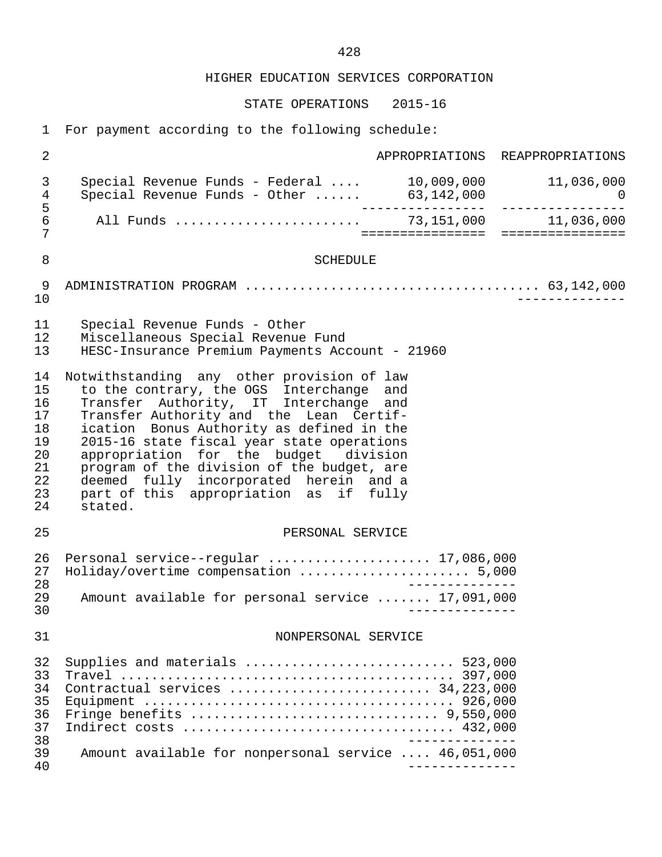HIGHER EDUCATION SERVICES CORPORATION

STATE OPERATIONS 2015-16

 1 For payment according to the following schedule: 2 APPROPRIATIONS REAPPROPRIATIONS 3 Special Revenue Funds - Federal .... 10,009,000 11,036,000 4 Special Revenue Funds - Other ...... 63,142,000 0 5 ---------------- ---------------- 6 All Funds ........................ 73,151,000 11,036,000 7 ================ ================ 8 SCHEDULE 9 ADMINISTRATION PROGRAM ...................................... 63,142,000 10 -------------- 11 Special Revenue Funds - Other<br>12 Miscellaneous Special Revenue 12 Miscellaneous Special Revenue Fund 13 HESC-Insurance Premium Payments Account - 21960 14 Notwithstanding any other provision of law<br>15 to the contrary, the OGS Interchange and 15 to the contrary, the OGS Interchange and<br>16 Transfer Authority, IT Interchange and 16 Transfer Authority, IT Interchange and<br>17 Transfer-Authority-and the Lean Certif-17 Transfer Authority and the Lean Certif-<br>18 ication Bonus Authority as defined in the 18 ication Bonus Authority as defined in the<br>19 2015-16 state fiscal year state operations 19 2015-16 state fiscal year state operations<br>20 appropriation for the budget division 20 appropriation for the budget division<br>21 program of the division of the budget, are 21 program of the division of the budget, are<br>22 deemed fully incorporated herein and a 22 deemed fully incorporated herein and a<br>23 part of this appropriation as if fully 23 part of this appropriation as if<br>24 stated. stated. 25 PERSONAL SERVICE 26 Personal service--regular ....................... 17,086,000<br>27 Holiday/overtime compensation ....................... 5.000 27 Holiday/overtime compensation ...................... 5,000 28 -------------- 29 Amount available for personal service ....... 17,091,000 30 -------------- 31 NONPERSONAL SERVICE 32 Supplies and materials ........................... 523,000 33 Travel ........................................... 397,000 34 Contractual services .......................... 34,223,000 35 Equipment ........................................ 926,000 36 Fringe benefits ................................ 9,550,000 37 Indirect costs ................................... 432,000 -------------<br>39 Amount available for nonpersonal service .... 46.051.000 39 Amount available for nonpersonal service .... 46,051,000 40 --------------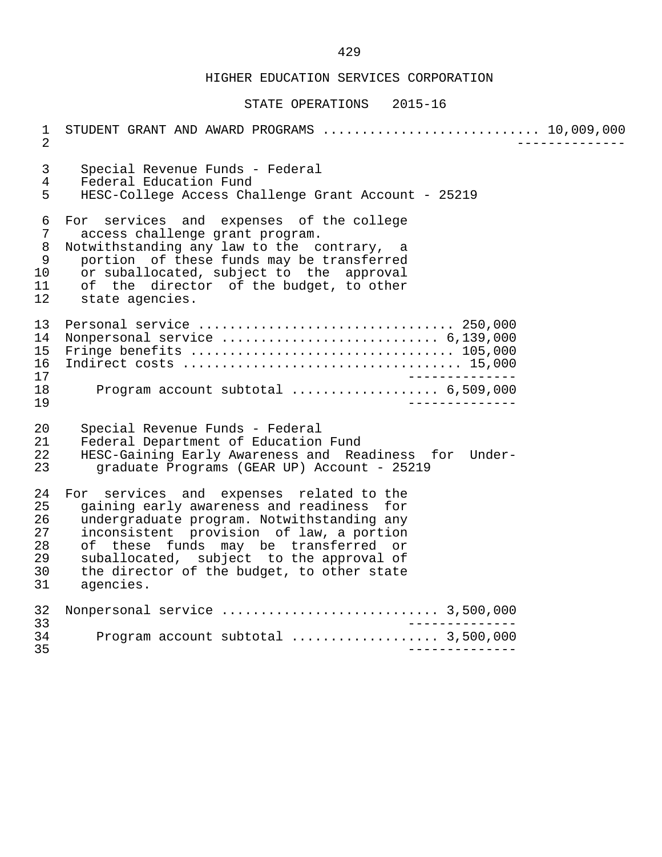## HIGHER EDUCATION SERVICES CORPORATION

#### STATE OPERATIONS 2015-16

 1 STUDENT GRANT AND AWARD PROGRAMS ............................ 10,009,000 2 -------------- 3 Special Revenue Funds - Federal 4 Federal Education Fund<br>5 HESC-College Access Cha 5 HESC-College Access Challenge Grant Account - 25219 6 For services and expenses of the college<br>7 access challenge grant program. 7 access challenge grant program.<br>8 Notwithstanding any law to the c 8 Notwithstanding any law to the contrary, a<br>9 portion of these funds may be transferred 9 portion of these funds may be transferred<br>10 or suballocated, subject to the approval 10 or suballocated, subject to the approval<br>11 of the director of the budget, to other 11 of the director of the budget, to other<br>12 state agencies. state agencies. 13 Personal service ................................. 250,000 14 Nonpersonal service ............................ 6,139,000 15 Fringe benefits .................................. 105,000 16 Indirect costs .................................... 15,000 17<br>18 Program account subtotal ..................... 6.509.000 18 Program account subtotal ................... 6,509,000 19 -------------- 20 Special Revenue Funds - Federal<br>21 Federal Department of Education 21 Federal Department of Education Fund<br>22 HESC-Gaining Early Awareness and Rea 22 HESC-Gaining Early Awareness and Readiness for Under graduate Programs (GEAR UP) Account - 25219 24 For services and expenses related to the<br>25 gaining early awareness and readiness for 25 gaining early awareness and readiness for<br>26 undergraduate program. Notwithstanding any 26 undergraduate program. Notwithstanding any<br>27 inconsistent provision of law, a portion inconsistent provision of law, a portion 28 of these funds may be transferred or<br>29 suballocated, subject to the-approval-of 29 suballocated, subject to the approval of<br>30 the director of the budget, to other state 30 the director of the budget, to other state<br>31 agencies. agencies. 32 Nonpersonal service ............................ 3,500,000 33 -------------- 34 Program account subtotal ................... 3,500,000 35 --------------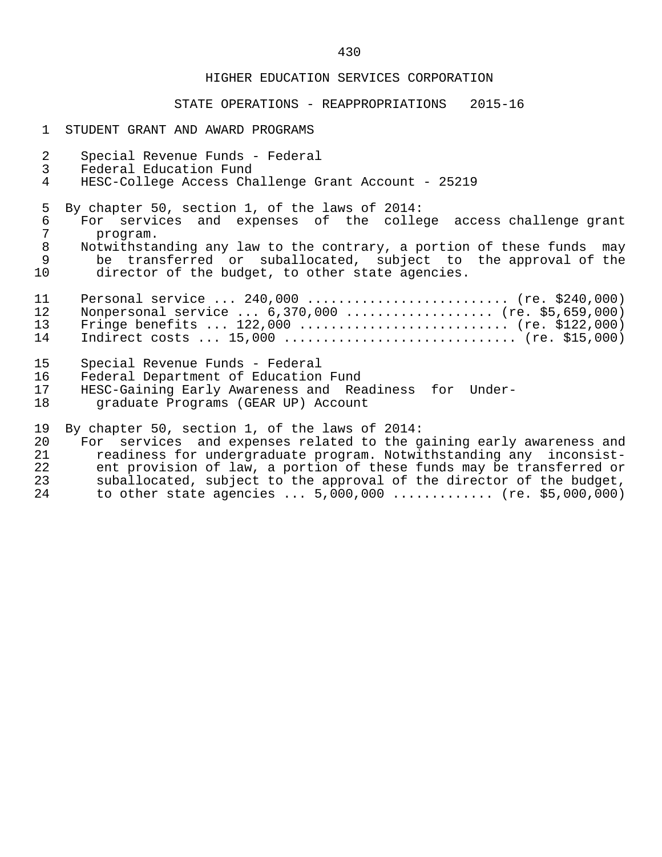#### HIGHER EDUCATION SERVICES CORPORATION

### STATE OPERATIONS - REAPPROPRIATIONS 2015-16

- 1 STUDENT GRANT AND AWARD PROGRAMS
- 2 Special Revenue Funds Federal<br>3 Federal Education Fund
- 3 Federal Education Fund<br>4 HESC-College Access Cha
- 4 HESC-College Access Challenge Grant Account 25219

5 By chapter 50, section 1, of the laws of 2014:<br>6 For services and expenses of the colle

- 6 For services and expenses of the college access challenge grant 7 program.<br>8 Notwithsta
- 8 Notwithstanding any law to the contrary, a portion of these funds may<br>8 be transferred or suballocated, subject to the approval of the 9 be transferred or suballocated, subject to the approval of the<br>10 director of the budget, to other state agencies. director of the budget, to other state agencies.
- 11 Personal service ... 240,000 ........................... (re. \$240,000)<br>12 Nonpersonal service ... 6.370.000 ..................... (re. \$5.659.000) 12 Nonpersonal service ... 6,370,000 ................... (re. \$5,659,000) 13 Fringe benefits ... 122,000 ............................ (re. \$122,000)<br>14 Indirect costs ... 15,000 ................................. (re. \$15,000) Indirect costs ... 15,000 ................................. (re. \$15,000)
- 15 Special Revenue Funds Federal
- 16 Federal Department of Education Fund<br>17 HESC-Gaining Early Awareness and Rea
- HESC-Gaining Early Awareness and Readiness for Under-18 graduate Programs (GEAR UP) Account

19 By chapter 50, section 1, of the laws of 2014:<br>20 For services and expenses related to the q

20 For services and expenses related to the gaining early awareness and<br>21 Teadiness for undergraduate program. Notwithstanding any inconsist-21 readiness for undergraduate program. Notwithstanding any inconsist-<br>22 ent provision of law, a portion of these funds may be transferred or 22 ent provision of law, a portion of these funds may be transferred or<br>23 Suballocated, subject to the approval of the director of the budget, 23 suballocated, subject to the approval of the director of the budget,<br>24 to other state agencies ... 5,000,000 .............. (re. \$5,000,000) to other state agencies ...  $5,000,000$  .............. (re. \$5,000,000)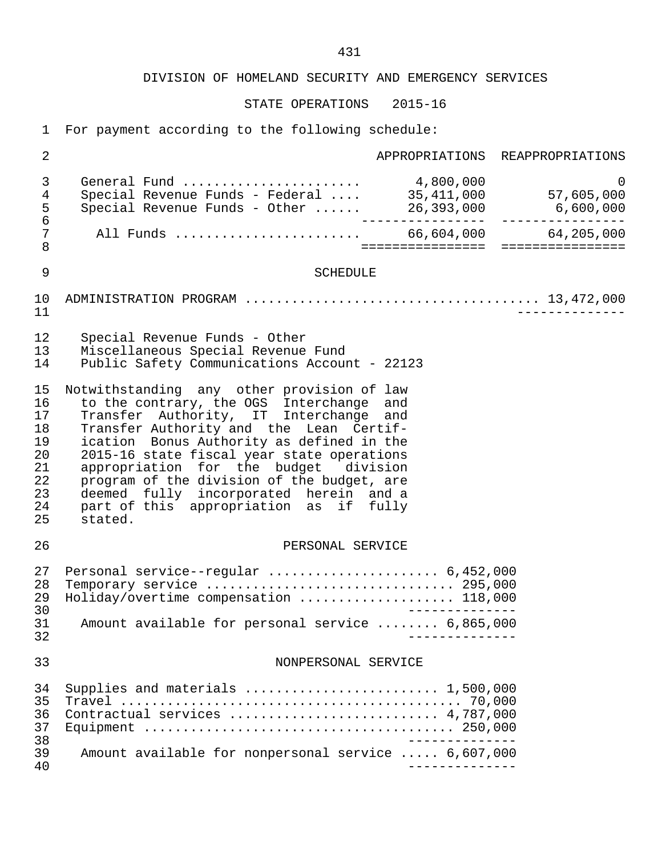DIVISION OF HOMELAND SECURITY AND EMERGENCY SERVICES

STATE OPERATIONS 2015-16

1 For payment according to the following schedule:

| $\overline{2}$                                                 |                                                                                                                                                                                                                                                                                                                                                                                                                                                              |  | APPROPRIATIONS REAPPROPRIATIONS |
|----------------------------------------------------------------|--------------------------------------------------------------------------------------------------------------------------------------------------------------------------------------------------------------------------------------------------------------------------------------------------------------------------------------------------------------------------------------------------------------------------------------------------------------|--|---------------------------------|
| $\mathfrak{Z}$<br>$\overline{4}$<br>5<br>$\epsilon$            | General Fund  4,800,000                                                                                                                                                                                                                                                                                                                                                                                                                                      |  | $\mathsf{O}$                    |
| 7<br>8                                                         |                                                                                                                                                                                                                                                                                                                                                                                                                                                              |  |                                 |
| $\mathsf 9$                                                    | <b>SCHEDULE</b>                                                                                                                                                                                                                                                                                                                                                                                                                                              |  |                                 |
| 10<br>11                                                       |                                                                                                                                                                                                                                                                                                                                                                                                                                                              |  |                                 |
| 12<br>13<br>14                                                 | Special Revenue Funds - Other<br>Miscellaneous Special Revenue Fund<br>Public Safety Communications Account - 22123                                                                                                                                                                                                                                                                                                                                          |  |                                 |
| 15<br>16<br>17<br>18<br>19<br>20<br>21<br>22<br>23<br>24<br>25 | Notwithstanding any other provision of law<br>to the contrary, the OGS Interchange and<br>Transfer Authority, IT Interchange and<br>Transfer Authority and the Lean Certif-<br>ication Bonus Authority as defined in the<br>2015-16 state fiscal year state operations<br>appropriation for the budget division<br>program of the division of the budget, are<br>deemed fully incorporated herein and a<br>part of this appropriation as if fully<br>stated. |  |                                 |
| 26                                                             | PERSONAL SERVICE                                                                                                                                                                                                                                                                                                                                                                                                                                             |  |                                 |
| 27<br>28<br>29<br>30<br>31<br>32                               | Personal service--regular  6,452,000<br>Holiday/overtime compensation  118,000<br>Amount available for personal service  6,865,000                                                                                                                                                                                                                                                                                                                           |  |                                 |
| 33                                                             | NONPERSONAL SERVICE                                                                                                                                                                                                                                                                                                                                                                                                                                          |  |                                 |
| 34<br>35<br>36<br>37<br>38<br>39<br>40                         | Supplies and materials  1,500,000<br>Contractual services  4,787,000<br>Amount available for nonpersonal service  6,607,000                                                                                                                                                                                                                                                                                                                                  |  |                                 |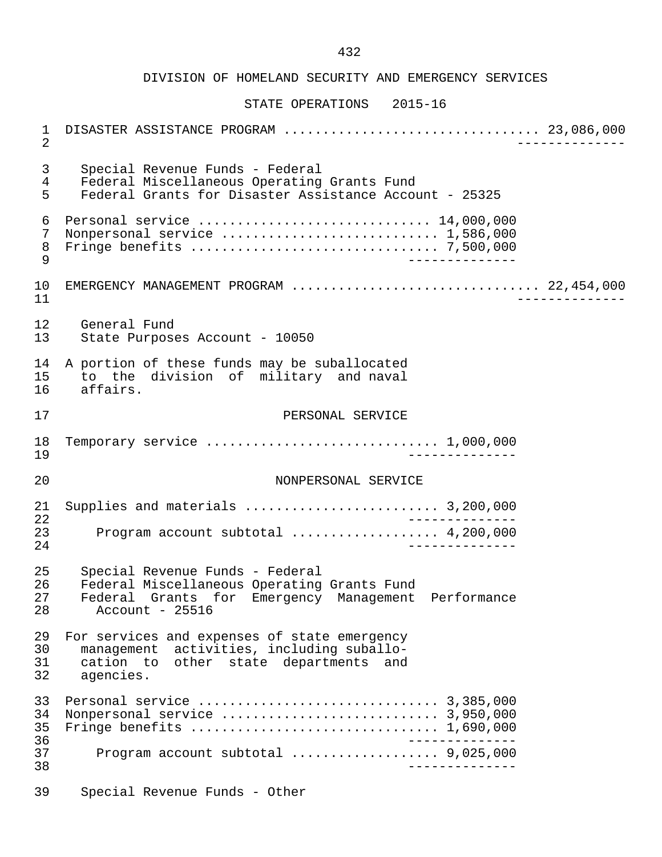DIVISION OF HOMELAND SECURITY AND EMERGENCY SERVICES STATE OPERATIONS 2015-16 1 DISASTER ASSISTANCE PROGRAM ................................. 23,086,000 2 -------------- 3 Special Revenue Funds - Federal 4 Federal Miscellaneous Operating Grants Fund<br>5 Federal Grants for Disaster Assistance Accou 5 Federal Grants for Disaster Assistance Account - 25325 6 Personal service .............................. 14,000,000 7 Nonpersonal service ............................ 1,586,000 8 Fringe benefits ................................ 7,500,000 9 -------------- 10 EMERGENCY MANAGEMENT PROGRAM ................................ 22,454,000 11 -------------- 12 General Fund<br>13 State Purpose State Purposes Account - 10050 14 A portion of these funds may be suballocated<br>15 to the division of military and naval 15 to the division of military and naval<br>16 affairs. affairs. 17 PERSONAL SERVICE 18 Temporary service .............................. 1,000,000 19 -------------- 20 NONPERSONAL SERVICE 21 Supplies and materials ......................... 3,200,000 22 <sup>--</sup><br>23 Program account subtotal expresses expenses 4.200.000 23 Program account subtotal ................... 4,200,000 24 -------------- 25 Special Revenue Funds - Federal 26 Federal Miscellaneous Operating Grants Fund<br>27 Federal Grants for Emergency Management 27 Federal Grants for Emergency Management Performance  $Account - 25516$ 29 For services and expenses of state emergency<br>30 management activities, including suballo-30 management activities, including suballo-<br>31 cation to other state departments and 31 cation to other state departments and<br>32 agencies agencies. 33 Personal service ............................... 3,385,000 34 Nonpersonal service ............................ 3,950,000 35 Fringe benefits ................................ 1,690,000 36 -------------- 37 Program account subtotal ................... 9,025,000 38 -------------- 39 Special Revenue Funds - Other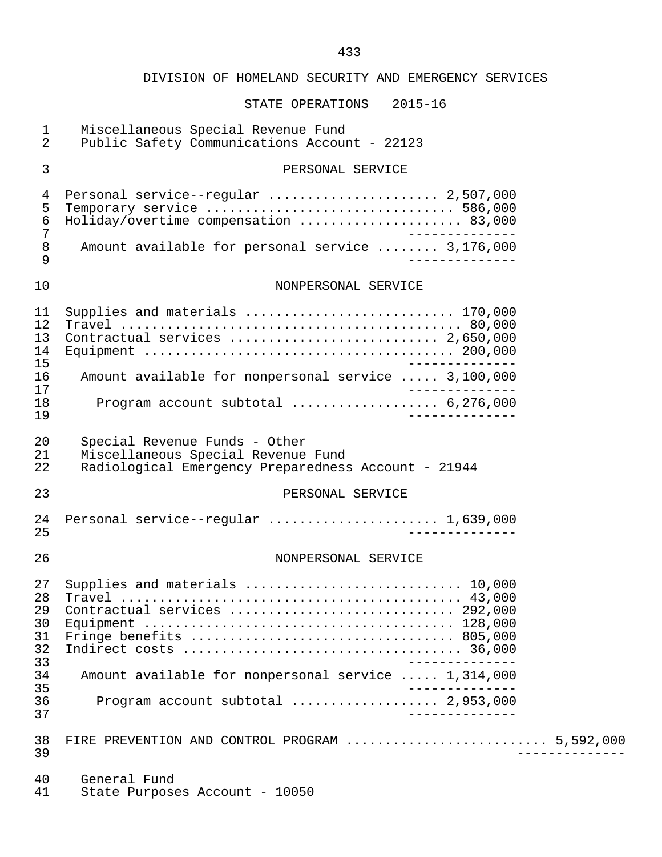| $\mathbf 1$<br>$\overline{2}$    | Miscellaneous Special Revenue Fund<br>Public Safety Communications Account - 22123                                         |
|----------------------------------|----------------------------------------------------------------------------------------------------------------------------|
| 3                                | PERSONAL SERVICE                                                                                                           |
| 4<br>5<br>$\epsilon$<br>7        | Personal service--regular  2,507,000<br>Holiday/overtime compensation  83,000                                              |
| $\,8\,$<br>9                     | Amount available for personal service  3,176,000                                                                           |
| 10                               | NONPERSONAL SERVICE                                                                                                        |
| 11<br>12<br>13<br>14<br>15       | Supplies and materials  170,000                                                                                            |
| 16<br>17                         | Amount available for nonpersonal service  3,100,000                                                                        |
| 18<br>19                         | Program account subtotal  6,276,000                                                                                        |
| 20<br>21<br>22                   | Special Revenue Funds - Other<br>Miscellaneous Special Revenue Fund<br>Radiological Emergency Preparedness Account - 21944 |
| 23                               | PERSONAL SERVICE                                                                                                           |
| 24<br>25                         | Personal service--regular  1,639,000                                                                                       |
| 26                               | NONPERSONAL SERVICE                                                                                                        |
| 27<br>28<br>29<br>30<br>31<br>32 | Supplies and materials  10,000<br>Contractual services  292,000<br>Fringe benefits  805,000                                |
| 33<br>34                         | Amount available for nonpersonal service  1,314,000                                                                        |
| 35<br>36<br>37                   | Program account subtotal  2,953,000<br>____________                                                                        |
| 38<br>39                         | FIRE PREVENTION AND CONTROL PROGRAM  5,592,000                                                                             |
| 40<br>41                         | General Fund<br>State Purposes Account - 10050                                                                             |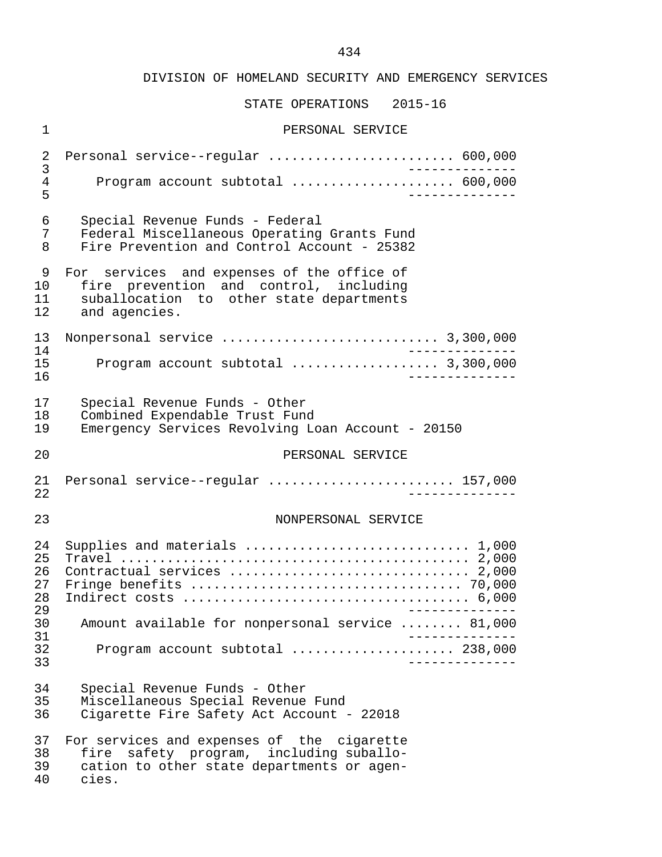| $\mathbf 1$                           | PERSONAL SERVICE                                                                                                                                  |
|---------------------------------------|---------------------------------------------------------------------------------------------------------------------------------------------------|
| $\sqrt{2}$                            | Personal service--regular  600,000                                                                                                                |
| $\mathfrak{Z}$<br>$\overline{4}$<br>5 | ______________<br>Program account subtotal  600,000                                                                                               |
| 6<br>7<br>8                           | Special Revenue Funds - Federal<br>Federal Miscellaneous Operating Grants Fund<br>Fire Prevention and Control Account - 25382                     |
| 9<br>10<br>11<br>12                   | For services and expenses of the office of<br>fire prevention and control, including<br>suballocation to other state departments<br>and agencies. |
| 13                                    |                                                                                                                                                   |
| 14<br>15<br>16                        | Program account subtotal  3,300,000                                                                                                               |
| 17<br>18<br>19                        | Special Revenue Funds - Other<br>Combined Expendable Trust Fund<br>Emergency Services Revolving Loan Account - 20150                              |
| 20                                    | PERSONAL SERVICE                                                                                                                                  |
| 21<br>22                              | Personal service--regular  157,000                                                                                                                |
| 23                                    | NONPERSONAL SERVICE                                                                                                                               |
| 24<br>25<br>26<br>27<br>28<br>29      | Supplies and materials  1,000<br>Contractual services  2,000                                                                                      |
| 30                                    | Amount available for nonpersonal service  81,000<br>-----------                                                                                   |
| 31<br>32<br>33                        | Program account subtotal  238,000<br>$- - - - - - - - -$                                                                                          |
| 34<br>35<br>36                        | Special Revenue Funds - Other<br>Miscellaneous Special Revenue Fund<br>Cigarette Fire Safety Act Account - 22018                                  |
| 37<br>38<br>39<br>40                  | For services and expenses of the cigarette<br>fire safety program, including suballo-<br>cation to other state departments or agen-<br>cies.      |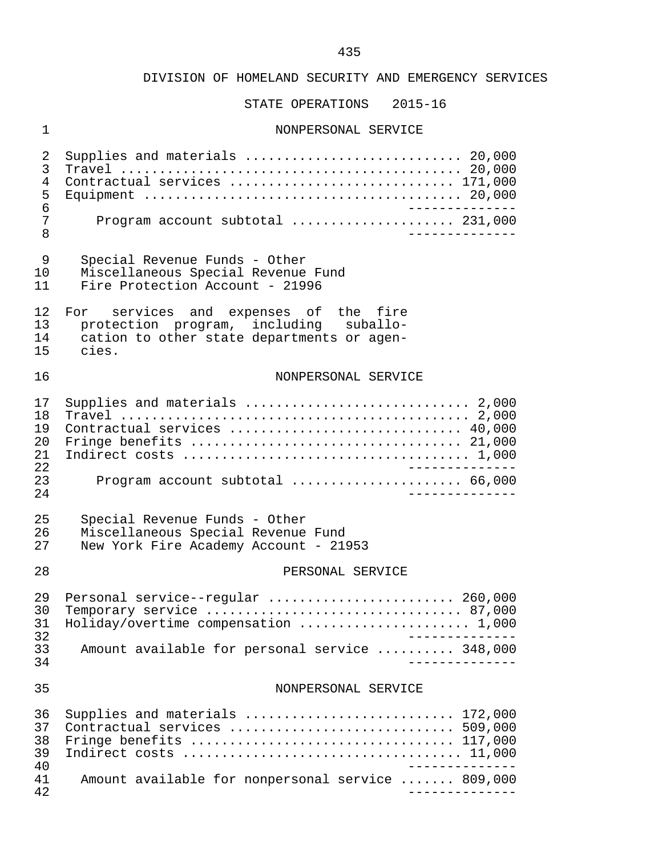STATE OPERATIONS 2015-16

# 1 NONPERSONAL SERVICE

| 2<br>3<br>4<br>5<br>6<br>7<br>8  | Supplies and materials  20,000<br>Contractual services  171,000<br>_______________<br>Program account subtotal  231,000<br>___________ |
|----------------------------------|----------------------------------------------------------------------------------------------------------------------------------------|
| 9<br>10<br>11                    | Special Revenue Funds - Other<br>Miscellaneous Special Revenue Fund<br>Fire Protection Account - 21996                                 |
| 12<br>13<br>14<br>15             | For services and expenses of the fire<br>protection program, including suballo-<br>cation to other state departments or agen-<br>cies. |
| 16                               | NONPERSONAL SERVICE                                                                                                                    |
| 17<br>18<br>19<br>20<br>21<br>22 | Supplies and materials  2,000<br>Contractual services  40,000<br>Fringe benefits  21,000<br>_______________                            |
| 23<br>24                         | Program account subtotal  66,000<br>____________                                                                                       |
| 25<br>26<br>27                   | Special Revenue Funds - Other<br>Miscellaneous Special Revenue Fund<br>New York Fire Academy Account - 21953                           |
| 28                               | PERSONAL SERVICE                                                                                                                       |
| 29<br>30<br>31<br>32             | Personal service--regular  260,000<br>Temporary service  87,000<br>Holiday/overtime compensation  1,000                                |
| 33<br>34                         | Amount available for personal service  348,000                                                                                         |
| 35                               | NONPERSONAL SERVICE                                                                                                                    |
| 36<br>37<br>38<br>39<br>40       | Supplies and materials  172,000<br>Contractual services  509,000<br>Fringe benefits  117,000                                           |
| 41<br>42                         | Amount available for nonpersonal service  809,000                                                                                      |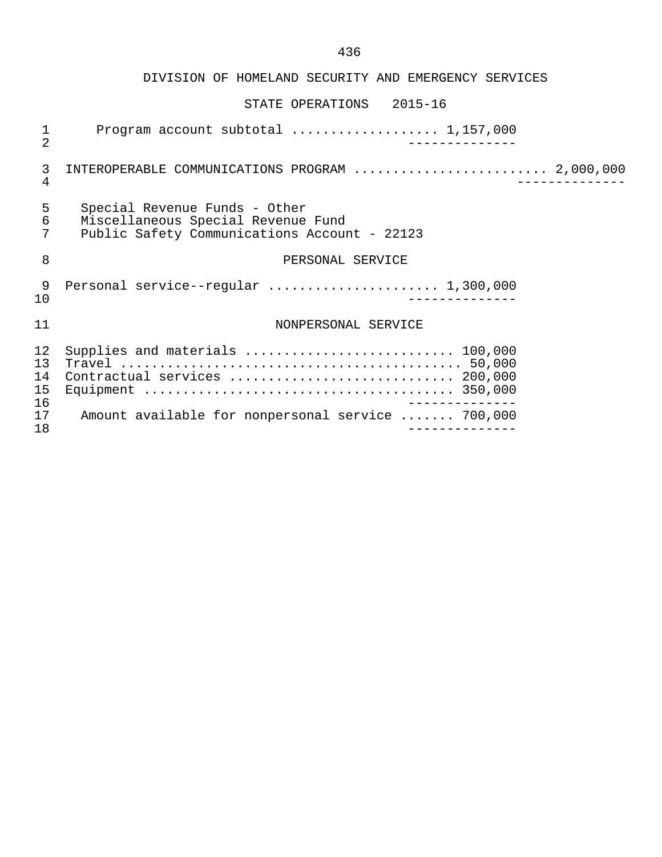| 1<br>$\overline{2}$              | Program account subtotal  1,157,000                                                                                   |
|----------------------------------|-----------------------------------------------------------------------------------------------------------------------|
| 3<br>$\overline{4}$              | INTEROPERABLE COMMUNICATIONS PROGRAM  2,000,000                                                                       |
| 5<br>6<br>7                      | Special Revenue Funds - Other<br>Miscellaneous Special Revenue Fund<br>Public Safety Communications Account - 22123   |
| 8                                | PERSONAL SERVICE                                                                                                      |
| 9<br>10                          |                                                                                                                       |
| 11                               | NONPERSONAL SERVICE                                                                                                   |
| 12<br>13<br>14<br>15<br>16<br>17 | Supplies and materials  100,000<br>Contractual services  200,000<br>Amount available for nonpersonal service  700,000 |
| 18                               |                                                                                                                       |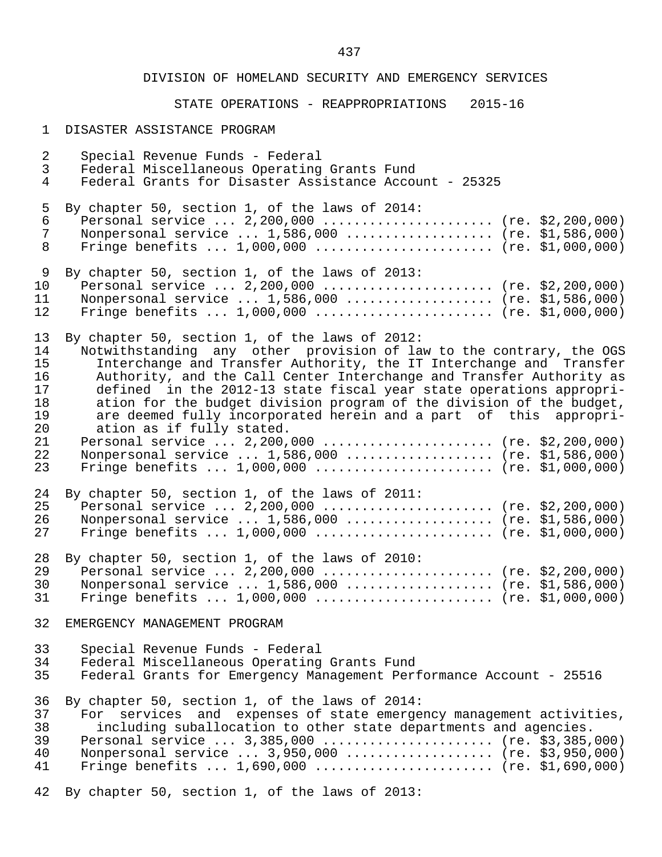# STATE OPERATIONS - REAPPROPRIATIONS 2015-16

#### 1 DISASTER ASSISTANCE PROGRAM

| $\overline{a}$<br>$\mathsf{3}$<br>$\overline{4}$               | Special Revenue Funds - Federal<br>Federal Miscellaneous Operating Grants Fund<br>Federal Grants for Disaster Assistance Account - 25325                                                                                                                                                                                                                                                                                                                                                                                                                                                                                                                                      |
|----------------------------------------------------------------|-------------------------------------------------------------------------------------------------------------------------------------------------------------------------------------------------------------------------------------------------------------------------------------------------------------------------------------------------------------------------------------------------------------------------------------------------------------------------------------------------------------------------------------------------------------------------------------------------------------------------------------------------------------------------------|
| 5<br>6<br>$7\phantom{.}$<br>8                                  | By chapter 50, section 1, of the laws of 2014:<br>Personal service  2,200,000  (re. \$2,200,000)<br>Nonpersonal service  1,586,000  (re. \$1,586,000)<br>Fringe benefits $1,000,000$ (re. \$1,000,000)                                                                                                                                                                                                                                                                                                                                                                                                                                                                        |
| 9<br>10<br>11<br>12                                            | By chapter 50, section 1, of the laws of 2013:<br>Personal service  2,200,000  (re. \$2,200,000)<br>Nonpersonal service  1,586,000  (re. \$1,586,000)<br>Fringe benefits $1,000,000$ (re. \$1,000,000)                                                                                                                                                                                                                                                                                                                                                                                                                                                                        |
| 13<br>14<br>15<br>16<br>17<br>18<br>19<br>20<br>21<br>22<br>23 | By chapter 50, section 1, of the laws of 2012:<br>Notwithstanding any other provision of law to the contrary, the OGS<br>Interchange and Transfer Authority, the IT Interchange and Transfer<br>Authority, and the Call Center Interchange and Transfer Authority as<br>defined in the 2012-13 state fiscal year state operations appropri-<br>ation for the budget division program of the division of the budget,<br>are deemed fully incorporated herein and a part of this appropri-<br>ation as if fully stated.<br>Personal service  2,200,000  (re. \$2,200,000)<br>Nonpersonal service  1,586,000  (re. \$1,586,000)<br>Fringe benefits $1,000,000$ (re. \$1,000,000) |
| 24<br>25<br>26<br>27                                           | By chapter 50, section 1, of the laws of 2011:<br>Personal service  2,200,000  (re. \$2,200,000)<br>Nonpersonal service  1,586,000  (re. \$1,586,000)<br>Fringe benefits $1,000,000$ (re. \$1,000,000)                                                                                                                                                                                                                                                                                                                                                                                                                                                                        |
| 28<br>29<br>30<br>31                                           | By chapter 50, section 1, of the laws of 2010:<br>Personal service  2,200,000  (re. \$2,200,000)<br>Nonpersonal service  1,586,000  (re. \$1,586,000)<br>Fringe benefits $1,000,000$ (re. \$1,000,000)                                                                                                                                                                                                                                                                                                                                                                                                                                                                        |
| 32                                                             | EMERGENCY MANAGEMENT PROGRAM                                                                                                                                                                                                                                                                                                                                                                                                                                                                                                                                                                                                                                                  |
| 33<br>34<br>35                                                 | Special Revenue Funds - Federal<br>Federal Miscellaneous Operating Grants Fund<br>Federal Grants for Emergency Management Performance Account - 25516                                                                                                                                                                                                                                                                                                                                                                                                                                                                                                                         |
| 36<br>37<br>38<br>39<br>40<br>41                               | By chapter 50, section 1, of the laws of 2014:<br>For services and expenses of state emergency management activities,<br>including suballocation to other state departments and agencies.<br>Personal service  3,385,000  (re. \$3,385,000)<br>Nonpersonal service  3,950,000  (re. \$3,950,000)<br>Fringe benefits $1,690,000$ (re. \$1,690,000)                                                                                                                                                                                                                                                                                                                             |
| 42                                                             | By chapter 50, section 1, of the laws of 2013:                                                                                                                                                                                                                                                                                                                                                                                                                                                                                                                                                                                                                                |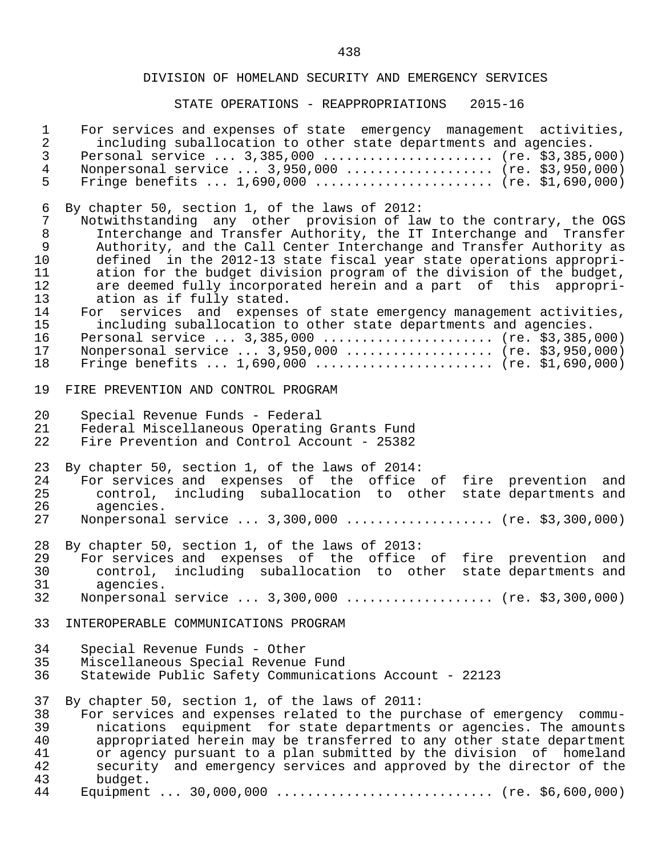| $\mathbf 1$    | For services and expenses of state emergency management activities,   |
|----------------|-----------------------------------------------------------------------|
| $\sqrt{2}$     | including suballocation to other state departments and agencies.      |
| $\mathfrak{Z}$ | Personal service  3,385,000  (re. \$3,385,000)                        |
| $\overline{4}$ | Nonpersonal service  3,950,000  (re. \$3,950,000)                     |
| 5              | Fringe benefits $1,690,000$ (re. \$1,690,000)                         |
| 6              | By chapter 50, section 1, of the laws of 2012:                        |
| $\overline{7}$ | Notwithstanding any other provision of law to the contrary, the OGS   |
| $\,8\,$        | Interchange and Transfer Authority, the IT Interchange and Transfer   |
| $\mathsf 9$    | Authority, and the Call Center Interchange and Transfer Authority as  |
| 10             | defined in the 2012-13 state fiscal year state operations appropri-   |
| 11             | ation for the budget division program of the division of the budget,  |
| 12             | are deemed fully incorporated herein and a part of this appropri-     |
| 13             | ation as if fully stated.                                             |
| 14             | For services and expenses of state emergency management activities,   |
| 15             | including suballocation to other state departments and agencies.      |
| 16             | Personal service  3,385,000  (re. \$3,385,000)                        |
| 17             | Nonpersonal service  3,950,000  (re. \$3,950,000)                     |
| 18             | Fringe benefits $1,690,000$ (re. \$1,690,000)                         |
| 19             | FIRE PREVENTION AND CONTROL PROGRAM                                   |
| 20             | Special Revenue Funds - Federal                                       |
| 21             | Federal Miscellaneous Operating Grants Fund                           |
| 22             | Fire Prevention and Control Account - 25382                           |
| 23             | By chapter 50, section 1, of the laws of 2014:                        |
| 24             | For services and expenses of the office of fire prevention and        |
| 25             | control, including suballocation to other state departments and       |
| 26             | agencies.                                                             |
| 27             | Nonpersonal service  3,300,000  (re. \$3,300,000)                     |
| 28             | By chapter 50, section 1, of the laws of 2013:                        |
| 29             | For services and expenses of the office of fire prevention and        |
| 30             | control, including suballocation to other state departments and       |
| 31             | agencies.                                                             |
| 32             | Nonpersonal service  3,300,000  (re. \$3,300,000)                     |
| 33             | INTEROPERABLE COMMUNICATIONS PROGRAM                                  |
| 34             | Special Revenue Funds - Other                                         |
| 35             | Miscellaneous Special Revenue Fund                                    |
| 36             | Statewide Public Safety Communications Account - 22123                |
| 37             | By chapter 50, section 1, of the laws of 2011:                        |
| 38             | For services and expenses related to the purchase of emergency commu- |
| 39             | nications equipment for state departments or agencies. The amounts    |
| 40             | appropriated herein may be transferred to any other state department  |
| 41             | or agency pursuant to a plan submitted by the division of homeland    |
| 42             | security and emergency services and approved by the director of the   |
| 43             | budget.                                                               |
| 44             |                                                                       |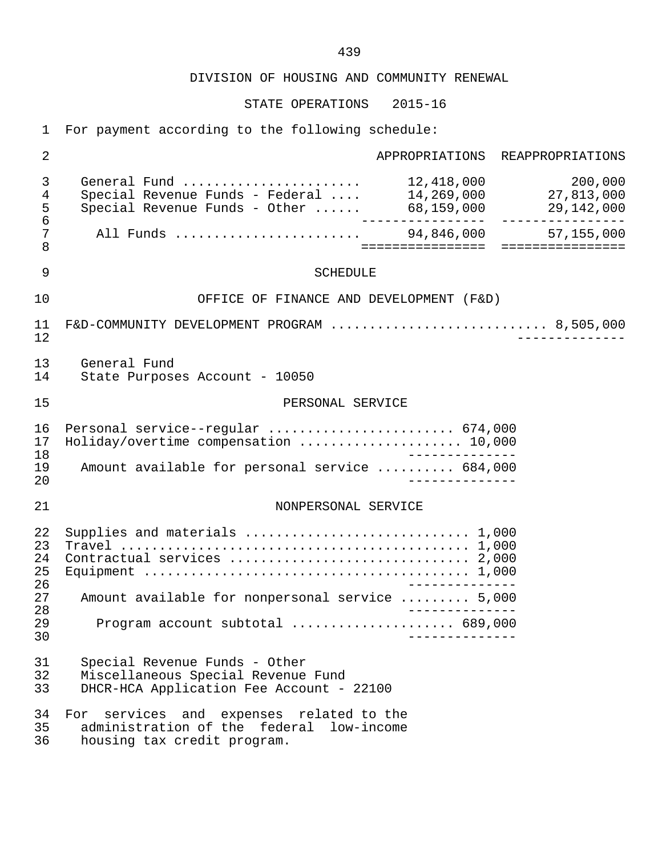STATE OPERATIONS 2015-16

1 For payment according to the following schedule:

| $\overline{2}$             |                                                                                                                                      |                  | APPROPRIATIONS REAPPROPRIATIONS |
|----------------------------|--------------------------------------------------------------------------------------------------------------------------------------|------------------|---------------------------------|
| 3<br>4<br>5<br>6           | General Fund $\ldots \ldots \ldots \ldots \ldots \ldots \ldots$ 12,418,000<br>Special Revenue Funds - Federal  14,269,000 27,813,000 |                  | 200,000                         |
| 7<br>8                     |                                                                                                                                      | ================ | ================                |
| 9                          | <b>SCHEDULE</b>                                                                                                                      |                  |                                 |
| 10                         | OFFICE OF FINANCE AND DEVELOPMENT (F&D)                                                                                              |                  |                                 |
| 11<br>12                   | F&D-COMMUNITY DEVELOPMENT PROGRAM  8,505,000                                                                                         |                  |                                 |
| 13<br>14                   | General Fund<br>State Purposes Account - 10050                                                                                       |                  |                                 |
| 15                         | PERSONAL SERVICE                                                                                                                     |                  |                                 |
| 16<br>17<br>18<br>19<br>20 | Personal service--regular  674,000<br>Holiday/overtime compensation  10,000<br>Amount available for personal service  684,000        |                  |                                 |
| 21                         | NONPERSONAL SERVICE                                                                                                                  |                  |                                 |
| 22<br>23<br>24<br>25<br>26 | Supplies and materials  1,000                                                                                                        |                  |                                 |
| 27<br>28                   | Amount available for nonpersonal service  5,000                                                                                      |                  |                                 |
| 29<br>30                   | Program account subtotal  689,000                                                                                                    |                  |                                 |
| 31<br>32<br>33             | Special Revenue Funds - Other<br>Miscellaneous Special Revenue Fund<br>DHCR-HCA Application Fee Account - 22100                      |                  |                                 |
| 34<br>35<br>36             | For services and expenses related to the<br>administration of the federal low-income<br>housing tax credit program.                  |                  |                                 |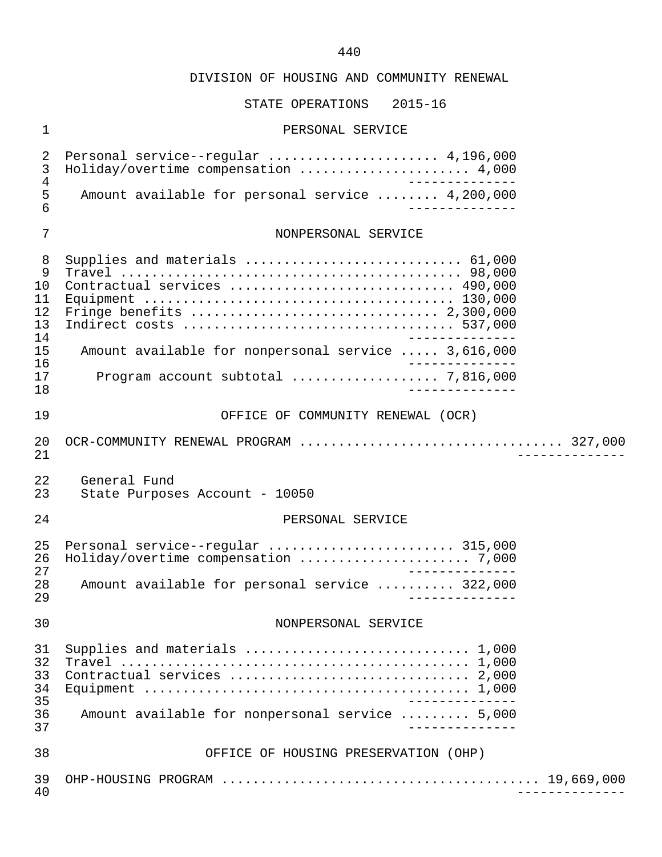# STATE OPERATIONS 2015-16

# 1 PERSONAL SERVICE

| $\overline{2}$<br>3<br>4<br>5<br>6                     | Personal service--regular  4,196,000<br>Holiday/overtime compensation  4,000<br>Amount available for personal service  4,200,000                              |
|--------------------------------------------------------|---------------------------------------------------------------------------------------------------------------------------------------------------------------|
| $\overline{7}$                                         | NONPERSONAL SERVICE                                                                                                                                           |
| 8<br>9<br>10<br>11<br>12<br>13<br>14<br>15<br>16<br>17 | Supplies and materials  61,000<br>Contractual services  490,000<br>Amount available for nonpersonal service  3,616,000<br>Program account subtotal  7,816,000 |
| 18<br>19                                               | OFFICE OF COMMUNITY RENEWAL (OCR)                                                                                                                             |
| 20<br>21                                               |                                                                                                                                                               |
| 22<br>23                                               | General Fund<br>State Purposes Account - 10050                                                                                                                |
| 24                                                     | PERSONAL SERVICE                                                                                                                                              |
| 25<br>26<br>27<br>28<br>29                             | Personal service--regular  315,000<br>______________<br>Amount available for personal service  322,000                                                        |
| 30                                                     | NONPERSONAL SERVICE                                                                                                                                           |
| 31<br>32<br>33<br>34<br>35<br>36<br>37                 | Supplies and materials  1,000<br>______________<br>Amount available for nonpersonal service  5,000<br>______________                                          |
| 38                                                     | OFFICE OF HOUSING PRESERVATION (OHP)                                                                                                                          |
| 39<br>40                                               |                                                                                                                                                               |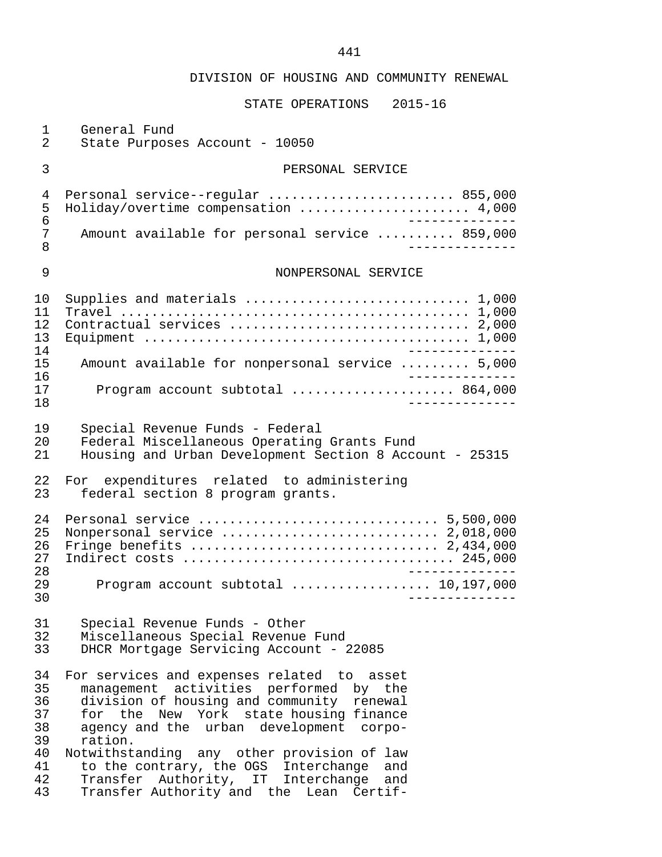| 1<br>$\overline{2}$                                      | General Fund<br>State Purposes Account - 10050                                                                                                                                                                                                                                                                                                                                                                                        |
|----------------------------------------------------------|---------------------------------------------------------------------------------------------------------------------------------------------------------------------------------------------------------------------------------------------------------------------------------------------------------------------------------------------------------------------------------------------------------------------------------------|
| 3                                                        | PERSONAL SERVICE                                                                                                                                                                                                                                                                                                                                                                                                                      |
| 4<br>5<br>6                                              | Personal service--regular  855,000<br>Holiday/overtime compensation  4,000                                                                                                                                                                                                                                                                                                                                                            |
| 7<br>8                                                   | Amount available for personal service  859,000                                                                                                                                                                                                                                                                                                                                                                                        |
| 9                                                        | NONPERSONAL SERVICE                                                                                                                                                                                                                                                                                                                                                                                                                   |
| 10<br>11<br>12<br>13<br>14<br>15<br>16<br>17             | Supplies and materials  1,000<br>Contractual services  2,000<br>Amount available for nonpersonal service  5,000<br>Program account subtotal  864,000                                                                                                                                                                                                                                                                                  |
| 18<br>19<br>20<br>21                                     | Special Revenue Funds - Federal<br>Federal Miscellaneous Operating Grants Fund<br>Housing and Urban Development Section 8 Account - 25315                                                                                                                                                                                                                                                                                             |
| 22<br>23                                                 | For expenditures related to administering<br>federal section 8 program grants.                                                                                                                                                                                                                                                                                                                                                        |
| 24<br>25<br>26<br>27<br>28                               | Personal service  5,500,000<br>Nonpersonal service  2,018,000                                                                                                                                                                                                                                                                                                                                                                         |
| 29<br>30                                                 | Program account subtotal  10,197,000                                                                                                                                                                                                                                                                                                                                                                                                  |
| 31<br>32<br>33                                           | Special Revenue Funds - Other<br>Miscellaneous Special Revenue Fund<br>DHCR Mortgage Servicing Account - 22085                                                                                                                                                                                                                                                                                                                        |
| 34<br>35<br>36<br>37<br>38<br>39<br>40<br>41<br>42<br>43 | For services and expenses related to asset<br>management activities performed by the<br>division of housing and community renewal<br>New York state housing finance<br>for<br>the<br>agency and the urban development corpo-<br>ration.<br>Notwithstanding any other provision of law<br>to the contrary, the OGS Interchange<br>and<br>Authority, IT Interchange<br>Transfer<br>and<br>Transfer Authority and the<br>Certif-<br>Lean |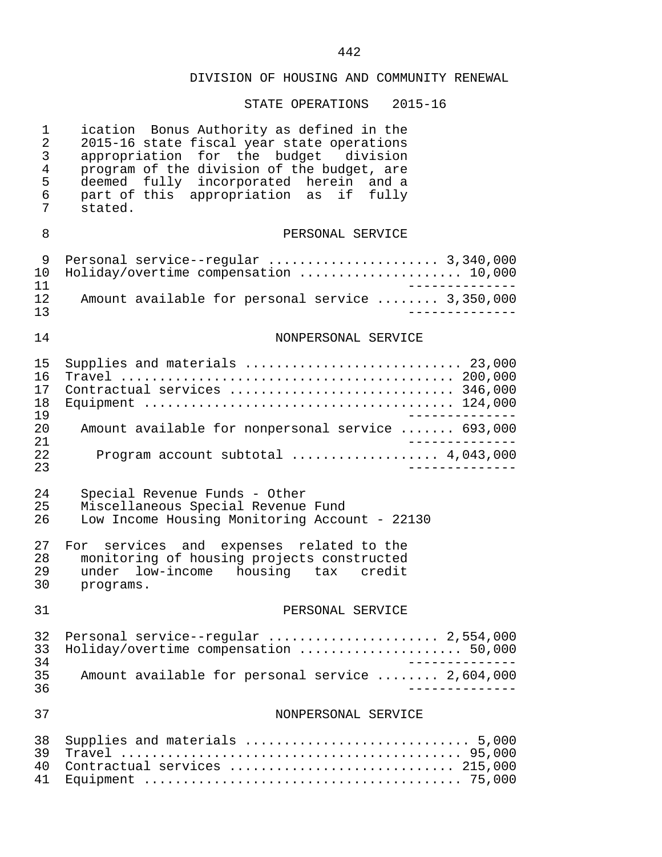| $\mathbf 1$<br>$\overline{2}$<br>$\mathsf{3}$<br>$\overline{4}$<br>5<br>6<br>7 | ication Bonus Authority as defined in the<br>2015-16 state fiscal year state operations<br>appropriation for the budget division<br>program of the division of the budget, are<br>deemed fully incorporated herein and a<br>part of this appropriation as if fully<br>stated. |
|--------------------------------------------------------------------------------|-------------------------------------------------------------------------------------------------------------------------------------------------------------------------------------------------------------------------------------------------------------------------------|
| 8                                                                              | PERSONAL SERVICE                                                                                                                                                                                                                                                              |
| 9<br>10<br>11<br>12<br>13                                                      | Personal service--regular  3,340,000<br>Holiday/overtime compensation  10,000<br>Amount available for personal service  3,350,000                                                                                                                                             |
| 14                                                                             | NONPERSONAL SERVICE                                                                                                                                                                                                                                                           |
| 15<br>16<br>17<br>18<br>19<br>20<br>21<br>22<br>23                             | Supplies and materials  23,000<br>Contractual services  346,000<br>Amount available for nonpersonal service  693,000<br>Program account subtotal  4,043,000                                                                                                                   |
| 24<br>25<br>26                                                                 | Special Revenue Funds - Other<br>Miscellaneous Special Revenue Fund<br>Low Income Housing Monitoring Account - 22130                                                                                                                                                          |
| 27<br>28<br>29<br>30                                                           | For services and expenses related to the<br>monitoring of housing projects constructed<br>under low-income housing tax credit<br>programs.                                                                                                                                    |
| 31                                                                             | PERSONAL SERVICE                                                                                                                                                                                                                                                              |
| 32<br>33<br>34<br>35<br>36                                                     | Personal service--regular  2,554,000<br>Holiday/overtime compensation  50,000<br>Amount available for personal service  2,604,000<br>____________                                                                                                                             |
| 37                                                                             | NONPERSONAL SERVICE                                                                                                                                                                                                                                                           |
| 38<br>39<br>40<br>41                                                           | Supplies and materials  5,000<br>Contractual services  215,000                                                                                                                                                                                                                |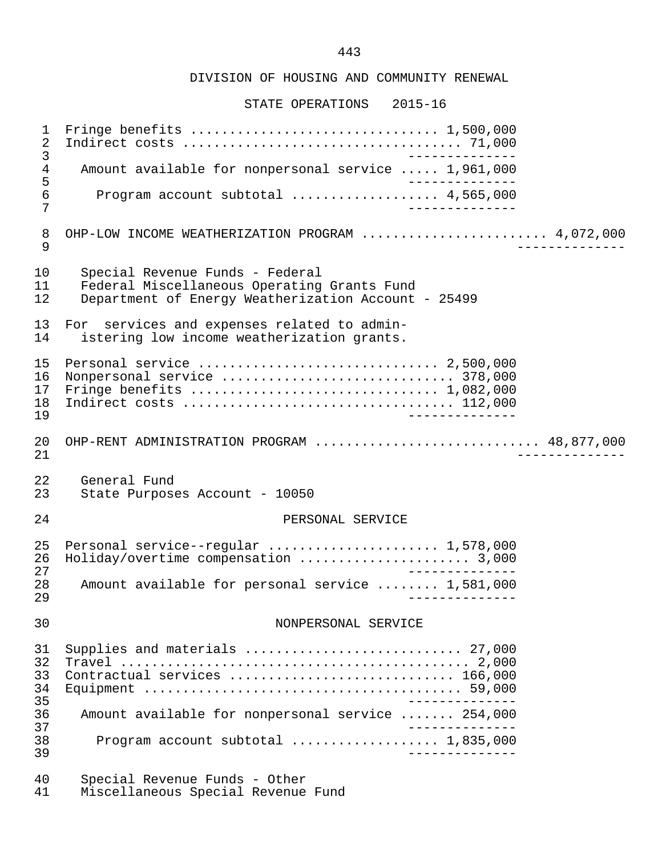STATE OPERATIONS 2015-16

 1 Fringe benefits ................................ 1,500,000 2 Indirect costs .................................... 71,000 3 -------------- 4 Amount available for nonpersonal service ..... 1,961,000<br>5 -------------<br>6 Program account subtotal .................... 4.565.000 6 Program account subtotal ................... 4,565,000 7 -------------- 8 OHP-LOW INCOME WEATHERIZATION PROGRAM .......................... 4,072,000<br>9 9 -------------- 10 Special Revenue Funds - Federal 11 Federal Miscellaneous Operating Grants Fund<br>12 Department of Energy Weatherization Account Department of Energy Weatherization Account - 25499 13 For services and expenses related to admin-<br>14 istering low income weatherization grants. istering low income weatherization grants. 15 Personal service ............................... 2,500,000 16 Nonpersonal service .............................. 378,000 Fringe benefits  $\ldots \ldots \ldots \ldots \ldots \ldots \ldots \ldots \ldots \ldots \ldots$  1,082,000 18 Indirect costs ................................... 112,000 19 -------------- 20 OHP-RENT ADMINISTRATION PROGRAM ............................... 48,877,000<br>21 21 -------------- 22 General Fund<br>23 State Purpos State Purposes Account - 10050 24 PERSONAL SERVICE 25 Personal service--regular ......................... 1,578,000<br>26 Holiday/overtime compensation .......................... 3.000 26 Holiday/overtime compensation ...................... 3,000 27<br>28 Amount available for personal service ........ 1,581,000 28 Amount available for personal service ........ 1,581,000 29 -------------- 30 NONPERSONAL SERVICE 31 Supplies and materials ............................ 27,000 32 Travel ............................................. 2,000 Contractual services ................................. 166,000 34 Equipment ......................................... 59,000 35 -------------- 36 Amount available for nonpersonal service ....... 254,000 37<br>38 - Program account subtotal expressions of the 1.835.000 38 Program account subtotal ................... 1,835,000 39 -------------- 40 Special Revenue Funds - Other

Miscellaneous Special Revenue Fund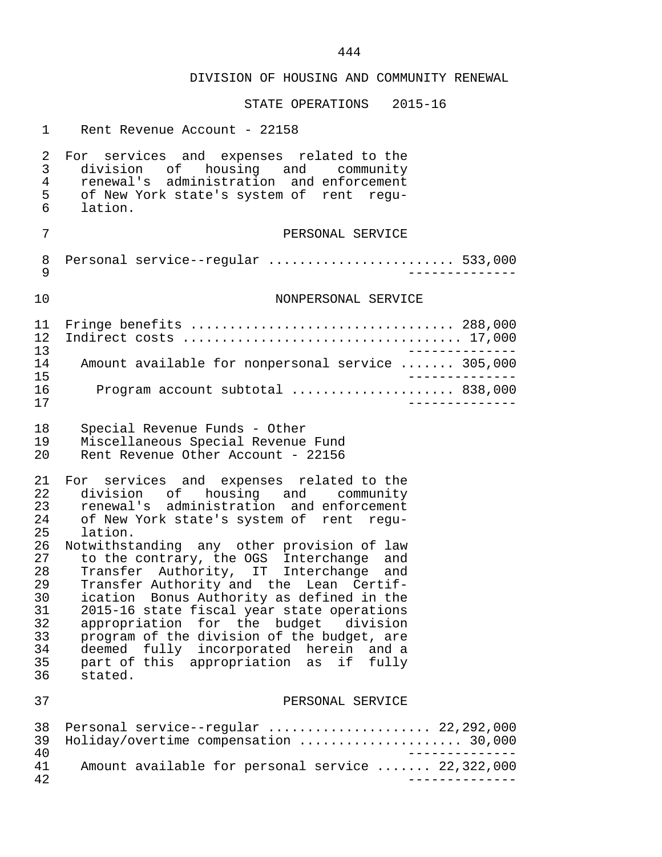| $\mathbf{1}$                                                                                 | Rent Revenue Account - 22158                                                                                                                                                                                                                                                                                                                                                                                                                                                                                                                                                                                                                        |
|----------------------------------------------------------------------------------------------|-----------------------------------------------------------------------------------------------------------------------------------------------------------------------------------------------------------------------------------------------------------------------------------------------------------------------------------------------------------------------------------------------------------------------------------------------------------------------------------------------------------------------------------------------------------------------------------------------------------------------------------------------------|
| 2<br>3<br>4<br>5<br>6                                                                        | For services and expenses related to the<br>division of housing and community<br>renewal's administration and enforcement<br>of New York state's system of rent regu-<br>lation.                                                                                                                                                                                                                                                                                                                                                                                                                                                                    |
| 7                                                                                            | PERSONAL SERVICE                                                                                                                                                                                                                                                                                                                                                                                                                                                                                                                                                                                                                                    |
| 8<br>9                                                                                       | Personal service--regular  533,000                                                                                                                                                                                                                                                                                                                                                                                                                                                                                                                                                                                                                  |
| 10                                                                                           | NONPERSONAL SERVICE                                                                                                                                                                                                                                                                                                                                                                                                                                                                                                                                                                                                                                 |
| 11<br>12<br>13                                                                               | Fringe benefits  288,000                                                                                                                                                                                                                                                                                                                                                                                                                                                                                                                                                                                                                            |
| 14<br>15                                                                                     | Amount available for nonpersonal service  305,000<br>______________                                                                                                                                                                                                                                                                                                                                                                                                                                                                                                                                                                                 |
| 16<br>17                                                                                     | Program account subtotal  838,000                                                                                                                                                                                                                                                                                                                                                                                                                                                                                                                                                                                                                   |
| 18<br>19<br>20                                                                               | Special Revenue Funds - Other<br>Miscellaneous Special Revenue Fund<br>Rent Revenue Other Account - 22156                                                                                                                                                                                                                                                                                                                                                                                                                                                                                                                                           |
| 21<br>22<br>23<br>24<br>25<br>26<br>27<br>28<br>29<br>30<br>31<br>32<br>33<br>34<br>35<br>36 | For services and expenses related to the<br>division of housing and community<br>renewal's administration and enforcement<br>of New York state's system of rent regu-<br>lation.<br>Notwithstanding any other provision of law<br>to the contrary, the OGS Interchange and<br>Transfer Authority, IT Interchange and<br>Transfer Authority and the Lean Certif-<br>ication Bonus Authority as defined in the<br>2015-16 state fiscal year state operations<br>appropriation for the budget division<br>program of the division of the budget, are<br>deemed fully incorporated herein and a<br>part of this appropriation as<br>if fully<br>stated. |
| 37                                                                                           | PERSONAL SERVICE                                                                                                                                                                                                                                                                                                                                                                                                                                                                                                                                                                                                                                    |
| 38<br>39<br>40                                                                               | Personal service--regular  22,292,000<br>Holiday/overtime compensation  30,000<br>$- - - - - - - - - -$                                                                                                                                                                                                                                                                                                                                                                                                                                                                                                                                             |
| 41<br>42                                                                                     | Amount available for personal service  22,322,000                                                                                                                                                                                                                                                                                                                                                                                                                                                                                                                                                                                                   |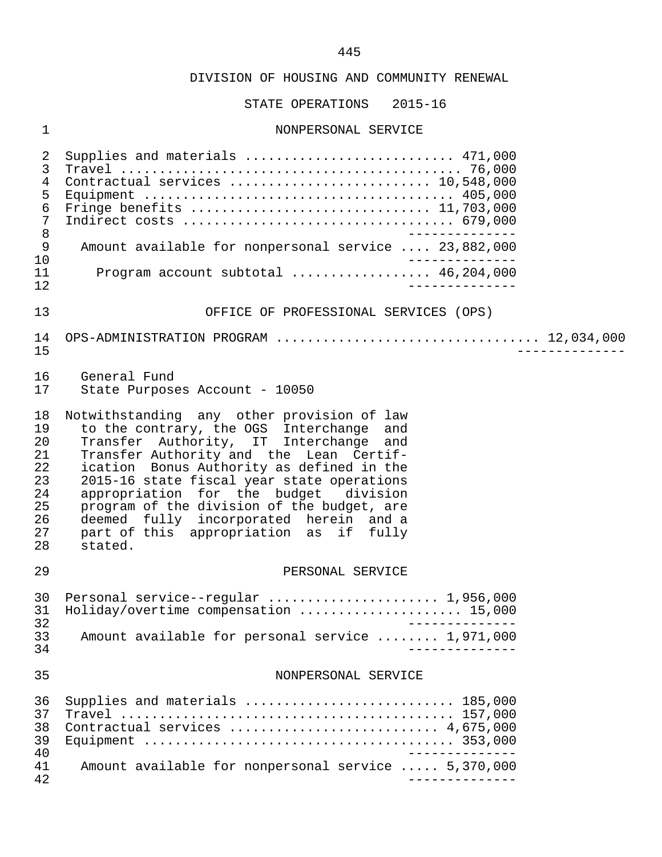STATE OPERATIONS 2015-16

## 1 NONPERSONAL SERVICE

| 2<br>3<br>4<br>5<br>$\epsilon$<br>$\overline{7}$<br>$\,8\,$<br>$\mathsf 9$<br>10<br>11<br>12 | Supplies and materials  471,000<br>Contractual services  10,548,000<br>Amount available for nonpersonal service  23,882,000<br>Program account subtotal  46,204,000                                                                                                                                                                                                                                                                                          |
|----------------------------------------------------------------------------------------------|--------------------------------------------------------------------------------------------------------------------------------------------------------------------------------------------------------------------------------------------------------------------------------------------------------------------------------------------------------------------------------------------------------------------------------------------------------------|
| 13                                                                                           | OFFICE OF PROFESSIONAL SERVICES (OPS)                                                                                                                                                                                                                                                                                                                                                                                                                        |
| 14<br>15                                                                                     |                                                                                                                                                                                                                                                                                                                                                                                                                                                              |
| 16<br>17                                                                                     | General Fund<br>State Purposes Account - 10050                                                                                                                                                                                                                                                                                                                                                                                                               |
| 18<br>19<br>20<br>21<br>22<br>23<br>24<br>25<br>26<br>27<br>28                               | Notwithstanding any other provision of law<br>to the contrary, the OGS Interchange and<br>Transfer Authority, IT Interchange and<br>Transfer Authority and the Lean Certif-<br>ication Bonus Authority as defined in the<br>2015-16 state fiscal year state operations<br>appropriation for the budget division<br>program of the division of the budget, are<br>deemed fully incorporated herein and a<br>part of this appropriation as if fully<br>stated. |
| 29                                                                                           | PERSONAL SERVICE                                                                                                                                                                                                                                                                                                                                                                                                                                             |
| 30<br>31<br>32<br>33<br>34                                                                   | Personal service--regular  1,956,000<br>Holiday/overtime compensation  15,000<br>________<br>Amount available for personal service  1,971,000                                                                                                                                                                                                                                                                                                                |
| 35                                                                                           | NONPERSONAL SERVICE                                                                                                                                                                                                                                                                                                                                                                                                                                          |
| 36<br>37<br>38<br>39<br>40                                                                   | Supplies and materials  185,000<br>Contractual services  4,675,000                                                                                                                                                                                                                                                                                                                                                                                           |
| 41<br>42                                                                                     | Amount available for nonpersonal service  5,370,000                                                                                                                                                                                                                                                                                                                                                                                                          |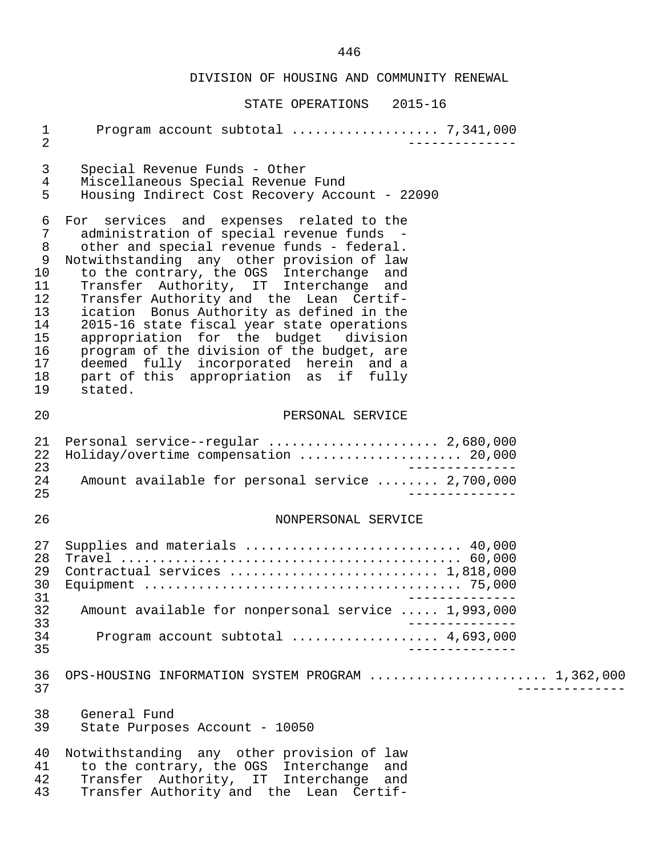| $\mathbf 1$<br>$\overline{2}$                                                |                                                                                                                                                                                                                                                                                                                                                                                                                                                                                                                                                                                                           |
|------------------------------------------------------------------------------|-----------------------------------------------------------------------------------------------------------------------------------------------------------------------------------------------------------------------------------------------------------------------------------------------------------------------------------------------------------------------------------------------------------------------------------------------------------------------------------------------------------------------------------------------------------------------------------------------------------|
| 3<br>4<br>5                                                                  | Special Revenue Funds - Other<br>Miscellaneous Special Revenue Fund<br>Housing Indirect Cost Recovery Account - 22090                                                                                                                                                                                                                                                                                                                                                                                                                                                                                     |
| 6<br>7<br>8<br>9<br>10<br>11<br>12<br>13<br>14<br>15<br>16<br>17<br>18<br>19 | For services and expenses related to the<br>administration of special revenue funds -<br>other and special revenue funds - federal.<br>Notwithstanding any other provision of law<br>to the contrary, the OGS Interchange<br>and<br>Transfer Authority, IT Interchange<br>and<br>Transfer Authority and the Lean Certif-<br>ication Bonus Authority as defined in the<br>2015-16 state fiscal year state operations<br>appropriation for the budget division<br>program of the division of the budget, are<br>deemed fully incorporated herein and a<br>part of this appropriation as if fully<br>stated. |
| 20                                                                           | PERSONAL SERVICE                                                                                                                                                                                                                                                                                                                                                                                                                                                                                                                                                                                          |
| 21<br>22<br>23<br>24<br>25                                                   | Personal service--regular  2,680,000<br>Holiday/overtime compensation  20,000<br>Amount available for personal service  2,700,000                                                                                                                                                                                                                                                                                                                                                                                                                                                                         |
| 26                                                                           | NONPERSONAL SERVICE                                                                                                                                                                                                                                                                                                                                                                                                                                                                                                                                                                                       |
| 27<br>28<br>29<br>30<br>31<br>32<br>33<br>34<br>35                           | Supplies and materials  40,000<br>Contractual services  1,818,000<br>Amount available for nonpersonal service  1,993,000<br>Program account subtotal $\ldots$ 4,693,000                                                                                                                                                                                                                                                                                                                                                                                                                                   |
| 36<br>37                                                                     | OPS-HOUSING INFORMATION SYSTEM PROGRAM  1,362,000                                                                                                                                                                                                                                                                                                                                                                                                                                                                                                                                                         |
| 38<br>39                                                                     | General Fund<br>State Purposes Account - 10050                                                                                                                                                                                                                                                                                                                                                                                                                                                                                                                                                            |
| 40<br>41<br>42<br>43                                                         | Notwithstanding any other provision of law<br>to the contrary, the OGS Interchange<br>and<br>Transfer Authority, IT Interchange<br>and<br>Transfer Authority and the Lean Certif-                                                                                                                                                                                                                                                                                                                                                                                                                         |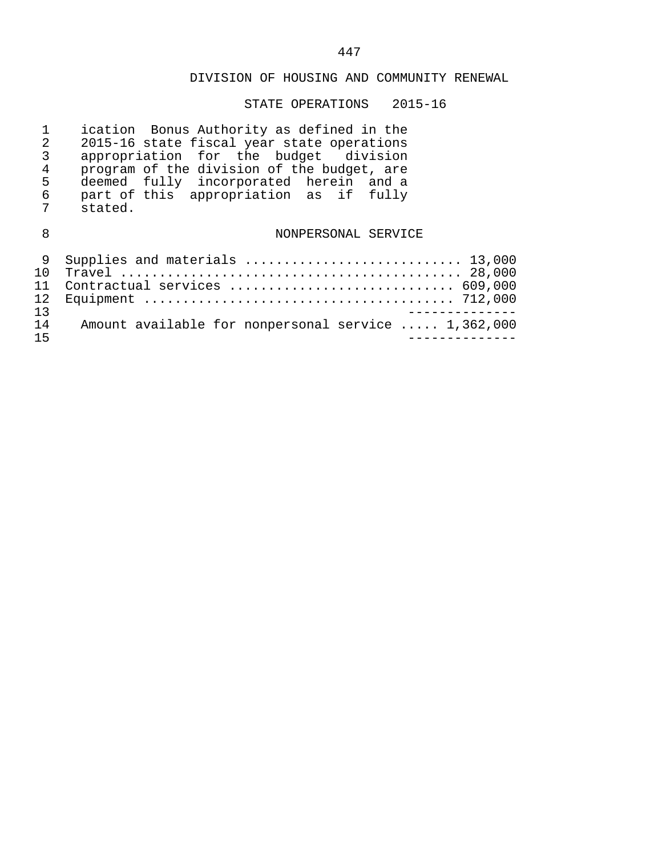| 1<br>2<br>3<br>$\overline{4}$<br>5<br>6<br>7 | ication Bonus Authority as defined in the<br>2015-16 state fiscal year state operations<br>appropriation for the budget division<br>program of the division of the budget, are<br>deemed fully incorporated herein and a<br>part of this appropriation as if fully<br>stated. |
|----------------------------------------------|-------------------------------------------------------------------------------------------------------------------------------------------------------------------------------------------------------------------------------------------------------------------------------|
| 8                                            | NONPERSONAL SERVICE                                                                                                                                                                                                                                                           |
| 9<br>1 O<br>11<br>12<br>13                   | Supplies and materials  13,000<br>Contractual services  609,000                                                                                                                                                                                                               |
| 14<br>15                                     | Amount available for nonpersonal service  1,362,000                                                                                                                                                                                                                           |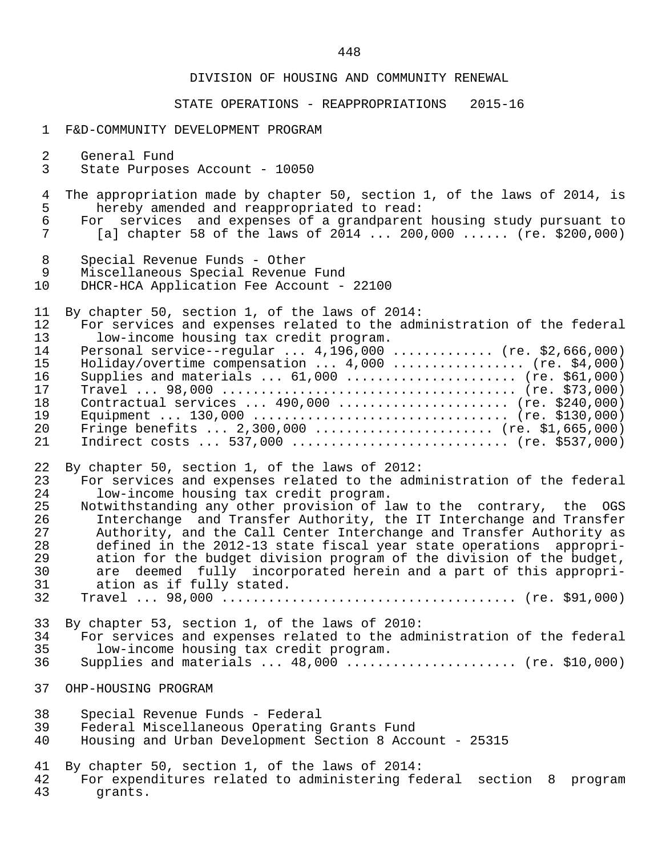#### STATE OPERATIONS - REAPPROPRIATIONS 2015-16

#### 1 F&D-COMMUNITY DEVELOPMENT PROGRAM

- 2 General Fund<br>3 State Purpose
- State Purposes Account 10050
- 4 The appropriation made by chapter 50, section 1, of the laws of 2014, is<br>5 hereby amended and reappropriated to read: 5 hereby amended and reappropriated to read:<br>6 For services and expenses of a grandparent
- 6 For services and expenses of a grandparent housing study pursuant to [a] chapter 58 of the laws of 2014 ... 200,000 ...... (re. \$200,000)
- 8 Special Revenue Funds Other
- 9 Miscellaneous Special Revenue Fund<br>10 DHCR-HCA Application Fee Account -
- DHCR-HCA Application Fee Account 22100

11 By chapter 50, section 1, of the laws of 2014:

| 12 | For services and expenses related to the administration of the federal |
|----|------------------------------------------------------------------------|
| 13 | low-income housing tax credit program.                                 |
| 14 | Personal service--regular $4,196,000$ (re. \$2,666,000)                |
| 15 | Holiday/overtime compensation $4,000$ (re. \$4,000)                    |
| 16 | Supplies and materials $61,000$ (re. \$61,000)                         |
| 17 |                                                                        |
| 18 | Contractual services $490,000$ (re. \$240,000)                         |
| 19 |                                                                        |
| 20 | Fringe benefits $2,300,000$ (re. \$1,665,000)                          |
| 21 | Indirect costs  537,000  (re. \$537,000)                               |

22 By chapter 50, section 1, of the laws of 2012:<br>23 For services and expenses related to the adm

- 23 For services and expenses related to the administration of the federal<br>24 Iow-income housing tax credit program. 24 low-income housing tax credit program.<br>25 Notwithstanding any other provision of 1
- 25 Notwithstanding any other provision of law to the contrary, the OGS<br>26 11 Interchange and Transfer Authority, the IT Interchange and Transfer 26 1nterchange and Transfer Authority, the IT Interchange and Transfer<br>27 1 Authority, and the Call Center Interchange and Transfer Authority as 27 Authority, and the Call Center Interchange and Transfer Authority as<br>28 defined in the 2012-13 state fiscal vear state operations appropri- 28 defined in the 2012-13 state fiscal year state operations appropri- 29 ation for the budget division program of the division of the budget,<br>30 are deemed fully incorporated herein and a part of this appropri-30 are deemed fully incorporated herein and a part of this appropri-<br>31 ation as if fully stated. 31 ation as if fully stated.<br>32 Travel ... 98.000
- 32 Travel ... 98,000 ...................................... (re. \$91,000)
- 33 By chapter 53, section 1, of the laws of 2010:
- 34 For services and expenses related to the administration of the federal 35 low-income housing tax credit program.
- Supplies and materials  $\ldots$  48,000  $\ldots$ ...................... (re. \$10,000)
- 37 OHP-HOUSING PROGRAM
- 38 Special Revenue Funds Federal
- 39 Federal Miscellaneous Operating Grants Fund
- 40 Housing and Urban Development Section 8 Account 25315
- 41 By chapter 50, section 1, of the laws of 2014:<br>42 For expenditures related to administering fee
- 42 For expenditures related to administering federal section 8 program<br>43 erants. grants.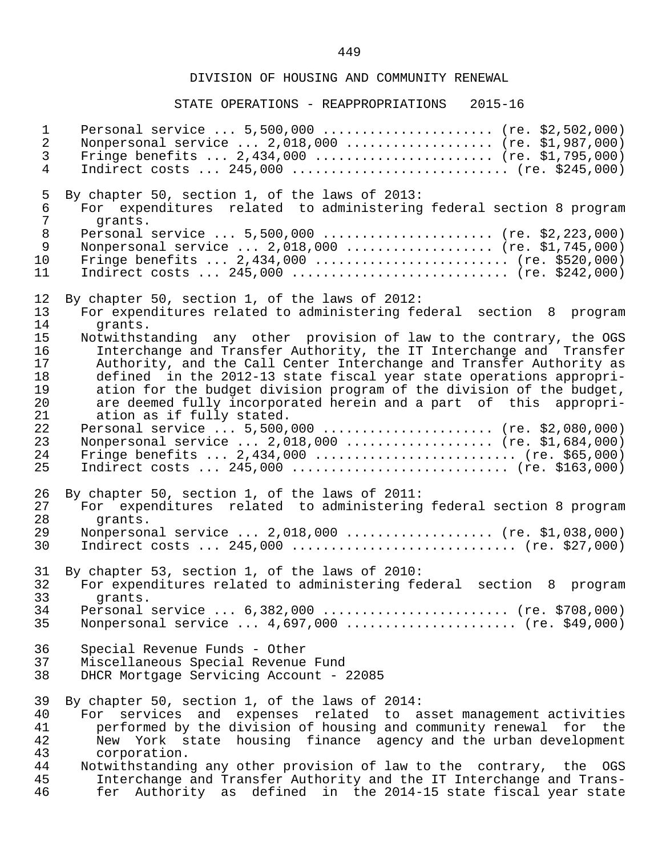| $\mathbf{1}$                                 | Personal service  5,500,000  (re. \$2,502,000)                                                                                                                                                                                                                                                                                                                                                                                                                                                   |
|----------------------------------------------|--------------------------------------------------------------------------------------------------------------------------------------------------------------------------------------------------------------------------------------------------------------------------------------------------------------------------------------------------------------------------------------------------------------------------------------------------------------------------------------------------|
| $\overline{2}$                               | Nonpersonal service  2,018,000  (re. \$1,987,000)                                                                                                                                                                                                                                                                                                                                                                                                                                                |
| 3                                            | Fringe benefits $2,434,000$ (re. \$1,795,000)                                                                                                                                                                                                                                                                                                                                                                                                                                                    |
| 4                                            | Indirect costs $245,000$ (re. \$245,000)                                                                                                                                                                                                                                                                                                                                                                                                                                                         |
| 5                                            | By chapter 50, section 1, of the laws of 2013:                                                                                                                                                                                                                                                                                                                                                                                                                                                   |
| 6                                            | For expenditures related to administering federal section 8 program                                                                                                                                                                                                                                                                                                                                                                                                                              |
| 7                                            | grants.                                                                                                                                                                                                                                                                                                                                                                                                                                                                                          |
| 8                                            | Personal service  5,500,000  (re. \$2,223,000)                                                                                                                                                                                                                                                                                                                                                                                                                                                   |
| 9                                            | Nonpersonal service  2,018,000  (re. \$1,745,000)                                                                                                                                                                                                                                                                                                                                                                                                                                                |
| 10                                           | Fringe benefits $2,434,000$ (re. \$520,000)                                                                                                                                                                                                                                                                                                                                                                                                                                                      |
| 11                                           | Indirect costs $245,000$ (re. \$242,000)                                                                                                                                                                                                                                                                                                                                                                                                                                                         |
| 12                                           | By chapter 50, section 1, of the laws of 2012:                                                                                                                                                                                                                                                                                                                                                                                                                                                   |
| 13                                           | For expenditures related to administering federal section 8 program                                                                                                                                                                                                                                                                                                                                                                                                                              |
| 14                                           | grants.                                                                                                                                                                                                                                                                                                                                                                                                                                                                                          |
| 15                                           | Notwithstanding any other provision of law to the contrary, the OGS                                                                                                                                                                                                                                                                                                                                                                                                                              |
| 16                                           | Interchange and Transfer Authority, the IT Interchange and Transfer                                                                                                                                                                                                                                                                                                                                                                                                                              |
| 17                                           | Authority, and the Call Center Interchange and Transfer Authority as                                                                                                                                                                                                                                                                                                                                                                                                                             |
| 18                                           | defined in the 2012-13 state fiscal year state operations appropri-                                                                                                                                                                                                                                                                                                                                                                                                                              |
| 19                                           | ation for the budget division program of the division of the budget,                                                                                                                                                                                                                                                                                                                                                                                                                             |
| 20                                           | are deemed fully incorporated herein and a part of this appropri-                                                                                                                                                                                                                                                                                                                                                                                                                                |
| 21                                           | ation as if fully stated.                                                                                                                                                                                                                                                                                                                                                                                                                                                                        |
| 22                                           | Personal service  5,500,000  (re. \$2,080,000)                                                                                                                                                                                                                                                                                                                                                                                                                                                   |
| 23                                           | Nonpersonal service  2,018,000  (re. \$1,684,000)                                                                                                                                                                                                                                                                                                                                                                                                                                                |
| 24                                           | Fringe benefits $2,434,000$ (re. \$65,000)                                                                                                                                                                                                                                                                                                                                                                                                                                                       |
| 25                                           | Indirect costs $245,000$ (re. \$163,000)                                                                                                                                                                                                                                                                                                                                                                                                                                                         |
| 26                                           | By chapter 50, section 1, of the laws of 2011:                                                                                                                                                                                                                                                                                                                                                                                                                                                   |
| 27                                           | For expenditures related to administering federal section 8 program                                                                                                                                                                                                                                                                                                                                                                                                                              |
| 28                                           | grants.                                                                                                                                                                                                                                                                                                                                                                                                                                                                                          |
| 29                                           | Nonpersonal service  2,018,000  (re. \$1,038,000)                                                                                                                                                                                                                                                                                                                                                                                                                                                |
| 30                                           | Indirect costs $245,000$ (re. \$27,000)                                                                                                                                                                                                                                                                                                                                                                                                                                                          |
| 31                                           | By chapter 53, section 1, of the laws of 2010:                                                                                                                                                                                                                                                                                                                                                                                                                                                   |
| 32                                           | For expenditures related to administering federal section 8 program                                                                                                                                                                                                                                                                                                                                                                                                                              |
| 33                                           | grants.                                                                                                                                                                                                                                                                                                                                                                                                                                                                                          |
| 34                                           | Personal service  6,382,000  (re. \$708,000)                                                                                                                                                                                                                                                                                                                                                                                                                                                     |
| 35                                           | Nonpersonal service $4,697,000$ (re. \$49,000)                                                                                                                                                                                                                                                                                                                                                                                                                                                   |
| 36                                           | Special Revenue Funds - Other                                                                                                                                                                                                                                                                                                                                                                                                                                                                    |
| 37                                           | Miscellaneous Special Revenue Fund                                                                                                                                                                                                                                                                                                                                                                                                                                                               |
| 38                                           | DHCR Mortgage Servicing Account - 22085                                                                                                                                                                                                                                                                                                                                                                                                                                                          |
| 39<br>40<br>41<br>42<br>43<br>44<br>45<br>46 | By chapter 50, section 1, of the laws of 2014:<br>services and expenses related to asset management activities<br>For<br>performed by the division of housing and community renewal for the<br>New York state housing finance agency and the urban development<br>corporation.<br>Notwithstanding any other provision of law to the contrary, the OGS<br>Interchange and Transfer Authority and the IT Interchange and Trans-<br>fer Authority as defined in the 2014-15 state fiscal year state |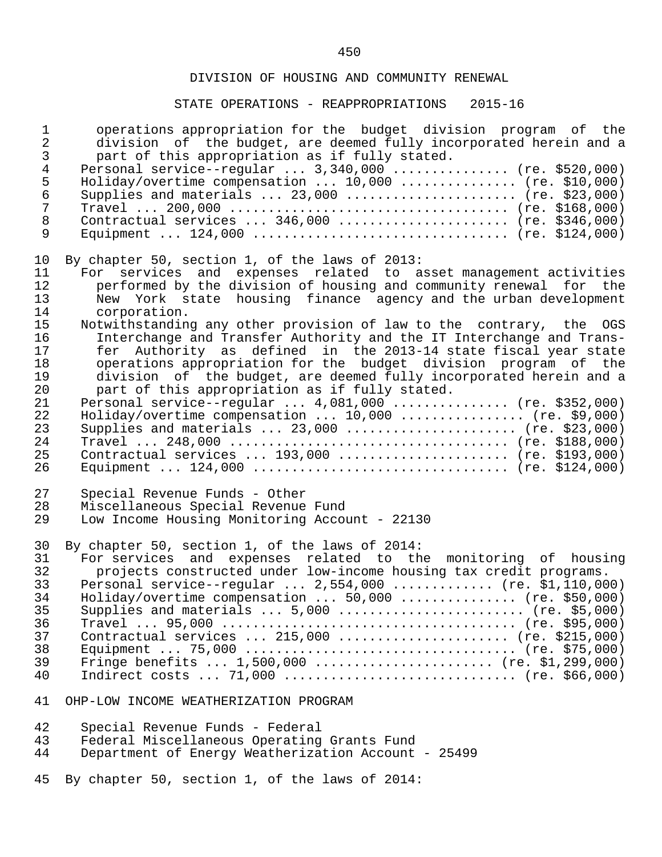| $\mathbf 1$  | operations appropriation for the budget division program of the      |
|--------------|----------------------------------------------------------------------|
| $\sqrt{2}$   | division of the budget, are deemed fully incorporated herein and a   |
| $\mathsf{3}$ | part of this appropriation as if fully stated.                       |
| $\bf 4$      | Personal service--regular $3,340,000$ (re. \$520,000)                |
| 5            | Holiday/overtime compensation $10,000$ (re. \$10,000)                |
| $\epsilon$   | Supplies and materials  23,000  (re. \$23,000)                       |
| $\sqrt{ }$   |                                                                      |
| $\,8\,$      | Contractual services  346,000  (re. \$346,000)                       |
| $\mathsf 9$  |                                                                      |
| 10           | By chapter 50, section 1, of the laws of 2013:                       |
| 11           | For services and expenses related to asset management activities     |
| 12           | performed by the division of housing and community renewal for the   |
| 13           | New York state housing finance agency and the urban development      |
| 14           | corporation.                                                         |
| 15           | Notwithstanding any other provision of law to the contrary, the OGS  |
| 16           | Interchange and Transfer Authority and the IT Interchange and Trans- |
| 17           | fer Authority as defined in the 2013-14 state fiscal year state      |
| 18           | operations appropriation for the budget division program of the      |
| 19           | division of the budget, are deemed fully incorporated herein and a   |
| 20           | part of this appropriation as if fully stated.                       |
| 21           | Personal service--regular $4,081,000$ (re. \$352,000)                |
| 22           | Holiday/overtime compensation $10,000$ (re. \$9,000)                 |
| 23           | Supplies and materials  23,000  (re. \$23,000)                       |
| 24           |                                                                      |
| 25           | Contractual services  193,000  (re. \$193,000)                       |
| 26           |                                                                      |
| 27           | Special Revenue Funds - Other                                        |
| 28           | Miscellaneous Special Revenue Fund                                   |
| 29           | Low Income Housing Monitoring Account - 22130                        |
| 30           | By chapter 50, section 1, of the laws of 2014:                       |
| 31           | For services and expenses related to the monitoring of housing       |
| 32           | projects constructed under low-income housing tax credit programs.   |
| 33           | Personal service--regular $2,554,000$ (re. \$1,110,000)              |
| 34           | Holiday/overtime compensation  50,000  (re. \$50,000)                |
| 35           | Supplies and materials $5,000$ (re. \$5,000)                         |
| 36           |                                                                      |
| 37           | Contractual services  215,000  (re. \$215,000)                       |
| 38           |                                                                      |
| 39           | Fringe benefits $1,500,000$ (re. \$1,299,000)                        |
| 40           |                                                                      |
| 41           | OHP-LOW INCOME WEATHERIZATION PROGRAM                                |
| 42           | Special Revenue Funds - Federal                                      |
| 43           | Federal Miscellaneous Operating Grants Fund                          |
| 44           | Department of Energy Weatherization Account - 25499                  |
| 45           | By chapter 50, section 1, of the laws of 2014:                       |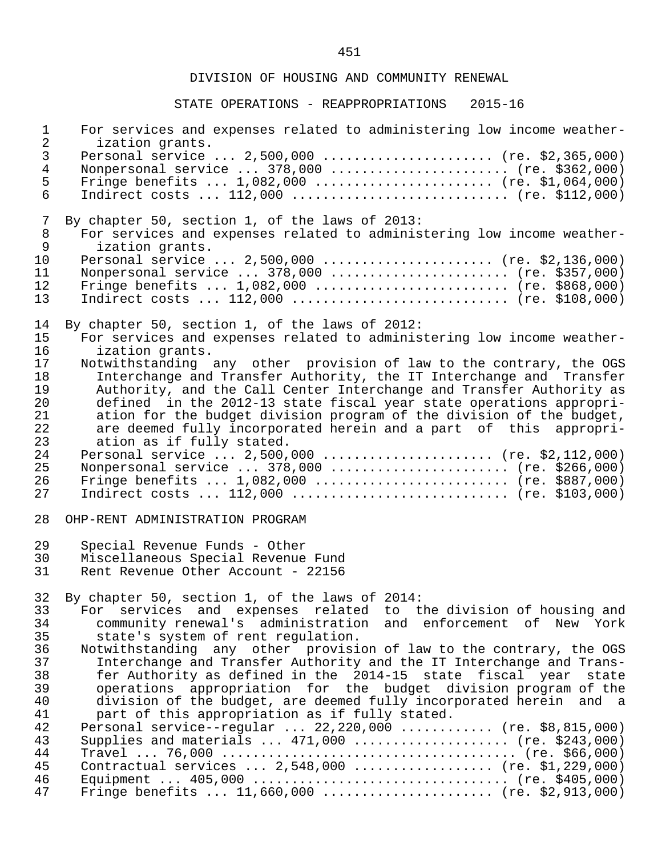| $\mathbf 1$<br>$\mathbf{2}$            | For services and expenses related to administering low income weather-<br>ization grants.                                                                                                                                                                                                                                                                                                                                                                           |
|----------------------------------------|---------------------------------------------------------------------------------------------------------------------------------------------------------------------------------------------------------------------------------------------------------------------------------------------------------------------------------------------------------------------------------------------------------------------------------------------------------------------|
| $\mathsf{3}$<br>$\overline{4}$<br>5    | Personal service $2,500,000$ (re. \$2,365,000)<br>Nonpersonal service  378,000  (re. \$362,000)<br>Fringe benefits $1,082,000$ (re. \$1,064,000)                                                                                                                                                                                                                                                                                                                    |
| $6\phantom{.}6$                        | Indirect costs $112,000$ (re. \$112,000)                                                                                                                                                                                                                                                                                                                                                                                                                            |
| 7<br>$\, 8$<br>$\mathsf 9$             | By chapter 50, section 1, of the laws of 2013:<br>For services and expenses related to administering low income weather-<br>ization grants.                                                                                                                                                                                                                                                                                                                         |
| 10<br>11<br>12<br>13                   | Personal service  2,500,000  (re. \$2,136,000)<br>Nonpersonal service  378,000  (re. \$357,000)<br>Fringe benefits $1,082,000$ (re. \$868,000)<br>Indirect costs $112,000$ (re. \$108,000)                                                                                                                                                                                                                                                                          |
| 14<br>15<br>16                         | By chapter 50, section 1, of the laws of 2012:<br>For services and expenses related to administering low income weather-<br>ization grants.                                                                                                                                                                                                                                                                                                                         |
| 17<br>18<br>19<br>20<br>21<br>22<br>23 | Notwithstanding any other provision of law to the contrary, the OGS<br>Interchange and Transfer Authority, the IT Interchange and Transfer<br>Authority, and the Call Center Interchange and Transfer Authority as<br>defined in the 2012-13 state fiscal year state operations appropri-<br>ation for the budget division program of the division of the budget,<br>are deemed fully incorporated herein and a part of this appropri-<br>ation as if fully stated. |
| 24<br>25<br>26<br>27                   | Personal service  2,500,000  (re. \$2,112,000)<br>Nonpersonal service  378,000  (re. \$266,000)<br>Fringe benefits $1,082,000$ (re. \$887,000)<br>Indirect costs $112,000$ (re. \$103,000)                                                                                                                                                                                                                                                                          |
| 28                                     | OHP-RENT ADMINISTRATION PROGRAM                                                                                                                                                                                                                                                                                                                                                                                                                                     |
| 29<br>30<br>31                         | Special Revenue Funds - Other<br>Miscellaneous Special Revenue Fund<br>Rent Revenue Other Account - 22156                                                                                                                                                                                                                                                                                                                                                           |
| 32                                     | By chapter 50, section 1, of the laws of 2014:                                                                                                                                                                                                                                                                                                                                                                                                                      |
| 33<br>34                               | For services and expenses related to the division of housing and<br>community renewal's administration and enforcement of New York                                                                                                                                                                                                                                                                                                                                  |
| 35                                     | state's system of rent regulation.                                                                                                                                                                                                                                                                                                                                                                                                                                  |
| 36                                     | Notwithstanding any other provision of law to the contrary, the OGS                                                                                                                                                                                                                                                                                                                                                                                                 |
| 37                                     | Interchange and Transfer Authority and the IT Interchange and Trans-                                                                                                                                                                                                                                                                                                                                                                                                |
| 38                                     | fer Authority as defined in the 2014-15 state fiscal year state                                                                                                                                                                                                                                                                                                                                                                                                     |
| 39<br>40                               | operations appropriation for the budget division program of the<br>division of the budget, are deemed fully incorporated herein and a                                                                                                                                                                                                                                                                                                                               |
| 41                                     | part of this appropriation as if fully stated.                                                                                                                                                                                                                                                                                                                                                                                                                      |
| 42                                     | Personal service--regular  22,220,000  (re. \$8,815,000)                                                                                                                                                                                                                                                                                                                                                                                                            |
| 43                                     | Supplies and materials $\ldots$ 471,000 $\ldots$ (re. \$243,000)                                                                                                                                                                                                                                                                                                                                                                                                    |
| 44                                     |                                                                                                                                                                                                                                                                                                                                                                                                                                                                     |
| 45                                     | Contractual services $2,548,000$ (re. \$1,229,000)                                                                                                                                                                                                                                                                                                                                                                                                                  |
| 46<br>47                               | Fringe benefits  11,660,000  (re. \$2,913,000)                                                                                                                                                                                                                                                                                                                                                                                                                      |
|                                        |                                                                                                                                                                                                                                                                                                                                                                                                                                                                     |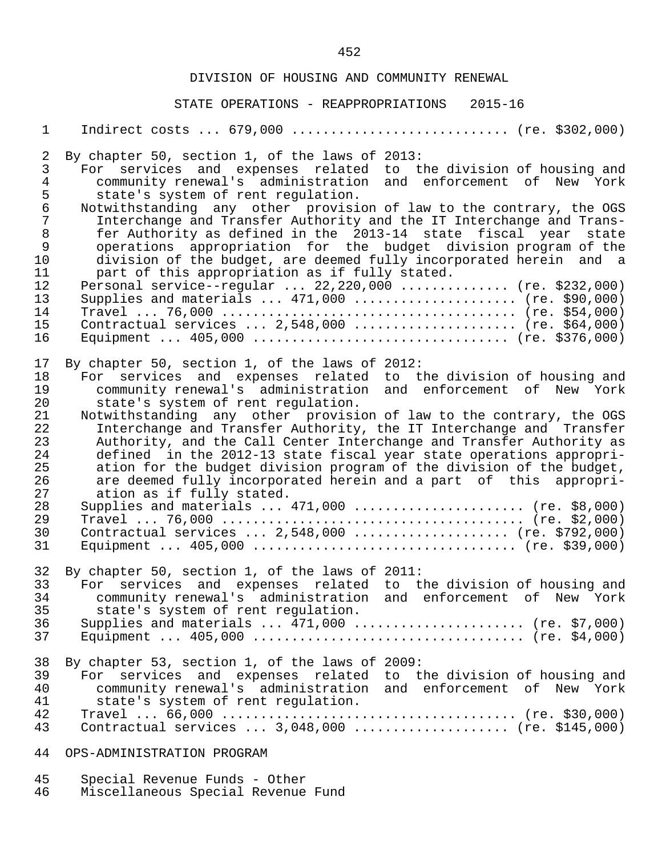#### STATE OPERATIONS - REAPPROPRIATIONS 2015-16

1 Indirect costs ... 679,000 ............................. (re. \$302,000)

2 By chapter 50, section 1, of the laws of 2013:<br>3 For services and expenses related to tl 3 For services and expenses related to the-division-of-housing-and-<br>4 community-renewal's administration and enforcement of New York 4 community renewal's administration and enforcement of New York<br>5 state's system of rent regulation. 5 state's system of rent regulation.<br>6 Notwithstanding any other provisi 6 Notwithstanding any other provision of law to the contrary, the OGS<br>7 Interchange and Transfer Authority and the IT Interchange and Trans- 7 Interchange and Transfer Authority and the IT Interchange and Trans- 8 fer Authority as defined in the 2013-14 state fiscal year state<br>9 operations appropriation for the budget division program of the 9 operations appropriation for the budget division-program-of-the<br>10 division-of-the-budget, are-deemed-fully-incorporated-herein and a 10 division of the budget, are deemed fully incorporated herein and a<br>11 o part of this appropriation as if fully stated. 11 part of this appropriation as if fully stated.<br>12 Personal service--regular ... 22.220.000 ....... 12 Personal service--regular ... 22,220,000 ............... (re. \$232,000)<br>13 Supplies and materials ... 471,000 ...................... (re. \$90,000) 13 Supplies and materials ... 471,000 ..................... (re. \$90,000) 14 Travel ... 76,000 ...................................... (re. \$54,000) 15 Contractual services ... 2,548,000 ..................... (re. \$64,000) 16 Equipment ... 405,000 ................................. (re. \$376,000) 17 By chapter 50, section 1, of the laws of 2012:<br>18 For services and expenses related to the 18 For services and expenses related to the division of housing and 19 community renewal's administration and enforcement of New York 20 state's system of rent regulation.<br>21 Notwithstanding any other provisi 21 Notwithstanding any other provision of law to the contrary, the OGS<br>22 Interchange and Transfer Authority, the IT Interchange and Transfer 22 Interchange and Transfer Authority, the IT Interchange and Transfer<br>23 Authority, and the Call Center Interchange and Transfer Authority as 23 Authority, and the Call Center Interchange and Transfer Authority as<br>24 The defined in the 2012-13 state fiscal year state operations appropri- 24 defined in the 2012-13 state fiscal year state operations appropri- 25 ation for the budget division program of the division of the budget,<br>26 are deemed fully incorporated herein and a part of this appropri-26 are deemed fully incorporated herein and a part of this appropri-<br>27 ation as if fully stated. 27 ation as if fully stated.<br>28 Supplies and materials ... 28 Supplies and materials ... 471,000 ...................... (re. \$8,000) 29 Travel ... 76,000 ....................................... (re. \$2,000) 30 Contractual services ... 2,548,000 .................... (re. \$792,000) 31 Equipment ... 405,000 .................................. (re. \$39,000) 32 By chapter 50, section 1, of the laws of 2011:<br>33 For services and expenses related to t 33 For services and expenses related to the-division of housing and<br>34 The community renewalls administration and enforcement of New York 34 community renewal's administration and enforcement of New York 35 state's system of rent regulation.<br>36 Supplies and materials ... 471.000. 36 Supplies and materials ... 471,000 ...................... (re. \$7,000) 37 Equipment ... 405,000 ................................... (re. \$4,000) 38 By chapter 53, section 1, of the laws of 2009:<br>39 For services and expenses related to t 39 For services and expenses related to the-division-of-housing-and-<br>30 community-renewal's administration and enforcement of New York 40 community renewal's administration and enforcement of New York 41 state's system of rent regulation.<br>42 Travel ... 66.000 ................... 42 Travel ... 66,000 ...................................... (re. \$30,000) Contractual services  $\ldots$  3,048,000  $\ldots$ ................... (re. \$145,000) 44 OPS-ADMINISTRATION PROGRAM

- 45 Special Revenue Funds Other<br>46 Miscellaneous Special Revenue
- Miscellaneous Special Revenue Fund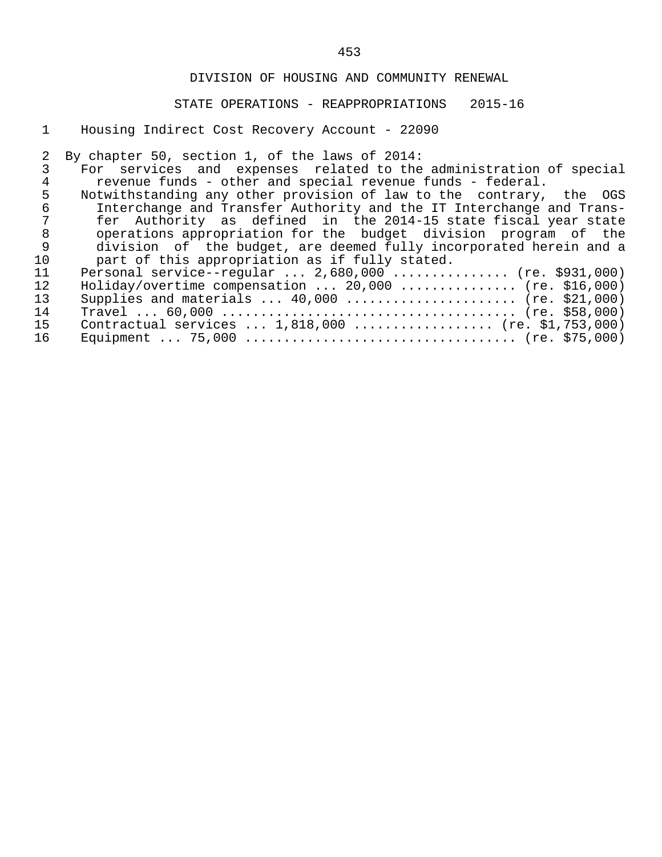## STATE OPERATIONS - REAPPROPRIATIONS 2015-16

1 Housing Indirect Cost Recovery Account - 22090

2 By chapter 50, section 1, of the laws of 2014:<br>3 For services and expenses related to the 3 For services and expenses related to the administration of special<br>4 Tevenue funds - other and special revenue funds - federal. ence the control of the revenue funds - federal.<br>4 The revenue funds - other and special revenue funds - federal.<br>5 Notwithstanding any other provision of law to the contrary, 5 Notwithstanding any other provision of law to the contrary, the OGS<br>6 1nterchange and Transfer Authority and the IT Interchange and Trans- 6 Interchange and Transfer Authority and the IT Interchange and Trans- 7 fer Authority as defined in the 2014-15 state fiscal year state 8 operations appropriation for the budget division program of the 9 division of the budget, are deemed fully incorporated herein and a<br>10 part of this appropriation as if fully stated. 10 part of this appropriation as if fully stated.<br>11 Personal service--reqular ... 2,680,000 ........ 11 Personal service--regular ... 2,680,000 ............... (re. \$931,000)<br>12 Holiday/overtime compensation ... 20.000 ................. (re. \$16.000) 12 Holiday/overtime compensation ... 20,000 ................ (re. \$16,000)<br>13 Supplies and materials ... 40,000 ....................... (re. \$21,000) 13 Supplies and materials ... 40,000 ...................... (re. \$21,000) 14 Travel ... 60,000 ...................................... (re. \$58,000) 15 Contractual services ... 1,818,000 .................. (re. \$1,753,000) 16 Equipment ... 75,000 ................................... (re. \$75,000)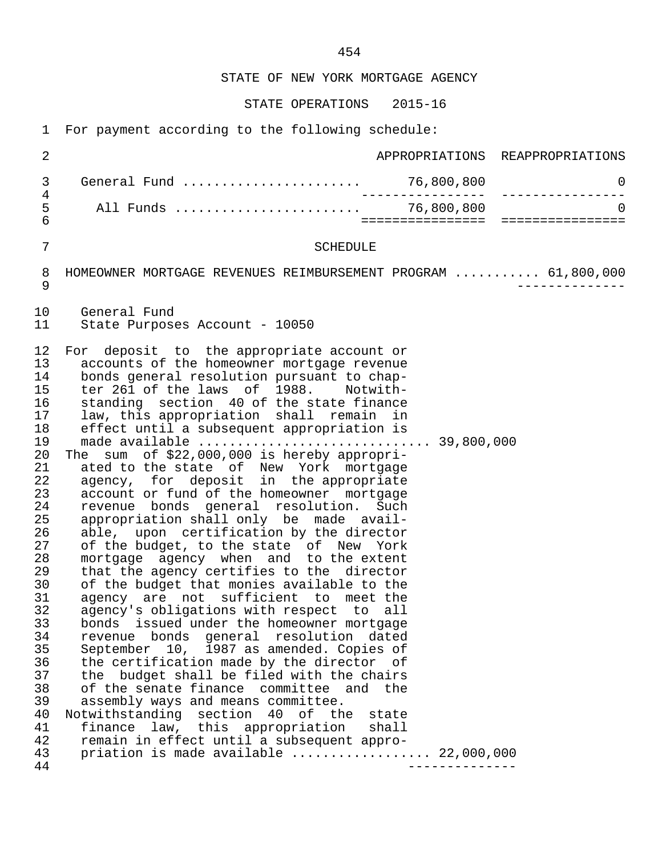STATE OF NEW YORK MORTGAGE AGENCY

STATE OPERATIONS 2015-16

1 For payment according to the following schedule:

 2 APPROPRIATIONS REAPPROPRIATIONS 3 General Fund ....................... 76,800,800 0 4 ---------------- ---------------- 5 All Funds ........................ 76,800,800 0 6 ================ ================ 7 SCHEDULE 8 HOMEOWNER MORTGAGE REVENUES REIMBURSEMENT PROGRAM ............ 61,800,000<br>9 9 -------------- 10 General Fund<br>11 State Purpos State Purposes Account - 10050 12 For deposit to the appropriate account or<br>13 accounts of the homeowner mortgage revenue 13 accounts of the homeowner mortgage revenue<br>14 bonds general resolution pursuant to chap-14 bonds general resolution pursuant to chap-<br>15 ter 261 of the laws of 1988. Notwithter 261 of the laws of 1988. Notwith-16 standing section 40 of the state finance<br>17 law, this appropriation shall remain in 17 law, this appropriation shall remain in 18 effect until a subsequent appropriation is<br>19 made available ............................ 19 made available .............................. 39,800,000 20 The sum of \$22,000,000 is hereby appropri-<br>21 ated to the state of New York mortgage 21 ated to the state of New York mortgage 22 agency, for deposit in the appropriate 23 account or fund of the homeowner mortgage<br>24 revenue bonds general resolution. Such 24 revenue bonds general resolution. Such<br>25 appropriation\_shall\_only\_be\_made\_avail-25 appropriation shall only be made avail-<br>26 able, upon certification by the director 26 able, upon certification by the director<br>27 of the budget, to the state of New York 27 of the budget, to the state of New York<br>28 mortgage agency when and to the extent 28 mortgage agency when and to the extent<br>29 that the agency certifies to the director 29 that the agency certifies to the director<br>30 of the budget that monies available to the 30 of the budget that monies available to the<br>31 agency are not sufficient to meet the 31 agency are not sufficient to meet the<br>32 agency's obligations with respect to all 32 agency's obligations with respect to all<br>33 bonds issued under the homeowner mortgage 33 bonds issued under the homeowner mortgage 34 revenue bonds general resolution dated 35 September 10, 1987 as amended. Copies of<br>36 the certification made by the director of 36 the certification made by the director of<br>37 the budget shall be filed with the chairs the budget shall be filed with the chairs 38 of the senate finance committee and the<br>39 assembly ways and means committee. 39 assembly ways and means committee.<br>40 Notwithstanding section 40 of the 40 Notwithstanding section 40 of the state<br>41 finance law, this appropriation shall 41 finance law, this appropriation shall<br>42 remain in effect until a subsequent appro- 42 remain in effect until a subsequent appro- 43 priation is made available ..................... 22,000,000<br>44 44 --------------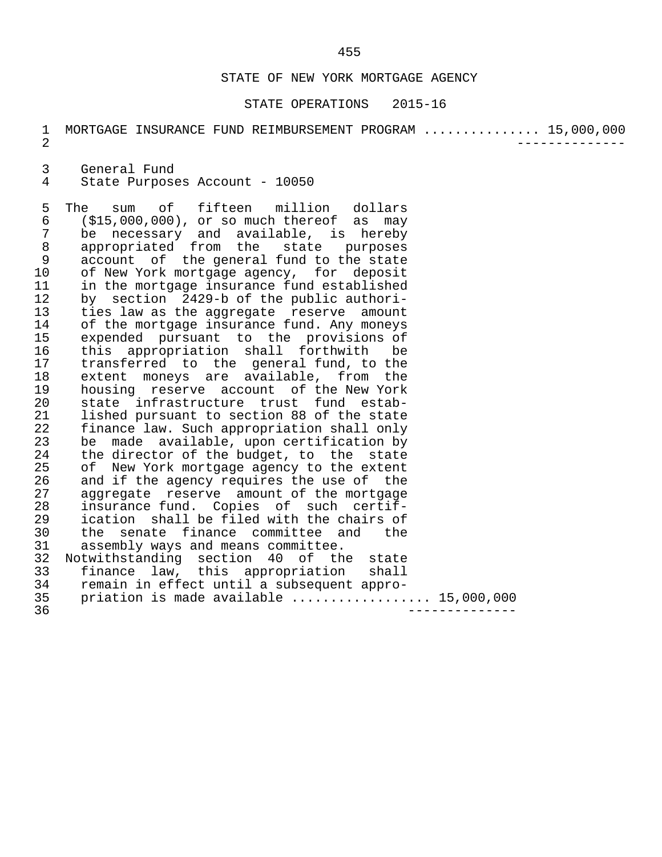#### STATE OF NEW YORK MORTGAGE AGENCY

#### STATE OPERATIONS 2015-16

|  |  |  | MORTGAGE INSURANCE FUND REIMBURSEMENT PROGRAM  15,000,000 |  |
|--|--|--|-----------------------------------------------------------|--|
|  |  |  |                                                           |  |

3 General Fund<br>4 State Purpose

State Purposes Account - 10050

5 The sum of fifteen million dollars<br>6 (\$15,000,000), or so much thereof as may 6 (\$15,000,000), or so much thereof as may 7 be necessary and available, is hereby 8 appropriated from the state purposes 9 account of the general fund to the state<br>10 of New York mortgage agency, for deposit 10 of New York mortgage agency, for deposit<br>11 in the mortgage insurance fund established 11 in the mortgage insurance fund established<br>12 by section 2429-b of the public authori-12 by section 2429-b of the public authori-<br>13 ties law as the aggregate reserve amount 13 ties law as the aggregate reserve amount<br>14 of the mortgage insurance fund. Any moneys 14 of the mortgage insurance fund. Any moneys<br>15 expended pursuant to the provisions of 15 expended pursuant to the provisions of<br>16 this appropriation shall forthwith be 16 this appropriation shall forthwith be<br>17 transferred to the general-fund, to the 17 transferred to the general fund, to the<br>18 extent moneys are available, from the 18 extent moneys are available, from the<br>19 housing reserve account of the New York 19 housing reserve account of the New York<br>20 state infrastructure trust fund estab- 20 state infrastructure trust fund estab- 21 lished pursuant to section 88 of the state<br>22 finance law. Such appropriation shall only 22 finance law. Such appropriation shall only<br>23 be made available, upon certification by 23 be made available, upon certification by<br>24 the director of the budget, to the state 24 the director of the budget, to the state<br>25 of New York mortgage agency to the extent 25 of New York mortgage agency to the extent<br>26 and if the agency requires the use of the 26 and if the agency requires the use of the<br>27 aggregate reserve amount of the mortgage 27 aggregate reserve amount of the mortgage<br>28 insurance fund. Copies of such certif-28 insurance fund. Copies of such certif-<br>29 ication shall be filed with the chairs of 29 ication shall be filed with the chairs of<br>30 the senate finance committee and the the senate finance committee and the 31 assembly ways and means committee.<br>32 Notwithstanding section 40 of th 32 Notwithstanding section 40 of the state<br>33 finance law, this appropriation shall 33 finance law, this appropriation shall<br>34 remain in effect until a subsequent appro- 34 remain in effect until a subsequent appro- 35 priation is made available .................. 15,000,000 36 --------------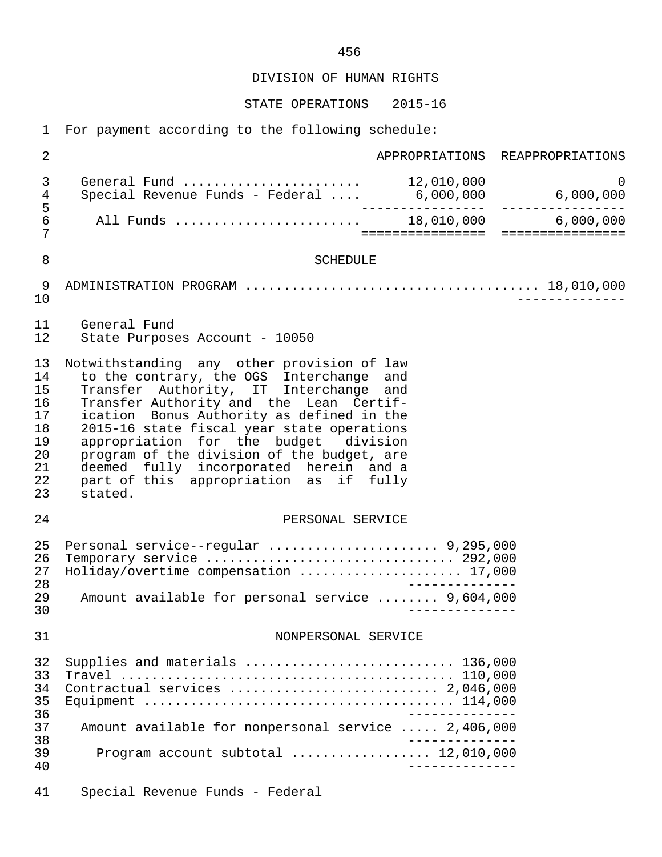DIVISION OF HUMAN RIGHTS

STATE OPERATIONS 2015-16

1 For payment according to the following schedule:

| $\overline{2}$                                                 |                                                                                                                                                                                                                                                                                                                                                                                                                                                              |  | APPROPRIATIONS REAPPROPRIATIONS           |  |  |  |
|----------------------------------------------------------------|--------------------------------------------------------------------------------------------------------------------------------------------------------------------------------------------------------------------------------------------------------------------------------------------------------------------------------------------------------------------------------------------------------------------------------------------------------------|--|-------------------------------------------|--|--|--|
| 3<br>$\overline{4}$                                            | General Fund $\ldots \ldots \ldots \ldots \ldots \ldots \ldots$ 12,010,000<br>Special Revenue Funds - Federal                                                                                                                                                                                                                                                                                                                                                |  | $\overline{0}$<br>$6,000,000$ $6,000,000$ |  |  |  |
| 5<br>6<br>7                                                    | All Funds  18,010,000 6,000,000                                                                                                                                                                                                                                                                                                                                                                                                                              |  |                                           |  |  |  |
| 8                                                              | <b>SCHEDULE</b>                                                                                                                                                                                                                                                                                                                                                                                                                                              |  |                                           |  |  |  |
| 9<br>10                                                        |                                                                                                                                                                                                                                                                                                                                                                                                                                                              |  |                                           |  |  |  |
| 11<br>12                                                       | General Fund<br>State Purposes Account - 10050                                                                                                                                                                                                                                                                                                                                                                                                               |  |                                           |  |  |  |
| 13<br>14<br>15<br>16<br>17<br>18<br>19<br>20<br>21<br>22<br>23 | Notwithstanding any other provision of law<br>to the contrary, the OGS Interchange and<br>Transfer Authority, IT Interchange and<br>Transfer Authority and the Lean Certif-<br>ication Bonus Authority as defined in the<br>2015-16 state fiscal year state operations<br>appropriation for the budget division<br>program of the division of the budget, are<br>deemed fully incorporated herein and a<br>part of this appropriation as if fully<br>stated. |  |                                           |  |  |  |
| 24                                                             | PERSONAL SERVICE                                                                                                                                                                                                                                                                                                                                                                                                                                             |  |                                           |  |  |  |
| 25<br>26<br>27<br>28<br>29<br>30                               | Personal service--regular  9,295,000<br>Holiday/overtime compensation  17,000<br>Amount available for personal service  9,604,000                                                                                                                                                                                                                                                                                                                            |  |                                           |  |  |  |
| 31                                                             | NONPERSONAL SERVICE                                                                                                                                                                                                                                                                                                                                                                                                                                          |  |                                           |  |  |  |
| 32<br>33<br>34<br>35<br>36                                     | Supplies and materials  136,000                                                                                                                                                                                                                                                                                                                                                                                                                              |  |                                           |  |  |  |
| 37<br>38                                                       | Amount available for nonpersonal service  2,406,000                                                                                                                                                                                                                                                                                                                                                                                                          |  |                                           |  |  |  |
| 39<br>40                                                       | Program account subtotal $\ldots$ 12,010,000                                                                                                                                                                                                                                                                                                                                                                                                                 |  |                                           |  |  |  |
| 41                                                             | Special Revenue Funds - Federal                                                                                                                                                                                                                                                                                                                                                                                                                              |  |                                           |  |  |  |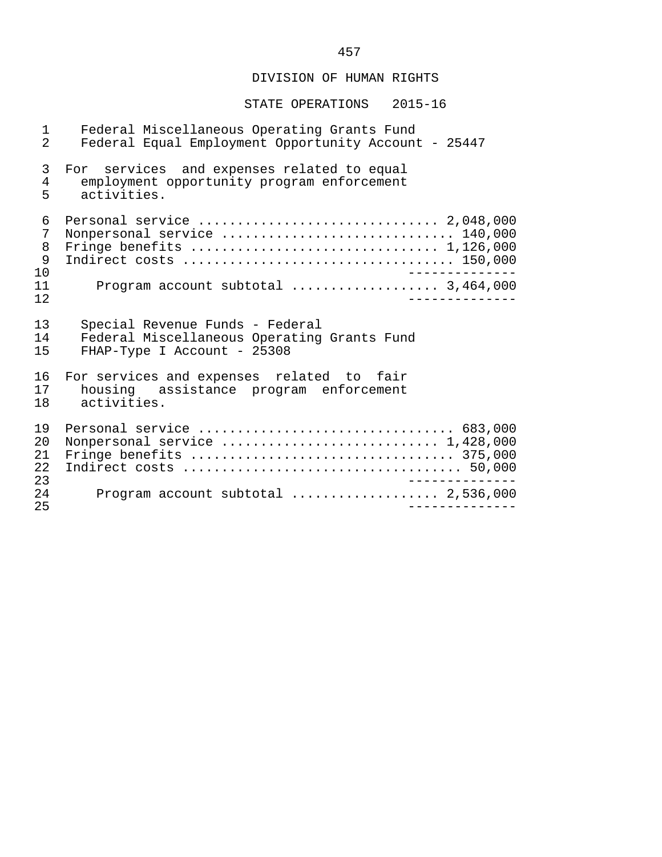# DIVISION OF HUMAN RIGHTS

| 1                          | Federal Miscellaneous Operating Grants Fund                 |
|----------------------------|-------------------------------------------------------------|
| $\overline{2}$             | Federal Equal Employment Opportunity Account - 25447        |
| 3                          | For services and expenses related to equal                  |
| 4                          | employment opportunity program enforcement                  |
| 5                          | activities.                                                 |
| 6<br>7<br>8<br>9<br>10     | Nonpersonal service  140,000                                |
| 11                         | Program account subtotal  3,464,000                         |
| 12                         | $- - - - - - - - -$                                         |
| 13                         | Special Revenue Funds - Federal                             |
| 14                         | Federal Miscellaneous Operating Grants Fund                 |
| 15                         | FHAP-Type I Account - 25308                                 |
| 16                         | For services and expenses related to fair                   |
| 17                         | housing assistance program enforcement                      |
| 18                         | activities.                                                 |
| 19<br>20<br>21<br>22<br>23 | Personal service  683,000<br>Nonpersonal service  1,428,000 |
| 24<br>25                   |                                                             |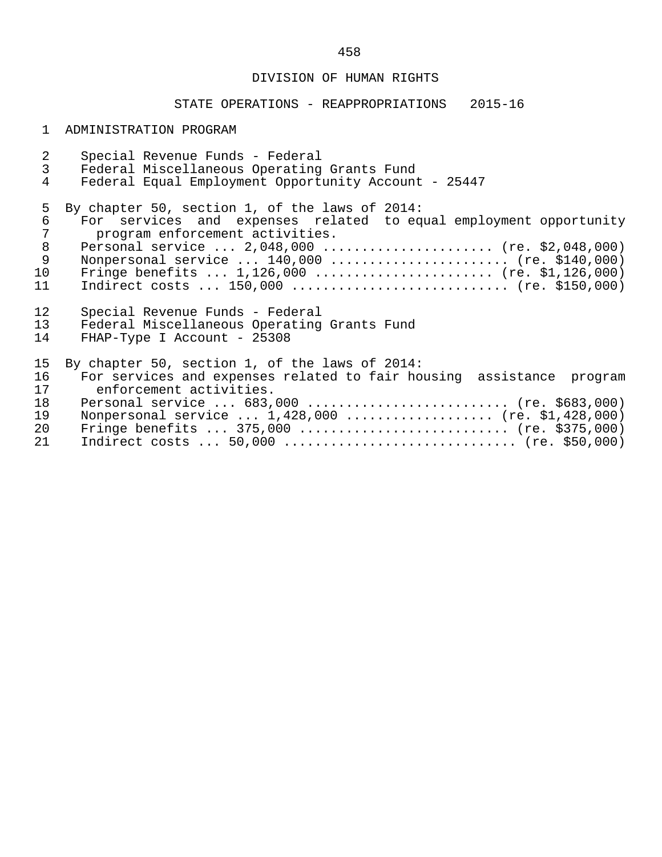# DIVISION OF HUMAN RIGHTS

# STATE OPERATIONS - REAPPROPRIATIONS 2015-16

# 1 ADMINISTRATION PROGRAM

| $\overline{a}$               | Special Revenue Funds - Federal                                                                                                                                                                                                                                                                                                                        |
|------------------------------|--------------------------------------------------------------------------------------------------------------------------------------------------------------------------------------------------------------------------------------------------------------------------------------------------------------------------------------------------------|
| $\mathfrak{Z}$               | Federal Miscellaneous Operating Grants Fund                                                                                                                                                                                                                                                                                                            |
| $\overline{4}$               | Federal Equal Employment Opportunity Account - 25447                                                                                                                                                                                                                                                                                                   |
| 5<br>6<br>8<br>9<br>10<br>11 | By chapter 50, section 1, of the laws of 2014:<br>For services and expenses related to equal employment opportunity<br>program enforcement activities.<br>Personal service $2,048,000$ (re. \$2,048,000)<br>Nonpersonal service  140,000  (re. \$140,000)<br>Fringe benefits $1,126,000$ (re. \$1,126,000)<br>Indirect costs $150,000$ (re. \$150,000) |
| 12 <sup>°</sup>              | Special Revenue Funds - Federal                                                                                                                                                                                                                                                                                                                        |
| 13                           | Federal Miscellaneous Operating Grants Fund                                                                                                                                                                                                                                                                                                            |
| 14                           | FHAP-Type I Account - 25308                                                                                                                                                                                                                                                                                                                            |
| 15                           | By chapter 50, section 1, of the laws of 2014:                                                                                                                                                                                                                                                                                                         |
| 16                           | For services and expenses related to fair housing assistance program                                                                                                                                                                                                                                                                                   |
| 17                           | enforcement activities.                                                                                                                                                                                                                                                                                                                                |
| 18                           | Personal service  683,000  (re. \$683,000)                                                                                                                                                                                                                                                                                                             |
| 19                           | Nonpersonal service $1,428,000$ (re. \$1,428,000)                                                                                                                                                                                                                                                                                                      |
| 20                           | Fringe benefits $375,000$ (re. \$375,000)                                                                                                                                                                                                                                                                                                              |
| 21                           |                                                                                                                                                                                                                                                                                                                                                        |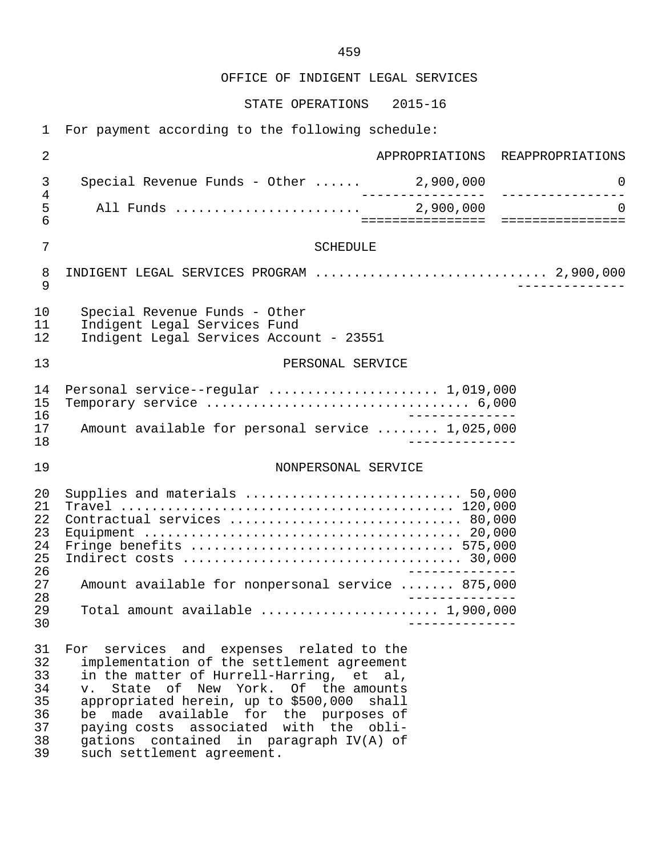OFFICE OF INDIGENT LEGAL SERVICES

STATE OPERATIONS 2015-16

1 For payment according to the following schedule:

| 2                                                  | APPROPRIATIONS REAPPROPRIATIONS                                                                                                                                                                                                                                                                                                                                                      |
|----------------------------------------------------|--------------------------------------------------------------------------------------------------------------------------------------------------------------------------------------------------------------------------------------------------------------------------------------------------------------------------------------------------------------------------------------|
| 3<br>4                                             | Special Revenue Funds - Other $\ldots$ . 2,900,000<br>0                                                                                                                                                                                                                                                                                                                              |
| 5<br>6                                             | $\Omega$                                                                                                                                                                                                                                                                                                                                                                             |
| $\overline{7}$                                     | <b>SCHEDULE</b>                                                                                                                                                                                                                                                                                                                                                                      |
| 8<br>9                                             | INDIGENT LEGAL SERVICES PROGRAM  2,900,000                                                                                                                                                                                                                                                                                                                                           |
| 10<br>11<br>12                                     | Special Revenue Funds - Other<br>Indigent Legal Services Fund<br>Indigent Legal Services Account - 23551                                                                                                                                                                                                                                                                             |
| 13                                                 | PERSONAL SERVICE                                                                                                                                                                                                                                                                                                                                                                     |
| 14<br>15<br>16                                     | Personal service--regular  1,019,000                                                                                                                                                                                                                                                                                                                                                 |
| 17<br>18                                           | Amount available for personal service  1,025,000                                                                                                                                                                                                                                                                                                                                     |
| 19                                                 | NONPERSONAL SERVICE                                                                                                                                                                                                                                                                                                                                                                  |
| 20<br>21<br>22<br>23<br>24<br>25<br>26             | Supplies and materials  50,000<br>Contractual services  80,000                                                                                                                                                                                                                                                                                                                       |
| 27                                                 | Amount available for nonpersonal service  875,000                                                                                                                                                                                                                                                                                                                                    |
| 28<br>29<br>30                                     | Total amount available  1,900,000                                                                                                                                                                                                                                                                                                                                                    |
| 31<br>32<br>33<br>34<br>35<br>36<br>37<br>38<br>39 | For services and expenses related to the<br>implementation of the settlement agreement<br>in the matter of Hurrell-Harring, et al,<br>v. State of New York. Of the amounts<br>appropriated herein, up to \$500,000 shall<br>be made available for the purposes of<br>paying costs associated with the obli-<br>gations contained in paragraph IV(A) of<br>such settlement agreement. |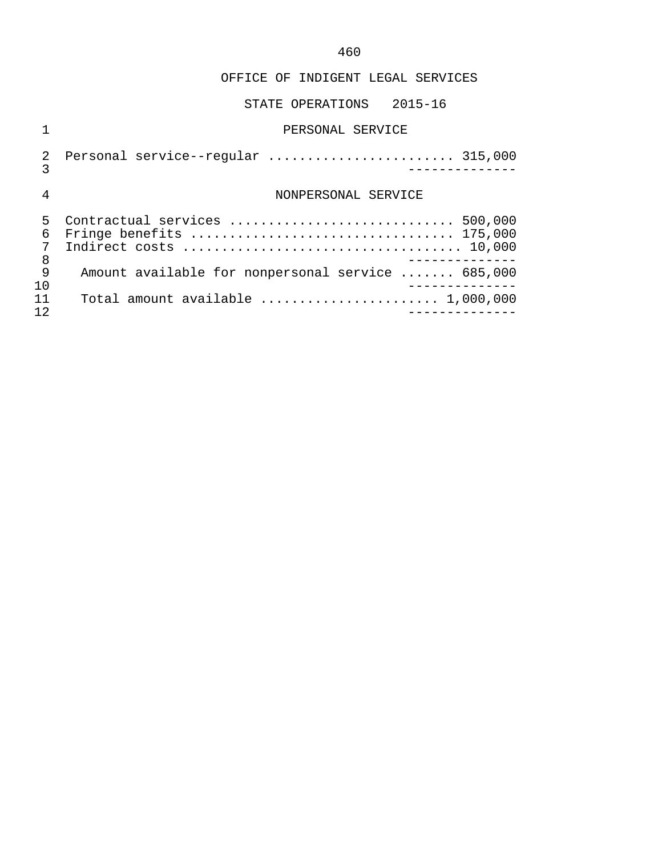OFFICE OF INDIGENT LEGAL SERVICES

|                  | PERSONAL SERVICE                                                                    |
|------------------|-------------------------------------------------------------------------------------|
| 2<br>3           | Personal service--regular  315,000                                                  |
| 4                | NONPERSONAL SERVICE                                                                 |
| 5<br>6<br>7<br>8 | Contractual services  500,000<br>Fringe benefits  175,000                           |
| 9<br>1 O         | Amount available for nonpersonal service  685,000                                   |
|                  | Total amount available $\ldots \ldots \ldots \ldots \ldots \ldots \ldots 1,000,000$ |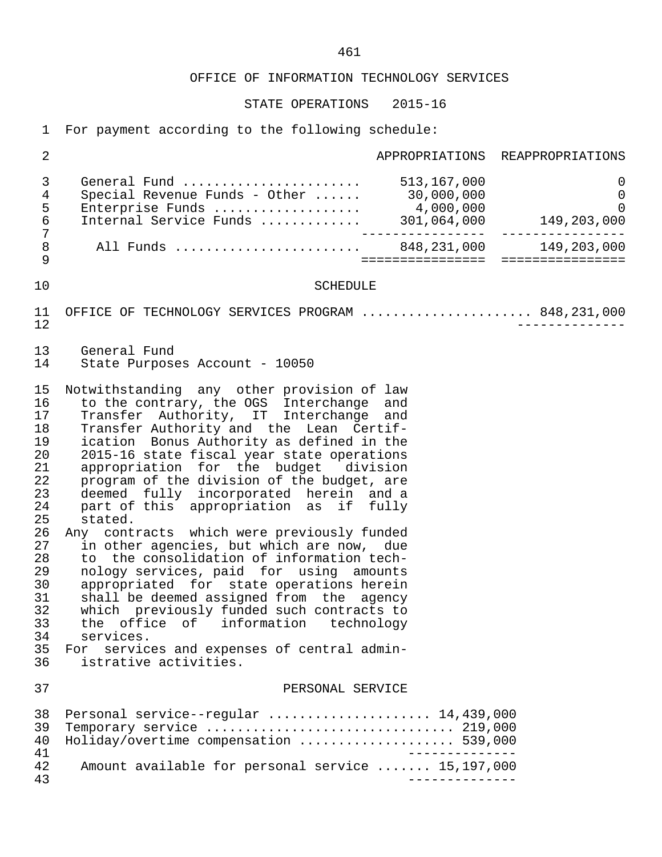STATE OPERATIONS 2015-16

1 For payment according to the following schedule:

| $\overline{2}$                                                                                                                   |                                                                                                                                                                                                                                                                                                                                                                                                                                                                                                                                                                                                                                                                                                                                                                                                                                                                                                                      |                   | APPROPRIATIONS REAPPROPRIATIONS |
|----------------------------------------------------------------------------------------------------------------------------------|----------------------------------------------------------------------------------------------------------------------------------------------------------------------------------------------------------------------------------------------------------------------------------------------------------------------------------------------------------------------------------------------------------------------------------------------------------------------------------------------------------------------------------------------------------------------------------------------------------------------------------------------------------------------------------------------------------------------------------------------------------------------------------------------------------------------------------------------------------------------------------------------------------------------|-------------------|---------------------------------|
| $\mathsf{3}$<br>$\overline{4}$<br>5<br>$\epsilon$<br>$\boldsymbol{7}$<br>$\,8\,$                                                 | General Fund  513,167,000<br>All Funds  848, 231, 000 149, 203, 000                                                                                                                                                                                                                                                                                                                                                                                                                                                                                                                                                                                                                                                                                                                                                                                                                                                  | _________________ | $\overline{0}$<br>------------- |
| 9                                                                                                                                |                                                                                                                                                                                                                                                                                                                                                                                                                                                                                                                                                                                                                                                                                                                                                                                                                                                                                                                      |                   |                                 |
| 10                                                                                                                               | <b>SCHEDULE</b>                                                                                                                                                                                                                                                                                                                                                                                                                                                                                                                                                                                                                                                                                                                                                                                                                                                                                                      |                   |                                 |
| 11<br>12                                                                                                                         | OFFICE OF TECHNOLOGY SERVICES PROGRAM  848, 231, 000                                                                                                                                                                                                                                                                                                                                                                                                                                                                                                                                                                                                                                                                                                                                                                                                                                                                 |                   |                                 |
| 13<br>14                                                                                                                         | General Fund<br>State Purposes Account - 10050                                                                                                                                                                                                                                                                                                                                                                                                                                                                                                                                                                                                                                                                                                                                                                                                                                                                       |                   |                                 |
| 15<br>16<br>17<br>18<br>19<br>20<br>21<br>22<br>23<br>24<br>25<br>26<br>27<br>28<br>29<br>30<br>31<br>32<br>33<br>34<br>35<br>36 | Notwithstanding any other provision of law<br>to the contrary, the OGS Interchange and<br>Transfer Authority, IT Interchange and<br>Transfer Authority and the Lean Certif-<br>ication Bonus Authority as defined in the<br>2015-16 state fiscal year state operations<br>appropriation for the budget division<br>program of the division of the budget, are<br>deemed fully incorporated herein and a<br>part of this appropriation as if fully<br>stated.<br>Any contracts which were previously funded<br>in other agencies, but which are now, due<br>to the consolidation of information tech-<br>nology services, paid for using amounts<br>appropriated for state operations herein<br>shall be deemed assigned from the agency<br>which previously funded such contracts to<br>the office of information technology<br>services.<br>services and expenses of central admin-<br>For<br>istrative activities. |                   |                                 |
| 37                                                                                                                               | PERSONAL SERVICE                                                                                                                                                                                                                                                                                                                                                                                                                                                                                                                                                                                                                                                                                                                                                                                                                                                                                                     |                   |                                 |
| 38<br>39<br>40<br>41<br>42                                                                                                       | Personal service--regular  14,439,000<br>Temporary service  219,000<br>Holiday/overtime compensation  539,000<br>Amount available for personal service  15,197,000                                                                                                                                                                                                                                                                                                                                                                                                                                                                                                                                                                                                                                                                                                                                                   |                   |                                 |
| 43                                                                                                                               |                                                                                                                                                                                                                                                                                                                                                                                                                                                                                                                                                                                                                                                                                                                                                                                                                                                                                                                      |                   |                                 |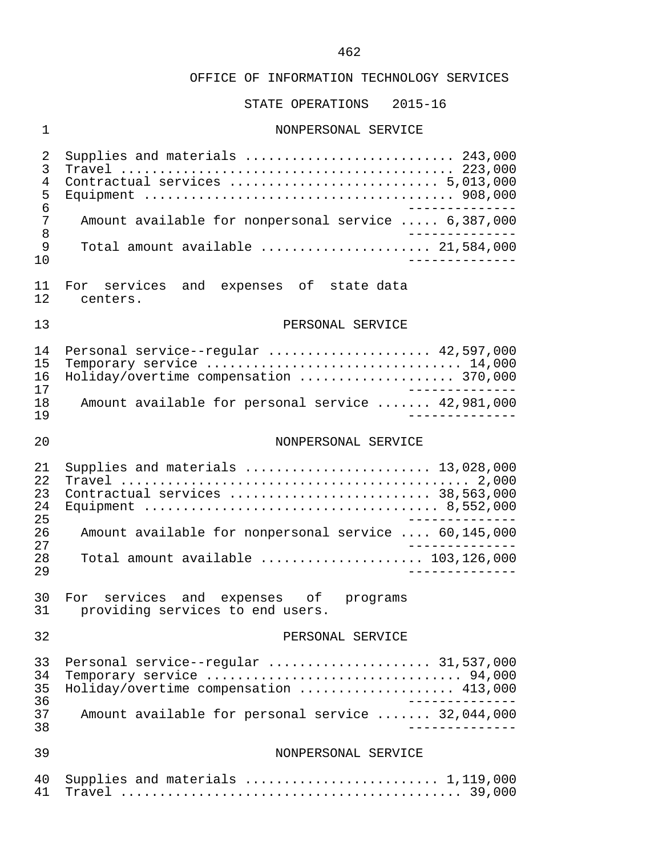STATE OPERATIONS 2015-16

#### 1 NONPERSONAL SERVICE

 2 Supplies and materials ........................... 243,000 3 Travel ........................................... 223,000 4 Contractual services ........................... 5,013,000 5 Equipment ........................................ 908,000 6 -------------- 7 Amount available for nonpersonal service ..... 6,387,000<br>8 8<br>9 Total amount available 9 Total amount available ...................... 21,584,000 10 -------------- 11 For services and expenses of state-data<br>12 centers. centers. 13 PERSONAL SERVICE 14 Personal service--regular ...................... 42,597,000<br>15 Temporary service ................................. 14.000 15 Temporary service ................................. 14,000 16 Holiday/overtime compensation .................... 370,000 17<br>18 Amount available for personal service ....... 42.981.000 18 Amount available for personal service ....... 42,981,000 19 -------------- 20 NONPERSONAL SERVICE 21 Supplies and materials ........................ 13,028,000 22 Travel ............................................. 2,000 23 Contractual services .......................... 38,563,000 24 Equipment ...................................... 8,552,000 25 -------------- 26 Amount available for nonpersonal service .... 60,145,000 27 -------------- 28 Total amount available ..................... 103,126,000 29 -------------- 30 For services and expenses of programs<br>31 providing-services-to-end-users. providing services to end users. 32 PERSONAL SERVICE 33 Personal service--regular ..................... 31,537,000 34 Temporary service ................................. 94,000 35 Holiday/overtime compensation ...................... 413,000<br>36 36 -------------- 37 Amount available for personal service ....... 32,044,000 38 -------------- 39 NONPERSONAL SERVICE 40 Supplies and materials ......................... 1,119,000 41 Travel ............................................ 39,000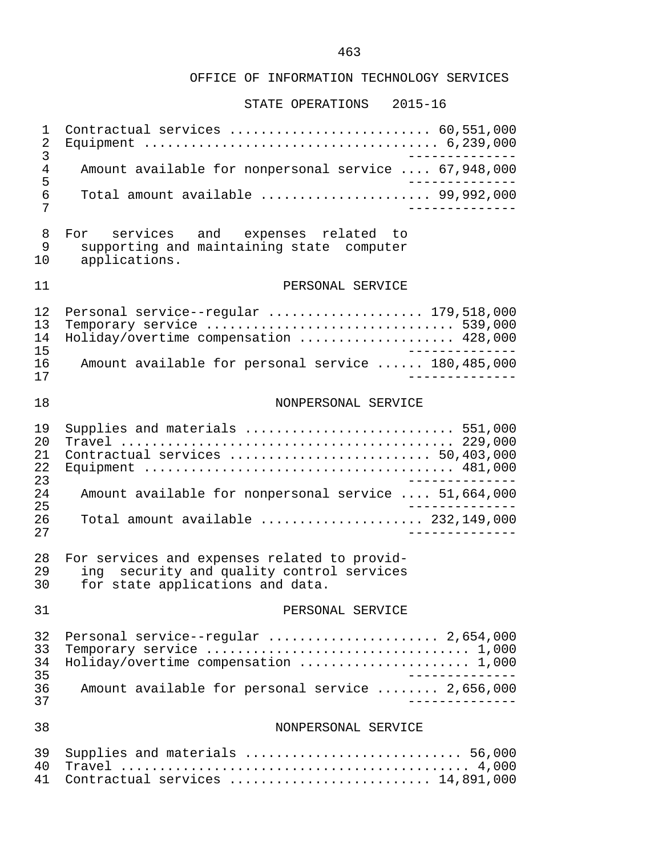| 1<br>2<br>3                |                                                                                                                                  |
|----------------------------|----------------------------------------------------------------------------------------------------------------------------------|
| 4<br>5                     | Amount available for nonpersonal service  67,948,000                                                                             |
| 6<br>7                     | Total amount available  99,992,000                                                                                               |
| 8<br>9<br>10               | For services and expenses related to<br>supporting and maintaining state computer<br>applications.                               |
| 11                         | PERSONAL SERVICE                                                                                                                 |
| 12<br>13<br>14<br>15       | Personal service--regular  179,518,000<br>Temporary service  539,000<br>Holiday/overtime compensation  428,000                   |
| 16<br>17                   | Amount available for personal service  180,485,000                                                                               |
| 18                         | NONPERSONAL SERVICE                                                                                                              |
| 19<br>20<br>21<br>22<br>23 | Supplies and materials  551,000<br>Contractual services  50,403,000                                                              |
| 24<br>25                   | Amount available for nonpersonal service  51,664,000                                                                             |
| 26<br>27                   | Total amount available  232,149,000                                                                                              |
| 28<br>29<br>30             | For services and expenses related to provid-<br>security and quality control services<br>ina<br>for state applications and data. |
| 31                         | PERSONAL SERVICE                                                                                                                 |
| 32<br>33<br>34<br>35       | Personal service--regular  2,654,000<br>Holiday/overtime compensation  1,000<br>______________                                   |
| 36<br>37                   | Amount available for personal service  2,656,000<br>______________                                                               |
| 38                         | NONPERSONAL SERVICE                                                                                                              |
| 39<br>40<br>41             | Supplies and materials  56,000<br>Contractual services  14,891,000                                                               |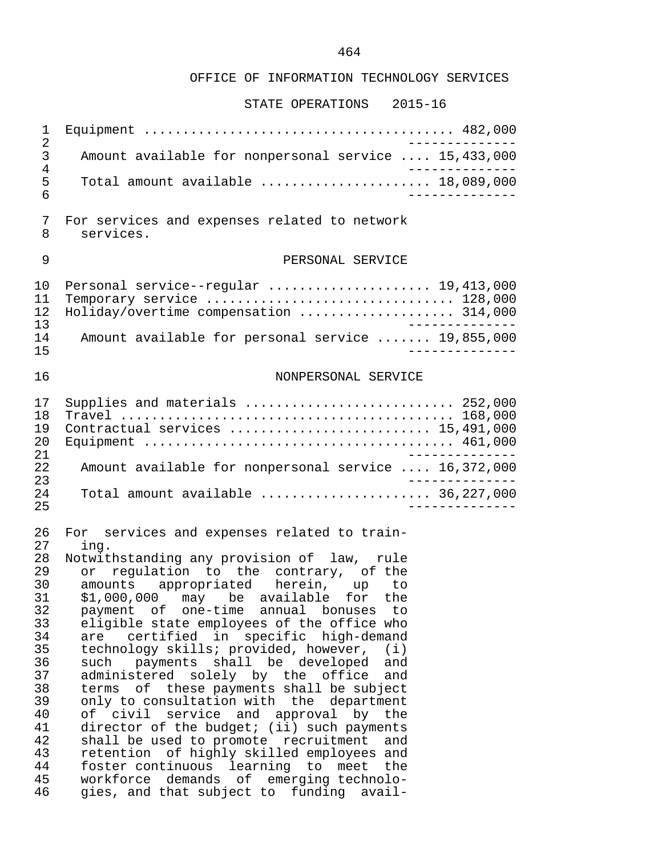| 1<br>2                                                                                                                     |                                                                                                                                                                                                                                                                                                                                                                                                                                                                                                                                                                                                                                                                                                                                                                                                                                                                                                                                                                        |
|----------------------------------------------------------------------------------------------------------------------------|------------------------------------------------------------------------------------------------------------------------------------------------------------------------------------------------------------------------------------------------------------------------------------------------------------------------------------------------------------------------------------------------------------------------------------------------------------------------------------------------------------------------------------------------------------------------------------------------------------------------------------------------------------------------------------------------------------------------------------------------------------------------------------------------------------------------------------------------------------------------------------------------------------------------------------------------------------------------|
| 3<br>4                                                                                                                     | Amount available for nonpersonal service  15,433,000                                                                                                                                                                                                                                                                                                                                                                                                                                                                                                                                                                                                                                                                                                                                                                                                                                                                                                                   |
| 5<br>6                                                                                                                     | Total amount available $\ldots, \ldots, \ldots, \ldots, \ldots, \ldots, \ldots, \ldots, \ldots)$                                                                                                                                                                                                                                                                                                                                                                                                                                                                                                                                                                                                                                                                                                                                                                                                                                                                       |
| 7<br>8                                                                                                                     | For services and expenses related to network<br>services.                                                                                                                                                                                                                                                                                                                                                                                                                                                                                                                                                                                                                                                                                                                                                                                                                                                                                                              |
| 9                                                                                                                          | PERSONAL SERVICE                                                                                                                                                                                                                                                                                                                                                                                                                                                                                                                                                                                                                                                                                                                                                                                                                                                                                                                                                       |
| 10<br>11<br>12<br>13<br>14<br>15                                                                                           | Personal service--regular  19,413,000<br>Temporary service $\ldots \ldots \ldots \ldots \ldots \ldots \ldots \ldots \ldots 128,000$<br>Holiday/overtime compensation  314,000<br>Amount available for personal service  19,855,000                                                                                                                                                                                                                                                                                                                                                                                                                                                                                                                                                                                                                                                                                                                                     |
| 16                                                                                                                         | NONPERSONAL SERVICE                                                                                                                                                                                                                                                                                                                                                                                                                                                                                                                                                                                                                                                                                                                                                                                                                                                                                                                                                    |
| 17<br>18<br>19<br>20<br>21                                                                                                 | Supplies and materials  252,000<br>Contractual services  15,491,000                                                                                                                                                                                                                                                                                                                                                                                                                                                                                                                                                                                                                                                                                                                                                                                                                                                                                                    |
| 22<br>23                                                                                                                   | Amount available for nonpersonal service  16,372,000<br>$- - -$                                                                                                                                                                                                                                                                                                                                                                                                                                                                                                                                                                                                                                                                                                                                                                                                                                                                                                        |
| 24<br>25                                                                                                                   | Total amount available $\ldots, \ldots, \ldots, \ldots, \ldots, 36, 227, 000$                                                                                                                                                                                                                                                                                                                                                                                                                                                                                                                                                                                                                                                                                                                                                                                                                                                                                          |
| 26<br>27<br>28<br>29<br>30<br>31<br>32<br>33<br>34<br>35<br>36<br>37<br>38<br>39<br>40<br>41<br>42<br>43<br>44<br>45<br>46 | For services and expenses related to train-<br>ing.<br>Notwithstanding any provision of law, rule<br>regulation to the contrary, of the<br>or<br>amounts appropriated herein, up to<br>\$1,000,000 may be available for the<br>payment of<br>one-time annual<br>bonuses<br>to<br>eligible state employees of the office who<br>certified in specific high-demand<br>are<br>technology skills; provided, however,<br>(i)<br>such<br>shall be developed<br>payments<br>and<br>administered<br>solely by the<br>office<br>and<br>оf<br>these payments shall be subject<br>terms<br>only to consultation with the department<br>civil<br>service and<br>approval by<br>of<br>the<br>director of the budget; (ii) such payments<br>shall be used to promote recruitment<br>and<br>retention of highly skilled employees and<br>foster continuous<br>learning to<br>the<br>meet<br>workforce demands of<br>emerging technolo-<br>gies, and that subject to funding<br>avail- |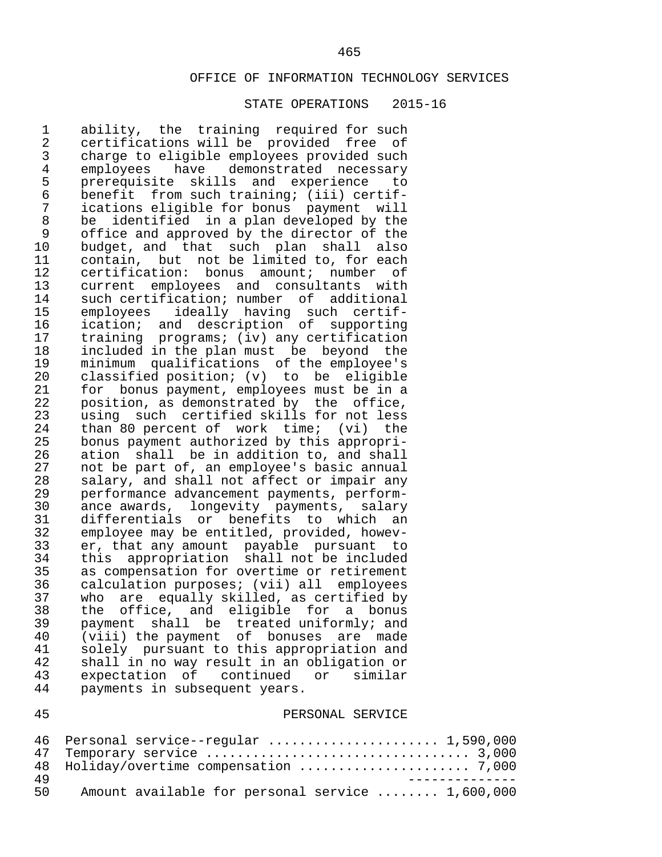#### STATE OPERATIONS 2015-16

1 ability, the training required for such<br>2 certifications will be provided free of 2 certifications will be provided free of<br>3 charge to eligible employees provided such 3 charge to eligible employees provided such 4 employees have demonstrated necessary<br>5 prerequisite skills and experience to 5 prerequisite skills and experience to<br>6 benefit from such training; (iii) certif- 6 benefit from such training; (iii) certif- 7 ications eligible for bonus payment will 8 be identified in a plan developed by the<br>9 office and approved by the director of the 9 office and approved by the director of the<br>10 budget, and that such plan shall also 10 budget, and that such plan shall also<br>11 contain, but not be limited to, for each 11 contain, but not be limited to, for each<br>12 certification: bonus amount; number of 12 certification: bonus amount; number of<br>13 current emplovees and consultants with 13 current employees and consultants with<br>14 such certification; number of additional 14 such certification; number of additional<br>15 emplovees ideally having such certif-15 employees ideally having such certif-<br>16 ication; and description of supporting 16 ication; and description of supporting<br>17 training programs; (iv) any certification 17 training programs; (iv) any certification<br>18 included in the plan must be beyond the 18 included in the plan must be beyond the<br>19 minimum qualifications of the employee's 19 minimum qualifications of the employee's<br>20 classified position; (v) to be eligible 20 classified position; (v) to be eligible<br>21 for bonus payment, employees must be in a 21 for bonus payment, employees must be in a<br>22 position, as demonstrated by the office, 22 position, as demonstrated by the office,<br>23 using such certified skills for not less 23 using such certified skills for not less<br>24 than 80 percent of work time; (vi) the 24 than 80 percent of work time; (vi) the<br>25 bonus payment authorized by this appropri-25 bonus payment authorized by this appropri-<br>26 ation shall be in addition to, and shall 26 ation shall be in addition to, and shall<br>27 and be part of, an emplovee's basic annual 27 not be part of, an employee's basic annual<br>28 salary, and shall not affect or impair any 28 salary, and shall not affect or impair any<br>29 performance advancement payments, perform- 29 performance advancement payments, perform- 30 ance awards, longevity payments, salary 31 differentials or benefits to which an<br>32 employee may be entitled, provided, howev- 32 employee may be entitled, provided, howev- 33 er, that any amount payable pursuant to 34 this appropriation shall not be included<br>35 as compensation for overtime or retirement 35 as compensation for overtime or retirement<br>36 calculation purposes; (vii) all employees 36 calculation purposes; (vii) all employees<br>37 who are equally skilled, as certified by 37 who are equally skilled, as certified by<br>38 the office, and eligible for a bonus 38 the office, and eligible for a bonus<br>39 payment shall be treated-uniformly; and 39 payment shall be treated uniformly; and<br>40 (viii) the payment of bonuses are made 40 (viii) the payment of bonuses are made<br>41 solely pursuant to this appropriation and 41 solely pursuant to this appropriation and<br>42 shall in no way result in an obligation or 42 shall in no way result in an obligation or<br>43 expectation of continued or similar expectation of continued or similar 44 payments in subsequent years.

#### 45 PERSONAL SERVICE

|      | 46 Personal service--regular  1,590,000          |
|------|--------------------------------------------------|
|      |                                                  |
|      | 48 Holiday/overtime compensation  7,000          |
| 49.  |                                                  |
| 50 L | Amount available for personal service  1,600,000 |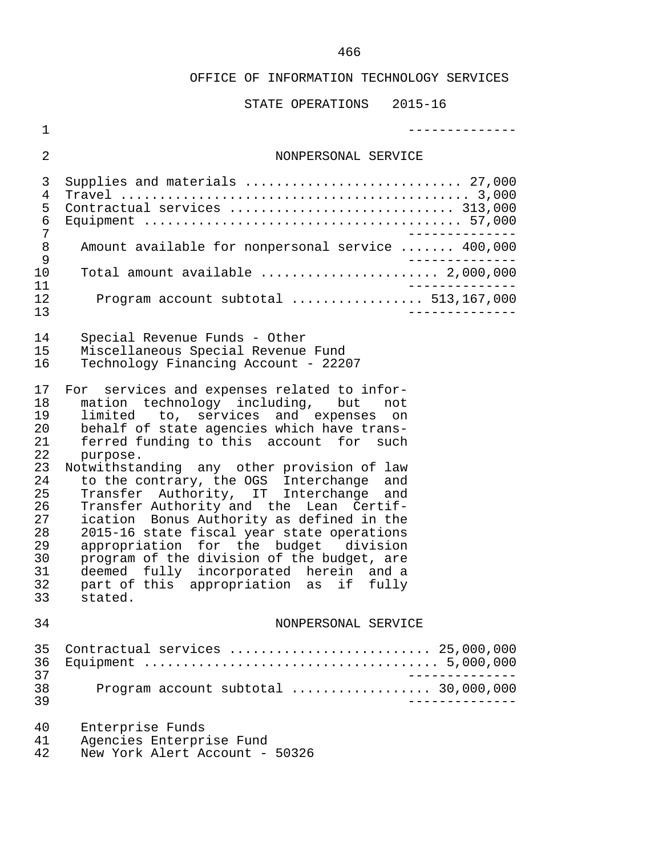| $\mathbf 1$                                                                                        |                                                                                                                                                                                                                                                                                                                                                                                                                                                                                                                                                                                                                                                                                                           |
|----------------------------------------------------------------------------------------------------|-----------------------------------------------------------------------------------------------------------------------------------------------------------------------------------------------------------------------------------------------------------------------------------------------------------------------------------------------------------------------------------------------------------------------------------------------------------------------------------------------------------------------------------------------------------------------------------------------------------------------------------------------------------------------------------------------------------|
| $\overline{a}$                                                                                     | NONPERSONAL SERVICE                                                                                                                                                                                                                                                                                                                                                                                                                                                                                                                                                                                                                                                                                       |
| 3<br>4<br>5<br>6<br>7                                                                              | Supplies and materials  27,000<br>Contractual services  313,000                                                                                                                                                                                                                                                                                                                                                                                                                                                                                                                                                                                                                                           |
| 8<br>9                                                                                             | Amount available for nonpersonal service  400,000                                                                                                                                                                                                                                                                                                                                                                                                                                                                                                                                                                                                                                                         |
| 10<br>11<br>12<br>13                                                                               | Total amount available $\ldots, \ldots, \ldots, \ldots, \ldots, 2,000,000$<br>Program account subtotal  513,167,000                                                                                                                                                                                                                                                                                                                                                                                                                                                                                                                                                                                       |
| 14<br>15<br>16                                                                                     | Special Revenue Funds - Other<br>Miscellaneous Special Revenue Fund<br>Technology Financing Account - 22207                                                                                                                                                                                                                                                                                                                                                                                                                                                                                                                                                                                               |
| 17<br>18<br>19<br>20<br>21<br>22<br>23<br>24<br>25<br>26<br>27<br>28<br>29<br>30<br>31<br>32<br>33 | For services and expenses related to infor-<br>mation technology including,<br>but<br>not<br>to, services and expenses on<br>limited<br>behalf of state agencies which have trans-<br>ferred funding to this account for such<br>purpose.<br>Notwithstanding any other provision of law<br>to the contrary, the OGS Interchange and<br>Transfer Authority, IT Interchange and<br>Transfer Authority and the Lean Certif-<br>ication Bonus Authority as defined in the<br>2015-16 state fiscal year state operations<br>appropriation for the budget division<br>program of the division of the budget, are<br>deemed fully incorporated herein and a<br>part of this appropriation as if fully<br>stated. |
| 34                                                                                                 | NONPERSONAL SERVICE                                                                                                                                                                                                                                                                                                                                                                                                                                                                                                                                                                                                                                                                                       |
| 35<br>36<br>37<br>38<br>39                                                                         | Contractual services  25,000,000<br>Program account subtotal  30,000,000                                                                                                                                                                                                                                                                                                                                                                                                                                                                                                                                                                                                                                  |
| 40<br>41<br>42                                                                                     | Enterprise Funds<br>Agencies Enterprise Fund<br>New York Alert Account - 50326                                                                                                                                                                                                                                                                                                                                                                                                                                                                                                                                                                                                                            |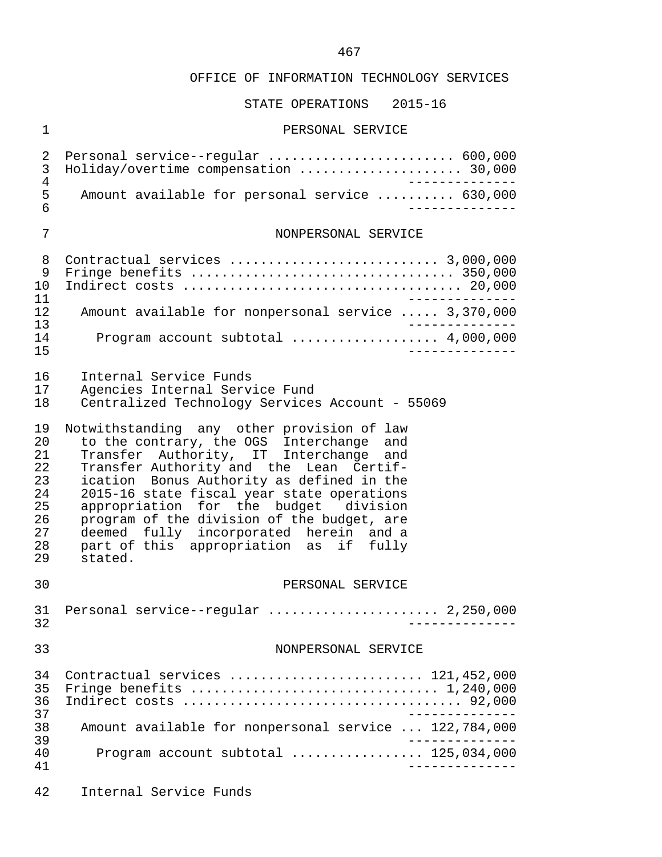# STATE OPERATIONS 2015-16

#### 1 PERSONAL SERVICE

| 2<br>3<br>$\overline{4}$<br>5                                  | Personal service--regular  600,000<br>Holiday/overtime compensation  30,000<br>______________<br>Amount available for personal service  630,000                                                                                                                                                                                                                                                                                                              |
|----------------------------------------------------------------|--------------------------------------------------------------------------------------------------------------------------------------------------------------------------------------------------------------------------------------------------------------------------------------------------------------------------------------------------------------------------------------------------------------------------------------------------------------|
| 6                                                              | ______________                                                                                                                                                                                                                                                                                                                                                                                                                                               |
| 7                                                              | NONPERSONAL SERVICE                                                                                                                                                                                                                                                                                                                                                                                                                                          |
| 8<br>9<br>10<br>11                                             | Fringe benefits $\ldots \ldots \ldots \ldots \ldots \ldots \ldots \ldots \ldots \ldots \ldots$ 350,000<br>-------------                                                                                                                                                                                                                                                                                                                                      |
| 12<br>13                                                       | Amount available for nonpersonal service  3,370,000<br>____________.                                                                                                                                                                                                                                                                                                                                                                                         |
| 14<br>15                                                       | Program account subtotal  4,000,000<br>$- - - - - - - - - - -$                                                                                                                                                                                                                                                                                                                                                                                               |
| 16<br>17<br>18                                                 | Internal Service Funds<br>Agencies Internal Service Fund<br>Centralized Technology Services Account - 55069                                                                                                                                                                                                                                                                                                                                                  |
| 19<br>20<br>21<br>22<br>23<br>24<br>25<br>26<br>27<br>28<br>29 | Notwithstanding any other provision of law<br>to the contrary, the OGS Interchange and<br>Transfer Authority, IT Interchange and<br>Transfer Authority and the Lean Certif-<br>ication Bonus Authority as defined in the<br>2015-16 state fiscal year state operations<br>appropriation for the budget division<br>program of the division of the budget, are<br>deemed fully incorporated herein and a<br>part of this appropriation as if fully<br>stated. |
| 30                                                             | PERSONAL SERVICE                                                                                                                                                                                                                                                                                                                                                                                                                                             |
| 31<br>32                                                       | Personal service--regular  2,250,000<br>____________________                                                                                                                                                                                                                                                                                                                                                                                                 |
| 33                                                             | NONPERSONAL SERVICE                                                                                                                                                                                                                                                                                                                                                                                                                                          |
| 34<br>35<br>36<br>37                                           | Contractual services  121,452,000                                                                                                                                                                                                                                                                                                                                                                                                                            |
| 38                                                             | Amount available for nonpersonal service  122,784,000                                                                                                                                                                                                                                                                                                                                                                                                        |
| 39<br>40<br>41                                                 | Program account subtotal $\ldots$ 125,034,000                                                                                                                                                                                                                                                                                                                                                                                                                |
| 42                                                             | Internal Service Funds                                                                                                                                                                                                                                                                                                                                                                                                                                       |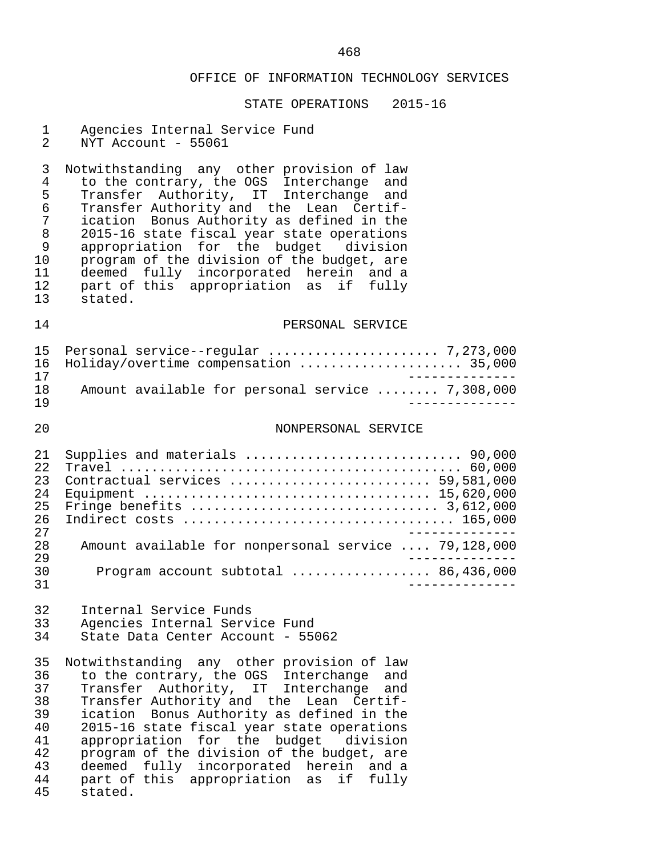#### STATE OPERATIONS 2015-16

|  | Agencies Internal Service Fund |  |  |  |
|--|--------------------------------|--|--|--|
|--|--------------------------------|--|--|--|

2 NYT Account - 55061

3 Notwithstanding any other provision of law<br>4 to the contrary, the OGS Interchange and 4 to the contrary, the OGS Interchange and 5 Transfer Authority, IT Interchange and 6 Transfer Authority and the Lean Certif- 7 ication Bonus Authority as defined in the 8 2015-16 state fiscal year state operations 9 appropriation for the budget<br>10 program of the division of the b 10 program of the division of the budget, are<br>11 deemed fully incorporated herein and a 11 deemed fully incorporated herein and a 12 part of this appropriation as if fully 13 stated.

### 14 PERSONAL SERVICE

|     | 16 Holiday/overtime compensation  35,000         |
|-----|--------------------------------------------------|
| 17  |                                                  |
| 1 R | Amount available for personal service  7,308,000 |
| 1 Q |                                                  |

### 20 NONPERSONAL SERVICE

| 2.1  |                                                                                                   |
|------|---------------------------------------------------------------------------------------------------|
| 2.2. |                                                                                                   |
| 23   | Contractual services  59,581,000                                                                  |
| 2.4  |                                                                                                   |
| 25   | Fringe benefits $\ldots \ldots \ldots \ldots \ldots \ldots \ldots \ldots \ldots \ldots$ 3,612,000 |
| 26   |                                                                                                   |
| 2.7  |                                                                                                   |
| 2.8  | Amount available for nonpersonal service  79,128,000                                              |
| 2.9  |                                                                                                   |
| 30   | Program account subtotal $\ldots$ 86,436,000                                                      |
| 31   |                                                                                                   |

32 Internal Service Funds<br>33 Agencies Internal Serv 33 Agencies Internal Service Fund<br>34 State Data Center Account - 55 State Data Center Account - 55062

35 Notwithstanding any other provision of law<br>36 to the contrary, the OGS Interchange and 36 to the contrary, the OGS Interchange and<br>37 Transfer Authority, IT Interchange and 37 Transfer Authority, IT Interchange and<br>38 Transfer-Authority-and the Lean Certif-38 Transfer Authority and the Lean Certif-<br>39 ication Bonus Authority as defined in the 39 ication Bonus Authority as defined in the<br>40 2015-16 state fiscal year state operations 40 2015-16 state fiscal year state operations<br>41 appropriation for the budget division 41 appropriation for the budget division<br>42 program of the division of the budget, are 42 program of the division of the budget, are<br>43 deemed fully incorporated herein and a 43 deemed fully incorporated herein and a<br>44 part of this appropriation as if fully 44 part of this appropriation as if fully stated.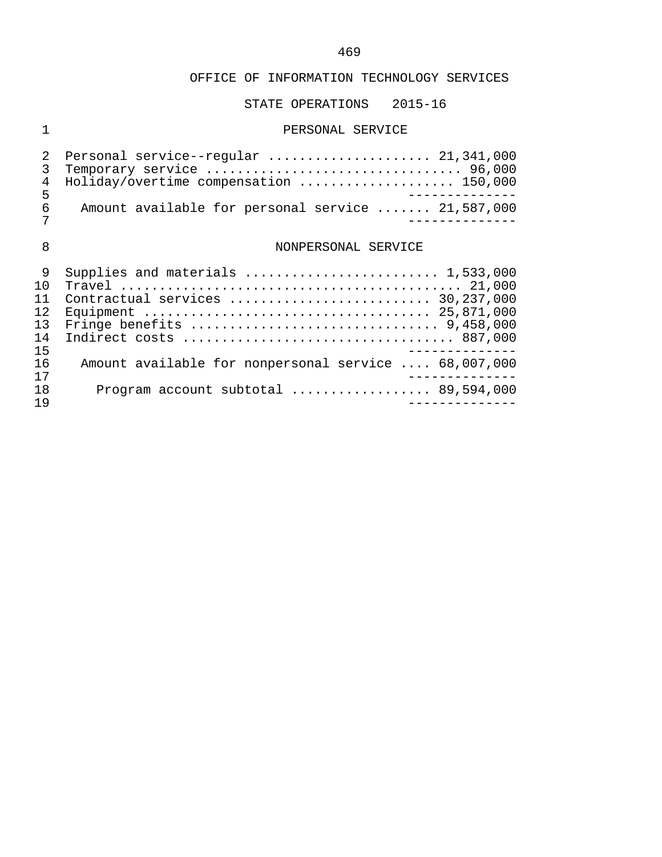## OFFICE OF INFORMATION TECHNOLOGY SERVICES

## STATE OPERATIONS 2015-16

## 1 PERSONAL SERVICE

|   | 2 Personal service--regular  21,341,000           |
|---|---------------------------------------------------|
|   | 3 Temporary service  96,000                       |
|   | 4 Holiday/overtime compensation  150,000          |
| 5 |                                                   |
| 6 | Amount available for personal service  21,587,000 |
|   |                                                   |

## 8 NONPERSONAL SERVICE

|     | Supplies and materials  1,533,000                    |
|-----|------------------------------------------------------|
| 1 N |                                                      |
|     | Contractual services  30,237,000                     |
| 12. |                                                      |
| 13  |                                                      |
| 14  |                                                      |
| 15  |                                                      |
| 16  | Amount available for nonpersonal service  68,007,000 |
| 17  |                                                      |
| 18  | Program account subtotal $\ldots$ 89,594,000         |
| 1 9 |                                                      |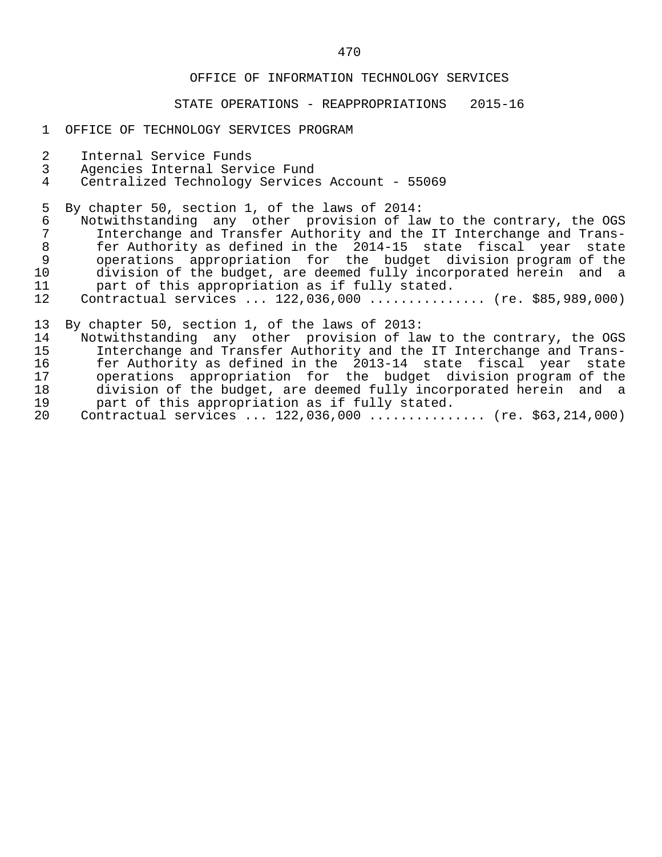## OFFICE OF INFORMATION TECHNOLOGY SERVICES

### STATE OPERATIONS - REAPPROPRIATIONS 2015-16

#### 1 OFFICE OF TECHNOLOGY SERVICES PROGRAM

- 2 Internal Service Funds<br>3 Agencies Internal Servi
- 3 Agencies Internal Service Fund
- 4 Centralized Technology Services Account 55069

5 By chapter 50, section 1, of the laws of 2014:<br>6 Notwithstanding any other provision of la

- 6 Notwithstanding any other provision of law to the contrary, the OGS<br>7 Interchange and Transfer Authority and the IT Interchange and Trans- 7 Interchange and Transfer Authority and the IT Interchange and Trans- 8 fer Authority as defined in the 2014-15 state fiscal year state 9 operations appropriation for the budget division program of the 10 division of the budget, are deemed fully incorporated herein and a<br>11 o part of this appropriation as if fully stated. 11 part of this appropriation as if fully stated.<br>12 Contractual services ... 122,036,000 ...........
- 12 Contractual services ... 122,036,000 ............... (re. \$85,989,000)

13 By chapter 50, section 1, of the laws of 2013:

- 14 Notwithstanding any other provision of law to the contrary, the OGS<br>15 15 Interchange and Transfer Authority and the IT Interchange and Trans-15 Interchange and Transfer Authority and the IT Interchange and Trans-<br>16 16 16 Eer Authority as defined in the 2013-14 state fiscal year state 16 fer Authority as defined in the 2013-14 state fiscal year state<br>17 operations appropriation for the budget division-program of the 17 operations appropriation for the budget division program of the<br>18 division of the budget, are deemed fully incorporated herein and a 18 division of the budget, are deemed fully incorporated herein and a<br>19 mart of this appropriation as if fully stated. 19 part of this appropriation as if fully stated.<br>20 Contractual services ... 122,036,000 ...........
- 20 Contractual services ... 122,036,000 ............... (re. \$63,214,000)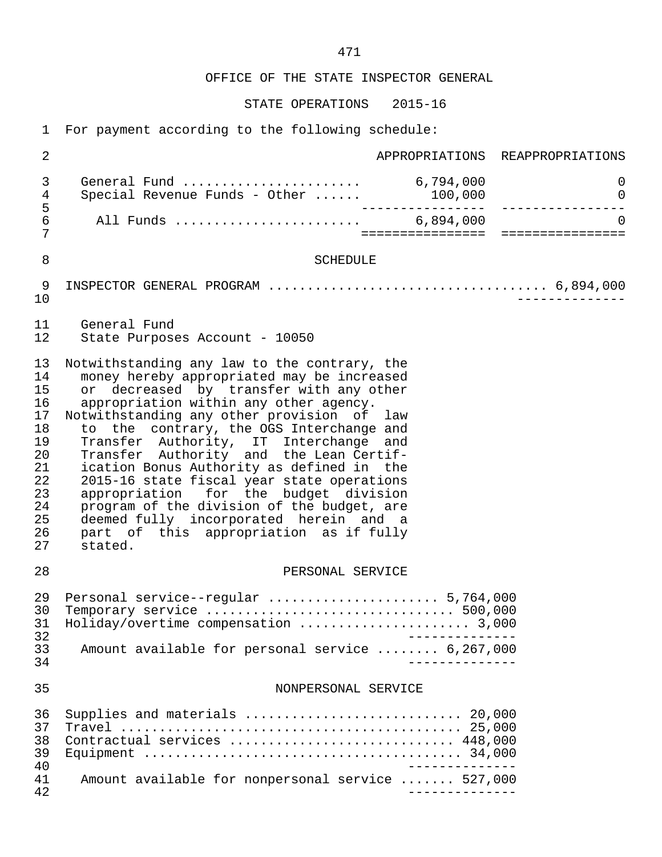OFFICE OF THE STATE INSPECTOR GENERAL

STATE OPERATIONS 2015-16

| 2                                                                                      |                                                                                                                                                                                                                                                                                                                                                                                                                                                                                                                                                                                                                                                 |         | APPROPRIATIONS REAPPROPRIATIONS |
|----------------------------------------------------------------------------------------|-------------------------------------------------------------------------------------------------------------------------------------------------------------------------------------------------------------------------------------------------------------------------------------------------------------------------------------------------------------------------------------------------------------------------------------------------------------------------------------------------------------------------------------------------------------------------------------------------------------------------------------------------|---------|---------------------------------|
| $\mathsf{3}$<br>4                                                                      | General Fund  6,794,000<br>Special Revenue Funds - Other                                                                                                                                                                                                                                                                                                                                                                                                                                                                                                                                                                                        | 100,000 | $\mathsf{O}$<br>$\mathsf{O}$    |
| 5<br>$\epsilon$<br>7                                                                   |                                                                                                                                                                                                                                                                                                                                                                                                                                                                                                                                                                                                                                                 |         | $\Omega$                        |
| 8                                                                                      | <b>SCHEDULE</b>                                                                                                                                                                                                                                                                                                                                                                                                                                                                                                                                                                                                                                 |         |                                 |
| 9<br>10                                                                                |                                                                                                                                                                                                                                                                                                                                                                                                                                                                                                                                                                                                                                                 |         |                                 |
| 11<br>12                                                                               | General Fund<br>State Purposes Account - 10050                                                                                                                                                                                                                                                                                                                                                                                                                                                                                                                                                                                                  |         |                                 |
| 13<br>14<br>15<br>16<br>17<br>18<br>19<br>20<br>21<br>22<br>23<br>24<br>25<br>26<br>27 | Notwithstanding any law to the contrary, the<br>money hereby appropriated may be increased<br>or decreased by transfer with any other<br>appropriation within any other agency.<br>Notwithstanding any other provision of law<br>to the contrary, the OGS Interchange and<br>Transfer Authority, IT Interchange and<br>Transfer Authority and the Lean Certif-<br>ication Bonus Authority as defined in the<br>2015-16 state fiscal year state operations<br>appropriation for the budget division<br>program of the division of the budget, are<br>deemed fully incorporated herein and a<br>part of this appropriation as if fully<br>stated. |         |                                 |
| 28                                                                                     | PERSONAL SERVICE                                                                                                                                                                                                                                                                                                                                                                                                                                                                                                                                                                                                                                |         |                                 |
| 29<br>30<br>31<br>32<br>33<br>34                                                       | Personal service--regular  5,764,000<br>Holiday/overtime compensation  3,000<br>Amount available for personal service  6,267,000                                                                                                                                                                                                                                                                                                                                                                                                                                                                                                                |         |                                 |
| 35                                                                                     | NONPERSONAL SERVICE                                                                                                                                                                                                                                                                                                                                                                                                                                                                                                                                                                                                                             |         |                                 |
| 36<br>37<br>38<br>39<br>40                                                             | Supplies and materials  20,000<br>Contractual services  448,000                                                                                                                                                                                                                                                                                                                                                                                                                                                                                                                                                                                 |         |                                 |
| 41<br>42                                                                               | Amount available for nonpersonal service  527,000                                                                                                                                                                                                                                                                                                                                                                                                                                                                                                                                                                                               |         |                                 |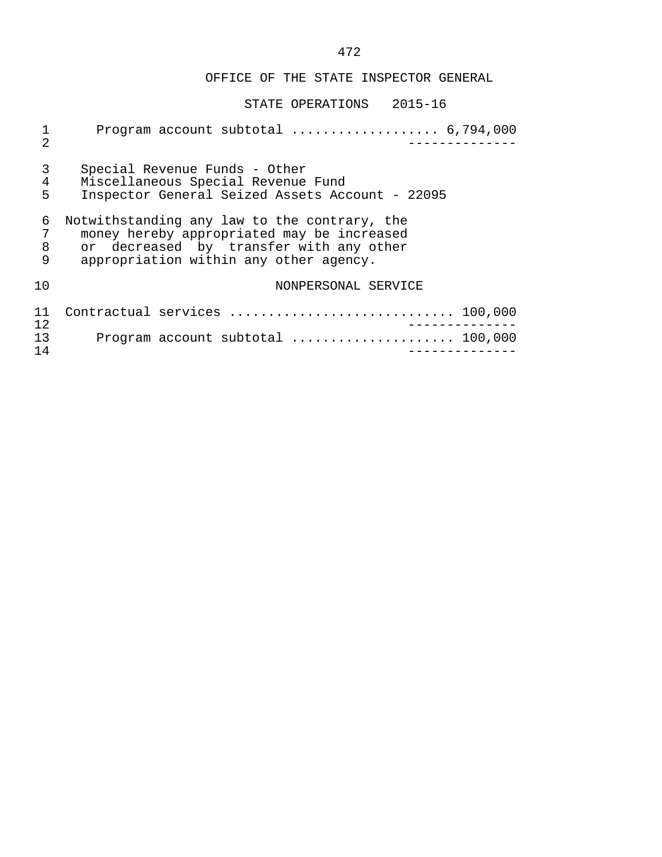## OFFICE OF THE STATE INSPECTOR GENERAL

## STATE OPERATIONS 2015-16

| $\mathbf{1}$<br>$\mathfrak{D}$ | Program account subtotal $\ldots \ldots \ldots \ldots \ldots$ 6,794,000                                                                                                         |
|--------------------------------|---------------------------------------------------------------------------------------------------------------------------------------------------------------------------------|
| 3<br>$\overline{4}$<br>5       | Special Revenue Funds - Other<br>Miscellaneous Special Revenue Fund<br>Inspector General Seized Assets Account - 22095                                                          |
| 6<br>7<br>8<br>9               | Notwithstanding any law to the contrary, the<br>money hereby appropriated may be increased<br>or decreased by transfer with any other<br>appropriation within any other agency. |
| 10                             | NONPERSONAL SERVICE                                                                                                                                                             |
| 11<br>12                       | Contractual services  100,000                                                                                                                                                   |
| 13<br>14                       | Program account subtotal  100,000                                                                                                                                               |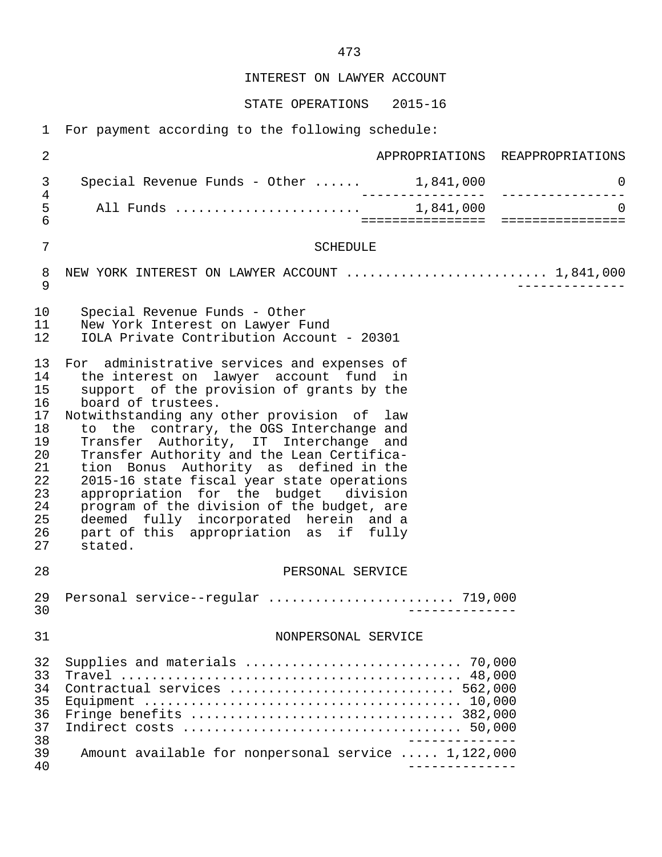INTEREST ON LAWYER ACCOUNT

STATE OPERATIONS 2015-16

| $\overline{2}$                                                                         |                                                                                                                                                                                                                                                                                                                                                                                                                                                                                                                                                                                                                          | APPROPRIATIONS REAPPROPRIATIONS                       |
|----------------------------------------------------------------------------------------|--------------------------------------------------------------------------------------------------------------------------------------------------------------------------------------------------------------------------------------------------------------------------------------------------------------------------------------------------------------------------------------------------------------------------------------------------------------------------------------------------------------------------------------------------------------------------------------------------------------------------|-------------------------------------------------------|
| $\mathfrak{Z}$                                                                         | Special Revenue Funds - Other $\ldots$ . 1,841,000                                                                                                                                                                                                                                                                                                                                                                                                                                                                                                                                                                       | $\mathbf 0$                                           |
| $\,4$<br>5<br>$6\overline{6}$                                                          |                                                                                                                                                                                                                                                                                                                                                                                                                                                                                                                                                                                                                          | $\overline{0}$<br>=================================== |
| $\overline{7}$                                                                         | <b>SCHEDULE</b>                                                                                                                                                                                                                                                                                                                                                                                                                                                                                                                                                                                                          |                                                       |
| 8<br>$\mathsf 9$                                                                       | NEW YORK INTEREST ON LAWYER ACCOUNT  1,841,000                                                                                                                                                                                                                                                                                                                                                                                                                                                                                                                                                                           |                                                       |
| 10<br>11<br>12                                                                         | Special Revenue Funds - Other<br>New York Interest on Lawyer Fund<br>IOLA Private Contribution Account - 20301                                                                                                                                                                                                                                                                                                                                                                                                                                                                                                           |                                                       |
| 13<br>14<br>15<br>16<br>17<br>18<br>19<br>20<br>21<br>22<br>23<br>24<br>25<br>26<br>27 | For administrative services and expenses of<br>the interest on lawyer account fund in<br>support of the provision of grants by the<br>board of trustees.<br>Notwithstanding any other provision of law<br>to the contrary, the OGS Interchange and<br>Transfer Authority, IT Interchange and<br>Transfer Authority and the Lean Certifica-<br>tion Bonus Authority as defined in the<br>2015-16 state fiscal year state operations<br>appropriation for the budget division<br>program of the division of the budget, are<br>deemed fully incorporated herein and a<br>part of this appropriation as if fully<br>stated. |                                                       |
| 28                                                                                     | PERSONAL SERVICE                                                                                                                                                                                                                                                                                                                                                                                                                                                                                                                                                                                                         |                                                       |
| 29<br>30                                                                               | Personal service--regular  719,000                                                                                                                                                                                                                                                                                                                                                                                                                                                                                                                                                                                       |                                                       |
| 31                                                                                     | NONPERSONAL SERVICE                                                                                                                                                                                                                                                                                                                                                                                                                                                                                                                                                                                                      |                                                       |
| 32<br>33<br>34<br>35<br>36<br>37<br>38<br>39<br>40                                     | Contractual services  562,000<br>Amount available for nonpersonal service  1,122,000                                                                                                                                                                                                                                                                                                                                                                                                                                                                                                                                     |                                                       |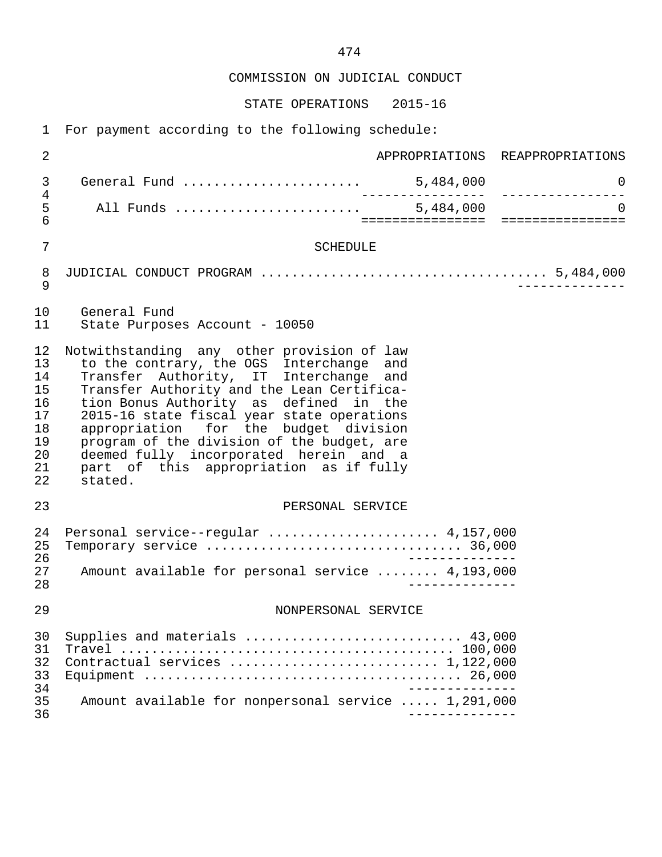COMMISSION ON JUDICIAL CONDUCT

STATE OPERATIONS 2015-16

| $\overline{2}$                                                 |                                                                                                                                                                                                                                                                                                                                                                                                                                                              |                 | APPROPRIATIONS REAPPROPRIATIONS |
|----------------------------------------------------------------|--------------------------------------------------------------------------------------------------------------------------------------------------------------------------------------------------------------------------------------------------------------------------------------------------------------------------------------------------------------------------------------------------------------------------------------------------------------|-----------------|---------------------------------|
| 3                                                              |                                                                                                                                                                                                                                                                                                                                                                                                                                                              | . _ _ _ _ _ _ _ | 0<br>________________           |
| 4<br>5<br>6                                                    |                                                                                                                                                                                                                                                                                                                                                                                                                                                              |                 | $\Omega$                        |
| 7                                                              | <b>SCHEDULE</b>                                                                                                                                                                                                                                                                                                                                                                                                                                              |                 |                                 |
| 8<br>9                                                         |                                                                                                                                                                                                                                                                                                                                                                                                                                                              |                 |                                 |
| 10<br>11                                                       | General Fund<br>State Purposes Account - 10050                                                                                                                                                                                                                                                                                                                                                                                                               |                 |                                 |
| 12<br>13<br>14<br>15<br>16<br>17<br>18<br>19<br>20<br>21<br>22 | Notwithstanding any other provision of law<br>to the contrary, the OGS Interchange and<br>Transfer Authority, IT Interchange and<br>Transfer Authority and the Lean Certifica-<br>tion Bonus Authority as defined in the<br>2015-16 state fiscal year state operations<br>appropriation for the budget division<br>program of the division of the budget, are<br>deemed fully incorporated herein and a<br>part of this appropriation as if fully<br>stated. |                 |                                 |
| 23                                                             | PERSONAL SERVICE                                                                                                                                                                                                                                                                                                                                                                                                                                             |                 |                                 |
| 24<br>25<br>26<br>27<br>28                                     | Personal service--regular  4,157,000<br>Amount available for personal service  4,193,000                                                                                                                                                                                                                                                                                                                                                                     | $\frac{1}{2}$   |                                 |
| 29                                                             | NONPERSONAL SERVICE                                                                                                                                                                                                                                                                                                                                                                                                                                          |                 |                                 |
| 30<br>31<br>32<br>33<br>34                                     | Supplies and materials  43,000<br>Contractual services  1,122,000                                                                                                                                                                                                                                                                                                                                                                                            |                 |                                 |
| 35<br>36                                                       | Amount available for nonpersonal service  1,291,000                                                                                                                                                                                                                                                                                                                                                                                                          |                 |                                 |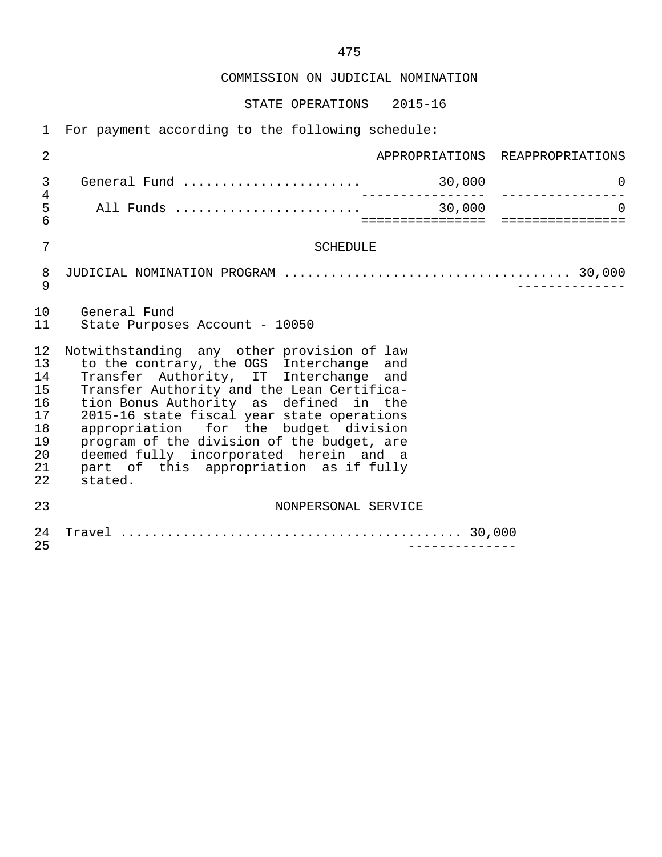COMMISSION ON JUDICIAL NOMINATION

STATE OPERATIONS 2015-16

| $\overline{2}$                                                 |                                                                                                                                                                                                                                                                                                                                                                                                                                                              | APPROPRIATIONS REAPPROPRIATIONS                  |
|----------------------------------------------------------------|--------------------------------------------------------------------------------------------------------------------------------------------------------------------------------------------------------------------------------------------------------------------------------------------------------------------------------------------------------------------------------------------------------------------------------------------------------------|--------------------------------------------------|
| 3                                                              |                                                                                                                                                                                                                                                                                                                                                                                                                                                              | $\overline{0}$                                   |
| 4<br>5<br>6                                                    |                                                                                                                                                                                                                                                                                                                                                                                                                                                              | $\Omega$<br>==================================== |
| 7                                                              | <b>SCHEDULE</b>                                                                                                                                                                                                                                                                                                                                                                                                                                              |                                                  |
| $\,8\,$<br>9                                                   |                                                                                                                                                                                                                                                                                                                                                                                                                                                              |                                                  |
| 10<br>11                                                       | General Fund<br>State Purposes Account - 10050                                                                                                                                                                                                                                                                                                                                                                                                               |                                                  |
| 12<br>13<br>14<br>15<br>16<br>17<br>18<br>19<br>20<br>21<br>22 | Notwithstanding any other provision of law<br>to the contrary, the OGS Interchange and<br>Transfer Authority, IT Interchange and<br>Transfer Authority and the Lean Certifica-<br>tion Bonus Authority as defined in the<br>2015-16 state fiscal year state operations<br>appropriation for the budget division<br>program of the division of the budget, are<br>deemed fully incorporated herein and a<br>part of this appropriation as if fully<br>stated. |                                                  |
| 23                                                             | NONPERSONAL SERVICE                                                                                                                                                                                                                                                                                                                                                                                                                                          |                                                  |
| 24<br>25                                                       |                                                                                                                                                                                                                                                                                                                                                                                                                                                              |                                                  |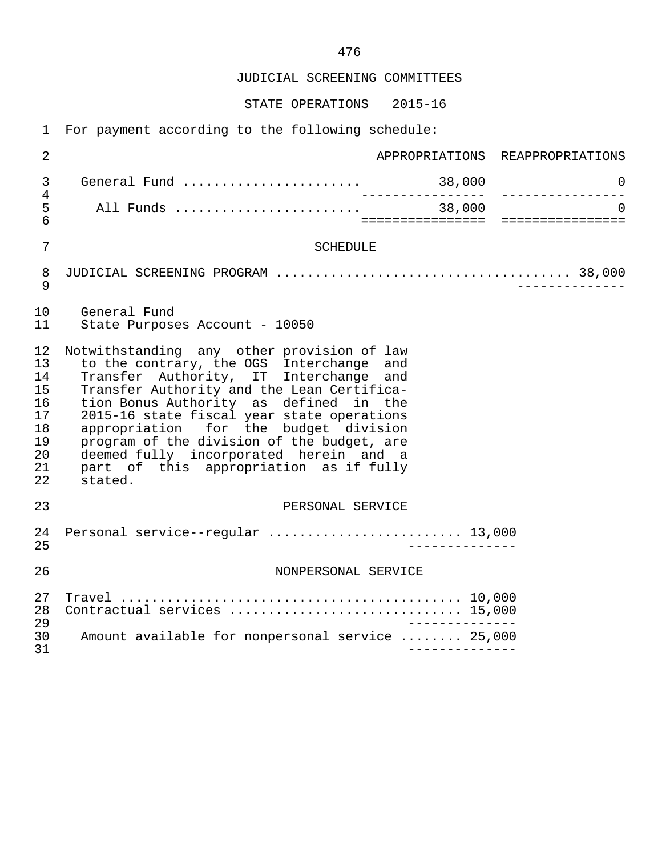JUDICIAL SCREENING COMMITTEES

STATE OPERATIONS 2015-16

| $\overline{2}$                                                 |                                                                                                                                                                                                                                                                                                                                                                                                                                                              |                   | APPROPRIATIONS REAPPROPRIATIONS   |
|----------------------------------------------------------------|--------------------------------------------------------------------------------------------------------------------------------------------------------------------------------------------------------------------------------------------------------------------------------------------------------------------------------------------------------------------------------------------------------------------------------------------------------------|-------------------|-----------------------------------|
| $\mathsf{3}$                                                   | General Fund $\ldots \ldots \ldots \ldots \ldots \ldots$ 38,000                                                                                                                                                                                                                                                                                                                                                                                              | _________________ | $\mathsf{O}$<br>_________________ |
| 4<br>5<br>6                                                    |                                                                                                                                                                                                                                                                                                                                                                                                                                                              |                   |                                   |
| 7                                                              | <b>SCHEDULE</b>                                                                                                                                                                                                                                                                                                                                                                                                                                              |                   |                                   |
| 8<br>9                                                         |                                                                                                                                                                                                                                                                                                                                                                                                                                                              |                   |                                   |
| 10<br>11                                                       | General Fund<br>State Purposes Account - 10050                                                                                                                                                                                                                                                                                                                                                                                                               |                   |                                   |
| 12<br>13<br>14<br>15<br>16<br>17<br>18<br>19<br>20<br>21<br>22 | Notwithstanding any other provision of law<br>to the contrary, the OGS Interchange and<br>Transfer Authority, IT Interchange and<br>Transfer Authority and the Lean Certifica-<br>tion Bonus Authority as defined in the<br>2015-16 state fiscal year state operations<br>appropriation for the budget division<br>program of the division of the budget, are<br>deemed fully incorporated herein and a<br>part of this appropriation as if fully<br>stated. |                   |                                   |
| 23                                                             | PERSONAL SERVICE                                                                                                                                                                                                                                                                                                                                                                                                                                             |                   |                                   |
| 24<br>25                                                       | Personal service--regular  13,000                                                                                                                                                                                                                                                                                                                                                                                                                            |                   |                                   |
| 26                                                             | NONPERSONAL SERVICE                                                                                                                                                                                                                                                                                                                                                                                                                                          |                   |                                   |
| 27<br>28<br>29                                                 | Contractual services  15,000                                                                                                                                                                                                                                                                                                                                                                                                                                 |                   |                                   |
| 30<br>31                                                       | Amount available for nonpersonal service  25,000                                                                                                                                                                                                                                                                                                                                                                                                             |                   |                                   |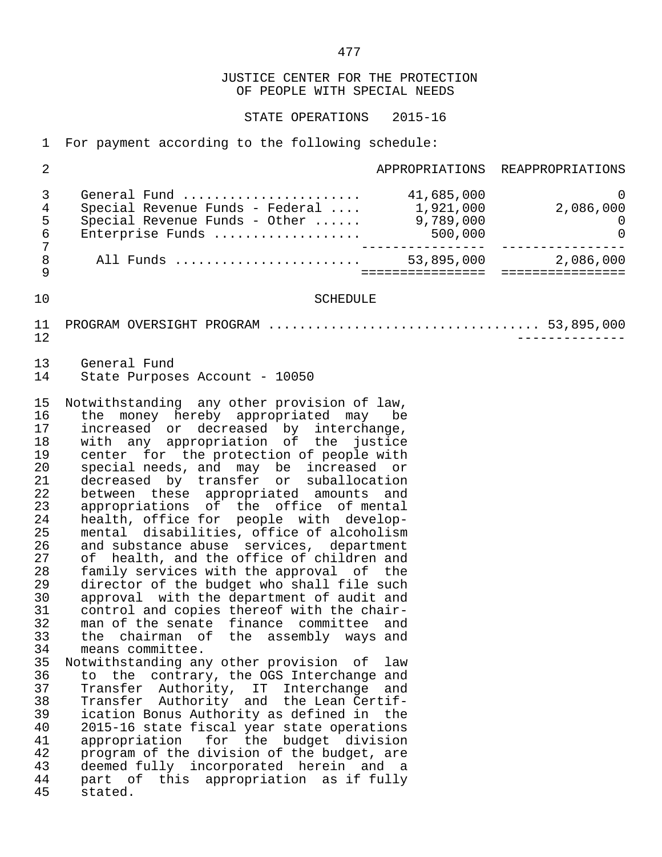STATE OPERATIONS 2015-16

 1 For payment according to the following schedule: 2 **APPROPRIATIONS** REAPPROPRIATIONS 3 General Fund ....................... 41,685,000 0 4 Special Revenue Funds - Federal .... 1,921,000 2,086,000 5 Special Revenue Funds - Other ...... 9,789,000 0 6 Enterprise Funds ................... 500,000 0 7 ---------------- ---------------- 8 All Funds ........................ 53,895,000 2,086,000 9 ================ ================ 10 SCHEDULE 11 PROGRAM OVERSIGHT PROGRAM ................................... 53,895,000 12 -------------- 13 General Fund<br>14 State Purpose State Purposes Account - 10050 15 Notwithstanding any other provision of law, 16 the money hereby appropriated may be<br>17 increased or decreased by interchange. 17 increased or decreased by interchange, 18 with any appropriation of the justice 19 center for the protection of people with<br>20 special needs, and may be increased or 20 special needs, and may be increased or 21 decreased by transfer or suballocation 22 between these appropriated amounts and<br>23 appropriations of the office of mental 23 appropriations of the office of mental 24 health, office for people with develop- 25 mental disabilities, office of alcoholism 26 and substance abuse services, department<br>27 of health, and the office of children and 27 of health, and the office of children and<br>28 family services with the approval of the 28 family services with the approval of the<br>29 director of the budget who shall file such 29 director of the budget who shall file such<br>30 approval with the department of audit and 30 approval with the department of audit and<br>31 control and copies thereof with the chair-31 control and copies thereof with the chair-<br>32 man of the senate finance committee and 32 man of the senate finance committee and<br>33 the chairman of the assembly ways and 33 the chairman of the assembly ways and 34 means committee.<br>35 Notwithstanding any Notwithstanding any other provision of law 36 to the contrary, the OGS Interchange and 37 Transfer Authority, IT Interchange and<br>38 Transfer Authority and the Lean-Certif- 38 Transfer Authority and the Lean Certif- 39 ication Bonus Authority as defined in the 40 2015-16 state fiscal year state operations<br>41 appropriation for the budget division 41 appropriation for the budget division<br>42 program of the division of the budget, are 42 program of the division of the budget, are<br>43 deemed fully incorporated herein and a 43 deemed fully incorporated herein and a<br>44 part of this appropriation as if fully 44 part of this appropriation as if fully<br>45 stated. stated.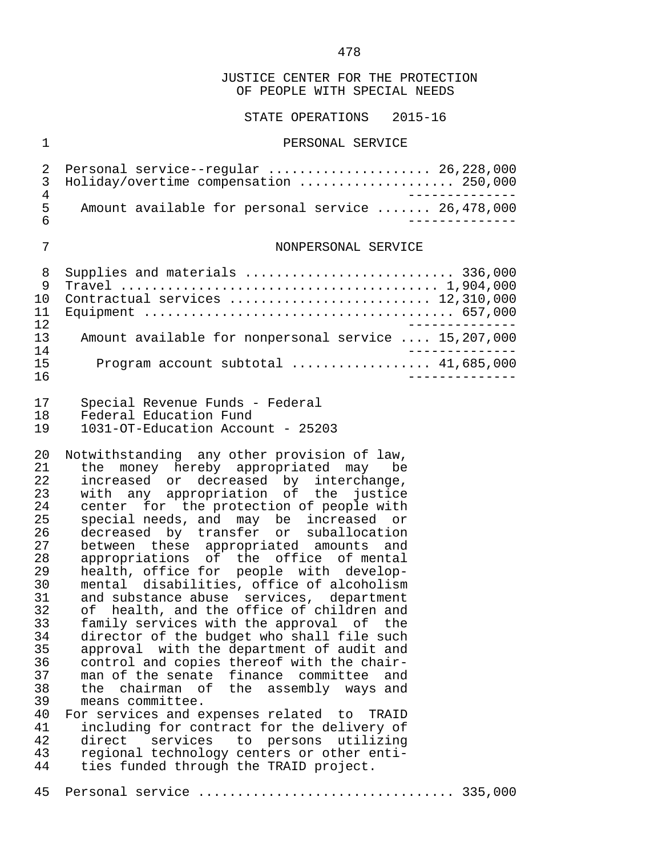STATE OPERATIONS 2015-16

#### 1 PERSONAL SERVICE

2 Personal service--regular ....................... 26,228,000<br>3 Holidav/overtime compensation ...................... 250.000 3 Holiday/overtime compensation .................... 250,000 4 -------------- 5 Amount available for personal service ....... 26,478,000<br>6 6 --------------

#### 7 NONPERSONAL SERVICE

| 9   | Supplies and materials  336,000                      |
|-----|------------------------------------------------------|
|     |                                                      |
|     | Contractual services  12,310,000                     |
| 11  |                                                      |
| 12  |                                                      |
| 13  | Amount available for nonpersonal service  15,207,000 |
| 14  |                                                      |
| 15  | Program account subtotal $41,685,000$                |
| 1 6 |                                                      |

- 17 Special Revenue Funds Federal<br>18 Federal Education Fund
- 18 Federal Education Fund<br>19 1031-OT-Education Accou
- 19 1031-OT-Education Account 25203

20 Notwithstanding any other provision of law,<br>21 the money hereby appropriated may be 21 the money hereby appropriated may be<br>22 increased or decreased by interchange. 22 increased or decreased by interchange,<br>23 with any appropriation of the justice 23 with any appropriation of the justice<br>24 center for the protection of people with 24 center for the protection of people with<br>25 special needs, and may be increased or 25 special needs, and may be increased or<br>26 decreased by transfer or suballocation 26 decreased by transfer or suballocation<br>27 between these appropriated amounts and 27 between these appropriated amounts and<br>28 appropriations of the office of mental 28 appropriations of the office of mental 29 health, office for people with develop- 30 mental disabilities, office of alcoholism<br>31 and substance abuse services, department 31 and substance abuse services, department<br>32 of health, and the office of children and 32 of health, and the office of children and<br>33 family services with the approval of the 33 family services with the approval of the 34 director of the budget who shall file such<br>35 approval with the department of audit and 35 approval with the department of audit and<br>36 control and copies thereof with the chair-36 control and copies thereof with the chair-<br>37 man of the senate finance committee and man of the senate finance committee and 38 the chairman of the assembly ways and 39 means committee.<br>40 For services and ex 40 For services and expenses related to TRAID<br>41 including for contract for the delivery of 41 including for contract for the delivery of<br>42 direct services to persons utilizing 42 direct services to persons utilizing

43 regional technology centers or other enti-<br>44 ties funded through the TRAID project. ties funded through the TRAID project.

45 Personal service ................................. 335,000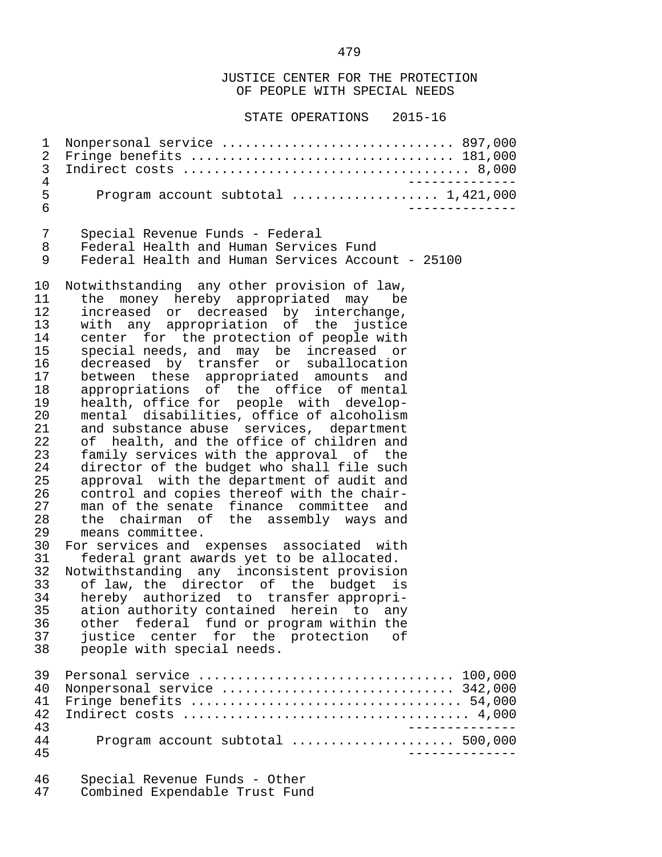STATE OPERATIONS 2015-16

 1 Nonpersonal service .............................. 897,000 2 Fringe benefits .................................. 181,000 3 Indirect costs ..................................... 8,000 4 -------------- 5 Program account subtotal ..................... 1,421,000 6 -------------- 7 Special Revenue Funds - Federal<br>8 Federal Health and Human Service 8 Federal Health and Human Services Fund Federal Health and Human Services Account - 25100 10 Notwithstanding any other provision of law,<br>11 the money hereby appropriated may be 11 the money hereby appropriated may be<br>12 increased or decreased by interchange. 12 increased or decreased by interchange, 13 with any appropriation of the justice 14 center for the protection of people with<br>15 special needs, and may be increased or 15 special needs, and may be increased or<br>16 decreased by transfer or suballocation 16 decreased by transfer or suballocation<br>17 between these appropriated amounts and 17 between these appropriated amounts and<br>18 appropriations of the office of mental 18 appropriations of the office of mental<br>19 health, office for people with develop-19 health, office for people with develop-<br>20 mental disabilities, office of alcoholism 20 mental disabilities, office of alcoholism<br>21 and substance abuse services, department 21 and substance abuse services, department<br>22 of health, and the office of children and 22 of health, and the office of children and<br>23 family services with the approval of the 23 family services with the approval of the<br>24 director of the budget who shall file such 24 director of the budget who shall file such<br>25 approval with the department of audit and 25 approval with the department of audit and<br>26 control and copies thereof with the chair-26 control and copies thereof with the chair-<br>27 man of the senate finance committee and 27 man of the senate finance committee and<br>28 the chairman of the assembly ways and 28 the chairman of the assembly ways and<br>29 means committee. means committee. 30 For services and expenses associated with<br>31 federal grant awards yet to be allocated. 31 federal grant awards yet to be allocated.<br>32 Notwithstanding any inconsistent provisio 32 Notwithstanding any inconsistent provision<br>33 of law, the director of the budget is 33 of law, the director of the budget is<br>34 hereby authorized to transfer\_appropri-34 hereby authorized to transfer-appropri-<br>35 ation-authority-contained herein to any 35 ation authority contained herein to any<br>36 other federal fund or program within the 36 other federal fund or program within the<br>37 iustice center for the protection of 37 justice center for the protection of<br>38 people with special needs. people with special needs. 39 Personal service ................................. 100,000 40 Nonpersonal service .............................. 342,000 41 Fringe benefits ................................... 54,000 42 Indirect costs ..................................... 4,000 43<br>44 - Program account subtotal expressions and the 500,000 44 Program account subtotal ..................... 500,000 45 --------------

46 Special Revenue Funds - Other<br>47 Combined Expendable Trust Fund Combined Expendable Trust Fund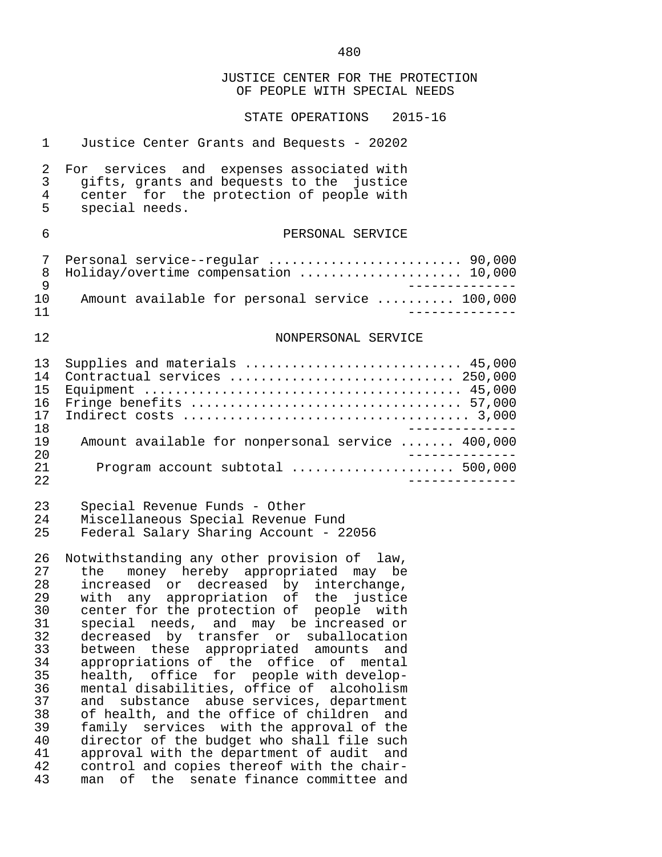JUSTICE CENTER FOR THE PROTECTION OF PEOPLE WITH SPECIAL NEEDS STATE OPERATIONS 2015-16 1 Justice Center Grants and Bequests - 20202 2 For services and expenses associated with<br>3 qifts, grants and bequests to the justice 3 gifts, grants and bequests to the justice<br>4 center for the protection of people with 4 center for the protection of people with<br>5 special needs. 5 special needs. 6 PERSONAL SERVICE 7 Personal service--regular ......................... 90,000 8 Holiday/overtime compensation ......................... 10,000<br>9 9<br>10 Amount available for personal service ......... 100,000 10 Amount available for personal service .......... 100,000<br>------------- 11 -------------- 12 NONPERSONAL SERVICE 13 Supplies and materials ............................ 45,000 14 Contractual services ............................. 250,000 Equipment  $\dots\dots\dots\dots\dots\dots\dots\dots\dots\dots\dots\dots\dots$ . 45,000 16 Fringe benefits ................................... 57,000 17 Indirect costs ..................................... 3,000 -------------<br>19 Amount available for nonpersonal service ...... 400,000 19 Amount available for nonpersonal service ....... 400,000<br>20 ------------- 20 -------------- 21 Program account subtotal ..................... 500,000 22 -------------- 23 Special Revenue Funds - Other 24 Miscellaneous Special Revenue Fund Federal Salary Sharing Account - 22056 26 Notwithstanding any other provision of law,<br>27 the money hereby appropriated may be 27 the money hereby appropriated may be<br>28 increased or decreased by interchange, 28 increased or decreased by interchange,<br>29 with any appropriation of the justice 29 with any appropriation of the justice<br>30 center for the protection of people with 30 center for the protection of people with<br>31 special needs, and may be increased or 31 special needs, and may be increased or 32 decreased by transfer or suballocation<br>33 between these appropriated amounts and 33 between these appropriated amounts and<br>34 appropriations of the office of mental 34 appropriations of the office of mental<br>35 health, office for people with develophealth, office for people with develop-36 mental disabilities, office of alcoholism<br>37 and substance abuse services, department 37 and substance abuse services, department<br>38 of health, and the office of children and 38 of health, and the office of children and<br>39 family services with the approval of the 39 family services with the approval of the<br>40 director of the budget who shall file such 40 director of the budget who shall file such<br>41 approval with the department of audit and 41 approval with the department of audit and<br>42 control and copies thereof with the chair-42 control and copies thereof with the chair-<br>43 man of the senate finance committee and man of the senate finance committee and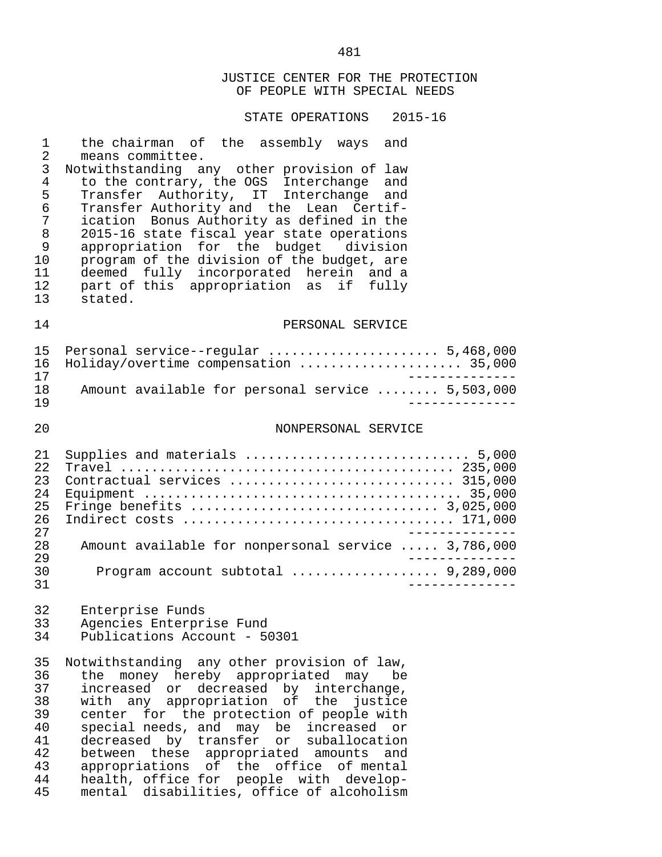STATE OPERATIONS 2015-16

| $\mathbf 1$<br>$\overline{2}$<br>3<br>$\overline{4}$<br>5<br>$\epsilon$<br>7<br>$\,8\,$<br>9<br>10<br>11<br>12<br>13 | the chairman of the assembly ways and<br>means committee.<br>Notwithstanding any other provision of law<br>to the contrary, the OGS Interchange<br>and<br>Transfer Authority, IT Interchange<br>and<br>Transfer Authority and the Lean Certif-<br>ication Bonus Authority as defined in the<br>2015-16 state fiscal year state operations<br>appropriation for the budget division<br>program of the division of the budget, are<br>deemed fully incorporated herein and a<br>part of this appropriation as if fully<br>stated. |
|----------------------------------------------------------------------------------------------------------------------|---------------------------------------------------------------------------------------------------------------------------------------------------------------------------------------------------------------------------------------------------------------------------------------------------------------------------------------------------------------------------------------------------------------------------------------------------------------------------------------------------------------------------------|
| 14                                                                                                                   | PERSONAL SERVICE                                                                                                                                                                                                                                                                                                                                                                                                                                                                                                                |
| 15<br>16<br>17<br>18<br>19                                                                                           | Personal service--regular  5,468,000<br>Holiday/overtime compensation  35,000<br>Amount available for personal service  5,503,000                                                                                                                                                                                                                                                                                                                                                                                               |
| 20                                                                                                                   | NONPERSONAL SERVICE                                                                                                                                                                                                                                                                                                                                                                                                                                                                                                             |
| 21<br>22<br>23<br>24<br>25<br>26<br>27<br>28<br>29                                                                   | Supplies and materials  5,000<br>Contractual services  315,000<br>Amount available for nonpersonal service  3,786,000                                                                                                                                                                                                                                                                                                                                                                                                           |
| 30<br>31                                                                                                             | Program account subtotal  9,289,000                                                                                                                                                                                                                                                                                                                                                                                                                                                                                             |
| 32<br>33<br>34                                                                                                       | Enterprise Funds<br>Agencies Enterprise Fund<br>Publications Account - 50301                                                                                                                                                                                                                                                                                                                                                                                                                                                    |
| 35<br>36<br>37<br>38<br>39<br>40<br>41<br>42<br>43<br>44<br>45                                                       | Notwithstanding any other provision of law,<br>money hereby appropriated may<br>the<br>be<br>decreased by interchange,<br>increased or<br>any appropriation of the justice<br>with<br>for the protection of people with<br>center<br>special needs, and may be<br>increased<br>or<br>decreased by transfer or<br>suballocation<br>between these appropriated amounts<br>and<br>appropriations of the office of mental<br>health, office for people with develop-<br>disabilities, office of alcoholism<br>mental                |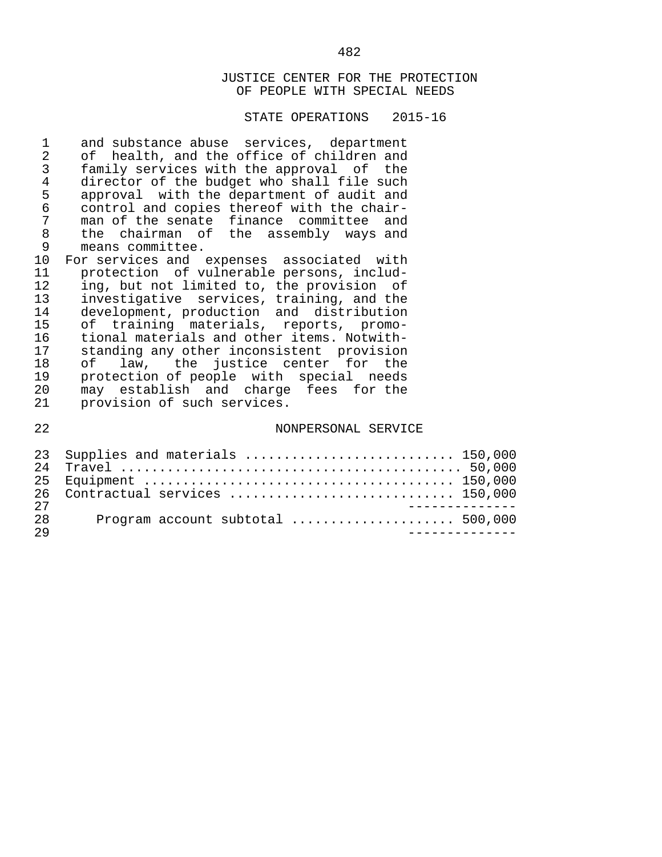## STATE OPERATIONS 2015-16

| 1<br>2          | and substance abuse services, department<br>of health, and the office of children and |
|-----------------|---------------------------------------------------------------------------------------|
| $\mathsf{3}$    | family services with the approval of the                                              |
| $\overline{4}$  | director of the budget who shall file such                                            |
| 5               | approval with the department of audit and                                             |
| $\epsilon$      | control and copies thereof with the chair-                                            |
| $\overline{7}$  | man of the senate finance committee and                                               |
| $\,8\,$         | the chairman of the assembly ways and                                                 |
| $\overline{9}$  | means committee.                                                                      |
| 10 <sub>o</sub> | For services and expenses associated with                                             |
| 11              | protection of vulnerable persons, includ-                                             |
| 12              | ing, but not limited to, the provision of                                             |
| 13              | investigative services, training, and the                                             |
| 14              | development, production and distribution                                              |
| 15              | of training materials, reports, promo-                                                |
| 16              | tional materials and other items. Notwith-                                            |
| 17              | standing any other inconsistent provision                                             |
| 18              | law, the justice center for the<br>of                                                 |
| 19              | protection of people with special needs                                               |
| 20              | may establish and charge fees for the                                                 |
| 21              | provision of such services.                                                           |
| 22              | NONPERSONAL SERVICE                                                                   |
| 23              | Supplies and materials  150,000                                                       |

|    | 26 Contractual services  150,000 |
|----|----------------------------------|
| フワ | - - - - - - - - - - - -          |
| 28 |                                  |
| 29 |                                  |
|    |                                  |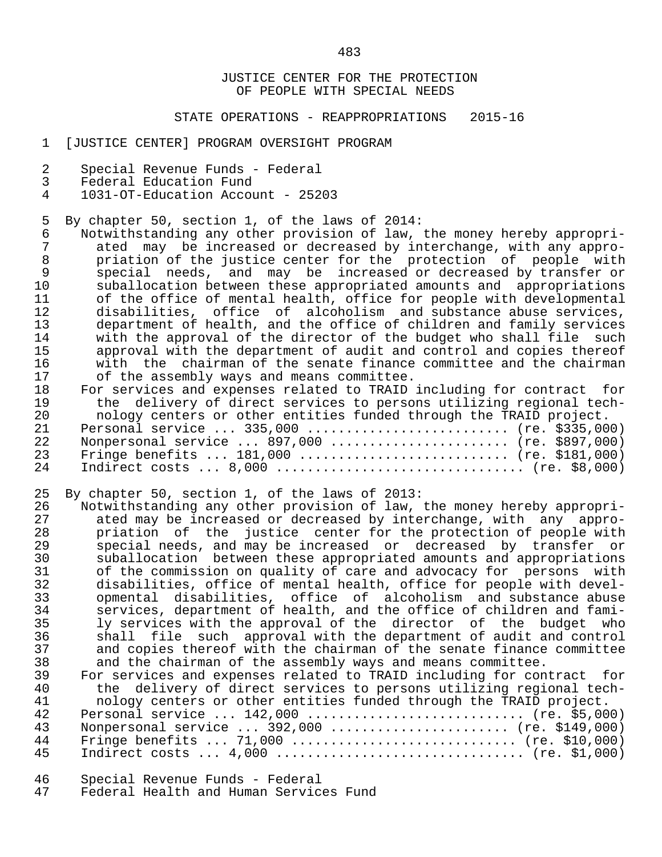#### STATE OPERATIONS - REAPPROPRIATIONS 2015-16

- 1 [JUSTICE CENTER] PROGRAM OVERSIGHT PROGRAM
- 2 Special Revenue Funds Federal
- 3 Federal Education Fund<br>4 1031-OT-Education Accou
- 4 1031-OT-Education Account 25203
- 5 By chapter 50, section 1, of the laws of 2014:<br>6 Notwithstanding any other provision of law.
- 6 Notwithstanding any other provision of law, the money hereby appropri-<br>7 ated may be increased or decreased by interchange, with any appro-7 ated may be increased or decreased by interchange, with any appro-<br>8 briation of the justice center for the protection of people with 8 priation of the justice center for the protection of people with<br>9 special needs, and may be increased or decreased by transfer or 9 special needs, and may be increased or decreased by transfer or<br>10 suballocation between these appropriated amounts and appropriations 10 suballocation between these appropriated amounts and appropriations<br>11 of the office of mental health, office for people with developmental 11 of the office of mental health, office for people with developmental<br>12 odisabilities, office of alcoholism, and substance abuse services. 12 disabilities, office of alcoholism and substance abuse services, 13 department of health, and the office of children and family services<br>14 with the approval of the director of the budget who shall file such 14 with the approval of the director of the budget who shall file<br>15 approval with the department of audit and control and copies the 15 approval with the department of audit and control and copies thereof<br>16 antith the chairman of the senate finance committee and the chairman 16 with the chairman of the senate finance committee and the chairman<br>17 of the assembly ways and means committee. 17 of the assembly ways and means committee.<br>18 For services and expenses related to TRAID
- 18 For services and expenses related to TRAID including for contract for<br>19 the delivery of direct services to persons utilizing regional tech-19 the delivery of direct services to persons utilizing regional tech-<br>20 nology centers or other entities funded through the TRAID project. 20 nology centers or other entities funded through the TRAID project. 21 Personal service ... 335,000 ........................... (re. \$335,000)<br>22 Nonpersonal service ... 897,000 ........................ (re. \$897,000) 22 Nonpersonal service ... 897,000 ....................... (re. \$897,000) 23 Fringe benefits ... 181,000 ........................... (re. \$181,000) 24 Indirect costs ... 8,000 ................................ (re. \$8,000)
- 25 By chapter 50, section 1, of the laws of 2013:<br>26 Notwithstanding any other provision of law,
- 26 Notwithstanding any other provision of law, the money hereby appropri-<br>27 ated may be increased or decreased by interchange, with any appro-27 ated may be increased or decreased by interchange, with any appro-<br>28 a priation of the justice center for the protection of people with 28 priation of the justice center for the protection of people with<br>29 special needs, and may be increased or decreased by transfer or 29 special needs, and may be increased or decreased by transfer or 30 suballocation between these appropriated amounts and appropriations 31 of the commission on quality of care and advocacy for persons with<br>32 disabilities, office of mental health, office for people with devel- 32 disabilities, office of mental health, office for people with devel- 33 opmental disabilities, office of alcoholism and substance abuse 34 services, department of health, and the office of children and fami-<br>35 1 arrylices with the approval of the director of the budget who 35 ly services with the approval of the director of the budget<br>36 shall file such approval with the department of audit and con 36 shall file such approval with the department of audit and control<br>37 and copies thereof with the chairman of the senate finance committee 37 and copies thereof with the chairman of the senate finance committee<br>38 and the chairman of the assembly ways and means committee. 38 and the chairman of the assembly ways and means committee.<br>39 For services and expenses related to TRAID including for con
- 39 For services and expenses related to TRAID including for contract for<br>40 the delivery of direct services to persons utilizing regional tech-40 the delivery of direct services to persons utilizing regional tech-<br>41 nology centers or other entities funded through the TRAID project. 41 nology centers or other entities funded through the TRAID project. 42 Personal service ... 142,000 .............................. (re. \$5,000)<br>43 Nonpersonal service ... 392,000 ........................ (re. \$149,000) 43 Nonpersonal service ... 392,000 ....................... (re. \$149,000) 44 Fringe benefits ... 71,000 ............................. (re. \$10,000) 45 Indirect costs ... 4,000 ................................ (re. \$1,000)
- 46 Special Revenue Funds Federal
- Federal Health and Human Services Fund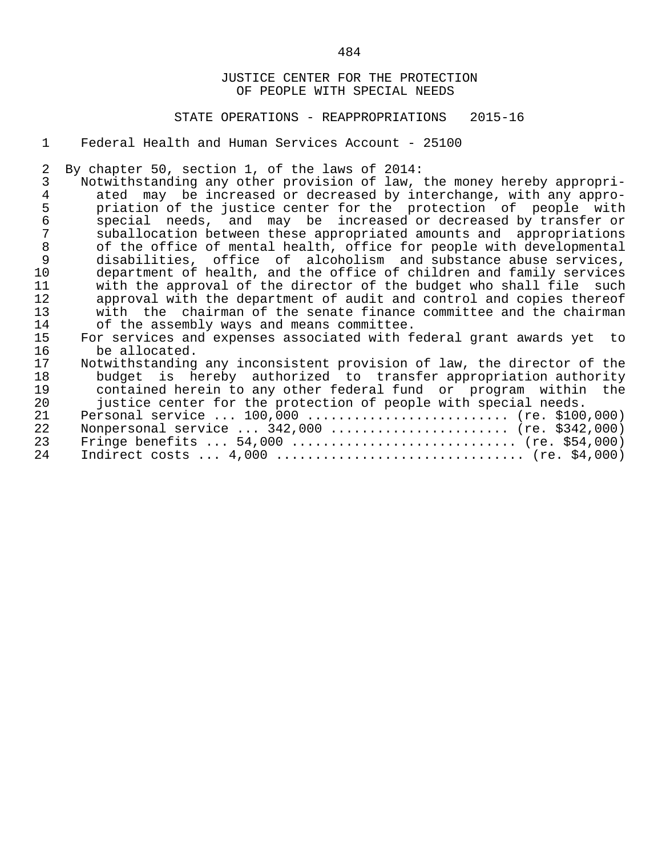#### STATE OPERATIONS - REAPPROPRIATIONS 2015-16

1 Federal Health and Human Services Account - 25100

2 By chapter 50, section 1, of the laws of 2014:<br>3 Notwithstanding any other provision of law,

3 Notwithstanding any other provision of law, the money hereby appropri-<br>4 ated may be increased or decreased by interchange, with any appro-4 ated may be increased or decreased by interchange, with any appro-<br>5 priation of the justice center for the protection of people with 5 priation of the justice center for the protection of people with<br>6 special needs, and may be increased or decreased by transfer or 6 special needs, and may be increased or decreased by transfer or 7 suballocation between these appropriated amounts and appropriations<br>8 of the office of mental health, office for people with developmental 8 of the office of mental health, office for people with developmental<br>9 disabilities, office of alcoholism and substance abuse services, 9 disabilities, office of alcoholism and substance abuse services, 10 department of health, and the office of children and family services 11 with the approval of the director of the budget who shall file such<br>12 approval with the department of audit and control and copies thereof 12 approval with the department of audit and control and copies thereof<br>13 with the chairman of the senate finance committee and the chairman 13 with the chairman of the senate finance committee and the chairman<br>14 of the assembly ways and means committee. 14 of the assembly ways and means committee.<br>15 For services and expenses associated with f 15 For services and expenses associated with federal grant awards yet to 16

- 16 be allocated.<br>17 Notwithstanding 17 Notwithstanding any inconsistent provision of law, the director of the<br>18 budget is hereby authorized to transfer appropriation authority 18 budget is hereby authorized to transfer appropriation authority 19 contained herein to any other federal fund or program within the<br>20 iustice center for the protection of people with special needs. 20 justice center for the protection of people with special needs. 21 Personal service ... 100,000 .......................... (re. \$100,000)
- 22 Nonpersonal service ... 342,000 ........................ (re. \$342,000)<br>23 Fringe benefits ... 54,000 ................................ (re. \$54,000) 23 Fringe benefits ... 54,000 ............................. (re. \$54,000) 24 Indirect costs ... 4,000 ................................ (re. \$4,000)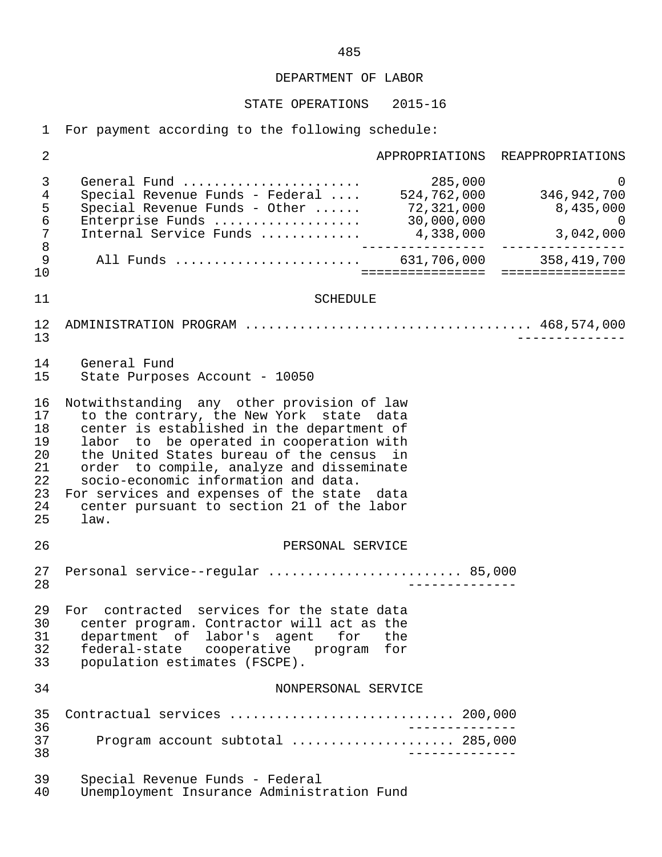STATE OPERATIONS 2015-16

1 For payment according to the following schedule:

 2 APPROPRIATIONS REAPPROPRIATIONS 3 General Fund ....................... 285,000 0 4 Special Revenue Funds - Federal .... 524,762,000 346,942,700 5 Special Revenue Funds - Other ...... 72,321,000<br>6 Enterprise Funds ................... 30,000,000 6 Enterprise Funds ................... 30,000,000 0 7 Internal Service Funds .............<br>8 8 ---------------- ---------------- 9 All Funds ........................ 631,706,000 358,419,700 10 ================ ================ 11 SCHEDULE 12 ADMINISTRATION PROGRAM ..................................... 468,574,000 13 -------------- 14 General Fund<br>15 State Purpose State Purposes Account - 10050 16 Notwithstanding any other provision of law 17 to the contrary, the New York state data<br>18 center is established in the department of 18 center is established in the department of<br>19 labor to be operated in cooperation with 19 labor to be operated in cooperation with<br>20 the United States bureau of the census in 20 the United States bureau of the census in<br>21 order to compile, analyze and disseminate 21 order to compile, analyze and disseminate<br>22 socio-economic information and data. socio-economic information and data. 23 For services and expenses of the state data<br>24 center pursuant to section 21 of the labor 24 center pursuant to section 21 of the labor<br>25 law.  $1$ aw. 26 PERSONAL SERVICE 27 Personal service--regular ......................... 85,000 28 -------------- 29 For contracted services for the state data<br>30 center program, Contractor will act as the 30 center program. Contractor will act as the 31 department of labor's agent for the 32 federal-state cooperative program for<br>33 population estimates (FSCPE). population estimates (FSCPE). 34 NONPERSONAL SERVICE 35 Contractual services ............................. 200,000 36 -------------- 37 Program account subtotal ..................... 285,000 38 -------------- 39 Special Revenue Funds - Federal Unemployment Insurance Administration Fund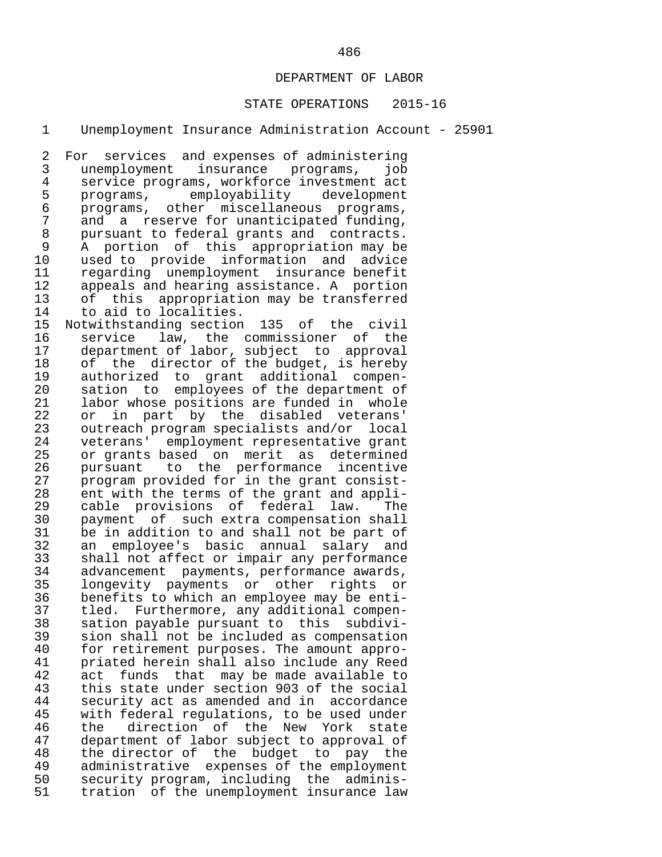#### STATE OPERATIONS 2015-16

1 Unemployment Insurance Administration Account - 25901

2 For services and expenses of administering<br>3 unemployment insurance programs, iob 3 unemployment insurance programs, job 4 service programs, workforce investment act<br>5 programs, employability development 5 programs, employability<br>6 programs, other miscellaned 6 programs, other miscellaneous programs,<br>7 and a reserve-for-unanticipated-funding. 7 and a reserve for unanticipated funding,<br>8 pursuant to federal grants and contracts. 8 pursuant to federal grants and contracts.<br>9 A portion of this appropriation may be 9 A portion of this appropriation may be<br>10 used to provide information and advice 10 used to provide information and advice 11 regarding unemployment insurance-benefit<br>12 appeals and hearing assistance. A portion 12 appeals and hearing assistance. A portion<br>13 of this appropriation may be transferred 13 of this appropriation may be transferred<br>14 to aid to localities.

14 to aid to localities.<br>15 Notwithstanding section 15 Notwithstanding section 135 of the civil 16 service law, the commissioner of the<br>17 department of labor, subject to approval 17 department of labor, subject to approval<br>18 of the director of the budget, is hereby 18 of the director of the budget, is hereby<br>19 authorized to grant additional compen-19 authorized to grant additional compen-<br>20 sation to employees of the department of 20 sation to employees of the department of<br>21 labor whose positions are funded in whole 21 labor whose positions are funded in whole<br>22 or in part by the disabled veterans' 22 or in part by the disabled veterans'<br>23 outreach-program-specialists-and/or local 23 outreach program specialists and/or local<br>24 veterans' employment representative grant 24 veterans' employment representative grant 25 or grants based on merit as determined<br>26 pursuant to the performance incentive 26 pursuant to the performance incentive<br>27 program provided for in the grant consist-27 program provided for in the grant consist-<br>28 ent with the terms of the grant and appli-28 ent with the terms of the grant and appli-<br>29 cable provisions of federal law. The 29 cable provisions of federal law. The 30 payment of such extra compensation shall<br>31 be in addition to and shall not be part of 31 be in addition to and shall not be part of<br>32 an emplovee's basic annual salary and 32 an employee's basic annual salary and 33 shall not affect or impair any performance 34 advancement payments, performance awards,<br>35 longevity payments or other rights or 35 longevity payments or other rights or 36 benefits to which an employee may be enti- 37 tled. Furthermore, any additional compen- 38 sation payable pursuant to this subdivi- 39 sion shall not be included as compensation<br>40 for retirement purposes. The amount appro-40 for retirement purposes. The amount appro-<br>41 priated herein shall also include any Reed 41 priated herein shall also include any Reed<br>42 act funds that may be made available to 42 act funds that may be made available to<br>43 this state under section 903 of the social 43 this state under section 903 of the social<br>44 security act as amended and in accordance 44 security act as amended and in accordance<br>45 with federal regulations, to be used under 45 with federal regulations, to be used under<br>46 the direction of the New York state 46 the direction of the New York state<br>47 department of labor subject to approval of 47 department of labor subject to approval of<br>48 the director of the budget to pay the 48 the director of the budget to pay the<br>49 administrative expenses of the employment 49 administrative expenses of the employment<br>50 security program, including the adminis-50 security program, including the adminis-<br>51 tration of the unemployment insurance law tration of the unemployment insurance law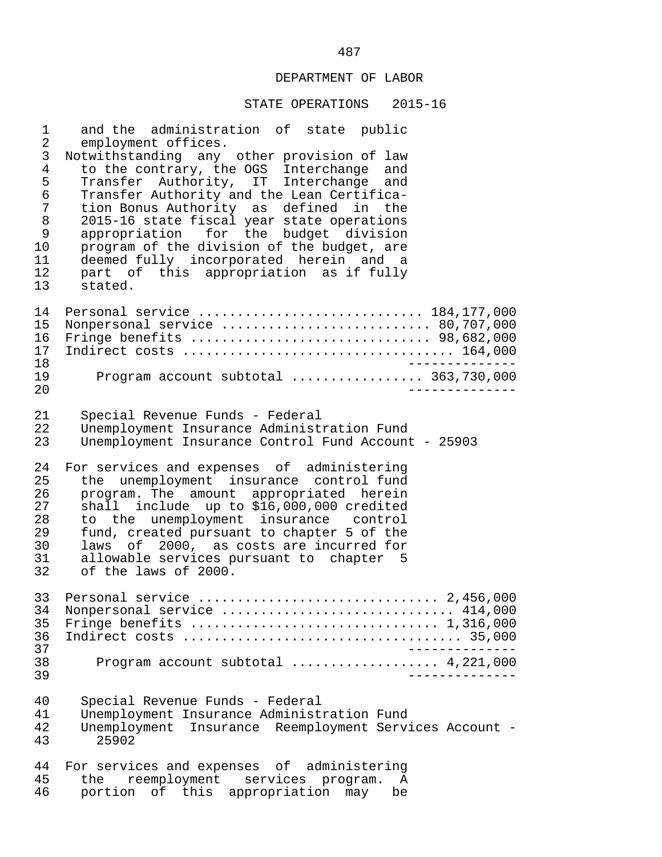#### STATE OPERATIONS 2015-16

1 and the administration of state public<br>2 employment offices. 2 employment offices.<br>3 Notwithstanding any 3 Notwithstanding any other provision of law<br>4 to the contrary, the OGS Interchange and 4 to the contrary, the OGS Interchange and<br>5 Transfer Authority, IT Interchange and 5 Transfer Authority, IT Interchange and<br>6 Transfer\_Authority\_and\_the\_Lean\_Certifica- 6 Transfer Authority and the Lean Certifica- 7 tion Bonus Authority as defined in the<br>8 2015-16 state fiscal vear state operations 8 2015-16 state fiscal year state operations<br>9 appropriation for the budget division 9 appropriation for the budget division<br>10 program of the division of the budget, are 10 program of the division of the budget, are<br>11 deemed fully incorporated herein and a 11 deemed fully incorporated herein and a<br>12 part of this appropriation as if fully 12 part of this appropriation as if fully<br>13 stated. stated. 14 Personal service ............................. 184,177,000 15 Nonpersonal service ........................... 80,707,000 16 Fringe benefits ............................... 98,682,000 17 Indirect costs ................................... 164,000 18 --------------<br>19 Program account subtotal ..................... 363.730.000 19 Program account subtotal ................. 363,730,000 20 -------------- 21 Special Revenue Funds - Federal 22 Unemployment Insurance Administration Fund<br>23 Unemployment Insurance Control Fund Account Unemployment Insurance Control Fund Account - 25903 24 For services and expenses of administering<br>25 the unemployment insurance control fund 25 the unemployment insurance control-fund<br>26 program, The amount appropriated herein 26 program. The amount appropriated herein<br>27 shall include up to \$16,000,000 credited 27 shall include up to \$16,000,000 credited<br>28 to the unemployment insurance control 28 to the unemployment insurance control<br>29 fund, created pursuant to chapter 5 of the fund, created pursuant to chapter 5 of the 30 laws of 2000, as costs are incurred for 31 allowable services pursuant to chapter 5<br>32 of the laws of 2000. of the laws of  $2000$ . 33 Personal service ............................... 2,456,000 34 Nonpersonal service .............................. 414,000 35 Fringe benefits ................................ 1,316,000 36 Indirect costs .................................... 35,000 -------------<br>38 Program account subtotal .................... 4.221.000 38 Program account subtotal ................... 4,221,000 39 -------------- 40 Special Revenue Funds - Federal 41 Unemployment Insurance Administration Fund<br>42 Unemployment Insurance Reemployment Servy 42 Unemployment Insurance Reemployment Services Account - 43 25902 44 For services and expenses of administering<br>45 the reemployment services program. A 45 the reemployment services program. A<br>46 portion of this appropriation may be portion of this appropriation may be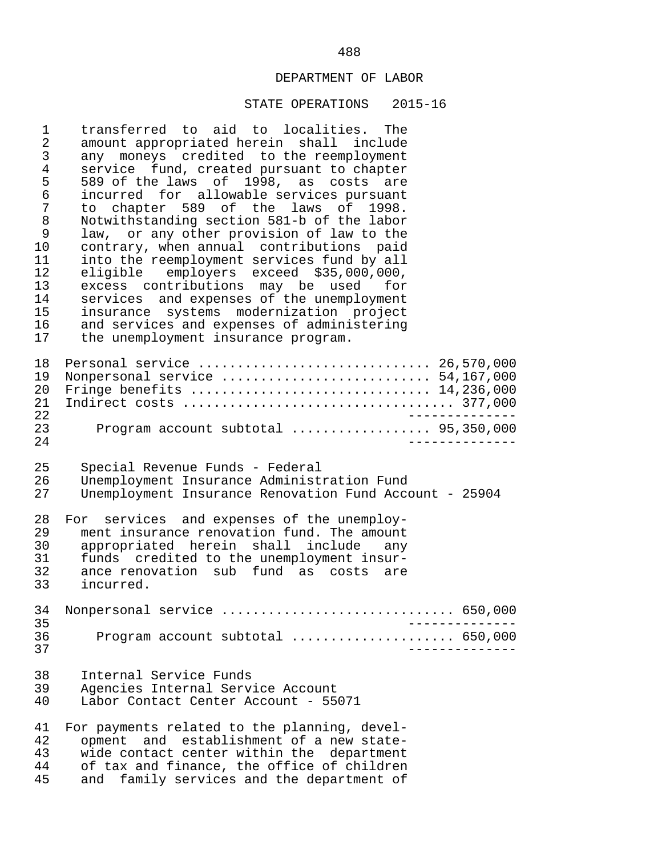#### STATE OPERATIONS 2015-16

1 transferred to aid to localities. The<br>2 amount appropriated herein shall include 2 amount appropriated herein shall include<br>3 any moneys credited to the reemployment 3 any moneys credited to the reemployment<br>4 service fund created pursuant to chapter 4 service fund, created pursuant to chapter<br>5 589 of the laws of 1998, as costs are 5 589 of the laws of 1998, as costs are<br>6 incurred for allowable services pursuant 6 incurred for allowable services pursuant 7 to chapter 589 of the laws of 1998.<br>8 Notwithstanding section 581-b of the labor 8 Notwithstanding section 581-b of the labor<br>9 law, or any other provision of law to the 9 law, or any other provision of law to the<br>10 contrary, when annual contributions paid 10 contrary, when annual contributions paid<br>11 into the reemployment services fund by all 11 into the reemployment services fund by all<br>12 eligible employers exceed \$35.000.000. 12 eligible employers exceed \$35,000,000,<br>13 excess contributions may be used for 13 excess contributions may be used for<br>14 services and expenses of the unemployment 14 services and expenses of the unemployment<br>15 insurance systems modernization project 15 insurance systems modernization project<br>16 and services and expenses of administering 16 and services and expenses of administering<br>17 the unemployment insurance program. the unemployment insurance program. 18 Personal service .............................. 26,570,000 19 Nonpersonal service ............................. 54,167,000<br>20 Fringe benefits .............................. 14,236,000 20 Fringe benefits ............................... 14,236,000 21 Indirect costs ................................... 377,000 22 -------------- 23 Program account subtotal .................. 95,350,000 24 -------------- 25 Special Revenue Funds - Federal<br>26 Unemployment Insurance Administ 26 Unemployment Insurance Administration Fund Unemployment Insurance Renovation Fund Account - 25904 28 For services and expenses of the unemploy-<br>29 ment insurance renovation fund. The amount 29 ment insurance renovation fund. The amount<br>30 appropriated herein shall include anv 30 appropriated herein shall include any 31 funds credited to the unemployment insur- 32 ance renovation sub fund as costs are<br>33 incurred. incurred. 34 Nonpersonal service .............................. 650,000 35 -------------- 36 Program account subtotal ..................... 650,000 37 -------------- 38 Internal Service Funds 39 Agencies Internal Service Account Labor Contact Center Account - 55071 41 For payments related to the planning, devel-<br>42 opment and establishment of a new state-42 opment and establishment of a new state-<br>43 wide contact center within the department 43 wide contact center within the department<br>44 of tax and finance, the office of children 44 of tax and finance, the office of children<br>45 and family services and the department of and family services and the department of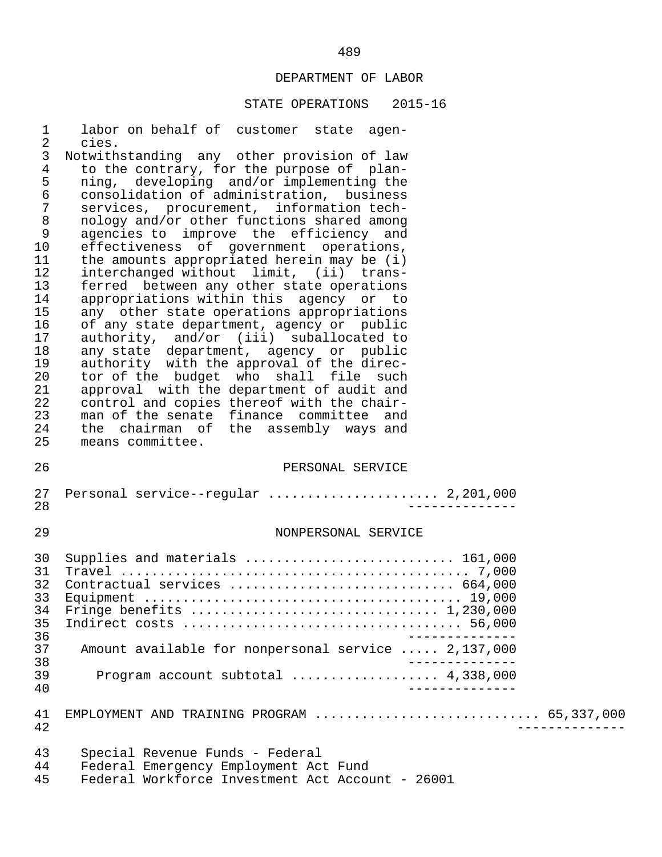## STATE OPERATIONS 2015-16

| $\mathbf 1$<br>$\overline{2}$ | labor on behalf of customer state agen-<br>cies.                                          |  |
|-------------------------------|-------------------------------------------------------------------------------------------|--|
| $\mathfrak{Z}$                | Notwithstanding any other provision of law                                                |  |
| $\overline{4}$                | to the contrary, for the purpose of plan-                                                 |  |
| 5                             | ning, developing and/or implementing the                                                  |  |
| $\epsilon$                    | consolidation of administration, business                                                 |  |
| $\overline{7}$                | services, procurement, information tech-                                                  |  |
| $\,8\,$                       | nology and/or other functions shared among                                                |  |
| 9                             | agencies to improve the efficiency and                                                    |  |
| 10                            | effectiveness of government operations,                                                   |  |
| 11                            | the amounts appropriated herein may be (i)                                                |  |
| 12                            | interchanged without limit, (ii) trans-                                                   |  |
| 13                            | ferred between any other state operations                                                 |  |
| 14                            | appropriations within this agency or to                                                   |  |
| 15                            | any other state operations appropriations                                                 |  |
| 16                            | of any state department, agency or public                                                 |  |
| 17                            | authority, and/or (iii) suballocated to                                                   |  |
| 18                            | any state department, agency or public                                                    |  |
| 19                            | authority with the approval of the direc-                                                 |  |
| 20                            | tor of the budget who shall file such                                                     |  |
| 21                            | approval with the department of audit and                                                 |  |
| 22                            | control and copies thereof with the chair-                                                |  |
| 23                            | man of the senate finance committee and                                                   |  |
| 24                            | the chairman of the assembly ways and                                                     |  |
| 25                            | means committee.                                                                          |  |
|                               |                                                                                           |  |
| 26                            | PERSONAL SERVICE                                                                          |  |
| 27                            | Personal service--regular  2,201,000                                                      |  |
| 28                            |                                                                                           |  |
|                               |                                                                                           |  |
| 29                            | NONPERSONAL SERVICE                                                                       |  |
|                               |                                                                                           |  |
| 30                            | Supplies and materials  161,000                                                           |  |
| 31                            |                                                                                           |  |
| 32                            | Contractual services  664,000                                                             |  |
| 33                            |                                                                                           |  |
| 34                            |                                                                                           |  |
| 35                            |                                                                                           |  |
| 36                            |                                                                                           |  |
| 37                            | Amount available for nonpersonal service  2,137,000                                       |  |
| 38                            |                                                                                           |  |
| 39                            | Program account subtotal  4,338,000                                                       |  |
| 40                            |                                                                                           |  |
|                               |                                                                                           |  |
| 41                            | EMPLOYMENT AND TRAINING PROGRAM  65,337,000                                               |  |
| 42                            |                                                                                           |  |
|                               |                                                                                           |  |
| 43                            | Special Revenue Funds - Federal                                                           |  |
|                               |                                                                                           |  |
| 44<br>45                      | Federal Emergency Employment Act Fund<br>Federal Workforce Investment Act Account - 26001 |  |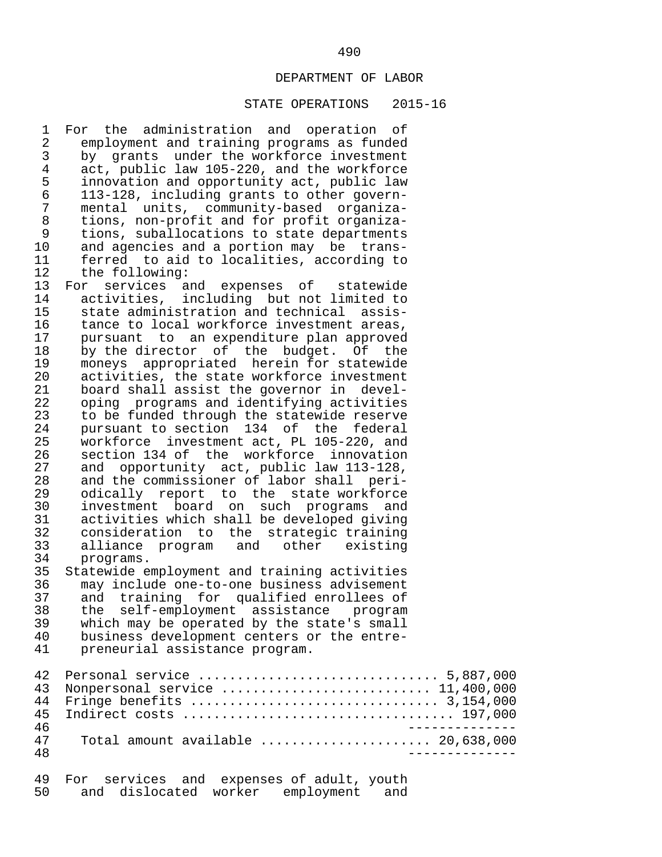#### STATE OPERATIONS 2015-16

1 For the administration and operation of<br>2 employment and training programs as funded 2 employment and training programs as funded<br>3 by grants under the workforce investment 3 by grants under the workforce investment<br>4 act, public law 105-220, and the workforce 4 act, public law 105-220, and the workforce<br>5 innovation and opportunity act, public law 5 innovation and opportunity act, public law 6 113-128, including grants to other govern- 7 mental units, community-based organiza- 8 tions, non-profit and for profit organiza-<br>9 tions, suballocations to state departments 9 tions, suballocations to state departments<br>10 and agencies and a portion may be trans-10 and agencies and a portion may be trans-<br>11 ferred to aid to localities, according to 11 ferred to aid to localities, according to<br>12 the following:

12 the following:<br>13 For services a 13 For services and expenses of statewide<br>14 activities, including but not limited to 14 activities, including but not limited to<br>15 state administration and technical assis-15 state administration and technical assis-<br>16 tance to local workforce investment areas. 16 tance to local workforce investment areas,<br>17 pursuant to an expenditure plan approved 17 pursuant to an expenditure plan approved<br>18 by the director of the budget. Of the 18 by the director of the budget. Of the<br>19 moneys appropriated herein for statewide 19 moneys appropriated herein for statewide<br>20 activities, the state workforce investment 20 activities, the state workforce investment<br>21 board shall assist the governor in devel-21 board shall assist the governor in devel-<br>22 oping programs and identifying activities 22 oping programs and identifying activities<br>23 to be funded through the statewide reserve 23 to be funded through the statewide reserve<br>24 pursuant to section 134 of the federal 24 pursuant to section 134 of the federal<br>25 workforce investment act, PL 105-220, and 25 workforce investment act, PL 105-220, and<br>26 section 134 of the workforce innovation 26 section 134 of the workforce innovation<br>27 and opportunity act, public law 113-128, 27 and opportunity act, public law 113-128,<br>28 and the commissioner of labor shall peri-28 and the commissioner of labor shall peri-<br>29 odically report to the state workforce 29 odically report to the state-workforce<br>30 investment board on such programs and 30 investment board on such programs and<br>31 activities which shall be developed giving 31 activities which shall be developed giving<br>32 consideration to the strategic training 32 consideration to the strategic training<br>33 alliance program and other existing 33 alliance program and other existing 34 programs.<br>35 Statewide e 35 Statewide employment and training activities 36 may include one-to-one business advisement 37 and training for qualified enrollees of<br>38 the self-employment assistance program

38 the self-employment assistance program<br>39 which may be operated by the state's small 39 which may be operated by the state's small<br>40 business development centers or the entre-40 business development centers or the entre-<br>41 preneurial assistance program. preneurial assistance program.

|    | 43 Nonpersonal service  11,400,000                                          |
|----|-----------------------------------------------------------------------------|
|    |                                                                             |
|    |                                                                             |
| 46 |                                                                             |
| 47 | Total amount available $\ldots, \ldots, \ldots, \ldots, \ldots, 20,638,000$ |
| 48 |                                                                             |
|    |                                                                             |

|    |  | 49 For services and expenses of adult, youth |  |  |
|----|--|----------------------------------------------|--|--|
| 50 |  | and dislocated worker employment and         |  |  |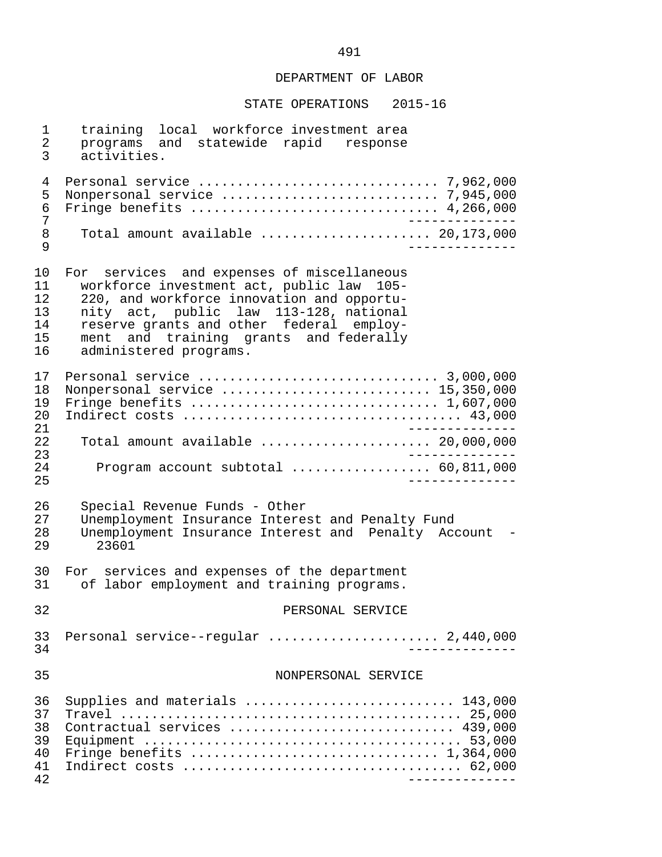STATE OPERATIONS 2015-16

 1 training local workforce investment area 2 programs and statewide rapid response<br>3 activities. activities. 4 Personal service ............................... 7,962,000 5 Nonpersonal service ............................ 7,945,000 6 Fringe benefits ................................ 4,266,000 7 -------------- 8 Total amount available ...................... 20,173,000 9 -------------- 10 For services and expenses of miscellaneous<br>11 workforce investment act, public law 105-11 workforce investment act, public law 105-<br>12 220, and workforce innovation and opportu-12 220, and workforce innovation and opportu-<br>13 mity act, public law 113-128, national 13 nity act, public law 113-128, national 14 reserve grants and other federal employ-<br>15 ment and training grants and federally 15 ment and training grants and federally<br>16 administered programs. administered programs. 17 Personal service ............................... 3,000,000 18 Nonpersonal service ........................... 15,350,000 19 Fringe benefits ................................ 1,607,000 20 Indirect costs .................................... 43,000 21 -------------- 22 Total amount available ...................... 20,000,000 23 -------------- 24 Program account subtotal .................. 60,811,000 25 -------------- 26 Special Revenue Funds - Other<br>27 Unemployment Insurance Interes 27 Unemployment Insurance Interest and Penalty Fund<br>28 Unemployment Insurance Interest and Penalty Acc 28 Unemployment Insurance Interest and Penalty Account -<br>29 23601 23601 30 For services and expenses of the department<br>31 of labor employment and training programs. of labor employment and training programs. 32 PERSONAL SERVICE 33 Personal service--regular ...................... 2,440,000 34 -------------- 35 NONPERSONAL SERVICE 36 Supplies and materials ........................... 143,000 37 Travel ............................................ 25,000 38 Contractual services ............................. 439,000 39 Equipment ......................................... 53,000 40 Fringe benefits ................................ 1,364,000 41 Indirect costs .................................... 62,000 42 --------------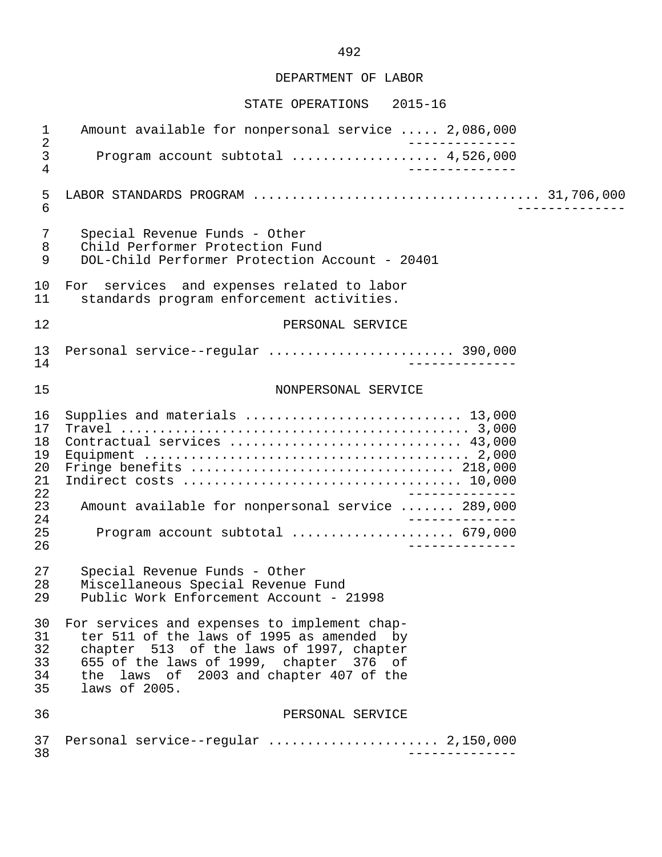#### STATE OPERATIONS 2015-16

 1 Amount available for nonpersonal service ..... 2,086,000 2 -------------- 3 Program account subtotal ................... 4,526,000 4 -------------- 5 LABOR STANDARDS PROGRAM ..................................... 31,706,000 6 -------------- 7 Special Revenue Funds - Other<br>8 Child Performer Protection Fu 8 Child Performer Protection Fund 9 DOL-Child Performer Protection Account - 20401 10 For services and expenses related to labor<br>11 standards program enforcement activities. standards program enforcement activities. 12 **PERSONAL SERVICE**  13 Personal service--regular ........................ 390,000 14 -------------- 15 NONPERSONAL SERVICE 16 Supplies and materials ............................ 13,000 17 Travel ............................................. 3,000 18 Contractual services .............................. 43,000 19 Equipment .......................................... 2,000 20 Fringe benefits .................................. 218,000 21 Indirect costs .................................... 10,000 22 -------------- 23 Amount available for nonpersonal service ....... 289,000 24<br>25 Program account subtotal ...................... 679,000 25 Program account subtotal ..................... 679,000 26 -------------- 27 Special Revenue Funds - Other<br>28 Miscellaneous Special Revenue 28 Miscellaneous Special Revenue Fund Public Work Enforcement Account - 21998 30 For services and expenses to implement chap- 31 ter 511 of the laws of 1995 as amended by<br>32 chapter 513 of the laws of 1997, chapter 32 chapter 513 of the laws of 1997, chapter<br>33 655 of the laws of 1999, chapter 376 of 33 655 of the laws of 1999, chapter 376 of<br>34 the laws of 2003 and chapter 407 of the 34 the laws of 2003 and chapter 407 of the laws of 2005. 36 PERSONAL SERVICE 37 Personal service--regular ...................... 2,150,000 38 --------------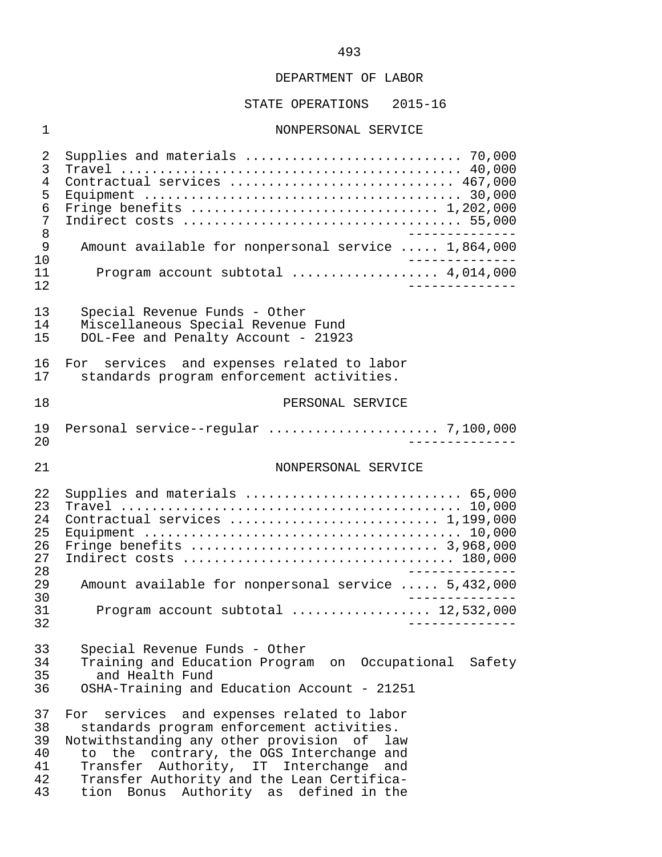## STATE OPERATIONS 2015-16

# 1 NONPERSONAL SERVICE

| 2<br>3<br>4<br>5<br>6<br>7                         | Supplies and materials  70,000<br>Contractual services  467,000<br>Fringe benefits  1,202,000                                                                                                                                                                                                                                          |
|----------------------------------------------------|----------------------------------------------------------------------------------------------------------------------------------------------------------------------------------------------------------------------------------------------------------------------------------------------------------------------------------------|
| 8<br>9<br>10                                       | Amount available for nonpersonal service  1,864,000                                                                                                                                                                                                                                                                                    |
| 11<br>12                                           | Program account subtotal  4,014,000                                                                                                                                                                                                                                                                                                    |
| 13<br>14<br>15                                     | Special Revenue Funds - Other<br>Miscellaneous Special Revenue Fund<br>DOL-Fee and Penalty Account - 21923                                                                                                                                                                                                                             |
| 16<br>17                                           | For<br>services and expenses related to labor<br>standards program enforcement activities.                                                                                                                                                                                                                                             |
| 18                                                 | PERSONAL SERVICE                                                                                                                                                                                                                                                                                                                       |
| 19<br>20                                           | Personal service--regular  7,100,000                                                                                                                                                                                                                                                                                                   |
| 21                                                 | NONPERSONAL SERVICE                                                                                                                                                                                                                                                                                                                    |
| 22<br>23<br>24<br>25<br>26<br>27<br>28<br>29<br>30 | Supplies and materials  65,000<br>Contractual services  1,199,000<br>Amount available for nonpersonal service  5,432,000<br>$- - - - -$                                                                                                                                                                                                |
| 31<br>32                                           | Program account subtotal  12,532,000<br>-----------                                                                                                                                                                                                                                                                                    |
| 33<br>34<br>35<br>36                               | Special Revenue Funds - Other<br>Training and Education Program on Occupational<br>Safety<br>and Health Fund<br>OSHA-Training and Education Account - 21251                                                                                                                                                                            |
| 37<br>38<br>39<br>40<br>41<br>42<br>43             | services and expenses related to labor<br>For<br>standards program enforcement activities.<br>Notwithstanding any other provision of<br>law<br>contrary, the OGS Interchange and<br>the<br>to.<br>Transfer Authority, IT Interchange<br>and<br>Transfer Authority and the Lean Certifica-<br>Bonus Authority as defined in the<br>tion |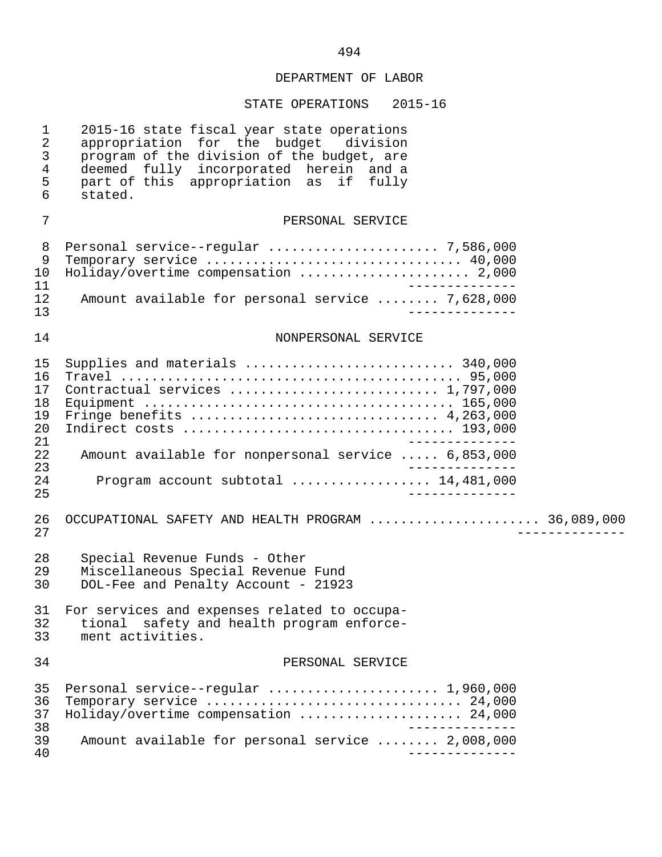## STATE OPERATIONS 2015-16

| $\mathbf 1$<br>$\overline{2}$<br>$\mathfrak{Z}$<br>$\overline{4}$<br>5<br>6 | 2015-16 state fiscal year state operations<br>appropriation for the budget division<br>program of the division of the budget, are<br>deemed fully incorporated herein and a<br>part of this appropriation as<br>if fully<br>stated. |
|-----------------------------------------------------------------------------|-------------------------------------------------------------------------------------------------------------------------------------------------------------------------------------------------------------------------------------|
| 7                                                                           | PERSONAL SERVICE                                                                                                                                                                                                                    |
| 8<br>9<br>10<br>11<br>12<br>13                                              | Temporary service  40,000<br>Holiday/overtime compensation  2,000<br>Amount available for personal service  7,628,000                                                                                                               |
| 14                                                                          | NONPERSONAL SERVICE                                                                                                                                                                                                                 |
| 15<br>16<br>17<br>18<br>19<br>20<br>21<br>22<br>23<br>24<br>25              | Supplies and materials  340,000<br>Contractual services  1,797,000<br>Amount available for nonpersonal service  6,853,000<br>Program account subtotal  14,481,000                                                                   |
| 26<br>27                                                                    | OCCUPATIONAL SAFETY AND HEALTH PROGRAM  36,089,000                                                                                                                                                                                  |
| 28<br>29<br>30                                                              | Special Revenue Funds - Other<br>Miscellaneous Special Revenue Fund<br>DOL-Fee and Penalty Account - 21923                                                                                                                          |
| 32<br>33                                                                    | 31 For services and expenses related to occupa-<br>safety and health program enforce-<br>tional<br>ment activities.                                                                                                                 |
| 34                                                                          | PERSONAL SERVICE                                                                                                                                                                                                                    |
| 35<br>36<br>37<br>38                                                        | Personal service--regular  1,960,000<br>Temporary service  24,000<br>Holiday/overtime compensation  24,000                                                                                                                          |
| 39<br>40                                                                    | Amount available for personal service  2,008,000                                                                                                                                                                                    |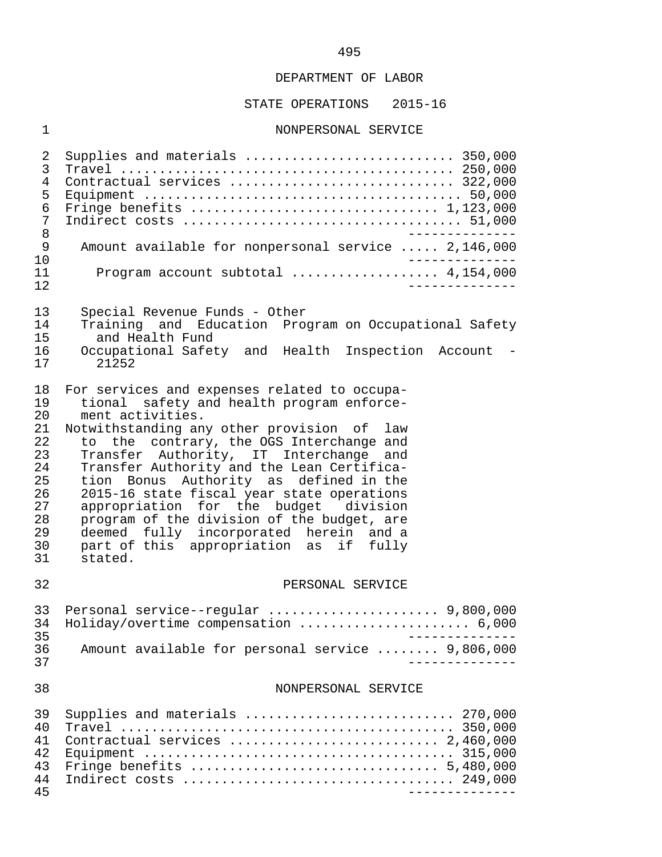## STATE OPERATIONS 2015-16

## 1 NONPERSONAL SERVICE

| 2<br>3<br>4<br>5<br>6<br>7<br>8<br>$\mathsf{9}$                                  | Supplies and materials  350,000<br>Contractual services  322,000<br>Amount available for nonpersonal service  2,146,000                                                                                                                                                                                                                                                                                                                                                                                                                                                          |
|----------------------------------------------------------------------------------|----------------------------------------------------------------------------------------------------------------------------------------------------------------------------------------------------------------------------------------------------------------------------------------------------------------------------------------------------------------------------------------------------------------------------------------------------------------------------------------------------------------------------------------------------------------------------------|
| 10<br>11<br>12                                                                   | Program account subtotal  4,154,000<br>$\frac{1}{2}$                                                                                                                                                                                                                                                                                                                                                                                                                                                                                                                             |
| 13<br>14<br>15<br>16<br>17                                                       | Special Revenue Funds - Other<br>Training and Education Program on Occupational Safety<br>and Health Fund<br>Occupational Safety and Health Inspection Account -<br>21252                                                                                                                                                                                                                                                                                                                                                                                                        |
| 18<br>19<br>20<br>21<br>22<br>23<br>24<br>25<br>26<br>27<br>28<br>29<br>30<br>31 | For services and expenses related to occupa-<br>tional safety and health program enforce-<br>ment activities.<br>Notwithstanding any other provision of<br>law<br>to the contrary, the OGS Interchange and<br>Transfer Authority, IT Interchange and<br>Transfer Authority and the Lean Certifica-<br>tion Bonus Authority as defined in the<br>2015-16 state fiscal year state operations<br>appropriation for the budget division<br>program of the division of the budget, are<br>deemed fully incorporated herein and a<br>part of this appropriation as if fully<br>stated. |
| 32                                                                               | PERSONAL SERVICE                                                                                                                                                                                                                                                                                                                                                                                                                                                                                                                                                                 |
| 33 <sup>3</sup><br>34                                                            | Personal service--regular  9,800,000<br>Holiday/overtime compensation  6,000                                                                                                                                                                                                                                                                                                                                                                                                                                                                                                     |
| 35<br>36<br>37                                                                   | Amount available for personal service  9,806,000<br>$- - - - - - - - - - - -$                                                                                                                                                                                                                                                                                                                                                                                                                                                                                                    |
| 38                                                                               | NONPERSONAL SERVICE                                                                                                                                                                                                                                                                                                                                                                                                                                                                                                                                                              |
| 39<br>40<br>41<br>42<br>43<br>44<br>45                                           | Supplies and materials  270,000<br>Contractual services  2,460,000<br>______________                                                                                                                                                                                                                                                                                                                                                                                                                                                                                             |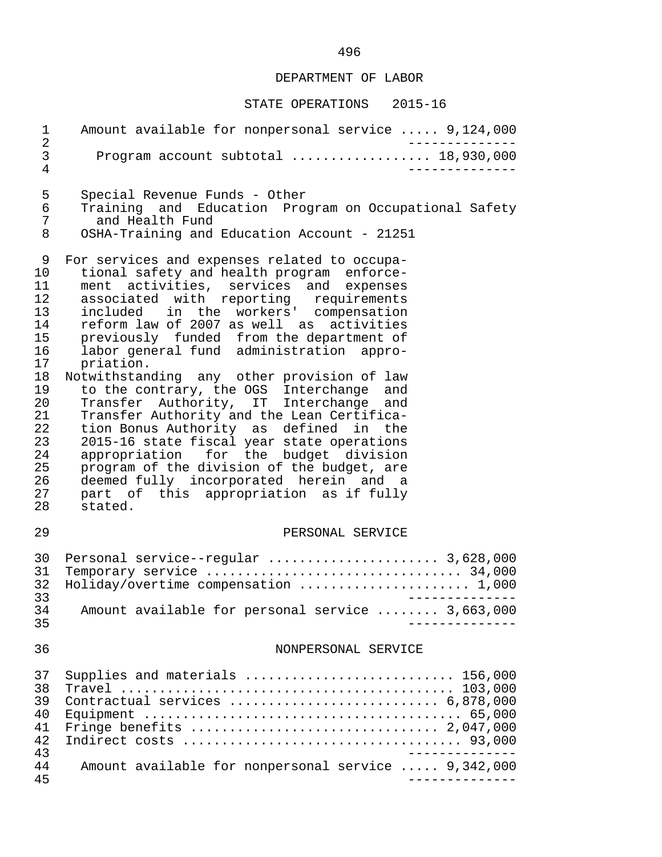## STATE OPERATIONS 2015-16

| $\mathbf{1}$<br>$\sqrt{2}$                                                                                          | Amount available for nonpersonal service  9,124,000                                                                                                                                                                                                                                                                                                                                                                                                                                                                                                                                                                                                                                                                                                                                                                                     |
|---------------------------------------------------------------------------------------------------------------------|-----------------------------------------------------------------------------------------------------------------------------------------------------------------------------------------------------------------------------------------------------------------------------------------------------------------------------------------------------------------------------------------------------------------------------------------------------------------------------------------------------------------------------------------------------------------------------------------------------------------------------------------------------------------------------------------------------------------------------------------------------------------------------------------------------------------------------------------|
| 3<br>$\overline{4}$                                                                                                 | Program account subtotal  18,930,000                                                                                                                                                                                                                                                                                                                                                                                                                                                                                                                                                                                                                                                                                                                                                                                                    |
| 5<br>6<br>7<br>8                                                                                                    | Special Revenue Funds - Other<br>Training and Education Program on Occupational Safety<br>and Health Fund<br>OSHA-Training and Education Account - 21251                                                                                                                                                                                                                                                                                                                                                                                                                                                                                                                                                                                                                                                                                |
| 9<br>10<br>11<br>12<br>13<br>14<br>15<br>16<br>17<br>18<br>19<br>20<br>21<br>22<br>23<br>24<br>25<br>26<br>27<br>28 | For services and expenses related to occupa-<br>tional safety and health program enforce-<br>ment activities, services and expenses<br>associated with reporting requirements<br>included in the workers' compensation<br>reform law of 2007 as well as activities<br>previously funded from the department of<br>labor general fund administration appro-<br>priation.<br>Notwithstanding any other provision of law<br>to the contrary, the OGS Interchange and<br>Transfer Authority, IT Interchange and<br>Transfer Authority and the Lean Certifica-<br>tion Bonus Authority as defined in the<br>2015-16 state fiscal year state operations<br>appropriation for the budget division<br>program of the division of the budget, are<br>deemed fully incorporated herein and a<br>part of this appropriation as if fully<br>stated. |
| 29                                                                                                                  | PERSONAL SERVICE                                                                                                                                                                                                                                                                                                                                                                                                                                                                                                                                                                                                                                                                                                                                                                                                                        |
| 30<br>31<br>32<br>33                                                                                                | Personal service--regular  3,628,000<br>Holiday/overtime compensation  1,000<br>--------------                                                                                                                                                                                                                                                                                                                                                                                                                                                                                                                                                                                                                                                                                                                                          |
| 34<br>35                                                                                                            | Amount available for personal service  3,663,000                                                                                                                                                                                                                                                                                                                                                                                                                                                                                                                                                                                                                                                                                                                                                                                        |
| 36                                                                                                                  | NONPERSONAL SERVICE                                                                                                                                                                                                                                                                                                                                                                                                                                                                                                                                                                                                                                                                                                                                                                                                                     |
| 37<br>38<br>39<br>40<br>41<br>42<br>43<br>44                                                                        | Supplies and materials  156,000<br>Contractual services  6,878,000<br>Amount available for nonpersonal service  9,342,000                                                                                                                                                                                                                                                                                                                                                                                                                                                                                                                                                                                                                                                                                                               |
| 45                                                                                                                  |                                                                                                                                                                                                                                                                                                                                                                                                                                                                                                                                                                                                                                                                                                                                                                                                                                         |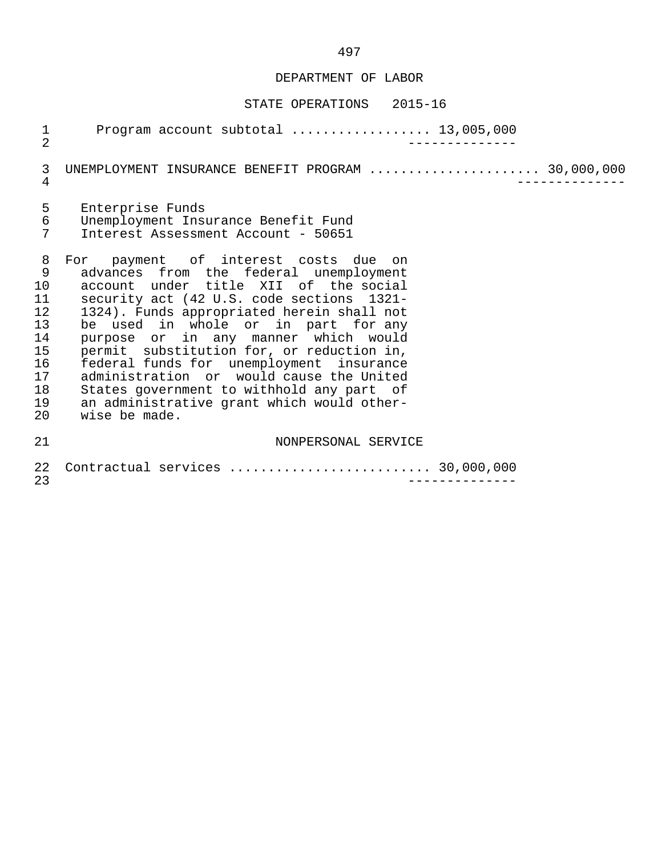## STATE OPERATIONS 2015-16

| $\frac{1}{2}$                                                            | Program account subtotal $\ldots$ 13,005,000                                                                                                                                                                                                                                                                                                                                                                                                                                                                                                       |
|--------------------------------------------------------------------------|----------------------------------------------------------------------------------------------------------------------------------------------------------------------------------------------------------------------------------------------------------------------------------------------------------------------------------------------------------------------------------------------------------------------------------------------------------------------------------------------------------------------------------------------------|
| 3<br>4                                                                   | UNEMPLOYMENT INSURANCE BENEFIT PROGRAM  30,000,000                                                                                                                                                                                                                                                                                                                                                                                                                                                                                                 |
| 5<br>6<br>7                                                              | Enterprise Funds<br>Unemployment Insurance Benefit Fund<br>Interest Assessment Account - 50651                                                                                                                                                                                                                                                                                                                                                                                                                                                     |
| 8<br>9<br>10<br>11<br>12<br>13<br>14<br>15<br>16<br>17<br>18<br>19<br>20 | For payment of interest costs due on<br>advances from the federal unemployment<br>account under title XII of the social<br>security act (42 U.S. code sections 1321-<br>1324). Funds appropriated herein shall not<br>be used in whole or in part for any<br>purpose or in any manner which would<br>permit substitution for, or reduction in,<br>federal funds for unemployment insurance<br>administration or would cause the United<br>States government to withhold any part of<br>an administrative grant which would other-<br>wise be made. |
| 21                                                                       | NONPERSONAL SERVICE                                                                                                                                                                                                                                                                                                                                                                                                                                                                                                                                |
| 22<br>23                                                                 | Contractual services  30,000,000                                                                                                                                                                                                                                                                                                                                                                                                                                                                                                                   |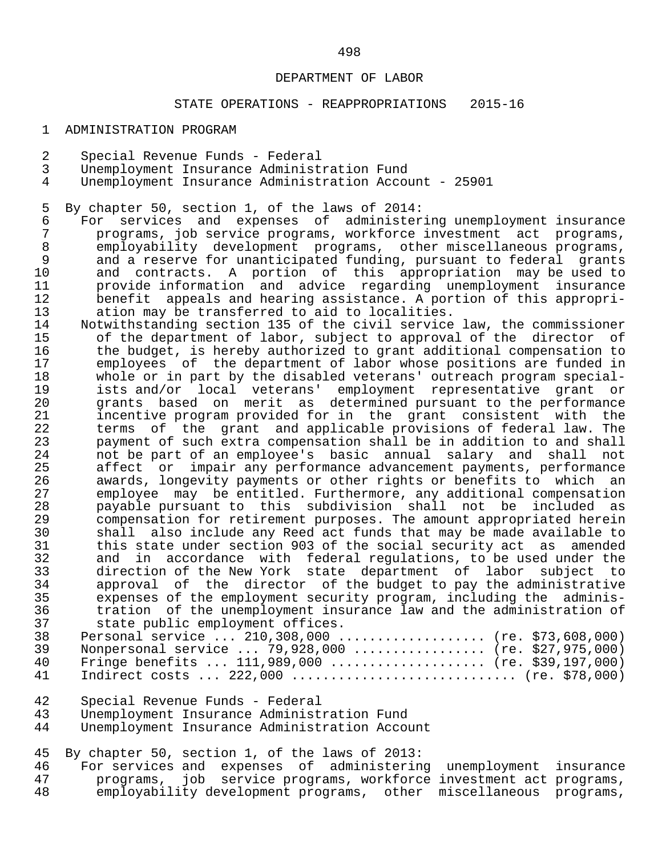## STATE OPERATIONS - REAPPROPRIATIONS 2015-16

#### 1 ADMINISTRATION PROGRAM

- 2 Special Revenue Funds Federal
- 3 Unemployment Insurance Administration Fund
- Unemployment Insurance Administration Account 25901

5 By chapter 50, section 1, of the laws of 2014:<br>6 For services and expenses of administer

- 6 For services and expenses of administering unemployment insurance 7 programs, job service programs, workforce investment act programs, 8 employability development programs, other-miscellaneous-programs,<br>8 and a reserve for unanticipated funding, pursuant to federal grants 9 and a reserve for unanticipated funding, pursuant to federal grants<br>10 and contracts. A portion of this appropriation may be used to 10 and contracts. A portion of this appropriation may be used to 11 provide information and advice regarding unemployment insurance 12 benefit appeals and hearing assistance. A portion of this appropri-<br>13 ation may be transferred to aid to localities. 13 ation may be transferred to aid to localities.<br>14 Notwithstanding section 135 of the civil service
	- 14 Notwithstanding section 135 of the civil service law, the commissioner<br>15 of the department of labor, subject to approval of the director of 15 of the department of labor, subject to approval of the director of<br>16 the budget, is hereby authorized to grant additional compensation to 16 the budget, is hereby authorized to grant additional compensation to<br>17 The employees of the department of labor whose positions are funded in 17 employees of the department of labor whose positions are funded in<br>18 whole or in part by the disabled veterans' outreach program special-18 whole or in part by the disabled veterans' outreach program special-<br>19 ists and/or local veterans' employment representative grant or 19 ists and/or local veterans' employment representative grant or 20 grants based on merit as determined pursuant to the performance 21 incentive program provided for in the grant consistent with the<br>22 terms of the grant and applicable provisions of federal law. The 22 terms of the grant and applicable provisions of federal law. The<br>23 payment of such extra compensation shall be in addition to and shall 23 payment of such extra compensation shall be in addition to and shall<br>24 anot be part of an employee's basic annual salary and shall not 24 not be part of an employee's basic annual salary and shall not 25 affect or impair any performance advancement payments, performance<br>26 awards, longevity payments or other rights or benefits to which an 26 awards, longevity payments or other rights or benefits to which an<br>27 employee may be entitled. Furthermore, any additional compensation 27 employee may be entitled. Furthermore, any additional compensation 28 payable pursuant to this subdivision shall not be included as 29 compensation for retirement purposes. The amount appropriated herein<br>30 shall also include any Reed act funds that may be made available to 30 shall also include any Reed act funds that may be made available to<br>31 this state under section 903 of the social security act as amended 31 this state under section 903 of the social security act as amended<br>32 and in accordance with federal requlations, to be used under the 32 and in accordance with federal-regulations, to be used under the<br>33 direction of the New York state department of labor subject to 33 direction of the New York state department of labor subject to<br>34 approval of the director of the budget to pay the administrative 34 approval of the director of the budget to pay the administrative<br>35 expenses of the employment security program, including the adminis- 35 expenses of the employment security program, including the adminis- 36 tration of the unemployment insurance law and the administration of<br>37 state public employment offices. 37 state public employment offices.<br>38 Personal service ... 210.308.000.
	- 38 Personal service ... 210,308,000 ................... (re. \$73,608,000) 39 Nonpersonal service ... 79,928,000 ................. (re. \$27,975,000)<br>40 Fringe benefits ... 111,989.000 ..................... (re. \$39.197.000) 40 Fringe benefits ... 111,989,000 .................... (re. \$39,197,000) 41 Indirect costs ... 222,000 ............................. (re. \$78,000)
	- 42 Special Revenue Funds Federal
	- 43 Unemployment Insurance Administration Fund<br>44 Unemployment Insurance Administration Acco
	- Unemployment Insurance Administration Account

45 By chapter 50, section 1, of the laws of 2013:

46 For services and expenses of administering unemployment insurance<br>47 programs, job service programs, workforce investment act programs, 47 programs, job service programs, workforce investment act programs,<br>48 emplovability development programs, other miscellaneous programs, employability development programs, other miscellaneous programs,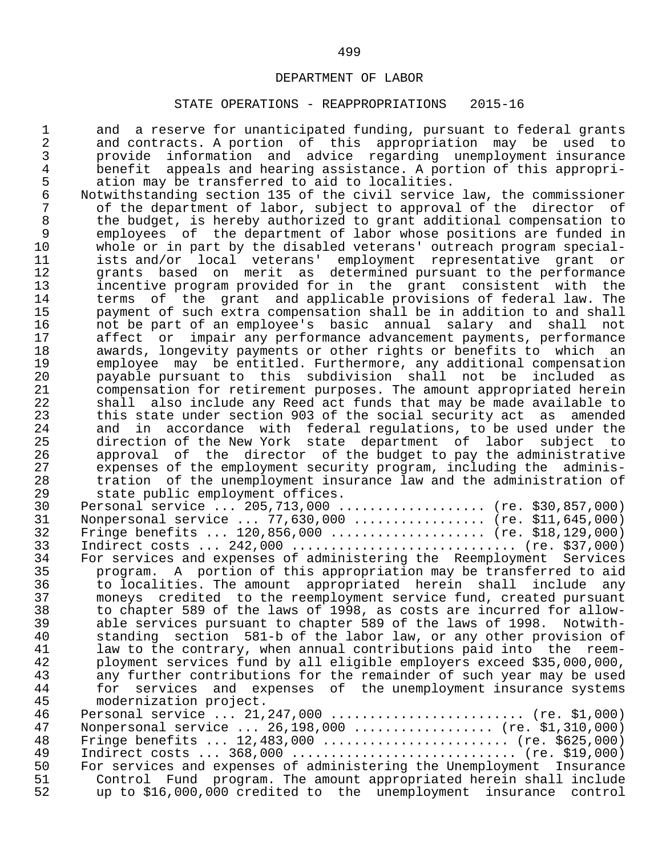### STATE OPERATIONS - REAPPROPRIATIONS 2015-16

1 and a reserve for unanticipated funding, pursuant to federal grants<br>2 and contracts. A portion of this appropriation may be used to 2 and contracts. A portion of this appropriation may be used to<br>3 brovide information and advice regarding unemployment insurance 3 provide information and advice regarding unemployment insurance<br>4 benefit appeals and hearing assistance. A portion of this appropri-4 benefit appeals and hearing assistance. A portion of this appropri-<br>5 ation may be transferred to aid to localities. 5 ation may be transferred to aid to localities.<br>6 Notwithstanding section 135 of the civil service

 6 Notwithstanding section 135 of the civil service law, the commissioner 7 of the department of labor, subject to approval of the director of<br>8 the budget, is hereby authorized to grant additional compensation to 8 the budget, is hereby authorized to grant additional compensation to<br>9 employees of the department of labor whose positions are funded in employees of the department of labor whose positions are funded in<br>10 whole or in part by the disabled veterans' outreach program special-10 whole or in part by the disabled veterans' outreach program special-<br>11 ists and/or local veterans' employment representative grant or 11 ists and/or local veterans' employment representative grant or 12 grants based on merit as determined pursuant to the performance<br>13 incentive program provided for in the grant consistent with the 13 incentive program provided for in the grant consistent with the<br>14 terms of the grant and applicable provisions of federal law. The 14 terms of the grant and applicable provisions of federal law. The<br>15 savment of such extra compensation shall be in addition to and shall 15 payment of such extra compensation shall be in addition to and shall 16 and the part of an employee's basic annual salary and shall not<br>17 affect or impair any performance advancement payments, performance 17 affect or impair any performance advancement payments, performance<br>18 awards, longevity payments or other rights or benefits to which an 18 awards, longevity payments or other rights or benefits to which an<br>19 employee may be entitled. Furthermore, any additional compensation 19 employee may be entitled. Furthermore, any additional compensation 20 payable pursuant to this subdivision shall not be included as 21 compensation for retirement purposes. The amount appropriated herein<br>22 Shall also include any Reed act funds that may be made available to 22 shall also include any Reed act funds that may be made available to<br>23 this state under section 903 of the social security act as amended 23 this state under section 903 of the social security act as amended<br>24 and in accordance with federal regulations, to be used under the 24 and in accordance with federal-regulations, to be used under the<br>25 a direction of the New York state department of labor subject to 25 direction of the New York state department of labor subject to<br>26 approval of the director of the budget to pay the administrative 26 approval of the director of the budget to pay the administrative<br>27 expenses of the employment security program, including the adminis-27 expenses of the employment security program, including the adminis-<br>28 tration of the unemployment insurance law and the administration of 28 tration of the unemployment insurance law and the administration of<br>29 state public employment offices. state public employment offices.

|    | $P^{\alpha} \sim 10^{-10}$ $\sim 10^{-10}$ $\sim 10^{-10}$            |
|----|-----------------------------------------------------------------------|
| 30 | Personal service  205,713,000  (re. \$30,857,000)                     |
| 31 | Nonpersonal service $77,630,000$ (re. \$11,645,000)                   |
| 32 | Fringe benefits $120,856,000$ (re. \$18,129,000)                      |
| 33 | Indirect costs $242,000$ (re. \$37,000)                               |
| 34 | For services and expenses of administering the Reemployment Services  |
| 35 | program. A portion of this appropriation may be transferred to aid    |
| 36 | to localities. The amount appropriated herein shall include any       |
| 37 | moneys credited to the reemployment service fund, created pursuant    |
| 38 | to chapter 589 of the laws of 1998, as costs are incurred for allow-  |
| 39 | able services pursuant to chapter 589 of the laws of 1998. Notwith-   |
| 40 | standing section 581-b of the labor law, or any other provision of    |
| 41 | law to the contrary, when annual contributions paid into the reem-    |
| 42 | ployment services fund by all eligible employers exceed \$35,000,000, |
| 43 | any further contributions for the remainder of such year may be used  |
| 44 | for services and expenses of the unemployment insurance systems       |
| 45 | modernization project.                                                |
| 46 | Personal service  21,247,000  (re. \$1,000)                           |
| 47 | Nonpersonal service $26,198,000$ (re. \$1,310,000)                    |
| 48 | Fringe benefits $12,483,000$ (re. \$625,000)                          |
| 49 | Indirect costs $368,000$ (re. \$19,000)                               |
| 50 | For services and expenses of administering the Unemployment Insurance |
| 51 | Control Fund program. The amount appropriated herein shall include    |

52 up to \$16,000,000 credited to the unemployment insurance control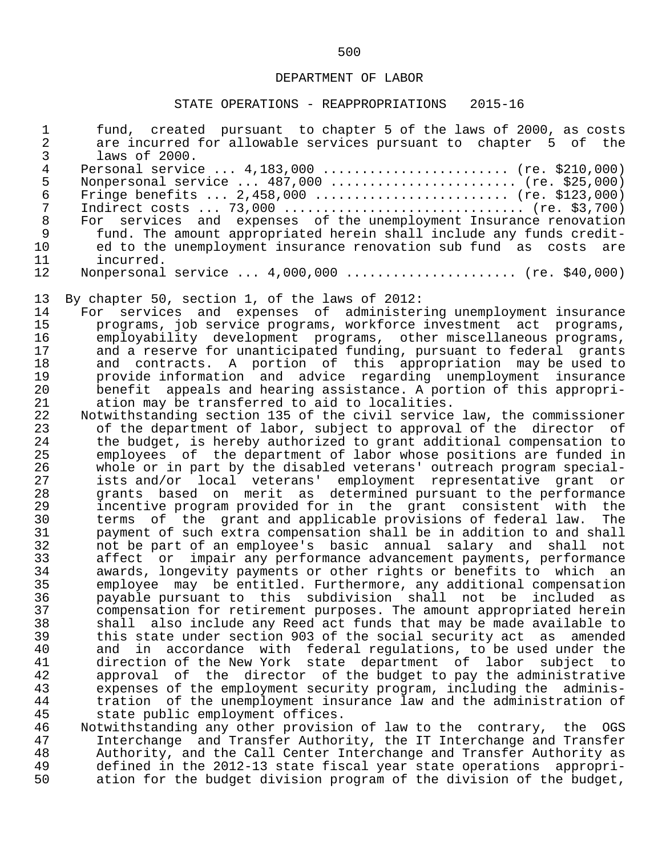#### STATE OPERATIONS - REAPPROPRIATIONS 2015-16

 1 fund, created pursuant to chapter 5 of the laws of 2000, as costs 2 are incurred for allowable services pursuant to chapter 5 of the 3 laws of 2000.<br>4 Personal servic 4 Personal service ... 4,183,000 ......................... (re. \$210,000)<br>5 Nonpersonal service ... 487,000 ......................... (re. \$25,000) 5 Nonpersonal service ... 487,000 ........................ (re. \$25,000) 6 Fringe benefits ... 2,458,000 ......................... (re. \$123,000) 7 Indirect costs ... 73,000 ................................. (re. \$3,700)<br>8 For services and expenses of the unemployment Insurance renovation 8 For services and expenses of the unemployment Insurance renovation<br>9 fund. The amount appropriated herein shall include any funds credit-9 fund. The amount appropriated herein shall include any funds credit-<br>10 ed to the unemployment insurance renovation sub fund as costs are 10 ed to the unemployment insurance renovation sub fund as costs are<br>11 incurred. 11 incurred.<br>12 Nonpersonal Nonpersonal service ... 4,000,000 ....................... (re. \$40,000) 13 By chapter 50, section 1, of the laws of 2012: 14 For services and expenses of administering unemployment insurance<br>15 programs, job service programs, workforce investment act programs, 15 programs, job service programs, workforce investment act programs,<br>16 emplovability development programs, other miscellaneous programs, 16 employability development programs, other miscellaneous programs,<br>17 and a reserve for unanticipated funding, pursuant to federal grants 17 and a reserve for unanticipated funding, pursuant to federal grants<br>18 and contracts. A portion of this appropriation may be used to 18 and contracts. A portion of this appropriation may be used to 19 provide information and advice regarding unemployment insurance 20 benefit appeals and hearing assistance. A portion of this appropri-<br>21 ation may be transferred to aid to localities. 21 ation may be transferred to aid to localities.<br>22 Notwithstanding section 135 of the civil service 22 Notwithstanding section 135 of the civil service law, the commissioner<br>23 of the department of labor, subject to approval of the director of 23 of the department of labor, subject to approval of the director of<br>24 the budget, is hereby authorized to grant additional compensation to 24 the budget, is hereby authorized to grant additional compensation to<br>25 emplovees of the department of labor whose positions are funded in 25 employees of the department of labor whose positions are funded in<br>26 whole or in part by the disabled veterans' outreach program special- 26 whole or in part by the disabled veterans' outreach program special- 27 ists and/or local veterans' employment representative grant or 28 grants based on merit as determined pursuant to the performance 29 incentive program provided for in the grant consistent with the 30 terms of the grant and applicable provisions of federal law. The<br>31 bayment of such extra compensation shall be in addition to and shall 31 payment of such extra compensation shall be in addition to and shall<br>32 and be part of an emplovee's basic annual salary and shall not 32 not be part of an employee's basic annual salary and shall not 33 affect or impair any performance advancement payments, performance 34 awards, longevity payments or other rights or benefits to which an 35 employee may be entitled. Furthermore, any additional compensation<br>36 payable pursuant to this subdivision shall not be included as 36 payable pursuant to this subdivision shall not be included as 37 compensation for retirement purposes. The amount appropriated herein<br>38 Shall also include any Reed act funds that may be made available to 38 shall also include any Reed act funds that may be made available to<br>39 this state under section 903 of the social security act as amended 39 this state under section 903 of the social security act as amended 40 and in accordance with federal regulations, to be used under the<br>41 direction of the New York state department of labor subject to 41 direction of the New York state department of labor subject to<br>42 approval of the director of the budget to pay the administrative 42 approval of the director of the budget to pay the administrative<br>43 expenses of the employment security program, including the adminis-43 expenses of the employment security program, including the adminis-<br>44 tration of the unemployment insurance law and the administration of 44 tration of the unemployment insurance law and the administration of<br>45 state public employment offices. 45 state public employment offices.<br>46 Notwithstanding any other provisio 46 Notwithstanding any other provision of law to the contrary, the OGS

 47 Interchange and Transfer Authority, the IT Interchange and Transfer 48 Authority, and the Call Center Interchange and Transfer Authority as<br>49 defined in the 2012-13 state fiscal year state operations appropri-49 defined in the 2012-13 state fiscal year state operations appropri-<br>50 ation for the budget division program of the division of the budget, ation for the budget division program of the division of the budget,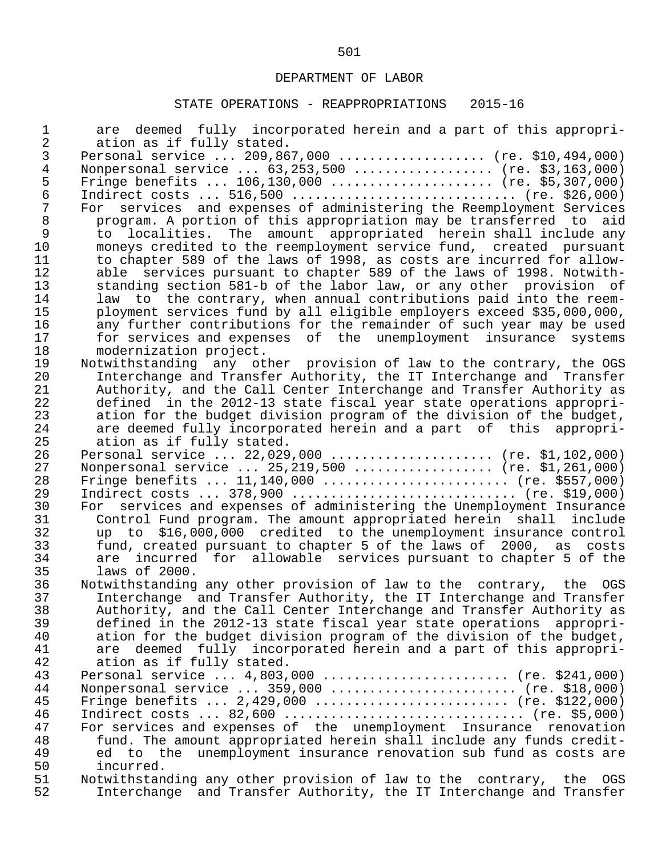# STATE OPERATIONS - REAPPROPRIATIONS 2015-16

| $\mathbf 1$<br>$\overline{c}$ | are deemed fully incorporated herein and a part of this appropri-<br>ation as if fully stated.              |
|-------------------------------|-------------------------------------------------------------------------------------------------------------|
| 3                             | Personal service  209,867,000  (re. \$10,494,000)                                                           |
| 4                             | Nonpersonal service  63,253,500  (re. \$3,163,000)                                                          |
| 5                             | Fringe benefits $106,130,000$ (re. \$5,307,000)                                                             |
| $\epsilon$                    |                                                                                                             |
| $\overline{7}$                | Indirect costs  516,500  (re. \$26,000)<br>services and expenses of administering the Reemployment Services |
|                               | For                                                                                                         |
| $\,8\,$                       | program. A portion of this appropriation may be transferred to aid                                          |
| 9                             | to localities. The amount appropriated herein shall include any                                             |
| 10                            | moneys credited to the reemployment service fund, created pursuant                                          |
| 11                            | to chapter 589 of the laws of 1998, as costs are incurred for allow-                                        |
| 12                            | able services pursuant to chapter 589 of the laws of 1998. Notwith-                                         |
| 13                            | standing section 581-b of the labor law, or any other provision of                                          |
| 14                            | law to the contrary, when annual contributions paid into the reem-                                          |
| 15                            | ployment services fund by all eligible employers exceed \$35,000,000,                                       |
| 16                            | any further contributions for the remainder of such year may be used                                        |
| 17                            | for services and expenses of the unemployment insurance<br>systems                                          |
| 18                            | modernization project.                                                                                      |
| 19                            | Notwithstanding any other provision of law to the contrary, the OGS                                         |
| 20                            | Interchange and Transfer Authority, the IT Interchange and Transfer                                         |
| 21                            | Authority, and the Call Center Interchange and Transfer Authority as                                        |
| 22                            | defined in the 2012-13 state fiscal year state operations appropri-                                         |
| 23                            | ation for the budget division program of the division of the budget,                                        |
| 24                            | are deemed fully incorporated herein and a part of this appropri-                                           |
| 25                            | ation as if fully stated.                                                                                   |
| 26                            | Personal service $22,029,000$ (re. \$1,102,000)                                                             |
| 27                            | Nonpersonal service  25, 219, 500  (re. \$1, 261, 000)                                                      |
| 28                            | Fringe benefits $11,140,000$ (re. \$557,000)                                                                |
| 29                            | Indirect costs  378,900  (re. \$19,000)                                                                     |
| 30                            | For services and expenses of administering the Unemployment Insurance                                       |
| 31                            | Control Fund program. The amount appropriated herein shall<br>include                                       |
| 32                            | \$16,000,000 credited to the unemployment insurance control<br>up to                                        |
| 33                            | fund, created pursuant to chapter 5 of the laws of 2000, as costs                                           |
| 34                            | incurred for allowable services pursuant to chapter 5 of the<br>are                                         |
| 35                            | laws of 2000.                                                                                               |
| 36                            | Notwithstanding any other provision of law to the contrary, the OGS                                         |
| 37                            | Interchange and Transfer Authority, the IT Interchange and Transfer                                         |
| 38                            | Authority, and the Call Center Interchange and Transfer Authority as                                        |
| 39                            | defined in the 2012-13 state fiscal year state operations<br>appropri-                                      |
| 40                            | ation for the budget division program of the division of the budget,                                        |
| 41                            | are deemed fully incorporated herein and a part of this appropri-                                           |
| 42                            | ation as if fully stated.                                                                                   |
| 43                            | Personal service $4,803,000$ (re. \$241,000)                                                                |
| 44                            | Nonpersonal service $359,000$ (re. \$18,000)                                                                |
| 45                            | Fringe benefits $2,429,000$ (re. \$122,000)                                                                 |
| 46                            | Indirect costs  82,600  (re. \$5,000)                                                                       |
| 47                            | For services and expenses of the unemployment Insurance renovation                                          |
| 48                            | fund. The amount appropriated herein shall include any funds credit-                                        |
| 49                            | ed to the unemployment insurance renovation sub fund as costs are                                           |
| 50                            | incurred.                                                                                                   |
| 51                            | Notwithstanding any other provision of law to the contrary, the OGS                                         |
| 52                            | Interchange and Transfer Authority, the IT Interchange and Transfer                                         |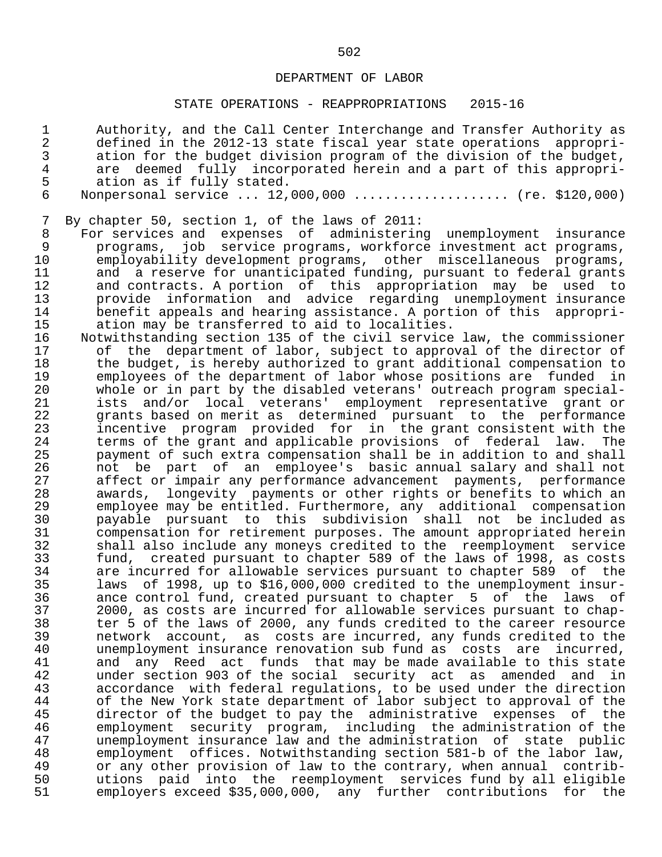#### STATE OPERATIONS - REAPPROPRIATIONS 2015-16

1 authority, and the Call Center Interchange and Transfer Authority as<br>2 defined in the 2012-13 state fiscal year state operations appropri-2 defined in the 2012-13 state fiscal year state operations appropri-<br>3 ation for the budget division program of the division of the budget, 3 ation for the budget division program of the division of the budget,<br>4 are deemed fully incorporated herein and a part of this appropri-4 are deemed fully incorporated herein and a part of this appropri-<br>5 ation as if fully stated. 5 ation as if fully stated.<br>6 Nonpersonal service ... 12. Monpersonal service ... 12,000,000 ..................... (re. \$120,000) 7 By chapter 50, section 1, of the laws of 2011:<br>8 For services and expenses of administering

8 For services and expenses of administering unemployment insurance<br>9 morograms, iob service-programs, workforce-investment-act-programs, 9 programs, job service programs, workforce investment act programs,<br>10 emplovability development programs, other miscellaneous programs, 10 employability development programs, other miscellaneous programs,<br>11 and a reserve for unanticipated funding, pursuant to federal grants 11 and a reserve for unanticipated funding, pursuant to federal grants<br>12 and contracts. A portion of this appropriation may be used to 12 and contracts. A portion of this appropriation may be used to<br>13 be provide information and advice regarding unemployment insurance 13 provide information and advice regarding unemployment insurance<br>14 benefit appeals and hearing assistance. A portion of this appropri-14 benefit appeals and hearing assistance. A portion of this appropri-<br>15 ation may be transferred to aid to localities. 15 ation may be transferred to aid to localities.<br>16 Notwithstanding section 135 of the civil service

16 Notwithstanding section 135 of the civil service law, the commissioner<br>17 of the department of labor, subject to approval of the director of 17 of the department of labor, subject to approval of the director of<br>18 the budget, is hereby authorized to grant additional compensation to 18 the budget, is hereby authorized to grant additional compensation to<br>19 The emplovees of the department of labor whose positions are funded in 19 employees of the department of labor whose positions are funded in<br>20 whole or in part by the disabled veterans' outreach program specialwhole or in part by the disabled veterans' outreach program special- 21 ists and/or local veterans' employment representative grant or 22 grants based on merit as determined pursuant to the performance<br>23 incentive program provided for in the grant consistent with the 23 incentive program provided for in the grant-consistent with the<br>24 terms of the grant and applicable provisions of federal law. The 24 terms of the grant and applicable provisions of federal law. The<br>25 servent of such extra compensation shall be in addition to and shall 25 payment of such extra compensation shall be in addition to and shall 26 mot be part of an employee's basic-annual-salary-and-shall-not<br>27 affect-or-impair-any-performance-advancement-payments, performance 27 affect or impair any performance advancement payments, performance<br>28 awards, longevity payments or other rights or benefits to which an 28 awards, longevity payments or other rights or benefits to which an<br>29 employee may be entitled. Furthermore, any additional compensation 29 employee may be entitled. Furthermore, any additional compensation 30 payable pursuant to this subdivision shall not be included as 31 compensation for retirement purposes. The amount appropriated herein<br>32 Shall also include any moneys credited to the reemployment service 32 shall also include any moneys credited to the reemployment service 33 fund, created pursuant to chapter 589 of the laws of 1998, as costs 34 are incurred for allowable services pursuant to chapter 589 of the<br>35 laws of 1998, up to \$16,000,000 credited to the unemployment insur- 35 laws of 1998, up to \$16,000,000 credited to the unemployment insur- 36 ance control fund, created pursuant to chapter 5 of the laws of<br>37 2000, as costs are incurred for allowable services pursuant to chap-37 2000, as costs are incurred for allowable services pursuant to chap-<br>38 ter 5 of the laws of 2000, any funds credited to the career resource 38 ter 5 of the laws of 2000, any funds credited to the career resource 39 metwork account, as costs are incurred, any funds credited to the<br>40 memployment insurance renovation sub fund as costs are incurred, 40 unemployment insurance renovation sub fund as costs are incurred,<br>41 and any Reed act funds that may be made available to this state 41 and any Reed act funds that may be made available to this state<br>42 and that the social security act as amended and in 42 under section 903 of the social security act as amended and in<br>43 accordance with federal regulations, to be used under the direction 43 accordance with federal regulations, to be used under the direction<br>44 of the New York state department of labor subject to approval of the 44 of the New York state department of labor subject to approval of the<br>45 director of the budget to pay the administrative expenses of the 45 director of the budget to pay the administrative expenses of the<br>46 employment security program, including the administration of the 46 employment security program, including the administration of the 47 unemployment insurance law and the administration of state public 48 employment offices. Notwithstanding section 581-b of the labor law,<br>49 or any other provision of law to the contrary, when annual contrib-49 or any other provision of law to the contrary, when annual contrib-<br>50 butions paid into the reemployment services fund by all eligible 50 butions paid into the reemployment services fund by all eligible<br>51 bemployers exceed \$35,000,000, any further contributions for the employers exceed \$35,000,000, any further contributions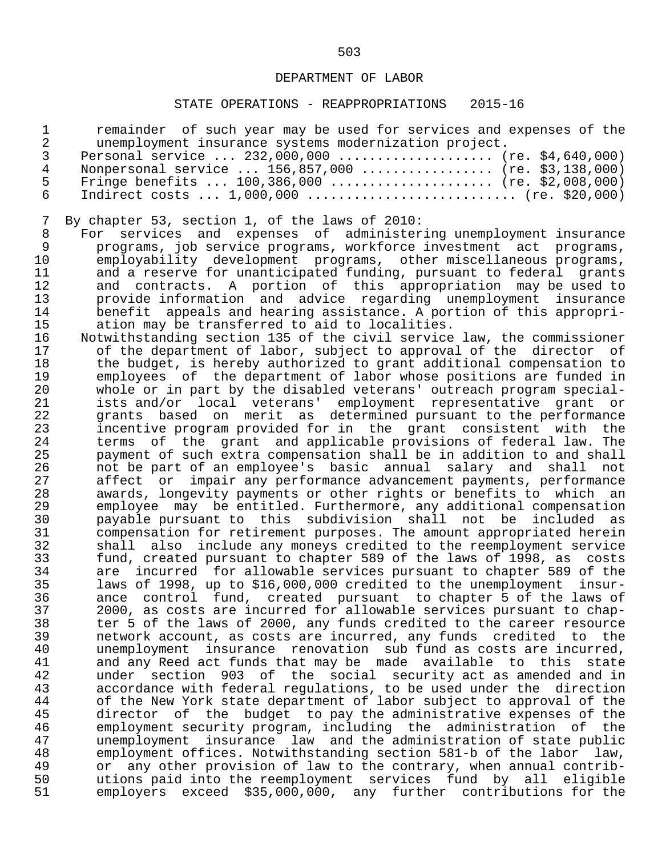# STATE OPERATIONS - REAPPROPRIATIONS 2015-16

| $\mathbf 1$    | remainder of such year may be used for services and expenses of the    |
|----------------|------------------------------------------------------------------------|
| $\overline{2}$ | unemployment insurance systems modernization project.                  |
| 3              | Personal service  232,000,000  (re. \$4,640,000)                       |
| $\overline{4}$ | Nonpersonal service  156,857,000  (re. \$3,138,000)                    |
| 5              | Fringe benefits $100,386,000$ (re. \$2,008,000)                        |
| 6              | Indirect costs $1,000,000$ (re. \$20,000)                              |
|                |                                                                        |
| 7              | By chapter 53, section 1, of the laws of 2010:                         |
| 8              | For services and expenses of administering unemployment insurance      |
| 9              | programs, job service programs, workforce investment act programs,     |
| 10             | employability development programs, other miscellaneous programs,      |
| 11             | and a reserve for unanticipated funding, pursuant to federal grants    |
| 12             | and contracts. A portion of this appropriation may be used to          |
| 13             | provide information and advice regarding unemployment insurance        |
| 14             | benefit appeals and hearing assistance. A portion of this appropri-    |
| 15             | ation may be transferred to aid to localities.                         |
| 16             | Notwithstanding section 135 of the civil service law, the commissioner |
| 17             | of the department of labor, subject to approval of the director of     |
| 18             |                                                                        |
|                | the budget, is hereby authorized to grant additional compensation to   |
| 19             | employees of the department of labor whose positions are funded in     |
| 20             | whole or in part by the disabled veterans' outreach program special-   |
| 21             | ists and/or local veterans' employment representative grant or         |
| 22             | grants based on merit as determined pursuant to the performance        |
| 23             | incentive program provided for in the grant consistent with the        |
| 24             | terms of the grant and applicable provisions of federal law. The       |
| 25             | payment of such extra compensation shall be in addition to and shall   |
| 26             | not be part of an employee's basic annual salary and shall not         |
| 27             | affect or impair any performance advancement payments, performance     |
| 28             | awards, longevity payments or other rights or benefits to which an     |
| 29             | employee may be entitled. Furthermore, any additional compensation     |
| 30             | payable pursuant to this subdivision shall not be included as          |
| 31             | compensation for retirement purposes. The amount appropriated herein   |
| 32             | shall also include any moneys credited to the reemployment service     |
| 33             | fund, created pursuant to chapter 589 of the laws of 1998, as costs    |
| 34             | incurred for allowable services pursuant to chapter 589 of the<br>are  |
| 35             | laws of 1998, up to \$16,000,000 credited to the unemployment insur-   |
| 36<br>37       | ance control fund, created pursuant to chapter 5 of the laws of        |
|                | 2000, as costs are incurred for allowable services pursuant to chap-   |
| 38             | ter 5 of the laws of 2000, any funds credited to the career resource   |
| 39             | network account, as costs are incurred, any funds credited to the      |
| 40             | unemployment insurance renovation sub fund as costs are incurred,      |
| 41             | and any Reed act funds that may be made available to this<br>state     |
| 42             | section 903 of the social security act as amended and in<br>under      |
| 43             | accordance with federal regulations, to be used under the direction    |
| 44             | of the New York state department of labor subject to approval of the   |
| 45             | director of the budget to pay the administrative expenses of the       |
| 46             | employment security program, including the administration of the       |
| 47             | unemployment insurance law and the administration of state public      |
| 48             | employment offices. Notwithstanding section 581-b of the labor<br>law, |
| 49             | any other provision of law to the contrary, when annual contrib-<br>or |
| 50             | utions paid into the reemployment services fund by all eligible        |
| 51             | employers exceed \$35,000,000, any further contributions for the       |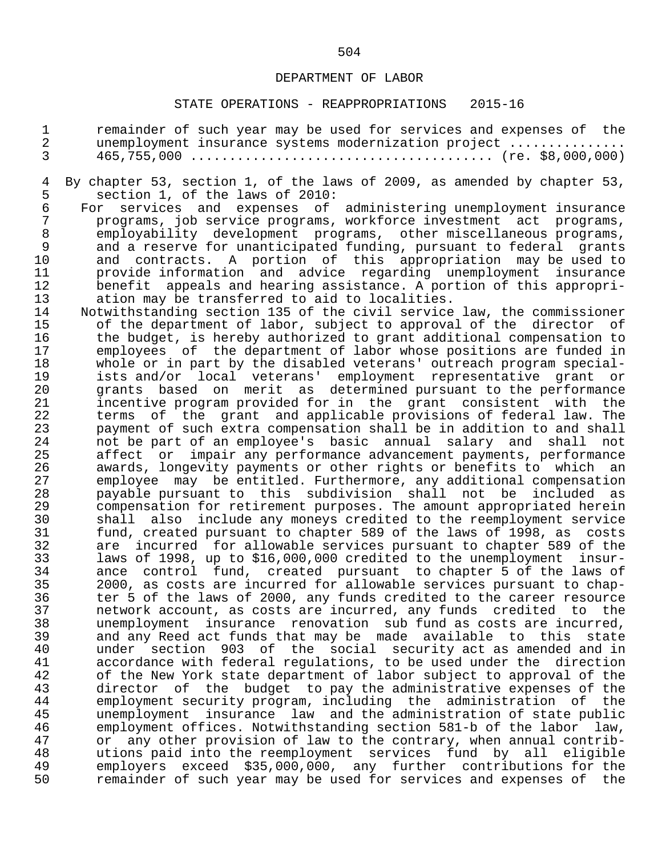# STATE OPERATIONS - REAPPROPRIATIONS 2015-16

| $\mathbf 1$<br>$\overline{2}$<br>$\overline{3}$ | remainder of such year may be used for services and expenses of the<br>unemployment insurance systems modernization project             |
|-------------------------------------------------|-----------------------------------------------------------------------------------------------------------------------------------------|
| 4                                               | By chapter 53, section 1, of the laws of 2009, as amended by chapter 53,                                                                |
| 5                                               | section 1, of the laws of 2010:                                                                                                         |
| $\epsilon$                                      | For services and expenses of administering unemployment insurance                                                                       |
| 7                                               | programs, job service programs, workforce investment act programs,                                                                      |
| $\,8\,$                                         | employability development programs, other miscellaneous programs,                                                                       |
| $\mathsf 9$                                     | and a reserve for unanticipated funding, pursuant to federal grants                                                                     |
| 10                                              | and contracts. A portion of this appropriation may be used to                                                                           |
| 11                                              | provide information and advice regarding unemployment insurance                                                                         |
| 12                                              | benefit appeals and hearing assistance. A portion of this appropri-                                                                     |
| 13                                              | ation may be transferred to aid to localities.                                                                                          |
| 14                                              | Notwithstanding section 135 of the civil service law, the commissioner                                                                  |
| 15                                              | of the department of labor, subject to approval of the director of                                                                      |
| 16                                              | the budget, is hereby authorized to grant additional compensation to                                                                    |
| 17                                              | employees of the department of labor whose positions are funded in                                                                      |
| 18                                              | whole or in part by the disabled veterans' outreach program special-                                                                    |
| 19                                              | ists and/or local veterans' employment representative grant or                                                                          |
| 20                                              | grants based on merit as determined pursuant to the performance                                                                         |
| 21<br>22                                        | incentive program provided for in the grant consistent with the<br>of the grant and applicable provisions of federal law. The           |
| 23                                              | terms<br>payment of such extra compensation shall be in addition to and shall                                                           |
| 24                                              | not be part of an employee's basic annual salary and<br>shall not                                                                       |
| 25                                              | impair any performance advancement payments, performance<br>affect or                                                                   |
| 26                                              | awards, longevity payments or other rights or benefits to which an                                                                      |
| 27                                              | employee may be entitled. Furthermore, any additional compensation                                                                      |
| 28                                              | payable pursuant to this subdivision shall not be<br>included as                                                                        |
| 29                                              | compensation for retirement purposes. The amount appropriated herein                                                                    |
| 30                                              | shall also include any moneys credited to the reemployment service                                                                      |
| 31                                              | fund, created pursuant to chapter 589 of the laws of 1998, as costs                                                                     |
| 32                                              | incurred for allowable services pursuant to chapter 589 of the<br>are                                                                   |
| 33                                              | laws of 1998, up to \$16,000,000 credited to the unemployment<br>insur-                                                                 |
| 34                                              | control fund, created pursuant to chapter 5 of the laws of<br>ance                                                                      |
| 35                                              | 2000, as costs are incurred for allowable services pursuant to chap-                                                                    |
| 36                                              | ter 5 of the laws of 2000, any funds credited to the career resource                                                                    |
| 37                                              | network account, as costs are incurred, any funds credited to the                                                                       |
| 38<br>39                                        | unemployment insurance renovation sub fund as costs are incurred,<br>and any Reed act funds that may be made available to this<br>state |
| 40                                              | under section 903 of the social security act as amended and in                                                                          |
| 41                                              | accordance with federal regulations, to be used under the direction                                                                     |
| 42                                              | of the New York state department of labor subject to approval of the                                                                    |
| 43                                              | director of the budget to pay the administrative expenses of the                                                                        |
| 44                                              | employment security program, including the administration of<br>the                                                                     |
| 45                                              | insurance law and the administration of state public<br>unemployment                                                                    |
| 46                                              | employment offices. Notwithstanding section 581-b of the labor<br>law,                                                                  |
| 47                                              | any other provision of law to the contrary, when annual contrib-<br>or                                                                  |
| 48                                              | utions paid into the reemployment services fund by all eligible                                                                         |
| 49                                              | employers exceed \$35,000,000, any further contributions for the                                                                        |
| 50                                              | remainder of such year may be used for services and expenses of<br>the                                                                  |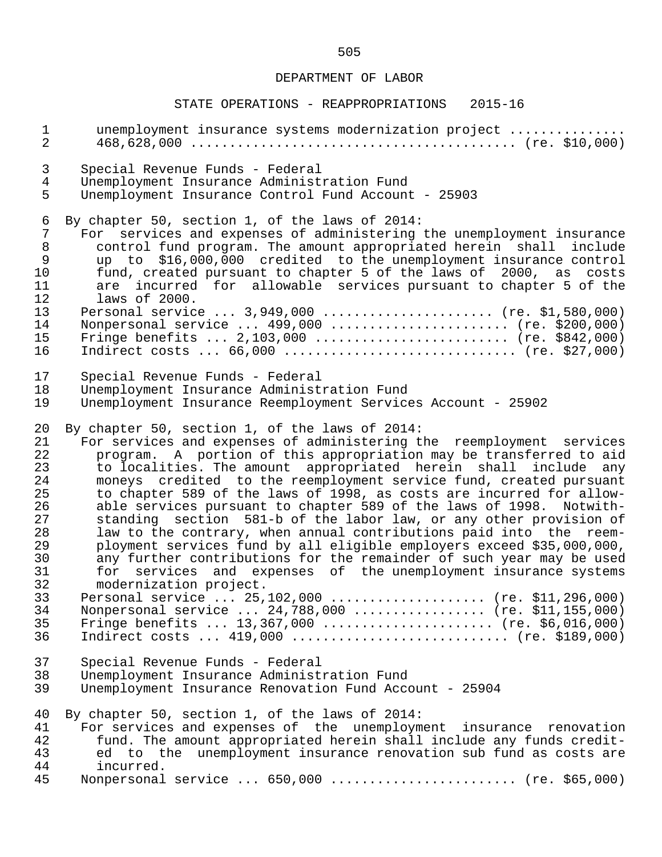| $\mathbf{1}$                                                    | unemployment insurance systems modernization project                                                                                                                                                                                                                                                                                                                                                                                                                                                                                                                                                                        |
|-----------------------------------------------------------------|-----------------------------------------------------------------------------------------------------------------------------------------------------------------------------------------------------------------------------------------------------------------------------------------------------------------------------------------------------------------------------------------------------------------------------------------------------------------------------------------------------------------------------------------------------------------------------------------------------------------------------|
| $\overline{2}$                                                  |                                                                                                                                                                                                                                                                                                                                                                                                                                                                                                                                                                                                                             |
| 3                                                               | Special Revenue Funds - Federal                                                                                                                                                                                                                                                                                                                                                                                                                                                                                                                                                                                             |
| $\overline{4}$                                                  | Unemployment Insurance Administration Fund                                                                                                                                                                                                                                                                                                                                                                                                                                                                                                                                                                                  |
| 5                                                               | Unemployment Insurance Control Fund Account - 25903                                                                                                                                                                                                                                                                                                                                                                                                                                                                                                                                                                         |
| 6<br>7<br>$\, 8$<br>9<br>10<br>11<br>12<br>13<br>14<br>15<br>16 | By chapter 50, section 1, of the laws of 2014:<br>For services and expenses of administering the unemployment insurance<br>control fund program. The amount appropriated herein shall<br>include<br>up to \$16,000,000 credited to the unemployment insurance control<br>fund, created pursuant to chapter 5 of the laws of 2000, as costs<br>are incurred for allowable services pursuant to chapter 5 of the<br>laws of 2000.<br>Personal service  3,949,000  (re. \$1,580,000)<br>Nonpersonal service  499,000  (re. \$200,000)<br>Fringe benefits $2,103,000$ (re. \$842,000)<br>Indirect costs $66,000$ (re. \$27,000) |
| 17                                                              | Special Revenue Funds - Federal                                                                                                                                                                                                                                                                                                                                                                                                                                                                                                                                                                                             |
| 18                                                              | Unemployment Insurance Administration Fund                                                                                                                                                                                                                                                                                                                                                                                                                                                                                                                                                                                  |
| 19                                                              | Unemployment Insurance Reemployment Services Account - 25902                                                                                                                                                                                                                                                                                                                                                                                                                                                                                                                                                                |
| 20                                                              | By chapter 50, section 1, of the laws of 2014:                                                                                                                                                                                                                                                                                                                                                                                                                                                                                                                                                                              |
| 21                                                              | For services and expenses of administering the reemployment services                                                                                                                                                                                                                                                                                                                                                                                                                                                                                                                                                        |
| 22                                                              | program. A portion of this appropriation may be transferred to aid                                                                                                                                                                                                                                                                                                                                                                                                                                                                                                                                                          |
| 23                                                              | to localities. The amount appropriated herein shall include any                                                                                                                                                                                                                                                                                                                                                                                                                                                                                                                                                             |
| 24                                                              | moneys credited to the reemployment service fund, created pursuant                                                                                                                                                                                                                                                                                                                                                                                                                                                                                                                                                          |
| 25                                                              | to chapter 589 of the laws of 1998, as costs are incurred for allow-                                                                                                                                                                                                                                                                                                                                                                                                                                                                                                                                                        |
| 26                                                              | able services pursuant to chapter 589 of the laws of 1998. Notwith-                                                                                                                                                                                                                                                                                                                                                                                                                                                                                                                                                         |
| 27                                                              | standing section 581-b of the labor law, or any other provision of                                                                                                                                                                                                                                                                                                                                                                                                                                                                                                                                                          |
| 28                                                              | law to the contrary, when annual contributions paid into the reem-                                                                                                                                                                                                                                                                                                                                                                                                                                                                                                                                                          |
| 29                                                              | ployment services fund by all eligible employers exceed \$35,000,000,                                                                                                                                                                                                                                                                                                                                                                                                                                                                                                                                                       |
| 30                                                              | any further contributions for the remainder of such year may be used                                                                                                                                                                                                                                                                                                                                                                                                                                                                                                                                                        |
| 31                                                              | for services and expenses of the unemployment insurance systems                                                                                                                                                                                                                                                                                                                                                                                                                                                                                                                                                             |
| 32                                                              | modernization project.                                                                                                                                                                                                                                                                                                                                                                                                                                                                                                                                                                                                      |
| 33                                                              | Personal service  25,102,000  (re. \$11,296,000)                                                                                                                                                                                                                                                                                                                                                                                                                                                                                                                                                                            |
| 34                                                              | Nonpersonal service  24,788,000  (re. \$11,155,000)                                                                                                                                                                                                                                                                                                                                                                                                                                                                                                                                                                         |
| 35                                                              | Fringe benefits  13,367,000  (re. \$6,016,000)                                                                                                                                                                                                                                                                                                                                                                                                                                                                                                                                                                              |
| 36                                                              |                                                                                                                                                                                                                                                                                                                                                                                                                                                                                                                                                                                                                             |
| 37                                                              | Special Revenue Funds - Federal                                                                                                                                                                                                                                                                                                                                                                                                                                                                                                                                                                                             |
| 38                                                              | Unemployment Insurance Administration Fund                                                                                                                                                                                                                                                                                                                                                                                                                                                                                                                                                                                  |
| 39                                                              | Unemployment Insurance Renovation Fund Account - 25904                                                                                                                                                                                                                                                                                                                                                                                                                                                                                                                                                                      |
| 40                                                              | By chapter 50, section 1, of the laws of 2014:                                                                                                                                                                                                                                                                                                                                                                                                                                                                                                                                                                              |
| 41                                                              | For services and expenses of the unemployment insurance renovation                                                                                                                                                                                                                                                                                                                                                                                                                                                                                                                                                          |
| 42                                                              | fund. The amount appropriated herein shall include any funds credit-                                                                                                                                                                                                                                                                                                                                                                                                                                                                                                                                                        |
| 43                                                              | ed to the unemployment insurance renovation sub fund as costs are                                                                                                                                                                                                                                                                                                                                                                                                                                                                                                                                                           |
| 44                                                              | incurred.                                                                                                                                                                                                                                                                                                                                                                                                                                                                                                                                                                                                                   |
| 45                                                              | Nonpersonal service  650,000  (re. \$65,000)                                                                                                                                                                                                                                                                                                                                                                                                                                                                                                                                                                                |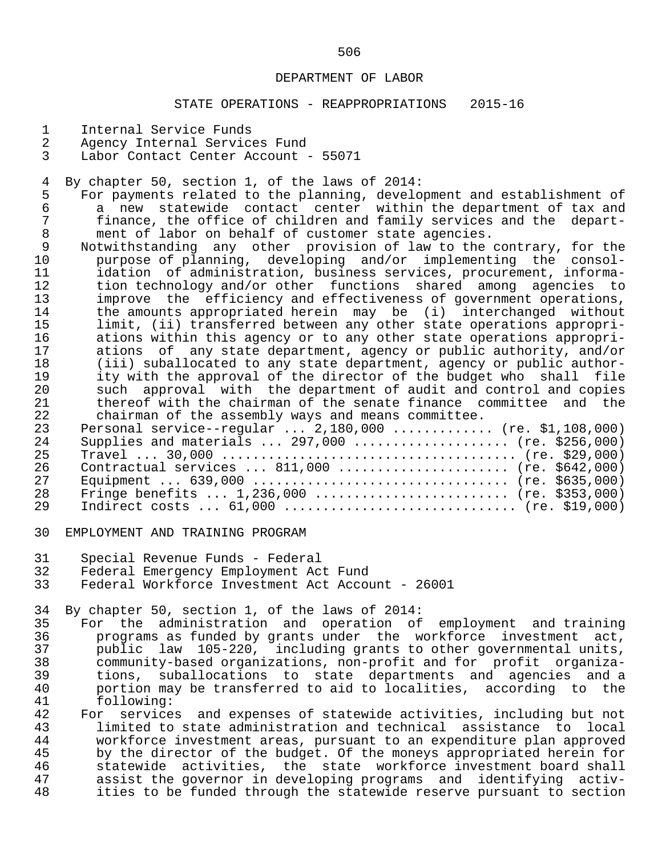#### STATE OPERATIONS - REAPPROPRIATIONS 2015-16

- 1 Internal Service Funds<br>2 Agency Internal Service
- 2 Agency Internal Services Fund<br>3 Labor Contact Center Account
- Labor Contact Center Account 55071

4 By chapter 50, section 1, of the laws of 2014:<br>5 For payments related to the planning, develo

- 5 For payments related to the planning, development and establishment of<br>6 a new statewide contact center within the department of tax and 6 a new statewide contact center within the department of tax and<br>7 finance, the office of children and family services and the depart-7 finance, the office of children and family services and the depart-<br>8 ment of labor on behalf of customer state agencies. 8 ment of labor on behalf of customer state agencies.<br>9 Notwithstanding any other provision of law to the
- 9 Notwithstanding any other provision of law to the contrary, for the<br>10 purpose of planning, developing and/or implementing the consol- 10 purpose of planning, developing and/or implementing the consol- 11 idation of administration, business services, procurement, informa-<br>12 tion technology and/or other functions shared among agencies to 12 tion technology and/or other functions shared among agencies to<br>13 improve the efficiency and effectiveness of government operations, 13 improve the efficiency and effectiveness of government operations,<br>14 the amounts appropriated herein may be (i) interchanged without 14 the amounts appropriated herein may be (i) interchanged without<br>15 1imit, (ii) transferred between any other state operations appropri-15 limit, (ii) transferred between any other state operations appropri-<br>16 ations within this agency or to any other state operations appropri-16 ations within this agency or to any other state operations appropri-<br>17 ations of any state department, agency or public authority, and/or 17 ations of any state department, agency or public authority, and/or<br>18 (iii) suballocated to any state department, agency or public author-18 (iii) suballocated to any state department, agency or public author-<br>19 ity with the approval of the director of the budget who shall file 19 ity with the approval of the director of the budget who shall file<br>20 such approval with the department of audit and control and copies 20 such approval with the department of audit and control and copies<br>21 thereof with the chairman of the senate finance committee and the 21 thereof with the chairman of the senate finance committee and the<br>22 chairman of the assembly ways and means committee. chairman of the assembly ways and means committee.

| Personal service--regular $2,180,000$ (re. \$1,108,000) |
|---------------------------------------------------------|
| Supplies and materials  297,000  (re. \$256,000)        |
|                                                         |
| Contractual services $811,000$ (re. \$642,000)          |
|                                                         |
| Fringe benefits $1,236,000$ (re. \$353,000)             |
| Indirect costs $61,000$ (re. \$19,000)                  |
| 23<br>2.4<br>25<br>26<br>27<br>28<br>29                 |

- 30 EMPLOYMENT AND TRAINING PROGRAM
- 31 Special Revenue Funds Federal
- 32 Federal Emergency Employment Act Fund<br>33 Federal Workforce Investment Act Accou
- Federal Workforce Investment Act Account 26001

34 By chapter 50, section 1, of the laws of 2014:<br>35 For the administration and operation of

- 35 For the administration and operation of employment and training<br>36 programs as funded by grants under the workforce investment act. 36 programs as funded by grants under the workforce investment act,<br>37 bublic law 105-220, including grants to other governmental units, 37 public law 105-220, including grants to other governmental units,<br>38 community-based organizations, non-profit and for profit organiza- 38 community-based organizations, non-profit and for profit organiza- 39 tions, suballocations to state departments and agencies and a 40 portion may be transferred to aid to localities, according to the 41 stollowing: 41 following:<br>42 For service
- 42 For services and expenses of statewide activities, including but not<br>43 1 limited to state administration and technical assistance to local 43 limited to state administration and technical assistance to local<br>44 workforce investment areas, pursuant to an expenditure plan approved 44 workforce investment areas, pursuant to an expenditure plan approved 45 by the director of the budget. Of the moneys appropriated herein for<br>46 Statewide activities, the state workforce investment board shall 46 statewide activities, the state workforce-investment-board-shall<br>47 assist-the-governor-in-developing-programs and identifying activ- 47 assist the governor in developing programs and identifying activ ities to be funded through the statewide reserve pursuant to section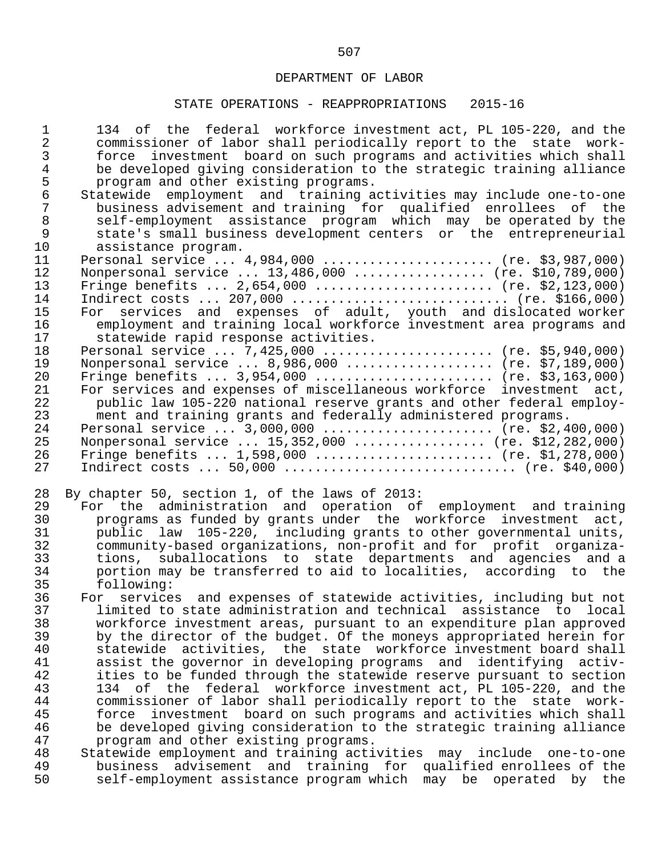| $\mathbf{1}$   | 134 of the federal workforce investment act, PL 105-220, and the      |
|----------------|-----------------------------------------------------------------------|
| $\overline{2}$ | commissioner of labor shall periodically report to the state work-    |
| $\mathfrak{Z}$ | force investment board on such programs and activities which shall    |
| $\overline{4}$ | be developed giving consideration to the strategic training alliance  |
| 5              | program and other existing programs.                                  |
| $\sqrt{6}$     | Statewide employment and training activities may include one-to-one   |
| $\overline{7}$ | business advisement and training for qualified enrollees of the       |
| $\,8\,$        | self-employment assistance program which may be operated by the       |
| 9              |                                                                       |
|                | state's small business development centers or the entrepreneurial     |
| 10             | assistance program.                                                   |
| 11             | Personal service  4,984,000  (re. \$3,987,000)                        |
| 12             | Nonpersonal service  13,486,000  (re. \$10,789,000)                   |
| 13             | Fringe benefits $2,654,000$ (re. \$2,123,000)                         |
| 14             | Indirect costs $207,000$ (re. \$166,000)                              |
| 15             | For services and expenses of adult, youth and dislocated worker       |
| 16             | employment and training local workforce investment area programs and  |
| 17             | statewide rapid response activities.                                  |
| 18             | Personal service $7,425,000$ (re. \$5,940,000)                        |
| 19             | Nonpersonal service  8,986,000  (re. \$7,189,000)                     |
| 20             | Fringe benefits $3,954,000$ (re. \$3,163,000)                         |
| 21             | For services and expenses of miscellaneous workforce investment act,  |
| 22             | public law 105-220 national reserve grants and other federal employ-  |
| 23             | ment and training grants and federally administered programs.         |
| 24             | Personal service $3,000,000$ (re. \$2,400,000)                        |
| 25             | Nonpersonal service  15,352,000  (re. \$12,282,000)                   |
| 26             | Fringe benefits $1,598,000$ (re. \$1,278,000)                         |
| 27             |                                                                       |
|                |                                                                       |
| 28             | By chapter 50, section 1, of the laws of 2013:                        |
| 29             | For the administration and operation of employment and training       |
| 30             | programs as funded by grants under the workforce investment act,      |
| 31             | public law 105-220, including grants to other governmental units,     |
| 32             | community-based organizations, non-profit and for profit organiza-    |
| 33             | suballocations to state departments and agencies and a<br>tions,      |
| 34             | portion may be transferred to aid to localities, according to the     |
| 35             | following:                                                            |
| 36             | For services and expenses of statewide activities, including but not  |
| 37             | limited to state administration and technical assistance to local     |
| 38             |                                                                       |
|                | workforce investment areas, pursuant to an expenditure plan approved  |
| 39             | by the director of the budget. Of the moneys appropriated herein for  |
| 40             |                                                                       |
|                | statewide activities, the state workforce investment board shall      |
| 41             | assist the governor in developing programs and identifying activ-     |
| 42             | ities to be funded through the statewide reserve pursuant to section  |
| 43             | 134 of the federal workforce investment act, PL 105-220, and the      |
| 44             | commissioner of labor shall periodically report to the state work-    |
| 45             | investment board on such programs and activities which shall<br>force |
| 46             | be developed giving consideration to the strategic training alliance  |
| 47             | program and other existing programs.                                  |
| 48             | Statewide employment and training activities may include one-to-one   |
| 49<br>50       | business advisement and training for qualified enrollees of the       |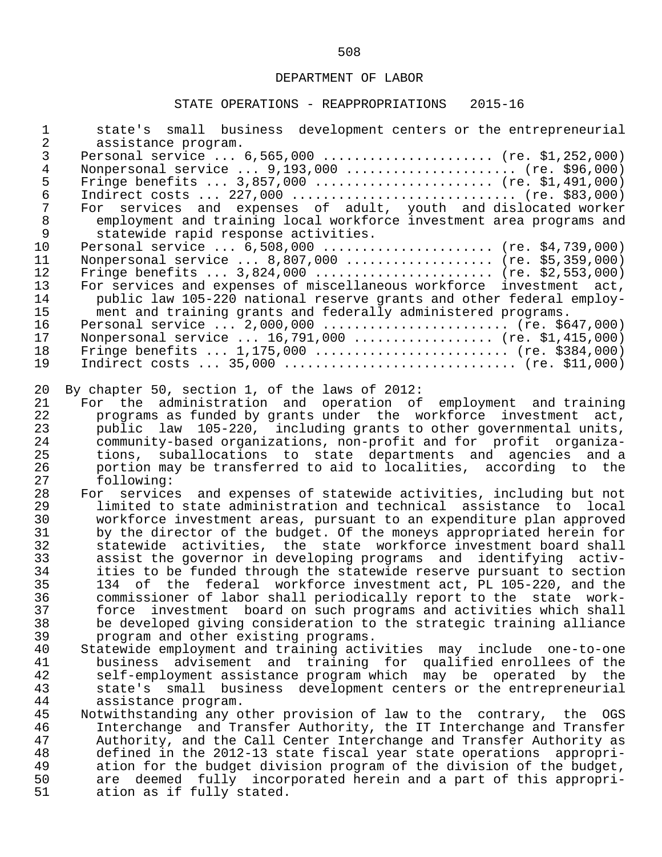| $\mathbf 1$<br>$\overline{a}$ | state's small business development centers or the entrepreneurial<br>assistance program.                                                  |
|-------------------------------|-------------------------------------------------------------------------------------------------------------------------------------------|
| $\mathsf{3}$                  | Personal service  6,565,000  (re. \$1,252,000)                                                                                            |
| $\bf 4$                       | Nonpersonal service $9,193,000$ (re. \$96,000)                                                                                            |
| 5                             | Fringe benefits $3,857,000$ (re. \$1,491,000)                                                                                             |
| $\epsilon$                    | Indirect costs  227,000  (re. \$83,000)                                                                                                   |
| $\overline{7}$                | For services and expenses of adult, youth and dislocated worker                                                                           |
| $\,8\,$                       | employment and training local workforce investment area programs and                                                                      |
| 9                             | statewide rapid response activities.                                                                                                      |
| 10                            | Personal service  6,508,000  (re. \$4,739,000)                                                                                            |
| 11                            | Nonpersonal service  8,807,000  (re. \$5,359,000)                                                                                         |
| 12                            | Fringe benefits $3,824,000$ (re. \$2,553,000)                                                                                             |
| 13                            | For services and expenses of miscellaneous workforce investment act,                                                                      |
| 14                            | public law 105-220 national reserve grants and other federal employ-                                                                      |
| 15                            | ment and training grants and federally administered programs.                                                                             |
| 16                            | Personal service $2,000,000$ (re. \$647,000)                                                                                              |
| 17                            | Nonpersonal service $16,791,000$ (re. \$1,415,000)                                                                                        |
| 18                            | Fringe benefits $1,175,000$ (re. \$384,000)                                                                                               |
| 19                            | Indirect costs $35,000$ (re. \$11,000)                                                                                                    |
| 20                            | By chapter 50, section 1, of the laws of 2012:                                                                                            |
| 21                            | For the administration and operation of employment and training                                                                           |
| 22                            | programs as funded by grants under the workforce investment act,                                                                          |
| 23<br>24                      | public law 105-220, including grants to other governmental units,                                                                         |
| 25                            | community-based organizations, non-profit and for profit organiza-<br>suballocations to state departments and agencies and a<br>tions,    |
| 26                            | portion may be transferred to aid to localities, according to the                                                                         |
| 27                            | following:                                                                                                                                |
| 28                            | For services and expenses of statewide activities, including but not                                                                      |
| 29                            | limited to state administration and technical assistance to local                                                                         |
| 30                            | workforce investment areas, pursuant to an expenditure plan approved                                                                      |
| 31                            | by the director of the budget. Of the moneys appropriated herein for                                                                      |
| 32                            | statewide activities, the state workforce investment board shall                                                                          |
| 33                            | assist the governor in developing programs and identifying activ-                                                                         |
| 34                            | ities to be funded through the statewide reserve pursuant to section                                                                      |
| 35                            | 134 of the federal workforce investment act, PL 105-220, and the                                                                          |
| 36                            | commissioner of labor shall periodically report to the state work-                                                                        |
| 37                            | investment board on such programs and activities which shall<br>force                                                                     |
| 38                            | be developed giving consideration to the strategic training alliance                                                                      |
| 39                            | program and other existing programs.                                                                                                      |
| 40<br>41                      | Statewide employment and training activities may include one-to-one<br>advisement and training for qualified enrollees of the<br>business |
| 42                            | self-employment assistance program which may be operated by the                                                                           |
| 43                            | business development centers or the entrepreneurial<br>small<br>state's                                                                   |
| 44                            | assistance program.                                                                                                                       |
| 45                            | Notwithstanding any other provision of law to the contrary, the OGS                                                                       |
| 46                            | Interchange and Transfer Authority, the IT Interchange and Transfer                                                                       |
| 47                            | Authority, and the Call Center Interchange and Transfer Authority as                                                                      |
| 48                            | defined in the 2012-13 state fiscal year state operations<br>appropri-                                                                    |
| 49                            | ation for the budget division program of the division of the budget,                                                                      |
| 50                            | deemed fully incorporated herein and a part of this appropri-<br>are                                                                      |
| 51                            | ation as if fully stated.                                                                                                                 |
|                               |                                                                                                                                           |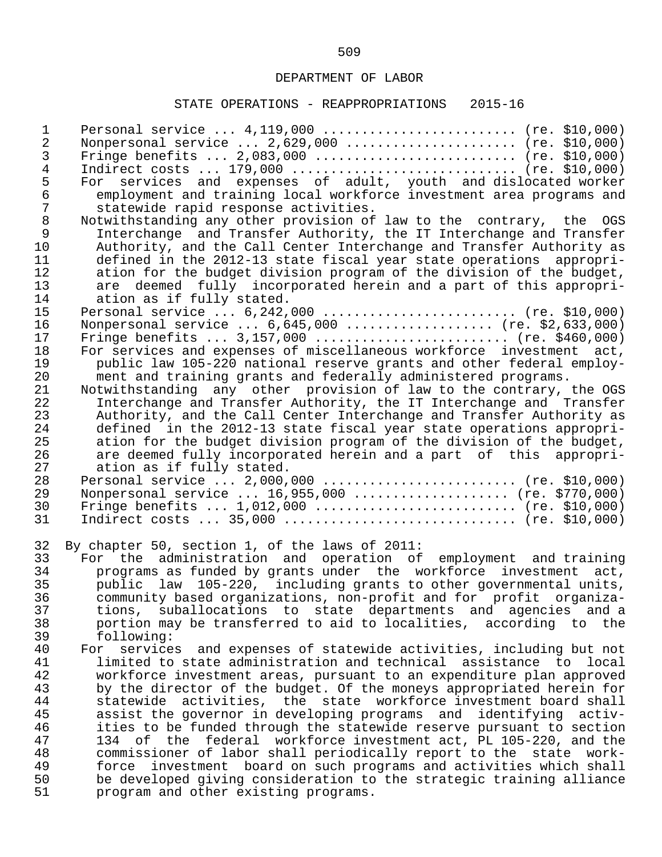| $\mathbf 1$<br>2<br>3<br>4<br>5<br>$\epsilon$<br>7 | Personal service $4,119,000$ (re. \$10,000)<br>Nonpersonal service $2,629,000$ (re. \$10,000)<br>Fringe benefits $2,083,000$ (re. \$10,000)<br>Indirect costs  179,000  (re. \$10,000)<br>For services and expenses of adult, youth and dislocated worker<br>employment and training local workforce investment area programs and<br>statewide rapid response activities. |
|----------------------------------------------------|---------------------------------------------------------------------------------------------------------------------------------------------------------------------------------------------------------------------------------------------------------------------------------------------------------------------------------------------------------------------------|
| $\,8\,$                                            | Notwithstanding any other provision of law to the contrary, the OGS                                                                                                                                                                                                                                                                                                       |
| 9                                                  | Interchange and Transfer Authority, the IT Interchange and Transfer                                                                                                                                                                                                                                                                                                       |
| 10                                                 | Authority, and the Call Center Interchange and Transfer Authority as                                                                                                                                                                                                                                                                                                      |
| 11                                                 | defined in the 2012-13 state fiscal year state operations appropri-                                                                                                                                                                                                                                                                                                       |
| 12                                                 | ation for the budget division program of the division of the budget,                                                                                                                                                                                                                                                                                                      |
| 13                                                 | are deemed fully incorporated herein and a part of this appropri-                                                                                                                                                                                                                                                                                                         |
| 14                                                 | ation as if fully stated.                                                                                                                                                                                                                                                                                                                                                 |
| 15                                                 | Personal service $6,242,000$ (re. \$10,000)                                                                                                                                                                                                                                                                                                                               |
| 16                                                 | Nonpersonal service  6,645,000  (re. \$2,633,000)                                                                                                                                                                                                                                                                                                                         |
| 17                                                 |                                                                                                                                                                                                                                                                                                                                                                           |
| 18                                                 | For services and expenses of miscellaneous workforce investment act,                                                                                                                                                                                                                                                                                                      |
| 19                                                 | public law 105-220 national reserve grants and other federal employ-                                                                                                                                                                                                                                                                                                      |
| 20                                                 | ment and training grants and federally administered programs.                                                                                                                                                                                                                                                                                                             |
| 21                                                 | Notwithstanding any other provision of law to the contrary, the OGS                                                                                                                                                                                                                                                                                                       |
| 22                                                 | Interchange and Transfer Authority, the IT Interchange and Transfer                                                                                                                                                                                                                                                                                                       |
| 23                                                 | Authority, and the Call Center Interchange and Transfer Authority as                                                                                                                                                                                                                                                                                                      |
| 24                                                 | defined in the 2012-13 state fiscal year state operations appropri-                                                                                                                                                                                                                                                                                                       |
| 25                                                 | ation for the budget division program of the division of the budget,                                                                                                                                                                                                                                                                                                      |
| 26                                                 | are deemed fully incorporated herein and a part of this appropri-                                                                                                                                                                                                                                                                                                         |
| 27                                                 | ation as if fully stated.                                                                                                                                                                                                                                                                                                                                                 |
| 28                                                 | Personal service $2,000,000$ (re. \$10,000)                                                                                                                                                                                                                                                                                                                               |
| 29                                                 | Nonpersonal service  16,955,000  (re. \$770,000)                                                                                                                                                                                                                                                                                                                          |
| 30                                                 | Fringe benefits $1,012,000$ (re. \$10,000)                                                                                                                                                                                                                                                                                                                                |
| 31                                                 | Indirect costs $35,000$ (re. \$10,000)                                                                                                                                                                                                                                                                                                                                    |
| 32                                                 | By chapter 50, section 1, of the laws of 2011:                                                                                                                                                                                                                                                                                                                            |
| 33                                                 | For the administration and operation of employment and training                                                                                                                                                                                                                                                                                                           |
| 34                                                 | programs as funded by grants under the workforce investment act,                                                                                                                                                                                                                                                                                                          |
| 35                                                 | public law 105-220, including grants to other governmental units,                                                                                                                                                                                                                                                                                                         |
| 36                                                 | community based organizations, non-profit and for profit organiza-                                                                                                                                                                                                                                                                                                        |
| 37                                                 | suballocations to state departments and agencies and a<br>tions,                                                                                                                                                                                                                                                                                                          |
| 38                                                 | portion may be transferred to aid to localities, according to the                                                                                                                                                                                                                                                                                                         |
| 39                                                 | following:                                                                                                                                                                                                                                                                                                                                                                |
| 40                                                 | services and expenses of statewide activities, including but not<br>For                                                                                                                                                                                                                                                                                                   |
| 41                                                 | limited to state administration and technical assistance to local                                                                                                                                                                                                                                                                                                         |
| 42                                                 | workforce investment areas, pursuant to an expenditure plan approved                                                                                                                                                                                                                                                                                                      |
| 43                                                 | by the director of the budget. Of the moneys appropriated herein for                                                                                                                                                                                                                                                                                                      |
| 44                                                 | statewide activities, the state workforce investment board shall                                                                                                                                                                                                                                                                                                          |
| 45                                                 | assist the governor in developing programs and identifying activ-                                                                                                                                                                                                                                                                                                         |
| 46                                                 | ities to be funded through the statewide reserve pursuant to section                                                                                                                                                                                                                                                                                                      |
| 47                                                 | of the federal workforce investment act, PL 105-220, and the<br>134                                                                                                                                                                                                                                                                                                       |
| 48                                                 | commissioner of labor shall periodically report to the state work-                                                                                                                                                                                                                                                                                                        |
| 49                                                 | investment board on such programs and activities which shall<br>force                                                                                                                                                                                                                                                                                                     |
| 50                                                 | be developed giving consideration to the strategic training alliance                                                                                                                                                                                                                                                                                                      |
| 51                                                 | program and other existing programs.                                                                                                                                                                                                                                                                                                                                      |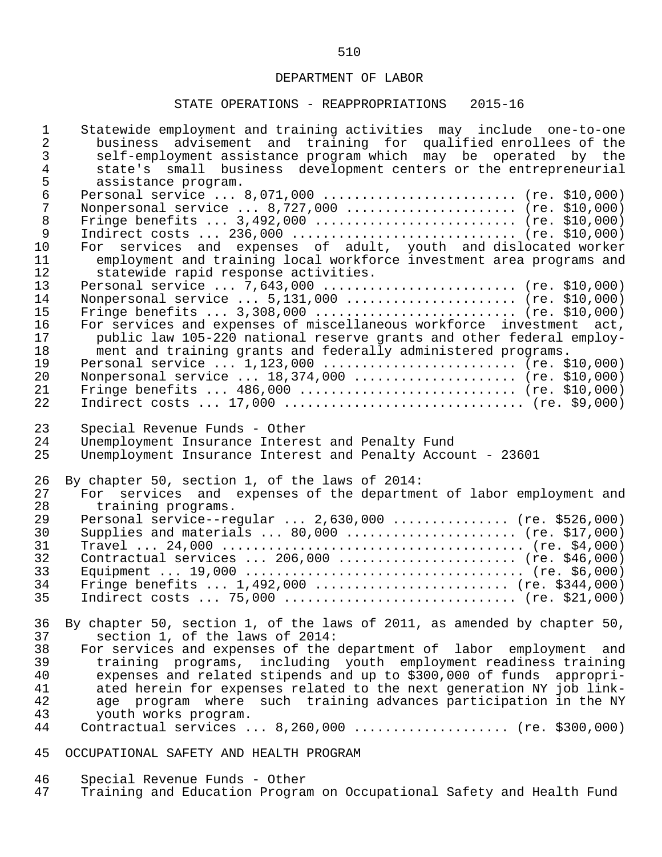| $\mathbf 1$    | Statewide employment and training activities may include one-to-one                                             |
|----------------|-----------------------------------------------------------------------------------------------------------------|
| $\overline{2}$ | business advisement and training for qualified enrollees of the                                                 |
| $\mathfrak{Z}$ | self-employment assistance program which may be operated by the                                                 |
| $\overline{4}$ | state's small business development centers or the entrepreneurial                                               |
| 5              | assistance program.                                                                                             |
| $\epsilon$     | Personal service  8,071,000  (re. \$10,000)                                                                     |
| $\overline{7}$ | Nonpersonal service  8,727,000  (re. \$10,000)                                                                  |
| 8              | Fringe benefits $3,492,000$ (re. \$10,000)                                                                      |
| 9              | Indirect costs $236,000$ (re. \$10,000)                                                                         |
| 10             | For services and expenses of adult, youth and dislocated worker                                                 |
| 11             | employment and training local workforce investment area programs and                                            |
| 12             | statewide rapid response activities.                                                                            |
| 13             | Personal service $7,643,000$ (re. \$10,000)                                                                     |
| 14             | Nonpersonal service  5,131,000  (re. \$10,000)                                                                  |
| 15             | Fringe benefits $3,308,000$ (re. \$10,000)                                                                      |
| 16             | For services and expenses of miscellaneous workforce investment act,                                            |
| 17             | public law 105-220 national reserve grants and other federal employ-                                            |
| 18             | ment and training grants and federally administered programs.                                                   |
| 19             | Personal service $1,123,000$ (re. \$10,000)                                                                     |
| 20             | Nonpersonal service  18,374,000  (re. \$10,000)                                                                 |
| 21             | Fringe benefits $486,000$ (re. \$10,000)                                                                        |
| 22             | Indirect costs $17,000$ (re. \$9,000)                                                                           |
| 23             | Special Revenue Funds - Other                                                                                   |
| 24<br>25       | Unemployment Insurance Interest and Penalty Fund<br>Unemployment Insurance Interest and Penalty Account - 23601 |
|                |                                                                                                                 |
| 26             | By chapter 50, section 1, of the laws of 2014:                                                                  |
| 27             | For services and expenses of the department of labor employment and                                             |
| 28             | training programs.                                                                                              |
| 29             | Personal service--regular $2,630,000$ (re. \$526,000)                                                           |
| 30             | Supplies and materials $80,000$ (re. \$17,000)                                                                  |
| 31             |                                                                                                                 |
| 32             | Contractual services  206,000  (re. \$46,000)                                                                   |
| 33             |                                                                                                                 |
| 34             | Fringe benefits $1,492,000$ (re. \$344,000)                                                                     |
| 35             | Indirect costs  75,000  (re. \$21,000)                                                                          |
| 36             | By chapter 50, section 1, of the laws of 2011, as amended by chapter 50,                                        |
| 37             | section 1, of the laws of 2014:                                                                                 |
| 38             | For services and expenses of the department of labor employment and                                             |
| 39             | training programs, including youth employment readiness training                                                |
| 40             | expenses and related stipends and up to \$300,000 of funds appropri-                                            |
| 41             | ated herein for expenses related to the next generation NY job link-                                            |
| 42             | age program where such training advances participation in the NY                                                |
| 43             | youth works program.                                                                                            |
| 44             | Contractual services  8,260,000  (re. \$300,000)                                                                |
| 45             | OCCUPATIONAL SAFETY AND HEALTH PROGRAM                                                                          |

- 46 Special Revenue Funds Other
- 47 Training and Education Program on Occupational Safety and Health Fund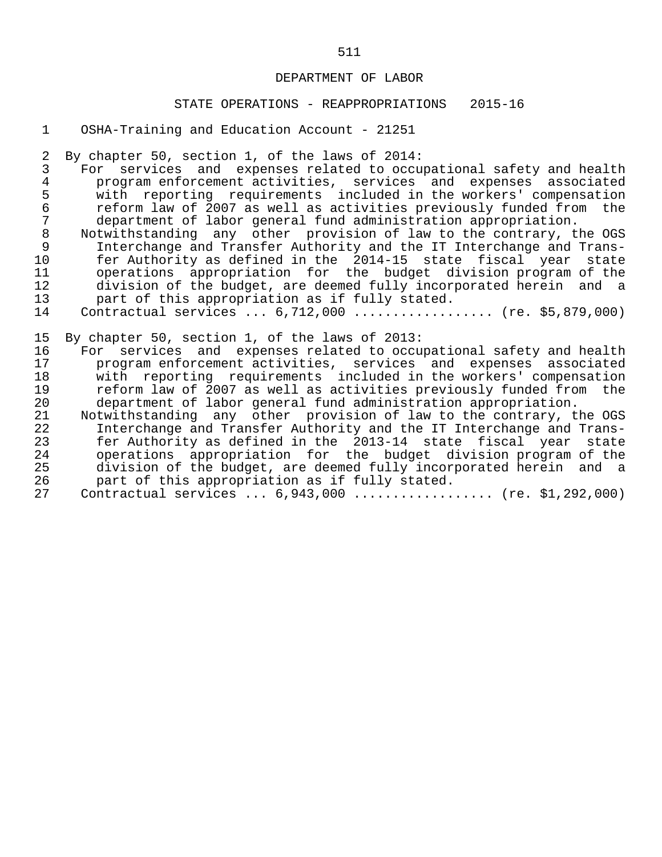#### STATE OPERATIONS - REAPPROPRIATIONS 2015-16

## 1 OSHA-Training and Education Account - 21251

2 By chapter 50, section 1, of the laws of 2014:

3 For services and expenses related to occupational safety and health<br>4 program enforcement activities, services and expenses associated 4 program enforcement activities, services and expenses associated 5 with reporting requirements included in the workers' compensation 6 reform law of 2007 as well as activities previously funded from the<br>7 department of labor general fund administration appropriation. 7 department of labor general fund administration appropriation.<br>8 Notwithstanding any other provision of law to the contrary, the

8 Notwithstanding any other provision of law to the contrary, the OGS<br>9 1nterchange and Transfer Authority and the IT Interchange and Trans-9 Interchange and Transfer Authority and the IT Interchange and Trans-<br>10 fer Authority as defined in the 2014-15 state fiscal year state 10 fer Authority as defined in the 2014-15 state fiscal year state 11 operations appropriation for the budget division-program- of the 12<br>12 division of the budget, are deemed fully incorporated herein and a 12 division of the budget, are deemed fully incorporated herein and a<br>13 part of this appropriation as if fully stated. 13 part of this appropriation as if fully stated.<br>14 Contractual services ... 6.712.000 .............

Contractual services ... 6,712,000 ................... (re. \$5,879,000)

15 By chapter 50, section 1, of the laws of 2013:<br>16 For services and expenses related to occu 16 For services and expenses related to occupational safety and health 17 program enforcement activities, services and expenses associated 18 with reporting requirements included in the workers' compensation<br>19 19 Feform law of 2007 as well as activities previously funded from the 19 reform law of 2007 as well as activities previously funded from the<br>20 department of labor general fund administration appropriation. 20 department of labor general fund administration appropriation.<br>21 Notwithstanding any other provision of law to the contrary, t 21 Notwithstanding any other provision of law to the contrary, the OGS<br>22 Interchange and Transfer Authority and the IT Interchange and Trans-

 22 Interchange and Transfer Authority and the IT Interchange and Trans- 23 fer Authority as defined in the 2013-14 state fiscal year state 24 operations appropriation for the budget division program of the 25 division of the budget, are deemed fully incorporated herein and a<br>26 part of this appropriation as if fully stated. 26 part of this appropriation as if fully stated.<br>27 Contractual services ... 6,943,000 .............

Contractual services ... 6,943,000 ................... (re. \$1,292,000)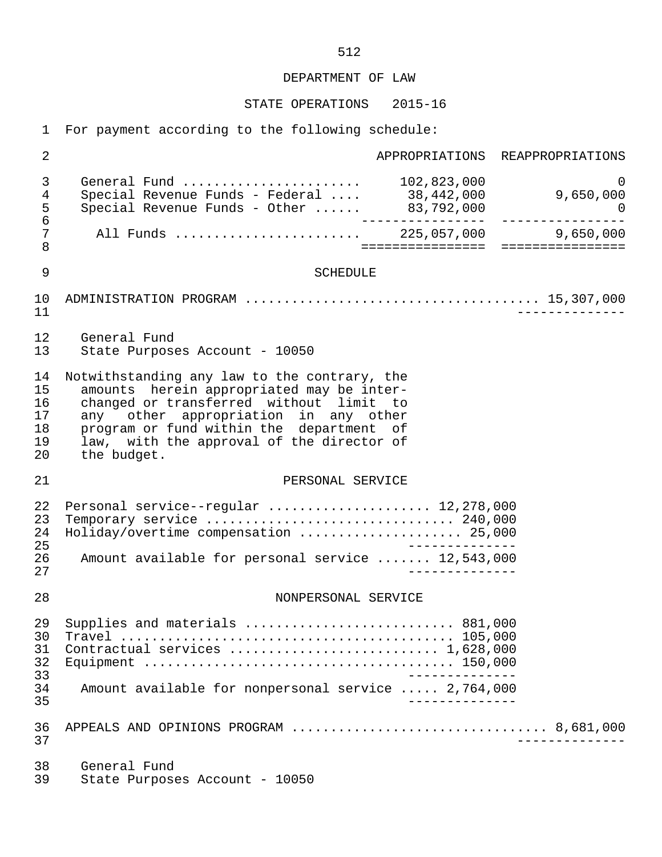STATE OPERATIONS 2015-16

1 For payment according to the following schedule:

 2 APPROPRIATIONS REAPPROPRIATIONS 3 General Fund ....................... 102,823,000 0 4 Special Revenue Funds - Federal .... 38,442,000 9,650,000 5 Special Revenue Funds - Other ...... 83,792,000 0 6 ---------------- ---------------- 7 All Funds ........................ 225,057,000 9,650,000 8 ================ ================ 9 SCHEDULE 10 ADMINISTRATION PROGRAM ...................................... 15,307,000 11 -------------- 12 General Fund State Purposes Account - 10050 14 Notwithstanding any law to the contrary, the<br>15 amounts herein appropriated may be interamounts herein appropriated may be inter-16 changed or transferred without limit to<br>17 any other appropriation in any other 17 any other appropriation in any other 18 program or fund within the department of 19 law, with the approval of the director of  $20$  the budget. the budget. 21 PERSONAL SERVICE 22 Personal service--regular ....................... 12,278,000<br>23 Temporary service ................................ 240.000 23 Temporary service ................................ 240,000 24 Holiday/overtime compensation ..................... 25,000 25<br>26 Amount available for personal service ....... 12.543.000 26 Amount available for personal service ....... 12,543,000 27 -------------- 28 NONPERSONAL SERVICE 29 Supplies and materials ........................... 881,000 30 Travel ........................................... 105,000 31 Contractual services ........................... 1,628,000 32 Equipment ........................................ 150,000 33 -------------- 34 Amount available for nonpersonal service ..... 2,764,000 35 -------------- 36 APPEALS AND OPINIONS PROGRAM ................................. 8,681,000 37 -------------- 38 General Fund<br>39 State Purpos State Purposes Account - 10050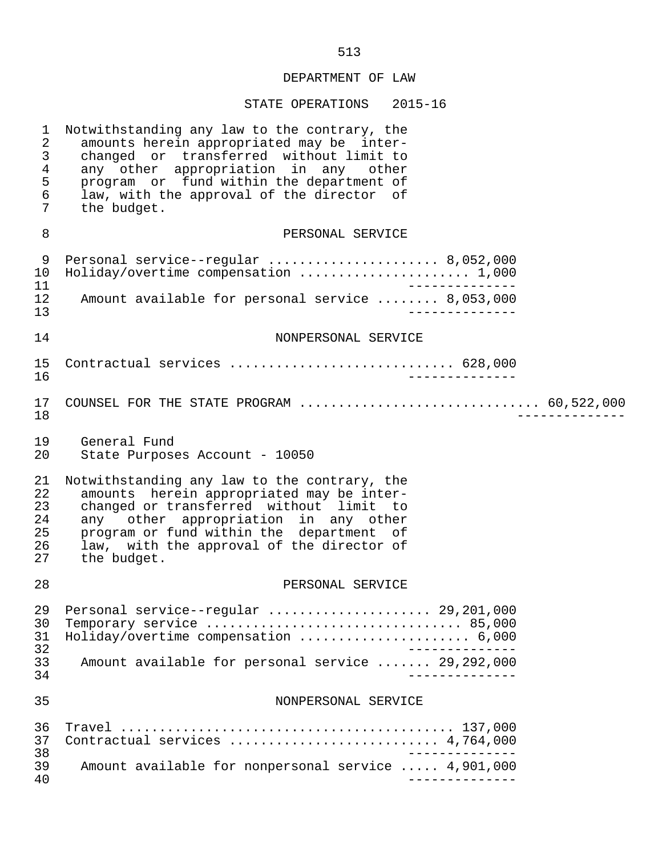| $\mathbf 1$<br>$\overline{2}$<br>$\mathfrak{Z}$<br>$\overline{4}$<br>5<br>6<br>7 | Notwithstanding any law to the contrary, the<br>amounts herein appropriated may be inter-<br>changed or transferred without limit to<br>any other appropriation in any other<br>program or fund within the department of<br>law, with the approval of the director of<br>the budget. |
|----------------------------------------------------------------------------------|--------------------------------------------------------------------------------------------------------------------------------------------------------------------------------------------------------------------------------------------------------------------------------------|
| 8                                                                                | PERSONAL SERVICE                                                                                                                                                                                                                                                                     |
| 9<br>10<br>11                                                                    | Personal service--regular  8,052,000<br>Holiday/overtime compensation  1,000                                                                                                                                                                                                         |
| 12<br>13                                                                         | Amount available for personal service  8,053,000                                                                                                                                                                                                                                     |
| 14                                                                               | NONPERSONAL SERVICE                                                                                                                                                                                                                                                                  |
| 15<br>16                                                                         | Contractual services  628,000                                                                                                                                                                                                                                                        |
| 17<br>18                                                                         | COUNSEL FOR THE STATE PROGRAM  60,522,000                                                                                                                                                                                                                                            |
| 19<br>20                                                                         | General Fund<br>State Purposes Account - 10050                                                                                                                                                                                                                                       |
| 21<br>22<br>23<br>24<br>25<br>26<br>27                                           | Notwithstanding any law to the contrary, the<br>amounts herein appropriated may be inter-<br>changed or transferred without limit to<br>any other appropriation in any other<br>program or fund within the department of<br>law, with the approval of the director of<br>the budget. |
| 28                                                                               | PERSONAL SERVICE                                                                                                                                                                                                                                                                     |
| 30<br>31                                                                         | 29 Personal service--regular  29,201,000<br>Temporary service  85,000<br>Holiday/overtime compensation  6,000                                                                                                                                                                        |
| 32<br>33<br>34                                                                   | Amount available for personal service  29,292,000                                                                                                                                                                                                                                    |
| 35                                                                               | NONPERSONAL SERVICE                                                                                                                                                                                                                                                                  |
| 36<br>37                                                                         | Contractual services  4,764,000                                                                                                                                                                                                                                                      |
| 38<br>39<br>40                                                                   | Amount available for nonpersonal service  4,901,000                                                                                                                                                                                                                                  |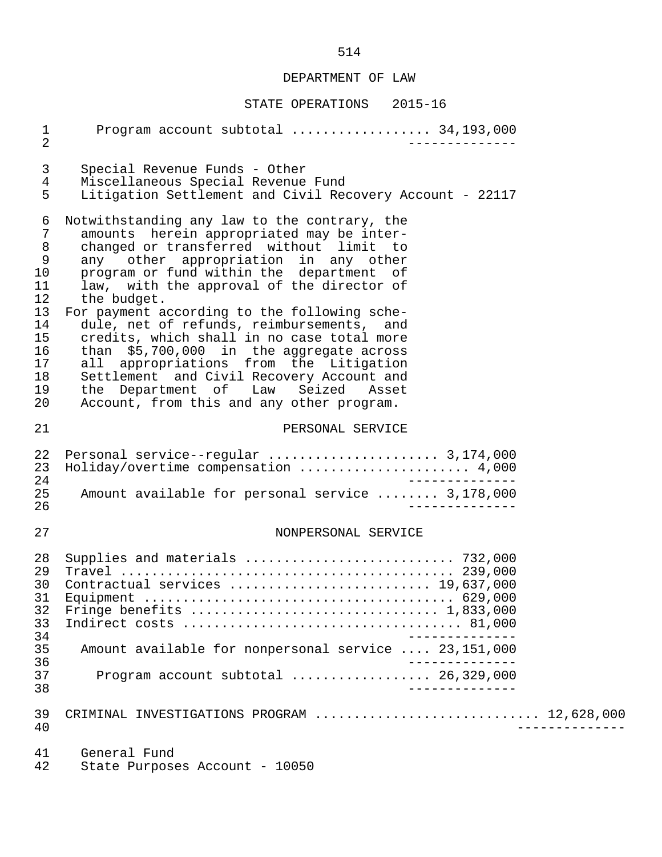| $\mathbf{1}$<br>$\overline{2}$                                                                     | Program account subtotal  34,193,000                                                                                                                                                                                                                                                                                                                                                                                                                                                                                                                                                                                                                  |
|----------------------------------------------------------------------------------------------------|-------------------------------------------------------------------------------------------------------------------------------------------------------------------------------------------------------------------------------------------------------------------------------------------------------------------------------------------------------------------------------------------------------------------------------------------------------------------------------------------------------------------------------------------------------------------------------------------------------------------------------------------------------|
| 3<br>$\overline{4}$<br>5                                                                           | Special Revenue Funds - Other<br>Miscellaneous Special Revenue Fund<br>Litigation Settlement and Civil Recovery Account - 22117                                                                                                                                                                                                                                                                                                                                                                                                                                                                                                                       |
| 6<br>7<br>$\,8\,$<br>$\mathsf 9$<br>10<br>11<br>12<br>13<br>14<br>15<br>16<br>17<br>18<br>19<br>20 | Notwithstanding any law to the contrary, the<br>amounts herein appropriated may be inter-<br>changed or transferred without limit to<br>any other appropriation in any other<br>program or fund within the department of<br>law, with the approval of the director of<br>the budget.<br>For payment according to the following sche-<br>dule, net of refunds, reimbursements, and<br>credits, which shall in no case total more<br>than \$5,700,000 in the aggregate across<br>all appropriations from the Litigation<br>Settlement and Civil Recovery Account and<br>the Department of Law Seized Asset<br>Account, from this and any other program. |
| 21                                                                                                 | PERSONAL SERVICE                                                                                                                                                                                                                                                                                                                                                                                                                                                                                                                                                                                                                                      |
| 22<br>23<br>24<br>25<br>26                                                                         | Personal service--regular  3,174,000<br>Holiday/overtime compensation  4,000<br>Amount available for personal service  3,178,000                                                                                                                                                                                                                                                                                                                                                                                                                                                                                                                      |
| 27                                                                                                 | NONPERSONAL SERVICE                                                                                                                                                                                                                                                                                                                                                                                                                                                                                                                                                                                                                                   |
| 28<br>29<br>30<br>31<br>32<br>33<br>34<br>35<br>36<br>37<br>38                                     | Supplies and materials  732,000<br>Contractual services  19,637,000<br>Amount available for nonpersonal service  23,151,000<br>Program account subtotal  26,329,000                                                                                                                                                                                                                                                                                                                                                                                                                                                                                   |
| 39<br>40                                                                                           | CRIMINAL INVESTIGATIONS PROGRAM  12,628,000                                                                                                                                                                                                                                                                                                                                                                                                                                                                                                                                                                                                           |
| 41<br>42                                                                                           | General Fund<br>State Purposes Account - 10050                                                                                                                                                                                                                                                                                                                                                                                                                                                                                                                                                                                                        |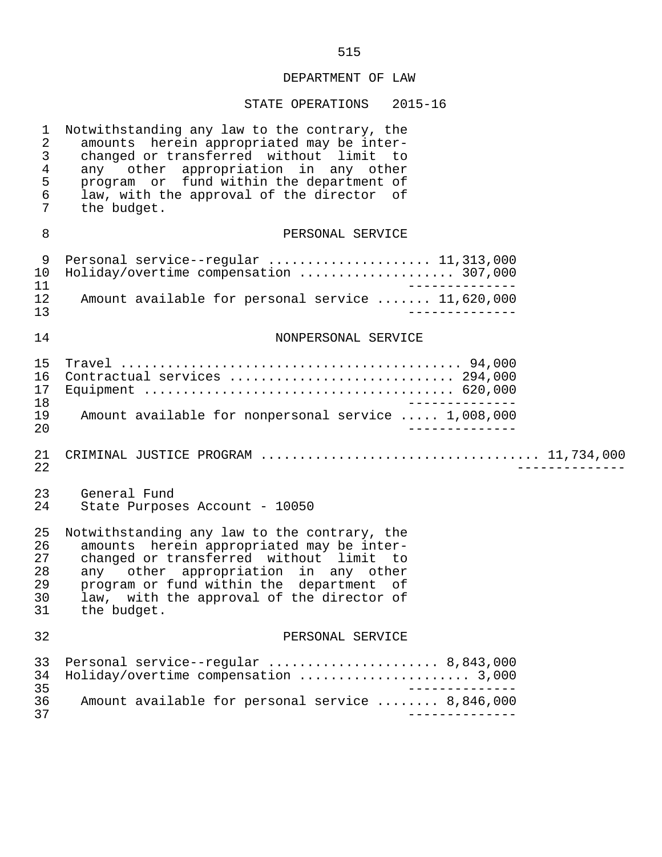| $\mathbf 1$<br>$\overline{2}$<br>$\mathfrak{Z}$<br>$\overline{4}$<br>5<br>6<br>7 | Notwithstanding any law to the contrary, the<br>amounts herein appropriated may be inter-<br>changed or transferred without limit to<br>any other appropriation in any other<br>program or fund within the department of<br>law, with the approval of the director of<br>the budget. |
|----------------------------------------------------------------------------------|--------------------------------------------------------------------------------------------------------------------------------------------------------------------------------------------------------------------------------------------------------------------------------------|
| 8                                                                                | PERSONAL SERVICE                                                                                                                                                                                                                                                                     |
| 9<br>10<br>11                                                                    | Personal service--regular  11,313,000<br>Holiday/overtime compensation  307,000                                                                                                                                                                                                      |
| 12<br>13                                                                         | Amount available for personal service  11,620,000                                                                                                                                                                                                                                    |
| 14                                                                               | NONPERSONAL SERVICE                                                                                                                                                                                                                                                                  |
| 15<br>16<br>17<br>18                                                             | Contractual services  294,000                                                                                                                                                                                                                                                        |
| 19<br>20                                                                         | Amount available for nonpersonal service  1,008,000                                                                                                                                                                                                                                  |
| 21<br>22                                                                         | CRIMINAL JUSTICE PROGRAM  11,734,000                                                                                                                                                                                                                                                 |
| 23<br>24                                                                         | General Fund<br>State Purposes Account - 10050                                                                                                                                                                                                                                       |
| 25<br>26<br>27<br>28<br>29<br>30<br>31                                           | Notwithstanding any law to the contrary, the<br>amounts herein appropriated may be inter-<br>changed or transferred without limit to<br>any other appropriation in any other<br>program or fund within the department of<br>law, with the approval of the director of<br>the budget. |
| 32                                                                               | PERSONAL SERVICE                                                                                                                                                                                                                                                                     |
| 33<br>34<br>35                                                                   | Personal service--regular  8,843,000<br>Holiday/overtime compensation  3,000                                                                                                                                                                                                         |
| 36<br>37                                                                         | Amount available for personal service  8,846,000                                                                                                                                                                                                                                     |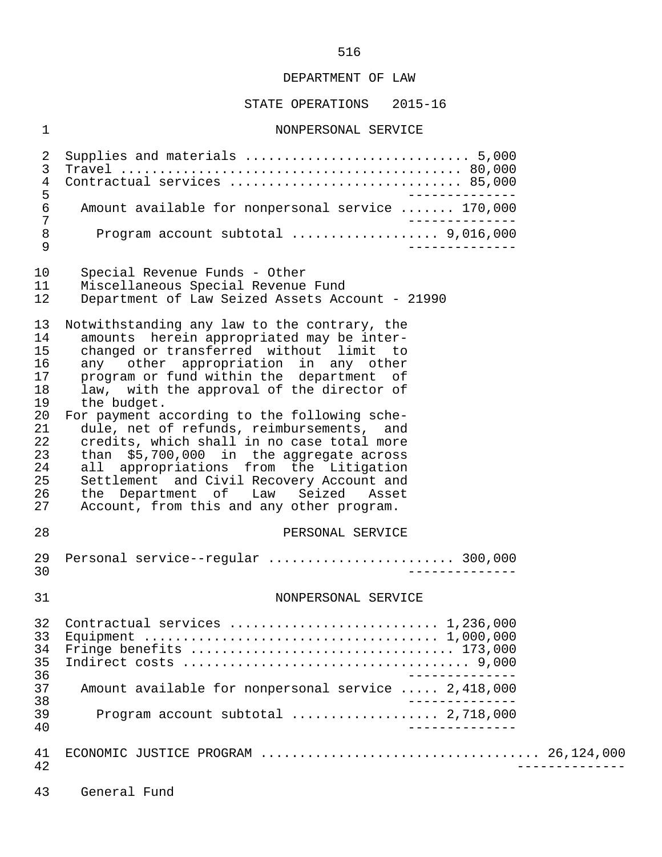#### STATE OPERATIONS 2015-16

#### 1 NONPERSONAL SERVICE

 2 Supplies and materials ............................. 5,000 3 Travel ............................................ 80,000 4 Contractual services ................................... 85,000<br>5 5<br>6 Amount available for nonpersonal service ....... 170.000 6 Amount available for nonpersonal service ....... 170,000 7 -------------- 8 Program account subtotal ................... 9,016,000 9 -------------- 10 Special Revenue Funds - Other<br>11 Miscellaneous Special Revenue 11 Miscellaneous Special Revenue Fund<br>12 Department of Law Seized Assets Acc Department of Law Seized Assets Account - 21990 13 Notwithstanding any law to the contrary, the<br>14 amounts herein appropriated may be inter-14 amounts herein appropriated may be inter-<br>15 changed or transferred without limit to 15 changed or transferred without limit to<br>16 any other appropriation in any other 16 any other appropriation in any other<br>17 program or fund within the department of 17 program or fund within the department of<br>18 law, with the approval of the director of 18 law, with the approval of the director of<br>19 the budget. 19 the budget.<br>20 For payment a 20 For payment according to the following sche-<br>21 dule, net of refunds, reimbursements, and 21 dule, net of refunds, reimbursements, and<br>22 credits, which shall in no case total more 22 credits, which shall in no case total more<br>23 than \$5,700,000 in the aggregate across 23 than \$5,700,000 in the aggregate across<br>24 all appropriations from the Litigation 24 all appropriations from the Litigation<br>25 Settlement and Civil Recovery Account and 25 Settlement and Civil Recovery Account and<br>26 the Department of Law Seized Asset 26 the Department of<br>27 Account, from this a Account, from this and any other program. 28 PERSONAL SERVICE 29 Personal service--regular ........................ 300,000 30 -------------- 31 NONPERSONAL SERVICE 32 Contractual services ........................... 1,236,000 33 Equipment ...................................... 1,000,000 34 Fringe benefits .................................. 173,000 35 Indirect costs ..................................... 9,000 -------------<br>37 Amount available for nonpersonal service ..... 2.418.000 37 Amount available for nonpersonal service ..... 2,418,000 38 -------------- 39 Program account subtotal ................... 2,718,000 40 -------------- 41 ECONOMIC JUSTICE PROGRAM .................................... 26,124,000 42 -------------- 43 General Fund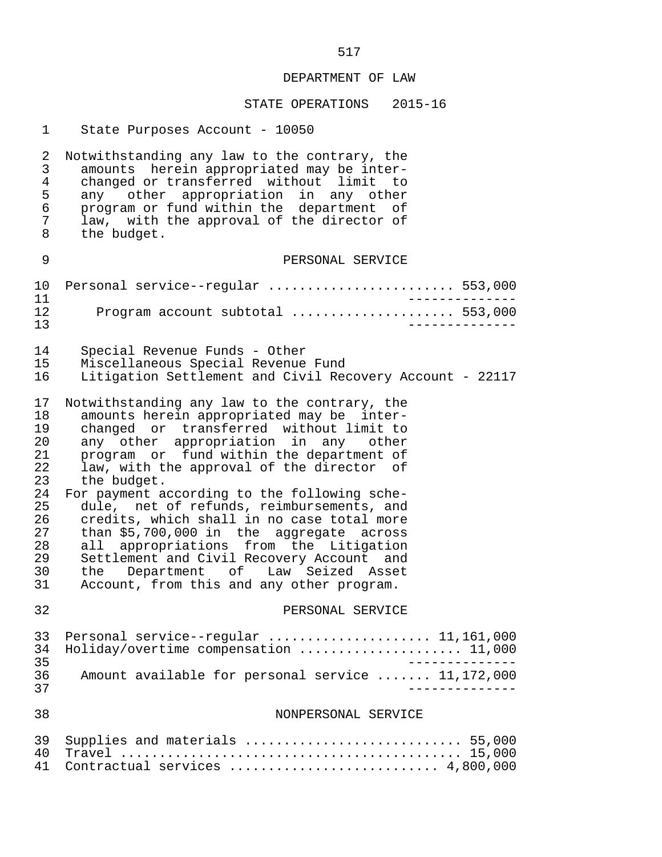| 1                                                                                      | State Purposes Account - 10050                                                                                                                                                                                                                                                                                                                                                                                                                                                                                                                                                                                                                           |
|----------------------------------------------------------------------------------------|----------------------------------------------------------------------------------------------------------------------------------------------------------------------------------------------------------------------------------------------------------------------------------------------------------------------------------------------------------------------------------------------------------------------------------------------------------------------------------------------------------------------------------------------------------------------------------------------------------------------------------------------------------|
| 2<br>3<br>$\overline{4}$<br>5<br>6<br>7<br>8                                           | Notwithstanding any law to the contrary, the<br>amounts herein appropriated may be inter-<br>changed or transferred without limit<br>to to<br>any other appropriation in any other<br>program or fund within the department of<br>law, with the approval of the director of<br>the budget.                                                                                                                                                                                                                                                                                                                                                               |
| 9                                                                                      | PERSONAL SERVICE                                                                                                                                                                                                                                                                                                                                                                                                                                                                                                                                                                                                                                         |
| 10<br>11<br>12<br>13                                                                   | Personal service--regular  553,000<br>$- - - - - - -$<br>Program account subtotal  553,000                                                                                                                                                                                                                                                                                                                                                                                                                                                                                                                                                               |
| 14<br>15<br>16                                                                         | Special Revenue Funds - Other<br>Miscellaneous Special Revenue Fund<br>Litigation Settlement and Civil Recovery Account - 22117                                                                                                                                                                                                                                                                                                                                                                                                                                                                                                                          |
| 17<br>18<br>19<br>20<br>21<br>22<br>23<br>24<br>25<br>26<br>27<br>28<br>29<br>30<br>31 | Notwithstanding any law to the contrary, the<br>amounts herein appropriated may be inter-<br>changed or transferred without limit to<br>any other appropriation in any<br>other<br>program or fund within the department of<br>law, with the approval of the director of<br>the budget.<br>For payment according to the following sche-<br>dule, net of refunds, reimbursements, and<br>credits, which shall in no case total more<br>than \$5,700,000 in the aggregate across<br>all appropriations from the Litigation<br>Settlement and Civil Recovery Account and<br>the Department of Law Seized Asset<br>Account, from this and any other program. |
| 32                                                                                     | PERSONAL SERVICE                                                                                                                                                                                                                                                                                                                                                                                                                                                                                                                                                                                                                                         |
| 33<br>34<br>35<br>36<br>37                                                             | Personal service--regular $11,161,000$<br>Holiday/overtime compensation  11,000<br>Amount available for personal service  11,172,000                                                                                                                                                                                                                                                                                                                                                                                                                                                                                                                     |
| 38                                                                                     | NONPERSONAL SERVICE                                                                                                                                                                                                                                                                                                                                                                                                                                                                                                                                                                                                                                      |
| 39<br>40<br>41                                                                         | Supplies and materials  55,000<br>Contractual services  4,800,000                                                                                                                                                                                                                                                                                                                                                                                                                                                                                                                                                                                        |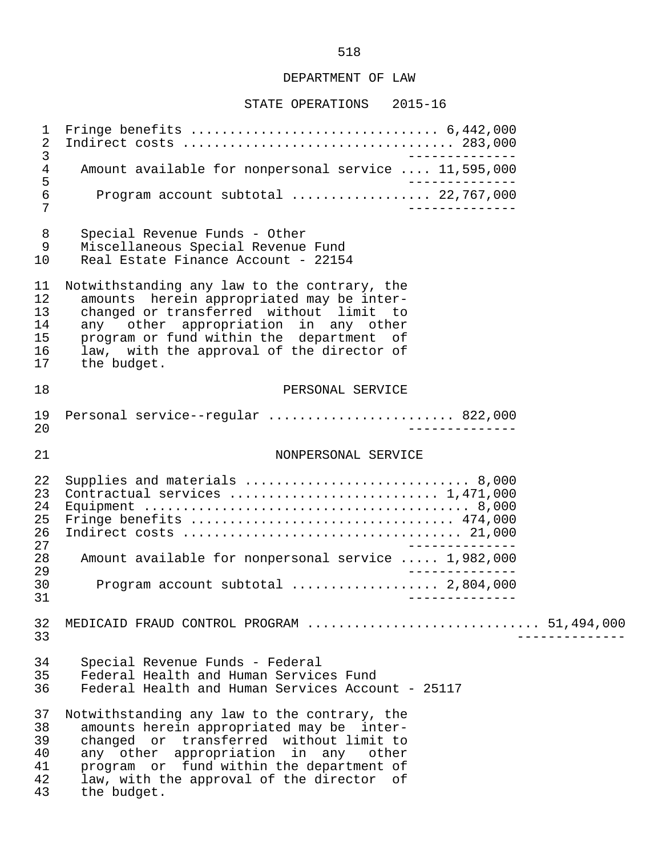#### STATE OPERATIONS 2015-16

 1 Fringe benefits ................................ 6,442,000 2 Indirect costs ................................... 283,000 3<br>4 Amount available for nonpersonal service .... 11.595.000 4 Amount available for nonpersonal service .... 11,595,000<br>5 5<br>6 Program account subtotal .................. 22.767.000 6 Program account subtotal .................. 22,767,000 7 -------------- 8 Special Revenue Funds - Other<br>9 Miscellaneous Special Revenue Miscellaneous Special Revenue Fund 10 Real Estate Finance Account - 22154 11 Notwithstanding any law to the contrary, the<br>12 amounts herein appropriated may be inter-12 amounts herein appropriated may be inter-<br>13 changed or transferred without limit to 13 changed or transferred without limit to<br>14 any other appropriation in any other 14 any other appropriation in any other 15 program or fund within the department of 16 law, with the approval of the director of<br>17 the budget. the budget. 18 PERSONAL SERVICE 19 Personal service--regular ........................ 822,000 20 -------------- 21 NONPERSONAL SERVICE 22 Supplies and materials ............................. 8,000 23 Contractual services ........................... 1,471,000 24 Equipment .......................................... 8,000 25 Fringe benefits .................................. 474,000 26 Indirect costs .................................... 21,000 27<br>28 Amount available for nonpersonal service ..... 1.982.000 28 Amount available for nonpersonal service ..... 1,982,000 -------------<br>20 Program account subtotal ................... 2,804,000 30 Program account subtotal ................... 2,804,000 31 -------------- 32 MEDICAID FRAUD CONTROL PROGRAM .............................. 51,494,000 33 -------------- 34 Special Revenue Funds - Federal Federal Health and Human Services Fund 36 Federal Health and Human Services Account - 25117 37 Notwithstanding any law to the contrary, the<br>38 amounts herein appropriated may be inter-38 amounts herein appropriated may be inter-<br>39 changed or transferred without limit to 39 changed or transferred without limit to<br>40 any other appropriation in any other 40 any other appropriation in any other 41 program or fund within the department of 42 law, with the approval of the director of<br>43 the budget. the budget.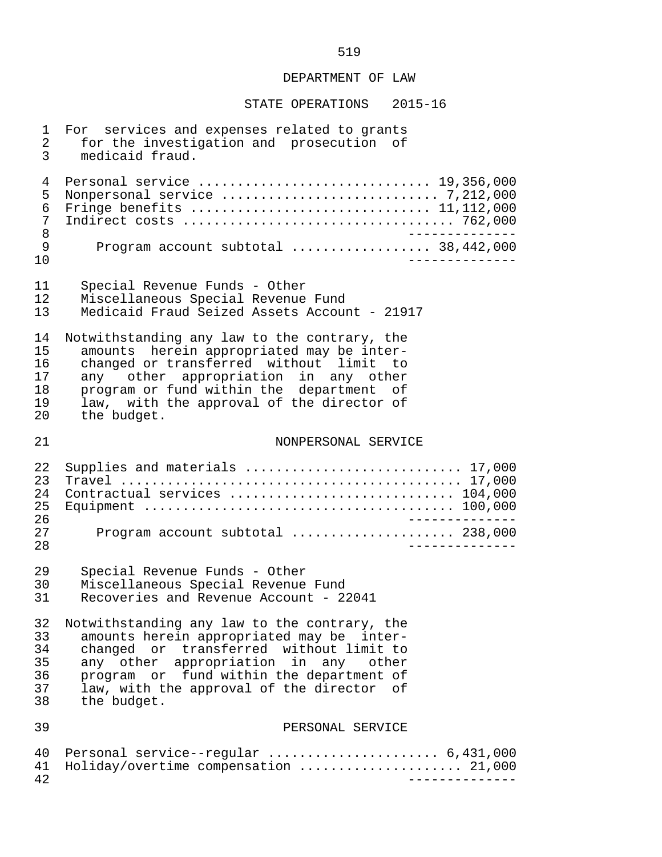| $\mathbf 1$                | For services and expenses related to grants                                   |
|----------------------------|-------------------------------------------------------------------------------|
| 2                          | for the investigation and prosecution of                                      |
| 3                          | medicaid fraud.                                                               |
| 4                          | Personal service  19,356,000                                                  |
| 5                          |                                                                               |
| 6                          | Fringe benefits  11,112,000                                                   |
| 7                          |                                                                               |
| $\, 8$                     | $- - - - - - - - - -$                                                         |
| $\mathsf 9$                | Program account subtotal  38,442,000                                          |
| 10                         | ------------                                                                  |
| 11                         | Special Revenue Funds - Other                                                 |
| 12                         | Miscellaneous Special Revenue Fund                                            |
| 13                         | Medicaid Fraud Seized Assets Account - 21917                                  |
| 14                         | Notwithstanding any law to the contrary, the                                  |
| 15                         | amounts herein appropriated may be inter-                                     |
| 16                         | changed or transferred without limit to                                       |
| 17                         | any other appropriation in any other                                          |
| 18                         | program or fund within the department of                                      |
| 19                         | law, with the approval of the director of                                     |
| 20                         | the budget.                                                                   |
| 21                         | NONPERSONAL SERVICE                                                           |
| 22<br>23<br>24<br>25<br>26 | Supplies and materials  17,000<br>Contractual services  104,000               |
| 27                         | Program account subtotal  238,000                                             |
| 28                         | ____________.                                                                 |
| 29                         | Special Revenue Funds - Other                                                 |
| 30                         | Miscellaneous Special Revenue Fund                                            |
| 31                         | Recoveries and Revenue Account - 22041                                        |
| 32                         | Notwithstanding any law to the contrary, the                                  |
| 33                         | amounts herein appropriated may be inter-                                     |
| 34                         | changed or transferred without limit to                                       |
| 35                         | any other appropriation in any other                                          |
| 36                         | program or fund within the department of                                      |
| 37                         | law, with the approval of the director of                                     |
| 38                         | the budget.                                                                   |
| 39                         | PERSONAL SERVICE                                                              |
| 40<br>41<br>42             | Personal service--regular  6,431,000<br>Holiday/overtime compensation  21,000 |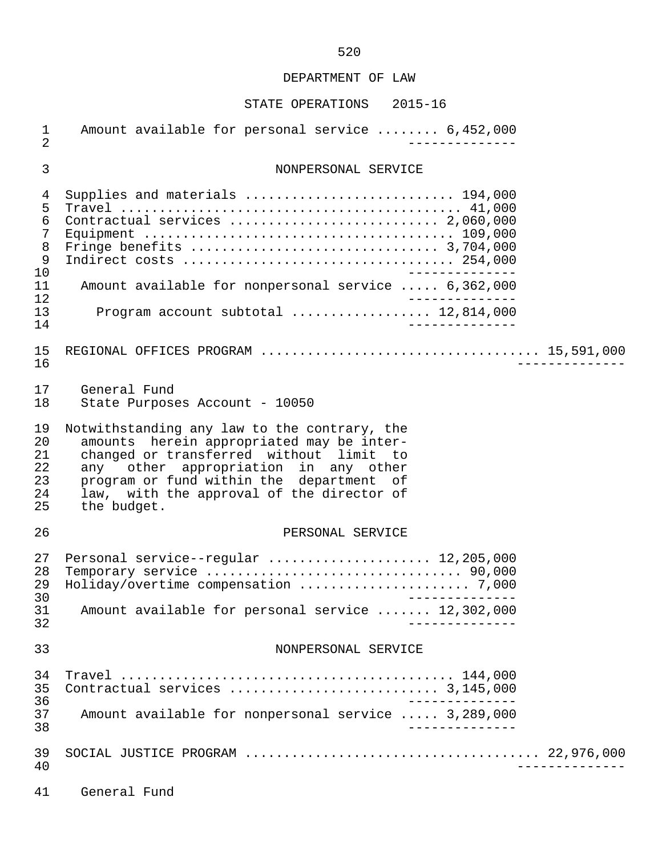| $\mathbf 1$<br>$\overline{2}$                                                   | Amount available for personal service  6,452,000                                                                                                                                                                                                                                     |
|---------------------------------------------------------------------------------|--------------------------------------------------------------------------------------------------------------------------------------------------------------------------------------------------------------------------------------------------------------------------------------|
| 3                                                                               | NONPERSONAL SERVICE                                                                                                                                                                                                                                                                  |
| 4<br>5<br>6<br>$\overline{7}$<br>8<br>$\mathsf 9$<br>10<br>11<br>12<br>13<br>14 | Supplies and materials  194,000<br>Contractual services  2,060,000<br>Amount available for nonpersonal service  6,362,000<br>Program account subtotal  12,814,000<br>______________                                                                                                  |
| 15<br>16                                                                        |                                                                                                                                                                                                                                                                                      |
| 17<br>18                                                                        | General Fund<br>State Purposes Account - 10050                                                                                                                                                                                                                                       |
| 19<br>20<br>21<br>22<br>23<br>24<br>25                                          | Notwithstanding any law to the contrary, the<br>amounts herein appropriated may be inter-<br>changed or transferred without limit to<br>any other appropriation in any other<br>program or fund within the department of<br>law, with the approval of the director of<br>the budget. |
| 26                                                                              | PERSONAL SERVICE                                                                                                                                                                                                                                                                     |
| 27<br>28<br>29<br>30<br>31<br>32                                                | Personal service--regular  12,205,000<br>______________<br>Amount available for personal service  12,302,000                                                                                                                                                                         |
| 33                                                                              | NONPERSONAL SERVICE                                                                                                                                                                                                                                                                  |
| 34<br>35<br>36                                                                  |                                                                                                                                                                                                                                                                                      |
| 37<br>38                                                                        | Amount available for nonpersonal service  3,289,000                                                                                                                                                                                                                                  |
| 39<br>40                                                                        |                                                                                                                                                                                                                                                                                      |
|                                                                                 |                                                                                                                                                                                                                                                                                      |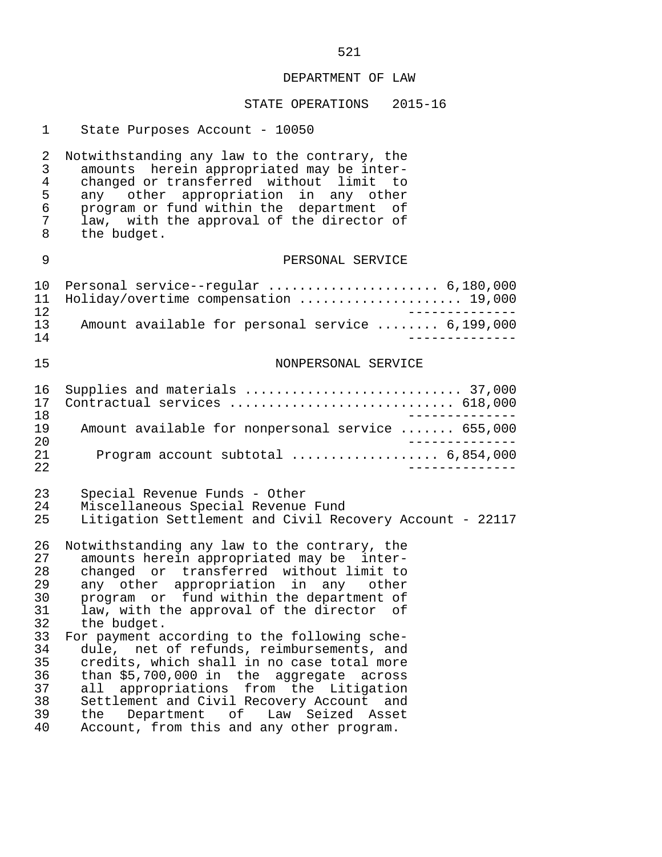| $\mathbf{1}$                                                                           | State Purposes Account - 10050                                                                                                                                                                                                                                                                                                                                                                                                                                                                                                                                                                                                                           |
|----------------------------------------------------------------------------------------|----------------------------------------------------------------------------------------------------------------------------------------------------------------------------------------------------------------------------------------------------------------------------------------------------------------------------------------------------------------------------------------------------------------------------------------------------------------------------------------------------------------------------------------------------------------------------------------------------------------------------------------------------------|
| 2<br>3<br>4<br>5<br>6<br>7<br>8                                                        | Notwithstanding any law to the contrary, the<br>amounts herein appropriated may be inter-<br>changed or transferred without limit to<br>any other appropriation in any other<br>program or fund within the department of<br>law, with the approval of the director of<br>the budget.                                                                                                                                                                                                                                                                                                                                                                     |
| 9                                                                                      | PERSONAL SERVICE                                                                                                                                                                                                                                                                                                                                                                                                                                                                                                                                                                                                                                         |
| 10<br>11<br>12                                                                         | Personal service--regular  6,180,000<br>Holiday/overtime compensation  19,000<br>___________.                                                                                                                                                                                                                                                                                                                                                                                                                                                                                                                                                            |
| 13<br>14                                                                               | Amount available for personal service  6,199,000                                                                                                                                                                                                                                                                                                                                                                                                                                                                                                                                                                                                         |
| 15                                                                                     | NONPERSONAL SERVICE                                                                                                                                                                                                                                                                                                                                                                                                                                                                                                                                                                                                                                      |
| 16<br>17<br>18<br>19<br>20<br>21<br>22                                                 | Supplies and materials  37,000<br>Contractual services  618,000<br>_____________<br>Amount available for nonpersonal service  655,000<br>Program account subtotal  6,854,000<br>____________                                                                                                                                                                                                                                                                                                                                                                                                                                                             |
| 23<br>24<br>25                                                                         | Special Revenue Funds - Other<br>Miscellaneous Special Revenue Fund<br>Litigation Settlement and Civil Recovery Account - 22117                                                                                                                                                                                                                                                                                                                                                                                                                                                                                                                          |
| 26<br>27<br>28<br>29<br>30<br>31<br>32<br>33<br>34<br>35<br>36<br>37<br>38<br>39<br>40 | Notwithstanding any law to the contrary, the<br>amounts herein appropriated may be inter-<br>changed or transferred without limit to<br>any other appropriation in any other<br>program or fund within the department of<br>law, with the approval of the director<br>оf<br>the budget.<br>For payment according to the following sche-<br>dule, net of refunds, reimbursements, and<br>credits, which shall in no case total more<br>than \$5,700,000 in the aggregate across<br>all appropriations from the Litigation<br>Settlement and Civil Recovery Account and<br>the Department of Law Seized Asset<br>Account, from this and any other program. |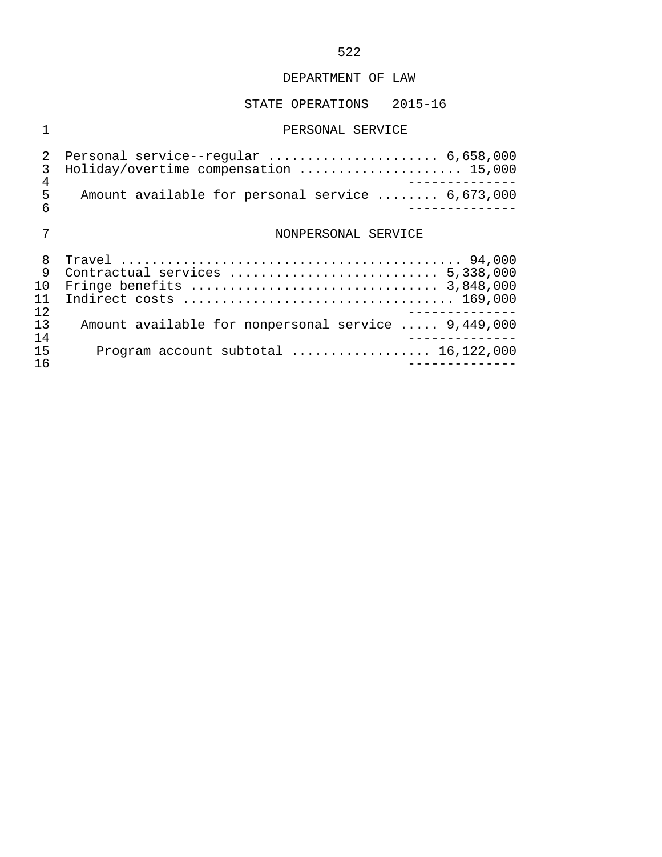## STATE OPERATIONS 2015-16

## 1 PERSONAL SERVICE

| 4      | 2 Personal service--regular  6,658,000<br>Holiday/overtime compensation  15,000 |
|--------|---------------------------------------------------------------------------------|
| 5<br>6 | Amount available for personal service  6,673,000                                |
|        | NONPERSONAL SERVICE                                                             |
| 8      | Contractual services  5,338,000                                                 |

|    | 9 Contractual services  5,338,000                   |
|----|-----------------------------------------------------|
|    |                                                     |
|    |                                                     |
| 12 |                                                     |
| 13 | Amount available for nonpersonal service  9,449,000 |
| 14 |                                                     |
| 15 | Program account subtotal $\ldots$ 16,122,000        |
| 16 |                                                     |
|    |                                                     |

## 522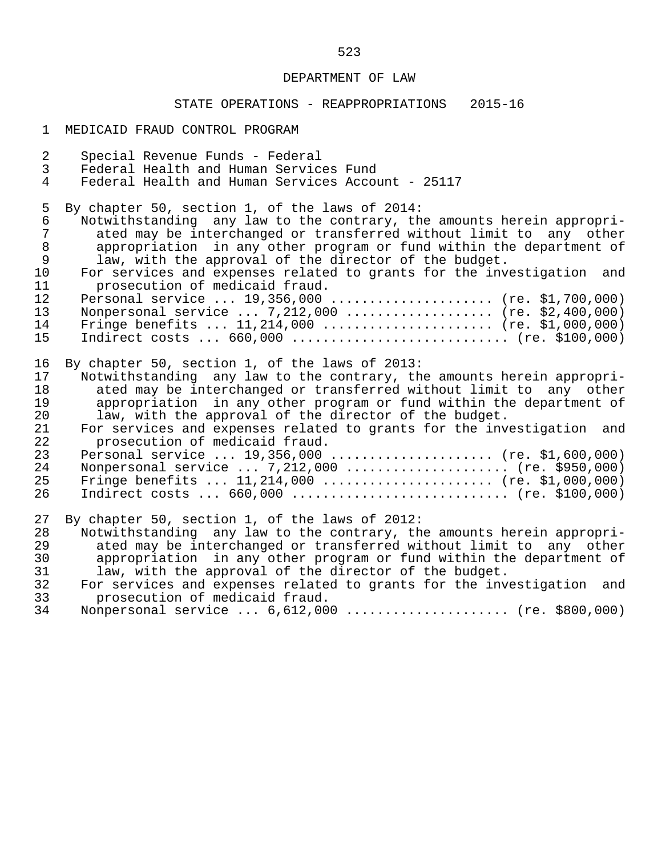## STATE OPERATIONS - REAPPROPRIATIONS 2015-16

1 MEDICAID FRAUD CONTROL PROGRAM

| $\overline{a}$<br>$\mathbf{3}$ | Special Revenue Funds - Federal<br>Federal Health and Human Services Fund                                                    |
|--------------------------------|------------------------------------------------------------------------------------------------------------------------------|
| $\overline{4}$                 | Federal Health and Human Services Account - 25117                                                                            |
| 5                              | By chapter 50, section 1, of the laws of 2014:                                                                               |
| 6                              | Notwithstanding any law to the contrary, the amounts herein appropri-                                                        |
| 7<br>$\,8\,$                   | ated may be interchanged or transferred without limit to any other                                                           |
| $\mathsf 9$                    | appropriation in any other program or fund within the department of<br>law, with the approval of the director of the budget. |
| 10                             | For services and expenses related to grants for the investigation and                                                        |
| 11                             | prosecution of medicaid fraud.                                                                                               |
| 12                             | Personal service $19,356,000$ (re. \$1,700,000)                                                                              |
| 13                             | Nonpersonal service $7,212,000$ (re. \$2,400,000)                                                                            |
| 14                             | Fringe benefits $11,214,000$ (re. \$1,000,000)                                                                               |
| 15                             | Indirect costs $660,000$ (re. \$100,000)                                                                                     |
| 16                             | By chapter 50, section 1, of the laws of 2013:                                                                               |
| 17                             | Notwithstanding any law to the contrary, the amounts herein appropri-                                                        |
| 18                             | ated may be interchanged or transferred without limit to any other                                                           |
| 19                             | appropriation in any other program or fund within the department of                                                          |
| 20                             | law, with the approval of the director of the budget.                                                                        |
| 21<br>22                       | For services and expenses related to grants for the investigation and<br>prosecution of medicaid fraud.                      |
| 23                             | Personal service $19,356,000$ (re. \$1,600,000)                                                                              |
| 24                             | Nonpersonal service  7,212,000  (re. \$950,000)                                                                              |
| 25                             | Fringe benefits $11,214,000$ (re. \$1,000,000)                                                                               |
| 26                             | Indirect costs $660,000$ (re. \$100,000)                                                                                     |
| 27                             | By chapter 50, section 1, of the laws of 2012:                                                                               |
| 28                             | Notwithstanding any law to the contrary, the amounts herein appropri-                                                        |
| 29                             | ated may be interchanged or transferred without limit to any other                                                           |
| 30                             | appropriation in any other program or fund within the department of                                                          |
| 31                             | law, with the approval of the director of the budget.                                                                        |
| 32                             | For services and expenses related to grants for the investigation and                                                        |
| 33                             | prosecution of medicaid fraud.                                                                                               |
| 34                             | Nonpersonal service  6,612,000  (re. \$800,000)                                                                              |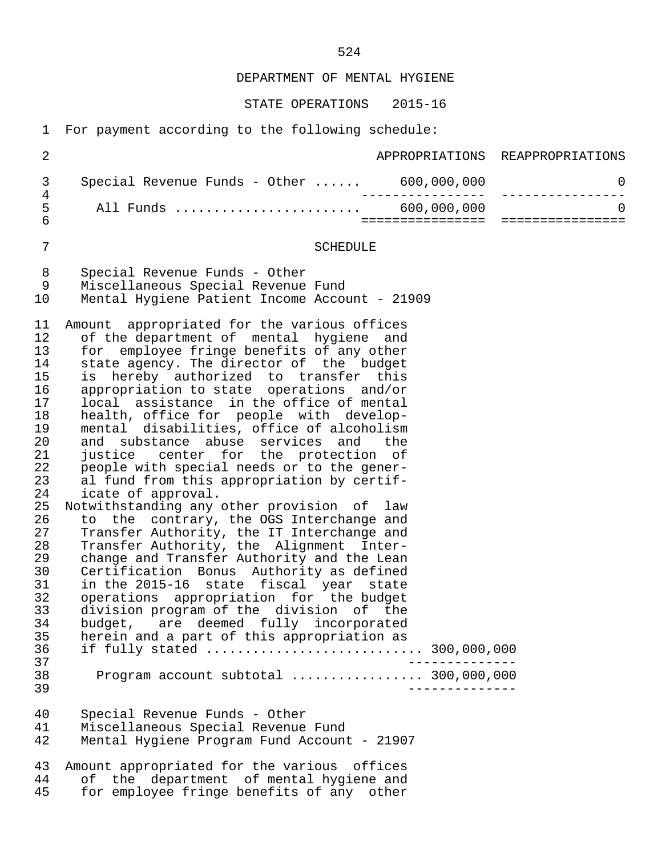STATE OPERATIONS 2015-16

1 For payment according to the following schedule:

| $\overline{2}$                                                                                                                                                                               |                                                                                                                                                                                                                                                                                                                                                                                                                                                                                                                                                                                                                                                                                                                                                                                                                                                                                                                                                                                                                                                                                                                                                                                                                                                                                   |                  | APPROPRIATIONS REAPPROPRIATIONS                 |
|----------------------------------------------------------------------------------------------------------------------------------------------------------------------------------------------|-----------------------------------------------------------------------------------------------------------------------------------------------------------------------------------------------------------------------------------------------------------------------------------------------------------------------------------------------------------------------------------------------------------------------------------------------------------------------------------------------------------------------------------------------------------------------------------------------------------------------------------------------------------------------------------------------------------------------------------------------------------------------------------------------------------------------------------------------------------------------------------------------------------------------------------------------------------------------------------------------------------------------------------------------------------------------------------------------------------------------------------------------------------------------------------------------------------------------------------------------------------------------------------|------------------|-------------------------------------------------|
| 3                                                                                                                                                                                            |                                                                                                                                                                                                                                                                                                                                                                                                                                                                                                                                                                                                                                                                                                                                                                                                                                                                                                                                                                                                                                                                                                                                                                                                                                                                                   |                  | 0                                               |
| $\overline{4}$<br>5<br>$\overline{6}$                                                                                                                                                        |                                                                                                                                                                                                                                                                                                                                                                                                                                                                                                                                                                                                                                                                                                                                                                                                                                                                                                                                                                                                                                                                                                                                                                                                                                                                                   | ================ | _______________<br>$\Omega$<br>eessessessessess |
| $\overline{7}$                                                                                                                                                                               | <b>SCHEDULE</b>                                                                                                                                                                                                                                                                                                                                                                                                                                                                                                                                                                                                                                                                                                                                                                                                                                                                                                                                                                                                                                                                                                                                                                                                                                                                   |                  |                                                 |
| $\,8\,$<br>9<br>10                                                                                                                                                                           | Special Revenue Funds - Other<br>Miscellaneous Special Revenue Fund<br>Mental Hygiene Patient Income Account - 21909                                                                                                                                                                                                                                                                                                                                                                                                                                                                                                                                                                                                                                                                                                                                                                                                                                                                                                                                                                                                                                                                                                                                                              |                  |                                                 |
| 11<br>12<br>13<br>14<br>15<br>16<br>17<br>18<br>19<br>20<br>21<br>22<br>23<br>24<br>25<br>26<br>27<br>28<br>29<br>30<br>31<br>32<br>33<br>34<br>35<br>36<br>37<br>38<br>39<br>40<br>41<br>42 | Amount appropriated for the various offices<br>of the department of mental hygiene and<br>for employee fringe benefits of any other<br>state agency. The director of the budget<br>is hereby authorized to transfer this<br>appropriation to state operations and/or<br>local assistance in the office of mental<br>health, office for people with develop-<br>mental disabilities, office of alcoholism<br>and substance abuse services and<br>the<br>justice center for the protection of<br>people with special needs or to the gener-<br>al fund from this appropriation by certif-<br>icate of approval.<br>Notwithstanding any other provision of law<br>to the contrary, the OGS Interchange and<br>Transfer Authority, the IT Interchange and<br>Transfer Authority, the Alignment Inter-<br>change and Transfer Authority and the Lean<br>Certification Bonus Authority as defined<br>in the 2015-16 state fiscal year state<br>operations appropriation for the budget<br>division program of the division of the<br>budget, are deemed fully incorporated<br>herein and a part of this appropriation as<br>Program account subtotal  300,000,000<br>Special Revenue Funds - Other<br>Miscellaneous Special Revenue Fund<br>Mental Hygiene Program Fund Account - 21907 |                  |                                                 |
| 43<br>44<br>45                                                                                                                                                                               | Amount appropriated for the various offices<br>of the department of mental hygiene and<br>for employee fringe benefits of any other                                                                                                                                                                                                                                                                                                                                                                                                                                                                                                                                                                                                                                                                                                                                                                                                                                                                                                                                                                                                                                                                                                                                               |                  |                                                 |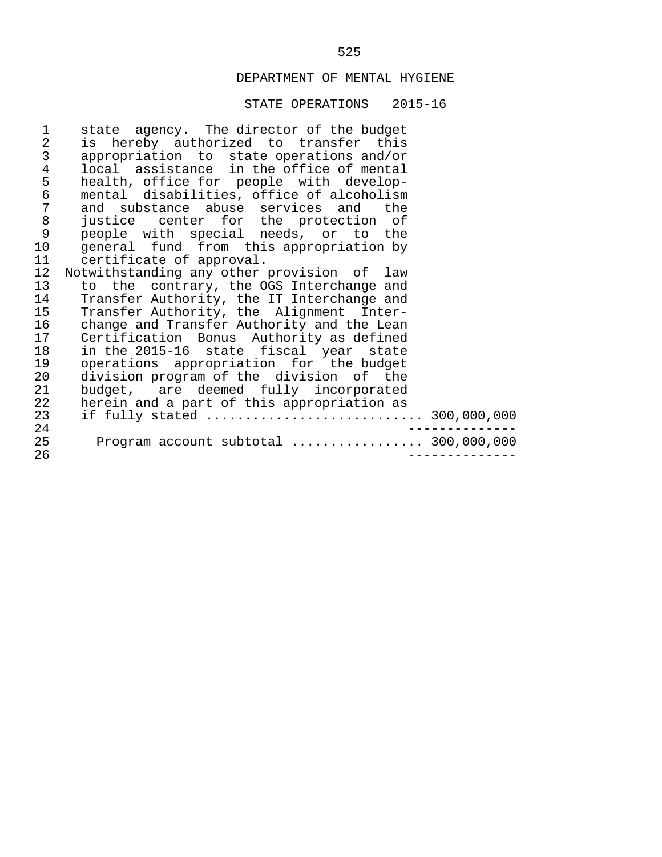| 1               | state agency. The director of the budget   |
|-----------------|--------------------------------------------|
| $\sqrt{2}$      | is hereby authorized to transfer this      |
| $\mathsf{3}$    | appropriation to state operations and/or   |
| 4               | local assistance in the office of mental   |
| 5               | health, office for people with develop-    |
| 6               | mental disabilities, office of alcoholism  |
| $\overline{7}$  | and substance abuse services and the       |
| $\,8\,$         | justice center for the protection of       |
| 9               | people with special needs, or to the       |
| 10 <sub>1</sub> | general fund from this appropriation by    |
| 11              | certificate of approval.                   |
| 12              | Notwithstanding any other provision of law |
| 13              | to the contrary, the OGS Interchange and   |
| 14              | Transfer Authority, the IT Interchange and |
| 15              | Transfer Authority, the Alignment Inter-   |
| 16              | change and Transfer Authority and the Lean |
| 17              | Certification Bonus Authority as defined   |
| 18              | in the 2015-16 state fiscal year state     |
| 19              | operations appropriation for the budget    |
| 20              | division program of the division of the    |
| 21              | budget, are deemed fully incorporated      |
| 22              | herein and a part of this appropriation as |
| 23              | if fully stated  300,000,000               |
| 24              |                                            |
| 25              | Program account subtotal  300,000,000      |
| 26              |                                            |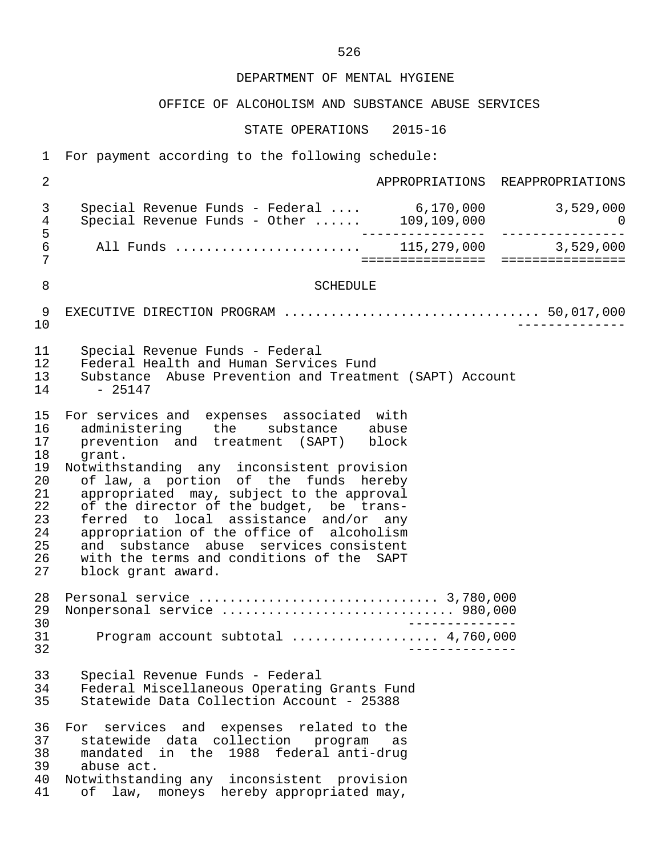## OFFICE OF ALCOHOLISM AND SUBSTANCE ABUSE SERVICES

| $\mathbf{1}$                                                               | For payment according to the following schedule:                                                                                                                                                                                                                                                                                                                                                                                                                                                                      |                   |                                      |
|----------------------------------------------------------------------------|-----------------------------------------------------------------------------------------------------------------------------------------------------------------------------------------------------------------------------------------------------------------------------------------------------------------------------------------------------------------------------------------------------------------------------------------------------------------------------------------------------------------------|-------------------|--------------------------------------|
| $\overline{2}$                                                             |                                                                                                                                                                                                                                                                                                                                                                                                                                                                                                                       |                   | APPROPRIATIONS REAPPROPRIATIONS      |
| 3<br>$\overline{4}$                                                        | Special Revenue Funds - Federal  6,170,000 3,529,000<br>Special Revenue Funds - Other  109,109,000 0                                                                                                                                                                                                                                                                                                                                                                                                                  |                   |                                      |
| 5<br>$\epsilon$<br>7                                                       | All Funds  115,279,000 3,529,000                                                                                                                                                                                                                                                                                                                                                                                                                                                                                      |                   | ==================================== |
| 8                                                                          | <b>SCHEDULE</b>                                                                                                                                                                                                                                                                                                                                                                                                                                                                                                       |                   |                                      |
| 9<br>10                                                                    |                                                                                                                                                                                                                                                                                                                                                                                                                                                                                                                       |                   |                                      |
| 11<br>12<br>13<br>14                                                       | Special Revenue Funds - Federal<br>Federal Health and Human Services Fund<br>Substance Abuse Prevention and Treatment (SAPT) Account<br>$-25147$                                                                                                                                                                                                                                                                                                                                                                      |                   |                                      |
| 15<br>16<br>17<br>18<br>19<br>20<br>21<br>22<br>23<br>24<br>25<br>26<br>27 | For services and expenses associated with<br>administering the substance abuse<br>prevention and treatment (SAPT) block<br>grant.<br>Notwithstanding any inconsistent provision<br>of law, a portion of the funds hereby<br>appropriated may, subject to the approval<br>of the director of the budget, be trans-<br>ferred to local assistance and/or any<br>appropriation of the office of alcoholism<br>and substance abuse services consistent<br>with the terms and conditions of the SAPT<br>block grant award. |                   |                                      |
| 28<br>29<br>30<br>31<br>32                                                 | Nonpersonal service  980,000<br>Program account subtotal  4,760,000                                                                                                                                                                                                                                                                                                                                                                                                                                                   | _ _ _ _ _ _ _ _ . |                                      |
| 33<br>34<br>35                                                             | Special Revenue Funds - Federal<br>Federal Miscellaneous Operating Grants Fund<br>Statewide Data Collection Account - 25388                                                                                                                                                                                                                                                                                                                                                                                           |                   |                                      |
| 36<br>37<br>38<br>39<br>40<br>41                                           | For services and expenses related to the<br>statewide data collection program<br>mandated in the 1988 federal anti-drug<br>abuse act.<br>Notwithstanding any inconsistent provision<br>of law, moneys hereby appropriated may,                                                                                                                                                                                                                                                                                        | as                |                                      |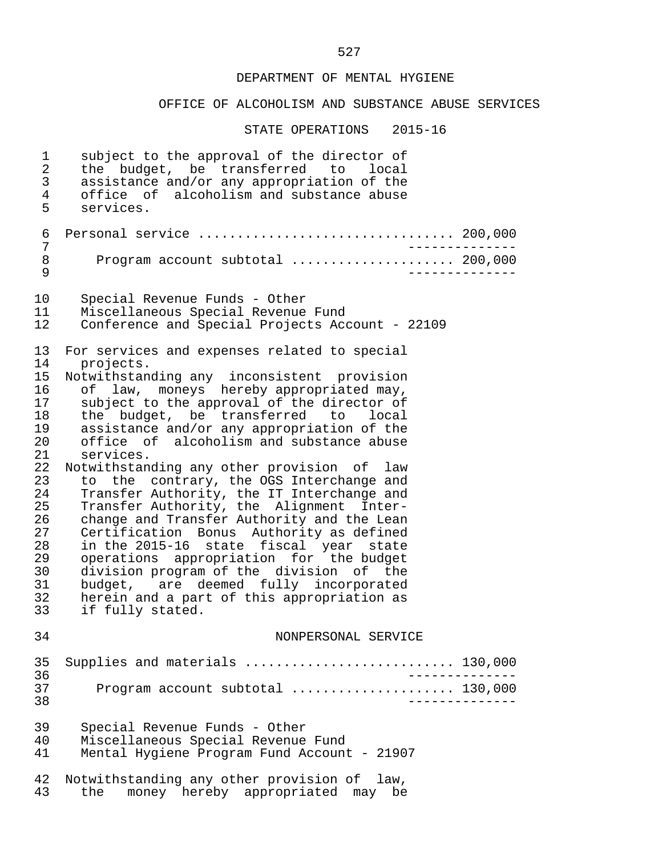## OFFICE OF ALCOHOLISM AND SUBSTANCE ABUSE SERVICES

| 1<br>2<br>3<br>$\overline{4}$<br>5                                                                             | subject to the approval of the director of<br>the budget, be transferred to<br>local<br>assistance and/or any appropriation of the<br>office of alcoholism and substance abuse<br>services.                                                                                                                                                                                                                                                                                                                                                                                                                                                                                                                                                                                                                         |
|----------------------------------------------------------------------------------------------------------------|---------------------------------------------------------------------------------------------------------------------------------------------------------------------------------------------------------------------------------------------------------------------------------------------------------------------------------------------------------------------------------------------------------------------------------------------------------------------------------------------------------------------------------------------------------------------------------------------------------------------------------------------------------------------------------------------------------------------------------------------------------------------------------------------------------------------|
| 6<br>7                                                                                                         | Personal service  200,000                                                                                                                                                                                                                                                                                                                                                                                                                                                                                                                                                                                                                                                                                                                                                                                           |
| 8<br>9                                                                                                         | Program account subtotal  200,000                                                                                                                                                                                                                                                                                                                                                                                                                                                                                                                                                                                                                                                                                                                                                                                   |
| 10<br>11<br>12                                                                                                 | Special Revenue Funds - Other<br>Miscellaneous Special Revenue Fund<br>Conference and Special Projects Account - 22109                                                                                                                                                                                                                                                                                                                                                                                                                                                                                                                                                                                                                                                                                              |
| 13<br>14                                                                                                       | For services and expenses related to special<br>projects.                                                                                                                                                                                                                                                                                                                                                                                                                                                                                                                                                                                                                                                                                                                                                           |
| 15<br>16<br>17<br>18<br>19<br>20<br>21<br>22<br>23<br>24<br>25<br>26<br>27<br>28<br>29<br>30<br>31<br>32<br>33 | Notwithstanding any inconsistent provision<br>law, moneys hereby appropriated may,<br>of<br>subject to the approval of the director of<br>the budget, be transferred to<br>local<br>assistance and/or any appropriation of the<br>office of alcoholism and substance abuse<br>services.<br>Notwithstanding any other provision of<br>law<br>to the contrary, the OGS Interchange and<br>Transfer Authority, the IT Interchange and<br>Transfer Authority, the Alignment Inter-<br>change and Transfer Authority and the Lean<br>Certification Bonus Authority as defined<br>in the 2015-16 state fiscal year state<br>operations appropriation for the budget<br>division program of the division of the<br>budget, are deemed fully incorporated<br>herein and a part of this appropriation as<br>if fully stated. |
| 34                                                                                                             | NONPERSONAL SERVICE                                                                                                                                                                                                                                                                                                                                                                                                                                                                                                                                                                                                                                                                                                                                                                                                 |
| 35<br>36                                                                                                       | Supplies and materials  130,000<br>____________                                                                                                                                                                                                                                                                                                                                                                                                                                                                                                                                                                                                                                                                                                                                                                     |
| 37<br>38                                                                                                       | Program account subtotal  130,000                                                                                                                                                                                                                                                                                                                                                                                                                                                                                                                                                                                                                                                                                                                                                                                   |
| 39<br>40<br>41                                                                                                 | Special Revenue Funds - Other<br>Miscellaneous Special Revenue Fund<br>Mental Hygiene Program Fund Account - 21907                                                                                                                                                                                                                                                                                                                                                                                                                                                                                                                                                                                                                                                                                                  |
| 42<br>43                                                                                                       | Notwithstanding any other provision of law,<br>money hereby appropriated may be<br>the                                                                                                                                                                                                                                                                                                                                                                                                                                                                                                                                                                                                                                                                                                                              |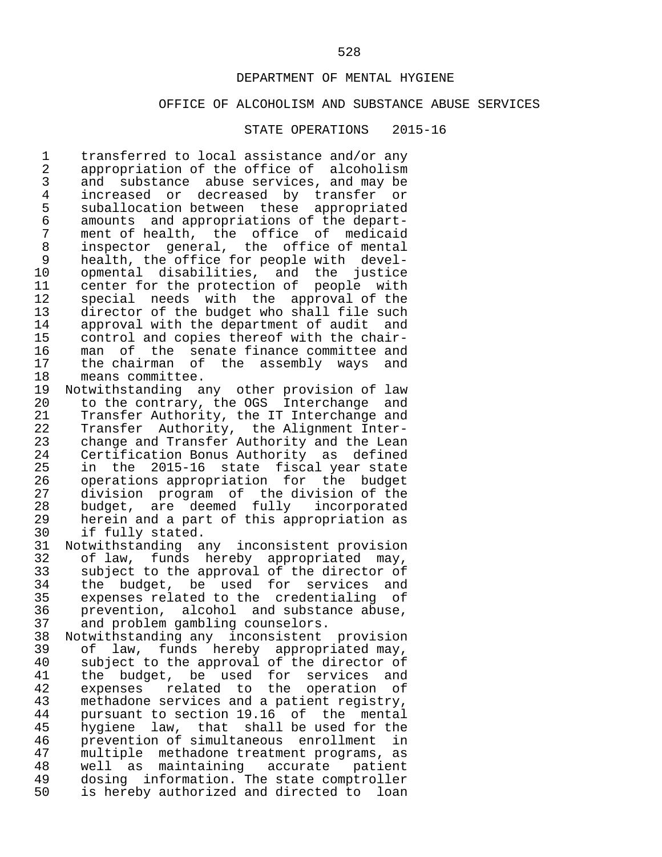#### OFFICE OF ALCOHOLISM AND SUBSTANCE ABUSE SERVICES

#### STATE OPERATIONS 2015-16

1 transferred to local assistance and/or any<br>2 appropriation of the office of alcoholism 2 appropriation of the office of alcoholism<br>3 and substance abuse services, and may be 3 and substance abuse services, and may be<br>4 increased or decreased by transfer or 4 increased or decreased by transfer or<br>5 suballocation-between these appropriated 5 suballocation between these appropriated<br>6 amounts and appropriations of the depart-6 amounts and appropriations of the depart-<br>7 ment of health, the office of medicaid 7 ment of health, the office of medicaid<br>8 inspector general, the office of mental 8 inspector general, the office of mental<br>9 health, the office for people with devel- 9 health, the office for people with devel- 10 opmental disabilities, and the justice<br>11 center for the protection of people with 11 center for the protection of people with<br>12 special needs with the approval of the 12 special needs with the approval of the<br>13 director of the budget who shall file such 13 director of the budget who shall file such<br>14 approval with the department of audit and 14 approval with the department of audit and<br>15 control and copies thereof with the chair-15 control and copies thereof with the chair-<br>16 man of the senate finance committee and 16 man of the senate-finance-committee-and-<br>17 the chairman of the assembly ways and 17 the chairman of the assembly ways and<br>18 means committee. 18 means committee.<br>19 Notwithstanding a

19 Notwithstanding any other provision of law<br>20 to the contrary, the OGS Interchange and 20 to the contrary, the OGS Interchange and<br>21 Transfer Authority, the IT Interchange and 21 Transfer Authority, the IT Interchange and<br>22 Transfer Authority, the Alignment Inter-22 Transfer Authority, the Alignment Inter-<br>23 change and Transfer Authority and the Lean 23 change and Transfer Authority and the Lean<br>24 Certification Bonus Authority as defined 24 Certification Bonus Authority as defined<br>25 in the 2015-16 state fiscal year state 25 in the 2015-16 state fiscal year state<br>26 operations appropriation for the budget 26 operations appropriation for the budget<br>27 division program of the division of the 27 division program of the division of the<br>28 budget, are deemed fully incorporated 28 budget, are deemed fully<br>29 herein and a part of this app 29 herein and a part of this appropriation as<br>30 if fully stated.

30 if fully stated.<br>31 Notwithstanding a 31 Notwithstanding any inconsistent provision<br>32 of law, funds hereby appropriated may, 32 of law, funds hereby appropriated may,<br>33 subject to the approval of the director of 33 subject to the approval of the director of<br>34 the budget, be used for services and 34 the budget, be used for services and<br>35 expenses related to the credentialing of 35 expenses related to the credentialing of<br>36 prevention, alcohol and substance abuse, 36 prevention, alcohol and substance abuse,<br>37 and problem gambling counselors. 37 and problem gambling counselors.<br>38 Notwithstanding any inconsistent

38 Notwithstanding any inconsistent provision<br>39 of law, funds hereby appropriated may, 39 of law, funds hereby appropriated may,<br>40 subject to the approval of the director of 40 subject to the approval of the director of<br>41 the budget, be used for services and 41 the budget, be used for services and<br>42 expenses related to the operation of 42 expenses related to the operation of<br>43 methadone-services and a patient registry, 43 methadone services and a patient registry,<br>44 pursuant to section 19.16 of the mental 44 pursuant to section 19.16 of the mental<br>45 hygiene law, that shall be used for the 45 hygiene law, that shall be used for the<br>46 prevention of simultaneous enrollment in 46 prevention of simultaneous enrollment in<br>47 multiple methadone treatment programs, as 47 multiple methadone treatment programs, as<br>48 well as maintaining accurate patient 48 well as maintaining<br>49 dosing information. T 49 dosing information. The state comptroller<br>50 is hereby authorized and directed to loan is hereby authorized and directed to loan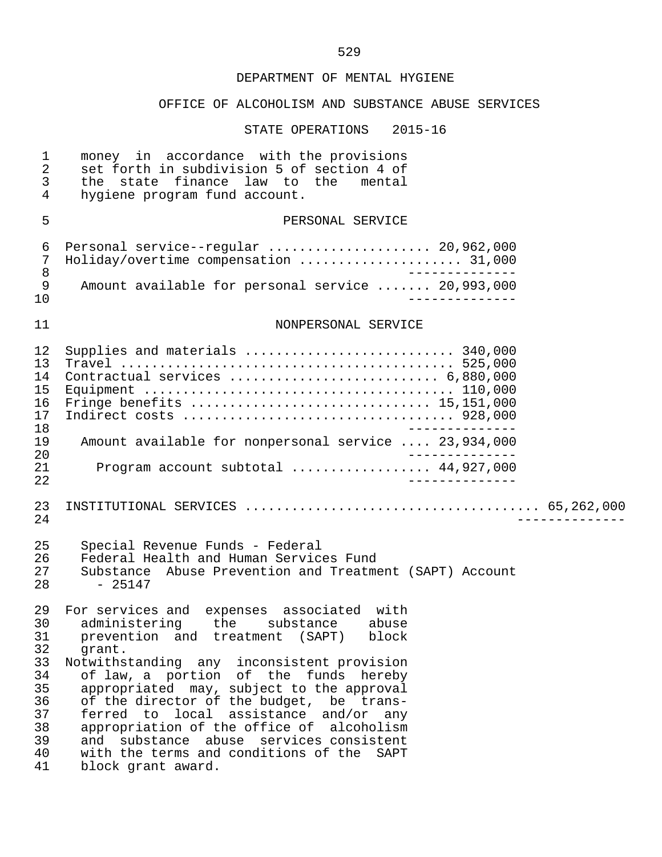## OFFICE OF ALCOHOLISM AND SUBSTANCE ABUSE SERVICES

| 1<br>$\overline{a}$<br>3<br>4                                              | money in accordance with the provisions<br>set forth in subdivision 5 of section 4 of<br>the state finance law to the<br>mental<br>hygiene program fund account.                                                                                                                                                                                                                                                                                                                                                               |
|----------------------------------------------------------------------------|--------------------------------------------------------------------------------------------------------------------------------------------------------------------------------------------------------------------------------------------------------------------------------------------------------------------------------------------------------------------------------------------------------------------------------------------------------------------------------------------------------------------------------|
| 5                                                                          | PERSONAL SERVICE                                                                                                                                                                                                                                                                                                                                                                                                                                                                                                               |
| 6<br>7<br>8                                                                | Personal service--regular  20,962,000<br>Holiday/overtime compensation  31,000                                                                                                                                                                                                                                                                                                                                                                                                                                                 |
| $\mathsf 9$<br>10                                                          | Amount available for personal service  20,993,000                                                                                                                                                                                                                                                                                                                                                                                                                                                                              |
| 11                                                                         | NONPERSONAL SERVICE                                                                                                                                                                                                                                                                                                                                                                                                                                                                                                            |
| 12<br>13<br>14<br>15<br>16<br>17                                           | Supplies and materials  340,000<br>Contractual services  6,880,000<br>Fringe benefits  15,151,000                                                                                                                                                                                                                                                                                                                                                                                                                              |
| 18<br>19<br>20                                                             | Amount available for nonpersonal service  23,934,000                                                                                                                                                                                                                                                                                                                                                                                                                                                                           |
| 21<br>22                                                                   | Program account subtotal  44,927,000<br>______________                                                                                                                                                                                                                                                                                                                                                                                                                                                                         |
| 23<br>24                                                                   |                                                                                                                                                                                                                                                                                                                                                                                                                                                                                                                                |
| 25<br>26<br>27<br>28                                                       | Special Revenue Funds - Federal<br>Federal Health and Human Services Fund<br>Substance Abuse Prevention and Treatment (SAPT) Account<br>$-25147$                                                                                                                                                                                                                                                                                                                                                                               |
| 29<br>30<br>31<br>32<br>33<br>34<br>35<br>36<br>37<br>38<br>39<br>40<br>41 | For services and expenses associated with<br>administering the substance<br>abuse<br>and treatment (SAPT)<br>prevention<br>block<br>grant.<br>Notwithstanding any inconsistent provision<br>of law, a portion of the funds hereby<br>appropriated may, subject to the approval<br>of the director of the budget, be trans-<br>ferred to local assistance and/or any<br>appropriation of the office of alcoholism<br>and substance abuse services consistent<br>with the terms and conditions of the SAPT<br>block grant award. |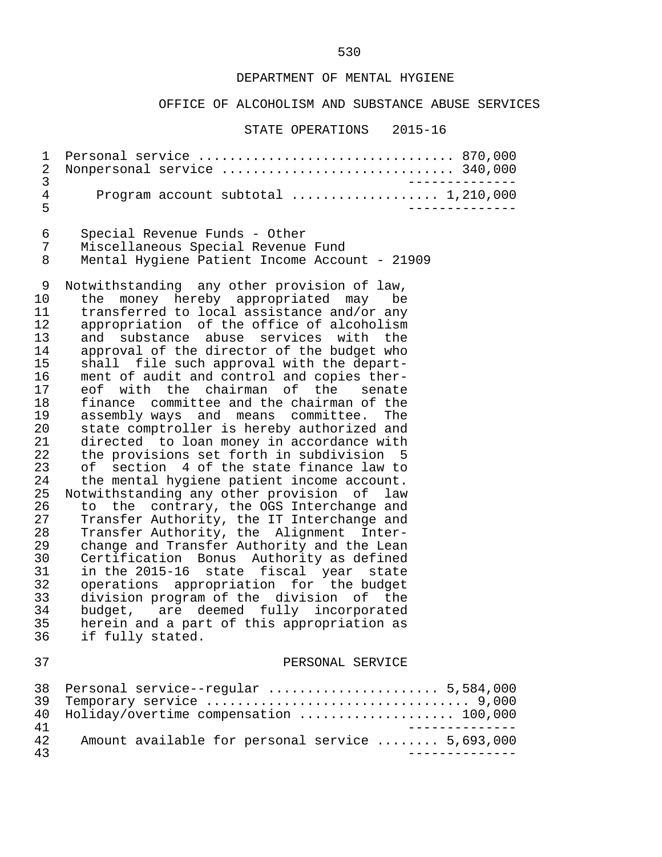#### OFFICE OF ALCOHOLISM AND SUBSTANCE ABUSE SERVICES

#### STATE OPERATIONS 2015-16

 1 Personal service ................................. 870,000 2 Nonpersonal service .............................. 340,000 3 -------------- 4 Program account subtotal ..................... 1,210,000 5 -------------- 6 Special Revenue Funds - Other 7 Miscellaneous Special Revenue Fund Mental Hygiene Patient Income Account - 21909 9 Notwithstanding any other provision of law,<br>10 the money hereby appropriated may be 10 the money hereby appropriated may be<br>11 transferred to local assistance and/or any 11 transferred to local assistance and/or any<br>12 appropriation of the office of alcoholism 12 appropriation of the office of alcoholism<br>13 and substance abuse services with the 13 and substance abuse services with the<br>14 approval of the director of the budget who 14 approval of the director of the budget who<br>15 shall file such approval with the depart-15 shall file such approval with the depart-<br>16 ment of audit and control and copies ther-16 ment of audit and control and copies ther-<br>17 eof with the chairman of the senate 17 eof with the chairman of the senate<br>18 finance committee and the chairman of the 18 finance committee and the chairman of the<br>19 assembly ways and means committee. The 19 assembly ways and means committee. The<br>20 state comptroller is hereby authorized and 20 state comptroller is hereby authorized and<br>21 directed to loan money in accordance with 21 directed to loan money in accordance with<br>22 the provisions set forth in subdivision 5 22 the provisions set forth in subdivision 5<br>23 of section 4 of the state finance law to 23 of section 4 of the state finance law to<br>24 the mental hygiene patient income account. 24 the mental hygiene patient income account.<br>25 Notwithstanding any other provision of law 25 Notwithstanding any other provision of law<br>26 to the contrary, the OGS Interchange and 26 to the contrary, the OGS Interchange and<br>27 Transfer Authority, the IT Interchange and 27 Transfer Authority, the IT Interchange and<br>28 Transfer Authority, the Alignment Inter-28 Transfer Authority, the Alignment Inter-<br>29 change and Transfer Authority and the Lean 29 change and Transfer Authority and the Lean<br>30 Certification Bonus Authority as defined 30 Certification Bonus Authority as defined 31 in the 2015-16 state fiscal year state 32 operations appropriation for the budget<br>33 division-program-of-the-division of the 33 division program of the division of the 34 budget, are deemed fully incorporated<br>35 herein and a part of this appropriation as 35 herein and a part of this appropriation as<br>36 if fully stated. if fully stated. 37 PERSONAL SERVICE 38 Personal service--regular ...................... 5,584,000 39 Temporary service .................................. 9,000 40 Holiday/overtime compensation ....................... 100,000<br>41 41<br>42 Amount available for personal service ........ 5.693.000 42 Amount available for personal service ........ 5,693,000 43 --------------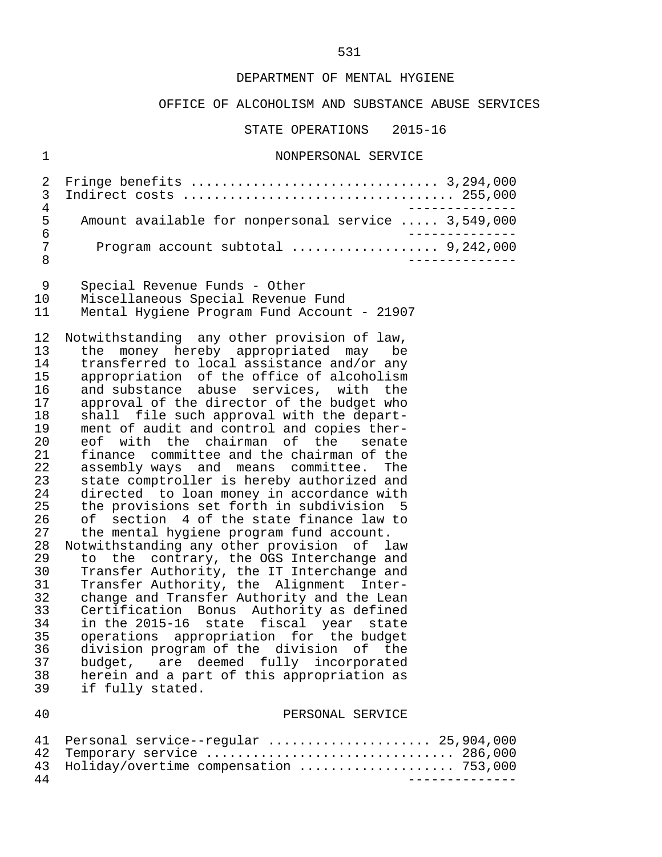#### OFFICE OF ALCOHOLISM AND SUBSTANCE ABUSE SERVICES

STATE OPERATIONS 2015-16

#### 1 NONPERSONAL SERVICE

| 5               | Amount available for nonpersonal service  3,549,000 |
|-----------------|-----------------------------------------------------|
| 6               |                                                     |
| $7\overline{ }$ |                                                     |
|                 |                                                     |

9 Special Revenue Funds - Other

# 10 Miscellaneous Special Revenue Fund

Mental Hygiene Program Fund Account - 21907

12 Notwithstanding any other provision of law,<br>13 the money hereby appropriated may be 13 the money hereby appropriated may be<br>14 transferred to local assistance and/or any 14 transferred to local assistance and/or any<br>15 appropriation of the office of alcoholism 15 appropriation of the office of alcoholism<br>16 and substance abuse services, with the 16 and substance abuse services, with the<br>17 approval of the director of the budget who 17 approval of the director of the budget who<br>18 shall file such approval with the depart-18 shall file such approval with the depart-<br>19 ment of audit and control and copies ther-19 ment of audit and control and copies ther-<br>20 eof with the chairman of the senate 20 eof with the chairman of the senate<br>21 finance committee and the chairman of the 21 finance committee and the chairman of the<br>22 assembly ways and means committee. The 22 assembly ways and means committee. The<br>23 state comptroller is hereby authorized and 23 state comptroller is hereby authorized and<br>24 directed to loan money in accordance with 24 directed to loan money in accordance with<br>25 the provisions set forth in subdivision 5 25 the provisions set forth in subdivision 5<br>26 of section 4 of the state finance law to 26 of section 4 of the state finance law to<br>27 the mental hygiene program fund account. the mental hygiene program fund account.

 28 Notwithstanding any other provision of law 29 to the contrary, the OGS Interchange and<br>30 Transfer Authority, the IT Interchange and 30 Transfer Authority, the IT Interchange and<br>31 Transfer Authority, the Alignment Inter-31 Transfer Authority, the Alignment Inter-<br>32 change and Transfer Authority and the Lean 32 change and Transfer Authority and the Lean<br>33 Certification Bonus Authority as defined 33 Certification Bonus Authority as defined 34 in the 2015-16 state fiscal year state<br>35 operations appropriation for the budget 35 operations appropriation for the budget<br>36 division program of the division of the 36 division program of the division of the<br>37 budget, are deemed fully incorporated 37 budget, are deemed fully incorporated<br>38 herein and a part of this appropriation as herein and a part of this appropriation as 39 if fully stated.

#### 40 PERSONAL SERVICE

|    | 41 Personal service--regular  25,904,000  |
|----|-------------------------------------------|
|    | 42 Temporary service  286,000             |
|    | 43 Holiday/overtime compensation  753,000 |
| 44 |                                           |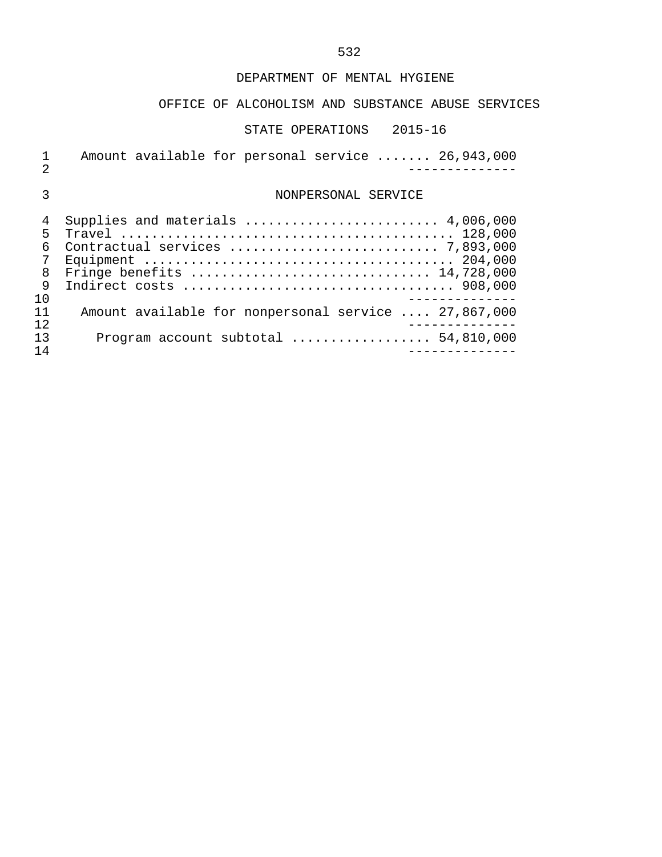## OFFICE OF ALCOHOLISM AND SUBSTANCE ABUSE SERVICES

#### STATE OPERATIONS 2015-16

1 Amount available for personal service ....... 26,943,000 2 --------------

## 3 NONPERSONAL SERVICE

|     | 4 Supplies and materials  4,006,000                  |
|-----|------------------------------------------------------|
| 5.  |                                                      |
|     |                                                      |
|     |                                                      |
| 8   |                                                      |
| 9   |                                                      |
| 1 O |                                                      |
| 11  | Amount available for nonpersonal service  27,867,000 |
| 12. |                                                      |
| 1 ว | Program account subtotal $\ldots$ 54,810,000         |
| 14  |                                                      |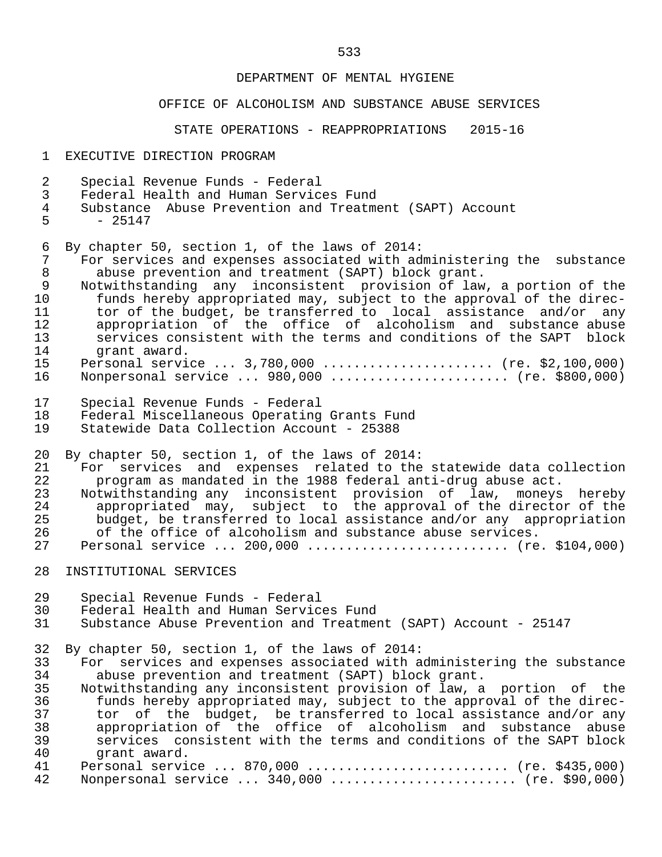#### OFFICE OF ALCOHOLISM AND SUBSTANCE ABUSE SERVICES

STATE OPERATIONS - REAPPROPRIATIONS 2015-16

- 1 EXECUTIVE DIRECTION PROGRAM
- 2 Special Revenue Funds Federal
- 3 Federal Health and Human Services Fund
- 4 Substance Abuse Prevention and Treatment (SAPT) Account<br>5 25147
- $25147$
- 6 By chapter 50, section 1, of the laws of 2014:
- 7 For services and expenses associated with administering the substance<br>8 abuse prevention and treatment (SAPT) block grant. 8 abuse prevention and treatment (SAPT) block grant.<br>9 Notwithstanding any inconsistent provision of law
- 9 Notwithstanding any inconsistent provision of law, a portion of the<br>10 funds hereby appropriated may, subject to the approval of the direc-10 funds hereby appropriated may, subject to the approval of the direc-<br>11 tor of the budget, be transferred to local assistance and/or any 11 tor of the budget, be transferred to local assistance and/or any<br>12 appropriation of the office of alcoholism and substance abuse 12 appropriation of the office of alcoholism and substance abuse<br>13 services consistent with the terms and conditions of the SAPT block 13 services consistent with the terms and conditions of the SAPT block<br>14 orant award. 14 grant award.<br>15 Personal servi
- 15 Personal service ... 3,780,000 ...................... (re. \$2,100,000)<br>16 Nonpersonal service ... 980.000 ........................ (re. \$800.000) Nonpersonal service ... 980,000 ....................... (re. \$800,000)
- 17 Special Revenue Funds Federal
- 18 Federal Miscellaneous Operating Grants Fund<br>19 Statewide Data Collection Account 25388
- Statewide Data Collection Account 25388

20 By chapter 50, section 1, of the laws of 2014:<br>21 For services and expenses related to the

- 21 For services and expenses related to the statewide data collection 22 program as mandated in the 1988 federal anti-drug abuse act.<br>23 Notwithstanding any inconsistent provision of law, moneys 23 Notwithstanding any inconsistent provision of law, moneys hereby<br>24 appropriated may, subject to the approval of the director of the 24 appropriated may, subject to the approval of the director of the<br>25 budget, be transferred to local assistance and/or any appropriation  $25$  budget, be transferred to local assistance and/or any appropriation<br>26 of the office of alcoholism and substance abuse services. 26 of the office of alcoholism and substance abuse services.
- 27 Personal service ... 200,000 .......................... (re. \$104,000)
- 28 INSTITUTIONAL SERVICES
- 29 Special Revenue Funds Federal<br>30 Federal Health and Human Servic
- 30 Federal Health and Human Services Fund<br>31 Substance Abuse Prevention and Treatmer
- Substance Abuse Prevention and Treatment (SAPT) Account 25147

32 By chapter 50, section 1, of the laws of 2014:<br>33 For services and expenses associated with a

33 For services and expenses associated with administering the substance<br>34 abuse prevention and treatment (SAPT) block grant. 34 abuse prevention and treatment (SAPT) block grant.<br>35 Notwithstanding any inconsistent provision of law, a

- 35 Notwithstanding any inconsistent provision of law, a portion of the<br>36 funds hereby appropriated may, subject to the approval of the direc-36 funds hereby appropriated may, subject to the approval of the direc-<br>37 tor of the budget, be transferred to local assistance and/or any 37 tor of the budget, be transferred to local assistance and/or any<br>38 appropriation of the office of alcoholism and substance abuse 38 appropriation of the office of alcoholism and substance abuse<br>39 services consistent with the terms and conditions of the SAPT block 39 services consistent with the terms and conditions of the SAPT block 40 grant award.<br>41 Personal servi
- 41 Personal service ... 870,000 .......................... (re. \$435,000) Monpersonal service ... 340,000 ........................ (re. \$90,000)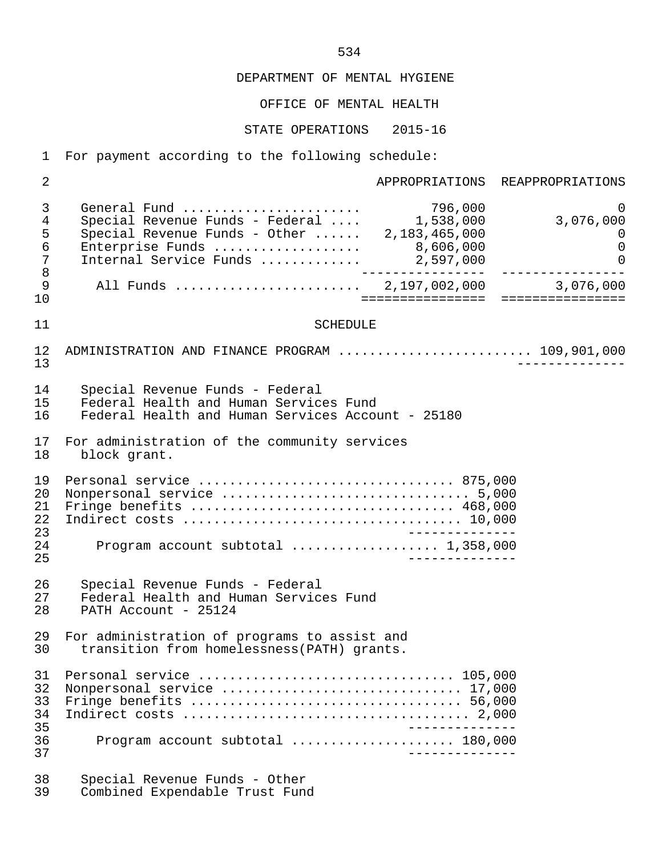#### OFFICE OF MENTAL HEALTH

#### STATE OPERATIONS 2015-16

1 For payment according to the following schedule:

2 **APPROPRIATIONS** REAPPROPRIATIONS 3 General Fund ....................... 796,000 0 4 Special Revenue Funds - Federal .... 1,538,000 3,076,000 5 Special Revenue Funds - Other ...... 2,183,465,000 0 6 Enterprise Funds ................... 8,606,000 0 7 Internal Service Funds .............<br>8 8 ---------------- ---------------- 9 All Funds ........................ 2,197,002,000 3,076,000 10 ================ ================ 11 SCHEDULE 12 ADMINISTRATION AND FINANCE PROGRAM ............................ 109,901,000<br>13 13 -------------- 14 Special Revenue Funds - Federal 15 Federal Health and Human Services Fund<br>16 Federal Health and Human Services Accou Federal Health and Human Services Account - 25180 17 For administration of the community services<br>18 block grant block grant. 19 Personal service ................................. 875,000 20 Nonpersonal service ................................ 5,000 21 Fringe benefits .................................. 468,000 22 Indirect costs .................................... 10,000 23 -------------- 24 Program account subtotal ................... 1,358,000 25 -------------- 26 Special Revenue Funds - Federal<br>27 Federal Health and Human Servic 27 Federal Health and Human Services Fund<br>28 PATH Account - 25124 PATH Account - 25124 29 For administration of programs to assist and<br>30 transition from homelessness(PATH) grants. transition from homelessness(PATH) grants. 31 Personal service ................................. 105,000 32 Nonpersonal service ............................... 17,000 33 Fringe benefits ................................... 56,000 34 Indirect costs ..................................... 2,000 35 -------------- 36 Program account subtotal ..................... 180,000 37 -------------- 38 Special Revenue Funds - Other Combined Expendable Trust Fund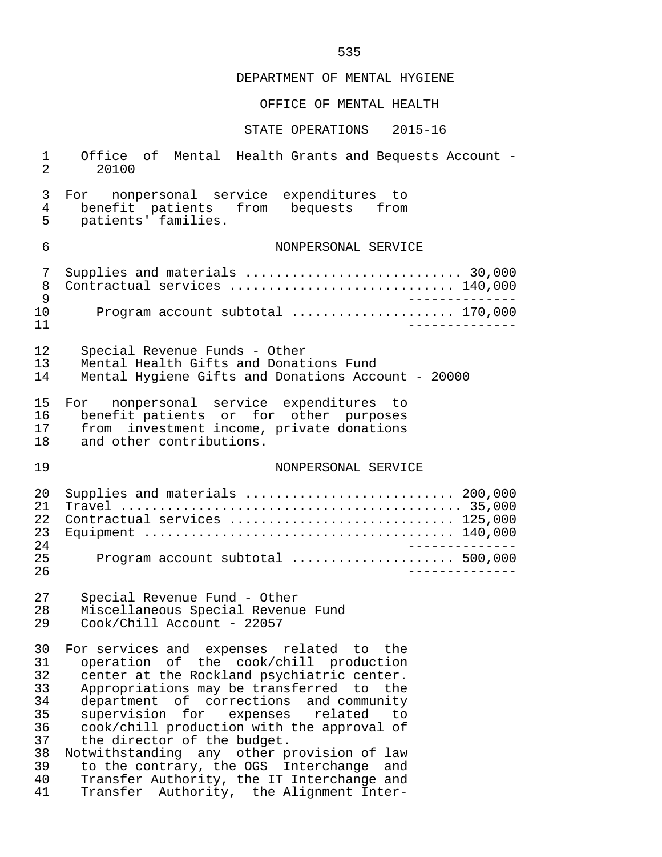## OFFICE OF MENTAL HEALTH

| $\mathbf{1}$<br>2                                                    | Office of Mental Health Grants and Bequests Account -<br>20100                                                                                                                                                                                                                                                                                                                                                                                                                                                                        |
|----------------------------------------------------------------------|---------------------------------------------------------------------------------------------------------------------------------------------------------------------------------------------------------------------------------------------------------------------------------------------------------------------------------------------------------------------------------------------------------------------------------------------------------------------------------------------------------------------------------------|
| 3<br>4<br>5                                                          | For nonpersonal service expenditures to<br>benefit patients from bequests from<br>patients' families.                                                                                                                                                                                                                                                                                                                                                                                                                                 |
| 6                                                                    | NONPERSONAL SERVICE                                                                                                                                                                                                                                                                                                                                                                                                                                                                                                                   |
| 7<br>8<br>9                                                          | Supplies and materials  30,000<br>Contractual services  140,000                                                                                                                                                                                                                                                                                                                                                                                                                                                                       |
| 10<br>11                                                             | Program account subtotal  170,000                                                                                                                                                                                                                                                                                                                                                                                                                                                                                                     |
| 12<br>13<br>14                                                       | Special Revenue Funds - Other<br>Mental Health Gifts and Donations Fund<br>Mental Hygiene Gifts and Donations Account - 20000                                                                                                                                                                                                                                                                                                                                                                                                         |
| 15<br>16<br>17<br>18                                                 | For nonpersonal service expenditures to<br>benefit patients or for other purposes<br>from investment income, private donations<br>and other contributions.                                                                                                                                                                                                                                                                                                                                                                            |
| 19                                                                   | NONPERSONAL SERVICE                                                                                                                                                                                                                                                                                                                                                                                                                                                                                                                   |
| 20<br>21<br>22<br>23<br>24<br>25<br>26                               | Supplies and materials  200,000<br>Contractual services  125,000<br>Program account subtotal  500,000                                                                                                                                                                                                                                                                                                                                                                                                                                 |
| 27<br>28<br>29                                                       | Special Revenue Fund - Other<br>Miscellaneous Special Revenue Fund<br>Cook/Chill Account - 22057                                                                                                                                                                                                                                                                                                                                                                                                                                      |
| 30<br>31<br>32<br>33<br>34<br>35<br>36<br>37<br>38<br>39<br>40<br>41 | For services and expenses related to the<br>operation of the cook/chill production<br>center at the Rockland psychiatric center.<br>Appropriations may be transferred to the<br>department of corrections and community<br>supervision for<br>expenses related<br>to<br>cook/chill production with the approval of<br>the director of the budget.<br>Notwithstanding any other provision of law<br>to the contrary, the OGS Interchange and<br>Transfer Authority, the IT Interchange and<br>Transfer Authority, the Alignment Inter- |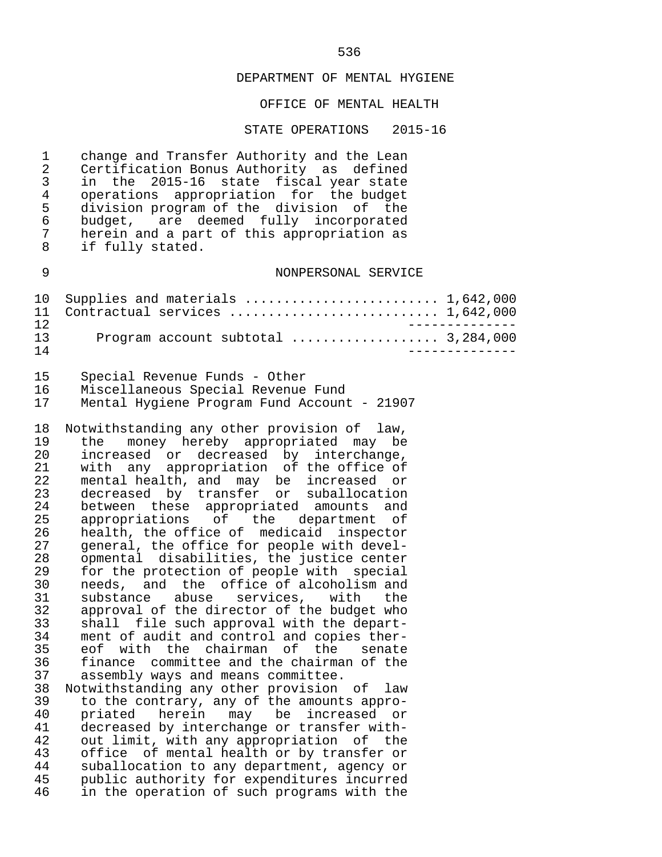#### OFFICE OF MENTAL HEALTH

#### STATE OPERATIONS 2015-16

1 change and Transfer Authority and the Lean<br>2 Certification Bonus Authority as defined 2 Certification Bonus Authority as defined<br>3 in the 2015-16 state fiscal year state 3 in the 2015-16 state fiscal year state 4 operations appropriation for the budget<br>5 division program of the division of the 5 division program of the division of the<br>6 budget, are deemed fully incorporated 6 budget, are deemed fully incorporated 7 herein and a part of this appropriation as<br>8 if fully stated. if fully stated.

#### 9 NONPERSONAL SERVICE

|    | 10 Supplies and materials  1,642,000 |  |
|----|--------------------------------------|--|
|    | 11 Contractual services  1,642,000   |  |
|    |                                      |  |
| 13 |                                      |  |
| 14 |                                      |  |

|    | Special Revenue Funds - Other               |
|----|---------------------------------------------|
|    | Miscellaneous Special Revenue Fund          |
| 17 | Mental Hygiene Program Fund Account - 21907 |

18 Notwithstanding any other provision of law,<br>19 the money hereby appropriated may be 19 the money hereby appropriated may be<br>20 increased or decreased by interchange. 20 increased or decreased by interchange,<br>21 with any appropriation of the office of 21 with any appropriation of the office of<br>22 mental health, and may be increased or 22 mental health, and may be increased or<br>23 decreased by transfer or suballocation 23 decreased by transfer or suballocation<br>24 between these appropriated amounts and 24 between these appropriated amounts and<br>25 appropriations of the department of 25 appropriations of the department of<br>26 health, the office of medicaid inspector 26 health, the office of medicaid inspector<br>27 general, the office for people with devel-27 general, the office for people with devel-<br>28 opmental disabilities, the justice center 28 opmental disabilities, the justice center<br>29 for the protection of people with special 29 for the protection of people with special<br>30 needs, and the office of alcoholism and 30 needs, and the office of alcoholism and<br>31 substance abuse services, with the 31 substance abuse services, with the<br>32 approval of the-director of the-budget who 32 approval of the director of the budget who<br>33 shall file such approval with the depart- 33 shall file such approval with the depart- 34 ment of audit and control and copies ther-<br>35 eof with the chairman of the senate 35 eof with the chairman of the senate<br>36 finance committee-and-the-chairman-of-the 36 finance committee and the chairman of the<br>37 assembly ways and means committee. assembly ways and means committee. 38 Notwithstanding any other provision of law 39 to the contrary, any of the amounts appro- 40 priated herein may be increased or<br>41 decreased-by-interchange-or-transfer-with-

41 decreased by interchange or transfer with-<br>42 out limit, with any appropriation of the 42 out limit, with any appropriation of the<br>43 office of mental health or by transfer or 43 office of mental health or by transfer or<br>44 suballocation to any department, agency or 44 suballocation to any department, agency or<br>45 public authority for expenditures incurred 45 public authority for expenditures incurred<br>46 in the operation of such programs with the in the operation of such programs with the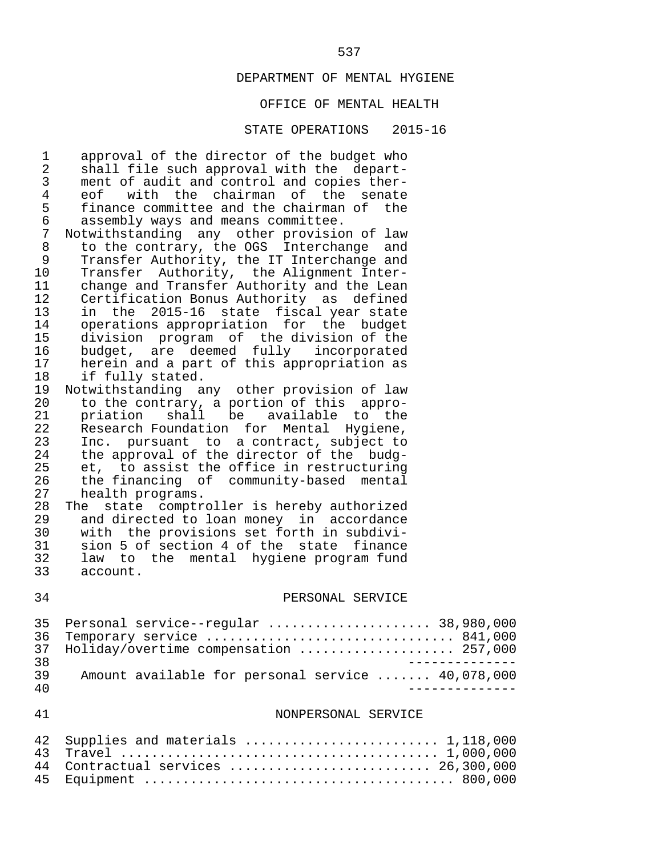## OFFICE OF MENTAL HEALTH

#### STATE OPERATIONS 2015-16

| $\mathbf{1}$   | approval of the director of the budget who        |
|----------------|---------------------------------------------------|
| $\overline{2}$ | shall file such approval with the depart-         |
| 3              | ment of audit and control and copies ther-        |
| $\overline{4}$ | eof with the chairman of the senate               |
| 5              | finance committee and the chairman of the         |
| $\epsilon$     | assembly ways and means committee.                |
| $\overline{7}$ | Notwithstanding any other provision of law        |
| $\, 8$         | to the contrary, the OGS Interchange and          |
| 9              | Transfer Authority, the IT Interchange and        |
| 10             | Transfer Authority, the Alignment Inter-          |
| 11             | change and Transfer Authority and the Lean        |
| 12             | Certification Bonus Authority as defined          |
| 13             | in the 2015-16 state fiscal year state            |
| 14             | operations appropriation for the budget           |
| 15             | division program of the division of the           |
| 16             | budget, are deemed fully incorporated             |
| 17             | herein and a part of this appropriation as        |
| 18             | if fully stated.                                  |
| 19             | Notwithstanding any other provision of law        |
| 20             | to the contrary, a portion of this appro-         |
| 21             | priation shall be available to the                |
| 22             | Research Foundation for Mental Hygiene,           |
| 23             | Inc. pursuant to a contract, subject to           |
| 24             | the approval of the director of the budg-         |
| 25             | et, to assist the office in restructuring         |
| 26             | the financing of community-based mental           |
| 27             | health programs.                                  |
| 28             | The state comptroller is hereby authorized        |
| 29             | and directed to loan money in accordance          |
| 30             | with the provisions set forth in subdivi-         |
| 31             | sion 5 of section 4 of the state finance          |
| 32             | law to the mental hygiene program fund            |
| 33             | account.                                          |
| 34             | PERSONAL SERVICE                                  |
| 35             | Personal service--regular  38,980,000             |
| 37             | 36 Temporary service  841,000                     |
| 38             | Holiday/overtime compensation  257,000            |
| 39             | Amount available for personal service  40,078,000 |
| 40             | -------------                                     |
| 41             | NONPERSONAL SERVICE                               |
| 42             | Supplies and materials  1,118,000                 |
| 43             |                                                   |
| 44             | Contractual services  26,300,000                  |

45 Equipment ........................................ 800,000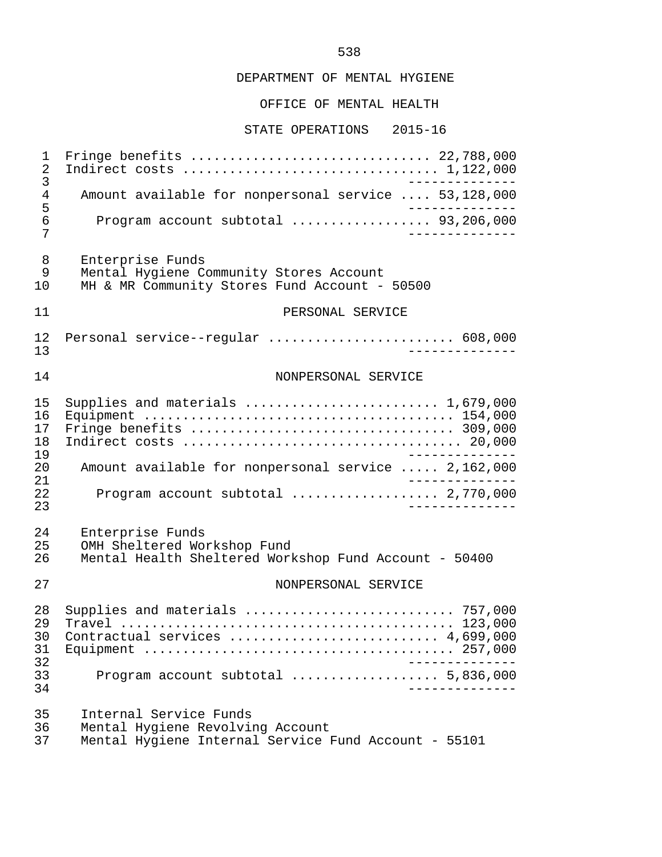#### OFFICE OF MENTAL HEALTH

STATE OPERATIONS 2015-16

 1 Fringe benefits ............................... 22,788,000 2 Indirect costs ................................. 1,122,000 3<br>4 Amount available for nonpersonal service ... 53.128.000 4 Amount available for nonpersonal service .... 53,128,000<br>5 5 -------------- 6 Program account subtotal .................. 93,206,000 7 -------------- 8 Enterprise Funds<br>9 Mental Hygiene Co 9 Mental Hygiene Community Stores Account<br>10 MH & MR Community Stores Fund Account -MH & MR Community Stores Fund Account - 50500 11 PERSONAL SERVICE 12 Personal service--regular ........................ 608,000 13 -------------- 14 NONPERSONAL SERVICE 15 Supplies and materials ......................... 1,679,000 16 Equipment ........................................ 154,000 17 Fringe benefits .................................. 309,000 18 Indirect costs .................................... 20,000 19<br>20 Amount available for nonpersonal service ..... 2.162.000 20 Amount available for nonpersonal service ..... 2,162,000 21 -------------- 22 Program account subtotal ................... 2,770,000 23 -------------- 24 Enterprise Funds<br>25 OMH Sheltered Wo 25 OMH Sheltered Workshop Fund<br>26 Mental Health Sheltered Work Mental Health Sheltered Workshop Fund Account - 50400 27 NONPERSONAL SERVICE 28 Supplies and materials ........................... 757,000 29 Travel ........................................... 123,000 30 Contractual services ........................... 4,699,000 31 Equipment ........................................ 257,000 32 -------------- 33 Program account subtotal ................... 5,836,000 34 -------------- 35 Internal Service Funds<br>36 Mental Hygiene Revolvi 36 Mental Hygiene Revolving Account<br>37 Mental Hygiene Internal Service Mental Hygiene Internal Service Fund Account - 55101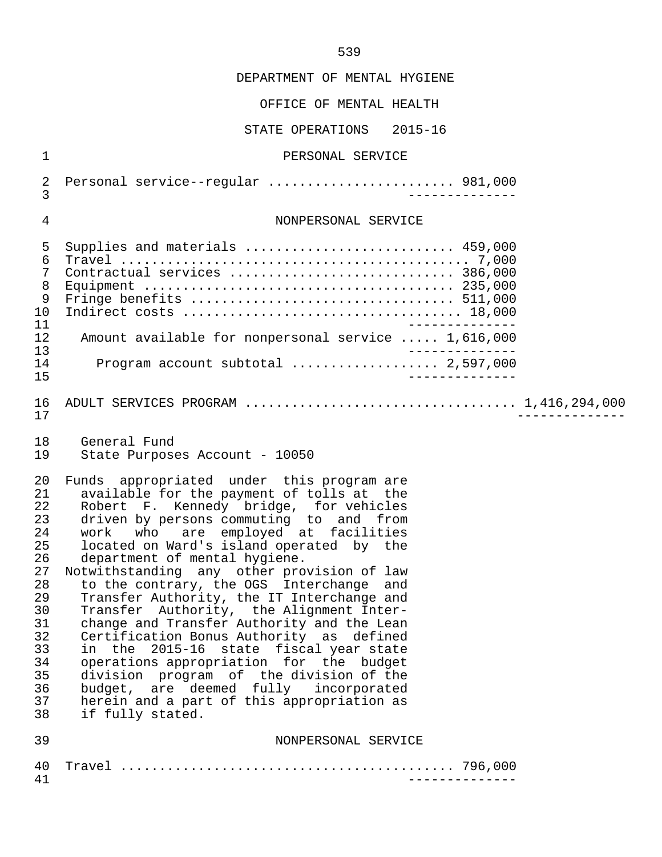#### OFFICE OF MENTAL HEALTH

STATE OPERATIONS 2015-16

#### 1 PERSONAL SERVICE

 2 Personal service--regular ........................ 981,000 3 -------------- 4 NONPERSONAL SERVICE 5 Supplies and materials ........................... 459,000 6 Travel ............................................. 7,000 7 Contractual services ............................. 386,000 8 Equipment ........................................ 235,000 9 Fringe benefits .................................. 511,000 10 Indirect costs .................................... 18,000 11 -------------- 12 Amount available for nonpersonal service ..... 1,616,000<br>13 13 -------------- 14 Program account subtotal ................... 2,597,000 15 -------------- 16 ADULT SERVICES PROGRAM ................................... 1,416,294,000 17 -------------- 18 General Fund<br>19 State Purpose State Purposes Account - 10050 20 Funds appropriated under this program are<br>21 available for the payment of tolls at the 21 available for the payment of tolls at the<br>22 Robert F. Kennedy bridge, for vehicles 22 Robert F. Kennedy bridge, for vehicles 23 driven by persons commuting to and from 24 work who are employed at facilities<br>25 located on Ward's island-operated by the 25 located on Ward's island operated by the<br>26 department of mental hygiene. 26 department of mental hygiene.<br>27 Notwithstanding any other pro 27 Notwithstanding any other provision of law<br>28 to the contrary, the OGS Interchange and 28 to the contrary, the OGS Interchange and<br>29 Transfer Authority, the IT Interchange and 29 Transfer Authority, the IT Interchange and<br>30 Transfer Authority, the Alignment Inter-30 Transfer Authority, the Alignment Inter-<br>31 change and Transfer Authority and the Lean 31 change and Transfer Authority and the Lean<br>32 Certification Bonus Authority as defined 32 Certification Bonus Authority as defined<br>33 in the 2015-16 state fiscal year state 33 in the 2015-16 state fiscal year state<br>34 operations appropriation for the budget 34 operations appropriation for the budget<br>35 division program of the division of the division program of the division of the 36 budget, are deemed fully incorporated<br>37 herein and a part of this appropriation as 37 herein and a part of this appropriation as<br>38 if fully stated. if fully stated. 39 NONPERSONAL SERVICE 40 Travel ........................................... 796,000

41 --------------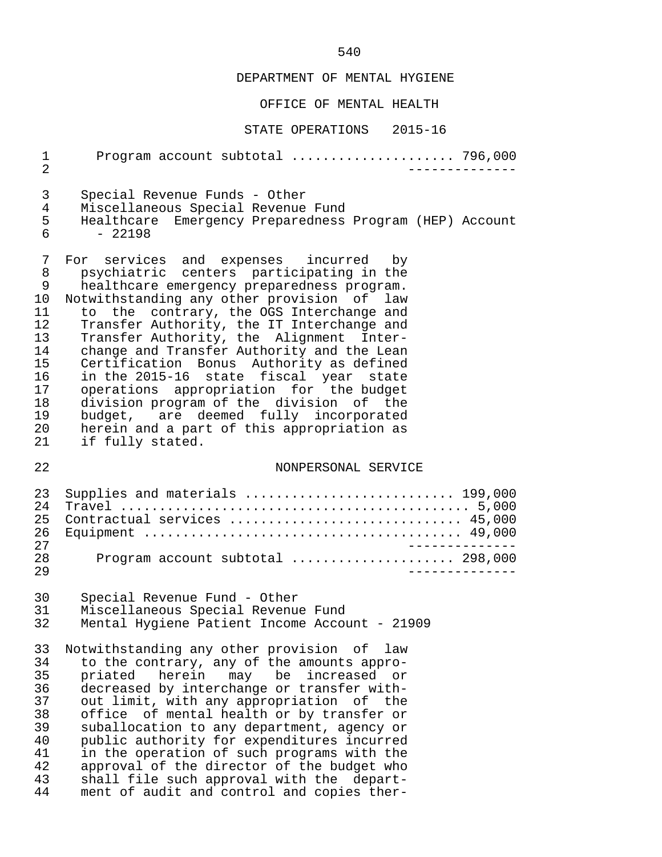## OFFICE OF MENTAL HEALTH

| 1<br>$\overline{2}$                                                                      | Program account subtotal  796,000                                                                                                                                                                                                                                                                                                                                                                                                                                                                                                                                                                                                                           |
|------------------------------------------------------------------------------------------|-------------------------------------------------------------------------------------------------------------------------------------------------------------------------------------------------------------------------------------------------------------------------------------------------------------------------------------------------------------------------------------------------------------------------------------------------------------------------------------------------------------------------------------------------------------------------------------------------------------------------------------------------------------|
| 3<br>4<br>5<br>6                                                                         | Special Revenue Funds - Other<br>Miscellaneous Special Revenue Fund<br>Emergency Preparedness Program (HEP) Account<br>Healthcare<br>$-22198$                                                                                                                                                                                                                                                                                                                                                                                                                                                                                                               |
| 7<br>8<br>9<br>$10 \,$<br>11<br>12<br>13<br>14<br>15<br>16<br>17<br>18<br>19<br>20<br>21 | For<br>services and expenses incurred by<br>psychiatric centers participating in the<br>healthcare emergency preparedness program.<br>Notwithstanding any other provision of law<br>to the contrary, the OGS Interchange and<br>Transfer Authority, the IT Interchange and<br>Transfer Authority, the Alignment Inter-<br>change and Transfer Authority and the Lean<br>Certification Bonus Authority as defined<br>in the 2015-16 state fiscal year state<br>operations appropriation for the budget<br>division program of the division of the<br>budget, are deemed fully incorporated<br>herein and a part of this appropriation as<br>if fully stated. |
| 22                                                                                       | NONPERSONAL SERVICE                                                                                                                                                                                                                                                                                                                                                                                                                                                                                                                                                                                                                                         |
| 23<br>24<br>25<br>26<br>27                                                               | Supplies and materials  199,000<br>Contractual services  45,000<br>___________                                                                                                                                                                                                                                                                                                                                                                                                                                                                                                                                                                              |
| 28<br>29                                                                                 | Program account subtotal  298,000                                                                                                                                                                                                                                                                                                                                                                                                                                                                                                                                                                                                                           |
| 30<br>31<br>32                                                                           | Special Revenue Fund - Other<br>Miscellaneous Special Revenue Fund<br>Mental Hygiene Patient Income Account - 21909                                                                                                                                                                                                                                                                                                                                                                                                                                                                                                                                         |
| 33<br>34<br>35<br>36<br>37<br>38<br>39<br>40<br>41<br>42<br>43<br>44                     | Notwithstanding any other provision of<br>law<br>to the contrary, any of the amounts appro-<br>herein<br>may be<br>priated<br>increased<br>or<br>decreased by interchange or transfer with-<br>out limit, with any appropriation of the<br>office of mental health or by transfer or<br>suballocation to any department, agency or<br>public authority for expenditures incurred<br>in the operation of such programs with the<br>approval of the director of the budget who<br>shall file such approval with the depart-<br>ment of audit and control and copies ther-                                                                                     |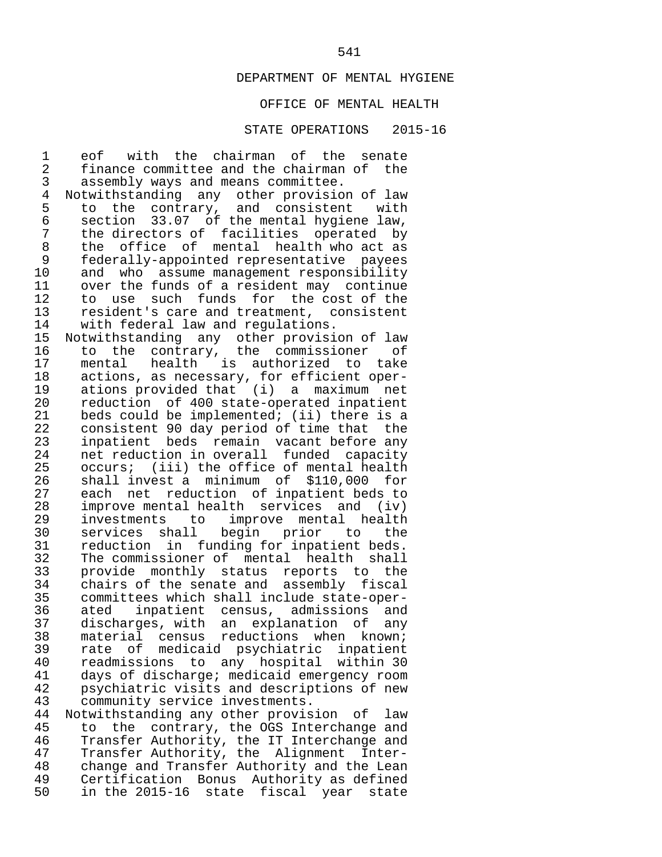# OFFICE OF MENTAL HEALTH

#### STATE OPERATIONS 2015-16

1 eof with the chairman of the senate<br>2 finance committee and the chairman of the 2 finance committee and the chairman of the<br>3 assembly ways and means committee. 3 assembly ways and means committee.<br>4 Notwithstanding any other provisio 4 Notwithstanding any other provision of law<br>5 to the contrary, and consistent with 5 to the contrary, and consistent with<br>6 section 33.07 of the mental hygiene law, 6 section  $33.07$  of the mental hygiene law,<br>7 the directors of facilities operated by 7 the directors of facilities operated by<br>8 the office of mental health who act as 8 the office of mental health-who-act-as<br>9 federally-appointed-representative payees 9 federally-appointed representative payees<br>10 and who assume management responsibility 10 and who assume management responsibility<br>11 over the funds of a resident may continue 11 over the funds of a resident may continue<br>12 to use such funds for the cost of the 12 to use such funds for the cost of the<br>13 resident's care and treatment, consistent 13 resident's care and treatment, consistent<br>14 with federal law and regulations. 14 with federal law and regulations.<br>15 Notwithstanding any other provisi 15 Notwithstanding any other provision of law<br>16 to the contrary, the commissioner of 16 to the contrary, the commissioner of<br>17 mental health is authorized to take 17 mental health is authorized to take<br>18 actions, as necessary, for efficient oper-18 actions, as necessary, for efficient oper-<br>19 ations provided that (i) a maximum net 19 ations provided that (i) a maximum net<br>20 reduction of 400 state-operated inpatient 20 reduction of 400 state-operated inpatient<br>21 beds could be implemented; (ii) there is a 21 beds could be implemented; (ii) there is a<br>22 consistent 90 day period of time that the 22 consistent 90 day period of time that the<br>23 inpatient beds remain vacant before any 23 inpatient beds remain vacant-before any<br>24 met reduction in overall funded capacity 24 net reduction in overall funded capacity<br>25 occurs; (iii) the office of mental health 25 occurs; (iii) the office of mental health<br>26 shall invest a minimum of \$110.000 for 26 shall invest a minimum of \$110,000 for<br>27 each net reduction of inpatient beds to 27 each net reduction of inpatient beds to<br>28 improve mental health services and (iv) 28 improve mental health services and (iv)<br>29 investments to improve mental health 29 investments to improve mental health<br>30 services shall begin prior to the 30 services shall begin prior to the<br>31 reduction in funding-for-inpatient-beds. 31 reduction in funding for inpatient beds.<br>32 The commissioner of mental health shall 32 The commissioner of mental health shall<br>33 provide monthly status reports to the 33 provide monthly status reports to the<br>34 chairs of the senate and assembly fiscal 34 chairs of the senate and assembly fiscal 35 committees which shall include state-oper- 36 ated inpatient census, admissions and 37 discharges, with an explanation of any 38 material census reductions when known;<br>39 rate of medicaid psychiatric inpatient 39 rate of medicaid psychiatric inpatient 40 readmissions to any hospital within 30<br>41 days of discharge; medicaid emergency room 41 days of discharge; medicaid emergency room 42 psychiatric visits and descriptions of new 43 community service investments.<br>44 Notwithstanding any other provis 44 Notwithstanding any other provision of law<br>45 to the contrary, the OGS Interchange and 45 to the contrary, the OGS Interchange and<br>46 Transfer Authority, the IT Interchange and 46 Transfer Authority, the IT Interchange and<br>47 Transfer Authority, the Alignment Inter-47 Transfer Authority, the Alignment Inter-<br>48 change and Transfer Authority and the Lean 48 change and Transfer Authority and the Lean<br>49 Certification Bonus Authority as defined 49 Certification Bonus Authority as defined<br>50 in the 2015-16 state fiscal year state in the 2015-16 state fiscal year state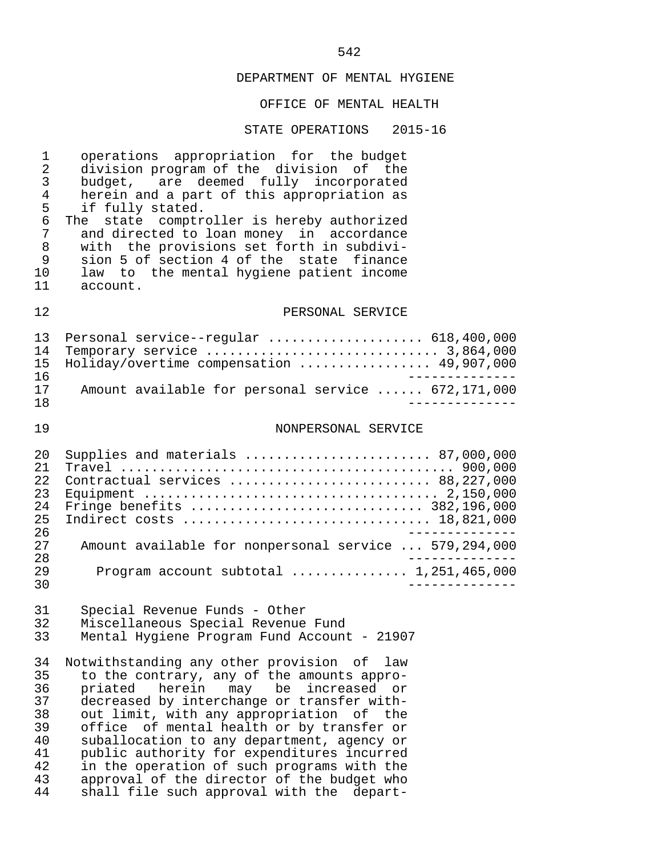## OFFICE OF MENTAL HEALTH

#### STATE OPERATIONS 2015-16

1 operations appropriation for the budget<br>2 division-program of the division of the 2 division program of the division of the<br>3 budget, are deemed fully incorporated 3 budget, are deemed fully incorporated<br>4 herein and a part of this appropriation as 4 herein and a part of this appropriation as<br>5 if fully stated. 5 if fully stated.<br>6 The state comptr 6 The state comptroller is hereby authorized<br>7 and directed to loan money in accordance 7 and directed to loan money in accordance 8 with the provisions set forth in subdivi- 9 sion 5 of section 4 of the state finance<br>10 law to the mental hygiene patient income 10 law to the mental hygiene patient income<br>11 account. account. 12 PERSONAL SERVICE 13 Personal service--regular .................... 618,400,000 14 Temporary service .............................. 3,864,000 15 Holiday/overtime compensation ................. 49,907,000 16 -------------- Amount available for personal service ...... 672,171,000 18 -------------- 19 NONPERSONAL SERVICE 20 Supplies and materials ........................ 87,000,000 21 Travel ........................................... 900,000 22 Contractual services .......................... 88,227,000 23 Equipment ...................................... 2,150,000 24 Fringe benefits .............................. 382,196,000 25 Indirect costs ................................ 18,821,000 26<br>27 Amount available for nonpersonal service ... 579.294.000 27 Amount available for nonpersonal service ... 579,294,000 28 -------------- 29 Program account subtotal ............... 1,251,465,000 30 -------------- 31 Special Revenue Funds - Other 32 Miscellaneous Special Revenue Fund Mental Hygiene Program Fund Account - 21907 34 Notwithstanding any other provision of law<br>35 to the contrary, any of the amounts approto the contrary, any of the amounts appro- 36 priated herein may be increased or 37 decreased by interchange or transfer with-<br>38 out limit, with any appropriation of the 38 out limit, with any appropriation of the<br>39 office of mental health or by transfer or 39 office of mental health or by transfer or<br>40 suballocation to any department, agency or 40 suballocation to any department, agency or<br>41 public authority for expenditures incurred 41 public authority for expenditures incurred<br>42 in the operation of such programs with the 42 in the operation of such programs with the<br>43 approval of the director of the budget who 43 approval of the director of the budget who<br>44 shall file such approval with the departshall file such approval with the depart-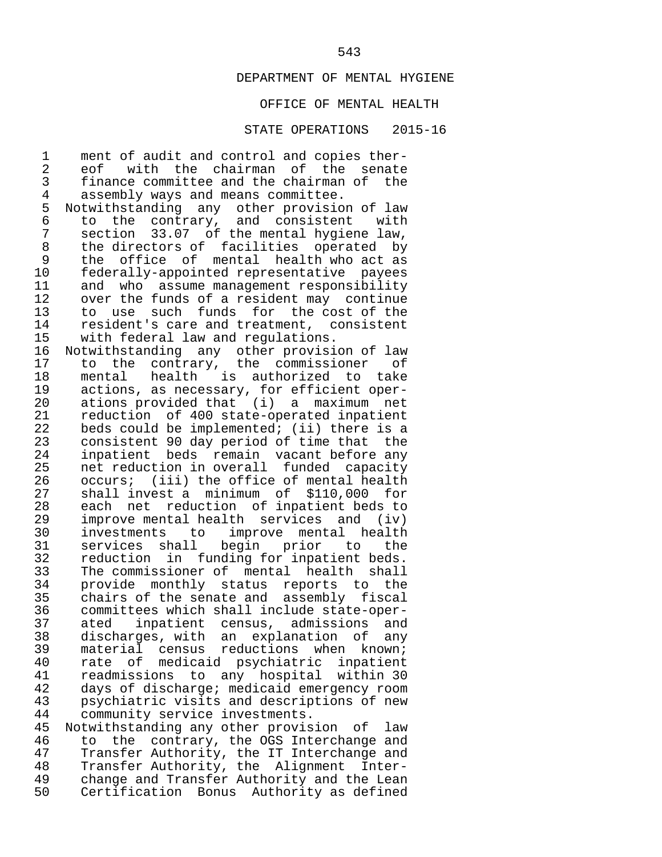# OFFICE OF MENTAL HEALTH

#### STATE OPERATIONS 2015-16

1 ment of audit and control and copies ther-<br>2 eof with the chairman of the senate 2 eof with the chairman of the senate<br>3 finance-committee-and-the-chairman-of-the 3 finance committee and the chairman of the<br>4 assembly ways and means committee. 4 assembly ways and means committee.<br>5 Notwithstanding any other provisio 5 Notwithstanding any other provision of law<br>6 to the contrary, and consistent with 6 to the contrary, and consistent with 7 section 33.07 of the mental hygiene law, 8 the directors of facilities operated by 9 the office of mental health who act as<br>10 federally-appointed representative payees 10 federally-appointed representative payees<br>11 and who assume management responsibility 11 and who assume management responsibility<br>12 over the funds of a resident may continue 12 over the funds of a resident may continue<br>13 to use such funds for the cost of the 13 to use such funds for the cost of the<br>14 resident's care and treatment, consistent 14 resident's care and treatment, consistent<br>15 with federal law and regulations. 15 with federal law and regulations.<br>16 Notwithstanding any other provisi 16 Notwithstanding any other provision of law<br>17 to the contrary, the commissioner of 17 to the contrary, the commissioner of<br>18 mental health is authorized to take 18 mental health is authorized to take<br>19 actions, as necessary, for efficient oper-19 actions, as necessary, for efficient oper-<br>20 ations provided that (i) a maximum net 20 ations provided that (i) a maximum net<br>21 reduction of 400 state-operated inpatient 21 reduction of 400 state-operated inpatient<br>22 beds could be implemented; (ii) there is a  $22$  beds could be implemented; (ii) there is a<br>23 consistent 90 day period of time that the 23 consistent 90 day period of time that the<br>24 inpatient beds remain yacant before any 24 inpatient beds remain vacant-before any<br>25 net reduction in overall funded capacity 25 net reduction in overall funded capacity<br>26 occurs; (iii) the office of mental health 26 occurs; (iii) the office of mental health<br>27 shall invest a minimum of \$110,000 for 27 shall invest a minimum of \$110,000 for<br>28 each net reduction of inpatient beds to 28 each net reduction of inpatient beds to<br>29 improve mental health services and (iv) 29 improve mental health services and (iv)<br>30 investments to improve mental health 30 investments to improve mental health<br>31 services shall begin prior to the 31 services shall begin prior to the<br>32 reduction in funding-for-inpatient-beds. 32 reduction in funding for inpatient beds.<br>33 The commissioner of mental health shall 33 The commissioner of mental health shall<br>34 provide monthly status reports to the 34 provide monthly status reports to the<br>35 chairs of the senate and assembly fiscal 35 chairs of the senate and assembly fiscal 36 committees which shall include state-oper- 37 ated inpatient census, admissions and 38 discharges, with an explanation of any<br>39 material census reductions when known; 39 material census reductions when known;<br>40 rate of medicaid psychiatric inpatient 40 rate of medicaid psychiatric inpatient<br>41 readmissions to any hospital within 30 41 readmissions to any hospital within 30<br>42 days of discharge; medicaid emergency room 42 days of discharge; medicaid emergency room 43 psychiatric visits and descriptions of new 44 community service investments.<br>45 Notwithstanding any other provis 45 Notwithstanding any other provision of law<br>46 to the contrary, the OGS Interchange and

46 to the contrary, the OGS Interchange and<br>47 Transfer Authority, the IT Interchange and 47 Transfer Authority, the IT Interchange and<br>48 Transfer Authority, the Alignment Inter- 48 Transfer Authority, the Alignment Inter- 49 change and Transfer Authority and the Lean<br>50 Certification Bonus Authority as defined Certification Bonus Authority as defined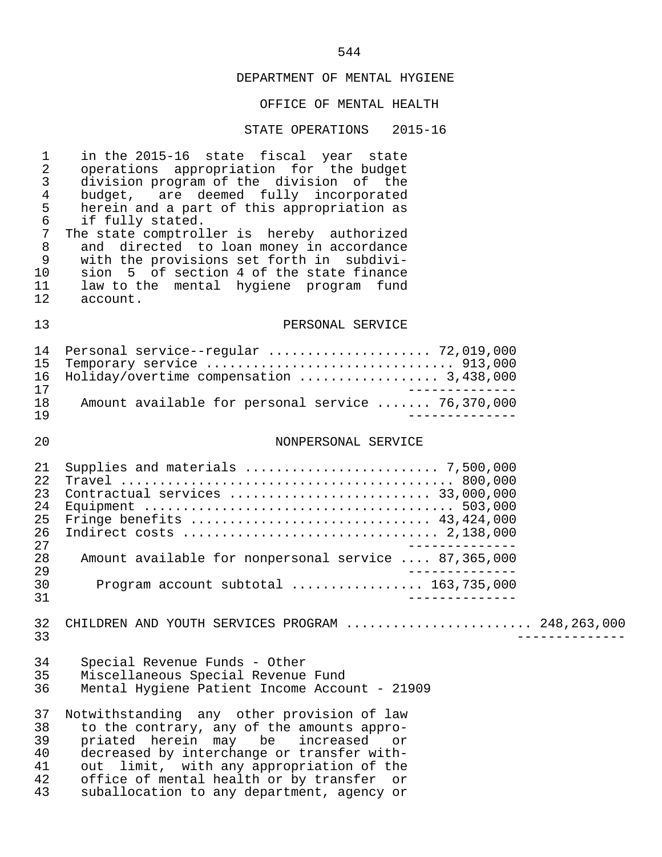#### OFFICE OF MENTAL HEALTH

#### STATE OPERATIONS 2015-16

 1 in the 2015-16 state fiscal year state 2 operations appropriation for the budget<br>3 division program of the division of the 3 division program of the division of the<br>4 budget, are deemed fully incorporated 4 budget, are deemed fully incorporated<br>5 herein and a part of this appropriation as 5 herein and a part of this appropriation as<br>6 if fully stated. 6 if fully stated.<br>7 The state comptrol 7 The state comptroller is hereby authorized<br>8 and directed to loan money in accordance 8 and directed to loan money in accordance<br>9 with the provisions set forth in subdivi-9 with the provisions set forth in subdivi-<br>10 sion 5 of section 4 of the state finance 10 sion 5 of section 4 of the state finance<br>11 law to the mental hygiene program fund 11 law to the mental hygiene program fund<br>12 account. account. 13 PERSONAL SERVICE 14 Personal service--regular ......................... 72,019,000<br>15 Temporary service ................................... 913,000 15 Temporary service ................................ 913,000 16 Holiday/overtime compensation .................. 3,438,000 ------------ 18 Amount available for personal service ....... 76,370,000 19 -------------- 20 NONPERSONAL SERVICE 21 Supplies and materials ......................... 7,500,000 22 Travel ........................................... 800,000 23 Contractual services .......................... 33,000,000 24 Equipment ........................................ 503,000 25 Fringe benefits ............................... 43,424,000 26 Indirect costs ................................. 2,138,000 --------------<br>28 Amount available for nonpersonal service .... 87,365,000 28 Amount available for nonpersonal service .... 87,365,000 -------------<br>20 Program account subtotal ................. 163,735,000 30 Program account subtotal ................. 163,735,000 31 -------------- 32 CHILDREN AND YOUTH SERVICES PROGRAM ........................... 248,263,000<br>33 33 -------------- 34 Special Revenue Funds - Other Miscellaneous Special Revenue Fund 36 Mental Hygiene Patient Income Account - 21909 37 Notwithstanding any other provision of law<br>38 to the contrary, any of the amounts appro-38 to the contrary, any of the amounts appro-<br>39 priated herein may be increased or 39 priated herein may be increased or<br>40 decreased-by-interchange-or-transfer-with-40 decreased by interchange or transfer with-<br>41 out limit, with any appropriation of the 41 out limit, with any appropriation of the<br>42 office of mental health or by transfer or 42 office of mental health or by transfer or<br>43 suballocation to any department, agency or suballocation to any department, agency or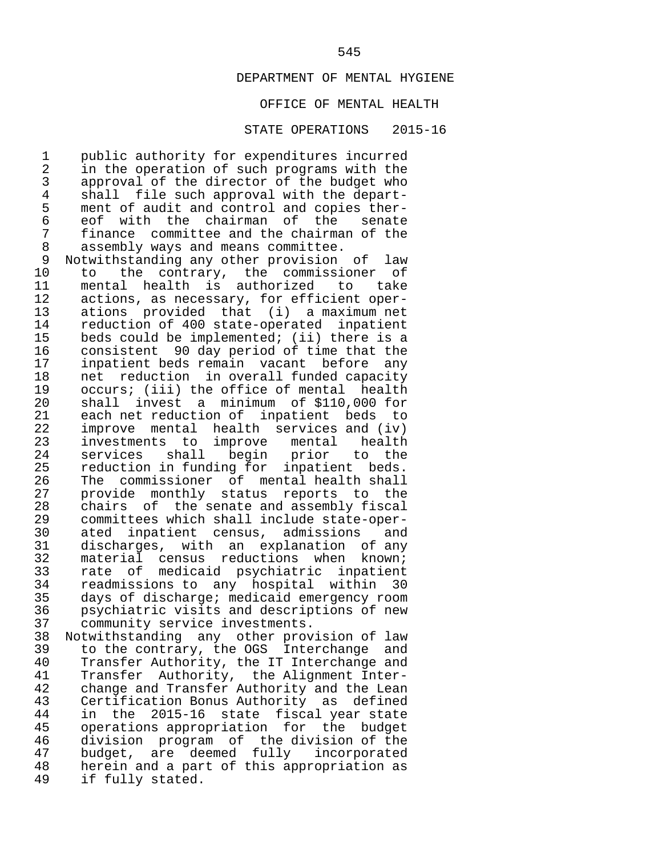# OFFICE OF MENTAL HEALTH

#### STATE OPERATIONS 2015-16

1 public authority for expenditures incurred<br>2 in the operation of such programs with the 2 in the operation of such programs with the<br>3 approval of the director of the budget who 3 approval of the director of the budget who<br>4 shall file such approval with the depart-4 shall file such approval with the depart-<br>5 ment of audit and control and copies ther-5 ment of audit and control and copies ther-<br>6 eof with the chairman of the senate 6 eof with the chairman of the senate 7 finance committee and the chairman of the<br>8 assembly ways and means committee. 8 assembly ways and means committee.<br>9 Notwithstanding any other provision

 9 Notwithstanding any other provision of law 10 to the contrary, the commissioner of<br>11 mental health is authorized to take 11 mental health is authorized to<br>12 actions, as necessary, for efficient 12 actions, as necessary, for efficient oper-<br>13 ations provided that (i) a maximum net 13 ations provided that (i) a maximum net<br>14 reduction of 400 state-operated inpatient 14 reduction of 400 state-operated inpatient<br>15 beds could be implemented; (ii) there is a 15 beds could be implemented; (ii) there is a<br>16 consistent 90 day period of time that the 16 consistent 90 day period of time that the<br>17 inpatient beds remain vacant before any 17 inpatient beds remain vacant before any<br>18 net reduction in overall funded capacity 18 net reduction in overall funded capacity<br>19 occurs; (iii) the office of mental health 19 occurs; (iii) the office of mental health<br>20 shall invest a minimum of \$110.000 for 20 shall invest a minimum of \$110,000 for<br>21 each net reduction of inpatient beds to 21 each net reduction of inpatient beds to<br>22 improve mental health services and (iv) 22 improve mental health services and (iv)<br>23 investments to improve mental health 23 investments to improve mental health<br>24 services shall begin prior to the 24 services shall begin prior to the<br>25 reduction in-funding-for inpatient beds. 25 reduction in funding for inpatient beds.<br>26 The commissioner of mental-health-shall 26 The commissioner of mental-health-shall<br>27 provide monthly status reports to the 27 provide monthly status reports to the<br>28 chairs of the senate and assembly fiscal 28 chairs of the senate and assembly fiscal 29 committees which shall include state-oper-<br>30 ated inpatient census, admissions and 30 ated inpatient census, admissions and<br>31 discharges, with an explanation of any 31 discharges, with an explanation of any<br>32 material census reductions when known; 32 material census reductions when known;<br>33 rate of medicaid psychiatric inpatient 33 rate of medicaid psychiatric inpatient<br>34 readmissions to any hospital within 30 34 readmissions to any hospital within 30 35 days of discharge; medicaid emergency room 36 psychiatric visits and descriptions of new<br>37 community service investments. 37 community service investments.<br>38 Notwithstanding any other prov

38 Notwithstanding any other provision of law<br>39 to the contrary, the OGS Interchange and 39 to the contrary, the OGS Interchange and<br>40 Transfer Authority, the IT Interchange and 40 Transfer Authority, the IT Interchange and<br>41 Transfer Authority, the Alignment Inter- 41 Transfer Authority, the Alignment Inter- 42 change and Transfer Authority and the Lean<br>43 Certification Bonus Authority as defined 43 Certification Bonus Authority as defined<br>44 in the 2015-16 state fiscal vear state 44 in the 2015-16 state fiscal year state<br>45 operations appropriation for the budget 45 operations appropriation for the budget<br>46 division program of the division of the 46 division program of the division of the 47 budget, are deemed fully incorporated<br>48 herein and a part of this appropriation as 48 herein and a part of this appropriation as<br>49 if fully stated. if fully stated.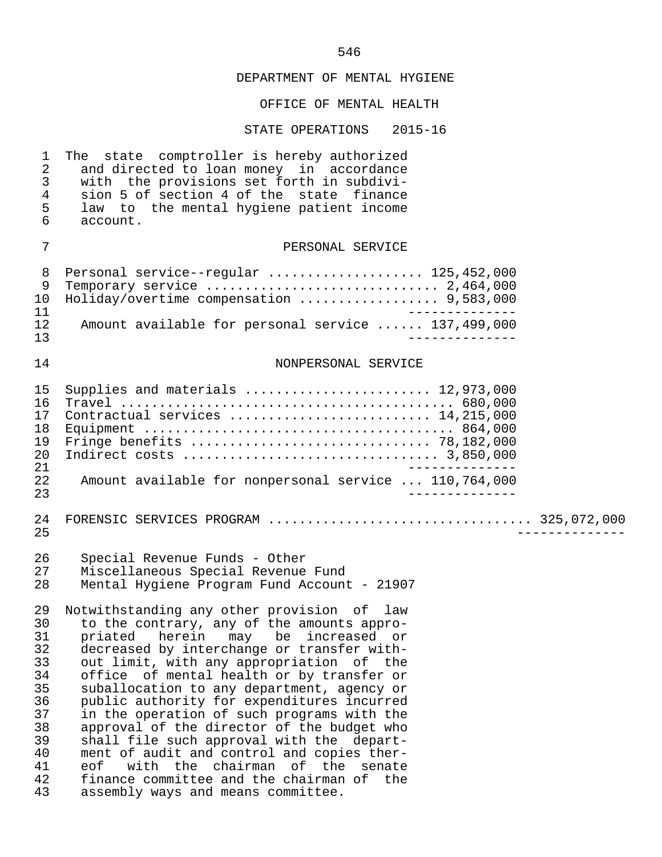# OFFICE OF MENTAL HEALTH

| $\mathbf 1$<br>$\overline{a}$<br>$\mathfrak{Z}$<br>$\overline{4}$<br>5<br>6            | The state comptroller is hereby authorized<br>and directed to loan money in accordance<br>with the provisions set forth in subdivi-<br>sion 5 of section 4 of the state finance<br>law to the mental hygiene patient income<br>account.                                                                                                                                                                                                                                                                                                                                                                                                                                                        |
|----------------------------------------------------------------------------------------|------------------------------------------------------------------------------------------------------------------------------------------------------------------------------------------------------------------------------------------------------------------------------------------------------------------------------------------------------------------------------------------------------------------------------------------------------------------------------------------------------------------------------------------------------------------------------------------------------------------------------------------------------------------------------------------------|
| 7                                                                                      | PERSONAL SERVICE                                                                                                                                                                                                                                                                                                                                                                                                                                                                                                                                                                                                                                                                               |
| 8<br>$\mathsf 9$<br>10<br>11<br>12<br>13                                               | Personal service--regular  125,452,000<br>Temporary service $\ldots \ldots \ldots \ldots \ldots \ldots \ldots \ldots \ldots 2,464,000$<br>Holiday/overtime compensation  9,583,000<br>Amount available for personal service  137,499,000                                                                                                                                                                                                                                                                                                                                                                                                                                                       |
| 14                                                                                     | NONPERSONAL SERVICE                                                                                                                                                                                                                                                                                                                                                                                                                                                                                                                                                                                                                                                                            |
| 15<br>16<br>17<br>18<br>19<br>20<br>21<br>22<br>23                                     | Supplies and materials  12,973,000<br>Contractual services  14,215,000<br>Amount available for nonpersonal service  110,764,000                                                                                                                                                                                                                                                                                                                                                                                                                                                                                                                                                                |
| 24<br>25                                                                               | FORENSIC SERVICES PROGRAM  325,072,000                                                                                                                                                                                                                                                                                                                                                                                                                                                                                                                                                                                                                                                         |
| 26<br>27<br>28                                                                         | Special Revenue Funds - Other<br>Miscellaneous Special Revenue Fund<br>Mental Hygiene Program Fund Account - 21907                                                                                                                                                                                                                                                                                                                                                                                                                                                                                                                                                                             |
| 29<br>30<br>31<br>32<br>33<br>34<br>35<br>36<br>37<br>38<br>39<br>40<br>41<br>42<br>43 | Notwithstanding any other provision of law<br>to the contrary, any of the amounts appro-<br>priated<br>herein<br>may be<br>increased or<br>decreased by interchange or transfer with-<br>out limit, with any appropriation of the<br>office of mental health or by transfer or<br>suballocation to any department, agency or<br>public authority for expenditures incurred<br>in the operation of such programs with the<br>approval of the director of the budget who<br>shall file such approval with the depart-<br>ment of audit and control and copies ther-<br>eof<br>with the chairman of the senate<br>finance committee and the chairman of the<br>assembly ways and means committee. |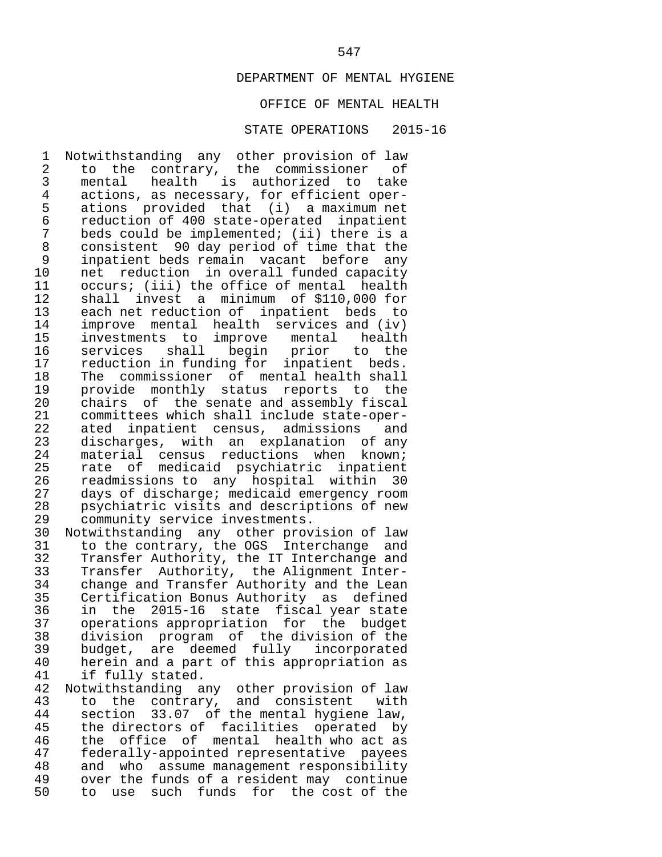# OFFICE OF MENTAL HEALTH

#### STATE OPERATIONS 2015-16

1 Notwithstanding any other provision of law<br>2 to the contrary, the commissioner of 2 to the contrary, the commissioner of<br>3 mental health is authorized to take 3 mental health is authorized to take 4 actions, as necessary, for efficient oper-<br>5 ations provided that (i) a maximum net 5 ations provided that (i) a maximum net 6 reduction of 400 state-operated inpatient 7 beds could be implemented; (ii) there is a<br>8 consistent 90 day period of time that the 8 consistent 90 day period of time that the 9 inpatient beds remain vacant before any 10 net reduction in overall funded capacity<br>11 occurs; (iii) the office of mental health 11 occurs; (iii) the office of mental health<br>12 shall invest a minimum of \$110,000 for 12 shall invest a minimum of \$110,000 for<br>13 each net reduction of inpatient beds to 13 each net reduction of inpatient beds to<br>14 improve mental health services and (iv) 14 improve mental health services and (iv)<br>15 investments to improve mental health 15 investments to improve mental<br>16 services shall begin prior 16 services shall begin prior to the<br>17 reduction-in-funding-for-inpatient-beds. 17 reduction in funding for inpatient beds.<br>18 The commissioner of mental-health-shall 18 The commissioner of mental-health-shall<br>19 provide monthly status reports to the 19 provide monthly status reports to the<br>20 chairs of the-senate-and-assembly-fiscal 20 chairs of the senate and assembly fiscal<br>21 committees which shall include state-oper-21 committees which shall include state-oper-<br>22 ated inpatient census, admissions and 22 ated inpatient census, admissions and<br>23 discharges, with an explanation of any 23 discharges, with an explanation of any<br>24 material census reductions when known; 24 material census reductions when known;<br>25 rate of medicaid psychiatric inpatient 25 rate of medicaid psychiatric inpatient<br>26 readmissions to any hospital within 30 26 readmissions to any hospital within 30<br>27 days of discharge; medicaid emergency room 27 days of discharge; medicaid emergency room<br>28 sporchiatric visits and descriptions of new 28 psychiatric visits and descriptions of new<br>29 community service investments. 29 community service investments.<br>30 Notwithstanding any other prov

30 Notwithstanding any other provision of law<br>31 to the contrary, the OGS Interchange and 31 to the contrary, the OGS Interchange and<br>32 Transfer Authority, the IT Interchange and 32 Transfer Authority, the IT Interchange and<br>33 Transfer Authority, the Alignment Inter-33 Transfer Authority, the Alignment Inter-<br>34 change and Transfer Authority and the Lean 34 change and Transfer Authority and the Lean<br>35 Certification Bonus Authority as defined 35 Certification Bonus Authority as defined<br>36 in the 2015-16 state fiscal vear state 36 in the 2015-16 state fiscal year state 37 operations appropriation for the budget<br>38 division program of the division of the 38 division program of the division of the 39 budget, are deemed fully incorporated<br>40 herein and a part of this appropriation as 40 herein and a part of this appropriation as<br>41 if fully stated. if fully stated.

42 Notwithstanding any other-provision of law<br>43 to the contrary, and consistent with 43 to the contrary, and consistent with 44 section 33.07 of the mental hygiene law, 45 the directors of facilities operated by<br>46 the office of mental health who act as 46 the office of mental health who act as<br>47 federally-appointed representative payees 47 federally-appointed representative payees<br>48 and who assume management responsibility 48 and who assume management responsibility<br>49 over the funds of a resident may continue 49 over the funds of a resident may continue<br>50 to use such funds for the cost of the 50 to use such funds for the cost of the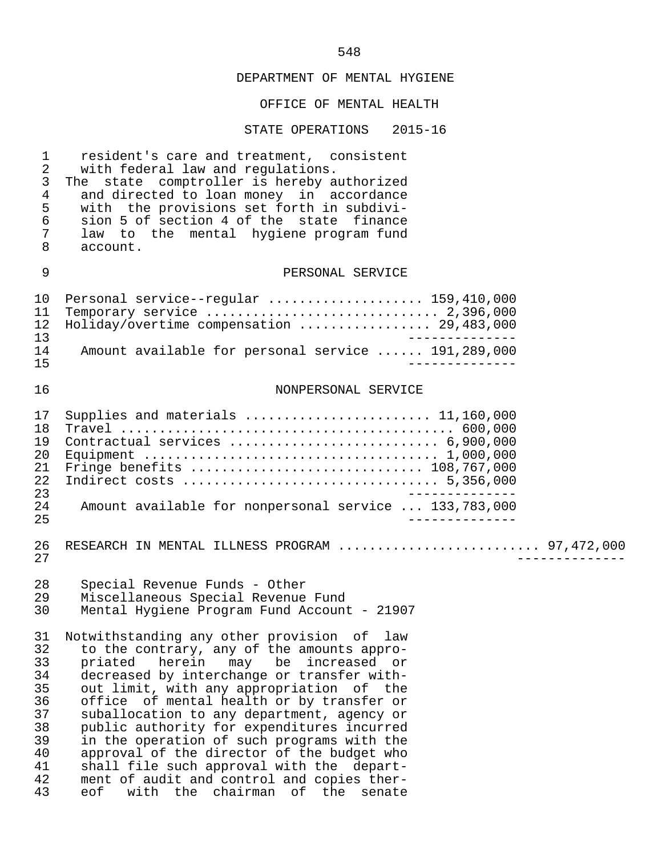|                                                                            | OFFICE OF MENTAL HEALTH                                                                                                                                                                                                                                                                                                                                                                                                                                                                                                                                                                                  |
|----------------------------------------------------------------------------|----------------------------------------------------------------------------------------------------------------------------------------------------------------------------------------------------------------------------------------------------------------------------------------------------------------------------------------------------------------------------------------------------------------------------------------------------------------------------------------------------------------------------------------------------------------------------------------------------------|
|                                                                            | STATE OPERATIONS 2015-16                                                                                                                                                                                                                                                                                                                                                                                                                                                                                                                                                                                 |
| $\mathbf 1$<br>2<br>3<br>4<br>5<br>6<br>7<br>8                             | resident's care and treatment, consistent<br>with federal law and regulations.<br>The state comptroller is hereby authorized<br>and directed to loan money in accordance<br>with the provisions set forth in subdivi-<br>sion 5 of section 4 of the state finance<br>law to the mental hygiene program fund<br>account.                                                                                                                                                                                                                                                                                  |
| 9                                                                          | PERSONAL SERVICE                                                                                                                                                                                                                                                                                                                                                                                                                                                                                                                                                                                         |
| 10<br>11<br>12<br>13                                                       | Personal service--regular  159,410,000<br>Temporary service $\ldots \ldots \ldots \ldots \ldots \ldots \ldots \ldots \ldots 2,396,000$<br>Holiday/overtime compensation  29,483,000                                                                                                                                                                                                                                                                                                                                                                                                                      |
| 14<br>15                                                                   | Amount available for personal service  191,289,000                                                                                                                                                                                                                                                                                                                                                                                                                                                                                                                                                       |
| 16                                                                         | NONPERSONAL SERVICE                                                                                                                                                                                                                                                                                                                                                                                                                                                                                                                                                                                      |
| 17<br>18<br>19<br>20<br>21<br>22<br>23<br>24<br>25                         | Supplies and materials  11,160,000<br>Contractual services  6,900,000<br>Fringe benefits  108,767,000<br>Amount available for nonpersonal service  133,783,000                                                                                                                                                                                                                                                                                                                                                                                                                                           |
| 26<br>27                                                                   | RESEARCH IN MENTAL ILLNESS PROGRAM  97,472,000                                                                                                                                                                                                                                                                                                                                                                                                                                                                                                                                                           |
| 28<br>29<br>30                                                             | Special Revenue Funds - Other<br>Miscellaneous Special Revenue Fund<br>Mental Hygiene Program Fund Account - 21907                                                                                                                                                                                                                                                                                                                                                                                                                                                                                       |
| 31<br>32<br>33<br>34<br>35<br>36<br>37<br>38<br>39<br>40<br>41<br>42<br>43 | Notwithstanding any other provision of law<br>to the contrary, any of the amounts appro-<br>priated herein<br>may<br>be increased or<br>decreased by interchange or transfer with-<br>out limit, with any appropriation of the<br>office of mental health or by transfer or<br>suballocation to any department, agency or<br>public authority for expenditures incurred<br>in the operation of such programs with the<br>approval of the director of the budget who<br>shall file such approval with the depart-<br>ment of audit and control and copies ther-<br>with the chairman of the senate<br>eof |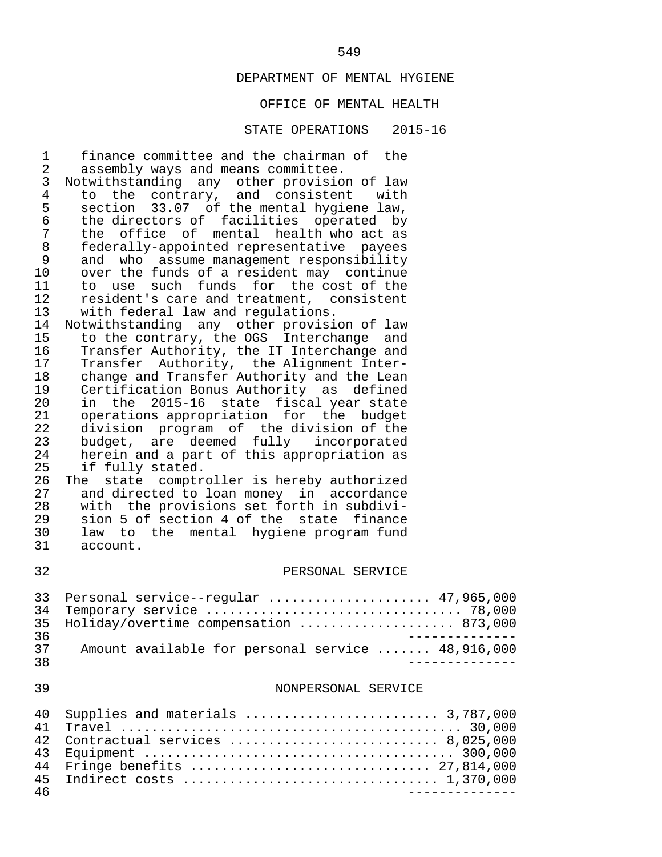# OFFICE OF MENTAL HEALTH

| 1<br>2<br>3<br>$\overline{4}$<br>5<br>6<br>7<br>$\,8\,$<br>$\mathsf 9$<br>10<br>11<br>12<br>13 | finance committee and the chairman of the<br>assembly ways and means committee.<br>Notwithstanding any other provision of law<br>to the contrary, and consistent with<br>section 33.07 of the mental hygiene law,<br>the directors of facilities operated by<br>the office of mental health who act as<br>federally-appointed representative payees<br>who assume management responsibility<br>and<br>over the funds of a resident may continue<br>to use such funds for the cost of the<br>resident's care and treatment, consistent<br>with federal law and regulations. |
|------------------------------------------------------------------------------------------------|----------------------------------------------------------------------------------------------------------------------------------------------------------------------------------------------------------------------------------------------------------------------------------------------------------------------------------------------------------------------------------------------------------------------------------------------------------------------------------------------------------------------------------------------------------------------------|
| 14<br>15<br>16<br>17<br>18<br>19<br>20<br>21<br>22<br>23<br>24<br>25<br>26                     | Notwithstanding any other provision of law<br>to the contrary, the OGS Interchange and<br>Transfer Authority, the IT Interchange and<br>Transfer Authority, the Alignment Inter-<br>change and Transfer Authority and the Lean<br>Certification Bonus Authority as defined<br>in the 2015-16 state fiscal year state<br>operations appropriation for the budget<br>division program of the division of the<br>budget, are deemed fully incorporated<br>herein and a part of this appropriation as<br>if fully stated.<br>state comptroller is hereby authorized<br>The     |
| 27<br>28<br>29<br>30<br>31<br>32                                                               | and directed to loan money in accordance<br>with the provisions set forth in subdivi-<br>sion 5 of section 4 of the state finance<br>law to the mental hygiene program fund<br>account.<br>PERSONAL SERVICE                                                                                                                                                                                                                                                                                                                                                                |
| 33<br>34<br>35<br>36                                                                           | Personal service--regular  47,965,000<br>Holiday/overtime compensation  873,000                                                                                                                                                                                                                                                                                                                                                                                                                                                                                            |
| 37<br>38                                                                                       | Amount available for personal service  48,916,000<br>____________                                                                                                                                                                                                                                                                                                                                                                                                                                                                                                          |
| 39                                                                                             | NONPERSONAL SERVICE                                                                                                                                                                                                                                                                                                                                                                                                                                                                                                                                                        |
| 40<br>41<br>42<br>43<br>44<br>45<br>46                                                         | Supplies and materials  3,787,000<br>Contractual services  8,025,000<br>Fringe benefits  27,814,000<br>--------------                                                                                                                                                                                                                                                                                                                                                                                                                                                      |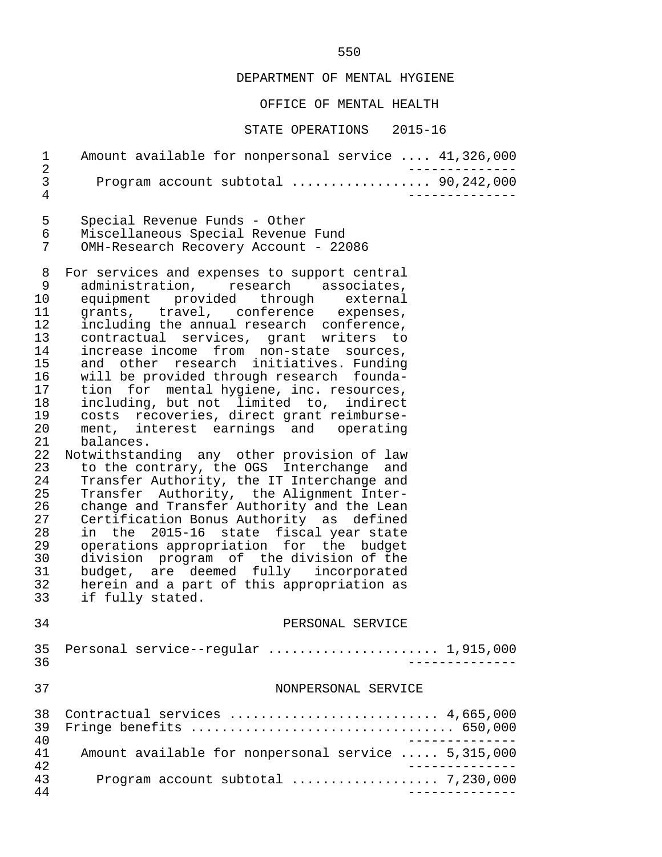OFFICE OF MENTAL HEALTH

STATE OPERATIONS 2015-16

 1 Amount available for nonpersonal service .... 41,326,000 2 -------------- 3 Program account subtotal .................. 90,242,000 4 -------------- 5 Special Revenue Funds - Other<br>6 Miscellaneous Special Revenue 6 Miscellaneous Special Revenue Fund<br>7 OMH-Research Recovery Account - 220 OMH-Research Recovery Account - 22086 8 For services and expenses to support central<br>9 administration, research associates, 9 administration, research associates,<br>10 equipment provided through external 10 equipment provided through external<br>11 grants, travel, conference expenses,

11 grants, travel, conference expenses,<br>12 including the annual research conference. 12 including the annual research conference, 13 contractual services, grant writers to 14 increase income from non-state sources,<br>15 and other research initiatives. Funding 15 and other research initiatives. Funding<br>16 will be provided through research founda-16 will be provided through research founda-<br>17 tion for mental hygiene, inc. resources, tion for mental hygiene, inc. resources, 18 including, but not limited to, indirect<br>19 costs recoveries, direct grant reimburse-19 costs recoveries, direct grant reimburse-<br>20 ment, interest earnings and operating 20 ment, interest earnings and operating balances. 22 Notwithstanding any other provision of law 23 to the contrary, the OGS Interchange and<br>24 Transfer Authority, the IT Interchange and 24 Transfer Authority, the IT Interchange and<br>25 Transfer Authority, the Alignment Inter-25 Transfer Authority, the Alignment Inter-<br>26 change and Transfer Authority and the Lean 26 change and Transfer Authority and the Lean<br>27 Certification Bonus Authority as defined 27 Certification Bonus Authority as defined<br>28 in the 2015-16 state fiscal vear-state 28 in the 2015-16 state fiscal year state<br>29 operations appropriation for the budget 29 operations appropriation for the budget<br>30 division program of the division of the 30 division program of the division of the 31 budget, are deemed fully incorporated 32 herein and a part of this appropriation as<br>33 if fully stated. if fully stated.

# 34 PERSONAL SERVICE 35 Personal service--regular ...................... 1,915,000 36 -------------- 37 NONPERSONAL SERVICE 38 Contractual services ............................. 4,665,000<br>39 Fringe benefits .................................. 650,000 39 Fringe benefits .................................. 650,000 40<br>41 Amount available for nonpersonal service ..... 5.315.000 41 Amount available for nonpersonal service ..... 5,315,000<br>42 42 --------------

43 Program account subtotal ................... 7,230,000

44 --------------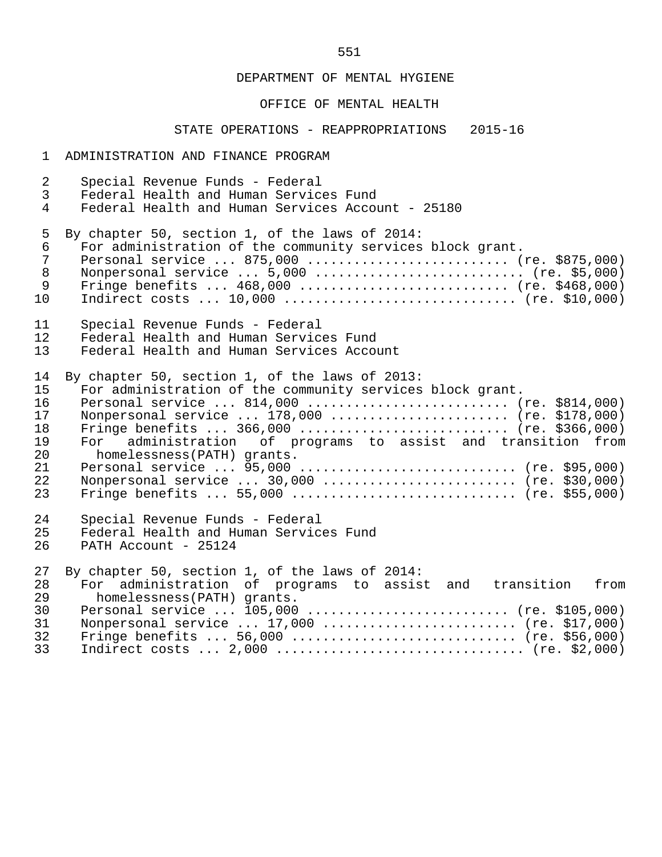#### OFFICE OF MENTAL HEALTH

#### STATE OPERATIONS - REAPPROPRIATIONS 2015-16

#### 1 ADMINISTRATION AND FINANCE PROGRAM

 2 Special Revenue Funds - Federal 3 Federal Health and Human Services Fund<br>4 Federal Health and Human Services Accou Federal Health and Human Services Account - 25180 5 By chapter 50, section 1, of the laws of 2014:<br>6 For administration of the community services 6 For administration of the community services block grant. 7 Personal service ... 875,000 ........................... (re. \$875,000)<br>8 Nonpersonal service ... 5,000 ............................ (re. \$5,000) 8 Nonpersonal service ... 5,000 ........................... (re. \$5,000) 9 Fringe benefits ... 468,000 ............................ (re. \$468,000) 10 Indirect costs ... 10,000 .............................. (re. \$10,000) 11 Special Revenue Funds - Federal<br>12 Federal Health and Human Servic 12 Federal Health and Human Services Fund<br>13 Federal Health and Human Services Accom Federal Health and Human Services Account 14 By chapter 50, section 1, of the laws of 2013:<br>15 For administration of the community services For administration of the community services block grant. 16 Personal service ... 814,000 ........................... (re. \$814,000)<br>17 Nonpersonal service ... 178,000 ........................ (re. \$178,000) 17 Nonpersonal service ... 178,000 ....................... (re. \$178,000) 18 Fringe benefits ... 366,000 ........................... (re. \$366,000) 19 For administration of programs to assist and transition from<br>20 bomelessness(PATH) grants 20 homelessness(PATH) grants.<br>21 Personal service ... 95.000 21 Personal service ... 95,000 ............................ (re. \$95,000) 22 Nonpersonal service ... 30,000 ......................... (re. \$30,000) 23 Fringe benefits ... 55,000 ............................. (re. \$55,000) 24 Special Revenue Funds - Federal<br>25 Federal Health and Human Service Federal Health and Human Services Fund 26 PATH Account - 25124 27 By chapter 50, section 1, of the laws of 2014:<br>28 For administration of programs to assis 28 For administration of programs to assist and transition from<br>29 bomelessness(PATH) grants 29 homelessness(PATH) grants.<br>30 Personal service ... 105.000 30 Personal service ... 105,000 ........................... (re. \$105,000)<br>31 Nonpersonal service ... 17,000 ........................... (re. \$17,000) 31 Nonpersonal service ... 17,000 ......................... (re. \$17,000) 32 Fringe benefits ... 56,000 ............................. (re. \$56,000) 33 Indirect costs ... 2,000 ................................ (re. \$2,000)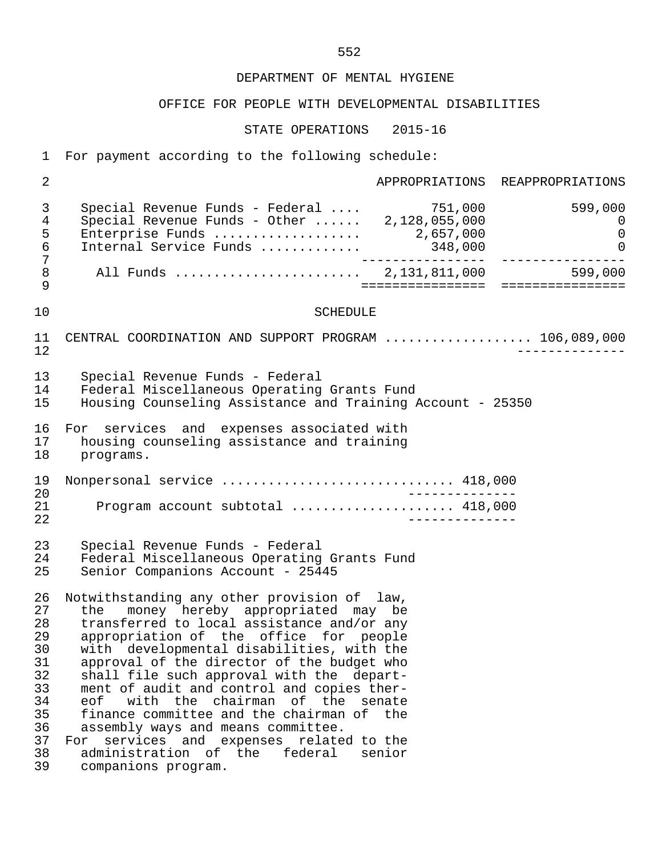#### OFFICE FOR PEOPLE WITH DEVELOPMENTAL DISABILITIES

STATE OPERATIONS 2015-16

 1 For payment according to the following schedule: 2 **APPROPRIATIONS** REAPPROPRIATIONS 3 Special Revenue Funds - Federal .... 751,000 599,000 4 Special Revenue Funds - Other ...... 2,128,055,000 0 5 Enterprise Funds ................... 2,657,000 0 6 Internal Service Funds ............. 348,000 0 7 ---------------- ---------------- 8 All Funds ........................ 2,131,811,000 599,000 9 ================ ================ 10 SCHEDULE 11 CENTRAL COORDINATION AND SUPPORT PROGRAM ..................... 106,089,000<br>12 12 -------------- 13 Special Revenue Funds - Federal 14 Federal Miscellaneous Operating Grants Fund<br>15 Housing Counseling Assistance and Training *i*  15 Housing Counseling Assistance and Training Account - 25350 16 For services and expenses associated with<br>17 housing counseling assistance and training 17 housing counseling assistance and training<br>18 programs. programs. 19 Nonpersonal service .............................. 418,000 20 -------------- 21 Program account subtotal ..................... 418,000 22 -------------- 23 Special Revenue Funds - Federal 24 Federal Miscellaneous Operating Grants Fund<br>25 Senior Companions Account - 25445 Senior Companions Account - 25445 26 Notwithstanding any other provision of law,<br>27 the money hereby appropriated may be 27 the money hereby appropriated may be 28 transferred to local assistance and/or any 29 appropriation of the office for people<br>30 with developmental disabilities, with the 30 with developmental disabilities, with the<br>31 approval of the director of the budget who 31 approval of the director of the budget who<br>32 shall file such approval with the depart-32 shall file such approval with the depart-<br>33 ment of audit and control and copies ther- 33 ment of audit and control and copies ther- 34 eof with the chairman of the senate<br>35 finance-committee-and-the-chairman-of-the 35 finance committee and the chairman of the<br>36 assembly ways and means committee. assembly ways and means committee. 37 For services and expenses related to the<br>38 administration of the federal senior 38 administration of the federal senior<br>39 companions program. companions program.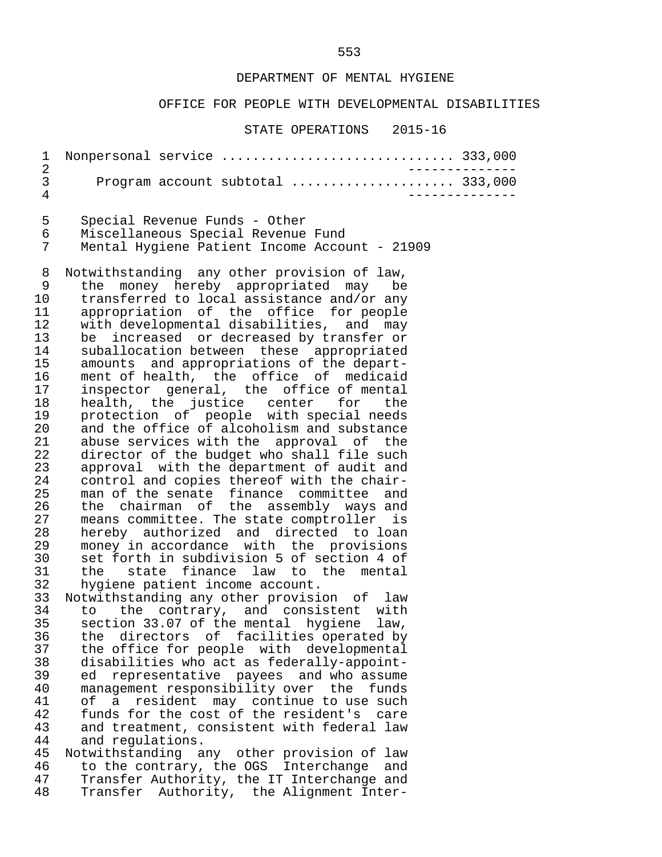#### OFFICE FOR PEOPLE WITH DEVELOPMENTAL DISABILITIES

#### STATE OPERATIONS 2015-16

|                               |  | 1 Nonpersonal service  333,000 |  |
|-------------------------------|--|--------------------------------|--|
| $\mathbf{3}$ and $\mathbf{3}$ |  |                                |  |
|                               |  |                                |  |

 5 Special Revenue Funds - Other 6 Miscellaneous Special Revenue Fund Mental Hygiene Patient Income Account - 21909

8 Notwithstanding any other provision of law,<br>9 the money hereby appropriated may be 9 the money hereby appropriated may be<br>10 transferred to local assistance and/or any 10 transferred to local assistance and/or any<br>11 appropriation of the office for people 11 appropriation of the office for people<br>12 with developmental disabilities, and may 12 with developmental disabilities, and may<br>13 be increased or decreased by transfer or 13 be increased or decreased by transfer or<br>14 suballocation between these appropriated 14 suballocation between these appropriated<br>15 amounts and appropriations of the depart-15 amounts and appropriations of the depart-<br>16 ment of health, the office of medicaid 16 ment of health, the office of medicaid<br>17 inspector general, the office of mental 17 inspector general, the office of mental<br>18 health, the justice center for the 18 health, the justice center for the<br>19 protection of people with-special-needs 19 protection of people with special needs<br>20 and the office of alcoholism and substance 20 and the office of alcoholism and substance<br>21 abuse services with the approval of the 21 abuse services with the approval of the<br>22 director of the budget who shall file such 22 director of the budget who shall file such<br>23 approval with the department of audit and 23 approval with the department of audit and<br>24 control and copies thereof with the chair-24 control and copies thereof with the chair-<br>25 man of the senate finance committee and 25 man of the senate finance committee and<br>26 the chairman of the assembly ways and 26 the chairman of the assembly ways and<br>27 means committee. The state comptroller is 27 means committee. The state comptroller is<br>28 hereby authorized and directed to loan 28 hereby authorized and directed to loan<br>29 money in accordance with the provisions 29 money in accordance with the provisions<br>30 set forth in subdivision 5 of section 4 of 30 set forth in subdivision 5 of section 4 of 31 the state finance law to the mental<br>32 hygiene patient income account. 32 hygiene patient income account.<br>33 Notwithstanding any other provisi

 33 Notwithstanding any other provision of law 34 to the contrary, and consistent with<br>35 section 33.07 of the mental hygiene law. 35 section 33.07 of the mental hygiene law, 36 the directors of facilities operated by<br>37 the office for people with developmental 37 the office for people with developmental<br>38 disabilities who act as federally-appoint- 38 disabilities who act as federally-appoint ed representative payees and who assume 40 management responsibility over the funds<br>41 of a resident may continue to use such 41 of a resident may continue to use such 42 funds for the cost of the resident's care 43 and treatment, consistent with federal law<br>44 and requiations. 44 and regulations.<br>45 Notwithstanding a

 45 Notwithstanding any other provision of law 46 to the contrary, the OGS Interchange and<br>47 Transfer Authority, the IT Interchange and 47 Transfer Authority, the IT Interchange and<br>48 Transfer Authority, the Alignment Inter-Transfer Authority, the Alignment Inter-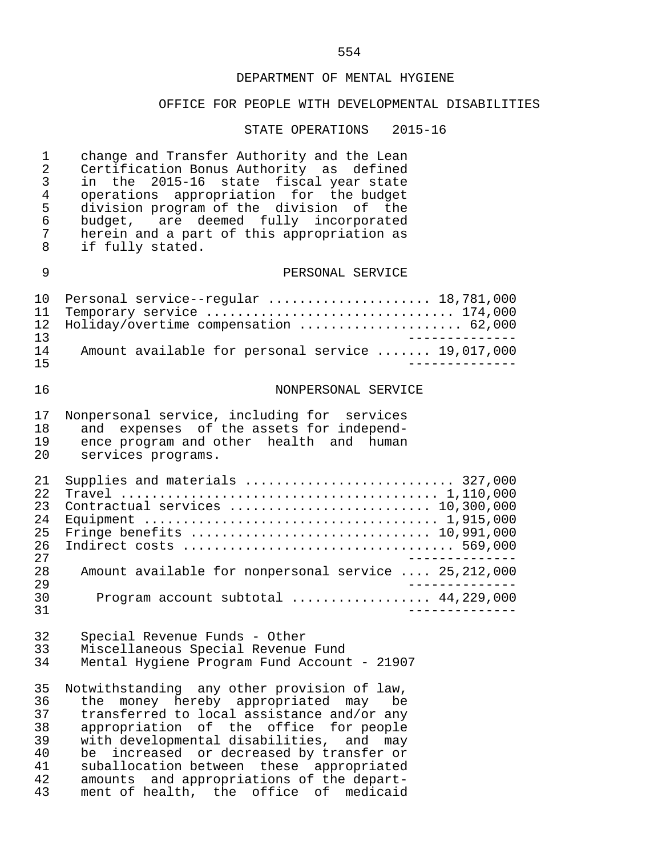# OFFICE FOR PEOPLE WITH DEVELOPMENTAL DISABILITIES

| 1<br>$\overline{2}$<br>3<br>$\overline{4}$<br>5<br>$\epsilon$<br>7<br>8 | change and Transfer Authority and the Lean<br>Certification Bonus Authority as defined<br>in the 2015-16 state fiscal year state<br>operations appropriation for the budget<br>division program of the division of the<br>budget, are deemed fully incorporated<br>herein and a part of this appropriation as<br>if fully stated.                                                                               |
|-------------------------------------------------------------------------|-----------------------------------------------------------------------------------------------------------------------------------------------------------------------------------------------------------------------------------------------------------------------------------------------------------------------------------------------------------------------------------------------------------------|
| 9                                                                       | PERSONAL SERVICE                                                                                                                                                                                                                                                                                                                                                                                                |
| 10<br>11<br>12<br>13                                                    | Personal service--regular  18,781,000<br>Temporary service  174,000<br>Holiday/overtime compensation  62,000<br>_____________                                                                                                                                                                                                                                                                                   |
| 14<br>15                                                                | Amount available for personal service  19,017,000<br>.                                                                                                                                                                                                                                                                                                                                                          |
| 16                                                                      | NONPERSONAL SERVICE                                                                                                                                                                                                                                                                                                                                                                                             |
| 17<br>18<br>19<br>20                                                    | Nonpersonal service, including for services<br>and expenses of the assets for independ-<br>ence program and other health and human<br>services programs.                                                                                                                                                                                                                                                        |
| 21<br>22<br>23<br>24<br>25<br>26<br>27                                  | Supplies and materials  327,000<br>Contractual services  10,300,000                                                                                                                                                                                                                                                                                                                                             |
| 28<br>29                                                                | Amount available for nonpersonal service  25,212,000                                                                                                                                                                                                                                                                                                                                                            |
| 30<br>31                                                                | Program account subtotal  44,229,000                                                                                                                                                                                                                                                                                                                                                                            |
| 32<br>33<br>34                                                          | Special Revenue Funds - Other<br>Miscellaneous Special Revenue Fund<br>Mental Hygiene Program Fund Account - 21907                                                                                                                                                                                                                                                                                              |
| 35<br>36<br>37<br>38<br>39<br>40<br>41<br>42<br>43                      | Notwithstanding any other provision of law,<br>money hereby appropriated may<br>be<br>the<br>transferred to local assistance and/or any<br>appropriation of the office for people<br>with developmental disabilities, and may<br>increased or decreased by transfer or<br>be<br>suballocation between these appropriated<br>amounts and appropriations of the depart-<br>ment of health, the office of medicaid |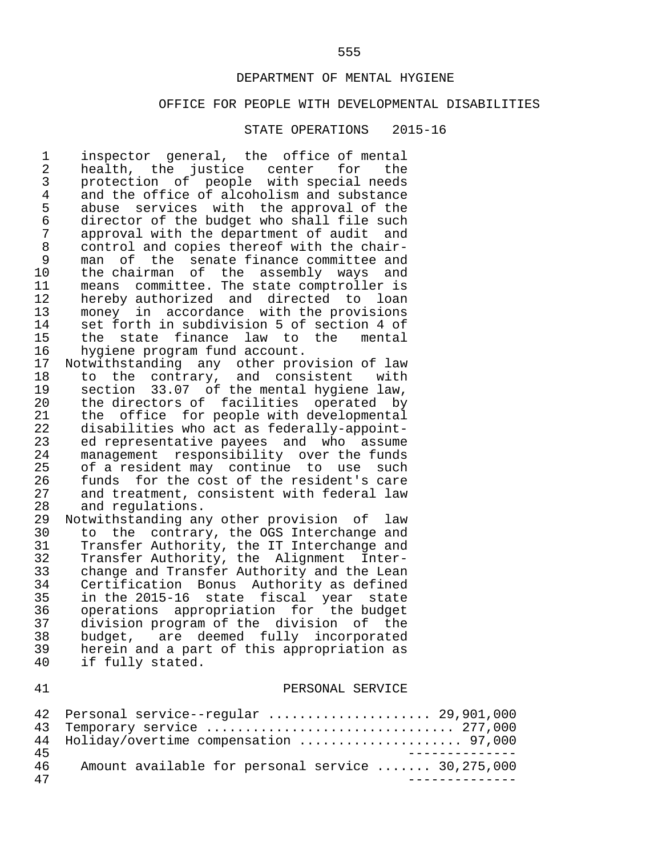#### OFFICE FOR PEOPLE WITH DEVELOPMENTAL DISABILITIES

#### STATE OPERATIONS 2015-16

1 inspector general, the office of mental<br>2 health, the justice center for the 2 health, the justice center for the<br>3 protection of people with-special-needs 3 protection of people with special needs<br>4 and the office of alcoholism and substance 4 and the office of alcoholism and substance<br>5 abuse services with the approval of the 5 abuse services with the approval of the<br>6 director of the budget who shall file such 6 director of the budget who shall file such<br>7 approval with the department of audit and 7 approval with the department of audit and<br>8 control and copies thereof with the chair-8 control and copies thereof with the chair-<br>9 man of the senate finance committee and 9 man of the senate-finance-committee-and<br>10 the-chairman of the assembly ways and 10 the chairman of the assembly ways and<br>11 means committee. The state comptroller is 11 means committee. The state comptroller is<br>12 hereby authorized and directed to loan 12 hereby authorized and directed to loan<br>13 money in accordance with the provisions 13 money in accordance with the provisions<br>14 set forth in subdivision 5 of section 4 of 14 set forth in subdivision 5 of section 4 of<br>15 the state finance law to the mental 15 the state finance law to the<br>16 hygiene program fund account. 16 hygiene program fund account.<br>17 Notwithstanding any other prop

17 Notwithstanding any other provision of law<br>18 to the contrary, and consistent with 18 to the contrary, and consistent with<br>19 section 33.07 of the mental hygiene law. 19 section 33.07 of the mental hygiene law,<br>20 the directors of facilities operated by 20 the directors of facilities operated by<br>21 the office for people with developmental 21 the office for people with developmental<br>22 disabilities who act as federally-appoint-22 disabilities who act as federally-appoint-<br>23 ed representative payees and who assume 23 ed representative payees and who assume<br>24 management responsibility over the funds 24 management responsibility over the funds<br>25 of a resident may continue to use such 25 of a resident may continue to use such<br>26 funds for the cost of the resident's care 26 funds for the cost of the resident's care<br>27 and treatment, consistent with federal law 27 and treatment, consistent with federal law<br>28 and regulations. 28 and regulations.<br>29 Notwithstanding an

29 Notwithstanding any other provision of law<br>30 to the contrary, the OGS Interchange and 30 to the contrary, the OGS Interchange and<br>31 Transfer Authority, the IT Interchange and 31 Transfer Authority, the IT Interchange and<br>32 Transfer Authority, the Alignment Inter- 32 Transfer Authority, the Alignment Inter- 33 change and Transfer Authority and the Lean 34 Certification Bonus Authority as defined<br>35 in the 2015-16 state fiscal vear state 35 in the 2015-16 state fiscal year state 36 operations appropriation for the budget 37 division program of the division of the<br>38 budget, are deemed fully incorporated 38 budget, are deemed fully incorporated<br>39 herein and a part of this appropriation as 39 herein and a part of this appropriation as<br>40 if fully stated. if fully stated.

#### 41 PERSONAL SERVICE

|    | 42 Personal service--regular  29,901,000          |
|----|---------------------------------------------------|
|    |                                                   |
|    | 44 Holiday/overtime compensation  97,000          |
| 45 |                                                   |
| 46 | Amount available for personal service  30,275,000 |
| 47 |                                                   |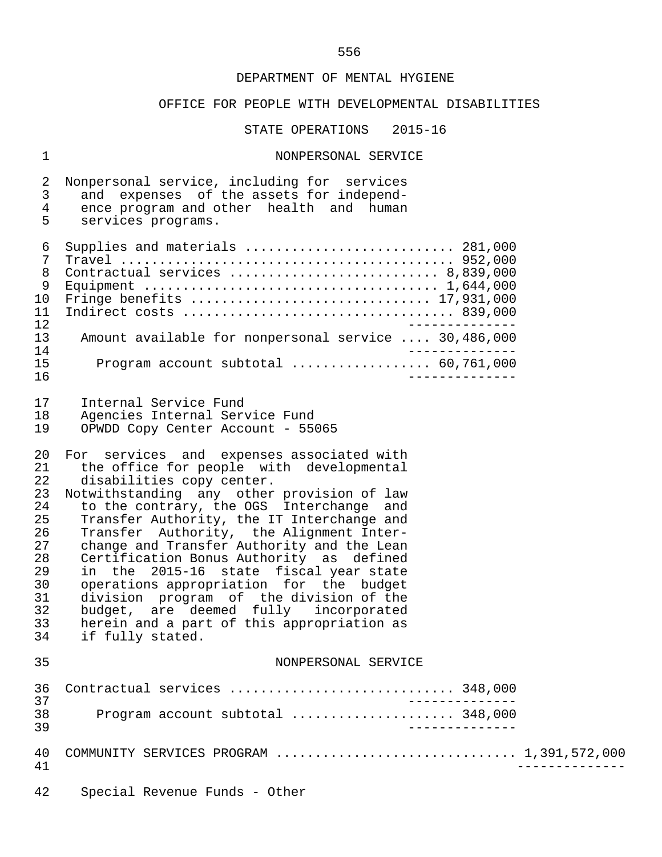# OFFICE FOR PEOPLE WITH DEVELOPMENTAL DISABILITIES

STATE OPERATIONS 2015-16

# 1 NONPERSONAL SERVICE

| 2<br>$\mathfrak{Z}$<br>$\overline{4}$<br>5                                             | Nonpersonal service, including for services<br>and expenses of the assets for independ-<br>ence program and other health and human<br>services programs.                                                                                                                                                                                                                                                                                                                                                                                                                                                                                       |  |
|----------------------------------------------------------------------------------------|------------------------------------------------------------------------------------------------------------------------------------------------------------------------------------------------------------------------------------------------------------------------------------------------------------------------------------------------------------------------------------------------------------------------------------------------------------------------------------------------------------------------------------------------------------------------------------------------------------------------------------------------|--|
| $\epsilon$<br>7<br>8<br>9<br>10<br>11<br>12                                            | Supplies and materials  281,000<br>Contractual services  8,839,000                                                                                                                                                                                                                                                                                                                                                                                                                                                                                                                                                                             |  |
| 13<br>14                                                                               | Amount available for nonpersonal service  30,486,000                                                                                                                                                                                                                                                                                                                                                                                                                                                                                                                                                                                           |  |
| 15<br>16                                                                               | Program account subtotal  60,761,000                                                                                                                                                                                                                                                                                                                                                                                                                                                                                                                                                                                                           |  |
| 17<br>18<br>19                                                                         | Internal Service Fund<br>Agencies Internal Service Fund<br>OPWDD Copy Center Account - 55065                                                                                                                                                                                                                                                                                                                                                                                                                                                                                                                                                   |  |
| 20<br>21<br>22<br>23<br>24<br>25<br>26<br>27<br>28<br>29<br>30<br>31<br>32<br>33<br>34 | For services and expenses associated with<br>the office for people with developmental<br>disabilities copy center.<br>Notwithstanding any other provision of law<br>to the contrary, the OGS Interchange<br>and<br>Transfer Authority, the IT Interchange and<br>Transfer Authority, the Alignment Inter-<br>change and Transfer Authority and the Lean<br>Certification Bonus Authority as defined<br>in the 2015-16 state fiscal year state<br>operations appropriation for the budget<br>division program of the division of the<br>budget, are deemed fully incorporated<br>herein and a part of this appropriation as<br>if fully stated. |  |
| 35                                                                                     | NONPERSONAL SERVICE                                                                                                                                                                                                                                                                                                                                                                                                                                                                                                                                                                                                                            |  |
| 36<br>37                                                                               | Contractual services  348,000<br>$- - - - - - -$                                                                                                                                                                                                                                                                                                                                                                                                                                                                                                                                                                                               |  |
| 38<br>39                                                                               | Program account subtotal  348,000<br>$- - - - - - - -$                                                                                                                                                                                                                                                                                                                                                                                                                                                                                                                                                                                         |  |
| 40<br>41                                                                               | COMMUNITY SERVICES PROGRAM  1,391,572,000                                                                                                                                                                                                                                                                                                                                                                                                                                                                                                                                                                                                      |  |
| 42                                                                                     | Special Revenue Funds - Other                                                                                                                                                                                                                                                                                                                                                                                                                                                                                                                                                                                                                  |  |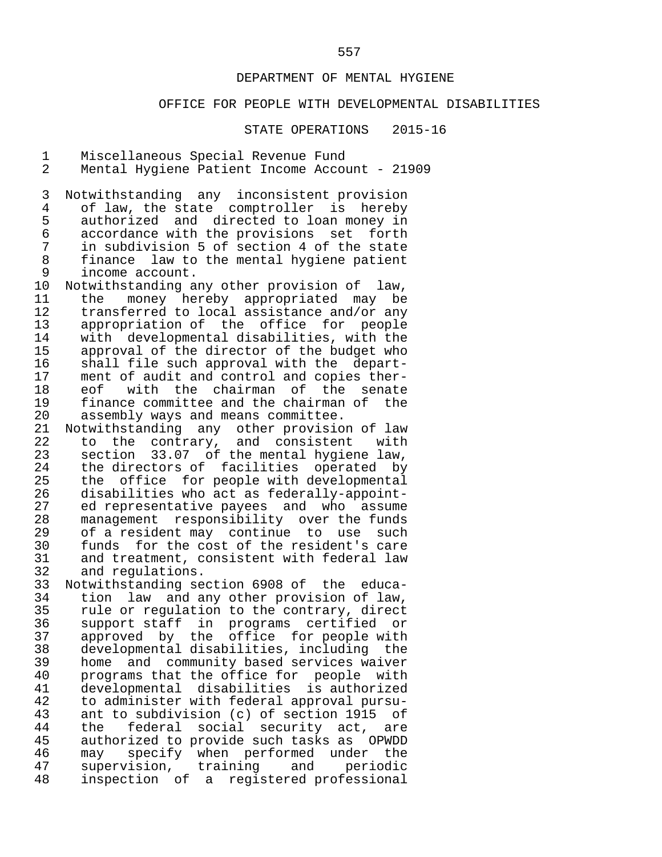#### OFFICE FOR PEOPLE WITH DEVELOPMENTAL DISABILITIES

STATE OPERATIONS 2015-16

1 Miscellaneous Special Revenue Fund<br>2 Mental Hygiene Patient Income Accou

Mental Hygiene Patient Income Account - 21909

3 Notwithstanding any inconsistent provision<br>4 of law, the state comptroller is hereby 4 of law, the state comptroller is hereby<br>5 authorized and directed to loan money in 5 authorized and directed to loan money in<br>6 accordance with the provisions set forth 6 accordance with the provisions set forth<br>7 in subdivision 5 of section 4 of the state 7 in subdivision 5 of section 4 of the state 8 finance law to the mental hygiene patient<br>9 income account. 9 income account.<br>10 Notwithstanding a

10 Notwithstanding any other provision of law,<br>11 the money hereby appropriated may be 11 the money hereby appropriated may be<br>12 transferred to local assistance and/or\_any 12 transferred to local assistance and/or any<br>13 appropriation of the office for people 13 appropriation of the office for people<br>14 with developmental disabilities, with the 14 with developmental disabilities, with the<br>15 approval of the director of the budget who 15 approval of the director of the budget who<br>16 shall file such approval with the depart-16 shall file such approval with the depart-<br>17 ment of audit and control and copies ther-17 ment of audit and control and copies ther-<br>18 eof with the chairman of the senate 18 eof with the chairman of the senate<br>19 finance-committee-and-the-chairman-of-the 19 finance committee and the chairman of the<br>20 assembly ways and means committee. 20 assembly ways and means committee.<br>21 Notwithstanding any other provisio

21 Notwithstanding any other provision of law<br>22 to the contrary, and consistent with 22 to the contrary, and consistent with<br>23 section 33.07 of the mental hygiene law. 23 section 33.07 of the mental hygiene law,<br>24 the directors of facilities operated by 24 the directors of facilities operated by<br>25 the office for people with developmental 25 the office for people with developmental<br>26 disabilities who act as federally-appoint-26 disabilities who act as federally-appoint-<br>27 ed representative payees and who assume 27 ed representative payees and who assume<br>28 management responsibility over the funds 28 management responsibility over the funds<br>29 of a resident may continue to use such 29 of a resident may continue to use such<br>30 funds for the cost of the resident's care 30 funds for the cost of the resident's care<br>31 and treatment, consistent with federal law 31 and treatment, consistent with federal law<br>32 and regulations. 32 and regulations.<br>33 Notwithstanding se

 33 Notwithstanding section 6908 of the educa- 34 tion law and any other provision of law,<br>35 rule or regulation to the contrary, direct <sup>25</sup> rule or regulation to the contrary, direct<br>36 support staff in programs certified or 36 support staff in programs certified or<br>37 approved by the office for people with 37 approved by the office for people with<br>38 developmental disabilities, including the 38 developmental disabilities, including the 39 home and community based services waiver<br>40 programs that the office for people with 40 programs that the office for people with<br>41 developmental disabilities is authorized 41 developmental disabilities is authorized 42 to administer with federal approval pursu- 43 ant to subdivision (c) of section 1915<br>44 the federal social security act, a 44 the federal social security act, are<br>45 authorized to provide such tasks as OPWDD 45 authorized to provide such tasks as OPWDD<br>46 may specify when performed under the 46 may specify when performed under the<br>47 supervision, training and periodic 47 supervision,<br>48 inspection of inspection of a registered professional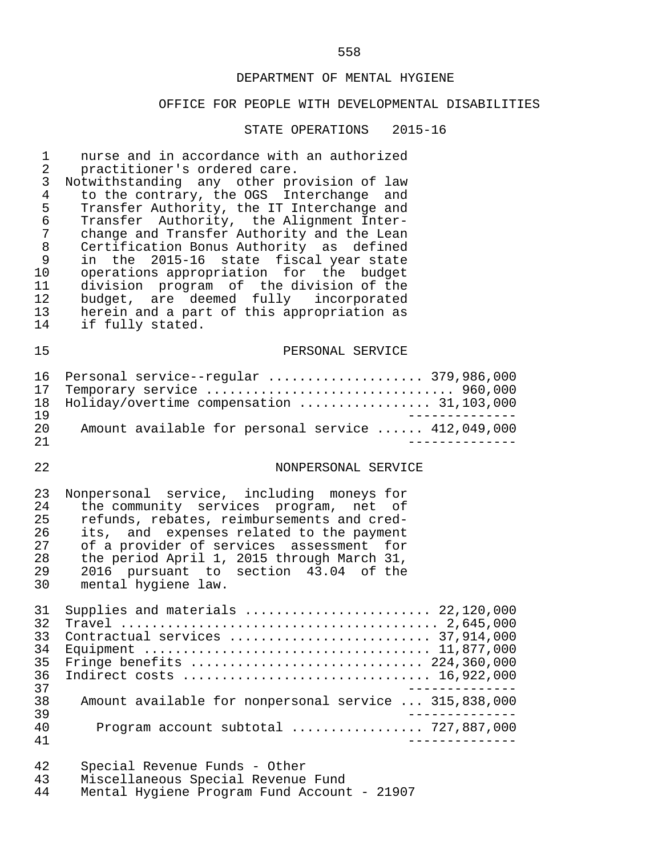# OFFICE FOR PEOPLE WITH DEVELOPMENTAL DISABILITIES

| 1<br>$\overline{2}$<br>$\mathsf{3}$<br>$\overline{4}$<br>5<br>$\sqrt{6}$<br>7<br>$\,8\,$<br>9<br>10<br>11<br>12<br>13<br>14 | nurse and in accordance with an authorized<br>practitioner's ordered care.<br>Notwithstanding any other provision of law<br>to the contrary, the OGS Interchange and<br>Transfer Authority, the IT Interchange and<br>Transfer Authority, the Alignment Inter-<br>change and Transfer Authority and the Lean<br>Certification Bonus Authority as defined<br>in the 2015-16 state fiscal year state<br>operations appropriation for the budget<br>division program of the division of the<br>budget, are deemed fully incorporated<br>herein and a part of this appropriation as<br>if fully stated. |
|-----------------------------------------------------------------------------------------------------------------------------|-----------------------------------------------------------------------------------------------------------------------------------------------------------------------------------------------------------------------------------------------------------------------------------------------------------------------------------------------------------------------------------------------------------------------------------------------------------------------------------------------------------------------------------------------------------------------------------------------------|
| 15                                                                                                                          | PERSONAL SERVICE                                                                                                                                                                                                                                                                                                                                                                                                                                                                                                                                                                                    |
| 16<br>17<br>18<br>19                                                                                                        | Personal service--regular  379,986,000<br>Temporary service  960,000<br>Holiday/overtime compensation  31,103,000                                                                                                                                                                                                                                                                                                                                                                                                                                                                                   |
| 20<br>21                                                                                                                    | Amount available for personal service  412,049,000                                                                                                                                                                                                                                                                                                                                                                                                                                                                                                                                                  |
| 22                                                                                                                          | NONPERSONAL SERVICE                                                                                                                                                                                                                                                                                                                                                                                                                                                                                                                                                                                 |
| 23<br>24<br>25<br>26<br>27<br>28<br>29<br>30                                                                                | Nonpersonal service, including moneys for<br>the community services program, net of<br>refunds, rebates, reimbursements and cred-<br>its, and expenses related to the payment<br>of a provider of services assessment for<br>the period April 1, 2015 through March 31,<br>2016 pursuant to section 43.04 of the<br>mental hygiene law.                                                                                                                                                                                                                                                             |
| 31<br>32<br>33<br>34<br>35<br>36<br>37                                                                                      | Supplies and materials  22,120,000<br>Contractual services  37,914,000<br>Fringe benefits  224,360,000<br>Indirect costs  16,922,000                                                                                                                                                                                                                                                                                                                                                                                                                                                                |
| 38<br>39                                                                                                                    | Amount available for nonpersonal service  315,838,000                                                                                                                                                                                                                                                                                                                                                                                                                                                                                                                                               |
| 40<br>41                                                                                                                    | Program account subtotal  727,887,000                                                                                                                                                                                                                                                                                                                                                                                                                                                                                                                                                               |
| 42<br>43<br>44                                                                                                              | Special Revenue Funds - Other<br>Miscellaneous Special Revenue Fund<br>Mental Hygiene Program Fund Account - 21907                                                                                                                                                                                                                                                                                                                                                                                                                                                                                  |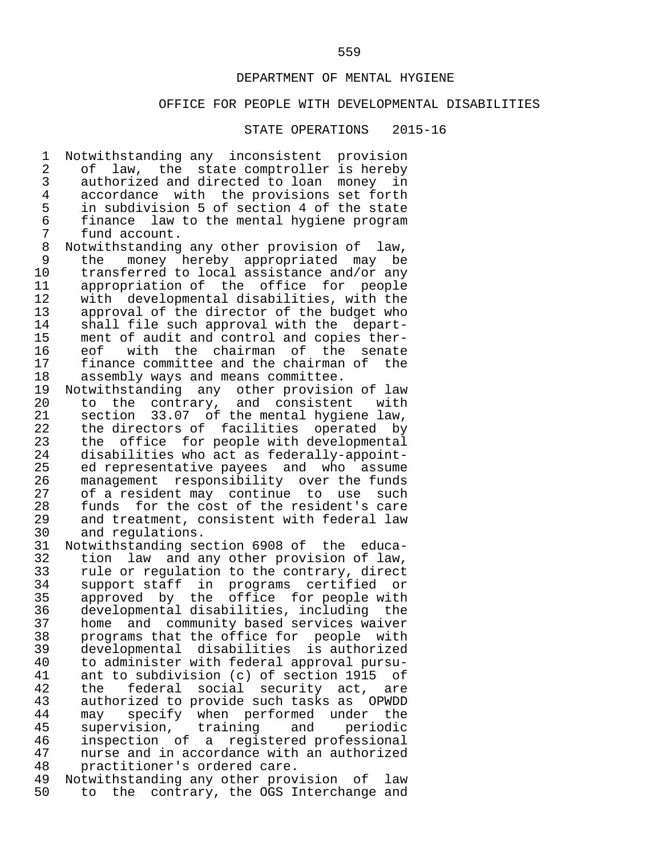### OFFICE FOR PEOPLE WITH DEVELOPMENTAL DISABILITIES

STATE OPERATIONS 2015-16

1 Notwithstanding any inconsistent provision<br>2 of law, the state comptroller is hereby 2 of law, the state comptroller is hereby<br>3 authorized and directed to loan money in 3 authorized and directed to loan money in<br>4 accordance with the provisions set forth 4 accordance with the provisions set forth<br>5 in subdivision 5 of section 4 of the state 5 in subdivision 5 of section 4 of the state 6 finance law to the mental hygiene program 7 fund account.<br>8 Notwithstanding 8 Notwithstanding any other provision of law,<br>9 the money hereby appropriated may be 9 the money hereby appropriated may be<br>10 transferred to local assistance and/or\_any 10 transferred to local assistance and/or any<br>11 appropriation of the office for people 11 appropriation of the office for people<br>12 with developmental disabilities, with the 12 with developmental disabilities, with the 13 approval of the director of the budget who<br>14 shall file such approval with the depart-14 shall file such approval with the depart-<br>15 ment of audit and control and copies ther-15 ment of audit and control and copies ther-<br>16 eof with the chairman of the senate 16 eof with the chairman of the senate<br>17 finance-committee-and-the-chairman-of-the 17 finance committee and the chairman of the<br>18 assembly ways and means committee. 18 assembly ways and means committee.<br>19 Notwithstanding any other provisio 19 Notwithstanding any other provision of law<br>20 to the contrary, and consistent with 20 to the contrary, and consistent with<br>21 section 33.07 of the mental hygiene law, 21 section  $33.07$  of the mental hygiene law,<br>22 the directors of facilities operated by 22 the directors of facilities operated by<br>23 the office for people with developmental 23 the office for people with developmental<br>24 disabilities who act as federally-appoint- 24 disabilities who act as federally-appoint- 25 ed representative payees and who assume<br>26 management responsibility over the funds 26 management responsibility over the funds<br>27 of a resident may continue to use such 27 of a resident may continue to use such<br>28 funds for the cost of the resident's care 28 funds for the cost of the resident's care<br>29 and treatment, consistent with federal law 29 and treatment, consistent with federal law<br>30 and regulations. 30 and regulations.<br>31 Notwithstanding se 31 Notwithstanding section 6908 of the educa- 32 tion law and any other provision of law,<br>33 rule or regulation to the contrary, direct 33 rule or regulation to the contrary, direct<br>34 support staff in programs certified or 34 support staff in programs certified or

35 approved by the office for people with<br>36 developmental disabilities, including the 36 developmental disabilities, including the<br>37 home and community based services waiver 37 home and community based services waiver<br>38 programs that the office for people with 38 programs that the office for people with<br>39 developmental disabilities is authorized 39 developmental disabilities is authorized 40 to administer with federal approval pursu- 41 ant to subdivision (c) of section 1915 of<br>42 the federal social security act, are 42 the federal social security act, are<br>43 authorized to provide such tasks as OPWDD 43 authorized to provide such tasks as OPWDD<br>44 may specify when performed under the 44 may specify when performed under the<br>45 supervision, training and periodic 45 supervision, training and periodic<br>46 inspection of a registered-professional 46 inspection of a registered professional<br>47 nurse and in accordance with an authorized 47 nurse and in accordance with an authorized<br>48 practitioner's ordered care. 48 practitioner's ordered care.<br>49 Notwithstanding any other prov

49 Notwithstanding any other provision of law<br>50 to the contrary, the OGS Interchange and 50 to the contrary, the OGS Interchange and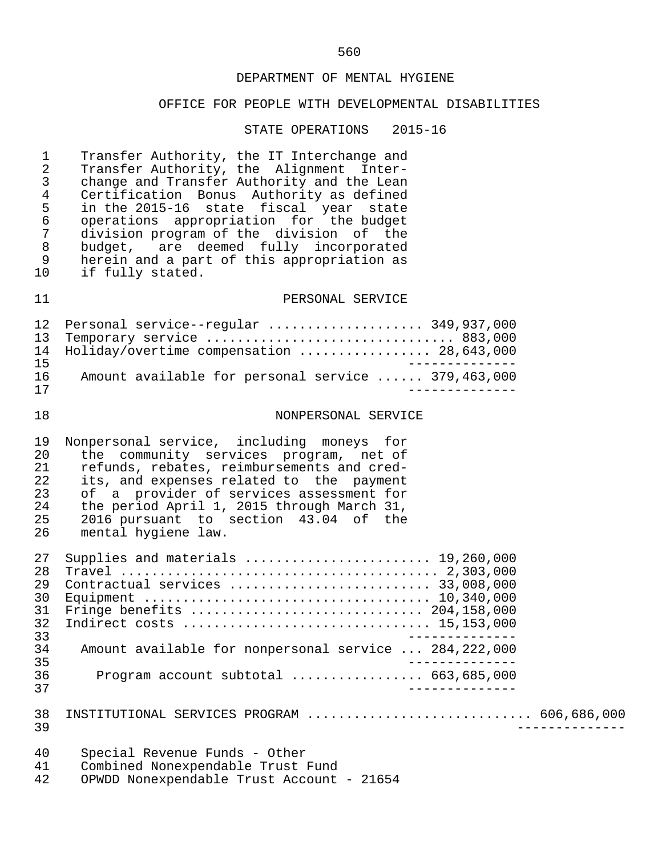### OFFICE FOR PEOPLE WITH DEVELOPMENTAL DISABILITIES

#### STATE OPERATIONS 2015-16

1 Transfer Authority, the IT Interchange and<br>2 Transfer Authority, the Alignment Inter-2 Transfer Authority, the Alignment Inter-<br>3 change and Transfer Authority and the Lean 3 change and Transfer Authority and the Lean<br>4 Certification Bonus Authority as defined 4 Certification Bonus Authority as defined<br>5 in the 2015-16 state fiscal year state 5 in the 2015-16 state fiscal year state 6 operations appropriation for the budget 7 division program of the division of the<br>8 budget, are deemed fully incorporated 8 budget, are deemed fully incorporated<br>9 herein and a part of this appropriation as 9 herein and a part of this appropriation as<br>10 if fully stated. if fully stated.

### 11 PERSONAL SERVICE

|    | 12 Personal service--regular  349,937,000          |
|----|----------------------------------------------------|
|    | 13 Temporary service  883,000                      |
|    | 14 Holiday/overtime compensation  28,643,000       |
| 15 |                                                    |
| 16 | Amount available for personal service  379,463,000 |
| 17 |                                                    |

#### 18 NONPERSONAL SERVICE

19 Nonpersonal service, including moneys for<br>20 the community services program, net of 20 the community services program, net of<br>21 refunds, rebates, reimbursements and cred-21 refunds, rebates, reimbursements and cred-<br>22 its, and expenses related to the payment 22 its, and expenses related to the payment<br>23 of a provider of services assessment for 23 of a provider of services assessment for<br>24 the period April 1, 2015 through March 31, 24 the period April 1, 2015 through March 31,<br>25 2016 pursuant to section 43.04 of the  $25$   $2016$  pursuant to section  $43.04$  of the<br>26 mental hygiene law. mental hygiene law.

| 27              | Supplies and materials $\ldots \ldots \ldots \ldots \ldots \ldots \ldots \ldots$ 19,260,000 |
|-----------------|---------------------------------------------------------------------------------------------|
| 28              |                                                                                             |
| 29              | Contractual services  33,008,000                                                            |
| 30              |                                                                                             |
| 31 <sup>-</sup> |                                                                                             |
| 32              |                                                                                             |
| 33              |                                                                                             |
| 34              | Amount available for nonpersonal service  284,222,000                                       |
| 35              |                                                                                             |
| 36              | Program account subtotal $\ldots$ 663,685,000                                               |
| 37              |                                                                                             |
|                 |                                                                                             |
| 38              | INSTITUTIONAL SERVICES PROGRAM  606,686,000                                                 |
| 39              |                                                                                             |
|                 |                                                                                             |
| 40              | Special Revenue Funds - Other                                                               |

|    | Special Revenue Funds - Other             |
|----|-------------------------------------------|
|    | Combined Nonexpendable Trust Fund         |
| 42 | OPWDD Nonexpendable Trust Account - 21654 |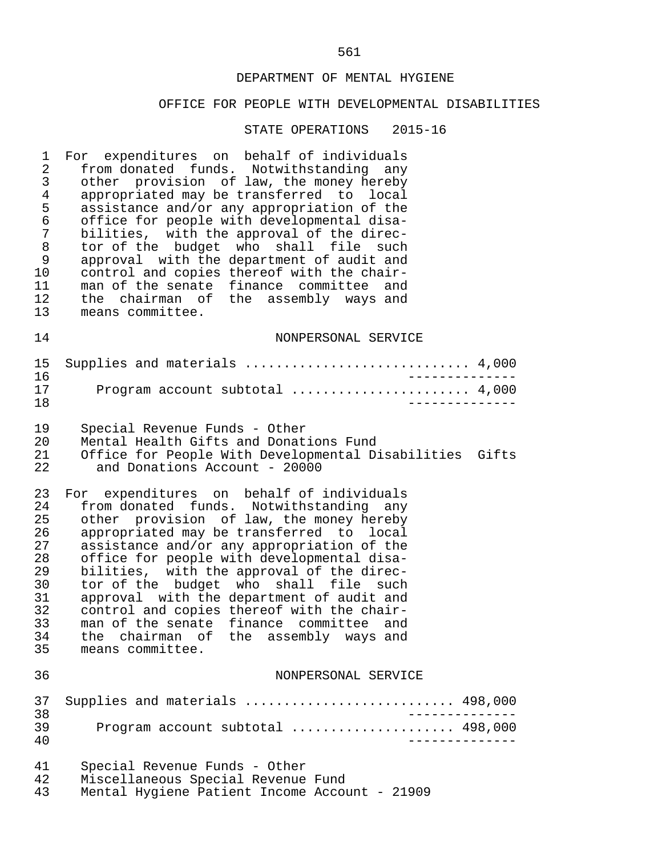#### OFFICE FOR PEOPLE WITH DEVELOPMENTAL DISABILITIES

STATE OPERATIONS 2015-16

1 For expenditures on behalf of individuals<br>2 from donated funds. Notwithstanding any 2 from donated funds. Notwithstanding any<br>3 other provision of law, the money hereby 3 other provision of law, the money hereby<br>4 appropriated may be transferred to local 4 appropriated may be transferred to local<br>5 assistance and/or any appropriation of the 5 assistance and/or any appropriation of the<br>6 office for people with developmental disa- 6 office for people with developmental disa- 7 bilities, with the approval of the direc-<br>8 tor of the budget who shall file such 8 tor of the budget who shall file such<br>9 approval with the department of audit and 9 approval with the department of audit and<br>10 control and copies thereof with the chair-10 control and copies thereof with the chair-<br>11 man of the senate finance committee and 11 man of the senate finance committee and<br>12 the chairman of the assembly ways and 12 the chairman of the assembly ways and<br>13 means committee. means committee. 14 NONPERSONAL SERVICE 15 Supplies and materials ............................. 4,000

|  | Program account subtotal $4,000$ |  |
|--|----------------------------------|--|
|  |                                  |  |

19 Special Revenue Funds - Other<br>20 Mental Health Gifts and Donat

20 Mental Health Gifts and Donations Fund<br>21 Office for People With Developmental Di 21 Office for People With Developmental Disabilities Gifts and Donations Account - 20000

23 For expenditures on behalf of individuals<br>24 from donated funds. Notwithstanding any 24 from donated funds. Notwithstanding any<br>25 other provision of law, the money hereby 25 other provision of law, the money hereby<br>26 appropriated may be transferred to local 26 appropriated may be transferred to local<br>27 assistance and/or any appropriation of the 27 assistance and/or any appropriation of the<br>28 office for people with developmental disa-28 office for people with developmental disa-<br>29 bilities, with the approval of the direc-29 bilities, with the approval of the direc-<br>30 tor of the budget who shall file such 30 tor of the budget who shall file such<br>31 approval with the department of audit and 31 approval with the department of audit and<br>32 control and copies thereof with the chair-32 control and copies thereof with the chair-<br>33 man of the senate finance committee and 33 man of the senate finance committee and<br>34 the chairman of the assembly ways and 34 the chairman of the assembly ways and<br>35 means committee. means committee.

#### 36 NONPERSONAL SERVICE

#### 37 Supplies and materials ............................. 498,000<br>38 38<br>39 Drogram account subtotal ....................... 498.000 39 Program account subtotal ..................... 498,000 40 --------------

- 41 Special Revenue Funds Other 42 Miscellaneous Special Revenue Fund<br>43 Mental Hygiene Patient Income Accou
- Mental Hygiene Patient Income Account 21909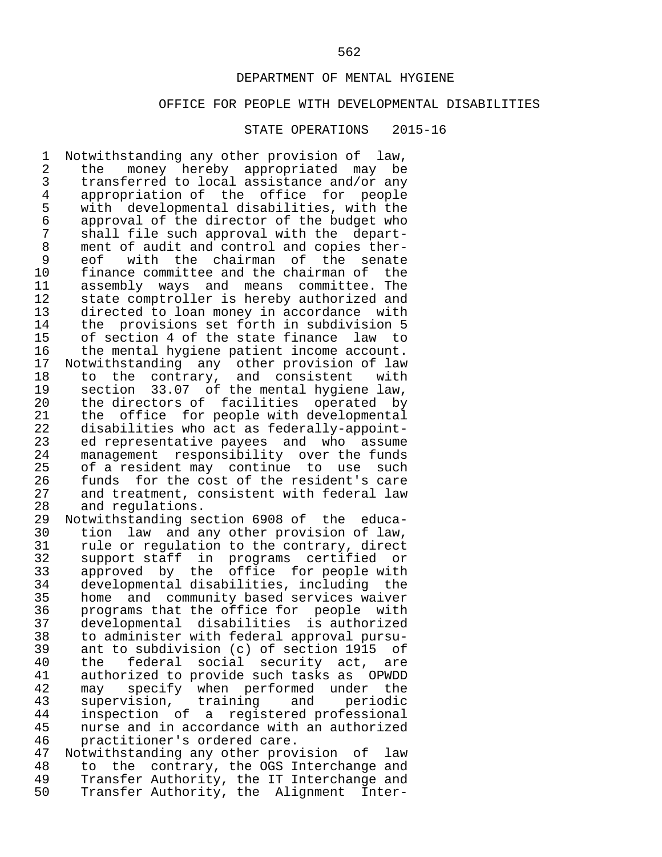#### OFFICE FOR PEOPLE WITH DEVELOPMENTAL DISABILITIES

#### STATE OPERATIONS 2015-16

1 Notwithstanding any other provision of law,<br>2 the money hereby appropriated may be 2 the money hereby appropriated may be<br>3 transferred to local assistance and/or\_any 3 transferred to local assistance and/or any<br>4 appropriation of the office for people 4 appropriation of the office for people<br>5 with developmental disabilities, with the 5 with developmental disabilities, with the 6 approval of the director of the budget who 7 shall file such approval with the depart-<br>8 ment of audit and control and copies ther-8 ment of audit and control and copies ther-<br>9 eof with the chairman of the senate 9 eof with the chairman of the senate<br>10 finance-committee-and-the-chairman-of-the 10 finance committee and the chairman of the<br>11 assembly ways and means committee. The 11 assembly ways and means committee. The<br>12 state comptroller is hereby authorized and 12 state comptroller is hereby authorized and<br>13 directed to loan money in accordance with 13 directed to loan money in accordance with<br>14 the provisions set forth in subdivision 5 14 the provisions set forth in subdivision 5<br>15 of section 4 of the state finance law to 15 of section 4 of the state finance law to<br>16 the mental hygiene patient income account. 16 the mental hygiene patient income account.<br>17 Notwithstanding any other provision of law 17 Notwithstanding any other provision of law<br>18 to the contrary, and consistent with 18 to the contrary, and consistent with<br>19 section 33.07 of the mental hygiene law. 19 section 33.07 of the mental hygiene law,<br>20 the directors of facilities operated by 20 the directors of facilities operated by<br>21 the office for people with developmental 21 the office for people with developmental<br>22 disabilities who act as federally-appoint-22 disabilities who act as federally-appoint-<br>23 ed representative payees and who assume 23 ed representative payees and who assume<br>24 management responsibility over the funds 24 management responsibility over the funds<br>25 of a resident may continue to use such 25 of a resident may continue to use such<br>26 funds for the cost of the resident's care 26 funds for the cost of the resident's care<br>27 and treatment, consistent with federal law 27 and treatment, consistent with federal law<br>28 and regulations. 28 and regulations.<br>29 Notwithstanding se 29 Notwithstanding section 6908 of the educa- 30 tion law and any other provision of law,<br>31 rule or regulation to the contrary, direct 31 rule or regulation to the contrary, direct<br>32 support staff in programs certified or 32 support staff in programs certified or 33 approved by the office for people with 34 developmental disabilities, including the<br>35 home and community based services waiver 35 home and community based services waiver<br>36 brograms that the office for people with <sup>36</sup> programs that the office for people with<br>37 developmental disabilities is authorized 37 developmental disabilities is authorized 38 to administer with federal approval pursu- 39 ant to subdivision (c) of section 1915 of<br>40 the federal social security act, are 40 the federal social security act, are<br>41 authorized to provide such tasks as OPWDD authorized to provide such tasks as OPWDD 42 may specify when performed under the<br>43 supervision, training and periodic 43 supervision, training and periodic<br>44 inspection of a registered-professional 44 inspection of a registered professional<br>45 nurse and in accordance with an authorized 45 nurse and in accordance with an authorized<br>46 practitioner's ordered care.

46 practitioner's ordered care.<br>47 Notwithstanding any other prov 47 Notwithstanding any other provision of law<br>48 to the contrary, the OGS Interchange and 48 to the contrary, the OGS Interchange and<br>49 Transfer Authority, the IT Interchange and 49 Transfer Authority, the IT Interchange and<br>50 Transfer Authority, the Alignment Inter-Transfer Authority, the Alignment Inter-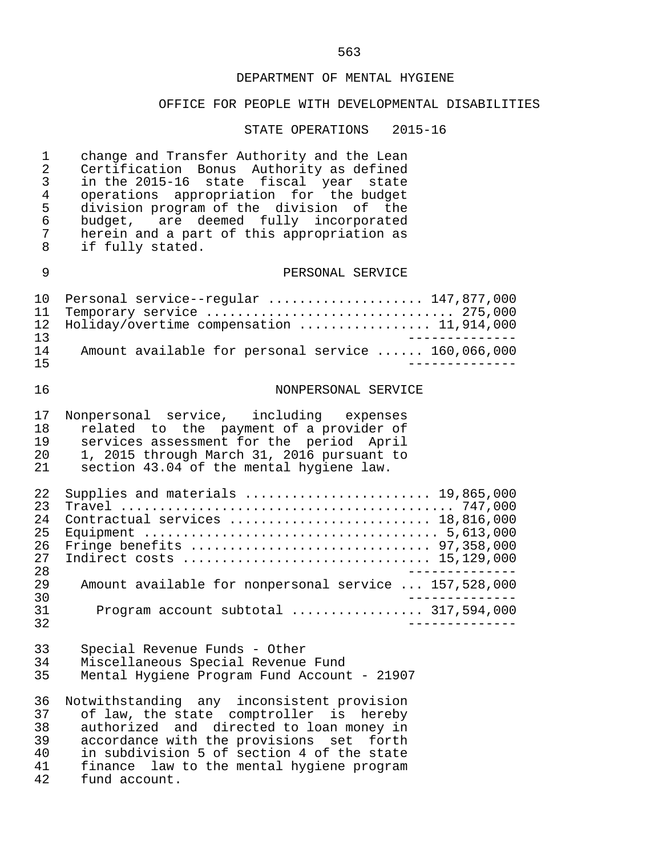### OFFICE FOR PEOPLE WITH DEVELOPMENTAL DISABILITIES

#### STATE OPERATIONS 2015-16

1 change and Transfer Authority and the Lean<br>2 Certification Bonus Authority as defined 2 Certification Bonus Authority as defined<br>3 in the 2015-16 state fiscal year state 3 in the 2015-16 state fiscal year state 4 operations appropriation for the budget 5 division program of the division of the<br>6 budget, are deemed fully incorporated 6 budget,  $ar^2$  deemed fully incorporated<br>7 herein and a part of this appropriation as 7 herein and a part of this appropriation as<br>8 if fully stated. if fully stated. 9 PERSONAL SERVICE 10 Personal service--regular ..................... 147,877,000<br>11 Temporary service .................................. 275.000 11 Temporary service ................................ 275,000 12 Holiday/overtime compensation ................. 11,914,000 13<br>14 Amount available for personal service ...... 160.066.000 14 Amount available for personal service ...... 160,066,000<br>15 15 -------------- 16 NONPERSONAL SERVICE 17 Nonpersonal service, including expenses<br>18 related to the payment of a provider of 18 related to the payment of a provider of<br>19 services assessment for the period April 19 services assessment for the period April<br>20 1.2015 through March 31, 2016 pursuant to 20 1, 2015 through March 31, 2016 pursuant to<br>21 section 43.04 of the mental hygiene law. section 43.04 of the mental hygiene law. 22 Supplies and materials ........................ 19,865,000 23 Travel ........................................... 747,000 24 Contractual services .......................... 18,816,000 25 Equipment ...................................... 5,613,000 26 Fringe benefits ............................... 97,358,000 27 Indirect costs ................................ 15,129,000 -------------<br>29 Amount available for nonpersonal service ... 157,528,000 29 Amount available for nonpersonal service ... 157,528,000 30 -------------- 31 Program account subtotal ................. 317,594,000 32 -------------- 33 Special Revenue Funds - Other 34 Miscellaneous Special Revenue Fund<br>35 Mental Hygiene Program Fund Account Mental Hygiene Program Fund Account - 21907 36 Notwithstanding any inconsistent provision 37 of law, the state comptroller is hereby 38 authorized and directed to loan money in<br>39 accordance with the provisions set forth 39 accordance with the provisions set forth 40 in subdivision 5 of section 4 of the state<br>41 finance law to the mental hygiene program 41 finance law to the mental hygiene program<br>42 fund account. fund account.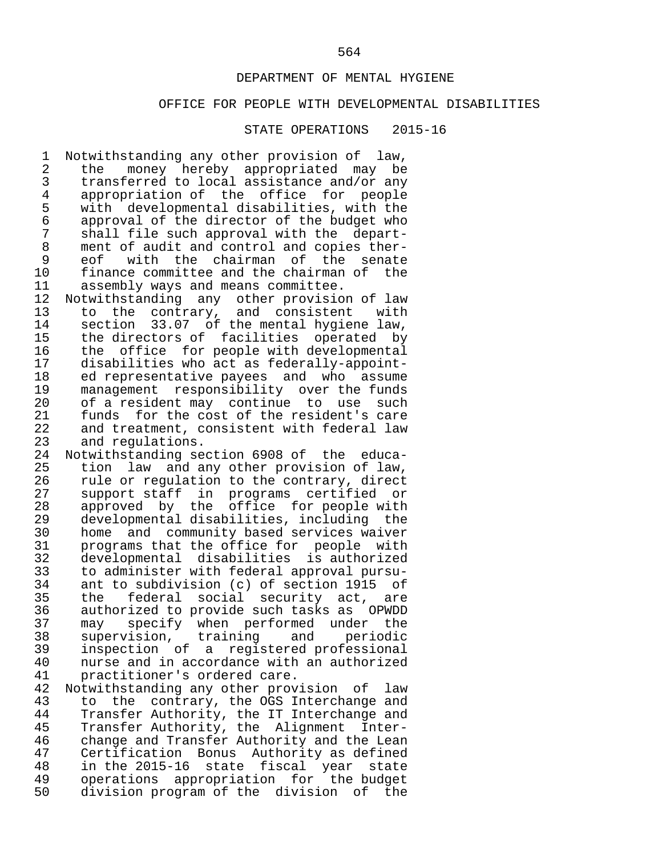#### OFFICE FOR PEOPLE WITH DEVELOPMENTAL DISABILITIES

#### STATE OPERATIONS 2015-16

1 Notwithstanding any other provision of law,<br>2 the money hereby appropriated may be 2 the money hereby appropriated may be<br>3 transferred to local assistance and/or\_any 3 transferred to local assistance and/or any<br>4 appropriation of the office for people 4 appropriation of the office for people<br>5 with developmental disabilities, with the 5 with developmental disabilities, with the 6 approval of the director of the budget who 7 shall file such approval with the depart-<br>8 ment of audit and control and copies ther-8 ment of audit and control and copies ther-<br>9 eof with the chairman of the senate 9 eof with the chairman of the senate<br>10 finance-committee-and-the-chairman-of-the 10 finance committee and the chairman of the<br>11 assembly ways and means committee.

11 assembly ways and means committee.<br>12 Notwithstanding any other provisio 12 Notwithstanding any other provision of law<br>13 to the contrary, and consistent with 13 to the contrary, and consistent with<br>14 section 33.07 of the mental hygiene law. 14 section 33.07 of the mental hygiene law,<br>15 the directors of facilities operated by 15 the directors of facilities operated by<br>16 the office for people with developmental 16 the office for people with developmental<br>17 disabilities who act as federally-appoint- 17 disabilities who act as federally-appoint- 18 ed representative payees and who assume 19 management responsibility over the funds<br>20 of a resident may continue to use such 20 of a resident may continue to use such<br>21 funds for the cost of the resident's care 21 funds for the cost of the resident's care<br>22 and treatment, consistent with federal law 22 and treatment, consistent with federal law<br>23 and regulations.

23 and regulations.<br>24 Notwithstanding se 24 Notwithstanding section 6908 of the educa- 25 tion law and any other provision of law,<br>26 yule or regulation to the contrary, direct 26 rule or regulation to the contrary, direct<br>27 support staff in programs certified or 27 support staff in programs certified or<br>28 approved by the office for people-with 28 approved by the office for people with<br>29 developmental-disabilities, including the 29 developmental disabilities, including the<br>30 home and community based services waiver 30 home and community based services waiver<br>31 brograms that the office for people with 31 programs that the office for people with<br>32 developmental disabilities is authorized 32 developmental disabilities is authorized 33 to administer with federal approval pursu-<br>34 ant to subdivision (c) of section 1915 of 34 ant to subdivision (c) of section 1915 of<br>35 the federal social security act, are 35 the federal social security act, are<br>36 authorized to provide such tasks as OPWDD 36 authorized to provide such tasks as OPWDD<br>37 may specify when performed under the 37 may specify when performed under the<br>38 supervision, training and periodic 38 supervision, training and periodic 39 inspection of a registered professional<br>40 nurse and in accordance with an authorized 40 nurse and in accordance with an authorized<br>41 practitioner's ordered care. practitioner's ordered care.

42 Notwithstanding any other provision of law<br>43 to the contrary, the OGS Interchange and 43 to the contrary, the OGS Interchange and<br>44 Transfer Authority, the IT Interchange and 44 Transfer Authority, the IT Interchange and<br>45 Transfer Authority, the Alignment Inter- 45 Transfer Authority, the Alignment Inter- 46 change and Transfer Authority and the Lean<br>47 Certification Bonus Authority as defined 47 Certification Bonus Authority as defined 48 in the 2015-16 state fiscal year state<br>49 operations appropriation for the budget 49 operations appropriation for the budget<br>50 division-program-of-the division of the division program of the division of the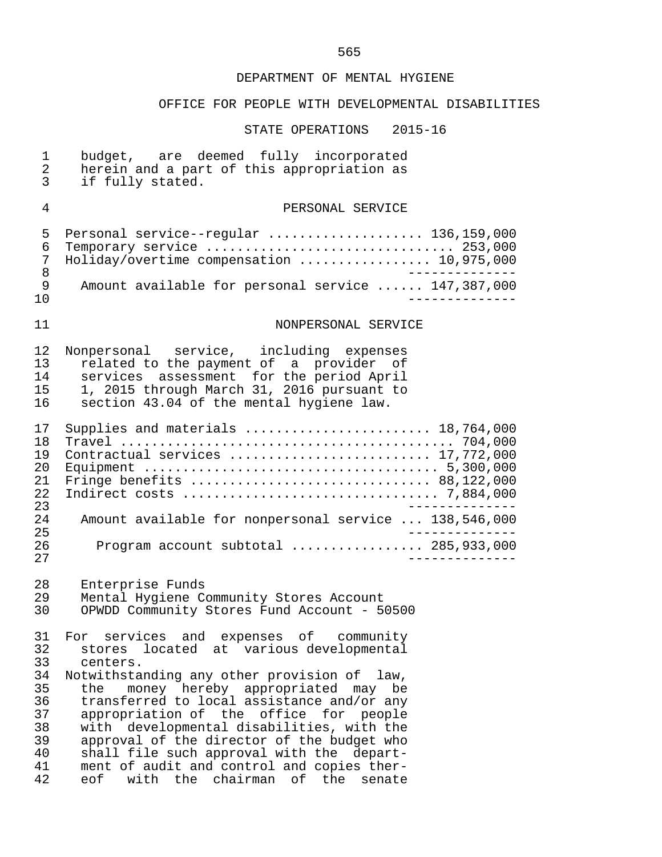# OFFICE FOR PEOPLE WITH DEVELOPMENTAL DISABILITIES

| $\mathbf{1}$<br>$\overline{2}$<br>3                            | budget, are deemed fully incorporated<br>herein and a part of this appropriation as<br>if fully stated.                                                                                                                                                                                                                                                                                                                                                                                                               |
|----------------------------------------------------------------|-----------------------------------------------------------------------------------------------------------------------------------------------------------------------------------------------------------------------------------------------------------------------------------------------------------------------------------------------------------------------------------------------------------------------------------------------------------------------------------------------------------------------|
| $\overline{4}$                                                 | PERSONAL SERVICE                                                                                                                                                                                                                                                                                                                                                                                                                                                                                                      |
| 5<br>6<br>7<br>8<br>9                                          | Personal service--regular  136,159,000<br>Temporary service  253,000<br>Holiday/overtime compensation  10,975,000<br>_____________<br>Amount available for personal service  147,387,000                                                                                                                                                                                                                                                                                                                              |
| 10                                                             | . _ _ _ _ _ _ _ .                                                                                                                                                                                                                                                                                                                                                                                                                                                                                                     |
| 11                                                             | NONPERSONAL SERVICE                                                                                                                                                                                                                                                                                                                                                                                                                                                                                                   |
| 12<br>13<br>14<br>15<br>16                                     | Nonpersonal service, including expenses<br>related to the payment of a provider of<br>services assessment for the period April<br>1, 2015 through March 31, 2016 pursuant to<br>section 43.04 of the mental hygiene law.                                                                                                                                                                                                                                                                                              |
| 17<br>18<br>19<br>20<br>21<br>22<br>23                         | Supplies and materials  18,764,000<br>Contractual services  17,772,000                                                                                                                                                                                                                                                                                                                                                                                                                                                |
| 24<br>25<br>26                                                 | Amount available for nonpersonal service  138,546,000<br>Program account subtotal  285,933,000                                                                                                                                                                                                                                                                                                                                                                                                                        |
| 27                                                             | -------------                                                                                                                                                                                                                                                                                                                                                                                                                                                                                                         |
| 28<br>29<br>30                                                 | Enterprise Funds<br>Mental Hygiene Community Stores Account<br>OPWDD Community Stores Fund Account - 50500                                                                                                                                                                                                                                                                                                                                                                                                            |
| 32<br>33<br>34<br>35<br>36<br>37<br>38<br>39<br>40<br>41<br>42 | 31 For services and expenses of community<br>stores located at various developmental<br>centers.<br>Notwithstanding any other provision of law,<br>money hereby appropriated may be<br>the<br>transferred to local assistance and/or any<br>appropriation of the office for people<br>with developmental disabilities, with the<br>approval of the director of the budget who<br>shall file such approval with the depart-<br>ment of audit and control and copies ther-<br>eof<br>with the chairman of the<br>senate |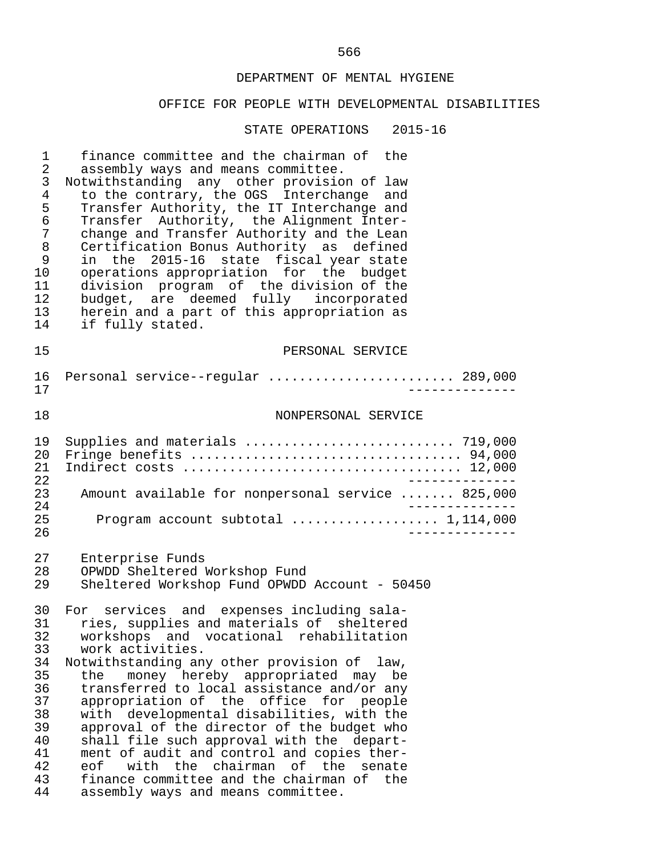# OFFICE FOR PEOPLE WITH DEVELOPMENTAL DISABILITIES

| 1<br>2<br>3<br>4<br>5<br>6<br>7<br>8<br>9<br>10<br>11                                  | finance committee and the chairman of the<br>assembly ways and means committee.<br>Notwithstanding any other provision of law<br>to the contrary, the OGS Interchange and<br>Transfer Authority, the IT Interchange and<br>Transfer Authority, the Alignment Inter-<br>change and Transfer Authority and the Lean<br>Certification Bonus Authority as defined<br>in the 2015-16<br>state fiscal year state<br>operations appropriation for the budget<br>division program of the division of the                                                                                                                                                                    |
|----------------------------------------------------------------------------------------|---------------------------------------------------------------------------------------------------------------------------------------------------------------------------------------------------------------------------------------------------------------------------------------------------------------------------------------------------------------------------------------------------------------------------------------------------------------------------------------------------------------------------------------------------------------------------------------------------------------------------------------------------------------------|
| $12 \,$                                                                                | budget, are deemed fully incorporated                                                                                                                                                                                                                                                                                                                                                                                                                                                                                                                                                                                                                               |
| 13                                                                                     | herein and a part of this appropriation as                                                                                                                                                                                                                                                                                                                                                                                                                                                                                                                                                                                                                          |
| 14                                                                                     | if fully stated.                                                                                                                                                                                                                                                                                                                                                                                                                                                                                                                                                                                                                                                    |
| 15                                                                                     | PERSONAL SERVICE                                                                                                                                                                                                                                                                                                                                                                                                                                                                                                                                                                                                                                                    |
| 16<br>17                                                                               | Personal service--regular  289,000                                                                                                                                                                                                                                                                                                                                                                                                                                                                                                                                                                                                                                  |
| 18                                                                                     | NONPERSONAL SERVICE                                                                                                                                                                                                                                                                                                                                                                                                                                                                                                                                                                                                                                                 |
| 19                                                                                     | Supplies and materials  719,000                                                                                                                                                                                                                                                                                                                                                                                                                                                                                                                                                                                                                                     |
| 20                                                                                     |                                                                                                                                                                                                                                                                                                                                                                                                                                                                                                                                                                                                                                                                     |
| 21                                                                                     |                                                                                                                                                                                                                                                                                                                                                                                                                                                                                                                                                                                                                                                                     |
| 22                                                                                     | ______________                                                                                                                                                                                                                                                                                                                                                                                                                                                                                                                                                                                                                                                      |
| 23                                                                                     | Amount available for nonpersonal service  825,000                                                                                                                                                                                                                                                                                                                                                                                                                                                                                                                                                                                                                   |
| 24                                                                                     | _______                                                                                                                                                                                                                                                                                                                                                                                                                                                                                                                                                                                                                                                             |
| 25                                                                                     | Program account subtotal $\ldots$ 1,114,000                                                                                                                                                                                                                                                                                                                                                                                                                                                                                                                                                                                                                         |
| 26                                                                                     | ___________                                                                                                                                                                                                                                                                                                                                                                                                                                                                                                                                                                                                                                                         |
| 27                                                                                     | Enterprise Funds                                                                                                                                                                                                                                                                                                                                                                                                                                                                                                                                                                                                                                                    |
| 28                                                                                     | OPWDD Sheltered Workshop Fund                                                                                                                                                                                                                                                                                                                                                                                                                                                                                                                                                                                                                                       |
| 29                                                                                     | Sheltered Workshop Fund OPWDD Account - 50450                                                                                                                                                                                                                                                                                                                                                                                                                                                                                                                                                                                                                       |
| 30<br>31<br>32<br>33<br>34<br>35<br>36<br>37<br>38<br>39<br>40<br>41<br>42<br>43<br>44 | For services and expenses including sala-<br>ries, supplies and materials of sheltered<br>workshops and vocational rehabilitation<br>work activities.<br>Notwithstanding any other provision of law,<br>money hereby appropriated may<br>the<br>be<br>transferred to local assistance and/or any<br>appropriation of the office for people<br>developmental disabilities, with the<br>with<br>approval of the director of the budget who<br>shall file such approval with the depart-<br>ment of audit and control and copies ther-<br>with the chairman of the<br>eof<br>senate<br>finance committee and the chairman of the<br>assembly ways and means committee. |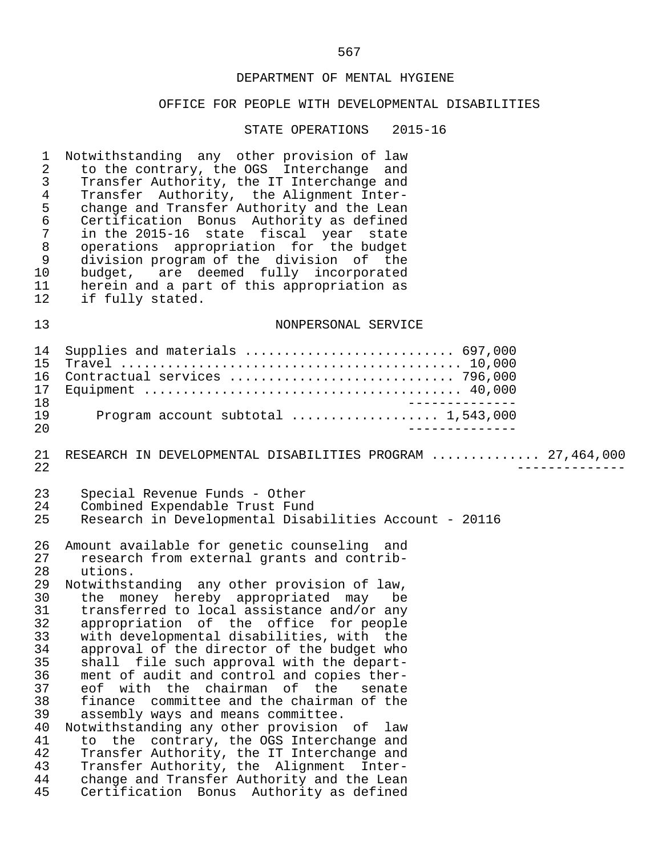#### OFFICE FOR PEOPLE WITH DEVELOPMENTAL DISABILITIES

STATE OPERATIONS 2015-16

1 Notwithstanding any other provision of law<br>2 to the contrary, the OGS Interchange and 2 to the contrary, the OGS Interchange and<br>3 Transfer Authority, the IT Interchange and 3 Transfer Authority, the IT Interchange and<br>4 Transfer Authority, the Alignment Inter-4 Transfer Authority, the Alignment Inter-<br>5 change and Transfer Authority and the Lean 5 change and Transfer Authority and the Lean<br>6 Certification Bonus Authority as defined 6 Certification Bonus Authority as defined<br>7 in the 2015-16 state fiscal vear state 7 in the 2015-16 state fiscal year state 8 operations appropriation for the budget 9 division program of the division of the<br>10 budget, are deemed fully incorporated 10 budget, are deemed fully incorporated<br>11 herein and a part of this appropriation as 11 herein and a part of this appropriation as<br>12 if fully stated. if fully stated. 13 NONPERSONAL SERVICE 14 Supplies and materials ........................... 697,000 15 Travel ............................................ 10,000 16 Contractual services ............................. 796,000 Equipment  $\dots\dots\dots\dots\dots\dots\dots\dots\dots\dots\dots\dots\dots\dots$ . 40,000 18 -------------- 19 Program account subtotal ................... 1,543,000 20 -------------- 21 RESEARCH IN DEVELOPMENTAL DISABILITIES PROGRAM .............. 27,464,000<br>22 22 -------------- 23 Special Revenue Funds - Other<br>24 Combined Expendable Trust Fung 24 Combined Expendable Trust Fund<br>25 Research in Developmental Disal 25 Research in Developmental Disabilities Account - 20116 26 Amount available for genetic counseling and 27 research from external grants and contrib- 28 utions.<br>29 Notwithst 29 Notwithstanding any other provision of law,<br>30 the money hereby appropriated may be 30 the money hereby appropriated may be<br>31 transferred to local assistance and/or any 31 transferred to local assistance and/or any<br>32 appropriation of the office for people 32 appropriation of the office for people<br>33 with developmental disabilities, with the 33 with developmental disabilities, with the 34 approval of the director of the budget who<br>35 shall file such approval with the depart-35 shall file such approval with the depart-<br>36 ment of audit and control and copies ther-36 ment of audit and control and copies ther-<br>37 eof with the chairman of the senate 37 eof with the chairman of the senate<br>38 finance committee and the chairman of the 38 finance committee and the chairman of the<br>39 assembly ways and means committee. 39 assembly ways and means committee.<br>40 Notwithstanding any other provision 40 Notwithstanding any other provision of law<br>41 to the contrary, the OGS Interchange and 41 to the contrary, the OGS Interchange and<br>42 Transfer Authority, the IT Interchange and 42 Transfer Authority, the IT Interchange and 43 Transfer Authority, the Alignment Inter- 44 change and Transfer Authority and the Lean<br>45 Certification Bonus Authority as defined Certification Bonus Authority as defined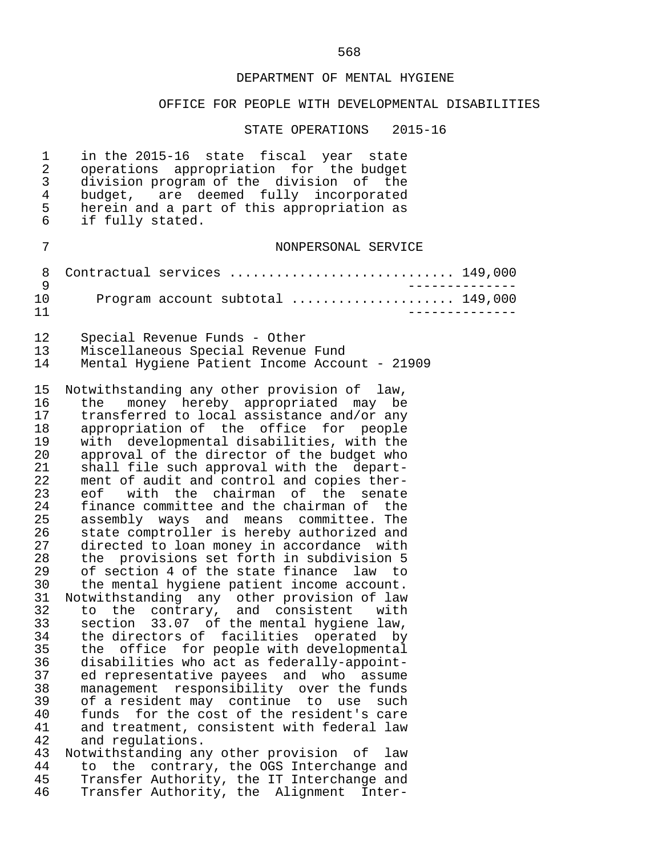# OFFICE FOR PEOPLE WITH DEVELOPMENTAL DISABILITIES

| $\mathbf 1$<br>$\overline{a}$<br>3<br>$\overline{4}$<br>5<br>6                                                                                                                               | in the 2015-16 state fiscal year state<br>operations appropriation for the budget<br>division program of the division of the<br>budget, are deemed fully incorporated<br>herein and a part of this appropriation as<br>if fully stated.                                                                                                                                                                                                                                                                                                                                                                                                                                                                                                                                                                                                                                                                                                                                                                                                                                                                                                                                                                                                                                                                                                                                                                                                                                                         |  |
|----------------------------------------------------------------------------------------------------------------------------------------------------------------------------------------------|-------------------------------------------------------------------------------------------------------------------------------------------------------------------------------------------------------------------------------------------------------------------------------------------------------------------------------------------------------------------------------------------------------------------------------------------------------------------------------------------------------------------------------------------------------------------------------------------------------------------------------------------------------------------------------------------------------------------------------------------------------------------------------------------------------------------------------------------------------------------------------------------------------------------------------------------------------------------------------------------------------------------------------------------------------------------------------------------------------------------------------------------------------------------------------------------------------------------------------------------------------------------------------------------------------------------------------------------------------------------------------------------------------------------------------------------------------------------------------------------------|--|
| 7                                                                                                                                                                                            | NONPERSONAL SERVICE                                                                                                                                                                                                                                                                                                                                                                                                                                                                                                                                                                                                                                                                                                                                                                                                                                                                                                                                                                                                                                                                                                                                                                                                                                                                                                                                                                                                                                                                             |  |
| 8<br>9                                                                                                                                                                                       | Contractual services  149,000                                                                                                                                                                                                                                                                                                                                                                                                                                                                                                                                                                                                                                                                                                                                                                                                                                                                                                                                                                                                                                                                                                                                                                                                                                                                                                                                                                                                                                                                   |  |
| 10<br>11                                                                                                                                                                                     | Program account subtotal  149,000                                                                                                                                                                                                                                                                                                                                                                                                                                                                                                                                                                                                                                                                                                                                                                                                                                                                                                                                                                                                                                                                                                                                                                                                                                                                                                                                                                                                                                                               |  |
| 12<br>13<br>14                                                                                                                                                                               | Special Revenue Funds - Other<br>Miscellaneous Special Revenue Fund<br>Mental Hygiene Patient Income Account - 21909                                                                                                                                                                                                                                                                                                                                                                                                                                                                                                                                                                                                                                                                                                                                                                                                                                                                                                                                                                                                                                                                                                                                                                                                                                                                                                                                                                            |  |
| 15<br>16<br>17<br>18<br>19<br>20<br>21<br>22<br>23<br>24<br>25<br>26<br>27<br>28<br>29<br>30<br>31<br>32<br>33<br>34<br>35<br>36<br>37<br>38<br>39<br>40<br>41<br>42<br>43<br>44<br>45<br>46 | Notwithstanding any other provision of law,<br>money hereby appropriated may be<br>the<br>transferred to local assistance and/or any<br>appropriation of the office for<br>people<br>with developmental disabilities, with the<br>approval of the director of the budget who<br>shall file such approval with the depart-<br>ment of audit and control and copies ther-<br>eof with the chairman of the senate<br>finance committee and the chairman of the<br>assembly ways and means committee. The<br>state comptroller is hereby authorized and<br>directed to loan money in accordance with<br>the provisions set forth in subdivision 5<br>of section 4 of the state finance law to<br>the mental hygiene patient income account.<br>Notwithstanding any other provision of law<br>to the contrary, and consistent with<br>section 33.07 of the mental hygiene law,<br>the directors of facilities operated<br>by<br>office<br>for people with developmental<br>the<br>disabilities who act as federally-appoint-<br>ed representative payees and<br>who<br>assume<br>responsibility over the funds<br>management<br>of a resident may continue<br>to<br>use<br>such<br>for the cost of the resident's care<br>funds<br>and treatment, consistent with federal law<br>and requlations.<br>Notwithstanding any other provision<br>оf<br>law<br>the<br>contrary, the OGS Interchange and<br>to<br>Transfer Authority, the IT Interchange and<br>Transfer Authority, the Alignment<br>Inter- |  |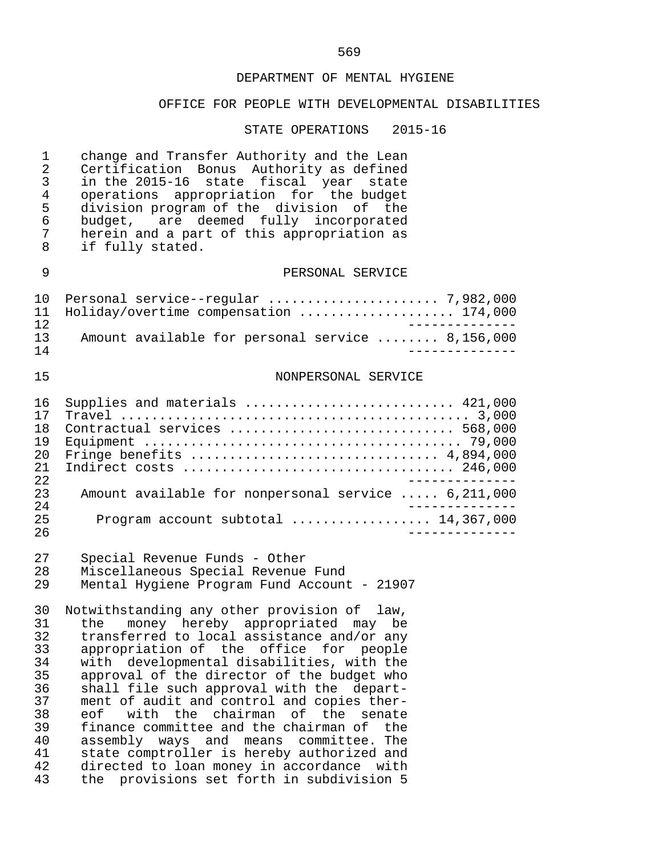# OFFICE FOR PEOPLE WITH DEVELOPMENTAL DISABILITIES

| $\mathbf 1$<br>$\overline{2}$<br>$\mathfrak{Z}$<br>$\overline{4}$<br>5<br>6<br>7<br>8 | change and Transfer Authority and the Lean<br>Certification Bonus Authority as defined<br>in the 2015-16 state fiscal year state<br>operations appropriation for the budget<br>division program of the division of the<br>budget, are deemed fully incorporated<br>herein and a part of this appropriation as<br>if fully stated.                                                                                                                                                                                                                                                                                                               |
|---------------------------------------------------------------------------------------|-------------------------------------------------------------------------------------------------------------------------------------------------------------------------------------------------------------------------------------------------------------------------------------------------------------------------------------------------------------------------------------------------------------------------------------------------------------------------------------------------------------------------------------------------------------------------------------------------------------------------------------------------|
| 9                                                                                     | PERSONAL SERVICE                                                                                                                                                                                                                                                                                                                                                                                                                                                                                                                                                                                                                                |
| 10<br>11<br>12<br>13<br>14                                                            | Holiday/overtime compensation  174,000<br>Amount available for personal service  8,156,000                                                                                                                                                                                                                                                                                                                                                                                                                                                                                                                                                      |
| 15                                                                                    | NONPERSONAL SERVICE                                                                                                                                                                                                                                                                                                                                                                                                                                                                                                                                                                                                                             |
| 16<br>17<br>18<br>19<br>20<br>21<br>22<br>23<br>24<br>25<br>26                        | Supplies and materials  421,000<br>Contractual services  568,000<br>Fringe benefits  4,894,000<br>Amount available for nonpersonal service  6,211,000<br>Program account subtotal  14,367,000                                                                                                                                                                                                                                                                                                                                                                                                                                                   |
| 27<br>28<br>29                                                                        | Special Revenue Funds - Other<br>Miscellaneous Special Revenue Fund<br>Mental Hygiene Program Fund Account - 21907                                                                                                                                                                                                                                                                                                                                                                                                                                                                                                                              |
| 30<br>31<br>32<br>33<br>34<br>35<br>36<br>37<br>38<br>39<br>40<br>41<br>42<br>43      | Notwithstanding any other provision of law,<br>money hereby appropriated may be<br>the<br>transferred to local assistance and/or any<br>appropriation of the office for people<br>with developmental disabilities, with the<br>approval of the director of the budget who<br>shall file such approval with the depart-<br>ment of audit and control and copies ther-<br>with the chairman of the senate<br>eof<br>finance committee and the chairman of the<br>assembly ways and means committee.The<br>state comptroller is hereby authorized and<br>directed to loan money in accordance with<br>provisions set forth in subdivision 5<br>the |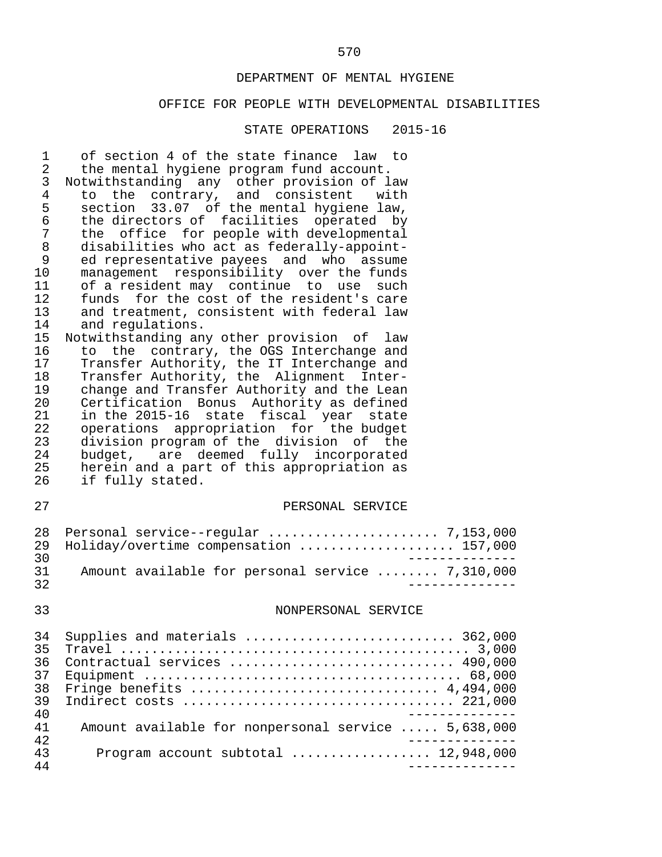# OFFICE FOR PEOPLE WITH DEVELOPMENTAL DISABILITIES

| $\overline{4}$<br>to the contrary, and consistent with<br>5<br>section 33.07 of the mental hygiene law, |  |
|---------------------------------------------------------------------------------------------------------|--|
| $\sqrt{6}$<br>the directors of facilities operated by<br>7                                              |  |
| the office for people with developmental<br>$\,8\,$<br>disabilities who act as federally-appoint-       |  |
| 9<br>ed representative payees and who assume                                                            |  |
| 10<br>management responsibility over the funds                                                          |  |
| of a resident may continue to use<br>11<br>such                                                         |  |
| 12<br>funds for the cost of the resident's care                                                         |  |
| 13<br>and treatment, consistent with federal law                                                        |  |
| 14<br>and regulations.                                                                                  |  |
| 15<br>Notwithstanding any other provision of law                                                        |  |
| 16<br>to the contrary, the OGS Interchange and                                                          |  |
| 17<br>Transfer Authority, the IT Interchange and                                                        |  |
| Transfer Authority, the Alignment Inter-<br>18                                                          |  |
| change and Transfer Authority and the Lean<br>19                                                        |  |
| 20<br>Certification Bonus Authority as defined<br>21<br>in the 2015-16 state fiscal year state          |  |
| 22<br>operations appropriation for the budget                                                           |  |
| 23<br>division program of the division of the                                                           |  |
| 24<br>budget, are deemed fully incorporated                                                             |  |
|                                                                                                         |  |
|                                                                                                         |  |
| 25<br>herein and a part of this appropriation as<br>26<br>if fully stated.                              |  |
|                                                                                                         |  |
| 27<br>PERSONAL SERVICE                                                                                  |  |
| 28<br>Holiday/overtime compensation  157,000<br>29                                                      |  |
| 30                                                                                                      |  |
| 31<br>Amount available for personal service  7,310,000                                                  |  |
| 32                                                                                                      |  |
|                                                                                                         |  |
| 33<br>NONPERSONAL SERVICE                                                                               |  |
| Supplies and materials  362,000<br>34                                                                   |  |
| 35<br>Travel                                                                                            |  |
| Contractual services  490,000<br>36                                                                     |  |
| 37                                                                                                      |  |
| Fringe benefits  4,494,000<br>38                                                                        |  |
| 39                                                                                                      |  |
| 40                                                                                                      |  |
| Amount available for nonpersonal service  5,638,000<br>41                                               |  |
| 42<br>Program account subtotal $\ldots$ 12,948,000<br>43                                                |  |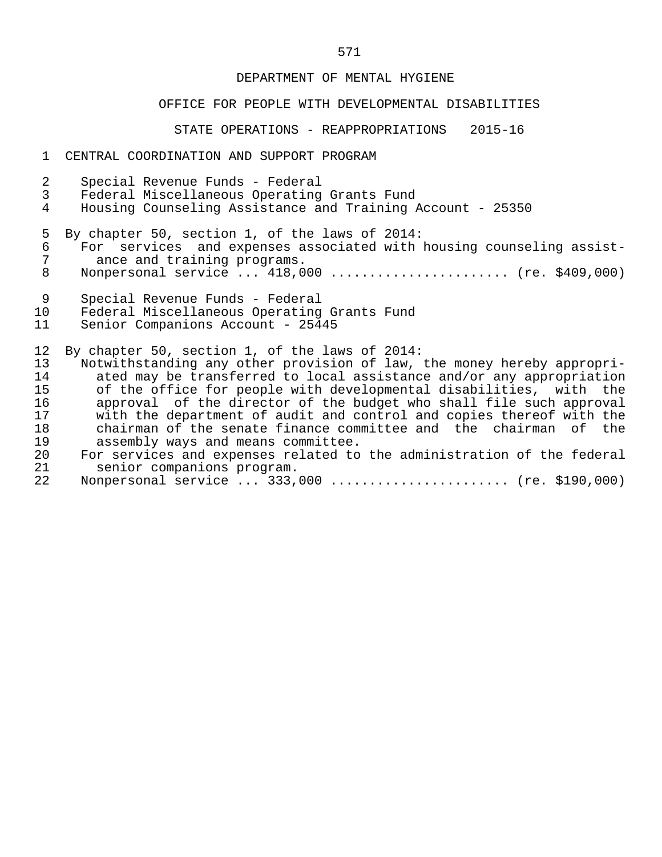# OFFICE FOR PEOPLE WITH DEVELOPMENTAL DISABILITIES

#### STATE OPERATIONS - REAPPROPRIATIONS 2015-16

#### 1 CENTRAL COORDINATION AND SUPPORT PROGRAM

| 2           | Special Revenue Funds - Federal                                                                                                                                                                        |
|-------------|--------------------------------------------------------------------------------------------------------------------------------------------------------------------------------------------------------|
| 3           | Federal Miscellaneous Operating Grants Fund                                                                                                                                                            |
| 4           | Housing Counseling Assistance and Training Account - 25350                                                                                                                                             |
| 5<br>6<br>8 | By chapter 50, section 1, of the laws of 2014:<br>For services and expenses associated with housing counseling assist-<br>ance and training programs.<br>Nonpersonal service $418,000$ (re. \$409,000) |
| 9           | Special Revenue Funds - Federal                                                                                                                                                                        |
| 10          | Federal Miscellaneous Operating Grants Fund                                                                                                                                                            |
| 11          | Senior Companions Account - 25445                                                                                                                                                                      |
| 12          | By chapter 50, section 1, of the laws of 2014:                                                                                                                                                         |
| 13          | Notwithstanding any other provision of law, the money hereby appropri-                                                                                                                                 |
| 14          | ated may be transferred to local assistance and/or any appropriation                                                                                                                                   |
| 15          | of the office for people with developmental disabilities, with the                                                                                                                                     |
| 16          | approval of the director of the budget who shall file such approval                                                                                                                                    |
| 17          | with the department of audit and control and copies thereof with the                                                                                                                                   |
| 18          | chairman of the senate finance committee and the chairman of the                                                                                                                                       |
| 19          | assembly ways and means committee.                                                                                                                                                                     |

# 19 assembly ways and means committee.<br>20 For services and expenses related to 20 For services and expenses related to the administration of the federal<br>21 Senior companions program. senior companions program.

|  |  |  |  | Nonpersonal service  333,000  (re. \$190,000) |  |  |  |
|--|--|--|--|-----------------------------------------------|--|--|--|
|--|--|--|--|-----------------------------------------------|--|--|--|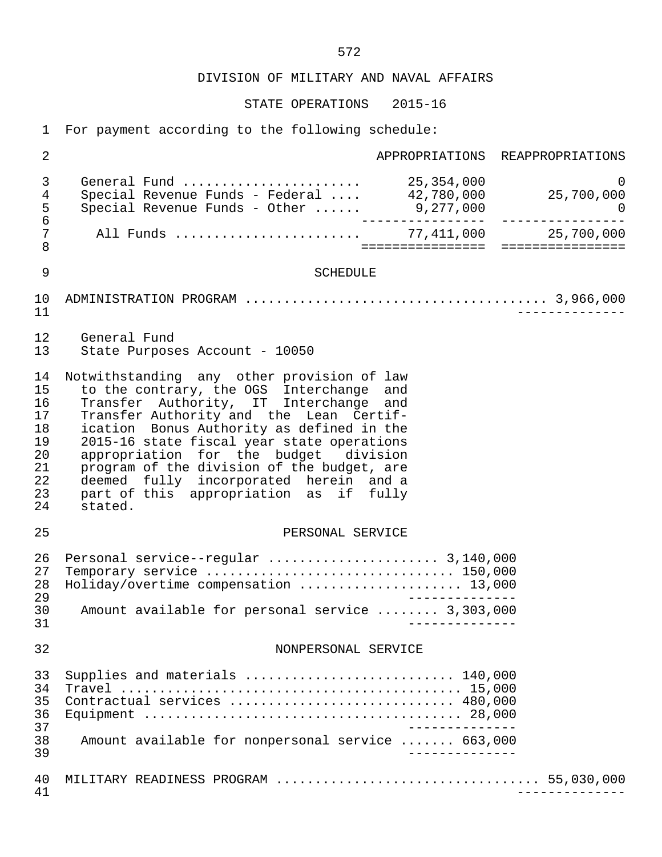STATE OPERATIONS 2015-16

1 For payment according to the following schedule:

| $\overline{2}$                                                 | APPROPRIATIONS REAPPROPRIATIONS                                                                                                                                                                                                                                                                                                                                                                                                                              |
|----------------------------------------------------------------|--------------------------------------------------------------------------------------------------------------------------------------------------------------------------------------------------------------------------------------------------------------------------------------------------------------------------------------------------------------------------------------------------------------------------------------------------------------|
| $\mathfrak{Z}$<br>4<br>5                                       | General Fund  25,354,000<br>$\Omega$<br>0 0 0 100, 354, 000 125, 354, 000 5<br>Special Revenue Funds - Federal  42, 780, 000 15, 700, 000                                                                                                                                                                                                                                                                                                                    |
| $\epsilon$<br>7<br>8                                           | =====================================                                                                                                                                                                                                                                                                                                                                                                                                                        |
| 9                                                              | <b>SCHEDULE</b>                                                                                                                                                                                                                                                                                                                                                                                                                                              |
| 10<br>11                                                       |                                                                                                                                                                                                                                                                                                                                                                                                                                                              |
| 12<br>13                                                       | General Fund<br>State Purposes Account - 10050                                                                                                                                                                                                                                                                                                                                                                                                               |
| 14<br>15<br>16<br>17<br>18<br>19<br>20<br>21<br>22<br>23<br>24 | Notwithstanding any other provision of law<br>to the contrary, the OGS Interchange and<br>Transfer Authority, IT Interchange and<br>Transfer Authority and the Lean Certif-<br>ication Bonus Authority as defined in the<br>2015-16 state fiscal year state operations<br>appropriation for the budget division<br>program of the division of the budget, are<br>deemed fully incorporated herein and a<br>part of this appropriation as if fully<br>stated. |
| 25                                                             | PERSONAL SERVICE                                                                                                                                                                                                                                                                                                                                                                                                                                             |
| 26<br>27<br>28<br>29<br>30<br>31                               | Personal service--regular  3,140,000<br>Temporary service  150,000<br>Holiday/overtime compensation  13,000<br>Amount available for personal service  3,303,000                                                                                                                                                                                                                                                                                              |
| 32                                                             | NONPERSONAL SERVICE                                                                                                                                                                                                                                                                                                                                                                                                                                          |
|                                                                |                                                                                                                                                                                                                                                                                                                                                                                                                                                              |
| 33<br>34<br>35<br>36<br>37<br>38<br>39                         | Supplies and materials $\ldots \ldots \ldots \ldots \ldots \ldots \ldots \ldots 140,000$<br>Contractual services  480,000<br>Amount available for nonpersonal service  663,000                                                                                                                                                                                                                                                                               |
| 40<br>41                                                       |                                                                                                                                                                                                                                                                                                                                                                                                                                                              |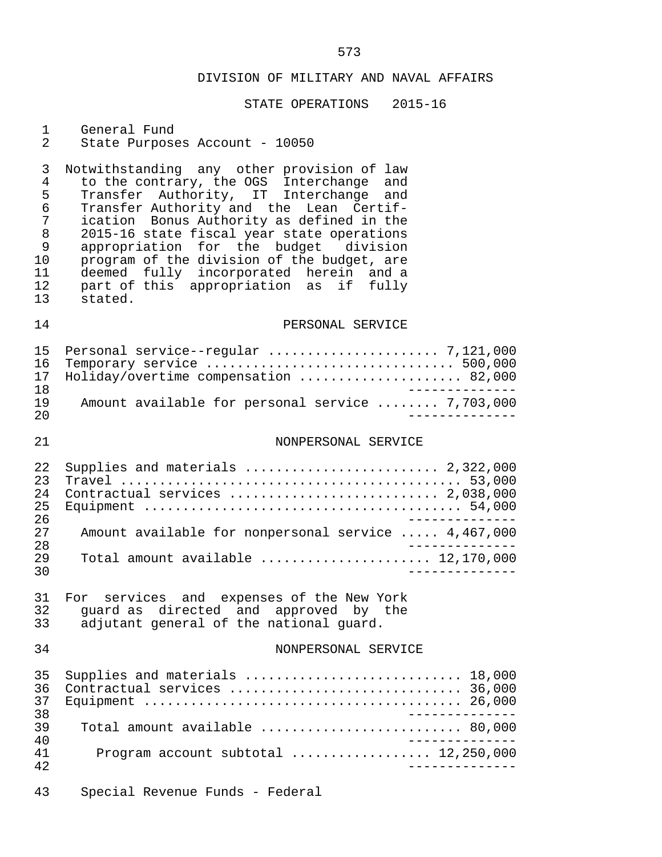# STATE OPERATIONS 2015-16

# 1 General Fund<br>2 State Purpose

State Purposes Account - 10050

3 Notwithstanding any other provision of law<br>4 to the contrary, the OGS Interchange and 4 to the contrary, the OGS Interchange and 5 Transfer Authority, IT Interchange and 6 Transfer Authority and the Lean Certif- 7 ication Bonus Authority as defined in the<br>8 2015-16 state fiscal vear state operations 8 2015-16 state fiscal year state operations<br>9 appropriation for the budget division 9 appropriation for the budget division<br>10 program of the division of the budget, are 10 program of the division of the budget, are<br>11 deemed fully incorporated herein and a 11 deemed fully incorporated herein and a 12 part of this appropriation as if fully 13 stated.

# 14 **PERSONAL SERVICE**

|     | 16 Temporary service  500,000                    |
|-----|--------------------------------------------------|
|     | 17 Holiday/overtime compensation  82,000         |
| 1 R |                                                  |
| 19  | Amount available for personal service  7,703,000 |
| 20  |                                                  |

#### 21 NONPERSONAL SERVICE

| 2.2 <sub>1</sub> | Supplies and materials $\ldots \ldots \ldots \ldots \ldots \ldots \ldots$ 2,322,000 |
|------------------|-------------------------------------------------------------------------------------|
| 23               |                                                                                     |
| 2.4              | Contractual services  2,038,000                                                     |
| 25               |                                                                                     |
| 2.6              |                                                                                     |
| 27               | Amount available for nonpersonal service  4,467,000                                 |
| 28               |                                                                                     |
| 29               | Total amount available  12,170,000                                                  |
| 30               |                                                                                     |

|    | 31 For services and expenses of the New York |  |  |  |  |                                         |  |
|----|----------------------------------------------|--|--|--|--|-----------------------------------------|--|
|    | 32 quard as directed and approved by the     |  |  |  |  |                                         |  |
| 33 |                                              |  |  |  |  | adjutant general of the national quard. |  |

#### 34 NONPERSONAL SERVICE

| 36. | 35 Supplies and materials  18,000            |  |
|-----|----------------------------------------------|--|
|     |                                              |  |
| 38  |                                              |  |
| 39  |                                              |  |
| 40  |                                              |  |
| 41  | Program account subtotal $\ldots$ 12,250,000 |  |
| 42  |                                              |  |

43 Special Revenue Funds - Federal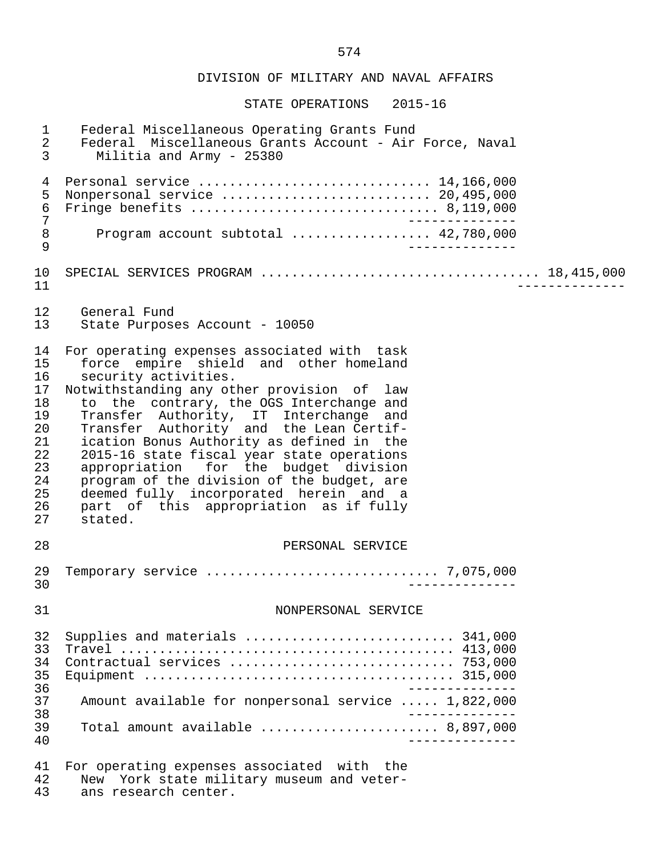STATE OPERATIONS 2015-16

| $\mathbf 1$<br>$\overline{2}$<br>$\mathfrak{Z}$<br>$\overline{4}$<br>5<br>$\epsilon$ | Federal Miscellaneous Operating Grants Fund<br>Federal Miscellaneous Grants Account - Air Force, Naval<br>Militia and Army - 25380<br>Personal service  14,166,000<br>Nonpersonal service  20,495,000                                                                                                                                                                                                                                                                                                                                                                         |
|--------------------------------------------------------------------------------------|-------------------------------------------------------------------------------------------------------------------------------------------------------------------------------------------------------------------------------------------------------------------------------------------------------------------------------------------------------------------------------------------------------------------------------------------------------------------------------------------------------------------------------------------------------------------------------|
| $\overline{7}$<br>$\,8\,$<br>9                                                       | Program account subtotal  42,780,000                                                                                                                                                                                                                                                                                                                                                                                                                                                                                                                                          |
| 10<br>11                                                                             |                                                                                                                                                                                                                                                                                                                                                                                                                                                                                                                                                                               |
| 12<br>13                                                                             | General Fund<br>State Purposes Account - 10050                                                                                                                                                                                                                                                                                                                                                                                                                                                                                                                                |
| 14<br>15<br>16<br>17<br>18<br>19<br>20<br>21<br>22<br>23<br>24<br>25<br>26<br>27     | For operating expenses associated with task<br>force empire shield and other homeland<br>security activities.<br>Notwithstanding any other provision of law<br>to the contrary, the OGS Interchange and<br>Transfer Authority, IT Interchange and<br>Transfer Authority and the Lean Certif-<br>ication Bonus Authority as defined in the<br>2015-16 state fiscal year state operations<br>appropriation for the budget division<br>program of the division of the budget, are<br>deemed fully incorporated herein and a<br>part of this appropriation as if fully<br>stated. |
| 28                                                                                   | PERSONAL SERVICE                                                                                                                                                                                                                                                                                                                                                                                                                                                                                                                                                              |
| 29<br>30                                                                             | Temporary service $\ldots \ldots \ldots \ldots \ldots \ldots \ldots \ldots \ldots \ldots$ 7,075,000                                                                                                                                                                                                                                                                                                                                                                                                                                                                           |
| 31                                                                                   | NONPERSONAL SERVICE                                                                                                                                                                                                                                                                                                                                                                                                                                                                                                                                                           |
| 32<br>33<br>34<br>35<br>36<br>37<br>38<br>39<br>40                                   | Supplies and materials  341,000<br>Amount available for nonpersonal service  1,822,000<br>Total amount available $\ldots, \ldots, \ldots, \ldots, \ldots, \ldots, \ldots, \ldots, \ldots, \ldots)$                                                                                                                                                                                                                                                                                                                                                                            |
| 41<br>42                                                                             | For operating expenses associated with the<br>New York state military museum and veter-                                                                                                                                                                                                                                                                                                                                                                                                                                                                                       |

43 ans research center.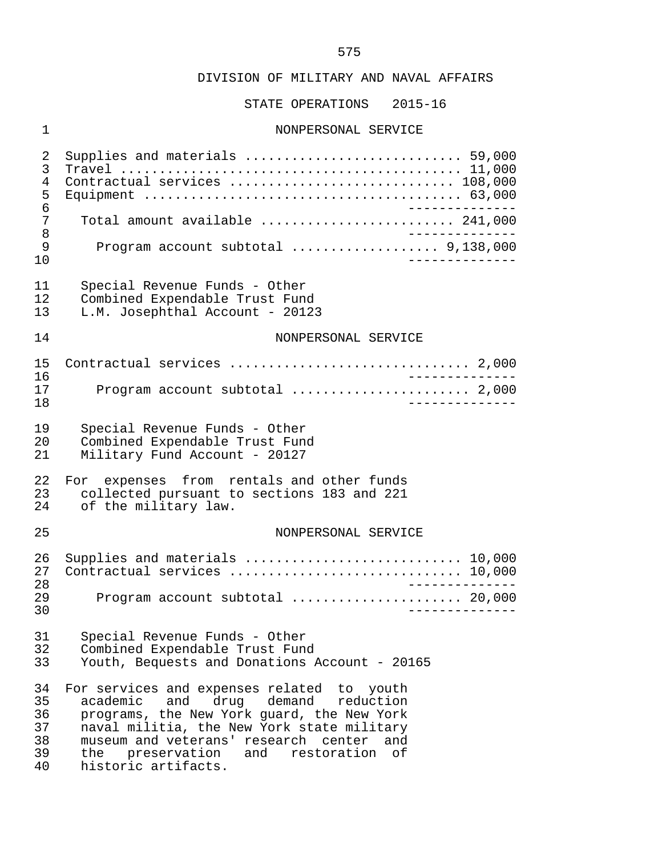STATE OPERATIONS 2015-16

# 1 NONPERSONAL SERVICE

 2 Supplies and materials ............................ 59,000 3 Travel ............................................ 11,000 4 Contractual services ............................. 108,000 5 Equipment ......................................... 63,000 6 -------------- 7 Total amount available ................................. 241,000<br>8 8 -------------- 9 Program account subtotal ................... 9,138,000 10 -------------- 11 Special Revenue Funds - Other<br>12 Combined Expendable Trust Fun 12 Combined Expendable Trust Fund<br>13 L.M. Josephthal Account - 2012 L.M. Josephthal Account - 20123 14 NONPERSONAL SERVICE 15 Contractual services ............................... 2,000 16<br>17 Drogram account subtotal (1990) 1990 (1990) 2000 Program account subtotal ......................... 2,000 18 -------------- 19 Special Revenue Funds - Other<br>20 Combined Expendable Trust Fun 20 Combined Expendable Trust Fund<br>21 Military Fund Account - 20127 Military Fund Account - 20127 22 For expenses from rentals and other funds<br>23 collected pursuant to sections 183 and 221 23 collected pursuant to sections 183 and 221<br>24 of the military law. of the military law. 25 NONPERSONAL SERVICE 26 Supplies and materials .................................. 10,000<br>27 Contractual services .................................. 10.000 27 Contractual services .............................. 10,000 28 -------------- 29 Program account subtotal ...................... 20,000 30 -------------- 31 Special Revenue Funds - Other<br>32 Combined Expendable Trust Fund 32 Combined Expendable Trust Fund<br>33 Youth, Bequests and Donations *P*  33 Youth, Bequests and Donations Account - 20165 34 For services and expenses related to youth<br>35 academic and drug demand reduction 35 academic and drug demand<br>36 programs, the New York guard, t 36 programs, the New York guard, the New York 37 naval militia, the New York state military<br>38 museum and veterans' research center and 38 museum and veterans' research center and 39 the preservation and restoration of 40 historic artifacts.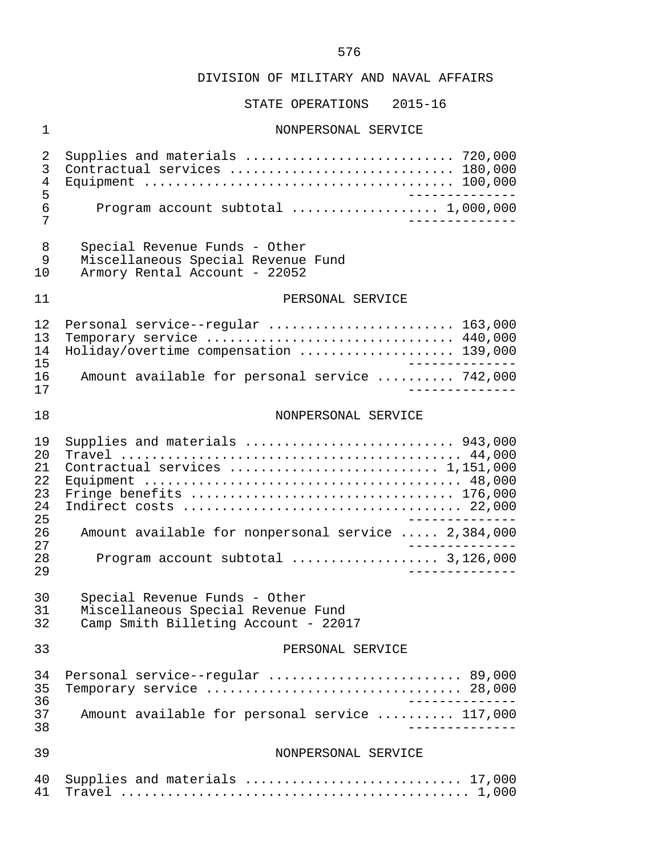# STATE OPERATIONS 2015-16

# 1 NONPERSONAL SERVICE

| 2<br>3         | Supplies and materials  720,000<br>Contractual services  180,000                                 |
|----------------|--------------------------------------------------------------------------------------------------|
| $\overline{4}$ |                                                                                                  |
| 5              | ________________                                                                                 |
| 6              | Program account subtotal  1,000,000                                                              |
| 7              | _______________                                                                                  |
| 8              | Special Revenue Funds - Other                                                                    |
| 9              | Miscellaneous Special Revenue Fund                                                               |
| 10             | Armory Rental Account - 22052                                                                    |
|                |                                                                                                  |
| 11             | PERSONAL SERVICE                                                                                 |
| 12             | Personal service--regular  163,000                                                               |
| 13             | Temporary service  440,000                                                                       |
| 14             | Holiday/overtime compensation  139,000                                                           |
| 15             | _______________                                                                                  |
| 16<br>17       | Amount available for personal service  742,000<br>______________                                 |
|                |                                                                                                  |
| 18             | NONPERSONAL SERVICE                                                                              |
|                |                                                                                                  |
| 19<br>20       | Supplies and materials  943,000                                                                  |
| 21             | Contractual services  1,151,000                                                                  |
| 22             |                                                                                                  |
| 23             |                                                                                                  |
| 24             |                                                                                                  |
| 25             |                                                                                                  |
| 26<br>27       | Amount available for nonpersonal service  2,384,000                                              |
| 28             | Program account subtotal  3,126,000                                                              |
| 29             | ______________                                                                                   |
| 30             | Special Revenue Funds - Other                                                                    |
| 31             | Miscellaneous Special Revenue Fund                                                               |
| 32             | Camp Smith Billeting Account - 22017                                                             |
| 33             | PERSONAL SERVICE                                                                                 |
|                |                                                                                                  |
| 34             | Personal service--regular  89,000                                                                |
| 35             | Temporary service $\ldots \ldots \ldots \ldots \ldots \ldots \ldots \ldots \ldots \ldots$ 28,000 |
| 36<br>37       | Amount available for personal service  117,000                                                   |
| 38             |                                                                                                  |
|                |                                                                                                  |
| 39             | NONPERSONAL SERVICE                                                                              |
| 40             | Supplies and materials  17,000                                                                   |
| 41             |                                                                                                  |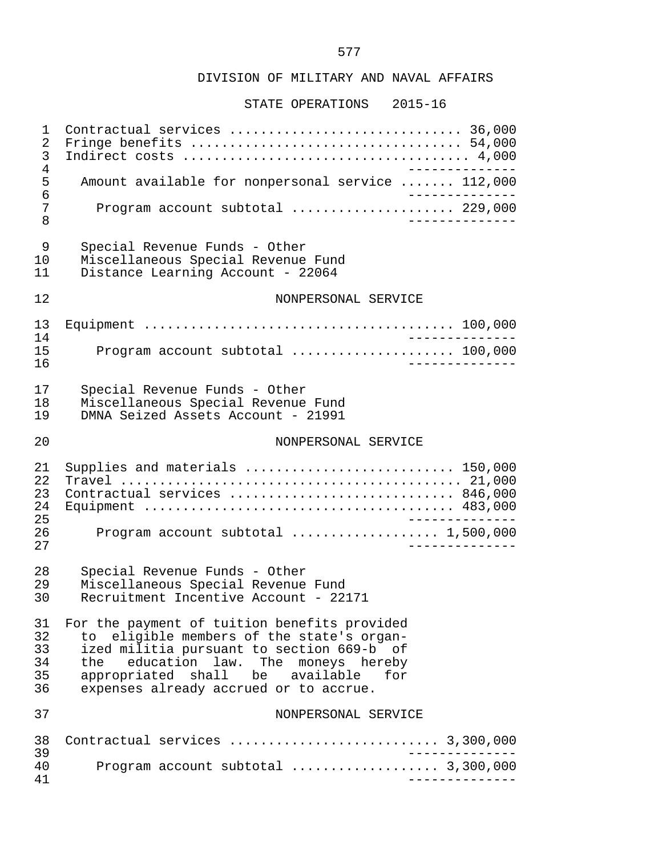#### DIVISION OF MILITARY AND NAVAL AFFAIRS

#### STATE OPERATIONS 2015-16

 1 Contractual services .............................. 36,000 2 Fringe benefits ................................... 54,000 3 Indirect costs ..................................... 4,000 -------------<br>5 Amount available for nonpersonal service ....... 112,000 5 Amount available for nonpersonal service ....... 112,000 6<br>7 Program account subtotal ......................... 229.000 7 Program account subtotal ..................... 229,000 8 -------------- 9 Special Revenue Funds - Other 10 Miscellaneous Special Revenue Fund Distance Learning Account - 22064 12 NONPERSONAL SERVICE 13 Equipment ........................................ 100,000 14 -------------- 15 Program account subtotal ..................... 100,000 16 -------------- 17 Special Revenue Funds - Other 18 Miscellaneous Special Revenue Fund<br>19 DMNA Seized Assets Account - 21991 DMNA Seized Assets Account - 21991 20 NONPERSONAL SERVICE 21 Supplies and materials ........................... 150,000 22 Travel ............................................ 21,000 23 Contractual services ............................. 846,000 24 Equipment ........................................ 483,000 25 -------------- 26 Program account subtotal ................... 1,500,000 27 -------------- 28 Special Revenue Funds - Other 29 Miscellaneous Special Revenue Fund<br>30 Recruitment Incentive Account - 22 Recruitment Incentive Account - 22171 31 For the payment of tuition benefits provided<br>32 to eligible members of the state's organ-32 to eligible members of the state's organ-<br>33 ized militia pursuant to section 669-b of 33 ized militia pursuant to section 669-b of<br>34 the education law. The moneys hereby 34 the education law. The moneys hereby<br>35 appropriated shall be available for appropriated shall 36 expenses already accrued or to accrue. 37 NONPERSONAL SERVICE 38 Contractual services ........................... 3,300,000 39 -------------- 40 Program account subtotal ................... 3,300,000 41 --------------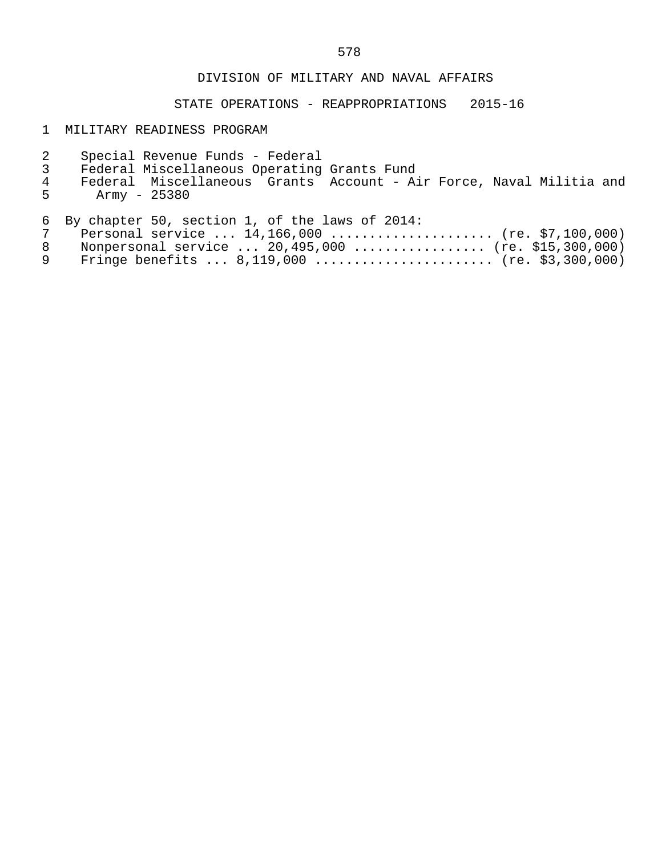### DIVISION OF MILITARY AND NAVAL AFFAIRS

STATE OPERATIONS - REAPPROPRIATIONS 2015-16

### 1 MILITARY READINESS PROGRAM

- 2 Special Revenue Funds Federal
- 
- 3 Federal Miscellaneous Operating Grants Fund 4 Federal Miscellaneous Grants Account - Air Force, Naval Militia and<br>5 Army - 25380 Army - 25380

6 By chapter 50, section 1, of the laws of 2014:

|  | 7 Personal service  14,166,000  (re. \$7,100,000)     |  |
|--|-------------------------------------------------------|--|
|  | 8 Nonpersonal service  20,495,000  (re. \$15,300,000) |  |
|  | 9 Fringe benefits  8,119,000  (re. \$3,300,000)       |  |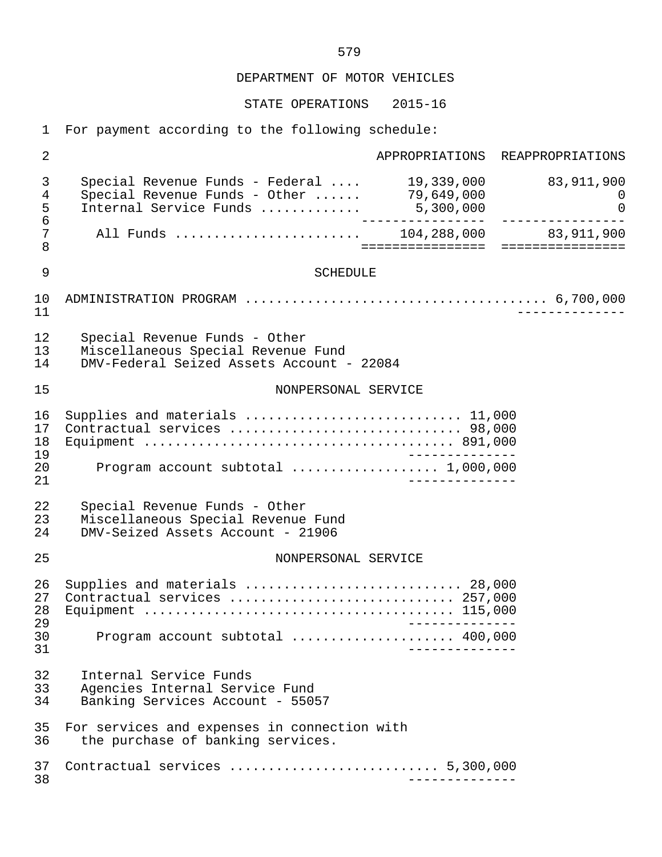STATE OPERATIONS 2015-16

1 For payment according to the following schedule:

 2 APPROPRIATIONS REAPPROPRIATIONS 3 Special Revenue Funds - Federal .... 19,339,000 83,911,900 erte of the Special Revenue Funds - Other ...... 79,649,000<br>5 Internal Service Funds ............. 5.300.000 5 Internal Service Funds ............. 5,300,000 0 6 ---------------- ---------------- 7 All Funds ........................ 104,288,000 83,911,900 8 ================ ================ 9 SCHEDULE 10 ADMINISTRATION PROGRAM ....................................... 6,700,000 11 -------------- 12 Special Revenue Funds - Other 13 Miscellaneous Special Revenue Fund<br>14 DMV-Federal Seized Assets Account 14 DMV-Federal Seized Assets Account - 22084 15 NONPERSONAL SERVICE 16 Supplies and materials ............................ 11,000 17 Contractual services .............................. 98,000 18 Equipment ........................................ 891,000 19 -------------- 20 Program account subtotal ................... 1,000,000 21 -------------- 22 Special Revenue Funds - Other<br>23 Miscellaneous Special Revenue 23 Miscellaneous Special Revenue Fund<br>24 DMV-Seized Assets Account - 21906 DMV-Seized Assets Account - 21906 25 NONPERSONAL SERVICE 26 Supplies and materials ............................ 28,000 27 Contractual services ............................. 257,000 28 Equipment ........................................ 115,000 29 -------------- 30 Program account subtotal ..................... 400,000 31 -------------- 32 Internal Service Funds<br>33 Agencies Internal Serv 33 Agencies Internal Service Fund Banking Services Account - 55057 35 For services and expenses in connection with<br>36 the purchase of banking services. the purchase of banking services. 37 Contractual services ........................... 5,300,000 38 --------------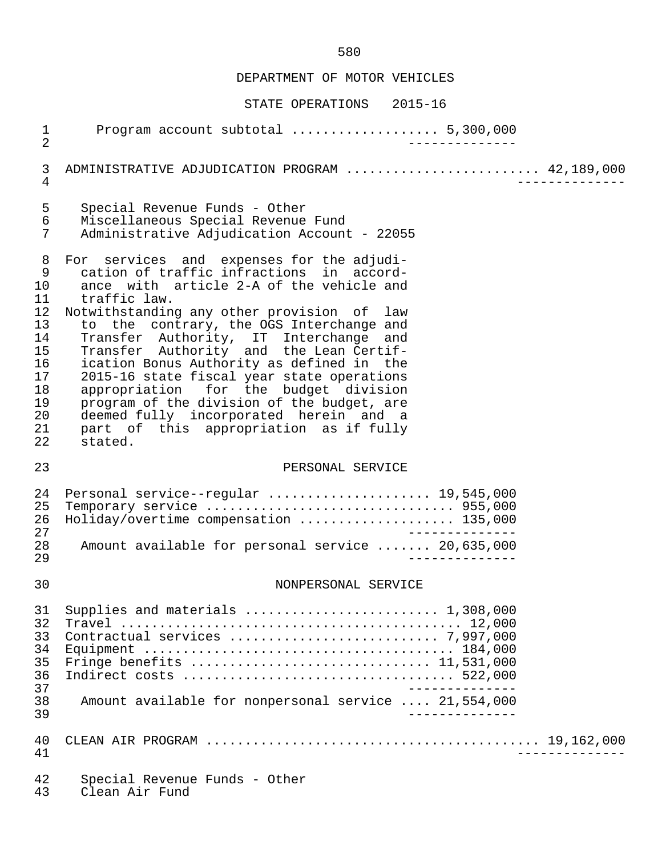# STATE OPERATIONS 2015-16

| $\mathbf 1$<br>$\overline{2}$                                                                  | Program account subtotal  5,300,000                                                                                                                                                                                                                                                                                                                                                                                                                                                                                                                                                                               |
|------------------------------------------------------------------------------------------------|-------------------------------------------------------------------------------------------------------------------------------------------------------------------------------------------------------------------------------------------------------------------------------------------------------------------------------------------------------------------------------------------------------------------------------------------------------------------------------------------------------------------------------------------------------------------------------------------------------------------|
| 3<br>4                                                                                         | ADMINISTRATIVE ADJUDICATION PROGRAM  42,189,000                                                                                                                                                                                                                                                                                                                                                                                                                                                                                                                                                                   |
| 5<br>6<br>7                                                                                    | Special Revenue Funds - Other<br>Miscellaneous Special Revenue Fund<br>Administrative Adjudication Account - 22055                                                                                                                                                                                                                                                                                                                                                                                                                                                                                                |
| 8<br>$\mathsf 9$<br>10<br>11<br>12<br>13<br>14<br>15<br>16<br>17<br>18<br>19<br>20<br>21<br>22 | For services and expenses for the adjudi-<br>cation of traffic infractions in accord-<br>ance with article 2-A of the vehicle and<br>traffic law.<br>Notwithstanding any other provision of law<br>to the contrary, the OGS Interchange and<br>Transfer Authority, IT Interchange and<br>Transfer Authority and the Lean Certif-<br>ication Bonus Authority as defined in the<br>2015-16 state fiscal year state operations<br>appropriation for the budget division<br>program of the division of the budget, are<br>deemed fully incorporated herein and a<br>part of this appropriation as if fully<br>stated. |
| 23                                                                                             | PERSONAL SERVICE                                                                                                                                                                                                                                                                                                                                                                                                                                                                                                                                                                                                  |
| 24<br>25<br>26<br>27<br>28<br>29                                                               | Personal service--regular  19,545,000<br>Holiday/overtime compensation  135,000<br>Amount available for personal service  20,635,000                                                                                                                                                                                                                                                                                                                                                                                                                                                                              |
| 30                                                                                             | NONPERSONAL SERVICE                                                                                                                                                                                                                                                                                                                                                                                                                                                                                                                                                                                               |
| 31<br>32                                                                                       | Supplies and materials $\ldots \ldots \ldots \ldots \ldots \ldots \ldots \ldots 1,308,000$                                                                                                                                                                                                                                                                                                                                                                                                                                                                                                                        |
| 33<br>34<br>35<br>36<br>37<br>38<br>39                                                         | Fringe benefits  11,531,000<br>______________<br>Amount available for nonpersonal service  21,554,000<br>--------------                                                                                                                                                                                                                                                                                                                                                                                                                                                                                           |
| 40<br>41                                                                                       |                                                                                                                                                                                                                                                                                                                                                                                                                                                                                                                                                                                                                   |

43 Clean Air Fund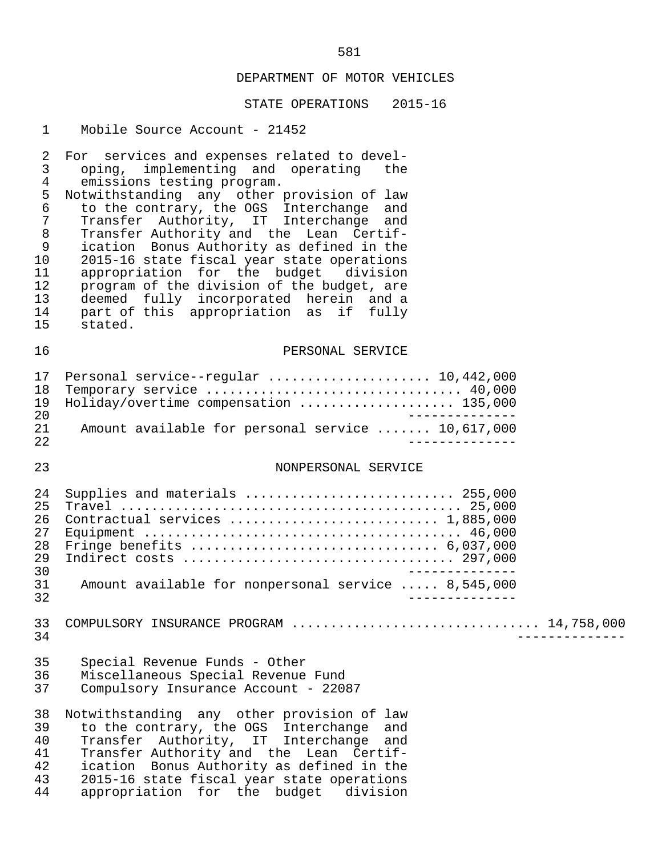#### STATE OPERATIONS 2015-16

#### 1 Mobile Source Account - 21452

2 For services and expenses related to devel-<br>3 oping, implementing and operating the 3 oping, implementing and operating the 4 emissions testing program.<br>5 Notwithstanding any other 5 Notwithstanding any other provision of law<br>6 to the contrary, the OGS Interchange and 6 to the contrary, the OGS Interchange and 7 Transfer Authority, IT Interchange and<br>8 Transfer-Authority-and the Lean Certif-8 Transfer Authority and the Lean Certif-<br>9 ication Bonus Authority as defined in the 9 ication Bonus Authority as defined in the<br>10 2015-16 state fiscal vear state operations 10 2015-16 state fiscal year state operations<br>11 appropriation for the budget division 11 appropriation for the budget division<br>12 program of the division of the budget, are 12 program of the division of the budget, are<br>13 deemed fully incorporated herein and a 13 deemed fully incorporated herein and a<br>14 part of this appropriation as if fully 14 part of this appropriation as if fully<br>15 stated. stated. 16 PERSONAL SERVICE 17 Personal service--regular ....................... 10,442,000<br>18 Temporary service ................................ 40.000 18 Temporary service ................................. 40,000 19 Holiday/overtime compensation .................... 135,000 20<br>21 Amount available for personal service ....... 10.617.000 21 Amount available for personal service ....... 10,617,000 22 -------------- 23 NONPERSONAL SERVICE 24 Supplies and materials ........................... 255,000 25 Travel ............................................ 25,000 26 Contractual services ........................... 1,885,000 Equipment  $\dots\dots\dots\dots\dots\dots\dots\dots\dots\dots\dots\dots\dots$ . 46,000 28 Fringe benefits ................................ 6,037,000 29 Indirect costs ................................... 297,000 -------------<br>31 Amount available for nonpersonal service ..... 8,545,000 31 Amount available for nonpersonal service ..... 8,545,000 32 -------------- 33 COMPULSORY INSURANCE PROGRAM ................................ 14,758,000 34 -------------- 35 Special Revenue Funds - Other Miscellaneous Special Revenue Fund 37 Compulsory Insurance Account - 22087 38 Notwithstanding any other provision of law<br>39 to the contrary, the OGS Interchange and 39 to the contrary, the OGS Interchange and<br>40 Transfer Authority, IT Interchange and 40 Transfer Authority, IT Interchange and 41 Transfer Authority and the Lean Certif-<br>42 ication Bonus Authority as defined in the 42 ication Bonus Authority as defined in the 43 2015-16 state fiscal year state operations<br>44 appropriation for the budget division appropriation for the budget division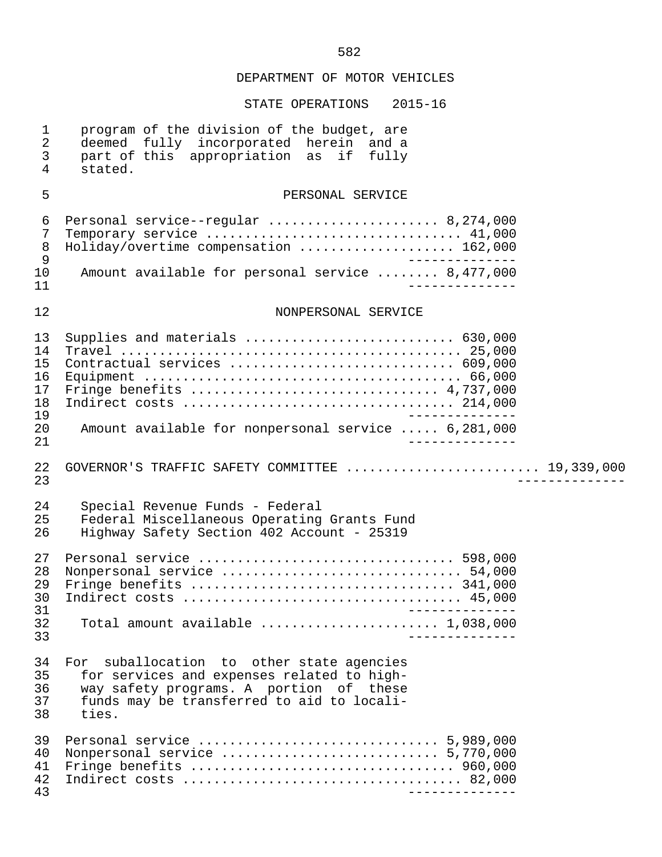| $\mathbf 1$<br>$\overline{2}$<br>$\mathfrak{Z}$<br>$\overline{4}$ | program of the division of the budget, are<br>deemed fully incorporated herein and a<br>part of this appropriation as<br>if<br>fully<br>stated.                                              |
|-------------------------------------------------------------------|----------------------------------------------------------------------------------------------------------------------------------------------------------------------------------------------|
| 5                                                                 | PERSONAL SERVICE                                                                                                                                                                             |
| 6<br>7<br>$\, 8$<br>$\mathsf 9$<br>10<br>11                       | Personal service--regular  8,274,000<br>Temporary service  41,000<br>Holiday/overtime compensation  162,000<br>Amount available for personal service  8,477,000                              |
| 12                                                                | NONPERSONAL SERVICE                                                                                                                                                                          |
| 13<br>14<br>15<br>16<br>17<br>18<br>19<br>20                      | Supplies and materials  630,000<br>Contractual services  609,000<br>Amount available for nonpersonal service  6,281,000                                                                      |
| 21<br>22<br>23                                                    | GOVERNOR'S TRAFFIC SAFETY COMMITTEE  19,339,000                                                                                                                                              |
| 24<br>25<br>26                                                    | Special Revenue Funds - Federal<br>Federal Miscellaneous Operating Grants Fund<br>Highway Safety Section 402 Account - 25319                                                                 |
| 27<br>28<br>29<br>30<br>31<br>32<br>33                            | Total amount available $\ldots, \ldots, \ldots, \ldots, \ldots, 1,038,000$                                                                                                                   |
| 34<br>35<br>36<br>37<br>38                                        | suballocation to other state agencies<br>For<br>for services and expenses related to high-<br>way safety programs. A portion of these<br>funds may be transferred to aid to locali-<br>ties. |
| 39<br>40<br>41<br>42<br>43                                        |                                                                                                                                                                                              |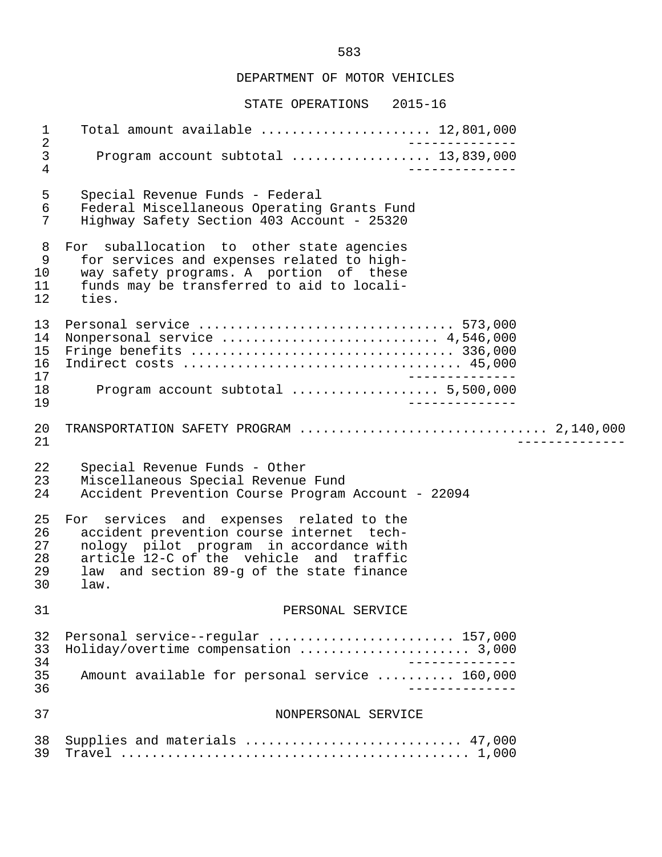#### STATE OPERATIONS 2015-16

 1 Total amount available ...................... 12,801,000 2<br>3 Program account subtotal .................. 13,839,000 3 Program account subtotal .................. 13,839,000 4 -------------- 5 Special Revenue Funds - Federal 6 Federal Miscellaneous Operating Grants Fund Highway Safety Section 403 Account - 25320 8 For suballocation to other state agencies<br>9 for services and expenses related to high-9 for services and expenses related to high-<br>10 way safety programs. A portion of these 10 way safety programs. A portion of these<br>11 funds may be transferred to aid to locali- 11 funds may be transferred to aid to locali ties. 13 Personal service ................................. 573,000 14 Nonpersonal service .............................. 4,546,000<br>15 Fringe benefits ................................... 336,000 15 Fringe benefits .................................. 336,000 16 Indirect costs .................................... 45,000 17<br>18 Drogram account subtotal (1990) 18 Drogram account subtotal (1990) 1990) 18 Program account subtotal ................... 5,500,000 19 -------------- 20 TRANSPORTATION SAFETY PROGRAM ................................ 2,140,000 21 -------------- 22 Special Revenue Funds - Other<br>23 Miscellaneous Special Revenue 23 Miscellaneous Special Revenue Fund Accident Prevention Course Program Account - 22094 25 For services and expenses related to the<br>26 accident prevention course internet tech-26 accident prevention course internet tech-<br>27 nology pilot program in accordance with 27 nology pilot program in accordance with<br>28 article 12-C of the vehicle and traffic 28 article  $12$ -C of the vehicle and traffic<br>29 law and section 89-g of the state finance 29 law and section 89-g of the state finance  $law.$  31 PERSONAL SERVICE 32 Personal service--regular .......................... 157,000<br>33 Holiday/overtime compensation ....................... 3,000 33 Holiday/overtime compensation ...................... 3,000 34<br>35 Amount available for personal service .......... 160.000 Amount available for personal service .......... 160,000 36 -------------- 37 NONPERSONAL SERVICE 38 Supplies and materials ............................ 47,000 39 Travel ............................................. 1,000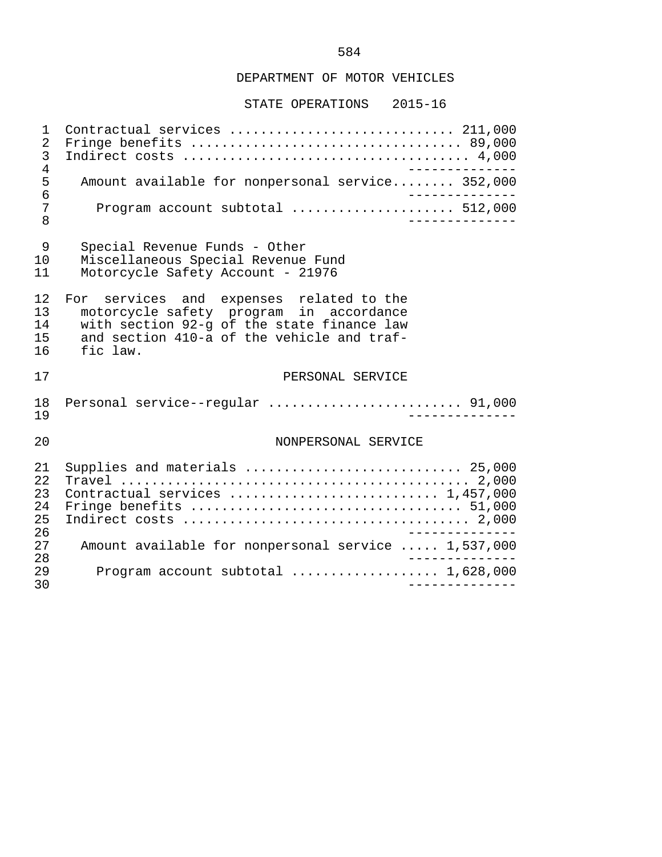STATE OPERATIONS 2015-16

 1 Contractual services ............................. 211,000 2 Fringe benefits ................................... 89,000 3 Indirect costs ..................................... 4,000 -------------<br>5 Amount available for nonpersonal service........ 352,000 5 Amount available for nonpersonal service........ 352,000<br>6 --------------6<br>7 Program account subtotal ...................... 512,000 7 Program account subtotal ..................... 512,000 8 -------------- 9 Special Revenue Funds - Other 10 Miscellaneous Special Revenue Fund<br>11 Motorcycle Safety Account - 21976 Motorcycle Safety Account - 21976 12 For services and expenses related to the<br>13 motorcycle\_safety\_program\_in\_accordance 13 motorcycle safety program in accordance 14 with section 92-g of the state finance law 15 and section 410-a of the vehicle and traf- 16 fic law. 17 PERSONAL SERVICE 18 Personal service--regular ......................... 91,000 19 -------------- 20 NONPERSONAL SERVICE 21 Supplies and materials ............................ 25,000 22 Travel ............................................. 2,000 23 Contractual services ........................... 1,457,000 24 Fringe benefits ................................... 51,000 25 Indirect costs ..................................... 2,000 26<br>27 Amount available for nonpersonal service ..... 1.537.000 27 Amount available for nonpersonal service ..... 1,537,000 28 -------------- 29 Program account subtotal ................... 1,628,000 30 --------------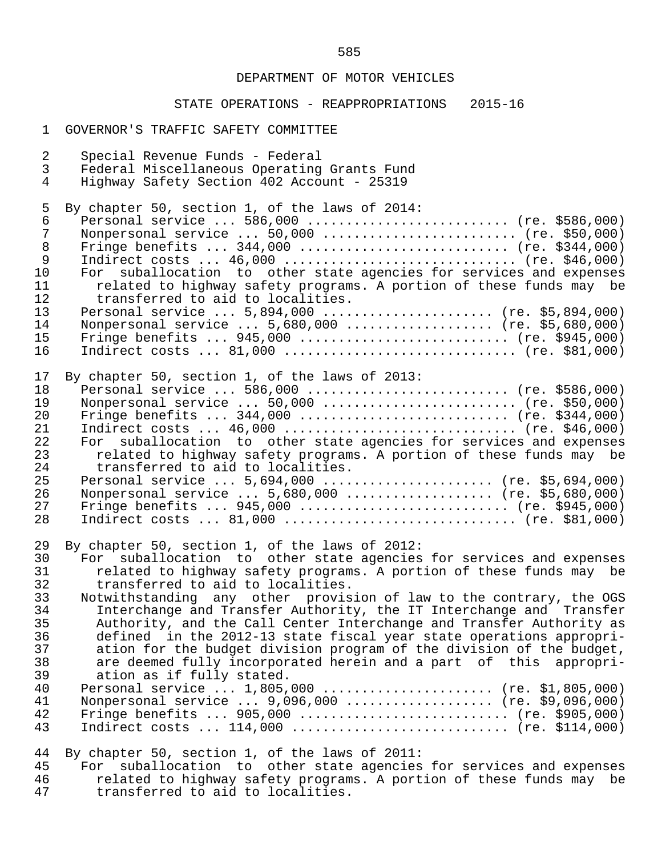### STATE OPERATIONS - REAPPROPRIATIONS 2015-16

#### 1 GOVERNOR'S TRAFFIC SAFETY COMMITTEE

 2 Special Revenue Funds - Federal 3 Federal Miscellaneous Operating Grants Fund 4 Highway Safety Section 402 Account - 25319 5 By chapter 50, section 1, of the laws of 2014:<br>6 Personal service ... 586.000 ............... 6 Personal service ... 586,000 .......................... (re. \$586,000) 7 Nonpersonal service ... 50,000 ......................... (re. \$50,000) 8 Fringe benefits ... 344,000 ........................... (re. \$344,000)<br>9 Indirect costs ... 46,000 ................................. (re. \$46,000) 9 Indirect costs ... 46,000 .............................. (re. \$46,000) 10 For suballocation to other state agencies for services and expenses<br>11 Thelated to highway safety programs. A portion of these funds may be 11 related to highway safety programs. A portion of these funds may be transferred to aid to localities. 12 transferred to aid to localities.<br>13 Personal service ... 5.894.000 13 Personal service ... 5,894,000 ....................... (re. \$5,894,000)<br>14 Nonpersonal service ... 5.680.000 ..................... (re. \$5.680.000) 14 Nonpersonal service ... 5,680,000 ................... (re. \$5,680,000) 15 Fringe benefits ... 945,000 ........................... (re. \$945,000) 16 Indirect costs ... 81,000 .............................. (re. \$81,000) 17 By chapter 50, section 1, of the laws of 2013:<br>18 Personal service ... 586.000 ............... 18 Personal service ... 586,000 .......................... (re. \$586,000) 19 Nonpersonal service ... 50,000 .......................... (re. \$50,000)<br>20 Fringe benefits ... 344,000 ............................ (re. \$344,000) 20 Fringe benefits ... 344,000 ............................ (re. \$344,000)<br>21 Indirect costs ... 46,000 ................................. (re. \$46,000) 21 Indirect costs ... 46,000 ................................ (re. \$46,000)<br>22 For suballocation to other state agencies for services and expenses 22 For suballocation to other state agencies for services and expenses<br>23 Telated to highway safety programs. A portion of these funds may be 23 related to highway safety programs. A portion of these funds may be 24 transferred to aid to localities. 24 transferred to aid to localities.<br>25 Personal service ... 5.694.000 ... 25 Personal service ... 5,694,000 ........................ (re. \$5,694,000)<br>26 Nonpersonal service ... 5.680.000 ..................... (re. \$5.680.000) 26 Nonpersonal service ... 5,680,000 .................... (re. \$5,680,000)<br>27 Fringe benefits ... 945,000 ............................. (re. \$945,000) 27 Fringe benefits ... 945,000 ............................ (re. \$945,000)<br>28 Indirect costs ... 81,000 ................................. (re. \$81,000) 28 Indirect costs ... 81,000 .............................. (re. \$81,000) 29 By chapter 50, section 1, of the laws of 2012:<br>30 For suballocation to other state agencies 30 For suballocation to other state agencies for services and expenses<br>31 Telated to highway safety programs. A portion of these funds may be 31 related to highway safety programs. A portion of these funds may be transferred to aid to localities. 32 transferred to aid to localities.<br>33 Notwithstanding any other provis 33 Notwithstanding any other provision of law to the contrary, the OGS<br>34 Interchange and Transfer Authority, the IT Interchange and Transfer 34 Interchange and Transfer Authority, the IT Interchange and Transfer<br>35 Authority, and the Call Center Interchange and Transfer Authority as 35 Authority, and the Call Center Interchange and Transfer Authority as 36 defined in the 2012-13 state fiscal year state operations appropri- 37 ation for the budget division program of the division of the budget,<br>38 are deemed fully incorporated herein and a part of this appropri-38 are deemed fully incorporated herein and a part of this appropri-<br>39 ation as if fully stated. 39 ation as if fully stated.<br>40 Personal service ... 1.805. 40 Personal service ... 1,805,000 ....................... (re. \$1,805,000)<br>41 Nonpersonal service ... 9,096,000 .................... (re. \$9,096,000) 41 Nonpersonal service ... 9,096,000 ................... (re. \$9,096,000) 42 Fringe benefits ... 905,000 ........................... (re. \$905,000) 43 Indirect costs ... 114,000 ............................ (re. \$114,000) 44 By chapter 50, section 1, of the laws of 2011: 45 For suballocation to other state agencies for services and expenses<br>46 The related to highway safety programs. A portion of these funds may be

46 related to highway safety programs. A portion of these funds may be 47 transferred to aid to localities. transferred to aid to localities.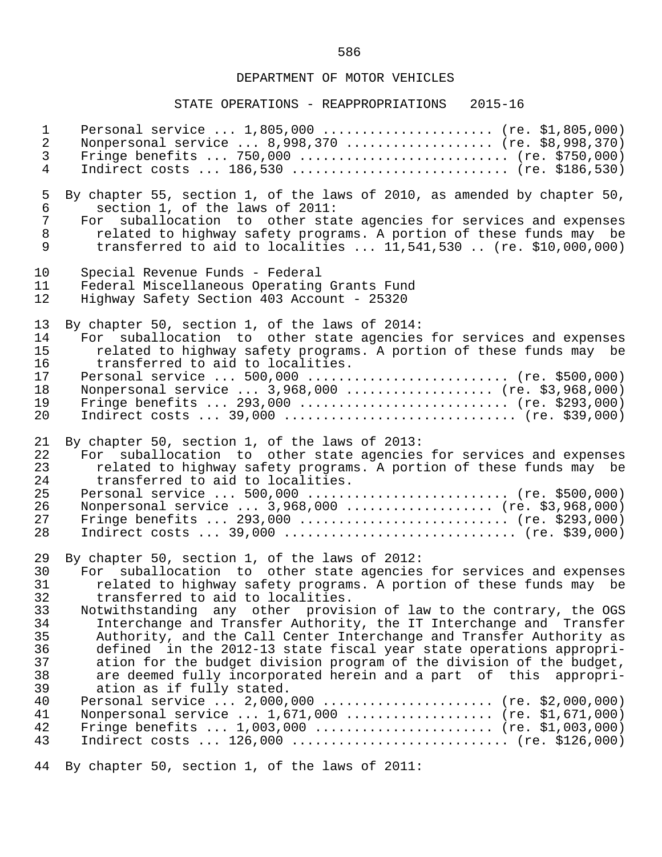#### STATE OPERATIONS - REAPPROPRIATIONS 2015-16

1 Personal service ... 1,805,000 ....................... (re. \$1,805,000)<br>2 Nonpersonal service ... 8,998,370 .................... (re. \$8,998,370) 2 Nonpersonal service ... 8,998,370 .................... (re. \$8,998,370)<br>3 Fringe benefits ... 750,000 ............................ (re. \$750,000) 3 Fringe benefits ... 750,000 ........................... (re. \$750,000) 4 Indirect costs ... 186,530 ............................ (re. \$186,530) 5 By chapter 55, section 1, of the laws of 2010, as amended by chapter 50,<br>6 section 1, of the laws of 2011: 6 section 1, of the laws of 2011: 7 For suballocation to other state agencies for services and expenses<br>8 Telated to highway safety programs. A portion of these funds may be 8 related to highway safety programs. A portion of these funds may be<br>9 transferred to aid to localities ... 11,541,530 .. (re. \$10,000,000) 9 transferred to aid to localities ... 11,541,530 .. (re. \$10,000,000) 10 Special Revenue Funds - Federal 11 Federal Miscellaneous Operating Grants Fund<br>12 Highway Safety Section 403 Account - 25320 12 Highway Safety Section 403 Account - 25320 13 By chapter 50, section 1, of the laws of 2014:<br>14 For suballocation to other state agencies 14 For suballocation to other state agencies for services and expenses<br>15 Thelated to highway safety programs. A portion of these funds may be 15 related to highway safety programs. A portion of these funds may be transferred to aid to localities. 16 transferred to aid to localities.<br>17 Personal service ... 500.000 ..... 17 Personal service ... 500,000 .......................... (re. \$500,000) 18 Monpersonal service ... 3,968,000 ................... (re. \$3,968,000)<br>19 Fringe benefits ... 293,000 ............................ (re. \$293,000) 19 Fringe benefits ... 293,000 ............................ (re. \$293,000)<br>20 Indirect costs ... 39,000 ................................ (re. \$39,000) Indirect costs ... 39,000 ................................ (re. \$39,000) 21 By chapter 50, section 1, of the laws of 2013:<br>22 For suballocation to other state agencies 22 For suballocation to other state agencies for services and expenses<br>23 Trelated to highway safety programs. A portion of these funds may be 23 related to highway safety programs. A portion of these funds may be 24 transferred to aid to localities. 24 transferred to aid to localities.<br>25 Personal service ... 500,000 ...... 25 Personal service ... 500,000 .......................... (re. \$500,000) 26 Nonpersonal service ... 3,968,000 .................... (re. \$3,968,000)<br>27 Fringe benefits ... 293.000 ............................. (re. \$293.000) 27 Fringe benefits ... 293,000 ............................ (re. \$293,000)<br>28 Indirect costs ... 39,000 ................................. (re. \$39,000) Indirect costs ... 39,000 ................................ (re. \$39,000) 29 By chapter 50, section 1, of the laws of 2012: 30 For suballocation to other state agencies for services and expenses<br>31 Telated to highway safety programs. A portion of these funds may be 31 related to highway safety programs. A portion of these funds may be transferred to aid to localities. 32 transferred to aid to localities.<br>33 Notwithstanding any other provis 33 Notwithstanding any other provision of law to the contrary, the OGS<br>34 Interchange and Transfer Authority, the IT Interchange and Transfer 34 Interchange and Transfer Authority, the IT Interchange and Transfer 35 Authority, and the Call Center Interchange and Transfer Authority as<br>36 defined in the 2012-13 state fiscal year state operations appropri-36 defined in the 2012-13 state fiscal year state operations appropri-<br>37 ation for the budget division program of the division of the budget. 37 ation for the budget division program of the division of the budget,<br>38 are deemed fully incorporated herein and a part of this appropri-38 are deemed fully incorporated herein and a part of this appropri-<br>39 ation as if fully stated. 39 ation as if fully stated.<br>40 Personal service ... 2,000, 40 Personal service ... 2,000,000 ...................... (re. \$2,000,000)<br>41 Nonpersonal service ... 1.671.000 .................... (re. \$1.671.000) 41 Monpersonal service ... 1,671,000 ................... (re. \$1,671,000)<br>42 Fringe benefits ... 1,003,000 ........................ (re. \$1,003,000) 42 Fringe benefits ... 1,003,000 ........................ (re. \$1,003,000)<br>43 Indirect costs ... 126,000 .............................. (re. \$126,000) 43 Indirect costs ... 126,000 ............................ (re. \$126,000) 44 By chapter 50, section 1, of the laws of 2011:

586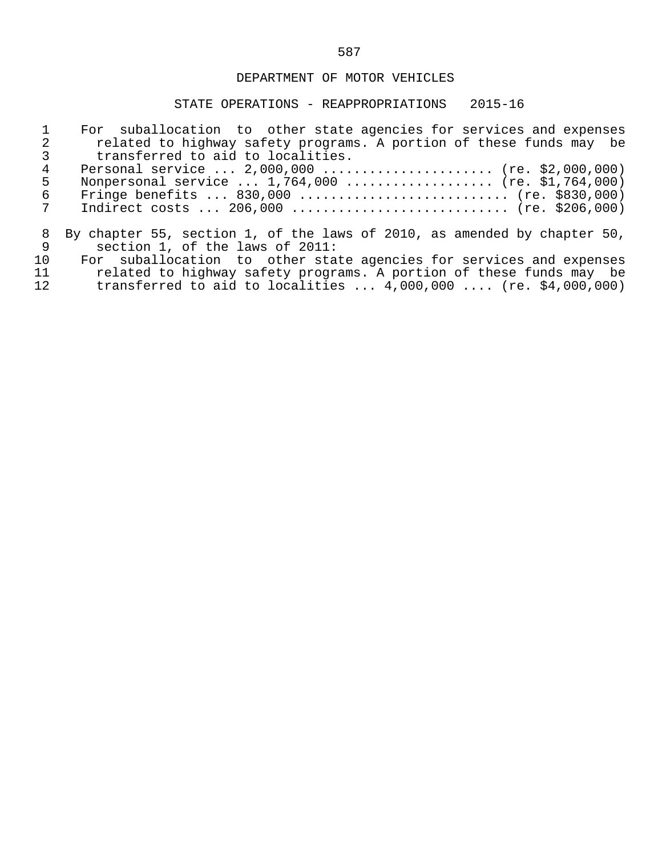|               | For suballocation to other state agencies for services and expenses      |
|---------------|--------------------------------------------------------------------------|
| $\mathcal{L}$ | related to highway safety programs. A portion of these funds may be      |
|               | transferred to aid to localities.                                        |
| 4             | Personal service $2,000,000$ (re. \$2,000,000)                           |
| 5             | Nonpersonal service $1,764,000$ (re. \$1,764,000)                        |
| 6             | Fringe benefits $830,000$ (re. \$830,000)                                |
| 7             | Indirect costs $206,000$ (re. \$206,000)                                 |
| 8             | By chapter 55, section 1, of the laws of 2010, as amended by chapter 50, |
| 9             | section 1, of the laws of 2011:                                          |
| 1 O           | For suballocation to other state agencies for services and expenses      |
| 11            | related to highway safety programs. A portion of these funds may be      |
| 12            | transferred to aid to localities $4,000,000$ (re. \$4,000,000)           |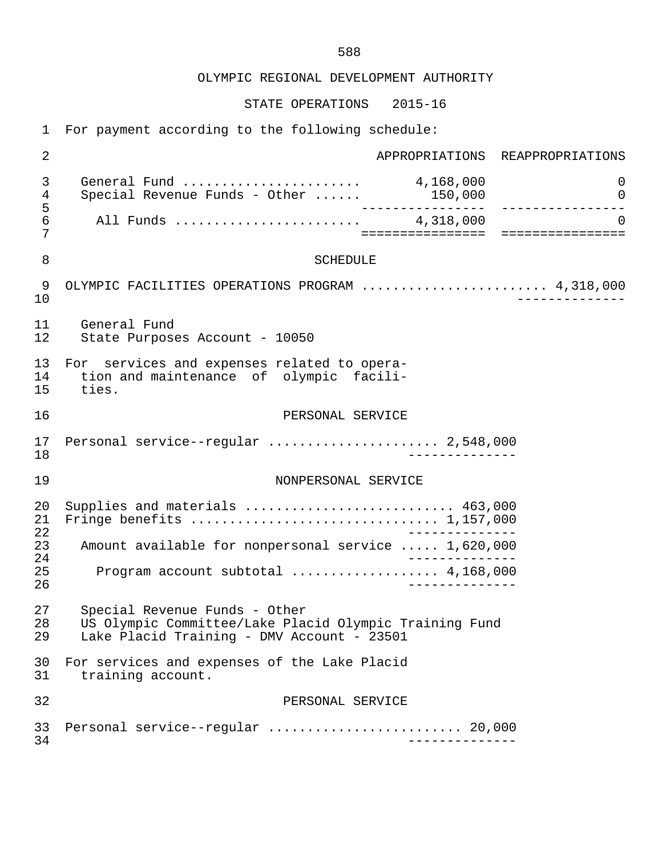OLYMPIC REGIONAL DEVELOPMENT AUTHORITY

STATE OPERATIONS 2015-16

1 For payment according to the following schedule:

 2 APPROPRIATIONS REAPPROPRIATIONS 3 General Fund ....................... 4,168,000 0 4 Special Revenue Funds - Other ...... 150,000 5 ---------------- ---------------- 6 All Funds ........................ 4,318,000 0 7 ================ ================ 8 SCHEDULE 9 OLYMPIC FACILITIES OPERATIONS PROGRAM ............................... 4,318,000<br>10 10 -------------- 11 General Fund State Purposes Account - 10050 13 For services and expenses related to opera-<br>14 tion and maintenance of olympic facili-14 tion and maintenance of olympic facili-<br>15 ties. ties. 16 PERSONAL SERVICE 17 Personal service--regular ...................... 2,548,000 18 -------------- 19 NONPERSONAL SERVICE 20 Supplies and materials ........................... 463,000 21 Fringe benefits ................................ 1,157,000 22<br>23 Amount available for nonpersonal service ..... 1.620.000 23 Amount available for nonpersonal service ..... 1,620,000 24 -------------- 25 Program account subtotal ................... 4,168,000 26 -------------- 27 Special Revenue Funds - Other<br>28 US Olympic Committee/Lake Plac 28 US Olympic Committee/Lake Placid Olympic Training Fund Lake Placid Training - DMV Account - 23501 30 For services and expenses of the Lake Placid<br>31 training account. training account. 32 PERSONAL SERVICE 33 Personal service--regular ......................... 20,000 34 --------------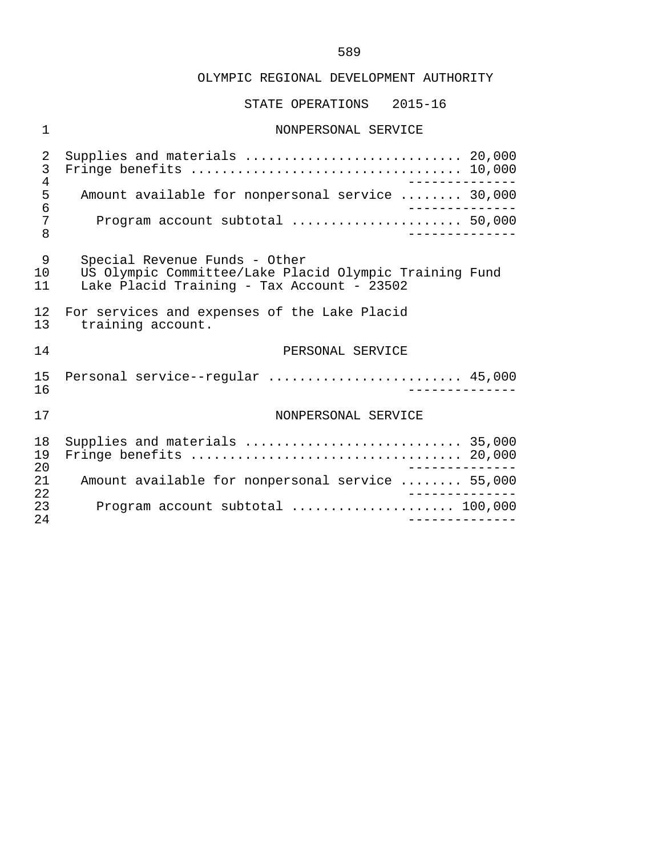#### OLYMPIC REGIONAL DEVELOPMENT AUTHORITY

#### STATE OPERATIONS 2015-16

# 1 NONPERSONAL SERVICE 2 Supplies and materials ............................ 20,000 3 Fringe benefits ................................... 10,000 4<br>5 Amount available for nonpersonal service ........ 30.000 5 Amount available for nonpersonal service ........ 30,000<br>6 ------------- 6 -------------- 7 Program account subtotal ...................... 50,000 8 -------------- 9 Special Revenue Funds - Other<br>10 US Olympic Committee/Lake Pla 10 US Olympic Committee/Lake Placid Olympic Training Fund Lake Placid Training - Tax Account - 23502 12 For services and expenses of the Lake Placid<br>13 training account. training account. 14 PERSONAL SERVICE 15 Personal service--regular ......................... 45,000 16 -------------- 17 NONPERSONAL SERVICE 18 Supplies and materials ............................ 35,000 19 Fringe benefits ................................... 20,000 20<br>21 Amount available for nonpersonal service ........ 55.000 21 Amount available for nonpersonal service ........ 55,000 22 -------------- 23 Program account subtotal ..................... 100,000 24 --------------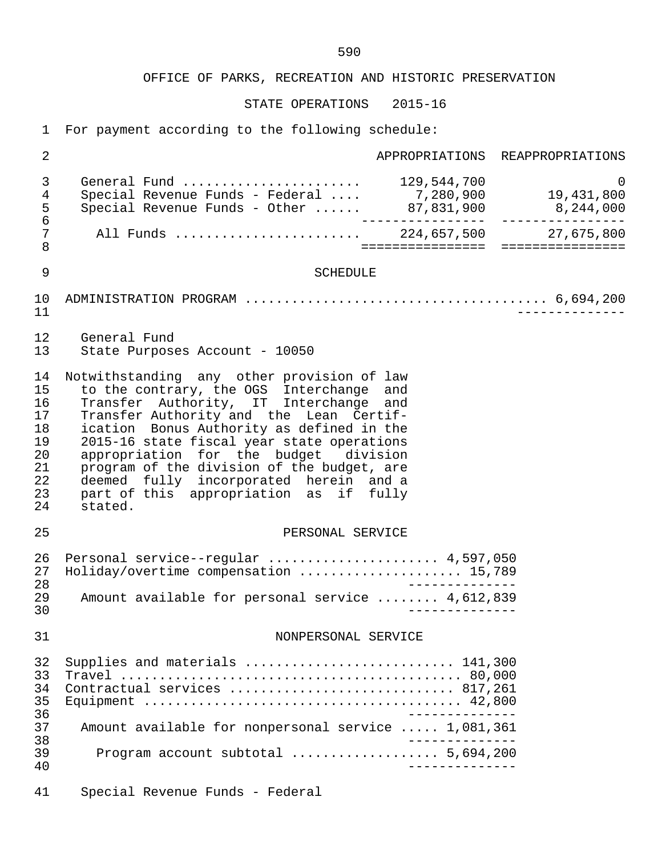STATE OPERATIONS 2015-16

1 For payment according to the following schedule:

| $\overline{2}$                                                 |                                                                                                                                                                                                                                                                                                                                                                                                                                                              |                | APPROPRIATIONS REAPPROPRIATIONS     |
|----------------------------------------------------------------|--------------------------------------------------------------------------------------------------------------------------------------------------------------------------------------------------------------------------------------------------------------------------------------------------------------------------------------------------------------------------------------------------------------------------------------------------------------|----------------|-------------------------------------|
| 3<br>4<br>5<br>$\overline{6}$                                  | General Fund  129,544,700<br>Special Revenue Funds - Federal  7,280,900 19,431,800<br>Special Revenue Funds - Other  87,831,900 8,244,000                                                                                                                                                                                                                                                                                                                    |                | $\Omega$                            |
| 7<br>$\,8\,$                                                   | All Funds  224,657,500 27,675,800                                                                                                                                                                                                                                                                                                                                                                                                                            |                | =================================== |
| 9                                                              | <b>SCHEDULE</b>                                                                                                                                                                                                                                                                                                                                                                                                                                              |                |                                     |
| 10<br>11                                                       |                                                                                                                                                                                                                                                                                                                                                                                                                                                              |                |                                     |
| 12<br>13                                                       | General Fund<br>State Purposes Account - 10050                                                                                                                                                                                                                                                                                                                                                                                                               |                |                                     |
| 14<br>15<br>16<br>17<br>18<br>19<br>20<br>21<br>22<br>23<br>24 | Notwithstanding any other provision of law<br>to the contrary, the OGS Interchange and<br>Transfer Authority, IT Interchange and<br>Transfer Authority and the Lean Certif-<br>ication Bonus Authority as defined in the<br>2015-16 state fiscal year state operations<br>appropriation for the budget division<br>program of the division of the budget, are<br>deemed fully incorporated herein and a<br>part of this appropriation as if fully<br>stated. |                |                                     |
| 25                                                             | PERSONAL SERVICE                                                                                                                                                                                                                                                                                                                                                                                                                                             |                |                                     |
| 26<br>27<br>28<br>29<br>30                                     | Personal service--regular  4,597,050<br>Holiday/overtime compensation  15,789<br>Amount available for personal service  4,612,839                                                                                                                                                                                                                                                                                                                            |                |                                     |
| 31                                                             | NONPERSONAL SERVICE                                                                                                                                                                                                                                                                                                                                                                                                                                          |                |                                     |
| 32<br>33<br>34<br>35<br>36                                     | Supplies and materials  141,300<br>Contractual services  817,261                                                                                                                                                                                                                                                                                                                                                                                             |                |                                     |
| 37<br>38                                                       | Amount available for nonpersonal service  1,081,361                                                                                                                                                                                                                                                                                                                                                                                                          |                |                                     |
| 39<br>40                                                       | Program account subtotal  5,694,200                                                                                                                                                                                                                                                                                                                                                                                                                          | ______________ |                                     |
| 41                                                             | Special Revenue Funds - Federal                                                                                                                                                                                                                                                                                                                                                                                                                              |                |                                     |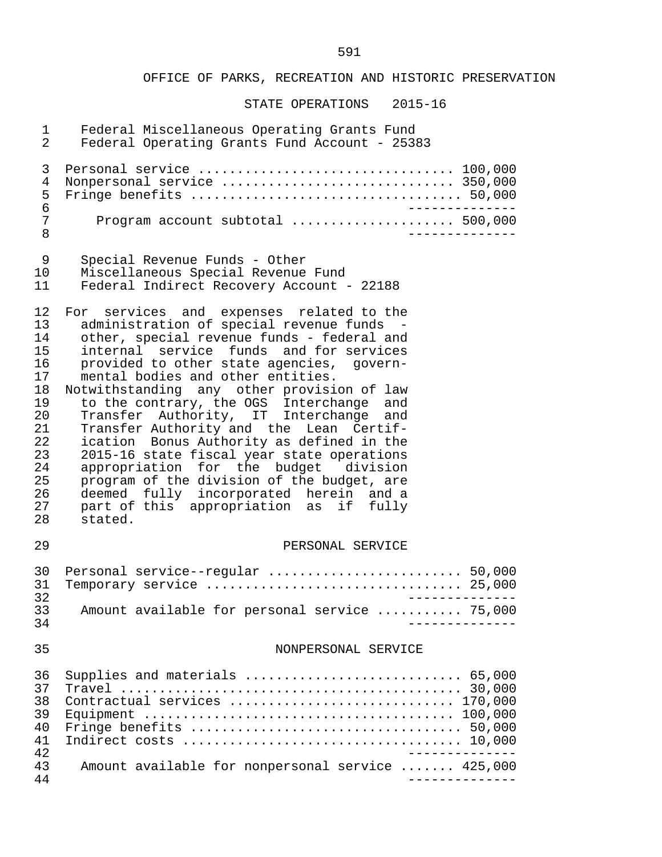| $\mathbf 1$<br>$\overline{2}$                                                                      | Federal Miscellaneous Operating Grants Fund<br>Federal Operating Grants Fund Account - 25383                                                                                                                                                                                                                                                                                                                                                                                                                                                                                                                                                                                                                                   |
|----------------------------------------------------------------------------------------------------|--------------------------------------------------------------------------------------------------------------------------------------------------------------------------------------------------------------------------------------------------------------------------------------------------------------------------------------------------------------------------------------------------------------------------------------------------------------------------------------------------------------------------------------------------------------------------------------------------------------------------------------------------------------------------------------------------------------------------------|
| 3<br>4<br>5<br>6                                                                                   | Nonpersonal service  350,000                                                                                                                                                                                                                                                                                                                                                                                                                                                                                                                                                                                                                                                                                                   |
| 7<br>8                                                                                             | Program account subtotal  500,000                                                                                                                                                                                                                                                                                                                                                                                                                                                                                                                                                                                                                                                                                              |
| 9<br>10 <sub>1</sub><br>11                                                                         | Special Revenue Funds - Other<br>Miscellaneous Special Revenue Fund<br>Federal Indirect Recovery Account - 22188                                                                                                                                                                                                                                                                                                                                                                                                                                                                                                                                                                                                               |
| 12<br>13<br>14<br>15<br>16<br>17<br>18<br>19<br>20<br>21<br>22<br>23<br>24<br>25<br>26<br>27<br>28 | For services and expenses related to the<br>administration of special revenue funds<br>other, special revenue funds - federal and<br>internal service funds and for services<br>provided to other state agencies, govern-<br>mental bodies and other entities.<br>Notwithstanding any other provision of law<br>to the contrary, the OGS Interchange and<br>Transfer Authority, IT Interchange and<br>Transfer Authority and the Lean Certif-<br>ication Bonus Authority as defined in the<br>2015-16 state fiscal year state operations<br>appropriation for the budget division<br>program of the division of the budget, are<br>deemed fully incorporated herein and a<br>part of this appropriation as if fully<br>stated. |
| 29                                                                                                 | PERSONAL SERVICE                                                                                                                                                                                                                                                                                                                                                                                                                                                                                                                                                                                                                                                                                                               |
| 30<br>31<br>32                                                                                     | Personal service--regular  50,000                                                                                                                                                                                                                                                                                                                                                                                                                                                                                                                                                                                                                                                                                              |
| 33<br>34                                                                                           | Amount available for personal service  75,000<br>-----------                                                                                                                                                                                                                                                                                                                                                                                                                                                                                                                                                                                                                                                                   |
| 35                                                                                                 | NONPERSONAL SERVICE                                                                                                                                                                                                                                                                                                                                                                                                                                                                                                                                                                                                                                                                                                            |
| 36<br>37<br>38<br>39<br>40<br>41<br>42                                                             | Supplies and materials  65,000<br>Contractual services  170,000                                                                                                                                                                                                                                                                                                                                                                                                                                                                                                                                                                                                                                                                |
| 43<br>44                                                                                           | Amount available for nonpersonal service  425,000                                                                                                                                                                                                                                                                                                                                                                                                                                                                                                                                                                                                                                                                              |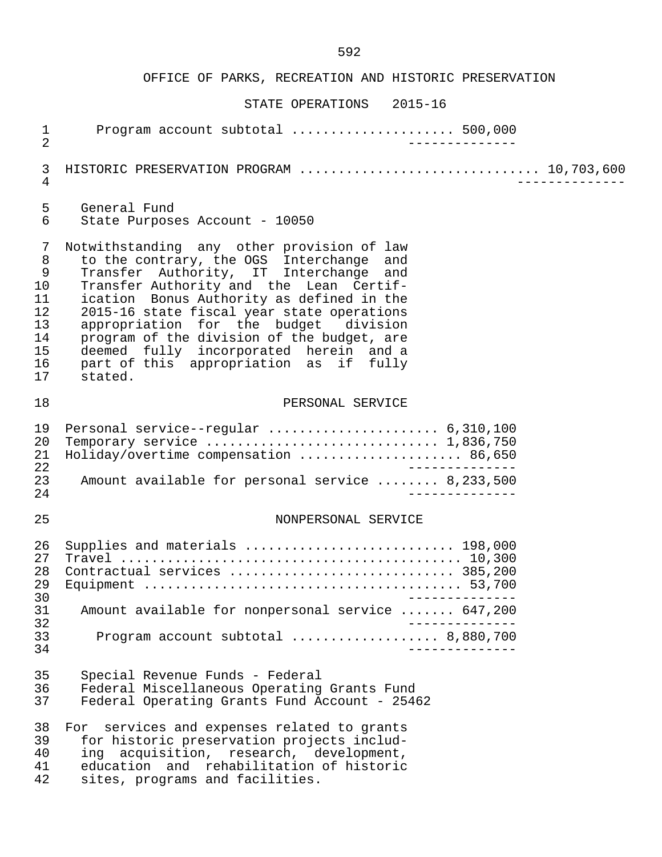| $\mathbf 1$                                        | Program account subtotal  500,000                                                                                                                                 |
|----------------------------------------------------|-------------------------------------------------------------------------------------------------------------------------------------------------------------------|
| $\overline{2}$                                     | ______________                                                                                                                                                    |
| 3<br>$\overline{4}$                                | HISTORIC PRESERVATION PROGRAM  10,703,600                                                                                                                         |
| 5                                                  | General Fund                                                                                                                                                      |
| $6\phantom{1}$                                     | State Purposes Account - 10050                                                                                                                                    |
| 7                                                  | Notwithstanding any other provision of law                                                                                                                        |
| $\, 8$                                             | to the contrary, the OGS Interchange and                                                                                                                          |
| $\mathsf 9$                                        | Transfer Authority, IT Interchange and                                                                                                                            |
| 10                                                 | Transfer Authority and the Lean Certif-                                                                                                                           |
| 11                                                 | ication Bonus Authority as defined in the                                                                                                                         |
| 12                                                 | 2015-16 state fiscal year state operations                                                                                                                        |
| 13                                                 | appropriation for the budget division                                                                                                                             |
| 14                                                 | program of the division of the budget, are                                                                                                                        |
| 15                                                 | deemed fully incorporated herein and a                                                                                                                            |
| 16                                                 | part of this appropriation as if fully                                                                                                                            |
| 17                                                 | stated.                                                                                                                                                           |
| 18                                                 | PERSONAL SERVICE                                                                                                                                                  |
| 19<br>20<br>21<br>22<br>23<br>24                   | Personal service--regular  6,310,100<br>Temporary service  1,836,750<br>Holiday/overtime compensation  86,650<br>Amount available for personal service  8,233,500 |
| 25                                                 | NONPERSONAL SERVICE                                                                                                                                               |
| 26<br>27<br>28<br>29<br>30<br>31<br>32<br>33<br>34 | Supplies and materials  198,000<br>Contractual services  385,200<br>Amount available for nonpersonal service  647,200<br>Program account subtotal  8,880,700      |
| 35                                                 | Special Revenue Funds - Federal                                                                                                                                   |
| 36                                                 | Federal Miscellaneous Operating Grants Fund                                                                                                                       |
| 37                                                 | Federal Operating Grants Fund Account - 25462                                                                                                                     |
| 38                                                 | For services and expenses related to grants                                                                                                                       |
| 39                                                 | for historic preservation projects includ-                                                                                                                        |
| 40                                                 | ing acquisition, research, development,                                                                                                                           |
| 41                                                 | education and rehabilitation of historic                                                                                                                          |
| 42                                                 | sites, programs and facilities.                                                                                                                                   |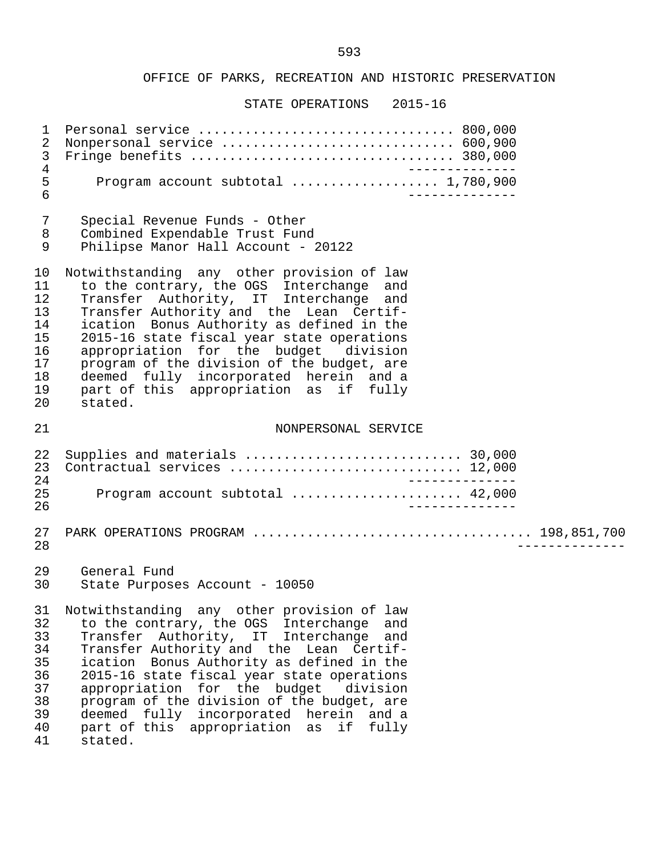| $\mathbf 1$<br>$\overline{2}$<br>$\mathsf{3}$<br>$\overline{4}$<br>5<br>6 | Nonpersonal service  600,900<br>_______________<br>Program account subtotal  1,780,900                                                                                                                                                                                                                                                                                                                                                                                   |
|---------------------------------------------------------------------------|--------------------------------------------------------------------------------------------------------------------------------------------------------------------------------------------------------------------------------------------------------------------------------------------------------------------------------------------------------------------------------------------------------------------------------------------------------------------------|
| 7<br>8<br>$\mathsf 9$                                                     | Special Revenue Funds - Other<br>Combined Expendable Trust Fund<br>Philipse Manor Hall Account - 20122                                                                                                                                                                                                                                                                                                                                                                   |
| 10<br>11<br>12<br>13<br>14<br>15<br>16<br>17<br>18<br>19<br>20            | Notwithstanding any other provision of law<br>to the contrary, the OGS Interchange and<br>Transfer Authority, IT Interchange<br>and<br>Transfer Authority and the Lean Certif-<br>ication Bonus Authority as defined in the<br>2015-16 state fiscal year state operations<br>appropriation for the budget division<br>program of the division of the budget, are<br>deemed fully incorporated herein and a<br>part of this appropriation as if fully<br>stated.          |
| 21                                                                        | NONPERSONAL SERVICE                                                                                                                                                                                                                                                                                                                                                                                                                                                      |
| 22<br>23<br>24                                                            | Contractual services  12,000<br>_______________                                                                                                                                                                                                                                                                                                                                                                                                                          |
| 25<br>26                                                                  | Program account subtotal  42,000<br>______________                                                                                                                                                                                                                                                                                                                                                                                                                       |
| 27<br>28                                                                  |                                                                                                                                                                                                                                                                                                                                                                                                                                                                          |
| 29<br>30                                                                  | General Fund<br>State Purposes Account - 10050                                                                                                                                                                                                                                                                                                                                                                                                                           |
| 31<br>32<br>33<br>34<br>35<br>36<br>37<br>38<br>39<br>40<br>41            | Notwithstanding any other provision of law<br>to the contrary, the OGS Interchange<br>and<br>Transfer Authority, IT Interchange<br>and<br>Transfer Authority and the Lean Certif-<br>ication Bonus Authority as defined in the<br>2015-16 state fiscal year state operations<br>appropriation for the budget division<br>program of the division of the budget, are<br>deemed fully incorporated herein and a<br>part of this appropriation as<br>if<br>fully<br>stated. |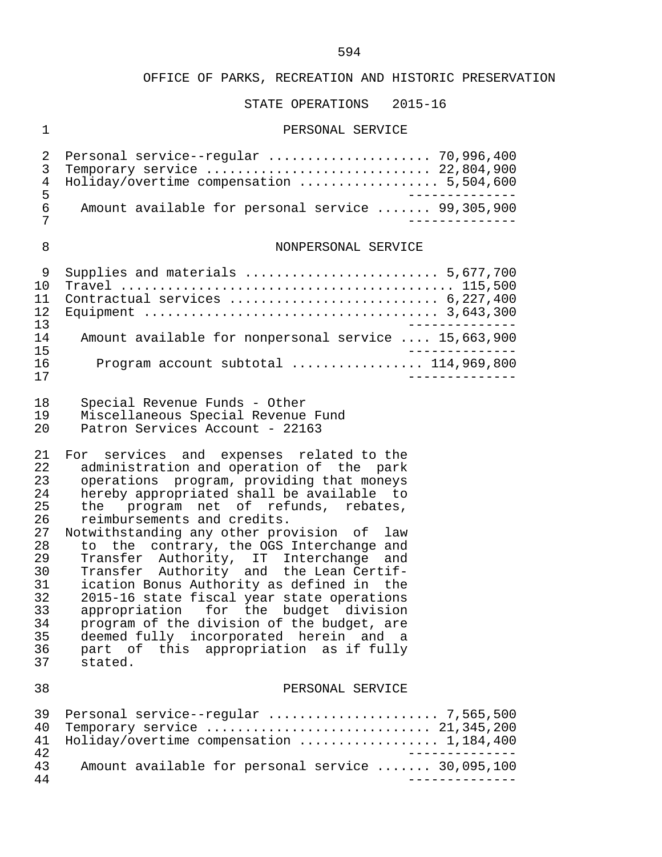#### STATE OPERATIONS 2015-16

#### 1 PERSONAL SERVICE

|     | 2 Personal service--regular  70,996,400           |
|-----|---------------------------------------------------|
|     | 3 Temporary service  22,804,900                   |
|     | 4 Holiday/overtime compensation  5,504,600        |
|     |                                                   |
| რ : | Amount available for personal service  99,305,900 |
|     |                                                   |

#### 8 NONPERSONAL SERVICE

| 1 N |                                                      |
|-----|------------------------------------------------------|
|     |                                                      |
|     |                                                      |
| 13  |                                                      |
| 14  | Amount available for nonpersonal service  15,663,900 |
| 15  |                                                      |
| 16  | Program account subtotal $\ldots$ 114,969,800        |
|     |                                                      |

- 18 Special Revenue Funds Other
- 19 Miscellaneous Special Revenue Fund<br>20 Detron Services Account 22163
- Patron Services Account 22163

21 For services and expenses related to the<br>22 administration and operation of the park 22 administration and operation of the park<br>23 operations program, providing that moneys 23 operations program, providing that moneys<br>24 hereby appropriated shall be available to 24 hereby appropriated shall be available to<br>25 the program net of refunds, rebates, 25 the program net of refunds, rebates,<br>26 reimbursements and credits. 26 reimbursements and credits.<br>27 Notwithstanding any other pro

27 Notwithstanding any other provision of law<br>28 to the contrary, the OGS Interchange and 28 to the contrary, the OGS Interchange and<br>29 Transfer Authority, IT Interchange and 29 Transfer Authority, IT Interchange and 30 Transfer Authority and the Lean Certif- 31 ication Bonus Authority as defined in the<br>32 2015-16 state fiscal year state operations 32 2015-16 state fiscal year state operations<br>33 appropriation for the budget division 33 appropriation for the budget division<br>34 program of the division of the budget, are 34 program of the division of the budget, are<br>35 deemed fully incorporated herein and a 35 deemed fully incorporated herein and a<br>36 part of this appropriation as if fully 36 part of this appropriation as if fully<br>37 stated. stated.

#### 38 PERSONAL SERVICE

|    | 40 Temporary service  21,345,200                  |
|----|---------------------------------------------------|
|    | 41 Holiday/overtime compensation  1,184,400       |
| 42 |                                                   |
| 43 | Amount available for personal service  30,095,100 |
| 44 |                                                   |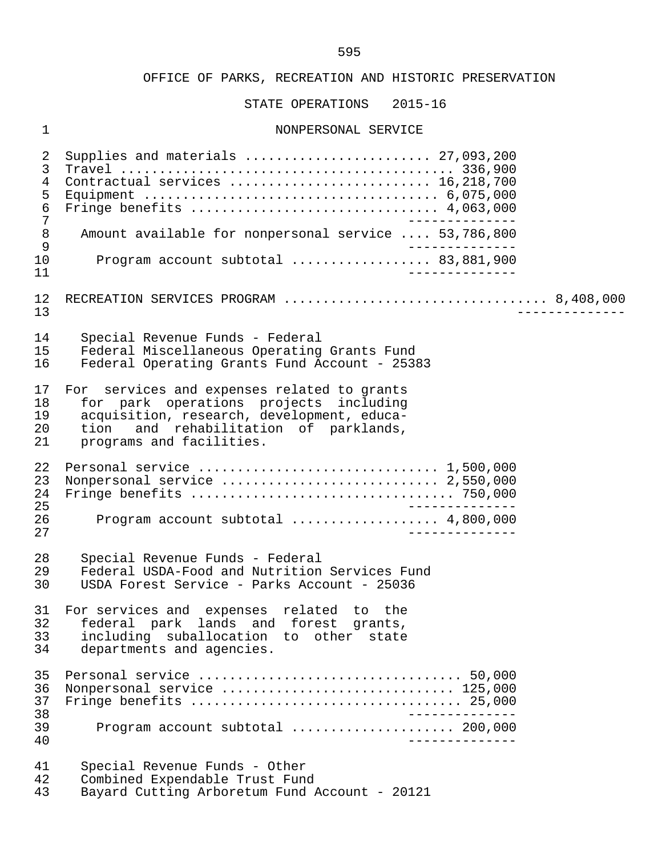STATE OPERATIONS 2015-16

#### 1 NONPERSONAL SERVICE

 2 Supplies and materials ........................ 27,093,200 3 Travel ........................................... 336,900 4 Contractual services .......................... 16,218,700 5 Equipment ...................................... 6,075,000 6 Fringe benefits ................................ 4,063,000 7 -------------- 8 Amount available for nonpersonal service .... 53,786,800<br>9 9<br>10 Program account subtotal ................... 83.881.900 10 Program account subtotal .................. 83,881,900 11 -------------- 12 RECREATION SERVICES PROGRAM .................................. 8,408,000 13 -------------- 14 Special Revenue Funds - Federal 15 Federal Miscellaneous Operating Grants Fund<br>16 Federal Operating Grants Fund Account - 2538 Federal Operating Grants Fund Account - 25383 17 For services and expenses related to grants<br>18 for park operations projects including 18 for park operations projects including<br>19 acquisition research development educa-19 acquisition, research, development, educa-<br>20 tion and rehabilitation of parklands. 20 tion and rehabilitation of parklands,<br>21 programs and facilities. programs and facilities. 22 Personal service ................................... 1,500,000<br>23 Nonpersonal service ............................. 2,550,000 23 Nonpersonal service ............................ 2,550,000 24 Fringe benefits .................................. 750,000 25 -------------- 26 Program account subtotal ................... 4,800,000 27 -------------- 28 Special Revenue Funds - Federal<br>29 Federal USDA-Food and Nutrition 29 Federal USDA-Food and Nutrition Services Fund USDA Forest Service - Parks Account - 25036 31 For services and expenses related to the 32 federal park lands and forest grants, 33 including suballocation to other state<br>34 departments and agencies. departments and agencies. 35 Personal service .................................. 50,000 36 Nonpersonal service ................................. 125,000<br>37 Fringe benefits .................................. 25,000 37 Fringe benefits ................................... 25,000 38 -------------- 39 Program account subtotal ..................... 200,000 40 -------------- 41 Special Revenue Funds - Other<br>42 Combined Expendable Trust Fung 42 Combined Expendable Trust Fund<br>43 Bavard Cutting Arboretum Fund 1 Bayard Cutting Arboretum Fund Account - 20121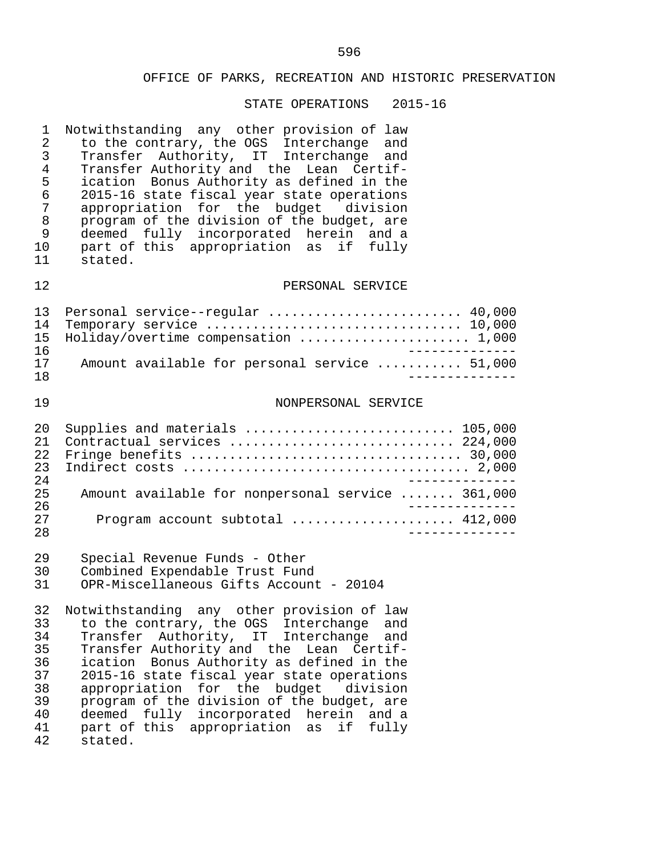| $\mathbf{1}$<br>$\overline{2}$<br>3<br>$\overline{4}$<br>5<br>$\sqrt{6}$<br>7<br>$\,8\,$<br>9<br>10<br>11 | Notwithstanding any other provision of law<br>to the contrary, the OGS Interchange and<br>Transfer Authority, IT Interchange and<br>Transfer Authority and the Lean Certif-<br>ication Bonus Authority as defined in the<br>2015-16 state fiscal year state operations<br>appropriation for the budget division<br>program of the division of the budget, are<br>deemed fully incorporated herein and a<br>part of this appropriation as if fully<br>stated.                                  |
|-----------------------------------------------------------------------------------------------------------|-----------------------------------------------------------------------------------------------------------------------------------------------------------------------------------------------------------------------------------------------------------------------------------------------------------------------------------------------------------------------------------------------------------------------------------------------------------------------------------------------|
| 12                                                                                                        | PERSONAL SERVICE                                                                                                                                                                                                                                                                                                                                                                                                                                                                              |
| 13<br>14<br>15<br>16<br>17                                                                                | Personal service--regular  40,000<br>Temporary service  10,000<br>Holiday/overtime compensation  1,000<br>_______________<br>Amount available for personal service  51,000                                                                                                                                                                                                                                                                                                                    |
| 18                                                                                                        |                                                                                                                                                                                                                                                                                                                                                                                                                                                                                               |
| 19                                                                                                        | NONPERSONAL SERVICE                                                                                                                                                                                                                                                                                                                                                                                                                                                                           |
| 20<br>21<br>22<br>23<br>24                                                                                | Supplies and materials  105,000<br>Contractual services  224,000                                                                                                                                                                                                                                                                                                                                                                                                                              |
| 25<br>26                                                                                                  | Amount available for nonpersonal service  361,000<br>______________                                                                                                                                                                                                                                                                                                                                                                                                                           |
| 27<br>28                                                                                                  | Program account subtotal  412,000                                                                                                                                                                                                                                                                                                                                                                                                                                                             |
| 29<br>30<br>31                                                                                            | Special Revenue Funds - Other<br>Combined Expendable Trust Fund<br>OPR-Miscellaneous Gifts Account - 20104                                                                                                                                                                                                                                                                                                                                                                                    |
| 33<br>34<br>35<br>36<br>37<br>38<br>39<br>40<br>41<br>42                                                  | 32 Notwithstanding any other provision of law<br>to the contrary, the OGS Interchange<br>and<br>Transfer Authority, IT<br>Interchange<br>and<br>Transfer Authority and the Lean Certif-<br>ication Bonus Authority as defined in the<br>2015-16 state fiscal year state operations<br>appropriation for the budget<br>division<br>program of the division of the budget, are<br>fully incorporated herein<br>deemed<br>and a<br>part of this<br>appropriation<br>if<br>fully<br>as<br>stated. |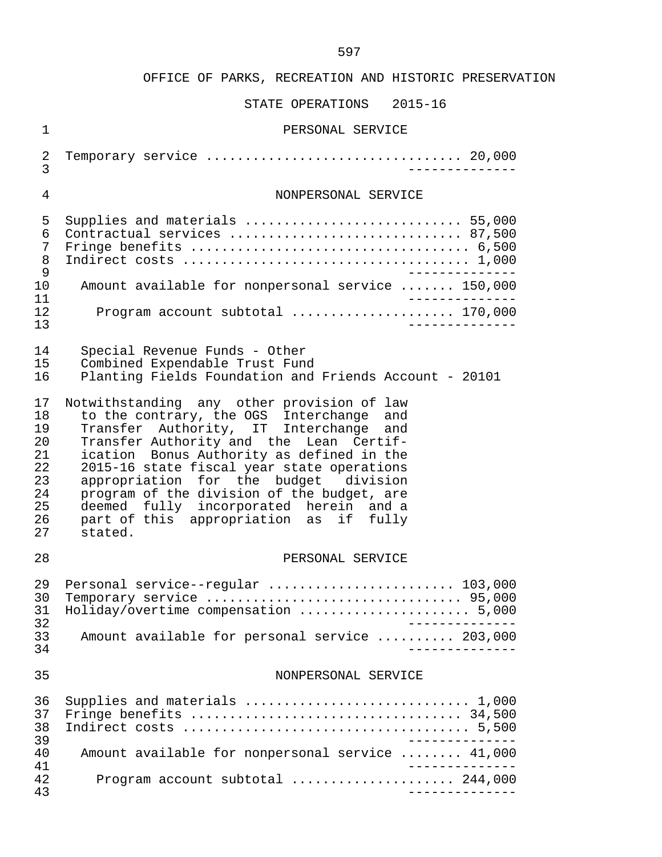| $\mathbf 1$                                                    | PERSONAL SERVICE                                                                                                                                                                                                                                                                                                                                                                                                                                             |
|----------------------------------------------------------------|--------------------------------------------------------------------------------------------------------------------------------------------------------------------------------------------------------------------------------------------------------------------------------------------------------------------------------------------------------------------------------------------------------------------------------------------------------------|
| 2<br>3                                                         | Temporary service  20,000                                                                                                                                                                                                                                                                                                                                                                                                                                    |
| $\overline{4}$                                                 | NONPERSONAL SERVICE                                                                                                                                                                                                                                                                                                                                                                                                                                          |
| 5<br>6<br>7<br>8<br>9<br>10<br>11                              | Supplies and materials  55,000<br>Contractual services  87,500<br>Amount available for nonpersonal service  150,000                                                                                                                                                                                                                                                                                                                                          |
| 12<br>13                                                       | Program account subtotal  170,000                                                                                                                                                                                                                                                                                                                                                                                                                            |
| 14<br>15<br>16                                                 | Special Revenue Funds - Other<br>Combined Expendable Trust Fund<br>Planting Fields Foundation and Friends Account - 20101                                                                                                                                                                                                                                                                                                                                    |
| 17<br>18<br>19<br>20<br>21<br>22<br>23<br>24<br>25<br>26<br>27 | Notwithstanding any other provision of law<br>to the contrary, the OGS Interchange and<br>Transfer Authority, IT Interchange and<br>Transfer Authority and the Lean Certif-<br>ication Bonus Authority as defined in the<br>2015-16 state fiscal year state operations<br>appropriation for the budget division<br>program of the division of the budget, are<br>deemed fully incorporated herein and a<br>part of this appropriation as if fully<br>stated. |
| 28                                                             | PERSONAL SERVICE                                                                                                                                                                                                                                                                                                                                                                                                                                             |
| 29<br>30<br>31<br>32<br>33<br>34                               | Personal service--regular  103,000<br>Holiday/overtime compensation  5,000<br>Amount available for personal service  203,000<br>--------------                                                                                                                                                                                                                                                                                                               |
| 35                                                             | NONPERSONAL SERVICE                                                                                                                                                                                                                                                                                                                                                                                                                                          |
| 36<br>37<br>38<br>39                                           | ______________                                                                                                                                                                                                                                                                                                                                                                                                                                               |
| 40<br>41                                                       | Amount available for nonpersonal service  41,000<br>______________                                                                                                                                                                                                                                                                                                                                                                                           |
| 42<br>43                                                       | Program account subtotal  244,000<br>______________                                                                                                                                                                                                                                                                                                                                                                                                          |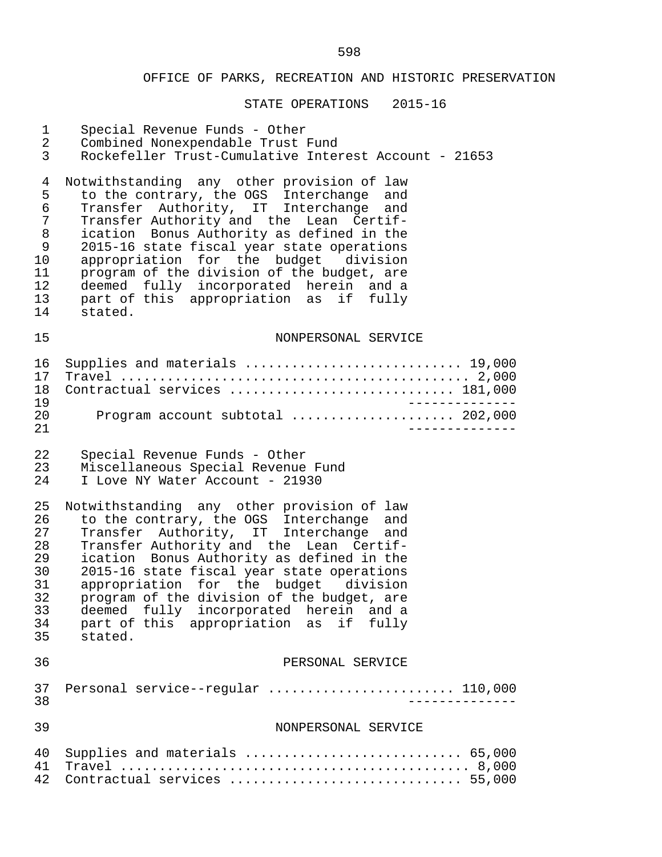| $\mathbf 1$    | Special Revenue Funds - Other                                                      |
|----------------|------------------------------------------------------------------------------------|
| $\overline{2}$ | Combined Nonexpendable Trust Fund                                                  |
| 3              | Rockefeller Trust-Cumulative Interest Account - 21653                              |
| 4              | Notwithstanding any other provision of law                                         |
| 5              | to the contrary, the OGS Interchange and                                           |
| 6              | Transfer Authority, IT Interchange and                                             |
| 7              | Transfer Authority and the Lean Certif-                                            |
| $\, 8$         | ication Bonus Authority as defined in the                                          |
| 9              | 2015-16 state fiscal year state operations                                         |
| 10             | appropriation for the budget division                                              |
| 11             | program of the division of the budget, are                                         |
| 12             | deemed fully incorporated herein and a                                             |
| 13             | part of this appropriation as if fully                                             |
| 14             | stated.                                                                            |
| 15             | NONPERSONAL SERVICE                                                                |
| 16             | Supplies and materials  19,000                                                     |
| 17             |                                                                                    |
| 18             | Contractual services  181,000                                                      |
| 19             | ______________                                                                     |
| 20<br>21       | Program account subtotal  202,000                                                  |
| 22             | Special Revenue Funds - Other                                                      |
| 23             | Miscellaneous Special Revenue Fund                                                 |
| 24             | I Love NY Water Account - 21930                                                    |
| 25             | Notwithstanding any other provision of law                                         |
| 26             | to the contrary, the OGS Interchange and<br>Transfer Authority, IT Interchange and |
| 27             | Transfer Authority and the Lean Certif-                                            |
| 28             | ication Bonus Authority as defined in the                                          |
| 29             | 2015-16 state fiscal year state operations                                         |
| 30             | appropriation for the budget division                                              |
| 31             | program of the division of the budget, are                                         |
| 32             | deemed fully incorporated herein and a                                             |
| 33             | part of this appropriation as                                                      |
| 34             | if fully                                                                           |
| 35             | stated.                                                                            |
| 36             | PERSONAL SERVICE                                                                   |
| 37             | Personal service--regular  110,000                                                 |
| 38             | $- - - - - - - - -$                                                                |
| 39             | NONPERSONAL SERVICE                                                                |
| 40             | Supplies and materials  65,000                                                     |
| 41             |                                                                                    |
| 42             | Contractual services  55,000                                                       |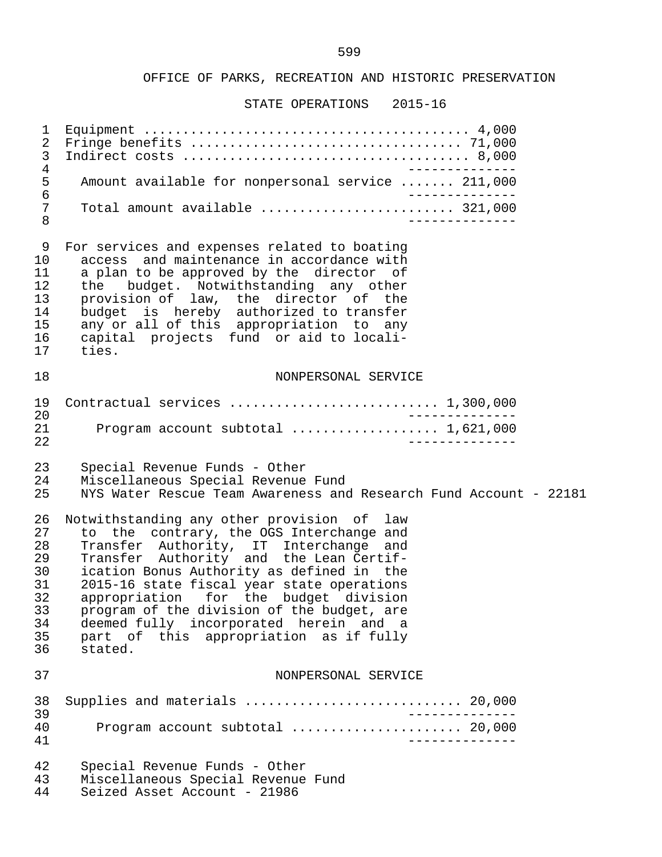| 1<br>2<br>$\mathfrak{Z}$<br>$\overline{4}$ |                                                                   |
|--------------------------------------------|-------------------------------------------------------------------|
| 5<br>6<br>7<br>$\,8\,$                     | Amount available for nonpersonal service  211,000                 |
|                                            | Total amount available  321,000                                   |
| 9                                          | For services and expenses related to boating                      |
| 10                                         | access and maintenance in accordance with                         |
| 11                                         | a plan to be approved by the director of                          |
| 12                                         | the budget. Notwithstanding any other                             |
| 13                                         | provision of law, the director of the                             |
| 14                                         | budget is hereby authorized to transfer                           |
| 15                                         | any or all of this appropriation to any                           |
| 16                                         | capital projects fund or aid to locali-                           |
| 17                                         | ties.                                                             |
| 18                                         | NONPERSONAL SERVICE                                               |
| 19                                         | Contractual services  1,300,000                                   |
| 20                                         | $- - - - - - -$                                                   |
| 21<br>22                                   | Program account subtotal  1,621,000                               |
| 23                                         | Special Revenue Funds - Other                                     |
| 24                                         | Miscellaneous Special Revenue Fund                                |
| 25                                         | NYS Water Rescue Team Awareness and Research Fund Account - 22181 |
| 26                                         | Notwithstanding any other provision of law                        |
| 27                                         | to the contrary, the OGS Interchange and                          |
| 28                                         | Transfer Authority, IT Interchange and                            |
| 29                                         | Transfer Authority and the Lean Certif-                           |
| 30                                         | ication Bonus Authority as defined in the                         |
| 31                                         | 2015-16 state fiscal year state operations                        |
| 32                                         | appropriation for the budget division                             |
| 33                                         | program of the division of the budget, are                        |
| 34                                         | deemed fully incorporated herein and a                            |
| 35                                         | part of this appropriation as if fully                            |
| 36                                         | stated.                                                           |
| 37                                         | NONPERSONAL SERVICE                                               |
| 38                                         |                                                                   |
| 39                                         | ______________                                                    |
| 40                                         | Program account subtotal  20,000                                  |
| 41                                         | ----------                                                        |
| 42                                         | Special Revenue Funds - Other                                     |
| 43                                         | Miscellaneous Special Revenue Fund                                |
| 44                                         | Seized Asset Account - 21986                                      |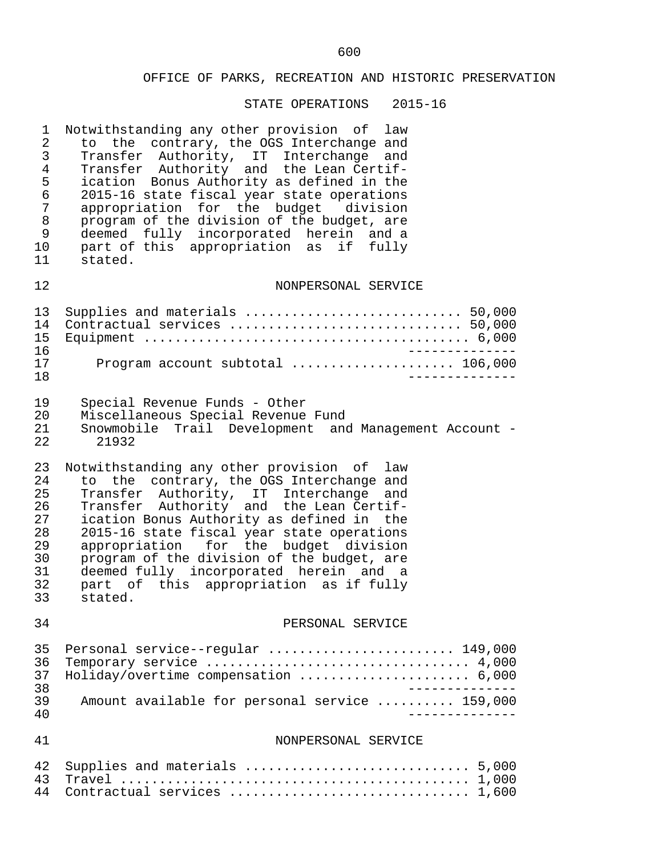| 1<br>2<br>3<br>$\overline{4}$<br>5<br>$\epsilon$<br>$\overline{7}$<br>$\,8\,$<br>9<br>10<br>11 | Notwithstanding any other provision of<br>law<br>to the contrary, the OGS Interchange and<br>Transfer Authority, IT Interchange<br>and<br>Transfer Authority and the Lean Certif-<br>ication Bonus Authority as defined in the<br>2015-16 state fiscal year state operations<br>appropriation for the budget division<br>program of the division of the budget, are<br>deemed fully incorporated herein and a<br>part of this appropriation as if fully<br>stated. |
|------------------------------------------------------------------------------------------------|--------------------------------------------------------------------------------------------------------------------------------------------------------------------------------------------------------------------------------------------------------------------------------------------------------------------------------------------------------------------------------------------------------------------------------------------------------------------|
| 12                                                                                             | NONPERSONAL SERVICE                                                                                                                                                                                                                                                                                                                                                                                                                                                |
| 13<br>14<br>15<br>16<br>17<br>18                                                               | Supplies and materials  50,000<br>Contractual services  50,000<br>Program account subtotal  106,000                                                                                                                                                                                                                                                                                                                                                                |
| 19<br>20<br>21<br>22                                                                           | Special Revenue Funds - Other<br>Miscellaneous Special Revenue Fund<br>Snowmobile Trail Development and Management Account -<br>21932                                                                                                                                                                                                                                                                                                                              |
| 23<br>24<br>25<br>26<br>27<br>28<br>29<br>30<br>31<br>32<br>33                                 | Notwithstanding any other provision of law<br>to the contrary, the OGS Interchange and<br>Transfer Authority, IT Interchange<br>and<br>Transfer Authority and the Lean Certif-<br>ication Bonus Authority as defined in the<br>2015-16 state fiscal year state operations<br>appropriation for the budget division<br>program of the division of the budget, are<br>deemed fully incorporated herein and a<br>part of this appropriation as if fully<br>stated.    |
| 34                                                                                             | PERSONAL SERVICE                                                                                                                                                                                                                                                                                                                                                                                                                                                   |
| 35<br>36<br>37<br>38<br>39<br>40                                                               | Personal service--regular  149,000<br>Temporary service  4,000<br>Holiday/overtime compensation  6,000<br>Amount available for personal service  159,000                                                                                                                                                                                                                                                                                                           |
| 41                                                                                             | NONPERSONAL SERVICE                                                                                                                                                                                                                                                                                                                                                                                                                                                |
| 42<br>43<br>44                                                                                 | Contractual services  1,600                                                                                                                                                                                                                                                                                                                                                                                                                                        |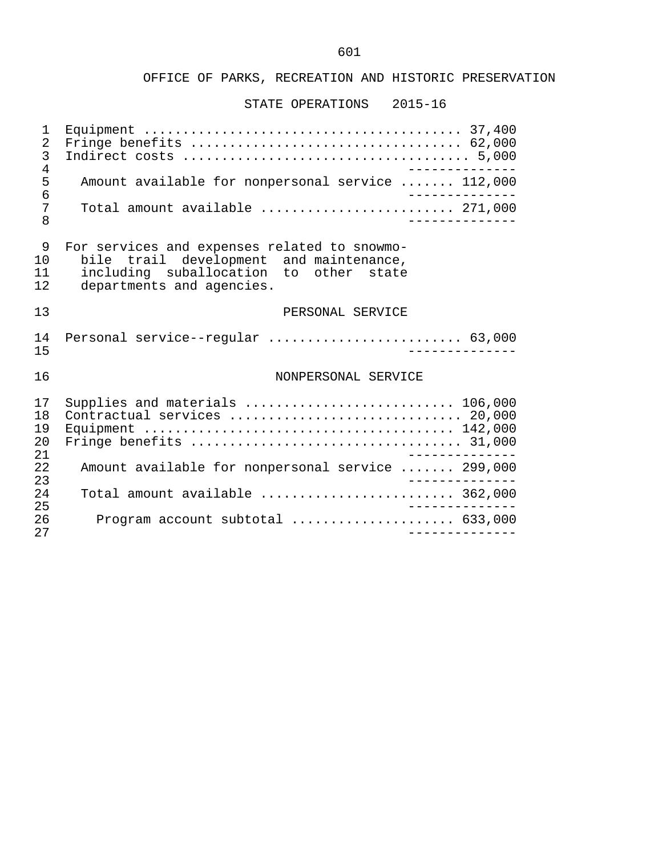#### STATE OPERATIONS 2015-16

 1 Equipment ......................................... 37,400 2 Fringe benefits ................................... 62,000 3 Indirect costs ..................................... 5,000 4<br>5 Amount available for nonpersonal service ....... 112,000 5 Amount available for nonpersonal service ....... 112,000 6 -------------- 7 Total amount available ......................... 271,000 8 -------------- 9 For services and expenses related to snowmo-<br>10 bile trail development and maintenance. 10 bile trail development and maintenance,<br>11 including suballocation to other state 11 including suballocation to other state<br>12 departments and agencies. departments and agencies. 13 PERSONAL SERVICE 14 Personal service--regular ......................... 63,000 15 -------------- 16 NONPERSONAL SERVICE 17 Supplies and materials ............................... 106,000<br>18 Contractual services ................................. 20.000 18 Contractual services .............................. 20,000 19 Equipment ........................................ 142,000 20 Fringe benefits ................................... 31,000 21 ------------<br>22 Amount available for nonpersonal service ....... 299.000 22 Amount available for nonpersonal service ....... 299,000 23 -------------- 24 Total amount available ......................... 362,000 25 -------------- 26 Program account subtotal ..................... 633,000 27 --------------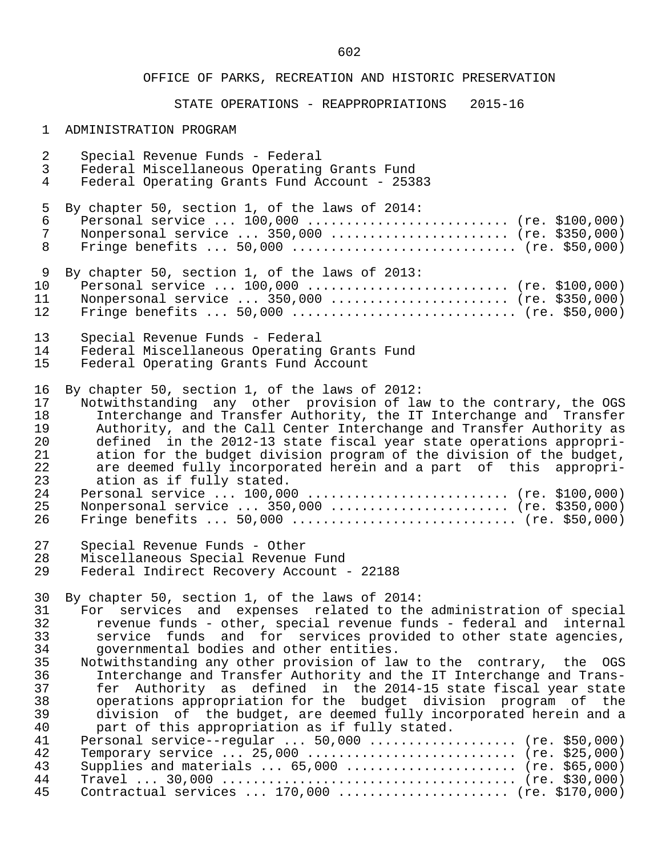# STATE OPERATIONS - REAPPROPRIATIONS 2015-16

### 1 ADMINISTRATION PROGRAM

| $\overline{a}$ | Special Revenue Funds - Federal                                      |
|----------------|----------------------------------------------------------------------|
| $\mathbf{3}$   | Federal Miscellaneous Operating Grants Fund                          |
| 4              | Federal Operating Grants Fund Account - 25383                        |
| 5              | By chapter 50, section 1, of the laws of 2014:                       |
| 6              | Personal service $100,000$ (re. \$100,000)                           |
| $\overline{7}$ | Nonpersonal service  350,000  (re. \$350,000)                        |
| 8              |                                                                      |
| 9              | By chapter 50, section 1, of the laws of 2013:                       |
| 10             | Personal service  100,000  (re. \$100,000)                           |
| 11             | Nonpersonal service  350,000  (re. \$350,000)                        |
| 12             | Fringe benefits $50,000$ (re. \$50,000)                              |
| 13             | Special Revenue Funds - Federal                                      |
| 14             | Federal Miscellaneous Operating Grants Fund                          |
| 15             | Federal Operating Grants Fund Account                                |
| 16             | By chapter 50, section 1, of the laws of 2012:                       |
| 17             | Notwithstanding any other provision of law to the contrary, the OGS  |
| 18             | Interchange and Transfer Authority, the IT Interchange and Transfer  |
| 19             | Authority, and the Call Center Interchange and Transfer Authority as |
| 20             | defined in the 2012-13 state fiscal year state operations appropri-  |
| 21             | ation for the budget division program of the division of the budget, |
| 22             | are deemed fully incorporated herein and a part of this appropri-    |
| 23             | ation as if fully stated.                                            |
| 24             | Personal service  100,000  (re. \$100,000)                           |
| 25             | Nonpersonal service  350,000  (re. \$350,000)                        |
| 26             |                                                                      |
| 27             | Special Revenue Funds - Other                                        |
| 28             | Miscellaneous Special Revenue Fund                                   |
| 29             | Federal Indirect Recovery Account - 22188                            |
| 30             | By chapter 50, section 1, of the laws of 2014:                       |
| 31             | For services and expenses related to the administration of special   |
| 32             | revenue funds - other, special revenue funds - federal and internal  |
| 33             | service funds and for services provided to other state agencies,     |
| 34             | governmental bodies and other entities.                              |
| 35             | Notwithstanding any other provision of law to the contrary, the OGS  |
| 36             | Interchange and Transfer Authority and the IT Interchange and Trans- |
| 37             | Authority as defined in the 2014-15 state fiscal year state<br>fer   |
| 38             | operations appropriation for the budget division program of the      |
| 39             | division of the budget, are deemed fully incorporated herein and a   |
| 40             | part of this appropriation as if fully stated.                       |
| 41             | Personal service--regular  50,000  (re. \$50,000)                    |
| 42             | Temporary service  25,000  (re. \$25,000)                            |
| 43             | Supplies and materials $65,000$ (re. \$65,000)                       |
| 44             |                                                                      |
| 45             | Contractual services  170,000  (re. \$170,000)                       |
|                |                                                                      |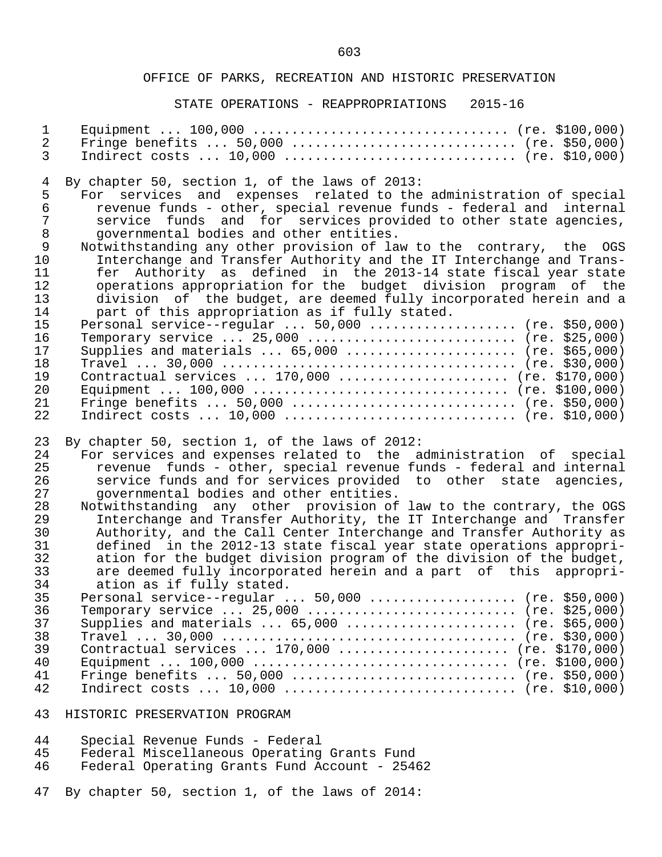### STATE OPERATIONS - REAPPROPRIATIONS 2015-16

| $\mathbf 1$    |                                                                      |
|----------------|----------------------------------------------------------------------|
| $\overline{2}$ |                                                                      |
| $\mathfrak{Z}$ | Indirect costs $10,000$ (re. \$10,000)                               |
| $\overline{4}$ | By chapter 50, section 1, of the laws of 2013:                       |
| 5              | For services and expenses related to the administration of special   |
| $\sqrt{6}$     | revenue funds - other, special revenue funds - federal and internal  |
| $\overline{7}$ | service funds and for services provided to other state agencies,     |
| $\,8\,$        | governmental bodies and other entities.                              |
| $\mathsf 9$    | Notwithstanding any other provision of law to the contrary, the OGS  |
| 10             | Interchange and Transfer Authority and the IT Interchange and Trans- |
| 11             | fer Authority as defined in the 2013-14 state fiscal year state      |
| 12             | operations appropriation for the budget division program of the      |
| 13             | division of the budget, are deemed fully incorporated herein and a   |
| 14             | part of this appropriation as if fully stated.                       |
| 15             | Personal service--regular  50,000  (re. \$50,000)                    |
| 16             | Temporary service  25,000  (re. \$25,000)                            |
| 17             | Supplies and materials $65,000$ (re. \$65,000)                       |
| 18             |                                                                      |
| 19             | Contractual services  170,000  (re. \$170,000)                       |
| 20             |                                                                      |
| 21             |                                                                      |
| 22             | Indirect costs $10,000$ (re. \$10,000)                               |
| 23             | By chapter 50, section 1, of the laws of 2012:                       |
| 24             | For services and expenses related to the administration of special   |
| 25             | revenue funds - other, special revenue funds - federal and internal  |
| 26             | service funds and for services provided to other state agencies,     |
| 27             | governmental bodies and other entities.                              |
| 28             | Notwithstanding any other provision of law to the contrary, the OGS  |
| 29             | Interchange and Transfer Authority, the IT Interchange and Transfer  |
| 30             | Authority, and the Call Center Interchange and Transfer Authority as |
| 31             | defined in the 2012-13 state fiscal year state operations appropri-  |
| 32             | ation for the budget division program of the division of the budget, |
| 33             | are deemed fully incorporated herein and a part of this appropri-    |
| 34             | ation as if fully stated.                                            |
| 35             | Personal service--regular $50,000$ (re. \$50,000)                    |
| 36             | Temporary service  25,000  (re. \$25,000)                            |
| 37             | Supplies and materials $65,000$ (re. \$65,000)                       |
| 38             |                                                                      |
| 39             | Contractual services  170,000  (re. \$170,000)                       |
| 40             |                                                                      |
| 41             |                                                                      |
| 42             | Indirect costs $10,000$ (re. \$10,000)                               |
| 43             | HISTORIC PRESERVATION PROGRAM                                        |

| 44 |  |  |  |  | Special Revenue Funds - Federal |
|----|--|--|--|--|---------------------------------|
|----|--|--|--|--|---------------------------------|

- 45 Federal Miscellaneous Operating Grants Fund
- 46 Federal Operating Grants Fund Account 25462

47 By chapter 50, section 1, of the laws of 2014: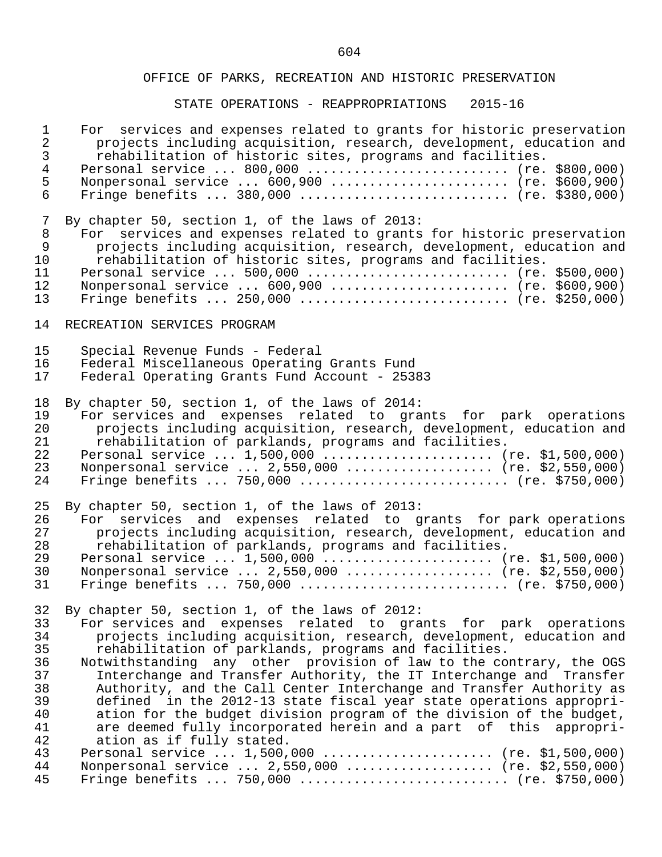| $\mathbf{1}$<br>$\overline{a}$<br>$\mathsf{3}$ | For services and expenses related to grants for historic preservation<br>projects including acquisition, research, development, education and<br>rehabilitation of historic sites, programs and facilities. |
|------------------------------------------------|-------------------------------------------------------------------------------------------------------------------------------------------------------------------------------------------------------------|
| $\overline{4}$                                 | Personal service  800,000  (re. \$800,000)                                                                                                                                                                  |
| 5                                              | Nonpersonal service  600,900  (re. \$600,900)                                                                                                                                                               |
| 6                                              | Fringe benefits $380,000$ (re. \$380,000)                                                                                                                                                                   |
| 7                                              | By chapter 50, section 1, of the laws of 2013:                                                                                                                                                              |
| $\,8\,$<br>$\overline{9}$                      | For services and expenses related to grants for historic preservation                                                                                                                                       |
| 10                                             | projects including acquisition, research, development, education and<br>rehabilitation of historic sites, programs and facilities.                                                                          |
| 11                                             |                                                                                                                                                                                                             |
| 12                                             | Nonpersonal service  600,900  (re. \$600,900)                                                                                                                                                               |
| 13                                             | Fringe benefits $250,000$ (re. \$250,000)                                                                                                                                                                   |
| 14                                             | RECREATION SERVICES PROGRAM                                                                                                                                                                                 |
| 15                                             | Special Revenue Funds - Federal                                                                                                                                                                             |
| 16                                             | Federal Miscellaneous Operating Grants Fund                                                                                                                                                                 |
| 17                                             | Federal Operating Grants Fund Account - 25383                                                                                                                                                               |
| 18                                             | By chapter 50, section 1, of the laws of 2014:                                                                                                                                                              |
| 19                                             | For services and expenses related to grants for park operations                                                                                                                                             |
| 20                                             | projects including acquisition, research, development, education and                                                                                                                                        |
| 21                                             | rehabilitation of parklands, programs and facilities.                                                                                                                                                       |
| 22                                             | Personal service  1,500,000  (re. \$1,500,000)                                                                                                                                                              |
| 23                                             | Nonpersonal service  2,550,000  (re. \$2,550,000)                                                                                                                                                           |
| 24                                             | Fringe benefits  750,000  (re. \$750,000)                                                                                                                                                                   |
| 25                                             | By chapter 50, section 1, of the laws of 2013:                                                                                                                                                              |
| 26                                             | For services and expenses related to grants for park operations                                                                                                                                             |
| 27                                             | projects including acquisition, research, development, education and                                                                                                                                        |
| 28                                             | rehabilitation of parklands, programs and facilities.                                                                                                                                                       |
| 29<br>30                                       | Personal service  1,500,000  (re. \$1,500,000)<br>Nonpersonal service  2,550,000  (re. \$2,550,000)                                                                                                         |
| 31                                             |                                                                                                                                                                                                             |
|                                                |                                                                                                                                                                                                             |
|                                                | 32 By chapter 50, section 1, of the laws of 2012:                                                                                                                                                           |
| 33                                             | For services and expenses related to grants for park operations                                                                                                                                             |
| 34                                             | projects including acquisition, research, development, education and                                                                                                                                        |
| 35<br>36                                       | rehabilitation of parklands, programs and facilities.<br>Notwithstanding any other provision of law to the contrary, the OGS                                                                                |
| 37                                             | Interchange and Transfer Authority, the IT Interchange and Transfer                                                                                                                                         |
| 38                                             | Authority, and the Call Center Interchange and Transfer Authority as                                                                                                                                        |
| 39                                             | defined in the 2012-13 state fiscal year state operations appropri-                                                                                                                                         |
| 40                                             | ation for the budget division program of the division of the budget,                                                                                                                                        |
| 41                                             | are deemed fully incorporated herein and a part of this appropri-                                                                                                                                           |
| 42                                             | ation as if fully stated.                                                                                                                                                                                   |
| 43                                             | Personal service  1,500,000  (re. \$1,500,000)                                                                                                                                                              |
| 44                                             | Nonpersonal service  2,550,000  (re. \$2,550,000)                                                                                                                                                           |
| 45                                             | Fringe benefits  750,000  (re. \$750,000)                                                                                                                                                                   |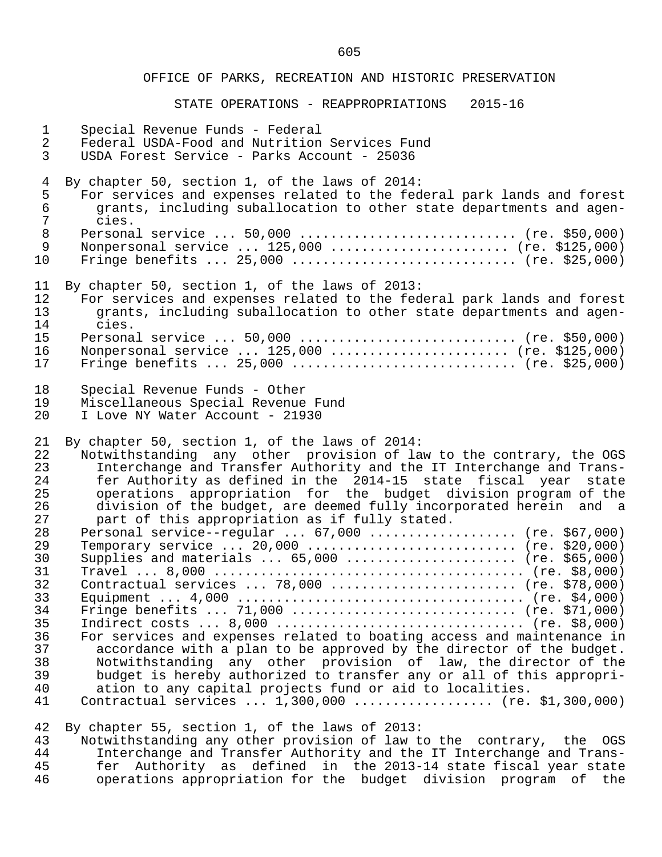### STATE OPERATIONS - REAPPROPRIATIONS 2015-16

| $\mathbf{1}$   | Special Revenue Funds - Federal                                                                                                 |
|----------------|---------------------------------------------------------------------------------------------------------------------------------|
| $\overline{2}$ | Federal USDA-Food and Nutrition Services Fund                                                                                   |
| $\mathfrak{Z}$ | USDA Forest Service - Parks Account - 25036                                                                                     |
| $\overline{4}$ | By chapter 50, section 1, of the laws of 2014:                                                                                  |
| 5              | For services and expenses related to the federal park lands and forest                                                          |
| $\epsilon$     | grants, including suballocation to other state departments and agen-                                                            |
| $\overline{7}$ | cies.                                                                                                                           |
| $\,8\,$        |                                                                                                                                 |
| $\overline{9}$ | Nonpersonal service  125,000  (re. \$125,000)                                                                                   |
| 10             | Fringe benefits $25,000$ (re. \$25,000)                                                                                         |
| 11             | By chapter 50, section 1, of the laws of 2013:                                                                                  |
| 12             | For services and expenses related to the federal park lands and forest                                                          |
| 13             | grants, including suballocation to other state departments and agen-                                                            |
| 14             | cies.                                                                                                                           |
| 15             |                                                                                                                                 |
| 16             | Nonpersonal service  125,000  (re. \$125,000)                                                                                   |
| 17             | Fringe benefits $25,000$ (re. \$25,000)                                                                                         |
| 18             | Special Revenue Funds - Other                                                                                                   |
| 19             | Miscellaneous Special Revenue Fund                                                                                              |
| 20             | I Love NY Water Account - 21930                                                                                                 |
| 21             | By chapter 50, section 1, of the laws of 2014:                                                                                  |
| 22             | Notwithstanding any other provision of law to the contrary, the OGS                                                             |
| 23             | Interchange and Transfer Authority and the IT Interchange and Trans-                                                            |
| 24             | fer Authority as defined in the 2014-15 state fiscal year state                                                                 |
| 25             | operations appropriation for the budget division program of the                                                                 |
| 26             | division of the budget, are deemed fully incorporated herein and a                                                              |
| 27             | part of this appropriation as if fully stated.                                                                                  |
| 28             | Personal service--regular $67,000$ (re. \$67,000)                                                                               |
| 29             |                                                                                                                                 |
| 30             | Supplies and materials $65,000$ (re. \$65,000)                                                                                  |
| 31             |                                                                                                                                 |
| 32             | Contractual services  78,000  (re. \$78,000)                                                                                    |
| 33             |                                                                                                                                 |
| 34             | Fringe benefits  71,000  (re. \$71,000)                                                                                         |
| 35             | Indirect costs $8,000$ (re. \$8,000)                                                                                            |
| 36             | For services and expenses related to boating access and maintenance in                                                          |
| 37             | accordance with a plan to be approved by the director of the budget.                                                            |
| 38             | Notwithstanding any other provision of law, the director of the                                                                 |
| 39             | budget is hereby authorized to transfer any or all of this appropri-                                                            |
| 40             | ation to any capital projects fund or aid to localities.                                                                        |
| 41             | Contractual services $1,300,000$ (re. \$1,300,000)                                                                              |
| 42<br>43       | By chapter 55, section 1, of the laws of 2013:<br>Notwithstanding any other provision of law to the contrary, the<br><b>OGS</b> |

 44 Interchange and Transfer Authority and the IT Interchange and Trans- 45 fer Authority as defined in the 2013-14 state fiscal year state 46 operations appropriation for the budget division program of the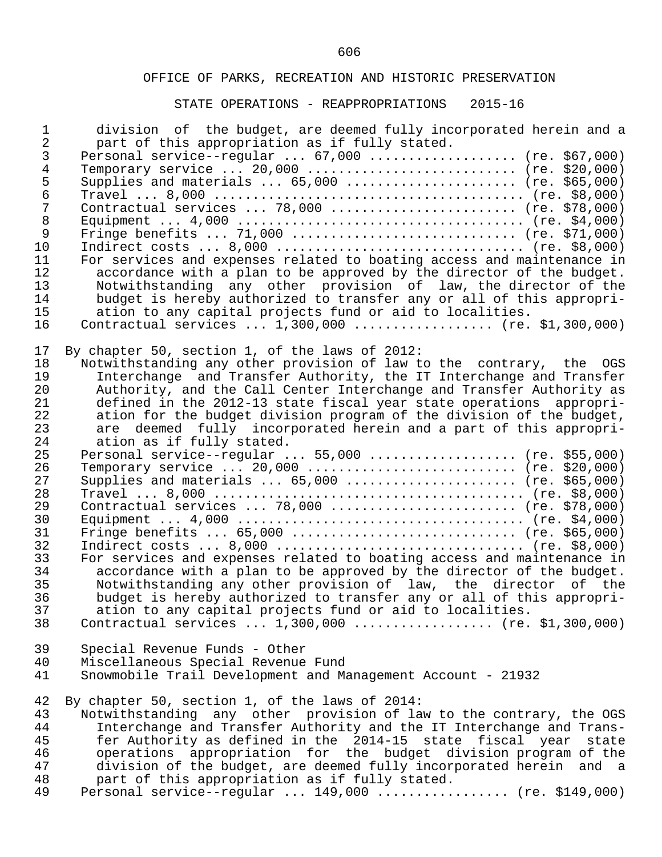| $\mathbf 1$<br>$\overline{2}$ | division of the budget, are deemed fully incorporated herein and a<br>part of this appropriation as if fully stated. |
|-------------------------------|----------------------------------------------------------------------------------------------------------------------|
| 3                             | Personal service--regular $67,000$ (re. \$67,000)                                                                    |
| $\overline{4}$                |                                                                                                                      |
| 5                             | Supplies and materials $65,000$ (re. \$65,000)                                                                       |
| $\epsilon$                    |                                                                                                                      |
| 7                             | Contractual services  78,000  (re. \$78,000)                                                                         |
| $\,8\,$                       |                                                                                                                      |
| 9                             | Fringe benefits  71,000  (re. \$71,000)                                                                              |
| 10                            |                                                                                                                      |
| 11                            | For services and expenses related to boating access and maintenance in                                               |
| 12                            | accordance with a plan to be approved by the director of the budget.                                                 |
| 13                            | Notwithstanding any other provision of law, the director of the                                                      |
| 14                            | budget is hereby authorized to transfer any or all of this appropri-                                                 |
| 15                            | ation to any capital projects fund or aid to localities.                                                             |
| 16                            | Contractual services $1,300,000$ (re. \$1,300,000)                                                                   |
|                               |                                                                                                                      |
| 17                            | By chapter 50, section 1, of the laws of 2012:                                                                       |
| 18                            | Notwithstanding any other provision of law to the contrary, the OGS                                                  |
| 19                            | Interchange and Transfer Authority, the IT Interchange and Transfer                                                  |
| 20                            | Authority, and the Call Center Interchange and Transfer Authority as                                                 |
| 21                            | defined in the 2012-13 state fiscal year state operations appropri-                                                  |
| 22                            | ation for the budget division program of the division of the budget,                                                 |
| 23                            | are deemed fully incorporated herein and a part of this appropri-                                                    |
| 24                            | ation as if fully stated.                                                                                            |
| 25<br>26                      | Personal service--regular  55,000  (re. \$55,000)                                                                    |
| 27                            |                                                                                                                      |
| 28                            | Supplies and materials $65,000$ (re. \$65,000)                                                                       |
| 29                            | Contractual services  78,000  (re. \$78,000)                                                                         |
| 30                            |                                                                                                                      |
| 31                            | Fringe benefits $65,000$ (re. \$65,000)                                                                              |
| 32                            |                                                                                                                      |
| 33                            | For services and expenses related to boating access and maintenance in                                               |
| 34                            | accordance with a plan to be approved by the director of the budget.                                                 |
| 35                            | Notwithstanding any other provision of law, the director of the                                                      |
| 36                            | budget is hereby authorized to transfer any or all of this appropri-                                                 |
| 37                            | ation to any capital projects fund or aid to localities.                                                             |
| 38                            | Contractual services $1,300,000$ (re. \$1,300,000)                                                                   |
| 39                            | Special Revenue Funds - Other                                                                                        |
| 40                            | Miscellaneous Special Revenue Fund                                                                                   |
| 41                            | Snowmobile Trail Development and Management Account - 21932                                                          |
| 42                            | By chapter 50, section 1, of the laws of 2014:                                                                       |
| 43                            | Notwithstanding any other provision of law to the contrary, the OGS                                                  |
| 44                            | Interchange and Transfer Authority and the IT Interchange and Trans-                                                 |
| 45                            | fer Authority as defined in the 2014-15 state fiscal year<br>state                                                   |
| 46                            | operations appropriation for the budget division program of the                                                      |
| 47                            | division of the budget, are deemed fully incorporated herein and a                                                   |
| 48                            | part of this appropriation as if fully stated.                                                                       |
| 49                            | Personal service--regular $149,000$ (re. \$149,000)                                                                  |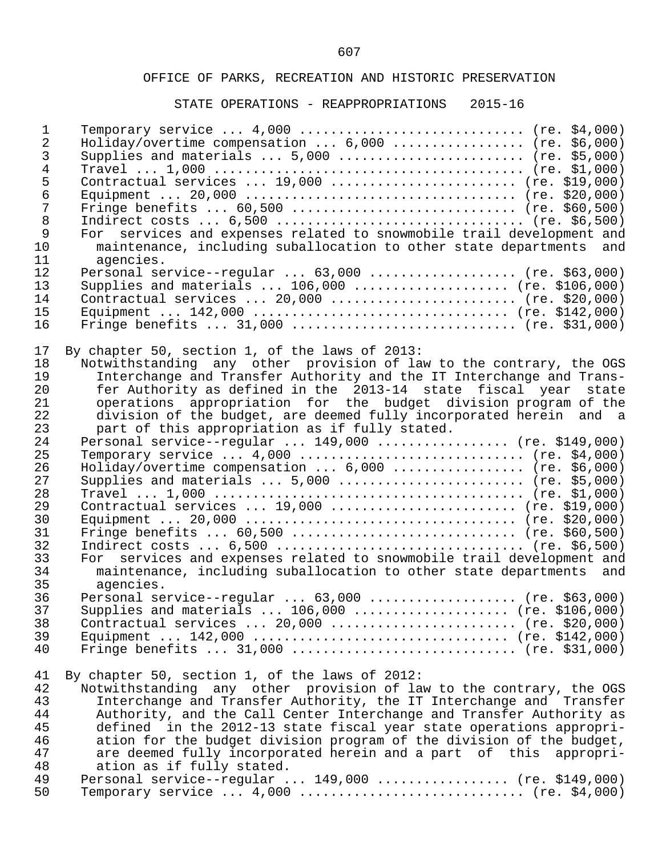| $\mathbf{1}$<br>2<br>3<br>$\overline{4}$<br>$\frac{5}{6}$<br>$\overline{7}$<br>$\,8\,$<br>$\mathsf{S}$<br>10<br>11<br>12 | Temporary service $4,000$ (re. \$4,000)<br>Holiday/overtime compensation $6,000$ (re. \$6,000)<br>Supplies and materials $5,000$ (re. \$5,000)<br>Contractual services $19,000$ (re. \$19,000)<br>Fringe benefits $60,500$ (re. \$60,500)<br>Indirect costs $6,500$ (re. \$6,500)<br>For services and expenses related to snowmobile trail development and<br>maintenance, including suballocation to other state departments and<br>agencies.<br>Personal service--regular $63,000$ (re. \$63,000) |
|--------------------------------------------------------------------------------------------------------------------------|-----------------------------------------------------------------------------------------------------------------------------------------------------------------------------------------------------------------------------------------------------------------------------------------------------------------------------------------------------------------------------------------------------------------------------------------------------------------------------------------------------|
| 13<br>14                                                                                                                 | Supplies and materials $106,000$ (re. \$106,000)<br>Contractual services  20,000  (re. \$20,000)                                                                                                                                                                                                                                                                                                                                                                                                    |
| 15<br>16                                                                                                                 | Fringe benefits $31,000$ (re. \$31,000)                                                                                                                                                                                                                                                                                                                                                                                                                                                             |
| 17                                                                                                                       | By chapter 50, section 1, of the laws of 2013:                                                                                                                                                                                                                                                                                                                                                                                                                                                      |
| 18                                                                                                                       | Notwithstanding any other provision of law to the contrary, the OGS                                                                                                                                                                                                                                                                                                                                                                                                                                 |
| 19                                                                                                                       | Interchange and Transfer Authority and the IT Interchange and Trans-                                                                                                                                                                                                                                                                                                                                                                                                                                |
| 20<br>21                                                                                                                 | fer Authority as defined in the 2013-14 state fiscal year state<br>operations appropriation for the budget division program of the                                                                                                                                                                                                                                                                                                                                                                  |
| 22                                                                                                                       | division of the budget, are deemed fully incorporated herein and a                                                                                                                                                                                                                                                                                                                                                                                                                                  |
| 23                                                                                                                       | part of this appropriation as if fully stated.                                                                                                                                                                                                                                                                                                                                                                                                                                                      |
| 24                                                                                                                       | Personal service--regular $149,000$ (re. \$149,000)                                                                                                                                                                                                                                                                                                                                                                                                                                                 |
| 25                                                                                                                       | Temporary service $4,000$ (re. \$4,000)                                                                                                                                                                                                                                                                                                                                                                                                                                                             |
| 26                                                                                                                       | Holiday/overtime compensation  6,000  (re. \$6,000)                                                                                                                                                                                                                                                                                                                                                                                                                                                 |
| 27                                                                                                                       | Supplies and materials $5,000$ (re. \$5,000)                                                                                                                                                                                                                                                                                                                                                                                                                                                        |
| 28                                                                                                                       |                                                                                                                                                                                                                                                                                                                                                                                                                                                                                                     |
| 29                                                                                                                       | Contractual services $19,000$ (re. \$19,000)                                                                                                                                                                                                                                                                                                                                                                                                                                                        |
| 30                                                                                                                       |                                                                                                                                                                                                                                                                                                                                                                                                                                                                                                     |
| 31                                                                                                                       | Fringe benefits $60,500$ (re. \$60,500)                                                                                                                                                                                                                                                                                                                                                                                                                                                             |
| 32<br>33                                                                                                                 | Indirect costs $6,500$ (re. \$6,500)<br>For services and expenses related to snowmobile trail development and                                                                                                                                                                                                                                                                                                                                                                                       |
| 34                                                                                                                       | maintenance, including suballocation to other state departments and                                                                                                                                                                                                                                                                                                                                                                                                                                 |
| 35                                                                                                                       | agencies.                                                                                                                                                                                                                                                                                                                                                                                                                                                                                           |
| 36                                                                                                                       | Personal service--regular $63,000$ (re. \$63,000)                                                                                                                                                                                                                                                                                                                                                                                                                                                   |
| 37                                                                                                                       | Supplies and materials $106,000$ (re. \$106,000)                                                                                                                                                                                                                                                                                                                                                                                                                                                    |
| 38                                                                                                                       | Contractual services  20,000  (re. \$20,000)                                                                                                                                                                                                                                                                                                                                                                                                                                                        |
| 39                                                                                                                       |                                                                                                                                                                                                                                                                                                                                                                                                                                                                                                     |
| 40                                                                                                                       | Fringe benefits $31,000$ (re. \$31,000)                                                                                                                                                                                                                                                                                                                                                                                                                                                             |
| 41                                                                                                                       | By chapter 50, section 1, of the laws of 2012:                                                                                                                                                                                                                                                                                                                                                                                                                                                      |
| 42                                                                                                                       | Notwithstanding any other provision of law to the contrary, the OGS                                                                                                                                                                                                                                                                                                                                                                                                                                 |
| 43                                                                                                                       | Interchange and Transfer Authority, the IT Interchange and Transfer                                                                                                                                                                                                                                                                                                                                                                                                                                 |
| 44                                                                                                                       | Authority, and the Call Center Interchange and Transfer Authority as                                                                                                                                                                                                                                                                                                                                                                                                                                |
| 45<br>46                                                                                                                 | defined in the 2012-13 state fiscal year state operations appropri-<br>ation for the budget division program of the division of the budget,                                                                                                                                                                                                                                                                                                                                                         |
| 47                                                                                                                       | are deemed fully incorporated herein and a part of this appropri-                                                                                                                                                                                                                                                                                                                                                                                                                                   |
| 48                                                                                                                       | ation as if fully stated.                                                                                                                                                                                                                                                                                                                                                                                                                                                                           |
| 49                                                                                                                       | Personal service--regular $149,000$ (re. \$149,000)                                                                                                                                                                                                                                                                                                                                                                                                                                                 |
| 50                                                                                                                       | Temporary service $4,000$ (re. \$4,000)                                                                                                                                                                                                                                                                                                                                                                                                                                                             |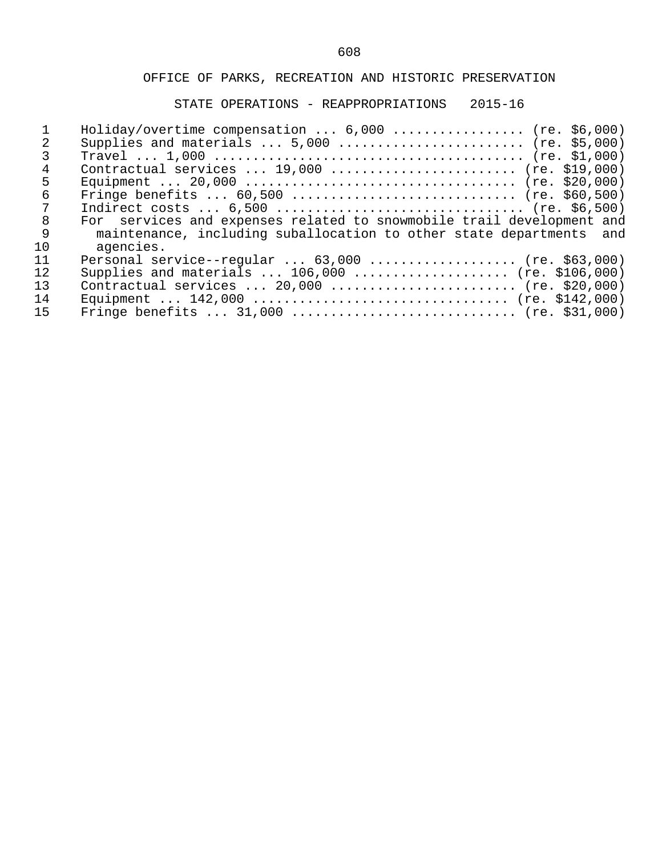|                   | Holiday/overtime compensation $6,000$ (re. \$6,000)                   |
|-------------------|-----------------------------------------------------------------------|
|                   | Supplies and materials $\ldots$ 5,000 $\ldots$ (re. \$5,000)          |
|                   |                                                                       |
| 4                 | Contractual services $19,000$ (re. \$19,000)                          |
| 5                 |                                                                       |
| 6                 | Fringe benefits $60,500$ (re. \$60,500)                               |
|                   | Indirect costs $6,500$ (re. \$6,500)                                  |
| 8                 | For services and expenses related to snowmobile trail development and |
| 9                 | maintenance, including suballocation to other state departments and   |
| 10                | agencies.                                                             |
| 11                | Personal service--regular $63,000$ (re. \$63,000)                     |
| $12 \overline{ }$ | Supplies and materials $106,000$ (re. \$106,000)                      |
| 13                | Contractual services $20,000$ (re. \$20,000)                          |
| 14                |                                                                       |
| 15                | Fringe benefits $31,000$ (re. \$31,000)                               |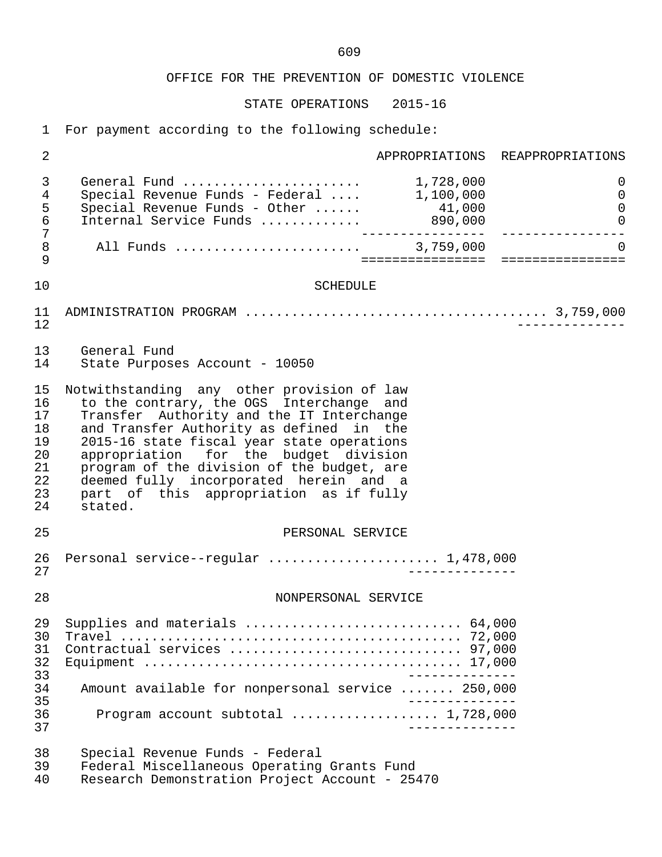# OFFICE FOR THE PREVENTION OF DOMESTIC VIOLENCE

STATE OPERATIONS 2015-16

1 For payment according to the following schedule:

| $\sqrt{2}$                                               |                                                                                                                                                                                                                                                                                                                                                                                                                     |                                   | APPROPRIATIONS REAPPROPRIATIONS                   |  |  |
|----------------------------------------------------------|---------------------------------------------------------------------------------------------------------------------------------------------------------------------------------------------------------------------------------------------------------------------------------------------------------------------------------------------------------------------------------------------------------------------|-----------------------------------|---------------------------------------------------|--|--|
| $\mathfrak{Z}$<br>$\overline{4}$<br>5<br>$\epsilon$<br>7 | General Fund<br>Special Revenue Funds - Federal $1,100,000$<br>Special Revenue Funds - Other $\ldots$ . 41,000<br>Internal Service Funds  890,000                                                                                                                                                                                                                                                                   | 1,728,000<br>--------             | $\mathbf 0$<br>$\mathbf 0$<br>0<br>0              |  |  |
| $\,8\,$<br>9                                             |                                                                                                                                                                                                                                                                                                                                                                                                                     |                                   | $\Omega$<br>===================================== |  |  |
| 10                                                       | <b>SCHEDULE</b>                                                                                                                                                                                                                                                                                                                                                                                                     |                                   |                                                   |  |  |
| 11<br>12                                                 |                                                                                                                                                                                                                                                                                                                                                                                                                     |                                   |                                                   |  |  |
| 13<br>14                                                 | General Fund<br>State Purposes Account - 10050                                                                                                                                                                                                                                                                                                                                                                      |                                   |                                                   |  |  |
| 15<br>16<br>17<br>18<br>19<br>20<br>21<br>22<br>23<br>24 | Notwithstanding any other provision of law<br>to the contrary, the OGS Interchange and<br>Transfer Authority and the IT Interchange<br>and Transfer Authority as defined in the<br>2015-16 state fiscal year state operations<br>appropriation for the budget division<br>program of the division of the budget, are<br>deemed fully incorporated herein and a<br>part of this appropriation as if fully<br>stated. |                                   |                                                   |  |  |
| 25                                                       | PERSONAL SERVICE                                                                                                                                                                                                                                                                                                                                                                                                    |                                   |                                                   |  |  |
| 26<br>27                                                 | Personal service--regular  1,478,000<br>$- - - - - - - -$                                                                                                                                                                                                                                                                                                                                                           |                                   |                                                   |  |  |
| 28                                                       | NONPERSONAL SERVICE                                                                                                                                                                                                                                                                                                                                                                                                 |                                   |                                                   |  |  |
| 29<br>30<br>31<br>32                                     | Supplies and materials  64,000<br>Contractual services  97,000                                                                                                                                                                                                                                                                                                                                                      |                                   |                                                   |  |  |
| 33<br>34                                                 | ______________<br>Amount available for nonpersonal service  250,000                                                                                                                                                                                                                                                                                                                                                 |                                   |                                                   |  |  |
| 35<br>36<br>37                                           | Program account subtotal  1,728,000                                                                                                                                                                                                                                                                                                                                                                                 | ______________<br>_______________ |                                                   |  |  |
| 38<br>39<br>40                                           | Special Revenue Funds - Federal<br>Federal Miscellaneous Operating Grants Fund<br>Research Demonstration Project Account - 25470                                                                                                                                                                                                                                                                                    |                                   |                                                   |  |  |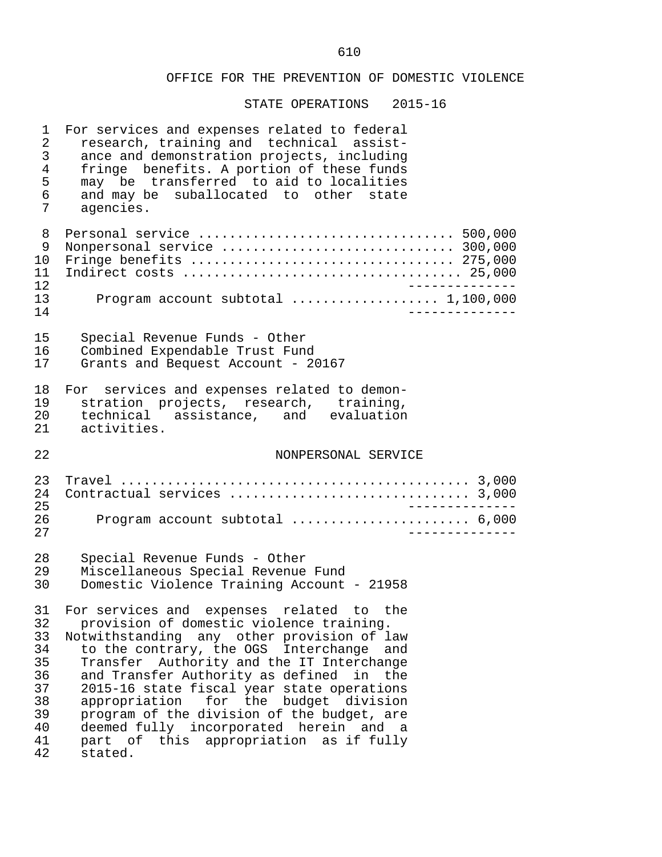### OFFICE FOR THE PREVENTION OF DOMESTIC VIOLENCE

| 1<br>$\overline{2}$<br>$\mathfrak{Z}$<br>$\overline{4}$<br>5<br>$\epsilon$<br>7 | For services and expenses related to federal<br>research, training and technical assist-<br>ance and demonstration projects, including<br>fringe benefits. A portion of these funds<br>may be transferred to aid to localities<br>and may be suballocated to other state<br>agencies. |  |
|---------------------------------------------------------------------------------|---------------------------------------------------------------------------------------------------------------------------------------------------------------------------------------------------------------------------------------------------------------------------------------|--|
| 8<br>9<br>10<br>11<br>12<br>13<br>14                                            | Personal service  500,000<br>Nonpersonal service  300,000<br>Program account subtotal $\ldots \ldots \ldots \ldots \ldots 1,100,000$                                                                                                                                                  |  |
| 15<br>16<br>17                                                                  | Special Revenue Funds - Other<br>Combined Expendable Trust Fund<br>Grants and Bequest Account - 20167                                                                                                                                                                                 |  |
| 18<br>19<br>20<br>21                                                            | For services and expenses related to demon-<br>stration projects, research, training,<br>technical assistance, and evaluation<br>activities.                                                                                                                                          |  |
| 22                                                                              | NONPERSONAL SERVICE                                                                                                                                                                                                                                                                   |  |
| 23<br>24<br>25<br>26<br>27                                                      | Contractual services  3,000<br>Program account subtotal  6,000                                                                                                                                                                                                                        |  |
| 28                                                                              |                                                                                                                                                                                                                                                                                       |  |
| 29<br>30                                                                        | Special Revenue Funds - Other<br>Miscellaneous Special Revenue Fund<br>Domestic Violence Training Account - 21958                                                                                                                                                                     |  |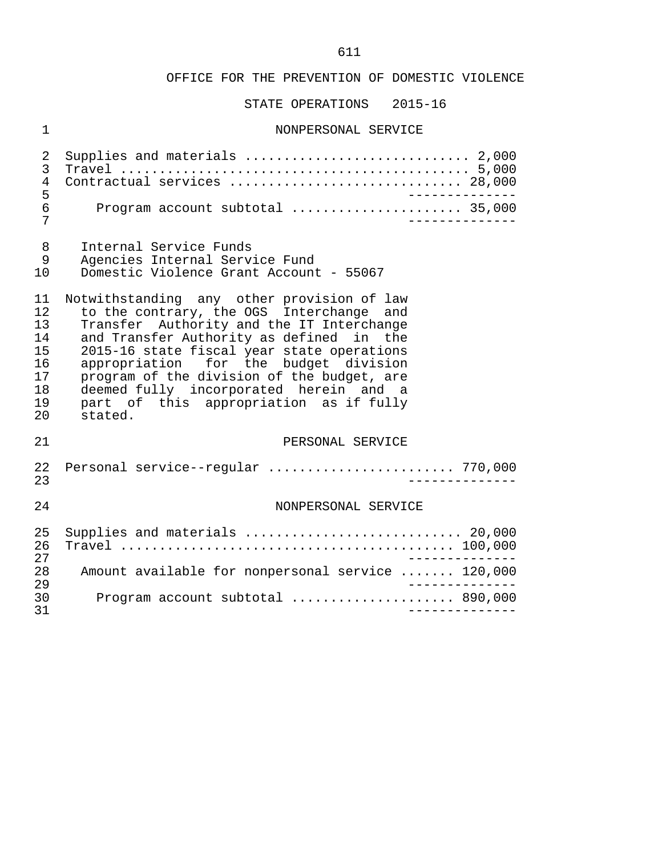#### OFFICE FOR THE PREVENTION OF DOMESTIC VIOLENCE

STATE OPERATIONS 2015-16

### 1 NONPERSONAL SERVICE

|                      | 4 Contractual services  28,000 |  |
|----------------------|--------------------------------|--|
| 5<br>$6\overline{6}$ | _________                      |  |

- 8 Internal Service Funds<br>9 Agencies Internal Serv
- 9 Agencies Internal Service Fund<br>10 Domestic Violence Grant Account
- 10 Domestic Violence Grant Account 55067

11 Notwithstanding any other provision of law<br>12 to the contrary, the OGS Interchange and 12 to the contrary, the OGS Interchange and<br>13 Transfer Authority and the IT Interchange 13 Transfer Authority and the IT Interchange 14 and Transfer Authority as defined in the 15 2015-16 state fiscal year state operations<br>16 appropriation for the budget division 16 appropriation for the budget division<br>17 program of the division of the budget, are 17 program of the division of the budget, are<br>18 deemed fully incorporated herein and a 18 deemed fully incorporated herein and a<br>19 part of this appropriation as if fully 19 part of this appropriation as if fully<br>20 stated. stated.

### 21 PERSONAL SERVICE

| 22<br>23       | Personal service--regular  770,000                                                      |
|----------------|-----------------------------------------------------------------------------------------|
| 2.4            | NONPERSONAL SERVICE                                                                     |
| 25<br>26<br>27 | Supplies and materials $\ldots \ldots \ldots \ldots \ldots \ldots \ldots \ldots$ 20,000 |
| 28<br>29       | Amount available for nonpersonal service  120,000                                       |
| 30<br>31       | Program account subtotal  890,000                                                       |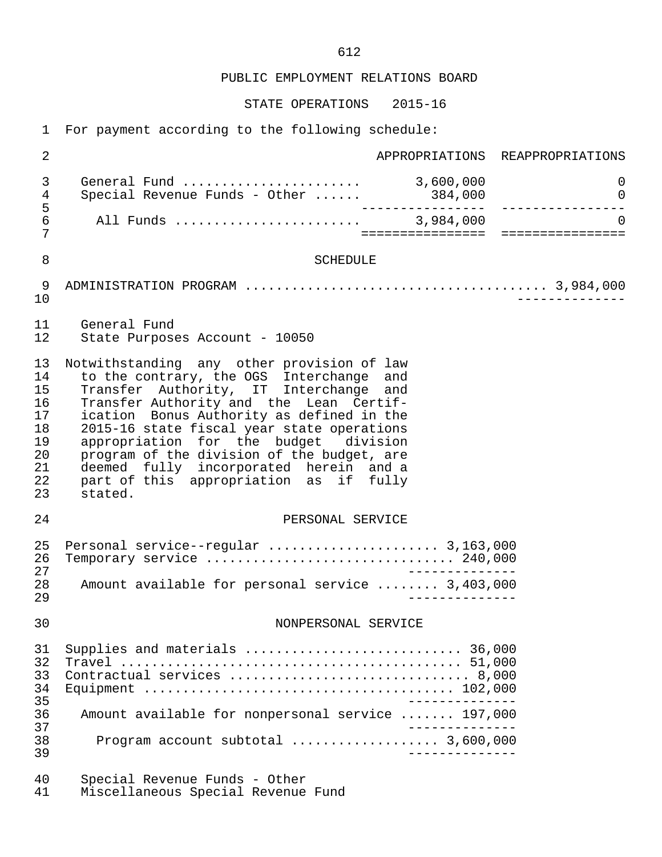PUBLIC EMPLOYMENT RELATIONS BOARD

STATE OPERATIONS 2015-16

1 For payment according to the following schedule:

| $\overline{a}$                                                 |                                                                                                                                                                                                                                                                                                                                                                                                                                                                    |  | APPROPRIATIONS REAPPROPRIATIONS                    |  |  |  |
|----------------------------------------------------------------|--------------------------------------------------------------------------------------------------------------------------------------------------------------------------------------------------------------------------------------------------------------------------------------------------------------------------------------------------------------------------------------------------------------------------------------------------------------------|--|----------------------------------------------------|--|--|--|
| 3<br>4<br>5<br>6<br>7                                          |                                                                                                                                                                                                                                                                                                                                                                                                                                                                    |  | 0<br>$\overline{0}$                                |  |  |  |
|                                                                |                                                                                                                                                                                                                                                                                                                                                                                                                                                                    |  | $\Omega$<br>====================================== |  |  |  |
| 8                                                              | SCHEDULE                                                                                                                                                                                                                                                                                                                                                                                                                                                           |  |                                                    |  |  |  |
| 9<br>10                                                        |                                                                                                                                                                                                                                                                                                                                                                                                                                                                    |  |                                                    |  |  |  |
| 11<br>12                                                       | General Fund<br>State Purposes Account - 10050                                                                                                                                                                                                                                                                                                                                                                                                                     |  |                                                    |  |  |  |
| 13<br>14<br>15<br>16<br>17<br>18<br>19<br>20<br>21<br>22<br>23 | Notwithstanding any other provision of law<br>to the contrary, the OGS Interchange<br>and<br>Transfer Authority, IT Interchange<br>and<br>Transfer Authority and the Lean Certif-<br>ication Bonus Authority as defined in the<br>2015-16 state fiscal year state operations<br>appropriation for the budget division<br>program of the division of the budget, are<br>deemed fully incorporated herein and a<br>part of this appropriation as if fully<br>stated. |  |                                                    |  |  |  |
| 24                                                             | PERSONAL SERVICE                                                                                                                                                                                                                                                                                                                                                                                                                                                   |  |                                                    |  |  |  |
| 25<br>26<br>27<br>28<br>29                                     | Amount available for personal service  3,403,000                                                                                                                                                                                                                                                                                                                                                                                                                   |  |                                                    |  |  |  |
| 30                                                             | NONPERSONAL SERVICE                                                                                                                                                                                                                                                                                                                                                                                                                                                |  |                                                    |  |  |  |
| 31<br>32<br>33<br>34<br>35                                     | Supplies and materials  36,000<br>Contractual services  8,000                                                                                                                                                                                                                                                                                                                                                                                                      |  |                                                    |  |  |  |
| 36<br>37                                                       | Amount available for nonpersonal service  197,000<br>______________                                                                                                                                                                                                                                                                                                                                                                                                |  |                                                    |  |  |  |
| 38<br>39                                                       |                                                                                                                                                                                                                                                                                                                                                                                                                                                                    |  |                                                    |  |  |  |
| 40<br>41                                                       | Special Revenue Funds - Other<br>Miscellaneous Special Revenue Fund                                                                                                                                                                                                                                                                                                                                                                                                |  |                                                    |  |  |  |

612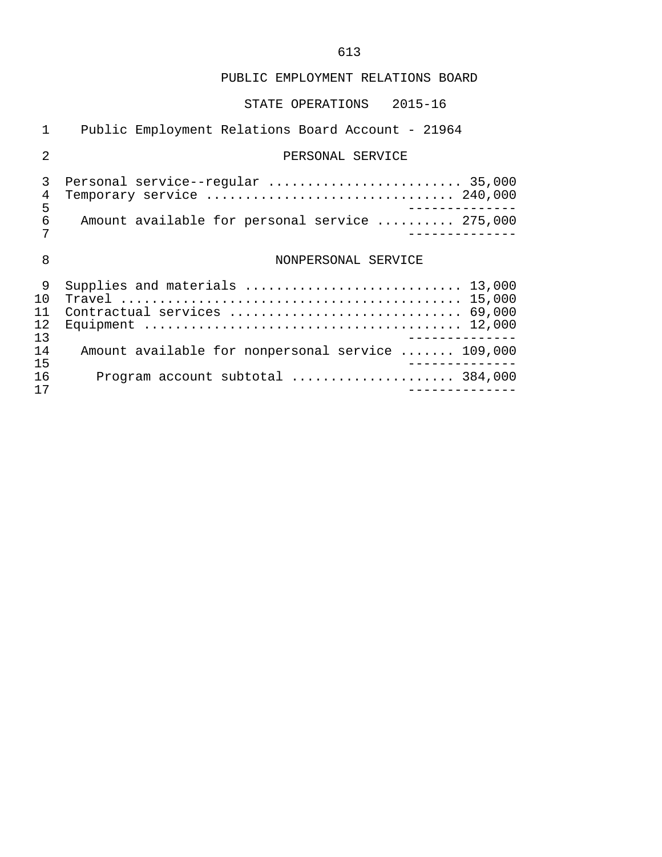## PUBLIC EMPLOYMENT RELATIONS BOARD

## STATE OPERATIONS 2015-16

| 1                          | Public Employment Relations Board Account - 21964              |
|----------------------------|----------------------------------------------------------------|
| $\mathfrak{D}$             | PERSONAL SERVICE                                               |
| 3<br>4<br>5                | Personal service--regular  35,000                              |
| 6<br>7                     | Amount available for personal service  275,000                 |
| 8                          | NONPERSONAL SERVICE                                            |
| 9<br>1 O<br>11<br>12<br>13 | Supplies and materials  13,000<br>Contractual services  69,000 |
| 14<br>15                   | Amount available for nonpersonal service  109,000              |
| 16<br>17                   | Program account subtotal  384,000                              |

## 613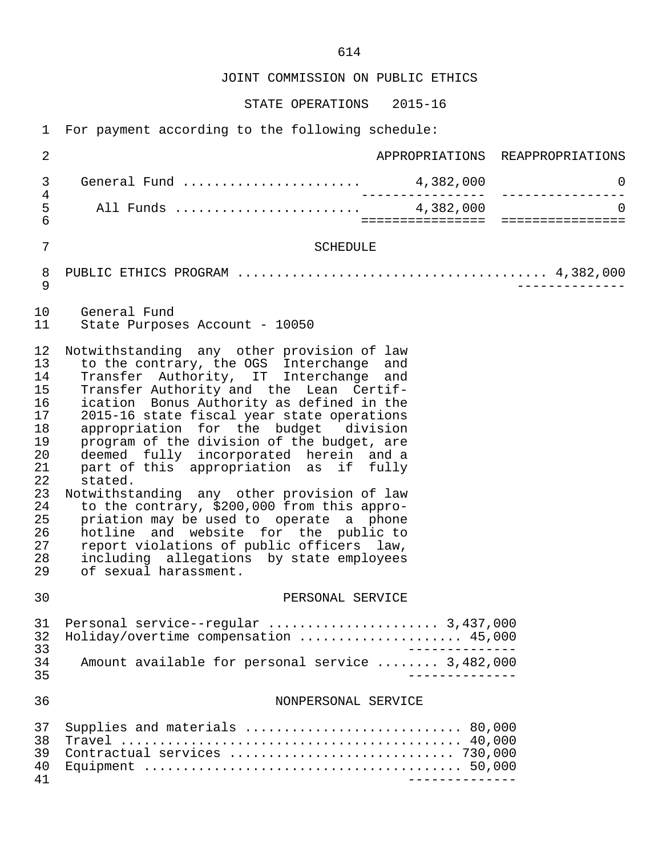JOINT COMMISSION ON PUBLIC ETHICS

STATE OPERATIONS 2015-16

1 For payment according to the following schedule:

| $\sqrt{2}$                                                                                               | APPROPRIATIONS REAPPROPRIATIONS                                                                                                                                                                                                                                                                                                                                                                                                                                                                                                                                                                                                                                                                                                                                 |                                  |
|----------------------------------------------------------------------------------------------------------|-----------------------------------------------------------------------------------------------------------------------------------------------------------------------------------------------------------------------------------------------------------------------------------------------------------------------------------------------------------------------------------------------------------------------------------------------------------------------------------------------------------------------------------------------------------------------------------------------------------------------------------------------------------------------------------------------------------------------------------------------------------------|----------------------------------|
| $\mathfrak{Z}$                                                                                           | General Fund  4,382,000                                                                                                                                                                                                                                                                                                                                                                                                                                                                                                                                                                                                                                                                                                                                         | $\mathsf{O}$<br>---------------- |
| $\,4$<br>5<br>$6\overline{6}$                                                                            | _________________                                                                                                                                                                                                                                                                                                                                                                                                                                                                                                                                                                                                                                                                                                                                               | $\Omega$                         |
| $\overline{7}$                                                                                           | SCHEDULE                                                                                                                                                                                                                                                                                                                                                                                                                                                                                                                                                                                                                                                                                                                                                        |                                  |
| 8<br>$\mathsf 9$                                                                                         |                                                                                                                                                                                                                                                                                                                                                                                                                                                                                                                                                                                                                                                                                                                                                                 |                                  |
| 10<br>11                                                                                                 | General Fund<br>State Purposes Account - 10050                                                                                                                                                                                                                                                                                                                                                                                                                                                                                                                                                                                                                                                                                                                  |                                  |
| 12<br>13<br>14<br>15<br>16<br>17<br>18<br>19<br>20<br>21<br>22<br>23<br>24<br>25<br>26<br>27<br>28<br>29 | Notwithstanding any other provision of law<br>to the contrary, the OGS Interchange and<br>Transfer Authority, IT Interchange and<br>Transfer Authority and the Lean Certif-<br>ication Bonus Authority as defined in the<br>2015-16 state fiscal year state operations<br>appropriation for the budget division<br>program of the division of the budget, are<br>deemed fully incorporated herein and a<br>part of this appropriation as if fully<br>stated.<br>Notwithstanding any other provision of law<br>to the contrary, \$200,000 from this appro-<br>priation may be used to operate a phone<br>hotline and website for the public to<br>report violations of public officers law,<br>including allegations by state employees<br>of sexual harassment. |                                  |
| 30                                                                                                       | PERSONAL SERVICE                                                                                                                                                                                                                                                                                                                                                                                                                                                                                                                                                                                                                                                                                                                                                |                                  |
| 31<br>32<br>33<br>34<br>35                                                                               | Personal service--regular  3,437,000<br>Holiday/overtime compensation  45,000<br>Amount available for personal service  3,482,000                                                                                                                                                                                                                                                                                                                                                                                                                                                                                                                                                                                                                               |                                  |
| 36                                                                                                       | NONPERSONAL SERVICE                                                                                                                                                                                                                                                                                                                                                                                                                                                                                                                                                                                                                                                                                                                                             |                                  |
| 37<br>38<br>39<br>40<br>41                                                                               | Supplies and materials  80,000                                                                                                                                                                                                                                                                                                                                                                                                                                                                                                                                                                                                                                                                                                                                  |                                  |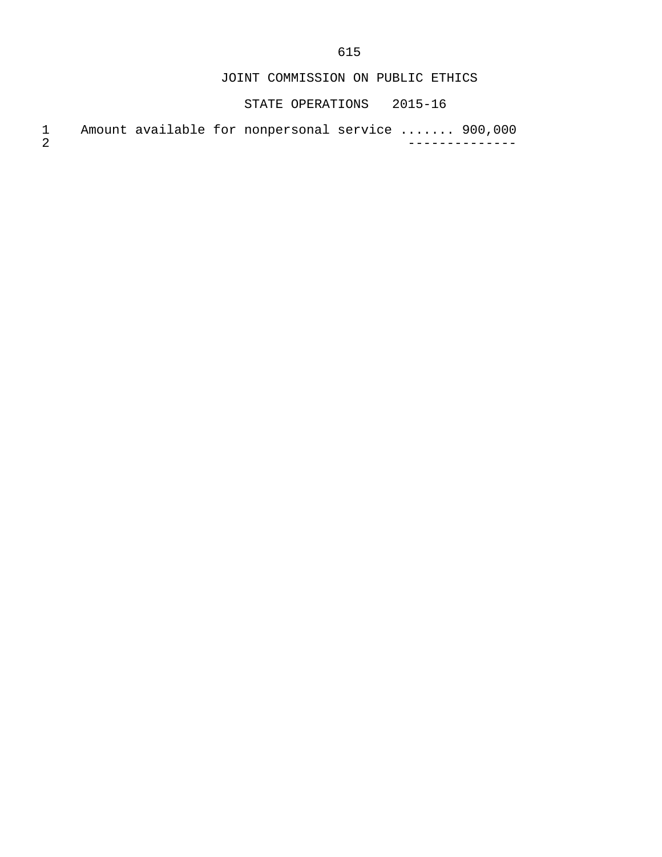615

JOINT COMMISSION ON PUBLIC ETHICS

STATE OPERATIONS 2015-16

1 Amount available for nonpersonal service ....... 900,000<br>2<br>--------------2 --------------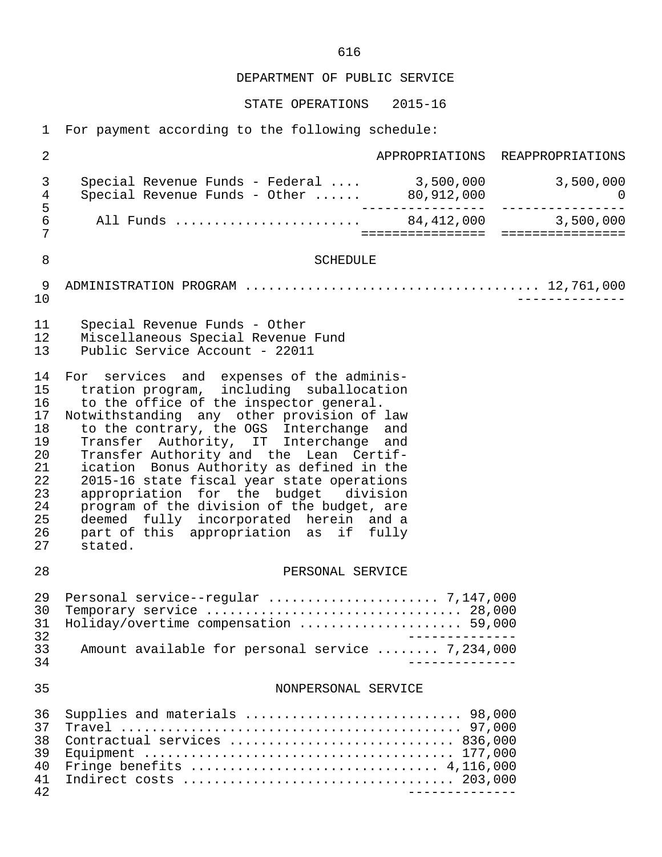DEPARTMENT OF PUBLIC SERVICE STATE OPERATIONS 2015-16 1 For payment according to the following schedule: 2 APPROPRIATIONS REAPPROPRIATIONS 3 Special Revenue Funds - Federal .... 3,500,000 3,500,000 4 Special Revenue Funds - Other ...... 80,912,000 0 5 ---------------- ---------------- 6 All Funds ........................ 84,412,000 3,500,000 7 ================ ================ 8 SCHEDULE 9 ADMINISTRATION PROGRAM ...................................... 12,761,000 10 -------------- 11 Special Revenue Funds - Other<br>12 Miscellaneous Special Revenue 12 Miscellaneous Special Revenue Fund<br>13 Dublic Service Account - 22011 Public Service Account - 22011 14 For services and expenses of the adminis-<br>15 tration program, including suballocation 15 tration program, including suballocation<br>16 to the office of the inspector general. 16 to the office of the inspector general.<br>17 Notwithstanding any other provision of 17 Notwithstanding any other provision of law<br>18 to the contrary, the OGS Interchange and 18 to the contrary, the OGS Interchange and 19 Transfer Authority, IT Interchange and 20 Transfer Authority and the Lean Certif-<br>21 ication Bonus Authority as defined in the 21 ication Bonus Authority as defined in the<br>22 2015-16 state fiscal vear state operations 22 2015-16 state fiscal year state operations<br>23 appropriation for the budget division 23 appropriation for the budget division<br>24 program of the division of the budget, are 24 program of the division of the budget, are<br>25 deemed fully incorporated herein and a 25 deemed fully incorporated herein and a<br>26 part of this appropriation as if fully 26 part of this appropriation as if fully<br>27 stated. stated. 28 PERSONAL SERVICE 29 Personal service--regular ...................... 7,147,000 30 Temporary service ................................. 28,000 31 Holiday/overtime compensation ..................... 59,000 32<br>33 Amount available for personal service ....... 7.234.000 33 Amount available for personal service ........ 7,234,000 34 -------------- 35 NONPERSONAL SERVICE 36 Supplies and materials ............................ 98,000 37 Travel ............................................ 97,000 38 Contractual services ............................. 836,000 39 Equipment ........................................ 177,000 40 Fringe benefits ................................ 4,116,000 41 Indirect costs ................................... 203,000 42 --------------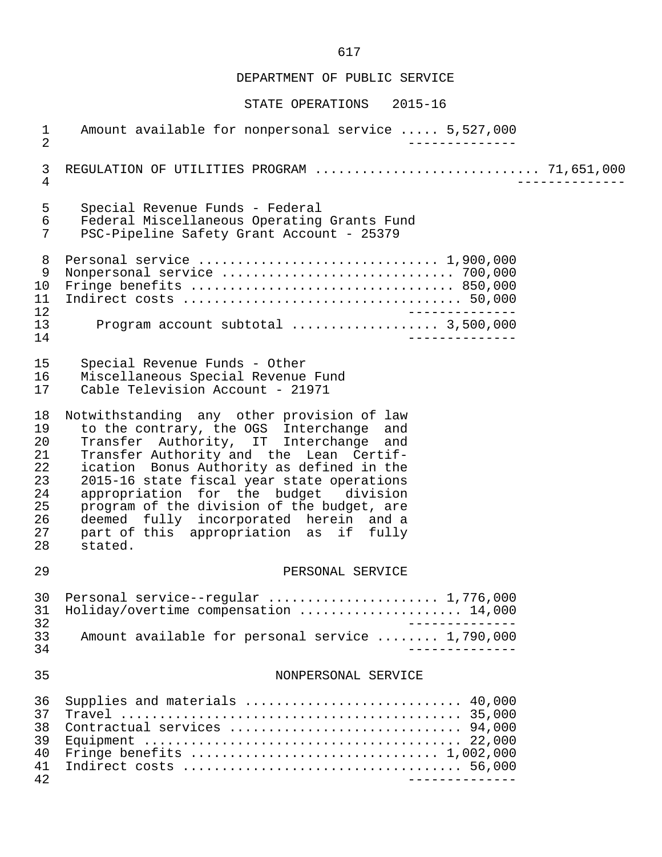DEPARTMENT OF PUBLIC SERVICE

#### STATE OPERATIONS 2015-16

 1 Amount available for nonpersonal service ..... 5,527,000 2 -------------- 3 REGULATION OF UTILITIES PROGRAM ............................. 71,651,000 4 -------------- 5 Special Revenue Funds - Federal 6 Federal Miscellaneous Operating Grants Fund<br>7 PSC-Pipeline Safety Grant Account - 25379 PSC-Pipeline Safety Grant Account - 25379 8 Personal service ............................... 1,900,000 9 Nonpersonal service .............................. 700,000 10 Fringe benefits .................................. 850,000 11 Indirect costs .................................... 50,000 12 -------------- 13 Program account subtotal ................... 3,500,000 14 -------------- 15 Special Revenue Funds - Other<br>16 Miscellaneous Special Revenue 16 Miscellaneous Special Revenue Fund<br>17 Cable Television Account - 21971 Cable Television Account - 21971 18 Notwithstanding any other provision of law<br>19 to the contrary, the OGS Interchange and 19 to the contrary, the OGS Interchange and 20 Transfer Authority, IT Interchange and 21 Transfer Authority and the Lean Certif-<br>22 ication Bonus Authority as defined in the 22 ication Bonus Authority as defined in the<br>23 2015-16 state fiscal vear state operations 23 2015-16 state fiscal year state operations<br>24 appropriation for the budget division 24 appropriation for the budget<br>25 program of the division of the b 25 program of the division of the budget, are<br>26 deemed fully incorporated herein and a 26 deemed fully incorporated herein and a<br>27 part of this appropriation as if fully 27 part of this appropriation as if fully<br>28 stated. stated. 29 PERSONAL SERVICE 30 Personal service--regular ......................... 1,776,000<br>31 Holiday/overtime compensation ........................ 14.000 31 Holiday/overtime compensation ..................... 14,000 32<br>33 Amount available for personal service ........ 1.790.000 33 Amount available for personal service ........ 1,790,000 34 -------------- 35 NONPERSONAL SERVICE 36 Supplies and materials ............................ 40,000 37 Travel ............................................ 35,000 38 Contractual services .............................. 94,000 39 Equipment ......................................... 22,000 40 Fringe benefits ................................ 1,002,000 41 Indirect costs .................................... 56,000 42 --------------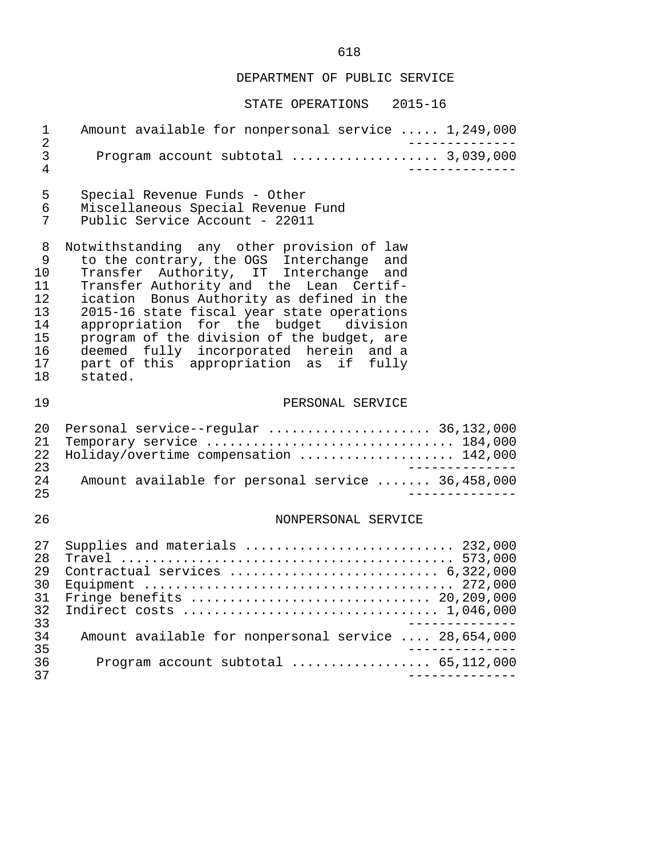## DEPARTMENT OF PUBLIC SERVICE

| $\mathbf 1$<br>$\overline{2}$                                  | Amount available for nonpersonal service  1,249,000                                                                                                                                                                                                                                                                                                                                                                                                          |
|----------------------------------------------------------------|--------------------------------------------------------------------------------------------------------------------------------------------------------------------------------------------------------------------------------------------------------------------------------------------------------------------------------------------------------------------------------------------------------------------------------------------------------------|
| $\mathfrak{Z}$<br>$\overline{4}$                               | Program account subtotal  3,039,000                                                                                                                                                                                                                                                                                                                                                                                                                          |
| 5<br>6<br>7                                                    | Special Revenue Funds - Other<br>Miscellaneous Special Revenue Fund<br>Public Service Account - 22011                                                                                                                                                                                                                                                                                                                                                        |
| 8<br>9<br>10<br>11<br>12<br>13<br>14<br>15<br>16<br>17<br>18   | Notwithstanding any other provision of law<br>to the contrary, the OGS Interchange and<br>Transfer Authority, IT Interchange and<br>Transfer Authority and the Lean Certif-<br>ication Bonus Authority as defined in the<br>2015-16 state fiscal year state operations<br>appropriation for the budget division<br>program of the division of the budget, are<br>deemed fully incorporated herein and a<br>part of this appropriation as if fully<br>stated. |
| 19                                                             | PERSONAL SERVICE                                                                                                                                                                                                                                                                                                                                                                                                                                             |
| 20<br>21<br>22<br>23                                           | Personal service--regular  36,132,000<br>Temporary service  184,000<br>Holiday/overtime compensation  142,000                                                                                                                                                                                                                                                                                                                                                |
| 24<br>25                                                       | Amount available for personal service  36,458,000                                                                                                                                                                                                                                                                                                                                                                                                            |
| 26                                                             | NONPERSONAL SERVICE                                                                                                                                                                                                                                                                                                                                                                                                                                          |
| 27<br>28<br>29<br>30<br>31<br>32<br>33<br>34<br>35<br>36<br>37 | Supplies and materials  232,000<br>Contractual services  6,322,000<br>Fringe benefits  20,209,000<br>Indirect costs  1,046,000<br>Amount available for nonpersonal service  28,654,000<br>Program account subtotal $\ldots$ 65,112,000                                                                                                                                                                                                                       |
|                                                                |                                                                                                                                                                                                                                                                                                                                                                                                                                                              |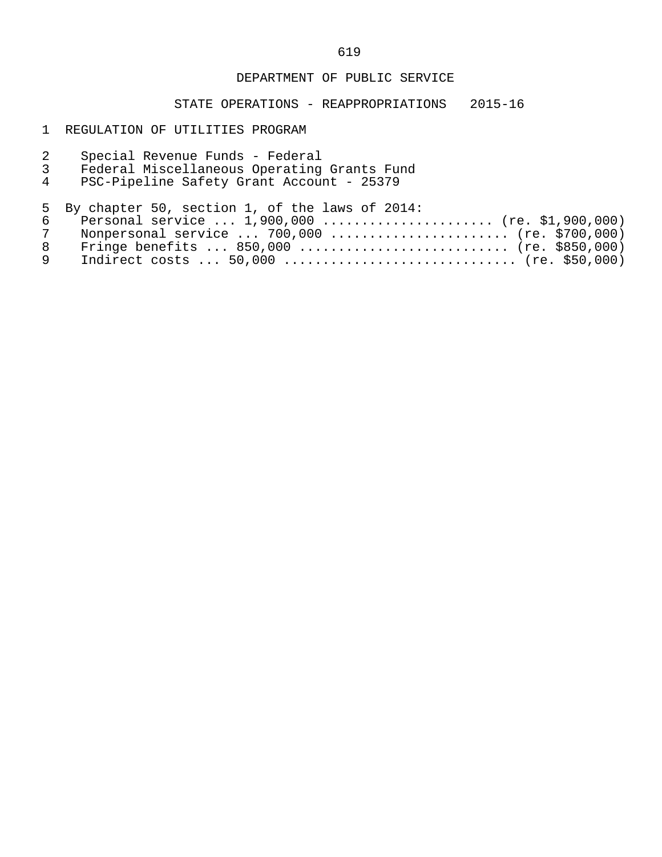#### DEPARTMENT OF PUBLIC SERVICE

## STATE OPERATIONS - REAPPROPRIATIONS 2015-16

#### 1 REGULATION OF UTILITIES PROGRAM

| 3 | Special Revenue Funds - Federal<br>Federal Miscellaneous Operating Grants Fund<br>PSC-Pipeline Safety Grant Account - 25379 |
|---|-----------------------------------------------------------------------------------------------------------------------------|
|   | 5 By chapter 50, section 1, of the laws of 2014:                                                                            |
|   | Personal service $1,900,000$ (re. \$1,900,000)                                                                              |
|   |                                                                                                                             |

| 7 Nonpersonal service  700,000  (re. \$700,000) |  |
|-------------------------------------------------|--|
| 8 Fringe benefits  850,000  (re. \$850,000)     |  |
|                                                 |  |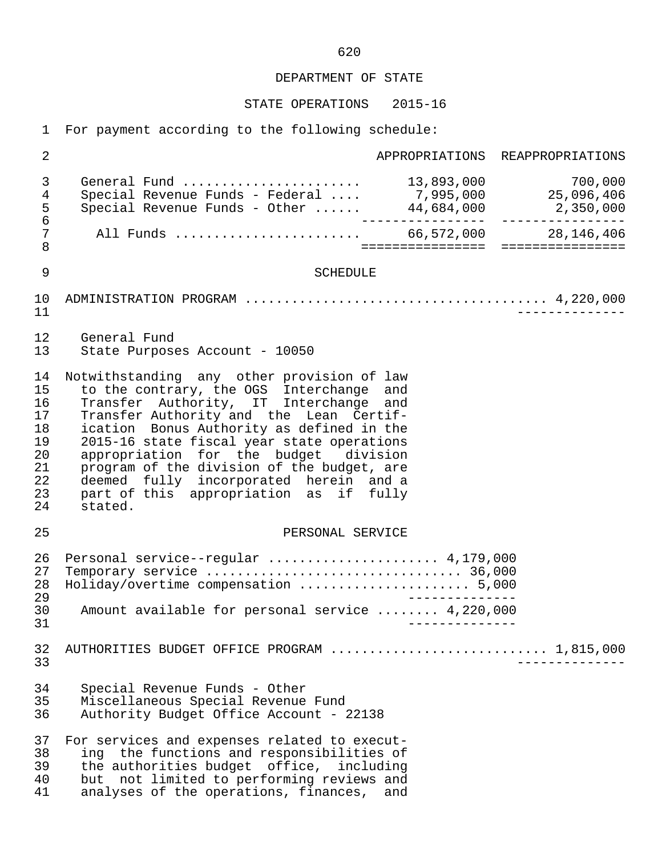STATE OPERATIONS 2015-16

1 For payment according to the following schedule:

 2 APPROPRIATIONS REAPPROPRIATIONS 3 General Fund ....................... 13,893,000 700,000 4 Special Revenue Funds - Federal .... 7,995,000 25,096,406 5 Special Revenue Funds - Other ...... 44,684,000 2,350,000 6 ---------------- ---------------- 7 All Funds ........................ 66,572,000 28,146,406 8 ================ ================ 9 SCHEDULE 10 ADMINISTRATION PROGRAM ....................................... 4,220,000 11 -------------- 12 General Fund<br>13 State Purpos State Purposes Account - 10050 14 Notwithstanding any other provision of law<br>15 to the contrary, the OGS Interchange and 15 to the contrary, the OGS Interchange and<br>16 Transfer Authority, IT Interchange and 16 Transfer Authority, IT Interchange and<br>17 Transfer-Authority-and the Lean Certif-17 Transfer Authority and the Lean Certif-<br>18 ication Bonus Authority as defined in the 18 ication Bonus Authority as defined in the<br>19 2015-16 state fiscal year state operations 19 2015-16 state fiscal year state operations<br>20 appropriation for the budget division 20 appropriation for the budget division<br>21 program of the division of the budget, are 21 program of the division of the budget, are<br>22 deemed fully incorporated herein and a 22 deemed fully incorporated herein and a<br>23 part of this appropriation as if fully 23 part of this appropriation as if fully<br>24 stated. stated. 25 PERSONAL SERVICE 26 Personal service--regular ...................... 4,179,000 27 Temporary service ................................. 36,000 28 Holiday/overtime compensation ...................... 5,000 29<br>30 Amount available for personal service ........ 4.220.000 30 Amount available for personal service ........ 4,220,000 31 -------------- 32 AUTHORITIES BUDGET OFFICE PROGRAM ............................ 1,815,000 33 -------------- 34 Special Revenue Funds - Other 35 Miscellaneous Special Revenue Fund Authority Budget Office Account - 22138 37 For services and expenses related to execut- 38 ing the functions and responsibilities of<br>39 the authorities budget office, including 39 the authorities budget office, including<br>40 but not limited to performing reviews and 40 but not limited to performing reviews and<br>41 analyses of the operations, finances, and analyses of the operations, finances, and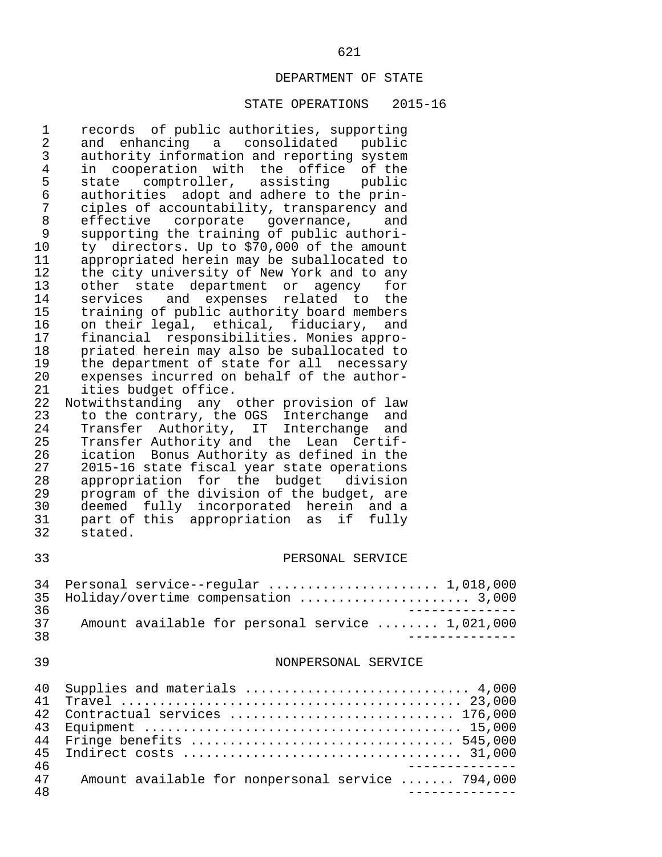#### STATE OPERATIONS 2015-16

 1 records of public authorities, supporting 2 and enhancing a consolidated public<br>3 authority information and reporting system 3 authority information and reporting system<br>4 in cooperation with the office of the 4 in cooperation with the office of the<br>5 state comptroller, assisting public 5 state comptroller, assisting public<br>6 authorities adopt\_and\_adhere\_to\_the\_prin- 6 authorities adopt and adhere to the prin- 7 ciples of accountability, transparency and<br>8 effective corporate governance, and 8 effective corporate governance, and 9 supporting the training of public authori- 10 ty directors. Up to  $$70,000$  of the amount 11 appropriated herein may be suballocated to 11 appropriated herein may be suballocated to<br>12 the city university of New York and to any 12 the city university of New York and to any<br>13 other state department or agency for 13 other state department or agency for<br>14 services and expenses related to the 14 services and expenses related to the<br>15 training of public authority board members 15 training of public authority board members<br>16 on their legal, ethical, fiduciary, and 16 on their legal, ethical, fiduciary, and<br>17 financial responsibilities. Monies appro- 17 financial responsibilities. Monies appro- 18 priated herein may also be suballocated to<br>19 the department of state for all necessary 19 the department of state for all necessary<br>20 expenses incurred on behalf of the author-20 expenses incurred on behalf of the author-<br>21 ities budget office. 21 ities budget office.<br>22 Notwithstanding any 22 Notwithstanding any other provision of law<br>23 to the contrary, the OGS Interchange and 23 to the contrary, the OGS Interchange and 24 Transfer Authority, IT Interchange and 25 Transfer Authority and the Lean Certif-<br>26 ication Bonus Authority as defined in the 26 ication Bonus Authority as defined in the 27 2015-16 state fiscal year state operations<br>28 appropriation for the budget division 28 appropriation for the budget division<br>29 program of the division of the budget, are 29 program of the division of the budget, are<br>30 deemed fully incorporated herein and a 30 deemed fully incorporated herein and a<br>31 part of this appropriation as if fully 31 part of this appropriation as if fully<br>32 stated.

stated.

#### 33 PERSONAL SERVICE

|     | 34 Personal service--regular  1,018,000          |
|-----|--------------------------------------------------|
|     | 35 Holiday/overtime compensation  3,000          |
| २६  |                                                  |
| マワ  | Amount available for personal service  1,021,000 |
| 3 R |                                                  |

#### 39 NONPERSONAL SERVICE

| 40 |                                                   |
|----|---------------------------------------------------|
| 41 |                                                   |
| 42 | Contractual services  176,000                     |
| 43 |                                                   |
| 44 | Fringe benefits  545,000                          |
| 45 |                                                   |
| 46 |                                                   |
| 47 | Amount available for nonpersonal service  794,000 |
| 48 |                                                   |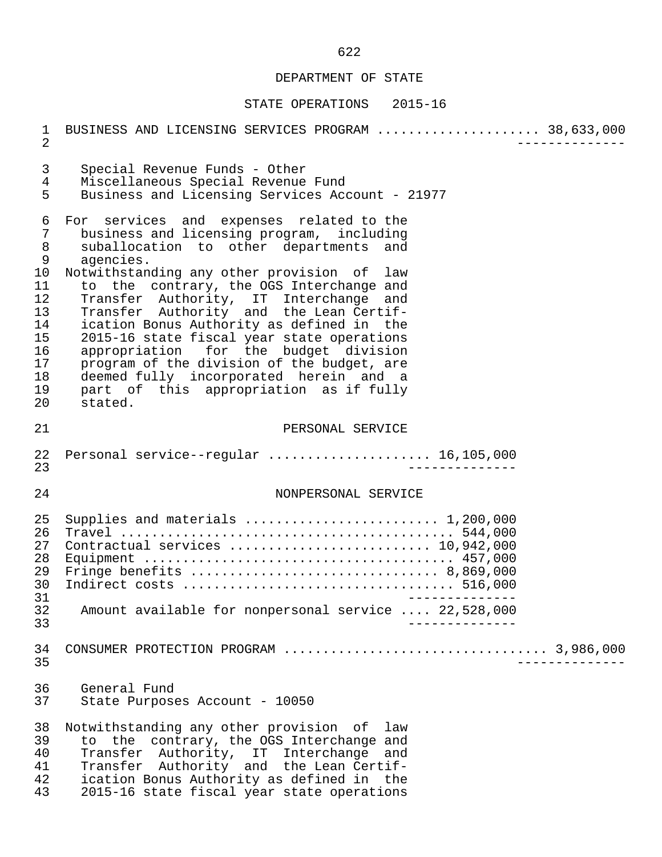| $\mathbf{1}$<br>$\overline{2}$                                                                          | BUSINESS AND LICENSING SERVICES PROGRAM  38,633,000                                                                                                                                                                                                                                                                                                                                                                                                                                                                                                                                                          |  |
|---------------------------------------------------------------------------------------------------------|--------------------------------------------------------------------------------------------------------------------------------------------------------------------------------------------------------------------------------------------------------------------------------------------------------------------------------------------------------------------------------------------------------------------------------------------------------------------------------------------------------------------------------------------------------------------------------------------------------------|--|
| $\mathsf{3}$<br>$\overline{4}$<br>5                                                                     | Special Revenue Funds - Other<br>Miscellaneous Special Revenue Fund<br>Business and Licensing Services Account - 21977                                                                                                                                                                                                                                                                                                                                                                                                                                                                                       |  |
| 6<br>$\boldsymbol{7}$<br>$\,8\,$<br>9<br>10<br>11<br>12<br>13<br>14<br>15<br>16<br>17<br>18<br>19<br>20 | For services and expenses related to the<br>business and licensing program, including<br>suballocation to other departments and<br>agencies.<br>Notwithstanding any other provision of law<br>to the contrary, the OGS Interchange and<br>Transfer Authority, IT Interchange and<br>Transfer Authority and the Lean Certif-<br>ication Bonus Authority as defined in the<br>2015-16 state fiscal year state operations<br>appropriation for the budget division<br>program of the division of the budget, are<br>deemed fully incorporated herein and a<br>part of this appropriation as if fully<br>stated. |  |
| 21                                                                                                      | PERSONAL SERVICE                                                                                                                                                                                                                                                                                                                                                                                                                                                                                                                                                                                             |  |
| 22<br>23                                                                                                | Personal service--regular  16,105,000                                                                                                                                                                                                                                                                                                                                                                                                                                                                                                                                                                        |  |
| 24                                                                                                      | NONPERSONAL SERVICE                                                                                                                                                                                                                                                                                                                                                                                                                                                                                                                                                                                          |  |
| 25<br>26<br>27<br>28<br>29<br>30<br>31<br>32<br>33                                                      | Supplies and materials  1,200,000<br>Contractual services  10,942,000<br>Amount available for nonpersonal service  22,528,000                                                                                                                                                                                                                                                                                                                                                                                                                                                                                |  |
| 34<br>35                                                                                                |                                                                                                                                                                                                                                                                                                                                                                                                                                                                                                                                                                                                              |  |
| 36<br>37                                                                                                | General Fund<br>State Purposes Account - 10050                                                                                                                                                                                                                                                                                                                                                                                                                                                                                                                                                               |  |
| 38<br>39<br>40<br>41<br>42<br>43                                                                        | Notwithstanding any other provision of law<br>to the contrary, the OGS Interchange and<br>Transfer Authority, IT Interchange and<br>Transfer Authority and the Lean Certif-<br>ication Bonus Authority as defined in the<br>2015-16 state fiscal year state operations                                                                                                                                                                                                                                                                                                                                       |  |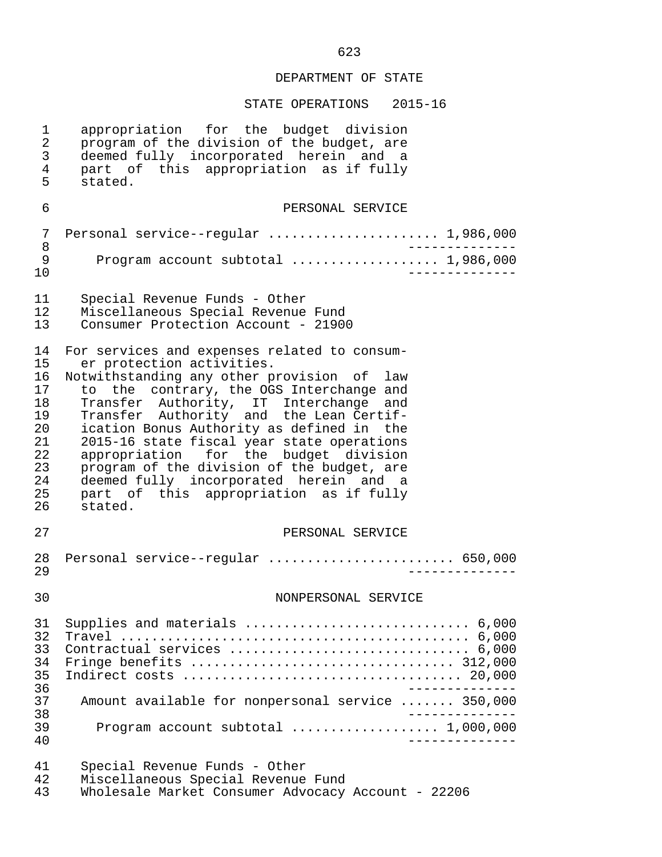# STATE OPERATIONS 2015-16

| 1<br>2<br>3<br>4<br>5                                                      | appropriation for the budget division<br>program of the division of the budget, are<br>deemed fully incorporated herein and a<br>part of this appropriation as if fully<br>stated.                                                                                                                                                                                                                                                                                                                                                        |
|----------------------------------------------------------------------------|-------------------------------------------------------------------------------------------------------------------------------------------------------------------------------------------------------------------------------------------------------------------------------------------------------------------------------------------------------------------------------------------------------------------------------------------------------------------------------------------------------------------------------------------|
| 6                                                                          | PERSONAL SERVICE                                                                                                                                                                                                                                                                                                                                                                                                                                                                                                                          |
| 7<br>8<br>9<br>10                                                          | Personal service--regular  1,986,000<br>Program account subtotal  1,986,000                                                                                                                                                                                                                                                                                                                                                                                                                                                               |
| 11<br>12<br>13                                                             | Special Revenue Funds - Other<br>Miscellaneous Special Revenue Fund<br>Consumer Protection Account - 21900                                                                                                                                                                                                                                                                                                                                                                                                                                |
| 14<br>15<br>16<br>17<br>18<br>19<br>20<br>21<br>22<br>23<br>24<br>25<br>26 | For services and expenses related to consum-<br>er protection activities.<br>Notwithstanding any other provision of law<br>to the contrary, the OGS Interchange and<br>Transfer Authority, IT Interchange and<br>Transfer Authority and the Lean Certif-<br>ication Bonus Authority as defined in the<br>2015-16 state fiscal year state operations<br>appropriation for the budget division<br>program of the division of the budget, are<br>deemed fully incorporated herein and a<br>part of this appropriation as if fully<br>stated. |
| 27                                                                         | PERSONAL SERVICE                                                                                                                                                                                                                                                                                                                                                                                                                                                                                                                          |
| 28<br>29                                                                   | Personal service--regular  650,000                                                                                                                                                                                                                                                                                                                                                                                                                                                                                                        |
| 30                                                                         | NONPERSONAL SERVICE                                                                                                                                                                                                                                                                                                                                                                                                                                                                                                                       |
| 31<br>32<br>33<br>34<br>35<br>36<br>37<br>38                               | Supplies and materials  6,000<br>Contractual services  6,000<br>Fringe benefits $\ldots \ldots \ldots \ldots \ldots \ldots \ldots \ldots \ldots \ldots \ldots$ 312,000<br>Amount available for nonpersonal service  350,000                                                                                                                                                                                                                                                                                                               |
| 39<br>40                                                                   | Program account subtotal  1,000,000                                                                                                                                                                                                                                                                                                                                                                                                                                                                                                       |
| 41<br>42                                                                   | Special Revenue Funds - Other<br>Miscellaneous Special Revenue Fund                                                                                                                                                                                                                                                                                                                                                                                                                                                                       |

43 Wholesale Market Consumer Advocacy Account - 22206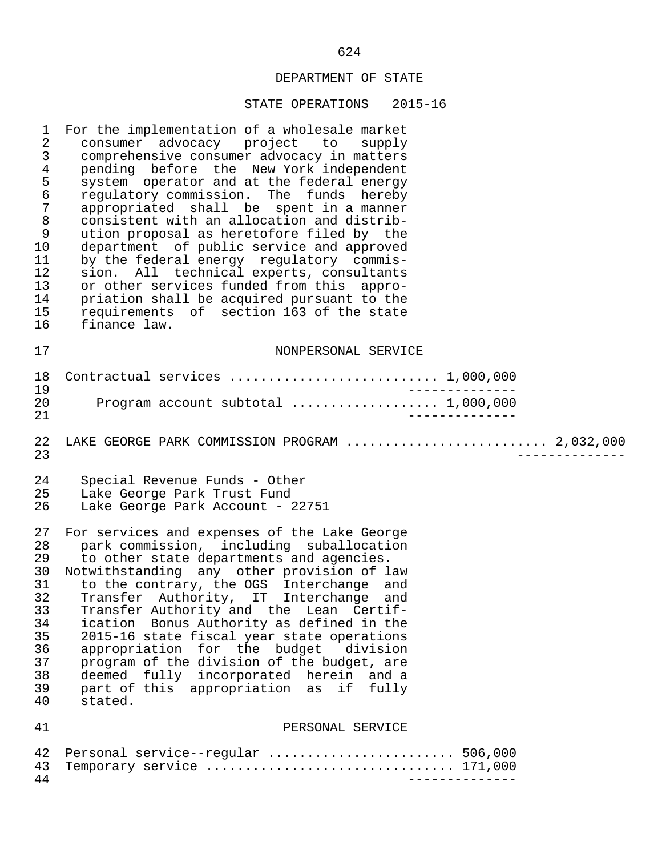| $\mathbf 1$      | For the implementation of a wholesale market   |
|------------------|------------------------------------------------|
| 2                | consumer advocacy project to supply            |
| 3                | comprehensive consumer advocacy in matters     |
| $\overline{4}$   | pending before the New York independent        |
| 5                | system operator and at the federal energy      |
| $\epsilon$       | regulatory commission. The funds hereby        |
| $\boldsymbol{7}$ | appropriated shall be spent in a manner        |
| $\,8\,$          | consistent with an allocation and distrib-     |
| $\mathsf 9$      | ution proposal as heretofore filed by the      |
| 10               | department of public service and approved      |
| 11               | by the federal energy regulatory commis-       |
| 12               | sion. All technical experts, consultants       |
| 13               | or other services funded from this appro-      |
| 14               | priation shall be acquired pursuant to the     |
| 15               | requirements of section 163 of the state       |
| 16               | finance law.                                   |
| 17               | NONPERSONAL SERVICE                            |
| 18               | Contractual services  1,000,000                |
| 19               | $\frac{1}{2}$                                  |
| 20               | Program account subtotal  1,000,000            |
| 21               |                                                |
| 22<br>23         | LAKE GEORGE PARK COMMISSION PROGRAM  2,032,000 |
| 24               | Special Revenue Funds - Other                  |
| 25               | Lake George Park Trust Fund                    |
| 26               | Lake George Park Account - 22751               |
| 27               | For services and expenses of the Lake George   |
| 28               | park commission, including suballocation       |
| 29               | to other state departments and agencies.       |
| 30               | Notwithstanding any other provision of law     |
| 31               | to the contrary, the OGS Interchange and       |
| 32               | Transfer Authority, IT Interchange and         |
| 33               | Transfer Authority and the Lean Certif-        |
| 34               | ication Bonus Authority as defined in the      |
| 35               | 2015-16 state fiscal year state operations     |
| 36               | appropriation for the budget division          |
| 37               | program of the division of the budget, are     |
| 38               | deemed fully incorporated herein and a         |
| 39               | part of this appropriation as if fully         |
| 40               | stated.                                        |
| 41               | PERSONAL SERVICE                               |
| 42               | Personal service--regular  506,000             |
| 43               | Temporary service  171,000                     |
| 44               | ______________                                 |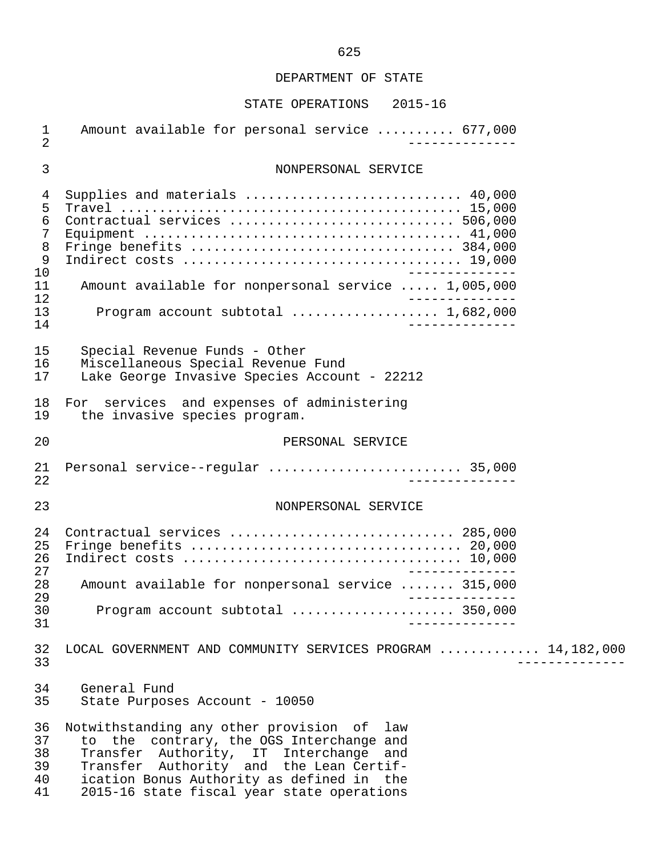| $\mathbf 1$<br>$\overline{2}$                          | Amount available for personal service  677,000                                                                                                                                                                                                                         |
|--------------------------------------------------------|------------------------------------------------------------------------------------------------------------------------------------------------------------------------------------------------------------------------------------------------------------------------|
| 3                                                      | NONPERSONAL SERVICE                                                                                                                                                                                                                                                    |
| 4<br>5<br>6<br>7<br>8<br>$\mathsf 9$<br>10<br>11<br>12 | Supplies and materials  40,000<br>Contractual services  506,000<br>Amount available for nonpersonal service  1,005,000                                                                                                                                                 |
| 13<br>14                                               | Program account subtotal  1,682,000<br>______________                                                                                                                                                                                                                  |
| 15<br>16<br>17                                         | Special Revenue Funds - Other<br>Miscellaneous Special Revenue Fund<br>Lake George Invasive Species Account - 22212                                                                                                                                                    |
| 18<br>19                                               | For services and expenses of administering<br>the invasive species program.                                                                                                                                                                                            |
| 20                                                     | PERSONAL SERVICE                                                                                                                                                                                                                                                       |
| 21<br>22                                               | Personal service--regular  35,000<br>______________                                                                                                                                                                                                                    |
| 23                                                     | NONPERSONAL SERVICE                                                                                                                                                                                                                                                    |
| 24<br>25<br>26<br>27                                   | Contractual services  285,000<br>______________                                                                                                                                                                                                                        |
| 28<br>29                                               | Amount available for nonpersonal service  315,000                                                                                                                                                                                                                      |
| 30<br>31                                               | Program account subtotal  350,000                                                                                                                                                                                                                                      |
| 32<br>33                                               | LOCAL GOVERNMENT AND COMMUNITY SERVICES PROGRAM  14,182,000                                                                                                                                                                                                            |
| 34<br>35                                               | General Fund<br>State Purposes Account - 10050                                                                                                                                                                                                                         |
| 36<br>37<br>38<br>39<br>40<br>41                       | Notwithstanding any other provision of law<br>to the contrary, the OGS Interchange and<br>Transfer Authority, IT Interchange and<br>Transfer Authority and the Lean Certif-<br>ication Bonus Authority as defined in the<br>2015-16 state fiscal year state operations |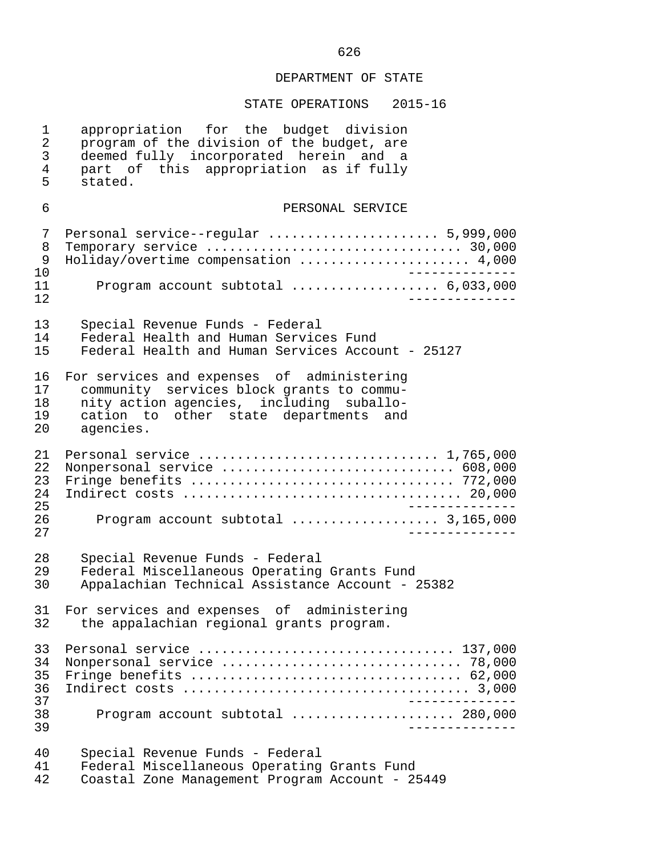| $\mathbf 1$                            | appropriation for the budget division                                                                                                            |
|----------------------------------------|--------------------------------------------------------------------------------------------------------------------------------------------------|
| $\overline{a}$                         | program of the division of the budget, are                                                                                                       |
| 3                                      | deemed fully incorporated herein and a                                                                                                           |
| $\overline{4}$                         | part of this appropriation as if fully                                                                                                           |
| 5                                      | stated.                                                                                                                                          |
| 6                                      | PERSONAL SERVICE                                                                                                                                 |
| 7<br>8<br>9<br>10<br>11<br>12          | Personal service--regular  5,999,000<br>Temporary service  30,000<br>Holiday/overtime compensation  4,000<br>Program account subtotal  6,033,000 |
| 13                                     | Special Revenue Funds - Federal                                                                                                                  |
| 14                                     | Federal Health and Human Services Fund                                                                                                           |
| 15                                     | Federal Health and Human Services Account - 25127                                                                                                |
| 16                                     | For services and expenses of administering                                                                                                       |
| 17                                     | community services block grants to commu-                                                                                                        |
| 18                                     | nity action agencies, including suballo-                                                                                                         |
| 19                                     | cation to other state departments and                                                                                                            |
| 20                                     | agencies.                                                                                                                                        |
| 21<br>22<br>23<br>24<br>25<br>26<br>27 | Nonpersonal service  608,000<br>Program account subtotal  3,165,000                                                                              |
| 28                                     | Special Revenue Funds - Federal                                                                                                                  |
| 29                                     | Federal Miscellaneous Operating Grants Fund                                                                                                      |
| 30                                     | Appalachian Technical Assistance Account - 25382                                                                                                 |
| 32                                     | 31 For services and expenses of administering<br>the appalachian regional grants program.                                                        |
| 33<br>34<br>35<br>36<br>37<br>38<br>39 | Personal service  137,000<br>Program account subtotal  280,000<br>__________                                                                     |
| 40                                     | Special Revenue Funds - Federal                                                                                                                  |
| 41                                     | Federal Miscellaneous Operating Grants Fund                                                                                                      |
| 42                                     | Coastal Zone Management Program Account - 25449                                                                                                  |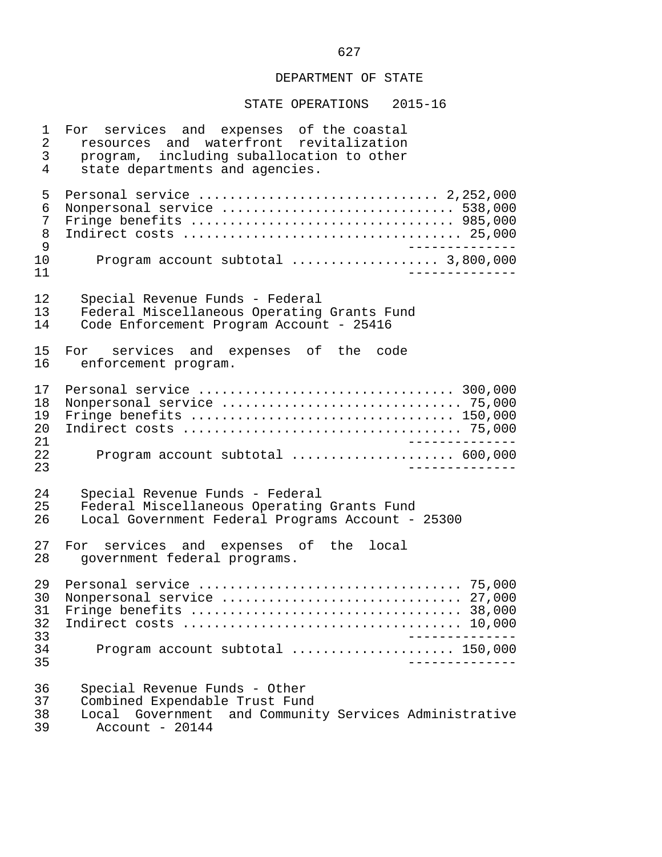STATE OPERATIONS 2015-16

 1 For services and expenses of the coastal 2 resources and waterfront revitalization 3 program, including suballocation to other<br>4 state departments and agencies. state departments and agencies. 5 Personal service ............................... 2,252,000 6 Nonpersonal service .............................. 538,000 7 Fringe benefits .................................. 985,000 8 Indirect costs .................................... 25,000 9 -------------- 10 Program account subtotal ................... 3,800,000 11 -------------- 12 Special Revenue Funds - Federal 13 Federal Miscellaneous Operating Grants Fund<br>14 Code Enforcement Program Account - 25416 Code Enforcement Program Account - 25416 15 For services and expenses of the code<br>16 enforcement program. enforcement program. 17 Personal service ................................. 300,000 18 Nonpersonal service ............................... 75,000 19 Fringe benefits .................................. 150,000 20 Indirect costs .................................... 75,000 21 --------------<br>22 Program account subtotal expressions assessed 600,000 22 Program account subtotal ..................... 600,000 23 -------------- 24 Special Revenue Funds - Federal 25 Federal Miscellaneous Operating Grants Fund<br>26 Local Government Federal Programs Account -Local Government Federal Programs Account - 25300 27 For services and expenses of the local<br>28 government federal programs. government federal programs. 29 Personal service .................................. 75,000 30 Nonpersonal service ............................... 27,000 31 Fringe benefits ................................... 38,000 32 Indirect costs .................................... 10,000 33 -------------- 34 Program account subtotal ..................... 150,000 35 -------------- 36 Special Revenue Funds - Other<br>37 Combined Expendable Trust Fun 37 Combined Expendable Trust Fund<br>38 Local Government and Communit 38 Local Government and Community Services Administrative  $Account - 20144$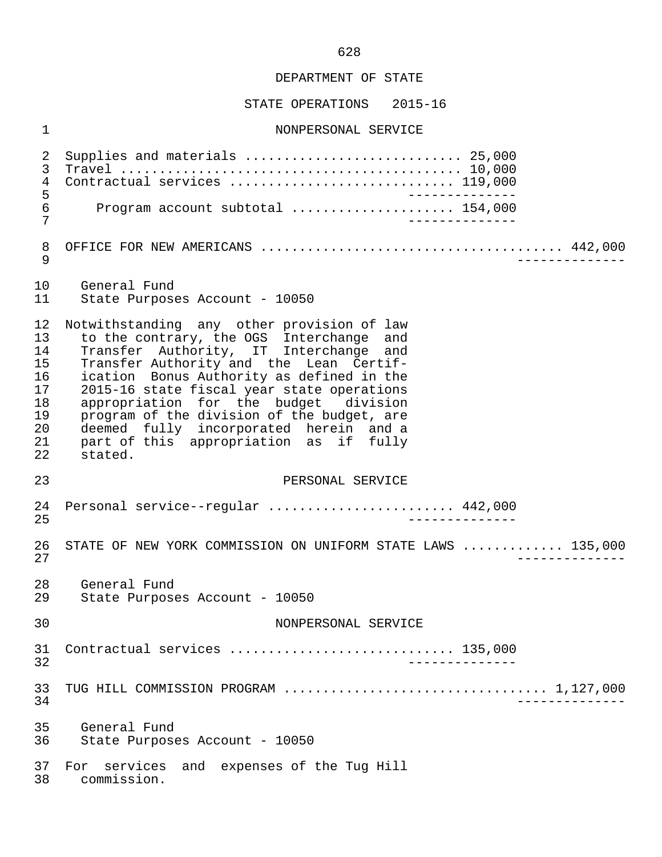#### STATE OPERATIONS 2015-16

#### 1 NONPERSONAL SERVICE

 2 Supplies and materials ............................ 25,000 3 Travel ............................................ 10,000 4 Contractual services ................................... 119,000<br>5 5<br>6 Program account subtotal ....................... 154.000 6 Program account subtotal ..................... 154,000 7 -------------- 8 OFFICE FOR NEW AMERICANS ....................................... 442,000 9 -------------- 10 General Fund<br>11 State Purpos State Purposes Account - 10050 12 Notwithstanding any other provision of law<br>13 to the contrary, the OGS Interchange and 13 to the contrary, the OGS Interchange and<br>14 Transfer Authority, IT Interchange and 14 Transfer Authority, IT Interchange and<br>15 Transfer-Authority-and the Lean Certif-15 Transfer Authority and the Lean Certif-<br>16 ication Bonus Authority as defined in the 16 ication Bonus Authority as defined in the<br>17 2015-16 state fiscal vear state operations 2015-16 state fiscal year state operations 18 appropriation for the budget division<br>19 program of the division of the budget, are 19 program of the division of the budget, are<br>20 deemed fully incorporated herein and a 20 deemed fully incorporated herein and a<br>21 part of this appropriation as if fully 21 part of this appropriation as if<br>22 stated stated. 23 PERSONAL SERVICE 24 Personal service--regular ........................ 442,000 25 -------------- 26 STATE OF NEW YORK COMMISSION ON UNIFORM STATE LAWS ............. 135,000<br>27 27 -------------- 28 General Fund<br>29 State Purpose State Purposes Account - 10050 30 NONPERSONAL SERVICE 31 Contractual services ............................. 135,000 32 -------------- 33 TUG HILL COMMISSION PROGRAM .................................. 1,127,000 34 -------------- 35 General Fund 36 State Purposes Account - 10050 37 For services and expenses of the Tug Hill<br>38 commission. 38 commission.

628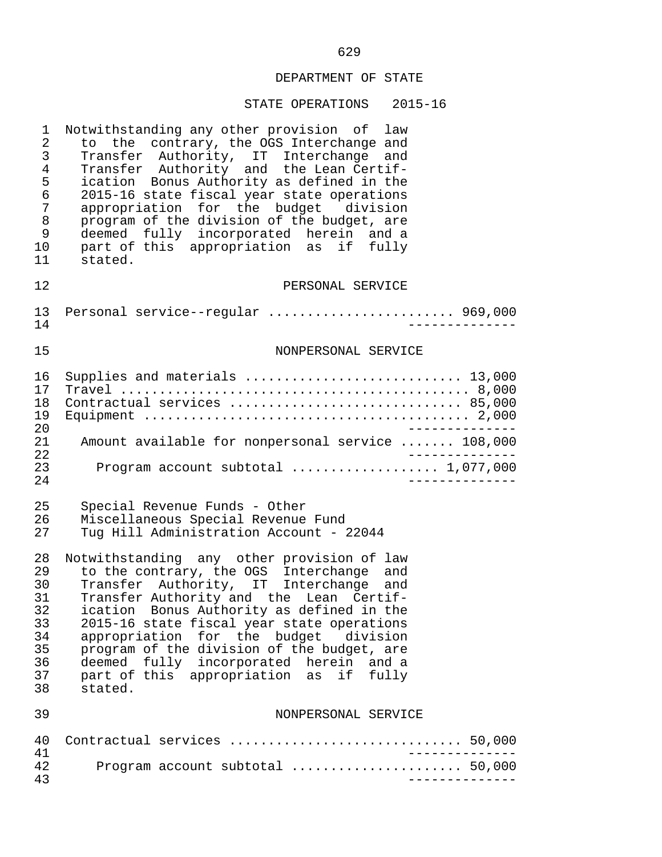| $\mathbf 1$<br>$\sqrt{2}$<br>$\mathfrak{Z}$<br>$\overline{4}$<br>5<br>$\epsilon$<br>7<br>8<br>9<br>10<br>11 | Notwithstanding any other provision of law<br>to the contrary, the OGS Interchange and<br>Transfer Authority, IT Interchange and<br>Transfer Authority and the Lean Certif-<br>ication Bonus Authority as defined in the<br>2015-16 state fiscal year state operations<br>appropriation for the budget division<br>program of the division of the budget, are<br>deemed fully incorporated herein and a<br>part of this appropriation as if fully<br>stated.    |
|-------------------------------------------------------------------------------------------------------------|-----------------------------------------------------------------------------------------------------------------------------------------------------------------------------------------------------------------------------------------------------------------------------------------------------------------------------------------------------------------------------------------------------------------------------------------------------------------|
| 12                                                                                                          | PERSONAL SERVICE                                                                                                                                                                                                                                                                                                                                                                                                                                                |
| 13<br>14                                                                                                    | Personal service--regular  969,000                                                                                                                                                                                                                                                                                                                                                                                                                              |
| 15                                                                                                          | NONPERSONAL SERVICE                                                                                                                                                                                                                                                                                                                                                                                                                                             |
| 16<br>17<br>18<br>19<br>20<br>21<br>22<br>23<br>24                                                          | Supplies and materials  13,000<br>Contractual services  85,000<br>Amount available for nonpersonal service  108,000<br>Program account subtotal  1,077,000                                                                                                                                                                                                                                                                                                      |
| 25<br>26<br>27                                                                                              | Special Revenue Funds - Other<br>Miscellaneous Special Revenue Fund<br>Tug Hill Administration Account - 22044                                                                                                                                                                                                                                                                                                                                                  |
| 28<br>29<br>30<br>31<br>32<br>33<br>34<br>35<br>36<br>37<br>38                                              | Notwithstanding any other provision of law<br>to the contrary, the OGS Interchange and<br>Transfer Authority, IT Interchange and<br>Transfer Authority and the Lean Certif-<br>ication Bonus Authority as defined in the<br>2015-16 state fiscal year state operations<br>appropriation for the budget division<br>program of the division of the budget, are<br>deemed fully incorporated herein and a<br>part of this appropriation as<br>if fully<br>stated. |
| 39                                                                                                          | NONPERSONAL SERVICE                                                                                                                                                                                                                                                                                                                                                                                                                                             |
| 40<br>41                                                                                                    | Contractual services  50,000                                                                                                                                                                                                                                                                                                                                                                                                                                    |
| 42<br>43                                                                                                    | Program account subtotal  50,000                                                                                                                                                                                                                                                                                                                                                                                                                                |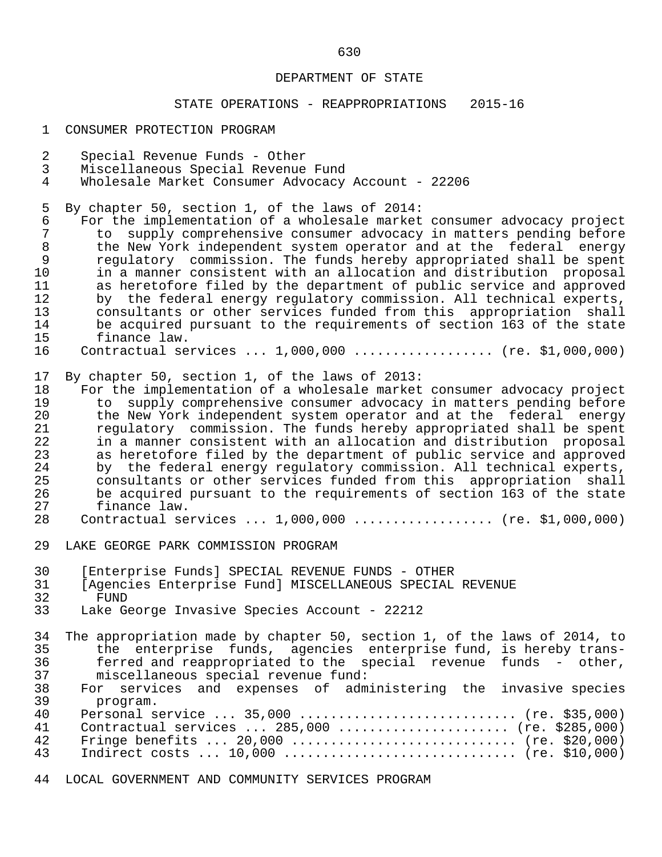#### STATE OPERATIONS - REAPPROPRIATIONS 2015-16

- 1 CONSUMER PROTECTION PROGRAM
- 2 Special Revenue Funds Other<br>3 Miscellaneous Special Revenue
- 3 Miscellaneous Special Revenue Fund
- Wholesale Market Consumer Advocacy Account 22206
- 5 By chapter 50, section 1, of the laws of 2014:<br>6 For the implementation of a wholesale market

 6 For the implementation of a wholesale market consumer advocacy project 7 to supply comprehensive consumer advocacy in matters pending before<br>8 the New York independent system operator and at the federal energy 8 the New York independent system operator and at the federal energy<br>9 regulatory commission. The funds hereby appropriated shall be spent 9 regulatory commission. The funds hereby appropriated shall be spent<br>10 in a manner consistent with an allocation and distribution proposal 10 in a manner consistent with an allocation and distribution proposal<br>11 as heretofore filed by the department of public service and approved 11 as heretofore filed by the department of public service and approved<br>12 by the federal energy requlatory commission. All technical experts, 12 by the federal energy regulatory commission. All technical experts,<br>13 consultants or other services funded from this appropriation shall 13 consultants or other services funded from this appropriation shall 14 be acquired pursuant to the requirements of section 163 of the state<br>15 finance law. 15 finance law.<br>16 Contractual se

Contractual services ... 1,000,000 .................. (re. \$1,000,000)

17 By chapter 50, section 1, of the laws of 2013:

18 For the implementation of a wholesale market consumer advocacy project<br>19 to supply comprehensive consumer advocacy in matters pending before 19 to supply comprehensive consumer advocacy in matters pending before<br>20 the New York independent system operator and at the federal energy 20 the New York independent system operator and at the federal energy<br>21 Tequlatory commission. The funds hereby appropriated shall be spent 21 regulatory commission. The funds hereby appropriated shall be spent<br>22 in a manner consistent with an allocation and distribution proposal 22 in a manner consistent with an allocation and distribution proposal<br>23 as heretofore filed by the department of public service and approved 23 as heretofore filed by the department of public service and approved<br>24 by the federal energy regulatory commission. All technical experts, 24 by the federal energy regulatory commission. All technical experts,<br>25 consultants or other services funded from this appropriation shall 25 consultants or other services funded from this appropriation shall 26 be acquired pursuant to the requirements of section 163 of the state<br>27 finance law. 27 finance law.<br>28 Contractual se

- Contractual services ... 1,000,000 ................... (re. \$1,000,000)
- 29 LAKE GEORGE PARK COMMISSION PROGRAM
- 30 [Enterprise Funds] SPECIAL REVENUE FUNDS OTHER<br>31 [Agencies Enterprise Fund] MISCELLANEOUS SPECIAL
- 31 [Agencies Enterprise Fund] MISCELLANEOUS SPECIAL REVENUE<br>32 FIND
- 
- 32 FUND<br>33 Lake Ge Lake George Invasive Species Account - 22212

34 The appropriation made by chapter 50, section 1, of the laws of 2014, to<br>35 the enterprise funds, agencies enterprise fund, is hereby trans-35 the enterprise funds, agencies enterprise-fund, is hereby trans-<br>36 terred and reappropriated to the special revenue funds - other. 36 ferred and reappropriated to the special revenue funds - other,<br>37 miscellaneous special revenue fund: miscellaneous special revenue fund:

| 38 |          |  | For services and expenses of administering the invasive-species |  |  |
|----|----------|--|-----------------------------------------------------------------|--|--|
|    | program. |  |                                                                 |  |  |

| 40 Personal service  35,000  (re. \$35,000)       |  |
|---------------------------------------------------|--|
| 41 Contractual services  285,000  (re. \$285,000) |  |
|                                                   |  |
|                                                   |  |

44 LOCAL GOVERNMENT AND COMMUNITY SERVICES PROGRAM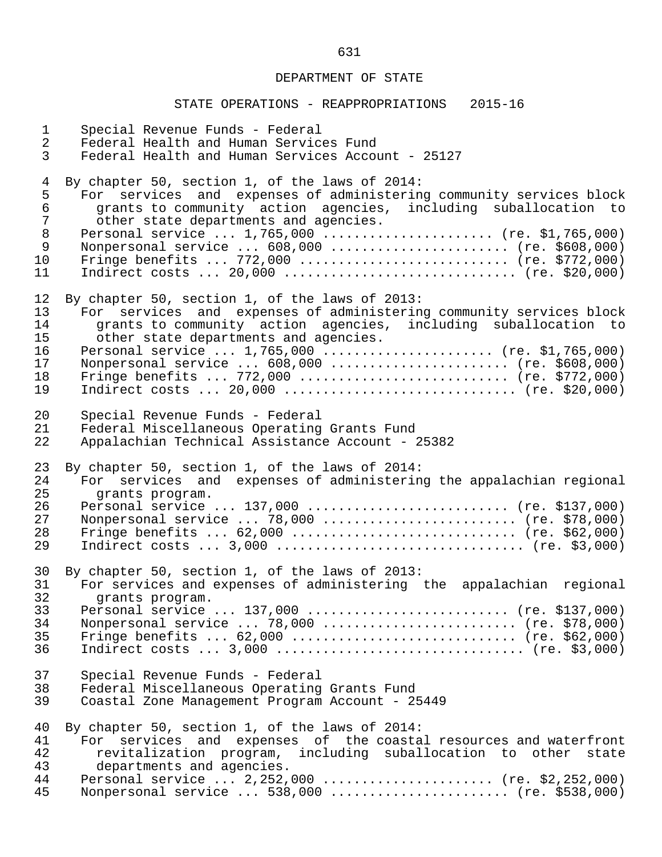| $\mathbf{1}$                     | Special Revenue Funds - Federal                                                                                                                                                                                                                                                                                          |
|----------------------------------|--------------------------------------------------------------------------------------------------------------------------------------------------------------------------------------------------------------------------------------------------------------------------------------------------------------------------|
| $\overline{2}$                   | Federal Health and Human Services Fund                                                                                                                                                                                                                                                                                   |
| $\mathbf{3}$                     | Federal Health and Human Services Account - 25127                                                                                                                                                                                                                                                                        |
| $\overline{4}$                   | By chapter 50, section 1, of the laws of 2014:                                                                                                                                                                                                                                                                           |
| 5                                | For services and expenses of administering community services block                                                                                                                                                                                                                                                      |
| $\epsilon$                       | grants to community action agencies, including suballocation to                                                                                                                                                                                                                                                          |
| $\overline{7}$                   | other state departments and agencies.                                                                                                                                                                                                                                                                                    |
| $\,8\,$                          | Personal service $1,765,000$ (re. \$1,765,000)                                                                                                                                                                                                                                                                           |
| $\mathsf 9$                      | Nonpersonal service  608,000  (re. \$608,000)                                                                                                                                                                                                                                                                            |
| 10                               | Fringe benefits  772,000  (re. \$772,000)                                                                                                                                                                                                                                                                                |
| 11                               | Indirect costs $20,000$ (re. \$20,000)                                                                                                                                                                                                                                                                                   |
| 12                               | By chapter 50, section 1, of the laws of 2013:                                                                                                                                                                                                                                                                           |
| 13                               | For services and expenses of administering community services block                                                                                                                                                                                                                                                      |
| 14                               | grants to community action agencies, including suballocation to                                                                                                                                                                                                                                                          |
| 15                               | other state departments and agencies.                                                                                                                                                                                                                                                                                    |
| 16                               | Personal service $1,765,000$ (re. \$1,765,000)                                                                                                                                                                                                                                                                           |
| 17                               | Nonpersonal service  608,000  (re. \$608,000)                                                                                                                                                                                                                                                                            |
| 18                               | Fringe benefits  772,000  (re. \$772,000)                                                                                                                                                                                                                                                                                |
| 19                               |                                                                                                                                                                                                                                                                                                                          |
| 20                               | Special Revenue Funds - Federal                                                                                                                                                                                                                                                                                          |
| 21                               | Federal Miscellaneous Operating Grants Fund                                                                                                                                                                                                                                                                              |
| 22                               | Appalachian Technical Assistance Account - 25382                                                                                                                                                                                                                                                                         |
| 23                               | By chapter 50, section 1, of the laws of 2014:                                                                                                                                                                                                                                                                           |
| 24                               | For services and expenses of administering the appalachian regional                                                                                                                                                                                                                                                      |
| 25                               | grants program.                                                                                                                                                                                                                                                                                                          |
| 26                               | Personal service  137,000  (re. \$137,000)                                                                                                                                                                                                                                                                               |
| 27                               | Nonpersonal service  78,000  (re. \$78,000)                                                                                                                                                                                                                                                                              |
| 28                               | Fringe benefits $62,000$ (re. \$62,000)                                                                                                                                                                                                                                                                                  |
| 29                               |                                                                                                                                                                                                                                                                                                                          |
| 30                               | By chapter 50, section 1, of the laws of 2013:                                                                                                                                                                                                                                                                           |
| 31                               | For services and expenses of administering the appalachian regional                                                                                                                                                                                                                                                      |
| 32                               | grants program.                                                                                                                                                                                                                                                                                                          |
| 33                               | Personal service  137,000  (re. \$137,000)                                                                                                                                                                                                                                                                               |
| 34                               | Nonpersonal service  78,000  (re. \$78,000)                                                                                                                                                                                                                                                                              |
| 35                               | Fringe benefits $62,000$ (re. \$62,000)                                                                                                                                                                                                                                                                                  |
| 36                               |                                                                                                                                                                                                                                                                                                                          |
| 37                               | Special Revenue Funds - Federal                                                                                                                                                                                                                                                                                          |
| 38                               | Federal Miscellaneous Operating Grants Fund                                                                                                                                                                                                                                                                              |
| 39                               | Coastal Zone Management Program Account - 25449                                                                                                                                                                                                                                                                          |
| 40<br>41<br>42<br>43<br>44<br>45 | By chapter 50, section 1, of the laws of 2014:<br>For services and expenses of the coastal resources and waterfront<br>revitalization program, including suballocation to other<br>state<br>departments and agencies.<br>Personal service $2,252,000$ (re. \$2,252,000)<br>Nonpersonal service  538,000  (re. \$538,000) |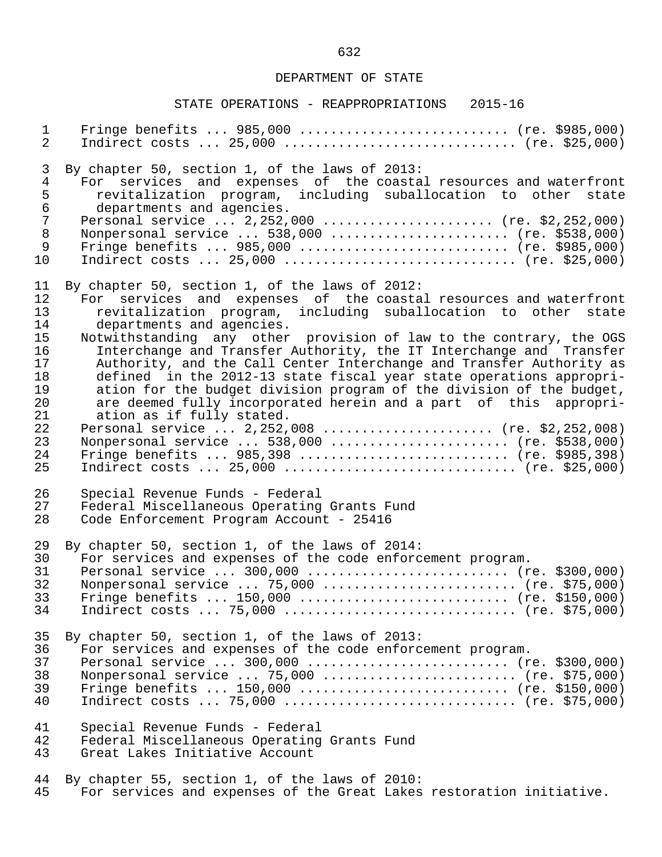| $\mathbf{1}$                                                                            | Fringe benefits $985,000$ (re. \$985,000)                                                                                                                                                                                                                                                                                                                                                                       |
|-----------------------------------------------------------------------------------------|-----------------------------------------------------------------------------------------------------------------------------------------------------------------------------------------------------------------------------------------------------------------------------------------------------------------------------------------------------------------------------------------------------------------|
| 2                                                                                       | Indirect costs $25,000$ (re. \$25,000)                                                                                                                                                                                                                                                                                                                                                                          |
| 3<br>$\overline{4}$<br>5<br>$\epsilon$<br>$\overline{7}$<br>$\, 8$<br>$\mathsf 9$<br>10 | By chapter 50, section 1, of the laws of 2013:<br>For services and expenses of the coastal resources and waterfront<br>revitalization program, including suballocation to other<br>state<br>departments and agencies.<br>Personal service $2,252,000$ (re. \$2,252,000)<br>Nonpersonal service  538,000  (re. \$538,000)<br>Fringe benefits  985,000  (re. \$985,000)<br>Indirect costs $25,000$ (re. \$25,000) |
| 11                                                                                      | By chapter 50, section 1, of the laws of 2012:                                                                                                                                                                                                                                                                                                                                                                  |
| 12                                                                                      | For services and expenses of the coastal resources and waterfront                                                                                                                                                                                                                                                                                                                                               |
| 13                                                                                      | revitalization program, including suballocation to other state                                                                                                                                                                                                                                                                                                                                                  |
| 14                                                                                      | departments and agencies.                                                                                                                                                                                                                                                                                                                                                                                       |
| 15                                                                                      | Notwithstanding any other provision of law to the contrary, the OGS                                                                                                                                                                                                                                                                                                                                             |
| 16                                                                                      | Interchange and Transfer Authority, the IT Interchange and Transfer                                                                                                                                                                                                                                                                                                                                             |
| 17                                                                                      | Authority, and the Call Center Interchange and Transfer Authority as                                                                                                                                                                                                                                                                                                                                            |
| 18                                                                                      | defined in the 2012-13 state fiscal year state operations appropri-                                                                                                                                                                                                                                                                                                                                             |
| 19                                                                                      | ation for the budget division program of the division of the budget,                                                                                                                                                                                                                                                                                                                                            |
| 20                                                                                      | are deemed fully incorporated herein and a part of this appropri-                                                                                                                                                                                                                                                                                                                                               |
| 21                                                                                      | ation as if fully stated.                                                                                                                                                                                                                                                                                                                                                                                       |
| 22                                                                                      | Personal service  2,252,008  (re. \$2,252,008)                                                                                                                                                                                                                                                                                                                                                                  |
| 23                                                                                      | Nonpersonal service  538,000  (re. \$538,000)                                                                                                                                                                                                                                                                                                                                                                   |
| 24                                                                                      | Fringe benefits  985,398  (re. \$985,398)                                                                                                                                                                                                                                                                                                                                                                       |
| 25                                                                                      | Indirect costs $25,000$ (re. \$25,000)                                                                                                                                                                                                                                                                                                                                                                          |
| 26                                                                                      | Special Revenue Funds - Federal                                                                                                                                                                                                                                                                                                                                                                                 |
| 27                                                                                      | Federal Miscellaneous Operating Grants Fund                                                                                                                                                                                                                                                                                                                                                                     |
| 28                                                                                      | Code Enforcement Program Account - 25416                                                                                                                                                                                                                                                                                                                                                                        |
| 29                                                                                      | By chapter 50, section 1, of the laws of 2014:                                                                                                                                                                                                                                                                                                                                                                  |
| 30                                                                                      | For services and expenses of the code enforcement program.                                                                                                                                                                                                                                                                                                                                                      |
| 31                                                                                      | Personal service $300,000$ (re. \$300,000)                                                                                                                                                                                                                                                                                                                                                                      |
| 32                                                                                      | Nonpersonal service  75,000  (re. \$75,000)                                                                                                                                                                                                                                                                                                                                                                     |
| 33                                                                                      | Fringe benefits $150,000$ (re. \$150,000)                                                                                                                                                                                                                                                                                                                                                                       |
| 34                                                                                      | Indirect costs  75,000  (re. \$75,000)                                                                                                                                                                                                                                                                                                                                                                          |
| 35                                                                                      | By chapter 50, section 1, of the laws of 2013:                                                                                                                                                                                                                                                                                                                                                                  |
| 36                                                                                      | For services and expenses of the code enforcement program.                                                                                                                                                                                                                                                                                                                                                      |
| 37                                                                                      | Personal service  300,000  (re. \$300,000)                                                                                                                                                                                                                                                                                                                                                                      |
| 38                                                                                      | Nonpersonal service  75,000  (re. \$75,000)                                                                                                                                                                                                                                                                                                                                                                     |
| 39                                                                                      | Fringe benefits $150,000$ (re. \$150,000)                                                                                                                                                                                                                                                                                                                                                                       |
| 40                                                                                      | Indirect costs  75,000  (re. \$75,000)                                                                                                                                                                                                                                                                                                                                                                          |
| 41                                                                                      | Special Revenue Funds - Federal                                                                                                                                                                                                                                                                                                                                                                                 |
| 42                                                                                      | Federal Miscellaneous Operating Grants Fund                                                                                                                                                                                                                                                                                                                                                                     |
| 43                                                                                      | Great Lakes Initiative Account                                                                                                                                                                                                                                                                                                                                                                                  |
| 44                                                                                      | By chapter 55, section 1, of the laws of 2010:                                                                                                                                                                                                                                                                                                                                                                  |
| 45                                                                                      | For services and expenses of the Great Lakes restoration initiative.                                                                                                                                                                                                                                                                                                                                            |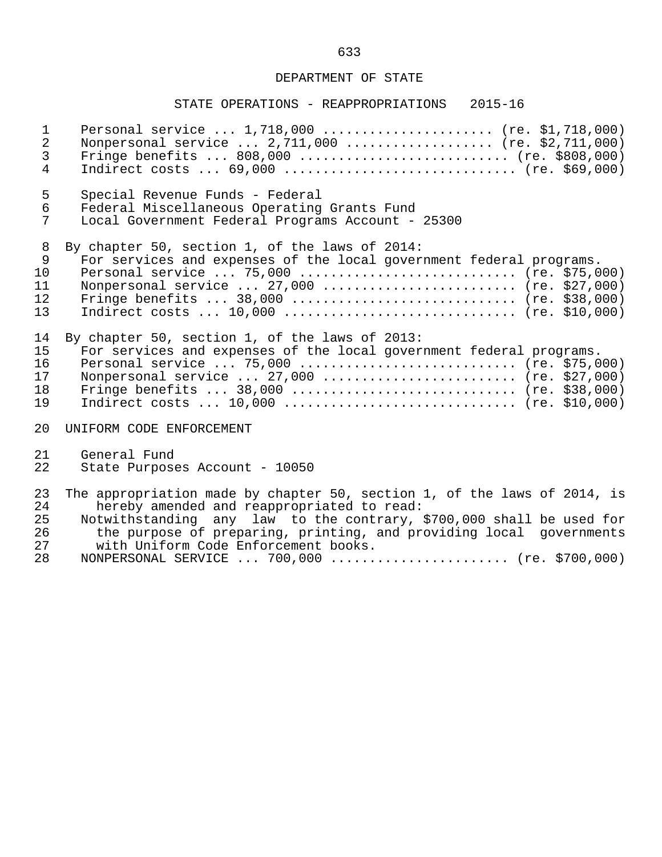| $\mathbf{1}$    | Personal service $1,718,000$ (re. \$1,718,000)                           |
|-----------------|--------------------------------------------------------------------------|
| $\overline{a}$  | Nonpersonal service $2,711,000$ (re. \$2,711,000)                        |
| $\mathfrak{Z}$  |                                                                          |
| $\overline{4}$  | Indirect costs $69,000$ (re. \$69,000)                                   |
| 5               | Special Revenue Funds - Federal                                          |
| $6\phantom{.}6$ | Federal Miscellaneous Operating Grants Fund                              |
| 7               | Local Government Federal Programs Account - 25300                        |
| 8               | By chapter 50, section 1, of the laws of 2014:                           |
| $\overline{9}$  | For services and expenses of the local government federal programs.      |
| 10              | Personal service  75,000  (re. \$75,000)                                 |
| 11              | Nonpersonal service  27,000  (re. \$27,000)                              |
| 12              | Fringe benefits $38,000$ (re. \$38,000)                                  |
| 13              | Indirect costs $10,000$ (re. \$10,000)                                   |
| 14              | By chapter 50, section 1, of the laws of 2013:                           |
| 15              | For services and expenses of the local government federal programs.      |
| 16              | Personal service  75,000  (re. \$75,000)                                 |
| 17              | Nonpersonal service $27,000$ (re. \$27,000)                              |
| 18              |                                                                          |
| 19              | Indirect costs $10,000$ (re. \$10,000)                                   |
| 20              | UNIFORM CODE ENFORCEMENT                                                 |
| 21              | General Fund                                                             |
| 22              | State Purposes Account - 10050                                           |
| 23              | The appropriation made by chapter 50, section 1, of the laws of 2014, is |
| 24              | hereby amended and reappropriated to read:                               |
| 25              | Notwithstanding any law to the contrary, \$700,000 shall be used for     |
| 26              | the purpose of preparing, printing, and providing local governments      |
| 27              | with Uniform Code Enforcement books.                                     |
| 28              | NONPERSONAL SERVICE  700,000  (re. \$700,000)                            |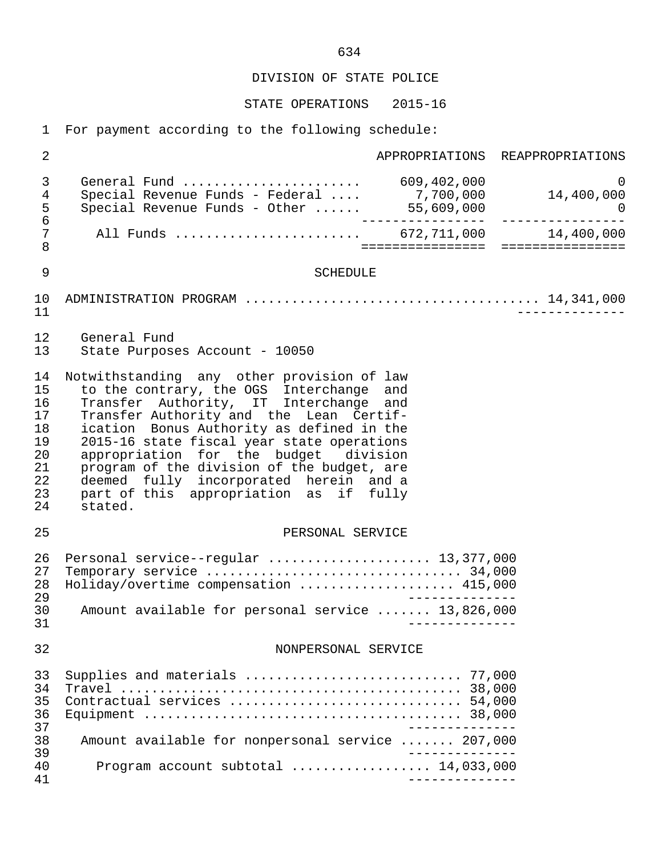STATE OPERATIONS 2015-16

1 For payment according to the following schedule:

 2 APPROPRIATIONS REAPPROPRIATIONS 3 General Fund ....................... 609,402,000 0 4 Special Revenue Funds - Federal .... 7,700,000 14,400,000 5 Special Revenue Funds - Other ...... 55,609,000 0 6 ---------------- ---------------- 7 All Funds ........................ 672,711,000 14,400,000 8 ================ ================ 9 SCHEDULE 10 ADMINISTRATION PROGRAM ...................................... 14,341,000 11 -------------- 12 General Fund<br>13 State Purpos State Purposes Account - 10050 14 Notwithstanding any other provision of law<br>15 to the contrary, the OGS Interchange and 15 to the contrary, the OGS Interchange and<br>16 Transfer Authority, IT Interchange and 16 Transfer Authority, IT Interchange and<br>17 Transfer-Authority-and the Lean Certif-17 Transfer Authority and the Lean Certif-<br>18 ication Bonus Authority as defined in the 18 ication Bonus Authority as defined in the<br>19 2015-16 state fiscal year state operations 19 2015-16 state fiscal year state operations<br>20 appropriation for the budget division 20 appropriation for the budget division<br>21 program of the division of the budget, are 21 program of the division of the budget, are<br>22 deemed fully incorporated herein and a 22 deemed fully incorporated herein and a<br>23 part of this appropriation as if fully 23 part of this appropriation as if<br>24 stated. stated. 25 PERSONAL SERVICE 26 Personal service--regular ..................... 13,377,000 27 Temporary service ................................. 34,000 28 Holiday/overtime compensation ...................... 415,000<br>29 --------------29<br>30 Amount available for personal service ....... 13.826.000 30 Amount available for personal service ....... 13,826,000 31 -------------- 32 NONPERSONAL SERVICE 33 Supplies and materials ............................ 77,000 34 Travel ............................................ 38,000 35 Contractual services .............................. 54,000 36 Equipment ......................................... 38,000 37<br>38 Amount available for nonpersonal service 38 Amount available for nonpersonal service ....... 207,000 39<br>40 Program account subtotal expressions of 14,033,000 40 Program account subtotal .................. 14,033,000 41 --------------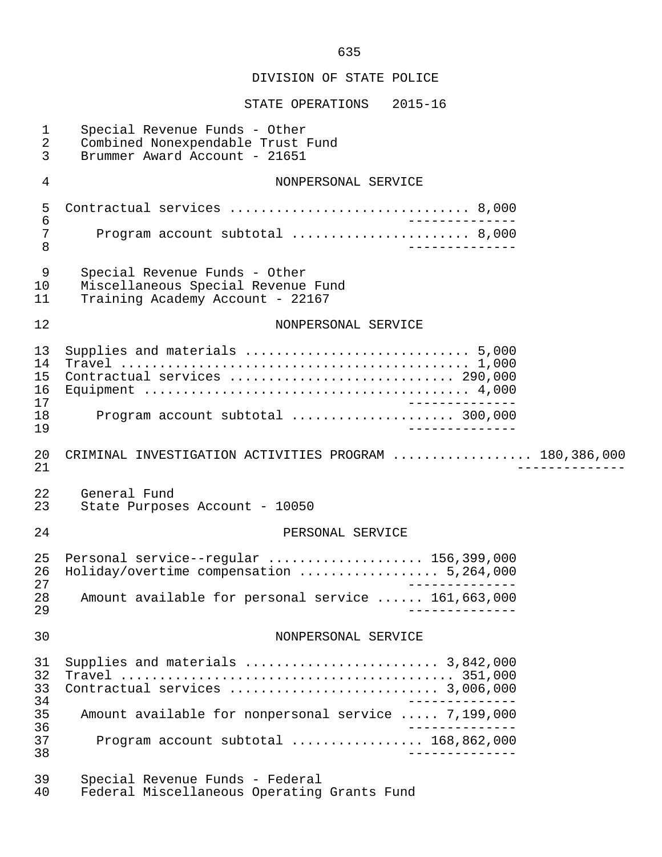| 1<br>2<br>3                      | Special Revenue Funds - Other<br>Combined Nonexpendable Trust Fund<br>Brummer Award Account - 21651                    |
|----------------------------------|------------------------------------------------------------------------------------------------------------------------|
| 4                                | NONPERSONAL SERVICE                                                                                                    |
| 5<br>6                           | Contractual services  8,000<br>______________                                                                          |
| 7<br>8                           | Program account subtotal  8,000<br>_______________                                                                     |
| 9<br>10<br>11                    | Special Revenue Funds - Other<br>Miscellaneous Special Revenue Fund<br>Training Academy Account - 22167                |
| 12                               | NONPERSONAL SERVICE                                                                                                    |
| 13<br>14<br>15<br>16<br>17<br>18 | Supplies and materials  5,000<br>Contractual services  290,000<br>Program account subtotal  300,000                    |
| 19                               | ______________                                                                                                         |
| 20<br>21                         | CRIMINAL INVESTIGATION ACTIVITIES PROGRAM  180,386,000                                                                 |
| 22<br>23                         | General Fund<br>State Purposes Account - 10050                                                                         |
| 24                               | PERSONAL SERVICE                                                                                                       |
| 25<br>26<br>27                   | Personal service--regular  156,399,000<br>Holiday/overtime compensation  5,264,000                                     |
| 28<br>29                         | Amount available for personal service  161,663,000                                                                     |
| 30                               | NONPERSONAL SERVICE                                                                                                    |
| 31<br>32<br>33<br>34             | Supplies and materials $\ldots \ldots \ldots \ldots \ldots \ldots \ldots$ 3,842,000<br>Contractual services  3,006,000 |
| 35<br>36                         | Amount available for nonpersonal service  7,199,000                                                                    |
| 37<br>38                         | Program account subtotal  168,862,000                                                                                  |
| 39<br>40                         | Special Revenue Funds - Federal<br>Federal Miscellaneous Operating Grants Fund                                         |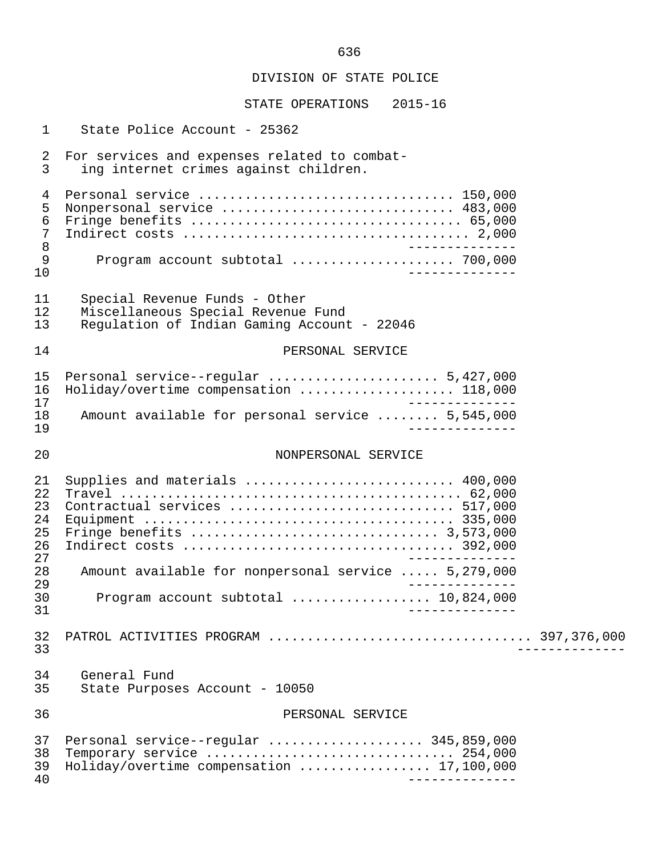| $\mathbf{1}$                           | State Police Account - 25362                                                                                       |  |
|----------------------------------------|--------------------------------------------------------------------------------------------------------------------|--|
| $\overline{2}$<br>$\overline{3}$       | For services and expenses related to combat-<br>ing internet crimes against children.                              |  |
| 4<br>5<br>$\epsilon$<br>7<br>$\,8\,$   | Personal service  150,000<br>Nonpersonal service  483,000                                                          |  |
| 9<br>10                                | Program account subtotal  700,000                                                                                  |  |
| 11<br>12<br>13                         | Special Revenue Funds - Other<br>Miscellaneous Special Revenue Fund<br>Regulation of Indian Gaming Account - 22046 |  |
| 14                                     | PERSONAL SERVICE                                                                                                   |  |
| 15<br>16<br>17                         | Personal service--regular  5,427,000<br>Holiday/overtime compensation  118,000                                     |  |
| 18<br>19                               | Amount available for personal service  5,545,000                                                                   |  |
| 20                                     | NONPERSONAL SERVICE                                                                                                |  |
| 21<br>22<br>23<br>24<br>25<br>26<br>27 | Supplies and materials  400,000<br>Contractual services  517,000                                                   |  |
| 28<br>29                               | Amount available for nonpersonal service  5,279,000                                                                |  |
| 30<br>31                               | Program account subtotal  10,824,000                                                                               |  |
| 32<br>33                               |                                                                                                                    |  |
| 34<br>35                               | General Fund<br>State Purposes Account - 10050                                                                     |  |
| 36                                     | PERSONAL SERVICE                                                                                                   |  |
| 37<br>38<br>39<br>40                   | Personal service--regular  345,859,000<br>Temporary service  254,000<br>Holiday/overtime compensation  17,100,000  |  |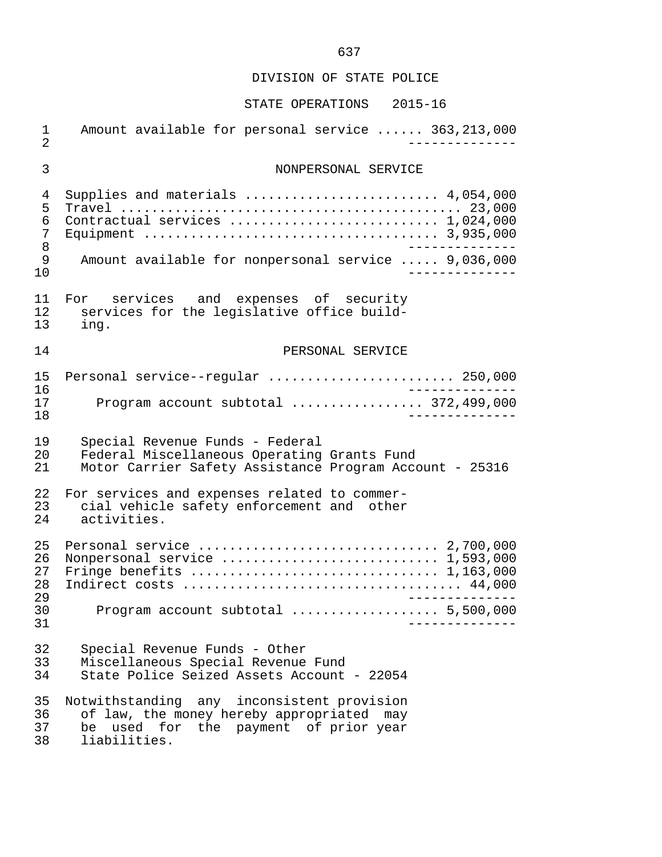| $\mathbf{1}$<br>$\overline{2}$ | Amount available for personal service  363,213,000      |
|--------------------------------|---------------------------------------------------------|
| 3                              | NONPERSONAL SERVICE                                     |
| 4                              | Supplies and materials  4,054,000                       |
| 5                              |                                                         |
| 6                              | Contractual services  1,024,000                         |
| 7                              |                                                         |
| 8                              | ____________                                            |
| 9<br>10                        | Amount available for nonpersonal service  9,036,000     |
| 11                             | For services and expenses of security                   |
| 12                             | services for the legislative office build-              |
| 13                             | ing.                                                    |
| 14                             | PERSONAL SERVICE                                        |
| 15                             | Personal service--regular  250,000                      |
| 16                             | _____________                                           |
| 17                             | Program account subtotal  372,499,000                   |
| 18                             | . _ _ _ _ _ _ _ _ .                                     |
| 19                             | Special Revenue Funds - Federal                         |
| 20                             | Federal Miscellaneous Operating Grants Fund             |
| 21                             | Motor Carrier Safety Assistance Program Account - 25316 |
| 22                             | For services and expenses related to commer-            |
| 23                             | cial vehicle safety enforcement and other               |
| 24                             | activities.                                             |
| 25<br>26<br>27<br>28<br>29     | Personal service  2,700,000<br>_____________            |
| 30<br>31                       | Program account subtotal  5,500,000                     |
| 32                             | Special Revenue Funds - Other                           |
| 33                             | Miscellaneous Special Revenue Fund                      |
| 34                             | State Police Seized Assets Account - 22054              |
| 35                             | Notwithstanding any inconsistent provision              |
| 36                             | of law, the money hereby appropriated may               |
| 37                             | be used for the payment of prior year                   |
| 38                             | liabilities.                                            |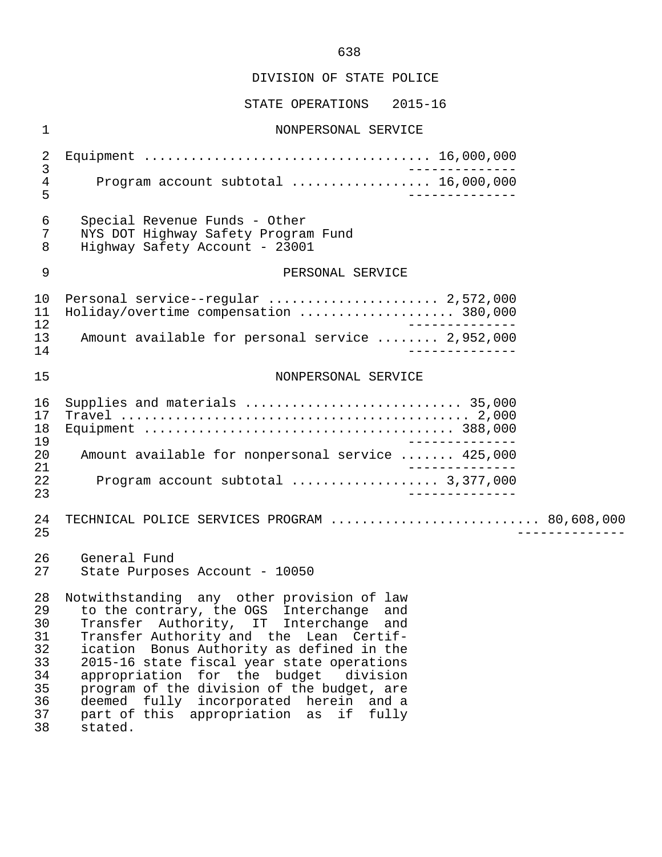#### STATE OPERATIONS 2015-16

 1 NONPERSONAL SERVICE 2 Equipment ..................................... 16,000,000 3<br>4 Program account subtotal ..................... 16.000.000 4 Program account subtotal .................. 16,000,000 5 -------------- 6 Special Revenue Funds - Other 7 NYS DOT Highway Safety Program Fund Highway Safety Account - 23001 9 PERSONAL SERVICE 10 Personal service--regular ......................... 2,572,000<br>11 Holiday/overtime compensation ..............................380.000 11 Holiday/overtime compensation .................... 380,000 12 -------------<br>13 Amount available for personal service ........ 2.952.000 13 Amount available for personal service ........ 2,952,000 14 -------------- 15 NONPERSONAL SERVICE 16 Supplies and materials ............................ 35,000 17 Travel ............................................. 2,000 18 Equipment ........................................ 388,000 19<br>20 Amount available for nonpersonal service ....... 425,000 20 Amount available for nonpersonal service ....... 425,000 21 -------------- 22 Program account subtotal ................... 3,377,000 23 -------------- 24 TECHNICAL POLICE SERVICES PROGRAM ............................... 80,608,000<br>25 25 -------------- 26 General Fund<br>27 State Purpose State Purposes Account - 10050 28 Notwithstanding any other provision of law<br>29 to the contrary, the OGS Interchange and 29 to the contrary, the OGS Interchange and 30 Transfer Authority, IT Interchange and 31 Transfer Authority and the Lean Certif-<br>32 ication Bonus Authority as defined in the 32 ication Bonus Authority as defined in the<br>33 2015-16 state fiscal year state operations 33 2015-16 state fiscal year state operations<br>34 appropriation for the budget division 34 appropriation for the budget<br>35 program of the division of the h 35 program of the division of the budget, are<br>36 deemed fully incorporated herein and a 36 deemed fully incorporated herein and a

37 part of this appropriation as if fully

38 stated.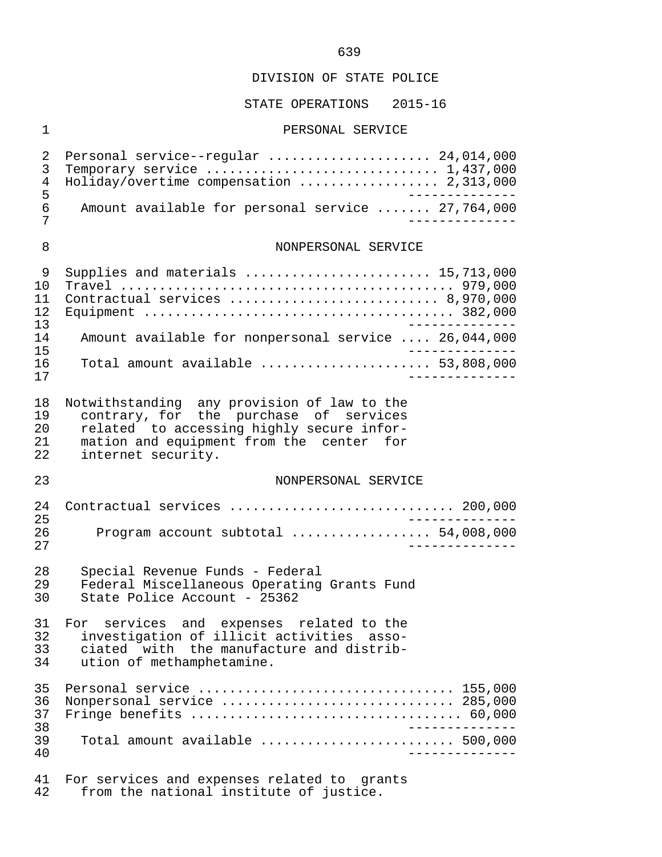#### STATE OPERATIONS 2015-16

#### 1 PERSONAL SERVICE

2 Personal service--regular ............................ 24,014,000<br>3 Temporary service 3 Temporary service .............................. 1,437,000 4 Holiday/overtime compensation .................. 2,313,000 5<br>6 Amount available for personal service ....... 27,764,000 6 Amount available for personal service ....... 27,764,000 7 -------------- 8 NONPERSONAL SERVICE 9 Supplies and materials ........................ 15,713,000 10 Travel ........................................... 979,000 11 Contractual services ........................... 8,970,000 12 Equipment ........................................ 382,000 --------------<br>14 Amount available for nonpersonal service ... 26.044.000 14 Amount available for nonpersonal service .... 26,044,000 15 -------------- 16 Total amount available ...................... 53,808,000 17 -------------- 18 Notwithstanding any provision of law to the 19 contrary, for the purchase of services 20 related to accessing highly secure infor- 21 mation and equipment from the center for<br>22 internet security. internet security. 23 NONPERSONAL SERVICE 24 Contractual services ............................. 200,000 25 -------------- 26 Program account subtotal .................. 54,008,000 27 -------------- 28 Special Revenue Funds - Federal 29 Federal Miscellaneous Operating Grants Fund<br>30 State Police Account - 25362 State Police Account - 25362 31 For services and expenses related to the<br>32 investigation of illicit activities asso- 32 investigation of illicit activities asso- 33 ciated with the manufacture and distrib-<br>34 ution of methamphetamine. ution of methamphetamine. 35 Personal service ................................. 155,000 36 Nonpersonal service .............................. 285,000 37 Fringe benefits ................................... 60,000 38<br>39 Total amount available 39 Total amount available ......................... 500,000 40 -------------- 41 For services and expenses related to grants<br>42 from the national institute of justice.

from the national institute of justice.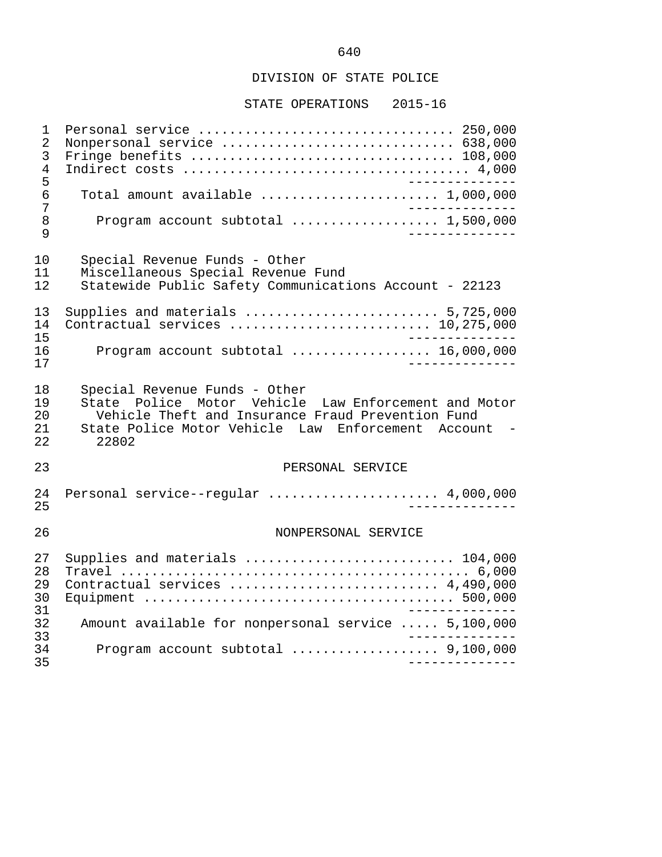STATE OPERATIONS 2015-16

 1 Personal service ................................. 250,000 2 Nonpersonal service .................................. 638,000<br>3 Fringe benefits ................................... 108,000 3 Fringe benefits .................................. 108,000 4 Indirect costs ..................................... 4,000 5 -------------- 6 Total amount available ....................... 1,000,000 7 -------------- 8 Program account subtotal ................... 1,500,000 9 -------------- 10 Special Revenue Funds - Other 11 Miscellaneous Special Revenue Fund Statewide Public Safety Communications Account - 22123 13 Supplies and materials ......................... 5,725,000 14 Contractual services .......................... 10,275,000 15 -------------- 16 Program account subtotal ..................... 16,000,000<br>17 17 -------------- 18 Special Revenue Funds - Other<br>19 State Police Motor Vehicle 19 State Police Motor Vehicle Law Enforcement and Motor<br>20 Staticle Theft and Insurance Fraud Prevention Fund 20 Vehicle Theft and Insurance Fraud Prevention Fund<br>21 State Police Motor Vehicle Law Enforcement Accour 21 State Police Motor Vehicle Law Enforcement Account -<br>22 22802 22 22802 23 PERSONAL SERVICE 24 Personal service--regular ...................... 4,000,000 25 -------------- 26 NONPERSONAL SERVICE 27 Supplies and materials ........................... 104,000 28 Travel ............................................. 6,000 29 Contractual services ........................... 4,490,000 30 Equipment ........................................ 500,000 31 -------------- 32 Amount available for nonpersonal service ..... 5,100,000 33 -------------- 34 Program account subtotal ................... 9,100,000 35 --------------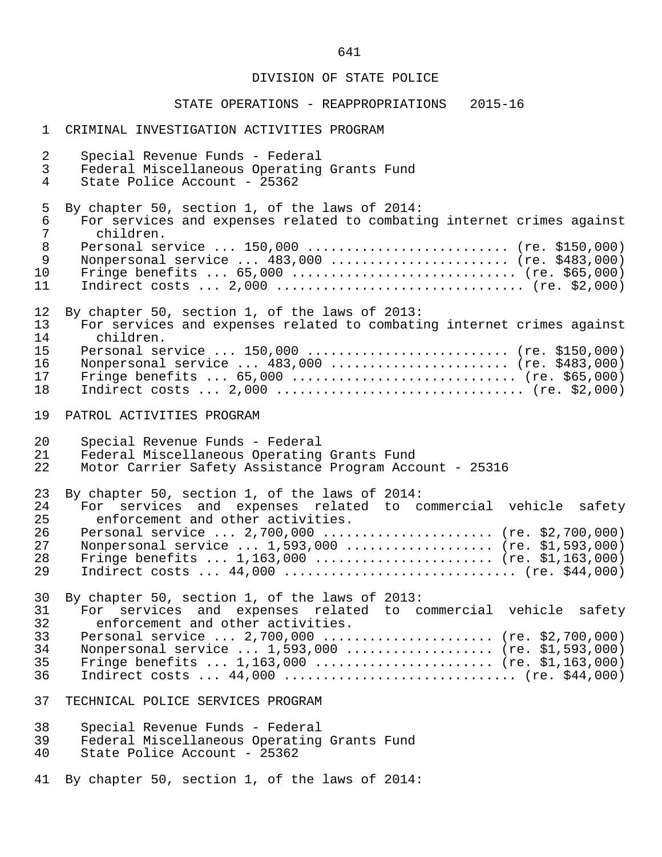| $\mathbf 1$    | CRIMINAL INVESTIGATION ACTIVITIES PROGRAM                              |
|----------------|------------------------------------------------------------------------|
| $\overline{2}$ | Special Revenue Funds - Federal                                        |
| 3              | Federal Miscellaneous Operating Grants Fund                            |
| 4              | State Police Account - 25362                                           |
| 5              | By chapter 50, section 1, of the laws of 2014:                         |
| 6              | For services and expenses related to combating internet crimes against |
| $\overline{7}$ | children.                                                              |
| $\,8\,$        | Personal service $150,000$ (re. \$150,000)                             |
| 9              | Nonpersonal service  483,000  (re. \$483,000)                          |
| 10             | Fringe benefits $65,000$ (re. \$65,000)                                |
| 11             |                                                                        |
| 12             | By chapter 50, section 1, of the laws of 2013:                         |
| 13             | For services and expenses related to combating internet crimes against |
| 14             | children.                                                              |
| 15             | Personal service  150,000  (re. \$150,000)                             |
| 16             | Nonpersonal service  483,000  (re. \$483,000)                          |
| 17             | Fringe benefits $65,000$ (re. \$65,000)                                |
| 18             |                                                                        |
| 19             | PATROL ACTIVITIES PROGRAM                                              |
| 20             | Special Revenue Funds - Federal                                        |
| 21             | Federal Miscellaneous Operating Grants Fund                            |
| 22             | Motor Carrier Safety Assistance Program Account - 25316                |
| 23             | By chapter 50, section 1, of the laws of 2014:                         |
| 24             | For services and expenses related to commercial vehicle safety         |
| 25             | enforcement and other activities.                                      |
| 26             | Personal service  2,700,000  (re. \$2,700,000)                         |
| 27             | Nonpersonal service  1,593,000  (re. \$1,593,000)                      |
| 28             | Fringe benefits $1,163,000$ (re. \$1,163,000)                          |
| 29             | Indirect costs $44,000$ (re. \$44,000)                                 |
| 30             | By chapter 50, section 1, of the laws of 2013:                         |
| 31             | For services and expenses related to commercial vehicle safety         |
| 32             | enforcement and other activities.                                      |
| 33             | Personal service $2,700,000$ (re. \$2,700,000)                         |
| 34             | Nonpersonal service  1,593,000  (re. \$1,593,000)                      |
| 35             | Fringe benefits $1,163,000$ (re. \$1,163,000)                          |
| 36             | Indirect costs $44,000$ (re. \$44,000)                                 |
| 37             | TECHNICAL POLICE SERVICES PROGRAM                                      |
| 38             | Special Revenue Funds - Federal                                        |
| 39             | Federal Miscellaneous Operating Grants Fund                            |
| 40             | State Police Account - 25362                                           |
| 41             | By chapter 50, section 1, of the laws of 2014:                         |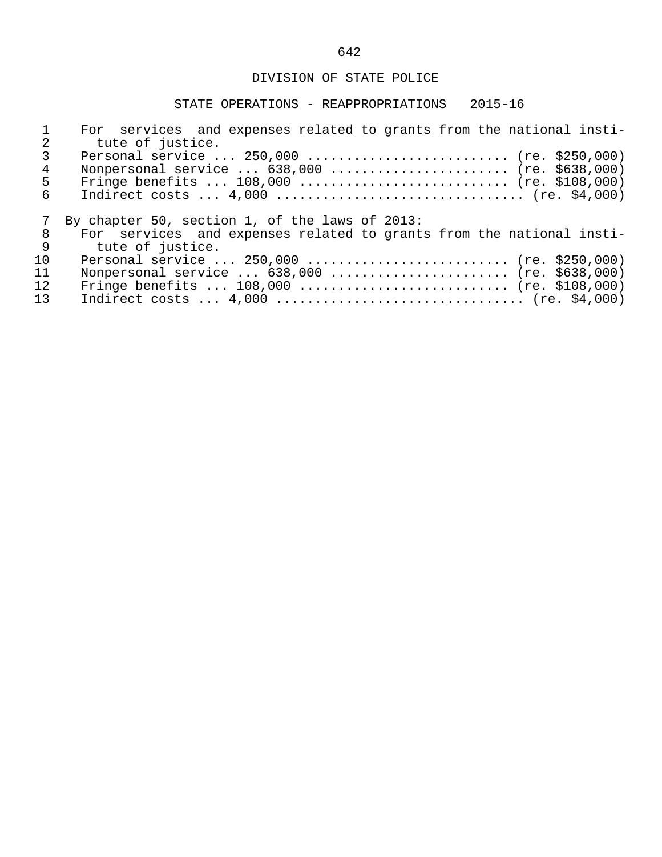|    | For services and expenses related to grants from the national insti-<br>tute of justice.    |
|----|---------------------------------------------------------------------------------------------|
| 4  | Personal service  250,000  (re. \$250,000)<br>Nonpersonal service $638,000$ (re. \$638,000) |
| 5  | Fringe benefits $108,000$ (re. \$108,000)                                                   |
| 6  |                                                                                             |
|    | By chapter 50, section 1, of the laws of 2013:                                              |
| 8  | For services and expenses related to grants from the national insti-                        |
| 9  | tute of justice.                                                                            |
| 10 | Personal service  250,000  (re. \$250,000)                                                  |
| 11 | Nonpersonal service  638,000  (re. \$638,000)                                               |
| 12 | Fringe benefits $108,000$ (re. \$108,000)                                                   |
| 13 |                                                                                             |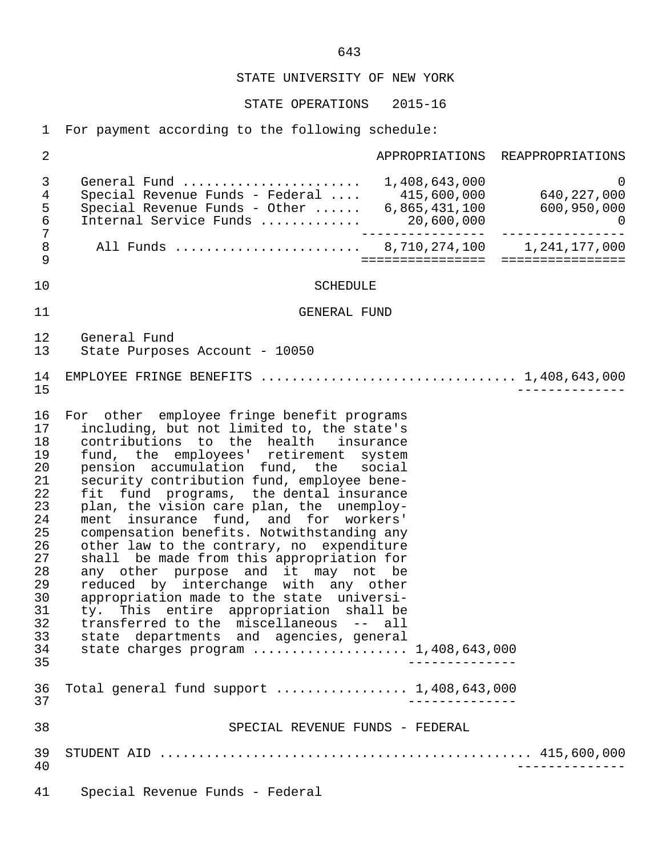STATE OPERATIONS 2015-16

1 For payment according to the following schedule:

| 2                                                                                                                    |                                                                                                                                                                                                                                                                                                                                                                                                                                                                                                                                                                                                                                                                                                                                                                                                                                                  |                           | APPROPRIATIONS REAPPROPRIATIONS                                                 |
|----------------------------------------------------------------------------------------------------------------------|--------------------------------------------------------------------------------------------------------------------------------------------------------------------------------------------------------------------------------------------------------------------------------------------------------------------------------------------------------------------------------------------------------------------------------------------------------------------------------------------------------------------------------------------------------------------------------------------------------------------------------------------------------------------------------------------------------------------------------------------------------------------------------------------------------------------------------------------------|---------------------------|---------------------------------------------------------------------------------|
| 3<br>4<br>5<br>$\epsilon$                                                                                            | General Fund  1,408,643,000<br>Internal Service Funds                                                                                                                                                                                                                                                                                                                                                                                                                                                                                                                                                                                                                                                                                                                                                                                            | __________________        | $\overline{0}$<br>20,600,000<br>-----------   ---------------<br>$\overline{0}$ |
| $\overline{7}$<br>$\,8\,$<br>9                                                                                       | All Funds  8,710,274,100 1,241,177,000                                                                                                                                                                                                                                                                                                                                                                                                                                                                                                                                                                                                                                                                                                                                                                                                           | ================          | ================                                                                |
| 10                                                                                                                   | <b>SCHEDULE</b>                                                                                                                                                                                                                                                                                                                                                                                                                                                                                                                                                                                                                                                                                                                                                                                                                                  |                           |                                                                                 |
| 11                                                                                                                   | GENERAL FUND                                                                                                                                                                                                                                                                                                                                                                                                                                                                                                                                                                                                                                                                                                                                                                                                                                     |                           |                                                                                 |
| 12<br>13                                                                                                             | General Fund<br>State Purposes Account - 10050                                                                                                                                                                                                                                                                                                                                                                                                                                                                                                                                                                                                                                                                                                                                                                                                   |                           |                                                                                 |
| 14<br>15                                                                                                             | EMPLOYEE FRINGE BENEFITS $\ldots \ldots \ldots \ldots \ldots \ldots \ldots \ldots \ldots \ldots \ldots 1,408,643,000$                                                                                                                                                                                                                                                                                                                                                                                                                                                                                                                                                                                                                                                                                                                            |                           |                                                                                 |
| 16<br>17<br>18<br>19<br>20<br>21<br>22<br>23<br>24<br>25<br>26<br>27<br>28<br>29<br>30<br>31<br>32<br>33<br>34<br>35 | For other employee fringe benefit programs<br>including, but not limited to, the state's<br>contributions to the health insurance<br>fund, the employees' retirement system<br>pension accumulation fund, the social<br>security contribution fund, employee bene-<br>fit fund programs, the dental insurance<br>plan, the vision care plan, the unemploy-<br>ment insurance fund, and for workers'<br>compensation benefits. Notwithstanding any<br>other law to the contrary, no expenditure<br>shall be made from this appropriation for<br>any other purpose and it may not be<br>reduced by interchange with any other<br>appropriation made to the state universi-<br>ty. This entire appropriation shall be<br>transferred to the miscellaneous -- all<br>state departments and agencies, general<br>state charges program  1,408,643,000 | . _ _ _ _ _ _ _ _ _ _ _   |                                                                                 |
| 36<br>37                                                                                                             | Total general fund support  1,408,643,000                                                                                                                                                                                                                                                                                                                                                                                                                                                                                                                                                                                                                                                                                                                                                                                                        | . _ _ _ _ _ _ _ _ _ _ _ _ |                                                                                 |
| 38                                                                                                                   | SPECIAL REVENUE FUNDS - FEDERAL                                                                                                                                                                                                                                                                                                                                                                                                                                                                                                                                                                                                                                                                                                                                                                                                                  |                           |                                                                                 |
| 39<br>40                                                                                                             |                                                                                                                                                                                                                                                                                                                                                                                                                                                                                                                                                                                                                                                                                                                                                                                                                                                  |                           | ____________.                                                                   |
| 41                                                                                                                   | Special Revenue Funds - Federal                                                                                                                                                                                                                                                                                                                                                                                                                                                                                                                                                                                                                                                                                                                                                                                                                  |                           |                                                                                 |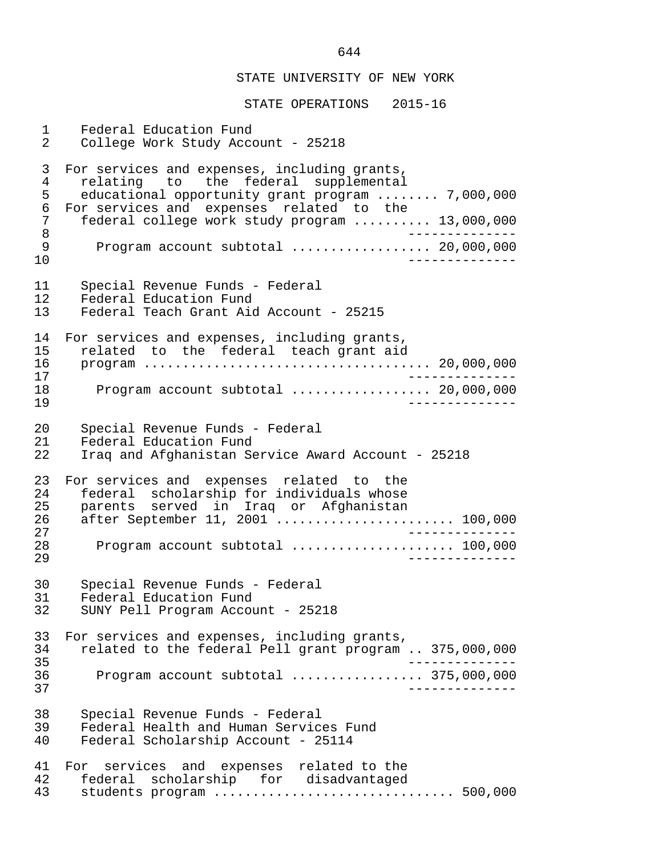STATE OPERATIONS 2015-16

1 Federal Education Fund<br>2 College Work Study Acco 2 College Work Study Account - 25218 3 For services and expenses, including grants, examplemental<br>4 relating to the federal supplemental<br>5 educational opportunity grant program.... 5 educational opportunity grant program ........ 7,000,000<br>6 For services and expenses related to the 6 For services and expenses related to the<br>7 federal college work study program 7 federal college work study program .......... 13,000,000<br>8 8 -------------- 9 Program account subtotal .................. 20,000,000 10 -------------- 11 Special Revenue Funds - Federal<br>12 Federal Education Fund 12 Federal Education Fund<br>13 Federal Teach Grant Aid Federal Teach Grant Aid Account - 25215 14 For services and expenses, including grants,<br>15 related to the federal teach grant aid 15 related to the federal teach grant aid<br>16 program ................................... 16 program ..................................... 20,000,000 17<br>18 - Program account subtotal expressions of 20,000,000 18 Program account subtotal .................. 20,000,000 19 -------------- 20 Special Revenue Funds - Federal<br>21 Federal Education Fund 21 Federal Education Fund<br>22 Trag and Afghanistan Se Iraq and Afghanistan Service Award Account - 25218 23 For services and expenses related to the<br>24 federal scholarship for individuals whose 24 federal scholarship for individuals whose<br>25 parents served in Irag or Afghanistan 25 parents served in Iraq or Afghanistan 26 after September 11, 2001 ....................... 100,000 27 -------------- 28 Program account subtotal ..................... 100,000 29 -------------- 30 Special Revenue Funds - Federal<br>31 Federal Education Fund 31 Federal Education Fund<br>32 SUNY Pell Program Accou 32 SUNY Pell Program Account - 25218 33 For services and expenses, including grants,<br>34 Trelated to the federal Pell grant program 34 related to the federal Pell grant program .. 375,000,000 35 -------------- 36 Program account subtotal ................. 375,000,000 37 -------------- 38 Special Revenue Funds - Federal 39 Federal Health and Human Services Fund<br>40 Federal Scholarship Account - 25114 Federal Scholarship Account - 25114 41 For services and expenses related to the<br>42 federal scholarship for disadvantaged 42 federal scholarship for disadvantaged<br>43 students program ......................... 43 students program ............................... 500,000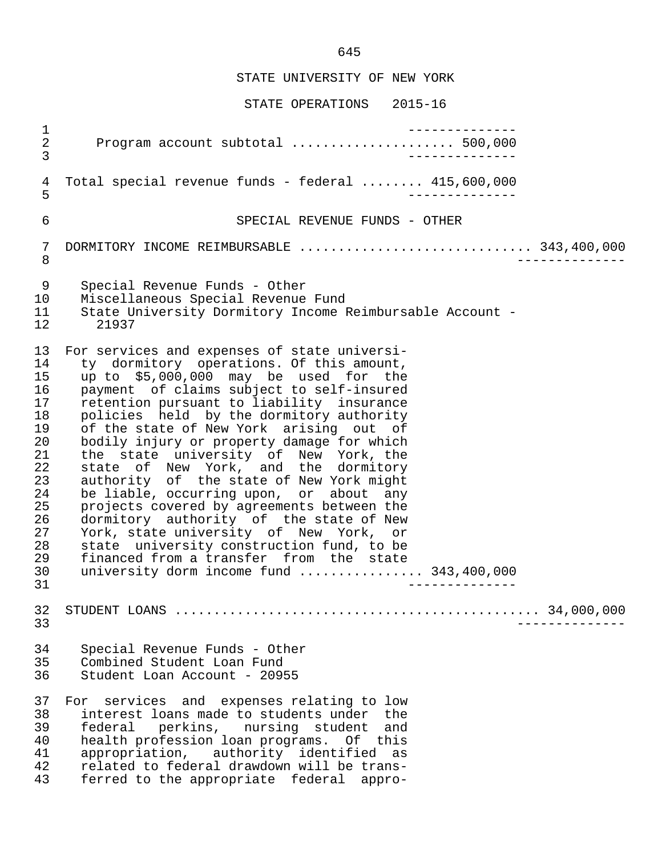STATE OPERATIONS 2015-16

 1 -------------- 2 Program account subtotal ..................... 500,000 3 -------------- 4 Total special revenue funds - federal ........ 415,600,000 5 -------------- 6 SPECIAL REVENUE FUNDS - OTHER 7 DORMITORY INCOME REIMBURSABLE ................................ 343,400,000 8 -------------- 9 Special Revenue Funds - Other 10 Miscellaneous Special Revenue Fund<br>11 State University Dormitory Income 1 11 State University Dormitory Income Reimbursable Account - 12 21937 13 For services and expenses of state universi-<br>14 ty dormitory operations. Of this amount, 14 ty dormitory operations. Of this amount,<br>15 up to \$5,000,000 may be used for the 11 by Sommacory<br>15 up to \$5,000,000 may be used for the<br>16 payment of claims subject to self-insured payment of claims subject to self-insured 17 retention pursuant to liability insurance<br>18 policies held by the dormitory authority 18 policies held by the dormitory authority<br>19 of the state of New York arising out of 19 of the state of New York arising out of<br>20 bodily injury or property damage for which 20 bodily injury or property damage for which<br>21 the state university of New York, the 21 the state university of New York, the 22 state of New York, and the dormitory 23 authority of the state of New York might<br>24 be liable, occurring upon, or about any 24 be liable, occurring upon, or about any<br>25 projects covered by agreements between the 25 projects covered by agreements between the<br>26 dormitory authority of the state of New 26 dormitory authority of the state of New<br>27 York, state university of New York, or York, state university of New York, or 28 state university construction fund, to be<br>29 financed from a transfer from the state 29 financed from a transfer from the state<br>30 university dorm income fund .............. 30 university dorm income fund ................ 343,400,000 31 -------------- 32 STUDENT LOANS ............................................... 34,000,000 33 -------------- 34 Special Revenue Funds - Other<br>35 Combined Student Loan Fund 35 Combined Student Loan Fund<br>36 Student Loan Account - 209! Student Loan Account - 20955 37 For services and expenses relating to low<br>38 interest loans made to students under the 38 interest loans made to students under the<br>39 federal perkins, nursing student and 39 federal perkins, nursing student and 40 health profession loan programs. Of this<br>41 appropriation, authority identified as 41 appropriation, authority identified as<br>42 related to federal drawdown will be trans-42 related to federal drawdown will be trans-<br>43 ferred to the appropriate federal approferred to the appropriate federal appro-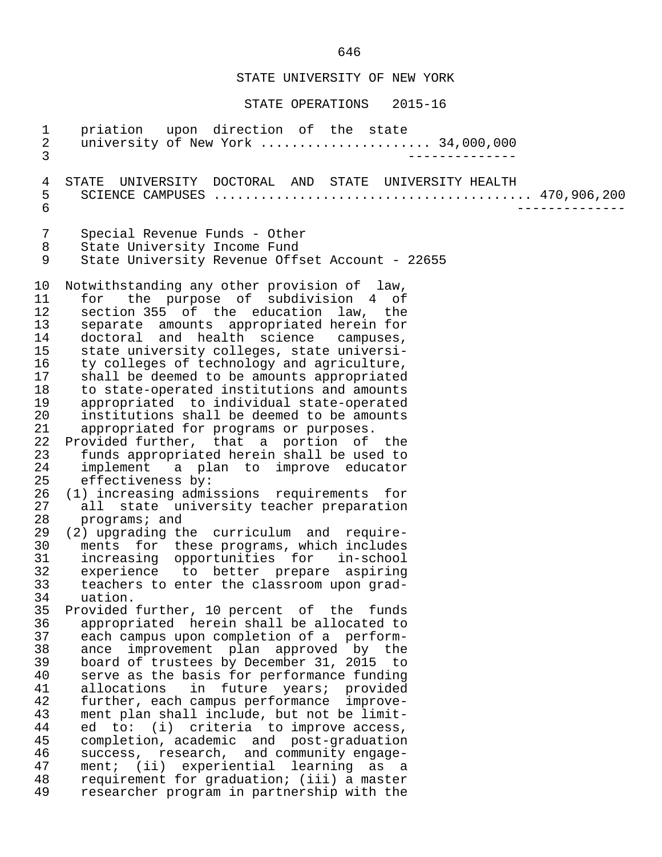#### STATE OPERATIONS 2015-16

1 priation upon direction of the state<br>2 university of New York ................... 2 university of New York ...................... 34,000,000 3 -------------- 4 STATE UNIVERSITY DOCTORAL AND STATE UNIVERSITY HEALTH 5 SCIENCE CAMPUSES ......................................... 470,906,200 6 -------------- 7 Special Revenue Funds - Other<br>8 State University Income Fund 8 State University Income Fund<br>9 State University Revenue Off State University Revenue Offset Account - 22655 10 Notwithstanding any other provision of law,<br>11 for the purpose of subdivision 4 of 11 for the purpose of subdivision 4 of<br>12 section 355 of the education law, the 12 section 355 of the education law, the<br>13 separate amounts appropriated herein for 13 separate amounts appropriated herein for 14 doctoral and health science campuses, 15 state university colleges, state universi-<br>16 ty colleges of technology and agriculture, 16 ty colleges of technology and agriculture,<br>17 shall be deemed to be amounts appropriated 17 shall be deemed to be amounts appropriated<br>18 to state-operated institutions and amounts 18 to state-operated institutions and amounts<br>19 appropriated to individual state-operated 19 appropriated to individual state-operated<br>20 institutions shall be deemed to be amounts 20 institutions shall be deemed to be amounts<br>21 appropriated for programs or purposes. 21 appropriated for programs or purposes.<br>22 Provided further, that a portion of 22 Provided further, that a portion of the<br>23 funds appropriated herein shall be used to 23 funds appropriated herein shall be used to<br>24 implement a plan to improve educator 24 implement a plan to improve educator<br>25 effectiveness by: 25 effectiveness by:<br>26 (1) increasing admi 26 (1) increasing admissions requirements for<br>27 all state university teacher preparation 27 all state university teacher preparation<br>28 programs; and 28 programs; and<br>29 (2) upgrading th 29 (2) upgrading the curriculum and require-<br>30 ments for these programs, which includes 30 ments for these-programs, which includes<br>31 increasing opportunities for in-school 31 increasing opportunities for in-school<br>32 experience to better prepare aspiring 32 experience to better prepare aspiring<br>33 teachers to enter the classroom upon grad- 33 teachers to enter the classroom upon grad- 34 uation.<br>35 Provided 35 Provided further, 10 percent of the funds<br>36 appropriated herein shall be allocated to 36 appropriated herein shall be allocated to 37 each campus upon completion of a perform-<br>38 ance improvement plan approved by the 38 ance improvement plan approved by the<br>39 board of trustees by December 31, 2015 to 39 board of trustees by December 31, 2015 to<br>40 serve as the basis for performance funding 40 serve as the basis for performance funding<br>41 allocations in future vears; provided 41 allocations in future years; provided<br>42 further, each-campus-performance improve-42 further, each campus performance improve-<br>43 ment plan shall include, but not be limit-43 ment plan shall include, but not be limit-<br>44 ed to: (i) criteria to improve access, 44 ed to: (i) criteria to improve access,<br>45 completion, academic and post-graduation 45 completion, academic and post-graduation<br>46 success, research, and community engage-46 success, research, and community engage-<br>47 ment; (ii) experiential learning as a 47 ment; (ii) experiential learning as a<br>48 requirement for graduation; (iii) a master 48 requirement for graduation; (iii) a master<br>49 researcher program in partnership with the researcher program in partnership with the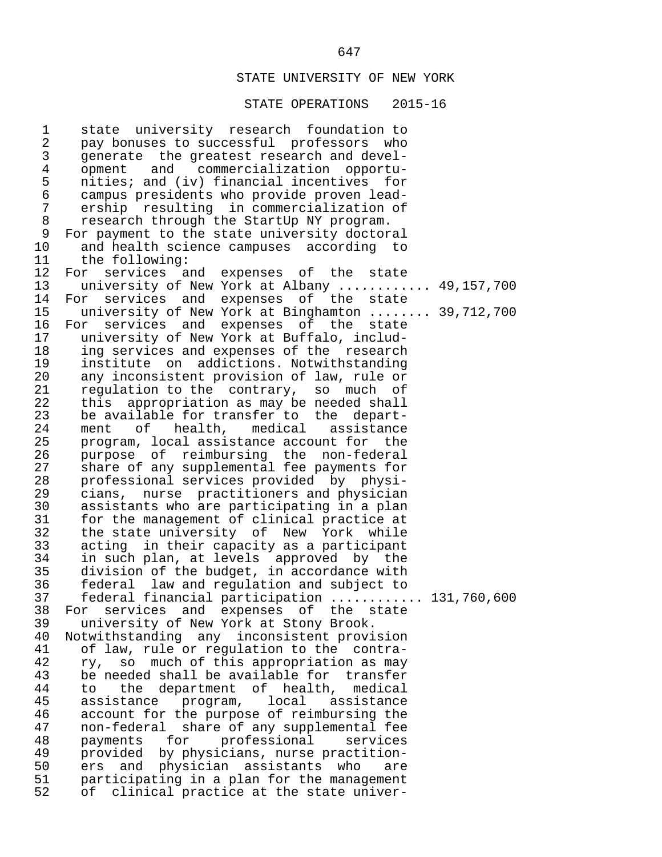#### STATE OPERATIONS 2015-16

1 state university research foundation to<br>2 pay bonuses to successful professors who 2 pay bonuses to successful professors who<br>3 qenerate the greatest research and devel-3 generate the greatest research and devel-<br>4 opment and commercialization opportu-4 opment and commercialization opportu-<br>5 nities; and (iv) financial incentives for 5 nities; and (iv) financial incentives for<br>6 campus presidents who provide proven lead- 6 campus presidents who provide proven lead- 7 ership resulting in commercialization of<br>8 research through the StartUp NY program. 8 research through the StartUp NY program.<br>9 For payment to the state university doctor 9 For payment to the state university doctoral<br>10 and health science campuses according to 10 and health science campuses according to<br>11 the following: 11 the following:<br>12 For services a 12 For services and expenses of the state<br>13 university of New York at Albany 13 university of New York at Albany ............ 49,157,700<br>14 For services and expenses of the state 14 For services and expenses of the state<br>15 university of New York at Binghamton ..... 15 university of New York at Binghamton ........ 39,712,700<br>16 For services and expenses of the state 16 For services and expenses of the state<br>17 university of New York at Buffalo, includ-17 university of New York at Buffalo, includ-<br>18 ing services and expenses of the research 18 ing services and expenses of the research<br>19 institute on addictions. Notwithstanding 19 institute on addictions. Notwithstanding<br>20 any inconsistent provision of law, rule or 20 any inconsistent provision of law, rule or<br>21 regulation to the contrary, so much of 21 regulation to the contrary, so much of<br>22 this appropriation as may be needed shall 22 this appropriation as may be needed shall<br>23 be available for transfer to the depart-23 be available for transfer to the depart-<br>24 ment of health, medical assistance 24 ment of health, medical assistance<br>25 program, local-assistance-account-for-the 25 program, local assistance account for the<br>26 purpose of reimbursing the non-federal 26 purpose of reimbursing the non-federal<br>27 share of any supplemental fee-payments for 27 share of any supplemental fee payments for<br>28 professional services provided by physi-28 professional services provided by physi-<br>29 cians, nurse practitioners and physician 29 cians, nurse practitioners and physician 30 assistants who are participating in a plan<br>31 for the management of clinical practice at 31 for the management of clinical practice at<br>32 the state university of New York while 32 the state university of New York while<br>33 acting in their capacity as a participant 33 acting in their capacity as a participant 34 in such plan, at levels approved by the<br>35 division of the budget, in accordance with 35 division of the budget, in accordance with<br>36 federal law and requlation and subject to 36 federal law and regulation and subject to 37 federal financial participation ............ 131,760,600<br>38 For services and expenses of the state 38 For services and expenses of the state<br>39 university of New York at Stony Brook. 39 university of New York at Stony Brook.<br>40 Notwithstanding any inconsistent provi 40 Notwithstanding any inconsistent provision<br>41 of law, rule or requlation to the contra-41 of law, rule or regulation to the contra-<br>42 rv, so much of this appropriation as may 42 ry, so much of this appropriation as may<br>43 be needed shall be available for transfer 43 be needed shall be available for transfer<br>44 to the department of health, medical 44 to the department of health, medical 45 assistance program,<br>46 account for the purpos 46 account for the purpose of reimbursing the<br>47 mon-federal share of any supplemental fee 47 non-federal share of any supplemental fee 48 payments for professional services<br>49 provided by-physicians, nurse-practition-49 provided by physicians, nurse practition-<br>50 ers and physician assistants who are 50 ers and physician assistants who are<br>51 participating in a plan for the management 51 participating in a plan for the management<br>52 of clinical practice at the state univerof clinical practice at the state univer-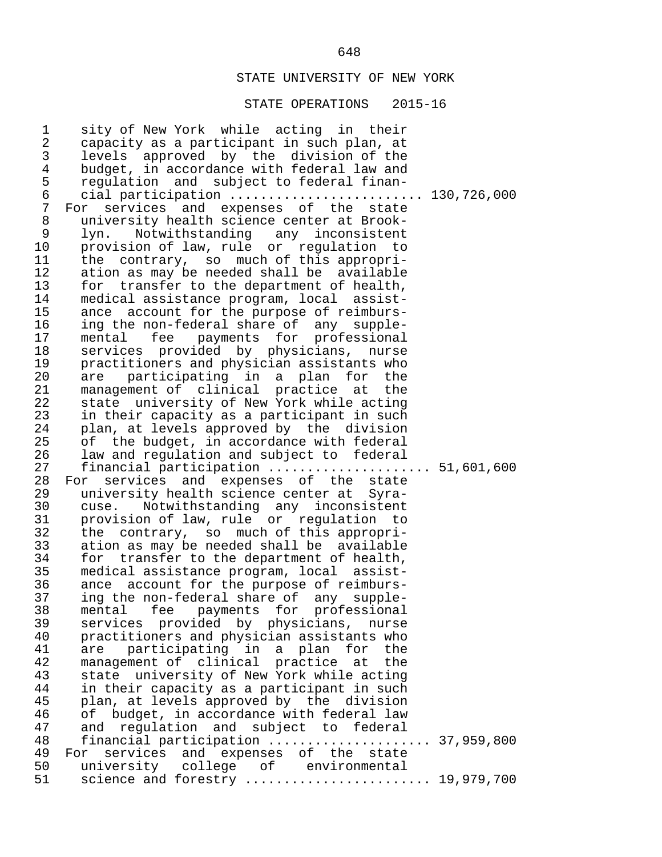| 1<br>$\sqrt{2}$ | sity of New York while acting in their<br>capacity as a participant in such plan, at |  |
|-----------------|--------------------------------------------------------------------------------------|--|
| $\mathsf{3}$    | levels approved by the division of the                                               |  |
| $\overline{4}$  | budget, in accordance with federal law and                                           |  |
| 5               | regulation and subject to federal finan-                                             |  |
| $\epsilon$      | cial participation  130,726,000                                                      |  |
| $\overline{7}$  | For services and expenses of the state                                               |  |
| 8               | university health science center at Brook-                                           |  |
| 9               | lyn. Notwithstanding any inconsistent                                                |  |
| 10              | provision of law, rule or regulation to                                              |  |
| 11              | the contrary, so much of this appropri-                                              |  |
| 12              | ation as may be needed shall be available                                            |  |
| 13              | for transfer to the department of health,                                            |  |
| 14              | medical assistance program, local assist-                                            |  |
| 15              | ance account for the purpose of reimburs-                                            |  |
| 16              | ing the non-federal share of any supple-<br>mental fee payments for professional     |  |
| 17<br>18        | services provided by physicians, nurse                                               |  |
| 19              | practitioners and physician assistants who                                           |  |
| 20              | are participating in a plan for the                                                  |  |
| 21              | management of clinical practice at the                                               |  |
| 22              | state university of New York while acting                                            |  |
| 23              | in their capacity as a participant in such                                           |  |
| 24              | plan, at levels approved by the division                                             |  |
| 25              | of the budget, in accordance with federal                                            |  |
| 26              | law and regulation and subject to federal                                            |  |
| 27              | financial participation  51,601,600                                                  |  |
| 28              | For services and expenses of the state                                               |  |
| 29              | university health science center at Syra-                                            |  |
| 30              | cuse. Notwithstanding any inconsistent                                               |  |
| 31              | provision of law, rule or regulation to                                              |  |
| 32              | the contrary, so much of this appropri-                                              |  |
| 33              | ation as may be needed shall be available                                            |  |
| 34              | for transfer to the department of health,                                            |  |
| 35              | medical assistance program, local assist-                                            |  |
| 36              | ance account for the purpose of reimburs-                                            |  |
| 37              | ing the non-federal share of any supple-                                             |  |
| 38              | mental fee payments for professional                                                 |  |
| 39<br>40        | services provided by physicians, nurse                                               |  |
| 41              | practitioners and physician assistants who<br>participating in a plan for the<br>are |  |
| 42              | management of clinical practice at the                                               |  |
| 43              | state university of New York while acting                                            |  |
| 44              | in their capacity as a participant in such                                           |  |
| 45              | plan, at levels approved by the division                                             |  |
| 46              | of budget, in accordance with federal law                                            |  |
| 47              | and regulation and subject to federal                                                |  |
| 48              | financial participation  37,959,800                                                  |  |
| 49              | For services and expenses of the state                                               |  |
| 50              | university college of environmental                                                  |  |
| 51              | science and forestry  19,979,700                                                     |  |
|                 |                                                                                      |  |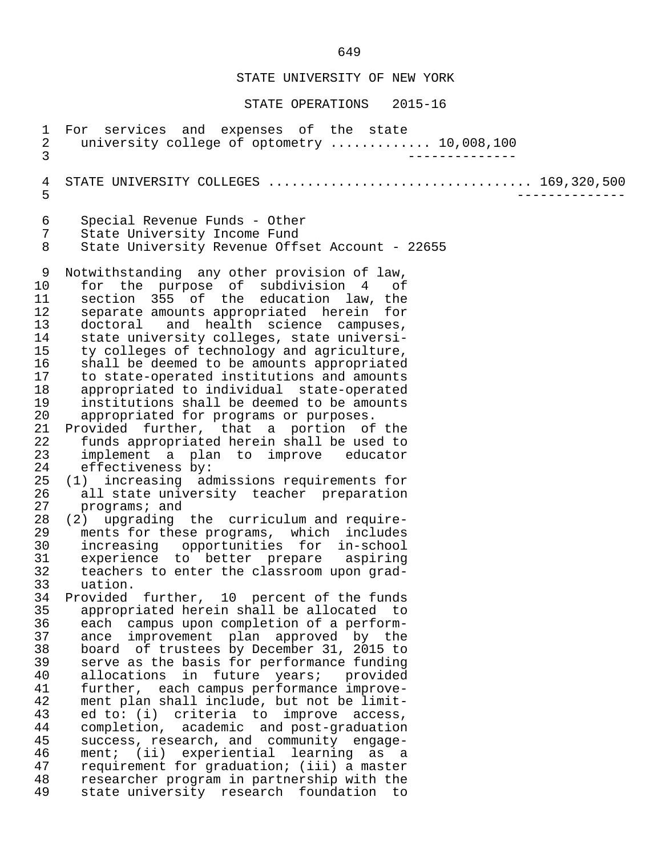STATE OPERATIONS 2015-16

1 For services and expenses of the state<br>2 university college of optometry ......... 2 university college of optometry .............. 10,008,100<br>3 3 -------------- 4 STATE UNIVERSITY COLLEGES .................................. 169,320,500 5 -------------- 6 Special Revenue Funds - Other 7 State University Income Fund<br>8 State University Revenue Offs 8 State University Revenue Offset Account - 22655 9 Notwithstanding any other provision of law,<br>10 for the purpose of subdivision 4 of 10 for the purpose of subdivision 4 of<br>11 section 355 of the education law, the 11 section 355 of the education law, the<br>12 separate amounts appropriated herein for 12 separate amounts appropriated herein for<br>13 doctoral and health science campuses. 13 doctoral and health science campuses,<br>14 state university colleges, state universi-14 state university colleges, state universi-<br>15 ty colleges of technology and agriculture, 15 ty colleges of technology and agriculture,<br>16 shall be deemed to be amounts appropriated 16 shall be deemed to be amounts appropriated<br>17 to state-operated institutions and amounts 17 to state-operated institutions and amounts<br>18 appropriated to individual state-operated 18 appropriated to individual state-operated<br>19 institutions shall be deemed to be amounts 19 institutions shall be deemed to be amounts<br>20 appropriated for programs or purposes. 20 appropriated for programs or purposes.<br>21 Provided further, that a portion of 21 Provided further, that a portion of the<br>22 funds appropriated herein shall be used to 22 funds appropriated herein shall be used to<br>23 implement a plan to improve educator 23 implement a plan to improve educator<br>24 effectiveness by: 24 effectiveness by:<br>25 (1) increasing ad 25 (1) increasing admissions requirements for<br>26 all state university teacher preparation 26 all state university teacher preparation<br>27 programs; and 27 programs; and<br>28 (2) upgrading 28 (2) upgrading the curriculum and require-<br>29 ments for these programs, which includes 29 ments for these programs, which includes<br>30 increasing opportunities for in-school 30 increasing opportunities for in-school 31 experience to better prepare aspiring<br>32 teachers to enter the classroom upon grad- 32 teachers to enter the classroom upon grad- 33 uation.<br>34 Provided 34 Provided further, 10 percent of the funds<br>35 appropriated herein shall be allocated to 35 appropriated herein shall be allocated to 36 each campus upon completion of a perform- 37 ance improvement plan approved by the<br>38 board of trustees by December 31, 2015 to 38 board of trustees by December 31, 2015 to<br>39 serve as the basis for performance funding 39 serve as the basis for performance funding<br>40 allocations in future vears; provided 40 allocations in future years; provided<br>41 further, each-campus-performance-improve- 41 further, each campus performance improve- 42 ment plan shall include, but not be limit-<br>43 ed to: (i) criteria to improve access. 43 ed to: (i) criteria to improve access,<br>44 completion, academic and post-graduation 44 completion, academic and post-graduation<br>45 success, research, and community engage-45 success, research, and community engage-<br>46 ment; (ii) experiential learning as a 46 ment; (ii) experiential learning as a<br>47 requirement for graduation; (iii) a master 47 requirement for graduation; (iii) a master 48 researcher program in partnership with the<br>49 state university research foundation to state university research foundation to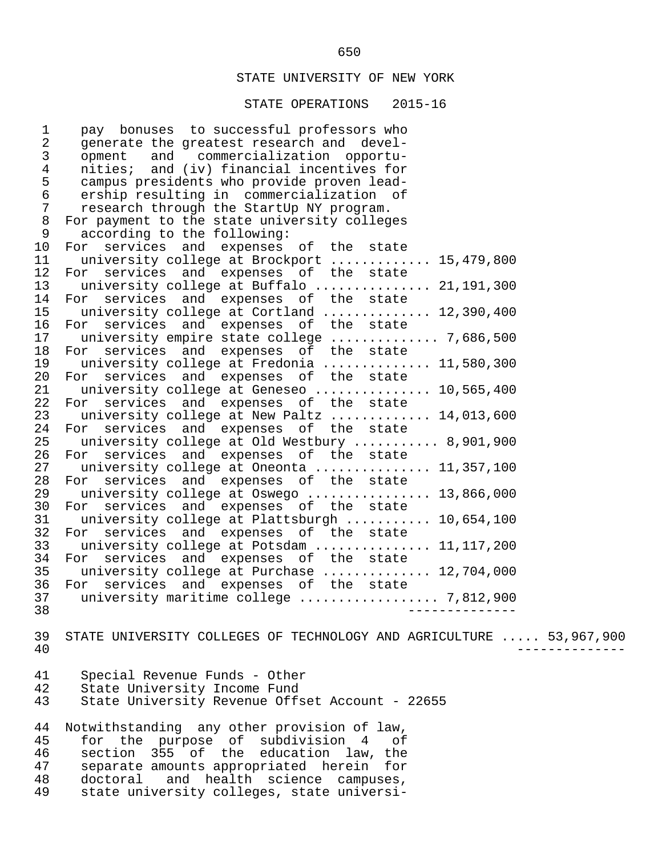#### STATE OPERATIONS 2015-16

1 pay bonuses to successful professors who<br>2 generate the greatest research and devel-2 generate the greatest research and devel-<br>3 opment and commercialization opportu-3 opment and commercialization opportu-<br>4 nities; and (iv) financial incentives for 4 nities; and (iv) financial incentives for<br>5 campus presidents who provide proven lead-5 campus presidents who provide proven lead-<br>6 ership resulting in commercialization of 6 ership resulting in commercialization of<br>7 research through the StartUp NY program. 7 research through the StartUp NY program.<br>8 For payment to the state university college 8 For payment to the state university colleges<br>9 according to the following: 9 according to the following:<br>10 For services and expenses 10 For services and expenses of the state<br>11 university college at Brockport .......... 11 university college at Brockport ............. 15,479,800<br>12 For services and expenses of the state 12 For services and expenses of the state<br>13 university college at Buffalo ............ 13 university college at Buffalo ............... 21,191,300<br>14 For services and expenses of the state 14 For services and expenses of the state<br>15 university college at Cortland ............ 15 university college at Cortland .............. 12,390,400<br>16 For services and expenses of the state 16 For services and expenses of the state<br>17 university-empire-state-college.......... 17 university empire state college ............... 7,686,500<br>18 For services and expenses of the state 18 For services and expenses of the state<br>19 university college at Fredonia ........... 19 university college at Fredonia ............... 11,580,300<br>20 For services and expenses of the state 20 For services and expenses of the state<br>21 university college at Geneseo 21 university college at Geneseo ............... 10,565,400<br>22 For services and expenses of the state 22 For services and expenses of the state<br>23 university college at New Paltz .......... 23 university college at New Paltz ............. 14,013,600<br>24 For services and expenses of the state 24 For services and expenses of the state<br>25 university college at Old Westbury ....... 25 university college at Old Westbury ........... 8,901,900<br>26 For services and expenses of the state 26 For services and expenses of the state<br>27 university college at Oneonta ............. 27 university college at Oneonta ................ 11,357,100<br>28 For services and expenses of the state 28 For services and expenses of the state<br>29 university college at Oswego .............. 29 university college at Oswego ................. 13,866,000<br>30 For services and expenses of the state 30 For services and expenses of the state<br>31 university college at Plattsburgh ........ 31 university college at Plattsburgh ........... 10,654,100<br>32 For services and expenses of the state 32 For services and expenses of the state<br>33 university college at Potsdam ............. 33 university college at Potsdam ................ 11,117,200<br>34 For services and expenses of the state 34 For services and expenses of the state<br>35 university college at Purchase ........... 35 university college at Purchase .............. 12,704,000<br>36 For services and expenses of the state 36 For services and expenses of the state<br>37 university maritime college ............... 37 university maritime college .................. 7,812,900 38 -------------- 39 STATE UNIVERSITY COLLEGES OF TECHNOLOGY AND AGRICULTURE ..... 53,967,900<br>40 40 -------------- 41 Special Revenue Funds - Other 42 State University Income Fund<br>43 State University Revenue Offs State University Revenue Offset Account - 22655 44 Notwithstanding any other provision of law,<br>45 for the purpose of subdivision 4 of 45 for the purpose of subdivision 4 of 46 section 355 of the education law, the<br>47 separate amounts appropriated herein for 47 separate amounts appropriated herein for<br>48 doctoral and health science campuses, 48 doctoral and health science campuses,<br>49 state university colleges, state universistate university colleges, state universi-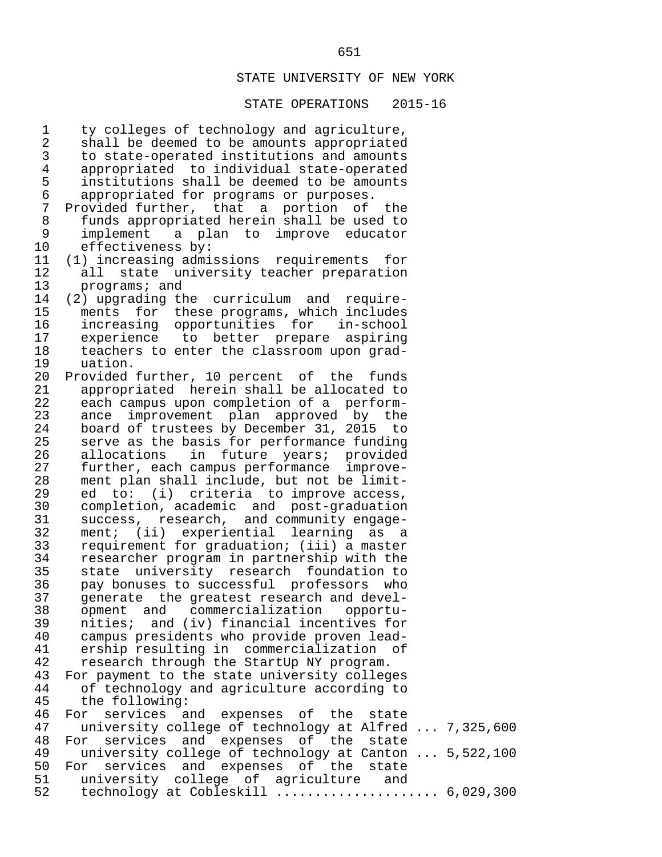#### STATE OPERATIONS 2015-16

1 ty colleges of technology and agriculture,<br>2 shall be deemed to be amounts appropriated 2 shall be deemed to be amounts appropriated<br>3 to state-operated institutions and amounts 3 to state-operated institutions and amounts<br>4 appropriated to individual state-operated 4 appropriated to individual state-operated<br>5 institutions shall be deemed to be amounts 5 institutions shall be deemed to be amounts<br>6 appropriated for programs or purposes. 6 appropriated for programs or purposes. 7 Provided further, that a portion of the 8 funds appropriated herein shall be used to 9 implement a plan to improve educator<br>10 effectiveness by: 10 effectiveness by:<br>11 (1) increasing admi 11 (1) increasing admissions requirements for 12 all state university teacher preparation<br>13 programs; and 13 programs; and<br>14 (2) upgrading th 14 (2) upgrading the curriculum and require-<br>15 ments for these programs, which includes 15 ments for these-programs, which includes<br>16 increasing opportunities for in-school 16 increasing opportunities for in-school<br>17 experience to better prepare aspiring 17 experience to better prepare aspiring<br>18 teachers to enter the classroom upon grad-18 teachers to enter the classroom upon grad-<br>19 uation. 19 uation.<br>20 Provided 20 Provided further, 10 percent of the funds<br>21 appropriated herein shall be allocated to 21 appropriated herein shall be allocated to<br>22 each campus upon completion of a perform-22 each campus upon completion of a perform-<br>23 ance improvement plan approved by the 23 ance improvement plan approved by the<br>24 board of trustees by December 31, 2015 to 24 board of trustees by December 31, 2015 to<br>25 serve as the basis for performance funding 25 serve as the basis for performance funding<br>26 allocations in future vears; provided 26 allocations in future years; provided<br>27 further, each-campus-performance improve-27 further, each campus performance improve-<br>28 ment plan shall include, but not be limit-28 ment plan shall include, but not be limit-<br>29 ed to: (i) criteria to improve access, 29 ed to: (i) criteria to improve access,<br>30 completion, academic and post-graduation 30 completion, academic and post-graduation<br>31 success, research, and community engage-31 success, research, and community engage-<br>32 ment; (ii) experiential learning as a 32 ment; (ii) experiential learning as a<br>33 requirement for graduation; (iii) a master 33 requirement for graduation; (iii) a master 34 researcher program in partnership with the<br>35 state university research foundation to 35 state university research foundation to<br>36 pay bonuses to successful professors who 36 pay bonuses to successful professors who<br>37 senerate the greatest research and devel-37 generate the greatest research and devel-<br>38 opment and commercialization opportu-38 opment and commercialization opportu-<br>39 nities; and (iv) financial incentives for 39 nities; and (iv) financial incentives for 40 campus presidents who provide proven lead-<br>41 ership resulting in commercialization of 41 ership resulting in commercialization of<br>42 research through the StartUp NY program. 42 research through the StartUp NY program.<br>43 For payment to the state university colleg 43 For payment to the state university colleges<br>44 of technology and agriculture according to 44 of technology and agriculture according to<br>45 the following: 45 the following:<br>46 For services a 46 For services and expenses of the state<br>47 university college of technology at Alfred 47 university college of technology at Alfred ... 7,325,600<br>48 For services and expenses of the state 48 For services and expenses of the state<br>49 university college of technology at Canton 49 university college of technology at Canton ... 5,522,100<br>50 For services and expenses of the state 50 For services and expenses of the state<br>51 university college of agriculture and 51 university college of agriculture and<br>52 technology at Cobleskill .................  $technology$  at  $Cobleskill$   $\dots\dots\dots\dots\dots\dots\dots$  6,029,300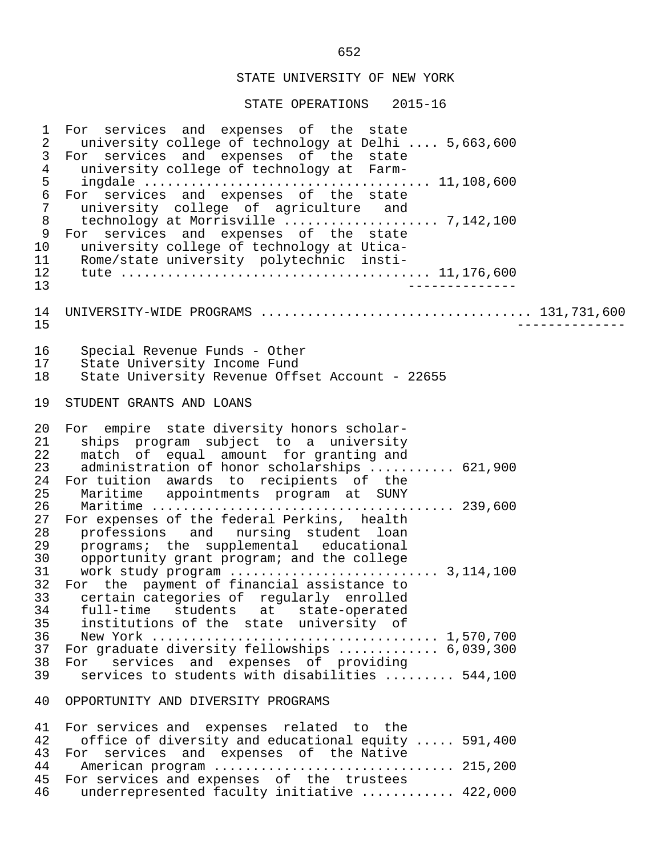| $\mathbf{1}$<br>$\sqrt{2}$<br>$\mathbf{3}$<br>$\,4$<br>5<br>$\epsilon$<br>$\sqrt{ }$<br>$\,8\,$<br>9<br>10<br>11<br>12<br>13 | For services and expenses of the state<br>university college of technology at Delhi  5,663,600<br>For services and expenses of the state<br>university college of technology at Farm-<br>For services and expenses of the state<br>university college of agriculture and<br>technology at Morrisville  7,142,100<br>For services and expenses of the state<br>university college of technology at Utica-<br>Rome/state university polytechnic insti-<br>______________                                                                                                                                                                                                                                                                                                          |
|------------------------------------------------------------------------------------------------------------------------------|---------------------------------------------------------------------------------------------------------------------------------------------------------------------------------------------------------------------------------------------------------------------------------------------------------------------------------------------------------------------------------------------------------------------------------------------------------------------------------------------------------------------------------------------------------------------------------------------------------------------------------------------------------------------------------------------------------------------------------------------------------------------------------|
| 14<br>15                                                                                                                     | UNIVERSITY-WIDE PROGRAMS  131,731,600                                                                                                                                                                                                                                                                                                                                                                                                                                                                                                                                                                                                                                                                                                                                           |
| 16<br>17<br>18                                                                                                               | Special Revenue Funds - Other<br>State University Income Fund<br>State University Revenue Offset Account - 22655                                                                                                                                                                                                                                                                                                                                                                                                                                                                                                                                                                                                                                                                |
| 19                                                                                                                           | STUDENT GRANTS AND LOANS                                                                                                                                                                                                                                                                                                                                                                                                                                                                                                                                                                                                                                                                                                                                                        |
| 20<br>21<br>22<br>23<br>24<br>25<br>26<br>27<br>28<br>29<br>30<br>31<br>32<br>33<br>34<br>35<br>36<br>37<br>38<br>39         | For empire state diversity honors scholar-<br>ships program subject to a university<br>match of equal amount for granting and<br>administration of honor scholarships  621,900<br>For tuition awards to recipients of the<br>Maritime appointments program at SUNY<br>For expenses of the federal Perkins, health<br>professions and nursing student loan<br>programs; the supplemental educational<br>opportunity grant program; and the college<br>For the payment of financial assistance to<br>certain categories of regularly enrolled<br>full-time students at state-operated<br>institutions of the state university of<br>For graduate diversity fellowships  6,039,300<br>services and expenses of providing<br>For<br>services to students with disabilities  544,100 |
| 40                                                                                                                           | OPPORTUNITY AND DIVERSITY PROGRAMS                                                                                                                                                                                                                                                                                                                                                                                                                                                                                                                                                                                                                                                                                                                                              |
| 41<br>42                                                                                                                     | For services and expenses related to the<br>office of diversity and educational equity  591,400                                                                                                                                                                                                                                                                                                                                                                                                                                                                                                                                                                                                                                                                                 |
| 43                                                                                                                           | For services and expenses of the Native                                                                                                                                                                                                                                                                                                                                                                                                                                                                                                                                                                                                                                                                                                                                         |
| 44                                                                                                                           |                                                                                                                                                                                                                                                                                                                                                                                                                                                                                                                                                                                                                                                                                                                                                                                 |
| 45                                                                                                                           | For services and expenses of the trustees                                                                                                                                                                                                                                                                                                                                                                                                                                                                                                                                                                                                                                                                                                                                       |
| 46                                                                                                                           | underrepresented faculty initiative  422,000                                                                                                                                                                                                                                                                                                                                                                                                                                                                                                                                                                                                                                                                                                                                    |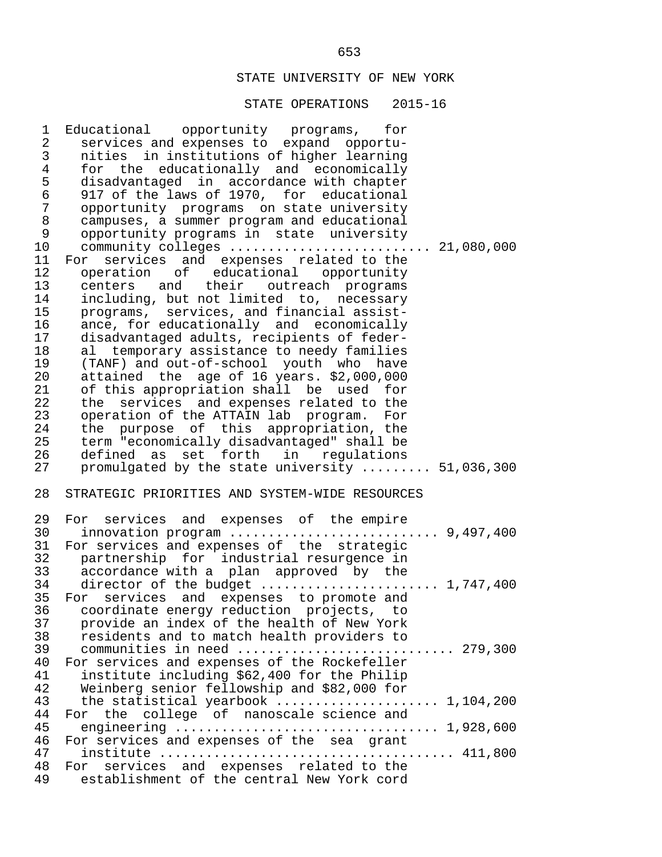| 1              | Educational opportunity programs, for                                                      |
|----------------|--------------------------------------------------------------------------------------------|
| $\overline{2}$ | services and expenses to expand opportu-                                                   |
| 3              | nities in institutions of higher learning                                                  |
| $\overline{4}$ | for the educationally and economically                                                     |
| 5              | disadvantaged in accordance with chapter                                                   |
| 6              | 917 of the laws of 1970, for educational                                                   |
| 7              | opportunity programs on state university                                                   |
| 8              | campuses, a summer program and educational                                                 |
| 9              | opportunity programs in state university                                                   |
| $10 \,$        | community colleges  21,080,000                                                             |
| 11             | For services and expenses related to the                                                   |
| 12             | operation of educational opportunity                                                       |
| 13             | centers and their outreach programs                                                        |
|                |                                                                                            |
| 14             | including, but not limited to, necessary                                                   |
| 15             | programs, services, and financial assist-                                                  |
| 16             | ance, for educationally and economically                                                   |
| 17             | disadvantaged adults, recipients of feder-                                                 |
| 18             | al temporary assistance to needy families                                                  |
| 19             | (TANF) and out-of-school youth who have                                                    |
| 20             | attained the age of 16 years. \$2,000,000                                                  |
| 21             | of this appropriation shall be used for                                                    |
| 22             | the services and expenses related to the                                                   |
| 23             | operation of the ATTAIN lab program. For                                                   |
| 24             | the purpose of this appropriation, the                                                     |
| 25             | term "economically disadvantaged" shall be                                                 |
| 26             | defined as set forth in regulations                                                        |
| 27             | promulgated by the state university  51,036,300                                            |
| 28             | STRATEGIC PRIORITIES AND SYSTEM-WIDE RESOURCES                                             |
|                |                                                                                            |
| 29             | For services and expenses of the empire                                                    |
| 30             | innovation program $\ldots \ldots \ldots \ldots \ldots \ldots \ldots \ldots$ 9,497,400     |
| 31             | For services and expenses of the strategic                                                 |
| 32             | partnership for industrial resurgence in                                                   |
|                | 33 accordance with a plan approved by the                                                  |
|                | 34 director of the budget  1,747,400                                                       |
|                | 35 For services and expenses to promote and                                                |
| 36             | coordinate energy reduction projects, to                                                   |
| 37             | provide an index of the health of New York                                                 |
| 38             | residents and to match health providers to                                                 |
| 39             | communities in need  279,300                                                               |
| 40             | For services and expenses of the Rockefeller                                               |
| 41             |                                                                                            |
| 42             | institute including \$62,400 for the Philip<br>Weinberg senior fellowship and \$82,000 for |
|                |                                                                                            |
| 43             | the statistical yearbook  1,104,200                                                        |
| 44<br>45       |                                                                                            |
|                | For the college of nanoscale science and                                                   |
|                |                                                                                            |
| 46             | For services and expenses of the sea grant                                                 |
| 47             |                                                                                            |
| 48<br>49       | services and expenses related to the<br>For<br>establishment of the central New York cord  |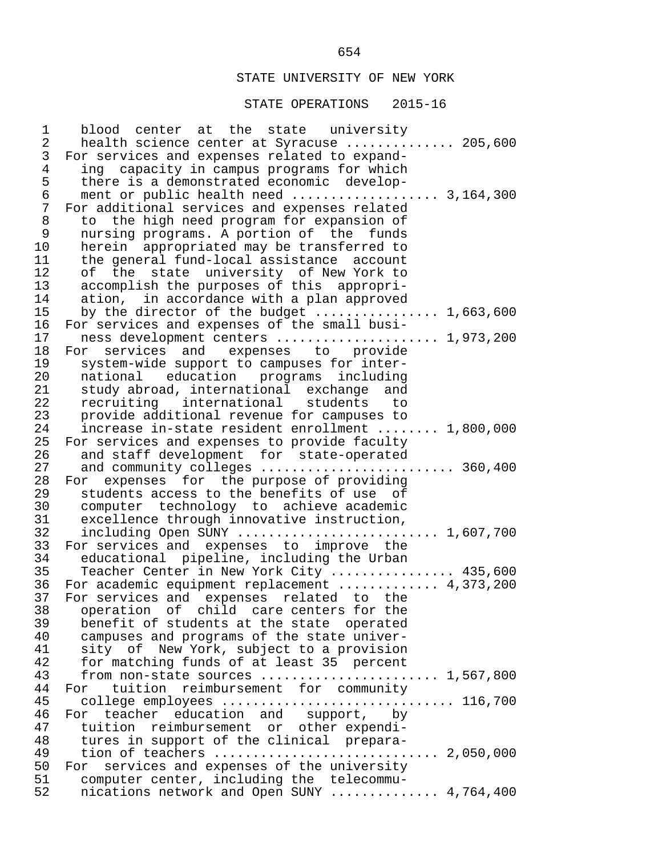#### STATE OPERATIONS 2015-16

1 blood center at the state university<br>2 health-science-center-at-Syracuse 2 health science center at Syracuse .............. 205,600<br>3 For services and expenses related to expand-3 For services and expenses related to expand-<br>4 ing capacity in campus programs for which 4 ing capacity in campus programs for which<br>5 there is a demonstrated economic develop- 5 there is a demonstrated economic develop- 6 ment or public health need ................... 3,164,300 7 For additional services and expenses related 8 to the high need program for expansion of 9 nursing programs. A portion of the funds<br>10 herein appropriated may be transferred to 10 herein appropriated may be transferred to<br>11 the general fund-local assistance account 11 the general fund-local assistance account 12 of the state university of New York to<br>13 accomplish the purposes of this appropri-13 accomplish the purposes of this appropri-<br>14 ation, in accordance with a plan approved 14 ation, in accordance with a plan approved<br>15 by the director of the budget 15 by the director of the budget ................. 1,663,600<br>16 For services and expenses of the small busi-16 For services and expenses of the small busi-<br>17 mess development centers ................ 17 ness development centers ....................... 1,973,200<br>18 For services and expenses to provide 18 For services and expenses to provide<br>19 system-wide-support-to-campuses-for-inter- 19 system-wide support to campuses for inter- 20 national education programs including 21 study abroad, international exchange and<br>22 recruiting international students to 22 recruiting international students to 23 provide additional revenue for campuses to<br>24 increase in-state resident enrollment .... 24 increase in-state resident enrollment ........ 1,800,000<br>25 For services and expenses to provide faculty 25 For services and expenses to provide faculty<br>26 and staff development for state-operated 26 and staff development for state-operated<br>27 and community colleges .................... 27 and community colleges ......................... 360,400 28 For expenses for the purpose of providing<br>29 students access to the benefits of use of 29 students access to the benefits of use of<br>30 computer technology to achieve academic 30 computer technology to achieve academic<br>31 excellence through innovative instruction, 31 excellence through innovative instruction,<br>32 including Open SUNY ....................... 32 including Open SUNY ............................... 1,607,700<br>33 For services and expenses to improve the 33 For services and expenses to improve the<br>34 educational pipeline, including the Urban 34 educational pipeline, including the Urban<br>35 Teacher Center in New York City 35 Teacher Center in New York City ................ 435,600<br>36 For academic equipment replacement ............ 4,373,200 36 For academic equipment replacement ............. 4,373,200<br>37 For services and expenses related to the 37 For services and expenses related to the<br>38 operation of child care-centers for the 38 operation of child care centers for the<br>39 benefit of students at the state operated 39 benefit of students at the state operated<br>40 campuses and programs of the state univer-40 campuses and programs of the state univer-<br>41 sity of New York, subject to a provision 41 sity of New York, subject to a provision<br>42 for matching funds of at least 35 percent 42 for matching funds of at least 35 percent<br>43 from non-state sources ................... from non-state sources  $\dots\dots\dots\dots\dots\dots\dots$ . 1,567,800 44 For tuition reimbursement for community<br>45 collegeemployees......................... 45 college employees .............................. 116,700 46 For teacher education and support, by<br>47 tuition reimbursement or otherexpendi-47 tuition reimbursement or other expendi-<br>48 tures in support of the clinical prepara- 48 tures in support of the clinical prepara- 49 tion of teachers ............................. 2,050,000 50 For services and expenses of the university<br>51 computer center, including the telecommu-51 computer center, including the telecommu-<br>52 nications network and Open SUNY ......... nications network and Open SUNY  $\ldots$ ........... 4,764,400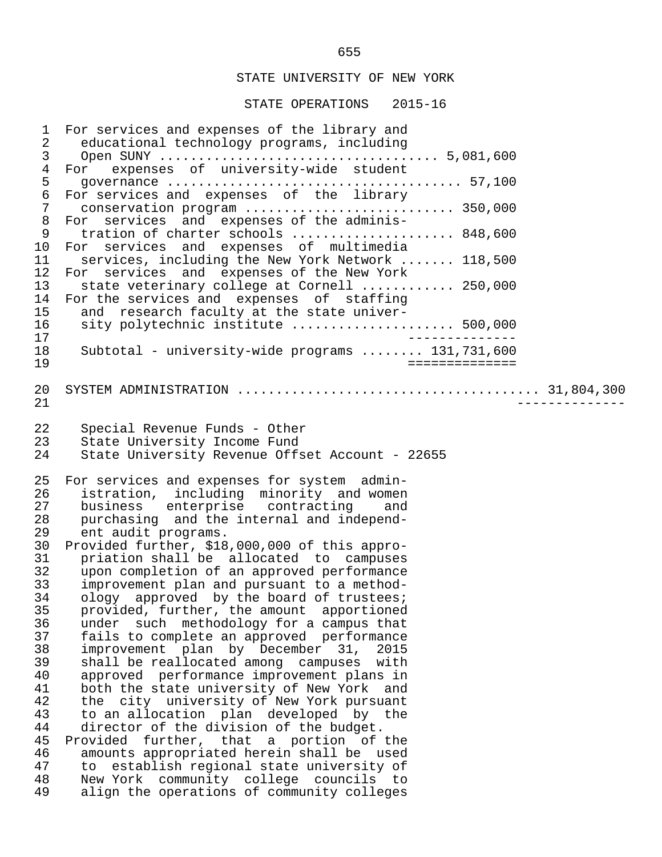| $\mathbf 1$<br>2<br>$\mathfrak{Z}$<br>$\overline{4}$<br>5<br>$\epsilon$<br>$\overline{7}$<br>8<br>9<br>10<br>11<br>12<br>13<br>14<br>15<br>16<br>17<br>18<br>19 | For services and expenses of the library and<br>educational technology programs, including<br>expenses of university-wide student<br>For<br>For services and expenses of the library<br>For services and expenses of the adminis-<br>tration of charter schools  848,600<br>For services and expenses of multimedia<br>services, including the New York Network  118,500<br>For services and expenses of the New York<br>state veterinary college at Cornell  250,000<br>For the services and expenses of staffing<br>and research faculty at the state univer-<br>sity polytechnic institute  500,000<br>___________<br>Subtotal - university-wide programs $131,731,600$<br>==============                                                                                                                                                                                                                                                                                                                                                                                                                                      |  |
|-----------------------------------------------------------------------------------------------------------------------------------------------------------------|-----------------------------------------------------------------------------------------------------------------------------------------------------------------------------------------------------------------------------------------------------------------------------------------------------------------------------------------------------------------------------------------------------------------------------------------------------------------------------------------------------------------------------------------------------------------------------------------------------------------------------------------------------------------------------------------------------------------------------------------------------------------------------------------------------------------------------------------------------------------------------------------------------------------------------------------------------------------------------------------------------------------------------------------------------------------------------------------------------------------------------------|--|
| 20<br>21                                                                                                                                                        |                                                                                                                                                                                                                                                                                                                                                                                                                                                                                                                                                                                                                                                                                                                                                                                                                                                                                                                                                                                                                                                                                                                                   |  |
| 22<br>23<br>24                                                                                                                                                  | Special Revenue Funds - Other<br>State University Income Fund<br>State University Revenue Offset Account - 22655                                                                                                                                                                                                                                                                                                                                                                                                                                                                                                                                                                                                                                                                                                                                                                                                                                                                                                                                                                                                                  |  |
| 25<br>26<br>27<br>28<br>29<br>30<br>31<br>32<br>33<br>34<br>35<br>36<br>37<br>38<br>39<br>40<br>41<br>42<br>43<br>44<br>45<br>46<br>47<br>48<br>49              | For services and expenses for system admin-<br>istration, including minority and women<br>business enterprise contracting<br>and<br>purchasing and the internal and independ-<br>ent audit programs.<br>Provided further, \$18,000,000 of this appro-<br>priation shall be allocated to campuses<br>upon completion of an approved performance<br>improvement plan and pursuant to a method-<br>ology approved by the board of trustees;<br>provided, further, the amount apportioned<br>under such methodology for a campus that<br>fails to complete an approved performance<br>improvement plan by December 31,<br>2015<br>shall be reallocated among campuses with<br>approved performance improvement plans in<br>both the state university of New York and<br>the city university of New York pursuant<br>to an allocation plan developed by the<br>director of the division of the budget.<br>Provided further, that a portion of the<br>amounts appropriated herein shall be used<br>establish regional state university of<br>to<br>New York community college councils to<br>align the operations of community colleges |  |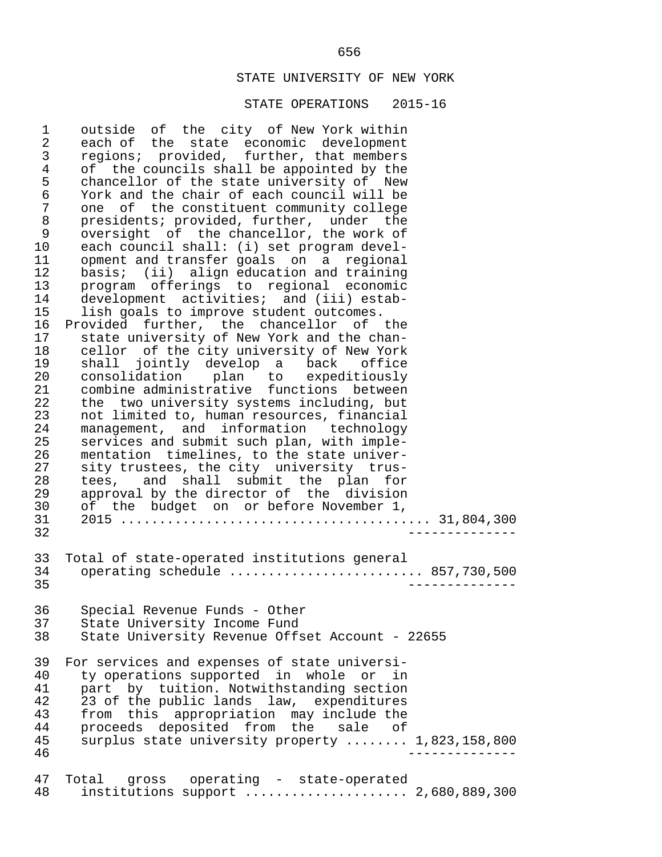#### STATE OPERATIONS 2015-16

1 outside of the city of New York within<br>2 each of the state economic development 2 each of the state economic development<br>3 regions; provided, further, that members 3 regions; provided, further, that members<br>4 of the councils shall be appointed by the 4 of the councils shall be appointed by the<br>5 chancellor of the state university of New 5 chancellor of the state university of New<br>6 York and the chair of each council will be 6 York and the chair of each council will be 7 one of the constituent community college<br>8 presidents; provided, further, under the 8 presidents; provided, further, under the<br>9 oversight of the chancellor, the work of 9 oversight of the chancellor, the work of<br>10 each council shall: (i) set program devel-10 each council shall: (i) set program devel-<br>11 opment and transfer goals on a regional 11 opment and transfer goals on a regional<br>12 basis; (ii) align education and training 12 basis; (ii) align education and training<br>13 program offerings to regional economic 13 program offerings to regional economic<br>14 development activities; and (iii) estab-14 development activities; and (iii) estab-<br>15 lish goals to improve student outcomes. 15 lish goals to improve student outcomes.<br>16 Provided further, the chancellor of 16 Provided further, the chancellor of the<br>17 state university of New York and the chan-17 state university of New York and the chan-<br>18 cellor of the city university of New York 18 cellor of the city university of New York<br>19 shall jointly develop a back office 19 shall jointly develop a back office 20 consolidation plan to expeditiously 21 combine administrative functions between<br>22 the two university systems including, but 22 the two university systems including, but<br>23 not limited to, human resources, financial 23 not limited to, human resources, financial<br>24 management, and information technology 24 management, and information technology<br>25 services and submit such plan, with imple-25 services and submit such plan, with imple-<br>26 mentation timelines, to the state univer-26 mentation timelines, to the state univer-<br>27 sity trustees, the city university trus-27 sity trustees, the city university trus-<br>28 tees, and shall submit the plan for 28 tees, and shall submit the plan for<br>29 approval by the director of the division 29 approval by the director of the division<br>30 of the budget on or before November 1, 30 of the budget on or before November 1, 31 2015 ........................................ 31,804,300 32 -------------- 33 Total of state-operated institutions general 34 operating schedule ............................. 857,730,500<br>-------------- 35 -------------- 36 Special Revenue Funds - Other 37 State University Income Fund<br>38 State University Revenue Offs State University Revenue Offset Account - 22655 39 For services and expenses of state universi-<br>40 ty operations supported in whole or in 40 ty operations supported in whole or in<br>41 part by tuition. Notwithstanding section 41 part by tuition. Notwithstanding section<br>42 23 of the public lands law, expenditures 42 23 of the public lands law, expenditures<br>43 from this appropriation may include the 43 from this appropriation may include the<br>44 proceeds deposited from the sale of 44 proceeds deposited from the sale of<br>45 surplus state university property ....... 45 surplus state university property ........ 1,823,158,800 46 -------------- 47 Total gross operating - state-operated<br>48 institutions support ..................... 48 institutions support ..................... 2,680,889,300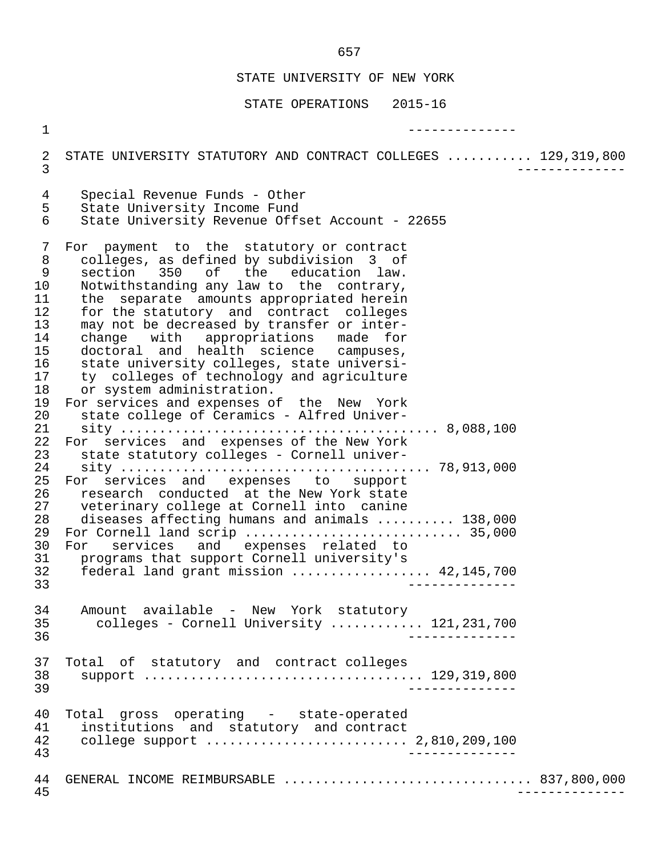STATE OPERATIONS 2015-16

 1 -------------- 2 STATE UNIVERSITY STATUTORY AND CONTRACT COLLEGES ........... 129,319,800 3 -------------- 4 Special Revenue Funds - Other<br>5 State University Income Fund 5 State University Income Fund<br>6 State University Revenue Off 6 State University Revenue Offset Account - 22655 7 For payment to the statutory or contract 8 colleges, as defined by subdivision 3 of<br>9 section 350 of the education law. 9 section 350 of the education law.<br>10 Notwithstanding any law-to-the-contrary. 10 Notwithstanding any law to the contrary,<br>11 the separate amounts appropriated herein 11 the separate amounts appropriated herein<br>12 for the statutory and contract colleges 12 for the statutory and contract colleges<br>13 may not be decreased by transfer or inter-13 may not be decreased by transfer or inter-<br>14 change with appropriations made for 14 change with appropriations made for<br>15 doctoral and health science campuses, 15 doctoral and health science campuses,<br>16 state university colleges, state universi-16 state university colleges, state universi-<br>17 ty colleges of technology and agriculture 17 ty colleges of technology and agriculture<br>18 or system administration. 18 or system administration.<br>19 For services and expenses of 19 For services and expenses of the New York<br>20 state college of Ceramics - Alfred Univer- 20 state college of Ceramics - Alfred Univer- 21 sity ......................................... 8,088,100 22 For services and expenses of the New York<br>23 state statutory colleges - Cornell univer- 23 state statutory colleges - Cornell univer- 24 sity ........................................ 78,913,000 25 For services and expenses to support<br>26 research conducted at the-New-York-state 26 research conducted at the New York state<br>27 veterinary college at Cornell into canine 27 veterinary college at Cornell into canine<br>28 diseases affecting humans and animals .... 28 diseases affecting humans and animals .......... 138,000<br>29 For Cornell land scrip ............................ 35.000 For Cornell land scrip .................................. 35,000 30 For services and expenses related to<br>31 programs that support-Cornell-university's 31 programs that support Cornell university's 32 federal land grant mission .................. 42,145,700 33 -------------- 34 Amount available - New York statutory 35 colleges - Cornell University ............ 121,231,700 36 -------------- 37 Total of statutory and contract colleges<br>38 Support ................................. 38 support .................................... 129,319,800 39 -------------- 40 Total gross operating - state-operated<br>41 institutions and statutory and contract 41 institutions and statutory and contract<br>42 college support 42 college support .......................... 2,810,209,100 43 -------------- 44 GENERAL INCOME REIMBURSABLE ................................ 837,800,000 45 --------------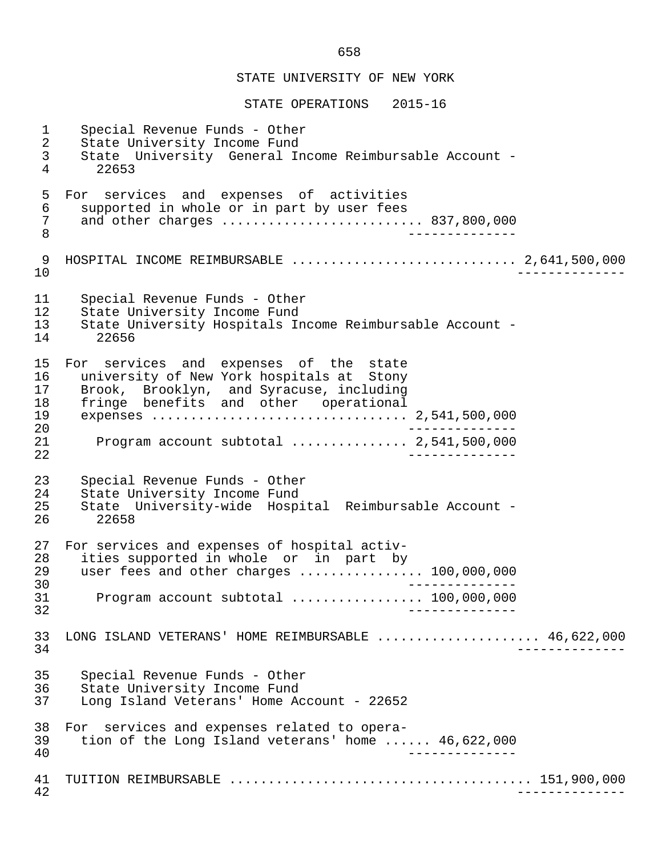STATE OPERATIONS 2015-16

 1 Special Revenue Funds - Other 2 State University Income Fund<br>3 State University General In 3 State University General Income Reimbursable Account - 22653 5 For services and expenses of activities<br>6 supported in whole or in part by user fees 6 supported in whole or in part by user fees 7 and other charges ................................ 837,800,000<br>8 8 -------------- 9 HOSPITAL INCOME REIMBURSABLE ............................. 2,641,500,000 10 -------------- 11 Special Revenue Funds - Other<br>12 State University Income Fund 12 State University Income Fund<br>13 State University Hospitals In 13 State University Hospitals Income Reimbursable Account -  $14$  22656 22656 15 For services and expenses of the state<br>16 university of New York hospitals at Stony 16 university of New York hospitals at Stony<br>17 Brook, Brooklyn, and Syracuse, including 17 Brook, Brooklyn, and Syracuse, including<br>18 fringe benefits and other operational 18 fringe benefits and other operational 19 expenses ................................. 2,541,500,000 20 -------------- 21 Program account subtotal ............... 2,541,500,000 22 -------------- 23 Special Revenue Funds - Other<br>24 State University Income Fund 24 State University Income Fund<br>25 State University-wide Hospi 25 State University-wide Hospital Reimbursable Account - 26 22658 27 For services and expenses of hospital activ-<br>28 ities supported in whole or in part by 28 ities supported in whole or in part by<br>29 user fees and other charges 29 user fees and other charges ................... 100,000,000<br>--------------30<br>31 - Program account subtotal expressions of the 000,000 31 Program account subtotal ................. 100,000,000 32 -------------- 33 LONG ISLAND VETERANS' HOME REIMBURSABLE ...................... 46,622,000<br>34 34 -------------- 35 Special Revenue Funds - Other 36 State University Income Fund<br>37 Long Island Veterans' Home A Long Island Veterans' Home Account - 22652 38 For services and expenses related to opera- 39 tion of the Long Island veterans' home ...... 46,622,000 40 -------------- 41 TUITION REIMBURSABLE ....................................... 151,900,000 42 --------------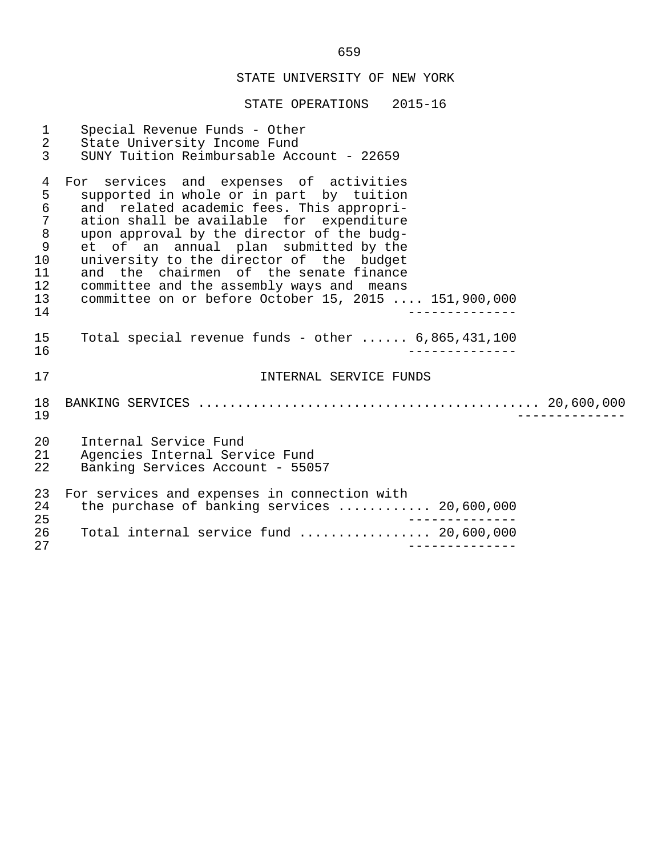| $\mathbf{1}$<br>$\overline{2}$<br>$\overline{3}$                                                        | Special Revenue Funds - Other<br>State University Income Fund<br>SUNY Tuition Reimbursable Account - 22659                                                                                                                                                                                                                                                                                                                                                     |
|---------------------------------------------------------------------------------------------------------|----------------------------------------------------------------------------------------------------------------------------------------------------------------------------------------------------------------------------------------------------------------------------------------------------------------------------------------------------------------------------------------------------------------------------------------------------------------|
| $\overline{4}$<br>5<br>$\epsilon$<br>$\sqrt{ }$<br>$\,8\,$<br>$\mathsf 9$<br>10<br>11<br>12<br>13<br>14 | For services and expenses of activities<br>supported in whole or in part by tuition<br>and related academic fees. This appropri-<br>ation shall be available for expenditure<br>upon approval by the director of the budg-<br>et of an annual plan submitted by the<br>university to the director of the budget<br>and the chairmen of the senate finance<br>committee and the assembly ways and means<br>committee on or before October 15, 2015  151,900,000 |
| 15<br>16                                                                                                | Total special revenue funds - other $6,865,431,100$                                                                                                                                                                                                                                                                                                                                                                                                            |
| 17                                                                                                      | INTERNAL SERVICE FUNDS                                                                                                                                                                                                                                                                                                                                                                                                                                         |
| 18<br>19                                                                                                |                                                                                                                                                                                                                                                                                                                                                                                                                                                                |
| 20<br>21<br>22                                                                                          | Internal Service Fund<br>Agencies Internal Service Fund<br>Banking Services Account - 55057                                                                                                                                                                                                                                                                                                                                                                    |
| 23<br>24<br>25                                                                                          | For services and expenses in connection with<br>the purchase of banking services  20,600,000                                                                                                                                                                                                                                                                                                                                                                   |
| 26<br>27                                                                                                | Total internal service fund  20,600,000                                                                                                                                                                                                                                                                                                                                                                                                                        |
|                                                                                                         |                                                                                                                                                                                                                                                                                                                                                                                                                                                                |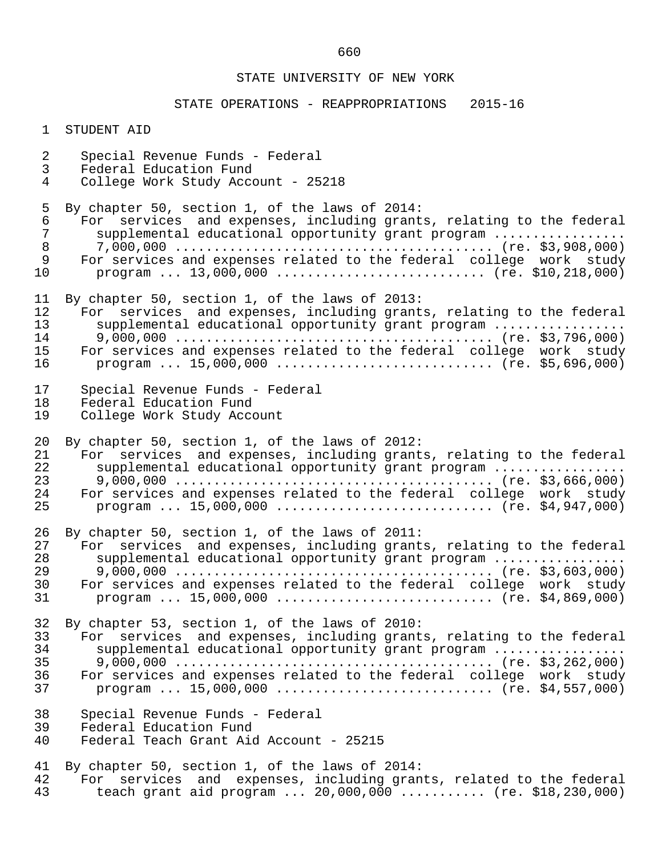# STATE OPERATIONS - REAPPROPRIATIONS 2015-16

| $\mathbf 1$                      | STUDENT AID                                                                                                                                                                                                                                                                                    |
|----------------------------------|------------------------------------------------------------------------------------------------------------------------------------------------------------------------------------------------------------------------------------------------------------------------------------------------|
| $\overline{a}$<br>3<br>4         | Special Revenue Funds - Federal<br>Federal Education Fund<br>College Work Study Account - 25218                                                                                                                                                                                                |
| 5<br>6<br>7<br>8<br>9<br>10      | By chapter 50, section 1, of the laws of 2014:<br>For services and expenses, including grants, relating to the federal<br>supplemental educational opportunity grant program<br>For services and expenses related to the federal college work study<br>program $13,000,000$ (re. \$10,218,000) |
| 11<br>12<br>13<br>14<br>15<br>16 | By chapter 50, section 1, of the laws of 2013:<br>For services and expenses, including grants, relating to the federal<br>supplemental educational opportunity grant program<br>For services and expenses related to the federal college work study<br>program $15,000,000$ (re. \$5,696,000)  |
| 17<br>18<br>19                   | Special Revenue Funds - Federal<br>Federal Education Fund<br>College Work Study Account                                                                                                                                                                                                        |
| 20<br>21<br>22<br>23<br>24<br>25 | By chapter 50, section 1, of the laws of 2012:<br>For services and expenses, including grants, relating to the federal<br>supplemental educational opportunity grant program<br>For services and expenses related to the federal college work study<br>program $15,000,000$ (re. \$4,947,000)  |
| 26<br>27<br>28<br>29<br>30<br>31 | By chapter 50, section 1, of the laws of 2011:<br>For services and expenses, including grants, relating to the federal<br>supplemental educational opportunity grant program<br>For services and expenses related to the federal college work study<br>program $15,000,000$ (re. \$4,869,000)  |
| 32<br>33<br>34<br>35<br>36<br>37 | By chapter 53, section 1, of the laws of 2010:<br>For services and expenses, including grants, relating to the federal<br>supplemental educational opportunity grant program<br>For services and expenses related to the federal college work study<br>program $15,000,000$ (re. \$4,557,000)  |
| 38<br>39<br>40                   | Special Revenue Funds - Federal<br>Federal Education Fund<br>Federal Teach Grant Aid Account - 25215                                                                                                                                                                                           |
| 41<br>42<br>43                   | By chapter 50, section 1, of the laws of 2014:<br>For services and expenses, including grants, related to the federal<br>teach grant aid program $20,000,000$ (re. \$18,230,000)                                                                                                               |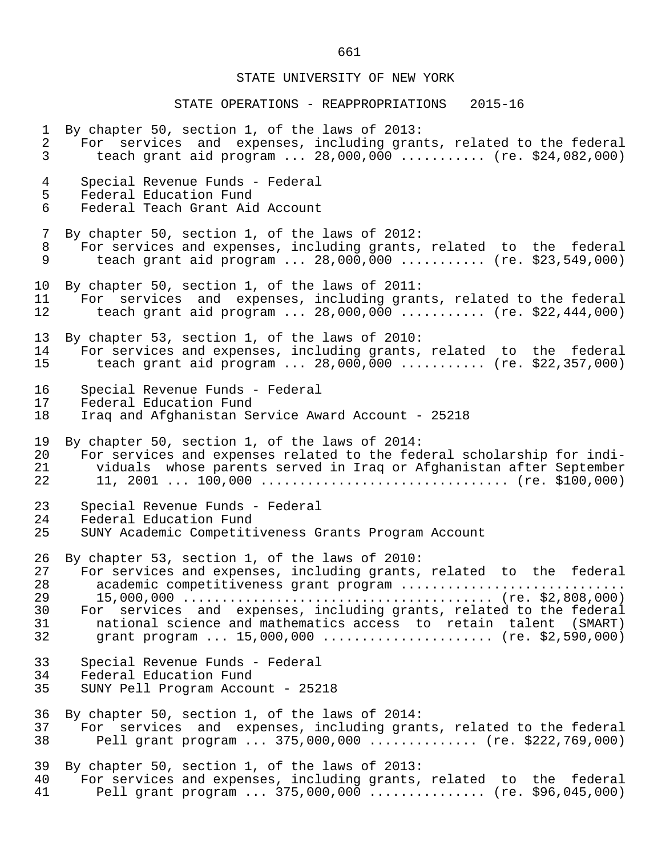#### STATE OPERATIONS - REAPPROPRIATIONS 2015-16

1 By chapter 50, section 1, of the laws of 2013:<br>2 For services and expenses, including gran 2 For services and expenses, including grants, related to the federal<br>3 teach grant aid program ... 28,000,000 ........... (re. \$24,082,000) teach grant aid program ...  $28,000,000$  ........... (re. \$24,082,000) 4 Special Revenue Funds - Federal 5 Federal Education Fund<br>6 Federal Teach Grant Aio Federal Teach Grant Aid Account 7 By chapter 50, section 1, of the laws of 2012: 8 For services and expenses, including grants, related to the federal<br>9 teach grant aid program ... 28.000.000 .......... (re. \$23.549.000) teach grant aid program ... 28,000,000 ........... (re. \$23,549,000) 10 By chapter 50, section 1, of the laws of 2011:<br>11 For services and expenses, including gran 11 For services and expenses, including grants, related to the federal<br>12 teach grant aid program ... 28.000.000 ........... (re. \$22.444.000) teach grant aid program ...  $28,000,000$  ........... (re. \$22,444,000) 13 By chapter 53, section 1, of the laws of 2010:<br>14 For services and expenses, including grants, 14 For services and expenses, including grants, related to the federal<br>15 teach grant aid program ... 28,000,000 ........... (re. \$22,357,000) teach grant aid program ...  $28,000,000$  ........... (re. \$22,357,000) 16 Special Revenue Funds - Federal 17 Federal Education Fund<br>18 Irag and Afghanistan Se Iraq and Afghanistan Service Award Account - 25218 19 By chapter 50, section 1, of the laws of 2014: 20 For services and expenses related to the federal scholarship for indi-<br>21 Siduals whose parents served in Irag or Afghanistan after September 21 viduals whose parents served in Iraq or Afghanistan after September 22 11, 2001 ... 100,000 ................................ (re. \$100,000) 23 Special Revenue Funds - Federal 24 Federal Education Fund<br>25 SUNY Academic Competit: SUNY Academic Competitiveness Grants Program Account 26 By chapter 53, section 1, of the laws of 2010:<br>27 For services and expenses, including grants, 27 For services and expenses, including grants, related to the federal<br>28 academic competitiveness grant program .............................. 28 academic competitiveness grant program ............................. 29 15,000,000 ........................................ (re. \$2,808,000) 30 For services and expenses, including grants, related to the federal<br>31 Thational science and mathematics access to retain talent (SMART) 31 national science and mathematics access to retain talent (SMART)<br>32 qrant program ... 15,000,000 ....................... (re. \$2,590,000) grant program ... 15,000,000 ........................ (re. \$2,590,000) 33 Special Revenue Funds - Federal<br>34 Federal Education Fund 34 Federal Education Fund 35 SUNY Pell Program Account - 25218 36 By chapter 50, section 1, of the laws of 2014:<br>37 For services and expenses, including gran 37 For services and expenses, including grants, related to the federal<br>38 Pell grant program ... 375,000,000 .............. (re. \$222,769,000) Pell grant program ... 375,000,000 .............. (re. \$222,769,000) 39 By chapter 50, section 1, of the laws of 2013:<br>40 For services and expenses, including grants, 40 For services and expenses, including grants, related to the federal<br>41 Pell grant program ... 375,000,000 ............... (re. \$96,045,000) Pell grant program ... 375,000,000 ............... (re. \$96,045,000)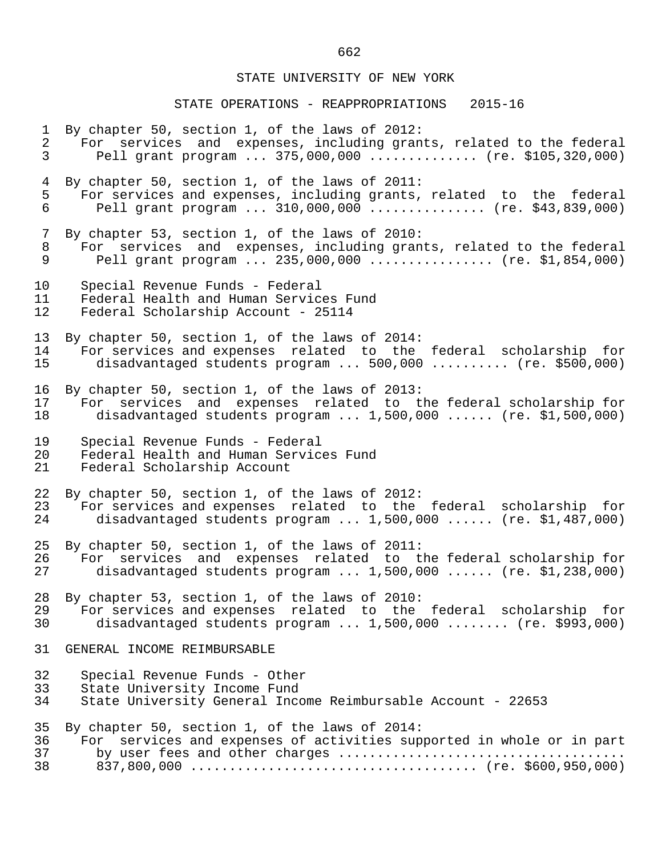# STATE OPERATIONS - REAPPROPRIATIONS 2015-16

| $\mathbf 1$    | By chapter 50, section 1, of the laws of 2012:                        |
|----------------|-----------------------------------------------------------------------|
| $\overline{a}$ | For services and expenses, including grants, related to the federal   |
| $\mathsf{3}$   | Pell grant program $375,000,000$ (re. \$105,320,000)                  |
| $\overline{4}$ | By chapter 50, section 1, of the laws of 2011:                        |
| 5              | For services and expenses, including grants, related to the federal   |
| 6              | Pell grant program  310,000,000  (re. \$43,839,000)                   |
| 7              | By chapter 53, section 1, of the laws of 2010:                        |
| 8              | For services and expenses, including grants, related to the federal   |
| 9              | Pell grant program  235,000,000  (re. \$1,854,000)                    |
| 10             | Special Revenue Funds - Federal                                       |
| 11             | Federal Health and Human Services Fund                                |
| 12             | Federal Scholarship Account - 25114                                   |
| 13             | By chapter 50, section 1, of the laws of 2014:                        |
| 14             | For services and expenses related to the federal scholarship for      |
| 15             | disadvantaged students program  500,000  (re. \$500,000)              |
| 16             | By chapter 50, section 1, of the laws of 2013:                        |
| 17             | For services and expenses related to the federal scholarship for      |
| 18             | disadvantaged students program $1,500,000$ (re. \$1,500,000)          |
| 19             | Special Revenue Funds - Federal                                       |
| 20             | Federal Health and Human Services Fund                                |
| 21             | Federal Scholarship Account                                           |
| 22             | By chapter 50, section 1, of the laws of 2012:                        |
| 23             | For services and expenses related to the federal scholarship for      |
| 24             | disadvantaged students program $1,500,000$ (re. \$1,487,000)          |
| 25             | By chapter 50, section 1, of the laws of 2011:                        |
| 26             | For services and expenses related to the federal scholarship for      |
| 27             | disadvantaged students program $1,500,000$ (re. \$1,238,000)          |
| 28             | By chapter 53, section 1, of the laws of 2010:                        |
| 29             | For services and expenses related to the federal scholarship for      |
| 30             | disadvantaged students program $1,500,000$ (re. \$993,000)            |
| 31             | GENERAL INCOME REIMBURSABLE                                           |
| 32             | Special Revenue Funds - Other                                         |
| 33             | State University Income Fund                                          |
| 34             | State University General Income Reimbursable Account - 22653          |
| 35             | By chapter 50, section 1, of the laws of 2014:                        |
| 36             | For services and expenses of activities supported in whole or in part |
| 37             | by user fees and other charges                                        |
| 38             |                                                                       |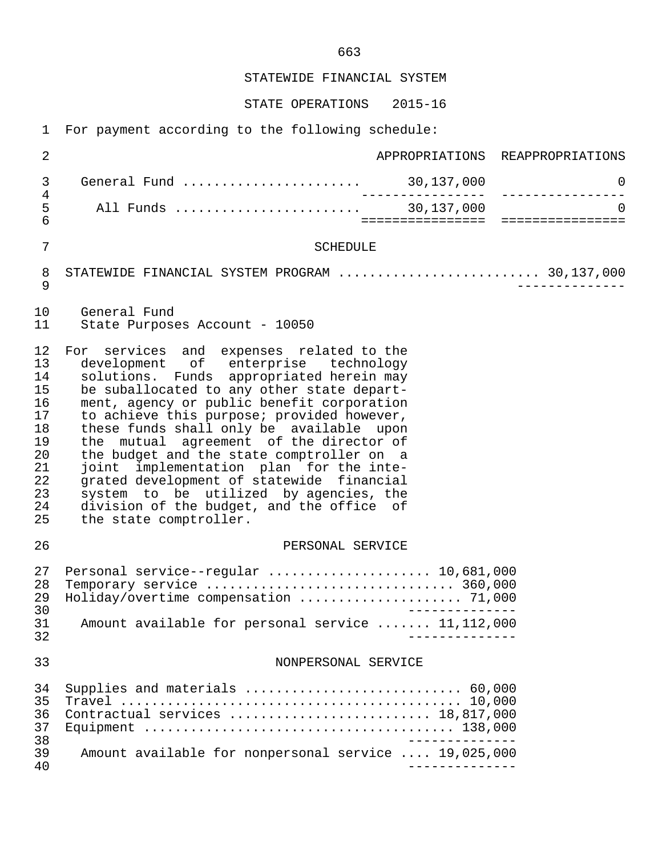STATEWIDE FINANCIAL SYSTEM

STATE OPERATIONS 2015-16

1 For payment according to the following schedule:

| 2                                                                                |                                                                                                                                                                                                                                                                                                                                                                                                                                                                                                                                                                                                                     |                                 | APPROPRIATIONS REAPPROPRIATIONS   |
|----------------------------------------------------------------------------------|---------------------------------------------------------------------------------------------------------------------------------------------------------------------------------------------------------------------------------------------------------------------------------------------------------------------------------------------------------------------------------------------------------------------------------------------------------------------------------------------------------------------------------------------------------------------------------------------------------------------|---------------------------------|-----------------------------------|
| 3                                                                                | General Fund                                                                                                                                                                                                                                                                                                                                                                                                                                                                                                                                                                                                        | . 30,137,000<br>--------------- | $\overline{0}$<br>--------------- |
| 4<br>5<br>6                                                                      |                                                                                                                                                                                                                                                                                                                                                                                                                                                                                                                                                                                                                     | ====================            | $\Omega$<br>================      |
| 7                                                                                | <b>SCHEDULE</b>                                                                                                                                                                                                                                                                                                                                                                                                                                                                                                                                                                                                     |                                 |                                   |
| 8<br>9                                                                           | STATEWIDE FINANCIAL SYSTEM PROGRAM  30,137,000                                                                                                                                                                                                                                                                                                                                                                                                                                                                                                                                                                      |                                 |                                   |
| 10<br>11                                                                         | General Fund<br>State Purposes Account - 10050                                                                                                                                                                                                                                                                                                                                                                                                                                                                                                                                                                      |                                 |                                   |
| 12<br>13<br>14<br>15<br>16<br>17<br>18<br>19<br>20<br>21<br>22<br>23<br>24<br>25 | For services and expenses related to the<br>development of enterprise technology<br>solutions. Funds appropriated herein may<br>be suballocated to any other state depart-<br>ment, agency or public benefit corporation<br>to achieve this purpose; provided however,<br>these funds shall only be available upon<br>the mutual agreement of the director of<br>the budget and the state comptroller on a<br>joint implementation plan for the inte-<br>grated development of statewide financial<br>system to be utilized by agencies, the<br>division of the budget, and the office of<br>the state comptroller. |                                 |                                   |
| 26                                                                               | PERSONAL SERVICE                                                                                                                                                                                                                                                                                                                                                                                                                                                                                                                                                                                                    |                                 |                                   |
| 27<br>28<br>29<br>30<br>31<br>32                                                 | Personal service--regular  10,681,000<br>Holiday/overtime compensation  71,000<br>Amount available for personal service  11,112,000                                                                                                                                                                                                                                                                                                                                                                                                                                                                                 |                                 |                                   |
| 33                                                                               | NONPERSONAL SERVICE                                                                                                                                                                                                                                                                                                                                                                                                                                                                                                                                                                                                 |                                 |                                   |
| 34<br>35<br>36<br>37<br>38                                                       | Contractual services  18,817,000                                                                                                                                                                                                                                                                                                                                                                                                                                                                                                                                                                                    |                                 |                                   |
| 39<br>40                                                                         | Amount available for nonpersonal service  19,025,000                                                                                                                                                                                                                                                                                                                                                                                                                                                                                                                                                                |                                 |                                   |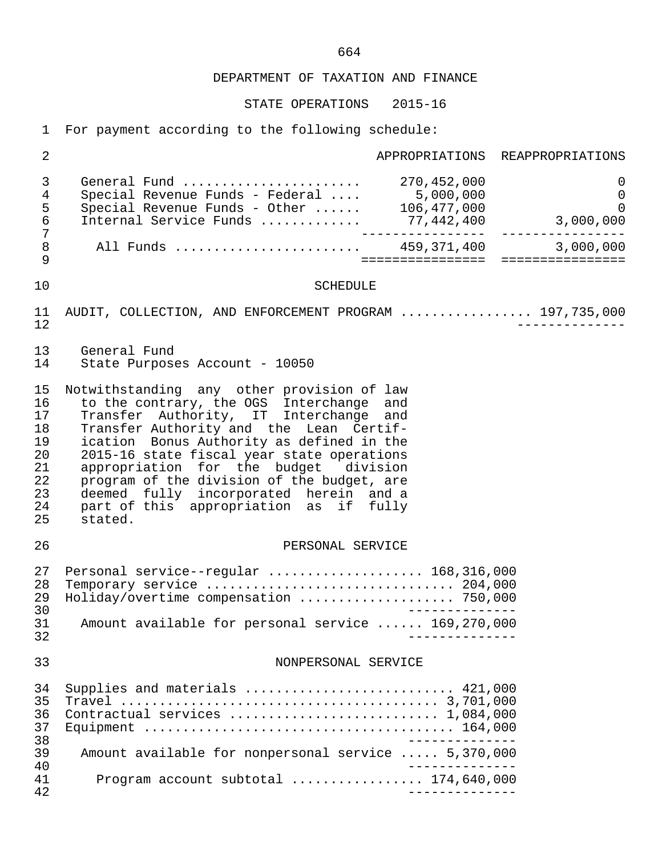STATE OPERATIONS 2015-16

1 For payment according to the following schedule:

| $\overline{2}$                                                 |                                                                                                                                                                                                                                                                                                                                                                                                                                                              |                           | APPROPRIATIONS REAPPROPRIATIONS               |
|----------------------------------------------------------------|--------------------------------------------------------------------------------------------------------------------------------------------------------------------------------------------------------------------------------------------------------------------------------------------------------------------------------------------------------------------------------------------------------------------------------------------------------------|---------------------------|-----------------------------------------------|
| $\mathfrak{Z}$<br>4<br>5<br>$\epsilon$<br>$\overline{7}$       | General Fund  270,452,000<br>Special Revenue Funds - Federal  5,000,000<br>Special Revenue Funds - Other  106,477,000                                                                                                                                                                                                                                                                                                                                        |                           | $\mathsf{O}$<br>$\mathbf 0$<br>$\overline{0}$ |
| $\,8\,$<br>9                                                   | All Funds  459,371,400 3,000,000                                                                                                                                                                                                                                                                                                                                                                                                                             |                           | ====================================          |
| 10                                                             | <b>SCHEDULE</b>                                                                                                                                                                                                                                                                                                                                                                                                                                              |                           |                                               |
| 11<br>12                                                       | AUDIT, COLLECTION, AND ENFORCEMENT PROGRAM  197,735,000                                                                                                                                                                                                                                                                                                                                                                                                      |                           |                                               |
| 13<br>14                                                       | General Fund<br>State Purposes Account - 10050                                                                                                                                                                                                                                                                                                                                                                                                               |                           |                                               |
| 15<br>16<br>17<br>18<br>19<br>20<br>21<br>22<br>23<br>24<br>25 | Notwithstanding any other provision of law<br>to the contrary, the OGS Interchange and<br>Transfer Authority, IT Interchange and<br>Transfer Authority and the Lean Certif-<br>ication Bonus Authority as defined in the<br>2015-16 state fiscal year state operations<br>appropriation for the budget division<br>program of the division of the budget, are<br>deemed fully incorporated herein and a<br>part of this appropriation as if fully<br>stated. |                           |                                               |
| 26                                                             | PERSONAL SERVICE                                                                                                                                                                                                                                                                                                                                                                                                                                             |                           |                                               |
| 27<br>28<br>29<br>30<br>31                                     | Personal service--regular  168,316,000<br>Holiday/overtime compensation  750,000<br>Amount available for personal service  169,270,000                                                                                                                                                                                                                                                                                                                       |                           |                                               |
| 32                                                             |                                                                                                                                                                                                                                                                                                                                                                                                                                                              |                           |                                               |
| 33                                                             | NONPERSONAL SERVICE                                                                                                                                                                                                                                                                                                                                                                                                                                          |                           |                                               |
| 34<br>35<br>36<br>37<br>38                                     | Supplies and materials  421,000                                                                                                                                                                                                                                                                                                                                                                                                                              |                           |                                               |
| 39<br>40                                                       | Amount available for nonpersonal service  5,370,000                                                                                                                                                                                                                                                                                                                                                                                                          |                           |                                               |
| 41<br>42                                                       | Program account subtotal  174,640,000                                                                                                                                                                                                                                                                                                                                                                                                                        | . _ _ _ _ _ _ _ _ _ _ _ _ |                                               |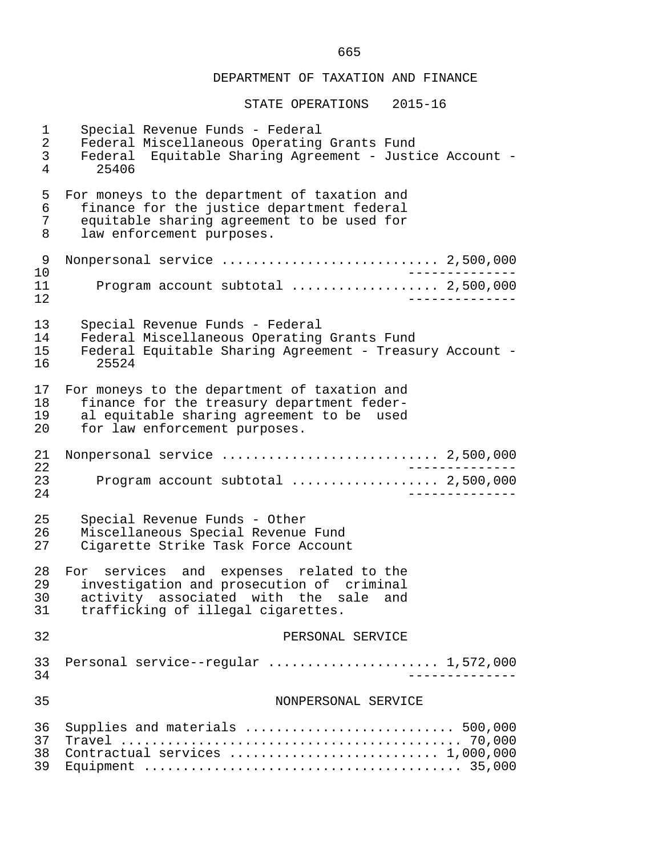| $\mathbf 1$    | Special Revenue Funds - Federal                          |
|----------------|----------------------------------------------------------|
| $\overline{2}$ | Federal Miscellaneous Operating Grants Fund              |
| 3              | Federal Equitable Sharing Agreement - Justice Account -  |
| 4              | 25406                                                    |
| 5              | For moneys to the department of taxation and             |
| 6              | finance for the justice department federal               |
| 7              | equitable sharing agreement to be used for               |
| 8              | law enforcement purposes.                                |
| 9              | Nonpersonal service  2,500,000                           |
| 10<br>11<br>12 | Program account subtotal $\ldots$ 2,500,000              |
| 13             | Special Revenue Funds - Federal                          |
| 14             | Federal Miscellaneous Operating Grants Fund              |
| 15             | Federal Equitable Sharing Agreement - Treasury Account - |
| 16             | 25524                                                    |
| 17             | For moneys to the department of taxation and             |
| 18             | finance for the treasury department feder-               |
| 19             | al equitable sharing agreement to be used                |
| 20             | for law enforcement purposes.                            |
| 21<br>22       | Nonpersonal service  2,500,000                           |
| 23<br>24       | Program account subtotal  2,500,000                      |
| 25             | Special Revenue Funds - Other                            |
| 26             | Miscellaneous Special Revenue Fund                       |
| 27             | Cigarette Strike Task Force Account                      |
| 28             | For services and expenses related to the                 |
| 29             | investigation and prosecution of criminal                |
| 30             | activity associated with the sale and                    |
| 31             | trafficking of illegal cigarettes.                       |
| 32             | PERSONAL SERVICE                                         |
| 33             | Personal service--regular $1,572,000$                    |
| 34             | _____________                                            |
| 35             | NONPERSONAL SERVICE                                      |
| 36             | Supplies and materials  500,000                          |
| 37             |                                                          |
| 38             | Contractual services  1,000,000                          |
| 39             |                                                          |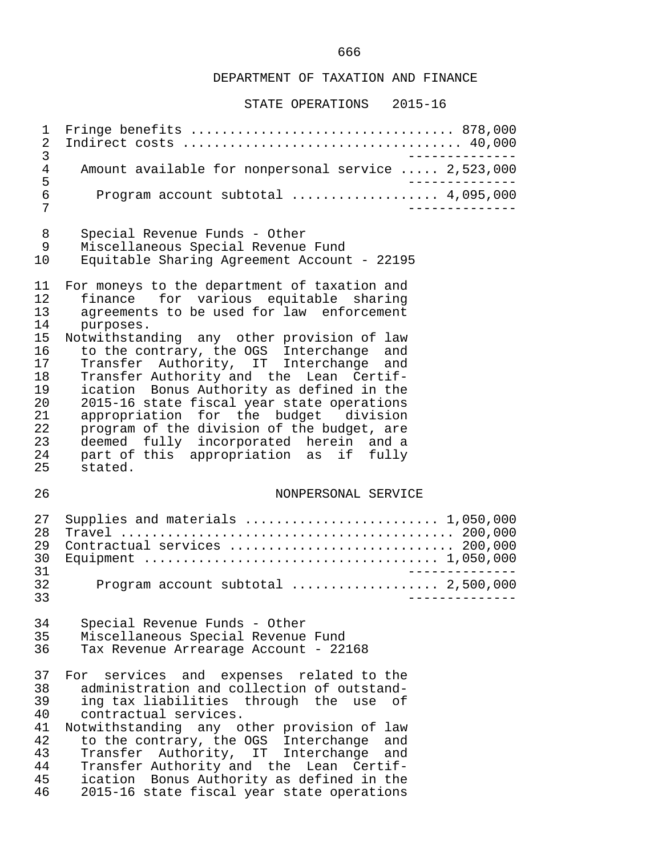#### STATE OPERATIONS 2015-16

 1 Fringe benefits .................................. 878,000 2 Indirect costs .................................... 40,000 3<br>Amount available for nonpersonal service ..... 2.523.000 4 Amount available for nonpersonal service ..... 2,523,000<br>5 5<br>6 Program account subtotal .................... 4.095.000 6 Program account subtotal ................... 4,095,000 7 -------------- 8 Special Revenue Funds - Other<br>9 Miscellaneous Special Revenue 9 Miscellaneous Special Revenue Fund 10 Equitable Sharing Agreement Account - 22195 11 For moneys to the department of taxation and<br>12 finance for various equitable sharing 12 finance for various equitable sharing<br>13 agreements to be used for law enforcement 13 agreements to be used for law enforcement<br>14 purposes. 14 purposes.<br>15 Notwithstan 15 Notwithstanding any other provision of law<br>16 to the contrary, the OGS Interchange and 16 to the contrary, the OGS Interchange and<br>17 Transfer Authority, IT Interchange and 17 Transfer Authority, IT Interchange and<br>18 Transfer-Authority-and the Lean Certif-18 Transfer Authority and the Lean Certif-<br>19 ication Bonus Authority as defined in the ication Bonus Authority as defined in the 20 2015-16 state fiscal year state operations<br>21 appropriation for the budget division 21 appropriation for the budget division<br>22 program of the division of the budget, are 22 program of the division of the budget, are<br>23 deemed fully incorporated herein and a 23 deemed fully incorporated herein and a<br>24 part of this appropriation as if fully 24 part of this appropriation as if fully<br>25 stated. stated. 26 NONPERSONAL SERVICE 27 Supplies and materials ......................... 1,050,000 28 Travel ........................................... 200,000 29 Contractual services ............................. 200,000 30 Equipment ...................................... 1,050,000 31 -------------- 32 Program account subtotal ................... 2,500,000 33 -------------- 34 Special Revenue Funds - Other 35 Miscellaneous Special Revenue Fund Tax Revenue Arrearage Account - 22168 37 For services and expenses related to the 38 administration and collection of outstand- 39 ing tax liabilities through the use of<br>40 contractual services. 40 contractual services.<br>41 Notwithstanding any o 41 Notwithstanding any other provision of law<br>42 to the contrary, the OGS Interchange and 42 to the contrary, the OGS Interchange and<br>43 Transfer Authority, IT Interchange and 43 Transfer Authority, IT Interchange and<br>44 Transfer\_Authority\_and\_the\_Lean\_Certif-44 Transfer Authority and the Lean Certif-<br>45 ication Bonus Authority as defined in the 45 ication Bonus Authority as defined in the<br>46 2015-16 state fiscal year state operations 46 2015-16 state fiscal year state operations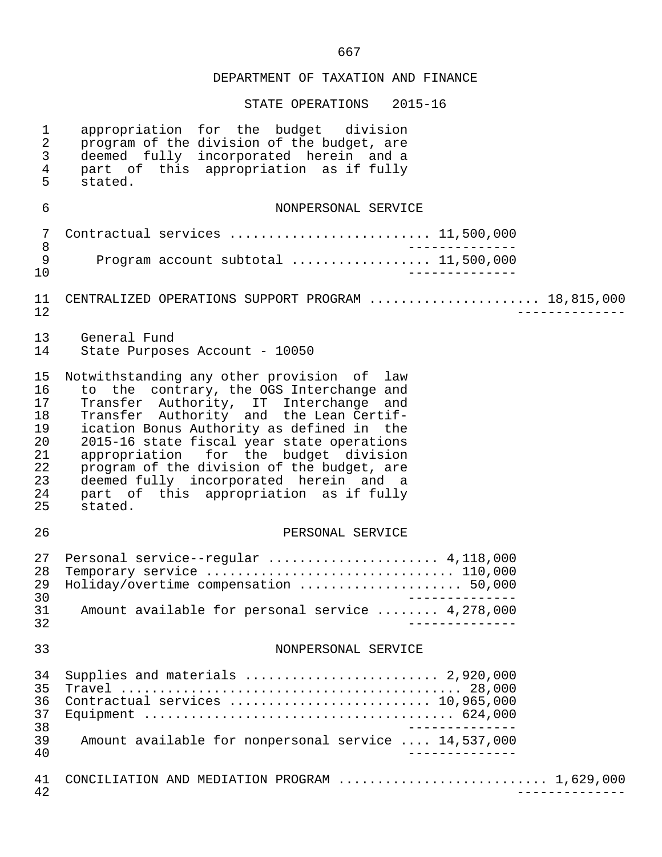| $\mathbf 1$<br>2<br>$\mathfrak{Z}$<br>4<br>5                   | appropriation for the budget division<br>program of the division of the budget, are<br>deemed fully incorporated herein and a<br>part of this appropriation as if fully<br>stated.                                                                                                                                                                                                                                                                           |
|----------------------------------------------------------------|--------------------------------------------------------------------------------------------------------------------------------------------------------------------------------------------------------------------------------------------------------------------------------------------------------------------------------------------------------------------------------------------------------------------------------------------------------------|
| 6                                                              | NONPERSONAL SERVICE                                                                                                                                                                                                                                                                                                                                                                                                                                          |
| 7<br>$\,8\,$<br>$\mathsf 9$<br>10                              | Contractual services  11,500,000<br>Program account subtotal  11,500,000<br>______________                                                                                                                                                                                                                                                                                                                                                                   |
| 11<br>12                                                       | CENTRALIZED OPERATIONS SUPPORT PROGRAM  18,815,000                                                                                                                                                                                                                                                                                                                                                                                                           |
| 13<br>14                                                       | General Fund<br>State Purposes Account - 10050                                                                                                                                                                                                                                                                                                                                                                                                               |
| 15<br>16<br>17<br>18<br>19<br>20<br>21<br>22<br>23<br>24<br>25 | Notwithstanding any other provision of law<br>to the contrary, the OGS Interchange and<br>Transfer Authority, IT Interchange and<br>Transfer Authority and the Lean Certif-<br>ication Bonus Authority as defined in the<br>2015-16 state fiscal year state operations<br>appropriation for the budget division<br>program of the division of the budget, are<br>deemed fully incorporated herein and a<br>part of this appropriation as if fully<br>stated. |
| 26                                                             | PERSONAL SERVICE                                                                                                                                                                                                                                                                                                                                                                                                                                             |
| 27<br>28<br>29<br>30<br>31<br>32                               | Personal service--regular  4,118,000<br>Holiday/overtime compensation  50,000<br>______________<br>Amount available for personal service  4,278,000                                                                                                                                                                                                                                                                                                          |
| 33                                                             | NONPERSONAL SERVICE                                                                                                                                                                                                                                                                                                                                                                                                                                          |
| 34<br>35<br>36<br>37<br>38<br>39<br>40                         | Supplies and materials $\ldots \ldots \ldots \ldots \ldots \ldots \ldots$ 2,920,000<br>Contractual services  10,965,000<br>Amount available for nonpersonal service  14,537,000                                                                                                                                                                                                                                                                              |
| 41<br>42                                                       | CONCILIATION AND MEDIATION PROGRAM  1,629,000                                                                                                                                                                                                                                                                                                                                                                                                                |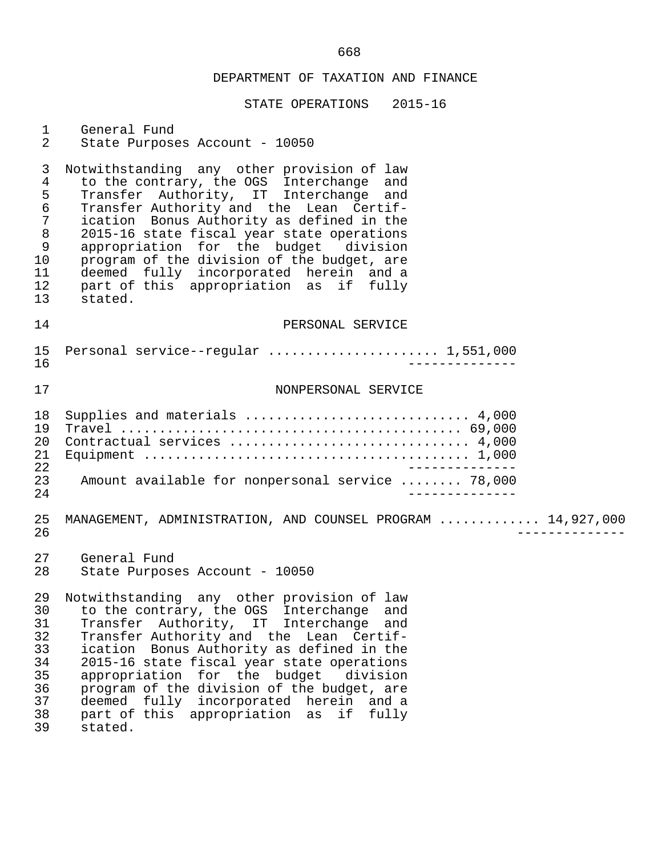| $\mathbf{1}$<br>$\overline{2}$                                                                   | General Fund<br>State Purposes Account - 10050                                                                                                                                                                                                                                                                                                                                                                                                                                    |
|--------------------------------------------------------------------------------------------------|-----------------------------------------------------------------------------------------------------------------------------------------------------------------------------------------------------------------------------------------------------------------------------------------------------------------------------------------------------------------------------------------------------------------------------------------------------------------------------------|
| 3<br>$\overline{4}$<br>5<br>$\epsilon$<br>$\overline{7}$<br>$\,8\,$<br>9<br>10<br>11<br>12<br>13 | Notwithstanding any other provision of law<br>to the contrary, the OGS Interchange and<br>Transfer Authority, IT Interchange<br>and<br>Transfer Authority and the Lean Certif-<br>ication Bonus Authority as defined in the<br>2015-16 state fiscal year state operations<br>appropriation for the budget division<br>program of the division of the budget, are<br>deemed fully incorporated herein and a<br>part of this appropriation as if fully<br>stated.                   |
| 14                                                                                               | PERSONAL SERVICE                                                                                                                                                                                                                                                                                                                                                                                                                                                                  |
| 15<br>16                                                                                         | Personal service--regular  1,551,000                                                                                                                                                                                                                                                                                                                                                                                                                                              |
| 17                                                                                               | NONPERSONAL SERVICE                                                                                                                                                                                                                                                                                                                                                                                                                                                               |
| 18<br>19<br>20<br>21<br>22<br>23<br>24                                                           | Supplies and materials  4,000<br>Contractual services  4,000<br>Amount available for nonpersonal service  78,000                                                                                                                                                                                                                                                                                                                                                                  |
| 25<br>26                                                                                         | MANAGEMENT, ADMINISTRATION, AND COUNSEL PROGRAM  14,927,000                                                                                                                                                                                                                                                                                                                                                                                                                       |
| 27<br>28                                                                                         | General Fund<br>State Purposes Account - 10050                                                                                                                                                                                                                                                                                                                                                                                                                                    |
| 29<br>31<br>32<br>33<br>34<br>35<br>36<br>37<br>38<br>39                                         | Notwithstanding any other provision of law<br>30 to the contrary, the OGS Interchange and<br>Transfer Authority, IT Interchange<br>and<br>Transfer Authority and the Lean Certif-<br>ication Bonus Authority as defined in the<br>2015-16 state fiscal year state operations<br>appropriation for the budget<br>division<br>program of the division of the budget, are<br>deemed fully incorporated herein<br>and a<br>part of this appropriation<br>if<br>fully<br>as<br>stated. |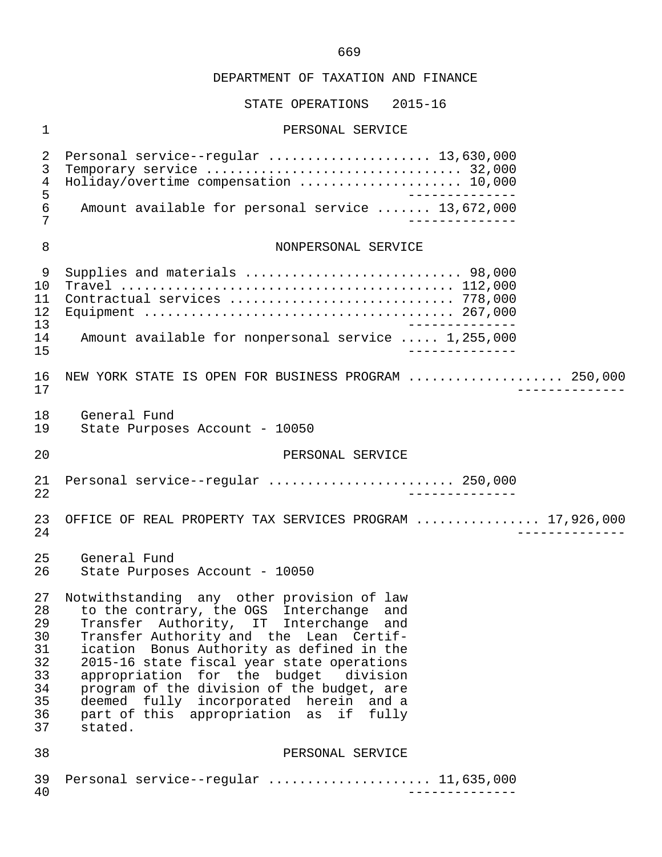#### STATE OPERATIONS 2015-16

#### 1 PERSONAL SERVICE

 2 Personal service--regular ..................... 13,630,000 3 Temporary service ................................. 32,000 4 Holiday/overtime compensation ........................ 10,000<br>5 5<br>6 Amount available for personal service ....... 13,672,000 6 Amount available for personal service ....... 13,672,000 7 -------------- 8 NONPERSONAL SERVICE 9 Supplies and materials ............................ 98,000 10 Travel ........................................... 112,000 11 Contractual services ............................. 778,000 12 Equipment ........................................ 267,000 13<br>14 Amount available for nonpersonal service ..... 1.255.000 14 Amount available for nonpersonal service ..... 1,255,000 15 -------------- 16 NEW YORK STATE IS OPEN FOR BUSINESS PROGRAM ..................... 250,000<br>17 17 -------------- 18 General Fund<br>19 State Purpose State Purposes Account - 10050 20 **PERSONAL SERVICE**  21 Personal service--regular ........................ 250,000 22 -------------- 23 OFFICE OF REAL PROPERTY TAX SERVICES PROGRAM ................ 17,926,000<br>24 24 -------------- 25 General Fund<br>26 State Purpose State Purposes Account - 10050 27 Notwithstanding any other provision of law<br>28 to the contrary, the OGS Interchange and 28 to the contrary, the OGS Interchange and 29 Transfer Authority, IT Interchange and 30 Transfer Authority and the Lean Certif-<br>31 ication Bonus Authority as defined in the 31 ication Bonus Authority as defined in the<br>32 2015-16 state fiscal vear state operations 32 2015-16 state fiscal year state operations<br>33 appropriation for the budget division appropriation for the budget 34 program of the division of the budget, are<br>35 deemed fully incorporated herein and a 35 deemed fully incorporated herein and a 36 part of this appropriation as if fully 37 stated. 38 PERSONAL SERVICE 39 Personal service--regular ..................... 11,635,000 40 --------------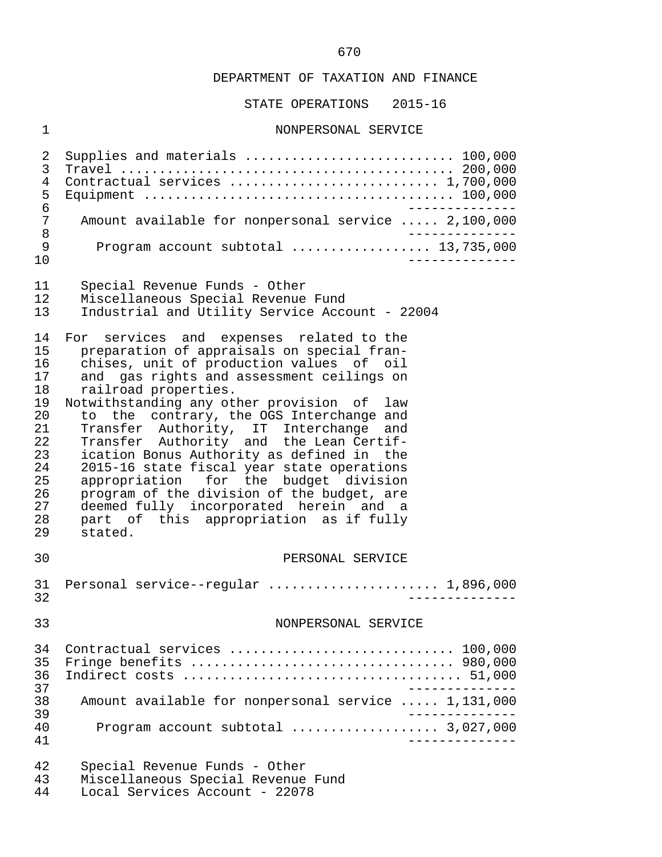STATE OPERATIONS 2015-16

#### 1 NONPERSONAL SERVICE

 2 Supplies and materials ........................... 100,000 3 Travel ........................................... 200,000 4 Contractual services ........................... 1,700,000 5 Equipment ........................................ 100,000 6<br>7 Amount available for nonpersonal service ..... 2.100.000 7 Amount available for nonpersonal service ..... 2,100,000<br>8 8<br>9 Program account subtotal (1990) 13,735,000 9 Program account subtotal .................. 13,735,000 10 -------------- 11 Special Revenue Funds - Other<br>12 Miscellaneous Special Revenue 12 Miscellaneous Special Revenue Fund 13 Industrial and Utility Service Account - 22004 14 For services and expenses related to the<br>15 preparation of appraisals on special fran-15 preparation of appraisals on special fran-<br>16 chises, unit of production values of oil 16 chises, unit of production values of oil<br>17 and gas rights and assessment ceilings on 17 and gas rights and assessment ceilings on<br>18 railroad properties. railroad properties. 19 Notwithstanding any other provision of law<br>20 to the contrary, the OGS Interchange and 20 to the contrary, the OGS Interchange and<br>21 Transfer Authority, IT Interchange and 21 Transfer Authority, IT Interchange and<br>22 Transfer Authority and the Lean-Certif-22 Transfer Authority and the Lean Certif-<br>23 ication Bonus Authority as defined in the 23 ication Bonus Authority as defined in the 24 2015-16 state fiscal year state operations<br>25 appropriation for the budget division 25 appropriation for the budget division<br>26 program of the division of the budget, are 26 program of the division of the budget, are<br>27 deemed fully incorporated herein and a 27 deemed fully incorporated herein and a<br>28 part of this appropriation as if fully 28 part of this appropriation as if fully<br>29 stated stated. 30 PERSONAL SERVICE 31 Personal service--regular ...................... 1,896,000 32 -------------- 33 NONPERSONAL SERVICE 34 Contractual services ............................. 100,000 35 Fringe benefits .................................. 980,000 36 Indirect costs .................................... 51,000 -------------<br>38 Amount available for nonpersonal service ..... 1,131,000 38 Amount available for nonpersonal service ..... 1,131,000 39 -------------- 40 Program account subtotal ................... 3,027,000 41 -------------- 42 Special Revenue Funds - Other 43 Miscellaneous Special Revenue Fund<br>44 Local Services Account - 22078

Local Services Account - 22078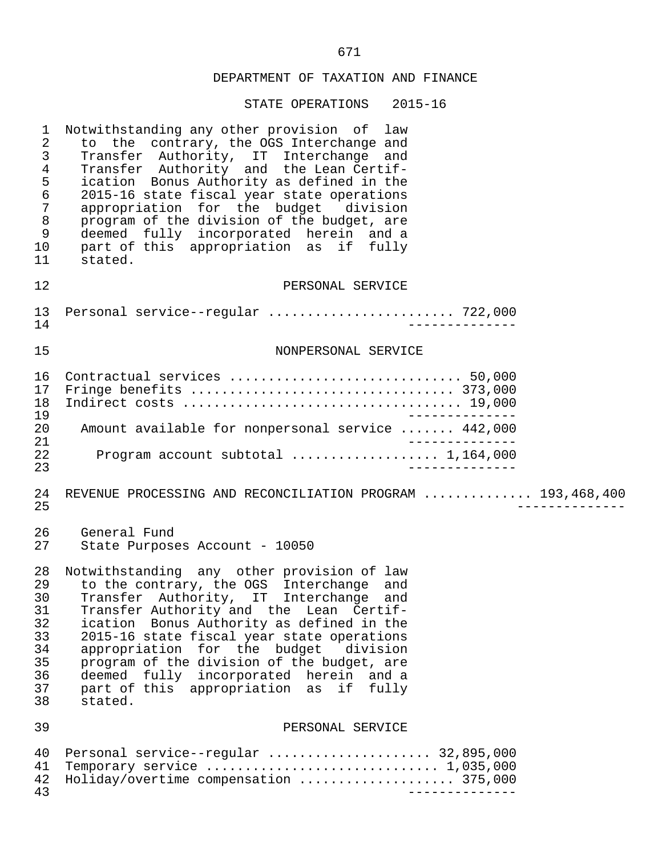| 1<br>$\sqrt{2}$<br>$\mathsf{3}$<br>$\,4$<br>$\frac{5}{6}$<br>$\overline{7}$<br>$\,8\,$<br>9<br>10<br>11 | Notwithstanding any other provision of law<br>to the contrary, the OGS Interchange and<br>Transfer Authority, IT Interchange and<br>Transfer Authority and the Lean Certif-<br>ication Bonus Authority as defined in the<br>2015-16 state fiscal year state operations<br>appropriation for the budget division<br>program of the division of the budget, are<br>deemed fully incorporated herein and a<br>part of this appropriation as if fully<br>stated.                |
|---------------------------------------------------------------------------------------------------------|-----------------------------------------------------------------------------------------------------------------------------------------------------------------------------------------------------------------------------------------------------------------------------------------------------------------------------------------------------------------------------------------------------------------------------------------------------------------------------|
| 12                                                                                                      | PERSONAL SERVICE                                                                                                                                                                                                                                                                                                                                                                                                                                                            |
| 13<br>14                                                                                                | Personal service--regular  722,000                                                                                                                                                                                                                                                                                                                                                                                                                                          |
| 15                                                                                                      | NONPERSONAL SERVICE                                                                                                                                                                                                                                                                                                                                                                                                                                                         |
| 16<br>17<br>18<br>19                                                                                    | Contractual services  50,000                                                                                                                                                                                                                                                                                                                                                                                                                                                |
| 20<br>21                                                                                                | Amount available for nonpersonal service  442,000<br>$\qquad \qquad - - - - - - -$                                                                                                                                                                                                                                                                                                                                                                                          |
| 22<br>23                                                                                                | Program account subtotal  1,164,000                                                                                                                                                                                                                                                                                                                                                                                                                                         |
| 24<br>25                                                                                                | REVENUE PROCESSING AND RECONCILIATION PROGRAM  193,468,400                                                                                                                                                                                                                                                                                                                                                                                                                  |
| 26<br>27                                                                                                | General Fund<br>State Purposes Account - 10050                                                                                                                                                                                                                                                                                                                                                                                                                              |
| 28<br>29<br>30<br>31<br>32<br>33<br>34<br>35<br>36<br>37<br>38                                          | Notwithstanding any other provision of law<br>to the contrary, the OGS Interchange<br>and<br>Transfer Authority, IT Interchange<br>and<br>Transfer Authority and the Lean Certif-<br>ication Bonus Authority as defined in the<br>2015-16 state fiscal year state operations<br>appropriation for the budget division<br>program of the division of the budget, are<br>deemed<br>fully incorporated herein and a<br>part of this appropriation as<br>if<br>fully<br>stated. |
| 39                                                                                                      | PERSONAL SERVICE                                                                                                                                                                                                                                                                                                                                                                                                                                                            |
| 40<br>41<br>42<br>43                                                                                    | Personal service--regular  32,895,000<br>Holiday/overtime compensation  375,000                                                                                                                                                                                                                                                                                                                                                                                             |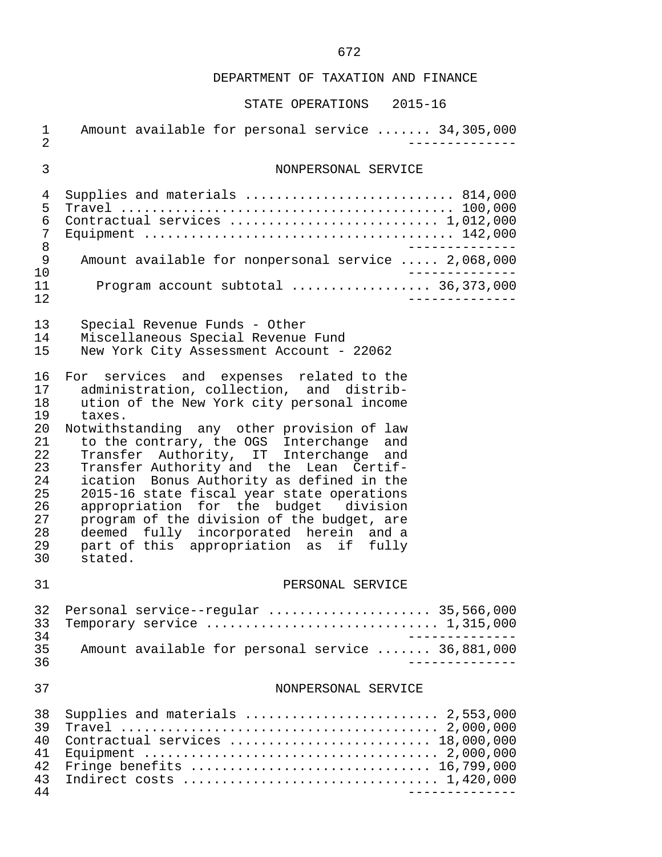| 1<br>$\overline{2}$                                                                    | Amount available for personal service  34,305,000                                                                                                                                                                                                                                                                                                                                                                                                                                                                                                                                                            |
|----------------------------------------------------------------------------------------|--------------------------------------------------------------------------------------------------------------------------------------------------------------------------------------------------------------------------------------------------------------------------------------------------------------------------------------------------------------------------------------------------------------------------------------------------------------------------------------------------------------------------------------------------------------------------------------------------------------|
| 3                                                                                      | NONPERSONAL SERVICE                                                                                                                                                                                                                                                                                                                                                                                                                                                                                                                                                                                          |
| 4<br>5<br>6<br>7<br>8<br>9<br>10<br>11<br>12                                           | Supplies and materials  814,000<br>Contractual services  1,012,000<br>Amount available for nonpersonal service  2,068,000<br>Program account subtotal  36,373,000                                                                                                                                                                                                                                                                                                                                                                                                                                            |
| 13<br>14<br>15                                                                         | Special Revenue Funds - Other<br>Miscellaneous Special Revenue Fund<br>New York City Assessment Account - 22062                                                                                                                                                                                                                                                                                                                                                                                                                                                                                              |
| 16<br>17<br>18<br>19<br>20<br>21<br>22<br>23<br>24<br>25<br>26<br>27<br>28<br>29<br>30 | For services and expenses related to the<br>administration, collection, and distrib-<br>ution of the New York city personal income<br>taxes.<br>Notwithstanding any other provision of law<br>to the contrary, the OGS Interchange and<br>Transfer Authority, IT Interchange and<br>Transfer Authority and the Lean Certif-<br>ication Bonus Authority as defined in the<br>2015-16 state fiscal year state operations<br>appropriation for the budget division<br>program of the division of the budget, are<br>deemed fully incorporated herein and a<br>part of this appropriation as if fully<br>stated. |
| 31                                                                                     | PERSONAL SERVICE                                                                                                                                                                                                                                                                                                                                                                                                                                                                                                                                                                                             |
| 32<br>33<br>34<br>35<br>36                                                             | Personal service--regular  35,566,000<br>Temporary service $\ldots \ldots \ldots \ldots \ldots \ldots \ldots \ldots \ldots 1,315,000$<br>Amount available for personal service  36,881,000                                                                                                                                                                                                                                                                                                                                                                                                                   |
| 37                                                                                     | NONPERSONAL SERVICE                                                                                                                                                                                                                                                                                                                                                                                                                                                                                                                                                                                          |
| 38<br>39<br>40<br>41<br>42<br>43<br>44                                                 | Supplies and materials  2,553,000<br>Contractual services  18,000,000<br>Fringe benefits  16,799,000<br>Indirect costs  1,420,000<br>______________                                                                                                                                                                                                                                                                                                                                                                                                                                                          |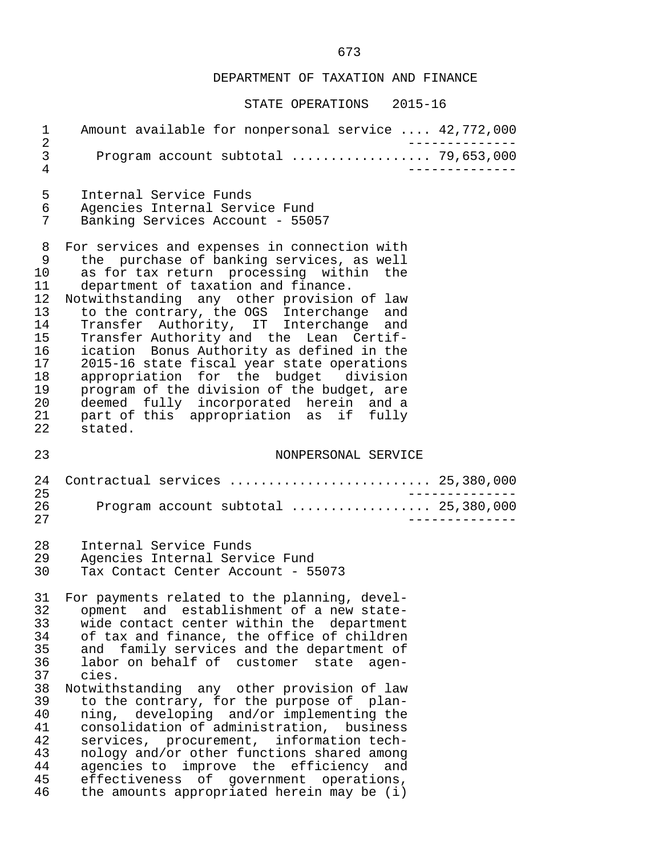| $\mathbf 1$<br>$\sqrt{2}$                                                                    | Amount available for nonpersonal service  42,772,000                                                                                                                                                                                                                                                                                                                                                                                                                                                                                                                                                                                                                                                  |  |
|----------------------------------------------------------------------------------------------|-------------------------------------------------------------------------------------------------------------------------------------------------------------------------------------------------------------------------------------------------------------------------------------------------------------------------------------------------------------------------------------------------------------------------------------------------------------------------------------------------------------------------------------------------------------------------------------------------------------------------------------------------------------------------------------------------------|--|
| $\mathsf{3}$<br>$\overline{4}$                                                               | Program account subtotal  79,653,000                                                                                                                                                                                                                                                                                                                                                                                                                                                                                                                                                                                                                                                                  |  |
| 5<br>6<br>7                                                                                  | Internal Service Funds<br>Agencies Internal Service Fund<br>Banking Services Account - 55057                                                                                                                                                                                                                                                                                                                                                                                                                                                                                                                                                                                                          |  |
| 8<br>9<br>10<br>11<br>12<br>13<br>14<br>15<br>16<br>17<br>18<br>19<br>20<br>21<br>22         | For services and expenses in connection with<br>the purchase of banking services, as well<br>as for tax return processing within the<br>department of taxation and finance.<br>Notwithstanding any other provision of law<br>to the contrary, the OGS Interchange and<br>Transfer Authority, IT Interchange and<br>Transfer Authority and the Lean Certif-<br>ication Bonus Authority as defined in the<br>2015-16 state fiscal year state operations<br>appropriation for the budget division<br>program of the division of the budget, are<br>deemed fully incorporated herein and a<br>part of this appropriation as if fully<br>stated.                                                           |  |
| 23                                                                                           | NONPERSONAL SERVICE                                                                                                                                                                                                                                                                                                                                                                                                                                                                                                                                                                                                                                                                                   |  |
| 24<br>25<br>26<br>27                                                                         | Contractual services  25,380,000<br>Program account subtotal  25,380,000                                                                                                                                                                                                                                                                                                                                                                                                                                                                                                                                                                                                                              |  |
| 28<br>29<br>30                                                                               | Internal Service Funds<br>Agencies Internal Service Fund<br>Tax Contact Center Account - 55073                                                                                                                                                                                                                                                                                                                                                                                                                                                                                                                                                                                                        |  |
| 31<br>32<br>33<br>34<br>35<br>36<br>37<br>38<br>39<br>40<br>41<br>42<br>43<br>44<br>45<br>46 | For payments related to the planning, devel-<br>opment and establishment of a new state-<br>wide contact center within the department<br>of tax and finance, the office of children<br>and family services and the department of<br>labor on behalf of customer state agen-<br>cies.<br>Notwithstanding any other provision of law<br>to the contrary, for the purpose of plan-<br>ning, developing and/or implementing the<br>consolidation of administration, business<br>services, procurement, information tech-<br>nology and/or other functions shared among<br>agencies to improve the efficiency and<br>effectiveness of government operations,<br>the amounts appropriated herein may be (i) |  |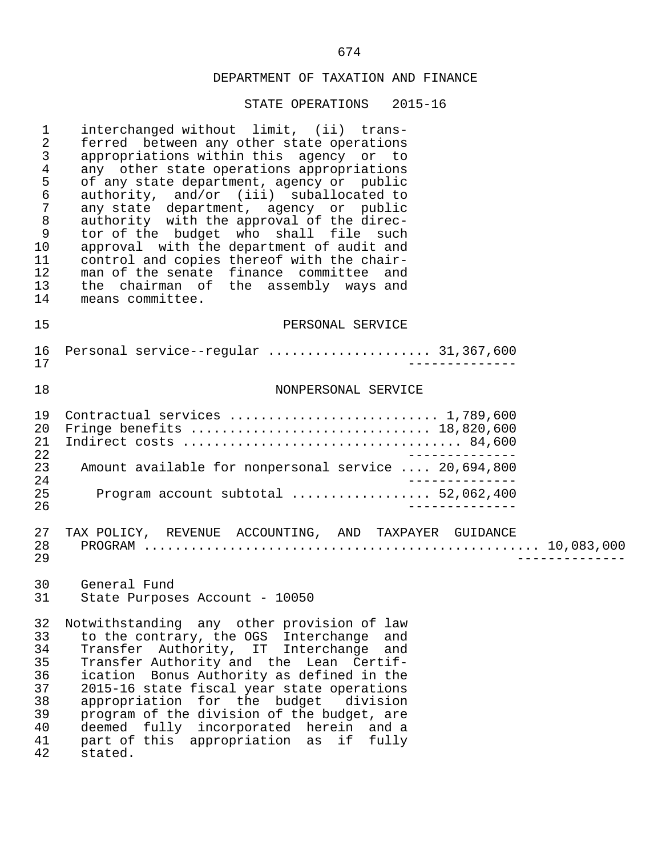| $\mathbf 1$<br>$\overline{2}$<br>3<br>4<br>5<br>6<br>$\overline{7}$<br>$\,8\,$<br>$\mathsf 9$<br>10<br>11<br>12<br>13<br>14 | interchanged without limit, (ii) trans-<br>ferred between any other state operations<br>appropriations within this agency or to<br>any other state operations appropriations<br>of any state department, agency or public<br>authority, and/or (iii) suballocated to<br>any state department, agency or public<br>authority with the approval of the direc-<br>tor of the budget who shall file such<br>approval with the department of audit and<br>control and copies thereof with the chair-<br>man of the senate finance committee and<br>the chairman of the assembly ways and<br>means committee. |
|-----------------------------------------------------------------------------------------------------------------------------|---------------------------------------------------------------------------------------------------------------------------------------------------------------------------------------------------------------------------------------------------------------------------------------------------------------------------------------------------------------------------------------------------------------------------------------------------------------------------------------------------------------------------------------------------------------------------------------------------------|
| 15                                                                                                                          | PERSONAL SERVICE                                                                                                                                                                                                                                                                                                                                                                                                                                                                                                                                                                                        |
| 16<br>17                                                                                                                    | Personal service--regular  31,367,600                                                                                                                                                                                                                                                                                                                                                                                                                                                                                                                                                                   |
| 18                                                                                                                          | NONPERSONAL SERVICE                                                                                                                                                                                                                                                                                                                                                                                                                                                                                                                                                                                     |
| 19<br>20<br>21<br>22<br>23<br>24<br>25<br>26                                                                                | Contractual services  1,789,600<br>Fringe benefits  18,820,600<br>Amount available for nonpersonal service  20,694,800<br>Program account subtotal  52,062,400                                                                                                                                                                                                                                                                                                                                                                                                                                          |
| 27<br>28<br>29                                                                                                              | TAX POLICY, REVENUE ACCOUNTING, AND TAXPAYER GUIDANCE                                                                                                                                                                                                                                                                                                                                                                                                                                                                                                                                                   |
| 30<br>31                                                                                                                    | General Fund<br>State Purposes Account - 10050                                                                                                                                                                                                                                                                                                                                                                                                                                                                                                                                                          |
| 32<br>33<br>34<br>35<br>36<br>37<br>38<br>39<br>40<br>41<br>42                                                              | Notwithstanding any other provision of law<br>to the contrary, the OGS Interchange<br>and<br>Authority, IT Interchange and<br>Transfer<br>Transfer Authority and the Lean Certif-<br>ication Bonus Authority as defined in the<br>2015-16 state fiscal year state operations<br>appropriation for the budget<br>division<br>program of the division of the budget, are<br>deemed fully incorporated herein and a<br>part of this appropriation as<br>if<br>fully<br>stated.                                                                                                                             |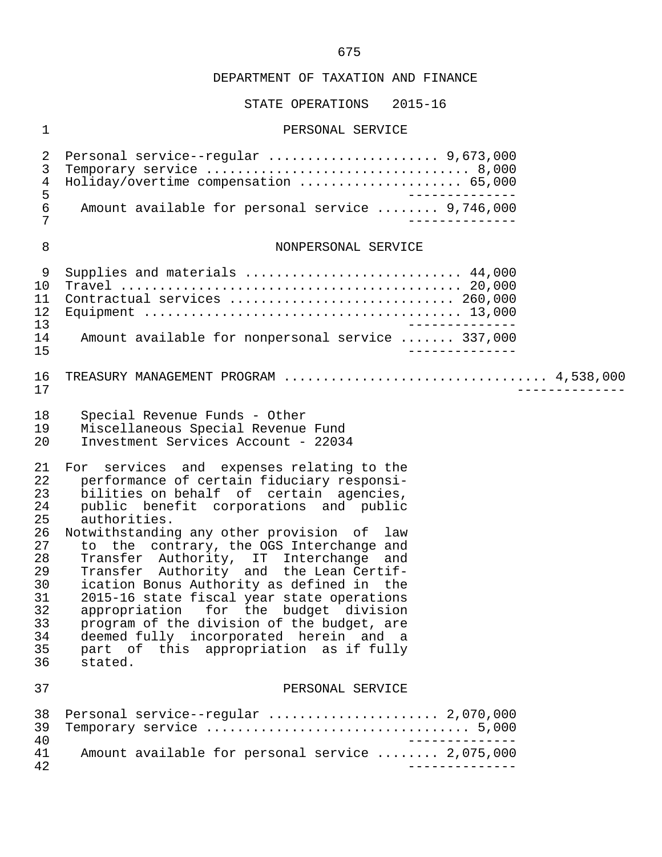# STATE OPERATIONS 2015-16

# 1 PERSONAL SERVICE

| $\overline{2}$<br>3<br>$\,4\,$<br>5<br>$\epsilon$<br>7                                       | Personal service--regular  9,673,000<br>Holiday/overtime compensation  65,000<br>Amount available for personal service  9,746,000                                                                                                                                                                                                                                                                                                                                                                                                                                                                                                                               |
|----------------------------------------------------------------------------------------------|-----------------------------------------------------------------------------------------------------------------------------------------------------------------------------------------------------------------------------------------------------------------------------------------------------------------------------------------------------------------------------------------------------------------------------------------------------------------------------------------------------------------------------------------------------------------------------------------------------------------------------------------------------------------|
| 8                                                                                            | NONPERSONAL SERVICE                                                                                                                                                                                                                                                                                                                                                                                                                                                                                                                                                                                                                                             |
| 9<br>10<br>11<br>12<br>13<br>14                                                              | Supplies and materials  44,000<br>Contractual services  260,000<br>Amount available for nonpersonal service  337,000<br>______________                                                                                                                                                                                                                                                                                                                                                                                                                                                                                                                          |
| 15<br>16<br>17                                                                               | ____________                                                                                                                                                                                                                                                                                                                                                                                                                                                                                                                                                                                                                                                    |
| 18<br>19<br>20                                                                               | Special Revenue Funds - Other<br>Miscellaneous Special Revenue Fund<br>Investment Services Account - 22034                                                                                                                                                                                                                                                                                                                                                                                                                                                                                                                                                      |
| 21<br>22<br>23<br>24<br>25<br>26<br>27<br>28<br>29<br>30<br>31<br>32<br>33<br>34<br>35<br>36 | For services and expenses relating to the<br>performance of certain fiduciary responsi-<br>bilities on behalf of certain agencies,<br>public benefit corporations and public<br>authorities.<br>Notwithstanding any other provision of law<br>to the contrary, the OGS Interchange and<br>Transfer Authority, IT Interchange<br>and<br>Transfer Authority and the Lean Certif-<br>ication Bonus Authority as defined in the<br>2015-16 state fiscal year state operations<br>appropriation for the budget division<br>program of the division of the budget, are<br>deemed fully incorporated herein and a<br>part of this appropriation as if fully<br>stated. |
| 37                                                                                           | PERSONAL SERVICE                                                                                                                                                                                                                                                                                                                                                                                                                                                                                                                                                                                                                                                |
| 38<br>39<br>40<br>41<br>42                                                                   | Personal service--regular  2,070,000<br>Amount available for personal service  2,075,000                                                                                                                                                                                                                                                                                                                                                                                                                                                                                                                                                                        |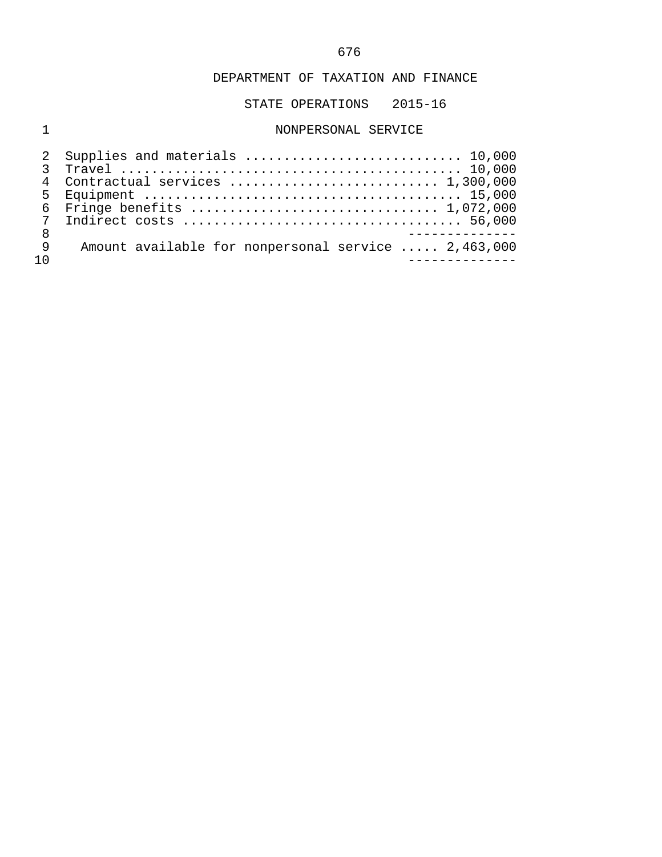STATE OPERATIONS 2015-16

# 1 NONPERSONAL SERVICE

|                 | 4 Contractual services  1,300,000                   |
|-----------------|-----------------------------------------------------|
|                 |                                                     |
|                 |                                                     |
| $7\overline{ }$ |                                                     |
| 8               |                                                     |
| 9               | Amount available for nonpersonal service  2,463,000 |
|                 |                                                     |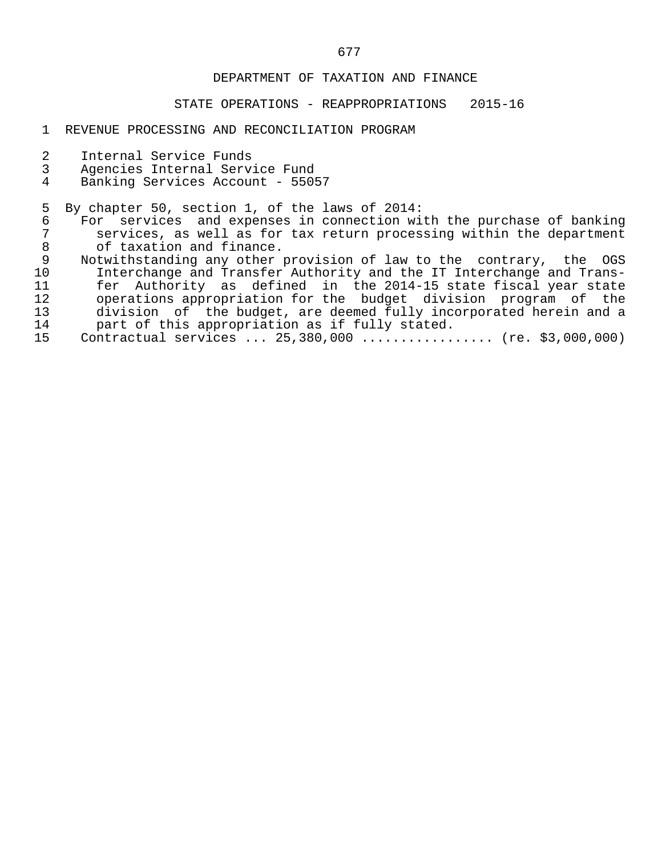#### STATE OPERATIONS - REAPPROPRIATIONS 2015-16

#### 1 REVENUE PROCESSING AND RECONCILIATION PROGRAM

- 2 Internal Service Funds<br>3 Agencies Internal Servi
- 3 Agencies Internal Service Fund
- Banking Services Account 55057

5 By chapter 50, section 1, of the laws of 2014:<br>6 For services and expenses in connection wi 6 For services and expenses in connection with the purchase of banking<br>7 Services, as well as for tax return processing within the department 7 services, as well as for tax return processing within the department<br>8 of taxation and finance. 8 of taxation and finance.<br>9 Notwithstanding any other

9 Notwithstanding any other provision of law to the contrary, the OGS<br>10 Interchange and Transfer Authority and the IT Interchange and Trans- 10 Interchange and Transfer Authority and the IT Interchange and Trans- 11 fer Authority as defined in the 2014-15 state fiscal year state<br>12 operations appropriation for the budget division program of the 12 operations appropriation for the budget division program of the<br>13 division of the budget, are deemed fully incorporated herein and a 13 division of the budget, are deemed fully incorporated herein and a<br>14 opert of this appropriation as if fully stated. 14 part of this appropriation as if fully stated.<br>15 Contractual services ... 25,380,000 ............

```
Contractual services ... 25,380,000 .................. (re. $3,000,000)
```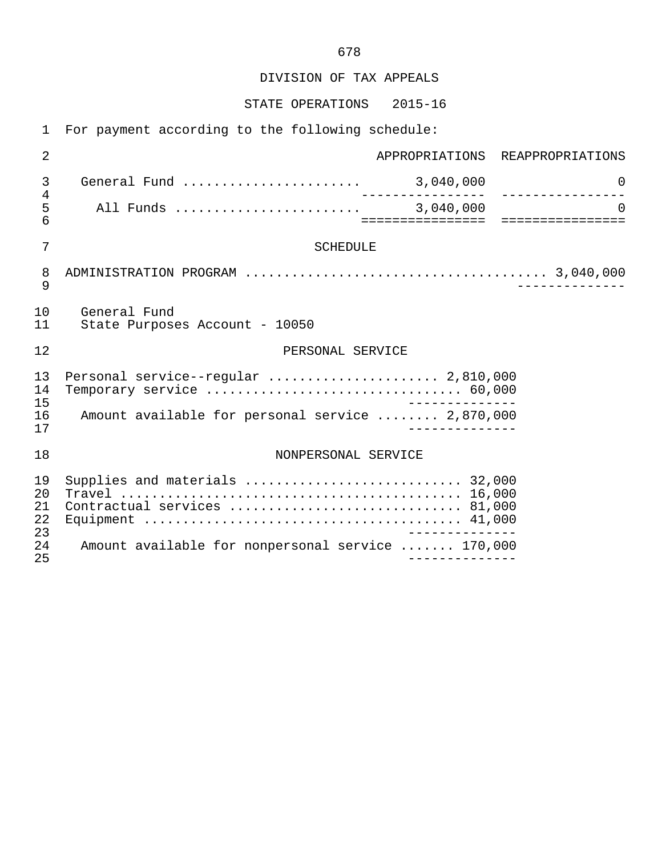DIVISION OF TAX APPEALS

STATE OPERATIONS 2015-16

1 For payment according to the following schedule:

| $\overline{2}$             |                                                                |            | APPROPRIATIONS REAPPROPRIATIONS                 |
|----------------------------|----------------------------------------------------------------|------------|-------------------------------------------------|
| 3<br>$\overline{4}$        |                                                                | ---------- | $\overline{0}$<br>______________.               |
| 5<br>6                     |                                                                |            | $\Omega$<br>=================================== |
| 7                          | <b>SCHEDULE</b>                                                |            |                                                 |
| 8<br>9                     |                                                                |            |                                                 |
| 10<br>11                   | General Fund<br>State Purposes Account - 10050                 |            |                                                 |
| 12                         | PERSONAL SERVICE                                               |            |                                                 |
| 13<br>14                   | Personal service--regular  2,810,000                           |            |                                                 |
| 15<br>16<br>17             | Amount available for personal service  2,870,000               |            |                                                 |
| 18                         | NONPERSONAL SERVICE                                            |            |                                                 |
| 19<br>20<br>21<br>22<br>23 | Supplies and materials  32,000<br>Contractual services  81,000 |            |                                                 |
| 24<br>25                   | Amount available for nonpersonal service  170,000              |            |                                                 |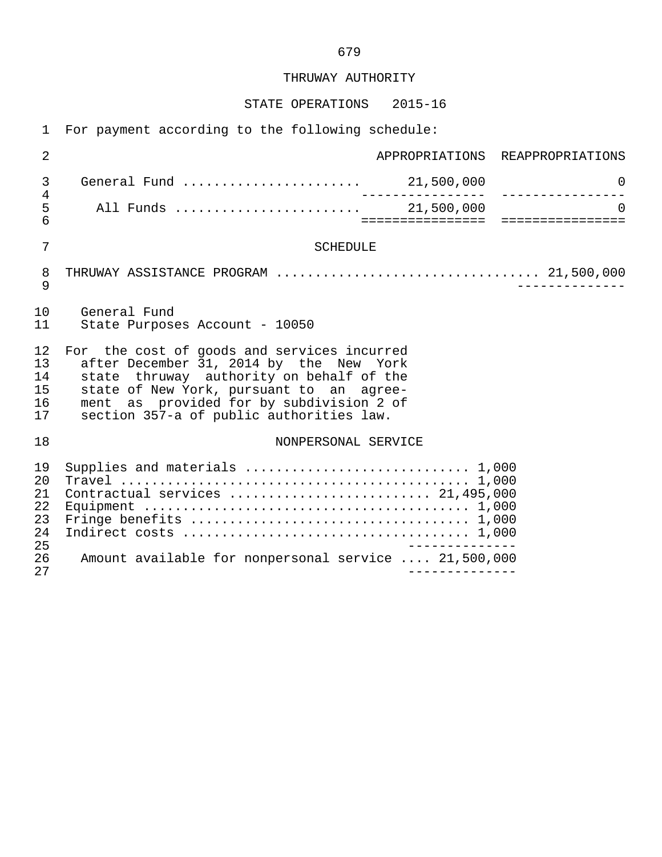#### THRUWAY AUTHORITY

#### STATE OPERATIONS 2015-16

 1 For payment according to the following schedule: 2 APPROPRIATIONS REAPPROPRIATIONS 3 General Fund ....................... 21,500,000 0 4 ---------------- ---------------- 5 All Funds ........................ 21,500,000 0 6 ================ ================ 7 SCHEDULE 8 THRUWAY ASSISTANCE PROGRAM .................................. 21,500,000 9 -------------- 10 General Fund<br>11 State Purpose State Purposes Account - 10050 12 For the cost of goods and services incurred<br>13 after December 31, 2014 by the New York 13 after December 31, 2014 by the New York<br>14 state thruway authority on behalf of the 14 state thruway authority on behalf of the<br>15 state of New York, pursuant to an agreestate of New York, pursuant to an agree-16 ment as provided for by subdivision 2 of<br>17 section 357-a of public authorities law. section 357-a of public authorities law. 18 NONPERSONAL SERVICE

| 19  |                                                      |
|-----|------------------------------------------------------|
| 20  |                                                      |
| 21  |                                                      |
|     |                                                      |
| 23  |                                                      |
| 2.4 |                                                      |
| 25  |                                                      |
| 26  | Amount available for nonpersonal service  21,500,000 |
| 27  |                                                      |
|     |                                                      |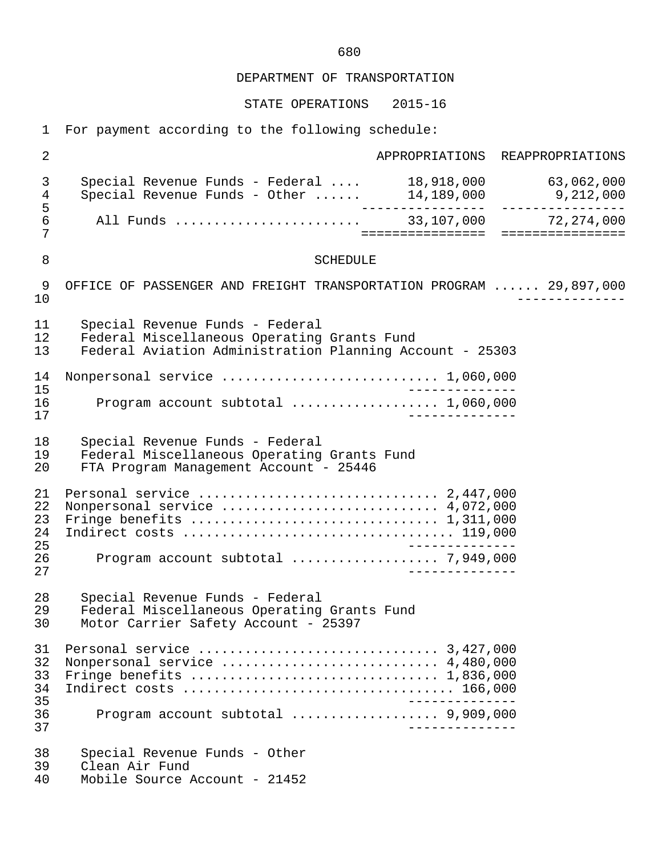STATE OPERATIONS 2015-16

1 For payment according to the following schedule:

 2 APPROPRIATIONS REAPPROPRIATIONS 3 Special Revenue Funds - Federal .... 18,918,000 63,062,000 4 Special Revenue Funds - Other ...... 14,189,000 9,212,000 5 ---------------- ---------------- 6 All Funds ........................ 33,107,000 72,274,000 7 ================ ================ 8 SCHEDULE 9 OFFICE OF PASSENGER AND FREIGHT TRANSPORTATION PROGRAM ...... 29,897,000<br>--------------- 10 -------------- 11 Special Revenue Funds - Federal 12 Federal Miscellaneous Operating Grants Fund<br>13 Federal Aviation Administration Planning Ace 13 Federal Aviation Administration Planning Account - 25303 14 Nonpersonal service ............................ 1,060,000 15 -------------- 16 Program account subtotal ................... 1,060,000 17 -------------- 18 Special Revenue Funds - Federal 19 Federal Miscellaneous Operating Grants Fund<br>20 FTA Program Management Account - 25446 FTA Program Management Account - 25446 21 Personal service ............................... 2,447,000 22 Nonpersonal service ............................ 4,072,000 23 Fringe benefits ................................ 1,311,000 24 Indirect costs ................................... 119,000 25 -------------- 26 Program account subtotal ................... 7,949,000 27 -------------- 28 Special Revenue Funds - Federal 29 Federal Miscellaneous Operating Grants Fund<br>30 Motor Carrier Safety Account - 25397 Motor Carrier Safety Account - 25397 31 Personal service ............................... 3,427,000 32 Nonpersonal service ............................ 4,480,000 33 Fringe benefits ................................ 1,836,000 34 Indirect costs ................................... 166,000 35 -------------- 36 Program account subtotal ................... 9,909,000 37 -------------- 38 Special Revenue Funds - Other<br>39 Clean Air Fund 39 Clean Air Fund<br>40 Mobile Source *P* Mobile Source Account - 21452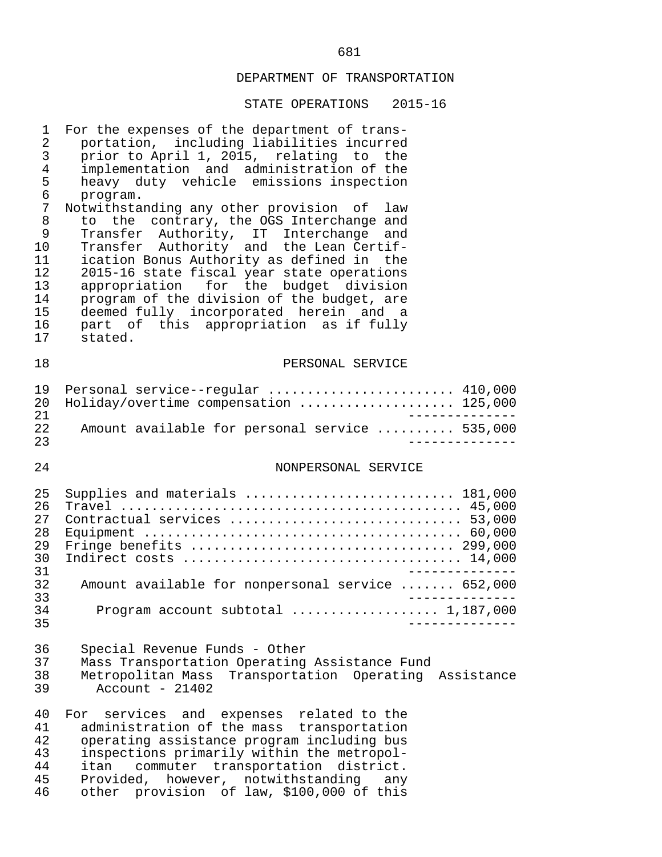| 1<br>2<br>3<br>$\overline{4}$<br>5<br>6<br>7<br>8<br>9<br>10<br>11<br>12<br>13<br>14<br>15<br>16<br>17 | For the expenses of the department of trans-<br>portation, including liabilities incurred<br>prior to April 1, 2015, relating to the<br>implementation and administration of the<br>heavy duty vehicle emissions inspection<br>program.<br>Notwithstanding any other provision of<br>law<br>to the contrary, the OGS Interchange and<br>Transfer Authority, IT Interchange<br>and<br>Transfer Authority and the Lean Certif-<br>ication Bonus Authority as defined in the<br>2015-16 state fiscal year state operations<br>appropriation for the budget division<br>program of the division of the budget, are<br>deemed fully incorporated herein and a<br>part of this appropriation as if fully<br>stated. |
|--------------------------------------------------------------------------------------------------------|---------------------------------------------------------------------------------------------------------------------------------------------------------------------------------------------------------------------------------------------------------------------------------------------------------------------------------------------------------------------------------------------------------------------------------------------------------------------------------------------------------------------------------------------------------------------------------------------------------------------------------------------------------------------------------------------------------------|
| 18                                                                                                     | PERSONAL SERVICE                                                                                                                                                                                                                                                                                                                                                                                                                                                                                                                                                                                                                                                                                              |
| 19<br>20<br>21<br>22<br>23                                                                             | Personal service--regular  410,000<br>Holiday/overtime compensation  125,000<br>_______________<br>Amount available for personal service  535,000<br>-----------                                                                                                                                                                                                                                                                                                                                                                                                                                                                                                                                              |
| 24                                                                                                     | NONPERSONAL SERVICE                                                                                                                                                                                                                                                                                                                                                                                                                                                                                                                                                                                                                                                                                           |
| 25<br>26<br>27<br>28<br>29<br>30<br>31<br>32<br>33<br>34<br>35                                         | Supplies and materials  181,000<br>Contractual services  53,000<br>Amount available for nonpersonal service  652,000<br>___________<br>Program account subtotal  1,187,000                                                                                                                                                                                                                                                                                                                                                                                                                                                                                                                                    |
| 36<br>37<br>38<br>39                                                                                   | Special Revenue Funds - Other<br>Mass Transportation Operating Assistance Fund<br>Metropolitan Mass Transportation Operating Assistance<br>Account - $21402$                                                                                                                                                                                                                                                                                                                                                                                                                                                                                                                                                  |
| 40<br>41<br>42<br>43<br>44<br>45<br>46                                                                 | services and expenses related to the<br>For<br>administration of the mass transportation<br>operating assistance program including bus<br>inspections primarily within the metropol-<br>commuter transportation<br>itan<br>district.<br>Provided, however, notwithstanding<br>any<br>other provision of law, \$100,000 of this                                                                                                                                                                                                                                                                                                                                                                                |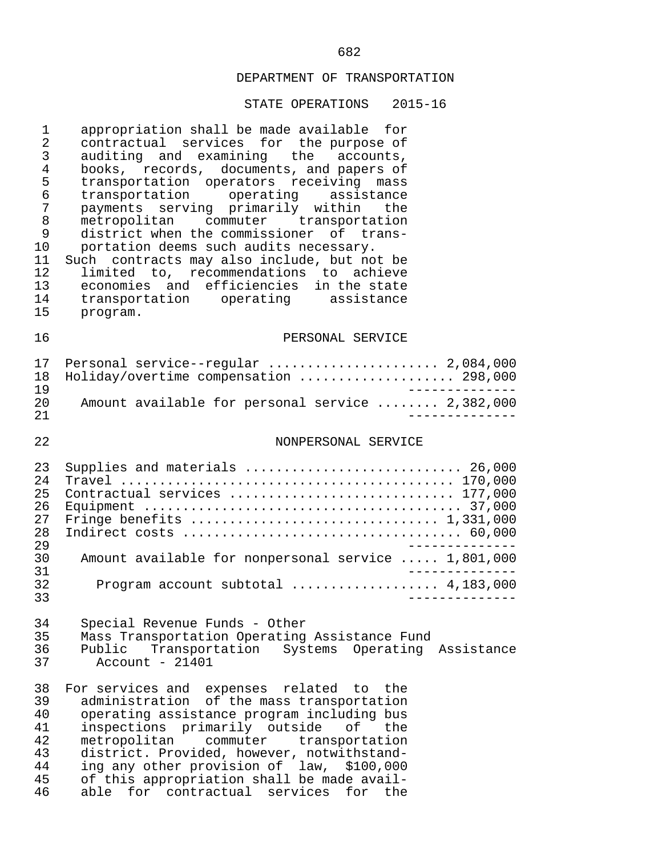#### STATE OPERATIONS 2015-16

1 appropriation shall be made available for<br>2 contractual services for the purpose of 2 contractual services for the purpose of<br>3 auditing and examining the accounts, 3 auditing and examining the accounts,<br>4 books, records, documents, and papers of 4 books, records, documents, and papers of<br>5 transportation operators receiving mass 5 transportation operators receiving mass<br>6 transportation operating assistance 6 transportation operating assistance 7 payments serving primarily within the<br>8 metropolitan commuter transportation 8 metropolitan commuter transportation<br>9 district\_when\_the\_commissioner\_of\_trans-9 district when the commissioner of trans-<br>10 portation deems such audits necessary. 10 portation deems such audits necessary.<br>11 Such contracts may also include, but no 11 Such contracts may also include, but not be<br>12 limited to, recommendations to achieve 12 limited to, recommendations to achieve<br>13 economies and efficiencies in the state 13 economies and efficiencies in the state<br>14 transportation operating assistance 14 transportation operating assistance<br>15 program. program.

#### 16 PERSONAL SERVICE

|     | 17 Personal service--regular  2,084,000          |
|-----|--------------------------------------------------|
|     | 18 Holiday/overtime compensation  298,000        |
| 1 Q |                                                  |
| 20  | Amount available for personal service  2,382,000 |
| -21 |                                                  |

#### 22 NONPERSONAL SERVICE

| 23  | Supplies and materials  26,000                      |
|-----|-----------------------------------------------------|
| 2.4 |                                                     |
| 25  | Contractual services  177,000                       |
| 26  |                                                     |
| 27  |                                                     |
| 2.8 |                                                     |
| 29  |                                                     |
| 30  | Amount available for nonpersonal service  1,801,000 |
| 31  |                                                     |
| 32  |                                                     |
| 33  |                                                     |

# 34 Special Revenue Funds - Other

35 Mass Transportation Operating Assistance Fund<br>36 Public Transportation Systems Operating 36 Public Transportation Systems Operating Assistance  $Account - 21401$ 

38 For services and expenses related to the<br>39 administration of the mass transportation 39 administration of the mass transportation<br>40 operating assistance program including bus 40 operating assistance program including bus<br>41 inspections primarily outside of the 41 inspections primarily outside<br>42 metropolitan commuter tran 42 metropolitan commuter transportation<br>43 district Provided however notwithstand-43 district. Provided, however, notwithstand-<br>44 ing any other provision of law, \$100,000 44 ing any other provision of law, \$100,000<br>45 of this appropriation shall be made avail-45 of this appropriation shall be made avail-<br>46 able for contractual services for the able for contractual services for the

# <u>682</u>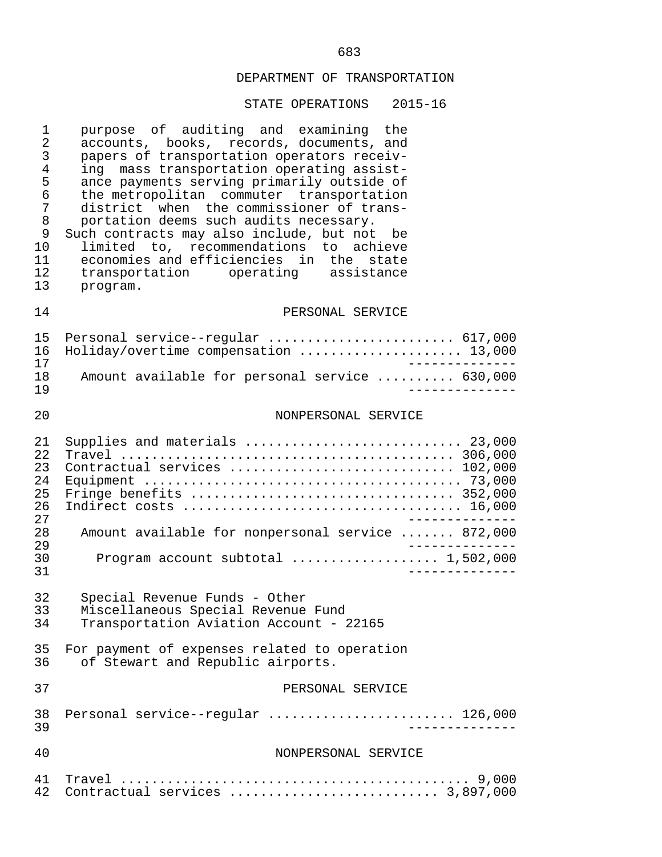| $\mathbf 1$<br>$\overline{2}$<br>$\mathfrak{Z}$<br>$\overline{4}$<br>5<br>6<br>7<br>$\,8\,$<br>9<br>10<br>11<br>12<br>13 | purpose of auditing and examining the<br>accounts, books, records, documents, and<br>papers of transportation operators receiv-<br>ing mass transportation operating assist-<br>ance payments serving primarily outside of<br>the metropolitan commuter transportation<br>district when the commissioner of trans-<br>portation deems such audits necessary.<br>Such contracts may also include, but not be<br>limited to, recommendations to achieve<br>economies and efficiencies in the state<br>transportation operating assistance<br>program. |
|--------------------------------------------------------------------------------------------------------------------------|-----------------------------------------------------------------------------------------------------------------------------------------------------------------------------------------------------------------------------------------------------------------------------------------------------------------------------------------------------------------------------------------------------------------------------------------------------------------------------------------------------------------------------------------------------|
| 14                                                                                                                       | PERSONAL SERVICE                                                                                                                                                                                                                                                                                                                                                                                                                                                                                                                                    |
| 15<br>16<br>17<br>18<br>19                                                                                               | Personal service--regular  617,000<br>Holiday/overtime compensation  13,000<br>Amount available for personal service  630,000                                                                                                                                                                                                                                                                                                                                                                                                                       |
| 20                                                                                                                       | NONPERSONAL SERVICE                                                                                                                                                                                                                                                                                                                                                                                                                                                                                                                                 |
| 21<br>22<br>23<br>24<br>25<br>26<br>27<br>28<br>29<br>30                                                                 | Supplies and materials  23,000<br>Contractual services  102,000<br>Amount available for nonpersonal service  872,000<br>Program account subtotal $\ldots$ 1,502,000                                                                                                                                                                                                                                                                                                                                                                                 |
| 31                                                                                                                       |                                                                                                                                                                                                                                                                                                                                                                                                                                                                                                                                                     |
| 32<br>33<br>34                                                                                                           | Special Revenue Funds - Other<br>Miscellaneous Special Revenue Fund<br>Transportation Aviation Account - 22165                                                                                                                                                                                                                                                                                                                                                                                                                                      |
| 35<br>36                                                                                                                 | For payment of expenses related to operation<br>of Stewart and Republic airports.                                                                                                                                                                                                                                                                                                                                                                                                                                                                   |
| 37                                                                                                                       | PERSONAL SERVICE                                                                                                                                                                                                                                                                                                                                                                                                                                                                                                                                    |
| 38<br>39                                                                                                                 | Personal service--regular  126,000                                                                                                                                                                                                                                                                                                                                                                                                                                                                                                                  |
| 40                                                                                                                       | NONPERSONAL SERVICE                                                                                                                                                                                                                                                                                                                                                                                                                                                                                                                                 |
| 41<br>42                                                                                                                 | Contractual services  3,897,000                                                                                                                                                                                                                                                                                                                                                                                                                                                                                                                     |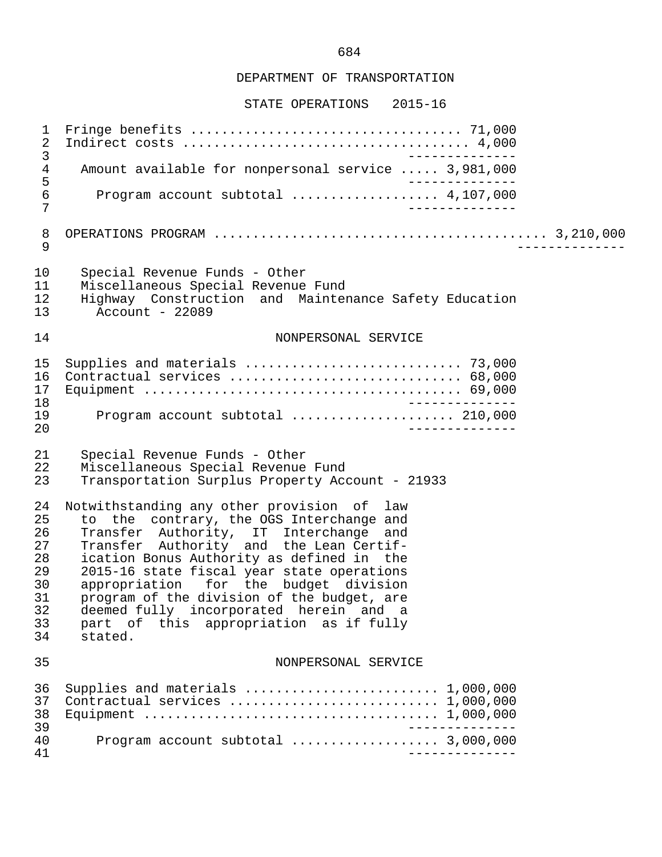STATE OPERATIONS 2015-16

 1 Fringe benefits ................................... 71,000 2 Indirect costs ..................................... 4,000 3<br>Amount available for nonpersonal service ..... 3.981.000 4 Amount available for nonpersonal service ..... 3,981,000<br>5 5<br>6 Program account subtotal .................... 4.107.000 6 Program account subtotal ................... 4,107,000 7 -------------- 8 OPERATIONS PROGRAM ........................................... 3,210,000 9 -------------- 10 Special Revenue Funds - Other 11 Miscellaneous Special Revenue Fund<br>12 Highway Construction and Mainter 12 Highway Construction and Maintenance Safety Education<br>13 Account - 22089  $Account - 22089$  14 NONPERSONAL SERVICE 15 Supplies and materials ............................ 73,000 16 Contractual services .............................. 68,000 17 Equipment ......................................... 69,000 18 -------------- 19 Program account subtotal ..................... 210,000 20 -------------- 21 Special Revenue Funds - Other 22 Miscellaneous Special Revenue Fund<br>23 Transportation Surplus Property Acc Transportation Surplus Property Account - 21933 24 Notwithstanding any other provision of law<br>25 to the contrary, the OGS Interchange and 25 to the contrary, the OGS Interchange and<br>26 Transfer Authority, IT Interchange and 26 Transfer Authority, IT Interchange and<br>27 Transfer Authority and the Lean-Certif-27 Transfer Authority and the Lean Certif-<br>28 ication Bonus Authority as defined in the 28 ication Bonus Authority as defined in the<br>29 2015-16 state fiscal vear state operations 29 2015-16 state fiscal year state operations<br>30 appropriation for the budget division 30 appropriation for the budget division<br>31 program of the division of the budget, are 31 program of the division of the budget, are 32 deemed fully incorporated herein and a<br>33 part of this appropriation as if fully 33 part of this appropriation as if fully stated. 35 NONPERSONAL SERVICE 36 Supplies and materials ............................ 1,000,000<br>37 Contractual services ............................. 1,000,000 37 Contractual services ........................... 1,000,000 38 Equipment ...................................... 1,000,000 39 -------------- 40 Program account subtotal ................... 3,000,000 41 --------------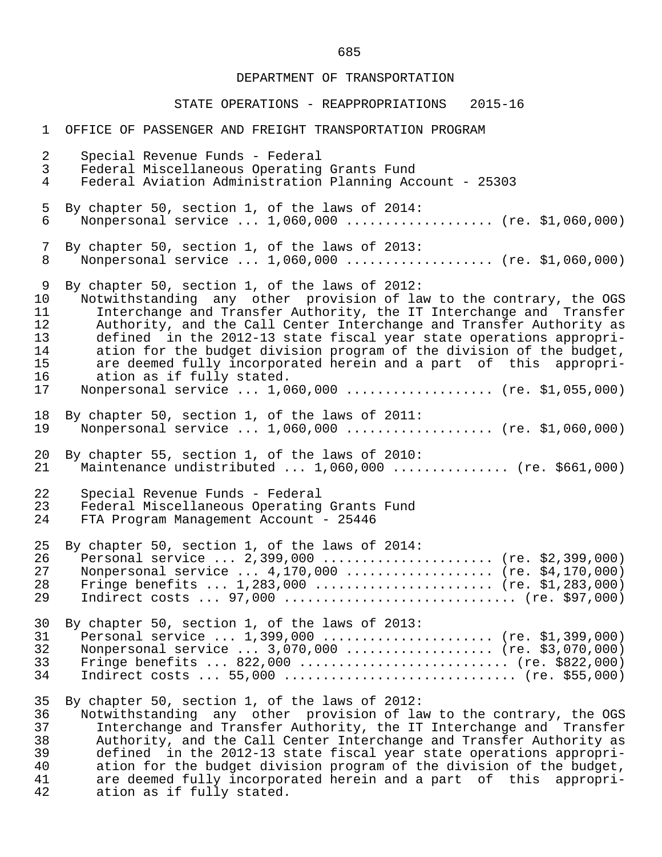#### STATE OPERATIONS - REAPPROPRIATIONS 2015-16

 1 OFFICE OF PASSENGER AND FREIGHT TRANSPORTATION PROGRAM 2 Special Revenue Funds - Federal 3 Federal Miscellaneous Operating Grants Fund 4 Federal Aviation Administration Planning Account - 25303 5 By chapter 50, section 1, of the laws of 2014:<br>6 Nonpersonal service ... 1,060,000 .......... Monpersonal service ... 1,060,000 ................... (re. \$1,060,000) 7 By chapter 50, section 1, of the laws of 2013: 8 Nonpersonal service ... 1,060,000 ................... (re. \$1,060,000) 9 By chapter 50, section 1, of the laws of 2012:<br>10 Notwithstanding any other provision of law 10 Notwithstanding any other provision of law to the contrary, the OGS<br>11 Interchange and Transfer Authority, the IT Interchange and Transfer 11 Interchange and Transfer Authority, the IT Interchange and Transfer<br>12 Authority, and the Call Center Interchange and Transfer Authority as 12 Authority, and the Call Center Interchange and Transfer Authority as<br>13 defined in the 2012-13 state fiscal vear state operations appropri-13 defined in the 2012-13 state fiscal year state operations appropri-<br>14 ation for the budget division program of the division of the budget. 14 ation for the budget division program of the division of the budget,<br>15 are deemed fully incorporated herein and a part of this appropri-15 are deemed fully incorporated herein and a part of this appropri-<br>16 ation as if fully stated. 16 ation as if fully stated.<br>17 Nonpersonal service ... 1.0 Nonpersonal service ... 1,060,000 ................... (re. \$1,055,000) 18 By chapter 50, section 1, of the laws of 2011:<br>19 Nonpersonal service ... 1,060,000 .......... Nonpersonal service ... 1,060,000 ................... (re. \$1,060,000) 20 By chapter 55, section 1, of the laws of 2010:<br>21 Maintenance undistributed ... 1,060,000 .... Maintenance undistributed  $\ldots$  1,060,000  $\ldots$ ............. (re. \$661,000) 22 Special Revenue Funds - Federal 23 Federal Miscellaneous Operating Grants Fund<br>24 FTA Program Management Account - 25446 FTA Program Management Account - 25446 25 By chapter 50, section 1, of the laws of 2014: 26 Personal service ... 2,399,000 ...................... (re. \$2,399,000)<br>27 Nonpersonal service ... 4,170,000 .................... (re. \$4,170,000) 27 Nonpersonal service ... 4,170,000 ................... (re. \$4,170,000)<br>28 Fringe benefits ... 1,283,000 ......................... (re. \$1,283,000) 28 Fringe benefits ... 1,283,000 ........................ (re. \$1,283,000)<br>29 Indirect costs ... 97,000 ................................. (re. \$97,000) Indirect costs  $\ldots$  97,000  $\ldots$ ................................ (re. \$97,000) 30 By chapter 50, section 1, of the laws of 2013: 31 Personal service ... 1,399,000 ....................... (re. \$1,399,000)<br>32 Nonpersonal service ... 3,070,000 .................... (re. \$3,070,000) 32 Nonpersonal service ... 3,070,000 ................... (re. \$3,070,000) 33 Fringe benefits ... 822,000 ........................... (re. \$822,000) 34 Indirect costs ... 55,000 .............................. (re. \$55,000) 35 By chapter 50, section 1, of the laws of 2012: 36 Wotwithstanding any other provision of law to the contrary, the OGS<br>37 1. Interchange and Transfer Authority, the IT Interchange and Transfer 37 Interchange and Transfer Authority, the IT Interchange and Transfer<br>38 Authority, and the Call Center Interchange and Transfer Authority as 38 Authority, and the Call Center Interchange and Transfer Authority as 39 defined in the 2012-13 state fiscal year state operations appropri-<br>40 ation for the budget division program of the division of the budget. 40 ation for the budget division program of the division of the budget,<br>41 are deemed fully incorporated herein and a part of this appropri-41 are deemed fully incorporated herein and a part of this appropri-<br>42 ation as if fully stated. ation as if fully stated.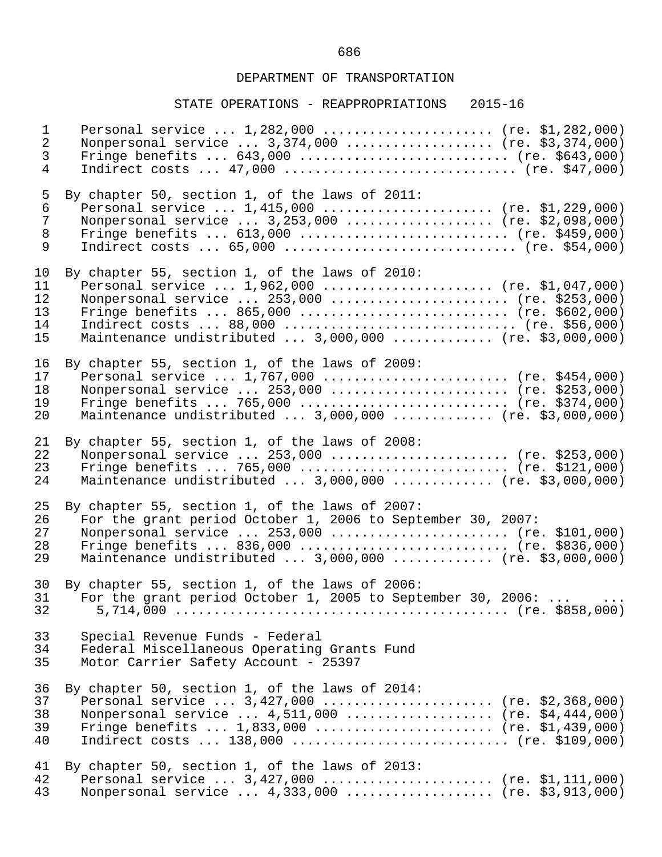| $\mathbf{1}$   | Personal service $1,282,000$ (re. \$1,282,000)              |
|----------------|-------------------------------------------------------------|
| $\overline{2}$ | Nonpersonal service  3,374,000  (re. \$3,374,000)           |
| $\mathfrak{Z}$ | Fringe benefits $643,000$ (re. \$643,000)                   |
| $\overline{4}$ | Indirect costs $47,000$ (re. \$47,000)                      |
| 5              | By chapter 50, section 1, of the laws of 2011:              |
| $\epsilon$     | Personal service $1,415,000$ (re. \$1,229,000)              |
| $\overline{7}$ | Nonpersonal service  3,253,000  (re. \$2,098,000)           |
| $\,8\,$        | Fringe benefits $613,000$ (re. \$459,000)                   |
| 9              | Indirect costs $65,000$ (re. \$54,000)                      |
| 10             | By chapter 55, section 1, of the laws of 2010:              |
| 11             | Personal service $1,962,000$ (re. \$1,047,000)              |
| 12             | Nonpersonal service  253,000  (re. \$253,000)               |
| 13             | Fringe benefits  865,000  (re. \$602,000)                   |
| 14             |                                                             |
| 15             | Maintenance undistributed  3,000,000  (re. \$3,000,000)     |
| 16             | By chapter 55, section 1, of the laws of 2009:              |
| 17             | Personal service  1,767,000  (re. \$454,000)                |
| 18             | Nonpersonal service  253,000  (re. \$253,000)               |
| 19             | Fringe benefits  765,000  (re. \$374,000)                   |
| 20             | Maintenance undistributed  3,000,000  (re. \$3,000,000)     |
| 21             | By chapter 55, section 1, of the laws of 2008:              |
| 22             | Nonpersonal service  253,000  (re. \$253,000)               |
| 23             | Fringe benefits  765,000  (re. \$121,000)                   |
| 24             | Maintenance undistributed  3,000,000  (re. \$3,000,000)     |
| 25             | By chapter 55, section 1, of the laws of 2007:              |
| 26             | For the grant period October 1, 2006 to September 30, 2007: |
| 27             | Nonpersonal service  253,000  (re. \$101,000)               |
| 28             | Fringe benefits  836,000  (re. \$836,000)                   |
| 29             | Maintenance undistributed  3,000,000  (re. \$3,000,000)     |
| 30             | By chapter 55, section 1, of the laws of 2006:              |
| 31             | For the grant period October 1, 2005 to September 30, 2006: |
| 32             |                                                             |
| 33             | Special Revenue Funds - Federal                             |
| 34             | Federal Miscellaneous Operating Grants Fund                 |
| 35             | Motor Carrier Safety Account - 25397                        |
| 36             | By chapter 50, section 1, of the laws of 2014:              |
| 37             | Personal service $3,427,000$ (re. \$2,368,000)              |
| 38             | Nonpersonal service  4,511,000  (re. \$4,444,000)           |
| 39             | Fringe benefits $1,833,000$ (re. \$1,439,000)               |
| 40             |                                                             |
| 41             | By chapter 50, section 1, of the laws of 2013:              |
| 42             | Personal service  3,427,000  (re. \$1,111,000)              |
| 43             | Nonpersonal service  4,333,000  (re. \$3,913,000)           |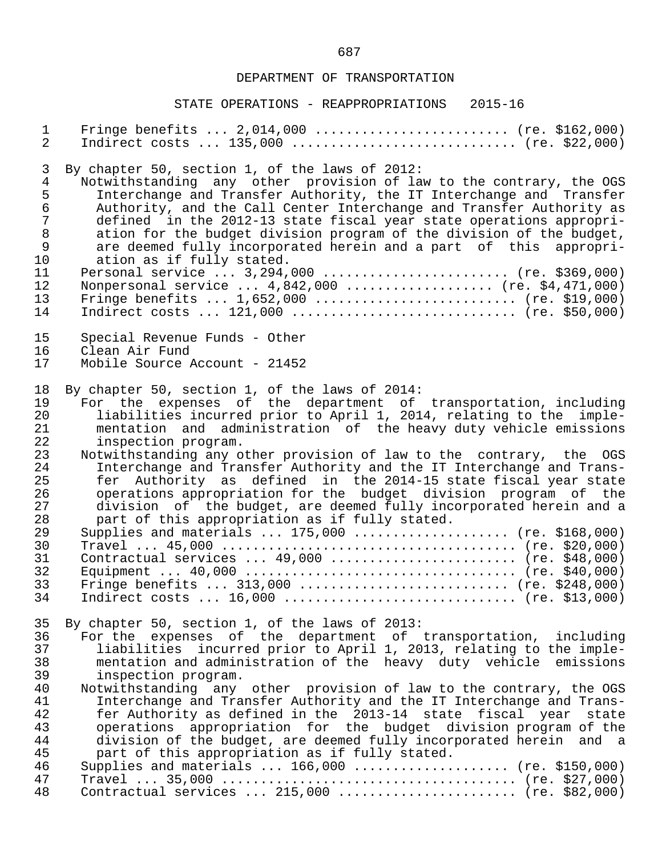| $\mathbf{1}$                     | Fringe benefits $2,014,000$ (re. \$162,000)                                                                                                                                                                                                                                                                                                             |
|----------------------------------|---------------------------------------------------------------------------------------------------------------------------------------------------------------------------------------------------------------------------------------------------------------------------------------------------------------------------------------------------------|
| $\overline{2}$                   | Indirect costs $135,000$ (re. \$22,000)                                                                                                                                                                                                                                                                                                                 |
| $\mathfrak{Z}$                   | By chapter 50, section 1, of the laws of 2012:                                                                                                                                                                                                                                                                                                          |
| $\overline{4}$                   | Notwithstanding any other provision of law to the contrary, the OGS                                                                                                                                                                                                                                                                                     |
| 5                                | Interchange and Transfer Authority, the IT Interchange and Transfer                                                                                                                                                                                                                                                                                     |
| $\epsilon$                       | Authority, and the Call Center Interchange and Transfer Authority as                                                                                                                                                                                                                                                                                    |
| $\overline{7}$                   | defined in the 2012-13 state fiscal year state operations appropri-                                                                                                                                                                                                                                                                                     |
| $\,8\,$                          | ation for the budget division program of the division of the budget,                                                                                                                                                                                                                                                                                    |
| $\mathsf 9$                      | are deemed fully incorporated herein and a part of this appropri-                                                                                                                                                                                                                                                                                       |
| 10                               | ation as if fully stated.                                                                                                                                                                                                                                                                                                                               |
| 11                               | Personal service  3,294,000  (re. \$369,000)                                                                                                                                                                                                                                                                                                            |
| 12                               | Nonpersonal service $4,842,000$ (re. \$4,471,000)                                                                                                                                                                                                                                                                                                       |
| 13                               | Fringe benefits $1,652,000$ (re. \$19,000)                                                                                                                                                                                                                                                                                                              |
| 14                               | Indirect costs $121,000$ (re. \$50,000)                                                                                                                                                                                                                                                                                                                 |
| 15                               | Special Revenue Funds - Other                                                                                                                                                                                                                                                                                                                           |
| 16                               | Clean Air Fund                                                                                                                                                                                                                                                                                                                                          |
| 17                               | Mobile Source Account - 21452                                                                                                                                                                                                                                                                                                                           |
| 18                               | By chapter 50, section 1, of the laws of 2014:                                                                                                                                                                                                                                                                                                          |
| 19                               | For the expenses of the department of transportation, including                                                                                                                                                                                                                                                                                         |
| 20                               | liabilities incurred prior to April 1, 2014, relating to the imple-                                                                                                                                                                                                                                                                                     |
| 21                               | mentation and administration of the heavy duty vehicle emissions                                                                                                                                                                                                                                                                                        |
| 22                               | inspection program.                                                                                                                                                                                                                                                                                                                                     |
| 23                               | Notwithstanding any other provision of law to the contrary, the OGS                                                                                                                                                                                                                                                                                     |
| 24                               | Interchange and Transfer Authority and the IT Interchange and Trans-                                                                                                                                                                                                                                                                                    |
| 25                               | fer Authority as defined in the 2014-15 state fiscal year state                                                                                                                                                                                                                                                                                         |
| 26                               | operations appropriation for the budget division program of the                                                                                                                                                                                                                                                                                         |
| 27                               | division of the budget, are deemed fully incorporated herein and a                                                                                                                                                                                                                                                                                      |
| 28                               | part of this appropriation as if fully stated.                                                                                                                                                                                                                                                                                                          |
| 29                               | Supplies and materials $175,000$ (re. \$168,000)                                                                                                                                                                                                                                                                                                        |
| 30                               |                                                                                                                                                                                                                                                                                                                                                         |
| 31                               | Contractual services  49,000  (re. \$48,000)                                                                                                                                                                                                                                                                                                            |
| 32                               |                                                                                                                                                                                                                                                                                                                                                         |
| 33                               | Fringe benefits  313,000  (re. \$248,000)                                                                                                                                                                                                                                                                                                               |
| 34                               | Indirect costs $16,000$ (re. \$13,000)                                                                                                                                                                                                                                                                                                                  |
| 35                               | By chapter 50, section 1, of the laws of 2013:                                                                                                                                                                                                                                                                                                          |
| 36                               | For the expenses of the department of transportation, including                                                                                                                                                                                                                                                                                         |
| 37                               | liabilities incurred prior to April 1, 2013, relating to the imple-                                                                                                                                                                                                                                                                                     |
| 38                               | mentation and administration of the heavy duty vehicle emissions                                                                                                                                                                                                                                                                                        |
| 39                               | inspection program.                                                                                                                                                                                                                                                                                                                                     |
| 40<br>41<br>42<br>43<br>44<br>45 | Notwithstanding any other provision of law to the contrary, the OGS<br>Interchange and Transfer Authority and the IT Interchange and Trans-<br>fer Authority as defined in the 2013-14 state fiscal year state<br>operations appropriation for the budget division program of the<br>division of the budget, are deemed fully incorporated herein and a |
| 46<br>47<br>48                   | part of this appropriation as if fully stated.<br>Supplies and materials $166,000$ (re. \$150,000)<br>Contractual services  215,000  (re. \$82,000)                                                                                                                                                                                                     |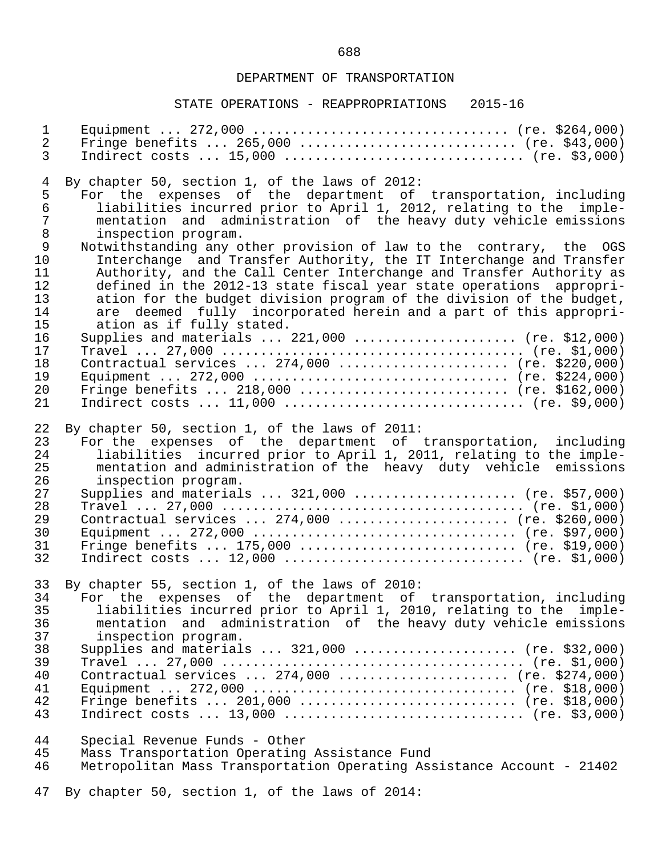| $\mathbf{1}$   |                                                                       |
|----------------|-----------------------------------------------------------------------|
| $\overline{a}$ | Fringe benefits $265,000$ (re. \$43,000)                              |
| 3              | Indirect costs $15,000$ (re. \$3,000)                                 |
| 4              | By chapter 50, section 1, of the laws of 2012:                        |
| 5              | For the expenses of the department of transportation, including       |
| $\epsilon$     | liabilities incurred prior to April 1, 2012, relating to the imple-   |
| $\overline{7}$ | mentation and administration of the heavy duty vehicle emissions      |
| 8              | inspection program.                                                   |
| 9              | Notwithstanding any other provision of law to the contrary, the OGS   |
| 10             | Interchange and Transfer Authority, the IT Interchange and Transfer   |
| 11             | Authority, and the Call Center Interchange and Transfer Authority as  |
| 12             | defined in the 2012-13 state fiscal year state operations appropri-   |
| 13             | ation for the budget division program of the division of the budget,  |
| 14             | are deemed fully incorporated herein and a part of this appropri-     |
| 15             | ation as if fully stated.                                             |
| 16             | Supplies and materials  221,000  (re. \$12,000)                       |
| 17             |                                                                       |
| 18             | Contractual services  274,000  (re. \$220,000)                        |
| 19             |                                                                       |
| 20             | Fringe benefits $218,000$ (re. \$162,000)                             |
| 21             |                                                                       |
| 22             | By chapter 50, section 1, of the laws of 2011:                        |
| 23             | For the expenses of the department of transportation, including       |
| 24             | liabilities incurred prior to April 1, 2011, relating to the imple-   |
| 25             | mentation and administration of the heavy duty vehicle emissions      |
| 26             | inspection program.                                                   |
| 27             | Supplies and materials  321,000  (re. \$57,000)                       |
| 28             |                                                                       |
| 29             | Contractual services  274,000  (re. \$260,000)                        |
| 30             |                                                                       |
| 31             | Fringe benefits $175,000$ (re. \$19,000)                              |
| 32             | Indirect costs $12,000$ (re. \$1,000)                                 |
| 33             | By chapter 55, section 1, of the laws of 2010:                        |
| 34             | For the expenses of the department of transportation, including       |
| 35             | liabilities incurred prior to April 1, 2010, relating to the imple-   |
| 36             | mentation and administration of the heavy duty vehicle emissions      |
| 37             | inspection program.                                                   |
| 38             | Supplies and materials $321,000$ (re. \$32,000)                       |
| 39             |                                                                       |
| 40             | Contractual services  274,000  (re. \$274,000)                        |
| 41             |                                                                       |
| 42             | Fringe benefits $201,000$ (re. \$18,000)                              |
| 43             | Indirect costs  13,000  (re. \$3,000)                                 |
| 44             | Special Revenue Funds - Other                                         |
| 45             | Mass Transportation Operating Assistance Fund                         |
| 46             | Metropolitan Mass Transportation Operating Assistance Account - 21402 |
| 47             | By chapter 50, section 1, of the laws of 2014:                        |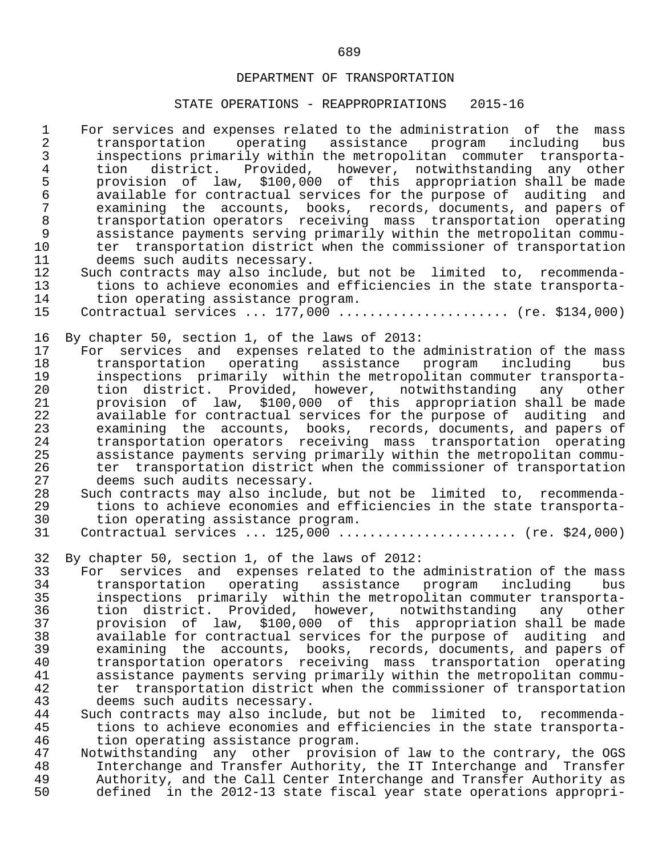- 1 For services and expenses related to the administration of the mass<br>2 transportation operating assistance program including bus 2 transportation operating assistance program including<br>3 inspections primarily within the metropolitan commuter transpo: 3 inspections primarily within the metropolitan commuter transporta- 4 tion district. Provided, however, notwithstanding any other<br>5 provision of law, \$100,000 of this appropriation-shall-be-made provision of law, \$100,000 of this appropriation shall be made<br>6 available for contractual services for the purpose of auditing and 6 available for contractual services for the purpose of auditing and<br>7 examining the accounts, books, records, documents, and papers of 7 examining the accounts, books, records, documents, and papers of 8 transportation operators receiving mass transportation operating<br>9 assistance payments serving primarily within the metropolitan commu-9 assistance payments serving primarily within the metropolitan commu-<br>10 ter transportation district when the commissioner of transportation 10 ter transportation district when the commissioner of transportation<br>11 deems such audits necessary. 11 deems such audits necessary.<br>12 Such contracts may also includ 12 Such contracts may also include, but not be limited to, recommenda-<br>13 tions to achieve economies and efficiencies in the state transporta-13 tions to achieve economies and efficiencies in the state transporta-<br>14 tion operating assistance program. 14 tion operating assistance program.<br>15 Contractual services ... 177.000 ... Contractual services ... 177,000 ....................... (re. \$134,000) 16 By chapter 50, section 1, of the laws of 2013:<br>17 For services and expenses related to the 17 For services and expenses related to the administration of the mass<br>18 transportation operating assistance program including bus 18 transportation operating assistance program including bus<br>19 inspections primarily within-the-metropolitan-commuter-transporta- 19 inspections primarily within the metropolitan commuter transporta- 20 tion district. Provided, however, notwithstanding any other 21 provision of law, \$100,000 of this appropriation shall be made 22 available for contractual services for the purpose of auditing and<br>23 examining the accounts, books, records, documents, and papers of 23 examining the accounts, books, records, documents, and papers of<br>24 transportation operators receiving mass transportation operating 24 transportation operators receiving mass transportation operating<br>25 assistance payments serving primarily within the metropolitan commu- 25 assistance payments serving primarily within the metropolitan commu- 26 ter transportation district when the commissioner of transportation<br>27 deems such audits necessary. 27 deems such audits necessary.<br>28 Such contracts may also includ 28 Such contracts may also include, but not be limited to, recommenda-<br>29 tions to achieve economies and efficiencies in the state transporta-29 tions to achieve economies and efficiencies in the state transporta-<br>30 tion operating assistance program. 30 tion operating assistance program.<br>31 Contractual services ... 125.000 ... Contractual services ... 125,000 ........................ (re. \$24,000) 32 By chapter 50, section 1, of the laws of 2012: 33 For services and expenses related to the administration of the mass<br>34 transportation operating assistance program including bus 34 transportation operating assistance program including bus<br>35 inspections primarily within the metropolitan-commuter-transporta- 35 inspections primarily within the metropolitan commuter transporta- 36 tion district. Provided, however, notwithstanding any other 37 provision of law, \$100,000 of this appropriation shall be made 38 available for contractual services for the purpose of auditing and 39 examining the accounts, books, records, documents, and papers of 40 transportation operators receiving mass transportation operating 41 assistance payments serving primarily within the metropolitan commu- 42 ter transportation district when the commissioner of transportation<br>43 deems such audits necessary. 43 deems such audits necessary.<br>44 Such contracts may also includ 44 Such contracts may also include, but not be limited to, recommenda-<br>45 tions to achieve economies and efficiencies in the state transporta-45 tions to achieve economies and efficiencies in the state transporta-<br>46 tion operating assistance program. 46 tion operating assistance program.<br>47 Notwithstanding any other provisi 47 Notwithstanding any other provision of law to the contrary, the OGS<br>48 11 Interchange and Transfer Authority, the IT Interchange and Transfer 48 Interchange and Transfer Authority, the IT Interchange and Transfer<br>49 Authority, and the Call Center Interchange and Transfer Authority as
	- 49 Authority, and the Call Center Interchange and Transfer Authority as<br>50 defined in the 2012-13 state fiscal year state operations appropri-50 defined in the 2012-13 state fiscal year state operations appropri-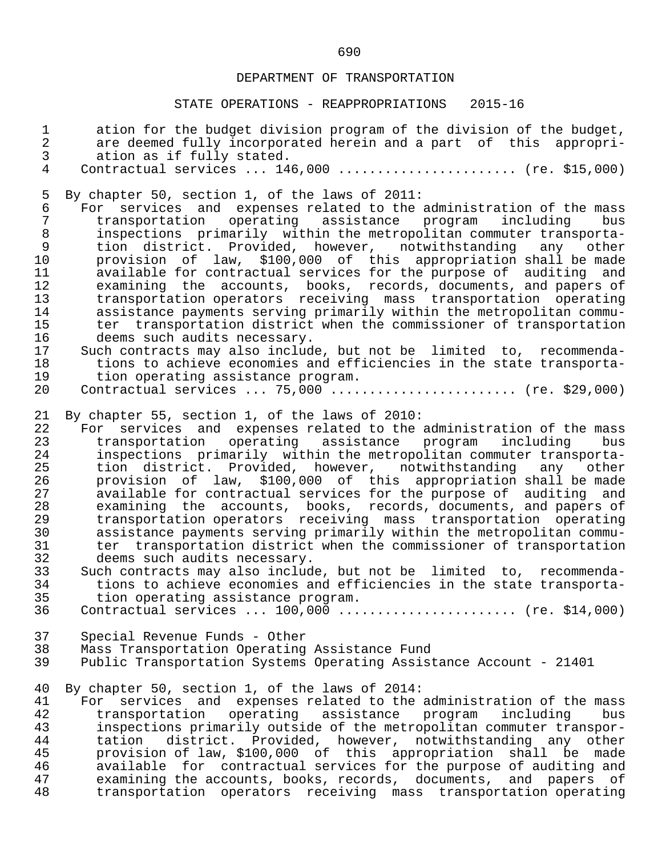| $\mathbf 1$    | ation for the budget division program of the division of the budget, |
|----------------|----------------------------------------------------------------------|
| $\overline{a}$ | are deemed fully incorporated herein and a part of this appropri-    |
| $\mathfrak{Z}$ |                                                                      |
|                | ation as if fully stated.                                            |
| $\overline{4}$ | Contractual services $146,000$ (re. \$15,000)                        |
|                |                                                                      |
| 5              | By chapter 50, section 1, of the laws of 2011:                       |
| $\epsilon$     | For services and expenses related to the administration of the mass  |
| $\overline{7}$ | transportation operating assistance program including<br>bus         |
| 8              | inspections primarily within the metropolitan commuter transporta-   |
|                |                                                                      |
| $\mathsf 9$    | tion district. Provided, however, notwithstanding<br>any<br>other    |
| 10             | provision of law, \$100,000 of this appropriation shall be made      |
| 11             | available for contractual services for the purpose of auditing and   |
| 12             | examining the accounts, books, records, documents, and papers of     |
| 13             | transportation operators receiving mass transportation operating     |
| 14             | assistance payments serving primarily within the metropolitan commu- |
| 15             | ter transportation district when the commissioner of transportation  |
|                |                                                                      |
| 16             | deems such audits necessary.                                         |
| 17             | Such contracts may also include, but not be limited to, recommenda-  |
| 18             | tions to achieve economies and efficiencies in the state transporta- |
| 19             | tion operating assistance program.                                   |
| 20             | Contractual services  75,000 $\ldots$ (re. \$29,000)                 |
|                |                                                                      |
| 21             | By chapter 55, section 1, of the laws of 2010:                       |
| 22             | For services and expenses related to the administration of the mass  |
| 23             | transportation operating assistance program including<br>bus         |
|                |                                                                      |
| 24             | inspections primarily within the metropolitan commuter transporta-   |
| 25             | tion district. Provided, however, notwithstanding<br>any<br>other    |
| 26             | provision of law, \$100,000 of this appropriation shall be made      |
| 27             | available for contractual services for the purpose of auditing and   |
| 28             | examining the accounts, books, records, documents, and papers of     |
| 29             | transportation operators receiving mass transportation operating     |
| 30             | assistance payments serving primarily within the metropolitan commu- |
| 31             |                                                                      |
|                | ter transportation district when the commissioner of transportation  |
| 32             | deems such audits necessary.                                         |
| 33             | Such contracts may also include, but not be limited to, recommenda-  |
| 34             | tions to achieve economies and efficiencies in the state transporta- |
| 35             | tion operating assistance program.                                   |
| 36             | Contractual services $100,000$ (re. \$14,000)                        |
|                |                                                                      |
| 37             | Special Revenue Funds - Other                                        |
| 38             | Mass Transportation Operating Assistance Fund                        |
| 39             | Public Transportation Systems Operating Assistance Account - 21401   |
|                |                                                                      |
|                |                                                                      |
| 40             | By chapter 50, section 1, of the laws of 2014:                       |
| 41             | For services and expenses related to the administration of the mass  |
| 42             | transportation operating assistance program<br>including<br>bus      |
| 43             | inspections primarily outside of the metropolitan commuter transpor- |
| 44             | district. Provided, however, notwithstanding any<br>tation<br>other  |
| 45             | provision of law, \$100,000 of this appropriation shall be made      |
| 46             | available for contractual services for the purpose of auditing and   |
| 47             | examining the accounts, books, records, documents, and papers of     |
| 48             | transportation operators receiving mass transportation operating     |
|                |                                                                      |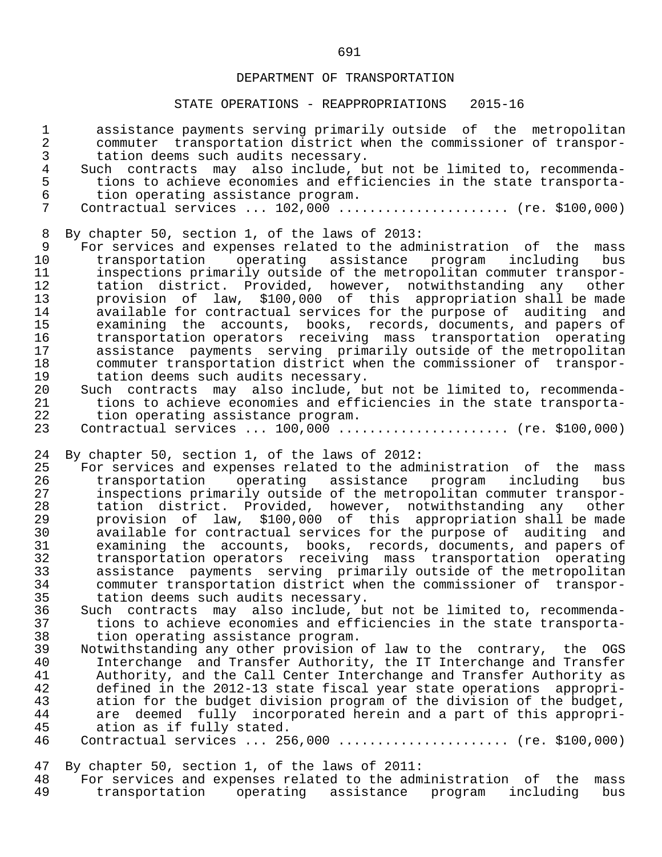| $\mathbf 1$<br>$\overline{2}$<br>$\mathsf{3}$ | assistance payments serving primarily outside of the metropolitan<br>commuter transportation district when the commissioner of transpor-<br>tation deems such audits necessary.   |
|-----------------------------------------------|-----------------------------------------------------------------------------------------------------------------------------------------------------------------------------------|
| $\overline{4}$<br>5<br>$6\overline{6}$        | Such contracts may also include, but not be limited to, recommenda-<br>tions to achieve economies and efficiencies in the state transporta-<br>tion operating assistance program. |
| 7                                             | Contractual services  102,000  (re. \$100,000)                                                                                                                                    |
| 8<br>9                                        | By chapter 50, section 1, of the laws of 2013:                                                                                                                                    |
| 10                                            | For services and expenses related to the administration of the mass                                                                                                               |
| 11                                            | transportation<br>operating assistance program including<br>bus<br>inspections primarily outside of the metropolitan commuter transpor-                                           |
| 12                                            | tation district. Provided, however, notwithstanding any<br>other                                                                                                                  |
| 13                                            | provision of law, \$100,000 of this appropriation shall be made                                                                                                                   |
| 14                                            | available for contractual services for the purpose of auditing and                                                                                                                |
| 15                                            | examining the accounts, books, records, documents, and papers of                                                                                                                  |
| 16                                            | transportation operators receiving mass transportation operating                                                                                                                  |
| 17                                            | assistance payments serving primarily outside of the metropolitan                                                                                                                 |
| 18                                            | commuter transportation district when the commissioner of transpor-                                                                                                               |
| 19                                            | tation deems such audits necessary.                                                                                                                                               |
| 20                                            | Such contracts may also include, but not be limited to, recommenda-                                                                                                               |
| 21                                            | tions to achieve economies and efficiencies in the state transporta-                                                                                                              |
| 22                                            | tion operating assistance program.                                                                                                                                                |
| 23                                            | Contractual services  100,000  (re. \$100,000)                                                                                                                                    |
| 24                                            | By chapter 50, section 1, of the laws of 2012:                                                                                                                                    |
| 25                                            | For services and expenses related to the administration of the mass                                                                                                               |
| 26                                            | transportation operating assistance program including<br>bus                                                                                                                      |
| 27                                            | inspections primarily outside of the metropolitan commuter transpor-                                                                                                              |
| 28                                            | tation district. Provided, however, notwithstanding any<br>other                                                                                                                  |
| 29                                            | provision of law, \$100,000 of this appropriation shall be made                                                                                                                   |
| 30                                            | available for contractual services for the purpose of auditing and                                                                                                                |
| 31<br>32                                      | examining the accounts, books, records, documents, and papers of<br>transportation operators receiving mass transportation operating                                              |
| 33                                            | assistance payments serving primarily outside of the metropolitan                                                                                                                 |
| 34                                            | commuter transportation district when the commissioner of transpor-                                                                                                               |
| 35                                            | tation deems such audits necessary.                                                                                                                                               |
| 36                                            | Such contracts may also include, but not be limited to, recommenda-                                                                                                               |
| 37                                            | tions to achieve economies and efficiencies in the state transporta-                                                                                                              |
| 38                                            | tion operating assistance program.                                                                                                                                                |
| 39                                            | Notwithstanding any other provision of law to the contrary, the OGS                                                                                                               |
| 40                                            | Interchange and Transfer Authority, the IT Interchange and Transfer                                                                                                               |
| 41                                            | Authority, and the Call Center Interchange and Transfer Authority as                                                                                                              |
| 42                                            | defined in the 2012-13 state fiscal year state operations appropri-                                                                                                               |
| 43                                            | ation for the budget division program of the division of the budget,                                                                                                              |
| 44                                            | are deemed fully incorporated herein and a part of this appropri-                                                                                                                 |
| 45                                            | ation as if fully stated.                                                                                                                                                         |
| 46                                            | Contractual services $256,000$ (re. \$100,000)                                                                                                                                    |
| 47                                            | By chapter 50, section 1, of the laws of 2011:                                                                                                                                    |
| 48                                            | For services and expenses related to the administration of the<br>mass <sub>s</sub>                                                                                               |
| 49                                            | transportation operating assistance program<br>including<br>bus                                                                                                                   |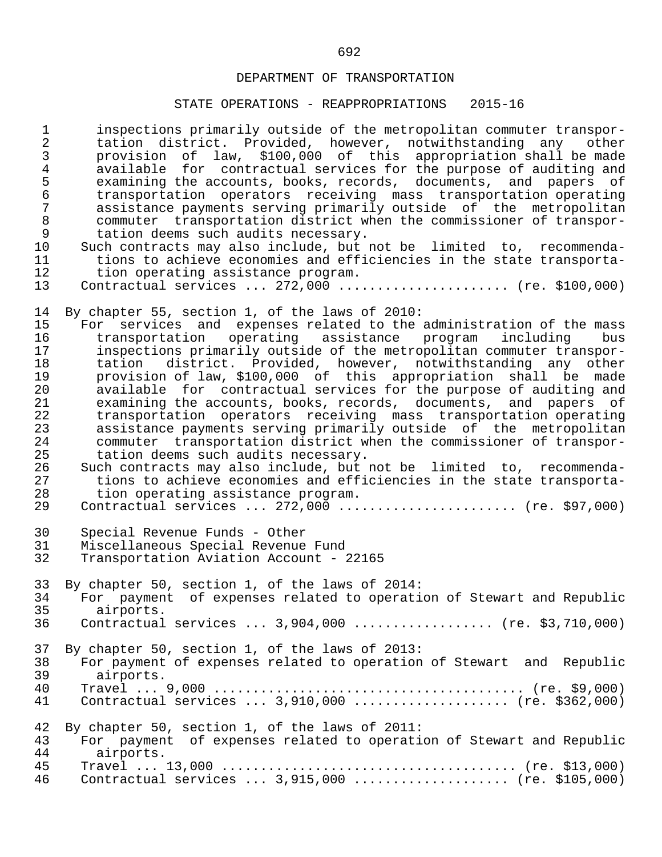| $1\,$<br>$\overline{2}$<br>$\mathfrak{Z}$<br>$\overline{4}$<br>5<br>$\epsilon$<br>$\overline{7}$<br>$\,8\,$<br>$\mathsf 9$<br>10<br>11<br>12 | inspections primarily outside of the metropolitan commuter transpor-<br>tation district. Provided, however, notwithstanding any<br>other<br>provision of law, \$100,000 of this appropriation shall be made<br>available for contractual services for the purpose of auditing and<br>examining the accounts, books, records, documents, and papers of<br>transportation operators receiving mass transportation operating<br>assistance payments serving primarily outside of the metropolitan<br>commuter transportation district when the commissioner of transpor-<br>tation deems such audits necessary.<br>Such contracts may also include, but not be limited to, recommenda-<br>tions to achieve economies and efficiencies in the state transporta-<br>tion operating assistance program.                                                                                                                                                                                                                                                 |
|----------------------------------------------------------------------------------------------------------------------------------------------|---------------------------------------------------------------------------------------------------------------------------------------------------------------------------------------------------------------------------------------------------------------------------------------------------------------------------------------------------------------------------------------------------------------------------------------------------------------------------------------------------------------------------------------------------------------------------------------------------------------------------------------------------------------------------------------------------------------------------------------------------------------------------------------------------------------------------------------------------------------------------------------------------------------------------------------------------------------------------------------------------------------------------------------------------|
| 13                                                                                                                                           | Contractual services $272,000$ (re. \$100,000)                                                                                                                                                                                                                                                                                                                                                                                                                                                                                                                                                                                                                                                                                                                                                                                                                                                                                                                                                                                                    |
| 14<br>15<br>16<br>17<br>18<br>19<br>20<br>21<br>22<br>23<br>24<br>25<br>26<br>27<br>28<br>29                                                 | By chapter 55, section 1, of the laws of 2010:<br>For services and expenses related to the administration of the mass<br>transportation operating assistance program<br>bus<br>including<br>inspections primarily outside of the metropolitan commuter transpor-<br>district. Provided, however, notwithstanding any<br>tation<br>other<br>provision of law, \$100,000 of this appropriation shall be made<br>available for contractual services for the purpose of auditing and<br>examining the accounts, books, records, documents, and papers of<br>transportation operators receiving mass transportation operating<br>assistance payments serving primarily outside of the metropolitan<br>commuter transportation district when the commissioner of transpor-<br>tation deems such audits necessary.<br>Such contracts may also include, but not be limited to, recommenda-<br>tions to achieve economies and efficiencies in the state transporta-<br>tion operating assistance program.<br>Contractual services $272,000$ (re. \$97,000) |
| 30                                                                                                                                           | Special Revenue Funds - Other                                                                                                                                                                                                                                                                                                                                                                                                                                                                                                                                                                                                                                                                                                                                                                                                                                                                                                                                                                                                                     |
| 31                                                                                                                                           | Miscellaneous Special Revenue Fund                                                                                                                                                                                                                                                                                                                                                                                                                                                                                                                                                                                                                                                                                                                                                                                                                                                                                                                                                                                                                |
| 32                                                                                                                                           | Transportation Aviation Account - 22165                                                                                                                                                                                                                                                                                                                                                                                                                                                                                                                                                                                                                                                                                                                                                                                                                                                                                                                                                                                                           |
| 33                                                                                                                                           | By chapter 50, section 1, of the laws of 2014:                                                                                                                                                                                                                                                                                                                                                                                                                                                                                                                                                                                                                                                                                                                                                                                                                                                                                                                                                                                                    |
| 34                                                                                                                                           | For payment of expenses related to operation of Stewart and Republic                                                                                                                                                                                                                                                                                                                                                                                                                                                                                                                                                                                                                                                                                                                                                                                                                                                                                                                                                                              |
| 35                                                                                                                                           | airports.                                                                                                                                                                                                                                                                                                                                                                                                                                                                                                                                                                                                                                                                                                                                                                                                                                                                                                                                                                                                                                         |
| 36                                                                                                                                           | Contractual services $3,904,000$ (re. \$3,710,000)                                                                                                                                                                                                                                                                                                                                                                                                                                                                                                                                                                                                                                                                                                                                                                                                                                                                                                                                                                                                |
| 37                                                                                                                                           | By chapter 50, section 1, of the laws of 2013:                                                                                                                                                                                                                                                                                                                                                                                                                                                                                                                                                                                                                                                                                                                                                                                                                                                                                                                                                                                                    |
| 38                                                                                                                                           | For payment of expenses related to operation of Stewart and Republic                                                                                                                                                                                                                                                                                                                                                                                                                                                                                                                                                                                                                                                                                                                                                                                                                                                                                                                                                                              |
| 39                                                                                                                                           | airports.                                                                                                                                                                                                                                                                                                                                                                                                                                                                                                                                                                                                                                                                                                                                                                                                                                                                                                                                                                                                                                         |
| 40                                                                                                                                           |                                                                                                                                                                                                                                                                                                                                                                                                                                                                                                                                                                                                                                                                                                                                                                                                                                                                                                                                                                                                                                                   |
| 41                                                                                                                                           | Contractual services  3,910,000  (re. \$362,000)                                                                                                                                                                                                                                                                                                                                                                                                                                                                                                                                                                                                                                                                                                                                                                                                                                                                                                                                                                                                  |
| 42                                                                                                                                           | By chapter 50, section 1, of the laws of 2011:                                                                                                                                                                                                                                                                                                                                                                                                                                                                                                                                                                                                                                                                                                                                                                                                                                                                                                                                                                                                    |
| 43                                                                                                                                           | For payment of expenses related to operation of Stewart and Republic                                                                                                                                                                                                                                                                                                                                                                                                                                                                                                                                                                                                                                                                                                                                                                                                                                                                                                                                                                              |
| 44                                                                                                                                           | airports.                                                                                                                                                                                                                                                                                                                                                                                                                                                                                                                                                                                                                                                                                                                                                                                                                                                                                                                                                                                                                                         |
| 45                                                                                                                                           |                                                                                                                                                                                                                                                                                                                                                                                                                                                                                                                                                                                                                                                                                                                                                                                                                                                                                                                                                                                                                                                   |
| 46                                                                                                                                           | Contractual services $3,915,000$ (re. \$105,000)                                                                                                                                                                                                                                                                                                                                                                                                                                                                                                                                                                                                                                                                                                                                                                                                                                                                                                                                                                                                  |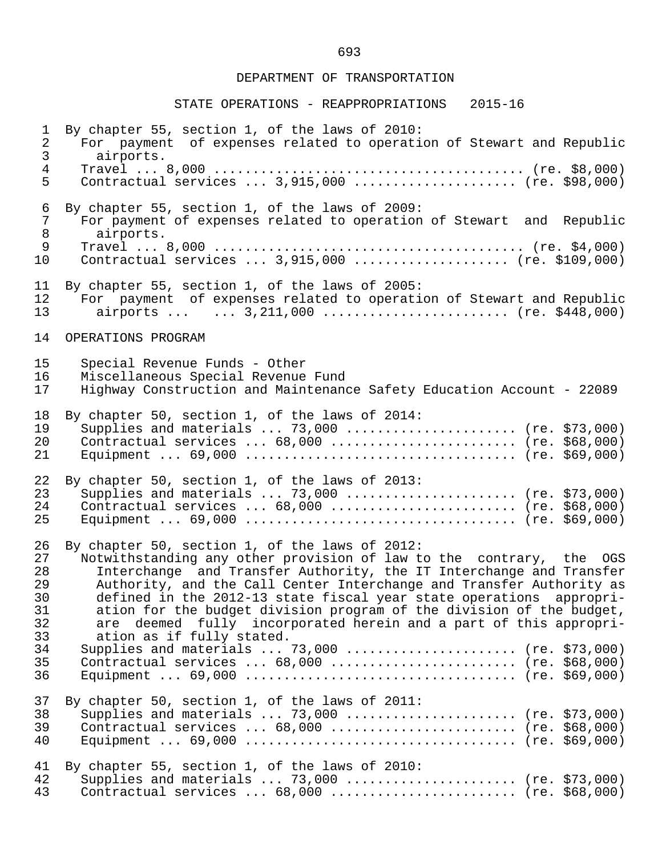| $\mathbf 1$                                                    | By chapter 55, section 1, of the laws of 2010:                                                                                                                                                                                                                                                                                                                                                                                                                                                                                                                                                                             |
|----------------------------------------------------------------|----------------------------------------------------------------------------------------------------------------------------------------------------------------------------------------------------------------------------------------------------------------------------------------------------------------------------------------------------------------------------------------------------------------------------------------------------------------------------------------------------------------------------------------------------------------------------------------------------------------------------|
| $\sqrt{2}$                                                     | For payment of expenses related to operation of Stewart and Republic                                                                                                                                                                                                                                                                                                                                                                                                                                                                                                                                                       |
| $\mathfrak{Z}$                                                 | airports.                                                                                                                                                                                                                                                                                                                                                                                                                                                                                                                                                                                                                  |
| $\overline{4}$                                                 |                                                                                                                                                                                                                                                                                                                                                                                                                                                                                                                                                                                                                            |
| 5                                                              | Contractual services $3,915,000$ (re. \$98,000)                                                                                                                                                                                                                                                                                                                                                                                                                                                                                                                                                                            |
| 6                                                              | By chapter 55, section 1, of the laws of 2009:                                                                                                                                                                                                                                                                                                                                                                                                                                                                                                                                                                             |
| 7                                                              | For payment of expenses related to operation of Stewart and Republic                                                                                                                                                                                                                                                                                                                                                                                                                                                                                                                                                       |
| 8                                                              | airports.                                                                                                                                                                                                                                                                                                                                                                                                                                                                                                                                                                                                                  |
| 9                                                              |                                                                                                                                                                                                                                                                                                                                                                                                                                                                                                                                                                                                                            |
| 10                                                             | Contractual services  3,915,000  (re. \$109,000)                                                                                                                                                                                                                                                                                                                                                                                                                                                                                                                                                                           |
| 11                                                             | By chapter 55, section 1, of the laws of 2005:                                                                                                                                                                                                                                                                                                                                                                                                                                                                                                                                                                             |
| 12                                                             | For payment of expenses related to operation of Stewart and Republic                                                                                                                                                                                                                                                                                                                                                                                                                                                                                                                                                       |
| 13                                                             | airports   3, 211, 000  (re. \$448, 000)                                                                                                                                                                                                                                                                                                                                                                                                                                                                                                                                                                                   |
| 14                                                             | OPERATIONS PROGRAM                                                                                                                                                                                                                                                                                                                                                                                                                                                                                                                                                                                                         |
| 15                                                             | Special Revenue Funds - Other                                                                                                                                                                                                                                                                                                                                                                                                                                                                                                                                                                                              |
| 16                                                             | Miscellaneous Special Revenue Fund                                                                                                                                                                                                                                                                                                                                                                                                                                                                                                                                                                                         |
| 17                                                             | Highway Construction and Maintenance Safety Education Account - 22089                                                                                                                                                                                                                                                                                                                                                                                                                                                                                                                                                      |
| 18                                                             | By chapter 50, section 1, of the laws of 2014:                                                                                                                                                                                                                                                                                                                                                                                                                                                                                                                                                                             |
| 19                                                             | Supplies and materials $73,000$ (re. \$73,000)                                                                                                                                                                                                                                                                                                                                                                                                                                                                                                                                                                             |
| 20                                                             | Contractual services $68,000$ (re. \$68,000)                                                                                                                                                                                                                                                                                                                                                                                                                                                                                                                                                                               |
| 21                                                             |                                                                                                                                                                                                                                                                                                                                                                                                                                                                                                                                                                                                                            |
| 22                                                             | By chapter 50, section 1, of the laws of 2013:                                                                                                                                                                                                                                                                                                                                                                                                                                                                                                                                                                             |
| 23                                                             | Supplies and materials $73,000$ (re. \$73,000)                                                                                                                                                                                                                                                                                                                                                                                                                                                                                                                                                                             |
| 24                                                             | Contractual services  68,000  (re. \$68,000)                                                                                                                                                                                                                                                                                                                                                                                                                                                                                                                                                                               |
| 25                                                             |                                                                                                                                                                                                                                                                                                                                                                                                                                                                                                                                                                                                                            |
| 26<br>27<br>28<br>29<br>30<br>31<br>32<br>33<br>34<br>35<br>36 | By chapter 50, section 1, of the laws of 2012:<br>Notwithstanding any other provision of law to the contrary, the OGS<br>Interchange and Transfer Authority, the IT Interchange and Transfer<br>Authority, and the Call Center Interchange and Transfer Authority as<br>defined in the 2012-13 state fiscal year state operations appropri-<br>ation for the budget division program of the division of the budget,<br>deemed fully incorporated herein and a part of this appropri-<br>are<br>ation as if fully stated.<br>Supplies and materials  73,000  (re. \$73,000)<br>Contractual services  68,000  (re. \$68,000) |
| 37                                                             | By chapter 50, section 1, of the laws of 2011:                                                                                                                                                                                                                                                                                                                                                                                                                                                                                                                                                                             |
| 38                                                             | Supplies and materials  73,000  (re. \$73,000)                                                                                                                                                                                                                                                                                                                                                                                                                                                                                                                                                                             |
| 39                                                             | Contractual services $68,000$ (re. \$68,000)                                                                                                                                                                                                                                                                                                                                                                                                                                                                                                                                                                               |
| 40                                                             |                                                                                                                                                                                                                                                                                                                                                                                                                                                                                                                                                                                                                            |
| 41                                                             | By chapter 55, section 1, of the laws of 2010:                                                                                                                                                                                                                                                                                                                                                                                                                                                                                                                                                                             |
| 42                                                             | Supplies and materials  73,000  (re. \$73,000)                                                                                                                                                                                                                                                                                                                                                                                                                                                                                                                                                                             |
| 43                                                             | Contractual services $68,000$ (re. \$68,000)                                                                                                                                                                                                                                                                                                                                                                                                                                                                                                                                                                               |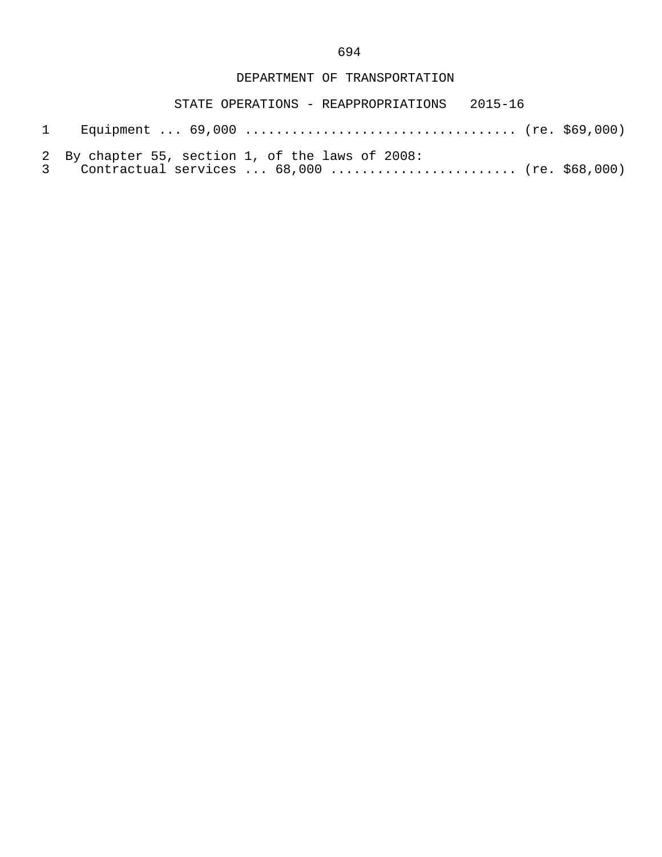- 1 Equipment ... 69,000 ................................... (re. \$69,000)
- 2 By chapter 55, section 1, of the laws of 2008:<br>3 Contractual services ... 68.000 .............
- Contractual services ... 68,000 ......................... (re. \$68,000)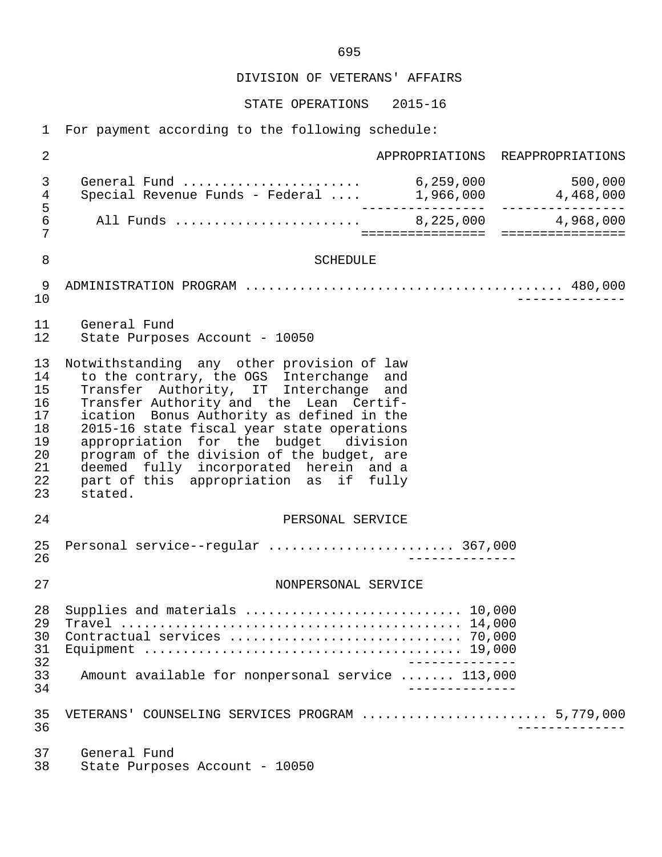DIVISION OF VETERANS' AFFAIRS

STATE OPERATIONS 2015-16

1 For payment according to the following schedule:

 2 APPROPRIATIONS REAPPROPRIATIONS 3 General Fund ....................... 6,259,000 500,000 4 Special Revenue Funds - Federal .... 1,966,000 4,468,000 5 ---------------- ---------------- 6 All Funds ........................ 8,225,000 4,968,000 7 ================ ================ 8 SCHEDULE 9 ADMINISTRATION PROGRAM ......................................... 480,000 10 -------------- 11 General Fund State Purposes Account - 10050 13 Notwithstanding any other provision of law<br>14 to the contrary, the OGS Interchange and 14 to the contrary, the OGS Interchange and<br>15 Transfer Authority, IT Interchange and Transfer Authority, IT Interchange and 16 Transfer Authority and the Lean Certif-<br>17 ication Bonus Authority as defined in the 17 ication Bonus Authority as defined in the<br>18 2015-16 state fiscal vear state operations 18 2015-16 state fiscal year state operations<br>19 appropriation for the budget division 19 appropriation for the budget division<br>20 program of the division of the budget, are 20 program of the division of the budget, are<br>21 deemed fully incorporated herein and a 21 deemed fully incorporated herein and a 22 part of this appropriation as if fully 23 stated. 24 PERSONAL SERVICE 25 Personal service--regular ........................ 367,000 26 -------------- 27 NONPERSONAL SERVICE 28 Supplies and materials ............................ 10,000 29 Travel ............................................ 14,000 30 Contractual services .............................. 70,000 31 Equipment ......................................... 19,000 32 -------------<br>33 Amount available for nonpersonal service ....... 113,000 33 Amount available for nonpersonal service ....... 113,000 34 -------------- 35 VETERANS' COUNSELING SERVICES PROGRAM ........................ 5,779,000 36 -------------- 37 General Fund<br>38 State Purpose

State Purposes Account - 10050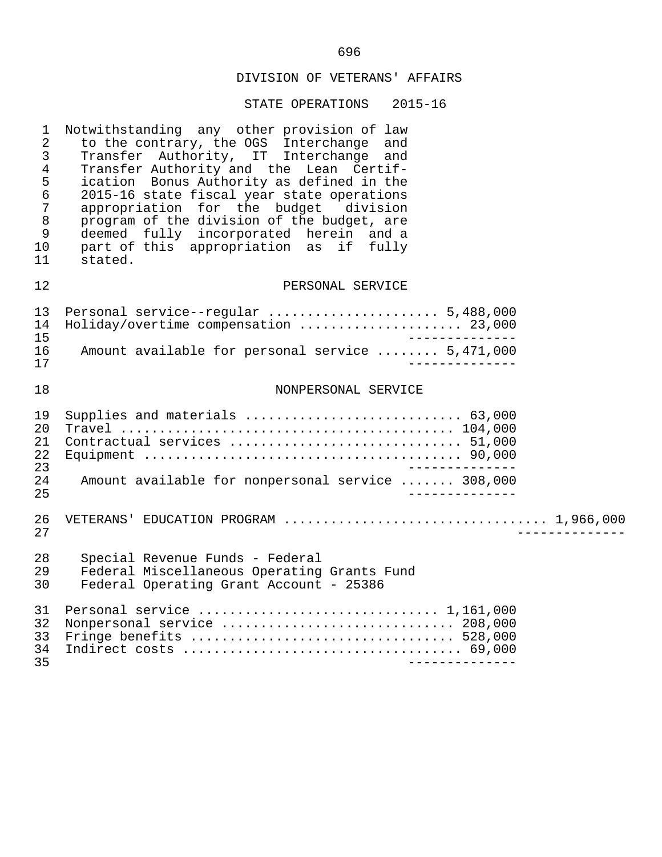# DIVISION OF VETERANS' AFFAIRS

| $\mathbf 1$<br>$\overline{2}$<br>3<br>$\overline{4}$<br>5<br>$\epsilon$<br>$\overline{7}$<br>$\,8\,$<br>9<br>10<br>11 | Notwithstanding any other provision of law<br>to the contrary, the OGS Interchange<br>and<br>Transfer Authority, IT Interchange and<br>Transfer Authority and the Lean Certif-<br>ication Bonus Authority as defined in the<br>2015-16 state fiscal year state operations<br>appropriation for the budget division<br>program of the division of the budget, are<br>deemed fully incorporated herein and a<br>part of this appropriation as if fully<br>stated. |
|-----------------------------------------------------------------------------------------------------------------------|-----------------------------------------------------------------------------------------------------------------------------------------------------------------------------------------------------------------------------------------------------------------------------------------------------------------------------------------------------------------------------------------------------------------------------------------------------------------|
| 12                                                                                                                    | PERSONAL SERVICE                                                                                                                                                                                                                                                                                                                                                                                                                                                |
| 13<br>14<br>15<br>16<br>17                                                                                            | Personal service--regular  5,488,000<br>Holiday/overtime compensation  23,000<br>______________<br>Amount available for personal service  5,471,000                                                                                                                                                                                                                                                                                                             |
| 18                                                                                                                    | NONPERSONAL SERVICE                                                                                                                                                                                                                                                                                                                                                                                                                                             |
| 19<br>20<br>21<br>22<br>23<br>24<br>25                                                                                | Supplies and materials  63,000<br>Contractual services  51,000<br>Amount available for nonpersonal service  308,000                                                                                                                                                                                                                                                                                                                                             |
| 26<br>27                                                                                                              |                                                                                                                                                                                                                                                                                                                                                                                                                                                                 |
| 28<br>29<br>30                                                                                                        | Special Revenue Funds - Federal<br>Federal Miscellaneous Operating Grants Fund<br>Federal Operating Grant Account - 25386                                                                                                                                                                                                                                                                                                                                       |
| 31<br>32<br>33<br>34<br>35                                                                                            | Nonpersonal service  208,000                                                                                                                                                                                                                                                                                                                                                                                                                                    |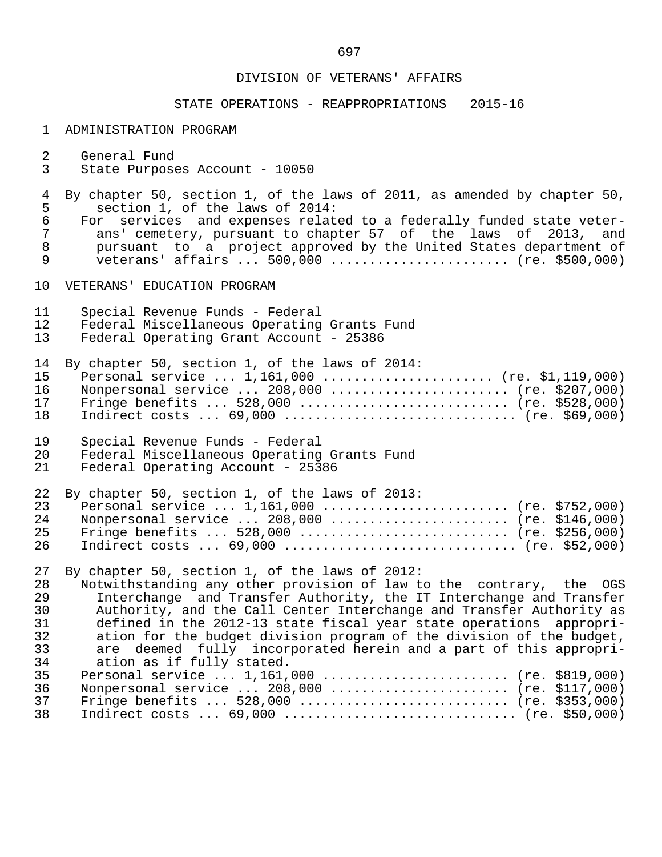#### DIVISION OF VETERANS' AFFAIRS

### STATE OPERATIONS - REAPPROPRIATIONS 2015-16

#### 1 ADMINISTRATION PROGRAM

- 2 General Fund<br>3 State Purpose
- 3 State Purposes Account 10050
- 4 By chapter 50, section 1, of the laws of 2011, as amended by chapter 50,<br>5 section 1, of the laws of 2014: 5 section 1, of the laws of 2014:<br>6 For services and expenses relat
- 6 For services and expenses related to a federally funded state veter-<br>7 ans' cemetery, pursuant to chapter 57 of the laws of 2013, and 7 ans' cemetery, pursuant to chapter 57 of the laws of 2013, and<br>8 oursuant to a project approved by the United States department of 8 pursuant to a project approved by the United States department of<br>9 veterans' affairs ... 500.000 ....................... (re. \$500.000) veterans' affairs ... 500,000 ......................... (re. \$500,000)
- 10 VETERANS' EDUCATION PROGRAM
- 11 Special Revenue Funds Federal
- 12 Federal Miscellaneous Operating Grants Fund<br>13 Federal Operating Grant Account 25386
- Federal Operating Grant Account 25386

|    | 14 By chapter 50, section 1, of the laws of 2014: |
|----|---------------------------------------------------|
|    | 15 Personal service  1,161,000  (re. \$1,119,000) |
| 16 | Nonpersonal service  208,000  (re. \$207,000)     |
| 17 | Fringe benefits  528,000  (re. \$528,000)         |
|    | 18 Indirect costs  69,000  (re. \$69,000)         |

- 19 Special Revenue Funds Federal<br>20 Federal Miscellaneous Operating 20 Federal Miscellaneous Operating Grants Fund<br>21 Federal Operating Account - 25386
- Federal Operating Account 25386

|     | 22 By chapter 50, section 1, of the laws of 2013: |  |
|-----|---------------------------------------------------|--|
|     | 23 Personal service  1,161,000  (re. \$752,000)   |  |
| 2.4 | Nonpersonal service  208,000  (re. \$146,000)     |  |
| 25  | Fringe benefits  528,000  (re. \$256,000)         |  |
|     | 26 Indirect costs  69,000  (re. \$52,000)         |  |

27 By chapter 50, section 1, of the laws of 2012:<br>28 Notwithstanding any other provision of law t

28 Interthetanding any other provision of law to the contrary, the OGS<br>29 Interchange and Transfer Authority, the IT Interchange and Transfer 29 Interchange and Transfer Authority, the IT Interchange and Transfer<br>30 Authority, and the Call Center Interchange and Transfer Authority as 30 Authority, and the Call Center Interchange and Transfer Authority as<br>31 defined in the 2012-13 state fiscal vear state operations appropri-31 defined in the 2012-13 state fiscal year state operations appropri-<br>32 ation for the budget division program of the division of the budget, 32 ation for the budget division program of the division of the budget,<br>33 are deemed fully incorporated herein and a part of this appropri-33 are deemed fully incorporated herein and a part of this appropri-<br>34 ation as if fully stated. 34 ation as if fully stated.<br>35 Personal service ... 1.161. Personal service ... 1,161,000 .......................... (re. \$819,000) 36 Nonpersonal service ... 208,000 ........................ (re. \$117,000)<br>37 Fringe benefits ... 528,000 ............................. (re. \$353,000) 37 Fringe benefits ... 528,000 ........................... (re. \$353,000) Indirect costs ... 69,000 ................................. (re. \$50,000)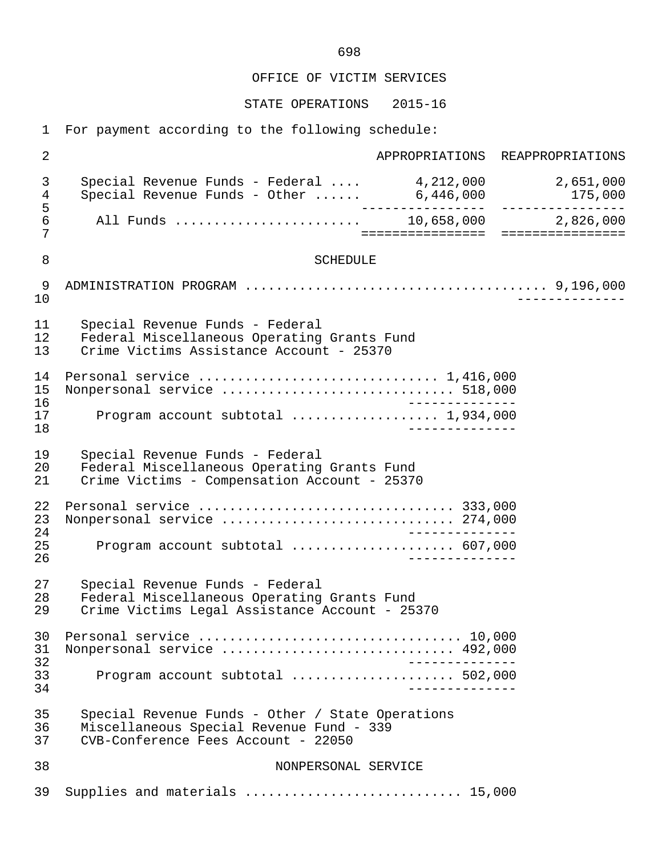STATE OPERATIONS 2015-16

1 For payment according to the following schedule:

 2 APPROPRIATIONS REAPPROPRIATIONS 3 Special Revenue Funds - Federal .... 4,212,000 2,651,000 4 Special Revenue Funds - Other ...... 6,446,000 175,000 5 ---------------- ---------------- 6 All Funds ........................ 10,658,000 2,826,000 7 ================ ================ 8 SCHEDULE 9 ADMINISTRATION PROGRAM ....................................... 9,196,000 10 -------------- 11 Special Revenue Funds - Federal 12 Federal Miscellaneous Operating Grants Fund<br>13 Crime Victims Assistance Account - 25370 Crime Victims Assistance Account - 25370 14 Personal service ............................... 1,416,000 15 Nonpersonal service .............................. 518,000 16 -------------- 17 Program account subtotal ................... 1,934,000 18 -------------- 19 Special Revenue Funds - Federal 20 Federal Miscellaneous Operating Grants Fund<br>21 Crime Victims - Compensation Account - 25370 Crime Victims - Compensation Account - 25370 22 Personal service ................................. 333,000 23 Nonpersonal service .............................. 274,000 24 -------------<br>25 - Program account subtotal expressions expenses 607,000 25 Program account subtotal ..................... 607,000 26 -------------- 27 Special Revenue Funds - Federal 28 Federal Miscellaneous Operating Grants Fund<br>29 Crime Victims Legal Assistance Account - 25 Crime Victims Legal Assistance Account - 25370 30 Personal service .................................. 10,000 31 Nonpersonal service .............................. 492,000 32 -------------- 33 Program account subtotal ..................... 502,000 34 -------------- 35 Special Revenue Funds - Other / State Operations 36 Miscellaneous Special Revenue Fund - 339 37 CVB-Conference Fees Account - 22050 38 NONPERSONAL SERVICE 39 Supplies and materials ............................ 15,000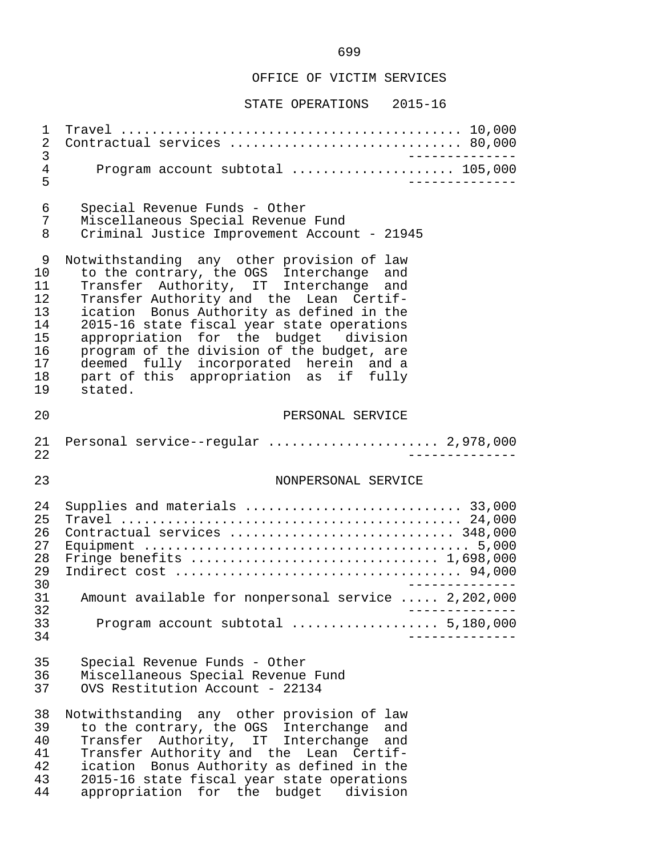| 1<br>2<br>3                                                   | Contractual services  80,000                                                                                                                                                                                                                                                                                                                                                                                                                                    |
|---------------------------------------------------------------|-----------------------------------------------------------------------------------------------------------------------------------------------------------------------------------------------------------------------------------------------------------------------------------------------------------------------------------------------------------------------------------------------------------------------------------------------------------------|
| 4<br>5                                                        | Program account subtotal  105,000                                                                                                                                                                                                                                                                                                                                                                                                                               |
| 6<br>7<br>8                                                   | Special Revenue Funds - Other<br>Miscellaneous Special Revenue Fund<br>Criminal Justice Improvement Account - 21945                                                                                                                                                                                                                                                                                                                                             |
| 9<br>10<br>11<br>12<br>13<br>14<br>15<br>16<br>17<br>18<br>19 | Notwithstanding any other provision of law<br>to the contrary, the OGS Interchange<br>and<br>Transfer Authority, IT Interchange and<br>Transfer Authority and the Lean Certif-<br>ication Bonus Authority as defined in the<br>2015-16 state fiscal year state operations<br>appropriation for the budget division<br>program of the division of the budget, are<br>deemed fully incorporated herein and a<br>part of this appropriation as if fully<br>stated. |
| 20                                                            | PERSONAL SERVICE                                                                                                                                                                                                                                                                                                                                                                                                                                                |
| 21<br>22                                                      | Personal service--regular  2,978,000                                                                                                                                                                                                                                                                                                                                                                                                                            |
| 23                                                            | NONPERSONAL SERVICE                                                                                                                                                                                                                                                                                                                                                                                                                                             |
| 24                                                            |                                                                                                                                                                                                                                                                                                                                                                                                                                                                 |
| 25<br>26<br>27<br>28<br>29<br>30<br>31<br>32<br>33<br>34      | Supplies and materials  33,000<br>Contractual services  348,000<br>Fringe benefits  1,698,000<br>Amount available for nonpersonal service  2,202,000                                                                                                                                                                                                                                                                                                            |
| 35<br>36<br>37                                                | Special Revenue Funds - Other<br>Miscellaneous Special Revenue Fund<br>OVS Restitution Account - 22134                                                                                                                                                                                                                                                                                                                                                          |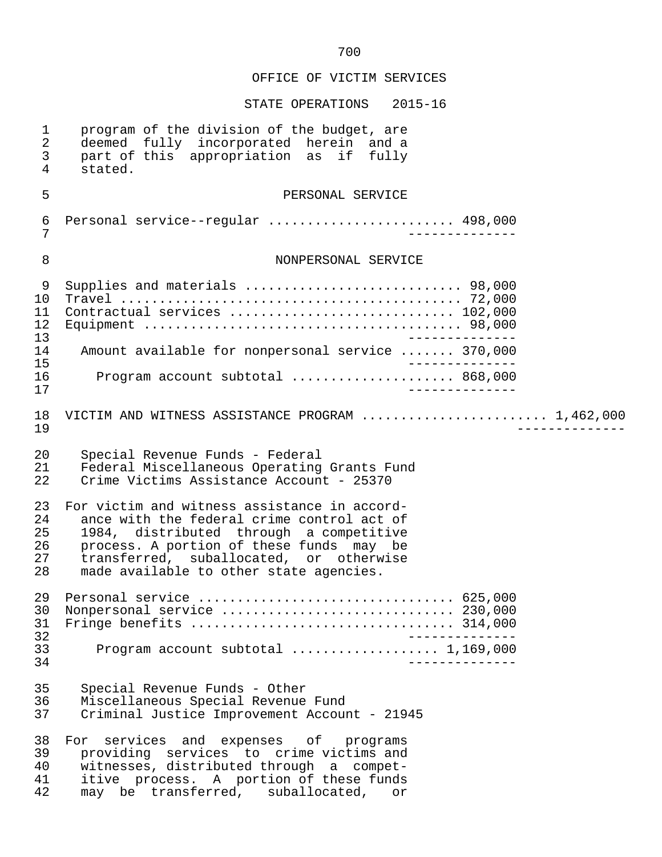| $\mathbf 1$<br>$\overline{a}$<br>$\mathfrak{Z}$<br>$\overline{4}$ | program of the division of the budget, are<br>deemed fully incorporated herein and a<br>part of this appropriation as<br>if fully<br>stated.                                                                                                                            |
|-------------------------------------------------------------------|-------------------------------------------------------------------------------------------------------------------------------------------------------------------------------------------------------------------------------------------------------------------------|
| 5                                                                 | PERSONAL SERVICE                                                                                                                                                                                                                                                        |
| $\epsilon$<br>7                                                   | Personal service--regular  498,000                                                                                                                                                                                                                                      |
| 8                                                                 | NONPERSONAL SERVICE                                                                                                                                                                                                                                                     |
| 9<br>10<br>11<br>12<br>13                                         | Supplies and materials  98,000<br>Contractual services  102,000                                                                                                                                                                                                         |
| 14                                                                | Amount available for nonpersonal service  370,000                                                                                                                                                                                                                       |
| 15<br>16<br>17                                                    | Program account subtotal  868,000                                                                                                                                                                                                                                       |
| 18<br>19                                                          | VICTIM AND WITNESS ASSISTANCE PROGRAM  1,462,000                                                                                                                                                                                                                        |
| 20<br>21<br>22                                                    | Special Revenue Funds - Federal<br>Federal Miscellaneous Operating Grants Fund<br>Crime Victims Assistance Account - 25370                                                                                                                                              |
| 23<br>24<br>25<br>26<br>27<br>28                                  | For victim and witness assistance in accord-<br>ance with the federal crime control act of<br>1984, distributed through a competitive<br>process. A portion of these funds may be<br>transferred, suballocated, or otherwise<br>made available to other state agencies. |
| 29<br>30<br>31<br>32                                              | Nonpersonal service  230,000<br>_____________                                                                                                                                                                                                                           |
| 33<br>34                                                          | Program account subtotal  1,169,000                                                                                                                                                                                                                                     |
| 35<br>36<br>37                                                    | Special Revenue Funds - Other<br>Miscellaneous Special Revenue Fund<br>Criminal Justice Improvement Account - 21945                                                                                                                                                     |
| 38<br>39<br>40<br>41<br>42                                        | For services and expenses of programs<br>providing services to crime victims and<br>witnesses, distributed through a compet-<br>itive process. A portion of these funds<br>may be transferred, suballocated,<br>or                                                      |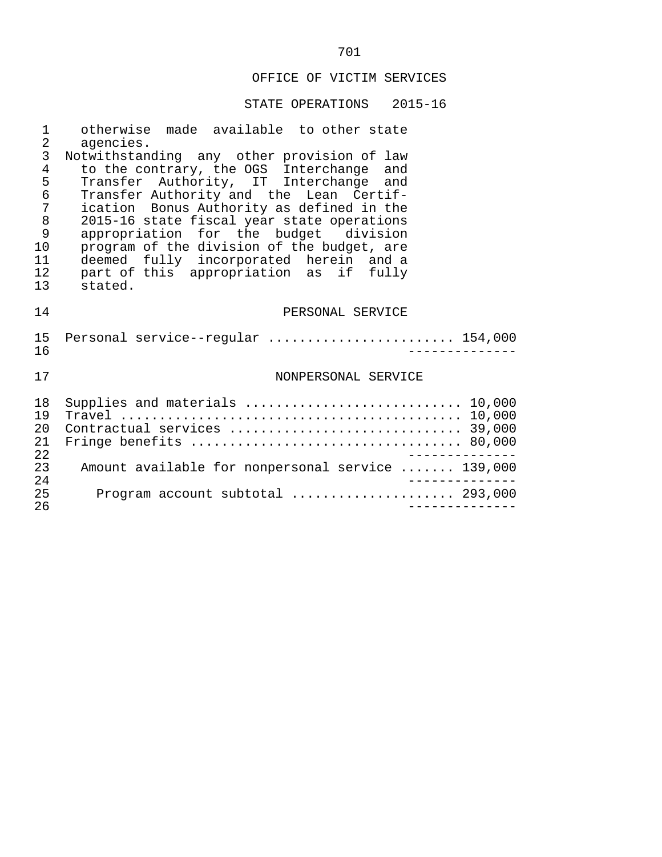| 1               | otherwise made available to other state           |
|-----------------|---------------------------------------------------|
| $\overline{2}$  | agencies.                                         |
| 3               | Notwithstanding any other provision of law        |
| $\overline{4}$  | to the contrary, the OGS Interchange and          |
| 5               | Transfer Authority, IT Interchange and            |
| 6               | Transfer Authority and the Lean Certif-           |
| 7               | ication Bonus Authority as defined in the         |
| $\,8\,$         | 2015-16 state fiscal year state operations        |
| 9               | appropriation for the budget division             |
| 10              | program of the division of the budget, are        |
| 11              | deemed fully incorporated herein and a            |
| 12 <sup>°</sup> | part of this appropriation as if fully            |
| 13              | stated.                                           |
| 14              | PERSONAL SERVICE                                  |
|                 |                                                   |
| 15 <sub>1</sub> | Personal service--regular  154,000                |
| 16              | -----------                                       |
|                 |                                                   |
| 17              | NONPERSONAL SERVICE                               |
|                 |                                                   |
| 18              | Supplies and materials  10,000                    |
| 19              |                                                   |
| 20              |                                                   |
| 21              |                                                   |
| 22              |                                                   |
| 23              | Amount available for nonpersonal service  139,000 |
| 24              |                                                   |
| 25              | Program account subtotal  293,000                 |
| 26              | -----------                                       |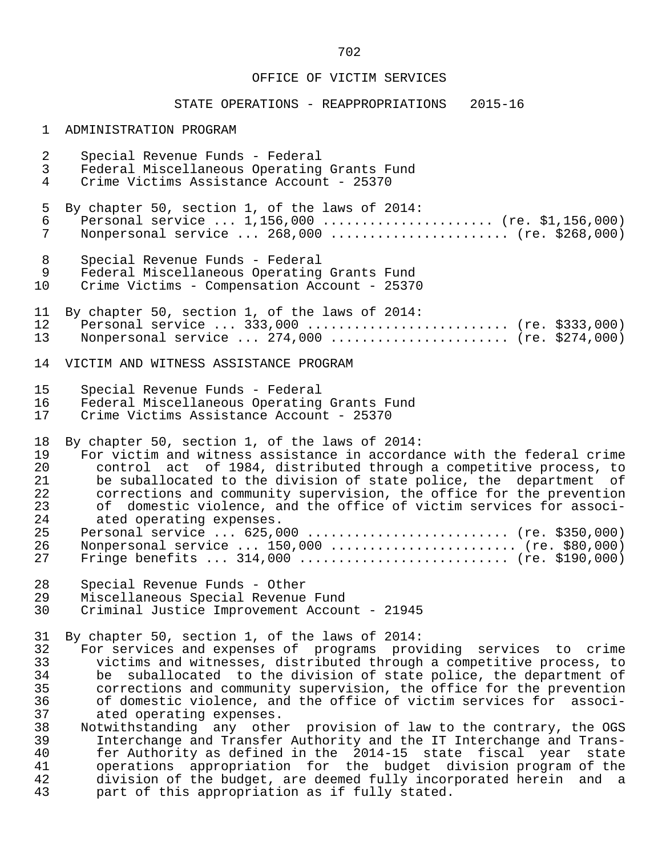# STATE OPERATIONS - REAPPROPRIATIONS 2015-16

# 1 ADMINISTRATION PROGRAM

| $\overline{a}$                               | Special Revenue Funds - Federal                                                                                                                                                                                                                                                                                                                                                                                                                                                                                                                                                                   |
|----------------------------------------------|---------------------------------------------------------------------------------------------------------------------------------------------------------------------------------------------------------------------------------------------------------------------------------------------------------------------------------------------------------------------------------------------------------------------------------------------------------------------------------------------------------------------------------------------------------------------------------------------------|
| 3                                            | Federal Miscellaneous Operating Grants Fund                                                                                                                                                                                                                                                                                                                                                                                                                                                                                                                                                       |
| 4                                            | Crime Victims Assistance Account - 25370                                                                                                                                                                                                                                                                                                                                                                                                                                                                                                                                                          |
| 5                                            | By chapter 50, section 1, of the laws of 2014:                                                                                                                                                                                                                                                                                                                                                                                                                                                                                                                                                    |
| 6                                            | Personal service $1,156,000$ (re. \$1,156,000)                                                                                                                                                                                                                                                                                                                                                                                                                                                                                                                                                    |
| 7                                            | Nonpersonal service  268,000  (re. \$268,000)                                                                                                                                                                                                                                                                                                                                                                                                                                                                                                                                                     |
| 8                                            | Special Revenue Funds - Federal                                                                                                                                                                                                                                                                                                                                                                                                                                                                                                                                                                   |
| 9                                            | Federal Miscellaneous Operating Grants Fund                                                                                                                                                                                                                                                                                                                                                                                                                                                                                                                                                       |
| 10                                           | Crime Victims - Compensation Account - 25370                                                                                                                                                                                                                                                                                                                                                                                                                                                                                                                                                      |
| 11                                           | By chapter 50, section 1, of the laws of 2014:                                                                                                                                                                                                                                                                                                                                                                                                                                                                                                                                                    |
| 12                                           | Personal service  333,000  (re. \$333,000)                                                                                                                                                                                                                                                                                                                                                                                                                                                                                                                                                        |
| 13                                           | Nonpersonal service  274,000  (re. \$274,000)                                                                                                                                                                                                                                                                                                                                                                                                                                                                                                                                                     |
| 14                                           | VICTIM AND WITNESS ASSISTANCE PROGRAM                                                                                                                                                                                                                                                                                                                                                                                                                                                                                                                                                             |
| 15                                           | Special Revenue Funds - Federal                                                                                                                                                                                                                                                                                                                                                                                                                                                                                                                                                                   |
| 16                                           | Federal Miscellaneous Operating Grants Fund                                                                                                                                                                                                                                                                                                                                                                                                                                                                                                                                                       |
| 17                                           | Crime Victims Assistance Account - 25370                                                                                                                                                                                                                                                                                                                                                                                                                                                                                                                                                          |
| 18                                           | By chapter 50, section 1, of the laws of 2014:                                                                                                                                                                                                                                                                                                                                                                                                                                                                                                                                                    |
| 19                                           | For victim and witness assistance in accordance with the federal crime                                                                                                                                                                                                                                                                                                                                                                                                                                                                                                                            |
| 20                                           | control act of 1984, distributed through a competitive process, to                                                                                                                                                                                                                                                                                                                                                                                                                                                                                                                                |
| 21                                           | be suballocated to the division of state police, the department of                                                                                                                                                                                                                                                                                                                                                                                                                                                                                                                                |
| 22                                           | corrections and community supervision, the office for the prevention                                                                                                                                                                                                                                                                                                                                                                                                                                                                                                                              |
| 23                                           | of domestic violence, and the office of victim services for associ-                                                                                                                                                                                                                                                                                                                                                                                                                                                                                                                               |
| 24                                           | ated operating expenses.                                                                                                                                                                                                                                                                                                                                                                                                                                                                                                                                                                          |
| 25                                           | Personal service  625,000  (re. \$350,000)                                                                                                                                                                                                                                                                                                                                                                                                                                                                                                                                                        |
| 26                                           | Nonpersonal service  150,000  (re. \$80,000)                                                                                                                                                                                                                                                                                                                                                                                                                                                                                                                                                      |
| 27                                           | Fringe benefits $314,000$ (re. \$190,000)                                                                                                                                                                                                                                                                                                                                                                                                                                                                                                                                                         |
| 28                                           | Special Revenue Funds - Other                                                                                                                                                                                                                                                                                                                                                                                                                                                                                                                                                                     |
| 29                                           | Miscellaneous Special Revenue Fund                                                                                                                                                                                                                                                                                                                                                                                                                                                                                                                                                                |
| 30                                           | Criminal Justice Improvement Account - 21945                                                                                                                                                                                                                                                                                                                                                                                                                                                                                                                                                      |
| 32<br>33<br>34<br>35<br>36<br>37<br>38<br>39 | 31 By chapter 50, section 1, of the laws of 2014:<br>For services and expenses of programs providing services to crime<br>victims and witnesses, distributed through a competitive process, to<br>suballocated to the division of state police, the department of<br>be<br>corrections and community supervision, the office for the prevention<br>of domestic violence, and the office of victim services for associ-<br>ated operating expenses.<br>Notwithstanding any other provision of law to the contrary, the OGS<br>Interchange and Transfer Authority and the IT Interchange and Trans- |
| 40<br>41<br>42<br>43                         | fer Authority as defined in the 2014-15 state fiscal year<br>state<br>appropriation for the budget division program of the<br>operations<br>division of the budget, are deemed fully incorporated herein<br>and a<br>part of this appropriation as if fully stated.                                                                                                                                                                                                                                                                                                                               |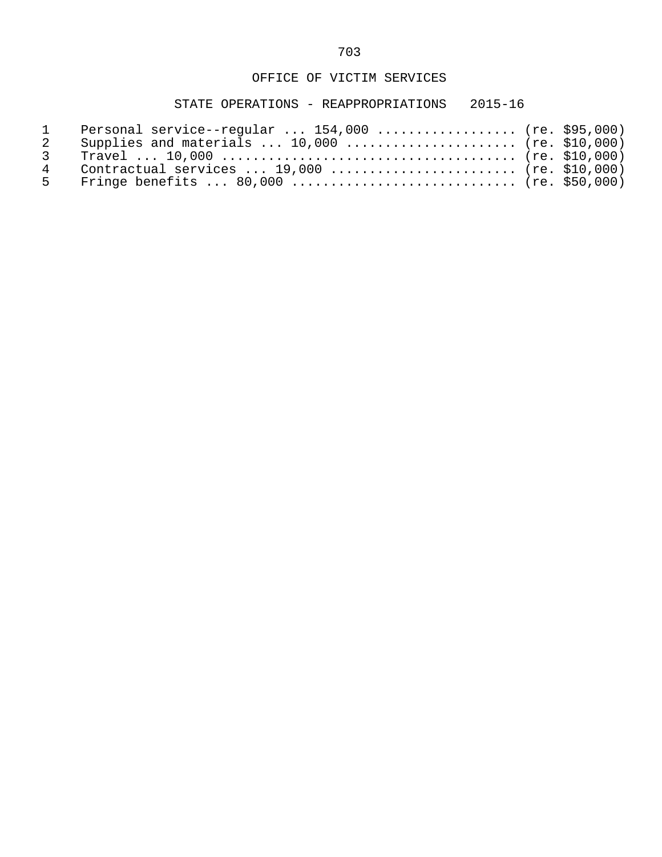| $\sim$ 1      | Personal service--regular $154,000$ (re. \$95,000) |  |
|---------------|----------------------------------------------------|--|
| $\mathcal{P}$ | Supplies and materials $10,000$ (re. \$10,000)     |  |
| $\mathcal{R}$ |                                                    |  |
|               | Contractual services $19,000$ (re. \$10,000)       |  |
|               |                                                    |  |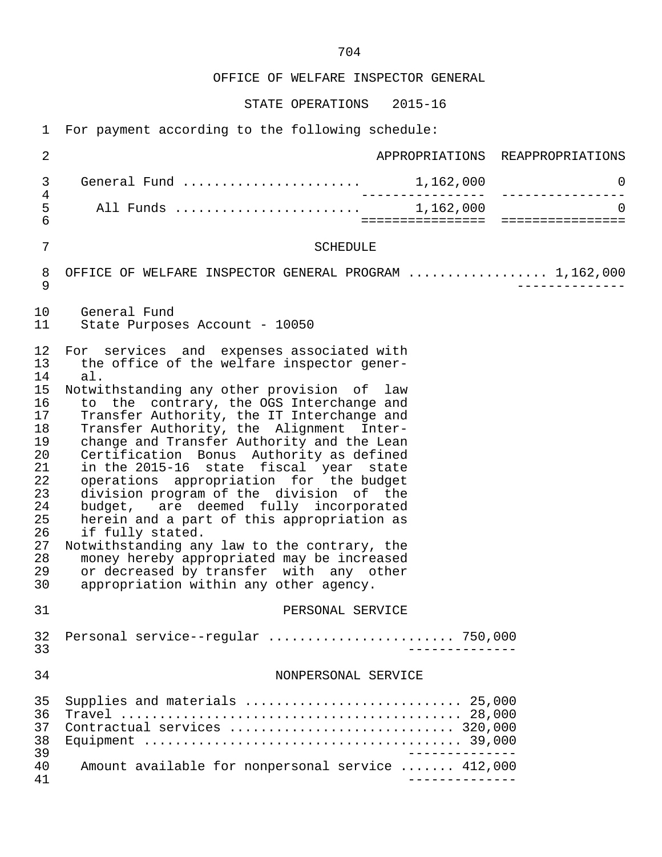OFFICE OF WELFARE INSPECTOR GENERAL

STATE OPERATIONS 2015-16

1 For payment according to the following schedule:

| 2                                                                                                              |                                                                                                                                                                                                                                                                                                                                                                                                                                                                                                                                                                                                                                                                                                                                                                                                            |                  | APPROPRIATIONS REAPPROPRIATIONS |
|----------------------------------------------------------------------------------------------------------------|------------------------------------------------------------------------------------------------------------------------------------------------------------------------------------------------------------------------------------------------------------------------------------------------------------------------------------------------------------------------------------------------------------------------------------------------------------------------------------------------------------------------------------------------------------------------------------------------------------------------------------------------------------------------------------------------------------------------------------------------------------------------------------------------------------|------------------|---------------------------------|
| 3                                                                                                              | General Fund  1,162,000                                                                                                                                                                                                                                                                                                                                                                                                                                                                                                                                                                                                                                                                                                                                                                                    |                  | 0                               |
| $\overline{4}$<br>5<br>$\overline{6}$                                                                          |                                                                                                                                                                                                                                                                                                                                                                                                                                                                                                                                                                                                                                                                                                                                                                                                            | ================ | $\Omega$                        |
| $\overline{7}$                                                                                                 | <b>SCHEDULE</b>                                                                                                                                                                                                                                                                                                                                                                                                                                                                                                                                                                                                                                                                                                                                                                                            |                  |                                 |
| 8<br>9                                                                                                         | OFFICE OF WELFARE INSPECTOR GENERAL PROGRAM  1,162,000                                                                                                                                                                                                                                                                                                                                                                                                                                                                                                                                                                                                                                                                                                                                                     |                  |                                 |
| 10<br>11                                                                                                       | General Fund<br>State Purposes Account - 10050                                                                                                                                                                                                                                                                                                                                                                                                                                                                                                                                                                                                                                                                                                                                                             |                  |                                 |
| 12<br>13<br>14<br>15<br>16<br>17<br>18<br>19<br>20<br>21<br>22<br>23<br>24<br>25<br>26<br>27<br>28<br>29<br>30 | For services and expenses associated with<br>the office of the welfare inspector gener-<br>al.<br>Notwithstanding any other provision of law<br>to the contrary, the OGS Interchange and<br>Transfer Authority, the IT Interchange and<br>Transfer Authority, the Alignment Inter-<br>change and Transfer Authority and the Lean<br>Certification Bonus Authority as defined<br>in the 2015-16 state fiscal year state<br>operations appropriation for the budget<br>division program of the division of the<br>budget, are deemed fully incorporated<br>herein and a part of this appropriation as<br>if fully stated.<br>Notwithstanding any law to the contrary, the<br>money hereby appropriated may be increased<br>or decreased by transfer with any other<br>appropriation within any other agency. |                  |                                 |
| 31                                                                                                             | PERSONAL SERVICE                                                                                                                                                                                                                                                                                                                                                                                                                                                                                                                                                                                                                                                                                                                                                                                           |                  |                                 |
| 32<br>33                                                                                                       | Personal service--regular  750,000                                                                                                                                                                                                                                                                                                                                                                                                                                                                                                                                                                                                                                                                                                                                                                         |                  |                                 |
| 34                                                                                                             | NONPERSONAL SERVICE                                                                                                                                                                                                                                                                                                                                                                                                                                                                                                                                                                                                                                                                                                                                                                                        |                  |                                 |
| 35<br>36<br>37<br>38<br>39                                                                                     | Supplies and materials  25,000                                                                                                                                                                                                                                                                                                                                                                                                                                                                                                                                                                                                                                                                                                                                                                             |                  |                                 |
| 40<br>41                                                                                                       | Amount available for nonpersonal service  412,000                                                                                                                                                                                                                                                                                                                                                                                                                                                                                                                                                                                                                                                                                                                                                          |                  |                                 |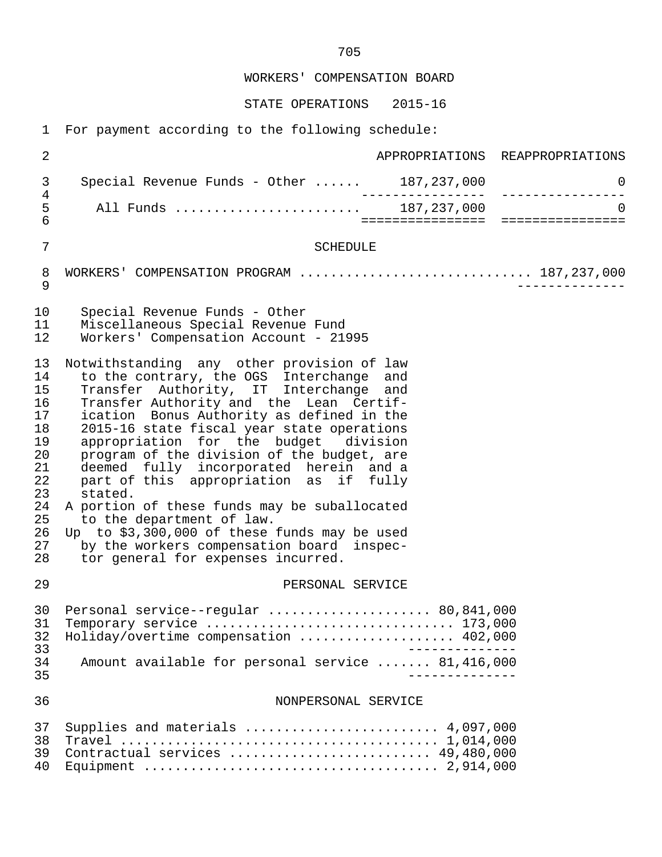WORKERS' COMPENSATION BOARD

STATE OPERATIONS 2015-16

1 For payment according to the following schedule:

| $\overline{2}$                                                                               |                                                                                                                                                                                                                                                                                                                                                                                                                                                                                                                                                                                                                                                                                    | APPROPRIATIONS REAPPROPRIATIONS    |  |
|----------------------------------------------------------------------------------------------|------------------------------------------------------------------------------------------------------------------------------------------------------------------------------------------------------------------------------------------------------------------------------------------------------------------------------------------------------------------------------------------------------------------------------------------------------------------------------------------------------------------------------------------------------------------------------------------------------------------------------------------------------------------------------------|------------------------------------|--|
| 3                                                                                            | Special Revenue Funds - Other  187,237,000                                                                                                                                                                                                                                                                                                                                                                                                                                                                                                                                                                                                                                         | 0<br>------------ ---------------- |  |
| $\,4$<br>5<br>$6\overline{6}$                                                                |                                                                                                                                                                                                                                                                                                                                                                                                                                                                                                                                                                                                                                                                                    | $\overline{0}$                     |  |
| 7                                                                                            | <b>SCHEDULE</b>                                                                                                                                                                                                                                                                                                                                                                                                                                                                                                                                                                                                                                                                    |                                    |  |
| 8<br>9                                                                                       | WORKERS' COMPENSATION PROGRAM  187,237,000                                                                                                                                                                                                                                                                                                                                                                                                                                                                                                                                                                                                                                         |                                    |  |
| 10<br>11<br>12                                                                               | Special Revenue Funds - Other<br>Miscellaneous Special Revenue Fund<br>Workers' Compensation Account - 21995                                                                                                                                                                                                                                                                                                                                                                                                                                                                                                                                                                       |                                    |  |
| 13<br>14<br>15<br>16<br>17<br>18<br>19<br>20<br>21<br>22<br>23<br>24<br>25<br>26<br>27<br>28 | Notwithstanding any other provision of law<br>to the contrary, the OGS Interchange<br>and<br>Transfer Authority, IT Interchange<br>and<br>Transfer Authority and the Lean Certif-<br>ication Bonus Authority as defined in the<br>2015-16 state fiscal year state operations<br>appropriation for the budget division<br>program of the division of the budget, are<br>deemed fully incorporated herein and a<br>part of this appropriation as if fully<br>stated.<br>A portion of these funds may be suballocated<br>to the department of law.<br>Up to \$3,300,000 of these funds may be used<br>by the workers compensation board inspec-<br>tor general for expenses incurred. |                                    |  |
| 29                                                                                           | PERSONAL SERVICE                                                                                                                                                                                                                                                                                                                                                                                                                                                                                                                                                                                                                                                                   |                                    |  |
| 30<br>31<br>32<br>33<br>34<br>35                                                             | Personal service--regular  80,841,000<br>Temporary service $\ldots \ldots \ldots \ldots \ldots \ldots \ldots \ldots \ldots \ldots 173,000$<br>Holiday/overtime compensation  402,000<br>Amount available for personal service  81,416,000                                                                                                                                                                                                                                                                                                                                                                                                                                          |                                    |  |
| 36                                                                                           | NONPERSONAL SERVICE                                                                                                                                                                                                                                                                                                                                                                                                                                                                                                                                                                                                                                                                |                                    |  |
| 37<br>38<br>39<br>40                                                                         | Supplies and materials $\ldots \ldots \ldots \ldots \ldots \ldots \ldots$ 4,097,000<br>Contractual services  49,480,000                                                                                                                                                                                                                                                                                                                                                                                                                                                                                                                                                            |                                    |  |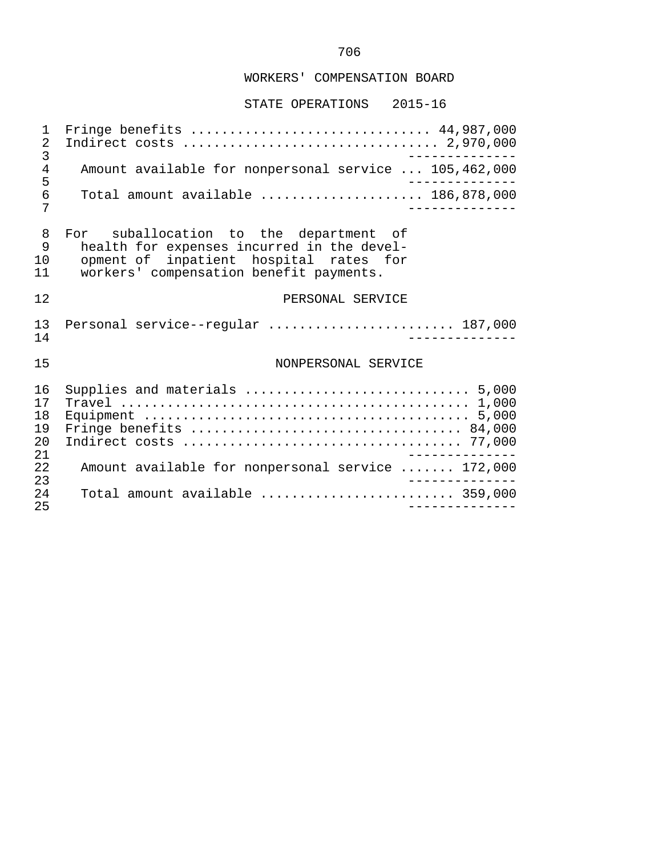# WORKERS' COMPENSATION BOARD

#### STATE OPERATIONS 2015-16

 1 Fringe benefits ............................... 44,987,000 2 Indirect costs ................................. 2,970,000 3 -------------- 4 Amount available for nonpersonal service ... 105,462,000 5 -------------- 6 Total amount available ..................... 186,878,000 7 -------------- 8 For suballocation to the department of<br>9 health for expenses incurred in the devel-9 health for expenses incurred in the devel-<br>10 opment of inpatient hospital rates for 10 opment of inpatient hospital rates for<br>11 workers' compensation benefit payments. workers' compensation benefit payments. 12 PERSONAL SERVICE 13 Personal service--regular ............................ 187,000<br>14 14 -------------- 15 NONPERSONAL SERVICE 16 Supplies and materials ............................. 5,000 17 Travel ............................................. 1,000 18 Equipment .......................................... 5,000 19 Fringe benefits ................................... 84,000 20 Indirect costs .................................... 77,000 21 ------------<br>22 Amount available for nonpersonal service ....... 172.000 22 Amount available for nonpersonal service ....... 172,000 23 -------------- 24 Total amount available ......................... 359,000 25 --------------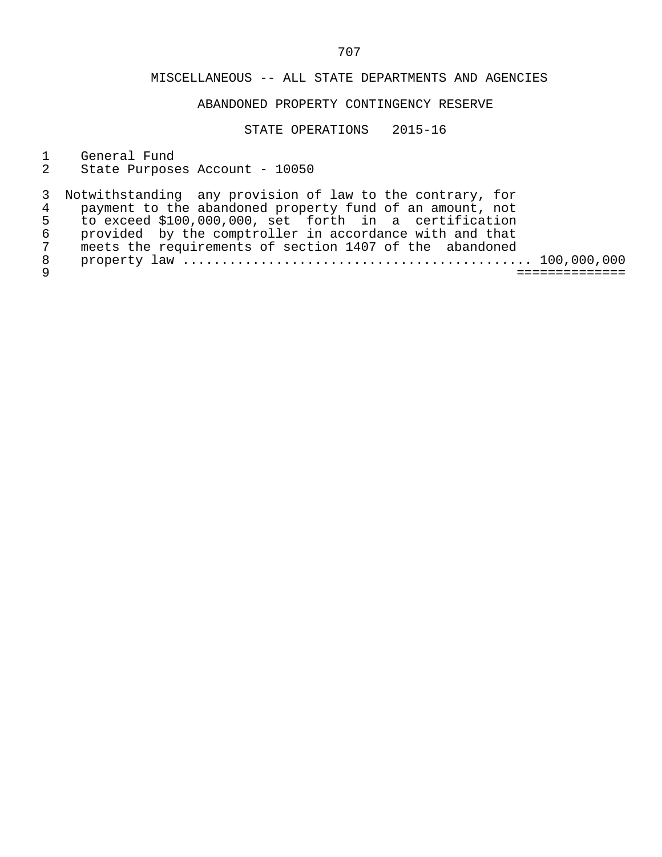# ABANDONED PROPERTY CONTINGENCY RESERVE

STATE OPERATIONS 2015-16

1 General Fund<br>2 State Purpose

State Purposes Account - 10050

|   | 3 Notwithstanding any provision of law to the contrary, for |
|---|-------------------------------------------------------------|
|   | payment to the abandoned property fund of an amount, not    |
| 5 | to exceed \$100,000,000, set forth in a certification       |
| 6 | provided by the comptroller in accordance with and that     |
| 7 | meets the requirements of section 1407 of the abandoned     |
| 8 |                                                             |
|   |                                                             |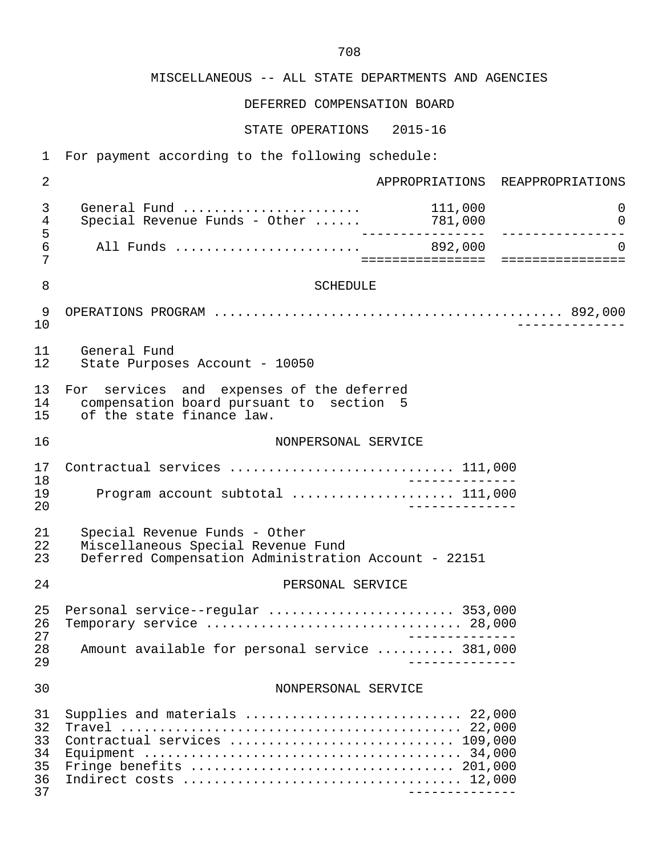DEFERRED COMPENSATION BOARD

| $\mathbf{1}$                           | For payment according to the following schedule:                                                                            |                 |                                 |  |  |
|----------------------------------------|-----------------------------------------------------------------------------------------------------------------------------|-----------------|---------------------------------|--|--|
| $\overline{2}$                         |                                                                                                                             |                 | APPROPRIATIONS REAPPROPRIATIONS |  |  |
| 3<br>$\overline{4}$                    | General Fund<br>Special Revenue Funds - Other $\ldots$ . 781,000                                                            | 111,000         | $\mathbf 0$<br>$\mathbf 0$      |  |  |
| 5<br>$\epsilon$<br>7                   |                                                                                                                             |                 | $\overline{0}$                  |  |  |
| 8                                      | <b>SCHEDULE</b>                                                                                                             |                 |                                 |  |  |
| 9<br>10                                |                                                                                                                             |                 | $- - - - - - - - - -$           |  |  |
| 11<br>12                               | General Fund<br>State Purposes Account - 10050                                                                              |                 |                                 |  |  |
| 13<br>14<br>15                         | For services and expenses of the deferred<br>compensation board pursuant to section 5<br>of the state finance law.          |                 |                                 |  |  |
| 16                                     | NONPERSONAL SERVICE                                                                                                         |                 |                                 |  |  |
| 17<br>18<br>19<br>20                   | Contractual services  111,000<br>________<br>Program account subtotal  111,000<br>______________                            |                 |                                 |  |  |
| 21<br>22<br>23                         | Special Revenue Funds - Other<br>Miscellaneous Special Revenue Fund<br>Deferred Compensation Administration Account - 22151 |                 |                                 |  |  |
| 24                                     | PERSONAL SERVICE                                                                                                            |                 |                                 |  |  |
| 25<br>26<br>27<br>28<br>29             | Personal service--regular  353,000<br>Temporary service  28,000<br>Amount available for personal service  381,000           |                 |                                 |  |  |
| 30                                     | NONPERSONAL SERVICE                                                                                                         |                 |                                 |  |  |
| 31<br>32<br>33<br>34<br>35<br>36<br>37 | Supplies and materials  22,000<br>Contractual services  109,000                                                             | _______________ |                                 |  |  |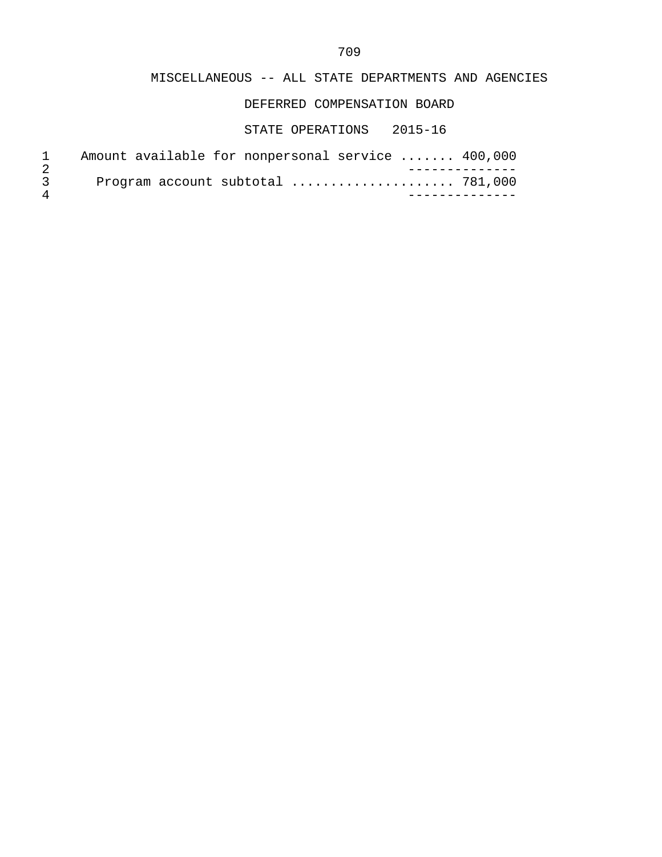DEFERRED COMPENSATION BOARD

| Amount available for nonpersonal service  400,000 |
|---------------------------------------------------|
|                                                   |
| Program account subtotal  781,000                 |
|                                                   |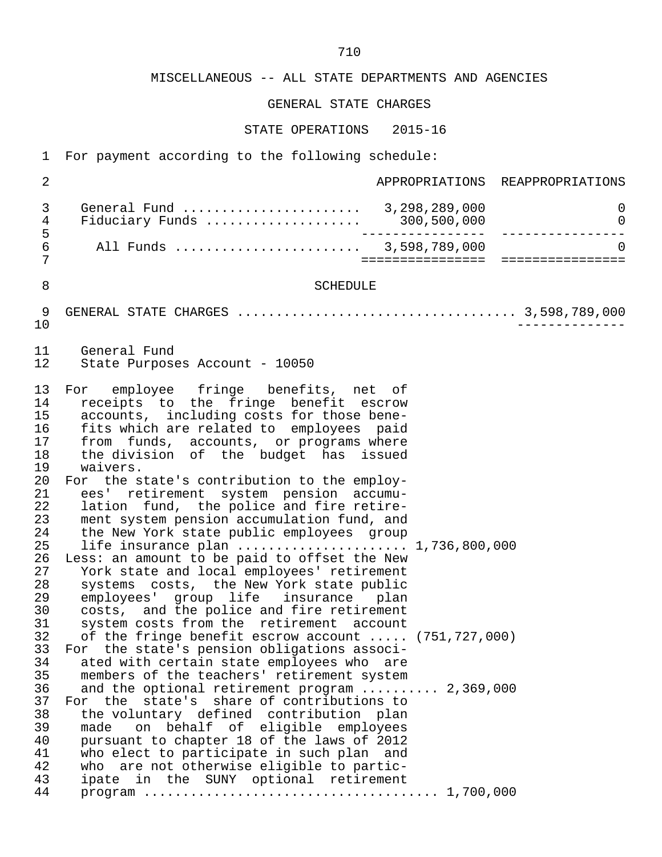GENERAL STATE CHARGES

| $\mathbf{1}$                                                                                                                                                                                 | For payment according to the following schedule:                                                                                                                                                                                                                                                                                                                                                                                                                                                                                                                                                                                                                                                                                                                                                                                                                                                                                                                                                                                                                                                                                                                                                                                                                                                                                                                                                              |                  |                                 |
|----------------------------------------------------------------------------------------------------------------------------------------------------------------------------------------------|---------------------------------------------------------------------------------------------------------------------------------------------------------------------------------------------------------------------------------------------------------------------------------------------------------------------------------------------------------------------------------------------------------------------------------------------------------------------------------------------------------------------------------------------------------------------------------------------------------------------------------------------------------------------------------------------------------------------------------------------------------------------------------------------------------------------------------------------------------------------------------------------------------------------------------------------------------------------------------------------------------------------------------------------------------------------------------------------------------------------------------------------------------------------------------------------------------------------------------------------------------------------------------------------------------------------------------------------------------------------------------------------------------------|------------------|---------------------------------|
| $\overline{2}$                                                                                                                                                                               |                                                                                                                                                                                                                                                                                                                                                                                                                                                                                                                                                                                                                                                                                                                                                                                                                                                                                                                                                                                                                                                                                                                                                                                                                                                                                                                                                                                                               |                  | APPROPRIATIONS REAPPROPRIATIONS |
| 3<br>4                                                                                                                                                                                       | General Fund  3,298,289,000<br>$Fiduciary$ Funds  300,500,000                                                                                                                                                                                                                                                                                                                                                                                                                                                                                                                                                                                                                                                                                                                                                                                                                                                                                                                                                                                                                                                                                                                                                                                                                                                                                                                                                 |                  | 0<br>0                          |
| 5<br>6<br>7                                                                                                                                                                                  | All Funds  3,598,789,000                                                                                                                                                                                                                                                                                                                                                                                                                                                                                                                                                                                                                                                                                                                                                                                                                                                                                                                                                                                                                                                                                                                                                                                                                                                                                                                                                                                      | ================ | ================                |
| 8                                                                                                                                                                                            | <b>SCHEDULE</b>                                                                                                                                                                                                                                                                                                                                                                                                                                                                                                                                                                                                                                                                                                                                                                                                                                                                                                                                                                                                                                                                                                                                                                                                                                                                                                                                                                                               |                  |                                 |
| 9<br>10                                                                                                                                                                                      |                                                                                                                                                                                                                                                                                                                                                                                                                                                                                                                                                                                                                                                                                                                                                                                                                                                                                                                                                                                                                                                                                                                                                                                                                                                                                                                                                                                                               |                  |                                 |
| 11<br>12                                                                                                                                                                                     | General Fund<br>State Purposes Account - 10050                                                                                                                                                                                                                                                                                                                                                                                                                                                                                                                                                                                                                                                                                                                                                                                                                                                                                                                                                                                                                                                                                                                                                                                                                                                                                                                                                                |                  |                                 |
| 13<br>14<br>15<br>16<br>17<br>18<br>19<br>20<br>21<br>22<br>23<br>24<br>25<br>26<br>27<br>28<br>29<br>30<br>31<br>32<br>33<br>34<br>35<br>36<br>37<br>38<br>39<br>40<br>41<br>42<br>43<br>44 | employee fringe benefits, net of<br>For<br>receipts to the fringe benefit escrow<br>accounts, including costs for those bene-<br>fits which are related to employees paid<br>from funds, accounts, or programs where<br>the division of the budget has issued<br>waivers.<br>For the state's contribution to the employ-<br>ees' retirement system pension accumu-<br>lation fund, the police and fire retire-<br>ment system pension accumulation fund, and<br>the New York state public employees group<br>life insurance plan  1,736,800,000<br>Less: an amount to be paid to offset the New<br>York state and local employees' retirement<br>systems costs, the New York state public<br>employees' group life insurance plan<br>costs, and the police and fire retirement<br>system costs from the retirement account<br>of the fringe benefit escrow account $\ldots$ . (751,727,000)<br>the state's pension obligations associ-<br>For<br>ated with certain state employees who are<br>members of the teachers' retirement system<br>and the optional retirement program  2,369,000<br>state's share of contributions to<br>the<br>For<br>the voluntary defined contribution plan<br>on behalf of eligible<br>made<br>pursuant to chapter 18 of the laws of 2012<br>who elect to participate in such plan and<br>who are not otherwise eligible to partic-<br>in the SUNY optional retirement<br>ipate | employees        |                                 |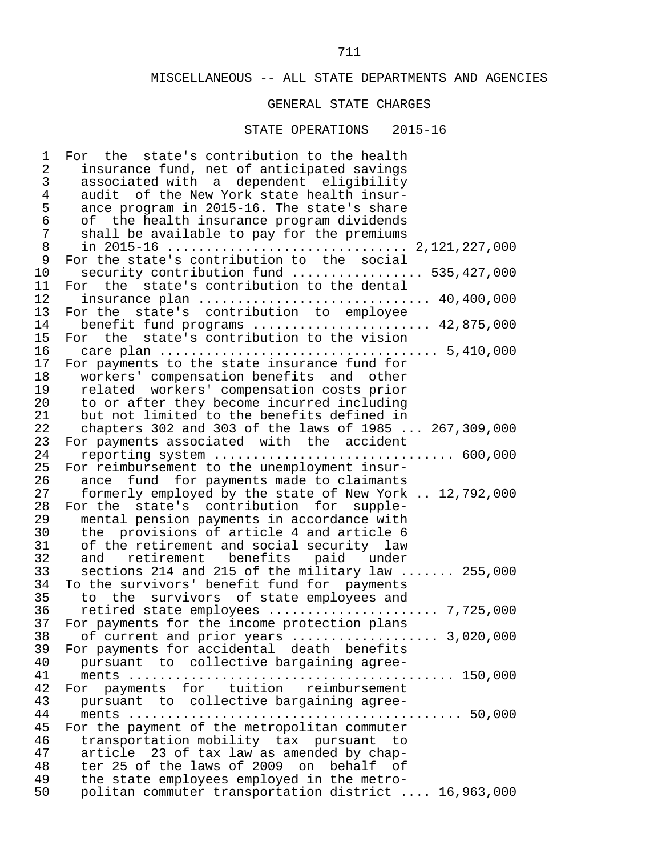#### GENERAL STATE CHARGES

#### STATE OPERATIONS 2015-16

1 For the state's contribution to the health<br>2 insurance fund, net of anticipated savings 2 insurance fund, net of anticipated savings 3 associated with a dependent eligibility<br>4 audit of the New York state health insur- 4 audit of the New York state health insur- 5 ance program in 2015-16. The state's share 6 of the health insurance program dividends 7 shall be available to pay for the premiums 8 in 2015-16 ............................... 2,121,227,000 9 For the state's contribution to the social<br>10 security contribution fund ................ 10 security contribution fund ................. 535,427,000 11 For the state's contribution to the dental<br>12 insurance plan ............................ 12 insurance plan .............................. 40,400,000 13 For the state's contribution to employee 14 benefit fund programs ........................... 42,875,000<br>15 For the state's contribution to the vision 15 For the state's contribution to the vision<br>16 care plan ................................. 16 care plan .................................... 5,410,000 17 For payments to the state insurance fund for<br>18 vorkers' compensation benefits and other 18 workers' compensation benefits and other<br>19 related workers' compensation costs prior 19 related workers' compensation costs prior<br>20 to or after they become incurred including 20 to or after they become incurred including<br>21 but not limited to the benefits defined in 21 but not limited to the benefits defined in<br>22 chapters 302 and 303 of the laws of 1985. 22 chapters 302 and 303 of the laws of 1985 ... 267,309,000<br>23 For payments associated with the accident 23 For payments associated with the accident<br>24 reporting system .......................... 24 reporting system ............................... 600,000 25 For reimbursement to the unemployment insur-<br>26 ance fund for payments made to claimants 26 ance fund for payments made to claimants<br>27 formerly employed by the state of New York 27 formerly employed by the state of New York .. 12,792,000<br>28 For the state's contribution for supple-28 For the state's contribution for supple-<br>29 mental pension-payments in accordance with 29 mental pension payments in accordance with<br>30 the provisions of article 4 and article 6 30 the provisions of article 4 and article 6<br>31 of the retirement and social security law 31 of the retirement and social security law<br>32 and retirement benefits paid under 32 and retirement benefits paid under<br>33 sections 214 and 215 of the military law. 33 sections 214 and 215 of the military law ....... 255,000<br>34 To the survivors' benefit fund for payments 34 To the survivors' benefit fund for payments<br>35 to the survivors of state emplovees and 35 to the survivors of state employees and 36 retired state employees ...................... 7,725,000 37 For payments for the income protection plans<br>38 of current and prior vears ............... 38 of current and prior years ................... 3,020,000 39 For payments for accidental death benefits<br>40 pursuant to collective bargaining agree- 40 pursuant to collective bargaining agree- 41 ments .......................................... 150,000 42 For payments for tuition reimbursement<br>43 pursuant to collective-bargaining-agree- 43 pursuant to collective bargaining agree- 44 ments ........................................... 50,000 For the payment of the metropolitan commuter 46 transportation mobility tax pursuant to<br>47 article 23 of tax law as amended by chap- 47 article 23 of tax law as amended by chap- 48 ter 25 of the laws of 2009 on behalf of<br>49 the state employees employed in the metro-49 the state employees employed in the metro-<br>50 politan commuter transportation district. 50 politan commuter transportation district .... 16,963,000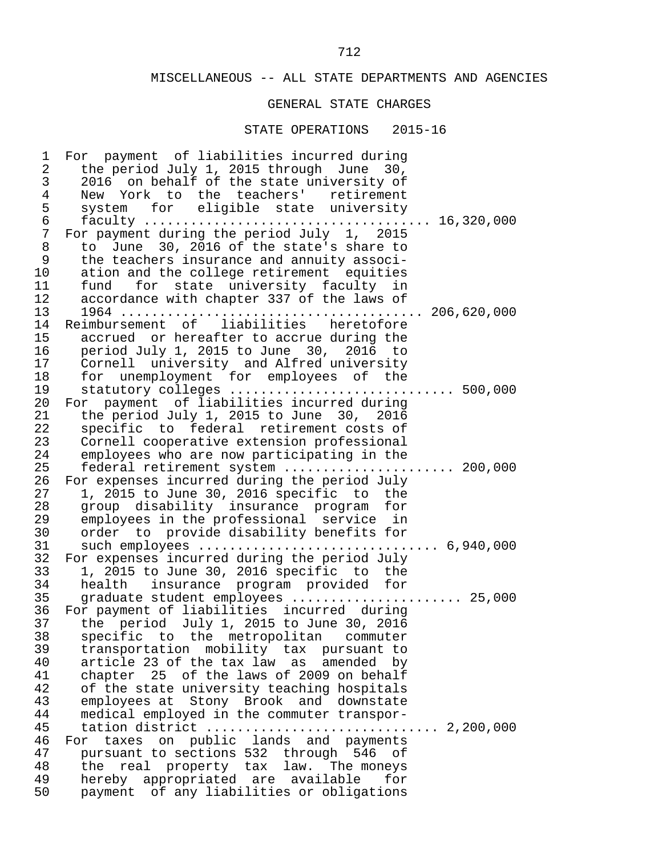# GENERAL STATE CHARGES

| $\mathsf{3}$<br>2016 on behalf of the state university of<br>$\overline{4}$<br>New York to the teachers' retirement<br>5<br>system for eligible state university<br>$\sqrt{6}$<br>$\overline{7}$<br>For payment during the period July 1, 2015<br>$\,8\,$<br>to June 30, 2016 of the state's share to<br>9<br>the teachers insurance and annuity associ-<br>10<br>ation and the college retirement equities<br>11<br>fund for state university faculty in<br>12<br>accordance with chapter 337 of the laws of<br>13<br>Reimbursement of liabilities heretofore<br>14<br>15<br>accrued or hereafter to accrue during the<br>16<br>period July 1, 2015 to June 30, 2016 to<br>17<br>Cornell university and Alfred university<br>for unemployment for employees of the<br>18<br>19<br>statutory colleges  500,000<br>20<br>For payment of liabilities incurred during<br>21<br>the period July 1, 2015 to June 30, 2016<br>22<br>specific to federal retirement costs of<br>23<br>Cornell cooperative extension professional<br>24<br>employees who are now participating in the<br>25<br>federal retirement system  200,000<br>26<br>For expenses incurred during the period July<br>1, 2015 to June 30, 2016 specific to the<br>27<br>group disability insurance program for<br>28<br>employees in the professional service in<br>29<br>30<br>order to provide disability benefits for<br>31<br>32<br>For expenses incurred during the period July<br>33<br>1, 2015 to June 30, 2016 specific to the<br>34<br>health insurance program provided for<br>35<br>graduate student employees  25,000<br>For payment of liabilities incurred during<br>36<br>the period July 1, 2015 to June 30, 2016<br>37<br>38 specific to the metropolitan commuter<br>39<br>transportation mobility tax pursuant to<br>40<br>article 23 of the tax law as<br>amended<br>by<br>chapter 25 of the laws of 2009 on behalf<br>41<br>42<br>of the state university teaching hospitals<br>43<br>employees at Stony Brook and downstate<br>44<br>medical employed in the commuter transpor-<br>45<br>46<br>taxes on public lands and payments<br>For<br>47<br>pursuant to sections 532 through 546 of<br>48<br>real property tax law. The moneys<br>the<br>hereby appropriated are available<br>49<br>for | $\mathbf 1$    | For payment of liabilities incurred during |
|----------------------------------------------------------------------------------------------------------------------------------------------------------------------------------------------------------------------------------------------------------------------------------------------------------------------------------------------------------------------------------------------------------------------------------------------------------------------------------------------------------------------------------------------------------------------------------------------------------------------------------------------------------------------------------------------------------------------------------------------------------------------------------------------------------------------------------------------------------------------------------------------------------------------------------------------------------------------------------------------------------------------------------------------------------------------------------------------------------------------------------------------------------------------------------------------------------------------------------------------------------------------------------------------------------------------------------------------------------------------------------------------------------------------------------------------------------------------------------------------------------------------------------------------------------------------------------------------------------------------------------------------------------------------------------------------------------------------------------------------------------------------------------------------------------------------------------------------------------------------------------------------------------------------------------------------------------------------------------------------------------------------------------------------------------------------------------------------------------------------------------------------------------------------------------------------------------------------------------------------------------------------------------|----------------|--------------------------------------------|
|                                                                                                                                                                                                                                                                                                                                                                                                                                                                                                                                                                                                                                                                                                                                                                                                                                                                                                                                                                                                                                                                                                                                                                                                                                                                                                                                                                                                                                                                                                                                                                                                                                                                                                                                                                                                                                                                                                                                                                                                                                                                                                                                                                                                                                                                                  | $\overline{2}$ | the period July 1, 2015 through June 30,   |
|                                                                                                                                                                                                                                                                                                                                                                                                                                                                                                                                                                                                                                                                                                                                                                                                                                                                                                                                                                                                                                                                                                                                                                                                                                                                                                                                                                                                                                                                                                                                                                                                                                                                                                                                                                                                                                                                                                                                                                                                                                                                                                                                                                                                                                                                                  |                |                                            |
|                                                                                                                                                                                                                                                                                                                                                                                                                                                                                                                                                                                                                                                                                                                                                                                                                                                                                                                                                                                                                                                                                                                                                                                                                                                                                                                                                                                                                                                                                                                                                                                                                                                                                                                                                                                                                                                                                                                                                                                                                                                                                                                                                                                                                                                                                  |                |                                            |
|                                                                                                                                                                                                                                                                                                                                                                                                                                                                                                                                                                                                                                                                                                                                                                                                                                                                                                                                                                                                                                                                                                                                                                                                                                                                                                                                                                                                                                                                                                                                                                                                                                                                                                                                                                                                                                                                                                                                                                                                                                                                                                                                                                                                                                                                                  |                |                                            |
|                                                                                                                                                                                                                                                                                                                                                                                                                                                                                                                                                                                                                                                                                                                                                                                                                                                                                                                                                                                                                                                                                                                                                                                                                                                                                                                                                                                                                                                                                                                                                                                                                                                                                                                                                                                                                                                                                                                                                                                                                                                                                                                                                                                                                                                                                  |                |                                            |
|                                                                                                                                                                                                                                                                                                                                                                                                                                                                                                                                                                                                                                                                                                                                                                                                                                                                                                                                                                                                                                                                                                                                                                                                                                                                                                                                                                                                                                                                                                                                                                                                                                                                                                                                                                                                                                                                                                                                                                                                                                                                                                                                                                                                                                                                                  |                |                                            |
|                                                                                                                                                                                                                                                                                                                                                                                                                                                                                                                                                                                                                                                                                                                                                                                                                                                                                                                                                                                                                                                                                                                                                                                                                                                                                                                                                                                                                                                                                                                                                                                                                                                                                                                                                                                                                                                                                                                                                                                                                                                                                                                                                                                                                                                                                  |                |                                            |
|                                                                                                                                                                                                                                                                                                                                                                                                                                                                                                                                                                                                                                                                                                                                                                                                                                                                                                                                                                                                                                                                                                                                                                                                                                                                                                                                                                                                                                                                                                                                                                                                                                                                                                                                                                                                                                                                                                                                                                                                                                                                                                                                                                                                                                                                                  |                |                                            |
|                                                                                                                                                                                                                                                                                                                                                                                                                                                                                                                                                                                                                                                                                                                                                                                                                                                                                                                                                                                                                                                                                                                                                                                                                                                                                                                                                                                                                                                                                                                                                                                                                                                                                                                                                                                                                                                                                                                                                                                                                                                                                                                                                                                                                                                                                  |                |                                            |
|                                                                                                                                                                                                                                                                                                                                                                                                                                                                                                                                                                                                                                                                                                                                                                                                                                                                                                                                                                                                                                                                                                                                                                                                                                                                                                                                                                                                                                                                                                                                                                                                                                                                                                                                                                                                                                                                                                                                                                                                                                                                                                                                                                                                                                                                                  |                |                                            |
|                                                                                                                                                                                                                                                                                                                                                                                                                                                                                                                                                                                                                                                                                                                                                                                                                                                                                                                                                                                                                                                                                                                                                                                                                                                                                                                                                                                                                                                                                                                                                                                                                                                                                                                                                                                                                                                                                                                                                                                                                                                                                                                                                                                                                                                                                  |                |                                            |
|                                                                                                                                                                                                                                                                                                                                                                                                                                                                                                                                                                                                                                                                                                                                                                                                                                                                                                                                                                                                                                                                                                                                                                                                                                                                                                                                                                                                                                                                                                                                                                                                                                                                                                                                                                                                                                                                                                                                                                                                                                                                                                                                                                                                                                                                                  |                |                                            |
|                                                                                                                                                                                                                                                                                                                                                                                                                                                                                                                                                                                                                                                                                                                                                                                                                                                                                                                                                                                                                                                                                                                                                                                                                                                                                                                                                                                                                                                                                                                                                                                                                                                                                                                                                                                                                                                                                                                                                                                                                                                                                                                                                                                                                                                                                  |                |                                            |
|                                                                                                                                                                                                                                                                                                                                                                                                                                                                                                                                                                                                                                                                                                                                                                                                                                                                                                                                                                                                                                                                                                                                                                                                                                                                                                                                                                                                                                                                                                                                                                                                                                                                                                                                                                                                                                                                                                                                                                                                                                                                                                                                                                                                                                                                                  |                |                                            |
|                                                                                                                                                                                                                                                                                                                                                                                                                                                                                                                                                                                                                                                                                                                                                                                                                                                                                                                                                                                                                                                                                                                                                                                                                                                                                                                                                                                                                                                                                                                                                                                                                                                                                                                                                                                                                                                                                                                                                                                                                                                                                                                                                                                                                                                                                  |                |                                            |
|                                                                                                                                                                                                                                                                                                                                                                                                                                                                                                                                                                                                                                                                                                                                                                                                                                                                                                                                                                                                                                                                                                                                                                                                                                                                                                                                                                                                                                                                                                                                                                                                                                                                                                                                                                                                                                                                                                                                                                                                                                                                                                                                                                                                                                                                                  |                |                                            |
|                                                                                                                                                                                                                                                                                                                                                                                                                                                                                                                                                                                                                                                                                                                                                                                                                                                                                                                                                                                                                                                                                                                                                                                                                                                                                                                                                                                                                                                                                                                                                                                                                                                                                                                                                                                                                                                                                                                                                                                                                                                                                                                                                                                                                                                                                  |                |                                            |
|                                                                                                                                                                                                                                                                                                                                                                                                                                                                                                                                                                                                                                                                                                                                                                                                                                                                                                                                                                                                                                                                                                                                                                                                                                                                                                                                                                                                                                                                                                                                                                                                                                                                                                                                                                                                                                                                                                                                                                                                                                                                                                                                                                                                                                                                                  |                |                                            |
|                                                                                                                                                                                                                                                                                                                                                                                                                                                                                                                                                                                                                                                                                                                                                                                                                                                                                                                                                                                                                                                                                                                                                                                                                                                                                                                                                                                                                                                                                                                                                                                                                                                                                                                                                                                                                                                                                                                                                                                                                                                                                                                                                                                                                                                                                  |                |                                            |
|                                                                                                                                                                                                                                                                                                                                                                                                                                                                                                                                                                                                                                                                                                                                                                                                                                                                                                                                                                                                                                                                                                                                                                                                                                                                                                                                                                                                                                                                                                                                                                                                                                                                                                                                                                                                                                                                                                                                                                                                                                                                                                                                                                                                                                                                                  |                |                                            |
|                                                                                                                                                                                                                                                                                                                                                                                                                                                                                                                                                                                                                                                                                                                                                                                                                                                                                                                                                                                                                                                                                                                                                                                                                                                                                                                                                                                                                                                                                                                                                                                                                                                                                                                                                                                                                                                                                                                                                                                                                                                                                                                                                                                                                                                                                  |                |                                            |
|                                                                                                                                                                                                                                                                                                                                                                                                                                                                                                                                                                                                                                                                                                                                                                                                                                                                                                                                                                                                                                                                                                                                                                                                                                                                                                                                                                                                                                                                                                                                                                                                                                                                                                                                                                                                                                                                                                                                                                                                                                                                                                                                                                                                                                                                                  |                |                                            |
|                                                                                                                                                                                                                                                                                                                                                                                                                                                                                                                                                                                                                                                                                                                                                                                                                                                                                                                                                                                                                                                                                                                                                                                                                                                                                                                                                                                                                                                                                                                                                                                                                                                                                                                                                                                                                                                                                                                                                                                                                                                                                                                                                                                                                                                                                  |                |                                            |
|                                                                                                                                                                                                                                                                                                                                                                                                                                                                                                                                                                                                                                                                                                                                                                                                                                                                                                                                                                                                                                                                                                                                                                                                                                                                                                                                                                                                                                                                                                                                                                                                                                                                                                                                                                                                                                                                                                                                                                                                                                                                                                                                                                                                                                                                                  |                |                                            |
|                                                                                                                                                                                                                                                                                                                                                                                                                                                                                                                                                                                                                                                                                                                                                                                                                                                                                                                                                                                                                                                                                                                                                                                                                                                                                                                                                                                                                                                                                                                                                                                                                                                                                                                                                                                                                                                                                                                                                                                                                                                                                                                                                                                                                                                                                  |                |                                            |
|                                                                                                                                                                                                                                                                                                                                                                                                                                                                                                                                                                                                                                                                                                                                                                                                                                                                                                                                                                                                                                                                                                                                                                                                                                                                                                                                                                                                                                                                                                                                                                                                                                                                                                                                                                                                                                                                                                                                                                                                                                                                                                                                                                                                                                                                                  |                |                                            |
|                                                                                                                                                                                                                                                                                                                                                                                                                                                                                                                                                                                                                                                                                                                                                                                                                                                                                                                                                                                                                                                                                                                                                                                                                                                                                                                                                                                                                                                                                                                                                                                                                                                                                                                                                                                                                                                                                                                                                                                                                                                                                                                                                                                                                                                                                  |                |                                            |
|                                                                                                                                                                                                                                                                                                                                                                                                                                                                                                                                                                                                                                                                                                                                                                                                                                                                                                                                                                                                                                                                                                                                                                                                                                                                                                                                                                                                                                                                                                                                                                                                                                                                                                                                                                                                                                                                                                                                                                                                                                                                                                                                                                                                                                                                                  |                |                                            |
|                                                                                                                                                                                                                                                                                                                                                                                                                                                                                                                                                                                                                                                                                                                                                                                                                                                                                                                                                                                                                                                                                                                                                                                                                                                                                                                                                                                                                                                                                                                                                                                                                                                                                                                                                                                                                                                                                                                                                                                                                                                                                                                                                                                                                                                                                  |                |                                            |
|                                                                                                                                                                                                                                                                                                                                                                                                                                                                                                                                                                                                                                                                                                                                                                                                                                                                                                                                                                                                                                                                                                                                                                                                                                                                                                                                                                                                                                                                                                                                                                                                                                                                                                                                                                                                                                                                                                                                                                                                                                                                                                                                                                                                                                                                                  |                |                                            |
|                                                                                                                                                                                                                                                                                                                                                                                                                                                                                                                                                                                                                                                                                                                                                                                                                                                                                                                                                                                                                                                                                                                                                                                                                                                                                                                                                                                                                                                                                                                                                                                                                                                                                                                                                                                                                                                                                                                                                                                                                                                                                                                                                                                                                                                                                  |                |                                            |
|                                                                                                                                                                                                                                                                                                                                                                                                                                                                                                                                                                                                                                                                                                                                                                                                                                                                                                                                                                                                                                                                                                                                                                                                                                                                                                                                                                                                                                                                                                                                                                                                                                                                                                                                                                                                                                                                                                                                                                                                                                                                                                                                                                                                                                                                                  |                |                                            |
|                                                                                                                                                                                                                                                                                                                                                                                                                                                                                                                                                                                                                                                                                                                                                                                                                                                                                                                                                                                                                                                                                                                                                                                                                                                                                                                                                                                                                                                                                                                                                                                                                                                                                                                                                                                                                                                                                                                                                                                                                                                                                                                                                                                                                                                                                  |                |                                            |
|                                                                                                                                                                                                                                                                                                                                                                                                                                                                                                                                                                                                                                                                                                                                                                                                                                                                                                                                                                                                                                                                                                                                                                                                                                                                                                                                                                                                                                                                                                                                                                                                                                                                                                                                                                                                                                                                                                                                                                                                                                                                                                                                                                                                                                                                                  |                |                                            |
|                                                                                                                                                                                                                                                                                                                                                                                                                                                                                                                                                                                                                                                                                                                                                                                                                                                                                                                                                                                                                                                                                                                                                                                                                                                                                                                                                                                                                                                                                                                                                                                                                                                                                                                                                                                                                                                                                                                                                                                                                                                                                                                                                                                                                                                                                  |                |                                            |
|                                                                                                                                                                                                                                                                                                                                                                                                                                                                                                                                                                                                                                                                                                                                                                                                                                                                                                                                                                                                                                                                                                                                                                                                                                                                                                                                                                                                                                                                                                                                                                                                                                                                                                                                                                                                                                                                                                                                                                                                                                                                                                                                                                                                                                                                                  |                |                                            |
|                                                                                                                                                                                                                                                                                                                                                                                                                                                                                                                                                                                                                                                                                                                                                                                                                                                                                                                                                                                                                                                                                                                                                                                                                                                                                                                                                                                                                                                                                                                                                                                                                                                                                                                                                                                                                                                                                                                                                                                                                                                                                                                                                                                                                                                                                  |                |                                            |
|                                                                                                                                                                                                                                                                                                                                                                                                                                                                                                                                                                                                                                                                                                                                                                                                                                                                                                                                                                                                                                                                                                                                                                                                                                                                                                                                                                                                                                                                                                                                                                                                                                                                                                                                                                                                                                                                                                                                                                                                                                                                                                                                                                                                                                                                                  |                |                                            |
|                                                                                                                                                                                                                                                                                                                                                                                                                                                                                                                                                                                                                                                                                                                                                                                                                                                                                                                                                                                                                                                                                                                                                                                                                                                                                                                                                                                                                                                                                                                                                                                                                                                                                                                                                                                                                                                                                                                                                                                                                                                                                                                                                                                                                                                                                  |                |                                            |
|                                                                                                                                                                                                                                                                                                                                                                                                                                                                                                                                                                                                                                                                                                                                                                                                                                                                                                                                                                                                                                                                                                                                                                                                                                                                                                                                                                                                                                                                                                                                                                                                                                                                                                                                                                                                                                                                                                                                                                                                                                                                                                                                                                                                                                                                                  |                |                                            |
|                                                                                                                                                                                                                                                                                                                                                                                                                                                                                                                                                                                                                                                                                                                                                                                                                                                                                                                                                                                                                                                                                                                                                                                                                                                                                                                                                                                                                                                                                                                                                                                                                                                                                                                                                                                                                                                                                                                                                                                                                                                                                                                                                                                                                                                                                  |                |                                            |
|                                                                                                                                                                                                                                                                                                                                                                                                                                                                                                                                                                                                                                                                                                                                                                                                                                                                                                                                                                                                                                                                                                                                                                                                                                                                                                                                                                                                                                                                                                                                                                                                                                                                                                                                                                                                                                                                                                                                                                                                                                                                                                                                                                                                                                                                                  |                |                                            |
|                                                                                                                                                                                                                                                                                                                                                                                                                                                                                                                                                                                                                                                                                                                                                                                                                                                                                                                                                                                                                                                                                                                                                                                                                                                                                                                                                                                                                                                                                                                                                                                                                                                                                                                                                                                                                                                                                                                                                                                                                                                                                                                                                                                                                                                                                  |                |                                            |
|                                                                                                                                                                                                                                                                                                                                                                                                                                                                                                                                                                                                                                                                                                                                                                                                                                                                                                                                                                                                                                                                                                                                                                                                                                                                                                                                                                                                                                                                                                                                                                                                                                                                                                                                                                                                                                                                                                                                                                                                                                                                                                                                                                                                                                                                                  |                |                                            |
|                                                                                                                                                                                                                                                                                                                                                                                                                                                                                                                                                                                                                                                                                                                                                                                                                                                                                                                                                                                                                                                                                                                                                                                                                                                                                                                                                                                                                                                                                                                                                                                                                                                                                                                                                                                                                                                                                                                                                                                                                                                                                                                                                                                                                                                                                  |                |                                            |
|                                                                                                                                                                                                                                                                                                                                                                                                                                                                                                                                                                                                                                                                                                                                                                                                                                                                                                                                                                                                                                                                                                                                                                                                                                                                                                                                                                                                                                                                                                                                                                                                                                                                                                                                                                                                                                                                                                                                                                                                                                                                                                                                                                                                                                                                                  |                |                                            |
|                                                                                                                                                                                                                                                                                                                                                                                                                                                                                                                                                                                                                                                                                                                                                                                                                                                                                                                                                                                                                                                                                                                                                                                                                                                                                                                                                                                                                                                                                                                                                                                                                                                                                                                                                                                                                                                                                                                                                                                                                                                                                                                                                                                                                                                                                  |                |                                            |
|                                                                                                                                                                                                                                                                                                                                                                                                                                                                                                                                                                                                                                                                                                                                                                                                                                                                                                                                                                                                                                                                                                                                                                                                                                                                                                                                                                                                                                                                                                                                                                                                                                                                                                                                                                                                                                                                                                                                                                                                                                                                                                                                                                                                                                                                                  |                |                                            |
|                                                                                                                                                                                                                                                                                                                                                                                                                                                                                                                                                                                                                                                                                                                                                                                                                                                                                                                                                                                                                                                                                                                                                                                                                                                                                                                                                                                                                                                                                                                                                                                                                                                                                                                                                                                                                                                                                                                                                                                                                                                                                                                                                                                                                                                                                  | 50             | payment of any liabilities or obligations  |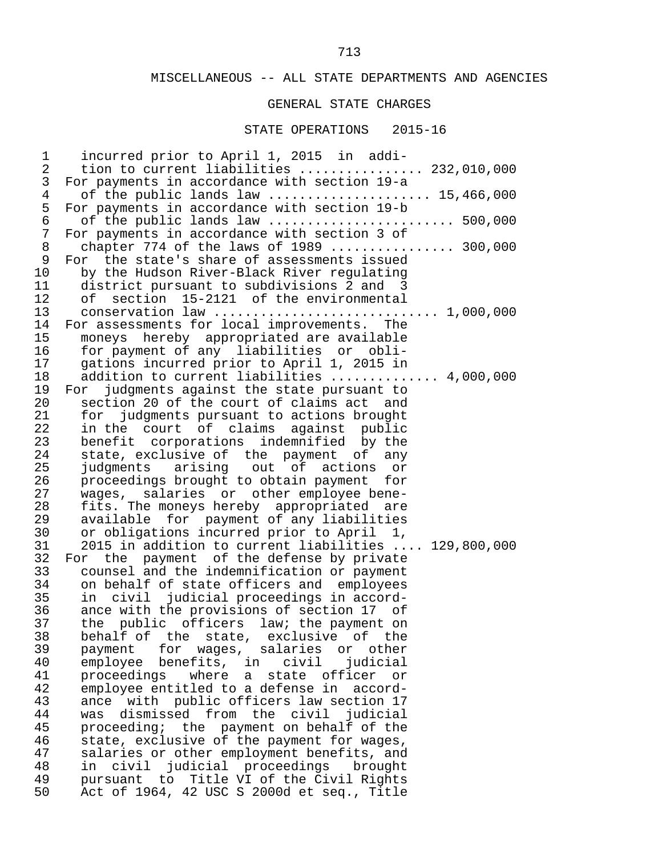#### GENERAL STATE CHARGES

#### STATE OPERATIONS 2015-16

 1 incurred prior to April 1, 2015 in addi- 2 tion to current liabilities ................. 232,010,000<br>3 For payments in accordance with section 19-a 3 For payments in accordance with section 19-a 4 of the public lands law .......................... 15,466,000<br>5 For payments in accordance with section 19-b 5 For payments in accordance with section 19-b 6 of the public lands law ........................ 500,000 7 For payments in accordance with section 3 of<br>8 chapter 774 of the laws of 1989 ......... 8 chapter 774 of the laws of 1989 .................. 300,000<br>9 For the state's share of assessments issued 9 For the state's share of assessments issued<br>10 by the Hudson River-Black River requlating 10 by the Hudson River-Black River regulating<br>11 district pursuant to subdivisions 2 and 3 11 district pursuant to subdivisions 2 and 3<br>12 of section 15-2121 of the environmental 12 of section 15-2121 of the environmental<br>13 conservation law ......................... 13 conservation law ............................. 1,000,000 14 For assessments for local improvements. The<br>15 moneys hereby appropriated are available 15 moneys hereby appropriated are available<br>16 for payment of any liabilities or obli-16 for payment of any liabilities or obli-<br>17 gations incurred prior to April 1, 2015 in 17 gations incurred prior to April 1, 2015 in 18 addition to current liabilities .............. 4,000,000<br>19 For judgments against the state pursuant to 19 For judgments against the state pursuant to<br>20 section 20 of the court of claims act and 20 section 20 of the court of claims act and<br>21 for judgments pursuant to actions brought 21 for judgments pursuant to actions brought<br>22 in the court of claims against public 22 in the court of claims against public<br>23 benefit corporations indemnified by the 23 benefit corporations indemnified by the<br>24 state, exclusive of the payment of any 24 state, exclusive of the payment of any<br>25 iudgments arising out of actions or 25 judgments arising out of actions or<br>26 proceedings-brought-to-obtain-payment for 26 proceedings brought to obtain payment for<br>27 wages, salaries or other employee bene-27 wages, salaries or otheremployee bene-<br>28 fits. The moneys hereby appropriated are 28 fits. The moneys hereby appropriated are 29 available for payment of any liabilities 30 or obligations incurred prior to April 1, 31 2015 in addition to current liabilities .... 129,800,000<br>32 For the payment of the defense by private 32 For the payment of the defense by private<br>33 counsel and the indemnification or payment 33 counsel and the indemnification or payment<br>34 on behalf of state officers and employees 34 on behalf of state officers and employees<br>35 in civil judicial proceedings in accord- 35 in civil judicial proceedings in accord- 36 ance with the provisions of section 17 of<br>37 the public officers law; the payment on 37 the public officers law; the payment on<br>38 behalf of the state, exclusive of the 38 behalf of the state, exclusive of the<br>39 payment for wages, salaries or other 39 payment for wages, salaries or other<br>40 emplovee benefits, in civil judicial 40 employee benefits, in civil judicial<br>41 proceedings where a state officer or 41 proceedings where a state officer or<br>42 employee entitled to a defense in accord- 42 employee entitled to a defense in accord- 43 ance with public officers law section 17<br>44 was dismissed from the civil judicial 44 was dismissed from the civil judicial<br>45 proceeding; the payment on behalf of the 45 proceeding; the payment on behalf of the<br>46 state, exclusive of the payment for wages, 46 state, exclusive of the payment for wages,<br>47 salaries or other employment benefits, and 47 salaries or other employment benefits, and<br>48 in civil judicial proceedings brought 48 in civil judicial proceedings brought<br>49 pursuant to Title-VI of the-Civil-Rights 49 pursuant to Title VI of the Civil Rights<br>50 Act of 1964, 42 USC S 2000d et seq., Title Act of 1964, 42 USC S 2000d et seq., Title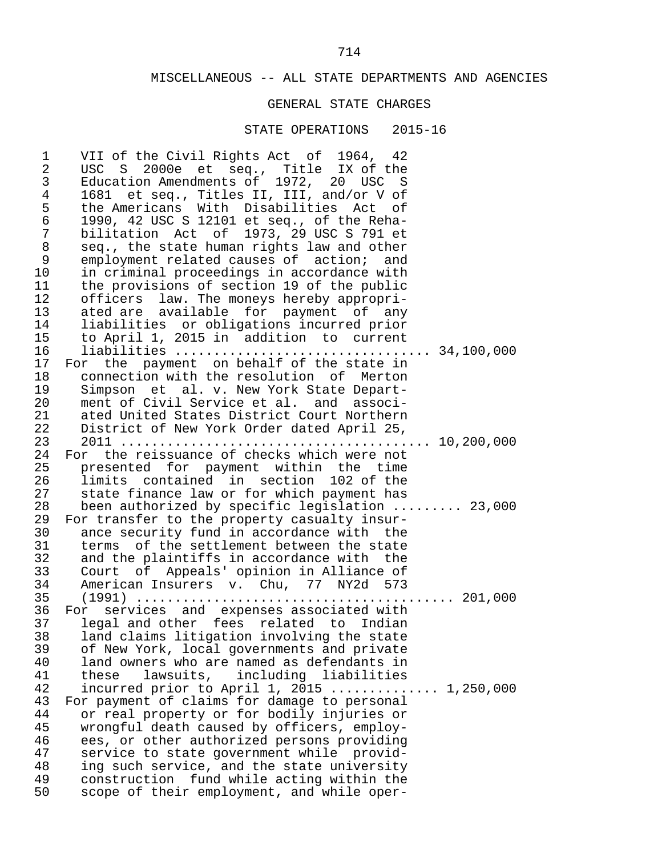#### GENERAL STATE CHARGES

#### STATE OPERATIONS 2015-16

1 VII of the Civil Rights Act of 1964, 42<br>2 IISC S 2000e et seq. Title IX of the 2 USC S 2000e et seq., Title IX of the<br>3 Education Amendments of 1972, 20 USC S 3 Education Amendments of 1972, 20 USC S 4 1681 et seq., Titles II, III, and/or V of 5 the Americans With Disabilities Act of<br>6 1990, 42 USC S 12101 et seq., of the Reha- 6 1990, 42 USC S 12101 et seq., of the Reha- 7 bilitation Act of 1973, 29 USC S 791 et<br>8 seg., the state human rights law and other 8 seq., the state human rights law and other 9 employment related causes of action; and<br>10 in criminal proceedings in accordance with 10 in criminal proceedings in accordance with<br>11 the provisions of section 19 of the public 11 the provisions of section 19 of the public<br>12 officers law. The moneys hereby appropri-12 officers law. The moneys hereby appropri-<br>13 ated are available for payment of any 13 ated are available for payment of any<br>14 liabilities or obligations incurred prior 14 liabilities or obligations incurred prior 15 to April 1, 2015 in addition to current 16 liabilities ................................. 34,100,000 17 For the payment on behalf of the state in<br>18 connection with the resolution of Merton 18 connection with the resolution of Merton<br>19 Simpson et al. v. New York State Depart-19 Simpson et al. v. New York State Depart-<br>20 ment of Civil Service et al. and associ- 20 ment of Civil Service et al. and associ- 21 ated United States District Court Northern<br>22 District of New York Order dated April 25. 22 District of New York Order dated April 25, 23 2011 ........................................ 10,200,000 24 For the reissuance of checks which were not<br>25 presented for payment within the time 25 presented for payment within the time<br>26 limits contained in section 102 of the 26 limits contained in section 102 of the<br>27 state finance law or for which payment has 27 state finance law or for which payment has<br>28 been authorized by specific legislation.. 28 been authorized by specific legislation ......... 23,000<br>29 For transfer to the property casualty insur-29 For transfer to the property casualty insur-<br>30 ance security fund in accordance with the ance security fund in accordance with the 31 terms of the settlement between the state<br>32 and the plaintiffs in accordance with the 32 and the plaintiffs in accordance with the<br>33 Court of Appeals' opinion in Alliance of 33 Court of Appeals' opinion in Alliance of<br>34 American Insurers v. Chu, 77 NY2d 573 34 American Insurers v. Chu, 77 NY2d 573 35 (1991) ......................................... 201,000 36 For services and expenses-associated-with<br>37 Iegal and other fees related to Indian 37 legal and other fees related to Indian<br>38 land claims litigation involving the state 38 land claims litigation involving the state<br>39 of New York, local governments and private 39 of New York, local governments and private<br>40 land owners who are named as defendants in 40 land owners who are named as defendants in<br>41 these lawsuits, including liabilities these lawsuits, including liabilities 42 incurred prior to April 1, 2015 .............. 1,250,000<br>43 For payment of claims for damage to personal 43 For payment of claims for damage to personal<br>44 or real property or for bodily injuries or 44 or real property or for bodily injuries or<br>45 wrongful death caused by officers, employ- 45 wrongful death caused by officers, employ- 46 ees, or other authorized persons providing<br>47 service to state government while provid-47 service to state government while provid-<br>48 ing such service, and the state university 48 ing such service, and the state university<br>49 construction fund while acting within the 49 construction fund while acting within the<br>50 scope of their employment, and while operscope of their employment, and while oper-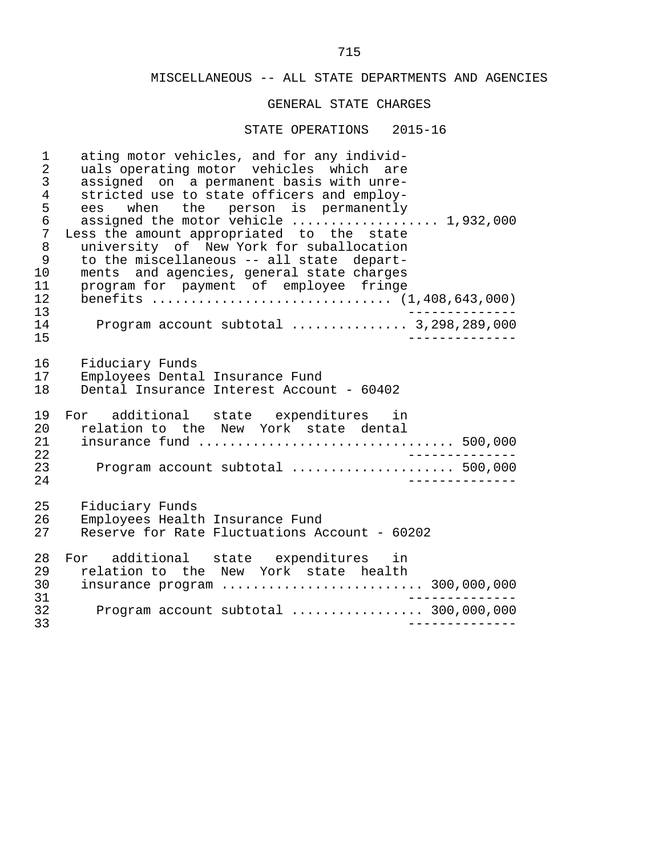#### GENERAL STATE CHARGES

#### STATE OPERATIONS 2015-16

1 ating motor vehicles, and for any individ-<br>2 uals operating motor vehicles which are 2 uals operating motor vehicles which are<br>3 assigned on a permanent basis with unre-3 assigned on a permanent basis with unre-<br>4 stricted use to state officers and employ-4 stricted use to state officers and employ-<br>5 ees when the person is permanently 5 ees when the person is permanently<br>6 assigned the motor vehicle ............... 6 assigned the motor vehicle ................... 1,932,000 7 Less the amount appropriated to the state<br>8 university of New York for suballocation 8 university of New York for suballocation<br>9 to the miscellaneous -- all state depart-9 to the miscellaneous -- all state depart-<br>10 ments and agencies, general state charges 10 ments and agencies, general state charges<br>11 program for payment of emplovee fringe 11 program for payment of employee fringe 12 benefits ............................... (1,408,643,000) 13 -------------- 14 Program account subtotal ............... 3,298,289,000 15 -------------- 16 Fiduciary Funds<br>17 Emplovees Dental 17 Employees Dental Insurance Fund<br>18 Dental Insurance Interest Accour Dental Insurance Interest Account - 60402 19 For additional state expenditures in<br>20 relation-to the New York state dental 20 relation to the New York state dental<br>21 insurance fund ........................... 21 insurance fund ................................. 500,000 22 -------------- 23 Program account subtotal ..................... 500,000 24 -------------- 25 Fiduciary Funds<br>26 Emplovees Healt 26 Employees Health Insurance Fund<br>27 Reserve for Rate Fluctuations Ao Reserve for Rate Fluctuations Account - 60202 28 For additional state expenditures in<br>29 relation-to the New York state health 29 relation to the New York state health<br>30 insurance program ........................ 30 insurance program .......................... 300,000,000 31 -------------- 32 Program account subtotal ................. 300,000,000 33 --------------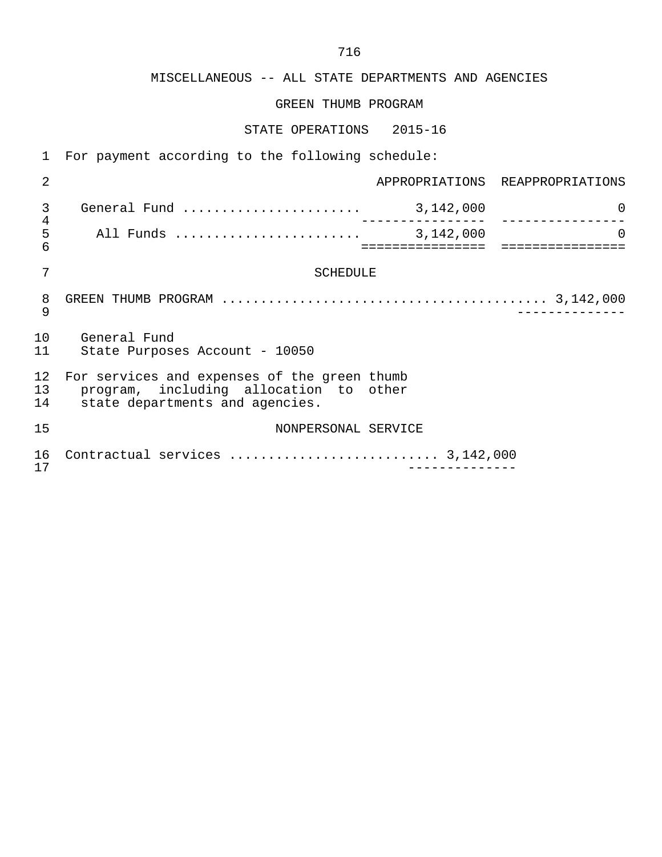# GREEN THUMB PROGRAM

# STATE OPERATIONS 2015-16

1 For payment according to the following schedule:

| 2              |                                                                                                                           |                                 | APPROPRIATIONS REAPPROPRIATIONS |  |
|----------------|---------------------------------------------------------------------------------------------------------------------------|---------------------------------|---------------------------------|--|
| 3<br>4         |                                                                                                                           | . _ _ _ _ _ _ _ _ _ _ _ _ _ _ _ | $\Omega$                        |  |
| 5<br>6         |                                                                                                                           | . = = = = = = = = = = = = = = = | $\Omega$                        |  |
| 7              | SCHEDULE                                                                                                                  |                                 |                                 |  |
| 8<br>9         |                                                                                                                           |                                 |                                 |  |
| 10<br>11       | General Fund<br>State Purposes Account - 10050                                                                            |                                 |                                 |  |
| 12<br>13<br>14 | For services and expenses of the green thumb<br>program, including allocation to other<br>state departments and agencies. |                                 |                                 |  |
| 15             | NONPERSONAL SERVICE                                                                                                       |                                 |                                 |  |
| 16<br>17       |                                                                                                                           |                                 |                                 |  |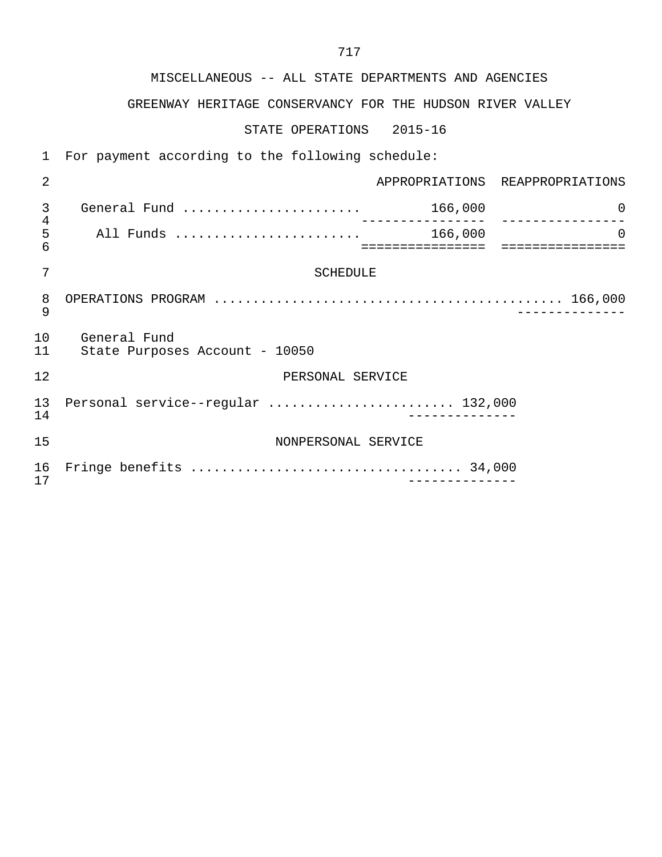# GREENWAY HERITAGE CONSERVANCY FOR THE HUDSON RIVER VALLEY

STATE OPERATIONS 2015-16

 1 For payment according to the following schedule: 2 APPROPRIATIONS REAPPROPRIATIONS 3 General Fund ....................... 166,000 0 4 ---------------- ---------------- 5 All Funds ........................ 166,000 0 6 ================ ================ 7 SCHEDULE 8 OPERATIONS PROGRAM ............................................. 166,000 9 -------------- 10 General Fund<br>11 State Purpose State Purposes Account - 10050 12 PERSONAL SERVICE 13 Personal service--regular ........................... 132,000<br>14 14 -------------- 15 NONPERSONAL SERVICE 16 Fringe benefits ................................... 34,000 17 --------------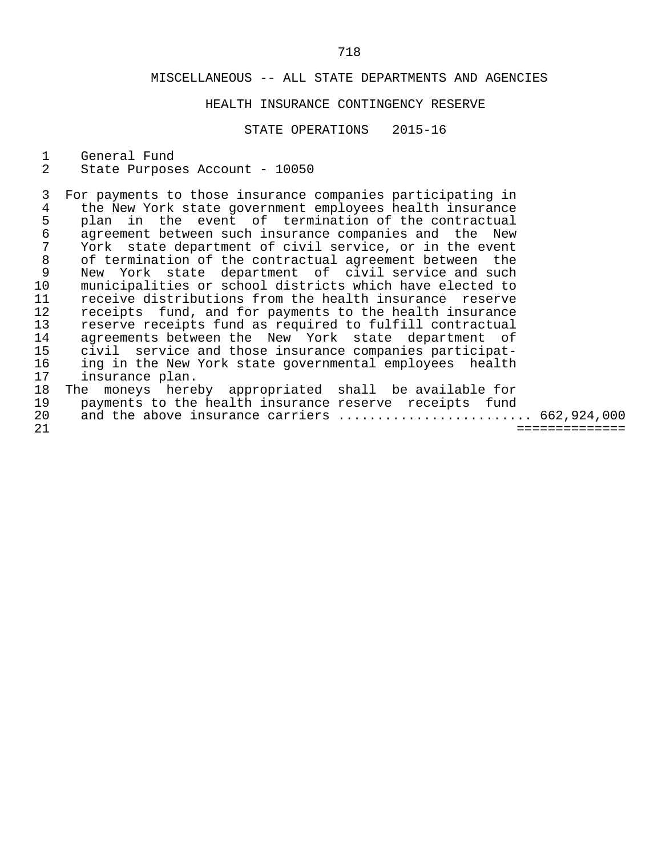# HEALTH INSURANCE CONTINGENCY RESERVE

STATE OPERATIONS 2015-16

1 General Fund<br>2 State Purpose

State Purposes Account - 10050

 3 For payments to those insurance companies participating in 4 the New York state government employees health insurance<br>5 plan in the event of termination of the contractual 5 plan in the event of termination of the contractual<br>6 agreement between such insurance companies and the New 6 agreement between such insurance companies and the New<br>7 York state department of civil service, or in the event 7 York state department of civil service, or in the event<br>8 of termination of the contractual agreement between the 8 of termination of the contractual agreement between the<br>9 New York state department of civil service and such 9 New York state department of civil service and such<br>10 municipalities or school districts which have elected to 10 municipalities or school districts which have elected to<br>11 receive distributions from the health insurance reserve 11 receive distributions from the health insurance reserve<br>12 receipts fund, and for payments to the health insurance 12 receipts fund, and for payments to the health insurance<br>13 reserve receipts fund as required to fulfill contractual 13 reserve receipts fund as required to fulfill contractual<br>14 agreements between the New York state department of 14 agreements between the New York state department of<br>15 civil service and those insurance companies participat-15 civil service and those insurance companies participat-<br>16 ing in the New York state governmental employees health 16 ing in the New York state governmental employees health<br>17 insurance plan. 17 insurance plan.<br>18 The moneys here The moneys hereby appropriated shall be available for 19 payments to the health insurance reserve receipts fund

| 19 | payments to the health insurance reserve receipts fund |  |  |
|----|--------------------------------------------------------|--|--|
|    | 20 and the above insurance carriers  662,924,000       |  |  |

21 ==============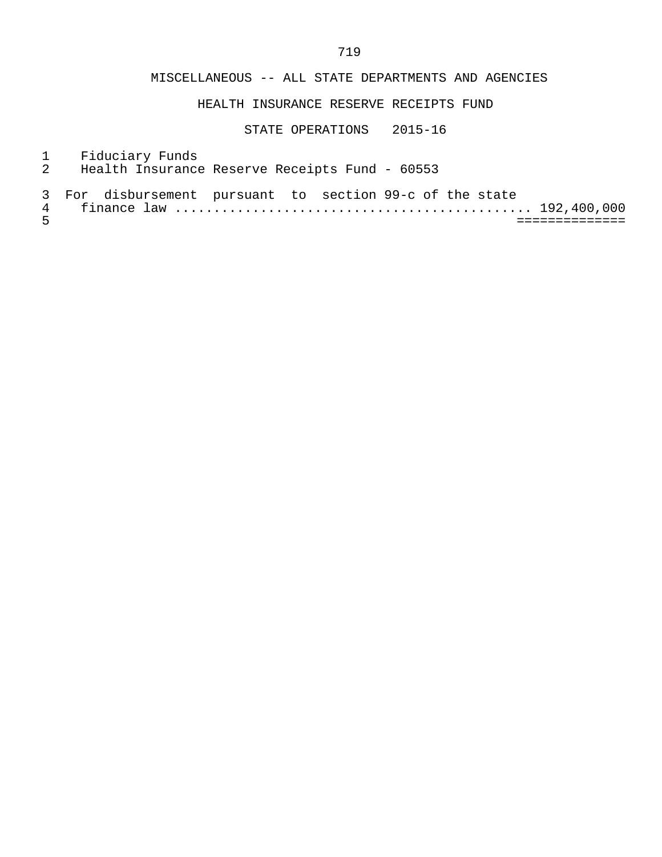# HEALTH INSURANCE RESERVE RECEIPTS FUND

- 1 Fiduciary Funds<br>2 Health Insurance
- Health Insurance Reserve Receipts Fund 60553
- 3 For disbursement pursuant to section 99-c of the state

| av.<br>-- |                                  | ◡ |  |
|-----------|----------------------------------|---|--|
|           | --------------<br>______________ |   |  |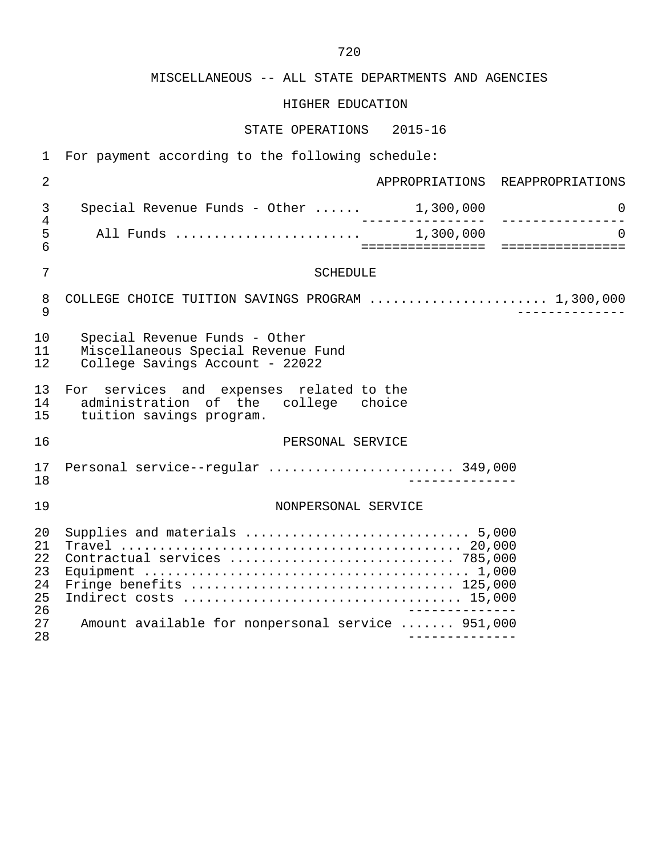# HIGHER EDUCATION

| For payment according to the following schedule:                         |                |                                                                                                              |                                        |  |
|--------------------------------------------------------------------------|----------------|--------------------------------------------------------------------------------------------------------------|----------------------------------------|--|
| APPROPRIATIONS REAPPROPRIATIONS                                          |                |                                                                                                              | $\overline{a}$                         |  |
| $\Omega$<br>________________                                             | _<br>_________ | Special Revenue Funds - Other $\dots$ . 1,300,000                                                            | 3<br>4                                 |  |
| $\Omega$                                                                 |                |                                                                                                              |                                        |  |
|                                                                          |                | <b>SCHEDULE</b>                                                                                              | $\overline{7}$                         |  |
|                                                                          |                | COLLEGE CHOICE TUITION SAVINGS PROGRAM  1,300,000                                                            | 8<br>9                                 |  |
|                                                                          |                | Special Revenue Funds - Other<br>Miscellaneous Special Revenue Fund<br>College Savings Account - 22022       | 10<br>11<br>12                         |  |
|                                                                          |                | For services and expenses related to the<br>administration of the college choice<br>tuition savings program. | 13<br>14<br>15                         |  |
| 16<br>PERSONAL SERVICE<br>Personal service--regular  349,000<br>17<br>18 |                |                                                                                                              |                                        |  |
|                                                                          |                |                                                                                                              |                                        |  |
|                                                                          |                | Contractual services  785,000                                                                                | 20<br>21<br>22<br>23<br>24<br>25<br>26 |  |
|                                                                          |                | Amount available for nonpersonal service  951,000                                                            | 27<br>28                               |  |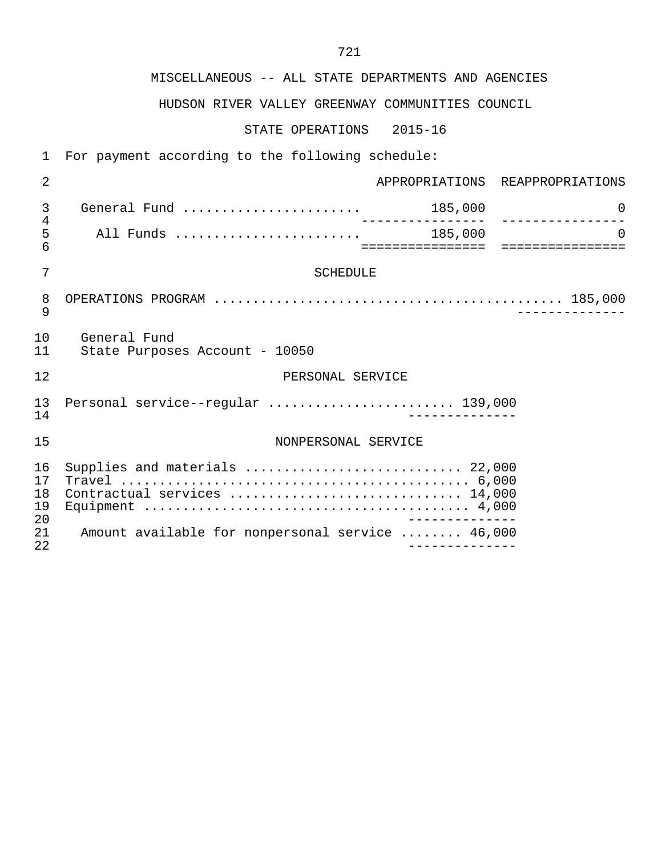# HUDSON RIVER VALLEY GREENWAY COMMUNITIES COUNCIL

STATE OPERATIONS 2015-16

 1 For payment according to the following schedule: 2 APPROPRIATIONS REAPPROPRIATIONS 3 General Fund ....................... 185,000 0 4 ---------------- ---------------- 5 All Funds ........................ 185,000 0 6 ================ ================ 7 SCHEDULE 8 OPERATIONS PROGRAM ............................................. 185,000 9 -------------- 10 General Fund<br>11 State Purpos State Purposes Account - 10050 12 **PERSONAL SERVICE**  13 Personal service--regular ........................ 139,000 14 -------------- 15 NONPERSONAL SERVICE 16 Supplies and materials ............................ 22,000 17 Travel ............................................. 6,000 18 Contractual services .............................. 14,000 19 Equipment .......................................... 4,000 20 -------------<br>21 Amount available for nonpersonal service ........ 46.000 21 Amount available for nonpersonal service ........ 46,000 22 --------------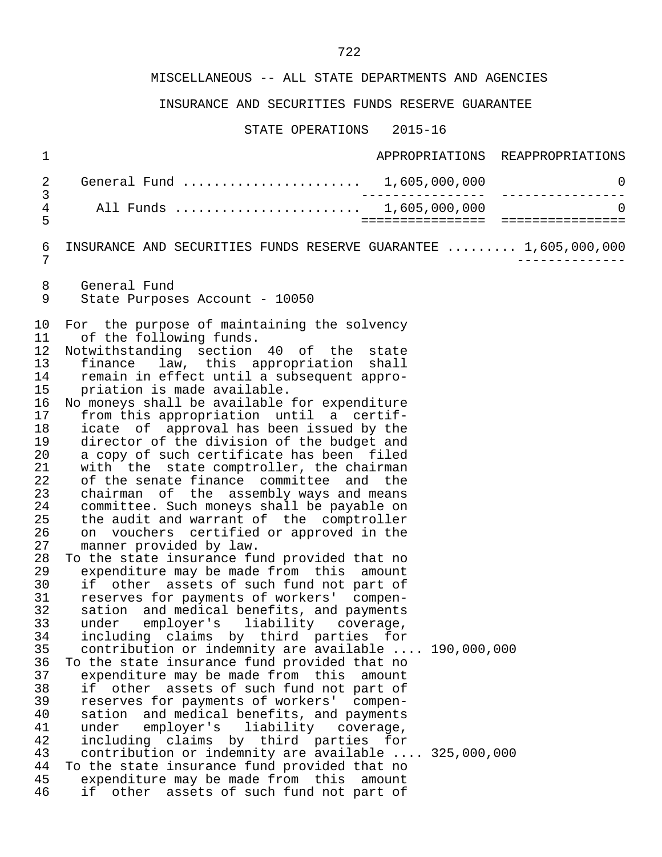# INSURANCE AND SECURITIES FUNDS RESERVE GUARANTEE

| $\mathbf 1$                                                                                                                                                                                                                |                                                                                                                                                                                                                                                                                                                                                                                                                                                                                                                                                                                                                                                                                                                                                                                                                                                                                                                                                                                                                                                                                                                                                                                                                                                                                                                                                                                                                                                                                                                                                                                                                                                                                  | APPROPRIATIONS REAPPROPRIATIONS           |
|----------------------------------------------------------------------------------------------------------------------------------------------------------------------------------------------------------------------------|----------------------------------------------------------------------------------------------------------------------------------------------------------------------------------------------------------------------------------------------------------------------------------------------------------------------------------------------------------------------------------------------------------------------------------------------------------------------------------------------------------------------------------------------------------------------------------------------------------------------------------------------------------------------------------------------------------------------------------------------------------------------------------------------------------------------------------------------------------------------------------------------------------------------------------------------------------------------------------------------------------------------------------------------------------------------------------------------------------------------------------------------------------------------------------------------------------------------------------------------------------------------------------------------------------------------------------------------------------------------------------------------------------------------------------------------------------------------------------------------------------------------------------------------------------------------------------------------------------------------------------------------------------------------------------|-------------------------------------------|
| 2                                                                                                                                                                                                                          | General Fund  1,605,000,000                                                                                                                                                                                                                                                                                                                                                                                                                                                                                                                                                                                                                                                                                                                                                                                                                                                                                                                                                                                                                                                                                                                                                                                                                                                                                                                                                                                                                                                                                                                                                                                                                                                      | $\overline{0}$                            |
| 3<br>4<br>5                                                                                                                                                                                                                | All Funds  1,605,000,000                                                                                                                                                                                                                                                                                                                                                                                                                                                                                                                                                                                                                                                                                                                                                                                                                                                                                                                                                                                                                                                                                                                                                                                                                                                                                                                                                                                                                                                                                                                                                                                                                                                         | _____________________________<br>$\Omega$ |
| 6<br>7                                                                                                                                                                                                                     | INSURANCE AND SECURITIES FUNDS RESERVE GUARANTEE  1,605,000,000                                                                                                                                                                                                                                                                                                                                                                                                                                                                                                                                                                                                                                                                                                                                                                                                                                                                                                                                                                                                                                                                                                                                                                                                                                                                                                                                                                                                                                                                                                                                                                                                                  |                                           |
| 8<br>9                                                                                                                                                                                                                     | General Fund<br>State Purposes Account - 10050                                                                                                                                                                                                                                                                                                                                                                                                                                                                                                                                                                                                                                                                                                                                                                                                                                                                                                                                                                                                                                                                                                                                                                                                                                                                                                                                                                                                                                                                                                                                                                                                                                   |                                           |
| 10<br>11<br>12<br>13<br>14<br>15<br>16<br>17<br>18<br>19<br>20<br>21<br>22<br>23<br>24<br>25<br>26<br>27<br>28<br>29<br>30<br>31<br>32<br>33<br>34<br>35<br>36<br>37<br>38<br>39<br>40<br>41<br>42<br>43<br>44<br>45<br>46 | For the purpose of maintaining the solvency<br>of the following funds.<br>Notwithstanding section 40 of the state<br>finance law, this appropriation shall<br>remain in effect until a subsequent appro-<br>priation is made available.<br>No moneys shall be available for expenditure<br>from this appropriation until a certif-<br>icate of approval has been issued by the<br>director of the division of the budget and<br>a copy of such certificate has been filed<br>with the state comptroller, the chairman<br>of the senate finance committee and the<br>chairman of the assembly ways and means<br>committee. Such moneys shall be payable on<br>the audit and warrant of the comptroller<br>on vouchers certified or approved in the<br>manner provided by law.<br>To the state insurance fund provided that no<br>expenditure may be made from this amount<br>if other assets of such fund not part of<br>reserves for payments of workers' compen-<br>sation and medical benefits, and payments<br>under employer's liability coverage,<br>including claims by third parties for<br>contribution or indemnity are available  190,000,000<br>To the state insurance fund provided that no<br>expenditure may be made from this amount<br>if other assets of such fund not part of<br>reserves for payments of workers' compen-<br>sation and medical benefits, and payments<br>under<br>employer's liability<br>coverage,<br>including claims by third parties for<br>contribution or indemnity are available  325,000,000<br>To the state insurance fund provided that no<br>expenditure may be made from this amount<br>if other assets of such fund not part of |                                           |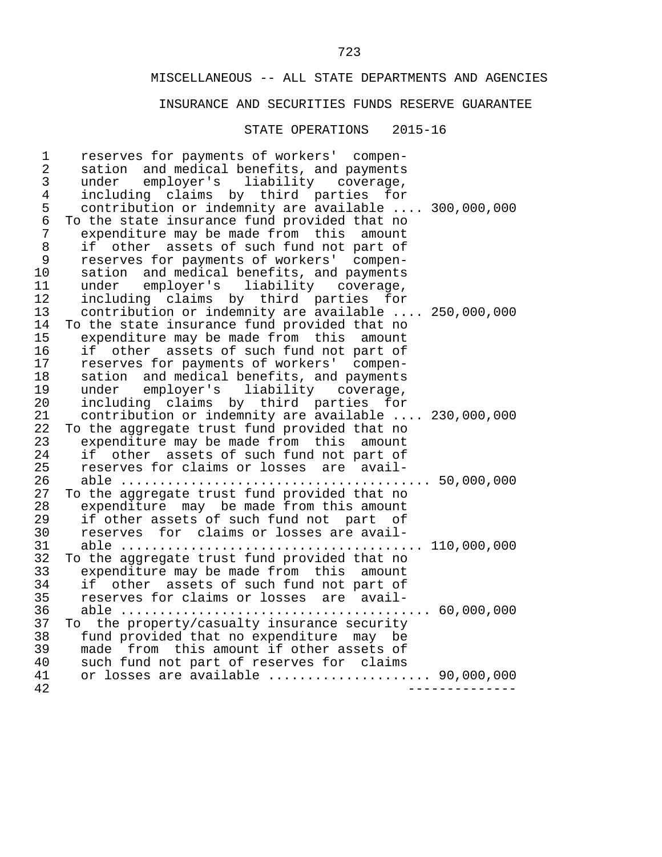### INSURANCE AND SECURITIES FUNDS RESERVE GUARANTEE

#### STATE OPERATIONS 2015-16

1 reserves for payments of workers' compen-<br>2 sation and medical benefits, and payments 2 sation and medical benefits, and payments<br>3 under emplover's liability coverage. 3 under employer's liability coverage, 4 including claims by third parties for<br>5 contribution or indemnity are available.. 5 contribution or indemnity are available .... 300,000,000<br>6 To the state insurance fund provided that no 6 To the state insurance fund provided that no<br>7 expenditure may be made from this amount 7 expenditure may be made from this amount<br>8 if other assets of such fund not part of 8 if other assets of such fund not part of<br>9 reserves for payments of workers' compen-9 reserves for payments of workers' compen-<br>10 sation and medical benefits, and payments 10 sation and medical benefits, and payments<br>11 under employer's liability coverage. 11 under employer's liability coverage,<br>12 including claims by third parties for 12 including claims by third parties for<br>13 contribution or indemnity are available.. 13 contribution or indemnity are available .... 250,000,000<br>14 To the state insurance fund provided that no 14 To the state insurance fund provided that no<br>15 expenditure may be made from this amount 15 expenditure may be made from this amount<br>16 if other assets of such fund not part of 16 if other assets of such fund not part of<br>17 reserves for payments of workers' compen-17 reserves for payments of workers' compen-<br>18 sation and medical benefits, and payments 18 sation and medical benefits, and payments<br>19 under employer's liability coverage. 19 under employer's liability coverage,<br>20 including claims by third parties for 20 including claims by third parties for<br>21 contribution or indemnity are available.. 21 contribution or indemnity are available .... 230,000,000<br>22 To the aggregate trust fund provided that no 22 To the aggregate trust fund provided that no<br>23 expenditure may be made from this amount 23 expenditure may be made from this amount<br>24 if other assets of such fund not part of 24 if other assets of such fund not part of<br>25 reserves for claims or losses are avail- 25 reserves for claims or losses are avail- 26 able ........................................ 50,000,000 27 To the aggregate trust fund provided that no<br>28 expenditure may be made from this amount 28 expenditure may be made from this amount<br>29 if other assets of such fund not part of 29 if other assets of such fund not part of<br>30 reserves for claims or losses are avail- 30 reserves for claims or losses are avail- 31 able ....................................... 110,000,000 32 To the aggregate trust fund provided that no<br>33 expenditure may be made from this amount 33 expenditure may be made from this amount<br>34 if other assets of such fund not part of 34 if other assets of such fund not part of<br>35 reserves for claims or losses are avail- 35 reserves for claims or losses are avail- 36 able ........................................ 60,000,000 37 To the property/casualty insurance security<br>38 fund provided that no expenditure may be 38 fund provided that no expenditure may be<br>39 made from this amount if other assets of 39 made from this amount if other assets of<br>40 such fund not part of reserves for claims 40 such fund not part of reserves for claims<br>41 or losses are available ................... 41 or losses are available ..................... 90,000,000 42 --------------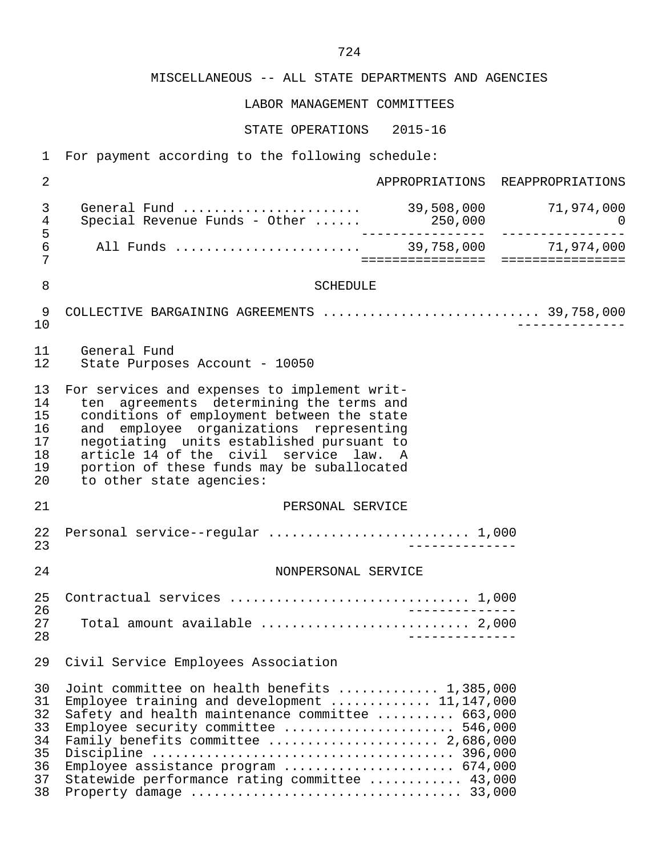LABOR MANAGEMENT COMMITTEES

| $\mathbf 1$                                        | For payment according to the following schedule:                                                                                                                                                                                                                                                                                                   |                  |                                 |
|----------------------------------------------------|----------------------------------------------------------------------------------------------------------------------------------------------------------------------------------------------------------------------------------------------------------------------------------------------------------------------------------------------------|------------------|---------------------------------|
| $\overline{2}$                                     |                                                                                                                                                                                                                                                                                                                                                    |                  | APPROPRIATIONS REAPPROPRIATIONS |
| $\mathfrak{Z}$<br>$\overline{4}$<br>5              | General Fund  39,508,000 71,974,000<br>Special Revenue Funds - Other  250,000 000 000 000                                                                                                                                                                                                                                                          |                  |                                 |
| 6<br>7                                             |                                                                                                                                                                                                                                                                                                                                                    | ================ | ================                |
| 8                                                  | <b>SCHEDULE</b>                                                                                                                                                                                                                                                                                                                                    |                  |                                 |
| 9<br>10                                            | COLLECTIVE BARGAINING AGREEMENTS  39,758,000                                                                                                                                                                                                                                                                                                       |                  |                                 |
| 11<br>12                                           | General Fund<br>State Purposes Account - 10050                                                                                                                                                                                                                                                                                                     |                  |                                 |
| 13<br>14<br>15<br>16<br>17<br>18<br>19<br>20       | For services and expenses to implement writ-<br>ten agreements determining the terms and<br>conditions of employment between the state<br>and employee organizations representing<br>negotiating units established pursuant to<br>article 14 of the civil service law. A<br>portion of these funds may be suballocated<br>to other state agencies: |                  |                                 |
| 21                                                 | PERSONAL SERVICE                                                                                                                                                                                                                                                                                                                                   |                  |                                 |
| 22<br>23                                           | Personal service--regular  1,000                                                                                                                                                                                                                                                                                                                   |                  |                                 |
| 24                                                 | NONPERSONAL SERVICE                                                                                                                                                                                                                                                                                                                                |                  |                                 |
| 25<br>26<br>27                                     | Contractual services  1,000<br>Total amount available  2,000                                                                                                                                                                                                                                                                                       |                  |                                 |
| 28                                                 |                                                                                                                                                                                                                                                                                                                                                    |                  |                                 |
| 29                                                 | Civil Service Employees Association                                                                                                                                                                                                                                                                                                                |                  |                                 |
| 30<br>31<br>32<br>33<br>34<br>35<br>36<br>37<br>38 | Joint committee on health benefits  1,385,000<br>Employee training and development $11,147,000$<br>Safety and health maintenance committee  663,000<br>Employee security committee  546,000<br>Family benefits committee  2,686,000<br>Employee assistance program  674,000<br>Statewide performance rating committee  43,000                      |                  |                                 |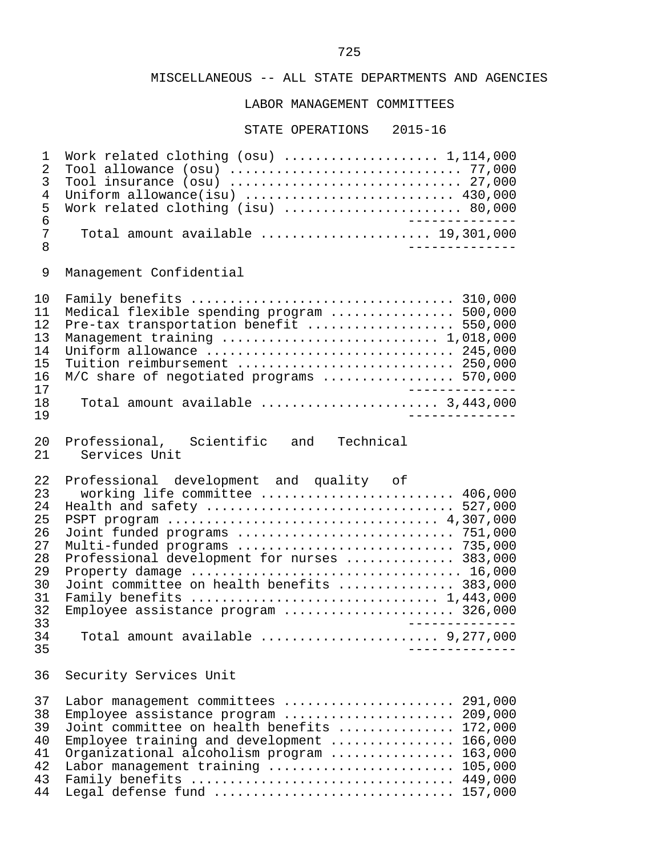LABOR MANAGEMENT COMMITTEES

| 1<br>$\overline{2}$<br>3<br>4<br>5<br>6<br>7<br>8                                | Work related clothing $(osu)$ 1,114,000<br>Tool allowance $(ssu)$ 77,000<br>Tool insurance $(ssu)$ 27,000<br>Uniform allowance(isu) $\ldots \ldots \ldots \ldots \ldots \ldots \ldots$ 430,000<br>Work related clothing (isu)  80,000<br>_____________.<br>Total amount available $\ldots \ldots \ldots \ldots \ldots \ldots$ 19,301,000                                                                                                                                                                                                                                                                                                                 |
|----------------------------------------------------------------------------------|----------------------------------------------------------------------------------------------------------------------------------------------------------------------------------------------------------------------------------------------------------------------------------------------------------------------------------------------------------------------------------------------------------------------------------------------------------------------------------------------------------------------------------------------------------------------------------------------------------------------------------------------------------|
| 9                                                                                | Management Confidential                                                                                                                                                                                                                                                                                                                                                                                                                                                                                                                                                                                                                                  |
| 10<br>11<br>12<br>13<br>14<br>15<br>16<br>17<br>18<br>19                         | Medical flexible spending program  500,000<br>Pre-tax transportation benefit  550,000<br>Management training  1,018,000<br>Uniform allowance $\ldots \ldots \ldots \ldots \ldots \ldots \ldots \ldots \ldots$ 245,000<br>Tuition reimbursement  250,000<br>M/C share of negotiated programs  570,000<br>_____________<br>Total amount available $\ldots, \ldots, \ldots, \ldots, \ldots, 3,443,000$                                                                                                                                                                                                                                                      |
| 20<br>21                                                                         | Professional, Scientific and<br>Technical<br>Services Unit                                                                                                                                                                                                                                                                                                                                                                                                                                                                                                                                                                                               |
| 22<br>23<br>24<br>25<br>26<br>27<br>28<br>29<br>30<br>31<br>32<br>33<br>34<br>35 | Professional development and quality of<br>working life committee  406,000<br>Health and safety $\ldots \ldots \ldots \ldots \ldots \ldots \ldots \ldots \ldots \ldots$ 527,000<br>Joint funded programs  751,000<br>Multi-funded programs  735,000<br>Professional development for nurses  383,000<br>Property damage $\dots\dots\dots\dots\dots\dots\dots\dots\dots\dots\dots\dots$ 16,000<br>Joint committee on health benefits  383,000<br>Family benefits $\ldots \ldots \ldots \ldots \ldots \ldots \ldots \ldots \ldots \ldots \ldots 1,443,000$<br>Employee assistance program  326,000<br>_______________<br>Total amount available $9,277,000$ |
| 36                                                                               | Security Services Unit                                                                                                                                                                                                                                                                                                                                                                                                                                                                                                                                                                                                                                   |
| 37<br>38<br>39<br>40<br>41<br>42<br>43                                           | Labor management committees  291,000<br>Employee assistance program  209,000<br>Joint committee on health benefits<br>172,000<br>Employee training and development $\ldots$<br>166,000<br>163,000<br>Organizational alcoholism program<br>Labor management training<br>105,000<br>Family benefits  449,000                                                                                                                                                                                                                                                                                                                                               |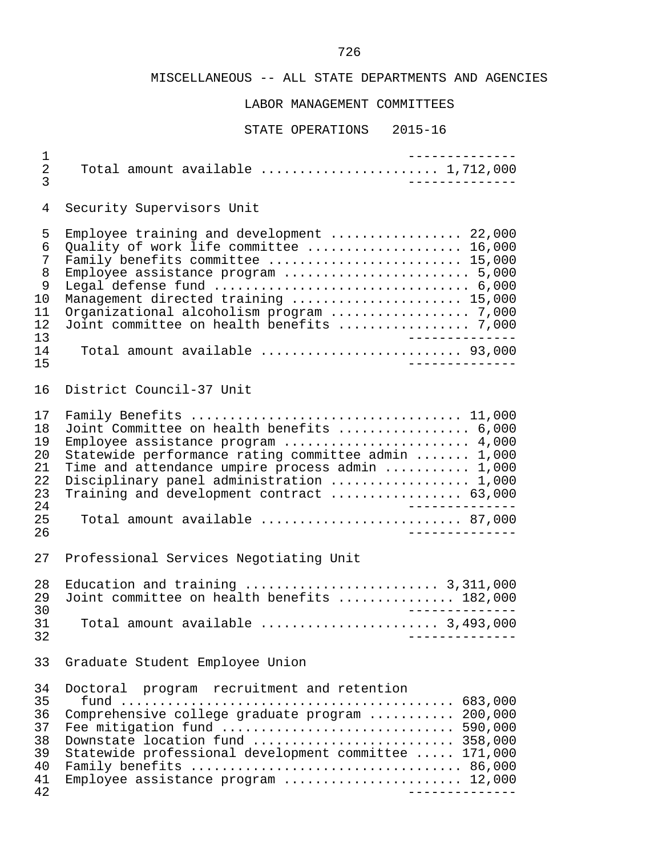# LABOR MANAGEMENT COMMITTEES

| $\mathbf 1$<br>$\overline{2}$<br>3                        | Total amount available $\ldots \ldots \ldots \ldots \ldots \ldots \ldots$ 1,712,000                                                                                                                                                                                                                                                             | <u>______________</u><br>______________ |
|-----------------------------------------------------------|-------------------------------------------------------------------------------------------------------------------------------------------------------------------------------------------------------------------------------------------------------------------------------------------------------------------------------------------------|-----------------------------------------|
| 4                                                         | Security Supervisors Unit                                                                                                                                                                                                                                                                                                                       |                                         |
| 5<br>6<br>7<br>8<br>9<br>10<br>11<br>12<br>13<br>14<br>15 | Employee training and development  22,000<br>Quality of work life committee  16,000<br>Family benefits committee  15,000<br>Employee assistance program  5,000<br>Management directed training  15,000<br>Organizational alcoholism program  7,000<br>Joint committee on health benefits  7,000<br>Total amount available  93,000               | ________________<br>______________      |
| 16                                                        | District Council-37 Unit                                                                                                                                                                                                                                                                                                                        |                                         |
| 17<br>18<br>19<br>20<br>21<br>22<br>23<br>24<br>25<br>26  | Family Benefits  11,000<br>Joint Committee on health benefits  6,000<br>Employee assistance program  4,000<br>Statewide performance rating committee admin  1,000<br>Time and attendance umpire process admin  1,000<br>Disciplinary panel administration  1,000<br>Training and development contract  63,000<br>Total amount available  87,000 | ________________<br>______________      |
| 27                                                        | Professional Services Negotiating Unit                                                                                                                                                                                                                                                                                                          |                                         |
| 28<br>29<br>30<br>31<br>32                                | Education and training $\ldots \ldots \ldots \ldots \ldots \ldots \ldots$ 3,311,000<br>Joint committee on health benefits  182,000<br>Total amount available $\ldots, \ldots, \ldots, \ldots, \ldots, 3,493,000$                                                                                                                                | ______________                          |
| 33                                                        | Graduate Student Employee Union                                                                                                                                                                                                                                                                                                                 |                                         |
| 34<br>35<br>36<br>37<br>38<br>39<br>40<br>41<br>42        | Doctoral program recruitment and retention<br>Comprehensive college graduate program  200,000<br>Fee mitigation fund  590,000<br>Downstate location fund  358,000<br>Statewide professional development committee  171,000<br>Employee assistance program  12,000                                                                               | ______________                          |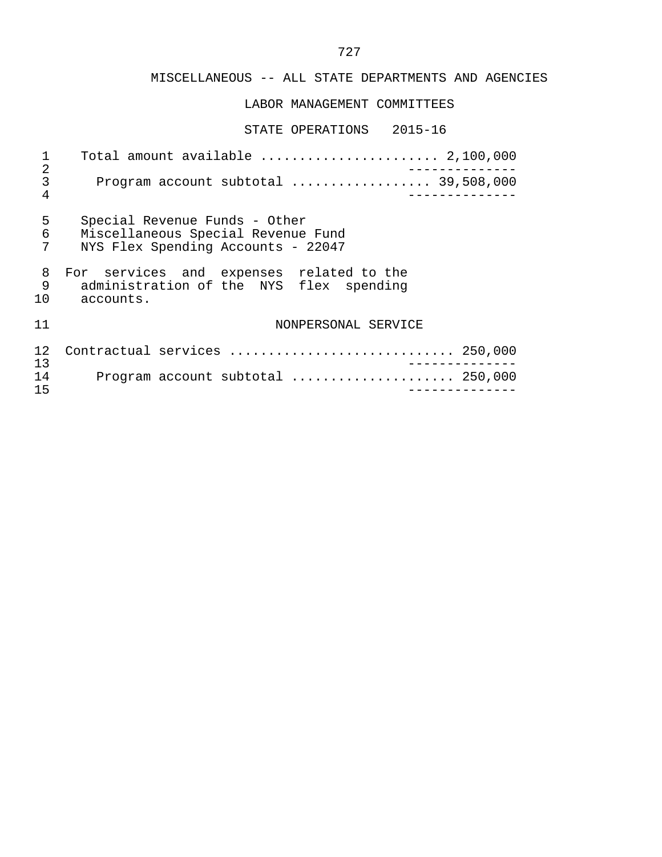### LABOR MANAGEMENT COMMITTEES

#### STATE OPERATIONS 2015-16

 1 Total amount available ....................... 2,100,000 2<br>3 Program account subtotal .................. 39,508,000 3 Program account subtotal .................. 39,508,000 4 -------------- 5 Special Revenue Funds - Other<br>6 Miscellaneous Special Revenue 6 Miscellaneous Special Revenue Fund<br>7 NYS Flex Spending Accounts - 22047 NYS Flex Spending Accounts - 22047 8 For services and expenses related to the 9 administration of the NYS flex spending 10 accounts. 11 NONPERSONAL SERVICE 12 Contractual services ............................. 250,000 13 -------------- 14 Program account subtotal ..................... 250,000 15 --------------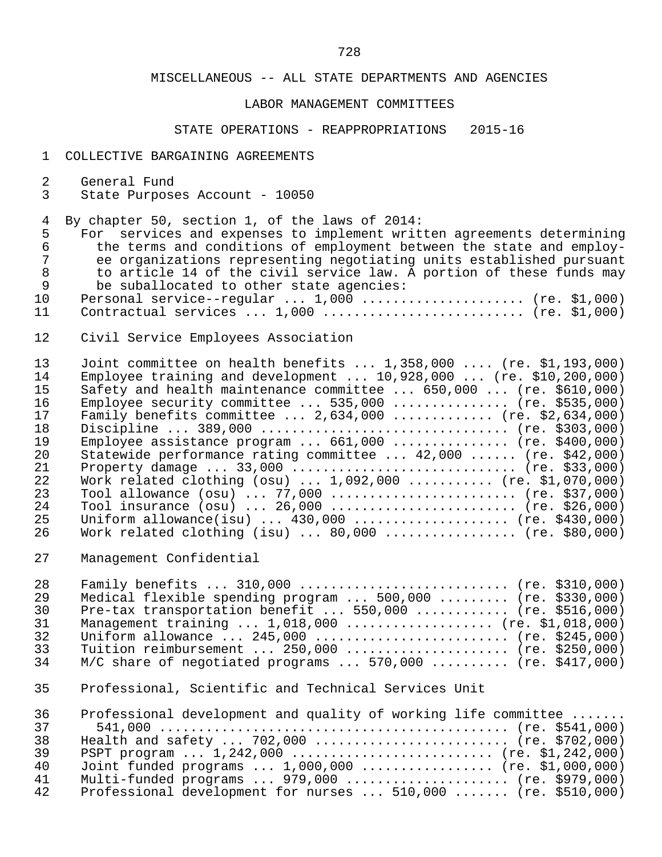### LABOR MANAGEMENT COMMITTEES

### STATE OPERATIONS - REAPPROPRIATIONS 2015-16

#### 1 COLLECTIVE BARGAINING AGREEMENTS

- 2 General Fund<br>3 State Purpose
- State Purposes Account 10050

4 By chapter 50, section 1, of the laws of 2014:<br>5 For services and expenses to implement writ

5 For services and expenses to implement written agreements determining<br>6 the terms and conditions of employment between the state and employ-6 the terms and conditions of employment between the state and employ-<br>7 ee organizations representing negotiating units established pursuant 7 ee organizations representing negotiating units established pursuant<br>8 to article 14 of the civil service law. A portion of these funds may 8 to article 14 of the civil service law. A portion of these funds may<br>9 be suballocated to other state agencies: 9 be suballocated to other state agencies:<br>10 Personal service--reqular ... 1,000 ......

- 10 Personal service--regular ... 1,000 ....................... (re. \$1,000)<br>11 Contractual services ... 1,000 ........................... (re. \$1,000) 11 Contractual services ... 1,000 .......................... (re. \$1,000)
- 12 Civil Service Employees Association

| 13  | Joint committee on health benefits $1,358,000$ (re. \$1,193,000)                  |
|-----|-----------------------------------------------------------------------------------|
| 14  | Employee training and development $10,928,000$ (re. \$10,200,000)                 |
| 15  | Safety and health maintenance committee $\ldots$ 650,000 $\ldots$ (re. \$610,000) |
| 16  | Employee security committee $535,000$ (re. \$535,000)                             |
| 17  | Family benefits committee $2,634,000$ (re. \$2,634,000)                           |
| 18  | Discipline  389,000  (re. \$303,000)                                              |
| 19  | Employee assistance program $661,000$ (re. \$400,000)                             |
| 2.0 | Statewide performance rating committee  42,000  (re. \$42,000)                    |
| 21  |                                                                                   |
| 22  | Work related clothing $(su)$ 1,092,000  (re. \$1,070,000)                         |
| 23  | Tool allowance $(osu)$ 77,000  (re. \$37,000)                                     |
| 2.4 | Tool insurance $(osu)$ 26,000  (re. \$26,000)                                     |
| 25  | Uniform allowance(isu) $430,000$ (re. \$430,000)                                  |
| 26  | Work related clothing (isu) $\ldots$ 80,000 $\ldots$ (re. \$80,000)               |

27 Management Confidential

| 28  | Family benefits $310,000$ (re. \$310,000)                                   |  |
|-----|-----------------------------------------------------------------------------|--|
| 29  | Medical flexible spending program $\ldots$ 500,000 $\ldots$ (re. \$330,000) |  |
| 30  | Pre-tax transportation benefit $550,000$ (re. \$516,000)                    |  |
| 31  | Management training $1,018,000$ (re. \$1,018,000)                           |  |
| 32. | Uniform allowance $245,000$ (re. \$245,000)                                 |  |
| 33  | Tuition reimbursement  250,000  (re. \$250,000)                             |  |
| 34  | $M/C$ share of negotiated programs  570,000  (re. \$417,000)                |  |

35 Professional, Scientific and Technical Services Unit

| 36 | Professional development and quality of working life committee |
|----|----------------------------------------------------------------|
| 37 |                                                                |
| 38 | Health and safety $702,000$ (re. \$702,000)                    |
| 39 | PSPT program $1,242,000$ (re. \$1,242,000)                     |
| 40 | Joint funded programs $1,000,000$ (re. \$1,000,000)            |
| 41 | Multi-funded programs $979,000$ (re. \$979,000)                |
| 42 | Professional development for nurses $510,000$ (re. \$510,000)  |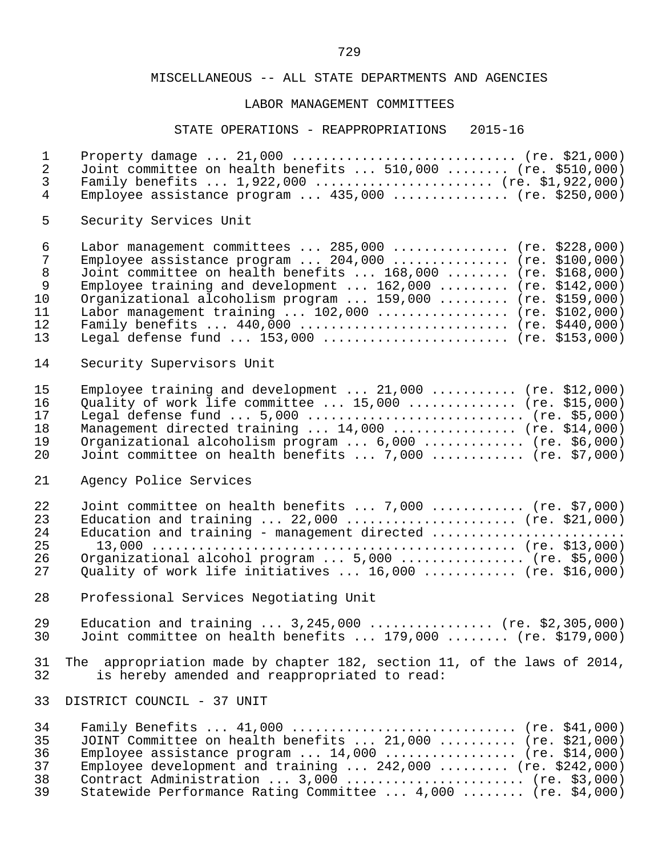#### LABOR MANAGEMENT COMMITTEES

#### STATE OPERATIONS - REAPPROPRIATIONS 2015-16

 1 Property damage ... 21,000 ............................. (re. \$21,000) 2 Joint committee on health benefits ... 510,000 ........ (re. \$510,000)<br>3 Family benefits ... 1,922,000 ........................ (re. \$1,922,000) 3 Family benefits ... 1,922,000 ......................... (re. \$1,922,000)<br>4 Fimployee assistance program ... 435,000 .................. (re. \$250,000) Employee assistance program ...  $435,000$  ............... (re. \$250,000) 5 Security Services Unit 6 Labor management committees ... 285,000 ............... (re. \$228,000) 7 Employee assistance program ... 204,000 ............... (re. \$100,000)<br>8 Joint committee on health benefits ... 168,000 ........ (re. \$168,000) 8 Joint committee on health benefits ... 168,000 ........ (re. \$168,000) 9 Employee training and development ... 162,000 ......... (re. \$142,000) 10 Organizational alcoholism program ... 159,000 ......... (re. \$159,000) 11 Labor management training ... 102,000 ................. (re. \$102,000) 12 Family benefits ... 440,000 ........................... (re. \$440,000) Legal defense fund ... 153,000 ......................... (re. \$153,000) 14 Security Supervisors Unit 15 Employee training and development ... 21,000 ........... (re. \$12,000)<br>16 Ouality of work life committee ... 15.000 ............... (re. \$15.000) 16 Quality of work life committee ... 15,000 .............. (re. \$15,000) 17 Legal defense fund ... 5,000 ............................ (re. \$5,000) 18 Management directed training ... 14,000 ................ (re. \$14,000)<br>19 Organizational alcoholism program ... 6,000 .............. (re. \$6,000) 19 Organizational alcoholism program ... 6,000 ............. (re. \$6,000)<br>20 Joint committee on health benefits ... 7,000 .............. (re. \$7,000) 20 Joint committee on health benefits ... 7,000 ............ (re. \$7,000) 21 Agency Police Services 22 Joint committee on health benefits ... 7,000 ............. (re. \$7,000)<br>23 Education and training ... 22,000 ....................... (re. \$21,000) 23 Education and training ... 22,000 ....................... (re. \$21,000)<br>24 Education and training - management directed ................................ 24 Education and training - management directed ......................... 25 13,000 ............................................... (re. \$13,000) 26 Organizational alcohol program ... 5,000 ................ (re. \$5,000)<br>27 Ouality of work life initiatives ... 16,000 ............. (re. \$16,000) Quality of work life initiatives  $\ldots$  16,000  $\ldots$ .......... (re. \$16,000) 28 Professional Services Negotiating Unit 29 Education and training ... 3,245,000 ................ (re. \$2,305,000)<br>30 Joint committee on health benefits ... 179,000 ........ (re. \$179,000) Joint committee on health benefits ...  $179,000$  ........ (re. \$179,000) 31 The appropriation made by chapter 182, section 11, of the laws of 2014,<br>32 is hereby amended and reappropriated to read: is hereby amended and reappropriated to read: 33 DISTRICT COUNCIL - 37 UNIT 34 Family Benefits ... 41,000 .............................. (re. \$41,000)<br>35 JOINT Committee on health benefits ... 21,000 .......... (re. \$21,000) 35 JOINT Committee on health benefits ... 21,000 .......... (re. \$21,000)<br>36 Employee assistance program ... 14,000 .................. (re. \$14,000) 36 Employee assistance program ... 14,000 ................. (re. \$14,000) Employee development and training ... 242,000 ......... (re. \$242,000)<br>38 Contract Administration ... 3.000 ........................ (re. \$3.000) 38 Contract Administration ... 3,000 ....................... (re. \$3,000)<br>39 Statewide Performance Rating Committee ... 4,000 ........ (re. \$4,000) Statewide Performance Rating Committee ... 4,000 ........ (re. \$4,000)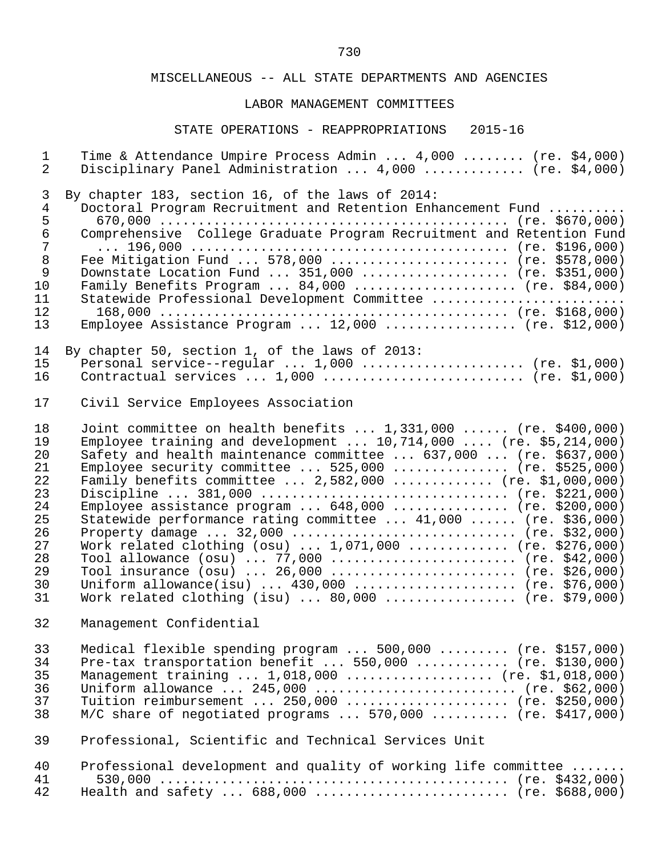### LABOR MANAGEMENT COMMITTEES

# STATE OPERATIONS - REAPPROPRIATIONS 2015-16

| $\mathbf{1}$   | Time & Attendance Umpire Process Admin  4,000  (re. \$4,000)                |
|----------------|-----------------------------------------------------------------------------|
| $\overline{2}$ | Disciplinary Panel Administration  4,000  (re. \$4,000)                     |
| 3              | By chapter 183, section 16, of the laws of 2014:                            |
| $\sqrt{4}$     | Doctoral Program Recruitment and Retention Enhancement Fund                 |
| 5              |                                                                             |
| $\epsilon$     | Comprehensive College Graduate Program Recruitment and Retention Fund       |
| $\overline{7}$ |                                                                             |
| $\,8\,$        | Fee Mitigation Fund  578,000  (re. \$578,000)                               |
| $\mathsf 9$    | Downstate Location Fund  351,000  (re. \$351,000)                           |
| 10             | Family Benefits Program $84,000$ (re. \$84,000)                             |
| 11             | Statewide Professional Development Committee                                |
| 12             |                                                                             |
| 13             | Employee Assistance Program $12,000$ (re. \$12,000)                         |
| 14             | By chapter 50, section 1, of the laws of 2013:                              |
| 15             | Personal service--regular $1,000$ (re. \$1,000)                             |
| 16             | Contractual services $1,000$ (re. \$1,000)                                  |
| 17             | Civil Service Employees Association                                         |
| 18             | Joint committee on health benefits $1,331,000$ (re. \$400,000)              |
| 19             | Employee training and development $10,714,000$ (re. \$5,214,000)            |
| 20             | Safety and health maintenance committee  637,000  (re. \$637,000)           |
| 21             | Employee security committee $525,000$ (re. \$525,000)                       |
| 22             | Family benefits committee  2,582,000  (re. \$1,000,000)                     |
| 23             | Discipline  381,000  (re. \$221,000)                                        |
| 24             | Employee assistance program $648,000$ (re. \$200,000)                       |
| 25             | Statewide performance rating committee  41,000  (re. \$36,000)              |
| 26             |                                                                             |
| 27             | Work related clothing $(ssu)$ $1,071,000$ (re. \$276,000)                   |
| 28             | Tool allowance $(osu)$ 77,000  (re. \$42,000)                               |
| 29             | Tool insurance (osu)  26,000  (re. \$26,000)                                |
| 30             | Uniform allowance(isu) $430,000$ (re. \$76,000)                             |
| 31             | Work related clothing (isu) $80,000$ (re. \$79,000)                         |
| 32             | Management Confidential                                                     |
| 33             | Medical flexible spending program $\ldots$ 500,000 $\ldots$ (re. \$157,000) |
| 34             | Pre-tax transportation benefit $550,000$ (re. \$130,000)                    |
| 35             | Management training  1,018,000  (re. \$1,018,000)                           |
| 36             | Uniform allowance $245,000$ (re. \$62,000)                                  |
| 37             | Tuition reimbursement  250,000  (re. \$250,000)                             |
| 38             | $M/C$ share of negotiated programs  570,000  (re. \$417,000)                |
| 39             | Professional, Scientific and Technical Services Unit                        |
| 40             | Professional development and quality of working life committee              |
| 41             |                                                                             |
| 42             | Health and safety  688,000  (re. \$688,000)                                 |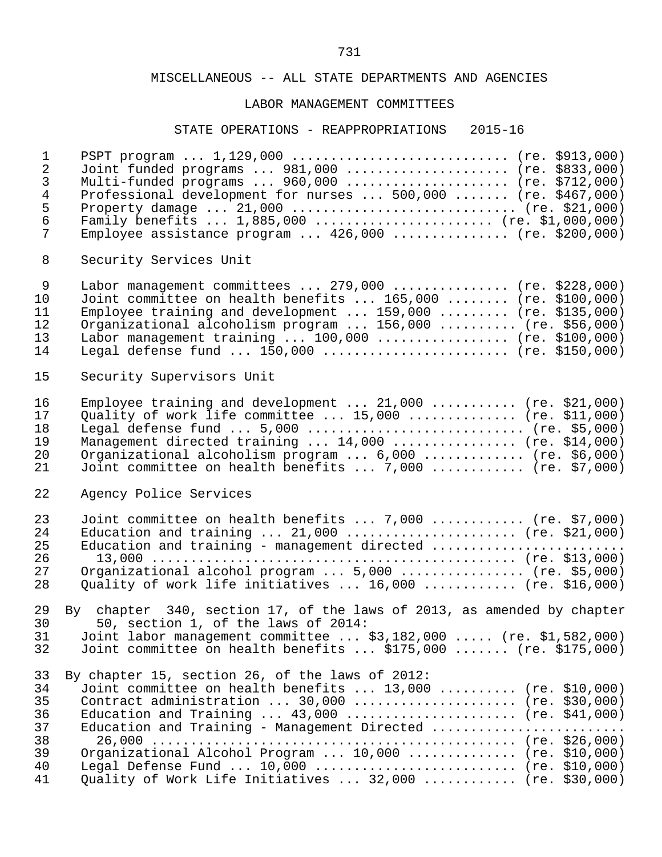### LABOR MANAGEMENT COMMITTEES

#### STATE OPERATIONS - REAPPROPRIATIONS 2015-16

|    | PSPT program  1,129,000  (re. \$913,000)                              |  |
|----|-----------------------------------------------------------------------|--|
|    | Joint funded programs $981,000$ (re. \$833,000)                       |  |
| 3  | Multi-funded programs $960,000$ (re. \$712,000)                       |  |
| 4  | Professional development for nurses  500,000  (re. \$467,000)         |  |
| 5. |                                                                       |  |
| 6  | Family benefits  1,885,000  (re. \$1,000,000)                         |  |
|    | Employee assistance program $\ldots$ 426,000 $\ldots$ (re. \$200,000) |  |

8 Security Services Unit

| Joint committee on health benefits $165,000$ (re. \$100,000) |
|--------------------------------------------------------------|
| Employee training and development $159,000$ (re. \$135,000)  |
| Organizational alcoholism program  156,000  (re. \$56,000)   |
| Labor management training $100,000$ (re. \$100,000)          |
| Legal defense fund $150,000$ (re. \$150,000)                 |
|                                                              |

### 15 Security Supervisors Unit

| 16     | Employee training and development $21,000$ (re. \$21,000)              |
|--------|------------------------------------------------------------------------|
| 17     | Quality of work life committee $\ldots$ 15,000 $\ldots$ (re. \$11,000) |
| 18     | Legal defense fund $5,000$ (re. \$5,000)                               |
| 19     | Management directed training $14,000$ (re. \$14,000)                   |
| 20     | Organizational alcoholism program  6,000  (re. \$6,000)                |
| $21 -$ | Joint committee on health benefits $7,000$ (re. \$7,000)               |

### 22 Agency Police Services

| 23 | Joint committee on health benefits $7,000$ (re. \$7,000)             |
|----|----------------------------------------------------------------------|
| 24 | Education and training $21,000$ (re. \$21,000)                       |
| 25 | Education and training - management directed                         |
| 26 |                                                                      |
| 27 | Organizational alcohol program $\ldots$ 5,000 $\ldots$ (re. \$5,000) |
| 28 | Ouality of work life initiatives $16,000$ (re. \$16,000)             |

# 29 By chapter 340, section 17, of the laws of 2013, as amended by chapter 30 50, section 1, of the laws of 2014: 31 Joint labor management committee ... \$3,182,000 ..... (re. \$1,582,000)<br>32 Joint committee on health benefits ... \$175,000 ....... (re. \$175,000) Joint committee on health benefits ... \$175,000 ....... (re. \$175,000)

|                  | 33 By chapter 15, section 26, of the laws of 2012:         |  |
|------------------|------------------------------------------------------------|--|
| 34 <sup>-1</sup> | Joint committee on health benefits $13,000$ (re. \$10,000) |  |
| 35               | Contract administration $30,000$ (re. \$30,000)            |  |
| 36               | Education and Training $43,000$ (re. \$41,000)             |  |
| 37               | Education and Training - Management Directed               |  |
| 38               |                                                            |  |
| 39               | Organizational Alcohol Program $10,000$ (re. \$10,000)     |  |
| 40               | Legal Defense Fund $10,000$ (re. \$10,000)                 |  |
| 41               | Ouality of Work Life Initiatives  32,000  (re. \$30,000)   |  |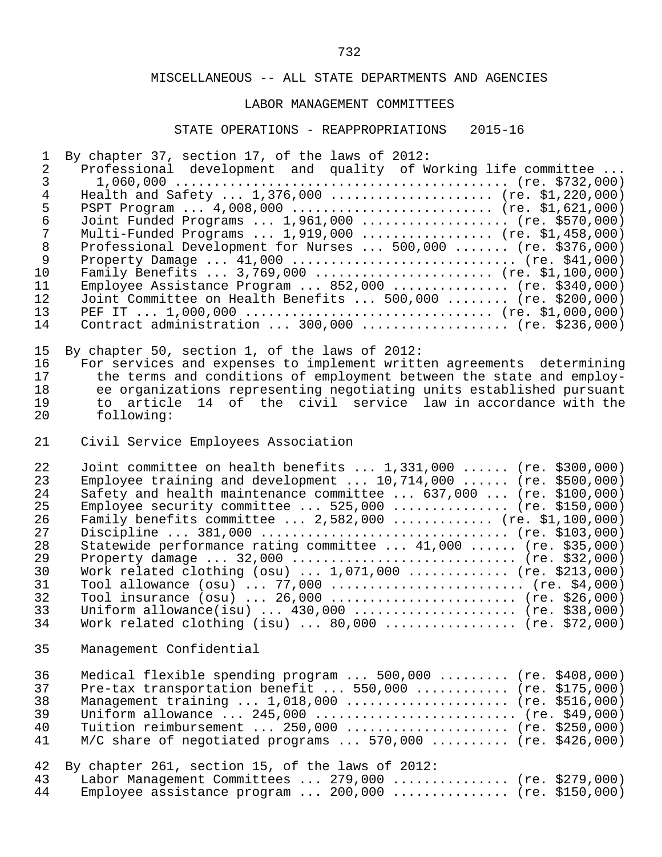#### LABOR MANAGEMENT COMMITTEES

#### STATE OPERATIONS - REAPPROPRIATIONS 2015-16

1 By chapter 37, section 17, of the laws of 2012:

|    | Professional development and quality of Working life committee |
|----|----------------------------------------------------------------|
|    |                                                                |
|    | Health and Safety $1,376,000$ (re. \$1,220,000)                |
|    | PSPT Program $4,008,000$ (re. \$1,621,000)                     |
| 6  | Joint Funded Programs  1,961,000  (re. \$570,000)              |
|    | Multi-Funded Programs $1,919,000$ (re. \$1,458,000)            |
| 8  | Professional Development for Nurses  500,000  (re. \$376,000)  |
| 9  |                                                                |
| 10 | Family Benefits $3,769,000$ (re. \$1,100,000)                  |
| 11 | Employee Assistance Program $852,000$ (re. \$340,000)          |
| 12 | Joint Committee on Health Benefits  500,000  (re. \$200,000)   |
| 13 |                                                                |
| 14 | Contract administration $300,000$ (re. \$236,000)              |
|    |                                                                |

15 By chapter 50, section 1, of the laws of 2012:<br>16 For services and expenses to implement writt 16 For services and expenses to implement written agreements determining<br>17 the terms and conditions of employment between the state and employ-17 the terms and conditions of employment between the state and employ-<br>18 ee organizations representing negotiating units established pursuant 18 ee organizations representing negotiating units established pursuant 19 to article 14 of the civil service law in accordance with the following:

21 Civil Service Employees Association

22 Joint committee on health benefits ... 1,331,000 ...... (re. \$300,000)<br>23 Employee training and development ... 10.714.000 ...... (re. \$500.000) <sup>2</sup>23 Employee training and development ... 10,714,000 ...... (re. \$500,000)<br>24 Safety and health maintenance committee ... 637,000 ... (re. \$100,000) 24 Safety and health maintenance committee ... 637,000 ... (re. \$100,000)<br>25 Employee security committee ... 525.000 ............... (re. \$150.000) 25 Employee security committee ... 525,000 ............... (re. \$150,000)<br>26 Family benefits committee ... 2,582,000 .............. (re. \$1,100,000) 26 Family benefits committee ... 2,582,000 ............. (re. \$1,100,000) 27 Discipline ... 381,000 ................................ (re. \$103,000) 28 Statewide performance rating committee ... 41,000 ...... (re. \$35,000) 29 Property damage ... 32,000 ................................. (re. \$32,000)<br>30 Work related clothing (osu) ... 1.071.000 ............... (re. \$213.000) 30 Work related clothing (osu) ... 1,071,000 .............. (re. \$213,000)<br>31 Tool allowance (osu) ... 77,000 .......................... (re. \$4,000) 31 Tool allowance (osu) ... 77,000 .......................... (re. \$4,000)<br>32 Tool insurance (osu) ... 26,000 ........................... (re. \$26,000) 32 Tool insurance (osu) ... 26,000 ........................ (re. \$26,000) 33 Uniform allowance(isu) ... 430,000 ...................... (re. \$38,000)<br>34 Work related clothing (isu) ... 80,000 ................... (re. \$72,000) Work related clothing (isu) ... 80,000 ................. (re. \$72,000)

35 Management Confidential

| 36 | Medical flexible spending program $\ldots$ 500,000 $\ldots$ (re. \$408,000) |  |
|----|-----------------------------------------------------------------------------|--|
| 37 | Pre-tax transportation benefit $550,000$ (re. \$175,000)                    |  |
| 38 | Management training $1,018,000$ (re. \$516,000)                             |  |
| 39 | Uniform allowance  245,000  (re. \$49,000)                                  |  |
| 40 | Tuition reimbursement  250,000  (re. \$250,000)                             |  |
| 41 | M/C share of negotiated programs $570,000$ (re. \$426,000)                  |  |
|    |                                                                             |  |

|    | 42 By chapter 261, section 15, of the laws of 2012:      |  |
|----|----------------------------------------------------------|--|
|    | 43 Labor Management Committees  279,000  (re. \$279,000) |  |
| 44 | Employee assistance program $200,000$ (re. \$150,000)    |  |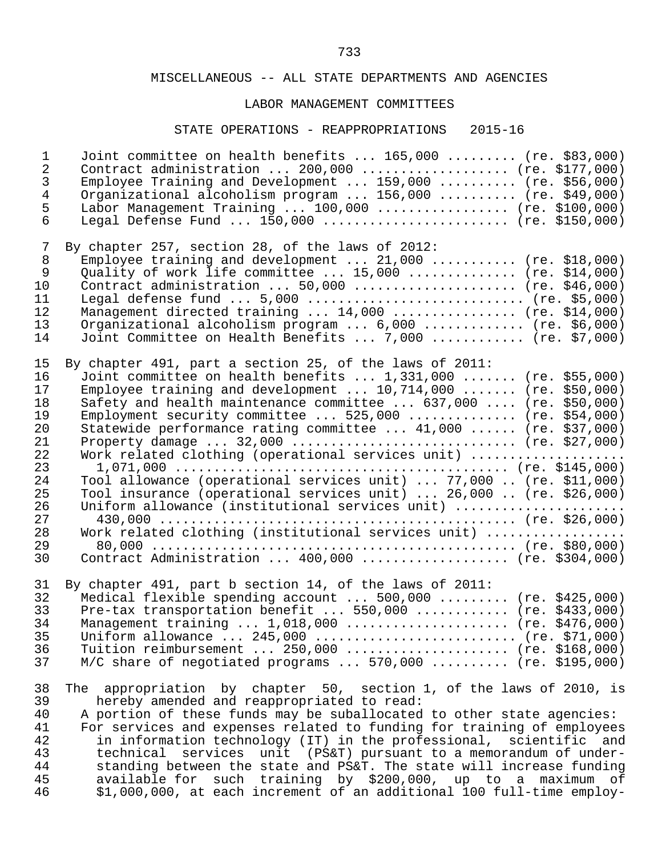### LABOR MANAGEMENT COMMITTEES

# STATE OPERATIONS - REAPPROPRIATIONS 2015-16

| $\mathbf{1}$   | Joint committee on health benefits $165,000$ (re. \$83,000)                      |
|----------------|----------------------------------------------------------------------------------|
| $\overline{2}$ | Contract administration $200,000$ (re. \$177,000)                                |
| $\mathfrak{Z}$ | Employee Training and Development $159,000$ (re. \$56,000)                       |
| $\overline{4}$ | Organizational alcoholism program  156,000  (re. \$49,000)                       |
| 5              | Labor Management Training  100,000  (re. \$100,000)                              |
| 6              | Legal Defense Fund $150,000$ (re. \$150,000)                                     |
| 7              | By chapter 257, section 28, of the laws of 2012:                                 |
| 8              | Employee training and development $21,000$ (re. \$18,000)                        |
| $\overline{9}$ | Quality of work life committee $15,000$ (re. \$14,000)                           |
| 10             | Contract administration  50,000  (re. \$46,000)                                  |
| 11             | Legal defense fund $5,000$ (re. \$5,000)                                         |
| 12             | Management directed training  14,000  (re. \$14,000)                             |
| 13             | Organizational alcoholism program  6,000  (re. \$6,000)                          |
| 14             | Joint Committee on Health Benefits  7,000  (re. \$7,000)                         |
| 15             | By chapter 491, part a section 25, of the laws of 2011:                          |
| 16             | Joint committee on health benefits  1,331,000  (re. \$55,000)                    |
| 17             | Employee training and development $10,714,000$ (re. \$50,000)                    |
| 18             | Safety and health maintenance committee $\ldots$ 637,000 $\ldots$ (re. \$50,000) |
| 19             | Employment security committee $525,000$ (re. \$54,000)                           |
| 20             | Statewide performance rating committee  41,000  (re. \$37,000)                   |
| 21             | Property damage $32,000$ (re. \$27,000)                                          |
| 22             | Work related clothing (operational services unit)                                |
| 23             |                                                                                  |
| 24             | Tool allowance (operational services unit)  77,000  (re. \$11,000)               |
| 25             | Tool insurance (operational services unit)  26,000  (re. \$26,000)               |
| 26             | Uniform allowance (institutional services unit)                                  |
| 27             |                                                                                  |
| 28             | Work related clothing (institutional services unit)                              |
| 29             |                                                                                  |
| 30             | Contract Administration  400,000  (re. \$304,000)                                |
| 31             | By chapter 491, part b section 14, of the laws of 2011:                          |
| 32             | Medical flexible spending account $500,000$ (re. \$425,000)                      |
| 33             | Pre-tax transportation benefit $550,000$ (re. \$433,000)                         |
| 34             | Management training $1,018,000$ (re. \$476,000)                                  |
| 35             | Uniform allowance $245,000$ (re. \$71,000)                                       |
| 36             | Tuition reimbursement $250,000$ (re. \$168,000)                                  |
| 37             | $M/C$ share of negotiated programs  570,000  (re. \$195,000)                     |
| 38             | The appropriation by chapter 50, section 1, of the laws of 2010, is              |
| 39             | hereby amended and reappropriated to read:                                       |
| 40             | A portion of these funds may be suballocated to other state agencies:            |
| 41             | For services and expenses related to funding for training of employees           |
| 42             | in information technology (IT) in the professional, scientific and               |
| 43             | technical services unit (PS&T) pursuant to a memorandum of under-                |
| 44             | standing between the state and PS&T. The state will increase funding             |
| 45             | available for such training by \$200,000, up to a maximum of                     |
| 46             | \$1,000,000, at each increment of an additional 100 full-time employ-            |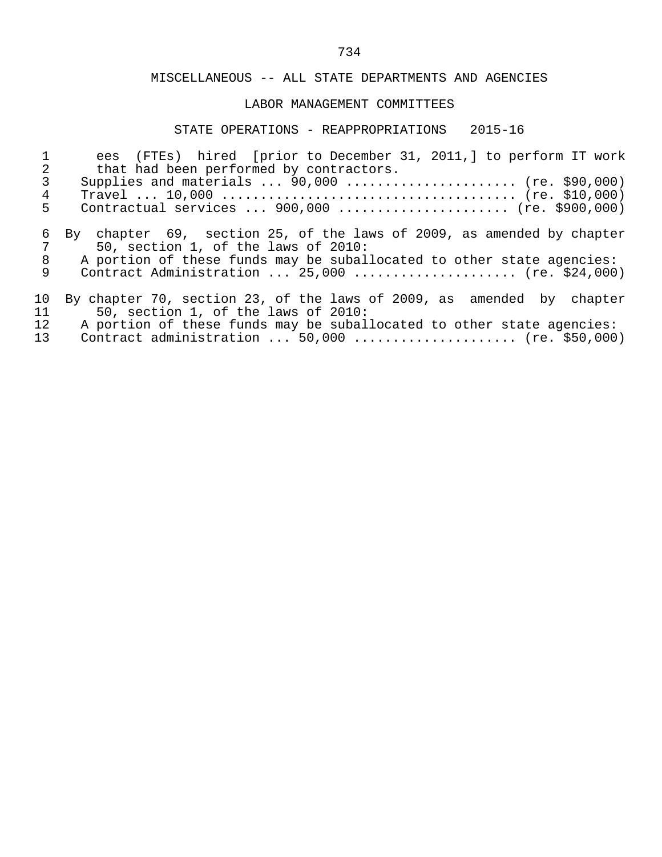### LABOR MANAGEMENT COMMITTEES

# STATE OPERATIONS - REAPPROPRIATIONS 2015-16

| 2           | ees (FTEs) hired [prior to December 31, 2011,] to perform IT work<br>that had been performed by contractors.                                                                                                                             |
|-------------|------------------------------------------------------------------------------------------------------------------------------------------------------------------------------------------------------------------------------------------|
| 3           | Supplies and materials $90,000$ (re. \$90,000)                                                                                                                                                                                           |
| 4           |                                                                                                                                                                                                                                          |
| 5           | Contractual services  900,000  (re. \$900,000)                                                                                                                                                                                           |
| 6<br>8<br>9 | By chapter 69, section 25, of the laws of 2009, as amended by chapter<br>50, section 1, of the laws of 2010:<br>A portion of these funds may be suballocated to other state agencies:<br>Contract Administration $25,000$ (re. \$24,000) |
| 10          | By chapter 70, section 23, of the laws of 2009, as amended by chapter                                                                                                                                                                    |
| 11          | 50, section 1, of the laws of 2010:                                                                                                                                                                                                      |
| 12          | A portion of these funds may be suballocated to other state agencies:                                                                                                                                                                    |
| 13          | Contract administration $50,000$ (re. \$50,000)                                                                                                                                                                                          |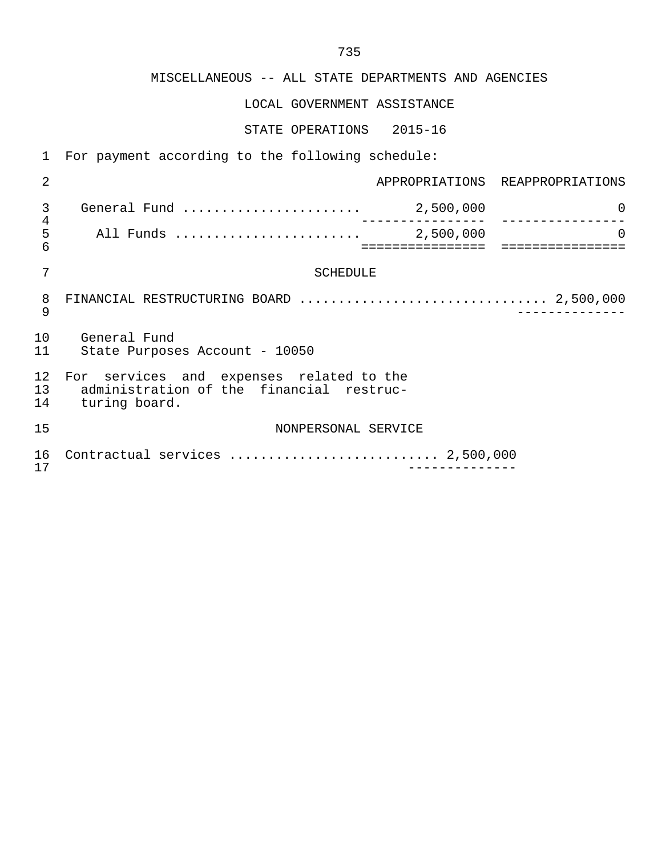LOCAL GOVERNMENT ASSISTANCE

STATE OPERATIONS 2015-16

1 For payment according to the following schedule:

| 2                  |                                                                                                       |                               | APPROPRIATIONS REAPPROPRIATIONS |
|--------------------|-------------------------------------------------------------------------------------------------------|-------------------------------|---------------------------------|
| 3                  |                                                                                                       | . _ _ _ _ _ _ _ _ _ _ _ _ _ _ | 0                               |
| $\frac{4}{5}$<br>6 |                                                                                                       | :================             | $\Omega$                        |
| 7                  | <b>SCHEDULE</b>                                                                                       |                               |                                 |
| 8<br>9             |                                                                                                       |                               |                                 |
| 1 O<br>11          | General Fund<br>State Purposes Account - 10050                                                        |                               |                                 |
| 12<br>13<br>14     | For services and expenses related to the<br>administration of the financial restruc-<br>turing board. |                               |                                 |
| 15                 | NONPERSONAL SERVICE                                                                                   |                               |                                 |
| 16<br>17           | Contractual services  2,500,000                                                                       |                               |                                 |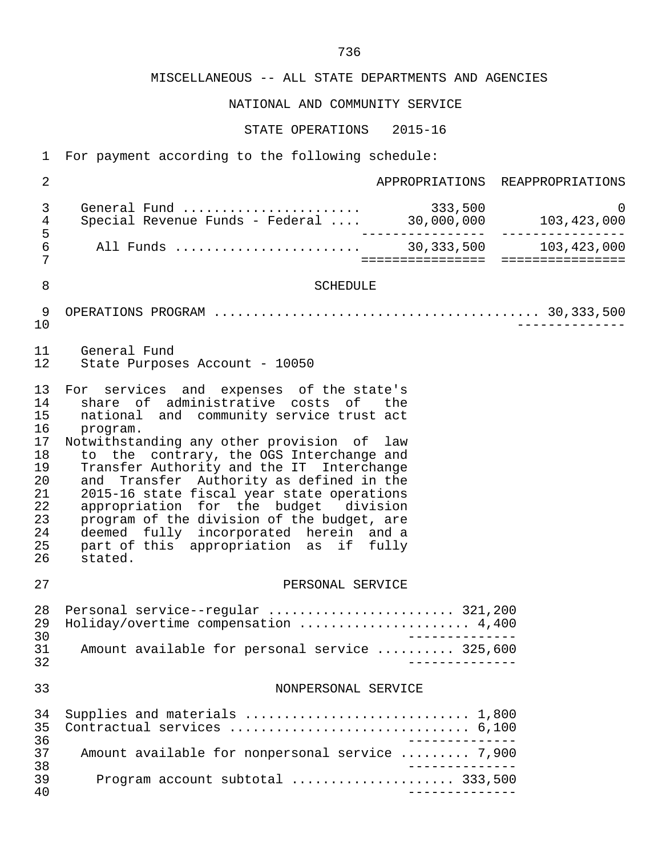NATIONAL AND COMMUNITY SERVICE

STATE OPERATIONS 2015-16

 1 For payment according to the following schedule: 2 APPROPRIATIONS REAPPROPRIATIONS 3 General Fund ....................... 333,500 0 erretar tand the contract of the special Revenue Funds - Federal ... 30,000,000 103,423,000 5 ---------------- ---------------- 6 All Funds ........................ 30,333,500 103,423,000 7 ================ ================ 8 SCHEDULE 9 OPERATIONS PROGRAM .......................................... 30,333,500 10 -------------- 11 General Fund State Purposes Account - 10050 13 For services and expenses of the state's<br>14 share of administrative costs of the 14 share of administrative costs of the<br>15 national and community-service-trust-act 15 national and community service trust act<br>16 program. 16 program.<br>17 Notwithsta: 17 Notwithstanding any other provision of law<br>18 to the contrary, the OGS Interchange and 18 to the contrary, the OGS Interchange and<br>19 Transfer Authority and the IT Interchange 19 Transfer Authority and the IT Interchange<br>20 and Transfer Authority as defined in the 20 and Transfer Authority as defined in the<br>21 2015-16 state fiscal vear state operations 21 2015-16 state fiscal year state operations<br>22 appropriation for the budget division 22 appropriation for the budget division<br>23 program of the division of the budget, are 23 program of the division of the budget, are<br>24 deemed fully incorporated berein and a 24 deemed fully incorporated herein and a<br>25 part of this appropriation as if fully 25 part of this appropriation as if fully<br>26 stated. stated. 27 PERSONAL SERVICE 28 Personal service--regular ........................ 321,200 29 Holiday/overtime compensation .............................. 4,400<br>30 30<br>31 Amount available for personal service ......... 325.600 31 Amount available for personal service .......... 325,600 32 -------------- 33 NONPERSONAL SERVICE 34 Supplies and materials ................................. 1,800<br>35 Contractual services ................................. 6,100 35 Contractual services ............................... 6,100 -------------<br>37 Amount available for nonpersonal service ......... 7.900 37 Amount available for nonpersonal service ......... 7,900 38 -------------- 39 Program account subtotal ..................... 333,500 40 --------------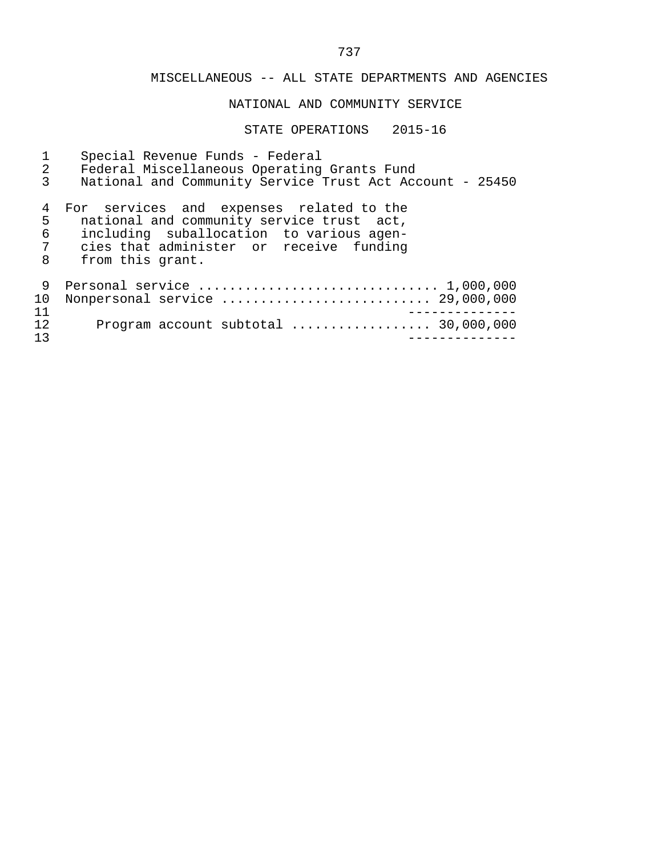MISCELLANEOUS -- ALL STATE DEPARTMENTS AND AGENCIES NATIONAL AND COMMUNITY SERVICE STATE OPERATIONS 2015-16 1 Special Revenue Funds - Federal 2 Federal Miscellaneous Operating Grants Fund<br>3 National and Community Service Trust Act Acc National and Community Service Trust Act Account - 25450 4 For services and expenses related to the<br>5 national and community service trust act, 5 national and community service trust act,<br>6 including suballocation to various agen- 6 including suballocation to various agen- 7 cies that administer or receive funding 8 from this grant. 9 Personal service ................................... 1,000,000 10 Nonpersonal service ........................... 29,000,000 11 -------------- 12 Program account subtotal .................. 30,000,000 13 --------------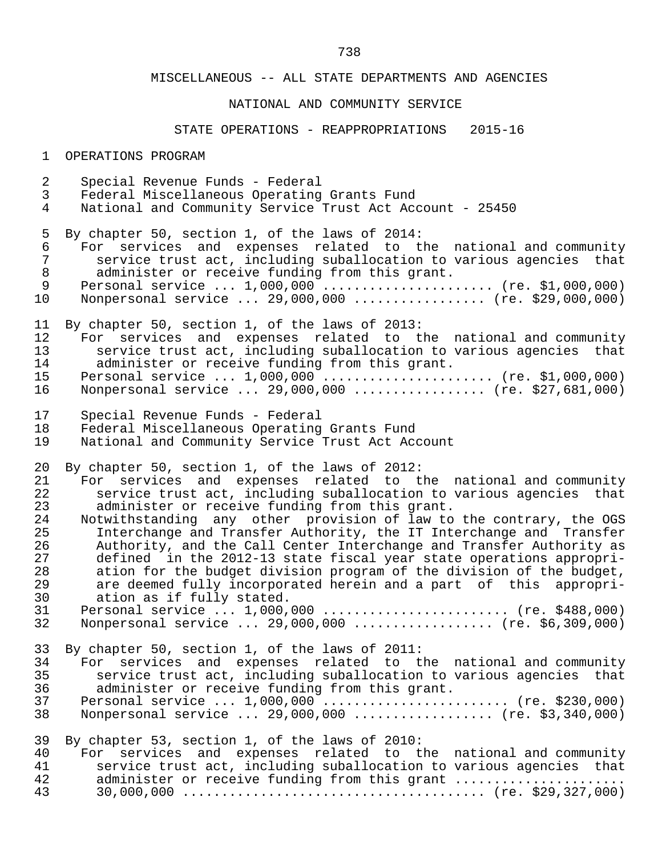#### NATIONAL AND COMMUNITY SERVICE

#### STATE OPERATIONS - REAPPROPRIATIONS 2015-16

1 OPERATIONS PROGRAM

- 2 Special Revenue Funds Federal
- 3 Federal Miscellaneous Operating Grants Fund
- National and Community Service Trust Act Account 25450

5 By chapter 50, section 1, of the laws of 2014:<br>6 For services and expenses related to the

6 For services and expenses related to the national and community<br>7 Service trust act, including suballocation to various agencies that 7 service trust act, including suballocation to various agencies that<br>8 administer or receive funding from this grant. 8 administer or receive funding from this grant.<br>9 Personal service ... 1.000.000 .................

9 Personal service ... 1,000,000 ........................ (re. \$1,000,000)<br>10 Nonpersonal service ... 29,000,000 .................. (re. \$29,000,000) 10 Nonpersonal service ... 29,000,000 ................. (re. \$29,000,000)

11 By chapter 50, section 1, of the laws of 2013:<br>12 For services and expenses related to the

- 12 For services and expenses related to the national and community<br>13 Service trust act, including suballocation to various agencies that 13 service trust act, including suballocation to various agencies that<br>14 administer or receive funding from this grant. 14 administer or receive funding from this grant.<br>15 Personal service ... 1.000.000 ..................
- 15 Personal service ... 1,000,000 ........................ (re. \$1,000,000)<br>16 Nonpersonal service ... 29,000,000 .................. (re. \$27,681,000) Nonpersonal service ... 29,000,000 ................. (re. \$27,681,000)
- 17 Special Revenue Funds Federal
- 18 Federal Miscellaneous Operating Grants Fund<br>19 Mational and Community Service Trust Act Ac
- National and Community Service Trust Act Account

20 By chapter 50, section 1, of the laws of 2012:<br>21 For services and expenses related to t

- 21 For services and expenses related to the national and community<br>22 Service trust act, including suballocation to various agencies that 22 service trust act, including suballocation to various agencies that<br>23 administer or receive funding from this grant. 23 administer or receive funding from this grant.<br>24 Notwithstanding any other provision of law to
- 24 Notwithstanding any other provision of law to the contrary, the OGS<br>25 Interchange and Transfer Authority, the IT Interchange and Transfer Interchange and Transfer Authority, the IT Interchange and Transfer 26 Authority, and the Call Center Interchange and Transfer Authority as<br>27 defined in the 2012-13 state fiscal year state operations appropri- 27 defined in the 2012-13 state fiscal year state operations appropri- 28 ation for the budget division program of the division of the budget,<br>29 are deemed fully incorporated herein and a part of this appropri-29 are deemed fully incorporated herein and a part of this appropri-<br>30 ation as if fully stated.
- 30 ation as if fully stated.<br>31 Personal service ... 1.000. 31 Personal service ... 1,000,000 ........................ (re. \$488,000) Nonpersonal service ... 29,000,000 ................... (re. \$6,309,000)
- 33 By chapter 50, section 1, of the laws of 2011:

| 34   | For services and expenses related to the national and community     |  |  |
|------|---------------------------------------------------------------------|--|--|
| 35   | service trust act, including suballocation to various agencies that |  |  |
| 36 - | administer or receive funding from this grant.                      |  |  |
| 37   | Personal service $1,000,000$ (re. \$230,000)                        |  |  |
| 38   | Nonpersonal service  29,000,000  (re. \$3,340,000)                  |  |  |

39 By chapter 53, section 1, of the laws of 2010:

| 40 D | For services and expenses related to the national and community |  |  |                                                                     |
|------|-----------------------------------------------------------------|--|--|---------------------------------------------------------------------|
| 41   |                                                                 |  |  | service trust act, including suballocation to various agencies that |
| 42   |                                                                 |  |  | administer or receive funding from this grant                       |
| 43   |                                                                 |  |  |                                                                     |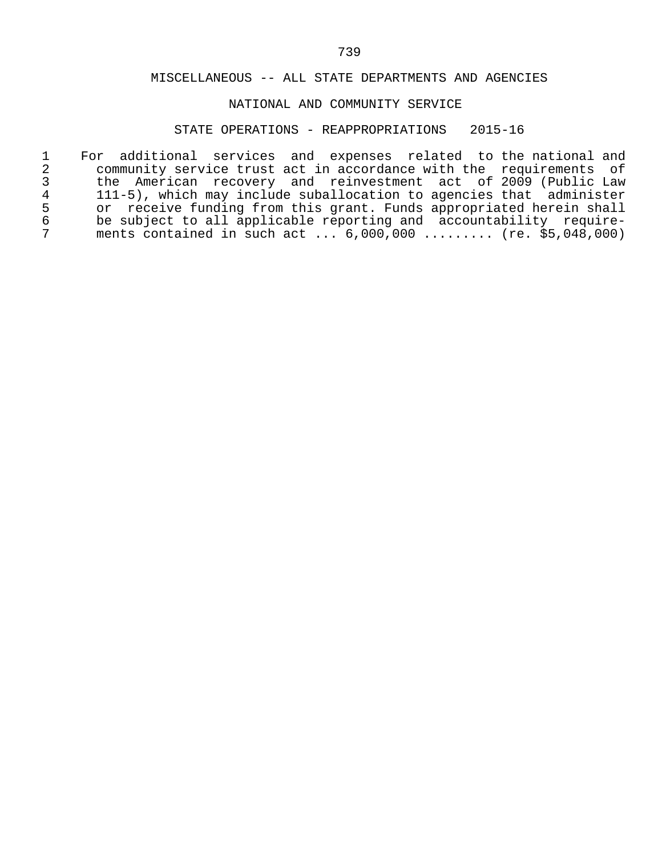# NATIONAL AND COMMUNITY SERVICE

# STATE OPERATIONS - REAPPROPRIATIONS 2015-16

|                 | For additional services and expenses related to the national and    |
|-----------------|---------------------------------------------------------------------|
| 2               | community service trust act in accordance with the requirements of  |
| 3               | the American recovery and reinvestment act of 2009 (Public Law      |
| $4\overline{ }$ | 111-5), which may include suballocation to agencies that administer |
| 5               | or receive funding from this grant. Funds appropriated herein shall |
| 6               | be subject to all applicable reporting and accountability require-  |
|                 | ments contained in such act $6,000,000$ (re. \$5,048,000)           |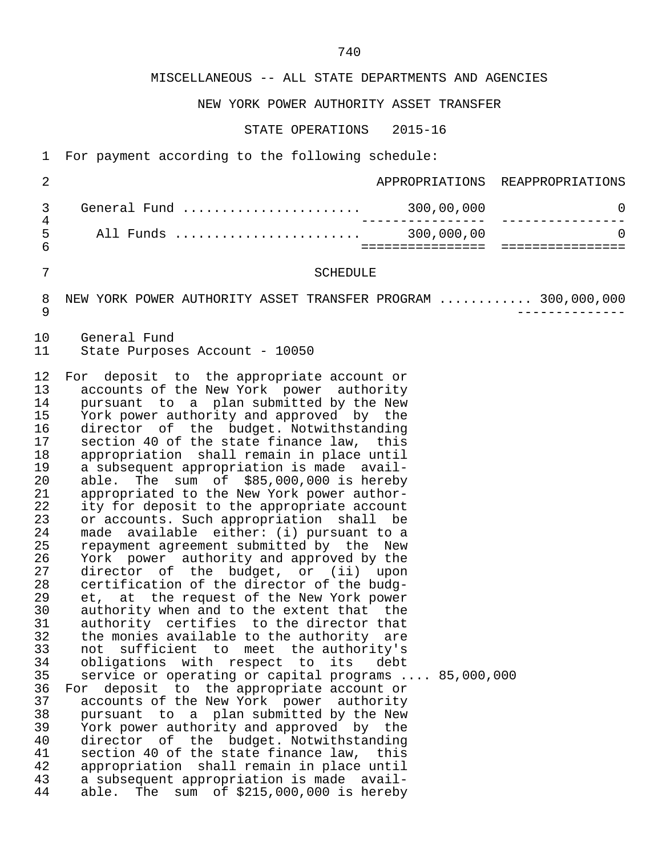NEW YORK POWER AUTHORITY ASSET TRANSFER

STATE OPERATIONS 2015-16

1 For payment according to the following schedule:

| ᄃ | All Funds    | 300,000,00 |                                 |
|---|--------------|------------|---------------------------------|
|   | General Fund | 300,00,000 |                                 |
|   |              |            | APPROPRIATIONS REAPPROPRIATIONS |

7 SCHEDULE

8 NEW YORK POWER AUTHORITY ASSET TRANSFER PROGRAM ............ 300,000,000<br>9 9 --------------

10 General Fund<br>11 State Purpos State Purposes Account - 10050

12 For deposit to the appropriate account or<br>13 accounts of the New York power authority 13 accounts of the New York power authority<br>14 pursuant to a plan submitted by the New 14 pursuant to a plan submitted by the New<br>15 York power authority and approved by the 15 York power authority and approved by the<br>16 director of the budget. Notwithstanding 16 director of the budget. Notwithstanding<br>17 section 40 of the state finance law, this 17 section 40 of the state finance law, this<br>18 appropriation shall remain in place until 18 appropriation shall remain in place until<br>19 a subsequent appropriation is made avail-19 a subsequent appropriation is made avail-<br>20 able. The sum of \$85,000,000 is hereby 20 able. The sum of \$85,000,000 is hereby<br>21 appropriated to the New York power author-21 appropriated to the New York power author-<br>22 ity for deposit to the appropriate account 22 ity for deposit to the appropriate account<br>23 or accounts. Such appropriation shall be 23 or accounts. Such appropriation shall be<br>24 made available either: (i) pursuant to a 24 made available either: (i) pursuant to a<br>25 mepayment agreement submitted by the New 25 repayment agreement submitted by the New<br>26 York power authority and approved by the 26 York power authority and approved by the 27 director of the budget, or (ii) upon 28 certification of the director of the budg- 29 et, at the request of the New York power<br>30 authority when and to the extent that the 30 authority when and to the extent that the<br>31 authority certifies to the director that 31 authority certifies to the director that<br>32 the monies available to the authority are 32 the monies available to the authority are<br>33 not sufficient to meet the authority's 33 not sufficient to meet the authority's 34 obligations with respect to its debt<br>35 service or operating or capital programs. service or operating or capital programs .... 85,000,000 36 For deposit to the appropriate account or<br>37 accounts of the New York power authority 37 accounts of the New York power authority<br>38 pursuant to a plan submitted by the New 38 pursuant to a plan submitted by the New<br>39 York power authority and approved by the 39 York power authority and approved by the<br>40 director of the budget. Notwithstanding 40 director of the budget. Notwithstanding<br>41 section 40 of the state finance law, this 41 section 40 of the state finance law, this<br>42 appropriation shall remain in place until 42 appropriation shall remain in place until<br>43 a subsequent appropriation is made avail-43 a subsequent appropriation is made avail-<br>44 able. The sum of \$215,000,000 is hereby able. The sum of  $$215,000,000$  is hereby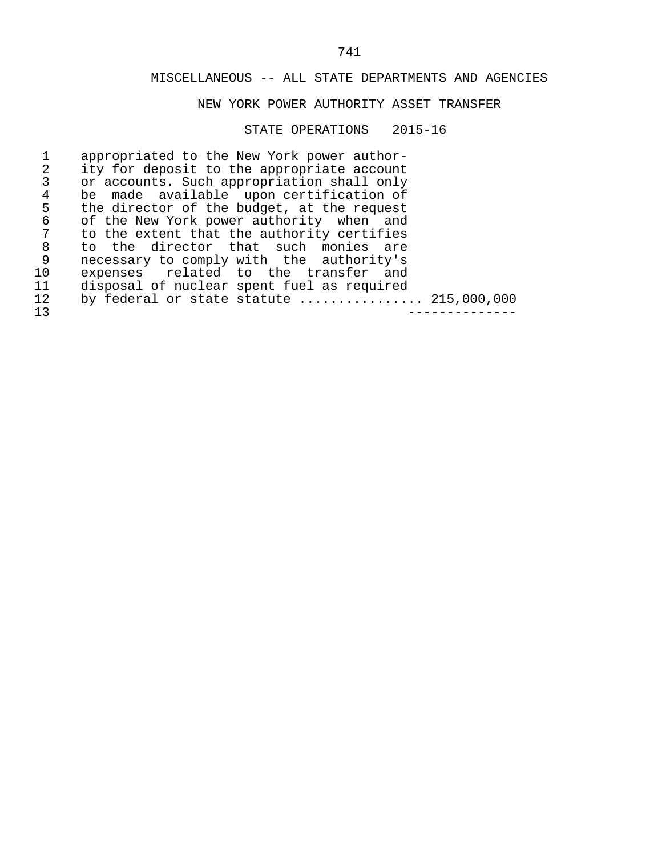### NEW YORK POWER AUTHORITY ASSET TRANSFER

#### STATE OPERATIONS 2015-16

1 appropriated to the New York power author-<br>2 ity for deposit to the appropriate account 2 ity for deposit to the appropriate account<br>3 or accounts. Such appropriation shall only 3 or accounts. Such appropriation shall only<br>4 be made available upon certification of 4 be made available upon certification of<br>5 the director of the budget, at the request 5 the director of the budget, at the request<br>6 of the New York power authority when and 6 of the New York power authority when and<br>7 to the extent that the authority certifies 7 to the extent that the authority certifies<br>8 to the director that such monies are 8 to the director that such monies are<br>9 necessary to comply with the authority's 9 necessary to comply with the authority's<br>10 expenses related to the transfer and 10 expenses related to the transfer and 11 disposal of nuclear spent fuel as required 12 by federal or state statute ................. 215,000,000<br>13 13 --------------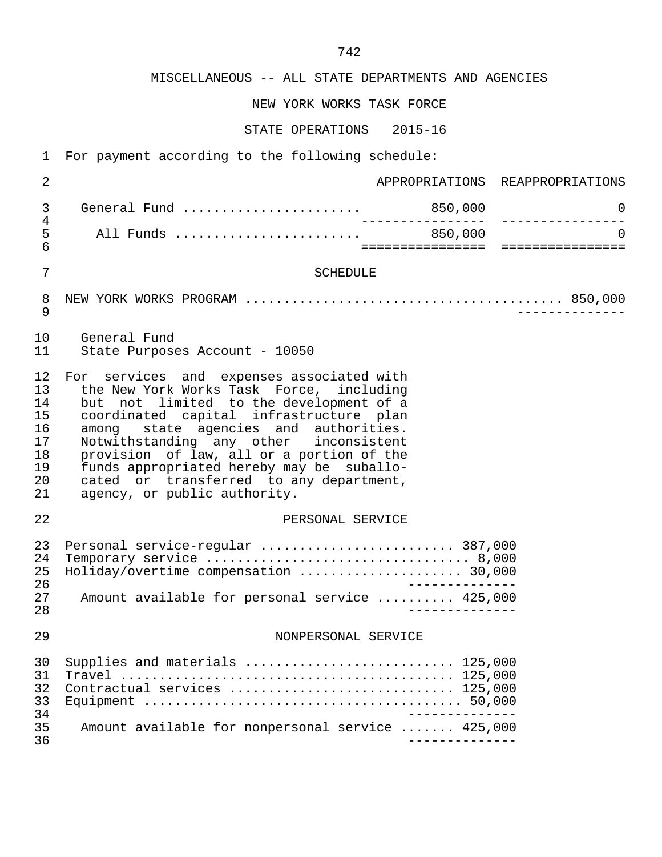NEW YORK WORKS TASK FORCE

STATE OPERATIONS 2015-16

1 For payment according to the following schedule:

| 2                                                        |                                                                                                                                                                                                                                                                                                                                                                                                                                     |                   | APPROPRIATIONS REAPPROPRIATIONS                  |
|----------------------------------------------------------|-------------------------------------------------------------------------------------------------------------------------------------------------------------------------------------------------------------------------------------------------------------------------------------------------------------------------------------------------------------------------------------------------------------------------------------|-------------------|--------------------------------------------------|
| 3                                                        |                                                                                                                                                                                                                                                                                                                                                                                                                                     |                   | 0<br>----------------                            |
| $\overline{4}$<br>5<br>6                                 |                                                                                                                                                                                                                                                                                                                                                                                                                                     | _________________ | $\Omega$<br>==================================== |
| $\overline{7}$                                           | <b>SCHEDULE</b>                                                                                                                                                                                                                                                                                                                                                                                                                     |                   |                                                  |
| 8<br>9                                                   |                                                                                                                                                                                                                                                                                                                                                                                                                                     |                   |                                                  |
| 10<br>11                                                 | General Fund<br>State Purposes Account - 10050                                                                                                                                                                                                                                                                                                                                                                                      |                   |                                                  |
| 12<br>13<br>14<br>15<br>16<br>17<br>18<br>19<br>20<br>21 | For services and expenses associated with<br>the New York Works Task Force, including<br>but not limited to the development of a<br>coordinated capital infrastructure plan<br>among state agencies and authorities.<br>Notwithstanding any other inconsistent<br>provision of law, all or a portion of the<br>funds appropriated hereby may be suballo-<br>cated or transferred to any department,<br>agency, or public authority. |                   |                                                  |
| 22                                                       | PERSONAL SERVICE                                                                                                                                                                                                                                                                                                                                                                                                                    |                   |                                                  |
| 23<br>24<br>25<br>26<br>27<br>28                         | Personal service-regular  387,000<br>Holiday/overtime compensation  30,000<br>Amount available for personal service  425,000                                                                                                                                                                                                                                                                                                        | ______________    |                                                  |
| 29                                                       | NONPERSONAL SERVICE                                                                                                                                                                                                                                                                                                                                                                                                                 |                   |                                                  |
| 30<br>31<br>32<br>33<br>34                               | Supplies and materials  125,000<br>Contractual services  125,000                                                                                                                                                                                                                                                                                                                                                                    | ______________    |                                                  |
| 35<br>36                                                 | Amount available for nonpersonal service  425,000                                                                                                                                                                                                                                                                                                                                                                                   | --------------    |                                                  |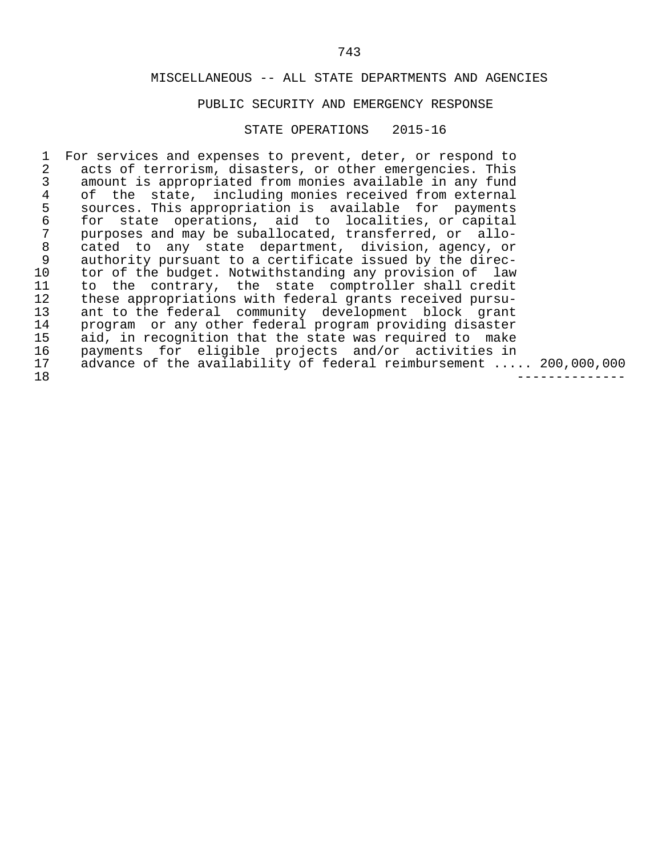### PUBLIC SECURITY AND EMERGENCY RESPONSE

#### STATE OPERATIONS 2015-16

1 For services and expenses to prevent, deter, or respond to 2 acts of terrorism, disasters, or other emergencies. This 2 acts of terrorism, disasters, or other emergencies. This<br>3 amount is appropriated from monies available in any fund 3 amount is appropriated from monies available in any fund 4 of the state, including monies received from external<br>5 sources. This appropriation is available for payments 5 sources. This appropriation is available for payments<br>6 for state operations, aid to localities, or capital 6 for state operations, aid to localities, or capital 7 purposes and may be suballocated, transferred, or allo-<br>8 cated to any state department, division, agency, or 8 cated to any state department, division, agency, or 9 authority pursuant to a certificate issued by the direc-<br>10 tor of the budget. Notwithstanding any provision of law 10 tor of the budget. Notwithstanding any provision of law<br>11 to the contrary, the state comptroller shall credit 11 to the contrary, the state comptroller shall credit<br>12 these appropriations with federal grants received pursu-12 these appropriations with federal grants received pursu-<br>13 ant to the federal community development block grant 13 ant to the federal community development block grant 14 program or any other federal program providing disaster 15 aid, in recognition that the state was required to make<br>16 payments for eligible projects and/or activities in 16 payments for eligible projects and/or activities in<br>17 advance of the availability of federal reimbursement ... 17 advance of the availability of federal reimbursement ..... 200,000,000<br>18 18 --------------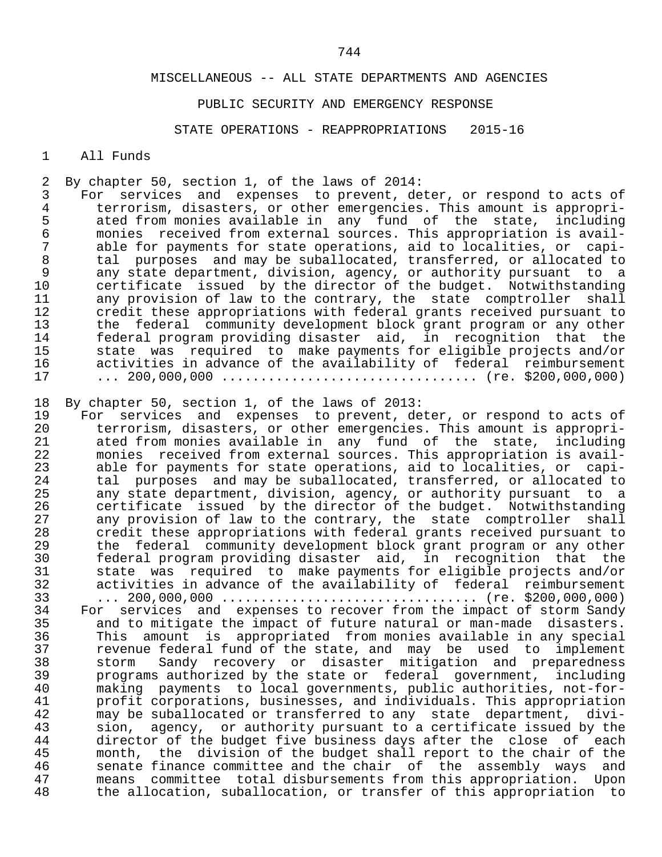### PUBLIC SECURITY AND EMERGENCY RESPONSE

STATE OPERATIONS - REAPPROPRIATIONS 2015-16

#### 1 All Funds

2 By chapter 50, section 1, of the laws of 2014:<br>3 For services and expenses to prevent, de

3 For services and expenses to prevent, deter, or respond to acts of<br>4 terrorism, disasters, or other emergencies. This amount is appropri-4 terrorism, disasters, or other emergencies. This amount is appropri-<br>5 ated from monies available in any fund of the state, including 5 ated from monies available in any fund of the state, including<br>6 monies received from external sources. This appropriation is availend accured monies in the contract of the contract of the monies received from external sources. This appropriation is avail-<br>The same of the contract of the contractions and to localities, or capi-7 able for payments for state operations, aid to localities, or capi-<br>8 tal purposes and may be suballocated, transferred, or allocated to 8 tal purposes and may be suballocated, transferred, or allocated to 9 any state department, division, agency, or authority pursuant to a 10 certificate issued by the director of the budget. Notwithstanding 11 any provision of law to the contrary, the state comptroller shall<br>12 credit these appropriations with federal grants received pursuant to 12 credit these appropriations with federal grants received pursuant to<br>13 the federal community development block grant program or any other 13 the federal community-development-block-grant-program or any other<br>14 federal program providing disaster aid, in recognition that the 14 federal program providing disaster aid, in recognition that the 15 state was required to make payments for eligible projects and/or 16 activities in advance of the availability of federal reimbursement<br>17 (re. \$200.000.000) 17 ... 200,000,000 ................................. (re. \$200,000,000)

18 By chapter 50, section 1, of the laws of 2013:<br>19 For services and expenses to prevent, de

19 For services and expenses to prevent, deter, or respond to acts of<br>20 terrorism, disasters, or other emergencies. This amount is appropri-20 terrorism, disasters, or other emergencies. This amount is appropri-<br>21 ated from monies available in any fund of the state, including 21 ated from monies available in any fund of the state, including 22 monies received from external sources. This appropriation is avail-<br>23 able for payments for state operations, aid to localities, or capi-23 able for payments for state operations, aid to localities, or capi-<br>24 tal purposes and may be suballocated, transferred, or allocated to 24 tal purposes and may be suballocated, transferred, or allocated to<br>25 any state department, division, agency, or authority pursuant to a 25 any state department, division, agency, or authority pursuant to a<br>26 certificate issued by the director of the budget. Notwithstanding 26 certificate issued by the director of the budget. Notwithstanding<br>27 any provision of law to the contrary, the state comptroller shall 27 any provision of law to the contrary, the state comptroller shall<br>28 credit these appropriations with federal grants received pursuant to 28 credit these appropriations with federal grants received pursuant to<br>29 the federal community development block grant program or any other 29 the federal community development block grant program or any other 30 federal program providing disaster aid, in recognition that the 31 state was required to make payments for eligible projects and/or 32 activities in advance of the availability of federal reimbursement 33 ... 200,000,000 ................................. (re. \$200,000,000) 34 For services and expenses to recover from the impact of storm Sandy<br>35 and to mitigate the impact of future natural or man-made disasters. 35 and to mitigate the impact of future natural or man-made disasters.<br>36 This amount is appropriated from monies available in any special 36 This amount is appropriated from monies available in any special 37 revenue federal fund of the state, and may be used to implement 38 storm Sandy recovery or disaster mitigation and preparedness<br>39 programs authorized by the state or federal government, including programs authorized by the state or federal government, including 40 making payments to local governments, public authorities, not-for- 41 profit corporations, businesses, and individuals. This appropriation<br>42 may be suballocated or transferred to any state department, divi-42 may be suballocated or transferred to any state department, divi-<br>43 sion, agency, or authority pursuant to a certificate issued by the 43 sion, agency, or authority pursuant to a certificate issued by the<br>44 director of the budget five business days after the close of each 44 director of the budget five business days after the close of each<br>45 month, the division of the budget shall report to the chair of the 45 month, the division of the budget shall report to the chair of the<br>46 Senate finance committee and the chair of the assembly ways and 46 senate finance committee and the chair of the assembly ways and<br>47 means committee total-disbursements-from-this-appropriation. Upon 47 means committee total-disbursements-from-this-appropriation. Upon<br>48 the allocation, suballocation, or transfer of this-appropriation to the allocation, suballocation, or transfer of this appropriation to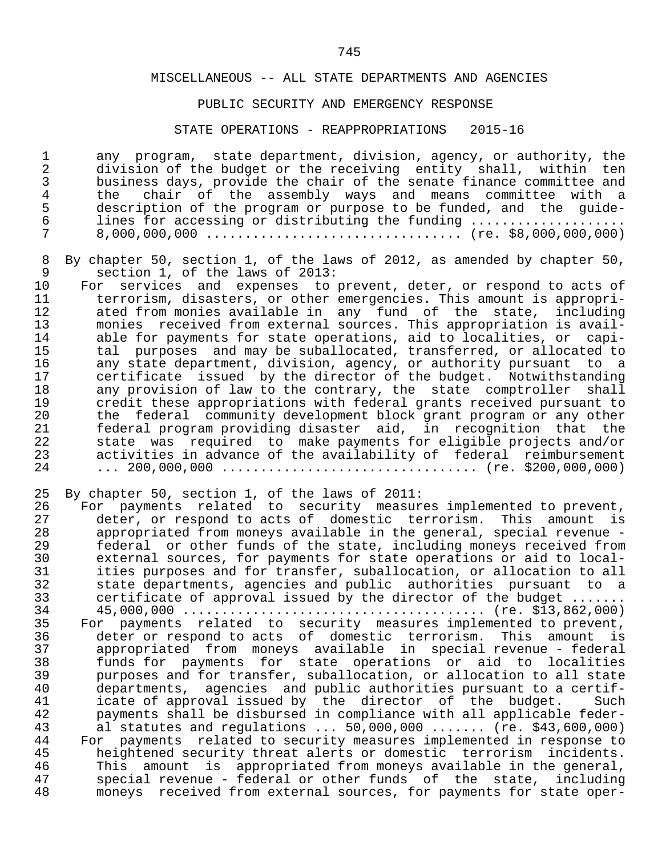#### PUBLIC SECURITY AND EMERGENCY RESPONSE

#### STATE OPERATIONS - REAPPROPRIATIONS 2015-16

1 any program, state department, division, agency, or authority, the<br>2 division of the budget or the receiving entity shall, within ten 2 division of the budget or the receiving entity shall, within ten<br>3 business days, provide the chair of the senate finance committee and 3 business days, provide the chair of the senate finance committee and<br>4 the chair of the assembly ways and means committee with a 4 the chair of the assembly ways and means committee with a<br>5 description of the program or purpose to be funded, and the quide-5 description of the program or purpose to be funded, and the guide-<br>6 lines for accessing or distributing the funding ................... 6 lines for accessing or distributing the funding .................... 7 8,000,000,000 ................................. (re. \$8,000,000,000)

8 By chapter 50, section 1, of the laws of 2012, as amended by chapter 50,<br>9 section 1, of the laws of 2013: 9 section 1, of the laws of 2013:<br>10 For services and expenses to

10 For services and expenses to prevent, deter, or respond to acts of<br>11 terrorism, disasters, or other emergencies. This amount is appropri-11 terrorism, disasters, or other emergencies. This amount is appropri-<br>12 ated from monies available in any fund of the state, including 12 ated from monies available in any fund of the state, including 11 and the moniest from external sources. This appropriation is avail-<br>14 able for payments for state operations, aid to localities, or capi-14 able for payments for state operations, aid to localities, or capi-<br>15 tal purposes and may be suballocated, transferred, or allocated to 15 tal purposes and may be suballocated, transferred, or allocated to<br>16 any state department, division, agency, or authority pursuant to a 16 any state department, division, agency, or authority pursuant to a<br>17 dertificate issued by the director of the budget. Notwithstanding 17 certificate issued by the director of the budget. Notwithstanding<br>18 any provision of law to the contrary, the state comptroller shall 18 any provision of law to the contrary, the state comptroller shall<br>19 credit these appropriations with federal grants received pursuant to 19 credit these appropriations with federal grants received pursuant to<br>20 the federal community development block grant program or any other 20 the federal community-development-block-grant-program or any other<br>21 federal program providing disaster aid, in recognition that the 21 federal program providing disaster aid, in recognition that the 22 state was required to make payments for eligible projects and/or 23 activities in advance of the availability of federal reimbursement 24 ... 200,000,000 ................................. (re. \$200,000,000)

|  |  |  |  | 25 By chapter 50, section 1, of the laws of 2011: |  |  |  |  |  |  |
|--|--|--|--|---------------------------------------------------|--|--|--|--|--|--|
|--|--|--|--|---------------------------------------------------|--|--|--|--|--|--|

| 26 | For payments related to security measures implemented to prevent,    |
|----|----------------------------------------------------------------------|
| 27 | deter, or respond to acts of domestic terrorism. This amount is      |
| 28 | appropriated from moneys available in the general, special revenue - |
| 29 | federal or other funds of the state, including moneys received from  |
| 30 | external sources, for payments for state operations or aid to local- |
| 31 | ities purposes and for transfer, suballocation, or allocation to all |
| 32 | state departments, agencies and public authorities pursuant to a     |
| 33 | certificate of approval issued by the director of the budget         |
| 34 |                                                                      |
|    |                                                                      |
| 35 | For payments related to security measures implemented to prevent,    |
| 36 | deter or respond to acts of domestic terrorism. This amount is       |
| 37 | appropriated from moneys available in special revenue - federal      |
| 38 | funds for payments for state operations or aid to localities         |
| 39 | purposes and for transfer, suballocation, or allocation to all state |
| 40 | departments, agencies and public authorities pursuant to a certif-   |
| 41 | icate of approval issued by the director of the budget.<br>Such      |
| 42 | payments shall be disbursed in compliance with all applicable feder- |
| 43 | al statutes and regulations $50,000,000$ (re. \$43,600,000)          |
| 44 | For payments related to security measures implemented in response to |
| 45 | heightened security threat alerts or domestic terrorism incidents.   |
| 46 | This amount is appropriated from moneys available in the general,    |
| 47 | special revenue - federal or other funds of the state, including     |
|    |                                                                      |
| 48 | moneys received from external sources, for payments for state oper-  |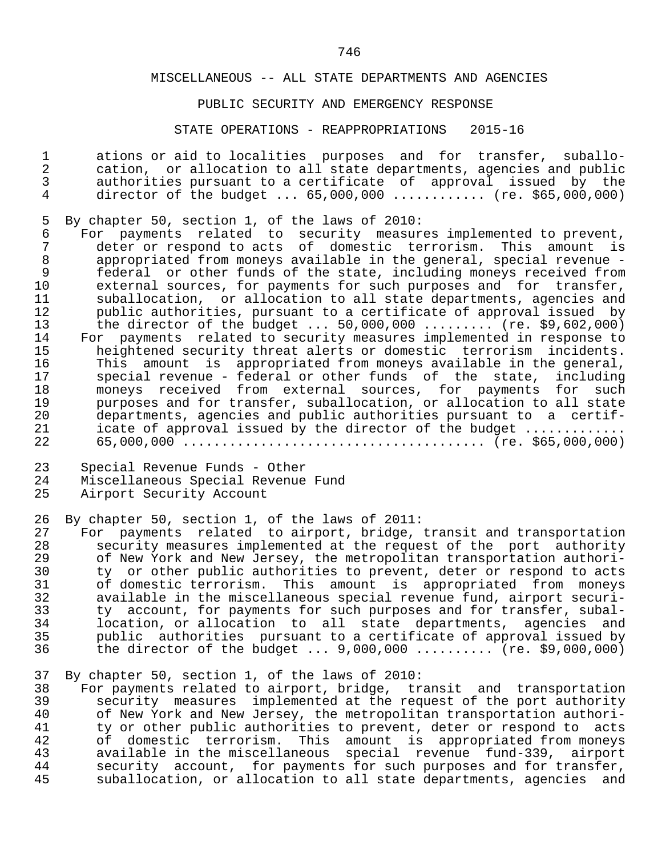#### PUBLIC SECURITY AND EMERGENCY RESPONSE

#### STATE OPERATIONS - REAPPROPRIATIONS 2015-16

1 ations or aid to localities purposes and for transfer, suballo-<br>2 cation, or allocation to all state departments, agencies and public 2 cation, or allocation to all state departments, agencies and public 3 authorities pursuant to a certificate of approval issued by the director of the budget ... 65,000,000 ............ (re. \$65,000,000)

5 By chapter 50, section 1, of the laws of 2010:<br>6 For payments related to security measure

6 For payments related to security measures implemented to prevent,<br>7 deter or respond to acts of domestic terrorism. This amount is 7 deter or respond to acts of domestic terrorism. This amount is<br>8 appropriated from moneys available in the general, special revenue -8 appropriated from moneys available in the general, special revenue -<br>9 federal or other funds of the state, including moneys received from 9 federal or other funds of the state, including moneys received from<br>10 external sources, for payments for such purposes and for transfer, 10 external sources, for payments for such purposes and for transfer,<br>11 suballocation, or allocation to all state departments, agencies and 11 suballocation, or allocation to all state departments, agencies and<br>12 bublic authorities, pursuant to a certificate of approval issued by 12 public authorities, pursuant to a certificate of approval issued by<br>13 the director of the budget ... 50,000,000 ......... (re. \$9,602,000) 13 the director of the budget ... 50,000,000 ......... (re. \$9,602,000) 14 For payments related to security measures implemented in response to 15 heightened security threat alerts or domestic terrorism incidents.<br>16 This amount is appropriated from moneys available in the general, 16 This amount is appropriated from moneys available in the general,<br>17 Special revenue - federal or other funds of the state, including 17 special revenue - federal or other funds of the state, including<br>18 monevs received from external sources, for payments for such 18 moneys received from external sources, for payments for such<br>19 mourposes and for transfer, suballocation, or allocation to all state 19 purposes and for transfer, suballocation, or allocation to all state<br>20 departments, agencies and public authorities pursuant to a certif-20 departments, agencies and public authorities pursuant to a certif-<br>21 icate of approval issued by the director of the budget 21 icate of approval issued by the director of the budget ............. 22 65,000,000 ....................................... (re. \$65,000,000)

23 Special Revenue Funds - Other

- 24 Miscellaneous Special Revenue Fund<br>25 Airport Security Account
- Airport Security Account
- 26 By chapter 50, section 1, of the laws of 2011:<br>27 For payments related to airport, bridge,

27 For payments related to airport, bridge, transit and transportation<br>28 Security measures implemented at the request of the port authority 28 security measures implemented at the request of the port authority<br>29 of New York and New Jersey, the metropolitan transportation authori-29 of New York and New Jersey, the metropolitan transportation authori-<br>30 ty or other public authorities to prevent, deter or respond to acts 30 ty or other public authorities to prevent, deter or respond to acts<br>31 of domestic terrorism. This amount is appropriated from moneys 31 of domestic terrorism. This amount is appropriated from moneys<br>32 available in the miscellaneous special revenue fund, airport securi-32 available in the miscellaneous special revenue fund, airport securi-<br>33 ty account, for payments for such purposes and for transfer, subal-33 ty account, for payments for such purposes and for transfer, subal-<br>34 10 location, or allocation to all state departments, agencies and 34 location, or allocation to all state departments, agencies and 35 public authorities pursuant to a certificate of approval issued by<br>36 the director of the budget ... 9,000,000 .......... (re. \$9,000,000) the director of the budget ... 9,000,000 .......... (re. \$9,000,000)

#### 37 By chapter 50, section 1, of the laws of 2010:

 38 For payments related to airport, bridge, transit and transportation 39 security measures implemented at the request of the port authority<br>40 of New York and New Jersey, the metropolitan transportation authori-40 of New York and New Jersey, the metropolitan transportation authori-<br>41 ty or other public authorities to prevent, deter or respond to acts 41 ty or other public authorities to prevent, deter or respond to acts<br>42 of domestic terrorism. This amount is appropriated from moneys 42 of domestic terrorism. This amount is appropriated from moneys<br>43 available in the miscellaneous special revenue fund-339, airport 43 available in the miscellaneous special revenue fund-339, airport<br>44 security account, for payments for such purposes and for transfer, 44 security account, for payments for such purposes and for transfer,<br>45 suballocation, or allocation to all state departments, agencies and suballocation, or allocation to all state departments, agencies and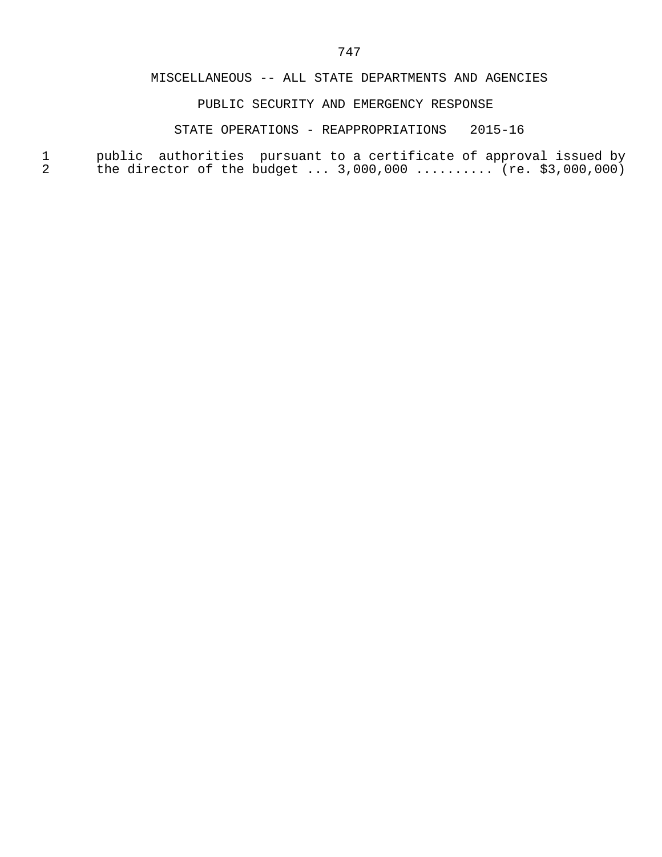# PUBLIC SECURITY AND EMERGENCY RESPONSE

### STATE OPERATIONS - REAPPROPRIATIONS 2015-16

 1 public authorities pursuant to a certificate of approval issued by 2 the director of the budget ... 3,000,000 .......... (re. \$3,000,000)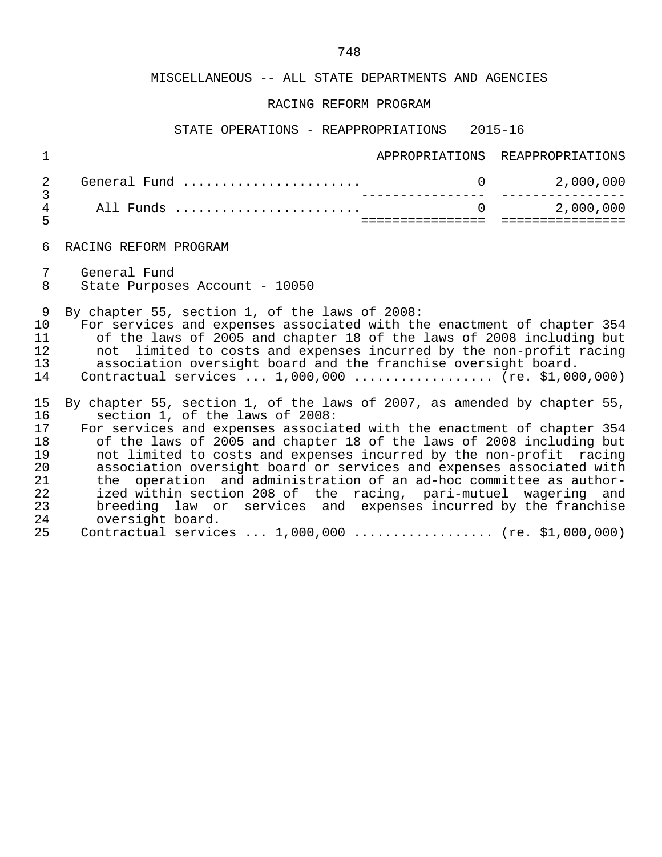### RACING REFORM PROGRAM

### STATE OPERATIONS - REAPPROPRIATIONS 2015-16

| $\mathbf 1$                                        |                                                                                                                                                                                                                                                                                                                                                                                                                                                                                                                                                                                                                          |          | APPROPRIATIONS REAPPROPRIATIONS |
|----------------------------------------------------|--------------------------------------------------------------------------------------------------------------------------------------------------------------------------------------------------------------------------------------------------------------------------------------------------------------------------------------------------------------------------------------------------------------------------------------------------------------------------------------------------------------------------------------------------------------------------------------------------------------------------|----------|---------------------------------|
| 2                                                  | General Fund                                                                                                                                                                                                                                                                                                                                                                                                                                                                                                                                                                                                             |          | 2,000,000                       |
| 3<br>4<br>5                                        | All Funds                                                                                                                                                                                                                                                                                                                                                                                                                                                                                                                                                                                                                | $\Omega$ | 2,000,000<br>================   |
| 6                                                  | RACING REFORM PROGRAM                                                                                                                                                                                                                                                                                                                                                                                                                                                                                                                                                                                                    |          |                                 |
| 7<br>8                                             | General Fund<br>State Purposes Account - 10050                                                                                                                                                                                                                                                                                                                                                                                                                                                                                                                                                                           |          |                                 |
| 9<br>10<br>11<br>12<br>13<br>14                    | By chapter 55, section 1, of the laws of 2008:<br>For services and expenses associated with the enactment of chapter 354<br>of the laws of 2005 and chapter 18 of the laws of 2008 including but<br>not limited to costs and expenses incurred by the non-profit racing<br>association oversight board and the franchise oversight board.<br>Contractual services $1,000,000$ (re. \$1,000,000)                                                                                                                                                                                                                          |          |                                 |
| 15<br>16<br>17<br>18<br>19<br>20<br>21<br>22<br>23 | By chapter 55, section 1, of the laws of 2007, as amended by chapter 55,<br>section 1, of the laws of 2008:<br>For services and expenses associated with the enactment of chapter 354<br>of the laws of 2005 and chapter 18 of the laws of 2008 including but<br>not limited to costs and expenses incurred by the non-profit racing<br>association oversight board or services and expenses associated with<br>the operation and administration of an ad-hoc committee as author-<br>ized within section 208 of the racing, pari-mutuel wagering and<br>breeding law or services and expenses incurred by the franchise |          |                                 |

 24 oversight board. 25 Contractual services ... 1,000,000 .................. (re. \$1,000,000)

23 breeding law or services and expenses incurred by the franchise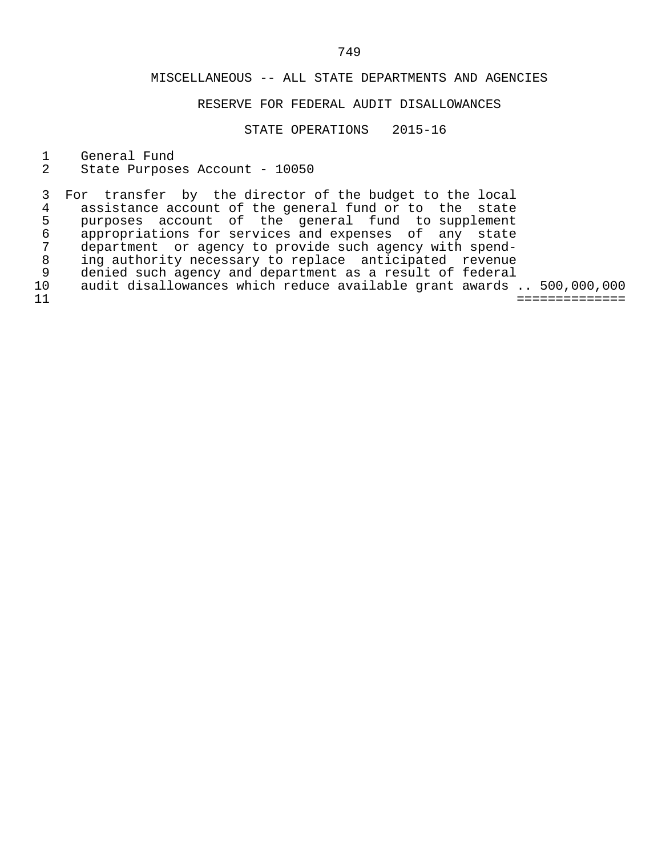# RESERVE FOR FEDERAL AUDIT DISALLOWANCES

STATE OPERATIONS 2015-16

1 General Fund<br>2 State Purpose

State Purposes Account - 10050

3 For transfer by the director of the budget to the local<br>4 assistance account of the general fund or to the state 4 assistance account of the general fund or to the state<br>5 purposes account of the general fund to supplement 5 purposes account of the general fund to supplement 6 appropriations for services and expenses of any state 7 department or agency to provide such agency with spend-<br>8 ing authority necessary to replace anticipated revenue 8 ing authority necessary to replace anticipated revenue<br>9 denied such agency and department as a result of federal 9 denied such agency and department as a result of federal<br>10 audit disallowances which reduce available grant awards 10 audit disallowances which reduce available grant awards .. 500,000,000 11 ==============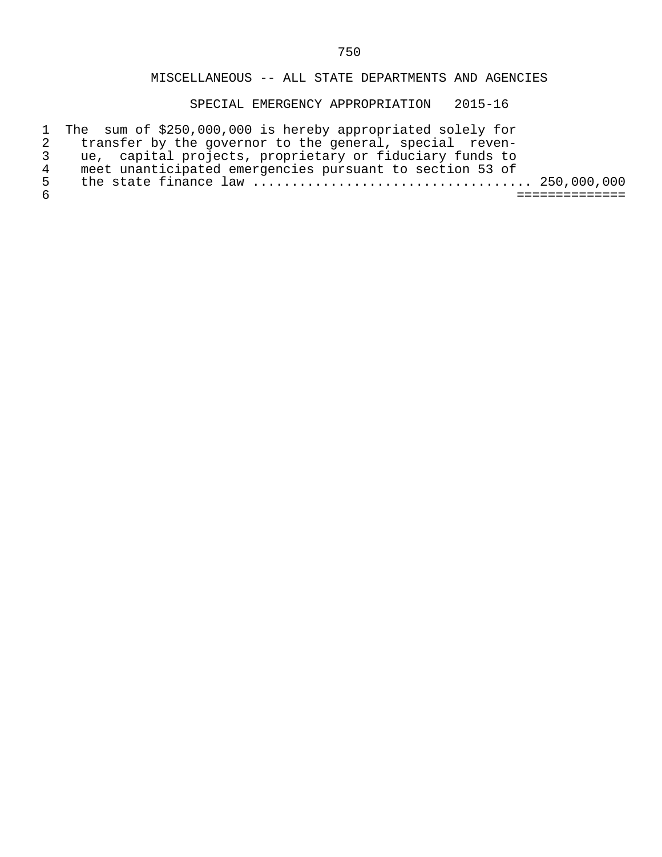SPECIAL EMERGENCY APPROPRIATION 2015-16

|              | 1 The sum of \$250,000,000 is hereby appropriated solely for |  |
|--------------|--------------------------------------------------------------|--|
|              | transfer by the governor to the general, special reven-      |  |
|              | ue, capital projects, proprietary or fiduciary funds to      |  |
| 4            | meet unanticipated emergencies pursuant to section 53 of     |  |
| $\mathbf{h}$ |                                                              |  |
|              |                                                              |  |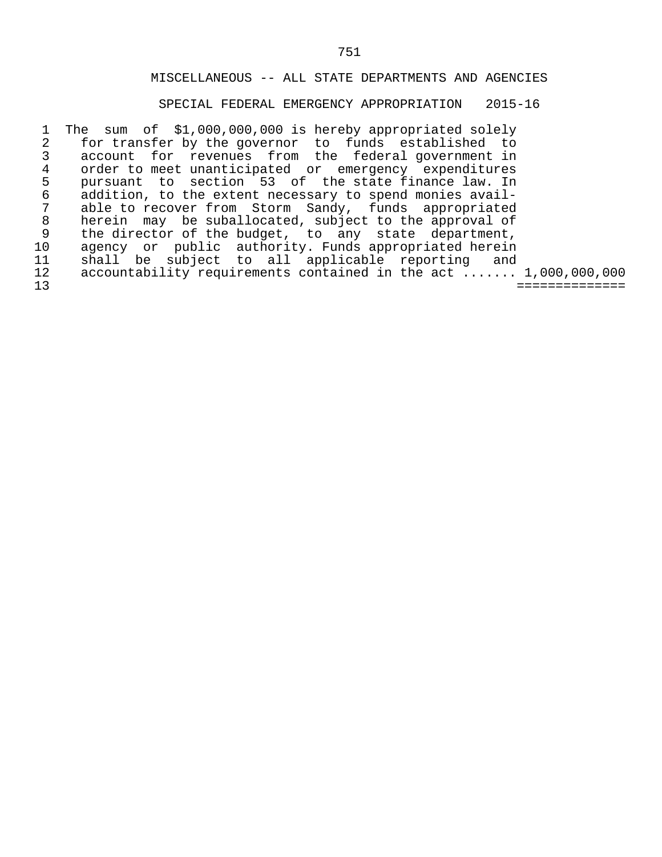# SPECIAL FEDERAL EMERGENCY APPROPRIATION 2015-16

1 The sum of \$1,000,000,000 is hereby appropriated solely<br>2 for transfer by the governor to funds established to 2 for transfer by the governor to funds established to<br>3 account for revenues from the federal government in 3 account for revenues from the federal government in<br>4 order to meet unanticipated or emergency expenditures 4 order to meet unanticipated or emergency expenditures<br>5 pursuant to section 53 of the state finance law. In 5 pursuant to section 53 of the state finance law. In 6 addition, to the extent necessary to spend monies avail- 7 able to recover from Storm Sandy, funds appropriated<br>8 herein may be suballocated, subject to the approval of 8 herein may be suballocated, subject to the approval of<br>9 the director of the budget, to any state department, 9 the director of the budget, to any state department,<br>10 agency or public authority. Funds appropriated herein 10 agency or public authority. Funds appropriated herein<br>11 shall be subject to all applicable reporting and 11 shall be subject to all applicable reporting and<br>12 accountability requirements contained in the act ...... 12 accountability requirements contained in the act ....... 1,000,000,000 13 ==============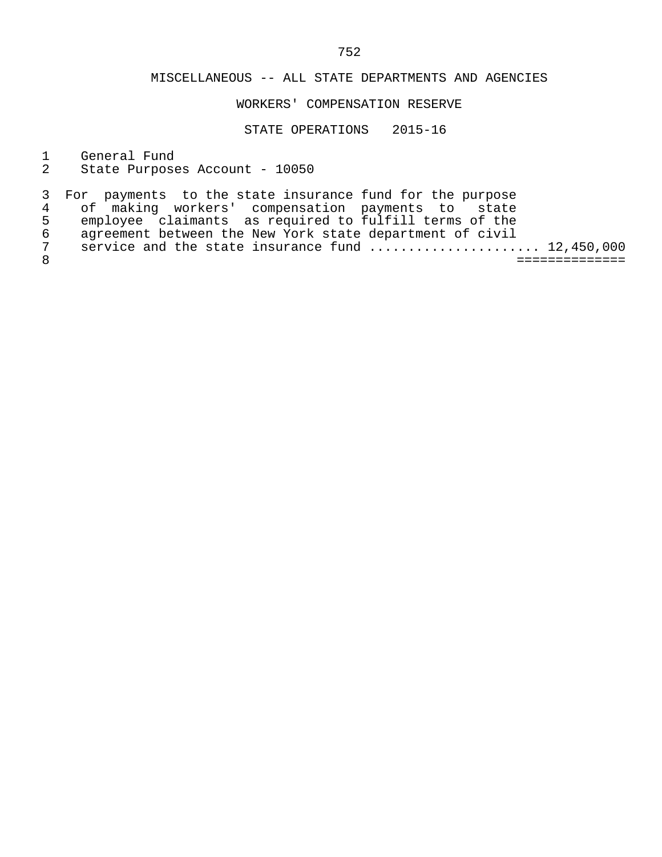### WORKERS' COMPENSATION RESERVE

STATE OPERATIONS 2015-16

1 General Fund<br>2 State Purpose

State Purposes Account - 10050

|   | 3 For payments to the state insurance fund for the purpose |  |
|---|------------------------------------------------------------|--|
|   | 4 of making workers' compensation payments to state        |  |
| 5 | employee claimants as required to fulfill terms of the     |  |
| 6 | agreement between the New York state department of civil   |  |
| 7 | service and the state insurance fund  12,450,000           |  |
|   |                                                            |  |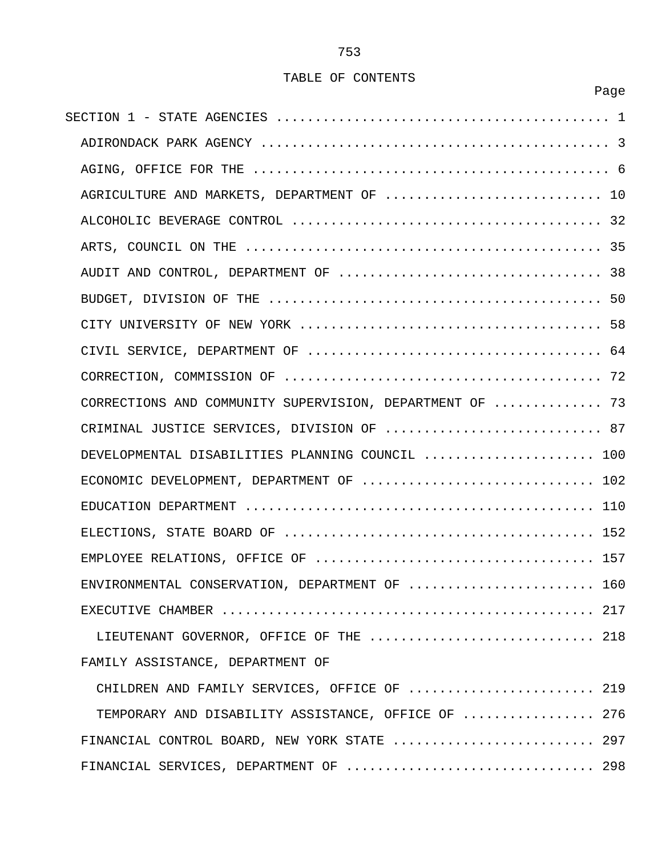en de la provincia de la provincia de la provincia de la provincia de la provincia de la provincia de la provi

| AGRICULTURE AND MARKETS, DEPARTMENT OF  10               |
|----------------------------------------------------------|
|                                                          |
|                                                          |
|                                                          |
|                                                          |
|                                                          |
|                                                          |
|                                                          |
| CORRECTIONS AND COMMUNITY SUPERVISION, DEPARTMENT OF  73 |
| CRIMINAL JUSTICE SERVICES, DIVISION OF  87               |
| DEVELOPMENTAL DISABILITIES PLANNING COUNCIL  100         |
| ECONOMIC DEVELOPMENT, DEPARTMENT OF  102                 |
|                                                          |
|                                                          |
|                                                          |
| ENVIRONMENTAL CONSERVATION, DEPARTMENT OF<br>160         |
|                                                          |
| LIEUTENANT GOVERNOR, OFFICE OF THE  218                  |
| FAMILY ASSISTANCE, DEPARTMENT OF                         |
| CHILDREN AND FAMILY SERVICES, OFFICE OF  219             |
| TEMPORARY AND DISABILITY ASSISTANCE, OFFICE OF  276      |
| FINANCIAL CONTROL BOARD, NEW YORK STATE  297             |
| FINANCIAL SERVICES, DEPARTMENT OF  298                   |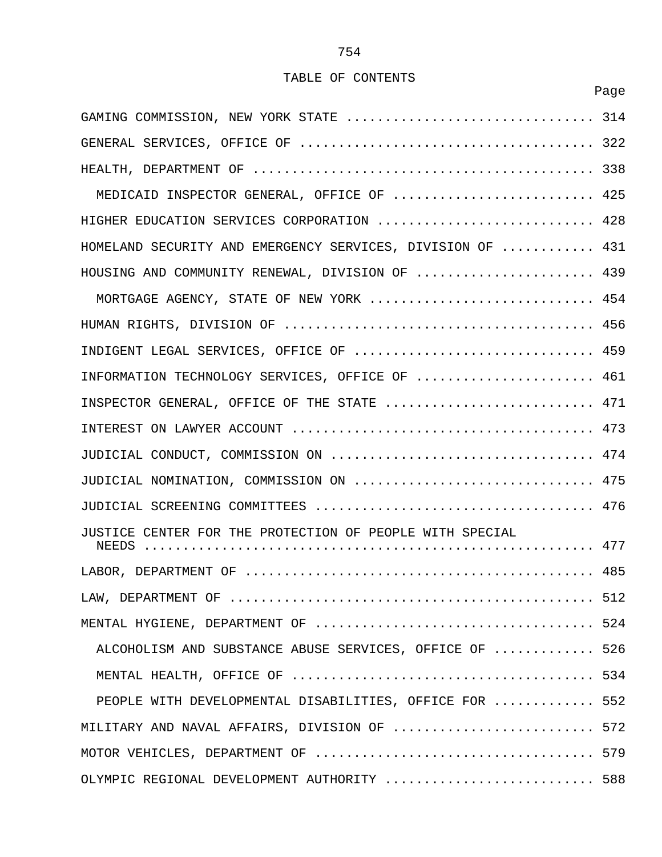|                                                            | Page |
|------------------------------------------------------------|------|
| GAMING COMMISSION, NEW YORK STATE  314                     |      |
|                                                            |      |
|                                                            |      |
| MEDICAID INSPECTOR GENERAL, OFFICE OF  425                 |      |
| HIGHER EDUCATION SERVICES CORPORATION  428                 |      |
| HOMELAND SECURITY AND EMERGENCY SERVICES, DIVISION OF  431 |      |
| HOUSING AND COMMUNITY RENEWAL, DIVISION OF  439            |      |
| MORTGAGE AGENCY, STATE OF NEW YORK  454                    |      |
|                                                            |      |
| INDIGENT LEGAL SERVICES, OFFICE OF  459                    |      |
| INFORMATION TECHNOLOGY SERVICES, OFFICE OF  461            |      |
| INSPECTOR GENERAL, OFFICE OF THE STATE  471                |      |
|                                                            |      |
|                                                            |      |
| JUDICIAL NOMINATION, COMMISSION ON  475                    |      |
|                                                            |      |
| JUSTICE CENTER FOR THE PROTECTION OF PEOPLE WITH SPECIAL   |      |
|                                                            |      |
|                                                            |      |
|                                                            |      |
| ALCOHOLISM AND SUBSTANCE ABUSE SERVICES, OFFICE OF  526    |      |
|                                                            |      |
| PEOPLE WITH DEVELOPMENTAL DISABILITIES, OFFICE FOR  552    |      |
| MILITARY AND NAVAL AFFAIRS, DIVISION OF  572               |      |
|                                                            |      |
| OLYMPIC REGIONAL DEVELOPMENT AUTHORITY  588                |      |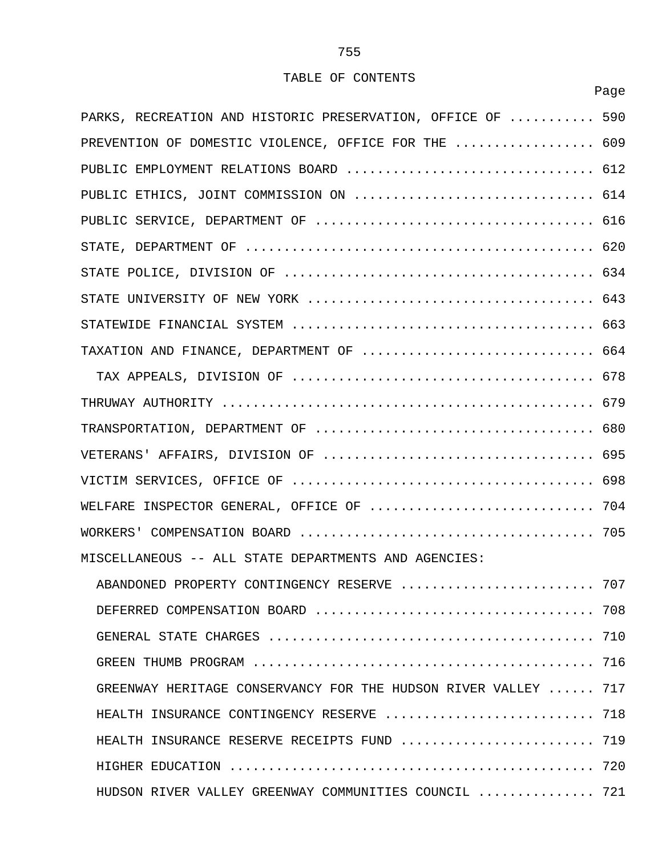en de la provincia de la provincia de la provincia de la provincia de la provincia de la provincia de la provi

| PARKS, RECREATION AND HISTORIC PRESERVATION, OFFICE OF  590    |     |
|----------------------------------------------------------------|-----|
| PREVENTION OF DOMESTIC VIOLENCE, OFFICE FOR THE  609           |     |
| PUBLIC EMPLOYMENT RELATIONS BOARD  612                         |     |
|                                                                |     |
|                                                                |     |
|                                                                |     |
|                                                                |     |
|                                                                |     |
|                                                                |     |
| TAXATION AND FINANCE, DEPARTMENT OF  664                       |     |
|                                                                |     |
|                                                                |     |
|                                                                |     |
|                                                                |     |
|                                                                |     |
| WELFARE INSPECTOR GENERAL, OFFICE OF  704                      |     |
|                                                                |     |
| MISCELLANEOUS -- ALL STATE DEPARTMENTS AND AGENCIES:           |     |
| ABANDONED PROPERTY CONTINGENCY RESERVE                         | 707 |
|                                                                |     |
|                                                                |     |
|                                                                |     |
| GREENWAY HERITAGE CONSERVANCY FOR THE HUDSON RIVER VALLEY  717 |     |
| HEALTH INSURANCE CONTINGENCY RESERVE  718                      |     |
| HEALTH INSURANCE RESERVE RECEIPTS FUND  719                    |     |
|                                                                |     |
| HUDSON RIVER VALLEY GREENWAY COMMUNITIES COUNCIL  721          |     |